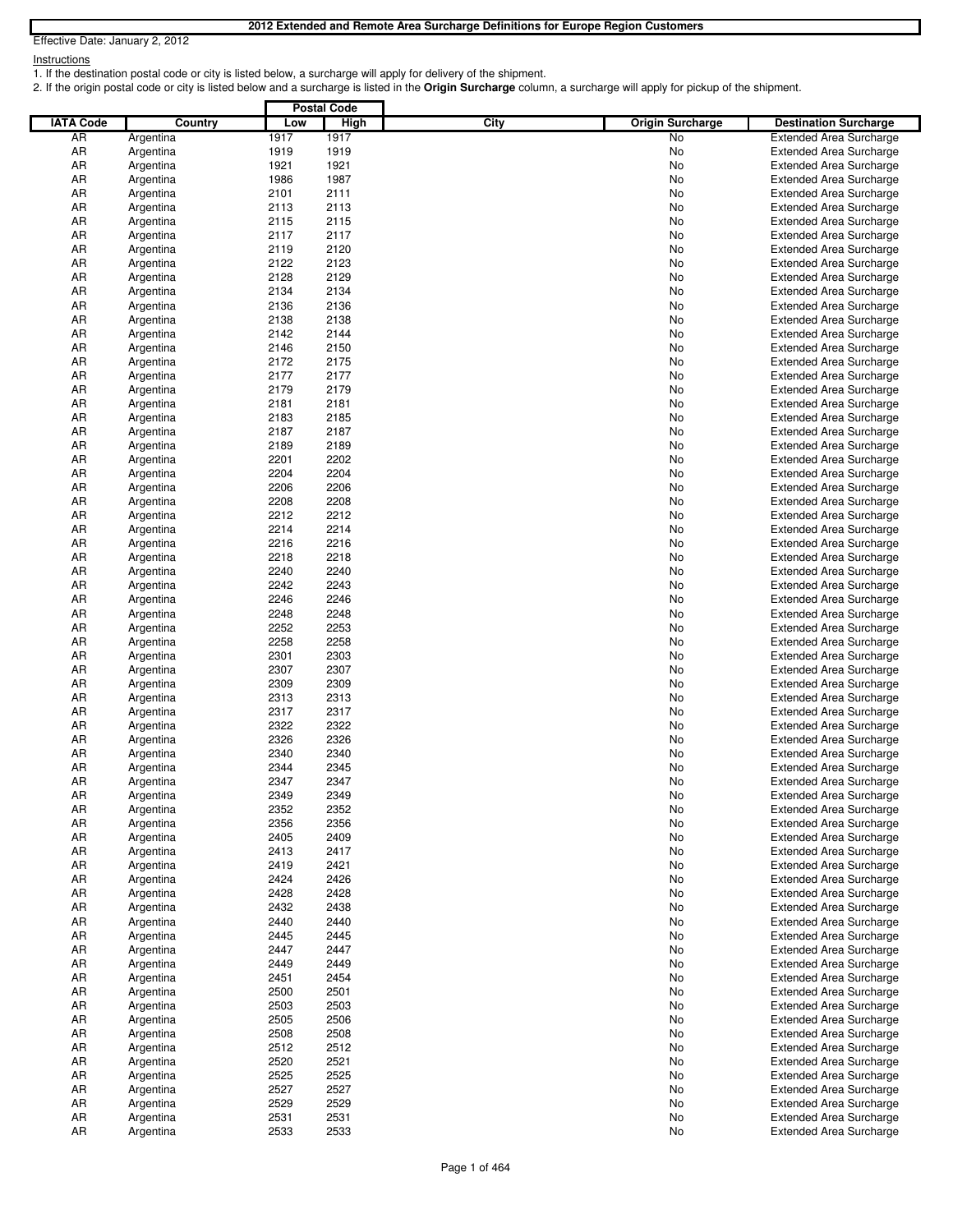**Instructions** 

1. If the destination postal code or city is listed below, a surcharge will apply for delivery of the shipment.

2. If the origin postal code or city is listed below and a surcharge is listed in the **Origin Surcharge** column, a surcharge will apply for pickup of the shipment.

|                  |                        |              | <b>Postal Code</b> |      |                         |                                                                  |
|------------------|------------------------|--------------|--------------------|------|-------------------------|------------------------------------------------------------------|
| <b>IATA Code</b> | Country                | Low          | <b>High</b>        | City | <b>Origin Surcharge</b> | <b>Destination Surcharge</b>                                     |
| AR               | Argentina              | 1917         | 1917               |      | No                      | <b>Extended Area Surcharge</b>                                   |
| AR               | Argentina              | 1919         | 1919               |      | No                      | <b>Extended Area Surcharge</b>                                   |
| AR               | Argentina              | 1921         | 1921               |      | No                      | <b>Extended Area Surcharge</b>                                   |
| AR               | Argentina              | 1986         | 1987               |      | No                      | <b>Extended Area Surcharge</b>                                   |
| AR               | Argentina              | 2101         | 2111               |      | No                      | <b>Extended Area Surcharge</b>                                   |
| AR               | Argentina              | 2113<br>2115 | 2113<br>2115       |      | No                      | <b>Extended Area Surcharge</b>                                   |
| AR<br>AR         | Argentina<br>Argentina | 2117         | 2117               |      | No<br>No                | <b>Extended Area Surcharge</b><br><b>Extended Area Surcharge</b> |
| AR               | Argentina              | 2119         | 2120               |      | No                      | <b>Extended Area Surcharge</b>                                   |
| AR               | Argentina              | 2122         | 2123               |      | No                      | <b>Extended Area Surcharge</b>                                   |
| AR               | Argentina              | 2128         | 2129               |      | No                      | <b>Extended Area Surcharge</b>                                   |
| AR               | Argentina              | 2134         | 2134               |      | No                      | <b>Extended Area Surcharge</b>                                   |
| AR               | Argentina              | 2136         | 2136               |      | No                      | <b>Extended Area Surcharge</b>                                   |
| AR               | Argentina              | 2138         | 2138               |      | No                      | <b>Extended Area Surcharge</b>                                   |
| AR               | Argentina              | 2142         | 2144               |      | No                      | <b>Extended Area Surcharge</b>                                   |
| AR               | Argentina              | 2146         | 2150               |      | No                      | <b>Extended Area Surcharge</b>                                   |
| AR               | Argentina              | 2172         | 2175               |      | No                      | <b>Extended Area Surcharge</b>                                   |
| AR               | Argentina              | 2177         | 2177               |      | No                      | <b>Extended Area Surcharge</b>                                   |
| AR               | Argentina              | 2179         | 2179               |      | No                      | <b>Extended Area Surcharge</b>                                   |
| AR<br>AR         | Argentina<br>Argentina | 2181<br>2183 | 2181<br>2185       |      | No<br>No                | <b>Extended Area Surcharge</b>                                   |
| AR               | Argentina              | 2187         | 2187               |      | No                      | <b>Extended Area Surcharge</b><br><b>Extended Area Surcharge</b> |
| AR               | Argentina              | 2189         | 2189               |      | No                      | <b>Extended Area Surcharge</b>                                   |
| AR               | Argentina              | 2201         | 2202               |      | No                      | <b>Extended Area Surcharge</b>                                   |
| AR               | Argentina              | 2204         | 2204               |      | No                      | <b>Extended Area Surcharge</b>                                   |
| AR               | Argentina              | 2206         | 2206               |      | No                      | <b>Extended Area Surcharge</b>                                   |
| AR               | Argentina              | 2208         | 2208               |      | No                      | <b>Extended Area Surcharge</b>                                   |
| AR               | Argentina              | 2212         | 2212               |      | No                      | <b>Extended Area Surcharge</b>                                   |
| AR               | Argentina              | 2214         | 2214               |      | No                      | <b>Extended Area Surcharge</b>                                   |
| AR               | Argentina              | 2216         | 2216               |      | No                      | <b>Extended Area Surcharge</b>                                   |
| AR               | Argentina              | 2218         | 2218               |      | No                      | <b>Extended Area Surcharge</b>                                   |
| AR               | Argentina              | 2240         | 2240               |      | No                      | <b>Extended Area Surcharge</b>                                   |
| AR               | Argentina              | 2242         | 2243               |      | No                      | <b>Extended Area Surcharge</b>                                   |
| AR               | Argentina              | 2246         | 2246               |      | No                      | <b>Extended Area Surcharge</b>                                   |
| AR               | Argentina              | 2248         | 2248               |      | No                      | <b>Extended Area Surcharge</b>                                   |
| AR               | Argentina              | 2252         | 2253               |      | No                      | <b>Extended Area Surcharge</b>                                   |
| AR               | Argentina              | 2258         | 2258<br>2303       |      | No                      | <b>Extended Area Surcharge</b>                                   |
| AR<br>AR         | Argentina<br>Argentina | 2301<br>2307 | 2307               |      | No<br>No                | <b>Extended Area Surcharge</b><br><b>Extended Area Surcharge</b> |
| AR               | Argentina              | 2309         | 2309               |      | No                      | <b>Extended Area Surcharge</b>                                   |
| AR               | Argentina              | 2313         | 2313               |      | No                      | <b>Extended Area Surcharge</b>                                   |
| AR               | Argentina              | 2317         | 2317               |      | No                      | <b>Extended Area Surcharge</b>                                   |
| AR               | Argentina              | 2322         | 2322               |      | No                      | <b>Extended Area Surcharge</b>                                   |
| AR               | Argentina              | 2326         | 2326               |      | No                      | <b>Extended Area Surcharge</b>                                   |
| AR               | Argentina              | 2340         | 2340               |      | No                      | <b>Extended Area Surcharge</b>                                   |
| AR               | Argentina              | 2344         | 2345               |      | No                      | <b>Extended Area Surcharge</b>                                   |
| AR               | Argentina              | 2347         | 2347               |      | No                      | <b>Extended Area Surcharge</b>                                   |
| ΑR               | Argentina              | 2349         | 2349               |      | N0                      | Extended Area Surcharge                                          |
| AR               | Argentina              | 2352         | 2352               |      | No                      | <b>Extended Area Surcharge</b>                                   |
| AR               | Argentina              | 2356         | 2356               |      | No                      | <b>Extended Area Surcharge</b>                                   |
| AR               | Argentina              | 2405         | 2409               |      | No                      | <b>Extended Area Surcharge</b>                                   |
| AR<br>AR         | Argentina<br>Argentina | 2413<br>2419 | 2417<br>2421       |      | No<br>No                | <b>Extended Area Surcharge</b><br><b>Extended Area Surcharge</b> |
| AR               | Argentina              | 2424         | 2426               |      | No                      | <b>Extended Area Surcharge</b>                                   |
| AR               | Argentina              | 2428         | 2428               |      | No                      | <b>Extended Area Surcharge</b>                                   |
| AR               | Argentina              | 2432         | 2438               |      | No                      | <b>Extended Area Surcharge</b>                                   |
| AR               | Argentina              | 2440         | 2440               |      | No                      | <b>Extended Area Surcharge</b>                                   |
| AR               | Argentina              | 2445         | 2445               |      | No                      | <b>Extended Area Surcharge</b>                                   |
| AR               | Argentina              | 2447         | 2447               |      | No                      | <b>Extended Area Surcharge</b>                                   |
| AR               | Argentina              | 2449         | 2449               |      | No                      | <b>Extended Area Surcharge</b>                                   |
| AR               | Argentina              | 2451         | 2454               |      | No                      | <b>Extended Area Surcharge</b>                                   |
| AR               | Argentina              | 2500         | 2501               |      | No                      | <b>Extended Area Surcharge</b>                                   |
| AR               | Argentina              | 2503         | 2503               |      | No                      | <b>Extended Area Surcharge</b>                                   |
| AR               | Argentina              | 2505         | 2506               |      | No                      | <b>Extended Area Surcharge</b>                                   |
| AR               | Argentina              | 2508         | 2508               |      | No                      | <b>Extended Area Surcharge</b>                                   |
| AR               | Argentina              | 2512         | 2512               |      | No                      | <b>Extended Area Surcharge</b>                                   |
| AR               | Argentina              | 2520         | 2521               |      | No                      | <b>Extended Area Surcharge</b>                                   |
| AR<br>AR         | Argentina              | 2525<br>2527 | 2525<br>2527       |      | No                      | <b>Extended Area Surcharge</b>                                   |
| AR               | Argentina<br>Argentina | 2529         | 2529               |      | No<br>No                | <b>Extended Area Surcharge</b><br><b>Extended Area Surcharge</b> |
| AR               | Argentina              | 2531         | 2531               |      | No                      | <b>Extended Area Surcharge</b>                                   |
| AR               | Argentina              | 2533         | 2533               |      | No                      | <b>Extended Area Surcharge</b>                                   |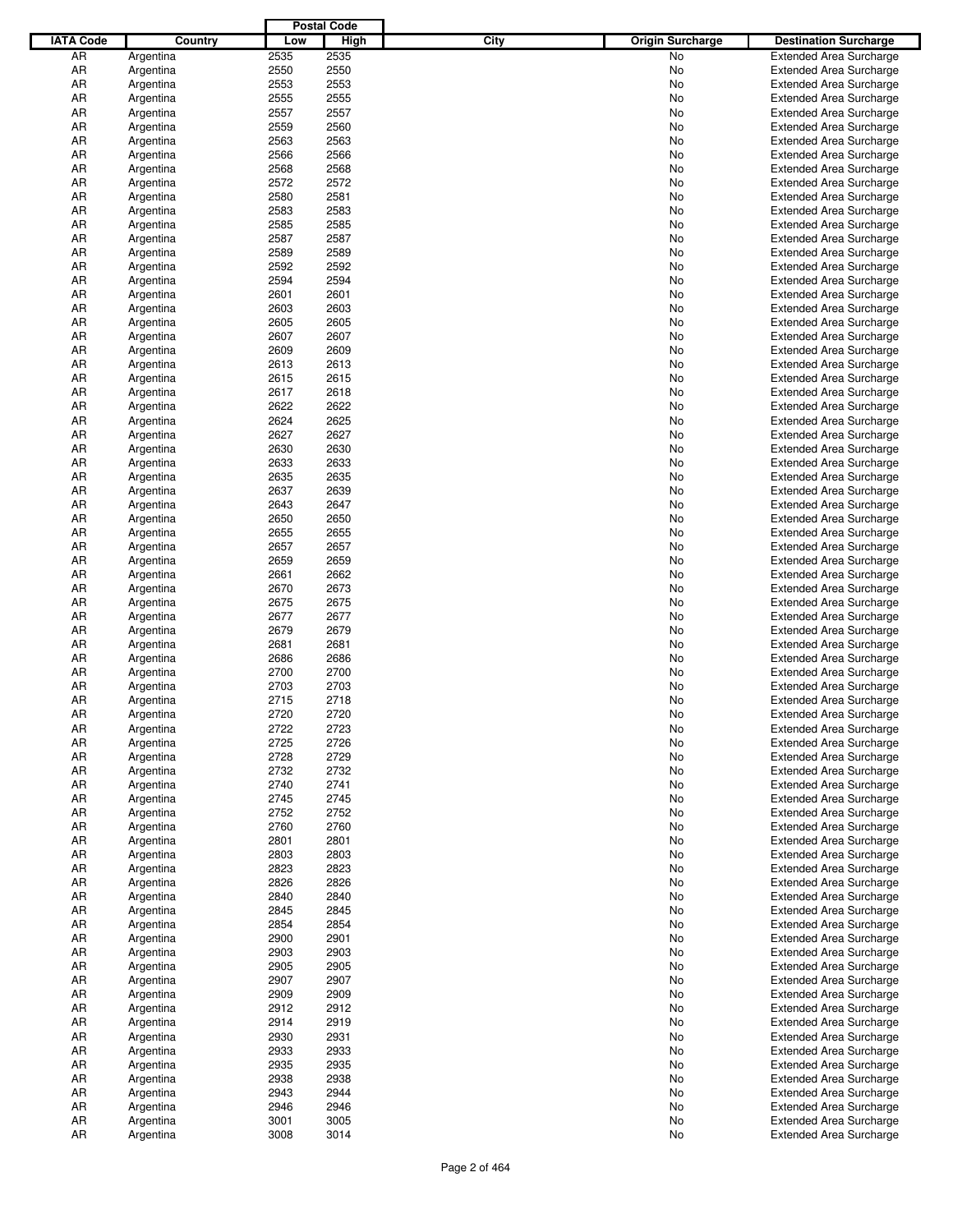|                  |           |      | <b>Postal Code</b> |             |                         |                                |
|------------------|-----------|------|--------------------|-------------|-------------------------|--------------------------------|
| <b>IATA Code</b> | Country   | Low  | <b>High</b>        | <b>City</b> | <b>Origin Surcharge</b> | <b>Destination Surcharge</b>   |
| AR               | Argentina | 2535 | 2535               |             | No.                     | <b>Extended Area Surcharge</b> |
| AR               | Argentina | 2550 | 2550               |             | No                      | <b>Extended Area Surcharge</b> |
| AR               | Argentina | 2553 | 2553               |             | No                      | <b>Extended Area Surcharge</b> |
| AR               | Argentina | 2555 | 2555               |             | No                      | <b>Extended Area Surcharge</b> |
| AR               | Argentina | 2557 | 2557               |             | No                      | <b>Extended Area Surcharge</b> |
| AR               |           | 2559 | 2560               |             | No                      | <b>Extended Area Surcharge</b> |
|                  | Argentina |      | 2563               |             |                         |                                |
| AR               | Argentina | 2563 |                    |             | No                      | <b>Extended Area Surcharge</b> |
| AR               | Argentina | 2566 | 2566               |             | No                      | <b>Extended Area Surcharge</b> |
| AR               | Argentina | 2568 | 2568               |             | No                      | <b>Extended Area Surcharge</b> |
| AR               | Argentina | 2572 | 2572               |             | No                      | <b>Extended Area Surcharge</b> |
| AR               | Argentina | 2580 | 2581               |             | No                      | <b>Extended Area Surcharge</b> |
| AR               | Argentina | 2583 | 2583               |             | No                      | <b>Extended Area Surcharge</b> |
| AR               | Argentina | 2585 | 2585               |             | No                      | <b>Extended Area Surcharge</b> |
| AR               | Argentina | 2587 | 2587               |             | No                      | <b>Extended Area Surcharge</b> |
| AR               | Argentina | 2589 | 2589               |             | No                      | <b>Extended Area Surcharge</b> |
| AR               | Argentina | 2592 | 2592               |             | No                      | <b>Extended Area Surcharge</b> |
| AR               | Argentina | 2594 | 2594               |             | No                      | <b>Extended Area Surcharge</b> |
| AR               | Argentina | 2601 | 2601               |             | No                      | <b>Extended Area Surcharge</b> |
| AR               | Argentina | 2603 | 2603               |             | No                      | <b>Extended Area Surcharge</b> |
| AR               | Argentina | 2605 | 2605               |             | No                      | <b>Extended Area Surcharge</b> |
| AR               | Argentina | 2607 | 2607               |             | No                      | <b>Extended Area Surcharge</b> |
| AR               | Argentina | 2609 | 2609               |             | No                      | <b>Extended Area Surcharge</b> |
| AR               | Argentina | 2613 | 2613               |             | No                      | <b>Extended Area Surcharge</b> |
| AR               | Argentina | 2615 | 2615               |             | No                      | <b>Extended Area Surcharge</b> |
| AR               | Argentina | 2617 | 2618               |             | No                      | <b>Extended Area Surcharge</b> |
| AR               |           | 2622 | 2622               |             | No                      |                                |
|                  | Argentina |      |                    |             |                         | <b>Extended Area Surcharge</b> |
| AR               | Argentina | 2624 | 2625               |             | No                      | <b>Extended Area Surcharge</b> |
| AR               | Argentina | 2627 | 2627               |             | No                      | <b>Extended Area Surcharge</b> |
| AR               | Argentina | 2630 | 2630               |             | No                      | <b>Extended Area Surcharge</b> |
| AR               | Argentina | 2633 | 2633               |             | No                      | <b>Extended Area Surcharge</b> |
| AR               | Argentina | 2635 | 2635               |             | No                      | <b>Extended Area Surcharge</b> |
| AR               | Argentina | 2637 | 2639               |             | No                      | <b>Extended Area Surcharge</b> |
| AR               | Argentina | 2643 | 2647               |             | No                      | <b>Extended Area Surcharge</b> |
| AR               | Argentina | 2650 | 2650               |             | No                      | <b>Extended Area Surcharge</b> |
| AR               | Argentina | 2655 | 2655               |             | No                      | <b>Extended Area Surcharge</b> |
| AR               | Argentina | 2657 | 2657               |             | No                      | <b>Extended Area Surcharge</b> |
| AR               | Argentina | 2659 | 2659               |             | No                      | <b>Extended Area Surcharge</b> |
| AR               | Argentina | 2661 | 2662               |             | No                      | <b>Extended Area Surcharge</b> |
| AR               | Argentina | 2670 | 2673               |             | No                      | <b>Extended Area Surcharge</b> |
| AR               | Argentina | 2675 | 2675               |             | No                      | <b>Extended Area Surcharge</b> |
| AR               | Argentina | 2677 | 2677               |             | No                      | <b>Extended Area Surcharge</b> |
| AR               | Argentina | 2679 | 2679               |             | No                      | <b>Extended Area Surcharge</b> |
| AR               | Argentina | 2681 | 2681               |             | No                      | <b>Extended Area Surcharge</b> |
| AR               |           | 2686 | 2686               |             | No                      | <b>Extended Area Surcharge</b> |
|                  | Argentina |      |                    |             |                         |                                |
| AR               | Argentina | 2700 | 2700               |             | No                      | <b>Extended Area Surcharge</b> |
| AR               | Argentina | 2703 | 2703               |             | No                      | <b>Extended Area Surcharge</b> |
| AR               | Argentina | 2715 | 2718               |             | No                      | <b>Extended Area Surcharge</b> |
| AR               | Argentina | 2720 | 2720               |             | No                      | <b>Extended Area Surcharge</b> |
| AR               | Argentina | 2722 | 2723               |             | No                      | <b>Extended Area Surcharge</b> |
| AR               | Argentina | 2725 | 2726               |             | No                      | <b>Extended Area Surcharge</b> |
| AR               | Argentina | 2728 | 2729               |             | No                      | <b>Extended Area Surcharge</b> |
| AR               | Argentina | 2732 | 2732               |             | No                      | <b>Extended Area Surcharge</b> |
| AR               | Argentina | 2740 | 2741               |             | No                      | <b>Extended Area Surcharge</b> |
| AR               | Argentina | 2745 | 2745               |             | No                      | <b>Extended Area Surcharge</b> |
| AR               | Argentina | 2752 | 2752               |             | No                      | <b>Extended Area Surcharge</b> |
| AR               | Argentina | 2760 | 2760               |             | No                      | <b>Extended Area Surcharge</b> |
| AR               | Argentina | 2801 | 2801               |             | No                      | <b>Extended Area Surcharge</b> |
| AR               | Argentina | 2803 | 2803               |             | No                      | <b>Extended Area Surcharge</b> |
| AR               | Argentina | 2823 | 2823               |             | No                      | <b>Extended Area Surcharge</b> |
| AR               | Argentina | 2826 | 2826               |             | No                      | <b>Extended Area Surcharge</b> |
| AR               | Argentina | 2840 | 2840               |             | No                      | <b>Extended Area Surcharge</b> |
| AR               | Argentina | 2845 | 2845               |             | No                      | <b>Extended Area Surcharge</b> |
|                  |           |      |                    |             |                         |                                |
| AR               | Argentina | 2854 | 2854               |             | No                      | <b>Extended Area Surcharge</b> |
| AR               | Argentina | 2900 | 2901               |             | No                      | <b>Extended Area Surcharge</b> |
| AR               | Argentina | 2903 | 2903               |             | No                      | <b>Extended Area Surcharge</b> |
| AR               | Argentina | 2905 | 2905               |             | No                      | <b>Extended Area Surcharge</b> |
| AR               | Argentina | 2907 | 2907               |             | No                      | <b>Extended Area Surcharge</b> |
| AR               | Argentina | 2909 | 2909               |             | No                      | <b>Extended Area Surcharge</b> |
| AR               | Argentina | 2912 | 2912               |             | No                      | <b>Extended Area Surcharge</b> |
| AR               | Argentina | 2914 | 2919               |             | No                      | <b>Extended Area Surcharge</b> |
| AR               | Argentina | 2930 | 2931               |             | No                      | <b>Extended Area Surcharge</b> |
| AR               | Argentina | 2933 | 2933               |             | No                      | <b>Extended Area Surcharge</b> |
| AR               | Argentina | 2935 | 2935               |             | No                      | <b>Extended Area Surcharge</b> |
| AR               | Argentina | 2938 | 2938               |             | No                      | <b>Extended Area Surcharge</b> |
| AR               | Argentina | 2943 | 2944               |             | No                      | <b>Extended Area Surcharge</b> |
| AR               | Argentina | 2946 | 2946               |             | No                      | <b>Extended Area Surcharge</b> |
| AR               | Argentina | 3001 | 3005               |             | No                      | <b>Extended Area Surcharge</b> |
| AR               | Argentina | 3008 | 3014               |             | No                      | <b>Extended Area Surcharge</b> |
|                  |           |      |                    |             |                         |                                |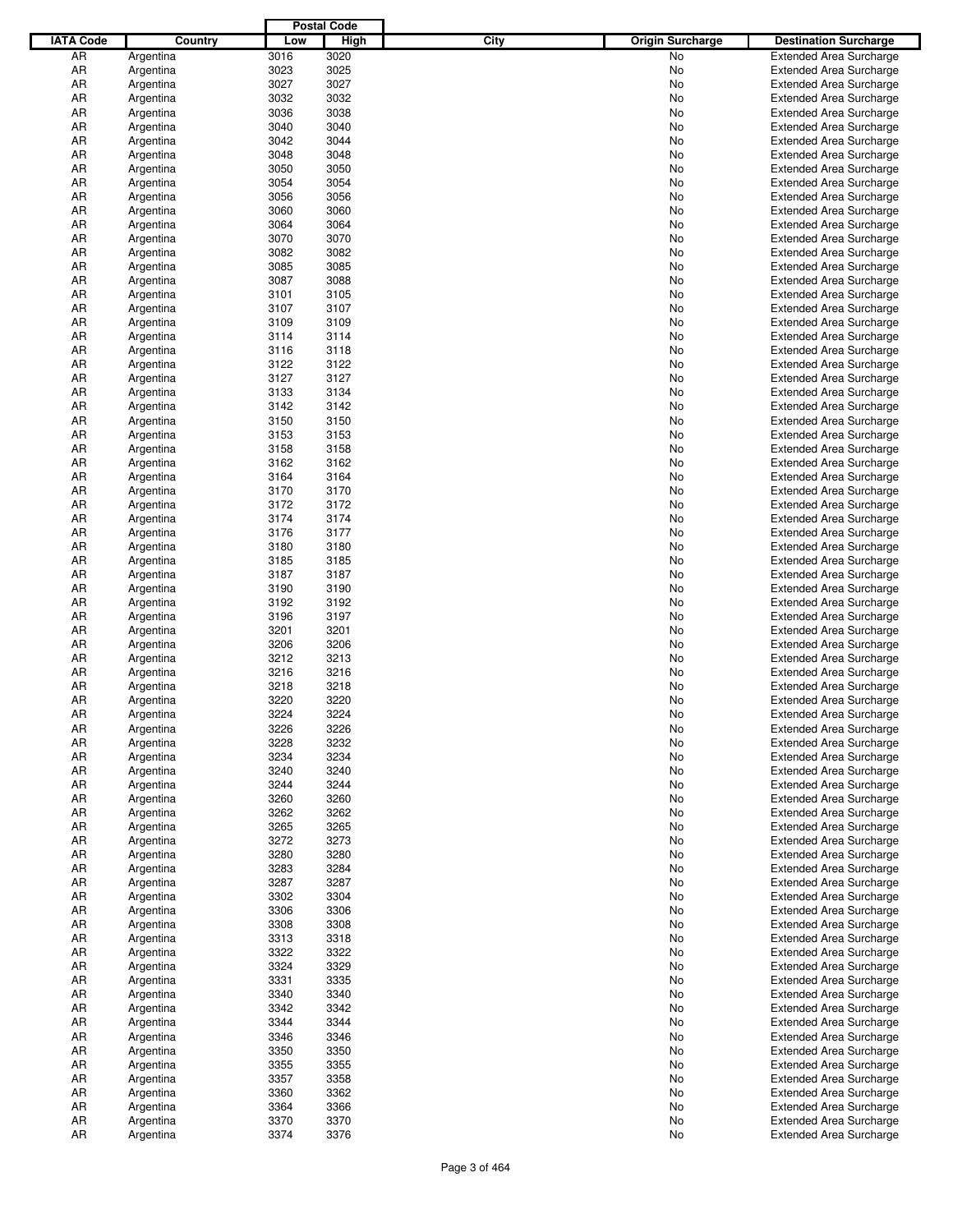|                  |           |      | <b>Postal Code</b> |             |                         |                                                                  |
|------------------|-----------|------|--------------------|-------------|-------------------------|------------------------------------------------------------------|
| <b>IATA Code</b> | Country   | Low  | <b>High</b>        | <b>City</b> | <b>Origin Surcharge</b> | <b>Destination Surcharge</b>                                     |
| AR               | Argentina | 3016 | 3020               |             | No.                     | <b>Extended Area Surcharge</b>                                   |
| AR               | Argentina | 3023 | 3025               |             | No                      | <b>Extended Area Surcharge</b>                                   |
| AR               | Argentina | 3027 | 3027               |             | No                      | <b>Extended Area Surcharge</b>                                   |
| AR               | Argentina | 3032 | 3032               |             | No                      | <b>Extended Area Surcharge</b>                                   |
| AR               | Argentina | 3036 | 3038               |             | No                      | <b>Extended Area Surcharge</b>                                   |
| AR               |           | 3040 | 3040               |             | No                      | <b>Extended Area Surcharge</b>                                   |
|                  | Argentina |      | 3044               |             |                         |                                                                  |
| AR               | Argentina | 3042 |                    |             | No                      | <b>Extended Area Surcharge</b>                                   |
| AR               | Argentina | 3048 | 3048               |             | No                      | <b>Extended Area Surcharge</b>                                   |
| AR               | Argentina | 3050 | 3050               |             | No                      | <b>Extended Area Surcharge</b>                                   |
| AR               | Argentina | 3054 | 3054               |             | No                      | <b>Extended Area Surcharge</b>                                   |
| AR               | Argentina | 3056 | 3056               |             | No                      | <b>Extended Area Surcharge</b>                                   |
| AR               | Argentina | 3060 | 3060               |             | No                      | <b>Extended Area Surcharge</b>                                   |
| AR               | Argentina | 3064 | 3064               |             | No                      | <b>Extended Area Surcharge</b>                                   |
| AR               | Argentina | 3070 | 3070               |             | No                      | <b>Extended Area Surcharge</b>                                   |
| AR               | Argentina | 3082 | 3082               |             | No                      | <b>Extended Area Surcharge</b>                                   |
| AR               | Argentina | 3085 | 3085               |             | No                      | <b>Extended Area Surcharge</b>                                   |
| AR               | Argentina | 3087 | 3088               |             | No                      | <b>Extended Area Surcharge</b>                                   |
| AR               | Argentina | 3101 | 3105               |             | No                      | <b>Extended Area Surcharge</b>                                   |
| AR               | Argentina | 3107 | 3107               |             | No                      | <b>Extended Area Surcharge</b>                                   |
| AR               | Argentina | 3109 | 3109               |             | No                      | <b>Extended Area Surcharge</b>                                   |
| AR               | Argentina | 3114 | 3114               |             | No                      | <b>Extended Area Surcharge</b>                                   |
| AR               | Argentina | 3116 | 3118               |             | No                      | <b>Extended Area Surcharge</b>                                   |
| AR               | Argentina | 3122 | 3122               |             | No                      | <b>Extended Area Surcharge</b>                                   |
| AR               | Argentina | 3127 | 3127               |             | No                      | <b>Extended Area Surcharge</b>                                   |
| AR               | Argentina | 3133 | 3134               |             | No                      | <b>Extended Area Surcharge</b>                                   |
| AR               | Argentina | 3142 | 3142               |             | No                      | <b>Extended Area Surcharge</b>                                   |
| AR               | Argentina | 3150 | 3150               |             | No                      | <b>Extended Area Surcharge</b>                                   |
| AR               | Argentina | 3153 | 3153               |             | No                      |                                                                  |
|                  |           |      |                    |             |                         | <b>Extended Area Surcharge</b><br><b>Extended Area Surcharge</b> |
| AR               | Argentina | 3158 | 3158               |             | No                      |                                                                  |
| AR               | Argentina | 3162 | 3162               |             | No                      | <b>Extended Area Surcharge</b>                                   |
| AR               | Argentina | 3164 | 3164               |             | No                      | <b>Extended Area Surcharge</b>                                   |
| AR               | Argentina | 3170 | 3170               |             | No                      | <b>Extended Area Surcharge</b>                                   |
| AR               | Argentina | 3172 | 3172               |             | No                      | <b>Extended Area Surcharge</b>                                   |
| AR               | Argentina | 3174 | 3174               |             | No                      | <b>Extended Area Surcharge</b>                                   |
| AR               | Argentina | 3176 | 3177               |             | No                      | <b>Extended Area Surcharge</b>                                   |
| AR               | Argentina | 3180 | 3180               |             | No                      | <b>Extended Area Surcharge</b>                                   |
| AR               | Argentina | 3185 | 3185               |             | No                      | <b>Extended Area Surcharge</b>                                   |
| AR               | Argentina | 3187 | 3187               |             | No                      | <b>Extended Area Surcharge</b>                                   |
| AR               | Argentina | 3190 | 3190               |             | No                      | <b>Extended Area Surcharge</b>                                   |
| AR               | Argentina | 3192 | 3192               |             | No                      | <b>Extended Area Surcharge</b>                                   |
| AR               | Argentina | 3196 | 3197               |             | No                      | <b>Extended Area Surcharge</b>                                   |
| AR               | Argentina | 3201 | 3201               |             | No                      | <b>Extended Area Surcharge</b>                                   |
| AR               | Argentina | 3206 | 3206               |             | No                      | <b>Extended Area Surcharge</b>                                   |
| AR               | Argentina | 3212 | 3213               |             | No                      | <b>Extended Area Surcharge</b>                                   |
| AR               | Argentina | 3216 | 3216               |             | No                      | <b>Extended Area Surcharge</b>                                   |
| AR               | Argentina | 3218 | 3218               |             | No                      | <b>Extended Area Surcharge</b>                                   |
| AR               | Argentina | 3220 | 3220               |             | No                      | <b>Extended Area Surcharge</b>                                   |
| AR               | Argentina | 3224 | 3224               |             | No                      | <b>Extended Area Surcharge</b>                                   |
| AR               | Argentina | 3226 | 3226               |             | No                      | <b>Extended Area Surcharge</b>                                   |
| AR               | Argentina | 3228 | 3232               |             | No                      | <b>Extended Area Surcharge</b>                                   |
|                  |           |      |                    |             |                         |                                                                  |
| AR               | Argentina | 3234 | 3234               |             | No                      | <b>Extended Area Surcharge</b>                                   |
| AR               | Argentina | 3240 | 3240               |             | No                      | <b>Extended Area Surcharge</b>                                   |
| AR               | Argentina | 3244 | 3244               |             | No                      | <b>Extended Area Surcharge</b>                                   |
| AR               | Argentina | 3260 | 3260               |             | No                      | <b>Extended Area Surcharge</b>                                   |
| AR               | Argentina | 3262 | 3262               |             | No                      | <b>Extended Area Surcharge</b>                                   |
| AR               | Argentina | 3265 | 3265               |             | No                      | <b>Extended Area Surcharge</b>                                   |
| AR               | Argentina | 3272 | 3273               |             | No                      | <b>Extended Area Surcharge</b>                                   |
| AR               | Argentina | 3280 | 3280               |             | No                      | <b>Extended Area Surcharge</b>                                   |
| AR               | Argentina | 3283 | 3284               |             | No                      | <b>Extended Area Surcharge</b>                                   |
| AR               | Argentina | 3287 | 3287               |             | No                      | <b>Extended Area Surcharge</b>                                   |
| AR               | Argentina | 3302 | 3304               |             | No                      | <b>Extended Area Surcharge</b>                                   |
| AR               | Argentina | 3306 | 3306               |             | No                      | <b>Extended Area Surcharge</b>                                   |
| AR               | Argentina | 3308 | 3308               |             | No                      | <b>Extended Area Surcharge</b>                                   |
| AR               | Argentina | 3313 | 3318               |             | No                      | <b>Extended Area Surcharge</b>                                   |
| AR               | Argentina | 3322 | 3322               |             | No                      | <b>Extended Area Surcharge</b>                                   |
| AR               | Argentina | 3324 | 3329               |             | No                      | <b>Extended Area Surcharge</b>                                   |
| AR               | Argentina | 3331 | 3335               |             | No                      | <b>Extended Area Surcharge</b>                                   |
| AR               | Argentina | 3340 | 3340               |             | No                      | <b>Extended Area Surcharge</b>                                   |
| AR               | Argentina | 3342 | 3342               |             | No                      | <b>Extended Area Surcharge</b>                                   |
| AR               | Argentina | 3344 | 3344               |             | No                      | <b>Extended Area Surcharge</b>                                   |
| AR               | Argentina | 3346 | 3346               |             | No                      | <b>Extended Area Surcharge</b>                                   |
| AR               |           | 3350 | 3350               |             |                         |                                                                  |
|                  | Argentina |      |                    |             | No                      | <b>Extended Area Surcharge</b>                                   |
| AR               | Argentina | 3355 | 3355               |             | No                      | <b>Extended Area Surcharge</b>                                   |
| AR               | Argentina | 3357 | 3358               |             | No                      | <b>Extended Area Surcharge</b>                                   |
| AR               | Argentina | 3360 | 3362               |             | No                      | <b>Extended Area Surcharge</b>                                   |
| AR               | Argentina | 3364 | 3366               |             | No                      | <b>Extended Area Surcharge</b>                                   |
| AR               | Argentina | 3370 | 3370               |             | No                      | <b>Extended Area Surcharge</b>                                   |
| AR               | Argentina | 3374 | 3376               |             | No                      | <b>Extended Area Surcharge</b>                                   |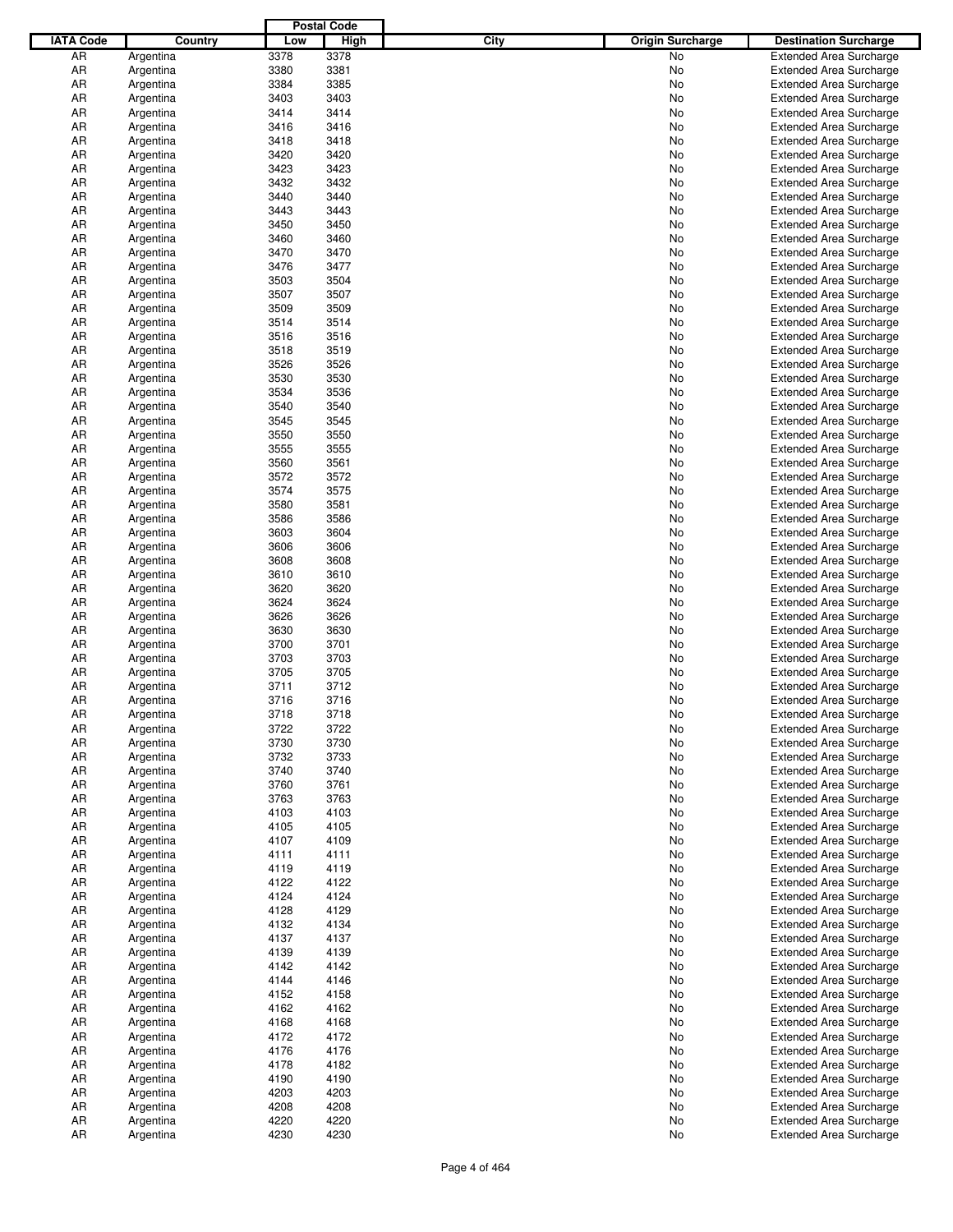|                  |           |      | <b>Postal Code</b> |             |                         |                                |
|------------------|-----------|------|--------------------|-------------|-------------------------|--------------------------------|
| <b>IATA Code</b> | Country   | Low  | <b>High</b>        | <b>City</b> | <b>Origin Surcharge</b> | <b>Destination Surcharge</b>   |
| AR               | Argentina | 3378 | 3378               |             | No.                     | <b>Extended Area Surcharge</b> |
| AR               | Argentina | 3380 | 3381               |             | No                      | <b>Extended Area Surcharge</b> |
| AR               | Argentina | 3384 | 3385               |             | No                      | <b>Extended Area Surcharge</b> |
| AR               | Argentina | 3403 | 3403               |             | No                      | <b>Extended Area Surcharge</b> |
| AR               | Argentina | 3414 | 3414               |             | No                      | <b>Extended Area Surcharge</b> |
| AR               |           | 3416 | 3416               |             | No                      | <b>Extended Area Surcharge</b> |
|                  | Argentina |      | 3418               |             |                         |                                |
| AR               | Argentina | 3418 |                    |             | No                      | <b>Extended Area Surcharge</b> |
| AR               | Argentina | 3420 | 3420               |             | No                      | <b>Extended Area Surcharge</b> |
| AR               | Argentina | 3423 | 3423               |             | No                      | <b>Extended Area Surcharge</b> |
| AR               | Argentina | 3432 | 3432               |             | No                      | <b>Extended Area Surcharge</b> |
| AR               | Argentina | 3440 | 3440               |             | No                      | <b>Extended Area Surcharge</b> |
| AR               | Argentina | 3443 | 3443               |             | No                      | <b>Extended Area Surcharge</b> |
| AR               | Argentina | 3450 | 3450               |             | No                      | <b>Extended Area Surcharge</b> |
| AR               | Argentina | 3460 | 3460               |             | No                      | <b>Extended Area Surcharge</b> |
| AR               | Argentina | 3470 | 3470               |             | No                      | <b>Extended Area Surcharge</b> |
| AR               | Argentina | 3476 | 3477               |             | No                      | <b>Extended Area Surcharge</b> |
| AR               | Argentina | 3503 | 3504               |             | No                      | <b>Extended Area Surcharge</b> |
| AR               | Argentina | 3507 | 3507               |             | No                      | <b>Extended Area Surcharge</b> |
| AR               | Argentina | 3509 | 3509               |             | No                      | <b>Extended Area Surcharge</b> |
| AR               | Argentina | 3514 | 3514               |             | No                      | <b>Extended Area Surcharge</b> |
| AR               | Argentina | 3516 | 3516               |             | No                      | <b>Extended Area Surcharge</b> |
| AR               | Argentina | 3518 | 3519               |             | No                      | <b>Extended Area Surcharge</b> |
| AR               | Argentina | 3526 | 3526               |             | No                      | <b>Extended Area Surcharge</b> |
| AR               | Argentina | 3530 | 3530               |             | No                      | <b>Extended Area Surcharge</b> |
| AR               | Argentina | 3534 | 3536               |             | No                      | <b>Extended Area Surcharge</b> |
| AR               | Argentina | 3540 | 3540               |             | No                      | <b>Extended Area Surcharge</b> |
| AR               | Argentina | 3545 | 3545               |             | No                      | <b>Extended Area Surcharge</b> |
| AR               | Argentina | 3550 | 3550               |             | No                      | <b>Extended Area Surcharge</b> |
|                  |           |      |                    |             |                         |                                |
| AR               | Argentina | 3555 | 3555               |             | No                      | <b>Extended Area Surcharge</b> |
| AR               | Argentina | 3560 | 3561               |             | No                      | <b>Extended Area Surcharge</b> |
| AR               | Argentina | 3572 | 3572               |             | No                      | <b>Extended Area Surcharge</b> |
| AR               | Argentina | 3574 | 3575               |             | No                      | <b>Extended Area Surcharge</b> |
| AR               | Argentina | 3580 | 3581               |             | No                      | <b>Extended Area Surcharge</b> |
| AR               | Argentina | 3586 | 3586               |             | No                      | <b>Extended Area Surcharge</b> |
| AR               | Argentina | 3603 | 3604               |             | No                      | <b>Extended Area Surcharge</b> |
| AR               | Argentina | 3606 | 3606               |             | No                      | <b>Extended Area Surcharge</b> |
| AR               | Argentina | 3608 | 3608               |             | No                      | <b>Extended Area Surcharge</b> |
| AR               | Argentina | 3610 | 3610               |             | No                      | <b>Extended Area Surcharge</b> |
| AR               | Argentina | 3620 | 3620               |             | No                      | <b>Extended Area Surcharge</b> |
| AR               | Argentina | 3624 | 3624               |             | No                      | <b>Extended Area Surcharge</b> |
| AR               | Argentina | 3626 | 3626               |             | No                      | <b>Extended Area Surcharge</b> |
| AR               | Argentina | 3630 | 3630               |             | No                      | <b>Extended Area Surcharge</b> |
| AR               | Argentina | 3700 | 3701               |             | No                      | <b>Extended Area Surcharge</b> |
| AR               | Argentina | 3703 | 3703               |             | No                      | <b>Extended Area Surcharge</b> |
| AR               | Argentina | 3705 | 3705               |             | No                      | <b>Extended Area Surcharge</b> |
| AR               | Argentina | 3711 | 3712               |             | No                      | <b>Extended Area Surcharge</b> |
| AR               | Argentina | 3716 | 3716               |             | No                      | <b>Extended Area Surcharge</b> |
| AR               | Argentina | 3718 | 3718               |             | No                      | <b>Extended Area Surcharge</b> |
| AR               | Argentina | 3722 | 3722               |             | No                      | <b>Extended Area Surcharge</b> |
| AR               | Argentina | 3730 | 3730               |             | No                      | <b>Extended Area Surcharge</b> |
|                  |           |      |                    |             |                         | <b>Extended Area Surcharge</b> |
| AR               | Argentina | 3732 | 3733               |             | No                      |                                |
| AR               | Argentina | 3740 | 3740               |             | No                      | <b>Extended Area Surcharge</b> |
| AR               | Argentina | 3760 | 3761               |             | No                      | <b>Extended Area Surcharge</b> |
| AR               | Argentina | 3763 | 3763               |             | No                      | <b>Extended Area Surcharge</b> |
| AR               | Argentina | 4103 | 4103               |             | No                      | <b>Extended Area Surcharge</b> |
| AR               | Argentina | 4105 | 4105               |             | No                      | <b>Extended Area Surcharge</b> |
| AR               | Argentina | 4107 | 4109               |             | No                      | <b>Extended Area Surcharge</b> |
| AR               | Argentina | 4111 | 4111               |             | No                      | <b>Extended Area Surcharge</b> |
| AR               | Argentina | 4119 | 4119               |             | No                      | <b>Extended Area Surcharge</b> |
| AR               | Argentina | 4122 | 4122               |             | No                      | <b>Extended Area Surcharge</b> |
| AR               | Argentina | 4124 | 4124               |             | No                      | <b>Extended Area Surcharge</b> |
| AR               | Argentina | 4128 | 4129               |             | No                      | <b>Extended Area Surcharge</b> |
| AR               | Argentina | 4132 | 4134               |             | No                      | <b>Extended Area Surcharge</b> |
| AR               | Argentina | 4137 | 4137               |             | No                      | <b>Extended Area Surcharge</b> |
| AR               | Argentina | 4139 | 4139               |             | No                      | <b>Extended Area Surcharge</b> |
| AR               | Argentina | 4142 | 4142               |             | No                      | <b>Extended Area Surcharge</b> |
| AR               | Argentina | 4144 | 4146               |             | No                      | <b>Extended Area Surcharge</b> |
| AR               | Argentina | 4152 | 4158               |             | No                      | <b>Extended Area Surcharge</b> |
| AR               | Argentina | 4162 | 4162               |             | No                      | <b>Extended Area Surcharge</b> |
| AR               | Argentina | 4168 | 4168               |             | No                      | <b>Extended Area Surcharge</b> |
| AR               | Argentina | 4172 | 4172               |             | No                      | <b>Extended Area Surcharge</b> |
| AR               |           | 4176 | 4176               |             |                         |                                |
|                  | Argentina |      |                    |             | No                      | <b>Extended Area Surcharge</b> |
| AR               | Argentina | 4178 | 4182               |             | No                      | <b>Extended Area Surcharge</b> |
| AR               | Argentina | 4190 | 4190               |             | No                      | <b>Extended Area Surcharge</b> |
| AR               | Argentina | 4203 | 4203               |             | No                      | <b>Extended Area Surcharge</b> |
| AR               | Argentina | 4208 | 4208               |             | No                      | <b>Extended Area Surcharge</b> |
| AR               | Argentina | 4220 | 4220               |             | No                      | <b>Extended Area Surcharge</b> |
| AR               | Argentina | 4230 | 4230               |             | No                      | <b>Extended Area Surcharge</b> |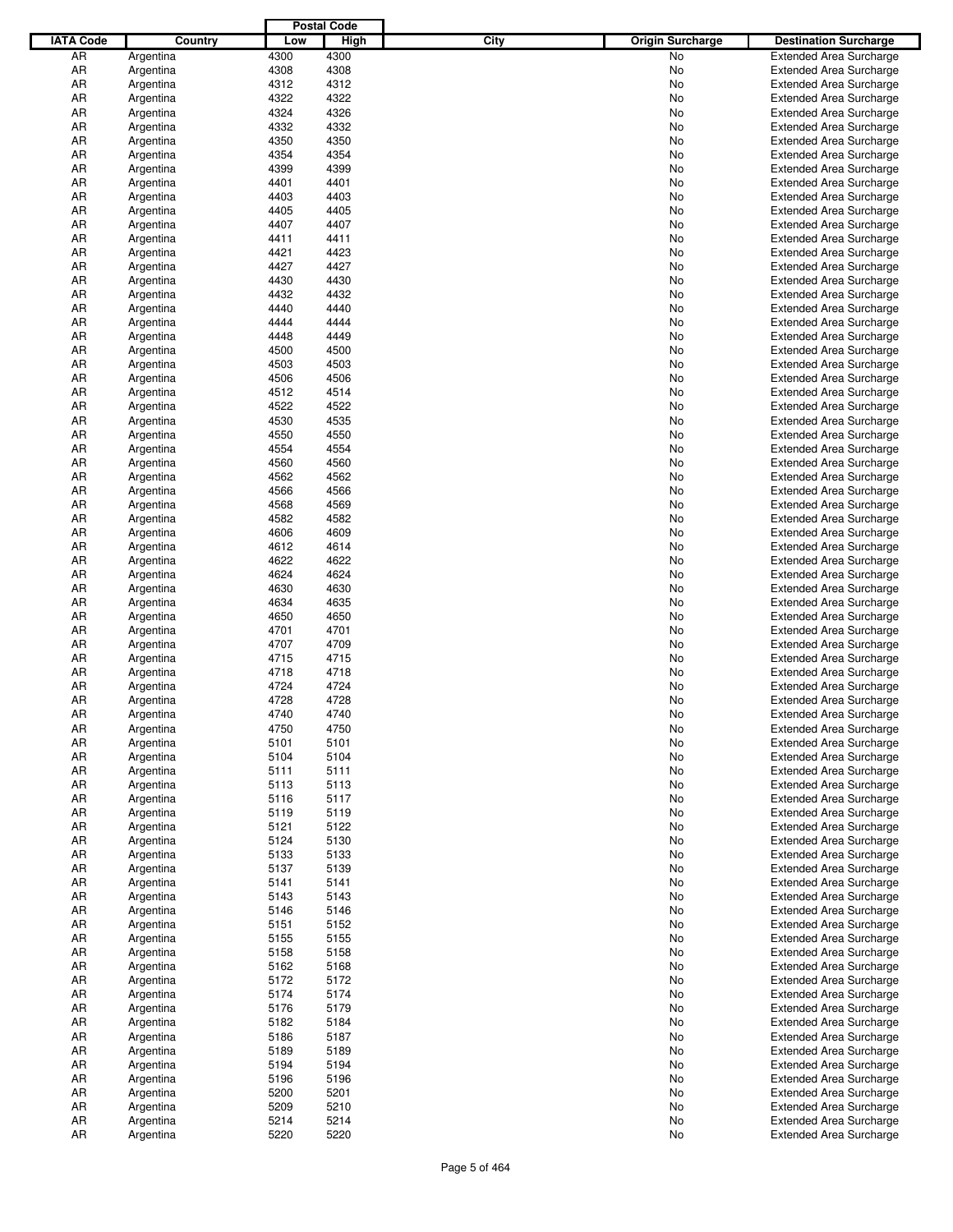|                  |           |      | <b>Postal Code</b> |      |                         |                                |
|------------------|-----------|------|--------------------|------|-------------------------|--------------------------------|
| <b>IATA Code</b> | Country   | Low  | <b>High</b>        | City | <b>Origin Surcharge</b> | <b>Destination Surcharge</b>   |
| AR               | Argentina | 4300 | 4300               |      | No.                     | <b>Extended Area Surcharge</b> |
| AR               | Argentina | 4308 | 4308               |      | No                      | <b>Extended Area Surcharge</b> |
| AR               | Argentina | 4312 | 4312               |      | No                      | <b>Extended Area Surcharge</b> |
| AR               | Argentina | 4322 | 4322               |      | No                      | <b>Extended Area Surcharge</b> |
| AR               | Argentina | 4324 | 4326               |      | No                      | <b>Extended Area Surcharge</b> |
|                  |           | 4332 | 4332               |      |                         |                                |
| AR               | Argentina |      |                    |      | No                      | <b>Extended Area Surcharge</b> |
| AR               | Argentina | 4350 | 4350               |      | No                      | <b>Extended Area Surcharge</b> |
| AR               | Argentina | 4354 | 4354               |      | No                      | <b>Extended Area Surcharge</b> |
| AR               | Argentina | 4399 | 4399               |      | No                      | <b>Extended Area Surcharge</b> |
| AR               | Argentina | 4401 | 4401               |      | No                      | <b>Extended Area Surcharge</b> |
| AR               | Argentina | 4403 | 4403               |      | No                      | <b>Extended Area Surcharge</b> |
| AR               | Argentina | 4405 | 4405               |      | No                      | <b>Extended Area Surcharge</b> |
| AR               | Argentina | 4407 | 4407               |      | No                      | <b>Extended Area Surcharge</b> |
| AR               | Argentina | 4411 | 4411               |      | No                      | <b>Extended Area Surcharge</b> |
| AR               | Argentina | 4421 | 4423               |      | No                      | <b>Extended Area Surcharge</b> |
| AR               | Argentina | 4427 | 4427               |      | No                      | <b>Extended Area Surcharge</b> |
| AR               | Argentina | 4430 | 4430               |      | No                      | <b>Extended Area Surcharge</b> |
| AR               | Argentina | 4432 | 4432               |      | No                      | <b>Extended Area Surcharge</b> |
| AR               | Argentina | 4440 | 4440               |      | No                      | <b>Extended Area Surcharge</b> |
| AR               | Argentina | 4444 | 4444               |      | No                      | <b>Extended Area Surcharge</b> |
| AR               | Argentina | 4448 | 4449               |      | No                      | <b>Extended Area Surcharge</b> |
| AR               | Argentina | 4500 | 4500               |      | No                      | <b>Extended Area Surcharge</b> |
| AR               | Argentina | 4503 | 4503               |      | No                      | <b>Extended Area Surcharge</b> |
|                  |           |      |                    |      |                         |                                |
| AR               | Argentina | 4506 | 4506               |      | No                      | <b>Extended Area Surcharge</b> |
| AR               | Argentina | 4512 | 4514               |      | No                      | <b>Extended Area Surcharge</b> |
| AR               | Argentina | 4522 | 4522               |      | No                      | <b>Extended Area Surcharge</b> |
| AR               | Argentina | 4530 | 4535               |      | No                      | <b>Extended Area Surcharge</b> |
| AR               | Argentina | 4550 | 4550               |      | No                      | <b>Extended Area Surcharge</b> |
| AR               | Argentina | 4554 | 4554               |      | No                      | <b>Extended Area Surcharge</b> |
| AR               | Argentina | 4560 | 4560               |      | No                      | <b>Extended Area Surcharge</b> |
| AR               | Argentina | 4562 | 4562               |      | No                      | <b>Extended Area Surcharge</b> |
| AR               | Argentina | 4566 | 4566               |      | No                      | <b>Extended Area Surcharge</b> |
| AR               | Argentina | 4568 | 4569               |      | No                      | <b>Extended Area Surcharge</b> |
| AR               | Argentina | 4582 | 4582               |      | No                      | <b>Extended Area Surcharge</b> |
| AR               | Argentina | 4606 | 4609               |      | No                      | <b>Extended Area Surcharge</b> |
| AR               | Argentina | 4612 | 4614               |      | No                      | <b>Extended Area Surcharge</b> |
| AR               | Argentina | 4622 | 4622               |      | No                      | <b>Extended Area Surcharge</b> |
| AR               | Argentina | 4624 | 4624               |      | No                      | <b>Extended Area Surcharge</b> |
| AR               | Argentina | 4630 | 4630               |      | No                      | <b>Extended Area Surcharge</b> |
| AR               | Argentina | 4634 | 4635               |      | No                      | <b>Extended Area Surcharge</b> |
| AR               | Argentina | 4650 | 4650               |      | No                      | <b>Extended Area Surcharge</b> |
|                  |           |      | 4701               |      |                         | <b>Extended Area Surcharge</b> |
| AR               | Argentina | 4701 |                    |      | No                      |                                |
| AR               | Argentina | 4707 | 4709               |      | No                      | <b>Extended Area Surcharge</b> |
| AR               | Argentina | 4715 | 4715               |      | No                      | <b>Extended Area Surcharge</b> |
| AR               | Argentina | 4718 | 4718               |      | No                      | <b>Extended Area Surcharge</b> |
| AR               | Argentina | 4724 | 4724               |      | No                      | <b>Extended Area Surcharge</b> |
| AR               | Argentina | 4728 | 4728               |      | No                      | <b>Extended Area Surcharge</b> |
| AR               | Argentina | 4740 | 4740               |      | No                      | <b>Extended Area Surcharge</b> |
| AR               | Argentina | 4750 | 4750               |      | No                      | <b>Extended Area Surcharge</b> |
| AR               | Argentina | 5101 | 5101               |      | No                      | <b>Extended Area Surcharge</b> |
| AR               | Argentina | 5104 | 5104               |      | No                      | <b>Extended Area Surcharge</b> |
| AR               | Argentina | 5111 | 5111               |      | No                      | <b>Extended Area Surcharge</b> |
| AR               | Argentina | 5113 | 5113               |      | No                      | <b>Extended Area Surcharge</b> |
| AR               | Argentina | 5116 | 5117               |      | No                      | <b>Extended Area Surcharge</b> |
| AR               | Argentina | 5119 | 5119               |      | No                      | <b>Extended Area Surcharge</b> |
| AR               | Argentina | 5121 | 5122               |      | No                      | <b>Extended Area Surcharge</b> |
| AR               | Argentina | 5124 | 5130               |      | No                      | <b>Extended Area Surcharge</b> |
| AR               | Argentina | 5133 | 5133               |      | No                      | <b>Extended Area Surcharge</b> |
| AR               | Argentina | 5137 | 5139               |      | No                      | <b>Extended Area Surcharge</b> |
| AR               |           | 5141 | 5141               |      |                         |                                |
|                  | Argentina |      |                    |      | No                      | <b>Extended Area Surcharge</b> |
| AR               | Argentina | 5143 | 5143               |      | No                      | <b>Extended Area Surcharge</b> |
| AR               | Argentina | 5146 | 5146               |      | No                      | <b>Extended Area Surcharge</b> |
| AR               | Argentina | 5151 | 5152               |      | No                      | <b>Extended Area Surcharge</b> |
| AR               | Argentina | 5155 | 5155               |      | No                      | <b>Extended Area Surcharge</b> |
| AR               | Argentina | 5158 | 5158               |      | No                      | <b>Extended Area Surcharge</b> |
| AR               | Argentina | 5162 | 5168               |      | No                      | <b>Extended Area Surcharge</b> |
| AR               | Argentina | 5172 | 5172               |      | No                      | <b>Extended Area Surcharge</b> |
| AR               | Argentina | 5174 | 5174               |      | No                      | <b>Extended Area Surcharge</b> |
| AR               | Argentina | 5176 | 5179               |      | No                      | <b>Extended Area Surcharge</b> |
| AR               | Argentina | 5182 | 5184               |      | No                      | <b>Extended Area Surcharge</b> |
| AR               | Argentina | 5186 | 5187               |      | No                      | <b>Extended Area Surcharge</b> |
| AR               | Argentina | 5189 | 5189               |      | No                      | <b>Extended Area Surcharge</b> |
| AR               | Argentina | 5194 | 5194               |      | No                      | <b>Extended Area Surcharge</b> |
| AR               | Argentina | 5196 | 5196               |      | No                      | <b>Extended Area Surcharge</b> |
| AR               | Argentina | 5200 | 5201               |      | No                      | <b>Extended Area Surcharge</b> |
| AR               | Argentina | 5209 | 5210               |      | No                      | <b>Extended Area Surcharge</b> |
|                  |           |      |                    |      |                         |                                |
| AR               | Argentina | 5214 | 5214               |      | No                      | <b>Extended Area Surcharge</b> |
| AR               | Argentina | 5220 | 5220               |      | No                      | <b>Extended Area Surcharge</b> |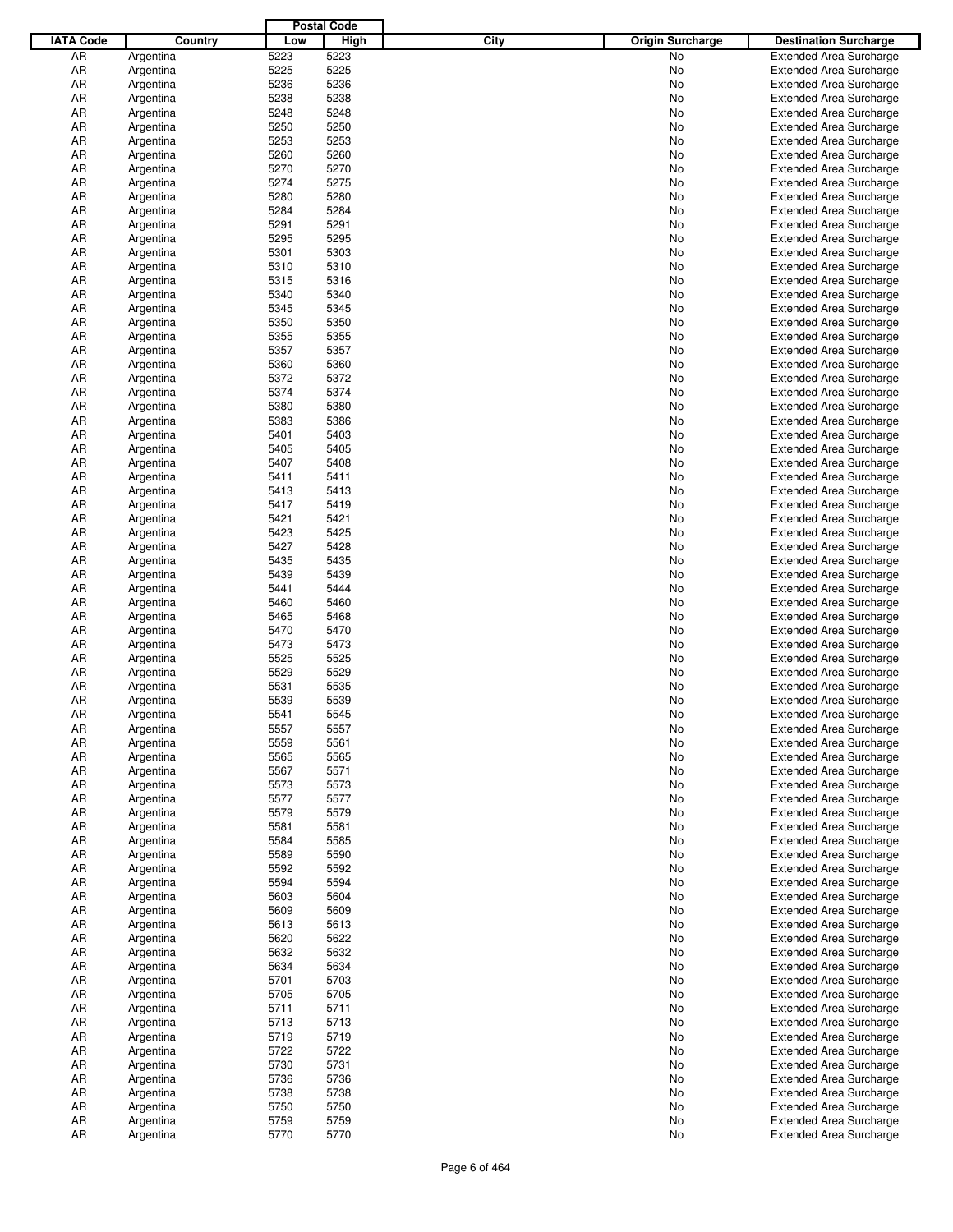|                  |                        |              | <b>Postal Code</b> |             |                         |                                                                  |
|------------------|------------------------|--------------|--------------------|-------------|-------------------------|------------------------------------------------------------------|
| <b>IATA Code</b> | Country                | Low          | <b>High</b>        | <b>City</b> | <b>Origin Surcharge</b> | <b>Destination Surcharge</b>                                     |
| AR               | Argentina              | 5223         | 5223               |             | No                      | <b>Extended Area Surcharge</b>                                   |
| AR               | Argentina              | 5225         | 5225               |             | No                      | <b>Extended Area Surcharge</b>                                   |
| AR               | Argentina              | 5236         | 5236               |             | No                      | <b>Extended Area Surcharge</b>                                   |
| AR               | Argentina              | 5238         | 5238               |             | No                      | <b>Extended Area Surcharge</b>                                   |
| AR               | Argentina              | 5248         | 5248               |             | No                      | <b>Extended Area Surcharge</b>                                   |
| AR               | Argentina              | 5250         | 5250               |             | No                      | <b>Extended Area Surcharge</b>                                   |
| AR               | Argentina              | 5253         | 5253               |             | No                      | <b>Extended Area Surcharge</b>                                   |
| AR               | Argentina              | 5260         | 5260               |             | No                      | <b>Extended Area Surcharge</b>                                   |
| AR               | Argentina              | 5270         | 5270               |             | No                      | <b>Extended Area Surcharge</b>                                   |
| AR               | Argentina              | 5274         | 5275               |             | No                      | <b>Extended Area Surcharge</b>                                   |
| AR               | Argentina              | 5280         | 5280               |             | No                      | <b>Extended Area Surcharge</b>                                   |
| AR               | Argentina              | 5284         | 5284               |             | No                      | <b>Extended Area Surcharge</b>                                   |
| AR               | Argentina              | 5291         | 5291               |             | No                      | <b>Extended Area Surcharge</b>                                   |
| AR               | Argentina              | 5295         | 5295               |             | No                      | <b>Extended Area Surcharge</b>                                   |
| AR               | Argentina              | 5301         | 5303               |             | No                      | <b>Extended Area Surcharge</b>                                   |
| AR               | Argentina              | 5310         | 5310               |             | No                      | <b>Extended Area Surcharge</b>                                   |
| AR               | Argentina              | 5315         | 5316               |             | No                      | <b>Extended Area Surcharge</b>                                   |
| AR               | Argentina              | 5340         | 5340               |             | No                      | <b>Extended Area Surcharge</b>                                   |
| AR               | Argentina              | 5345         | 5345               |             | No                      | <b>Extended Area Surcharge</b>                                   |
| AR               | Argentina              | 5350         | 5350               |             | No                      | <b>Extended Area Surcharge</b>                                   |
| AR               | Argentina              | 5355         | 5355               |             | No                      | <b>Extended Area Surcharge</b>                                   |
| AR               | Argentina              | 5357         | 5357               |             | No                      | <b>Extended Area Surcharge</b>                                   |
| AR               | Argentina              | 5360         | 5360               |             | No                      | <b>Extended Area Surcharge</b>                                   |
| AR               | Argentina              | 5372         | 5372               |             | No                      | <b>Extended Area Surcharge</b>                                   |
| AR               | Argentina              | 5374         | 5374               |             | No                      | <b>Extended Area Surcharge</b>                                   |
| AR               | Argentina              | 5380         | 5380               |             | No                      | <b>Extended Area Surcharge</b>                                   |
| AR               | Argentina              | 5383         | 5386               |             | No                      | <b>Extended Area Surcharge</b>                                   |
| AR               | Argentina              | 5401         | 5403               |             | No                      | <b>Extended Area Surcharge</b>                                   |
| AR               | Argentina              | 5405         | 5405<br>5408       |             | No                      | <b>Extended Area Surcharge</b>                                   |
| AR<br>AR         | Argentina              | 5407<br>5411 | 5411               |             | No                      | <b>Extended Area Surcharge</b>                                   |
| AR               | Argentina              | 5413         | 5413               |             | No<br>No                | <b>Extended Area Surcharge</b><br><b>Extended Area Surcharge</b> |
| AR               | Argentina<br>Argentina | 5417         | 5419               |             | No                      | <b>Extended Area Surcharge</b>                                   |
| AR               | Argentina              | 5421         | 5421               |             | No                      | <b>Extended Area Surcharge</b>                                   |
| AR               | Argentina              | 5423         | 5425               |             | No                      | <b>Extended Area Surcharge</b>                                   |
| AR               | Argentina              | 5427         | 5428               |             | No                      | <b>Extended Area Surcharge</b>                                   |
| AR               | Argentina              | 5435         | 5435               |             | No                      | <b>Extended Area Surcharge</b>                                   |
| AR               | Argentina              | 5439         | 5439               |             | No                      | <b>Extended Area Surcharge</b>                                   |
| AR               | Argentina              | 5441         | 5444               |             | No                      | <b>Extended Area Surcharge</b>                                   |
| AR               | Argentina              | 5460         | 5460               |             | No                      | <b>Extended Area Surcharge</b>                                   |
| AR               | Argentina              | 5465         | 5468               |             | No                      | <b>Extended Area Surcharge</b>                                   |
| AR               | Argentina              | 5470         | 5470               |             | No                      | <b>Extended Area Surcharge</b>                                   |
| AR               | Argentina              | 5473         | 5473               |             | No                      | <b>Extended Area Surcharge</b>                                   |
| AR               | Argentina              | 5525         | 5525               |             | No                      | <b>Extended Area Surcharge</b>                                   |
| AR               | Argentina              | 5529         | 5529               |             | No                      | <b>Extended Area Surcharge</b>                                   |
| AR               | Argentina              | 5531         | 5535               |             | No                      | <b>Extended Area Surcharge</b>                                   |
| AR               | Argentina              | 5539         | 5539               |             | No                      | <b>Extended Area Surcharge</b>                                   |
| AR               | Argentina              | 5541         | 5545               |             | No.                     | <b>Extended Area Surcharge</b>                                   |
| AR               | Argentina              | 5557         | 5557               |             | No                      | <b>Extended Area Surcharge</b>                                   |
| AR               | Argentina              | 5559         | 5561               |             | No                      | <b>Extended Area Surcharge</b>                                   |
| AR               | Argentina              | 5565         | 5565               |             | No                      | <b>Extended Area Surcharge</b>                                   |
| AR               | Argentina              | 5567         | 5571               |             | No                      | <b>Extended Area Surcharge</b>                                   |
| AR               | Argentina              | 5573         | 5573               |             | No                      | <b>Extended Area Surcharge</b>                                   |
| AR               | Argentina              | 5577         | 5577               |             | No                      | <b>Extended Area Surcharge</b>                                   |
| AR               | Argentina              | 5579         | 5579               |             | No                      | <b>Extended Area Surcharge</b>                                   |
| AR               | Argentina              | 5581         | 5581               |             | No                      | <b>Extended Area Surcharge</b>                                   |
| AR               | Argentina              | 5584         | 5585               |             | No                      | <b>Extended Area Surcharge</b>                                   |
| AR               | Argentina              | 5589         | 5590               |             | No                      | <b>Extended Area Surcharge</b>                                   |
| AR               | Argentina              | 5592         | 5592               |             | No                      | <b>Extended Area Surcharge</b>                                   |
| AR               | Argentina              | 5594         | 5594               |             | No                      | <b>Extended Area Surcharge</b>                                   |
| AR               | Argentina              | 5603         | 5604               |             | No                      | <b>Extended Area Surcharge</b>                                   |
| AR               | Argentina              | 5609         | 5609               |             | No                      | <b>Extended Area Surcharge</b>                                   |
| AR               | Argentina              | 5613         | 5613               |             | No                      | <b>Extended Area Surcharge</b>                                   |
| AR               | Argentina              | 5620         | 5622               |             | No                      | <b>Extended Area Surcharge</b>                                   |
| AR               | Argentina              | 5632         | 5632               |             | No                      | <b>Extended Area Surcharge</b>                                   |
| AR               | Argentina              | 5634         | 5634               |             | No                      | <b>Extended Area Surcharge</b>                                   |
| AR               | Argentina              | 5701         | 5703               |             | No                      | <b>Extended Area Surcharge</b>                                   |
| AR               | Argentina              | 5705         | 5705               |             | No                      | <b>Extended Area Surcharge</b>                                   |
| AR               | Argentina              | 5711         | 5711               |             | No                      | <b>Extended Area Surcharge</b>                                   |
| AR               | Argentina              | 5713         | 5713               |             | No                      | <b>Extended Area Surcharge</b>                                   |
| AR               | Argentina              | 5719         | 5719               |             | No                      | <b>Extended Area Surcharge</b>                                   |
| AR               | Argentina              | 5722         | 5722               |             | No                      | <b>Extended Area Surcharge</b>                                   |
| AR               | Argentina              | 5730         | 5731               |             | No                      | <b>Extended Area Surcharge</b>                                   |
| AR               | Argentina              | 5736<br>5738 | 5736<br>5738       |             | No                      | <b>Extended Area Surcharge</b>                                   |
| AR<br>AR         | Argentina              | 5750         | 5750               |             | No<br>No                | <b>Extended Area Surcharge</b><br><b>Extended Area Surcharge</b> |
| AR               | Argentina<br>Argentina | 5759         | 5759               |             | No                      | <b>Extended Area Surcharge</b>                                   |
| AR               | Argentina              | 5770         | 5770               |             | No                      | <b>Extended Area Surcharge</b>                                   |
|                  |                        |              |                    |             |                         |                                                                  |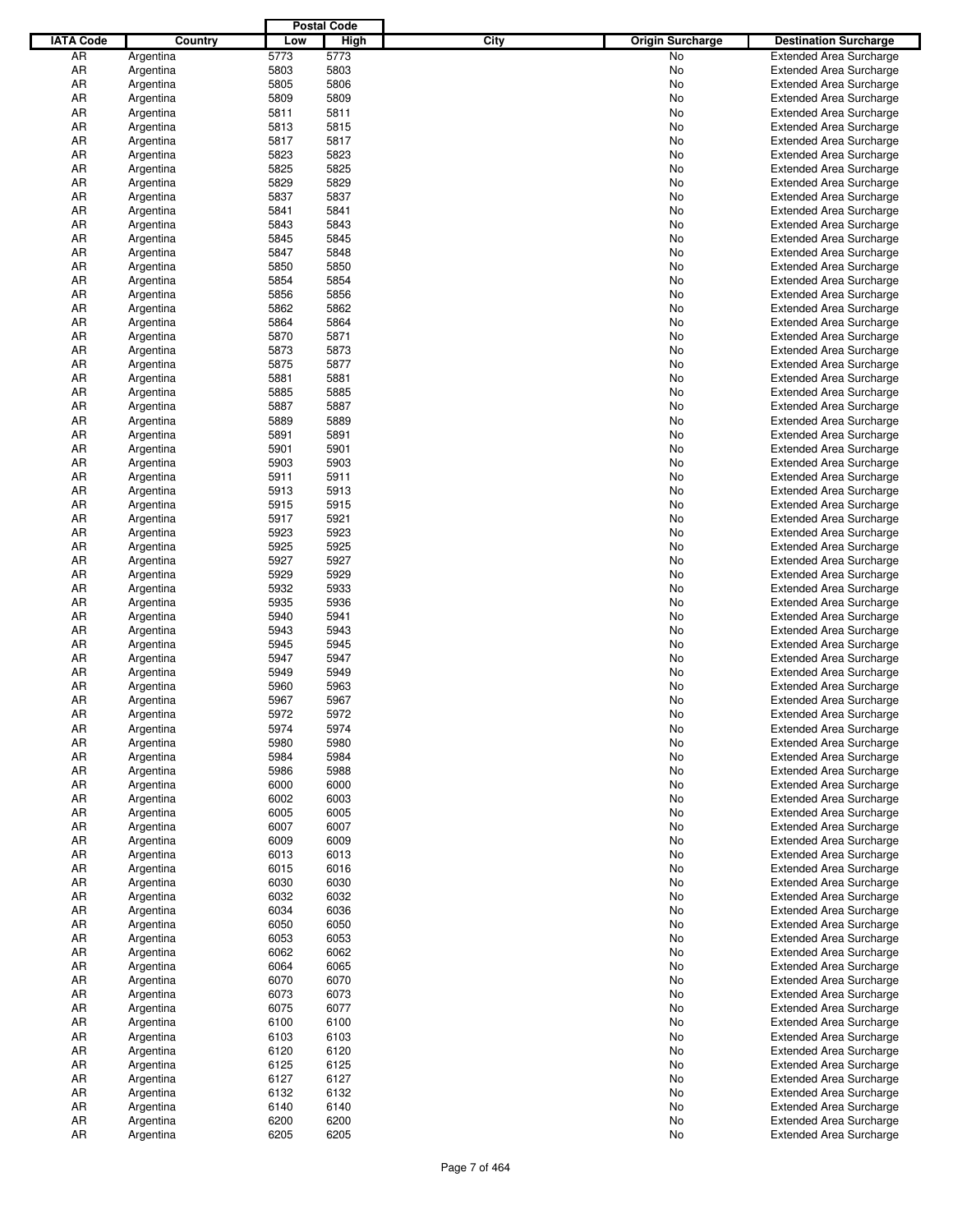|                  |           |      | <b>Postal Code</b> |             |                         |                                |
|------------------|-----------|------|--------------------|-------------|-------------------------|--------------------------------|
| <b>IATA Code</b> | Country   | Low  | <b>High</b>        | <b>City</b> | <b>Origin Surcharge</b> | <b>Destination Surcharge</b>   |
| AR               | Argentina | 5773 | 5773               |             | No.                     | <b>Extended Area Surcharge</b> |
| AR               | Argentina | 5803 | 5803               |             | No                      | <b>Extended Area Surcharge</b> |
| AR               | Argentina | 5805 | 5806               |             | No                      | <b>Extended Area Surcharge</b> |
| AR               | Argentina | 5809 | 5809               |             | No                      | <b>Extended Area Surcharge</b> |
| AR               | Argentina | 5811 | 5811               |             | No                      | <b>Extended Area Surcharge</b> |
| AR               |           | 5813 | 5815               |             | No                      | <b>Extended Area Surcharge</b> |
|                  | Argentina |      | 5817               |             |                         |                                |
| AR               | Argentina | 5817 |                    |             | No                      | <b>Extended Area Surcharge</b> |
| AR               | Argentina | 5823 | 5823               |             | No                      | <b>Extended Area Surcharge</b> |
| AR               | Argentina | 5825 | 5825               |             | No                      | <b>Extended Area Surcharge</b> |
| AR               | Argentina | 5829 | 5829               |             | No                      | <b>Extended Area Surcharge</b> |
| AR               | Argentina | 5837 | 5837               |             | No                      | <b>Extended Area Surcharge</b> |
| AR               | Argentina | 5841 | 5841               |             | No                      | <b>Extended Area Surcharge</b> |
| AR               | Argentina | 5843 | 5843               |             | No                      | <b>Extended Area Surcharge</b> |
| AR               | Argentina | 5845 | 5845               |             | No                      | <b>Extended Area Surcharge</b> |
| AR               | Argentina | 5847 | 5848               |             | No                      | <b>Extended Area Surcharge</b> |
| AR               | Argentina | 5850 | 5850               |             | No                      | <b>Extended Area Surcharge</b> |
| AR               | Argentina | 5854 | 5854               |             | No                      | <b>Extended Area Surcharge</b> |
| AR               | Argentina | 5856 | 5856               |             | No                      | <b>Extended Area Surcharge</b> |
| AR               | Argentina | 5862 | 5862               |             | No                      | <b>Extended Area Surcharge</b> |
| AR               | Argentina | 5864 | 5864               |             | No                      | <b>Extended Area Surcharge</b> |
| AR               | Argentina | 5870 | 5871               |             | No                      | <b>Extended Area Surcharge</b> |
| AR               | Argentina | 5873 | 5873               |             | No                      | <b>Extended Area Surcharge</b> |
| AR               | Argentina | 5875 | 5877               |             | No                      | <b>Extended Area Surcharge</b> |
| AR               | Argentina | 5881 | 5881               |             | No                      | <b>Extended Area Surcharge</b> |
| AR               | Argentina | 5885 | 5885               |             | No                      | <b>Extended Area Surcharge</b> |
| AR               | Argentina | 5887 | 5887               |             | No                      | <b>Extended Area Surcharge</b> |
| AR               | Argentina | 5889 | 5889               |             | No                      | <b>Extended Area Surcharge</b> |
| AR               | Argentina | 5891 | 5891               |             | No                      | <b>Extended Area Surcharge</b> |
|                  |           |      |                    |             |                         |                                |
| AR               | Argentina | 5901 | 5901               |             | No                      | <b>Extended Area Surcharge</b> |
| AR               | Argentina | 5903 | 5903               |             | No                      | <b>Extended Area Surcharge</b> |
| AR               | Argentina | 5911 | 5911               |             | No                      | <b>Extended Area Surcharge</b> |
| AR               | Argentina | 5913 | 5913               |             | No                      | <b>Extended Area Surcharge</b> |
| AR               | Argentina | 5915 | 5915               |             | No                      | <b>Extended Area Surcharge</b> |
| AR               | Argentina | 5917 | 5921               |             | No                      | <b>Extended Area Surcharge</b> |
| AR               | Argentina | 5923 | 5923               |             | No                      | <b>Extended Area Surcharge</b> |
| AR               | Argentina | 5925 | 5925               |             | No                      | <b>Extended Area Surcharge</b> |
| AR               | Argentina | 5927 | 5927               |             | No                      | <b>Extended Area Surcharge</b> |
| AR               | Argentina | 5929 | 5929               |             | No                      | <b>Extended Area Surcharge</b> |
| AR               | Argentina | 5932 | 5933               |             | No                      | <b>Extended Area Surcharge</b> |
| AR               | Argentina | 5935 | 5936               |             | No                      | <b>Extended Area Surcharge</b> |
| AR               | Argentina | 5940 | 5941               |             | No                      | <b>Extended Area Surcharge</b> |
| AR               | Argentina | 5943 | 5943               |             | No                      | <b>Extended Area Surcharge</b> |
| AR               | Argentina | 5945 | 5945               |             | No                      | <b>Extended Area Surcharge</b> |
| AR               | Argentina | 5947 | 5947               |             | No                      | <b>Extended Area Surcharge</b> |
| AR               | Argentina | 5949 | 5949               |             | No                      | <b>Extended Area Surcharge</b> |
| AR               | Argentina | 5960 | 5963               |             | No                      | <b>Extended Area Surcharge</b> |
| AR               | Argentina | 5967 | 5967               |             | No                      | <b>Extended Area Surcharge</b> |
| AR               |           | 5972 | 5972               |             | No                      | <b>Extended Area Surcharge</b> |
|                  | Argentina |      |                    |             |                         |                                |
| AR               | Argentina | 5974 | 5974               |             | No                      | <b>Extended Area Surcharge</b> |
| AR               | Argentina | 5980 | 5980               |             | No                      | <b>Extended Area Surcharge</b> |
| AR               | Argentina | 5984 | 5984               |             | No                      | <b>Extended Area Surcharge</b> |
| AR               | Argentina | 5986 | 5988               |             | No                      | <b>Extended Area Surcharge</b> |
| AR               | Argentina | 6000 | 6000               |             | No                      | <b>Extended Area Surcharge</b> |
| AR               | Argentina | 6002 | 6003               |             | No                      | <b>Extended Area Surcharge</b> |
| AR               | Argentina | 6005 | 6005               |             | No                      | <b>Extended Area Surcharge</b> |
| AR               | Argentina | 6007 | 6007               |             | No                      | <b>Extended Area Surcharge</b> |
| AR               | Argentina | 6009 | 6009               |             | No                      | <b>Extended Area Surcharge</b> |
| AR               | Argentina | 6013 | 6013               |             | No                      | <b>Extended Area Surcharge</b> |
| AR               | Argentina | 6015 | 6016               |             | No                      | <b>Extended Area Surcharge</b> |
| AR               | Argentina | 6030 | 6030               |             | No                      | <b>Extended Area Surcharge</b> |
| AR               | Argentina | 6032 | 6032               |             | No                      | <b>Extended Area Surcharge</b> |
| AR               | Argentina | 6034 | 6036               |             | No                      | <b>Extended Area Surcharge</b> |
| AR               | Argentina | 6050 | 6050               |             | No                      | <b>Extended Area Surcharge</b> |
| AR               | Argentina | 6053 | 6053               |             | No                      | <b>Extended Area Surcharge</b> |
| AR               | Argentina | 6062 | 6062               |             | No                      | <b>Extended Area Surcharge</b> |
| AR               | Argentina | 6064 | 6065               |             | No                      | <b>Extended Area Surcharge</b> |
| AR               | Argentina | 6070 | 6070               |             | No                      | <b>Extended Area Surcharge</b> |
| AR               | Argentina | 6073 | 6073               |             | No                      | <b>Extended Area Surcharge</b> |
| AR               | Argentina | 6075 | 6077               |             |                         |                                |
|                  |           |      |                    |             | No                      | <b>Extended Area Surcharge</b> |
| AR               | Argentina | 6100 | 6100               |             | No                      | <b>Extended Area Surcharge</b> |
| AR               | Argentina | 6103 | 6103               |             | No                      | <b>Extended Area Surcharge</b> |
| AR               | Argentina | 6120 | 6120               |             | No                      | <b>Extended Area Surcharge</b> |
| AR               | Argentina | 6125 | 6125               |             | No                      | <b>Extended Area Surcharge</b> |
| AR               | Argentina | 6127 | 6127               |             | No                      | <b>Extended Area Surcharge</b> |
| AR               | Argentina | 6132 | 6132               |             | No                      | <b>Extended Area Surcharge</b> |
| AR               | Argentina | 6140 | 6140               |             | No                      | <b>Extended Area Surcharge</b> |
| AR               | Argentina | 6200 | 6200               |             | No                      | <b>Extended Area Surcharge</b> |
| AR               | Argentina | 6205 | 6205               |             | No                      | <b>Extended Area Surcharge</b> |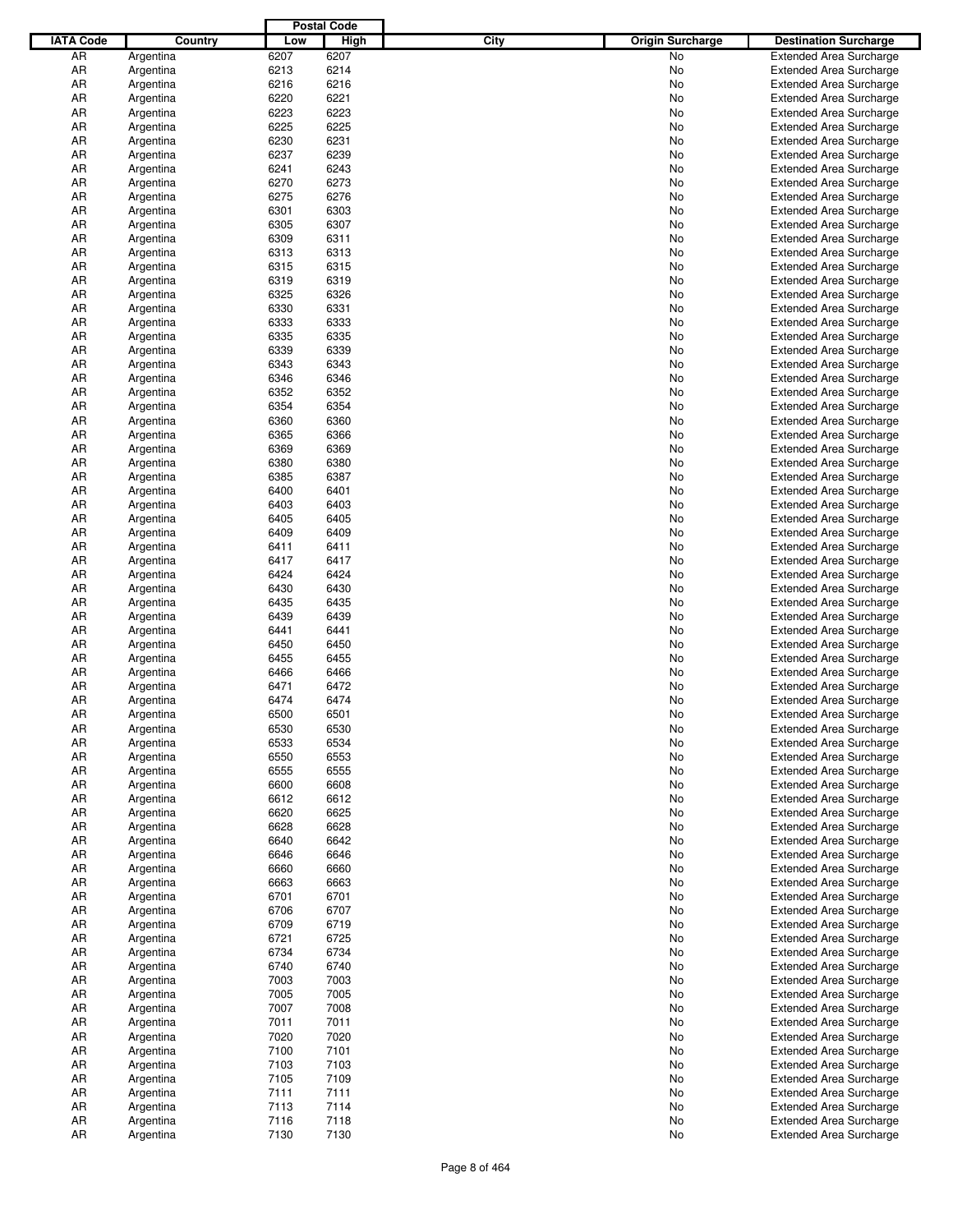|                  |           |      | <b>Postal Code</b> |             |                         |                                |
|------------------|-----------|------|--------------------|-------------|-------------------------|--------------------------------|
| <b>IATA Code</b> | Country   | Low  | <b>High</b>        | <b>City</b> | <b>Origin Surcharge</b> | <b>Destination Surcharge</b>   |
| AR               | Argentina | 6207 | 6207               |             | No.                     | <b>Extended Area Surcharge</b> |
| AR               | Argentina | 6213 | 6214               |             | No                      | <b>Extended Area Surcharge</b> |
| AR               | Argentina | 6216 | 6216               |             | No                      | <b>Extended Area Surcharge</b> |
| AR               | Argentina | 6220 | 6221               |             | No                      | <b>Extended Area Surcharge</b> |
| AR               | Argentina | 6223 | 6223               |             | No                      | <b>Extended Area Surcharge</b> |
| AR               |           | 6225 | 6225               |             | No                      | <b>Extended Area Surcharge</b> |
|                  | Argentina |      |                    |             |                         |                                |
| AR               | Argentina | 6230 | 6231               |             | No                      | <b>Extended Area Surcharge</b> |
| AR               | Argentina | 6237 | 6239               |             | No                      | <b>Extended Area Surcharge</b> |
| AR               | Argentina | 6241 | 6243               |             | No                      | <b>Extended Area Surcharge</b> |
| AR               | Argentina | 6270 | 6273               |             | No                      | <b>Extended Area Surcharge</b> |
| AR               | Argentina | 6275 | 6276               |             | No                      | <b>Extended Area Surcharge</b> |
| AR               | Argentina | 6301 | 6303               |             | No                      | <b>Extended Area Surcharge</b> |
| AR               | Argentina | 6305 | 6307               |             | No                      | <b>Extended Area Surcharge</b> |
| AR               | Argentina | 6309 | 6311               |             | No                      | <b>Extended Area Surcharge</b> |
| AR               | Argentina | 6313 | 6313               |             | No                      | <b>Extended Area Surcharge</b> |
| AR               | Argentina | 6315 | 6315               |             | No                      | <b>Extended Area Surcharge</b> |
| AR               | Argentina | 6319 | 6319               |             | No                      | <b>Extended Area Surcharge</b> |
| AR               | Argentina | 6325 | 6326               |             | No                      | <b>Extended Area Surcharge</b> |
| AR               | Argentina | 6330 | 6331               |             | No                      | <b>Extended Area Surcharge</b> |
| AR               | Argentina | 6333 | 6333               |             | No                      | <b>Extended Area Surcharge</b> |
| AR               | Argentina | 6335 | 6335               |             | No                      | <b>Extended Area Surcharge</b> |
| AR               | Argentina | 6339 | 6339               |             | No                      | <b>Extended Area Surcharge</b> |
| AR               | Argentina | 6343 | 6343               |             | No                      | <b>Extended Area Surcharge</b> |
| AR               | Argentina | 6346 | 6346               |             | No                      | <b>Extended Area Surcharge</b> |
| AR               | Argentina | 6352 | 6352               |             | No                      | <b>Extended Area Surcharge</b> |
| AR               | Argentina | 6354 | 6354               |             | No                      | <b>Extended Area Surcharge</b> |
| AR               | Argentina | 6360 | 6360               |             | No                      | <b>Extended Area Surcharge</b> |
| AR               | Argentina | 6365 | 6366               |             | No                      | <b>Extended Area Surcharge</b> |
| AR               | Argentina | 6369 | 6369               |             | No                      | <b>Extended Area Surcharge</b> |
| AR               |           | 6380 | 6380               |             | No                      |                                |
|                  | Argentina |      | 6387               |             |                         | <b>Extended Area Surcharge</b> |
| AR               | Argentina | 6385 |                    |             | No                      | <b>Extended Area Surcharge</b> |
| AR               | Argentina | 6400 | 6401               |             | No                      | <b>Extended Area Surcharge</b> |
| AR               | Argentina | 6403 | 6403               |             | No                      | <b>Extended Area Surcharge</b> |
| AR               | Argentina | 6405 | 6405               |             | No                      | <b>Extended Area Surcharge</b> |
| AR               | Argentina | 6409 | 6409               |             | No                      | <b>Extended Area Surcharge</b> |
| AR               | Argentina | 6411 | 6411               |             | No                      | <b>Extended Area Surcharge</b> |
| AR               | Argentina | 6417 | 6417               |             | No                      | <b>Extended Area Surcharge</b> |
| AR               | Argentina | 6424 | 6424               |             | No                      | <b>Extended Area Surcharge</b> |
| AR               | Argentina | 6430 | 6430               |             | No                      | <b>Extended Area Surcharge</b> |
| AR               | Argentina | 6435 | 6435               |             | No                      | <b>Extended Area Surcharge</b> |
| AR               | Argentina | 6439 | 6439               |             | No                      | <b>Extended Area Surcharge</b> |
| AR               | Argentina | 6441 | 6441               |             | No                      | <b>Extended Area Surcharge</b> |
| AR               | Argentina | 6450 | 6450               |             | No                      | <b>Extended Area Surcharge</b> |
| AR               | Argentina | 6455 | 6455               |             | No                      | <b>Extended Area Surcharge</b> |
| AR               | Argentina | 6466 | 6466               |             | No                      | <b>Extended Area Surcharge</b> |
| AR               | Argentina | 6471 | 6472               |             | No                      | <b>Extended Area Surcharge</b> |
| AR               | Argentina | 6474 | 6474               |             | No                      | <b>Extended Area Surcharge</b> |
| AR               | Argentina | 6500 | 6501               |             | No                      | <b>Extended Area Surcharge</b> |
| AR               | Argentina | 6530 | 6530               |             | No                      | <b>Extended Area Surcharge</b> |
| AR               | Argentina | 6533 | 6534               |             | No                      | <b>Extended Area Surcharge</b> |
| AR               | Argentina | 6550 | 6553               |             | No                      | <b>Extended Area Surcharge</b> |
| AR               |           | 6555 | 6555               |             |                         |                                |
|                  | Argentina |      |                    |             | No                      | <b>Extended Area Surcharge</b> |
| AR               | Argentina | 6600 | 6608               |             | No                      | <b>Extended Area Surcharge</b> |
| AR               | Argentina | 6612 | 6612               |             | No                      | <b>Extended Area Surcharge</b> |
| AR               | Argentina | 6620 | 6625               |             | No                      | <b>Extended Area Surcharge</b> |
| AR               | Argentina | 6628 | 6628               |             | No                      | <b>Extended Area Surcharge</b> |
| AR               | Argentina | 6640 | 6642               |             | No                      | <b>Extended Area Surcharge</b> |
| AR               | Argentina | 6646 | 6646               |             | No                      | <b>Extended Area Surcharge</b> |
| AR               | Argentina | 6660 | 6660               |             | No                      | <b>Extended Area Surcharge</b> |
| AR               | Argentina | 6663 | 6663               |             | No                      | <b>Extended Area Surcharge</b> |
| AR               | Argentina | 6701 | 6701               |             | No                      | <b>Extended Area Surcharge</b> |
| AR               | Argentina | 6706 | 6707               |             | No                      | <b>Extended Area Surcharge</b> |
| AR               | Argentina | 6709 | 6719               |             | No                      | <b>Extended Area Surcharge</b> |
| AR               | Argentina | 6721 | 6725               |             | No                      | <b>Extended Area Surcharge</b> |
| AR               | Argentina | 6734 | 6734               |             | No                      | <b>Extended Area Surcharge</b> |
| AR               | Argentina | 6740 | 6740               |             | No                      | <b>Extended Area Surcharge</b> |
| AR               | Argentina | 7003 | 7003               |             | No                      | <b>Extended Area Surcharge</b> |
| AR               | Argentina | 7005 | 7005               |             | No                      | <b>Extended Area Surcharge</b> |
| AR               | Argentina | 7007 | 7008               |             | No                      | <b>Extended Area Surcharge</b> |
| AR               | Argentina | 7011 | 7011               |             | No                      | <b>Extended Area Surcharge</b> |
| AR               | Argentina | 7020 | 7020               |             | No                      | <b>Extended Area Surcharge</b> |
| AR               | Argentina | 7100 | 7101               |             | No                      | <b>Extended Area Surcharge</b> |
| AR               |           | 7103 | 7103               |             | No                      | <b>Extended Area Surcharge</b> |
|                  | Argentina |      |                    |             |                         |                                |
| AR               | Argentina | 7105 | 7109               |             | No                      | <b>Extended Area Surcharge</b> |
| AR               | Argentina | 7111 | 7111               |             | No                      | <b>Extended Area Surcharge</b> |
| AR               | Argentina | 7113 | 7114               |             | No                      | <b>Extended Area Surcharge</b> |
| AR               | Argentina | 7116 | 7118               |             | No                      | <b>Extended Area Surcharge</b> |
| AR               | Argentina | 7130 | 7130               |             | No                      | <b>Extended Area Surcharge</b> |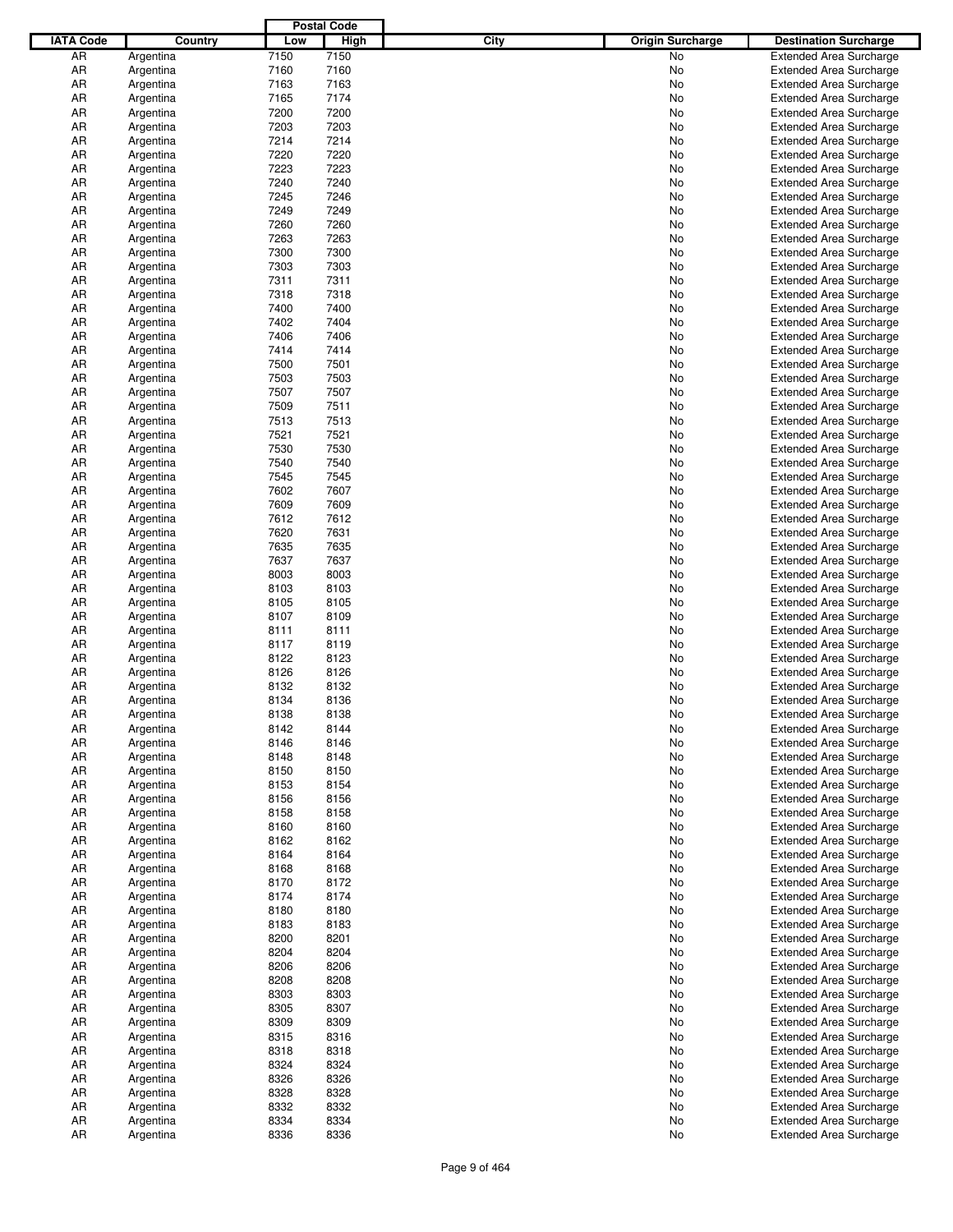|                  |                        |              | <b>Postal Code</b> |                                        |                                                                  |
|------------------|------------------------|--------------|--------------------|----------------------------------------|------------------------------------------------------------------|
| <b>IATA Code</b> | Country                | Low          | <b>High</b>        | <b>City</b><br><b>Origin Surcharge</b> | <b>Destination Surcharge</b>                                     |
| AR               | Argentina              | 7150         | 7150               | No                                     | <b>Extended Area Surcharge</b>                                   |
| AR               | Argentina              | 7160         | 7160               | No                                     | <b>Extended Area Surcharge</b>                                   |
| AR               | Argentina              | 7163         | 7163               | No                                     | <b>Extended Area Surcharge</b>                                   |
| AR               | Argentina              | 7165         | 7174               | No                                     | <b>Extended Area Surcharge</b>                                   |
| AR               | Argentina              | 7200         | 7200               | No                                     | <b>Extended Area Surcharge</b>                                   |
| AR               | Argentina              | 7203         | 7203               | No                                     | <b>Extended Area Surcharge</b>                                   |
| AR               | Argentina              | 7214         | 7214               | No                                     | <b>Extended Area Surcharge</b>                                   |
| AR               | Argentina              | 7220         | 7220               | No                                     | <b>Extended Area Surcharge</b>                                   |
| AR               | Argentina              | 7223         | 7223               | No                                     | <b>Extended Area Surcharge</b>                                   |
| AR               | Argentina              | 7240         | 7240               | No                                     | <b>Extended Area Surcharge</b>                                   |
| AR               | Argentina              | 7245         | 7246               | No                                     | <b>Extended Area Surcharge</b>                                   |
| AR               | Argentina              | 7249         | 7249               | No                                     | <b>Extended Area Surcharge</b>                                   |
| AR               | Argentina              | 7260         | 7260               | No                                     | <b>Extended Area Surcharge</b>                                   |
| AR               | Argentina              | 7263         | 7263               | No                                     | <b>Extended Area Surcharge</b>                                   |
| AR               | Argentina              | 7300         | 7300               | No                                     | <b>Extended Area Surcharge</b>                                   |
| AR               | Argentina              | 7303         | 7303               | No                                     | <b>Extended Area Surcharge</b>                                   |
| AR               | Argentina              | 7311         | 7311               | No                                     | <b>Extended Area Surcharge</b>                                   |
| AR               | Argentina              | 7318         | 7318               | No                                     | <b>Extended Area Surcharge</b>                                   |
| AR               | Argentina              | 7400         | 7400               | No                                     | <b>Extended Area Surcharge</b>                                   |
| AR               | Argentina              | 7402         | 7404               | No                                     | <b>Extended Area Surcharge</b>                                   |
| AR               | Argentina              | 7406         | 7406               | No                                     | <b>Extended Area Surcharge</b>                                   |
| AR               | Argentina              | 7414         | 7414               | No                                     | <b>Extended Area Surcharge</b>                                   |
| AR               | Argentina              | 7500         | 7501               | No                                     | <b>Extended Area Surcharge</b>                                   |
| AR               | Argentina              | 7503         | 7503               | No                                     | <b>Extended Area Surcharge</b>                                   |
| AR               | Argentina              | 7507         | 7507               | No                                     | <b>Extended Area Surcharge</b>                                   |
| AR               | Argentina              | 7509         | 7511               | No                                     | <b>Extended Area Surcharge</b>                                   |
| AR               | Argentina              | 7513         | 7513               | No                                     | <b>Extended Area Surcharge</b>                                   |
| AR               | Argentina              | 7521         | 7521               | No                                     | <b>Extended Area Surcharge</b>                                   |
| AR               | Argentina              | 7530         | 7530<br>7540       | No                                     | <b>Extended Area Surcharge</b>                                   |
| AR<br>AR         | Argentina              | 7540<br>7545 | 7545               | No                                     | <b>Extended Area Surcharge</b>                                   |
| AR               | Argentina              | 7602         | 7607               | No<br>No                               | <b>Extended Area Surcharge</b><br><b>Extended Area Surcharge</b> |
| AR               | Argentina<br>Argentina | 7609         | 7609               | No                                     | <b>Extended Area Surcharge</b>                                   |
| AR               | Argentina              | 7612         | 7612               | No                                     | <b>Extended Area Surcharge</b>                                   |
| AR               | Argentina              | 7620         | 7631               | No                                     | <b>Extended Area Surcharge</b>                                   |
| AR               | Argentina              | 7635         | 7635               | No                                     | <b>Extended Area Surcharge</b>                                   |
| AR               | Argentina              | 7637         | 7637               | No                                     | <b>Extended Area Surcharge</b>                                   |
| AR               | Argentina              | 8003         | 8003               | No                                     | <b>Extended Area Surcharge</b>                                   |
| AR               | Argentina              | 8103         | 8103               | No                                     | <b>Extended Area Surcharge</b>                                   |
| AR               | Argentina              | 8105         | 8105               | No                                     | <b>Extended Area Surcharge</b>                                   |
| AR               | Argentina              | 8107         | 8109               | No                                     | <b>Extended Area Surcharge</b>                                   |
| AR               | Argentina              | 8111         | 8111               | No                                     | <b>Extended Area Surcharge</b>                                   |
| AR               | Argentina              | 8117         | 8119               | No                                     | <b>Extended Area Surcharge</b>                                   |
| AR               | Argentina              | 8122         | 8123               | No                                     | <b>Extended Area Surcharge</b>                                   |
| AR               | Argentina              | 8126         | 8126               | No                                     | <b>Extended Area Surcharge</b>                                   |
| AR               | Argentina              | 8132         | 8132               | No                                     | <b>Extended Area Surcharge</b>                                   |
| AR               | Argentina              | 8134         | 8136               | No                                     | <b>Extended Area Surcharge</b>                                   |
| AR               | Argentina              | 8138         | 8138               | No.                                    | <b>Extended Area Surcharge</b>                                   |
| AR               | Argentina              | 8142         | 8144               | No                                     | <b>Extended Area Surcharge</b>                                   |
| AR               | Argentina              | 8146         | 8146               | No                                     | <b>Extended Area Surcharge</b>                                   |
| AR               | Argentina              | 8148         | 8148               | No                                     | <b>Extended Area Surcharge</b>                                   |
| AR               | Argentina              | 8150         | 8150               | No                                     | <b>Extended Area Surcharge</b>                                   |
| AR               | Argentina              | 8153         | 8154               | No                                     | <b>Extended Area Surcharge</b>                                   |
| AR               | Argentina              | 8156         | 8156               | No                                     | <b>Extended Area Surcharge</b>                                   |
| AR               | Argentina              | 8158         | 8158               | No                                     | <b>Extended Area Surcharge</b>                                   |
| AR               | Argentina              | 8160         | 8160               | No                                     | <b>Extended Area Surcharge</b>                                   |
| AR               | Argentina              | 8162         | 8162               | No                                     | <b>Extended Area Surcharge</b>                                   |
| AR               | Argentina              | 8164         | 8164               | No                                     | <b>Extended Area Surcharge</b>                                   |
| AR               | Argentina              | 8168         | 8168               | No                                     | <b>Extended Area Surcharge</b>                                   |
| AR               | Argentina              | 8170         | 8172               | No                                     | <b>Extended Area Surcharge</b>                                   |
| AR               | Argentina              | 8174         | 8174               | No                                     | <b>Extended Area Surcharge</b>                                   |
| AR               | Argentina              | 8180         | 8180               | No                                     | <b>Extended Area Surcharge</b>                                   |
| AR               | Argentina              | 8183         | 8183               | No                                     | <b>Extended Area Surcharge</b>                                   |
| AR               | Argentina              | 8200         | 8201               | No                                     | <b>Extended Area Surcharge</b>                                   |
| AR               | Argentina              | 8204         | 8204               | No                                     | <b>Extended Area Surcharge</b>                                   |
| AR               | Argentina              | 8206         | 8206               | No                                     | <b>Extended Area Surcharge</b>                                   |
| AR               | Argentina              | 8208         | 8208               | No                                     | <b>Extended Area Surcharge</b>                                   |
| AR               | Argentina              | 8303         | 8303               | No                                     | <b>Extended Area Surcharge</b>                                   |
| AR               | Argentina              | 8305<br>8309 | 8307<br>8309       | No                                     | <b>Extended Area Surcharge</b>                                   |
| AR               | Argentina              | 8315         | 8316               | No                                     | <b>Extended Area Surcharge</b>                                   |
| AR<br>AR         | Argentina<br>Argentina | 8318         | 8318               | No<br>No                               | <b>Extended Area Surcharge</b><br><b>Extended Area Surcharge</b> |
| AR               | Argentina              | 8324         | 8324               | No                                     | <b>Extended Area Surcharge</b>                                   |
| AR               | Argentina              | 8326         | 8326               | No                                     | <b>Extended Area Surcharge</b>                                   |
| AR               | Argentina              | 8328         | 8328               | No                                     | <b>Extended Area Surcharge</b>                                   |
| AR               | Argentina              | 8332         | 8332               | No                                     | <b>Extended Area Surcharge</b>                                   |
| AR               | Argentina              | 8334         | 8334               | No                                     | <b>Extended Area Surcharge</b>                                   |
| AR               | Argentina              | 8336         | 8336               | No                                     | <b>Extended Area Surcharge</b>                                   |
|                  |                        |              |                    |                                        |                                                                  |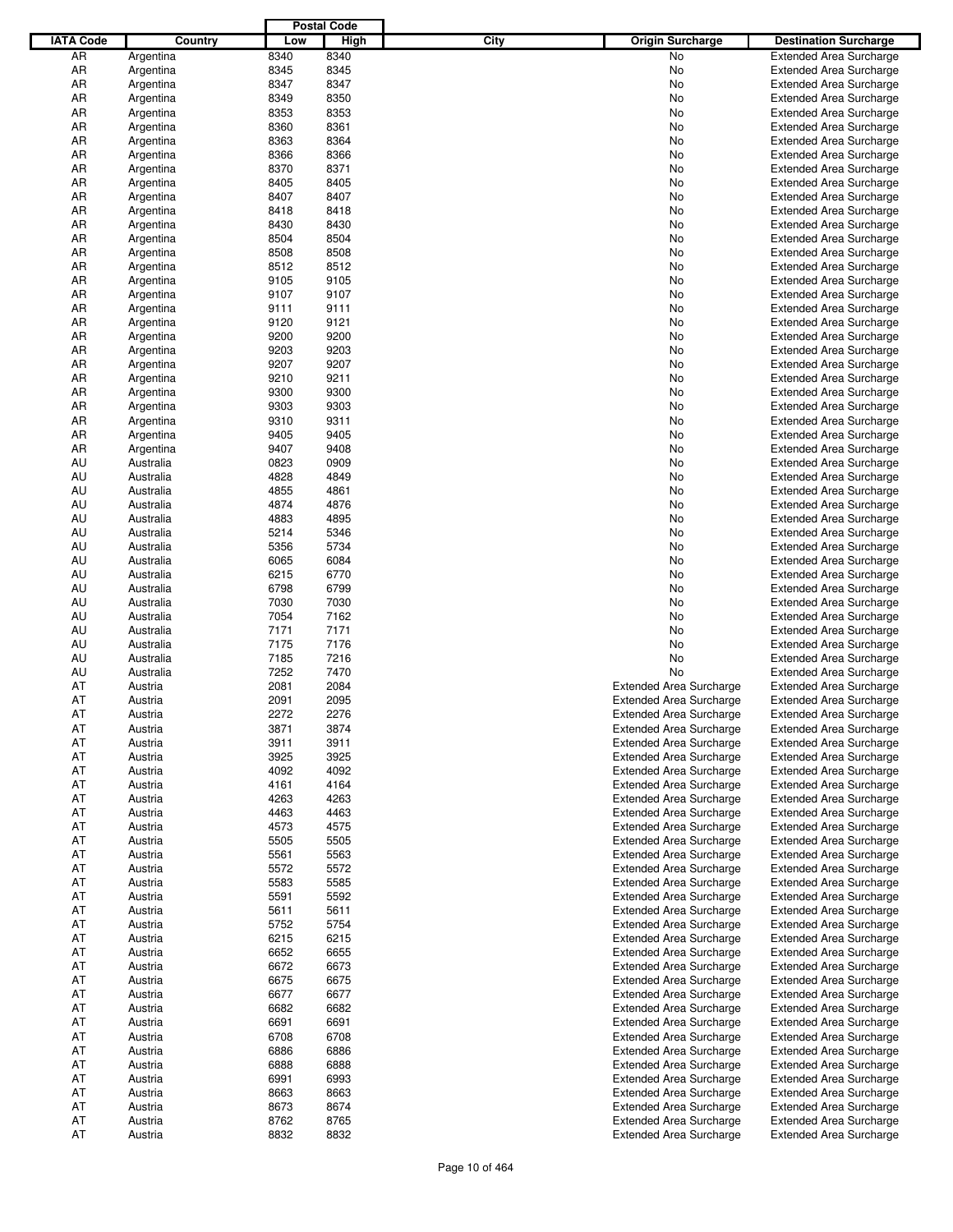|                  |           |      | <b>Postal Code</b> |      |                                |                                |
|------------------|-----------|------|--------------------|------|--------------------------------|--------------------------------|
| <b>IATA Code</b> | Country   | Low  | <b>High</b>        | City | <b>Origin Surcharge</b>        | <b>Destination Surcharge</b>   |
| AR               | Argentina | 8340 | 8340               |      | No                             | <b>Extended Area Surcharge</b> |
| AR               | Argentina | 8345 | 8345               |      | No                             | <b>Extended Area Surcharge</b> |
| AR               | Argentina | 8347 | 8347               |      | No                             | <b>Extended Area Surcharge</b> |
| AR               | Argentina | 8349 | 8350               |      | No                             | <b>Extended Area Surcharge</b> |
| AR               | Argentina | 8353 | 8353               |      | No                             | <b>Extended Area Surcharge</b> |
| AR               | Argentina | 8360 | 8361               |      | No                             | <b>Extended Area Surcharge</b> |
| AR               | Argentina | 8363 | 8364               |      | No                             | <b>Extended Area Surcharge</b> |
| AR               | Argentina | 8366 | 8366               |      | No                             | <b>Extended Area Surcharge</b> |
| AR               | Argentina | 8370 | 8371               |      | No                             | <b>Extended Area Surcharge</b> |
| AR               | Argentina | 8405 | 8405               |      | No                             | <b>Extended Area Surcharge</b> |
| AR               | Argentina | 8407 | 8407               |      | No                             | <b>Extended Area Surcharge</b> |
| AR               | Argentina | 8418 | 8418               |      | No                             | <b>Extended Area Surcharge</b> |
| AR               | Argentina | 8430 | 8430               |      | No                             | <b>Extended Area Surcharge</b> |
| AR               | Argentina | 8504 | 8504               |      | No                             | <b>Extended Area Surcharge</b> |
| AR               | Argentina | 8508 | 8508               |      | No                             | <b>Extended Area Surcharge</b> |
| AR               | Argentina | 8512 | 8512               |      | No                             | <b>Extended Area Surcharge</b> |
| AR               | Argentina | 9105 | 9105               |      | No                             | <b>Extended Area Surcharge</b> |
| AR               | Argentina | 9107 | 9107               |      | No                             | <b>Extended Area Surcharge</b> |
| AR               | Argentina | 9111 | 9111               |      | No                             | <b>Extended Area Surcharge</b> |
| AR               | Argentina | 9120 | 9121               |      | No                             | <b>Extended Area Surcharge</b> |
| AR               | Argentina | 9200 | 9200               |      | No                             | <b>Extended Area Surcharge</b> |
| AR               | Argentina | 9203 | 9203               |      | No                             | <b>Extended Area Surcharge</b> |
| AR               | Argentina | 9207 | 9207               |      | No                             | <b>Extended Area Surcharge</b> |
| AR               | Argentina | 9210 | 9211               |      | No                             | <b>Extended Area Surcharge</b> |
| AR               | Argentina | 9300 | 9300               |      | No                             | <b>Extended Area Surcharge</b> |
| AR               | Argentina | 9303 | 9303               |      | No                             | <b>Extended Area Surcharge</b> |
| AR               | Argentina | 9310 | 9311               |      | No                             | <b>Extended Area Surcharge</b> |
| AR               | Argentina | 9405 | 9405               |      | No                             | <b>Extended Area Surcharge</b> |
| AR               | Argentina | 9407 | 9408               |      | No                             | <b>Extended Area Surcharge</b> |
| AU               | Australia | 0823 | 0909               |      | No                             | <b>Extended Area Surcharge</b> |
| AU               | Australia | 4828 | 4849               |      | No                             | <b>Extended Area Surcharge</b> |
| AU               | Australia | 4855 | 4861               |      | No                             | <b>Extended Area Surcharge</b> |
| AU               | Australia | 4874 | 4876               |      | No                             | <b>Extended Area Surcharge</b> |
| AU               | Australia | 4883 | 4895               |      | No                             | <b>Extended Area Surcharge</b> |
| AU               | Australia | 5214 | 5346               |      | No                             | <b>Extended Area Surcharge</b> |
| AU               | Australia | 5356 | 5734               |      | No                             | <b>Extended Area Surcharge</b> |
| AU               | Australia | 6065 | 6084               |      | No                             | <b>Extended Area Surcharge</b> |
| AU               | Australia | 6215 | 6770               |      | No                             | <b>Extended Area Surcharge</b> |
| AU               | Australia | 6798 | 6799               |      | No                             | <b>Extended Area Surcharge</b> |
| AU               | Australia | 7030 | 7030               |      | No                             | <b>Extended Area Surcharge</b> |
| AU               | Australia | 7054 | 7162               |      | No                             | <b>Extended Area Surcharge</b> |
| AU               | Australia | 7171 | 7171               |      | No                             | <b>Extended Area Surcharge</b> |
| AU               | Australia | 7175 | 7176               |      | No                             | <b>Extended Area Surcharge</b> |
| AU               | Australia | 7185 | 7216               |      | No                             | <b>Extended Area Surcharge</b> |
| AU               | Australia | 7252 | 7470               |      | No                             | <b>Extended Area Surcharge</b> |
| AT               | Austria   | 2081 | 2084               |      | <b>Extended Area Surcharge</b> | <b>Extended Area Surcharge</b> |
| AT               | Austria   | 2091 | 2095               |      | <b>Extended Area Surcharge</b> | <b>Extended Area Surcharge</b> |
| AT               | Austria   | 2272 | 2276               |      | <b>Extended Area Surcharge</b> | Extended Area Surcharge        |
| AT               | Austria   | 3871 | 3874               |      | <b>Extended Area Surcharge</b> | <b>Extended Area Surcharge</b> |
| AT               | Austria   | 3911 | 3911               |      | <b>Extended Area Surcharge</b> | <b>Extended Area Surcharge</b> |
| AT               | Austria   | 3925 | 3925               |      | <b>Extended Area Surcharge</b> | <b>Extended Area Surcharge</b> |
| AT               | Austria   | 4092 | 4092               |      | <b>Extended Area Surcharge</b> | <b>Extended Area Surcharge</b> |
| AT               | Austria   | 4161 | 4164               |      | <b>Extended Area Surcharge</b> | <b>Extended Area Surcharge</b> |
| AT               | Austria   | 4263 | 4263               |      | <b>Extended Area Surcharge</b> | <b>Extended Area Surcharge</b> |
| AT               | Austria   | 4463 | 4463               |      | <b>Extended Area Surcharge</b> | <b>Extended Area Surcharge</b> |
| AT               | Austria   | 4573 | 4575               |      | <b>Extended Area Surcharge</b> | <b>Extended Area Surcharge</b> |
| AT               | Austria   | 5505 | 5505               |      | <b>Extended Area Surcharge</b> | <b>Extended Area Surcharge</b> |
| AT               | Austria   | 5561 | 5563               |      | <b>Extended Area Surcharge</b> | <b>Extended Area Surcharge</b> |
| AT               | Austria   | 5572 | 5572               |      | <b>Extended Area Surcharge</b> | <b>Extended Area Surcharge</b> |
| AT               | Austria   | 5583 | 5585               |      | <b>Extended Area Surcharge</b> | <b>Extended Area Surcharge</b> |
| AT               | Austria   | 5591 | 5592               |      | <b>Extended Area Surcharge</b> | <b>Extended Area Surcharge</b> |
| AT               | Austria   | 5611 | 5611               |      | <b>Extended Area Surcharge</b> | <b>Extended Area Surcharge</b> |
| AT               | Austria   | 5752 | 5754               |      | <b>Extended Area Surcharge</b> | <b>Extended Area Surcharge</b> |
| AT               | Austria   | 6215 | 6215               |      | <b>Extended Area Surcharge</b> | <b>Extended Area Surcharge</b> |
| AT               | Austria   | 6652 | 6655               |      | <b>Extended Area Surcharge</b> | <b>Extended Area Surcharge</b> |
| AT               | Austria   | 6672 | 6673               |      | <b>Extended Area Surcharge</b> | <b>Extended Area Surcharge</b> |
| AT               | Austria   | 6675 | 6675               |      | <b>Extended Area Surcharge</b> | <b>Extended Area Surcharge</b> |
| AT               | Austria   | 6677 | 6677               |      | <b>Extended Area Surcharge</b> | <b>Extended Area Surcharge</b> |
| AT               | Austria   | 6682 | 6682               |      | <b>Extended Area Surcharge</b> | <b>Extended Area Surcharge</b> |
| AT               | Austria   | 6691 | 6691               |      | <b>Extended Area Surcharge</b> | <b>Extended Area Surcharge</b> |
| AT               | Austria   | 6708 | 6708               |      | <b>Extended Area Surcharge</b> | <b>Extended Area Surcharge</b> |
| AT               | Austria   | 6886 | 6886               |      | <b>Extended Area Surcharge</b> | <b>Extended Area Surcharge</b> |
| AT               | Austria   | 6888 | 6888               |      | <b>Extended Area Surcharge</b> | <b>Extended Area Surcharge</b> |
| AT               | Austria   | 6991 | 6993               |      | <b>Extended Area Surcharge</b> | <b>Extended Area Surcharge</b> |
| AT               | Austria   | 8663 | 8663               |      | <b>Extended Area Surcharge</b> | <b>Extended Area Surcharge</b> |
| AT               | Austria   | 8673 | 8674               |      | <b>Extended Area Surcharge</b> | <b>Extended Area Surcharge</b> |
| AT               | Austria   | 8762 | 8765               |      | <b>Extended Area Surcharge</b> | <b>Extended Area Surcharge</b> |
| AT               | Austria   | 8832 | 8832               |      | <b>Extended Area Surcharge</b> | <b>Extended Area Surcharge</b> |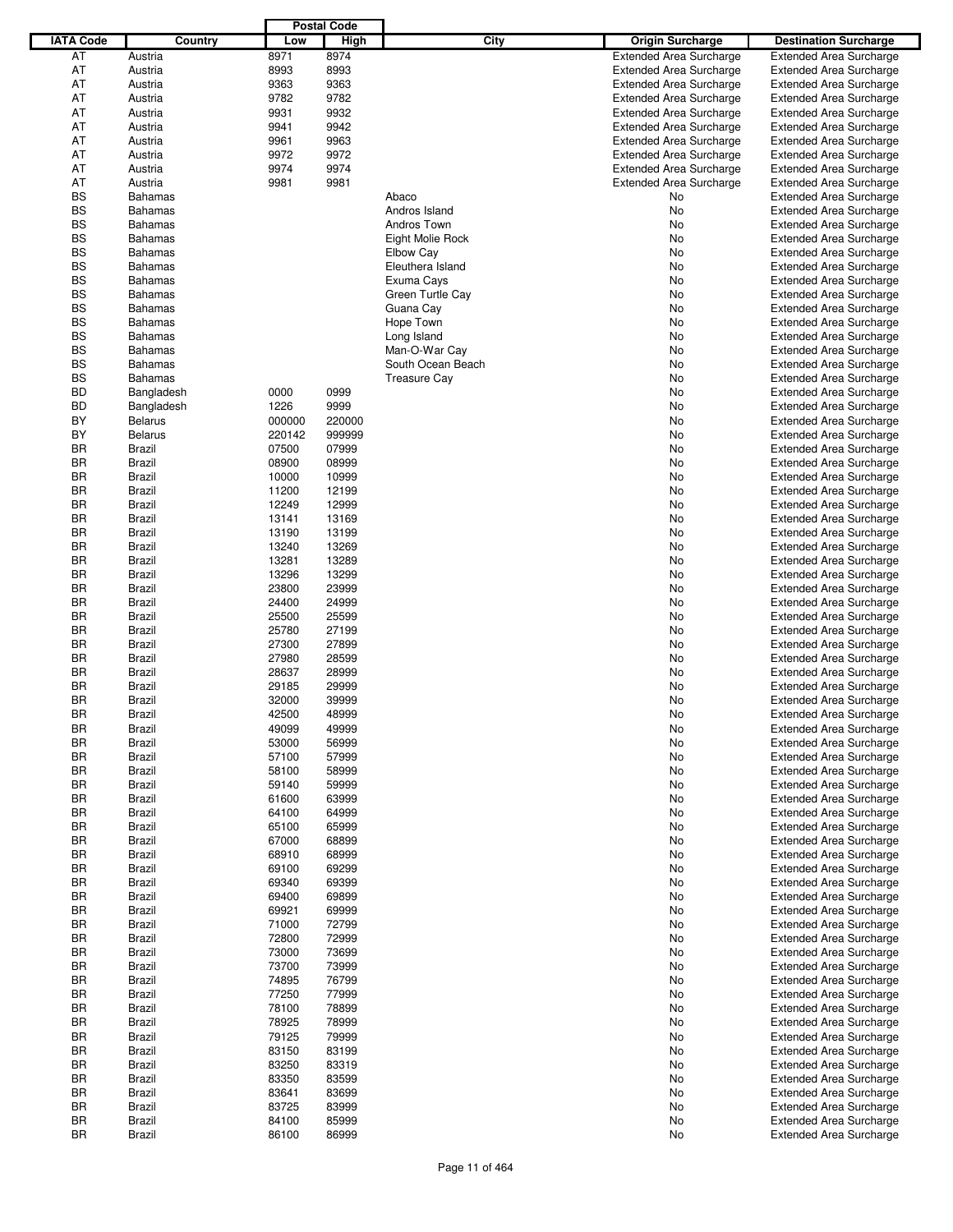|                  |                |        | <b>Postal Code</b> |                     |                                |                                |
|------------------|----------------|--------|--------------------|---------------------|--------------------------------|--------------------------------|
| <b>IATA Code</b> | Country        | Low    | <b>High</b>        | <b>City</b>         | <b>Origin Surcharge</b>        | <b>Destination Surcharge</b>   |
| AT               | Austria        | 8971   | 8974               |                     | <b>Extended Area Surcharge</b> | <b>Extended Area Surcharge</b> |
| AT               | Austria        | 8993   | 8993               |                     | <b>Extended Area Surcharge</b> | <b>Extended Area Surcharge</b> |
| AT               | Austria        | 9363   | 9363               |                     | <b>Extended Area Surcharge</b> | <b>Extended Area Surcharge</b> |
| AT               | Austria        | 9782   | 9782               |                     | <b>Extended Area Surcharge</b> | <b>Extended Area Surcharge</b> |
| AT               | Austria        | 9931   | 9932               |                     | <b>Extended Area Surcharge</b> | <b>Extended Area Surcharge</b> |
|                  |                |        |                    |                     |                                |                                |
| AT               | Austria        | 9941   | 9942               |                     | <b>Extended Area Surcharge</b> | <b>Extended Area Surcharge</b> |
| AT               | Austria        | 9961   | 9963               |                     | <b>Extended Area Surcharge</b> | <b>Extended Area Surcharge</b> |
| AT               | Austria        | 9972   | 9972               |                     | <b>Extended Area Surcharge</b> | <b>Extended Area Surcharge</b> |
| AT               | Austria        | 9974   | 9974               |                     | <b>Extended Area Surcharge</b> | <b>Extended Area Surcharge</b> |
| AT               | Austria        | 9981   | 9981               |                     | <b>Extended Area Surcharge</b> | <b>Extended Area Surcharge</b> |
| <b>BS</b>        | <b>Bahamas</b> |        |                    | Abaco               | No                             | <b>Extended Area Surcharge</b> |
| <b>BS</b>        | <b>Bahamas</b> |        |                    | Andros Island       | No                             | <b>Extended Area Surcharge</b> |
| <b>BS</b>        | <b>Bahamas</b> |        |                    | Andros Town         | No                             | <b>Extended Area Surcharge</b> |
| <b>BS</b>        | <b>Bahamas</b> |        |                    | Eight Molie Rock    | No                             | <b>Extended Area Surcharge</b> |
| <b>BS</b>        | <b>Bahamas</b> |        |                    | <b>Elbow Cay</b>    | No                             | <b>Extended Area Surcharge</b> |
| <b>BS</b>        | <b>Bahamas</b> |        |                    | Eleuthera Island    | No                             | <b>Extended Area Surcharge</b> |
| <b>BS</b>        | <b>Bahamas</b> |        |                    | Exuma Cays          | No                             | <b>Extended Area Surcharge</b> |
| <b>BS</b>        | <b>Bahamas</b> |        |                    | Green Turtle Cay    | No                             | <b>Extended Area Surcharge</b> |
| <b>BS</b>        | <b>Bahamas</b> |        |                    | Guana Cay           | No                             | <b>Extended Area Surcharge</b> |
| <b>BS</b>        | <b>Bahamas</b> |        |                    | Hope Town           | No                             | <b>Extended Area Surcharge</b> |
| <b>BS</b>        |                |        |                    |                     |                                |                                |
|                  | <b>Bahamas</b> |        |                    | Long Island         | No                             | <b>Extended Area Surcharge</b> |
| <b>BS</b>        | <b>Bahamas</b> |        |                    | Man-O-War Cay       | No                             | <b>Extended Area Surcharge</b> |
| <b>BS</b>        | <b>Bahamas</b> |        |                    | South Ocean Beach   | No                             | <b>Extended Area Surcharge</b> |
| <b>BS</b>        | <b>Bahamas</b> |        |                    | <b>Treasure Cay</b> | No                             | <b>Extended Area Surcharge</b> |
| <b>BD</b>        | Bangladesh     | 0000   | 0999               |                     | No                             | <b>Extended Area Surcharge</b> |
| <b>BD</b>        | Bangladesh     | 1226   | 9999               |                     | No                             | <b>Extended Area Surcharge</b> |
| BY               | <b>Belarus</b> | 000000 | 220000             |                     | No                             | <b>Extended Area Surcharge</b> |
| BY               | <b>Belarus</b> | 220142 | 999999             |                     | No                             | <b>Extended Area Surcharge</b> |
| <b>BR</b>        | <b>Brazil</b>  | 07500  | 07999              |                     | No                             | <b>Extended Area Surcharge</b> |
| BR               | <b>Brazil</b>  | 08900  | 08999              |                     | No                             | <b>Extended Area Surcharge</b> |
| BR               | <b>Brazil</b>  | 10000  | 10999              |                     | No                             | <b>Extended Area Surcharge</b> |
| BR               | <b>Brazil</b>  | 11200  | 12199              |                     | No                             | <b>Extended Area Surcharge</b> |
| BR               | <b>Brazil</b>  | 12249  | 12999              |                     | No                             | <b>Extended Area Surcharge</b> |
| BR               | <b>Brazil</b>  | 13141  | 13169              |                     | No                             | <b>Extended Area Surcharge</b> |
| BR               | <b>Brazil</b>  | 13190  | 13199              |                     | No                             | <b>Extended Area Surcharge</b> |
| <b>BR</b>        | <b>Brazil</b>  | 13240  | 13269              |                     | No                             | <b>Extended Area Surcharge</b> |
| BR               |                |        |                    |                     |                                |                                |
|                  | <b>Brazil</b>  | 13281  | 13289              |                     | No                             | <b>Extended Area Surcharge</b> |
| BR               | <b>Brazil</b>  | 13296  | 13299              |                     | No                             | <b>Extended Area Surcharge</b> |
| BR               | <b>Brazil</b>  | 23800  | 23999              |                     | No                             | <b>Extended Area Surcharge</b> |
| BR               | <b>Brazil</b>  | 24400  | 24999              |                     | No                             | <b>Extended Area Surcharge</b> |
| BR               | <b>Brazil</b>  | 25500  | 25599              |                     | No                             | <b>Extended Area Surcharge</b> |
| BR               | <b>Brazil</b>  | 25780  | 27199              |                     | No                             | <b>Extended Area Surcharge</b> |
| BR               | <b>Brazil</b>  | 27300  | 27899              |                     | No                             | <b>Extended Area Surcharge</b> |
| BR               | <b>Brazil</b>  | 27980  | 28599              |                     | No                             | <b>Extended Area Surcharge</b> |
| BR               | <b>Brazil</b>  | 28637  | 28999              |                     | No                             | <b>Extended Area Surcharge</b> |
| <b>BR</b>        | <b>Brazil</b>  | 29185  | 29999              |                     | No                             | <b>Extended Area Surcharge</b> |
| <b>BR</b>        | Brazil         | 32000  | 39999              |                     | No                             | <b>Extended Area Surcharge</b> |
| BR               | <b>Brazil</b>  | 42500  | 48999              |                     | No                             | <b>Extended Area Surcharge</b> |
| BR               | Brazil         | 49099  | 49999              |                     | No                             | <b>Extended Area Surcharge</b> |
| BR               | Brazil         | 53000  | 56999              |                     | No                             | <b>Extended Area Surcharge</b> |
| BR               | Brazil         | 57100  | 57999              |                     | No                             | <b>Extended Area Surcharge</b> |
| BR               | Brazil         | 58100  | 58999              |                     | No                             | <b>Extended Area Surcharge</b> |
| BR               | <b>Brazil</b>  | 59140  | 59999              |                     | No                             | <b>Extended Area Surcharge</b> |
| BR               | <b>Brazil</b>  | 61600  | 63999              |                     | No                             | <b>Extended Area Surcharge</b> |
|                  |                |        |                    |                     |                                |                                |
| BR               | Brazil         | 64100  | 64999              |                     | No                             | <b>Extended Area Surcharge</b> |
| BR               | Brazil         | 65100  | 65999              |                     | No                             | <b>Extended Area Surcharge</b> |
| BR               | Brazil         | 67000  | 68899              |                     | No                             | <b>Extended Area Surcharge</b> |
| BR               | Brazil         | 68910  | 68999              |                     | No                             | <b>Extended Area Surcharge</b> |
| BR               | Brazil         | 69100  | 69299              |                     | No                             | <b>Extended Area Surcharge</b> |
| BR               | Brazil         | 69340  | 69399              |                     | No                             | <b>Extended Area Surcharge</b> |
| BR               | Brazil         | 69400  | 69899              |                     | No                             | <b>Extended Area Surcharge</b> |
| BR               | Brazil         | 69921  | 69999              |                     | No                             | <b>Extended Area Surcharge</b> |
| BR               | Brazil         | 71000  | 72799              |                     | No                             | <b>Extended Area Surcharge</b> |
| BR               | Brazil         | 72800  | 72999              |                     | No                             | <b>Extended Area Surcharge</b> |
| BR               | Brazil         | 73000  | 73699              |                     | No                             | <b>Extended Area Surcharge</b> |
| BR               | Brazil         | 73700  | 73999              |                     | No                             | <b>Extended Area Surcharge</b> |
| BR               | Brazil         | 74895  | 76799              |                     | No                             | <b>Extended Area Surcharge</b> |
| BR               | Brazil         | 77250  | 77999              |                     | No                             | <b>Extended Area Surcharge</b> |
| BR               | Brazil         | 78100  | 78899              |                     | No                             | <b>Extended Area Surcharge</b> |
| BR               | <b>Brazil</b>  | 78925  | 78999              |                     | No                             | <b>Extended Area Surcharge</b> |
| BR               | Brazil         | 79125  | 79999              |                     | No                             | <b>Extended Area Surcharge</b> |
| BR               | Brazil         | 83150  | 83199              |                     | No                             | <b>Extended Area Surcharge</b> |
| BR               | <b>Brazil</b>  | 83250  | 83319              |                     |                                |                                |
|                  |                |        |                    |                     | No                             | <b>Extended Area Surcharge</b> |
| BR               | Brazil         | 83350  | 83599              |                     | No                             | Extended Area Surcharge        |
| BR               | Brazil         | 83641  | 83699              |                     | No                             | <b>Extended Area Surcharge</b> |
| BR               | Brazil         | 83725  | 83999              |                     | No                             | <b>Extended Area Surcharge</b> |
| BR               | Brazil         | 84100  | 85999              |                     | No                             | <b>Extended Area Surcharge</b> |
| BR               | Brazil         | 86100  | 86999              |                     | No                             | <b>Extended Area Surcharge</b> |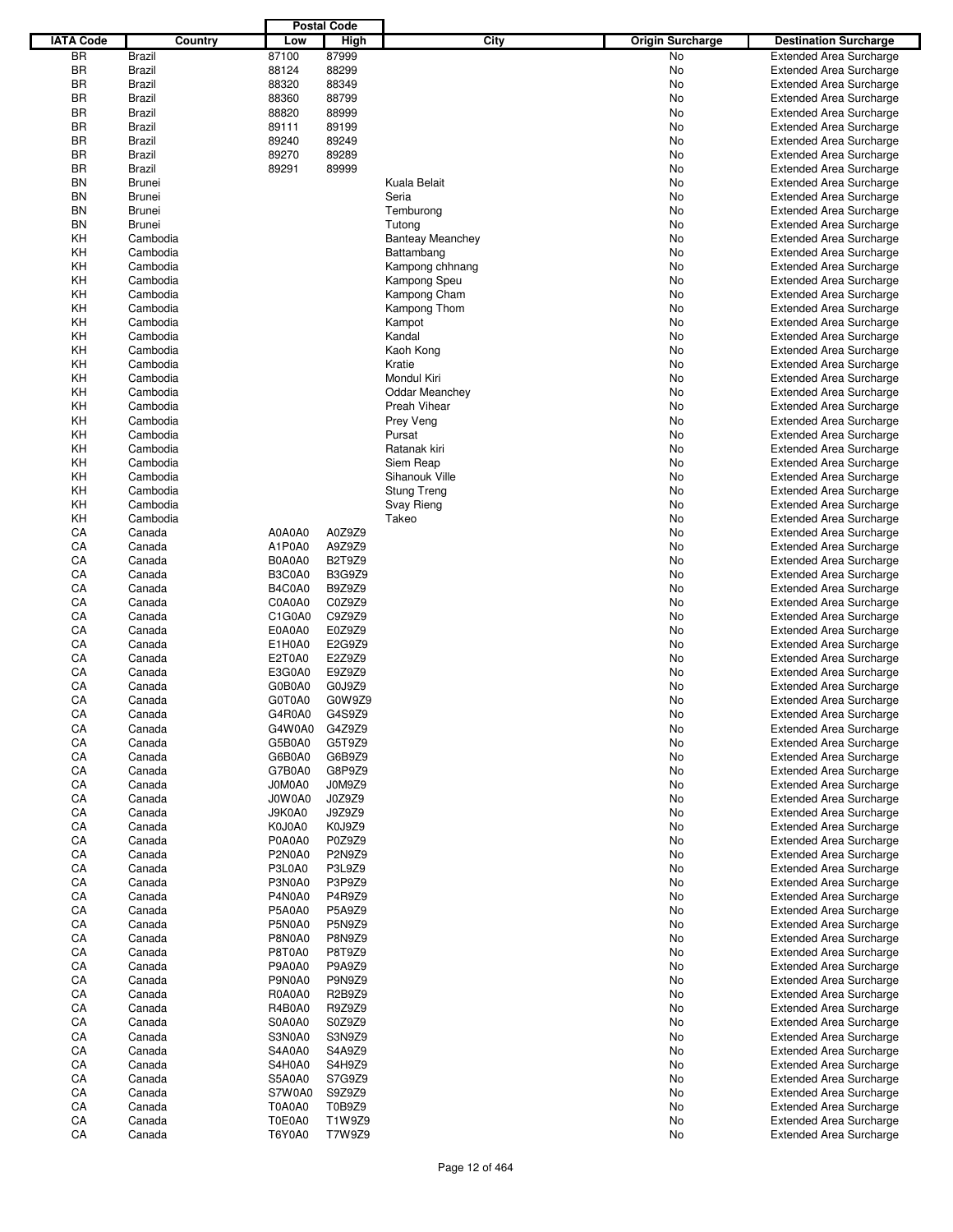|                  |                  |                         | <b>Postal Code</b>      |                         |                         |                                                                  |
|------------------|------------------|-------------------------|-------------------------|-------------------------|-------------------------|------------------------------------------------------------------|
| <b>IATA Code</b> | Country          | Low                     | <b>High</b>             | <b>City</b>             | <b>Origin Surcharge</b> | <b>Destination Surcharge</b>                                     |
| <b>BR</b>        | Brazil           | 87100                   | 87999                   |                         | <b>No</b>               | <b>Extended Area Surcharge</b>                                   |
| <b>BR</b>        | Brazil           | 88124                   | 88299                   |                         | No                      | <b>Extended Area Surcharge</b>                                   |
| BR               | Brazil           | 88320                   | 88349                   |                         | No                      | <b>Extended Area Surcharge</b>                                   |
| ΒR               | Brazil           | 88360                   | 88799                   |                         | No                      | <b>Extended Area Surcharge</b>                                   |
| ΒR               | Brazil           | 88820                   | 88999                   |                         | No                      | <b>Extended Area Surcharge</b>                                   |
| BR               | Brazil           | 89111                   | 89199                   |                         | No                      | <b>Extended Area Surcharge</b>                                   |
| BR               | Brazil           | 89240                   | 89249                   |                         | No                      | <b>Extended Area Surcharge</b>                                   |
| BR               | Brazil           | 89270                   | 89289                   |                         | No                      | <b>Extended Area Surcharge</b>                                   |
| BR               | <b>Brazil</b>    | 89291                   | 89999                   |                         | No                      | <b>Extended Area Surcharge</b>                                   |
| BN               | <b>Brunei</b>    |                         |                         | Kuala Belait            | No                      | <b>Extended Area Surcharge</b>                                   |
| BN               | <b>Brunei</b>    |                         |                         | Seria                   | No                      | <b>Extended Area Surcharge</b>                                   |
| BN               | <b>Brunei</b>    |                         |                         | Temburong               | No                      | <b>Extended Area Surcharge</b>                                   |
| BN               | <b>Brunei</b>    |                         |                         | Tutong                  | No                      | <b>Extended Area Surcharge</b>                                   |
| KH               | Cambodia         |                         |                         | <b>Banteay Meanchey</b> | No                      | <b>Extended Area Surcharge</b>                                   |
| KΗ               | Cambodia         |                         |                         | Battambang              | No                      | <b>Extended Area Surcharge</b>                                   |
| KΗ               | Cambodia         |                         |                         | Kampong chhnang         | No                      | <b>Extended Area Surcharge</b>                                   |
| KΗ               | Cambodia         |                         |                         | Kampong Speu            | No                      | <b>Extended Area Surcharge</b>                                   |
| KΗ               | Cambodia         |                         |                         | Kampong Cham            | No                      | <b>Extended Area Surcharge</b>                                   |
| KΗ               | Cambodia         |                         |                         | Kampong Thom            | No                      | <b>Extended Area Surcharge</b>                                   |
| KΗ               | Cambodia         |                         |                         | Kampot                  | No                      | <b>Extended Area Surcharge</b>                                   |
| KΗ               | Cambodia         |                         |                         | Kandal                  | No                      | <b>Extended Area Surcharge</b>                                   |
| KΗ               | Cambodia         |                         |                         | Kaoh Kong               | No                      | <b>Extended Area Surcharge</b>                                   |
| KΗ               | Cambodia         |                         |                         | Kratie                  | No                      | <b>Extended Area Surcharge</b>                                   |
| KΗ               | Cambodia         |                         |                         | Mondul Kiri             | No                      | <b>Extended Area Surcharge</b>                                   |
| KΗ               | Cambodia         |                         |                         | <b>Oddar Meanchey</b>   | No                      | <b>Extended Area Surcharge</b>                                   |
| KΗ               | Cambodia         |                         |                         | Preah Vihear            | No                      | <b>Extended Area Surcharge</b>                                   |
| KΗ               | Cambodia         |                         |                         | Prey Veng               | No                      | <b>Extended Area Surcharge</b>                                   |
| KΗ               | Cambodia         |                         |                         | Pursat                  | No                      | <b>Extended Area Surcharge</b>                                   |
| KΗ               | Cambodia         |                         |                         | Ratanak kiri            | No                      | <b>Extended Area Surcharge</b>                                   |
| KΗ               | Cambodia         |                         |                         | Siem Reap               | No                      | <b>Extended Area Surcharge</b>                                   |
| KΗ               | Cambodia         |                         |                         | Sihanouk Ville          | No                      | <b>Extended Area Surcharge</b>                                   |
| KΗ               | Cambodia         |                         |                         | Stung Treng             | No                      | <b>Extended Area Surcharge</b>                                   |
| KΗ               | Cambodia         |                         |                         | Svay Rieng              | No                      | <b>Extended Area Surcharge</b>                                   |
| KΗ               | Cambodia         |                         |                         | Takeo                   | No                      | <b>Extended Area Surcharge</b>                                   |
| CA               | Canada           | A0A0A0                  | A0Z9Z9                  |                         | No                      | <b>Extended Area Surcharge</b>                                   |
| CA               | Canada           | A1P0A0                  | A9Z9Z9                  |                         | No                      | <b>Extended Area Surcharge</b>                                   |
| CA               | Canada           | B0A0A0                  | B2T9Z9                  |                         | No                      | <b>Extended Area Surcharge</b>                                   |
| СA               | Canada           | B3C0A0                  | <b>B3G9Z9</b>           |                         | No                      | <b>Extended Area Surcharge</b>                                   |
| CA               | Canada           | B4C0A0                  | B9Z9Z9                  |                         | No                      | <b>Extended Area Surcharge</b>                                   |
| CA               | Canada           | C0A0A0                  | C0Z9Z9                  |                         | No                      | <b>Extended Area Surcharge</b>                                   |
| CA               | Canada           | C1G0A0                  | C9Z9Z9                  |                         | No                      | <b>Extended Area Surcharge</b>                                   |
| CA               | Canada           | E0A0A0                  | E0Z9Z9                  |                         | No                      | <b>Extended Area Surcharge</b>                                   |
| CA               | Canada           | E1H0A0                  | E2G9Z9                  |                         | No                      | <b>Extended Area Surcharge</b>                                   |
| СA               | Canada           | E2T0A0                  | E2Z9Z9                  |                         | No                      | <b>Extended Area Surcharge</b>                                   |
| CA               | Canada           | E3G0A0                  | E9Z9Z9                  |                         | No                      | <b>Extended Area Surcharge</b>                                   |
| CA               | Canada           | G0B0A0                  | G0J9Z9                  |                         | No                      | <b>Extended Area Surcharge</b>                                   |
| CA               | Canada           | G0T0A0                  | G0W9Z9                  |                         | No                      | <b>Extended Area Surcharge</b>                                   |
| CA               | Canada           | G4R0A0                  | G4S9Z9                  |                         | No                      | <b>Extended Area Surcharge</b>                                   |
| CA               | Canada           | G4W0A0                  | G4Z9Z9                  |                         | No                      | <b>Extended Area Surcharge</b>                                   |
| CA               | Canada           | G5B0A0                  | G5T9Z9                  |                         | No                      | <b>Extended Area Surcharge</b>                                   |
| CA               | Canada           | G6B0A0                  | G6B9Z9                  |                         | No                      | <b>Extended Area Surcharge</b>                                   |
| CA               | Canada           | G7B0A0                  | G8P9Z9                  |                         | No                      | <b>Extended Area Surcharge</b>                                   |
| CA               | Canada           | J0M0A0                  | J0M9Z9                  |                         | No                      | <b>Extended Area Surcharge</b>                                   |
| CA               | Canada           | J0W0A0                  | J0Z9Z9                  |                         | No                      | <b>Extended Area Surcharge</b>                                   |
| CA               | Canada           | J9K0A0                  | J9Z9Z9                  |                         | No                      | <b>Extended Area Surcharge</b>                                   |
| CA               | Canada           | K0J0A0                  | K0J9Z9                  |                         | No                      | <b>Extended Area Surcharge</b>                                   |
| CA               | Canada           | P0A0A0                  | P0Z9Z9<br><b>P2N9Z9</b> |                         | No                      | <b>Extended Area Surcharge</b>                                   |
| CA               | Canada           | P2N0A0                  |                         |                         | No                      | <b>Extended Area Surcharge</b>                                   |
| CA               | Canada           | P3L0A0                  | P3L9Z9                  |                         | No                      | <b>Extended Area Surcharge</b>                                   |
| CA               | Canada           | P3N0A0                  | P3P9Z9                  |                         | No                      | <b>Extended Area Surcharge</b>                                   |
| CA<br>CA         | Canada           | P4N0A0<br><b>P5A0A0</b> | P4R9Z9<br>P5A9Z9        |                         | No                      | <b>Extended Area Surcharge</b>                                   |
| CA               | Canada           | P5N0A0                  | P5N9Z9                  |                         | No                      | <b>Extended Area Surcharge</b><br><b>Extended Area Surcharge</b> |
| CA               | Canada           | P8N0A0                  | P8N9Z9                  |                         | No                      |                                                                  |
| CA               | Canada           | P8T0A0                  | P8T9Z9                  |                         | No                      | <b>Extended Area Surcharge</b>                                   |
| CA               | Canada<br>Canada | P9A0A0                  | P9A9Z9                  |                         | No<br>No                | <b>Extended Area Surcharge</b><br><b>Extended Area Surcharge</b> |
| CA               |                  | P9N0A0                  | P9N9Z9                  |                         |                         |                                                                  |
| CA               | Canada<br>Canada | R0A0A0                  | R2B9Z9                  |                         | No<br>No                | <b>Extended Area Surcharge</b><br><b>Extended Area Surcharge</b> |
| CA               | Canada           | R4B0A0                  | R9Z9Z9                  |                         | No                      | <b>Extended Area Surcharge</b>                                   |
| CA               | Canada           | S0A0A0                  | S0Z9Z9                  |                         | No                      | <b>Extended Area Surcharge</b>                                   |
| CA               | Canada           | S3N0A0                  | S3N9Z9                  |                         | No                      | <b>Extended Area Surcharge</b>                                   |
| CA               | Canada           | S4A0A0                  | S4A9Z9                  |                         | No                      | <b>Extended Area Surcharge</b>                                   |
| CA               | Canada           | S4H0A0                  | S4H9Z9                  |                         | No                      | <b>Extended Area Surcharge</b>                                   |
| CA               | Canada           | S5A0A0                  | S7G9Z9                  |                         | No                      | <b>Extended Area Surcharge</b>                                   |
| CA               | Canada           | S7W0A0                  | S9Z9Z9                  |                         | No                      | <b>Extended Area Surcharge</b>                                   |
| CA               | Canada           | T0A0A0                  | T0B9Z9                  |                         | No                      | <b>Extended Area Surcharge</b>                                   |
| CA               | Canada           | T0E0A0                  | T1W9Z9                  |                         | No                      | <b>Extended Area Surcharge</b>                                   |
| СA               | Canada           | T6Y0A0                  | T7W9Z9                  |                         | No                      | <b>Extended Area Surcharge</b>                                   |
|                  |                  |                         |                         |                         |                         |                                                                  |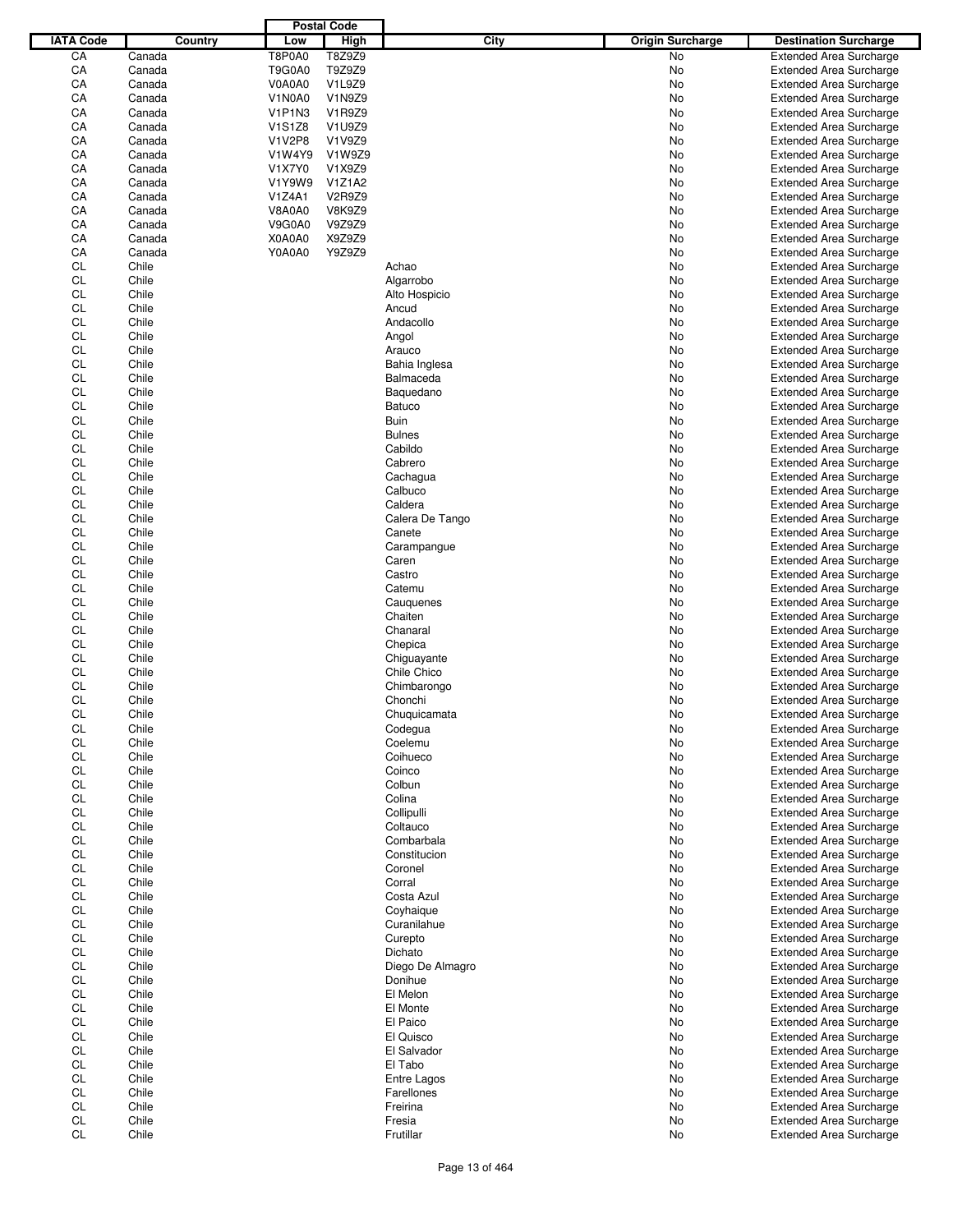|                  |        |         |                                              | <b>Postal Code</b> |                  |                         |                                |
|------------------|--------|---------|----------------------------------------------|--------------------|------------------|-------------------------|--------------------------------|
| <b>IATA Code</b> |        | Country | Low                                          | <b>High</b>        | City             | <b>Origin Surcharge</b> | <b>Destination Surcharge</b>   |
| CA               | Canada |         | <b>T8P0A0</b>                                | T8Z9Z9             |                  | No                      | <b>Extended Area Surcharge</b> |
| CA               | Canada |         | T9G0A0                                       | T9Z9Z9             |                  | No                      | <b>Extended Area Surcharge</b> |
| CA               | Canada |         | V0A0A0                                       | V1L9Z9             |                  | No                      | <b>Extended Area Surcharge</b> |
| CA               | Canada |         | V1N0A0                                       | V1N9Z9             |                  | No                      |                                |
|                  |        |         |                                              |                    |                  |                         | <b>Extended Area Surcharge</b> |
| CA               | Canada |         | V <sub>1</sub> P <sub>1</sub> N <sub>3</sub> | V1R9Z9             |                  | No                      | <b>Extended Area Surcharge</b> |
| CA               | Canada |         | <b>V1S1Z8</b>                                | V1U9Z9             |                  | No                      | <b>Extended Area Surcharge</b> |
| CA               | Canada |         | <b>V1V2P8</b>                                | V1V9Z9             |                  | No                      | <b>Extended Area Surcharge</b> |
| CA               | Canada |         | V1W4Y9                                       | V1W9Z9             |                  | No                      | <b>Extended Area Surcharge</b> |
| CA               | Canada |         | V1X7Y0                                       | V1X9Z9             |                  | No                      | <b>Extended Area Surcharge</b> |
| CA               | Canada |         | V1Y9W9                                       | V1Z1A2             |                  | No                      | <b>Extended Area Surcharge</b> |
| CA               | Canada |         | V1Z4A1                                       | V2R9Z9             |                  | No                      | <b>Extended Area Surcharge</b> |
| CA               | Canada |         | <b>V8A0A0</b>                                | <b>V8K9Z9</b>      |                  | No                      | <b>Extended Area Surcharge</b> |
| CA               | Canada |         | V9G0A0                                       | V9Z9Z9             |                  | No                      | <b>Extended Area Surcharge</b> |
| CA               | Canada |         | X0A0A0                                       | X9Z9Z9             |                  | No                      |                                |
|                  |        |         |                                              |                    |                  |                         | <b>Extended Area Surcharge</b> |
| CA               | Canada |         | Y0A0A0                                       | Y9Z9Z9             |                  | No                      | <b>Extended Area Surcharge</b> |
| <b>CL</b>        | Chile  |         |                                              |                    | Achao            | No                      | <b>Extended Area Surcharge</b> |
| CL               | Chile  |         |                                              |                    | Algarrobo        | No                      | <b>Extended Area Surcharge</b> |
| <b>CL</b>        | Chile  |         |                                              |                    | Alto Hospicio    | No                      | <b>Extended Area Surcharge</b> |
| <b>CL</b>        | Chile  |         |                                              |                    | Ancud            | No                      | <b>Extended Area Surcharge</b> |
| <b>CL</b>        | Chile  |         |                                              |                    | Andacollo        | No                      | <b>Extended Area Surcharge</b> |
| <b>CL</b>        | Chile  |         |                                              |                    | Angol            | No                      | <b>Extended Area Surcharge</b> |
| <b>CL</b>        | Chile  |         |                                              |                    | Arauco           | No                      | <b>Extended Area Surcharge</b> |
| <b>CL</b>        | Chile  |         |                                              |                    | Bahia Inglesa    | No                      | <b>Extended Area Surcharge</b> |
|                  |        |         |                                              |                    |                  |                         |                                |
| <b>CL</b>        | Chile  |         |                                              |                    | Balmaceda        | No                      | <b>Extended Area Surcharge</b> |
| <b>CL</b>        | Chile  |         |                                              |                    | Baquedano        | No                      | <b>Extended Area Surcharge</b> |
| <b>CL</b>        | Chile  |         |                                              |                    | <b>Batuco</b>    | No                      | <b>Extended Area Surcharge</b> |
| <b>CL</b>        | Chile  |         |                                              |                    | Buin             | No                      | <b>Extended Area Surcharge</b> |
| <b>CL</b>        | Chile  |         |                                              |                    | <b>Bulnes</b>    | No                      | <b>Extended Area Surcharge</b> |
| <b>CL</b>        | Chile  |         |                                              |                    | Cabildo          | No                      | <b>Extended Area Surcharge</b> |
| <b>CL</b>        | Chile  |         |                                              |                    | Cabrero          | No                      | <b>Extended Area Surcharge</b> |
| <b>CL</b>        | Chile  |         |                                              |                    | Cachagua         | No                      | <b>Extended Area Surcharge</b> |
| <b>CL</b>        | Chile  |         |                                              |                    | Calbuco          | No                      | <b>Extended Area Surcharge</b> |
|                  |        |         |                                              |                    |                  |                         |                                |
| CL               | Chile  |         |                                              |                    | Caldera          | No                      | <b>Extended Area Surcharge</b> |
| <b>CL</b>        | Chile  |         |                                              |                    | Calera De Tango  | No                      | <b>Extended Area Surcharge</b> |
| <b>CL</b>        | Chile  |         |                                              |                    | Canete           | No                      | <b>Extended Area Surcharge</b> |
| <b>CL</b>        | Chile  |         |                                              |                    | Carampangue      | No                      | <b>Extended Area Surcharge</b> |
| CL               | Chile  |         |                                              |                    | Caren            | No                      | <b>Extended Area Surcharge</b> |
| <b>CL</b>        | Chile  |         |                                              |                    | Castro           | No                      | <b>Extended Area Surcharge</b> |
| <b>CL</b>        | Chile  |         |                                              |                    | Catemu           | No                      | <b>Extended Area Surcharge</b> |
| <b>CL</b>        | Chile  |         |                                              |                    | Cauquenes        | No                      | <b>Extended Area Surcharge</b> |
| <b>CL</b>        | Chile  |         |                                              |                    | Chaiten          | No                      | <b>Extended Area Surcharge</b> |
|                  |        |         |                                              |                    |                  |                         |                                |
| <b>CL</b>        | Chile  |         |                                              |                    | Chanaral         | No                      | <b>Extended Area Surcharge</b> |
| <b>CL</b>        | Chile  |         |                                              |                    | Chepica          | No                      | <b>Extended Area Surcharge</b> |
| <b>CL</b>        | Chile  |         |                                              |                    | Chiguayante      | No                      | <b>Extended Area Surcharge</b> |
| CL               | Chile  |         |                                              |                    | Chile Chico      | No                      | <b>Extended Area Surcharge</b> |
| <b>CL</b>        | Chile  |         |                                              |                    | Chimbarongo      | No                      | <b>Extended Area Surcharge</b> |
| CL               | Chile  |         |                                              |                    | Chonchi          | No                      | <b>Extended Area Surcharge</b> |
| CL               | Chile  |         |                                              |                    | Chuquicamata     | No                      | <b>Extended Area Surcharge</b> |
| CL               | Chile  |         |                                              |                    | Codegua          | No                      | <b>Extended Area Surcharge</b> |
| CL               | Chile  |         |                                              |                    | Coelemu          | No                      | <b>Extended Area Surcharge</b> |
| CL               | Chile  |         |                                              |                    | Coihueco         | No                      | <b>Extended Area Surcharge</b> |
|                  |        |         |                                              |                    |                  |                         |                                |
| CL               | Chile  |         |                                              |                    | Coinco           | No                      | <b>Extended Area Surcharge</b> |
| CL               | Chile  |         |                                              |                    | Colbun           | No                      | <b>Extended Area Surcharge</b> |
| <b>CL</b>        | Chile  |         |                                              |                    | Colina           | No                      | <b>Extended Area Surcharge</b> |
| CL               | Chile  |         |                                              |                    | Collipulli       | No                      | <b>Extended Area Surcharge</b> |
| <b>CL</b>        | Chile  |         |                                              |                    | Coltauco         | No                      | <b>Extended Area Surcharge</b> |
| CL               | Chile  |         |                                              |                    | Combarbala       | No                      | <b>Extended Area Surcharge</b> |
| <b>CL</b>        | Chile  |         |                                              |                    | Constitucion     | No                      | <b>Extended Area Surcharge</b> |
| <b>CL</b>        | Chile  |         |                                              |                    | Coronel          | No                      | Extended Area Surcharge        |
| <b>CL</b>        | Chile  |         |                                              |                    | Corral           | No                      | <b>Extended Area Surcharge</b> |
|                  |        |         |                                              |                    |                  |                         |                                |
| CL               | Chile  |         |                                              |                    | Costa Azul       | No                      | <b>Extended Area Surcharge</b> |
| <b>CL</b>        | Chile  |         |                                              |                    | Coyhaique        | No                      | <b>Extended Area Surcharge</b> |
| <b>CL</b>        | Chile  |         |                                              |                    | Curanilahue      | No                      | <b>Extended Area Surcharge</b> |
| CL               | Chile  |         |                                              |                    | Curepto          | No                      | <b>Extended Area Surcharge</b> |
| CL               | Chile  |         |                                              |                    | Dichato          | No                      | <b>Extended Area Surcharge</b> |
| <b>CL</b>        | Chile  |         |                                              |                    | Diego De Almagro | No                      | <b>Extended Area Surcharge</b> |
| CL               | Chile  |         |                                              |                    | Donihue          | No                      | <b>Extended Area Surcharge</b> |
| CL               | Chile  |         |                                              |                    | El Melon         | No                      | <b>Extended Area Surcharge</b> |
| <b>CL</b>        | Chile  |         |                                              |                    | El Monte         | No                      | <b>Extended Area Surcharge</b> |
| <b>CL</b>        | Chile  |         |                                              |                    | El Paico         | No                      | <b>Extended Area Surcharge</b> |
|                  |        |         |                                              |                    |                  |                         |                                |
| CL               | Chile  |         |                                              |                    | El Quisco        | No                      | <b>Extended Area Surcharge</b> |
| CL               | Chile  |         |                                              |                    | El Salvador      | No                      | <b>Extended Area Surcharge</b> |
| CL               | Chile  |         |                                              |                    | El Tabo          | No                      | <b>Extended Area Surcharge</b> |
| CL               | Chile  |         |                                              |                    | Entre Lagos      | No                      | <b>Extended Area Surcharge</b> |
| CL               | Chile  |         |                                              |                    | Farellones       | No                      | <b>Extended Area Surcharge</b> |
| CL               | Chile  |         |                                              |                    | Freirina         | No                      | <b>Extended Area Surcharge</b> |
| CL               | Chile  |         |                                              |                    | Fresia           | No                      | <b>Extended Area Surcharge</b> |
| <b>CL</b>        | Chile  |         |                                              |                    | Frutillar        | No                      | <b>Extended Area Surcharge</b> |
|                  |        |         |                                              |                    |                  |                         |                                |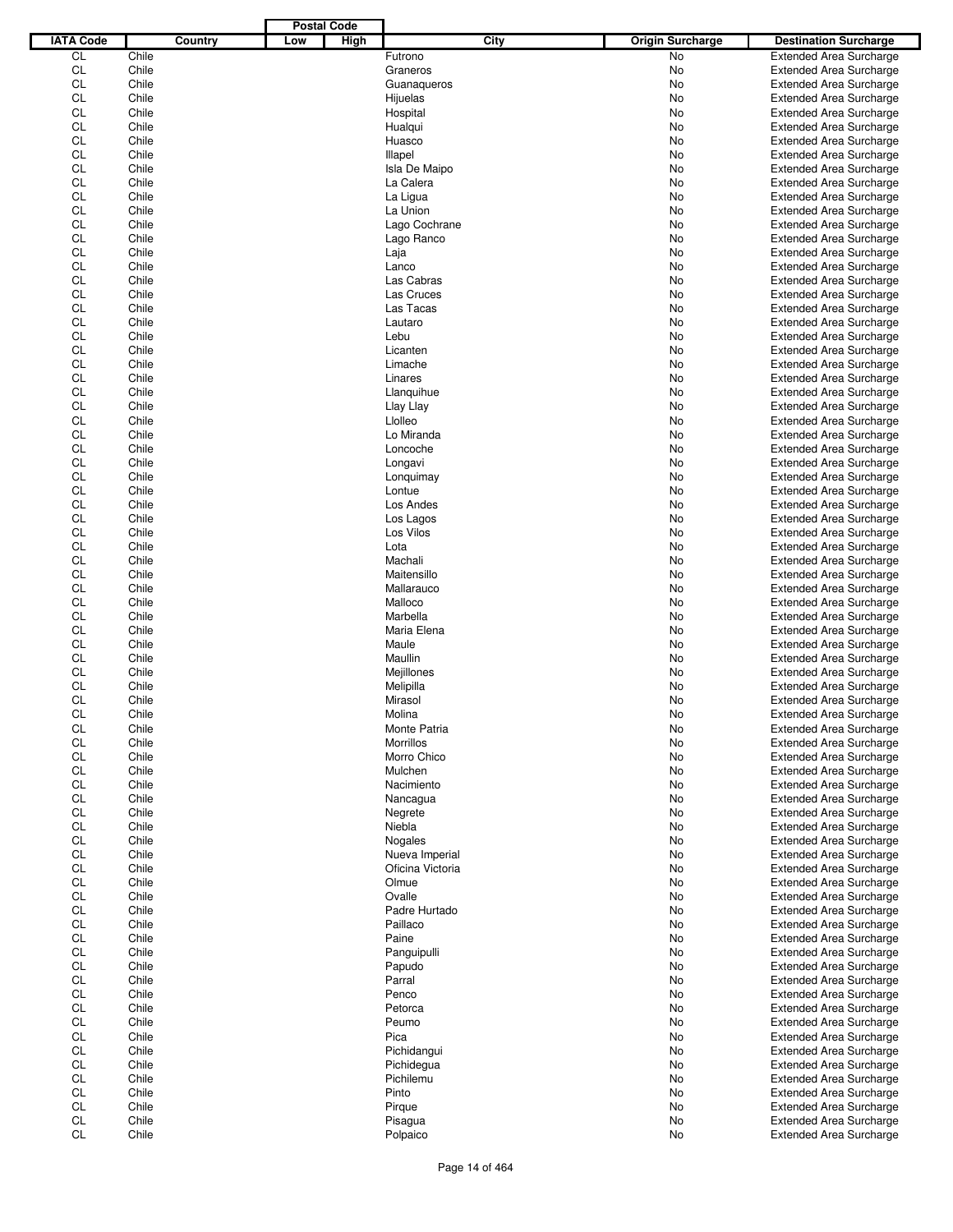|                  |         | <b>Postal Code</b> |                  |                         |                                |
|------------------|---------|--------------------|------------------|-------------------------|--------------------------------|
| <b>IATA Code</b> | Country | High<br>Low        | <b>City</b>      | <b>Origin Surcharge</b> | <b>Destination Surcharge</b>   |
| CL               | Chile   |                    | Futrono          | No                      | <b>Extended Area Surcharge</b> |
| CL               | Chile   |                    | Graneros         | No                      | <b>Extended Area Surcharge</b> |
| CL               | Chile   |                    | Guanaqueros      | No                      | <b>Extended Area Surcharge</b> |
| CL               | Chile   |                    | Hijuelas         | No                      | <b>Extended Area Surcharge</b> |
| CL               | Chile   |                    | Hospital         | No                      | <b>Extended Area Surcharge</b> |
| CL               | Chile   |                    | Hualqui          | No                      | <b>Extended Area Surcharge</b> |
| CL               | Chile   |                    |                  |                         |                                |
|                  |         |                    | Huasco           | No                      | <b>Extended Area Surcharge</b> |
| CL               | Chile   |                    | Illapel          | No                      | <b>Extended Area Surcharge</b> |
| CL               | Chile   |                    | Isla De Maipo    | No                      | <b>Extended Area Surcharge</b> |
| CL               | Chile   |                    | La Calera        | No                      | <b>Extended Area Surcharge</b> |
| CL               | Chile   |                    | La Ligua         | No                      | <b>Extended Area Surcharge</b> |
| <b>CL</b>        | Chile   |                    | La Union         | No                      | <b>Extended Area Surcharge</b> |
| CL               | Chile   |                    | Lago Cochrane    | No                      | <b>Extended Area Surcharge</b> |
| CL               | Chile   |                    | Lago Ranco       | No                      | <b>Extended Area Surcharge</b> |
| CL               | Chile   |                    | Laja             | No                      | <b>Extended Area Surcharge</b> |
| CL               | Chile   |                    | Lanco            | No                      | <b>Extended Area Surcharge</b> |
| CL               | Chile   |                    | Las Cabras       | No                      | <b>Extended Area Surcharge</b> |
| CL               | Chile   |                    | Las Cruces       | No                      | <b>Extended Area Surcharge</b> |
| CL               | Chile   |                    | Las Tacas        | No                      | <b>Extended Area Surcharge</b> |
| CL               | Chile   |                    | Lautaro          | No                      | <b>Extended Area Surcharge</b> |
| CL               | Chile   |                    | Lebu             | No                      | <b>Extended Area Surcharge</b> |
| CL               | Chile   |                    | Licanten         | No                      | <b>Extended Area Surcharge</b> |
| CL               | Chile   |                    | Limache          | No                      | <b>Extended Area Surcharge</b> |
| CL               | Chile   |                    | Linares          | No                      | <b>Extended Area Surcharge</b> |
| CL               | Chile   |                    | Llanquihue       | No                      | <b>Extended Area Surcharge</b> |
| CL               | Chile   |                    | Llay Llay        | No                      | <b>Extended Area Surcharge</b> |
| CL               | Chile   |                    | Llolleo          |                         | <b>Extended Area Surcharge</b> |
|                  |         |                    |                  | No                      |                                |
| CL               | Chile   |                    | Lo Miranda       | No                      | <b>Extended Area Surcharge</b> |
| CL               | Chile   |                    | Loncoche         | No                      | <b>Extended Area Surcharge</b> |
| CL               | Chile   |                    | Longavi          | No                      | <b>Extended Area Surcharge</b> |
| CL               | Chile   |                    | Lonquimay        | No                      | <b>Extended Area Surcharge</b> |
| CL               | Chile   |                    | Lontue           | No                      | <b>Extended Area Surcharge</b> |
| CL               | Chile   |                    | Los Andes        | No                      | <b>Extended Area Surcharge</b> |
| CL               | Chile   |                    | Los Lagos        | No                      | <b>Extended Area Surcharge</b> |
| CL               | Chile   |                    | Los Vilos        | No                      | <b>Extended Area Surcharge</b> |
| CL               | Chile   |                    | Lota             | No                      | <b>Extended Area Surcharge</b> |
| CL               | Chile   |                    | Machali          | No                      | <b>Extended Area Surcharge</b> |
| CL               | Chile   |                    | Maitensillo      | No                      | <b>Extended Area Surcharge</b> |
| CL               | Chile   |                    | Mallarauco       | No                      | <b>Extended Area Surcharge</b> |
| CL               | Chile   |                    | Malloco          | No                      | <b>Extended Area Surcharge</b> |
| CL               | Chile   |                    | Marbella         | No                      | <b>Extended Area Surcharge</b> |
| CL               | Chile   |                    | Maria Elena      | No                      | <b>Extended Area Surcharge</b> |
| CL               | Chile   |                    | Maule            | No                      | <b>Extended Area Surcharge</b> |
| <b>CL</b>        | Chile   |                    | Maullin          | No                      | <b>Extended Area Surcharge</b> |
| CL               |         |                    |                  |                         |                                |
|                  | Chile   |                    | Mejillones       | No                      | <b>Extended Area Surcharge</b> |
| CL               | Chile   |                    | Melipilla        | No                      | <b>Extended Area Surcharge</b> |
| CL               | Chile   |                    | Mirasol          | No                      | <b>Extended Area Surcharge</b> |
| CL               | Chile   |                    | Molina           | No                      | <b>Extended Area Surcharge</b> |
| <b>CL</b>        | Chile   |                    | Monte Patria     | No                      | <b>Extended Area Surcharge</b> |
| CL               | Chile   |                    | Morrillos        | No                      | <b>Extended Area Surcharge</b> |
| CL               | Chile   |                    | Morro Chico      | No                      | <b>Extended Area Surcharge</b> |
| CL               | Chile   |                    | Mulchen          | No                      | <b>Extended Area Surcharge</b> |
| CL               | Chile   |                    | Nacimiento       | No                      | <b>Extended Area Surcharge</b> |
| CL               | Chile   |                    | Nancagua         | No                      | <b>Extended Area Surcharge</b> |
| <b>CL</b>        | Chile   |                    | Negrete          | No                      | <b>Extended Area Surcharge</b> |
| CL               | Chile   |                    | Niebla           | No                      | <b>Extended Area Surcharge</b> |
| CL               | Chile   |                    | Nogales          | No                      | <b>Extended Area Surcharge</b> |
| CL               | Chile   |                    | Nueva Imperial   | No                      | <b>Extended Area Surcharge</b> |
| <b>CL</b>        | Chile   |                    | Oficina Victoria | No                      | <b>Extended Area Surcharge</b> |
| CL               | Chile   |                    | Olmue            | No                      | <b>Extended Area Surcharge</b> |
| CL               | Chile   |                    | Ovalle           | No                      | <b>Extended Area Surcharge</b> |
| CL               | Chile   |                    | Padre Hurtado    | No                      | <b>Extended Area Surcharge</b> |
| <b>CL</b>        | Chile   |                    | Paillaco         | No                      | <b>Extended Area Surcharge</b> |
|                  | Chile   |                    |                  |                         |                                |
| CL               |         |                    | Paine            | No                      | <b>Extended Area Surcharge</b> |
| CL               | Chile   |                    | Panguipulli      | No                      | <b>Extended Area Surcharge</b> |
| CL               | Chile   |                    | Papudo           | No                      | <b>Extended Area Surcharge</b> |
| <b>CL</b>        | Chile   |                    | Parral           | No                      | <b>Extended Area Surcharge</b> |
| CL               | Chile   |                    | Penco            | No                      | <b>Extended Area Surcharge</b> |
| CL               | Chile   |                    | Petorca          | No                      | <b>Extended Area Surcharge</b> |
| CL               | Chile   |                    | Peumo            | No                      | <b>Extended Area Surcharge</b> |
| CL               | Chile   |                    | Pica             | No                      | <b>Extended Area Surcharge</b> |
| CL               | Chile   |                    | Pichidangui      | No                      | <b>Extended Area Surcharge</b> |
| <b>CL</b>        | Chile   |                    | Pichidegua       | No                      | <b>Extended Area Surcharge</b> |
| CL               | Chile   |                    | Pichilemu        | No                      | <b>Extended Area Surcharge</b> |
| CL               | Chile   |                    | Pinto            | No                      | <b>Extended Area Surcharge</b> |
| CL               | Chile   |                    | Pirque           | No                      | <b>Extended Area Surcharge</b> |
| CL               | Chile   |                    | Pisagua          | No                      | <b>Extended Area Surcharge</b> |
| CL               | Chile   |                    | Polpaico         | No                      | <b>Extended Area Surcharge</b> |
|                  |         |                    |                  |                         |                                |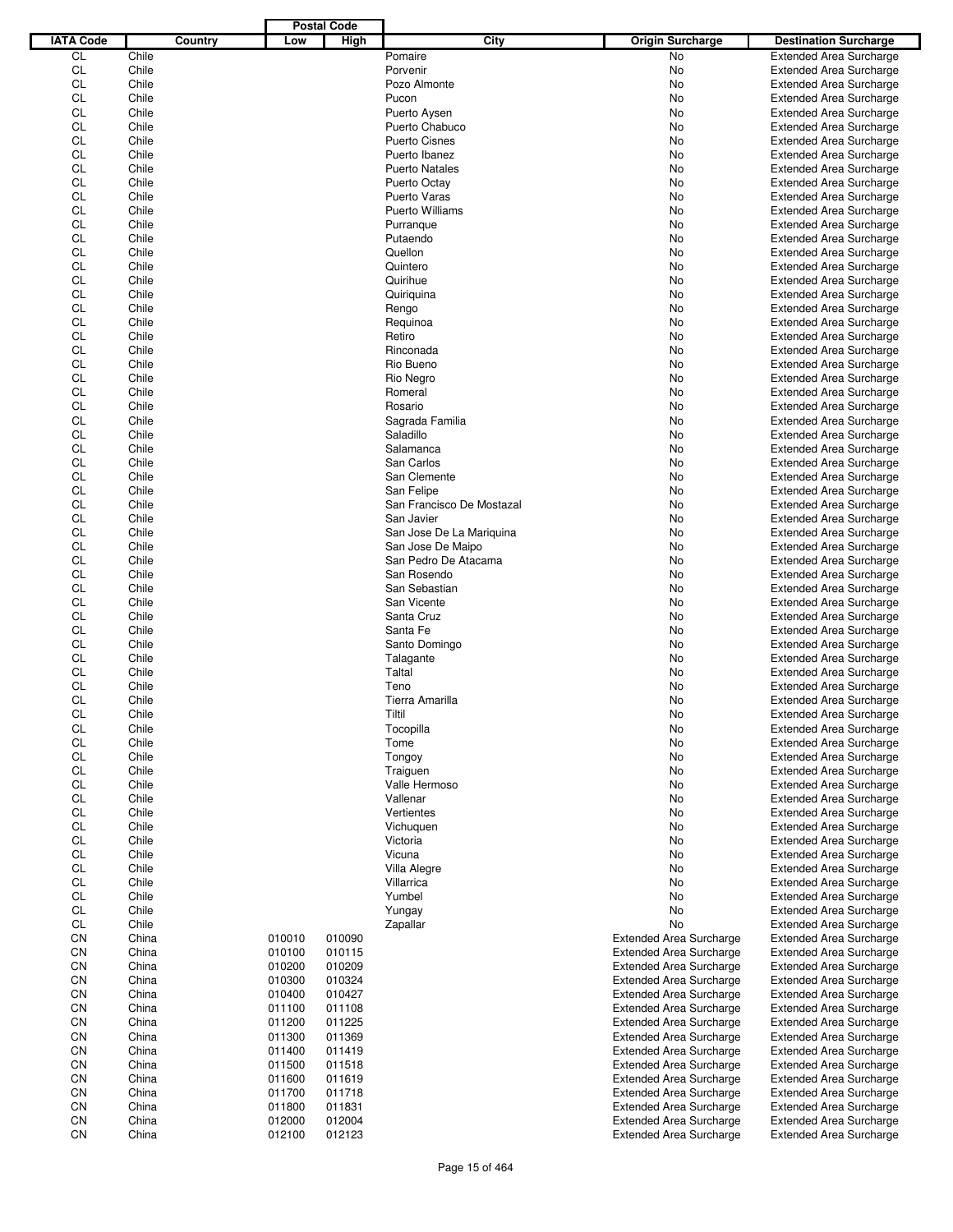|                  |       |         |        | <b>Postal Code</b> |                           |                                |                                |
|------------------|-------|---------|--------|--------------------|---------------------------|--------------------------------|--------------------------------|
| <b>IATA Code</b> |       | Country | Low    | High               | <b>City</b>               | <b>Origin Surcharge</b>        | <b>Destination Surcharge</b>   |
| CL               | Chile |         |        |                    | Pomaire                   | No                             | <b>Extended Area Surcharge</b> |
| CL               | Chile |         |        |                    | Porvenir                  | No                             | <b>Extended Area Surcharge</b> |
| CL               | Chile |         |        |                    | Pozo Almonte              | No                             | <b>Extended Area Surcharge</b> |
| CL               | Chile |         |        |                    | Pucon                     | No                             | <b>Extended Area Surcharge</b> |
| CL               | Chile |         |        |                    | Puerto Aysen              | No                             | <b>Extended Area Surcharge</b> |
| CL               | Chile |         |        |                    | Puerto Chabuco            | No                             | <b>Extended Area Surcharge</b> |
| CL               | Chile |         |        |                    | <b>Puerto Cisnes</b>      |                                |                                |
|                  |       |         |        |                    |                           | No                             | <b>Extended Area Surcharge</b> |
| CL               | Chile |         |        |                    | Puerto Ibanez             | No                             | <b>Extended Area Surcharge</b> |
| CL               | Chile |         |        |                    | <b>Puerto Natales</b>     | No                             | <b>Extended Area Surcharge</b> |
| CL               | Chile |         |        |                    | Puerto Octay              | No                             | <b>Extended Area Surcharge</b> |
| CL               | Chile |         |        |                    | Puerto Varas              | No                             | <b>Extended Area Surcharge</b> |
| CL               | Chile |         |        |                    | <b>Puerto Williams</b>    | No                             | <b>Extended Area Surcharge</b> |
| CL               | Chile |         |        |                    | Purranque                 | No                             | <b>Extended Area Surcharge</b> |
| CL               | Chile |         |        |                    | Putaendo                  | No                             | <b>Extended Area Surcharge</b> |
| CL               | Chile |         |        |                    | Quellon                   | No                             | <b>Extended Area Surcharge</b> |
| CL               | Chile |         |        |                    | Quintero                  | No                             | <b>Extended Area Surcharge</b> |
| CL               | Chile |         |        |                    | Quirihue                  | No                             | <b>Extended Area Surcharge</b> |
| CL               | Chile |         |        |                    | Quiriquina                | No                             | <b>Extended Area Surcharge</b> |
| CL               | Chile |         |        |                    | Rengo                     | No                             | <b>Extended Area Surcharge</b> |
| CL               | Chile |         |        |                    | Requinoa                  | No                             | <b>Extended Area Surcharge</b> |
| CL               | Chile |         |        |                    | Retiro                    | No                             | <b>Extended Area Surcharge</b> |
| CL               | Chile |         |        |                    | Rinconada                 | No                             | <b>Extended Area Surcharge</b> |
| CL               | Chile |         |        |                    | Rio Bueno                 | No                             | <b>Extended Area Surcharge</b> |
| CL               | Chile |         |        |                    | Rio Negro                 | No                             | <b>Extended Area Surcharge</b> |
| CL               | Chile |         |        |                    | Romeral                   |                                |                                |
|                  |       |         |        |                    |                           | No                             | <b>Extended Area Surcharge</b> |
| CL               | Chile |         |        |                    | Rosario                   | No                             | <b>Extended Area Surcharge</b> |
| CL               | Chile |         |        |                    | Sagrada Familia           | No                             | <b>Extended Area Surcharge</b> |
| CL               | Chile |         |        |                    | Saladillo                 | No                             | <b>Extended Area Surcharge</b> |
| CL               | Chile |         |        |                    | Salamanca                 | No                             | <b>Extended Area Surcharge</b> |
| CL               | Chile |         |        |                    | San Carlos                | No                             | <b>Extended Area Surcharge</b> |
| CL               | Chile |         |        |                    | San Clemente              | No                             | <b>Extended Area Surcharge</b> |
| CL               | Chile |         |        |                    | San Felipe                | No                             | <b>Extended Area Surcharge</b> |
| CL               | Chile |         |        |                    | San Francisco De Mostazal | No                             | <b>Extended Area Surcharge</b> |
| CL               | Chile |         |        |                    | San Javier                | No                             | <b>Extended Area Surcharge</b> |
| CL               | Chile |         |        |                    | San Jose De La Mariquina  | No                             | <b>Extended Area Surcharge</b> |
| CL               | Chile |         |        |                    | San Jose De Maipo         | No                             | <b>Extended Area Surcharge</b> |
| CL               | Chile |         |        |                    | San Pedro De Atacama      | No                             | <b>Extended Area Surcharge</b> |
| CL               | Chile |         |        |                    | San Rosendo               | No                             | <b>Extended Area Surcharge</b> |
| CL               | Chile |         |        |                    | San Sebastian             | No                             | <b>Extended Area Surcharge</b> |
| CL               | Chile |         |        |                    | San Vicente               | No                             | <b>Extended Area Surcharge</b> |
| CL               | Chile |         |        |                    | Santa Cruz                | No                             | <b>Extended Area Surcharge</b> |
| CL               | Chile |         |        |                    | Santa Fe                  | No                             | <b>Extended Area Surcharge</b> |
| CL               | Chile |         |        |                    | Santo Domingo             | No                             | <b>Extended Area Surcharge</b> |
| CL               | Chile |         |        |                    |                           |                                |                                |
|                  |       |         |        |                    | Talagante                 | No                             | <b>Extended Area Surcharge</b> |
| CL               | Chile |         |        |                    | Taltal                    | No                             | <b>Extended Area Surcharge</b> |
| CL               | Chile |         |        |                    | Teno                      | No                             | <b>Extended Area Surcharge</b> |
| CL               | Chile |         |        |                    | Tierra Amarilla           | No                             | <b>Extended Area Surcharge</b> |
| CL               | Chile |         |        |                    | Tiltil                    | No                             | <b>Extended Area Surcharge</b> |
| <b>CL</b>        | Chile |         |        |                    | Tocopilla                 | No                             | <b>Extended Area Surcharge</b> |
| CL               | Chile |         |        |                    | Tome                      | No                             | <b>Extended Area Surcharge</b> |
| CL               | Chile |         |        |                    | Tongoy                    | No                             | <b>Extended Area Surcharge</b> |
| CL               | Chile |         |        |                    | Traiguen                  | No                             | <b>Extended Area Surcharge</b> |
| CL               | Chile |         |        |                    | Valle Hermoso             | No                             | <b>Extended Area Surcharge</b> |
| CL               | Chile |         |        |                    | Vallenar                  | No                             | <b>Extended Area Surcharge</b> |
| CL               | Chile |         |        |                    | Vertientes                | No                             | <b>Extended Area Surcharge</b> |
| CL               | Chile |         |        |                    | Vichuquen                 | No                             | <b>Extended Area Surcharge</b> |
| CL               | Chile |         |        |                    | Victoria                  | No                             | <b>Extended Area Surcharge</b> |
| CL               | Chile |         |        |                    | Vicuna                    | No                             | <b>Extended Area Surcharge</b> |
| CL               | Chile |         |        |                    | Villa Alegre              | No                             | <b>Extended Area Surcharge</b> |
| CL               | Chile |         |        |                    | Villarrica                | No                             | <b>Extended Area Surcharge</b> |
| CL               | Chile |         |        |                    | Yumbel                    | No                             | <b>Extended Area Surcharge</b> |
| CL               | Chile |         |        |                    |                           |                                | <b>Extended Area Surcharge</b> |
|                  |       |         |        |                    | Yungay                    | No                             |                                |
| CL               | Chile |         |        |                    | Zapallar                  | No                             | <b>Extended Area Surcharge</b> |
| CΝ               | China |         | 010010 | 010090             |                           | <b>Extended Area Surcharge</b> | <b>Extended Area Surcharge</b> |
| CΝ               | China |         | 010100 | 010115             |                           | <b>Extended Area Surcharge</b> | <b>Extended Area Surcharge</b> |
| CΝ               | China |         | 010200 | 010209             |                           | <b>Extended Area Surcharge</b> | <b>Extended Area Surcharge</b> |
| CN               | China |         | 010300 | 010324             |                           | <b>Extended Area Surcharge</b> | <b>Extended Area Surcharge</b> |
| CΝ               | China |         | 010400 | 010427             |                           | <b>Extended Area Surcharge</b> | <b>Extended Area Surcharge</b> |
| CN               | China |         | 011100 | 011108             |                           | <b>Extended Area Surcharge</b> | <b>Extended Area Surcharge</b> |
| CΝ               | China |         | 011200 | 011225             |                           | <b>Extended Area Surcharge</b> | <b>Extended Area Surcharge</b> |
| CN               | China |         | 011300 | 011369             |                           | <b>Extended Area Surcharge</b> | <b>Extended Area Surcharge</b> |
| CΝ               | China |         | 011400 | 011419             |                           | <b>Extended Area Surcharge</b> | <b>Extended Area Surcharge</b> |
| CN               | China |         | 011500 | 011518             |                           | <b>Extended Area Surcharge</b> | <b>Extended Area Surcharge</b> |
| CΝ               | China |         | 011600 | 011619             |                           | <b>Extended Area Surcharge</b> | <b>Extended Area Surcharge</b> |
| CΝ               | China |         | 011700 | 011718             |                           | <b>Extended Area Surcharge</b> | <b>Extended Area Surcharge</b> |
| CΝ               | China |         | 011800 | 011831             |                           | <b>Extended Area Surcharge</b> | <b>Extended Area Surcharge</b> |
| CN               | China |         | 012000 | 012004             |                           | <b>Extended Area Surcharge</b> | <b>Extended Area Surcharge</b> |
| CN               | China |         | 012100 | 012123             |                           | <b>Extended Area Surcharge</b> | <b>Extended Area Surcharge</b> |
|                  |       |         |        |                    |                           |                                |                                |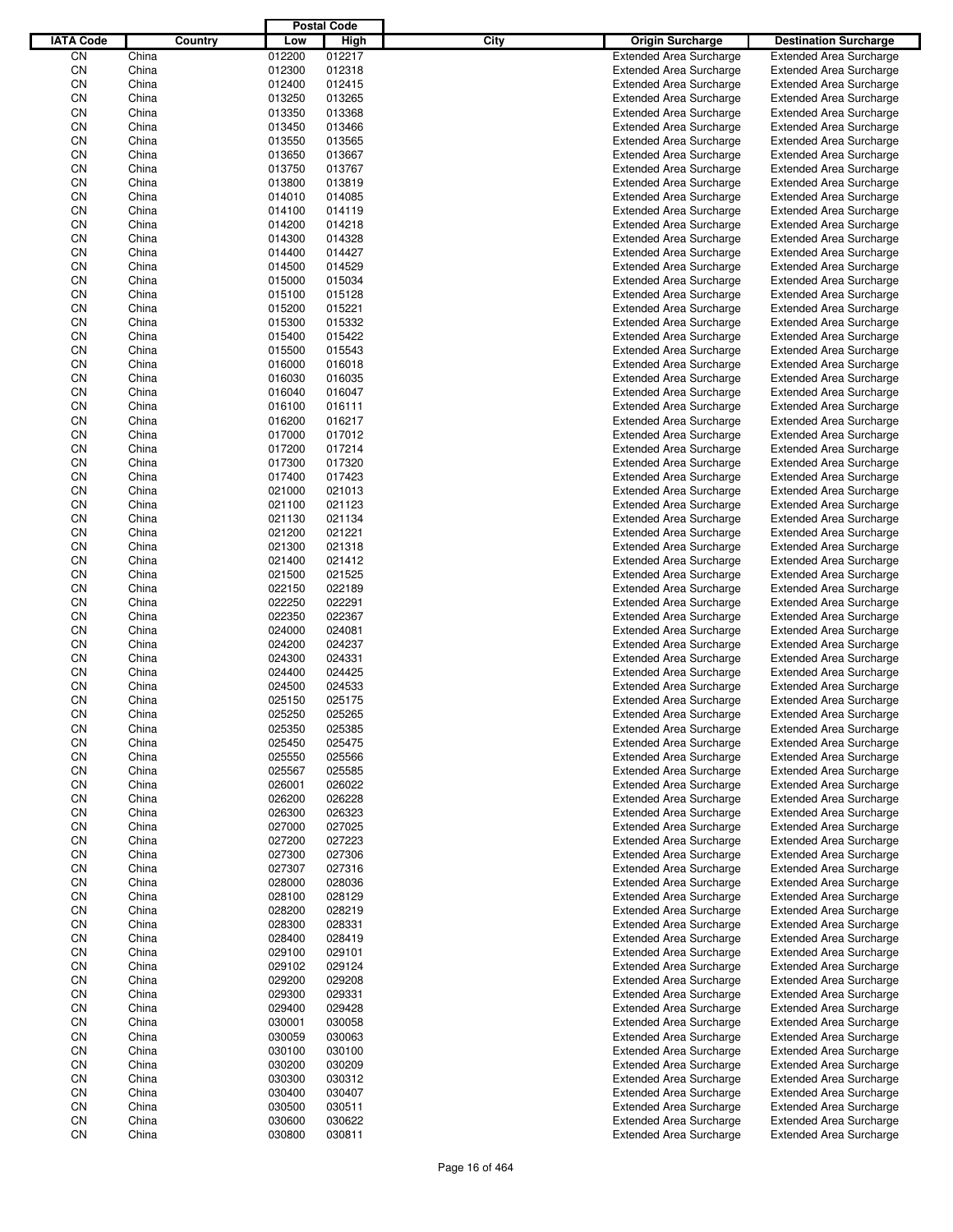|                  |                |         |                  | <b>Postal Code</b> |             |                                                                  |                                                                  |
|------------------|----------------|---------|------------------|--------------------|-------------|------------------------------------------------------------------|------------------------------------------------------------------|
| <b>IATA Code</b> |                | Country | Low              | High               | <b>City</b> | <b>Origin Surcharge</b>                                          | <b>Destination Surcharge</b>                                     |
| CN               | China          |         | 012200           | 012217             |             | <b>Extended Area Surcharge</b>                                   | <b>Extended Area Surcharge</b>                                   |
| CN               | China          |         | 012300           | 012318             |             | <b>Extended Area Surcharge</b>                                   | <b>Extended Area Surcharge</b>                                   |
| CN               | China          |         | 012400           | 012415             |             | <b>Extended Area Surcharge</b>                                   | <b>Extended Area Surcharge</b>                                   |
| CN               | China          |         | 013250           | 013265             |             | <b>Extended Area Surcharge</b>                                   | <b>Extended Area Surcharge</b>                                   |
| CN               | China          |         | 013350           | 013368             |             | <b>Extended Area Surcharge</b>                                   | <b>Extended Area Surcharge</b>                                   |
| CN               | China          |         | 013450           | 013466             |             | <b>Extended Area Surcharge</b>                                   | <b>Extended Area Surcharge</b>                                   |
| CN               | China          |         | 013550           | 013565             |             | <b>Extended Area Surcharge</b>                                   | <b>Extended Area Surcharge</b>                                   |
| CN               | China          |         | 013650           | 013667             |             | <b>Extended Area Surcharge</b>                                   | <b>Extended Area Surcharge</b>                                   |
| CN               | China          |         | 013750           | 013767             |             | <b>Extended Area Surcharge</b>                                   | <b>Extended Area Surcharge</b>                                   |
| CN               | China          |         | 013800           | 013819             |             | <b>Extended Area Surcharge</b>                                   | <b>Extended Area Surcharge</b>                                   |
| CN               | China          |         | 014010           | 014085             |             | <b>Extended Area Surcharge</b>                                   | <b>Extended Area Surcharge</b>                                   |
| CN               | China          |         | 014100           | 014119             |             | <b>Extended Area Surcharge</b>                                   | <b>Extended Area Surcharge</b>                                   |
| CN<br>CN         | China<br>China |         | 014200<br>014300 | 014218<br>014328   |             | <b>Extended Area Surcharge</b>                                   | <b>Extended Area Surcharge</b>                                   |
| CN               | China          |         | 014400           | 014427             |             | <b>Extended Area Surcharge</b><br><b>Extended Area Surcharge</b> | <b>Extended Area Surcharge</b><br><b>Extended Area Surcharge</b> |
| CN               | China          |         | 014500           | 014529             |             | <b>Extended Area Surcharge</b>                                   | <b>Extended Area Surcharge</b>                                   |
| CN               | China          |         | 015000           | 015034             |             | <b>Extended Area Surcharge</b>                                   | <b>Extended Area Surcharge</b>                                   |
| CN               | China          |         | 015100           | 015128             |             | <b>Extended Area Surcharge</b>                                   | <b>Extended Area Surcharge</b>                                   |
| CN               | China          |         | 015200           | 015221             |             | <b>Extended Area Surcharge</b>                                   | <b>Extended Area Surcharge</b>                                   |
| CN               | China          |         | 015300           | 015332             |             | <b>Extended Area Surcharge</b>                                   | <b>Extended Area Surcharge</b>                                   |
| CN               | China          |         | 015400           | 015422             |             | <b>Extended Area Surcharge</b>                                   | <b>Extended Area Surcharge</b>                                   |
| CN               | China          |         | 015500           | 015543             |             | <b>Extended Area Surcharge</b>                                   | <b>Extended Area Surcharge</b>                                   |
| CN               | China          |         | 016000           | 016018             |             | <b>Extended Area Surcharge</b>                                   | <b>Extended Area Surcharge</b>                                   |
| CN               | China          |         | 016030           | 016035             |             | <b>Extended Area Surcharge</b>                                   | <b>Extended Area Surcharge</b>                                   |
| CN               | China          |         | 016040           | 016047             |             | <b>Extended Area Surcharge</b>                                   | <b>Extended Area Surcharge</b>                                   |
| CN               | China          |         | 016100           | 016111             |             | <b>Extended Area Surcharge</b>                                   | <b>Extended Area Surcharge</b>                                   |
| CN               | China          |         | 016200           | 016217             |             | <b>Extended Area Surcharge</b>                                   | <b>Extended Area Surcharge</b>                                   |
| CN               | China          |         | 017000           | 017012             |             | <b>Extended Area Surcharge</b>                                   | <b>Extended Area Surcharge</b>                                   |
| CN               | China          |         | 017200           | 017214             |             | <b>Extended Area Surcharge</b>                                   | <b>Extended Area Surcharge</b>                                   |
| CN               | China          |         | 017300           | 017320             |             | <b>Extended Area Surcharge</b>                                   | <b>Extended Area Surcharge</b>                                   |
| CN               | China          |         | 017400           | 017423             |             | <b>Extended Area Surcharge</b>                                   | <b>Extended Area Surcharge</b>                                   |
| CN               | China          |         | 021000           | 021013             |             | <b>Extended Area Surcharge</b>                                   | <b>Extended Area Surcharge</b>                                   |
| CN               | China          |         | 021100           | 021123             |             | <b>Extended Area Surcharge</b>                                   | <b>Extended Area Surcharge</b>                                   |
| CN               | China          |         | 021130           | 021134             |             | <b>Extended Area Surcharge</b>                                   | <b>Extended Area Surcharge</b>                                   |
| CN               | China          |         | 021200           | 021221             |             | <b>Extended Area Surcharge</b>                                   | <b>Extended Area Surcharge</b>                                   |
| CN               | China          |         | 021300           | 021318             |             | <b>Extended Area Surcharge</b>                                   | <b>Extended Area Surcharge</b>                                   |
| CN               | China          |         | 021400           | 021412             |             | <b>Extended Area Surcharge</b>                                   | <b>Extended Area Surcharge</b>                                   |
| CN               | China          |         | 021500           | 021525             |             | <b>Extended Area Surcharge</b>                                   | <b>Extended Area Surcharge</b>                                   |
| CN               | China          |         | 022150           | 022189             |             | <b>Extended Area Surcharge</b>                                   | <b>Extended Area Surcharge</b>                                   |
| CN<br>CN         | China<br>China |         | 022250<br>022350 | 022291<br>022367   |             | <b>Extended Area Surcharge</b><br><b>Extended Area Surcharge</b> | <b>Extended Area Surcharge</b><br><b>Extended Area Surcharge</b> |
| CN               | China          |         | 024000           | 024081             |             | <b>Extended Area Surcharge</b>                                   | <b>Extended Area Surcharge</b>                                   |
| CN               | China          |         | 024200           | 024237             |             | <b>Extended Area Surcharge</b>                                   | <b>Extended Area Surcharge</b>                                   |
| CN               | China          |         | 024300           | 024331             |             | <b>Extended Area Surcharge</b>                                   | <b>Extended Area Surcharge</b>                                   |
| CN               | China          |         | 024400           | 024425             |             | <b>Extended Area Surcharge</b>                                   | <b>Extended Area Surcharge</b>                                   |
| CN               | China          |         | 024500           | 024533             |             | <b>Extended Area Surcharge</b>                                   | <b>Extended Area Surcharge</b>                                   |
| CN               | China          |         | 025150           | 025175             |             | <b>Extended Area Surcharge</b>                                   | <b>Extended Area Surcharge</b>                                   |
| CN               | China          |         | 025250           | 025265             |             | <b>Extended Area Surcharge</b>                                   | <b>Extended Area Surcharge</b>                                   |
| CN               | China          |         | 025350           | 025385             |             | <b>Extended Area Surcharge</b>                                   | <b>Extended Area Surcharge</b>                                   |
| CN               | China          |         | 025450           | 025475             |             | <b>Extended Area Surcharge</b>                                   | <b>Extended Area Surcharge</b>                                   |
| CN               | China          |         | 025550           | 025566             |             | <b>Extended Area Surcharge</b>                                   | <b>Extended Area Surcharge</b>                                   |
| CN               | China          |         | 025567           | 025585             |             | <b>Extended Area Surcharge</b>                                   | <b>Extended Area Surcharge</b>                                   |
| CN               | China          |         | 026001           | 026022             |             | <b>Extended Area Surcharge</b>                                   | <b>Extended Area Surcharge</b>                                   |
| CN               | China          |         | 026200           | 026228             |             | <b>Extended Area Surcharge</b>                                   | <b>Extended Area Surcharge</b>                                   |
| CN               | China          |         | 026300           | 026323             |             | <b>Extended Area Surcharge</b>                                   | <b>Extended Area Surcharge</b>                                   |
| CN               | China          |         | 027000           | 027025             |             | <b>Extended Area Surcharge</b>                                   | <b>Extended Area Surcharge</b>                                   |
| CN               | China          |         | 027200           | 027223             |             | <b>Extended Area Surcharge</b>                                   | <b>Extended Area Surcharge</b>                                   |
| CN               | China          |         | 027300           | 027306             |             | <b>Extended Area Surcharge</b>                                   | <b>Extended Area Surcharge</b>                                   |
| CN               | China          |         | 027307           | 027316             |             | <b>Extended Area Surcharge</b>                                   | <b>Extended Area Surcharge</b>                                   |
| CN               | China          |         | 028000           | 028036             |             | <b>Extended Area Surcharge</b>                                   | <b>Extended Area Surcharge</b>                                   |
| CN               | China          |         | 028100           | 028129             |             | <b>Extended Area Surcharge</b>                                   | <b>Extended Area Surcharge</b>                                   |
| CN               | China          |         | 028200           | 028219             |             | <b>Extended Area Surcharge</b>                                   | <b>Extended Area Surcharge</b>                                   |
| CN               | China          |         | 028300           | 028331             |             | <b>Extended Area Surcharge</b>                                   | <b>Extended Area Surcharge</b>                                   |
| CN<br>CN         | China<br>China |         | 028400<br>029100 | 028419<br>029101   |             | <b>Extended Area Surcharge</b><br><b>Extended Area Surcharge</b> | <b>Extended Area Surcharge</b><br><b>Extended Area Surcharge</b> |
| CN               | China          |         | 029102           | 029124             |             | <b>Extended Area Surcharge</b>                                   | <b>Extended Area Surcharge</b>                                   |
| CN               | China          |         | 029200           | 029208             |             | <b>Extended Area Surcharge</b>                                   | <b>Extended Area Surcharge</b>                                   |
| CN               | China          |         | 029300           | 029331             |             | <b>Extended Area Surcharge</b>                                   | <b>Extended Area Surcharge</b>                                   |
| CN               | China          |         | 029400           | 029428             |             | <b>Extended Area Surcharge</b>                                   | <b>Extended Area Surcharge</b>                                   |
| CN               | China          |         | 030001           | 030058             |             | <b>Extended Area Surcharge</b>                                   | <b>Extended Area Surcharge</b>                                   |
| CN               | China          |         | 030059           | 030063             |             | <b>Extended Area Surcharge</b>                                   | <b>Extended Area Surcharge</b>                                   |
| CN               | China          |         | 030100           | 030100             |             | <b>Extended Area Surcharge</b>                                   | <b>Extended Area Surcharge</b>                                   |
| CN               | China          |         | 030200           | 030209             |             | <b>Extended Area Surcharge</b>                                   | <b>Extended Area Surcharge</b>                                   |
| CN               | China          |         | 030300           | 030312             |             | <b>Extended Area Surcharge</b>                                   | <b>Extended Area Surcharge</b>                                   |
| CN               | China          |         | 030400           | 030407             |             | <b>Extended Area Surcharge</b>                                   | <b>Extended Area Surcharge</b>                                   |
| CN               | China          |         | 030500           | 030511             |             | <b>Extended Area Surcharge</b>                                   | <b>Extended Area Surcharge</b>                                   |
| CN               | China          |         | 030600           | 030622             |             | <b>Extended Area Surcharge</b>                                   | <b>Extended Area Surcharge</b>                                   |
| CN               | China          |         | 030800           | 030811             |             | <b>Extended Area Surcharge</b>                                   | <b>Extended Area Surcharge</b>                                   |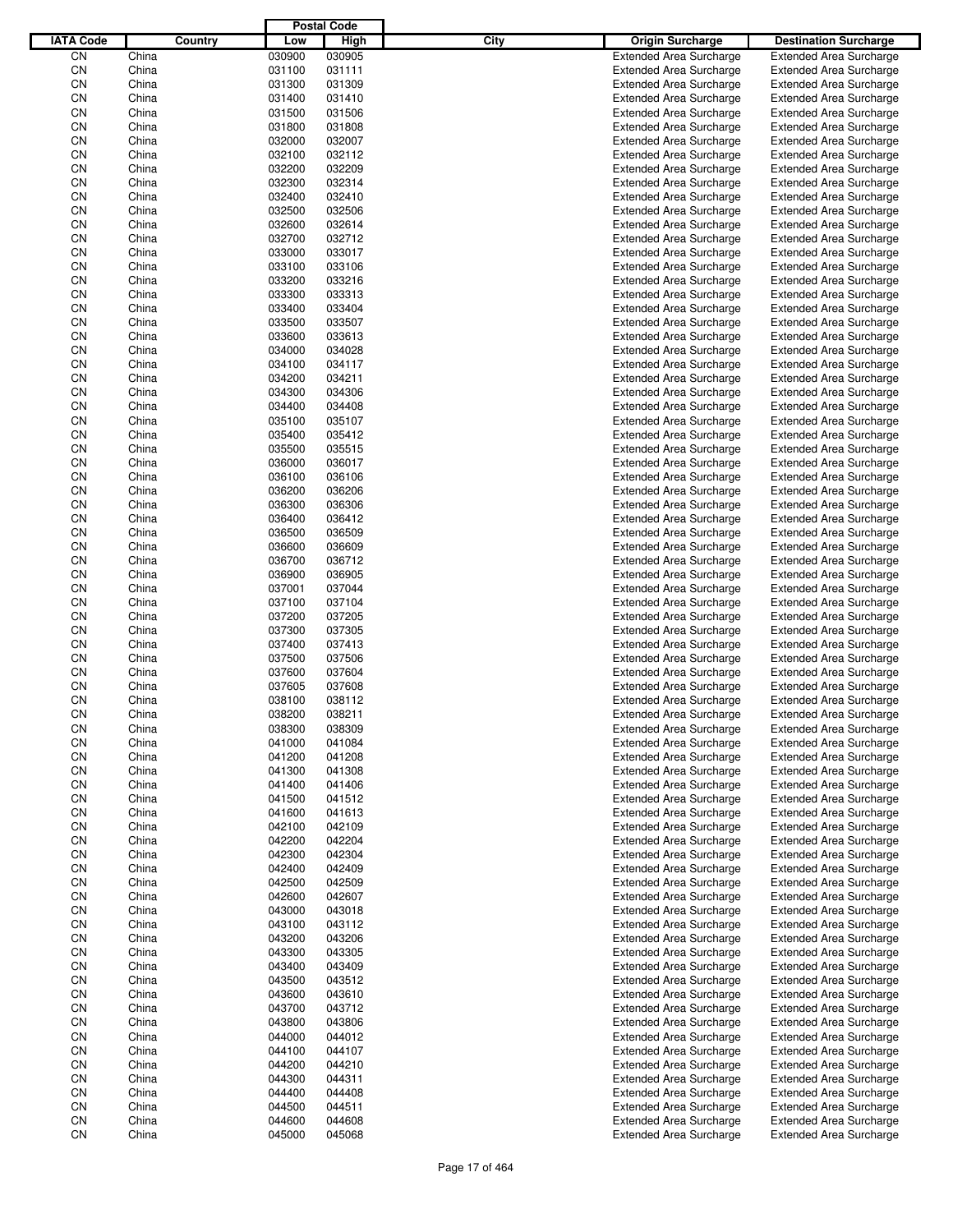|                  |                |         |                  | <b>Postal Code</b> |             |                                                                  |                                                                  |
|------------------|----------------|---------|------------------|--------------------|-------------|------------------------------------------------------------------|------------------------------------------------------------------|
| <b>IATA Code</b> |                | Country | Low              | High               | <b>City</b> | <b>Origin Surcharge</b>                                          | <b>Destination Surcharge</b>                                     |
| CN               | China          |         | 030900           | 030905             |             | <b>Extended Area Surcharge</b>                                   | <b>Extended Area Surcharge</b>                                   |
| CN               | China          |         | 031100           | 031111             |             | <b>Extended Area Surcharge</b>                                   | <b>Extended Area Surcharge</b>                                   |
| CN               | China          |         | 031300           | 031309             |             | <b>Extended Area Surcharge</b>                                   | <b>Extended Area Surcharge</b>                                   |
| CN               | China          |         | 031400           | 031410             |             | <b>Extended Area Surcharge</b>                                   | <b>Extended Area Surcharge</b>                                   |
| CN               | China          |         | 031500           | 031506             |             | <b>Extended Area Surcharge</b>                                   | <b>Extended Area Surcharge</b>                                   |
| CN               | China          |         | 031800           | 031808             |             | <b>Extended Area Surcharge</b>                                   | <b>Extended Area Surcharge</b>                                   |
| CN               | China          |         | 032000           | 032007             |             | <b>Extended Area Surcharge</b>                                   | <b>Extended Area Surcharge</b>                                   |
| CN               | China          |         | 032100           | 032112             |             | <b>Extended Area Surcharge</b>                                   | <b>Extended Area Surcharge</b>                                   |
| CN               | China          |         | 032200           | 032209             |             | <b>Extended Area Surcharge</b>                                   | <b>Extended Area Surcharge</b>                                   |
| CN               | China          |         | 032300           | 032314             |             | <b>Extended Area Surcharge</b>                                   | <b>Extended Area Surcharge</b>                                   |
| CN               | China          |         | 032400           | 032410             |             | <b>Extended Area Surcharge</b>                                   | <b>Extended Area Surcharge</b>                                   |
| CN               | China          |         | 032500           | 032506             |             | <b>Extended Area Surcharge</b>                                   | <b>Extended Area Surcharge</b>                                   |
| CN               | China          |         | 032600           | 032614             |             | <b>Extended Area Surcharge</b>                                   | <b>Extended Area Surcharge</b>                                   |
| CN               | China          |         | 032700           | 032712             |             | <b>Extended Area Surcharge</b>                                   | <b>Extended Area Surcharge</b>                                   |
| CN               | China          |         | 033000           | 033017             |             | <b>Extended Area Surcharge</b>                                   | <b>Extended Area Surcharge</b>                                   |
| CN<br>CN         | China<br>China |         | 033100<br>033200 | 033106<br>033216   |             | <b>Extended Area Surcharge</b><br><b>Extended Area Surcharge</b> | <b>Extended Area Surcharge</b><br><b>Extended Area Surcharge</b> |
| CN               | China          |         | 033300           | 033313             |             | <b>Extended Area Surcharge</b>                                   | <b>Extended Area Surcharge</b>                                   |
| CN               | China          |         | 033400           | 033404             |             | <b>Extended Area Surcharge</b>                                   | <b>Extended Area Surcharge</b>                                   |
| CN               | China          |         | 033500           | 033507             |             | <b>Extended Area Surcharge</b>                                   | <b>Extended Area Surcharge</b>                                   |
| CN               | China          |         | 033600           | 033613             |             | <b>Extended Area Surcharge</b>                                   | <b>Extended Area Surcharge</b>                                   |
| CN               | China          |         | 034000           | 034028             |             | <b>Extended Area Surcharge</b>                                   | <b>Extended Area Surcharge</b>                                   |
| CN               | China          |         | 034100           | 034117             |             | <b>Extended Area Surcharge</b>                                   | <b>Extended Area Surcharge</b>                                   |
| CN               | China          |         | 034200           | 034211             |             | <b>Extended Area Surcharge</b>                                   | <b>Extended Area Surcharge</b>                                   |
| CN               | China          |         | 034300           | 034306             |             | <b>Extended Area Surcharge</b>                                   | <b>Extended Area Surcharge</b>                                   |
| CN               | China          |         | 034400           | 034408             |             | <b>Extended Area Surcharge</b>                                   | <b>Extended Area Surcharge</b>                                   |
| CN               | China          |         | 035100           | 035107             |             | <b>Extended Area Surcharge</b>                                   | <b>Extended Area Surcharge</b>                                   |
| CN               | China          |         | 035400           | 035412             |             | <b>Extended Area Surcharge</b>                                   | <b>Extended Area Surcharge</b>                                   |
| CN               | China          |         | 035500           | 035515             |             | <b>Extended Area Surcharge</b>                                   | <b>Extended Area Surcharge</b>                                   |
| CN               | China          |         | 036000           | 036017             |             | <b>Extended Area Surcharge</b>                                   | <b>Extended Area Surcharge</b>                                   |
| CN               | China          |         | 036100           | 036106             |             | <b>Extended Area Surcharge</b>                                   | <b>Extended Area Surcharge</b>                                   |
| CN               | China          |         | 036200           | 036206             |             | <b>Extended Area Surcharge</b>                                   | <b>Extended Area Surcharge</b>                                   |
| CN               | China          |         | 036300           | 036306             |             | <b>Extended Area Surcharge</b>                                   | <b>Extended Area Surcharge</b>                                   |
| CN               | China          |         | 036400           | 036412             |             | <b>Extended Area Surcharge</b>                                   | <b>Extended Area Surcharge</b>                                   |
| CN               | China          |         | 036500           | 036509             |             | <b>Extended Area Surcharge</b>                                   | <b>Extended Area Surcharge</b>                                   |
| CN               | China          |         | 036600           | 036609             |             | <b>Extended Area Surcharge</b>                                   | <b>Extended Area Surcharge</b>                                   |
| CN               | China          |         | 036700           | 036712             |             | <b>Extended Area Surcharge</b>                                   | <b>Extended Area Surcharge</b>                                   |
| CN               | China          |         | 036900           | 036905             |             | <b>Extended Area Surcharge</b>                                   | <b>Extended Area Surcharge</b>                                   |
| CN               | China          |         | 037001           | 037044             |             | <b>Extended Area Surcharge</b>                                   | <b>Extended Area Surcharge</b>                                   |
| CN               | China          |         | 037100           | 037104             |             | <b>Extended Area Surcharge</b>                                   | <b>Extended Area Surcharge</b>                                   |
| CN               | China          |         | 037200           | 037205             |             | <b>Extended Area Surcharge</b>                                   | <b>Extended Area Surcharge</b>                                   |
| CN               | China          |         | 037300           | 037305             |             | <b>Extended Area Surcharge</b>                                   | <b>Extended Area Surcharge</b>                                   |
| CN<br>CN         | China<br>China |         | 037400<br>037500 | 037413<br>037506   |             | <b>Extended Area Surcharge</b><br><b>Extended Area Surcharge</b> | <b>Extended Area Surcharge</b>                                   |
| CN               | China          |         | 037600           | 037604             |             | <b>Extended Area Surcharge</b>                                   | <b>Extended Area Surcharge</b><br><b>Extended Area Surcharge</b> |
| CN               | China          |         | 037605           | 037608             |             | <b>Extended Area Surcharge</b>                                   | <b>Extended Area Surcharge</b>                                   |
| CN               | China          |         | 038100           | 038112             |             | <b>Extended Area Surcharge</b>                                   | <b>Extended Area Surcharge</b>                                   |
| CN               | China          |         | 038200           | 038211             |             | <b>Extended Area Surcharge</b>                                   | <b>Extended Area Surcharge</b>                                   |
| CN               | China          |         | 038300           | 038309             |             | Extended Area Surcharge                                          | <b>Extended Area Surcharge</b>                                   |
| CN               | China          |         | 041000           | 041084             |             | <b>Extended Area Surcharge</b>                                   | <b>Extended Area Surcharge</b>                                   |
| CN               | China          |         | 041200           | 041208             |             | <b>Extended Area Surcharge</b>                                   | <b>Extended Area Surcharge</b>                                   |
| CN               | China          |         | 041300           | 041308             |             | <b>Extended Area Surcharge</b>                                   | <b>Extended Area Surcharge</b>                                   |
| CN               | China          |         | 041400           | 041406             |             | <b>Extended Area Surcharge</b>                                   | <b>Extended Area Surcharge</b>                                   |
| CN               | China          |         | 041500           | 041512             |             | <b>Extended Area Surcharge</b>                                   | <b>Extended Area Surcharge</b>                                   |
| CN               | China          |         | 041600           | 041613             |             | <b>Extended Area Surcharge</b>                                   | <b>Extended Area Surcharge</b>                                   |
| CN               | China          |         | 042100           | 042109             |             | <b>Extended Area Surcharge</b>                                   | <b>Extended Area Surcharge</b>                                   |
| CN               | China          |         | 042200           | 042204             |             | <b>Extended Area Surcharge</b>                                   | <b>Extended Area Surcharge</b>                                   |
| CN               | China          |         | 042300           | 042304             |             | <b>Extended Area Surcharge</b>                                   | <b>Extended Area Surcharge</b>                                   |
| CN               | China          |         | 042400           | 042409             |             | <b>Extended Area Surcharge</b>                                   | <b>Extended Area Surcharge</b>                                   |
| CN               | China          |         | 042500           | 042509             |             | <b>Extended Area Surcharge</b>                                   | <b>Extended Area Surcharge</b>                                   |
| CN               | China          |         | 042600           | 042607             |             | <b>Extended Area Surcharge</b>                                   | <b>Extended Area Surcharge</b>                                   |
| CN               | China          |         | 043000           | 043018             |             | <b>Extended Area Surcharge</b>                                   | <b>Extended Area Surcharge</b>                                   |
| CN               | China          |         | 043100           | 043112             |             | <b>Extended Area Surcharge</b>                                   | <b>Extended Area Surcharge</b>                                   |
| CN               | China          |         | 043200           | 043206             |             | <b>Extended Area Surcharge</b>                                   | <b>Extended Area Surcharge</b>                                   |
| CN               | China          |         | 043300           | 043305             |             | <b>Extended Area Surcharge</b>                                   | <b>Extended Area Surcharge</b>                                   |
| CN<br>CN         | China<br>China |         | 043400<br>043500 | 043409<br>043512   |             | <b>Extended Area Surcharge</b><br><b>Extended Area Surcharge</b> | <b>Extended Area Surcharge</b><br><b>Extended Area Surcharge</b> |
| CN               | China          |         | 043600           | 043610             |             | <b>Extended Area Surcharge</b>                                   | <b>Extended Area Surcharge</b>                                   |
| CN               | China          |         | 043700           | 043712             |             | <b>Extended Area Surcharge</b>                                   | <b>Extended Area Surcharge</b>                                   |
| CN               | China          |         | 043800           | 043806             |             | <b>Extended Area Surcharge</b>                                   | <b>Extended Area Surcharge</b>                                   |
| CN               | China          |         | 044000           | 044012             |             | <b>Extended Area Surcharge</b>                                   | <b>Extended Area Surcharge</b>                                   |
| CN               | China          |         | 044100           | 044107             |             | <b>Extended Area Surcharge</b>                                   | <b>Extended Area Surcharge</b>                                   |
| CN               | China          |         | 044200           | 044210             |             | <b>Extended Area Surcharge</b>                                   | <b>Extended Area Surcharge</b>                                   |
| CN               | China          |         | 044300           | 044311             |             | <b>Extended Area Surcharge</b>                                   | <b>Extended Area Surcharge</b>                                   |
| CN               | China          |         | 044400           | 044408             |             | <b>Extended Area Surcharge</b>                                   | <b>Extended Area Surcharge</b>                                   |
| CN               | China          |         | 044500           | 044511             |             | <b>Extended Area Surcharge</b>                                   | <b>Extended Area Surcharge</b>                                   |
| CN               | China          |         | 044600           | 044608             |             | <b>Extended Area Surcharge</b>                                   | <b>Extended Area Surcharge</b>                                   |
| CN               | China          |         | 045000           | 045068             |             | <b>Extended Area Surcharge</b>                                   | <b>Extended Area Surcharge</b>                                   |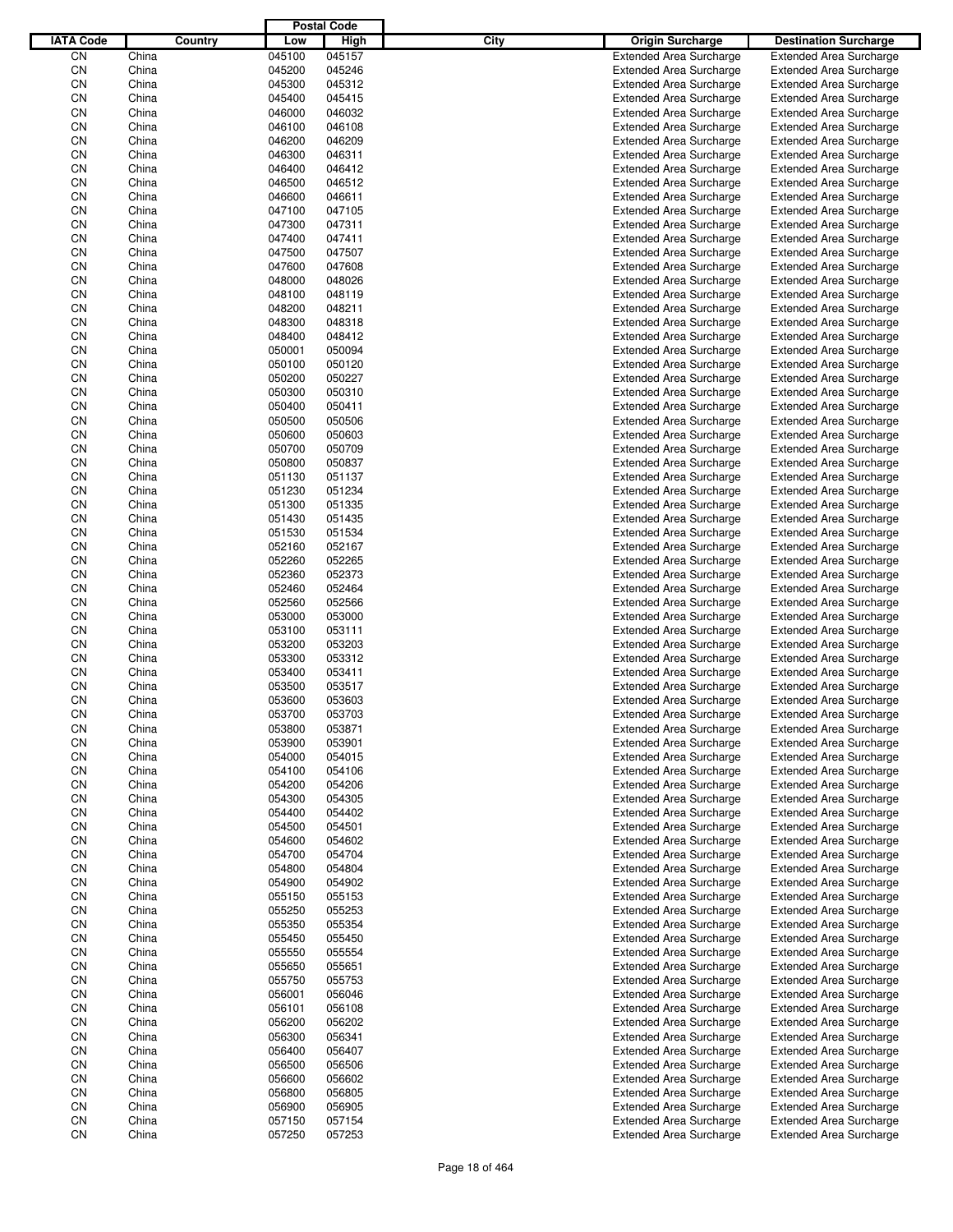|                  |                |         |                  | <b>Postal Code</b> |             |                                                                  |                                                                  |
|------------------|----------------|---------|------------------|--------------------|-------------|------------------------------------------------------------------|------------------------------------------------------------------|
| <b>IATA Code</b> |                | Country | Low              | High               | <b>City</b> | <b>Origin Surcharge</b>                                          | <b>Destination Surcharge</b>                                     |
| CN               | China          |         | 045100           | 045157             |             | <b>Extended Area Surcharge</b>                                   | <b>Extended Area Surcharge</b>                                   |
| CN               | China          |         | 045200           | 045246             |             | <b>Extended Area Surcharge</b>                                   | <b>Extended Area Surcharge</b>                                   |
| CN               | China          |         | 045300           | 045312             |             | <b>Extended Area Surcharge</b>                                   | <b>Extended Area Surcharge</b>                                   |
| CN               | China          |         | 045400           | 045415             |             | <b>Extended Area Surcharge</b>                                   | <b>Extended Area Surcharge</b>                                   |
| CN               | China          |         | 046000           | 046032             |             | <b>Extended Area Surcharge</b>                                   | <b>Extended Area Surcharge</b>                                   |
| CN               | China          |         | 046100           | 046108             |             | <b>Extended Area Surcharge</b>                                   | <b>Extended Area Surcharge</b>                                   |
| CN               | China          |         | 046200           | 046209             |             | <b>Extended Area Surcharge</b>                                   | <b>Extended Area Surcharge</b>                                   |
| CN               | China          |         | 046300           | 046311             |             | <b>Extended Area Surcharge</b>                                   | <b>Extended Area Surcharge</b>                                   |
| CN               | China          |         | 046400           | 046412             |             | <b>Extended Area Surcharge</b>                                   | <b>Extended Area Surcharge</b>                                   |
| CN               | China          |         | 046500           | 046512             |             | <b>Extended Area Surcharge</b>                                   | <b>Extended Area Surcharge</b>                                   |
| CN               | China          |         | 046600           | 046611             |             | <b>Extended Area Surcharge</b>                                   | <b>Extended Area Surcharge</b>                                   |
| CN               | China          |         | 047100           | 047105             |             | <b>Extended Area Surcharge</b>                                   | <b>Extended Area Surcharge</b>                                   |
| CN               | China          |         | 047300           | 047311             |             | <b>Extended Area Surcharge</b>                                   | <b>Extended Area Surcharge</b>                                   |
| CN               | China          |         | 047400           | 047411             |             | <b>Extended Area Surcharge</b>                                   | <b>Extended Area Surcharge</b>                                   |
| CN               | China          |         | 047500           | 047507             |             | <b>Extended Area Surcharge</b>                                   | <b>Extended Area Surcharge</b>                                   |
| CN               | China          |         | 047600           | 047608             |             | <b>Extended Area Surcharge</b>                                   | <b>Extended Area Surcharge</b>                                   |
| CN               | China          |         | 048000           | 048026             |             | <b>Extended Area Surcharge</b>                                   | <b>Extended Area Surcharge</b>                                   |
| CN               | China          |         | 048100           | 048119             |             | <b>Extended Area Surcharge</b>                                   | <b>Extended Area Surcharge</b>                                   |
| CN               | China          |         | 048200           | 048211             |             | <b>Extended Area Surcharge</b>                                   | <b>Extended Area Surcharge</b>                                   |
| CN               | China<br>China |         | 048300           | 048318             |             | <b>Extended Area Surcharge</b>                                   | <b>Extended Area Surcharge</b>                                   |
| CN               | China          |         | 048400           | 048412             |             | <b>Extended Area Surcharge</b><br><b>Extended Area Surcharge</b> | <b>Extended Area Surcharge</b>                                   |
| CN<br>CN         | China          |         | 050001<br>050100 | 050094<br>050120   |             | <b>Extended Area Surcharge</b>                                   | <b>Extended Area Surcharge</b><br><b>Extended Area Surcharge</b> |
| CN               | China          |         | 050200           | 050227             |             | <b>Extended Area Surcharge</b>                                   | <b>Extended Area Surcharge</b>                                   |
| CN               | China          |         | 050300           | 050310             |             | <b>Extended Area Surcharge</b>                                   | <b>Extended Area Surcharge</b>                                   |
| CN               | China          |         | 050400           | 050411             |             | <b>Extended Area Surcharge</b>                                   | <b>Extended Area Surcharge</b>                                   |
| CN               | China          |         | 050500           | 050506             |             | <b>Extended Area Surcharge</b>                                   | <b>Extended Area Surcharge</b>                                   |
| CN               | China          |         | 050600           | 050603             |             | <b>Extended Area Surcharge</b>                                   | <b>Extended Area Surcharge</b>                                   |
| CN               | China          |         | 050700           | 050709             |             | <b>Extended Area Surcharge</b>                                   | <b>Extended Area Surcharge</b>                                   |
| CN               | China          |         | 050800           | 050837             |             | <b>Extended Area Surcharge</b>                                   | <b>Extended Area Surcharge</b>                                   |
| CN               | China          |         | 051130           | 051137             |             | <b>Extended Area Surcharge</b>                                   | <b>Extended Area Surcharge</b>                                   |
| CN               | China          |         | 051230           | 051234             |             | <b>Extended Area Surcharge</b>                                   | <b>Extended Area Surcharge</b>                                   |
| CN               | China          |         | 051300           | 051335             |             | <b>Extended Area Surcharge</b>                                   | <b>Extended Area Surcharge</b>                                   |
| CN               | China          |         | 051430           | 051435             |             | <b>Extended Area Surcharge</b>                                   | <b>Extended Area Surcharge</b>                                   |
| CN               | China          |         | 051530           | 051534             |             | <b>Extended Area Surcharge</b>                                   | <b>Extended Area Surcharge</b>                                   |
| CN               | China          |         | 052160           | 052167             |             | <b>Extended Area Surcharge</b>                                   | <b>Extended Area Surcharge</b>                                   |
| CN               | China          |         | 052260           | 052265             |             | <b>Extended Area Surcharge</b>                                   | <b>Extended Area Surcharge</b>                                   |
| CN               | China          |         | 052360           | 052373             |             | <b>Extended Area Surcharge</b>                                   | <b>Extended Area Surcharge</b>                                   |
| CN               | China          |         | 052460           | 052464             |             | <b>Extended Area Surcharge</b>                                   | <b>Extended Area Surcharge</b>                                   |
| CN               | China          |         | 052560           | 052566             |             | <b>Extended Area Surcharge</b>                                   | <b>Extended Area Surcharge</b>                                   |
| CN               | China          |         | 053000           | 053000             |             | <b>Extended Area Surcharge</b>                                   | <b>Extended Area Surcharge</b>                                   |
| CN               | China          |         | 053100           | 053111             |             | <b>Extended Area Surcharge</b>                                   | <b>Extended Area Surcharge</b>                                   |
| CN               | China          |         | 053200           | 053203             |             | <b>Extended Area Surcharge</b>                                   | <b>Extended Area Surcharge</b>                                   |
| CN               | China          |         | 053300           | 053312             |             | <b>Extended Area Surcharge</b>                                   | <b>Extended Area Surcharge</b>                                   |
| CN               | China          |         | 053400           | 053411             |             | <b>Extended Area Surcharge</b>                                   | <b>Extended Area Surcharge</b>                                   |
| CN               | China          |         | 053500           | 053517             |             | <b>Extended Area Surcharge</b>                                   | <b>Extended Area Surcharge</b>                                   |
| CN               | China          |         | 053600           | 053603             |             | <b>Extended Area Surcharge</b>                                   | <b>Extended Area Surcharge</b>                                   |
| CN               | China          |         | 053700           | 053703             |             | <b>Extended Area Surcharge</b>                                   | <b>Extended Area Surcharge</b>                                   |
| CN               | China          |         | 053800           | 053871             |             | <b>Extended Area Surcharge</b>                                   | <b>Extended Area Surcharge</b>                                   |
| CN               | China          |         | 053900           | 053901             |             | <b>Extended Area Surcharge</b>                                   | <b>Extended Area Surcharge</b>                                   |
| CN               | China          |         | 054000           | 054015             |             | <b>Extended Area Surcharge</b>                                   | <b>Extended Area Surcharge</b>                                   |
| CN               | China          |         | 054100           | 054106             |             | <b>Extended Area Surcharge</b>                                   | <b>Extended Area Surcharge</b>                                   |
| CN               | China          |         | 054200           | 054206             |             | <b>Extended Area Surcharge</b>                                   | <b>Extended Area Surcharge</b>                                   |
| CN               | China          |         | 054300           | 054305             |             | <b>Extended Area Surcharge</b>                                   | <b>Extended Area Surcharge</b>                                   |
| CN               | China          |         | 054400           | 054402             |             | <b>Extended Area Surcharge</b>                                   | <b>Extended Area Surcharge</b>                                   |
| CN               | China          |         | 054500           | 054501             |             | <b>Extended Area Surcharge</b>                                   | <b>Extended Area Surcharge</b>                                   |
| CN               | China          |         | 054600           | 054602             |             | <b>Extended Area Surcharge</b>                                   | <b>Extended Area Surcharge</b>                                   |
| CN               | China          |         | 054700           | 054704             |             | <b>Extended Area Surcharge</b>                                   | <b>Extended Area Surcharge</b>                                   |
| CN               | China          |         | 054800           | 054804             |             | <b>Extended Area Surcharge</b>                                   | <b>Extended Area Surcharge</b>                                   |
| CN               | China          |         | 054900           | 054902             |             | <b>Extended Area Surcharge</b>                                   | <b>Extended Area Surcharge</b>                                   |
| CN<br>CN         | China          |         | 055150<br>055250 | 055153<br>055253   |             | <b>Extended Area Surcharge</b>                                   | <b>Extended Area Surcharge</b>                                   |
| CN               | China<br>China |         | 055350           | 055354             |             | <b>Extended Area Surcharge</b><br><b>Extended Area Surcharge</b> | <b>Extended Area Surcharge</b><br><b>Extended Area Surcharge</b> |
| CN               | China          |         | 055450           | 055450             |             | <b>Extended Area Surcharge</b>                                   | <b>Extended Area Surcharge</b>                                   |
| CN               | China          |         | 055550           | 055554             |             | <b>Extended Area Surcharge</b>                                   | <b>Extended Area Surcharge</b>                                   |
| CN               | China          |         | 055650           | 055651             |             | <b>Extended Area Surcharge</b>                                   | <b>Extended Area Surcharge</b>                                   |
| CN               | China          |         | 055750           | 055753             |             | <b>Extended Area Surcharge</b>                                   | <b>Extended Area Surcharge</b>                                   |
| CN               | China          |         | 056001           | 056046             |             | <b>Extended Area Surcharge</b>                                   | <b>Extended Area Surcharge</b>                                   |
| CN               | China          |         | 056101           | 056108             |             | <b>Extended Area Surcharge</b>                                   | <b>Extended Area Surcharge</b>                                   |
| CN               | China          |         | 056200           | 056202             |             | <b>Extended Area Surcharge</b>                                   | <b>Extended Area Surcharge</b>                                   |
| CN               | China          |         | 056300           | 056341             |             | <b>Extended Area Surcharge</b>                                   | <b>Extended Area Surcharge</b>                                   |
| CN               | China          |         | 056400           | 056407             |             | <b>Extended Area Surcharge</b>                                   | <b>Extended Area Surcharge</b>                                   |
| CN               | China          |         | 056500           | 056506             |             | <b>Extended Area Surcharge</b>                                   | <b>Extended Area Surcharge</b>                                   |
| CN               | China          |         | 056600           | 056602             |             | <b>Extended Area Surcharge</b>                                   | <b>Extended Area Surcharge</b>                                   |
| CN               | China          |         | 056800           | 056805             |             | <b>Extended Area Surcharge</b>                                   | <b>Extended Area Surcharge</b>                                   |
| CN               | China          |         | 056900           | 056905             |             | <b>Extended Area Surcharge</b>                                   | <b>Extended Area Surcharge</b>                                   |
| CN               | China          |         | 057150           | 057154             |             | <b>Extended Area Surcharge</b>                                   | <b>Extended Area Surcharge</b>                                   |
| CN               | China          |         | 057250           | 057253             |             | <b>Extended Area Surcharge</b>                                   | <b>Extended Area Surcharge</b>                                   |
|                  |                |         |                  |                    |             |                                                                  |                                                                  |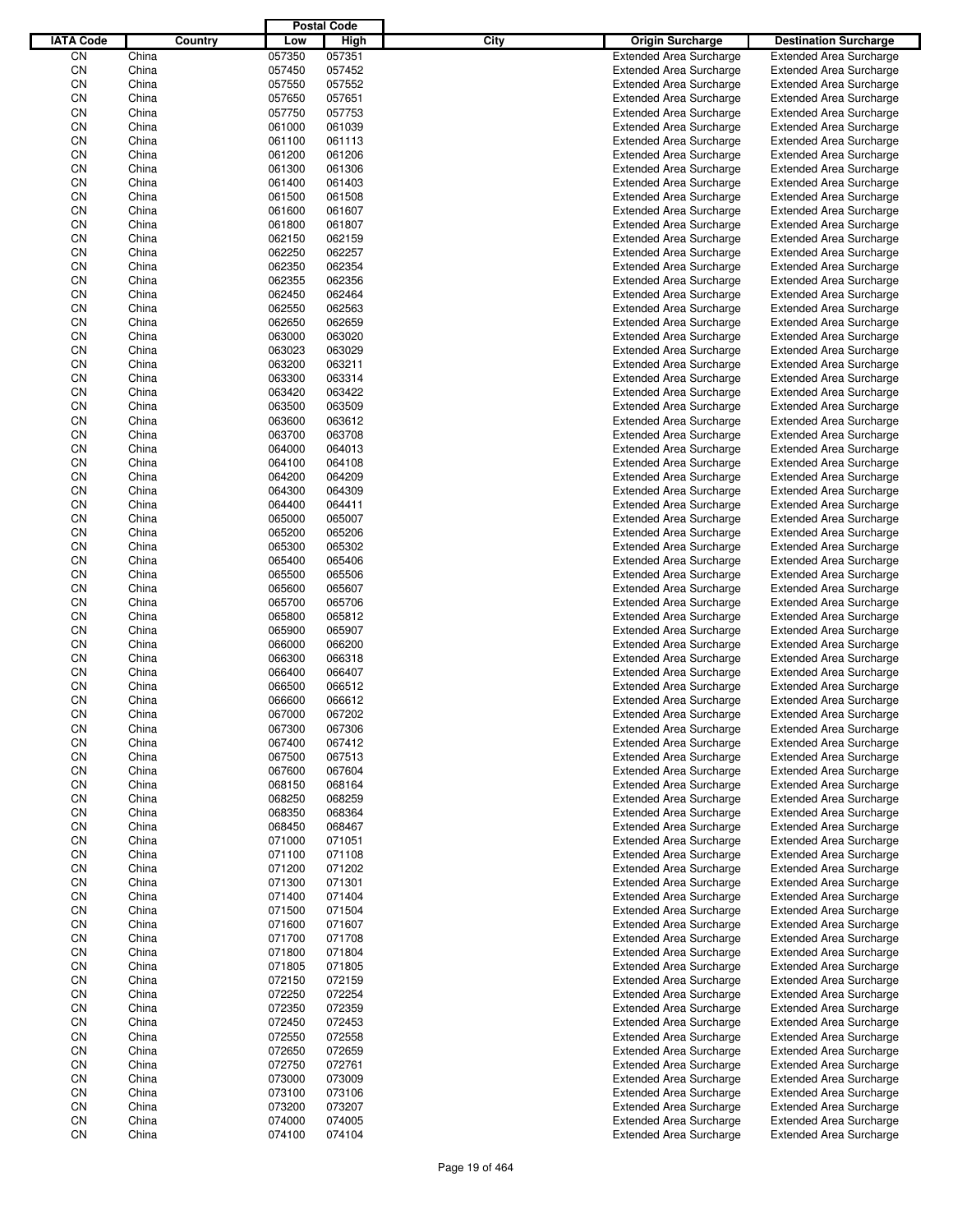|                  |                |         |                  | <b>Postal Code</b> |             |                                                                  |                                                                  |
|------------------|----------------|---------|------------------|--------------------|-------------|------------------------------------------------------------------|------------------------------------------------------------------|
| <b>IATA Code</b> |                | Country | Low              | High               | <b>City</b> | <b>Origin Surcharge</b>                                          | <b>Destination Surcharge</b>                                     |
| CN               | China          |         | 057350           | 057351             |             | <b>Extended Area Surcharge</b>                                   | <b>Extended Area Surcharge</b>                                   |
| CN               | China          |         | 057450           | 057452             |             | <b>Extended Area Surcharge</b>                                   | <b>Extended Area Surcharge</b>                                   |
| CN               | China          |         | 057550           | 057552             |             | <b>Extended Area Surcharge</b>                                   | <b>Extended Area Surcharge</b>                                   |
| CN               | China          |         | 057650           | 057651             |             | <b>Extended Area Surcharge</b>                                   | <b>Extended Area Surcharge</b>                                   |
| CN               | China          |         | 057750           | 057753             |             | <b>Extended Area Surcharge</b>                                   | <b>Extended Area Surcharge</b>                                   |
| CN               | China          |         | 061000           | 061039             |             | <b>Extended Area Surcharge</b>                                   | <b>Extended Area Surcharge</b>                                   |
| CN               | China          |         | 061100           | 061113             |             | <b>Extended Area Surcharge</b>                                   | <b>Extended Area Surcharge</b>                                   |
| CN               | China          |         | 061200           | 061206             |             | <b>Extended Area Surcharge</b>                                   | <b>Extended Area Surcharge</b>                                   |
| CN               | China          |         | 061300           | 061306             |             | <b>Extended Area Surcharge</b>                                   | <b>Extended Area Surcharge</b>                                   |
| CN               | China          |         | 061400           | 061403             |             | <b>Extended Area Surcharge</b>                                   | <b>Extended Area Surcharge</b>                                   |
| CN               | China          |         | 061500           | 061508             |             | <b>Extended Area Surcharge</b>                                   | <b>Extended Area Surcharge</b>                                   |
| CN               | China          |         | 061600           | 061607             |             | <b>Extended Area Surcharge</b>                                   | <b>Extended Area Surcharge</b>                                   |
| CN               | China          |         | 061800           | 061807             |             | <b>Extended Area Surcharge</b>                                   | <b>Extended Area Surcharge</b>                                   |
| CN               | China<br>China |         | 062150           | 062159             |             | <b>Extended Area Surcharge</b>                                   | <b>Extended Area Surcharge</b>                                   |
| CN<br>CN         | China          |         | 062250<br>062350 | 062257<br>062354   |             | <b>Extended Area Surcharge</b><br><b>Extended Area Surcharge</b> | <b>Extended Area Surcharge</b><br><b>Extended Area Surcharge</b> |
| CN               | China          |         | 062355           | 062356             |             | <b>Extended Area Surcharge</b>                                   | <b>Extended Area Surcharge</b>                                   |
| CN               | China          |         | 062450           | 062464             |             | <b>Extended Area Surcharge</b>                                   | <b>Extended Area Surcharge</b>                                   |
| CN               | China          |         | 062550           | 062563             |             | <b>Extended Area Surcharge</b>                                   | <b>Extended Area Surcharge</b>                                   |
| CN               | China          |         | 062650           | 062659             |             | <b>Extended Area Surcharge</b>                                   | <b>Extended Area Surcharge</b>                                   |
| CN               | China          |         | 063000           | 063020             |             | <b>Extended Area Surcharge</b>                                   | <b>Extended Area Surcharge</b>                                   |
| CN               | China          |         | 063023           | 063029             |             | <b>Extended Area Surcharge</b>                                   | <b>Extended Area Surcharge</b>                                   |
| CN               | China          |         | 063200           | 063211             |             | <b>Extended Area Surcharge</b>                                   | <b>Extended Area Surcharge</b>                                   |
| CN               | China          |         | 063300           | 063314             |             | <b>Extended Area Surcharge</b>                                   | <b>Extended Area Surcharge</b>                                   |
| CN               | China          |         | 063420           | 063422             |             | <b>Extended Area Surcharge</b>                                   | <b>Extended Area Surcharge</b>                                   |
| CN               | China          |         | 063500           | 063509             |             | <b>Extended Area Surcharge</b>                                   | <b>Extended Area Surcharge</b>                                   |
| CN               | China          |         | 063600           | 063612             |             | <b>Extended Area Surcharge</b>                                   | <b>Extended Area Surcharge</b>                                   |
| CN               | China          |         | 063700           | 063708             |             | <b>Extended Area Surcharge</b>                                   | <b>Extended Area Surcharge</b>                                   |
| CN               | China          |         | 064000           | 064013             |             | <b>Extended Area Surcharge</b>                                   | <b>Extended Area Surcharge</b>                                   |
| CN               | China          |         | 064100           | 064108             |             | <b>Extended Area Surcharge</b>                                   | <b>Extended Area Surcharge</b>                                   |
| CN               | China          |         | 064200           | 064209             |             | <b>Extended Area Surcharge</b>                                   | <b>Extended Area Surcharge</b>                                   |
| CN               | China          |         | 064300           | 064309             |             | <b>Extended Area Surcharge</b>                                   | <b>Extended Area Surcharge</b>                                   |
| CN               | China          |         | 064400           | 064411             |             | <b>Extended Area Surcharge</b>                                   | <b>Extended Area Surcharge</b>                                   |
| CN               | China          |         | 065000           | 065007             |             | <b>Extended Area Surcharge</b>                                   | <b>Extended Area Surcharge</b>                                   |
| CN               | China          |         | 065200           | 065206             |             | <b>Extended Area Surcharge</b>                                   | <b>Extended Area Surcharge</b>                                   |
| CN               | China          |         | 065300           | 065302             |             | <b>Extended Area Surcharge</b>                                   | <b>Extended Area Surcharge</b>                                   |
| CN               | China          |         | 065400           | 065406             |             | <b>Extended Area Surcharge</b>                                   | <b>Extended Area Surcharge</b>                                   |
| CN               | China          |         | 065500           | 065506             |             | <b>Extended Area Surcharge</b>                                   | <b>Extended Area Surcharge</b>                                   |
| CN               | China          |         | 065600           | 065607             |             | <b>Extended Area Surcharge</b>                                   | <b>Extended Area Surcharge</b>                                   |
| CN               | China          |         | 065700           | 065706             |             | <b>Extended Area Surcharge</b>                                   | <b>Extended Area Surcharge</b>                                   |
| CN               | China          |         | 065800           | 065812             |             | <b>Extended Area Surcharge</b>                                   | <b>Extended Area Surcharge</b>                                   |
| CN               | China<br>China |         | 065900           | 065907             |             | <b>Extended Area Surcharge</b><br><b>Extended Area Surcharge</b> | <b>Extended Area Surcharge</b>                                   |
| CN<br>CN         | China          |         | 066000<br>066300 | 066200<br>066318   |             | <b>Extended Area Surcharge</b>                                   | <b>Extended Area Surcharge</b><br><b>Extended Area Surcharge</b> |
| CN               | China          |         | 066400           | 066407             |             | <b>Extended Area Surcharge</b>                                   | <b>Extended Area Surcharge</b>                                   |
| CN               | China          |         | 066500           | 066512             |             | <b>Extended Area Surcharge</b>                                   | <b>Extended Area Surcharge</b>                                   |
| CN               | China          |         | 066600           | 066612             |             | <b>Extended Area Surcharge</b>                                   | <b>Extended Area Surcharge</b>                                   |
| CN               | China          |         | 067000           | 067202             |             | <b>Extended Area Surcharge</b>                                   | <b>Extended Area Surcharge</b>                                   |
| CN               | China          |         | 067300           | 067306             |             | <b>Extended Area Surcharge</b>                                   | <b>Extended Area Surcharge</b>                                   |
| CN               | China          |         | 067400           | 067412             |             | <b>Extended Area Surcharge</b>                                   | <b>Extended Area Surcharge</b>                                   |
| CN               | China          |         | 067500           | 067513             |             | <b>Extended Area Surcharge</b>                                   | <b>Extended Area Surcharge</b>                                   |
| CN               | China          |         | 067600           | 067604             |             | <b>Extended Area Surcharge</b>                                   | <b>Extended Area Surcharge</b>                                   |
| CN               | China          |         | 068150           | 068164             |             | <b>Extended Area Surcharge</b>                                   | <b>Extended Area Surcharge</b>                                   |
| CN               | China          |         | 068250           | 068259             |             | <b>Extended Area Surcharge</b>                                   | <b>Extended Area Surcharge</b>                                   |
| CN               | China          |         | 068350           | 068364             |             | <b>Extended Area Surcharge</b>                                   | <b>Extended Area Surcharge</b>                                   |
| CN               | China          |         | 068450           | 068467             |             | <b>Extended Area Surcharge</b>                                   | <b>Extended Area Surcharge</b>                                   |
| CN               | China          |         | 071000           | 071051             |             | <b>Extended Area Surcharge</b>                                   | <b>Extended Area Surcharge</b>                                   |
| CN               | China          |         | 071100           | 071108             |             | <b>Extended Area Surcharge</b>                                   | <b>Extended Area Surcharge</b>                                   |
| CN               | China          |         | 071200           | 071202             |             | <b>Extended Area Surcharge</b>                                   | <b>Extended Area Surcharge</b>                                   |
| CN               | China          |         | 071300           | 071301             |             | <b>Extended Area Surcharge</b>                                   | <b>Extended Area Surcharge</b>                                   |
| CN               | China          |         | 071400           | 071404             |             | <b>Extended Area Surcharge</b>                                   | <b>Extended Area Surcharge</b>                                   |
| CN               | China          |         | 071500           | 071504             |             | <b>Extended Area Surcharge</b>                                   | <b>Extended Area Surcharge</b>                                   |
| CN               | China          |         | 071600           | 071607             |             | <b>Extended Area Surcharge</b>                                   | <b>Extended Area Surcharge</b>                                   |
| CN               | China          |         | 071700           | 071708             |             | <b>Extended Area Surcharge</b>                                   | <b>Extended Area Surcharge</b>                                   |
| CN               | China          |         | 071800           | 071804             |             | <b>Extended Area Surcharge</b>                                   | <b>Extended Area Surcharge</b>                                   |
| CN               | China          |         | 071805           | 071805             |             | <b>Extended Area Surcharge</b>                                   | <b>Extended Area Surcharge</b>                                   |
| CN<br>CN         | China<br>China |         | 072150<br>072250 | 072159<br>072254   |             | <b>Extended Area Surcharge</b>                                   | <b>Extended Area Surcharge</b>                                   |
| CN               | China          |         | 072350           | 072359             |             | <b>Extended Area Surcharge</b><br><b>Extended Area Surcharge</b> | <b>Extended Area Surcharge</b><br><b>Extended Area Surcharge</b> |
| CN               | China          |         | 072450           | 072453             |             | <b>Extended Area Surcharge</b>                                   | <b>Extended Area Surcharge</b>                                   |
| CN               | China          |         | 072550           | 072558             |             | <b>Extended Area Surcharge</b>                                   | <b>Extended Area Surcharge</b>                                   |
| CN               | China          |         | 072650           | 072659             |             | <b>Extended Area Surcharge</b>                                   | <b>Extended Area Surcharge</b>                                   |
| CN               | China          |         | 072750           | 072761             |             | <b>Extended Area Surcharge</b>                                   | <b>Extended Area Surcharge</b>                                   |
| CN               | China          |         | 073000           | 073009             |             | <b>Extended Area Surcharge</b>                                   | <b>Extended Area Surcharge</b>                                   |
| CN               | China          |         | 073100           | 073106             |             | <b>Extended Area Surcharge</b>                                   | <b>Extended Area Surcharge</b>                                   |
| CN               | China          |         | 073200           | 073207             |             | <b>Extended Area Surcharge</b>                                   | <b>Extended Area Surcharge</b>                                   |
| CN               | China          |         | 074000           | 074005             |             | <b>Extended Area Surcharge</b>                                   | <b>Extended Area Surcharge</b>                                   |
| CN               | China          |         | 074100           | 074104             |             | <b>Extended Area Surcharge</b>                                   | <b>Extended Area Surcharge</b>                                   |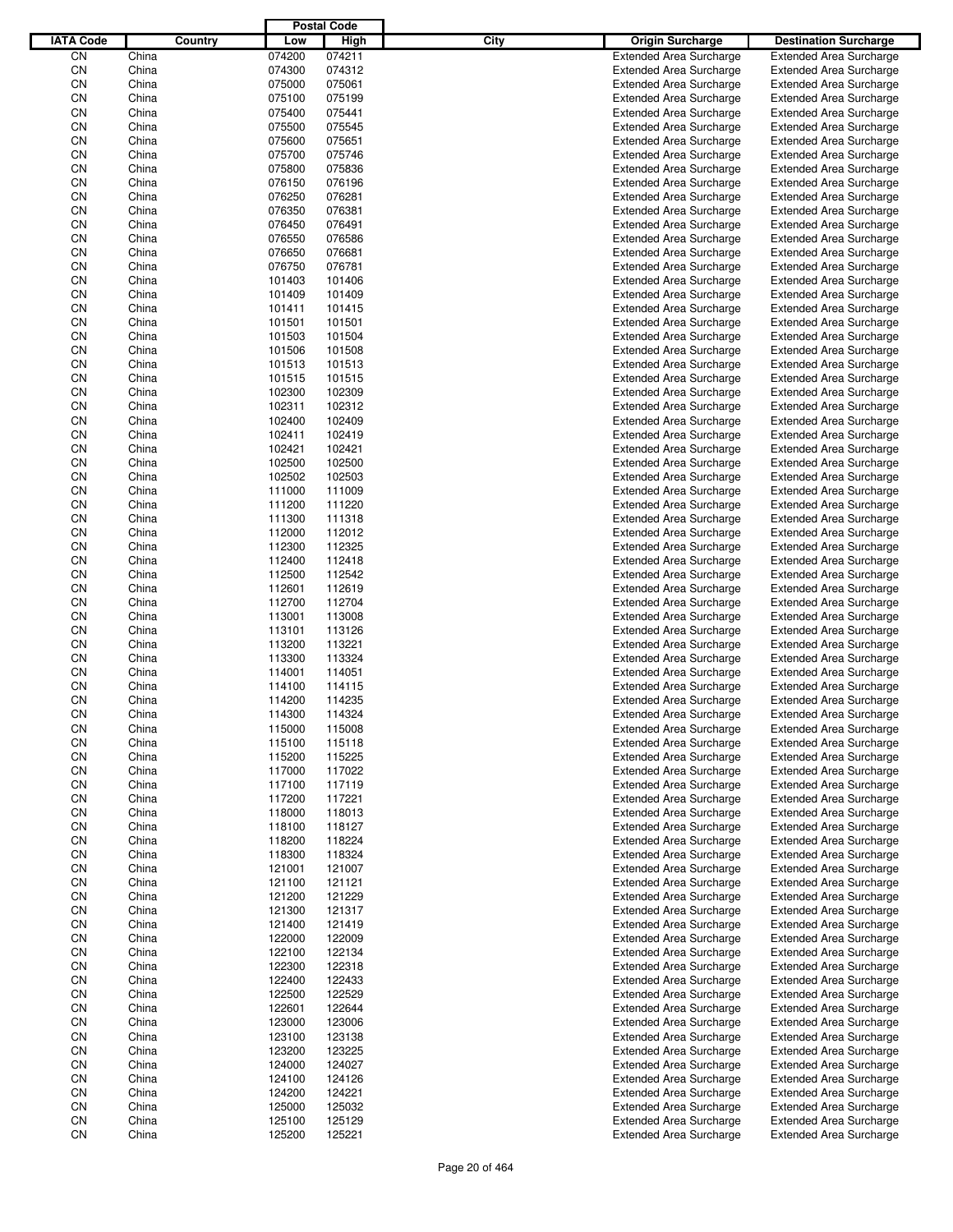|                  |       |         |        | <b>Postal Code</b> |             |                                |                                |
|------------------|-------|---------|--------|--------------------|-------------|--------------------------------|--------------------------------|
| <b>IATA Code</b> |       | Country | Low    | High               | <b>City</b> | <b>Origin Surcharge</b>        | <b>Destination Surcharge</b>   |
| CN               | China |         | 074200 | 074211             |             | <b>Extended Area Surcharge</b> | <b>Extended Area Surcharge</b> |
| CN               | China |         | 074300 | 074312             |             | <b>Extended Area Surcharge</b> | <b>Extended Area Surcharge</b> |
| CN               | China |         | 075000 | 075061             |             | <b>Extended Area Surcharge</b> | <b>Extended Area Surcharge</b> |
| CN               | China |         | 075100 | 075199             |             | <b>Extended Area Surcharge</b> | <b>Extended Area Surcharge</b> |
| CN               | China |         | 075400 | 075441             |             | <b>Extended Area Surcharge</b> | <b>Extended Area Surcharge</b> |
| CN               | China |         | 075500 | 075545             |             | <b>Extended Area Surcharge</b> | <b>Extended Area Surcharge</b> |
| CN               | China |         | 075600 | 075651             |             | <b>Extended Area Surcharge</b> | <b>Extended Area Surcharge</b> |
| CN               | China |         | 075700 | 075746             |             | <b>Extended Area Surcharge</b> | <b>Extended Area Surcharge</b> |
| CN               | China |         | 075800 | 075836             |             | <b>Extended Area Surcharge</b> | <b>Extended Area Surcharge</b> |
| CN               | China |         | 076150 | 076196             |             | <b>Extended Area Surcharge</b> | <b>Extended Area Surcharge</b> |
| CN               | China |         | 076250 | 076281             |             | <b>Extended Area Surcharge</b> | <b>Extended Area Surcharge</b> |
| CN               | China |         | 076350 | 076381             |             | <b>Extended Area Surcharge</b> | <b>Extended Area Surcharge</b> |
| CN               | China |         | 076450 | 076491             |             | <b>Extended Area Surcharge</b> | <b>Extended Area Surcharge</b> |
| CN               | China |         | 076550 | 076586             |             | <b>Extended Area Surcharge</b> | <b>Extended Area Surcharge</b> |
| CN               | China |         | 076650 | 076681             |             | <b>Extended Area Surcharge</b> | <b>Extended Area Surcharge</b> |
| CN               | China |         | 076750 | 076781             |             | <b>Extended Area Surcharge</b> | <b>Extended Area Surcharge</b> |
| CN               | China |         | 101403 | 101406             |             | <b>Extended Area Surcharge</b> | <b>Extended Area Surcharge</b> |
| CN               | China |         | 101409 | 101409             |             | <b>Extended Area Surcharge</b> | <b>Extended Area Surcharge</b> |
| CN               | China |         | 101411 | 101415             |             | <b>Extended Area Surcharge</b> | <b>Extended Area Surcharge</b> |
| CN               | China |         | 101501 | 101501             |             | <b>Extended Area Surcharge</b> | <b>Extended Area Surcharge</b> |
| CN               | China |         | 101503 | 101504             |             | <b>Extended Area Surcharge</b> | <b>Extended Area Surcharge</b> |
| CN               | China |         | 101506 | 101508             |             | <b>Extended Area Surcharge</b> | <b>Extended Area Surcharge</b> |
| CN               | China |         | 101513 | 101513             |             | <b>Extended Area Surcharge</b> | <b>Extended Area Surcharge</b> |
| CN               | China |         | 101515 | 101515             |             | <b>Extended Area Surcharge</b> | <b>Extended Area Surcharge</b> |
| CN               | China |         | 102300 | 102309             |             | <b>Extended Area Surcharge</b> | <b>Extended Area Surcharge</b> |
| CN               | China |         | 102311 | 102312             |             | <b>Extended Area Surcharge</b> | <b>Extended Area Surcharge</b> |
| CN               | China |         | 102400 | 102409             |             | <b>Extended Area Surcharge</b> | <b>Extended Area Surcharge</b> |
| CN               | China |         | 102411 | 102419             |             | <b>Extended Area Surcharge</b> | <b>Extended Area Surcharge</b> |
| CN               | China |         | 102421 | 102421             |             | <b>Extended Area Surcharge</b> | <b>Extended Area Surcharge</b> |
| CN               | China |         | 102500 | 102500             |             | <b>Extended Area Surcharge</b> | <b>Extended Area Surcharge</b> |
| CN               | China |         | 102502 | 102503             |             | <b>Extended Area Surcharge</b> | <b>Extended Area Surcharge</b> |
| CN               | China |         | 111000 | 111009             |             | <b>Extended Area Surcharge</b> | <b>Extended Area Surcharge</b> |
| CN               | China |         | 111200 | 111220             |             | <b>Extended Area Surcharge</b> | <b>Extended Area Surcharge</b> |
| CN               | China |         | 111300 | 111318             |             | <b>Extended Area Surcharge</b> | <b>Extended Area Surcharge</b> |
| CN               | China |         | 112000 | 112012             |             | <b>Extended Area Surcharge</b> | <b>Extended Area Surcharge</b> |
| CN               | China |         | 112300 | 112325             |             | <b>Extended Area Surcharge</b> | <b>Extended Area Surcharge</b> |
| CN               | China |         | 112400 | 112418             |             | <b>Extended Area Surcharge</b> | <b>Extended Area Surcharge</b> |
| CN               | China |         | 112500 | 112542             |             | <b>Extended Area Surcharge</b> | <b>Extended Area Surcharge</b> |
| CN               | China |         | 112601 | 112619             |             | <b>Extended Area Surcharge</b> | <b>Extended Area Surcharge</b> |
| CN               | China |         | 112700 | 112704             |             | <b>Extended Area Surcharge</b> | <b>Extended Area Surcharge</b> |
| CN               | China |         | 113001 | 113008             |             | <b>Extended Area Surcharge</b> | <b>Extended Area Surcharge</b> |
| CN               | China |         | 113101 | 113126             |             | <b>Extended Area Surcharge</b> | <b>Extended Area Surcharge</b> |
| CN               | China |         | 113200 | 113221             |             | <b>Extended Area Surcharge</b> | <b>Extended Area Surcharge</b> |
| CN               | China |         | 113300 | 113324             |             | <b>Extended Area Surcharge</b> | <b>Extended Area Surcharge</b> |
| CN               | China |         | 114001 | 114051             |             | <b>Extended Area Surcharge</b> | <b>Extended Area Surcharge</b> |
| CN               | China |         | 114100 | 114115             |             | <b>Extended Area Surcharge</b> | <b>Extended Area Surcharge</b> |
| CΝ               | China |         | 114200 | 114235             |             | <b>Extended Area Surcharge</b> | <b>Extended Area Surcharge</b> |
| CN               | China |         | 114300 | 114324             |             | <b>Extended Area Surcharge</b> | <b>Extended Area Surcharge</b> |
| CN               | China |         | 115000 | 115008             |             | <b>Extended Area Surcharge</b> | <b>Extended Area Surcharge</b> |
| CN               | China |         | 115100 | 115118             |             | <b>Extended Area Surcharge</b> | <b>Extended Area Surcharge</b> |
| CN               | China |         | 115200 | 115225             |             | <b>Extended Area Surcharge</b> | <b>Extended Area Surcharge</b> |
| CN               | China |         | 117000 | 117022             |             | <b>Extended Area Surcharge</b> | <b>Extended Area Surcharge</b> |
| CN               | China |         | 117100 | 117119             |             | <b>Extended Area Surcharge</b> | <b>Extended Area Surcharge</b> |
| CN               | China |         | 117200 | 117221             |             | <b>Extended Area Surcharge</b> | <b>Extended Area Surcharge</b> |
| CN               | China |         | 118000 | 118013             |             | <b>Extended Area Surcharge</b> | <b>Extended Area Surcharge</b> |
| CN               | China |         | 118100 | 118127             |             | <b>Extended Area Surcharge</b> | <b>Extended Area Surcharge</b> |
| CN               | China |         | 118200 | 118224             |             | <b>Extended Area Surcharge</b> | <b>Extended Area Surcharge</b> |
| CN               | China |         | 118300 | 118324             |             | <b>Extended Area Surcharge</b> | <b>Extended Area Surcharge</b> |
| CN               | China |         | 121001 | 121007             |             | <b>Extended Area Surcharge</b> | <b>Extended Area Surcharge</b> |
| CN               | China |         | 121100 | 121121             |             | <b>Extended Area Surcharge</b> | <b>Extended Area Surcharge</b> |
| CN               | China |         | 121200 | 121229             |             | <b>Extended Area Surcharge</b> | <b>Extended Area Surcharge</b> |
| CN               | China |         | 121300 | 121317             |             | <b>Extended Area Surcharge</b> | <b>Extended Area Surcharge</b> |
| CN               | China |         | 121400 | 121419             |             | <b>Extended Area Surcharge</b> | <b>Extended Area Surcharge</b> |
| CN               | China |         | 122000 | 122009             |             | <b>Extended Area Surcharge</b> | <b>Extended Area Surcharge</b> |
| CN               | China |         | 122100 | 122134             |             | <b>Extended Area Surcharge</b> | <b>Extended Area Surcharge</b> |
| CN               | China |         | 122300 | 122318             |             | <b>Extended Area Surcharge</b> | <b>Extended Area Surcharge</b> |
| CN               | China |         | 122400 | 122433             |             | <b>Extended Area Surcharge</b> | <b>Extended Area Surcharge</b> |
| CN               | China |         | 122500 | 122529             |             | <b>Extended Area Surcharge</b> | <b>Extended Area Surcharge</b> |
| CN               | China |         | 122601 | 122644             |             | <b>Extended Area Surcharge</b> | <b>Extended Area Surcharge</b> |
| CN               | China |         | 123000 | 123006             |             | <b>Extended Area Surcharge</b> | <b>Extended Area Surcharge</b> |
| CN               | China |         | 123100 | 123138             |             | <b>Extended Area Surcharge</b> | <b>Extended Area Surcharge</b> |
| CN               | China |         | 123200 | 123225             |             | <b>Extended Area Surcharge</b> | <b>Extended Area Surcharge</b> |
| CN               | China |         | 124000 | 124027             |             | <b>Extended Area Surcharge</b> | <b>Extended Area Surcharge</b> |
| CN               | China |         | 124100 | 124126             |             | <b>Extended Area Surcharge</b> | <b>Extended Area Surcharge</b> |
| CN               | China |         | 124200 | 124221             |             | <b>Extended Area Surcharge</b> | <b>Extended Area Surcharge</b> |
| CN               | China |         | 125000 | 125032             |             | <b>Extended Area Surcharge</b> | <b>Extended Area Surcharge</b> |
| CN               | China |         | 125100 | 125129             |             | <b>Extended Area Surcharge</b> | <b>Extended Area Surcharge</b> |
| CN               | China |         | 125200 | 125221             |             | <b>Extended Area Surcharge</b> | <b>Extended Area Surcharge</b> |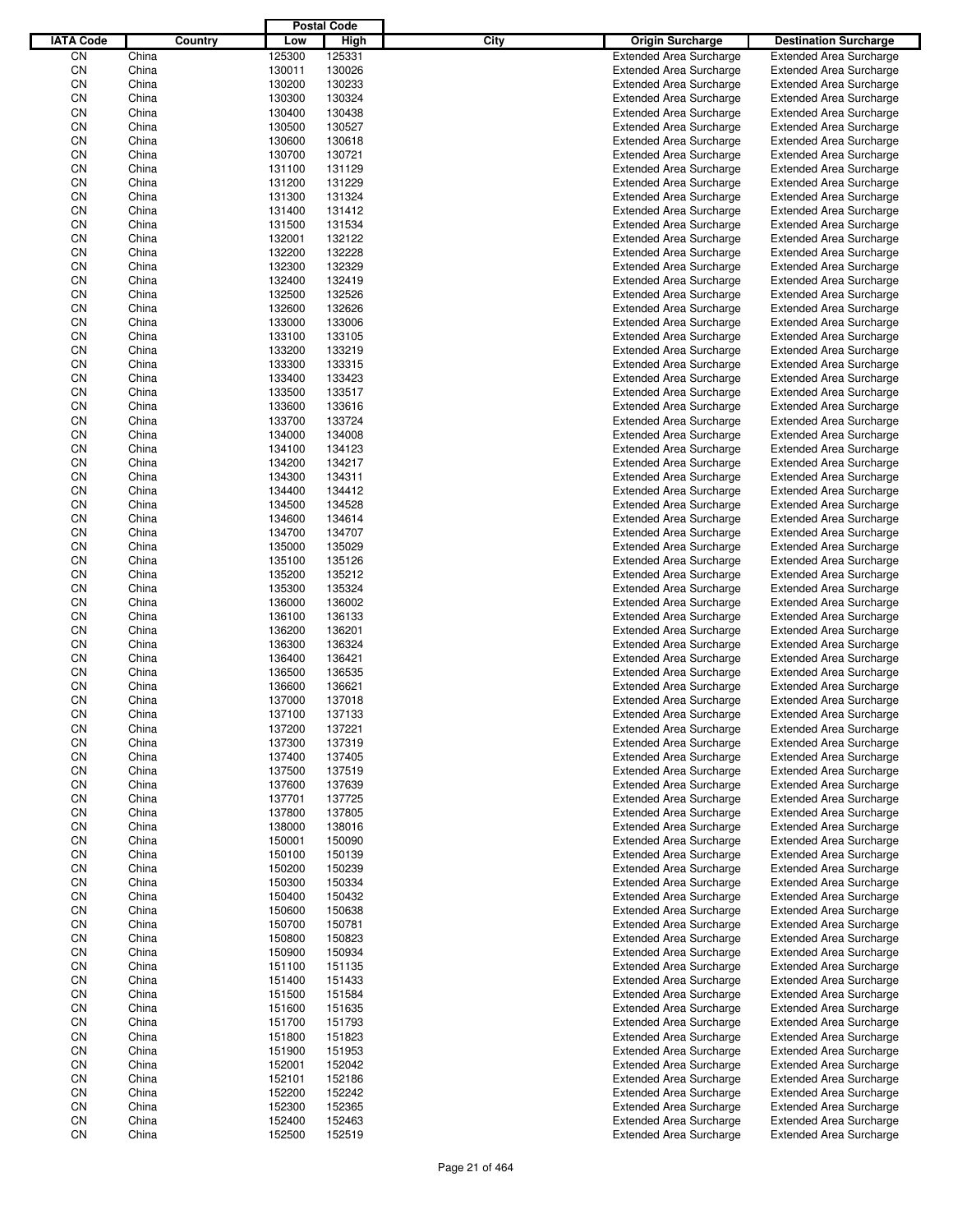|                  |                |         |                  | <b>Postal Code</b> |      |                                                                  |                                                                  |
|------------------|----------------|---------|------------------|--------------------|------|------------------------------------------------------------------|------------------------------------------------------------------|
| <b>IATA Code</b> |                | Country | Low              | High               | City | <b>Origin Surcharge</b>                                          | <b>Destination Surcharge</b>                                     |
| CN               | China          |         | 125300           | 125331             |      | <b>Extended Area Surcharge</b>                                   | <b>Extended Area Surcharge</b>                                   |
| CN               | China          |         | 130011           | 130026             |      | <b>Extended Area Surcharge</b>                                   | <b>Extended Area Surcharge</b>                                   |
| CN               | China          |         | 130200           | 130233             |      | <b>Extended Area Surcharge</b>                                   | <b>Extended Area Surcharge</b>                                   |
| CN               | China          |         | 130300           | 130324             |      | <b>Extended Area Surcharge</b>                                   | <b>Extended Area Surcharge</b>                                   |
| CN               | China          |         | 130400           | 130438             |      | <b>Extended Area Surcharge</b>                                   | <b>Extended Area Surcharge</b>                                   |
| CN               | China          |         | 130500           | 130527             |      | <b>Extended Area Surcharge</b>                                   | <b>Extended Area Surcharge</b>                                   |
| CN               | China          |         | 130600           | 130618             |      | <b>Extended Area Surcharge</b>                                   | <b>Extended Area Surcharge</b>                                   |
| CN               | China          |         | 130700           | 130721             |      | <b>Extended Area Surcharge</b>                                   | <b>Extended Area Surcharge</b>                                   |
| CN               | China          |         | 131100           | 131129             |      | <b>Extended Area Surcharge</b>                                   | <b>Extended Area Surcharge</b>                                   |
| CN               | China          |         | 131200           | 131229             |      | <b>Extended Area Surcharge</b>                                   | <b>Extended Area Surcharge</b>                                   |
| CN               | China          |         | 131300           | 131324             |      | <b>Extended Area Surcharge</b>                                   | <b>Extended Area Surcharge</b>                                   |
| CN               | China          |         | 131400           | 131412             |      | <b>Extended Area Surcharge</b>                                   | <b>Extended Area Surcharge</b>                                   |
| CN               | China          |         | 131500           | 131534             |      | <b>Extended Area Surcharge</b>                                   | <b>Extended Area Surcharge</b>                                   |
| CN               | China          |         | 132001           | 132122             |      | <b>Extended Area Surcharge</b>                                   | <b>Extended Area Surcharge</b>                                   |
| CN               | China          |         | 132200           | 132228             |      | <b>Extended Area Surcharge</b>                                   | <b>Extended Area Surcharge</b>                                   |
| CN               | China          |         | 132300           | 132329             |      | <b>Extended Area Surcharge</b>                                   | <b>Extended Area Surcharge</b>                                   |
| CN               | China          |         | 132400           | 132419             |      | <b>Extended Area Surcharge</b>                                   | <b>Extended Area Surcharge</b>                                   |
| CN               | China          |         | 132500           | 132526             |      | <b>Extended Area Surcharge</b>                                   | <b>Extended Area Surcharge</b>                                   |
| CN               | China          |         | 132600           | 132626             |      | <b>Extended Area Surcharge</b>                                   | <b>Extended Area Surcharge</b>                                   |
| CN               | China          |         | 133000           | 133006             |      | <b>Extended Area Surcharge</b>                                   | <b>Extended Area Surcharge</b>                                   |
| CN               | China          |         | 133100           | 133105             |      | <b>Extended Area Surcharge</b>                                   | <b>Extended Area Surcharge</b>                                   |
| CN               | China          |         | 133200           | 133219             |      | <b>Extended Area Surcharge</b>                                   | <b>Extended Area Surcharge</b>                                   |
| CN               | China          |         | 133300           | 133315             |      | <b>Extended Area Surcharge</b>                                   | <b>Extended Area Surcharge</b>                                   |
| CN               | China          |         | 133400           | 133423             |      | <b>Extended Area Surcharge</b>                                   | <b>Extended Area Surcharge</b>                                   |
| CN               | China          |         | 133500           | 133517             |      | <b>Extended Area Surcharge</b>                                   | <b>Extended Area Surcharge</b><br><b>Extended Area Surcharge</b> |
| CN<br>CN         | China          |         | 133600<br>133700 | 133616<br>133724   |      | <b>Extended Area Surcharge</b>                                   |                                                                  |
| CN               | China<br>China |         | 134000           | 134008             |      | <b>Extended Area Surcharge</b><br><b>Extended Area Surcharge</b> | <b>Extended Area Surcharge</b><br><b>Extended Area Surcharge</b> |
| CN               | China          |         | 134100           | 134123             |      | <b>Extended Area Surcharge</b>                                   | <b>Extended Area Surcharge</b>                                   |
| CN               | China          |         | 134200           | 134217             |      | <b>Extended Area Surcharge</b>                                   | <b>Extended Area Surcharge</b>                                   |
| CN               | China          |         | 134300           | 134311             |      | <b>Extended Area Surcharge</b>                                   | <b>Extended Area Surcharge</b>                                   |
| CN               | China          |         | 134400           | 134412             |      | <b>Extended Area Surcharge</b>                                   | <b>Extended Area Surcharge</b>                                   |
| CN               | China          |         | 134500           | 134528             |      | <b>Extended Area Surcharge</b>                                   | <b>Extended Area Surcharge</b>                                   |
| CN               | China          |         | 134600           | 134614             |      | <b>Extended Area Surcharge</b>                                   | <b>Extended Area Surcharge</b>                                   |
| CN               | China          |         | 134700           | 134707             |      | <b>Extended Area Surcharge</b>                                   | <b>Extended Area Surcharge</b>                                   |
| CN               | China          |         | 135000           | 135029             |      | <b>Extended Area Surcharge</b>                                   | <b>Extended Area Surcharge</b>                                   |
| CN               | China          |         | 135100           | 135126             |      | <b>Extended Area Surcharge</b>                                   | <b>Extended Area Surcharge</b>                                   |
| CN               | China          |         | 135200           | 135212             |      | <b>Extended Area Surcharge</b>                                   | <b>Extended Area Surcharge</b>                                   |
| CN               | China          |         | 135300           | 135324             |      | <b>Extended Area Surcharge</b>                                   | <b>Extended Area Surcharge</b>                                   |
| CN               | China          |         | 136000           | 136002             |      | <b>Extended Area Surcharge</b>                                   | <b>Extended Area Surcharge</b>                                   |
| CN               | China          |         | 136100           | 136133             |      | <b>Extended Area Surcharge</b>                                   | <b>Extended Area Surcharge</b>                                   |
| CN               | China          |         | 136200           | 136201             |      | <b>Extended Area Surcharge</b>                                   | <b>Extended Area Surcharge</b>                                   |
| CN               | China          |         | 136300           | 136324             |      | <b>Extended Area Surcharge</b>                                   | <b>Extended Area Surcharge</b>                                   |
| CN               | China          |         | 136400           | 136421             |      | <b>Extended Area Surcharge</b>                                   | <b>Extended Area Surcharge</b>                                   |
| CN               | China          |         | 136500           | 136535             |      | <b>Extended Area Surcharge</b>                                   | <b>Extended Area Surcharge</b>                                   |
| CN               | China          |         | 136600           | 136621             |      | <b>Extended Area Surcharge</b>                                   | <b>Extended Area Surcharge</b>                                   |
| CN               | China          |         | 137000           | 137018             |      | <b>Extended Area Surcharge</b>                                   | <b>Extended Area Surcharge</b>                                   |
| CN               | China          |         | 137100           | 137133             |      | <b>Extended Area Surcharge</b>                                   | <b>Extended Area Surcharge</b>                                   |
| CN               | China          |         | 137200           | 137221             |      | <b>Extended Area Surcharge</b>                                   | <b>Extended Area Surcharge</b>                                   |
| CN               | China          |         | 137300           | 137319             |      | <b>Extended Area Surcharge</b>                                   | <b>Extended Area Surcharge</b>                                   |
| CN               | China          |         | 137400           | 137405             |      | <b>Extended Area Surcharge</b>                                   | <b>Extended Area Surcharge</b>                                   |
| CN               | China          |         | 137500           | 137519             |      | <b>Extended Area Surcharge</b>                                   | <b>Extended Area Surcharge</b>                                   |
| CN               | China          |         | 137600           | 137639             |      | <b>Extended Area Surcharge</b>                                   | <b>Extended Area Surcharge</b>                                   |
| CN               | China          |         | 137701           | 137725             |      | <b>Extended Area Surcharge</b>                                   | <b>Extended Area Surcharge</b>                                   |
| CN               | China          |         | 137800           | 137805             |      | <b>Extended Area Surcharge</b>                                   | <b>Extended Area Surcharge</b>                                   |
| CN               | China          |         | 138000           | 138016             |      | <b>Extended Area Surcharge</b>                                   | <b>Extended Area Surcharge</b>                                   |
| CN               | China          |         | 150001           | 150090             |      | <b>Extended Area Surcharge</b>                                   | <b>Extended Area Surcharge</b>                                   |
| CN               | China          |         | 150100           | 150139             |      | <b>Extended Area Surcharge</b>                                   | <b>Extended Area Surcharge</b>                                   |
| CN               | China          |         | 150200           | 150239             |      | <b>Extended Area Surcharge</b>                                   | <b>Extended Area Surcharge</b>                                   |
| CN               | China          |         | 150300           | 150334             |      | <b>Extended Area Surcharge</b>                                   | <b>Extended Area Surcharge</b>                                   |
| CN               | China          |         | 150400           | 150432             |      | <b>Extended Area Surcharge</b>                                   | <b>Extended Area Surcharge</b>                                   |
| CN               | China          |         | 150600           | 150638             |      | <b>Extended Area Surcharge</b>                                   | <b>Extended Area Surcharge</b>                                   |
| CN               | China          |         | 150700           | 150781             |      | <b>Extended Area Surcharge</b>                                   | <b>Extended Area Surcharge</b>                                   |
| CN               | China          |         | 150800           | 150823             |      | <b>Extended Area Surcharge</b>                                   | <b>Extended Area Surcharge</b>                                   |
| CN<br>CN         | China          |         | 150900           | 150934<br>151135   |      | <b>Extended Area Surcharge</b>                                   | <b>Extended Area Surcharge</b>                                   |
| CN               | China          |         | 151100           | 151433             |      | <b>Extended Area Surcharge</b>                                   | <b>Extended Area Surcharge</b>                                   |
| CN               | China<br>China |         | 151400<br>151500 | 151584             |      | <b>Extended Area Surcharge</b><br><b>Extended Area Surcharge</b> | <b>Extended Area Surcharge</b><br><b>Extended Area Surcharge</b> |
| CN               | China          |         | 151600           | 151635             |      | <b>Extended Area Surcharge</b>                                   | <b>Extended Area Surcharge</b>                                   |
| CN               | China          |         | 151700           | 151793             |      | <b>Extended Area Surcharge</b>                                   | <b>Extended Area Surcharge</b>                                   |
| CN               | China          |         | 151800           | 151823             |      | <b>Extended Area Surcharge</b>                                   | <b>Extended Area Surcharge</b>                                   |
| CN               | China          |         | 151900           | 151953             |      | <b>Extended Area Surcharge</b>                                   | <b>Extended Area Surcharge</b>                                   |
| CN               | China          |         | 152001           | 152042             |      | <b>Extended Area Surcharge</b>                                   | <b>Extended Area Surcharge</b>                                   |
| CN               | China          |         | 152101           | 152186             |      | <b>Extended Area Surcharge</b>                                   | <b>Extended Area Surcharge</b>                                   |
| CN               | China          |         | 152200           | 152242             |      | <b>Extended Area Surcharge</b>                                   | <b>Extended Area Surcharge</b>                                   |
| CN               | China          |         | 152300           | 152365             |      | <b>Extended Area Surcharge</b>                                   | <b>Extended Area Surcharge</b>                                   |
| CN               | China          |         | 152400           | 152463             |      | <b>Extended Area Surcharge</b>                                   | <b>Extended Area Surcharge</b>                                   |
| CN               | China          |         | 152500           | 152519             |      | <b>Extended Area Surcharge</b>                                   | <b>Extended Area Surcharge</b>                                   |
|                  |                |         |                  |                    |      |                                                                  |                                                                  |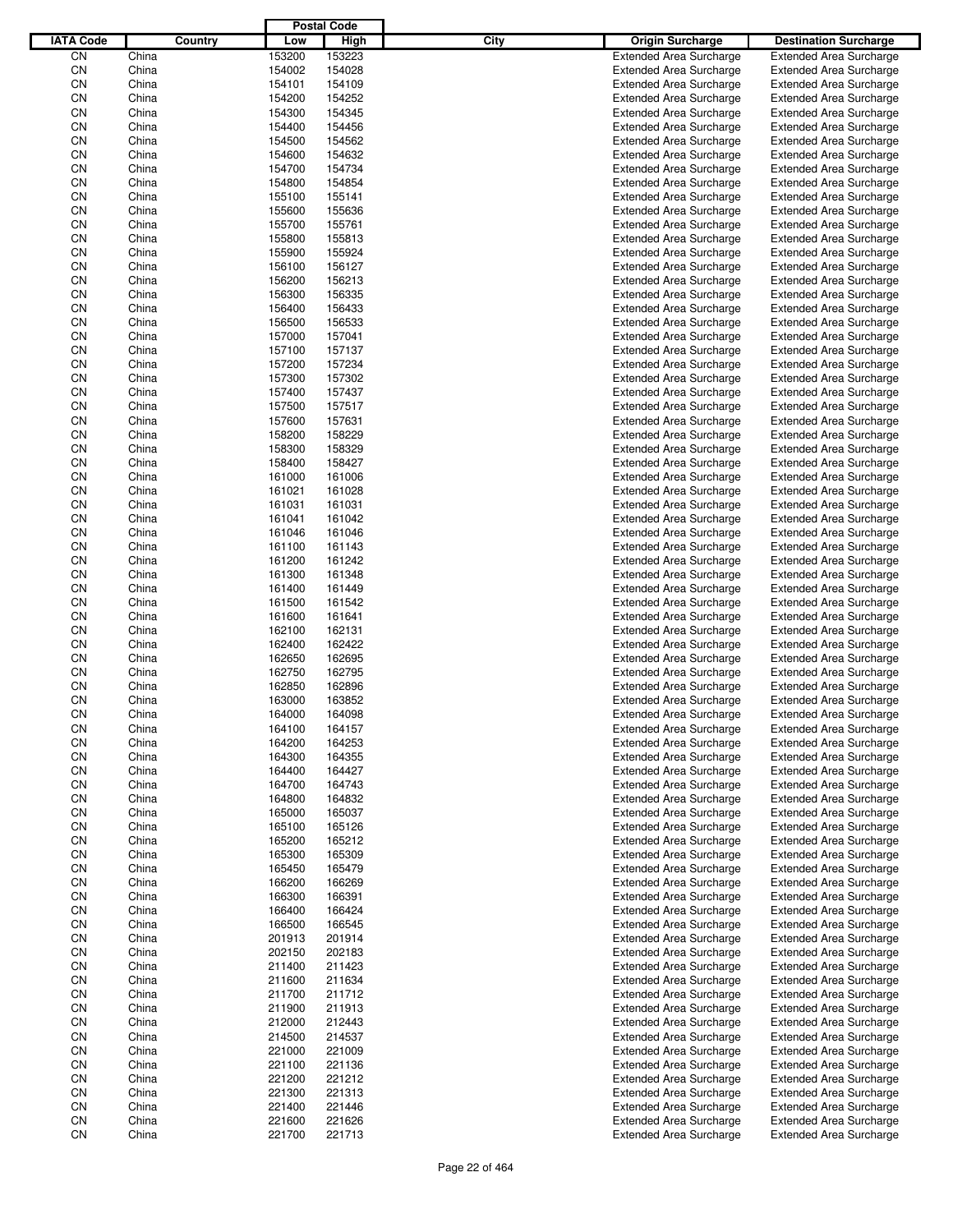|                  |                |         |                  | <b>Postal Code</b> |      |                                                                  |                                                                  |
|------------------|----------------|---------|------------------|--------------------|------|------------------------------------------------------------------|------------------------------------------------------------------|
| <b>IATA Code</b> |                | Country | Low              | High               | City | <b>Origin Surcharge</b>                                          | <b>Destination Surcharge</b>                                     |
| CN               | China          |         | 153200           | 153223             |      | <b>Extended Area Surcharge</b>                                   | <b>Extended Area Surcharge</b>                                   |
| CN               | China          |         | 154002           | 154028             |      | <b>Extended Area Surcharge</b>                                   | <b>Extended Area Surcharge</b>                                   |
| CN               | China          |         | 154101           | 154109             |      | <b>Extended Area Surcharge</b>                                   | <b>Extended Area Surcharge</b>                                   |
| CN               | China          |         | 154200           | 154252             |      | <b>Extended Area Surcharge</b>                                   | <b>Extended Area Surcharge</b>                                   |
| CN               | China          |         | 154300           | 154345             |      | <b>Extended Area Surcharge</b>                                   | <b>Extended Area Surcharge</b>                                   |
| CN               | China          |         | 154400           | 154456             |      | <b>Extended Area Surcharge</b>                                   | <b>Extended Area Surcharge</b>                                   |
| CN               | China          |         | 154500           | 154562             |      | <b>Extended Area Surcharge</b>                                   | <b>Extended Area Surcharge</b>                                   |
| CN               | China          |         | 154600           | 154632             |      | <b>Extended Area Surcharge</b>                                   | <b>Extended Area Surcharge</b>                                   |
| CN               | China          |         | 154700           | 154734             |      | <b>Extended Area Surcharge</b>                                   | <b>Extended Area Surcharge</b>                                   |
| CN               | China          |         | 154800           | 154854             |      | <b>Extended Area Surcharge</b>                                   | <b>Extended Area Surcharge</b>                                   |
| CN               | China          |         | 155100           | 155141             |      | <b>Extended Area Surcharge</b>                                   | <b>Extended Area Surcharge</b>                                   |
| CN               | China          |         | 155600           | 155636             |      | <b>Extended Area Surcharge</b>                                   | <b>Extended Area Surcharge</b>                                   |
| CN               | China          |         | 155700           | 155761             |      | <b>Extended Area Surcharge</b>                                   | <b>Extended Area Surcharge</b>                                   |
| CN               | China          |         | 155800           | 155813             |      | <b>Extended Area Surcharge</b>                                   | <b>Extended Area Surcharge</b>                                   |
| CN               | China          |         | 155900           | 155924             |      | <b>Extended Area Surcharge</b>                                   | <b>Extended Area Surcharge</b>                                   |
| CN               | China          |         | 156100           | 156127             |      | <b>Extended Area Surcharge</b>                                   | <b>Extended Area Surcharge</b>                                   |
| CN               | China          |         | 156200           | 156213             |      | <b>Extended Area Surcharge</b>                                   | <b>Extended Area Surcharge</b>                                   |
| CN               | China          |         | 156300           | 156335             |      | <b>Extended Area Surcharge</b>                                   | <b>Extended Area Surcharge</b>                                   |
| CN               | China          |         | 156400           | 156433             |      | <b>Extended Area Surcharge</b>                                   | <b>Extended Area Surcharge</b>                                   |
| CN               | China          |         | 156500           | 156533             |      | <b>Extended Area Surcharge</b>                                   | <b>Extended Area Surcharge</b>                                   |
| CN               | China          |         | 157000           | 157041             |      | <b>Extended Area Surcharge</b>                                   | <b>Extended Area Surcharge</b>                                   |
| CN<br>CN         | China          |         | 157100           | 157137<br>157234   |      | <b>Extended Area Surcharge</b>                                   | <b>Extended Area Surcharge</b><br><b>Extended Area Surcharge</b> |
| CN               | China          |         | 157200<br>157300 | 157302             |      | <b>Extended Area Surcharge</b>                                   |                                                                  |
| CN               | China<br>China |         | 157400           | 157437             |      | <b>Extended Area Surcharge</b><br><b>Extended Area Surcharge</b> | <b>Extended Area Surcharge</b><br><b>Extended Area Surcharge</b> |
| CN               | China          |         | 157500           | 157517             |      | <b>Extended Area Surcharge</b>                                   | <b>Extended Area Surcharge</b>                                   |
| CN               | China          |         | 157600           | 157631             |      | <b>Extended Area Surcharge</b>                                   | <b>Extended Area Surcharge</b>                                   |
| CN               | China          |         | 158200           | 158229             |      | <b>Extended Area Surcharge</b>                                   | <b>Extended Area Surcharge</b>                                   |
| CN               | China          |         | 158300           | 158329             |      | <b>Extended Area Surcharge</b>                                   | <b>Extended Area Surcharge</b>                                   |
| CN               | China          |         | 158400           | 158427             |      | <b>Extended Area Surcharge</b>                                   | <b>Extended Area Surcharge</b>                                   |
| CN               | China          |         | 161000           | 161006             |      | <b>Extended Area Surcharge</b>                                   | <b>Extended Area Surcharge</b>                                   |
| CN               | China          |         | 161021           | 161028             |      | <b>Extended Area Surcharge</b>                                   | <b>Extended Area Surcharge</b>                                   |
| CN               | China          |         | 161031           | 161031             |      | <b>Extended Area Surcharge</b>                                   | <b>Extended Area Surcharge</b>                                   |
| CN               | China          |         | 161041           | 161042             |      | <b>Extended Area Surcharge</b>                                   | <b>Extended Area Surcharge</b>                                   |
| CN               | China          |         | 161046           | 161046             |      | <b>Extended Area Surcharge</b>                                   | <b>Extended Area Surcharge</b>                                   |
| CN               | China          |         | 161100           | 161143             |      | <b>Extended Area Surcharge</b>                                   | <b>Extended Area Surcharge</b>                                   |
| CN               | China          |         | 161200           | 161242             |      | <b>Extended Area Surcharge</b>                                   | <b>Extended Area Surcharge</b>                                   |
| CN               | China          |         | 161300           | 161348             |      | <b>Extended Area Surcharge</b>                                   | <b>Extended Area Surcharge</b>                                   |
| CN               | China          |         | 161400           | 161449             |      | <b>Extended Area Surcharge</b>                                   | <b>Extended Area Surcharge</b>                                   |
| CN               | China          |         | 161500           | 161542             |      | <b>Extended Area Surcharge</b>                                   | <b>Extended Area Surcharge</b>                                   |
| CN               | China          |         | 161600           | 161641             |      | <b>Extended Area Surcharge</b>                                   | <b>Extended Area Surcharge</b>                                   |
| CN               | China          |         | 162100           | 162131             |      | <b>Extended Area Surcharge</b>                                   | <b>Extended Area Surcharge</b>                                   |
| CN               | China          |         | 162400           | 162422             |      | <b>Extended Area Surcharge</b>                                   | <b>Extended Area Surcharge</b>                                   |
| CN               | China          |         | 162650           | 162695             |      | <b>Extended Area Surcharge</b>                                   | <b>Extended Area Surcharge</b>                                   |
| CN               | China          |         | 162750           | 162795             |      | <b>Extended Area Surcharge</b>                                   | <b>Extended Area Surcharge</b>                                   |
| CN               | China          |         | 162850           | 162896             |      | <b>Extended Area Surcharge</b>                                   | <b>Extended Area Surcharge</b>                                   |
| CN               | China          |         | 163000           | 163852             |      | <b>Extended Area Surcharge</b>                                   | <b>Extended Area Surcharge</b>                                   |
| CN               | China          |         | 164000           | 164098             |      | <b>Extended Area Surcharge</b>                                   | <b>Extended Area Surcharge</b>                                   |
| CN               | China          |         | 164100           | 164157             |      | <b>Extended Area Surcharge</b>                                   | <b>Extended Area Surcharge</b>                                   |
| CN               | China          |         | 164200           | 164253             |      | <b>Extended Area Surcharge</b>                                   | <b>Extended Area Surcharge</b>                                   |
| CN               | China          |         | 164300           | 164355             |      | <b>Extended Area Surcharge</b>                                   | <b>Extended Area Surcharge</b>                                   |
| CN               | China          |         | 164400           | 164427             |      | <b>Extended Area Surcharge</b>                                   | <b>Extended Area Surcharge</b>                                   |
| CN               | China          |         | 164700           | 164743             |      | <b>Extended Area Surcharge</b>                                   | <b>Extended Area Surcharge</b>                                   |
| CN               | China          |         | 164800           | 164832             |      | <b>Extended Area Surcharge</b>                                   | <b>Extended Area Surcharge</b>                                   |
| CN<br>CN         | China<br>China |         | 165000<br>165100 | 165037<br>165126   |      | <b>Extended Area Surcharge</b><br><b>Extended Area Surcharge</b> | <b>Extended Area Surcharge</b><br><b>Extended Area Surcharge</b> |
| CN               | China          |         | 165200           | 165212             |      | <b>Extended Area Surcharge</b>                                   | <b>Extended Area Surcharge</b>                                   |
| CN               | China          |         | 165300           | 165309             |      | <b>Extended Area Surcharge</b>                                   | <b>Extended Area Surcharge</b>                                   |
| CN               | China          |         | 165450           | 165479             |      | <b>Extended Area Surcharge</b>                                   | <b>Extended Area Surcharge</b>                                   |
| CN               | China          |         | 166200           | 166269             |      | <b>Extended Area Surcharge</b>                                   | <b>Extended Area Surcharge</b>                                   |
| CN               | China          |         | 166300           | 166391             |      | <b>Extended Area Surcharge</b>                                   | <b>Extended Area Surcharge</b>                                   |
| CN               | China          |         | 166400           | 166424             |      | <b>Extended Area Surcharge</b>                                   | <b>Extended Area Surcharge</b>                                   |
| CN               | China          |         | 166500           | 166545             |      | <b>Extended Area Surcharge</b>                                   | <b>Extended Area Surcharge</b>                                   |
| CN               | China          |         | 201913           | 201914             |      | <b>Extended Area Surcharge</b>                                   | <b>Extended Area Surcharge</b>                                   |
| CN               | China          |         | 202150           | 202183             |      | <b>Extended Area Surcharge</b>                                   | <b>Extended Area Surcharge</b>                                   |
| CN               | China          |         | 211400           | 211423             |      | <b>Extended Area Surcharge</b>                                   | <b>Extended Area Surcharge</b>                                   |
| CN               | China          |         | 211600           | 211634             |      | <b>Extended Area Surcharge</b>                                   | <b>Extended Area Surcharge</b>                                   |
| CN               | China          |         | 211700           | 211712             |      | <b>Extended Area Surcharge</b>                                   | <b>Extended Area Surcharge</b>                                   |
| CN               | China          |         | 211900           | 211913             |      | <b>Extended Area Surcharge</b>                                   | <b>Extended Area Surcharge</b>                                   |
| CN               | China          |         | 212000           | 212443             |      | <b>Extended Area Surcharge</b>                                   | <b>Extended Area Surcharge</b>                                   |
| CN               | China          |         | 214500           | 214537             |      | <b>Extended Area Surcharge</b>                                   | <b>Extended Area Surcharge</b>                                   |
| CN               | China          |         | 221000           | 221009             |      | <b>Extended Area Surcharge</b>                                   | <b>Extended Area Surcharge</b>                                   |
| CN               | China          |         | 221100           | 221136             |      | <b>Extended Area Surcharge</b>                                   | <b>Extended Area Surcharge</b>                                   |
| CN               | China          |         | 221200           | 221212             |      | <b>Extended Area Surcharge</b>                                   | <b>Extended Area Surcharge</b>                                   |
| CN               | China          |         | 221300           | 221313             |      | <b>Extended Area Surcharge</b>                                   | <b>Extended Area Surcharge</b>                                   |
| CN               | China          |         | 221400           | 221446             |      | <b>Extended Area Surcharge</b>                                   | <b>Extended Area Surcharge</b>                                   |
| CN               | China          |         | 221600           | 221626             |      | <b>Extended Area Surcharge</b>                                   | <b>Extended Area Surcharge</b>                                   |
| CN               | China          |         | 221700           | 221713             |      | <b>Extended Area Surcharge</b>                                   | <b>Extended Area Surcharge</b>                                   |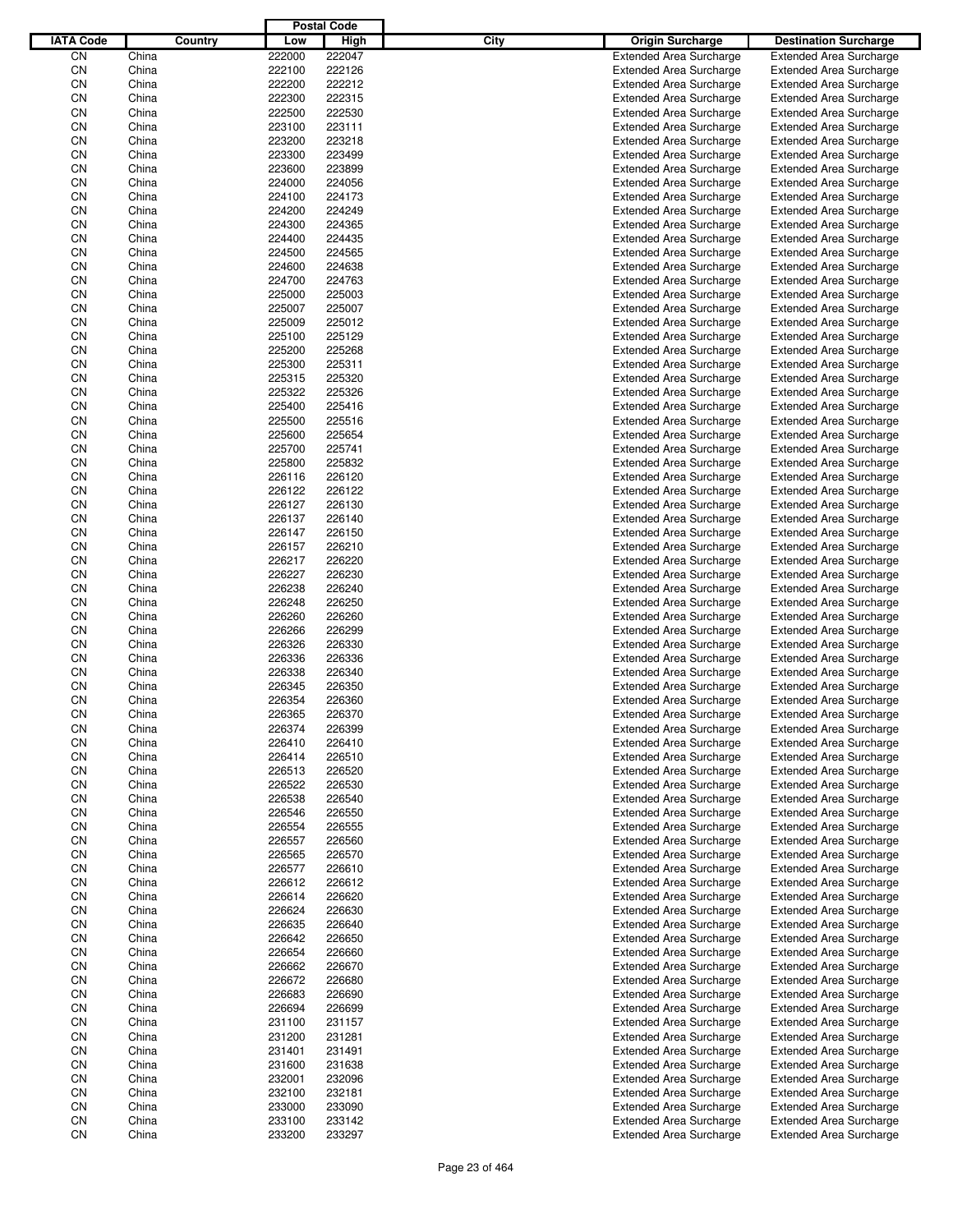|                  |                |         |                  | <b>Postal Code</b> |             |                                                                  |                                                                  |
|------------------|----------------|---------|------------------|--------------------|-------------|------------------------------------------------------------------|------------------------------------------------------------------|
| <b>IATA Code</b> |                | Country | Low              | High               | <b>City</b> | <b>Origin Surcharge</b>                                          | <b>Destination Surcharge</b>                                     |
| CΝ               | China          |         | 222000           | 222047             |             | <b>Extended Area Surcharge</b>                                   | <b>Extended Area Surcharge</b>                                   |
| CN               | China          |         | 222100           | 222126             |             | <b>Extended Area Surcharge</b>                                   | <b>Extended Area Surcharge</b>                                   |
| CN               | China          |         | 222200           | 222212             |             | <b>Extended Area Surcharge</b>                                   | <b>Extended Area Surcharge</b>                                   |
| CN               | China          |         | 222300           | 222315             |             | <b>Extended Area Surcharge</b>                                   | <b>Extended Area Surcharge</b>                                   |
| CN               | China          |         | 222500           | 222530             |             | <b>Extended Area Surcharge</b>                                   | <b>Extended Area Surcharge</b>                                   |
| CN               | China          |         | 223100           | 223111             |             | <b>Extended Area Surcharge</b>                                   | <b>Extended Area Surcharge</b>                                   |
| CN               | China          |         | 223200           | 223218             |             | <b>Extended Area Surcharge</b>                                   | <b>Extended Area Surcharge</b>                                   |
| CN               | China          |         | 223300           | 223499             |             | <b>Extended Area Surcharge</b>                                   | <b>Extended Area Surcharge</b>                                   |
| CN               | China          |         | 223600           | 223899             |             | <b>Extended Area Surcharge</b>                                   | <b>Extended Area Surcharge</b>                                   |
| CN               | China          |         | 224000           | 224056             |             | <b>Extended Area Surcharge</b>                                   | <b>Extended Area Surcharge</b>                                   |
| CN               | China          |         | 224100           | 224173             |             | <b>Extended Area Surcharge</b>                                   | <b>Extended Area Surcharge</b>                                   |
| CN               | China          |         | 224200           | 224249             |             | <b>Extended Area Surcharge</b>                                   | <b>Extended Area Surcharge</b>                                   |
| CN               | China          |         | 224300           | 224365             |             | <b>Extended Area Surcharge</b>                                   | <b>Extended Area Surcharge</b>                                   |
| CN               | China          |         | 224400           | 224435             |             | <b>Extended Area Surcharge</b>                                   | <b>Extended Area Surcharge</b>                                   |
| CN               | China          |         | 224500           | 224565             |             | <b>Extended Area Surcharge</b>                                   | <b>Extended Area Surcharge</b>                                   |
| CN               | China          |         | 224600           | 224638             |             | <b>Extended Area Surcharge</b>                                   | <b>Extended Area Surcharge</b>                                   |
| CN               | China          |         | 224700           | 224763             |             | <b>Extended Area Surcharge</b>                                   | <b>Extended Area Surcharge</b>                                   |
| CN               | China          |         | 225000           | 225003             |             | <b>Extended Area Surcharge</b>                                   | <b>Extended Area Surcharge</b>                                   |
| CN               | China          |         | 225007           | 225007<br>225012   |             | <b>Extended Area Surcharge</b>                                   | <b>Extended Area Surcharge</b>                                   |
| CN               | China          |         | 225009           |                    |             | <b>Extended Area Surcharge</b>                                   | <b>Extended Area Surcharge</b>                                   |
| CN               | China<br>China |         | 225100           | 225129             |             | <b>Extended Area Surcharge</b>                                   | <b>Extended Area Surcharge</b>                                   |
| CN<br>CN         |                |         | 225200<br>225300 | 225268<br>225311   |             | <b>Extended Area Surcharge</b>                                   | <b>Extended Area Surcharge</b>                                   |
| CN               | China<br>China |         | 225315           | 225320             |             | <b>Extended Area Surcharge</b><br><b>Extended Area Surcharge</b> | <b>Extended Area Surcharge</b><br><b>Extended Area Surcharge</b> |
| CN               | China          |         | 225322           | 225326             |             | <b>Extended Area Surcharge</b>                                   | <b>Extended Area Surcharge</b>                                   |
| CN               | China          |         | 225400           | 225416             |             | <b>Extended Area Surcharge</b>                                   | <b>Extended Area Surcharge</b>                                   |
| CN               | China          |         | 225500           | 225516             |             | <b>Extended Area Surcharge</b>                                   | <b>Extended Area Surcharge</b>                                   |
| CN               | China          |         | 225600           | 225654             |             | <b>Extended Area Surcharge</b>                                   | <b>Extended Area Surcharge</b>                                   |
| CN               | China          |         | 225700           | 225741             |             | <b>Extended Area Surcharge</b>                                   | <b>Extended Area Surcharge</b>                                   |
| CN               | China          |         | 225800           | 225832             |             | <b>Extended Area Surcharge</b>                                   | <b>Extended Area Surcharge</b>                                   |
| CN               | China          |         | 226116           | 226120             |             | <b>Extended Area Surcharge</b>                                   | <b>Extended Area Surcharge</b>                                   |
| CN               | China          |         | 226122           | 226122             |             | <b>Extended Area Surcharge</b>                                   | <b>Extended Area Surcharge</b>                                   |
| CN               | China          |         | 226127           | 226130             |             | <b>Extended Area Surcharge</b>                                   | <b>Extended Area Surcharge</b>                                   |
| CN               | China          |         | 226137           | 226140             |             | <b>Extended Area Surcharge</b>                                   | <b>Extended Area Surcharge</b>                                   |
| CN               | China          |         | 226147           | 226150             |             | <b>Extended Area Surcharge</b>                                   | <b>Extended Area Surcharge</b>                                   |
| CN               | China          |         | 226157           | 226210             |             | <b>Extended Area Surcharge</b>                                   | <b>Extended Area Surcharge</b>                                   |
| CN               | China          |         | 226217           | 226220             |             | <b>Extended Area Surcharge</b>                                   | <b>Extended Area Surcharge</b>                                   |
| CN               | China          |         | 226227           | 226230             |             | <b>Extended Area Surcharge</b>                                   | <b>Extended Area Surcharge</b>                                   |
| CN               | China          |         | 226238           | 226240             |             | <b>Extended Area Surcharge</b>                                   | <b>Extended Area Surcharge</b>                                   |
| CN               | China          |         | 226248           | 226250             |             | <b>Extended Area Surcharge</b>                                   | <b>Extended Area Surcharge</b>                                   |
| CN               | China          |         | 226260           | 226260             |             | <b>Extended Area Surcharge</b>                                   | <b>Extended Area Surcharge</b>                                   |
| CN               | China          |         | 226266           | 226299             |             | <b>Extended Area Surcharge</b>                                   | <b>Extended Area Surcharge</b>                                   |
| CN               | China          |         | 226326           | 226330             |             | <b>Extended Area Surcharge</b>                                   | <b>Extended Area Surcharge</b>                                   |
| CN               | China          |         | 226336           | 226336             |             | <b>Extended Area Surcharge</b>                                   | <b>Extended Area Surcharge</b>                                   |
| CN               | China          |         | 226338           | 226340             |             | <b>Extended Area Surcharge</b>                                   | <b>Extended Area Surcharge</b>                                   |
| CN               | China          |         | 226345           | 226350             |             | <b>Extended Area Surcharge</b>                                   | <b>Extended Area Surcharge</b>                                   |
| CΝ               | China          |         | 226354           | 226360             |             | <b>Extended Area Surcharge</b>                                   | <b>Extended Area Surcharge</b>                                   |
| CN               | China          |         | 226365           | 226370             |             | <b>Extended Area Surcharge</b>                                   | <b>Extended Area Surcharge</b>                                   |
| CN               | China          |         | 226374           | 226399             |             | <b>Extended Area Surcharge</b>                                   | <b>Extended Area Surcharge</b>                                   |
| CN               | China          |         | 226410           | 226410             |             | <b>Extended Area Surcharge</b>                                   | <b>Extended Area Surcharge</b>                                   |
| CN               | China          |         | 226414           | 226510             |             | <b>Extended Area Surcharge</b>                                   | <b>Extended Area Surcharge</b>                                   |
| CN               | China          |         | 226513           | 226520             |             | <b>Extended Area Surcharge</b>                                   | <b>Extended Area Surcharge</b>                                   |
| CN               | China          |         | 226522           | 226530             |             | <b>Extended Area Surcharge</b>                                   | <b>Extended Area Surcharge</b>                                   |
| CN               | China          |         | 226538           | 226540             |             | <b>Extended Area Surcharge</b>                                   | <b>Extended Area Surcharge</b>                                   |
| CN               | China          |         | 226546           | 226550             |             | <b>Extended Area Surcharge</b>                                   | <b>Extended Area Surcharge</b>                                   |
| CN<br>CN         | China<br>China |         | 226554<br>226557 | 226555<br>226560   |             | <b>Extended Area Surcharge</b><br><b>Extended Area Surcharge</b> | <b>Extended Area Surcharge</b><br><b>Extended Area Surcharge</b> |
| CN               |                |         | 226565           | 226570             |             |                                                                  |                                                                  |
| CN               | China          |         | 226577           | 226610             |             | <b>Extended Area Surcharge</b>                                   | <b>Extended Area Surcharge</b><br><b>Extended Area Surcharge</b> |
| CN               | China<br>China |         | 226612           | 226612             |             | <b>Extended Area Surcharge</b><br><b>Extended Area Surcharge</b> | <b>Extended Area Surcharge</b>                                   |
| CN               | China          |         | 226614           | 226620             |             | <b>Extended Area Surcharge</b>                                   | <b>Extended Area Surcharge</b>                                   |
| CN               | China          |         | 226624           | 226630             |             | <b>Extended Area Surcharge</b>                                   | <b>Extended Area Surcharge</b>                                   |
| CN               | China          |         | 226635           | 226640             |             | <b>Extended Area Surcharge</b>                                   | <b>Extended Area Surcharge</b>                                   |
| CN               | China          |         | 226642           | 226650             |             | <b>Extended Area Surcharge</b>                                   | <b>Extended Area Surcharge</b>                                   |
| CN               | China          |         | 226654           | 226660             |             | <b>Extended Area Surcharge</b>                                   | <b>Extended Area Surcharge</b>                                   |
| CN               | China          |         | 226662           | 226670             |             | <b>Extended Area Surcharge</b>                                   | <b>Extended Area Surcharge</b>                                   |
| CN               | China          |         | 226672           | 226680             |             | <b>Extended Area Surcharge</b>                                   | <b>Extended Area Surcharge</b>                                   |
| CN               | China          |         | 226683           | 226690             |             | <b>Extended Area Surcharge</b>                                   | <b>Extended Area Surcharge</b>                                   |
| CN               | China          |         | 226694           | 226699             |             | <b>Extended Area Surcharge</b>                                   | <b>Extended Area Surcharge</b>                                   |
| CN               | China          |         | 231100           | 231157             |             | <b>Extended Area Surcharge</b>                                   | <b>Extended Area Surcharge</b>                                   |
| CN               | China          |         | 231200           | 231281             |             | <b>Extended Area Surcharge</b>                                   | <b>Extended Area Surcharge</b>                                   |
| CN               | China          |         | 231401           | 231491             |             | <b>Extended Area Surcharge</b>                                   | <b>Extended Area Surcharge</b>                                   |
| CN               | China          |         | 231600           | 231638             |             | <b>Extended Area Surcharge</b>                                   | <b>Extended Area Surcharge</b>                                   |
| CN               | China          |         | 232001           | 232096             |             | <b>Extended Area Surcharge</b>                                   | <b>Extended Area Surcharge</b>                                   |
| CN               | China          |         | 232100           | 232181             |             | <b>Extended Area Surcharge</b>                                   | <b>Extended Area Surcharge</b>                                   |
| CN               | China          |         | 233000           | 233090             |             | <b>Extended Area Surcharge</b>                                   | <b>Extended Area Surcharge</b>                                   |
| CN               | China          |         | 233100           | 233142             |             | <b>Extended Area Surcharge</b>                                   | <b>Extended Area Surcharge</b>                                   |
| CN               | China          |         | 233200           | 233297             |             | <b>Extended Area Surcharge</b>                                   | <b>Extended Area Surcharge</b>                                   |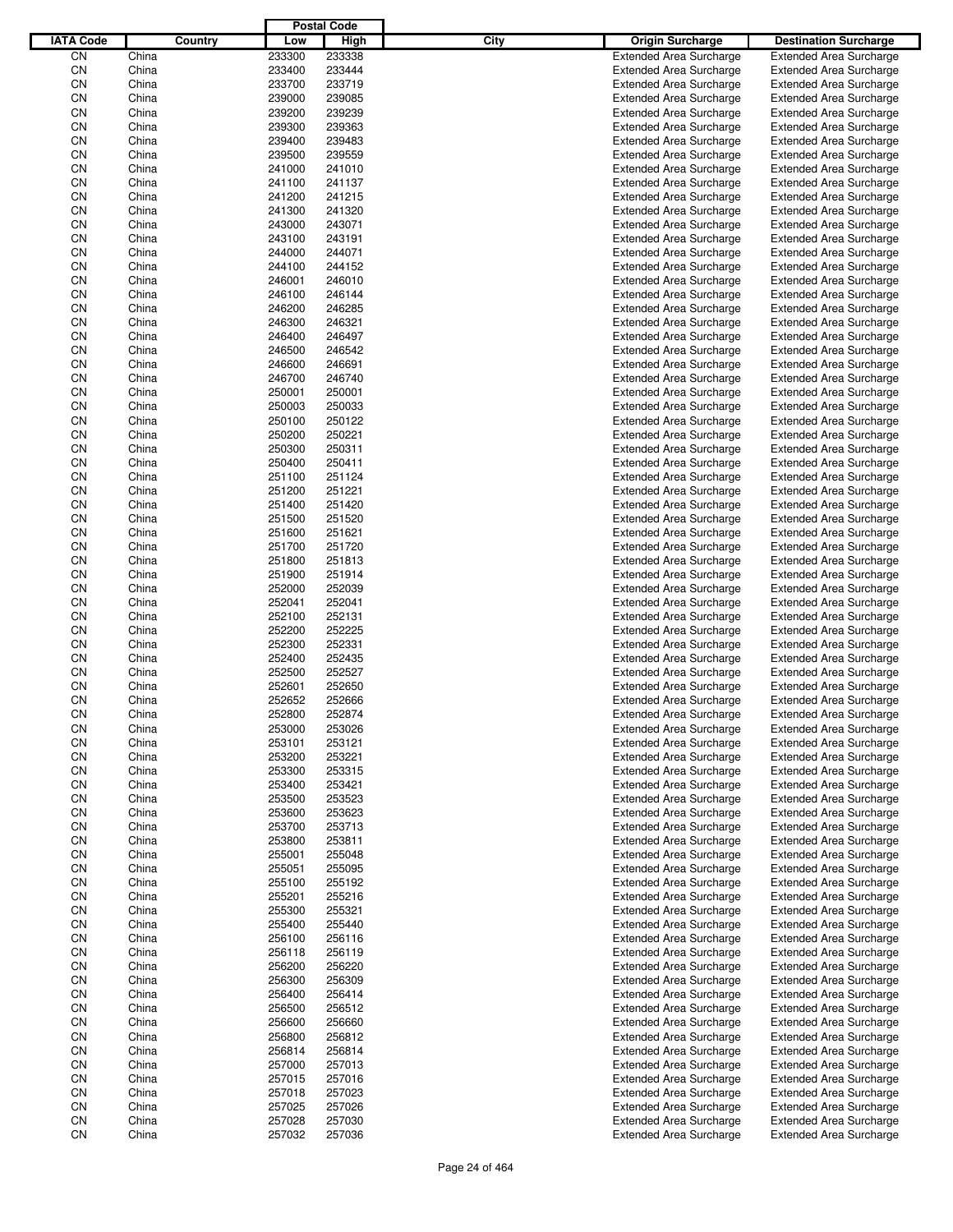|                  |                |         |                  | <b>Postal Code</b> |             |                                                                  |                                                                  |
|------------------|----------------|---------|------------------|--------------------|-------------|------------------------------------------------------------------|------------------------------------------------------------------|
| <b>IATA Code</b> |                | Country | Low              | High               | <b>City</b> | <b>Origin Surcharge</b>                                          | <b>Destination Surcharge</b>                                     |
| CN               | China          |         | 233300           | 233338             |             | <b>Extended Area Surcharge</b>                                   | <b>Extended Area Surcharge</b>                                   |
| CN               | China          |         | 233400           | 233444             |             | <b>Extended Area Surcharge</b>                                   | <b>Extended Area Surcharge</b>                                   |
| CN               | China          |         | 233700           | 233719             |             | <b>Extended Area Surcharge</b>                                   | <b>Extended Area Surcharge</b>                                   |
| CN               | China          |         | 239000           | 239085             |             | <b>Extended Area Surcharge</b>                                   | <b>Extended Area Surcharge</b>                                   |
| CN               | China          |         | 239200           | 239239             |             | <b>Extended Area Surcharge</b>                                   | <b>Extended Area Surcharge</b>                                   |
| CN               | China          |         | 239300           | 239363             |             | <b>Extended Area Surcharge</b>                                   | <b>Extended Area Surcharge</b>                                   |
| CN               | China          |         | 239400           | 239483             |             | <b>Extended Area Surcharge</b>                                   | <b>Extended Area Surcharge</b>                                   |
| CN               | China          |         | 239500           | 239559             |             | <b>Extended Area Surcharge</b>                                   | <b>Extended Area Surcharge</b>                                   |
| CN               | China          |         | 241000           | 241010             |             | <b>Extended Area Surcharge</b>                                   | <b>Extended Area Surcharge</b>                                   |
| CN               | China          |         | 241100           | 241137             |             | <b>Extended Area Surcharge</b>                                   | <b>Extended Area Surcharge</b>                                   |
| CN               | China          |         | 241200           | 241215             |             | <b>Extended Area Surcharge</b>                                   | <b>Extended Area Surcharge</b>                                   |
| CN               | China          |         | 241300           | 241320             |             | <b>Extended Area Surcharge</b>                                   | <b>Extended Area Surcharge</b>                                   |
| CN               | China          |         | 243000           | 243071             |             | <b>Extended Area Surcharge</b>                                   | <b>Extended Area Surcharge</b>                                   |
| CN               | China          |         | 243100           | 243191             |             | <b>Extended Area Surcharge</b>                                   | <b>Extended Area Surcharge</b>                                   |
| CN               | China<br>China |         | 244000           | 244071<br>244152   |             | <b>Extended Area Surcharge</b>                                   | <b>Extended Area Surcharge</b>                                   |
| CN<br>CN         | China          |         | 244100<br>246001 | 246010             |             | <b>Extended Area Surcharge</b><br><b>Extended Area Surcharge</b> | <b>Extended Area Surcharge</b><br><b>Extended Area Surcharge</b> |
| CN               | China          |         | 246100           | 246144             |             | <b>Extended Area Surcharge</b>                                   | <b>Extended Area Surcharge</b>                                   |
| CN               | China          |         | 246200           | 246285             |             | <b>Extended Area Surcharge</b>                                   | <b>Extended Area Surcharge</b>                                   |
| CN               | China          |         | 246300           | 246321             |             | <b>Extended Area Surcharge</b>                                   | <b>Extended Area Surcharge</b>                                   |
| CN               | China          |         | 246400           | 246497             |             | <b>Extended Area Surcharge</b>                                   | <b>Extended Area Surcharge</b>                                   |
| CN               | China          |         | 246500           | 246542             |             | <b>Extended Area Surcharge</b>                                   | <b>Extended Area Surcharge</b>                                   |
| CN               | China          |         | 246600           | 246691             |             | <b>Extended Area Surcharge</b>                                   | <b>Extended Area Surcharge</b>                                   |
| CN               | China          |         | 246700           | 246740             |             | <b>Extended Area Surcharge</b>                                   | <b>Extended Area Surcharge</b>                                   |
| CN               | China          |         | 250001           | 250001             |             | <b>Extended Area Surcharge</b>                                   | <b>Extended Area Surcharge</b>                                   |
| CN               | China          |         | 250003           | 250033             |             | <b>Extended Area Surcharge</b>                                   | <b>Extended Area Surcharge</b>                                   |
| CN               | China          |         | 250100           | 250122             |             | <b>Extended Area Surcharge</b>                                   | <b>Extended Area Surcharge</b>                                   |
| CN               | China          |         | 250200           | 250221             |             | <b>Extended Area Surcharge</b>                                   | <b>Extended Area Surcharge</b>                                   |
| CN               | China          |         | 250300           | 250311             |             | <b>Extended Area Surcharge</b>                                   | <b>Extended Area Surcharge</b>                                   |
| CN               | China          |         | 250400           | 250411             |             | <b>Extended Area Surcharge</b>                                   | <b>Extended Area Surcharge</b>                                   |
| CN               | China          |         | 251100           | 251124             |             | <b>Extended Area Surcharge</b>                                   | <b>Extended Area Surcharge</b>                                   |
| CN               | China          |         | 251200           | 251221             |             | <b>Extended Area Surcharge</b>                                   | <b>Extended Area Surcharge</b>                                   |
| CN               | China          |         | 251400           | 251420             |             | <b>Extended Area Surcharge</b>                                   | <b>Extended Area Surcharge</b>                                   |
| CN               | China          |         | 251500           | 251520             |             | <b>Extended Area Surcharge</b>                                   | <b>Extended Area Surcharge</b>                                   |
| CN               | China          |         | 251600           | 251621             |             | <b>Extended Area Surcharge</b>                                   | <b>Extended Area Surcharge</b>                                   |
| CN               | China          |         | 251700           | 251720             |             | <b>Extended Area Surcharge</b>                                   | <b>Extended Area Surcharge</b>                                   |
| CN               | China          |         | 251800           | 251813             |             | <b>Extended Area Surcharge</b>                                   | <b>Extended Area Surcharge</b>                                   |
| CN               | China          |         | 251900           | 251914             |             | <b>Extended Area Surcharge</b>                                   | <b>Extended Area Surcharge</b>                                   |
| CN               | China          |         | 252000           | 252039             |             | <b>Extended Area Surcharge</b>                                   | <b>Extended Area Surcharge</b>                                   |
| CN               | China          |         | 252041           | 252041             |             | <b>Extended Area Surcharge</b>                                   | <b>Extended Area Surcharge</b>                                   |
| CN               | China          |         | 252100           | 252131             |             | <b>Extended Area Surcharge</b>                                   | <b>Extended Area Surcharge</b>                                   |
| CN               | China          |         | 252200           | 252225             |             | <b>Extended Area Surcharge</b>                                   | <b>Extended Area Surcharge</b>                                   |
| CN               | China          |         | 252300           | 252331             |             | <b>Extended Area Surcharge</b>                                   | <b>Extended Area Surcharge</b>                                   |
| CN               | China          |         | 252400           | 252435             |             | <b>Extended Area Surcharge</b>                                   | <b>Extended Area Surcharge</b>                                   |
| CN               | China          |         | 252500           | 252527             |             | <b>Extended Area Surcharge</b>                                   | <b>Extended Area Surcharge</b>                                   |
| CN               | China          |         | 252601           | 252650             |             | <b>Extended Area Surcharge</b>                                   | <b>Extended Area Surcharge</b>                                   |
| CN               | China          |         | 252652           | 252666             |             | <b>Extended Area Surcharge</b>                                   | <b>Extended Area Surcharge</b>                                   |
| CN               | China          |         | 252800           | 252874             |             | <b>Extended Area Surcharge</b>                                   | <b>Extended Area Surcharge</b>                                   |
| CN               | China          |         | 253000           | 253026             |             | <b>Extended Area Surcharge</b>                                   | <b>Extended Area Surcharge</b>                                   |
| CN               | China          |         | 253101           | 253121             |             | <b>Extended Area Surcharge</b>                                   | <b>Extended Area Surcharge</b>                                   |
| CN               | China          |         | 253200           | 253221             |             | <b>Extended Area Surcharge</b>                                   | <b>Extended Area Surcharge</b>                                   |
| CN               | China          |         | 253300           | 253315             |             | <b>Extended Area Surcharge</b>                                   | <b>Extended Area Surcharge</b>                                   |
| CN               | China          |         | 253400           | 253421             |             | <b>Extended Area Surcharge</b>                                   | <b>Extended Area Surcharge</b>                                   |
| CN               | China          |         | 253500           | 253523             |             | <b>Extended Area Surcharge</b>                                   | <b>Extended Area Surcharge</b>                                   |
| CN<br>CN         | China<br>China |         | 253600<br>253700 | 253623<br>253713   |             | <b>Extended Area Surcharge</b><br><b>Extended Area Surcharge</b> | <b>Extended Area Surcharge</b><br><b>Extended Area Surcharge</b> |
| CN               | China          |         | 253800           | 253811             |             | <b>Extended Area Surcharge</b>                                   | <b>Extended Area Surcharge</b>                                   |
| CN               | China          |         | 255001           | 255048             |             | <b>Extended Area Surcharge</b>                                   | <b>Extended Area Surcharge</b>                                   |
| CN               | China          |         | 255051           | 255095             |             | <b>Extended Area Surcharge</b>                                   | <b>Extended Area Surcharge</b>                                   |
| CN               | China          |         | 255100           | 255192             |             | <b>Extended Area Surcharge</b>                                   | <b>Extended Area Surcharge</b>                                   |
| CN               | China          |         | 255201           | 255216             |             | <b>Extended Area Surcharge</b>                                   | <b>Extended Area Surcharge</b>                                   |
| CN               | China          |         | 255300           | 255321             |             | <b>Extended Area Surcharge</b>                                   | <b>Extended Area Surcharge</b>                                   |
| CN               | China          |         | 255400           | 255440             |             | <b>Extended Area Surcharge</b>                                   | <b>Extended Area Surcharge</b>                                   |
| CN               | China          |         | 256100           | 256116             |             | <b>Extended Area Surcharge</b>                                   | <b>Extended Area Surcharge</b>                                   |
| CN               | China          |         | 256118           | 256119             |             | <b>Extended Area Surcharge</b>                                   | <b>Extended Area Surcharge</b>                                   |
| CN               | China          |         | 256200           | 256220             |             | <b>Extended Area Surcharge</b>                                   | <b>Extended Area Surcharge</b>                                   |
| CN               | China          |         | 256300           | 256309             |             | <b>Extended Area Surcharge</b>                                   | <b>Extended Area Surcharge</b>                                   |
| CN               | China          |         | 256400           | 256414             |             | <b>Extended Area Surcharge</b>                                   | <b>Extended Area Surcharge</b>                                   |
| CN               | China          |         | 256500           | 256512             |             | <b>Extended Area Surcharge</b>                                   | <b>Extended Area Surcharge</b>                                   |
| CN               | China          |         | 256600           | 256660             |             | <b>Extended Area Surcharge</b>                                   | <b>Extended Area Surcharge</b>                                   |
| CN               | China          |         | 256800           | 256812             |             | <b>Extended Area Surcharge</b>                                   | <b>Extended Area Surcharge</b>                                   |
| CN               | China          |         | 256814           | 256814             |             | <b>Extended Area Surcharge</b>                                   | <b>Extended Area Surcharge</b>                                   |
| CN               | China          |         | 257000           | 257013             |             | <b>Extended Area Surcharge</b>                                   | <b>Extended Area Surcharge</b>                                   |
| CN               | China          |         | 257015           | 257016             |             | <b>Extended Area Surcharge</b>                                   | <b>Extended Area Surcharge</b>                                   |
| CN               | China          |         | 257018           | 257023             |             | <b>Extended Area Surcharge</b>                                   | <b>Extended Area Surcharge</b>                                   |
| CN               | China          |         | 257025           | 257026             |             | <b>Extended Area Surcharge</b>                                   | <b>Extended Area Surcharge</b>                                   |
| CN               | China          |         | 257028           | 257030             |             | <b>Extended Area Surcharge</b>                                   | <b>Extended Area Surcharge</b>                                   |
| CN               | China          |         | 257032           | 257036             |             | <b>Extended Area Surcharge</b>                                   | <b>Extended Area Surcharge</b>                                   |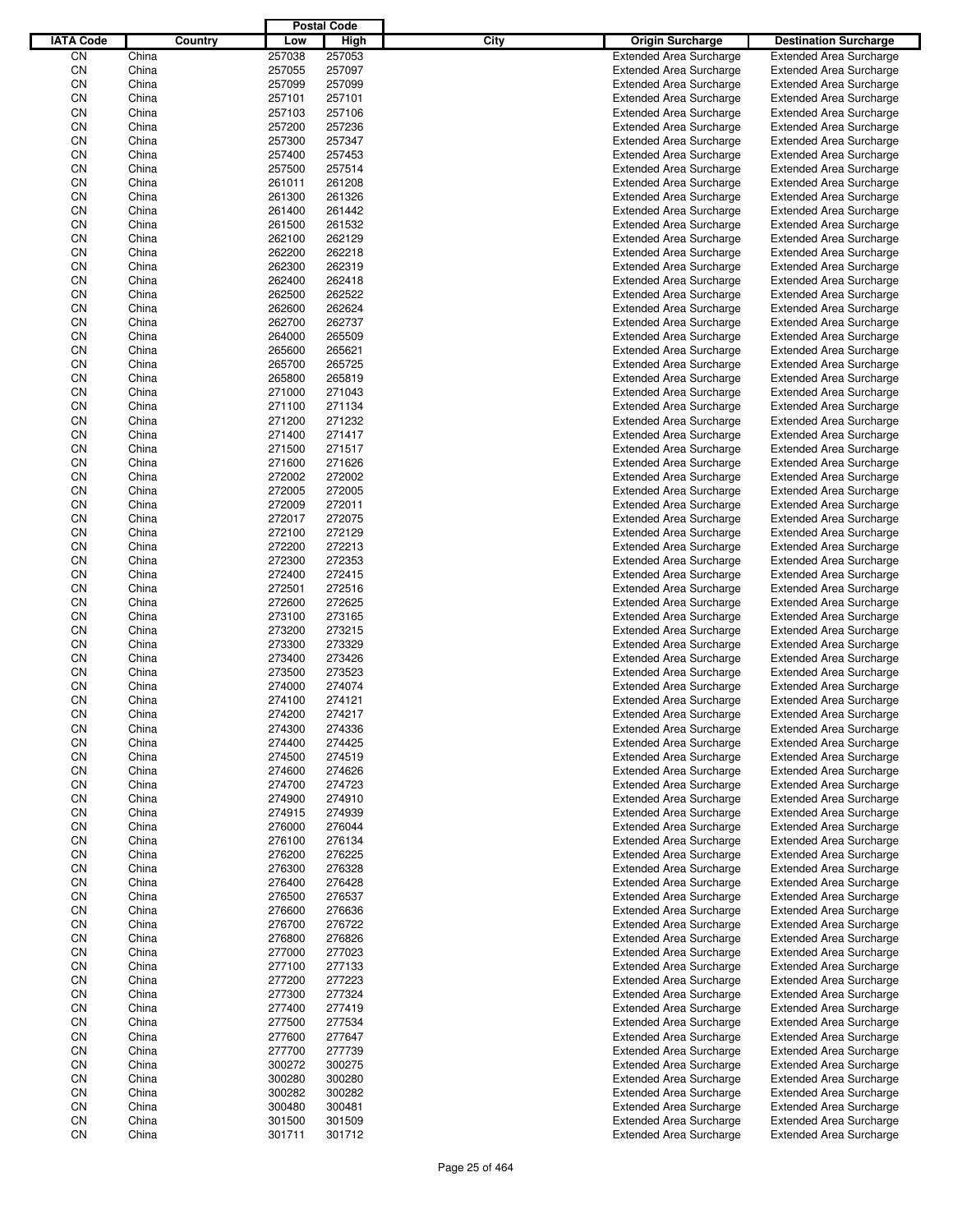|                  |                |         |                  | <b>Postal Code</b> |      |                                                                  |                                                                  |
|------------------|----------------|---------|------------------|--------------------|------|------------------------------------------------------------------|------------------------------------------------------------------|
| <b>IATA Code</b> |                | Country | Low              | High               | City | Origin Surcharge                                                 | <b>Destination Surcharge</b>                                     |
| CN               | China          |         | 257038           | 257053             |      | <b>Extended Area Surcharge</b>                                   | <b>Extended Area Surcharge</b>                                   |
| CN               | China          |         | 257055           | 257097             |      | <b>Extended Area Surcharge</b>                                   | <b>Extended Area Surcharge</b>                                   |
| CN               | China          |         | 257099           | 257099             |      | <b>Extended Area Surcharge</b>                                   | <b>Extended Area Surcharge</b>                                   |
| CN               | China          |         | 257101           | 257101             |      | <b>Extended Area Surcharge</b>                                   | <b>Extended Area Surcharge</b>                                   |
| CN               | China          |         | 257103           | 257106             |      | <b>Extended Area Surcharge</b>                                   | <b>Extended Area Surcharge</b>                                   |
| CN               | China          |         | 257200           | 257236             |      | <b>Extended Area Surcharge</b>                                   | <b>Extended Area Surcharge</b>                                   |
| CN               | China          |         | 257300           | 257347             |      | <b>Extended Area Surcharge</b>                                   | <b>Extended Area Surcharge</b>                                   |
| CN               | China          |         | 257400           | 257453             |      | <b>Extended Area Surcharge</b>                                   | <b>Extended Area Surcharge</b>                                   |
| CN               | China          |         | 257500           | 257514             |      | <b>Extended Area Surcharge</b>                                   | <b>Extended Area Surcharge</b>                                   |
| CN               | China          |         | 261011           | 261208             |      | <b>Extended Area Surcharge</b>                                   | <b>Extended Area Surcharge</b>                                   |
| CN               | China          |         | 261300           | 261326             |      | <b>Extended Area Surcharge</b>                                   | <b>Extended Area Surcharge</b>                                   |
| CN               | China          |         | 261400           | 261442             |      | <b>Extended Area Surcharge</b>                                   | <b>Extended Area Surcharge</b>                                   |
| CN               | China          |         | 261500           | 261532             |      | <b>Extended Area Surcharge</b>                                   | <b>Extended Area Surcharge</b>                                   |
| CN               | China          |         | 262100           | 262129             |      | <b>Extended Area Surcharge</b>                                   | <b>Extended Area Surcharge</b>                                   |
| CN               | China          |         | 262200           | 262218             |      | <b>Extended Area Surcharge</b>                                   | <b>Extended Area Surcharge</b>                                   |
| CN               | China          |         | 262300           | 262319             |      | <b>Extended Area Surcharge</b>                                   | <b>Extended Area Surcharge</b>                                   |
| CN               | China          |         | 262400           | 262418             |      | <b>Extended Area Surcharge</b>                                   | <b>Extended Area Surcharge</b>                                   |
| CN               | China          |         | 262500           | 262522             |      | <b>Extended Area Surcharge</b>                                   | <b>Extended Area Surcharge</b>                                   |
| CN               | China          |         | 262600           | 262624             |      | <b>Extended Area Surcharge</b>                                   | <b>Extended Area Surcharge</b>                                   |
| CN               | China          |         | 262700           | 262737             |      | <b>Extended Area Surcharge</b>                                   | <b>Extended Area Surcharge</b>                                   |
| CN               | China          |         | 264000           | 265509             |      | <b>Extended Area Surcharge</b>                                   | <b>Extended Area Surcharge</b>                                   |
| CN               | China          |         | 265600           | 265621             |      | <b>Extended Area Surcharge</b>                                   | <b>Extended Area Surcharge</b>                                   |
| CN               | China          |         | 265700           | 265725             |      | <b>Extended Area Surcharge</b>                                   | <b>Extended Area Surcharge</b>                                   |
| CN               | China          |         | 265800           | 265819             |      | <b>Extended Area Surcharge</b>                                   | <b>Extended Area Surcharge</b>                                   |
| CN               | China          |         | 271000           | 271043             |      | <b>Extended Area Surcharge</b>                                   | <b>Extended Area Surcharge</b>                                   |
| CN               | China          |         | 271100           | 271134             |      | <b>Extended Area Surcharge</b>                                   | <b>Extended Area Surcharge</b>                                   |
| CN               | China          |         | 271200           | 271232             |      | <b>Extended Area Surcharge</b>                                   | <b>Extended Area Surcharge</b>                                   |
| CN               | China          |         | 271400           | 271417             |      | <b>Extended Area Surcharge</b>                                   | <b>Extended Area Surcharge</b>                                   |
| CN               | China          |         | 271500           | 271517             |      | <b>Extended Area Surcharge</b>                                   | <b>Extended Area Surcharge</b>                                   |
| CN               | China          |         | 271600           | 271626             |      | <b>Extended Area Surcharge</b>                                   | <b>Extended Area Surcharge</b>                                   |
| CN               | China          |         | 272002           | 272002             |      | <b>Extended Area Surcharge</b>                                   | <b>Extended Area Surcharge</b>                                   |
| CN               | China          |         | 272005           | 272005             |      | <b>Extended Area Surcharge</b>                                   | <b>Extended Area Surcharge</b>                                   |
| CN               | China          |         | 272009           | 272011             |      | <b>Extended Area Surcharge</b>                                   | <b>Extended Area Surcharge</b>                                   |
| CN               | China          |         | 272017           | 272075             |      | <b>Extended Area Surcharge</b>                                   | <b>Extended Area Surcharge</b>                                   |
| CΝ               | China          |         | 272100           | 272129             |      | <b>Extended Area Surcharge</b>                                   | <b>Extended Area Surcharge</b>                                   |
| CN               | China          |         | 272200           | 272213             |      | <b>Extended Area Surcharge</b>                                   | <b>Extended Area Surcharge</b>                                   |
| CN               | China          |         | 272300           | 272353             |      | <b>Extended Area Surcharge</b>                                   | <b>Extended Area Surcharge</b>                                   |
| CN               | China          |         | 272400           | 272415             |      | <b>Extended Area Surcharge</b>                                   | <b>Extended Area Surcharge</b>                                   |
| CΝ               | China          |         | 272501           | 272516             |      | <b>Extended Area Surcharge</b>                                   | <b>Extended Area Surcharge</b>                                   |
| CN               | China          |         | 272600           | 272625             |      | <b>Extended Area Surcharge</b>                                   | <b>Extended Area Surcharge</b>                                   |
| CN               | China          |         | 273100           | 273165             |      | <b>Extended Area Surcharge</b>                                   | <b>Extended Area Surcharge</b>                                   |
| CN               | China          |         | 273200           | 273215             |      | <b>Extended Area Surcharge</b>                                   | <b>Extended Area Surcharge</b>                                   |
| CΝ               | China          |         | 273300           | 273329             |      | <b>Extended Area Surcharge</b>                                   | <b>Extended Area Surcharge</b>                                   |
| CN               | China          |         | 273400           | 273426             |      | <b>Extended Area Surcharge</b>                                   | <b>Extended Area Surcharge</b>                                   |
| CΝ               | China          |         | 273500           | 273523             |      | <b>Extended Area Surcharge</b>                                   | <b>Extended Area Surcharge</b>                                   |
| CN               | China          |         | 274000           | 274074             |      | <b>Extended Area Surcharge</b>                                   | <b>Extended Area Surcharge</b>                                   |
| CΝ               | China          |         | 274100           | 274121             |      | <b>Extended Area Surcharge</b>                                   | <b>Extended Area Surcharge</b>                                   |
| CN               | China          |         | 274200           | 274217             |      | <b>Extended Area Surcharge</b>                                   | <b>Extended Area Surcharge</b>                                   |
| CΝ               | China          |         | 274300           | 274336             |      | <b>Extended Area Surcharge</b>                                   | <b>Extended Area Surcharge</b>                                   |
| CN               | China          |         | 274400           | 274425             |      | <b>Extended Area Surcharge</b>                                   | <b>Extended Area Surcharge</b>                                   |
| CN               | China          |         | 274500           | 274519             |      | <b>Extended Area Surcharge</b><br><b>Extended Area Surcharge</b> | <b>Extended Area Surcharge</b>                                   |
| CN               | China          |         | 274600           | 274626             |      |                                                                  | <b>Extended Area Surcharge</b>                                   |
| CN<br>CN         | China<br>China |         | 274700<br>274900 | 274723<br>274910   |      | <b>Extended Area Surcharge</b><br><b>Extended Area Surcharge</b> | <b>Extended Area Surcharge</b><br><b>Extended Area Surcharge</b> |
| CN               | China          |         | 274915           | 274939             |      | <b>Extended Area Surcharge</b>                                   | <b>Extended Area Surcharge</b>                                   |
| CN               | China          |         | 276000           | 276044             |      | <b>Extended Area Surcharge</b>                                   | <b>Extended Area Surcharge</b>                                   |
| CN               | China          |         | 276100           | 276134             |      | <b>Extended Area Surcharge</b>                                   | <b>Extended Area Surcharge</b>                                   |
| CN               | China          |         | 276200           | 276225             |      | <b>Extended Area Surcharge</b>                                   | <b>Extended Area Surcharge</b>                                   |
| CN               | China          |         | 276300           | 276328             |      | <b>Extended Area Surcharge</b>                                   | <b>Extended Area Surcharge</b>                                   |
| CN               | China          |         | 276400           | 276428             |      | <b>Extended Area Surcharge</b>                                   | <b>Extended Area Surcharge</b>                                   |
| CN               | China          |         | 276500           | 276537             |      | <b>Extended Area Surcharge</b>                                   | <b>Extended Area Surcharge</b>                                   |
| CN               | China          |         | 276600           | 276636             |      | <b>Extended Area Surcharge</b>                                   | <b>Extended Area Surcharge</b>                                   |
| CN               | China          |         | 276700           | 276722             |      | <b>Extended Area Surcharge</b>                                   | <b>Extended Area Surcharge</b>                                   |
| CN               | China          |         | 276800           | 276826             |      | <b>Extended Area Surcharge</b>                                   | <b>Extended Area Surcharge</b>                                   |
| CN               | China          |         | 277000           | 277023             |      | <b>Extended Area Surcharge</b>                                   | <b>Extended Area Surcharge</b>                                   |
| CN               | China          |         | 277100           | 277133             |      | <b>Extended Area Surcharge</b>                                   | <b>Extended Area Surcharge</b>                                   |
| CN               | China          |         | 277200           | 277223             |      | <b>Extended Area Surcharge</b>                                   | <b>Extended Area Surcharge</b>                                   |
| CN               | China          |         | 277300           | 277324             |      | <b>Extended Area Surcharge</b>                                   | <b>Extended Area Surcharge</b>                                   |
| CN               | China          |         | 277400           | 277419             |      | <b>Extended Area Surcharge</b>                                   | <b>Extended Area Surcharge</b>                                   |
| CN               | China          |         | 277500           | 277534             |      | <b>Extended Area Surcharge</b>                                   | <b>Extended Area Surcharge</b>                                   |
| CN               | China          |         | 277600           | 277647             |      | <b>Extended Area Surcharge</b>                                   | <b>Extended Area Surcharge</b>                                   |
| CN               | China          |         | 277700           | 277739             |      | <b>Extended Area Surcharge</b>                                   | <b>Extended Area Surcharge</b>                                   |
| CN               | China          |         | 300272           | 300275             |      | <b>Extended Area Surcharge</b>                                   | <b>Extended Area Surcharge</b>                                   |
| CN               | China          |         | 300280           | 300280             |      | <b>Extended Area Surcharge</b>                                   | <b>Extended Area Surcharge</b>                                   |
| CN               | China          |         | 300282           | 300282             |      | <b>Extended Area Surcharge</b>                                   | <b>Extended Area Surcharge</b>                                   |
| CN               | China          |         | 300480           | 300481             |      | <b>Extended Area Surcharge</b>                                   | <b>Extended Area Surcharge</b>                                   |
| CN               | China          |         | 301500           | 301509             |      | <b>Extended Area Surcharge</b>                                   | <b>Extended Area Surcharge</b>                                   |
| CN               | China          |         | 301711           | 301712             |      | <b>Extended Area Surcharge</b>                                   | <b>Extended Area Surcharge</b>                                   |
|                  |                |         |                  |                    |      |                                                                  |                                                                  |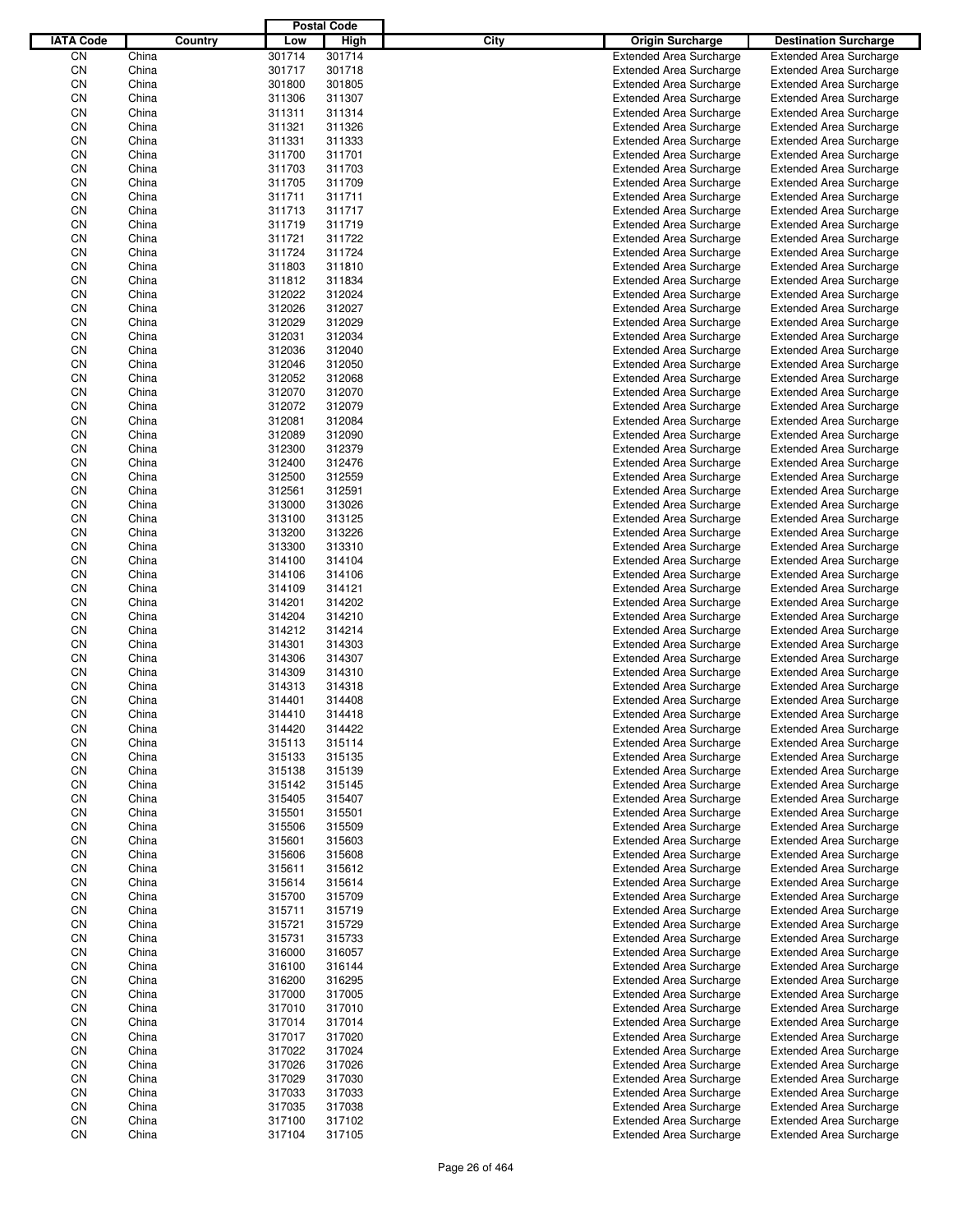|                  |       |         |        | <b>Postal Code</b> |             |                                |                                |
|------------------|-------|---------|--------|--------------------|-------------|--------------------------------|--------------------------------|
| <b>IATA Code</b> |       | Country | Low    | High               | <b>City</b> | <b>Origin Surcharge</b>        | <b>Destination Surcharge</b>   |
| CΝ               | China |         | 301714 | 301714             |             | <b>Extended Area Surcharge</b> | <b>Extended Area Surcharge</b> |
| CN               | China |         | 301717 | 301718             |             | <b>Extended Area Surcharge</b> | <b>Extended Area Surcharge</b> |
| CN               | China |         | 301800 | 301805             |             | <b>Extended Area Surcharge</b> | <b>Extended Area Surcharge</b> |
| CN               | China |         | 311306 | 311307             |             | <b>Extended Area Surcharge</b> | <b>Extended Area Surcharge</b> |
| CN               | China |         | 311311 | 311314             |             | <b>Extended Area Surcharge</b> | <b>Extended Area Surcharge</b> |
| CN               | China |         | 311321 | 311326             |             | <b>Extended Area Surcharge</b> | <b>Extended Area Surcharge</b> |
| CN               | China |         | 311331 | 311333             |             | <b>Extended Area Surcharge</b> | <b>Extended Area Surcharge</b> |
| CN               | China |         | 311700 | 311701             |             | <b>Extended Area Surcharge</b> | <b>Extended Area Surcharge</b> |
| CN               | China |         | 311703 | 311703             |             | <b>Extended Area Surcharge</b> | <b>Extended Area Surcharge</b> |
| CN               | China |         | 311705 | 311709             |             | <b>Extended Area Surcharge</b> | <b>Extended Area Surcharge</b> |
| CN               | China |         | 311711 | 311711             |             | <b>Extended Area Surcharge</b> | <b>Extended Area Surcharge</b> |
|                  |       |         |        | 311717             |             |                                |                                |
| CN               | China |         | 311713 | 311719             |             | <b>Extended Area Surcharge</b> | <b>Extended Area Surcharge</b> |
| CN               | China |         | 311719 |                    |             | <b>Extended Area Surcharge</b> | <b>Extended Area Surcharge</b> |
| CN               | China |         | 311721 | 311722             |             | <b>Extended Area Surcharge</b> | <b>Extended Area Surcharge</b> |
| CN               | China |         | 311724 | 311724             |             | <b>Extended Area Surcharge</b> | <b>Extended Area Surcharge</b> |
| CN               | China |         | 311803 | 311810             |             | <b>Extended Area Surcharge</b> | <b>Extended Area Surcharge</b> |
| CN               | China |         | 311812 | 311834             |             | <b>Extended Area Surcharge</b> | <b>Extended Area Surcharge</b> |
| CN               | China |         | 312022 | 312024             |             | <b>Extended Area Surcharge</b> | <b>Extended Area Surcharge</b> |
| CN               | China |         | 312026 | 312027             |             | <b>Extended Area Surcharge</b> | <b>Extended Area Surcharge</b> |
| CN               | China |         | 312029 | 312029             |             | <b>Extended Area Surcharge</b> | <b>Extended Area Surcharge</b> |
| CN               | China |         | 312031 | 312034             |             | <b>Extended Area Surcharge</b> | <b>Extended Area Surcharge</b> |
| CN               | China |         | 312036 | 312040             |             | <b>Extended Area Surcharge</b> | <b>Extended Area Surcharge</b> |
| CN               | China |         | 312046 | 312050             |             | <b>Extended Area Surcharge</b> | <b>Extended Area Surcharge</b> |
| CN               | China |         | 312052 | 312068             |             | <b>Extended Area Surcharge</b> | <b>Extended Area Surcharge</b> |
| CN               | China |         | 312070 | 312070             |             | <b>Extended Area Surcharge</b> | <b>Extended Area Surcharge</b> |
| CN               | China |         | 312072 | 312079             |             | <b>Extended Area Surcharge</b> | <b>Extended Area Surcharge</b> |
| CN               | China |         | 312081 | 312084             |             | <b>Extended Area Surcharge</b> | <b>Extended Area Surcharge</b> |
| CN               | China |         | 312089 | 312090             |             | <b>Extended Area Surcharge</b> | <b>Extended Area Surcharge</b> |
| CN               | China |         | 312300 | 312379             |             | <b>Extended Area Surcharge</b> | <b>Extended Area Surcharge</b> |
|                  |       |         |        |                    |             |                                |                                |
| CN               | China |         | 312400 | 312476             |             | <b>Extended Area Surcharge</b> | <b>Extended Area Surcharge</b> |
| CN               | China |         | 312500 | 312559             |             | <b>Extended Area Surcharge</b> | <b>Extended Area Surcharge</b> |
| CN               | China |         | 312561 | 312591             |             | <b>Extended Area Surcharge</b> | <b>Extended Area Surcharge</b> |
| CN               | China |         | 313000 | 313026             |             | <b>Extended Area Surcharge</b> | <b>Extended Area Surcharge</b> |
| CN               | China |         | 313100 | 313125             |             | <b>Extended Area Surcharge</b> | <b>Extended Area Surcharge</b> |
| CN               | China |         | 313200 | 313226             |             | <b>Extended Area Surcharge</b> | <b>Extended Area Surcharge</b> |
| CN               | China |         | 313300 | 313310             |             | <b>Extended Area Surcharge</b> | <b>Extended Area Surcharge</b> |
| CN               | China |         | 314100 | 314104             |             | <b>Extended Area Surcharge</b> | <b>Extended Area Surcharge</b> |
| CN               | China |         | 314106 | 314106             |             | <b>Extended Area Surcharge</b> | <b>Extended Area Surcharge</b> |
| CN               | China |         | 314109 | 314121             |             | <b>Extended Area Surcharge</b> | <b>Extended Area Surcharge</b> |
| CN               | China |         | 314201 | 314202             |             | <b>Extended Area Surcharge</b> | <b>Extended Area Surcharge</b> |
| CN               | China |         | 314204 | 314210             |             | <b>Extended Area Surcharge</b> | <b>Extended Area Surcharge</b> |
| CN               | China |         | 314212 | 314214             |             | <b>Extended Area Surcharge</b> | <b>Extended Area Surcharge</b> |
| CN               | China |         | 314301 | 314303             |             | <b>Extended Area Surcharge</b> | <b>Extended Area Surcharge</b> |
| CN               | China |         | 314306 | 314307             |             | <b>Extended Area Surcharge</b> | <b>Extended Area Surcharge</b> |
| CN               | China |         | 314309 | 314310             |             | <b>Extended Area Surcharge</b> | <b>Extended Area Surcharge</b> |
| CN               | China |         | 314313 | 314318             |             | <b>Extended Area Surcharge</b> | <b>Extended Area Surcharge</b> |
| CΝ               | China |         | 314401 | 314408             |             | <b>Extended Area Surcharge</b> | <b>Extended Area Surcharge</b> |
| CN               | China |         | 314410 | 314418             |             | <b>Extended Area Surcharge</b> | <b>Extended Area Surcharge</b> |
| CN               | China |         | 314420 | 314422             |             | <b>Extended Area Surcharge</b> | <b>Extended Area Surcharge</b> |
|                  |       |         |        |                    |             |                                |                                |
| CN               | China |         | 315113 | 315114             |             | <b>Extended Area Surcharge</b> | <b>Extended Area Surcharge</b> |
| CN               | China |         | 315133 | 315135             |             | <b>Extended Area Surcharge</b> | <b>Extended Area Surcharge</b> |
| CN               | China |         | 315138 | 315139             |             | <b>Extended Area Surcharge</b> | <b>Extended Area Surcharge</b> |
| CN               | China |         | 315142 | 315145             |             | <b>Extended Area Surcharge</b> | <b>Extended Area Surcharge</b> |
| CN               | China |         | 315405 | 315407             |             | <b>Extended Area Surcharge</b> | <b>Extended Area Surcharge</b> |
| CN               | China |         | 315501 | 315501             |             | <b>Extended Area Surcharge</b> | <b>Extended Area Surcharge</b> |
| CN               | China |         | 315506 | 315509             |             | <b>Extended Area Surcharge</b> | <b>Extended Area Surcharge</b> |
| CN               | China |         | 315601 | 315603             |             | <b>Extended Area Surcharge</b> | <b>Extended Area Surcharge</b> |
| CN               | China |         | 315606 | 315608             |             | <b>Extended Area Surcharge</b> | <b>Extended Area Surcharge</b> |
| CN               | China |         | 315611 | 315612             |             | <b>Extended Area Surcharge</b> | <b>Extended Area Surcharge</b> |
| CN               | China |         | 315614 | 315614             |             | <b>Extended Area Surcharge</b> | <b>Extended Area Surcharge</b> |
| CN               | China |         | 315700 | 315709             |             | <b>Extended Area Surcharge</b> | <b>Extended Area Surcharge</b> |
| CN               | China |         | 315711 | 315719             |             | <b>Extended Area Surcharge</b> | <b>Extended Area Surcharge</b> |
| CN               | China |         | 315721 | 315729             |             | <b>Extended Area Surcharge</b> | <b>Extended Area Surcharge</b> |
| CN               | China |         | 315731 | 315733             |             | <b>Extended Area Surcharge</b> | <b>Extended Area Surcharge</b> |
| CN               | China |         | 316000 | 316057             |             | <b>Extended Area Surcharge</b> | <b>Extended Area Surcharge</b> |
| CN               | China |         | 316100 | 316144             |             | <b>Extended Area Surcharge</b> | <b>Extended Area Surcharge</b> |
| CN               |       |         | 316200 | 316295             |             |                                | <b>Extended Area Surcharge</b> |
|                  | China |         |        |                    |             | <b>Extended Area Surcharge</b> |                                |
| CN               | China |         | 317000 | 317005             |             | <b>Extended Area Surcharge</b> | <b>Extended Area Surcharge</b> |
| CN               | China |         | 317010 | 317010             |             | <b>Extended Area Surcharge</b> | <b>Extended Area Surcharge</b> |
| CN               | China |         | 317014 | 317014             |             | <b>Extended Area Surcharge</b> | <b>Extended Area Surcharge</b> |
| CN               | China |         | 317017 | 317020             |             | <b>Extended Area Surcharge</b> | <b>Extended Area Surcharge</b> |
| CN               | China |         | 317022 | 317024             |             | <b>Extended Area Surcharge</b> | <b>Extended Area Surcharge</b> |
| CN               | China |         | 317026 | 317026             |             | <b>Extended Area Surcharge</b> | <b>Extended Area Surcharge</b> |
| CN               | China |         | 317029 | 317030             |             | <b>Extended Area Surcharge</b> | <b>Extended Area Surcharge</b> |
| CN               | China |         | 317033 | 317033             |             | <b>Extended Area Surcharge</b> | <b>Extended Area Surcharge</b> |
| CN               | China |         | 317035 | 317038             |             | <b>Extended Area Surcharge</b> | <b>Extended Area Surcharge</b> |
| CN               | China |         | 317100 | 317102             |             | <b>Extended Area Surcharge</b> | <b>Extended Area Surcharge</b> |
| CN               | China |         | 317104 | 317105             |             | <b>Extended Area Surcharge</b> | <b>Extended Area Surcharge</b> |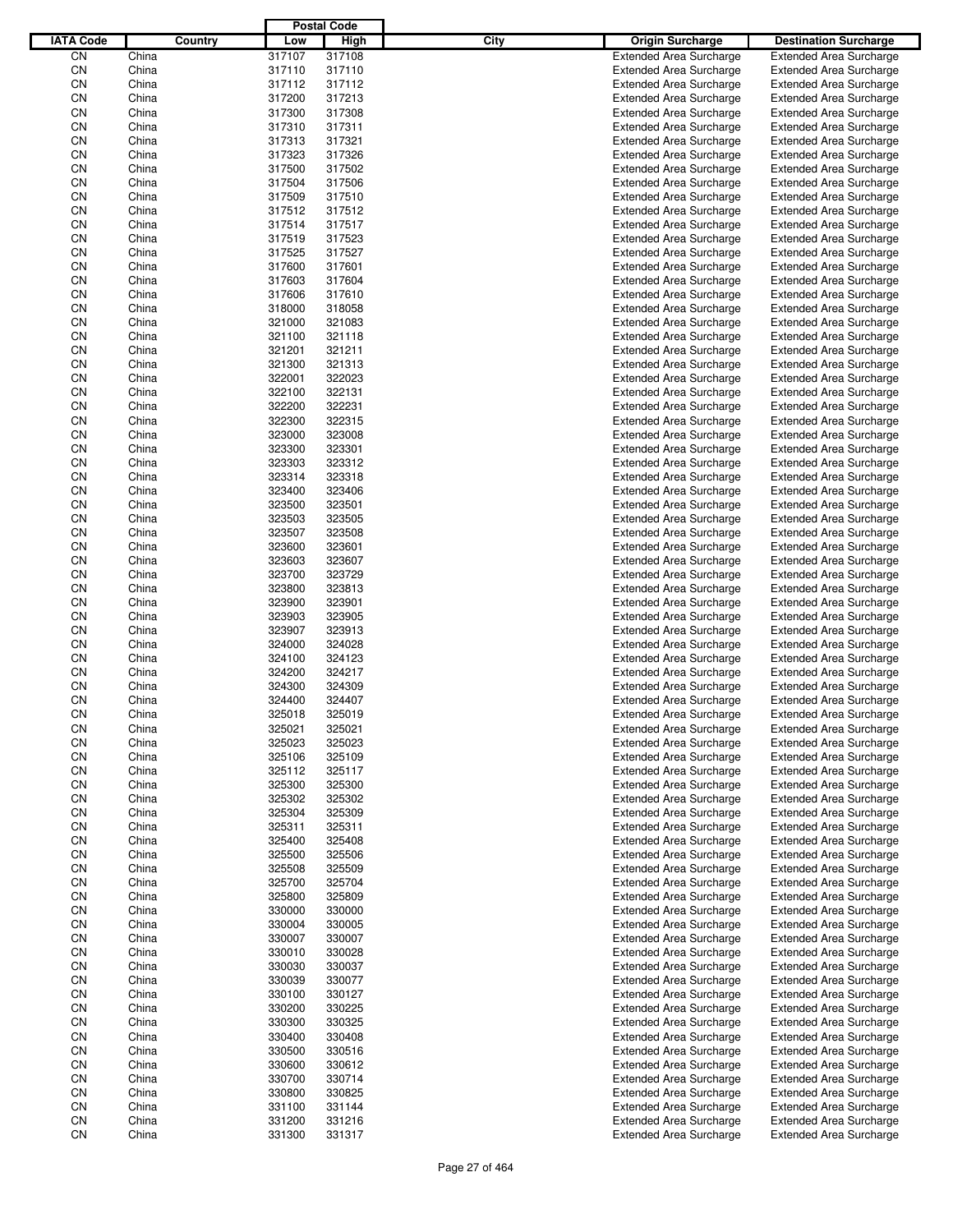|                  |                |         |                  | <b>Postal Code</b> |                                                                  |                                                                  |
|------------------|----------------|---------|------------------|--------------------|------------------------------------------------------------------|------------------------------------------------------------------|
| <b>IATA Code</b> |                | Country | Low              | High               | City<br>Origin Surcharge                                         | <b>Destination Surcharge</b>                                     |
| CN               | China          |         | 317107           | 317108             | <b>Extended Area Surcharge</b>                                   | <b>Extended Area Surcharge</b>                                   |
| CN               | China          |         | 317110           | 317110             | <b>Extended Area Surcharge</b>                                   | <b>Extended Area Surcharge</b>                                   |
| CN               | China          |         | 317112           | 317112             | <b>Extended Area Surcharge</b>                                   | <b>Extended Area Surcharge</b>                                   |
| CN               | China          |         | 317200           | 317213             | <b>Extended Area Surcharge</b>                                   | <b>Extended Area Surcharge</b>                                   |
| CN               | China          |         | 317300           | 317308             | <b>Extended Area Surcharge</b>                                   | <b>Extended Area Surcharge</b>                                   |
| CN               | China          |         | 317310           | 317311             | <b>Extended Area Surcharge</b>                                   | <b>Extended Area Surcharge</b>                                   |
| CN               | China          |         | 317313           | 317321             | <b>Extended Area Surcharge</b>                                   | <b>Extended Area Surcharge</b>                                   |
| CN               | China          |         | 317323           | 317326             | <b>Extended Area Surcharge</b>                                   | <b>Extended Area Surcharge</b>                                   |
| CN               | China          |         | 317500           | 317502             | <b>Extended Area Surcharge</b>                                   | <b>Extended Area Surcharge</b>                                   |
| CN               | China          |         | 317504           | 317506             | <b>Extended Area Surcharge</b>                                   | <b>Extended Area Surcharge</b>                                   |
| CN               | China          |         | 317509           | 317510             | <b>Extended Area Surcharge</b>                                   | <b>Extended Area Surcharge</b>                                   |
| CN               | China          |         | 317512           | 317512             | <b>Extended Area Surcharge</b>                                   | <b>Extended Area Surcharge</b>                                   |
| CN               | China          |         | 317514           | 317517             | <b>Extended Area Surcharge</b>                                   | <b>Extended Area Surcharge</b>                                   |
| CN               | China          |         | 317519           | 317523             | <b>Extended Area Surcharge</b>                                   | <b>Extended Area Surcharge</b>                                   |
| CN               | China          |         | 317525           | 317527             | <b>Extended Area Surcharge</b>                                   | <b>Extended Area Surcharge</b>                                   |
| CN               | China          |         | 317600           | 317601             | <b>Extended Area Surcharge</b>                                   | <b>Extended Area Surcharge</b>                                   |
| CN               | China          |         | 317603           | 317604             | <b>Extended Area Surcharge</b>                                   | <b>Extended Area Surcharge</b>                                   |
| CN<br>CN         | China<br>China |         | 317606<br>318000 | 317610<br>318058   | <b>Extended Area Surcharge</b><br><b>Extended Area Surcharge</b> | <b>Extended Area Surcharge</b><br><b>Extended Area Surcharge</b> |
| CN               | China          |         | 321000           | 321083             | <b>Extended Area Surcharge</b>                                   | <b>Extended Area Surcharge</b>                                   |
| CN               | China          |         | 321100           | 321118             | <b>Extended Area Surcharge</b>                                   | <b>Extended Area Surcharge</b>                                   |
| CN               | China          |         | 321201           | 321211             | <b>Extended Area Surcharge</b>                                   | <b>Extended Area Surcharge</b>                                   |
| CN               | China          |         | 321300           | 321313             | <b>Extended Area Surcharge</b>                                   | <b>Extended Area Surcharge</b>                                   |
| CN               | China          |         | 322001           | 322023             | <b>Extended Area Surcharge</b>                                   | <b>Extended Area Surcharge</b>                                   |
| CN               | China          |         | 322100           | 322131             | <b>Extended Area Surcharge</b>                                   | <b>Extended Area Surcharge</b>                                   |
| CN               | China          |         | 322200           | 322231             | <b>Extended Area Surcharge</b>                                   | <b>Extended Area Surcharge</b>                                   |
| CN               | China          |         | 322300           | 322315             | <b>Extended Area Surcharge</b>                                   | <b>Extended Area Surcharge</b>                                   |
| CN               | China          |         | 323000           | 323008             | <b>Extended Area Surcharge</b>                                   | <b>Extended Area Surcharge</b>                                   |
| CN               | China          |         | 323300           | 323301             | <b>Extended Area Surcharge</b>                                   | <b>Extended Area Surcharge</b>                                   |
| CN               | China          |         | 323303           | 323312             | <b>Extended Area Surcharge</b>                                   | <b>Extended Area Surcharge</b>                                   |
| CN               | China          |         | 323314           | 323318             | <b>Extended Area Surcharge</b>                                   | <b>Extended Area Surcharge</b>                                   |
| CN               | China          |         | 323400           | 323406             | <b>Extended Area Surcharge</b>                                   | <b>Extended Area Surcharge</b>                                   |
| CN               | China          |         | 323500           | 323501             | <b>Extended Area Surcharge</b>                                   | <b>Extended Area Surcharge</b>                                   |
| CN               | China          |         | 323503           | 323505             | <b>Extended Area Surcharge</b>                                   | <b>Extended Area Surcharge</b>                                   |
| CN               | China          |         | 323507           | 323508             | <b>Extended Area Surcharge</b>                                   | <b>Extended Area Surcharge</b>                                   |
| CN               | China          |         | 323600           | 323601             | <b>Extended Area Surcharge</b>                                   | <b>Extended Area Surcharge</b>                                   |
| CN               | China          |         | 323603           | 323607             | <b>Extended Area Surcharge</b>                                   | <b>Extended Area Surcharge</b>                                   |
| CN               | China          |         | 323700           | 323729             | <b>Extended Area Surcharge</b>                                   | <b>Extended Area Surcharge</b>                                   |
| CN               | China          |         | 323800           | 323813             | <b>Extended Area Surcharge</b>                                   | <b>Extended Area Surcharge</b>                                   |
| CN               | China          |         | 323900           | 323901             | <b>Extended Area Surcharge</b>                                   | <b>Extended Area Surcharge</b>                                   |
| CN               | China          |         | 323903           | 323905             | <b>Extended Area Surcharge</b>                                   | <b>Extended Area Surcharge</b>                                   |
| CN               | China          |         | 323907           | 323913             | <b>Extended Area Surcharge</b>                                   | <b>Extended Area Surcharge</b>                                   |
| CN               | China          |         | 324000           | 324028             | <b>Extended Area Surcharge</b>                                   | <b>Extended Area Surcharge</b>                                   |
| CN               | China          |         | 324100           | 324123             | <b>Extended Area Surcharge</b>                                   | <b>Extended Area Surcharge</b>                                   |
| CN               | China          |         | 324200           | 324217             | <b>Extended Area Surcharge</b>                                   | <b>Extended Area Surcharge</b>                                   |
| CN               | China          |         | 324300           | 324309             | <b>Extended Area Surcharge</b>                                   | <b>Extended Area Surcharge</b>                                   |
| CΝ               | China          |         | 324400           | 324407             | <b>Extended Area Surcharge</b>                                   | <b>Extended Area Surcharge</b>                                   |
| CN               | China          |         | 325018           | 325019             | <b>Extended Area Surcharge</b>                                   | <b>Extended Area Surcharge</b>                                   |
| CN               | China          |         | 325021           | 325021             | <b>Extended Area Surcharge</b>                                   | <b>Extended Area Surcharge</b>                                   |
| CN               | China          |         | 325023           | 325023             | <b>Extended Area Surcharge</b>                                   | <b>Extended Area Surcharge</b>                                   |
| CN               | China          |         | 325106           | 325109             | <b>Extended Area Surcharge</b>                                   | <b>Extended Area Surcharge</b>                                   |
| CN               | China          |         | 325112           | 325117             | <b>Extended Area Surcharge</b>                                   | <b>Extended Area Surcharge</b>                                   |
| CN               | China          |         | 325300           | 325300             | <b>Extended Area Surcharge</b>                                   | <b>Extended Area Surcharge</b>                                   |
| CN<br>CN         | China<br>China |         | 325302<br>325304 | 325302<br>325309   | <b>Extended Area Surcharge</b><br><b>Extended Area Surcharge</b> | <b>Extended Area Surcharge</b><br><b>Extended Area Surcharge</b> |
|                  |                |         |                  |                    | <b>Extended Area Surcharge</b>                                   |                                                                  |
| CN<br>CN         | China<br>China |         | 325311<br>325400 | 325311<br>325408   | <b>Extended Area Surcharge</b>                                   | <b>Extended Area Surcharge</b><br><b>Extended Area Surcharge</b> |
| CN               | China          |         | 325500           | 325506             | <b>Extended Area Surcharge</b>                                   | <b>Extended Area Surcharge</b>                                   |
| CN               | China          |         | 325508           | 325509             | <b>Extended Area Surcharge</b>                                   | <b>Extended Area Surcharge</b>                                   |
| CN               | China          |         | 325700           | 325704             | <b>Extended Area Surcharge</b>                                   | <b>Extended Area Surcharge</b>                                   |
| CN               | China          |         | 325800           | 325809             | <b>Extended Area Surcharge</b>                                   | <b>Extended Area Surcharge</b>                                   |
| CN               | China          |         | 330000           | 330000             | <b>Extended Area Surcharge</b>                                   | <b>Extended Area Surcharge</b>                                   |
| CN               | China          |         | 330004           | 330005             | <b>Extended Area Surcharge</b>                                   | <b>Extended Area Surcharge</b>                                   |
| CN               | China          |         | 330007           | 330007             | <b>Extended Area Surcharge</b>                                   | <b>Extended Area Surcharge</b>                                   |
| CN               | China          |         | 330010           | 330028             | <b>Extended Area Surcharge</b>                                   | <b>Extended Area Surcharge</b>                                   |
| CN               | China          |         | 330030           | 330037             | <b>Extended Area Surcharge</b>                                   | <b>Extended Area Surcharge</b>                                   |
| CN               | China          |         | 330039           | 330077             | <b>Extended Area Surcharge</b>                                   | <b>Extended Area Surcharge</b>                                   |
| CN               | China          |         | 330100           | 330127             | <b>Extended Area Surcharge</b>                                   | <b>Extended Area Surcharge</b>                                   |
| CN               | China          |         | 330200           | 330225             | <b>Extended Area Surcharge</b>                                   | <b>Extended Area Surcharge</b>                                   |
| CN               | China          |         | 330300           | 330325             | <b>Extended Area Surcharge</b>                                   | <b>Extended Area Surcharge</b>                                   |
| CN               | China          |         | 330400           | 330408             | <b>Extended Area Surcharge</b>                                   | <b>Extended Area Surcharge</b>                                   |
| CN               | China          |         | 330500           | 330516             | <b>Extended Area Surcharge</b>                                   | <b>Extended Area Surcharge</b>                                   |
| CN               | China          |         | 330600           | 330612             | <b>Extended Area Surcharge</b>                                   | <b>Extended Area Surcharge</b>                                   |
| CN               | China          |         | 330700           | 330714             | <b>Extended Area Surcharge</b>                                   | <b>Extended Area Surcharge</b>                                   |
| CN               | China          |         | 330800           | 330825             | <b>Extended Area Surcharge</b>                                   | <b>Extended Area Surcharge</b>                                   |
| CN               | China          |         | 331100           | 331144             | <b>Extended Area Surcharge</b>                                   | <b>Extended Area Surcharge</b>                                   |
| CN               | China          |         | 331200           | 331216             | <b>Extended Area Surcharge</b>                                   | <b>Extended Area Surcharge</b>                                   |
| CN               | China          |         | 331300           | 331317             | <b>Extended Area Surcharge</b>                                   | <b>Extended Area Surcharge</b>                                   |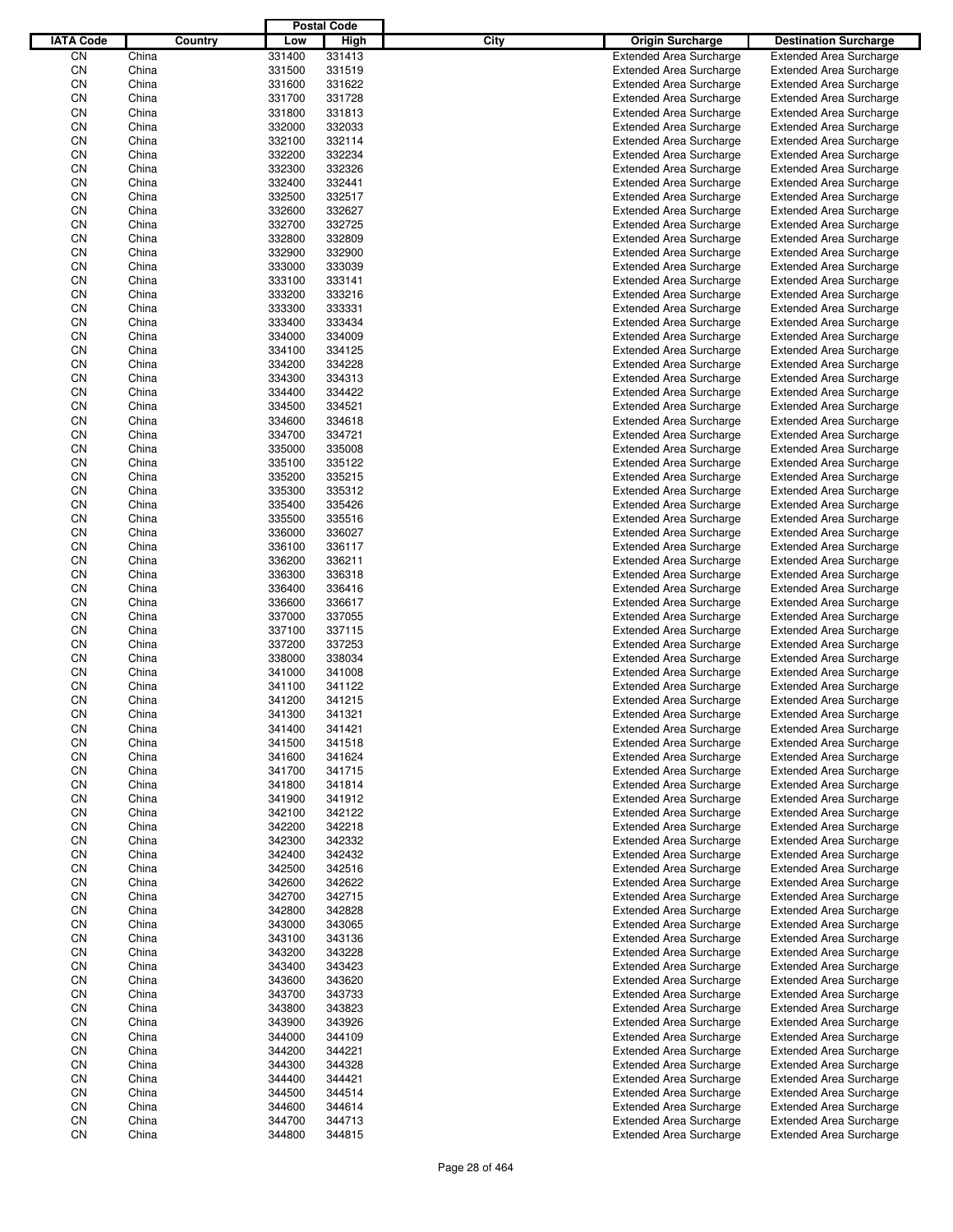|                  |       |         |        | <b>Postal Code</b> |             |                                |                                |
|------------------|-------|---------|--------|--------------------|-------------|--------------------------------|--------------------------------|
| <b>IATA Code</b> |       | Country | Low    | High               | <b>City</b> | <b>Origin Surcharge</b>        | <b>Destination Surcharge</b>   |
| CΝ               | China |         | 331400 | 331413             |             | <b>Extended Area Surcharge</b> | <b>Extended Area Surcharge</b> |
| CN               | China |         | 331500 | 331519             |             | <b>Extended Area Surcharge</b> | <b>Extended Area Surcharge</b> |
| CN               | China |         | 331600 | 331622             |             | <b>Extended Area Surcharge</b> | <b>Extended Area Surcharge</b> |
| CN               | China |         | 331700 | 331728             |             | <b>Extended Area Surcharge</b> | <b>Extended Area Surcharge</b> |
| CN               | China |         | 331800 | 331813             |             | <b>Extended Area Surcharge</b> | <b>Extended Area Surcharge</b> |
| CN               | China |         | 332000 | 332033             |             | <b>Extended Area Surcharge</b> | <b>Extended Area Surcharge</b> |
| CN               | China |         | 332100 | 332114             |             | <b>Extended Area Surcharge</b> | <b>Extended Area Surcharge</b> |
| CN               | China |         | 332200 | 332234             |             | <b>Extended Area Surcharge</b> | <b>Extended Area Surcharge</b> |
| CN               | China |         | 332300 | 332326             |             | <b>Extended Area Surcharge</b> | <b>Extended Area Surcharge</b> |
| CN               | China |         | 332400 | 332441             |             | <b>Extended Area Surcharge</b> | <b>Extended Area Surcharge</b> |
| CN               | China |         | 332500 | 332517             |             | <b>Extended Area Surcharge</b> | <b>Extended Area Surcharge</b> |
| CN               | China |         | 332600 | 332627             |             | <b>Extended Area Surcharge</b> | <b>Extended Area Surcharge</b> |
| CN               | China |         | 332700 | 332725             |             | <b>Extended Area Surcharge</b> | <b>Extended Area Surcharge</b> |
| CN               | China |         | 332800 | 332809             |             | <b>Extended Area Surcharge</b> | <b>Extended Area Surcharge</b> |
| CN               | China |         | 332900 | 332900             |             | <b>Extended Area Surcharge</b> | <b>Extended Area Surcharge</b> |
| CN               | China |         | 333000 | 333039             |             | <b>Extended Area Surcharge</b> | <b>Extended Area Surcharge</b> |
| CN               | China |         | 333100 | 333141             |             | <b>Extended Area Surcharge</b> | <b>Extended Area Surcharge</b> |
| CN               | China |         | 333200 | 333216             |             | <b>Extended Area Surcharge</b> | <b>Extended Area Surcharge</b> |
| CN               | China |         | 333300 | 333331             |             | <b>Extended Area Surcharge</b> | <b>Extended Area Surcharge</b> |
| CN               | China |         | 333400 | 333434             |             | <b>Extended Area Surcharge</b> | <b>Extended Area Surcharge</b> |
| CN               | China |         | 334000 | 334009             |             | <b>Extended Area Surcharge</b> | <b>Extended Area Surcharge</b> |
| CN               | China |         | 334100 | 334125             |             | <b>Extended Area Surcharge</b> | <b>Extended Area Surcharge</b> |
| CN               | China |         | 334200 | 334228             |             | <b>Extended Area Surcharge</b> | <b>Extended Area Surcharge</b> |
| CN               | China |         | 334300 | 334313             |             | <b>Extended Area Surcharge</b> | <b>Extended Area Surcharge</b> |
| CN               | China |         | 334400 | 334422             |             | <b>Extended Area Surcharge</b> | <b>Extended Area Surcharge</b> |
| CN               | China |         | 334500 | 334521             |             | <b>Extended Area Surcharge</b> | <b>Extended Area Surcharge</b> |
| CN               | China |         | 334600 | 334618             |             | <b>Extended Area Surcharge</b> | <b>Extended Area Surcharge</b> |
| CN               | China |         | 334700 | 334721             |             | <b>Extended Area Surcharge</b> | <b>Extended Area Surcharge</b> |
| CN               | China |         | 335000 | 335008             |             | <b>Extended Area Surcharge</b> | <b>Extended Area Surcharge</b> |
| CN               | China |         | 335100 | 335122             |             | <b>Extended Area Surcharge</b> | <b>Extended Area Surcharge</b> |
| CN               | China |         | 335200 | 335215             |             | <b>Extended Area Surcharge</b> | <b>Extended Area Surcharge</b> |
| CN               | China |         | 335300 | 335312             |             | <b>Extended Area Surcharge</b> | <b>Extended Area Surcharge</b> |
| CN               | China |         | 335400 | 335426             |             | <b>Extended Area Surcharge</b> | <b>Extended Area Surcharge</b> |
| CN               | China |         | 335500 | 335516             |             | <b>Extended Area Surcharge</b> | <b>Extended Area Surcharge</b> |
| CN               | China |         | 336000 | 336027             |             | <b>Extended Area Surcharge</b> | <b>Extended Area Surcharge</b> |
| CN               | China |         | 336100 | 336117             |             | <b>Extended Area Surcharge</b> | <b>Extended Area Surcharge</b> |
| CN               | China |         | 336200 | 336211             |             | <b>Extended Area Surcharge</b> | <b>Extended Area Surcharge</b> |
| CN               | China |         | 336300 | 336318             |             | <b>Extended Area Surcharge</b> | <b>Extended Area Surcharge</b> |
| CN               | China |         | 336400 | 336416             |             | <b>Extended Area Surcharge</b> | <b>Extended Area Surcharge</b> |
| CN               | China |         | 336600 | 336617             |             | <b>Extended Area Surcharge</b> | <b>Extended Area Surcharge</b> |
| CN               | China |         | 337000 | 337055             |             | <b>Extended Area Surcharge</b> | <b>Extended Area Surcharge</b> |
| CN               | China |         | 337100 | 337115             |             | <b>Extended Area Surcharge</b> | <b>Extended Area Surcharge</b> |
| CN               | China |         | 337200 | 337253             |             | <b>Extended Area Surcharge</b> | <b>Extended Area Surcharge</b> |
| CN               | China |         | 338000 | 338034             |             | <b>Extended Area Surcharge</b> | <b>Extended Area Surcharge</b> |
| CN               | China |         | 341000 | 341008             |             | <b>Extended Area Surcharge</b> | <b>Extended Area Surcharge</b> |
| CN               | China |         | 341100 | 341122             |             | <b>Extended Area Surcharge</b> | <b>Extended Area Surcharge</b> |
| CΝ               | China |         | 341200 | 341215             |             | <b>Extended Area Surcharge</b> | <b>Extended Area Surcharge</b> |
| CN               | China |         | 341300 | 341321             |             | <b>Extended Area Surcharge</b> | <b>Extended Area Surcharge</b> |
| CN               | China |         | 341400 | 341421             |             | <b>Extended Area Surcharge</b> | <b>Extended Area Surcharge</b> |
| CN               | China |         | 341500 | 341518             |             | <b>Extended Area Surcharge</b> | <b>Extended Area Surcharge</b> |
| CN               | China |         | 341600 | 341624             |             | <b>Extended Area Surcharge</b> | <b>Extended Area Surcharge</b> |
| CN               | China |         | 341700 | 341715             |             | <b>Extended Area Surcharge</b> | <b>Extended Area Surcharge</b> |
| CN               | China |         | 341800 | 341814             |             | <b>Extended Area Surcharge</b> | <b>Extended Area Surcharge</b> |
| CN               | China |         | 341900 | 341912             |             | <b>Extended Area Surcharge</b> | <b>Extended Area Surcharge</b> |
| CN               | China |         | 342100 | 342122             |             | <b>Extended Area Surcharge</b> | <b>Extended Area Surcharge</b> |
| CN               | China |         | 342200 | 342218             |             | <b>Extended Area Surcharge</b> | <b>Extended Area Surcharge</b> |
| CN               | China |         | 342300 | 342332             |             | <b>Extended Area Surcharge</b> | <b>Extended Area Surcharge</b> |
| CN               | China |         | 342400 | 342432             |             | <b>Extended Area Surcharge</b> | <b>Extended Area Surcharge</b> |
| CN               | China |         | 342500 | 342516             |             | <b>Extended Area Surcharge</b> | <b>Extended Area Surcharge</b> |
| CN               | China |         | 342600 | 342622             |             | <b>Extended Area Surcharge</b> | <b>Extended Area Surcharge</b> |
| CN               | China |         | 342700 | 342715             |             | <b>Extended Area Surcharge</b> | <b>Extended Area Surcharge</b> |
| CN               | China |         | 342800 | 342828             |             | <b>Extended Area Surcharge</b> | <b>Extended Area Surcharge</b> |
| CN               | China |         | 343000 | 343065             |             | <b>Extended Area Surcharge</b> | <b>Extended Area Surcharge</b> |
| CN               | China |         | 343100 | 343136             |             | <b>Extended Area Surcharge</b> | <b>Extended Area Surcharge</b> |
| CN               | China |         | 343200 | 343228             |             | <b>Extended Area Surcharge</b> | <b>Extended Area Surcharge</b> |
| CN               | China |         | 343400 | 343423             |             | <b>Extended Area Surcharge</b> | <b>Extended Area Surcharge</b> |
| CN               | China |         | 343600 | 343620             |             | <b>Extended Area Surcharge</b> | <b>Extended Area Surcharge</b> |
| CN               | China |         | 343700 | 343733             |             | <b>Extended Area Surcharge</b> | <b>Extended Area Surcharge</b> |
| CN               | China |         | 343800 | 343823             |             | <b>Extended Area Surcharge</b> | <b>Extended Area Surcharge</b> |
| CN               | China |         | 343900 | 343926             |             | <b>Extended Area Surcharge</b> | <b>Extended Area Surcharge</b> |
| CN               | China |         | 344000 | 344109             |             | <b>Extended Area Surcharge</b> | <b>Extended Area Surcharge</b> |
| CN               | China |         | 344200 | 344221             |             | <b>Extended Area Surcharge</b> | <b>Extended Area Surcharge</b> |
| CN               | China |         | 344300 | 344328             |             | <b>Extended Area Surcharge</b> | <b>Extended Area Surcharge</b> |
| CN               | China |         | 344400 | 344421             |             | <b>Extended Area Surcharge</b> | <b>Extended Area Surcharge</b> |
| CN               | China |         | 344500 | 344514             |             | <b>Extended Area Surcharge</b> | <b>Extended Area Surcharge</b> |
| CN               | China |         | 344600 | 344614             |             | <b>Extended Area Surcharge</b> | <b>Extended Area Surcharge</b> |
|                  |       |         |        |                    |             |                                |                                |
| CN               | China |         | 344700 | 344713             |             | <b>Extended Area Surcharge</b> | <b>Extended Area Surcharge</b> |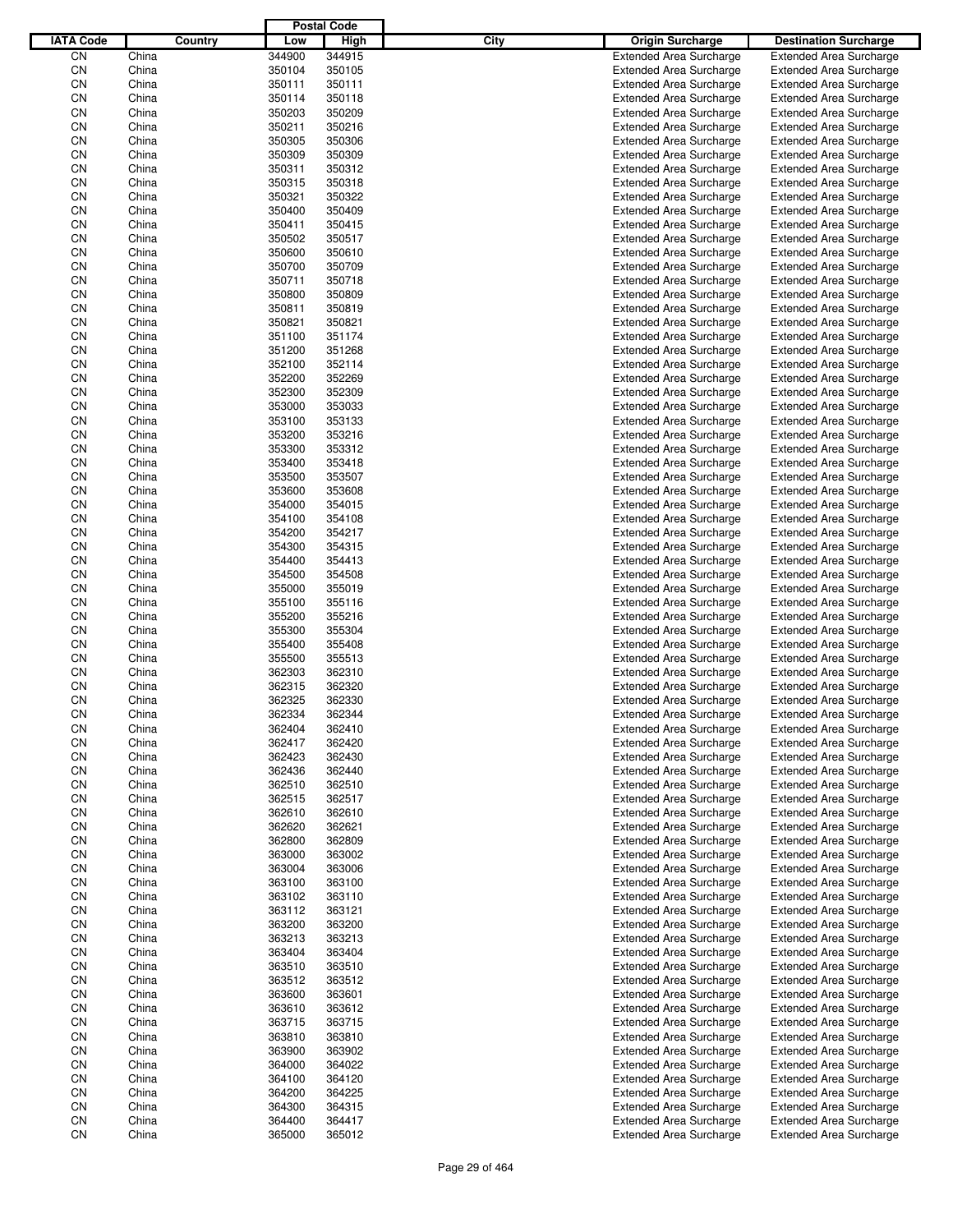|                  |                |         |                  | <b>Postal Code</b> |      |                                                                  |                                                                  |
|------------------|----------------|---------|------------------|--------------------|------|------------------------------------------------------------------|------------------------------------------------------------------|
| <b>IATA Code</b> |                | Country | Low              | High               | City | <b>Origin Surcharge</b>                                          | <b>Destination Surcharge</b>                                     |
| CN               | China          |         | 344900           | 344915             |      | <b>Extended Area Surcharge</b>                                   | <b>Extended Area Surcharge</b>                                   |
| CN               | China          |         | 350104           | 350105             |      | <b>Extended Area Surcharge</b>                                   | <b>Extended Area Surcharge</b>                                   |
| CN               | China          |         | 350111           | 350111             |      | <b>Extended Area Surcharge</b>                                   | <b>Extended Area Surcharge</b>                                   |
| CN               | China          |         | 350114           | 350118             |      | <b>Extended Area Surcharge</b>                                   | <b>Extended Area Surcharge</b>                                   |
| CN               | China          |         | 350203           | 350209             |      | <b>Extended Area Surcharge</b>                                   | <b>Extended Area Surcharge</b>                                   |
| CN               | China          |         | 350211           | 350216             |      | <b>Extended Area Surcharge</b>                                   | <b>Extended Area Surcharge</b>                                   |
| CN               | China          |         | 350305           | 350306             |      | <b>Extended Area Surcharge</b>                                   | <b>Extended Area Surcharge</b>                                   |
| CN               | China          |         | 350309           | 350309             |      | <b>Extended Area Surcharge</b>                                   | <b>Extended Area Surcharge</b>                                   |
| CN               | China          |         | 350311           | 350312             |      | <b>Extended Area Surcharge</b>                                   | <b>Extended Area Surcharge</b>                                   |
| CN               | China          |         | 350315           | 350318             |      | <b>Extended Area Surcharge</b>                                   | <b>Extended Area Surcharge</b>                                   |
| CN               | China          |         | 350321           | 350322             |      | <b>Extended Area Surcharge</b>                                   | <b>Extended Area Surcharge</b>                                   |
| CN               | China          |         | 350400           | 350409             |      | <b>Extended Area Surcharge</b>                                   | <b>Extended Area Surcharge</b>                                   |
| CN               | China          |         | 350411           | 350415             |      | <b>Extended Area Surcharge</b>                                   | <b>Extended Area Surcharge</b>                                   |
| CN               | China          |         | 350502           | 350517             |      | <b>Extended Area Surcharge</b>                                   | <b>Extended Area Surcharge</b>                                   |
| CN               | China          |         | 350600           | 350610             |      | <b>Extended Area Surcharge</b>                                   | <b>Extended Area Surcharge</b>                                   |
| CN               | China          |         | 350700           | 350709             |      | <b>Extended Area Surcharge</b>                                   | <b>Extended Area Surcharge</b>                                   |
| CN               | China          |         | 350711           | 350718             |      | <b>Extended Area Surcharge</b>                                   | <b>Extended Area Surcharge</b>                                   |
| CN               | China          |         | 350800           | 350809             |      | <b>Extended Area Surcharge</b>                                   | <b>Extended Area Surcharge</b>                                   |
| CN               | China          |         | 350811           | 350819             |      | <b>Extended Area Surcharge</b>                                   | <b>Extended Area Surcharge</b>                                   |
| CN               | China          |         | 350821           | 350821             |      | <b>Extended Area Surcharge</b>                                   | <b>Extended Area Surcharge</b>                                   |
| CN               | China          |         | 351100           | 351174             |      | <b>Extended Area Surcharge</b>                                   | <b>Extended Area Surcharge</b>                                   |
| CN               | China          |         | 351200           | 351268             |      | <b>Extended Area Surcharge</b>                                   | <b>Extended Area Surcharge</b>                                   |
| CN               | China          |         | 352100           | 352114             |      | <b>Extended Area Surcharge</b>                                   | <b>Extended Area Surcharge</b>                                   |
| CN               | China          |         | 352200           | 352269             |      | <b>Extended Area Surcharge</b>                                   | <b>Extended Area Surcharge</b>                                   |
| CN               | China          |         | 352300           | 352309             |      | <b>Extended Area Surcharge</b>                                   | <b>Extended Area Surcharge</b>                                   |
| CN               | China          |         | 353000           | 353033             |      | <b>Extended Area Surcharge</b>                                   | <b>Extended Area Surcharge</b>                                   |
| CN               | China          |         | 353100           | 353133             |      | <b>Extended Area Surcharge</b>                                   | <b>Extended Area Surcharge</b>                                   |
| CN               | China          |         | 353200           | 353216             |      | <b>Extended Area Surcharge</b>                                   | <b>Extended Area Surcharge</b>                                   |
| CN               | China          |         | 353300           | 353312             |      | <b>Extended Area Surcharge</b>                                   | <b>Extended Area Surcharge</b>                                   |
| CN               | China          |         | 353400           | 353418             |      | <b>Extended Area Surcharge</b>                                   | <b>Extended Area Surcharge</b>                                   |
| CN               | China          |         | 353500           | 353507             |      | <b>Extended Area Surcharge</b>                                   | <b>Extended Area Surcharge</b>                                   |
| CN<br>CN         | China          |         | 353600           | 353608<br>354015   |      | <b>Extended Area Surcharge</b>                                   | <b>Extended Area Surcharge</b>                                   |
| CN               | China          |         | 354000           | 354108             |      | <b>Extended Area Surcharge</b>                                   | <b>Extended Area Surcharge</b>                                   |
| CN               | China          |         | 354100<br>354200 | 354217             |      | <b>Extended Area Surcharge</b>                                   | <b>Extended Area Surcharge</b>                                   |
|                  | China          |         |                  |                    |      | <b>Extended Area Surcharge</b>                                   | <b>Extended Area Surcharge</b>                                   |
| CN<br>CN         | China          |         | 354300           | 354315<br>354413   |      | <b>Extended Area Surcharge</b>                                   | <b>Extended Area Surcharge</b>                                   |
| CN               | China<br>China |         | 354400<br>354500 | 354508             |      | <b>Extended Area Surcharge</b><br><b>Extended Area Surcharge</b> | <b>Extended Area Surcharge</b><br><b>Extended Area Surcharge</b> |
| CN               | China          |         | 355000           | 355019             |      | <b>Extended Area Surcharge</b>                                   | <b>Extended Area Surcharge</b>                                   |
| CN               | China          |         | 355100           | 355116             |      | <b>Extended Area Surcharge</b>                                   | <b>Extended Area Surcharge</b>                                   |
| CN               | China          |         | 355200           | 355216             |      | <b>Extended Area Surcharge</b>                                   | <b>Extended Area Surcharge</b>                                   |
| CN               | China          |         | 355300           | 355304             |      | <b>Extended Area Surcharge</b>                                   | <b>Extended Area Surcharge</b>                                   |
| CN               | China          |         | 355400           | 355408             |      | <b>Extended Area Surcharge</b>                                   | <b>Extended Area Surcharge</b>                                   |
| CN               | China          |         | 355500           | 355513             |      | <b>Extended Area Surcharge</b>                                   | <b>Extended Area Surcharge</b>                                   |
| CN               | China          |         | 362303           | 362310             |      | <b>Extended Area Surcharge</b>                                   | <b>Extended Area Surcharge</b>                                   |
| CN               | China          |         | 362315           | 362320             |      | <b>Extended Area Surcharge</b>                                   | <b>Extended Area Surcharge</b>                                   |
| CN               | China          |         | 362325           | 362330             |      | <b>Extended Area Surcharge</b>                                   | <b>Extended Area Surcharge</b>                                   |
| CN               | China          |         | 362334           | 362344             |      | <b>Extended Area Surcharge</b>                                   | <b>Extended Area Surcharge</b>                                   |
| CN               | China          |         | 362404           | 362410             |      | <b>Extended Area Surcharge</b>                                   | <b>Extended Area Surcharge</b>                                   |
| CΝ               | China          |         | 362417           | 362420             |      | <b>Extended Area Surcharge</b>                                   | <b>Extended Area Surcharge</b>                                   |
| CN               | China          |         | 362423           | 362430             |      | <b>Extended Area Surcharge</b>                                   | <b>Extended Area Surcharge</b>                                   |
| CN               | China          |         | 362436           | 362440             |      | <b>Extended Area Surcharge</b>                                   | <b>Extended Area Surcharge</b>                                   |
| CΝ               | China          |         | 362510           | 362510             |      | <b>Extended Area Surcharge</b>                                   | <b>Extended Area Surcharge</b>                                   |
| CN               | China          |         | 362515           | 362517             |      | <b>Extended Area Surcharge</b>                                   | <b>Extended Area Surcharge</b>                                   |
| CN               | China          |         | 362610           | 362610             |      | <b>Extended Area Surcharge</b>                                   | <b>Extended Area Surcharge</b>                                   |
| CN               | China          |         | 362620           | 362621             |      | <b>Extended Area Surcharge</b>                                   | <b>Extended Area Surcharge</b>                                   |
| CN               | China          |         | 362800           | 362809             |      | <b>Extended Area Surcharge</b>                                   | <b>Extended Area Surcharge</b>                                   |
| CN               | China          |         | 363000           | 363002             |      | <b>Extended Area Surcharge</b>                                   | <b>Extended Area Surcharge</b>                                   |
| CN               | China          |         | 363004           | 363006             |      | <b>Extended Area Surcharge</b>                                   | <b>Extended Area Surcharge</b>                                   |
| CN               | China          |         | 363100           | 363100             |      | <b>Extended Area Surcharge</b>                                   | <b>Extended Area Surcharge</b>                                   |
| CN               | China          |         | 363102           | 363110             |      | <b>Extended Area Surcharge</b>                                   | <b>Extended Area Surcharge</b>                                   |
| CN               | China          |         | 363112           | 363121             |      | <b>Extended Area Surcharge</b>                                   | <b>Extended Area Surcharge</b>                                   |
| CN               | China          |         | 363200           | 363200             |      | <b>Extended Area Surcharge</b>                                   | <b>Extended Area Surcharge</b>                                   |
| CN               | China          |         | 363213           | 363213             |      | <b>Extended Area Surcharge</b>                                   | <b>Extended Area Surcharge</b>                                   |
| CN               | China          |         | 363404           | 363404             |      | <b>Extended Area Surcharge</b>                                   | <b>Extended Area Surcharge</b>                                   |
| CN               | China          |         | 363510           | 363510             |      | <b>Extended Area Surcharge</b>                                   | <b>Extended Area Surcharge</b>                                   |
| CN               | China          |         | 363512           | 363512             |      | <b>Extended Area Surcharge</b>                                   | <b>Extended Area Surcharge</b>                                   |
| CN               | China          |         | 363600           | 363601             |      | <b>Extended Area Surcharge</b>                                   | <b>Extended Area Surcharge</b>                                   |
| CN               | China          |         | 363610           | 363612             |      | <b>Extended Area Surcharge</b>                                   | <b>Extended Area Surcharge</b>                                   |
| CN               | China          |         | 363715           | 363715             |      | <b>Extended Area Surcharge</b>                                   | <b>Extended Area Surcharge</b>                                   |
| CN               | China          |         | 363810           | 363810             |      | <b>Extended Area Surcharge</b>                                   | <b>Extended Area Surcharge</b>                                   |
| CN               | China          |         | 363900           | 363902             |      | <b>Extended Area Surcharge</b>                                   | <b>Extended Area Surcharge</b>                                   |
| CN               | China          |         | 364000           | 364022             |      | <b>Extended Area Surcharge</b>                                   | <b>Extended Area Surcharge</b>                                   |
| CN               | China          |         | 364100           | 364120             |      | <b>Extended Area Surcharge</b>                                   | <b>Extended Area Surcharge</b>                                   |
| CN               | China          |         | 364200           | 364225             |      | <b>Extended Area Surcharge</b>                                   | <b>Extended Area Surcharge</b>                                   |
| CN               | China          |         | 364300           | 364315             |      | <b>Extended Area Surcharge</b>                                   | <b>Extended Area Surcharge</b>                                   |
| CN               | China          |         | 364400           | 364417             |      | <b>Extended Area Surcharge</b>                                   | <b>Extended Area Surcharge</b>                                   |
| CN               | China          |         | 365000           | 365012             |      | <b>Extended Area Surcharge</b>                                   | <b>Extended Area Surcharge</b>                                   |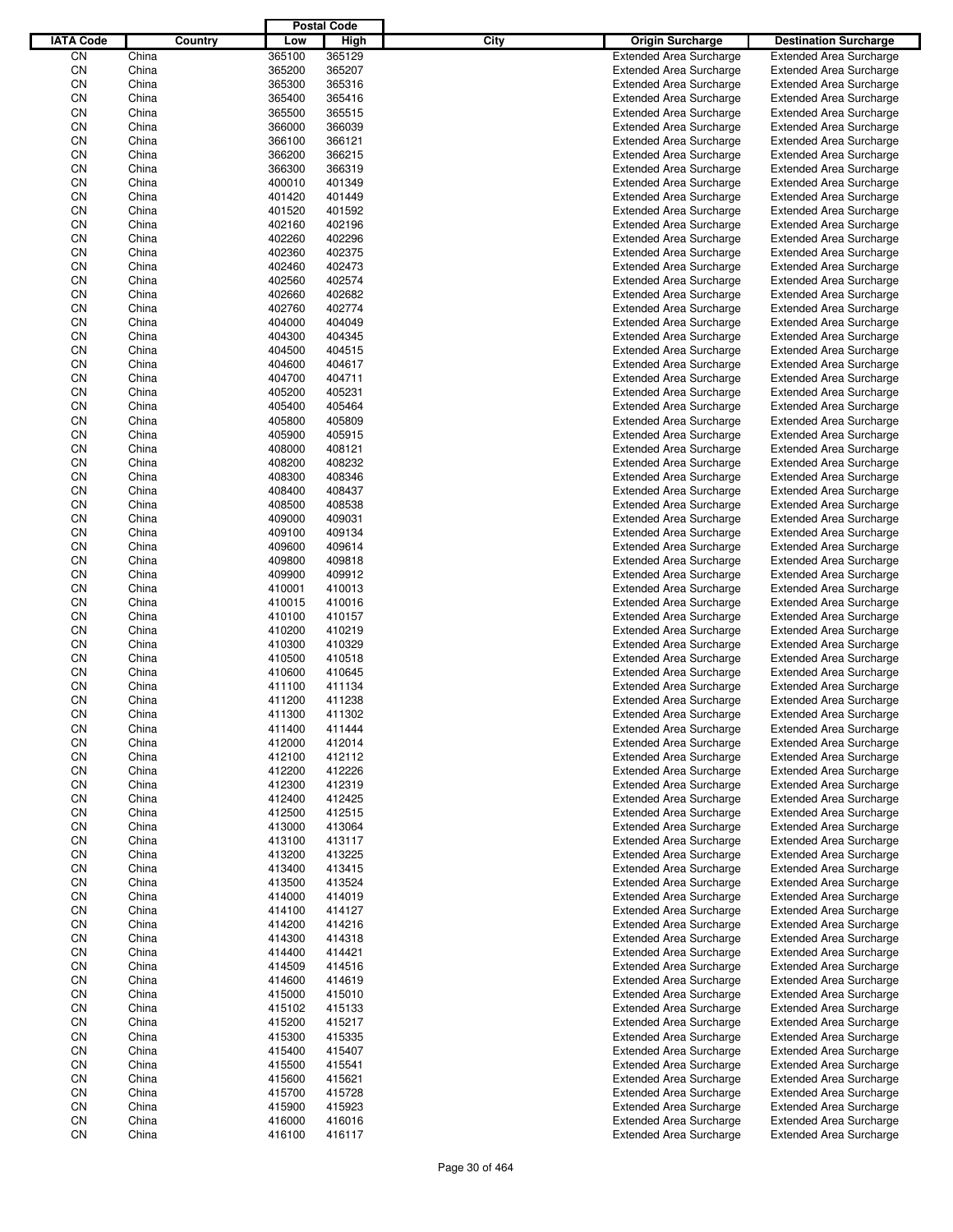|                  |       |         |        | <b>Postal Code</b> |             |                                |                                |
|------------------|-------|---------|--------|--------------------|-------------|--------------------------------|--------------------------------|
| <b>IATA Code</b> |       | Country | Low    | High               | <b>City</b> | <b>Origin Surcharge</b>        | <b>Destination Surcharge</b>   |
| CΝ               | China |         | 365100 | 365129             |             | <b>Extended Area Surcharge</b> | <b>Extended Area Surcharge</b> |
| CN               | China |         | 365200 | 365207             |             | <b>Extended Area Surcharge</b> | <b>Extended Area Surcharge</b> |
| CN               | China |         | 365300 | 365316             |             | <b>Extended Area Surcharge</b> | <b>Extended Area Surcharge</b> |
| CN               | China |         | 365400 | 365416             |             | <b>Extended Area Surcharge</b> | <b>Extended Area Surcharge</b> |
| CN               | China |         | 365500 | 365515             |             | <b>Extended Area Surcharge</b> | <b>Extended Area Surcharge</b> |
| CN               | China |         | 366000 | 366039             |             | <b>Extended Area Surcharge</b> | <b>Extended Area Surcharge</b> |
| CN               | China |         | 366100 | 366121             |             | <b>Extended Area Surcharge</b> | <b>Extended Area Surcharge</b> |
| CN               | China |         | 366200 | 366215             |             | <b>Extended Area Surcharge</b> | <b>Extended Area Surcharge</b> |
| CN               | China |         | 366300 | 366319             |             | <b>Extended Area Surcharge</b> | <b>Extended Area Surcharge</b> |
| CN               | China |         | 400010 | 401349             |             | <b>Extended Area Surcharge</b> | <b>Extended Area Surcharge</b> |
| CN               | China |         | 401420 | 401449             |             | <b>Extended Area Surcharge</b> | <b>Extended Area Surcharge</b> |
| CN               | China |         | 401520 | 401592             |             | <b>Extended Area Surcharge</b> | <b>Extended Area Surcharge</b> |
| CN               | China |         | 402160 | 402196             |             | <b>Extended Area Surcharge</b> | <b>Extended Area Surcharge</b> |
| CN               | China |         | 402260 | 402296             |             | <b>Extended Area Surcharge</b> | <b>Extended Area Surcharge</b> |
| CN               | China |         | 402360 | 402375             |             | <b>Extended Area Surcharge</b> | <b>Extended Area Surcharge</b> |
| CN               | China |         | 402460 | 402473             |             | <b>Extended Area Surcharge</b> | <b>Extended Area Surcharge</b> |
| CN               | China |         | 402560 | 402574             |             | <b>Extended Area Surcharge</b> | <b>Extended Area Surcharge</b> |
| CN               | China |         | 402660 | 402682             |             | <b>Extended Area Surcharge</b> | <b>Extended Area Surcharge</b> |
| CN               | China |         | 402760 | 402774             |             | <b>Extended Area Surcharge</b> | <b>Extended Area Surcharge</b> |
| CN               | China |         | 404000 | 404049             |             | <b>Extended Area Surcharge</b> | <b>Extended Area Surcharge</b> |
| CN               | China |         | 404300 | 404345             |             | <b>Extended Area Surcharge</b> | <b>Extended Area Surcharge</b> |
| CN               | China |         | 404500 | 404515             |             | <b>Extended Area Surcharge</b> | <b>Extended Area Surcharge</b> |
| CN               | China |         | 404600 | 404617             |             | <b>Extended Area Surcharge</b> | <b>Extended Area Surcharge</b> |
| CN               | China |         | 404700 | 404711             |             | <b>Extended Area Surcharge</b> | <b>Extended Area Surcharge</b> |
| CN               | China |         | 405200 | 405231             |             | <b>Extended Area Surcharge</b> | <b>Extended Area Surcharge</b> |
| CN               | China |         | 405400 | 405464             |             | <b>Extended Area Surcharge</b> | <b>Extended Area Surcharge</b> |
| CN               | China |         | 405800 | 405809             |             | <b>Extended Area Surcharge</b> | <b>Extended Area Surcharge</b> |
| CN               | China |         | 405900 | 405915             |             | <b>Extended Area Surcharge</b> | <b>Extended Area Surcharge</b> |
| CN               | China |         | 408000 | 408121             |             | <b>Extended Area Surcharge</b> | <b>Extended Area Surcharge</b> |
| CN               | China |         | 408200 | 408232             |             | <b>Extended Area Surcharge</b> | <b>Extended Area Surcharge</b> |
| CN               | China |         | 408300 | 408346             |             | <b>Extended Area Surcharge</b> | <b>Extended Area Surcharge</b> |
| CN               | China |         | 408400 | 408437             |             | <b>Extended Area Surcharge</b> | <b>Extended Area Surcharge</b> |
| CN               | China |         | 408500 | 408538             |             | <b>Extended Area Surcharge</b> | <b>Extended Area Surcharge</b> |
| CN               | China |         | 409000 | 409031             |             | <b>Extended Area Surcharge</b> | <b>Extended Area Surcharge</b> |
| CN               | China |         | 409100 | 409134             |             | <b>Extended Area Surcharge</b> | <b>Extended Area Surcharge</b> |
| CN               | China |         | 409600 | 409614             |             | <b>Extended Area Surcharge</b> | <b>Extended Area Surcharge</b> |
| CN               | China |         | 409800 | 409818             |             | <b>Extended Area Surcharge</b> | <b>Extended Area Surcharge</b> |
| CN               | China |         | 409900 | 409912             |             | <b>Extended Area Surcharge</b> | <b>Extended Area Surcharge</b> |
| CN               | China |         | 410001 | 410013             |             | <b>Extended Area Surcharge</b> | <b>Extended Area Surcharge</b> |
| CN               | China |         | 410015 | 410016             |             | <b>Extended Area Surcharge</b> | <b>Extended Area Surcharge</b> |
| CN               | China |         | 410100 | 410157             |             | <b>Extended Area Surcharge</b> | <b>Extended Area Surcharge</b> |
| CN               | China |         | 410200 | 410219             |             | <b>Extended Area Surcharge</b> | <b>Extended Area Surcharge</b> |
| CN               | China |         | 410300 | 410329             |             | <b>Extended Area Surcharge</b> | <b>Extended Area Surcharge</b> |
| CN               | China |         | 410500 | 410518             |             | <b>Extended Area Surcharge</b> | <b>Extended Area Surcharge</b> |
| CN               | China |         | 410600 | 410645             |             | <b>Extended Area Surcharge</b> | <b>Extended Area Surcharge</b> |
| CN               | China |         | 411100 | 411134             |             | <b>Extended Area Surcharge</b> | <b>Extended Area Surcharge</b> |
| CΝ               | China |         | 411200 | 411238             |             | <b>Extended Area Surcharge</b> | <b>Extended Area Surcharge</b> |
| CN               | China |         | 411300 | 411302             |             | <b>Extended Area Surcharge</b> | <b>Extended Area Surcharge</b> |
| CN               | China |         | 411400 | 411444             |             | <b>Extended Area Surcharge</b> | <b>Extended Area Surcharge</b> |
| CN               | China |         | 412000 | 412014             |             | <b>Extended Area Surcharge</b> | <b>Extended Area Surcharge</b> |
| CN               | China |         | 412100 | 412112             |             | <b>Extended Area Surcharge</b> | <b>Extended Area Surcharge</b> |
| CN               | China |         | 412200 | 412226             |             | <b>Extended Area Surcharge</b> | <b>Extended Area Surcharge</b> |
| CN               | China |         | 412300 | 412319             |             | <b>Extended Area Surcharge</b> | <b>Extended Area Surcharge</b> |
| CN               | China |         | 412400 | 412425             |             | <b>Extended Area Surcharge</b> | <b>Extended Area Surcharge</b> |
| CN               | China |         | 412500 | 412515             |             | <b>Extended Area Surcharge</b> | <b>Extended Area Surcharge</b> |
| CN               | China |         | 413000 | 413064             |             | <b>Extended Area Surcharge</b> | <b>Extended Area Surcharge</b> |
| CN               | China |         | 413100 | 413117             |             | <b>Extended Area Surcharge</b> | <b>Extended Area Surcharge</b> |
| CN               | China |         | 413200 | 413225             |             | <b>Extended Area Surcharge</b> | <b>Extended Area Surcharge</b> |
| CN               | China |         | 413400 | 413415             |             | <b>Extended Area Surcharge</b> | <b>Extended Area Surcharge</b> |
| CN               | China |         | 413500 | 413524             |             | <b>Extended Area Surcharge</b> | <b>Extended Area Surcharge</b> |
| CN               | China |         | 414000 | 414019             |             | <b>Extended Area Surcharge</b> | <b>Extended Area Surcharge</b> |
| CN               | China |         | 414100 | 414127             |             | <b>Extended Area Surcharge</b> | <b>Extended Area Surcharge</b> |
| CN               | China |         | 414200 | 414216             |             | <b>Extended Area Surcharge</b> | <b>Extended Area Surcharge</b> |
| CN               | China |         | 414300 | 414318             |             | <b>Extended Area Surcharge</b> | <b>Extended Area Surcharge</b> |
| CN               | China |         | 414400 | 414421             |             | <b>Extended Area Surcharge</b> | <b>Extended Area Surcharge</b> |
| CN               | China |         | 414509 | 414516             |             | <b>Extended Area Surcharge</b> | <b>Extended Area Surcharge</b> |
| CN               | China |         | 414600 | 414619             |             | <b>Extended Area Surcharge</b> | <b>Extended Area Surcharge</b> |
| CN               | China |         | 415000 | 415010             |             | <b>Extended Area Surcharge</b> | <b>Extended Area Surcharge</b> |
| CN               | China |         | 415102 | 415133             |             | <b>Extended Area Surcharge</b> | <b>Extended Area Surcharge</b> |
| CN               | China |         | 415200 | 415217             |             | <b>Extended Area Surcharge</b> | <b>Extended Area Surcharge</b> |
| CN               | China |         | 415300 | 415335             |             | <b>Extended Area Surcharge</b> | <b>Extended Area Surcharge</b> |
| CN               | China |         | 415400 | 415407             |             | <b>Extended Area Surcharge</b> | <b>Extended Area Surcharge</b> |
| CN               | China |         | 415500 | 415541             |             | <b>Extended Area Surcharge</b> | <b>Extended Area Surcharge</b> |
| CN               | China |         | 415600 | 415621             |             | <b>Extended Area Surcharge</b> | <b>Extended Area Surcharge</b> |
| CN               | China |         | 415700 | 415728             |             | <b>Extended Area Surcharge</b> | <b>Extended Area Surcharge</b> |
| CN               | China |         | 415900 | 415923             |             | <b>Extended Area Surcharge</b> | <b>Extended Area Surcharge</b> |
| CN               | China |         | 416000 | 416016             |             | <b>Extended Area Surcharge</b> | <b>Extended Area Surcharge</b> |
| CN               | China |         | 416100 | 416117             |             | <b>Extended Area Surcharge</b> | <b>Extended Area Surcharge</b> |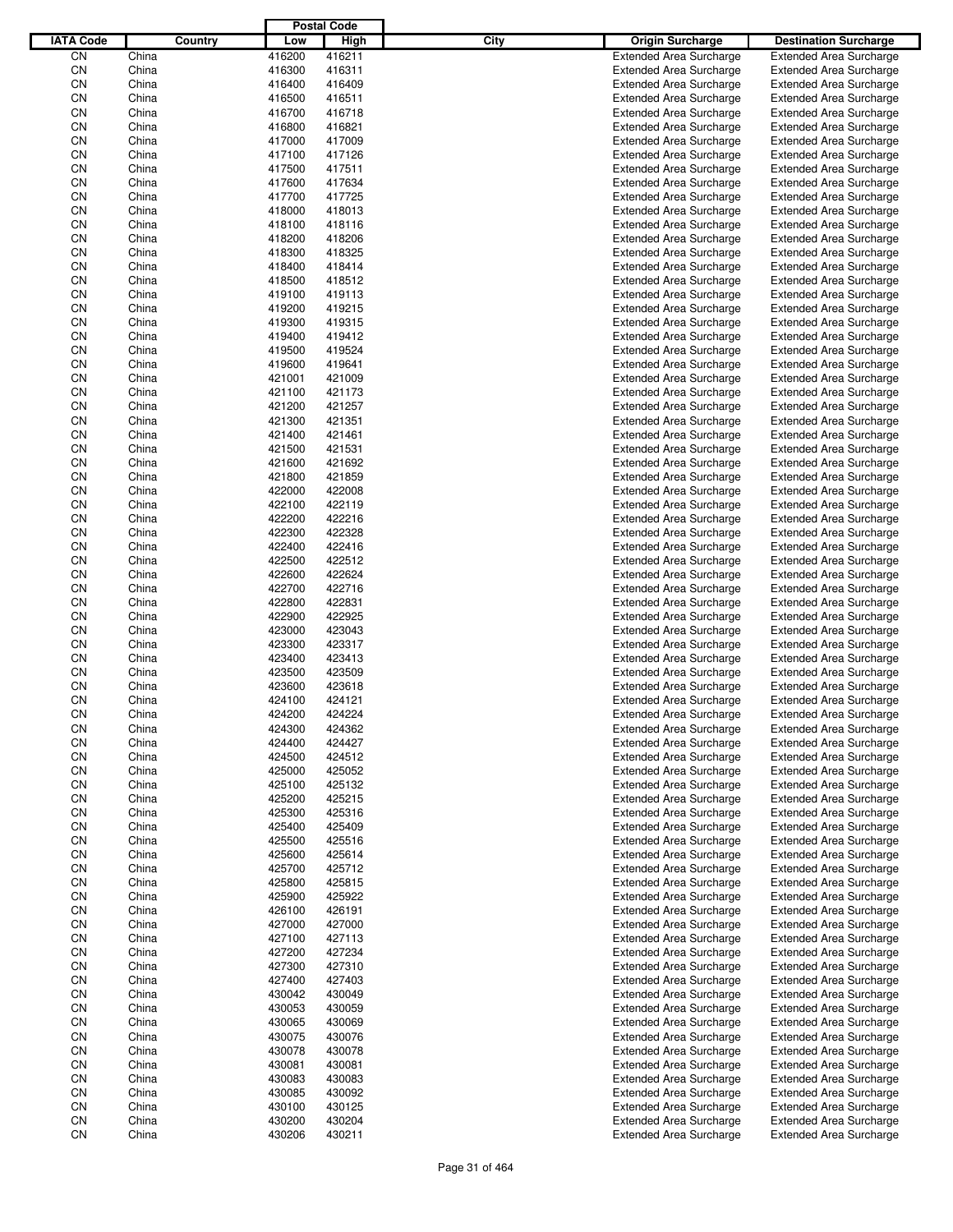|                  |                |         |                  | <b>Postal Code</b> |             |                                                                  |                                                                  |
|------------------|----------------|---------|------------------|--------------------|-------------|------------------------------------------------------------------|------------------------------------------------------------------|
| <b>IATA Code</b> |                | Country | Low              | High               | <b>City</b> | <b>Origin Surcharge</b>                                          | <b>Destination Surcharge</b>                                     |
| CN               | China          |         | 416200           | 416211             |             | <b>Extended Area Surcharge</b>                                   | <b>Extended Area Surcharge</b>                                   |
| CN               | China          |         | 416300           | 416311             |             | <b>Extended Area Surcharge</b>                                   | <b>Extended Area Surcharge</b>                                   |
| CN               | China          |         | 416400           | 416409             |             | <b>Extended Area Surcharge</b>                                   | <b>Extended Area Surcharge</b>                                   |
| CN               | China          |         | 416500           | 416511             |             | <b>Extended Area Surcharge</b>                                   | <b>Extended Area Surcharge</b>                                   |
| CN               | China          |         | 416700           | 416718             |             | <b>Extended Area Surcharge</b>                                   | <b>Extended Area Surcharge</b>                                   |
| CN               | China          |         | 416800           | 416821             |             | <b>Extended Area Surcharge</b>                                   | <b>Extended Area Surcharge</b>                                   |
| CN               | China          |         | 417000           | 417009             |             | <b>Extended Area Surcharge</b>                                   | <b>Extended Area Surcharge</b>                                   |
| CN               | China          |         | 417100           | 417126             |             | <b>Extended Area Surcharge</b>                                   | <b>Extended Area Surcharge</b>                                   |
| CN               | China          |         | 417500           | 417511             |             | <b>Extended Area Surcharge</b>                                   | <b>Extended Area Surcharge</b>                                   |
| CN               | China          |         | 417600           | 417634             |             | <b>Extended Area Surcharge</b>                                   | <b>Extended Area Surcharge</b>                                   |
| CN               | China          |         | 417700           | 417725             |             | <b>Extended Area Surcharge</b>                                   | <b>Extended Area Surcharge</b>                                   |
| CN               | China          |         | 418000           | 418013             |             | <b>Extended Area Surcharge</b>                                   | <b>Extended Area Surcharge</b>                                   |
| CN               | China          |         | 418100           | 418116             |             | <b>Extended Area Surcharge</b>                                   | <b>Extended Area Surcharge</b>                                   |
| CN               | China          |         | 418200           | 418206             |             | <b>Extended Area Surcharge</b>                                   | <b>Extended Area Surcharge</b>                                   |
| CN               | China          |         | 418300           | 418325             |             | <b>Extended Area Surcharge</b>                                   | <b>Extended Area Surcharge</b>                                   |
| CN               | China          |         | 418400           | 418414             |             | <b>Extended Area Surcharge</b>                                   | <b>Extended Area Surcharge</b>                                   |
| CN               | China          |         | 418500           | 418512             |             | <b>Extended Area Surcharge</b>                                   | <b>Extended Area Surcharge</b>                                   |
| CN               | China          |         | 419100           | 419113             |             | <b>Extended Area Surcharge</b>                                   | <b>Extended Area Surcharge</b>                                   |
| CN               | China          |         | 419200           | 419215             |             | <b>Extended Area Surcharge</b>                                   | <b>Extended Area Surcharge</b>                                   |
| CN               | China          |         | 419300           | 419315             |             | <b>Extended Area Surcharge</b>                                   | <b>Extended Area Surcharge</b>                                   |
| CN               | China<br>China |         | 419400           | 419412             |             | <b>Extended Area Surcharge</b>                                   | <b>Extended Area Surcharge</b>                                   |
| CN<br>CN         | China          |         | 419500<br>419600 | 419524<br>419641   |             | <b>Extended Area Surcharge</b>                                   | <b>Extended Area Surcharge</b>                                   |
| CN               | China          |         | 421001           | 421009             |             | <b>Extended Area Surcharge</b><br><b>Extended Area Surcharge</b> | <b>Extended Area Surcharge</b><br><b>Extended Area Surcharge</b> |
| CN               | China          |         | 421100           | 421173             |             | <b>Extended Area Surcharge</b>                                   | <b>Extended Area Surcharge</b>                                   |
| CN               | China          |         | 421200           | 421257             |             | <b>Extended Area Surcharge</b>                                   | <b>Extended Area Surcharge</b>                                   |
| CN               | China          |         | 421300           | 421351             |             | <b>Extended Area Surcharge</b>                                   | <b>Extended Area Surcharge</b>                                   |
| CN               | China          |         | 421400           | 421461             |             | <b>Extended Area Surcharge</b>                                   | <b>Extended Area Surcharge</b>                                   |
| CN               | China          |         | 421500           | 421531             |             | <b>Extended Area Surcharge</b>                                   | <b>Extended Area Surcharge</b>                                   |
| CN               | China          |         | 421600           | 421692             |             | <b>Extended Area Surcharge</b>                                   | <b>Extended Area Surcharge</b>                                   |
| CN               | China          |         | 421800           | 421859             |             | <b>Extended Area Surcharge</b>                                   | <b>Extended Area Surcharge</b>                                   |
| CN               | China          |         | 422000           | 422008             |             | <b>Extended Area Surcharge</b>                                   | <b>Extended Area Surcharge</b>                                   |
| CN               | China          |         | 422100           | 422119             |             | <b>Extended Area Surcharge</b>                                   | <b>Extended Area Surcharge</b>                                   |
| CN               | China          |         | 422200           | 422216             |             | <b>Extended Area Surcharge</b>                                   | <b>Extended Area Surcharge</b>                                   |
| CN               | China          |         | 422300           | 422328             |             | <b>Extended Area Surcharge</b>                                   | <b>Extended Area Surcharge</b>                                   |
| CN               | China          |         | 422400           | 422416             |             | <b>Extended Area Surcharge</b>                                   | <b>Extended Area Surcharge</b>                                   |
| CN               | China          |         | 422500           | 422512             |             | <b>Extended Area Surcharge</b>                                   | <b>Extended Area Surcharge</b>                                   |
| CN               | China          |         | 422600           | 422624             |             | <b>Extended Area Surcharge</b>                                   | <b>Extended Area Surcharge</b>                                   |
| CN               | China          |         | 422700           | 422716             |             | <b>Extended Area Surcharge</b>                                   | <b>Extended Area Surcharge</b>                                   |
| CN               | China          |         | 422800           | 422831             |             | <b>Extended Area Surcharge</b>                                   | <b>Extended Area Surcharge</b>                                   |
| CN               | China          |         | 422900           | 422925             |             | <b>Extended Area Surcharge</b>                                   | <b>Extended Area Surcharge</b>                                   |
| CN               | China          |         | 423000           | 423043             |             | <b>Extended Area Surcharge</b>                                   | <b>Extended Area Surcharge</b>                                   |
| CN               | China          |         | 423300           | 423317             |             | <b>Extended Area Surcharge</b>                                   | <b>Extended Area Surcharge</b>                                   |
| CN               | China          |         | 423400           | 423413             |             | <b>Extended Area Surcharge</b>                                   | <b>Extended Area Surcharge</b>                                   |
| CN               | China          |         | 423500           | 423509             |             | <b>Extended Area Surcharge</b>                                   | <b>Extended Area Surcharge</b>                                   |
| CN               | China          |         | 423600           | 423618             |             | <b>Extended Area Surcharge</b>                                   | <b>Extended Area Surcharge</b>                                   |
| CN               | China          |         | 424100           | 424121             |             | <b>Extended Area Surcharge</b>                                   | <b>Extended Area Surcharge</b>                                   |
| CN               | China          |         | 424200           | 424224             |             | <b>Extended Area Surcharge</b>                                   | <b>Extended Area Surcharge</b>                                   |
| CN               | China          |         | 424300           | 424362             |             | <b>Extended Area Surcharge</b>                                   | <b>Extended Area Surcharge</b>                                   |
| CN               | China          |         | 424400           | 424427             |             | <b>Extended Area Surcharge</b>                                   | <b>Extended Area Surcharge</b>                                   |
| CN               | China          |         | 424500           | 424512             |             | <b>Extended Area Surcharge</b>                                   | <b>Extended Area Surcharge</b>                                   |
| CN               | China          |         | 425000           | 425052             |             | <b>Extended Area Surcharge</b>                                   | <b>Extended Area Surcharge</b>                                   |
| CN               | China          |         | 425100           | 425132             |             | <b>Extended Area Surcharge</b>                                   | <b>Extended Area Surcharge</b>                                   |
| CN               | China          |         | 425200           | 425215             |             | <b>Extended Area Surcharge</b>                                   | <b>Extended Area Surcharge</b>                                   |
| CN               | China          |         | 425300           | 425316             |             | <b>Extended Area Surcharge</b>                                   | <b>Extended Area Surcharge</b>                                   |
| CN               | China          |         | 425400           | 425409             |             | <b>Extended Area Surcharge</b>                                   | <b>Extended Area Surcharge</b>                                   |
| CN               | China          |         | 425500           | 425516             |             | <b>Extended Area Surcharge</b>                                   | <b>Extended Area Surcharge</b>                                   |
| CN               | China          |         | 425600           | 425614             |             | <b>Extended Area Surcharge</b>                                   | <b>Extended Area Surcharge</b>                                   |
| CN               | China          |         | 425700           | 425712             |             | <b>Extended Area Surcharge</b>                                   | <b>Extended Area Surcharge</b>                                   |
| CN               | China          |         | 425800           | 425815             |             | <b>Extended Area Surcharge</b>                                   | <b>Extended Area Surcharge</b>                                   |
| CN               | China          |         | 425900           | 425922             |             | <b>Extended Area Surcharge</b>                                   | <b>Extended Area Surcharge</b>                                   |
| CN<br>CN         | China          |         | 426100<br>427000 | 426191<br>427000   |             | <b>Extended Area Surcharge</b>                                   | <b>Extended Area Surcharge</b><br><b>Extended Area Surcharge</b> |
| CN               | China<br>China |         | 427100           | 427113             |             | <b>Extended Area Surcharge</b><br><b>Extended Area Surcharge</b> | <b>Extended Area Surcharge</b>                                   |
| CN               | China          |         | 427200           | 427234             |             | <b>Extended Area Surcharge</b>                                   | <b>Extended Area Surcharge</b>                                   |
| CN               | China          |         | 427300           | 427310             |             | <b>Extended Area Surcharge</b>                                   | <b>Extended Area Surcharge</b>                                   |
| CN               | China          |         | 427400           | 427403             |             | <b>Extended Area Surcharge</b>                                   | <b>Extended Area Surcharge</b>                                   |
| CN               | China          |         | 430042           | 430049             |             | <b>Extended Area Surcharge</b>                                   | <b>Extended Area Surcharge</b>                                   |
| CN               | China          |         | 430053           | 430059             |             | <b>Extended Area Surcharge</b>                                   | <b>Extended Area Surcharge</b>                                   |
| CN               | China          |         | 430065           | 430069             |             | <b>Extended Area Surcharge</b>                                   | <b>Extended Area Surcharge</b>                                   |
| CN               | China          |         | 430075           | 430076             |             | <b>Extended Area Surcharge</b>                                   | <b>Extended Area Surcharge</b>                                   |
| CN               | China          |         | 430078           | 430078             |             | <b>Extended Area Surcharge</b>                                   | <b>Extended Area Surcharge</b>                                   |
| CN               | China          |         | 430081           | 430081             |             | <b>Extended Area Surcharge</b>                                   | <b>Extended Area Surcharge</b>                                   |
| CN               | China          |         | 430083           | 430083             |             | <b>Extended Area Surcharge</b>                                   | <b>Extended Area Surcharge</b>                                   |
| CN               | China          |         | 430085           | 430092             |             | <b>Extended Area Surcharge</b>                                   | <b>Extended Area Surcharge</b>                                   |
| CN               | China          |         | 430100           | 430125             |             | <b>Extended Area Surcharge</b>                                   | <b>Extended Area Surcharge</b>                                   |
| CN               | China          |         | 430200           | 430204             |             | <b>Extended Area Surcharge</b>                                   | <b>Extended Area Surcharge</b>                                   |
| CN               | China          |         | 430206           | 430211             |             | <b>Extended Area Surcharge</b>                                   | <b>Extended Area Surcharge</b>                                   |
|                  |                |         |                  |                    |             |                                                                  |                                                                  |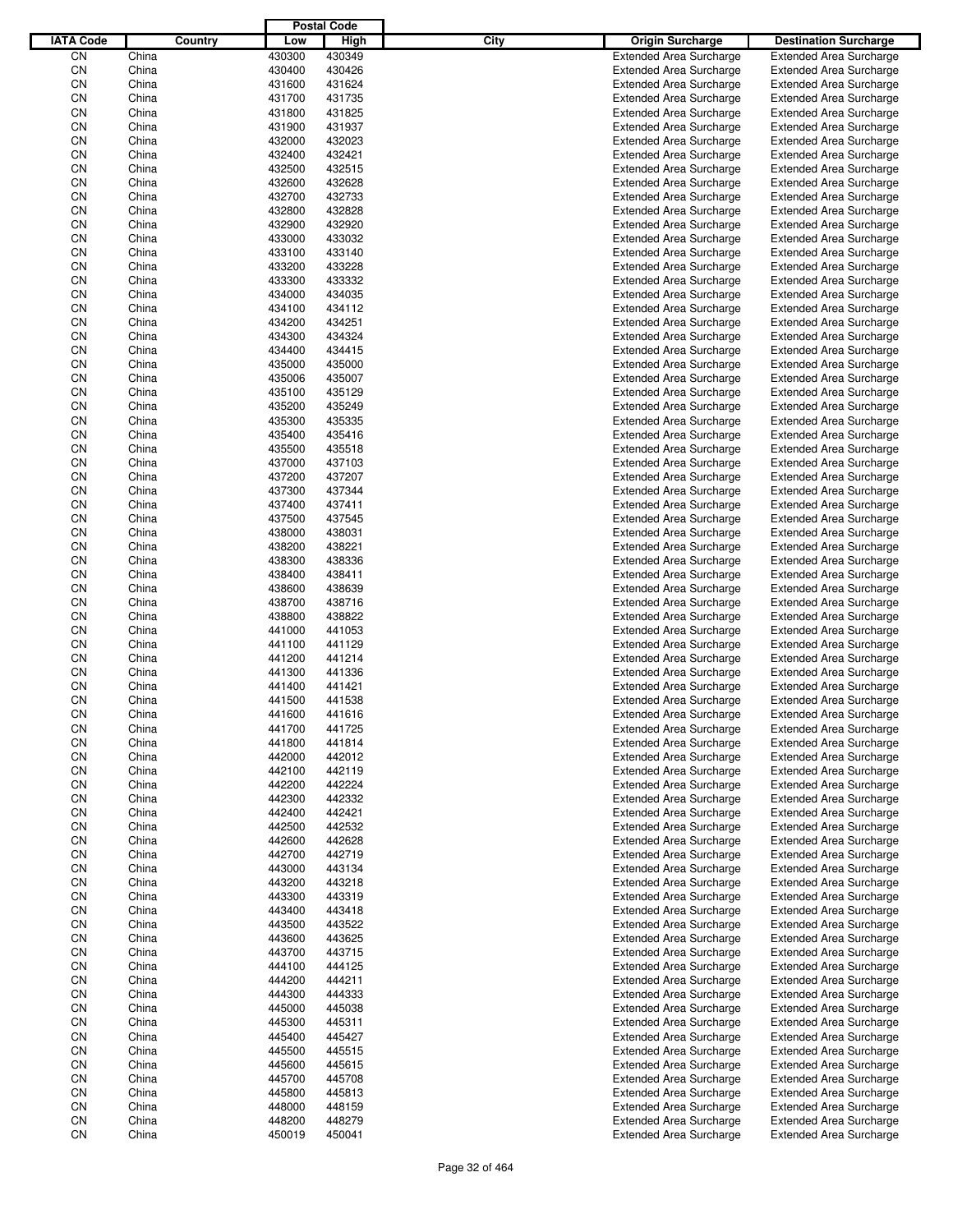|                  |                |         |                  | <b>Postal Code</b> |      |                                                                  |                                                                  |
|------------------|----------------|---------|------------------|--------------------|------|------------------------------------------------------------------|------------------------------------------------------------------|
| <b>IATA Code</b> |                | Country | Low              | High               | City | <b>Origin Surcharge</b>                                          | <b>Destination Surcharge</b>                                     |
| CN               | China          |         | 430300           | 430349             |      | <b>Extended Area Surcharge</b>                                   | <b>Extended Area Surcharge</b>                                   |
| CN               | China          |         | 430400           | 430426             |      | <b>Extended Area Surcharge</b>                                   | <b>Extended Area Surcharge</b>                                   |
| CN               | China          |         | 431600           | 431624             |      | <b>Extended Area Surcharge</b>                                   | <b>Extended Area Surcharge</b>                                   |
| CN               | China          |         | 431700           | 431735             |      | <b>Extended Area Surcharge</b>                                   | <b>Extended Area Surcharge</b>                                   |
| CN               | China          |         | 431800           | 431825             |      | <b>Extended Area Surcharge</b>                                   | <b>Extended Area Surcharge</b>                                   |
| CN               | China          |         | 431900           | 431937             |      | <b>Extended Area Surcharge</b>                                   | <b>Extended Area Surcharge</b>                                   |
| CN               | China          |         | 432000           | 432023             |      | <b>Extended Area Surcharge</b>                                   | <b>Extended Area Surcharge</b>                                   |
| CN               | China          |         | 432400           | 432421             |      | <b>Extended Area Surcharge</b>                                   | <b>Extended Area Surcharge</b>                                   |
| CN               | China          |         | 432500           | 432515             |      | <b>Extended Area Surcharge</b>                                   | <b>Extended Area Surcharge</b>                                   |
| CN               | China          |         | 432600           | 432628             |      | <b>Extended Area Surcharge</b>                                   | <b>Extended Area Surcharge</b>                                   |
| CN               | China          |         | 432700           | 432733             |      | <b>Extended Area Surcharge</b>                                   | <b>Extended Area Surcharge</b>                                   |
| CN               | China          |         | 432800           | 432828             |      | <b>Extended Area Surcharge</b>                                   | <b>Extended Area Surcharge</b>                                   |
| CN               | China          |         | 432900           | 432920             |      | <b>Extended Area Surcharge</b>                                   | <b>Extended Area Surcharge</b>                                   |
| CN               | China          |         | 433000           | 433032             |      | <b>Extended Area Surcharge</b>                                   | <b>Extended Area Surcharge</b>                                   |
| CN               | China          |         | 433100           | 433140             |      | <b>Extended Area Surcharge</b>                                   | <b>Extended Area Surcharge</b>                                   |
| CN               | China          |         | 433200           | 433228             |      | <b>Extended Area Surcharge</b>                                   | <b>Extended Area Surcharge</b>                                   |
| CN               | China          |         | 433300           | 433332             |      | <b>Extended Area Surcharge</b>                                   | <b>Extended Area Surcharge</b>                                   |
| CN<br>CN         | China<br>China |         | 434000<br>434100 | 434035<br>434112   |      | <b>Extended Area Surcharge</b><br><b>Extended Area Surcharge</b> | <b>Extended Area Surcharge</b><br><b>Extended Area Surcharge</b> |
| CN               | China          |         | 434200           | 434251             |      | <b>Extended Area Surcharge</b>                                   | <b>Extended Area Surcharge</b>                                   |
| CN               | China          |         | 434300           | 434324             |      | <b>Extended Area Surcharge</b>                                   | <b>Extended Area Surcharge</b>                                   |
| CN               | China          |         | 434400           | 434415             |      | <b>Extended Area Surcharge</b>                                   | <b>Extended Area Surcharge</b>                                   |
| CN               | China          |         | 435000           | 435000             |      | <b>Extended Area Surcharge</b>                                   | <b>Extended Area Surcharge</b>                                   |
| CN               | China          |         | 435006           | 435007             |      | <b>Extended Area Surcharge</b>                                   | <b>Extended Area Surcharge</b>                                   |
| CN               | China          |         | 435100           | 435129             |      | <b>Extended Area Surcharge</b>                                   | <b>Extended Area Surcharge</b>                                   |
| CN               | China          |         | 435200           | 435249             |      | <b>Extended Area Surcharge</b>                                   | <b>Extended Area Surcharge</b>                                   |
| CN               | China          |         | 435300           | 435335             |      | <b>Extended Area Surcharge</b>                                   | <b>Extended Area Surcharge</b>                                   |
| CN               | China          |         | 435400           | 435416             |      | <b>Extended Area Surcharge</b>                                   | <b>Extended Area Surcharge</b>                                   |
| CN               | China          |         | 435500           | 435518             |      | <b>Extended Area Surcharge</b>                                   | <b>Extended Area Surcharge</b>                                   |
| CN               | China          |         | 437000           | 437103             |      | <b>Extended Area Surcharge</b>                                   | <b>Extended Area Surcharge</b>                                   |
| CN               | China          |         | 437200           | 437207             |      | <b>Extended Area Surcharge</b>                                   | <b>Extended Area Surcharge</b>                                   |
| CN               | China          |         | 437300           | 437344             |      | <b>Extended Area Surcharge</b>                                   | <b>Extended Area Surcharge</b>                                   |
| CN               | China          |         | 437400           | 437411             |      | <b>Extended Area Surcharge</b>                                   | <b>Extended Area Surcharge</b>                                   |
| CN               | China          |         | 437500           | 437545             |      | <b>Extended Area Surcharge</b>                                   | <b>Extended Area Surcharge</b>                                   |
| CN               | China          |         | 438000           | 438031             |      | <b>Extended Area Surcharge</b>                                   | <b>Extended Area Surcharge</b>                                   |
| CN               | China          |         | 438200           | 438221             |      | <b>Extended Area Surcharge</b>                                   | <b>Extended Area Surcharge</b>                                   |
| CN               | China          |         | 438300           | 438336             |      | <b>Extended Area Surcharge</b>                                   | <b>Extended Area Surcharge</b>                                   |
| CN               | China          |         | 438400           | 438411             |      | <b>Extended Area Surcharge</b>                                   | <b>Extended Area Surcharge</b>                                   |
| CN               | China          |         | 438600           | 438639             |      | <b>Extended Area Surcharge</b>                                   | <b>Extended Area Surcharge</b>                                   |
| CN               | China          |         | 438700           | 438716             |      | <b>Extended Area Surcharge</b>                                   | <b>Extended Area Surcharge</b>                                   |
| CN               | China          |         | 438800           | 438822             |      | <b>Extended Area Surcharge</b>                                   | <b>Extended Area Surcharge</b>                                   |
| CN               | China          |         | 441000           | 441053             |      | <b>Extended Area Surcharge</b>                                   | <b>Extended Area Surcharge</b>                                   |
| CN               | China          |         | 441100           | 441129             |      | <b>Extended Area Surcharge</b>                                   | <b>Extended Area Surcharge</b>                                   |
| CN               | China          |         | 441200           | 441214             |      | <b>Extended Area Surcharge</b>                                   | <b>Extended Area Surcharge</b>                                   |
| CN               | China          |         | 441300           | 441336             |      | <b>Extended Area Surcharge</b>                                   | <b>Extended Area Surcharge</b>                                   |
| CN               | China          |         | 441400           | 441421             |      | <b>Extended Area Surcharge</b>                                   | <b>Extended Area Surcharge</b>                                   |
| CN               | China          |         | 441500           | 441538             |      | <b>Extended Area Surcharge</b>                                   | <b>Extended Area Surcharge</b>                                   |
| CN               | China          |         | 441600           | 441616             |      | <b>Extended Area Surcharge</b>                                   | <b>Extended Area Surcharge</b>                                   |
| CN               | China          |         | 441700           | 441725             |      | <b>Extended Area Surcharge</b>                                   | <b>Extended Area Surcharge</b>                                   |
| CN               | China          |         | 441800           | 441814             |      | <b>Extended Area Surcharge</b>                                   | <b>Extended Area Surcharge</b>                                   |
| CN               | China          |         | 442000           | 442012             |      | <b>Extended Area Surcharge</b>                                   | <b>Extended Area Surcharge</b>                                   |
| CN               | China          |         | 442100           | 442119             |      | <b>Extended Area Surcharge</b>                                   | <b>Extended Area Surcharge</b>                                   |
| CN               | China          |         | 442200           | 442224             |      | <b>Extended Area Surcharge</b>                                   | <b>Extended Area Surcharge</b>                                   |
| CN<br>CN         | China<br>China |         | 442300<br>442400 | 442332<br>442421   |      | <b>Extended Area Surcharge</b><br><b>Extended Area Surcharge</b> | <b>Extended Area Surcharge</b><br><b>Extended Area Surcharge</b> |
| CN               |                |         | 442500           | 442532             |      |                                                                  |                                                                  |
| CN               | China<br>China |         | 442600           | 442628             |      | <b>Extended Area Surcharge</b><br><b>Extended Area Surcharge</b> | <b>Extended Area Surcharge</b><br><b>Extended Area Surcharge</b> |
| CN               | China          |         | 442700           | 442719             |      | <b>Extended Area Surcharge</b>                                   | <b>Extended Area Surcharge</b>                                   |
| CN               | China          |         | 443000           | 443134             |      | <b>Extended Area Surcharge</b>                                   | <b>Extended Area Surcharge</b>                                   |
| CN               | China          |         | 443200           | 443218             |      | <b>Extended Area Surcharge</b>                                   | <b>Extended Area Surcharge</b>                                   |
| CN               | China          |         | 443300           | 443319             |      | <b>Extended Area Surcharge</b>                                   | <b>Extended Area Surcharge</b>                                   |
| CN               | China          |         | 443400           | 443418             |      | <b>Extended Area Surcharge</b>                                   | <b>Extended Area Surcharge</b>                                   |
| CN               | China          |         | 443500           | 443522             |      | <b>Extended Area Surcharge</b>                                   | <b>Extended Area Surcharge</b>                                   |
| CN               | China          |         | 443600           | 443625             |      | <b>Extended Area Surcharge</b>                                   | <b>Extended Area Surcharge</b>                                   |
| CN               | China          |         | 443700           | 443715             |      | <b>Extended Area Surcharge</b>                                   | <b>Extended Area Surcharge</b>                                   |
| CN               | China          |         | 444100           | 444125             |      | <b>Extended Area Surcharge</b>                                   | <b>Extended Area Surcharge</b>                                   |
| CN               | China          |         | 444200           | 444211             |      | <b>Extended Area Surcharge</b>                                   | <b>Extended Area Surcharge</b>                                   |
| CN               | China          |         | 444300           | 444333             |      | <b>Extended Area Surcharge</b>                                   | <b>Extended Area Surcharge</b>                                   |
| CN               | China          |         | 445000           | 445038             |      | <b>Extended Area Surcharge</b>                                   | <b>Extended Area Surcharge</b>                                   |
| CN               | China          |         | 445300           | 445311             |      | <b>Extended Area Surcharge</b>                                   | <b>Extended Area Surcharge</b>                                   |
| CN               | China          |         | 445400           | 445427             |      | <b>Extended Area Surcharge</b>                                   | <b>Extended Area Surcharge</b>                                   |
| CN               | China          |         | 445500           | 445515             |      | <b>Extended Area Surcharge</b>                                   | <b>Extended Area Surcharge</b>                                   |
| CN               | China          |         | 445600           | 445615             |      | <b>Extended Area Surcharge</b>                                   | <b>Extended Area Surcharge</b>                                   |
| CN               | China          |         | 445700           | 445708             |      | <b>Extended Area Surcharge</b>                                   | <b>Extended Area Surcharge</b>                                   |
| CN               | China          |         | 445800           | 445813             |      | <b>Extended Area Surcharge</b>                                   | <b>Extended Area Surcharge</b>                                   |
| CN               | China          |         | 448000           | 448159             |      | <b>Extended Area Surcharge</b>                                   | <b>Extended Area Surcharge</b>                                   |
| CN               | China          |         | 448200           | 448279             |      | <b>Extended Area Surcharge</b>                                   | <b>Extended Area Surcharge</b>                                   |
| CN               | China          |         | 450019           | 450041             |      | <b>Extended Area Surcharge</b>                                   | <b>Extended Area Surcharge</b>                                   |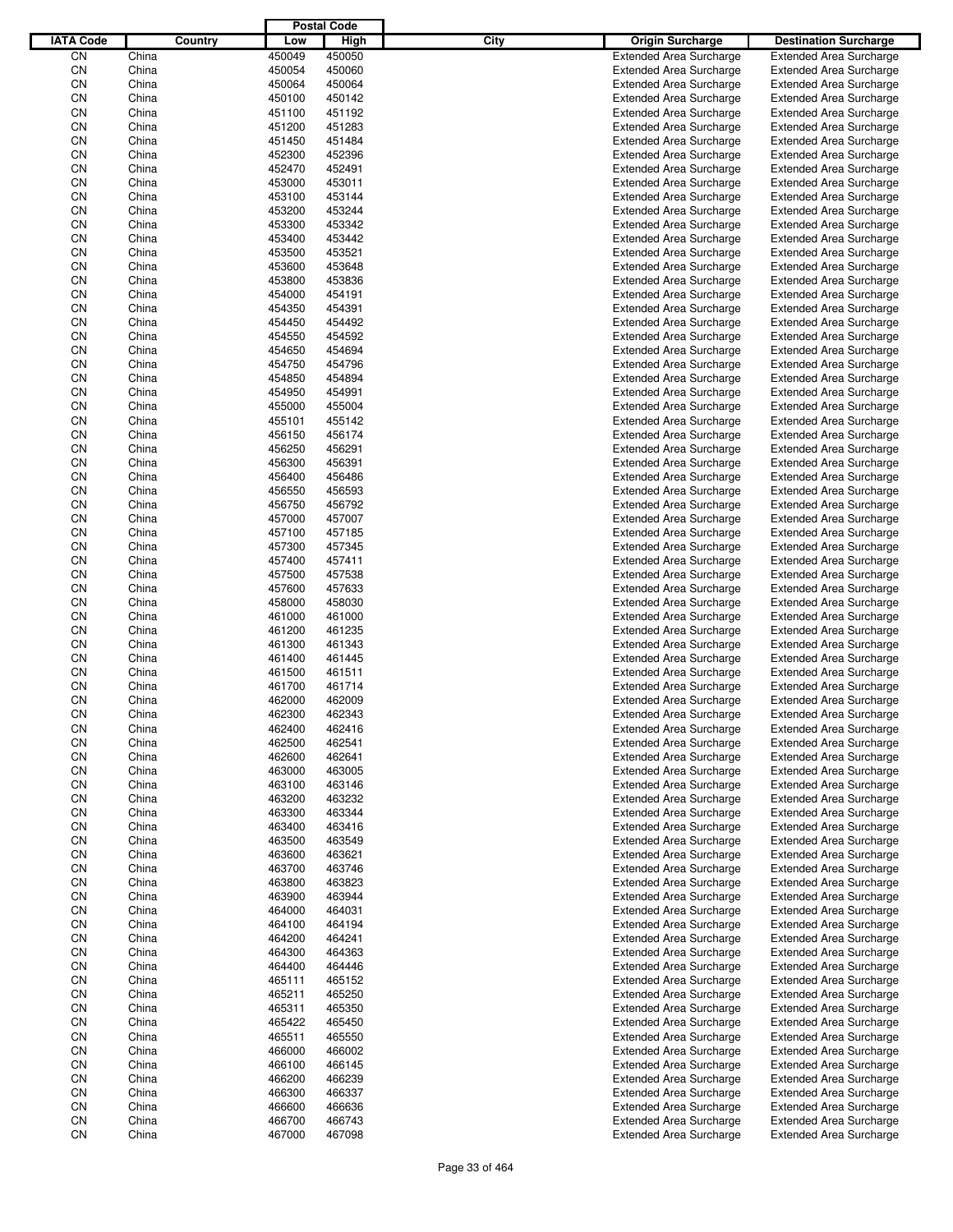|                  |                |                  | <b>Postal Code</b> |                     |                                                                  |                                                                  |
|------------------|----------------|------------------|--------------------|---------------------|------------------------------------------------------------------|------------------------------------------------------------------|
| <b>IATA Code</b> |                | Country<br>Low   |                    | <b>City</b><br>High | <b>Origin Surcharge</b>                                          | <b>Destination Surcharge</b>                                     |
| CΝ               | China          | 450049           | 450050             |                     | <b>Extended Area Surcharge</b>                                   | <b>Extended Area Surcharge</b>                                   |
| CN               | China          | 450054           | 450060             |                     | <b>Extended Area Surcharge</b>                                   | <b>Extended Area Surcharge</b>                                   |
| CN               | China          | 450064           | 450064             |                     | <b>Extended Area Surcharge</b>                                   | <b>Extended Area Surcharge</b>                                   |
| CN               | China          | 450100           | 450142             |                     | <b>Extended Area Surcharge</b>                                   | <b>Extended Area Surcharge</b>                                   |
| CN               | China          | 451100           | 451192             |                     | <b>Extended Area Surcharge</b>                                   | <b>Extended Area Surcharge</b>                                   |
| CN               | China          | 451200           | 451283             |                     | <b>Extended Area Surcharge</b>                                   | <b>Extended Area Surcharge</b>                                   |
| CN               | China          | 451450           | 451484             |                     | <b>Extended Area Surcharge</b>                                   | <b>Extended Area Surcharge</b>                                   |
| CN               | China          | 452300           | 452396             |                     | <b>Extended Area Surcharge</b>                                   | <b>Extended Area Surcharge</b>                                   |
| CN               | China          | 452470           | 452491             |                     | <b>Extended Area Surcharge</b>                                   | <b>Extended Area Surcharge</b>                                   |
| CN               | China          | 453000           | 453011             |                     | <b>Extended Area Surcharge</b>                                   | <b>Extended Area Surcharge</b>                                   |
| CN               | China          | 453100           | 453144             |                     | <b>Extended Area Surcharge</b>                                   | <b>Extended Area Surcharge</b>                                   |
| CN               | China          | 453200           | 453244             |                     | <b>Extended Area Surcharge</b>                                   | <b>Extended Area Surcharge</b>                                   |
| CN               | China          | 453300           | 453342             |                     | <b>Extended Area Surcharge</b>                                   | <b>Extended Area Surcharge</b>                                   |
| CN               | China          | 453400           | 453442             |                     | <b>Extended Area Surcharge</b>                                   | <b>Extended Area Surcharge</b>                                   |
| CN               | China          | 453500           | 453521             |                     | <b>Extended Area Surcharge</b>                                   | <b>Extended Area Surcharge</b>                                   |
| CN               | China          | 453600           | 453648             |                     | <b>Extended Area Surcharge</b>                                   | <b>Extended Area Surcharge</b>                                   |
| CN               | China          | 453800           | 453836             |                     | <b>Extended Area Surcharge</b>                                   | <b>Extended Area Surcharge</b>                                   |
| CN               | China          | 454000           | 454191             |                     | <b>Extended Area Surcharge</b>                                   | <b>Extended Area Surcharge</b>                                   |
| CN               | China          | 454350           | 454391             |                     | <b>Extended Area Surcharge</b>                                   | <b>Extended Area Surcharge</b>                                   |
| CN               | China          | 454450           | 454492             |                     | <b>Extended Area Surcharge</b>                                   | <b>Extended Area Surcharge</b>                                   |
| CN               | China          | 454550           | 454592             |                     | <b>Extended Area Surcharge</b>                                   | <b>Extended Area Surcharge</b>                                   |
| CN               | China          | 454650           | 454694             |                     | <b>Extended Area Surcharge</b>                                   | <b>Extended Area Surcharge</b>                                   |
| CN               | China          | 454750           | 454796             |                     | <b>Extended Area Surcharge</b>                                   | <b>Extended Area Surcharge</b>                                   |
| CN               | China          | 454850           | 454894             |                     | <b>Extended Area Surcharge</b>                                   | <b>Extended Area Surcharge</b>                                   |
| CN               | China          | 454950           | 454991             |                     | <b>Extended Area Surcharge</b>                                   | <b>Extended Area Surcharge</b>                                   |
| CN               | China          | 455000           | 455004             |                     | <b>Extended Area Surcharge</b>                                   | <b>Extended Area Surcharge</b>                                   |
| CN               | China          | 455101           | 455142             |                     | <b>Extended Area Surcharge</b>                                   | <b>Extended Area Surcharge</b>                                   |
| CN               | China          | 456150           | 456174             |                     | <b>Extended Area Surcharge</b>                                   | <b>Extended Area Surcharge</b>                                   |
| CN               | China          | 456250           | 456291             |                     | <b>Extended Area Surcharge</b>                                   | <b>Extended Area Surcharge</b>                                   |
| CN               | China          | 456300           | 456391             |                     | <b>Extended Area Surcharge</b>                                   | <b>Extended Area Surcharge</b>                                   |
| CN               | China          | 456400           | 456486             |                     | <b>Extended Area Surcharge</b>                                   | <b>Extended Area Surcharge</b>                                   |
| CN               | China          | 456550           | 456593             |                     | <b>Extended Area Surcharge</b>                                   | <b>Extended Area Surcharge</b>                                   |
| CN               | China          | 456750           | 456792             |                     | <b>Extended Area Surcharge</b>                                   | <b>Extended Area Surcharge</b>                                   |
| CN               | China          | 457000           | 457007             |                     | <b>Extended Area Surcharge</b>                                   | <b>Extended Area Surcharge</b>                                   |
| CN               | China          | 457100           | 457185             |                     | <b>Extended Area Surcharge</b>                                   | <b>Extended Area Surcharge</b>                                   |
| CN               | China          | 457300           | 457345             |                     | <b>Extended Area Surcharge</b>                                   | <b>Extended Area Surcharge</b>                                   |
| CN               | China          | 457400           | 457411             |                     | <b>Extended Area Surcharge</b>                                   | <b>Extended Area Surcharge</b>                                   |
| CN               | China          | 457500           | 457538             |                     | <b>Extended Area Surcharge</b>                                   | <b>Extended Area Surcharge</b>                                   |
| CN               | China          | 457600           | 457633             |                     | <b>Extended Area Surcharge</b>                                   | <b>Extended Area Surcharge</b>                                   |
| CN               | China          | 458000           | 458030             |                     | <b>Extended Area Surcharge</b>                                   | <b>Extended Area Surcharge</b>                                   |
| CN               | China          | 461000           | 461000             |                     | <b>Extended Area Surcharge</b>                                   | <b>Extended Area Surcharge</b>                                   |
| CN               | China          | 461200           | 461235             |                     | <b>Extended Area Surcharge</b>                                   | <b>Extended Area Surcharge</b>                                   |
| CN               | China          | 461300           | 461343             |                     | <b>Extended Area Surcharge</b>                                   | <b>Extended Area Surcharge</b>                                   |
| CN               | China          | 461400           | 461445             |                     | <b>Extended Area Surcharge</b>                                   | <b>Extended Area Surcharge</b>                                   |
| CN               | China          | 461500           | 461511             |                     | <b>Extended Area Surcharge</b>                                   | <b>Extended Area Surcharge</b>                                   |
| CN               | China          | 461700           | 461714             |                     | <b>Extended Area Surcharge</b>                                   | <b>Extended Area Surcharge</b>                                   |
| CΝ               | China          | 462000           | 462009             |                     | <b>Extended Area Surcharge</b>                                   | <b>Extended Area Surcharge</b>                                   |
| CN               | China          | 462300           | 462343             |                     | <b>Extended Area Surcharge</b>                                   | <b>Extended Area Surcharge</b>                                   |
| CN               | China          | 462400           | 462416             |                     | <b>Extended Area Surcharge</b>                                   | <b>Extended Area Surcharge</b>                                   |
| CN               | China          | 462500           | 462541             |                     | <b>Extended Area Surcharge</b>                                   | <b>Extended Area Surcharge</b>                                   |
| CN               | China          | 462600           | 462641             |                     | <b>Extended Area Surcharge</b>                                   | <b>Extended Area Surcharge</b>                                   |
| CN               | China          | 463000           | 463005             |                     | <b>Extended Area Surcharge</b>                                   | <b>Extended Area Surcharge</b>                                   |
| CN               | China          | 463100           | 463146             |                     | <b>Extended Area Surcharge</b>                                   | <b>Extended Area Surcharge</b>                                   |
| CN<br>CN         | China<br>China | 463200<br>463300 | 463232<br>463344   |                     | <b>Extended Area Surcharge</b><br><b>Extended Area Surcharge</b> | <b>Extended Area Surcharge</b><br><b>Extended Area Surcharge</b> |
|                  |                |                  |                    |                     |                                                                  |                                                                  |
| CN<br>CN         | China<br>China | 463400<br>463500 | 463416<br>463549   |                     | <b>Extended Area Surcharge</b><br><b>Extended Area Surcharge</b> | <b>Extended Area Surcharge</b><br><b>Extended Area Surcharge</b> |
| CN               | China          | 463600           | 463621             |                     | <b>Extended Area Surcharge</b>                                   | <b>Extended Area Surcharge</b>                                   |
| CN               | China          | 463700           | 463746             |                     | <b>Extended Area Surcharge</b>                                   | <b>Extended Area Surcharge</b>                                   |
| CN               | China          | 463800           | 463823             |                     | <b>Extended Area Surcharge</b>                                   | <b>Extended Area Surcharge</b>                                   |
| CN               | China          | 463900           | 463944             |                     | <b>Extended Area Surcharge</b>                                   | <b>Extended Area Surcharge</b>                                   |
| CN               | China          | 464000           | 464031             |                     | <b>Extended Area Surcharge</b>                                   | <b>Extended Area Surcharge</b>                                   |
| CN               | China          | 464100           | 464194             |                     | <b>Extended Area Surcharge</b>                                   | <b>Extended Area Surcharge</b>                                   |
| CN               | China          | 464200           | 464241             |                     | <b>Extended Area Surcharge</b>                                   | <b>Extended Area Surcharge</b>                                   |
| CN               | China          | 464300           | 464363             |                     | <b>Extended Area Surcharge</b>                                   | <b>Extended Area Surcharge</b>                                   |
| CN               | China          | 464400           | 464446             |                     | <b>Extended Area Surcharge</b>                                   | <b>Extended Area Surcharge</b>                                   |
| CN               | China          | 465111           | 465152             |                     | <b>Extended Area Surcharge</b>                                   | <b>Extended Area Surcharge</b>                                   |
| CN               | China          | 465211           | 465250             |                     | <b>Extended Area Surcharge</b>                                   | <b>Extended Area Surcharge</b>                                   |
| CN               | China          | 465311           | 465350             |                     | <b>Extended Area Surcharge</b>                                   | <b>Extended Area Surcharge</b>                                   |
| CN               | China          | 465422           | 465450             |                     | <b>Extended Area Surcharge</b>                                   | <b>Extended Area Surcharge</b>                                   |
| CN               | China          | 465511           | 465550             |                     | <b>Extended Area Surcharge</b>                                   | <b>Extended Area Surcharge</b>                                   |
| CN               | China          | 466000           | 466002             |                     | <b>Extended Area Surcharge</b>                                   | <b>Extended Area Surcharge</b>                                   |
| CN               | China          | 466100           | 466145             |                     | <b>Extended Area Surcharge</b>                                   | <b>Extended Area Surcharge</b>                                   |
| CN               |                |                  |                    |                     | <b>Extended Area Surcharge</b>                                   | <b>Extended Area Surcharge</b>                                   |
|                  |                |                  |                    |                     |                                                                  |                                                                  |
|                  | China          | 466200           | 466239             |                     |                                                                  |                                                                  |
| CN               | China<br>China | 466300<br>466600 | 466337<br>466636   |                     | <b>Extended Area Surcharge</b><br><b>Extended Area Surcharge</b> | <b>Extended Area Surcharge</b><br><b>Extended Area Surcharge</b> |
| CN<br>CN         | China          | 466700           | 466743             |                     | <b>Extended Area Surcharge</b>                                   | <b>Extended Area Surcharge</b>                                   |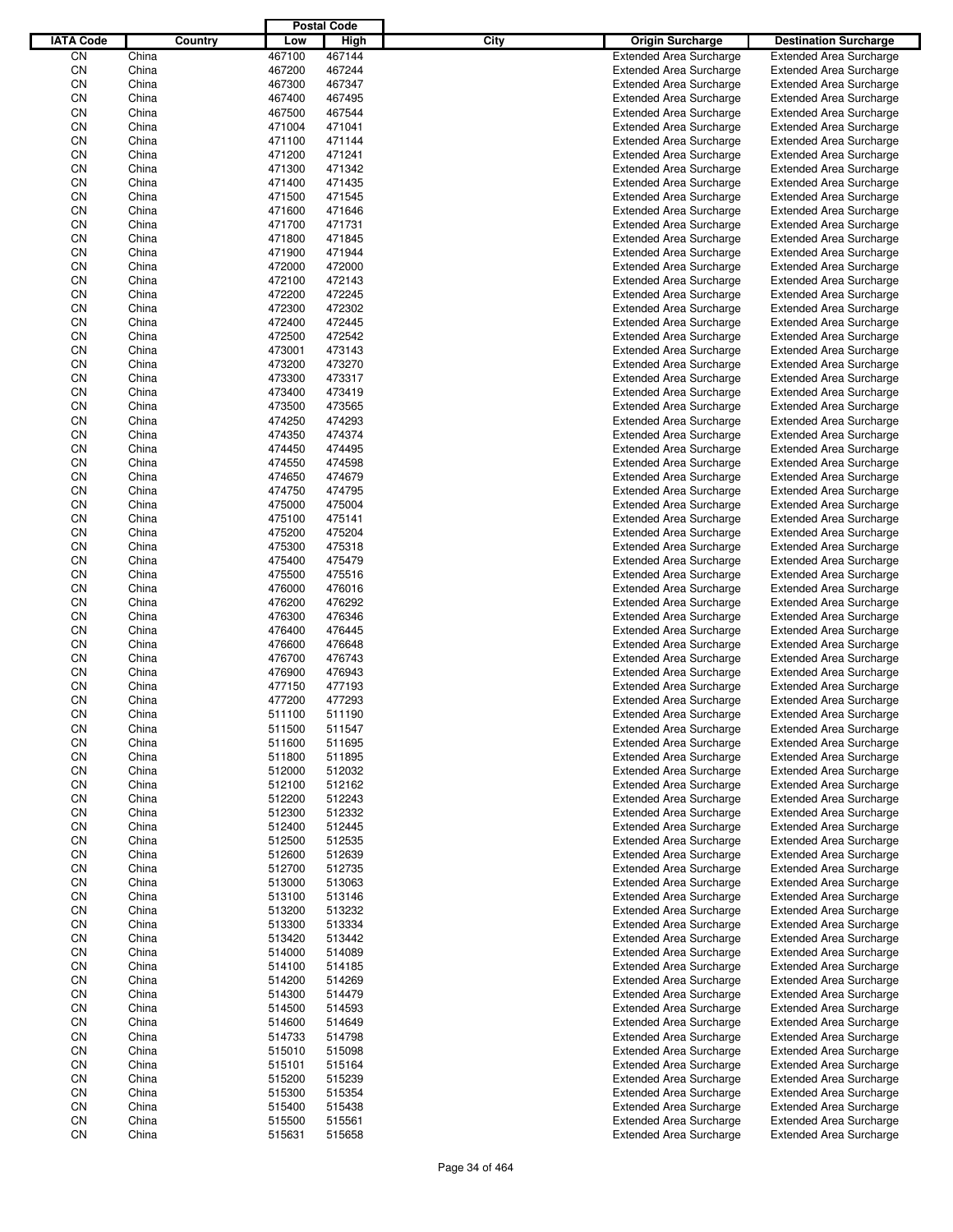|                  |                |         |                  | <b>Postal Code</b> |             |                                                                  |                                                                  |
|------------------|----------------|---------|------------------|--------------------|-------------|------------------------------------------------------------------|------------------------------------------------------------------|
| <b>IATA Code</b> |                | Country | Low              | High               | <b>City</b> | <b>Origin Surcharge</b>                                          | <b>Destination Surcharge</b>                                     |
| CN               | China          |         | 467100           | 467144             |             | <b>Extended Area Surcharge</b>                                   | <b>Extended Area Surcharge</b>                                   |
| CN               | China          |         | 467200           | 467244             |             | <b>Extended Area Surcharge</b>                                   | <b>Extended Area Surcharge</b>                                   |
| CN               | China          |         | 467300           | 467347             |             | <b>Extended Area Surcharge</b>                                   | <b>Extended Area Surcharge</b>                                   |
| CN               | China          |         | 467400           | 467495             |             | <b>Extended Area Surcharge</b>                                   | <b>Extended Area Surcharge</b>                                   |
| CN               | China          |         | 467500           | 467544             |             | <b>Extended Area Surcharge</b>                                   | <b>Extended Area Surcharge</b>                                   |
| CN               | China          |         | 471004           | 471041             |             | <b>Extended Area Surcharge</b>                                   | <b>Extended Area Surcharge</b>                                   |
| CN               | China          |         | 471100           | 471144             |             | <b>Extended Area Surcharge</b>                                   | <b>Extended Area Surcharge</b>                                   |
| CN               | China          |         | 471200           | 471241             |             | <b>Extended Area Surcharge</b>                                   | <b>Extended Area Surcharge</b>                                   |
| CN               | China          |         | 471300           | 471342             |             | <b>Extended Area Surcharge</b>                                   | <b>Extended Area Surcharge</b>                                   |
| CN               | China          |         | 471400           | 471435             |             | <b>Extended Area Surcharge</b>                                   | <b>Extended Area Surcharge</b>                                   |
| CN               | China          |         | 471500           | 471545             |             | <b>Extended Area Surcharge</b>                                   | <b>Extended Area Surcharge</b>                                   |
| CN               | China          |         | 471600           | 471646             |             | <b>Extended Area Surcharge</b>                                   | <b>Extended Area Surcharge</b>                                   |
| CN               | China          |         | 471700           | 471731             |             | <b>Extended Area Surcharge</b>                                   | <b>Extended Area Surcharge</b>                                   |
| CN               | China          |         | 471800           | 471845             |             | <b>Extended Area Surcharge</b>                                   | <b>Extended Area Surcharge</b>                                   |
| CN               | China          |         | 471900           | 471944             |             | <b>Extended Area Surcharge</b>                                   | <b>Extended Area Surcharge</b>                                   |
| CN<br>CN         | China<br>China |         | 472000<br>472100 | 472000<br>472143   |             | <b>Extended Area Surcharge</b><br><b>Extended Area Surcharge</b> | <b>Extended Area Surcharge</b><br><b>Extended Area Surcharge</b> |
| CN               | China          |         | 472200           | 472245             |             | <b>Extended Area Surcharge</b>                                   | <b>Extended Area Surcharge</b>                                   |
| CN               | China          |         | 472300           | 472302             |             | <b>Extended Area Surcharge</b>                                   | <b>Extended Area Surcharge</b>                                   |
| CN               | China          |         | 472400           | 472445             |             | <b>Extended Area Surcharge</b>                                   | <b>Extended Area Surcharge</b>                                   |
| CN               | China          |         | 472500           | 472542             |             | <b>Extended Area Surcharge</b>                                   | <b>Extended Area Surcharge</b>                                   |
| CN               | China          |         | 473001           | 473143             |             | <b>Extended Area Surcharge</b>                                   | <b>Extended Area Surcharge</b>                                   |
| CN               | China          |         | 473200           | 473270             |             | <b>Extended Area Surcharge</b>                                   | <b>Extended Area Surcharge</b>                                   |
| CN               | China          |         | 473300           | 473317             |             | <b>Extended Area Surcharge</b>                                   | <b>Extended Area Surcharge</b>                                   |
| CN               | China          |         | 473400           | 473419             |             | <b>Extended Area Surcharge</b>                                   | <b>Extended Area Surcharge</b>                                   |
| CN               | China          |         | 473500           | 473565             |             | <b>Extended Area Surcharge</b>                                   | <b>Extended Area Surcharge</b>                                   |
| CN               | China          |         | 474250           | 474293             |             | <b>Extended Area Surcharge</b>                                   | <b>Extended Area Surcharge</b>                                   |
| CN               | China          |         | 474350           | 474374             |             | <b>Extended Area Surcharge</b>                                   | <b>Extended Area Surcharge</b>                                   |
| CN               | China          |         | 474450           | 474495             |             | <b>Extended Area Surcharge</b>                                   | <b>Extended Area Surcharge</b>                                   |
| CN               | China          |         | 474550           | 474598             |             | <b>Extended Area Surcharge</b>                                   | <b>Extended Area Surcharge</b>                                   |
| CN               | China          |         | 474650           | 474679             |             | <b>Extended Area Surcharge</b>                                   | <b>Extended Area Surcharge</b>                                   |
| CN               | China          |         | 474750           | 474795             |             | <b>Extended Area Surcharge</b>                                   | <b>Extended Area Surcharge</b>                                   |
| CN               | China          |         | 475000           | 475004             |             | <b>Extended Area Surcharge</b>                                   | <b>Extended Area Surcharge</b>                                   |
| CN               | China          |         | 475100           | 475141             |             | <b>Extended Area Surcharge</b>                                   | <b>Extended Area Surcharge</b>                                   |
| CN               | China          |         | 475200           | 475204             |             | <b>Extended Area Surcharge</b>                                   | <b>Extended Area Surcharge</b>                                   |
| CN               | China          |         | 475300           | 475318             |             | <b>Extended Area Surcharge</b>                                   | <b>Extended Area Surcharge</b>                                   |
| CN               | China          |         | 475400           | 475479             |             | <b>Extended Area Surcharge</b>                                   | <b>Extended Area Surcharge</b>                                   |
| CN               | China          |         | 475500           | 475516             |             | <b>Extended Area Surcharge</b>                                   | <b>Extended Area Surcharge</b>                                   |
| CN               | China          |         | 476000           | 476016             |             | <b>Extended Area Surcharge</b>                                   | <b>Extended Area Surcharge</b>                                   |
| CN               | China          |         | 476200           | 476292             |             | <b>Extended Area Surcharge</b>                                   | <b>Extended Area Surcharge</b>                                   |
| CN               | China          |         | 476300           | 476346             |             | <b>Extended Area Surcharge</b>                                   | <b>Extended Area Surcharge</b>                                   |
| CN               | China          |         | 476400           | 476445             |             | <b>Extended Area Surcharge</b>                                   | <b>Extended Area Surcharge</b>                                   |
| CN<br>CN         | China<br>China |         | 476600<br>476700 | 476648<br>476743   |             | <b>Extended Area Surcharge</b>                                   | <b>Extended Area Surcharge</b>                                   |
| CN               | China          |         | 476900           | 476943             |             | <b>Extended Area Surcharge</b><br><b>Extended Area Surcharge</b> | <b>Extended Area Surcharge</b><br><b>Extended Area Surcharge</b> |
| CN               | China          |         | 477150           | 477193             |             | <b>Extended Area Surcharge</b>                                   | <b>Extended Area Surcharge</b>                                   |
| CΝ               | China          |         | 477200           | 477293             |             | <b>Extended Area Surcharge</b>                                   | <b>Extended Area Surcharge</b>                                   |
| CN               | China          |         | 511100           | 511190             |             | <b>Extended Area Surcharge</b>                                   | <b>Extended Area Surcharge</b>                                   |
| CN               | China          |         | 511500           | 511547             |             | <b>Extended Area Surcharge</b>                                   | <b>Extended Area Surcharge</b>                                   |
| CN               | China          |         | 511600           | 511695             |             | <b>Extended Area Surcharge</b>                                   | <b>Extended Area Surcharge</b>                                   |
| CN               | China          |         | 511800           | 511895             |             | <b>Extended Area Surcharge</b>                                   | <b>Extended Area Surcharge</b>                                   |
| CN               | China          |         | 512000           | 512032             |             | <b>Extended Area Surcharge</b>                                   | <b>Extended Area Surcharge</b>                                   |
| CN               | China          |         | 512100           | 512162             |             | <b>Extended Area Surcharge</b>                                   | <b>Extended Area Surcharge</b>                                   |
| CN               | China          |         | 512200           | 512243             |             | <b>Extended Area Surcharge</b>                                   | <b>Extended Area Surcharge</b>                                   |
| CN               | China          |         | 512300           | 512332             |             | <b>Extended Area Surcharge</b>                                   | <b>Extended Area Surcharge</b>                                   |
| CN               | China          |         | 512400           | 512445             |             | <b>Extended Area Surcharge</b>                                   | <b>Extended Area Surcharge</b>                                   |
| CN               | China          |         | 512500           | 512535             |             | <b>Extended Area Surcharge</b>                                   | <b>Extended Area Surcharge</b>                                   |
| CN               | China          |         | 512600           | 512639             |             | <b>Extended Area Surcharge</b>                                   | <b>Extended Area Surcharge</b>                                   |
| CN               | China          |         | 512700           | 512735             |             | <b>Extended Area Surcharge</b>                                   | <b>Extended Area Surcharge</b>                                   |
| CN               | China          |         | 513000           | 513063             |             | <b>Extended Area Surcharge</b>                                   | <b>Extended Area Surcharge</b>                                   |
| CN               | China          |         | 513100           | 513146             |             | <b>Extended Area Surcharge</b>                                   | <b>Extended Area Surcharge</b>                                   |
| CN               | China          |         | 513200           | 513232             |             | <b>Extended Area Surcharge</b>                                   | <b>Extended Area Surcharge</b>                                   |
| CN               | China          |         | 513300           | 513334             |             | <b>Extended Area Surcharge</b>                                   | <b>Extended Area Surcharge</b>                                   |
| CN               | China          |         | 513420           | 513442             |             | <b>Extended Area Surcharge</b>                                   | <b>Extended Area Surcharge</b>                                   |
| CN               | China          |         | 514000           | 514089             |             | <b>Extended Area Surcharge</b>                                   | <b>Extended Area Surcharge</b>                                   |
| CN<br>CN         | China          |         | 514100<br>514200 | 514185             |             | <b>Extended Area Surcharge</b>                                   | <b>Extended Area Surcharge</b><br><b>Extended Area Surcharge</b> |
| CN               | China<br>China |         | 514300           | 514269<br>514479   |             | <b>Extended Area Surcharge</b><br><b>Extended Area Surcharge</b> | <b>Extended Area Surcharge</b>                                   |
| CN               | China          |         | 514500           | 514593             |             | <b>Extended Area Surcharge</b>                                   | <b>Extended Area Surcharge</b>                                   |
| CN               | China          |         | 514600           | 514649             |             | <b>Extended Area Surcharge</b>                                   | <b>Extended Area Surcharge</b>                                   |
| CN               | China          |         | 514733           | 514798             |             | <b>Extended Area Surcharge</b>                                   | <b>Extended Area Surcharge</b>                                   |
| CN               | China          |         | 515010           | 515098             |             | <b>Extended Area Surcharge</b>                                   | <b>Extended Area Surcharge</b>                                   |
| CN               | China          |         | 515101           | 515164             |             | <b>Extended Area Surcharge</b>                                   | <b>Extended Area Surcharge</b>                                   |
| CN               | China          |         | 515200           | 515239             |             | <b>Extended Area Surcharge</b>                                   | <b>Extended Area Surcharge</b>                                   |
| CN               | China          |         | 515300           | 515354             |             | <b>Extended Area Surcharge</b>                                   | <b>Extended Area Surcharge</b>                                   |
| CN               | China          |         | 515400           | 515438             |             | <b>Extended Area Surcharge</b>                                   | <b>Extended Area Surcharge</b>                                   |
| CN               | China          |         | 515500           | 515561             |             | <b>Extended Area Surcharge</b>                                   | <b>Extended Area Surcharge</b>                                   |
| CN               | China          |         | 515631           | 515658             |             | <b>Extended Area Surcharge</b>                                   | <b>Extended Area Surcharge</b>                                   |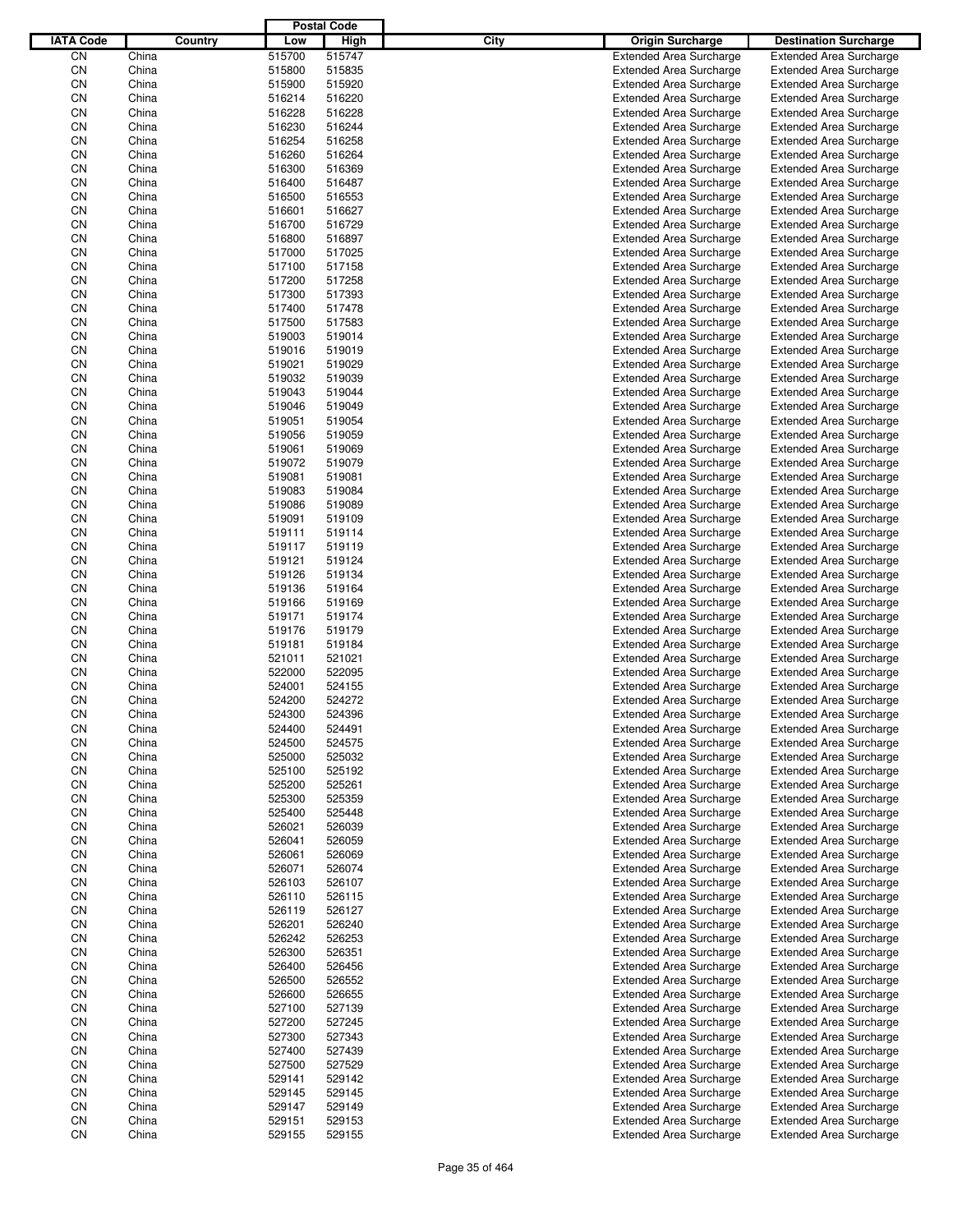|                  |                |         |                  | <b>Postal Code</b> |             |                                                                  |                                                                  |
|------------------|----------------|---------|------------------|--------------------|-------------|------------------------------------------------------------------|------------------------------------------------------------------|
| <b>IATA Code</b> |                | Country | Low              | High               | <b>City</b> | <b>Origin Surcharge</b>                                          | <b>Destination Surcharge</b>                                     |
| CN               | China          |         | 515700           | 515747             |             | <b>Extended Area Surcharge</b>                                   | <b>Extended Area Surcharge</b>                                   |
| CN               | China          |         | 515800           | 515835             |             | <b>Extended Area Surcharge</b>                                   | <b>Extended Area Surcharge</b>                                   |
| CN               | China          |         | 515900           | 515920             |             | <b>Extended Area Surcharge</b>                                   | <b>Extended Area Surcharge</b>                                   |
| CN               | China          |         | 516214           | 516220             |             | <b>Extended Area Surcharge</b>                                   | <b>Extended Area Surcharge</b>                                   |
| CN               | China          |         | 516228           | 516228             |             | <b>Extended Area Surcharge</b>                                   | <b>Extended Area Surcharge</b>                                   |
| CN               | China          |         | 516230           | 516244             |             | <b>Extended Area Surcharge</b>                                   | <b>Extended Area Surcharge</b>                                   |
| CN               | China          |         | 516254           | 516258             |             | <b>Extended Area Surcharge</b>                                   | <b>Extended Area Surcharge</b>                                   |
| CN               | China          |         | 516260           | 516264             |             | <b>Extended Area Surcharge</b>                                   | <b>Extended Area Surcharge</b>                                   |
| CN               | China          |         | 516300           | 516369             |             | <b>Extended Area Surcharge</b>                                   | <b>Extended Area Surcharge</b>                                   |
| CN               | China          |         | 516400           | 516487             |             | <b>Extended Area Surcharge</b>                                   | <b>Extended Area Surcharge</b>                                   |
| CN               | China          |         | 516500           | 516553             |             | <b>Extended Area Surcharge</b>                                   | <b>Extended Area Surcharge</b>                                   |
| CN               | China          |         | 516601           | 516627             |             | <b>Extended Area Surcharge</b>                                   | <b>Extended Area Surcharge</b>                                   |
| CN               | China          |         | 516700           | 516729             |             | <b>Extended Area Surcharge</b>                                   | <b>Extended Area Surcharge</b>                                   |
| CN               | China          |         | 516800           | 516897             |             | <b>Extended Area Surcharge</b>                                   | <b>Extended Area Surcharge</b>                                   |
| CN               | China          |         | 517000           | 517025             |             | <b>Extended Area Surcharge</b>                                   | <b>Extended Area Surcharge</b>                                   |
| CN               | China          |         | 517100           | 517158             |             | <b>Extended Area Surcharge</b>                                   | <b>Extended Area Surcharge</b>                                   |
| CN               | China          |         | 517200           | 517258             |             | <b>Extended Area Surcharge</b>                                   | <b>Extended Area Surcharge</b>                                   |
| CN               | China          |         | 517300           | 517393             |             | <b>Extended Area Surcharge</b>                                   | <b>Extended Area Surcharge</b>                                   |
| CN               | China          |         | 517400           | 517478             |             | <b>Extended Area Surcharge</b>                                   | <b>Extended Area Surcharge</b>                                   |
| CN               | China<br>China |         | 517500           | 517583             |             | <b>Extended Area Surcharge</b>                                   | <b>Extended Area Surcharge</b>                                   |
| CN<br>CN         | China          |         | 519003<br>519016 | 519014<br>519019   |             | <b>Extended Area Surcharge</b><br><b>Extended Area Surcharge</b> | <b>Extended Area Surcharge</b>                                   |
| CN               | China          |         | 519021           | 519029             |             | <b>Extended Area Surcharge</b>                                   | <b>Extended Area Surcharge</b><br><b>Extended Area Surcharge</b> |
| CN               | China          |         | 519032           | 519039             |             | <b>Extended Area Surcharge</b>                                   | <b>Extended Area Surcharge</b>                                   |
| CN               | China          |         | 519043           | 519044             |             | <b>Extended Area Surcharge</b>                                   | <b>Extended Area Surcharge</b>                                   |
| CN               | China          |         | 519046           | 519049             |             | <b>Extended Area Surcharge</b>                                   | <b>Extended Area Surcharge</b>                                   |
| CN               | China          |         | 519051           | 519054             |             | <b>Extended Area Surcharge</b>                                   | <b>Extended Area Surcharge</b>                                   |
| CN               | China          |         | 519056           | 519059             |             | <b>Extended Area Surcharge</b>                                   | <b>Extended Area Surcharge</b>                                   |
| CN               | China          |         | 519061           | 519069             |             | <b>Extended Area Surcharge</b>                                   | <b>Extended Area Surcharge</b>                                   |
| CN               | China          |         | 519072           | 519079             |             | <b>Extended Area Surcharge</b>                                   | <b>Extended Area Surcharge</b>                                   |
| CN               | China          |         | 519081           | 519081             |             | <b>Extended Area Surcharge</b>                                   | <b>Extended Area Surcharge</b>                                   |
| CN               | China          |         | 519083           | 519084             |             | <b>Extended Area Surcharge</b>                                   | <b>Extended Area Surcharge</b>                                   |
| CN               | China          |         | 519086           | 519089             |             | <b>Extended Area Surcharge</b>                                   | <b>Extended Area Surcharge</b>                                   |
| CN               | China          |         | 519091           | 519109             |             | <b>Extended Area Surcharge</b>                                   | <b>Extended Area Surcharge</b>                                   |
| CN               | China          |         | 519111           | 519114             |             | <b>Extended Area Surcharge</b>                                   | <b>Extended Area Surcharge</b>                                   |
| CN               | China          |         | 519117           | 519119             |             | <b>Extended Area Surcharge</b>                                   | <b>Extended Area Surcharge</b>                                   |
| CN               | China          |         | 519121           | 519124             |             | <b>Extended Area Surcharge</b>                                   | <b>Extended Area Surcharge</b>                                   |
| CN               | China          |         | 519126           | 519134             |             | <b>Extended Area Surcharge</b>                                   | <b>Extended Area Surcharge</b>                                   |
| CN               | China          |         | 519136           | 519164             |             | <b>Extended Area Surcharge</b>                                   | <b>Extended Area Surcharge</b>                                   |
| CN               | China          |         | 519166           | 519169             |             | <b>Extended Area Surcharge</b>                                   | <b>Extended Area Surcharge</b>                                   |
| CN               | China          |         | 519171           | 519174             |             | <b>Extended Area Surcharge</b>                                   | <b>Extended Area Surcharge</b>                                   |
| CN               | China          |         | 519176           | 519179             |             | <b>Extended Area Surcharge</b>                                   | <b>Extended Area Surcharge</b>                                   |
| CN               | China          |         | 519181           | 519184             |             | <b>Extended Area Surcharge</b>                                   | <b>Extended Area Surcharge</b>                                   |
| CN               | China          |         | 521011           | 521021             |             | <b>Extended Area Surcharge</b>                                   | <b>Extended Area Surcharge</b>                                   |
| CN               | China          |         | 522000           | 522095             |             | <b>Extended Area Surcharge</b>                                   | <b>Extended Area Surcharge</b>                                   |
| CN               | China          |         | 524001           | 524155             |             | <b>Extended Area Surcharge</b>                                   | <b>Extended Area Surcharge</b>                                   |
| CN               | China          |         | 524200           | 524272             |             | <b>Extended Area Surcharge</b>                                   | <b>Extended Area Surcharge</b>                                   |
| CN               | China          |         | 524300           | 524396             |             | <b>Extended Area Surcharge</b>                                   | <b>Extended Area Surcharge</b>                                   |
| CN               | China          |         | 524400           | 524491             |             | <b>Extended Area Surcharge</b>                                   | <b>Extended Area Surcharge</b>                                   |
| CN               | China          |         | 524500           | 524575             |             | <b>Extended Area Surcharge</b>                                   | <b>Extended Area Surcharge</b>                                   |
| CN               | China          |         | 525000           | 525032             |             | <b>Extended Area Surcharge</b>                                   | <b>Extended Area Surcharge</b>                                   |
| CN               | China          |         | 525100           | 525192             |             | <b>Extended Area Surcharge</b>                                   | <b>Extended Area Surcharge</b>                                   |
| CN               | China          |         | 525200           | 525261             |             | <b>Extended Area Surcharge</b>                                   | <b>Extended Area Surcharge</b>                                   |
| CN               | China          |         | 525300           | 525359             |             | <b>Extended Area Surcharge</b>                                   | <b>Extended Area Surcharge</b>                                   |
| CN               | China          |         | 525400           | 525448             |             | <b>Extended Area Surcharge</b>                                   | <b>Extended Area Surcharge</b>                                   |
| CN               | China          |         | 526021           | 526039             |             | <b>Extended Area Surcharge</b>                                   | <b>Extended Area Surcharge</b>                                   |
| CN               | China          |         | 526041           | 526059             |             | <b>Extended Area Surcharge</b>                                   | <b>Extended Area Surcharge</b>                                   |
| CN               | China          |         | 526061           | 526069             |             | <b>Extended Area Surcharge</b>                                   | <b>Extended Area Surcharge</b>                                   |
| CN               | China          |         | 526071           | 526074             |             | <b>Extended Area Surcharge</b>                                   | <b>Extended Area Surcharge</b>                                   |
| CN<br>CN         | China<br>China |         | 526103<br>526110 | 526107<br>526115   |             | <b>Extended Area Surcharge</b><br><b>Extended Area Surcharge</b> | <b>Extended Area Surcharge</b><br><b>Extended Area Surcharge</b> |
| CN               | China          |         | 526119           | 526127             |             | <b>Extended Area Surcharge</b>                                   | <b>Extended Area Surcharge</b>                                   |
| CN               | China          |         | 526201           | 526240             |             | <b>Extended Area Surcharge</b>                                   | <b>Extended Area Surcharge</b>                                   |
| CN               | China          |         | 526242           | 526253             |             | <b>Extended Area Surcharge</b>                                   | <b>Extended Area Surcharge</b>                                   |
| CN               | China          |         | 526300           | 526351             |             | <b>Extended Area Surcharge</b>                                   | <b>Extended Area Surcharge</b>                                   |
| CN               | China          |         | 526400           | 526456             |             | <b>Extended Area Surcharge</b>                                   | <b>Extended Area Surcharge</b>                                   |
| CN               | China          |         | 526500           | 526552             |             | <b>Extended Area Surcharge</b>                                   | <b>Extended Area Surcharge</b>                                   |
| CN               | China          |         | 526600           | 526655             |             | <b>Extended Area Surcharge</b>                                   | <b>Extended Area Surcharge</b>                                   |
| CN               | China          |         | 527100           | 527139             |             | <b>Extended Area Surcharge</b>                                   | <b>Extended Area Surcharge</b>                                   |
| CN               | China          |         | 527200           | 527245             |             | <b>Extended Area Surcharge</b>                                   | <b>Extended Area Surcharge</b>                                   |
| CN               | China          |         | 527300           | 527343             |             | <b>Extended Area Surcharge</b>                                   | <b>Extended Area Surcharge</b>                                   |
| CN               | China          |         | 527400           | 527439             |             | <b>Extended Area Surcharge</b>                                   | <b>Extended Area Surcharge</b>                                   |
| CN               | China          |         | 527500           | 527529             |             | <b>Extended Area Surcharge</b>                                   | <b>Extended Area Surcharge</b>                                   |
| CN               | China          |         | 529141           | 529142             |             | <b>Extended Area Surcharge</b>                                   | <b>Extended Area Surcharge</b>                                   |
| CN               | China          |         | 529145           | 529145             |             | <b>Extended Area Surcharge</b>                                   | <b>Extended Area Surcharge</b>                                   |
| CN               | China          |         | 529147           | 529149             |             | <b>Extended Area Surcharge</b>                                   | <b>Extended Area Surcharge</b>                                   |
| CN               | China          |         | 529151           | 529153             |             | <b>Extended Area Surcharge</b>                                   | <b>Extended Area Surcharge</b>                                   |
| CN               | China          |         | 529155           | 529155             |             | <b>Extended Area Surcharge</b>                                   | <b>Extended Area Surcharge</b>                                   |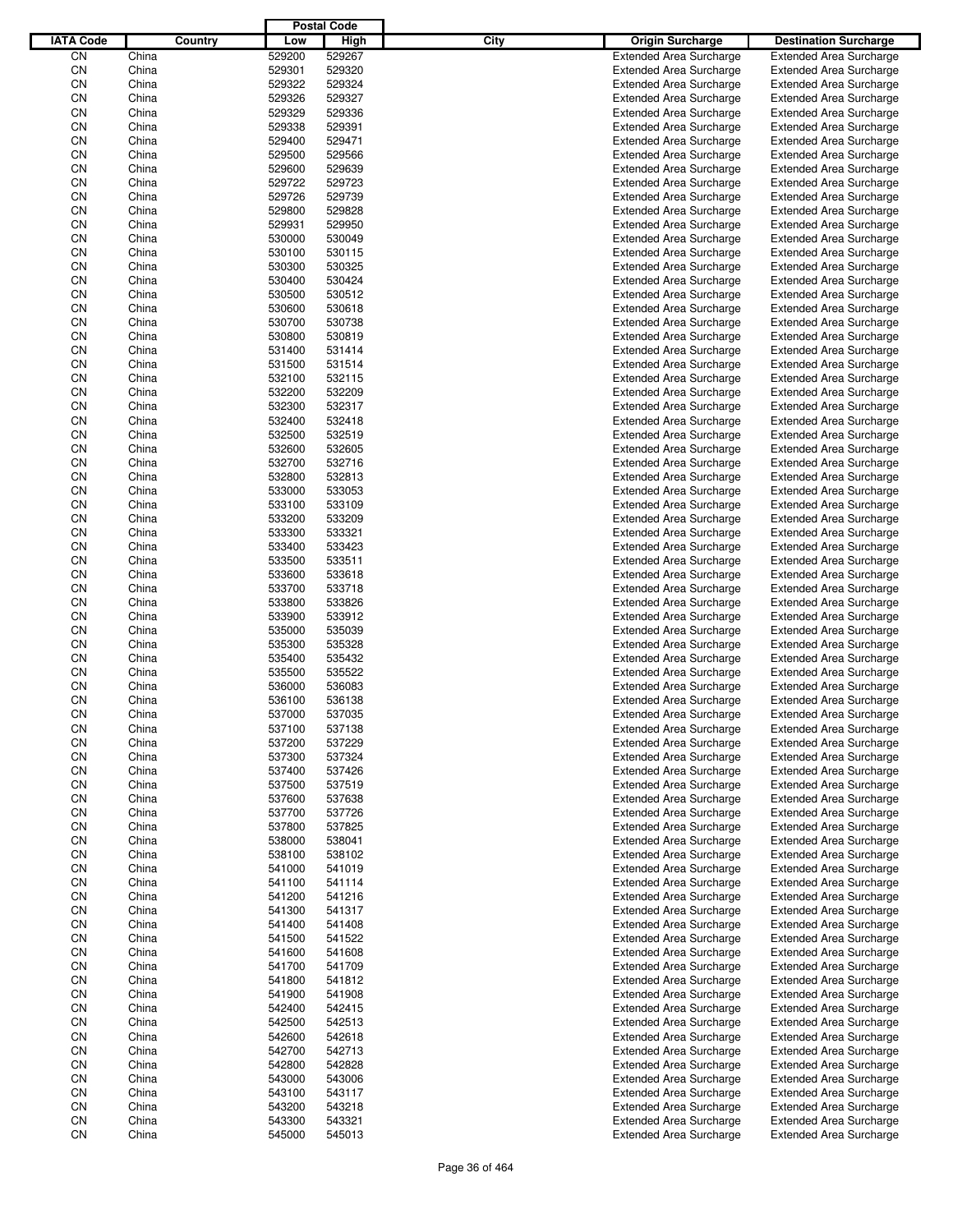|                  |                |         |                  | <b>Postal Code</b> |             |                                                                  |                                                                  |
|------------------|----------------|---------|------------------|--------------------|-------------|------------------------------------------------------------------|------------------------------------------------------------------|
| <b>IATA Code</b> |                | Country | Low              | High               | <b>City</b> | <b>Origin Surcharge</b>                                          | <b>Destination Surcharge</b>                                     |
| CΝ               | China          |         | 529200           | 529267             |             | <b>Extended Area Surcharge</b>                                   | <b>Extended Area Surcharge</b>                                   |
| CN               | China          |         | 529301           | 529320             |             | <b>Extended Area Surcharge</b>                                   | <b>Extended Area Surcharge</b>                                   |
| CN               | China          |         | 529322           | 529324             |             | <b>Extended Area Surcharge</b>                                   | <b>Extended Area Surcharge</b>                                   |
| CN               | China          |         | 529326           | 529327             |             | <b>Extended Area Surcharge</b>                                   | <b>Extended Area Surcharge</b>                                   |
| CN               | China          |         | 529329           | 529336             |             | <b>Extended Area Surcharge</b>                                   | <b>Extended Area Surcharge</b>                                   |
| CN               | China          |         | 529338           | 529391             |             | <b>Extended Area Surcharge</b>                                   | <b>Extended Area Surcharge</b>                                   |
| CN               | China          |         | 529400           | 529471             |             | <b>Extended Area Surcharge</b>                                   | <b>Extended Area Surcharge</b>                                   |
| CN               | China          |         | 529500           | 529566             |             | <b>Extended Area Surcharge</b>                                   | <b>Extended Area Surcharge</b>                                   |
| CN               | China          |         | 529600           | 529639             |             | <b>Extended Area Surcharge</b>                                   | <b>Extended Area Surcharge</b>                                   |
| CN               | China          |         | 529722           | 529723             |             | <b>Extended Area Surcharge</b>                                   | <b>Extended Area Surcharge</b>                                   |
| CN               | China          |         | 529726           | 529739             |             | <b>Extended Area Surcharge</b>                                   | <b>Extended Area Surcharge</b>                                   |
| CN               | China          |         | 529800           | 529828             |             | <b>Extended Area Surcharge</b>                                   | <b>Extended Area Surcharge</b>                                   |
| CN               | China          |         | 529931           | 529950             |             | <b>Extended Area Surcharge</b>                                   | <b>Extended Area Surcharge</b>                                   |
| CN               | China          |         | 530000           | 530049             |             | <b>Extended Area Surcharge</b>                                   | <b>Extended Area Surcharge</b>                                   |
| CN               | China          |         | 530100           | 530115             |             | <b>Extended Area Surcharge</b>                                   | <b>Extended Area Surcharge</b>                                   |
| CN               | China          |         | 530300           | 530325             |             | <b>Extended Area Surcharge</b>                                   | <b>Extended Area Surcharge</b>                                   |
| CN               | China          |         | 530400           | 530424             |             | <b>Extended Area Surcharge</b>                                   | <b>Extended Area Surcharge</b>                                   |
| CN               | China          |         | 530500           | 530512             |             | <b>Extended Area Surcharge</b>                                   | <b>Extended Area Surcharge</b>                                   |
| CN               | China          |         | 530600           | 530618             |             | <b>Extended Area Surcharge</b>                                   | <b>Extended Area Surcharge</b>                                   |
| CN               | China          |         | 530700           | 530738             |             | <b>Extended Area Surcharge</b>                                   | <b>Extended Area Surcharge</b>                                   |
| CN               | China          |         | 530800           | 530819             |             | <b>Extended Area Surcharge</b>                                   | <b>Extended Area Surcharge</b>                                   |
| CN               | China          |         | 531400           | 531414             |             | <b>Extended Area Surcharge</b>                                   | <b>Extended Area Surcharge</b>                                   |
| CN               | China          |         | 531500           | 531514             |             | <b>Extended Area Surcharge</b>                                   | <b>Extended Area Surcharge</b>                                   |
| CN               | China          |         | 532100           | 532115             |             | <b>Extended Area Surcharge</b>                                   | <b>Extended Area Surcharge</b>                                   |
| CN               | China          |         | 532200           | 532209             |             | <b>Extended Area Surcharge</b>                                   | <b>Extended Area Surcharge</b>                                   |
| CN               | China          |         | 532300           | 532317             |             | <b>Extended Area Surcharge</b>                                   | <b>Extended Area Surcharge</b>                                   |
| CN               | China          |         | 532400           | 532418             |             | <b>Extended Area Surcharge</b>                                   | <b>Extended Area Surcharge</b>                                   |
| CN               | China          |         | 532500           | 532519             |             | <b>Extended Area Surcharge</b>                                   | <b>Extended Area Surcharge</b>                                   |
| CN               | China          |         | 532600           | 532605             |             | <b>Extended Area Surcharge</b>                                   | <b>Extended Area Surcharge</b>                                   |
| CN               | China          |         | 532700           | 532716             |             | <b>Extended Area Surcharge</b>                                   | <b>Extended Area Surcharge</b>                                   |
| CN               | China          |         | 532800           | 532813             |             | <b>Extended Area Surcharge</b>                                   | <b>Extended Area Surcharge</b>                                   |
| CN               | China          |         | 533000           | 533053             |             | <b>Extended Area Surcharge</b>                                   | <b>Extended Area Surcharge</b>                                   |
| CN               | China          |         | 533100           | 533109             |             | <b>Extended Area Surcharge</b>                                   | <b>Extended Area Surcharge</b>                                   |
| CN               | China          |         | 533200           | 533209             |             | <b>Extended Area Surcharge</b>                                   | <b>Extended Area Surcharge</b>                                   |
| CN               | China          |         | 533300           | 533321             |             | <b>Extended Area Surcharge</b>                                   | <b>Extended Area Surcharge</b>                                   |
| CN               | China          |         | 533400           | 533423             |             | <b>Extended Area Surcharge</b>                                   | <b>Extended Area Surcharge</b>                                   |
| CN               | China          |         | 533500           | 533511             |             | <b>Extended Area Surcharge</b>                                   | <b>Extended Area Surcharge</b>                                   |
| CN               | China          |         | 533600           | 533618             |             | <b>Extended Area Surcharge</b>                                   | <b>Extended Area Surcharge</b>                                   |
| CN               | China          |         | 533700           | 533718             |             | <b>Extended Area Surcharge</b>                                   | <b>Extended Area Surcharge</b>                                   |
| CN               | China          |         | 533800           | 533826             |             | <b>Extended Area Surcharge</b>                                   | <b>Extended Area Surcharge</b>                                   |
| CN               | China          |         | 533900           | 533912             |             | <b>Extended Area Surcharge</b>                                   | <b>Extended Area Surcharge</b>                                   |
| CN               | China          |         | 535000           | 535039             |             | <b>Extended Area Surcharge</b>                                   | <b>Extended Area Surcharge</b>                                   |
| CN               | China          |         | 535300           | 535328             |             | <b>Extended Area Surcharge</b>                                   | <b>Extended Area Surcharge</b>                                   |
| CN               | China          |         | 535400           | 535432             |             | <b>Extended Area Surcharge</b>                                   | <b>Extended Area Surcharge</b>                                   |
| CN               | China          |         | 535500           | 535522             |             | <b>Extended Area Surcharge</b>                                   | <b>Extended Area Surcharge</b>                                   |
| CN               | China          |         | 536000           | 536083             |             | <b>Extended Area Surcharge</b>                                   | <b>Extended Area Surcharge</b>                                   |
| CΝ               | China          |         | 536100           | 536138             |             | <b>Extended Area Surcharge</b>                                   | <b>Extended Area Surcharge</b>                                   |
| CN               | China          |         | 537000           | 537035             |             | <b>Extended Area Surcharge</b>                                   | <b>Extended Area Surcharge</b>                                   |
| CN               | China          |         | 537100           | 537138             |             | <b>Extended Area Surcharge</b>                                   | <b>Extended Area Surcharge</b>                                   |
| CN               | China          |         | 537200           | 537229             |             | <b>Extended Area Surcharge</b>                                   | <b>Extended Area Surcharge</b>                                   |
| CN               | China          |         | 537300           | 537324             |             | <b>Extended Area Surcharge</b>                                   | <b>Extended Area Surcharge</b>                                   |
| CN               | China          |         | 537400           | 537426             |             | <b>Extended Area Surcharge</b>                                   | <b>Extended Area Surcharge</b>                                   |
| CN               | China          |         | 537500           | 537519             |             | <b>Extended Area Surcharge</b>                                   | <b>Extended Area Surcharge</b>                                   |
| CN               | China          |         | 537600           | 537638             |             | <b>Extended Area Surcharge</b>                                   | <b>Extended Area Surcharge</b>                                   |
| CN               | China          |         | 537700           | 537726             |             | <b>Extended Area Surcharge</b>                                   | <b>Extended Area Surcharge</b>                                   |
| CN               | China          |         | 537800           | 537825             |             | <b>Extended Area Surcharge</b>                                   | <b>Extended Area Surcharge</b>                                   |
| CN               | China          |         | 538000           | 538041             |             | <b>Extended Area Surcharge</b>                                   | <b>Extended Area Surcharge</b>                                   |
| CN               | China          |         | 538100           | 538102             |             | <b>Extended Area Surcharge</b>                                   | <b>Extended Area Surcharge</b>                                   |
| CN               | China          |         | 541000           | 541019             |             | <b>Extended Area Surcharge</b>                                   | <b>Extended Area Surcharge</b>                                   |
| CN               | China          |         | 541100           | 541114             |             | <b>Extended Area Surcharge</b>                                   | <b>Extended Area Surcharge</b>                                   |
| CN               | China          |         | 541200           | 541216             |             | <b>Extended Area Surcharge</b>                                   | <b>Extended Area Surcharge</b>                                   |
| CN               | China          |         | 541300           | 541317             |             | <b>Extended Area Surcharge</b>                                   | <b>Extended Area Surcharge</b>                                   |
| CN               | China          |         | 541400           | 541408             |             | <b>Extended Area Surcharge</b>                                   | <b>Extended Area Surcharge</b>                                   |
| CN               | China          |         | 541500           | 541522             |             | <b>Extended Area Surcharge</b>                                   | <b>Extended Area Surcharge</b>                                   |
| CN               | China          |         | 541600           | 541608             |             | <b>Extended Area Surcharge</b>                                   | <b>Extended Area Surcharge</b>                                   |
| CN               | China          |         | 541700           | 541709             |             | <b>Extended Area Surcharge</b>                                   | <b>Extended Area Surcharge</b>                                   |
| CN               | China          |         | 541800           | 541812             |             | <b>Extended Area Surcharge</b>                                   | <b>Extended Area Surcharge</b>                                   |
| CN               | China          |         | 541900           | 541908             |             | <b>Extended Area Surcharge</b>                                   | <b>Extended Area Surcharge</b>                                   |
| CN               | China          |         | 542400           | 542415             |             | <b>Extended Area Surcharge</b>                                   | <b>Extended Area Surcharge</b>                                   |
| CN               | China          |         | 542500           | 542513             |             | <b>Extended Area Surcharge</b>                                   | <b>Extended Area Surcharge</b>                                   |
| CN               | China          |         | 542600           | 542618             |             | <b>Extended Area Surcharge</b>                                   | <b>Extended Area Surcharge</b>                                   |
| CN               | China          |         | 542700           | 542713             |             | <b>Extended Area Surcharge</b>                                   | <b>Extended Area Surcharge</b>                                   |
| CN               | China          |         | 542800           | 542828             |             | <b>Extended Area Surcharge</b>                                   | <b>Extended Area Surcharge</b>                                   |
| CN<br>CN         | China          |         | 543000           | 543006             |             | <b>Extended Area Surcharge</b>                                   | <b>Extended Area Surcharge</b><br><b>Extended Area Surcharge</b> |
| CN               | China<br>China |         | 543100<br>543200 | 543117<br>543218   |             | <b>Extended Area Surcharge</b><br><b>Extended Area Surcharge</b> | <b>Extended Area Surcharge</b>                                   |
| CN               | China          |         | 543300           | 543321             |             | <b>Extended Area Surcharge</b>                                   | <b>Extended Area Surcharge</b>                                   |
| CN               | China          |         | 545000           | 545013             |             | <b>Extended Area Surcharge</b>                                   | <b>Extended Area Surcharge</b>                                   |
|                  |                |         |                  |                    |             |                                                                  |                                                                  |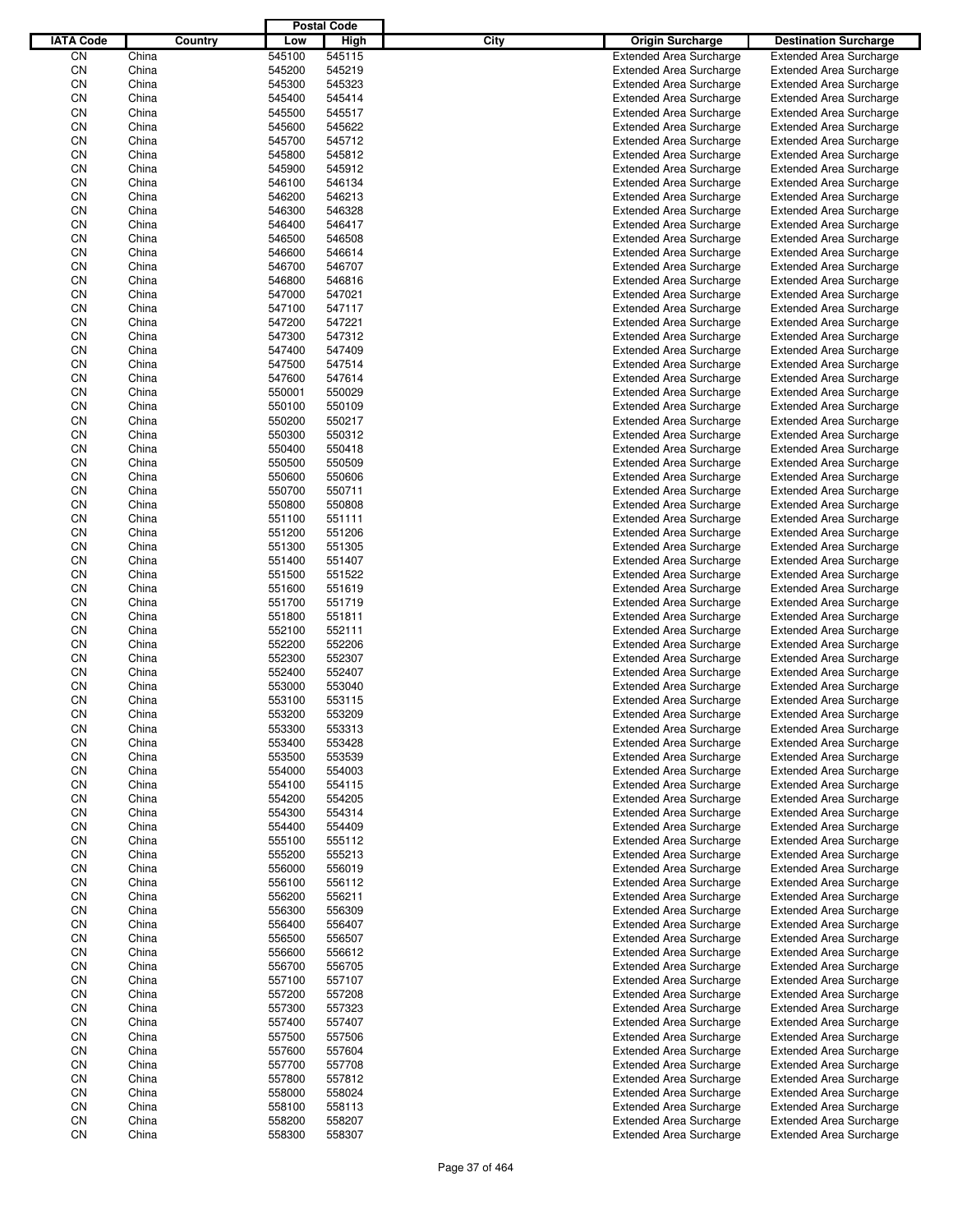|                  |                |         |                  | <b>Postal Code</b> |      |                                                                  |                                                                  |
|------------------|----------------|---------|------------------|--------------------|------|------------------------------------------------------------------|------------------------------------------------------------------|
| <b>IATA Code</b> |                | Country | Low              | High               | City | <b>Origin Surcharge</b>                                          | <b>Destination Surcharge</b>                                     |
| CN               | China          |         | 545100           | 545115             |      | <b>Extended Area Surcharge</b>                                   | <b>Extended Area Surcharge</b>                                   |
| CN               | China          |         | 545200           | 545219             |      | <b>Extended Area Surcharge</b>                                   | <b>Extended Area Surcharge</b>                                   |
| CN               | China          |         | 545300           | 545323             |      | <b>Extended Area Surcharge</b>                                   | <b>Extended Area Surcharge</b>                                   |
| CN               | China          |         | 545400           | 545414             |      | <b>Extended Area Surcharge</b>                                   | <b>Extended Area Surcharge</b>                                   |
| CN               | China          |         | 545500           | 545517             |      | <b>Extended Area Surcharge</b>                                   | <b>Extended Area Surcharge</b>                                   |
| CN               | China          |         | 545600           | 545622             |      | <b>Extended Area Surcharge</b>                                   | <b>Extended Area Surcharge</b>                                   |
| CN               | China          |         | 545700           | 545712             |      | <b>Extended Area Surcharge</b>                                   | <b>Extended Area Surcharge</b>                                   |
| CN               | China          |         | 545800           | 545812             |      | <b>Extended Area Surcharge</b>                                   | <b>Extended Area Surcharge</b>                                   |
| CN               | China          |         | 545900           | 545912             |      | <b>Extended Area Surcharge</b>                                   | <b>Extended Area Surcharge</b>                                   |
| CN               | China          |         | 546100           | 546134             |      | <b>Extended Area Surcharge</b>                                   | <b>Extended Area Surcharge</b>                                   |
| CN               | China          |         | 546200           | 546213             |      | <b>Extended Area Surcharge</b>                                   | <b>Extended Area Surcharge</b>                                   |
| CN               | China          |         | 546300           | 546328             |      | <b>Extended Area Surcharge</b>                                   | <b>Extended Area Surcharge</b>                                   |
| CN               | China          |         | 546400           | 546417             |      | <b>Extended Area Surcharge</b>                                   | <b>Extended Area Surcharge</b>                                   |
| CN               | China          |         | 546500           | 546508             |      | <b>Extended Area Surcharge</b>                                   | <b>Extended Area Surcharge</b>                                   |
| CN               | China          |         | 546600           | 546614             |      | <b>Extended Area Surcharge</b>                                   | <b>Extended Area Surcharge</b>                                   |
| CN               | China          |         | 546700           | 546707             |      | <b>Extended Area Surcharge</b>                                   | <b>Extended Area Surcharge</b>                                   |
| CN               | China          |         | 546800           | 546816             |      | <b>Extended Area Surcharge</b>                                   | <b>Extended Area Surcharge</b>                                   |
| CN               | China          |         | 547000           | 547021             |      | <b>Extended Area Surcharge</b>                                   | <b>Extended Area Surcharge</b>                                   |
| CN               | China          |         | 547100           | 547117             |      | <b>Extended Area Surcharge</b>                                   | <b>Extended Area Surcharge</b>                                   |
| CN               | China          |         | 547200           | 547221             |      | <b>Extended Area Surcharge</b>                                   | <b>Extended Area Surcharge</b>                                   |
| CN               | China          |         | 547300           | 547312             |      | <b>Extended Area Surcharge</b>                                   | <b>Extended Area Surcharge</b>                                   |
| CN               | China          |         | 547400           | 547409             |      | <b>Extended Area Surcharge</b>                                   | <b>Extended Area Surcharge</b>                                   |
| CN               | China          |         | 547500           | 547514             |      | <b>Extended Area Surcharge</b>                                   | <b>Extended Area Surcharge</b>                                   |
| CN               | China          |         | 547600           | 547614             |      | <b>Extended Area Surcharge</b>                                   | <b>Extended Area Surcharge</b>                                   |
| CN               | China          |         | 550001           | 550029             |      | <b>Extended Area Surcharge</b>                                   | <b>Extended Area Surcharge</b>                                   |
| CN               | China          |         | 550100           | 550109             |      | <b>Extended Area Surcharge</b>                                   | <b>Extended Area Surcharge</b>                                   |
| CN               | China          |         | 550200           | 550217             |      | <b>Extended Area Surcharge</b>                                   | <b>Extended Area Surcharge</b>                                   |
| CN               | China          |         | 550300           | 550312             |      | <b>Extended Area Surcharge</b>                                   | <b>Extended Area Surcharge</b>                                   |
| CN               | China          |         | 550400           | 550418             |      | <b>Extended Area Surcharge</b>                                   | <b>Extended Area Surcharge</b>                                   |
| CN               | China          |         | 550500           | 550509             |      | <b>Extended Area Surcharge</b>                                   | <b>Extended Area Surcharge</b>                                   |
| CN               | China          |         | 550600           | 550606             |      | <b>Extended Area Surcharge</b>                                   | <b>Extended Area Surcharge</b>                                   |
| CN               | China          |         | 550700           | 550711             |      | <b>Extended Area Surcharge</b>                                   | <b>Extended Area Surcharge</b>                                   |
| CN               | China<br>China |         | 550800           | 550808             |      | <b>Extended Area Surcharge</b>                                   | <b>Extended Area Surcharge</b>                                   |
| CN               | China          |         | 551100           | 551111             |      | <b>Extended Area Surcharge</b>                                   | <b>Extended Area Surcharge</b>                                   |
| CN               |                |         | 551200           | 551206             |      | <b>Extended Area Surcharge</b>                                   | <b>Extended Area Surcharge</b>                                   |
| CN               | China          |         | 551300           | 551305             |      | <b>Extended Area Surcharge</b>                                   | <b>Extended Area Surcharge</b>                                   |
| CN               | China          |         | 551400           | 551407             |      | <b>Extended Area Surcharge</b>                                   | <b>Extended Area Surcharge</b>                                   |
| CN               | China          |         | 551500           | 551522             |      | <b>Extended Area Surcharge</b>                                   | <b>Extended Area Surcharge</b>                                   |
| CN               | China          |         | 551600           | 551619             |      | <b>Extended Area Surcharge</b>                                   | <b>Extended Area Surcharge</b>                                   |
| CN               | China          |         | 551700           | 551719             |      | <b>Extended Area Surcharge</b>                                   | <b>Extended Area Surcharge</b>                                   |
| CN               | China          |         | 551800           | 551811             |      | <b>Extended Area Surcharge</b>                                   | <b>Extended Area Surcharge</b>                                   |
| CN               | China<br>China |         | 552100           | 552111             |      | <b>Extended Area Surcharge</b>                                   | <b>Extended Area Surcharge</b>                                   |
| CN<br>CN         | China          |         | 552200<br>552300 | 552206<br>552307   |      | <b>Extended Area Surcharge</b>                                   | <b>Extended Area Surcharge</b>                                   |
| CN               |                |         |                  | 552407             |      | <b>Extended Area Surcharge</b>                                   | <b>Extended Area Surcharge</b><br><b>Extended Area Surcharge</b> |
| CN               | China<br>China |         | 552400<br>553000 | 553040             |      | <b>Extended Area Surcharge</b>                                   | <b>Extended Area Surcharge</b>                                   |
| CN               | China          |         | 553100           | 553115             |      | <b>Extended Area Surcharge</b><br><b>Extended Area Surcharge</b> | <b>Extended Area Surcharge</b>                                   |
| CN               | China          |         | 553200           | 553209             |      | <b>Extended Area Surcharge</b>                                   | <b>Extended Area Surcharge</b>                                   |
| CN               | China          |         | 553300           | 553313             |      | <b>Extended Area Surcharge</b>                                   |                                                                  |
| CN               | China          |         | 553400           | 553428             |      | <b>Extended Area Surcharge</b>                                   | <b>Extended Area Surcharge</b><br><b>Extended Area Surcharge</b> |
| CN               | China          |         | 553500           | 553539             |      | <b>Extended Area Surcharge</b>                                   | <b>Extended Area Surcharge</b>                                   |
| CN               | China          |         | 554000           | 554003             |      | <b>Extended Area Surcharge</b>                                   | <b>Extended Area Surcharge</b>                                   |
| CN               | China          |         | 554100           |                    |      | <b>Extended Area Surcharge</b>                                   | <b>Extended Area Surcharge</b>                                   |
| CN               | China          |         | 554200           | 554115<br>554205   |      | <b>Extended Area Surcharge</b>                                   | <b>Extended Area Surcharge</b>                                   |
| CN               | China          |         | 554300           | 554314             |      | <b>Extended Area Surcharge</b>                                   | <b>Extended Area Surcharge</b>                                   |
| CN               | China          |         | 554400           | 554409             |      | <b>Extended Area Surcharge</b>                                   | <b>Extended Area Surcharge</b>                                   |
| CN               | China          |         | 555100           | 555112             |      | <b>Extended Area Surcharge</b>                                   | <b>Extended Area Surcharge</b>                                   |
| CN               | China          |         | 555200           | 555213             |      | <b>Extended Area Surcharge</b>                                   | <b>Extended Area Surcharge</b>                                   |
| CN               | China          |         | 556000           | 556019             |      | <b>Extended Area Surcharge</b>                                   | <b>Extended Area Surcharge</b>                                   |
| CN               | China          |         | 556100           | 556112             |      | <b>Extended Area Surcharge</b>                                   | <b>Extended Area Surcharge</b>                                   |
| CN               | China          |         | 556200           | 556211             |      | <b>Extended Area Surcharge</b>                                   | <b>Extended Area Surcharge</b>                                   |
| CN               | China          |         | 556300           | 556309             |      | <b>Extended Area Surcharge</b>                                   | <b>Extended Area Surcharge</b>                                   |
| CN               | China          |         | 556400           | 556407             |      | <b>Extended Area Surcharge</b>                                   | <b>Extended Area Surcharge</b>                                   |
| CN               | China          |         | 556500           | 556507             |      | <b>Extended Area Surcharge</b>                                   | <b>Extended Area Surcharge</b>                                   |
| CN               | China          |         | 556600           | 556612             |      | <b>Extended Area Surcharge</b>                                   | <b>Extended Area Surcharge</b>                                   |
| CN               | China          |         | 556700           | 556705             |      | <b>Extended Area Surcharge</b>                                   | <b>Extended Area Surcharge</b>                                   |
| CN               | China          |         | 557100           | 557107             |      | <b>Extended Area Surcharge</b>                                   | <b>Extended Area Surcharge</b>                                   |
| CN               | China          |         | 557200           | 557208             |      | <b>Extended Area Surcharge</b>                                   | <b>Extended Area Surcharge</b>                                   |
| CN               | China          |         | 557300           | 557323             |      | <b>Extended Area Surcharge</b>                                   | <b>Extended Area Surcharge</b>                                   |
| CN               | China          |         | 557400           | 557407             |      | <b>Extended Area Surcharge</b>                                   | <b>Extended Area Surcharge</b>                                   |
| CN               | China          |         | 557500           | 557506             |      | <b>Extended Area Surcharge</b>                                   | <b>Extended Area Surcharge</b>                                   |
| CN               | China          |         | 557600           | 557604             |      | <b>Extended Area Surcharge</b>                                   | <b>Extended Area Surcharge</b>                                   |
| CN               | China          |         | 557700           | 557708             |      | <b>Extended Area Surcharge</b>                                   | <b>Extended Area Surcharge</b>                                   |
| CN               | China          |         | 557800           | 557812             |      | <b>Extended Area Surcharge</b>                                   | <b>Extended Area Surcharge</b>                                   |
| CN               | China          |         | 558000           | 558024             |      | <b>Extended Area Surcharge</b>                                   | <b>Extended Area Surcharge</b>                                   |
| CN               | China          |         | 558100           | 558113             |      | <b>Extended Area Surcharge</b>                                   | <b>Extended Area Surcharge</b>                                   |
| CN               | China          |         | 558200           | 558207             |      | <b>Extended Area Surcharge</b>                                   | <b>Extended Area Surcharge</b>                                   |
| CN               | China          |         | 558300           | 558307             |      | <b>Extended Area Surcharge</b>                                   | <b>Extended Area Surcharge</b>                                   |
|                  |                |         |                  |                    |      |                                                                  |                                                                  |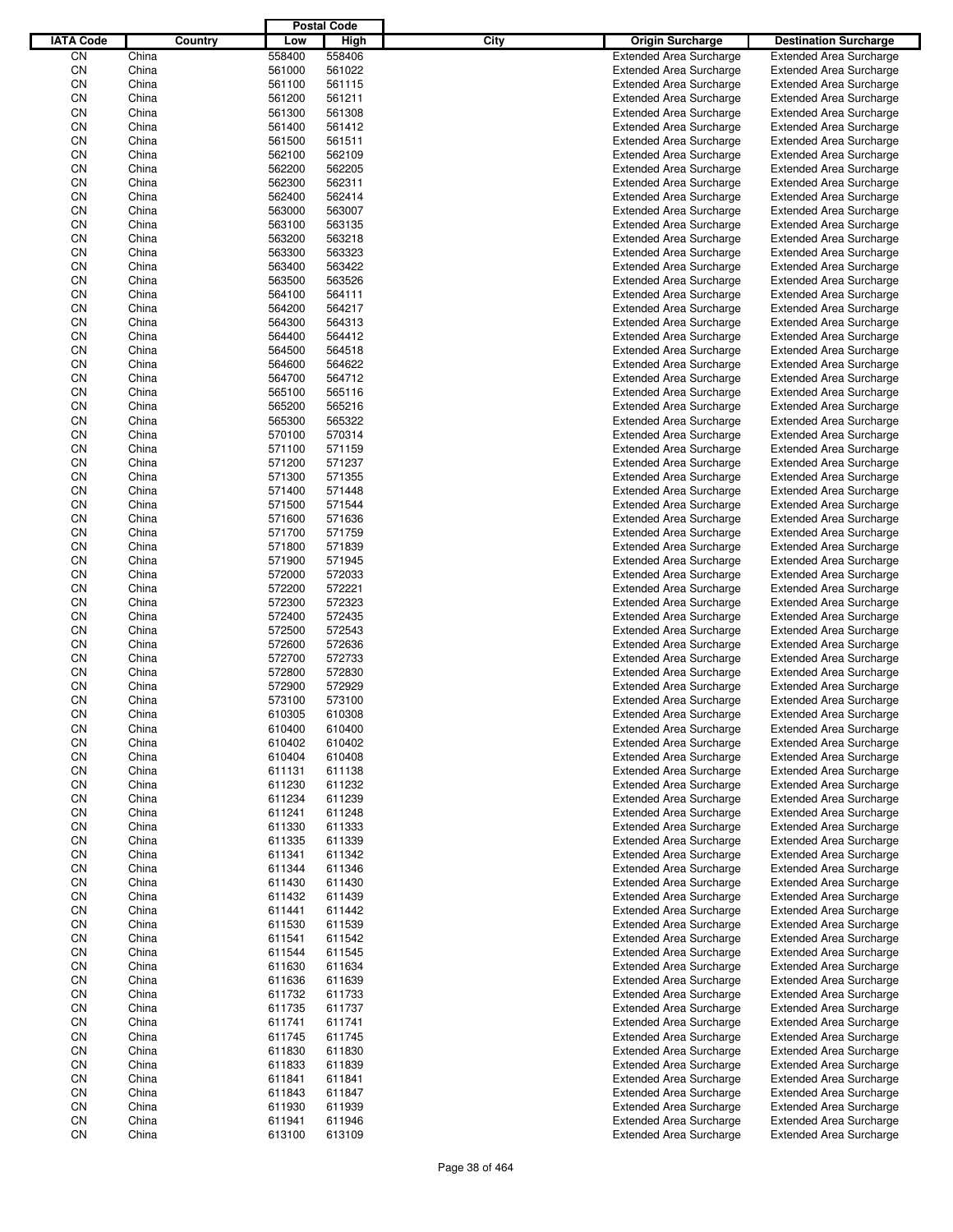|                  |                |         |                  | <b>Postal Code</b> |      |                                                                  |                                                                  |
|------------------|----------------|---------|------------------|--------------------|------|------------------------------------------------------------------|------------------------------------------------------------------|
| <b>IATA Code</b> |                | Country | Low              | High               | City | <b>Origin Surcharge</b>                                          | <b>Destination Surcharge</b>                                     |
| CΝ               | China          |         | 558400           | 558406             |      | <b>Extended Area Surcharge</b>                                   | <b>Extended Area Surcharge</b>                                   |
| CN               | China          |         | 561000           | 561022             |      | <b>Extended Area Surcharge</b>                                   | <b>Extended Area Surcharge</b>                                   |
| CN               | China          |         | 561100           | 561115             |      | <b>Extended Area Surcharge</b>                                   | <b>Extended Area Surcharge</b>                                   |
| CN               | China          |         | 561200           | 561211             |      | <b>Extended Area Surcharge</b>                                   | <b>Extended Area Surcharge</b>                                   |
| CN               | China          |         | 561300           | 561308             |      | <b>Extended Area Surcharge</b>                                   | <b>Extended Area Surcharge</b>                                   |
| CN               | China          |         | 561400           | 561412             |      | <b>Extended Area Surcharge</b>                                   | <b>Extended Area Surcharge</b>                                   |
| CN               | China          |         | 561500           | 561511             |      | <b>Extended Area Surcharge</b>                                   | <b>Extended Area Surcharge</b>                                   |
| CN               | China          |         | 562100           | 562109             |      | <b>Extended Area Surcharge</b>                                   | <b>Extended Area Surcharge</b>                                   |
| CN               | China          |         | 562200           | 562205             |      | <b>Extended Area Surcharge</b>                                   | <b>Extended Area Surcharge</b>                                   |
| CN               | China          |         | 562300           | 562311             |      | <b>Extended Area Surcharge</b>                                   | <b>Extended Area Surcharge</b>                                   |
| CN               | China          |         | 562400           | 562414             |      | <b>Extended Area Surcharge</b>                                   | <b>Extended Area Surcharge</b>                                   |
| CN               | China          |         | 563000           | 563007             |      | <b>Extended Area Surcharge</b>                                   | <b>Extended Area Surcharge</b>                                   |
| CN               | China          |         | 563100           | 563135             |      | <b>Extended Area Surcharge</b>                                   | <b>Extended Area Surcharge</b>                                   |
| CN               | China          |         | 563200           | 563218             |      | <b>Extended Area Surcharge</b>                                   | <b>Extended Area Surcharge</b>                                   |
| CN               | China          |         | 563300           | 563323             |      | <b>Extended Area Surcharge</b>                                   | <b>Extended Area Surcharge</b>                                   |
| CN<br>CN         | China          |         | 563400<br>563500 | 563422<br>563526   |      | <b>Extended Area Surcharge</b>                                   | <b>Extended Area Surcharge</b>                                   |
| CN               | China<br>China |         | 564100           | 564111             |      | <b>Extended Area Surcharge</b><br><b>Extended Area Surcharge</b> | <b>Extended Area Surcharge</b><br><b>Extended Area Surcharge</b> |
| CN               | China          |         | 564200           | 564217             |      | <b>Extended Area Surcharge</b>                                   | <b>Extended Area Surcharge</b>                                   |
| CN               | China          |         | 564300           | 564313             |      | <b>Extended Area Surcharge</b>                                   | <b>Extended Area Surcharge</b>                                   |
| CN               | China          |         | 564400           | 564412             |      | <b>Extended Area Surcharge</b>                                   | <b>Extended Area Surcharge</b>                                   |
| CN               | China          |         | 564500           | 564518             |      | <b>Extended Area Surcharge</b>                                   | <b>Extended Area Surcharge</b>                                   |
| CN               | China          |         | 564600           | 564622             |      | <b>Extended Area Surcharge</b>                                   | <b>Extended Area Surcharge</b>                                   |
| CN               | China          |         | 564700           | 564712             |      | <b>Extended Area Surcharge</b>                                   | <b>Extended Area Surcharge</b>                                   |
| CN               | China          |         | 565100           | 565116             |      | <b>Extended Area Surcharge</b>                                   | <b>Extended Area Surcharge</b>                                   |
| CN               | China          |         | 565200           | 565216             |      | <b>Extended Area Surcharge</b>                                   | <b>Extended Area Surcharge</b>                                   |
| CN               | China          |         | 565300           | 565322             |      | <b>Extended Area Surcharge</b>                                   | <b>Extended Area Surcharge</b>                                   |
| CN               | China          |         | 570100           | 570314             |      | <b>Extended Area Surcharge</b>                                   | <b>Extended Area Surcharge</b>                                   |
| CN               | China          |         | 571100           | 571159             |      | <b>Extended Area Surcharge</b>                                   | <b>Extended Area Surcharge</b>                                   |
| CN               | China          |         | 571200           | 571237             |      | <b>Extended Area Surcharge</b>                                   | <b>Extended Area Surcharge</b>                                   |
| CN               | China          |         | 571300           | 571355             |      | <b>Extended Area Surcharge</b>                                   | <b>Extended Area Surcharge</b>                                   |
| CN               | China          |         | 571400           | 571448             |      | <b>Extended Area Surcharge</b>                                   | <b>Extended Area Surcharge</b>                                   |
| CN               | China          |         | 571500           | 571544             |      | <b>Extended Area Surcharge</b>                                   | <b>Extended Area Surcharge</b>                                   |
| CN               | China          |         | 571600           | 571636             |      | <b>Extended Area Surcharge</b>                                   | <b>Extended Area Surcharge</b>                                   |
| CN               | China          |         | 571700           | 571759             |      | <b>Extended Area Surcharge</b>                                   | <b>Extended Area Surcharge</b>                                   |
| CN               | China          |         | 571800           | 571839             |      | <b>Extended Area Surcharge</b>                                   | <b>Extended Area Surcharge</b>                                   |
| CN               | China          |         | 571900           | 571945             |      | <b>Extended Area Surcharge</b>                                   | <b>Extended Area Surcharge</b>                                   |
| CN               | China          |         | 572000           | 572033             |      | <b>Extended Area Surcharge</b>                                   | <b>Extended Area Surcharge</b>                                   |
| CN               | China          |         | 572200           | 572221             |      | <b>Extended Area Surcharge</b>                                   | <b>Extended Area Surcharge</b>                                   |
| CN               | China          |         | 572300           | 572323             |      | <b>Extended Area Surcharge</b>                                   | <b>Extended Area Surcharge</b>                                   |
| CN               | China          |         | 572400           | 572435             |      | <b>Extended Area Surcharge</b>                                   | <b>Extended Area Surcharge</b>                                   |
| CN               | China          |         | 572500           | 572543             |      | <b>Extended Area Surcharge</b>                                   | <b>Extended Area Surcharge</b>                                   |
| CN               | China          |         | 572600           | 572636             |      | <b>Extended Area Surcharge</b>                                   | <b>Extended Area Surcharge</b>                                   |
| CN               | China          |         | 572700           | 572733             |      | <b>Extended Area Surcharge</b>                                   | <b>Extended Area Surcharge</b>                                   |
| CN               | China          |         | 572800           | 572830             |      | <b>Extended Area Surcharge</b>                                   | <b>Extended Area Surcharge</b>                                   |
| CN<br>CΝ         | China          |         | 572900<br>573100 | 572929<br>573100   |      | <b>Extended Area Surcharge</b>                                   | <b>Extended Area Surcharge</b>                                   |
| CN               | China<br>China |         | 610305           | 610308             |      | <b>Extended Area Surcharge</b><br><b>Extended Area Surcharge</b> | <b>Extended Area Surcharge</b><br><b>Extended Area Surcharge</b> |
| CN               | China          |         | 610400           | 610400             |      | <b>Extended Area Surcharge</b>                                   | <b>Extended Area Surcharge</b>                                   |
| CN               | China          |         | 610402           | 610402             |      | <b>Extended Area Surcharge</b>                                   | <b>Extended Area Surcharge</b>                                   |
| CN               | China          |         | 610404           | 610408             |      | <b>Extended Area Surcharge</b>                                   | <b>Extended Area Surcharge</b>                                   |
| CN               | China          |         | 611131           | 611138             |      | <b>Extended Area Surcharge</b>                                   | <b>Extended Area Surcharge</b>                                   |
| CN               | China          |         | 611230           | 611232             |      | <b>Extended Area Surcharge</b>                                   | <b>Extended Area Surcharge</b>                                   |
| CN               | China          |         | 611234           | 611239             |      | <b>Extended Area Surcharge</b>                                   | <b>Extended Area Surcharge</b>                                   |
| CN               | China          |         | 611241           | 611248             |      | <b>Extended Area Surcharge</b>                                   | <b>Extended Area Surcharge</b>                                   |
| CN               | China          |         | 611330           | 611333             |      | <b>Extended Area Surcharge</b>                                   | <b>Extended Area Surcharge</b>                                   |
| CN               | China          |         | 611335           | 611339             |      | <b>Extended Area Surcharge</b>                                   | <b>Extended Area Surcharge</b>                                   |
| CN               | China          |         | 611341           | 611342             |      | <b>Extended Area Surcharge</b>                                   | <b>Extended Area Surcharge</b>                                   |
| CN               | China          |         | 611344           | 611346             |      | <b>Extended Area Surcharge</b>                                   | <b>Extended Area Surcharge</b>                                   |
| CN               | China          |         | 611430           | 611430             |      | <b>Extended Area Surcharge</b>                                   | <b>Extended Area Surcharge</b>                                   |
| CN               | China          |         | 611432           | 611439             |      | <b>Extended Area Surcharge</b>                                   | <b>Extended Area Surcharge</b>                                   |
| CN               | China          |         | 611441           | 611442             |      | <b>Extended Area Surcharge</b>                                   | <b>Extended Area Surcharge</b>                                   |
| CN               | China          |         | 611530           | 611539             |      | <b>Extended Area Surcharge</b>                                   | <b>Extended Area Surcharge</b>                                   |
| CN               | China          |         | 611541           | 611542             |      | <b>Extended Area Surcharge</b>                                   | <b>Extended Area Surcharge</b>                                   |
| CN               | China          |         | 611544           | 611545             |      | <b>Extended Area Surcharge</b>                                   | <b>Extended Area Surcharge</b>                                   |
| CN               | China          |         | 611630           | 611634             |      | <b>Extended Area Surcharge</b>                                   | <b>Extended Area Surcharge</b>                                   |
| CN               | China          |         | 611636           | 611639             |      | <b>Extended Area Surcharge</b>                                   | <b>Extended Area Surcharge</b>                                   |
| CN               | China          |         | 611732           | 611733             |      | <b>Extended Area Surcharge</b>                                   | <b>Extended Area Surcharge</b>                                   |
| CN               | China          |         | 611735           | 611737             |      | <b>Extended Area Surcharge</b>                                   | <b>Extended Area Surcharge</b>                                   |
| CN               | China          |         | 611741           | 611741             |      | <b>Extended Area Surcharge</b>                                   | <b>Extended Area Surcharge</b>                                   |
| CN               | China          |         | 611745           | 611745             |      | <b>Extended Area Surcharge</b>                                   | <b>Extended Area Surcharge</b>                                   |
| CN               | China          |         | 611830           | 611830             |      | <b>Extended Area Surcharge</b>                                   | <b>Extended Area Surcharge</b>                                   |
| CN               | China          |         | 611833           | 611839             |      | <b>Extended Area Surcharge</b>                                   | <b>Extended Area Surcharge</b>                                   |
| CN               | China          |         | 611841           | 611841             |      | <b>Extended Area Surcharge</b>                                   | <b>Extended Area Surcharge</b>                                   |
| CN               | China          |         | 611843           | 611847             |      | <b>Extended Area Surcharge</b>                                   | <b>Extended Area Surcharge</b>                                   |
| CN<br>CN         | China          |         | 611930           | 611939             |      | <b>Extended Area Surcharge</b>                                   | <b>Extended Area Surcharge</b>                                   |
| CN               | China<br>China |         | 611941<br>613100 | 611946<br>613109   |      | <b>Extended Area Surcharge</b><br><b>Extended Area Surcharge</b> | <b>Extended Area Surcharge</b><br><b>Extended Area Surcharge</b> |
|                  |                |         |                  |                    |      |                                                                  |                                                                  |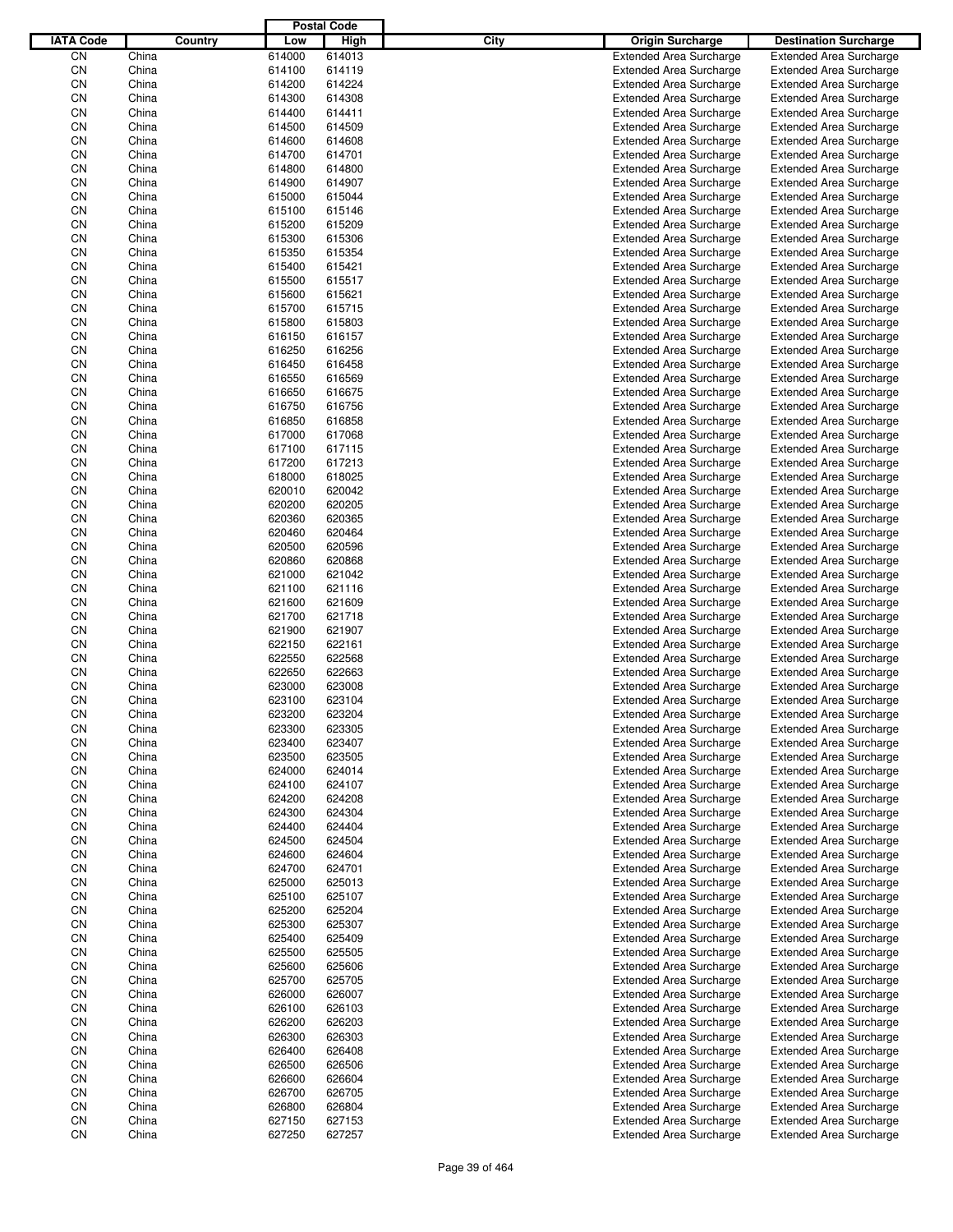|                  |                |         |                  | <b>Postal Code</b> |      |                                                                  |                                                                  |
|------------------|----------------|---------|------------------|--------------------|------|------------------------------------------------------------------|------------------------------------------------------------------|
| <b>IATA Code</b> |                | Country | Low              | High               | City | <b>Origin Surcharge</b>                                          | <b>Destination Surcharge</b>                                     |
| CN               | China          |         | 614000           | 614013             |      | <b>Extended Area Surcharge</b>                                   | <b>Extended Area Surcharge</b>                                   |
| CN               | China          |         | 614100           | 614119             |      | <b>Extended Area Surcharge</b>                                   | <b>Extended Area Surcharge</b>                                   |
| CN               | China          |         | 614200           | 614224             |      | <b>Extended Area Surcharge</b>                                   | <b>Extended Area Surcharge</b>                                   |
| CN               | China          |         | 614300           | 614308             |      | <b>Extended Area Surcharge</b>                                   | <b>Extended Area Surcharge</b>                                   |
| CN               | China          |         | 614400           | 614411             |      | <b>Extended Area Surcharge</b>                                   | <b>Extended Area Surcharge</b>                                   |
| CN               | China          |         | 614500           | 614509             |      | <b>Extended Area Surcharge</b>                                   | <b>Extended Area Surcharge</b>                                   |
| CN               | China          |         | 614600           | 614608             |      | <b>Extended Area Surcharge</b>                                   | <b>Extended Area Surcharge</b>                                   |
| CN               | China          |         | 614700           | 614701             |      | <b>Extended Area Surcharge</b>                                   | <b>Extended Area Surcharge</b>                                   |
| CN               | China          |         | 614800           | 614800             |      | <b>Extended Area Surcharge</b>                                   | <b>Extended Area Surcharge</b>                                   |
| CN               | China          |         | 614900           | 614907             |      | <b>Extended Area Surcharge</b>                                   | <b>Extended Area Surcharge</b>                                   |
| CN               | China          |         | 615000           | 615044             |      | <b>Extended Area Surcharge</b>                                   | <b>Extended Area Surcharge</b>                                   |
| CN               | China          |         | 615100           | 615146             |      | <b>Extended Area Surcharge</b>                                   | <b>Extended Area Surcharge</b>                                   |
| CN               | China          |         | 615200           | 615209             |      | <b>Extended Area Surcharge</b>                                   | <b>Extended Area Surcharge</b>                                   |
| CN               | China          |         | 615300           | 615306             |      | <b>Extended Area Surcharge</b>                                   | <b>Extended Area Surcharge</b>                                   |
| CN               | China          |         | 615350           | 615354             |      | <b>Extended Area Surcharge</b>                                   | <b>Extended Area Surcharge</b>                                   |
| CN               | China          |         | 615400           | 615421             |      | <b>Extended Area Surcharge</b>                                   | <b>Extended Area Surcharge</b>                                   |
| CN               | China          |         | 615500           | 615517             |      | <b>Extended Area Surcharge</b>                                   | <b>Extended Area Surcharge</b>                                   |
| CN               | China          |         | 615600           | 615621             |      | <b>Extended Area Surcharge</b>                                   | <b>Extended Area Surcharge</b>                                   |
| CN               | China          |         | 615700           | 615715             |      | <b>Extended Area Surcharge</b>                                   | <b>Extended Area Surcharge</b>                                   |
| CN               | China          |         | 615800           | 615803             |      | <b>Extended Area Surcharge</b>                                   | <b>Extended Area Surcharge</b>                                   |
| CN               | China          |         | 616150           | 616157             |      | <b>Extended Area Surcharge</b>                                   | <b>Extended Area Surcharge</b>                                   |
| CN               | China          |         | 616250           | 616256             |      | <b>Extended Area Surcharge</b>                                   | <b>Extended Area Surcharge</b>                                   |
| CN               | China          |         | 616450           | 616458             |      | <b>Extended Area Surcharge</b>                                   | <b>Extended Area Surcharge</b>                                   |
| CN               | China          |         | 616550           | 616569             |      | <b>Extended Area Surcharge</b>                                   | <b>Extended Area Surcharge</b>                                   |
| CN               | China          |         | 616650           | 616675             |      | <b>Extended Area Surcharge</b>                                   | <b>Extended Area Surcharge</b>                                   |
| CN               | China          |         | 616750           | 616756             |      | <b>Extended Area Surcharge</b>                                   | <b>Extended Area Surcharge</b>                                   |
| CN               | China          |         | 616850           | 616858             |      | <b>Extended Area Surcharge</b>                                   | <b>Extended Area Surcharge</b>                                   |
| CN               | China          |         | 617000           | 617068             |      | <b>Extended Area Surcharge</b>                                   | <b>Extended Area Surcharge</b>                                   |
| CN               | China          |         | 617100           | 617115             |      | <b>Extended Area Surcharge</b>                                   | <b>Extended Area Surcharge</b>                                   |
| CN               | China          |         | 617200           | 617213             |      | <b>Extended Area Surcharge</b>                                   | <b>Extended Area Surcharge</b>                                   |
| CN               | China          |         | 618000           | 618025<br>620042   |      | <b>Extended Area Surcharge</b>                                   | <b>Extended Area Surcharge</b>                                   |
| CN               | China<br>China |         | 620010           |                    |      | <b>Extended Area Surcharge</b>                                   | <b>Extended Area Surcharge</b>                                   |
| CN<br>CN         | China          |         | 620200<br>620360 | 620205<br>620365   |      | <b>Extended Area Surcharge</b>                                   | <b>Extended Area Surcharge</b>                                   |
| CN               | China          |         | 620460           | 620464             |      | <b>Extended Area Surcharge</b><br><b>Extended Area Surcharge</b> | <b>Extended Area Surcharge</b><br><b>Extended Area Surcharge</b> |
| CN               | China          |         | 620500           | 620596             |      | <b>Extended Area Surcharge</b>                                   | <b>Extended Area Surcharge</b>                                   |
| CN               | China          |         | 620860           | 620868             |      | <b>Extended Area Surcharge</b>                                   | <b>Extended Area Surcharge</b>                                   |
| CN               | China          |         | 621000           | 621042             |      | <b>Extended Area Surcharge</b>                                   | <b>Extended Area Surcharge</b>                                   |
| CN               | China          |         | 621100           | 621116             |      | <b>Extended Area Surcharge</b>                                   | <b>Extended Area Surcharge</b>                                   |
| CN               | China          |         | 621600           | 621609             |      | <b>Extended Area Surcharge</b>                                   | <b>Extended Area Surcharge</b>                                   |
| CN               | China          |         | 621700           | 621718             |      | <b>Extended Area Surcharge</b>                                   | <b>Extended Area Surcharge</b>                                   |
| CN               | China          |         | 621900           | 621907             |      | <b>Extended Area Surcharge</b>                                   | <b>Extended Area Surcharge</b>                                   |
| CN               | China          |         | 622150           | 622161             |      | <b>Extended Area Surcharge</b>                                   | <b>Extended Area Surcharge</b>                                   |
| CN               | China          |         | 622550           | 622568             |      | <b>Extended Area Surcharge</b>                                   | <b>Extended Area Surcharge</b>                                   |
| CN               | China          |         | 622650           | 622663             |      | <b>Extended Area Surcharge</b>                                   | <b>Extended Area Surcharge</b>                                   |
| CN               | China          |         | 623000           | 623008             |      | <b>Extended Area Surcharge</b>                                   | <b>Extended Area Surcharge</b>                                   |
| CN               | China          |         | 623100           | 623104             |      | <b>Extended Area Surcharge</b>                                   | <b>Extended Area Surcharge</b>                                   |
| CN               | China          |         | 623200           | 623204             |      | <b>Extended Area Surcharge</b>                                   | <b>Extended Area Surcharge</b>                                   |
| CN               | China          |         | 623300           | 623305             |      | <b>Extended Area Surcharge</b>                                   | <b>Extended Area Surcharge</b>                                   |
| CN               | China          |         | 623400           | 623407             |      | <b>Extended Area Surcharge</b>                                   | <b>Extended Area Surcharge</b>                                   |
| CN               | China          |         | 623500           | 623505             |      | <b>Extended Area Surcharge</b>                                   | <b>Extended Area Surcharge</b>                                   |
| CN               | China          |         | 624000           | 624014             |      | <b>Extended Area Surcharge</b>                                   | <b>Extended Area Surcharge</b>                                   |
| CN               | China          |         | 624100           | 624107             |      | <b>Extended Area Surcharge</b>                                   | <b>Extended Area Surcharge</b>                                   |
| CN               | China          |         | 624200           | 624208             |      | <b>Extended Area Surcharge</b>                                   | <b>Extended Area Surcharge</b>                                   |
| CN               | China          |         | 624300           | 624304             |      | <b>Extended Area Surcharge</b>                                   | <b>Extended Area Surcharge</b>                                   |
| CN               | China          |         | 624400           | 624404             |      | <b>Extended Area Surcharge</b>                                   | <b>Extended Area Surcharge</b>                                   |
| CN               | China          |         | 624500           | 624504             |      | <b>Extended Area Surcharge</b>                                   | <b>Extended Area Surcharge</b>                                   |
| CN               | China          |         | 624600           | 624604             |      | <b>Extended Area Surcharge</b>                                   | <b>Extended Area Surcharge</b>                                   |
| CN               | China          |         | 624700           | 624701             |      | <b>Extended Area Surcharge</b>                                   | <b>Extended Area Surcharge</b>                                   |
| CN               | China          |         | 625000           | 625013             |      | <b>Extended Area Surcharge</b>                                   | <b>Extended Area Surcharge</b>                                   |
| CN               | China          |         | 625100           | 625107             |      | <b>Extended Area Surcharge</b>                                   | <b>Extended Area Surcharge</b>                                   |
| CN               | China          |         | 625200           | 625204             |      | <b>Extended Area Surcharge</b>                                   | <b>Extended Area Surcharge</b>                                   |
| CN               | China          |         | 625300           | 625307             |      | <b>Extended Area Surcharge</b>                                   | <b>Extended Area Surcharge</b>                                   |
| CN               | China          |         | 625400           | 625409             |      | <b>Extended Area Surcharge</b>                                   | <b>Extended Area Surcharge</b>                                   |
| CN               | China          |         | 625500           | 625505             |      | <b>Extended Area Surcharge</b>                                   | <b>Extended Area Surcharge</b>                                   |
| CN               | China          |         | 625600           | 625606             |      | <b>Extended Area Surcharge</b>                                   | <b>Extended Area Surcharge</b>                                   |
| CN               | China          |         | 625700           | 625705             |      | <b>Extended Area Surcharge</b>                                   | <b>Extended Area Surcharge</b>                                   |
| CN               | China          |         | 626000           | 626007             |      | <b>Extended Area Surcharge</b>                                   | <b>Extended Area Surcharge</b>                                   |
| CN               | China          |         | 626100           | 626103             |      | <b>Extended Area Surcharge</b>                                   | <b>Extended Area Surcharge</b>                                   |
| CN               | China          |         | 626200           | 626203             |      | <b>Extended Area Surcharge</b>                                   | <b>Extended Area Surcharge</b>                                   |
| CN               | China          |         | 626300           | 626303             |      | <b>Extended Area Surcharge</b>                                   | <b>Extended Area Surcharge</b>                                   |
| CN               | China          |         | 626400           | 626408             |      | <b>Extended Area Surcharge</b>                                   | <b>Extended Area Surcharge</b>                                   |
| CN               | China          |         | 626500           | 626506             |      | <b>Extended Area Surcharge</b>                                   | <b>Extended Area Surcharge</b>                                   |
| CN               | China          |         | 626600           | 626604             |      | <b>Extended Area Surcharge</b>                                   | <b>Extended Area Surcharge</b>                                   |
| CN               | China          |         | 626700           | 626705             |      | <b>Extended Area Surcharge</b>                                   | <b>Extended Area Surcharge</b>                                   |
| CN               | China          |         | 626800           | 626804             |      | <b>Extended Area Surcharge</b>                                   | <b>Extended Area Surcharge</b>                                   |
| CN               | China          |         | 627150           | 627153             |      | <b>Extended Area Surcharge</b>                                   | <b>Extended Area Surcharge</b>                                   |
| CN               | China          |         | 627250           | 627257             |      | <b>Extended Area Surcharge</b>                                   | <b>Extended Area Surcharge</b>                                   |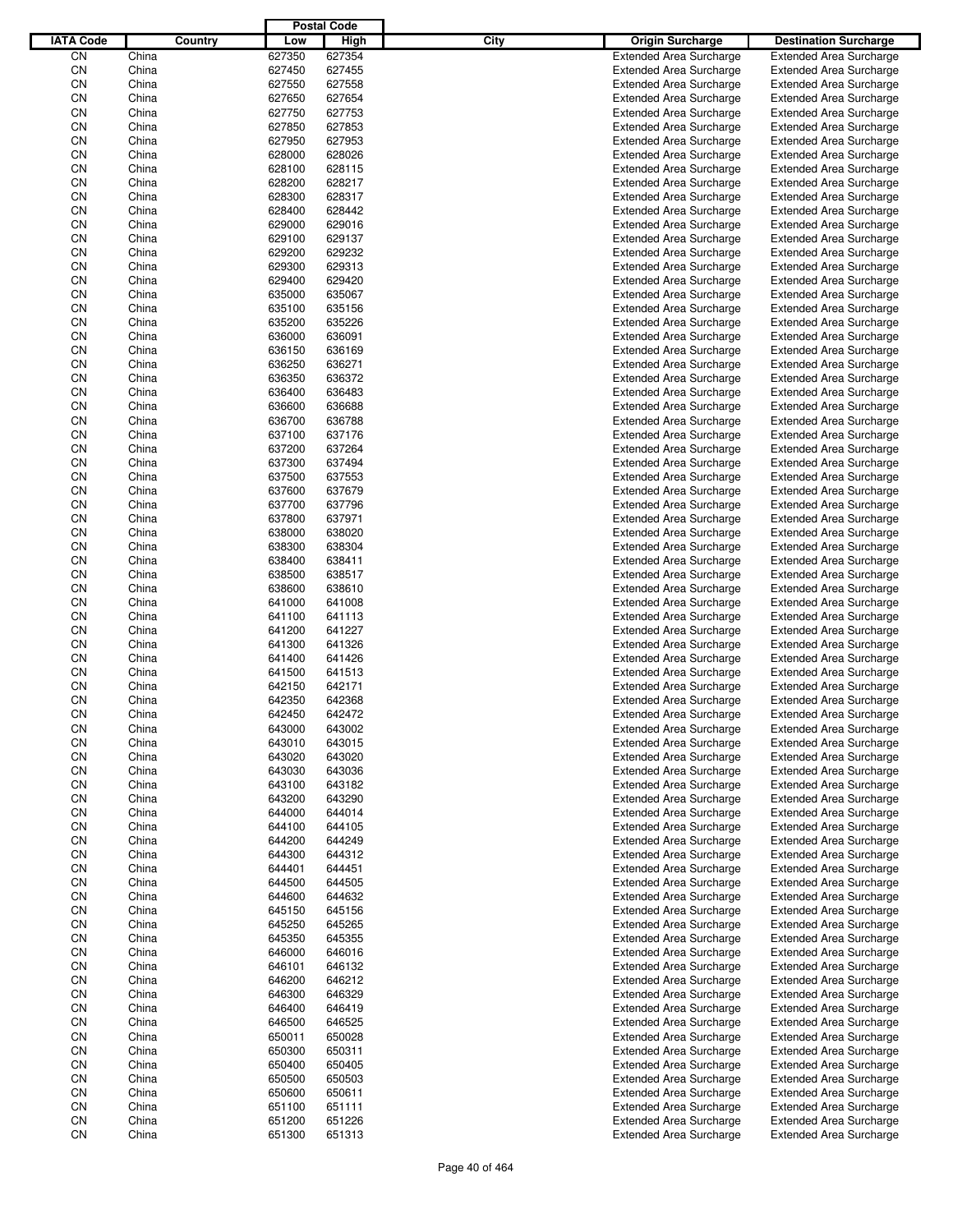|                  |                |         |                  | <b>Postal Code</b> |      |                                                                  |                                                                  |
|------------------|----------------|---------|------------------|--------------------|------|------------------------------------------------------------------|------------------------------------------------------------------|
| <b>IATA Code</b> |                | Country | Low              | High               | City | <b>Origin Surcharge</b>                                          | <b>Destination Surcharge</b>                                     |
| CN               | China          |         | 627350           | 627354             |      | <b>Extended Area Surcharge</b>                                   | <b>Extended Area Surcharge</b>                                   |
| CN               | China          |         | 627450           | 627455             |      | <b>Extended Area Surcharge</b>                                   | <b>Extended Area Surcharge</b>                                   |
| CN               | China          |         | 627550           | 627558             |      | <b>Extended Area Surcharge</b>                                   | <b>Extended Area Surcharge</b>                                   |
| CN               | China          |         | 627650           | 627654             |      | <b>Extended Area Surcharge</b>                                   | <b>Extended Area Surcharge</b>                                   |
| CN               | China          |         | 627750           | 627753             |      | <b>Extended Area Surcharge</b>                                   | <b>Extended Area Surcharge</b>                                   |
| CN               | China          |         | 627850           | 627853             |      | <b>Extended Area Surcharge</b>                                   | <b>Extended Area Surcharge</b>                                   |
| CN               | China          |         | 627950           | 627953             |      | <b>Extended Area Surcharge</b>                                   | <b>Extended Area Surcharge</b>                                   |
| CN               | China          |         | 628000           | 628026             |      | <b>Extended Area Surcharge</b>                                   | <b>Extended Area Surcharge</b>                                   |
| CN               | China          |         | 628100           | 628115             |      | <b>Extended Area Surcharge</b>                                   | <b>Extended Area Surcharge</b>                                   |
| CN               | China          |         | 628200           | 628217             |      | <b>Extended Area Surcharge</b>                                   | <b>Extended Area Surcharge</b>                                   |
| CN               | China          |         | 628300           | 628317             |      | <b>Extended Area Surcharge</b>                                   | <b>Extended Area Surcharge</b>                                   |
| CN               | China          |         | 628400           | 628442             |      | <b>Extended Area Surcharge</b>                                   | <b>Extended Area Surcharge</b>                                   |
| CN               | China          |         | 629000           | 629016             |      | <b>Extended Area Surcharge</b>                                   | <b>Extended Area Surcharge</b>                                   |
| CN               | China          |         | 629100           | 629137             |      | <b>Extended Area Surcharge</b>                                   | <b>Extended Area Surcharge</b>                                   |
| CN               | China          |         | 629200           | 629232             |      | <b>Extended Area Surcharge</b>                                   | <b>Extended Area Surcharge</b>                                   |
| CN               | China          |         | 629300           | 629313             |      | <b>Extended Area Surcharge</b>                                   | <b>Extended Area Surcharge</b>                                   |
| CN               | China          |         | 629400           | 629420             |      | <b>Extended Area Surcharge</b>                                   | <b>Extended Area Surcharge</b>                                   |
| CN               | China          |         | 635000           | 635067             |      | <b>Extended Area Surcharge</b>                                   | <b>Extended Area Surcharge</b>                                   |
| CN               | China          |         | 635100           | 635156             |      | <b>Extended Area Surcharge</b>                                   | <b>Extended Area Surcharge</b>                                   |
| CN               | China<br>China |         | 635200           | 635226             |      | <b>Extended Area Surcharge</b><br><b>Extended Area Surcharge</b> | <b>Extended Area Surcharge</b>                                   |
| CN               | China          |         | 636000           | 636091<br>636169   |      |                                                                  | <b>Extended Area Surcharge</b>                                   |
| CN<br>CN         | China          |         | 636150<br>636250 | 636271             |      | <b>Extended Area Surcharge</b><br><b>Extended Area Surcharge</b> | <b>Extended Area Surcharge</b><br><b>Extended Area Surcharge</b> |
| CN               | China          |         | 636350           | 636372             |      | <b>Extended Area Surcharge</b>                                   | <b>Extended Area Surcharge</b>                                   |
| CN               | China          |         | 636400           | 636483             |      | <b>Extended Area Surcharge</b>                                   | <b>Extended Area Surcharge</b>                                   |
| CN               | China          |         | 636600           | 636688             |      | <b>Extended Area Surcharge</b>                                   | <b>Extended Area Surcharge</b>                                   |
| CN               | China          |         | 636700           | 636788             |      | <b>Extended Area Surcharge</b>                                   | <b>Extended Area Surcharge</b>                                   |
| CN               | China          |         | 637100           | 637176             |      | <b>Extended Area Surcharge</b>                                   | <b>Extended Area Surcharge</b>                                   |
| CN               | China          |         | 637200           | 637264             |      | <b>Extended Area Surcharge</b>                                   | <b>Extended Area Surcharge</b>                                   |
| CN               | China          |         | 637300           | 637494             |      | <b>Extended Area Surcharge</b>                                   | <b>Extended Area Surcharge</b>                                   |
| CN               | China          |         | 637500           | 637553             |      | <b>Extended Area Surcharge</b>                                   | <b>Extended Area Surcharge</b>                                   |
| CN               | China          |         | 637600           | 637679             |      | <b>Extended Area Surcharge</b>                                   | <b>Extended Area Surcharge</b>                                   |
| CN               | China          |         | 637700           | 637796             |      | <b>Extended Area Surcharge</b>                                   | <b>Extended Area Surcharge</b>                                   |
| CN               | China          |         | 637800           | 637971             |      | <b>Extended Area Surcharge</b>                                   | <b>Extended Area Surcharge</b>                                   |
| CN               | China          |         | 638000           | 638020             |      | <b>Extended Area Surcharge</b>                                   | <b>Extended Area Surcharge</b>                                   |
| CN               | China          |         | 638300           | 638304             |      | <b>Extended Area Surcharge</b>                                   | <b>Extended Area Surcharge</b>                                   |
| CN               | China          |         | 638400           | 638411             |      | <b>Extended Area Surcharge</b>                                   | <b>Extended Area Surcharge</b>                                   |
| CN               | China          |         | 638500           | 638517             |      | <b>Extended Area Surcharge</b>                                   | <b>Extended Area Surcharge</b>                                   |
| CN               | China          |         | 638600           | 638610             |      | <b>Extended Area Surcharge</b>                                   | <b>Extended Area Surcharge</b>                                   |
| CN               | China          |         | 641000           | 641008             |      | <b>Extended Area Surcharge</b>                                   | <b>Extended Area Surcharge</b>                                   |
| CN               | China          |         | 641100           | 641113             |      | <b>Extended Area Surcharge</b>                                   | <b>Extended Area Surcharge</b>                                   |
| CN               | China          |         | 641200           | 641227             |      | <b>Extended Area Surcharge</b>                                   | <b>Extended Area Surcharge</b>                                   |
| CN               | China          |         | 641300           | 641326             |      | <b>Extended Area Surcharge</b>                                   | <b>Extended Area Surcharge</b>                                   |
| CN               | China          |         | 641400           | 641426             |      | <b>Extended Area Surcharge</b>                                   | <b>Extended Area Surcharge</b>                                   |
| CN               | China          |         | 641500           | 641513             |      | <b>Extended Area Surcharge</b>                                   | <b>Extended Area Surcharge</b>                                   |
| CN               | China          |         | 642150           | 642171             |      | <b>Extended Area Surcharge</b>                                   | <b>Extended Area Surcharge</b>                                   |
| CN               | China          |         | 642350           | 642368             |      | <b>Extended Area Surcharge</b>                                   | <b>Extended Area Surcharge</b>                                   |
| CN               | China          |         | 642450           | 642472             |      | <b>Extended Area Surcharge</b>                                   | <b>Extended Area Surcharge</b>                                   |
| CN               | China          |         | 643000           | 643002             |      | <b>Extended Area Surcharge</b>                                   | <b>Extended Area Surcharge</b>                                   |
| CN               | China          |         | 643010           | 643015             |      | <b>Extended Area Surcharge</b>                                   | <b>Extended Area Surcharge</b>                                   |
| CN               | China          |         | 643020           | 643020             |      | <b>Extended Area Surcharge</b>                                   | <b>Extended Area Surcharge</b>                                   |
| CN               | China          |         | 643030           | 643036             |      | <b>Extended Area Surcharge</b>                                   | <b>Extended Area Surcharge</b>                                   |
| CN               | China          |         | 643100           | 643182             |      | <b>Extended Area Surcharge</b>                                   | <b>Extended Area Surcharge</b>                                   |
| CN               | China          |         | 643200           | 643290             |      | <b>Extended Area Surcharge</b>                                   | <b>Extended Area Surcharge</b>                                   |
| CN               | China          |         | 644000           | 644014             |      | <b>Extended Area Surcharge</b>                                   | <b>Extended Area Surcharge</b>                                   |
| CN               | China          |         | 644100           | 644105             |      | <b>Extended Area Surcharge</b>                                   | <b>Extended Area Surcharge</b>                                   |
| CN               | China          |         | 644200           | 644249             |      | <b>Extended Area Surcharge</b>                                   | <b>Extended Area Surcharge</b>                                   |
| CN               | China          |         | 644300           | 644312             |      | <b>Extended Area Surcharge</b>                                   | <b>Extended Area Surcharge</b>                                   |
| CN               | China          |         | 644401           | 644451             |      | <b>Extended Area Surcharge</b>                                   | <b>Extended Area Surcharge</b>                                   |
| CN               | China          |         | 644500           | 644505             |      | <b>Extended Area Surcharge</b>                                   | <b>Extended Area Surcharge</b>                                   |
| CN<br>CN         | China          |         | 644600           | 644632             |      | <b>Extended Area Surcharge</b>                                   | <b>Extended Area Surcharge</b>                                   |
| CN               | China<br>China |         | 645150<br>645250 | 645156<br>645265   |      | <b>Extended Area Surcharge</b><br><b>Extended Area Surcharge</b> | <b>Extended Area Surcharge</b><br><b>Extended Area Surcharge</b> |
| CN               | China          |         | 645350           | 645355             |      | <b>Extended Area Surcharge</b>                                   | <b>Extended Area Surcharge</b>                                   |
| CN               | China          |         | 646000           | 646016             |      | <b>Extended Area Surcharge</b>                                   | <b>Extended Area Surcharge</b>                                   |
| CN               | China          |         | 646101           | 646132             |      | <b>Extended Area Surcharge</b>                                   | <b>Extended Area Surcharge</b>                                   |
| CN               | China          |         | 646200           | 646212             |      | <b>Extended Area Surcharge</b>                                   | <b>Extended Area Surcharge</b>                                   |
| CN               | China          |         | 646300           | 646329             |      | <b>Extended Area Surcharge</b>                                   | <b>Extended Area Surcharge</b>                                   |
| CN               | China          |         | 646400           | 646419             |      | <b>Extended Area Surcharge</b>                                   | <b>Extended Area Surcharge</b>                                   |
| CN               | China          |         | 646500           | 646525             |      | <b>Extended Area Surcharge</b>                                   | <b>Extended Area Surcharge</b>                                   |
| CN               | China          |         | 650011           | 650028             |      | <b>Extended Area Surcharge</b>                                   | <b>Extended Area Surcharge</b>                                   |
| CN               | China          |         | 650300           | 650311             |      | <b>Extended Area Surcharge</b>                                   | <b>Extended Area Surcharge</b>                                   |
| CN               | China          |         | 650400           | 650405             |      | <b>Extended Area Surcharge</b>                                   | <b>Extended Area Surcharge</b>                                   |
| CN               | China          |         | 650500           | 650503             |      | <b>Extended Area Surcharge</b>                                   | <b>Extended Area Surcharge</b>                                   |
| CN               | China          |         | 650600           | 650611             |      | <b>Extended Area Surcharge</b>                                   | <b>Extended Area Surcharge</b>                                   |
| CN               | China          |         | 651100           | 651111             |      | <b>Extended Area Surcharge</b>                                   | <b>Extended Area Surcharge</b>                                   |
| CN               | China          |         | 651200           | 651226             |      | <b>Extended Area Surcharge</b>                                   | <b>Extended Area Surcharge</b>                                   |
| CN               | China          |         | 651300           | 651313             |      | <b>Extended Area Surcharge</b>                                   | <b>Extended Area Surcharge</b>                                   |
|                  |                |         |                  |                    |      |                                                                  |                                                                  |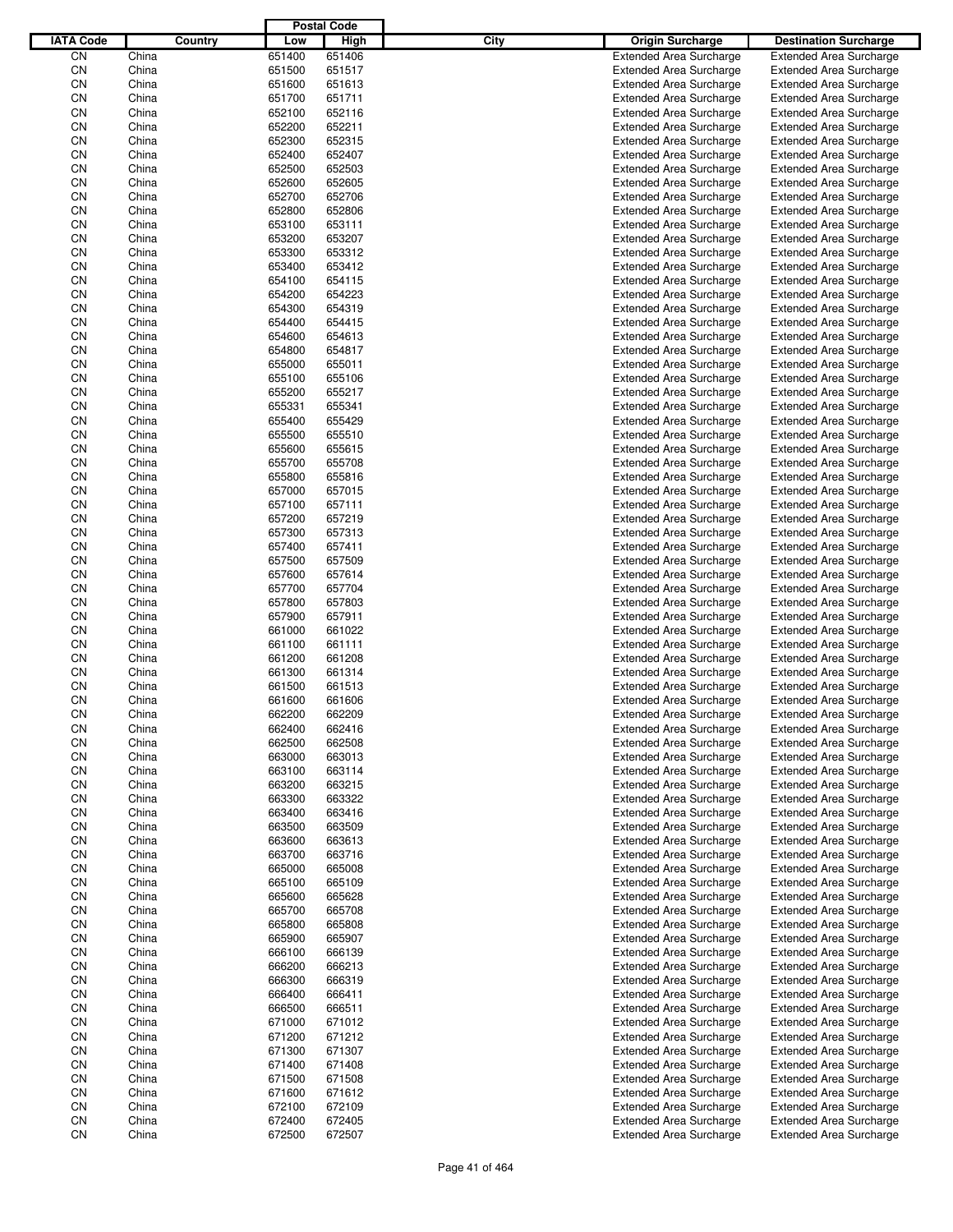|                  |                |         |                  | <b>Postal Code</b> |      |                                                                  |                                                                  |
|------------------|----------------|---------|------------------|--------------------|------|------------------------------------------------------------------|------------------------------------------------------------------|
| <b>IATA Code</b> |                | Country | Low              | High               | City | <b>Origin Surcharge</b>                                          | <b>Destination Surcharge</b>                                     |
| CN               | China          |         | 651400           | 651406             |      | <b>Extended Area Surcharge</b>                                   | <b>Extended Area Surcharge</b>                                   |
| CN               | China          |         | 651500           | 651517             |      | <b>Extended Area Surcharge</b>                                   | <b>Extended Area Surcharge</b>                                   |
| CN               | China          |         | 651600           | 651613             |      | <b>Extended Area Surcharge</b>                                   | <b>Extended Area Surcharge</b>                                   |
| CN               | China          |         | 651700           | 651711             |      | <b>Extended Area Surcharge</b>                                   | <b>Extended Area Surcharge</b>                                   |
| CN               | China          |         | 652100           | 652116             |      | <b>Extended Area Surcharge</b>                                   | <b>Extended Area Surcharge</b>                                   |
| CN               | China          |         | 652200           | 652211             |      | <b>Extended Area Surcharge</b>                                   | <b>Extended Area Surcharge</b>                                   |
| CN               | China          |         | 652300           | 652315             |      | <b>Extended Area Surcharge</b>                                   | <b>Extended Area Surcharge</b>                                   |
| CN               | China          |         | 652400           | 652407             |      | <b>Extended Area Surcharge</b>                                   | <b>Extended Area Surcharge</b>                                   |
| CN               | China          |         | 652500           | 652503             |      | <b>Extended Area Surcharge</b>                                   | <b>Extended Area Surcharge</b>                                   |
| CN               | China          |         | 652600           | 652605             |      | <b>Extended Area Surcharge</b>                                   | <b>Extended Area Surcharge</b>                                   |
| CN               | China          |         | 652700           | 652706             |      | <b>Extended Area Surcharge</b>                                   | <b>Extended Area Surcharge</b>                                   |
| CN               | China          |         | 652800           | 652806             |      | <b>Extended Area Surcharge</b>                                   | <b>Extended Area Surcharge</b>                                   |
| CN               | China          |         | 653100           | 653111             |      | <b>Extended Area Surcharge</b>                                   | <b>Extended Area Surcharge</b>                                   |
| CN               | China          |         | 653200           | 653207             |      | <b>Extended Area Surcharge</b>                                   | <b>Extended Area Surcharge</b>                                   |
| CN               | China<br>China |         | 653300           | 653312             |      | <b>Extended Area Surcharge</b>                                   | <b>Extended Area Surcharge</b>                                   |
| CN<br>CN         | China          |         | 653400<br>654100 | 653412<br>654115   |      | <b>Extended Area Surcharge</b><br><b>Extended Area Surcharge</b> | <b>Extended Area Surcharge</b><br><b>Extended Area Surcharge</b> |
| CN               | China          |         | 654200           | 654223             |      | <b>Extended Area Surcharge</b>                                   | <b>Extended Area Surcharge</b>                                   |
| CN               | China          |         | 654300           | 654319             |      | <b>Extended Area Surcharge</b>                                   | <b>Extended Area Surcharge</b>                                   |
| CN               | China          |         | 654400           | 654415             |      | <b>Extended Area Surcharge</b>                                   | <b>Extended Area Surcharge</b>                                   |
| CN               | China          |         | 654600           | 654613             |      | <b>Extended Area Surcharge</b>                                   | <b>Extended Area Surcharge</b>                                   |
| CN               | China          |         | 654800           | 654817             |      | <b>Extended Area Surcharge</b>                                   | <b>Extended Area Surcharge</b>                                   |
| CN               | China          |         | 655000           | 655011             |      | <b>Extended Area Surcharge</b>                                   | <b>Extended Area Surcharge</b>                                   |
| CN               | China          |         | 655100           | 655106             |      | <b>Extended Area Surcharge</b>                                   | <b>Extended Area Surcharge</b>                                   |
| CN               | China          |         | 655200           | 655217             |      | <b>Extended Area Surcharge</b>                                   | <b>Extended Area Surcharge</b>                                   |
| CN               | China          |         | 655331           | 655341             |      | <b>Extended Area Surcharge</b>                                   | <b>Extended Area Surcharge</b>                                   |
| CN               | China          |         | 655400           | 655429             |      | <b>Extended Area Surcharge</b>                                   | <b>Extended Area Surcharge</b>                                   |
| CN               | China          |         | 655500           | 655510             |      | <b>Extended Area Surcharge</b>                                   | <b>Extended Area Surcharge</b>                                   |
| CN               | China          |         | 655600           | 655615             |      | <b>Extended Area Surcharge</b>                                   | <b>Extended Area Surcharge</b>                                   |
| CN               | China          |         | 655700           | 655708             |      | <b>Extended Area Surcharge</b>                                   | <b>Extended Area Surcharge</b>                                   |
| CN               | China          |         | 655800           | 655816             |      | <b>Extended Area Surcharge</b>                                   | <b>Extended Area Surcharge</b>                                   |
| CN               | China          |         | 657000           | 657015             |      | <b>Extended Area Surcharge</b>                                   | <b>Extended Area Surcharge</b>                                   |
| CN               | China          |         | 657100           | 657111             |      | <b>Extended Area Surcharge</b>                                   | <b>Extended Area Surcharge</b>                                   |
| CN               | China          |         | 657200           | 657219             |      | <b>Extended Area Surcharge</b>                                   | <b>Extended Area Surcharge</b>                                   |
| CN               | China          |         | 657300           | 657313             |      | <b>Extended Area Surcharge</b>                                   | <b>Extended Area Surcharge</b>                                   |
| CN               | China          |         | 657400           | 657411             |      | <b>Extended Area Surcharge</b>                                   | <b>Extended Area Surcharge</b>                                   |
| CN               | China          |         | 657500           | 657509             |      | <b>Extended Area Surcharge</b>                                   | <b>Extended Area Surcharge</b>                                   |
| CN               | China          |         | 657600           | 657614             |      | <b>Extended Area Surcharge</b>                                   | <b>Extended Area Surcharge</b>                                   |
| CN               | China          |         | 657700           | 657704             |      | <b>Extended Area Surcharge</b>                                   | <b>Extended Area Surcharge</b>                                   |
| CN               | China          |         | 657800           | 657803             |      | <b>Extended Area Surcharge</b>                                   | <b>Extended Area Surcharge</b>                                   |
| CN               | China          |         | 657900           | 657911             |      | <b>Extended Area Surcharge</b>                                   | <b>Extended Area Surcharge</b>                                   |
| CN               | China          |         | 661000           | 661022             |      | <b>Extended Area Surcharge</b>                                   | <b>Extended Area Surcharge</b>                                   |
| CN               | China          |         | 661100           | 661111             |      | <b>Extended Area Surcharge</b>                                   | <b>Extended Area Surcharge</b>                                   |
| CN               | China          |         | 661200           | 661208             |      | <b>Extended Area Surcharge</b>                                   | <b>Extended Area Surcharge</b>                                   |
| CN               | China          |         | 661300           | 661314             |      | <b>Extended Area Surcharge</b>                                   | <b>Extended Area Surcharge</b>                                   |
| CN               | China          |         | 661500           | 661513             |      | <b>Extended Area Surcharge</b>                                   | <b>Extended Area Surcharge</b>                                   |
| CN               | China          |         | 661600           | 661606             |      | <b>Extended Area Surcharge</b>                                   | <b>Extended Area Surcharge</b>                                   |
| CN               | China          |         | 662200           | 662209             |      | <b>Extended Area Surcharge</b>                                   | <b>Extended Area Surcharge</b>                                   |
| CN               | China          |         | 662400           | 662416             |      | Extended Area Surcharge                                          | <b>Extended Area Surcharge</b>                                   |
| CN               | China          |         | 662500           | 662508             |      | <b>Extended Area Surcharge</b>                                   | <b>Extended Area Surcharge</b>                                   |
| CN               | China          |         | 663000           | 663013             |      | <b>Extended Area Surcharge</b>                                   | <b>Extended Area Surcharge</b>                                   |
| CN               | China          |         | 663100           | 663114             |      | <b>Extended Area Surcharge</b>                                   | <b>Extended Area Surcharge</b>                                   |
| CN               | China          |         | 663200           | 663215             |      | <b>Extended Area Surcharge</b>                                   | <b>Extended Area Surcharge</b>                                   |
| CN               | China          |         | 663300           | 663322             |      | <b>Extended Area Surcharge</b>                                   | <b>Extended Area Surcharge</b>                                   |
| CN               | China          |         | 663400           | 663416             |      | <b>Extended Area Surcharge</b>                                   | <b>Extended Area Surcharge</b>                                   |
| CN<br>CN         | China<br>China |         | 663500<br>663600 | 663509<br>663613   |      | <b>Extended Area Surcharge</b><br><b>Extended Area Surcharge</b> | <b>Extended Area Surcharge</b><br><b>Extended Area Surcharge</b> |
| CN               | China          |         | 663700           | 663716             |      | <b>Extended Area Surcharge</b>                                   | <b>Extended Area Surcharge</b>                                   |
| CN               | China          |         | 665000           | 665008             |      | <b>Extended Area Surcharge</b>                                   | <b>Extended Area Surcharge</b>                                   |
| CN               | China          |         | 665100           | 665109             |      | <b>Extended Area Surcharge</b>                                   | <b>Extended Area Surcharge</b>                                   |
| CN               | China          |         | 665600           | 665628             |      | <b>Extended Area Surcharge</b>                                   | <b>Extended Area Surcharge</b>                                   |
| CN               | China          |         | 665700           | 665708             |      | <b>Extended Area Surcharge</b>                                   | <b>Extended Area Surcharge</b>                                   |
| CN               | China          |         | 665800           | 665808             |      | <b>Extended Area Surcharge</b>                                   | <b>Extended Area Surcharge</b>                                   |
| CN               | China          |         | 665900           | 665907             |      | <b>Extended Area Surcharge</b>                                   | <b>Extended Area Surcharge</b>                                   |
| CN               | China          |         | 666100           | 666139             |      | <b>Extended Area Surcharge</b>                                   | <b>Extended Area Surcharge</b>                                   |
| CN               | China          |         | 666200           | 666213             |      | <b>Extended Area Surcharge</b>                                   | <b>Extended Area Surcharge</b>                                   |
| CN               | China          |         | 666300           | 666319             |      | <b>Extended Area Surcharge</b>                                   | <b>Extended Area Surcharge</b>                                   |
| CN               | China          |         | 666400           | 666411             |      | <b>Extended Area Surcharge</b>                                   | <b>Extended Area Surcharge</b>                                   |
| CN               | China          |         | 666500           | 666511             |      | <b>Extended Area Surcharge</b>                                   | <b>Extended Area Surcharge</b>                                   |
| CN               | China          |         | 671000           | 671012             |      | <b>Extended Area Surcharge</b>                                   | <b>Extended Area Surcharge</b>                                   |
| CN               | China          |         | 671200           | 671212             |      | <b>Extended Area Surcharge</b>                                   | <b>Extended Area Surcharge</b>                                   |
| CN               | China          |         | 671300           | 671307             |      | <b>Extended Area Surcharge</b>                                   | <b>Extended Area Surcharge</b>                                   |
| CN               | China          |         | 671400           | 671408             |      | <b>Extended Area Surcharge</b>                                   | <b>Extended Area Surcharge</b>                                   |
| CN               | China          |         | 671500           | 671508             |      | <b>Extended Area Surcharge</b>                                   | <b>Extended Area Surcharge</b>                                   |
| CN               | China          |         | 671600           | 671612             |      | <b>Extended Area Surcharge</b>                                   | <b>Extended Area Surcharge</b>                                   |
| CN               | China          |         | 672100           | 672109             |      | <b>Extended Area Surcharge</b>                                   | <b>Extended Area Surcharge</b>                                   |
| CN               | China          |         | 672400           | 672405             |      | <b>Extended Area Surcharge</b>                                   | <b>Extended Area Surcharge</b>                                   |
| CN               | China          |         | 672500           | 672507             |      | <b>Extended Area Surcharge</b>                                   | <b>Extended Area Surcharge</b>                                   |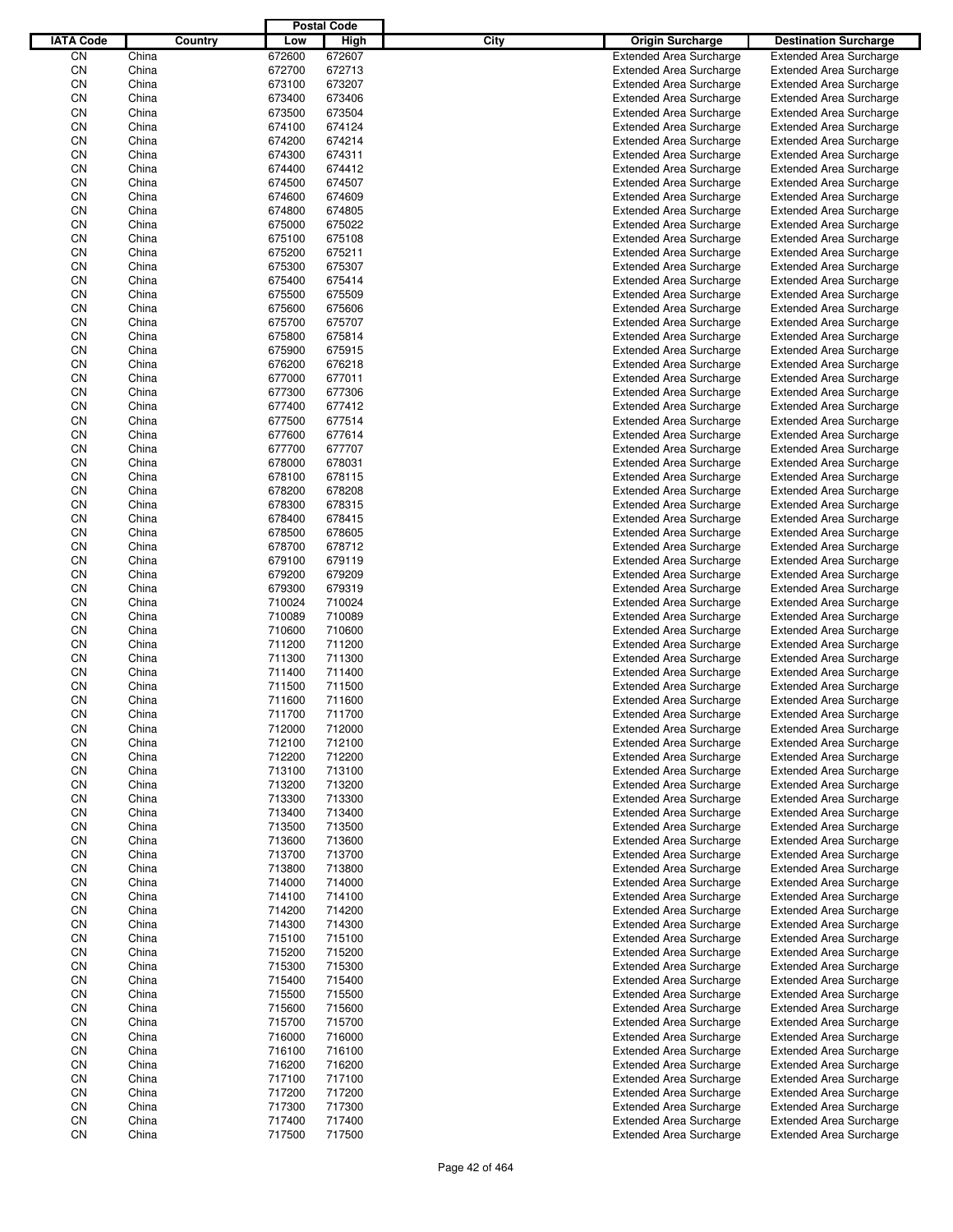|                  |                |                |                  | <b>Postal Code</b> |      |                                                                  |                                                                  |
|------------------|----------------|----------------|------------------|--------------------|------|------------------------------------------------------------------|------------------------------------------------------------------|
| <b>IATA Code</b> |                | <b>Country</b> | Low              | High               | City | Origin Surcharge                                                 | <b>Destination Surcharge</b>                                     |
| CN               | China          |                | 672600           | 672607             |      | <b>Extended Area Surcharge</b>                                   | <b>Extended Area Surcharge</b>                                   |
| CN               | China          |                | 672700           | 672713             |      | <b>Extended Area Surcharge</b>                                   | <b>Extended Area Surcharge</b>                                   |
| CN               | China          |                | 673100           | 673207             |      | <b>Extended Area Surcharge</b>                                   | <b>Extended Area Surcharge</b>                                   |
| CN               | China          |                | 673400           | 673406             |      | <b>Extended Area Surcharge</b>                                   | <b>Extended Area Surcharge</b>                                   |
| CN               | China          |                | 673500           | 673504             |      | <b>Extended Area Surcharge</b>                                   | <b>Extended Area Surcharge</b>                                   |
| CN               | China          |                | 674100           | 674124             |      | <b>Extended Area Surcharge</b>                                   | <b>Extended Area Surcharge</b>                                   |
| CN               | China          |                | 674200           | 674214             |      | <b>Extended Area Surcharge</b>                                   | <b>Extended Area Surcharge</b>                                   |
| CN               | China          |                | 674300           | 674311             |      | <b>Extended Area Surcharge</b>                                   | <b>Extended Area Surcharge</b>                                   |
| CN               | China          |                | 674400           | 674412             |      | <b>Extended Area Surcharge</b>                                   | <b>Extended Area Surcharge</b>                                   |
| CN               | China          |                | 674500           | 674507             |      | <b>Extended Area Surcharge</b>                                   | <b>Extended Area Surcharge</b>                                   |
| CN               | China          |                | 674600           | 674609             |      | <b>Extended Area Surcharge</b>                                   | <b>Extended Area Surcharge</b>                                   |
| CN               | China          |                | 674800           | 674805             |      | <b>Extended Area Surcharge</b>                                   | <b>Extended Area Surcharge</b>                                   |
| CN               | China          |                | 675000           | 675022             |      | <b>Extended Area Surcharge</b>                                   | <b>Extended Area Surcharge</b>                                   |
| CN               | China          |                | 675100           | 675108             |      | <b>Extended Area Surcharge</b>                                   | <b>Extended Area Surcharge</b>                                   |
| CN               | China          |                | 675200           | 675211             |      | <b>Extended Area Surcharge</b>                                   | <b>Extended Area Surcharge</b>                                   |
| CN               | China          |                | 675300           | 675307             |      | <b>Extended Area Surcharge</b>                                   | <b>Extended Area Surcharge</b>                                   |
| CN               | China          |                | 675400           | 675414             |      | <b>Extended Area Surcharge</b>                                   | <b>Extended Area Surcharge</b>                                   |
| CN               | China          |                | 675500           | 675509             |      | <b>Extended Area Surcharge</b>                                   | <b>Extended Area Surcharge</b>                                   |
| CN               | China          |                | 675600           | 675606             |      | <b>Extended Area Surcharge</b>                                   | <b>Extended Area Surcharge</b>                                   |
| CN               | China          |                | 675700           | 675707             |      | <b>Extended Area Surcharge</b>                                   | <b>Extended Area Surcharge</b>                                   |
| CN               | China          |                | 675800           | 675814             |      | <b>Extended Area Surcharge</b>                                   | <b>Extended Area Surcharge</b>                                   |
| CN               | China          |                | 675900           | 675915             |      | <b>Extended Area Surcharge</b>                                   | <b>Extended Area Surcharge</b>                                   |
| CN               | China          |                | 676200           | 676218             |      | <b>Extended Area Surcharge</b>                                   | <b>Extended Area Surcharge</b>                                   |
| CN               | China          |                | 677000           | 677011             |      | <b>Extended Area Surcharge</b>                                   | <b>Extended Area Surcharge</b>                                   |
| CN               | China          |                | 677300           | 677306             |      | <b>Extended Area Surcharge</b>                                   | <b>Extended Area Surcharge</b>                                   |
| CN               | China          |                | 677400           | 677412             |      | <b>Extended Area Surcharge</b>                                   | <b>Extended Area Surcharge</b>                                   |
| CN               | China          |                | 677500           | 677514             |      | <b>Extended Area Surcharge</b>                                   | <b>Extended Area Surcharge</b>                                   |
| CN               | China          |                | 677600           | 677614             |      | <b>Extended Area Surcharge</b>                                   | <b>Extended Area Surcharge</b>                                   |
| CN               | China          |                | 677700           | 677707             |      | <b>Extended Area Surcharge</b>                                   | <b>Extended Area Surcharge</b>                                   |
| CN               | China          |                | 678000           | 678031             |      | <b>Extended Area Surcharge</b>                                   | <b>Extended Area Surcharge</b>                                   |
| CN               | China          |                | 678100           | 678115             |      | <b>Extended Area Surcharge</b>                                   | <b>Extended Area Surcharge</b>                                   |
| CN               | China          |                | 678200           | 678208             |      | <b>Extended Area Surcharge</b>                                   | <b>Extended Area Surcharge</b>                                   |
| CN               | China          |                | 678300           | 678315             |      | <b>Extended Area Surcharge</b>                                   | <b>Extended Area Surcharge</b>                                   |
| CN               | China          |                | 678400           | 678415             |      | <b>Extended Area Surcharge</b>                                   | <b>Extended Area Surcharge</b>                                   |
| CN               | China          |                | 678500           | 678605             |      | <b>Extended Area Surcharge</b>                                   | <b>Extended Area Surcharge</b>                                   |
| CN               | China          |                | 678700           | 678712             |      | <b>Extended Area Surcharge</b>                                   | <b>Extended Area Surcharge</b>                                   |
| CN               | China          |                | 679100           | 679119             |      | <b>Extended Area Surcharge</b>                                   | <b>Extended Area Surcharge</b>                                   |
| CN               | China          |                | 679200           | 679209             |      | <b>Extended Area Surcharge</b>                                   | <b>Extended Area Surcharge</b>                                   |
| CN               | China          |                | 679300           | 679319             |      | <b>Extended Area Surcharge</b>                                   | <b>Extended Area Surcharge</b>                                   |
| CN<br>CN         | China          |                | 710024<br>710089 | 710024<br>710089   |      | <b>Extended Area Surcharge</b>                                   | <b>Extended Area Surcharge</b><br><b>Extended Area Surcharge</b> |
| CN               | China<br>China |                | 710600           | 710600             |      | <b>Extended Area Surcharge</b><br><b>Extended Area Surcharge</b> | <b>Extended Area Surcharge</b>                                   |
| CN               | China          |                | 711200           | 711200             |      | <b>Extended Area Surcharge</b>                                   | <b>Extended Area Surcharge</b>                                   |
| CN               | China          |                | 711300           | 711300             |      | <b>Extended Area Surcharge</b>                                   | <b>Extended Area Surcharge</b>                                   |
| CΝ               | China          |                | 711400           | 711400             |      | <b>Extended Area Surcharge</b>                                   | <b>Extended Area Surcharge</b>                                   |
| CN               | China          |                | 711500           | 711500             |      | <b>Extended Area Surcharge</b>                                   | <b>Extended Area Surcharge</b>                                   |
| CΝ               | China          |                | 711600           | 711600             |      | <b>Extended Area Surcharge</b>                                   | <b>Extended Area Surcharge</b>                                   |
| CN               | China          |                | 711700           | 711700             |      | <b>Extended Area Surcharge</b>                                   | <b>Extended Area Surcharge</b>                                   |
| CN               | China          |                | 712000           | 712000             |      | <b>Extended Area Surcharge</b>                                   | <b>Extended Area Surcharge</b>                                   |
| CN               | China          |                | 712100           | 712100             |      | <b>Extended Area Surcharge</b>                                   | <b>Extended Area Surcharge</b>                                   |
| CN               | China          |                | 712200           | 712200             |      | <b>Extended Area Surcharge</b>                                   | <b>Extended Area Surcharge</b>                                   |
| CN               | China          |                | 713100           | 713100             |      | <b>Extended Area Surcharge</b>                                   | <b>Extended Area Surcharge</b>                                   |
| CN               | China          |                | 713200           | 713200             |      | <b>Extended Area Surcharge</b>                                   | <b>Extended Area Surcharge</b>                                   |
| CN               | China          |                | 713300           | 713300             |      | <b>Extended Area Surcharge</b>                                   | <b>Extended Area Surcharge</b>                                   |
| CN               | China          |                | 713400           | 713400             |      | <b>Extended Area Surcharge</b>                                   | <b>Extended Area Surcharge</b>                                   |
| CN               | China          |                | 713500           | 713500             |      | <b>Extended Area Surcharge</b>                                   | <b>Extended Area Surcharge</b>                                   |
| CN               | China          |                | 713600           | 713600             |      | <b>Extended Area Surcharge</b>                                   | <b>Extended Area Surcharge</b>                                   |
| CN               | China          |                | 713700           | 713700             |      | <b>Extended Area Surcharge</b>                                   | <b>Extended Area Surcharge</b>                                   |
| CN               | China          |                | 713800           | 713800             |      | <b>Extended Area Surcharge</b>                                   | <b>Extended Area Surcharge</b>                                   |
| CN               | China          |                | 714000           | 714000             |      | <b>Extended Area Surcharge</b>                                   | <b>Extended Area Surcharge</b>                                   |
| CN               | China          |                | 714100           | 714100             |      | <b>Extended Area Surcharge</b>                                   | <b>Extended Area Surcharge</b>                                   |
| CN               | China          |                | 714200           | 714200             |      | <b>Extended Area Surcharge</b>                                   | <b>Extended Area Surcharge</b>                                   |
| CN               | China          |                | 714300           | 714300             |      | <b>Extended Area Surcharge</b>                                   | <b>Extended Area Surcharge</b>                                   |
| CN               | China          |                | 715100           | 715100             |      | <b>Extended Area Surcharge</b>                                   | <b>Extended Area Surcharge</b>                                   |
| CN               | China          |                | 715200           | 715200             |      | <b>Extended Area Surcharge</b>                                   | <b>Extended Area Surcharge</b>                                   |
| CN               | China          |                | 715300           | 715300             |      | <b>Extended Area Surcharge</b>                                   | <b>Extended Area Surcharge</b>                                   |
| CN               | China          |                | 715400           | 715400             |      | <b>Extended Area Surcharge</b>                                   | <b>Extended Area Surcharge</b>                                   |
| CN               | China          |                | 715500           | 715500             |      | <b>Extended Area Surcharge</b>                                   | <b>Extended Area Surcharge</b>                                   |
| CN               | China          |                | 715600           | 715600             |      | <b>Extended Area Surcharge</b>                                   | <b>Extended Area Surcharge</b>                                   |
| CN               | China          |                | 715700           | 715700             |      | <b>Extended Area Surcharge</b>                                   | <b>Extended Area Surcharge</b>                                   |
| CN               | China          |                | 716000           | 716000             |      | <b>Extended Area Surcharge</b>                                   | <b>Extended Area Surcharge</b>                                   |
| CN               | China          |                | 716100           | 716100             |      | <b>Extended Area Surcharge</b>                                   | <b>Extended Area Surcharge</b>                                   |
| CN               | China          |                | 716200           | 716200             |      | <b>Extended Area Surcharge</b>                                   | <b>Extended Area Surcharge</b>                                   |
| CN               | China          |                | 717100           | 717100             |      | <b>Extended Area Surcharge</b>                                   | <b>Extended Area Surcharge</b>                                   |
| CN               | China          |                | 717200           | 717200             |      | <b>Extended Area Surcharge</b>                                   | <b>Extended Area Surcharge</b>                                   |
| CN               | China          |                | 717300           | 717300             |      | <b>Extended Area Surcharge</b>                                   | <b>Extended Area Surcharge</b>                                   |
| CN               | China          |                | 717400           | 717400             |      | <b>Extended Area Surcharge</b>                                   | <b>Extended Area Surcharge</b>                                   |
| CN               | China          |                | 717500           | 717500             |      | <b>Extended Area Surcharge</b>                                   | <b>Extended Area Surcharge</b>                                   |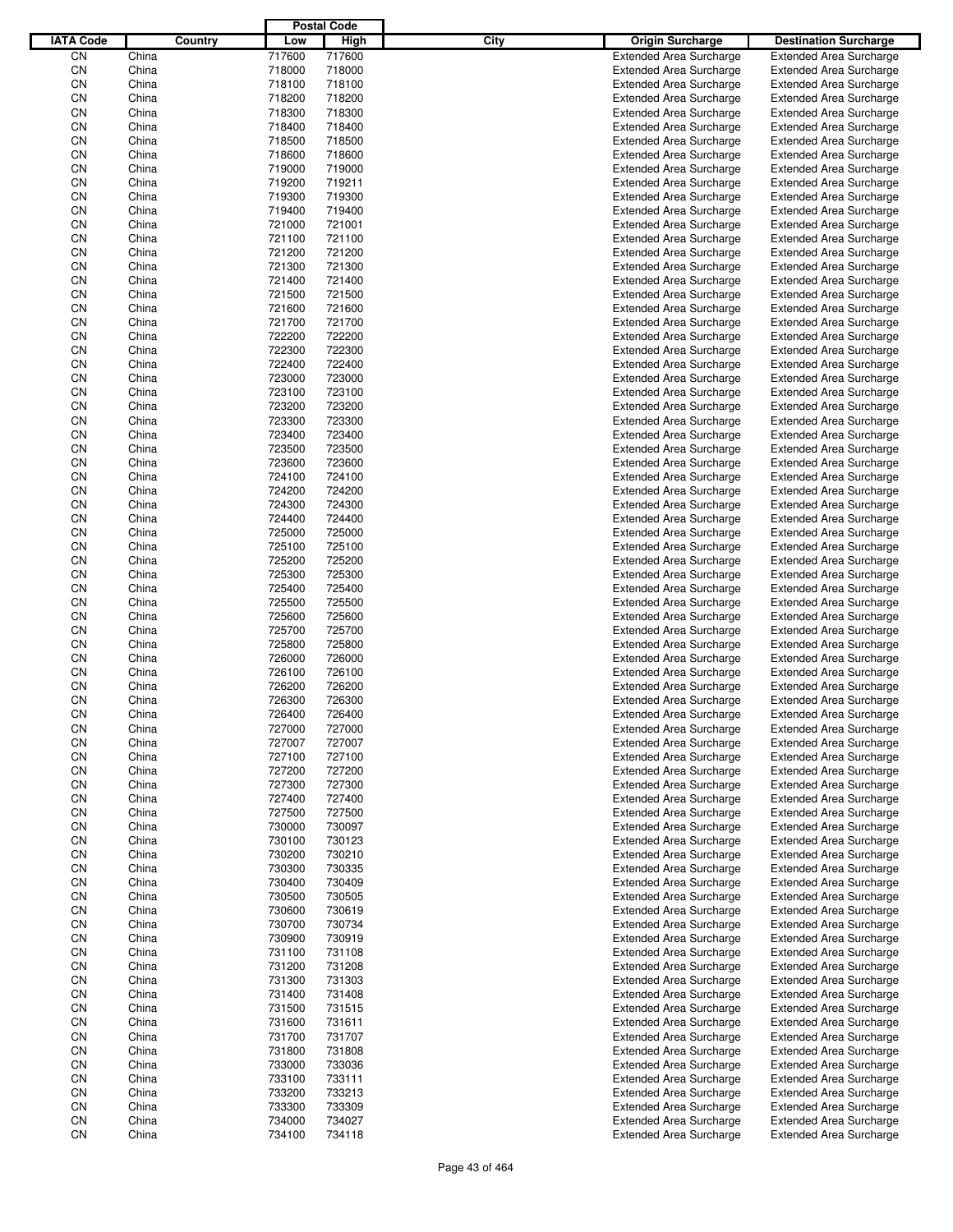|                  |                |         |                  | <b>Postal Code</b> |      |                                                                  |                                                                  |
|------------------|----------------|---------|------------------|--------------------|------|------------------------------------------------------------------|------------------------------------------------------------------|
| <b>IATA Code</b> |                | Country | Low              | High               | City | <b>Origin Surcharge</b>                                          | <b>Destination Surcharge</b>                                     |
| CN               | China          |         | 717600           | 717600             |      | <b>Extended Area Surcharge</b>                                   | <b>Extended Area Surcharge</b>                                   |
| CN               | China          |         | 718000           | 718000             |      | <b>Extended Area Surcharge</b>                                   | <b>Extended Area Surcharge</b>                                   |
| CN               | China          |         | 718100           | 718100             |      | <b>Extended Area Surcharge</b>                                   | <b>Extended Area Surcharge</b>                                   |
| CN               | China          |         | 718200           | 718200             |      | <b>Extended Area Surcharge</b>                                   | <b>Extended Area Surcharge</b>                                   |
| CN               | China          |         | 718300           | 718300             |      | <b>Extended Area Surcharge</b>                                   | <b>Extended Area Surcharge</b>                                   |
| CN               | China          |         | 718400           | 718400             |      | <b>Extended Area Surcharge</b>                                   | <b>Extended Area Surcharge</b>                                   |
| CN               | China          |         | 718500           | 718500             |      | <b>Extended Area Surcharge</b>                                   | <b>Extended Area Surcharge</b>                                   |
| CN               | China          |         | 718600           | 718600             |      | <b>Extended Area Surcharge</b>                                   | <b>Extended Area Surcharge</b>                                   |
| CN               | China          |         | 719000           | 719000             |      | <b>Extended Area Surcharge</b>                                   | <b>Extended Area Surcharge</b>                                   |
| CN               | China          |         | 719200           | 719211             |      | <b>Extended Area Surcharge</b>                                   | <b>Extended Area Surcharge</b>                                   |
| CN               | China          |         | 719300           | 719300             |      | <b>Extended Area Surcharge</b>                                   | <b>Extended Area Surcharge</b>                                   |
| CN               | China          |         | 719400           | 719400             |      | <b>Extended Area Surcharge</b>                                   | <b>Extended Area Surcharge</b>                                   |
| CN               | China          |         | 721000           | 721001             |      | <b>Extended Area Surcharge</b>                                   | <b>Extended Area Surcharge</b>                                   |
| CN               | China          |         | 721100           | 721100             |      | <b>Extended Area Surcharge</b>                                   | <b>Extended Area Surcharge</b>                                   |
| CN               | China<br>China |         | 721200           | 721200             |      | <b>Extended Area Surcharge</b>                                   | <b>Extended Area Surcharge</b>                                   |
| CN<br>CN         | China          |         | 721300<br>721400 | 721300<br>721400   |      | <b>Extended Area Surcharge</b><br><b>Extended Area Surcharge</b> | <b>Extended Area Surcharge</b><br><b>Extended Area Surcharge</b> |
| CN               | China          |         | 721500           | 721500             |      | <b>Extended Area Surcharge</b>                                   | <b>Extended Area Surcharge</b>                                   |
| CN               | China          |         | 721600           | 721600             |      | <b>Extended Area Surcharge</b>                                   | <b>Extended Area Surcharge</b>                                   |
| CN               | China          |         | 721700           | 721700             |      | <b>Extended Area Surcharge</b>                                   | <b>Extended Area Surcharge</b>                                   |
| CN               | China          |         | 722200           | 722200             |      | <b>Extended Area Surcharge</b>                                   | <b>Extended Area Surcharge</b>                                   |
| CN               | China          |         | 722300           | 722300             |      | <b>Extended Area Surcharge</b>                                   | <b>Extended Area Surcharge</b>                                   |
| CN               | China          |         | 722400           | 722400             |      | <b>Extended Area Surcharge</b>                                   | <b>Extended Area Surcharge</b>                                   |
| CN               | China          |         | 723000           | 723000             |      | <b>Extended Area Surcharge</b>                                   | <b>Extended Area Surcharge</b>                                   |
| CN               | China          |         | 723100           | 723100             |      | <b>Extended Area Surcharge</b>                                   | <b>Extended Area Surcharge</b>                                   |
| CN               | China          |         | 723200           | 723200             |      | <b>Extended Area Surcharge</b>                                   | <b>Extended Area Surcharge</b>                                   |
| CN               | China          |         | 723300           | 723300             |      | <b>Extended Area Surcharge</b>                                   | <b>Extended Area Surcharge</b>                                   |
| CN               | China          |         | 723400           | 723400             |      | <b>Extended Area Surcharge</b>                                   | <b>Extended Area Surcharge</b>                                   |
| CN               | China          |         | 723500           | 723500             |      | <b>Extended Area Surcharge</b>                                   | <b>Extended Area Surcharge</b>                                   |
| CN               | China          |         | 723600           | 723600             |      | <b>Extended Area Surcharge</b>                                   | <b>Extended Area Surcharge</b>                                   |
| CN               | China          |         | 724100           | 724100             |      | <b>Extended Area Surcharge</b>                                   | <b>Extended Area Surcharge</b>                                   |
| CN               | China          |         | 724200           | 724200             |      | <b>Extended Area Surcharge</b>                                   | <b>Extended Area Surcharge</b>                                   |
| CN               | China          |         | 724300           | 724300             |      | <b>Extended Area Surcharge</b>                                   | <b>Extended Area Surcharge</b>                                   |
| CN               | China          |         | 724400           | 724400             |      | <b>Extended Area Surcharge</b>                                   | <b>Extended Area Surcharge</b>                                   |
| CN               | China          |         | 725000           | 725000             |      | <b>Extended Area Surcharge</b>                                   | <b>Extended Area Surcharge</b>                                   |
| CN               | China          |         | 725100           | 725100             |      | <b>Extended Area Surcharge</b>                                   | <b>Extended Area Surcharge</b>                                   |
| CN               | China          |         | 725200           | 725200             |      | <b>Extended Area Surcharge</b>                                   | <b>Extended Area Surcharge</b>                                   |
| CN               | China          |         | 725300           | 725300             |      | <b>Extended Area Surcharge</b>                                   | <b>Extended Area Surcharge</b>                                   |
| CN               | China          |         | 725400           | 725400             |      | <b>Extended Area Surcharge</b>                                   | <b>Extended Area Surcharge</b>                                   |
| CN               | China          |         | 725500           | 725500             |      | <b>Extended Area Surcharge</b>                                   | <b>Extended Area Surcharge</b>                                   |
| CN               | China          |         | 725600           | 725600             |      | <b>Extended Area Surcharge</b>                                   | <b>Extended Area Surcharge</b>                                   |
| CN               | China          |         | 725700           | 725700             |      | <b>Extended Area Surcharge</b>                                   | <b>Extended Area Surcharge</b>                                   |
| CN               | China          |         | 725800           | 725800             |      | <b>Extended Area Surcharge</b>                                   | <b>Extended Area Surcharge</b>                                   |
| CN               | China          |         | 726000           | 726000             |      | <b>Extended Area Surcharge</b>                                   | <b>Extended Area Surcharge</b>                                   |
| CN               | China          |         | 726100           | 726100             |      | <b>Extended Area Surcharge</b>                                   | <b>Extended Area Surcharge</b>                                   |
| CN               | China          |         | 726200           | 726200             |      | <b>Extended Area Surcharge</b>                                   | <b>Extended Area Surcharge</b>                                   |
| CN               | China          |         | 726300           | 726300             |      | <b>Extended Area Surcharge</b>                                   | <b>Extended Area Surcharge</b>                                   |
| CN               | China          |         | 726400           | 726400             |      | <b>Extended Area Surcharge</b>                                   | <b>Extended Area Surcharge</b>                                   |
| CN               | China          |         | 727000           | 727000             |      | <b>Extended Area Surcharge</b>                                   | <b>Extended Area Surcharge</b>                                   |
| CN               | China          |         | 727007           | 727007             |      | <b>Extended Area Surcharge</b>                                   | <b>Extended Area Surcharge</b>                                   |
| CN               | China          |         | 727100           | 727100             |      | <b>Extended Area Surcharge</b>                                   | <b>Extended Area Surcharge</b>                                   |
| CN               | China          |         | 727200           | 727200             |      | <b>Extended Area Surcharge</b>                                   | <b>Extended Area Surcharge</b>                                   |
| CN               | China          |         | 727300           | 727300             |      | <b>Extended Area Surcharge</b><br><b>Extended Area Surcharge</b> | <b>Extended Area Surcharge</b>                                   |
| CN               | China          |         | 727400           | 727400             |      |                                                                  | <b>Extended Area Surcharge</b>                                   |
| CN<br>CN         | China<br>China |         | 727500<br>730000 | 727500<br>730097   |      | <b>Extended Area Surcharge</b><br><b>Extended Area Surcharge</b> | <b>Extended Area Surcharge</b><br><b>Extended Area Surcharge</b> |
| CN               | China          |         | 730100           | 730123             |      | <b>Extended Area Surcharge</b>                                   | <b>Extended Area Surcharge</b>                                   |
| CN               | China          |         | 730200           | 730210             |      | <b>Extended Area Surcharge</b>                                   | <b>Extended Area Surcharge</b>                                   |
| CN               | China          |         | 730300           | 730335             |      | <b>Extended Area Surcharge</b>                                   | <b>Extended Area Surcharge</b>                                   |
| CN               | China          |         | 730400           | 730409             |      | <b>Extended Area Surcharge</b>                                   | <b>Extended Area Surcharge</b>                                   |
| CN               | China          |         | 730500           | 730505             |      | <b>Extended Area Surcharge</b>                                   | <b>Extended Area Surcharge</b>                                   |
| CN               | China          |         | 730600           | 730619             |      | <b>Extended Area Surcharge</b>                                   | <b>Extended Area Surcharge</b>                                   |
| CN               | China          |         | 730700           | 730734             |      | <b>Extended Area Surcharge</b>                                   | <b>Extended Area Surcharge</b>                                   |
| CN               | China          |         | 730900           | 730919             |      | <b>Extended Area Surcharge</b>                                   | <b>Extended Area Surcharge</b>                                   |
| CN               | China          |         | 731100           | 731108             |      | <b>Extended Area Surcharge</b>                                   | <b>Extended Area Surcharge</b>                                   |
| CN               | China          |         | 731200           | 731208             |      | <b>Extended Area Surcharge</b>                                   | <b>Extended Area Surcharge</b>                                   |
| CN               | China          |         | 731300           | 731303             |      | <b>Extended Area Surcharge</b>                                   | <b>Extended Area Surcharge</b>                                   |
| CN               | China          |         | 731400           | 731408             |      | <b>Extended Area Surcharge</b>                                   | <b>Extended Area Surcharge</b>                                   |
| CN               | China          |         | 731500           | 731515             |      | <b>Extended Area Surcharge</b>                                   | <b>Extended Area Surcharge</b>                                   |
| CN               | China          |         | 731600           | 731611             |      | <b>Extended Area Surcharge</b>                                   | <b>Extended Area Surcharge</b>                                   |
| CN               | China          |         | 731700           | 731707             |      | <b>Extended Area Surcharge</b>                                   | <b>Extended Area Surcharge</b>                                   |
| CN               | China          |         | 731800           | 731808             |      | <b>Extended Area Surcharge</b>                                   | <b>Extended Area Surcharge</b>                                   |
| CN               | China          |         | 733000           | 733036             |      | <b>Extended Area Surcharge</b>                                   | <b>Extended Area Surcharge</b>                                   |
| CN               | China          |         | 733100           | 733111             |      | <b>Extended Area Surcharge</b>                                   | <b>Extended Area Surcharge</b>                                   |
| CN               | China          |         | 733200           | 733213             |      | <b>Extended Area Surcharge</b>                                   | <b>Extended Area Surcharge</b>                                   |
| CN               | China          |         | 733300           | 733309             |      | <b>Extended Area Surcharge</b>                                   | <b>Extended Area Surcharge</b>                                   |
| CN               | China          |         | 734000           | 734027             |      | <b>Extended Area Surcharge</b>                                   | <b>Extended Area Surcharge</b>                                   |
| CN               | China          |         | 734100           | 734118             |      | <b>Extended Area Surcharge</b>                                   | <b>Extended Area Surcharge</b>                                   |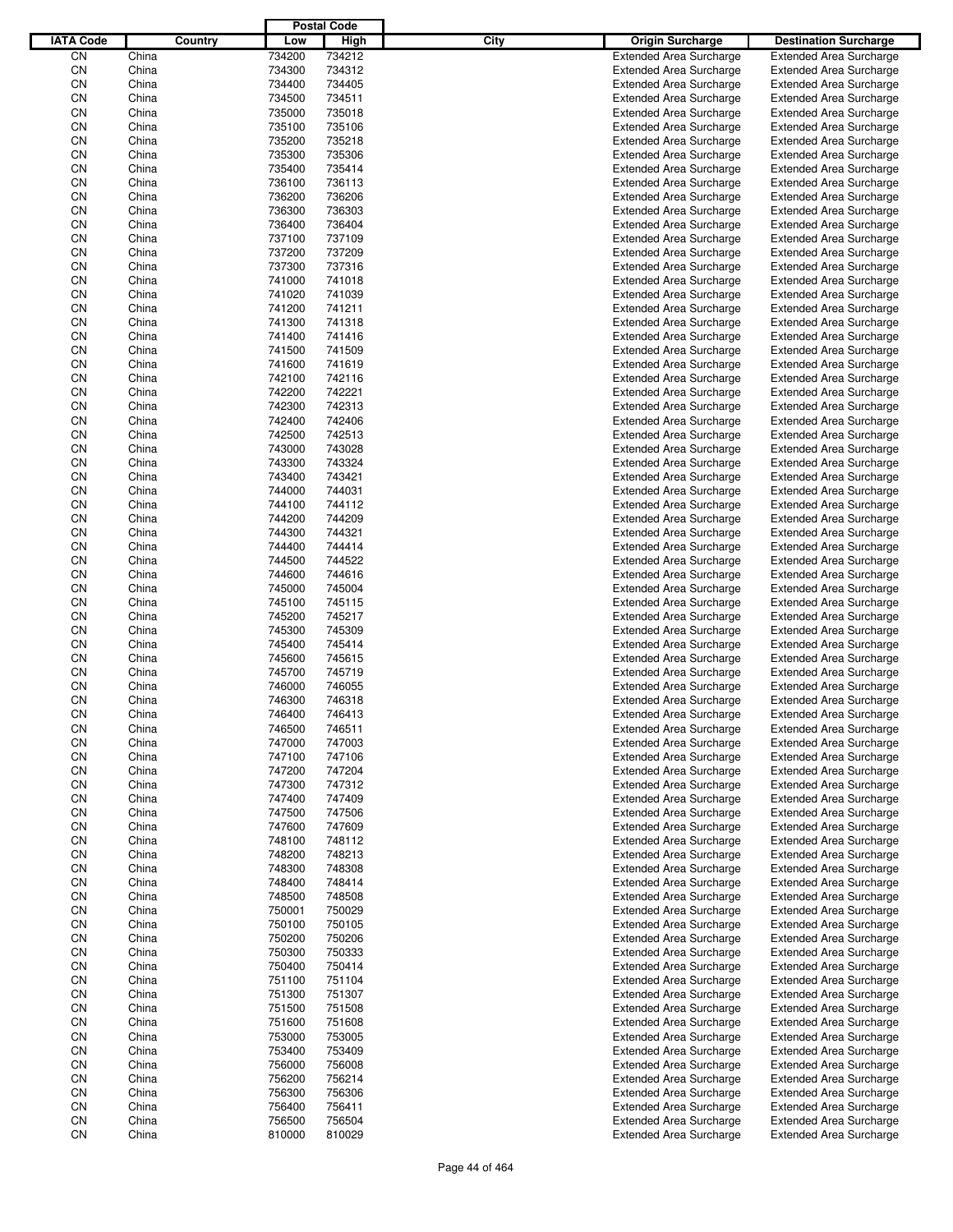|                  |                |         |                  | <b>Postal Code</b> |      |                                                                  |                                                                  |
|------------------|----------------|---------|------------------|--------------------|------|------------------------------------------------------------------|------------------------------------------------------------------|
| <b>IATA Code</b> |                | Country | Low              | High               | City | <b>Origin Surcharge</b>                                          | <b>Destination Surcharge</b>                                     |
| CN               | China          |         | 734200           | 734212             |      | <b>Extended Area Surcharge</b>                                   | <b>Extended Area Surcharge</b>                                   |
| CN               | China          |         | 734300           | 734312             |      | <b>Extended Area Surcharge</b>                                   | <b>Extended Area Surcharge</b>                                   |
| CN               | China          |         | 734400           | 734405             |      | <b>Extended Area Surcharge</b>                                   | <b>Extended Area Surcharge</b>                                   |
| CN               | China          |         | 734500           | 734511             |      | <b>Extended Area Surcharge</b>                                   | <b>Extended Area Surcharge</b>                                   |
| CN               | China          |         | 735000           | 735018             |      | <b>Extended Area Surcharge</b>                                   | <b>Extended Area Surcharge</b>                                   |
| CN               | China          |         | 735100           | 735106             |      | <b>Extended Area Surcharge</b>                                   | <b>Extended Area Surcharge</b>                                   |
| CN               | China          |         | 735200           | 735218             |      | <b>Extended Area Surcharge</b>                                   | <b>Extended Area Surcharge</b>                                   |
| CN               | China          |         | 735300           | 735306             |      | <b>Extended Area Surcharge</b>                                   | <b>Extended Area Surcharge</b>                                   |
| CN               | China          |         | 735400           | 735414             |      | <b>Extended Area Surcharge</b>                                   | <b>Extended Area Surcharge</b>                                   |
| CN               | China          |         | 736100           | 736113             |      | <b>Extended Area Surcharge</b>                                   | <b>Extended Area Surcharge</b>                                   |
| CN               | China          |         | 736200           | 736206             |      | <b>Extended Area Surcharge</b>                                   | <b>Extended Area Surcharge</b>                                   |
| CN               | China          |         | 736300           | 736303             |      | <b>Extended Area Surcharge</b>                                   | <b>Extended Area Surcharge</b>                                   |
| CN               | China          |         | 736400           | 736404             |      | <b>Extended Area Surcharge</b>                                   | <b>Extended Area Surcharge</b>                                   |
| CN               | China          |         | 737100           | 737109             |      | <b>Extended Area Surcharge</b>                                   | <b>Extended Area Surcharge</b>                                   |
| CN               | China          |         | 737200           | 737209             |      | <b>Extended Area Surcharge</b>                                   | <b>Extended Area Surcharge</b>                                   |
| CN<br>CN         | China<br>China |         | 737300<br>741000 | 737316<br>741018   |      | <b>Extended Area Surcharge</b>                                   | <b>Extended Area Surcharge</b>                                   |
| CN               | China          |         | 741020           | 741039             |      | <b>Extended Area Surcharge</b><br><b>Extended Area Surcharge</b> | <b>Extended Area Surcharge</b><br><b>Extended Area Surcharge</b> |
| CN               | China          |         | 741200           | 741211             |      | <b>Extended Area Surcharge</b>                                   | <b>Extended Area Surcharge</b>                                   |
| CN               | China          |         | 741300           | 741318             |      | <b>Extended Area Surcharge</b>                                   | <b>Extended Area Surcharge</b>                                   |
| CN               | China          |         | 741400           | 741416             |      | <b>Extended Area Surcharge</b>                                   | <b>Extended Area Surcharge</b>                                   |
| CN               | China          |         | 741500           | 741509             |      | <b>Extended Area Surcharge</b>                                   | <b>Extended Area Surcharge</b>                                   |
| CN               | China          |         | 741600           | 741619             |      | <b>Extended Area Surcharge</b>                                   | <b>Extended Area Surcharge</b>                                   |
| CN               | China          |         | 742100           | 742116             |      | <b>Extended Area Surcharge</b>                                   | <b>Extended Area Surcharge</b>                                   |
| CN               | China          |         | 742200           | 742221             |      | <b>Extended Area Surcharge</b>                                   | <b>Extended Area Surcharge</b>                                   |
| CN               | China          |         | 742300           | 742313             |      | <b>Extended Area Surcharge</b>                                   | <b>Extended Area Surcharge</b>                                   |
| CN               | China          |         | 742400           | 742406             |      | <b>Extended Area Surcharge</b>                                   | <b>Extended Area Surcharge</b>                                   |
| CN               | China          |         | 742500           | 742513             |      | <b>Extended Area Surcharge</b>                                   | <b>Extended Area Surcharge</b>                                   |
| CN               | China          |         | 743000           | 743028             |      | <b>Extended Area Surcharge</b>                                   | <b>Extended Area Surcharge</b>                                   |
| CN               | China          |         | 743300           | 743324             |      | <b>Extended Area Surcharge</b>                                   | <b>Extended Area Surcharge</b>                                   |
| CN               | China          |         | 743400           | 743421             |      | <b>Extended Area Surcharge</b>                                   | <b>Extended Area Surcharge</b>                                   |
| CN               | China          |         | 744000           | 744031             |      | <b>Extended Area Surcharge</b>                                   | <b>Extended Area Surcharge</b>                                   |
| CN               | China          |         | 744100           | 744112             |      | <b>Extended Area Surcharge</b>                                   | <b>Extended Area Surcharge</b>                                   |
| CN               | China          |         | 744200           | 744209             |      | <b>Extended Area Surcharge</b>                                   | <b>Extended Area Surcharge</b>                                   |
| CN               | China          |         | 744300           | 744321             |      | <b>Extended Area Surcharge</b>                                   | <b>Extended Area Surcharge</b>                                   |
| CN               | China          |         | 744400           | 744414             |      | <b>Extended Area Surcharge</b>                                   | <b>Extended Area Surcharge</b>                                   |
| CN               | China          |         | 744500           | 744522             |      | <b>Extended Area Surcharge</b>                                   | <b>Extended Area Surcharge</b>                                   |
| CN               | China          |         | 744600           | 744616             |      | <b>Extended Area Surcharge</b>                                   | <b>Extended Area Surcharge</b>                                   |
| CN               | China          |         | 745000           | 745004             |      | <b>Extended Area Surcharge</b>                                   | <b>Extended Area Surcharge</b>                                   |
| CN               | China          |         | 745100           | 745115             |      | <b>Extended Area Surcharge</b>                                   | <b>Extended Area Surcharge</b>                                   |
| CN               | China          |         | 745200           | 745217             |      | <b>Extended Area Surcharge</b>                                   | <b>Extended Area Surcharge</b>                                   |
| CN               | China          |         | 745300           | 745309             |      | <b>Extended Area Surcharge</b>                                   | <b>Extended Area Surcharge</b>                                   |
| CN               | China          |         | 745400           | 745414             |      | <b>Extended Area Surcharge</b>                                   | <b>Extended Area Surcharge</b>                                   |
| CN               | China          |         | 745600           | 745615             |      | <b>Extended Area Surcharge</b>                                   | <b>Extended Area Surcharge</b>                                   |
| CN               | China          |         | 745700           | 745719             |      | <b>Extended Area Surcharge</b>                                   | <b>Extended Area Surcharge</b>                                   |
| CN               | China          |         | 746000           | 746055             |      | <b>Extended Area Surcharge</b>                                   | <b>Extended Area Surcharge</b>                                   |
| CN               | China          |         | 746300           | 746318             |      | <b>Extended Area Surcharge</b>                                   | <b>Extended Area Surcharge</b>                                   |
| CN               | China          |         | 746400           | 746413             |      | <b>Extended Area Surcharge</b>                                   | <b>Extended Area Surcharge</b>                                   |
| CN               | China          |         | 746500           | 746511             |      | <b>Extended Area Surcharge</b>                                   | <b>Extended Area Surcharge</b>                                   |
| CN               | China          |         | 747000           | 747003             |      | <b>Extended Area Surcharge</b>                                   | <b>Extended Area Surcharge</b>                                   |
| CN               | China          |         | 747100           | 747106             |      | <b>Extended Area Surcharge</b>                                   | <b>Extended Area Surcharge</b>                                   |
| CN<br>CN         | China          |         | 747200<br>747300 | 747204<br>747312   |      | <b>Extended Area Surcharge</b>                                   | <b>Extended Area Surcharge</b><br><b>Extended Area Surcharge</b> |
| CN               | China<br>China |         | 747400           | 747409             |      | <b>Extended Area Surcharge</b><br><b>Extended Area Surcharge</b> | <b>Extended Area Surcharge</b>                                   |
| CN               | China          |         | 747500           | 747506             |      | <b>Extended Area Surcharge</b>                                   | <b>Extended Area Surcharge</b>                                   |
| CN               | China          |         | 747600           | 747609             |      | <b>Extended Area Surcharge</b>                                   | <b>Extended Area Surcharge</b>                                   |
| CN               | China          |         | 748100           | 748112             |      | <b>Extended Area Surcharge</b>                                   | <b>Extended Area Surcharge</b>                                   |
| CN               | China          |         | 748200           | 748213             |      | <b>Extended Area Surcharge</b>                                   | <b>Extended Area Surcharge</b>                                   |
| CN               | China          |         | 748300           | 748308             |      | <b>Extended Area Surcharge</b>                                   | <b>Extended Area Surcharge</b>                                   |
| CN               | China          |         | 748400           | 748414             |      | <b>Extended Area Surcharge</b>                                   | <b>Extended Area Surcharge</b>                                   |
| CN               | China          |         | 748500           | 748508             |      | <b>Extended Area Surcharge</b>                                   | <b>Extended Area Surcharge</b>                                   |
| CN               | China          |         | 750001           | 750029             |      | <b>Extended Area Surcharge</b>                                   | <b>Extended Area Surcharge</b>                                   |
| CN               | China          |         | 750100           | 750105             |      | <b>Extended Area Surcharge</b>                                   | <b>Extended Area Surcharge</b>                                   |
| CN               | China          |         | 750200           | 750206             |      | <b>Extended Area Surcharge</b>                                   | <b>Extended Area Surcharge</b>                                   |
| CN               | China          |         | 750300           | 750333             |      | <b>Extended Area Surcharge</b>                                   | <b>Extended Area Surcharge</b>                                   |
| CN               | China          |         | 750400           | 750414             |      | <b>Extended Area Surcharge</b>                                   | <b>Extended Area Surcharge</b>                                   |
| CN               | China          |         | 751100           | 751104             |      | <b>Extended Area Surcharge</b>                                   | <b>Extended Area Surcharge</b>                                   |
| CN               | China          |         | 751300           | 751307             |      | <b>Extended Area Surcharge</b>                                   | <b>Extended Area Surcharge</b>                                   |
| CN               | China          |         | 751500           | 751508             |      | <b>Extended Area Surcharge</b>                                   | <b>Extended Area Surcharge</b>                                   |
| CN               | China          |         | 751600           | 751608             |      | <b>Extended Area Surcharge</b>                                   | <b>Extended Area Surcharge</b>                                   |
| CN               | China          |         | 753000           | 753005             |      | <b>Extended Area Surcharge</b>                                   | <b>Extended Area Surcharge</b>                                   |
| CN               | China          |         | 753400           | 753409             |      | <b>Extended Area Surcharge</b>                                   | <b>Extended Area Surcharge</b>                                   |
| CN               | China          |         | 756000           | 756008             |      | <b>Extended Area Surcharge</b>                                   | <b>Extended Area Surcharge</b>                                   |
| CN               | China          |         | 756200           | 756214             |      | <b>Extended Area Surcharge</b>                                   | <b>Extended Area Surcharge</b>                                   |
| CN               | China          |         | 756300           | 756306             |      | <b>Extended Area Surcharge</b>                                   | <b>Extended Area Surcharge</b>                                   |
| CN               | China          |         | 756400           | 756411             |      | <b>Extended Area Surcharge</b>                                   | <b>Extended Area Surcharge</b>                                   |
| CN               | China          |         | 756500           | 756504             |      | <b>Extended Area Surcharge</b>                                   | <b>Extended Area Surcharge</b>                                   |
| CN               | China          |         | 810000           | 810029             |      | <b>Extended Area Surcharge</b>                                   | <b>Extended Area Surcharge</b>                                   |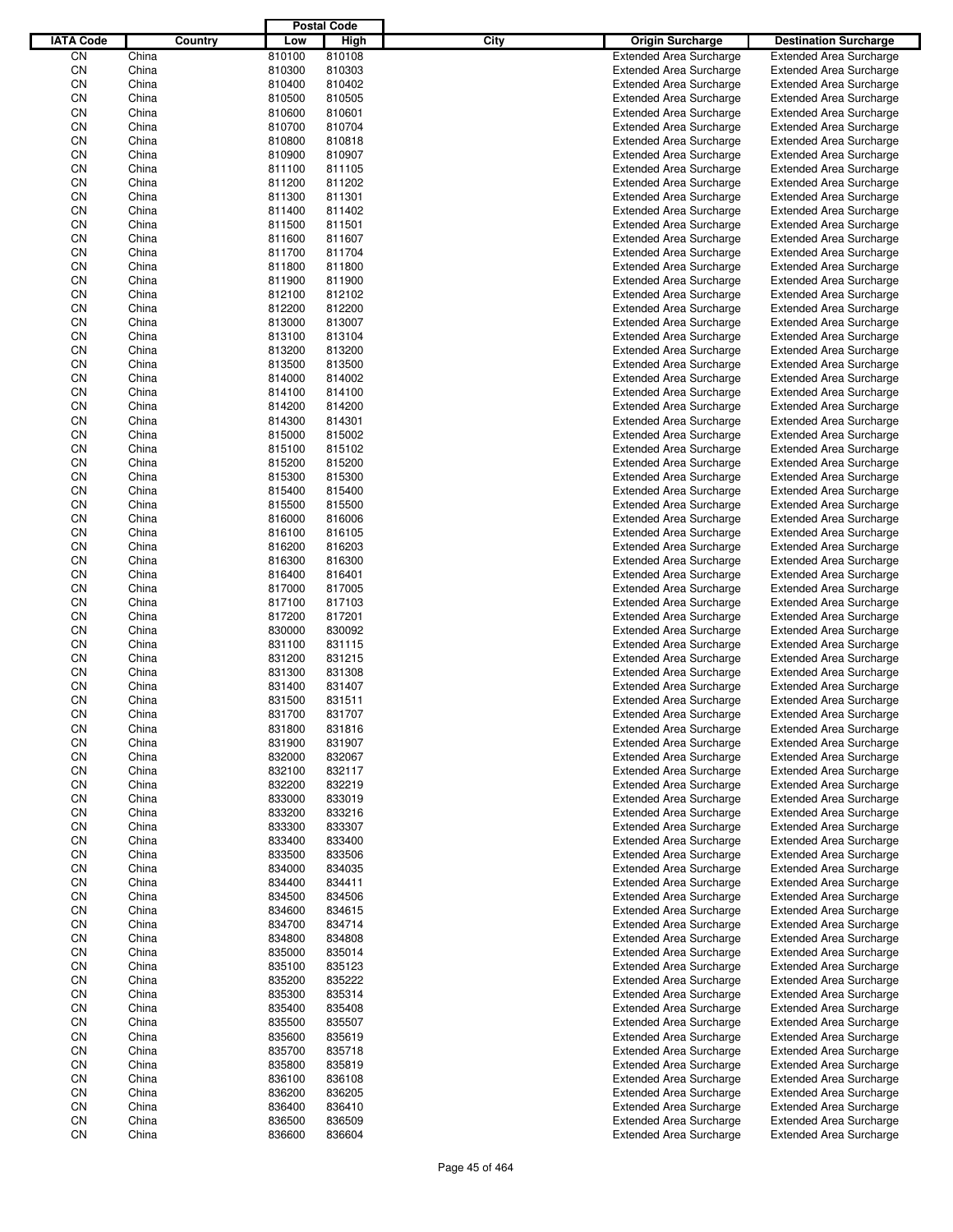|                  |                |         |                  | <b>Postal Code</b> |      |                                                                  |                                                                  |
|------------------|----------------|---------|------------------|--------------------|------|------------------------------------------------------------------|------------------------------------------------------------------|
| <b>IATA Code</b> |                | Country | Low              | High               | City | <b>Origin Surcharge</b>                                          | <b>Destination Surcharge</b>                                     |
| CN               | China          |         | 810100           | 810108             |      | <b>Extended Area Surcharge</b>                                   | <b>Extended Area Surcharge</b>                                   |
| CN               | China          |         | 810300           | 810303             |      | <b>Extended Area Surcharge</b>                                   | <b>Extended Area Surcharge</b>                                   |
| CN               | China          |         | 810400           | 810402             |      | <b>Extended Area Surcharge</b>                                   | <b>Extended Area Surcharge</b>                                   |
| CN               | China          |         | 810500           | 810505             |      | <b>Extended Area Surcharge</b>                                   | <b>Extended Area Surcharge</b>                                   |
| CN               | China          |         | 810600           | 810601             |      | <b>Extended Area Surcharge</b>                                   | <b>Extended Area Surcharge</b>                                   |
| CN               | China          |         | 810700           | 810704             |      | <b>Extended Area Surcharge</b>                                   | <b>Extended Area Surcharge</b>                                   |
| CN               | China          |         | 810800           | 810818             |      | <b>Extended Area Surcharge</b>                                   | <b>Extended Area Surcharge</b>                                   |
| CN               | China          |         | 810900           | 810907             |      | <b>Extended Area Surcharge</b>                                   | <b>Extended Area Surcharge</b>                                   |
| CN               | China          |         | 811100           | 811105             |      | <b>Extended Area Surcharge</b>                                   | <b>Extended Area Surcharge</b>                                   |
| CN               | China          |         | 811200           | 811202             |      | <b>Extended Area Surcharge</b>                                   | <b>Extended Area Surcharge</b>                                   |
| CN               | China          |         | 811300           | 811301             |      | <b>Extended Area Surcharge</b>                                   | <b>Extended Area Surcharge</b>                                   |
| CN               | China          |         | 811400           | 811402             |      | <b>Extended Area Surcharge</b>                                   | <b>Extended Area Surcharge</b>                                   |
| CN               | China          |         | 811500           | 811501             |      | <b>Extended Area Surcharge</b>                                   | <b>Extended Area Surcharge</b>                                   |
| CN               | China          |         | 811600           | 811607             |      | <b>Extended Area Surcharge</b>                                   | <b>Extended Area Surcharge</b>                                   |
| CN               | China<br>China |         | 811700<br>811800 | 811704             |      | <b>Extended Area Surcharge</b>                                   | <b>Extended Area Surcharge</b>                                   |
| CN<br>CN         | China          |         | 811900           | 811800<br>811900   |      | <b>Extended Area Surcharge</b><br><b>Extended Area Surcharge</b> | <b>Extended Area Surcharge</b><br><b>Extended Area Surcharge</b> |
| CN               | China          |         | 812100           | 812102             |      | <b>Extended Area Surcharge</b>                                   | <b>Extended Area Surcharge</b>                                   |
| CN               | China          |         | 812200           | 812200             |      | <b>Extended Area Surcharge</b>                                   | <b>Extended Area Surcharge</b>                                   |
| CN               | China          |         | 813000           | 813007             |      | <b>Extended Area Surcharge</b>                                   | <b>Extended Area Surcharge</b>                                   |
| CN               | China          |         | 813100           | 813104             |      | <b>Extended Area Surcharge</b>                                   | <b>Extended Area Surcharge</b>                                   |
| CN               | China          |         | 813200           | 813200             |      | <b>Extended Area Surcharge</b>                                   | <b>Extended Area Surcharge</b>                                   |
| CN               | China          |         | 813500           | 813500             |      | <b>Extended Area Surcharge</b>                                   | <b>Extended Area Surcharge</b>                                   |
| CN               | China          |         | 814000           | 814002             |      | <b>Extended Area Surcharge</b>                                   | <b>Extended Area Surcharge</b>                                   |
| CN               | China          |         | 814100           | 814100             |      | <b>Extended Area Surcharge</b>                                   | <b>Extended Area Surcharge</b>                                   |
| CN               | China          |         | 814200           | 814200             |      | <b>Extended Area Surcharge</b>                                   | <b>Extended Area Surcharge</b>                                   |
| CN               | China          |         | 814300           | 814301             |      | <b>Extended Area Surcharge</b>                                   | <b>Extended Area Surcharge</b>                                   |
| CN               | China          |         | 815000           | 815002             |      | <b>Extended Area Surcharge</b>                                   | <b>Extended Area Surcharge</b>                                   |
| CN               | China          |         | 815100           | 815102             |      | <b>Extended Area Surcharge</b>                                   | <b>Extended Area Surcharge</b>                                   |
| CN               | China          |         | 815200           | 815200             |      | <b>Extended Area Surcharge</b>                                   | <b>Extended Area Surcharge</b>                                   |
| CN               | China          |         | 815300           | 815300             |      | <b>Extended Area Surcharge</b>                                   | <b>Extended Area Surcharge</b>                                   |
| CN               | China          |         | 815400           | 815400             |      | <b>Extended Area Surcharge</b>                                   | <b>Extended Area Surcharge</b>                                   |
| CN               | China          |         | 815500           | 815500             |      | <b>Extended Area Surcharge</b>                                   | <b>Extended Area Surcharge</b>                                   |
| CN               | China          |         | 816000           | 816006             |      | <b>Extended Area Surcharge</b>                                   | <b>Extended Area Surcharge</b>                                   |
| CN               | China          |         | 816100           | 816105             |      | <b>Extended Area Surcharge</b>                                   | <b>Extended Area Surcharge</b>                                   |
| CN               | China          |         | 816200           | 816203             |      | <b>Extended Area Surcharge</b>                                   | <b>Extended Area Surcharge</b>                                   |
| CN               | China          |         | 816300           | 816300             |      | <b>Extended Area Surcharge</b>                                   | <b>Extended Area Surcharge</b>                                   |
| CN               | China          |         | 816400           | 816401             |      | <b>Extended Area Surcharge</b>                                   | <b>Extended Area Surcharge</b>                                   |
| CN               | China          |         | 817000           | 817005             |      | <b>Extended Area Surcharge</b>                                   | <b>Extended Area Surcharge</b>                                   |
| CN               | China          |         | 817100           | 817103             |      | <b>Extended Area Surcharge</b>                                   | <b>Extended Area Surcharge</b>                                   |
| CN               | China          |         | 817200           | 817201             |      | <b>Extended Area Surcharge</b>                                   | <b>Extended Area Surcharge</b>                                   |
| CN               | China          |         | 830000           | 830092             |      | <b>Extended Area Surcharge</b>                                   | <b>Extended Area Surcharge</b>                                   |
| CN               | China          |         | 831100           | 831115             |      | <b>Extended Area Surcharge</b>                                   | <b>Extended Area Surcharge</b>                                   |
| CN               | China          |         | 831200           | 831215             |      | <b>Extended Area Surcharge</b>                                   | <b>Extended Area Surcharge</b>                                   |
| CN               | China          |         | 831300           | 831308             |      | <b>Extended Area Surcharge</b>                                   | <b>Extended Area Surcharge</b>                                   |
| CN               | China          |         | 831400           | 831407             |      | <b>Extended Area Surcharge</b>                                   | <b>Extended Area Surcharge</b>                                   |
| CN               | China          |         | 831500           | 831511             |      | <b>Extended Area Surcharge</b>                                   | <b>Extended Area Surcharge</b>                                   |
| CN               | China          |         | 831700           | 831707             |      | <b>Extended Area Surcharge</b>                                   | <b>Extended Area Surcharge</b>                                   |
| CN               | China          |         | 831800           | 831816             |      | <b>Extended Area Surcharge</b>                                   | <b>Extended Area Surcharge</b>                                   |
| CN               | China          |         | 831900           | 831907             |      | <b>Extended Area Surcharge</b>                                   | <b>Extended Area Surcharge</b>                                   |
| CN               | China          |         | 832000           | 832067             |      | <b>Extended Area Surcharge</b>                                   | <b>Extended Area Surcharge</b>                                   |
| CN               | China          |         | 832100           | 832117             |      | <b>Extended Area Surcharge</b>                                   | <b>Extended Area Surcharge</b>                                   |
| CN               | China          |         | 832200           | 832219             |      | <b>Extended Area Surcharge</b>                                   | <b>Extended Area Surcharge</b>                                   |
| CN               | China          |         | 833000           | 833019             |      | <b>Extended Area Surcharge</b>                                   | <b>Extended Area Surcharge</b>                                   |
| CN<br>CN         | China<br>China |         | 833200<br>833300 | 833216<br>833307   |      | <b>Extended Area Surcharge</b><br><b>Extended Area Surcharge</b> | <b>Extended Area Surcharge</b><br><b>Extended Area Surcharge</b> |
| CN               | China          |         | 833400           | 833400             |      | <b>Extended Area Surcharge</b>                                   | <b>Extended Area Surcharge</b>                                   |
| CN               | China          |         | 833500           | 833506             |      | <b>Extended Area Surcharge</b>                                   | <b>Extended Area Surcharge</b>                                   |
| CN               | China          |         | 834000           | 834035             |      | <b>Extended Area Surcharge</b>                                   | <b>Extended Area Surcharge</b>                                   |
| CN               | China          |         | 834400           | 834411             |      | <b>Extended Area Surcharge</b>                                   | <b>Extended Area Surcharge</b>                                   |
| CN               | China          |         | 834500           | 834506             |      | <b>Extended Area Surcharge</b>                                   | <b>Extended Area Surcharge</b>                                   |
| CN               | China          |         | 834600           | 834615             |      | <b>Extended Area Surcharge</b>                                   | <b>Extended Area Surcharge</b>                                   |
| CN               | China          |         | 834700           | 834714             |      | <b>Extended Area Surcharge</b>                                   | <b>Extended Area Surcharge</b>                                   |
| CN               | China          |         | 834800           | 834808             |      | <b>Extended Area Surcharge</b>                                   | <b>Extended Area Surcharge</b>                                   |
| CN               | China          |         | 835000           | 835014             |      | <b>Extended Area Surcharge</b>                                   | <b>Extended Area Surcharge</b>                                   |
| CN               | China          |         | 835100           | 835123             |      | <b>Extended Area Surcharge</b>                                   | <b>Extended Area Surcharge</b>                                   |
| CN               | China          |         | 835200           | 835222             |      | <b>Extended Area Surcharge</b>                                   | <b>Extended Area Surcharge</b>                                   |
| CN               | China          |         | 835300           | 835314             |      | <b>Extended Area Surcharge</b>                                   | <b>Extended Area Surcharge</b>                                   |
| CN               | China          |         | 835400           | 835408             |      | <b>Extended Area Surcharge</b>                                   | <b>Extended Area Surcharge</b>                                   |
| CN               | China          |         | 835500           | 835507             |      | <b>Extended Area Surcharge</b>                                   | <b>Extended Area Surcharge</b>                                   |
| CN               | China          |         | 835600           | 835619             |      | <b>Extended Area Surcharge</b>                                   | <b>Extended Area Surcharge</b>                                   |
| CN               | China          |         | 835700           | 835718             |      | <b>Extended Area Surcharge</b>                                   | <b>Extended Area Surcharge</b>                                   |
| CN               | China          |         | 835800           | 835819             |      | <b>Extended Area Surcharge</b>                                   | <b>Extended Area Surcharge</b>                                   |
| CN               | China          |         | 836100           | 836108             |      | <b>Extended Area Surcharge</b>                                   | <b>Extended Area Surcharge</b>                                   |
| CN               | China          |         | 836200           | 836205             |      | <b>Extended Area Surcharge</b>                                   | <b>Extended Area Surcharge</b>                                   |
| CN               | China          |         | 836400           | 836410             |      | <b>Extended Area Surcharge</b>                                   | <b>Extended Area Surcharge</b>                                   |
| CN               | China          |         | 836500           | 836509             |      | <b>Extended Area Surcharge</b>                                   | <b>Extended Area Surcharge</b>                                   |
| CN               | China          |         | 836600           | 836604             |      | <b>Extended Area Surcharge</b>                                   | <b>Extended Area Surcharge</b>                                   |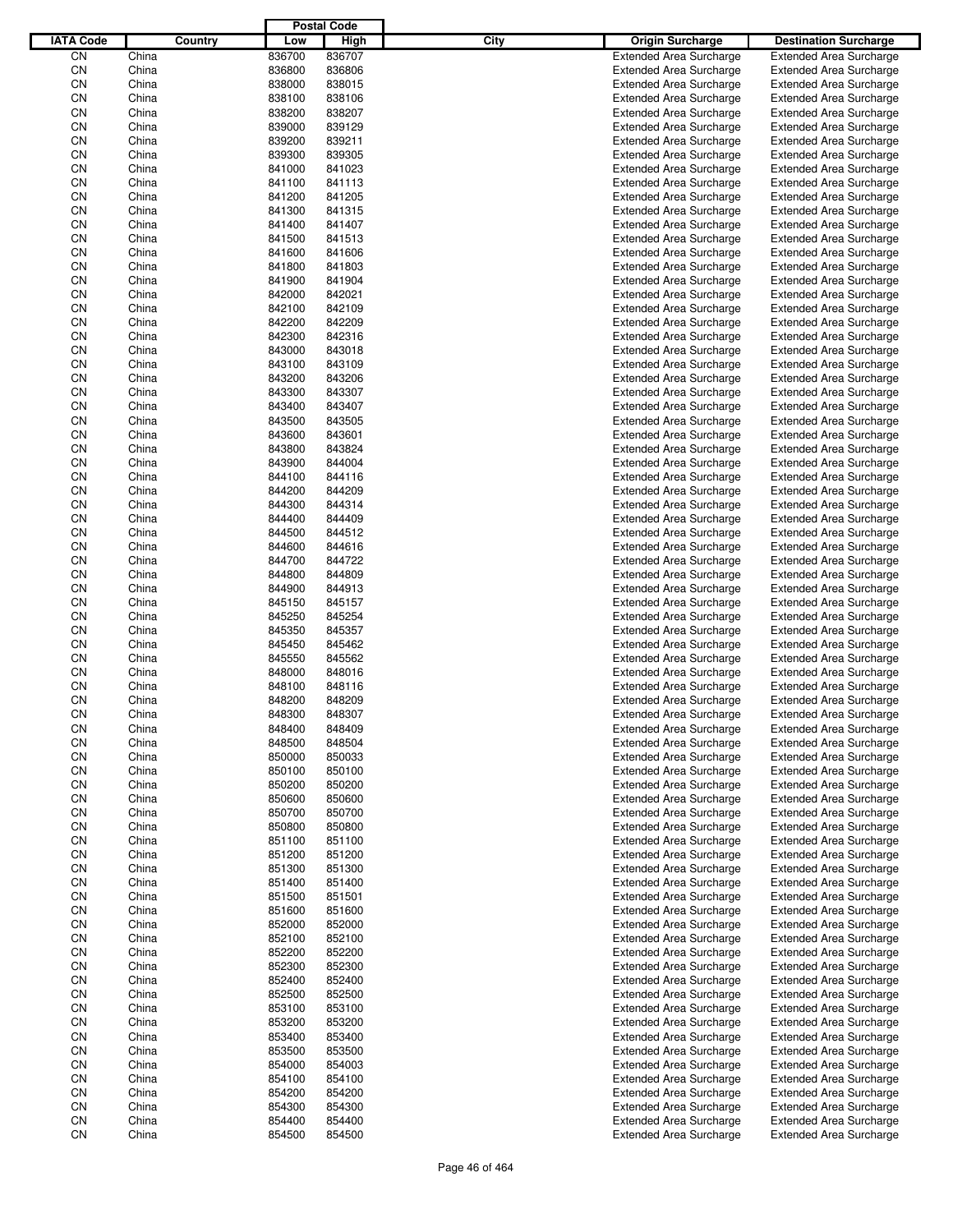|                  |                |         |                  | <b>Postal Code</b> |      |                                                                  |                                                                  |
|------------------|----------------|---------|------------------|--------------------|------|------------------------------------------------------------------|------------------------------------------------------------------|
| <b>IATA Code</b> |                | Country | Low              | High               | City | <b>Origin Surcharge</b>                                          | <b>Destination Surcharge</b>                                     |
| CN               | China          |         | 836700           | 836707             |      | <b>Extended Area Surcharge</b>                                   | <b>Extended Area Surcharge</b>                                   |
| CN               | China          |         | 836800           | 836806             |      | <b>Extended Area Surcharge</b>                                   | <b>Extended Area Surcharge</b>                                   |
| CN               | China          |         | 838000           | 838015             |      | <b>Extended Area Surcharge</b>                                   | <b>Extended Area Surcharge</b>                                   |
| CN               | China          |         | 838100           | 838106             |      | <b>Extended Area Surcharge</b>                                   | <b>Extended Area Surcharge</b>                                   |
| CN               | China          |         | 838200           | 838207             |      | <b>Extended Area Surcharge</b>                                   | <b>Extended Area Surcharge</b>                                   |
| CN               | China          |         | 839000           | 839129             |      | <b>Extended Area Surcharge</b>                                   | <b>Extended Area Surcharge</b>                                   |
| CN               | China          |         | 839200           | 839211             |      | <b>Extended Area Surcharge</b>                                   | <b>Extended Area Surcharge</b>                                   |
| CN               | China          |         | 839300           | 839305             |      | <b>Extended Area Surcharge</b>                                   | <b>Extended Area Surcharge</b>                                   |
| CN               | China          |         | 841000           | 841023             |      | <b>Extended Area Surcharge</b>                                   | <b>Extended Area Surcharge</b>                                   |
| CN               | China          |         | 841100           | 841113             |      | <b>Extended Area Surcharge</b>                                   | <b>Extended Area Surcharge</b>                                   |
| CN               | China          |         | 841200           | 841205             |      | <b>Extended Area Surcharge</b>                                   | <b>Extended Area Surcharge</b>                                   |
| CN               | China          |         | 841300           | 841315             |      | <b>Extended Area Surcharge</b>                                   | <b>Extended Area Surcharge</b>                                   |
| CN               | China          |         | 841400           | 841407             |      | <b>Extended Area Surcharge</b>                                   | <b>Extended Area Surcharge</b>                                   |
| CN               | China          |         | 841500           | 841513             |      | <b>Extended Area Surcharge</b>                                   | <b>Extended Area Surcharge</b>                                   |
| CN               | China<br>China |         | 841600           | 841606             |      | <b>Extended Area Surcharge</b>                                   | <b>Extended Area Surcharge</b>                                   |
| CN<br>CN         | China          |         | 841800<br>841900 | 841803<br>841904   |      | <b>Extended Area Surcharge</b><br><b>Extended Area Surcharge</b> | <b>Extended Area Surcharge</b><br><b>Extended Area Surcharge</b> |
| CN               | China          |         | 842000           | 842021             |      | <b>Extended Area Surcharge</b>                                   | <b>Extended Area Surcharge</b>                                   |
| CN               | China          |         | 842100           | 842109             |      | <b>Extended Area Surcharge</b>                                   | <b>Extended Area Surcharge</b>                                   |
| CN               | China          |         | 842200           | 842209             |      | <b>Extended Area Surcharge</b>                                   | <b>Extended Area Surcharge</b>                                   |
| CN               | China          |         | 842300           | 842316             |      | <b>Extended Area Surcharge</b>                                   | <b>Extended Area Surcharge</b>                                   |
| CN               | China          |         | 843000           | 843018             |      | <b>Extended Area Surcharge</b>                                   | <b>Extended Area Surcharge</b>                                   |
| CN               | China          |         | 843100           | 843109             |      | <b>Extended Area Surcharge</b>                                   | <b>Extended Area Surcharge</b>                                   |
| CN               | China          |         | 843200           | 843206             |      | <b>Extended Area Surcharge</b>                                   | <b>Extended Area Surcharge</b>                                   |
| CN               | China          |         | 843300           | 843307             |      | <b>Extended Area Surcharge</b>                                   | <b>Extended Area Surcharge</b>                                   |
| CN               | China          |         | 843400           | 843407             |      | <b>Extended Area Surcharge</b>                                   | <b>Extended Area Surcharge</b>                                   |
| CN               | China          |         | 843500           | 843505             |      | <b>Extended Area Surcharge</b>                                   | <b>Extended Area Surcharge</b>                                   |
| CN               | China          |         | 843600           | 843601             |      | <b>Extended Area Surcharge</b>                                   | <b>Extended Area Surcharge</b>                                   |
| CN               | China          |         | 843800           | 843824             |      | <b>Extended Area Surcharge</b>                                   | <b>Extended Area Surcharge</b>                                   |
| CN               | China          |         | 843900           | 844004             |      | <b>Extended Area Surcharge</b>                                   | <b>Extended Area Surcharge</b>                                   |
| CN               | China          |         | 844100           | 844116             |      | <b>Extended Area Surcharge</b>                                   | <b>Extended Area Surcharge</b>                                   |
| CN               | China          |         | 844200           | 844209             |      | <b>Extended Area Surcharge</b>                                   | <b>Extended Area Surcharge</b>                                   |
| CN               | China          |         | 844300           | 844314             |      | <b>Extended Area Surcharge</b>                                   | <b>Extended Area Surcharge</b>                                   |
| CN               | China          |         | 844400           | 844409             |      | <b>Extended Area Surcharge</b>                                   | <b>Extended Area Surcharge</b>                                   |
| CN               | China          |         | 844500           | 844512             |      | <b>Extended Area Surcharge</b>                                   | <b>Extended Area Surcharge</b>                                   |
| CN               | China          |         | 844600           | 844616             |      | <b>Extended Area Surcharge</b>                                   | <b>Extended Area Surcharge</b>                                   |
| CN               | China          |         | 844700           | 844722             |      | <b>Extended Area Surcharge</b>                                   | <b>Extended Area Surcharge</b>                                   |
| CN               | China          |         | 844800           | 844809             |      | <b>Extended Area Surcharge</b>                                   | <b>Extended Area Surcharge</b>                                   |
| CN               | China          |         | 844900           | 844913             |      | <b>Extended Area Surcharge</b>                                   | <b>Extended Area Surcharge</b>                                   |
| CN               | China          |         | 845150           | 845157             |      | <b>Extended Area Surcharge</b>                                   | <b>Extended Area Surcharge</b>                                   |
| CN               | China          |         | 845250           | 845254             |      | <b>Extended Area Surcharge</b>                                   | <b>Extended Area Surcharge</b>                                   |
| CN               | China          |         | 845350           | 845357             |      | <b>Extended Area Surcharge</b>                                   | <b>Extended Area Surcharge</b>                                   |
| CN               | China          |         | 845450           | 845462             |      | <b>Extended Area Surcharge</b>                                   | <b>Extended Area Surcharge</b>                                   |
| CN               | China          |         | 845550           | 845562             |      | <b>Extended Area Surcharge</b>                                   | <b>Extended Area Surcharge</b>                                   |
| CN               | China          |         | 848000           | 848016             |      | <b>Extended Area Surcharge</b>                                   | <b>Extended Area Surcharge</b>                                   |
| CN               | China          |         | 848100           | 848116             |      | <b>Extended Area Surcharge</b>                                   | <b>Extended Area Surcharge</b>                                   |
| CN               | China          |         | 848200           | 848209             |      | <b>Extended Area Surcharge</b>                                   | <b>Extended Area Surcharge</b>                                   |
| CN               | China          |         | 848300           | 848307             |      | <b>Extended Area Surcharge</b>                                   | <b>Extended Area Surcharge</b>                                   |
| CN               | China          |         | 848400           | 848409             |      | <b>Extended Area Surcharge</b>                                   | <b>Extended Area Surcharge</b>                                   |
| CN               | China          |         | 848500           | 848504             |      | <b>Extended Area Surcharge</b>                                   | <b>Extended Area Surcharge</b>                                   |
| CN               | China          |         | 850000           | 850033             |      | <b>Extended Area Surcharge</b>                                   | <b>Extended Area Surcharge</b>                                   |
| CN               | China          |         | 850100           | 850100             |      | <b>Extended Area Surcharge</b>                                   | <b>Extended Area Surcharge</b>                                   |
| CN<br>CN         | China          |         | 850200<br>850600 | 850200<br>850600   |      | <b>Extended Area Surcharge</b>                                   | <b>Extended Area Surcharge</b>                                   |
| CN               | China          |         |                  |                    |      | <b>Extended Area Surcharge</b>                                   | <b>Extended Area Surcharge</b><br><b>Extended Area Surcharge</b> |
| CN               | China<br>China |         | 850700<br>850800 | 850700<br>850800   |      | <b>Extended Area Surcharge</b><br><b>Extended Area Surcharge</b> | <b>Extended Area Surcharge</b>                                   |
| CN               | China          |         | 851100           | 851100             |      | <b>Extended Area Surcharge</b>                                   | <b>Extended Area Surcharge</b>                                   |
| CN               | China          |         | 851200           | 851200             |      | <b>Extended Area Surcharge</b>                                   | <b>Extended Area Surcharge</b>                                   |
| CN               | China          |         | 851300           | 851300             |      | <b>Extended Area Surcharge</b>                                   | <b>Extended Area Surcharge</b>                                   |
| CN               | China          |         | 851400           | 851400             |      | <b>Extended Area Surcharge</b>                                   | <b>Extended Area Surcharge</b>                                   |
| CN               | China          |         | 851500           | 851501             |      | <b>Extended Area Surcharge</b>                                   | <b>Extended Area Surcharge</b>                                   |
| CN               | China          |         | 851600           | 851600             |      | <b>Extended Area Surcharge</b>                                   | <b>Extended Area Surcharge</b>                                   |
| CN               | China          |         | 852000           | 852000             |      | <b>Extended Area Surcharge</b>                                   | <b>Extended Area Surcharge</b>                                   |
| CN               | China          |         | 852100           | 852100             |      | <b>Extended Area Surcharge</b>                                   | <b>Extended Area Surcharge</b>                                   |
| CN               | China          |         | 852200           | 852200             |      | <b>Extended Area Surcharge</b>                                   | <b>Extended Area Surcharge</b>                                   |
| CN               | China          |         | 852300           | 852300             |      | <b>Extended Area Surcharge</b>                                   | <b>Extended Area Surcharge</b>                                   |
| CN               | China          |         | 852400           | 852400             |      | <b>Extended Area Surcharge</b>                                   | <b>Extended Area Surcharge</b>                                   |
| CN               | China          |         | 852500           | 852500             |      | <b>Extended Area Surcharge</b>                                   | <b>Extended Area Surcharge</b>                                   |
| CN               | China          |         | 853100           | 853100             |      | <b>Extended Area Surcharge</b>                                   | <b>Extended Area Surcharge</b>                                   |
| CN               | China          |         | 853200           | 853200             |      | <b>Extended Area Surcharge</b>                                   | <b>Extended Area Surcharge</b>                                   |
| CN               | China          |         | 853400           | 853400             |      | <b>Extended Area Surcharge</b>                                   | <b>Extended Area Surcharge</b>                                   |
| CN               | China          |         | 853500           | 853500             |      | <b>Extended Area Surcharge</b>                                   | <b>Extended Area Surcharge</b>                                   |
| CN               | China          |         | 854000           | 854003             |      | <b>Extended Area Surcharge</b>                                   | <b>Extended Area Surcharge</b>                                   |
| CN               | China          |         | 854100           | 854100             |      | <b>Extended Area Surcharge</b>                                   | <b>Extended Area Surcharge</b>                                   |
| CN               | China          |         | 854200           | 854200             |      | <b>Extended Area Surcharge</b>                                   | <b>Extended Area Surcharge</b>                                   |
| CN               | China          |         | 854300           | 854300             |      | <b>Extended Area Surcharge</b>                                   | <b>Extended Area Surcharge</b>                                   |
| CN               | China          |         | 854400           | 854400             |      | <b>Extended Area Surcharge</b>                                   | <b>Extended Area Surcharge</b>                                   |
| CN               | China          |         | 854500           | 854500             |      | <b>Extended Area Surcharge</b>                                   | <b>Extended Area Surcharge</b>                                   |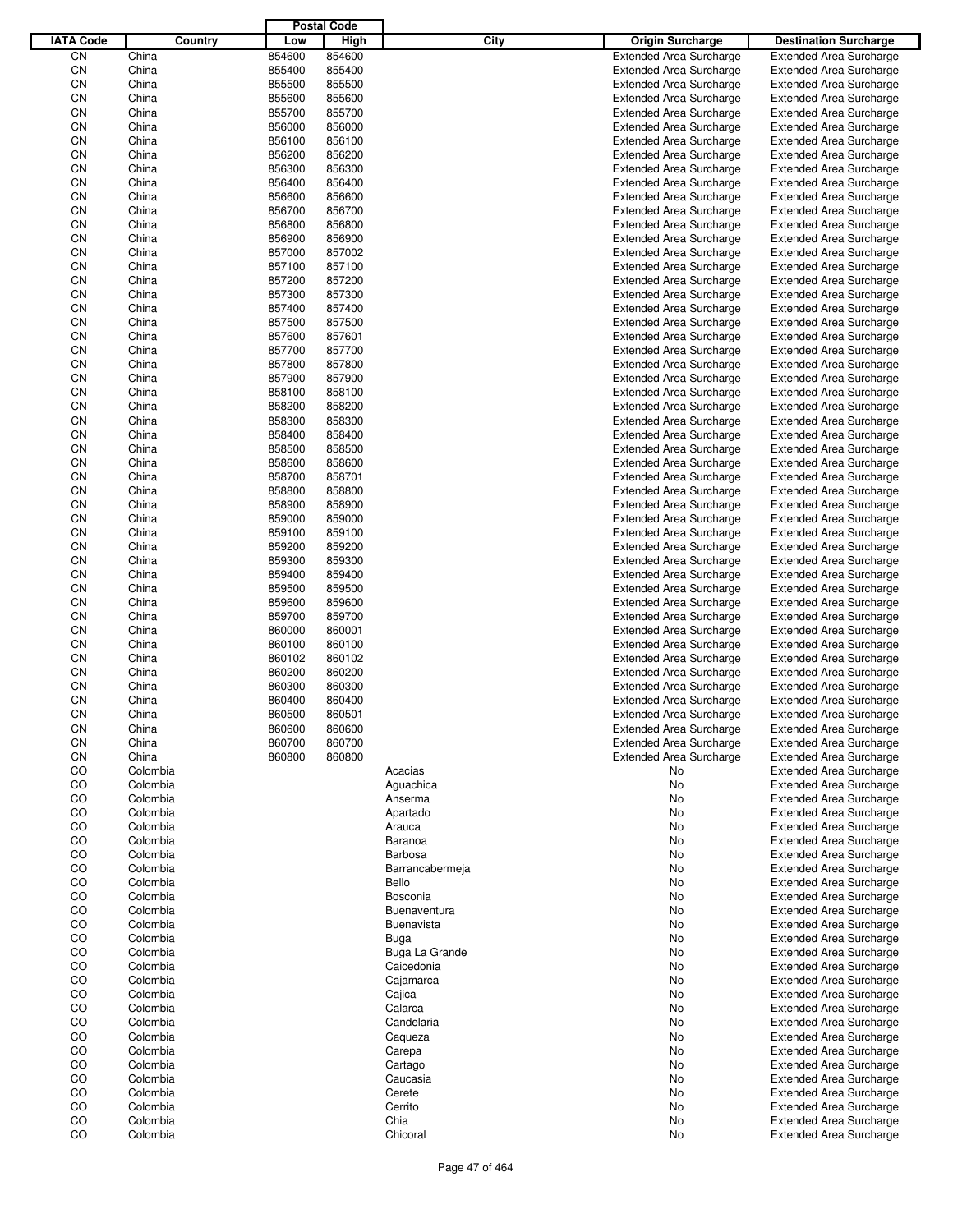|                  |          |        | <b>Postal Code</b> |                   |                                |                                |
|------------------|----------|--------|--------------------|-------------------|--------------------------------|--------------------------------|
| <b>IATA Code</b> | Country  | Low    | High               | City              | <b>Origin Surcharge</b>        | <b>Destination Surcharge</b>   |
| CN               | China    | 854600 | 854600             |                   | <b>Extended Area Surcharge</b> | <b>Extended Area Surcharge</b> |
| CN               | China    | 855400 | 855400             |                   | <b>Extended Area Surcharge</b> | <b>Extended Area Surcharge</b> |
| CN               | China    | 855500 | 855500             |                   | <b>Extended Area Surcharge</b> | <b>Extended Area Surcharge</b> |
| CN               | China    | 855600 | 855600             |                   | <b>Extended Area Surcharge</b> | <b>Extended Area Surcharge</b> |
| CN               | China    | 855700 | 855700             |                   | <b>Extended Area Surcharge</b> | <b>Extended Area Surcharge</b> |
| CN               | China    | 856000 | 856000             |                   |                                |                                |
|                  |          |        |                    |                   | <b>Extended Area Surcharge</b> | <b>Extended Area Surcharge</b> |
| CN               | China    | 856100 | 856100             |                   | <b>Extended Area Surcharge</b> | <b>Extended Area Surcharge</b> |
| CN               | China    | 856200 | 856200             |                   | <b>Extended Area Surcharge</b> | <b>Extended Area Surcharge</b> |
| CN               | China    | 856300 | 856300             |                   | <b>Extended Area Surcharge</b> | <b>Extended Area Surcharge</b> |
| CN               | China    | 856400 | 856400             |                   | <b>Extended Area Surcharge</b> | <b>Extended Area Surcharge</b> |
| CN               | China    | 856600 | 856600             |                   | <b>Extended Area Surcharge</b> | <b>Extended Area Surcharge</b> |
| CN               | China    | 856700 | 856700             |                   | <b>Extended Area Surcharge</b> | <b>Extended Area Surcharge</b> |
| CN               | China    | 856800 | 856800             |                   | <b>Extended Area Surcharge</b> | <b>Extended Area Surcharge</b> |
| CN               | China    | 856900 | 856900             |                   | <b>Extended Area Surcharge</b> | <b>Extended Area Surcharge</b> |
| CN               | China    | 857000 | 857002             |                   | <b>Extended Area Surcharge</b> | <b>Extended Area Surcharge</b> |
| CN               | China    | 857100 | 857100             |                   | <b>Extended Area Surcharge</b> | <b>Extended Area Surcharge</b> |
| CN               | China    | 857200 | 857200             |                   | <b>Extended Area Surcharge</b> | <b>Extended Area Surcharge</b> |
| CN               | China    | 857300 | 857300             |                   | <b>Extended Area Surcharge</b> | <b>Extended Area Surcharge</b> |
| CN               | China    | 857400 | 857400             |                   | <b>Extended Area Surcharge</b> | <b>Extended Area Surcharge</b> |
| CN               | China    | 857500 | 857500             |                   | <b>Extended Area Surcharge</b> | <b>Extended Area Surcharge</b> |
| CN               | China    | 857600 | 857601             |                   | <b>Extended Area Surcharge</b> | <b>Extended Area Surcharge</b> |
| CN               | China    | 857700 | 857700             |                   | <b>Extended Area Surcharge</b> | <b>Extended Area Surcharge</b> |
| CN               | China    | 857800 | 857800             |                   | <b>Extended Area Surcharge</b> | <b>Extended Area Surcharge</b> |
| CN               | China    | 857900 | 857900             |                   | <b>Extended Area Surcharge</b> |                                |
|                  |          |        |                    |                   |                                | <b>Extended Area Surcharge</b> |
| CN               | China    | 858100 | 858100             |                   | <b>Extended Area Surcharge</b> | <b>Extended Area Surcharge</b> |
| CN               | China    | 858200 | 858200             |                   | <b>Extended Area Surcharge</b> | <b>Extended Area Surcharge</b> |
| CN               | China    | 858300 | 858300             |                   | <b>Extended Area Surcharge</b> | <b>Extended Area Surcharge</b> |
| CN               | China    | 858400 | 858400             |                   | <b>Extended Area Surcharge</b> | <b>Extended Area Surcharge</b> |
| CN               | China    | 858500 | 858500             |                   | <b>Extended Area Surcharge</b> | <b>Extended Area Surcharge</b> |
| CN               | China    | 858600 | 858600             |                   | <b>Extended Area Surcharge</b> | <b>Extended Area Surcharge</b> |
| CN               | China    | 858700 | 858701             |                   | <b>Extended Area Surcharge</b> | <b>Extended Area Surcharge</b> |
| CN               | China    | 858800 | 858800             |                   | <b>Extended Area Surcharge</b> | <b>Extended Area Surcharge</b> |
| CN               | China    | 858900 | 858900             |                   | <b>Extended Area Surcharge</b> | <b>Extended Area Surcharge</b> |
| CN               | China    | 859000 | 859000             |                   | <b>Extended Area Surcharge</b> | <b>Extended Area Surcharge</b> |
| CN               | China    | 859100 | 859100             |                   | <b>Extended Area Surcharge</b> | <b>Extended Area Surcharge</b> |
| CN               | China    | 859200 | 859200             |                   | <b>Extended Area Surcharge</b> | <b>Extended Area Surcharge</b> |
| CN               | China    | 859300 | 859300             |                   | <b>Extended Area Surcharge</b> | <b>Extended Area Surcharge</b> |
| CN               | China    | 859400 | 859400             |                   | <b>Extended Area Surcharge</b> | <b>Extended Area Surcharge</b> |
| CN               | China    | 859500 | 859500             |                   | <b>Extended Area Surcharge</b> | <b>Extended Area Surcharge</b> |
| CN               | China    | 859600 | 859600             |                   | <b>Extended Area Surcharge</b> | <b>Extended Area Surcharge</b> |
|                  |          | 859700 |                    |                   |                                |                                |
| CN               | China    |        | 859700             |                   | <b>Extended Area Surcharge</b> | <b>Extended Area Surcharge</b> |
| CN               | China    | 860000 | 860001             |                   | <b>Extended Area Surcharge</b> | <b>Extended Area Surcharge</b> |
| CN               | China    | 860100 | 860100             |                   | <b>Extended Area Surcharge</b> | <b>Extended Area Surcharge</b> |
| CN               | China    | 860102 | 860102             |                   | <b>Extended Area Surcharge</b> | <b>Extended Area Surcharge</b> |
| CΝ               | China    | 860200 | 860200             |                   | <b>Extended Area Surcharge</b> | <b>Extended Area Surcharge</b> |
| CN               | China    | 860300 | 860300             |                   | <b>Extended Area Surcharge</b> | <b>Extended Area Surcharge</b> |
| CN               | China    | 860400 | 860400             |                   | <b>Extended Area Surcharge</b> | <b>Extended Area Surcharge</b> |
| CN               | China    | 860500 | 860501             |                   | <b>Extended Area Surcharge</b> | <b>Extended Area Surcharge</b> |
| CN               | China    | 860600 | 860600             |                   | <b>Extended Area Surcharge</b> | <b>Extended Area Surcharge</b> |
| CN               | China    | 860700 | 860700             |                   | <b>Extended Area Surcharge</b> | <b>Extended Area Surcharge</b> |
| CN               | China    | 860800 | 860800             |                   | <b>Extended Area Surcharge</b> | <b>Extended Area Surcharge</b> |
| CO               | Colombia |        |                    | Acacias           | No                             | <b>Extended Area Surcharge</b> |
| CO               | Colombia |        |                    | Aguachica         | No                             | <b>Extended Area Surcharge</b> |
| CO               | Colombia |        |                    | Anserma           | No                             | <b>Extended Area Surcharge</b> |
| CO               | Colombia |        |                    | Apartado          | No                             | Extended Area Surcharge        |
| CO               | Colombia |        |                    | Arauca            | No                             | <b>Extended Area Surcharge</b> |
| CO               | Colombia |        |                    | Baranoa           | No                             | <b>Extended Area Surcharge</b> |
| CO               | Colombia |        |                    | Barbosa           |                                | <b>Extended Area Surcharge</b> |
|                  |          |        |                    |                   | No                             |                                |
| CO               | Colombia |        |                    | Barrancabermeja   | No                             | <b>Extended Area Surcharge</b> |
| CO               | Colombia |        |                    | Bello             | No                             | <b>Extended Area Surcharge</b> |
| CO               | Colombia |        |                    | Bosconia          | No                             | <b>Extended Area Surcharge</b> |
| CO               | Colombia |        |                    | Buenaventura      | No                             | <b>Extended Area Surcharge</b> |
| CO               | Colombia |        |                    | <b>Buenavista</b> | No                             | <b>Extended Area Surcharge</b> |
| CO               | Colombia |        |                    | Buga              | No                             | <b>Extended Area Surcharge</b> |
| CO               | Colombia |        |                    | Buga La Grande    | No                             | <b>Extended Area Surcharge</b> |
| CO               | Colombia |        |                    | Caicedonia        | No                             | <b>Extended Area Surcharge</b> |
| CO               | Colombia |        |                    | Cajamarca         | No                             | Extended Area Surcharge        |
| CO               | Colombia |        |                    | Cajica            | No                             | <b>Extended Area Surcharge</b> |
| CO               | Colombia |        |                    | Calarca           | No                             | <b>Extended Area Surcharge</b> |
| CO               | Colombia |        |                    | Candelaria        | No                             | <b>Extended Area Surcharge</b> |
| CO               | Colombia |        |                    | Caqueza           | No                             | <b>Extended Area Surcharge</b> |
| CO               | Colombia |        |                    | Carepa            | No                             | <b>Extended Area Surcharge</b> |
|                  |          |        |                    |                   |                                |                                |
| CO               | Colombia |        |                    | Cartago           | No                             | <b>Extended Area Surcharge</b> |
| CO               | Colombia |        |                    | Caucasia          | No                             | <b>Extended Area Surcharge</b> |
| CO               | Colombia |        |                    | Cerete            | No                             | Extended Area Surcharge        |
| CO               | Colombia |        |                    | Cerrito           | No                             | <b>Extended Area Surcharge</b> |
| CO               | Colombia |        |                    | Chia              | No                             | <b>Extended Area Surcharge</b> |
| CO               | Colombia |        |                    | Chicoral          | No                             | <b>Extended Area Surcharge</b> |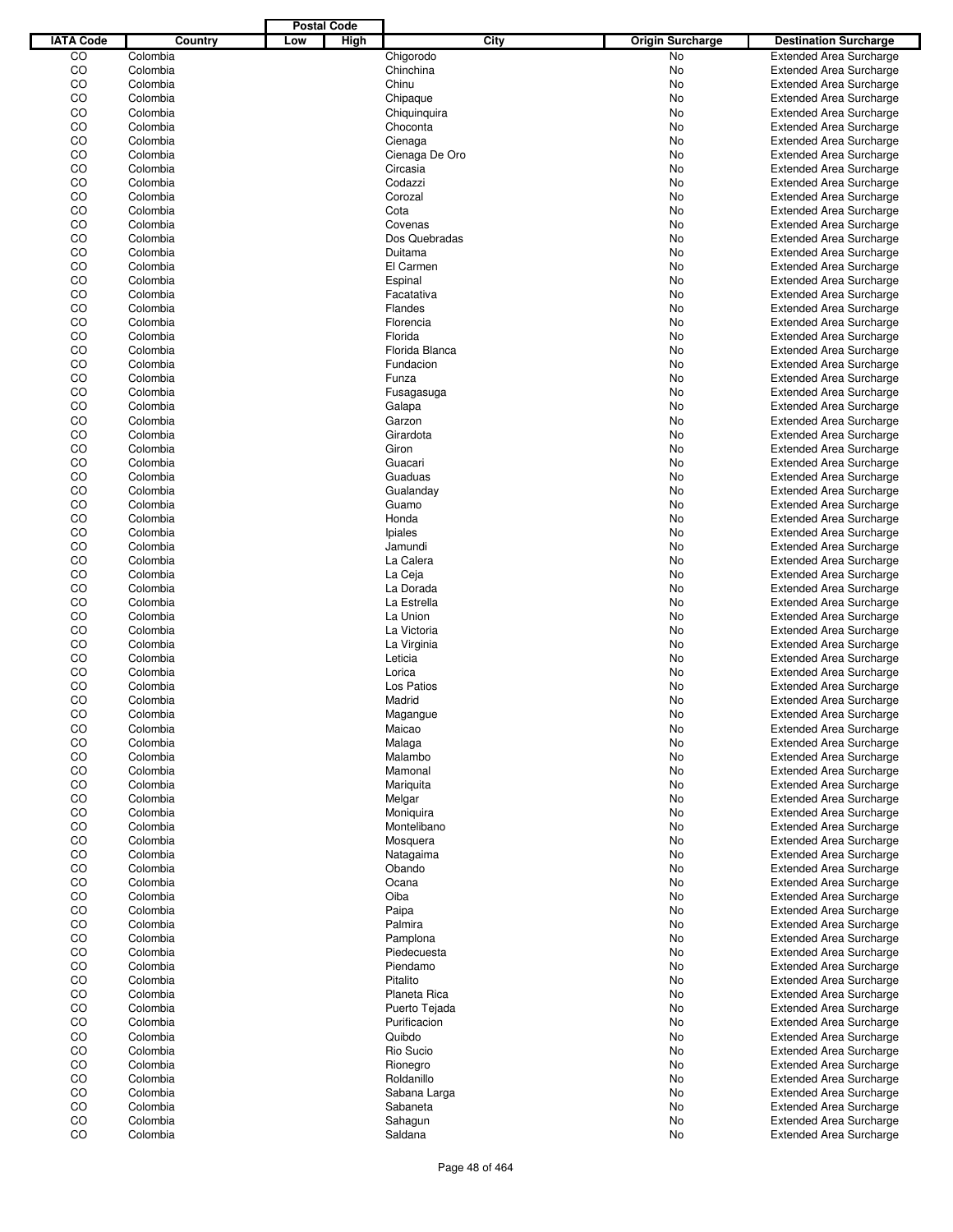|                  |          |     | <b>Postal Code</b> |                |      |                         |                                |
|------------------|----------|-----|--------------------|----------------|------|-------------------------|--------------------------------|
| <b>IATA Code</b> | Country  | Low | High               |                | City | <b>Origin Surcharge</b> | <b>Destination Surcharge</b>   |
| CO               | Colombia |     |                    | Chigorodo      |      | <b>No</b>               | <b>Extended Area Surcharge</b> |
| CO               | Colombia |     |                    | Chinchina      |      | No                      | <b>Extended Area Surcharge</b> |
| CO               | Colombia |     |                    | Chinu          |      | No                      | <b>Extended Area Surcharge</b> |
| CO               | Colombia |     |                    | Chipaque       |      | No                      | <b>Extended Area Surcharge</b> |
| CO               | Colombia |     |                    | Chiquinquira   |      | No                      | <b>Extended Area Surcharge</b> |
| CO               | Colombia |     |                    | Choconta       |      |                         |                                |
|                  |          |     |                    |                |      | No                      | <b>Extended Area Surcharge</b> |
| CO               | Colombia |     |                    | Cienaga        |      | No                      | <b>Extended Area Surcharge</b> |
| CO               | Colombia |     |                    | Cienaga De Oro |      | No                      | <b>Extended Area Surcharge</b> |
| CO               | Colombia |     |                    | Circasia       |      | No                      | <b>Extended Area Surcharge</b> |
| CO               | Colombia |     |                    | Codazzi        |      | No                      | <b>Extended Area Surcharge</b> |
| CO               | Colombia |     |                    | Corozal        |      | No                      | <b>Extended Area Surcharge</b> |
| CO               | Colombia |     |                    | Cota           |      | No                      | <b>Extended Area Surcharge</b> |
| CO               | Colombia |     |                    | Covenas        |      | No                      | <b>Extended Area Surcharge</b> |
| CO               | Colombia |     |                    | Dos Quebradas  |      | No                      | <b>Extended Area Surcharge</b> |
| CO               | Colombia |     |                    | Duitama        |      | No                      | <b>Extended Area Surcharge</b> |
| CO               | Colombia |     |                    | El Carmen      |      | No                      | <b>Extended Area Surcharge</b> |
| CO               | Colombia |     |                    | Espinal        |      | No                      | <b>Extended Area Surcharge</b> |
| CO               | Colombia |     |                    | Facatativa     |      | No                      | <b>Extended Area Surcharge</b> |
| CO               | Colombia |     |                    | Flandes        |      | No                      | <b>Extended Area Surcharge</b> |
| CO               | Colombia |     |                    | Florencia      |      | No                      | <b>Extended Area Surcharge</b> |
| CO               | Colombia |     |                    | Florida        |      | No                      | <b>Extended Area Surcharge</b> |
| CO               | Colombia |     |                    | Florida Blanca |      |                         |                                |
|                  |          |     |                    |                |      | No                      | <b>Extended Area Surcharge</b> |
| CO               | Colombia |     |                    | Fundacion      |      | No                      | <b>Extended Area Surcharge</b> |
| CO               | Colombia |     |                    | Funza          |      | No                      | <b>Extended Area Surcharge</b> |
| CO               | Colombia |     |                    | Fusagasuga     |      | No                      | <b>Extended Area Surcharge</b> |
| CO               | Colombia |     |                    | Galapa         |      | No                      | <b>Extended Area Surcharge</b> |
| CO               | Colombia |     |                    | Garzon         |      | No                      | <b>Extended Area Surcharge</b> |
| CO               | Colombia |     |                    | Girardota      |      | No                      | <b>Extended Area Surcharge</b> |
| CO               | Colombia |     |                    | Giron          |      | No                      | <b>Extended Area Surcharge</b> |
| CO               | Colombia |     |                    | Guacari        |      | No                      | <b>Extended Area Surcharge</b> |
| CO               | Colombia |     |                    | Guaduas        |      | No                      | <b>Extended Area Surcharge</b> |
| CO               | Colombia |     |                    | Gualanday      |      | No                      | <b>Extended Area Surcharge</b> |
| CO               | Colombia |     |                    | Guamo          |      | No                      | <b>Extended Area Surcharge</b> |
| CO               | Colombia |     |                    | Honda          |      | No                      | <b>Extended Area Surcharge</b> |
| CO               | Colombia |     |                    | Ipiales        |      | No                      | <b>Extended Area Surcharge</b> |
| CO               | Colombia |     |                    | Jamundi        |      | No                      | <b>Extended Area Surcharge</b> |
| CO               | Colombia |     |                    | La Calera      |      | No                      | <b>Extended Area Surcharge</b> |
| CO               | Colombia |     |                    | La Ceja        |      | No                      | <b>Extended Area Surcharge</b> |
| CO               | Colombia |     |                    | La Dorada      |      | No                      | <b>Extended Area Surcharge</b> |
| CO               |          |     |                    |                |      |                         |                                |
|                  | Colombia |     |                    | La Estrella    |      | No                      | <b>Extended Area Surcharge</b> |
| CO               | Colombia |     |                    | La Union       |      | No                      | <b>Extended Area Surcharge</b> |
| CO               | Colombia |     |                    | La Victoria    |      | No                      | <b>Extended Area Surcharge</b> |
| CO               | Colombia |     |                    | La Virginia    |      | No                      | <b>Extended Area Surcharge</b> |
| CO               | Colombia |     |                    | Leticia        |      | No                      | <b>Extended Area Surcharge</b> |
| CO               | Colombia |     |                    | Lorica         |      | No                      | <b>Extended Area Surcharge</b> |
| CO               | Colombia |     |                    | Los Patios     |      | No                      | <b>Extended Area Surcharge</b> |
| CO               | Colombia |     |                    | Madrid         |      | No                      | <b>Extended Area Surcharge</b> |
| CO               | Colombia |     |                    | Magangue       |      | No                      | <b>Extended Area Surcharge</b> |
| CO               | Colombia |     |                    | Maicao         |      | No                      | <b>Extended Area Surcharge</b> |
| CO               | Colombia |     |                    | Malaga         |      | No                      | <b>Extended Area Surcharge</b> |
| CO               | Colombia |     |                    | Malambo        |      | No                      | <b>Extended Area Surcharge</b> |
| CO               | Colombia |     |                    | Mamonal        |      | No                      | <b>Extended Area Surcharge</b> |
| CO               | Colombia |     |                    | Mariquita      |      | No                      | <b>Extended Area Surcharge</b> |
| CO               | Colombia |     |                    | Melgar         |      | No                      | <b>Extended Area Surcharge</b> |
| CO               | Colombia |     |                    | Moniquira      |      | No                      | Extended Area Surcharge        |
| CO               | Colombia |     |                    | Montelibano    |      | No                      | <b>Extended Area Surcharge</b> |
|                  | Colombia |     |                    |                |      |                         |                                |
| CO               |          |     |                    | Mosquera       |      | No                      | <b>Extended Area Surcharge</b> |
| CO               | Colombia |     |                    | Natagaima      |      | No                      | <b>Extended Area Surcharge</b> |
| CO               | Colombia |     |                    | Obando         |      | No                      | <b>Extended Area Surcharge</b> |
| CO               | Colombia |     |                    | Ocana          |      | No                      | <b>Extended Area Surcharge</b> |
| CO               | Colombia |     |                    | Oiba           |      | No                      | <b>Extended Area Surcharge</b> |
| CO               | Colombia |     |                    | Paipa          |      | No                      | <b>Extended Area Surcharge</b> |
| CO               | Colombia |     |                    | Palmira        |      | No                      | Extended Area Surcharge        |
| CO               | Colombia |     |                    | Pamplona       |      | No                      | <b>Extended Area Surcharge</b> |
| CO               | Colombia |     |                    | Piedecuesta    |      | No                      | <b>Extended Area Surcharge</b> |
| CO               | Colombia |     |                    | Piendamo       |      | No                      | <b>Extended Area Surcharge</b> |
| CO               | Colombia |     |                    | Pitalito       |      | No                      | Extended Area Surcharge        |
| CO               | Colombia |     |                    | Planeta Rica   |      | No                      | <b>Extended Area Surcharge</b> |
| CO               | Colombia |     |                    | Puerto Tejada  |      | No                      | <b>Extended Area Surcharge</b> |
| CO               | Colombia |     |                    | Purificacion   |      | No                      | <b>Extended Area Surcharge</b> |
| CO               | Colombia |     |                    | Quibdo         |      | No                      | <b>Extended Area Surcharge</b> |
| CO               | Colombia |     |                    | Rio Sucio      |      | No                      | <b>Extended Area Surcharge</b> |
| CO               | Colombia |     |                    |                |      |                         | <b>Extended Area Surcharge</b> |
|                  |          |     |                    | Rionegro       |      | No                      |                                |
| CO               | Colombia |     |                    | Roldanillo     |      | No                      | <b>Extended Area Surcharge</b> |
| CO               | Colombia |     |                    | Sabana Larga   |      | No                      | <b>Extended Area Surcharge</b> |
| CO               | Colombia |     |                    | Sabaneta       |      | No                      | <b>Extended Area Surcharge</b> |
| CO               | Colombia |     |                    | Sahagun        |      | No                      | <b>Extended Area Surcharge</b> |
| CO               | Colombia |     |                    | Saldana        |      | No                      | <b>Extended Area Surcharge</b> |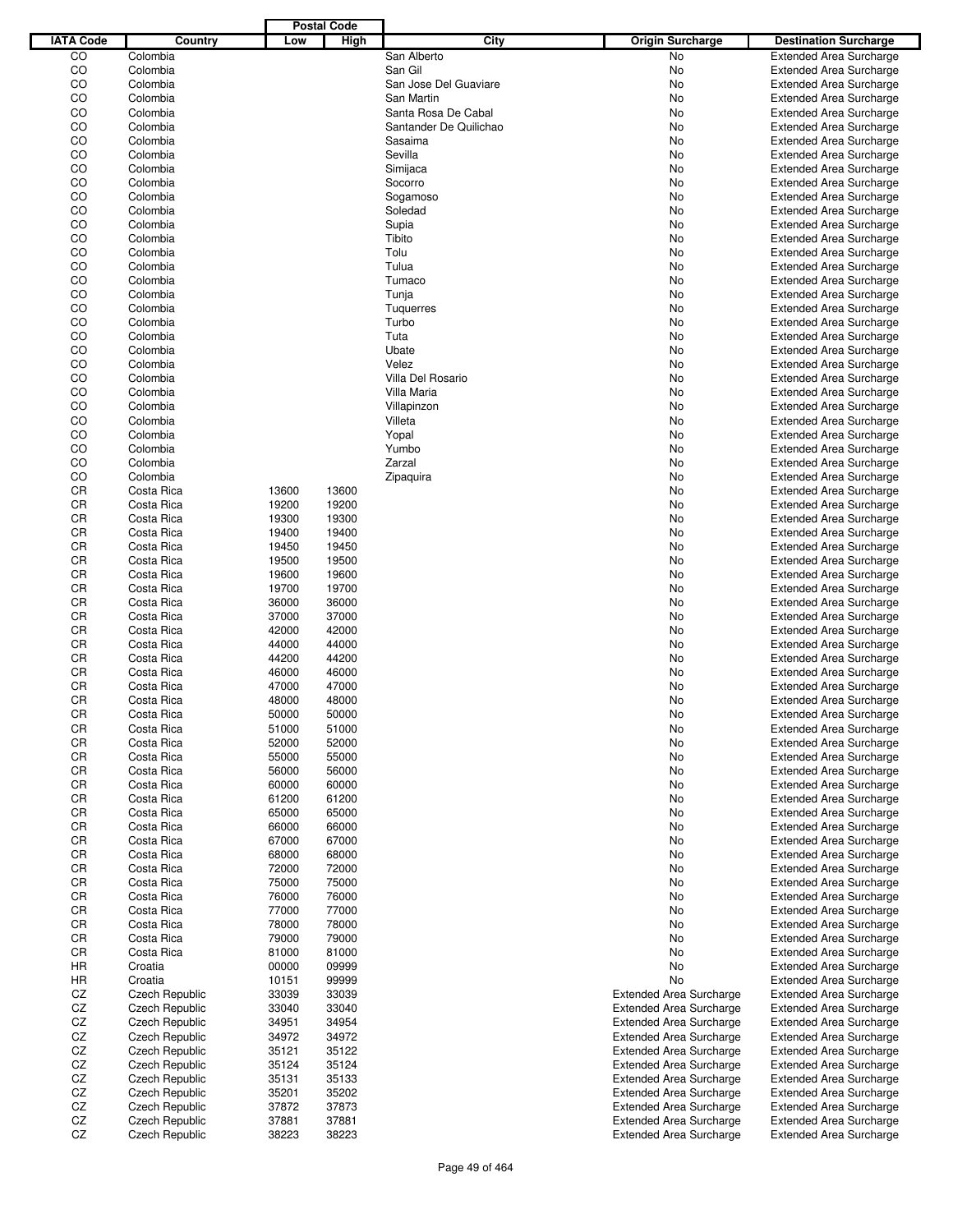|                  |                       |       | <b>Postal Code</b> |                        |                                |                                |
|------------------|-----------------------|-------|--------------------|------------------------|--------------------------------|--------------------------------|
| <b>IATA Code</b> | Country               | Low   | High               | City                   | <b>Origin Surcharge</b>        | <b>Destination Surcharge</b>   |
| CO               | Colombia              |       |                    | San Alberto            | <b>No</b>                      | <b>Extended Area Surcharge</b> |
| CO               | Colombia              |       |                    | San Gil                | No                             | <b>Extended Area Surcharge</b> |
| CO               | Colombia              |       |                    | San Jose Del Guaviare  | No                             | <b>Extended Area Surcharge</b> |
| CO               | Colombia              |       |                    | San Martin             | No                             | <b>Extended Area Surcharge</b> |
| CO               | Colombia              |       |                    | Santa Rosa De Cabal    | No                             | <b>Extended Area Surcharge</b> |
| CO               | Colombia              |       |                    | Santander De Quilichao | No                             | <b>Extended Area Surcharge</b> |
| CO               | Colombia              |       |                    | Sasaima                | No                             | <b>Extended Area Surcharge</b> |
| CO               | Colombia              |       |                    | Sevilla                | No                             | <b>Extended Area Surcharge</b> |
| CO               | Colombia              |       |                    | Simijaca               | No                             | <b>Extended Area Surcharge</b> |
| CO               | Colombia              |       |                    | Socorro                | No                             | <b>Extended Area Surcharge</b> |
| CO               | Colombia              |       |                    | Sogamoso               | No                             | <b>Extended Area Surcharge</b> |
| CO               | Colombia              |       |                    | Soledad                | No                             | <b>Extended Area Surcharge</b> |
| CO               | Colombia              |       |                    | Supia                  | No                             | <b>Extended Area Surcharge</b> |
| CO               | Colombia              |       |                    | Tibito                 | No                             | <b>Extended Area Surcharge</b> |
| CO               | Colombia              |       |                    | Tolu                   | No                             | <b>Extended Area Surcharge</b> |
| CO               |                       |       |                    |                        |                                |                                |
| CO               | Colombia              |       |                    | Tulua                  | No                             | <b>Extended Area Surcharge</b> |
|                  | Colombia              |       |                    | Tumaco                 | No                             | <b>Extended Area Surcharge</b> |
| CO               | Colombia              |       |                    | Tunja                  | No                             | <b>Extended Area Surcharge</b> |
| CO               | Colombia              |       |                    | <b>Tuquerres</b>       | No                             | <b>Extended Area Surcharge</b> |
| CO               | Colombia              |       |                    | Turbo                  | No                             | <b>Extended Area Surcharge</b> |
| CO               | Colombia              |       |                    | Tuta                   | No                             | <b>Extended Area Surcharge</b> |
| CO               | Colombia              |       |                    | Ubate                  | No                             | <b>Extended Area Surcharge</b> |
| CO               | Colombia              |       |                    | Velez                  | No                             | <b>Extended Area Surcharge</b> |
| CO               | Colombia              |       |                    | Villa Del Rosario      | No                             | <b>Extended Area Surcharge</b> |
| CO               | Colombia              |       |                    | Villa Maria            | No                             | <b>Extended Area Surcharge</b> |
| CO               | Colombia              |       |                    | Villapinzon            | No                             | <b>Extended Area Surcharge</b> |
| CO               | Colombia              |       |                    | Villeta                | No                             | <b>Extended Area Surcharge</b> |
| CO               | Colombia              |       |                    | Yopal                  | No                             | <b>Extended Area Surcharge</b> |
| CO               | Colombia              |       |                    | Yumbo                  | No                             | <b>Extended Area Surcharge</b> |
| CO               | Colombia              |       |                    | Zarzal                 | No                             | <b>Extended Area Surcharge</b> |
| CO               | Colombia              |       |                    | Zipaquira              | No                             | <b>Extended Area Surcharge</b> |
| CR               | Costa Rica            | 13600 | 13600              |                        | No                             | <b>Extended Area Surcharge</b> |
| CR               | Costa Rica            | 19200 | 19200              |                        | No                             | <b>Extended Area Surcharge</b> |
| CR               | Costa Rica            | 19300 | 19300              |                        | No                             | <b>Extended Area Surcharge</b> |
| CR               | Costa Rica            | 19400 | 19400              |                        | No                             | <b>Extended Area Surcharge</b> |
| CR               | Costa Rica            | 19450 | 19450              |                        | No                             | <b>Extended Area Surcharge</b> |
| CR               | Costa Rica            | 19500 | 19500              |                        | No                             | <b>Extended Area Surcharge</b> |
| CR               |                       |       |                    |                        |                                |                                |
|                  | Costa Rica            | 19600 | 19600              |                        | No                             | <b>Extended Area Surcharge</b> |
| CR               | Costa Rica            | 19700 | 19700              |                        | No                             | <b>Extended Area Surcharge</b> |
| CR               | Costa Rica            | 36000 | 36000              |                        | No                             | <b>Extended Area Surcharge</b> |
| CR               | Costa Rica            | 37000 | 37000              |                        | No                             | <b>Extended Area Surcharge</b> |
| CR               | Costa Rica            | 42000 | 42000              |                        | No                             | <b>Extended Area Surcharge</b> |
| CR               | Costa Rica            | 44000 | 44000              |                        | No                             | <b>Extended Area Surcharge</b> |
| CR               | Costa Rica            | 44200 | 44200              |                        | No                             | <b>Extended Area Surcharge</b> |
| CR               | Costa Rica            | 46000 | 46000              |                        | No                             | <b>Extended Area Surcharge</b> |
| CR               | Costa Rica            | 47000 | 47000              |                        | No                             | <b>Extended Area Surcharge</b> |
| CR               | Costa Rica            | 48000 | 48000              |                        | No                             | <b>Extended Area Surcharge</b> |
| CR               | Costa Rica            | 50000 | 50000              |                        | No                             | <b>Extended Area Surcharge</b> |
| CR               | Costa Rica            | 51000 | 51000              |                        | No                             | <b>Extended Area Surcharge</b> |
| CR               | Costa Rica            | 52000 | 52000              |                        | No                             | <b>Extended Area Surcharge</b> |
| CR               | Costa Rica            | 55000 | 55000              |                        | No                             | <b>Extended Area Surcharge</b> |
| CR               | Costa Rica            | 56000 | 56000              |                        | No                             | <b>Extended Area Surcharge</b> |
| CR               | Costa Rica            | 60000 | 60000              |                        | No                             | <b>Extended Area Surcharge</b> |
| CR               | Costa Rica            | 61200 | 61200              |                        | No                             | <b>Extended Area Surcharge</b> |
| CR               | Costa Rica            | 65000 | 65000              |                        | No                             | <b>Extended Area Surcharge</b> |
| CR               | Costa Rica            | 66000 | 66000              |                        | No                             | <b>Extended Area Surcharge</b> |
| CR               | Costa Rica            | 67000 | 67000              |                        |                                |                                |
|                  |                       |       |                    |                        | No                             | <b>Extended Area Surcharge</b> |
| CR               | Costa Rica            | 68000 | 68000              |                        | No                             | <b>Extended Area Surcharge</b> |
| CR               | Costa Rica            | 72000 | 72000              |                        | No                             | <b>Extended Area Surcharge</b> |
| CR               | Costa Rica            | 75000 | 75000              |                        | No                             | <b>Extended Area Surcharge</b> |
| CR               | Costa Rica            | 76000 | 76000              |                        | No                             | <b>Extended Area Surcharge</b> |
| CR               | Costa Rica            | 77000 | 77000              |                        | No                             | <b>Extended Area Surcharge</b> |
| CR               | Costa Rica            | 78000 | 78000              |                        | No                             | <b>Extended Area Surcharge</b> |
| CR               | Costa Rica            | 79000 | 79000              |                        | No                             | <b>Extended Area Surcharge</b> |
| CR               | Costa Rica            | 81000 | 81000              |                        | No                             | <b>Extended Area Surcharge</b> |
| HR               | Croatia               | 00000 | 09999              |                        | No                             | <b>Extended Area Surcharge</b> |
| HR               | Croatia               | 10151 | 99999              |                        | No                             | <b>Extended Area Surcharge</b> |
| CZ               | <b>Czech Republic</b> | 33039 | 33039              |                        | <b>Extended Area Surcharge</b> | <b>Extended Area Surcharge</b> |
| CZ               | <b>Czech Republic</b> | 33040 | 33040              |                        | <b>Extended Area Surcharge</b> | <b>Extended Area Surcharge</b> |
| CZ               | Czech Republic        | 34951 | 34954              |                        | <b>Extended Area Surcharge</b> | <b>Extended Area Surcharge</b> |
| CZ               | <b>Czech Republic</b> | 34972 | 34972              |                        | <b>Extended Area Surcharge</b> | <b>Extended Area Surcharge</b> |
| CZ               | <b>Czech Republic</b> | 35121 | 35122              |                        | <b>Extended Area Surcharge</b> | <b>Extended Area Surcharge</b> |
| CZ               | <b>Czech Republic</b> | 35124 | 35124              |                        | <b>Extended Area Surcharge</b> | <b>Extended Area Surcharge</b> |
| CZ               | Czech Republic        | 35131 | 35133              |                        | <b>Extended Area Surcharge</b> | <b>Extended Area Surcharge</b> |
| CZ               | <b>Czech Republic</b> | 35201 | 35202              |                        | <b>Extended Area Surcharge</b> | <b>Extended Area Surcharge</b> |
| CZ               | <b>Czech Republic</b> | 37872 | 37873              |                        | <b>Extended Area Surcharge</b> | <b>Extended Area Surcharge</b> |
| CZ               | <b>Czech Republic</b> | 37881 | 37881              |                        | <b>Extended Area Surcharge</b> | <b>Extended Area Surcharge</b> |
| CZ               |                       | 38223 | 38223              |                        |                                |                                |
|                  | <b>Czech Republic</b> |       |                    |                        | <b>Extended Area Surcharge</b> | <b>Extended Area Surcharge</b> |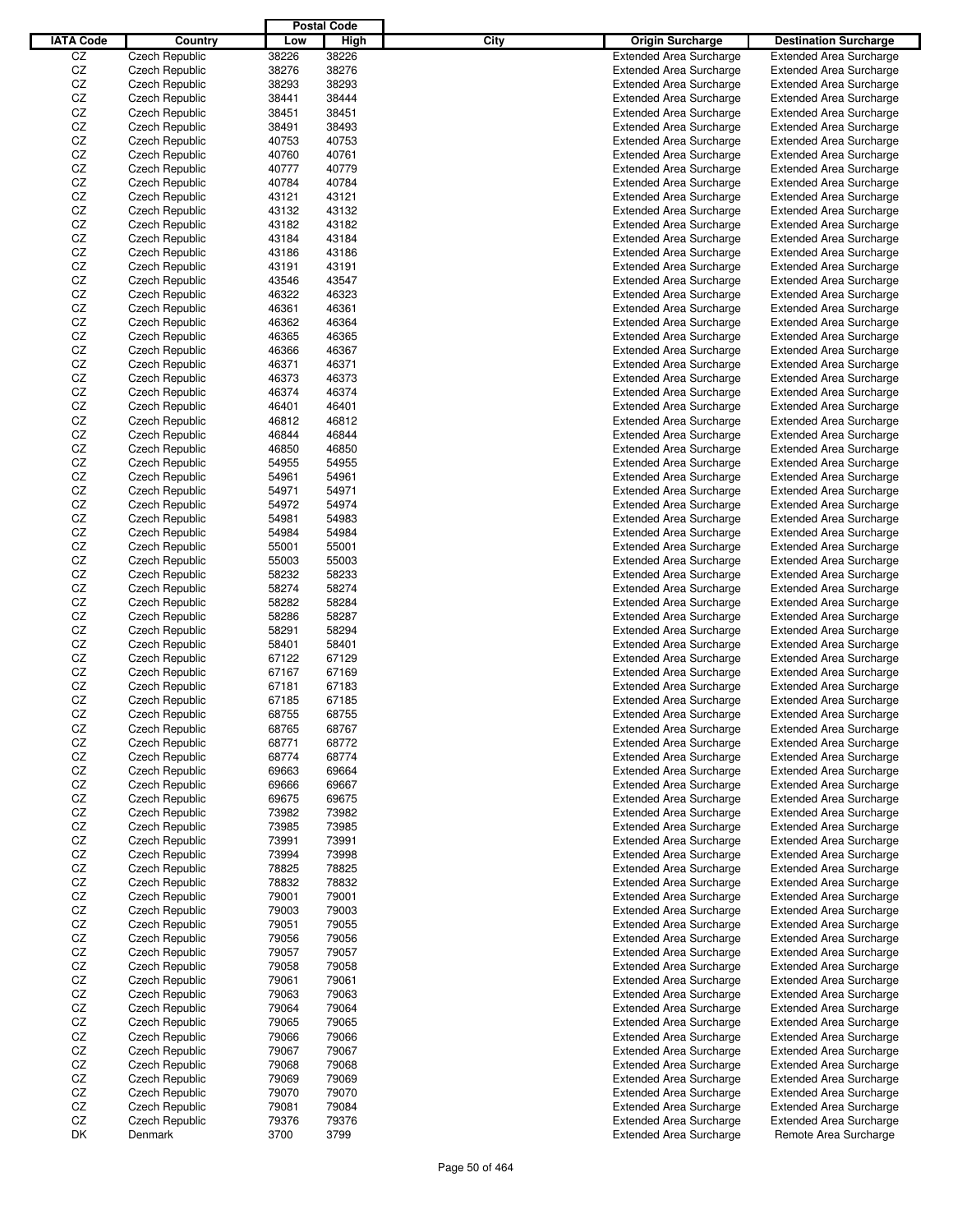|                  |                       |       | <b>Postal Code</b> |      |                                |                                |
|------------------|-----------------------|-------|--------------------|------|--------------------------------|--------------------------------|
| <b>IATA Code</b> | Country               | Low   | High               | City | <b>Origin Surcharge</b>        | <b>Destination Surcharge</b>   |
| CZ               | <b>Czech Republic</b> | 38226 | 38226              |      | <b>Extended Area Surcharge</b> | <b>Extended Area Surcharge</b> |
| CZ               | <b>Czech Republic</b> | 38276 | 38276              |      | <b>Extended Area Surcharge</b> | <b>Extended Area Surcharge</b> |
| CZ               | <b>Czech Republic</b> | 38293 | 38293              |      | <b>Extended Area Surcharge</b> | <b>Extended Area Surcharge</b> |
| CZ               | Czech Republic        | 38441 | 38444              |      | <b>Extended Area Surcharge</b> | <b>Extended Area Surcharge</b> |
| CZ               | <b>Czech Republic</b> | 38451 | 38451              |      | <b>Extended Area Surcharge</b> | <b>Extended Area Surcharge</b> |
| CZ               | Czech Republic        | 38491 | 38493              |      | <b>Extended Area Surcharge</b> | <b>Extended Area Surcharge</b> |
| CZ               | Czech Republic        |       | 40753              |      |                                |                                |
|                  |                       | 40753 |                    |      | <b>Extended Area Surcharge</b> | <b>Extended Area Surcharge</b> |
| CZ               | Czech Republic        | 40760 | 40761              |      | <b>Extended Area Surcharge</b> | <b>Extended Area Surcharge</b> |
| CZ               | Czech Republic        | 40777 | 40779              |      | <b>Extended Area Surcharge</b> | <b>Extended Area Surcharge</b> |
| CZ               | Czech Republic        | 40784 | 40784              |      | <b>Extended Area Surcharge</b> | <b>Extended Area Surcharge</b> |
| CZ               | Czech Republic        | 43121 | 43121              |      | <b>Extended Area Surcharge</b> | <b>Extended Area Surcharge</b> |
| CZ               | Czech Republic        | 43132 | 43132              |      | <b>Extended Area Surcharge</b> | <b>Extended Area Surcharge</b> |
| CZ               | Czech Republic        | 43182 | 43182              |      | <b>Extended Area Surcharge</b> | <b>Extended Area Surcharge</b> |
| CZ               | Czech Republic        | 43184 | 43184              |      | <b>Extended Area Surcharge</b> | <b>Extended Area Surcharge</b> |
| CZ               | Czech Republic        | 43186 | 43186              |      | <b>Extended Area Surcharge</b> | <b>Extended Area Surcharge</b> |
| CZ               | Czech Republic        | 43191 | 43191              |      | <b>Extended Area Surcharge</b> | <b>Extended Area Surcharge</b> |
| CZ               | Czech Republic        | 43546 | 43547              |      | <b>Extended Area Surcharge</b> | <b>Extended Area Surcharge</b> |
| CZ               | Czech Republic        | 46322 | 46323              |      | <b>Extended Area Surcharge</b> | <b>Extended Area Surcharge</b> |
| CZ               | Czech Republic        | 46361 | 46361              |      | <b>Extended Area Surcharge</b> | <b>Extended Area Surcharge</b> |
| CZ               | Czech Republic        | 46362 | 46364              |      | <b>Extended Area Surcharge</b> | <b>Extended Area Surcharge</b> |
| CZ               | Czech Republic        | 46365 | 46365              |      | <b>Extended Area Surcharge</b> | <b>Extended Area Surcharge</b> |
| CZ               | Czech Republic        | 46366 | 46367              |      | <b>Extended Area Surcharge</b> | <b>Extended Area Surcharge</b> |
| CZ               | Czech Republic        | 46371 | 46371              |      | <b>Extended Area Surcharge</b> | <b>Extended Area Surcharge</b> |
| CZ               | Czech Republic        | 46373 | 46373              |      | <b>Extended Area Surcharge</b> | <b>Extended Area Surcharge</b> |
| CZ               | Czech Republic        | 46374 | 46374              |      | <b>Extended Area Surcharge</b> | <b>Extended Area Surcharge</b> |
| CZ               | Czech Republic        | 46401 | 46401              |      | <b>Extended Area Surcharge</b> | <b>Extended Area Surcharge</b> |
| CZ               | Czech Republic        | 46812 | 46812              |      | <b>Extended Area Surcharge</b> | <b>Extended Area Surcharge</b> |
| CZ               | Czech Republic        | 46844 | 46844              |      | <b>Extended Area Surcharge</b> |                                |
|                  | Czech Republic        |       |                    |      |                                | <b>Extended Area Surcharge</b> |
| CZ               |                       | 46850 | 46850              |      | <b>Extended Area Surcharge</b> | <b>Extended Area Surcharge</b> |
| CZ               | Czech Republic        | 54955 | 54955              |      | <b>Extended Area Surcharge</b> | <b>Extended Area Surcharge</b> |
| CZ               | Czech Republic        | 54961 | 54961              |      | <b>Extended Area Surcharge</b> | <b>Extended Area Surcharge</b> |
| CZ               | Czech Republic        | 54971 | 54971              |      | <b>Extended Area Surcharge</b> | <b>Extended Area Surcharge</b> |
| CZ               | Czech Republic        | 54972 | 54974              |      | <b>Extended Area Surcharge</b> | <b>Extended Area Surcharge</b> |
| CZ               | Czech Republic        | 54981 | 54983              |      | <b>Extended Area Surcharge</b> | <b>Extended Area Surcharge</b> |
| CZ               | Czech Republic        | 54984 | 54984              |      | <b>Extended Area Surcharge</b> | <b>Extended Area Surcharge</b> |
| CZ               | Czech Republic        | 55001 | 55001              |      | <b>Extended Area Surcharge</b> | <b>Extended Area Surcharge</b> |
| CZ               | Czech Republic        | 55003 | 55003              |      | <b>Extended Area Surcharge</b> | <b>Extended Area Surcharge</b> |
| CZ               | Czech Republic        | 58232 | 58233              |      | <b>Extended Area Surcharge</b> | <b>Extended Area Surcharge</b> |
| CZ               | Czech Republic        | 58274 | 58274              |      | <b>Extended Area Surcharge</b> | <b>Extended Area Surcharge</b> |
| CZ               | Czech Republic        | 58282 | 58284              |      | <b>Extended Area Surcharge</b> | <b>Extended Area Surcharge</b> |
| CZ               | Czech Republic        | 58286 | 58287              |      | <b>Extended Area Surcharge</b> | <b>Extended Area Surcharge</b> |
| CZ               | Czech Republic        | 58291 | 58294              |      | <b>Extended Area Surcharge</b> | <b>Extended Area Surcharge</b> |
| CZ               | Czech Republic        | 58401 | 58401              |      | <b>Extended Area Surcharge</b> | <b>Extended Area Surcharge</b> |
| CZ               | Czech Republic        | 67122 | 67129              |      | <b>Extended Area Surcharge</b> | <b>Extended Area Surcharge</b> |
| CZ               | Czech Republic        | 67167 | 67169              |      | <b>Extended Area Surcharge</b> | <b>Extended Area Surcharge</b> |
| CZ               | Czech Republic        | 67181 | 67183              |      | <b>Extended Area Surcharge</b> | <b>Extended Area Surcharge</b> |
| CZ               | <b>Czech Republic</b> | 67185 | 67185              |      | <b>Extended Area Surcharge</b> | <b>Extended Area Surcharge</b> |
| CZ               | Czech Republic        | 68755 | 68755              |      | <b>Extended Area Surcharge</b> | <b>Extended Area Surcharge</b> |
| CZ               | Czech Republic        | 68765 | 68767              |      | <b>Extended Area Surcharge</b> | <b>Extended Area Surcharge</b> |
| CZ               | <b>Czech Republic</b> | 68771 | 68772              |      | <b>Extended Area Surcharge</b> | <b>Extended Area Surcharge</b> |
| CZ               | Czech Republic        | 68774 | 68774              |      | <b>Extended Area Surcharge</b> | <b>Extended Area Surcharge</b> |
|                  |                       |       |                    |      |                                |                                |
| CZ               | Czech Republic        | 69663 | 69664              |      | <b>Extended Area Surcharge</b> | <b>Extended Area Surcharge</b> |
| CZ               | Czech Republic        | 69666 | 69667              |      | <b>Extended Area Surcharge</b> | <b>Extended Area Surcharge</b> |
| CZ               | <b>Czech Republic</b> | 69675 | 69675              |      | <b>Extended Area Surcharge</b> | <b>Extended Area Surcharge</b> |
| CZ               | Czech Republic        | 73982 | 73982              |      | <b>Extended Area Surcharge</b> | <b>Extended Area Surcharge</b> |
| CZ               | Czech Republic        | 73985 | 73985              |      | <b>Extended Area Surcharge</b> | <b>Extended Area Surcharge</b> |
| CZ               | Czech Republic        | 73991 | 73991              |      | <b>Extended Area Surcharge</b> | <b>Extended Area Surcharge</b> |
| CZ               | Czech Republic        | 73994 | 73998              |      | <b>Extended Area Surcharge</b> | <b>Extended Area Surcharge</b> |
| CZ               | Czech Republic        | 78825 | 78825              |      | <b>Extended Area Surcharge</b> | <b>Extended Area Surcharge</b> |
| CZ               | Czech Republic        | 78832 | 78832              |      | <b>Extended Area Surcharge</b> | <b>Extended Area Surcharge</b> |
| CZ               | Czech Republic        | 79001 | 79001              |      | <b>Extended Area Surcharge</b> | <b>Extended Area Surcharge</b> |
| CZ               | Czech Republic        | 79003 | 79003              |      | <b>Extended Area Surcharge</b> | <b>Extended Area Surcharge</b> |
| CZ               | Czech Republic        | 79051 | 79055              |      | <b>Extended Area Surcharge</b> | <b>Extended Area Surcharge</b> |
| CZ               | Czech Republic        | 79056 | 79056              |      | <b>Extended Area Surcharge</b> | <b>Extended Area Surcharge</b> |
| CZ               | Czech Republic        | 79057 | 79057              |      | <b>Extended Area Surcharge</b> | <b>Extended Area Surcharge</b> |
| CZ               | Czech Republic        | 79058 | 79058              |      | <b>Extended Area Surcharge</b> | <b>Extended Area Surcharge</b> |
| CZ               | Czech Republic        | 79061 | 79061              |      | <b>Extended Area Surcharge</b> | <b>Extended Area Surcharge</b> |
| CZ               | Czech Republic        | 79063 | 79063              |      | <b>Extended Area Surcharge</b> | <b>Extended Area Surcharge</b> |
| CZ               | Czech Republic        | 79064 | 79064              |      | <b>Extended Area Surcharge</b> | <b>Extended Area Surcharge</b> |
| CZ               | Czech Republic        | 79065 | 79065              |      | <b>Extended Area Surcharge</b> | <b>Extended Area Surcharge</b> |
| CZ               | Czech Republic        | 79066 | 79066              |      | <b>Extended Area Surcharge</b> | <b>Extended Area Surcharge</b> |
| CZ               | Czech Republic        | 79067 | 79067              |      | <b>Extended Area Surcharge</b> | <b>Extended Area Surcharge</b> |
| CZ               |                       |       | 79068              |      | <b>Extended Area Surcharge</b> | <b>Extended Area Surcharge</b> |
|                  | Czech Republic        | 79068 |                    |      |                                |                                |
| CZ               | Czech Republic        | 79069 | 79069              |      | <b>Extended Area Surcharge</b> | <b>Extended Area Surcharge</b> |
| CZ               | Czech Republic        | 79070 | 79070              |      | <b>Extended Area Surcharge</b> | <b>Extended Area Surcharge</b> |
| CZ               | Czech Republic        | 79081 | 79084              |      | <b>Extended Area Surcharge</b> | <b>Extended Area Surcharge</b> |
| CZ               | Czech Republic        | 79376 | 79376              |      | <b>Extended Area Surcharge</b> | <b>Extended Area Surcharge</b> |
| DK               | Denmark               | 3700  | 3799               |      | <b>Extended Area Surcharge</b> | Remote Area Surcharge          |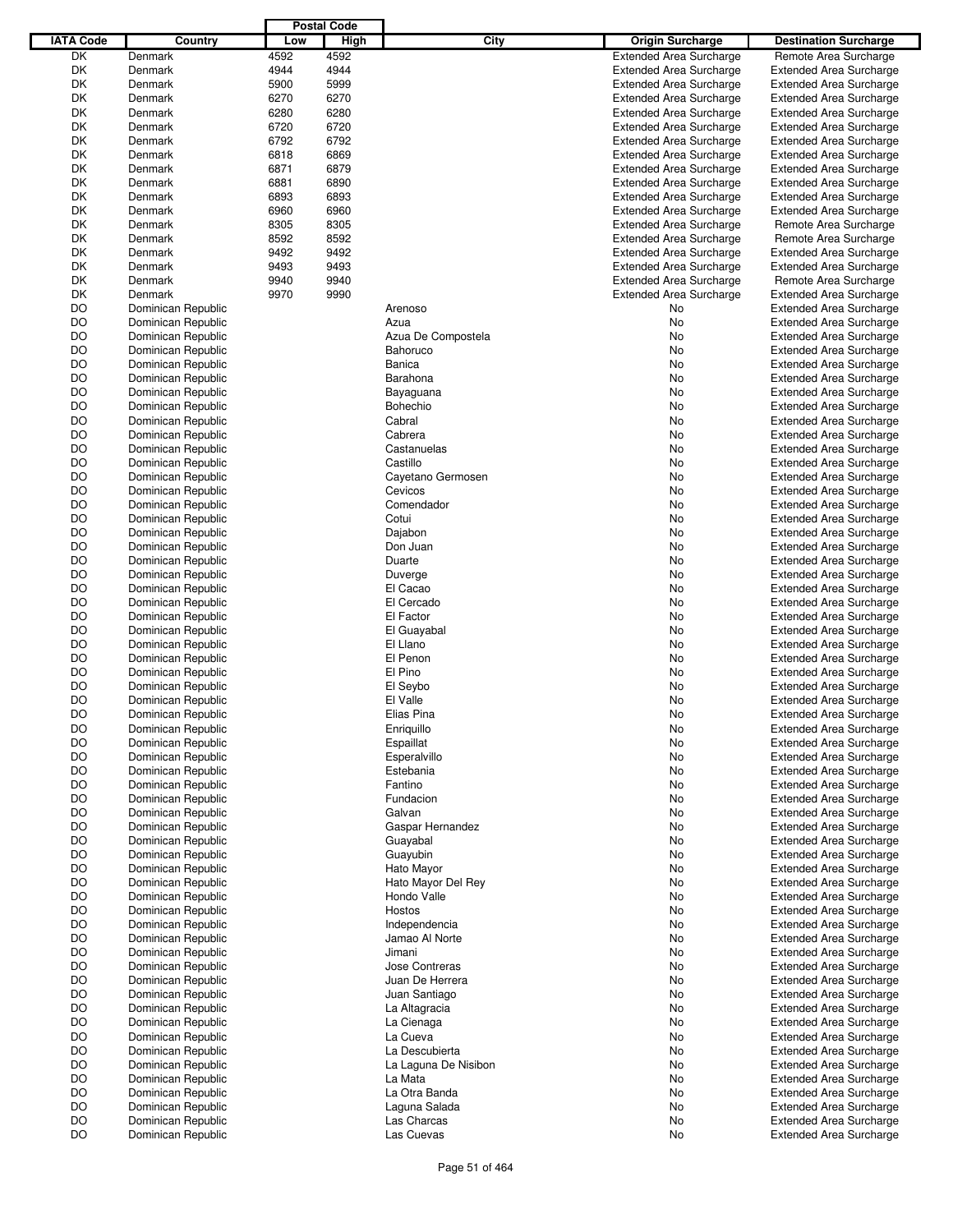|                  |                    |      | <b>Postal Code</b> |                       |                                |                                |
|------------------|--------------------|------|--------------------|-----------------------|--------------------------------|--------------------------------|
| <b>IATA Code</b> | Country            | Low  | High               | City                  | <b>Origin Surcharge</b>        | <b>Destination Surcharge</b>   |
| DK               | Denmark            | 4592 | 4592               |                       | <b>Extended Area Surcharge</b> | Remote Area Surcharge          |
| DK               | Denmark            | 4944 | 4944               |                       | <b>Extended Area Surcharge</b> | <b>Extended Area Surcharge</b> |
| DK               | Denmark            | 5900 | 5999               |                       | <b>Extended Area Surcharge</b> | <b>Extended Area Surcharge</b> |
| DK               | Denmark            | 6270 | 6270               |                       | <b>Extended Area Surcharge</b> | <b>Extended Area Surcharge</b> |
| DK               | Denmark            | 6280 | 6280               |                       | <b>Extended Area Surcharge</b> | <b>Extended Area Surcharge</b> |
| DK               | Denmark            | 6720 | 6720               |                       | <b>Extended Area Surcharge</b> | <b>Extended Area Surcharge</b> |
| DK               | Denmark            |      | 6792               |                       |                                |                                |
|                  |                    | 6792 |                    |                       | <b>Extended Area Surcharge</b> | <b>Extended Area Surcharge</b> |
| DK               | Denmark            | 6818 | 6869               |                       | <b>Extended Area Surcharge</b> | <b>Extended Area Surcharge</b> |
| DK               | Denmark            | 6871 | 6879               |                       | <b>Extended Area Surcharge</b> | <b>Extended Area Surcharge</b> |
| DK               | Denmark            | 6881 | 6890               |                       | <b>Extended Area Surcharge</b> | <b>Extended Area Surcharge</b> |
| DK               | Denmark            | 6893 | 6893               |                       | <b>Extended Area Surcharge</b> | <b>Extended Area Surcharge</b> |
| DK               | Denmark            | 6960 | 6960               |                       | <b>Extended Area Surcharge</b> | <b>Extended Area Surcharge</b> |
| DK               | Denmark            | 8305 | 8305               |                       | <b>Extended Area Surcharge</b> | Remote Area Surcharge          |
| DK               | Denmark            | 8592 | 8592               |                       | <b>Extended Area Surcharge</b> | Remote Area Surcharge          |
| DK               | Denmark            | 9492 | 9492               |                       | <b>Extended Area Surcharge</b> | <b>Extended Area Surcharge</b> |
| DK               | Denmark            | 9493 | 9493               |                       | <b>Extended Area Surcharge</b> | <b>Extended Area Surcharge</b> |
| DK               | Denmark            | 9940 | 9940               |                       | <b>Extended Area Surcharge</b> | Remote Area Surcharge          |
| DK               | Denmark            | 9970 | 9990               |                       | <b>Extended Area Surcharge</b> | <b>Extended Area Surcharge</b> |
| DO               | Dominican Republic |      |                    | Arenoso               | No                             | <b>Extended Area Surcharge</b> |
| DO               | Dominican Republic |      |                    | Azua                  | No                             | <b>Extended Area Surcharge</b> |
| DO               | Dominican Republic |      |                    | Azua De Compostela    | No                             | <b>Extended Area Surcharge</b> |
| DO               | Dominican Republic |      |                    | <b>Bahoruco</b>       | No                             | <b>Extended Area Surcharge</b> |
| DO               | Dominican Republic |      |                    | Banica                | No                             | <b>Extended Area Surcharge</b> |
|                  | Dominican Republic |      |                    | Barahona              |                                |                                |
| DO               |                    |      |                    |                       | No                             | <b>Extended Area Surcharge</b> |
| DO               | Dominican Republic |      |                    | Bayaguana             | No                             | <b>Extended Area Surcharge</b> |
| DO               | Dominican Republic |      |                    | Bohechio              | No                             | <b>Extended Area Surcharge</b> |
| DO               | Dominican Republic |      |                    | Cabral                | No                             | <b>Extended Area Surcharge</b> |
| DO               | Dominican Republic |      |                    | Cabrera               | No                             | <b>Extended Area Surcharge</b> |
| DO               | Dominican Republic |      |                    | Castanuelas           | No                             | <b>Extended Area Surcharge</b> |
| DO               | Dominican Republic |      |                    | Castillo              | No                             | <b>Extended Area Surcharge</b> |
| DO               | Dominican Republic |      |                    | Cayetano Germosen     | No                             | <b>Extended Area Surcharge</b> |
| DO               | Dominican Republic |      |                    | Cevicos               | No                             | <b>Extended Area Surcharge</b> |
| DO               | Dominican Republic |      |                    | Comendador            | No                             | <b>Extended Area Surcharge</b> |
| DO               | Dominican Republic |      |                    | Cotui                 | No                             | <b>Extended Area Surcharge</b> |
| DO               | Dominican Republic |      |                    | Dajabon               | No                             | <b>Extended Area Surcharge</b> |
| DO               | Dominican Republic |      |                    | Don Juan              | No                             | <b>Extended Area Surcharge</b> |
|                  |                    |      |                    |                       |                                |                                |
| DO               | Dominican Republic |      |                    | Duarte                | No                             | <b>Extended Area Surcharge</b> |
| DO               | Dominican Republic |      |                    | Duverge               | No                             | <b>Extended Area Surcharge</b> |
| DO               | Dominican Republic |      |                    | El Cacao              | No                             | <b>Extended Area Surcharge</b> |
| DO               | Dominican Republic |      |                    | El Cercado            | No                             | <b>Extended Area Surcharge</b> |
| DO               | Dominican Republic |      |                    | El Factor             | No                             | <b>Extended Area Surcharge</b> |
| DO               | Dominican Republic |      |                    | El Guayabal           | No                             | <b>Extended Area Surcharge</b> |
| DO               | Dominican Republic |      |                    | El Llano              | No                             | <b>Extended Area Surcharge</b> |
| DO               | Dominican Republic |      |                    | El Penon              | No                             | <b>Extended Area Surcharge</b> |
| DO               | Dominican Republic |      |                    | El Pino               | No                             | <b>Extended Area Surcharge</b> |
| DO               | Dominican Republic |      |                    | El Seybo              | No                             | <b>Extended Area Surcharge</b> |
| DO               | Dominican Republic |      |                    | El Valle              | No                             | <b>Extended Area Surcharge</b> |
| DO               | Dominican Republic |      |                    | Elias Pina            | No                             | <b>Extended Area Surcharge</b> |
| DO               | Dominican Republic |      |                    | Enriquillo            | No                             | <b>Extended Area Surcharge</b> |
| DO               | Dominican Republic |      |                    | Espaillat             | No                             | <b>Extended Area Surcharge</b> |
| DO               | Dominican Republic |      |                    | Esperalvillo          | No                             | <b>Extended Area Surcharge</b> |
| DO               | Dominican Republic |      |                    | Estebania             | No                             | <b>Extended Area Surcharge</b> |
| DO               | Dominican Republic |      |                    | Fantino               | No                             | <b>Extended Area Surcharge</b> |
| DO               | Dominican Republic |      |                    | Fundacion             |                                | <b>Extended Area Surcharge</b> |
|                  |                    |      |                    |                       | No                             |                                |
| DO               | Dominican Republic |      |                    | Galvan                | No                             | <b>Extended Area Surcharge</b> |
| DO               | Dominican Republic |      |                    | Gaspar Hernandez      | No                             | <b>Extended Area Surcharge</b> |
| DO               | Dominican Republic |      |                    | Guayabal              | No                             | <b>Extended Area Surcharge</b> |
| DO               | Dominican Republic |      |                    | Guayubin              | No                             | <b>Extended Area Surcharge</b> |
| DO               | Dominican Republic |      |                    | Hato Mayor            | No                             | <b>Extended Area Surcharge</b> |
| DO               | Dominican Republic |      |                    | Hato Mayor Del Rey    | No                             | <b>Extended Area Surcharge</b> |
| DO               | Dominican Republic |      |                    | Hondo Valle           | No                             | <b>Extended Area Surcharge</b> |
| DO               | Dominican Republic |      |                    | Hostos                | No                             | <b>Extended Area Surcharge</b> |
| DO               | Dominican Republic |      |                    | Independencia         | No                             | <b>Extended Area Surcharge</b> |
| DO               | Dominican Republic |      |                    | Jamao Al Norte        | No                             | <b>Extended Area Surcharge</b> |
| DO               | Dominican Republic |      |                    | Jimani                | No                             | <b>Extended Area Surcharge</b> |
| DO               | Dominican Republic |      |                    | <b>Jose Contreras</b> | No                             | <b>Extended Area Surcharge</b> |
| DO               | Dominican Republic |      |                    | Juan De Herrera       | No                             | <b>Extended Area Surcharge</b> |
| DO               | Dominican Republic |      |                    | Juan Santiago         | No                             | <b>Extended Area Surcharge</b> |
|                  |                    |      |                    |                       |                                |                                |
| DO               | Dominican Republic |      |                    | La Altagracia         | No                             | <b>Extended Area Surcharge</b> |
| DO               | Dominican Republic |      |                    | La Cienaga            | No                             | <b>Extended Area Surcharge</b> |
| DO               | Dominican Republic |      |                    | La Cueva              | No                             | <b>Extended Area Surcharge</b> |
| DO               | Dominican Republic |      |                    | La Descubierta        | No                             | <b>Extended Area Surcharge</b> |
| DO               | Dominican Republic |      |                    | La Laguna De Nisibon  | No                             | <b>Extended Area Surcharge</b> |
| DO               | Dominican Republic |      |                    | La Mata               | No                             | <b>Extended Area Surcharge</b> |
| DO               | Dominican Republic |      |                    | La Otra Banda         | No                             | <b>Extended Area Surcharge</b> |
| DO               | Dominican Republic |      |                    | Laguna Salada         | No                             | <b>Extended Area Surcharge</b> |
| DO               | Dominican Republic |      |                    | Las Charcas           | No                             | <b>Extended Area Surcharge</b> |
| DO               | Dominican Republic |      |                    | Las Cuevas            | No                             | <b>Extended Area Surcharge</b> |
|                  |                    |      |                    |                       |                                |                                |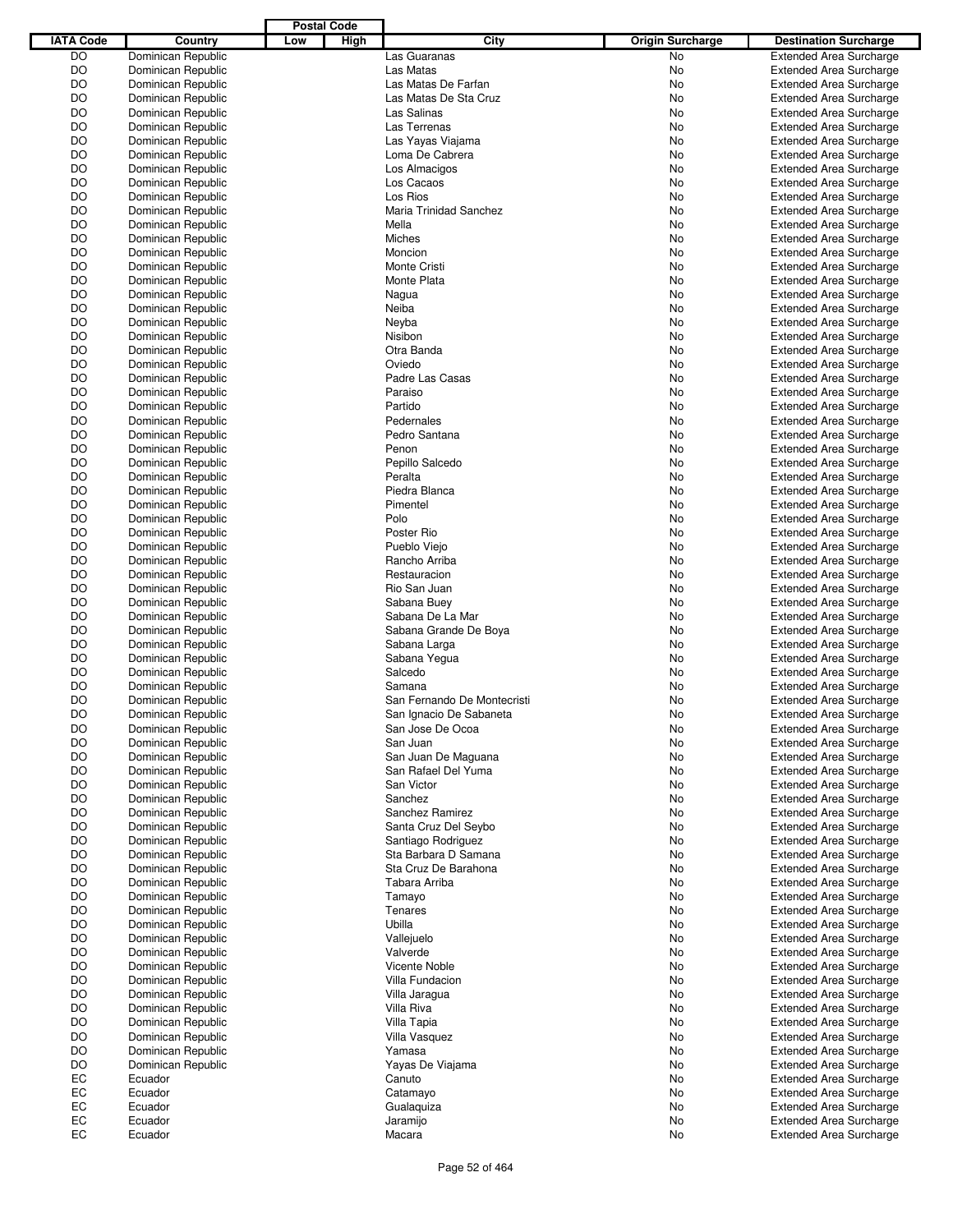| <b>IATA Code</b> | Country            | Low | High | City                        | <b>Origin Surcharge</b> | <b>Destination Surcharge</b>   |
|------------------|--------------------|-----|------|-----------------------------|-------------------------|--------------------------------|
| <b>DO</b>        | Dominican Republic |     |      | Las Guaranas                | No                      | <b>Extended Area Surcharge</b> |
| DO               | Dominican Republic |     |      | Las Matas                   | No                      | <b>Extended Area Surcharge</b> |
| DO               | Dominican Republic |     |      | Las Matas De Farfan         | No                      | <b>Extended Area Surcharge</b> |
| DO               | Dominican Republic |     |      | Las Matas De Sta Cruz       | No                      | <b>Extended Area Surcharge</b> |
| DO               | Dominican Republic |     |      | Las Salinas                 | No                      | <b>Extended Area Surcharge</b> |
| DO               | Dominican Republic |     |      | Las Terrenas                | No                      | <b>Extended Area Surcharge</b> |
| DO               | Dominican Republic |     |      | Las Yayas Viajama           | No                      | <b>Extended Area Surcharge</b> |
| DO               | Dominican Republic |     |      | Loma De Cabrera             | No                      | <b>Extended Area Surcharge</b> |
| DO               | Dominican Republic |     |      | Los Almacigos               | No                      | <b>Extended Area Surcharge</b> |
| DO               | Dominican Republic |     |      | Los Cacaos                  | No                      | <b>Extended Area Surcharge</b> |
| DO               | Dominican Republic |     |      | Los Rios                    | No                      | <b>Extended Area Surcharge</b> |
| DO               | Dominican Republic |     |      | Maria Trinidad Sanchez      | No                      | <b>Extended Area Surcharge</b> |
| DO               | Dominican Republic |     |      | Mella                       | No                      | <b>Extended Area Surcharge</b> |
| DO               | Dominican Republic |     |      | Miches                      | No                      | <b>Extended Area Surcharge</b> |
| DO               | Dominican Republic |     |      | Moncion                     | No                      | <b>Extended Area Surcharge</b> |
| DO               | Dominican Republic |     |      | Monte Cristi                | No                      | <b>Extended Area Surcharge</b> |
| DO               | Dominican Republic |     |      | Monte Plata                 | No                      | <b>Extended Area Surcharge</b> |
| DO               | Dominican Republic |     |      | Nagua                       | No                      | <b>Extended Area Surcharge</b> |
| DO               | Dominican Republic |     |      | Neiba                       | No                      | <b>Extended Area Surcharge</b> |
| DO               | Dominican Republic |     |      | Neyba                       | No                      | <b>Extended Area Surcharge</b> |
| DO               | Dominican Republic |     |      | Nisibon                     | No                      | <b>Extended Area Surcharge</b> |
| DO               | Dominican Republic |     |      | Otra Banda                  | No                      | <b>Extended Area Surcharge</b> |
| DO               | Dominican Republic |     |      | Oviedo                      | No                      | <b>Extended Area Surcharge</b> |
| DO               | Dominican Republic |     |      | Padre Las Casas             | No                      | <b>Extended Area Surcharge</b> |
| DO               | Dominican Republic |     |      | Paraiso                     | No                      | <b>Extended Area Surcharge</b> |
| DO               | Dominican Republic |     |      | Partido                     | No                      | <b>Extended Area Surcharge</b> |
| DO               | Dominican Republic |     |      | Pedernales                  | No                      | <b>Extended Area Surcharge</b> |
| DO               | Dominican Republic |     |      | Pedro Santana               | No                      | <b>Extended Area Surcharge</b> |
| DO               | Dominican Republic |     |      | Penon                       | No                      | <b>Extended Area Surcharge</b> |
| DO               | Dominican Republic |     |      | Pepillo Salcedo             | No                      | <b>Extended Area Surcharge</b> |
| DO               | Dominican Republic |     |      | Peralta                     | No                      | <b>Extended Area Surcharge</b> |
| DO               | Dominican Republic |     |      | Piedra Blanca               | No                      | <b>Extended Area Surcharge</b> |
| DO               | Dominican Republic |     |      | Pimentel                    | No                      | <b>Extended Area Surcharge</b> |
| DO               | Dominican Republic |     |      | Polo                        | No                      | <b>Extended Area Surcharge</b> |
| DO               | Dominican Republic |     |      | Poster Rio                  | No                      | <b>Extended Area Surcharge</b> |
| DO               | Dominican Republic |     |      | Pueblo Viejo                | No                      | <b>Extended Area Surcharge</b> |
| DO               | Dominican Republic |     |      | Rancho Arriba               | No                      | <b>Extended Area Surcharge</b> |
| DO               | Dominican Republic |     |      | Restauracion                | No                      | <b>Extended Area Surcharge</b> |
| DO               | Dominican Republic |     |      | Rio San Juan                | No                      | <b>Extended Area Surcharge</b> |
| DO               | Dominican Republic |     |      | Sabana Buey                 | No                      | <b>Extended Area Surcharge</b> |
| DO               | Dominican Republic |     |      | Sabana De La Mar            | No                      | <b>Extended Area Surcharge</b> |
| DO               | Dominican Republic |     |      | Sabana Grande De Boya       | No                      | <b>Extended Area Surcharge</b> |
| DO               | Dominican Republic |     |      | Sabana Larga                | No                      | <b>Extended Area Surcharge</b> |
| DO               | Dominican Republic |     |      | Sabana Yegua                | No                      | <b>Extended Area Surcharge</b> |
| DO               | Dominican Republic |     |      | Salcedo                     | No                      | <b>Extended Area Surcharge</b> |
| DO               | Dominican Republic |     |      | Samana                      | No                      | <b>Extended Area Surcharge</b> |
| DO               | Dominican Republic |     |      | San Fernando De Montecristi | No                      | <b>Extended Area Surcharge</b> |
| DO               | Dominican Republic |     |      | San Ignacio De Sabaneta     | No                      | <b>Extended Area Surcharge</b> |
| DO               | Dominican Republic |     |      | San Jose De Ocoa            | No                      | <b>Extended Area Surcharge</b> |
| DO               | Dominican Republic |     |      | San Juan                    | No                      | <b>Extended Area Surcharge</b> |
| DO               | Dominican Republic |     |      | San Juan De Maguana         | No                      | <b>Extended Area Surcharge</b> |
| DO               | Dominican Republic |     |      | San Rafael Del Yuma         | No                      | <b>Extended Area Surcharge</b> |
| DO               | Dominican Republic |     |      | San Victor                  | No                      | <b>Extended Area Surcharge</b> |
| DO               | Dominican Republic |     |      | Sanchez                     | No                      | <b>Extended Area Surcharge</b> |
| DO               | Dominican Republic |     |      | Sanchez Ramirez             | No                      | <b>Extended Area Surcharge</b> |
| DO               | Dominican Republic |     |      | Santa Cruz Del Seybo        | No                      | <b>Extended Area Surcharge</b> |
| DO               | Dominican Republic |     |      | Santiago Rodriguez          | No                      | Extended Area Surcharge        |
| DO               | Dominican Republic |     |      | Sta Barbara D Samana        | No                      | <b>Extended Area Surcharge</b> |
| DO               | Dominican Republic |     |      | Sta Cruz De Barahona        | No                      | <b>Extended Area Surcharge</b> |
| DO               | Dominican Republic |     |      | Tabara Arriba               | No                      | <b>Extended Area Surcharge</b> |
| DO               | Dominican Republic |     |      | Tamayo                      | No                      | <b>Extended Area Surcharge</b> |
| DO               | Dominican Republic |     |      | Tenares                     | No                      | <b>Extended Area Surcharge</b> |
| DO               | Dominican Republic |     |      | Ubilla                      | No                      | <b>Extended Area Surcharge</b> |
| DO               | Dominican Republic |     |      | Vallejuelo                  | No                      | <b>Extended Area Surcharge</b> |
| DO               | Dominican Republic |     |      | Valverde                    | No                      | <b>Extended Area Surcharge</b> |
| DO               | Dominican Republic |     |      | Vicente Noble               | No                      | <b>Extended Area Surcharge</b> |
| DO               | Dominican Republic |     |      | Villa Fundacion             | No                      | <b>Extended Area Surcharge</b> |
| DO               | Dominican Republic |     |      | Villa Jaragua               | No                      | <b>Extended Area Surcharge</b> |
| DO               | Dominican Republic |     |      | Villa Riva                  | No                      | <b>Extended Area Surcharge</b> |
| DO               | Dominican Republic |     |      | Villa Tapia                 | No                      | <b>Extended Area Surcharge</b> |
| DO               | Dominican Republic |     |      | Villa Vasquez               | No                      | <b>Extended Area Surcharge</b> |
| DO               | Dominican Republic |     |      | Yamasa                      | No                      | <b>Extended Area Surcharge</b> |
| DO               | Dominican Republic |     |      | Yayas De Viajama            | No                      | <b>Extended Area Surcharge</b> |
| EC               | Ecuador            |     |      | Canuto                      | No                      | <b>Extended Area Surcharge</b> |
| EC               | Ecuador            |     |      |                             | No                      | <b>Extended Area Surcharge</b> |
| EC               | Ecuador            |     |      | Catamayo                    | No                      | <b>Extended Area Surcharge</b> |
| ЕC               | Ecuador            |     |      | Gualaquiza<br>Jaramijo      | No                      | <b>Extended Area Surcharge</b> |
| EC               | Ecuador            |     |      | Macara                      | No                      | <b>Extended Area Surcharge</b> |
|                  |                    |     |      |                             |                         |                                |

**Postal Code**

Г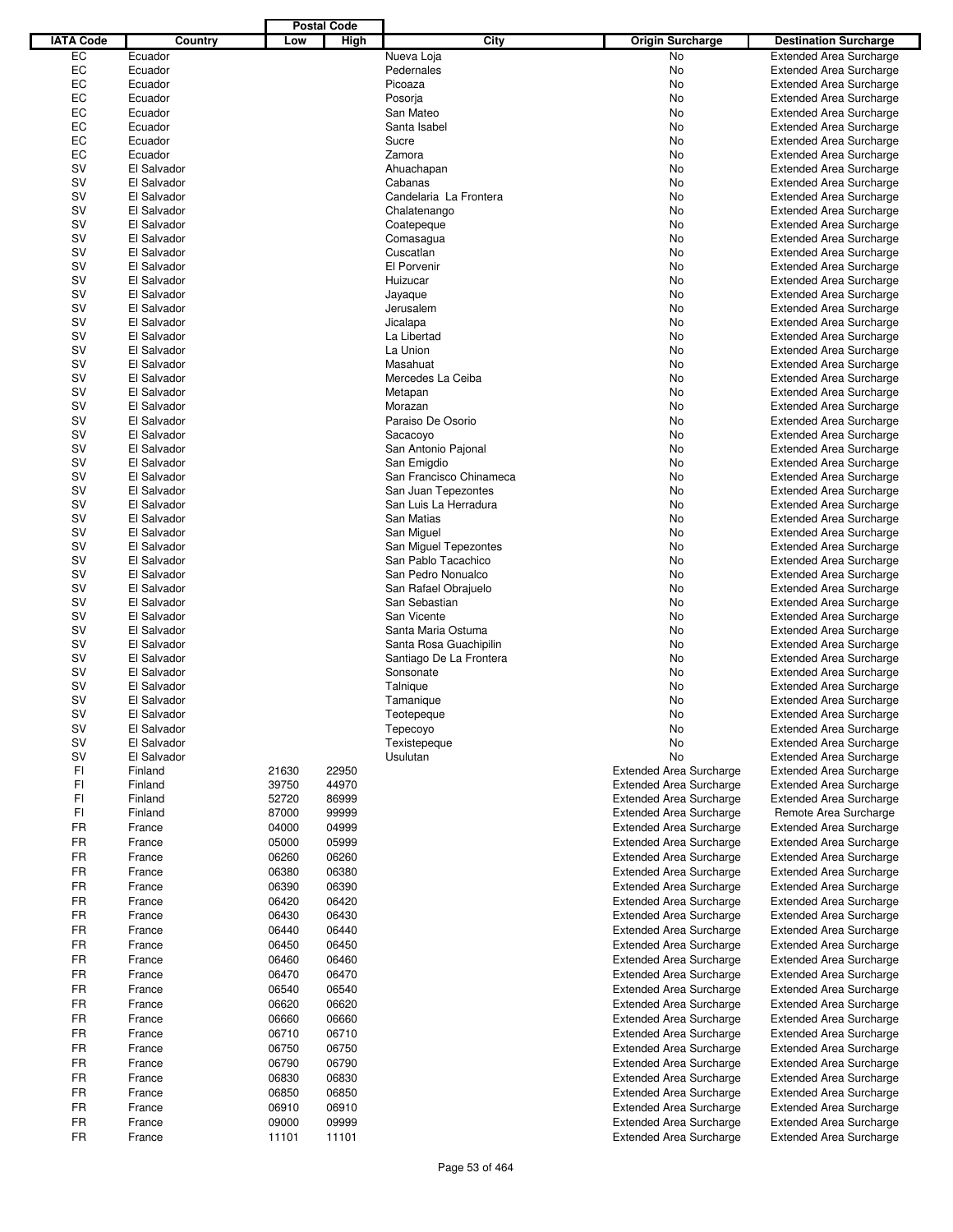|                  |             |       | <b>Postal Code</b> |                         |                                |                                |
|------------------|-------------|-------|--------------------|-------------------------|--------------------------------|--------------------------------|
| <b>IATA Code</b> | Country     | Low   | High               | City                    | <b>Origin Surcharge</b>        | <b>Destination Surcharge</b>   |
| EC               | Ecuador     |       |                    | Nueva Loja              | <b>No</b>                      | <b>Extended Area Surcharge</b> |
| EC               | Ecuador     |       |                    | Pedernales              | No                             | <b>Extended Area Surcharge</b> |
| EC               | Ecuador     |       |                    | Picoaza                 | No                             | <b>Extended Area Surcharge</b> |
| EC               | Ecuador     |       |                    | Posorja                 | No                             | <b>Extended Area Surcharge</b> |
| EC               | Ecuador     |       |                    | San Mateo               | No                             | <b>Extended Area Surcharge</b> |
| EC               | Ecuador     |       |                    | Santa Isabel            | No                             | <b>Extended Area Surcharge</b> |
| EC               | Ecuador     |       |                    | Sucre                   | No                             |                                |
| EC               | Ecuador     |       |                    |                         |                                | <b>Extended Area Surcharge</b> |
|                  |             |       |                    | Zamora                  | No                             | <b>Extended Area Surcharge</b> |
| SV               | El Salvador |       |                    | Ahuachapan              | No                             | <b>Extended Area Surcharge</b> |
| SV               | El Salvador |       |                    | Cabanas                 | No                             | <b>Extended Area Surcharge</b> |
| SV               | El Salvador |       |                    | Candelaria La Frontera  | No                             | <b>Extended Area Surcharge</b> |
| SV               | El Salvador |       |                    | Chalatenango            | No                             | <b>Extended Area Surcharge</b> |
| SV               | El Salvador |       |                    | Coatepeque              | No                             | <b>Extended Area Surcharge</b> |
| SV               | El Salvador |       |                    | Comasagua               | No                             | <b>Extended Area Surcharge</b> |
| SV               | El Salvador |       |                    | Cuscatlan               | No                             | <b>Extended Area Surcharge</b> |
| SV               | El Salvador |       |                    | El Porvenir             | No                             | <b>Extended Area Surcharge</b> |
| SV               | El Salvador |       |                    | Huizucar                | No                             | <b>Extended Area Surcharge</b> |
| SV               | El Salvador |       |                    | Jayaque                 | No                             | <b>Extended Area Surcharge</b> |
| SV               | El Salvador |       |                    | Jerusalem               | No                             | <b>Extended Area Surcharge</b> |
| SV               | El Salvador |       |                    | Jicalapa                | No                             | <b>Extended Area Surcharge</b> |
| SV               | El Salvador |       |                    | La Libertad             | No                             | <b>Extended Area Surcharge</b> |
| SV               | El Salvador |       |                    | La Union                | No                             | <b>Extended Area Surcharge</b> |
| SV               | El Salvador |       |                    | Masahuat                | No                             | <b>Extended Area Surcharge</b> |
| <b>SV</b>        | El Salvador |       |                    | Mercedes La Ceiba       | No                             | <b>Extended Area Surcharge</b> |
| SV               | El Salvador |       |                    | Metapan                 | No                             | <b>Extended Area Surcharge</b> |
| SV               | El Salvador |       |                    | Morazan                 | No                             | <b>Extended Area Surcharge</b> |
| SV               |             |       |                    | Paraiso De Osorio       |                                |                                |
|                  | El Salvador |       |                    |                         | No                             | <b>Extended Area Surcharge</b> |
| <b>SV</b>        | El Salvador |       |                    | Sacacoyo                | No                             | <b>Extended Area Surcharge</b> |
| SV               | El Salvador |       |                    | San Antonio Pajonal     | No                             | <b>Extended Area Surcharge</b> |
| SV               | El Salvador |       |                    | San Emigdio             | No                             | <b>Extended Area Surcharge</b> |
| SV               | El Salvador |       |                    | San Francisco Chinameca | No                             | <b>Extended Area Surcharge</b> |
| SV               | El Salvador |       |                    | San Juan Tepezontes     | No                             | <b>Extended Area Surcharge</b> |
| SV               | El Salvador |       |                    | San Luis La Herradura   | No                             | <b>Extended Area Surcharge</b> |
| <b>SV</b>        | El Salvador |       |                    | San Matias              | No                             | <b>Extended Area Surcharge</b> |
| SV               | El Salvador |       |                    | San Miguel              | No                             | <b>Extended Area Surcharge</b> |
| SV               | El Salvador |       |                    | San Miguel Tepezontes   | No                             | <b>Extended Area Surcharge</b> |
| SV               | El Salvador |       |                    | San Pablo Tacachico     | No                             | <b>Extended Area Surcharge</b> |
| <b>SV</b>        | El Salvador |       |                    | San Pedro Nonualco      | No                             | <b>Extended Area Surcharge</b> |
| SV               | El Salvador |       |                    | San Rafael Obrajuelo    | No                             | <b>Extended Area Surcharge</b> |
| SV               | El Salvador |       |                    | San Sebastian           | No                             | <b>Extended Area Surcharge</b> |
| SV               | El Salvador |       |                    | San Vicente             | No                             | <b>Extended Area Surcharge</b> |
| SV               | El Salvador |       |                    | Santa Maria Ostuma      | No                             | <b>Extended Area Surcharge</b> |
| SV               | El Salvador |       |                    | Santa Rosa Guachipilin  | No                             | <b>Extended Area Surcharge</b> |
| <b>SV</b>        | El Salvador |       |                    | Santiago De La Frontera | No                             | <b>Extended Area Surcharge</b> |
| <b>SV</b>        | El Salvador |       |                    | Sonsonate               | No                             | <b>Extended Area Surcharge</b> |
| <b>SV</b>        | El Salvador |       |                    | Talnique                | No                             | <b>Extended Area Surcharge</b> |
| <b>SV</b>        |             |       |                    |                         |                                |                                |
|                  | El Salvador |       |                    | Tamanique               | No.                            | <b>Extended Area Surcharge</b> |
| SV               | El Salvador |       |                    | Teotepeque              | No                             | <b>Extended Area Surcharge</b> |
| <b>SV</b>        | El Salvador |       |                    | Tepecoyo                | No                             | <b>Extended Area Surcharge</b> |
| <b>SV</b>        | El Salvador |       |                    | Texistepeque            | No                             | <b>Extended Area Surcharge</b> |
| <b>SV</b>        | El Salvador |       |                    | Usulutan                | No                             | <b>Extended Area Surcharge</b> |
| FI               | Finland     | 21630 | 22950              |                         | <b>Extended Area Surcharge</b> | <b>Extended Area Surcharge</b> |
| FI               | Finland     | 39750 | 44970              |                         | <b>Extended Area Surcharge</b> | <b>Extended Area Surcharge</b> |
| FI               | Finland     | 52720 | 86999              |                         | <b>Extended Area Surcharge</b> | <b>Extended Area Surcharge</b> |
| FI               | Finland     | 87000 | 99999              |                         | <b>Extended Area Surcharge</b> | Remote Area Surcharge          |
| <b>FR</b>        | France      | 04000 | 04999              |                         | <b>Extended Area Surcharge</b> | <b>Extended Area Surcharge</b> |
| FR               | France      | 05000 | 05999              |                         | <b>Extended Area Surcharge</b> | <b>Extended Area Surcharge</b> |
| FR               | France      | 06260 | 06260              |                         | <b>Extended Area Surcharge</b> | <b>Extended Area Surcharge</b> |
| <b>FR</b>        | France      | 06380 | 06380              |                         | Extended Area Surcharge        | <b>Extended Area Surcharge</b> |
|                  |             |       |                    |                         |                                |                                |
| FR               | France      | 06390 | 06390              |                         | <b>Extended Area Surcharge</b> | <b>Extended Area Surcharge</b> |
| FR               | France      | 06420 | 06420              |                         | <b>Extended Area Surcharge</b> | <b>Extended Area Surcharge</b> |
| FR               | France      | 06430 | 06430              |                         | <b>Extended Area Surcharge</b> | <b>Extended Area Surcharge</b> |
| FR               | France      | 06440 | 06440              |                         | <b>Extended Area Surcharge</b> | <b>Extended Area Surcharge</b> |
| FR               | France      | 06450 | 06450              |                         | <b>Extended Area Surcharge</b> | <b>Extended Area Surcharge</b> |
| FR               | France      | 06460 | 06460              |                         | <b>Extended Area Surcharge</b> | <b>Extended Area Surcharge</b> |
| FR               | France      | 06470 | 06470              |                         | <b>Extended Area Surcharge</b> | <b>Extended Area Surcharge</b> |
| FR               | France      | 06540 | 06540              |                         | <b>Extended Area Surcharge</b> | <b>Extended Area Surcharge</b> |
| <b>FR</b>        | France      | 06620 | 06620              |                         | <b>Extended Area Surcharge</b> | <b>Extended Area Surcharge</b> |
|                  |             |       |                    |                         |                                |                                |
| FR               | France      | 06660 | 06660              |                         | <b>Extended Area Surcharge</b> | <b>Extended Area Surcharge</b> |
| FR               | France      | 06710 | 06710              |                         | <b>Extended Area Surcharge</b> | <b>Extended Area Surcharge</b> |
| FR               | France      | 06750 | 06750              |                         | <b>Extended Area Surcharge</b> | <b>Extended Area Surcharge</b> |
| FR               | France      | 06790 | 06790              |                         | <b>Extended Area Surcharge</b> | <b>Extended Area Surcharge</b> |
| FR               | France      | 06830 | 06830              |                         | <b>Extended Area Surcharge</b> | <b>Extended Area Surcharge</b> |
| FR               | France      | 06850 | 06850              |                         | <b>Extended Area Surcharge</b> | <b>Extended Area Surcharge</b> |
| FR               | France      | 06910 | 06910              |                         | <b>Extended Area Surcharge</b> | <b>Extended Area Surcharge</b> |
| FR               | France      | 09000 | 09999              |                         | <b>Extended Area Surcharge</b> | <b>Extended Area Surcharge</b> |
| FR               | France      | 11101 | 11101              |                         | <b>Extended Area Surcharge</b> | <b>Extended Area Surcharge</b> |
|                  |             |       |                    |                         |                                |                                |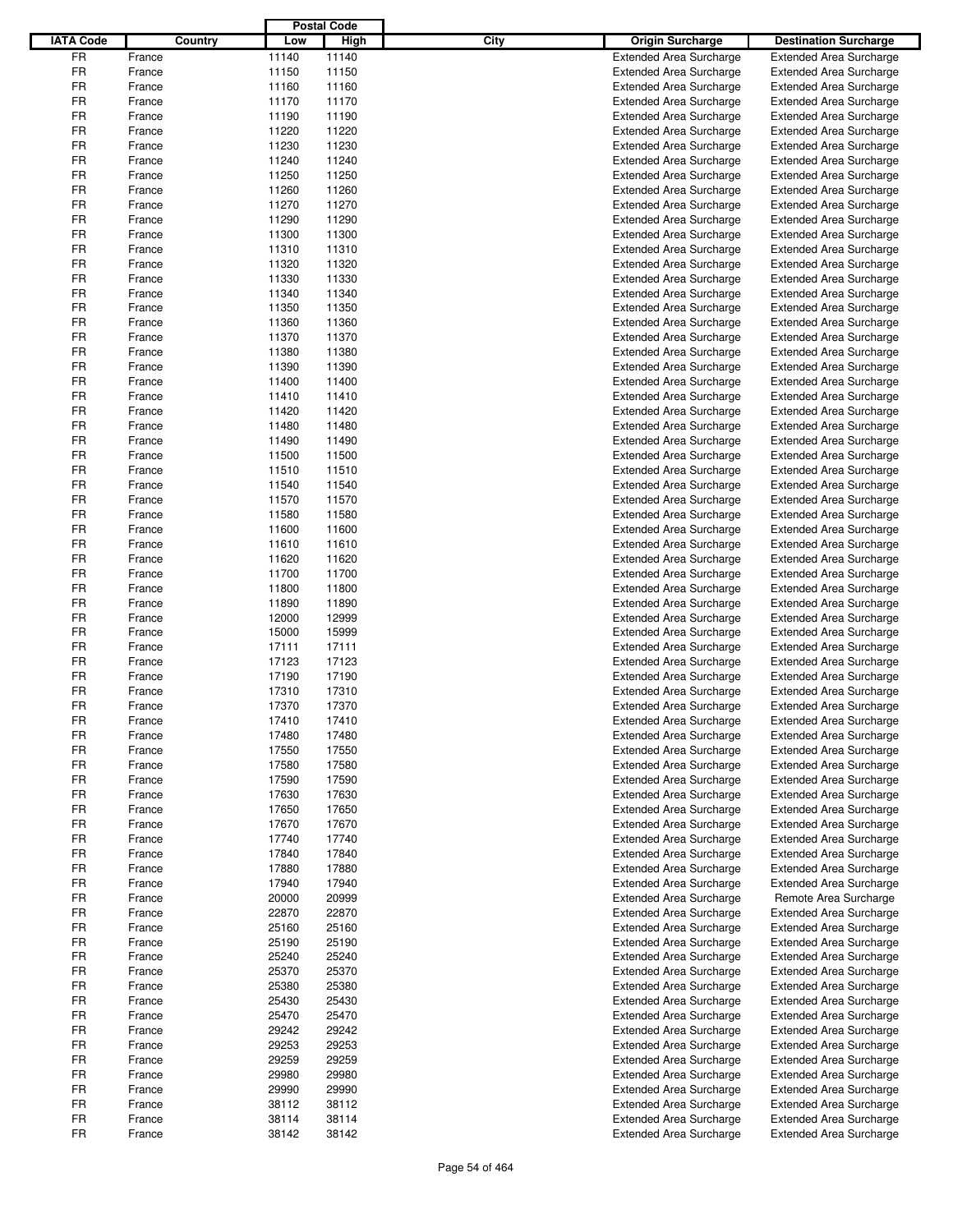|                  |         | <b>Postal Code</b> |             |                                 |                                |
|------------------|---------|--------------------|-------------|---------------------------------|--------------------------------|
| <b>IATA Code</b> | Country | Low                | <b>High</b> | City<br><b>Origin Surcharge</b> | <b>Destination Surcharge</b>   |
| <b>FR</b>        | France  | 11140              | 11140       | <b>Extended Area Surcharge</b>  | <b>Extended Area Surcharge</b> |
| FR               | France  | 11150              | 11150       | <b>Extended Area Surcharge</b>  | <b>Extended Area Surcharge</b> |
| <b>FR</b>        | France  | 11160              | 11160       | <b>Extended Area Surcharge</b>  | <b>Extended Area Surcharge</b> |
| FR               | France  | 11170              | 11170       | <b>Extended Area Surcharge</b>  | <b>Extended Area Surcharge</b> |
| FR               | France  | 11190              | 11190       | <b>Extended Area Surcharge</b>  | <b>Extended Area Surcharge</b> |
| FR               | France  | 11220              | 11220       | <b>Extended Area Surcharge</b>  | <b>Extended Area Surcharge</b> |
| FR               | France  | 11230              | 11230       | <b>Extended Area Surcharge</b>  | <b>Extended Area Surcharge</b> |
| <b>FR</b>        | France  | 11240              | 11240       | <b>Extended Area Surcharge</b>  | <b>Extended Area Surcharge</b> |
| FR               | France  | 11250              | 11250       | <b>Extended Area Surcharge</b>  | <b>Extended Area Surcharge</b> |
| <b>FR</b>        | France  | 11260              | 11260       | <b>Extended Area Surcharge</b>  | <b>Extended Area Surcharge</b> |
| FR               | France  | 11270              | 11270       | <b>Extended Area Surcharge</b>  | <b>Extended Area Surcharge</b> |
| FR               | France  | 11290              | 11290       | <b>Extended Area Surcharge</b>  | <b>Extended Area Surcharge</b> |
| <b>FR</b>        | France  | 11300              | 11300       | <b>Extended Area Surcharge</b>  | <b>Extended Area Surcharge</b> |
| FR               | France  | 11310              | 11310       | <b>Extended Area Surcharge</b>  | <b>Extended Area Surcharge</b> |
| FR               | France  | 11320              | 11320       | <b>Extended Area Surcharge</b>  | <b>Extended Area Surcharge</b> |
| FR               | France  | 11330              | 11330       | <b>Extended Area Surcharge</b>  | <b>Extended Area Surcharge</b> |
| FR               | France  | 11340              | 11340       | <b>Extended Area Surcharge</b>  | <b>Extended Area Surcharge</b> |
| FR               | France  | 11350              | 11350       | <b>Extended Area Surcharge</b>  | <b>Extended Area Surcharge</b> |
| FR               | France  | 11360              | 11360       | <b>Extended Area Surcharge</b>  | <b>Extended Area Surcharge</b> |
| FR               | France  | 11370              | 11370       | <b>Extended Area Surcharge</b>  | <b>Extended Area Surcharge</b> |
| FR               | France  | 11380              | 11380       | <b>Extended Area Surcharge</b>  | <b>Extended Area Surcharge</b> |
| FR               | France  | 11390              | 11390       | <b>Extended Area Surcharge</b>  | <b>Extended Area Surcharge</b> |
| <b>FR</b>        | France  | 11400              | 11400       | <b>Extended Area Surcharge</b>  | <b>Extended Area Surcharge</b> |
| FR               | France  | 11410              | 11410       | <b>Extended Area Surcharge</b>  | <b>Extended Area Surcharge</b> |
| FR               | France  | 11420              | 11420       | <b>Extended Area Surcharge</b>  | <b>Extended Area Surcharge</b> |
| <b>FR</b>        | France  | 11480              | 11480       | <b>Extended Area Surcharge</b>  | <b>Extended Area Surcharge</b> |
| FR               | France  | 11490              | 11490       | <b>Extended Area Surcharge</b>  | <b>Extended Area Surcharge</b> |
| FR               | France  | 11500              | 11500       | <b>Extended Area Surcharge</b>  | <b>Extended Area Surcharge</b> |
| <b>FR</b>        | France  | 11510              | 11510       | <b>Extended Area Surcharge</b>  | <b>Extended Area Surcharge</b> |
| FR               | France  | 11540              | 11540       | <b>Extended Area Surcharge</b>  | <b>Extended Area Surcharge</b> |
| <b>FR</b>        | France  | 11570              | 11570       | <b>Extended Area Surcharge</b>  | <b>Extended Area Surcharge</b> |
| FR               | France  | 11580              | 11580       | <b>Extended Area Surcharge</b>  | <b>Extended Area Surcharge</b> |
| FR               | France  | 11600              | 11600       | <b>Extended Area Surcharge</b>  | <b>Extended Area Surcharge</b> |
| <b>FR</b>        | France  | 11610              | 11610       | <b>Extended Area Surcharge</b>  | <b>Extended Area Surcharge</b> |
| FR               | France  | 11620              | 11620       | <b>Extended Area Surcharge</b>  | <b>Extended Area Surcharge</b> |
| FR               | France  | 11700              | 11700       | <b>Extended Area Surcharge</b>  | <b>Extended Area Surcharge</b> |
| FR               | France  | 11800              | 11800       | <b>Extended Area Surcharge</b>  | <b>Extended Area Surcharge</b> |
| <b>FR</b>        | France  | 11890              | 11890       | <b>Extended Area Surcharge</b>  | <b>Extended Area Surcharge</b> |
| FR               | France  | 12000              | 12999       | <b>Extended Area Surcharge</b>  | <b>Extended Area Surcharge</b> |
| FR               | France  | 15000              | 15999       | <b>Extended Area Surcharge</b>  | <b>Extended Area Surcharge</b> |
| <b>FR</b>        | France  | 17111              | 17111       | <b>Extended Area Surcharge</b>  | <b>Extended Area Surcharge</b> |
| FR               | France  | 17123              | 17123       | <b>Extended Area Surcharge</b>  | <b>Extended Area Surcharge</b> |
| FR               | France  | 17190              | 17190       | <b>Extended Area Surcharge</b>  | <b>Extended Area Surcharge</b> |
| FR               | France  | 17310              | 17310       | <b>Extended Area Surcharge</b>  | <b>Extended Area Surcharge</b> |
| FR               | France  | 17370              | 17370       | <b>Extended Area Surcharge</b>  | <b>Extended Area Surcharge</b> |
| FR               | France  | 17410              | 17410       | <b>Extended Area Surcharge</b>  | <b>Extended Area Surcharge</b> |
| FR               | France  | 17480              | 17480       | <b>Extended Area Surcharge</b>  | <b>Extended Area Surcharge</b> |
| FR               | France  | 17550              | 17550       | <b>Extended Area Surcharge</b>  | <b>Extended Area Surcharge</b> |
| FR               | France  | 17580              | 17580       | <b>Extended Area Surcharge</b>  | <b>Extended Area Surcharge</b> |
| FR               | France  | 17590              | 17590       | <b>Extended Area Surcharge</b>  | <b>Extended Area Surcharge</b> |
| <b>FR</b>        | France  | 17630              | 17630       | <b>Extended Area Surcharge</b>  | <b>Extended Area Surcharge</b> |
| FR               | France  | 17650              | 17650       | <b>Extended Area Surcharge</b>  | <b>Extended Area Surcharge</b> |
| FR               | France  | 17670              | 17670       | <b>Extended Area Surcharge</b>  | <b>Extended Area Surcharge</b> |
| FR               | France  | 17740              | 17740       | <b>Extended Area Surcharge</b>  | <b>Extended Area Surcharge</b> |
| FR               | France  | 17840              | 17840       | <b>Extended Area Surcharge</b>  | <b>Extended Area Surcharge</b> |
| FR               | France  | 17880              | 17880       | <b>Extended Area Surcharge</b>  | <b>Extended Area Surcharge</b> |
| FR               | France  | 17940              | 17940       | <b>Extended Area Surcharge</b>  | <b>Extended Area Surcharge</b> |
| FR               | France  | 20000              | 20999       | <b>Extended Area Surcharge</b>  | Remote Area Surcharge          |
| FR               | France  | 22870              | 22870       | <b>Extended Area Surcharge</b>  | <b>Extended Area Surcharge</b> |
| FR               | France  | 25160              | 25160       | <b>Extended Area Surcharge</b>  | <b>Extended Area Surcharge</b> |
| FR               | France  | 25190              | 25190       | <b>Extended Area Surcharge</b>  | <b>Extended Area Surcharge</b> |
| FR               | France  | 25240              | 25240       | <b>Extended Area Surcharge</b>  | <b>Extended Area Surcharge</b> |
| FR               | France  | 25370              | 25370       | <b>Extended Area Surcharge</b>  | <b>Extended Area Surcharge</b> |
| FR               | France  | 25380              | 25380       | <b>Extended Area Surcharge</b>  | <b>Extended Area Surcharge</b> |
| FR               | France  | 25430              | 25430       | <b>Extended Area Surcharge</b>  | <b>Extended Area Surcharge</b> |
| FR               | France  | 25470              | 25470       | <b>Extended Area Surcharge</b>  | <b>Extended Area Surcharge</b> |
| FR               | France  | 29242              | 29242       | <b>Extended Area Surcharge</b>  | <b>Extended Area Surcharge</b> |
| FR               | France  | 29253              | 29253       | <b>Extended Area Surcharge</b>  | <b>Extended Area Surcharge</b> |
| FR               | France  | 29259              | 29259       | <b>Extended Area Surcharge</b>  | <b>Extended Area Surcharge</b> |
| FR               | France  | 29980              | 29980       | <b>Extended Area Surcharge</b>  | <b>Extended Area Surcharge</b> |
| FR               | France  | 29990              | 29990       | <b>Extended Area Surcharge</b>  | <b>Extended Area Surcharge</b> |
| FR               | France  | 38112              | 38112       | Extended Area Surcharge         | <b>Extended Area Surcharge</b> |
| FR               | France  | 38114              | 38114       | <b>Extended Area Surcharge</b>  | <b>Extended Area Surcharge</b> |
| <b>FR</b>        | France  | 38142              | 38142       | <b>Extended Area Surcharge</b>  | <b>Extended Area Surcharge</b> |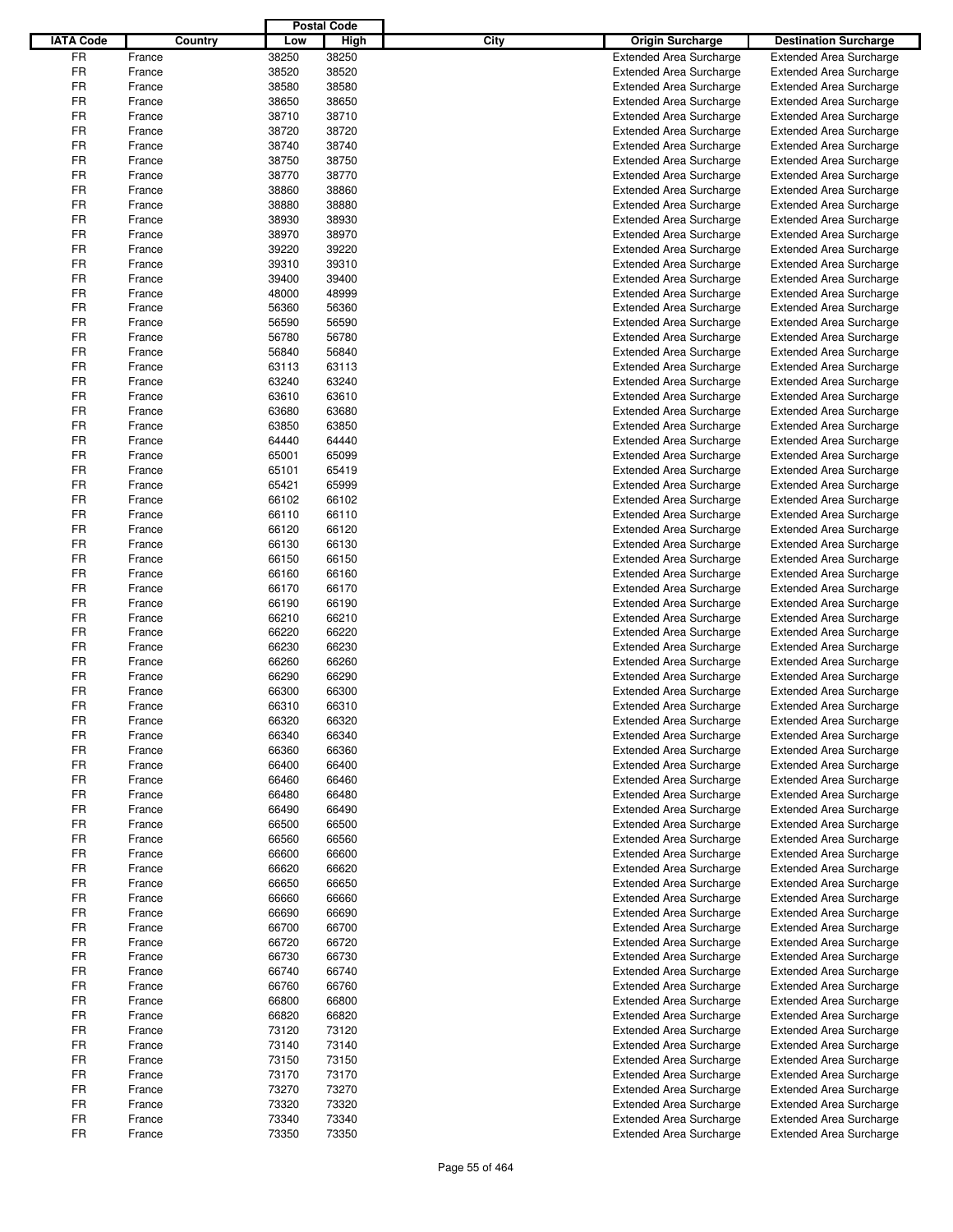|                  |        |         |       | <b>Postal Code</b> |      |                                |                                |
|------------------|--------|---------|-------|--------------------|------|--------------------------------|--------------------------------|
| <b>IATA Code</b> |        | Country | Low   | High               | City | <b>Origin Surcharge</b>        | <b>Destination Surcharge</b>   |
| <b>FR</b>        | France |         | 38250 | 38250              |      | <b>Extended Area Surcharge</b> | <b>Extended Area Surcharge</b> |
| FR               | France |         | 38520 | 38520              |      | <b>Extended Area Surcharge</b> | <b>Extended Area Surcharge</b> |
| <b>FR</b>        | France |         | 38580 | 38580              |      | <b>Extended Area Surcharge</b> | <b>Extended Area Surcharge</b> |
| FR               |        |         | 38650 | 38650              |      |                                |                                |
|                  | France |         |       |                    |      | <b>Extended Area Surcharge</b> | Extended Area Surcharge        |
| FR               | France |         | 38710 | 38710              |      | <b>Extended Area Surcharge</b> | <b>Extended Area Surcharge</b> |
| FR               | France |         | 38720 | 38720              |      | <b>Extended Area Surcharge</b> | <b>Extended Area Surcharge</b> |
| FR               | France |         | 38740 | 38740              |      | <b>Extended Area Surcharge</b> | <b>Extended Area Surcharge</b> |
| <b>FR</b>        | France |         | 38750 | 38750              |      | <b>Extended Area Surcharge</b> | <b>Extended Area Surcharge</b> |
| FR               | France |         | 38770 | 38770              |      | <b>Extended Area Surcharge</b> | <b>Extended Area Surcharge</b> |
| <b>FR</b>        | France |         | 38860 | 38860              |      | <b>Extended Area Surcharge</b> | <b>Extended Area Surcharge</b> |
| FR               | France |         | 38880 | 38880              |      | <b>Extended Area Surcharge</b> | <b>Extended Area Surcharge</b> |
| FR               | France |         | 38930 | 38930              |      | <b>Extended Area Surcharge</b> | <b>Extended Area Surcharge</b> |
| <b>FR</b>        | France |         | 38970 | 38970              |      | <b>Extended Area Surcharge</b> | <b>Extended Area Surcharge</b> |
| FR               | France |         | 39220 | 39220              |      | <b>Extended Area Surcharge</b> | <b>Extended Area Surcharge</b> |
| FR               | France |         | 39310 | 39310              |      |                                |                                |
|                  |        |         |       |                    |      | <b>Extended Area Surcharge</b> | <b>Extended Area Surcharge</b> |
| FR               | France |         | 39400 | 39400              |      | <b>Extended Area Surcharge</b> | <b>Extended Area Surcharge</b> |
| FR               | France |         | 48000 | 48999              |      | <b>Extended Area Surcharge</b> | <b>Extended Area Surcharge</b> |
| FR               | France |         | 56360 | 56360              |      | <b>Extended Area Surcharge</b> | <b>Extended Area Surcharge</b> |
| FR               | France |         | 56590 | 56590              |      | <b>Extended Area Surcharge</b> | <b>Extended Area Surcharge</b> |
| FR               | France |         | 56780 | 56780              |      | <b>Extended Area Surcharge</b> | <b>Extended Area Surcharge</b> |
| FR               | France |         | 56840 | 56840              |      | <b>Extended Area Surcharge</b> | <b>Extended Area Surcharge</b> |
| FR               | France |         | 63113 | 63113              |      | <b>Extended Area Surcharge</b> | Extended Area Surcharge        |
| <b>FR</b>        | France |         | 63240 | 63240              |      | <b>Extended Area Surcharge</b> | <b>Extended Area Surcharge</b> |
| FR               | France |         | 63610 | 63610              |      | <b>Extended Area Surcharge</b> | <b>Extended Area Surcharge</b> |
| FR               | France |         | 63680 | 63680              |      | <b>Extended Area Surcharge</b> | <b>Extended Area Surcharge</b> |
| <b>FR</b>        |        |         | 63850 | 63850              |      | <b>Extended Area Surcharge</b> |                                |
|                  | France |         |       |                    |      |                                | <b>Extended Area Surcharge</b> |
| FR               | France |         | 64440 | 64440              |      | <b>Extended Area Surcharge</b> | <b>Extended Area Surcharge</b> |
| FR               | France |         | 65001 | 65099              |      | <b>Extended Area Surcharge</b> | <b>Extended Area Surcharge</b> |
| <b>FR</b>        | France |         | 65101 | 65419              |      | <b>Extended Area Surcharge</b> | <b>Extended Area Surcharge</b> |
| FR               | France |         | 65421 | 65999              |      | <b>Extended Area Surcharge</b> | <b>Extended Area Surcharge</b> |
| <b>FR</b>        | France |         | 66102 | 66102              |      | <b>Extended Area Surcharge</b> | <b>Extended Area Surcharge</b> |
| FR               | France |         | 66110 | 66110              |      | <b>Extended Area Surcharge</b> | <b>Extended Area Surcharge</b> |
| FR               | France |         | 66120 | 66120              |      | <b>Extended Area Surcharge</b> | <b>Extended Area Surcharge</b> |
| <b>FR</b>        | France |         | 66130 | 66130              |      | <b>Extended Area Surcharge</b> | <b>Extended Area Surcharge</b> |
| FR               | France |         | 66150 | 66150              |      | <b>Extended Area Surcharge</b> | <b>Extended Area Surcharge</b> |
| FR               | France |         | 66160 | 66160              |      | <b>Extended Area Surcharge</b> | <b>Extended Area Surcharge</b> |
| FR               | France |         | 66170 | 66170              |      | <b>Extended Area Surcharge</b> | <b>Extended Area Surcharge</b> |
| <b>FR</b>        |        |         |       | 66190              |      |                                |                                |
|                  | France |         | 66190 |                    |      | <b>Extended Area Surcharge</b> | <b>Extended Area Surcharge</b> |
| FR               | France |         | 66210 | 66210              |      | <b>Extended Area Surcharge</b> | <b>Extended Area Surcharge</b> |
| FR               | France |         | 66220 | 66220              |      | <b>Extended Area Surcharge</b> | <b>Extended Area Surcharge</b> |
| FR               | France |         | 66230 | 66230              |      | <b>Extended Area Surcharge</b> | <b>Extended Area Surcharge</b> |
| FR               | France |         | 66260 | 66260              |      | <b>Extended Area Surcharge</b> | <b>Extended Area Surcharge</b> |
| FR               | France |         | 66290 | 66290              |      | <b>Extended Area Surcharge</b> | <b>Extended Area Surcharge</b> |
| FR               | France |         | 66300 | 66300              |      | <b>Extended Area Surcharge</b> | <b>Extended Area Surcharge</b> |
| FR               | France |         | 66310 | 66310              |      | <b>Extended Area Surcharge</b> | <b>Extended Area Surcharge</b> |
| FR               | France |         | 66320 | 66320              |      | <b>Extended Area Surcharge</b> | <b>Extended Area Surcharge</b> |
| FR               | France |         | 66340 | 66340              |      | <b>Extended Area Surcharge</b> | <b>Extended Area Surcharge</b> |
| FR               | France |         | 66360 | 66360              |      | Extended Area Surcharge        | <b>Extended Area Surcharge</b> |
| FR               | France |         | 66400 | 66400              |      | <b>Extended Area Surcharge</b> | <b>Extended Area Surcharge</b> |
| FR               |        |         | 66460 | 66460              |      | <b>Extended Area Surcharge</b> | <b>Extended Area Surcharge</b> |
| <b>FR</b>        | France |         |       |                    |      |                                |                                |
|                  | France |         | 66480 | 66480              |      | <b>Extended Area Surcharge</b> | <b>Extended Area Surcharge</b> |
| FR               | France |         | 66490 | 66490              |      | <b>Extended Area Surcharge</b> | <b>Extended Area Surcharge</b> |
| FR               | France |         | 66500 | 66500              |      | <b>Extended Area Surcharge</b> | <b>Extended Area Surcharge</b> |
| FR               | France |         | 66560 | 66560              |      | <b>Extended Area Surcharge</b> | <b>Extended Area Surcharge</b> |
| FR               | France |         | 66600 | 66600              |      | <b>Extended Area Surcharge</b> | <b>Extended Area Surcharge</b> |
| FR               | France |         | 66620 | 66620              |      | <b>Extended Area Surcharge</b> | <b>Extended Area Surcharge</b> |
| FR               | France |         | 66650 | 66650              |      | <b>Extended Area Surcharge</b> | <b>Extended Area Surcharge</b> |
| FR               | France |         | 66660 | 66660              |      | <b>Extended Area Surcharge</b> | <b>Extended Area Surcharge</b> |
| FR               | France |         | 66690 | 66690              |      | <b>Extended Area Surcharge</b> | <b>Extended Area Surcharge</b> |
| FR               | France |         | 66700 | 66700              |      | <b>Extended Area Surcharge</b> | <b>Extended Area Surcharge</b> |
| FR               | France |         | 66720 | 66720              |      | <b>Extended Area Surcharge</b> | <b>Extended Area Surcharge</b> |
| FR               | France |         | 66730 | 66730              |      | <b>Extended Area Surcharge</b> | <b>Extended Area Surcharge</b> |
|                  |        |         |       |                    |      |                                |                                |
| FR               | France |         | 66740 | 66740              |      | <b>Extended Area Surcharge</b> | <b>Extended Area Surcharge</b> |
| FR               | France |         | 66760 | 66760              |      | <b>Extended Area Surcharge</b> | <b>Extended Area Surcharge</b> |
| FR               | France |         | 66800 | 66800              |      | <b>Extended Area Surcharge</b> | <b>Extended Area Surcharge</b> |
| FR               | France |         | 66820 | 66820              |      | <b>Extended Area Surcharge</b> | <b>Extended Area Surcharge</b> |
| FR               | France |         | 73120 | 73120              |      | <b>Extended Area Surcharge</b> | <b>Extended Area Surcharge</b> |
| FR               | France |         | 73140 | 73140              |      | <b>Extended Area Surcharge</b> | <b>Extended Area Surcharge</b> |
| FR               | France |         | 73150 | 73150              |      | <b>Extended Area Surcharge</b> | <b>Extended Area Surcharge</b> |
| FR               | France |         | 73170 | 73170              |      | <b>Extended Area Surcharge</b> | <b>Extended Area Surcharge</b> |
| FR               | France |         | 73270 | 73270              |      | <b>Extended Area Surcharge</b> | <b>Extended Area Surcharge</b> |
| FR               | France |         | 73320 | 73320              |      | <b>Extended Area Surcharge</b> | <b>Extended Area Surcharge</b> |
| FR               | France |         | 73340 | 73340              |      | <b>Extended Area Surcharge</b> | <b>Extended Area Surcharge</b> |
| <b>FR</b>        | France |         | 73350 | 73350              |      | <b>Extended Area Surcharge</b> | <b>Extended Area Surcharge</b> |
|                  |        |         |       |                    |      |                                |                                |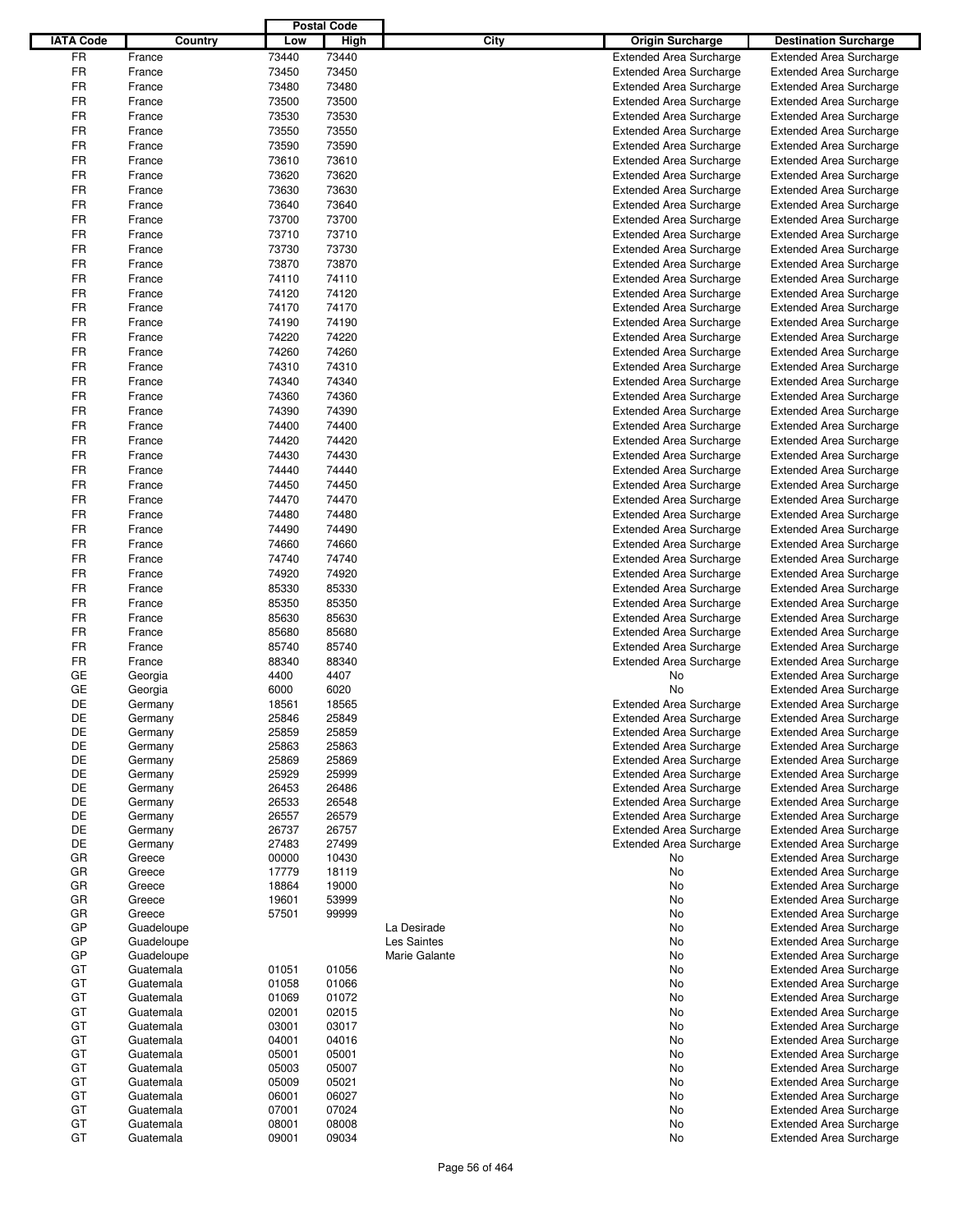|                  |                    |                | <b>Postal Code</b> |               |                                                                  |                                                                  |
|------------------|--------------------|----------------|--------------------|---------------|------------------------------------------------------------------|------------------------------------------------------------------|
| <b>IATA Code</b> | Country            | Low            | High               | City          | <b>Origin Surcharge</b>                                          | <b>Destination Surcharge</b>                                     |
| <b>FR</b>        | France             | 73440          | 73440              |               | <b>Extended Area Surcharge</b>                                   | <b>Extended Area Surcharge</b>                                   |
| <b>FR</b>        | France             | 73450          | 73450              |               | <b>Extended Area Surcharge</b>                                   | <b>Extended Area Surcharge</b>                                   |
| <b>FR</b>        | France             | 73480          | 73480              |               | <b>Extended Area Surcharge</b>                                   | <b>Extended Area Surcharge</b>                                   |
| FR               | France             | 73500          | 73500              |               | <b>Extended Area Surcharge</b>                                   | <b>Extended Area Surcharge</b>                                   |
| FR               | France             | 73530          | 73530              |               | <b>Extended Area Surcharge</b>                                   | <b>Extended Area Surcharge</b>                                   |
| FR               | France             | 73550          | 73550              |               | <b>Extended Area Surcharge</b>                                   | <b>Extended Area Surcharge</b>                                   |
| FR               | France             | 73590          | 73590              |               | <b>Extended Area Surcharge</b>                                   | <b>Extended Area Surcharge</b>                                   |
| <b>FR</b>        | France             | 73610          | 73610              |               | <b>Extended Area Surcharge</b>                                   | <b>Extended Area Surcharge</b>                                   |
| FR               | France             | 73620          | 73620              |               | <b>Extended Area Surcharge</b>                                   | <b>Extended Area Surcharge</b>                                   |
| <b>FR</b>        | France             | 73630          | 73630              |               | <b>Extended Area Surcharge</b>                                   | <b>Extended Area Surcharge</b>                                   |
| FR               |                    | 73640          | 73640              |               |                                                                  |                                                                  |
| FR               | France             |                |                    |               | <b>Extended Area Surcharge</b>                                   | <b>Extended Area Surcharge</b>                                   |
|                  | France             | 73700          | 73700              |               | <b>Extended Area Surcharge</b>                                   | <b>Extended Area Surcharge</b>                                   |
| <b>FR</b>        | France             | 73710          | 73710              |               | <b>Extended Area Surcharge</b>                                   | <b>Extended Area Surcharge</b>                                   |
| FR               | France             | 73730          | 73730              |               | <b>Extended Area Surcharge</b>                                   | <b>Extended Area Surcharge</b>                                   |
| FR               | France             | 73870          | 73870              |               | <b>Extended Area Surcharge</b>                                   | <b>Extended Area Surcharge</b>                                   |
| FR               | France             | 74110          | 74110              |               | <b>Extended Area Surcharge</b>                                   | <b>Extended Area Surcharge</b>                                   |
| FR               | France             | 74120          | 74120              |               | <b>Extended Area Surcharge</b>                                   | <b>Extended Area Surcharge</b>                                   |
| FR               | France             | 74170          | 74170              |               | <b>Extended Area Surcharge</b>                                   | <b>Extended Area Surcharge</b>                                   |
| FR               | France             | 74190          | 74190              |               | <b>Extended Area Surcharge</b>                                   | <b>Extended Area Surcharge</b>                                   |
| FR               | France             | 74220          | 74220              |               | <b>Extended Area Surcharge</b>                                   | <b>Extended Area Surcharge</b>                                   |
| FR               | France             | 74260          | 74260              |               | <b>Extended Area Surcharge</b>                                   | <b>Extended Area Surcharge</b>                                   |
| FR               | France             | 74310          | 74310              |               | <b>Extended Area Surcharge</b>                                   | <b>Extended Area Surcharge</b>                                   |
| <b>FR</b>        | France             | 74340          | 74340              |               | <b>Extended Area Surcharge</b>                                   | <b>Extended Area Surcharge</b>                                   |
| FR               | France             | 74360          | 74360              |               | <b>Extended Area Surcharge</b>                                   | <b>Extended Area Surcharge</b>                                   |
| FR               | France             | 74390          | 74390              |               | <b>Extended Area Surcharge</b>                                   | <b>Extended Area Surcharge</b>                                   |
| <b>FR</b>        | France             | 74400          | 74400              |               | <b>Extended Area Surcharge</b>                                   | <b>Extended Area Surcharge</b>                                   |
| FR               | France             | 74420          | 74420              |               | <b>Extended Area Surcharge</b>                                   | <b>Extended Area Surcharge</b>                                   |
| FR               | France             | 74430          | 74430              |               | <b>Extended Area Surcharge</b>                                   | <b>Extended Area Surcharge</b>                                   |
| <b>FR</b>        | France             | 74440          | 74440              |               | <b>Extended Area Surcharge</b>                                   | Extended Area Surcharge                                          |
| FR               | France             | 74450          | 74450              |               | <b>Extended Area Surcharge</b>                                   | <b>Extended Area Surcharge</b>                                   |
| <b>FR</b>        | France             | 74470          | 74470              |               | <b>Extended Area Surcharge</b>                                   | <b>Extended Area Surcharge</b>                                   |
| FR               | France             | 74480          | 74480              |               | <b>Extended Area Surcharge</b>                                   | <b>Extended Area Surcharge</b>                                   |
| FR               | France             | 74490          | 74490              |               | <b>Extended Area Surcharge</b>                                   | <b>Extended Area Surcharge</b>                                   |
| <b>FR</b>        | France             | 74660          | 74660              |               | <b>Extended Area Surcharge</b>                                   | <b>Extended Area Surcharge</b>                                   |
| <b>FR</b>        |                    |                | 74740              |               |                                                                  |                                                                  |
| <b>FR</b>        | France             | 74740          |                    |               | <b>Extended Area Surcharge</b>                                   | <b>Extended Area Surcharge</b>                                   |
|                  | France             | 74920          | 74920              |               | <b>Extended Area Surcharge</b>                                   | <b>Extended Area Surcharge</b>                                   |
| FR               | France             | 85330          | 85330              |               | <b>Extended Area Surcharge</b>                                   | <b>Extended Area Surcharge</b>                                   |
| <b>FR</b>        | France             | 85350          | 85350              |               | <b>Extended Area Surcharge</b>                                   | <b>Extended Area Surcharge</b>                                   |
| FR               | France             | 85630          | 85630              |               | <b>Extended Area Surcharge</b>                                   | <b>Extended Area Surcharge</b>                                   |
| FR               | France             | 85680          | 85680              |               | <b>Extended Area Surcharge</b>                                   | <b>Extended Area Surcharge</b>                                   |
| <b>FR</b>        | France             | 85740          | 85740              |               | <b>Extended Area Surcharge</b>                                   | <b>Extended Area Surcharge</b>                                   |
| FR               | France             | 88340          | 88340              |               | <b>Extended Area Surcharge</b>                                   | <b>Extended Area Surcharge</b>                                   |
| GE               | Georgia            | 4400           | 4407               |               | No                                                               | <b>Extended Area Surcharge</b>                                   |
| GE               | Georgia            | 6000           | 6020               |               | No                                                               | <b>Extended Area Surcharge</b>                                   |
| DE               | Germany            | 18561          | 18565              |               | <b>Extended Area Surcharge</b>                                   | <b>Extended Area Surcharge</b>                                   |
| DE               | Germany            | 25846          | 25849              |               | Extended Area Surcharge                                          | Extended Area Surcharge                                          |
| DE               | Germany            | 25859          | 25859              |               | <b>Extended Area Surcharge</b>                                   | <b>Extended Area Surcharge</b>                                   |
| DE               | Germany            | 25863          | 25863              |               | <b>Extended Area Surcharge</b>                                   | <b>Extended Area Surcharge</b>                                   |
| DE               | Germany            | 25869          | 25869              |               | <b>Extended Area Surcharge</b>                                   | <b>Extended Area Surcharge</b>                                   |
| DE               | Germany            | 25929          | 25999              |               | <b>Extended Area Surcharge</b>                                   | <b>Extended Area Surcharge</b>                                   |
| DE               | Germany            | 26453          | 26486              |               | <b>Extended Area Surcharge</b>                                   | <b>Extended Area Surcharge</b>                                   |
| DE<br>DE         | Germany            | 26533          | 26548              |               | <b>Extended Area Surcharge</b>                                   | <b>Extended Area Surcharge</b><br><b>Extended Area Surcharge</b> |
|                  | Germany            | 26557          | 26579              |               | <b>Extended Area Surcharge</b>                                   | <b>Extended Area Surcharge</b>                                   |
| DE<br>DE         | Germany<br>Germany | 26737<br>27483 | 26757<br>27499     |               | <b>Extended Area Surcharge</b><br><b>Extended Area Surcharge</b> | <b>Extended Area Surcharge</b>                                   |
| GR               | Greece             | 00000          | 10430              |               | No                                                               | <b>Extended Area Surcharge</b>                                   |
| GR               | Greece             | 17779          | 18119              |               | No                                                               | <b>Extended Area Surcharge</b>                                   |
| GR               | Greece             | 18864          | 19000              |               | No                                                               | <b>Extended Area Surcharge</b>                                   |
| GR               | Greece             | 19601          | 53999              |               | No                                                               | <b>Extended Area Surcharge</b>                                   |
| GR               | Greece             | 57501          | 99999              |               | No                                                               | <b>Extended Area Surcharge</b>                                   |
| GP               | Guadeloupe         |                |                    | La Desirade   | No                                                               | <b>Extended Area Surcharge</b>                                   |
| GP               | Guadeloupe         |                |                    | Les Saintes   | No                                                               | <b>Extended Area Surcharge</b>                                   |
| GP               | Guadeloupe         |                |                    | Marie Galante | No                                                               | <b>Extended Area Surcharge</b>                                   |
| GT               | Guatemala          | 01051          | 01056              |               | No                                                               | <b>Extended Area Surcharge</b>                                   |
| GT               | Guatemala          | 01058          | 01066              |               | No                                                               | <b>Extended Area Surcharge</b>                                   |
| GT               | Guatemala          | 01069          | 01072              |               | No                                                               | <b>Extended Area Surcharge</b>                                   |
| GT               | Guatemala          | 02001          | 02015              |               | No                                                               | <b>Extended Area Surcharge</b>                                   |
| GT               | Guatemala          | 03001          | 03017              |               | No                                                               | <b>Extended Area Surcharge</b>                                   |
| GT               | Guatemala          | 04001          | 04016              |               | No                                                               | <b>Extended Area Surcharge</b>                                   |
| GT               | Guatemala          | 05001          | 05001              |               | No                                                               | <b>Extended Area Surcharge</b>                                   |
| GT               | Guatemala          | 05003          | 05007              |               | No                                                               | <b>Extended Area Surcharge</b>                                   |
| GT               | Guatemala          | 05009          | 05021              |               | No                                                               | <b>Extended Area Surcharge</b>                                   |
| GT               | Guatemala          | 06001          | 06027              |               | No                                                               | <b>Extended Area Surcharge</b>                                   |
| GT               | Guatemala          | 07001          | 07024              |               | No                                                               | <b>Extended Area Surcharge</b>                                   |
| GT               | Guatemala          | 08001          | 08008              |               | No                                                               | <b>Extended Area Surcharge</b>                                   |
| GT               | Guatemala          | 09001          | 09034              |               | No                                                               | <b>Extended Area Surcharge</b>                                   |
|                  |                    |                |                    |               |                                                                  |                                                                  |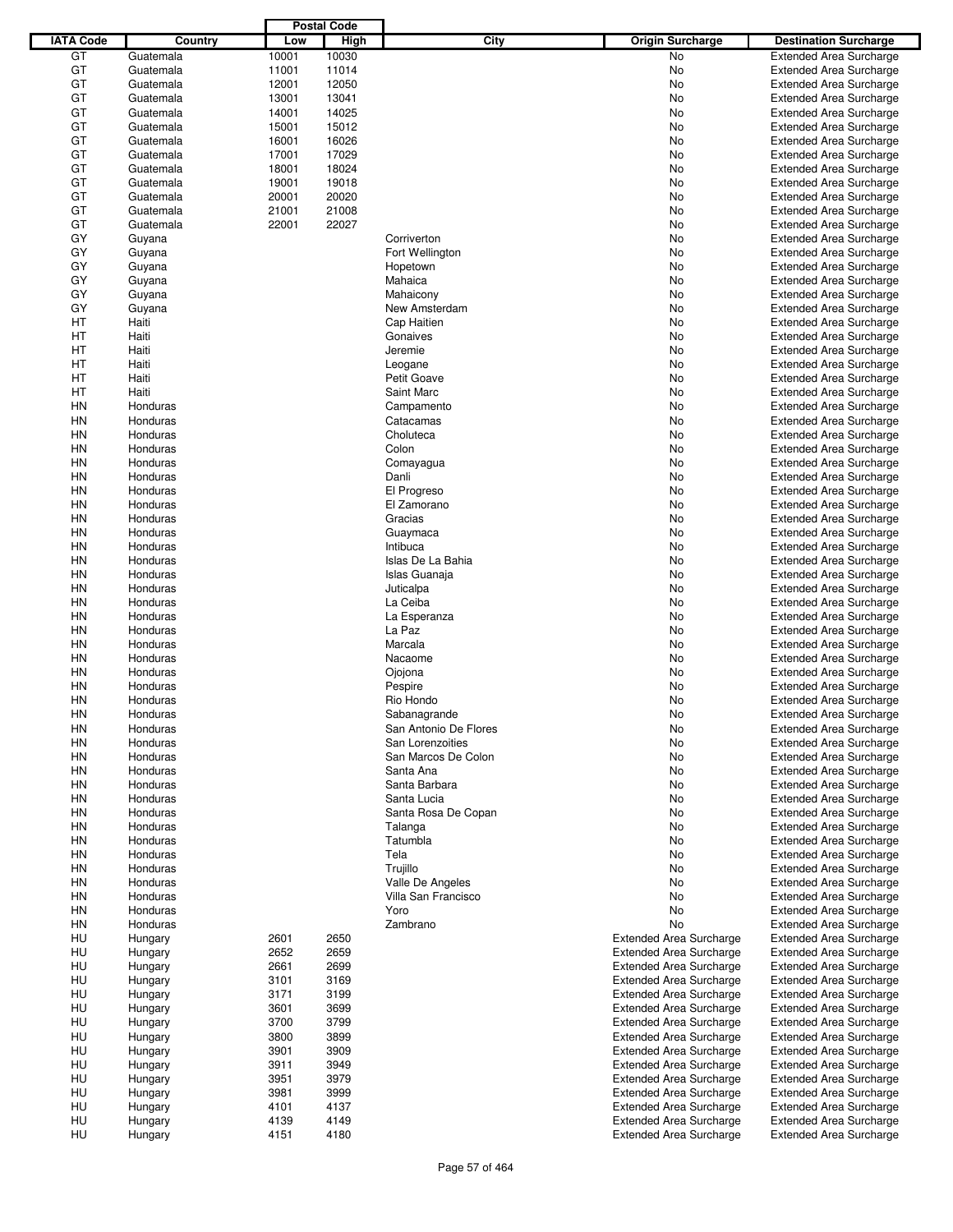|                  |           |       | <b>Postal Code</b> |                       |                                |                                |
|------------------|-----------|-------|--------------------|-----------------------|--------------------------------|--------------------------------|
| <b>IATA Code</b> | Country   | Low   | <b>High</b>        | City                  | <b>Origin Surcharge</b>        | <b>Destination Surcharge</b>   |
| GT               | Guatemala | 10001 | 10030              |                       | <b>No</b>                      | <b>Extended Area Surcharge</b> |
| GT               | Guatemala | 11001 | 11014              |                       | No                             | <b>Extended Area Surcharge</b> |
| GT               | Guatemala | 12001 | 12050              |                       | No                             | <b>Extended Area Surcharge</b> |
| GT               | Guatemala | 13001 | 13041              |                       | No                             | <b>Extended Area Surcharge</b> |
| GT               | Guatemala | 14001 | 14025              |                       | No                             | <b>Extended Area Surcharge</b> |
| GT               | Guatemala | 15001 | 15012              |                       | No                             | <b>Extended Area Surcharge</b> |
| GT               |           |       |                    |                       |                                |                                |
|                  | Guatemala | 16001 | 16026              |                       | No                             | <b>Extended Area Surcharge</b> |
| GT               | Guatemala | 17001 | 17029              |                       | No                             | <b>Extended Area Surcharge</b> |
| GT               | Guatemala | 18001 | 18024              |                       | No                             | <b>Extended Area Surcharge</b> |
| GT               | Guatemala | 19001 | 19018              |                       | No                             | <b>Extended Area Surcharge</b> |
| GT               | Guatemala | 20001 | 20020              |                       | No                             | <b>Extended Area Surcharge</b> |
| GT               | Guatemala | 21001 | 21008              |                       | No                             | <b>Extended Area Surcharge</b> |
| GT               | Guatemala | 22001 | 22027              |                       | No                             | <b>Extended Area Surcharge</b> |
| GY               | Guyana    |       |                    | Corriverton           | No                             | <b>Extended Area Surcharge</b> |
| GY               | Guyana    |       |                    | Fort Wellington       | No                             | <b>Extended Area Surcharge</b> |
| GY               | Guyana    |       |                    | Hopetown              | No                             | <b>Extended Area Surcharge</b> |
| GY               | Guyana    |       |                    | Mahaica               | No                             | <b>Extended Area Surcharge</b> |
| GY               | Guyana    |       |                    | Mahaicony             | No                             | <b>Extended Area Surcharge</b> |
| GY               | Guyana    |       |                    | New Amsterdam         | No                             | <b>Extended Area Surcharge</b> |
| НT               | Haiti     |       |                    | Cap Haitien           | No                             | <b>Extended Area Surcharge</b> |
| HT               | Haiti     |       |                    | Gonaives              | No                             | <b>Extended Area Surcharge</b> |
| НT               | Haiti     |       |                    | Jeremie               | No                             | <b>Extended Area Surcharge</b> |
| НT               | Haiti     |       |                    | Leogane               | No                             | <b>Extended Area Surcharge</b> |
| HT               | Haiti     |       |                    | Petit Goave           | No                             | <b>Extended Area Surcharge</b> |
| HT               | Haiti     |       |                    | Saint Marc            | No                             | <b>Extended Area Surcharge</b> |
| HN               | Honduras  |       |                    |                       |                                |                                |
|                  |           |       |                    | Campamento            | No                             | <b>Extended Area Surcharge</b> |
| HN               | Honduras  |       |                    | Catacamas             | No                             | <b>Extended Area Surcharge</b> |
| HN               | Honduras  |       |                    | Choluteca             | No                             | <b>Extended Area Surcharge</b> |
| HN               | Honduras  |       |                    | Colon                 | No                             | <b>Extended Area Surcharge</b> |
| HN               | Honduras  |       |                    | Comayagua             | No                             | <b>Extended Area Surcharge</b> |
| HN               | Honduras  |       |                    | Danli                 | No                             | <b>Extended Area Surcharge</b> |
| HN               | Honduras  |       |                    | El Progreso           | No                             | <b>Extended Area Surcharge</b> |
| HN               | Honduras  |       |                    | El Zamorano           | No                             | <b>Extended Area Surcharge</b> |
| HN               | Honduras  |       |                    | Gracias               | No                             | <b>Extended Area Surcharge</b> |
| HN               | Honduras  |       |                    | Guaymaca              | No                             | <b>Extended Area Surcharge</b> |
| HN               | Honduras  |       |                    | Intibuca              | No                             | <b>Extended Area Surcharge</b> |
| HN               | Honduras  |       |                    | Islas De La Bahia     | No                             | <b>Extended Area Surcharge</b> |
| HN               | Honduras  |       |                    | Islas Guanaja         | No                             | <b>Extended Area Surcharge</b> |
| HN               | Honduras  |       |                    | Juticalpa             | No                             | <b>Extended Area Surcharge</b> |
| HN               | Honduras  |       |                    | La Ceiba              | No                             | <b>Extended Area Surcharge</b> |
| HN               | Honduras  |       |                    | La Esperanza          | No                             | <b>Extended Area Surcharge</b> |
| HN               | Honduras  |       |                    | La Paz                | No                             | <b>Extended Area Surcharge</b> |
| HN               | Honduras  |       |                    | Marcala               | No                             | <b>Extended Area Surcharge</b> |
| HN               | Honduras  |       |                    | Nacaome               | No                             | <b>Extended Area Surcharge</b> |
| HN               | Honduras  |       |                    |                       | No                             | <b>Extended Area Surcharge</b> |
|                  |           |       |                    | Ojojona               |                                |                                |
| HN               | Honduras  |       |                    | Pespire               | No                             | <b>Extended Area Surcharge</b> |
| <b>HN</b>        | Honduras  |       |                    | Rio Hondo             | No                             | <b>Extended Area Surcharge</b> |
| HN               | Honduras  |       |                    | Sabanagrande          | No                             | <b>Extended Area Surcharge</b> |
| HN               | Honduras  |       |                    | San Antonio De Flores | No                             | <b>Extended Area Surcharge</b> |
| HN               | Honduras  |       |                    | San Lorenzoities      | No                             | <b>Extended Area Surcharge</b> |
| HN               | Honduras  |       |                    | San Marcos De Colon   | No                             | <b>Extended Area Surcharge</b> |
| HN               | Honduras  |       |                    | Santa Ana             | No                             | <b>Extended Area Surcharge</b> |
| HN               | Honduras  |       |                    | Santa Barbara         | No                             | <b>Extended Area Surcharge</b> |
| HN               | Honduras  |       |                    | Santa Lucia           | No                             | <b>Extended Area Surcharge</b> |
| HN               | Honduras  |       |                    | Santa Rosa De Copan   | No                             | <b>Extended Area Surcharge</b> |
| HN               | Honduras  |       |                    | Talanga               | No                             | <b>Extended Area Surcharge</b> |
| HN               | Honduras  |       |                    | Tatumbla              | No                             | <b>Extended Area Surcharge</b> |
| HN               | Honduras  |       |                    | Tela                  | No                             | <b>Extended Area Surcharge</b> |
| HN               | Honduras  |       |                    | Trujillo              | No                             | <b>Extended Area Surcharge</b> |
| HN               | Honduras  |       |                    | Valle De Angeles      | No                             | <b>Extended Area Surcharge</b> |
| HN               | Honduras  |       |                    | Villa San Francisco   | No                             | <b>Extended Area Surcharge</b> |
| HN               | Honduras  |       |                    | Yoro                  | No                             | <b>Extended Area Surcharge</b> |
| HN               | Honduras  |       |                    | Zambrano              | No                             | <b>Extended Area Surcharge</b> |
| HU               | Hungary   | 2601  | 2650               |                       | <b>Extended Area Surcharge</b> | <b>Extended Area Surcharge</b> |
| HU               | Hungary   | 2652  | 2659               |                       | <b>Extended Area Surcharge</b> | <b>Extended Area Surcharge</b> |
|                  |           |       |                    |                       |                                |                                |
| HU               | Hungary   | 2661  | 2699               |                       | <b>Extended Area Surcharge</b> | <b>Extended Area Surcharge</b> |
| HU               | Hungary   | 3101  | 3169               |                       | <b>Extended Area Surcharge</b> | <b>Extended Area Surcharge</b> |
| HU               | Hungary   | 3171  | 3199               |                       | <b>Extended Area Surcharge</b> | <b>Extended Area Surcharge</b> |
| HU               | Hungary   | 3601  | 3699               |                       | <b>Extended Area Surcharge</b> | <b>Extended Area Surcharge</b> |
| HU               | Hungary   | 3700  | 3799               |                       | <b>Extended Area Surcharge</b> | <b>Extended Area Surcharge</b> |
| HU               | Hungary   | 3800  | 3899               |                       | <b>Extended Area Surcharge</b> | <b>Extended Area Surcharge</b> |
| HU               | Hungary   | 3901  | 3909               |                       | <b>Extended Area Surcharge</b> | <b>Extended Area Surcharge</b> |
| HU               | Hungary   | 3911  | 3949               |                       | <b>Extended Area Surcharge</b> | <b>Extended Area Surcharge</b> |
| HU               | Hungary   | 3951  | 3979               |                       | <b>Extended Area Surcharge</b> | <b>Extended Area Surcharge</b> |
| HU               | Hungary   | 3981  | 3999               |                       | <b>Extended Area Surcharge</b> | <b>Extended Area Surcharge</b> |
| HU               | Hungary   | 4101  | 4137               |                       | <b>Extended Area Surcharge</b> | <b>Extended Area Surcharge</b> |
| HU               | Hungary   | 4139  | 4149               |                       | <b>Extended Area Surcharge</b> | <b>Extended Area Surcharge</b> |
| HU               | Hungary   | 4151  | 4180               |                       | Extended Area Surcharge        | <b>Extended Area Surcharge</b> |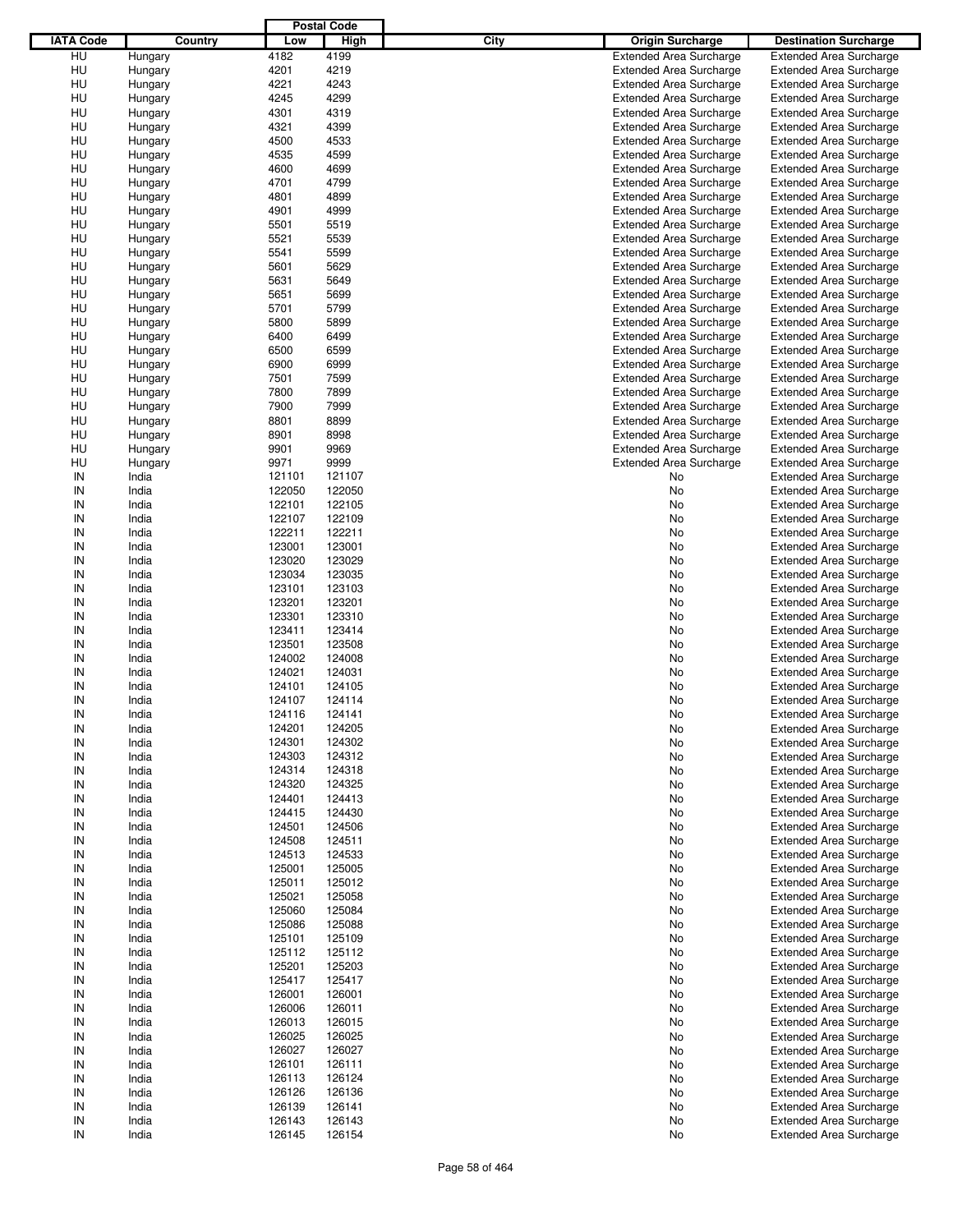|                  |         |        | <b>Postal Code</b> |                                 |                                |
|------------------|---------|--------|--------------------|---------------------------------|--------------------------------|
| <b>IATA Code</b> | Country | Low    | High               | City<br><b>Origin Surcharge</b> | <b>Destination Surcharge</b>   |
| HU               | Hungary | 4182   | 4199               | <b>Extended Area Surcharge</b>  | <b>Extended Area Surcharge</b> |
| HU               | Hungary | 4201   | 4219               | <b>Extended Area Surcharge</b>  | <b>Extended Area Surcharge</b> |
|                  |         | 4221   | 4243               | <b>Extended Area Surcharge</b>  |                                |
| HU               | Hungary |        | 4299               |                                 | <b>Extended Area Surcharge</b> |
| HU               | Hungary | 4245   |                    | <b>Extended Area Surcharge</b>  | <b>Extended Area Surcharge</b> |
| HU               | Hungary | 4301   | 4319               | <b>Extended Area Surcharge</b>  | <b>Extended Area Surcharge</b> |
| HU               | Hungary | 4321   | 4399               | <b>Extended Area Surcharge</b>  | <b>Extended Area Surcharge</b> |
| HU               | Hungary | 4500   | 4533               | <b>Extended Area Surcharge</b>  | <b>Extended Area Surcharge</b> |
| HU               | Hungary | 4535   | 4599               | <b>Extended Area Surcharge</b>  | <b>Extended Area Surcharge</b> |
| HU               | Hungary | 4600   | 4699               | <b>Extended Area Surcharge</b>  | <b>Extended Area Surcharge</b> |
| HU               | Hungary | 4701   | 4799               | <b>Extended Area Surcharge</b>  | <b>Extended Area Surcharge</b> |
| HU               | Hungary | 4801   | 4899               | <b>Extended Area Surcharge</b>  | <b>Extended Area Surcharge</b> |
| HU               | Hungary | 4901   | 4999               | <b>Extended Area Surcharge</b>  | <b>Extended Area Surcharge</b> |
| HU               | Hungary | 5501   | 5519               | <b>Extended Area Surcharge</b>  | <b>Extended Area Surcharge</b> |
| HU               | Hungary | 5521   | 5539               | <b>Extended Area Surcharge</b>  | <b>Extended Area Surcharge</b> |
| HU               | Hungary | 5541   | 5599               | <b>Extended Area Surcharge</b>  | <b>Extended Area Surcharge</b> |
| HU               | Hungary | 5601   | 5629               | <b>Extended Area Surcharge</b>  | <b>Extended Area Surcharge</b> |
| HU               | Hungary | 5631   | 5649               | <b>Extended Area Surcharge</b>  | <b>Extended Area Surcharge</b> |
| HU               | Hungary | 5651   | 5699               | <b>Extended Area Surcharge</b>  | <b>Extended Area Surcharge</b> |
| HU               | Hungary | 5701   | 5799               | <b>Extended Area Surcharge</b>  | <b>Extended Area Surcharge</b> |
| HU               |         | 5800   | 5899               | <b>Extended Area Surcharge</b>  | <b>Extended Area Surcharge</b> |
|                  | Hungary |        |                    |                                 |                                |
| HU               | Hungary | 6400   | 6499               | <b>Extended Area Surcharge</b>  | <b>Extended Area Surcharge</b> |
| HU               | Hungary | 6500   | 6599               | <b>Extended Area Surcharge</b>  | <b>Extended Area Surcharge</b> |
| HU               | Hungary | 6900   | 6999               | <b>Extended Area Surcharge</b>  | <b>Extended Area Surcharge</b> |
| HU               | Hungary | 7501   | 7599               | <b>Extended Area Surcharge</b>  | <b>Extended Area Surcharge</b> |
| HU               | Hungary | 7800   | 7899               | <b>Extended Area Surcharge</b>  | <b>Extended Area Surcharge</b> |
| HU               | Hungary | 7900   | 7999               | <b>Extended Area Surcharge</b>  | <b>Extended Area Surcharge</b> |
| HU               | Hungary | 8801   | 8899               | <b>Extended Area Surcharge</b>  | <b>Extended Area Surcharge</b> |
| HU               | Hungary | 8901   | 8998               | <b>Extended Area Surcharge</b>  | <b>Extended Area Surcharge</b> |
| HU               | Hungary | 9901   | 9969               | <b>Extended Area Surcharge</b>  | <b>Extended Area Surcharge</b> |
| HU               | Hungary | 9971   | 9999               | <b>Extended Area Surcharge</b>  | <b>Extended Area Surcharge</b> |
| IN               | India   | 121101 | 121107             | No                              | <b>Extended Area Surcharge</b> |
| IN               | India   | 122050 | 122050             | No                              | <b>Extended Area Surcharge</b> |
| IN               | India   | 122101 | 122105             | No                              | <b>Extended Area Surcharge</b> |
| IN               | India   | 122107 | 122109             | No                              | <b>Extended Area Surcharge</b> |
| IN               | India   | 122211 | 122211             | No                              | <b>Extended Area Surcharge</b> |
| IN               | India   | 123001 | 123001             | No                              | <b>Extended Area Surcharge</b> |
| IN               |         |        |                    |                                 |                                |
|                  | India   | 123020 | 123029             | No                              | <b>Extended Area Surcharge</b> |
| IN               | India   | 123034 | 123035             | No                              | <b>Extended Area Surcharge</b> |
| IN               | India   | 123101 | 123103             | No                              | <b>Extended Area Surcharge</b> |
| IN               | India   | 123201 | 123201             | No                              | <b>Extended Area Surcharge</b> |
| IN               | India   | 123301 | 123310             | No                              | <b>Extended Area Surcharge</b> |
| IN               | India   | 123411 | 123414             | No                              | <b>Extended Area Surcharge</b> |
| IN               | India   | 123501 | 123508             | No                              | <b>Extended Area Surcharge</b> |
| IN               | India   | 124002 | 124008             | No                              | <b>Extended Area Surcharge</b> |
| IN               | India   | 124021 | 124031             | No                              | <b>Extended Area Surcharge</b> |
| IN               | India   | 124101 | 124105             | No                              | <b>Extended Area Surcharge</b> |
| IN               | India   | 124107 | 124114             | No                              | <b>Extended Area Surcharge</b> |
| IN               | India   | 124116 | 124141             | No                              | <b>Extended Area Surcharge</b> |
| IN               | India   | 124201 | 124205             | No                              | <b>Extended Area Surcharge</b> |
| IN               | India   | 124301 | 124302             | No                              | <b>Extended Area Surcharge</b> |
| IN               | India   | 124303 | 124312             | No                              | <b>Extended Area Surcharge</b> |
| IN               | India   | 124314 | 124318             | No                              | <b>Extended Area Surcharge</b> |
| IN               | India   | 124320 | 124325             | No                              | <b>Extended Area Surcharge</b> |
|                  |         |        |                    |                                 |                                |
| IN               | India   | 124401 | 124413             | No                              | <b>Extended Area Surcharge</b> |
| IN               | India   | 124415 | 124430             | No                              | <b>Extended Area Surcharge</b> |
| IN               | India   | 124501 | 124506             | No                              | <b>Extended Area Surcharge</b> |
| IN               | India   | 124508 | 124511             | No                              | Extended Area Surcharge        |
| IN               | India   | 124513 | 124533             | No                              | <b>Extended Area Surcharge</b> |
| IN               | India   | 125001 | 125005             | No                              | <b>Extended Area Surcharge</b> |
| IN               | India   | 125011 | 125012             | No                              | <b>Extended Area Surcharge</b> |
| IN               | India   | 125021 | 125058             | No                              | Extended Area Surcharge        |
| IN               | India   | 125060 | 125084             | No                              | <b>Extended Area Surcharge</b> |
| IN               | India   | 125086 | 125088             | No                              | Extended Area Surcharge        |
| IN               | India   | 125101 | 125109             | No                              | Extended Area Surcharge        |
| ${\sf IN}$       | India   | 125112 | 125112             | No                              | <b>Extended Area Surcharge</b> |
| IN               | India   | 125201 | 125203             | No                              | <b>Extended Area Surcharge</b> |
| IN               | India   | 125417 | 125417             | No                              | Extended Area Surcharge        |
| IN               | India   | 126001 | 126001             | No                              | <b>Extended Area Surcharge</b> |
| IN               |         | 126006 | 126011             |                                 | <b>Extended Area Surcharge</b> |
|                  | India   |        |                    | No                              |                                |
| IN               | India   | 126013 | 126015             | No                              | <b>Extended Area Surcharge</b> |
| ${\sf IN}$       | India   | 126025 | 126025             | No                              | <b>Extended Area Surcharge</b> |
| IN               | India   | 126027 | 126027             | No                              | <b>Extended Area Surcharge</b> |
| IN               | India   | 126101 | 126111             | No                              | Extended Area Surcharge        |
| IN               | India   | 126113 | 126124             | No                              | <b>Extended Area Surcharge</b> |
| IN               | India   | 126126 | 126136             | No                              | <b>Extended Area Surcharge</b> |
| IN               | India   | 126139 | 126141             | No                              | <b>Extended Area Surcharge</b> |
| ${\sf IN}$       | India   | 126143 | 126143             | No                              | <b>Extended Area Surcharge</b> |
| ${\sf IN}$       | India   | 126145 | 126154             | No                              | <b>Extended Area Surcharge</b> |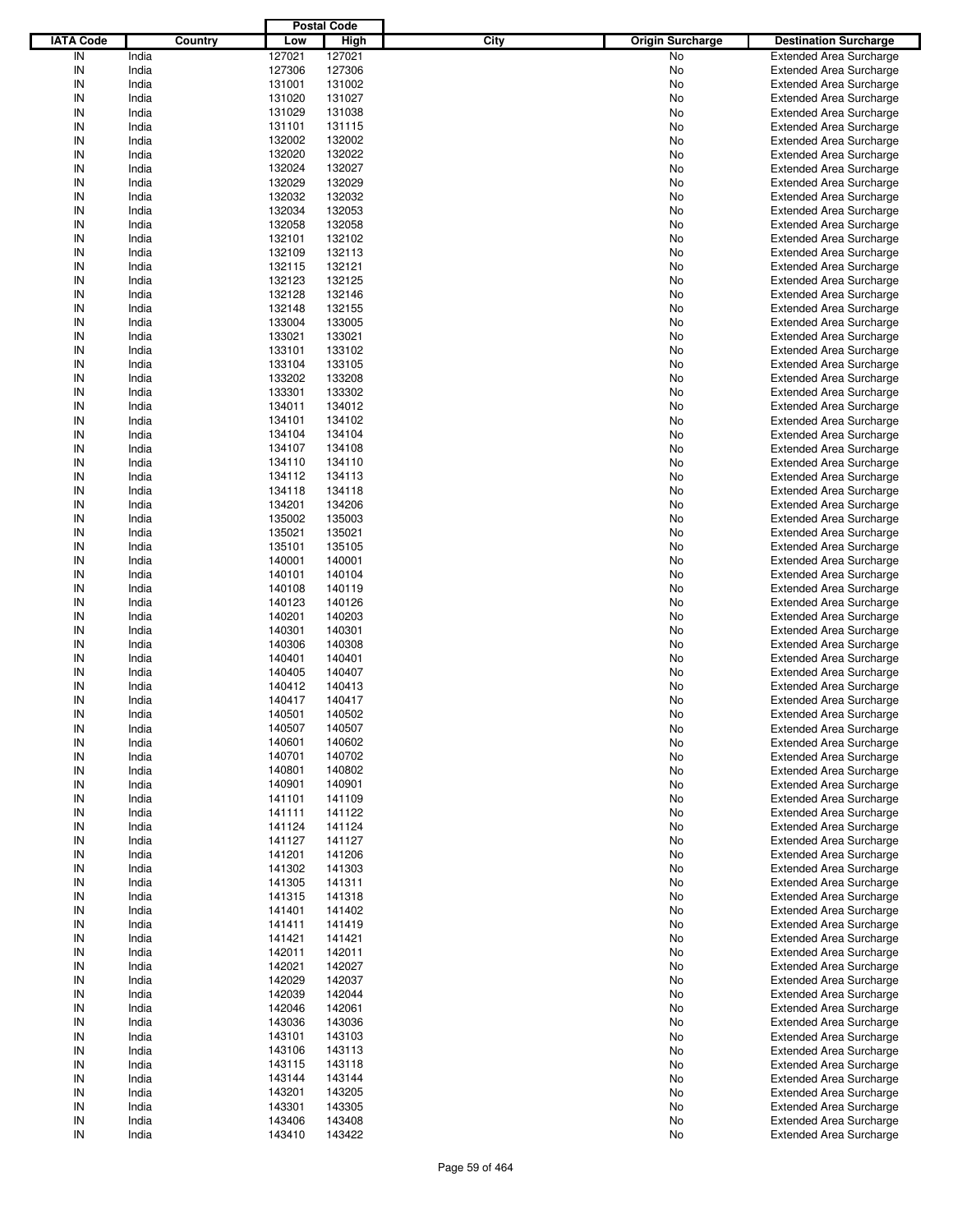|                  |                |                  | <b>Postal Code</b> |             |                         |                                                                  |
|------------------|----------------|------------------|--------------------|-------------|-------------------------|------------------------------------------------------------------|
| <b>IATA Code</b> | Country        | Low              | <b>High</b>        | <b>City</b> | <b>Origin Surcharge</b> | <b>Destination Surcharge</b>                                     |
| IN               | India          | 127021           | 127021             |             | No                      | <b>Extended Area Surcharge</b>                                   |
| IN               | India          | 127306           | 127306             |             | No                      | <b>Extended Area Surcharge</b>                                   |
| IN               | India          | 131001           | 131002             |             | No                      | <b>Extended Area Surcharge</b>                                   |
| IN               | India          | 131020           | 131027             |             | No                      | <b>Extended Area Surcharge</b>                                   |
| IN               | India          | 131029           | 131038             |             | No                      | <b>Extended Area Surcharge</b>                                   |
| IN               | India          | 131101           | 131115             |             | No                      | <b>Extended Area Surcharge</b>                                   |
| IN               | India          | 132002           | 132002             |             | No                      | <b>Extended Area Surcharge</b>                                   |
| IN               | India          | 132020           | 132022             |             | No                      | <b>Extended Area Surcharge</b>                                   |
| IN               | India          | 132024           | 132027             |             | No                      | <b>Extended Area Surcharge</b>                                   |
| IN               | India          | 132029           | 132029             |             | No                      | <b>Extended Area Surcharge</b>                                   |
| IN               | India          | 132032           | 132032             |             | No                      | <b>Extended Area Surcharge</b>                                   |
| IN               | India          | 132034           | 132053             |             | No                      | <b>Extended Area Surcharge</b>                                   |
| IN               | India          | 132058           | 132058             |             | No                      | <b>Extended Area Surcharge</b>                                   |
| IN               | India          | 132101           | 132102             |             | No                      | <b>Extended Area Surcharge</b>                                   |
| IN               | India          | 132109           | 132113             |             | No                      | <b>Extended Area Surcharge</b>                                   |
| IN               | India          | 132115           | 132121             |             | No                      | <b>Extended Area Surcharge</b>                                   |
| IN               | India          | 132123           | 132125             |             | No                      | <b>Extended Area Surcharge</b>                                   |
| IN               | India          | 132128           | 132146             |             | No                      | <b>Extended Area Surcharge</b>                                   |
| IN               | India          | 132148           | 132155             |             | No                      | <b>Extended Area Surcharge</b>                                   |
| IN               | India          | 133004           | 133005             |             | No                      | <b>Extended Area Surcharge</b>                                   |
| IN               | India          | 133021           | 133021             |             | No                      | <b>Extended Area Surcharge</b>                                   |
| IN               | India          | 133101           | 133102             |             | No                      | <b>Extended Area Surcharge</b>                                   |
| IN               | India          | 133104           | 133105             |             | No                      | <b>Extended Area Surcharge</b>                                   |
| IN               | India          | 133202           | 133208             |             | No                      | <b>Extended Area Surcharge</b>                                   |
| IN               | India          | 133301           | 133302             |             | No                      | <b>Extended Area Surcharge</b>                                   |
| IN               | India          | 134011           | 134012             |             | No                      | <b>Extended Area Surcharge</b>                                   |
| IN               | India          | 134101           | 134102             |             | No                      | <b>Extended Area Surcharge</b>                                   |
| IN               | India          | 134104           | 134104             |             | No                      | <b>Extended Area Surcharge</b>                                   |
| IN               | India          | 134107           | 134108             |             | No                      | <b>Extended Area Surcharge</b>                                   |
| IN               | India          | 134110           | 134110             |             | No                      | <b>Extended Area Surcharge</b>                                   |
| IN               | India          | 134112           | 134113             |             | No                      | <b>Extended Area Surcharge</b>                                   |
| IN               | India          | 134118           | 134118             |             | No                      | <b>Extended Area Surcharge</b>                                   |
| IN               | India          | 134201           | 134206             |             | No                      | <b>Extended Area Surcharge</b>                                   |
| IN               | India          | 135002           | 135003             |             | No                      | <b>Extended Area Surcharge</b>                                   |
| IN               | India          | 135021           | 135021             |             | No                      | <b>Extended Area Surcharge</b>                                   |
| IN               | India          | 135101           | 135105             |             | No                      | <b>Extended Area Surcharge</b>                                   |
| IN               | India          | 140001           | 140001             |             | No                      | <b>Extended Area Surcharge</b>                                   |
| IN               | India          | 140101           | 140104             |             | No                      | <b>Extended Area Surcharge</b>                                   |
| IN               | India          | 140108           | 140119             |             | No                      | <b>Extended Area Surcharge</b>                                   |
| IN               | India          | 140123           | 140126             |             | No                      | <b>Extended Area Surcharge</b>                                   |
| IN               | India          | 140201           | 140203             |             | No                      | <b>Extended Area Surcharge</b>                                   |
| IN               | India          | 140301           | 140301             |             | No                      | <b>Extended Area Surcharge</b>                                   |
| IN               | India          | 140306           | 140308             |             | No                      | <b>Extended Area Surcharge</b>                                   |
| IN               | India          | 140401           | 140401             |             | No                      | <b>Extended Area Surcharge</b>                                   |
| IN               | India          | 140405           | 140407             |             | No                      | <b>Extended Area Surcharge</b>                                   |
| IN               | India          | 140412           | 140413             |             | No                      | <b>Extended Area Surcharge</b>                                   |
| IN               | India          | 140417           | 140417             |             | No                      | <b>Extended Area Surcharge</b>                                   |
| IN               | India          | 140501           | 140502             |             | No                      | Extended Area Surcharge                                          |
| IN               | India          | 140507           | 140507             |             | No                      | <b>Extended Area Surcharge</b>                                   |
| IN               | India          | 140601           | 140602             |             | No                      | <b>Extended Area Surcharge</b>                                   |
| IN               | India          | 140701           | 140702             |             | No                      | <b>Extended Area Surcharge</b>                                   |
| IN               | India          | 140801           | 140802             |             | No                      | <b>Extended Area Surcharge</b>                                   |
| IN               | India          | 140901           | 140901             |             | No                      | <b>Extended Area Surcharge</b>                                   |
| IN               | India          | 141101           | 141109             |             | No                      | <b>Extended Area Surcharge</b>                                   |
| IN               | India          | 141111           | 141122             |             | No                      | <b>Extended Area Surcharge</b>                                   |
| IN               | India          | 141124           | 141124             |             | No                      | <b>Extended Area Surcharge</b>                                   |
| IN               | India          | 141127           | 141127             |             | No                      | <b>Extended Area Surcharge</b>                                   |
| IN               | India          | 141201           | 141206             |             | No                      | <b>Extended Area Surcharge</b>                                   |
| IN<br>IN         | India<br>India | 141302<br>141305 | 141303<br>141311   |             | No<br>No                | <b>Extended Area Surcharge</b><br><b>Extended Area Surcharge</b> |
| IN               |                |                  |                    |             |                         |                                                                  |
| IN               | India<br>India | 141315           | 141318<br>141402   |             | No                      | <b>Extended Area Surcharge</b>                                   |
| IN               | India          | 141401<br>141411 | 141419             |             | No<br>No                | <b>Extended Area Surcharge</b><br><b>Extended Area Surcharge</b> |
| IN               | India          | 141421           | 141421             |             | No                      | <b>Extended Area Surcharge</b>                                   |
| IN               | India          | 142011           | 142011             |             | No                      | <b>Extended Area Surcharge</b>                                   |
| IN               | India          | 142021           | 142027             |             | No                      | <b>Extended Area Surcharge</b>                                   |
| IN               | India          | 142029           | 142037             |             | No                      | <b>Extended Area Surcharge</b>                                   |
| IN               | India          | 142039           | 142044             |             | No                      | <b>Extended Area Surcharge</b>                                   |
| IN               | India          | 142046           | 142061             |             | No                      | <b>Extended Area Surcharge</b>                                   |
| IN               | India          | 143036           | 143036             |             | No                      | <b>Extended Area Surcharge</b>                                   |
| IN               | India          | 143101           | 143103             |             | No                      | <b>Extended Area Surcharge</b>                                   |
| IN               | India          | 143106           | 143113             |             | No                      | <b>Extended Area Surcharge</b>                                   |
| IN               | India          | 143115           | 143118             |             | No                      | <b>Extended Area Surcharge</b>                                   |
| IN               | India          | 143144           | 143144             |             | No                      | <b>Extended Area Surcharge</b>                                   |
| IN               | India          | 143201           | 143205             |             | No                      | <b>Extended Area Surcharge</b>                                   |
| IN               | India          | 143301           | 143305             |             | No                      | <b>Extended Area Surcharge</b>                                   |
| IN               | India          | 143406           | 143408             |             | No                      | <b>Extended Area Surcharge</b>                                   |
| ${\sf IN}$       | India          | 143410           | 143422             |             | No                      | <b>Extended Area Surcharge</b>                                   |
|                  |                |                  |                    |             |                         |                                                                  |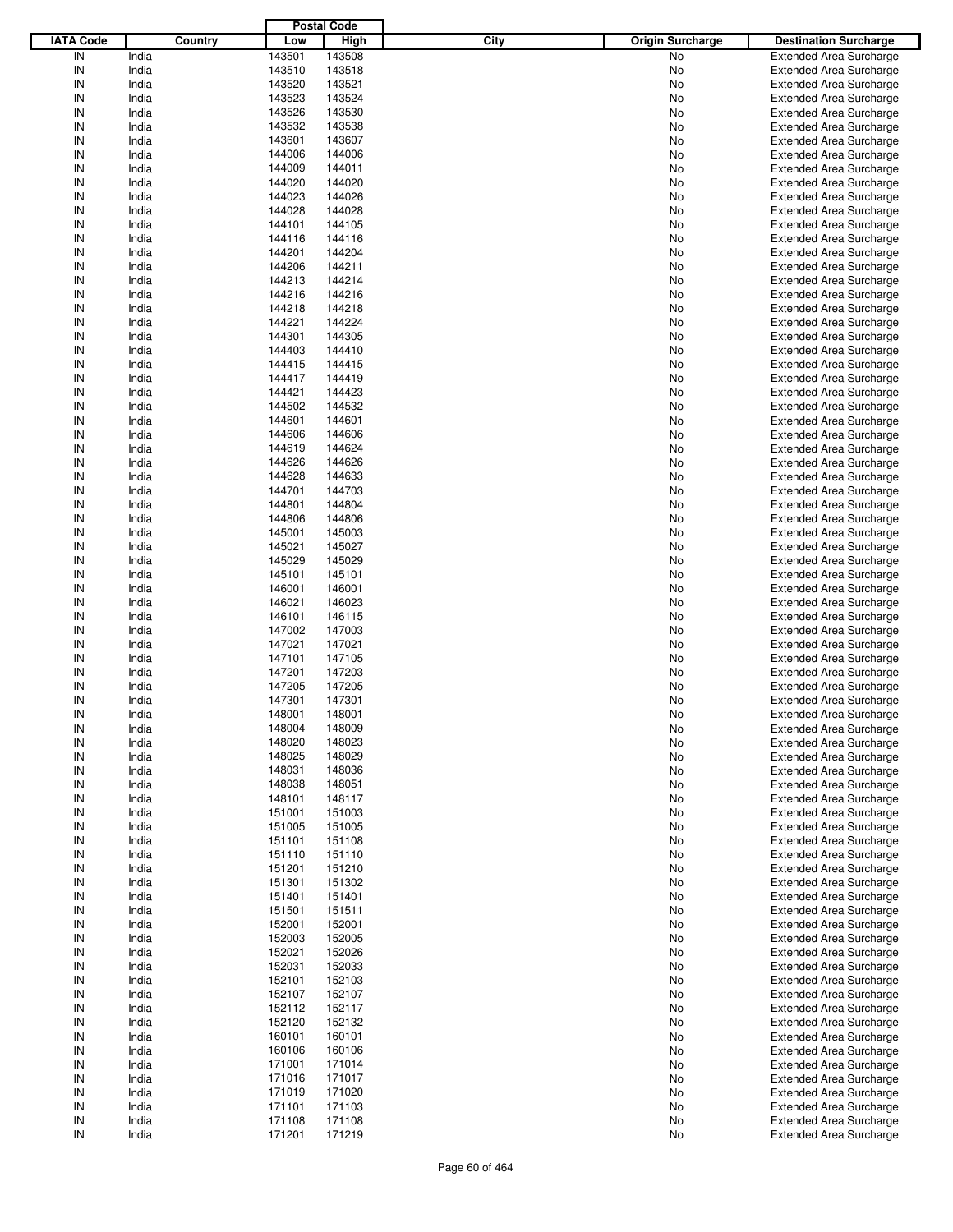|                  |         |        | <b>Postal Code</b> |             |                         |                                |
|------------------|---------|--------|--------------------|-------------|-------------------------|--------------------------------|
| <b>IATA Code</b> | Country | Low    | <b>High</b>        | <b>City</b> | <b>Origin Surcharge</b> | <b>Destination Surcharge</b>   |
| IN               | India   | 143501 | 143508             |             | No                      | <b>Extended Area Surcharge</b> |
| IN               | India   | 143510 | 143518             |             | No                      | <b>Extended Area Surcharge</b> |
| IN               | India   | 143520 | 143521             |             | No                      | <b>Extended Area Surcharge</b> |
| IN               | India   | 143523 | 143524             |             | No                      | <b>Extended Area Surcharge</b> |
| IN               | India   | 143526 | 143530             |             | No                      | <b>Extended Area Surcharge</b> |
| IN               | India   | 143532 | 143538             |             | No                      | <b>Extended Area Surcharge</b> |
| IN               | India   | 143601 | 143607             |             | No                      | <b>Extended Area Surcharge</b> |
| IN               | India   | 144006 | 144006             |             | No                      | <b>Extended Area Surcharge</b> |
| IN               | India   | 144009 | 144011             |             | No                      | <b>Extended Area Surcharge</b> |
| IN               | India   | 144020 | 144020             |             | No                      | <b>Extended Area Surcharge</b> |
| IN               | India   | 144023 | 144026             |             | No                      | <b>Extended Area Surcharge</b> |
| IN               | India   | 144028 | 144028             |             | No                      | <b>Extended Area Surcharge</b> |
| IN               | India   | 144101 | 144105             |             | No                      | <b>Extended Area Surcharge</b> |
| IN               | India   | 144116 | 144116             |             | No                      | <b>Extended Area Surcharge</b> |
| IN               | India   | 144201 | 144204             |             | No                      | <b>Extended Area Surcharge</b> |
| IN               | India   | 144206 | 144211             |             | No                      | <b>Extended Area Surcharge</b> |
| IN               | India   | 144213 | 144214             |             | No                      | <b>Extended Area Surcharge</b> |
| IN               | India   | 144216 | 144216             |             | No                      | <b>Extended Area Surcharge</b> |
| IN               | India   | 144218 | 144218             |             | No                      | <b>Extended Area Surcharge</b> |
| IN               | India   | 144221 | 144224             |             | No                      | <b>Extended Area Surcharge</b> |
| IN               | India   | 144301 | 144305             |             | No                      | <b>Extended Area Surcharge</b> |
| IN               | India   | 144403 | 144410             |             | No                      | <b>Extended Area Surcharge</b> |
| IN               | India   | 144415 | 144415             |             | No                      | <b>Extended Area Surcharge</b> |
| IN               | India   | 144417 | 144419             |             | No                      | <b>Extended Area Surcharge</b> |
| IN               | India   | 144421 | 144423             |             | No                      | <b>Extended Area Surcharge</b> |
| IN               | India   | 144502 | 144532             |             | No                      | <b>Extended Area Surcharge</b> |
| IN               | India   | 144601 | 144601             |             | No                      | <b>Extended Area Surcharge</b> |
| IN               | India   | 144606 | 144606             |             | No                      | <b>Extended Area Surcharge</b> |
| IN               | India   | 144619 | 144624             |             | No                      | <b>Extended Area Surcharge</b> |
| IN               | India   | 144626 | 144626             |             | No                      | <b>Extended Area Surcharge</b> |
| IN               | India   | 144628 | 144633             |             | No                      | <b>Extended Area Surcharge</b> |
| IN               | India   | 144701 | 144703             |             | No                      | <b>Extended Area Surcharge</b> |
| IN               | India   | 144801 | 144804             |             | No                      | <b>Extended Area Surcharge</b> |
| IN               | India   | 144806 | 144806             |             | No                      | <b>Extended Area Surcharge</b> |
| IN               | India   | 145001 | 145003             |             | No                      | <b>Extended Area Surcharge</b> |
| IN               | India   | 145021 | 145027             |             | No                      | <b>Extended Area Surcharge</b> |
| IN               | India   | 145029 | 145029             |             | No                      | <b>Extended Area Surcharge</b> |
| IN               | India   | 145101 | 145101             |             | No                      | <b>Extended Area Surcharge</b> |
| IN               | India   | 146001 | 146001             |             | No                      | <b>Extended Area Surcharge</b> |
| IN               | India   | 146021 | 146023             |             | No                      | <b>Extended Area Surcharge</b> |
| IN               | India   | 146101 | 146115             |             | No                      | <b>Extended Area Surcharge</b> |
| IN               | India   | 147002 | 147003             |             | No                      | <b>Extended Area Surcharge</b> |
| IN               | India   | 147021 | 147021             |             | No                      | <b>Extended Area Surcharge</b> |
| IN               | India   | 147101 | 147105             |             | No                      | <b>Extended Area Surcharge</b> |
| IN               | India   | 147201 | 147203             |             | No                      | <b>Extended Area Surcharge</b> |
| IN               | India   | 147205 | 147205             |             | No                      | <b>Extended Area Surcharge</b> |
| IN               | India   | 147301 | 147301             |             | No                      | <b>Extended Area Surcharge</b> |
| IN               | India   | 148001 | 148001             |             | No                      | Extended Area Surcharge        |
| IN               | India   | 148004 | 148009             |             | No                      | <b>Extended Area Surcharge</b> |
| IN               | India   | 148020 | 148023             |             | No                      | <b>Extended Area Surcharge</b> |
| IN               | India   | 148025 | 148029             |             | No                      | <b>Extended Area Surcharge</b> |
| IN               | India   | 148031 | 148036             |             | No                      | <b>Extended Area Surcharge</b> |
| IN               | India   | 148038 | 148051             |             | No                      | <b>Extended Area Surcharge</b> |
| IN               | India   | 148101 | 148117             |             | No                      | <b>Extended Area Surcharge</b> |
| IN               | India   | 151001 | 151003             |             | No                      | <b>Extended Area Surcharge</b> |
| IN               | India   | 151005 | 151005             |             | No                      | <b>Extended Area Surcharge</b> |
| IN               | India   | 151101 | 151108             |             | No                      | <b>Extended Area Surcharge</b> |
| IN               | India   | 151110 | 151110             |             | No                      | <b>Extended Area Surcharge</b> |
| IN               | India   | 151201 | 151210             |             | No                      | <b>Extended Area Surcharge</b> |
| IN               | India   | 151301 | 151302             |             | No                      | <b>Extended Area Surcharge</b> |
| IN               | India   | 151401 | 151401             |             | No                      | <b>Extended Area Surcharge</b> |
| IN               | India   | 151501 | 151511             |             | No                      | <b>Extended Area Surcharge</b> |
| IN               | India   | 152001 | 152001             |             | No                      | <b>Extended Area Surcharge</b> |
| IN               | India   | 152003 | 152005             |             | No                      | <b>Extended Area Surcharge</b> |
| IN               | India   | 152021 | 152026             |             | No                      | <b>Extended Area Surcharge</b> |
| IN               | India   | 152031 | 152033             |             | No                      | <b>Extended Area Surcharge</b> |
| IN               | India   | 152101 | 152103             |             | No                      | <b>Extended Area Surcharge</b> |
| IN               | India   | 152107 | 152107             |             | No                      | <b>Extended Area Surcharge</b> |
| IN               | India   | 152112 | 152117             |             | No                      | <b>Extended Area Surcharge</b> |
| IN               | India   | 152120 | 152132             |             | No                      | <b>Extended Area Surcharge</b> |
| IN               | India   | 160101 | 160101             |             | No                      | <b>Extended Area Surcharge</b> |
| IN               | India   | 160106 | 160106             |             | No                      | <b>Extended Area Surcharge</b> |
| IN               | India   | 171001 | 171014             |             | No                      | <b>Extended Area Surcharge</b> |
| IN               | India   | 171016 | 171017             |             | No                      | <b>Extended Area Surcharge</b> |
| IN               | India   | 171019 | 171020             |             | No                      | <b>Extended Area Surcharge</b> |
| IN               | India   | 171101 | 171103             |             | No                      | <b>Extended Area Surcharge</b> |
| IN               | India   | 171108 | 171108             |             | No                      | <b>Extended Area Surcharge</b> |
| ${\sf IN}$       | India   | 171201 | 171219             |             | No                      | <b>Extended Area Surcharge</b> |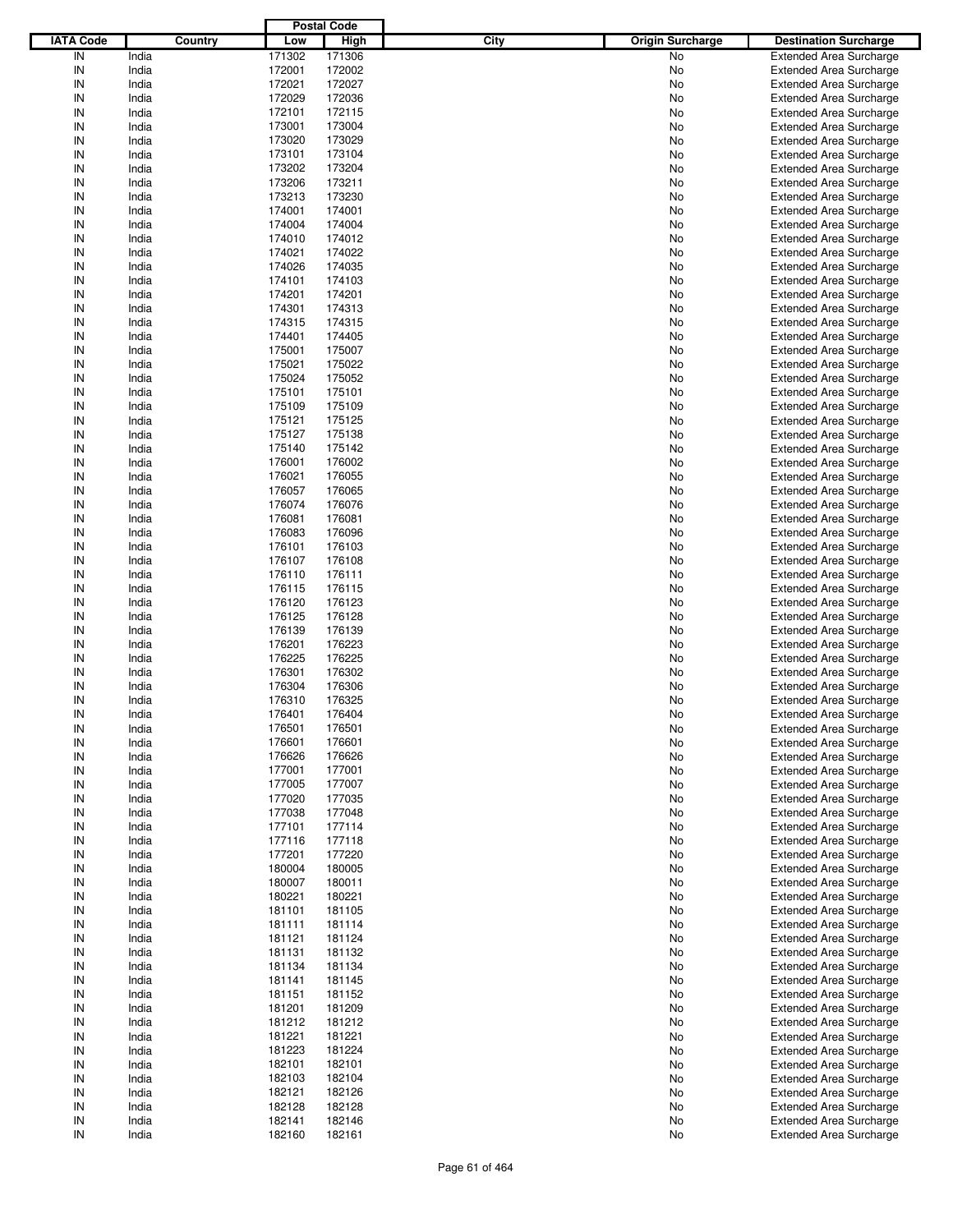|                  |         |        | <b>Postal Code</b> |      |                         |                                |
|------------------|---------|--------|--------------------|------|-------------------------|--------------------------------|
| <b>IATA Code</b> | Country | Low    | <b>High</b>        | City | <b>Origin Surcharge</b> | <b>Destination Surcharge</b>   |
| IN               | India   | 171302 | 171306             |      | No                      | <b>Extended Area Surcharge</b> |
| IN               | India   | 172001 | 172002             |      | No                      | <b>Extended Area Surcharge</b> |
| IN               | India   | 172021 | 172027             |      | No                      | <b>Extended Area Surcharge</b> |
| IN               | India   | 172029 | 172036             |      | No                      | <b>Extended Area Surcharge</b> |
| IN               | India   | 172101 | 172115             |      | No                      | <b>Extended Area Surcharge</b> |
| IN               | India   | 173001 | 173004             |      | No                      | <b>Extended Area Surcharge</b> |
| IN               | India   | 173020 | 173029             |      |                         |                                |
| IN               |         |        |                    |      | No                      | <b>Extended Area Surcharge</b> |
|                  | India   | 173101 | 173104             |      | No                      | <b>Extended Area Surcharge</b> |
| IN               | India   | 173202 | 173204             |      | No                      | <b>Extended Area Surcharge</b> |
| IN               | India   | 173206 | 173211             |      | No                      | <b>Extended Area Surcharge</b> |
| IN               | India   | 173213 | 173230             |      | No                      | <b>Extended Area Surcharge</b> |
| IN               | India   | 174001 | 174001             |      | No                      | <b>Extended Area Surcharge</b> |
| IN               | India   | 174004 | 174004             |      | No                      | <b>Extended Area Surcharge</b> |
| IN               | India   | 174010 | 174012             |      | No                      | <b>Extended Area Surcharge</b> |
| IN               | India   | 174021 | 174022             |      | No                      | <b>Extended Area Surcharge</b> |
| IN               | India   | 174026 | 174035             |      | No                      | <b>Extended Area Surcharge</b> |
| IN               | India   | 174101 | 174103             |      | No                      | <b>Extended Area Surcharge</b> |
| IN               | India   | 174201 | 174201             |      | No                      | <b>Extended Area Surcharge</b> |
| IN               | India   | 174301 | 174313             |      | No                      | <b>Extended Area Surcharge</b> |
| IN               | India   | 174315 | 174315             |      | No                      | <b>Extended Area Surcharge</b> |
| IN               | India   | 174401 | 174405             |      | No                      | <b>Extended Area Surcharge</b> |
| IN               | India   | 175001 | 175007             |      | No                      | <b>Extended Area Surcharge</b> |
| IN               | India   | 175021 | 175022             |      | No                      | <b>Extended Area Surcharge</b> |
| IN               | India   | 175024 | 175052             |      | No                      | <b>Extended Area Surcharge</b> |
| IN               | India   | 175101 | 175101             |      | No                      | <b>Extended Area Surcharge</b> |
| IN               | India   | 175109 | 175109             |      | No                      | <b>Extended Area Surcharge</b> |
| IN               | India   | 175121 | 175125             |      | No                      | <b>Extended Area Surcharge</b> |
| IN               | India   | 175127 | 175138             |      | No                      | <b>Extended Area Surcharge</b> |
| IN               | India   | 175140 | 175142             |      | No                      | <b>Extended Area Surcharge</b> |
| IN               |         |        |                    |      |                         |                                |
|                  | India   | 176001 | 176002             |      | No                      | <b>Extended Area Surcharge</b> |
| IN               | India   | 176021 | 176055             |      | No                      | <b>Extended Area Surcharge</b> |
| IN               | India   | 176057 | 176065             |      | No                      | <b>Extended Area Surcharge</b> |
| IN               | India   | 176074 | 176076             |      | No                      | <b>Extended Area Surcharge</b> |
| IN               | India   | 176081 | 176081             |      | No                      | <b>Extended Area Surcharge</b> |
| IN               | India   | 176083 | 176096             |      | No                      | <b>Extended Area Surcharge</b> |
| IN               | India   | 176101 | 176103             |      | No                      | <b>Extended Area Surcharge</b> |
| IN               | India   | 176107 | 176108             |      | No                      | <b>Extended Area Surcharge</b> |
| IN               | India   | 176110 | 176111             |      | No                      | <b>Extended Area Surcharge</b> |
| IN               | India   | 176115 | 176115             |      | No                      | <b>Extended Area Surcharge</b> |
| IN               | India   | 176120 | 176123             |      | No                      | <b>Extended Area Surcharge</b> |
| IN               | India   | 176125 | 176128             |      | No                      | <b>Extended Area Surcharge</b> |
| IN               | India   | 176139 | 176139             |      | No                      | <b>Extended Area Surcharge</b> |
| IN               | India   | 176201 | 176223             |      | No                      | <b>Extended Area Surcharge</b> |
| IN               | India   | 176225 | 176225             |      | No                      | <b>Extended Area Surcharge</b> |
| IN               | India   | 176301 | 176302             |      | No                      | <b>Extended Area Surcharge</b> |
| IN               | India   | 176304 | 176306             |      | No                      | <b>Extended Area Surcharge</b> |
| IN               | India   | 176310 | 176325             |      | No                      | <b>Extended Area Surcharge</b> |
| IN               | India   | 176401 | 176404             |      | No                      | <b>Extended Area Surcharge</b> |
| IN               | India   | 176501 | 176501             |      | No                      | <b>Extended Area Surcharge</b> |
|                  |         |        |                    |      |                         |                                |
| IN               | India   | 176601 | 176601             |      | No                      | <b>Extended Area Surcharge</b> |
| IN               | India   | 176626 | 176626             |      | No                      | <b>Extended Area Surcharge</b> |
| IN               | India   | 177001 | 177001             |      | No                      | <b>Extended Area Surcharge</b> |
| IN               | India   | 177005 | 177007             |      | No                      | <b>Extended Area Surcharge</b> |
| IN               | India   | 177020 | 177035             |      | No                      | <b>Extended Area Surcharge</b> |
| IN               | India   | 177038 | 177048             |      | No                      | <b>Extended Area Surcharge</b> |
| IN               | India   | 177101 | 177114             |      | No                      | <b>Extended Area Surcharge</b> |
| IN               | India   | 177116 | 177118             |      | No                      | <b>Extended Area Surcharge</b> |
| IN               | India   | 177201 | 177220             |      | No                      | <b>Extended Area Surcharge</b> |
| IN               | India   | 180004 | 180005             |      | No                      | <b>Extended Area Surcharge</b> |
| IN               | India   | 180007 | 180011             |      | No                      | <b>Extended Area Surcharge</b> |
| IN               | India   | 180221 | 180221             |      | No                      | <b>Extended Area Surcharge</b> |
| IN               | India   | 181101 | 181105             |      | No                      | <b>Extended Area Surcharge</b> |
| IN               | India   | 181111 | 181114             |      | No                      | <b>Extended Area Surcharge</b> |
| IN               | India   | 181121 | 181124             |      | No                      | <b>Extended Area Surcharge</b> |
| IN               | India   | 181131 | 181132             |      | No                      | <b>Extended Area Surcharge</b> |
| IN               | India   | 181134 | 181134             |      | No                      | <b>Extended Area Surcharge</b> |
| IN               | India   | 181141 | 181145             |      | No                      | <b>Extended Area Surcharge</b> |
| IN               | India   | 181151 | 181152             |      | No                      | <b>Extended Area Surcharge</b> |
| IN               | India   | 181201 | 181209             |      | No                      | <b>Extended Area Surcharge</b> |
| IN               | India   | 181212 | 181212             |      | No                      | <b>Extended Area Surcharge</b> |
| IN               | India   | 181221 | 181221             |      | No                      | <b>Extended Area Surcharge</b> |
| IN               | India   | 181223 | 181224             |      | No                      | <b>Extended Area Surcharge</b> |
|                  |         |        |                    |      |                         |                                |
| IN               | India   | 182101 | 182101             |      | No                      | <b>Extended Area Surcharge</b> |
| IN               | India   | 182103 | 182104             |      | No                      | <b>Extended Area Surcharge</b> |
| IN               | India   | 182121 | 182126             |      | No                      | <b>Extended Area Surcharge</b> |
| IN               | India   | 182128 | 182128             |      | No                      | <b>Extended Area Surcharge</b> |
| IN               | India   | 182141 | 182146             |      | No                      | <b>Extended Area Surcharge</b> |
| ${\sf IN}$       | India   | 182160 | 182161             |      | No                      | <b>Extended Area Surcharge</b> |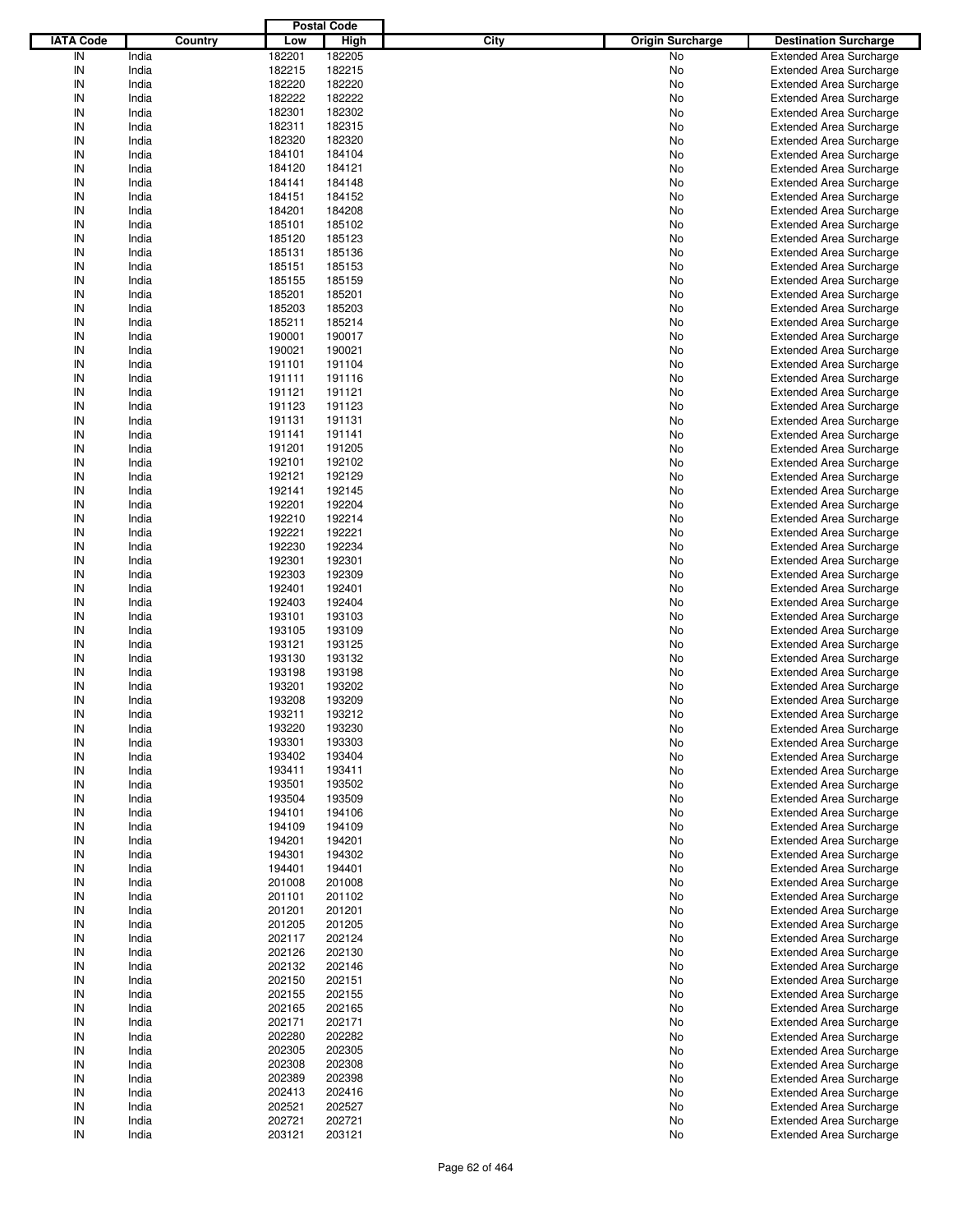|                  |                |                  | <b>Postal Code</b> |             |                         |                                                                  |
|------------------|----------------|------------------|--------------------|-------------|-------------------------|------------------------------------------------------------------|
| <b>IATA Code</b> | Country        | Low              | <b>High</b>        | <b>City</b> | <b>Origin Surcharge</b> | <b>Destination Surcharge</b>                                     |
| IN               | India          | 182201           | 182205             |             | No                      | <b>Extended Area Surcharge</b>                                   |
| IN               | India          | 182215           | 182215             |             | No                      | <b>Extended Area Surcharge</b>                                   |
| IN               | India          | 182220           | 182220             |             | No                      | <b>Extended Area Surcharge</b>                                   |
| IN               | India          | 182222           | 182222             |             | No                      | <b>Extended Area Surcharge</b>                                   |
| IN               | India          | 182301           | 182302             |             | No                      | <b>Extended Area Surcharge</b>                                   |
| IN               | India          | 182311           | 182315             |             | No                      | <b>Extended Area Surcharge</b>                                   |
| IN               | India          | 182320           | 182320             |             | No                      | <b>Extended Area Surcharge</b>                                   |
| IN               | India          | 184101           | 184104             |             | No                      | <b>Extended Area Surcharge</b>                                   |
| IN               | India          | 184120           | 184121             |             | No                      | <b>Extended Area Surcharge</b>                                   |
| IN               | India          | 184141           | 184148             |             | No                      | <b>Extended Area Surcharge</b>                                   |
| IN               | India          | 184151           | 184152             |             | No                      | <b>Extended Area Surcharge</b>                                   |
| IN               | India          | 184201           | 184208             |             | No                      | <b>Extended Area Surcharge</b>                                   |
| IN               | India          | 185101           | 185102             |             | No                      | <b>Extended Area Surcharge</b>                                   |
| IN               | India          | 185120           | 185123             |             | No                      | <b>Extended Area Surcharge</b>                                   |
| IN               | India          | 185131           | 185136             |             | No                      | <b>Extended Area Surcharge</b>                                   |
| IN<br>IN         | India          | 185151           | 185153             |             | No                      | <b>Extended Area Surcharge</b>                                   |
| IN               | India<br>India | 185155<br>185201 | 185159<br>185201   |             | No<br>No                | <b>Extended Area Surcharge</b>                                   |
| IN               | India          | 185203           | 185203             |             | No                      | <b>Extended Area Surcharge</b><br><b>Extended Area Surcharge</b> |
| IN               | India          | 185211           | 185214             |             | No                      | <b>Extended Area Surcharge</b>                                   |
| IN               | India          | 190001           | 190017             |             | No                      | <b>Extended Area Surcharge</b>                                   |
| IN               | India          | 190021           | 190021             |             | No                      | <b>Extended Area Surcharge</b>                                   |
| IN               | India          | 191101           | 191104             |             | No                      | <b>Extended Area Surcharge</b>                                   |
| IN               | India          | 191111           | 191116             |             | No                      | <b>Extended Area Surcharge</b>                                   |
| IN               | India          | 191121           | 191121             |             | No                      | <b>Extended Area Surcharge</b>                                   |
| IN               | India          | 191123           | 191123             |             | No                      | <b>Extended Area Surcharge</b>                                   |
| IN               | India          | 191131           | 191131             |             | No                      | <b>Extended Area Surcharge</b>                                   |
| IN               | India          | 191141           | 191141             |             | No                      | <b>Extended Area Surcharge</b>                                   |
| IN               | India          | 191201           | 191205             |             | No                      | <b>Extended Area Surcharge</b>                                   |
| IN               | India          | 192101           | 192102             |             | No                      | <b>Extended Area Surcharge</b>                                   |
| IN               | India          | 192121           | 192129             |             | No                      | <b>Extended Area Surcharge</b>                                   |
| IN               | India          | 192141           | 192145             |             | No                      | <b>Extended Area Surcharge</b>                                   |
| IN               | India          | 192201           | 192204             |             | No                      | <b>Extended Area Surcharge</b>                                   |
| IN               | India          | 192210           | 192214             |             | No                      | <b>Extended Area Surcharge</b>                                   |
| IN               | India          | 192221           | 192221             |             | No                      | <b>Extended Area Surcharge</b>                                   |
| IN               | India          | 192230           | 192234             |             | No                      | <b>Extended Area Surcharge</b>                                   |
| IN               | India          | 192301           | 192301             |             | No                      | <b>Extended Area Surcharge</b>                                   |
| IN               | India          | 192303           | 192309             |             | No                      | <b>Extended Area Surcharge</b>                                   |
| IN               | India          | 192401           | 192401             |             | No                      | <b>Extended Area Surcharge</b>                                   |
| IN               | India          | 192403           | 192404             |             | No                      | <b>Extended Area Surcharge</b>                                   |
| IN               | India          | 193101           | 193103             |             | No                      | <b>Extended Area Surcharge</b>                                   |
| IN               | India          | 193105           | 193109             |             | No                      | <b>Extended Area Surcharge</b>                                   |
| IN               | India          | 193121           | 193125             |             | No                      | <b>Extended Area Surcharge</b>                                   |
| IN               | India          | 193130           | 193132             |             | No                      | <b>Extended Area Surcharge</b>                                   |
| IN               | India          | 193198           | 193198             |             | No                      | <b>Extended Area Surcharge</b>                                   |
| IN               | India          | 193201           | 193202             |             | No                      | <b>Extended Area Surcharge</b>                                   |
| IN               | India          | 193208           | 193209             |             | No                      | <b>Extended Area Surcharge</b>                                   |
| IN               | India          | 193211           | 193212             |             | No                      | Extended Area Surcharge                                          |
| IN               | India          | 193220           | 193230             |             | No                      | <b>Extended Area Surcharge</b>                                   |
| IN               | India          | 193301           | 193303             |             | No                      | <b>Extended Area Surcharge</b>                                   |
| IN               | India          | 193402           | 193404             |             | No                      | <b>Extended Area Surcharge</b>                                   |
| IN               | India          | 193411           | 193411             |             | No                      | <b>Extended Area Surcharge</b>                                   |
| IN               | India          | 193501           | 193502             |             | No                      | <b>Extended Area Surcharge</b>                                   |
| IN               | India          | 193504           | 193509             |             | No                      | <b>Extended Area Surcharge</b>                                   |
| IN<br>IN         | India<br>India | 194101<br>194109 | 194106<br>194109   |             | No                      | <b>Extended Area Surcharge</b><br><b>Extended Area Surcharge</b> |
| IN               | India          | 194201           | 194201             |             | No<br>No                | <b>Extended Area Surcharge</b>                                   |
| IN               | India          | 194301           | 194302             |             | No                      | <b>Extended Area Surcharge</b>                                   |
| IN               | India          | 194401           | 194401             |             | No                      | <b>Extended Area Surcharge</b>                                   |
| IN               | India          | 201008           | 201008             |             | No                      | <b>Extended Area Surcharge</b>                                   |
| IN               | India          | 201101           | 201102             |             | No                      | <b>Extended Area Surcharge</b>                                   |
| IN               | India          | 201201           | 201201             |             | No                      | <b>Extended Area Surcharge</b>                                   |
| IN               | India          | 201205           | 201205             |             | No                      | <b>Extended Area Surcharge</b>                                   |
| IN               | India          | 202117           | 202124             |             | No                      | <b>Extended Area Surcharge</b>                                   |
| IN               | India          | 202126           | 202130             |             | No                      | <b>Extended Area Surcharge</b>                                   |
| IN               | India          | 202132           | 202146             |             | No                      | <b>Extended Area Surcharge</b>                                   |
| IN               | India          | 202150           | 202151             |             | No                      | <b>Extended Area Surcharge</b>                                   |
| IN               | India          | 202155           | 202155             |             | No                      | <b>Extended Area Surcharge</b>                                   |
| IN               | India          | 202165           | 202165             |             | No                      | <b>Extended Area Surcharge</b>                                   |
| IN               | India          | 202171           | 202171             |             | No                      | <b>Extended Area Surcharge</b>                                   |
| IN               | India          | 202280           | 202282             |             | No                      | <b>Extended Area Surcharge</b>                                   |
| IN               | India          | 202305           | 202305             |             | No                      | <b>Extended Area Surcharge</b>                                   |
| IN               | India          | 202308           | 202308             |             | No                      | <b>Extended Area Surcharge</b>                                   |
| IN               | India          | 202389           | 202398             |             | No                      | <b>Extended Area Surcharge</b>                                   |
| IN               | India          | 202413           | 202416             |             | No                      | <b>Extended Area Surcharge</b>                                   |
| IN               | India          | 202521           | 202527             |             | No                      | <b>Extended Area Surcharge</b>                                   |
| IN               | India          | 202721           | 202721             |             | No                      | <b>Extended Area Surcharge</b>                                   |
| IN               | India          | 203121           | 203121             |             | No                      | <b>Extended Area Surcharge</b>                                   |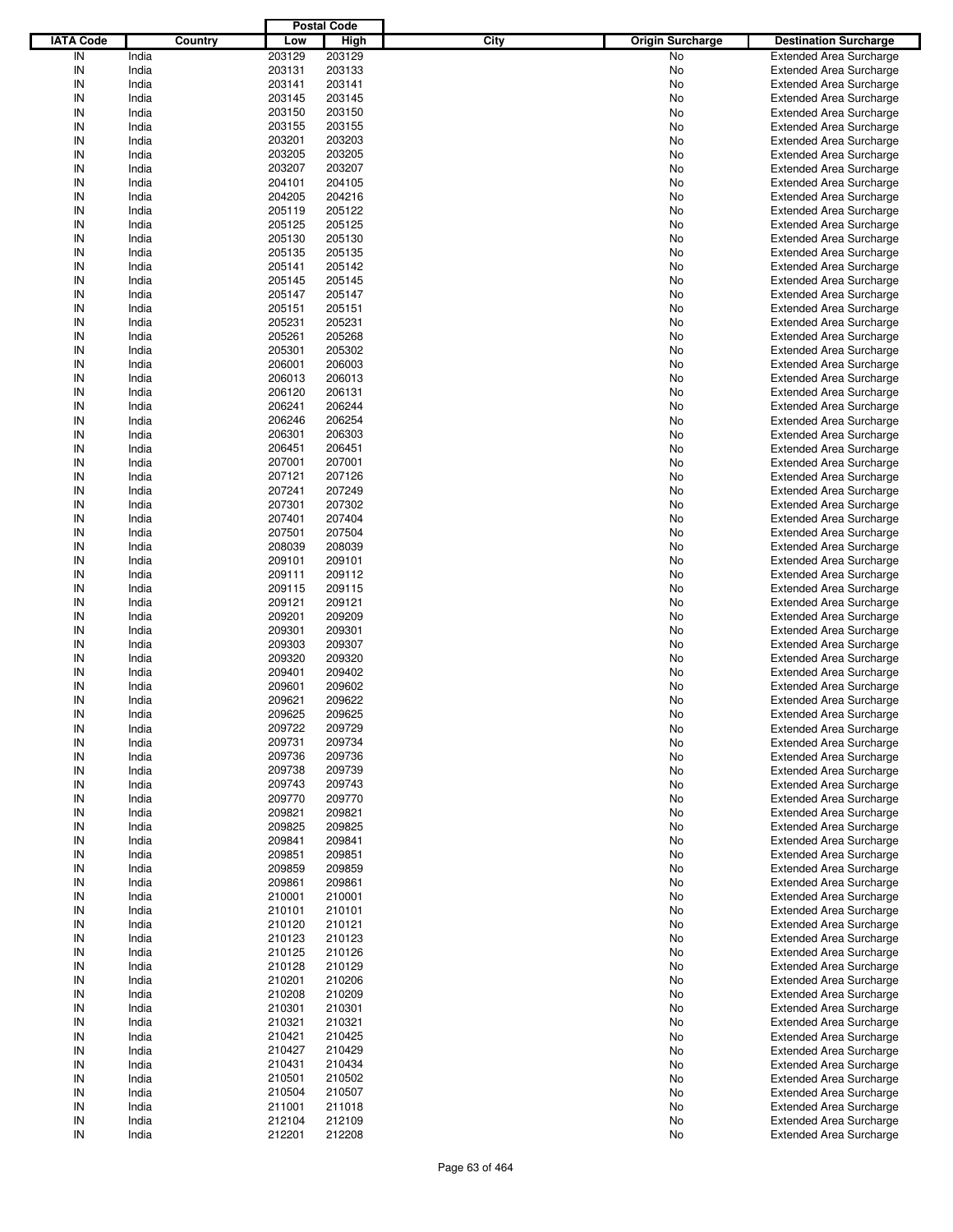|                  |         |        | <b>Postal Code</b> |                                 |                                |
|------------------|---------|--------|--------------------|---------------------------------|--------------------------------|
| <b>IATA Code</b> | Country | Low    | <b>High</b>        | City<br><b>Origin Surcharge</b> | <b>Destination Surcharge</b>   |
| IN               | India   | 203129 | 203129             | No                              | <b>Extended Area Surcharge</b> |
| IN               | India   | 203131 | 203133             | No                              | <b>Extended Area Surcharge</b> |
| IN               | India   | 203141 | 203141             | No                              | <b>Extended Area Surcharge</b> |
| IN               | India   | 203145 | 203145             | No                              | <b>Extended Area Surcharge</b> |
| IN               | India   | 203150 | 203150             | No                              | <b>Extended Area Surcharge</b> |
| IN               | India   | 203155 | 203155             | No                              | <b>Extended Area Surcharge</b> |
| IN               | India   | 203201 | 203203             |                                 |                                |
|                  |         |        |                    | No                              | <b>Extended Area Surcharge</b> |
| IN               | India   | 203205 | 203205             | No                              | <b>Extended Area Surcharge</b> |
| IN               | India   | 203207 | 203207             | No                              | <b>Extended Area Surcharge</b> |
| IN               | India   | 204101 | 204105             | No                              | <b>Extended Area Surcharge</b> |
| IN               | India   | 204205 | 204216             | No                              | <b>Extended Area Surcharge</b> |
| IN               | India   | 205119 | 205122             | No                              | <b>Extended Area Surcharge</b> |
| IN               | India   | 205125 | 205125             | No                              | <b>Extended Area Surcharge</b> |
| IN               | India   | 205130 | 205130             | No                              | <b>Extended Area Surcharge</b> |
| IN               | India   | 205135 | 205135             | No                              | <b>Extended Area Surcharge</b> |
| IN               | India   | 205141 | 205142             | No                              | <b>Extended Area Surcharge</b> |
| IN               | India   | 205145 | 205145             | No                              | <b>Extended Area Surcharge</b> |
| IN               | India   | 205147 | 205147             | No                              | <b>Extended Area Surcharge</b> |
| IN               | India   | 205151 | 205151             | No                              | <b>Extended Area Surcharge</b> |
| IN               | India   | 205231 | 205231             | No                              | <b>Extended Area Surcharge</b> |
| IN               | India   | 205261 | 205268             | No                              | <b>Extended Area Surcharge</b> |
| IN               | India   | 205301 | 205302             | No                              | <b>Extended Area Surcharge</b> |
| IN               | India   | 206001 | 206003             | No                              | <b>Extended Area Surcharge</b> |
| IN               | India   | 206013 | 206013             | No                              | <b>Extended Area Surcharge</b> |
| IN               | India   | 206120 | 206131             | No                              | <b>Extended Area Surcharge</b> |
| IN               | India   | 206241 | 206244             | No                              | <b>Extended Area Surcharge</b> |
| IN               | India   | 206246 | 206254             | No                              | <b>Extended Area Surcharge</b> |
| IN               | India   | 206301 | 206303             |                                 | <b>Extended Area Surcharge</b> |
| IN               |         |        |                    | No                              |                                |
|                  | India   | 206451 | 206451             | No                              | <b>Extended Area Surcharge</b> |
| IN               | India   | 207001 | 207001             | No                              | <b>Extended Area Surcharge</b> |
| IN               | India   | 207121 | 207126             | No                              | <b>Extended Area Surcharge</b> |
| IN               | India   | 207241 | 207249             | No                              | <b>Extended Area Surcharge</b> |
| IN               | India   | 207301 | 207302             | No                              | <b>Extended Area Surcharge</b> |
| IN               | India   | 207401 | 207404             | No                              | <b>Extended Area Surcharge</b> |
| IN               | India   | 207501 | 207504             | No                              | <b>Extended Area Surcharge</b> |
| IN               | India   | 208039 | 208039             | No                              | <b>Extended Area Surcharge</b> |
| IN               | India   | 209101 | 209101             | No                              | <b>Extended Area Surcharge</b> |
| IN               | India   | 209111 | 209112             | No                              | <b>Extended Area Surcharge</b> |
| IN               | India   | 209115 | 209115             | No                              | <b>Extended Area Surcharge</b> |
| IN               | India   | 209121 | 209121             | No                              | <b>Extended Area Surcharge</b> |
| IN               | India   | 209201 | 209209             | No                              | <b>Extended Area Surcharge</b> |
| IN               | India   | 209301 | 209301             | No                              | <b>Extended Area Surcharge</b> |
| IN               | India   | 209303 | 209307             | No                              | <b>Extended Area Surcharge</b> |
| IN               | India   | 209320 | 209320             | No                              | <b>Extended Area Surcharge</b> |
| IN               | India   | 209401 | 209402             | No                              | <b>Extended Area Surcharge</b> |
| IN               | India   | 209601 | 209602             | No                              | <b>Extended Area Surcharge</b> |
| IN               | India   | 209621 | 209622             | No                              | <b>Extended Area Surcharge</b> |
|                  |         |        |                    |                                 |                                |
| IN               | India   | 209625 | 209625             | No                              | <b>Extended Area Surcharge</b> |
| IN               | India   | 209722 | 209729             | No                              | <b>Extended Area Surcharge</b> |
| IN               | India   | 209731 | 209734             | No                              | <b>Extended Area Surcharge</b> |
| IN               | India   | 209736 | 209736             | No                              | <b>Extended Area Surcharge</b> |
| IN               | India   | 209738 | 209739             | No                              | <b>Extended Area Surcharge</b> |
| IN               | India   | 209743 | 209743             | No                              | <b>Extended Area Surcharge</b> |
| IN               | India   | 209770 | 209770             | No                              | <b>Extended Area Surcharge</b> |
| IN               | India   | 209821 | 209821             | No                              | <b>Extended Area Surcharge</b> |
| IN               | India   | 209825 | 209825             | No                              | <b>Extended Area Surcharge</b> |
| IN               | India   | 209841 | 209841             | No                              | <b>Extended Area Surcharge</b> |
| IN               | India   | 209851 | 209851             | No                              | <b>Extended Area Surcharge</b> |
| IN               | India   | 209859 | 209859             | No                              | <b>Extended Area Surcharge</b> |
| IN               | India   | 209861 | 209861             | No                              | <b>Extended Area Surcharge</b> |
| IN               | India   | 210001 | 210001             | No                              | <b>Extended Area Surcharge</b> |
| IN               | India   | 210101 | 210101             | No                              | <b>Extended Area Surcharge</b> |
| IN               | India   | 210120 | 210121             | No                              | <b>Extended Area Surcharge</b> |
| IN               | India   | 210123 | 210123             | No                              | <b>Extended Area Surcharge</b> |
| IN               | India   | 210125 | 210126             | No                              | <b>Extended Area Surcharge</b> |
| IN               | India   | 210128 | 210129             | No                              | <b>Extended Area Surcharge</b> |
| IN               | India   | 210201 | 210206             | No                              | <b>Extended Area Surcharge</b> |
| IN               | India   | 210208 | 210209             |                                 | <b>Extended Area Surcharge</b> |
|                  |         |        |                    | No                              |                                |
| IN               | India   | 210301 | 210301             | No                              | <b>Extended Area Surcharge</b> |
| IN               | India   | 210321 | 210321             | No                              | <b>Extended Area Surcharge</b> |
| IN               | India   | 210421 | 210425             | No                              | <b>Extended Area Surcharge</b> |
| IN               | India   | 210427 | 210429             | No                              | <b>Extended Area Surcharge</b> |
| IN               | India   | 210431 | 210434             | No                              | <b>Extended Area Surcharge</b> |
| IN               | India   | 210501 | 210502             | No                              | <b>Extended Area Surcharge</b> |
| IN               | India   | 210504 | 210507             | No                              | <b>Extended Area Surcharge</b> |
| IN               | India   | 211001 | 211018             | No                              | <b>Extended Area Surcharge</b> |
| IN               | India   | 212104 | 212109             | No                              | <b>Extended Area Surcharge</b> |
| ${\sf IN}$       | India   | 212201 | 212208             | No                              | <b>Extended Area Surcharge</b> |
|                  |         |        |                    |                                 |                                |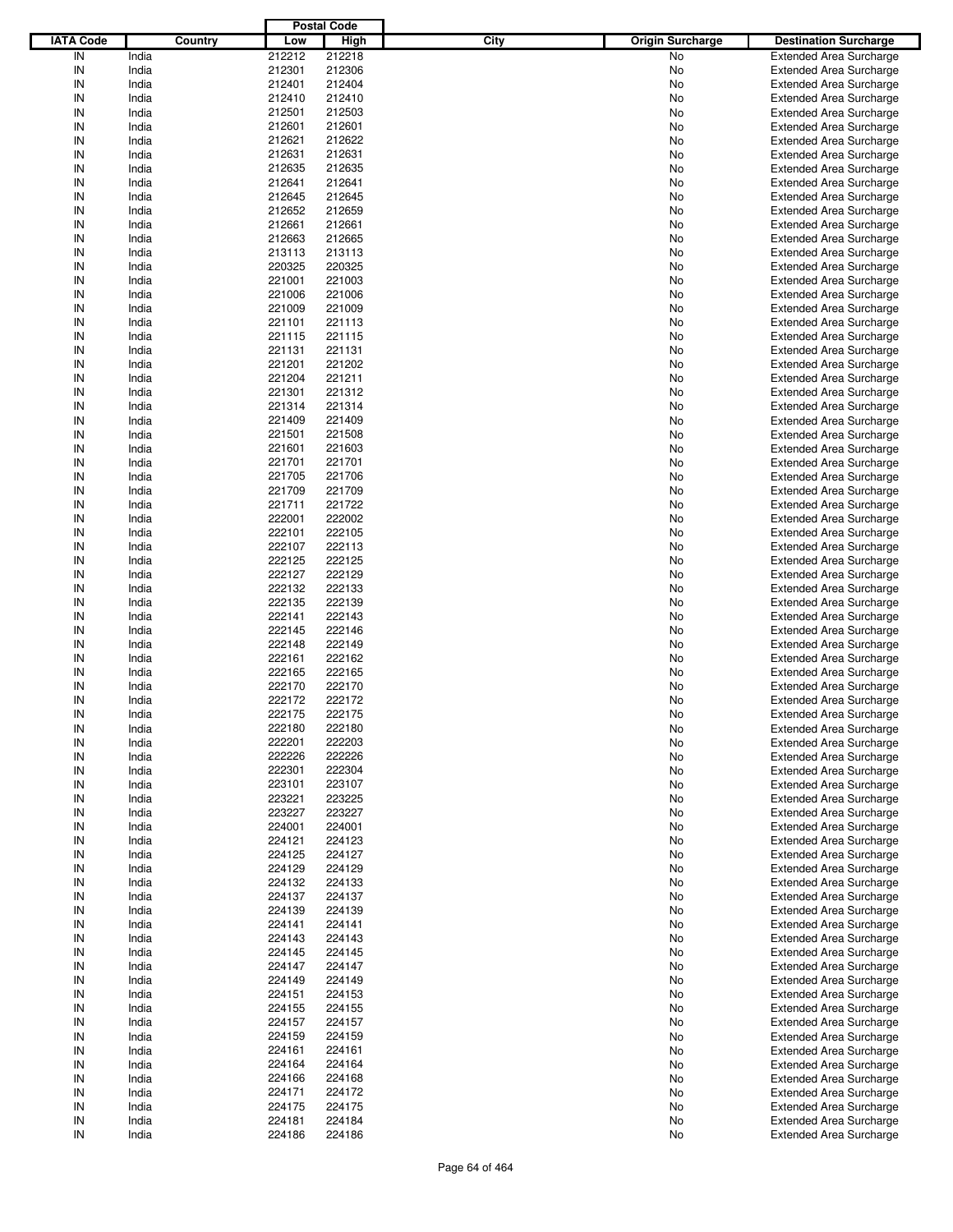|                  |         |        | <b>Postal Code</b> |      |                         |                                |
|------------------|---------|--------|--------------------|------|-------------------------|--------------------------------|
| <b>IATA Code</b> | Country | Low    | <b>High</b>        | City | <b>Origin Surcharge</b> | <b>Destination Surcharge</b>   |
| IN               | India   | 212212 | 212218             |      | No                      | <b>Extended Area Surcharge</b> |
| IN               | India   | 212301 | 212306             |      | No                      | <b>Extended Area Surcharge</b> |
| IN               | India   | 212401 | 212404             |      | No                      | <b>Extended Area Surcharge</b> |
| IN               | India   | 212410 | 212410             |      | No                      | <b>Extended Area Surcharge</b> |
| IN               | India   | 212501 | 212503             |      | No                      | <b>Extended Area Surcharge</b> |
| IN               | India   | 212601 | 212601             |      | No                      | <b>Extended Area Surcharge</b> |
| IN               | India   | 212621 | 212622             |      | No                      | <b>Extended Area Surcharge</b> |
| IN               |         |        |                    |      |                         |                                |
|                  | India   | 212631 | 212631             |      | No                      | <b>Extended Area Surcharge</b> |
| IN               | India   | 212635 | 212635             |      | No                      | <b>Extended Area Surcharge</b> |
| IN               | India   | 212641 | 212641             |      | No                      | <b>Extended Area Surcharge</b> |
| IN               | India   | 212645 | 212645             |      | No                      | <b>Extended Area Surcharge</b> |
| IN               | India   | 212652 | 212659             |      | No                      | <b>Extended Area Surcharge</b> |
| IN               | India   | 212661 | 212661             |      | No                      | <b>Extended Area Surcharge</b> |
| IN               | India   | 212663 | 212665             |      | No                      | <b>Extended Area Surcharge</b> |
| IN               | India   | 213113 | 213113             |      | No                      | <b>Extended Area Surcharge</b> |
| IN               | India   | 220325 | 220325             |      | No                      | <b>Extended Area Surcharge</b> |
| IN               | India   | 221001 | 221003             |      | No                      | <b>Extended Area Surcharge</b> |
| IN               | India   | 221006 | 221006             |      | No                      | <b>Extended Area Surcharge</b> |
| IN               | India   | 221009 | 221009             |      | No                      | <b>Extended Area Surcharge</b> |
| IN               | India   | 221101 | 221113             |      | No                      | <b>Extended Area Surcharge</b> |
| IN               | India   | 221115 | 221115             |      | No                      | <b>Extended Area Surcharge</b> |
| IN               | India   | 221131 | 221131             |      | No                      | <b>Extended Area Surcharge</b> |
| IN               | India   | 221201 | 221202             |      | No                      | <b>Extended Area Surcharge</b> |
| IN               | India   | 221204 | 221211             |      | No                      | <b>Extended Area Surcharge</b> |
| IN               | India   | 221301 | 221312             |      | No                      | <b>Extended Area Surcharge</b> |
| IN               | India   | 221314 | 221314             |      | No                      | <b>Extended Area Surcharge</b> |
| IN               | India   | 221409 | 221409             |      | No                      | <b>Extended Area Surcharge</b> |
| IN               | India   | 221501 | 221508             |      | No                      | <b>Extended Area Surcharge</b> |
| IN               |         |        |                    |      |                         |                                |
|                  | India   | 221601 | 221603             |      | No                      | <b>Extended Area Surcharge</b> |
| IN               | India   | 221701 | 221701             |      | No                      | <b>Extended Area Surcharge</b> |
| IN               | India   | 221705 | 221706             |      | No                      | <b>Extended Area Surcharge</b> |
| IN               | India   | 221709 | 221709             |      | No                      | <b>Extended Area Surcharge</b> |
| IN               | India   | 221711 | 221722             |      | No                      | <b>Extended Area Surcharge</b> |
| IN               | India   | 222001 | 222002             |      | No                      | <b>Extended Area Surcharge</b> |
| IN               | India   | 222101 | 222105             |      | No                      | <b>Extended Area Surcharge</b> |
| IN               | India   | 222107 | 222113             |      | No                      | <b>Extended Area Surcharge</b> |
| IN               | India   | 222125 | 222125             |      | No                      | <b>Extended Area Surcharge</b> |
| IN               | India   | 222127 | 222129             |      | No                      | <b>Extended Area Surcharge</b> |
| IN               | India   | 222132 | 222133             |      | No                      | <b>Extended Area Surcharge</b> |
| IN               | India   | 222135 | 222139             |      | No                      | <b>Extended Area Surcharge</b> |
| IN               | India   | 222141 | 222143             |      | No                      | <b>Extended Area Surcharge</b> |
| IN               | India   | 222145 | 222146             |      | No                      | <b>Extended Area Surcharge</b> |
| IN               | India   | 222148 | 222149             |      | No                      | <b>Extended Area Surcharge</b> |
| IN               | India   | 222161 | 222162             |      | No                      | <b>Extended Area Surcharge</b> |
| IN               | India   | 222165 | 222165             |      | No                      | <b>Extended Area Surcharge</b> |
| IN               | India   | 222170 | 222170             |      | No                      | <b>Extended Area Surcharge</b> |
| IN               | India   | 222172 | 222172             |      | No                      | <b>Extended Area Surcharge</b> |
| IN               | India   | 222175 | 222175             |      | No                      | <b>Extended Area Surcharge</b> |
|                  |         |        |                    |      |                         |                                |
| IN               | India   | 222180 | 222180             |      | No                      | <b>Extended Area Surcharge</b> |
| IN               | India   | 222201 | 222203             |      | No                      | <b>Extended Area Surcharge</b> |
| IN               | India   | 222226 | 222226             |      | No                      | <b>Extended Area Surcharge</b> |
| IN               | India   | 222301 | 222304             |      | No                      | <b>Extended Area Surcharge</b> |
| IN               | India   | 223101 | 223107             |      | No                      | <b>Extended Area Surcharge</b> |
| IN               | India   | 223221 | 223225             |      | No                      | <b>Extended Area Surcharge</b> |
| IN               | India   | 223227 | 223227             |      | No                      | <b>Extended Area Surcharge</b> |
| IN               | India   | 224001 | 224001             |      | No                      | <b>Extended Area Surcharge</b> |
| IN               | India   | 224121 | 224123             |      | No                      | <b>Extended Area Surcharge</b> |
| IN               | India   | 224125 | 224127             |      | No                      | <b>Extended Area Surcharge</b> |
| IN               | India   | 224129 | 224129             |      | No                      | <b>Extended Area Surcharge</b> |
| IN               | India   | 224132 | 224133             |      | No                      | <b>Extended Area Surcharge</b> |
| IN               | India   | 224137 | 224137             |      | No                      | <b>Extended Area Surcharge</b> |
| IN               | India   | 224139 | 224139             |      | No                      | <b>Extended Area Surcharge</b> |
| IN               | India   | 224141 | 224141             |      | No                      | <b>Extended Area Surcharge</b> |
| IN               | India   | 224143 | 224143             |      | No                      | <b>Extended Area Surcharge</b> |
| IN               | India   | 224145 | 224145             |      | No                      | <b>Extended Area Surcharge</b> |
| IN               | India   | 224147 | 224147             |      | No                      | <b>Extended Area Surcharge</b> |
| IN               | India   | 224149 | 224149             |      | No                      | <b>Extended Area Surcharge</b> |
| IN               | India   | 224151 | 224153             |      |                         | <b>Extended Area Surcharge</b> |
|                  |         |        |                    |      | No                      |                                |
| IN               | India   | 224155 | 224155             |      | No                      | <b>Extended Area Surcharge</b> |
| IN               | India   | 224157 | 224157             |      | No                      | <b>Extended Area Surcharge</b> |
| IN               | India   | 224159 | 224159             |      | No                      | <b>Extended Area Surcharge</b> |
| IN               | India   | 224161 | 224161             |      | No                      | <b>Extended Area Surcharge</b> |
| IN               | India   | 224164 | 224164             |      | No                      | <b>Extended Area Surcharge</b> |
| IN               | India   | 224166 | 224168             |      | No                      | <b>Extended Area Surcharge</b> |
| IN               | India   | 224171 | 224172             |      | No                      | <b>Extended Area Surcharge</b> |
| IN               | India   | 224175 | 224175             |      | No                      | <b>Extended Area Surcharge</b> |
| IN               | India   | 224181 | 224184             |      | No                      | <b>Extended Area Surcharge</b> |
| ${\sf IN}$       | India   | 224186 | 224186             |      | No                      | <b>Extended Area Surcharge</b> |
|                  |         |        |                    |      |                         |                                |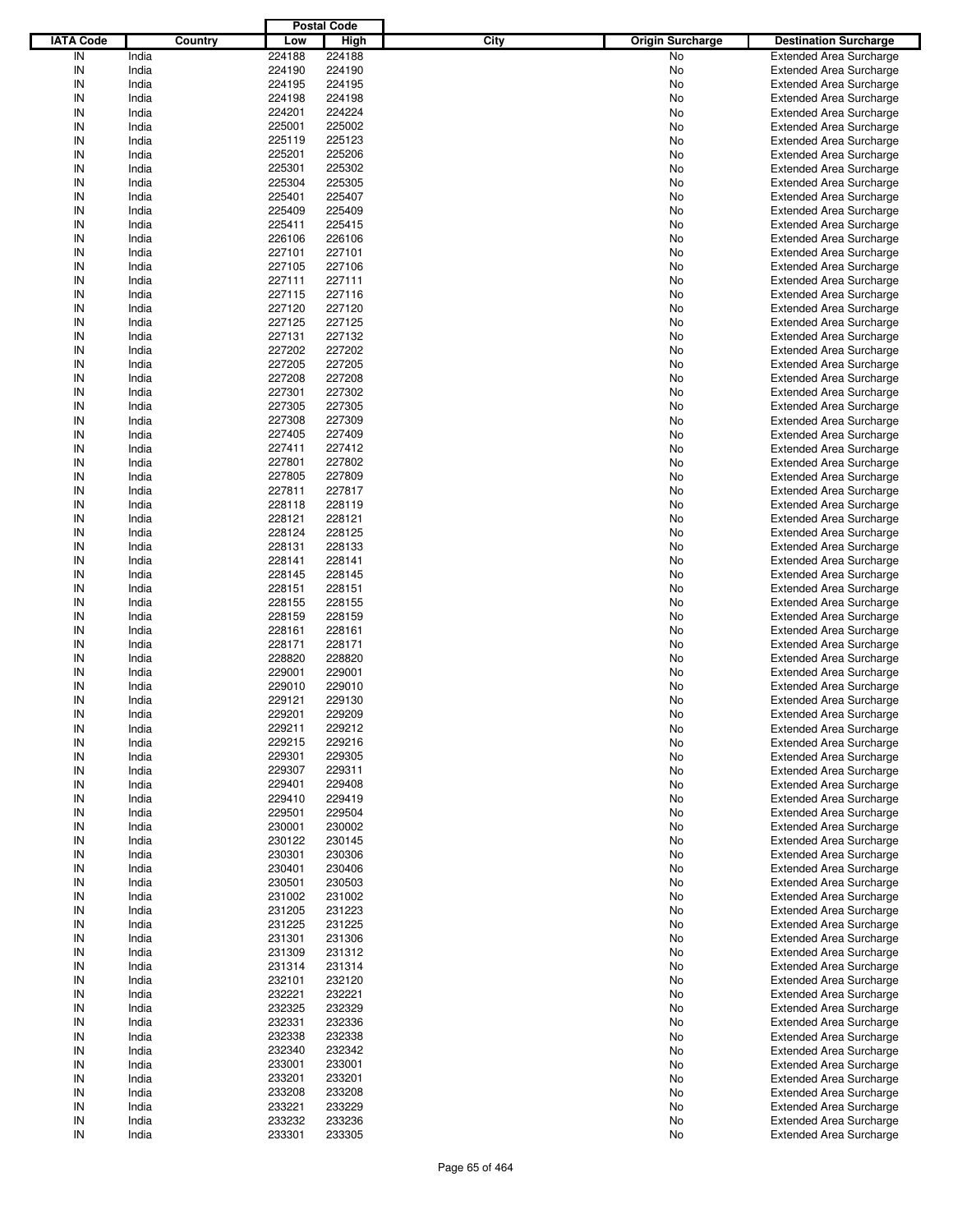|                  |         |        | <b>Postal Code</b> |      |                                                         |
|------------------|---------|--------|--------------------|------|---------------------------------------------------------|
| <b>IATA Code</b> | Country | Low    | <b>High</b>        | City | <b>Origin Surcharge</b><br><b>Destination Surcharge</b> |
| IN               | India   | 224188 | 224188             |      | No<br><b>Extended Area Surcharge</b>                    |
| IN               | India   | 224190 | 224190             |      | No<br><b>Extended Area Surcharge</b>                    |
| IN               | India   | 224195 | 224195             |      | No<br><b>Extended Area Surcharge</b>                    |
| IN               | India   | 224198 | 224198             |      | No<br><b>Extended Area Surcharge</b>                    |
| IN               | India   | 224201 | 224224             |      | No<br><b>Extended Area Surcharge</b>                    |
| IN               | India   | 225001 | 225002             |      | No<br><b>Extended Area Surcharge</b>                    |
| IN               | India   | 225119 | 225123             |      |                                                         |
| IN               |         |        |                    |      | No<br><b>Extended Area Surcharge</b>                    |
|                  | India   | 225201 | 225206             |      | No<br><b>Extended Area Surcharge</b>                    |
| IN               | India   | 225301 | 225302             |      | No<br><b>Extended Area Surcharge</b>                    |
| IN               | India   | 225304 | 225305             |      | No<br><b>Extended Area Surcharge</b>                    |
| IN               | India   | 225401 | 225407             |      | No<br><b>Extended Area Surcharge</b>                    |
| IN               | India   | 225409 | 225409             |      | No<br><b>Extended Area Surcharge</b>                    |
| IN               | India   | 225411 | 225415             |      | No<br><b>Extended Area Surcharge</b>                    |
| IN               | India   | 226106 | 226106             |      | No<br><b>Extended Area Surcharge</b>                    |
| IN               | India   | 227101 | 227101             |      | No<br><b>Extended Area Surcharge</b>                    |
| IN               | India   | 227105 | 227106             |      | No<br><b>Extended Area Surcharge</b>                    |
| IN               | India   | 227111 | 227111             |      | No<br><b>Extended Area Surcharge</b>                    |
| IN               | India   | 227115 | 227116             |      | No<br><b>Extended Area Surcharge</b>                    |
| IN               | India   | 227120 | 227120             |      | No<br><b>Extended Area Surcharge</b>                    |
| IN               | India   | 227125 | 227125             |      | <b>Extended Area Surcharge</b><br>No                    |
| IN               | India   | 227131 | 227132             |      | No<br><b>Extended Area Surcharge</b>                    |
| IN               | India   | 227202 | 227202             |      | No<br><b>Extended Area Surcharge</b>                    |
| IN               | India   | 227205 | 227205             |      | No<br><b>Extended Area Surcharge</b>                    |
| IN               | India   | 227208 | 227208             |      | <b>Extended Area Surcharge</b><br>No                    |
| IN               | India   | 227301 | 227302             |      | No<br><b>Extended Area Surcharge</b>                    |
| IN               | India   | 227305 | 227305             |      | No<br><b>Extended Area Surcharge</b>                    |
| IN               | India   | 227308 | 227309             |      | No<br><b>Extended Area Surcharge</b>                    |
| IN               | India   | 227405 | 227409             |      | <b>Extended Area Surcharge</b><br>No                    |
| IN               |         |        |                    |      |                                                         |
|                  | India   | 227411 | 227412             |      | No<br><b>Extended Area Surcharge</b>                    |
| IN               | India   | 227801 | 227802             |      | No<br><b>Extended Area Surcharge</b>                    |
| IN               | India   | 227805 | 227809             |      | No<br><b>Extended Area Surcharge</b>                    |
| IN               | India   | 227811 | 227817             |      | <b>Extended Area Surcharge</b><br>No                    |
| IN               | India   | 228118 | 228119             |      | No<br><b>Extended Area Surcharge</b>                    |
| IN               | India   | 228121 | 228121             |      | No<br><b>Extended Area Surcharge</b>                    |
| IN               | India   | 228124 | 228125             |      | No<br><b>Extended Area Surcharge</b>                    |
| IN               | India   | 228131 | 228133             |      | <b>Extended Area Surcharge</b><br>No                    |
| IN               | India   | 228141 | 228141             |      | No<br><b>Extended Area Surcharge</b>                    |
| IN               | India   | 228145 | 228145             |      | No<br><b>Extended Area Surcharge</b>                    |
| IN               | India   | 228151 | 228151             |      | No<br><b>Extended Area Surcharge</b>                    |
| IN               | India   | 228155 | 228155             |      | No<br><b>Extended Area Surcharge</b>                    |
| IN               | India   | 228159 | 228159             |      | No<br><b>Extended Area Surcharge</b>                    |
| IN               | India   | 228161 | 228161             |      | No<br><b>Extended Area Surcharge</b>                    |
| IN               | India   | 228171 | 228171             |      | No<br><b>Extended Area Surcharge</b>                    |
| IN               | India   | 228820 | 228820             |      | No<br><b>Extended Area Surcharge</b>                    |
| IN               | India   | 229001 | 229001             |      | <b>Extended Area Surcharge</b><br>No                    |
| IN               | India   | 229010 | 229010             |      | <b>Extended Area Surcharge</b><br>No                    |
| IN               | India   | 229121 | 229130             |      | No<br><b>Extended Area Surcharge</b>                    |
| IN               | India   | 229201 | 229209             |      | No<br><b>Extended Area Surcharge</b>                    |
|                  |         |        |                    |      |                                                         |
| IN               | India   | 229211 | 229212             |      | No<br><b>Extended Area Surcharge</b>                    |
| IN               | India   | 229215 | 229216             |      | <b>Extended Area Surcharge</b><br>No                    |
| IN               | India   | 229301 | 229305             |      | <b>Extended Area Surcharge</b><br>No                    |
| IN               | India   | 229307 | 229311             |      | <b>Extended Area Surcharge</b><br>No                    |
| IN               | India   | 229401 | 229408             |      | No<br><b>Extended Area Surcharge</b>                    |
| IN               | India   | 229410 | 229419             |      | <b>Extended Area Surcharge</b><br>No                    |
| IN               | India   | 229501 | 229504             |      | <b>Extended Area Surcharge</b><br>No                    |
| IN               | India   | 230001 | 230002             |      | No<br><b>Extended Area Surcharge</b>                    |
| IN               | India   | 230122 | 230145             |      | No<br><b>Extended Area Surcharge</b>                    |
| IN               | India   | 230301 | 230306             |      | <b>Extended Area Surcharge</b><br>No                    |
| IN               | India   | 230401 | 230406             |      | No<br><b>Extended Area Surcharge</b>                    |
| IN               | India   | 230501 | 230503             |      | No<br><b>Extended Area Surcharge</b>                    |
| IN               | India   | 231002 | 231002             |      | No<br><b>Extended Area Surcharge</b>                    |
| IN               | India   | 231205 | 231223             |      | <b>Extended Area Surcharge</b><br>No                    |
| IN               | India   | 231225 | 231225             |      | No<br><b>Extended Area Surcharge</b>                    |
| IN               | India   | 231301 | 231306             |      | No<br><b>Extended Area Surcharge</b>                    |
| IN               | India   | 231309 | 231312             |      | No<br><b>Extended Area Surcharge</b>                    |
| IN               | India   | 231314 | 231314             |      | <b>Extended Area Surcharge</b><br>No                    |
| IN               | India   | 232101 | 232120             |      | No<br><b>Extended Area Surcharge</b>                    |
| IN               | India   | 232221 | 232221             |      |                                                         |
|                  |         |        |                    |      | No<br><b>Extended Area Surcharge</b>                    |
| IN               | India   | 232325 | 232329             |      | No<br><b>Extended Area Surcharge</b>                    |
| IN               | India   | 232331 | 232336             |      | <b>Extended Area Surcharge</b><br>No                    |
| IN               | India   | 232338 | 232338             |      | No<br><b>Extended Area Surcharge</b>                    |
| IN               | India   | 232340 | 232342             |      | No<br><b>Extended Area Surcharge</b>                    |
| IN               | India   | 233001 | 233001             |      | No<br><b>Extended Area Surcharge</b>                    |
| IN               | India   | 233201 | 233201             |      | <b>Extended Area Surcharge</b><br>No                    |
| IN               | India   | 233208 | 233208             |      | <b>Extended Area Surcharge</b><br>No                    |
| IN               | India   | 233221 | 233229             |      | Extended Area Surcharge<br>No                           |
| IN               | India   | 233232 | 233236             |      | <b>Extended Area Surcharge</b><br>No                    |
| ${\sf IN}$       | India   | 233301 | 233305             |      | <b>Extended Area Surcharge</b><br>No                    |
|                  |         |        |                    |      |                                                         |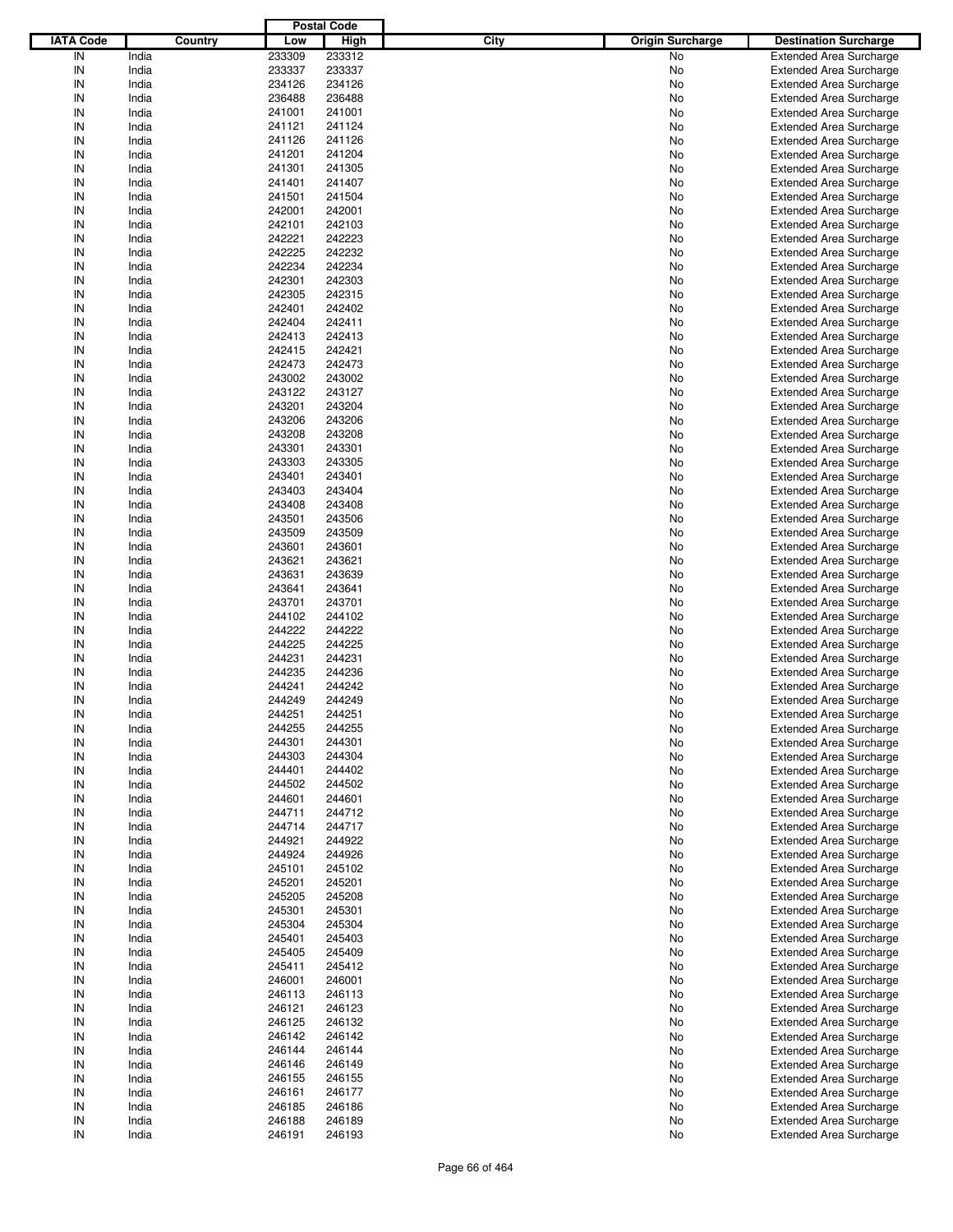| <b>IATA Code</b><br><b>High</b><br>City<br><b>Origin Surcharge</b><br>Country<br>Low<br><b>Destination Surcharge</b><br>IN<br>India<br>233309<br>233312<br>No<br><b>Extended Area Surcharge</b><br>IN<br>India<br>233337<br>233337<br>No<br><b>Extended Area Surcharge</b><br>IN<br>India<br>234126<br>234126<br>No<br><b>Extended Area Surcharge</b><br>IN<br>India<br>236488<br>236488<br>No<br><b>Extended Area Surcharge</b><br>IN<br>India<br>241001<br>241001<br>No<br><b>Extended Area Surcharge</b><br>IN<br>India<br>241121<br>241124<br>No<br><b>Extended Area Surcharge</b><br>IN<br>India<br>241126<br>No<br>241126<br><b>Extended Area Surcharge</b><br>IN<br>India<br>241201<br>241204<br>No<br><b>Extended Area Surcharge</b><br>IN<br>India<br>241301<br>241305<br>No<br><b>Extended Area Surcharge</b><br>IN<br>India<br>241401<br>241407<br>No<br><b>Extended Area Surcharge</b><br>IN<br>India<br>241501<br>241504<br>No<br><b>Extended Area Surcharge</b><br>IN<br>India<br>242001<br>242001<br><b>Extended Area Surcharge</b><br>No<br>IN<br>India<br>242101<br>242103<br>No<br><b>Extended Area Surcharge</b><br>IN<br>India<br>242221<br>242223<br>No<br><b>Extended Area Surcharge</b><br>IN<br>India<br>242225<br>242232<br>No<br><b>Extended Area Surcharge</b><br>IN<br>242234<br>242234<br>India<br><b>Extended Area Surcharge</b><br>No<br>IN<br>India<br>242301<br>242303<br>No<br><b>Extended Area Surcharge</b><br>IN<br>India<br>242305<br>242315<br>No<br><b>Extended Area Surcharge</b><br>IN<br>India<br>242401<br>242402<br>No<br><b>Extended Area Surcharge</b><br>IN<br>India<br>242404<br>242411<br><b>Extended Area Surcharge</b><br>No<br>IN<br>India<br>242413<br>242413<br>No<br><b>Extended Area Surcharge</b><br>IN<br>India<br>242415<br>242421<br>No<br><b>Extended Area Surcharge</b><br>IN<br>India<br>242473<br>242473<br>No<br><b>Extended Area Surcharge</b><br>IN<br>India<br>243002<br>243002<br><b>Extended Area Surcharge</b><br>No<br>IN<br>India<br>243122<br>243127<br>No<br><b>Extended Area Surcharge</b><br>IN<br>India<br>243201<br>243204<br>No<br><b>Extended Area Surcharge</b><br>IN<br>India<br>243206<br>243206<br>No<br><b>Extended Area Surcharge</b><br>IN<br>India<br>243208<br>243208<br><b>Extended Area Surcharge</b><br>No<br>IN<br>India<br>243301<br>243301<br>No<br><b>Extended Area Surcharge</b><br>IN<br>India<br>243303<br>243305<br>No<br><b>Extended Area Surcharge</b><br>IN<br>India<br>243401<br>243401<br>No<br><b>Extended Area Surcharge</b><br>IN<br>India<br>243403<br>243404<br><b>Extended Area Surcharge</b><br>No<br>IN<br>India<br>243408<br>243408<br>No<br><b>Extended Area Surcharge</b><br>IN<br>India<br>243501<br>243506<br>No<br><b>Extended Area Surcharge</b><br>IN<br>India<br>243509<br>243509<br>No<br><b>Extended Area Surcharge</b><br>IN<br>India<br>243601<br>243601<br><b>Extended Area Surcharge</b><br>No<br>IN<br>India<br>243621<br>243621<br>No<br><b>Extended Area Surcharge</b><br>IN<br>India<br>243631<br>243639<br>No<br><b>Extended Area Surcharge</b><br>IN<br>India<br>243641<br>243641<br>No<br><b>Extended Area Surcharge</b><br>IN<br>India<br>243701<br>243701<br><b>Extended Area Surcharge</b><br>No<br>IN<br>India<br>244102<br>244102<br>No<br><b>Extended Area Surcharge</b><br>IN<br>India<br>244222<br>244222<br>No<br><b>Extended Area Surcharge</b><br>IN<br>India<br>244225<br>244225<br>No<br><b>Extended Area Surcharge</b><br>IN<br>India<br>244231<br>244231<br><b>Extended Area Surcharge</b><br>No<br>IN<br>India<br>244235<br>244236<br><b>Extended Area Surcharge</b><br>No<br>IN<br>India<br>244241<br>244242<br><b>Extended Area Surcharge</b><br>No<br>IN<br>244249<br>244249<br>India<br>No<br><b>Extended Area Surcharge</b><br>IN<br>India<br>244251<br>244251<br>No<br><b>Extended Area Surcharge</b><br>IN<br>India<br>244255<br>244255<br>No<br><b>Extended Area Surcharge</b><br>IN<br>India<br>244301<br>244301<br><b>Extended Area Surcharge</b><br>No<br>IN<br>India<br>244303<br>244304<br><b>Extended Area Surcharge</b><br>No<br>IN<br>India<br>244401<br>244402<br><b>Extended Area Surcharge</b><br>No<br>IN<br>India<br>244502<br>244502<br><b>Extended Area Surcharge</b><br>No<br>IN<br>India<br>244601<br>244601<br><b>Extended Area Surcharge</b><br>No<br>IN<br>India<br>244711<br>244712<br><b>Extended Area Surcharge</b><br>No<br>IN<br>India<br>244714<br>244717<br><b>Extended Area Surcharge</b><br>No<br>IN<br>India<br>244921<br>244922<br><b>Extended Area Surcharge</b><br>No<br>IN<br>India<br>244924<br>244926<br><b>Extended Area Surcharge</b><br>No<br>IN<br>India<br>245101<br>245102<br><b>Extended Area Surcharge</b><br>No<br>IN<br>India<br>245201<br>245201<br><b>Extended Area Surcharge</b><br>No<br>IN<br>India<br>245205<br>245208<br><b>Extended Area Surcharge</b><br>No<br>IN<br>India<br>245301<br>245301<br><b>Extended Area Surcharge</b><br>No<br>IN<br>India<br>245304<br>245304<br><b>Extended Area Surcharge</b><br>No<br>IN<br>India<br>245401<br>245403<br><b>Extended Area Surcharge</b><br>No<br>IN<br>India<br>245409<br><b>Extended Area Surcharge</b><br>245405<br>No<br>IN<br>India<br>245411<br>245412<br><b>Extended Area Surcharge</b><br>No<br>IN<br>India<br>246001<br>246001<br><b>Extended Area Surcharge</b><br>No<br>IN<br>India<br>246113<br>246113<br><b>Extended Area Surcharge</b><br>No<br>IN<br>India<br>246123<br><b>Extended Area Surcharge</b><br>246121<br>No<br>IN<br>India<br>246125<br>246132<br><b>Extended Area Surcharge</b><br>No<br>IN<br>India<br>246142<br>246142<br><b>Extended Area Surcharge</b><br>No<br>IN<br>India<br>246144<br>246144<br><b>Extended Area Surcharge</b><br>No<br>IN<br>India<br>246149<br><b>Extended Area Surcharge</b><br>246146<br>No<br>IN<br>India<br>246155<br>246155<br><b>Extended Area Surcharge</b><br>No<br>IN<br>India<br>246177<br><b>Extended Area Surcharge</b><br>246161<br>No<br>IN<br>India<br>246185<br>246186<br><b>Extended Area Surcharge</b><br>No<br>IN<br>India<br>246189<br><b>Extended Area Surcharge</b><br>246188<br>No<br>${\sf IN}$<br>India<br>246191<br>246193<br><b>Extended Area Surcharge</b><br>No |  | <b>Postal Code</b> |  |  |
|------------------------------------------------------------------------------------------------------------------------------------------------------------------------------------------------------------------------------------------------------------------------------------------------------------------------------------------------------------------------------------------------------------------------------------------------------------------------------------------------------------------------------------------------------------------------------------------------------------------------------------------------------------------------------------------------------------------------------------------------------------------------------------------------------------------------------------------------------------------------------------------------------------------------------------------------------------------------------------------------------------------------------------------------------------------------------------------------------------------------------------------------------------------------------------------------------------------------------------------------------------------------------------------------------------------------------------------------------------------------------------------------------------------------------------------------------------------------------------------------------------------------------------------------------------------------------------------------------------------------------------------------------------------------------------------------------------------------------------------------------------------------------------------------------------------------------------------------------------------------------------------------------------------------------------------------------------------------------------------------------------------------------------------------------------------------------------------------------------------------------------------------------------------------------------------------------------------------------------------------------------------------------------------------------------------------------------------------------------------------------------------------------------------------------------------------------------------------------------------------------------------------------------------------------------------------------------------------------------------------------------------------------------------------------------------------------------------------------------------------------------------------------------------------------------------------------------------------------------------------------------------------------------------------------------------------------------------------------------------------------------------------------------------------------------------------------------------------------------------------------------------------------------------------------------------------------------------------------------------------------------------------------------------------------------------------------------------------------------------------------------------------------------------------------------------------------------------------------------------------------------------------------------------------------------------------------------------------------------------------------------------------------------------------------------------------------------------------------------------------------------------------------------------------------------------------------------------------------------------------------------------------------------------------------------------------------------------------------------------------------------------------------------------------------------------------------------------------------------------------------------------------------------------------------------------------------------------------------------------------------------------------------------------------------------------------------------------------------------------------------------------------------------------------------------------------------------------------------------------------------------------------------------------------------------------------------------------------------------------------------------------------------------------------------------------------------------------------------------------------------------------------------------------------------------------------------------------------------------------------------------------------------------------------------------------------------------------------------------------------------------------------------------------------------------------------------------------------------------------------------------------------------------------------------------------------------------------------------------------------------------------------------------------------------------------------------------------------------------------------------------------------------------------------------------------------------------------------------------------------------------------------------------------------------------------------------------------------------------------------------------------------------------------------------------------------------------------------------------------------------------------------------------------------------------------------------------------------------------------------------------------------------------------------------------------------------------------------------------------------------------------------------------------------------------------------------------------------------------------------------------------------------------------------------------------------------------------------|--|--------------------|--|--|
|                                                                                                                                                                                                                                                                                                                                                                                                                                                                                                                                                                                                                                                                                                                                                                                                                                                                                                                                                                                                                                                                                                                                                                                                                                                                                                                                                                                                                                                                                                                                                                                                                                                                                                                                                                                                                                                                                                                                                                                                                                                                                                                                                                                                                                                                                                                                                                                                                                                                                                                                                                                                                                                                                                                                                                                                                                                                                                                                                                                                                                                                                                                                                                                                                                                                                                                                                                                                                                                                                                                                                                                                                                                                                                                                                                                                                                                                                                                                                                                                                                                                                                                                                                                                                                                                                                                                                                                                                                                                                                                                                                                                                                                                                                                                                                                                                                                                                                                                                                                                                                                                                                                                                                                                                                                                                                                                                                                                                                                                                                                                                                                                                                                                                                                                                                                                                                                                                                                                                                                                                                                                                                                                                                                                                        |  |                    |  |  |
|                                                                                                                                                                                                                                                                                                                                                                                                                                                                                                                                                                                                                                                                                                                                                                                                                                                                                                                                                                                                                                                                                                                                                                                                                                                                                                                                                                                                                                                                                                                                                                                                                                                                                                                                                                                                                                                                                                                                                                                                                                                                                                                                                                                                                                                                                                                                                                                                                                                                                                                                                                                                                                                                                                                                                                                                                                                                                                                                                                                                                                                                                                                                                                                                                                                                                                                                                                                                                                                                                                                                                                                                                                                                                                                                                                                                                                                                                                                                                                                                                                                                                                                                                                                                                                                                                                                                                                                                                                                                                                                                                                                                                                                                                                                                                                                                                                                                                                                                                                                                                                                                                                                                                                                                                                                                                                                                                                                                                                                                                                                                                                                                                                                                                                                                                                                                                                                                                                                                                                                                                                                                                                                                                                                                                        |  |                    |  |  |
|                                                                                                                                                                                                                                                                                                                                                                                                                                                                                                                                                                                                                                                                                                                                                                                                                                                                                                                                                                                                                                                                                                                                                                                                                                                                                                                                                                                                                                                                                                                                                                                                                                                                                                                                                                                                                                                                                                                                                                                                                                                                                                                                                                                                                                                                                                                                                                                                                                                                                                                                                                                                                                                                                                                                                                                                                                                                                                                                                                                                                                                                                                                                                                                                                                                                                                                                                                                                                                                                                                                                                                                                                                                                                                                                                                                                                                                                                                                                                                                                                                                                                                                                                                                                                                                                                                                                                                                                                                                                                                                                                                                                                                                                                                                                                                                                                                                                                                                                                                                                                                                                                                                                                                                                                                                                                                                                                                                                                                                                                                                                                                                                                                                                                                                                                                                                                                                                                                                                                                                                                                                                                                                                                                                                                        |  |                    |  |  |
|                                                                                                                                                                                                                                                                                                                                                                                                                                                                                                                                                                                                                                                                                                                                                                                                                                                                                                                                                                                                                                                                                                                                                                                                                                                                                                                                                                                                                                                                                                                                                                                                                                                                                                                                                                                                                                                                                                                                                                                                                                                                                                                                                                                                                                                                                                                                                                                                                                                                                                                                                                                                                                                                                                                                                                                                                                                                                                                                                                                                                                                                                                                                                                                                                                                                                                                                                                                                                                                                                                                                                                                                                                                                                                                                                                                                                                                                                                                                                                                                                                                                                                                                                                                                                                                                                                                                                                                                                                                                                                                                                                                                                                                                                                                                                                                                                                                                                                                                                                                                                                                                                                                                                                                                                                                                                                                                                                                                                                                                                                                                                                                                                                                                                                                                                                                                                                                                                                                                                                                                                                                                                                                                                                                                                        |  |                    |  |  |
|                                                                                                                                                                                                                                                                                                                                                                                                                                                                                                                                                                                                                                                                                                                                                                                                                                                                                                                                                                                                                                                                                                                                                                                                                                                                                                                                                                                                                                                                                                                                                                                                                                                                                                                                                                                                                                                                                                                                                                                                                                                                                                                                                                                                                                                                                                                                                                                                                                                                                                                                                                                                                                                                                                                                                                                                                                                                                                                                                                                                                                                                                                                                                                                                                                                                                                                                                                                                                                                                                                                                                                                                                                                                                                                                                                                                                                                                                                                                                                                                                                                                                                                                                                                                                                                                                                                                                                                                                                                                                                                                                                                                                                                                                                                                                                                                                                                                                                                                                                                                                                                                                                                                                                                                                                                                                                                                                                                                                                                                                                                                                                                                                                                                                                                                                                                                                                                                                                                                                                                                                                                                                                                                                                                                                        |  |                    |  |  |
|                                                                                                                                                                                                                                                                                                                                                                                                                                                                                                                                                                                                                                                                                                                                                                                                                                                                                                                                                                                                                                                                                                                                                                                                                                                                                                                                                                                                                                                                                                                                                                                                                                                                                                                                                                                                                                                                                                                                                                                                                                                                                                                                                                                                                                                                                                                                                                                                                                                                                                                                                                                                                                                                                                                                                                                                                                                                                                                                                                                                                                                                                                                                                                                                                                                                                                                                                                                                                                                                                                                                                                                                                                                                                                                                                                                                                                                                                                                                                                                                                                                                                                                                                                                                                                                                                                                                                                                                                                                                                                                                                                                                                                                                                                                                                                                                                                                                                                                                                                                                                                                                                                                                                                                                                                                                                                                                                                                                                                                                                                                                                                                                                                                                                                                                                                                                                                                                                                                                                                                                                                                                                                                                                                                                                        |  |                    |  |  |
|                                                                                                                                                                                                                                                                                                                                                                                                                                                                                                                                                                                                                                                                                                                                                                                                                                                                                                                                                                                                                                                                                                                                                                                                                                                                                                                                                                                                                                                                                                                                                                                                                                                                                                                                                                                                                                                                                                                                                                                                                                                                                                                                                                                                                                                                                                                                                                                                                                                                                                                                                                                                                                                                                                                                                                                                                                                                                                                                                                                                                                                                                                                                                                                                                                                                                                                                                                                                                                                                                                                                                                                                                                                                                                                                                                                                                                                                                                                                                                                                                                                                                                                                                                                                                                                                                                                                                                                                                                                                                                                                                                                                                                                                                                                                                                                                                                                                                                                                                                                                                                                                                                                                                                                                                                                                                                                                                                                                                                                                                                                                                                                                                                                                                                                                                                                                                                                                                                                                                                                                                                                                                                                                                                                                                        |  |                    |  |  |
|                                                                                                                                                                                                                                                                                                                                                                                                                                                                                                                                                                                                                                                                                                                                                                                                                                                                                                                                                                                                                                                                                                                                                                                                                                                                                                                                                                                                                                                                                                                                                                                                                                                                                                                                                                                                                                                                                                                                                                                                                                                                                                                                                                                                                                                                                                                                                                                                                                                                                                                                                                                                                                                                                                                                                                                                                                                                                                                                                                                                                                                                                                                                                                                                                                                                                                                                                                                                                                                                                                                                                                                                                                                                                                                                                                                                                                                                                                                                                                                                                                                                                                                                                                                                                                                                                                                                                                                                                                                                                                                                                                                                                                                                                                                                                                                                                                                                                                                                                                                                                                                                                                                                                                                                                                                                                                                                                                                                                                                                                                                                                                                                                                                                                                                                                                                                                                                                                                                                                                                                                                                                                                                                                                                                                        |  |                    |  |  |
|                                                                                                                                                                                                                                                                                                                                                                                                                                                                                                                                                                                                                                                                                                                                                                                                                                                                                                                                                                                                                                                                                                                                                                                                                                                                                                                                                                                                                                                                                                                                                                                                                                                                                                                                                                                                                                                                                                                                                                                                                                                                                                                                                                                                                                                                                                                                                                                                                                                                                                                                                                                                                                                                                                                                                                                                                                                                                                                                                                                                                                                                                                                                                                                                                                                                                                                                                                                                                                                                                                                                                                                                                                                                                                                                                                                                                                                                                                                                                                                                                                                                                                                                                                                                                                                                                                                                                                                                                                                                                                                                                                                                                                                                                                                                                                                                                                                                                                                                                                                                                                                                                                                                                                                                                                                                                                                                                                                                                                                                                                                                                                                                                                                                                                                                                                                                                                                                                                                                                                                                                                                                                                                                                                                                                        |  |                    |  |  |
|                                                                                                                                                                                                                                                                                                                                                                                                                                                                                                                                                                                                                                                                                                                                                                                                                                                                                                                                                                                                                                                                                                                                                                                                                                                                                                                                                                                                                                                                                                                                                                                                                                                                                                                                                                                                                                                                                                                                                                                                                                                                                                                                                                                                                                                                                                                                                                                                                                                                                                                                                                                                                                                                                                                                                                                                                                                                                                                                                                                                                                                                                                                                                                                                                                                                                                                                                                                                                                                                                                                                                                                                                                                                                                                                                                                                                                                                                                                                                                                                                                                                                                                                                                                                                                                                                                                                                                                                                                                                                                                                                                                                                                                                                                                                                                                                                                                                                                                                                                                                                                                                                                                                                                                                                                                                                                                                                                                                                                                                                                                                                                                                                                                                                                                                                                                                                                                                                                                                                                                                                                                                                                                                                                                                                        |  |                    |  |  |
|                                                                                                                                                                                                                                                                                                                                                                                                                                                                                                                                                                                                                                                                                                                                                                                                                                                                                                                                                                                                                                                                                                                                                                                                                                                                                                                                                                                                                                                                                                                                                                                                                                                                                                                                                                                                                                                                                                                                                                                                                                                                                                                                                                                                                                                                                                                                                                                                                                                                                                                                                                                                                                                                                                                                                                                                                                                                                                                                                                                                                                                                                                                                                                                                                                                                                                                                                                                                                                                                                                                                                                                                                                                                                                                                                                                                                                                                                                                                                                                                                                                                                                                                                                                                                                                                                                                                                                                                                                                                                                                                                                                                                                                                                                                                                                                                                                                                                                                                                                                                                                                                                                                                                                                                                                                                                                                                                                                                                                                                                                                                                                                                                                                                                                                                                                                                                                                                                                                                                                                                                                                                                                                                                                                                                        |  |                    |  |  |
|                                                                                                                                                                                                                                                                                                                                                                                                                                                                                                                                                                                                                                                                                                                                                                                                                                                                                                                                                                                                                                                                                                                                                                                                                                                                                                                                                                                                                                                                                                                                                                                                                                                                                                                                                                                                                                                                                                                                                                                                                                                                                                                                                                                                                                                                                                                                                                                                                                                                                                                                                                                                                                                                                                                                                                                                                                                                                                                                                                                                                                                                                                                                                                                                                                                                                                                                                                                                                                                                                                                                                                                                                                                                                                                                                                                                                                                                                                                                                                                                                                                                                                                                                                                                                                                                                                                                                                                                                                                                                                                                                                                                                                                                                                                                                                                                                                                                                                                                                                                                                                                                                                                                                                                                                                                                                                                                                                                                                                                                                                                                                                                                                                                                                                                                                                                                                                                                                                                                                                                                                                                                                                                                                                                                                        |  |                    |  |  |
|                                                                                                                                                                                                                                                                                                                                                                                                                                                                                                                                                                                                                                                                                                                                                                                                                                                                                                                                                                                                                                                                                                                                                                                                                                                                                                                                                                                                                                                                                                                                                                                                                                                                                                                                                                                                                                                                                                                                                                                                                                                                                                                                                                                                                                                                                                                                                                                                                                                                                                                                                                                                                                                                                                                                                                                                                                                                                                                                                                                                                                                                                                                                                                                                                                                                                                                                                                                                                                                                                                                                                                                                                                                                                                                                                                                                                                                                                                                                                                                                                                                                                                                                                                                                                                                                                                                                                                                                                                                                                                                                                                                                                                                                                                                                                                                                                                                                                                                                                                                                                                                                                                                                                                                                                                                                                                                                                                                                                                                                                                                                                                                                                                                                                                                                                                                                                                                                                                                                                                                                                                                                                                                                                                                                                        |  |                    |  |  |
|                                                                                                                                                                                                                                                                                                                                                                                                                                                                                                                                                                                                                                                                                                                                                                                                                                                                                                                                                                                                                                                                                                                                                                                                                                                                                                                                                                                                                                                                                                                                                                                                                                                                                                                                                                                                                                                                                                                                                                                                                                                                                                                                                                                                                                                                                                                                                                                                                                                                                                                                                                                                                                                                                                                                                                                                                                                                                                                                                                                                                                                                                                                                                                                                                                                                                                                                                                                                                                                                                                                                                                                                                                                                                                                                                                                                                                                                                                                                                                                                                                                                                                                                                                                                                                                                                                                                                                                                                                                                                                                                                                                                                                                                                                                                                                                                                                                                                                                                                                                                                                                                                                                                                                                                                                                                                                                                                                                                                                                                                                                                                                                                                                                                                                                                                                                                                                                                                                                                                                                                                                                                                                                                                                                                                        |  |                    |  |  |
|                                                                                                                                                                                                                                                                                                                                                                                                                                                                                                                                                                                                                                                                                                                                                                                                                                                                                                                                                                                                                                                                                                                                                                                                                                                                                                                                                                                                                                                                                                                                                                                                                                                                                                                                                                                                                                                                                                                                                                                                                                                                                                                                                                                                                                                                                                                                                                                                                                                                                                                                                                                                                                                                                                                                                                                                                                                                                                                                                                                                                                                                                                                                                                                                                                                                                                                                                                                                                                                                                                                                                                                                                                                                                                                                                                                                                                                                                                                                                                                                                                                                                                                                                                                                                                                                                                                                                                                                                                                                                                                                                                                                                                                                                                                                                                                                                                                                                                                                                                                                                                                                                                                                                                                                                                                                                                                                                                                                                                                                                                                                                                                                                                                                                                                                                                                                                                                                                                                                                                                                                                                                                                                                                                                                                        |  |                    |  |  |
|                                                                                                                                                                                                                                                                                                                                                                                                                                                                                                                                                                                                                                                                                                                                                                                                                                                                                                                                                                                                                                                                                                                                                                                                                                                                                                                                                                                                                                                                                                                                                                                                                                                                                                                                                                                                                                                                                                                                                                                                                                                                                                                                                                                                                                                                                                                                                                                                                                                                                                                                                                                                                                                                                                                                                                                                                                                                                                                                                                                                                                                                                                                                                                                                                                                                                                                                                                                                                                                                                                                                                                                                                                                                                                                                                                                                                                                                                                                                                                                                                                                                                                                                                                                                                                                                                                                                                                                                                                                                                                                                                                                                                                                                                                                                                                                                                                                                                                                                                                                                                                                                                                                                                                                                                                                                                                                                                                                                                                                                                                                                                                                                                                                                                                                                                                                                                                                                                                                                                                                                                                                                                                                                                                                                                        |  |                    |  |  |
|                                                                                                                                                                                                                                                                                                                                                                                                                                                                                                                                                                                                                                                                                                                                                                                                                                                                                                                                                                                                                                                                                                                                                                                                                                                                                                                                                                                                                                                                                                                                                                                                                                                                                                                                                                                                                                                                                                                                                                                                                                                                                                                                                                                                                                                                                                                                                                                                                                                                                                                                                                                                                                                                                                                                                                                                                                                                                                                                                                                                                                                                                                                                                                                                                                                                                                                                                                                                                                                                                                                                                                                                                                                                                                                                                                                                                                                                                                                                                                                                                                                                                                                                                                                                                                                                                                                                                                                                                                                                                                                                                                                                                                                                                                                                                                                                                                                                                                                                                                                                                                                                                                                                                                                                                                                                                                                                                                                                                                                                                                                                                                                                                                                                                                                                                                                                                                                                                                                                                                                                                                                                                                                                                                                                                        |  |                    |  |  |
|                                                                                                                                                                                                                                                                                                                                                                                                                                                                                                                                                                                                                                                                                                                                                                                                                                                                                                                                                                                                                                                                                                                                                                                                                                                                                                                                                                                                                                                                                                                                                                                                                                                                                                                                                                                                                                                                                                                                                                                                                                                                                                                                                                                                                                                                                                                                                                                                                                                                                                                                                                                                                                                                                                                                                                                                                                                                                                                                                                                                                                                                                                                                                                                                                                                                                                                                                                                                                                                                                                                                                                                                                                                                                                                                                                                                                                                                                                                                                                                                                                                                                                                                                                                                                                                                                                                                                                                                                                                                                                                                                                                                                                                                                                                                                                                                                                                                                                                                                                                                                                                                                                                                                                                                                                                                                                                                                                                                                                                                                                                                                                                                                                                                                                                                                                                                                                                                                                                                                                                                                                                                                                                                                                                                                        |  |                    |  |  |
|                                                                                                                                                                                                                                                                                                                                                                                                                                                                                                                                                                                                                                                                                                                                                                                                                                                                                                                                                                                                                                                                                                                                                                                                                                                                                                                                                                                                                                                                                                                                                                                                                                                                                                                                                                                                                                                                                                                                                                                                                                                                                                                                                                                                                                                                                                                                                                                                                                                                                                                                                                                                                                                                                                                                                                                                                                                                                                                                                                                                                                                                                                                                                                                                                                                                                                                                                                                                                                                                                                                                                                                                                                                                                                                                                                                                                                                                                                                                                                                                                                                                                                                                                                                                                                                                                                                                                                                                                                                                                                                                                                                                                                                                                                                                                                                                                                                                                                                                                                                                                                                                                                                                                                                                                                                                                                                                                                                                                                                                                                                                                                                                                                                                                                                                                                                                                                                                                                                                                                                                                                                                                                                                                                                                                        |  |                    |  |  |
|                                                                                                                                                                                                                                                                                                                                                                                                                                                                                                                                                                                                                                                                                                                                                                                                                                                                                                                                                                                                                                                                                                                                                                                                                                                                                                                                                                                                                                                                                                                                                                                                                                                                                                                                                                                                                                                                                                                                                                                                                                                                                                                                                                                                                                                                                                                                                                                                                                                                                                                                                                                                                                                                                                                                                                                                                                                                                                                                                                                                                                                                                                                                                                                                                                                                                                                                                                                                                                                                                                                                                                                                                                                                                                                                                                                                                                                                                                                                                                                                                                                                                                                                                                                                                                                                                                                                                                                                                                                                                                                                                                                                                                                                                                                                                                                                                                                                                                                                                                                                                                                                                                                                                                                                                                                                                                                                                                                                                                                                                                                                                                                                                                                                                                                                                                                                                                                                                                                                                                                                                                                                                                                                                                                                                        |  |                    |  |  |
|                                                                                                                                                                                                                                                                                                                                                                                                                                                                                                                                                                                                                                                                                                                                                                                                                                                                                                                                                                                                                                                                                                                                                                                                                                                                                                                                                                                                                                                                                                                                                                                                                                                                                                                                                                                                                                                                                                                                                                                                                                                                                                                                                                                                                                                                                                                                                                                                                                                                                                                                                                                                                                                                                                                                                                                                                                                                                                                                                                                                                                                                                                                                                                                                                                                                                                                                                                                                                                                                                                                                                                                                                                                                                                                                                                                                                                                                                                                                                                                                                                                                                                                                                                                                                                                                                                                                                                                                                                                                                                                                                                                                                                                                                                                                                                                                                                                                                                                                                                                                                                                                                                                                                                                                                                                                                                                                                                                                                                                                                                                                                                                                                                                                                                                                                                                                                                                                                                                                                                                                                                                                                                                                                                                                                        |  |                    |  |  |
|                                                                                                                                                                                                                                                                                                                                                                                                                                                                                                                                                                                                                                                                                                                                                                                                                                                                                                                                                                                                                                                                                                                                                                                                                                                                                                                                                                                                                                                                                                                                                                                                                                                                                                                                                                                                                                                                                                                                                                                                                                                                                                                                                                                                                                                                                                                                                                                                                                                                                                                                                                                                                                                                                                                                                                                                                                                                                                                                                                                                                                                                                                                                                                                                                                                                                                                                                                                                                                                                                                                                                                                                                                                                                                                                                                                                                                                                                                                                                                                                                                                                                                                                                                                                                                                                                                                                                                                                                                                                                                                                                                                                                                                                                                                                                                                                                                                                                                                                                                                                                                                                                                                                                                                                                                                                                                                                                                                                                                                                                                                                                                                                                                                                                                                                                                                                                                                                                                                                                                                                                                                                                                                                                                                                                        |  |                    |  |  |
|                                                                                                                                                                                                                                                                                                                                                                                                                                                                                                                                                                                                                                                                                                                                                                                                                                                                                                                                                                                                                                                                                                                                                                                                                                                                                                                                                                                                                                                                                                                                                                                                                                                                                                                                                                                                                                                                                                                                                                                                                                                                                                                                                                                                                                                                                                                                                                                                                                                                                                                                                                                                                                                                                                                                                                                                                                                                                                                                                                                                                                                                                                                                                                                                                                                                                                                                                                                                                                                                                                                                                                                                                                                                                                                                                                                                                                                                                                                                                                                                                                                                                                                                                                                                                                                                                                                                                                                                                                                                                                                                                                                                                                                                                                                                                                                                                                                                                                                                                                                                                                                                                                                                                                                                                                                                                                                                                                                                                                                                                                                                                                                                                                                                                                                                                                                                                                                                                                                                                                                                                                                                                                                                                                                                                        |  |                    |  |  |
|                                                                                                                                                                                                                                                                                                                                                                                                                                                                                                                                                                                                                                                                                                                                                                                                                                                                                                                                                                                                                                                                                                                                                                                                                                                                                                                                                                                                                                                                                                                                                                                                                                                                                                                                                                                                                                                                                                                                                                                                                                                                                                                                                                                                                                                                                                                                                                                                                                                                                                                                                                                                                                                                                                                                                                                                                                                                                                                                                                                                                                                                                                                                                                                                                                                                                                                                                                                                                                                                                                                                                                                                                                                                                                                                                                                                                                                                                                                                                                                                                                                                                                                                                                                                                                                                                                                                                                                                                                                                                                                                                                                                                                                                                                                                                                                                                                                                                                                                                                                                                                                                                                                                                                                                                                                                                                                                                                                                                                                                                                                                                                                                                                                                                                                                                                                                                                                                                                                                                                                                                                                                                                                                                                                                                        |  |                    |  |  |
|                                                                                                                                                                                                                                                                                                                                                                                                                                                                                                                                                                                                                                                                                                                                                                                                                                                                                                                                                                                                                                                                                                                                                                                                                                                                                                                                                                                                                                                                                                                                                                                                                                                                                                                                                                                                                                                                                                                                                                                                                                                                                                                                                                                                                                                                                                                                                                                                                                                                                                                                                                                                                                                                                                                                                                                                                                                                                                                                                                                                                                                                                                                                                                                                                                                                                                                                                                                                                                                                                                                                                                                                                                                                                                                                                                                                                                                                                                                                                                                                                                                                                                                                                                                                                                                                                                                                                                                                                                                                                                                                                                                                                                                                                                                                                                                                                                                                                                                                                                                                                                                                                                                                                                                                                                                                                                                                                                                                                                                                                                                                                                                                                                                                                                                                                                                                                                                                                                                                                                                                                                                                                                                                                                                                                        |  |                    |  |  |
|                                                                                                                                                                                                                                                                                                                                                                                                                                                                                                                                                                                                                                                                                                                                                                                                                                                                                                                                                                                                                                                                                                                                                                                                                                                                                                                                                                                                                                                                                                                                                                                                                                                                                                                                                                                                                                                                                                                                                                                                                                                                                                                                                                                                                                                                                                                                                                                                                                                                                                                                                                                                                                                                                                                                                                                                                                                                                                                                                                                                                                                                                                                                                                                                                                                                                                                                                                                                                                                                                                                                                                                                                                                                                                                                                                                                                                                                                                                                                                                                                                                                                                                                                                                                                                                                                                                                                                                                                                                                                                                                                                                                                                                                                                                                                                                                                                                                                                                                                                                                                                                                                                                                                                                                                                                                                                                                                                                                                                                                                                                                                                                                                                                                                                                                                                                                                                                                                                                                                                                                                                                                                                                                                                                                                        |  |                    |  |  |
|                                                                                                                                                                                                                                                                                                                                                                                                                                                                                                                                                                                                                                                                                                                                                                                                                                                                                                                                                                                                                                                                                                                                                                                                                                                                                                                                                                                                                                                                                                                                                                                                                                                                                                                                                                                                                                                                                                                                                                                                                                                                                                                                                                                                                                                                                                                                                                                                                                                                                                                                                                                                                                                                                                                                                                                                                                                                                                                                                                                                                                                                                                                                                                                                                                                                                                                                                                                                                                                                                                                                                                                                                                                                                                                                                                                                                                                                                                                                                                                                                                                                                                                                                                                                                                                                                                                                                                                                                                                                                                                                                                                                                                                                                                                                                                                                                                                                                                                                                                                                                                                                                                                                                                                                                                                                                                                                                                                                                                                                                                                                                                                                                                                                                                                                                                                                                                                                                                                                                                                                                                                                                                                                                                                                                        |  |                    |  |  |
|                                                                                                                                                                                                                                                                                                                                                                                                                                                                                                                                                                                                                                                                                                                                                                                                                                                                                                                                                                                                                                                                                                                                                                                                                                                                                                                                                                                                                                                                                                                                                                                                                                                                                                                                                                                                                                                                                                                                                                                                                                                                                                                                                                                                                                                                                                                                                                                                                                                                                                                                                                                                                                                                                                                                                                                                                                                                                                                                                                                                                                                                                                                                                                                                                                                                                                                                                                                                                                                                                                                                                                                                                                                                                                                                                                                                                                                                                                                                                                                                                                                                                                                                                                                                                                                                                                                                                                                                                                                                                                                                                                                                                                                                                                                                                                                                                                                                                                                                                                                                                                                                                                                                                                                                                                                                                                                                                                                                                                                                                                                                                                                                                                                                                                                                                                                                                                                                                                                                                                                                                                                                                                                                                                                                                        |  |                    |  |  |
|                                                                                                                                                                                                                                                                                                                                                                                                                                                                                                                                                                                                                                                                                                                                                                                                                                                                                                                                                                                                                                                                                                                                                                                                                                                                                                                                                                                                                                                                                                                                                                                                                                                                                                                                                                                                                                                                                                                                                                                                                                                                                                                                                                                                                                                                                                                                                                                                                                                                                                                                                                                                                                                                                                                                                                                                                                                                                                                                                                                                                                                                                                                                                                                                                                                                                                                                                                                                                                                                                                                                                                                                                                                                                                                                                                                                                                                                                                                                                                                                                                                                                                                                                                                                                                                                                                                                                                                                                                                                                                                                                                                                                                                                                                                                                                                                                                                                                                                                                                                                                                                                                                                                                                                                                                                                                                                                                                                                                                                                                                                                                                                                                                                                                                                                                                                                                                                                                                                                                                                                                                                                                                                                                                                                                        |  |                    |  |  |
|                                                                                                                                                                                                                                                                                                                                                                                                                                                                                                                                                                                                                                                                                                                                                                                                                                                                                                                                                                                                                                                                                                                                                                                                                                                                                                                                                                                                                                                                                                                                                                                                                                                                                                                                                                                                                                                                                                                                                                                                                                                                                                                                                                                                                                                                                                                                                                                                                                                                                                                                                                                                                                                                                                                                                                                                                                                                                                                                                                                                                                                                                                                                                                                                                                                                                                                                                                                                                                                                                                                                                                                                                                                                                                                                                                                                                                                                                                                                                                                                                                                                                                                                                                                                                                                                                                                                                                                                                                                                                                                                                                                                                                                                                                                                                                                                                                                                                                                                                                                                                                                                                                                                                                                                                                                                                                                                                                                                                                                                                                                                                                                                                                                                                                                                                                                                                                                                                                                                                                                                                                                                                                                                                                                                                        |  |                    |  |  |
|                                                                                                                                                                                                                                                                                                                                                                                                                                                                                                                                                                                                                                                                                                                                                                                                                                                                                                                                                                                                                                                                                                                                                                                                                                                                                                                                                                                                                                                                                                                                                                                                                                                                                                                                                                                                                                                                                                                                                                                                                                                                                                                                                                                                                                                                                                                                                                                                                                                                                                                                                                                                                                                                                                                                                                                                                                                                                                                                                                                                                                                                                                                                                                                                                                                                                                                                                                                                                                                                                                                                                                                                                                                                                                                                                                                                                                                                                                                                                                                                                                                                                                                                                                                                                                                                                                                                                                                                                                                                                                                                                                                                                                                                                                                                                                                                                                                                                                                                                                                                                                                                                                                                                                                                                                                                                                                                                                                                                                                                                                                                                                                                                                                                                                                                                                                                                                                                                                                                                                                                                                                                                                                                                                                                                        |  |                    |  |  |
|                                                                                                                                                                                                                                                                                                                                                                                                                                                                                                                                                                                                                                                                                                                                                                                                                                                                                                                                                                                                                                                                                                                                                                                                                                                                                                                                                                                                                                                                                                                                                                                                                                                                                                                                                                                                                                                                                                                                                                                                                                                                                                                                                                                                                                                                                                                                                                                                                                                                                                                                                                                                                                                                                                                                                                                                                                                                                                                                                                                                                                                                                                                                                                                                                                                                                                                                                                                                                                                                                                                                                                                                                                                                                                                                                                                                                                                                                                                                                                                                                                                                                                                                                                                                                                                                                                                                                                                                                                                                                                                                                                                                                                                                                                                                                                                                                                                                                                                                                                                                                                                                                                                                                                                                                                                                                                                                                                                                                                                                                                                                                                                                                                                                                                                                                                                                                                                                                                                                                                                                                                                                                                                                                                                                                        |  |                    |  |  |
|                                                                                                                                                                                                                                                                                                                                                                                                                                                                                                                                                                                                                                                                                                                                                                                                                                                                                                                                                                                                                                                                                                                                                                                                                                                                                                                                                                                                                                                                                                                                                                                                                                                                                                                                                                                                                                                                                                                                                                                                                                                                                                                                                                                                                                                                                                                                                                                                                                                                                                                                                                                                                                                                                                                                                                                                                                                                                                                                                                                                                                                                                                                                                                                                                                                                                                                                                                                                                                                                                                                                                                                                                                                                                                                                                                                                                                                                                                                                                                                                                                                                                                                                                                                                                                                                                                                                                                                                                                                                                                                                                                                                                                                                                                                                                                                                                                                                                                                                                                                                                                                                                                                                                                                                                                                                                                                                                                                                                                                                                                                                                                                                                                                                                                                                                                                                                                                                                                                                                                                                                                                                                                                                                                                                                        |  |                    |  |  |
|                                                                                                                                                                                                                                                                                                                                                                                                                                                                                                                                                                                                                                                                                                                                                                                                                                                                                                                                                                                                                                                                                                                                                                                                                                                                                                                                                                                                                                                                                                                                                                                                                                                                                                                                                                                                                                                                                                                                                                                                                                                                                                                                                                                                                                                                                                                                                                                                                                                                                                                                                                                                                                                                                                                                                                                                                                                                                                                                                                                                                                                                                                                                                                                                                                                                                                                                                                                                                                                                                                                                                                                                                                                                                                                                                                                                                                                                                                                                                                                                                                                                                                                                                                                                                                                                                                                                                                                                                                                                                                                                                                                                                                                                                                                                                                                                                                                                                                                                                                                                                                                                                                                                                                                                                                                                                                                                                                                                                                                                                                                                                                                                                                                                                                                                                                                                                                                                                                                                                                                                                                                                                                                                                                                                                        |  |                    |  |  |
|                                                                                                                                                                                                                                                                                                                                                                                                                                                                                                                                                                                                                                                                                                                                                                                                                                                                                                                                                                                                                                                                                                                                                                                                                                                                                                                                                                                                                                                                                                                                                                                                                                                                                                                                                                                                                                                                                                                                                                                                                                                                                                                                                                                                                                                                                                                                                                                                                                                                                                                                                                                                                                                                                                                                                                                                                                                                                                                                                                                                                                                                                                                                                                                                                                                                                                                                                                                                                                                                                                                                                                                                                                                                                                                                                                                                                                                                                                                                                                                                                                                                                                                                                                                                                                                                                                                                                                                                                                                                                                                                                                                                                                                                                                                                                                                                                                                                                                                                                                                                                                                                                                                                                                                                                                                                                                                                                                                                                                                                                                                                                                                                                                                                                                                                                                                                                                                                                                                                                                                                                                                                                                                                                                                                                        |  |                    |  |  |
|                                                                                                                                                                                                                                                                                                                                                                                                                                                                                                                                                                                                                                                                                                                                                                                                                                                                                                                                                                                                                                                                                                                                                                                                                                                                                                                                                                                                                                                                                                                                                                                                                                                                                                                                                                                                                                                                                                                                                                                                                                                                                                                                                                                                                                                                                                                                                                                                                                                                                                                                                                                                                                                                                                                                                                                                                                                                                                                                                                                                                                                                                                                                                                                                                                                                                                                                                                                                                                                                                                                                                                                                                                                                                                                                                                                                                                                                                                                                                                                                                                                                                                                                                                                                                                                                                                                                                                                                                                                                                                                                                                                                                                                                                                                                                                                                                                                                                                                                                                                                                                                                                                                                                                                                                                                                                                                                                                                                                                                                                                                                                                                                                                                                                                                                                                                                                                                                                                                                                                                                                                                                                                                                                                                                                        |  |                    |  |  |
|                                                                                                                                                                                                                                                                                                                                                                                                                                                                                                                                                                                                                                                                                                                                                                                                                                                                                                                                                                                                                                                                                                                                                                                                                                                                                                                                                                                                                                                                                                                                                                                                                                                                                                                                                                                                                                                                                                                                                                                                                                                                                                                                                                                                                                                                                                                                                                                                                                                                                                                                                                                                                                                                                                                                                                                                                                                                                                                                                                                                                                                                                                                                                                                                                                                                                                                                                                                                                                                                                                                                                                                                                                                                                                                                                                                                                                                                                                                                                                                                                                                                                                                                                                                                                                                                                                                                                                                                                                                                                                                                                                                                                                                                                                                                                                                                                                                                                                                                                                                                                                                                                                                                                                                                                                                                                                                                                                                                                                                                                                                                                                                                                                                                                                                                                                                                                                                                                                                                                                                                                                                                                                                                                                                                                        |  |                    |  |  |
|                                                                                                                                                                                                                                                                                                                                                                                                                                                                                                                                                                                                                                                                                                                                                                                                                                                                                                                                                                                                                                                                                                                                                                                                                                                                                                                                                                                                                                                                                                                                                                                                                                                                                                                                                                                                                                                                                                                                                                                                                                                                                                                                                                                                                                                                                                                                                                                                                                                                                                                                                                                                                                                                                                                                                                                                                                                                                                                                                                                                                                                                                                                                                                                                                                                                                                                                                                                                                                                                                                                                                                                                                                                                                                                                                                                                                                                                                                                                                                                                                                                                                                                                                                                                                                                                                                                                                                                                                                                                                                                                                                                                                                                                                                                                                                                                                                                                                                                                                                                                                                                                                                                                                                                                                                                                                                                                                                                                                                                                                                                                                                                                                                                                                                                                                                                                                                                                                                                                                                                                                                                                                                                                                                                                                        |  |                    |  |  |
|                                                                                                                                                                                                                                                                                                                                                                                                                                                                                                                                                                                                                                                                                                                                                                                                                                                                                                                                                                                                                                                                                                                                                                                                                                                                                                                                                                                                                                                                                                                                                                                                                                                                                                                                                                                                                                                                                                                                                                                                                                                                                                                                                                                                                                                                                                                                                                                                                                                                                                                                                                                                                                                                                                                                                                                                                                                                                                                                                                                                                                                                                                                                                                                                                                                                                                                                                                                                                                                                                                                                                                                                                                                                                                                                                                                                                                                                                                                                                                                                                                                                                                                                                                                                                                                                                                                                                                                                                                                                                                                                                                                                                                                                                                                                                                                                                                                                                                                                                                                                                                                                                                                                                                                                                                                                                                                                                                                                                                                                                                                                                                                                                                                                                                                                                                                                                                                                                                                                                                                                                                                                                                                                                                                                                        |  |                    |  |  |
|                                                                                                                                                                                                                                                                                                                                                                                                                                                                                                                                                                                                                                                                                                                                                                                                                                                                                                                                                                                                                                                                                                                                                                                                                                                                                                                                                                                                                                                                                                                                                                                                                                                                                                                                                                                                                                                                                                                                                                                                                                                                                                                                                                                                                                                                                                                                                                                                                                                                                                                                                                                                                                                                                                                                                                                                                                                                                                                                                                                                                                                                                                                                                                                                                                                                                                                                                                                                                                                                                                                                                                                                                                                                                                                                                                                                                                                                                                                                                                                                                                                                                                                                                                                                                                                                                                                                                                                                                                                                                                                                                                                                                                                                                                                                                                                                                                                                                                                                                                                                                                                                                                                                                                                                                                                                                                                                                                                                                                                                                                                                                                                                                                                                                                                                                                                                                                                                                                                                                                                                                                                                                                                                                                                                                        |  |                    |  |  |
|                                                                                                                                                                                                                                                                                                                                                                                                                                                                                                                                                                                                                                                                                                                                                                                                                                                                                                                                                                                                                                                                                                                                                                                                                                                                                                                                                                                                                                                                                                                                                                                                                                                                                                                                                                                                                                                                                                                                                                                                                                                                                                                                                                                                                                                                                                                                                                                                                                                                                                                                                                                                                                                                                                                                                                                                                                                                                                                                                                                                                                                                                                                                                                                                                                                                                                                                                                                                                                                                                                                                                                                                                                                                                                                                                                                                                                                                                                                                                                                                                                                                                                                                                                                                                                                                                                                                                                                                                                                                                                                                                                                                                                                                                                                                                                                                                                                                                                                                                                                                                                                                                                                                                                                                                                                                                                                                                                                                                                                                                                                                                                                                                                                                                                                                                                                                                                                                                                                                                                                                                                                                                                                                                                                                                        |  |                    |  |  |
|                                                                                                                                                                                                                                                                                                                                                                                                                                                                                                                                                                                                                                                                                                                                                                                                                                                                                                                                                                                                                                                                                                                                                                                                                                                                                                                                                                                                                                                                                                                                                                                                                                                                                                                                                                                                                                                                                                                                                                                                                                                                                                                                                                                                                                                                                                                                                                                                                                                                                                                                                                                                                                                                                                                                                                                                                                                                                                                                                                                                                                                                                                                                                                                                                                                                                                                                                                                                                                                                                                                                                                                                                                                                                                                                                                                                                                                                                                                                                                                                                                                                                                                                                                                                                                                                                                                                                                                                                                                                                                                                                                                                                                                                                                                                                                                                                                                                                                                                                                                                                                                                                                                                                                                                                                                                                                                                                                                                                                                                                                                                                                                                                                                                                                                                                                                                                                                                                                                                                                                                                                                                                                                                                                                                                        |  |                    |  |  |
|                                                                                                                                                                                                                                                                                                                                                                                                                                                                                                                                                                                                                                                                                                                                                                                                                                                                                                                                                                                                                                                                                                                                                                                                                                                                                                                                                                                                                                                                                                                                                                                                                                                                                                                                                                                                                                                                                                                                                                                                                                                                                                                                                                                                                                                                                                                                                                                                                                                                                                                                                                                                                                                                                                                                                                                                                                                                                                                                                                                                                                                                                                                                                                                                                                                                                                                                                                                                                                                                                                                                                                                                                                                                                                                                                                                                                                                                                                                                                                                                                                                                                                                                                                                                                                                                                                                                                                                                                                                                                                                                                                                                                                                                                                                                                                                                                                                                                                                                                                                                                                                                                                                                                                                                                                                                                                                                                                                                                                                                                                                                                                                                                                                                                                                                                                                                                                                                                                                                                                                                                                                                                                                                                                                                                        |  |                    |  |  |
|                                                                                                                                                                                                                                                                                                                                                                                                                                                                                                                                                                                                                                                                                                                                                                                                                                                                                                                                                                                                                                                                                                                                                                                                                                                                                                                                                                                                                                                                                                                                                                                                                                                                                                                                                                                                                                                                                                                                                                                                                                                                                                                                                                                                                                                                                                                                                                                                                                                                                                                                                                                                                                                                                                                                                                                                                                                                                                                                                                                                                                                                                                                                                                                                                                                                                                                                                                                                                                                                                                                                                                                                                                                                                                                                                                                                                                                                                                                                                                                                                                                                                                                                                                                                                                                                                                                                                                                                                                                                                                                                                                                                                                                                                                                                                                                                                                                                                                                                                                                                                                                                                                                                                                                                                                                                                                                                                                                                                                                                                                                                                                                                                                                                                                                                                                                                                                                                                                                                                                                                                                                                                                                                                                                                                        |  |                    |  |  |
|                                                                                                                                                                                                                                                                                                                                                                                                                                                                                                                                                                                                                                                                                                                                                                                                                                                                                                                                                                                                                                                                                                                                                                                                                                                                                                                                                                                                                                                                                                                                                                                                                                                                                                                                                                                                                                                                                                                                                                                                                                                                                                                                                                                                                                                                                                                                                                                                                                                                                                                                                                                                                                                                                                                                                                                                                                                                                                                                                                                                                                                                                                                                                                                                                                                                                                                                                                                                                                                                                                                                                                                                                                                                                                                                                                                                                                                                                                                                                                                                                                                                                                                                                                                                                                                                                                                                                                                                                                                                                                                                                                                                                                                                                                                                                                                                                                                                                                                                                                                                                                                                                                                                                                                                                                                                                                                                                                                                                                                                                                                                                                                                                                                                                                                                                                                                                                                                                                                                                                                                                                                                                                                                                                                                                        |  |                    |  |  |
|                                                                                                                                                                                                                                                                                                                                                                                                                                                                                                                                                                                                                                                                                                                                                                                                                                                                                                                                                                                                                                                                                                                                                                                                                                                                                                                                                                                                                                                                                                                                                                                                                                                                                                                                                                                                                                                                                                                                                                                                                                                                                                                                                                                                                                                                                                                                                                                                                                                                                                                                                                                                                                                                                                                                                                                                                                                                                                                                                                                                                                                                                                                                                                                                                                                                                                                                                                                                                                                                                                                                                                                                                                                                                                                                                                                                                                                                                                                                                                                                                                                                                                                                                                                                                                                                                                                                                                                                                                                                                                                                                                                                                                                                                                                                                                                                                                                                                                                                                                                                                                                                                                                                                                                                                                                                                                                                                                                                                                                                                                                                                                                                                                                                                                                                                                                                                                                                                                                                                                                                                                                                                                                                                                                                                        |  |                    |  |  |
|                                                                                                                                                                                                                                                                                                                                                                                                                                                                                                                                                                                                                                                                                                                                                                                                                                                                                                                                                                                                                                                                                                                                                                                                                                                                                                                                                                                                                                                                                                                                                                                                                                                                                                                                                                                                                                                                                                                                                                                                                                                                                                                                                                                                                                                                                                                                                                                                                                                                                                                                                                                                                                                                                                                                                                                                                                                                                                                                                                                                                                                                                                                                                                                                                                                                                                                                                                                                                                                                                                                                                                                                                                                                                                                                                                                                                                                                                                                                                                                                                                                                                                                                                                                                                                                                                                                                                                                                                                                                                                                                                                                                                                                                                                                                                                                                                                                                                                                                                                                                                                                                                                                                                                                                                                                                                                                                                                                                                                                                                                                                                                                                                                                                                                                                                                                                                                                                                                                                                                                                                                                                                                                                                                                                                        |  |                    |  |  |
|                                                                                                                                                                                                                                                                                                                                                                                                                                                                                                                                                                                                                                                                                                                                                                                                                                                                                                                                                                                                                                                                                                                                                                                                                                                                                                                                                                                                                                                                                                                                                                                                                                                                                                                                                                                                                                                                                                                                                                                                                                                                                                                                                                                                                                                                                                                                                                                                                                                                                                                                                                                                                                                                                                                                                                                                                                                                                                                                                                                                                                                                                                                                                                                                                                                                                                                                                                                                                                                                                                                                                                                                                                                                                                                                                                                                                                                                                                                                                                                                                                                                                                                                                                                                                                                                                                                                                                                                                                                                                                                                                                                                                                                                                                                                                                                                                                                                                                                                                                                                                                                                                                                                                                                                                                                                                                                                                                                                                                                                                                                                                                                                                                                                                                                                                                                                                                                                                                                                                                                                                                                                                                                                                                                                                        |  |                    |  |  |
|                                                                                                                                                                                                                                                                                                                                                                                                                                                                                                                                                                                                                                                                                                                                                                                                                                                                                                                                                                                                                                                                                                                                                                                                                                                                                                                                                                                                                                                                                                                                                                                                                                                                                                                                                                                                                                                                                                                                                                                                                                                                                                                                                                                                                                                                                                                                                                                                                                                                                                                                                                                                                                                                                                                                                                                                                                                                                                                                                                                                                                                                                                                                                                                                                                                                                                                                                                                                                                                                                                                                                                                                                                                                                                                                                                                                                                                                                                                                                                                                                                                                                                                                                                                                                                                                                                                                                                                                                                                                                                                                                                                                                                                                                                                                                                                                                                                                                                                                                                                                                                                                                                                                                                                                                                                                                                                                                                                                                                                                                                                                                                                                                                                                                                                                                                                                                                                                                                                                                                                                                                                                                                                                                                                                                        |  |                    |  |  |
|                                                                                                                                                                                                                                                                                                                                                                                                                                                                                                                                                                                                                                                                                                                                                                                                                                                                                                                                                                                                                                                                                                                                                                                                                                                                                                                                                                                                                                                                                                                                                                                                                                                                                                                                                                                                                                                                                                                                                                                                                                                                                                                                                                                                                                                                                                                                                                                                                                                                                                                                                                                                                                                                                                                                                                                                                                                                                                                                                                                                                                                                                                                                                                                                                                                                                                                                                                                                                                                                                                                                                                                                                                                                                                                                                                                                                                                                                                                                                                                                                                                                                                                                                                                                                                                                                                                                                                                                                                                                                                                                                                                                                                                                                                                                                                                                                                                                                                                                                                                                                                                                                                                                                                                                                                                                                                                                                                                                                                                                                                                                                                                                                                                                                                                                                                                                                                                                                                                                                                                                                                                                                                                                                                                                                        |  |                    |  |  |
|                                                                                                                                                                                                                                                                                                                                                                                                                                                                                                                                                                                                                                                                                                                                                                                                                                                                                                                                                                                                                                                                                                                                                                                                                                                                                                                                                                                                                                                                                                                                                                                                                                                                                                                                                                                                                                                                                                                                                                                                                                                                                                                                                                                                                                                                                                                                                                                                                                                                                                                                                                                                                                                                                                                                                                                                                                                                                                                                                                                                                                                                                                                                                                                                                                                                                                                                                                                                                                                                                                                                                                                                                                                                                                                                                                                                                                                                                                                                                                                                                                                                                                                                                                                                                                                                                                                                                                                                                                                                                                                                                                                                                                                                                                                                                                                                                                                                                                                                                                                                                                                                                                                                                                                                                                                                                                                                                                                                                                                                                                                                                                                                                                                                                                                                                                                                                                                                                                                                                                                                                                                                                                                                                                                                                        |  |                    |  |  |
|                                                                                                                                                                                                                                                                                                                                                                                                                                                                                                                                                                                                                                                                                                                                                                                                                                                                                                                                                                                                                                                                                                                                                                                                                                                                                                                                                                                                                                                                                                                                                                                                                                                                                                                                                                                                                                                                                                                                                                                                                                                                                                                                                                                                                                                                                                                                                                                                                                                                                                                                                                                                                                                                                                                                                                                                                                                                                                                                                                                                                                                                                                                                                                                                                                                                                                                                                                                                                                                                                                                                                                                                                                                                                                                                                                                                                                                                                                                                                                                                                                                                                                                                                                                                                                                                                                                                                                                                                                                                                                                                                                                                                                                                                                                                                                                                                                                                                                                                                                                                                                                                                                                                                                                                                                                                                                                                                                                                                                                                                                                                                                                                                                                                                                                                                                                                                                                                                                                                                                                                                                                                                                                                                                                                                        |  |                    |  |  |
|                                                                                                                                                                                                                                                                                                                                                                                                                                                                                                                                                                                                                                                                                                                                                                                                                                                                                                                                                                                                                                                                                                                                                                                                                                                                                                                                                                                                                                                                                                                                                                                                                                                                                                                                                                                                                                                                                                                                                                                                                                                                                                                                                                                                                                                                                                                                                                                                                                                                                                                                                                                                                                                                                                                                                                                                                                                                                                                                                                                                                                                                                                                                                                                                                                                                                                                                                                                                                                                                                                                                                                                                                                                                                                                                                                                                                                                                                                                                                                                                                                                                                                                                                                                                                                                                                                                                                                                                                                                                                                                                                                                                                                                                                                                                                                                                                                                                                                                                                                                                                                                                                                                                                                                                                                                                                                                                                                                                                                                                                                                                                                                                                                                                                                                                                                                                                                                                                                                                                                                                                                                                                                                                                                                                                        |  |                    |  |  |
|                                                                                                                                                                                                                                                                                                                                                                                                                                                                                                                                                                                                                                                                                                                                                                                                                                                                                                                                                                                                                                                                                                                                                                                                                                                                                                                                                                                                                                                                                                                                                                                                                                                                                                                                                                                                                                                                                                                                                                                                                                                                                                                                                                                                                                                                                                                                                                                                                                                                                                                                                                                                                                                                                                                                                                                                                                                                                                                                                                                                                                                                                                                                                                                                                                                                                                                                                                                                                                                                                                                                                                                                                                                                                                                                                                                                                                                                                                                                                                                                                                                                                                                                                                                                                                                                                                                                                                                                                                                                                                                                                                                                                                                                                                                                                                                                                                                                                                                                                                                                                                                                                                                                                                                                                                                                                                                                                                                                                                                                                                                                                                                                                                                                                                                                                                                                                                                                                                                                                                                                                                                                                                                                                                                                                        |  |                    |  |  |
|                                                                                                                                                                                                                                                                                                                                                                                                                                                                                                                                                                                                                                                                                                                                                                                                                                                                                                                                                                                                                                                                                                                                                                                                                                                                                                                                                                                                                                                                                                                                                                                                                                                                                                                                                                                                                                                                                                                                                                                                                                                                                                                                                                                                                                                                                                                                                                                                                                                                                                                                                                                                                                                                                                                                                                                                                                                                                                                                                                                                                                                                                                                                                                                                                                                                                                                                                                                                                                                                                                                                                                                                                                                                                                                                                                                                                                                                                                                                                                                                                                                                                                                                                                                                                                                                                                                                                                                                                                                                                                                                                                                                                                                                                                                                                                                                                                                                                                                                                                                                                                                                                                                                                                                                                                                                                                                                                                                                                                                                                                                                                                                                                                                                                                                                                                                                                                                                                                                                                                                                                                                                                                                                                                                                                        |  |                    |  |  |
|                                                                                                                                                                                                                                                                                                                                                                                                                                                                                                                                                                                                                                                                                                                                                                                                                                                                                                                                                                                                                                                                                                                                                                                                                                                                                                                                                                                                                                                                                                                                                                                                                                                                                                                                                                                                                                                                                                                                                                                                                                                                                                                                                                                                                                                                                                                                                                                                                                                                                                                                                                                                                                                                                                                                                                                                                                                                                                                                                                                                                                                                                                                                                                                                                                                                                                                                                                                                                                                                                                                                                                                                                                                                                                                                                                                                                                                                                                                                                                                                                                                                                                                                                                                                                                                                                                                                                                                                                                                                                                                                                                                                                                                                                                                                                                                                                                                                                                                                                                                                                                                                                                                                                                                                                                                                                                                                                                                                                                                                                                                                                                                                                                                                                                                                                                                                                                                                                                                                                                                                                                                                                                                                                                                                                        |  |                    |  |  |
|                                                                                                                                                                                                                                                                                                                                                                                                                                                                                                                                                                                                                                                                                                                                                                                                                                                                                                                                                                                                                                                                                                                                                                                                                                                                                                                                                                                                                                                                                                                                                                                                                                                                                                                                                                                                                                                                                                                                                                                                                                                                                                                                                                                                                                                                                                                                                                                                                                                                                                                                                                                                                                                                                                                                                                                                                                                                                                                                                                                                                                                                                                                                                                                                                                                                                                                                                                                                                                                                                                                                                                                                                                                                                                                                                                                                                                                                                                                                                                                                                                                                                                                                                                                                                                                                                                                                                                                                                                                                                                                                                                                                                                                                                                                                                                                                                                                                                                                                                                                                                                                                                                                                                                                                                                                                                                                                                                                                                                                                                                                                                                                                                                                                                                                                                                                                                                                                                                                                                                                                                                                                                                                                                                                                                        |  |                    |  |  |
|                                                                                                                                                                                                                                                                                                                                                                                                                                                                                                                                                                                                                                                                                                                                                                                                                                                                                                                                                                                                                                                                                                                                                                                                                                                                                                                                                                                                                                                                                                                                                                                                                                                                                                                                                                                                                                                                                                                                                                                                                                                                                                                                                                                                                                                                                                                                                                                                                                                                                                                                                                                                                                                                                                                                                                                                                                                                                                                                                                                                                                                                                                                                                                                                                                                                                                                                                                                                                                                                                                                                                                                                                                                                                                                                                                                                                                                                                                                                                                                                                                                                                                                                                                                                                                                                                                                                                                                                                                                                                                                                                                                                                                                                                                                                                                                                                                                                                                                                                                                                                                                                                                                                                                                                                                                                                                                                                                                                                                                                                                                                                                                                                                                                                                                                                                                                                                                                                                                                                                                                                                                                                                                                                                                                                        |  |                    |  |  |
|                                                                                                                                                                                                                                                                                                                                                                                                                                                                                                                                                                                                                                                                                                                                                                                                                                                                                                                                                                                                                                                                                                                                                                                                                                                                                                                                                                                                                                                                                                                                                                                                                                                                                                                                                                                                                                                                                                                                                                                                                                                                                                                                                                                                                                                                                                                                                                                                                                                                                                                                                                                                                                                                                                                                                                                                                                                                                                                                                                                                                                                                                                                                                                                                                                                                                                                                                                                                                                                                                                                                                                                                                                                                                                                                                                                                                                                                                                                                                                                                                                                                                                                                                                                                                                                                                                                                                                                                                                                                                                                                                                                                                                                                                                                                                                                                                                                                                                                                                                                                                                                                                                                                                                                                                                                                                                                                                                                                                                                                                                                                                                                                                                                                                                                                                                                                                                                                                                                                                                                                                                                                                                                                                                                                                        |  |                    |  |  |
|                                                                                                                                                                                                                                                                                                                                                                                                                                                                                                                                                                                                                                                                                                                                                                                                                                                                                                                                                                                                                                                                                                                                                                                                                                                                                                                                                                                                                                                                                                                                                                                                                                                                                                                                                                                                                                                                                                                                                                                                                                                                                                                                                                                                                                                                                                                                                                                                                                                                                                                                                                                                                                                                                                                                                                                                                                                                                                                                                                                                                                                                                                                                                                                                                                                                                                                                                                                                                                                                                                                                                                                                                                                                                                                                                                                                                                                                                                                                                                                                                                                                                                                                                                                                                                                                                                                                                                                                                                                                                                                                                                                                                                                                                                                                                                                                                                                                                                                                                                                                                                                                                                                                                                                                                                                                                                                                                                                                                                                                                                                                                                                                                                                                                                                                                                                                                                                                                                                                                                                                                                                                                                                                                                                                                        |  |                    |  |  |
|                                                                                                                                                                                                                                                                                                                                                                                                                                                                                                                                                                                                                                                                                                                                                                                                                                                                                                                                                                                                                                                                                                                                                                                                                                                                                                                                                                                                                                                                                                                                                                                                                                                                                                                                                                                                                                                                                                                                                                                                                                                                                                                                                                                                                                                                                                                                                                                                                                                                                                                                                                                                                                                                                                                                                                                                                                                                                                                                                                                                                                                                                                                                                                                                                                                                                                                                                                                                                                                                                                                                                                                                                                                                                                                                                                                                                                                                                                                                                                                                                                                                                                                                                                                                                                                                                                                                                                                                                                                                                                                                                                                                                                                                                                                                                                                                                                                                                                                                                                                                                                                                                                                                                                                                                                                                                                                                                                                                                                                                                                                                                                                                                                                                                                                                                                                                                                                                                                                                                                                                                                                                                                                                                                                                                        |  |                    |  |  |
|                                                                                                                                                                                                                                                                                                                                                                                                                                                                                                                                                                                                                                                                                                                                                                                                                                                                                                                                                                                                                                                                                                                                                                                                                                                                                                                                                                                                                                                                                                                                                                                                                                                                                                                                                                                                                                                                                                                                                                                                                                                                                                                                                                                                                                                                                                                                                                                                                                                                                                                                                                                                                                                                                                                                                                                                                                                                                                                                                                                                                                                                                                                                                                                                                                                                                                                                                                                                                                                                                                                                                                                                                                                                                                                                                                                                                                                                                                                                                                                                                                                                                                                                                                                                                                                                                                                                                                                                                                                                                                                                                                                                                                                                                                                                                                                                                                                                                                                                                                                                                                                                                                                                                                                                                                                                                                                                                                                                                                                                                                                                                                                                                                                                                                                                                                                                                                                                                                                                                                                                                                                                                                                                                                                                                        |  |                    |  |  |
|                                                                                                                                                                                                                                                                                                                                                                                                                                                                                                                                                                                                                                                                                                                                                                                                                                                                                                                                                                                                                                                                                                                                                                                                                                                                                                                                                                                                                                                                                                                                                                                                                                                                                                                                                                                                                                                                                                                                                                                                                                                                                                                                                                                                                                                                                                                                                                                                                                                                                                                                                                                                                                                                                                                                                                                                                                                                                                                                                                                                                                                                                                                                                                                                                                                                                                                                                                                                                                                                                                                                                                                                                                                                                                                                                                                                                                                                                                                                                                                                                                                                                                                                                                                                                                                                                                                                                                                                                                                                                                                                                                                                                                                                                                                                                                                                                                                                                                                                                                                                                                                                                                                                                                                                                                                                                                                                                                                                                                                                                                                                                                                                                                                                                                                                                                                                                                                                                                                                                                                                                                                                                                                                                                                                                        |  |                    |  |  |
|                                                                                                                                                                                                                                                                                                                                                                                                                                                                                                                                                                                                                                                                                                                                                                                                                                                                                                                                                                                                                                                                                                                                                                                                                                                                                                                                                                                                                                                                                                                                                                                                                                                                                                                                                                                                                                                                                                                                                                                                                                                                                                                                                                                                                                                                                                                                                                                                                                                                                                                                                                                                                                                                                                                                                                                                                                                                                                                                                                                                                                                                                                                                                                                                                                                                                                                                                                                                                                                                                                                                                                                                                                                                                                                                                                                                                                                                                                                                                                                                                                                                                                                                                                                                                                                                                                                                                                                                                                                                                                                                                                                                                                                                                                                                                                                                                                                                                                                                                                                                                                                                                                                                                                                                                                                                                                                                                                                                                                                                                                                                                                                                                                                                                                                                                                                                                                                                                                                                                                                                                                                                                                                                                                                                                        |  |                    |  |  |
|                                                                                                                                                                                                                                                                                                                                                                                                                                                                                                                                                                                                                                                                                                                                                                                                                                                                                                                                                                                                                                                                                                                                                                                                                                                                                                                                                                                                                                                                                                                                                                                                                                                                                                                                                                                                                                                                                                                                                                                                                                                                                                                                                                                                                                                                                                                                                                                                                                                                                                                                                                                                                                                                                                                                                                                                                                                                                                                                                                                                                                                                                                                                                                                                                                                                                                                                                                                                                                                                                                                                                                                                                                                                                                                                                                                                                                                                                                                                                                                                                                                                                                                                                                                                                                                                                                                                                                                                                                                                                                                                                                                                                                                                                                                                                                                                                                                                                                                                                                                                                                                                                                                                                                                                                                                                                                                                                                                                                                                                                                                                                                                                                                                                                                                                                                                                                                                                                                                                                                                                                                                                                                                                                                                                                        |  |                    |  |  |
|                                                                                                                                                                                                                                                                                                                                                                                                                                                                                                                                                                                                                                                                                                                                                                                                                                                                                                                                                                                                                                                                                                                                                                                                                                                                                                                                                                                                                                                                                                                                                                                                                                                                                                                                                                                                                                                                                                                                                                                                                                                                                                                                                                                                                                                                                                                                                                                                                                                                                                                                                                                                                                                                                                                                                                                                                                                                                                                                                                                                                                                                                                                                                                                                                                                                                                                                                                                                                                                                                                                                                                                                                                                                                                                                                                                                                                                                                                                                                                                                                                                                                                                                                                                                                                                                                                                                                                                                                                                                                                                                                                                                                                                                                                                                                                                                                                                                                                                                                                                                                                                                                                                                                                                                                                                                                                                                                                                                                                                                                                                                                                                                                                                                                                                                                                                                                                                                                                                                                                                                                                                                                                                                                                                                                        |  |                    |  |  |
|                                                                                                                                                                                                                                                                                                                                                                                                                                                                                                                                                                                                                                                                                                                                                                                                                                                                                                                                                                                                                                                                                                                                                                                                                                                                                                                                                                                                                                                                                                                                                                                                                                                                                                                                                                                                                                                                                                                                                                                                                                                                                                                                                                                                                                                                                                                                                                                                                                                                                                                                                                                                                                                                                                                                                                                                                                                                                                                                                                                                                                                                                                                                                                                                                                                                                                                                                                                                                                                                                                                                                                                                                                                                                                                                                                                                                                                                                                                                                                                                                                                                                                                                                                                                                                                                                                                                                                                                                                                                                                                                                                                                                                                                                                                                                                                                                                                                                                                                                                                                                                                                                                                                                                                                                                                                                                                                                                                                                                                                                                                                                                                                                                                                                                                                                                                                                                                                                                                                                                                                                                                                                                                                                                                                                        |  |                    |  |  |
|                                                                                                                                                                                                                                                                                                                                                                                                                                                                                                                                                                                                                                                                                                                                                                                                                                                                                                                                                                                                                                                                                                                                                                                                                                                                                                                                                                                                                                                                                                                                                                                                                                                                                                                                                                                                                                                                                                                                                                                                                                                                                                                                                                                                                                                                                                                                                                                                                                                                                                                                                                                                                                                                                                                                                                                                                                                                                                                                                                                                                                                                                                                                                                                                                                                                                                                                                                                                                                                                                                                                                                                                                                                                                                                                                                                                                                                                                                                                                                                                                                                                                                                                                                                                                                                                                                                                                                                                                                                                                                                                                                                                                                                                                                                                                                                                                                                                                                                                                                                                                                                                                                                                                                                                                                                                                                                                                                                                                                                                                                                                                                                                                                                                                                                                                                                                                                                                                                                                                                                                                                                                                                                                                                                                                        |  |                    |  |  |
|                                                                                                                                                                                                                                                                                                                                                                                                                                                                                                                                                                                                                                                                                                                                                                                                                                                                                                                                                                                                                                                                                                                                                                                                                                                                                                                                                                                                                                                                                                                                                                                                                                                                                                                                                                                                                                                                                                                                                                                                                                                                                                                                                                                                                                                                                                                                                                                                                                                                                                                                                                                                                                                                                                                                                                                                                                                                                                                                                                                                                                                                                                                                                                                                                                                                                                                                                                                                                                                                                                                                                                                                                                                                                                                                                                                                                                                                                                                                                                                                                                                                                                                                                                                                                                                                                                                                                                                                                                                                                                                                                                                                                                                                                                                                                                                                                                                                                                                                                                                                                                                                                                                                                                                                                                                                                                                                                                                                                                                                                                                                                                                                                                                                                                                                                                                                                                                                                                                                                                                                                                                                                                                                                                                                                        |  |                    |  |  |
|                                                                                                                                                                                                                                                                                                                                                                                                                                                                                                                                                                                                                                                                                                                                                                                                                                                                                                                                                                                                                                                                                                                                                                                                                                                                                                                                                                                                                                                                                                                                                                                                                                                                                                                                                                                                                                                                                                                                                                                                                                                                                                                                                                                                                                                                                                                                                                                                                                                                                                                                                                                                                                                                                                                                                                                                                                                                                                                                                                                                                                                                                                                                                                                                                                                                                                                                                                                                                                                                                                                                                                                                                                                                                                                                                                                                                                                                                                                                                                                                                                                                                                                                                                                                                                                                                                                                                                                                                                                                                                                                                                                                                                                                                                                                                                                                                                                                                                                                                                                                                                                                                                                                                                                                                                                                                                                                                                                                                                                                                                                                                                                                                                                                                                                                                                                                                                                                                                                                                                                                                                                                                                                                                                                                                        |  |                    |  |  |
|                                                                                                                                                                                                                                                                                                                                                                                                                                                                                                                                                                                                                                                                                                                                                                                                                                                                                                                                                                                                                                                                                                                                                                                                                                                                                                                                                                                                                                                                                                                                                                                                                                                                                                                                                                                                                                                                                                                                                                                                                                                                                                                                                                                                                                                                                                                                                                                                                                                                                                                                                                                                                                                                                                                                                                                                                                                                                                                                                                                                                                                                                                                                                                                                                                                                                                                                                                                                                                                                                                                                                                                                                                                                                                                                                                                                                                                                                                                                                                                                                                                                                                                                                                                                                                                                                                                                                                                                                                                                                                                                                                                                                                                                                                                                                                                                                                                                                                                                                                                                                                                                                                                                                                                                                                                                                                                                                                                                                                                                                                                                                                                                                                                                                                                                                                                                                                                                                                                                                                                                                                                                                                                                                                                                                        |  |                    |  |  |
|                                                                                                                                                                                                                                                                                                                                                                                                                                                                                                                                                                                                                                                                                                                                                                                                                                                                                                                                                                                                                                                                                                                                                                                                                                                                                                                                                                                                                                                                                                                                                                                                                                                                                                                                                                                                                                                                                                                                                                                                                                                                                                                                                                                                                                                                                                                                                                                                                                                                                                                                                                                                                                                                                                                                                                                                                                                                                                                                                                                                                                                                                                                                                                                                                                                                                                                                                                                                                                                                                                                                                                                                                                                                                                                                                                                                                                                                                                                                                                                                                                                                                                                                                                                                                                                                                                                                                                                                                                                                                                                                                                                                                                                                                                                                                                                                                                                                                                                                                                                                                                                                                                                                                                                                                                                                                                                                                                                                                                                                                                                                                                                                                                                                                                                                                                                                                                                                                                                                                                                                                                                                                                                                                                                                                        |  |                    |  |  |
|                                                                                                                                                                                                                                                                                                                                                                                                                                                                                                                                                                                                                                                                                                                                                                                                                                                                                                                                                                                                                                                                                                                                                                                                                                                                                                                                                                                                                                                                                                                                                                                                                                                                                                                                                                                                                                                                                                                                                                                                                                                                                                                                                                                                                                                                                                                                                                                                                                                                                                                                                                                                                                                                                                                                                                                                                                                                                                                                                                                                                                                                                                                                                                                                                                                                                                                                                                                                                                                                                                                                                                                                                                                                                                                                                                                                                                                                                                                                                                                                                                                                                                                                                                                                                                                                                                                                                                                                                                                                                                                                                                                                                                                                                                                                                                                                                                                                                                                                                                                                                                                                                                                                                                                                                                                                                                                                                                                                                                                                                                                                                                                                                                                                                                                                                                                                                                                                                                                                                                                                                                                                                                                                                                                                                        |  |                    |  |  |
|                                                                                                                                                                                                                                                                                                                                                                                                                                                                                                                                                                                                                                                                                                                                                                                                                                                                                                                                                                                                                                                                                                                                                                                                                                                                                                                                                                                                                                                                                                                                                                                                                                                                                                                                                                                                                                                                                                                                                                                                                                                                                                                                                                                                                                                                                                                                                                                                                                                                                                                                                                                                                                                                                                                                                                                                                                                                                                                                                                                                                                                                                                                                                                                                                                                                                                                                                                                                                                                                                                                                                                                                                                                                                                                                                                                                                                                                                                                                                                                                                                                                                                                                                                                                                                                                                                                                                                                                                                                                                                                                                                                                                                                                                                                                                                                                                                                                                                                                                                                                                                                                                                                                                                                                                                                                                                                                                                                                                                                                                                                                                                                                                                                                                                                                                                                                                                                                                                                                                                                                                                                                                                                                                                                                                        |  |                    |  |  |
|                                                                                                                                                                                                                                                                                                                                                                                                                                                                                                                                                                                                                                                                                                                                                                                                                                                                                                                                                                                                                                                                                                                                                                                                                                                                                                                                                                                                                                                                                                                                                                                                                                                                                                                                                                                                                                                                                                                                                                                                                                                                                                                                                                                                                                                                                                                                                                                                                                                                                                                                                                                                                                                                                                                                                                                                                                                                                                                                                                                                                                                                                                                                                                                                                                                                                                                                                                                                                                                                                                                                                                                                                                                                                                                                                                                                                                                                                                                                                                                                                                                                                                                                                                                                                                                                                                                                                                                                                                                                                                                                                                                                                                                                                                                                                                                                                                                                                                                                                                                                                                                                                                                                                                                                                                                                                                                                                                                                                                                                                                                                                                                                                                                                                                                                                                                                                                                                                                                                                                                                                                                                                                                                                                                                                        |  |                    |  |  |
|                                                                                                                                                                                                                                                                                                                                                                                                                                                                                                                                                                                                                                                                                                                                                                                                                                                                                                                                                                                                                                                                                                                                                                                                                                                                                                                                                                                                                                                                                                                                                                                                                                                                                                                                                                                                                                                                                                                                                                                                                                                                                                                                                                                                                                                                                                                                                                                                                                                                                                                                                                                                                                                                                                                                                                                                                                                                                                                                                                                                                                                                                                                                                                                                                                                                                                                                                                                                                                                                                                                                                                                                                                                                                                                                                                                                                                                                                                                                                                                                                                                                                                                                                                                                                                                                                                                                                                                                                                                                                                                                                                                                                                                                                                                                                                                                                                                                                                                                                                                                                                                                                                                                                                                                                                                                                                                                                                                                                                                                                                                                                                                                                                                                                                                                                                                                                                                                                                                                                                                                                                                                                                                                                                                                                        |  |                    |  |  |
|                                                                                                                                                                                                                                                                                                                                                                                                                                                                                                                                                                                                                                                                                                                                                                                                                                                                                                                                                                                                                                                                                                                                                                                                                                                                                                                                                                                                                                                                                                                                                                                                                                                                                                                                                                                                                                                                                                                                                                                                                                                                                                                                                                                                                                                                                                                                                                                                                                                                                                                                                                                                                                                                                                                                                                                                                                                                                                                                                                                                                                                                                                                                                                                                                                                                                                                                                                                                                                                                                                                                                                                                                                                                                                                                                                                                                                                                                                                                                                                                                                                                                                                                                                                                                                                                                                                                                                                                                                                                                                                                                                                                                                                                                                                                                                                                                                                                                                                                                                                                                                                                                                                                                                                                                                                                                                                                                                                                                                                                                                                                                                                                                                                                                                                                                                                                                                                                                                                                                                                                                                                                                                                                                                                                                        |  |                    |  |  |
|                                                                                                                                                                                                                                                                                                                                                                                                                                                                                                                                                                                                                                                                                                                                                                                                                                                                                                                                                                                                                                                                                                                                                                                                                                                                                                                                                                                                                                                                                                                                                                                                                                                                                                                                                                                                                                                                                                                                                                                                                                                                                                                                                                                                                                                                                                                                                                                                                                                                                                                                                                                                                                                                                                                                                                                                                                                                                                                                                                                                                                                                                                                                                                                                                                                                                                                                                                                                                                                                                                                                                                                                                                                                                                                                                                                                                                                                                                                                                                                                                                                                                                                                                                                                                                                                                                                                                                                                                                                                                                                                                                                                                                                                                                                                                                                                                                                                                                                                                                                                                                                                                                                                                                                                                                                                                                                                                                                                                                                                                                                                                                                                                                                                                                                                                                                                                                                                                                                                                                                                                                                                                                                                                                                                                        |  |                    |  |  |
|                                                                                                                                                                                                                                                                                                                                                                                                                                                                                                                                                                                                                                                                                                                                                                                                                                                                                                                                                                                                                                                                                                                                                                                                                                                                                                                                                                                                                                                                                                                                                                                                                                                                                                                                                                                                                                                                                                                                                                                                                                                                                                                                                                                                                                                                                                                                                                                                                                                                                                                                                                                                                                                                                                                                                                                                                                                                                                                                                                                                                                                                                                                                                                                                                                                                                                                                                                                                                                                                                                                                                                                                                                                                                                                                                                                                                                                                                                                                                                                                                                                                                                                                                                                                                                                                                                                                                                                                                                                                                                                                                                                                                                                                                                                                                                                                                                                                                                                                                                                                                                                                                                                                                                                                                                                                                                                                                                                                                                                                                                                                                                                                                                                                                                                                                                                                                                                                                                                                                                                                                                                                                                                                                                                                                        |  |                    |  |  |
|                                                                                                                                                                                                                                                                                                                                                                                                                                                                                                                                                                                                                                                                                                                                                                                                                                                                                                                                                                                                                                                                                                                                                                                                                                                                                                                                                                                                                                                                                                                                                                                                                                                                                                                                                                                                                                                                                                                                                                                                                                                                                                                                                                                                                                                                                                                                                                                                                                                                                                                                                                                                                                                                                                                                                                                                                                                                                                                                                                                                                                                                                                                                                                                                                                                                                                                                                                                                                                                                                                                                                                                                                                                                                                                                                                                                                                                                                                                                                                                                                                                                                                                                                                                                                                                                                                                                                                                                                                                                                                                                                                                                                                                                                                                                                                                                                                                                                                                                                                                                                                                                                                                                                                                                                                                                                                                                                                                                                                                                                                                                                                                                                                                                                                                                                                                                                                                                                                                                                                                                                                                                                                                                                                                                                        |  |                    |  |  |
|                                                                                                                                                                                                                                                                                                                                                                                                                                                                                                                                                                                                                                                                                                                                                                                                                                                                                                                                                                                                                                                                                                                                                                                                                                                                                                                                                                                                                                                                                                                                                                                                                                                                                                                                                                                                                                                                                                                                                                                                                                                                                                                                                                                                                                                                                                                                                                                                                                                                                                                                                                                                                                                                                                                                                                                                                                                                                                                                                                                                                                                                                                                                                                                                                                                                                                                                                                                                                                                                                                                                                                                                                                                                                                                                                                                                                                                                                                                                                                                                                                                                                                                                                                                                                                                                                                                                                                                                                                                                                                                                                                                                                                                                                                                                                                                                                                                                                                                                                                                                                                                                                                                                                                                                                                                                                                                                                                                                                                                                                                                                                                                                                                                                                                                                                                                                                                                                                                                                                                                                                                                                                                                                                                                                                        |  |                    |  |  |
|                                                                                                                                                                                                                                                                                                                                                                                                                                                                                                                                                                                                                                                                                                                                                                                                                                                                                                                                                                                                                                                                                                                                                                                                                                                                                                                                                                                                                                                                                                                                                                                                                                                                                                                                                                                                                                                                                                                                                                                                                                                                                                                                                                                                                                                                                                                                                                                                                                                                                                                                                                                                                                                                                                                                                                                                                                                                                                                                                                                                                                                                                                                                                                                                                                                                                                                                                                                                                                                                                                                                                                                                                                                                                                                                                                                                                                                                                                                                                                                                                                                                                                                                                                                                                                                                                                                                                                                                                                                                                                                                                                                                                                                                                                                                                                                                                                                                                                                                                                                                                                                                                                                                                                                                                                                                                                                                                                                                                                                                                                                                                                                                                                                                                                                                                                                                                                                                                                                                                                                                                                                                                                                                                                                                                        |  |                    |  |  |
|                                                                                                                                                                                                                                                                                                                                                                                                                                                                                                                                                                                                                                                                                                                                                                                                                                                                                                                                                                                                                                                                                                                                                                                                                                                                                                                                                                                                                                                                                                                                                                                                                                                                                                                                                                                                                                                                                                                                                                                                                                                                                                                                                                                                                                                                                                                                                                                                                                                                                                                                                                                                                                                                                                                                                                                                                                                                                                                                                                                                                                                                                                                                                                                                                                                                                                                                                                                                                                                                                                                                                                                                                                                                                                                                                                                                                                                                                                                                                                                                                                                                                                                                                                                                                                                                                                                                                                                                                                                                                                                                                                                                                                                                                                                                                                                                                                                                                                                                                                                                                                                                                                                                                                                                                                                                                                                                                                                                                                                                                                                                                                                                                                                                                                                                                                                                                                                                                                                                                                                                                                                                                                                                                                                                                        |  |                    |  |  |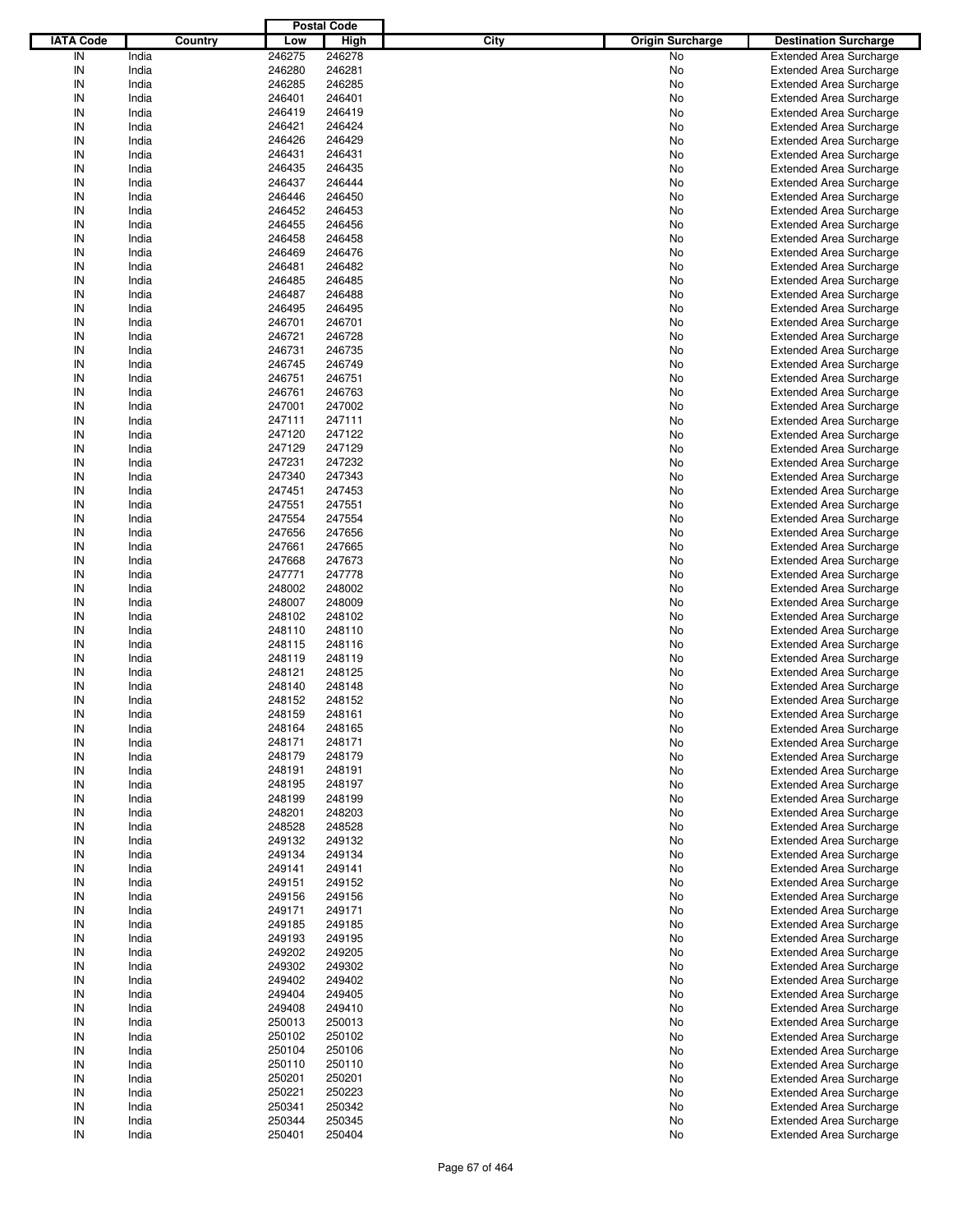|                  |         |        | <b>Postal Code</b> |      |                         |                                |
|------------------|---------|--------|--------------------|------|-------------------------|--------------------------------|
| <b>IATA Code</b> | Country | Low    | High               | City | <b>Origin Surcharge</b> | <b>Destination Surcharge</b>   |
| IN               | India   | 246275 | 246278             |      | <b>No</b>               | <b>Extended Area Surcharge</b> |
| IN               | India   | 246280 | 246281             |      | No                      | <b>Extended Area Surcharge</b> |
| IN               | India   | 246285 | 246285             |      | No                      | <b>Extended Area Surcharge</b> |
| IN               | India   | 246401 | 246401             |      | No                      | <b>Extended Area Surcharge</b> |
| IN               | India   | 246419 | 246419             |      | No                      | <b>Extended Area Surcharge</b> |
| IN               | India   | 246421 | 246424             |      | No                      | <b>Extended Area Surcharge</b> |
| IN               | India   | 246426 | 246429             |      |                         |                                |
|                  |         |        |                    |      | No                      | <b>Extended Area Surcharge</b> |
| IN               | India   | 246431 | 246431             |      | No                      | <b>Extended Area Surcharge</b> |
| IN               | India   | 246435 | 246435             |      | No                      | <b>Extended Area Surcharge</b> |
| IN               | India   | 246437 | 246444             |      | No                      | <b>Extended Area Surcharge</b> |
| IN               | India   | 246446 | 246450             |      | No                      | <b>Extended Area Surcharge</b> |
| IN               | India   | 246452 | 246453             |      | No                      | <b>Extended Area Surcharge</b> |
| IN               | India   | 246455 | 246456             |      | No                      | <b>Extended Area Surcharge</b> |
| IN               | India   | 246458 | 246458             |      | No                      | <b>Extended Area Surcharge</b> |
| IN               | India   | 246469 | 246476             |      | No                      | <b>Extended Area Surcharge</b> |
| IN               | India   | 246481 | 246482             |      | No                      | <b>Extended Area Surcharge</b> |
| IN               | India   | 246485 | 246485             |      | No                      | <b>Extended Area Surcharge</b> |
| IN               | India   | 246487 | 246488             |      | No                      | <b>Extended Area Surcharge</b> |
| IN               | India   | 246495 | 246495             |      | No                      | <b>Extended Area Surcharge</b> |
| IN               | India   | 246701 | 246701             |      | No                      | <b>Extended Area Surcharge</b> |
| IN               | India   | 246721 | 246728             |      | No                      | <b>Extended Area Surcharge</b> |
| IN               | India   | 246731 | 246735             |      | No                      | <b>Extended Area Surcharge</b> |
| IN               | India   | 246745 | 246749             |      | No                      | <b>Extended Area Surcharge</b> |
| IN               | India   | 246751 | 246751             |      | No                      | <b>Extended Area Surcharge</b> |
| IN               | India   | 246761 | 246763             |      | No                      | <b>Extended Area Surcharge</b> |
| IN               | India   | 247001 | 247002             |      | No                      | <b>Extended Area Surcharge</b> |
|                  |         |        |                    |      |                         |                                |
| IN               | India   | 247111 | 247111             |      | No                      | <b>Extended Area Surcharge</b> |
| IN               | India   | 247120 | 247122             |      | No                      | <b>Extended Area Surcharge</b> |
| IN               | India   | 247129 | 247129             |      | No                      | <b>Extended Area Surcharge</b> |
| IN               | India   | 247231 | 247232             |      | No                      | <b>Extended Area Surcharge</b> |
| IN               | India   | 247340 | 247343             |      | No                      | <b>Extended Area Surcharge</b> |
| IN               | India   | 247451 | 247453             |      | No                      | <b>Extended Area Surcharge</b> |
| IN               | India   | 247551 | 247551             |      | No                      | <b>Extended Area Surcharge</b> |
| IN               | India   | 247554 | 247554             |      | No                      | <b>Extended Area Surcharge</b> |
| IN               | India   | 247656 | 247656             |      | No                      | <b>Extended Area Surcharge</b> |
| IN               | India   | 247661 | 247665             |      | No                      | <b>Extended Area Surcharge</b> |
| IN               | India   | 247668 | 247673             |      | No                      | <b>Extended Area Surcharge</b> |
| IN               | India   | 247771 | 247778             |      | No                      | <b>Extended Area Surcharge</b> |
| IN               | India   | 248002 | 248002             |      | No                      | <b>Extended Area Surcharge</b> |
| IN               | India   | 248007 | 248009             |      | No                      | <b>Extended Area Surcharge</b> |
| IN               | India   | 248102 | 248102             |      | No                      | <b>Extended Area Surcharge</b> |
| IN               | India   | 248110 | 248110             |      | No                      | <b>Extended Area Surcharge</b> |
| IN               | India   | 248115 | 248116             |      | No                      | <b>Extended Area Surcharge</b> |
| IN               | India   | 248119 | 248119             |      | No                      | <b>Extended Area Surcharge</b> |
| IN               | India   | 248121 | 248125             |      | No                      | <b>Extended Area Surcharge</b> |
| IN               | India   | 248140 | 248148             |      | No                      | <b>Extended Area Surcharge</b> |
|                  |         |        |                    |      |                         |                                |
| IN               | India   | 248152 | 248152             |      | No                      | <b>Extended Area Surcharge</b> |
| IN               | India   | 248159 | 248161             |      | No                      | <b>Extended Area Surcharge</b> |
| IN               | India   | 248164 | 248165             |      | No                      | <b>Extended Area Surcharge</b> |
| IN               | India   | 248171 | 248171             |      | No                      | <b>Extended Area Surcharge</b> |
| IN               | India   | 248179 | 248179             |      | No                      | <b>Extended Area Surcharge</b> |
| IN               | India   | 248191 | 248191             |      | No                      | <b>Extended Area Surcharge</b> |
| IN               | India   | 248195 | 248197             |      | No                      | <b>Extended Area Surcharge</b> |
| IN               | India   | 248199 | 248199             |      | No                      | <b>Extended Area Surcharge</b> |
| IN               | India   | 248201 | 248203             |      | No                      | <b>Extended Area Surcharge</b> |
| IN               | India   | 248528 | 248528             |      | No                      | <b>Extended Area Surcharge</b> |
| IN               | India   | 249132 | 249132             |      | No                      | <b>Extended Area Surcharge</b> |
| IN               | India   | 249134 | 249134             |      | No                      | <b>Extended Area Surcharge</b> |
| IN               | India   | 249141 | 249141             |      | No                      | <b>Extended Area Surcharge</b> |
| IN               | India   | 249151 | 249152             |      | No                      | <b>Extended Area Surcharge</b> |
| IN               | India   | 249156 | 249156             |      | No                      | <b>Extended Area Surcharge</b> |
| IN               | India   | 249171 | 249171             |      | No                      | <b>Extended Area Surcharge</b> |
| IN               | India   | 249185 | 249185             |      | No                      | <b>Extended Area Surcharge</b> |
| IN               | India   | 249193 | 249195             |      | No                      | <b>Extended Area Surcharge</b> |
| IN               | India   | 249202 | 249205             |      | No                      | <b>Extended Area Surcharge</b> |
| IN               | India   | 249302 | 249302             |      |                         | <b>Extended Area Surcharge</b> |
|                  |         |        |                    |      | No                      |                                |
| IN               | India   | 249402 | 249402             |      | No                      | <b>Extended Area Surcharge</b> |
| IN               | India   | 249404 | 249405             |      | No                      | <b>Extended Area Surcharge</b> |
| IN               | India   | 249408 | 249410             |      | No                      | <b>Extended Area Surcharge</b> |
| IN               | India   | 250013 | 250013             |      | No                      | <b>Extended Area Surcharge</b> |
| IN               | India   | 250102 | 250102             |      | No                      | <b>Extended Area Surcharge</b> |
| IN               | India   | 250104 | 250106             |      | No                      | <b>Extended Area Surcharge</b> |
| IN               | India   | 250110 | 250110             |      | No                      | <b>Extended Area Surcharge</b> |
| IN               | India   | 250201 | 250201             |      | No                      | <b>Extended Area Surcharge</b> |
| IN               | India   | 250221 | 250223             |      | No                      | <b>Extended Area Surcharge</b> |
| IN               | India   | 250341 | 250342             |      | No                      | <b>Extended Area Surcharge</b> |
| IN               | India   | 250344 | 250345             |      | No                      | <b>Extended Area Surcharge</b> |
| IN               | India   | 250401 | 250404             |      | No                      | <b>Extended Area Surcharge</b> |
|                  |         |        |                    |      |                         |                                |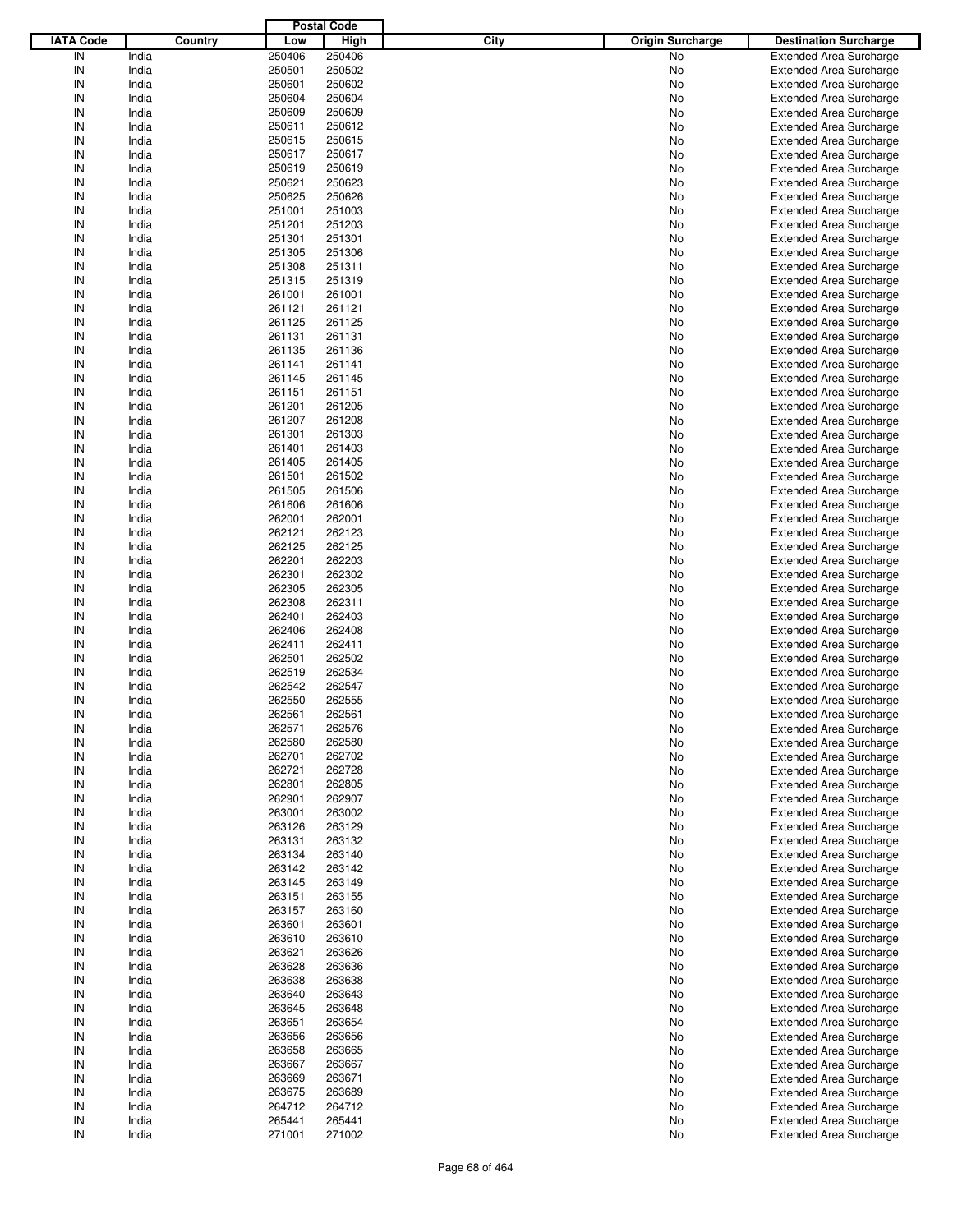|                  |         |        | <b>Postal Code</b> |      |                         |                                |
|------------------|---------|--------|--------------------|------|-------------------------|--------------------------------|
| <b>IATA Code</b> | Country | Low    | High               | City | <b>Origin Surcharge</b> | <b>Destination Surcharge</b>   |
| IN               | India   | 250406 | 250406             |      | <b>No</b>               | <b>Extended Area Surcharge</b> |
| IN               | India   | 250501 | 250502             |      | No                      | <b>Extended Area Surcharge</b> |
| IN               | India   | 250601 | 250602             |      | No                      | <b>Extended Area Surcharge</b> |
| IN               | India   | 250604 | 250604             |      | No                      | <b>Extended Area Surcharge</b> |
| IN               | India   | 250609 | 250609             |      | No                      | <b>Extended Area Surcharge</b> |
| IN               | India   | 250611 | 250612             |      | No                      | <b>Extended Area Surcharge</b> |
| IN               | India   | 250615 | 250615             |      |                         |                                |
|                  |         |        |                    |      | No                      | <b>Extended Area Surcharge</b> |
| IN               | India   | 250617 | 250617             |      | No                      | <b>Extended Area Surcharge</b> |
| IN               | India   | 250619 | 250619             |      | No                      | <b>Extended Area Surcharge</b> |
| IN               | India   | 250621 | 250623             |      | No                      | <b>Extended Area Surcharge</b> |
| IN               | India   | 250625 | 250626             |      | No                      | <b>Extended Area Surcharge</b> |
| IN               | India   | 251001 | 251003             |      | No                      | <b>Extended Area Surcharge</b> |
| IN               | India   | 251201 | 251203             |      | No                      | <b>Extended Area Surcharge</b> |
| IN               | India   | 251301 | 251301             |      | No                      | <b>Extended Area Surcharge</b> |
| IN               | India   | 251305 | 251306             |      | No                      | <b>Extended Area Surcharge</b> |
| IN               | India   | 251308 | 251311             |      | No                      | <b>Extended Area Surcharge</b> |
| IN               | India   | 251315 | 251319             |      | No                      | <b>Extended Area Surcharge</b> |
| IN               | India   | 261001 | 261001             |      | No                      | <b>Extended Area Surcharge</b> |
| IN               | India   | 261121 | 261121             |      | No                      | <b>Extended Area Surcharge</b> |
| IN               | India   | 261125 | 261125             |      | No                      | <b>Extended Area Surcharge</b> |
| IN               | India   | 261131 | 261131             |      | No                      | <b>Extended Area Surcharge</b> |
| IN               | India   | 261135 | 261136             |      | No                      | <b>Extended Area Surcharge</b> |
| IN               | India   | 261141 | 261141             |      | No                      | <b>Extended Area Surcharge</b> |
| IN               | India   | 261145 | 261145             |      | No                      | <b>Extended Area Surcharge</b> |
| IN               | India   | 261151 | 261151             |      | No                      | <b>Extended Area Surcharge</b> |
| IN               | India   | 261201 | 261205             |      | No                      | <b>Extended Area Surcharge</b> |
| IN               | India   | 261207 | 261208             |      | No                      | <b>Extended Area Surcharge</b> |
| IN               | India   | 261301 | 261303             |      | No                      | <b>Extended Area Surcharge</b> |
| IN               | India   | 261401 | 261403             |      | No                      | <b>Extended Area Surcharge</b> |
| IN               | India   | 261405 | 261405             |      |                         |                                |
|                  |         |        |                    |      | No                      | <b>Extended Area Surcharge</b> |
| IN               | India   | 261501 | 261502             |      | No                      | <b>Extended Area Surcharge</b> |
| IN               | India   | 261505 | 261506             |      | No                      | <b>Extended Area Surcharge</b> |
| IN               | India   | 261606 | 261606             |      | No                      | <b>Extended Area Surcharge</b> |
| IN               | India   | 262001 | 262001             |      | No                      | <b>Extended Area Surcharge</b> |
| IN               | India   | 262121 | 262123             |      | No                      | <b>Extended Area Surcharge</b> |
| IN               | India   | 262125 | 262125             |      | No                      | <b>Extended Area Surcharge</b> |
| IN               | India   | 262201 | 262203             |      | No                      | <b>Extended Area Surcharge</b> |
| IN               | India   | 262301 | 262302             |      | No                      | <b>Extended Area Surcharge</b> |
| IN               | India   | 262305 | 262305             |      | No                      | <b>Extended Area Surcharge</b> |
| IN               | India   | 262308 | 262311             |      | No                      | <b>Extended Area Surcharge</b> |
| IN               | India   | 262401 | 262403             |      | No                      | <b>Extended Area Surcharge</b> |
| IN               | India   | 262406 | 262408             |      | No                      | <b>Extended Area Surcharge</b> |
| IN               | India   | 262411 | 262411             |      | No                      | <b>Extended Area Surcharge</b> |
| IN               | India   | 262501 | 262502             |      | No                      | <b>Extended Area Surcharge</b> |
| IN               | India   | 262519 | 262534             |      | No                      | <b>Extended Area Surcharge</b> |
| IN               | India   | 262542 | 262547             |      | No                      | <b>Extended Area Surcharge</b> |
| IN               | India   | 262550 | 262555             |      | No                      | <b>Extended Area Surcharge</b> |
| IN               | India   | 262561 | 262561             |      | No                      | <b>Extended Area Surcharge</b> |
| IN               | India   | 262571 | 262576             |      | No                      | <b>Extended Area Surcharge</b> |
| IN               | India   | 262580 | 262580             |      | No                      | <b>Extended Area Surcharge</b> |
| IN               | India   | 262701 | 262702             |      | No                      | <b>Extended Area Surcharge</b> |
| IN               | India   | 262721 | 262728             |      | No                      | <b>Extended Area Surcharge</b> |
|                  | India   | 262801 | 262805             |      | No                      | <b>Extended Area Surcharge</b> |
| IN<br>IN         | India   | 262901 | 262907             |      | No                      | <b>Extended Area Surcharge</b> |
| IN               | India   | 263001 | 263002             |      | No                      | <b>Extended Area Surcharge</b> |
|                  |         |        |                    |      |                         |                                |
| IN               | India   | 263126 | 263129             |      | No                      | <b>Extended Area Surcharge</b> |
| IN               | India   | 263131 | 263132             |      | No                      | <b>Extended Area Surcharge</b> |
| IN               | India   | 263134 | 263140             |      | No                      | <b>Extended Area Surcharge</b> |
| IN               | India   | 263142 | 263142             |      | No                      | <b>Extended Area Surcharge</b> |
| IN               | India   | 263145 | 263149             |      | No                      | <b>Extended Area Surcharge</b> |
| IN               | India   | 263151 | 263155             |      | No                      | <b>Extended Area Surcharge</b> |
| IN               | India   | 263157 | 263160             |      | No                      | <b>Extended Area Surcharge</b> |
| IN               | India   | 263601 | 263601             |      | No                      | <b>Extended Area Surcharge</b> |
| IN               | India   | 263610 | 263610             |      | No                      | <b>Extended Area Surcharge</b> |
| IN               | India   | 263621 | 263626             |      | No                      | <b>Extended Area Surcharge</b> |
| IN               | India   | 263628 | 263636             |      | No                      | <b>Extended Area Surcharge</b> |
| IN               | India   | 263638 | 263638             |      | No                      | <b>Extended Area Surcharge</b> |
| IN               | India   | 263640 | 263643             |      | No                      | <b>Extended Area Surcharge</b> |
| IN               | India   | 263645 | 263648             |      | No                      | <b>Extended Area Surcharge</b> |
| IN               | India   | 263651 | 263654             |      | No                      | <b>Extended Area Surcharge</b> |
| IN               | India   | 263656 | 263656             |      | No                      | <b>Extended Area Surcharge</b> |
| IN               | India   | 263658 | 263665             |      | No                      | <b>Extended Area Surcharge</b> |
| IN               | India   | 263667 | 263667             |      | No                      | <b>Extended Area Surcharge</b> |
| IN               | India   | 263669 | 263671             |      | No                      | <b>Extended Area Surcharge</b> |
| IN               | India   | 263675 | 263689             |      | No                      | <b>Extended Area Surcharge</b> |
| IN               | India   | 264712 | 264712             |      | No                      | <b>Extended Area Surcharge</b> |
| IN               | India   | 265441 | 265441             |      | No                      | <b>Extended Area Surcharge</b> |
| IN               |         |        |                    |      |                         |                                |
|                  | India   | 271001 | 271002             |      | No                      | <b>Extended Area Surcharge</b> |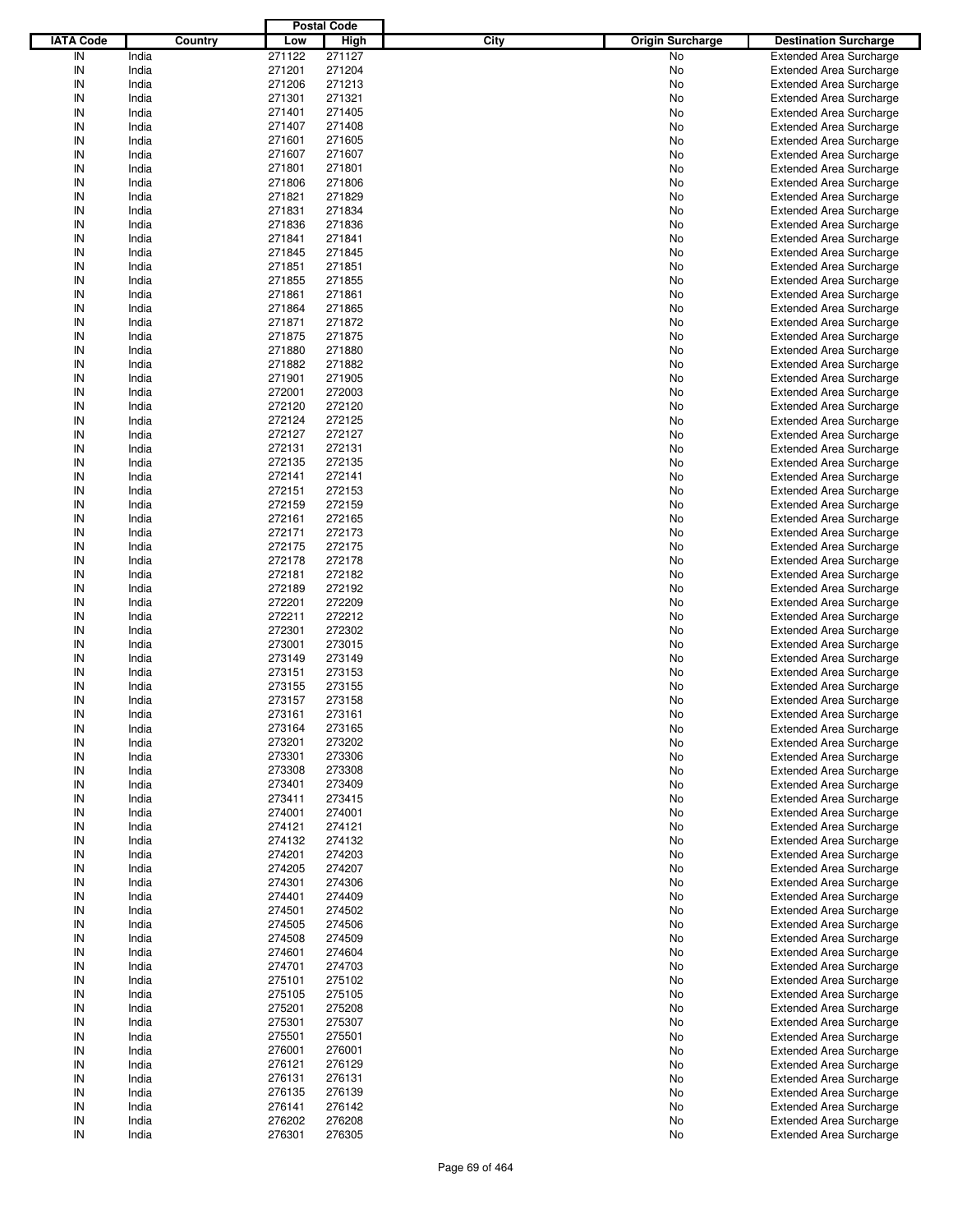|                  |         |        | <b>Postal Code</b> |                                 |                                |
|------------------|---------|--------|--------------------|---------------------------------|--------------------------------|
| <b>IATA Code</b> | Country | Low    | <b>High</b>        | City<br><b>Origin Surcharge</b> | <b>Destination Surcharge</b>   |
| IN               | India   | 271122 | 271127             | No                              | <b>Extended Area Surcharge</b> |
| IN               | India   | 271201 | 271204             | No                              | <b>Extended Area Surcharge</b> |
| IN               | India   | 271206 | 271213             | No                              | <b>Extended Area Surcharge</b> |
| IN               | India   | 271301 | 271321             | No                              | <b>Extended Area Surcharge</b> |
| IN               | India   | 271401 | 271405             | No                              | <b>Extended Area Surcharge</b> |
| IN               | India   | 271407 | 271408             | No                              | <b>Extended Area Surcharge</b> |
| IN               |         |        |                    |                                 |                                |
|                  | India   | 271601 | 271605             | No                              | <b>Extended Area Surcharge</b> |
| IN               | India   | 271607 | 271607             | No                              | <b>Extended Area Surcharge</b> |
| IN               | India   | 271801 | 271801             | No                              | <b>Extended Area Surcharge</b> |
| IN               | India   | 271806 | 271806             | No                              | <b>Extended Area Surcharge</b> |
| IN               | India   | 271821 | 271829             | No                              | <b>Extended Area Surcharge</b> |
| IN               | India   | 271831 | 271834             | No                              | <b>Extended Area Surcharge</b> |
| IN               | India   | 271836 | 271836             | No                              | <b>Extended Area Surcharge</b> |
| IN               | India   | 271841 | 271841             | No                              | <b>Extended Area Surcharge</b> |
| IN               | India   | 271845 | 271845             | No                              | <b>Extended Area Surcharge</b> |
| IN               | India   | 271851 | 271851             | No                              | <b>Extended Area Surcharge</b> |
| IN               | India   | 271855 | 271855             | No                              | <b>Extended Area Surcharge</b> |
| IN               | India   | 271861 | 271861             | No                              | <b>Extended Area Surcharge</b> |
| IN               | India   | 271864 | 271865             | No                              | <b>Extended Area Surcharge</b> |
| IN               | India   | 271871 | 271872             | No                              | <b>Extended Area Surcharge</b> |
| IN               | India   | 271875 | 271875             | No                              | <b>Extended Area Surcharge</b> |
| IN               | India   | 271880 | 271880             | No                              | <b>Extended Area Surcharge</b> |
| IN               | India   | 271882 | 271882             | No                              | <b>Extended Area Surcharge</b> |
| IN               | India   | 271901 | 271905             | No                              | <b>Extended Area Surcharge</b> |
| IN               | India   | 272001 | 272003             | No                              | <b>Extended Area Surcharge</b> |
| IN               | India   | 272120 | 272120             |                                 |                                |
|                  |         |        |                    | No                              | <b>Extended Area Surcharge</b> |
| IN               | India   | 272124 | 272125             | No                              | <b>Extended Area Surcharge</b> |
| IN               | India   | 272127 | 272127             | No                              | <b>Extended Area Surcharge</b> |
| IN               | India   | 272131 | 272131             | No                              | <b>Extended Area Surcharge</b> |
| IN               | India   | 272135 | 272135             | No                              | <b>Extended Area Surcharge</b> |
| IN               | India   | 272141 | 272141             | No                              | <b>Extended Area Surcharge</b> |
| IN               | India   | 272151 | 272153             | No                              | <b>Extended Area Surcharge</b> |
| IN               | India   | 272159 | 272159             | No                              | <b>Extended Area Surcharge</b> |
| IN               | India   | 272161 | 272165             | No                              | <b>Extended Area Surcharge</b> |
| IN               | India   | 272171 | 272173             | No                              | <b>Extended Area Surcharge</b> |
| IN               | India   | 272175 | 272175             | No                              | <b>Extended Area Surcharge</b> |
| IN               | India   | 272178 | 272178             | No                              | <b>Extended Area Surcharge</b> |
| IN               | India   | 272181 | 272182             | No                              | <b>Extended Area Surcharge</b> |
| IN               | India   | 272189 | 272192             | No                              | <b>Extended Area Surcharge</b> |
| IN               | India   | 272201 | 272209             | No                              | <b>Extended Area Surcharge</b> |
| IN               | India   | 272211 | 272212             | No                              | <b>Extended Area Surcharge</b> |
| IN               | India   | 272301 | 272302             | No                              | <b>Extended Area Surcharge</b> |
| IN               | India   | 273001 | 273015             | No                              | <b>Extended Area Surcharge</b> |
| IN               | India   | 273149 | 273149             | No                              | <b>Extended Area Surcharge</b> |
| IN               | India   | 273151 | 273153             | No                              | <b>Extended Area Surcharge</b> |
| IN               |         |        |                    |                                 |                                |
|                  | India   | 273155 | 273155             | No                              | <b>Extended Area Surcharge</b> |
| IN               | India   | 273157 | 273158             | No                              | <b>Extended Area Surcharge</b> |
| IN               | India   | 273161 | 273161             | No                              | <b>Extended Area Surcharge</b> |
| IN               | India   | 273164 | 273165             | No                              | <b>Extended Area Surcharge</b> |
| IN               | India   | 273201 | 273202             | No                              | <b>Extended Area Surcharge</b> |
| IN               | India   | 273301 | 273306             | No                              | <b>Extended Area Surcharge</b> |
| IN               | India   | 273308 | 273308             | No                              | <b>Extended Area Surcharge</b> |
| IN               | India   | 273401 | 273409             | No                              | <b>Extended Area Surcharge</b> |
| IN               | India   | 273411 | 273415             | No                              | <b>Extended Area Surcharge</b> |
| IN               | India   | 274001 | 274001             | No                              | <b>Extended Area Surcharge</b> |
| IN               | India   | 274121 | 274121             | No                              | <b>Extended Area Surcharge</b> |
| IN               | India   | 274132 | 274132             | No                              | <b>Extended Area Surcharge</b> |
| IN               | India   | 274201 | 274203             | No                              | <b>Extended Area Surcharge</b> |
| IN               | India   | 274205 | 274207             | No                              | <b>Extended Area Surcharge</b> |
| IN               | India   | 274301 | 274306             | No                              | <b>Extended Area Surcharge</b> |
| IN               | India   | 274401 | 274409             | No                              | <b>Extended Area Surcharge</b> |
| IN               | India   | 274501 | 274502             | No                              | <b>Extended Area Surcharge</b> |
| IN               | India   | 274505 | 274506             | No                              | <b>Extended Area Surcharge</b> |
| IN               | India   | 274508 | 274509             | No                              | <b>Extended Area Surcharge</b> |
| IN               | India   | 274601 | 274604             | No                              | <b>Extended Area Surcharge</b> |
| IN               | India   | 274701 | 274703             |                                 | <b>Extended Area Surcharge</b> |
|                  |         |        |                    | No                              |                                |
| IN               | India   | 275101 | 275102             | No                              | <b>Extended Area Surcharge</b> |
| IN               | India   | 275105 | 275105             | No                              | <b>Extended Area Surcharge</b> |
| IN               | India   | 275201 | 275208             | No                              | <b>Extended Area Surcharge</b> |
| IN               | India   | 275301 | 275307             | No                              | <b>Extended Area Surcharge</b> |
| IN               | India   | 275501 | 275501             | No                              | <b>Extended Area Surcharge</b> |
| IN               | India   | 276001 | 276001             | No                              | <b>Extended Area Surcharge</b> |
| IN               | India   | 276121 | 276129             | No                              | <b>Extended Area Surcharge</b> |
| IN               | India   | 276131 | 276131             | No                              | <b>Extended Area Surcharge</b> |
| IN               | India   | 276135 | 276139             | No                              | <b>Extended Area Surcharge</b> |
| IN               | India   | 276141 | 276142             | No                              | <b>Extended Area Surcharge</b> |
| IN               | India   | 276202 | 276208             | No                              | <b>Extended Area Surcharge</b> |
| $\sf IN$         | India   | 276301 | 276305             | No                              | <b>Extended Area Surcharge</b> |
|                  |         |        |                    |                                 |                                |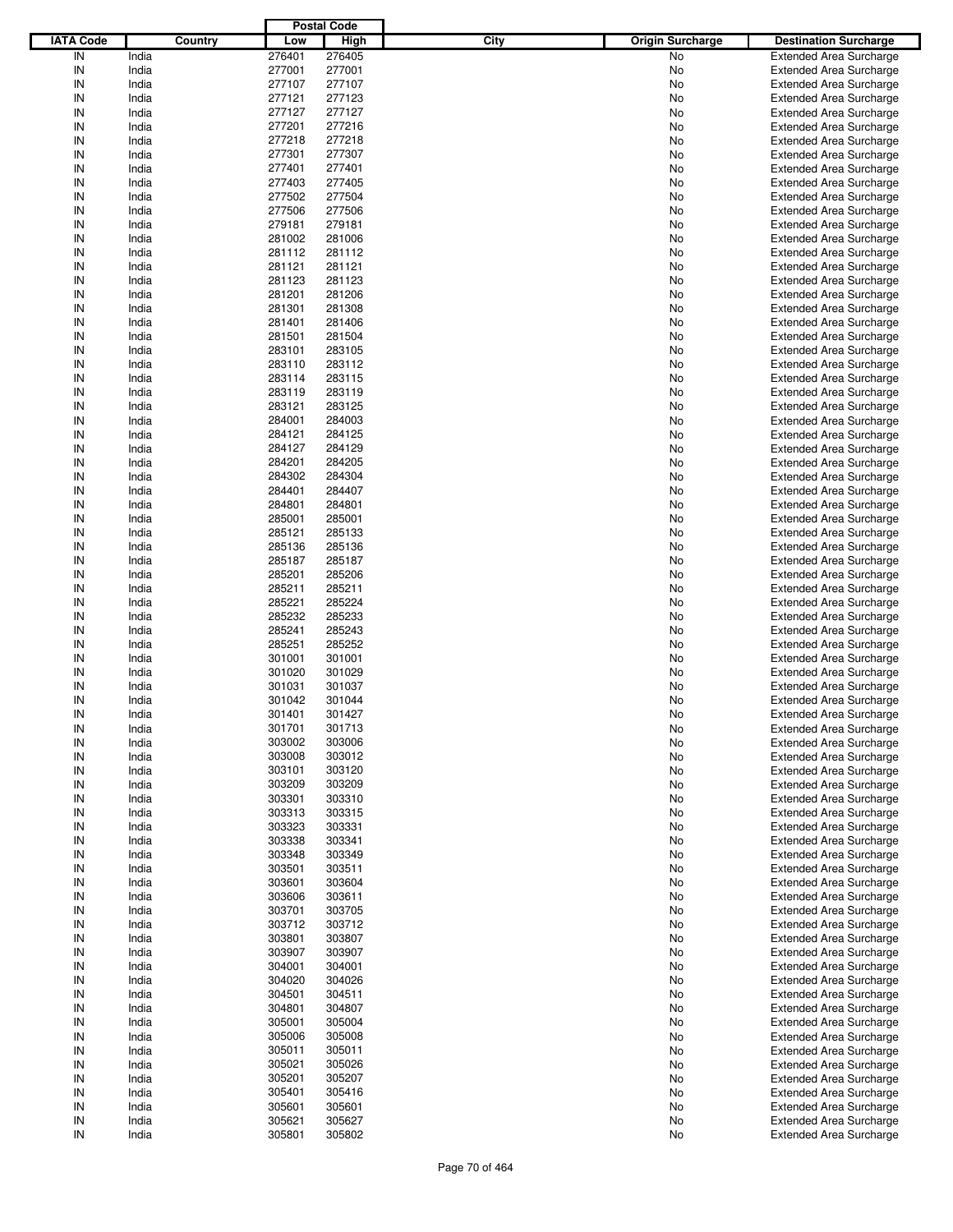|                  |         |        | <b>Postal Code</b> |                                 |                                |
|------------------|---------|--------|--------------------|---------------------------------|--------------------------------|
| <b>IATA Code</b> | Country | Low    | <b>High</b>        | City<br><b>Origin Surcharge</b> | <b>Destination Surcharge</b>   |
| IN               | India   | 276401 | 276405             | No                              | <b>Extended Area Surcharge</b> |
| IN               | India   | 277001 | 277001             | No                              | <b>Extended Area Surcharge</b> |
| IN               | India   | 277107 | 277107             | No                              | <b>Extended Area Surcharge</b> |
| IN               | India   | 277121 | 277123             | No                              | <b>Extended Area Surcharge</b> |
| IN               | India   | 277127 | 277127             | No                              | <b>Extended Area Surcharge</b> |
| IN               | India   | 277201 | 277216             | No                              | <b>Extended Area Surcharge</b> |
| IN               | India   | 277218 | 277218             |                                 |                                |
|                  |         |        |                    | No                              | <b>Extended Area Surcharge</b> |
| IN               | India   | 277301 | 277307             | No                              | <b>Extended Area Surcharge</b> |
| IN               | India   | 277401 | 277401             | No                              | <b>Extended Area Surcharge</b> |
| IN               | India   | 277403 | 277405             | No                              | <b>Extended Area Surcharge</b> |
| IN               | India   | 277502 | 277504             | No                              | <b>Extended Area Surcharge</b> |
| IN               | India   | 277506 | 277506             | No                              | <b>Extended Area Surcharge</b> |
| IN               | India   | 279181 | 279181             | No                              | <b>Extended Area Surcharge</b> |
| IN               | India   | 281002 | 281006             | No                              | <b>Extended Area Surcharge</b> |
| IN               | India   | 281112 | 281112             | No                              | <b>Extended Area Surcharge</b> |
| IN               | India   | 281121 | 281121             | No                              | <b>Extended Area Surcharge</b> |
| IN               | India   | 281123 | 281123             | No                              | <b>Extended Area Surcharge</b> |
| IN               | India   | 281201 | 281206             | No                              | <b>Extended Area Surcharge</b> |
| IN               | India   | 281301 | 281308             | No                              | <b>Extended Area Surcharge</b> |
| IN               | India   | 281401 | 281406             | No                              | <b>Extended Area Surcharge</b> |
| IN               | India   | 281501 | 281504             | No                              | <b>Extended Area Surcharge</b> |
| IN               | India   | 283101 | 283105             | No                              | <b>Extended Area Surcharge</b> |
| IN               | India   | 283110 | 283112             | No                              | <b>Extended Area Surcharge</b> |
| IN               | India   | 283114 | 283115             | No                              | <b>Extended Area Surcharge</b> |
| IN               | India   | 283119 | 283119             | No                              | <b>Extended Area Surcharge</b> |
| IN               | India   | 283121 | 283125             | No                              | <b>Extended Area Surcharge</b> |
| IN               | India   | 284001 | 284003             | No                              | <b>Extended Area Surcharge</b> |
| IN               | India   | 284121 | 284125             |                                 | <b>Extended Area Surcharge</b> |
| IN               |         |        |                    | No                              |                                |
|                  | India   | 284127 | 284129             | No                              | <b>Extended Area Surcharge</b> |
| IN               | India   | 284201 | 284205             | No                              | <b>Extended Area Surcharge</b> |
| IN               | India   | 284302 | 284304             | No                              | <b>Extended Area Surcharge</b> |
| IN               | India   | 284401 | 284407             | No                              | <b>Extended Area Surcharge</b> |
| IN               | India   | 284801 | 284801             | No                              | <b>Extended Area Surcharge</b> |
| IN               | India   | 285001 | 285001             | No                              | <b>Extended Area Surcharge</b> |
| IN               | India   | 285121 | 285133             | No                              | <b>Extended Area Surcharge</b> |
| IN               | India   | 285136 | 285136             | No                              | <b>Extended Area Surcharge</b> |
| IN               | India   | 285187 | 285187             | No                              | <b>Extended Area Surcharge</b> |
| IN               | India   | 285201 | 285206             | No                              | <b>Extended Area Surcharge</b> |
| IN               | India   | 285211 | 285211             | No                              | <b>Extended Area Surcharge</b> |
| IN               | India   | 285221 | 285224             | No                              | <b>Extended Area Surcharge</b> |
| IN               | India   | 285232 | 285233             | No                              | <b>Extended Area Surcharge</b> |
| IN               | India   | 285241 | 285243             | No                              | <b>Extended Area Surcharge</b> |
| IN               | India   | 285251 | 285252             | No                              | <b>Extended Area Surcharge</b> |
| IN               | India   | 301001 | 301001             | No                              | <b>Extended Area Surcharge</b> |
| IN               | India   | 301020 | 301029             | No                              | <b>Extended Area Surcharge</b> |
| IN               | India   | 301031 | 301037             | No                              | <b>Extended Area Surcharge</b> |
| IN               | India   | 301042 | 301044             | No                              | <b>Extended Area Surcharge</b> |
|                  |         | 301401 | 301427             |                                 |                                |
| IN               | India   |        |                    | No                              | <b>Extended Area Surcharge</b> |
| IN               | India   | 301701 | 301713             | No                              | <b>Extended Area Surcharge</b> |
| IN               | India   | 303002 | 303006             | No                              | <b>Extended Area Surcharge</b> |
| IN               | India   | 303008 | 303012             | No                              | <b>Extended Area Surcharge</b> |
| IN               | India   | 303101 | 303120             | No                              | <b>Extended Area Surcharge</b> |
| IN               | India   | 303209 | 303209             | No                              | <b>Extended Area Surcharge</b> |
| IN               | India   | 303301 | 303310             | No                              | <b>Extended Area Surcharge</b> |
| IN               | India   | 303313 | 303315             | No                              | <b>Extended Area Surcharge</b> |
| IN               | India   | 303323 | 303331             | No                              | <b>Extended Area Surcharge</b> |
| IN               | India   | 303338 | 303341             | No                              | <b>Extended Area Surcharge</b> |
| IN               | India   | 303348 | 303349             | No                              | <b>Extended Area Surcharge</b> |
| IN               | India   | 303501 | 303511             | No                              | <b>Extended Area Surcharge</b> |
| IN               | India   | 303601 | 303604             | No                              | <b>Extended Area Surcharge</b> |
| IN               | India   | 303606 | 303611             | No                              | <b>Extended Area Surcharge</b> |
| IN               | India   | 303701 | 303705             | No                              | <b>Extended Area Surcharge</b> |
| IN               | India   | 303712 | 303712             | No                              | <b>Extended Area Surcharge</b> |
| IN               | India   | 303801 | 303807             | No                              | <b>Extended Area Surcharge</b> |
| IN               | India   | 303907 | 303907             | No                              | <b>Extended Area Surcharge</b> |
| IN               | India   | 304001 | 304001             | No                              | <b>Extended Area Surcharge</b> |
| IN               | India   | 304020 | 304026             | No                              | <b>Extended Area Surcharge</b> |
| IN               | India   | 304501 | 304511             |                                 | <b>Extended Area Surcharge</b> |
|                  |         |        |                    | No                              |                                |
| IN               | India   | 304801 | 304807             | No                              | <b>Extended Area Surcharge</b> |
| IN               | India   | 305001 | 305004             | No                              | <b>Extended Area Surcharge</b> |
| IN               | India   | 305006 | 305008             | No                              | <b>Extended Area Surcharge</b> |
| IN               | India   | 305011 | 305011             | No                              | <b>Extended Area Surcharge</b> |
| IN               | India   | 305021 | 305026             | No                              | <b>Extended Area Surcharge</b> |
| IN               | India   | 305201 | 305207             | No                              | <b>Extended Area Surcharge</b> |
| IN               | India   | 305401 | 305416             | No                              | <b>Extended Area Surcharge</b> |
| IN               | India   | 305601 | 305601             | No                              | <b>Extended Area Surcharge</b> |
| IN               | India   | 305621 | 305627             | No                              | <b>Extended Area Surcharge</b> |
| $\sf IN$         | India   | 305801 | 305802             | No                              | <b>Extended Area Surcharge</b> |
|                  |         |        |                    |                                 |                                |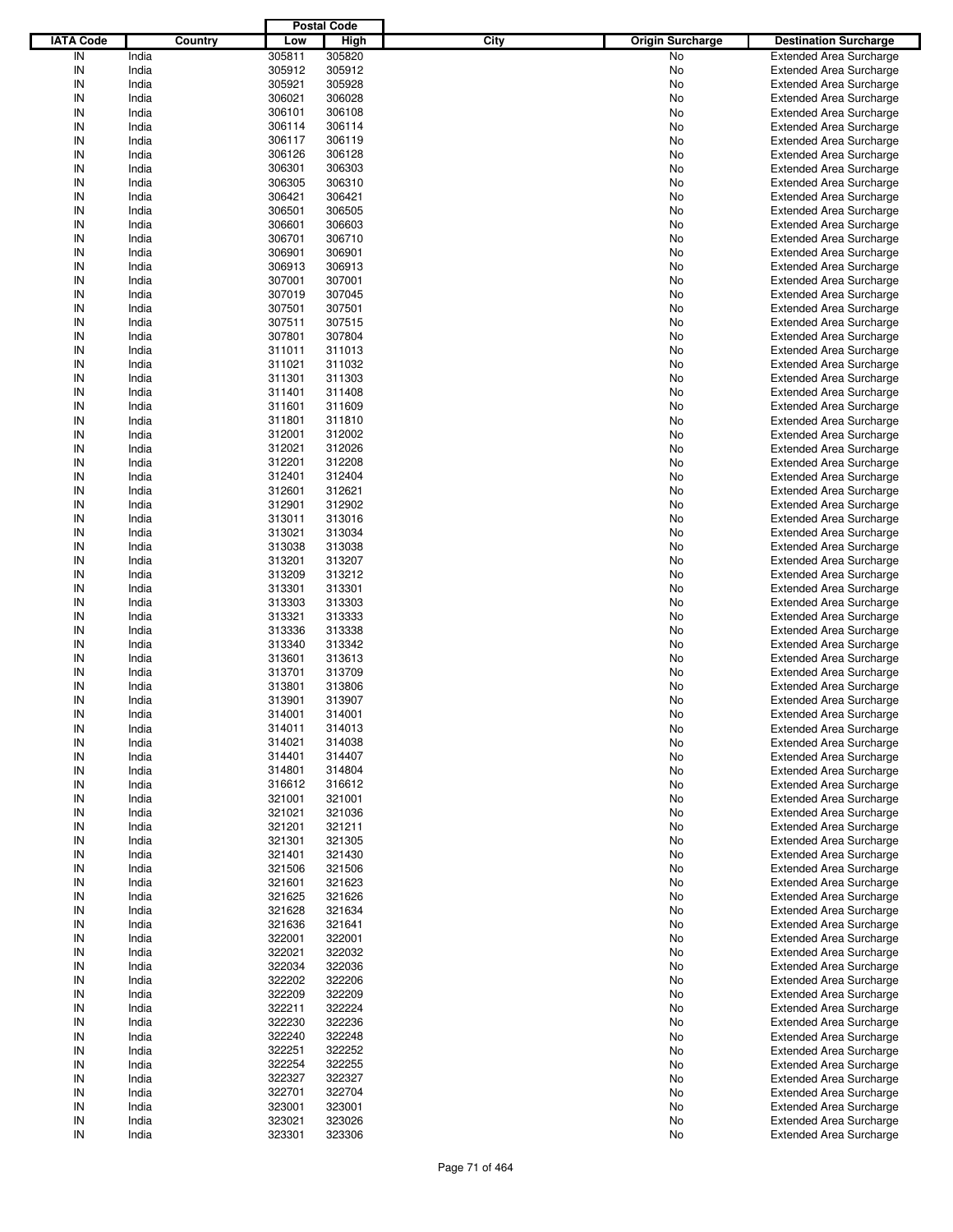|                  |                |                  | <b>Postal Code</b> |             |                         |                                                                  |
|------------------|----------------|------------------|--------------------|-------------|-------------------------|------------------------------------------------------------------|
| <b>IATA Code</b> | Country        | Low              | <b>High</b>        | <b>City</b> | <b>Origin Surcharge</b> | <b>Destination Surcharge</b>                                     |
| IN               | India          | 305811           | 305820             |             | No                      | <b>Extended Area Surcharge</b>                                   |
| IN               | India          | 305912           | 305912             |             | No                      | <b>Extended Area Surcharge</b>                                   |
| IN               | India          | 305921           | 305928             |             | No                      | <b>Extended Area Surcharge</b>                                   |
| IN               | India          | 306021           | 306028             |             | No                      | <b>Extended Area Surcharge</b>                                   |
| IN               | India          | 306101           | 306108             |             | No                      | <b>Extended Area Surcharge</b>                                   |
| IN               | India          | 306114           | 306114             |             | No                      | <b>Extended Area Surcharge</b>                                   |
| IN               | India          | 306117           | 306119             |             | No                      | <b>Extended Area Surcharge</b>                                   |
| IN               | India          | 306126           | 306128             |             | No                      | <b>Extended Area Surcharge</b>                                   |
| IN               | India          | 306301           | 306303             |             | No                      | <b>Extended Area Surcharge</b>                                   |
| IN               | India          | 306305           | 306310             |             | No                      | <b>Extended Area Surcharge</b>                                   |
| IN               | India          | 306421           | 306421             |             | No                      | <b>Extended Area Surcharge</b>                                   |
| IN               | India          | 306501           | 306505             |             | No                      | <b>Extended Area Surcharge</b>                                   |
| IN               | India          | 306601           | 306603             |             | No                      | <b>Extended Area Surcharge</b>                                   |
| IN               | India          | 306701           | 306710             |             | No                      | <b>Extended Area Surcharge</b>                                   |
| IN               | India          | 306901           | 306901             |             | No                      | <b>Extended Area Surcharge</b>                                   |
| IN               | India          | 306913           | 306913             |             | No                      | <b>Extended Area Surcharge</b>                                   |
| IN               | India          | 307001           | 307001             |             | No                      | <b>Extended Area Surcharge</b>                                   |
| IN               | India          | 307019           | 307045             |             | No                      | <b>Extended Area Surcharge</b>                                   |
| IN               | India          | 307501           | 307501             |             | No                      | <b>Extended Area Surcharge</b>                                   |
| IN               | India          | 307511           | 307515             |             | No                      | <b>Extended Area Surcharge</b>                                   |
| IN               | India          | 307801           | 307804             |             | No                      | <b>Extended Area Surcharge</b>                                   |
| IN               | India          | 311011           | 311013             |             | No                      | <b>Extended Area Surcharge</b>                                   |
| IN               | India          | 311021           | 311032             |             | No                      | <b>Extended Area Surcharge</b>                                   |
| IN               | India          | 311301           | 311303             |             | No                      | <b>Extended Area Surcharge</b>                                   |
| IN               | India          | 311401           | 311408             |             | No                      | <b>Extended Area Surcharge</b>                                   |
| IN               | India          | 311601           | 311609             |             | No                      | <b>Extended Area Surcharge</b>                                   |
| IN               | India          | 311801           | 311810             |             | No                      | <b>Extended Area Surcharge</b>                                   |
| IN               | India          | 312001           | 312002             |             | No                      | <b>Extended Area Surcharge</b>                                   |
| IN               | India          | 312021           | 312026             |             | No                      | <b>Extended Area Surcharge</b>                                   |
| IN               | India          | 312201           | 312208             |             | No                      | <b>Extended Area Surcharge</b>                                   |
| IN               | India          | 312401           | 312404             |             | No                      | <b>Extended Area Surcharge</b>                                   |
| IN               | India          | 312601           | 312621             |             | No                      | <b>Extended Area Surcharge</b>                                   |
| IN<br>IN         | India          | 312901           | 312902             |             | No                      | <b>Extended Area Surcharge</b>                                   |
| IN               | India          | 313011           | 313016             |             | No                      | <b>Extended Area Surcharge</b>                                   |
| IN               | India          | 313021           | 313034             |             | No                      | <b>Extended Area Surcharge</b>                                   |
| IN               | India<br>India | 313038<br>313201 | 313038<br>313207   |             | No<br>No                | <b>Extended Area Surcharge</b>                                   |
| IN               | India          | 313209           | 313212             |             | No                      | <b>Extended Area Surcharge</b>                                   |
| IN               | India          | 313301           | 313301             |             | No                      | <b>Extended Area Surcharge</b>                                   |
| IN               | India          | 313303           | 313303             |             | No                      | <b>Extended Area Surcharge</b><br><b>Extended Area Surcharge</b> |
| IN               | India          | 313321           | 313333             |             | No                      | <b>Extended Area Surcharge</b>                                   |
| IN               | India          | 313336           | 313338             |             | No                      | <b>Extended Area Surcharge</b>                                   |
| IN               | India          | 313340           | 313342             |             | No                      | <b>Extended Area Surcharge</b>                                   |
| IN               | India          | 313601           | 313613             |             | No                      | <b>Extended Area Surcharge</b>                                   |
| IN               | India          | 313701           | 313709             |             | No                      | <b>Extended Area Surcharge</b>                                   |
| IN               | India          | 313801           | 313806             |             | No                      | <b>Extended Area Surcharge</b>                                   |
| IN               | India          | 313901           | 313907             |             | No                      | <b>Extended Area Surcharge</b>                                   |
| IN               | India          | 314001           | 314001             |             | No                      | Extended Area Surcharge                                          |
| IN               | India          | 314011           | 314013             |             | No                      | <b>Extended Area Surcharge</b>                                   |
| IN               | India          | 314021           | 314038             |             | No                      | <b>Extended Area Surcharge</b>                                   |
| IN               | India          | 314401           | 314407             |             | No                      | <b>Extended Area Surcharge</b>                                   |
| IN               | India          | 314801           | 314804             |             | No                      | <b>Extended Area Surcharge</b>                                   |
| IN               | India          | 316612           | 316612             |             | No                      | <b>Extended Area Surcharge</b>                                   |
| IN               | India          | 321001           | 321001             |             | No                      | <b>Extended Area Surcharge</b>                                   |
| IN               | India          | 321021           | 321036             |             | No                      | <b>Extended Area Surcharge</b>                                   |
| IN               | India          | 321201           | 321211             |             | No                      | <b>Extended Area Surcharge</b>                                   |
| IN               | India          | 321301           | 321305             |             | No                      | <b>Extended Area Surcharge</b>                                   |
| IN               | India          | 321401           | 321430             |             | No                      | <b>Extended Area Surcharge</b>                                   |
| IN               | India          | 321506           | 321506             |             | No                      | <b>Extended Area Surcharge</b>                                   |
| IN               | India          | 321601           | 321623             |             | No                      | <b>Extended Area Surcharge</b>                                   |
| IN               | India          | 321625           | 321626             |             | No                      | <b>Extended Area Surcharge</b>                                   |
| IN               | India          | 321628           | 321634             |             | No                      | <b>Extended Area Surcharge</b>                                   |
| IN               | India          | 321636           | 321641             |             | No                      | <b>Extended Area Surcharge</b>                                   |
| IN               | India          | 322001           | 322001             |             | No                      | <b>Extended Area Surcharge</b>                                   |
| IN               | India          | 322021           | 322032             |             | No                      | <b>Extended Area Surcharge</b>                                   |
| IN               | India          | 322034           | 322036             |             | No                      | <b>Extended Area Surcharge</b>                                   |
| IN               | India          | 322202           | 322206             |             | No                      | <b>Extended Area Surcharge</b>                                   |
| IN               | India          | 322209           | 322209             |             | No                      | <b>Extended Area Surcharge</b>                                   |
| IN               | India          | 322211           | 322224             |             | No                      | <b>Extended Area Surcharge</b>                                   |
| IN               | India          | 322230           | 322236             |             | No                      | <b>Extended Area Surcharge</b>                                   |
| IN               | India          | 322240           | 322248             |             | No                      | <b>Extended Area Surcharge</b>                                   |
| IN               | India          | 322251           | 322252             |             | No                      | <b>Extended Area Surcharge</b>                                   |
| IN               | India          | 322254           | 322255             |             | No                      | <b>Extended Area Surcharge</b>                                   |
| IN               | India          | 322327           | 322327             |             | No                      | <b>Extended Area Surcharge</b>                                   |
| IN               | India          | 322701           | 322704             |             | No                      | <b>Extended Area Surcharge</b>                                   |
| IN               | India          | 323001           | 323001             |             | No                      | <b>Extended Area Surcharge</b>                                   |
| IN               | India          | 323021           | 323026             |             | No                      | <b>Extended Area Surcharge</b>                                   |
| IN               | India          | 323301           | 323306             |             | No                      | <b>Extended Area Surcharge</b>                                   |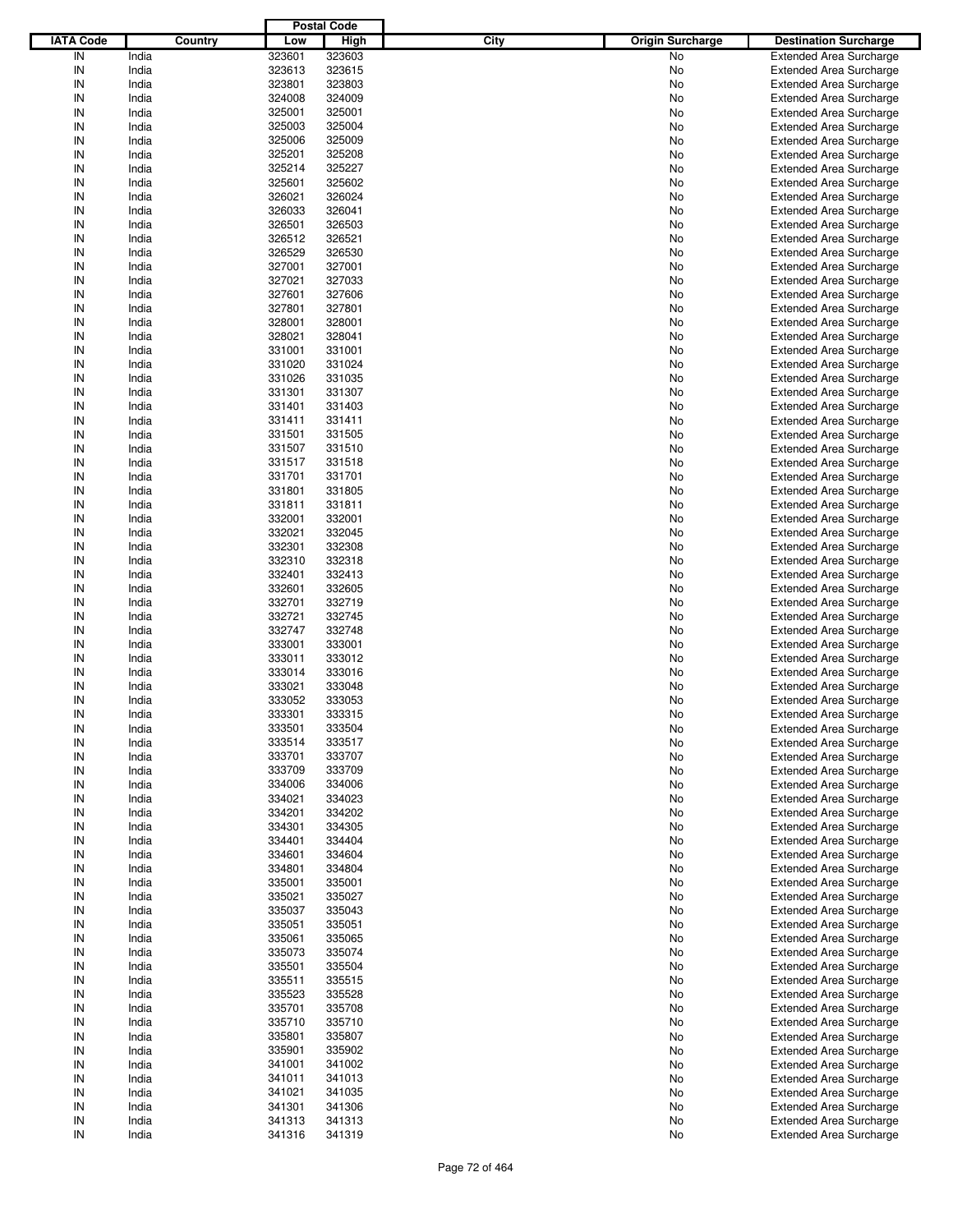|                  |         |        | <b>Postal Code</b> |                                 |                                |
|------------------|---------|--------|--------------------|---------------------------------|--------------------------------|
| <b>IATA Code</b> | Country | Low    | <b>High</b>        | City<br><b>Origin Surcharge</b> | <b>Destination Surcharge</b>   |
| IN               | India   | 323601 | 323603             | No                              | <b>Extended Area Surcharge</b> |
| IN               | India   | 323613 | 323615             | No                              | <b>Extended Area Surcharge</b> |
| IN               | India   | 323801 | 323803             | No                              | <b>Extended Area Surcharge</b> |
| IN               | India   | 324008 | 324009             | No                              | <b>Extended Area Surcharge</b> |
| IN               | India   | 325001 | 325001             | No                              | <b>Extended Area Surcharge</b> |
| IN               | India   | 325003 | 325004             | No                              | <b>Extended Area Surcharge</b> |
| IN               | India   | 325006 | 325009             |                                 |                                |
|                  |         |        |                    | No                              | <b>Extended Area Surcharge</b> |
| IN               | India   | 325201 | 325208             | No                              | <b>Extended Area Surcharge</b> |
| IN               | India   | 325214 | 325227             | No                              | <b>Extended Area Surcharge</b> |
| IN               | India   | 325601 | 325602             | No                              | <b>Extended Area Surcharge</b> |
| IN               | India   | 326021 | 326024             | No                              | <b>Extended Area Surcharge</b> |
| IN               | India   | 326033 | 326041             | No                              | <b>Extended Area Surcharge</b> |
| IN               | India   | 326501 | 326503             | No                              | <b>Extended Area Surcharge</b> |
| IN               | India   | 326512 | 326521             | No                              | <b>Extended Area Surcharge</b> |
| IN               | India   | 326529 | 326530             | No                              | <b>Extended Area Surcharge</b> |
| IN               | India   | 327001 | 327001             | No                              | <b>Extended Area Surcharge</b> |
| IN               | India   | 327021 | 327033             | No                              | <b>Extended Area Surcharge</b> |
| IN               | India   | 327601 | 327606             | No                              | <b>Extended Area Surcharge</b> |
| IN               | India   | 327801 | 327801             | No                              | <b>Extended Area Surcharge</b> |
| IN               | India   | 328001 | 328001             | No                              | <b>Extended Area Surcharge</b> |
| IN               | India   | 328021 | 328041             | No                              | <b>Extended Area Surcharge</b> |
| IN               | India   | 331001 | 331001             | No                              | <b>Extended Area Surcharge</b> |
| IN               | India   | 331020 | 331024             | No                              | <b>Extended Area Surcharge</b> |
| IN               | India   | 331026 | 331035             | No                              | <b>Extended Area Surcharge</b> |
| IN               | India   | 331301 | 331307             | No                              | <b>Extended Area Surcharge</b> |
| IN               | India   | 331401 | 331403             | No                              | <b>Extended Area Surcharge</b> |
| IN               | India   | 331411 | 331411             | No                              | <b>Extended Area Surcharge</b> |
| IN               | India   | 331501 | 331505             |                                 | <b>Extended Area Surcharge</b> |
| IN               |         |        |                    | No                              |                                |
|                  | India   | 331507 | 331510             | No                              | <b>Extended Area Surcharge</b> |
| IN               | India   | 331517 | 331518             | No                              | <b>Extended Area Surcharge</b> |
| IN               | India   | 331701 | 331701             | No                              | <b>Extended Area Surcharge</b> |
| IN               | India   | 331801 | 331805             | No                              | <b>Extended Area Surcharge</b> |
| IN               | India   | 331811 | 331811             | No                              | <b>Extended Area Surcharge</b> |
| IN               | India   | 332001 | 332001             | No                              | <b>Extended Area Surcharge</b> |
| IN               | India   | 332021 | 332045             | No                              | <b>Extended Area Surcharge</b> |
| IN               | India   | 332301 | 332308             | No                              | <b>Extended Area Surcharge</b> |
| IN               | India   | 332310 | 332318             | No                              | <b>Extended Area Surcharge</b> |
| IN               | India   | 332401 | 332413             | No                              | <b>Extended Area Surcharge</b> |
| IN               | India   | 332601 | 332605             | No                              | <b>Extended Area Surcharge</b> |
| IN               | India   | 332701 | 332719             | No                              | <b>Extended Area Surcharge</b> |
| IN               | India   | 332721 | 332745             | No                              | <b>Extended Area Surcharge</b> |
| IN               | India   | 332747 | 332748             | No                              | <b>Extended Area Surcharge</b> |
| IN               | India   | 333001 | 333001             | No                              | <b>Extended Area Surcharge</b> |
| IN               | India   | 333011 | 333012             | No                              | <b>Extended Area Surcharge</b> |
| IN               | India   | 333014 | 333016             | No                              | <b>Extended Area Surcharge</b> |
| IN               | India   | 333021 | 333048             | No                              | <b>Extended Area Surcharge</b> |
| IN               | India   | 333052 | 333053             | No                              | <b>Extended Area Surcharge</b> |
|                  |         |        |                    |                                 |                                |
| IN               | India   | 333301 | 333315             | No                              | <b>Extended Area Surcharge</b> |
| IN               | India   | 333501 | 333504             | No                              | <b>Extended Area Surcharge</b> |
| IN               | India   | 333514 | 333517             | No                              | <b>Extended Area Surcharge</b> |
| IN               | India   | 333701 | 333707             | No                              | <b>Extended Area Surcharge</b> |
| IN               | India   | 333709 | 333709             | No                              | <b>Extended Area Surcharge</b> |
| IN               | India   | 334006 | 334006             | No                              | <b>Extended Area Surcharge</b> |
| IN               | India   | 334021 | 334023             | No                              | <b>Extended Area Surcharge</b> |
| IN               | India   | 334201 | 334202             | No                              | <b>Extended Area Surcharge</b> |
| IN               | India   | 334301 | 334305             | No                              | <b>Extended Area Surcharge</b> |
| IN               | India   | 334401 | 334404             | No                              | <b>Extended Area Surcharge</b> |
| IN               | India   | 334601 | 334604             | No                              | <b>Extended Area Surcharge</b> |
| IN               | India   | 334801 | 334804             | No                              | <b>Extended Area Surcharge</b> |
| IN               | India   | 335001 | 335001             | No                              | <b>Extended Area Surcharge</b> |
| IN               | India   | 335021 | 335027             | No                              | <b>Extended Area Surcharge</b> |
| IN               | India   | 335037 | 335043             | No                              | <b>Extended Area Surcharge</b> |
| IN               | India   | 335051 | 335051             | No                              | <b>Extended Area Surcharge</b> |
| IN               | India   | 335061 | 335065             | No                              | <b>Extended Area Surcharge</b> |
| IN               | India   | 335073 | 335074             | No                              | <b>Extended Area Surcharge</b> |
| IN               | India   | 335501 | 335504             | No                              | <b>Extended Area Surcharge</b> |
|                  |         |        |                    |                                 |                                |
| IN               | India   | 335511 | 335515             | No                              | <b>Extended Area Surcharge</b> |
| IN               | India   | 335523 | 335528             | No                              | <b>Extended Area Surcharge</b> |
| IN               | India   | 335701 | 335708             | No                              | <b>Extended Area Surcharge</b> |
| IN               | India   | 335710 | 335710             | No                              | <b>Extended Area Surcharge</b> |
| IN               | India   | 335801 | 335807             | No                              | <b>Extended Area Surcharge</b> |
| IN               | India   | 335901 | 335902             | No                              | <b>Extended Area Surcharge</b> |
| IN               | India   | 341001 | 341002             | No                              | <b>Extended Area Surcharge</b> |
| IN               | India   | 341011 | 341013             | No                              | <b>Extended Area Surcharge</b> |
| IN               | India   | 341021 | 341035             | No                              | <b>Extended Area Surcharge</b> |
| IN               | India   | 341301 | 341306             | No                              | <b>Extended Area Surcharge</b> |
| IN               | India   | 341313 | 341313             | No                              | <b>Extended Area Surcharge</b> |
| $\sf IN$         | India   | 341316 | 341319             | No                              | <b>Extended Area Surcharge</b> |
|                  |         |        |                    |                                 |                                |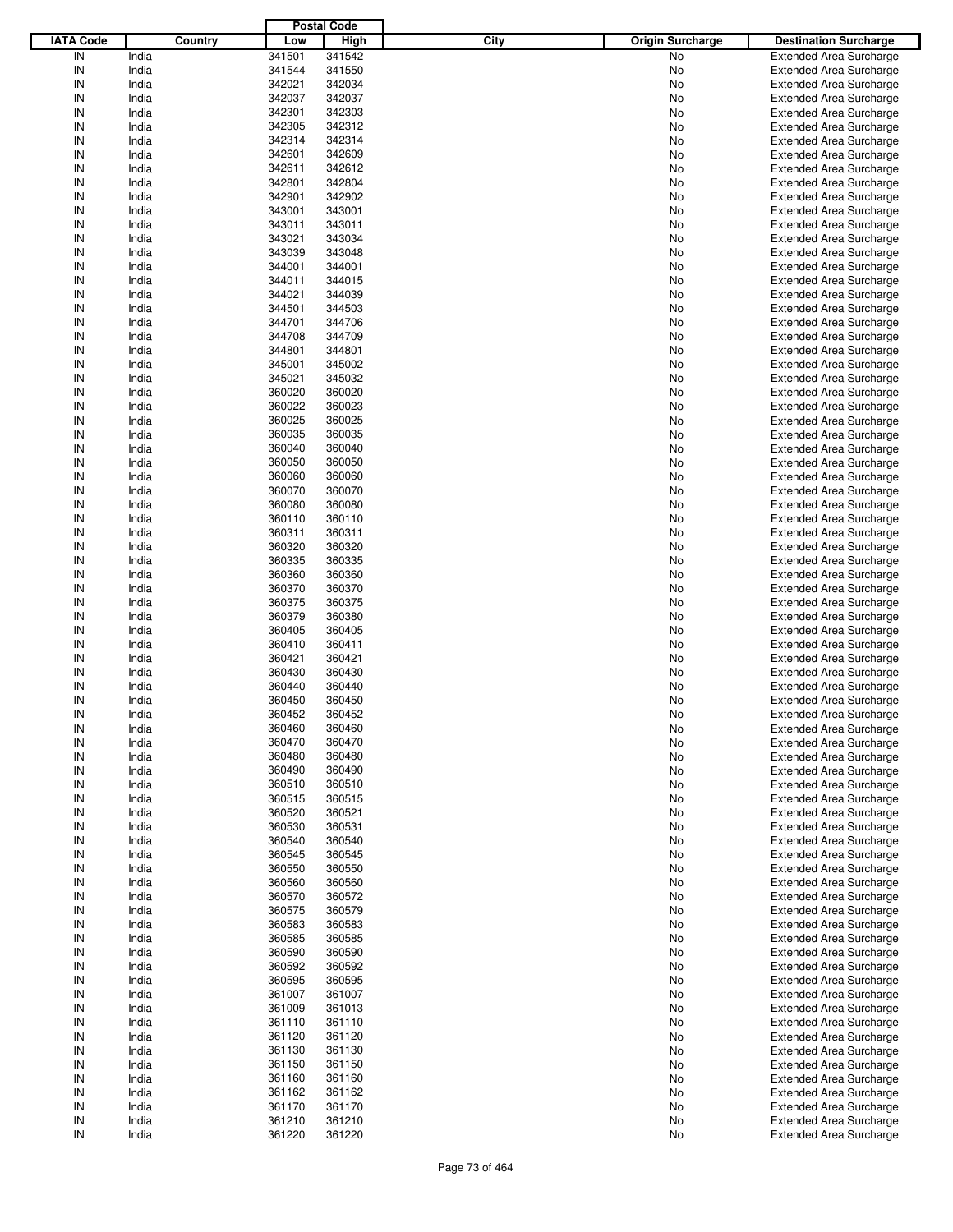|                  |                |                  | <b>Postal Code</b> |      |                         |                                                                  |
|------------------|----------------|------------------|--------------------|------|-------------------------|------------------------------------------------------------------|
| <b>IATA Code</b> | Country        | Low              | <b>High</b>        | City | <b>Origin Surcharge</b> | <b>Destination Surcharge</b>                                     |
| IN               | India          | 341501           | 341542             |      | No                      | <b>Extended Area Surcharge</b>                                   |
| IN               | India          | 341544           | 341550             |      | No                      | <b>Extended Area Surcharge</b>                                   |
| IN               | India          | 342021           | 342034             |      | No                      | <b>Extended Area Surcharge</b>                                   |
| IN               | India          | 342037           | 342037             |      | No                      | <b>Extended Area Surcharge</b>                                   |
| IN               | India          | 342301           | 342303             |      | No                      | <b>Extended Area Surcharge</b>                                   |
| IN               | India          | 342305           | 342312             |      | No                      | <b>Extended Area Surcharge</b>                                   |
| IN               | India          | 342314           | 342314             |      | No                      | <b>Extended Area Surcharge</b>                                   |
| IN               | India          | 342601           | 342609             |      | No                      | <b>Extended Area Surcharge</b>                                   |
| IN               | India          | 342611           | 342612             |      | No                      | <b>Extended Area Surcharge</b>                                   |
| IN               | India          | 342801           | 342804             |      | No                      | <b>Extended Area Surcharge</b>                                   |
| IN               | India          | 342901           | 342902             |      | No                      | <b>Extended Area Surcharge</b>                                   |
| IN               | India          | 343001           | 343001             |      | No                      | <b>Extended Area Surcharge</b>                                   |
| IN               | India          | 343011           | 343011             |      | No                      | <b>Extended Area Surcharge</b>                                   |
| IN               | India          | 343021           | 343034             |      | No                      | <b>Extended Area Surcharge</b>                                   |
| IN               | India          | 343039           | 343048             |      | No                      | <b>Extended Area Surcharge</b>                                   |
| IN               | India          | 344001           | 344001             |      | No                      | <b>Extended Area Surcharge</b>                                   |
| IN               | India          | 344011           | 344015             |      | No                      | <b>Extended Area Surcharge</b>                                   |
| IN               | India          | 344021           | 344039             |      | No                      | <b>Extended Area Surcharge</b>                                   |
| IN               | India          | 344501           | 344503             |      | No                      | <b>Extended Area Surcharge</b>                                   |
| IN               | India          | 344701           | 344706             |      | No                      | <b>Extended Area Surcharge</b>                                   |
| IN               | India          | 344708           | 344709             |      | No                      | <b>Extended Area Surcharge</b>                                   |
| IN               | India          | 344801           | 344801             |      | No                      | <b>Extended Area Surcharge</b>                                   |
| IN               | India          | 345001           | 345002             |      | No                      | <b>Extended Area Surcharge</b>                                   |
| IN               | India          | 345021           | 345032             |      | No                      | <b>Extended Area Surcharge</b>                                   |
| IN               | India          | 360020           | 360020             |      | No                      | <b>Extended Area Surcharge</b>                                   |
| IN               | India          | 360022           | 360023             |      | No                      | <b>Extended Area Surcharge</b>                                   |
| IN               | India          | 360025           | 360025             |      | No                      | <b>Extended Area Surcharge</b>                                   |
| IN               | India          | 360035           | 360035             |      | No                      | <b>Extended Area Surcharge</b>                                   |
| IN               | India          | 360040           | 360040             |      | No                      | <b>Extended Area Surcharge</b>                                   |
| IN               | India          | 360050           | 360050             |      | No                      | <b>Extended Area Surcharge</b>                                   |
| IN               | India          | 360060           | 360060             |      | No                      | <b>Extended Area Surcharge</b>                                   |
| IN               | India          | 360070           | 360070             |      | No                      | <b>Extended Area Surcharge</b>                                   |
| IN<br>IN         | India          | 360080           | 360080             |      | No                      | <b>Extended Area Surcharge</b>                                   |
| IN               | India          | 360110           | 360110             |      | No                      | <b>Extended Area Surcharge</b>                                   |
| IN               | India          | 360311           | 360311             |      | No                      | <b>Extended Area Surcharge</b>                                   |
|                  | India          | 360320           | 360320             |      | No                      | <b>Extended Area Surcharge</b>                                   |
| IN<br>IN         | India          | 360335           | 360335             |      | No                      | <b>Extended Area Surcharge</b>                                   |
|                  | India          | 360360           | 360360             |      | No                      | <b>Extended Area Surcharge</b>                                   |
| IN               | India          | 360370           | 360370             |      | No                      | <b>Extended Area Surcharge</b>                                   |
| IN<br>IN         | India          | 360375           | 360375             |      | No                      | <b>Extended Area Surcharge</b>                                   |
| IN               | India          | 360379           | 360380             |      | No                      | <b>Extended Area Surcharge</b>                                   |
| IN               | India          | 360405           | 360405             |      | No                      | <b>Extended Area Surcharge</b>                                   |
| IN               | India          | 360410           | 360411             |      | No                      | <b>Extended Area Surcharge</b>                                   |
| IN               | India          | 360421           | 360421             |      | No                      | <b>Extended Area Surcharge</b>                                   |
| IN               | India          | 360430           | 360430             |      | No                      | <b>Extended Area Surcharge</b>                                   |
| IN               | India          | 360440<br>360450 | 360440             |      | No                      | <b>Extended Area Surcharge</b><br><b>Extended Area Surcharge</b> |
| IN               | India          | 360452           | 360450<br>360452   |      | No                      | Extended Area Surcharge                                          |
| IN               | India          |                  |                    |      | No                      |                                                                  |
|                  | India<br>India | 360460<br>360470 | 360460<br>360470   |      | No                      | <b>Extended Area Surcharge</b>                                   |
| IN               | India          | 360480           | 360480             |      | No                      | <b>Extended Area Surcharge</b><br><b>Extended Area Surcharge</b> |
| IN<br>IN         | India          | 360490           | 360490             |      | No                      | <b>Extended Area Surcharge</b>                                   |
| IN               | India          | 360510           | 360510             |      | No<br>No                | <b>Extended Area Surcharge</b>                                   |
| IN               | India          | 360515           | 360515             |      | No                      | <b>Extended Area Surcharge</b>                                   |
| IN               | India          | 360520           | 360521             |      | No                      | <b>Extended Area Surcharge</b>                                   |
| IN               | India          | 360530           | 360531             |      | No                      | <b>Extended Area Surcharge</b>                                   |
| IN               | India          | 360540           | 360540             |      | No                      | <b>Extended Area Surcharge</b>                                   |
| IN               | India          | 360545           | 360545             |      | No                      | <b>Extended Area Surcharge</b>                                   |
| IN               | India          | 360550           | 360550             |      | No                      | <b>Extended Area Surcharge</b>                                   |
| IN               | India          | 360560           | 360560             |      | No                      | <b>Extended Area Surcharge</b>                                   |
| IN               | India          | 360570           | 360572             |      | No                      | <b>Extended Area Surcharge</b>                                   |
| IN               | India          | 360575           | 360579             |      | No                      | <b>Extended Area Surcharge</b>                                   |
| IN               | India          | 360583           | 360583             |      | No                      | <b>Extended Area Surcharge</b>                                   |
| IN               | India          | 360585           | 360585             |      | No                      | <b>Extended Area Surcharge</b>                                   |
| IN               | India          | 360590           | 360590             |      | No                      | <b>Extended Area Surcharge</b>                                   |
| IN               | India          | 360592           | 360592             |      | No                      | <b>Extended Area Surcharge</b>                                   |
| IN               | India          | 360595           | 360595             |      | No                      | <b>Extended Area Surcharge</b>                                   |
| IN               | India          | 361007           | 361007             |      | No                      | <b>Extended Area Surcharge</b>                                   |
| IN               | India          | 361009           | 361013             |      | No                      | <b>Extended Area Surcharge</b>                                   |
| IN               | India          | 361110           | 361110             |      | No                      | <b>Extended Area Surcharge</b>                                   |
| IN               | India          | 361120           | 361120             |      | No                      | <b>Extended Area Surcharge</b>                                   |
| IN               | India          | 361130           | 361130             |      | No                      | <b>Extended Area Surcharge</b>                                   |
| IN               | India          | 361150           | 361150             |      | No                      | <b>Extended Area Surcharge</b>                                   |
| IN               | India          | 361160           | 361160             |      | No                      | <b>Extended Area Surcharge</b>                                   |
| IN               | India          | 361162           | 361162             |      | No                      | <b>Extended Area Surcharge</b>                                   |
| IN               | India          | 361170           | 361170             |      | No                      | <b>Extended Area Surcharge</b>                                   |
| IN               | India          | 361210           | 361210             |      | No                      | <b>Extended Area Surcharge</b>                                   |
| IN               | India          | 361220           | 361220             |      | No                      | <b>Extended Area Surcharge</b>                                   |
|                  |                |                  |                    |      |                         |                                                                  |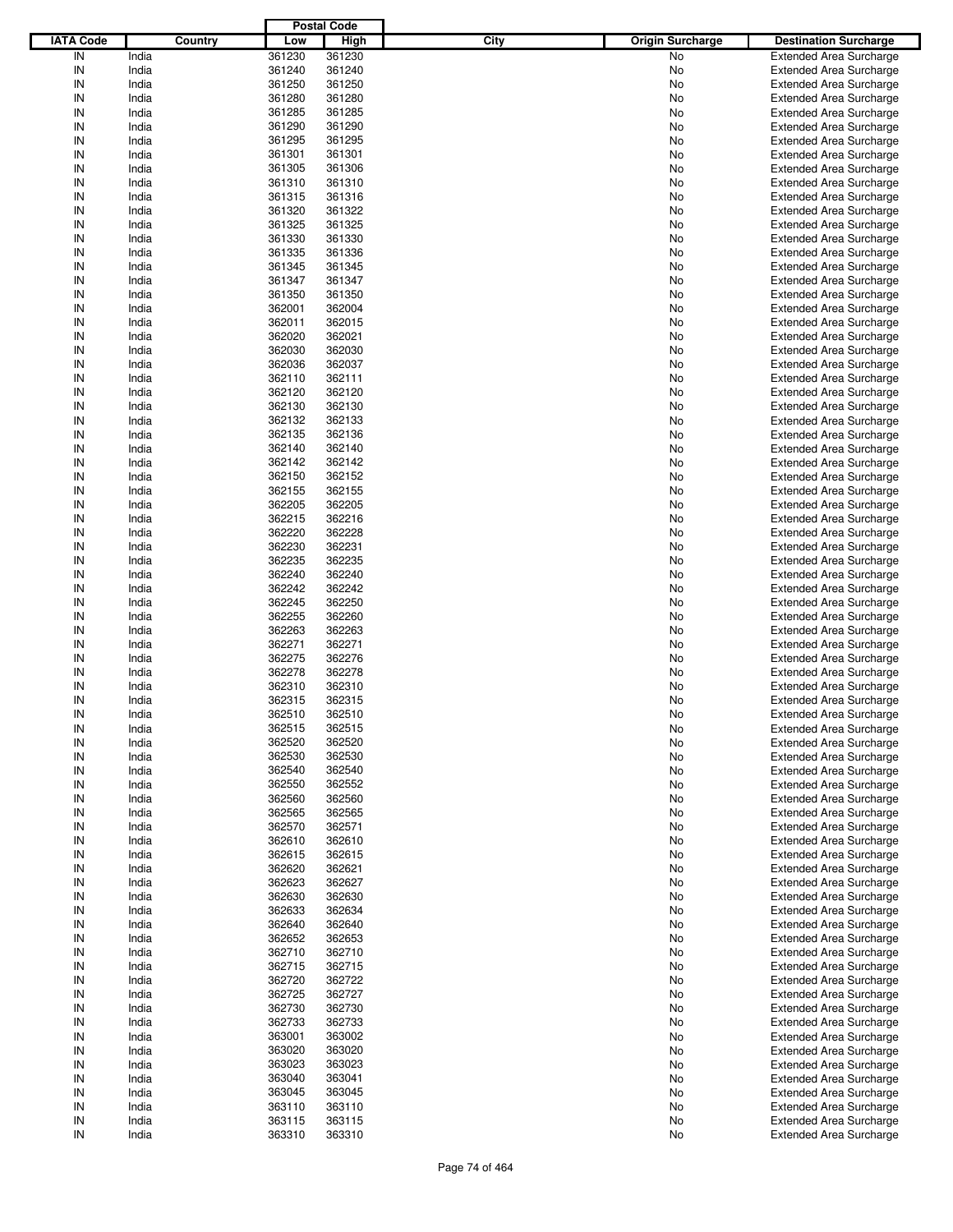|                  |         |        | <b>Postal Code</b> |      |                         |                                |
|------------------|---------|--------|--------------------|------|-------------------------|--------------------------------|
| <b>IATA Code</b> | Country | Low    | <b>High</b>        | City | <b>Origin Surcharge</b> | <b>Destination Surcharge</b>   |
| IN               | India   | 361230 | 361230             |      | No                      | <b>Extended Area Surcharge</b> |
| IN               | India   | 361240 | 361240             |      | No                      | <b>Extended Area Surcharge</b> |
| IN               | India   | 361250 | 361250             |      | No                      | <b>Extended Area Surcharge</b> |
| IN               | India   | 361280 | 361280             |      | No                      | <b>Extended Area Surcharge</b> |
| IN               | India   | 361285 | 361285             |      | No                      | <b>Extended Area Surcharge</b> |
| IN               | India   | 361290 | 361290             |      | No                      | <b>Extended Area Surcharge</b> |
| IN               | India   | 361295 | 361295             |      |                         |                                |
| IN               |         |        |                    |      | No                      | <b>Extended Area Surcharge</b> |
|                  | India   | 361301 | 361301             |      | No                      | <b>Extended Area Surcharge</b> |
| IN               | India   | 361305 | 361306             |      | No                      | <b>Extended Area Surcharge</b> |
| IN               | India   | 361310 | 361310             |      | No                      | <b>Extended Area Surcharge</b> |
| IN               | India   | 361315 | 361316             |      | No                      | <b>Extended Area Surcharge</b> |
| IN               | India   | 361320 | 361322             |      | No                      | <b>Extended Area Surcharge</b> |
| IN               | India   | 361325 | 361325             |      | No                      | <b>Extended Area Surcharge</b> |
| IN               | India   | 361330 | 361330             |      | No                      | <b>Extended Area Surcharge</b> |
| IN               | India   | 361335 | 361336             |      | No                      | <b>Extended Area Surcharge</b> |
| IN               | India   | 361345 | 361345             |      | No                      | <b>Extended Area Surcharge</b> |
| IN               | India   | 361347 | 361347             |      | No                      | <b>Extended Area Surcharge</b> |
| IN               | India   | 361350 | 361350             |      | No                      | <b>Extended Area Surcharge</b> |
| IN               | India   | 362001 | 362004             |      | No                      | <b>Extended Area Surcharge</b> |
| IN               | India   | 362011 | 362015             |      | No                      | <b>Extended Area Surcharge</b> |
| IN               | India   | 362020 | 362021             |      | No                      | <b>Extended Area Surcharge</b> |
| IN               | India   | 362030 | 362030             |      | No                      | <b>Extended Area Surcharge</b> |
| IN               | India   | 362036 | 362037             |      | No                      | <b>Extended Area Surcharge</b> |
| IN               | India   | 362110 | 362111             |      | No                      | <b>Extended Area Surcharge</b> |
| IN               | India   | 362120 | 362120             |      | No                      | <b>Extended Area Surcharge</b> |
| IN               | India   | 362130 | 362130             |      | No                      | <b>Extended Area Surcharge</b> |
| IN               | India   | 362132 | 362133             |      | No                      | <b>Extended Area Surcharge</b> |
| IN               | India   | 362135 | 362136             |      |                         | <b>Extended Area Surcharge</b> |
| IN               |         |        |                    |      | No                      |                                |
|                  | India   | 362140 | 362140             |      | No                      | <b>Extended Area Surcharge</b> |
| IN               | India   | 362142 | 362142             |      | No                      | <b>Extended Area Surcharge</b> |
| IN               | India   | 362150 | 362152             |      | No                      | <b>Extended Area Surcharge</b> |
| IN               | India   | 362155 | 362155             |      | No                      | <b>Extended Area Surcharge</b> |
| IN               | India   | 362205 | 362205             |      | No                      | <b>Extended Area Surcharge</b> |
| IN               | India   | 362215 | 362216             |      | No                      | <b>Extended Area Surcharge</b> |
| IN               | India   | 362220 | 362228             |      | No                      | <b>Extended Area Surcharge</b> |
| IN               | India   | 362230 | 362231             |      | No                      | <b>Extended Area Surcharge</b> |
| IN               | India   | 362235 | 362235             |      | No                      | <b>Extended Area Surcharge</b> |
| IN               | India   | 362240 | 362240             |      | No                      | <b>Extended Area Surcharge</b> |
| IN               | India   | 362242 | 362242             |      | No                      | <b>Extended Area Surcharge</b> |
| IN               | India   | 362245 | 362250             |      | No                      | <b>Extended Area Surcharge</b> |
| IN               | India   | 362255 | 362260             |      | No                      | <b>Extended Area Surcharge</b> |
| IN               | India   | 362263 | 362263             |      | No                      | <b>Extended Area Surcharge</b> |
| IN               | India   | 362271 | 362271             |      | No                      | <b>Extended Area Surcharge</b> |
| IN               | India   | 362275 | 362276             |      | No                      | <b>Extended Area Surcharge</b> |
| IN               | India   | 362278 | 362278             |      | No                      | <b>Extended Area Surcharge</b> |
| IN               | India   | 362310 | 362310             |      | No                      | <b>Extended Area Surcharge</b> |
| IN               | India   | 362315 | 362315             |      | No                      | <b>Extended Area Surcharge</b> |
|                  |         |        |                    |      |                         | <b>Extended Area Surcharge</b> |
| IN               | India   | 362510 | 362510             |      | No                      |                                |
| IN               | India   | 362515 | 362515             |      | No                      | <b>Extended Area Surcharge</b> |
| IN               | India   | 362520 | 362520             |      | No                      | <b>Extended Area Surcharge</b> |
| IN               | India   | 362530 | 362530             |      | No                      | <b>Extended Area Surcharge</b> |
| IN               | India   | 362540 | 362540             |      | No                      | <b>Extended Area Surcharge</b> |
| IN               | India   | 362550 | 362552             |      | No                      | <b>Extended Area Surcharge</b> |
| IN               | India   | 362560 | 362560             |      | No                      | <b>Extended Area Surcharge</b> |
| IN               | India   | 362565 | 362565             |      | No                      | <b>Extended Area Surcharge</b> |
| IN               | India   | 362570 | 362571             |      | No                      | <b>Extended Area Surcharge</b> |
| IN               | India   | 362610 | 362610             |      | No                      | <b>Extended Area Surcharge</b> |
| IN               | India   | 362615 | 362615             |      | No                      | <b>Extended Area Surcharge</b> |
| IN               | India   | 362620 | 362621             |      | No                      | <b>Extended Area Surcharge</b> |
| IN               | India   | 362623 | 362627             |      | No                      | <b>Extended Area Surcharge</b> |
| IN               | India   | 362630 | 362630             |      | No                      | <b>Extended Area Surcharge</b> |
| IN               | India   | 362633 | 362634             |      | No                      | <b>Extended Area Surcharge</b> |
| IN               | India   | 362640 | 362640             |      | No                      | <b>Extended Area Surcharge</b> |
| IN               | India   | 362652 | 362653             |      | No                      | <b>Extended Area Surcharge</b> |
| IN               | India   | 362710 | 362710             |      | No                      | <b>Extended Area Surcharge</b> |
| IN               | India   | 362715 | 362715             |      | No                      | <b>Extended Area Surcharge</b> |
|                  |         |        |                    |      |                         |                                |
| IN               | India   | 362720 | 362722             |      | No                      | <b>Extended Area Surcharge</b> |
| IN               | India   | 362725 | 362727             |      | No                      | <b>Extended Area Surcharge</b> |
| IN               | India   | 362730 | 362730             |      | No                      | <b>Extended Area Surcharge</b> |
| IN               | India   | 362733 | 362733             |      | No                      | <b>Extended Area Surcharge</b> |
| IN               | India   | 363001 | 363002             |      | No                      | <b>Extended Area Surcharge</b> |
| IN               | India   | 363020 | 363020             |      | No                      | <b>Extended Area Surcharge</b> |
| IN               | India   | 363023 | 363023             |      | No                      | <b>Extended Area Surcharge</b> |
| IN               | India   | 363040 | 363041             |      | No                      | <b>Extended Area Surcharge</b> |
| IN               | India   | 363045 | 363045             |      | No                      | <b>Extended Area Surcharge</b> |
| IN               | India   | 363110 | 363110             |      | No                      | Extended Area Surcharge        |
| IN               | India   | 363115 | 363115             |      | No                      | <b>Extended Area Surcharge</b> |
| $\sf IN$         | India   | 363310 | 363310             |      | No                      | <b>Extended Area Surcharge</b> |
|                  |         |        |                    |      |                         |                                |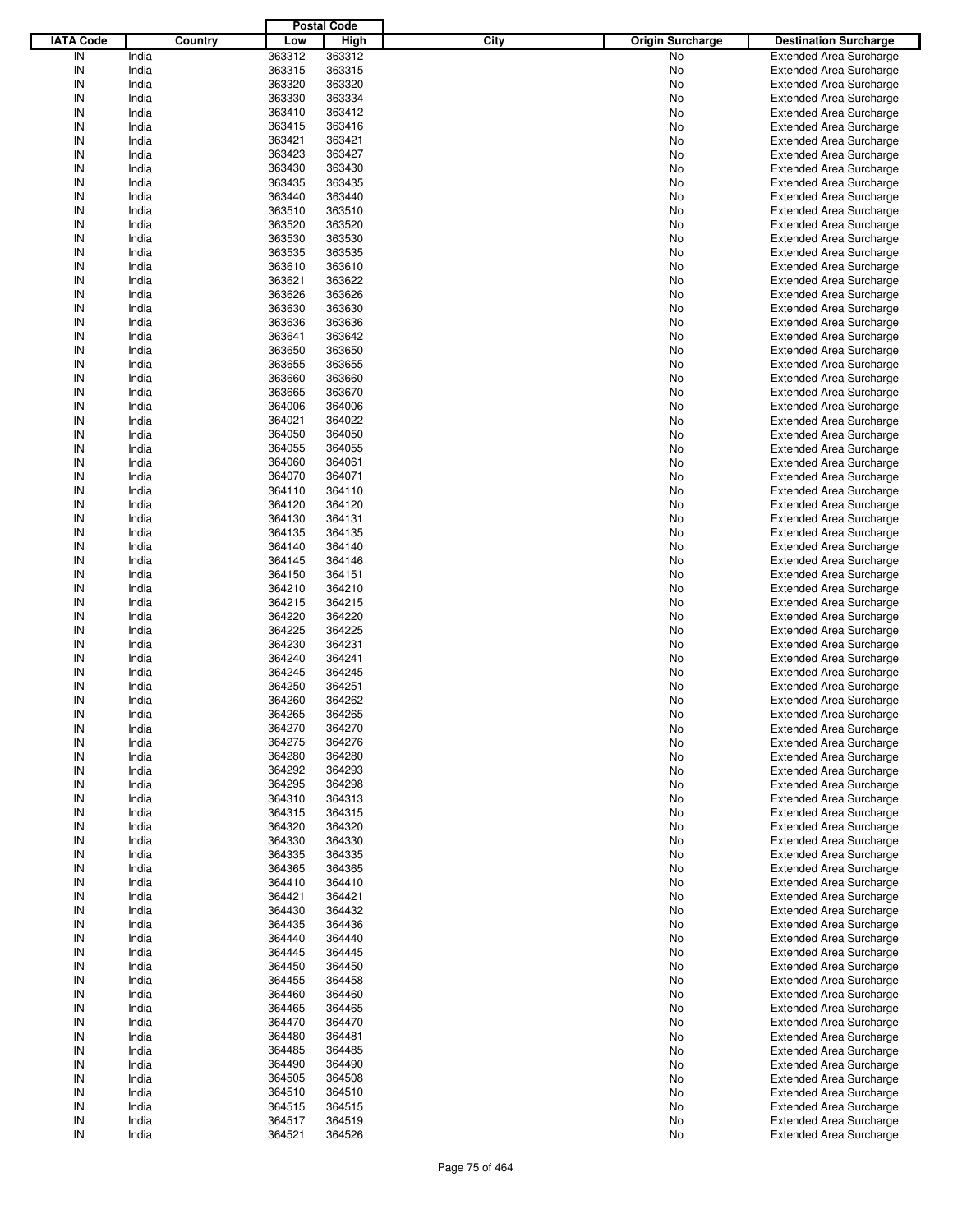|                  |                |                  | <b>Postal Code</b> |      |                         |                                                                  |
|------------------|----------------|------------------|--------------------|------|-------------------------|------------------------------------------------------------------|
| <b>IATA Code</b> | Country        | Low              | <b>High</b>        | City | <b>Origin Surcharge</b> | <b>Destination Surcharge</b>                                     |
| IN               | India          | 363312           | 363312             |      | No                      | <b>Extended Area Surcharge</b>                                   |
| IN               | India          | 363315           | 363315             |      | No                      | <b>Extended Area Surcharge</b>                                   |
| IN               | India          | 363320           | 363320             |      | No                      | <b>Extended Area Surcharge</b>                                   |
| IN               | India          | 363330           | 363334             |      | No                      | <b>Extended Area Surcharge</b>                                   |
| IN               | India          | 363410           | 363412             |      | No                      | <b>Extended Area Surcharge</b>                                   |
| IN               | India          | 363415           | 363416             |      | No                      | <b>Extended Area Surcharge</b>                                   |
| IN               | India          | 363421           | 363421             |      | No                      | <b>Extended Area Surcharge</b>                                   |
| IN               | India          | 363423           | 363427             |      | No                      | <b>Extended Area Surcharge</b>                                   |
| IN               | India          | 363430           | 363430             |      | No                      | <b>Extended Area Surcharge</b>                                   |
| IN               | India          | 363435           | 363435             |      | No                      | <b>Extended Area Surcharge</b>                                   |
| IN               | India          | 363440           | 363440             |      | No                      | <b>Extended Area Surcharge</b>                                   |
| IN               | India          | 363510           | 363510             |      | No                      | <b>Extended Area Surcharge</b>                                   |
| IN               | India          | 363520           | 363520             |      | No                      | <b>Extended Area Surcharge</b>                                   |
| IN               | India          | 363530           | 363530             |      | No                      | <b>Extended Area Surcharge</b>                                   |
| IN               | India          | 363535           | 363535             |      | No                      | <b>Extended Area Surcharge</b>                                   |
| IN               | India          | 363610           | 363610             |      | No                      | <b>Extended Area Surcharge</b>                                   |
| IN               | India          | 363621           | 363622             |      | No                      | <b>Extended Area Surcharge</b>                                   |
| IN               | India          | 363626           | 363626             |      | No                      | <b>Extended Area Surcharge</b>                                   |
| IN               | India          | 363630           | 363630             |      | No                      | <b>Extended Area Surcharge</b>                                   |
| IN               | India          | 363636           | 363636             |      | No                      | <b>Extended Area Surcharge</b>                                   |
| IN               | India          | 363641           | 363642             |      | No                      | <b>Extended Area Surcharge</b>                                   |
| IN               | India          | 363650           | 363650             |      | No                      | <b>Extended Area Surcharge</b>                                   |
| IN<br>IN         | India          | 363655           | 363655             |      | No                      | <b>Extended Area Surcharge</b>                                   |
|                  | India          | 363660           | 363660             |      | No                      | <b>Extended Area Surcharge</b>                                   |
| IN               | India          | 363665           | 363670             |      | No                      | <b>Extended Area Surcharge</b>                                   |
| IN               | India          | 364006           | 364006             |      | No                      | <b>Extended Area Surcharge</b>                                   |
| IN               | India          | 364021           | 364022             |      | No                      | <b>Extended Area Surcharge</b>                                   |
| IN               | India          | 364050           | 364050             |      | No                      | <b>Extended Area Surcharge</b>                                   |
| IN               | India          | 364055           | 364055             |      | No                      | <b>Extended Area Surcharge</b>                                   |
| IN               | India          | 364060           | 364061             |      | No                      | <b>Extended Area Surcharge</b>                                   |
| IN               | India          | 364070           | 364071             |      | No                      | <b>Extended Area Surcharge</b>                                   |
| IN               | India          | 364110           | 364110             |      | No                      | <b>Extended Area Surcharge</b>                                   |
| IN<br>IN         | India          | 364120           | 364120             |      | No                      | <b>Extended Area Surcharge</b>                                   |
| IN               | India          | 364130           | 364131             |      | No                      | <b>Extended Area Surcharge</b>                                   |
| IN               | India          | 364135           | 364135             |      | No                      | <b>Extended Area Surcharge</b>                                   |
|                  | India          | 364140           | 364140             |      | No                      | <b>Extended Area Surcharge</b>                                   |
| IN<br>IN         | India          | 364145           | 364146             |      | No                      | <b>Extended Area Surcharge</b>                                   |
|                  | India          | 364150           | 364151             |      | No                      | <b>Extended Area Surcharge</b>                                   |
| IN               | India          | 364210           | 364210             |      | No                      | <b>Extended Area Surcharge</b>                                   |
| IN<br>IN         | India          | 364215           | 364215             |      | No                      | <b>Extended Area Surcharge</b>                                   |
| IN               | India          | 364220           | 364220             |      | No                      | <b>Extended Area Surcharge</b>                                   |
| IN               | India          | 364225           | 364225             |      | No                      | <b>Extended Area Surcharge</b>                                   |
| IN               | India          | 364230           | 364231             |      | No                      | <b>Extended Area Surcharge</b>                                   |
| IN               | India          | 364240           | 364241             |      | No                      | <b>Extended Area Surcharge</b><br><b>Extended Area Surcharge</b> |
| IN               | India          | 364245           | 364245             |      | No                      |                                                                  |
| IN               | India<br>India | 364250<br>364260 | 364251<br>364262   |      | No                      | <b>Extended Area Surcharge</b><br><b>Extended Area Surcharge</b> |
| IN               | India          | 364265           | 364265             |      | No                      | Extended Area Surcharge                                          |
| IN               | India          | 364270           | 364270             |      | No                      | <b>Extended Area Surcharge</b>                                   |
| IN               | India          | 364275           | 364276             |      | No<br>No                | <b>Extended Area Surcharge</b>                                   |
| IN               | India          | 364280           | 364280             |      | No                      | <b>Extended Area Surcharge</b>                                   |
| IN               | India          | 364292           | 364293             |      | No                      | <b>Extended Area Surcharge</b>                                   |
| IN               | India          | 364295           | 364298             |      | No                      | <b>Extended Area Surcharge</b>                                   |
| IN               | India          | 364310           | 364313             |      | No                      | <b>Extended Area Surcharge</b>                                   |
| IN               | India          | 364315           | 364315             |      | No                      | <b>Extended Area Surcharge</b>                                   |
| IN               | India          | 364320           | 364320             |      | No                      | <b>Extended Area Surcharge</b>                                   |
| IN               | India          | 364330           | 364330             |      | No                      | <b>Extended Area Surcharge</b>                                   |
| IN               | India          | 364335           | 364335             |      | No                      | <b>Extended Area Surcharge</b>                                   |
| IN               | India          | 364365           | 364365             |      | No                      | <b>Extended Area Surcharge</b>                                   |
| IN               | India          | 364410           | 364410             |      | No                      | <b>Extended Area Surcharge</b>                                   |
| IN               | India          | 364421           | 364421             |      | No                      | <b>Extended Area Surcharge</b>                                   |
| IN               | India          | 364430           | 364432             |      | No                      | <b>Extended Area Surcharge</b>                                   |
| IN               | India          | 364435           | 364436             |      | No                      | <b>Extended Area Surcharge</b>                                   |
| IN               | India          | 364440           | 364440             |      | No                      | <b>Extended Area Surcharge</b>                                   |
| IN               | India          | 364445           | 364445             |      | No                      | <b>Extended Area Surcharge</b>                                   |
| IN               | India          | 364450           | 364450             |      | No                      | <b>Extended Area Surcharge</b>                                   |
| IN               | India          | 364455           | 364458             |      | No                      | <b>Extended Area Surcharge</b>                                   |
| IN               | India          | 364460           | 364460             |      | No                      | <b>Extended Area Surcharge</b>                                   |
| IN               | India          | 364465           | 364465             |      | No                      | <b>Extended Area Surcharge</b>                                   |
| IN               | India          | 364470           | 364470             |      | No                      | <b>Extended Area Surcharge</b>                                   |
| IN               | India          | 364480           | 364481             |      | No                      | <b>Extended Area Surcharge</b>                                   |
| IN               | India          | 364485           | 364485             |      | No                      | <b>Extended Area Surcharge</b>                                   |
| IN               | India          | 364490           | 364490             |      | No                      | <b>Extended Area Surcharge</b>                                   |
| IN               | India          | 364505           | 364508             |      | No                      | <b>Extended Area Surcharge</b>                                   |
| IN               | India          | 364510           | 364510             |      | No                      | <b>Extended Area Surcharge</b>                                   |
| IN               | India          | 364515           | 364515             |      | No                      | <b>Extended Area Surcharge</b>                                   |
| IN               | India          | 364517           | 364519             |      | No                      | <b>Extended Area Surcharge</b>                                   |
| ${\sf IN}$       | India          | 364521           | 364526             |      | No                      | <b>Extended Area Surcharge</b>                                   |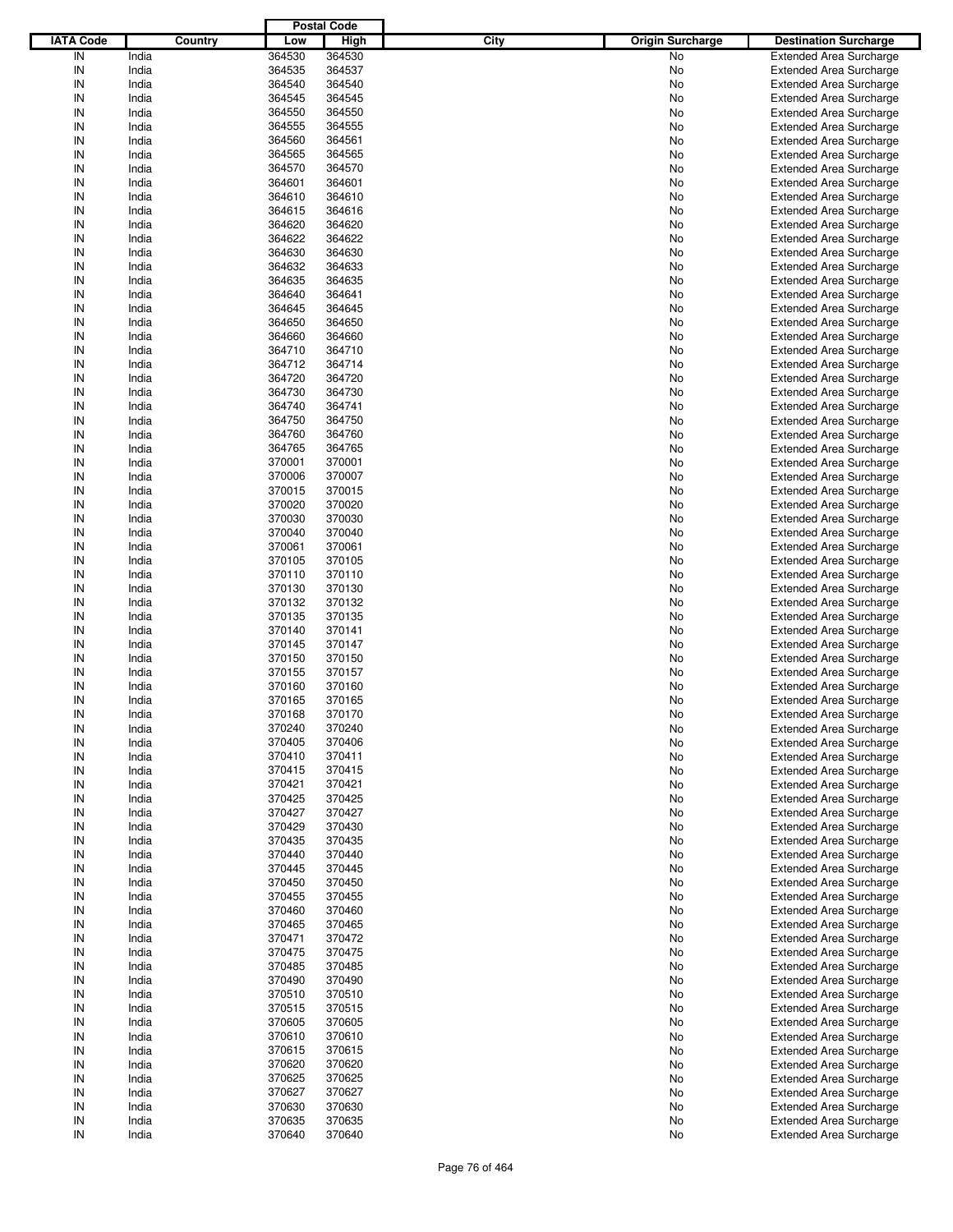|                  |                |                  | <b>Postal Code</b> |      |                         |                                                                  |
|------------------|----------------|------------------|--------------------|------|-------------------------|------------------------------------------------------------------|
| <b>IATA Code</b> | <b>Country</b> | Low              | <b>High</b>        | City | <b>Origin Surcharge</b> | <b>Destination Surcharge</b>                                     |
| IN               | India          | 364530           | 364530             |      | No                      | <b>Extended Area Surcharge</b>                                   |
| IN               | India          | 364535           | 364537             |      | No                      | <b>Extended Area Surcharge</b>                                   |
| IN               | India          | 364540           | 364540             |      | No                      | <b>Extended Area Surcharge</b>                                   |
| IN               | India          | 364545           | 364545             |      | No                      | <b>Extended Area Surcharge</b>                                   |
| IN               | India          | 364550           | 364550             |      | No                      | <b>Extended Area Surcharge</b>                                   |
| IN               | India          | 364555           | 364555             |      | No                      | <b>Extended Area Surcharge</b>                                   |
| IN               | India          | 364560           | 364561             |      | No                      | <b>Extended Area Surcharge</b>                                   |
| IN               | India          | 364565           | 364565             |      | No                      | <b>Extended Area Surcharge</b>                                   |
| IN               | India          | 364570           | 364570             |      | No                      | <b>Extended Area Surcharge</b>                                   |
| IN               | India          | 364601           | 364601             |      | No                      | <b>Extended Area Surcharge</b>                                   |
| IN               | India          | 364610           | 364610             |      | No                      | <b>Extended Area Surcharge</b>                                   |
| IN               | India          | 364615           | 364616             |      | No                      | <b>Extended Area Surcharge</b>                                   |
| IN               | India          | 364620           | 364620             |      | No                      | <b>Extended Area Surcharge</b>                                   |
| IN               | India          | 364622           | 364622             |      | No                      | <b>Extended Area Surcharge</b>                                   |
| IN               | India          | 364630           | 364630             |      | No                      | <b>Extended Area Surcharge</b>                                   |
| IN               | India          | 364632           | 364633             |      | No                      | <b>Extended Area Surcharge</b>                                   |
| IN               | India          | 364635           | 364635             |      | No                      | <b>Extended Area Surcharge</b>                                   |
| IN<br>IN         | India<br>India | 364640<br>364645 | 364641<br>364645   |      | No<br>No                | <b>Extended Area Surcharge</b><br><b>Extended Area Surcharge</b> |
| IN               | India          | 364650           | 364650             |      | No                      | <b>Extended Area Surcharge</b>                                   |
| IN               | India          | 364660           | 364660             |      | No                      | <b>Extended Area Surcharge</b>                                   |
| IN               | India          | 364710           | 364710             |      | No                      | <b>Extended Area Surcharge</b>                                   |
| IN               | India          | 364712           | 364714             |      | No                      | <b>Extended Area Surcharge</b>                                   |
| IN               | India          | 364720           | 364720             |      | No                      | <b>Extended Area Surcharge</b>                                   |
| IN               | India          | 364730           | 364730             |      | No                      | <b>Extended Area Surcharge</b>                                   |
| IN               | India          | 364740           | 364741             |      | No                      | <b>Extended Area Surcharge</b>                                   |
| IN               | India          | 364750           | 364750             |      | No                      | <b>Extended Area Surcharge</b>                                   |
| IN               | India          | 364760           | 364760             |      | No                      | <b>Extended Area Surcharge</b>                                   |
| IN               | India          | 364765           | 364765             |      | No                      | <b>Extended Area Surcharge</b>                                   |
| IN               | India          | 370001           | 370001             |      | No                      | <b>Extended Area Surcharge</b>                                   |
| IN               | India          | 370006           | 370007             |      | No                      | <b>Extended Area Surcharge</b>                                   |
| IN               | India          | 370015           | 370015             |      | No                      | <b>Extended Area Surcharge</b>                                   |
| IN               | India          | 370020           | 370020             |      | No                      | <b>Extended Area Surcharge</b>                                   |
| IN               | India          | 370030           | 370030             |      | No                      | <b>Extended Area Surcharge</b>                                   |
| IN               | India          | 370040           | 370040             |      | No                      | <b>Extended Area Surcharge</b>                                   |
| IN               | India          | 370061           | 370061             |      | No                      | <b>Extended Area Surcharge</b>                                   |
| IN               | India          | 370105           | 370105             |      | No                      | <b>Extended Area Surcharge</b>                                   |
| IN               | India          | 370110           | 370110             |      | No                      | <b>Extended Area Surcharge</b>                                   |
| IN               | India          | 370130           | 370130             |      | No                      | <b>Extended Area Surcharge</b>                                   |
| IN               | India          | 370132           | 370132             |      | No                      | <b>Extended Area Surcharge</b>                                   |
| IN               | India          | 370135           | 370135             |      | No                      | <b>Extended Area Surcharge</b>                                   |
| IN               | India          | 370140           | 370141             |      | No                      | <b>Extended Area Surcharge</b>                                   |
| IN               | India          | 370145           | 370147             |      | No                      | <b>Extended Area Surcharge</b>                                   |
| IN               | India          | 370150           | 370150             |      | No                      | <b>Extended Area Surcharge</b>                                   |
| IN               | India          | 370155           | 370157             |      | No                      | <b>Extended Area Surcharge</b>                                   |
| IN               | India          | 370160           | 370160             |      | No                      | <b>Extended Area Surcharge</b>                                   |
| IN               | India          | 370165           | 370165             |      | No                      | <b>Extended Area Surcharge</b>                                   |
| IN               | India          | 370168           | 370170             |      | No                      | <b>Extended Area Surcharge</b>                                   |
| IN               | India          | 370240           | 370240             |      | No                      | <b>Extended Area Surcharge</b>                                   |
| IN               | India          | 370405           | 370406             |      | No                      | <b>Extended Area Surcharge</b>                                   |
| IN               | India          | 370410           | 370411             |      | No                      | <b>Extended Area Surcharge</b>                                   |
| IN               | India          | 370415           | 370415             |      | No                      | <b>Extended Area Surcharge</b>                                   |
| IN               | India          | 370421           | 370421             |      | No                      | <b>Extended Area Surcharge</b>                                   |
| IN               | India          | 370425           | 370425             |      | No                      | <b>Extended Area Surcharge</b>                                   |
| IN<br>IN         | India<br>India | 370427<br>370429 | 370427<br>370430   |      | No                      | <b>Extended Area Surcharge</b><br><b>Extended Area Surcharge</b> |
| IN               | India          | 370435           | 370435             |      | No<br>No                | <b>Extended Area Surcharge</b>                                   |
| IN               | India          | 370440           | 370440             |      | No                      | <b>Extended Area Surcharge</b>                                   |
| IN               | India          | 370445           | 370445             |      | No                      | <b>Extended Area Surcharge</b>                                   |
| IN               | India          | 370450           | 370450             |      | No                      | <b>Extended Area Surcharge</b>                                   |
| IN               | India          | 370455           | 370455             |      | No                      | <b>Extended Area Surcharge</b>                                   |
| IN               | India          | 370460           | 370460             |      | No                      | <b>Extended Area Surcharge</b>                                   |
| IN               | India          | 370465           | 370465             |      | No                      | <b>Extended Area Surcharge</b>                                   |
| IN               | India          | 370471           | 370472             |      | No                      | <b>Extended Area Surcharge</b>                                   |
| IN               | India          | 370475           | 370475             |      | No                      | <b>Extended Area Surcharge</b>                                   |
| IN               | India          | 370485           | 370485             |      | No                      | <b>Extended Area Surcharge</b>                                   |
| IN               | India          | 370490           | 370490             |      | No                      | <b>Extended Area Surcharge</b>                                   |
| IN               | India          | 370510           | 370510             |      | No                      | <b>Extended Area Surcharge</b>                                   |
| IN               | India          | 370515           | 370515             |      | No                      | <b>Extended Area Surcharge</b>                                   |
| IN               | India          | 370605           | 370605             |      | No                      | <b>Extended Area Surcharge</b>                                   |
| IN               | India          | 370610           | 370610             |      | No                      | <b>Extended Area Surcharge</b>                                   |
| IN               | India          | 370615           | 370615             |      | No                      | <b>Extended Area Surcharge</b>                                   |
| IN               | India          | 370620           | 370620             |      | No                      | <b>Extended Area Surcharge</b>                                   |
| IN               | India          | 370625           | 370625             |      | No                      | <b>Extended Area Surcharge</b>                                   |
| IN               | India          | 370627           | 370627             |      | No                      | <b>Extended Area Surcharge</b>                                   |
| IN               | India          | 370630           | 370630             |      | No                      | <b>Extended Area Surcharge</b>                                   |
| IN               | India          | 370635           | 370635             |      | No                      | <b>Extended Area Surcharge</b>                                   |
| IN               | India          | 370640           | 370640             |      | No                      | <b>Extended Area Surcharge</b>                                   |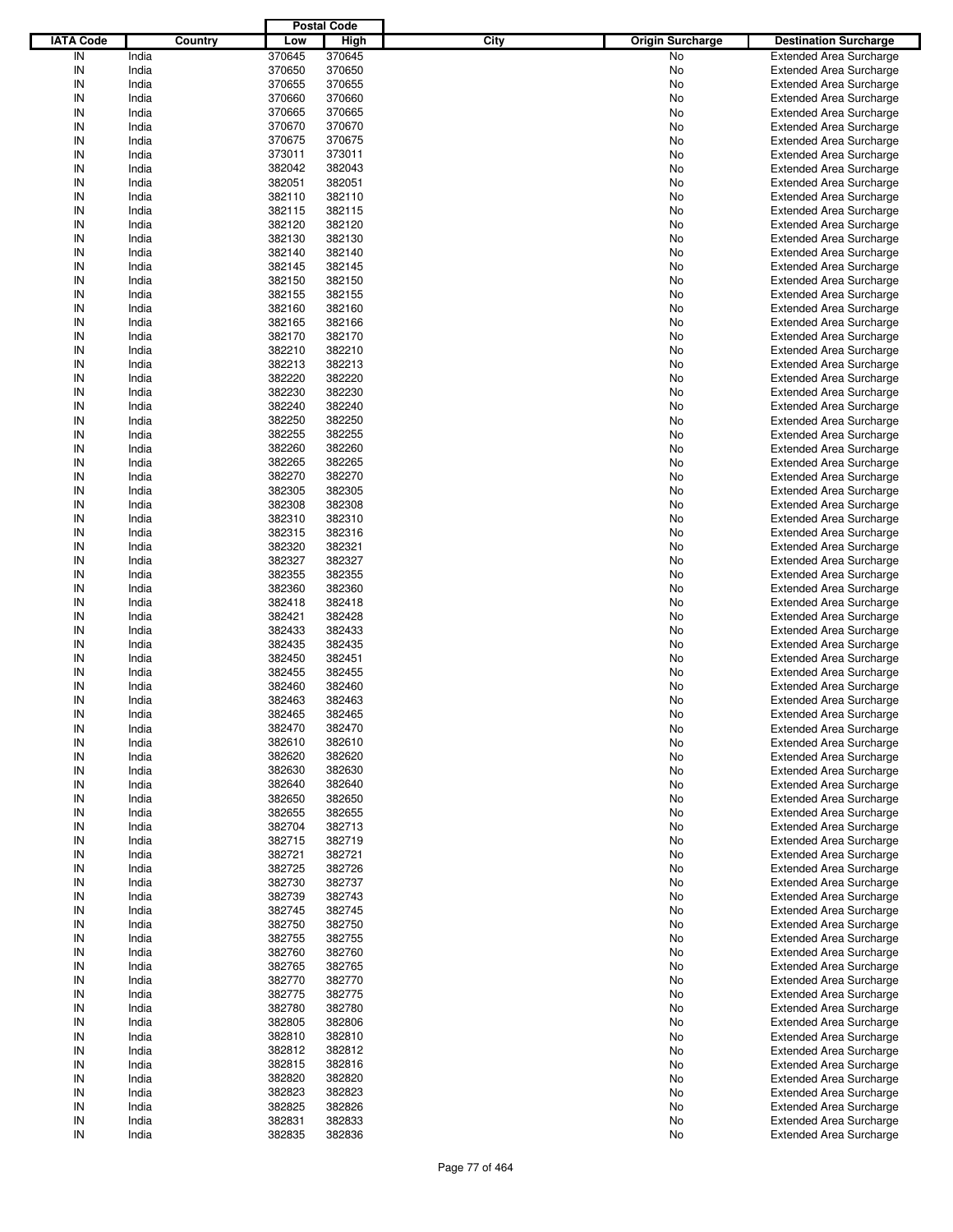|                  |         |        | <b>Postal Code</b> |      |                         |                                |
|------------------|---------|--------|--------------------|------|-------------------------|--------------------------------|
| <b>IATA Code</b> | Country | Low    | <b>High</b>        | City | <b>Origin Surcharge</b> | <b>Destination Surcharge</b>   |
| IN               | India   | 370645 | 370645             |      | No                      | <b>Extended Area Surcharge</b> |
| IN               | India   | 370650 | 370650             |      | No                      | <b>Extended Area Surcharge</b> |
| IN               | India   | 370655 | 370655             |      | No                      | <b>Extended Area Surcharge</b> |
| IN               | India   | 370660 | 370660             |      | No                      | <b>Extended Area Surcharge</b> |
| IN               | India   | 370665 | 370665             |      | No                      | <b>Extended Area Surcharge</b> |
| IN               | India   | 370670 | 370670             |      | No                      | <b>Extended Area Surcharge</b> |
| IN               | India   | 370675 | 370675             |      |                         |                                |
| IN               |         |        |                    |      | No                      | <b>Extended Area Surcharge</b> |
|                  | India   | 373011 | 373011             |      | No                      | <b>Extended Area Surcharge</b> |
| IN               | India   | 382042 | 382043             |      | No                      | <b>Extended Area Surcharge</b> |
| IN               | India   | 382051 | 382051             |      | No                      | <b>Extended Area Surcharge</b> |
| IN               | India   | 382110 | 382110             |      | No                      | <b>Extended Area Surcharge</b> |
| IN               | India   | 382115 | 382115             |      | No                      | <b>Extended Area Surcharge</b> |
| IN               | India   | 382120 | 382120             |      | No                      | <b>Extended Area Surcharge</b> |
| IN               | India   | 382130 | 382130             |      | No                      | <b>Extended Area Surcharge</b> |
| IN               | India   | 382140 | 382140             |      | No                      | <b>Extended Area Surcharge</b> |
| IN               | India   | 382145 | 382145             |      | No                      | <b>Extended Area Surcharge</b> |
| IN               | India   | 382150 | 382150             |      | No                      | <b>Extended Area Surcharge</b> |
| IN               | India   | 382155 | 382155             |      | No                      | <b>Extended Area Surcharge</b> |
| IN               | India   | 382160 | 382160             |      | No                      | <b>Extended Area Surcharge</b> |
| IN               | India   | 382165 | 382166             |      | No                      | <b>Extended Area Surcharge</b> |
| IN               | India   | 382170 | 382170             |      | No                      | <b>Extended Area Surcharge</b> |
| IN               | India   | 382210 | 382210             |      | No                      | <b>Extended Area Surcharge</b> |
| IN               | India   | 382213 | 382213             |      | No                      | <b>Extended Area Surcharge</b> |
| IN               | India   | 382220 | 382220             |      | No                      | <b>Extended Area Surcharge</b> |
| IN               | India   | 382230 | 382230             |      | No                      | <b>Extended Area Surcharge</b> |
| IN               | India   | 382240 | 382240             |      | No                      | <b>Extended Area Surcharge</b> |
| IN               | India   | 382250 | 382250             |      | No                      | <b>Extended Area Surcharge</b> |
| IN               | India   | 382255 | 382255             |      | No                      | <b>Extended Area Surcharge</b> |
| IN               |         |        |                    |      |                         |                                |
|                  | India   | 382260 | 382260             |      | No                      | <b>Extended Area Surcharge</b> |
| IN               | India   | 382265 | 382265             |      | No                      | <b>Extended Area Surcharge</b> |
| IN               | India   | 382270 | 382270             |      | No                      | <b>Extended Area Surcharge</b> |
| IN               | India   | 382305 | 382305             |      | No                      | <b>Extended Area Surcharge</b> |
| IN               | India   | 382308 | 382308             |      | No                      | <b>Extended Area Surcharge</b> |
| IN               | India   | 382310 | 382310             |      | No                      | <b>Extended Area Surcharge</b> |
| IN               | India   | 382315 | 382316             |      | No                      | <b>Extended Area Surcharge</b> |
| IN               | India   | 382320 | 382321             |      | No                      | <b>Extended Area Surcharge</b> |
| IN               | India   | 382327 | 382327             |      | No                      | <b>Extended Area Surcharge</b> |
| IN               | India   | 382355 | 382355             |      | No                      | <b>Extended Area Surcharge</b> |
| IN               | India   | 382360 | 382360             |      | No                      | <b>Extended Area Surcharge</b> |
| IN               | India   | 382418 | 382418             |      | No                      | <b>Extended Area Surcharge</b> |
| IN               | India   | 382421 | 382428             |      | No                      | <b>Extended Area Surcharge</b> |
| IN               | India   | 382433 | 382433             |      | No                      | <b>Extended Area Surcharge</b> |
| IN               | India   | 382435 | 382435             |      | No                      | <b>Extended Area Surcharge</b> |
| IN               | India   | 382450 | 382451             |      | No                      | <b>Extended Area Surcharge</b> |
| IN               | India   | 382455 | 382455             |      | No                      | <b>Extended Area Surcharge</b> |
| IN               | India   | 382460 | 382460             |      | No                      | <b>Extended Area Surcharge</b> |
| IN               | India   | 382463 | 382463             |      | No                      | <b>Extended Area Surcharge</b> |
| IN               | India   | 382465 | 382465             |      | No                      | <b>Extended Area Surcharge</b> |
|                  |         |        |                    |      |                         |                                |
| IN               | India   | 382470 | 382470             |      | No                      | <b>Extended Area Surcharge</b> |
| IN               | India   | 382610 | 382610             |      | No                      | <b>Extended Area Surcharge</b> |
| IN               | India   | 382620 | 382620             |      | No                      | <b>Extended Area Surcharge</b> |
| IN               | India   | 382630 | 382630             |      | No                      | <b>Extended Area Surcharge</b> |
| IN               | India   | 382640 | 382640             |      | No                      | <b>Extended Area Surcharge</b> |
| IN               | India   | 382650 | 382650             |      | No                      | <b>Extended Area Surcharge</b> |
| IN               | India   | 382655 | 382655             |      | No                      | <b>Extended Area Surcharge</b> |
| IN               | India   | 382704 | 382713             |      | No                      | <b>Extended Area Surcharge</b> |
| IN               | India   | 382715 | 382719             |      | No                      | <b>Extended Area Surcharge</b> |
| IN               | India   | 382721 | 382721             |      | No                      | <b>Extended Area Surcharge</b> |
| IN               | India   | 382725 | 382726             |      | No                      | <b>Extended Area Surcharge</b> |
| IN               | India   | 382730 | 382737             |      | No                      | <b>Extended Area Surcharge</b> |
| IN               | India   | 382739 | 382743             |      | No                      | <b>Extended Area Surcharge</b> |
| IN               | India   | 382745 | 382745             |      | No                      | <b>Extended Area Surcharge</b> |
| IN               | India   | 382750 | 382750             |      | No                      | <b>Extended Area Surcharge</b> |
| IN               | India   | 382755 | 382755             |      | No                      | <b>Extended Area Surcharge</b> |
| IN               | India   | 382760 | 382760             |      | No                      | <b>Extended Area Surcharge</b> |
| IN               | India   | 382765 | 382765             |      | No                      | <b>Extended Area Surcharge</b> |
| IN               | India   | 382770 | 382770             |      | No                      | <b>Extended Area Surcharge</b> |
| IN               | India   | 382775 | 382775             |      | No                      | <b>Extended Area Surcharge</b> |
| IN               | India   | 382780 | 382780             |      | No                      | <b>Extended Area Surcharge</b> |
|                  |         |        |                    |      |                         |                                |
| IN               | India   | 382805 | 382806             |      | No                      | <b>Extended Area Surcharge</b> |
| IN               | India   | 382810 | 382810             |      | No                      | <b>Extended Area Surcharge</b> |
| IN               | India   | 382812 | 382812             |      | No                      | <b>Extended Area Surcharge</b> |
| IN               | India   | 382815 | 382816             |      | No                      | <b>Extended Area Surcharge</b> |
| IN               | India   | 382820 | 382820             |      | No                      | <b>Extended Area Surcharge</b> |
| IN               | India   | 382823 | 382823             |      | No                      | <b>Extended Area Surcharge</b> |
| IN               | India   | 382825 | 382826             |      | No                      | Extended Area Surcharge        |
| IN               | India   | 382831 | 382833             |      | No                      | <b>Extended Area Surcharge</b> |
| $\sf IN$         | India   | 382835 | 382836             |      | No                      | <b>Extended Area Surcharge</b> |
|                  |         |        |                    |      |                         |                                |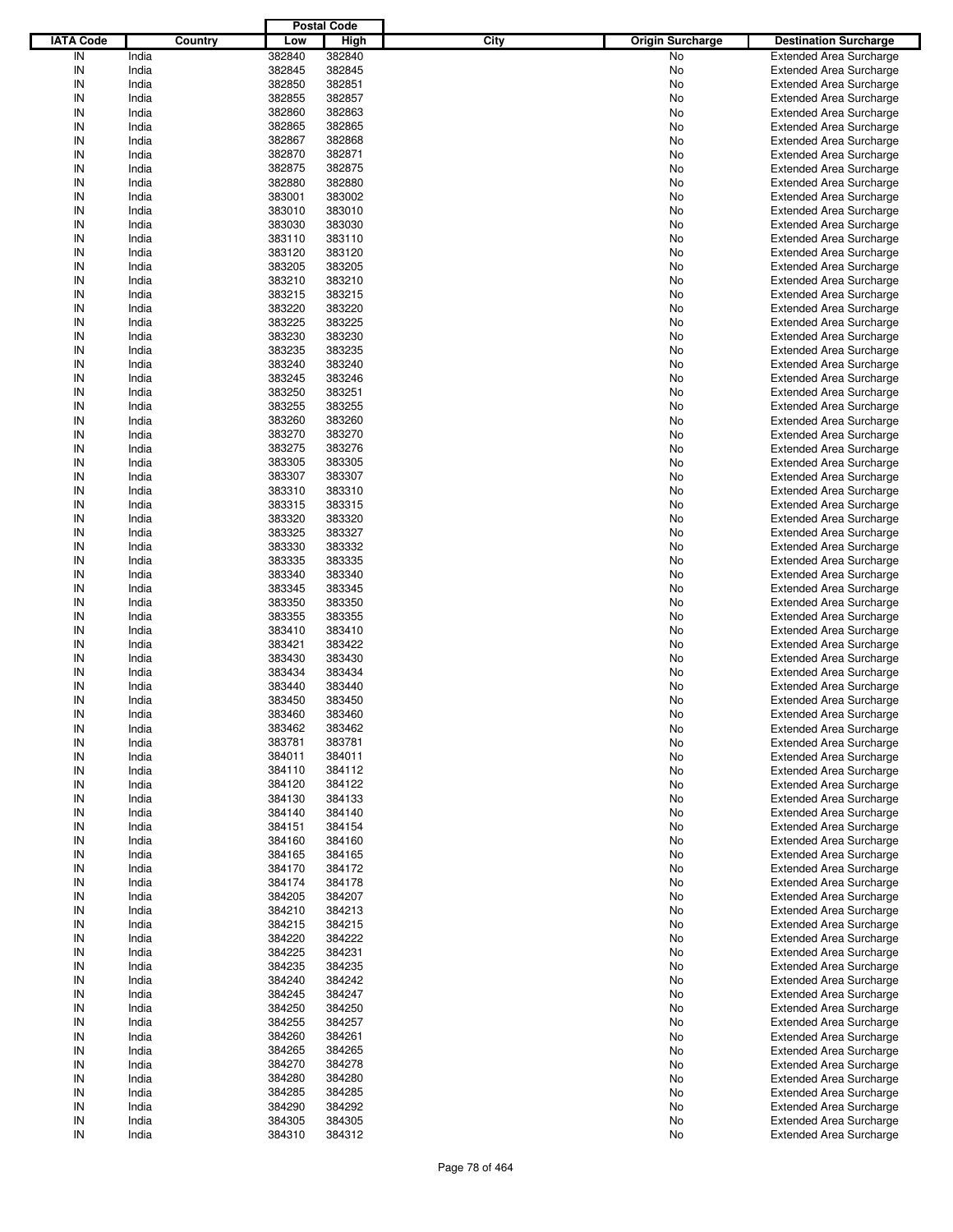|                  |         |        | <b>Postal Code</b> |                                 |                                |
|------------------|---------|--------|--------------------|---------------------------------|--------------------------------|
| <b>IATA Code</b> | Country | Low    | <b>High</b>        | City<br><b>Origin Surcharge</b> | <b>Destination Surcharge</b>   |
| IN               | India   | 382840 | 382840             | No                              | <b>Extended Area Surcharge</b> |
| IN               | India   | 382845 | 382845             | No                              | <b>Extended Area Surcharge</b> |
| IN               | India   | 382850 | 382851             | No                              | <b>Extended Area Surcharge</b> |
| IN               | India   | 382855 | 382857             | No                              | <b>Extended Area Surcharge</b> |
| IN               | India   | 382860 | 382863             | No                              | <b>Extended Area Surcharge</b> |
| IN               | India   | 382865 | 382865             | No                              | <b>Extended Area Surcharge</b> |
| IN               | India   | 382867 | 382868             |                                 |                                |
|                  |         |        |                    | No                              | <b>Extended Area Surcharge</b> |
| IN               | India   | 382870 | 382871             | No                              | <b>Extended Area Surcharge</b> |
| IN               | India   | 382875 | 382875             | No                              | <b>Extended Area Surcharge</b> |
| IN               | India   | 382880 | 382880             | No                              | <b>Extended Area Surcharge</b> |
| IN               | India   | 383001 | 383002             | No                              | <b>Extended Area Surcharge</b> |
| IN               | India   | 383010 | 383010             | No                              | <b>Extended Area Surcharge</b> |
| IN               | India   | 383030 | 383030             | No                              | <b>Extended Area Surcharge</b> |
| IN               | India   | 383110 | 383110             | No                              | <b>Extended Area Surcharge</b> |
| IN               | India   | 383120 | 383120             | No                              | <b>Extended Area Surcharge</b> |
| IN               | India   | 383205 | 383205             | No                              | <b>Extended Area Surcharge</b> |
| IN               | India   | 383210 | 383210             | No                              | <b>Extended Area Surcharge</b> |
| IN               | India   | 383215 | 383215             | No                              | <b>Extended Area Surcharge</b> |
| IN               | India   | 383220 | 383220             | No                              | <b>Extended Area Surcharge</b> |
| IN               | India   | 383225 | 383225             | No                              | <b>Extended Area Surcharge</b> |
| IN               | India   | 383230 | 383230             | No                              | <b>Extended Area Surcharge</b> |
| IN               | India   | 383235 | 383235             | No                              | <b>Extended Area Surcharge</b> |
| IN               | India   | 383240 | 383240             | No                              | <b>Extended Area Surcharge</b> |
| IN               | India   | 383245 | 383246             | No                              | <b>Extended Area Surcharge</b> |
| IN               | India   | 383250 | 383251             | No                              | <b>Extended Area Surcharge</b> |
| IN               | India   | 383255 | 383255             | No                              | <b>Extended Area Surcharge</b> |
| IN               | India   | 383260 | 383260             | No                              | <b>Extended Area Surcharge</b> |
| IN               | India   | 383270 | 383270             |                                 | <b>Extended Area Surcharge</b> |
| IN               |         |        |                    | No                              |                                |
|                  | India   | 383275 | 383276             | No                              | <b>Extended Area Surcharge</b> |
| IN               | India   | 383305 | 383305             | No                              | <b>Extended Area Surcharge</b> |
| IN               | India   | 383307 | 383307             | No                              | <b>Extended Area Surcharge</b> |
| IN               | India   | 383310 | 383310             | No                              | <b>Extended Area Surcharge</b> |
| IN               | India   | 383315 | 383315             | No                              | <b>Extended Area Surcharge</b> |
| IN               | India   | 383320 | 383320             | No                              | <b>Extended Area Surcharge</b> |
| IN               | India   | 383325 | 383327             | No                              | <b>Extended Area Surcharge</b> |
| IN               | India   | 383330 | 383332             | No                              | <b>Extended Area Surcharge</b> |
| IN               | India   | 383335 | 383335             | No                              | <b>Extended Area Surcharge</b> |
| IN               | India   | 383340 | 383340             | No                              | <b>Extended Area Surcharge</b> |
| IN               | India   | 383345 | 383345             | No                              | <b>Extended Area Surcharge</b> |
| IN               | India   | 383350 | 383350             | No                              | <b>Extended Area Surcharge</b> |
| IN               | India   | 383355 | 383355             | No                              | <b>Extended Area Surcharge</b> |
| IN               | India   | 383410 | 383410             | No                              | <b>Extended Area Surcharge</b> |
| IN               | India   | 383421 | 383422             | No                              | <b>Extended Area Surcharge</b> |
| IN               | India   | 383430 | 383430             | No                              | <b>Extended Area Surcharge</b> |
| IN               | India   | 383434 | 383434             | No                              | <b>Extended Area Surcharge</b> |
| IN               | India   | 383440 | 383440             | No                              | <b>Extended Area Surcharge</b> |
| IN               | India   | 383450 | 383450             | No                              | <b>Extended Area Surcharge</b> |
|                  |         | 383460 | 383460             |                                 | <b>Extended Area Surcharge</b> |
| IN               | India   |        |                    | No                              |                                |
| IN               | India   | 383462 | 383462             | No                              | <b>Extended Area Surcharge</b> |
| IN               | India   | 383781 | 383781             | No                              | <b>Extended Area Surcharge</b> |
| IN               | India   | 384011 | 384011             | No                              | <b>Extended Area Surcharge</b> |
| IN               | India   | 384110 | 384112             | No                              | <b>Extended Area Surcharge</b> |
| IN               | India   | 384120 | 384122             | No                              | <b>Extended Area Surcharge</b> |
| IN               | India   | 384130 | 384133             | No                              | <b>Extended Area Surcharge</b> |
| IN               | India   | 384140 | 384140             | No                              | <b>Extended Area Surcharge</b> |
| IN               | India   | 384151 | 384154             | No                              | <b>Extended Area Surcharge</b> |
| IN               | India   | 384160 | 384160             | No                              | <b>Extended Area Surcharge</b> |
| IN               | India   | 384165 | 384165             | No                              | <b>Extended Area Surcharge</b> |
| IN               | India   | 384170 | 384172             | No                              | <b>Extended Area Surcharge</b> |
| IN               | India   | 384174 | 384178             | No                              | <b>Extended Area Surcharge</b> |
| IN               | India   | 384205 | 384207             | No                              | <b>Extended Area Surcharge</b> |
| IN               | India   | 384210 | 384213             | No                              | <b>Extended Area Surcharge</b> |
| IN               | India   | 384215 | 384215             | No                              | <b>Extended Area Surcharge</b> |
| IN               | India   | 384220 | 384222             | No                              | <b>Extended Area Surcharge</b> |
| IN               | India   | 384225 | 384231             | No                              | <b>Extended Area Surcharge</b> |
| IN               | India   | 384235 | 384235             | No                              | <b>Extended Area Surcharge</b> |
| IN               | India   | 384240 | 384242             | No                              | <b>Extended Area Surcharge</b> |
| IN               | India   | 384245 | 384247             |                                 | <b>Extended Area Surcharge</b> |
|                  |         |        |                    | No                              |                                |
| IN               | India   | 384250 | 384250             | No                              | <b>Extended Area Surcharge</b> |
| IN               | India   | 384255 | 384257             | No                              | <b>Extended Area Surcharge</b> |
| IN               | India   | 384260 | 384261             | No                              | <b>Extended Area Surcharge</b> |
| IN               | India   | 384265 | 384265             | No                              | <b>Extended Area Surcharge</b> |
| IN               | India   | 384270 | 384278             | No                              | <b>Extended Area Surcharge</b> |
| IN               | India   | 384280 | 384280             | No                              | <b>Extended Area Surcharge</b> |
| IN               | India   | 384285 | 384285             | No                              | <b>Extended Area Surcharge</b> |
| IN               | India   | 384290 | 384292             | No                              | <b>Extended Area Surcharge</b> |
| IN               | India   | 384305 | 384305             | No                              | <b>Extended Area Surcharge</b> |
| $\sf IN$         | India   | 384310 | 384312             | No                              | <b>Extended Area Surcharge</b> |
|                  |         |        |                    |                                 |                                |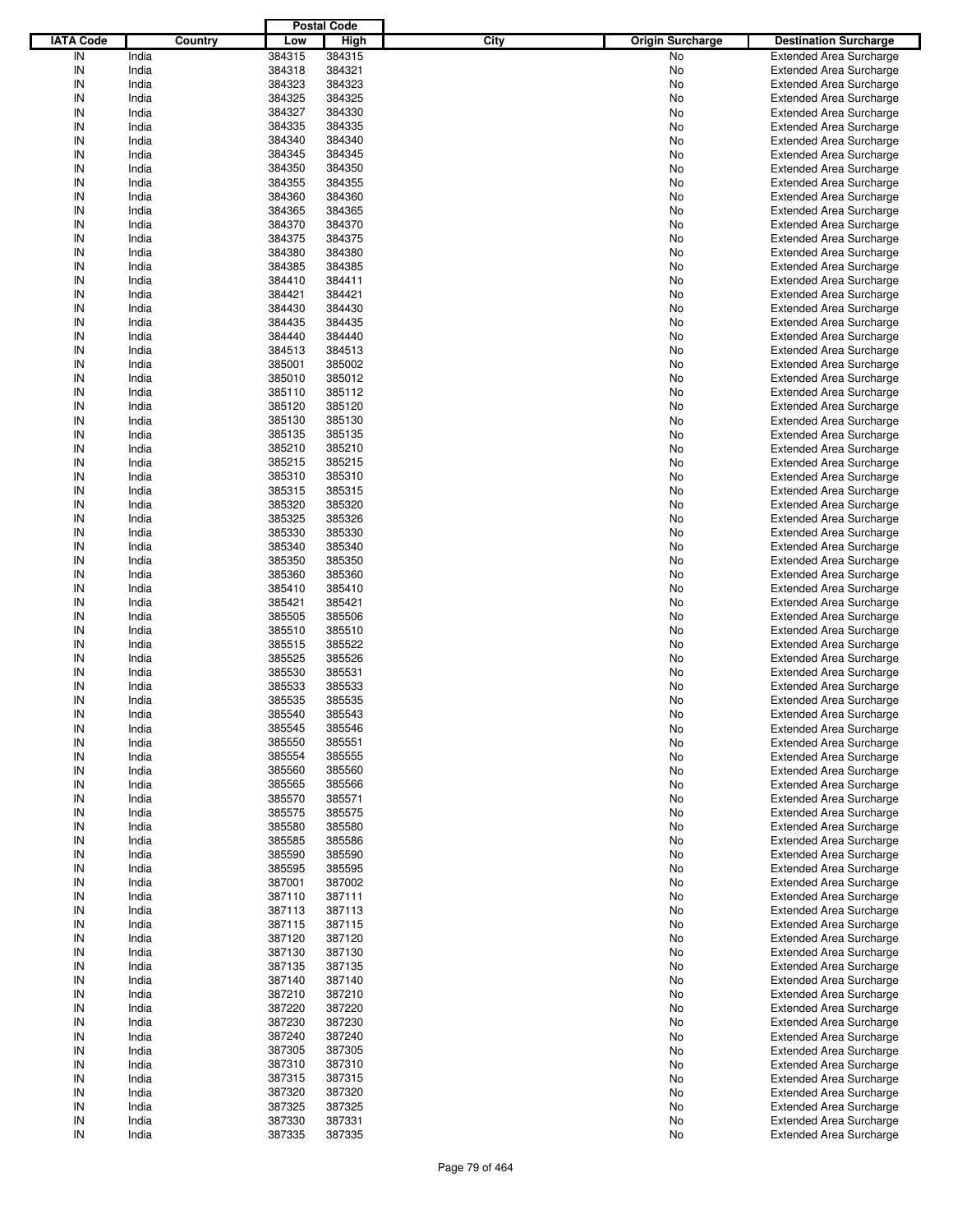|                  |         |        | <b>Postal Code</b> |      |                         |                                |
|------------------|---------|--------|--------------------|------|-------------------------|--------------------------------|
| <b>IATA Code</b> | Country | Low    | <b>High</b>        | City | <b>Origin Surcharge</b> | <b>Destination Surcharge</b>   |
| IN               | India   | 384315 | 384315             |      | No                      | <b>Extended Area Surcharge</b> |
| IN               | India   | 384318 | 384321             |      | No                      | <b>Extended Area Surcharge</b> |
| IN               | India   | 384323 | 384323             |      | No                      | <b>Extended Area Surcharge</b> |
| IN               | India   | 384325 | 384325             |      | No                      | <b>Extended Area Surcharge</b> |
| IN               | India   | 384327 | 384330             |      | No                      | <b>Extended Area Surcharge</b> |
| IN               | India   | 384335 | 384335             |      | No                      | <b>Extended Area Surcharge</b> |
| IN               | India   | 384340 | 384340             |      |                         |                                |
| IN               |         |        |                    |      | No                      | <b>Extended Area Surcharge</b> |
|                  | India   | 384345 | 384345             |      | No                      | <b>Extended Area Surcharge</b> |
| IN               | India   | 384350 | 384350             |      | No                      | <b>Extended Area Surcharge</b> |
| IN               | India   | 384355 | 384355             |      | No                      | <b>Extended Area Surcharge</b> |
| IN               | India   | 384360 | 384360             |      | No                      | <b>Extended Area Surcharge</b> |
| IN               | India   | 384365 | 384365             |      | No                      | <b>Extended Area Surcharge</b> |
| IN               | India   | 384370 | 384370             |      | No                      | <b>Extended Area Surcharge</b> |
| IN               | India   | 384375 | 384375             |      | No                      | <b>Extended Area Surcharge</b> |
| IN               | India   | 384380 | 384380             |      | No                      | <b>Extended Area Surcharge</b> |
| IN               | India   | 384385 | 384385             |      | No                      | <b>Extended Area Surcharge</b> |
| IN               | India   | 384410 | 384411             |      | No                      | <b>Extended Area Surcharge</b> |
| IN               | India   | 384421 | 384421             |      | No                      | <b>Extended Area Surcharge</b> |
| IN               | India   | 384430 | 384430             |      | No                      | <b>Extended Area Surcharge</b> |
| IN               | India   | 384435 | 384435             |      | No                      | <b>Extended Area Surcharge</b> |
| IN               | India   | 384440 | 384440             |      | No                      | <b>Extended Area Surcharge</b> |
| IN               | India   | 384513 | 384513             |      | No                      | <b>Extended Area Surcharge</b> |
| IN               | India   | 385001 | 385002             |      | No                      | <b>Extended Area Surcharge</b> |
| IN               | India   | 385010 | 385012             |      | No                      | <b>Extended Area Surcharge</b> |
| IN               | India   | 385110 | 385112             |      | No                      | <b>Extended Area Surcharge</b> |
| IN               | India   | 385120 | 385120             |      | No                      | <b>Extended Area Surcharge</b> |
| IN               | India   | 385130 | 385130             |      | No                      | <b>Extended Area Surcharge</b> |
| IN               | India   | 385135 | 385135             |      |                         | <b>Extended Area Surcharge</b> |
| IN               |         |        |                    |      | No                      |                                |
|                  | India   | 385210 | 385210             |      | No                      | <b>Extended Area Surcharge</b> |
| IN               | India   | 385215 | 385215             |      | No                      | <b>Extended Area Surcharge</b> |
| IN               | India   | 385310 | 385310             |      | No                      | <b>Extended Area Surcharge</b> |
| IN               | India   | 385315 | 385315             |      | No                      | <b>Extended Area Surcharge</b> |
| IN               | India   | 385320 | 385320             |      | No                      | <b>Extended Area Surcharge</b> |
| IN               | India   | 385325 | 385326             |      | No                      | <b>Extended Area Surcharge</b> |
| IN               | India   | 385330 | 385330             |      | No                      | <b>Extended Area Surcharge</b> |
| IN               | India   | 385340 | 385340             |      | No                      | <b>Extended Area Surcharge</b> |
| IN               | India   | 385350 | 385350             |      | No                      | <b>Extended Area Surcharge</b> |
| IN               | India   | 385360 | 385360             |      | No                      | <b>Extended Area Surcharge</b> |
| IN               | India   | 385410 | 385410             |      | No                      | <b>Extended Area Surcharge</b> |
| IN               | India   | 385421 | 385421             |      | No                      | <b>Extended Area Surcharge</b> |
| IN               | India   | 385505 | 385506             |      | No                      | <b>Extended Area Surcharge</b> |
| IN               | India   | 385510 | 385510             |      | No                      | <b>Extended Area Surcharge</b> |
| IN               | India   | 385515 | 385522             |      | No                      | <b>Extended Area Surcharge</b> |
| IN               | India   | 385525 | 385526             |      | No                      | <b>Extended Area Surcharge</b> |
| IN               | India   | 385530 | 385531             |      | No                      | <b>Extended Area Surcharge</b> |
| IN               | India   | 385533 | 385533             |      | No                      | <b>Extended Area Surcharge</b> |
| IN               | India   | 385535 | 385535             |      | No                      | <b>Extended Area Surcharge</b> |
|                  |         |        |                    |      |                         | <b>Extended Area Surcharge</b> |
| IN               | India   | 385540 | 385543             |      | No                      |                                |
| IN               | India   | 385545 | 385546             |      | No                      | <b>Extended Area Surcharge</b> |
| IN               | India   | 385550 | 385551             |      | No                      | <b>Extended Area Surcharge</b> |
| IN               | India   | 385554 | 385555             |      | No                      | <b>Extended Area Surcharge</b> |
| IN               | India   | 385560 | 385560             |      | No                      | <b>Extended Area Surcharge</b> |
| IN               | India   | 385565 | 385566             |      | No                      | <b>Extended Area Surcharge</b> |
| IN               | India   | 385570 | 385571             |      | No                      | <b>Extended Area Surcharge</b> |
| IN               | India   | 385575 | 385575             |      | No                      | <b>Extended Area Surcharge</b> |
| IN               | India   | 385580 | 385580             |      | No                      | <b>Extended Area Surcharge</b> |
| IN               | India   | 385585 | 385586             |      | No                      | <b>Extended Area Surcharge</b> |
| IN               | India   | 385590 | 385590             |      | No                      | <b>Extended Area Surcharge</b> |
| IN               | India   | 385595 | 385595             |      | No                      | <b>Extended Area Surcharge</b> |
| IN               | India   | 387001 | 387002             |      | No                      | <b>Extended Area Surcharge</b> |
| IN               | India   | 387110 | 387111             |      | No                      | <b>Extended Area Surcharge</b> |
| IN               | India   | 387113 | 387113             |      | No                      | <b>Extended Area Surcharge</b> |
| IN               | India   | 387115 | 387115             |      | No                      | <b>Extended Area Surcharge</b> |
| IN               | India   | 387120 | 387120             |      | No                      | <b>Extended Area Surcharge</b> |
| IN               | India   | 387130 | 387130             |      | No                      | <b>Extended Area Surcharge</b> |
| IN               | India   | 387135 | 387135             |      | No                      | <b>Extended Area Surcharge</b> |
|                  |         |        |                    |      |                         |                                |
| IN               | India   | 387140 | 387140             |      | No                      | <b>Extended Area Surcharge</b> |
| IN               | India   | 387210 | 387210             |      | No                      | <b>Extended Area Surcharge</b> |
| IN               | India   | 387220 | 387220             |      | No                      | <b>Extended Area Surcharge</b> |
| IN               | India   | 387230 | 387230             |      | No                      | <b>Extended Area Surcharge</b> |
| IN               | India   | 387240 | 387240             |      | No                      | <b>Extended Area Surcharge</b> |
| IN               | India   | 387305 | 387305             |      | No                      | <b>Extended Area Surcharge</b> |
| IN               | India   | 387310 | 387310             |      | No                      | <b>Extended Area Surcharge</b> |
| IN               | India   | 387315 | 387315             |      | No                      | <b>Extended Area Surcharge</b> |
| IN               | India   | 387320 | 387320             |      | No                      | <b>Extended Area Surcharge</b> |
| IN               | India   | 387325 | 387325             |      | No                      | Extended Area Surcharge        |
| IN               | India   | 387330 | 387331             |      | No                      | <b>Extended Area Surcharge</b> |
| $\sf IN$         | India   | 387335 | 387335             |      | No                      | <b>Extended Area Surcharge</b> |
|                  |         |        |                    |      |                         |                                |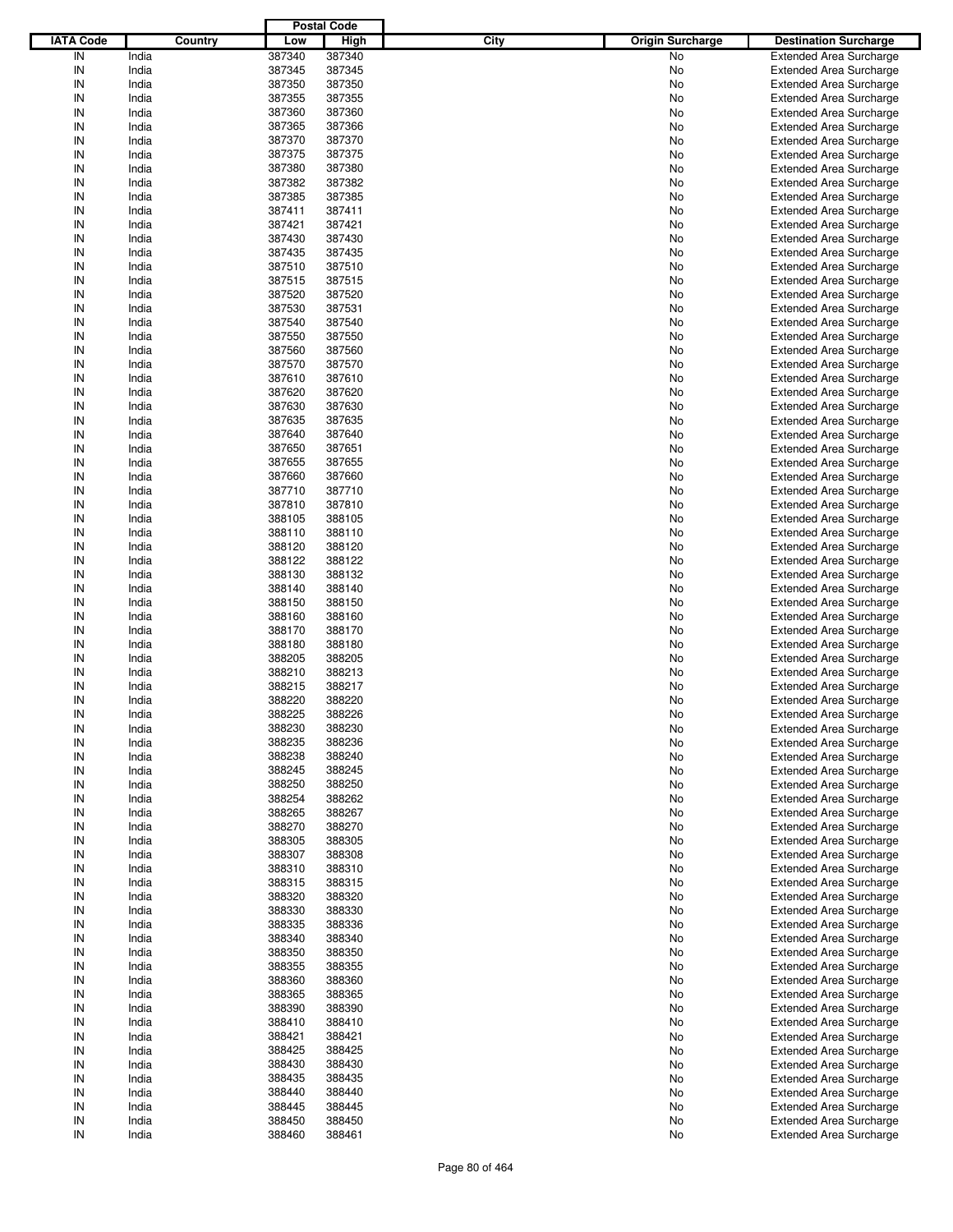|                  |                |                  | <b>Postal Code</b> |      |                         |                                                                  |
|------------------|----------------|------------------|--------------------|------|-------------------------|------------------------------------------------------------------|
| <b>IATA Code</b> | Country        | Low              | <b>High</b>        | City | <b>Origin Surcharge</b> | <b>Destination Surcharge</b>                                     |
| IN               | India          | 387340           | 387340             |      | No                      | <b>Extended Area Surcharge</b>                                   |
| IN               | India          | 387345           | 387345             |      | No                      | <b>Extended Area Surcharge</b>                                   |
| IN               | India          | 387350           | 387350             |      | No                      | <b>Extended Area Surcharge</b>                                   |
| IN               | India          | 387355           | 387355             |      | No                      | <b>Extended Area Surcharge</b>                                   |
| IN               | India          | 387360           | 387360             |      | No                      | <b>Extended Area Surcharge</b>                                   |
| IN               | India          | 387365           | 387366             |      | No                      | <b>Extended Area Surcharge</b>                                   |
| IN               | India          | 387370           | 387370             |      | No                      | <b>Extended Area Surcharge</b>                                   |
| IN               | India          | 387375           | 387375             |      | No                      | <b>Extended Area Surcharge</b>                                   |
| IN               | India          | 387380           | 387380             |      | No                      | <b>Extended Area Surcharge</b>                                   |
| IN               | India          | 387382           | 387382             |      | No                      | <b>Extended Area Surcharge</b>                                   |
| IN               | India          | 387385           | 387385             |      | No                      | <b>Extended Area Surcharge</b>                                   |
| IN               | India          | 387411           | 387411             |      | No                      | <b>Extended Area Surcharge</b>                                   |
| IN               | India          | 387421           | 387421             |      | No                      | <b>Extended Area Surcharge</b>                                   |
| IN               | India          | 387430           | 387430             |      | No                      | <b>Extended Area Surcharge</b>                                   |
| IN               | India          | 387435           | 387435             |      | No                      | <b>Extended Area Surcharge</b>                                   |
| IN               | India          | 387510           | 387510             |      | No                      | <b>Extended Area Surcharge</b>                                   |
| IN               | India          | 387515           | 387515             |      | No                      | <b>Extended Area Surcharge</b>                                   |
| IN               | India          | 387520           | 387520             |      | No                      | <b>Extended Area Surcharge</b>                                   |
| IN               | India          | 387530           | 387531             |      | No                      | <b>Extended Area Surcharge</b>                                   |
| IN               | India          | 387540           | 387540             |      | No                      | <b>Extended Area Surcharge</b>                                   |
| IN               | India          | 387550           | 387550             |      | No                      | <b>Extended Area Surcharge</b>                                   |
| IN               | India          | 387560           | 387560             |      | No                      | <b>Extended Area Surcharge</b>                                   |
| IN               | India          | 387570           | 387570             |      | No                      | <b>Extended Area Surcharge</b>                                   |
| IN               | India          | 387610           | 387610             |      | No                      | <b>Extended Area Surcharge</b>                                   |
| IN               | India          | 387620           | 387620             |      | No                      | <b>Extended Area Surcharge</b>                                   |
| IN               | India          | 387630           | 387630             |      | No                      | <b>Extended Area Surcharge</b>                                   |
| IN               | India          | 387635           | 387635             |      | No                      | <b>Extended Area Surcharge</b>                                   |
| IN               | India          | 387640           | 387640             |      | No                      | <b>Extended Area Surcharge</b>                                   |
| IN               | India          | 387650           | 387651             |      | No                      | <b>Extended Area Surcharge</b>                                   |
| IN               | India          | 387655           | 387655             |      | No                      | <b>Extended Area Surcharge</b>                                   |
| IN               | India          | 387660           | 387660             |      | No                      | <b>Extended Area Surcharge</b>                                   |
| IN               | India          | 387710           | 387710             |      | No                      | <b>Extended Area Surcharge</b>                                   |
| IN               | India          | 387810           | 387810             |      | No                      | <b>Extended Area Surcharge</b>                                   |
| IN               | India          | 388105           | 388105             |      | No                      | <b>Extended Area Surcharge</b>                                   |
| IN               | India          | 388110           | 388110             |      | No                      | <b>Extended Area Surcharge</b>                                   |
| IN               | India          | 388120           | 388120             |      | No                      | <b>Extended Area Surcharge</b>                                   |
| IN               | India          | 388122           | 388122             |      | No                      | <b>Extended Area Surcharge</b>                                   |
| IN               | India          | 388130           | 388132             |      | No                      | <b>Extended Area Surcharge</b>                                   |
| IN               | India          | 388140           | 388140             |      | No                      | <b>Extended Area Surcharge</b>                                   |
| IN               | India          | 388150           | 388150             |      | No                      | <b>Extended Area Surcharge</b>                                   |
| IN               | India          | 388160           | 388160             |      | No                      | <b>Extended Area Surcharge</b>                                   |
| IN               | India          | 388170           | 388170             |      | No                      | <b>Extended Area Surcharge</b>                                   |
| IN               | India          | 388180           | 388180             |      | No                      | <b>Extended Area Surcharge</b>                                   |
| IN               | India          | 388205           | 388205             |      | No                      | <b>Extended Area Surcharge</b>                                   |
| IN<br>IN         | India          | 388210           | 388213             |      | No                      | <b>Extended Area Surcharge</b>                                   |
| IN               | India          | 388215           | 388217<br>388220   |      | No                      | <b>Extended Area Surcharge</b><br><b>Extended Area Surcharge</b> |
| IN               | India          | 388220<br>388225 | 388226             |      | No                      |                                                                  |
|                  | India          |                  |                    |      | No                      | <b>Extended Area Surcharge</b>                                   |
| IN               | India          | 388230           | 388230             |      | No                      | <b>Extended Area Surcharge</b>                                   |
| IN               | India          | 388235<br>388238 | 388236<br>388240   |      | No                      | <b>Extended Area Surcharge</b><br><b>Extended Area Surcharge</b> |
| IN<br>IN         | India<br>India | 388245           | 388245             |      | No<br>No                | <b>Extended Area Surcharge</b>                                   |
| IN               | India          | 388250           | 388250             |      |                         | <b>Extended Area Surcharge</b>                                   |
| IN               | India          | 388254           | 388262             |      | No<br>No                | <b>Extended Area Surcharge</b>                                   |
| IN               | India          | 388265           | 388267             |      | No                      | <b>Extended Area Surcharge</b>                                   |
| IN               | India          | 388270           | 388270             |      | No                      | <b>Extended Area Surcharge</b>                                   |
| IN               | India          | 388305           | 388305             |      | No                      | <b>Extended Area Surcharge</b>                                   |
| IN               | India          | 388307           | 388308             |      | No                      | <b>Extended Area Surcharge</b>                                   |
| IN               | India          | 388310           | 388310             |      | No                      | <b>Extended Area Surcharge</b>                                   |
| IN               | India          | 388315           | 388315             |      | No                      | <b>Extended Area Surcharge</b>                                   |
| IN               | India          | 388320           | 388320             |      | No                      | <b>Extended Area Surcharge</b>                                   |
| IN               | India          | 388330           | 388330             |      | No                      | <b>Extended Area Surcharge</b>                                   |
| IN               | India          | 388335           | 388336             |      | No                      | <b>Extended Area Surcharge</b>                                   |
| IN               | India          | 388340           | 388340             |      | No                      | <b>Extended Area Surcharge</b>                                   |
| IN               | India          | 388350           | 388350             |      | No                      | <b>Extended Area Surcharge</b>                                   |
| IN               | India          | 388355           | 388355             |      | No                      | <b>Extended Area Surcharge</b>                                   |
| IN               | India          | 388360           | 388360             |      | No                      | <b>Extended Area Surcharge</b>                                   |
| IN               | India          | 388365           | 388365             |      | No                      | <b>Extended Area Surcharge</b>                                   |
| IN               | India          | 388390           | 388390             |      | No                      | <b>Extended Area Surcharge</b>                                   |
| IN               | India          | 388410           | 388410             |      | No                      | <b>Extended Area Surcharge</b>                                   |
| IN               | India          | 388421           | 388421             |      | No                      | <b>Extended Area Surcharge</b>                                   |
| IN               | India          | 388425           | 388425             |      | No                      | <b>Extended Area Surcharge</b>                                   |
| IN               | India          | 388430           | 388430             |      | No                      | <b>Extended Area Surcharge</b>                                   |
| IN               | India          | 388435           | 388435             |      | No                      | <b>Extended Area Surcharge</b>                                   |
| IN               | India          | 388440           | 388440             |      | No                      | <b>Extended Area Surcharge</b>                                   |
| IN               | India          | 388445           | 388445             |      | No                      | <b>Extended Area Surcharge</b>                                   |
| IN               | India          | 388450           | 388450             |      | No                      | <b>Extended Area Surcharge</b>                                   |
| IN               | India          | 388460           | 388461             |      | No                      | <b>Extended Area Surcharge</b>                                   |
|                  |                |                  |                    |      |                         |                                                                  |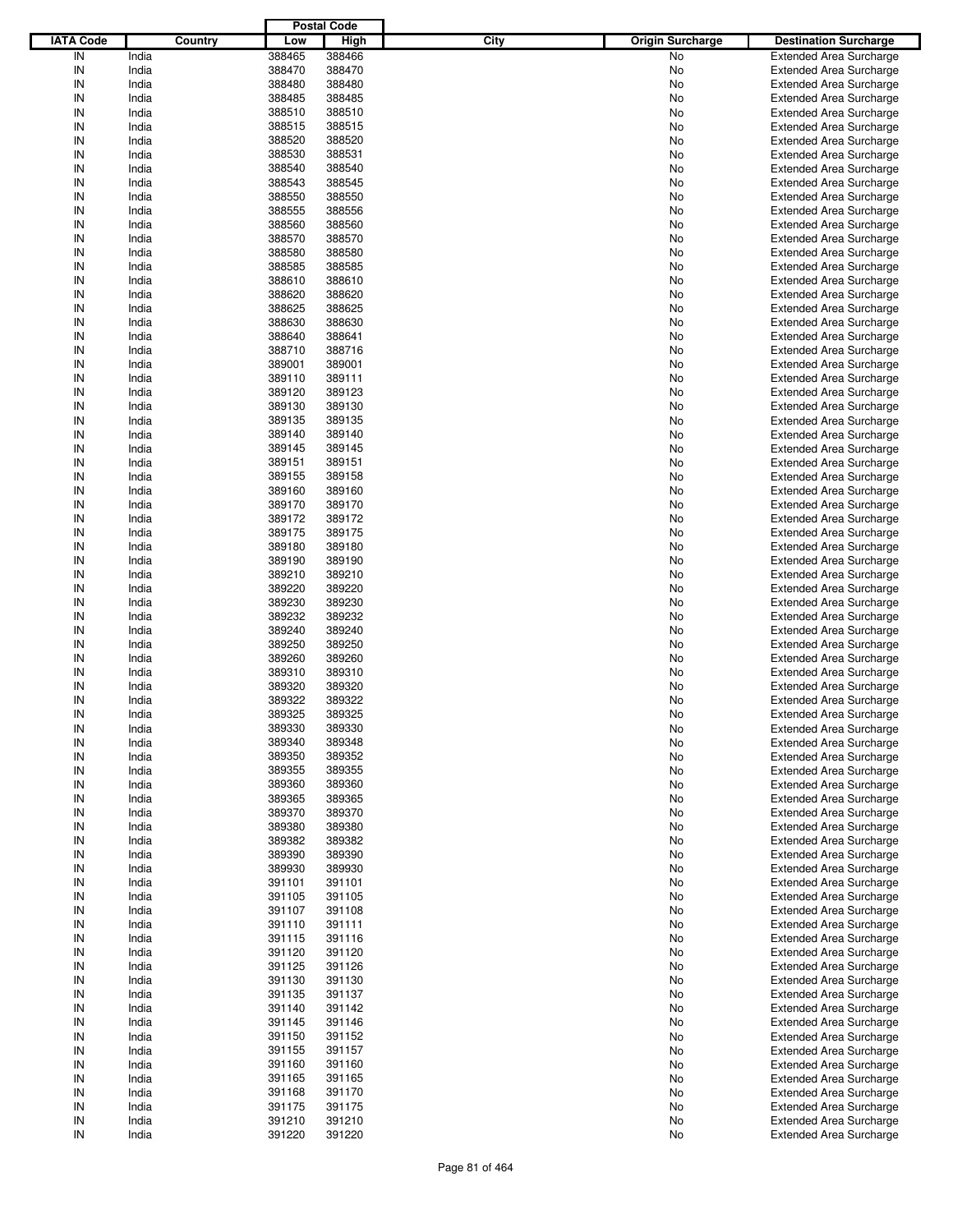|                  |                |                  | <b>Postal Code</b> |      |                         |                                                                  |
|------------------|----------------|------------------|--------------------|------|-------------------------|------------------------------------------------------------------|
| <b>IATA Code</b> | Country        | Low              | <b>High</b>        | City | <b>Origin Surcharge</b> | <b>Destination Surcharge</b>                                     |
| IN               | India          | 388465           | 388466             |      | No                      | <b>Extended Area Surcharge</b>                                   |
| IN               | India          | 388470           | 388470             |      | No                      | <b>Extended Area Surcharge</b>                                   |
| IN               | India          | 388480           | 388480             |      | No                      | <b>Extended Area Surcharge</b>                                   |
| IN               | India          | 388485           | 388485             |      | No                      | <b>Extended Area Surcharge</b>                                   |
| IN               | India          | 388510           | 388510             |      | No                      | <b>Extended Area Surcharge</b>                                   |
| IN               | India          | 388515           | 388515             |      | No                      | <b>Extended Area Surcharge</b>                                   |
| IN               | India          | 388520           | 388520             |      | No                      | <b>Extended Area Surcharge</b>                                   |
| IN               | India          | 388530           | 388531             |      | No                      | <b>Extended Area Surcharge</b>                                   |
| IN               | India          | 388540           | 388540             |      | No                      | <b>Extended Area Surcharge</b>                                   |
| IN               | India          | 388543           | 388545             |      | No                      | <b>Extended Area Surcharge</b>                                   |
| IN               | India          | 388550           | 388550             |      | No                      | <b>Extended Area Surcharge</b>                                   |
| IN               | India          | 388555           | 388556             |      | No                      | <b>Extended Area Surcharge</b>                                   |
| IN               | India          | 388560           | 388560             |      | No                      | <b>Extended Area Surcharge</b>                                   |
| IN               | India          | 388570           | 388570             |      | No                      | <b>Extended Area Surcharge</b>                                   |
| IN               | India          | 388580           | 388580             |      | No                      | <b>Extended Area Surcharge</b>                                   |
| IN               | India          | 388585           | 388585             |      | No                      | <b>Extended Area Surcharge</b>                                   |
| IN               | India          | 388610           | 388610             |      | No                      | <b>Extended Area Surcharge</b>                                   |
| IN               | India          | 388620           | 388620             |      | No                      | <b>Extended Area Surcharge</b>                                   |
| IN               | India          | 388625           | 388625             |      | No                      | <b>Extended Area Surcharge</b>                                   |
| IN               | India          | 388630           | 388630             |      | No                      | <b>Extended Area Surcharge</b>                                   |
| IN               | India          | 388640           | 388641             |      | No                      | <b>Extended Area Surcharge</b>                                   |
| IN               | India          | 388710           | 388716             |      | No                      | <b>Extended Area Surcharge</b>                                   |
| IN               | India          | 389001           | 389001             |      | No                      | <b>Extended Area Surcharge</b>                                   |
| IN               | India          | 389110           | 389111             |      | No                      | <b>Extended Area Surcharge</b>                                   |
| IN               | India          | 389120           | 389123             |      | No                      | <b>Extended Area Surcharge</b>                                   |
| IN               | India          | 389130           | 389130             |      | No                      | <b>Extended Area Surcharge</b>                                   |
| IN               | India          | 389135           | 389135             |      | No                      | <b>Extended Area Surcharge</b>                                   |
| IN               | India          | 389140           | 389140             |      | No                      | <b>Extended Area Surcharge</b>                                   |
| IN               | India          | 389145           | 389145             |      | No                      | <b>Extended Area Surcharge</b>                                   |
| IN               | India          | 389151           | 389151             |      | No                      | <b>Extended Area Surcharge</b>                                   |
| IN               | India          | 389155           | 389158             |      | No                      | <b>Extended Area Surcharge</b>                                   |
| IN               | India          | 389160           | 389160             |      | No                      | <b>Extended Area Surcharge</b>                                   |
| IN               | India          | 389170           | 389170             |      | No                      | <b>Extended Area Surcharge</b>                                   |
| IN               | India          | 389172           | 389172             |      | No                      | <b>Extended Area Surcharge</b>                                   |
| IN               | India          | 389175           | 389175             |      | No                      | <b>Extended Area Surcharge</b>                                   |
| IN               | India          | 389180           | 389180             |      | No                      | <b>Extended Area Surcharge</b>                                   |
| IN               | India          | 389190           | 389190             |      | No                      | <b>Extended Area Surcharge</b>                                   |
| IN               | India          | 389210           | 389210             |      | No                      | <b>Extended Area Surcharge</b>                                   |
| IN               | India          | 389220           | 389220             |      | No                      | <b>Extended Area Surcharge</b>                                   |
| IN               | India          | 389230           | 389230             |      | No                      | <b>Extended Area Surcharge</b>                                   |
| IN               | India          | 389232           | 389232             |      | No                      | <b>Extended Area Surcharge</b>                                   |
| IN               | India          | 389240           | 389240             |      | No                      | <b>Extended Area Surcharge</b>                                   |
| IN               | India          | 389250           | 389250             |      | No                      | <b>Extended Area Surcharge</b>                                   |
| IN               | India          | 389260           | 389260             |      | No                      | <b>Extended Area Surcharge</b>                                   |
| IN               | India          | 389310           | 389310             |      | No                      | <b>Extended Area Surcharge</b>                                   |
| IN               | India          | 389320           | 389320             |      | No                      | <b>Extended Area Surcharge</b>                                   |
| IN               | India          | 389322           | 389322             |      | No                      | <b>Extended Area Surcharge</b>                                   |
| IN               | India          | 389325           | 389325             |      | No                      | <b>Extended Area Surcharge</b>                                   |
| IN               | India          | 389330           | 389330             |      | No                      | <b>Extended Area Surcharge</b>                                   |
| IN               | India          | 389340           | 389348             |      | No                      | <b>Extended Area Surcharge</b>                                   |
| IN               | India          | 389350           | 389352             |      | No                      | <b>Extended Area Surcharge</b>                                   |
| IN               | India          | 389355           | 389355             |      | No                      | <b>Extended Area Surcharge</b>                                   |
| IN               | India          | 389360           | 389360             |      | No                      | <b>Extended Area Surcharge</b>                                   |
| IN               | India          | 389365           | 389365             |      | No                      | <b>Extended Area Surcharge</b>                                   |
| IN               | India          | 389370           | 389370             |      | No                      | <b>Extended Area Surcharge</b>                                   |
| IN               | India          | 389380           | 389380             |      | No                      | <b>Extended Area Surcharge</b>                                   |
| IN               | India          | 389382           | 389382             |      | No                      | <b>Extended Area Surcharge</b>                                   |
| IN               | India          | 389390           | 389390             |      | No                      | <b>Extended Area Surcharge</b>                                   |
| IN               | India          | 389930           | 389930             |      | No                      | <b>Extended Area Surcharge</b>                                   |
| IN               | India          | 391101           | 391101             |      | No                      | <b>Extended Area Surcharge</b>                                   |
| IN               | India          | 391105           | 391105             |      | No                      | <b>Extended Area Surcharge</b>                                   |
| IN               | India          | 391107           | 391108             |      | No                      | <b>Extended Area Surcharge</b>                                   |
| IN               | India          | 391110           | 391111             |      | No                      | <b>Extended Area Surcharge</b>                                   |
| IN               | India          | 391115           | 391116             |      | No                      | <b>Extended Area Surcharge</b>                                   |
| IN               | India          | 391120           | 391120             |      | No                      | <b>Extended Area Surcharge</b>                                   |
| IN               | India          | 391125           | 391126             |      | No                      | <b>Extended Area Surcharge</b>                                   |
| IN               | India          | 391130           | 391130             |      | No                      | <b>Extended Area Surcharge</b>                                   |
| IN               | India          | 391135           | 391137             |      | No                      | <b>Extended Area Surcharge</b>                                   |
| IN               | India          | 391140           | 391142             |      | No                      | <b>Extended Area Surcharge</b>                                   |
| IN<br>IN         | India          | 391145<br>391150 | 391146<br>391152   |      | No                      | <b>Extended Area Surcharge</b>                                   |
| IN               | India<br>India | 391155           | 391157             |      | No<br>No                | <b>Extended Area Surcharge</b><br><b>Extended Area Surcharge</b> |
| IN               | India          | 391160           | 391160             |      | No                      | <b>Extended Area Surcharge</b>                                   |
| IN               | India          | 391165           | 391165             |      |                         | <b>Extended Area Surcharge</b>                                   |
| IN               | India          | 391168           | 391170             |      | No<br>No                | <b>Extended Area Surcharge</b>                                   |
| IN               | India          | 391175           | 391175             |      | No                      | <b>Extended Area Surcharge</b>                                   |
| IN               | India          | 391210           | 391210             |      | No                      | <b>Extended Area Surcharge</b>                                   |
| IN               | India          | 391220           | 391220             |      | No                      | <b>Extended Area Surcharge</b>                                   |
|                  |                |                  |                    |      |                         |                                                                  |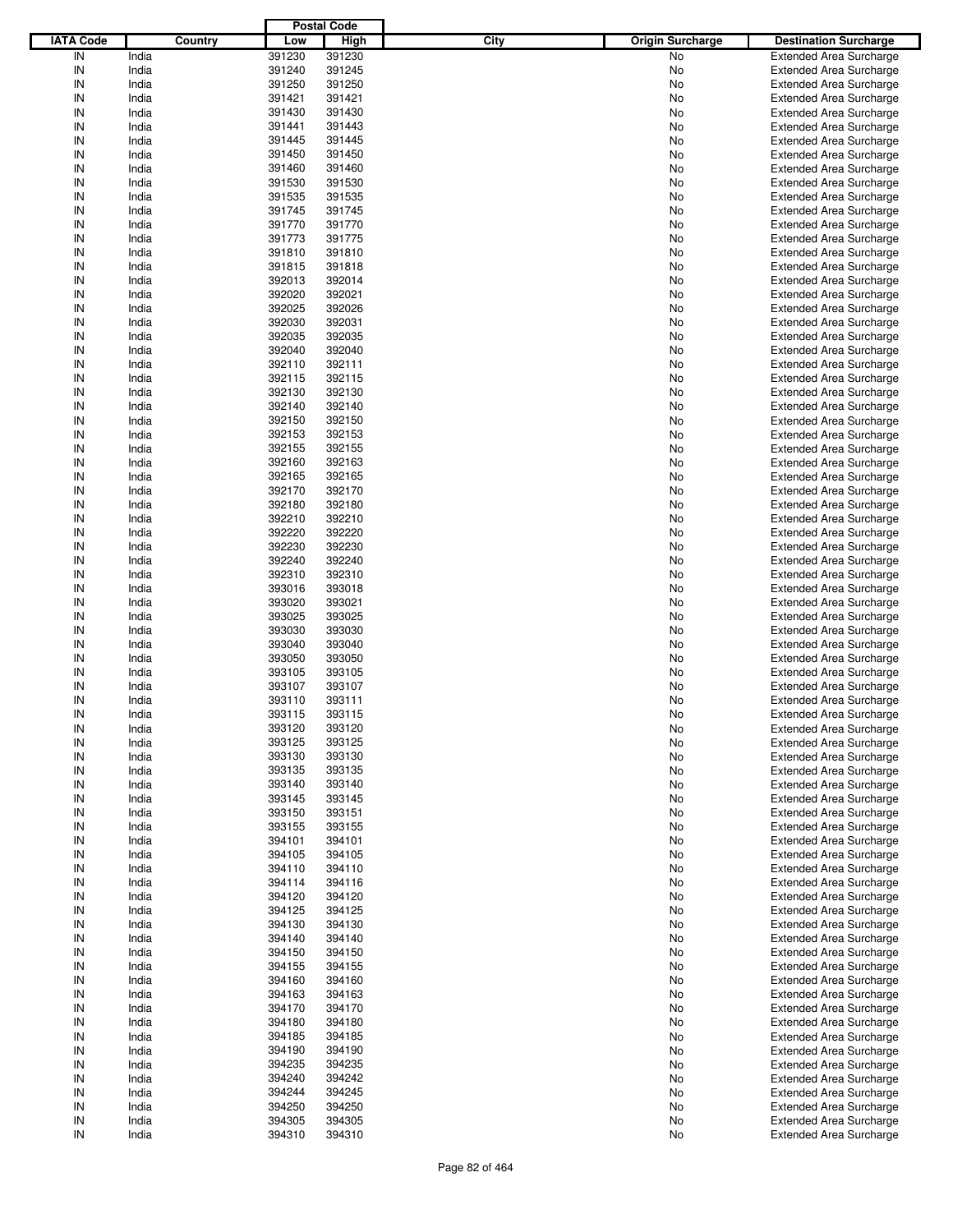| <b>IATA Code</b><br>Country<br><b>High</b><br>City<br>Low<br><b>Origin Surcharge</b><br><b>Destination Surcharge</b><br>IN<br>India<br>391230<br>391230<br>No<br><b>Extended Area Surcharge</b><br>IN<br>India<br>391240<br>391245<br>No<br><b>Extended Area Surcharge</b><br>IN<br>India<br>391250<br>391250<br>No<br><b>Extended Area Surcharge</b><br>IN<br>India<br>391421<br>391421<br>No<br><b>Extended Area Surcharge</b><br>IN<br>India<br>391430<br>391430<br>No<br><b>Extended Area Surcharge</b><br>IN<br>India<br>391441<br>391443<br>No<br><b>Extended Area Surcharge</b><br>IN<br>India<br>391445<br>391445<br>No<br><b>Extended Area Surcharge</b><br>IN<br>India<br>391450<br>391450<br>No<br><b>Extended Area Surcharge</b><br>IN<br>India<br>391460<br>391460<br>No<br><b>Extended Area Surcharge</b><br>IN<br>India<br>391530<br>391530<br>No<br><b>Extended Area Surcharge</b><br>IN<br>India<br>391535<br>391535<br>No<br><b>Extended Area Surcharge</b><br>IN<br>India<br>391745<br>391745<br>No<br><b>Extended Area Surcharge</b><br>IN<br>India<br>391770<br>391770<br>No<br><b>Extended Area Surcharge</b><br>IN<br>India<br>391773<br>391775<br>No<br><b>Extended Area Surcharge</b><br>IN<br>India<br>391810<br>391810<br>No<br><b>Extended Area Surcharge</b><br>IN<br>India<br>391815<br>391818<br>No<br><b>Extended Area Surcharge</b><br>IN<br>India<br>392013<br>392014<br>No<br><b>Extended Area Surcharge</b><br>IN<br>India<br>392020<br>392021<br>No<br><b>Extended Area Surcharge</b><br>IN<br>India<br>392025<br>392026<br>No<br><b>Extended Area Surcharge</b><br>IN<br>India<br>392030<br>392031<br>No<br><b>Extended Area Surcharge</b><br>IN<br>India<br>392035<br>392035<br>No<br><b>Extended Area Surcharge</b><br>IN<br>India<br>392040<br>392040<br>No<br><b>Extended Area Surcharge</b><br>IN<br>India<br>392110<br>392111<br>No<br><b>Extended Area Surcharge</b><br>IN<br>India<br>392115<br>392115<br>No<br><b>Extended Area Surcharge</b><br>IN<br>India<br>392130<br>392130<br>No<br><b>Extended Area Surcharge</b><br>IN<br>India<br>392140<br>392140<br>No<br><b>Extended Area Surcharge</b><br>IN<br>India<br>392150<br>392150<br>No<br><b>Extended Area Surcharge</b><br>IN<br>India<br>392153<br>392153<br>No<br><b>Extended Area Surcharge</b><br>IN<br>India<br>392155<br>392155<br>No<br><b>Extended Area Surcharge</b><br>IN<br>India<br>392160<br>392163<br>No<br><b>Extended Area Surcharge</b><br>IN<br>India<br>392165<br>392165<br>No<br><b>Extended Area Surcharge</b><br>IN<br>India<br>392170<br>392170<br>No<br><b>Extended Area Surcharge</b><br>IN<br>India<br>392180<br>392180<br>No<br><b>Extended Area Surcharge</b><br>IN<br>India<br>392210<br>392210<br>No<br><b>Extended Area Surcharge</b><br>IN<br>India<br>392220<br>392220<br>No<br><b>Extended Area Surcharge</b><br>IN<br>India<br>392230<br>392230<br>No<br><b>Extended Area Surcharge</b><br>IN<br>India<br>392240<br>392240<br>No<br><b>Extended Area Surcharge</b><br>IN<br>India<br>392310<br>392310<br>No<br><b>Extended Area Surcharge</b><br>IN<br>India<br>393016<br>393018<br>No<br><b>Extended Area Surcharge</b><br>IN<br>India<br>393020<br>393021<br>No<br><b>Extended Area Surcharge</b><br>IN<br>India<br>393025<br>393025<br>No<br><b>Extended Area Surcharge</b><br>IN<br>India<br>393030<br>393030<br>No<br><b>Extended Area Surcharge</b><br>IN<br>India<br>393040<br>393040<br>No<br><b>Extended Area Surcharge</b><br>IN<br>India<br>393050<br>393050<br>No<br><b>Extended Area Surcharge</b><br>IN<br>393105<br>393105<br>India<br>No<br><b>Extended Area Surcharge</b><br>IN<br>India<br>393107<br>393107<br>No<br><b>Extended Area Surcharge</b><br>IN<br>India<br>393110<br>393111<br>No<br><b>Extended Area Surcharge</b><br>IN<br>393115<br>393115<br>India<br><b>Extended Area Surcharge</b><br>No<br>IN<br>393120<br>India<br>393120<br>No<br><b>Extended Area Surcharge</b><br>India<br>393125<br>393125<br>IN<br>No<br><b>Extended Area Surcharge</b><br>IN<br>393130<br>393130<br>India<br>No<br><b>Extended Area Surcharge</b><br>IN<br>393135<br>393135<br>India<br>No<br><b>Extended Area Surcharge</b><br>IN<br>393140<br>India<br>393140<br>No<br><b>Extended Area Surcharge</b><br>IN<br>India<br>393145<br>393145<br>No<br><b>Extended Area Surcharge</b><br>IN<br>393150<br>393151<br>India<br>No<br><b>Extended Area Surcharge</b><br>IN<br>India<br>393155<br>393155<br>No<br><b>Extended Area Surcharge</b><br>IN<br>394101<br>India<br>394101<br>No<br><b>Extended Area Surcharge</b><br>IN<br>India<br>394105<br>394105<br>No<br><b>Extended Area Surcharge</b><br>IN<br>394110<br>India<br>394110<br>No<br><b>Extended Area Surcharge</b><br>IN<br>India<br>394114<br>394116<br>No<br><b>Extended Area Surcharge</b><br>IN<br>394120<br>India<br>394120<br>No<br><b>Extended Area Surcharge</b><br>IN<br>India<br>394125<br>394125<br>No<br><b>Extended Area Surcharge</b><br>IN<br>394130<br>394130<br>India<br>No<br><b>Extended Area Surcharge</b><br>IN<br>India<br>394140<br>394140<br>No<br><b>Extended Area Surcharge</b><br>IN<br>394150<br>India<br>394150<br>No<br><b>Extended Area Surcharge</b><br>IN<br>India<br>394155<br>394155<br>No<br><b>Extended Area Surcharge</b><br>IN<br>394160<br>394160<br>India<br>No<br><b>Extended Area Surcharge</b><br>IN<br>India<br>394163<br>394163<br>No<br><b>Extended Area Surcharge</b><br>IN<br>394170<br>India<br>394170<br>No<br><b>Extended Area Surcharge</b><br>IN<br>India<br>394180<br>394180<br>No<br><b>Extended Area Surcharge</b><br>IN<br>394185<br>India<br>394185<br>No<br><b>Extended Area Surcharge</b><br>IN<br>India<br>394190<br>394190<br>No<br><b>Extended Area Surcharge</b><br>IN<br>India<br>394235<br>394235<br>No<br><b>Extended Area Surcharge</b><br>IN<br>India<br>394240<br>394242<br>No<br><b>Extended Area Surcharge</b><br>IN<br>394244<br>India<br>394245<br>No<br><b>Extended Area Surcharge</b><br>IN<br>India<br>394250<br>394250<br>No<br><b>Extended Area Surcharge</b><br>IN<br>India<br>394305<br>394305<br>No<br><b>Extended Area Surcharge</b><br>IN<br>India<br>394310<br>394310<br>No<br><b>Extended Area Surcharge</b> |  | <b>Postal Code</b> |  |  |
|----------------------------------------------------------------------------------------------------------------------------------------------------------------------------------------------------------------------------------------------------------------------------------------------------------------------------------------------------------------------------------------------------------------------------------------------------------------------------------------------------------------------------------------------------------------------------------------------------------------------------------------------------------------------------------------------------------------------------------------------------------------------------------------------------------------------------------------------------------------------------------------------------------------------------------------------------------------------------------------------------------------------------------------------------------------------------------------------------------------------------------------------------------------------------------------------------------------------------------------------------------------------------------------------------------------------------------------------------------------------------------------------------------------------------------------------------------------------------------------------------------------------------------------------------------------------------------------------------------------------------------------------------------------------------------------------------------------------------------------------------------------------------------------------------------------------------------------------------------------------------------------------------------------------------------------------------------------------------------------------------------------------------------------------------------------------------------------------------------------------------------------------------------------------------------------------------------------------------------------------------------------------------------------------------------------------------------------------------------------------------------------------------------------------------------------------------------------------------------------------------------------------------------------------------------------------------------------------------------------------------------------------------------------------------------------------------------------------------------------------------------------------------------------------------------------------------------------------------------------------------------------------------------------------------------------------------------------------------------------------------------------------------------------------------------------------------------------------------------------------------------------------------------------------------------------------------------------------------------------------------------------------------------------------------------------------------------------------------------------------------------------------------------------------------------------------------------------------------------------------------------------------------------------------------------------------------------------------------------------------------------------------------------------------------------------------------------------------------------------------------------------------------------------------------------------------------------------------------------------------------------------------------------------------------------------------------------------------------------------------------------------------------------------------------------------------------------------------------------------------------------------------------------------------------------------------------------------------------------------------------------------------------------------------------------------------------------------------------------------------------------------------------------------------------------------------------------------------------------------------------------------------------------------------------------------------------------------------------------------------------------------------------------------------------------------------------------------------------------------------------------------------------------------------------------------------------------------------------------------------------------------------------------------------------------------------------------------------------------------------------------------------------------------------------------------------------------------------------------------------------------------------------------------------------------------------------------------------------------------------------------------------------------------------------------------------------------------------------------------------------------------------------------------------------------------------------------------------------------------------------------------------------------------------------------------------------------------------------------------------------------------------------------------------------------------------------------------------------------------------------------------------------------------------------------------------------------------------------------------------------------------------------------------------------------------------------------------------------------------------------------------------------------------------------------------------------------------------------------------------------------------------------------------------------------------------------------------|--|--------------------|--|--|
|                                                                                                                                                                                                                                                                                                                                                                                                                                                                                                                                                                                                                                                                                                                                                                                                                                                                                                                                                                                                                                                                                                                                                                                                                                                                                                                                                                                                                                                                                                                                                                                                                                                                                                                                                                                                                                                                                                                                                                                                                                                                                                                                                                                                                                                                                                                                                                                                                                                                                                                                                                                                                                                                                                                                                                                                                                                                                                                                                                                                                                                                                                                                                                                                                                                                                                                                                                                                                                                                                                                                                                                                                                                                                                                                                                                                                                                                                                                                                                                                                                                                                                                                                                                                                                                                                                                                                                                                                                                                                                                                                                                                                                                                                                                                                                                                                                                                                                                                                                                                                                                                                                                                                                                                                                                                                                                                                                                                                                                                                                                                                                                                                                                                                                                                                                                                                                                                                                                                                                                                                                                                                                                                                                                                                |  |                    |  |  |
|                                                                                                                                                                                                                                                                                                                                                                                                                                                                                                                                                                                                                                                                                                                                                                                                                                                                                                                                                                                                                                                                                                                                                                                                                                                                                                                                                                                                                                                                                                                                                                                                                                                                                                                                                                                                                                                                                                                                                                                                                                                                                                                                                                                                                                                                                                                                                                                                                                                                                                                                                                                                                                                                                                                                                                                                                                                                                                                                                                                                                                                                                                                                                                                                                                                                                                                                                                                                                                                                                                                                                                                                                                                                                                                                                                                                                                                                                                                                                                                                                                                                                                                                                                                                                                                                                                                                                                                                                                                                                                                                                                                                                                                                                                                                                                                                                                                                                                                                                                                                                                                                                                                                                                                                                                                                                                                                                                                                                                                                                                                                                                                                                                                                                                                                                                                                                                                                                                                                                                                                                                                                                                                                                                                                                |  |                    |  |  |
|                                                                                                                                                                                                                                                                                                                                                                                                                                                                                                                                                                                                                                                                                                                                                                                                                                                                                                                                                                                                                                                                                                                                                                                                                                                                                                                                                                                                                                                                                                                                                                                                                                                                                                                                                                                                                                                                                                                                                                                                                                                                                                                                                                                                                                                                                                                                                                                                                                                                                                                                                                                                                                                                                                                                                                                                                                                                                                                                                                                                                                                                                                                                                                                                                                                                                                                                                                                                                                                                                                                                                                                                                                                                                                                                                                                                                                                                                                                                                                                                                                                                                                                                                                                                                                                                                                                                                                                                                                                                                                                                                                                                                                                                                                                                                                                                                                                                                                                                                                                                                                                                                                                                                                                                                                                                                                                                                                                                                                                                                                                                                                                                                                                                                                                                                                                                                                                                                                                                                                                                                                                                                                                                                                                                                |  |                    |  |  |
|                                                                                                                                                                                                                                                                                                                                                                                                                                                                                                                                                                                                                                                                                                                                                                                                                                                                                                                                                                                                                                                                                                                                                                                                                                                                                                                                                                                                                                                                                                                                                                                                                                                                                                                                                                                                                                                                                                                                                                                                                                                                                                                                                                                                                                                                                                                                                                                                                                                                                                                                                                                                                                                                                                                                                                                                                                                                                                                                                                                                                                                                                                                                                                                                                                                                                                                                                                                                                                                                                                                                                                                                                                                                                                                                                                                                                                                                                                                                                                                                                                                                                                                                                                                                                                                                                                                                                                                                                                                                                                                                                                                                                                                                                                                                                                                                                                                                                                                                                                                                                                                                                                                                                                                                                                                                                                                                                                                                                                                                                                                                                                                                                                                                                                                                                                                                                                                                                                                                                                                                                                                                                                                                                                                                                |  |                    |  |  |
|                                                                                                                                                                                                                                                                                                                                                                                                                                                                                                                                                                                                                                                                                                                                                                                                                                                                                                                                                                                                                                                                                                                                                                                                                                                                                                                                                                                                                                                                                                                                                                                                                                                                                                                                                                                                                                                                                                                                                                                                                                                                                                                                                                                                                                                                                                                                                                                                                                                                                                                                                                                                                                                                                                                                                                                                                                                                                                                                                                                                                                                                                                                                                                                                                                                                                                                                                                                                                                                                                                                                                                                                                                                                                                                                                                                                                                                                                                                                                                                                                                                                                                                                                                                                                                                                                                                                                                                                                                                                                                                                                                                                                                                                                                                                                                                                                                                                                                                                                                                                                                                                                                                                                                                                                                                                                                                                                                                                                                                                                                                                                                                                                                                                                                                                                                                                                                                                                                                                                                                                                                                                                                                                                                                                                |  |                    |  |  |
|                                                                                                                                                                                                                                                                                                                                                                                                                                                                                                                                                                                                                                                                                                                                                                                                                                                                                                                                                                                                                                                                                                                                                                                                                                                                                                                                                                                                                                                                                                                                                                                                                                                                                                                                                                                                                                                                                                                                                                                                                                                                                                                                                                                                                                                                                                                                                                                                                                                                                                                                                                                                                                                                                                                                                                                                                                                                                                                                                                                                                                                                                                                                                                                                                                                                                                                                                                                                                                                                                                                                                                                                                                                                                                                                                                                                                                                                                                                                                                                                                                                                                                                                                                                                                                                                                                                                                                                                                                                                                                                                                                                                                                                                                                                                                                                                                                                                                                                                                                                                                                                                                                                                                                                                                                                                                                                                                                                                                                                                                                                                                                                                                                                                                                                                                                                                                                                                                                                                                                                                                                                                                                                                                                                                                |  |                    |  |  |
|                                                                                                                                                                                                                                                                                                                                                                                                                                                                                                                                                                                                                                                                                                                                                                                                                                                                                                                                                                                                                                                                                                                                                                                                                                                                                                                                                                                                                                                                                                                                                                                                                                                                                                                                                                                                                                                                                                                                                                                                                                                                                                                                                                                                                                                                                                                                                                                                                                                                                                                                                                                                                                                                                                                                                                                                                                                                                                                                                                                                                                                                                                                                                                                                                                                                                                                                                                                                                                                                                                                                                                                                                                                                                                                                                                                                                                                                                                                                                                                                                                                                                                                                                                                                                                                                                                                                                                                                                                                                                                                                                                                                                                                                                                                                                                                                                                                                                                                                                                                                                                                                                                                                                                                                                                                                                                                                                                                                                                                                                                                                                                                                                                                                                                                                                                                                                                                                                                                                                                                                                                                                                                                                                                                                                |  |                    |  |  |
|                                                                                                                                                                                                                                                                                                                                                                                                                                                                                                                                                                                                                                                                                                                                                                                                                                                                                                                                                                                                                                                                                                                                                                                                                                                                                                                                                                                                                                                                                                                                                                                                                                                                                                                                                                                                                                                                                                                                                                                                                                                                                                                                                                                                                                                                                                                                                                                                                                                                                                                                                                                                                                                                                                                                                                                                                                                                                                                                                                                                                                                                                                                                                                                                                                                                                                                                                                                                                                                                                                                                                                                                                                                                                                                                                                                                                                                                                                                                                                                                                                                                                                                                                                                                                                                                                                                                                                                                                                                                                                                                                                                                                                                                                                                                                                                                                                                                                                                                                                                                                                                                                                                                                                                                                                                                                                                                                                                                                                                                                                                                                                                                                                                                                                                                                                                                                                                                                                                                                                                                                                                                                                                                                                                                                |  |                    |  |  |
|                                                                                                                                                                                                                                                                                                                                                                                                                                                                                                                                                                                                                                                                                                                                                                                                                                                                                                                                                                                                                                                                                                                                                                                                                                                                                                                                                                                                                                                                                                                                                                                                                                                                                                                                                                                                                                                                                                                                                                                                                                                                                                                                                                                                                                                                                                                                                                                                                                                                                                                                                                                                                                                                                                                                                                                                                                                                                                                                                                                                                                                                                                                                                                                                                                                                                                                                                                                                                                                                                                                                                                                                                                                                                                                                                                                                                                                                                                                                                                                                                                                                                                                                                                                                                                                                                                                                                                                                                                                                                                                                                                                                                                                                                                                                                                                                                                                                                                                                                                                                                                                                                                                                                                                                                                                                                                                                                                                                                                                                                                                                                                                                                                                                                                                                                                                                                                                                                                                                                                                                                                                                                                                                                                                                                |  |                    |  |  |
|                                                                                                                                                                                                                                                                                                                                                                                                                                                                                                                                                                                                                                                                                                                                                                                                                                                                                                                                                                                                                                                                                                                                                                                                                                                                                                                                                                                                                                                                                                                                                                                                                                                                                                                                                                                                                                                                                                                                                                                                                                                                                                                                                                                                                                                                                                                                                                                                                                                                                                                                                                                                                                                                                                                                                                                                                                                                                                                                                                                                                                                                                                                                                                                                                                                                                                                                                                                                                                                                                                                                                                                                                                                                                                                                                                                                                                                                                                                                                                                                                                                                                                                                                                                                                                                                                                                                                                                                                                                                                                                                                                                                                                                                                                                                                                                                                                                                                                                                                                                                                                                                                                                                                                                                                                                                                                                                                                                                                                                                                                                                                                                                                                                                                                                                                                                                                                                                                                                                                                                                                                                                                                                                                                                                                |  |                    |  |  |
|                                                                                                                                                                                                                                                                                                                                                                                                                                                                                                                                                                                                                                                                                                                                                                                                                                                                                                                                                                                                                                                                                                                                                                                                                                                                                                                                                                                                                                                                                                                                                                                                                                                                                                                                                                                                                                                                                                                                                                                                                                                                                                                                                                                                                                                                                                                                                                                                                                                                                                                                                                                                                                                                                                                                                                                                                                                                                                                                                                                                                                                                                                                                                                                                                                                                                                                                                                                                                                                                                                                                                                                                                                                                                                                                                                                                                                                                                                                                                                                                                                                                                                                                                                                                                                                                                                                                                                                                                                                                                                                                                                                                                                                                                                                                                                                                                                                                                                                                                                                                                                                                                                                                                                                                                                                                                                                                                                                                                                                                                                                                                                                                                                                                                                                                                                                                                                                                                                                                                                                                                                                                                                                                                                                                                |  |                    |  |  |
|                                                                                                                                                                                                                                                                                                                                                                                                                                                                                                                                                                                                                                                                                                                                                                                                                                                                                                                                                                                                                                                                                                                                                                                                                                                                                                                                                                                                                                                                                                                                                                                                                                                                                                                                                                                                                                                                                                                                                                                                                                                                                                                                                                                                                                                                                                                                                                                                                                                                                                                                                                                                                                                                                                                                                                                                                                                                                                                                                                                                                                                                                                                                                                                                                                                                                                                                                                                                                                                                                                                                                                                                                                                                                                                                                                                                                                                                                                                                                                                                                                                                                                                                                                                                                                                                                                                                                                                                                                                                                                                                                                                                                                                                                                                                                                                                                                                                                                                                                                                                                                                                                                                                                                                                                                                                                                                                                                                                                                                                                                                                                                                                                                                                                                                                                                                                                                                                                                                                                                                                                                                                                                                                                                                                                |  |                    |  |  |
|                                                                                                                                                                                                                                                                                                                                                                                                                                                                                                                                                                                                                                                                                                                                                                                                                                                                                                                                                                                                                                                                                                                                                                                                                                                                                                                                                                                                                                                                                                                                                                                                                                                                                                                                                                                                                                                                                                                                                                                                                                                                                                                                                                                                                                                                                                                                                                                                                                                                                                                                                                                                                                                                                                                                                                                                                                                                                                                                                                                                                                                                                                                                                                                                                                                                                                                                                                                                                                                                                                                                                                                                                                                                                                                                                                                                                                                                                                                                                                                                                                                                                                                                                                                                                                                                                                                                                                                                                                                                                                                                                                                                                                                                                                                                                                                                                                                                                                                                                                                                                                                                                                                                                                                                                                                                                                                                                                                                                                                                                                                                                                                                                                                                                                                                                                                                                                                                                                                                                                                                                                                                                                                                                                                                                |  |                    |  |  |
|                                                                                                                                                                                                                                                                                                                                                                                                                                                                                                                                                                                                                                                                                                                                                                                                                                                                                                                                                                                                                                                                                                                                                                                                                                                                                                                                                                                                                                                                                                                                                                                                                                                                                                                                                                                                                                                                                                                                                                                                                                                                                                                                                                                                                                                                                                                                                                                                                                                                                                                                                                                                                                                                                                                                                                                                                                                                                                                                                                                                                                                                                                                                                                                                                                                                                                                                                                                                                                                                                                                                                                                                                                                                                                                                                                                                                                                                                                                                                                                                                                                                                                                                                                                                                                                                                                                                                                                                                                                                                                                                                                                                                                                                                                                                                                                                                                                                                                                                                                                                                                                                                                                                                                                                                                                                                                                                                                                                                                                                                                                                                                                                                                                                                                                                                                                                                                                                                                                                                                                                                                                                                                                                                                                                                |  |                    |  |  |
|                                                                                                                                                                                                                                                                                                                                                                                                                                                                                                                                                                                                                                                                                                                                                                                                                                                                                                                                                                                                                                                                                                                                                                                                                                                                                                                                                                                                                                                                                                                                                                                                                                                                                                                                                                                                                                                                                                                                                                                                                                                                                                                                                                                                                                                                                                                                                                                                                                                                                                                                                                                                                                                                                                                                                                                                                                                                                                                                                                                                                                                                                                                                                                                                                                                                                                                                                                                                                                                                                                                                                                                                                                                                                                                                                                                                                                                                                                                                                                                                                                                                                                                                                                                                                                                                                                                                                                                                                                                                                                                                                                                                                                                                                                                                                                                                                                                                                                                                                                                                                                                                                                                                                                                                                                                                                                                                                                                                                                                                                                                                                                                                                                                                                                                                                                                                                                                                                                                                                                                                                                                                                                                                                                                                                |  |                    |  |  |
|                                                                                                                                                                                                                                                                                                                                                                                                                                                                                                                                                                                                                                                                                                                                                                                                                                                                                                                                                                                                                                                                                                                                                                                                                                                                                                                                                                                                                                                                                                                                                                                                                                                                                                                                                                                                                                                                                                                                                                                                                                                                                                                                                                                                                                                                                                                                                                                                                                                                                                                                                                                                                                                                                                                                                                                                                                                                                                                                                                                                                                                                                                                                                                                                                                                                                                                                                                                                                                                                                                                                                                                                                                                                                                                                                                                                                                                                                                                                                                                                                                                                                                                                                                                                                                                                                                                                                                                                                                                                                                                                                                                                                                                                                                                                                                                                                                                                                                                                                                                                                                                                                                                                                                                                                                                                                                                                                                                                                                                                                                                                                                                                                                                                                                                                                                                                                                                                                                                                                                                                                                                                                                                                                                                                                |  |                    |  |  |
|                                                                                                                                                                                                                                                                                                                                                                                                                                                                                                                                                                                                                                                                                                                                                                                                                                                                                                                                                                                                                                                                                                                                                                                                                                                                                                                                                                                                                                                                                                                                                                                                                                                                                                                                                                                                                                                                                                                                                                                                                                                                                                                                                                                                                                                                                                                                                                                                                                                                                                                                                                                                                                                                                                                                                                                                                                                                                                                                                                                                                                                                                                                                                                                                                                                                                                                                                                                                                                                                                                                                                                                                                                                                                                                                                                                                                                                                                                                                                                                                                                                                                                                                                                                                                                                                                                                                                                                                                                                                                                                                                                                                                                                                                                                                                                                                                                                                                                                                                                                                                                                                                                                                                                                                                                                                                                                                                                                                                                                                                                                                                                                                                                                                                                                                                                                                                                                                                                                                                                                                                                                                                                                                                                                                                |  |                    |  |  |
|                                                                                                                                                                                                                                                                                                                                                                                                                                                                                                                                                                                                                                                                                                                                                                                                                                                                                                                                                                                                                                                                                                                                                                                                                                                                                                                                                                                                                                                                                                                                                                                                                                                                                                                                                                                                                                                                                                                                                                                                                                                                                                                                                                                                                                                                                                                                                                                                                                                                                                                                                                                                                                                                                                                                                                                                                                                                                                                                                                                                                                                                                                                                                                                                                                                                                                                                                                                                                                                                                                                                                                                                                                                                                                                                                                                                                                                                                                                                                                                                                                                                                                                                                                                                                                                                                                                                                                                                                                                                                                                                                                                                                                                                                                                                                                                                                                                                                                                                                                                                                                                                                                                                                                                                                                                                                                                                                                                                                                                                                                                                                                                                                                                                                                                                                                                                                                                                                                                                                                                                                                                                                                                                                                                                                |  |                    |  |  |
|                                                                                                                                                                                                                                                                                                                                                                                                                                                                                                                                                                                                                                                                                                                                                                                                                                                                                                                                                                                                                                                                                                                                                                                                                                                                                                                                                                                                                                                                                                                                                                                                                                                                                                                                                                                                                                                                                                                                                                                                                                                                                                                                                                                                                                                                                                                                                                                                                                                                                                                                                                                                                                                                                                                                                                                                                                                                                                                                                                                                                                                                                                                                                                                                                                                                                                                                                                                                                                                                                                                                                                                                                                                                                                                                                                                                                                                                                                                                                                                                                                                                                                                                                                                                                                                                                                                                                                                                                                                                                                                                                                                                                                                                                                                                                                                                                                                                                                                                                                                                                                                                                                                                                                                                                                                                                                                                                                                                                                                                                                                                                                                                                                                                                                                                                                                                                                                                                                                                                                                                                                                                                                                                                                                                                |  |                    |  |  |
|                                                                                                                                                                                                                                                                                                                                                                                                                                                                                                                                                                                                                                                                                                                                                                                                                                                                                                                                                                                                                                                                                                                                                                                                                                                                                                                                                                                                                                                                                                                                                                                                                                                                                                                                                                                                                                                                                                                                                                                                                                                                                                                                                                                                                                                                                                                                                                                                                                                                                                                                                                                                                                                                                                                                                                                                                                                                                                                                                                                                                                                                                                                                                                                                                                                                                                                                                                                                                                                                                                                                                                                                                                                                                                                                                                                                                                                                                                                                                                                                                                                                                                                                                                                                                                                                                                                                                                                                                                                                                                                                                                                                                                                                                                                                                                                                                                                                                                                                                                                                                                                                                                                                                                                                                                                                                                                                                                                                                                                                                                                                                                                                                                                                                                                                                                                                                                                                                                                                                                                                                                                                                                                                                                                                                |  |                    |  |  |
|                                                                                                                                                                                                                                                                                                                                                                                                                                                                                                                                                                                                                                                                                                                                                                                                                                                                                                                                                                                                                                                                                                                                                                                                                                                                                                                                                                                                                                                                                                                                                                                                                                                                                                                                                                                                                                                                                                                                                                                                                                                                                                                                                                                                                                                                                                                                                                                                                                                                                                                                                                                                                                                                                                                                                                                                                                                                                                                                                                                                                                                                                                                                                                                                                                                                                                                                                                                                                                                                                                                                                                                                                                                                                                                                                                                                                                                                                                                                                                                                                                                                                                                                                                                                                                                                                                                                                                                                                                                                                                                                                                                                                                                                                                                                                                                                                                                                                                                                                                                                                                                                                                                                                                                                                                                                                                                                                                                                                                                                                                                                                                                                                                                                                                                                                                                                                                                                                                                                                                                                                                                                                                                                                                                                                |  |                    |  |  |
|                                                                                                                                                                                                                                                                                                                                                                                                                                                                                                                                                                                                                                                                                                                                                                                                                                                                                                                                                                                                                                                                                                                                                                                                                                                                                                                                                                                                                                                                                                                                                                                                                                                                                                                                                                                                                                                                                                                                                                                                                                                                                                                                                                                                                                                                                                                                                                                                                                                                                                                                                                                                                                                                                                                                                                                                                                                                                                                                                                                                                                                                                                                                                                                                                                                                                                                                                                                                                                                                                                                                                                                                                                                                                                                                                                                                                                                                                                                                                                                                                                                                                                                                                                                                                                                                                                                                                                                                                                                                                                                                                                                                                                                                                                                                                                                                                                                                                                                                                                                                                                                                                                                                                                                                                                                                                                                                                                                                                                                                                                                                                                                                                                                                                                                                                                                                                                                                                                                                                                                                                                                                                                                                                                                                                |  |                    |  |  |
|                                                                                                                                                                                                                                                                                                                                                                                                                                                                                                                                                                                                                                                                                                                                                                                                                                                                                                                                                                                                                                                                                                                                                                                                                                                                                                                                                                                                                                                                                                                                                                                                                                                                                                                                                                                                                                                                                                                                                                                                                                                                                                                                                                                                                                                                                                                                                                                                                                                                                                                                                                                                                                                                                                                                                                                                                                                                                                                                                                                                                                                                                                                                                                                                                                                                                                                                                                                                                                                                                                                                                                                                                                                                                                                                                                                                                                                                                                                                                                                                                                                                                                                                                                                                                                                                                                                                                                                                                                                                                                                                                                                                                                                                                                                                                                                                                                                                                                                                                                                                                                                                                                                                                                                                                                                                                                                                                                                                                                                                                                                                                                                                                                                                                                                                                                                                                                                                                                                                                                                                                                                                                                                                                                                                                |  |                    |  |  |
|                                                                                                                                                                                                                                                                                                                                                                                                                                                                                                                                                                                                                                                                                                                                                                                                                                                                                                                                                                                                                                                                                                                                                                                                                                                                                                                                                                                                                                                                                                                                                                                                                                                                                                                                                                                                                                                                                                                                                                                                                                                                                                                                                                                                                                                                                                                                                                                                                                                                                                                                                                                                                                                                                                                                                                                                                                                                                                                                                                                                                                                                                                                                                                                                                                                                                                                                                                                                                                                                                                                                                                                                                                                                                                                                                                                                                                                                                                                                                                                                                                                                                                                                                                                                                                                                                                                                                                                                                                                                                                                                                                                                                                                                                                                                                                                                                                                                                                                                                                                                                                                                                                                                                                                                                                                                                                                                                                                                                                                                                                                                                                                                                                                                                                                                                                                                                                                                                                                                                                                                                                                                                                                                                                                                                |  |                    |  |  |
|                                                                                                                                                                                                                                                                                                                                                                                                                                                                                                                                                                                                                                                                                                                                                                                                                                                                                                                                                                                                                                                                                                                                                                                                                                                                                                                                                                                                                                                                                                                                                                                                                                                                                                                                                                                                                                                                                                                                                                                                                                                                                                                                                                                                                                                                                                                                                                                                                                                                                                                                                                                                                                                                                                                                                                                                                                                                                                                                                                                                                                                                                                                                                                                                                                                                                                                                                                                                                                                                                                                                                                                                                                                                                                                                                                                                                                                                                                                                                                                                                                                                                                                                                                                                                                                                                                                                                                                                                                                                                                                                                                                                                                                                                                                                                                                                                                                                                                                                                                                                                                                                                                                                                                                                                                                                                                                                                                                                                                                                                                                                                                                                                                                                                                                                                                                                                                                                                                                                                                                                                                                                                                                                                                                                                |  |                    |  |  |
|                                                                                                                                                                                                                                                                                                                                                                                                                                                                                                                                                                                                                                                                                                                                                                                                                                                                                                                                                                                                                                                                                                                                                                                                                                                                                                                                                                                                                                                                                                                                                                                                                                                                                                                                                                                                                                                                                                                                                                                                                                                                                                                                                                                                                                                                                                                                                                                                                                                                                                                                                                                                                                                                                                                                                                                                                                                                                                                                                                                                                                                                                                                                                                                                                                                                                                                                                                                                                                                                                                                                                                                                                                                                                                                                                                                                                                                                                                                                                                                                                                                                                                                                                                                                                                                                                                                                                                                                                                                                                                                                                                                                                                                                                                                                                                                                                                                                                                                                                                                                                                                                                                                                                                                                                                                                                                                                                                                                                                                                                                                                                                                                                                                                                                                                                                                                                                                                                                                                                                                                                                                                                                                                                                                                                |  |                    |  |  |
|                                                                                                                                                                                                                                                                                                                                                                                                                                                                                                                                                                                                                                                                                                                                                                                                                                                                                                                                                                                                                                                                                                                                                                                                                                                                                                                                                                                                                                                                                                                                                                                                                                                                                                                                                                                                                                                                                                                                                                                                                                                                                                                                                                                                                                                                                                                                                                                                                                                                                                                                                                                                                                                                                                                                                                                                                                                                                                                                                                                                                                                                                                                                                                                                                                                                                                                                                                                                                                                                                                                                                                                                                                                                                                                                                                                                                                                                                                                                                                                                                                                                                                                                                                                                                                                                                                                                                                                                                                                                                                                                                                                                                                                                                                                                                                                                                                                                                                                                                                                                                                                                                                                                                                                                                                                                                                                                                                                                                                                                                                                                                                                                                                                                                                                                                                                                                                                                                                                                                                                                                                                                                                                                                                                                                |  |                    |  |  |
|                                                                                                                                                                                                                                                                                                                                                                                                                                                                                                                                                                                                                                                                                                                                                                                                                                                                                                                                                                                                                                                                                                                                                                                                                                                                                                                                                                                                                                                                                                                                                                                                                                                                                                                                                                                                                                                                                                                                                                                                                                                                                                                                                                                                                                                                                                                                                                                                                                                                                                                                                                                                                                                                                                                                                                                                                                                                                                                                                                                                                                                                                                                                                                                                                                                                                                                                                                                                                                                                                                                                                                                                                                                                                                                                                                                                                                                                                                                                                                                                                                                                                                                                                                                                                                                                                                                                                                                                                                                                                                                                                                                                                                                                                                                                                                                                                                                                                                                                                                                                                                                                                                                                                                                                                                                                                                                                                                                                                                                                                                                                                                                                                                                                                                                                                                                                                                                                                                                                                                                                                                                                                                                                                                                                                |  |                    |  |  |
|                                                                                                                                                                                                                                                                                                                                                                                                                                                                                                                                                                                                                                                                                                                                                                                                                                                                                                                                                                                                                                                                                                                                                                                                                                                                                                                                                                                                                                                                                                                                                                                                                                                                                                                                                                                                                                                                                                                                                                                                                                                                                                                                                                                                                                                                                                                                                                                                                                                                                                                                                                                                                                                                                                                                                                                                                                                                                                                                                                                                                                                                                                                                                                                                                                                                                                                                                                                                                                                                                                                                                                                                                                                                                                                                                                                                                                                                                                                                                                                                                                                                                                                                                                                                                                                                                                                                                                                                                                                                                                                                                                                                                                                                                                                                                                                                                                                                                                                                                                                                                                                                                                                                                                                                                                                                                                                                                                                                                                                                                                                                                                                                                                                                                                                                                                                                                                                                                                                                                                                                                                                                                                                                                                                                                |  |                    |  |  |
|                                                                                                                                                                                                                                                                                                                                                                                                                                                                                                                                                                                                                                                                                                                                                                                                                                                                                                                                                                                                                                                                                                                                                                                                                                                                                                                                                                                                                                                                                                                                                                                                                                                                                                                                                                                                                                                                                                                                                                                                                                                                                                                                                                                                                                                                                                                                                                                                                                                                                                                                                                                                                                                                                                                                                                                                                                                                                                                                                                                                                                                                                                                                                                                                                                                                                                                                                                                                                                                                                                                                                                                                                                                                                                                                                                                                                                                                                                                                                                                                                                                                                                                                                                                                                                                                                                                                                                                                                                                                                                                                                                                                                                                                                                                                                                                                                                                                                                                                                                                                                                                                                                                                                                                                                                                                                                                                                                                                                                                                                                                                                                                                                                                                                                                                                                                                                                                                                                                                                                                                                                                                                                                                                                                                                |  |                    |  |  |
|                                                                                                                                                                                                                                                                                                                                                                                                                                                                                                                                                                                                                                                                                                                                                                                                                                                                                                                                                                                                                                                                                                                                                                                                                                                                                                                                                                                                                                                                                                                                                                                                                                                                                                                                                                                                                                                                                                                                                                                                                                                                                                                                                                                                                                                                                                                                                                                                                                                                                                                                                                                                                                                                                                                                                                                                                                                                                                                                                                                                                                                                                                                                                                                                                                                                                                                                                                                                                                                                                                                                                                                                                                                                                                                                                                                                                                                                                                                                                                                                                                                                                                                                                                                                                                                                                                                                                                                                                                                                                                                                                                                                                                                                                                                                                                                                                                                                                                                                                                                                                                                                                                                                                                                                                                                                                                                                                                                                                                                                                                                                                                                                                                                                                                                                                                                                                                                                                                                                                                                                                                                                                                                                                                                                                |  |                    |  |  |
|                                                                                                                                                                                                                                                                                                                                                                                                                                                                                                                                                                                                                                                                                                                                                                                                                                                                                                                                                                                                                                                                                                                                                                                                                                                                                                                                                                                                                                                                                                                                                                                                                                                                                                                                                                                                                                                                                                                                                                                                                                                                                                                                                                                                                                                                                                                                                                                                                                                                                                                                                                                                                                                                                                                                                                                                                                                                                                                                                                                                                                                                                                                                                                                                                                                                                                                                                                                                                                                                                                                                                                                                                                                                                                                                                                                                                                                                                                                                                                                                                                                                                                                                                                                                                                                                                                                                                                                                                                                                                                                                                                                                                                                                                                                                                                                                                                                                                                                                                                                                                                                                                                                                                                                                                                                                                                                                                                                                                                                                                                                                                                                                                                                                                                                                                                                                                                                                                                                                                                                                                                                                                                                                                                                                                |  |                    |  |  |
|                                                                                                                                                                                                                                                                                                                                                                                                                                                                                                                                                                                                                                                                                                                                                                                                                                                                                                                                                                                                                                                                                                                                                                                                                                                                                                                                                                                                                                                                                                                                                                                                                                                                                                                                                                                                                                                                                                                                                                                                                                                                                                                                                                                                                                                                                                                                                                                                                                                                                                                                                                                                                                                                                                                                                                                                                                                                                                                                                                                                                                                                                                                                                                                                                                                                                                                                                                                                                                                                                                                                                                                                                                                                                                                                                                                                                                                                                                                                                                                                                                                                                                                                                                                                                                                                                                                                                                                                                                                                                                                                                                                                                                                                                                                                                                                                                                                                                                                                                                                                                                                                                                                                                                                                                                                                                                                                                                                                                                                                                                                                                                                                                                                                                                                                                                                                                                                                                                                                                                                                                                                                                                                                                                                                                |  |                    |  |  |
|                                                                                                                                                                                                                                                                                                                                                                                                                                                                                                                                                                                                                                                                                                                                                                                                                                                                                                                                                                                                                                                                                                                                                                                                                                                                                                                                                                                                                                                                                                                                                                                                                                                                                                                                                                                                                                                                                                                                                                                                                                                                                                                                                                                                                                                                                                                                                                                                                                                                                                                                                                                                                                                                                                                                                                                                                                                                                                                                                                                                                                                                                                                                                                                                                                                                                                                                                                                                                                                                                                                                                                                                                                                                                                                                                                                                                                                                                                                                                                                                                                                                                                                                                                                                                                                                                                                                                                                                                                                                                                                                                                                                                                                                                                                                                                                                                                                                                                                                                                                                                                                                                                                                                                                                                                                                                                                                                                                                                                                                                                                                                                                                                                                                                                                                                                                                                                                                                                                                                                                                                                                                                                                                                                                                                |  |                    |  |  |
|                                                                                                                                                                                                                                                                                                                                                                                                                                                                                                                                                                                                                                                                                                                                                                                                                                                                                                                                                                                                                                                                                                                                                                                                                                                                                                                                                                                                                                                                                                                                                                                                                                                                                                                                                                                                                                                                                                                                                                                                                                                                                                                                                                                                                                                                                                                                                                                                                                                                                                                                                                                                                                                                                                                                                                                                                                                                                                                                                                                                                                                                                                                                                                                                                                                                                                                                                                                                                                                                                                                                                                                                                                                                                                                                                                                                                                                                                                                                                                                                                                                                                                                                                                                                                                                                                                                                                                                                                                                                                                                                                                                                                                                                                                                                                                                                                                                                                                                                                                                                                                                                                                                                                                                                                                                                                                                                                                                                                                                                                                                                                                                                                                                                                                                                                                                                                                                                                                                                                                                                                                                                                                                                                                                                                |  |                    |  |  |
|                                                                                                                                                                                                                                                                                                                                                                                                                                                                                                                                                                                                                                                                                                                                                                                                                                                                                                                                                                                                                                                                                                                                                                                                                                                                                                                                                                                                                                                                                                                                                                                                                                                                                                                                                                                                                                                                                                                                                                                                                                                                                                                                                                                                                                                                                                                                                                                                                                                                                                                                                                                                                                                                                                                                                                                                                                                                                                                                                                                                                                                                                                                                                                                                                                                                                                                                                                                                                                                                                                                                                                                                                                                                                                                                                                                                                                                                                                                                                                                                                                                                                                                                                                                                                                                                                                                                                                                                                                                                                                                                                                                                                                                                                                                                                                                                                                                                                                                                                                                                                                                                                                                                                                                                                                                                                                                                                                                                                                                                                                                                                                                                                                                                                                                                                                                                                                                                                                                                                                                                                                                                                                                                                                                                                |  |                    |  |  |
|                                                                                                                                                                                                                                                                                                                                                                                                                                                                                                                                                                                                                                                                                                                                                                                                                                                                                                                                                                                                                                                                                                                                                                                                                                                                                                                                                                                                                                                                                                                                                                                                                                                                                                                                                                                                                                                                                                                                                                                                                                                                                                                                                                                                                                                                                                                                                                                                                                                                                                                                                                                                                                                                                                                                                                                                                                                                                                                                                                                                                                                                                                                                                                                                                                                                                                                                                                                                                                                                                                                                                                                                                                                                                                                                                                                                                                                                                                                                                                                                                                                                                                                                                                                                                                                                                                                                                                                                                                                                                                                                                                                                                                                                                                                                                                                                                                                                                                                                                                                                                                                                                                                                                                                                                                                                                                                                                                                                                                                                                                                                                                                                                                                                                                                                                                                                                                                                                                                                                                                                                                                                                                                                                                                                                |  |                    |  |  |
|                                                                                                                                                                                                                                                                                                                                                                                                                                                                                                                                                                                                                                                                                                                                                                                                                                                                                                                                                                                                                                                                                                                                                                                                                                                                                                                                                                                                                                                                                                                                                                                                                                                                                                                                                                                                                                                                                                                                                                                                                                                                                                                                                                                                                                                                                                                                                                                                                                                                                                                                                                                                                                                                                                                                                                                                                                                                                                                                                                                                                                                                                                                                                                                                                                                                                                                                                                                                                                                                                                                                                                                                                                                                                                                                                                                                                                                                                                                                                                                                                                                                                                                                                                                                                                                                                                                                                                                                                                                                                                                                                                                                                                                                                                                                                                                                                                                                                                                                                                                                                                                                                                                                                                                                                                                                                                                                                                                                                                                                                                                                                                                                                                                                                                                                                                                                                                                                                                                                                                                                                                                                                                                                                                                                                |  |                    |  |  |
|                                                                                                                                                                                                                                                                                                                                                                                                                                                                                                                                                                                                                                                                                                                                                                                                                                                                                                                                                                                                                                                                                                                                                                                                                                                                                                                                                                                                                                                                                                                                                                                                                                                                                                                                                                                                                                                                                                                                                                                                                                                                                                                                                                                                                                                                                                                                                                                                                                                                                                                                                                                                                                                                                                                                                                                                                                                                                                                                                                                                                                                                                                                                                                                                                                                                                                                                                                                                                                                                                                                                                                                                                                                                                                                                                                                                                                                                                                                                                                                                                                                                                                                                                                                                                                                                                                                                                                                                                                                                                                                                                                                                                                                                                                                                                                                                                                                                                                                                                                                                                                                                                                                                                                                                                                                                                                                                                                                                                                                                                                                                                                                                                                                                                                                                                                                                                                                                                                                                                                                                                                                                                                                                                                                                                |  |                    |  |  |
|                                                                                                                                                                                                                                                                                                                                                                                                                                                                                                                                                                                                                                                                                                                                                                                                                                                                                                                                                                                                                                                                                                                                                                                                                                                                                                                                                                                                                                                                                                                                                                                                                                                                                                                                                                                                                                                                                                                                                                                                                                                                                                                                                                                                                                                                                                                                                                                                                                                                                                                                                                                                                                                                                                                                                                                                                                                                                                                                                                                                                                                                                                                                                                                                                                                                                                                                                                                                                                                                                                                                                                                                                                                                                                                                                                                                                                                                                                                                                                                                                                                                                                                                                                                                                                                                                                                                                                                                                                                                                                                                                                                                                                                                                                                                                                                                                                                                                                                                                                                                                                                                                                                                                                                                                                                                                                                                                                                                                                                                                                                                                                                                                                                                                                                                                                                                                                                                                                                                                                                                                                                                                                                                                                                                                |  |                    |  |  |
|                                                                                                                                                                                                                                                                                                                                                                                                                                                                                                                                                                                                                                                                                                                                                                                                                                                                                                                                                                                                                                                                                                                                                                                                                                                                                                                                                                                                                                                                                                                                                                                                                                                                                                                                                                                                                                                                                                                                                                                                                                                                                                                                                                                                                                                                                                                                                                                                                                                                                                                                                                                                                                                                                                                                                                                                                                                                                                                                                                                                                                                                                                                                                                                                                                                                                                                                                                                                                                                                                                                                                                                                                                                                                                                                                                                                                                                                                                                                                                                                                                                                                                                                                                                                                                                                                                                                                                                                                                                                                                                                                                                                                                                                                                                                                                                                                                                                                                                                                                                                                                                                                                                                                                                                                                                                                                                                                                                                                                                                                                                                                                                                                                                                                                                                                                                                                                                                                                                                                                                                                                                                                                                                                                                                                |  |                    |  |  |
|                                                                                                                                                                                                                                                                                                                                                                                                                                                                                                                                                                                                                                                                                                                                                                                                                                                                                                                                                                                                                                                                                                                                                                                                                                                                                                                                                                                                                                                                                                                                                                                                                                                                                                                                                                                                                                                                                                                                                                                                                                                                                                                                                                                                                                                                                                                                                                                                                                                                                                                                                                                                                                                                                                                                                                                                                                                                                                                                                                                                                                                                                                                                                                                                                                                                                                                                                                                                                                                                                                                                                                                                                                                                                                                                                                                                                                                                                                                                                                                                                                                                                                                                                                                                                                                                                                                                                                                                                                                                                                                                                                                                                                                                                                                                                                                                                                                                                                                                                                                                                                                                                                                                                                                                                                                                                                                                                                                                                                                                                                                                                                                                                                                                                                                                                                                                                                                                                                                                                                                                                                                                                                                                                                                                                |  |                    |  |  |
|                                                                                                                                                                                                                                                                                                                                                                                                                                                                                                                                                                                                                                                                                                                                                                                                                                                                                                                                                                                                                                                                                                                                                                                                                                                                                                                                                                                                                                                                                                                                                                                                                                                                                                                                                                                                                                                                                                                                                                                                                                                                                                                                                                                                                                                                                                                                                                                                                                                                                                                                                                                                                                                                                                                                                                                                                                                                                                                                                                                                                                                                                                                                                                                                                                                                                                                                                                                                                                                                                                                                                                                                                                                                                                                                                                                                                                                                                                                                                                                                                                                                                                                                                                                                                                                                                                                                                                                                                                                                                                                                                                                                                                                                                                                                                                                                                                                                                                                                                                                                                                                                                                                                                                                                                                                                                                                                                                                                                                                                                                                                                                                                                                                                                                                                                                                                                                                                                                                                                                                                                                                                                                                                                                                                                |  |                    |  |  |
|                                                                                                                                                                                                                                                                                                                                                                                                                                                                                                                                                                                                                                                                                                                                                                                                                                                                                                                                                                                                                                                                                                                                                                                                                                                                                                                                                                                                                                                                                                                                                                                                                                                                                                                                                                                                                                                                                                                                                                                                                                                                                                                                                                                                                                                                                                                                                                                                                                                                                                                                                                                                                                                                                                                                                                                                                                                                                                                                                                                                                                                                                                                                                                                                                                                                                                                                                                                                                                                                                                                                                                                                                                                                                                                                                                                                                                                                                                                                                                                                                                                                                                                                                                                                                                                                                                                                                                                                                                                                                                                                                                                                                                                                                                                                                                                                                                                                                                                                                                                                                                                                                                                                                                                                                                                                                                                                                                                                                                                                                                                                                                                                                                                                                                                                                                                                                                                                                                                                                                                                                                                                                                                                                                                                                |  |                    |  |  |
|                                                                                                                                                                                                                                                                                                                                                                                                                                                                                                                                                                                                                                                                                                                                                                                                                                                                                                                                                                                                                                                                                                                                                                                                                                                                                                                                                                                                                                                                                                                                                                                                                                                                                                                                                                                                                                                                                                                                                                                                                                                                                                                                                                                                                                                                                                                                                                                                                                                                                                                                                                                                                                                                                                                                                                                                                                                                                                                                                                                                                                                                                                                                                                                                                                                                                                                                                                                                                                                                                                                                                                                                                                                                                                                                                                                                                                                                                                                                                                                                                                                                                                                                                                                                                                                                                                                                                                                                                                                                                                                                                                                                                                                                                                                                                                                                                                                                                                                                                                                                                                                                                                                                                                                                                                                                                                                                                                                                                                                                                                                                                                                                                                                                                                                                                                                                                                                                                                                                                                                                                                                                                                                                                                                                                |  |                    |  |  |
|                                                                                                                                                                                                                                                                                                                                                                                                                                                                                                                                                                                                                                                                                                                                                                                                                                                                                                                                                                                                                                                                                                                                                                                                                                                                                                                                                                                                                                                                                                                                                                                                                                                                                                                                                                                                                                                                                                                                                                                                                                                                                                                                                                                                                                                                                                                                                                                                                                                                                                                                                                                                                                                                                                                                                                                                                                                                                                                                                                                                                                                                                                                                                                                                                                                                                                                                                                                                                                                                                                                                                                                                                                                                                                                                                                                                                                                                                                                                                                                                                                                                                                                                                                                                                                                                                                                                                                                                                                                                                                                                                                                                                                                                                                                                                                                                                                                                                                                                                                                                                                                                                                                                                                                                                                                                                                                                                                                                                                                                                                                                                                                                                                                                                                                                                                                                                                                                                                                                                                                                                                                                                                                                                                                                                |  |                    |  |  |
|                                                                                                                                                                                                                                                                                                                                                                                                                                                                                                                                                                                                                                                                                                                                                                                                                                                                                                                                                                                                                                                                                                                                                                                                                                                                                                                                                                                                                                                                                                                                                                                                                                                                                                                                                                                                                                                                                                                                                                                                                                                                                                                                                                                                                                                                                                                                                                                                                                                                                                                                                                                                                                                                                                                                                                                                                                                                                                                                                                                                                                                                                                                                                                                                                                                                                                                                                                                                                                                                                                                                                                                                                                                                                                                                                                                                                                                                                                                                                                                                                                                                                                                                                                                                                                                                                                                                                                                                                                                                                                                                                                                                                                                                                                                                                                                                                                                                                                                                                                                                                                                                                                                                                                                                                                                                                                                                                                                                                                                                                                                                                                                                                                                                                                                                                                                                                                                                                                                                                                                                                                                                                                                                                                                                                |  |                    |  |  |
|                                                                                                                                                                                                                                                                                                                                                                                                                                                                                                                                                                                                                                                                                                                                                                                                                                                                                                                                                                                                                                                                                                                                                                                                                                                                                                                                                                                                                                                                                                                                                                                                                                                                                                                                                                                                                                                                                                                                                                                                                                                                                                                                                                                                                                                                                                                                                                                                                                                                                                                                                                                                                                                                                                                                                                                                                                                                                                                                                                                                                                                                                                                                                                                                                                                                                                                                                                                                                                                                                                                                                                                                                                                                                                                                                                                                                                                                                                                                                                                                                                                                                                                                                                                                                                                                                                                                                                                                                                                                                                                                                                                                                                                                                                                                                                                                                                                                                                                                                                                                                                                                                                                                                                                                                                                                                                                                                                                                                                                                                                                                                                                                                                                                                                                                                                                                                                                                                                                                                                                                                                                                                                                                                                                                                |  |                    |  |  |
|                                                                                                                                                                                                                                                                                                                                                                                                                                                                                                                                                                                                                                                                                                                                                                                                                                                                                                                                                                                                                                                                                                                                                                                                                                                                                                                                                                                                                                                                                                                                                                                                                                                                                                                                                                                                                                                                                                                                                                                                                                                                                                                                                                                                                                                                                                                                                                                                                                                                                                                                                                                                                                                                                                                                                                                                                                                                                                                                                                                                                                                                                                                                                                                                                                                                                                                                                                                                                                                                                                                                                                                                                                                                                                                                                                                                                                                                                                                                                                                                                                                                                                                                                                                                                                                                                                                                                                                                                                                                                                                                                                                                                                                                                                                                                                                                                                                                                                                                                                                                                                                                                                                                                                                                                                                                                                                                                                                                                                                                                                                                                                                                                                                                                                                                                                                                                                                                                                                                                                                                                                                                                                                                                                                                                |  |                    |  |  |
|                                                                                                                                                                                                                                                                                                                                                                                                                                                                                                                                                                                                                                                                                                                                                                                                                                                                                                                                                                                                                                                                                                                                                                                                                                                                                                                                                                                                                                                                                                                                                                                                                                                                                                                                                                                                                                                                                                                                                                                                                                                                                                                                                                                                                                                                                                                                                                                                                                                                                                                                                                                                                                                                                                                                                                                                                                                                                                                                                                                                                                                                                                                                                                                                                                                                                                                                                                                                                                                                                                                                                                                                                                                                                                                                                                                                                                                                                                                                                                                                                                                                                                                                                                                                                                                                                                                                                                                                                                                                                                                                                                                                                                                                                                                                                                                                                                                                                                                                                                                                                                                                                                                                                                                                                                                                                                                                                                                                                                                                                                                                                                                                                                                                                                                                                                                                                                                                                                                                                                                                                                                                                                                                                                                                                |  |                    |  |  |
|                                                                                                                                                                                                                                                                                                                                                                                                                                                                                                                                                                                                                                                                                                                                                                                                                                                                                                                                                                                                                                                                                                                                                                                                                                                                                                                                                                                                                                                                                                                                                                                                                                                                                                                                                                                                                                                                                                                                                                                                                                                                                                                                                                                                                                                                                                                                                                                                                                                                                                                                                                                                                                                                                                                                                                                                                                                                                                                                                                                                                                                                                                                                                                                                                                                                                                                                                                                                                                                                                                                                                                                                                                                                                                                                                                                                                                                                                                                                                                                                                                                                                                                                                                                                                                                                                                                                                                                                                                                                                                                                                                                                                                                                                                                                                                                                                                                                                                                                                                                                                                                                                                                                                                                                                                                                                                                                                                                                                                                                                                                                                                                                                                                                                                                                                                                                                                                                                                                                                                                                                                                                                                                                                                                                                |  |                    |  |  |
|                                                                                                                                                                                                                                                                                                                                                                                                                                                                                                                                                                                                                                                                                                                                                                                                                                                                                                                                                                                                                                                                                                                                                                                                                                                                                                                                                                                                                                                                                                                                                                                                                                                                                                                                                                                                                                                                                                                                                                                                                                                                                                                                                                                                                                                                                                                                                                                                                                                                                                                                                                                                                                                                                                                                                                                                                                                                                                                                                                                                                                                                                                                                                                                                                                                                                                                                                                                                                                                                                                                                                                                                                                                                                                                                                                                                                                                                                                                                                                                                                                                                                                                                                                                                                                                                                                                                                                                                                                                                                                                                                                                                                                                                                                                                                                                                                                                                                                                                                                                                                                                                                                                                                                                                                                                                                                                                                                                                                                                                                                                                                                                                                                                                                                                                                                                                                                                                                                                                                                                                                                                                                                                                                                                                                |  |                    |  |  |
|                                                                                                                                                                                                                                                                                                                                                                                                                                                                                                                                                                                                                                                                                                                                                                                                                                                                                                                                                                                                                                                                                                                                                                                                                                                                                                                                                                                                                                                                                                                                                                                                                                                                                                                                                                                                                                                                                                                                                                                                                                                                                                                                                                                                                                                                                                                                                                                                                                                                                                                                                                                                                                                                                                                                                                                                                                                                                                                                                                                                                                                                                                                                                                                                                                                                                                                                                                                                                                                                                                                                                                                                                                                                                                                                                                                                                                                                                                                                                                                                                                                                                                                                                                                                                                                                                                                                                                                                                                                                                                                                                                                                                                                                                                                                                                                                                                                                                                                                                                                                                                                                                                                                                                                                                                                                                                                                                                                                                                                                                                                                                                                                                                                                                                                                                                                                                                                                                                                                                                                                                                                                                                                                                                                                                |  |                    |  |  |
|                                                                                                                                                                                                                                                                                                                                                                                                                                                                                                                                                                                                                                                                                                                                                                                                                                                                                                                                                                                                                                                                                                                                                                                                                                                                                                                                                                                                                                                                                                                                                                                                                                                                                                                                                                                                                                                                                                                                                                                                                                                                                                                                                                                                                                                                                                                                                                                                                                                                                                                                                                                                                                                                                                                                                                                                                                                                                                                                                                                                                                                                                                                                                                                                                                                                                                                                                                                                                                                                                                                                                                                                                                                                                                                                                                                                                                                                                                                                                                                                                                                                                                                                                                                                                                                                                                                                                                                                                                                                                                                                                                                                                                                                                                                                                                                                                                                                                                                                                                                                                                                                                                                                                                                                                                                                                                                                                                                                                                                                                                                                                                                                                                                                                                                                                                                                                                                                                                                                                                                                                                                                                                                                                                                                                |  |                    |  |  |
|                                                                                                                                                                                                                                                                                                                                                                                                                                                                                                                                                                                                                                                                                                                                                                                                                                                                                                                                                                                                                                                                                                                                                                                                                                                                                                                                                                                                                                                                                                                                                                                                                                                                                                                                                                                                                                                                                                                                                                                                                                                                                                                                                                                                                                                                                                                                                                                                                                                                                                                                                                                                                                                                                                                                                                                                                                                                                                                                                                                                                                                                                                                                                                                                                                                                                                                                                                                                                                                                                                                                                                                                                                                                                                                                                                                                                                                                                                                                                                                                                                                                                                                                                                                                                                                                                                                                                                                                                                                                                                                                                                                                                                                                                                                                                                                                                                                                                                                                                                                                                                                                                                                                                                                                                                                                                                                                                                                                                                                                                                                                                                                                                                                                                                                                                                                                                                                                                                                                                                                                                                                                                                                                                                                                                |  |                    |  |  |
|                                                                                                                                                                                                                                                                                                                                                                                                                                                                                                                                                                                                                                                                                                                                                                                                                                                                                                                                                                                                                                                                                                                                                                                                                                                                                                                                                                                                                                                                                                                                                                                                                                                                                                                                                                                                                                                                                                                                                                                                                                                                                                                                                                                                                                                                                                                                                                                                                                                                                                                                                                                                                                                                                                                                                                                                                                                                                                                                                                                                                                                                                                                                                                                                                                                                                                                                                                                                                                                                                                                                                                                                                                                                                                                                                                                                                                                                                                                                                                                                                                                                                                                                                                                                                                                                                                                                                                                                                                                                                                                                                                                                                                                                                                                                                                                                                                                                                                                                                                                                                                                                                                                                                                                                                                                                                                                                                                                                                                                                                                                                                                                                                                                                                                                                                                                                                                                                                                                                                                                                                                                                                                                                                                                                                |  |                    |  |  |
|                                                                                                                                                                                                                                                                                                                                                                                                                                                                                                                                                                                                                                                                                                                                                                                                                                                                                                                                                                                                                                                                                                                                                                                                                                                                                                                                                                                                                                                                                                                                                                                                                                                                                                                                                                                                                                                                                                                                                                                                                                                                                                                                                                                                                                                                                                                                                                                                                                                                                                                                                                                                                                                                                                                                                                                                                                                                                                                                                                                                                                                                                                                                                                                                                                                                                                                                                                                                                                                                                                                                                                                                                                                                                                                                                                                                                                                                                                                                                                                                                                                                                                                                                                                                                                                                                                                                                                                                                                                                                                                                                                                                                                                                                                                                                                                                                                                                                                                                                                                                                                                                                                                                                                                                                                                                                                                                                                                                                                                                                                                                                                                                                                                                                                                                                                                                                                                                                                                                                                                                                                                                                                                                                                                                                |  |                    |  |  |
|                                                                                                                                                                                                                                                                                                                                                                                                                                                                                                                                                                                                                                                                                                                                                                                                                                                                                                                                                                                                                                                                                                                                                                                                                                                                                                                                                                                                                                                                                                                                                                                                                                                                                                                                                                                                                                                                                                                                                                                                                                                                                                                                                                                                                                                                                                                                                                                                                                                                                                                                                                                                                                                                                                                                                                                                                                                                                                                                                                                                                                                                                                                                                                                                                                                                                                                                                                                                                                                                                                                                                                                                                                                                                                                                                                                                                                                                                                                                                                                                                                                                                                                                                                                                                                                                                                                                                                                                                                                                                                                                                                                                                                                                                                                                                                                                                                                                                                                                                                                                                                                                                                                                                                                                                                                                                                                                                                                                                                                                                                                                                                                                                                                                                                                                                                                                                                                                                                                                                                                                                                                                                                                                                                                                                |  |                    |  |  |
|                                                                                                                                                                                                                                                                                                                                                                                                                                                                                                                                                                                                                                                                                                                                                                                                                                                                                                                                                                                                                                                                                                                                                                                                                                                                                                                                                                                                                                                                                                                                                                                                                                                                                                                                                                                                                                                                                                                                                                                                                                                                                                                                                                                                                                                                                                                                                                                                                                                                                                                                                                                                                                                                                                                                                                                                                                                                                                                                                                                                                                                                                                                                                                                                                                                                                                                                                                                                                                                                                                                                                                                                                                                                                                                                                                                                                                                                                                                                                                                                                                                                                                                                                                                                                                                                                                                                                                                                                                                                                                                                                                                                                                                                                                                                                                                                                                                                                                                                                                                                                                                                                                                                                                                                                                                                                                                                                                                                                                                                                                                                                                                                                                                                                                                                                                                                                                                                                                                                                                                                                                                                                                                                                                                                                |  |                    |  |  |
|                                                                                                                                                                                                                                                                                                                                                                                                                                                                                                                                                                                                                                                                                                                                                                                                                                                                                                                                                                                                                                                                                                                                                                                                                                                                                                                                                                                                                                                                                                                                                                                                                                                                                                                                                                                                                                                                                                                                                                                                                                                                                                                                                                                                                                                                                                                                                                                                                                                                                                                                                                                                                                                                                                                                                                                                                                                                                                                                                                                                                                                                                                                                                                                                                                                                                                                                                                                                                                                                                                                                                                                                                                                                                                                                                                                                                                                                                                                                                                                                                                                                                                                                                                                                                                                                                                                                                                                                                                                                                                                                                                                                                                                                                                                                                                                                                                                                                                                                                                                                                                                                                                                                                                                                                                                                                                                                                                                                                                                                                                                                                                                                                                                                                                                                                                                                                                                                                                                                                                                                                                                                                                                                                                                                                |  |                    |  |  |
|                                                                                                                                                                                                                                                                                                                                                                                                                                                                                                                                                                                                                                                                                                                                                                                                                                                                                                                                                                                                                                                                                                                                                                                                                                                                                                                                                                                                                                                                                                                                                                                                                                                                                                                                                                                                                                                                                                                                                                                                                                                                                                                                                                                                                                                                                                                                                                                                                                                                                                                                                                                                                                                                                                                                                                                                                                                                                                                                                                                                                                                                                                                                                                                                                                                                                                                                                                                                                                                                                                                                                                                                                                                                                                                                                                                                                                                                                                                                                                                                                                                                                                                                                                                                                                                                                                                                                                                                                                                                                                                                                                                                                                                                                                                                                                                                                                                                                                                                                                                                                                                                                                                                                                                                                                                                                                                                                                                                                                                                                                                                                                                                                                                                                                                                                                                                                                                                                                                                                                                                                                                                                                                                                                                                                |  |                    |  |  |
|                                                                                                                                                                                                                                                                                                                                                                                                                                                                                                                                                                                                                                                                                                                                                                                                                                                                                                                                                                                                                                                                                                                                                                                                                                                                                                                                                                                                                                                                                                                                                                                                                                                                                                                                                                                                                                                                                                                                                                                                                                                                                                                                                                                                                                                                                                                                                                                                                                                                                                                                                                                                                                                                                                                                                                                                                                                                                                                                                                                                                                                                                                                                                                                                                                                                                                                                                                                                                                                                                                                                                                                                                                                                                                                                                                                                                                                                                                                                                                                                                                                                                                                                                                                                                                                                                                                                                                                                                                                                                                                                                                                                                                                                                                                                                                                                                                                                                                                                                                                                                                                                                                                                                                                                                                                                                                                                                                                                                                                                                                                                                                                                                                                                                                                                                                                                                                                                                                                                                                                                                                                                                                                                                                                                                |  |                    |  |  |
|                                                                                                                                                                                                                                                                                                                                                                                                                                                                                                                                                                                                                                                                                                                                                                                                                                                                                                                                                                                                                                                                                                                                                                                                                                                                                                                                                                                                                                                                                                                                                                                                                                                                                                                                                                                                                                                                                                                                                                                                                                                                                                                                                                                                                                                                                                                                                                                                                                                                                                                                                                                                                                                                                                                                                                                                                                                                                                                                                                                                                                                                                                                                                                                                                                                                                                                                                                                                                                                                                                                                                                                                                                                                                                                                                                                                                                                                                                                                                                                                                                                                                                                                                                                                                                                                                                                                                                                                                                                                                                                                                                                                                                                                                                                                                                                                                                                                                                                                                                                                                                                                                                                                                                                                                                                                                                                                                                                                                                                                                                                                                                                                                                                                                                                                                                                                                                                                                                                                                                                                                                                                                                                                                                                                                |  |                    |  |  |
|                                                                                                                                                                                                                                                                                                                                                                                                                                                                                                                                                                                                                                                                                                                                                                                                                                                                                                                                                                                                                                                                                                                                                                                                                                                                                                                                                                                                                                                                                                                                                                                                                                                                                                                                                                                                                                                                                                                                                                                                                                                                                                                                                                                                                                                                                                                                                                                                                                                                                                                                                                                                                                                                                                                                                                                                                                                                                                                                                                                                                                                                                                                                                                                                                                                                                                                                                                                                                                                                                                                                                                                                                                                                                                                                                                                                                                                                                                                                                                                                                                                                                                                                                                                                                                                                                                                                                                                                                                                                                                                                                                                                                                                                                                                                                                                                                                                                                                                                                                                                                                                                                                                                                                                                                                                                                                                                                                                                                                                                                                                                                                                                                                                                                                                                                                                                                                                                                                                                                                                                                                                                                                                                                                                                                |  |                    |  |  |
|                                                                                                                                                                                                                                                                                                                                                                                                                                                                                                                                                                                                                                                                                                                                                                                                                                                                                                                                                                                                                                                                                                                                                                                                                                                                                                                                                                                                                                                                                                                                                                                                                                                                                                                                                                                                                                                                                                                                                                                                                                                                                                                                                                                                                                                                                                                                                                                                                                                                                                                                                                                                                                                                                                                                                                                                                                                                                                                                                                                                                                                                                                                                                                                                                                                                                                                                                                                                                                                                                                                                                                                                                                                                                                                                                                                                                                                                                                                                                                                                                                                                                                                                                                                                                                                                                                                                                                                                                                                                                                                                                                                                                                                                                                                                                                                                                                                                                                                                                                                                                                                                                                                                                                                                                                                                                                                                                                                                                                                                                                                                                                                                                                                                                                                                                                                                                                                                                                                                                                                                                                                                                                                                                                                                                |  |                    |  |  |
|                                                                                                                                                                                                                                                                                                                                                                                                                                                                                                                                                                                                                                                                                                                                                                                                                                                                                                                                                                                                                                                                                                                                                                                                                                                                                                                                                                                                                                                                                                                                                                                                                                                                                                                                                                                                                                                                                                                                                                                                                                                                                                                                                                                                                                                                                                                                                                                                                                                                                                                                                                                                                                                                                                                                                                                                                                                                                                                                                                                                                                                                                                                                                                                                                                                                                                                                                                                                                                                                                                                                                                                                                                                                                                                                                                                                                                                                                                                                                                                                                                                                                                                                                                                                                                                                                                                                                                                                                                                                                                                                                                                                                                                                                                                                                                                                                                                                                                                                                                                                                                                                                                                                                                                                                                                                                                                                                                                                                                                                                                                                                                                                                                                                                                                                                                                                                                                                                                                                                                                                                                                                                                                                                                                                                |  |                    |  |  |
|                                                                                                                                                                                                                                                                                                                                                                                                                                                                                                                                                                                                                                                                                                                                                                                                                                                                                                                                                                                                                                                                                                                                                                                                                                                                                                                                                                                                                                                                                                                                                                                                                                                                                                                                                                                                                                                                                                                                                                                                                                                                                                                                                                                                                                                                                                                                                                                                                                                                                                                                                                                                                                                                                                                                                                                                                                                                                                                                                                                                                                                                                                                                                                                                                                                                                                                                                                                                                                                                                                                                                                                                                                                                                                                                                                                                                                                                                                                                                                                                                                                                                                                                                                                                                                                                                                                                                                                                                                                                                                                                                                                                                                                                                                                                                                                                                                                                                                                                                                                                                                                                                                                                                                                                                                                                                                                                                                                                                                                                                                                                                                                                                                                                                                                                                                                                                                                                                                                                                                                                                                                                                                                                                                                                                |  |                    |  |  |
|                                                                                                                                                                                                                                                                                                                                                                                                                                                                                                                                                                                                                                                                                                                                                                                                                                                                                                                                                                                                                                                                                                                                                                                                                                                                                                                                                                                                                                                                                                                                                                                                                                                                                                                                                                                                                                                                                                                                                                                                                                                                                                                                                                                                                                                                                                                                                                                                                                                                                                                                                                                                                                                                                                                                                                                                                                                                                                                                                                                                                                                                                                                                                                                                                                                                                                                                                                                                                                                                                                                                                                                                                                                                                                                                                                                                                                                                                                                                                                                                                                                                                                                                                                                                                                                                                                                                                                                                                                                                                                                                                                                                                                                                                                                                                                                                                                                                                                                                                                                                                                                                                                                                                                                                                                                                                                                                                                                                                                                                                                                                                                                                                                                                                                                                                                                                                                                                                                                                                                                                                                                                                                                                                                                                                |  |                    |  |  |
|                                                                                                                                                                                                                                                                                                                                                                                                                                                                                                                                                                                                                                                                                                                                                                                                                                                                                                                                                                                                                                                                                                                                                                                                                                                                                                                                                                                                                                                                                                                                                                                                                                                                                                                                                                                                                                                                                                                                                                                                                                                                                                                                                                                                                                                                                                                                                                                                                                                                                                                                                                                                                                                                                                                                                                                                                                                                                                                                                                                                                                                                                                                                                                                                                                                                                                                                                                                                                                                                                                                                                                                                                                                                                                                                                                                                                                                                                                                                                                                                                                                                                                                                                                                                                                                                                                                                                                                                                                                                                                                                                                                                                                                                                                                                                                                                                                                                                                                                                                                                                                                                                                                                                                                                                                                                                                                                                                                                                                                                                                                                                                                                                                                                                                                                                                                                                                                                                                                                                                                                                                                                                                                                                                                                                |  |                    |  |  |
|                                                                                                                                                                                                                                                                                                                                                                                                                                                                                                                                                                                                                                                                                                                                                                                                                                                                                                                                                                                                                                                                                                                                                                                                                                                                                                                                                                                                                                                                                                                                                                                                                                                                                                                                                                                                                                                                                                                                                                                                                                                                                                                                                                                                                                                                                                                                                                                                                                                                                                                                                                                                                                                                                                                                                                                                                                                                                                                                                                                                                                                                                                                                                                                                                                                                                                                                                                                                                                                                                                                                                                                                                                                                                                                                                                                                                                                                                                                                                                                                                                                                                                                                                                                                                                                                                                                                                                                                                                                                                                                                                                                                                                                                                                                                                                                                                                                                                                                                                                                                                                                                                                                                                                                                                                                                                                                                                                                                                                                                                                                                                                                                                                                                                                                                                                                                                                                                                                                                                                                                                                                                                                                                                                                                                |  |                    |  |  |
|                                                                                                                                                                                                                                                                                                                                                                                                                                                                                                                                                                                                                                                                                                                                                                                                                                                                                                                                                                                                                                                                                                                                                                                                                                                                                                                                                                                                                                                                                                                                                                                                                                                                                                                                                                                                                                                                                                                                                                                                                                                                                                                                                                                                                                                                                                                                                                                                                                                                                                                                                                                                                                                                                                                                                                                                                                                                                                                                                                                                                                                                                                                                                                                                                                                                                                                                                                                                                                                                                                                                                                                                                                                                                                                                                                                                                                                                                                                                                                                                                                                                                                                                                                                                                                                                                                                                                                                                                                                                                                                                                                                                                                                                                                                                                                                                                                                                                                                                                                                                                                                                                                                                                                                                                                                                                                                                                                                                                                                                                                                                                                                                                                                                                                                                                                                                                                                                                                                                                                                                                                                                                                                                                                                                                |  |                    |  |  |
|                                                                                                                                                                                                                                                                                                                                                                                                                                                                                                                                                                                                                                                                                                                                                                                                                                                                                                                                                                                                                                                                                                                                                                                                                                                                                                                                                                                                                                                                                                                                                                                                                                                                                                                                                                                                                                                                                                                                                                                                                                                                                                                                                                                                                                                                                                                                                                                                                                                                                                                                                                                                                                                                                                                                                                                                                                                                                                                                                                                                                                                                                                                                                                                                                                                                                                                                                                                                                                                                                                                                                                                                                                                                                                                                                                                                                                                                                                                                                                                                                                                                                                                                                                                                                                                                                                                                                                                                                                                                                                                                                                                                                                                                                                                                                                                                                                                                                                                                                                                                                                                                                                                                                                                                                                                                                                                                                                                                                                                                                                                                                                                                                                                                                                                                                                                                                                                                                                                                                                                                                                                                                                                                                                                                                |  |                    |  |  |
|                                                                                                                                                                                                                                                                                                                                                                                                                                                                                                                                                                                                                                                                                                                                                                                                                                                                                                                                                                                                                                                                                                                                                                                                                                                                                                                                                                                                                                                                                                                                                                                                                                                                                                                                                                                                                                                                                                                                                                                                                                                                                                                                                                                                                                                                                                                                                                                                                                                                                                                                                                                                                                                                                                                                                                                                                                                                                                                                                                                                                                                                                                                                                                                                                                                                                                                                                                                                                                                                                                                                                                                                                                                                                                                                                                                                                                                                                                                                                                                                                                                                                                                                                                                                                                                                                                                                                                                                                                                                                                                                                                                                                                                                                                                                                                                                                                                                                                                                                                                                                                                                                                                                                                                                                                                                                                                                                                                                                                                                                                                                                                                                                                                                                                                                                                                                                                                                                                                                                                                                                                                                                                                                                                                                                |  |                    |  |  |
|                                                                                                                                                                                                                                                                                                                                                                                                                                                                                                                                                                                                                                                                                                                                                                                                                                                                                                                                                                                                                                                                                                                                                                                                                                                                                                                                                                                                                                                                                                                                                                                                                                                                                                                                                                                                                                                                                                                                                                                                                                                                                                                                                                                                                                                                                                                                                                                                                                                                                                                                                                                                                                                                                                                                                                                                                                                                                                                                                                                                                                                                                                                                                                                                                                                                                                                                                                                                                                                                                                                                                                                                                                                                                                                                                                                                                                                                                                                                                                                                                                                                                                                                                                                                                                                                                                                                                                                                                                                                                                                                                                                                                                                                                                                                                                                                                                                                                                                                                                                                                                                                                                                                                                                                                                                                                                                                                                                                                                                                                                                                                                                                                                                                                                                                                                                                                                                                                                                                                                                                                                                                                                                                                                                                                |  |                    |  |  |
|                                                                                                                                                                                                                                                                                                                                                                                                                                                                                                                                                                                                                                                                                                                                                                                                                                                                                                                                                                                                                                                                                                                                                                                                                                                                                                                                                                                                                                                                                                                                                                                                                                                                                                                                                                                                                                                                                                                                                                                                                                                                                                                                                                                                                                                                                                                                                                                                                                                                                                                                                                                                                                                                                                                                                                                                                                                                                                                                                                                                                                                                                                                                                                                                                                                                                                                                                                                                                                                                                                                                                                                                                                                                                                                                                                                                                                                                                                                                                                                                                                                                                                                                                                                                                                                                                                                                                                                                                                                                                                                                                                                                                                                                                                                                                                                                                                                                                                                                                                                                                                                                                                                                                                                                                                                                                                                                                                                                                                                                                                                                                                                                                                                                                                                                                                                                                                                                                                                                                                                                                                                                                                                                                                                                                |  |                    |  |  |
|                                                                                                                                                                                                                                                                                                                                                                                                                                                                                                                                                                                                                                                                                                                                                                                                                                                                                                                                                                                                                                                                                                                                                                                                                                                                                                                                                                                                                                                                                                                                                                                                                                                                                                                                                                                                                                                                                                                                                                                                                                                                                                                                                                                                                                                                                                                                                                                                                                                                                                                                                                                                                                                                                                                                                                                                                                                                                                                                                                                                                                                                                                                                                                                                                                                                                                                                                                                                                                                                                                                                                                                                                                                                                                                                                                                                                                                                                                                                                                                                                                                                                                                                                                                                                                                                                                                                                                                                                                                                                                                                                                                                                                                                                                                                                                                                                                                                                                                                                                                                                                                                                                                                                                                                                                                                                                                                                                                                                                                                                                                                                                                                                                                                                                                                                                                                                                                                                                                                                                                                                                                                                                                                                                                                                |  |                    |  |  |
|                                                                                                                                                                                                                                                                                                                                                                                                                                                                                                                                                                                                                                                                                                                                                                                                                                                                                                                                                                                                                                                                                                                                                                                                                                                                                                                                                                                                                                                                                                                                                                                                                                                                                                                                                                                                                                                                                                                                                                                                                                                                                                                                                                                                                                                                                                                                                                                                                                                                                                                                                                                                                                                                                                                                                                                                                                                                                                                                                                                                                                                                                                                                                                                                                                                                                                                                                                                                                                                                                                                                                                                                                                                                                                                                                                                                                                                                                                                                                                                                                                                                                                                                                                                                                                                                                                                                                                                                                                                                                                                                                                                                                                                                                                                                                                                                                                                                                                                                                                                                                                                                                                                                                                                                                                                                                                                                                                                                                                                                                                                                                                                                                                                                                                                                                                                                                                                                                                                                                                                                                                                                                                                                                                                                                |  |                    |  |  |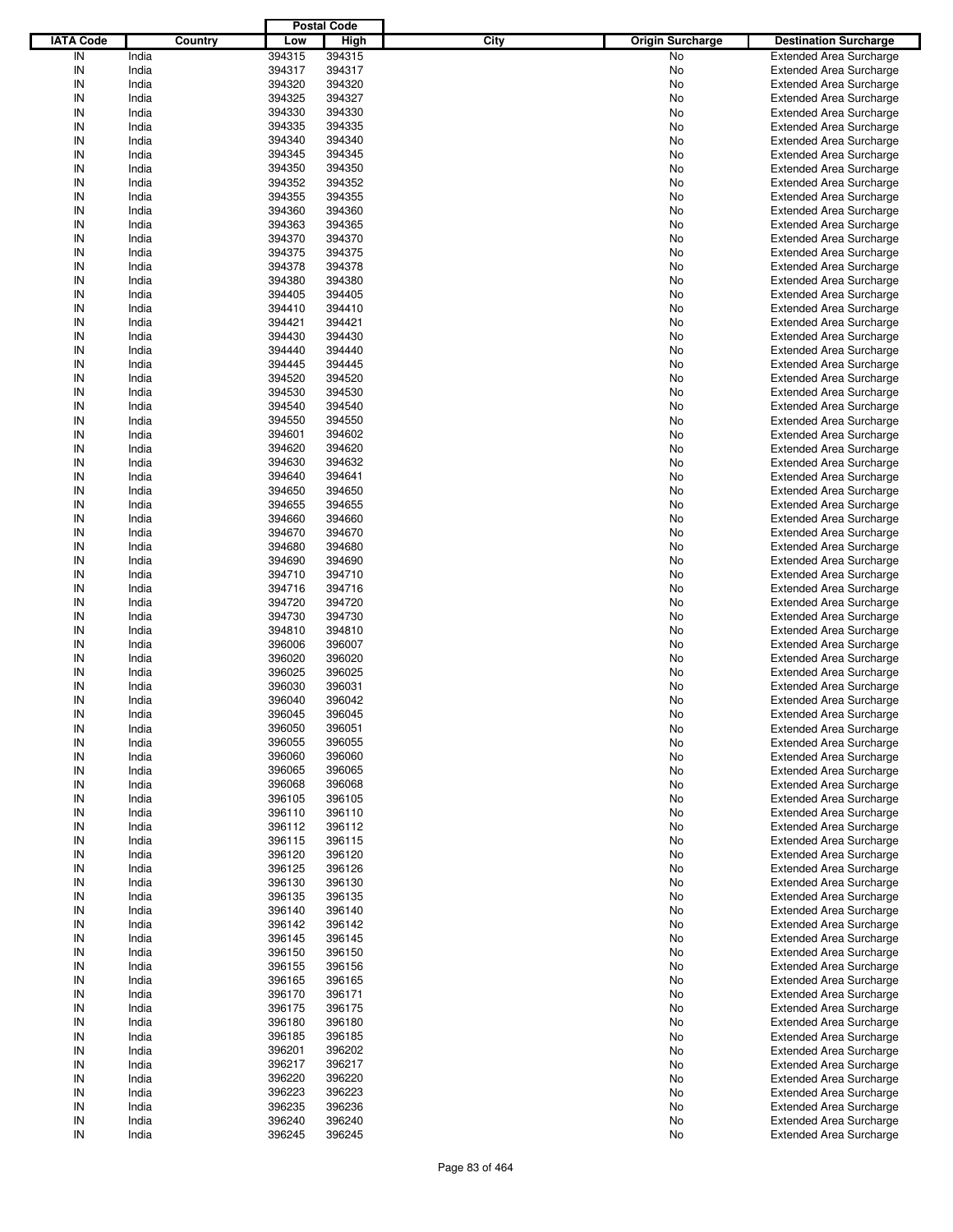|                  |                |        | <b>Postal Code</b> |      |                         |                                                                  |
|------------------|----------------|--------|--------------------|------|-------------------------|------------------------------------------------------------------|
| <b>IATA Code</b> | Country        | Low    | <b>High</b>        | City | <b>Origin Surcharge</b> | <b>Destination Surcharge</b>                                     |
| IN               | India          | 394315 | 394315             |      | No                      | <b>Extended Area Surcharge</b>                                   |
| IN               | India          | 394317 | 394317             |      | No                      | <b>Extended Area Surcharge</b>                                   |
| IN               | India          | 394320 | 394320             |      | No                      | <b>Extended Area Surcharge</b>                                   |
| IN               | India          | 394325 | 394327             |      | No                      | <b>Extended Area Surcharge</b>                                   |
| IN               | India          | 394330 | 394330             |      | No                      | <b>Extended Area Surcharge</b>                                   |
| IN               | India          | 394335 | 394335             |      | No                      | <b>Extended Area Surcharge</b>                                   |
| IN               | India          | 394340 | 394340             |      |                         |                                                                  |
| IN               |                |        |                    |      | No                      | <b>Extended Area Surcharge</b>                                   |
|                  | India          | 394345 | 394345             |      | No                      | <b>Extended Area Surcharge</b>                                   |
| IN               | India          | 394350 | 394350             |      | No                      | <b>Extended Area Surcharge</b>                                   |
| IN               | India          | 394352 | 394352             |      | No                      | <b>Extended Area Surcharge</b>                                   |
| IN               | India          | 394355 | 394355             |      | No                      | <b>Extended Area Surcharge</b>                                   |
| IN               | India          | 394360 | 394360             |      | No                      | <b>Extended Area Surcharge</b>                                   |
| IN               | India          | 394363 | 394365             |      | No                      | <b>Extended Area Surcharge</b>                                   |
| IN               | India          | 394370 | 394370             |      | No                      | <b>Extended Area Surcharge</b>                                   |
| IN               | India          | 394375 | 394375             |      | No                      | <b>Extended Area Surcharge</b>                                   |
| IN               | India          | 394378 | 394378             |      | No                      | <b>Extended Area Surcharge</b>                                   |
| IN               | India          | 394380 | 394380             |      | No                      | <b>Extended Area Surcharge</b>                                   |
| IN               | India          | 394405 | 394405             |      | No                      | <b>Extended Area Surcharge</b>                                   |
| IN               | India          | 394410 | 394410             |      | No                      | <b>Extended Area Surcharge</b>                                   |
| IN               | India          | 394421 | 394421             |      | No                      | <b>Extended Area Surcharge</b>                                   |
| IN               | India          | 394430 | 394430             |      | No                      | <b>Extended Area Surcharge</b>                                   |
| IN               | India          | 394440 | 394440             |      | No                      | <b>Extended Area Surcharge</b>                                   |
| IN               | India          | 394445 | 394445             |      | No                      | <b>Extended Area Surcharge</b>                                   |
| IN               | India          | 394520 | 394520             |      | No                      | <b>Extended Area Surcharge</b>                                   |
| IN               | India          | 394530 | 394530             |      | No                      | <b>Extended Area Surcharge</b>                                   |
| IN               | India          | 394540 | 394540             |      | No                      | <b>Extended Area Surcharge</b>                                   |
| IN               |                |        |                    |      |                         |                                                                  |
|                  | India          | 394550 | 394550             |      | No                      | <b>Extended Area Surcharge</b>                                   |
| IN               | India          | 394601 | 394602             |      | No                      | <b>Extended Area Surcharge</b>                                   |
| IN               | India          | 394620 | 394620             |      | No                      | <b>Extended Area Surcharge</b>                                   |
| IN               | India          | 394630 | 394632             |      | No                      | <b>Extended Area Surcharge</b>                                   |
| IN               | India          | 394640 | 394641             |      | No                      | <b>Extended Area Surcharge</b>                                   |
| IN               | India          | 394650 | 394650             |      | No                      | <b>Extended Area Surcharge</b>                                   |
| IN               | India          | 394655 | 394655             |      | No                      | <b>Extended Area Surcharge</b>                                   |
| IN               | India          | 394660 | 394660             |      | No                      | <b>Extended Area Surcharge</b>                                   |
| IN               | India          | 394670 | 394670             |      | No                      | <b>Extended Area Surcharge</b>                                   |
| IN               | India          | 394680 | 394680             |      | No                      | <b>Extended Area Surcharge</b>                                   |
| IN               | India          | 394690 | 394690             |      | No                      | <b>Extended Area Surcharge</b>                                   |
| IN               | India          | 394710 | 394710             |      | No                      | <b>Extended Area Surcharge</b>                                   |
| IN               | India          | 394716 | 394716             |      | No                      | <b>Extended Area Surcharge</b>                                   |
| IN               | India          | 394720 | 394720             |      | No                      | <b>Extended Area Surcharge</b>                                   |
| IN               | India          | 394730 | 394730             |      | No                      | <b>Extended Area Surcharge</b>                                   |
| IN               | India          | 394810 | 394810             |      | No                      | <b>Extended Area Surcharge</b>                                   |
| IN               | India          | 396006 | 396007             |      | No                      | <b>Extended Area Surcharge</b>                                   |
| IN               | India          | 396020 | 396020             |      | No                      | <b>Extended Area Surcharge</b>                                   |
| IN               | India          | 396025 | 396025             |      | No                      | <b>Extended Area Surcharge</b>                                   |
| IN               | India          | 396030 | 396031             |      | No                      | <b>Extended Area Surcharge</b>                                   |
| IN               |                |        | 396042             |      |                         |                                                                  |
|                  | India          | 396040 |                    |      | No                      | <b>Extended Area Surcharge</b>                                   |
| IN               | India          | 396045 | 396045             |      | No                      | <b>Extended Area Surcharge</b>                                   |
| IN               | India          | 396050 | 396051             |      | No                      | <b>Extended Area Surcharge</b>                                   |
| IN               | India          | 396055 | 396055             |      | No                      | <b>Extended Area Surcharge</b>                                   |
| IN               | India          | 396060 | 396060             |      | No                      | <b>Extended Area Surcharge</b>                                   |
| IN               | India          | 396065 | 396065             |      | No                      | <b>Extended Area Surcharge</b>                                   |
| IN               | India          | 396068 | 396068             |      | No                      | <b>Extended Area Surcharge</b>                                   |
| IN               | India          | 396105 | 396105             |      | No                      | <b>Extended Area Surcharge</b>                                   |
| IN               | India          | 396110 | 396110             |      | No                      | <b>Extended Area Surcharge</b>                                   |
| IN               | India          | 396112 | 396112             |      | No                      | <b>Extended Area Surcharge</b>                                   |
| IN               | India          | 396115 | 396115             |      | No                      | <b>Extended Area Surcharge</b>                                   |
| IN               | India          | 396120 | 396120             |      | No                      | <b>Extended Area Surcharge</b>                                   |
| IN               | India          | 396125 | 396126             |      | No                      | <b>Extended Area Surcharge</b>                                   |
| IN               | India          | 396130 | 396130             |      | No                      | <b>Extended Area Surcharge</b>                                   |
| IN               | India          | 396135 | 396135             |      | No                      | <b>Extended Area Surcharge</b>                                   |
| IN               | India          | 396140 | 396140             |      | No                      | <b>Extended Area Surcharge</b>                                   |
| IN               | India          | 396142 | 396142             |      | No                      | <b>Extended Area Surcharge</b>                                   |
| IN               | India          | 396145 | 396145             |      | No                      | <b>Extended Area Surcharge</b>                                   |
| IN               |                | 396150 | 396150             |      |                         |                                                                  |
| IN               | India<br>India | 396155 | 396156             |      | No                      | <b>Extended Area Surcharge</b><br><b>Extended Area Surcharge</b> |
|                  |                |        |                    |      | No                      |                                                                  |
| IN               | India          | 396165 | 396165             |      | No                      | <b>Extended Area Surcharge</b>                                   |
| IN               | India          | 396170 | 396171             |      | No                      | <b>Extended Area Surcharge</b>                                   |
| IN               | India          | 396175 | 396175             |      | No                      | <b>Extended Area Surcharge</b>                                   |
| IN               | India          | 396180 | 396180             |      | No                      | <b>Extended Area Surcharge</b>                                   |
| IN               | India          | 396185 | 396185             |      | No                      | <b>Extended Area Surcharge</b>                                   |
| IN               | India          | 396201 | 396202             |      | No                      | <b>Extended Area Surcharge</b>                                   |
| IN               | India          | 396217 | 396217             |      | No                      | <b>Extended Area Surcharge</b>                                   |
| IN               | India          | 396220 | 396220             |      | No                      | <b>Extended Area Surcharge</b>                                   |
| IN               | India          | 396223 | 396223             |      | No                      | <b>Extended Area Surcharge</b>                                   |
| IN               | India          | 396235 | 396236             |      | No                      | Extended Area Surcharge                                          |
| IN               | India          | 396240 | 396240             |      | No                      | <b>Extended Area Surcharge</b>                                   |
| ${\sf IN}$       | India          | 396245 | 396245             |      | No                      | <b>Extended Area Surcharge</b>                                   |
|                  |                |        |                    |      |                         |                                                                  |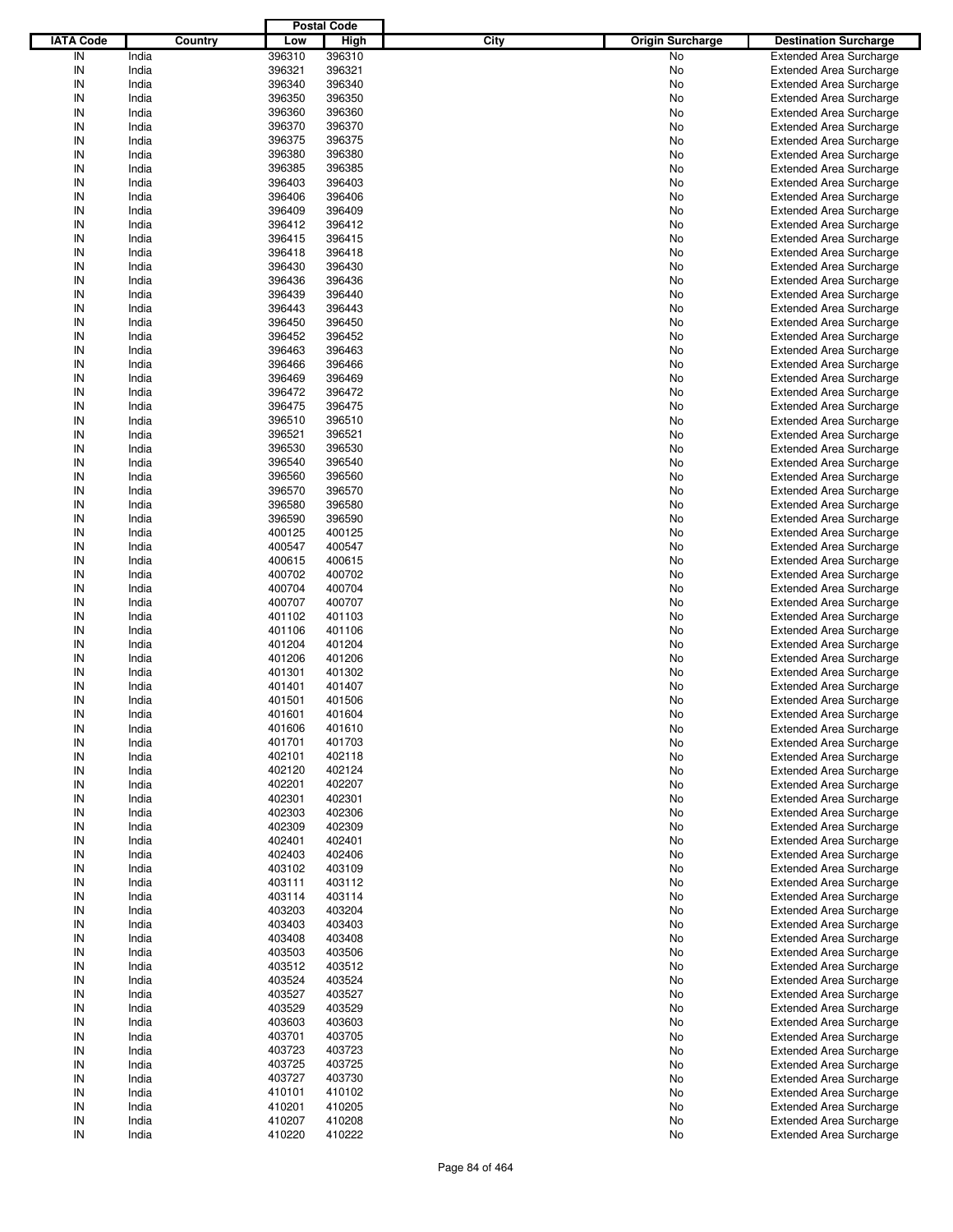|                  |         |        | <b>Postal Code</b> |                                 |                                |
|------------------|---------|--------|--------------------|---------------------------------|--------------------------------|
| <b>IATA Code</b> | Country | Low    | <b>High</b>        | City<br><b>Origin Surcharge</b> | <b>Destination Surcharge</b>   |
| IN               |         | 396310 | 396310             | No                              |                                |
|                  | India   |        |                    |                                 | <b>Extended Area Surcharge</b> |
| IN               | India   | 396321 | 396321             | No                              | <b>Extended Area Surcharge</b> |
| IN               | India   | 396340 | 396340             | No                              | <b>Extended Area Surcharge</b> |
| IN               | India   | 396350 | 396350             | No                              | <b>Extended Area Surcharge</b> |
| IN               | India   | 396360 | 396360             | No                              | <b>Extended Area Surcharge</b> |
| IN               | India   | 396370 | 396370             | No                              | <b>Extended Area Surcharge</b> |
| IN               | India   | 396375 | 396375             | No                              | <b>Extended Area Surcharge</b> |
| IN               | India   | 396380 | 396380             | No                              | <b>Extended Area Surcharge</b> |
| IN               | India   | 396385 | 396385             | No                              | <b>Extended Area Surcharge</b> |
| IN               |         |        |                    |                                 |                                |
|                  | India   | 396403 | 396403             | No                              | <b>Extended Area Surcharge</b> |
| IN               | India   | 396406 | 396406             | No                              | <b>Extended Area Surcharge</b> |
| IN               | India   | 396409 | 396409             | No                              | <b>Extended Area Surcharge</b> |
| IN               | India   | 396412 | 396412             | No                              | <b>Extended Area Surcharge</b> |
| IN               | India   | 396415 | 396415             | No                              | <b>Extended Area Surcharge</b> |
| IN               | India   | 396418 | 396418             | No                              | <b>Extended Area Surcharge</b> |
| IN               | India   | 396430 | 396430             | No                              | <b>Extended Area Surcharge</b> |
| IN               | India   | 396436 | 396436             | No                              | <b>Extended Area Surcharge</b> |
| IN               | India   | 396439 | 396440             | No                              | <b>Extended Area Surcharge</b> |
| IN               | India   | 396443 | 396443             | No                              | <b>Extended Area Surcharge</b> |
| IN               | India   | 396450 | 396450             |                                 | <b>Extended Area Surcharge</b> |
|                  |         |        |                    | No                              |                                |
| IN               | India   | 396452 | 396452             | No                              | <b>Extended Area Surcharge</b> |
| IN               | India   | 396463 | 396463             | No                              | <b>Extended Area Surcharge</b> |
| IN               | India   | 396466 | 396466             | No                              | <b>Extended Area Surcharge</b> |
| IN               | India   | 396469 | 396469             | No                              | <b>Extended Area Surcharge</b> |
| IN               | India   | 396472 | 396472             | No                              | <b>Extended Area Surcharge</b> |
| IN               | India   | 396475 | 396475             | No                              | <b>Extended Area Surcharge</b> |
| IN               | India   | 396510 | 396510             | No                              | <b>Extended Area Surcharge</b> |
| IN               | India   | 396521 | 396521             | No                              | <b>Extended Area Surcharge</b> |
| IN               | India   | 396530 | 396530             | No                              | <b>Extended Area Surcharge</b> |
| IN               |         |        |                    |                                 |                                |
|                  | India   | 396540 | 396540             | No                              | <b>Extended Area Surcharge</b> |
| IN               | India   | 396560 | 396560             | No                              | <b>Extended Area Surcharge</b> |
| IN               | India   | 396570 | 396570             | No                              | <b>Extended Area Surcharge</b> |
| IN               | India   | 396580 | 396580             | No                              | <b>Extended Area Surcharge</b> |
| IN               | India   | 396590 | 396590             | No                              | <b>Extended Area Surcharge</b> |
| IN               | India   | 400125 | 400125             | No                              | <b>Extended Area Surcharge</b> |
| IN               | India   | 400547 | 400547             | No                              | <b>Extended Area Surcharge</b> |
| IN               | India   | 400615 | 400615             | No                              | <b>Extended Area Surcharge</b> |
| IN               | India   | 400702 | 400702             | No                              | <b>Extended Area Surcharge</b> |
| IN               | India   | 400704 | 400704             | No                              | <b>Extended Area Surcharge</b> |
| IN               | India   | 400707 | 400707             | No                              | <b>Extended Area Surcharge</b> |
| IN               |         |        |                    |                                 |                                |
|                  | India   | 401102 | 401103             | No                              | <b>Extended Area Surcharge</b> |
| IN               | India   | 401106 | 401106             | No                              | <b>Extended Area Surcharge</b> |
| IN               | India   | 401204 | 401204             | No                              | <b>Extended Area Surcharge</b> |
| IN               | India   | 401206 | 401206             | No                              | <b>Extended Area Surcharge</b> |
| IN               | India   | 401301 | 401302             | No                              | <b>Extended Area Surcharge</b> |
| IN               | India   | 401401 | 401407             | No                              | <b>Extended Area Surcharge</b> |
| IN               | India   | 401501 | 401506             | No                              | <b>Extended Area Surcharge</b> |
| IN               | India   | 401601 | 401604             | No                              | <b>Extended Area Surcharge</b> |
| IN               | India   | 401606 | 401610             | No                              | <b>Extended Area Surcharge</b> |
| IN               | India   | 401701 | 401703             | No                              | <b>Extended Area Surcharge</b> |
| IN               | India   | 402101 | 402118             | No                              | <b>Extended Area Surcharge</b> |
|                  |         |        |                    |                                 |                                |
| IN               | India   | 402120 | 402124             | No                              | <b>Extended Area Surcharge</b> |
| IN               | India   | 402201 | 402207             | No                              | <b>Extended Area Surcharge</b> |
| IN               | India   | 402301 | 402301             | No                              | <b>Extended Area Surcharge</b> |
| IN               | India   | 402303 | 402306             | No                              | <b>Extended Area Surcharge</b> |
| IN               | India   | 402309 | 402309             | No                              | <b>Extended Area Surcharge</b> |
| IN               | India   | 402401 | 402401             | No                              | <b>Extended Area Surcharge</b> |
| IN               | India   | 402403 | 402406             | No                              | <b>Extended Area Surcharge</b> |
| IN               | India   | 403102 | 403109             | No                              | <b>Extended Area Surcharge</b> |
| IN               | India   | 403111 | 403112             | No                              | <b>Extended Area Surcharge</b> |
| IN               | India   | 403114 | 403114             | No                              | <b>Extended Area Surcharge</b> |
|                  |         |        |                    |                                 |                                |
| IN               | India   | 403203 | 403204             | No                              | <b>Extended Area Surcharge</b> |
| IN               | India   | 403403 | 403403             | No                              | <b>Extended Area Surcharge</b> |
| IN               | India   | 403408 | 403408             | No                              | <b>Extended Area Surcharge</b> |
| IN               | India   | 403503 | 403506             | No                              | <b>Extended Area Surcharge</b> |
| IN               | India   | 403512 | 403512             | No                              | <b>Extended Area Surcharge</b> |
| IN               | India   | 403524 | 403524             | No                              | <b>Extended Area Surcharge</b> |
| IN               | India   | 403527 | 403527             | No                              | <b>Extended Area Surcharge</b> |
| IN               | India   | 403529 | 403529             | No                              | <b>Extended Area Surcharge</b> |
| IN               | India   | 403603 | 403603             | No                              | <b>Extended Area Surcharge</b> |
| IN               | India   | 403701 | 403705             | No                              | <b>Extended Area Surcharge</b> |
| IN               | India   | 403723 | 403723             | No                              | <b>Extended Area Surcharge</b> |
| IN               | India   | 403725 | 403725             | No                              | <b>Extended Area Surcharge</b> |
| IN               | India   | 403727 | 403730             |                                 | <b>Extended Area Surcharge</b> |
|                  |         |        |                    | No                              |                                |
| IN               | India   | 410101 | 410102             | No                              | <b>Extended Area Surcharge</b> |
| IN               | India   | 410201 | 410205             | No                              | <b>Extended Area Surcharge</b> |
| IN               | India   | 410207 | 410208             | No                              | <b>Extended Area Surcharge</b> |
| ${\sf IN}$       | India   | 410220 | 410222             | No                              | <b>Extended Area Surcharge</b> |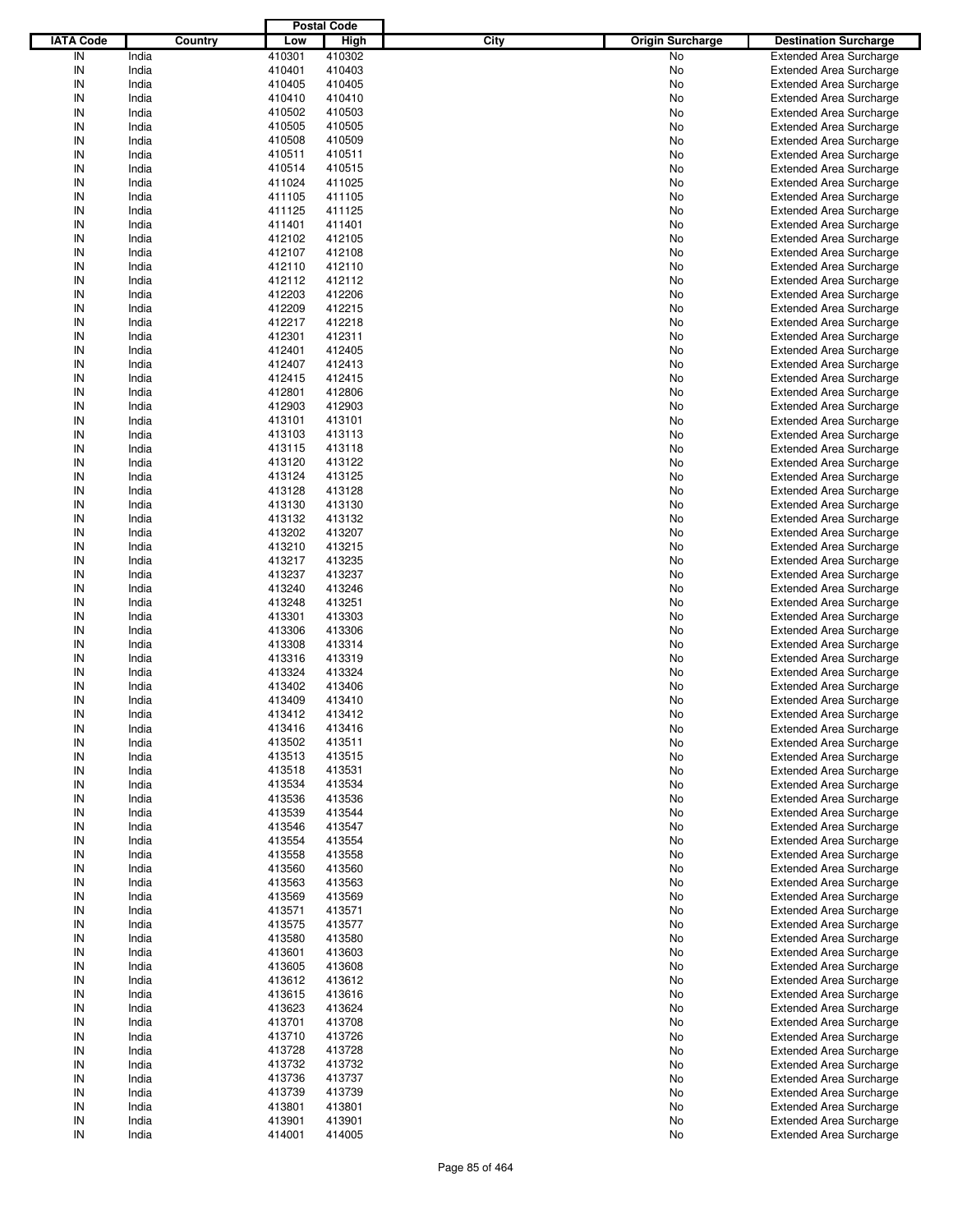|                  |         |        | <b>Postal Code</b> |      |                         |                                |
|------------------|---------|--------|--------------------|------|-------------------------|--------------------------------|
| <b>IATA Code</b> | Country | Low    | <b>High</b>        | City | <b>Origin Surcharge</b> | <b>Destination Surcharge</b>   |
| IN               | India   | 410301 | 410302             |      | No                      | <b>Extended Area Surcharge</b> |
| IN               | India   | 410401 | 410403             |      | No                      | <b>Extended Area Surcharge</b> |
| IN               | India   | 410405 | 410405             |      | No                      | <b>Extended Area Surcharge</b> |
| IN               | India   | 410410 | 410410             |      | No                      | <b>Extended Area Surcharge</b> |
| IN               | India   | 410502 | 410503             |      | No                      | <b>Extended Area Surcharge</b> |
| IN               |         |        |                    |      |                         |                                |
|                  | India   | 410505 | 410505             |      | No                      | <b>Extended Area Surcharge</b> |
| IN               | India   | 410508 | 410509             |      | No                      | <b>Extended Area Surcharge</b> |
| IN               | India   | 410511 | 410511             |      | No                      | <b>Extended Area Surcharge</b> |
| IN               | India   | 410514 | 410515             |      | No                      | <b>Extended Area Surcharge</b> |
| IN               | India   | 411024 | 411025             |      | No                      | <b>Extended Area Surcharge</b> |
| IN               | India   | 411105 | 411105             |      | No                      | <b>Extended Area Surcharge</b> |
| IN               | India   | 411125 | 411125             |      | No                      | <b>Extended Area Surcharge</b> |
| IN               | India   | 411401 | 411401             |      | No                      | <b>Extended Area Surcharge</b> |
| IN               | India   | 412102 | 412105             |      | No                      | <b>Extended Area Surcharge</b> |
| IN               | India   | 412107 | 412108             |      | No                      | <b>Extended Area Surcharge</b> |
| IN               | India   | 412110 | 412110             |      | No                      | <b>Extended Area Surcharge</b> |
| IN               | India   | 412112 | 412112             |      | No                      | <b>Extended Area Surcharge</b> |
| IN               | India   | 412203 | 412206             |      | No                      | <b>Extended Area Surcharge</b> |
| IN               | India   | 412209 | 412215             |      | No                      | <b>Extended Area Surcharge</b> |
| IN               | India   | 412217 | 412218             |      | No                      | <b>Extended Area Surcharge</b> |
| IN               | India   | 412301 | 412311             |      | No                      | <b>Extended Area Surcharge</b> |
| IN               | India   | 412401 | 412405             |      | No                      | <b>Extended Area Surcharge</b> |
| IN               | India   | 412407 | 412413             |      | No                      | <b>Extended Area Surcharge</b> |
|                  |         |        |                    |      |                         |                                |
| IN               | India   | 412415 | 412415             |      | No                      | <b>Extended Area Surcharge</b> |
| IN               | India   | 412801 | 412806             |      | No                      | <b>Extended Area Surcharge</b> |
| IN               | India   | 412903 | 412903             |      | No                      | <b>Extended Area Surcharge</b> |
| IN               | India   | 413101 | 413101             |      | No                      | <b>Extended Area Surcharge</b> |
| IN               | India   | 413103 | 413113             |      | No                      | <b>Extended Area Surcharge</b> |
| IN               | India   | 413115 | 413118             |      | No                      | <b>Extended Area Surcharge</b> |
| IN               | India   | 413120 | 413122             |      | No                      | <b>Extended Area Surcharge</b> |
| IN               | India   | 413124 | 413125             |      | No                      | <b>Extended Area Surcharge</b> |
| IN               | India   | 413128 | 413128             |      | No                      | <b>Extended Area Surcharge</b> |
| IN               | India   | 413130 | 413130             |      | No                      | <b>Extended Area Surcharge</b> |
| IN               | India   | 413132 | 413132             |      | No                      | <b>Extended Area Surcharge</b> |
| IN               | India   | 413202 | 413207             |      | No                      | <b>Extended Area Surcharge</b> |
| IN               | India   | 413210 | 413215             |      | No                      | <b>Extended Area Surcharge</b> |
| IN               | India   | 413217 | 413235             |      | No                      | <b>Extended Area Surcharge</b> |
| IN               | India   | 413237 | 413237             |      | No                      | <b>Extended Area Surcharge</b> |
| IN               | India   | 413240 | 413246             |      | No                      | <b>Extended Area Surcharge</b> |
| IN               | India   | 413248 | 413251             |      | No                      | <b>Extended Area Surcharge</b> |
| IN               |         |        |                    |      |                         |                                |
|                  | India   | 413301 | 413303             |      | No                      | <b>Extended Area Surcharge</b> |
| IN               | India   | 413306 | 413306             |      | No                      | <b>Extended Area Surcharge</b> |
| IN               | India   | 413308 | 413314             |      | No                      | <b>Extended Area Surcharge</b> |
| IN               | India   | 413316 | 413319             |      | No                      | <b>Extended Area Surcharge</b> |
| IN               | India   | 413324 | 413324             |      | No                      | <b>Extended Area Surcharge</b> |
| IN               | India   | 413402 | 413406             |      | No                      | <b>Extended Area Surcharge</b> |
| IN               | India   | 413409 | 413410             |      | No                      | <b>Extended Area Surcharge</b> |
| IN               | India   | 413412 | 413412             |      | No                      | <b>Extended Area Surcharge</b> |
| IN               | India   | 413416 | 413416             |      | No                      | <b>Extended Area Surcharge</b> |
| IN               | India   | 413502 | 413511             |      | No                      | <b>Extended Area Surcharge</b> |
| IN               | India   | 413513 | 413515             |      | No                      | <b>Extended Area Surcharge</b> |
| IN               | India   | 413518 | 413531             |      | No                      | <b>Extended Area Surcharge</b> |
| IN               | India   | 413534 | 413534             |      | No                      | <b>Extended Area Surcharge</b> |
| IN               | India   | 413536 | 413536             |      | No                      | <b>Extended Area Surcharge</b> |
| IN               | India   | 413539 | 413544             |      | No                      | <b>Extended Area Surcharge</b> |
| IN               | India   | 413546 | 413547             |      | No                      | <b>Extended Area Surcharge</b> |
| IN               | India   | 413554 | 413554             |      | No                      | <b>Extended Area Surcharge</b> |
| IN               | India   | 413558 | 413558             |      | No                      | <b>Extended Area Surcharge</b> |
| IN               | India   | 413560 | 413560             |      | No                      | <b>Extended Area Surcharge</b> |
| IN               | India   | 413563 | 413563             |      | No                      | <b>Extended Area Surcharge</b> |
|                  |         |        |                    |      |                         |                                |
| IN               | India   | 413569 | 413569             |      | No                      | <b>Extended Area Surcharge</b> |
| IN               | India   | 413571 | 413571             |      | No                      | <b>Extended Area Surcharge</b> |
| IN               | India   | 413575 | 413577             |      | No                      | <b>Extended Area Surcharge</b> |
| IN               | India   | 413580 | 413580             |      | No                      | <b>Extended Area Surcharge</b> |
| IN               | India   | 413601 | 413603             |      | No                      | <b>Extended Area Surcharge</b> |
| IN               | India   | 413605 | 413608             |      | No                      | <b>Extended Area Surcharge</b> |
| IN               | India   | 413612 | 413612             |      | No                      | <b>Extended Area Surcharge</b> |
| IN               | India   | 413615 | 413616             |      | No                      | <b>Extended Area Surcharge</b> |
| IN               | India   | 413623 | 413624             |      | No                      | <b>Extended Area Surcharge</b> |
| IN               | India   | 413701 | 413708             |      | No                      | <b>Extended Area Surcharge</b> |
| IN               | India   | 413710 | 413726             |      | No                      | <b>Extended Area Surcharge</b> |
| IN               | India   | 413728 | 413728             |      | No                      | <b>Extended Area Surcharge</b> |
| IN               | India   | 413732 | 413732             |      | No                      | <b>Extended Area Surcharge</b> |
| IN               | India   | 413736 | 413737             |      | No                      | <b>Extended Area Surcharge</b> |
| IN               | India   | 413739 | 413739             |      | No                      | <b>Extended Area Surcharge</b> |
| IN               | India   | 413801 | 413801             |      | No                      | <b>Extended Area Surcharge</b> |
| IN               | India   | 413901 | 413901             |      | No                      | <b>Extended Area Surcharge</b> |
| ${\sf IN}$       | India   | 414001 | 414005             |      | No                      | <b>Extended Area Surcharge</b> |
|                  |         |        |                    |      |                         |                                |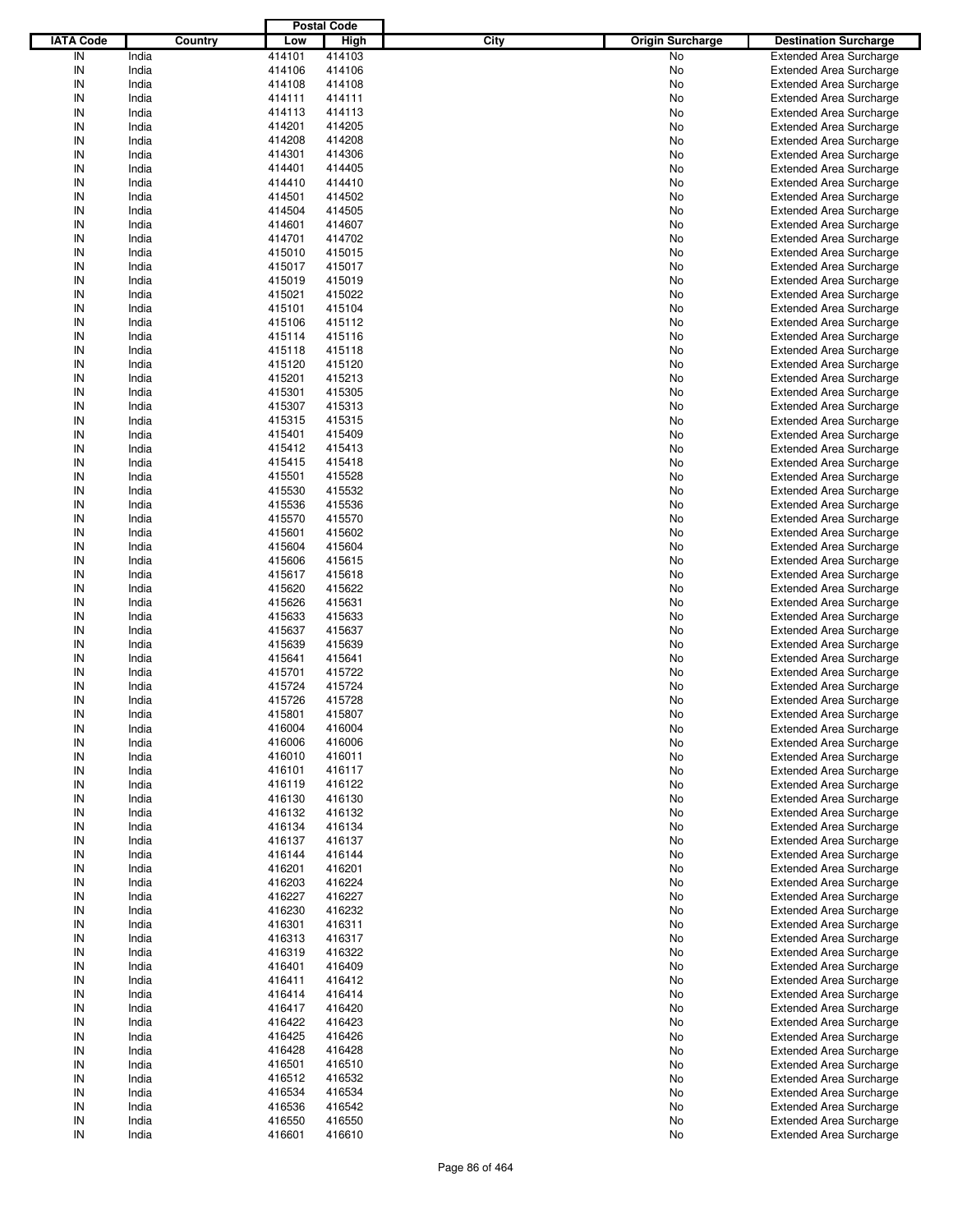|                  |         |        | <b>Postal Code</b> |      |                         |                                |
|------------------|---------|--------|--------------------|------|-------------------------|--------------------------------|
| <b>IATA Code</b> | Country | Low    | <b>High</b>        | City | <b>Origin Surcharge</b> | <b>Destination Surcharge</b>   |
| IN               | India   | 414101 | 414103             |      | No                      | <b>Extended Area Surcharge</b> |
| IN               | India   | 414106 | 414106             |      | No                      | <b>Extended Area Surcharge</b> |
| IN               | India   | 414108 | 414108             |      | No                      | <b>Extended Area Surcharge</b> |
| IN               | India   | 414111 | 414111             |      | No                      | <b>Extended Area Surcharge</b> |
| IN               | India   | 414113 | 414113             |      | No                      | <b>Extended Area Surcharge</b> |
| IN               | India   | 414201 | 414205             |      | No                      | <b>Extended Area Surcharge</b> |
|                  |         |        |                    |      |                         |                                |
| IN               | India   | 414208 | 414208             |      | No                      | <b>Extended Area Surcharge</b> |
| IN               | India   | 414301 | 414306             |      | No                      | <b>Extended Area Surcharge</b> |
| IN               | India   | 414401 | 414405             |      | No                      | <b>Extended Area Surcharge</b> |
| IN               | India   | 414410 | 414410             |      | No                      | <b>Extended Area Surcharge</b> |
| IN               | India   | 414501 | 414502             |      | No                      | <b>Extended Area Surcharge</b> |
| IN               | India   | 414504 | 414505             |      | No                      | <b>Extended Area Surcharge</b> |
| IN               | India   | 414601 | 414607             |      | No                      | <b>Extended Area Surcharge</b> |
| IN               | India   | 414701 | 414702             |      | No                      | <b>Extended Area Surcharge</b> |
| IN               | India   | 415010 | 415015             |      | No                      | <b>Extended Area Surcharge</b> |
| IN               | India   | 415017 | 415017             |      | No                      | <b>Extended Area Surcharge</b> |
| IN               | India   | 415019 | 415019             |      | No                      | <b>Extended Area Surcharge</b> |
| IN               | India   | 415021 | 415022             |      | No                      | <b>Extended Area Surcharge</b> |
| IN               | India   | 415101 | 415104             |      | No                      | <b>Extended Area Surcharge</b> |
| IN               | India   | 415106 | 415112             |      | No                      | <b>Extended Area Surcharge</b> |
| IN               | India   | 415114 | 415116             |      | No                      | <b>Extended Area Surcharge</b> |
| IN               | India   | 415118 | 415118             |      | No                      | <b>Extended Area Surcharge</b> |
| IN               | India   | 415120 | 415120             |      | No                      | <b>Extended Area Surcharge</b> |
| IN               | India   | 415201 | 415213             |      | No                      | <b>Extended Area Surcharge</b> |
| IN               | India   | 415301 | 415305             |      | No                      | <b>Extended Area Surcharge</b> |
| IN               | India   | 415307 | 415313             |      | No                      | <b>Extended Area Surcharge</b> |
| IN               | India   | 415315 | 415315             |      | No                      | <b>Extended Area Surcharge</b> |
| IN               | India   | 415401 | 415409             |      | No                      | <b>Extended Area Surcharge</b> |
| IN               | India   |        | 415413             |      | No                      |                                |
| IN               |         | 415412 |                    |      |                         | <b>Extended Area Surcharge</b> |
|                  | India   | 415415 | 415418             |      | No                      | <b>Extended Area Surcharge</b> |
| IN               | India   | 415501 | 415528             |      | No                      | <b>Extended Area Surcharge</b> |
| IN               | India   | 415530 | 415532             |      | No                      | <b>Extended Area Surcharge</b> |
| IN               | India   | 415536 | 415536             |      | No                      | <b>Extended Area Surcharge</b> |
| IN               | India   | 415570 | 415570             |      | No                      | <b>Extended Area Surcharge</b> |
| IN               | India   | 415601 | 415602             |      | No                      | <b>Extended Area Surcharge</b> |
| IN               | India   | 415604 | 415604             |      | No                      | <b>Extended Area Surcharge</b> |
| IN               | India   | 415606 | 415615             |      | No                      | <b>Extended Area Surcharge</b> |
| IN               | India   | 415617 | 415618             |      | No                      | <b>Extended Area Surcharge</b> |
| IN               | India   | 415620 | 415622             |      | No                      | <b>Extended Area Surcharge</b> |
| IN               | India   | 415626 | 415631             |      | No                      | <b>Extended Area Surcharge</b> |
| IN               | India   | 415633 | 415633             |      | No                      | <b>Extended Area Surcharge</b> |
| IN               | India   | 415637 | 415637             |      | No                      | <b>Extended Area Surcharge</b> |
| IN               | India   | 415639 | 415639             |      | No                      | <b>Extended Area Surcharge</b> |
| IN               | India   | 415641 | 415641             |      | No                      | <b>Extended Area Surcharge</b> |
| IN               | India   | 415701 | 415722             |      | No                      | <b>Extended Area Surcharge</b> |
| IN               | India   | 415724 | 415724             |      | No                      | <b>Extended Area Surcharge</b> |
| IN               | India   | 415726 | 415728             |      | No                      | <b>Extended Area Surcharge</b> |
| IN               | India   | 415801 | 415807             |      | No                      | <b>Extended Area Surcharge</b> |
| IN               | India   | 416004 | 416004             |      | No                      | <b>Extended Area Surcharge</b> |
| IN               | India   | 416006 | 416006             |      | No                      | <b>Extended Area Surcharge</b> |
| IN               | India   | 416010 | 416011             |      | No                      | <b>Extended Area Surcharge</b> |
| IN               | India   | 416101 | 416117             |      |                         | <b>Extended Area Surcharge</b> |
|                  |         |        |                    |      | No                      |                                |
| IN               | India   | 416119 | 416122             |      | No                      | <b>Extended Area Surcharge</b> |
| IN               | India   | 416130 | 416130             |      | No                      | <b>Extended Area Surcharge</b> |
| IN               | India   | 416132 | 416132             |      | No                      | <b>Extended Area Surcharge</b> |
| IN               | India   | 416134 | 416134             |      | No                      | <b>Extended Area Surcharge</b> |
| IN               | India   | 416137 | 416137             |      | No                      | <b>Extended Area Surcharge</b> |
| IN               | India   | 416144 | 416144             |      | No                      | <b>Extended Area Surcharge</b> |
| IN               | India   | 416201 | 416201             |      | No                      | <b>Extended Area Surcharge</b> |
| IN               | India   | 416203 | 416224             |      | No                      | <b>Extended Area Surcharge</b> |
| IN               | India   | 416227 | 416227             |      | No                      | <b>Extended Area Surcharge</b> |
| IN               | India   | 416230 | 416232             |      | No                      | <b>Extended Area Surcharge</b> |
| IN               | India   | 416301 | 416311             |      | No                      | <b>Extended Area Surcharge</b> |
| IN               | India   | 416313 | 416317             |      | No                      | <b>Extended Area Surcharge</b> |
| IN               | India   | 416319 | 416322             |      | No                      | <b>Extended Area Surcharge</b> |
| IN               | India   | 416401 | 416409             |      | No                      | <b>Extended Area Surcharge</b> |
| IN               | India   | 416411 | 416412             |      | No                      | <b>Extended Area Surcharge</b> |
| IN               | India   | 416414 | 416414             |      | No                      | <b>Extended Area Surcharge</b> |
| IN               | India   | 416417 | 416420             |      | No                      | <b>Extended Area Surcharge</b> |
| IN               | India   | 416422 | 416423             |      | No                      | <b>Extended Area Surcharge</b> |
| IN               | India   | 416425 | 416426             |      | No                      | <b>Extended Area Surcharge</b> |
| IN               | India   | 416428 | 416428             |      | No                      | <b>Extended Area Surcharge</b> |
|                  |         |        |                    |      |                         |                                |
| IN               | India   | 416501 | 416510             |      | No                      | <b>Extended Area Surcharge</b> |
| IN               | India   | 416512 | 416532             |      | No                      | <b>Extended Area Surcharge</b> |
| IN               | India   | 416534 | 416534             |      | No                      | <b>Extended Area Surcharge</b> |
| IN               | India   | 416536 | 416542             |      | No                      | <b>Extended Area Surcharge</b> |
| IN               | India   | 416550 | 416550             |      | No                      | <b>Extended Area Surcharge</b> |
| ${\sf IN}$       | India   | 416601 | 416610             |      | No                      | <b>Extended Area Surcharge</b> |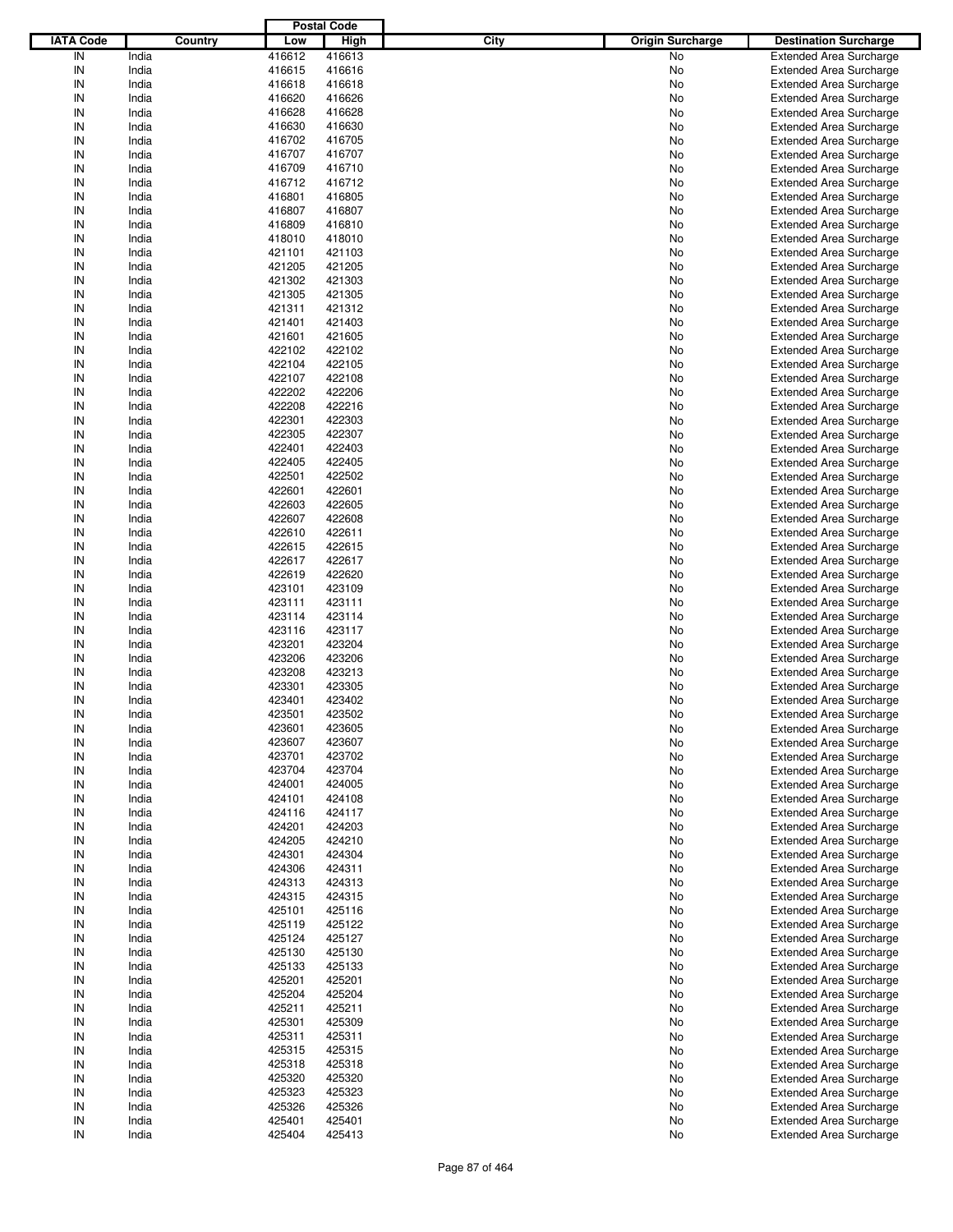|                  |         |        | <b>Postal Code</b> |      |                         |                                |
|------------------|---------|--------|--------------------|------|-------------------------|--------------------------------|
| <b>IATA Code</b> | Country | Low    | <b>High</b>        | City | <b>Origin Surcharge</b> | <b>Destination Surcharge</b>   |
| IN               | India   | 416612 | 416613             |      | No                      | <b>Extended Area Surcharge</b> |
| IN               | India   | 416615 | 416616             |      | No                      | <b>Extended Area Surcharge</b> |
| IN               | India   | 416618 | 416618             |      | No                      | <b>Extended Area Surcharge</b> |
| IN               | India   | 416620 | 416626             |      | No                      | <b>Extended Area Surcharge</b> |
| IN               | India   | 416628 | 416628             |      | No                      | <b>Extended Area Surcharge</b> |
| IN               | India   | 416630 | 416630             |      | No                      | <b>Extended Area Surcharge</b> |
| IN               | India   | 416702 | 416705             |      | No                      |                                |
| IN               |         |        |                    |      |                         | <b>Extended Area Surcharge</b> |
|                  | India   | 416707 | 416707             |      | No                      | <b>Extended Area Surcharge</b> |
| IN               | India   | 416709 | 416710             |      | No                      | <b>Extended Area Surcharge</b> |
| IN               | India   | 416712 | 416712             |      | No                      | <b>Extended Area Surcharge</b> |
| IN               | India   | 416801 | 416805             |      | No                      | <b>Extended Area Surcharge</b> |
| IN               | India   | 416807 | 416807             |      | No                      | <b>Extended Area Surcharge</b> |
| IN               | India   | 416809 | 416810             |      | No                      | <b>Extended Area Surcharge</b> |
| IN               | India   | 418010 | 418010             |      | No                      | <b>Extended Area Surcharge</b> |
| IN               | India   | 421101 | 421103             |      | No                      | <b>Extended Area Surcharge</b> |
| IN               | India   | 421205 | 421205             |      | No                      | <b>Extended Area Surcharge</b> |
| IN               | India   | 421302 | 421303             |      | No                      | <b>Extended Area Surcharge</b> |
| IN               | India   | 421305 | 421305             |      | No                      | <b>Extended Area Surcharge</b> |
| IN               | India   | 421311 | 421312             |      | No                      | <b>Extended Area Surcharge</b> |
| IN               | India   | 421401 | 421403             |      | No                      | <b>Extended Area Surcharge</b> |
| IN               | India   | 421601 | 421605             |      | No                      | <b>Extended Area Surcharge</b> |
| IN               | India   | 422102 | 422102             |      | No                      | <b>Extended Area Surcharge</b> |
| IN               | India   | 422104 | 422105             |      | No                      | <b>Extended Area Surcharge</b> |
| IN               | India   | 422107 | 422108             |      | No                      | <b>Extended Area Surcharge</b> |
| IN               | India   | 422202 | 422206             |      | No                      | <b>Extended Area Surcharge</b> |
| IN               | India   | 422208 | 422216             |      | No                      | <b>Extended Area Surcharge</b> |
| IN               | India   | 422301 | 422303             |      | No                      | <b>Extended Area Surcharge</b> |
| IN               | India   | 422305 | 422307             |      | No                      | <b>Extended Area Surcharge</b> |
| IN               | India   | 422401 | 422403             |      | No                      | <b>Extended Area Surcharge</b> |
| IN               | India   | 422405 | 422405             |      |                         |                                |
|                  |         |        |                    |      | No                      | <b>Extended Area Surcharge</b> |
| IN               | India   | 422501 | 422502             |      | No                      | <b>Extended Area Surcharge</b> |
| IN               | India   | 422601 | 422601             |      | No                      | <b>Extended Area Surcharge</b> |
| IN               | India   | 422603 | 422605             |      | No                      | <b>Extended Area Surcharge</b> |
| IN               | India   | 422607 | 422608             |      | No                      | <b>Extended Area Surcharge</b> |
| IN               | India   | 422610 | 422611             |      | No                      | <b>Extended Area Surcharge</b> |
| IN               | India   | 422615 | 422615             |      | No                      | <b>Extended Area Surcharge</b> |
| IN               | India   | 422617 | 422617             |      | No                      | <b>Extended Area Surcharge</b> |
| IN               | India   | 422619 | 422620             |      | No                      | <b>Extended Area Surcharge</b> |
| IN               | India   | 423101 | 423109             |      | No                      | <b>Extended Area Surcharge</b> |
| IN               | India   | 423111 | 423111             |      | No                      | <b>Extended Area Surcharge</b> |
| IN               | India   | 423114 | 423114             |      | No                      | <b>Extended Area Surcharge</b> |
| IN               | India   | 423116 | 423117             |      | No                      | <b>Extended Area Surcharge</b> |
| IN               | India   | 423201 | 423204             |      | No                      | <b>Extended Area Surcharge</b> |
| IN               | India   | 423206 | 423206             |      | No                      | <b>Extended Area Surcharge</b> |
| IN               | India   | 423208 | 423213             |      | No                      | <b>Extended Area Surcharge</b> |
| IN               | India   | 423301 | 423305             |      | No                      | <b>Extended Area Surcharge</b> |
| IN               | India   | 423401 | 423402             |      | No                      | <b>Extended Area Surcharge</b> |
| IN               | India   | 423501 | 423502             |      | No                      | <b>Extended Area Surcharge</b> |
| IN               | India   | 423601 | 423605             |      | No                      | <b>Extended Area Surcharge</b> |
|                  |         |        |                    |      |                         |                                |
| IN               | India   | 423607 | 423607             |      | No                      | <b>Extended Area Surcharge</b> |
| IN               | India   | 423701 | 423702             |      | No                      | <b>Extended Area Surcharge</b> |
| IN               | India   | 423704 | 423704             |      | No                      | <b>Extended Area Surcharge</b> |
| IN               | India   | 424001 | 424005             |      | No                      | <b>Extended Area Surcharge</b> |
| IN               | India   | 424101 | 424108             |      | No                      | <b>Extended Area Surcharge</b> |
| IN               | India   | 424116 | 424117             |      | No                      | <b>Extended Area Surcharge</b> |
| IN               | India   | 424201 | 424203             |      | No                      | <b>Extended Area Surcharge</b> |
| IN               | India   | 424205 | 424210             |      | No                      | <b>Extended Area Surcharge</b> |
| IN               | India   | 424301 | 424304             |      | No                      | <b>Extended Area Surcharge</b> |
| IN               | India   | 424306 | 424311             |      | No                      | <b>Extended Area Surcharge</b> |
| IN               | India   | 424313 | 424313             |      | No                      | <b>Extended Area Surcharge</b> |
| IN               | India   | 424315 | 424315             |      | No                      | <b>Extended Area Surcharge</b> |
| IN               | India   | 425101 | 425116             |      | No                      | <b>Extended Area Surcharge</b> |
| IN               | India   | 425119 | 425122             |      | No                      | <b>Extended Area Surcharge</b> |
| IN               | India   | 425124 | 425127             |      | No                      | <b>Extended Area Surcharge</b> |
| IN               | India   | 425130 | 425130             |      | No                      | <b>Extended Area Surcharge</b> |
| IN               | India   | 425133 | 425133             |      | No                      | <b>Extended Area Surcharge</b> |
| IN               | India   | 425201 | 425201             |      | No                      | <b>Extended Area Surcharge</b> |
| IN               | India   | 425204 | 425204             |      | No                      | <b>Extended Area Surcharge</b> |
| IN               | India   | 425211 | 425211             |      | No                      | <b>Extended Area Surcharge</b> |
| IN               | India   | 425301 | 425309             |      | No                      | <b>Extended Area Surcharge</b> |
| IN               | India   | 425311 | 425311             |      | No                      | <b>Extended Area Surcharge</b> |
| IN               | India   | 425315 | 425315             |      | No                      | <b>Extended Area Surcharge</b> |
|                  |         |        |                    |      |                         |                                |
| IN               | India   | 425318 | 425318             |      | No                      | <b>Extended Area Surcharge</b> |
| IN               | India   | 425320 | 425320             |      | No                      | <b>Extended Area Surcharge</b> |
| IN               | India   | 425323 | 425323             |      | No                      | <b>Extended Area Surcharge</b> |
| IN               | India   | 425326 | 425326             |      | No                      | <b>Extended Area Surcharge</b> |
| IN               | India   | 425401 | 425401             |      | No                      | <b>Extended Area Surcharge</b> |
| ${\sf IN}$       | India   | 425404 | 425413             |      | No                      | <b>Extended Area Surcharge</b> |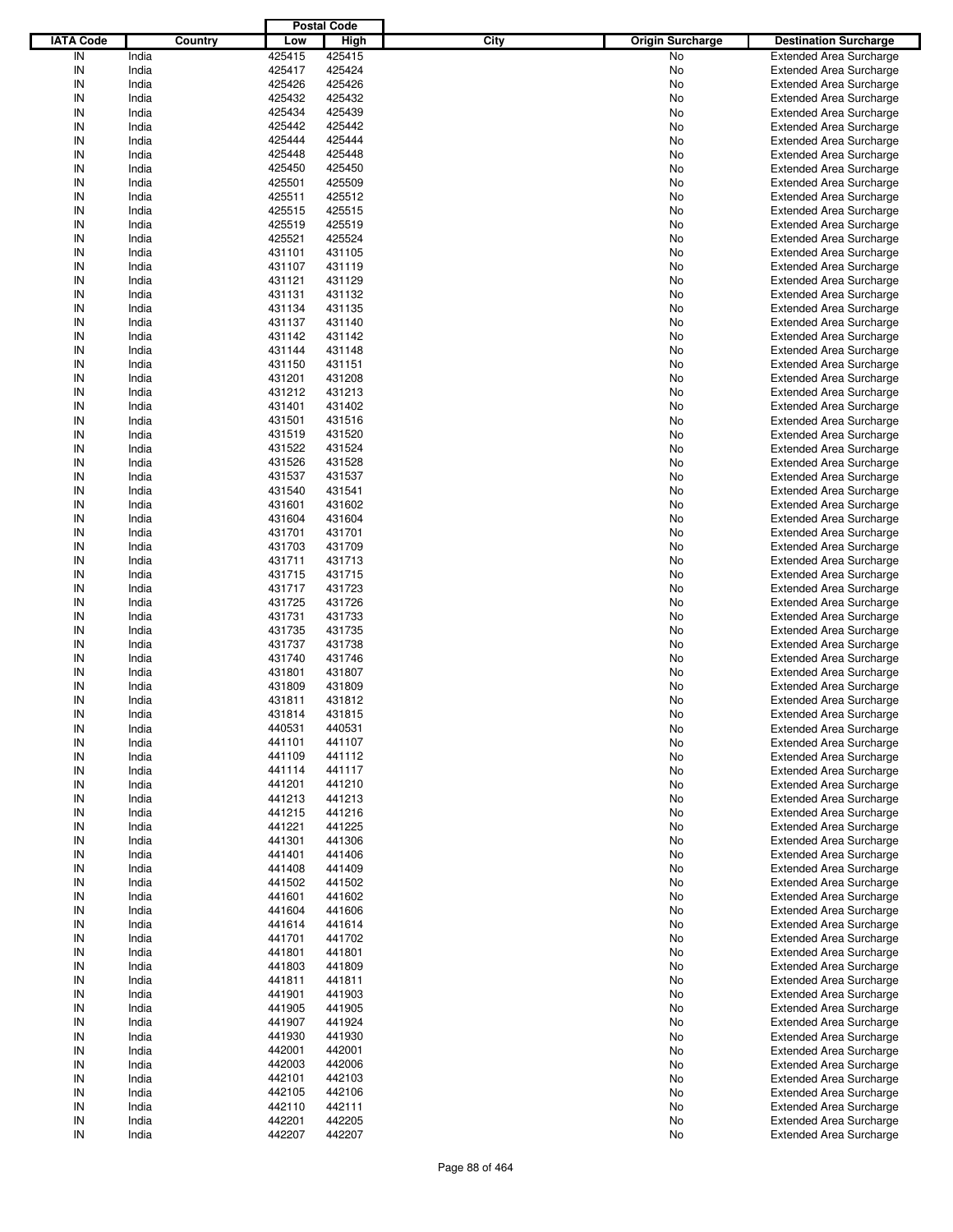|                  |         |        | <b>Postal Code</b> |      |                         |                                |
|------------------|---------|--------|--------------------|------|-------------------------|--------------------------------|
| <b>IATA Code</b> | Country | Low    | High               | City | <b>Origin Surcharge</b> | <b>Destination Surcharge</b>   |
| IN               | India   | 425415 | 425415             |      | <b>No</b>               | <b>Extended Area Surcharge</b> |
| IN               | India   | 425417 | 425424             |      | No                      | <b>Extended Area Surcharge</b> |
| IN               | India   | 425426 | 425426             |      | No                      | <b>Extended Area Surcharge</b> |
| IN               | India   | 425432 | 425432             |      | No                      | <b>Extended Area Surcharge</b> |
| IN               | India   | 425434 | 425439             |      | No                      | <b>Extended Area Surcharge</b> |
| IN               | India   | 425442 | 425442             |      | No                      | <b>Extended Area Surcharge</b> |
| IN               | India   | 425444 | 425444             |      |                         |                                |
|                  |         | 425448 |                    |      | No                      | <b>Extended Area Surcharge</b> |
| IN               | India   |        | 425448             |      | No                      | <b>Extended Area Surcharge</b> |
| IN               | India   | 425450 | 425450             |      | No                      | <b>Extended Area Surcharge</b> |
| IN               | India   | 425501 | 425509             |      | No                      | <b>Extended Area Surcharge</b> |
| IN               | India   | 425511 | 425512             |      | No                      | <b>Extended Area Surcharge</b> |
| IN               | India   | 425515 | 425515             |      | No                      | <b>Extended Area Surcharge</b> |
| IN               | India   | 425519 | 425519             |      | No                      | <b>Extended Area Surcharge</b> |
| IN               | India   | 425521 | 425524             |      | No                      | <b>Extended Area Surcharge</b> |
| IN               | India   | 431101 | 431105             |      | No                      | <b>Extended Area Surcharge</b> |
| IN               | India   | 431107 | 431119             |      | No                      | <b>Extended Area Surcharge</b> |
| IN               | India   | 431121 | 431129             |      | No                      | <b>Extended Area Surcharge</b> |
| IN               | India   | 431131 | 431132             |      | No                      | <b>Extended Area Surcharge</b> |
| IN               | India   | 431134 | 431135             |      | No                      | <b>Extended Area Surcharge</b> |
| IN               | India   | 431137 | 431140             |      | No                      | <b>Extended Area Surcharge</b> |
| IN               | India   | 431142 | 431142             |      | No                      | <b>Extended Area Surcharge</b> |
| IN               | India   | 431144 | 431148             |      | No                      | <b>Extended Area Surcharge</b> |
| IN               | India   | 431150 | 431151             |      | No                      | <b>Extended Area Surcharge</b> |
| IN               | India   | 431201 | 431208             |      | No                      | <b>Extended Area Surcharge</b> |
| IN               | India   | 431212 | 431213             |      | No                      | <b>Extended Area Surcharge</b> |
| IN               | India   | 431401 | 431402             |      | No                      | <b>Extended Area Surcharge</b> |
| IN               | India   | 431501 | 431516             |      | No                      | <b>Extended Area Surcharge</b> |
| IN               | India   | 431519 | 431520             |      | No                      | <b>Extended Area Surcharge</b> |
|                  |         |        |                    |      |                         |                                |
| IN               | India   | 431522 | 431524             |      | No                      | <b>Extended Area Surcharge</b> |
| IN               | India   | 431526 | 431528             |      | No                      | <b>Extended Area Surcharge</b> |
| IN               | India   | 431537 | 431537             |      | No                      | <b>Extended Area Surcharge</b> |
| IN               | India   | 431540 | 431541             |      | No                      | <b>Extended Area Surcharge</b> |
| IN               | India   | 431601 | 431602             |      | No                      | <b>Extended Area Surcharge</b> |
| IN               | India   | 431604 | 431604             |      | No                      | <b>Extended Area Surcharge</b> |
| IN               | India   | 431701 | 431701             |      | No                      | <b>Extended Area Surcharge</b> |
| IN               | India   | 431703 | 431709             |      | No                      | <b>Extended Area Surcharge</b> |
| IN               | India   | 431711 | 431713             |      | No                      | <b>Extended Area Surcharge</b> |
| IN               | India   | 431715 | 431715             |      | No                      | <b>Extended Area Surcharge</b> |
| IN               | India   | 431717 | 431723             |      | No                      | <b>Extended Area Surcharge</b> |
| IN               | India   | 431725 | 431726             |      | No                      | <b>Extended Area Surcharge</b> |
| IN               | India   | 431731 | 431733             |      | No                      | <b>Extended Area Surcharge</b> |
| IN               | India   | 431735 | 431735             |      | No                      | <b>Extended Area Surcharge</b> |
| IN               | India   | 431737 | 431738             |      | No                      | <b>Extended Area Surcharge</b> |
| IN               | India   | 431740 | 431746             |      | No                      | <b>Extended Area Surcharge</b> |
| IN               | India   | 431801 | 431807             |      | No                      | <b>Extended Area Surcharge</b> |
| IN               | India   | 431809 | 431809             |      | No                      | <b>Extended Area Surcharge</b> |
| IN               | India   | 431811 | 431812             |      | No                      | <b>Extended Area Surcharge</b> |
|                  |         |        |                    |      |                         |                                |
| IN               | India   | 431814 | 431815             |      | No                      | <b>Extended Area Surcharge</b> |
| IN               | India   | 440531 | 440531             |      | No                      | <b>Extended Area Surcharge</b> |
| IN               | India   | 441101 | 441107             |      | No                      | <b>Extended Area Surcharge</b> |
| IN               | India   | 441109 | 441112             |      | No                      | <b>Extended Area Surcharge</b> |
| IN               | India   | 441114 | 441117             |      | No                      | <b>Extended Area Surcharge</b> |
| IN               | India   | 441201 | 441210             |      | No                      | <b>Extended Area Surcharge</b> |
| IN               | India   | 441213 | 441213             |      | No                      | <b>Extended Area Surcharge</b> |
| IN               | India   | 441215 | 441216             |      | No                      | <b>Extended Area Surcharge</b> |
| IN               | India   | 441221 | 441225             |      | No                      | <b>Extended Area Surcharge</b> |
| IN               | India   | 441301 | 441306             |      | No                      | <b>Extended Area Surcharge</b> |
| IN               | India   | 441401 | 441406             |      | No                      | <b>Extended Area Surcharge</b> |
| IN               | India   | 441408 | 441409             |      | No                      | <b>Extended Area Surcharge</b> |
| IN               | India   | 441502 | 441502             |      | No                      | <b>Extended Area Surcharge</b> |
| IN               | India   | 441601 | 441602             |      | No                      | <b>Extended Area Surcharge</b> |
| IN               | India   | 441604 | 441606             |      | No                      | <b>Extended Area Surcharge</b> |
| IN               | India   | 441614 | 441614             |      | No                      | <b>Extended Area Surcharge</b> |
| IN               | India   | 441701 | 441702             |      | No                      | <b>Extended Area Surcharge</b> |
| IN               | India   | 441801 | 441801             |      | No                      | <b>Extended Area Surcharge</b> |
| IN               | India   | 441803 | 441809             |      | No                      | <b>Extended Area Surcharge</b> |
| IN               | India   | 441811 | 441811             |      | No                      | <b>Extended Area Surcharge</b> |
|                  |         |        |                    |      |                         |                                |
| IN               | India   | 441901 | 441903             |      | No                      | <b>Extended Area Surcharge</b> |
| IN               | India   | 441905 | 441905             |      | No                      | <b>Extended Area Surcharge</b> |
| IN               | India   | 441907 | 441924             |      | No                      | <b>Extended Area Surcharge</b> |
| IN               | India   | 441930 | 441930             |      | No                      | <b>Extended Area Surcharge</b> |
| IN               | India   | 442001 | 442001             |      | No                      | <b>Extended Area Surcharge</b> |
| IN               | India   | 442003 | 442006             |      | No                      | <b>Extended Area Surcharge</b> |
| IN               | India   | 442101 | 442103             |      | No                      | <b>Extended Area Surcharge</b> |
| IN               | India   | 442105 | 442106             |      | No                      | <b>Extended Area Surcharge</b> |
| IN               | India   | 442110 | 442111             |      | No                      | <b>Extended Area Surcharge</b> |
| IN               | India   | 442201 | 442205             |      | No                      | <b>Extended Area Surcharge</b> |
| IN               | India   | 442207 | 442207             |      | No                      | <b>Extended Area Surcharge</b> |
|                  |         |        |                    |      |                         |                                |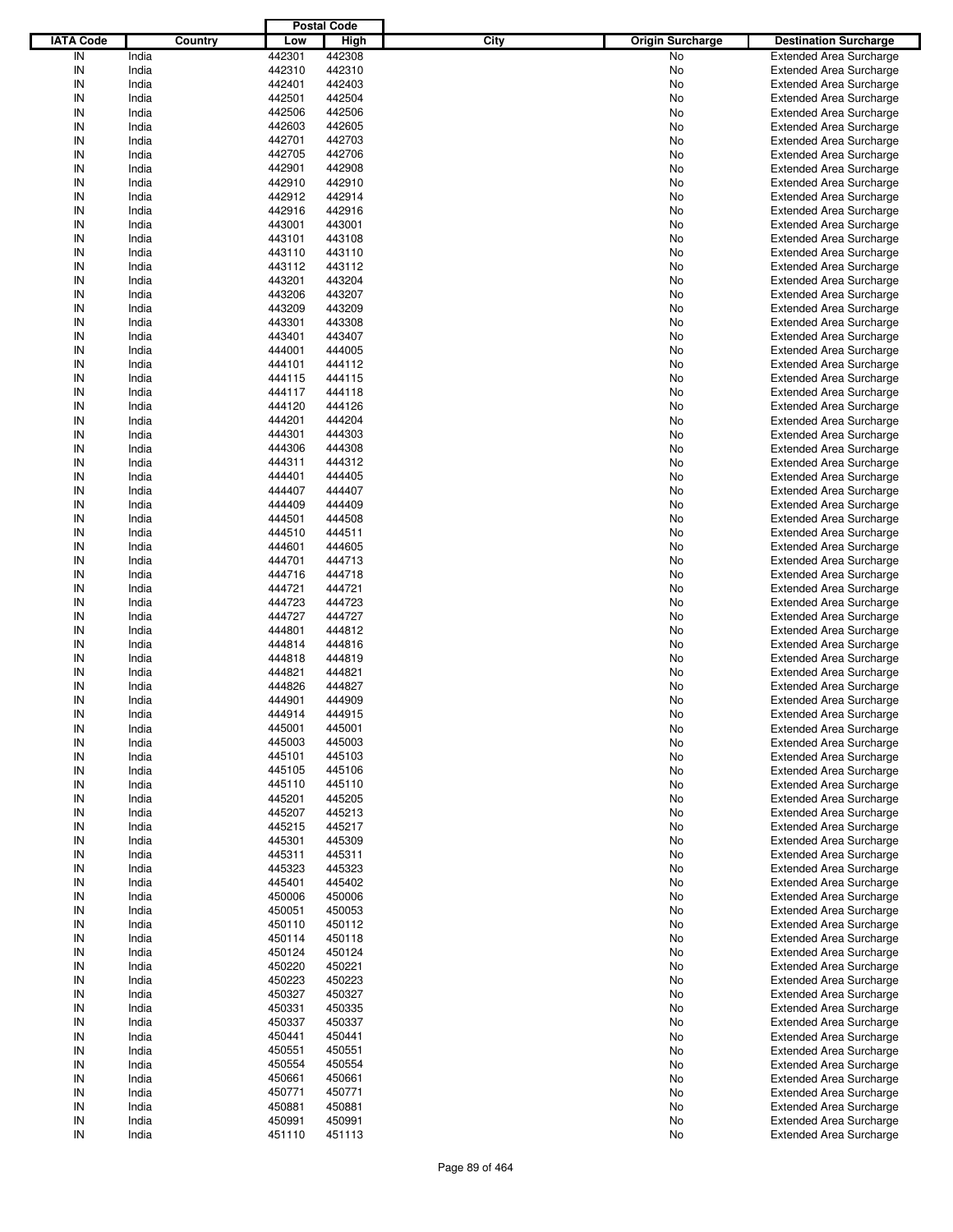|                  |         |        | <b>Postal Code</b> |      |                         |                                |
|------------------|---------|--------|--------------------|------|-------------------------|--------------------------------|
| <b>IATA Code</b> | Country | Low    | <b>High</b>        | City | <b>Origin Surcharge</b> | <b>Destination Surcharge</b>   |
| IN               | India   | 442301 | 442308             |      | No                      | <b>Extended Area Surcharge</b> |
| IN               | India   | 442310 | 442310             |      | No                      | <b>Extended Area Surcharge</b> |
| IN               | India   | 442401 | 442403             |      | No                      | <b>Extended Area Surcharge</b> |
| IN               | India   | 442501 | 442504             |      | No                      | <b>Extended Area Surcharge</b> |
| IN               | India   | 442506 | 442506             |      | No                      | <b>Extended Area Surcharge</b> |
| IN               |         |        |                    |      |                         |                                |
|                  | India   | 442603 | 442605             |      | No                      | <b>Extended Area Surcharge</b> |
| IN               | India   | 442701 | 442703             |      | No                      | <b>Extended Area Surcharge</b> |
| IN               | India   | 442705 | 442706             |      | No                      | <b>Extended Area Surcharge</b> |
| IN               | India   | 442901 | 442908             |      | No                      | <b>Extended Area Surcharge</b> |
| IN               | India   | 442910 | 442910             |      | No                      | <b>Extended Area Surcharge</b> |
| IN               | India   | 442912 | 442914             |      | No                      | <b>Extended Area Surcharge</b> |
| IN               | India   | 442916 | 442916             |      | No                      | <b>Extended Area Surcharge</b> |
| IN               | India   | 443001 | 443001             |      | No                      | <b>Extended Area Surcharge</b> |
| IN               | India   | 443101 | 443108             |      | No                      | <b>Extended Area Surcharge</b> |
| IN               | India   | 443110 | 443110             |      | No                      | <b>Extended Area Surcharge</b> |
| IN               | India   | 443112 | 443112             |      | No                      | <b>Extended Area Surcharge</b> |
| IN               | India   | 443201 | 443204             |      | No                      | <b>Extended Area Surcharge</b> |
| IN               | India   | 443206 | 443207             |      | No                      | <b>Extended Area Surcharge</b> |
| IN               | India   | 443209 | 443209             |      | No                      | <b>Extended Area Surcharge</b> |
| IN               | India   | 443301 | 443308             |      | No                      | <b>Extended Area Surcharge</b> |
| IN               | India   | 443401 | 443407             |      | No                      | <b>Extended Area Surcharge</b> |
| IN               | India   | 444001 | 444005             |      | No                      | <b>Extended Area Surcharge</b> |
| IN               | India   | 444101 | 444112             |      | No                      | <b>Extended Area Surcharge</b> |
| IN               |         |        |                    |      |                         |                                |
|                  | India   | 444115 | 444115             |      | No                      | <b>Extended Area Surcharge</b> |
| IN               | India   | 444117 | 444118             |      | No                      | <b>Extended Area Surcharge</b> |
| IN               | India   | 444120 | 444126             |      | No                      | <b>Extended Area Surcharge</b> |
| IN               | India   | 444201 | 444204             |      | No                      | <b>Extended Area Surcharge</b> |
| IN               | India   | 444301 | 444303             |      | No                      | <b>Extended Area Surcharge</b> |
| IN               | India   | 444306 | 444308             |      | No                      | <b>Extended Area Surcharge</b> |
| IN               | India   | 444311 | 444312             |      | No                      | <b>Extended Area Surcharge</b> |
| IN               | India   | 444401 | 444405             |      | No                      | <b>Extended Area Surcharge</b> |
| IN               | India   | 444407 | 444407             |      | No                      | <b>Extended Area Surcharge</b> |
| IN               | India   | 444409 | 444409             |      | No                      | <b>Extended Area Surcharge</b> |
| IN               | India   | 444501 | 444508             |      | No                      | <b>Extended Area Surcharge</b> |
| IN               | India   | 444510 | 444511             |      | No                      | <b>Extended Area Surcharge</b> |
| IN               | India   | 444601 | 444605             |      | No                      | <b>Extended Area Surcharge</b> |
| IN               | India   | 444701 | 444713             |      | No                      | <b>Extended Area Surcharge</b> |
| IN               | India   | 444716 | 444718             |      | No                      | <b>Extended Area Surcharge</b> |
| IN               | India   | 444721 | 444721             |      | No                      | <b>Extended Area Surcharge</b> |
| IN               | India   | 444723 | 444723             |      | No                      | <b>Extended Area Surcharge</b> |
| IN               | India   | 444727 | 444727             |      | No                      | <b>Extended Area Surcharge</b> |
| IN               | India   | 444801 | 444812             |      |                         | <b>Extended Area Surcharge</b> |
|                  |         |        |                    |      | No                      |                                |
| IN               | India   | 444814 | 444816             |      | No                      | <b>Extended Area Surcharge</b> |
| IN               | India   | 444818 | 444819             |      | No                      | <b>Extended Area Surcharge</b> |
| IN               | India   | 444821 | 444821             |      | No                      | <b>Extended Area Surcharge</b> |
| IN               | India   | 444826 | 444827             |      | No                      | <b>Extended Area Surcharge</b> |
| IN               | India   | 444901 | 444909             |      | No                      | <b>Extended Area Surcharge</b> |
| IN               | India   | 444914 | 444915             |      | No                      | <b>Extended Area Surcharge</b> |
| IN               | India   | 445001 | 445001             |      | No                      | <b>Extended Area Surcharge</b> |
| IN               | India   | 445003 | 445003             |      | No                      | <b>Extended Area Surcharge</b> |
| IN               | India   | 445101 | 445103             |      | No                      | <b>Extended Area Surcharge</b> |
| IN               | India   | 445105 | 445106             |      | No                      | <b>Extended Area Surcharge</b> |
| IN               | India   | 445110 | 445110             |      | No                      | <b>Extended Area Surcharge</b> |
| IN               | India   | 445201 | 445205             |      | No                      | <b>Extended Area Surcharge</b> |
| IN               | India   | 445207 | 445213             |      | No                      | <b>Extended Area Surcharge</b> |
| IN               | India   | 445215 | 445217             |      | No                      | <b>Extended Area Surcharge</b> |
| IN               | India   | 445301 | 445309             |      | No                      | <b>Extended Area Surcharge</b> |
| IN               | India   | 445311 | 445311             |      | No                      | <b>Extended Area Surcharge</b> |
| IN               | India   | 445323 | 445323             |      | No                      | <b>Extended Area Surcharge</b> |
| IN               | India   | 445401 | 445402             |      | No                      | <b>Extended Area Surcharge</b> |
| IN               | India   | 450006 | 450006             |      | No                      | <b>Extended Area Surcharge</b> |
| IN               | India   | 450051 | 450053             |      | No                      | <b>Extended Area Surcharge</b> |
| IN               | India   | 450110 | 450112             |      |                         | <b>Extended Area Surcharge</b> |
|                  |         |        |                    |      | No                      |                                |
| IN               | India   | 450114 | 450118             |      | No                      | <b>Extended Area Surcharge</b> |
| IN               | India   | 450124 | 450124             |      | No                      | <b>Extended Area Surcharge</b> |
| IN               | India   | 450220 | 450221             |      | No                      | <b>Extended Area Surcharge</b> |
| IN               | India   | 450223 | 450223             |      | No                      | <b>Extended Area Surcharge</b> |
| IN               | India   | 450327 | 450327             |      | No                      | <b>Extended Area Surcharge</b> |
| IN               | India   | 450331 | 450335             |      | No                      | <b>Extended Area Surcharge</b> |
| IN               | India   | 450337 | 450337             |      | No                      | <b>Extended Area Surcharge</b> |
| IN               | India   | 450441 | 450441             |      | No                      | <b>Extended Area Surcharge</b> |
| IN               | India   | 450551 | 450551             |      | No                      | <b>Extended Area Surcharge</b> |
| IN               | India   | 450554 | 450554             |      | No                      | <b>Extended Area Surcharge</b> |
| IN               | India   | 450661 | 450661             |      | No                      | <b>Extended Area Surcharge</b> |
| IN               | India   | 450771 | 450771             |      | No                      | <b>Extended Area Surcharge</b> |
| IN               | India   | 450881 | 450881             |      | No                      | <b>Extended Area Surcharge</b> |
| IN               | India   | 450991 | 450991             |      | No                      | <b>Extended Area Surcharge</b> |
| $\sf IN$         | India   | 451110 | 451113             |      | No                      | <b>Extended Area Surcharge</b> |
|                  |         |        |                    |      |                         |                                |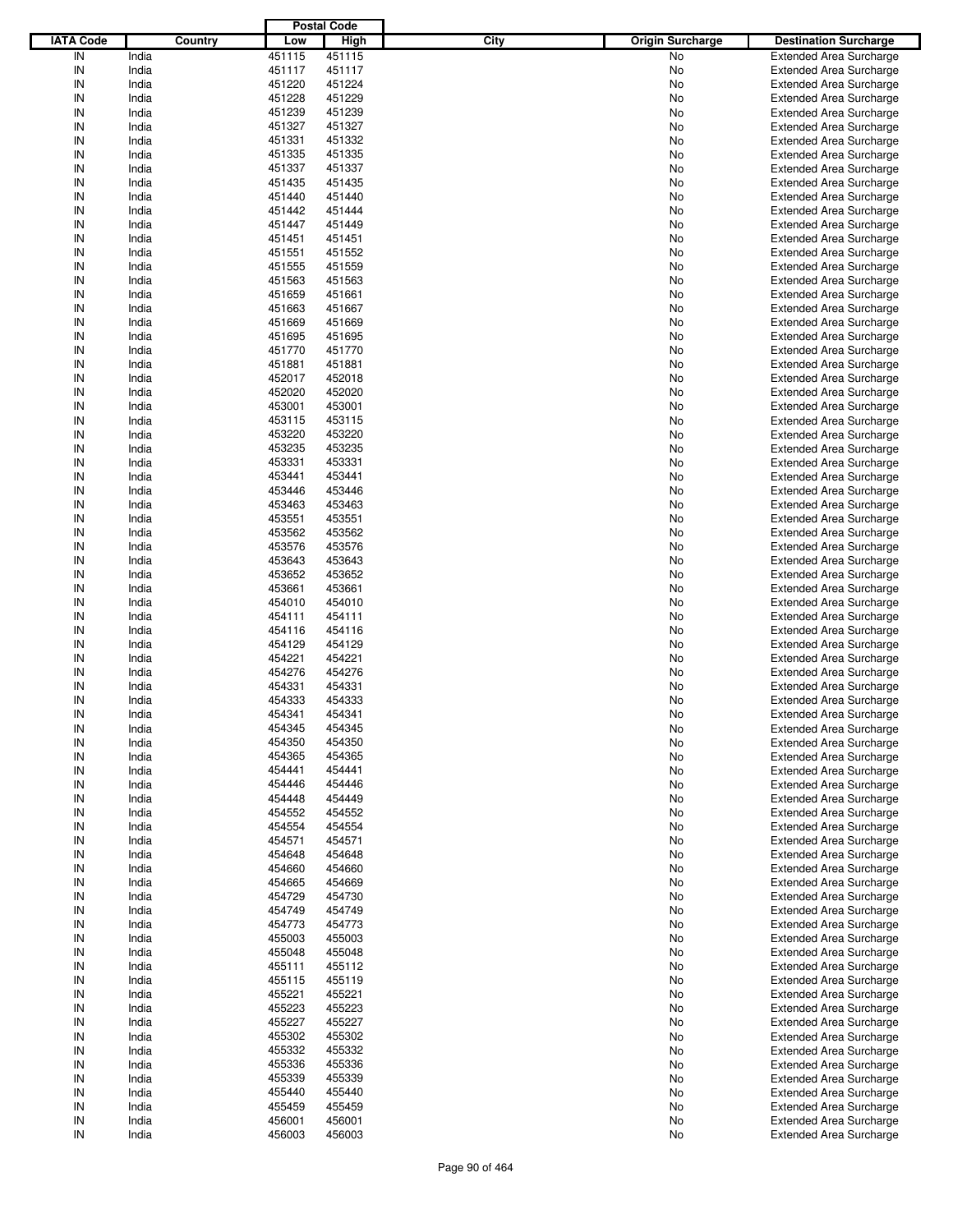|                  |         |        | <b>Postal Code</b> |      |                         |                                |
|------------------|---------|--------|--------------------|------|-------------------------|--------------------------------|
| <b>IATA Code</b> | Country | Low    | High               | City | <b>Origin Surcharge</b> | <b>Destination Surcharge</b>   |
| IN               | India   | 451115 | 451115             |      | <b>No</b>               | <b>Extended Area Surcharge</b> |
| IN               | India   | 451117 | 451117             |      | No                      | <b>Extended Area Surcharge</b> |
| IN               | India   | 451220 | 451224             |      | No                      | <b>Extended Area Surcharge</b> |
| IN               | India   | 451228 | 451229             |      | No                      | <b>Extended Area Surcharge</b> |
| IN               | India   | 451239 | 451239             |      | No                      | <b>Extended Area Surcharge</b> |
| IN               | India   | 451327 | 451327             |      | No                      | <b>Extended Area Surcharge</b> |
| IN               | India   | 451331 | 451332             |      |                         |                                |
|                  |         |        |                    |      | No                      | <b>Extended Area Surcharge</b> |
| IN               | India   | 451335 | 451335             |      | No                      | <b>Extended Area Surcharge</b> |
| IN               | India   | 451337 | 451337             |      | No                      | <b>Extended Area Surcharge</b> |
| IN               | India   | 451435 | 451435             |      | No                      | <b>Extended Area Surcharge</b> |
| IN               | India   | 451440 | 451440             |      | No                      | <b>Extended Area Surcharge</b> |
| IN               | India   | 451442 | 451444             |      | No                      | <b>Extended Area Surcharge</b> |
| IN               | India   | 451447 | 451449             |      | No                      | <b>Extended Area Surcharge</b> |
| IN               | India   | 451451 | 451451             |      | No                      | <b>Extended Area Surcharge</b> |
| IN               | India   | 451551 | 451552             |      | No                      | <b>Extended Area Surcharge</b> |
| IN               | India   | 451555 | 451559             |      | No                      | <b>Extended Area Surcharge</b> |
| IN               | India   | 451563 | 451563             |      | No                      | <b>Extended Area Surcharge</b> |
| IN               | India   | 451659 | 451661             |      | No                      | <b>Extended Area Surcharge</b> |
| IN               | India   | 451663 | 451667             |      | No                      | <b>Extended Area Surcharge</b> |
| IN               | India   | 451669 | 451669             |      | No                      | <b>Extended Area Surcharge</b> |
| IN               | India   | 451695 | 451695             |      | No                      | <b>Extended Area Surcharge</b> |
| IN               | India   | 451770 | 451770             |      | No                      | <b>Extended Area Surcharge</b> |
| IN               | India   | 451881 | 451881             |      | No                      | <b>Extended Area Surcharge</b> |
| IN               | India   | 452017 | 452018             |      | No                      | <b>Extended Area Surcharge</b> |
| IN               | India   | 452020 | 452020             |      | No                      | <b>Extended Area Surcharge</b> |
| IN               | India   | 453001 | 453001             |      | No                      | <b>Extended Area Surcharge</b> |
|                  |         |        |                    |      |                         |                                |
| IN               | India   | 453115 | 453115             |      | No                      | <b>Extended Area Surcharge</b> |
| IN               | India   | 453220 | 453220             |      | No                      | <b>Extended Area Surcharge</b> |
| IN               | India   | 453235 | 453235             |      | No                      | <b>Extended Area Surcharge</b> |
| IN               | India   | 453331 | 453331             |      | No                      | <b>Extended Area Surcharge</b> |
| IN               | India   | 453441 | 453441             |      | No                      | <b>Extended Area Surcharge</b> |
| IN               | India   | 453446 | 453446             |      | No                      | <b>Extended Area Surcharge</b> |
| IN               | India   | 453463 | 453463             |      | No                      | <b>Extended Area Surcharge</b> |
| IN               | India   | 453551 | 453551             |      | No                      | <b>Extended Area Surcharge</b> |
| IN               | India   | 453562 | 453562             |      | No                      | <b>Extended Area Surcharge</b> |
| IN               | India   | 453576 | 453576             |      | No                      | <b>Extended Area Surcharge</b> |
| IN               | India   | 453643 | 453643             |      | No                      | <b>Extended Area Surcharge</b> |
| IN               | India   | 453652 | 453652             |      | No                      | <b>Extended Area Surcharge</b> |
| IN               | India   | 453661 | 453661             |      | No                      | <b>Extended Area Surcharge</b> |
| IN               | India   | 454010 | 454010             |      | No                      | <b>Extended Area Surcharge</b> |
| IN               | India   | 454111 | 454111             |      | No                      | <b>Extended Area Surcharge</b> |
| IN               | India   | 454116 | 454116             |      | No                      | <b>Extended Area Surcharge</b> |
| IN               | India   | 454129 | 454129             |      | No                      | <b>Extended Area Surcharge</b> |
| IN               | India   | 454221 | 454221             |      | No                      | <b>Extended Area Surcharge</b> |
| IN               | India   | 454276 | 454276             |      | No                      | <b>Extended Area Surcharge</b> |
| IN               | India   | 454331 | 454331             |      | No                      | <b>Extended Area Surcharge</b> |
|                  |         |        |                    |      |                         |                                |
| IN               | India   | 454333 | 454333             |      | No                      | <b>Extended Area Surcharge</b> |
| IN               | India   | 454341 | 454341             |      | No                      | <b>Extended Area Surcharge</b> |
| IN               | India   | 454345 | 454345             |      | No                      | <b>Extended Area Surcharge</b> |
| IN               | India   | 454350 | 454350             |      | No                      | <b>Extended Area Surcharge</b> |
| IN               | India   | 454365 | 454365             |      | No                      | <b>Extended Area Surcharge</b> |
| IN               | India   | 454441 | 454441             |      | No                      | <b>Extended Area Surcharge</b> |
| IN               | India   | 454446 | 454446             |      | No                      | <b>Extended Area Surcharge</b> |
| IN               | India   | 454448 | 454449             |      | No                      | <b>Extended Area Surcharge</b> |
| IN               | India   | 454552 | 454552             |      | No                      | <b>Extended Area Surcharge</b> |
| IN               | India   | 454554 | 454554             |      | No                      | <b>Extended Area Surcharge</b> |
| IN               | India   | 454571 | 454571             |      | No                      | <b>Extended Area Surcharge</b> |
| IN               | India   | 454648 | 454648             |      | No                      | <b>Extended Area Surcharge</b> |
| IN               | India   | 454660 | 454660             |      | No                      | <b>Extended Area Surcharge</b> |
| IN               | India   | 454665 | 454669             |      | No                      | <b>Extended Area Surcharge</b> |
| IN               | India   | 454729 | 454730             |      | No                      | <b>Extended Area Surcharge</b> |
| IN               | India   | 454749 | 454749             |      | No                      | <b>Extended Area Surcharge</b> |
| IN               | India   | 454773 | 454773             |      | No                      | <b>Extended Area Surcharge</b> |
| IN               | India   | 455003 | 455003             |      | No                      | <b>Extended Area Surcharge</b> |
| IN               | India   | 455048 | 455048             |      | No                      | <b>Extended Area Surcharge</b> |
| IN               | India   | 455111 | 455112             |      |                         | <b>Extended Area Surcharge</b> |
|                  |         |        |                    |      | No                      |                                |
| IN               | India   | 455115 | 455119             |      | No                      | <b>Extended Area Surcharge</b> |
| IN               | India   | 455221 | 455221             |      | No                      | <b>Extended Area Surcharge</b> |
| IN               | India   | 455223 | 455223             |      | No                      | <b>Extended Area Surcharge</b> |
| IN               | India   | 455227 | 455227             |      | No                      | <b>Extended Area Surcharge</b> |
| IN               | India   | 455302 | 455302             |      | No                      | <b>Extended Area Surcharge</b> |
| IN               | India   | 455332 | 455332             |      | No                      | <b>Extended Area Surcharge</b> |
| IN               | India   | 455336 | 455336             |      | No                      | <b>Extended Area Surcharge</b> |
| IN               | India   | 455339 | 455339             |      | No                      | <b>Extended Area Surcharge</b> |
| IN               | India   | 455440 | 455440             |      | No                      | <b>Extended Area Surcharge</b> |
| IN               | India   | 455459 | 455459             |      | No                      | <b>Extended Area Surcharge</b> |
| IN               | India   | 456001 | 456001             |      | No                      | <b>Extended Area Surcharge</b> |
| IN               | India   | 456003 | 456003             |      | No                      | <b>Extended Area Surcharge</b> |
|                  |         |        |                    |      |                         |                                |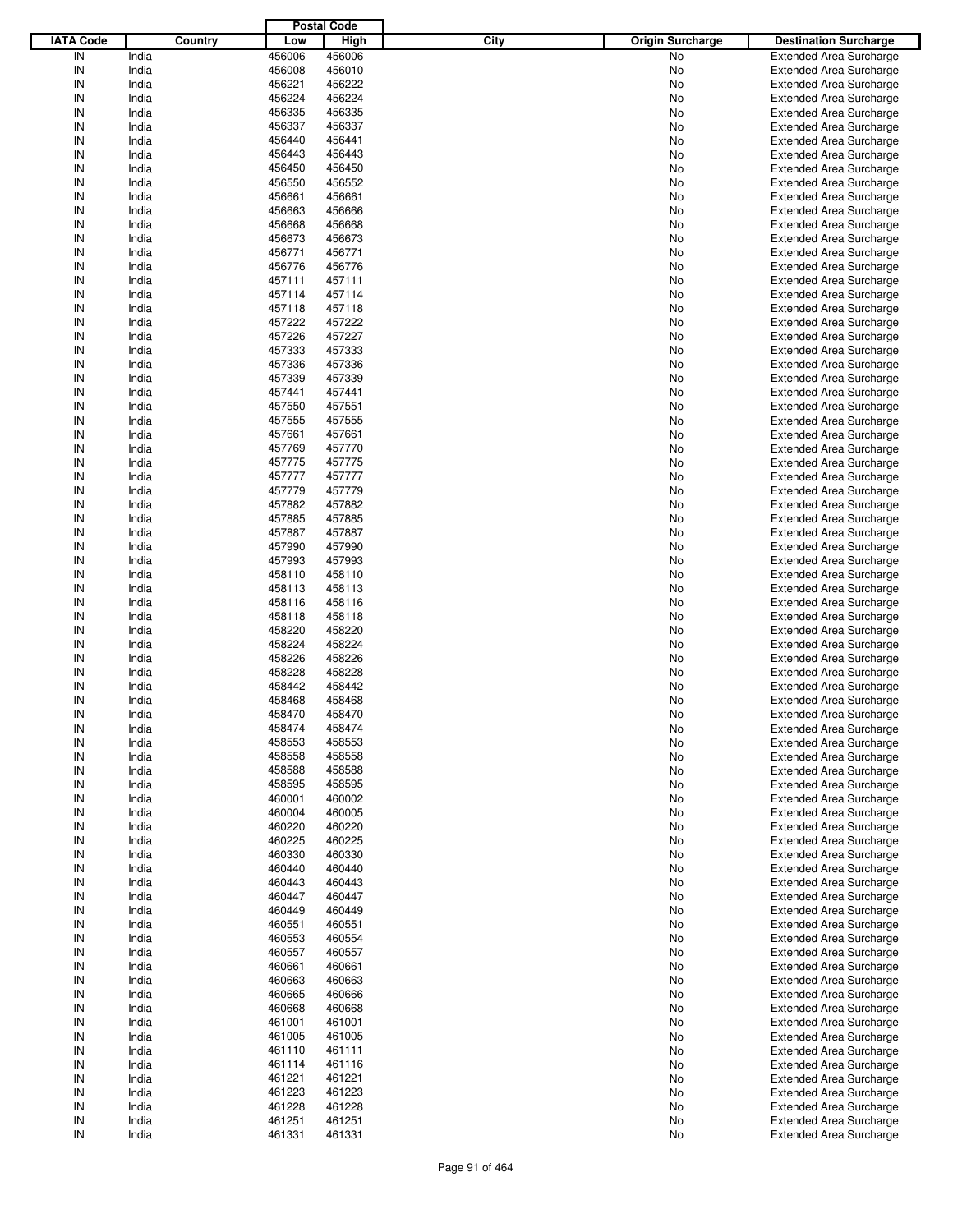|                  |         |        | <b>Postal Code</b> |      |                         |                                |
|------------------|---------|--------|--------------------|------|-------------------------|--------------------------------|
| <b>IATA Code</b> | Country | Low    | <b>High</b>        | City | <b>Origin Surcharge</b> | <b>Destination Surcharge</b>   |
| IN               | India   | 456006 | 456006             |      | No                      | <b>Extended Area Surcharge</b> |
| IN               | India   | 456008 | 456010             |      | No                      | <b>Extended Area Surcharge</b> |
| IN               | India   | 456221 | 456222             |      | No                      | <b>Extended Area Surcharge</b> |
| IN               | India   | 456224 | 456224             |      | No                      | <b>Extended Area Surcharge</b> |
| IN               | India   | 456335 | 456335             |      | No                      | <b>Extended Area Surcharge</b> |
| IN               | India   | 456337 | 456337             |      | No                      | <b>Extended Area Surcharge</b> |
| IN               | India   | 456440 | 456441             |      | No                      |                                |
| IN               |         |        |                    |      |                         | <b>Extended Area Surcharge</b> |
|                  | India   | 456443 | 456443             |      | No                      | <b>Extended Area Surcharge</b> |
| IN               | India   | 456450 | 456450             |      | No                      | <b>Extended Area Surcharge</b> |
| IN               | India   | 456550 | 456552             |      | No                      | <b>Extended Area Surcharge</b> |
| IN               | India   | 456661 | 456661             |      | No                      | <b>Extended Area Surcharge</b> |
| IN               | India   | 456663 | 456666             |      | No                      | <b>Extended Area Surcharge</b> |
| IN               | India   | 456668 | 456668             |      | No                      | <b>Extended Area Surcharge</b> |
| IN               | India   | 456673 | 456673             |      | No                      | <b>Extended Area Surcharge</b> |
| IN               | India   | 456771 | 456771             |      | No                      | <b>Extended Area Surcharge</b> |
| IN               | India   | 456776 | 456776             |      | No                      | <b>Extended Area Surcharge</b> |
| IN               | India   | 457111 | 457111             |      | No                      | <b>Extended Area Surcharge</b> |
| IN               | India   | 457114 | 457114             |      | No                      | <b>Extended Area Surcharge</b> |
| IN               | India   | 457118 | 457118             |      | No                      | <b>Extended Area Surcharge</b> |
| IN               | India   | 457222 | 457222             |      | No                      | <b>Extended Area Surcharge</b> |
| IN               | India   | 457226 | 457227             |      | No                      | <b>Extended Area Surcharge</b> |
| IN               | India   | 457333 | 457333             |      | No                      | <b>Extended Area Surcharge</b> |
| IN               | India   | 457336 | 457336             |      | No                      | <b>Extended Area Surcharge</b> |
| IN               | India   | 457339 | 457339             |      | No                      | <b>Extended Area Surcharge</b> |
| IN               | India   | 457441 | 457441             |      | No                      | <b>Extended Area Surcharge</b> |
| IN               | India   | 457550 | 457551             |      | No                      | <b>Extended Area Surcharge</b> |
| IN               | India   | 457555 | 457555             |      | No                      | <b>Extended Area Surcharge</b> |
| IN               | India   | 457661 | 457661             |      | No                      | <b>Extended Area Surcharge</b> |
| IN               |         |        |                    |      |                         | <b>Extended Area Surcharge</b> |
|                  | India   | 457769 | 457770             |      | No                      |                                |
| IN               | India   | 457775 | 457775             |      | No                      | <b>Extended Area Surcharge</b> |
| IN               | India   | 457777 | 457777             |      | No                      | <b>Extended Area Surcharge</b> |
| IN               | India   | 457779 | 457779             |      | No                      | <b>Extended Area Surcharge</b> |
| IN               | India   | 457882 | 457882             |      | No                      | <b>Extended Area Surcharge</b> |
| IN               | India   | 457885 | 457885             |      | No                      | <b>Extended Area Surcharge</b> |
| IN               | India   | 457887 | 457887             |      | No                      | <b>Extended Area Surcharge</b> |
| IN               | India   | 457990 | 457990             |      | No                      | <b>Extended Area Surcharge</b> |
| IN               | India   | 457993 | 457993             |      | No                      | <b>Extended Area Surcharge</b> |
| IN               | India   | 458110 | 458110             |      | No                      | <b>Extended Area Surcharge</b> |
| IN               | India   | 458113 | 458113             |      | No                      | <b>Extended Area Surcharge</b> |
| IN               | India   | 458116 | 458116             |      | No                      | <b>Extended Area Surcharge</b> |
| IN               | India   | 458118 | 458118             |      | No                      | <b>Extended Area Surcharge</b> |
| IN               | India   | 458220 | 458220             |      | No                      | <b>Extended Area Surcharge</b> |
| IN               | India   | 458224 | 458224             |      | No                      | <b>Extended Area Surcharge</b> |
| IN               | India   | 458226 | 458226             |      | No                      | <b>Extended Area Surcharge</b> |
| IN               | India   | 458228 | 458228             |      | No                      | <b>Extended Area Surcharge</b> |
| IN               | India   | 458442 | 458442             |      | No                      | <b>Extended Area Surcharge</b> |
| IN               | India   | 458468 | 458468             |      | No                      | <b>Extended Area Surcharge</b> |
| IN               |         |        |                    |      |                         | <b>Extended Area Surcharge</b> |
|                  | India   | 458470 | 458470             |      | No                      |                                |
| IN               | India   | 458474 | 458474             |      | No                      | <b>Extended Area Surcharge</b> |
| IN               | India   | 458553 | 458553             |      | No                      | <b>Extended Area Surcharge</b> |
| IN               | India   | 458558 | 458558             |      | No                      | <b>Extended Area Surcharge</b> |
| IN               | India   | 458588 | 458588             |      | No                      | <b>Extended Area Surcharge</b> |
| IN               | India   | 458595 | 458595             |      | No                      | <b>Extended Area Surcharge</b> |
| IN               | India   | 460001 | 460002             |      | No                      | <b>Extended Area Surcharge</b> |
| IN               | India   | 460004 | 460005             |      | No                      | <b>Extended Area Surcharge</b> |
| IN               | India   | 460220 | 460220             |      | No                      | <b>Extended Area Surcharge</b> |
| IN               | India   | 460225 | 460225             |      | No                      | <b>Extended Area Surcharge</b> |
| IN               | India   | 460330 | 460330             |      | No                      | <b>Extended Area Surcharge</b> |
| IN               | India   | 460440 | 460440             |      | No                      | <b>Extended Area Surcharge</b> |
| IN               | India   | 460443 | 460443             |      | No                      | <b>Extended Area Surcharge</b> |
| IN               | India   | 460447 | 460447             |      | No                      | <b>Extended Area Surcharge</b> |
| IN               | India   | 460449 | 460449             |      | No                      | <b>Extended Area Surcharge</b> |
| IN               | India   | 460551 | 460551             |      | No                      | <b>Extended Area Surcharge</b> |
| IN               | India   | 460553 | 460554             |      | No                      | <b>Extended Area Surcharge</b> |
| IN               | India   | 460557 | 460557             |      | No                      | <b>Extended Area Surcharge</b> |
| IN               | India   | 460661 | 460661             |      | No                      | <b>Extended Area Surcharge</b> |
| IN               | India   | 460663 | 460663             |      | No                      | <b>Extended Area Surcharge</b> |
| IN               | India   | 460665 | 460666             |      | No                      | <b>Extended Area Surcharge</b> |
|                  |         |        |                    |      |                         |                                |
| IN               | India   | 460668 | 460668             |      | No                      | <b>Extended Area Surcharge</b> |
| IN               | India   | 461001 | 461001             |      | No                      | <b>Extended Area Surcharge</b> |
| IN               | India   | 461005 | 461005             |      | No                      | <b>Extended Area Surcharge</b> |
| IN               | India   | 461110 | 461111             |      | No                      | <b>Extended Area Surcharge</b> |
| IN               | India   | 461114 | 461116             |      | No                      | <b>Extended Area Surcharge</b> |
| IN               | India   | 461221 | 461221             |      | No                      | <b>Extended Area Surcharge</b> |
| IN               | India   | 461223 | 461223             |      | No                      | <b>Extended Area Surcharge</b> |
| IN               | India   | 461228 | 461228             |      | No                      | Extended Area Surcharge        |
| IN               | India   | 461251 | 461251             |      | No                      | <b>Extended Area Surcharge</b> |
| $\sf IN$         | India   | 461331 | 461331             |      | No                      | <b>Extended Area Surcharge</b> |
|                  |         |        |                    |      |                         |                                |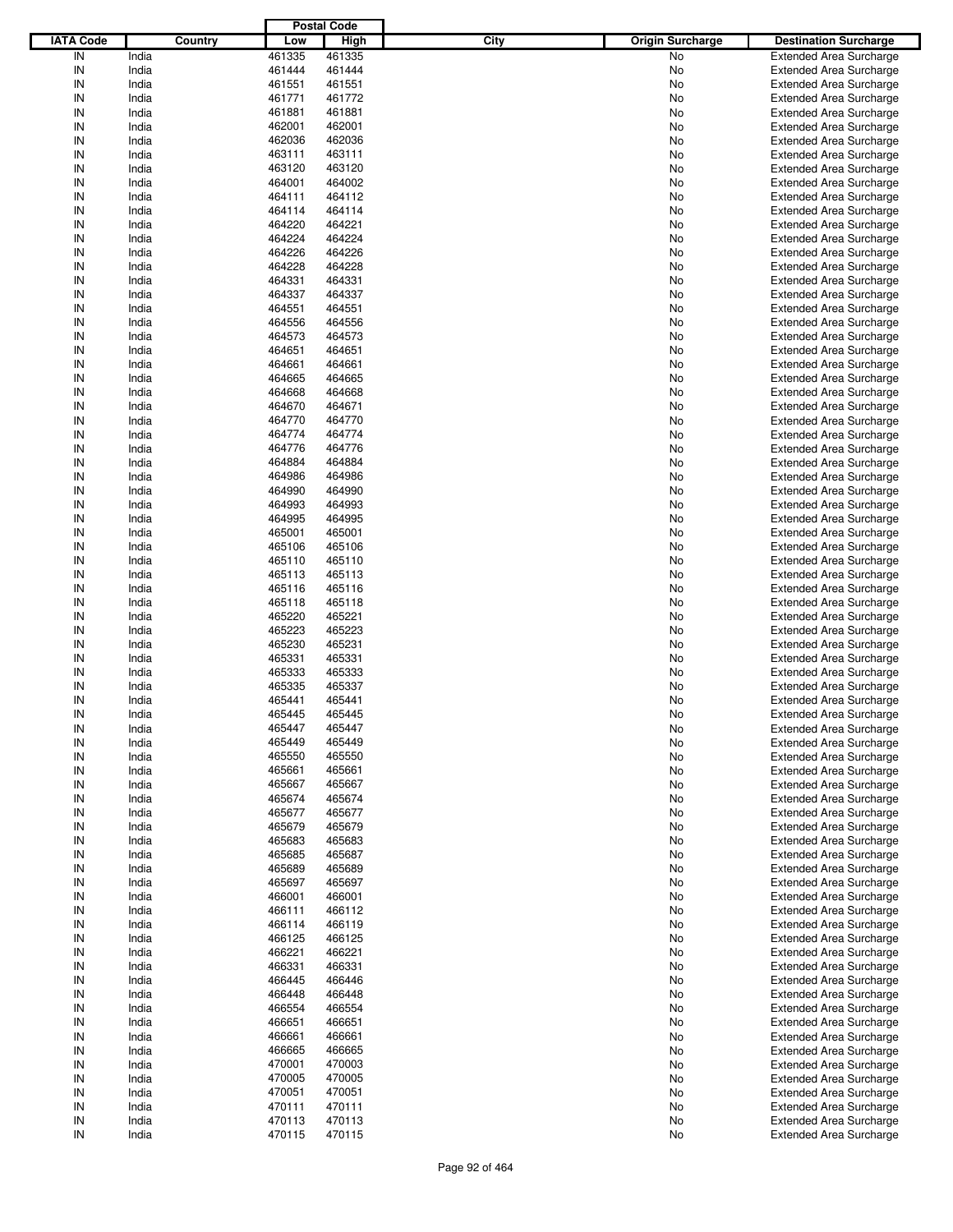|                  |         |        | <b>Postal Code</b> |      |                         |                                |
|------------------|---------|--------|--------------------|------|-------------------------|--------------------------------|
| <b>IATA Code</b> | Country | Low    | High               | City | <b>Origin Surcharge</b> | <b>Destination Surcharge</b>   |
| IN               | India   | 461335 | 461335             |      | <b>No</b>               | <b>Extended Area Surcharge</b> |
| IN               | India   | 461444 | 461444             |      | No                      | <b>Extended Area Surcharge</b> |
| IN               | India   | 461551 | 461551             |      | No                      | <b>Extended Area Surcharge</b> |
| IN               | India   | 461771 | 461772             |      | No                      | <b>Extended Area Surcharge</b> |
| IN               | India   | 461881 | 461881             |      | No                      | <b>Extended Area Surcharge</b> |
|                  |         |        |                    |      |                         |                                |
| IN               | India   | 462001 | 462001             |      | No                      | <b>Extended Area Surcharge</b> |
| IN               | India   | 462036 | 462036             |      | No                      | <b>Extended Area Surcharge</b> |
| IN               | India   | 463111 | 463111             |      | No                      | <b>Extended Area Surcharge</b> |
| IN               | India   | 463120 | 463120             |      | No                      | <b>Extended Area Surcharge</b> |
| IN               | India   | 464001 | 464002             |      | No                      | <b>Extended Area Surcharge</b> |
| IN               | India   | 464111 | 464112             |      | No                      | <b>Extended Area Surcharge</b> |
| IN               | India   | 464114 | 464114             |      | No                      | <b>Extended Area Surcharge</b> |
| IN               | India   | 464220 | 464221             |      | No                      | <b>Extended Area Surcharge</b> |
| IN               | India   | 464224 | 464224             |      | No                      | <b>Extended Area Surcharge</b> |
| IN               | India   | 464226 | 464226             |      | No                      | <b>Extended Area Surcharge</b> |
| IN               | India   | 464228 | 464228             |      | No                      | <b>Extended Area Surcharge</b> |
| IN               | India   | 464331 | 464331             |      | No                      | <b>Extended Area Surcharge</b> |
| IN               | India   | 464337 | 464337             |      | No                      | <b>Extended Area Surcharge</b> |
| IN               | India   | 464551 | 464551             |      | No                      | <b>Extended Area Surcharge</b> |
| IN               | India   | 464556 | 464556             |      | No                      | <b>Extended Area Surcharge</b> |
| IN               | India   | 464573 | 464573             |      | No                      | <b>Extended Area Surcharge</b> |
| IN               | India   | 464651 | 464651             |      | No                      | <b>Extended Area Surcharge</b> |
|                  |         |        | 464661             |      |                         |                                |
| IN               | India   | 464661 |                    |      | No                      | <b>Extended Area Surcharge</b> |
| IN               | India   | 464665 | 464665             |      | No                      | <b>Extended Area Surcharge</b> |
| IN               | India   | 464668 | 464668             |      | No                      | <b>Extended Area Surcharge</b> |
| IN               | India   | 464670 | 464671             |      | No                      | <b>Extended Area Surcharge</b> |
| IN               | India   | 464770 | 464770             |      | No                      | <b>Extended Area Surcharge</b> |
| IN               | India   | 464774 | 464774             |      | No                      | <b>Extended Area Surcharge</b> |
| IN               | India   | 464776 | 464776             |      | No                      | <b>Extended Area Surcharge</b> |
| IN               | India   | 464884 | 464884             |      | No                      | <b>Extended Area Surcharge</b> |
| IN               | India   | 464986 | 464986             |      | No                      | <b>Extended Area Surcharge</b> |
| IN               | India   | 464990 | 464990             |      | No                      | <b>Extended Area Surcharge</b> |
| IN               | India   | 464993 | 464993             |      | No                      | <b>Extended Area Surcharge</b> |
| IN               | India   | 464995 | 464995             |      | No                      | <b>Extended Area Surcharge</b> |
| IN               | India   | 465001 | 465001             |      | No                      | <b>Extended Area Surcharge</b> |
| IN               | India   | 465106 | 465106             |      | No                      | <b>Extended Area Surcharge</b> |
| IN               | India   | 465110 | 465110             |      | No                      | <b>Extended Area Surcharge</b> |
| IN               | India   | 465113 | 465113             |      | No                      | <b>Extended Area Surcharge</b> |
| IN               | India   | 465116 | 465116             |      | No                      | <b>Extended Area Surcharge</b> |
| IN               | India   | 465118 | 465118             |      | No                      | <b>Extended Area Surcharge</b> |
|                  |         |        |                    |      |                         |                                |
| IN               | India   | 465220 | 465221             |      | No                      | <b>Extended Area Surcharge</b> |
| IN               | India   | 465223 | 465223             |      | No                      | <b>Extended Area Surcharge</b> |
| IN               | India   | 465230 | 465231             |      | No                      | <b>Extended Area Surcharge</b> |
| IN               | India   | 465331 | 465331             |      | No                      | <b>Extended Area Surcharge</b> |
| IN               | India   | 465333 | 465333             |      | No                      | <b>Extended Area Surcharge</b> |
| IN               | India   | 465335 | 465337             |      | No                      | <b>Extended Area Surcharge</b> |
| IN               | India   | 465441 | 465441             |      | No                      | <b>Extended Area Surcharge</b> |
| IN               | India   | 465445 | 465445             |      | No                      | <b>Extended Area Surcharge</b> |
| IN               | India   | 465447 | 465447             |      | No                      | <b>Extended Area Surcharge</b> |
| IN               | India   | 465449 | 465449             |      | No                      | <b>Extended Area Surcharge</b> |
| IN               | India   | 465550 | 465550             |      | No                      | <b>Extended Area Surcharge</b> |
| IN               | India   | 465661 | 465661             |      | No                      | <b>Extended Area Surcharge</b> |
| IN               | India   | 465667 | 465667             |      | No                      | <b>Extended Area Surcharge</b> |
| IN               | India   | 465674 | 465674             |      | No                      | <b>Extended Area Surcharge</b> |
| IN               | India   | 465677 | 465677             |      | No                      | <b>Extended Area Surcharge</b> |
| IN               | India   | 465679 | 465679             |      | No                      | <b>Extended Area Surcharge</b> |
| IN               | India   | 465683 | 465683             |      | No                      | <b>Extended Area Surcharge</b> |
| IN               | India   | 465685 | 465687             |      | No                      | <b>Extended Area Surcharge</b> |
| IN               | India   | 465689 | 465689             |      | No                      | <b>Extended Area Surcharge</b> |
| IN               | India   | 465697 | 465697             |      |                         | <b>Extended Area Surcharge</b> |
|                  |         |        |                    |      | No                      |                                |
| IN               | India   | 466001 | 466001             |      | No                      | <b>Extended Area Surcharge</b> |
| IN               | India   | 466111 | 466112             |      | No                      | <b>Extended Area Surcharge</b> |
| IN               | India   | 466114 | 466119             |      | No                      | <b>Extended Area Surcharge</b> |
| IN               | India   | 466125 | 466125             |      | No                      | <b>Extended Area Surcharge</b> |
| IN               | India   | 466221 | 466221             |      | No                      | <b>Extended Area Surcharge</b> |
| IN               | India   | 466331 | 466331             |      | No                      | <b>Extended Area Surcharge</b> |
| IN               | India   | 466445 | 466446             |      | No                      | <b>Extended Area Surcharge</b> |
| IN               | India   | 466448 | 466448             |      | No                      | <b>Extended Area Surcharge</b> |
| IN               | India   | 466554 | 466554             |      | No                      | <b>Extended Area Surcharge</b> |
| IN               | India   | 466651 | 466651             |      | No                      | <b>Extended Area Surcharge</b> |
| IN               | India   | 466661 | 466661             |      | No                      | <b>Extended Area Surcharge</b> |
| IN               | India   | 466665 | 466665             |      | No                      | <b>Extended Area Surcharge</b> |
| IN               | India   | 470001 | 470003             |      | No                      | <b>Extended Area Surcharge</b> |
| IN               | India   | 470005 | 470005             |      | No                      | <b>Extended Area Surcharge</b> |
| IN               | India   | 470051 | 470051             |      | No                      | <b>Extended Area Surcharge</b> |
| IN               | India   | 470111 | 470111             |      | No                      | <b>Extended Area Surcharge</b> |
| IN               | India   | 470113 | 470113             |      |                         | <b>Extended Area Surcharge</b> |
|                  |         |        |                    |      | No                      |                                |
| IN               | India   | 470115 | 470115             |      | No                      | <b>Extended Area Surcharge</b> |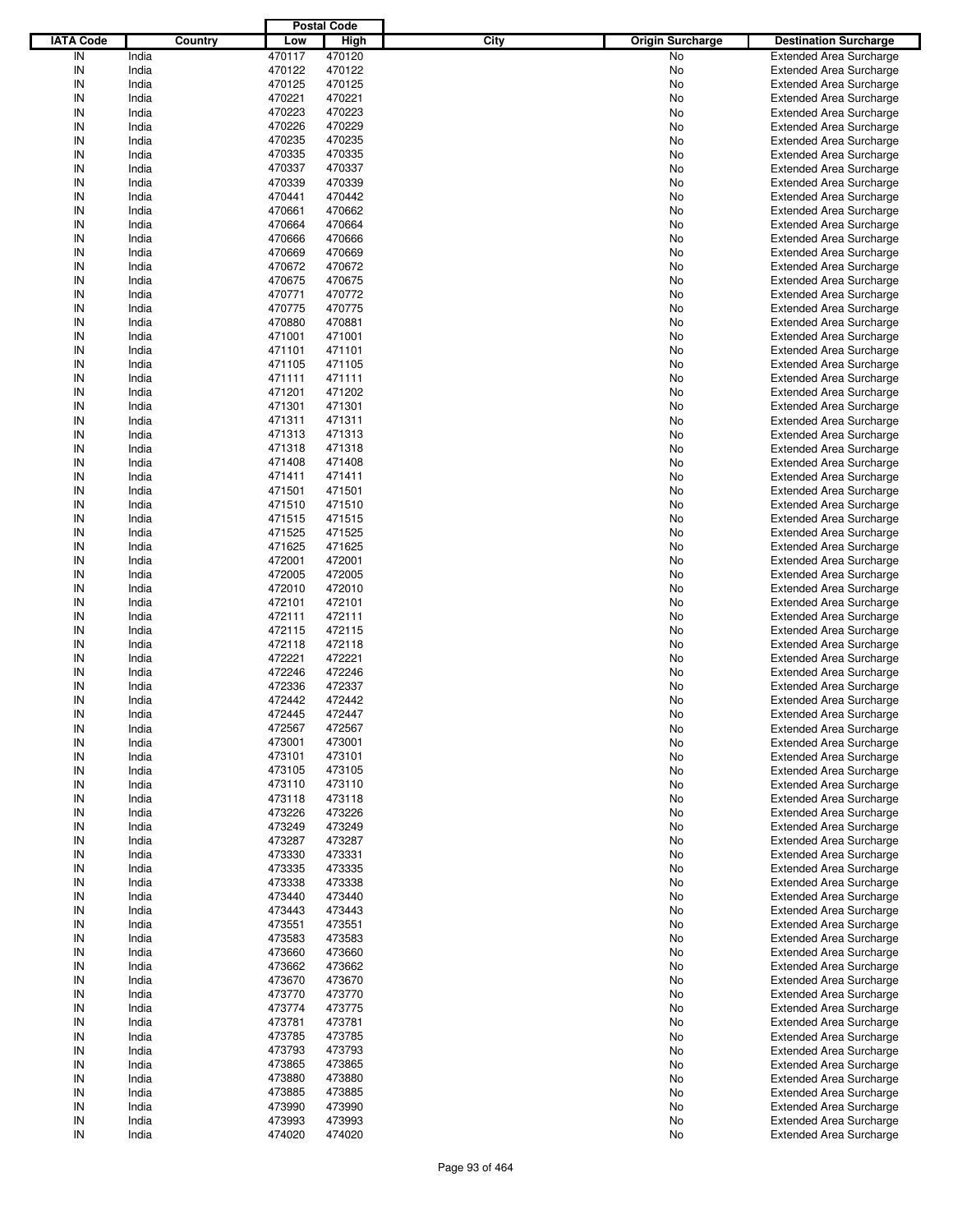|                  |         |        | <b>Postal Code</b> |                                 |                                |
|------------------|---------|--------|--------------------|---------------------------------|--------------------------------|
| <b>IATA Code</b> | Country | Low    | High               | City<br><b>Origin Surcharge</b> | <b>Destination Surcharge</b>   |
| IN               | India   | 470117 | 470120             | <b>No</b>                       | <b>Extended Area Surcharge</b> |
| IN               | India   | 470122 | 470122             | No                              | <b>Extended Area Surcharge</b> |
| IN               | India   | 470125 | 470125             | No                              | <b>Extended Area Surcharge</b> |
| IN               | India   | 470221 | 470221             | No                              | <b>Extended Area Surcharge</b> |
| IN               | India   | 470223 | 470223             | No                              | <b>Extended Area Surcharge</b> |
| IN               | India   | 470226 | 470229             | No                              | <b>Extended Area Surcharge</b> |
| IN               | India   | 470235 | 470235             |                                 |                                |
|                  |         |        |                    | No                              | <b>Extended Area Surcharge</b> |
| IN               | India   | 470335 | 470335             | No                              | <b>Extended Area Surcharge</b> |
| IN               | India   | 470337 | 470337             | No                              | <b>Extended Area Surcharge</b> |
| IN               | India   | 470339 | 470339             | No                              | <b>Extended Area Surcharge</b> |
| IN               | India   | 470441 | 470442             | No                              | <b>Extended Area Surcharge</b> |
| IN               | India   | 470661 | 470662             | No                              | <b>Extended Area Surcharge</b> |
| IN               | India   | 470664 | 470664             | No                              | <b>Extended Area Surcharge</b> |
| IN               | India   | 470666 | 470666             | No                              | <b>Extended Area Surcharge</b> |
| IN               | India   | 470669 | 470669             | No                              | <b>Extended Area Surcharge</b> |
| IN               | India   | 470672 | 470672             | No                              | <b>Extended Area Surcharge</b> |
| IN               | India   | 470675 | 470675             | No                              | <b>Extended Area Surcharge</b> |
| IN               | India   | 470771 | 470772             | No                              | <b>Extended Area Surcharge</b> |
| IN               | India   | 470775 | 470775             | No                              | <b>Extended Area Surcharge</b> |
| IN               | India   | 470880 | 470881             | No                              | <b>Extended Area Surcharge</b> |
| IN               | India   | 471001 | 471001             | No                              | <b>Extended Area Surcharge</b> |
| IN               | India   | 471101 | 471101             | No                              | <b>Extended Area Surcharge</b> |
| IN               | India   | 471105 | 471105             | No                              | <b>Extended Area Surcharge</b> |
| IN               | India   | 471111 | 471111             | No                              | <b>Extended Area Surcharge</b> |
| IN               | India   | 471201 | 471202             | No                              | <b>Extended Area Surcharge</b> |
| IN               | India   | 471301 | 471301             | No                              | <b>Extended Area Surcharge</b> |
| IN               | India   | 471311 | 471311             | No                              | <b>Extended Area Surcharge</b> |
| IN               | India   | 471313 | 471313             | No                              | <b>Extended Area Surcharge</b> |
| IN               | India   | 471318 | 471318             | No                              | <b>Extended Area Surcharge</b> |
| IN               | India   | 471408 | 471408             |                                 |                                |
|                  |         |        |                    | No                              | <b>Extended Area Surcharge</b> |
| IN               | India   | 471411 | 471411             | No                              | <b>Extended Area Surcharge</b> |
| IN               | India   | 471501 | 471501             | No                              | <b>Extended Area Surcharge</b> |
| IN               | India   | 471510 | 471510             | No                              | <b>Extended Area Surcharge</b> |
| IN               | India   | 471515 | 471515             | No                              | <b>Extended Area Surcharge</b> |
| IN               | India   | 471525 | 471525             | No                              | <b>Extended Area Surcharge</b> |
| IN               | India   | 471625 | 471625             | No                              | <b>Extended Area Surcharge</b> |
| IN               | India   | 472001 | 472001             | No                              | <b>Extended Area Surcharge</b> |
| IN               | India   | 472005 | 472005             | No                              | <b>Extended Area Surcharge</b> |
| IN               | India   | 472010 | 472010             | No                              | <b>Extended Area Surcharge</b> |
| IN               | India   | 472101 | 472101             | No                              | <b>Extended Area Surcharge</b> |
| IN               | India   | 472111 | 472111             | No                              | <b>Extended Area Surcharge</b> |
| IN               | India   | 472115 | 472115             | No                              | <b>Extended Area Surcharge</b> |
| IN               | India   | 472118 | 472118             | No                              | <b>Extended Area Surcharge</b> |
| IN               | India   | 472221 | 472221             | No                              | <b>Extended Area Surcharge</b> |
| IN               | India   | 472246 | 472246             | No                              | <b>Extended Area Surcharge</b> |
| IN               | India   | 472336 | 472337             | No                              | <b>Extended Area Surcharge</b> |
| IN               | India   | 472442 | 472442             | No                              | <b>Extended Area Surcharge</b> |
| IN               | India   | 472445 | 472447             | No                              | <b>Extended Area Surcharge</b> |
| IN               | India   | 472567 | 472567             | No                              | <b>Extended Area Surcharge</b> |
|                  |         |        |                    |                                 |                                |
| IN               | India   | 473001 | 473001             | No                              | <b>Extended Area Surcharge</b> |
| IN               | India   | 473101 | 473101             | No                              | <b>Extended Area Surcharge</b> |
| IN               | India   | 473105 | 473105             | No                              | <b>Extended Area Surcharge</b> |
| IN               | India   | 473110 | 473110             | No                              | <b>Extended Area Surcharge</b> |
| IN               | India   | 473118 | 473118             | No                              | <b>Extended Area Surcharge</b> |
| IN               | India   | 473226 | 473226             | No                              | <b>Extended Area Surcharge</b> |
| IN               | India   | 473249 | 473249             | No                              | <b>Extended Area Surcharge</b> |
| IN               | India   | 473287 | 473287             | No                              | <b>Extended Area Surcharge</b> |
| IN               | India   | 473330 | 473331             | No                              | <b>Extended Area Surcharge</b> |
| IN               | India   | 473335 | 473335             | No                              | <b>Extended Area Surcharge</b> |
| IN               | India   | 473338 | 473338             | No                              | <b>Extended Area Surcharge</b> |
| IN               | India   | 473440 | 473440             | No                              | <b>Extended Area Surcharge</b> |
| IN               | India   | 473443 | 473443             | No                              | <b>Extended Area Surcharge</b> |
| IN               | India   | 473551 | 473551             | No                              | <b>Extended Area Surcharge</b> |
| IN               | India   | 473583 | 473583             | No                              | <b>Extended Area Surcharge</b> |
| IN               | India   | 473660 | 473660             | No                              | <b>Extended Area Surcharge</b> |
| IN               | India   | 473662 | 473662             | No                              | <b>Extended Area Surcharge</b> |
| IN               | India   | 473670 | 473670             | No                              | <b>Extended Area Surcharge</b> |
| IN               | India   | 473770 | 473770             | No                              | <b>Extended Area Surcharge</b> |
| IN               | India   | 473774 | 473775             | No                              | <b>Extended Area Surcharge</b> |
| IN               | India   | 473781 | 473781             | No                              | <b>Extended Area Surcharge</b> |
| IN               | India   | 473785 | 473785             | No                              | <b>Extended Area Surcharge</b> |
| IN               | India   | 473793 | 473793             | No                              | <b>Extended Area Surcharge</b> |
| IN               | India   | 473865 | 473865             | No                              | <b>Extended Area Surcharge</b> |
| IN               | India   | 473880 | 473880             | No                              | <b>Extended Area Surcharge</b> |
|                  | India   | 473885 |                    |                                 | <b>Extended Area Surcharge</b> |
| IN               |         |        | 473885             | No                              |                                |
| IN               | India   | 473990 | 473990             | No                              | <b>Extended Area Surcharge</b> |
| IN               | India   | 473993 | 473993             | No                              | <b>Extended Area Surcharge</b> |
| IN               | India   | 474020 | 474020             | No                              | <b>Extended Area Surcharge</b> |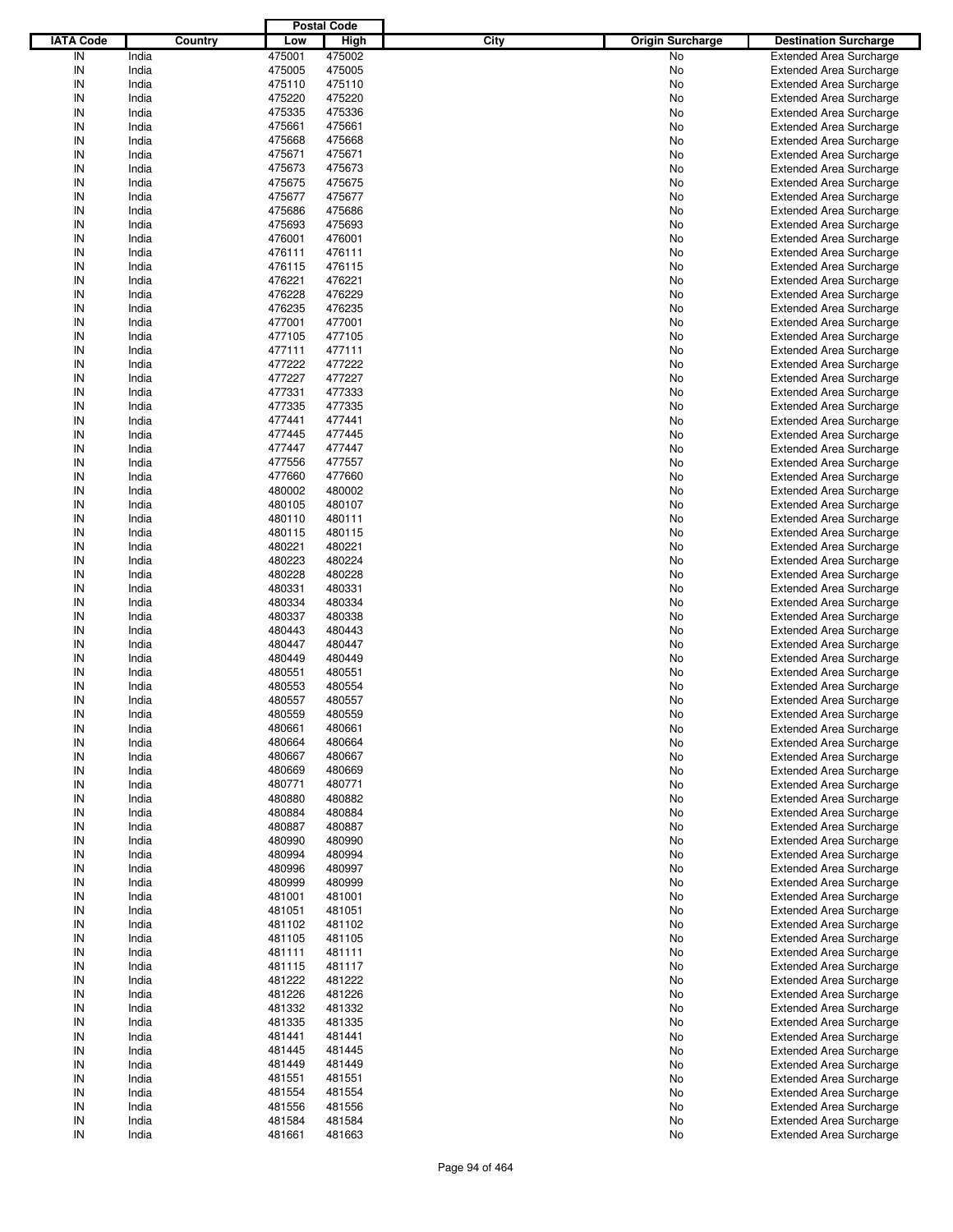|                  |         |        | <b>Postal Code</b> |      |                         |                                |
|------------------|---------|--------|--------------------|------|-------------------------|--------------------------------|
| <b>IATA Code</b> | Country | Low    | <b>High</b>        | City | <b>Origin Surcharge</b> | <b>Destination Surcharge</b>   |
| IN               | India   | 475001 | 475002             |      | No                      | <b>Extended Area Surcharge</b> |
| IN               | India   | 475005 | 475005             |      | No                      | <b>Extended Area Surcharge</b> |
| IN               | India   | 475110 | 475110             |      | No                      | <b>Extended Area Surcharge</b> |
| IN               | India   | 475220 | 475220             |      | No                      | <b>Extended Area Surcharge</b> |
| IN               | India   | 475335 | 475336             |      | No                      | <b>Extended Area Surcharge</b> |
| IN               | India   | 475661 | 475661             |      | No                      | <b>Extended Area Surcharge</b> |
| IN               | India   | 475668 | 475668             |      |                         | <b>Extended Area Surcharge</b> |
|                  |         |        |                    |      | No                      |                                |
| IN               | India   | 475671 | 475671             |      | No                      | <b>Extended Area Surcharge</b> |
| IN               | India   | 475673 | 475673             |      | No                      | <b>Extended Area Surcharge</b> |
| IN               | India   | 475675 | 475675             |      | No                      | <b>Extended Area Surcharge</b> |
| IN               | India   | 475677 | 475677             |      | No                      | <b>Extended Area Surcharge</b> |
| IN               | India   | 475686 | 475686             |      | No                      | <b>Extended Area Surcharge</b> |
| IN               | India   | 475693 | 475693             |      | No                      | <b>Extended Area Surcharge</b> |
| IN               | India   | 476001 | 476001             |      | No                      | <b>Extended Area Surcharge</b> |
| IN               | India   | 476111 | 476111             |      | No                      | <b>Extended Area Surcharge</b> |
| IN               | India   | 476115 | 476115             |      | No                      | <b>Extended Area Surcharge</b> |
| IN               | India   | 476221 | 476221             |      | No                      | <b>Extended Area Surcharge</b> |
| IN               | India   | 476228 | 476229             |      | No                      | <b>Extended Area Surcharge</b> |
| IN               | India   | 476235 | 476235             |      | No                      | <b>Extended Area Surcharge</b> |
| IN               | India   | 477001 | 477001             |      | No                      | <b>Extended Area Surcharge</b> |
| IN               | India   | 477105 | 477105             |      | No                      | <b>Extended Area Surcharge</b> |
| IN               | India   | 477111 | 477111             |      | No                      | <b>Extended Area Surcharge</b> |
| IN               | India   | 477222 | 477222             |      | No                      | <b>Extended Area Surcharge</b> |
| IN               | India   | 477227 | 477227             |      | No                      | <b>Extended Area Surcharge</b> |
| IN               | India   | 477331 | 477333             |      | No                      | <b>Extended Area Surcharge</b> |
| IN               | India   | 477335 | 477335             |      | No                      | <b>Extended Area Surcharge</b> |
| IN               |         |        |                    |      |                         |                                |
|                  | India   | 477441 | 477441             |      | No                      | <b>Extended Area Surcharge</b> |
| IN               | India   | 477445 | 477445             |      | No                      | <b>Extended Area Surcharge</b> |
| IN               | India   | 477447 | 477447             |      | No                      | <b>Extended Area Surcharge</b> |
| IN               | India   | 477556 | 477557             |      | No                      | <b>Extended Area Surcharge</b> |
| IN               | India   | 477660 | 477660             |      | No                      | <b>Extended Area Surcharge</b> |
| IN               | India   | 480002 | 480002             |      | No                      | <b>Extended Area Surcharge</b> |
| IN               | India   | 480105 | 480107             |      | No                      | <b>Extended Area Surcharge</b> |
| IN               | India   | 480110 | 480111             |      | No                      | <b>Extended Area Surcharge</b> |
| IN               | India   | 480115 | 480115             |      | No                      | <b>Extended Area Surcharge</b> |
| IN               | India   | 480221 | 480221             |      | No                      | <b>Extended Area Surcharge</b> |
| IN               | India   | 480223 | 480224             |      | No                      | <b>Extended Area Surcharge</b> |
| IN               | India   | 480228 | 480228             |      | No                      | <b>Extended Area Surcharge</b> |
| IN               | India   | 480331 | 480331             |      | No                      | <b>Extended Area Surcharge</b> |
| IN               | India   | 480334 | 480334             |      | No                      | <b>Extended Area Surcharge</b> |
| IN               | India   | 480337 | 480338             |      | No                      | <b>Extended Area Surcharge</b> |
| IN               | India   | 480443 | 480443             |      | No                      | <b>Extended Area Surcharge</b> |
| IN               | India   | 480447 | 480447             |      | No                      | <b>Extended Area Surcharge</b> |
| IN               | India   | 480449 | 480449             |      | No                      | <b>Extended Area Surcharge</b> |
| IN               | India   | 480551 | 480551             |      | No                      | <b>Extended Area Surcharge</b> |
| IN               |         |        |                    |      |                         |                                |
|                  | India   | 480553 | 480554             |      | No                      | <b>Extended Area Surcharge</b> |
| IN               | India   | 480557 | 480557             |      | No                      | <b>Extended Area Surcharge</b> |
| IN               | India   | 480559 | 480559             |      | No                      | <b>Extended Area Surcharge</b> |
| IN               | India   | 480661 | 480661             |      | No                      | <b>Extended Area Surcharge</b> |
| IN               | India   | 480664 | 480664             |      | No                      | <b>Extended Area Surcharge</b> |
| IN               | India   | 480667 | 480667             |      | No                      | <b>Extended Area Surcharge</b> |
| IN               | India   | 480669 | 480669             |      | No                      | <b>Extended Area Surcharge</b> |
| IN               | India   | 480771 | 480771             |      | No                      | <b>Extended Area Surcharge</b> |
| IN               | India   | 480880 | 480882             |      | No                      | <b>Extended Area Surcharge</b> |
| IN               | India   | 480884 | 480884             |      | No                      | <b>Extended Area Surcharge</b> |
| IN               | India   | 480887 | 480887             |      | No                      | <b>Extended Area Surcharge</b> |
| IN               | India   | 480990 | 480990             |      | No                      | <b>Extended Area Surcharge</b> |
| IN               | India   | 480994 | 480994             |      | No                      | <b>Extended Area Surcharge</b> |
| IN               | India   | 480996 | 480997             |      | No                      | <b>Extended Area Surcharge</b> |
| IN               | India   | 480999 | 480999             |      | No                      | <b>Extended Area Surcharge</b> |
| IN               | India   | 481001 | 481001             |      | No                      | <b>Extended Area Surcharge</b> |
| IN               | India   | 481051 | 481051             |      | No                      | <b>Extended Area Surcharge</b> |
| IN               | India   | 481102 | 481102             |      | No                      | <b>Extended Area Surcharge</b> |
| IN               | India   | 481105 | 481105             |      | No                      | <b>Extended Area Surcharge</b> |
| IN               |         | 481111 | 481111             |      | No                      | <b>Extended Area Surcharge</b> |
|                  | India   |        |                    |      |                         |                                |
| IN               | India   | 481115 | 481117             |      | No                      | <b>Extended Area Surcharge</b> |
| IN               | India   | 481222 | 481222             |      | No                      | <b>Extended Area Surcharge</b> |
| IN               | India   | 481226 | 481226             |      | No                      | <b>Extended Area Surcharge</b> |
| IN               | India   | 481332 | 481332             |      | No                      | <b>Extended Area Surcharge</b> |
| IN               | India   | 481335 | 481335             |      | No                      | <b>Extended Area Surcharge</b> |
| IN               | India   | 481441 | 481441             |      | No                      | <b>Extended Area Surcharge</b> |
| IN               | India   | 481445 | 481445             |      | No                      | <b>Extended Area Surcharge</b> |
| IN               | India   | 481449 | 481449             |      | No                      | <b>Extended Area Surcharge</b> |
| IN               | India   | 481551 | 481551             |      | No                      | <b>Extended Area Surcharge</b> |
| IN               | India   | 481554 | 481554             |      | No                      | <b>Extended Area Surcharge</b> |
| IN               | India   | 481556 | 481556             |      | No                      | <b>Extended Area Surcharge</b> |
| IN               | India   | 481584 | 481584             |      | No                      | <b>Extended Area Surcharge</b> |
| IN               | India   | 481661 | 481663             |      | No                      | <b>Extended Area Surcharge</b> |
|                  |         |        |                    |      |                         |                                |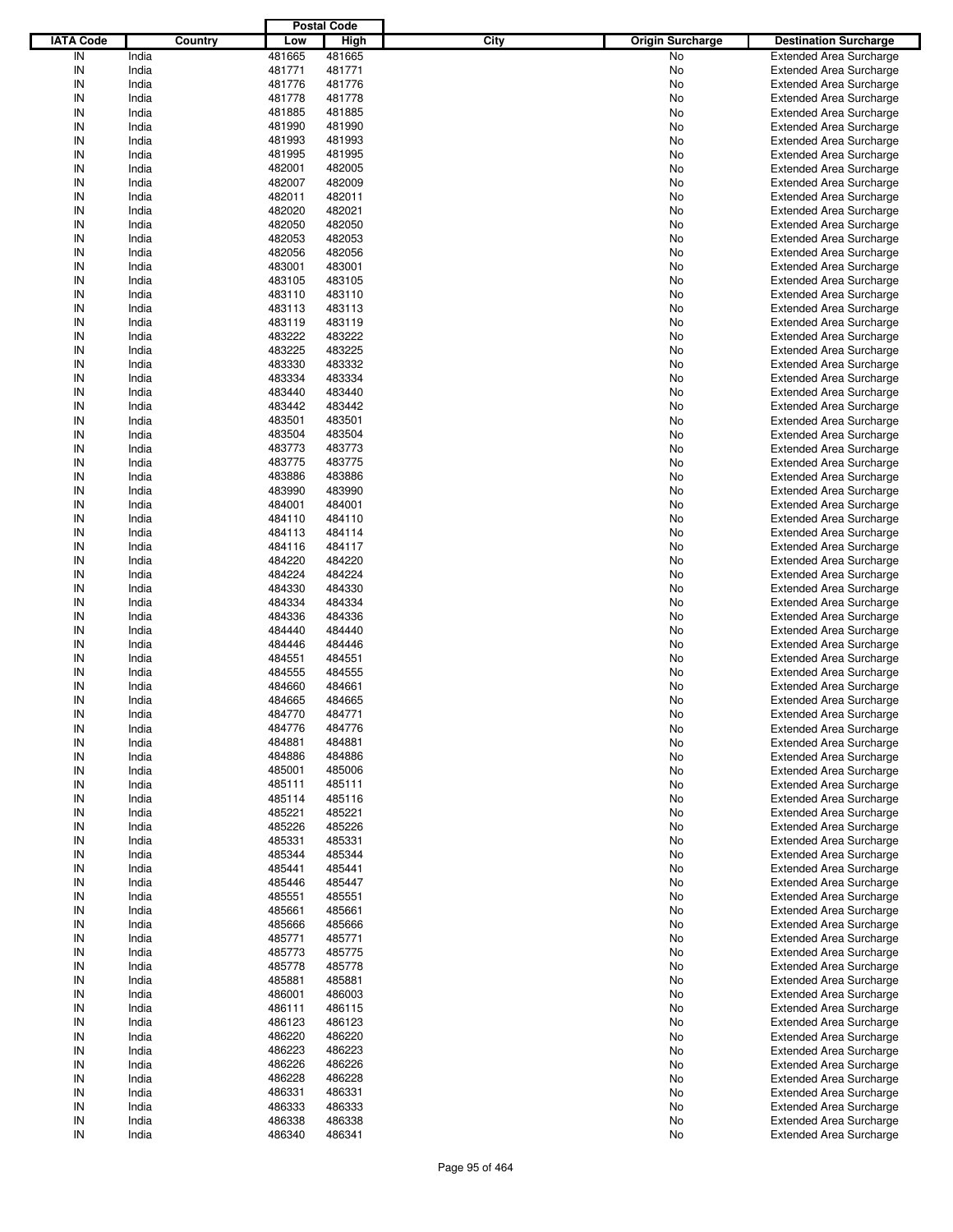|                  |                |                  | <b>Postal Code</b> |      |                         |                                                                  |
|------------------|----------------|------------------|--------------------|------|-------------------------|------------------------------------------------------------------|
| <b>IATA Code</b> | <b>Country</b> | Low              | <b>High</b>        | City | <b>Origin Surcharge</b> | <b>Destination Surcharge</b>                                     |
| IN               | India          | 481665           | 481665             |      | No                      | <b>Extended Area Surcharge</b>                                   |
| IN               | India          | 481771           | 481771             |      | No                      | <b>Extended Area Surcharge</b>                                   |
| IN               | India          | 481776           | 481776             |      | No                      | <b>Extended Area Surcharge</b>                                   |
| IN               | India          | 481778           | 481778             |      | No                      | <b>Extended Area Surcharge</b>                                   |
| IN               | India          | 481885           | 481885             |      | No                      | <b>Extended Area Surcharge</b>                                   |
| IN               | India          | 481990           | 481990             |      | No                      | <b>Extended Area Surcharge</b>                                   |
| IN               | India          | 481993           | 481993             |      | No                      | <b>Extended Area Surcharge</b>                                   |
| IN               | India          | 481995           | 481995             |      | No                      | <b>Extended Area Surcharge</b>                                   |
| IN               | India          | 482001           | 482005             |      | No                      | <b>Extended Area Surcharge</b>                                   |
| IN               | India          | 482007           | 482009             |      | No                      | <b>Extended Area Surcharge</b>                                   |
| IN               | India          | 482011           | 482011             |      | No                      | <b>Extended Area Surcharge</b>                                   |
| IN               | India          | 482020           | 482021             |      | No                      | <b>Extended Area Surcharge</b>                                   |
| IN               | India          | 482050           | 482050             |      | No                      | <b>Extended Area Surcharge</b>                                   |
| IN               | India          | 482053           | 482053             |      | No                      | <b>Extended Area Surcharge</b>                                   |
| IN               | India          | 482056           | 482056             |      | No                      | <b>Extended Area Surcharge</b>                                   |
| IN               | India          | 483001           | 483001             |      | No                      | <b>Extended Area Surcharge</b>                                   |
| IN               | India          | 483105           | 483105             |      | No                      | <b>Extended Area Surcharge</b>                                   |
| IN               | India          | 483110           | 483110             |      | No                      | <b>Extended Area Surcharge</b>                                   |
| IN               | India          | 483113           | 483113             |      | No                      | <b>Extended Area Surcharge</b>                                   |
| IN               | India          | 483119           | 483119             |      | No                      | <b>Extended Area Surcharge</b>                                   |
| IN               | India          | 483222           | 483222             |      | No                      | <b>Extended Area Surcharge</b>                                   |
| IN               | India          | 483225           | 483225             |      | No                      | <b>Extended Area Surcharge</b>                                   |
| IN               | India          | 483330           | 483332             |      | No                      | <b>Extended Area Surcharge</b>                                   |
| IN               | India          | 483334           | 483334             |      | No                      | <b>Extended Area Surcharge</b>                                   |
| IN               | India          | 483440           | 483440             |      | No                      | <b>Extended Area Surcharge</b>                                   |
| IN               | India          | 483442           | 483442             |      | No                      | <b>Extended Area Surcharge</b>                                   |
| IN               | India          | 483501           | 483501             |      | No                      | <b>Extended Area Surcharge</b>                                   |
| IN               | India          | 483504           | 483504             |      | No                      | <b>Extended Area Surcharge</b>                                   |
| IN               | India          | 483773           | 483773             |      | No                      | <b>Extended Area Surcharge</b>                                   |
| IN               | India          | 483775           | 483775             |      | No                      | <b>Extended Area Surcharge</b>                                   |
| IN               | India          | 483886           | 483886             |      | No                      | <b>Extended Area Surcharge</b>                                   |
| IN               | India          | 483990           | 483990             |      | No                      | <b>Extended Area Surcharge</b>                                   |
| IN<br>IN         | India          | 484001           | 484001<br>484110   |      | No                      | <b>Extended Area Surcharge</b>                                   |
|                  | India          | 484110           | 484114             |      | No                      | <b>Extended Area Surcharge</b>                                   |
| IN               | India          | 484113           |                    |      | No                      | <b>Extended Area Surcharge</b>                                   |
| IN               | India          | 484116           | 484117             |      | No                      | <b>Extended Area Surcharge</b>                                   |
| IN<br>IN         | India          | 484220           | 484220             |      | No                      | <b>Extended Area Surcharge</b>                                   |
|                  | India          | 484224           | 484224             |      | No                      | <b>Extended Area Surcharge</b>                                   |
| IN               | India          | 484330           | 484330             |      | No                      | <b>Extended Area Surcharge</b>                                   |
| IN               | India          | 484334           | 484334             |      | No                      | <b>Extended Area Surcharge</b>                                   |
| IN               | India          | 484336           | 484336             |      | No                      | <b>Extended Area Surcharge</b>                                   |
| IN               | India          | 484440           | 484440             |      | No                      | <b>Extended Area Surcharge</b>                                   |
| IN               | India          | 484446           | 484446             |      | No                      | <b>Extended Area Surcharge</b>                                   |
| IN               | India          | 484551           | 484551             |      | No                      | <b>Extended Area Surcharge</b>                                   |
| IN<br>IN         | India          | 484555           | 484555             |      | No                      | <b>Extended Area Surcharge</b>                                   |
| IN               | India          | 484660           | 484661             |      | No                      | <b>Extended Area Surcharge</b>                                   |
| IN               | India          | 484665<br>484770 | 484665             |      | No                      | <b>Extended Area Surcharge</b>                                   |
|                  | India          | 484776           | 484771<br>484776   |      | No                      | <b>Extended Area Surcharge</b>                                   |
| IN               | India<br>India | 484881           | 484881             |      | No                      | <b>Extended Area Surcharge</b><br><b>Extended Area Surcharge</b> |
| IN               |                | 484886           | 484886             |      | No                      | <b>Extended Area Surcharge</b>                                   |
| IN<br>IN         | India<br>India | 485001           | 485006             |      | No                      | <b>Extended Area Surcharge</b>                                   |
|                  |                |                  | 485111             |      | No                      |                                                                  |
| IN<br>IN         | India<br>India | 485111<br>485114 | 485116             |      | No<br>No                | <b>Extended Area Surcharge</b><br><b>Extended Area Surcharge</b> |
| IN               | India          | 485221           | 485221             |      | No                      | <b>Extended Area Surcharge</b>                                   |
| IN               | India          | 485226           | 485226             |      | No                      | <b>Extended Area Surcharge</b>                                   |
| IN               | India          | 485331           | 485331             |      | No                      | <b>Extended Area Surcharge</b>                                   |
| IN               | India          | 485344           | 485344             |      | No                      | <b>Extended Area Surcharge</b>                                   |
| IN               | India          | 485441           | 485441             |      | No                      | <b>Extended Area Surcharge</b>                                   |
| IN               | India          | 485446           | 485447             |      | No                      | <b>Extended Area Surcharge</b>                                   |
| IN               | India          | 485551           | 485551             |      | No                      | <b>Extended Area Surcharge</b>                                   |
| IN               | India          | 485661           | 485661             |      | No                      | <b>Extended Area Surcharge</b>                                   |
| IN               | India          | 485666           | 485666             |      | No                      | <b>Extended Area Surcharge</b>                                   |
| IN               | India          | 485771           | 485771             |      | No                      | <b>Extended Area Surcharge</b>                                   |
| IN               | India          | 485773           | 485775             |      | No                      | <b>Extended Area Surcharge</b>                                   |
| IN               | India          | 485778           | 485778             |      | No                      | <b>Extended Area Surcharge</b>                                   |
| IN               | India          | 485881           | 485881             |      | No                      | <b>Extended Area Surcharge</b>                                   |
| IN               | India          | 486001           | 486003             |      | No                      | <b>Extended Area Surcharge</b>                                   |
| IN               | India          | 486111           | 486115             |      | No                      | <b>Extended Area Surcharge</b>                                   |
| IN               | India          | 486123           | 486123             |      | No                      | <b>Extended Area Surcharge</b>                                   |
| IN               | India          | 486220           | 486220             |      | No                      | <b>Extended Area Surcharge</b>                                   |
| IN               | India          | 486223           | 486223             |      | No                      | <b>Extended Area Surcharge</b>                                   |
| IN               | India          | 486226           | 486226             |      | No                      | <b>Extended Area Surcharge</b>                                   |
| IN               | India          | 486228           | 486228             |      | No                      | <b>Extended Area Surcharge</b>                                   |
| IN               | India          | 486331           | 486331             |      | No                      | <b>Extended Area Surcharge</b>                                   |
| IN               | India          | 486333           | 486333             |      | No                      | <b>Extended Area Surcharge</b>                                   |
| IN               | India          | 486338           | 486338             |      | No                      | <b>Extended Area Surcharge</b>                                   |
| IN               | India          | 486340           | 486341             |      | No                      | <b>Extended Area Surcharge</b>                                   |
|                  |                |                  |                    |      |                         |                                                                  |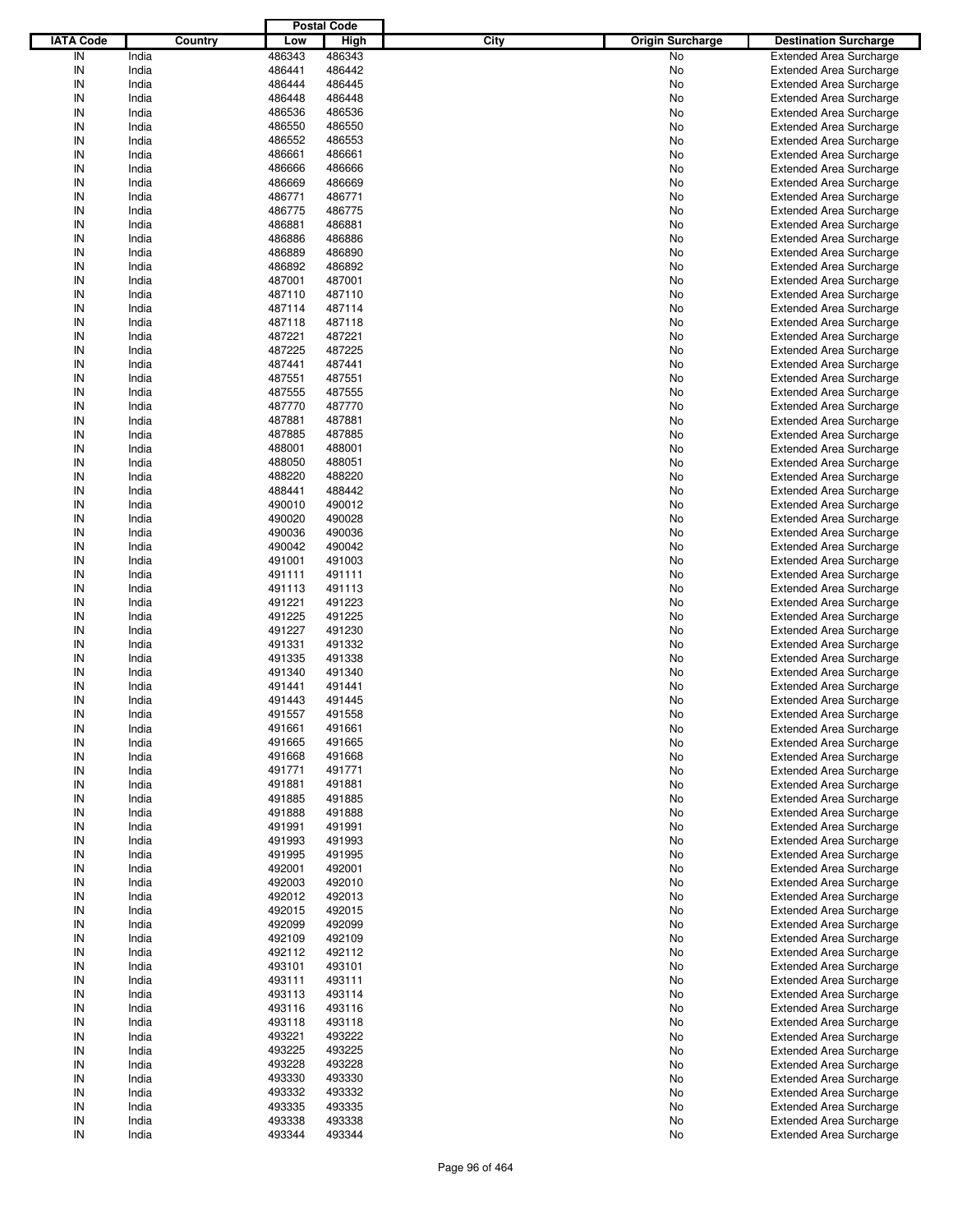|                  |         |        | <b>Postal Code</b> |      |                         |                                |
|------------------|---------|--------|--------------------|------|-------------------------|--------------------------------|
| <b>IATA Code</b> | Country | Low    | <b>High</b>        | City | <b>Origin Surcharge</b> | <b>Destination Surcharge</b>   |
| IN               | India   | 486343 | 486343             |      | No                      | <b>Extended Area Surcharge</b> |
| IN               | India   | 486441 | 486442             |      | No                      | <b>Extended Area Surcharge</b> |
| IN               | India   | 486444 | 486445             |      | No                      | <b>Extended Area Surcharge</b> |
| IN               | India   | 486448 | 486448             |      | No                      | <b>Extended Area Surcharge</b> |
| IN               | India   | 486536 | 486536             |      | No                      | <b>Extended Area Surcharge</b> |
| IN               | India   | 486550 | 486550             |      | No                      | <b>Extended Area Surcharge</b> |
| IN               | India   | 486552 | 486553             |      | No                      |                                |
| IN               |         |        |                    |      |                         | <b>Extended Area Surcharge</b> |
|                  | India   | 486661 | 486661             |      | No                      | <b>Extended Area Surcharge</b> |
| IN               | India   | 486666 | 486666             |      | No                      | <b>Extended Area Surcharge</b> |
| IN               | India   | 486669 | 486669             |      | No                      | <b>Extended Area Surcharge</b> |
| IN               | India   | 486771 | 486771             |      | No                      | <b>Extended Area Surcharge</b> |
| IN               | India   | 486775 | 486775             |      | No                      | <b>Extended Area Surcharge</b> |
| IN               | India   | 486881 | 486881             |      | No                      | <b>Extended Area Surcharge</b> |
| IN               | India   | 486886 | 486886             |      | No                      | <b>Extended Area Surcharge</b> |
| IN               | India   | 486889 | 486890             |      | No                      | <b>Extended Area Surcharge</b> |
| IN               | India   | 486892 | 486892             |      | No                      | <b>Extended Area Surcharge</b> |
| IN               | India   | 487001 | 487001             |      | No                      | <b>Extended Area Surcharge</b> |
| IN               | India   | 487110 | 487110             |      | No                      | <b>Extended Area Surcharge</b> |
| IN               | India   | 487114 | 487114             |      | No                      | <b>Extended Area Surcharge</b> |
| IN               | India   | 487118 | 487118             |      | No                      | <b>Extended Area Surcharge</b> |
| IN               | India   | 487221 | 487221             |      | No                      | <b>Extended Area Surcharge</b> |
| IN               | India   | 487225 | 487225             |      | No                      | <b>Extended Area Surcharge</b> |
| IN               | India   | 487441 | 487441             |      | No                      | <b>Extended Area Surcharge</b> |
| IN               | India   | 487551 | 487551             |      | No                      | <b>Extended Area Surcharge</b> |
| IN               | India   | 487555 | 487555             |      | No                      | <b>Extended Area Surcharge</b> |
| IN               | India   | 487770 | 487770             |      | No                      | <b>Extended Area Surcharge</b> |
| IN               |         |        |                    |      |                         |                                |
|                  | India   | 487881 | 487881             |      | No                      | <b>Extended Area Surcharge</b> |
| IN               | India   | 487885 | 487885             |      | No                      | <b>Extended Area Surcharge</b> |
| IN               | India   | 488001 | 488001             |      | No                      | <b>Extended Area Surcharge</b> |
| IN               | India   | 488050 | 488051             |      | No                      | <b>Extended Area Surcharge</b> |
| IN               | India   | 488220 | 488220             |      | No                      | <b>Extended Area Surcharge</b> |
| IN               | India   | 488441 | 488442             |      | No                      | <b>Extended Area Surcharge</b> |
| IN               | India   | 490010 | 490012             |      | No                      | <b>Extended Area Surcharge</b> |
| IN               | India   | 490020 | 490028             |      | No                      | <b>Extended Area Surcharge</b> |
| IN               | India   | 490036 | 490036             |      | No                      | <b>Extended Area Surcharge</b> |
| IN               | India   | 490042 | 490042             |      | No                      | <b>Extended Area Surcharge</b> |
| IN               | India   | 491001 | 491003             |      | No                      | <b>Extended Area Surcharge</b> |
| IN               | India   | 491111 | 491111             |      | No                      | <b>Extended Area Surcharge</b> |
| IN               | India   | 491113 | 491113             |      | No                      | <b>Extended Area Surcharge</b> |
| IN               | India   | 491221 | 491223             |      | No                      | <b>Extended Area Surcharge</b> |
| IN               | India   | 491225 | 491225             |      | No                      | <b>Extended Area Surcharge</b> |
| IN               | India   | 491227 | 491230             |      | No                      | <b>Extended Area Surcharge</b> |
| IN               | India   | 491331 | 491332             |      | No                      | <b>Extended Area Surcharge</b> |
| IN               | India   | 491335 | 491338             |      | No                      | <b>Extended Area Surcharge</b> |
| IN               | India   | 491340 | 491340             |      | No                      | <b>Extended Area Surcharge</b> |
| IN               |         |        | 491441             |      |                         |                                |
| IN               | India   | 491441 |                    |      | No                      | <b>Extended Area Surcharge</b> |
|                  | India   | 491443 | 491445             |      | No                      | <b>Extended Area Surcharge</b> |
| IN               | India   | 491557 | 491558             |      | No                      | <b>Extended Area Surcharge</b> |
| IN               | India   | 491661 | 491661             |      | No                      | <b>Extended Area Surcharge</b> |
| IN               | India   | 491665 | 491665             |      | No                      | <b>Extended Area Surcharge</b> |
| IN               | India   | 491668 | 491668             |      | No                      | <b>Extended Area Surcharge</b> |
| IN               | India   | 491771 | 491771             |      | No                      | <b>Extended Area Surcharge</b> |
| IN               | India   | 491881 | 491881             |      | No                      | <b>Extended Area Surcharge</b> |
| IN               | India   | 491885 | 491885             |      | No                      | <b>Extended Area Surcharge</b> |
| IN               | India   | 491888 | 491888             |      | No                      | <b>Extended Area Surcharge</b> |
| IN               | India   | 491991 | 491991             |      | No                      | <b>Extended Area Surcharge</b> |
| IN               | India   | 491993 | 491993             |      | No                      | <b>Extended Area Surcharge</b> |
| IN               | India   | 491995 | 491995             |      | No                      | <b>Extended Area Surcharge</b> |
| IN               | India   | 492001 | 492001             |      | No                      | <b>Extended Area Surcharge</b> |
| IN               | India   | 492003 | 492010             |      | No                      | <b>Extended Area Surcharge</b> |
| IN               | India   | 492012 | 492013             |      | No                      | <b>Extended Area Surcharge</b> |
| IN               | India   | 492015 | 492015             |      | No                      | <b>Extended Area Surcharge</b> |
| IN               | India   | 492099 | 492099             |      | No                      | <b>Extended Area Surcharge</b> |
| IN               | India   | 492109 | 492109             |      | No                      | <b>Extended Area Surcharge</b> |
| IN               | India   | 492112 | 492112             |      | No                      | <b>Extended Area Surcharge</b> |
|                  |         |        |                    |      |                         |                                |
| IN               | India   | 493101 | 493101             |      | No                      | <b>Extended Area Surcharge</b> |
| IN               | India   | 493111 | 493111             |      | No                      | <b>Extended Area Surcharge</b> |
| IN               | India   | 493113 | 493114             |      | No                      | <b>Extended Area Surcharge</b> |
| IN               | India   | 493116 | 493116             |      | No                      | <b>Extended Area Surcharge</b> |
| IN               | India   | 493118 | 493118             |      | No                      | <b>Extended Area Surcharge</b> |
| IN               | India   | 493221 | 493222             |      | No                      | <b>Extended Area Surcharge</b> |
| IN               | India   | 493225 | 493225             |      | No                      | <b>Extended Area Surcharge</b> |
| IN               | India   | 493228 | 493228             |      | No                      | <b>Extended Area Surcharge</b> |
| IN               | India   | 493330 | 493330             |      | No                      | <b>Extended Area Surcharge</b> |
| IN               | India   | 493332 | 493332             |      | No                      | <b>Extended Area Surcharge</b> |
| IN               | India   | 493335 | 493335             |      | No                      | Extended Area Surcharge        |
| IN               | India   | 493338 | 493338             |      | No                      | <b>Extended Area Surcharge</b> |
| ${\sf IN}$       | India   | 493344 | 493344             |      | No                      | <b>Extended Area Surcharge</b> |
|                  |         |        |                    |      |                         |                                |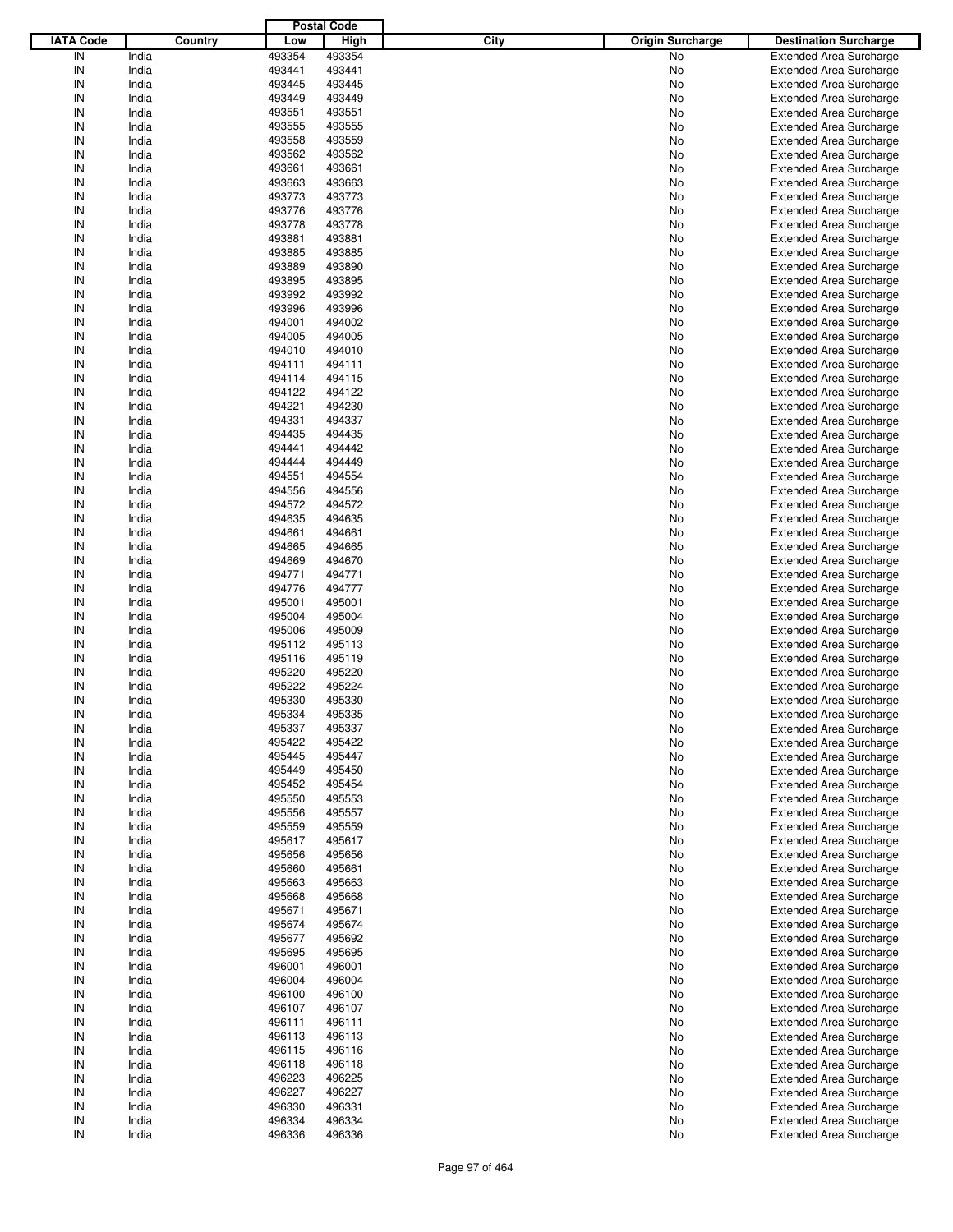|                  |         |        | <b>Postal Code</b> |      |                         |                                |
|------------------|---------|--------|--------------------|------|-------------------------|--------------------------------|
| <b>IATA Code</b> | Country | Low    | High               | City | <b>Origin Surcharge</b> | <b>Destination Surcharge</b>   |
| IN               | India   | 493354 | 493354             |      | <b>No</b>               | <b>Extended Area Surcharge</b> |
| IN               | India   | 493441 | 493441             |      | No                      | <b>Extended Area Surcharge</b> |
| IN               | India   | 493445 | 493445             |      | No                      | <b>Extended Area Surcharge</b> |
| IN               | India   | 493449 | 493449             |      | No                      | <b>Extended Area Surcharge</b> |
| IN               | India   | 493551 | 493551             |      | No                      | <b>Extended Area Surcharge</b> |
| IN               | India   | 493555 | 493555             |      | No                      | <b>Extended Area Surcharge</b> |
| IN               | India   | 493558 | 493559             |      |                         |                                |
|                  |         |        |                    |      | No                      | <b>Extended Area Surcharge</b> |
| IN               | India   | 493562 | 493562             |      | No                      | <b>Extended Area Surcharge</b> |
| IN               | India   | 493661 | 493661             |      | No                      | <b>Extended Area Surcharge</b> |
| IN               | India   | 493663 | 493663             |      | No                      | <b>Extended Area Surcharge</b> |
| IN               | India   | 493773 | 493773             |      | No                      | <b>Extended Area Surcharge</b> |
| IN               | India   | 493776 | 493776             |      | No                      | <b>Extended Area Surcharge</b> |
| IN               | India   | 493778 | 493778             |      | No                      | <b>Extended Area Surcharge</b> |
| IN               | India   | 493881 | 493881             |      | No                      | <b>Extended Area Surcharge</b> |
| IN               | India   | 493885 | 493885             |      | No                      | <b>Extended Area Surcharge</b> |
| IN               | India   | 493889 | 493890             |      | No                      | <b>Extended Area Surcharge</b> |
| IN               | India   | 493895 | 493895             |      | No                      | <b>Extended Area Surcharge</b> |
| IN               | India   | 493992 | 493992             |      | No                      | <b>Extended Area Surcharge</b> |
| IN               | India   | 493996 | 493996             |      | No                      | <b>Extended Area Surcharge</b> |
| IN               | India   | 494001 | 494002             |      | No                      | <b>Extended Area Surcharge</b> |
| IN               | India   | 494005 | 494005             |      | No                      | <b>Extended Area Surcharge</b> |
| IN               | India   | 494010 | 494010             |      | No                      | <b>Extended Area Surcharge</b> |
| IN               | India   | 494111 | 494111             |      | No                      | <b>Extended Area Surcharge</b> |
| IN               | India   | 494114 | 494115             |      | No                      | <b>Extended Area Surcharge</b> |
| IN               | India   | 494122 | 494122             |      | No                      | <b>Extended Area Surcharge</b> |
| IN               | India   | 494221 | 494230             |      | No                      | <b>Extended Area Surcharge</b> |
|                  |         |        |                    |      |                         |                                |
| IN               | India   | 494331 | 494337             |      | No                      | <b>Extended Area Surcharge</b> |
| IN               | India   | 494435 | 494435             |      | No                      | <b>Extended Area Surcharge</b> |
| IN               | India   | 494441 | 494442             |      | No                      | <b>Extended Area Surcharge</b> |
| IN               | India   | 494444 | 494449             |      | No                      | <b>Extended Area Surcharge</b> |
| IN               | India   | 494551 | 494554             |      | No                      | <b>Extended Area Surcharge</b> |
| IN               | India   | 494556 | 494556             |      | No                      | <b>Extended Area Surcharge</b> |
| IN               | India   | 494572 | 494572             |      | No                      | <b>Extended Area Surcharge</b> |
| IN               | India   | 494635 | 494635             |      | No                      | <b>Extended Area Surcharge</b> |
| IN               | India   | 494661 | 494661             |      | No                      | <b>Extended Area Surcharge</b> |
| IN               | India   | 494665 | 494665             |      | No                      | <b>Extended Area Surcharge</b> |
| IN               | India   | 494669 | 494670             |      | No                      | <b>Extended Area Surcharge</b> |
| IN               | India   | 494771 | 494771             |      | No                      | <b>Extended Area Surcharge</b> |
| IN               | India   | 494776 | 494777             |      | No                      | <b>Extended Area Surcharge</b> |
| IN               | India   | 495001 | 495001             |      | No                      | <b>Extended Area Surcharge</b> |
| IN               | India   | 495004 | 495004             |      | No                      | <b>Extended Area Surcharge</b> |
| IN               | India   | 495006 | 495009             |      | No                      | <b>Extended Area Surcharge</b> |
| IN               | India   | 495112 | 495113             |      | No                      | <b>Extended Area Surcharge</b> |
| IN               | India   | 495116 | 495119             |      | No                      | <b>Extended Area Surcharge</b> |
| IN               | India   | 495220 | 495220             |      | No                      | <b>Extended Area Surcharge</b> |
| IN               | India   |        | 495224             |      |                         |                                |
|                  |         | 495222 |                    |      | No                      | <b>Extended Area Surcharge</b> |
| IN               | India   | 495330 | 495330             |      | No                      | <b>Extended Area Surcharge</b> |
| IN               | India   | 495334 | 495335             |      | No                      | <b>Extended Area Surcharge</b> |
| IN               | India   | 495337 | 495337             |      | No                      | <b>Extended Area Surcharge</b> |
| IN               | India   | 495422 | 495422             |      | No                      | <b>Extended Area Surcharge</b> |
| IN               | India   | 495445 | 495447             |      | No                      | <b>Extended Area Surcharge</b> |
| IN               | India   | 495449 | 495450             |      | No                      | <b>Extended Area Surcharge</b> |
| IN               | India   | 495452 | 495454             |      | No                      | <b>Extended Area Surcharge</b> |
| IN               | India   | 495550 | 495553             |      | No                      | <b>Extended Area Surcharge</b> |
| IN               | India   | 495556 | 495557             |      | No                      | <b>Extended Area Surcharge</b> |
| IN               | India   | 495559 | 495559             |      | No                      | <b>Extended Area Surcharge</b> |
| IN               | India   | 495617 | 495617             |      | No                      | <b>Extended Area Surcharge</b> |
| IN               | India   | 495656 | 495656             |      | No                      | <b>Extended Area Surcharge</b> |
| IN               | India   | 495660 | 495661             |      | No                      | <b>Extended Area Surcharge</b> |
| IN               | India   | 495663 | 495663             |      | No                      | <b>Extended Area Surcharge</b> |
| IN               | India   | 495668 | 495668             |      | No                      | <b>Extended Area Surcharge</b> |
| IN               | India   | 495671 | 495671             |      | No                      | <b>Extended Area Surcharge</b> |
| IN               | India   | 495674 | 495674             |      | No                      | <b>Extended Area Surcharge</b> |
| IN               | India   | 495677 | 495692             |      |                         | <b>Extended Area Surcharge</b> |
|                  | India   | 495695 | 495695             |      | No                      | <b>Extended Area Surcharge</b> |
| IN               |         |        |                    |      | No                      |                                |
| IN               | India   | 496001 | 496001             |      | No                      | <b>Extended Area Surcharge</b> |
| IN               | India   | 496004 | 496004             |      | No                      | <b>Extended Area Surcharge</b> |
| IN               | India   | 496100 | 496100             |      | No                      | <b>Extended Area Surcharge</b> |
| IN               | India   | 496107 | 496107             |      | No                      | <b>Extended Area Surcharge</b> |
| IN               | India   | 496111 | 496111             |      | No                      | <b>Extended Area Surcharge</b> |
| IN               | India   | 496113 | 496113             |      | No                      | <b>Extended Area Surcharge</b> |
| IN               | India   | 496115 | 496116             |      | No                      | <b>Extended Area Surcharge</b> |
| IN               | India   | 496118 | 496118             |      | No                      | <b>Extended Area Surcharge</b> |
| IN               | India   | 496223 | 496225             |      | No                      | <b>Extended Area Surcharge</b> |
| IN               | India   | 496227 | 496227             |      | No                      | <b>Extended Area Surcharge</b> |
| IN               | India   | 496330 | 496331             |      | No                      | <b>Extended Area Surcharge</b> |
| IN               | India   | 496334 | 496334             |      | No                      | <b>Extended Area Surcharge</b> |
| IN               | India   | 496336 | 496336             |      | No                      | <b>Extended Area Surcharge</b> |
|                  |         |        |                    |      |                         |                                |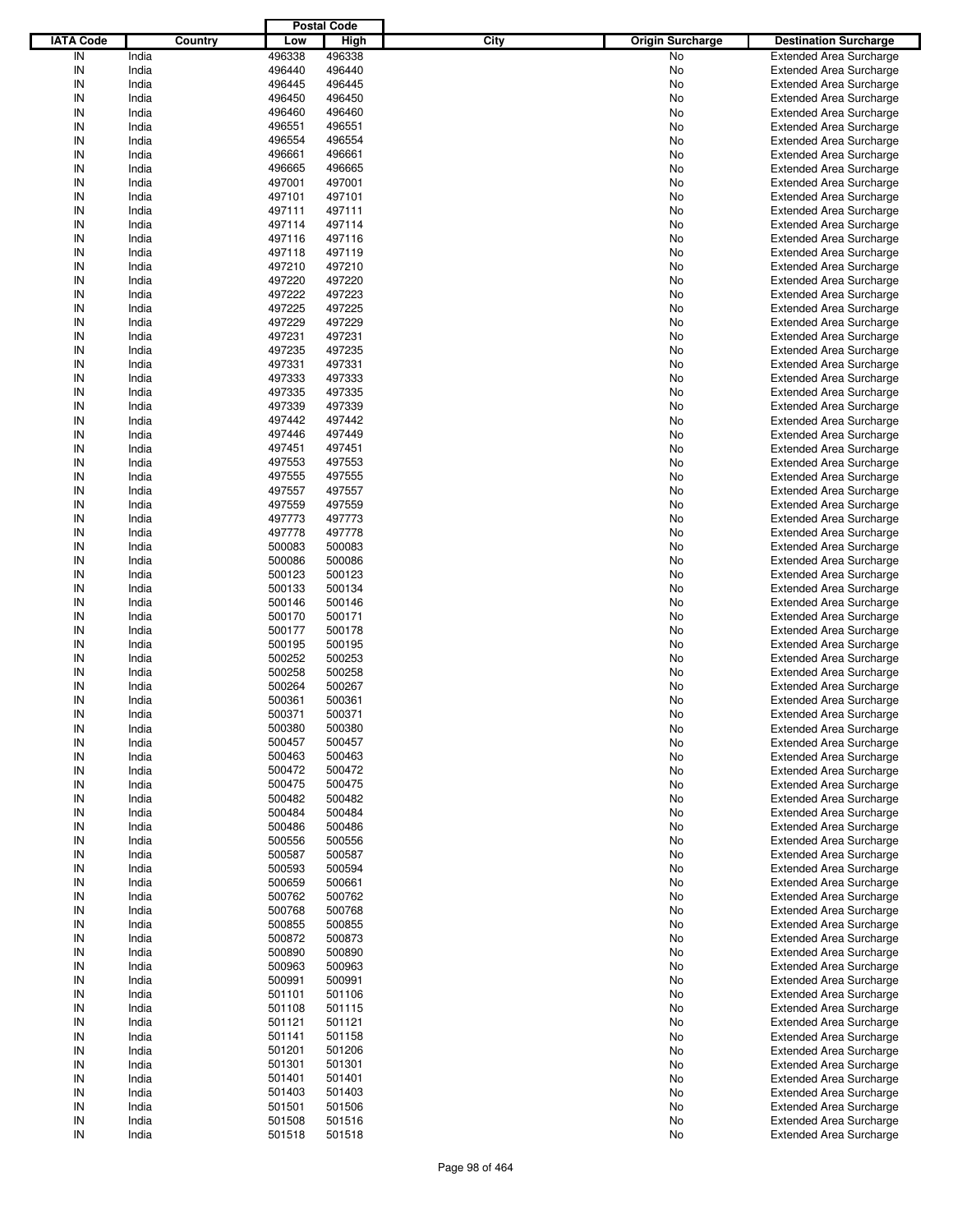|                  |         |        | <b>Postal Code</b> |      |                         |                                |
|------------------|---------|--------|--------------------|------|-------------------------|--------------------------------|
| <b>IATA Code</b> | Country | Low    | High               | City | <b>Origin Surcharge</b> | <b>Destination Surcharge</b>   |
| IN               | India   | 496338 | 496338             |      | <b>No</b>               | <b>Extended Area Surcharge</b> |
| IN               | India   | 496440 | 496440             |      | No                      | <b>Extended Area Surcharge</b> |
| IN               | India   | 496445 | 496445             |      | No                      | <b>Extended Area Surcharge</b> |
| IN               | India   | 496450 | 496450             |      | No                      | <b>Extended Area Surcharge</b> |
| IN               | India   | 496460 | 496460             |      | No                      | <b>Extended Area Surcharge</b> |
| IN               | India   | 496551 | 496551             |      | No                      | <b>Extended Area Surcharge</b> |
| IN               | India   | 496554 | 496554             |      |                         |                                |
|                  |         |        |                    |      | No                      | <b>Extended Area Surcharge</b> |
| IN               | India   | 496661 | 496661             |      | No                      | <b>Extended Area Surcharge</b> |
| IN               | India   | 496665 | 496665             |      | No                      | <b>Extended Area Surcharge</b> |
| IN               | India   | 497001 | 497001             |      | No                      | <b>Extended Area Surcharge</b> |
| IN               | India   | 497101 | 497101             |      | No                      | <b>Extended Area Surcharge</b> |
| IN               | India   | 497111 | 497111             |      | No                      | <b>Extended Area Surcharge</b> |
| IN               | India   | 497114 | 497114             |      | No                      | <b>Extended Area Surcharge</b> |
| IN               | India   | 497116 | 497116             |      | No                      | <b>Extended Area Surcharge</b> |
| IN               | India   | 497118 | 497119             |      | No                      | <b>Extended Area Surcharge</b> |
| IN               | India   | 497210 | 497210             |      | No                      | <b>Extended Area Surcharge</b> |
| IN               | India   | 497220 | 497220             |      | No                      | <b>Extended Area Surcharge</b> |
| IN               | India   | 497222 | 497223             |      | No                      | <b>Extended Area Surcharge</b> |
| IN               | India   | 497225 | 497225             |      | No                      | <b>Extended Area Surcharge</b> |
| IN               | India   | 497229 | 497229             |      | No                      | <b>Extended Area Surcharge</b> |
| IN               | India   | 497231 | 497231             |      | No                      | <b>Extended Area Surcharge</b> |
| IN               | India   | 497235 | 497235             |      | No                      | <b>Extended Area Surcharge</b> |
| IN               | India   | 497331 | 497331             |      | No                      | <b>Extended Area Surcharge</b> |
| IN               | India   | 497333 | 497333             |      | No                      | <b>Extended Area Surcharge</b> |
| IN               | India   | 497335 | 497335             |      | No                      | <b>Extended Area Surcharge</b> |
| IN               | India   | 497339 | 497339             |      | No                      | <b>Extended Area Surcharge</b> |
|                  |         |        |                    |      |                         |                                |
| IN               | India   | 497442 | 497442             |      | No                      | <b>Extended Area Surcharge</b> |
| IN               | India   | 497446 | 497449             |      | No                      | <b>Extended Area Surcharge</b> |
| IN               | India   | 497451 | 497451             |      | No                      | <b>Extended Area Surcharge</b> |
| IN               | India   | 497553 | 497553             |      | No                      | <b>Extended Area Surcharge</b> |
| IN               | India   | 497555 | 497555             |      | No                      | <b>Extended Area Surcharge</b> |
| IN               | India   | 497557 | 497557             |      | No                      | <b>Extended Area Surcharge</b> |
| IN               | India   | 497559 | 497559             |      | No                      | <b>Extended Area Surcharge</b> |
| IN               | India   | 497773 | 497773             |      | No                      | <b>Extended Area Surcharge</b> |
| IN               | India   | 497778 | 497778             |      | No                      | <b>Extended Area Surcharge</b> |
| IN               | India   | 500083 | 500083             |      | No                      | <b>Extended Area Surcharge</b> |
| IN               | India   | 500086 | 500086             |      | No                      | <b>Extended Area Surcharge</b> |
| IN               | India   | 500123 | 500123             |      | No                      | <b>Extended Area Surcharge</b> |
| IN               | India   | 500133 | 500134             |      | No                      | <b>Extended Area Surcharge</b> |
| IN               | India   | 500146 | 500146             |      | No                      | <b>Extended Area Surcharge</b> |
| IN               | India   | 500170 | 500171             |      | No                      | <b>Extended Area Surcharge</b> |
| IN               | India   | 500177 | 500178             |      | No                      | <b>Extended Area Surcharge</b> |
| IN               | India   | 500195 | 500195             |      | No                      | <b>Extended Area Surcharge</b> |
| IN               | India   | 500252 | 500253             |      | No                      | <b>Extended Area Surcharge</b> |
| IN               | India   | 500258 | 500258             |      | No                      | <b>Extended Area Surcharge</b> |
| IN               | India   |        |                    |      |                         |                                |
|                  |         | 500264 | 500267             |      | No                      | <b>Extended Area Surcharge</b> |
| IN               | India   | 500361 | 500361             |      | No                      | <b>Extended Area Surcharge</b> |
| IN               | India   | 500371 | 500371             |      | No                      | <b>Extended Area Surcharge</b> |
| IN               | India   | 500380 | 500380             |      | No                      | <b>Extended Area Surcharge</b> |
| IN               | India   | 500457 | 500457             |      | No                      | <b>Extended Area Surcharge</b> |
| IN               | India   | 500463 | 500463             |      | No                      | <b>Extended Area Surcharge</b> |
| IN               | India   | 500472 | 500472             |      | No                      | <b>Extended Area Surcharge</b> |
| IN               | India   | 500475 | 500475             |      | No                      | <b>Extended Area Surcharge</b> |
| IN               | India   | 500482 | 500482             |      | No                      | <b>Extended Area Surcharge</b> |
| IN               | India   | 500484 | 500484             |      | No                      | <b>Extended Area Surcharge</b> |
| IN               | India   | 500486 | 500486             |      | No                      | <b>Extended Area Surcharge</b> |
| IN               | India   | 500556 | 500556             |      | No                      | <b>Extended Area Surcharge</b> |
| IN               | India   | 500587 | 500587             |      | No                      | <b>Extended Area Surcharge</b> |
| IN               | India   | 500593 | 500594             |      | No                      | <b>Extended Area Surcharge</b> |
| IN               | India   | 500659 | 500661             |      | No                      | <b>Extended Area Surcharge</b> |
| IN               | India   | 500762 | 500762             |      | No                      | <b>Extended Area Surcharge</b> |
| IN               | India   | 500768 | 500768             |      | No                      | <b>Extended Area Surcharge</b> |
| IN               | India   | 500855 | 500855             |      | No                      | <b>Extended Area Surcharge</b> |
| IN               | India   | 500872 | 500873             |      | No                      | <b>Extended Area Surcharge</b> |
| IN               | India   | 500890 | 500890             |      | No                      | <b>Extended Area Surcharge</b> |
| IN               | India   | 500963 | 500963             |      | No                      | <b>Extended Area Surcharge</b> |
| IN               | India   | 500991 | 500991             |      | No                      | <b>Extended Area Surcharge</b> |
| IN               | India   | 501101 | 501106             |      | No                      | <b>Extended Area Surcharge</b> |
|                  |         |        |                    |      |                         |                                |
| IN               | India   | 501108 | 501115             |      | No                      | <b>Extended Area Surcharge</b> |
| IN               | India   | 501121 | 501121             |      | No                      | <b>Extended Area Surcharge</b> |
| IN               | India   | 501141 | 501158             |      | No                      | <b>Extended Area Surcharge</b> |
| IN               | India   | 501201 | 501206             |      | No                      | <b>Extended Area Surcharge</b> |
| IN               | India   | 501301 | 501301             |      | No                      | <b>Extended Area Surcharge</b> |
| IN               | India   | 501401 | 501401             |      | No                      | <b>Extended Area Surcharge</b> |
| IN               | India   | 501403 | 501403             |      | No                      | <b>Extended Area Surcharge</b> |
| IN               | India   | 501501 | 501506             |      | No                      | <b>Extended Area Surcharge</b> |
| IN               | India   | 501508 | 501516             |      | No                      | <b>Extended Area Surcharge</b> |
| IN               | India   | 501518 | 501518             |      | No                      | <b>Extended Area Surcharge</b> |
|                  |         |        |                    |      |                         |                                |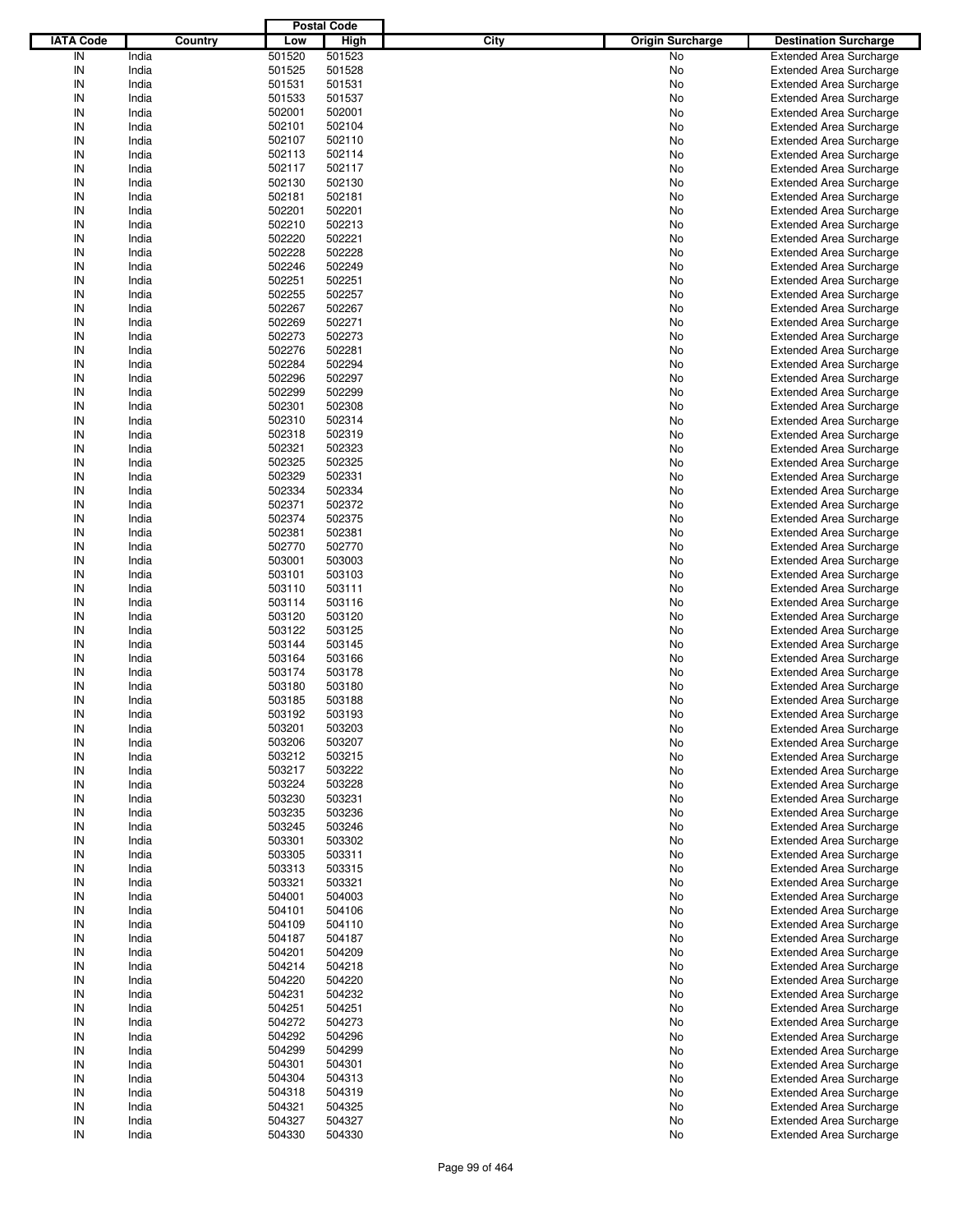|                  |                |                  | <b>Postal Code</b> |      |                         |                                                                  |
|------------------|----------------|------------------|--------------------|------|-------------------------|------------------------------------------------------------------|
| <b>IATA Code</b> | Country        | Low              | <b>High</b>        | City | <b>Origin Surcharge</b> | <b>Destination Surcharge</b>                                     |
| IN               | India          | 501520           | 501523             |      | No                      | <b>Extended Area Surcharge</b>                                   |
| IN               | India          | 501525           | 501528             |      | No                      | <b>Extended Area Surcharge</b>                                   |
| IN               | India          | 501531           | 501531             |      | No                      | <b>Extended Area Surcharge</b>                                   |
| IN               | India          | 501533           | 501537             |      | No                      | <b>Extended Area Surcharge</b>                                   |
| IN               | India          | 502001           | 502001             |      | No                      | <b>Extended Area Surcharge</b>                                   |
| IN               | India          | 502101           | 502104             |      | No                      | <b>Extended Area Surcharge</b>                                   |
| IN               | India          | 502107           | 502110             |      | No                      | <b>Extended Area Surcharge</b>                                   |
| IN               | India          | 502113           | 502114             |      | No                      | <b>Extended Area Surcharge</b>                                   |
| IN               | India          | 502117           | 502117             |      | No                      | <b>Extended Area Surcharge</b>                                   |
| IN               | India          | 502130           | 502130             |      | No                      | <b>Extended Area Surcharge</b>                                   |
| IN               | India          | 502181           | 502181             |      | No                      | <b>Extended Area Surcharge</b>                                   |
| IN               | India          | 502201           | 502201             |      | No                      | <b>Extended Area Surcharge</b>                                   |
| IN               | India          | 502210           | 502213             |      | No                      | <b>Extended Area Surcharge</b>                                   |
| IN               | India          | 502220           | 502221             |      | No                      | <b>Extended Area Surcharge</b>                                   |
| IN               | India          | 502228           | 502228             |      | No                      | <b>Extended Area Surcharge</b>                                   |
| IN               | India          | 502246           | 502249             |      | No                      | <b>Extended Area Surcharge</b>                                   |
| IN               | India          | 502251           | 502251             |      | No                      | <b>Extended Area Surcharge</b>                                   |
| IN               | India          | 502255           | 502257             |      | No                      | <b>Extended Area Surcharge</b>                                   |
| IN               | India          | 502267           | 502267             |      | No                      | <b>Extended Area Surcharge</b>                                   |
| IN               | India          | 502269           | 502271             |      | No                      | <b>Extended Area Surcharge</b>                                   |
| IN               | India          | 502273           | 502273             |      | No                      | <b>Extended Area Surcharge</b>                                   |
| IN               | India          | 502276           | 502281             |      | No                      | <b>Extended Area Surcharge</b>                                   |
| IN               | India          | 502284           | 502294             |      | No                      | <b>Extended Area Surcharge</b>                                   |
| IN               | India          | 502296           | 502297             |      | No                      | <b>Extended Area Surcharge</b>                                   |
| IN               | India          | 502299           | 502299             |      | No                      | <b>Extended Area Surcharge</b>                                   |
| IN               | India          | 502301           | 502308             |      | No                      | <b>Extended Area Surcharge</b>                                   |
| IN               | India          | 502310           | 502314             |      | No                      | <b>Extended Area Surcharge</b>                                   |
| IN               | India          | 502318           | 502319             |      | No                      | <b>Extended Area Surcharge</b>                                   |
| IN               | India          | 502321           | 502323             |      | No                      | <b>Extended Area Surcharge</b>                                   |
| IN               | India          | 502325           | 502325             |      | No                      | <b>Extended Area Surcharge</b>                                   |
| IN               | India          | 502329           | 502331             |      | No                      | <b>Extended Area Surcharge</b>                                   |
| IN               | India          | 502334           | 502334             |      | No                      | <b>Extended Area Surcharge</b>                                   |
| IN               | India          | 502371           | 502372             |      | No                      | <b>Extended Area Surcharge</b>                                   |
| IN               | India          | 502374           | 502375             |      | No                      | <b>Extended Area Surcharge</b>                                   |
| IN               | India          | 502381           | 502381             |      | No                      | <b>Extended Area Surcharge</b>                                   |
| IN               | India          | 502770           | 502770             |      | No                      | <b>Extended Area Surcharge</b>                                   |
| IN<br>IN         | India          | 503001           | 503003             |      | No                      | <b>Extended Area Surcharge</b>                                   |
| IN               | India          | 503101           | 503103             |      | No                      | <b>Extended Area Surcharge</b>                                   |
| IN               | India          | 503110           | 503111             |      | No                      | <b>Extended Area Surcharge</b>                                   |
| IN               | India<br>India | 503114<br>503120 | 503116<br>503120   |      | No<br>No                | <b>Extended Area Surcharge</b><br><b>Extended Area Surcharge</b> |
| IN               | India          | 503122           | 503125             |      | No                      | <b>Extended Area Surcharge</b>                                   |
| IN               | India          | 503144           | 503145             |      | No                      | <b>Extended Area Surcharge</b>                                   |
| IN               | India          | 503164           | 503166             |      | No                      | <b>Extended Area Surcharge</b>                                   |
| IN               | India          | 503174           | 503178             |      | No                      | <b>Extended Area Surcharge</b>                                   |
| IN               | India          | 503180           | 503180             |      | No                      | <b>Extended Area Surcharge</b>                                   |
| IN               | India          | 503185           | 503188             |      | No                      | <b>Extended Area Surcharge</b>                                   |
| IN               | India          | 503192           | 503193             |      | No                      | Extended Area Surcharge                                          |
| IN               | India          | 503201           | 503203             |      | No                      | <b>Extended Area Surcharge</b>                                   |
| IN               | India          | 503206           | 503207             |      | No                      | <b>Extended Area Surcharge</b>                                   |
| IN               | India          | 503212           | 503215             |      | No                      | <b>Extended Area Surcharge</b>                                   |
| IN               | India          | 503217           | 503222             |      | No                      | <b>Extended Area Surcharge</b>                                   |
| IN               | India          | 503224           | 503228             |      | No                      | <b>Extended Area Surcharge</b>                                   |
| IN               | India          | 503230           | 503231             |      | No                      | <b>Extended Area Surcharge</b>                                   |
| IN               | India          | 503235           | 503236             |      | No                      | <b>Extended Area Surcharge</b>                                   |
| IN               | India          | 503245           | 503246             |      | No                      | <b>Extended Area Surcharge</b>                                   |
| IN               | India          | 503301           | 503302             |      | No                      | <b>Extended Area Surcharge</b>                                   |
| IN               | India          | 503305           | 503311             |      | No                      | <b>Extended Area Surcharge</b>                                   |
| IN               | India          | 503313           | 503315             |      | No                      | <b>Extended Area Surcharge</b>                                   |
| IN               | India          | 503321           | 503321             |      | No                      | <b>Extended Area Surcharge</b>                                   |
| IN               | India          | 504001           | 504003             |      | No                      | <b>Extended Area Surcharge</b>                                   |
| IN               | India          | 504101           | 504106             |      | No                      | <b>Extended Area Surcharge</b>                                   |
| IN               | India          | 504109           | 504110             |      | No                      | <b>Extended Area Surcharge</b>                                   |
| IN               | India          | 504187           | 504187             |      | No                      | <b>Extended Area Surcharge</b>                                   |
| IN               | India          | 504201           | 504209             |      | No                      | <b>Extended Area Surcharge</b>                                   |
| IN               | India          | 504214           | 504218             |      | No                      | <b>Extended Area Surcharge</b>                                   |
| IN               | India          | 504220           | 504220             |      | No                      | <b>Extended Area Surcharge</b>                                   |
| IN               | India          | 504231           | 504232             |      | No                      | <b>Extended Area Surcharge</b>                                   |
| IN               | India          | 504251           | 504251             |      | No                      | <b>Extended Area Surcharge</b>                                   |
| IN               | India          | 504272           | 504273             |      | No                      | <b>Extended Area Surcharge</b>                                   |
| IN               | India          | 504292           | 504296             |      | No                      | <b>Extended Area Surcharge</b>                                   |
| IN               | India          | 504299           | 504299             |      | No                      | <b>Extended Area Surcharge</b>                                   |
| IN               | India          | 504301           | 504301             |      | No                      | <b>Extended Area Surcharge</b>                                   |
| IN               | India          | 504304           | 504313             |      | No                      | <b>Extended Area Surcharge</b>                                   |
| IN               | India          | 504318           | 504319             |      | No                      | <b>Extended Area Surcharge</b>                                   |
| IN               | India          | 504321           | 504325             |      | No                      | <b>Extended Area Surcharge</b>                                   |
| IN               | India          | 504327           | 504327             |      | No                      | <b>Extended Area Surcharge</b>                                   |
| IN               | India          | 504330           | 504330             |      | No                      | <b>Extended Area Surcharge</b>                                   |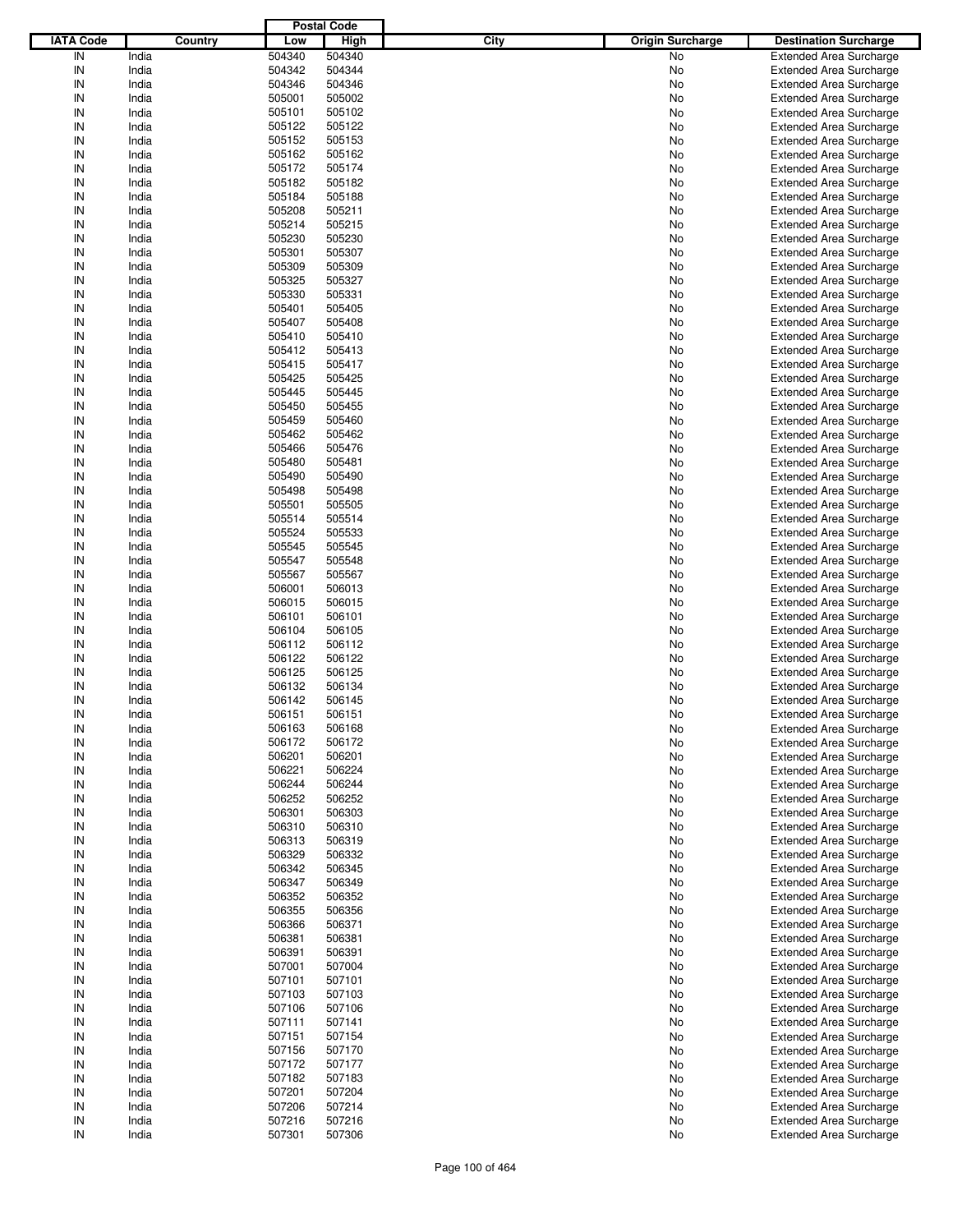|                  |         |        | <b>Postal Code</b> |      |                         |                                |
|------------------|---------|--------|--------------------|------|-------------------------|--------------------------------|
| <b>IATA Code</b> | Country | Low    | <b>High</b>        | City | <b>Origin Surcharge</b> | <b>Destination Surcharge</b>   |
| IN               | India   | 504340 | 504340             |      | No                      | <b>Extended Area Surcharge</b> |
| IN               | India   | 504342 | 504344             |      | No                      | <b>Extended Area Surcharge</b> |
| IN               | India   | 504346 | 504346             |      | No                      | <b>Extended Area Surcharge</b> |
| IN               | India   | 505001 | 505002             |      | No                      | <b>Extended Area Surcharge</b> |
| IN               | India   | 505101 | 505102             |      | No                      | <b>Extended Area Surcharge</b> |
| IN               | India   | 505122 | 505122             |      | No                      | <b>Extended Area Surcharge</b> |
| IN               | India   | 505152 | 505153             |      |                         |                                |
| IN               |         |        |                    |      | No                      | <b>Extended Area Surcharge</b> |
|                  | India   | 505162 | 505162             |      | No                      | <b>Extended Area Surcharge</b> |
| IN               | India   | 505172 | 505174             |      | No                      | <b>Extended Area Surcharge</b> |
| IN               | India   | 505182 | 505182             |      | No                      | <b>Extended Area Surcharge</b> |
| IN               | India   | 505184 | 505188             |      | No                      | <b>Extended Area Surcharge</b> |
| IN               | India   | 505208 | 505211             |      | No                      | <b>Extended Area Surcharge</b> |
| IN               | India   | 505214 | 505215             |      | No                      | <b>Extended Area Surcharge</b> |
| IN               | India   | 505230 | 505230             |      | No                      | <b>Extended Area Surcharge</b> |
| IN               | India   | 505301 | 505307             |      | No                      | <b>Extended Area Surcharge</b> |
| IN               | India   | 505309 | 505309             |      | No                      | <b>Extended Area Surcharge</b> |
| IN               | India   | 505325 | 505327             |      | No                      | <b>Extended Area Surcharge</b> |
| IN               | India   | 505330 | 505331             |      | No                      | <b>Extended Area Surcharge</b> |
| IN               | India   | 505401 | 505405             |      | No                      | <b>Extended Area Surcharge</b> |
| IN               | India   | 505407 | 505408             |      | No                      | <b>Extended Area Surcharge</b> |
| IN               | India   | 505410 | 505410             |      | No                      | <b>Extended Area Surcharge</b> |
| IN               | India   | 505412 | 505413             |      | No                      | <b>Extended Area Surcharge</b> |
| IN               | India   | 505415 | 505417             |      | No                      | <b>Extended Area Surcharge</b> |
| IN               | India   | 505425 | 505425             |      | No                      | <b>Extended Area Surcharge</b> |
| IN               | India   | 505445 | 505445             |      | No                      | <b>Extended Area Surcharge</b> |
| IN               | India   | 505450 | 505455             |      | No                      | <b>Extended Area Surcharge</b> |
| IN               | India   | 505459 | 505460             |      | No                      | <b>Extended Area Surcharge</b> |
| IN               | India   | 505462 | 505462             |      | No                      | <b>Extended Area Surcharge</b> |
| IN               | India   | 505466 | 505476             |      | No                      | <b>Extended Area Surcharge</b> |
| IN               | India   | 505480 | 505481             |      |                         |                                |
|                  |         |        |                    |      | No                      | <b>Extended Area Surcharge</b> |
| IN               | India   | 505490 | 505490             |      | No                      | <b>Extended Area Surcharge</b> |
| IN               | India   | 505498 | 505498             |      | No                      | <b>Extended Area Surcharge</b> |
| IN               | India   | 505501 | 505505             |      | No                      | <b>Extended Area Surcharge</b> |
| IN               | India   | 505514 | 505514             |      | No                      | <b>Extended Area Surcharge</b> |
| IN               | India   | 505524 | 505533             |      | No                      | <b>Extended Area Surcharge</b> |
| IN               | India   | 505545 | 505545             |      | No                      | <b>Extended Area Surcharge</b> |
| IN               | India   | 505547 | 505548             |      | No                      | <b>Extended Area Surcharge</b> |
| IN               | India   | 505567 | 505567             |      | No                      | <b>Extended Area Surcharge</b> |
| IN               | India   | 506001 | 506013             |      | No                      | <b>Extended Area Surcharge</b> |
| IN               | India   | 506015 | 506015             |      | No                      | <b>Extended Area Surcharge</b> |
| IN               | India   | 506101 | 506101             |      | No                      | <b>Extended Area Surcharge</b> |
| IN               | India   | 506104 | 506105             |      | No                      | <b>Extended Area Surcharge</b> |
| IN               | India   | 506112 | 506112             |      | No                      | <b>Extended Area Surcharge</b> |
| IN               | India   | 506122 | 506122             |      | No                      | <b>Extended Area Surcharge</b> |
| IN               | India   | 506125 | 506125             |      | No                      | <b>Extended Area Surcharge</b> |
| IN               | India   | 506132 | 506134             |      | No                      | <b>Extended Area Surcharge</b> |
| IN               | India   | 506142 | 506145             |      | No                      | <b>Extended Area Surcharge</b> |
| IN               | India   | 506151 | 506151             |      | No                      | <b>Extended Area Surcharge</b> |
| IN               | India   | 506163 | 506168             |      | No                      | <b>Extended Area Surcharge</b> |
|                  |         | 506172 |                    |      |                         |                                |
| IN               | India   |        | 506172             |      | No                      | <b>Extended Area Surcharge</b> |
| IN               | India   | 506201 | 506201             |      | No                      | <b>Extended Area Surcharge</b> |
| IN               | India   | 506221 | 506224             |      | No                      | <b>Extended Area Surcharge</b> |
| IN               | India   | 506244 | 506244             |      | No                      | <b>Extended Area Surcharge</b> |
| IN               | India   | 506252 | 506252             |      | No                      | <b>Extended Area Surcharge</b> |
| IN               | India   | 506301 | 506303             |      | No                      | <b>Extended Area Surcharge</b> |
| IN               | India   | 506310 | 506310             |      | No                      | <b>Extended Area Surcharge</b> |
| IN               | India   | 506313 | 506319             |      | No                      | <b>Extended Area Surcharge</b> |
| IN               | India   | 506329 | 506332             |      | No                      | <b>Extended Area Surcharge</b> |
| IN               | India   | 506342 | 506345             |      | No                      | <b>Extended Area Surcharge</b> |
| IN               | India   | 506347 | 506349             |      | No                      | <b>Extended Area Surcharge</b> |
| IN               | India   | 506352 | 506352             |      | No                      | <b>Extended Area Surcharge</b> |
| IN               | India   | 506355 | 506356             |      | No                      | <b>Extended Area Surcharge</b> |
| IN               | India   | 506366 | 506371             |      | No                      | <b>Extended Area Surcharge</b> |
| IN               | India   | 506381 | 506381             |      | No                      | <b>Extended Area Surcharge</b> |
| IN               | India   | 506391 | 506391             |      | No                      | <b>Extended Area Surcharge</b> |
| IN               | India   | 507001 | 507004             |      | No                      | <b>Extended Area Surcharge</b> |
| IN               | India   | 507101 | 507101             |      | No                      | <b>Extended Area Surcharge</b> |
| IN               | India   | 507103 | 507103             |      | No                      | <b>Extended Area Surcharge</b> |
| IN               | India   | 507106 | 507106             |      | No                      | <b>Extended Area Surcharge</b> |
| IN               | India   | 507111 | 507141             |      | No                      | <b>Extended Area Surcharge</b> |
| IN               | India   | 507151 | 507154             |      | No                      | <b>Extended Area Surcharge</b> |
| IN               | India   | 507156 | 507170             |      | No                      | <b>Extended Area Surcharge</b> |
| IN               |         | 507172 | 507177             |      |                         | <b>Extended Area Surcharge</b> |
|                  | India   |        |                    |      | No                      |                                |
| IN               | India   | 507182 | 507183             |      | No                      | <b>Extended Area Surcharge</b> |
| IN               | India   | 507201 | 507204             |      | No                      | <b>Extended Area Surcharge</b> |
| IN               | India   | 507206 | 507214             |      | No                      | <b>Extended Area Surcharge</b> |
| IN               | India   | 507216 | 507216             |      | No                      | <b>Extended Area Surcharge</b> |
| ${\sf IN}$       | India   | 507301 | 507306             |      | No                      | <b>Extended Area Surcharge</b> |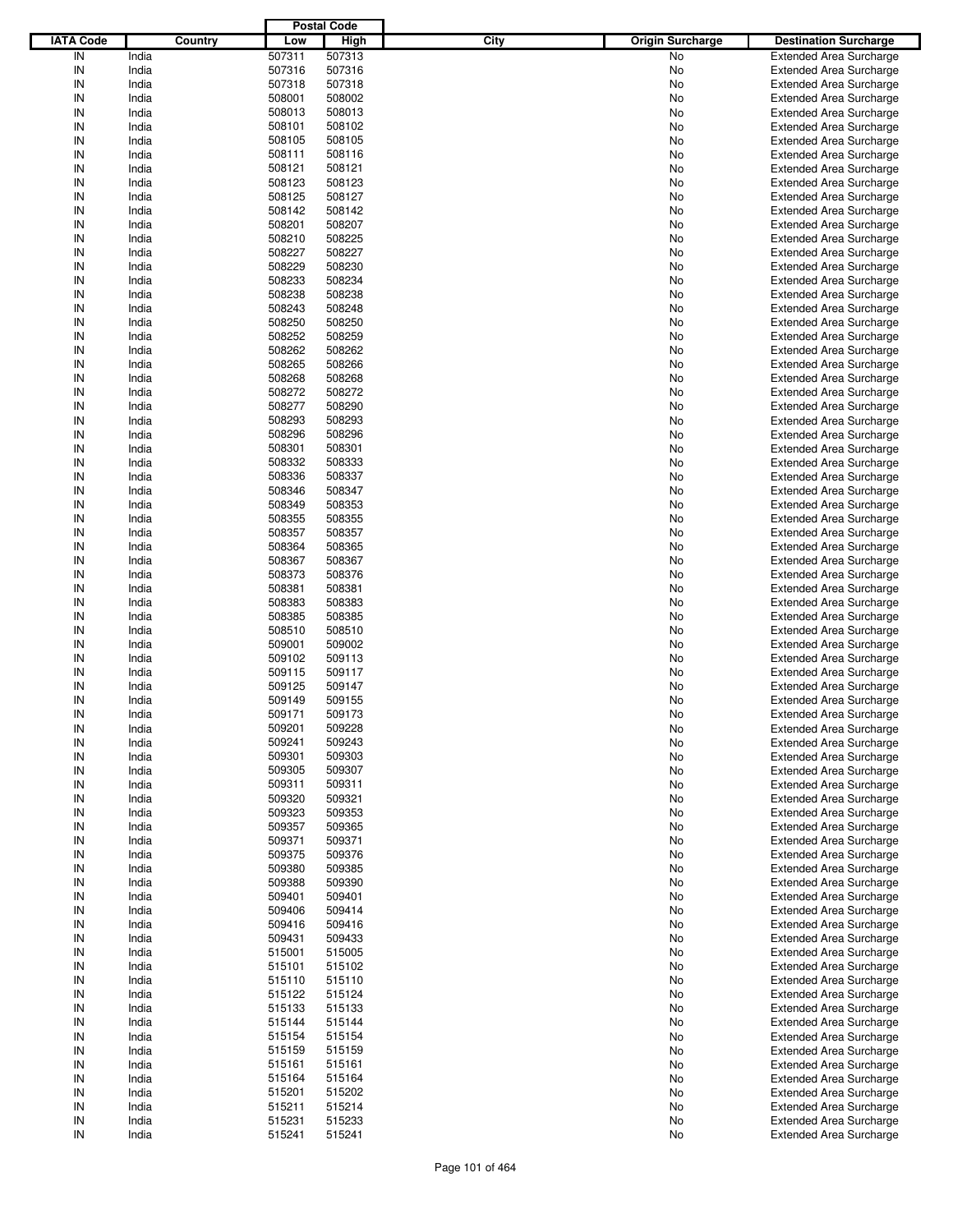|                  |         |        | <b>Postal Code</b> |      |                         |                                |
|------------------|---------|--------|--------------------|------|-------------------------|--------------------------------|
| <b>IATA Code</b> | Country | Low    | <b>High</b>        | City | <b>Origin Surcharge</b> | <b>Destination Surcharge</b>   |
| IN               | India   | 507311 | 507313             |      | No                      | <b>Extended Area Surcharge</b> |
| IN               | India   | 507316 | 507316             |      | No                      | <b>Extended Area Surcharge</b> |
| IN               | India   | 507318 | 507318             |      | No                      | <b>Extended Area Surcharge</b> |
| IN               | India   | 508001 | 508002             |      | No                      | <b>Extended Area Surcharge</b> |
| IN               | India   | 508013 | 508013             |      | No                      | <b>Extended Area Surcharge</b> |
| IN               | India   | 508101 | 508102             |      | No                      | <b>Extended Area Surcharge</b> |
| IN               | India   |        | 508105             |      |                         |                                |
| IN               |         | 508105 |                    |      | No                      | <b>Extended Area Surcharge</b> |
|                  | India   | 508111 | 508116             |      | No                      | <b>Extended Area Surcharge</b> |
| IN               | India   | 508121 | 508121             |      | No                      | <b>Extended Area Surcharge</b> |
| IN               | India   | 508123 | 508123             |      | No                      | <b>Extended Area Surcharge</b> |
| IN               | India   | 508125 | 508127             |      | No                      | <b>Extended Area Surcharge</b> |
| IN               | India   | 508142 | 508142             |      | No                      | <b>Extended Area Surcharge</b> |
| IN               | India   | 508201 | 508207             |      | No                      | <b>Extended Area Surcharge</b> |
| IN               | India   | 508210 | 508225             |      | No                      | <b>Extended Area Surcharge</b> |
| IN               | India   | 508227 | 508227             |      | No                      | <b>Extended Area Surcharge</b> |
| IN               | India   | 508229 | 508230             |      | No                      | <b>Extended Area Surcharge</b> |
| IN               | India   | 508233 | 508234             |      | No                      | <b>Extended Area Surcharge</b> |
| IN               | India   | 508238 | 508238             |      | No                      | <b>Extended Area Surcharge</b> |
| IN               | India   | 508243 | 508248             |      | No                      | <b>Extended Area Surcharge</b> |
| IN               | India   | 508250 | 508250             |      | No                      | <b>Extended Area Surcharge</b> |
| IN               | India   | 508252 | 508259             |      | No                      | <b>Extended Area Surcharge</b> |
| IN               | India   | 508262 | 508262             |      | No                      | <b>Extended Area Surcharge</b> |
| IN               | India   | 508265 | 508266             |      | No                      | <b>Extended Area Surcharge</b> |
| IN               | India   | 508268 | 508268             |      | No                      | <b>Extended Area Surcharge</b> |
| IN               | India   | 508272 | 508272             |      | No                      | <b>Extended Area Surcharge</b> |
| IN               | India   | 508277 | 508290             |      | No                      | <b>Extended Area Surcharge</b> |
| IN               | India   | 508293 | 508293             |      | No                      | <b>Extended Area Surcharge</b> |
| IN               | India   | 508296 | 508296             |      | No                      | <b>Extended Area Surcharge</b> |
| IN               | India   | 508301 | 508301             |      | No                      | <b>Extended Area Surcharge</b> |
| IN               |         |        |                    |      |                         |                                |
|                  | India   | 508332 | 508333             |      | No                      | <b>Extended Area Surcharge</b> |
| IN               | India   | 508336 | 508337             |      | No                      | <b>Extended Area Surcharge</b> |
| IN               | India   | 508346 | 508347             |      | No                      | <b>Extended Area Surcharge</b> |
| IN               | India   | 508349 | 508353             |      | No                      | <b>Extended Area Surcharge</b> |
| IN               | India   | 508355 | 508355             |      | No                      | <b>Extended Area Surcharge</b> |
| IN               | India   | 508357 | 508357             |      | No                      | <b>Extended Area Surcharge</b> |
| IN               | India   | 508364 | 508365             |      | No                      | <b>Extended Area Surcharge</b> |
| IN               | India   | 508367 | 508367             |      | No                      | <b>Extended Area Surcharge</b> |
| IN               | India   | 508373 | 508376             |      | No                      | <b>Extended Area Surcharge</b> |
| IN               | India   | 508381 | 508381             |      | No                      | <b>Extended Area Surcharge</b> |
| IN               | India   | 508383 | 508383             |      | No                      | <b>Extended Area Surcharge</b> |
| IN               | India   | 508385 | 508385             |      | No                      | <b>Extended Area Surcharge</b> |
| IN               | India   | 508510 | 508510             |      | No                      | <b>Extended Area Surcharge</b> |
| IN               | India   | 509001 | 509002             |      | No                      | <b>Extended Area Surcharge</b> |
| IN               | India   | 509102 | 509113             |      | No                      | <b>Extended Area Surcharge</b> |
| IN               | India   | 509115 | 509117             |      | No                      | <b>Extended Area Surcharge</b> |
| IN               | India   | 509125 | 509147             |      | No                      | <b>Extended Area Surcharge</b> |
| IN               | India   | 509149 | 509155             |      | No                      | <b>Extended Area Surcharge</b> |
| IN               | India   | 509171 | 509173             |      | No                      | <b>Extended Area Surcharge</b> |
|                  |         |        |                    |      |                         |                                |
| IN               | India   | 509201 | 509228             |      | No                      | <b>Extended Area Surcharge</b> |
| IN               | India   | 509241 | 509243             |      | No                      | <b>Extended Area Surcharge</b> |
| IN               | India   | 509301 | 509303             |      | No                      | <b>Extended Area Surcharge</b> |
| IN               | India   | 509305 | 509307             |      | No                      | <b>Extended Area Surcharge</b> |
| IN               | India   | 509311 | 509311             |      | No                      | <b>Extended Area Surcharge</b> |
| IN               | India   | 509320 | 509321             |      | No                      | <b>Extended Area Surcharge</b> |
| IN               | India   | 509323 | 509353             |      | No                      | <b>Extended Area Surcharge</b> |
| IN               | India   | 509357 | 509365             |      | No                      | <b>Extended Area Surcharge</b> |
| IN               | India   | 509371 | 509371             |      | No                      | <b>Extended Area Surcharge</b> |
| IN               | India   | 509375 | 509376             |      | No                      | <b>Extended Area Surcharge</b> |
| IN               | India   | 509380 | 509385             |      | No                      | <b>Extended Area Surcharge</b> |
| IN               | India   | 509388 | 509390             |      | No                      | <b>Extended Area Surcharge</b> |
| IN               | India   | 509401 | 509401             |      | No                      | <b>Extended Area Surcharge</b> |
| IN               | India   | 509406 | 509414             |      | No                      | <b>Extended Area Surcharge</b> |
| IN               | India   | 509416 | 509416             |      | No                      | <b>Extended Area Surcharge</b> |
| IN               | India   | 509431 | 509433             |      | No                      | <b>Extended Area Surcharge</b> |
| IN               | India   | 515001 | 515005             |      | No                      | <b>Extended Area Surcharge</b> |
| IN               | India   | 515101 | 515102             |      | No                      | <b>Extended Area Surcharge</b> |
| IN               | India   | 515110 | 515110             |      | No                      | <b>Extended Area Surcharge</b> |
| IN               | India   | 515122 | 515124             |      | No                      | <b>Extended Area Surcharge</b> |
| IN               | India   | 515133 | 515133             |      | No                      | <b>Extended Area Surcharge</b> |
| IN               | India   | 515144 | 515144             |      | No                      | <b>Extended Area Surcharge</b> |
| IN               | India   | 515154 | 515154             |      | No                      | <b>Extended Area Surcharge</b> |
| IN               | India   |        |                    |      |                         | <b>Extended Area Surcharge</b> |
|                  |         | 515159 | 515159             |      | No                      |                                |
| IN               | India   | 515161 | 515161             |      | No                      | <b>Extended Area Surcharge</b> |
| IN               | India   | 515164 | 515164             |      | No                      | <b>Extended Area Surcharge</b> |
| IN               | India   | 515201 | 515202             |      | No                      | <b>Extended Area Surcharge</b> |
| IN               | India   | 515211 | 515214             |      | No                      | <b>Extended Area Surcharge</b> |
| IN               | India   | 515231 | 515233             |      | No                      | <b>Extended Area Surcharge</b> |
| ${\sf IN}$       | India   | 515241 | 515241             |      | No                      | <b>Extended Area Surcharge</b> |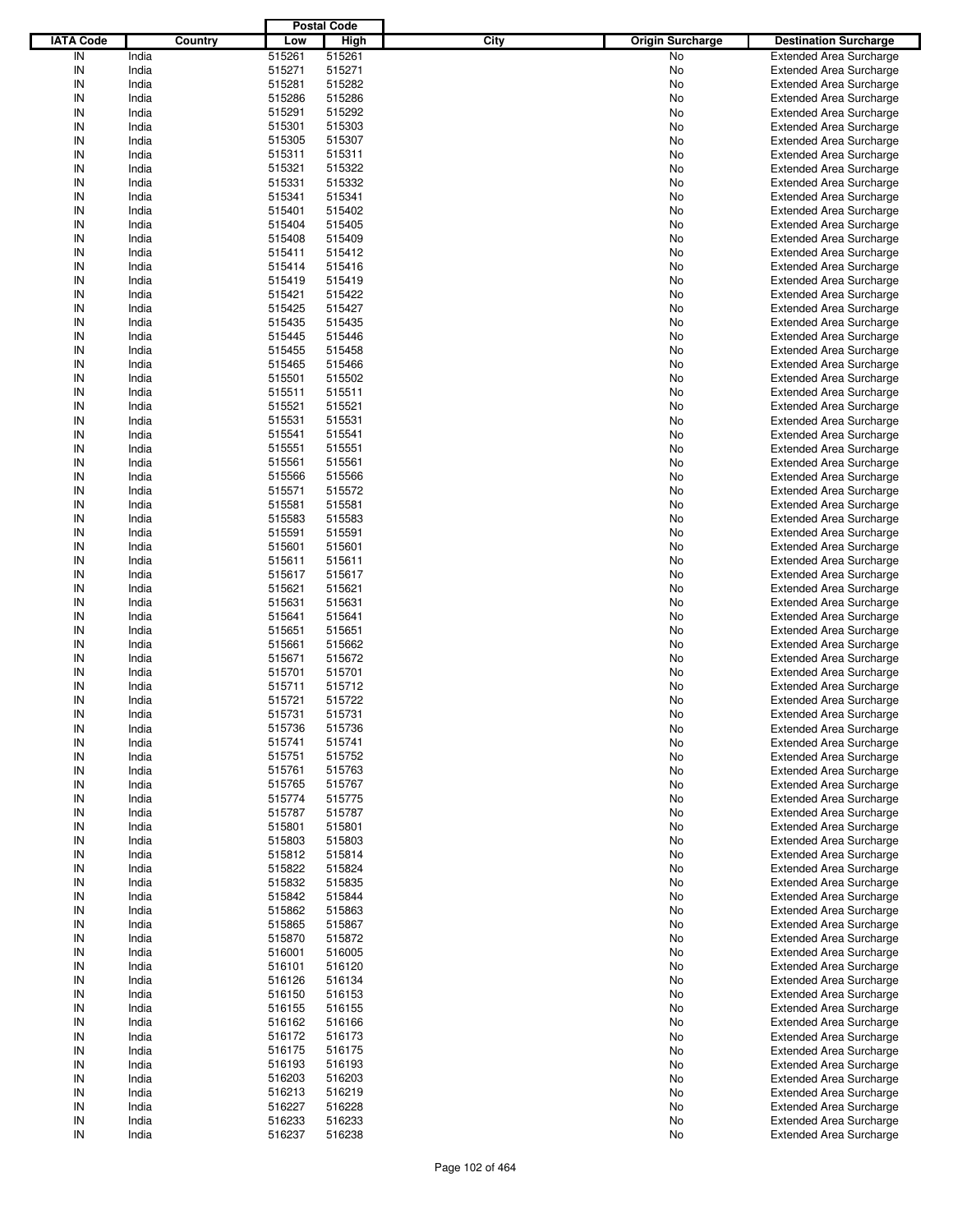|                  |         |        | <b>Postal Code</b> |                                 |                                |
|------------------|---------|--------|--------------------|---------------------------------|--------------------------------|
| <b>IATA Code</b> | Country | Low    | <b>High</b>        | City<br><b>Origin Surcharge</b> | <b>Destination Surcharge</b>   |
| IN               | India   | 515261 | 515261             | No                              | <b>Extended Area Surcharge</b> |
| IN               | India   | 515271 | 515271             | No                              | <b>Extended Area Surcharge</b> |
| IN               | India   | 515281 | 515282             | No                              | <b>Extended Area Surcharge</b> |
| IN               | India   | 515286 | 515286             | No                              | <b>Extended Area Surcharge</b> |
| IN               | India   | 515291 | 515292             | No                              | <b>Extended Area Surcharge</b> |
| IN               | India   | 515301 | 515303             | No                              | <b>Extended Area Surcharge</b> |
|                  |         |        |                    |                                 |                                |
| IN               | India   | 515305 | 515307             | No                              | <b>Extended Area Surcharge</b> |
| IN               | India   | 515311 | 515311             | No                              | <b>Extended Area Surcharge</b> |
| IN               | India   | 515321 | 515322             | No                              | <b>Extended Area Surcharge</b> |
| IN               | India   | 515331 | 515332             | No                              | <b>Extended Area Surcharge</b> |
| IN               | India   | 515341 | 515341             | No                              | <b>Extended Area Surcharge</b> |
| IN               | India   | 515401 | 515402             | No                              | <b>Extended Area Surcharge</b> |
| IN               | India   | 515404 | 515405             | No                              | <b>Extended Area Surcharge</b> |
| IN               | India   | 515408 | 515409             | No                              | <b>Extended Area Surcharge</b> |
| IN               | India   | 515411 | 515412             | No                              | <b>Extended Area Surcharge</b> |
| IN               | India   | 515414 | 515416             | No                              | <b>Extended Area Surcharge</b> |
| IN               | India   | 515419 | 515419             | No                              | <b>Extended Area Surcharge</b> |
| IN               | India   | 515421 | 515422             | No                              | <b>Extended Area Surcharge</b> |
| IN               | India   | 515425 | 515427             | No                              | <b>Extended Area Surcharge</b> |
| IN               | India   | 515435 | 515435             | No                              | <b>Extended Area Surcharge</b> |
| IN               | India   | 515445 | 515446             | No                              | <b>Extended Area Surcharge</b> |
| IN               | India   | 515455 | 515458             | No                              | <b>Extended Area Surcharge</b> |
| IN               | India   | 515465 | 515466             | No                              | <b>Extended Area Surcharge</b> |
| IN               | India   | 515501 | 515502             | No                              | <b>Extended Area Surcharge</b> |
| IN               | India   | 515511 | 515511             | No                              | <b>Extended Area Surcharge</b> |
| IN               | India   | 515521 | 515521             | No                              | <b>Extended Area Surcharge</b> |
| IN               | India   | 515531 | 515531             | No                              | <b>Extended Area Surcharge</b> |
| IN               |         |        | 515541             |                                 |                                |
|                  | India   | 515541 |                    | No                              | <b>Extended Area Surcharge</b> |
| IN               | India   | 515551 | 515551             | No                              | <b>Extended Area Surcharge</b> |
| IN               | India   | 515561 | 515561             | No                              | <b>Extended Area Surcharge</b> |
| IN               | India   | 515566 | 515566             | No                              | <b>Extended Area Surcharge</b> |
| IN               | India   | 515571 | 515572             | No                              | <b>Extended Area Surcharge</b> |
| IN               | India   | 515581 | 515581             | No                              | <b>Extended Area Surcharge</b> |
| IN               | India   | 515583 | 515583             | No                              | <b>Extended Area Surcharge</b> |
| IN               | India   | 515591 | 515591             | No                              | <b>Extended Area Surcharge</b> |
| IN               | India   | 515601 | 515601             | No                              | <b>Extended Area Surcharge</b> |
| IN               | India   | 515611 | 515611             | No                              | <b>Extended Area Surcharge</b> |
| IN               | India   | 515617 | 515617             | No                              | <b>Extended Area Surcharge</b> |
| IN               | India   | 515621 | 515621             | No                              | <b>Extended Area Surcharge</b> |
| IN               | India   | 515631 | 515631             | No                              | <b>Extended Area Surcharge</b> |
| IN               | India   | 515641 | 515641             | No                              | <b>Extended Area Surcharge</b> |
| IN               | India   | 515651 | 515651             | No                              | <b>Extended Area Surcharge</b> |
| IN               | India   | 515661 | 515662             | No                              | <b>Extended Area Surcharge</b> |
| IN               | India   | 515671 | 515672             | No                              | <b>Extended Area Surcharge</b> |
| IN               | India   | 515701 | 515701             | No                              | <b>Extended Area Surcharge</b> |
| IN               | India   | 515711 | 515712             | No                              | <b>Extended Area Surcharge</b> |
| IN               |         |        | 515722             |                                 |                                |
|                  | India   | 515721 |                    | No                              | <b>Extended Area Surcharge</b> |
| IN               | India   | 515731 | 515731             | No                              | <b>Extended Area Surcharge</b> |
| IN               | India   | 515736 | 515736             | No                              | <b>Extended Area Surcharge</b> |
| IN               | India   | 515741 | 515741             | No                              | <b>Extended Area Surcharge</b> |
| IN               | India   | 515751 | 515752             | No                              | <b>Extended Area Surcharge</b> |
| IN               | India   | 515761 | 515763             | No                              | <b>Extended Area Surcharge</b> |
| IN               | India   | 515765 | 515767             | No                              | <b>Extended Area Surcharge</b> |
| IN               | India   | 515774 | 515775             | No                              | <b>Extended Area Surcharge</b> |
| IN               | India   | 515787 | 515787             | No                              | <b>Extended Area Surcharge</b> |
| IN               | India   | 515801 | 515801             | No                              | <b>Extended Area Surcharge</b> |
| IN               | India   | 515803 | 515803             | No                              | <b>Extended Area Surcharge</b> |
| IN               | India   | 515812 | 515814             | No                              | <b>Extended Area Surcharge</b> |
| IN               | India   | 515822 | 515824             | No                              | <b>Extended Area Surcharge</b> |
| IN               | India   | 515832 | 515835             | No                              | <b>Extended Area Surcharge</b> |
| IN               | India   | 515842 | 515844             | No                              | <b>Extended Area Surcharge</b> |
| IN               | India   | 515862 | 515863             | No                              | <b>Extended Area Surcharge</b> |
| IN               | India   | 515865 | 515867             | No                              | <b>Extended Area Surcharge</b> |
| IN               | India   | 515870 | 515872             | No                              | <b>Extended Area Surcharge</b> |
| IN               | India   | 516001 | 516005             | No                              | <b>Extended Area Surcharge</b> |
| IN               | India   | 516101 | 516120             |                                 | <b>Extended Area Surcharge</b> |
|                  |         |        |                    | No                              |                                |
| IN               | India   | 516126 | 516134             | No                              | <b>Extended Area Surcharge</b> |
| IN               | India   | 516150 | 516153             | No                              | <b>Extended Area Surcharge</b> |
| IN               | India   | 516155 | 516155             | No                              | <b>Extended Area Surcharge</b> |
| IN               | India   | 516162 | 516166             | No                              | <b>Extended Area Surcharge</b> |
| IN               | India   | 516172 | 516173             | No                              | <b>Extended Area Surcharge</b> |
| IN               | India   | 516175 | 516175             | No                              | <b>Extended Area Surcharge</b> |
| IN               | India   | 516193 | 516193             | No                              | <b>Extended Area Surcharge</b> |
| IN               | India   | 516203 | 516203             | No                              | <b>Extended Area Surcharge</b> |
| IN               | India   | 516213 | 516219             | No                              | <b>Extended Area Surcharge</b> |
| IN               | India   | 516227 | 516228             | No                              | <b>Extended Area Surcharge</b> |
| IN               | India   | 516233 | 516233             | No                              | <b>Extended Area Surcharge</b> |
| ${\sf IN}$       | India   | 516237 | 516238             | No                              | <b>Extended Area Surcharge</b> |
|                  |         |        |                    |                                 |                                |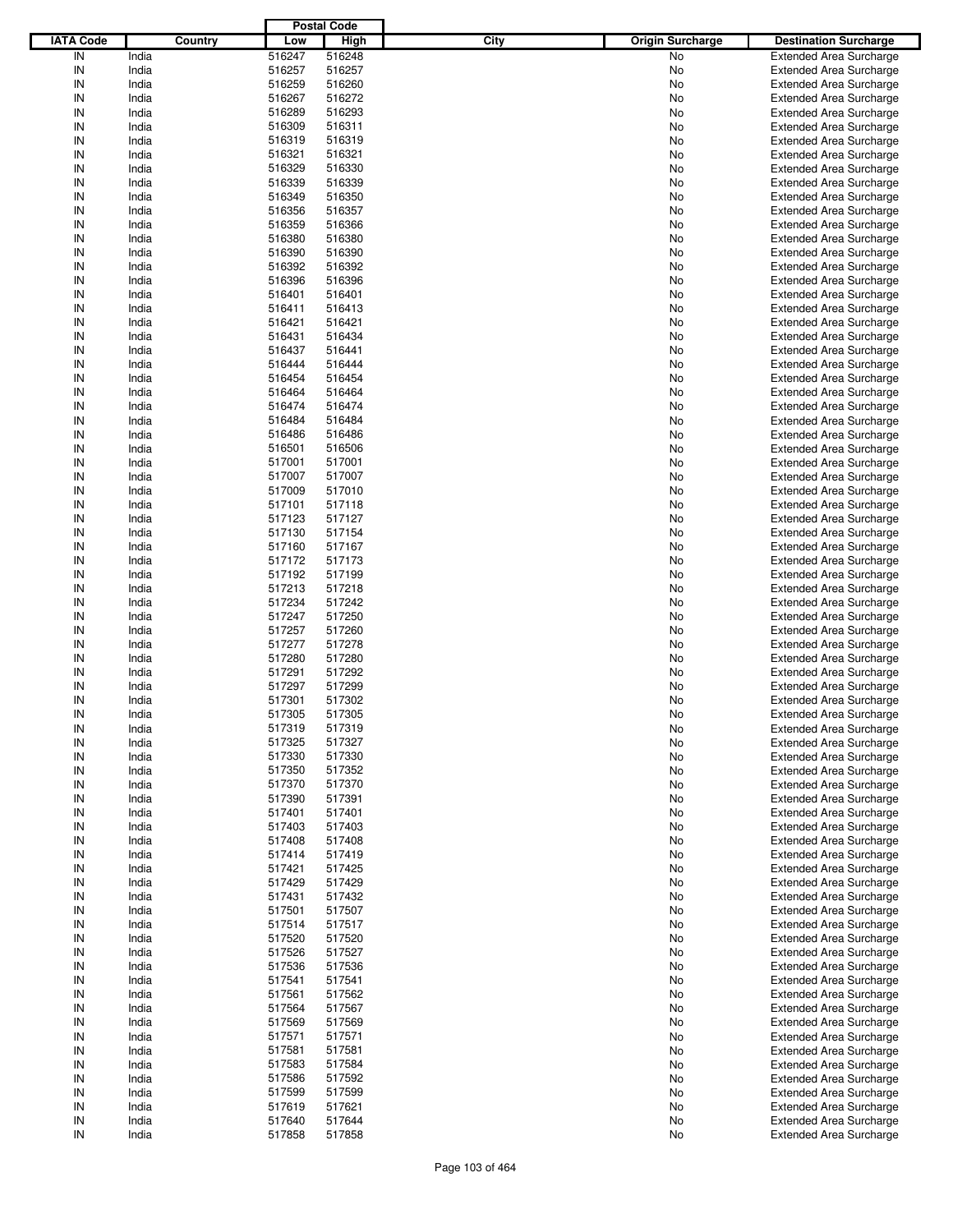|                  |         |        | <b>Postal Code</b> |      |                         |                                |
|------------------|---------|--------|--------------------|------|-------------------------|--------------------------------|
| <b>IATA Code</b> | Country | Low    | High               | City | <b>Origin Surcharge</b> | <b>Destination Surcharge</b>   |
| IN               | India   | 516247 | 516248             |      | <b>No</b>               | <b>Extended Area Surcharge</b> |
| IN               | India   | 516257 | 516257             |      | No                      | <b>Extended Area Surcharge</b> |
| IN               | India   | 516259 | 516260             |      | No                      | <b>Extended Area Surcharge</b> |
| IN               | India   | 516267 | 516272             |      | No                      | <b>Extended Area Surcharge</b> |
| IN               | India   | 516289 | 516293             |      | No                      | <b>Extended Area Surcharge</b> |
| IN               | India   | 516309 | 516311             |      | No                      | <b>Extended Area Surcharge</b> |
|                  |         |        |                    |      |                         |                                |
| IN               | India   | 516319 | 516319             |      | No                      | <b>Extended Area Surcharge</b> |
| IN               | India   | 516321 | 516321             |      | No                      | <b>Extended Area Surcharge</b> |
| IN               | India   | 516329 | 516330             |      | No                      | <b>Extended Area Surcharge</b> |
| IN               | India   | 516339 | 516339             |      | No                      | <b>Extended Area Surcharge</b> |
| IN               | India   | 516349 | 516350             |      | No                      | <b>Extended Area Surcharge</b> |
| IN               | India   | 516356 | 516357             |      | No                      | <b>Extended Area Surcharge</b> |
| IN               | India   | 516359 | 516366             |      | No                      | <b>Extended Area Surcharge</b> |
| IN               | India   | 516380 | 516380             |      | No                      | <b>Extended Area Surcharge</b> |
| IN               | India   | 516390 | 516390             |      | No                      | <b>Extended Area Surcharge</b> |
| IN               | India   | 516392 | 516392             |      | No                      | <b>Extended Area Surcharge</b> |
| IN               | India   | 516396 | 516396             |      | No                      | <b>Extended Area Surcharge</b> |
| IN               | India   | 516401 | 516401             |      | No                      | <b>Extended Area Surcharge</b> |
| IN               | India   | 516411 | 516413             |      | No                      | <b>Extended Area Surcharge</b> |
| IN               | India   | 516421 | 516421             |      | No                      | <b>Extended Area Surcharge</b> |
| IN               | India   | 516431 | 516434             |      | No                      | <b>Extended Area Surcharge</b> |
| IN               | India   | 516437 | 516441             |      | No                      | <b>Extended Area Surcharge</b> |
| IN               | India   | 516444 | 516444             |      | No                      | <b>Extended Area Surcharge</b> |
| IN               | India   | 516454 | 516454             |      | No                      | <b>Extended Area Surcharge</b> |
| IN               | India   | 516464 | 516464             |      | No                      | <b>Extended Area Surcharge</b> |
|                  |         |        | 516474             |      |                         |                                |
| IN               | India   | 516474 |                    |      | No                      | <b>Extended Area Surcharge</b> |
| IN               | India   | 516484 | 516484             |      | No                      | <b>Extended Area Surcharge</b> |
| IN               | India   | 516486 | 516486             |      | No                      | <b>Extended Area Surcharge</b> |
| IN               | India   | 516501 | 516506             |      | No                      | <b>Extended Area Surcharge</b> |
| IN               | India   | 517001 | 517001             |      | No                      | <b>Extended Area Surcharge</b> |
| IN               | India   | 517007 | 517007             |      | No                      | <b>Extended Area Surcharge</b> |
| IN               | India   | 517009 | 517010             |      | No                      | <b>Extended Area Surcharge</b> |
| IN               | India   | 517101 | 517118             |      | No                      | <b>Extended Area Surcharge</b> |
| IN               | India   | 517123 | 517127             |      | No                      | <b>Extended Area Surcharge</b> |
| IN               | India   | 517130 | 517154             |      | No                      | <b>Extended Area Surcharge</b> |
| IN               | India   | 517160 | 517167             |      | No                      | <b>Extended Area Surcharge</b> |
| IN               | India   | 517172 | 517173             |      | No                      | <b>Extended Area Surcharge</b> |
| IN               | India   | 517192 | 517199             |      | No                      | <b>Extended Area Surcharge</b> |
| IN               | India   | 517213 | 517218             |      | No                      | <b>Extended Area Surcharge</b> |
| IN               | India   | 517234 | 517242             |      | No                      | <b>Extended Area Surcharge</b> |
| IN               | India   | 517247 | 517250             |      | No                      | <b>Extended Area Surcharge</b> |
| IN               | India   | 517257 | 517260             |      | No                      | <b>Extended Area Surcharge</b> |
| IN               | India   | 517277 | 517278             |      | No                      | <b>Extended Area Surcharge</b> |
| IN               | India   | 517280 | 517280             |      | No                      | <b>Extended Area Surcharge</b> |
| IN               | India   | 517291 | 517292             |      |                         | <b>Extended Area Surcharge</b> |
|                  |         |        |                    |      | No                      |                                |
| IN               | India   | 517297 | 517299             |      | No                      | <b>Extended Area Surcharge</b> |
| IN               | India   | 517301 | 517302             |      | No                      | <b>Extended Area Surcharge</b> |
| IN               | India   | 517305 | 517305             |      | No                      | <b>Extended Area Surcharge</b> |
| IN               | India   | 517319 | 517319             |      | No                      | <b>Extended Area Surcharge</b> |
| IN               | India   | 517325 | 517327             |      | No                      | <b>Extended Area Surcharge</b> |
| IN               | India   | 517330 | 517330             |      | No                      | <b>Extended Area Surcharge</b> |
| IN               | India   | 517350 | 517352             |      | No                      | <b>Extended Area Surcharge</b> |
| IN               | India   | 517370 | 517370             |      | No                      | <b>Extended Area Surcharge</b> |
| IN               | India   | 517390 | 517391             |      | No                      | <b>Extended Area Surcharge</b> |
| IN               | India   | 517401 | 517401             |      | No                      | <b>Extended Area Surcharge</b> |
| IN               | India   | 517403 | 517403             |      | No                      | <b>Extended Area Surcharge</b> |
| IN               | India   | 517408 | 517408             |      | No                      | <b>Extended Area Surcharge</b> |
| IN               | India   | 517414 | 517419             |      | No                      | <b>Extended Area Surcharge</b> |
| IN               | India   | 517421 | 517425             |      | No                      | <b>Extended Area Surcharge</b> |
| IN               | India   | 517429 | 517429             |      | No                      | <b>Extended Area Surcharge</b> |
| IN               | India   | 517431 | 517432             |      | No                      | <b>Extended Area Surcharge</b> |
| IN               | India   | 517501 | 517507             |      | No                      | <b>Extended Area Surcharge</b> |
| IN               | India   | 517514 | 517517             |      | No                      | <b>Extended Area Surcharge</b> |
| IN               | India   | 517520 | 517520             |      | No                      | <b>Extended Area Surcharge</b> |
|                  |         |        |                    |      |                         |                                |
| IN               | India   | 517526 | 517527             |      | No                      | <b>Extended Area Surcharge</b> |
| IN               | India   | 517536 | 517536             |      | No                      | <b>Extended Area Surcharge</b> |
| IN               | India   | 517541 | 517541             |      | No                      | <b>Extended Area Surcharge</b> |
| IN               | India   | 517561 | 517562             |      | No                      | <b>Extended Area Surcharge</b> |
| IN               | India   | 517564 | 517567             |      | No                      | <b>Extended Area Surcharge</b> |
| IN               | India   | 517569 | 517569             |      | No                      | <b>Extended Area Surcharge</b> |
| IN               | India   | 517571 | 517571             |      | No                      | <b>Extended Area Surcharge</b> |
| IN               | India   | 517581 | 517581             |      | No                      | <b>Extended Area Surcharge</b> |
| IN               | India   | 517583 | 517584             |      | No                      | <b>Extended Area Surcharge</b> |
| IN               | India   | 517586 | 517592             |      | No                      | <b>Extended Area Surcharge</b> |
| IN               | India   | 517599 | 517599             |      | No                      | <b>Extended Area Surcharge</b> |
| IN               | India   | 517619 | 517621             |      | No                      | <b>Extended Area Surcharge</b> |
| IN               | India   | 517640 | 517644             |      | No                      | <b>Extended Area Surcharge</b> |
| IN               | India   | 517858 | 517858             |      | No                      | <b>Extended Area Surcharge</b> |
|                  |         |        |                    |      |                         |                                |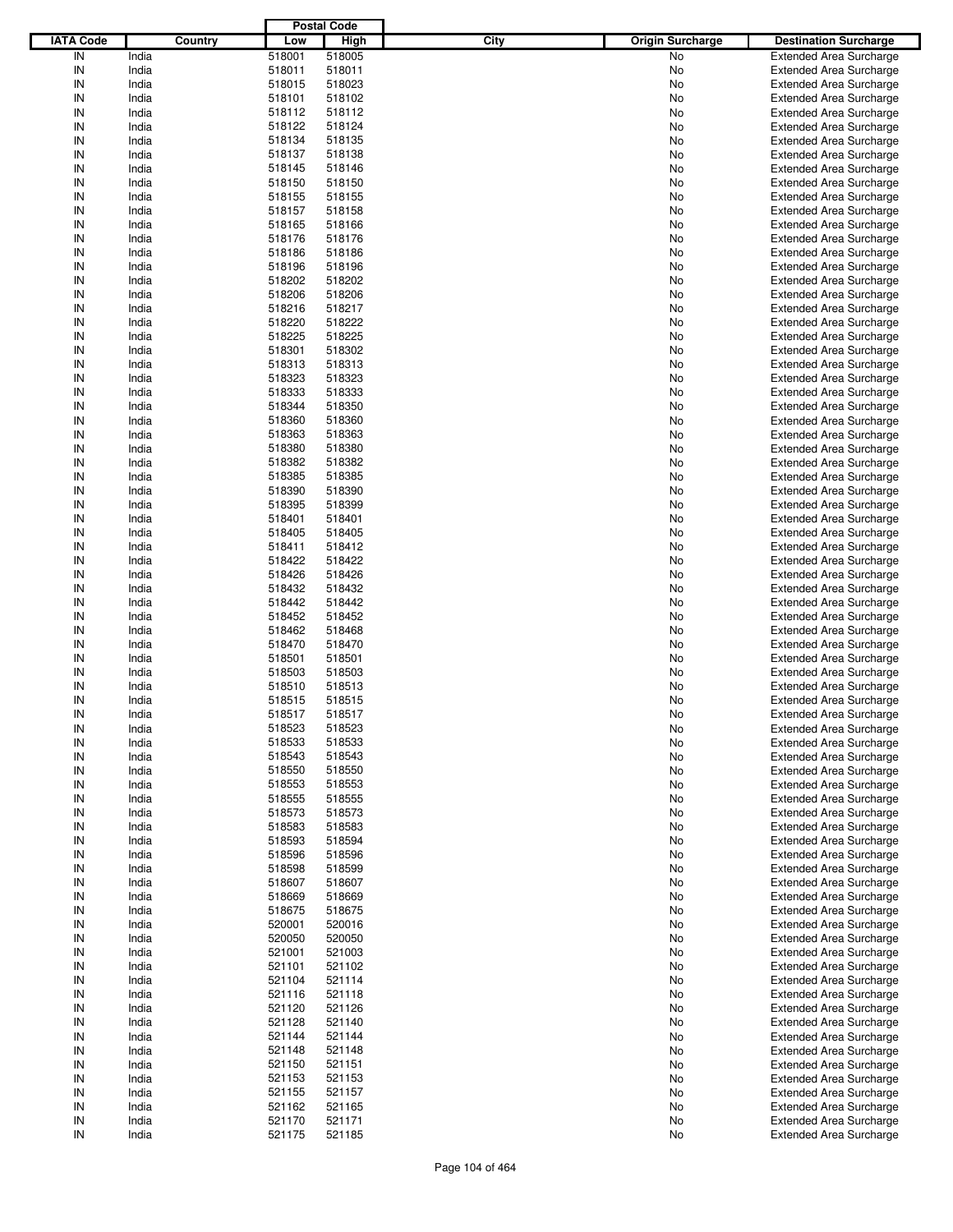|                  |         |        | <b>Postal Code</b> |      |                         |                                |
|------------------|---------|--------|--------------------|------|-------------------------|--------------------------------|
| <b>IATA Code</b> | Country | Low    | <b>High</b>        | City | <b>Origin Surcharge</b> | <b>Destination Surcharge</b>   |
| IN               | India   | 518001 | 518005             |      | No                      | <b>Extended Area Surcharge</b> |
| IN               | India   | 518011 | 518011             |      | No                      | <b>Extended Area Surcharge</b> |
| IN               | India   | 518015 | 518023             |      | No                      | <b>Extended Area Surcharge</b> |
| IN               | India   | 518101 | 518102             |      | No                      | <b>Extended Area Surcharge</b> |
| IN               | India   | 518112 | 518112             |      | No                      | <b>Extended Area Surcharge</b> |
| IN               | India   | 518122 | 518124             |      | No                      | <b>Extended Area Surcharge</b> |
|                  |         |        |                    |      |                         |                                |
| IN               | India   | 518134 | 518135             |      | No                      | <b>Extended Area Surcharge</b> |
| IN               | India   | 518137 | 518138             |      | No                      | <b>Extended Area Surcharge</b> |
| IN               | India   | 518145 | 518146             |      | No                      | <b>Extended Area Surcharge</b> |
| IN               | India   | 518150 | 518150             |      | No                      | <b>Extended Area Surcharge</b> |
| IN               | India   | 518155 | 518155             |      | No                      | <b>Extended Area Surcharge</b> |
| IN               | India   | 518157 | 518158             |      | No                      | <b>Extended Area Surcharge</b> |
| IN               | India   | 518165 | 518166             |      | No                      | <b>Extended Area Surcharge</b> |
| IN               | India   | 518176 | 518176             |      | No                      | <b>Extended Area Surcharge</b> |
| IN               | India   | 518186 | 518186             |      | No                      | <b>Extended Area Surcharge</b> |
| IN               | India   | 518196 | 518196             |      | No                      | <b>Extended Area Surcharge</b> |
| IN               | India   | 518202 | 518202             |      | No                      | <b>Extended Area Surcharge</b> |
| IN               | India   | 518206 | 518206             |      | No                      | <b>Extended Area Surcharge</b> |
| IN               | India   | 518216 | 518217             |      | No                      | <b>Extended Area Surcharge</b> |
| IN               | India   | 518220 | 518222             |      | No                      | <b>Extended Area Surcharge</b> |
| IN               | India   | 518225 | 518225             |      | No                      | <b>Extended Area Surcharge</b> |
| IN               | India   | 518301 | 518302             |      | No                      | <b>Extended Area Surcharge</b> |
| IN               | India   | 518313 | 518313             |      | No                      | <b>Extended Area Surcharge</b> |
| IN               | India   | 518323 | 518323             |      | No                      | <b>Extended Area Surcharge</b> |
| IN               | India   | 518333 | 518333             |      | No                      | <b>Extended Area Surcharge</b> |
| IN               | India   | 518344 | 518350             |      | No                      | <b>Extended Area Surcharge</b> |
| IN               | India   | 518360 | 518360             |      | No                      | <b>Extended Area Surcharge</b> |
| IN               | India   | 518363 | 518363             |      | No                      | <b>Extended Area Surcharge</b> |
| IN               | India   | 518380 | 518380             |      | No                      |                                |
| IN               |         |        |                    |      |                         | <b>Extended Area Surcharge</b> |
|                  | India   | 518382 | 518382             |      | No                      | <b>Extended Area Surcharge</b> |
| IN               | India   | 518385 | 518385             |      | No                      | <b>Extended Area Surcharge</b> |
| IN               | India   | 518390 | 518390             |      | No                      | <b>Extended Area Surcharge</b> |
| IN               | India   | 518395 | 518399             |      | No                      | <b>Extended Area Surcharge</b> |
| IN               | India   | 518401 | 518401             |      | No                      | <b>Extended Area Surcharge</b> |
| IN               | India   | 518405 | 518405             |      | No                      | <b>Extended Area Surcharge</b> |
| IN               | India   | 518411 | 518412             |      | No                      | <b>Extended Area Surcharge</b> |
| IN               | India   | 518422 | 518422             |      | No                      | <b>Extended Area Surcharge</b> |
| IN               | India   | 518426 | 518426             |      | No                      | <b>Extended Area Surcharge</b> |
| IN               | India   | 518432 | 518432             |      | No                      | <b>Extended Area Surcharge</b> |
| IN               | India   | 518442 | 518442             |      | No                      | <b>Extended Area Surcharge</b> |
| IN               | India   | 518452 | 518452             |      | No                      | <b>Extended Area Surcharge</b> |
| IN               | India   | 518462 | 518468             |      | No                      | <b>Extended Area Surcharge</b> |
| IN               | India   | 518470 | 518470             |      | No                      | <b>Extended Area Surcharge</b> |
| IN               | India   | 518501 | 518501             |      | No                      | <b>Extended Area Surcharge</b> |
| IN               | India   | 518503 | 518503             |      | No                      | <b>Extended Area Surcharge</b> |
| IN               | India   | 518510 | 518513             |      | No                      | <b>Extended Area Surcharge</b> |
| IN               | India   | 518515 | 518515             |      | No                      | <b>Extended Area Surcharge</b> |
| IN               | India   | 518517 | 518517             |      | No                      | <b>Extended Area Surcharge</b> |
| IN               | India   | 518523 | 518523             |      | No                      | <b>Extended Area Surcharge</b> |
| IN               | India   | 518533 | 518533             |      | No                      | <b>Extended Area Surcharge</b> |
| IN               | India   | 518543 | 518543             |      | No                      | <b>Extended Area Surcharge</b> |
| IN               | India   | 518550 |                    |      |                         | <b>Extended Area Surcharge</b> |
|                  |         |        | 518550             |      | No                      |                                |
| IN               | India   | 518553 | 518553             |      | No                      | <b>Extended Area Surcharge</b> |
| IN               | India   | 518555 | 518555             |      | No                      | <b>Extended Area Surcharge</b> |
| IN               | India   | 518573 | 518573             |      | No                      | <b>Extended Area Surcharge</b> |
| IN               | India   | 518583 | 518583             |      | No                      | <b>Extended Area Surcharge</b> |
| IN               | India   | 518593 | 518594             |      | No                      | <b>Extended Area Surcharge</b> |
| IN               | India   | 518596 | 518596             |      | No                      | <b>Extended Area Surcharge</b> |
| IN               | India   | 518598 | 518599             |      | No                      | <b>Extended Area Surcharge</b> |
| IN               | India   | 518607 | 518607             |      | No                      | <b>Extended Area Surcharge</b> |
| IN               | India   | 518669 | 518669             |      | No                      | <b>Extended Area Surcharge</b> |
| IN               | India   | 518675 | 518675             |      | No                      | <b>Extended Area Surcharge</b> |
| IN               | India   | 520001 | 520016             |      | No                      | <b>Extended Area Surcharge</b> |
| IN               | India   | 520050 | 520050             |      | No                      | <b>Extended Area Surcharge</b> |
| IN               | India   | 521001 | 521003             |      | No                      | <b>Extended Area Surcharge</b> |
| IN               | India   | 521101 | 521102             |      | No                      | <b>Extended Area Surcharge</b> |
| IN               | India   | 521104 | 521114             |      | No                      | <b>Extended Area Surcharge</b> |
| IN               | India   | 521116 | 521118             |      | No                      | <b>Extended Area Surcharge</b> |
| IN               | India   | 521120 | 521126             |      | No                      | <b>Extended Area Surcharge</b> |
| IN               | India   | 521128 | 521140             |      | No                      | <b>Extended Area Surcharge</b> |
| IN               | India   | 521144 | 521144             |      | No                      | <b>Extended Area Surcharge</b> |
| IN               | India   | 521148 | 521148             |      | No                      | <b>Extended Area Surcharge</b> |
| IN               | India   | 521150 | 521151             |      | No                      | <b>Extended Area Surcharge</b> |
| IN               | India   | 521153 | 521153             |      |                         | <b>Extended Area Surcharge</b> |
|                  |         |        |                    |      | No                      |                                |
| IN               | India   | 521155 | 521157             |      | No                      | <b>Extended Area Surcharge</b> |
| IN               | India   | 521162 | 521165             |      | No                      | <b>Extended Area Surcharge</b> |
| IN               | India   | 521170 | 521171             |      | No                      | <b>Extended Area Surcharge</b> |
| ${\sf IN}$       | India   | 521175 | 521185             |      | No                      | <b>Extended Area Surcharge</b> |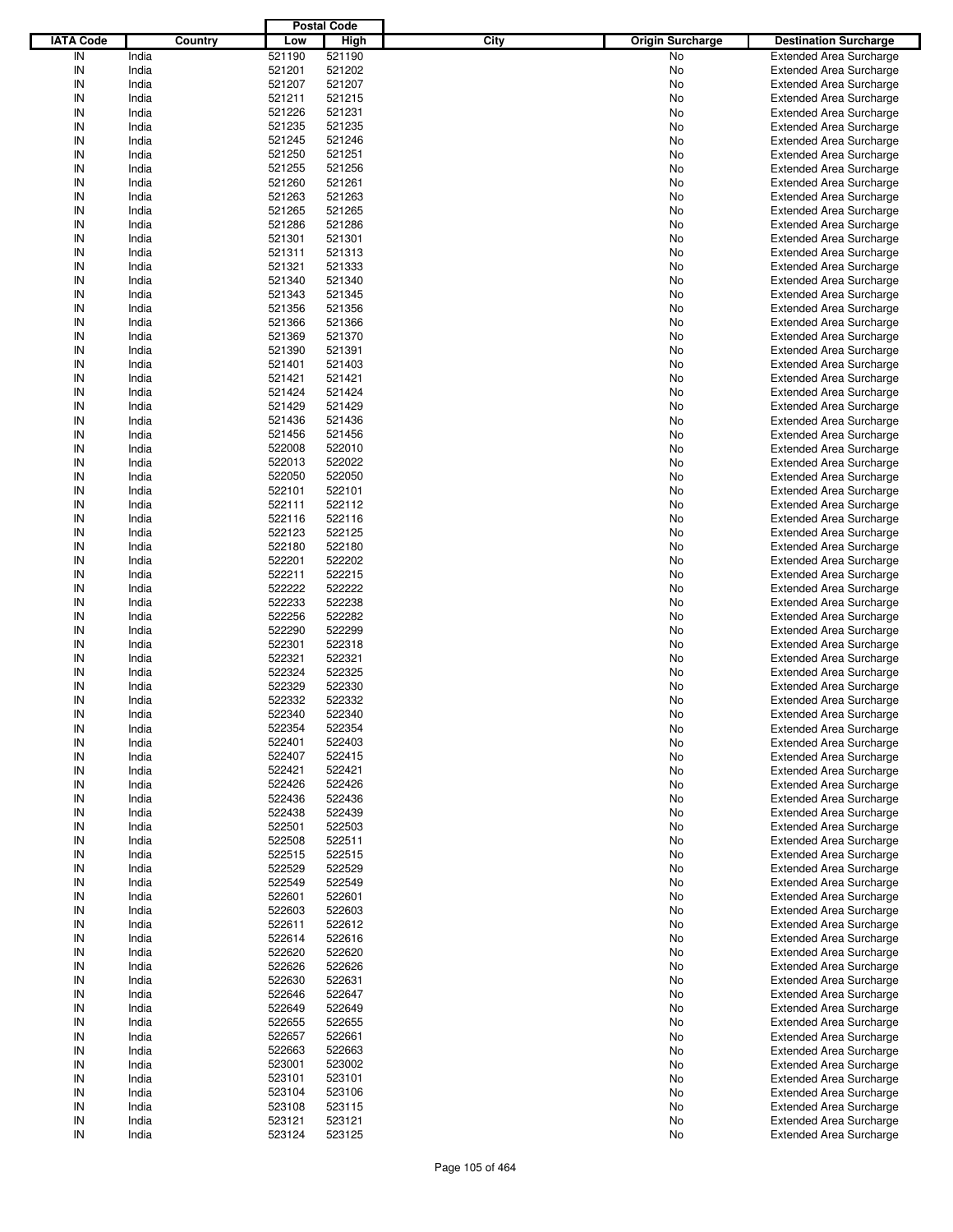| <b>IATA Code</b><br>Country<br><b>High</b><br>City<br><b>Origin Surcharge</b><br>Low<br><b>Destination Surcharge</b><br>IN<br>India<br>521190<br>521190<br>No<br><b>Extended Area Surcharge</b><br>IN<br>India<br>521201<br>521202<br>No<br><b>Extended Area Surcharge</b><br>IN<br>India<br>521207<br>521207<br>No<br><b>Extended Area Surcharge</b><br>IN<br>India<br>521211<br>521215<br>No<br><b>Extended Area Surcharge</b><br>IN<br>India<br>521226<br>521231<br>No<br><b>Extended Area Surcharge</b><br>IN<br>India<br>521235<br>521235<br>No<br><b>Extended Area Surcharge</b><br>IN<br>India<br>521245<br>521246<br>No<br><b>Extended Area Surcharge</b><br>IN<br>India<br>521250<br>521251<br>No<br><b>Extended Area Surcharge</b><br>IN<br>India<br>521255<br>521256<br>No<br><b>Extended Area Surcharge</b><br>IN<br>India<br>521260<br>521261<br>No<br><b>Extended Area Surcharge</b><br>IN<br>India<br>521263<br>521263<br>No<br><b>Extended Area Surcharge</b><br>IN<br>India<br>521265<br>521265<br>No<br><b>Extended Area Surcharge</b><br>IN<br>India<br>521286<br>521286<br>No<br><b>Extended Area Surcharge</b><br>IN<br>India<br>521301<br>521301<br>No<br><b>Extended Area Surcharge</b><br>IN<br>India<br>521311<br>521313<br>No<br><b>Extended Area Surcharge</b><br>IN<br>India<br>521321<br>521333<br><b>Extended Area Surcharge</b><br>No<br>IN<br>India<br>521340<br>521340<br>No<br><b>Extended Area Surcharge</b><br>IN<br>India<br>521343<br>521345<br>No<br><b>Extended Area Surcharge</b><br>IN<br>India<br>521356<br>521356<br>No<br><b>Extended Area Surcharge</b><br>IN<br>India<br>521366<br>521366<br><b>Extended Area Surcharge</b><br>No<br>IN<br>India<br>521369<br>521370<br>No<br><b>Extended Area Surcharge</b><br>IN<br>India<br>521390<br>521391<br>No<br><b>Extended Area Surcharge</b><br>IN<br>India<br>521401<br>521403<br>No<br><b>Extended Area Surcharge</b><br>IN<br>India<br>521421<br>521421<br><b>Extended Area Surcharge</b><br>No<br>IN<br>India<br>521424<br>521424<br>No<br><b>Extended Area Surcharge</b><br>IN<br>India<br>521429<br>521429<br>No<br><b>Extended Area Surcharge</b><br>IN<br>India<br>521436<br>521436<br>No<br><b>Extended Area Surcharge</b><br>IN<br>India<br>521456<br>521456<br><b>Extended Area Surcharge</b><br>No<br>IN<br>India<br>522008<br>522010<br>No<br><b>Extended Area Surcharge</b><br>IN<br>India<br>522013<br>522022<br>No<br><b>Extended Area Surcharge</b><br>IN<br>India<br>522050<br>522050<br>No<br><b>Extended Area Surcharge</b><br>IN<br>India<br>522101<br>522101<br><b>Extended Area Surcharge</b><br>No<br>IN<br>India<br>522111<br>522112<br>No<br><b>Extended Area Surcharge</b><br>IN<br>India<br>522116<br>522116<br>No<br><b>Extended Area Surcharge</b><br>IN<br>India<br>522123<br>522125<br>No<br><b>Extended Area Surcharge</b><br>IN<br>India<br>522180<br>522180<br><b>Extended Area Surcharge</b><br>No<br>IN<br>India<br>522201<br>522202<br>No<br><b>Extended Area Surcharge</b><br>IN<br>India<br>522211<br>522215<br>No<br><b>Extended Area Surcharge</b><br>IN<br>India<br>522222<br>522222<br>No<br><b>Extended Area Surcharge</b><br>IN<br>522233<br>522238<br>India<br>No<br><b>Extended Area Surcharge</b><br>IN<br>India<br>522256<br>522282<br>No<br><b>Extended Area Surcharge</b><br>IN<br>India<br>522290<br>522299<br>No<br><b>Extended Area Surcharge</b><br>IN<br>India<br>522301<br>522318<br>No<br><b>Extended Area Surcharge</b><br>IN<br>India<br>522321<br>522321<br><b>Extended Area Surcharge</b><br>No<br>IN<br>India<br>522324<br>522325<br><b>Extended Area Surcharge</b><br>No<br>IN<br>India<br>522329<br>522330<br><b>Extended Area Surcharge</b><br>No<br>IN<br>522332<br>522332<br>India<br>No<br><b>Extended Area Surcharge</b><br>IN<br>522340<br>India<br>522340<br>No<br><b>Extended Area Surcharge</b><br>IN<br>522354<br>522354<br>India<br>No<br><b>Extended Area Surcharge</b><br>IN<br>India<br>522401<br>522403<br><b>Extended Area Surcharge</b><br>No<br>IN<br>522407<br><b>Extended Area Surcharge</b><br>India<br>522415<br>No<br>IN<br>India<br>522421<br>522421<br><b>Extended Area Surcharge</b><br>No<br>IN<br>522426<br><b>Extended Area Surcharge</b><br>India<br>522426<br>No<br>IN<br>India<br>522436<br>522436<br><b>Extended Area Surcharge</b><br>No<br>IN<br>India<br>522438<br><b>Extended Area Surcharge</b><br>522439<br>No<br>IN<br>India<br>522501<br>522503<br>No<br><b>Extended Area Surcharge</b><br>IN<br>India<br>522508<br>522511<br>No<br><b>Extended Area Surcharge</b><br>IN<br>India<br>522515<br>522515<br><b>Extended Area Surcharge</b><br>No<br>IN<br>India<br>522529<br>522529<br><b>Extended Area Surcharge</b><br>No<br>IN<br>India<br>522549<br>522549<br><b>Extended Area Surcharge</b><br>No<br>IN<br>India<br>522601<br>522601<br>No<br><b>Extended Area Surcharge</b><br>IN<br>India<br>522603<br>522603<br><b>Extended Area Surcharge</b><br>No<br>IN<br>India<br>522611<br>522612<br><b>Extended Area Surcharge</b><br>No<br>IN<br>India<br>522614<br>522616<br><b>Extended Area Surcharge</b><br>No<br>IN<br>522620<br>522620<br>India<br>No<br><b>Extended Area Surcharge</b><br>IN<br>India<br>522626<br>522626<br><b>Extended Area Surcharge</b><br>No<br>IN<br>India<br>522630<br>522631<br><b>Extended Area Surcharge</b><br>No<br>IN<br>India<br>522646<br>522647<br><b>Extended Area Surcharge</b><br>No<br>IN<br>522649<br>522649<br>India<br>No<br><b>Extended Area Surcharge</b><br>IN<br>India<br>522655<br>522655<br><b>Extended Area Surcharge</b><br>No<br>IN<br>India<br>522657<br><b>Extended Area Surcharge</b><br>522661<br>No<br>IN<br>India<br>522663<br>522663<br><b>Extended Area Surcharge</b><br>No<br>IN<br>523001<br>523002<br><b>Extended Area Surcharge</b><br>India<br>No<br>IN<br>India<br>523101<br>523101<br><b>Extended Area Surcharge</b><br>No<br>IN<br>523106<br><b>Extended Area Surcharge</b><br>India<br>523104<br>No<br>IN<br>India<br>523108<br>523115<br>Extended Area Surcharge<br>No<br>IN<br>523121<br><b>Extended Area Surcharge</b><br>India<br>523121<br>No<br>${\sf IN}$<br>India<br>523124<br>523125<br><b>Extended Area Surcharge</b><br>No |  | <b>Postal Code</b> |  |  |
|-----------------------------------------------------------------------------------------------------------------------------------------------------------------------------------------------------------------------------------------------------------------------------------------------------------------------------------------------------------------------------------------------------------------------------------------------------------------------------------------------------------------------------------------------------------------------------------------------------------------------------------------------------------------------------------------------------------------------------------------------------------------------------------------------------------------------------------------------------------------------------------------------------------------------------------------------------------------------------------------------------------------------------------------------------------------------------------------------------------------------------------------------------------------------------------------------------------------------------------------------------------------------------------------------------------------------------------------------------------------------------------------------------------------------------------------------------------------------------------------------------------------------------------------------------------------------------------------------------------------------------------------------------------------------------------------------------------------------------------------------------------------------------------------------------------------------------------------------------------------------------------------------------------------------------------------------------------------------------------------------------------------------------------------------------------------------------------------------------------------------------------------------------------------------------------------------------------------------------------------------------------------------------------------------------------------------------------------------------------------------------------------------------------------------------------------------------------------------------------------------------------------------------------------------------------------------------------------------------------------------------------------------------------------------------------------------------------------------------------------------------------------------------------------------------------------------------------------------------------------------------------------------------------------------------------------------------------------------------------------------------------------------------------------------------------------------------------------------------------------------------------------------------------------------------------------------------------------------------------------------------------------------------------------------------------------------------------------------------------------------------------------------------------------------------------------------------------------------------------------------------------------------------------------------------------------------------------------------------------------------------------------------------------------------------------------------------------------------------------------------------------------------------------------------------------------------------------------------------------------------------------------------------------------------------------------------------------------------------------------------------------------------------------------------------------------------------------------------------------------------------------------------------------------------------------------------------------------------------------------------------------------------------------------------------------------------------------------------------------------------------------------------------------------------------------------------------------------------------------------------------------------------------------------------------------------------------------------------------------------------------------------------------------------------------------------------------------------------------------------------------------------------------------------------------------------------------------------------------------------------------------------------------------------------------------------------------------------------------------------------------------------------------------------------------------------------------------------------------------------------------------------------------------------------------------------------------------------------------------------------------------------------------------------------------------------------------------------------------------------------------------------------------------------------------------------------------------------------------------------------------------------------------------------------------------------------------------------------------------------------------------------------------------------------------------------------------------------------------------------------------------------------------------------------------------------------------------------------------------------------------------------------------------------------------------------------------------------------------------------------------------------------------------------------------------------------------------------------------------------------------------------------------------------------------------------------------------------|--|--------------------|--|--|
|                                                                                                                                                                                                                                                                                                                                                                                                                                                                                                                                                                                                                                                                                                                                                                                                                                                                                                                                                                                                                                                                                                                                                                                                                                                                                                                                                                                                                                                                                                                                                                                                                                                                                                                                                                                                                                                                                                                                                                                                                                                                                                                                                                                                                                                                                                                                                                                                                                                                                                                                                                                                                                                                                                                                                                                                                                                                                                                                                                                                                                                                                                                                                                                                                                                                                                                                                                                                                                                                                                                                                                                                                                                                                                                                                                                                                                                                                                                                                                                                                                                                                                                                                                                                                                                                                                                                                                                                                                                                                                                                                                                                                                                                                                                                                                                                                                                                                                                                                                                                                                                                                                                                                                                                                                                                                                                                                                                                                                                                                                                                                                                                                                                                                                                                                                                                                                                                                                                                                                                                                                                                                                                                                                                                                 |  |                    |  |  |
|                                                                                                                                                                                                                                                                                                                                                                                                                                                                                                                                                                                                                                                                                                                                                                                                                                                                                                                                                                                                                                                                                                                                                                                                                                                                                                                                                                                                                                                                                                                                                                                                                                                                                                                                                                                                                                                                                                                                                                                                                                                                                                                                                                                                                                                                                                                                                                                                                                                                                                                                                                                                                                                                                                                                                                                                                                                                                                                                                                                                                                                                                                                                                                                                                                                                                                                                                                                                                                                                                                                                                                                                                                                                                                                                                                                                                                                                                                                                                                                                                                                                                                                                                                                                                                                                                                                                                                                                                                                                                                                                                                                                                                                                                                                                                                                                                                                                                                                                                                                                                                                                                                                                                                                                                                                                                                                                                                                                                                                                                                                                                                                                                                                                                                                                                                                                                                                                                                                                                                                                                                                                                                                                                                                                                 |  |                    |  |  |
|                                                                                                                                                                                                                                                                                                                                                                                                                                                                                                                                                                                                                                                                                                                                                                                                                                                                                                                                                                                                                                                                                                                                                                                                                                                                                                                                                                                                                                                                                                                                                                                                                                                                                                                                                                                                                                                                                                                                                                                                                                                                                                                                                                                                                                                                                                                                                                                                                                                                                                                                                                                                                                                                                                                                                                                                                                                                                                                                                                                                                                                                                                                                                                                                                                                                                                                                                                                                                                                                                                                                                                                                                                                                                                                                                                                                                                                                                                                                                                                                                                                                                                                                                                                                                                                                                                                                                                                                                                                                                                                                                                                                                                                                                                                                                                                                                                                                                                                                                                                                                                                                                                                                                                                                                                                                                                                                                                                                                                                                                                                                                                                                                                                                                                                                                                                                                                                                                                                                                                                                                                                                                                                                                                                                                 |  |                    |  |  |
|                                                                                                                                                                                                                                                                                                                                                                                                                                                                                                                                                                                                                                                                                                                                                                                                                                                                                                                                                                                                                                                                                                                                                                                                                                                                                                                                                                                                                                                                                                                                                                                                                                                                                                                                                                                                                                                                                                                                                                                                                                                                                                                                                                                                                                                                                                                                                                                                                                                                                                                                                                                                                                                                                                                                                                                                                                                                                                                                                                                                                                                                                                                                                                                                                                                                                                                                                                                                                                                                                                                                                                                                                                                                                                                                                                                                                                                                                                                                                                                                                                                                                                                                                                                                                                                                                                                                                                                                                                                                                                                                                                                                                                                                                                                                                                                                                                                                                                                                                                                                                                                                                                                                                                                                                                                                                                                                                                                                                                                                                                                                                                                                                                                                                                                                                                                                                                                                                                                                                                                                                                                                                                                                                                                                                 |  |                    |  |  |
|                                                                                                                                                                                                                                                                                                                                                                                                                                                                                                                                                                                                                                                                                                                                                                                                                                                                                                                                                                                                                                                                                                                                                                                                                                                                                                                                                                                                                                                                                                                                                                                                                                                                                                                                                                                                                                                                                                                                                                                                                                                                                                                                                                                                                                                                                                                                                                                                                                                                                                                                                                                                                                                                                                                                                                                                                                                                                                                                                                                                                                                                                                                                                                                                                                                                                                                                                                                                                                                                                                                                                                                                                                                                                                                                                                                                                                                                                                                                                                                                                                                                                                                                                                                                                                                                                                                                                                                                                                                                                                                                                                                                                                                                                                                                                                                                                                                                                                                                                                                                                                                                                                                                                                                                                                                                                                                                                                                                                                                                                                                                                                                                                                                                                                                                                                                                                                                                                                                                                                                                                                                                                                                                                                                                                 |  |                    |  |  |
|                                                                                                                                                                                                                                                                                                                                                                                                                                                                                                                                                                                                                                                                                                                                                                                                                                                                                                                                                                                                                                                                                                                                                                                                                                                                                                                                                                                                                                                                                                                                                                                                                                                                                                                                                                                                                                                                                                                                                                                                                                                                                                                                                                                                                                                                                                                                                                                                                                                                                                                                                                                                                                                                                                                                                                                                                                                                                                                                                                                                                                                                                                                                                                                                                                                                                                                                                                                                                                                                                                                                                                                                                                                                                                                                                                                                                                                                                                                                                                                                                                                                                                                                                                                                                                                                                                                                                                                                                                                                                                                                                                                                                                                                                                                                                                                                                                                                                                                                                                                                                                                                                                                                                                                                                                                                                                                                                                                                                                                                                                                                                                                                                                                                                                                                                                                                                                                                                                                                                                                                                                                                                                                                                                                                                 |  |                    |  |  |
|                                                                                                                                                                                                                                                                                                                                                                                                                                                                                                                                                                                                                                                                                                                                                                                                                                                                                                                                                                                                                                                                                                                                                                                                                                                                                                                                                                                                                                                                                                                                                                                                                                                                                                                                                                                                                                                                                                                                                                                                                                                                                                                                                                                                                                                                                                                                                                                                                                                                                                                                                                                                                                                                                                                                                                                                                                                                                                                                                                                                                                                                                                                                                                                                                                                                                                                                                                                                                                                                                                                                                                                                                                                                                                                                                                                                                                                                                                                                                                                                                                                                                                                                                                                                                                                                                                                                                                                                                                                                                                                                                                                                                                                                                                                                                                                                                                                                                                                                                                                                                                                                                                                                                                                                                                                                                                                                                                                                                                                                                                                                                                                                                                                                                                                                                                                                                                                                                                                                                                                                                                                                                                                                                                                                                 |  |                    |  |  |
|                                                                                                                                                                                                                                                                                                                                                                                                                                                                                                                                                                                                                                                                                                                                                                                                                                                                                                                                                                                                                                                                                                                                                                                                                                                                                                                                                                                                                                                                                                                                                                                                                                                                                                                                                                                                                                                                                                                                                                                                                                                                                                                                                                                                                                                                                                                                                                                                                                                                                                                                                                                                                                                                                                                                                                                                                                                                                                                                                                                                                                                                                                                                                                                                                                                                                                                                                                                                                                                                                                                                                                                                                                                                                                                                                                                                                                                                                                                                                                                                                                                                                                                                                                                                                                                                                                                                                                                                                                                                                                                                                                                                                                                                                                                                                                                                                                                                                                                                                                                                                                                                                                                                                                                                                                                                                                                                                                                                                                                                                                                                                                                                                                                                                                                                                                                                                                                                                                                                                                                                                                                                                                                                                                                                                 |  |                    |  |  |
|                                                                                                                                                                                                                                                                                                                                                                                                                                                                                                                                                                                                                                                                                                                                                                                                                                                                                                                                                                                                                                                                                                                                                                                                                                                                                                                                                                                                                                                                                                                                                                                                                                                                                                                                                                                                                                                                                                                                                                                                                                                                                                                                                                                                                                                                                                                                                                                                                                                                                                                                                                                                                                                                                                                                                                                                                                                                                                                                                                                                                                                                                                                                                                                                                                                                                                                                                                                                                                                                                                                                                                                                                                                                                                                                                                                                                                                                                                                                                                                                                                                                                                                                                                                                                                                                                                                                                                                                                                                                                                                                                                                                                                                                                                                                                                                                                                                                                                                                                                                                                                                                                                                                                                                                                                                                                                                                                                                                                                                                                                                                                                                                                                                                                                                                                                                                                                                                                                                                                                                                                                                                                                                                                                                                                 |  |                    |  |  |
|                                                                                                                                                                                                                                                                                                                                                                                                                                                                                                                                                                                                                                                                                                                                                                                                                                                                                                                                                                                                                                                                                                                                                                                                                                                                                                                                                                                                                                                                                                                                                                                                                                                                                                                                                                                                                                                                                                                                                                                                                                                                                                                                                                                                                                                                                                                                                                                                                                                                                                                                                                                                                                                                                                                                                                                                                                                                                                                                                                                                                                                                                                                                                                                                                                                                                                                                                                                                                                                                                                                                                                                                                                                                                                                                                                                                                                                                                                                                                                                                                                                                                                                                                                                                                                                                                                                                                                                                                                                                                                                                                                                                                                                                                                                                                                                                                                                                                                                                                                                                                                                                                                                                                                                                                                                                                                                                                                                                                                                                                                                                                                                                                                                                                                                                                                                                                                                                                                                                                                                                                                                                                                                                                                                                                 |  |                    |  |  |
|                                                                                                                                                                                                                                                                                                                                                                                                                                                                                                                                                                                                                                                                                                                                                                                                                                                                                                                                                                                                                                                                                                                                                                                                                                                                                                                                                                                                                                                                                                                                                                                                                                                                                                                                                                                                                                                                                                                                                                                                                                                                                                                                                                                                                                                                                                                                                                                                                                                                                                                                                                                                                                                                                                                                                                                                                                                                                                                                                                                                                                                                                                                                                                                                                                                                                                                                                                                                                                                                                                                                                                                                                                                                                                                                                                                                                                                                                                                                                                                                                                                                                                                                                                                                                                                                                                                                                                                                                                                                                                                                                                                                                                                                                                                                                                                                                                                                                                                                                                                                                                                                                                                                                                                                                                                                                                                                                                                                                                                                                                                                                                                                                                                                                                                                                                                                                                                                                                                                                                                                                                                                                                                                                                                                                 |  |                    |  |  |
|                                                                                                                                                                                                                                                                                                                                                                                                                                                                                                                                                                                                                                                                                                                                                                                                                                                                                                                                                                                                                                                                                                                                                                                                                                                                                                                                                                                                                                                                                                                                                                                                                                                                                                                                                                                                                                                                                                                                                                                                                                                                                                                                                                                                                                                                                                                                                                                                                                                                                                                                                                                                                                                                                                                                                                                                                                                                                                                                                                                                                                                                                                                                                                                                                                                                                                                                                                                                                                                                                                                                                                                                                                                                                                                                                                                                                                                                                                                                                                                                                                                                                                                                                                                                                                                                                                                                                                                                                                                                                                                                                                                                                                                                                                                                                                                                                                                                                                                                                                                                                                                                                                                                                                                                                                                                                                                                                                                                                                                                                                                                                                                                                                                                                                                                                                                                                                                                                                                                                                                                                                                                                                                                                                                                                 |  |                    |  |  |
|                                                                                                                                                                                                                                                                                                                                                                                                                                                                                                                                                                                                                                                                                                                                                                                                                                                                                                                                                                                                                                                                                                                                                                                                                                                                                                                                                                                                                                                                                                                                                                                                                                                                                                                                                                                                                                                                                                                                                                                                                                                                                                                                                                                                                                                                                                                                                                                                                                                                                                                                                                                                                                                                                                                                                                                                                                                                                                                                                                                                                                                                                                                                                                                                                                                                                                                                                                                                                                                                                                                                                                                                                                                                                                                                                                                                                                                                                                                                                                                                                                                                                                                                                                                                                                                                                                                                                                                                                                                                                                                                                                                                                                                                                                                                                                                                                                                                                                                                                                                                                                                                                                                                                                                                                                                                                                                                                                                                                                                                                                                                                                                                                                                                                                                                                                                                                                                                                                                                                                                                                                                                                                                                                                                                                 |  |                    |  |  |
|                                                                                                                                                                                                                                                                                                                                                                                                                                                                                                                                                                                                                                                                                                                                                                                                                                                                                                                                                                                                                                                                                                                                                                                                                                                                                                                                                                                                                                                                                                                                                                                                                                                                                                                                                                                                                                                                                                                                                                                                                                                                                                                                                                                                                                                                                                                                                                                                                                                                                                                                                                                                                                                                                                                                                                                                                                                                                                                                                                                                                                                                                                                                                                                                                                                                                                                                                                                                                                                                                                                                                                                                                                                                                                                                                                                                                                                                                                                                                                                                                                                                                                                                                                                                                                                                                                                                                                                                                                                                                                                                                                                                                                                                                                                                                                                                                                                                                                                                                                                                                                                                                                                                                                                                                                                                                                                                                                                                                                                                                                                                                                                                                                                                                                                                                                                                                                                                                                                                                                                                                                                                                                                                                                                                                 |  |                    |  |  |
|                                                                                                                                                                                                                                                                                                                                                                                                                                                                                                                                                                                                                                                                                                                                                                                                                                                                                                                                                                                                                                                                                                                                                                                                                                                                                                                                                                                                                                                                                                                                                                                                                                                                                                                                                                                                                                                                                                                                                                                                                                                                                                                                                                                                                                                                                                                                                                                                                                                                                                                                                                                                                                                                                                                                                                                                                                                                                                                                                                                                                                                                                                                                                                                                                                                                                                                                                                                                                                                                                                                                                                                                                                                                                                                                                                                                                                                                                                                                                                                                                                                                                                                                                                                                                                                                                                                                                                                                                                                                                                                                                                                                                                                                                                                                                                                                                                                                                                                                                                                                                                                                                                                                                                                                                                                                                                                                                                                                                                                                                                                                                                                                                                                                                                                                                                                                                                                                                                                                                                                                                                                                                                                                                                                                                 |  |                    |  |  |
|                                                                                                                                                                                                                                                                                                                                                                                                                                                                                                                                                                                                                                                                                                                                                                                                                                                                                                                                                                                                                                                                                                                                                                                                                                                                                                                                                                                                                                                                                                                                                                                                                                                                                                                                                                                                                                                                                                                                                                                                                                                                                                                                                                                                                                                                                                                                                                                                                                                                                                                                                                                                                                                                                                                                                                                                                                                                                                                                                                                                                                                                                                                                                                                                                                                                                                                                                                                                                                                                                                                                                                                                                                                                                                                                                                                                                                                                                                                                                                                                                                                                                                                                                                                                                                                                                                                                                                                                                                                                                                                                                                                                                                                                                                                                                                                                                                                                                                                                                                                                                                                                                                                                                                                                                                                                                                                                                                                                                                                                                                                                                                                                                                                                                                                                                                                                                                                                                                                                                                                                                                                                                                                                                                                                                 |  |                    |  |  |
|                                                                                                                                                                                                                                                                                                                                                                                                                                                                                                                                                                                                                                                                                                                                                                                                                                                                                                                                                                                                                                                                                                                                                                                                                                                                                                                                                                                                                                                                                                                                                                                                                                                                                                                                                                                                                                                                                                                                                                                                                                                                                                                                                                                                                                                                                                                                                                                                                                                                                                                                                                                                                                                                                                                                                                                                                                                                                                                                                                                                                                                                                                                                                                                                                                                                                                                                                                                                                                                                                                                                                                                                                                                                                                                                                                                                                                                                                                                                                                                                                                                                                                                                                                                                                                                                                                                                                                                                                                                                                                                                                                                                                                                                                                                                                                                                                                                                                                                                                                                                                                                                                                                                                                                                                                                                                                                                                                                                                                                                                                                                                                                                                                                                                                                                                                                                                                                                                                                                                                                                                                                                                                                                                                                                                 |  |                    |  |  |
|                                                                                                                                                                                                                                                                                                                                                                                                                                                                                                                                                                                                                                                                                                                                                                                                                                                                                                                                                                                                                                                                                                                                                                                                                                                                                                                                                                                                                                                                                                                                                                                                                                                                                                                                                                                                                                                                                                                                                                                                                                                                                                                                                                                                                                                                                                                                                                                                                                                                                                                                                                                                                                                                                                                                                                                                                                                                                                                                                                                                                                                                                                                                                                                                                                                                                                                                                                                                                                                                                                                                                                                                                                                                                                                                                                                                                                                                                                                                                                                                                                                                                                                                                                                                                                                                                                                                                                                                                                                                                                                                                                                                                                                                                                                                                                                                                                                                                                                                                                                                                                                                                                                                                                                                                                                                                                                                                                                                                                                                                                                                                                                                                                                                                                                                                                                                                                                                                                                                                                                                                                                                                                                                                                                                                 |  |                    |  |  |
|                                                                                                                                                                                                                                                                                                                                                                                                                                                                                                                                                                                                                                                                                                                                                                                                                                                                                                                                                                                                                                                                                                                                                                                                                                                                                                                                                                                                                                                                                                                                                                                                                                                                                                                                                                                                                                                                                                                                                                                                                                                                                                                                                                                                                                                                                                                                                                                                                                                                                                                                                                                                                                                                                                                                                                                                                                                                                                                                                                                                                                                                                                                                                                                                                                                                                                                                                                                                                                                                                                                                                                                                                                                                                                                                                                                                                                                                                                                                                                                                                                                                                                                                                                                                                                                                                                                                                                                                                                                                                                                                                                                                                                                                                                                                                                                                                                                                                                                                                                                                                                                                                                                                                                                                                                                                                                                                                                                                                                                                                                                                                                                                                                                                                                                                                                                                                                                                                                                                                                                                                                                                                                                                                                                                                 |  |                    |  |  |
|                                                                                                                                                                                                                                                                                                                                                                                                                                                                                                                                                                                                                                                                                                                                                                                                                                                                                                                                                                                                                                                                                                                                                                                                                                                                                                                                                                                                                                                                                                                                                                                                                                                                                                                                                                                                                                                                                                                                                                                                                                                                                                                                                                                                                                                                                                                                                                                                                                                                                                                                                                                                                                                                                                                                                                                                                                                                                                                                                                                                                                                                                                                                                                                                                                                                                                                                                                                                                                                                                                                                                                                                                                                                                                                                                                                                                                                                                                                                                                                                                                                                                                                                                                                                                                                                                                                                                                                                                                                                                                                                                                                                                                                                                                                                                                                                                                                                                                                                                                                                                                                                                                                                                                                                                                                                                                                                                                                                                                                                                                                                                                                                                                                                                                                                                                                                                                                                                                                                                                                                                                                                                                                                                                                                                 |  |                    |  |  |
|                                                                                                                                                                                                                                                                                                                                                                                                                                                                                                                                                                                                                                                                                                                                                                                                                                                                                                                                                                                                                                                                                                                                                                                                                                                                                                                                                                                                                                                                                                                                                                                                                                                                                                                                                                                                                                                                                                                                                                                                                                                                                                                                                                                                                                                                                                                                                                                                                                                                                                                                                                                                                                                                                                                                                                                                                                                                                                                                                                                                                                                                                                                                                                                                                                                                                                                                                                                                                                                                                                                                                                                                                                                                                                                                                                                                                                                                                                                                                                                                                                                                                                                                                                                                                                                                                                                                                                                                                                                                                                                                                                                                                                                                                                                                                                                                                                                                                                                                                                                                                                                                                                                                                                                                                                                                                                                                                                                                                                                                                                                                                                                                                                                                                                                                                                                                                                                                                                                                                                                                                                                                                                                                                                                                                 |  |                    |  |  |
|                                                                                                                                                                                                                                                                                                                                                                                                                                                                                                                                                                                                                                                                                                                                                                                                                                                                                                                                                                                                                                                                                                                                                                                                                                                                                                                                                                                                                                                                                                                                                                                                                                                                                                                                                                                                                                                                                                                                                                                                                                                                                                                                                                                                                                                                                                                                                                                                                                                                                                                                                                                                                                                                                                                                                                                                                                                                                                                                                                                                                                                                                                                                                                                                                                                                                                                                                                                                                                                                                                                                                                                                                                                                                                                                                                                                                                                                                                                                                                                                                                                                                                                                                                                                                                                                                                                                                                                                                                                                                                                                                                                                                                                                                                                                                                                                                                                                                                                                                                                                                                                                                                                                                                                                                                                                                                                                                                                                                                                                                                                                                                                                                                                                                                                                                                                                                                                                                                                                                                                                                                                                                                                                                                                                                 |  |                    |  |  |
|                                                                                                                                                                                                                                                                                                                                                                                                                                                                                                                                                                                                                                                                                                                                                                                                                                                                                                                                                                                                                                                                                                                                                                                                                                                                                                                                                                                                                                                                                                                                                                                                                                                                                                                                                                                                                                                                                                                                                                                                                                                                                                                                                                                                                                                                                                                                                                                                                                                                                                                                                                                                                                                                                                                                                                                                                                                                                                                                                                                                                                                                                                                                                                                                                                                                                                                                                                                                                                                                                                                                                                                                                                                                                                                                                                                                                                                                                                                                                                                                                                                                                                                                                                                                                                                                                                                                                                                                                                                                                                                                                                                                                                                                                                                                                                                                                                                                                                                                                                                                                                                                                                                                                                                                                                                                                                                                                                                                                                                                                                                                                                                                                                                                                                                                                                                                                                                                                                                                                                                                                                                                                                                                                                                                                 |  |                    |  |  |
|                                                                                                                                                                                                                                                                                                                                                                                                                                                                                                                                                                                                                                                                                                                                                                                                                                                                                                                                                                                                                                                                                                                                                                                                                                                                                                                                                                                                                                                                                                                                                                                                                                                                                                                                                                                                                                                                                                                                                                                                                                                                                                                                                                                                                                                                                                                                                                                                                                                                                                                                                                                                                                                                                                                                                                                                                                                                                                                                                                                                                                                                                                                                                                                                                                                                                                                                                                                                                                                                                                                                                                                                                                                                                                                                                                                                                                                                                                                                                                                                                                                                                                                                                                                                                                                                                                                                                                                                                                                                                                                                                                                                                                                                                                                                                                                                                                                                                                                                                                                                                                                                                                                                                                                                                                                                                                                                                                                                                                                                                                                                                                                                                                                                                                                                                                                                                                                                                                                                                                                                                                                                                                                                                                                                                 |  |                    |  |  |
|                                                                                                                                                                                                                                                                                                                                                                                                                                                                                                                                                                                                                                                                                                                                                                                                                                                                                                                                                                                                                                                                                                                                                                                                                                                                                                                                                                                                                                                                                                                                                                                                                                                                                                                                                                                                                                                                                                                                                                                                                                                                                                                                                                                                                                                                                                                                                                                                                                                                                                                                                                                                                                                                                                                                                                                                                                                                                                                                                                                                                                                                                                                                                                                                                                                                                                                                                                                                                                                                                                                                                                                                                                                                                                                                                                                                                                                                                                                                                                                                                                                                                                                                                                                                                                                                                                                                                                                                                                                                                                                                                                                                                                                                                                                                                                                                                                                                                                                                                                                                                                                                                                                                                                                                                                                                                                                                                                                                                                                                                                                                                                                                                                                                                                                                                                                                                                                                                                                                                                                                                                                                                                                                                                                                                 |  |                    |  |  |
|                                                                                                                                                                                                                                                                                                                                                                                                                                                                                                                                                                                                                                                                                                                                                                                                                                                                                                                                                                                                                                                                                                                                                                                                                                                                                                                                                                                                                                                                                                                                                                                                                                                                                                                                                                                                                                                                                                                                                                                                                                                                                                                                                                                                                                                                                                                                                                                                                                                                                                                                                                                                                                                                                                                                                                                                                                                                                                                                                                                                                                                                                                                                                                                                                                                                                                                                                                                                                                                                                                                                                                                                                                                                                                                                                                                                                                                                                                                                                                                                                                                                                                                                                                                                                                                                                                                                                                                                                                                                                                                                                                                                                                                                                                                                                                                                                                                                                                                                                                                                                                                                                                                                                                                                                                                                                                                                                                                                                                                                                                                                                                                                                                                                                                                                                                                                                                                                                                                                                                                                                                                                                                                                                                                                                 |  |                    |  |  |
|                                                                                                                                                                                                                                                                                                                                                                                                                                                                                                                                                                                                                                                                                                                                                                                                                                                                                                                                                                                                                                                                                                                                                                                                                                                                                                                                                                                                                                                                                                                                                                                                                                                                                                                                                                                                                                                                                                                                                                                                                                                                                                                                                                                                                                                                                                                                                                                                                                                                                                                                                                                                                                                                                                                                                                                                                                                                                                                                                                                                                                                                                                                                                                                                                                                                                                                                                                                                                                                                                                                                                                                                                                                                                                                                                                                                                                                                                                                                                                                                                                                                                                                                                                                                                                                                                                                                                                                                                                                                                                                                                                                                                                                                                                                                                                                                                                                                                                                                                                                                                                                                                                                                                                                                                                                                                                                                                                                                                                                                                                                                                                                                                                                                                                                                                                                                                                                                                                                                                                                                                                                                                                                                                                                                                 |  |                    |  |  |
|                                                                                                                                                                                                                                                                                                                                                                                                                                                                                                                                                                                                                                                                                                                                                                                                                                                                                                                                                                                                                                                                                                                                                                                                                                                                                                                                                                                                                                                                                                                                                                                                                                                                                                                                                                                                                                                                                                                                                                                                                                                                                                                                                                                                                                                                                                                                                                                                                                                                                                                                                                                                                                                                                                                                                                                                                                                                                                                                                                                                                                                                                                                                                                                                                                                                                                                                                                                                                                                                                                                                                                                                                                                                                                                                                                                                                                                                                                                                                                                                                                                                                                                                                                                                                                                                                                                                                                                                                                                                                                                                                                                                                                                                                                                                                                                                                                                                                                                                                                                                                                                                                                                                                                                                                                                                                                                                                                                                                                                                                                                                                                                                                                                                                                                                                                                                                                                                                                                                                                                                                                                                                                                                                                                                                 |  |                    |  |  |
|                                                                                                                                                                                                                                                                                                                                                                                                                                                                                                                                                                                                                                                                                                                                                                                                                                                                                                                                                                                                                                                                                                                                                                                                                                                                                                                                                                                                                                                                                                                                                                                                                                                                                                                                                                                                                                                                                                                                                                                                                                                                                                                                                                                                                                                                                                                                                                                                                                                                                                                                                                                                                                                                                                                                                                                                                                                                                                                                                                                                                                                                                                                                                                                                                                                                                                                                                                                                                                                                                                                                                                                                                                                                                                                                                                                                                                                                                                                                                                                                                                                                                                                                                                                                                                                                                                                                                                                                                                                                                                                                                                                                                                                                                                                                                                                                                                                                                                                                                                                                                                                                                                                                                                                                                                                                                                                                                                                                                                                                                                                                                                                                                                                                                                                                                                                                                                                                                                                                                                                                                                                                                                                                                                                                                 |  |                    |  |  |
|                                                                                                                                                                                                                                                                                                                                                                                                                                                                                                                                                                                                                                                                                                                                                                                                                                                                                                                                                                                                                                                                                                                                                                                                                                                                                                                                                                                                                                                                                                                                                                                                                                                                                                                                                                                                                                                                                                                                                                                                                                                                                                                                                                                                                                                                                                                                                                                                                                                                                                                                                                                                                                                                                                                                                                                                                                                                                                                                                                                                                                                                                                                                                                                                                                                                                                                                                                                                                                                                                                                                                                                                                                                                                                                                                                                                                                                                                                                                                                                                                                                                                                                                                                                                                                                                                                                                                                                                                                                                                                                                                                                                                                                                                                                                                                                                                                                                                                                                                                                                                                                                                                                                                                                                                                                                                                                                                                                                                                                                                                                                                                                                                                                                                                                                                                                                                                                                                                                                                                                                                                                                                                                                                                                                                 |  |                    |  |  |
|                                                                                                                                                                                                                                                                                                                                                                                                                                                                                                                                                                                                                                                                                                                                                                                                                                                                                                                                                                                                                                                                                                                                                                                                                                                                                                                                                                                                                                                                                                                                                                                                                                                                                                                                                                                                                                                                                                                                                                                                                                                                                                                                                                                                                                                                                                                                                                                                                                                                                                                                                                                                                                                                                                                                                                                                                                                                                                                                                                                                                                                                                                                                                                                                                                                                                                                                                                                                                                                                                                                                                                                                                                                                                                                                                                                                                                                                                                                                                                                                                                                                                                                                                                                                                                                                                                                                                                                                                                                                                                                                                                                                                                                                                                                                                                                                                                                                                                                                                                                                                                                                                                                                                                                                                                                                                                                                                                                                                                                                                                                                                                                                                                                                                                                                                                                                                                                                                                                                                                                                                                                                                                                                                                                                                 |  |                    |  |  |
|                                                                                                                                                                                                                                                                                                                                                                                                                                                                                                                                                                                                                                                                                                                                                                                                                                                                                                                                                                                                                                                                                                                                                                                                                                                                                                                                                                                                                                                                                                                                                                                                                                                                                                                                                                                                                                                                                                                                                                                                                                                                                                                                                                                                                                                                                                                                                                                                                                                                                                                                                                                                                                                                                                                                                                                                                                                                                                                                                                                                                                                                                                                                                                                                                                                                                                                                                                                                                                                                                                                                                                                                                                                                                                                                                                                                                                                                                                                                                                                                                                                                                                                                                                                                                                                                                                                                                                                                                                                                                                                                                                                                                                                                                                                                                                                                                                                                                                                                                                                                                                                                                                                                                                                                                                                                                                                                                                                                                                                                                                                                                                                                                                                                                                                                                                                                                                                                                                                                                                                                                                                                                                                                                                                                                 |  |                    |  |  |
|                                                                                                                                                                                                                                                                                                                                                                                                                                                                                                                                                                                                                                                                                                                                                                                                                                                                                                                                                                                                                                                                                                                                                                                                                                                                                                                                                                                                                                                                                                                                                                                                                                                                                                                                                                                                                                                                                                                                                                                                                                                                                                                                                                                                                                                                                                                                                                                                                                                                                                                                                                                                                                                                                                                                                                                                                                                                                                                                                                                                                                                                                                                                                                                                                                                                                                                                                                                                                                                                                                                                                                                                                                                                                                                                                                                                                                                                                                                                                                                                                                                                                                                                                                                                                                                                                                                                                                                                                                                                                                                                                                                                                                                                                                                                                                                                                                                                                                                                                                                                                                                                                                                                                                                                                                                                                                                                                                                                                                                                                                                                                                                                                                                                                                                                                                                                                                                                                                                                                                                                                                                                                                                                                                                                                 |  |                    |  |  |
|                                                                                                                                                                                                                                                                                                                                                                                                                                                                                                                                                                                                                                                                                                                                                                                                                                                                                                                                                                                                                                                                                                                                                                                                                                                                                                                                                                                                                                                                                                                                                                                                                                                                                                                                                                                                                                                                                                                                                                                                                                                                                                                                                                                                                                                                                                                                                                                                                                                                                                                                                                                                                                                                                                                                                                                                                                                                                                                                                                                                                                                                                                                                                                                                                                                                                                                                                                                                                                                                                                                                                                                                                                                                                                                                                                                                                                                                                                                                                                                                                                                                                                                                                                                                                                                                                                                                                                                                                                                                                                                                                                                                                                                                                                                                                                                                                                                                                                                                                                                                                                                                                                                                                                                                                                                                                                                                                                                                                                                                                                                                                                                                                                                                                                                                                                                                                                                                                                                                                                                                                                                                                                                                                                                                                 |  |                    |  |  |
|                                                                                                                                                                                                                                                                                                                                                                                                                                                                                                                                                                                                                                                                                                                                                                                                                                                                                                                                                                                                                                                                                                                                                                                                                                                                                                                                                                                                                                                                                                                                                                                                                                                                                                                                                                                                                                                                                                                                                                                                                                                                                                                                                                                                                                                                                                                                                                                                                                                                                                                                                                                                                                                                                                                                                                                                                                                                                                                                                                                                                                                                                                                                                                                                                                                                                                                                                                                                                                                                                                                                                                                                                                                                                                                                                                                                                                                                                                                                                                                                                                                                                                                                                                                                                                                                                                                                                                                                                                                                                                                                                                                                                                                                                                                                                                                                                                                                                                                                                                                                                                                                                                                                                                                                                                                                                                                                                                                                                                                                                                                                                                                                                                                                                                                                                                                                                                                                                                                                                                                                                                                                                                                                                                                                                 |  |                    |  |  |
|                                                                                                                                                                                                                                                                                                                                                                                                                                                                                                                                                                                                                                                                                                                                                                                                                                                                                                                                                                                                                                                                                                                                                                                                                                                                                                                                                                                                                                                                                                                                                                                                                                                                                                                                                                                                                                                                                                                                                                                                                                                                                                                                                                                                                                                                                                                                                                                                                                                                                                                                                                                                                                                                                                                                                                                                                                                                                                                                                                                                                                                                                                                                                                                                                                                                                                                                                                                                                                                                                                                                                                                                                                                                                                                                                                                                                                                                                                                                                                                                                                                                                                                                                                                                                                                                                                                                                                                                                                                                                                                                                                                                                                                                                                                                                                                                                                                                                                                                                                                                                                                                                                                                                                                                                                                                                                                                                                                                                                                                                                                                                                                                                                                                                                                                                                                                                                                                                                                                                                                                                                                                                                                                                                                                                 |  |                    |  |  |
|                                                                                                                                                                                                                                                                                                                                                                                                                                                                                                                                                                                                                                                                                                                                                                                                                                                                                                                                                                                                                                                                                                                                                                                                                                                                                                                                                                                                                                                                                                                                                                                                                                                                                                                                                                                                                                                                                                                                                                                                                                                                                                                                                                                                                                                                                                                                                                                                                                                                                                                                                                                                                                                                                                                                                                                                                                                                                                                                                                                                                                                                                                                                                                                                                                                                                                                                                                                                                                                                                                                                                                                                                                                                                                                                                                                                                                                                                                                                                                                                                                                                                                                                                                                                                                                                                                                                                                                                                                                                                                                                                                                                                                                                                                                                                                                                                                                                                                                                                                                                                                                                                                                                                                                                                                                                                                                                                                                                                                                                                                                                                                                                                                                                                                                                                                                                                                                                                                                                                                                                                                                                                                                                                                                                                 |  |                    |  |  |
|                                                                                                                                                                                                                                                                                                                                                                                                                                                                                                                                                                                                                                                                                                                                                                                                                                                                                                                                                                                                                                                                                                                                                                                                                                                                                                                                                                                                                                                                                                                                                                                                                                                                                                                                                                                                                                                                                                                                                                                                                                                                                                                                                                                                                                                                                                                                                                                                                                                                                                                                                                                                                                                                                                                                                                                                                                                                                                                                                                                                                                                                                                                                                                                                                                                                                                                                                                                                                                                                                                                                                                                                                                                                                                                                                                                                                                                                                                                                                                                                                                                                                                                                                                                                                                                                                                                                                                                                                                                                                                                                                                                                                                                                                                                                                                                                                                                                                                                                                                                                                                                                                                                                                                                                                                                                                                                                                                                                                                                                                                                                                                                                                                                                                                                                                                                                                                                                                                                                                                                                                                                                                                                                                                                                                 |  |                    |  |  |
|                                                                                                                                                                                                                                                                                                                                                                                                                                                                                                                                                                                                                                                                                                                                                                                                                                                                                                                                                                                                                                                                                                                                                                                                                                                                                                                                                                                                                                                                                                                                                                                                                                                                                                                                                                                                                                                                                                                                                                                                                                                                                                                                                                                                                                                                                                                                                                                                                                                                                                                                                                                                                                                                                                                                                                                                                                                                                                                                                                                                                                                                                                                                                                                                                                                                                                                                                                                                                                                                                                                                                                                                                                                                                                                                                                                                                                                                                                                                                                                                                                                                                                                                                                                                                                                                                                                                                                                                                                                                                                                                                                                                                                                                                                                                                                                                                                                                                                                                                                                                                                                                                                                                                                                                                                                                                                                                                                                                                                                                                                                                                                                                                                                                                                                                                                                                                                                                                                                                                                                                                                                                                                                                                                                                                 |  |                    |  |  |
|                                                                                                                                                                                                                                                                                                                                                                                                                                                                                                                                                                                                                                                                                                                                                                                                                                                                                                                                                                                                                                                                                                                                                                                                                                                                                                                                                                                                                                                                                                                                                                                                                                                                                                                                                                                                                                                                                                                                                                                                                                                                                                                                                                                                                                                                                                                                                                                                                                                                                                                                                                                                                                                                                                                                                                                                                                                                                                                                                                                                                                                                                                                                                                                                                                                                                                                                                                                                                                                                                                                                                                                                                                                                                                                                                                                                                                                                                                                                                                                                                                                                                                                                                                                                                                                                                                                                                                                                                                                                                                                                                                                                                                                                                                                                                                                                                                                                                                                                                                                                                                                                                                                                                                                                                                                                                                                                                                                                                                                                                                                                                                                                                                                                                                                                                                                                                                                                                                                                                                                                                                                                                                                                                                                                                 |  |                    |  |  |
|                                                                                                                                                                                                                                                                                                                                                                                                                                                                                                                                                                                                                                                                                                                                                                                                                                                                                                                                                                                                                                                                                                                                                                                                                                                                                                                                                                                                                                                                                                                                                                                                                                                                                                                                                                                                                                                                                                                                                                                                                                                                                                                                                                                                                                                                                                                                                                                                                                                                                                                                                                                                                                                                                                                                                                                                                                                                                                                                                                                                                                                                                                                                                                                                                                                                                                                                                                                                                                                                                                                                                                                                                                                                                                                                                                                                                                                                                                                                                                                                                                                                                                                                                                                                                                                                                                                                                                                                                                                                                                                                                                                                                                                                                                                                                                                                                                                                                                                                                                                                                                                                                                                                                                                                                                                                                                                                                                                                                                                                                                                                                                                                                                                                                                                                                                                                                                                                                                                                                                                                                                                                                                                                                                                                                 |  |                    |  |  |
|                                                                                                                                                                                                                                                                                                                                                                                                                                                                                                                                                                                                                                                                                                                                                                                                                                                                                                                                                                                                                                                                                                                                                                                                                                                                                                                                                                                                                                                                                                                                                                                                                                                                                                                                                                                                                                                                                                                                                                                                                                                                                                                                                                                                                                                                                                                                                                                                                                                                                                                                                                                                                                                                                                                                                                                                                                                                                                                                                                                                                                                                                                                                                                                                                                                                                                                                                                                                                                                                                                                                                                                                                                                                                                                                                                                                                                                                                                                                                                                                                                                                                                                                                                                                                                                                                                                                                                                                                                                                                                                                                                                                                                                                                                                                                                                                                                                                                                                                                                                                                                                                                                                                                                                                                                                                                                                                                                                                                                                                                                                                                                                                                                                                                                                                                                                                                                                                                                                                                                                                                                                                                                                                                                                                                 |  |                    |  |  |
|                                                                                                                                                                                                                                                                                                                                                                                                                                                                                                                                                                                                                                                                                                                                                                                                                                                                                                                                                                                                                                                                                                                                                                                                                                                                                                                                                                                                                                                                                                                                                                                                                                                                                                                                                                                                                                                                                                                                                                                                                                                                                                                                                                                                                                                                                                                                                                                                                                                                                                                                                                                                                                                                                                                                                                                                                                                                                                                                                                                                                                                                                                                                                                                                                                                                                                                                                                                                                                                                                                                                                                                                                                                                                                                                                                                                                                                                                                                                                                                                                                                                                                                                                                                                                                                                                                                                                                                                                                                                                                                                                                                                                                                                                                                                                                                                                                                                                                                                                                                                                                                                                                                                                                                                                                                                                                                                                                                                                                                                                                                                                                                                                                                                                                                                                                                                                                                                                                                                                                                                                                                                                                                                                                                                                 |  |                    |  |  |
|                                                                                                                                                                                                                                                                                                                                                                                                                                                                                                                                                                                                                                                                                                                                                                                                                                                                                                                                                                                                                                                                                                                                                                                                                                                                                                                                                                                                                                                                                                                                                                                                                                                                                                                                                                                                                                                                                                                                                                                                                                                                                                                                                                                                                                                                                                                                                                                                                                                                                                                                                                                                                                                                                                                                                                                                                                                                                                                                                                                                                                                                                                                                                                                                                                                                                                                                                                                                                                                                                                                                                                                                                                                                                                                                                                                                                                                                                                                                                                                                                                                                                                                                                                                                                                                                                                                                                                                                                                                                                                                                                                                                                                                                                                                                                                                                                                                                                                                                                                                                                                                                                                                                                                                                                                                                                                                                                                                                                                                                                                                                                                                                                                                                                                                                                                                                                                                                                                                                                                                                                                                                                                                                                                                                                 |  |                    |  |  |
|                                                                                                                                                                                                                                                                                                                                                                                                                                                                                                                                                                                                                                                                                                                                                                                                                                                                                                                                                                                                                                                                                                                                                                                                                                                                                                                                                                                                                                                                                                                                                                                                                                                                                                                                                                                                                                                                                                                                                                                                                                                                                                                                                                                                                                                                                                                                                                                                                                                                                                                                                                                                                                                                                                                                                                                                                                                                                                                                                                                                                                                                                                                                                                                                                                                                                                                                                                                                                                                                                                                                                                                                                                                                                                                                                                                                                                                                                                                                                                                                                                                                                                                                                                                                                                                                                                                                                                                                                                                                                                                                                                                                                                                                                                                                                                                                                                                                                                                                                                                                                                                                                                                                                                                                                                                                                                                                                                                                                                                                                                                                                                                                                                                                                                                                                                                                                                                                                                                                                                                                                                                                                                                                                                                                                 |  |                    |  |  |
|                                                                                                                                                                                                                                                                                                                                                                                                                                                                                                                                                                                                                                                                                                                                                                                                                                                                                                                                                                                                                                                                                                                                                                                                                                                                                                                                                                                                                                                                                                                                                                                                                                                                                                                                                                                                                                                                                                                                                                                                                                                                                                                                                                                                                                                                                                                                                                                                                                                                                                                                                                                                                                                                                                                                                                                                                                                                                                                                                                                                                                                                                                                                                                                                                                                                                                                                                                                                                                                                                                                                                                                                                                                                                                                                                                                                                                                                                                                                                                                                                                                                                                                                                                                                                                                                                                                                                                                                                                                                                                                                                                                                                                                                                                                                                                                                                                                                                                                                                                                                                                                                                                                                                                                                                                                                                                                                                                                                                                                                                                                                                                                                                                                                                                                                                                                                                                                                                                                                                                                                                                                                                                                                                                                                                 |  |                    |  |  |
|                                                                                                                                                                                                                                                                                                                                                                                                                                                                                                                                                                                                                                                                                                                                                                                                                                                                                                                                                                                                                                                                                                                                                                                                                                                                                                                                                                                                                                                                                                                                                                                                                                                                                                                                                                                                                                                                                                                                                                                                                                                                                                                                                                                                                                                                                                                                                                                                                                                                                                                                                                                                                                                                                                                                                                                                                                                                                                                                                                                                                                                                                                                                                                                                                                                                                                                                                                                                                                                                                                                                                                                                                                                                                                                                                                                                                                                                                                                                                                                                                                                                                                                                                                                                                                                                                                                                                                                                                                                                                                                                                                                                                                                                                                                                                                                                                                                                                                                                                                                                                                                                                                                                                                                                                                                                                                                                                                                                                                                                                                                                                                                                                                                                                                                                                                                                                                                                                                                                                                                                                                                                                                                                                                                                                 |  |                    |  |  |
|                                                                                                                                                                                                                                                                                                                                                                                                                                                                                                                                                                                                                                                                                                                                                                                                                                                                                                                                                                                                                                                                                                                                                                                                                                                                                                                                                                                                                                                                                                                                                                                                                                                                                                                                                                                                                                                                                                                                                                                                                                                                                                                                                                                                                                                                                                                                                                                                                                                                                                                                                                                                                                                                                                                                                                                                                                                                                                                                                                                                                                                                                                                                                                                                                                                                                                                                                                                                                                                                                                                                                                                                                                                                                                                                                                                                                                                                                                                                                                                                                                                                                                                                                                                                                                                                                                                                                                                                                                                                                                                                                                                                                                                                                                                                                                                                                                                                                                                                                                                                                                                                                                                                                                                                                                                                                                                                                                                                                                                                                                                                                                                                                                                                                                                                                                                                                                                                                                                                                                                                                                                                                                                                                                                                                 |  |                    |  |  |
|                                                                                                                                                                                                                                                                                                                                                                                                                                                                                                                                                                                                                                                                                                                                                                                                                                                                                                                                                                                                                                                                                                                                                                                                                                                                                                                                                                                                                                                                                                                                                                                                                                                                                                                                                                                                                                                                                                                                                                                                                                                                                                                                                                                                                                                                                                                                                                                                                                                                                                                                                                                                                                                                                                                                                                                                                                                                                                                                                                                                                                                                                                                                                                                                                                                                                                                                                                                                                                                                                                                                                                                                                                                                                                                                                                                                                                                                                                                                                                                                                                                                                                                                                                                                                                                                                                                                                                                                                                                                                                                                                                                                                                                                                                                                                                                                                                                                                                                                                                                                                                                                                                                                                                                                                                                                                                                                                                                                                                                                                                                                                                                                                                                                                                                                                                                                                                                                                                                                                                                                                                                                                                                                                                                                                 |  |                    |  |  |
|                                                                                                                                                                                                                                                                                                                                                                                                                                                                                                                                                                                                                                                                                                                                                                                                                                                                                                                                                                                                                                                                                                                                                                                                                                                                                                                                                                                                                                                                                                                                                                                                                                                                                                                                                                                                                                                                                                                                                                                                                                                                                                                                                                                                                                                                                                                                                                                                                                                                                                                                                                                                                                                                                                                                                                                                                                                                                                                                                                                                                                                                                                                                                                                                                                                                                                                                                                                                                                                                                                                                                                                                                                                                                                                                                                                                                                                                                                                                                                                                                                                                                                                                                                                                                                                                                                                                                                                                                                                                                                                                                                                                                                                                                                                                                                                                                                                                                                                                                                                                                                                                                                                                                                                                                                                                                                                                                                                                                                                                                                                                                                                                                                                                                                                                                                                                                                                                                                                                                                                                                                                                                                                                                                                                                 |  |                    |  |  |
|                                                                                                                                                                                                                                                                                                                                                                                                                                                                                                                                                                                                                                                                                                                                                                                                                                                                                                                                                                                                                                                                                                                                                                                                                                                                                                                                                                                                                                                                                                                                                                                                                                                                                                                                                                                                                                                                                                                                                                                                                                                                                                                                                                                                                                                                                                                                                                                                                                                                                                                                                                                                                                                                                                                                                                                                                                                                                                                                                                                                                                                                                                                                                                                                                                                                                                                                                                                                                                                                                                                                                                                                                                                                                                                                                                                                                                                                                                                                                                                                                                                                                                                                                                                                                                                                                                                                                                                                                                                                                                                                                                                                                                                                                                                                                                                                                                                                                                                                                                                                                                                                                                                                                                                                                                                                                                                                                                                                                                                                                                                                                                                                                                                                                                                                                                                                                                                                                                                                                                                                                                                                                                                                                                                                                 |  |                    |  |  |
|                                                                                                                                                                                                                                                                                                                                                                                                                                                                                                                                                                                                                                                                                                                                                                                                                                                                                                                                                                                                                                                                                                                                                                                                                                                                                                                                                                                                                                                                                                                                                                                                                                                                                                                                                                                                                                                                                                                                                                                                                                                                                                                                                                                                                                                                                                                                                                                                                                                                                                                                                                                                                                                                                                                                                                                                                                                                                                                                                                                                                                                                                                                                                                                                                                                                                                                                                                                                                                                                                                                                                                                                                                                                                                                                                                                                                                                                                                                                                                                                                                                                                                                                                                                                                                                                                                                                                                                                                                                                                                                                                                                                                                                                                                                                                                                                                                                                                                                                                                                                                                                                                                                                                                                                                                                                                                                                                                                                                                                                                                                                                                                                                                                                                                                                                                                                                                                                                                                                                                                                                                                                                                                                                                                                                 |  |                    |  |  |
|                                                                                                                                                                                                                                                                                                                                                                                                                                                                                                                                                                                                                                                                                                                                                                                                                                                                                                                                                                                                                                                                                                                                                                                                                                                                                                                                                                                                                                                                                                                                                                                                                                                                                                                                                                                                                                                                                                                                                                                                                                                                                                                                                                                                                                                                                                                                                                                                                                                                                                                                                                                                                                                                                                                                                                                                                                                                                                                                                                                                                                                                                                                                                                                                                                                                                                                                                                                                                                                                                                                                                                                                                                                                                                                                                                                                                                                                                                                                                                                                                                                                                                                                                                                                                                                                                                                                                                                                                                                                                                                                                                                                                                                                                                                                                                                                                                                                                                                                                                                                                                                                                                                                                                                                                                                                                                                                                                                                                                                                                                                                                                                                                                                                                                                                                                                                                                                                                                                                                                                                                                                                                                                                                                                                                 |  |                    |  |  |
|                                                                                                                                                                                                                                                                                                                                                                                                                                                                                                                                                                                                                                                                                                                                                                                                                                                                                                                                                                                                                                                                                                                                                                                                                                                                                                                                                                                                                                                                                                                                                                                                                                                                                                                                                                                                                                                                                                                                                                                                                                                                                                                                                                                                                                                                                                                                                                                                                                                                                                                                                                                                                                                                                                                                                                                                                                                                                                                                                                                                                                                                                                                                                                                                                                                                                                                                                                                                                                                                                                                                                                                                                                                                                                                                                                                                                                                                                                                                                                                                                                                                                                                                                                                                                                                                                                                                                                                                                                                                                                                                                                                                                                                                                                                                                                                                                                                                                                                                                                                                                                                                                                                                                                                                                                                                                                                                                                                                                                                                                                                                                                                                                                                                                                                                                                                                                                                                                                                                                                                                                                                                                                                                                                                                                 |  |                    |  |  |
|                                                                                                                                                                                                                                                                                                                                                                                                                                                                                                                                                                                                                                                                                                                                                                                                                                                                                                                                                                                                                                                                                                                                                                                                                                                                                                                                                                                                                                                                                                                                                                                                                                                                                                                                                                                                                                                                                                                                                                                                                                                                                                                                                                                                                                                                                                                                                                                                                                                                                                                                                                                                                                                                                                                                                                                                                                                                                                                                                                                                                                                                                                                                                                                                                                                                                                                                                                                                                                                                                                                                                                                                                                                                                                                                                                                                                                                                                                                                                                                                                                                                                                                                                                                                                                                                                                                                                                                                                                                                                                                                                                                                                                                                                                                                                                                                                                                                                                                                                                                                                                                                                                                                                                                                                                                                                                                                                                                                                                                                                                                                                                                                                                                                                                                                                                                                                                                                                                                                                                                                                                                                                                                                                                                                                 |  |                    |  |  |
|                                                                                                                                                                                                                                                                                                                                                                                                                                                                                                                                                                                                                                                                                                                                                                                                                                                                                                                                                                                                                                                                                                                                                                                                                                                                                                                                                                                                                                                                                                                                                                                                                                                                                                                                                                                                                                                                                                                                                                                                                                                                                                                                                                                                                                                                                                                                                                                                                                                                                                                                                                                                                                                                                                                                                                                                                                                                                                                                                                                                                                                                                                                                                                                                                                                                                                                                                                                                                                                                                                                                                                                                                                                                                                                                                                                                                                                                                                                                                                                                                                                                                                                                                                                                                                                                                                                                                                                                                                                                                                                                                                                                                                                                                                                                                                                                                                                                                                                                                                                                                                                                                                                                                                                                                                                                                                                                                                                                                                                                                                                                                                                                                                                                                                                                                                                                                                                                                                                                                                                                                                                                                                                                                                                                                 |  |                    |  |  |
|                                                                                                                                                                                                                                                                                                                                                                                                                                                                                                                                                                                                                                                                                                                                                                                                                                                                                                                                                                                                                                                                                                                                                                                                                                                                                                                                                                                                                                                                                                                                                                                                                                                                                                                                                                                                                                                                                                                                                                                                                                                                                                                                                                                                                                                                                                                                                                                                                                                                                                                                                                                                                                                                                                                                                                                                                                                                                                                                                                                                                                                                                                                                                                                                                                                                                                                                                                                                                                                                                                                                                                                                                                                                                                                                                                                                                                                                                                                                                                                                                                                                                                                                                                                                                                                                                                                                                                                                                                                                                                                                                                                                                                                                                                                                                                                                                                                                                                                                                                                                                                                                                                                                                                                                                                                                                                                                                                                                                                                                                                                                                                                                                                                                                                                                                                                                                                                                                                                                                                                                                                                                                                                                                                                                                 |  |                    |  |  |
|                                                                                                                                                                                                                                                                                                                                                                                                                                                                                                                                                                                                                                                                                                                                                                                                                                                                                                                                                                                                                                                                                                                                                                                                                                                                                                                                                                                                                                                                                                                                                                                                                                                                                                                                                                                                                                                                                                                                                                                                                                                                                                                                                                                                                                                                                                                                                                                                                                                                                                                                                                                                                                                                                                                                                                                                                                                                                                                                                                                                                                                                                                                                                                                                                                                                                                                                                                                                                                                                                                                                                                                                                                                                                                                                                                                                                                                                                                                                                                                                                                                                                                                                                                                                                                                                                                                                                                                                                                                                                                                                                                                                                                                                                                                                                                                                                                                                                                                                                                                                                                                                                                                                                                                                                                                                                                                                                                                                                                                                                                                                                                                                                                                                                                                                                                                                                                                                                                                                                                                                                                                                                                                                                                                                                 |  |                    |  |  |
|                                                                                                                                                                                                                                                                                                                                                                                                                                                                                                                                                                                                                                                                                                                                                                                                                                                                                                                                                                                                                                                                                                                                                                                                                                                                                                                                                                                                                                                                                                                                                                                                                                                                                                                                                                                                                                                                                                                                                                                                                                                                                                                                                                                                                                                                                                                                                                                                                                                                                                                                                                                                                                                                                                                                                                                                                                                                                                                                                                                                                                                                                                                                                                                                                                                                                                                                                                                                                                                                                                                                                                                                                                                                                                                                                                                                                                                                                                                                                                                                                                                                                                                                                                                                                                                                                                                                                                                                                                                                                                                                                                                                                                                                                                                                                                                                                                                                                                                                                                                                                                                                                                                                                                                                                                                                                                                                                                                                                                                                                                                                                                                                                                                                                                                                                                                                                                                                                                                                                                                                                                                                                                                                                                                                                 |  |                    |  |  |
|                                                                                                                                                                                                                                                                                                                                                                                                                                                                                                                                                                                                                                                                                                                                                                                                                                                                                                                                                                                                                                                                                                                                                                                                                                                                                                                                                                                                                                                                                                                                                                                                                                                                                                                                                                                                                                                                                                                                                                                                                                                                                                                                                                                                                                                                                                                                                                                                                                                                                                                                                                                                                                                                                                                                                                                                                                                                                                                                                                                                                                                                                                                                                                                                                                                                                                                                                                                                                                                                                                                                                                                                                                                                                                                                                                                                                                                                                                                                                                                                                                                                                                                                                                                                                                                                                                                                                                                                                                                                                                                                                                                                                                                                                                                                                                                                                                                                                                                                                                                                                                                                                                                                                                                                                                                                                                                                                                                                                                                                                                                                                                                                                                                                                                                                                                                                                                                                                                                                                                                                                                                                                                                                                                                                                 |  |                    |  |  |
|                                                                                                                                                                                                                                                                                                                                                                                                                                                                                                                                                                                                                                                                                                                                                                                                                                                                                                                                                                                                                                                                                                                                                                                                                                                                                                                                                                                                                                                                                                                                                                                                                                                                                                                                                                                                                                                                                                                                                                                                                                                                                                                                                                                                                                                                                                                                                                                                                                                                                                                                                                                                                                                                                                                                                                                                                                                                                                                                                                                                                                                                                                                                                                                                                                                                                                                                                                                                                                                                                                                                                                                                                                                                                                                                                                                                                                                                                                                                                                                                                                                                                                                                                                                                                                                                                                                                                                                                                                                                                                                                                                                                                                                                                                                                                                                                                                                                                                                                                                                                                                                                                                                                                                                                                                                                                                                                                                                                                                                                                                                                                                                                                                                                                                                                                                                                                                                                                                                                                                                                                                                                                                                                                                                                                 |  |                    |  |  |
|                                                                                                                                                                                                                                                                                                                                                                                                                                                                                                                                                                                                                                                                                                                                                                                                                                                                                                                                                                                                                                                                                                                                                                                                                                                                                                                                                                                                                                                                                                                                                                                                                                                                                                                                                                                                                                                                                                                                                                                                                                                                                                                                                                                                                                                                                                                                                                                                                                                                                                                                                                                                                                                                                                                                                                                                                                                                                                                                                                                                                                                                                                                                                                                                                                                                                                                                                                                                                                                                                                                                                                                                                                                                                                                                                                                                                                                                                                                                                                                                                                                                                                                                                                                                                                                                                                                                                                                                                                                                                                                                                                                                                                                                                                                                                                                                                                                                                                                                                                                                                                                                                                                                                                                                                                                                                                                                                                                                                                                                                                                                                                                                                                                                                                                                                                                                                                                                                                                                                                                                                                                                                                                                                                                                                 |  |                    |  |  |
|                                                                                                                                                                                                                                                                                                                                                                                                                                                                                                                                                                                                                                                                                                                                                                                                                                                                                                                                                                                                                                                                                                                                                                                                                                                                                                                                                                                                                                                                                                                                                                                                                                                                                                                                                                                                                                                                                                                                                                                                                                                                                                                                                                                                                                                                                                                                                                                                                                                                                                                                                                                                                                                                                                                                                                                                                                                                                                                                                                                                                                                                                                                                                                                                                                                                                                                                                                                                                                                                                                                                                                                                                                                                                                                                                                                                                                                                                                                                                                                                                                                                                                                                                                                                                                                                                                                                                                                                                                                                                                                                                                                                                                                                                                                                                                                                                                                                                                                                                                                                                                                                                                                                                                                                                                                                                                                                                                                                                                                                                                                                                                                                                                                                                                                                                                                                                                                                                                                                                                                                                                                                                                                                                                                                                 |  |                    |  |  |
|                                                                                                                                                                                                                                                                                                                                                                                                                                                                                                                                                                                                                                                                                                                                                                                                                                                                                                                                                                                                                                                                                                                                                                                                                                                                                                                                                                                                                                                                                                                                                                                                                                                                                                                                                                                                                                                                                                                                                                                                                                                                                                                                                                                                                                                                                                                                                                                                                                                                                                                                                                                                                                                                                                                                                                                                                                                                                                                                                                                                                                                                                                                                                                                                                                                                                                                                                                                                                                                                                                                                                                                                                                                                                                                                                                                                                                                                                                                                                                                                                                                                                                                                                                                                                                                                                                                                                                                                                                                                                                                                                                                                                                                                                                                                                                                                                                                                                                                                                                                                                                                                                                                                                                                                                                                                                                                                                                                                                                                                                                                                                                                                                                                                                                                                                                                                                                                                                                                                                                                                                                                                                                                                                                                                                 |  |                    |  |  |
|                                                                                                                                                                                                                                                                                                                                                                                                                                                                                                                                                                                                                                                                                                                                                                                                                                                                                                                                                                                                                                                                                                                                                                                                                                                                                                                                                                                                                                                                                                                                                                                                                                                                                                                                                                                                                                                                                                                                                                                                                                                                                                                                                                                                                                                                                                                                                                                                                                                                                                                                                                                                                                                                                                                                                                                                                                                                                                                                                                                                                                                                                                                                                                                                                                                                                                                                                                                                                                                                                                                                                                                                                                                                                                                                                                                                                                                                                                                                                                                                                                                                                                                                                                                                                                                                                                                                                                                                                                                                                                                                                                                                                                                                                                                                                                                                                                                                                                                                                                                                                                                                                                                                                                                                                                                                                                                                                                                                                                                                                                                                                                                                                                                                                                                                                                                                                                                                                                                                                                                                                                                                                                                                                                                                                 |  |                    |  |  |
|                                                                                                                                                                                                                                                                                                                                                                                                                                                                                                                                                                                                                                                                                                                                                                                                                                                                                                                                                                                                                                                                                                                                                                                                                                                                                                                                                                                                                                                                                                                                                                                                                                                                                                                                                                                                                                                                                                                                                                                                                                                                                                                                                                                                                                                                                                                                                                                                                                                                                                                                                                                                                                                                                                                                                                                                                                                                                                                                                                                                                                                                                                                                                                                                                                                                                                                                                                                                                                                                                                                                                                                                                                                                                                                                                                                                                                                                                                                                                                                                                                                                                                                                                                                                                                                                                                                                                                                                                                                                                                                                                                                                                                                                                                                                                                                                                                                                                                                                                                                                                                                                                                                                                                                                                                                                                                                                                                                                                                                                                                                                                                                                                                                                                                                                                                                                                                                                                                                                                                                                                                                                                                                                                                                                                 |  |                    |  |  |
|                                                                                                                                                                                                                                                                                                                                                                                                                                                                                                                                                                                                                                                                                                                                                                                                                                                                                                                                                                                                                                                                                                                                                                                                                                                                                                                                                                                                                                                                                                                                                                                                                                                                                                                                                                                                                                                                                                                                                                                                                                                                                                                                                                                                                                                                                                                                                                                                                                                                                                                                                                                                                                                                                                                                                                                                                                                                                                                                                                                                                                                                                                                                                                                                                                                                                                                                                                                                                                                                                                                                                                                                                                                                                                                                                                                                                                                                                                                                                                                                                                                                                                                                                                                                                                                                                                                                                                                                                                                                                                                                                                                                                                                                                                                                                                                                                                                                                                                                                                                                                                                                                                                                                                                                                                                                                                                                                                                                                                                                                                                                                                                                                                                                                                                                                                                                                                                                                                                                                                                                                                                                                                                                                                                                                 |  |                    |  |  |
|                                                                                                                                                                                                                                                                                                                                                                                                                                                                                                                                                                                                                                                                                                                                                                                                                                                                                                                                                                                                                                                                                                                                                                                                                                                                                                                                                                                                                                                                                                                                                                                                                                                                                                                                                                                                                                                                                                                                                                                                                                                                                                                                                                                                                                                                                                                                                                                                                                                                                                                                                                                                                                                                                                                                                                                                                                                                                                                                                                                                                                                                                                                                                                                                                                                                                                                                                                                                                                                                                                                                                                                                                                                                                                                                                                                                                                                                                                                                                                                                                                                                                                                                                                                                                                                                                                                                                                                                                                                                                                                                                                                                                                                                                                                                                                                                                                                                                                                                                                                                                                                                                                                                                                                                                                                                                                                                                                                                                                                                                                                                                                                                                                                                                                                                                                                                                                                                                                                                                                                                                                                                                                                                                                                                                 |  |                    |  |  |
|                                                                                                                                                                                                                                                                                                                                                                                                                                                                                                                                                                                                                                                                                                                                                                                                                                                                                                                                                                                                                                                                                                                                                                                                                                                                                                                                                                                                                                                                                                                                                                                                                                                                                                                                                                                                                                                                                                                                                                                                                                                                                                                                                                                                                                                                                                                                                                                                                                                                                                                                                                                                                                                                                                                                                                                                                                                                                                                                                                                                                                                                                                                                                                                                                                                                                                                                                                                                                                                                                                                                                                                                                                                                                                                                                                                                                                                                                                                                                                                                                                                                                                                                                                                                                                                                                                                                                                                                                                                                                                                                                                                                                                                                                                                                                                                                                                                                                                                                                                                                                                                                                                                                                                                                                                                                                                                                                                                                                                                                                                                                                                                                                                                                                                                                                                                                                                                                                                                                                                                                                                                                                                                                                                                                                 |  |                    |  |  |
|                                                                                                                                                                                                                                                                                                                                                                                                                                                                                                                                                                                                                                                                                                                                                                                                                                                                                                                                                                                                                                                                                                                                                                                                                                                                                                                                                                                                                                                                                                                                                                                                                                                                                                                                                                                                                                                                                                                                                                                                                                                                                                                                                                                                                                                                                                                                                                                                                                                                                                                                                                                                                                                                                                                                                                                                                                                                                                                                                                                                                                                                                                                                                                                                                                                                                                                                                                                                                                                                                                                                                                                                                                                                                                                                                                                                                                                                                                                                                                                                                                                                                                                                                                                                                                                                                                                                                                                                                                                                                                                                                                                                                                                                                                                                                                                                                                                                                                                                                                                                                                                                                                                                                                                                                                                                                                                                                                                                                                                                                                                                                                                                                                                                                                                                                                                                                                                                                                                                                                                                                                                                                                                                                                                                                 |  |                    |  |  |
|                                                                                                                                                                                                                                                                                                                                                                                                                                                                                                                                                                                                                                                                                                                                                                                                                                                                                                                                                                                                                                                                                                                                                                                                                                                                                                                                                                                                                                                                                                                                                                                                                                                                                                                                                                                                                                                                                                                                                                                                                                                                                                                                                                                                                                                                                                                                                                                                                                                                                                                                                                                                                                                                                                                                                                                                                                                                                                                                                                                                                                                                                                                                                                                                                                                                                                                                                                                                                                                                                                                                                                                                                                                                                                                                                                                                                                                                                                                                                                                                                                                                                                                                                                                                                                                                                                                                                                                                                                                                                                                                                                                                                                                                                                                                                                                                                                                                                                                                                                                                                                                                                                                                                                                                                                                                                                                                                                                                                                                                                                                                                                                                                                                                                                                                                                                                                                                                                                                                                                                                                                                                                                                                                                                                                 |  |                    |  |  |
|                                                                                                                                                                                                                                                                                                                                                                                                                                                                                                                                                                                                                                                                                                                                                                                                                                                                                                                                                                                                                                                                                                                                                                                                                                                                                                                                                                                                                                                                                                                                                                                                                                                                                                                                                                                                                                                                                                                                                                                                                                                                                                                                                                                                                                                                                                                                                                                                                                                                                                                                                                                                                                                                                                                                                                                                                                                                                                                                                                                                                                                                                                                                                                                                                                                                                                                                                                                                                                                                                                                                                                                                                                                                                                                                                                                                                                                                                                                                                                                                                                                                                                                                                                                                                                                                                                                                                                                                                                                                                                                                                                                                                                                                                                                                                                                                                                                                                                                                                                                                                                                                                                                                                                                                                                                                                                                                                                                                                                                                                                                                                                                                                                                                                                                                                                                                                                                                                                                                                                                                                                                                                                                                                                                                                 |  |                    |  |  |
|                                                                                                                                                                                                                                                                                                                                                                                                                                                                                                                                                                                                                                                                                                                                                                                                                                                                                                                                                                                                                                                                                                                                                                                                                                                                                                                                                                                                                                                                                                                                                                                                                                                                                                                                                                                                                                                                                                                                                                                                                                                                                                                                                                                                                                                                                                                                                                                                                                                                                                                                                                                                                                                                                                                                                                                                                                                                                                                                                                                                                                                                                                                                                                                                                                                                                                                                                                                                                                                                                                                                                                                                                                                                                                                                                                                                                                                                                                                                                                                                                                                                                                                                                                                                                                                                                                                                                                                                                                                                                                                                                                                                                                                                                                                                                                                                                                                                                                                                                                                                                                                                                                                                                                                                                                                                                                                                                                                                                                                                                                                                                                                                                                                                                                                                                                                                                                                                                                                                                                                                                                                                                                                                                                                                                 |  |                    |  |  |
|                                                                                                                                                                                                                                                                                                                                                                                                                                                                                                                                                                                                                                                                                                                                                                                                                                                                                                                                                                                                                                                                                                                                                                                                                                                                                                                                                                                                                                                                                                                                                                                                                                                                                                                                                                                                                                                                                                                                                                                                                                                                                                                                                                                                                                                                                                                                                                                                                                                                                                                                                                                                                                                                                                                                                                                                                                                                                                                                                                                                                                                                                                                                                                                                                                                                                                                                                                                                                                                                                                                                                                                                                                                                                                                                                                                                                                                                                                                                                                                                                                                                                                                                                                                                                                                                                                                                                                                                                                                                                                                                                                                                                                                                                                                                                                                                                                                                                                                                                                                                                                                                                                                                                                                                                                                                                                                                                                                                                                                                                                                                                                                                                                                                                                                                                                                                                                                                                                                                                                                                                                                                                                                                                                                                                 |  |                    |  |  |
|                                                                                                                                                                                                                                                                                                                                                                                                                                                                                                                                                                                                                                                                                                                                                                                                                                                                                                                                                                                                                                                                                                                                                                                                                                                                                                                                                                                                                                                                                                                                                                                                                                                                                                                                                                                                                                                                                                                                                                                                                                                                                                                                                                                                                                                                                                                                                                                                                                                                                                                                                                                                                                                                                                                                                                                                                                                                                                                                                                                                                                                                                                                                                                                                                                                                                                                                                                                                                                                                                                                                                                                                                                                                                                                                                                                                                                                                                                                                                                                                                                                                                                                                                                                                                                                                                                                                                                                                                                                                                                                                                                                                                                                                                                                                                                                                                                                                                                                                                                                                                                                                                                                                                                                                                                                                                                                                                                                                                                                                                                                                                                                                                                                                                                                                                                                                                                                                                                                                                                                                                                                                                                                                                                                                                 |  |                    |  |  |
|                                                                                                                                                                                                                                                                                                                                                                                                                                                                                                                                                                                                                                                                                                                                                                                                                                                                                                                                                                                                                                                                                                                                                                                                                                                                                                                                                                                                                                                                                                                                                                                                                                                                                                                                                                                                                                                                                                                                                                                                                                                                                                                                                                                                                                                                                                                                                                                                                                                                                                                                                                                                                                                                                                                                                                                                                                                                                                                                                                                                                                                                                                                                                                                                                                                                                                                                                                                                                                                                                                                                                                                                                                                                                                                                                                                                                                                                                                                                                                                                                                                                                                                                                                                                                                                                                                                                                                                                                                                                                                                                                                                                                                                                                                                                                                                                                                                                                                                                                                                                                                                                                                                                                                                                                                                                                                                                                                                                                                                                                                                                                                                                                                                                                                                                                                                                                                                                                                                                                                                                                                                                                                                                                                                                                 |  |                    |  |  |
|                                                                                                                                                                                                                                                                                                                                                                                                                                                                                                                                                                                                                                                                                                                                                                                                                                                                                                                                                                                                                                                                                                                                                                                                                                                                                                                                                                                                                                                                                                                                                                                                                                                                                                                                                                                                                                                                                                                                                                                                                                                                                                                                                                                                                                                                                                                                                                                                                                                                                                                                                                                                                                                                                                                                                                                                                                                                                                                                                                                                                                                                                                                                                                                                                                                                                                                                                                                                                                                                                                                                                                                                                                                                                                                                                                                                                                                                                                                                                                                                                                                                                                                                                                                                                                                                                                                                                                                                                                                                                                                                                                                                                                                                                                                                                                                                                                                                                                                                                                                                                                                                                                                                                                                                                                                                                                                                                                                                                                                                                                                                                                                                                                                                                                                                                                                                                                                                                                                                                                                                                                                                                                                                                                                                                 |  |                    |  |  |
|                                                                                                                                                                                                                                                                                                                                                                                                                                                                                                                                                                                                                                                                                                                                                                                                                                                                                                                                                                                                                                                                                                                                                                                                                                                                                                                                                                                                                                                                                                                                                                                                                                                                                                                                                                                                                                                                                                                                                                                                                                                                                                                                                                                                                                                                                                                                                                                                                                                                                                                                                                                                                                                                                                                                                                                                                                                                                                                                                                                                                                                                                                                                                                                                                                                                                                                                                                                                                                                                                                                                                                                                                                                                                                                                                                                                                                                                                                                                                                                                                                                                                                                                                                                                                                                                                                                                                                                                                                                                                                                                                                                                                                                                                                                                                                                                                                                                                                                                                                                                                                                                                                                                                                                                                                                                                                                                                                                                                                                                                                                                                                                                                                                                                                                                                                                                                                                                                                                                                                                                                                                                                                                                                                                                                 |  |                    |  |  |
|                                                                                                                                                                                                                                                                                                                                                                                                                                                                                                                                                                                                                                                                                                                                                                                                                                                                                                                                                                                                                                                                                                                                                                                                                                                                                                                                                                                                                                                                                                                                                                                                                                                                                                                                                                                                                                                                                                                                                                                                                                                                                                                                                                                                                                                                                                                                                                                                                                                                                                                                                                                                                                                                                                                                                                                                                                                                                                                                                                                                                                                                                                                                                                                                                                                                                                                                                                                                                                                                                                                                                                                                                                                                                                                                                                                                                                                                                                                                                                                                                                                                                                                                                                                                                                                                                                                                                                                                                                                                                                                                                                                                                                                                                                                                                                                                                                                                                                                                                                                                                                                                                                                                                                                                                                                                                                                                                                                                                                                                                                                                                                                                                                                                                                                                                                                                                                                                                                                                                                                                                                                                                                                                                                                                                 |  |                    |  |  |
|                                                                                                                                                                                                                                                                                                                                                                                                                                                                                                                                                                                                                                                                                                                                                                                                                                                                                                                                                                                                                                                                                                                                                                                                                                                                                                                                                                                                                                                                                                                                                                                                                                                                                                                                                                                                                                                                                                                                                                                                                                                                                                                                                                                                                                                                                                                                                                                                                                                                                                                                                                                                                                                                                                                                                                                                                                                                                                                                                                                                                                                                                                                                                                                                                                                                                                                                                                                                                                                                                                                                                                                                                                                                                                                                                                                                                                                                                                                                                                                                                                                                                                                                                                                                                                                                                                                                                                                                                                                                                                                                                                                                                                                                                                                                                                                                                                                                                                                                                                                                                                                                                                                                                                                                                                                                                                                                                                                                                                                                                                                                                                                                                                                                                                                                                                                                                                                                                                                                                                                                                                                                                                                                                                                                                 |  |                    |  |  |
|                                                                                                                                                                                                                                                                                                                                                                                                                                                                                                                                                                                                                                                                                                                                                                                                                                                                                                                                                                                                                                                                                                                                                                                                                                                                                                                                                                                                                                                                                                                                                                                                                                                                                                                                                                                                                                                                                                                                                                                                                                                                                                                                                                                                                                                                                                                                                                                                                                                                                                                                                                                                                                                                                                                                                                                                                                                                                                                                                                                                                                                                                                                                                                                                                                                                                                                                                                                                                                                                                                                                                                                                                                                                                                                                                                                                                                                                                                                                                                                                                                                                                                                                                                                                                                                                                                                                                                                                                                                                                                                                                                                                                                                                                                                                                                                                                                                                                                                                                                                                                                                                                                                                                                                                                                                                                                                                                                                                                                                                                                                                                                                                                                                                                                                                                                                                                                                                                                                                                                                                                                                                                                                                                                                                                 |  |                    |  |  |
|                                                                                                                                                                                                                                                                                                                                                                                                                                                                                                                                                                                                                                                                                                                                                                                                                                                                                                                                                                                                                                                                                                                                                                                                                                                                                                                                                                                                                                                                                                                                                                                                                                                                                                                                                                                                                                                                                                                                                                                                                                                                                                                                                                                                                                                                                                                                                                                                                                                                                                                                                                                                                                                                                                                                                                                                                                                                                                                                                                                                                                                                                                                                                                                                                                                                                                                                                                                                                                                                                                                                                                                                                                                                                                                                                                                                                                                                                                                                                                                                                                                                                                                                                                                                                                                                                                                                                                                                                                                                                                                                                                                                                                                                                                                                                                                                                                                                                                                                                                                                                                                                                                                                                                                                                                                                                                                                                                                                                                                                                                                                                                                                                                                                                                                                                                                                                                                                                                                                                                                                                                                                                                                                                                                                                 |  |                    |  |  |
|                                                                                                                                                                                                                                                                                                                                                                                                                                                                                                                                                                                                                                                                                                                                                                                                                                                                                                                                                                                                                                                                                                                                                                                                                                                                                                                                                                                                                                                                                                                                                                                                                                                                                                                                                                                                                                                                                                                                                                                                                                                                                                                                                                                                                                                                                                                                                                                                                                                                                                                                                                                                                                                                                                                                                                                                                                                                                                                                                                                                                                                                                                                                                                                                                                                                                                                                                                                                                                                                                                                                                                                                                                                                                                                                                                                                                                                                                                                                                                                                                                                                                                                                                                                                                                                                                                                                                                                                                                                                                                                                                                                                                                                                                                                                                                                                                                                                                                                                                                                                                                                                                                                                                                                                                                                                                                                                                                                                                                                                                                                                                                                                                                                                                                                                                                                                                                                                                                                                                                                                                                                                                                                                                                                                                 |  |                    |  |  |
|                                                                                                                                                                                                                                                                                                                                                                                                                                                                                                                                                                                                                                                                                                                                                                                                                                                                                                                                                                                                                                                                                                                                                                                                                                                                                                                                                                                                                                                                                                                                                                                                                                                                                                                                                                                                                                                                                                                                                                                                                                                                                                                                                                                                                                                                                                                                                                                                                                                                                                                                                                                                                                                                                                                                                                                                                                                                                                                                                                                                                                                                                                                                                                                                                                                                                                                                                                                                                                                                                                                                                                                                                                                                                                                                                                                                                                                                                                                                                                                                                                                                                                                                                                                                                                                                                                                                                                                                                                                                                                                                                                                                                                                                                                                                                                                                                                                                                                                                                                                                                                                                                                                                                                                                                                                                                                                                                                                                                                                                                                                                                                                                                                                                                                                                                                                                                                                                                                                                                                                                                                                                                                                                                                                                                 |  |                    |  |  |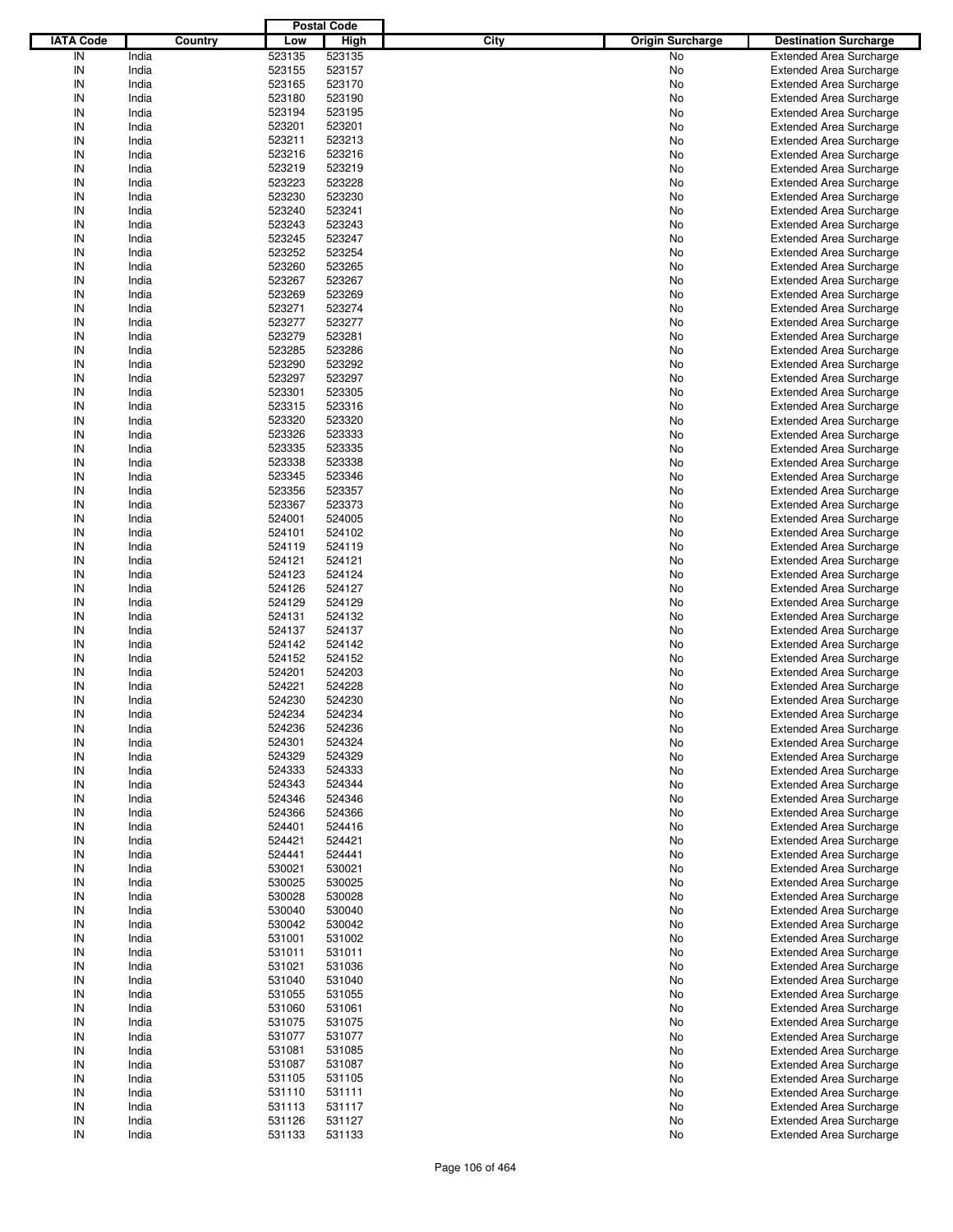|                  |         |        | <b>Postal Code</b> |                                 |                                |
|------------------|---------|--------|--------------------|---------------------------------|--------------------------------|
| <b>IATA Code</b> | Country | Low    | High               | City<br><b>Origin Surcharge</b> | <b>Destination Surcharge</b>   |
| IN               | India   | 523135 | 523135             | No                              | <b>Extended Area Surcharge</b> |
| IN               | India   | 523155 | 523157             | No                              | <b>Extended Area Surcharge</b> |
| IN               | India   | 523165 | 523170             | No                              | <b>Extended Area Surcharge</b> |
| IN               | India   | 523180 | 523190             | No                              | <b>Extended Area Surcharge</b> |
| IN               | India   | 523194 | 523195             | No                              | <b>Extended Area Surcharge</b> |
| IN               | India   | 523201 | 523201             | No                              | <b>Extended Area Surcharge</b> |
| IN               | India   | 523211 | 523213             | No                              |                                |
|                  |         |        |                    |                                 | <b>Extended Area Surcharge</b> |
| IN               | India   | 523216 | 523216             | No                              | <b>Extended Area Surcharge</b> |
| IN               | India   | 523219 | 523219             | No                              | <b>Extended Area Surcharge</b> |
| IN               | India   | 523223 | 523228             | No                              | <b>Extended Area Surcharge</b> |
| IN               | India   | 523230 | 523230             | No                              | <b>Extended Area Surcharge</b> |
| IN               | India   | 523240 | 523241             | No                              | <b>Extended Area Surcharge</b> |
| IN               | India   | 523243 | 523243             | No                              | <b>Extended Area Surcharge</b> |
| IN               | India   | 523245 | 523247             | No                              | <b>Extended Area Surcharge</b> |
| IN               | India   | 523252 | 523254             | No                              | <b>Extended Area Surcharge</b> |
| IN               | India   | 523260 | 523265             | No                              | <b>Extended Area Surcharge</b> |
| IN               | India   | 523267 | 523267             | No                              | <b>Extended Area Surcharge</b> |
| IN               | India   | 523269 | 523269             | No                              | <b>Extended Area Surcharge</b> |
| IN               | India   | 523271 | 523274             | No                              | <b>Extended Area Surcharge</b> |
| IN               | India   | 523277 | 523277             | No                              | <b>Extended Area Surcharge</b> |
| IN               | India   | 523279 | 523281             | No                              | <b>Extended Area Surcharge</b> |
| IN               | India   | 523285 | 523286             | No                              | <b>Extended Area Surcharge</b> |
| IN               | India   | 523290 | 523292             | No                              | <b>Extended Area Surcharge</b> |
| IN               | India   | 523297 | 523297             | No                              | <b>Extended Area Surcharge</b> |
| IN               | India   | 523301 | 523305             | No                              | <b>Extended Area Surcharge</b> |
| IN               | India   | 523315 | 523316             | No                              | <b>Extended Area Surcharge</b> |
| IN               | India   | 523320 | 523320             | No                              | <b>Extended Area Surcharge</b> |
| IN               | India   | 523326 | 523333             | No                              | <b>Extended Area Surcharge</b> |
| IN               | India   | 523335 | 523335             | No                              | <b>Extended Area Surcharge</b> |
| IN               | India   | 523338 | 523338             | No                              |                                |
|                  |         |        |                    |                                 | <b>Extended Area Surcharge</b> |
| IN               | India   | 523345 | 523346             | No                              | <b>Extended Area Surcharge</b> |
| IN               | India   | 523356 | 523357             | No                              | <b>Extended Area Surcharge</b> |
| IN               | India   | 523367 | 523373             | No                              | <b>Extended Area Surcharge</b> |
| IN               | India   | 524001 | 524005             | No                              | <b>Extended Area Surcharge</b> |
| IN               | India   | 524101 | 524102             | No                              | <b>Extended Area Surcharge</b> |
| IN               | India   | 524119 | 524119             | No                              | <b>Extended Area Surcharge</b> |
| IN               | India   | 524121 | 524121             | No                              | <b>Extended Area Surcharge</b> |
| IN               | India   | 524123 | 524124             | No                              | <b>Extended Area Surcharge</b> |
| IN               | India   | 524126 | 524127             | No                              | <b>Extended Area Surcharge</b> |
| IN               | India   | 524129 | 524129             | No                              | <b>Extended Area Surcharge</b> |
| IN               | India   | 524131 | 524132             | No                              | <b>Extended Area Surcharge</b> |
| IN               | India   | 524137 | 524137             | No                              | <b>Extended Area Surcharge</b> |
| IN               | India   | 524142 | 524142             | No                              | <b>Extended Area Surcharge</b> |
| IN               | India   | 524152 | 524152             | No                              | <b>Extended Area Surcharge</b> |
| IN               | India   | 524201 | 524203             | No                              | <b>Extended Area Surcharge</b> |
| IN               | India   | 524221 | 524228             | No                              | <b>Extended Area Surcharge</b> |
| IN               | India   | 524230 | 524230             | No                              | <b>Extended Area Surcharge</b> |
| IN               | India   | 524234 | 524234             | No                              | <b>Extended Area Surcharge</b> |
| IN               | India   | 524236 | 524236             | No                              | <b>Extended Area Surcharge</b> |
|                  |         | 524301 |                    |                                 |                                |
| IN               | India   |        | 524324             | No                              | <b>Extended Area Surcharge</b> |
| IN               | India   | 524329 | 524329             | No                              | <b>Extended Area Surcharge</b> |
| IN               | India   | 524333 | 524333             | No                              | <b>Extended Area Surcharge</b> |
| IN               | India   | 524343 | 524344             | No                              | <b>Extended Area Surcharge</b> |
| IN               | India   | 524346 | 524346             | No                              | <b>Extended Area Surcharge</b> |
| IN               | India   | 524366 | 524366             | No                              | <b>Extended Area Surcharge</b> |
| IN               | India   | 524401 | 524416             | No                              | <b>Extended Area Surcharge</b> |
| IN               | India   | 524421 | 524421             | No                              | <b>Extended Area Surcharge</b> |
| IN               | India   | 524441 | 524441             | No                              | <b>Extended Area Surcharge</b> |
| IN               | India   | 530021 | 530021             | No                              | <b>Extended Area Surcharge</b> |
| IN               | India   | 530025 | 530025             | No                              | <b>Extended Area Surcharge</b> |
| IN               | India   | 530028 | 530028             | No                              | <b>Extended Area Surcharge</b> |
| IN               | India   | 530040 | 530040             | No                              | <b>Extended Area Surcharge</b> |
| IN               | India   | 530042 | 530042             | No                              | <b>Extended Area Surcharge</b> |
| IN               | India   | 531001 | 531002             | No                              | <b>Extended Area Surcharge</b> |
| IN               | India   | 531011 | 531011             | No                              | <b>Extended Area Surcharge</b> |
| IN               | India   | 531021 | 531036             | No                              | <b>Extended Area Surcharge</b> |
| IN               | India   | 531040 | 531040             | No                              | <b>Extended Area Surcharge</b> |
| IN               | India   | 531055 | 531055             | No                              | <b>Extended Area Surcharge</b> |
| IN               | India   | 531060 | 531061             | No                              | <b>Extended Area Surcharge</b> |
| IN               | India   | 531075 | 531075             | No                              | <b>Extended Area Surcharge</b> |
| IN               | India   | 531077 | 531077             | No                              | <b>Extended Area Surcharge</b> |
| IN               | India   | 531081 | 531085             |                                 |                                |
|                  |         |        |                    | No                              | <b>Extended Area Surcharge</b> |
| IN               | India   | 531087 | 531087             | No                              | <b>Extended Area Surcharge</b> |
| IN               | India   | 531105 | 531105             | No                              | <b>Extended Area Surcharge</b> |
| IN               | India   | 531110 | 531111             | No                              | <b>Extended Area Surcharge</b> |
| IN               | India   | 531113 | 531117             | No                              | <b>Extended Area Surcharge</b> |
| IN               | India   | 531126 | 531127             | No                              | <b>Extended Area Surcharge</b> |
| IN               | India   | 531133 | 531133             | No                              | <b>Extended Area Surcharge</b> |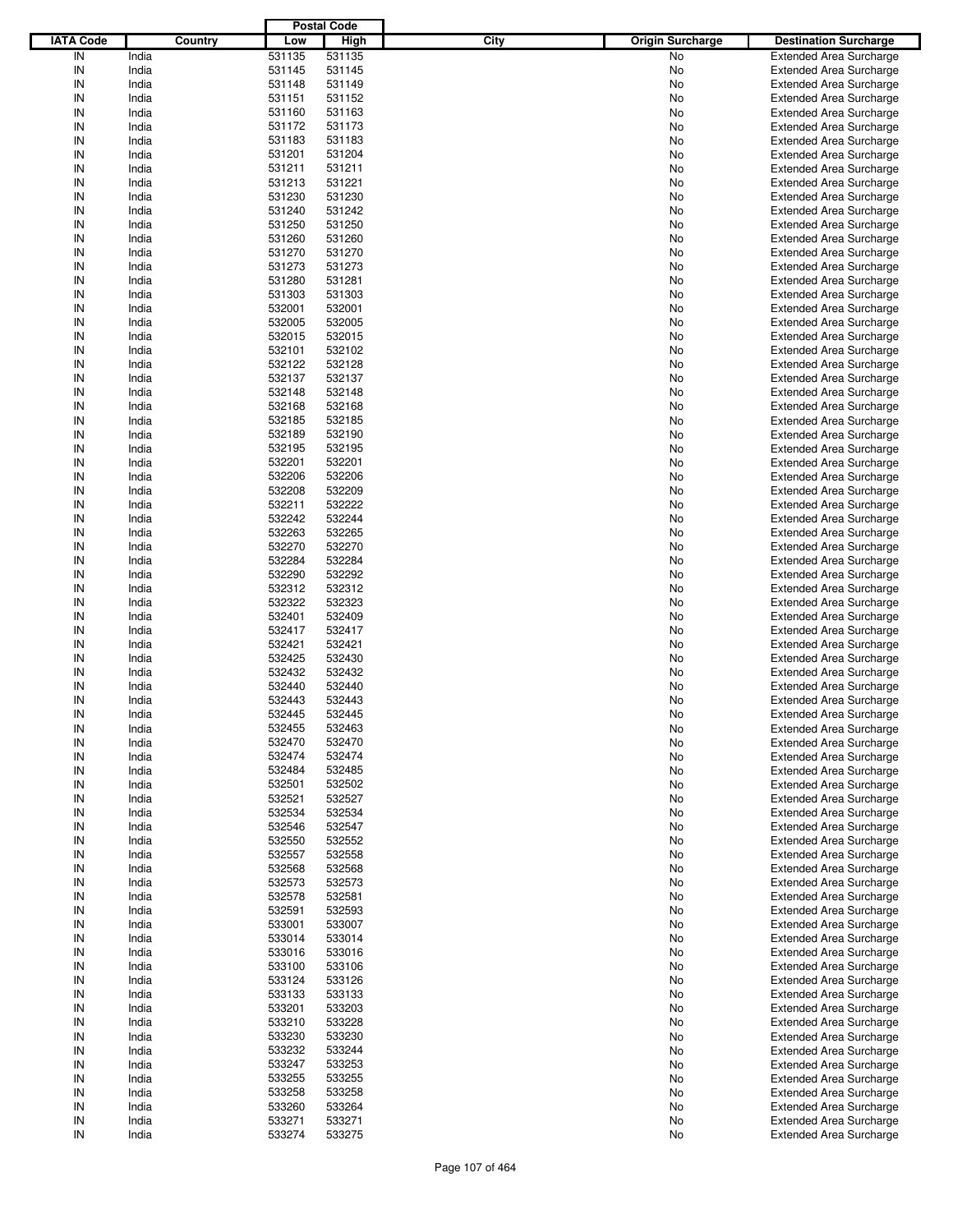|                  |         |        | <b>Postal Code</b> |                                 |                                |
|------------------|---------|--------|--------------------|---------------------------------|--------------------------------|
| <b>IATA Code</b> | Country | Low    | <b>High</b>        | City<br><b>Origin Surcharge</b> | <b>Destination Surcharge</b>   |
| IN               | India   | 531135 | 531135             | No                              | <b>Extended Area Surcharge</b> |
| IN               | India   | 531145 | 531145             | No                              | <b>Extended Area Surcharge</b> |
| IN               | India   | 531148 | 531149             | No                              | <b>Extended Area Surcharge</b> |
| IN               | India   | 531151 | 531152             | No                              | <b>Extended Area Surcharge</b> |
| IN               | India   | 531160 | 531163             | No                              | <b>Extended Area Surcharge</b> |
| IN               | India   | 531172 | 531173             | No                              | <b>Extended Area Surcharge</b> |
| IN               | India   |        | 531183             |                                 |                                |
|                  |         | 531183 |                    | No                              | <b>Extended Area Surcharge</b> |
| IN               | India   | 531201 | 531204             | No                              | <b>Extended Area Surcharge</b> |
| IN               | India   | 531211 | 531211             | No                              | <b>Extended Area Surcharge</b> |
| IN               | India   | 531213 | 531221             | No                              | <b>Extended Area Surcharge</b> |
| IN               | India   | 531230 | 531230             | No                              | <b>Extended Area Surcharge</b> |
| IN               | India   | 531240 | 531242             | No                              | <b>Extended Area Surcharge</b> |
| IN               | India   | 531250 | 531250             | No                              | <b>Extended Area Surcharge</b> |
| IN               | India   | 531260 | 531260             | No                              | <b>Extended Area Surcharge</b> |
| IN               | India   | 531270 | 531270             | No                              | <b>Extended Area Surcharge</b> |
| IN               | India   | 531273 | 531273             | No                              | <b>Extended Area Surcharge</b> |
| IN               | India   | 531280 | 531281             | No                              | <b>Extended Area Surcharge</b> |
| IN               | India   | 531303 | 531303             | No                              | <b>Extended Area Surcharge</b> |
| IN               | India   | 532001 | 532001             | No                              | <b>Extended Area Surcharge</b> |
| IN               | India   | 532005 | 532005             | No                              | <b>Extended Area Surcharge</b> |
| IN               | India   | 532015 | 532015             | No                              | <b>Extended Area Surcharge</b> |
| IN               | India   | 532101 | 532102             | No                              | <b>Extended Area Surcharge</b> |
| IN               | India   | 532122 | 532128             | No                              | <b>Extended Area Surcharge</b> |
| IN               | India   | 532137 | 532137             | No                              | <b>Extended Area Surcharge</b> |
| IN               | India   | 532148 | 532148             | No                              | <b>Extended Area Surcharge</b> |
| IN               | India   | 532168 | 532168             | No                              | <b>Extended Area Surcharge</b> |
| IN               | India   | 532185 | 532185             | No                              | <b>Extended Area Surcharge</b> |
| IN               | India   | 532189 | 532190             |                                 | <b>Extended Area Surcharge</b> |
| IN               |         |        |                    | No                              |                                |
|                  | India   | 532195 | 532195             | No                              | <b>Extended Area Surcharge</b> |
| IN               | India   | 532201 | 532201             | No                              | <b>Extended Area Surcharge</b> |
| IN               | India   | 532206 | 532206             | No                              | <b>Extended Area Surcharge</b> |
| IN               | India   | 532208 | 532209             | No                              | <b>Extended Area Surcharge</b> |
| IN               | India   | 532211 | 532222             | No                              | <b>Extended Area Surcharge</b> |
| IN               | India   | 532242 | 532244             | No                              | <b>Extended Area Surcharge</b> |
| IN               | India   | 532263 | 532265             | No                              | <b>Extended Area Surcharge</b> |
| IN               | India   | 532270 | 532270             | No                              | <b>Extended Area Surcharge</b> |
| IN               | India   | 532284 | 532284             | No                              | <b>Extended Area Surcharge</b> |
| IN               | India   | 532290 | 532292             | No                              | <b>Extended Area Surcharge</b> |
| IN               | India   | 532312 | 532312             | No                              | <b>Extended Area Surcharge</b> |
| IN               | India   | 532322 | 532323             | No                              | <b>Extended Area Surcharge</b> |
| IN               | India   | 532401 | 532409             | No                              | <b>Extended Area Surcharge</b> |
| IN               | India   | 532417 | 532417             | No                              | <b>Extended Area Surcharge</b> |
| IN               | India   | 532421 | 532421             | No                              | <b>Extended Area Surcharge</b> |
| IN               | India   | 532425 | 532430             | No                              | <b>Extended Area Surcharge</b> |
| IN               | India   | 532432 | 532432             | No                              | <b>Extended Area Surcharge</b> |
| IN               | India   | 532440 | 532440             | No                              | <b>Extended Area Surcharge</b> |
| IN               | India   | 532443 | 532443             | No                              | <b>Extended Area Surcharge</b> |
|                  |         |        |                    |                                 | <b>Extended Area Surcharge</b> |
| IN               | India   | 532445 | 532445             | No                              |                                |
| IN               | India   | 532455 | 532463             | No                              | <b>Extended Area Surcharge</b> |
| IN               | India   | 532470 | 532470             | No                              | <b>Extended Area Surcharge</b> |
| IN               | India   | 532474 | 532474             | No                              | <b>Extended Area Surcharge</b> |
| IN               | India   | 532484 | 532485             | No                              | <b>Extended Area Surcharge</b> |
| IN               | India   | 532501 | 532502             | No                              | <b>Extended Area Surcharge</b> |
| IN               | India   | 532521 | 532527             | No                              | <b>Extended Area Surcharge</b> |
| IN               | India   | 532534 | 532534             | No                              | <b>Extended Area Surcharge</b> |
| IN               | India   | 532546 | 532547             | No                              | <b>Extended Area Surcharge</b> |
| IN               | India   | 532550 | 532552             | No                              | <b>Extended Area Surcharge</b> |
| IN               | India   | 532557 | 532558             | No                              | <b>Extended Area Surcharge</b> |
| IN               | India   | 532568 | 532568             | No                              | <b>Extended Area Surcharge</b> |
| IN               | India   | 532573 | 532573             | No                              | <b>Extended Area Surcharge</b> |
| IN               | India   | 532578 | 532581             | No                              | <b>Extended Area Surcharge</b> |
| IN               | India   | 532591 | 532593             | No                              | <b>Extended Area Surcharge</b> |
| IN               | India   | 533001 | 533007             | No                              | <b>Extended Area Surcharge</b> |
| IN               | India   | 533014 | 533014             | No                              | <b>Extended Area Surcharge</b> |
| IN               | India   | 533016 | 533016             | No                              | <b>Extended Area Surcharge</b> |
| IN               | India   | 533100 | 533106             | No                              | <b>Extended Area Surcharge</b> |
| IN               | India   | 533124 | 533126             | No                              | <b>Extended Area Surcharge</b> |
| IN               | India   | 533133 | 533133             |                                 |                                |
|                  |         |        |                    | No                              | <b>Extended Area Surcharge</b> |
| IN               | India   | 533201 | 533203             | No                              | <b>Extended Area Surcharge</b> |
| IN               | India   | 533210 | 533228             | No                              | <b>Extended Area Surcharge</b> |
| IN               | India   | 533230 | 533230             | No                              | <b>Extended Area Surcharge</b> |
| IN               | India   | 533232 | 533244             | No                              | <b>Extended Area Surcharge</b> |
| IN               | India   | 533247 | 533253             | No                              | <b>Extended Area Surcharge</b> |
| IN               | India   | 533255 | 533255             | No                              | <b>Extended Area Surcharge</b> |
| IN               | India   | 533258 | 533258             | No                              | <b>Extended Area Surcharge</b> |
| IN               | India   | 533260 | 533264             | No                              | Extended Area Surcharge        |
| IN               | India   | 533271 | 533271             | No                              | <b>Extended Area Surcharge</b> |
| $\sf IN$         | India   | 533274 | 533275             | No                              | <b>Extended Area Surcharge</b> |
|                  |         |        |                    |                                 |                                |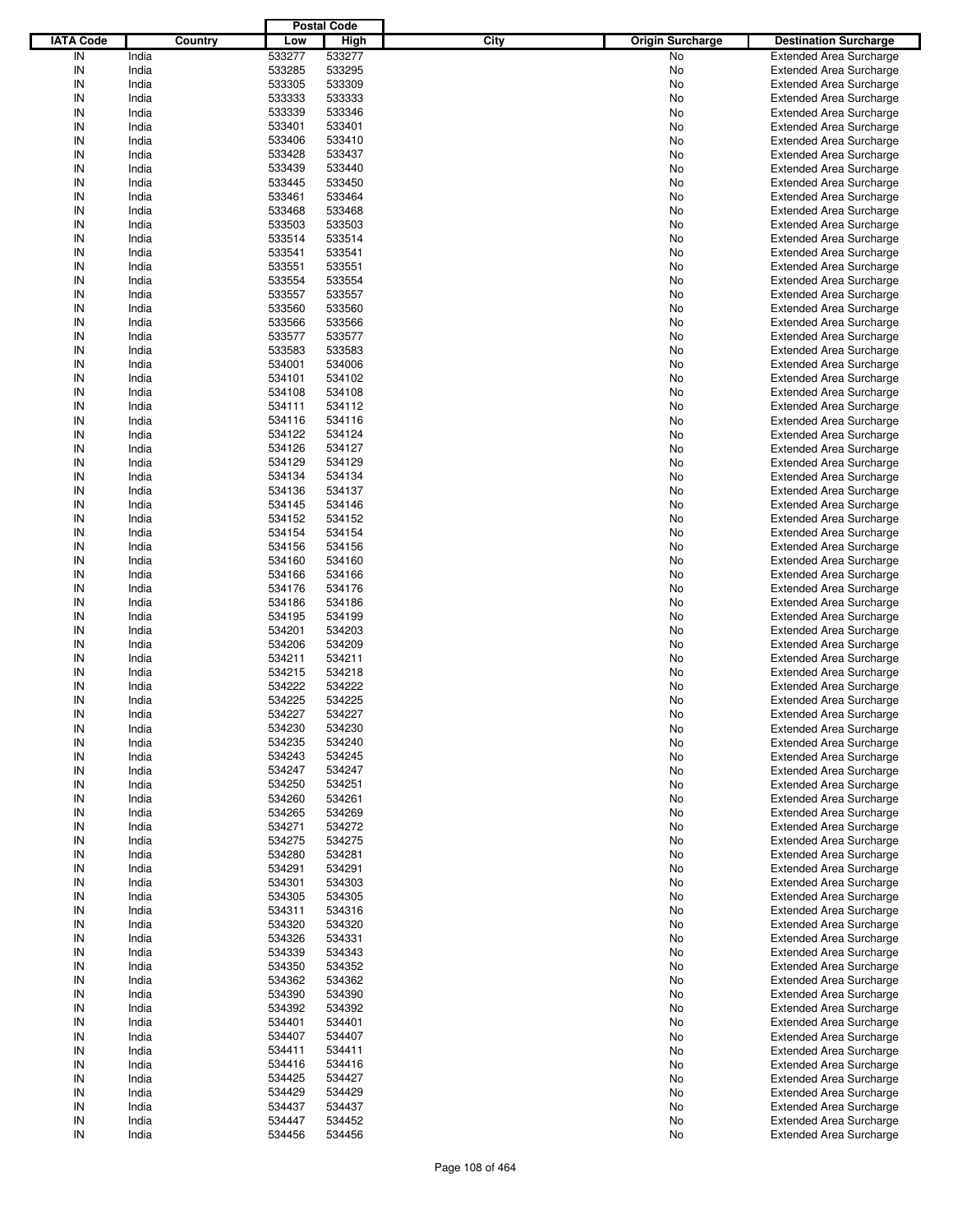|                  |         |        | <b>Postal Code</b> |                                 |                                |
|------------------|---------|--------|--------------------|---------------------------------|--------------------------------|
| <b>IATA Code</b> | Country | Low    | <b>High</b>        | City<br><b>Origin Surcharge</b> | <b>Destination Surcharge</b>   |
| IN               | India   | 533277 | 533277             |                                 |                                |
|                  |         |        |                    | No                              | <b>Extended Area Surcharge</b> |
| IN               | India   | 533285 | 533295             | No                              | <b>Extended Area Surcharge</b> |
| IN               | India   | 533305 | 533309             | No                              | <b>Extended Area Surcharge</b> |
| IN               | India   | 533333 | 533333             | No                              | <b>Extended Area Surcharge</b> |
| IN               | India   | 533339 | 533346             | No                              | <b>Extended Area Surcharge</b> |
| IN               | India   | 533401 | 533401             | No                              | <b>Extended Area Surcharge</b> |
| IN               | India   | 533406 | 533410             | No                              | <b>Extended Area Surcharge</b> |
| IN               | India   | 533428 | 533437             | No                              | <b>Extended Area Surcharge</b> |
| IN               | India   | 533439 | 533440             | No                              | <b>Extended Area Surcharge</b> |
| IN               | India   | 533445 | 533450             |                                 | <b>Extended Area Surcharge</b> |
|                  |         |        |                    | No                              |                                |
| IN               | India   | 533461 | 533464             | No                              | <b>Extended Area Surcharge</b> |
| IN               | India   | 533468 | 533468             | No                              | <b>Extended Area Surcharge</b> |
| IN               | India   | 533503 | 533503             | No                              | <b>Extended Area Surcharge</b> |
| IN               | India   | 533514 | 533514             | No                              | <b>Extended Area Surcharge</b> |
| IN               | India   | 533541 | 533541             | No                              | <b>Extended Area Surcharge</b> |
| IN               | India   | 533551 | 533551             | No                              | <b>Extended Area Surcharge</b> |
| IN               | India   | 533554 | 533554             | No                              | <b>Extended Area Surcharge</b> |
| IN               | India   | 533557 | 533557             | No                              | <b>Extended Area Surcharge</b> |
| IN               | India   | 533560 | 533560             | No                              | <b>Extended Area Surcharge</b> |
| IN               |         |        |                    |                                 |                                |
|                  | India   | 533566 | 533566             | No                              | <b>Extended Area Surcharge</b> |
| IN               | India   | 533577 | 533577             | No                              | <b>Extended Area Surcharge</b> |
| IN               | India   | 533583 | 533583             | No                              | <b>Extended Area Surcharge</b> |
| IN               | India   | 534001 | 534006             | No                              | <b>Extended Area Surcharge</b> |
| IN               | India   | 534101 | 534102             | No                              | <b>Extended Area Surcharge</b> |
| IN               | India   | 534108 | 534108             | No                              | <b>Extended Area Surcharge</b> |
| IN               | India   | 534111 | 534112             | No                              | <b>Extended Area Surcharge</b> |
| IN               | India   | 534116 | 534116             | No                              | <b>Extended Area Surcharge</b> |
| IN               | India   | 534122 | 534124             | No                              | <b>Extended Area Surcharge</b> |
| IN               |         |        | 534127             |                                 |                                |
|                  | India   | 534126 |                    | No                              | <b>Extended Area Surcharge</b> |
| IN               | India   | 534129 | 534129             | No                              | <b>Extended Area Surcharge</b> |
| IN               | India   | 534134 | 534134             | No                              | <b>Extended Area Surcharge</b> |
| IN               | India   | 534136 | 534137             | No                              | <b>Extended Area Surcharge</b> |
| IN               | India   | 534145 | 534146             | No                              | <b>Extended Area Surcharge</b> |
| IN               | India   | 534152 | 534152             | No                              | <b>Extended Area Surcharge</b> |
| IN               | India   | 534154 | 534154             | No                              | <b>Extended Area Surcharge</b> |
| IN               | India   | 534156 | 534156             | No                              | <b>Extended Area Surcharge</b> |
| IN               | India   | 534160 | 534160             | No                              | <b>Extended Area Surcharge</b> |
| IN               |         |        | 534166             |                                 |                                |
|                  | India   | 534166 |                    | No                              | <b>Extended Area Surcharge</b> |
| IN               | India   | 534176 | 534176             | No                              | <b>Extended Area Surcharge</b> |
| IN               | India   | 534186 | 534186             | No                              | <b>Extended Area Surcharge</b> |
| IN               | India   | 534195 | 534199             | No                              | <b>Extended Area Surcharge</b> |
| IN               | India   | 534201 | 534203             | No                              | <b>Extended Area Surcharge</b> |
| IN               | India   | 534206 | 534209             | No                              | <b>Extended Area Surcharge</b> |
| IN               | India   | 534211 | 534211             | No                              | <b>Extended Area Surcharge</b> |
| IN               | India   | 534215 | 534218             | No                              | <b>Extended Area Surcharge</b> |
| IN               | India   | 534222 | 534222             | No                              | <b>Extended Area Surcharge</b> |
| IN               | India   | 534225 | 534225             | No                              |                                |
|                  |         |        |                    |                                 | <b>Extended Area Surcharge</b> |
| IN               | India   | 534227 | 534227             | No                              | <b>Extended Area Surcharge</b> |
| IN               | India   | 534230 | 534230             | No                              | <b>Extended Area Surcharge</b> |
| IN               | India   | 534235 | 534240             | No                              | <b>Extended Area Surcharge</b> |
| IN               | India   | 534243 | 534245             | No                              | <b>Extended Area Surcharge</b> |
| IN               | India   | 534247 | 534247             | No                              | <b>Extended Area Surcharge</b> |
| IN               | India   | 534250 | 534251             | No                              | <b>Extended Area Surcharge</b> |
| IN               | India   | 534260 | 534261             | No                              | <b>Extended Area Surcharge</b> |
| IN               | India   | 534265 | 534269             | No                              | <b>Extended Area Surcharge</b> |
| IN               | India   | 534271 | 534272             | No                              | <b>Extended Area Surcharge</b> |
| IN               | India   | 534275 | 534275             | No                              | <b>Extended Area Surcharge</b> |
|                  |         |        |                    |                                 |                                |
| IN               | India   | 534280 | 534281             | No                              | <b>Extended Area Surcharge</b> |
| IN               | India   | 534291 | 534291             | No                              | <b>Extended Area Surcharge</b> |
| IN               | India   | 534301 | 534303             | No                              | <b>Extended Area Surcharge</b> |
| IN               | India   | 534305 | 534305             | No                              | <b>Extended Area Surcharge</b> |
| IN               | India   | 534311 | 534316             | No                              | <b>Extended Area Surcharge</b> |
| IN               | India   | 534320 | 534320             | No                              | <b>Extended Area Surcharge</b> |
| IN               | India   | 534326 | 534331             | No                              | <b>Extended Area Surcharge</b> |
| IN               | India   | 534339 | 534343             | No                              | <b>Extended Area Surcharge</b> |
| IN               | India   | 534350 | 534352             | No                              | <b>Extended Area Surcharge</b> |
| IN               | India   | 534362 | 534362             | No                              | <b>Extended Area Surcharge</b> |
| IN               |         |        |                    |                                 |                                |
|                  | India   | 534390 | 534390             | No                              | <b>Extended Area Surcharge</b> |
| IN               | India   | 534392 | 534392             | No                              | <b>Extended Area Surcharge</b> |
| IN               | India   | 534401 | 534401             | No                              | <b>Extended Area Surcharge</b> |
| IN               | India   | 534407 | 534407             | No                              | <b>Extended Area Surcharge</b> |
| IN               | India   | 534411 | 534411             | No                              | <b>Extended Area Surcharge</b> |
| IN               | India   | 534416 | 534416             | No                              | <b>Extended Area Surcharge</b> |
| IN               | India   | 534425 | 534427             | No                              | <b>Extended Area Surcharge</b> |
| IN               | India   | 534429 | 534429             | No                              | <b>Extended Area Surcharge</b> |
| IN               | India   | 534437 | 534437             | No                              | <b>Extended Area Surcharge</b> |
| IN               | India   | 534447 | 534452             | No                              | <b>Extended Area Surcharge</b> |
| $\sf IN$         | India   | 534456 | 534456             | No                              | <b>Extended Area Surcharge</b> |
|                  |         |        |                    |                                 |                                |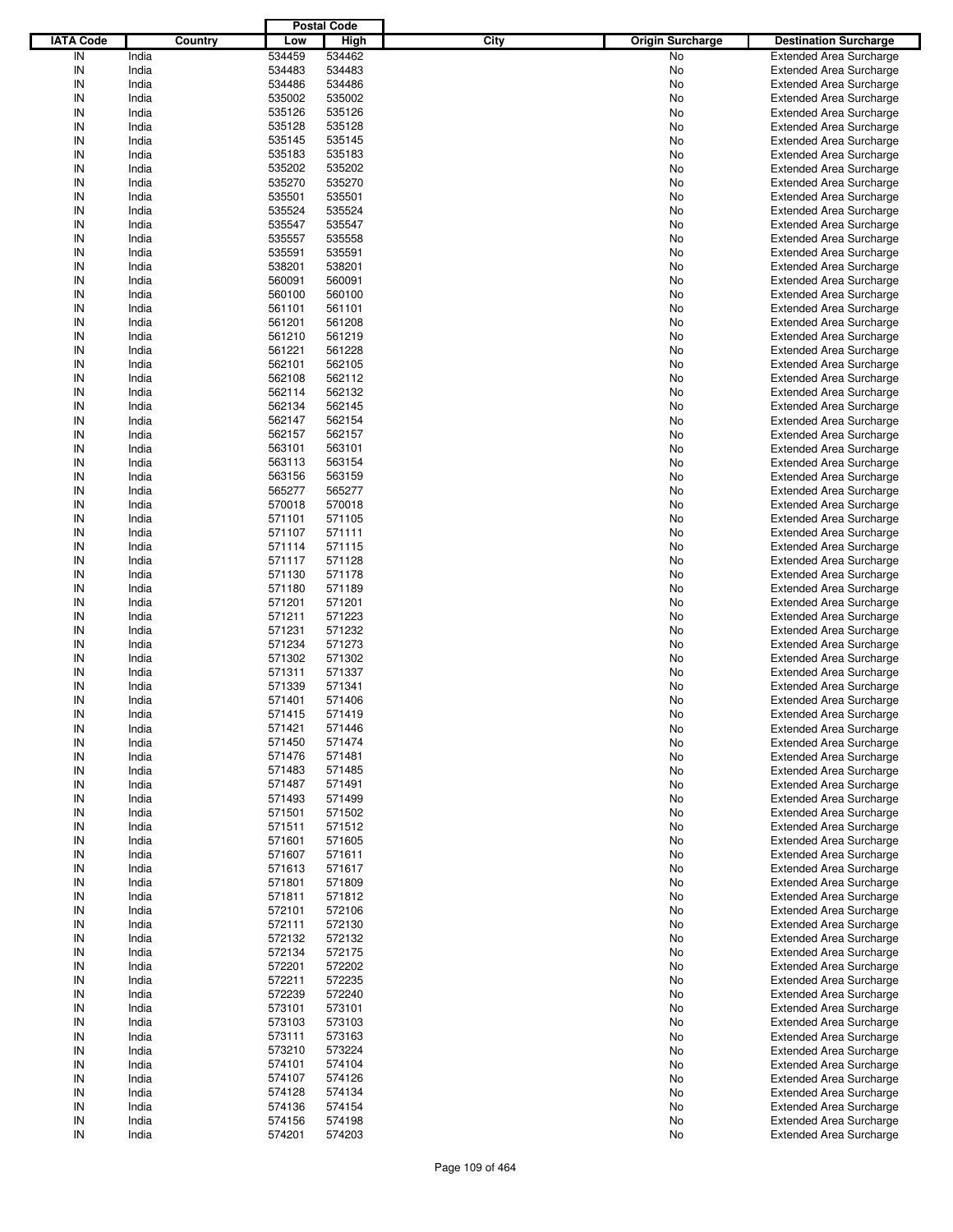|                  |         |        | <b>Postal Code</b> |                                 |                                |
|------------------|---------|--------|--------------------|---------------------------------|--------------------------------|
| <b>IATA Code</b> | Country | Low    | High               | City<br><b>Origin Surcharge</b> | <b>Destination Surcharge</b>   |
| IN               | India   | 534459 | 534462             | No                              | <b>Extended Area Surcharge</b> |
| IN               | India   | 534483 | 534483             | No                              | <b>Extended Area Surcharge</b> |
| IN               | India   | 534486 | 534486             | No                              | <b>Extended Area Surcharge</b> |
| IN               | India   | 535002 | 535002             | No                              | <b>Extended Area Surcharge</b> |
| IN               | India   | 535126 | 535126             | No                              | <b>Extended Area Surcharge</b> |
| IN               | India   | 535128 | 535128             | No                              | <b>Extended Area Surcharge</b> |
| IN               | India   | 535145 | 535145             |                                 |                                |
|                  |         |        |                    | No                              | <b>Extended Area Surcharge</b> |
| IN               | India   | 535183 | 535183             | No                              | <b>Extended Area Surcharge</b> |
| IN               | India   | 535202 | 535202             | No                              | <b>Extended Area Surcharge</b> |
| IN               | India   | 535270 | 535270             | No                              | <b>Extended Area Surcharge</b> |
| IN               | India   | 535501 | 535501             | No                              | <b>Extended Area Surcharge</b> |
| IN               | India   | 535524 | 535524             | No                              | <b>Extended Area Surcharge</b> |
| IN               | India   | 535547 | 535547             | No                              | <b>Extended Area Surcharge</b> |
| IN               | India   | 535557 | 535558             | No                              | <b>Extended Area Surcharge</b> |
| IN               | India   | 535591 | 535591             | No                              | <b>Extended Area Surcharge</b> |
| IN               | India   | 538201 | 538201             | No                              | <b>Extended Area Surcharge</b> |
| IN               | India   | 560091 | 560091             | No                              | <b>Extended Area Surcharge</b> |
| IN               | India   | 560100 | 560100             | No                              | <b>Extended Area Surcharge</b> |
| IN               | India   | 561101 | 561101             | No                              | <b>Extended Area Surcharge</b> |
| IN               | India   | 561201 | 561208             | No                              | <b>Extended Area Surcharge</b> |
| IN               | India   | 561210 | 561219             | No                              | <b>Extended Area Surcharge</b> |
| IN               | India   | 561221 | 561228             | No                              | <b>Extended Area Surcharge</b> |
| IN               | India   | 562101 | 562105             | No                              | <b>Extended Area Surcharge</b> |
| IN               | India   | 562108 | 562112             | No                              | <b>Extended Area Surcharge</b> |
| IN               | India   | 562114 | 562132             | No                              | <b>Extended Area Surcharge</b> |
| IN               | India   | 562134 | 562145             | No                              | <b>Extended Area Surcharge</b> |
|                  |         |        |                    |                                 |                                |
| IN               | India   | 562147 | 562154             | No                              | <b>Extended Area Surcharge</b> |
| IN               | India   | 562157 | 562157             | No                              | <b>Extended Area Surcharge</b> |
| IN               | India   | 563101 | 563101             | No                              | <b>Extended Area Surcharge</b> |
| IN               | India   | 563113 | 563154             | No                              | <b>Extended Area Surcharge</b> |
| IN               | India   | 563156 | 563159             | No                              | <b>Extended Area Surcharge</b> |
| IN               | India   | 565277 | 565277             | No                              | <b>Extended Area Surcharge</b> |
| IN               | India   | 570018 | 570018             | No                              | <b>Extended Area Surcharge</b> |
| IN               | India   | 571101 | 571105             | No                              | <b>Extended Area Surcharge</b> |
| IN               | India   | 571107 | 571111             | No                              | <b>Extended Area Surcharge</b> |
| IN               | India   | 571114 | 571115             | No                              | <b>Extended Area Surcharge</b> |
| IN               | India   | 571117 | 571128             | No                              | <b>Extended Area Surcharge</b> |
| IN               | India   | 571130 | 571178             | No                              | <b>Extended Area Surcharge</b> |
| IN               | India   | 571180 | 571189             | No                              | <b>Extended Area Surcharge</b> |
| IN               | India   | 571201 | 571201             | No                              | <b>Extended Area Surcharge</b> |
| IN               | India   | 571211 | 571223             | No                              | <b>Extended Area Surcharge</b> |
| IN               | India   | 571231 | 571232             | No                              | <b>Extended Area Surcharge</b> |
| IN               | India   | 571234 | 571273             | No                              | <b>Extended Area Surcharge</b> |
| IN               | India   | 571302 | 571302             | No                              | <b>Extended Area Surcharge</b> |
| IN               | India   | 571311 | 571337             | No                              | <b>Extended Area Surcharge</b> |
| IN               | India   |        |                    |                                 |                                |
|                  |         | 571339 | 571341             | No                              | <b>Extended Area Surcharge</b> |
| IN               | India   | 571401 | 571406             | No                              | <b>Extended Area Surcharge</b> |
| IN               | India   | 571415 | 571419             | No                              | <b>Extended Area Surcharge</b> |
| IN               | India   | 571421 | 571446             | No                              | <b>Extended Area Surcharge</b> |
| IN               | India   | 571450 | 571474             | No                              | <b>Extended Area Surcharge</b> |
| IN               | India   | 571476 | 571481             | No                              | <b>Extended Area Surcharge</b> |
| IN               | India   | 571483 | 571485             | No                              | <b>Extended Area Surcharge</b> |
| IN               | India   | 571487 | 571491             | No                              | <b>Extended Area Surcharge</b> |
| IN               | India   | 571493 | 571499             | No                              | <b>Extended Area Surcharge</b> |
| IN               | India   | 571501 | 571502             | No                              | <b>Extended Area Surcharge</b> |
| IN               | India   | 571511 | 571512             | No                              | <b>Extended Area Surcharge</b> |
| IN               | India   | 571601 | 571605             | No                              | <b>Extended Area Surcharge</b> |
| IN               | India   | 571607 | 571611             | No                              | <b>Extended Area Surcharge</b> |
| IN               | India   | 571613 | 571617             | No                              | <b>Extended Area Surcharge</b> |
| IN               | India   | 571801 | 571809             | No                              | <b>Extended Area Surcharge</b> |
| IN               | India   | 571811 | 571812             | No                              | <b>Extended Area Surcharge</b> |
| IN               | India   | 572101 | 572106             | No                              | <b>Extended Area Surcharge</b> |
| IN               | India   | 572111 | 572130             | No                              | <b>Extended Area Surcharge</b> |
| IN               | India   | 572132 | 572132             | No                              | <b>Extended Area Surcharge</b> |
|                  | India   | 572134 | 572175             | No                              | <b>Extended Area Surcharge</b> |
| IN               |         |        |                    |                                 |                                |
| IN               | India   | 572201 | 572202             | No                              | <b>Extended Area Surcharge</b> |
| IN               | India   | 572211 | 572235             | No                              | <b>Extended Area Surcharge</b> |
| IN               | India   | 572239 | 572240             | No                              | <b>Extended Area Surcharge</b> |
| IN               | India   | 573101 | 573101             | No                              | <b>Extended Area Surcharge</b> |
| IN               | India   | 573103 | 573103             | No                              | <b>Extended Area Surcharge</b> |
| IN               | India   | 573111 | 573163             | No                              | <b>Extended Area Surcharge</b> |
| IN               | India   | 573210 | 573224             | No                              | <b>Extended Area Surcharge</b> |
| IN               | India   | 574101 | 574104             | No                              | <b>Extended Area Surcharge</b> |
| IN               | India   | 574107 | 574126             | No                              | <b>Extended Area Surcharge</b> |
| IN               | India   | 574128 | 574134             | No                              | <b>Extended Area Surcharge</b> |
| IN               | India   | 574136 | 574154             | No                              | <b>Extended Area Surcharge</b> |
| IN               | India   | 574156 | 574198             | No                              | <b>Extended Area Surcharge</b> |
| IN               | India   | 574201 | 574203             | No                              | <b>Extended Area Surcharge</b> |
|                  |         |        |                    |                                 |                                |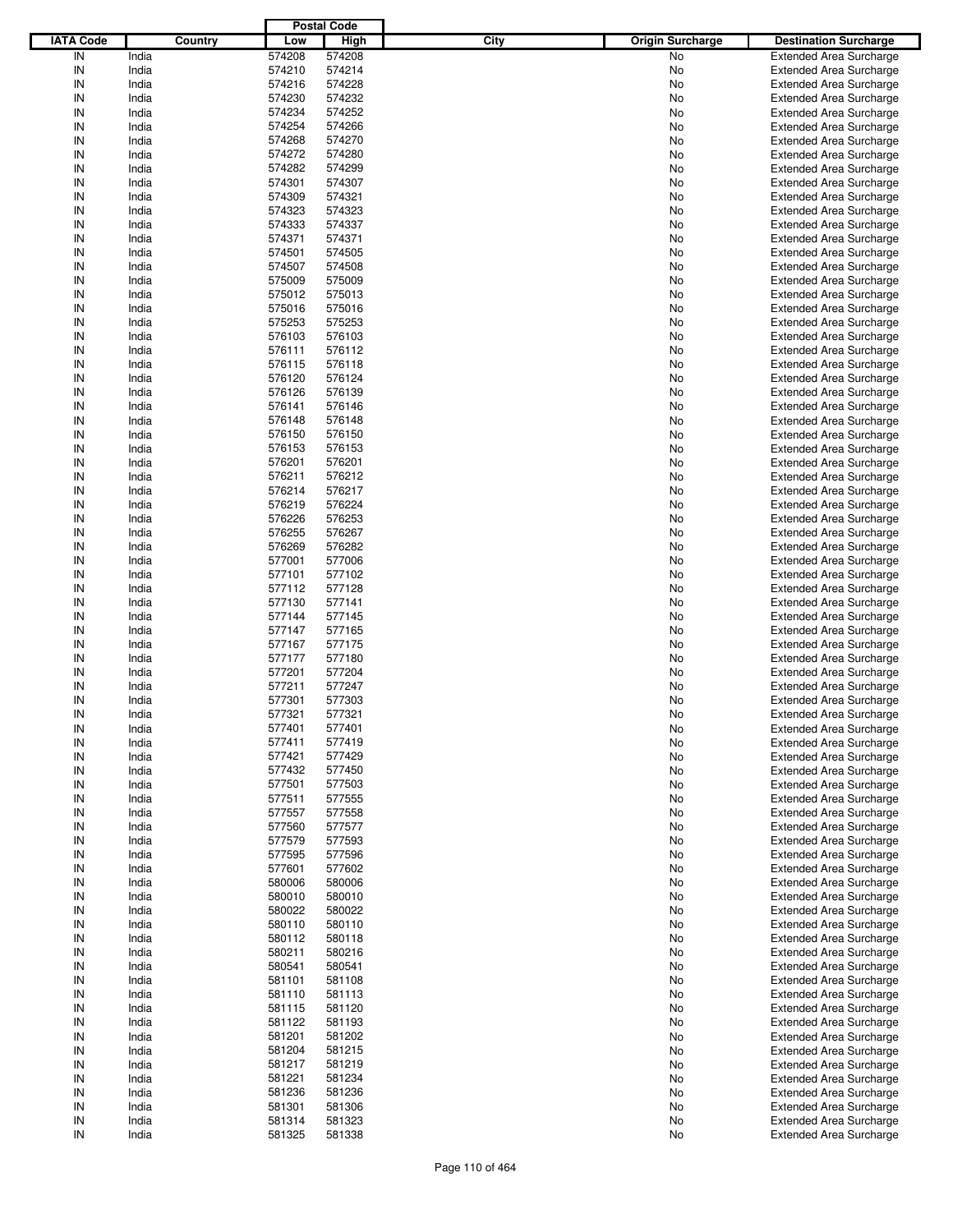|                  |         |        | <b>Postal Code</b> |                                 |                                |
|------------------|---------|--------|--------------------|---------------------------------|--------------------------------|
| <b>IATA Code</b> | Country | Low    | <b>High</b>        | City<br><b>Origin Surcharge</b> | <b>Destination Surcharge</b>   |
| IN               | India   | 574208 | 574208             | No                              | <b>Extended Area Surcharge</b> |
| IN               | India   | 574210 | 574214             | No                              | <b>Extended Area Surcharge</b> |
| IN               | India   | 574216 | 574228             | No                              | <b>Extended Area Surcharge</b> |
| IN               | India   | 574230 | 574232             | No                              | <b>Extended Area Surcharge</b> |
| IN               | India   | 574234 | 574252             | No                              | <b>Extended Area Surcharge</b> |
| IN               | India   | 574254 | 574266             | No                              | <b>Extended Area Surcharge</b> |
| IN               | India   | 574268 | 574270             |                                 |                                |
| IN               |         |        |                    | No                              | <b>Extended Area Surcharge</b> |
|                  | India   | 574272 | 574280             | No                              | <b>Extended Area Surcharge</b> |
| IN               | India   | 574282 | 574299             | No                              | <b>Extended Area Surcharge</b> |
| IN               | India   | 574301 | 574307             | No                              | <b>Extended Area Surcharge</b> |
| IN               | India   | 574309 | 574321             | No                              | <b>Extended Area Surcharge</b> |
| IN               | India   | 574323 | 574323             | No                              | <b>Extended Area Surcharge</b> |
| IN               | India   | 574333 | 574337             | No                              | <b>Extended Area Surcharge</b> |
| IN               | India   | 574371 | 574371             | No                              | <b>Extended Area Surcharge</b> |
| IN               | India   | 574501 | 574505             | No                              | <b>Extended Area Surcharge</b> |
| IN               | India   | 574507 | 574508             | No                              | <b>Extended Area Surcharge</b> |
| IN               | India   | 575009 | 575009             | No                              | <b>Extended Area Surcharge</b> |
| IN               | India   | 575012 | 575013             | No                              | <b>Extended Area Surcharge</b> |
| IN               | India   | 575016 | 575016             | No                              | <b>Extended Area Surcharge</b> |
| IN               | India   | 575253 | 575253             | No                              | <b>Extended Area Surcharge</b> |
| IN               | India   | 576103 | 576103             | No                              | <b>Extended Area Surcharge</b> |
| IN               | India   | 576111 | 576112             | No                              | <b>Extended Area Surcharge</b> |
| IN               | India   | 576115 | 576118             | No                              | <b>Extended Area Surcharge</b> |
| IN               | India   | 576120 | 576124             | No                              | <b>Extended Area Surcharge</b> |
| IN               | India   | 576126 | 576139             | No                              | <b>Extended Area Surcharge</b> |
| IN               | India   | 576141 | 576146             | No                              | <b>Extended Area Surcharge</b> |
| IN               | India   | 576148 | 576148             | No                              | <b>Extended Area Surcharge</b> |
| IN               | India   | 576150 | 576150             | No                              | <b>Extended Area Surcharge</b> |
| IN               | India   | 576153 | 576153             | No                              | <b>Extended Area Surcharge</b> |
| IN               | India   | 576201 | 576201             |                                 |                                |
|                  |         |        |                    | No                              | <b>Extended Area Surcharge</b> |
| IN               | India   | 576211 | 576212             | No                              | <b>Extended Area Surcharge</b> |
| IN               | India   | 576214 | 576217             | No                              | <b>Extended Area Surcharge</b> |
| IN               | India   | 576219 | 576224             | No                              | <b>Extended Area Surcharge</b> |
| IN               | India   | 576226 | 576253             | No                              | <b>Extended Area Surcharge</b> |
| IN               | India   | 576255 | 576267             | No                              | <b>Extended Area Surcharge</b> |
| IN               | India   | 576269 | 576282             | No                              | <b>Extended Area Surcharge</b> |
| IN               | India   | 577001 | 577006             | No                              | <b>Extended Area Surcharge</b> |
| IN               | India   | 577101 | 577102             | No                              | <b>Extended Area Surcharge</b> |
| IN               | India   | 577112 | 577128             | No                              | <b>Extended Area Surcharge</b> |
| IN               | India   | 577130 | 577141             | No                              | <b>Extended Area Surcharge</b> |
| IN               | India   | 577144 | 577145             | No                              | <b>Extended Area Surcharge</b> |
| IN               | India   | 577147 | 577165             | No                              | <b>Extended Area Surcharge</b> |
| IN               | India   | 577167 | 577175             | No                              | <b>Extended Area Surcharge</b> |
| IN               | India   | 577177 | 577180             | No                              | <b>Extended Area Surcharge</b> |
| IN               | India   | 577201 | 577204             | No                              | <b>Extended Area Surcharge</b> |
| IN               | India   | 577211 | 577247             | No                              | <b>Extended Area Surcharge</b> |
| IN               | India   | 577301 | 577303             | No                              | <b>Extended Area Surcharge</b> |
| IN               | India   | 577321 | 577321             | No                              | <b>Extended Area Surcharge</b> |
| IN               | India   | 577401 | 577401             | No                              | <b>Extended Area Surcharge</b> |
|                  |         |        | 577419             |                                 |                                |
| IN               | India   | 577411 |                    | No                              | <b>Extended Area Surcharge</b> |
| IN               | India   | 577421 | 577429             | No                              | <b>Extended Area Surcharge</b> |
| IN               | India   | 577432 | 577450             | No                              | <b>Extended Area Surcharge</b> |
| IN               | India   | 577501 | 577503             | No                              | <b>Extended Area Surcharge</b> |
| IN               | India   | 577511 | 577555             | No                              | <b>Extended Area Surcharge</b> |
| IN               | India   | 577557 | 577558             | No                              | <b>Extended Area Surcharge</b> |
| IN               | India   | 577560 | 577577             | No                              | <b>Extended Area Surcharge</b> |
| IN               | India   | 577579 | 577593             | No                              | <b>Extended Area Surcharge</b> |
| IN               | India   | 577595 | 577596             | No                              | <b>Extended Area Surcharge</b> |
| IN               | India   | 577601 | 577602             | No                              | <b>Extended Area Surcharge</b> |
| IN               | India   | 580006 | 580006             | No                              | <b>Extended Area Surcharge</b> |
| IN               | India   | 580010 | 580010             | No                              | <b>Extended Area Surcharge</b> |
| IN               | India   | 580022 | 580022             | No                              | <b>Extended Area Surcharge</b> |
| IN               | India   | 580110 | 580110             | No                              | <b>Extended Area Surcharge</b> |
| IN               | India   | 580112 | 580118             | No                              | <b>Extended Area Surcharge</b> |
| IN               | India   | 580211 | 580216             | No                              | <b>Extended Area Surcharge</b> |
| IN               | India   | 580541 | 580541             | No                              | <b>Extended Area Surcharge</b> |
| IN               | India   | 581101 | 581108             | No                              | <b>Extended Area Surcharge</b> |
| IN               | India   | 581110 | 581113             | No                              | <b>Extended Area Surcharge</b> |
| IN               | India   | 581115 | 581120             | No                              | <b>Extended Area Surcharge</b> |
| IN               | India   | 581122 | 581193             | No                              | <b>Extended Area Surcharge</b> |
| IN               | India   | 581201 | 581202             | No                              | <b>Extended Area Surcharge</b> |
| IN               | India   | 581204 | 581215             | No                              | <b>Extended Area Surcharge</b> |
| IN               | India   | 581217 | 581219             | No                              | <b>Extended Area Surcharge</b> |
|                  |         |        |                    |                                 |                                |
| IN               | India   | 581221 | 581234             | No                              | <b>Extended Area Surcharge</b> |
| IN               | India   | 581236 | 581236             | No                              | <b>Extended Area Surcharge</b> |
| IN               | India   | 581301 | 581306             | No                              | <b>Extended Area Surcharge</b> |
| IN               | India   | 581314 | 581323             | No                              | <b>Extended Area Surcharge</b> |
| ${\sf IN}$       | India   | 581325 | 581338             | No                              | <b>Extended Area Surcharge</b> |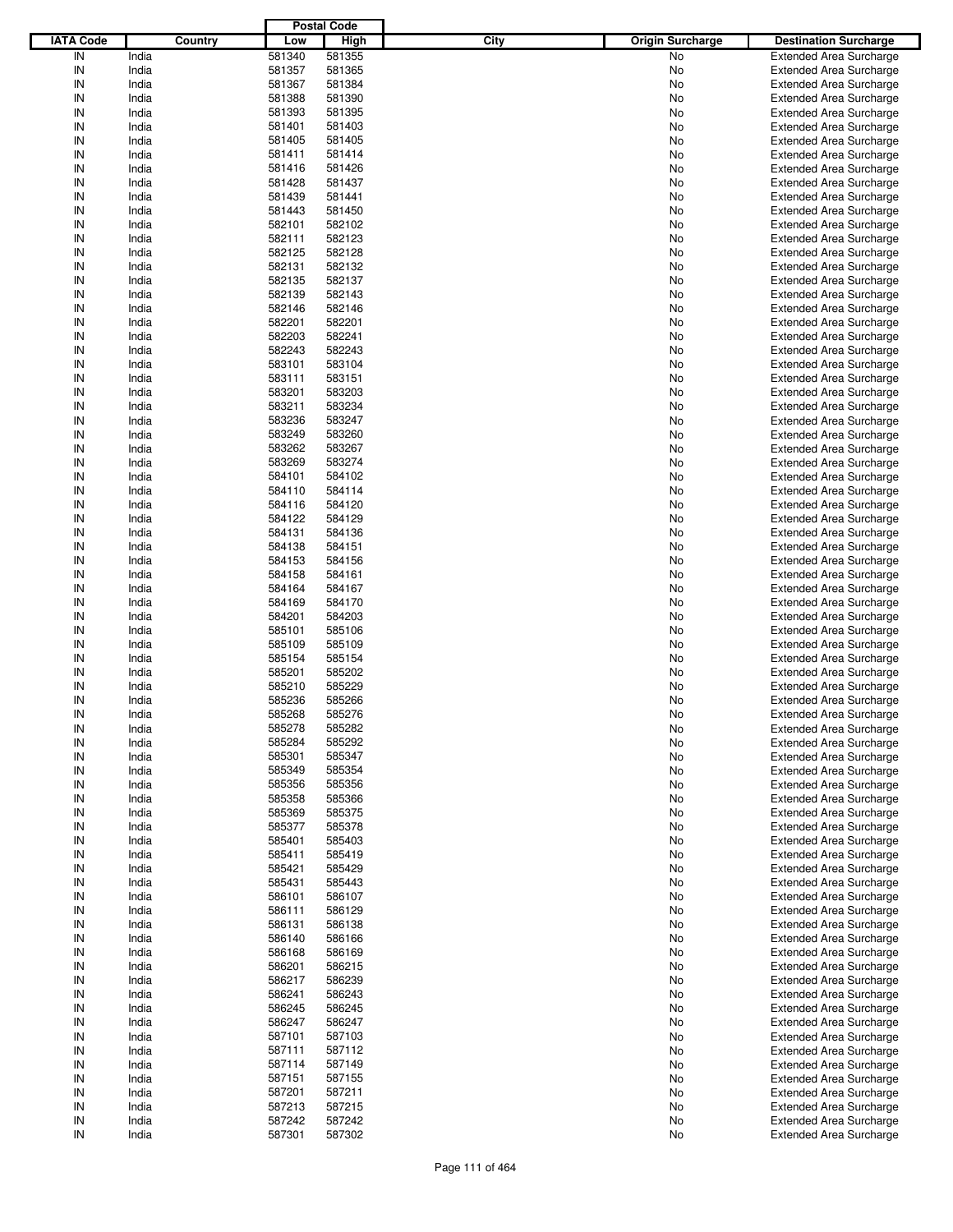|                  |         |        | <b>Postal Code</b> |      |                         |                                |
|------------------|---------|--------|--------------------|------|-------------------------|--------------------------------|
| <b>IATA Code</b> | Country | Low    | <b>High</b>        | City | <b>Origin Surcharge</b> | <b>Destination Surcharge</b>   |
| IN               | India   | 581340 | 581355             |      | No                      | <b>Extended Area Surcharge</b> |
| IN               | India   | 581357 | 581365             |      | No                      | <b>Extended Area Surcharge</b> |
| IN               | India   | 581367 | 581384             |      | No                      | <b>Extended Area Surcharge</b> |
| IN               | India   | 581388 | 581390             |      | No                      | <b>Extended Area Surcharge</b> |
| IN               | India   | 581393 | 581395             |      | No                      | <b>Extended Area Surcharge</b> |
| IN               | India   | 581401 | 581403             |      | No                      | <b>Extended Area Surcharge</b> |
| IN               | India   |        | 581405             |      | No                      |                                |
| IN               |         | 581405 |                    |      |                         | <b>Extended Area Surcharge</b> |
|                  | India   | 581411 | 581414             |      | No                      | <b>Extended Area Surcharge</b> |
| IN               | India   | 581416 | 581426             |      | No                      | <b>Extended Area Surcharge</b> |
| IN               | India   | 581428 | 581437             |      | No                      | <b>Extended Area Surcharge</b> |
| IN               | India   | 581439 | 581441             |      | No                      | <b>Extended Area Surcharge</b> |
| IN               | India   | 581443 | 581450             |      | No                      | <b>Extended Area Surcharge</b> |
| IN               | India   | 582101 | 582102             |      | No                      | <b>Extended Area Surcharge</b> |
| IN               | India   | 582111 | 582123             |      | No                      | <b>Extended Area Surcharge</b> |
| IN               | India   | 582125 | 582128             |      | No                      | <b>Extended Area Surcharge</b> |
| IN               | India   | 582131 | 582132             |      | No                      | <b>Extended Area Surcharge</b> |
| IN               | India   | 582135 | 582137             |      | No                      | <b>Extended Area Surcharge</b> |
| IN               | India   | 582139 | 582143             |      | No                      | <b>Extended Area Surcharge</b> |
| IN               | India   | 582146 | 582146             |      | No                      | <b>Extended Area Surcharge</b> |
| IN               | India   | 582201 | 582201             |      | No                      | <b>Extended Area Surcharge</b> |
| IN               | India   | 582203 | 582241             |      | No                      | <b>Extended Area Surcharge</b> |
| IN               | India   | 582243 | 582243             |      | No                      | <b>Extended Area Surcharge</b> |
| IN               | India   | 583101 | 583104             |      | No                      | <b>Extended Area Surcharge</b> |
| IN               | India   | 583111 | 583151             |      | No                      | <b>Extended Area Surcharge</b> |
| IN               | India   | 583201 | 583203             |      | No                      | <b>Extended Area Surcharge</b> |
| IN               | India   | 583211 | 583234             |      | No                      | <b>Extended Area Surcharge</b> |
| IN               | India   | 583236 | 583247             |      | No                      | <b>Extended Area Surcharge</b> |
| IN               | India   | 583249 | 583260             |      |                         | <b>Extended Area Surcharge</b> |
| IN               |         |        |                    |      | No                      |                                |
|                  | India   | 583262 | 583267             |      | No                      | <b>Extended Area Surcharge</b> |
| IN               | India   | 583269 | 583274             |      | No                      | <b>Extended Area Surcharge</b> |
| IN               | India   | 584101 | 584102             |      | No                      | <b>Extended Area Surcharge</b> |
| IN               | India   | 584110 | 584114             |      | No                      | <b>Extended Area Surcharge</b> |
| IN               | India   | 584116 | 584120             |      | No                      | <b>Extended Area Surcharge</b> |
| IN               | India   | 584122 | 584129             |      | No                      | <b>Extended Area Surcharge</b> |
| IN               | India   | 584131 | 584136             |      | No                      | <b>Extended Area Surcharge</b> |
| IN               | India   | 584138 | 584151             |      | No                      | <b>Extended Area Surcharge</b> |
| IN               | India   | 584153 | 584156             |      | No                      | <b>Extended Area Surcharge</b> |
| IN               | India   | 584158 | 584161             |      | No                      | <b>Extended Area Surcharge</b> |
| IN               | India   | 584164 | 584167             |      | No                      | <b>Extended Area Surcharge</b> |
| IN               | India   | 584169 | 584170             |      | No                      | <b>Extended Area Surcharge</b> |
| IN               | India   | 584201 | 584203             |      | No                      | <b>Extended Area Surcharge</b> |
| IN               | India   | 585101 | 585106             |      | No                      | <b>Extended Area Surcharge</b> |
| IN               | India   | 585109 | 585109             |      | No                      | <b>Extended Area Surcharge</b> |
| IN               | India   | 585154 | 585154             |      | No                      | <b>Extended Area Surcharge</b> |
| IN               | India   | 585201 | 585202             |      | No                      | <b>Extended Area Surcharge</b> |
| IN               | India   | 585210 | 585229             |      | No                      | <b>Extended Area Surcharge</b> |
| IN               | India   | 585236 | 585266             |      | No                      | <b>Extended Area Surcharge</b> |
|                  |         |        |                    |      |                         | <b>Extended Area Surcharge</b> |
| IN               | India   | 585268 | 585276             |      | No                      |                                |
| IN               | India   | 585278 | 585282             |      | No                      | <b>Extended Area Surcharge</b> |
| IN               | India   | 585284 | 585292             |      | No                      | <b>Extended Area Surcharge</b> |
| IN               | India   | 585301 | 585347             |      | No                      | <b>Extended Area Surcharge</b> |
| IN               | India   | 585349 | 585354             |      | No                      | <b>Extended Area Surcharge</b> |
| IN               | India   | 585356 | 585356             |      | No                      | <b>Extended Area Surcharge</b> |
| IN               | India   | 585358 | 585366             |      | No                      | <b>Extended Area Surcharge</b> |
| IN               | India   | 585369 | 585375             |      | No                      | <b>Extended Area Surcharge</b> |
| IN               | India   | 585377 | 585378             |      | No                      | <b>Extended Area Surcharge</b> |
| IN               | India   | 585401 | 585403             |      | No                      | <b>Extended Area Surcharge</b> |
| IN               | India   | 585411 | 585419             |      | No                      | <b>Extended Area Surcharge</b> |
| IN               | India   | 585421 | 585429             |      | No                      | <b>Extended Area Surcharge</b> |
| IN               | India   | 585431 | 585443             |      | No                      | <b>Extended Area Surcharge</b> |
| IN               | India   | 586101 | 586107             |      | No                      | <b>Extended Area Surcharge</b> |
| IN               | India   | 586111 | 586129             |      | No                      | <b>Extended Area Surcharge</b> |
| IN               | India   | 586131 | 586138             |      | No                      | <b>Extended Area Surcharge</b> |
| IN               | India   | 586140 | 586166             |      | No                      | <b>Extended Area Surcharge</b> |
| IN               | India   | 586168 | 586169             |      | No                      | <b>Extended Area Surcharge</b> |
| IN               | India   | 586201 | 586215             |      | No                      | <b>Extended Area Surcharge</b> |
| IN               | India   | 586217 | 586239             |      | No                      | <b>Extended Area Surcharge</b> |
| IN               | India   | 586241 | 586243             |      |                         | <b>Extended Area Surcharge</b> |
|                  |         |        |                    |      | No                      |                                |
| IN               | India   | 586245 | 586245             |      | No                      | <b>Extended Area Surcharge</b> |
| IN               | India   | 586247 | 586247             |      | No                      | <b>Extended Area Surcharge</b> |
| IN               | India   | 587101 | 587103             |      | No                      | <b>Extended Area Surcharge</b> |
| IN               | India   | 587111 | 587112             |      | No                      | <b>Extended Area Surcharge</b> |
| IN               | India   | 587114 | 587149             |      | No                      | <b>Extended Area Surcharge</b> |
| IN               | India   | 587151 | 587155             |      | No                      | <b>Extended Area Surcharge</b> |
| IN               | India   | 587201 | 587211             |      | No                      | <b>Extended Area Surcharge</b> |
| IN               | India   | 587213 | 587215             |      | No                      | <b>Extended Area Surcharge</b> |
| IN               | India   | 587242 | 587242             |      | No                      | <b>Extended Area Surcharge</b> |
| ${\sf IN}$       | India   | 587301 | 587302             |      | No                      | <b>Extended Area Surcharge</b> |
|                  |         |        |                    |      |                         |                                |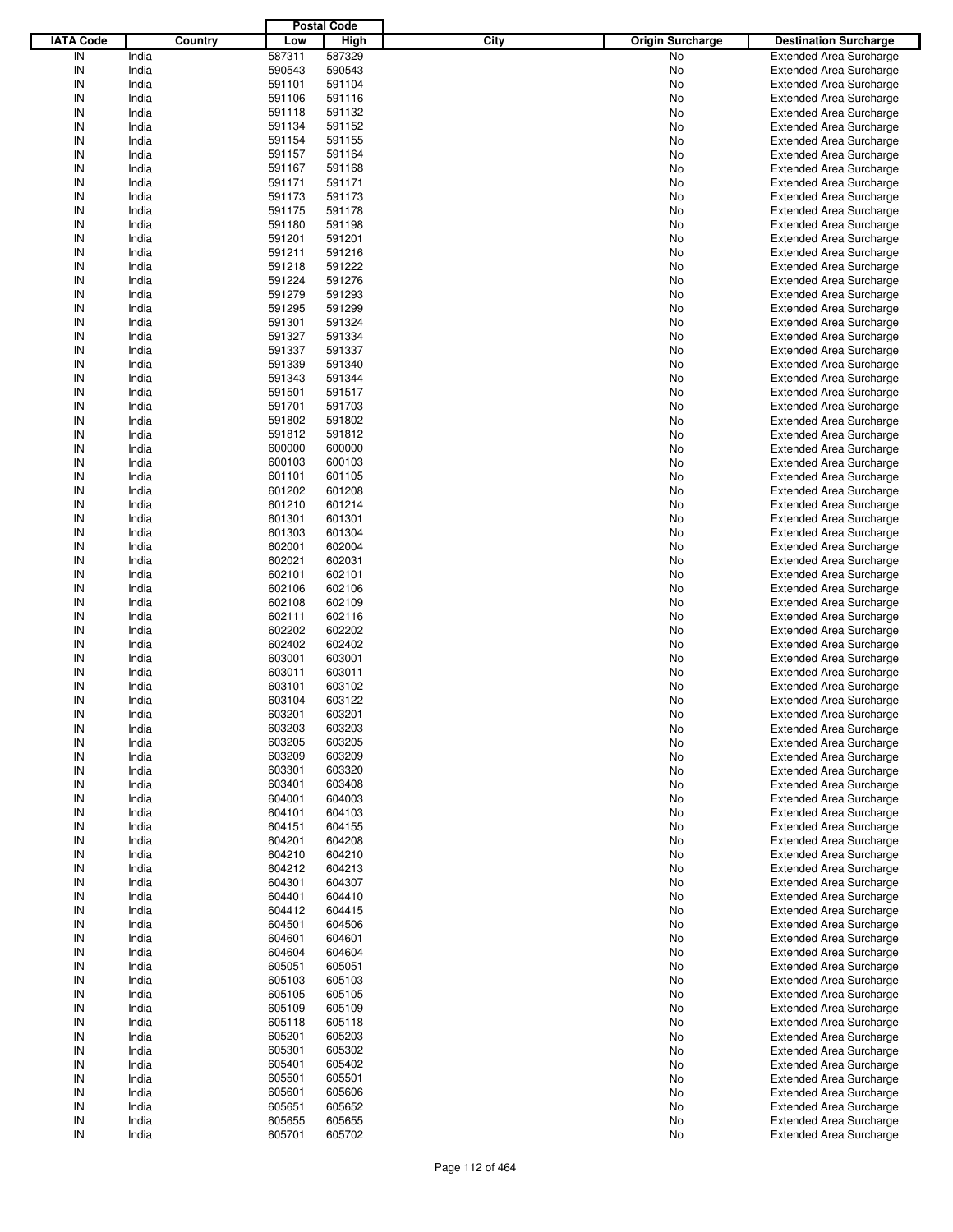|                  |         |        | <b>Postal Code</b> |             |                         |                                |
|------------------|---------|--------|--------------------|-------------|-------------------------|--------------------------------|
| <b>IATA Code</b> | Country | Low    | <b>High</b>        | <b>City</b> | <b>Origin Surcharge</b> | <b>Destination Surcharge</b>   |
| IN               | India   | 587311 | 587329             |             | No                      | <b>Extended Area Surcharge</b> |
| IN               | India   | 590543 | 590543             |             | No                      | <b>Extended Area Surcharge</b> |
| IN               | India   | 591101 | 591104             |             | No                      | <b>Extended Area Surcharge</b> |
| IN               | India   | 591106 | 591116             |             | No                      | <b>Extended Area Surcharge</b> |
| IN               | India   | 591118 | 591132             |             | No                      | <b>Extended Area Surcharge</b> |
| IN               | India   | 591134 | 591152             |             | No                      | <b>Extended Area Surcharge</b> |
| IN               | India   | 591154 | 591155             |             | No                      | <b>Extended Area Surcharge</b> |
| IN               | India   | 591157 | 591164             |             | No                      | <b>Extended Area Surcharge</b> |
| IN               | India   | 591167 | 591168             |             | No                      | <b>Extended Area Surcharge</b> |
| IN               | India   | 591171 | 591171             |             | No                      | <b>Extended Area Surcharge</b> |
| IN               | India   | 591173 | 591173             |             | No                      | <b>Extended Area Surcharge</b> |
| IN               | India   | 591175 | 591178             |             | No                      | <b>Extended Area Surcharge</b> |
| IN               | India   | 591180 | 591198             |             | No                      | <b>Extended Area Surcharge</b> |
| IN               | India   | 591201 | 591201             |             | No                      | <b>Extended Area Surcharge</b> |
| IN               | India   | 591211 | 591216             |             | No                      | <b>Extended Area Surcharge</b> |
| IN               | India   | 591218 | 591222             |             | No                      | <b>Extended Area Surcharge</b> |
| IN               | India   | 591224 | 591276             |             | No                      | <b>Extended Area Surcharge</b> |
| IN               | India   | 591279 | 591293             |             | No                      | <b>Extended Area Surcharge</b> |
| IN               | India   | 591295 | 591299             |             | No                      | <b>Extended Area Surcharge</b> |
| IN               | India   | 591301 | 591324             |             | No                      | <b>Extended Area Surcharge</b> |
| IN               | India   | 591327 | 591334             |             | No                      | <b>Extended Area Surcharge</b> |
| IN               | India   | 591337 | 591337             |             | No                      | <b>Extended Area Surcharge</b> |
| IN               | India   | 591339 | 591340             |             | No                      | <b>Extended Area Surcharge</b> |
| IN               | India   | 591343 | 591344             |             | No                      | <b>Extended Area Surcharge</b> |
| IN               | India   | 591501 | 591517             |             | No                      | <b>Extended Area Surcharge</b> |
| IN               | India   | 591701 | 591703             |             | No                      | <b>Extended Area Surcharge</b> |
| IN               | India   | 591802 | 591802             |             | No                      | <b>Extended Area Surcharge</b> |
| IN               | India   | 591812 | 591812             |             | No                      | <b>Extended Area Surcharge</b> |
| IN               | India   | 600000 | 600000             |             | No                      | <b>Extended Area Surcharge</b> |
| IN               | India   | 600103 | 600103             |             | No                      | <b>Extended Area Surcharge</b> |
| IN               | India   | 601101 | 601105             |             | No                      | <b>Extended Area Surcharge</b> |
| IN               | India   | 601202 | 601208             |             | No                      | <b>Extended Area Surcharge</b> |
| IN               | India   | 601210 | 601214             |             | No                      | <b>Extended Area Surcharge</b> |
| IN               | India   | 601301 | 601301             |             | No                      | <b>Extended Area Surcharge</b> |
| IN               | India   | 601303 | 601304             |             | No                      | <b>Extended Area Surcharge</b> |
| IN               | India   | 602001 | 602004             |             | No                      | <b>Extended Area Surcharge</b> |
| IN               | India   | 602021 | 602031             |             | No                      | <b>Extended Area Surcharge</b> |
| IN               | India   | 602101 | 602101             |             | No                      | <b>Extended Area Surcharge</b> |
| IN               | India   | 602106 | 602106             |             | No                      | <b>Extended Area Surcharge</b> |
| IN               | India   | 602108 | 602109             |             | No                      | <b>Extended Area Surcharge</b> |
| IN               | India   | 602111 | 602116             |             | No                      | <b>Extended Area Surcharge</b> |
| IN               | India   | 602202 | 602202             |             | No                      | <b>Extended Area Surcharge</b> |
| IN               | India   | 602402 | 602402             |             | No                      | <b>Extended Area Surcharge</b> |
| IN               | India   | 603001 | 603001             |             | No                      | <b>Extended Area Surcharge</b> |
| IN               | India   | 603011 | 603011             |             | No                      | <b>Extended Area Surcharge</b> |
| IN               | India   | 603101 | 603102             |             | No                      | <b>Extended Area Surcharge</b> |
| IN               | India   | 603104 | 603122             |             | No                      | <b>Extended Area Surcharge</b> |
| IN               | India   | 603201 | 603201             |             | No                      | <b>Extended Area Surcharge</b> |
| IN               | India   | 603203 | 603203             |             | No                      | <b>Extended Area Surcharge</b> |
| IN               | India   | 603205 | 603205             |             | No                      | <b>Extended Area Surcharge</b> |
| IN               | India   | 603209 | 603209             |             | No                      | <b>Extended Area Surcharge</b> |
| IN               | India   | 603301 | 603320             |             | No                      | <b>Extended Area Surcharge</b> |
| IN               | India   | 603401 | 603408             |             | No                      | <b>Extended Area Surcharge</b> |
| IN               | India   | 604001 | 604003             |             | No                      | <b>Extended Area Surcharge</b> |
| IN               | India   | 604101 | 604103             |             | No                      | <b>Extended Area Surcharge</b> |
| IN               | India   | 604151 | 604155             |             | No                      | <b>Extended Area Surcharge</b> |
| IN               | India   | 604201 | 604208             |             | No                      | <b>Extended Area Surcharge</b> |
| IN               | India   | 604210 | 604210             |             | No                      | <b>Extended Area Surcharge</b> |
| IN               | India   | 604212 | 604213             |             | No                      | <b>Extended Area Surcharge</b> |
| IN               | India   | 604301 | 604307             |             | No                      | <b>Extended Area Surcharge</b> |
| IN               | India   | 604401 | 604410             |             | No                      | <b>Extended Area Surcharge</b> |
| IN               | India   | 604412 | 604415             |             | No                      | <b>Extended Area Surcharge</b> |
| IN               | India   | 604501 | 604506             |             | No                      | <b>Extended Area Surcharge</b> |
| IN               | India   | 604601 | 604601             |             | No                      | <b>Extended Area Surcharge</b> |
| IN               | India   | 604604 | 604604             |             | No                      | <b>Extended Area Surcharge</b> |
| IN               | India   | 605051 | 605051             |             | No                      | <b>Extended Area Surcharge</b> |
| IN               | India   | 605103 | 605103             |             | No                      | <b>Extended Area Surcharge</b> |
| IN               | India   | 605105 | 605105             |             | No                      | <b>Extended Area Surcharge</b> |
| IN               | India   | 605109 | 605109             |             | No                      | <b>Extended Area Surcharge</b> |
| IN               | India   | 605118 | 605118             |             | No                      | <b>Extended Area Surcharge</b> |
| IN               | India   | 605201 | 605203             |             | No                      | <b>Extended Area Surcharge</b> |
| IN               | India   | 605301 | 605302             |             | No                      | <b>Extended Area Surcharge</b> |
| IN               | India   | 605401 | 605402             |             | No                      | <b>Extended Area Surcharge</b> |
| IN               | India   | 605501 | 605501             |             | No                      | <b>Extended Area Surcharge</b> |
| IN               | India   | 605601 | 605606             |             | No                      | <b>Extended Area Surcharge</b> |
| IN               | India   | 605651 | 605652             |             | No                      | <b>Extended Area Surcharge</b> |
| IN               | India   | 605655 | 605655             |             | No                      | <b>Extended Area Surcharge</b> |
| IN               | India   | 605701 | 605702             |             | No                      | <b>Extended Area Surcharge</b> |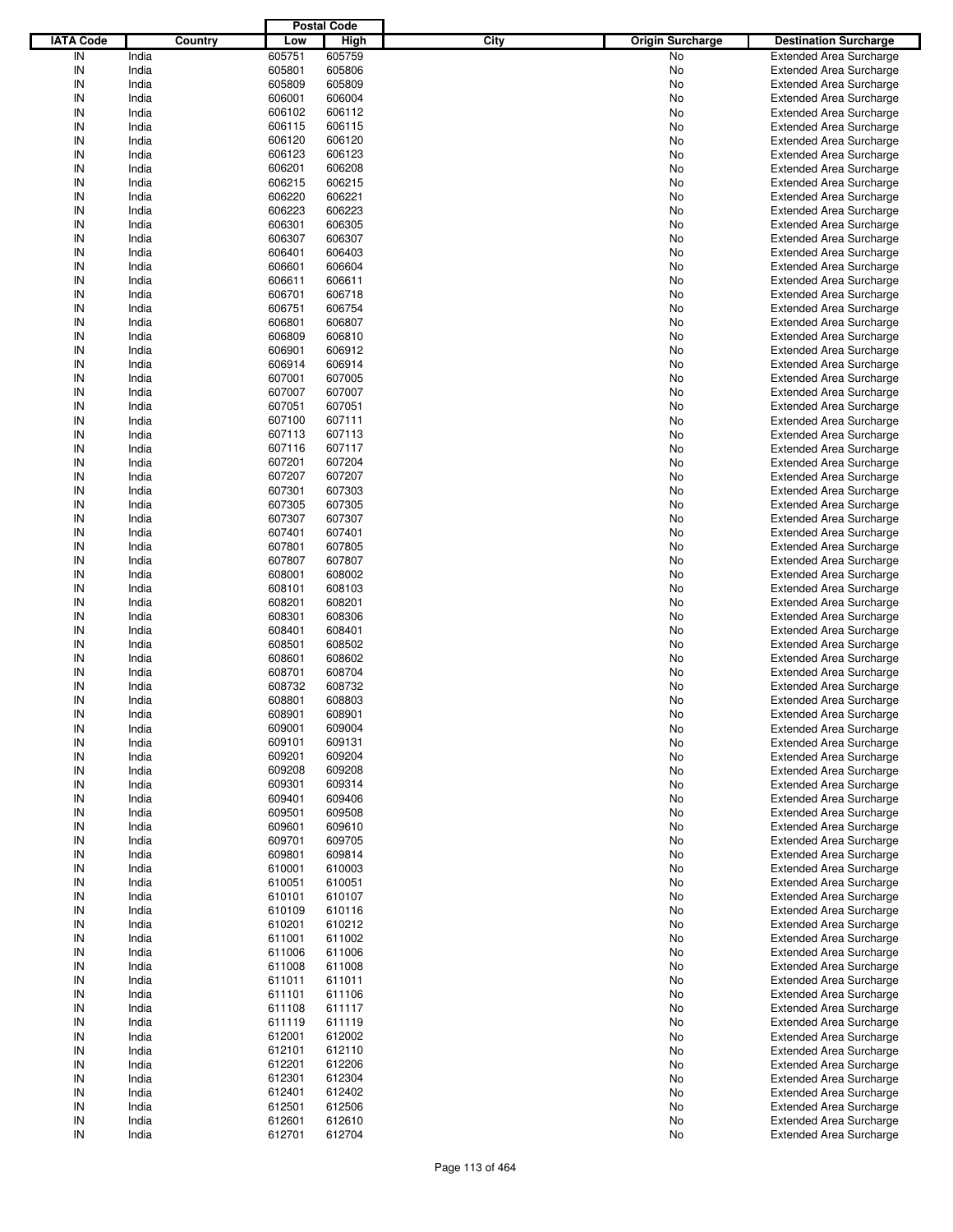|                  |         |        | <b>Postal Code</b> |      |                         |                                |
|------------------|---------|--------|--------------------|------|-------------------------|--------------------------------|
| <b>IATA Code</b> | Country | Low    | High               | City | <b>Origin Surcharge</b> | <b>Destination Surcharge</b>   |
| IN               | India   | 605751 | 605759             |      | <b>No</b>               | <b>Extended Area Surcharge</b> |
| IN               | India   | 605801 | 605806             |      | No                      | <b>Extended Area Surcharge</b> |
| IN               | India   | 605809 | 605809             |      | No                      | <b>Extended Area Surcharge</b> |
| IN               | India   | 606001 | 606004             |      | No                      | <b>Extended Area Surcharge</b> |
| IN               | India   | 606102 | 606112             |      | No                      | <b>Extended Area Surcharge</b> |
| IN               | India   | 606115 | 606115             |      | No                      | <b>Extended Area Surcharge</b> |
| IN               | India   | 606120 | 606120             |      |                         |                                |
|                  |         |        |                    |      | No                      | <b>Extended Area Surcharge</b> |
| IN               | India   | 606123 | 606123             |      | No                      | <b>Extended Area Surcharge</b> |
| IN               | India   | 606201 | 606208             |      | No                      | <b>Extended Area Surcharge</b> |
| IN               | India   | 606215 | 606215             |      | No                      | <b>Extended Area Surcharge</b> |
| IN               | India   | 606220 | 606221             |      | No                      | <b>Extended Area Surcharge</b> |
| IN               | India   | 606223 | 606223             |      | No                      | <b>Extended Area Surcharge</b> |
| IN               | India   | 606301 | 606305             |      | No                      | <b>Extended Area Surcharge</b> |
| IN               | India   | 606307 | 606307             |      | No                      | <b>Extended Area Surcharge</b> |
| IN               | India   | 606401 | 606403             |      | No                      | <b>Extended Area Surcharge</b> |
| IN               | India   | 606601 | 606604             |      | No                      | <b>Extended Area Surcharge</b> |
| IN               | India   | 606611 | 606611             |      | No                      | <b>Extended Area Surcharge</b> |
| IN               | India   | 606701 | 606718             |      | No                      | <b>Extended Area Surcharge</b> |
| IN               | India   | 606751 | 606754             |      | No                      | <b>Extended Area Surcharge</b> |
| IN               | India   | 606801 | 606807             |      | No                      | <b>Extended Area Surcharge</b> |
| IN               | India   | 606809 | 606810             |      | No                      | <b>Extended Area Surcharge</b> |
| IN               | India   | 606901 | 606912             |      | No                      | <b>Extended Area Surcharge</b> |
| IN               | India   | 606914 | 606914             |      | No                      | <b>Extended Area Surcharge</b> |
| IN               | India   | 607001 | 607005             |      | No                      | <b>Extended Area Surcharge</b> |
| IN               | India   | 607007 | 607007             |      | No                      | <b>Extended Area Surcharge</b> |
| IN               | India   | 607051 | 607051             |      | No                      | <b>Extended Area Surcharge</b> |
|                  |         |        |                    |      |                         |                                |
| IN               | India   | 607100 | 607111             |      | No                      | <b>Extended Area Surcharge</b> |
| IN               | India   | 607113 | 607113             |      | No                      | <b>Extended Area Surcharge</b> |
| IN               | India   | 607116 | 607117             |      | No                      | <b>Extended Area Surcharge</b> |
| IN               | India   | 607201 | 607204             |      | No                      | <b>Extended Area Surcharge</b> |
| IN               | India   | 607207 | 607207             |      | No                      | <b>Extended Area Surcharge</b> |
| IN               | India   | 607301 | 607303             |      | No                      | <b>Extended Area Surcharge</b> |
| IN               | India   | 607305 | 607305             |      | No                      | <b>Extended Area Surcharge</b> |
| IN               | India   | 607307 | 607307             |      | No                      | <b>Extended Area Surcharge</b> |
| IN               | India   | 607401 | 607401             |      | No                      | <b>Extended Area Surcharge</b> |
| IN               | India   | 607801 | 607805             |      | No                      | <b>Extended Area Surcharge</b> |
| IN               | India   | 607807 | 607807             |      | No                      | <b>Extended Area Surcharge</b> |
| IN               | India   | 608001 | 608002             |      | No                      | <b>Extended Area Surcharge</b> |
| IN               | India   | 608101 | 608103             |      | No                      | <b>Extended Area Surcharge</b> |
| IN               | India   | 608201 | 608201             |      | No                      | <b>Extended Area Surcharge</b> |
| IN               | India   | 608301 | 608306             |      | No                      | <b>Extended Area Surcharge</b> |
| IN               | India   | 608401 | 608401             |      | No                      | <b>Extended Area Surcharge</b> |
| IN               | India   | 608501 | 608502             |      | No                      | <b>Extended Area Surcharge</b> |
| IN               | India   | 608601 | 608602             |      | No                      | <b>Extended Area Surcharge</b> |
| IN               | India   | 608701 | 608704             |      | No                      | <b>Extended Area Surcharge</b> |
| IN               | India   |        | 608732             |      |                         |                                |
|                  |         | 608732 |                    |      | No                      | <b>Extended Area Surcharge</b> |
| IN               | India   | 608801 | 608803             |      | No                      | <b>Extended Area Surcharge</b> |
| IN               | India   | 608901 | 608901             |      | No                      | <b>Extended Area Surcharge</b> |
| IN               | India   | 609001 | 609004             |      | No                      | <b>Extended Area Surcharge</b> |
| IN               | India   | 609101 | 609131             |      | No                      | <b>Extended Area Surcharge</b> |
| IN               | India   | 609201 | 609204             |      | No                      | <b>Extended Area Surcharge</b> |
| IN               | India   | 609208 | 609208             |      | No                      | <b>Extended Area Surcharge</b> |
| IN               | India   | 609301 | 609314             |      | No                      | <b>Extended Area Surcharge</b> |
| IN               | India   | 609401 | 609406             |      | No                      | <b>Extended Area Surcharge</b> |
| IN               | India   | 609501 | 609508             |      | No                      | <b>Extended Area Surcharge</b> |
| IN               | India   | 609601 | 609610             |      | No                      | <b>Extended Area Surcharge</b> |
| IN               | India   | 609701 | 609705             |      | No                      | <b>Extended Area Surcharge</b> |
| IN               | India   | 609801 | 609814             |      | No                      | <b>Extended Area Surcharge</b> |
| IN               | India   | 610001 | 610003             |      | No                      | <b>Extended Area Surcharge</b> |
| IN               | India   | 610051 | 610051             |      | No                      | <b>Extended Area Surcharge</b> |
| IN               | India   | 610101 | 610107             |      | No                      | <b>Extended Area Surcharge</b> |
| IN               | India   | 610109 | 610116             |      | No                      | <b>Extended Area Surcharge</b> |
| IN               | India   | 610201 | 610212             |      | No                      | <b>Extended Area Surcharge</b> |
| IN               | India   | 611001 | 611002             |      | No                      | <b>Extended Area Surcharge</b> |
|                  | India   | 611006 | 611006             |      | No                      | <b>Extended Area Surcharge</b> |
| IN               |         |        |                    |      |                         |                                |
| IN               | India   | 611008 | 611008             |      | No                      | <b>Extended Area Surcharge</b> |
| IN               | India   | 611011 | 611011             |      | No                      | <b>Extended Area Surcharge</b> |
| IN               | India   | 611101 | 611106             |      | No                      | <b>Extended Area Surcharge</b> |
| IN               | India   | 611108 | 611117             |      | No                      | <b>Extended Area Surcharge</b> |
| IN               | India   | 611119 | 611119             |      | No                      | <b>Extended Area Surcharge</b> |
| IN               | India   | 612001 | 612002             |      | No                      | <b>Extended Area Surcharge</b> |
| IN               | India   | 612101 | 612110             |      | No                      | <b>Extended Area Surcharge</b> |
| IN               | India   | 612201 | 612206             |      | No                      | <b>Extended Area Surcharge</b> |
| IN               | India   | 612301 | 612304             |      | No                      | <b>Extended Area Surcharge</b> |
| IN               | India   | 612401 | 612402             |      | No                      | <b>Extended Area Surcharge</b> |
| IN               | India   | 612501 | 612506             |      | No                      | <b>Extended Area Surcharge</b> |
| IN               | India   | 612601 | 612610             |      | No                      | <b>Extended Area Surcharge</b> |
| IN               | India   | 612701 | 612704             |      | No                      | <b>Extended Area Surcharge</b> |
|                  |         |        |                    |      |                         |                                |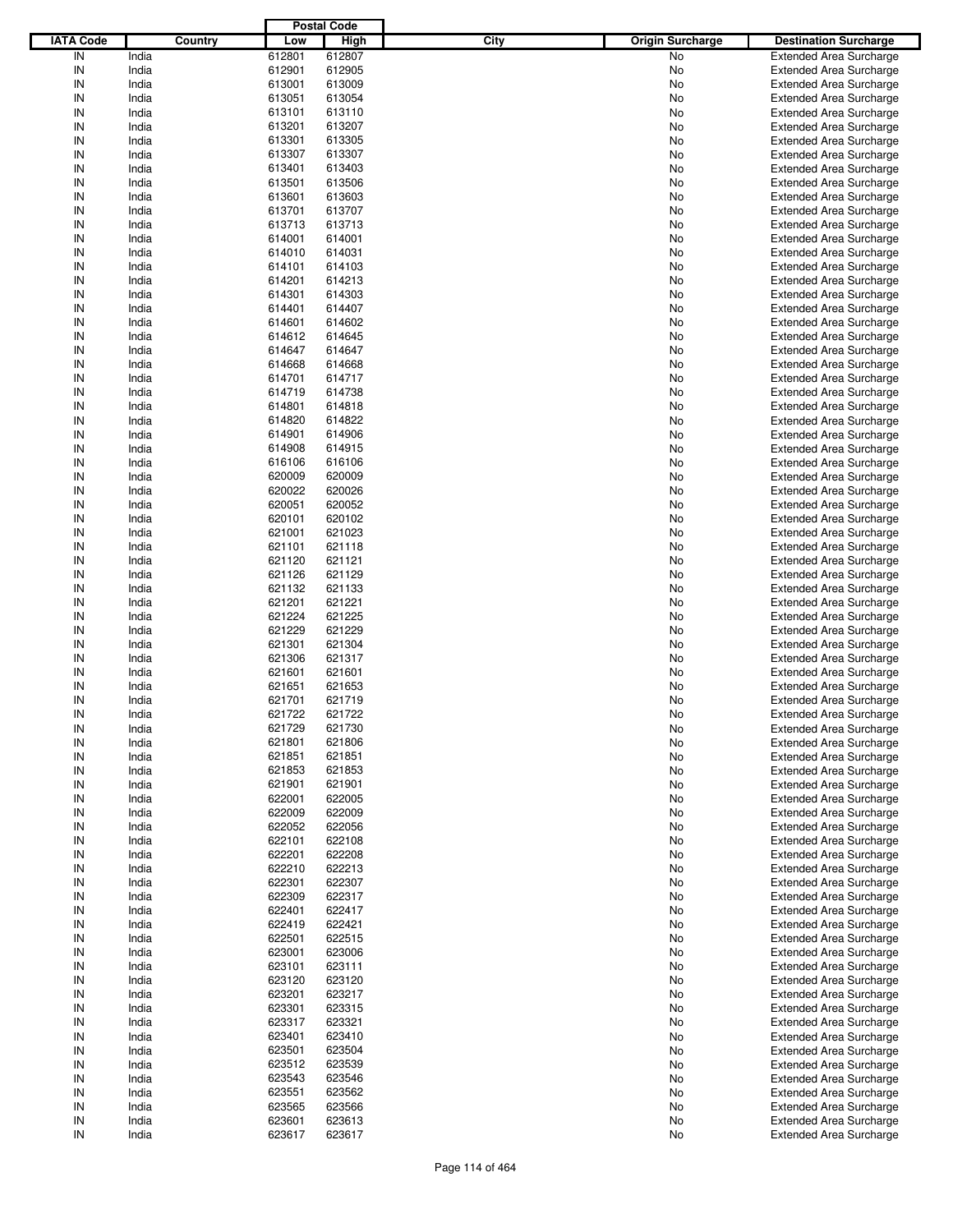|                  |         |        | <b>Postal Code</b> |      |                         |                                |
|------------------|---------|--------|--------------------|------|-------------------------|--------------------------------|
| <b>IATA Code</b> | Country | Low    | <b>High</b>        | City | <b>Origin Surcharge</b> | <b>Destination Surcharge</b>   |
| IN               | India   | 612801 | 612807             |      | No                      | <b>Extended Area Surcharge</b> |
| IN               | India   | 612901 | 612905             |      | No                      | <b>Extended Area Surcharge</b> |
| IN               | India   | 613001 | 613009             |      | No                      | <b>Extended Area Surcharge</b> |
| IN               | India   | 613051 | 613054             |      | No                      | <b>Extended Area Surcharge</b> |
| IN               | India   | 613101 | 613110             |      | No                      | <b>Extended Area Surcharge</b> |
| IN               | India   | 613201 | 613207             |      | No                      | <b>Extended Area Surcharge</b> |
| IN               | India   | 613301 | 613305             |      |                         |                                |
| IN               |         |        |                    |      | No                      | <b>Extended Area Surcharge</b> |
|                  | India   | 613307 | 613307             |      | No                      | <b>Extended Area Surcharge</b> |
| IN               | India   | 613401 | 613403             |      | No                      | <b>Extended Area Surcharge</b> |
| IN               | India   | 613501 | 613506             |      | No                      | <b>Extended Area Surcharge</b> |
| IN               | India   | 613601 | 613603             |      | No                      | <b>Extended Area Surcharge</b> |
| IN               | India   | 613701 | 613707             |      | No                      | <b>Extended Area Surcharge</b> |
| IN               | India   | 613713 | 613713             |      | No                      | <b>Extended Area Surcharge</b> |
| IN               | India   | 614001 | 614001             |      | No                      | <b>Extended Area Surcharge</b> |
| IN               | India   | 614010 | 614031             |      | No                      | <b>Extended Area Surcharge</b> |
| IN               | India   | 614101 | 614103             |      | No                      | <b>Extended Area Surcharge</b> |
| IN               | India   | 614201 | 614213             |      | No                      | <b>Extended Area Surcharge</b> |
| IN               | India   | 614301 | 614303             |      | No                      | <b>Extended Area Surcharge</b> |
| IN               | India   | 614401 | 614407             |      | No                      | <b>Extended Area Surcharge</b> |
| IN               | India   | 614601 | 614602             |      | No                      | <b>Extended Area Surcharge</b> |
| IN               | India   | 614612 | 614645             |      | No                      | <b>Extended Area Surcharge</b> |
| IN               | India   | 614647 | 614647             |      | No                      | <b>Extended Area Surcharge</b> |
| IN               | India   | 614668 | 614668             |      | No                      | <b>Extended Area Surcharge</b> |
| IN               | India   | 614701 | 614717             |      | No                      | <b>Extended Area Surcharge</b> |
| IN               | India   | 614719 | 614738             |      | No                      | <b>Extended Area Surcharge</b> |
| IN               | India   | 614801 | 614818             |      | No                      | <b>Extended Area Surcharge</b> |
| IN               | India   | 614820 | 614822             |      | No                      | <b>Extended Area Surcharge</b> |
| IN               | India   | 614901 | 614906             |      | No                      | <b>Extended Area Surcharge</b> |
| IN               |         |        | 614915             |      |                         |                                |
|                  | India   | 614908 |                    |      | No                      | <b>Extended Area Surcharge</b> |
| IN               | India   | 616106 | 616106             |      | No                      | <b>Extended Area Surcharge</b> |
| IN               | India   | 620009 | 620009             |      | No                      | <b>Extended Area Surcharge</b> |
| IN               | India   | 620022 | 620026             |      | No                      | <b>Extended Area Surcharge</b> |
| IN               | India   | 620051 | 620052             |      | No                      | <b>Extended Area Surcharge</b> |
| IN               | India   | 620101 | 620102             |      | No                      | <b>Extended Area Surcharge</b> |
| IN               | India   | 621001 | 621023             |      | No                      | <b>Extended Area Surcharge</b> |
| IN               | India   | 621101 | 621118             |      | No                      | <b>Extended Area Surcharge</b> |
| IN               | India   | 621120 | 621121             |      | No                      | <b>Extended Area Surcharge</b> |
| IN               | India   | 621126 | 621129             |      | No                      | <b>Extended Area Surcharge</b> |
| IN               | India   | 621132 | 621133             |      | No                      | <b>Extended Area Surcharge</b> |
| IN               | India   | 621201 | 621221             |      | No                      | <b>Extended Area Surcharge</b> |
| IN               | India   | 621224 | 621225             |      | No                      | <b>Extended Area Surcharge</b> |
| IN               | India   | 621229 | 621229             |      | No                      | <b>Extended Area Surcharge</b> |
| IN               | India   | 621301 | 621304             |      | No                      | <b>Extended Area Surcharge</b> |
| IN               | India   | 621306 | 621317             |      | No                      | <b>Extended Area Surcharge</b> |
| IN               | India   | 621601 | 621601             |      | No                      | <b>Extended Area Surcharge</b> |
| IN               | India   | 621651 | 621653             |      | No                      | <b>Extended Area Surcharge</b> |
| IN               | India   | 621701 | 621719             |      | No                      | <b>Extended Area Surcharge</b> |
| IN               | India   | 621722 | 621722             |      | No                      | <b>Extended Area Surcharge</b> |
|                  |         |        |                    |      |                         |                                |
| IN               | India   | 621729 | 621730             |      | No                      | <b>Extended Area Surcharge</b> |
| IN               | India   | 621801 | 621806             |      | No                      | <b>Extended Area Surcharge</b> |
| IN               | India   | 621851 | 621851             |      | No                      | <b>Extended Area Surcharge</b> |
| IN               | India   | 621853 | 621853             |      | No                      | <b>Extended Area Surcharge</b> |
| IN               | India   | 621901 | 621901             |      | No                      | <b>Extended Area Surcharge</b> |
| IN               | India   | 622001 | 622005             |      | No                      | <b>Extended Area Surcharge</b> |
| IN               | India   | 622009 | 622009             |      | No                      | <b>Extended Area Surcharge</b> |
| IN               | India   | 622052 | 622056             |      | No                      | <b>Extended Area Surcharge</b> |
| IN               | India   | 622101 | 622108             |      | No                      | <b>Extended Area Surcharge</b> |
| IN               | India   | 622201 | 622208             |      | No                      | <b>Extended Area Surcharge</b> |
| IN               | India   | 622210 | 622213             |      | No                      | <b>Extended Area Surcharge</b> |
| IN               | India   | 622301 | 622307             |      | No                      | <b>Extended Area Surcharge</b> |
| IN               | India   | 622309 | 622317             |      | No                      | <b>Extended Area Surcharge</b> |
| IN               | India   | 622401 | 622417             |      | No                      | <b>Extended Area Surcharge</b> |
| IN               | India   | 622419 | 622421             |      | No                      | <b>Extended Area Surcharge</b> |
| IN               | India   | 622501 | 622515             |      | No                      | <b>Extended Area Surcharge</b> |
| IN               | India   | 623001 | 623006             |      | No                      | <b>Extended Area Surcharge</b> |
| IN               | India   | 623101 | 623111             |      | No                      | <b>Extended Area Surcharge</b> |
| IN               | India   | 623120 | 623120             |      | No                      | <b>Extended Area Surcharge</b> |
| IN               | India   | 623201 | 623217             |      |                         |                                |
|                  |         |        |                    |      | No                      | <b>Extended Area Surcharge</b> |
| IN               | India   | 623301 | 623315             |      | No                      | <b>Extended Area Surcharge</b> |
| IN               | India   | 623317 | 623321             |      | No                      | <b>Extended Area Surcharge</b> |
| IN               | India   | 623401 | 623410             |      | No                      | <b>Extended Area Surcharge</b> |
| IN               | India   | 623501 | 623504             |      | No                      | <b>Extended Area Surcharge</b> |
| IN               | India   | 623512 | 623539             |      | No                      | <b>Extended Area Surcharge</b> |
| IN               | India   | 623543 | 623546             |      | No                      | <b>Extended Area Surcharge</b> |
| IN               | India   | 623551 | 623562             |      | No                      | <b>Extended Area Surcharge</b> |
| IN               | India   | 623565 | 623566             |      | No                      | <b>Extended Area Surcharge</b> |
| IN               | India   | 623601 | 623613             |      | No                      | <b>Extended Area Surcharge</b> |
| ${\sf IN}$       | India   | 623617 | 623617             |      | No                      | <b>Extended Area Surcharge</b> |
|                  |         |        |                    |      |                         |                                |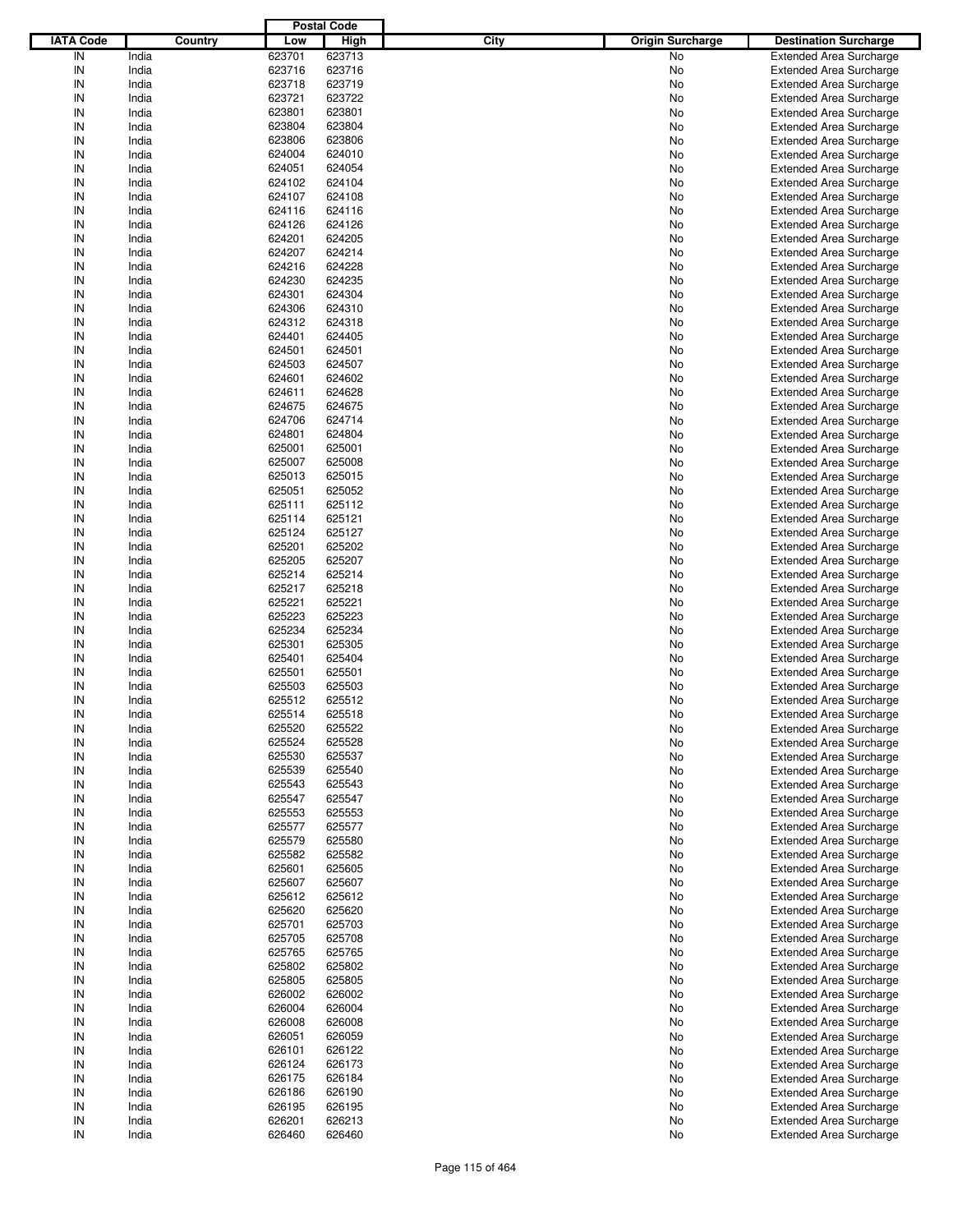|                  |         |        | <b>Postal Code</b> |                                 |                                |
|------------------|---------|--------|--------------------|---------------------------------|--------------------------------|
| <b>IATA Code</b> | Country | Low    | <b>High</b>        | City<br><b>Origin Surcharge</b> | <b>Destination Surcharge</b>   |
| IN               | India   | 623701 | 623713             | No                              | <b>Extended Area Surcharge</b> |
| IN               | India   | 623716 | 623716             | No                              | <b>Extended Area Surcharge</b> |
| IN               | India   | 623718 | 623719             | No                              | <b>Extended Area Surcharge</b> |
| IN               | India   | 623721 | 623722             | No                              | <b>Extended Area Surcharge</b> |
| IN               | India   | 623801 | 623801             | No                              | <b>Extended Area Surcharge</b> |
| IN               | India   | 623804 | 623804             | No                              | <b>Extended Area Surcharge</b> |
| IN               | India   | 623806 | 623806             | No                              | <b>Extended Area Surcharge</b> |
| IN               |         |        |                    |                                 |                                |
|                  | India   | 624004 | 624010             | No                              | <b>Extended Area Surcharge</b> |
| IN               | India   | 624051 | 624054             | No                              | <b>Extended Area Surcharge</b> |
| IN               | India   | 624102 | 624104             | No                              | <b>Extended Area Surcharge</b> |
| IN               | India   | 624107 | 624108             | No                              | <b>Extended Area Surcharge</b> |
| IN               | India   | 624116 | 624116             | No                              | <b>Extended Area Surcharge</b> |
| IN               | India   | 624126 | 624126             | No                              | <b>Extended Area Surcharge</b> |
| IN               | India   | 624201 | 624205             | No                              | <b>Extended Area Surcharge</b> |
| IN               | India   | 624207 | 624214             | No                              | <b>Extended Area Surcharge</b> |
| IN               | India   | 624216 | 624228             | No                              | <b>Extended Area Surcharge</b> |
| IN               | India   | 624230 | 624235             | No                              | <b>Extended Area Surcharge</b> |
| IN               | India   | 624301 | 624304             | No                              | <b>Extended Area Surcharge</b> |
| IN               | India   | 624306 | 624310             | No                              | <b>Extended Area Surcharge</b> |
| IN               | India   | 624312 | 624318             | No                              | <b>Extended Area Surcharge</b> |
| IN               | India   | 624401 | 624405             | No                              | <b>Extended Area Surcharge</b> |
| IN               | India   | 624501 | 624501             | No                              | <b>Extended Area Surcharge</b> |
| IN               | India   | 624503 | 624507             | No                              | <b>Extended Area Surcharge</b> |
| IN               | India   | 624601 | 624602             | No                              | <b>Extended Area Surcharge</b> |
| IN               | India   | 624611 | 624628             | No                              | <b>Extended Area Surcharge</b> |
| IN               | India   | 624675 | 624675             | No                              | <b>Extended Area Surcharge</b> |
| IN               | India   | 624706 | 624714             | No                              | <b>Extended Area Surcharge</b> |
| IN               | India   | 624801 | 624804             | No                              | <b>Extended Area Surcharge</b> |
| IN               | India   | 625001 | 625001             | No                              | <b>Extended Area Surcharge</b> |
| IN               | India   | 625007 | 625008             | No                              | <b>Extended Area Surcharge</b> |
| IN               |         |        |                    |                                 |                                |
|                  | India   | 625013 | 625015             | No                              | <b>Extended Area Surcharge</b> |
| IN               | India   | 625051 | 625052             | No                              | <b>Extended Area Surcharge</b> |
| IN               | India   | 625111 | 625112             | No                              | <b>Extended Area Surcharge</b> |
| IN               | India   | 625114 | 625121             | No                              | <b>Extended Area Surcharge</b> |
| IN               | India   | 625124 | 625127             | No                              | <b>Extended Area Surcharge</b> |
| IN               | India   | 625201 | 625202             | No                              | <b>Extended Area Surcharge</b> |
| IN               | India   | 625205 | 625207             | No                              | <b>Extended Area Surcharge</b> |
| IN               | India   | 625214 | 625214             | No                              | <b>Extended Area Surcharge</b> |
| IN               | India   | 625217 | 625218             | No                              | <b>Extended Area Surcharge</b> |
| IN               | India   | 625221 | 625221             | No                              | <b>Extended Area Surcharge</b> |
| IN               | India   | 625223 | 625223             | No                              | <b>Extended Area Surcharge</b> |
| IN               | India   | 625234 | 625234             | No                              | <b>Extended Area Surcharge</b> |
| IN               | India   | 625301 | 625305             | No                              | <b>Extended Area Surcharge</b> |
| IN               | India   | 625401 | 625404             | No                              | <b>Extended Area Surcharge</b> |
| IN               | India   | 625501 | 625501             | No                              | <b>Extended Area Surcharge</b> |
| IN               | India   | 625503 | 625503             | No                              | <b>Extended Area Surcharge</b> |
| IN               | India   | 625512 | 625512             | No                              | <b>Extended Area Surcharge</b> |
| IN               | India   | 625514 | 625518             | No                              | <b>Extended Area Surcharge</b> |
| IN               | India   | 625520 | 625522             | No                              | <b>Extended Area Surcharge</b> |
| IN               | India   | 625524 | 625528             | No                              | <b>Extended Area Surcharge</b> |
| IN               | India   | 625530 | 625537             | No                              | <b>Extended Area Surcharge</b> |
| IN               | India   | 625539 | 625540             | No                              | <b>Extended Area Surcharge</b> |
| IN               | India   | 625543 | 625543             | No                              | <b>Extended Area Surcharge</b> |
| IN               | India   | 625547 | 625547             | No                              | <b>Extended Area Surcharge</b> |
| IN               | India   | 625553 | 625553             | No                              | <b>Extended Area Surcharge</b> |
| IN               | India   | 625577 | 625577             | No                              | <b>Extended Area Surcharge</b> |
| IN               |         | 625579 |                    |                                 |                                |
|                  | India   |        | 625580             | No                              | <b>Extended Area Surcharge</b> |
| IN               | India   | 625582 | 625582             | No                              | <b>Extended Area Surcharge</b> |
| IN               | India   | 625601 | 625605             | No                              | <b>Extended Area Surcharge</b> |
| IN               | India   | 625607 | 625607             | No                              | <b>Extended Area Surcharge</b> |
| IN               | India   | 625612 | 625612             | No                              | <b>Extended Area Surcharge</b> |
| IN               | India   | 625620 | 625620             | No                              | <b>Extended Area Surcharge</b> |
| IN               | India   | 625701 | 625703             | No                              | <b>Extended Area Surcharge</b> |
| IN               | India   | 625705 | 625708             | No                              | <b>Extended Area Surcharge</b> |
| IN               | India   | 625765 | 625765             | No                              | <b>Extended Area Surcharge</b> |
| IN               | India   | 625802 | 625802             | No                              | <b>Extended Area Surcharge</b> |
| IN               | India   | 625805 | 625805             | No                              | <b>Extended Area Surcharge</b> |
| IN               | India   | 626002 | 626002             | No                              | <b>Extended Area Surcharge</b> |
| IN               | India   | 626004 | 626004             | No                              | <b>Extended Area Surcharge</b> |
| IN               | India   | 626008 | 626008             | No                              | <b>Extended Area Surcharge</b> |
| IN               | India   | 626051 | 626059             | No                              | <b>Extended Area Surcharge</b> |
| IN               | India   | 626101 | 626122             | No                              | <b>Extended Area Surcharge</b> |
| IN               | India   | 626124 | 626173             | No                              | <b>Extended Area Surcharge</b> |
| IN               | India   | 626175 | 626184             | No                              | <b>Extended Area Surcharge</b> |
| IN               | India   | 626186 | 626190             | No                              | <b>Extended Area Surcharge</b> |
| IN               | India   | 626195 | 626195             | No                              | <b>Extended Area Surcharge</b> |
| IN               | India   | 626201 | 626213             | No                              | <b>Extended Area Surcharge</b> |
| ${\sf IN}$       | India   | 626460 | 626460             | No                              | <b>Extended Area Surcharge</b> |
|                  |         |        |                    |                                 |                                |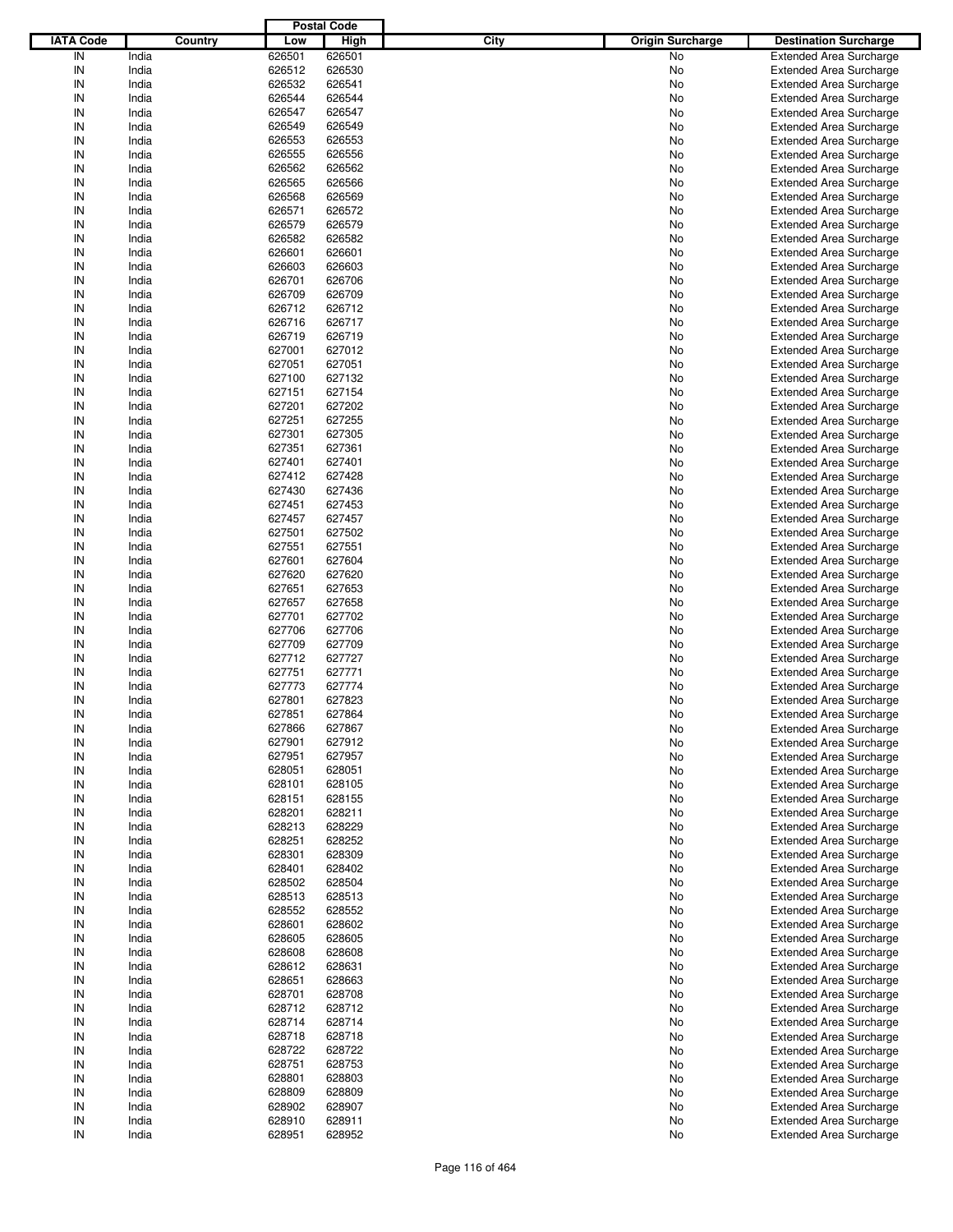|                  |         |        | <b>Postal Code</b> |                                 |                                |
|------------------|---------|--------|--------------------|---------------------------------|--------------------------------|
| <b>IATA Code</b> | Country | Low    | High               | City<br><b>Origin Surcharge</b> | <b>Destination Surcharge</b>   |
| IN               | India   | 626501 | 626501             | No                              | <b>Extended Area Surcharge</b> |
| IN               | India   | 626512 | 626530             | No                              | <b>Extended Area Surcharge</b> |
| IN               | India   | 626532 | 626541             | No                              | <b>Extended Area Surcharge</b> |
| IN               | India   | 626544 | 626544             | No                              | <b>Extended Area Surcharge</b> |
| IN               | India   | 626547 | 626547             | No                              | <b>Extended Area Surcharge</b> |
| IN               | India   | 626549 | 626549             | No                              | <b>Extended Area Surcharge</b> |
| IN               | India   | 626553 | 626553             | No                              |                                |
|                  |         |        |                    |                                 | <b>Extended Area Surcharge</b> |
| IN               | India   | 626555 | 626556             | No                              | <b>Extended Area Surcharge</b> |
| IN               | India   | 626562 | 626562             | No                              | <b>Extended Area Surcharge</b> |
| IN               | India   | 626565 | 626566             | No                              | <b>Extended Area Surcharge</b> |
| IN               | India   | 626568 | 626569             | No                              | <b>Extended Area Surcharge</b> |
| IN               | India   | 626571 | 626572             | No                              | <b>Extended Area Surcharge</b> |
| IN               | India   | 626579 | 626579             | No                              | <b>Extended Area Surcharge</b> |
| IN               | India   | 626582 | 626582             | No                              | <b>Extended Area Surcharge</b> |
| IN               | India   | 626601 | 626601             | No                              | <b>Extended Area Surcharge</b> |
| IN               | India   | 626603 | 626603             | No                              | <b>Extended Area Surcharge</b> |
| IN               | India   | 626701 | 626706             | No                              | <b>Extended Area Surcharge</b> |
| IN               | India   | 626709 | 626709             | No                              | <b>Extended Area Surcharge</b> |
| IN               | India   | 626712 | 626712             | No                              | <b>Extended Area Surcharge</b> |
| IN               | India   | 626716 | 626717             | No                              | <b>Extended Area Surcharge</b> |
| IN               | India   | 626719 | 626719             | No                              | <b>Extended Area Surcharge</b> |
| IN               | India   | 627001 | 627012             | No                              | <b>Extended Area Surcharge</b> |
| IN               | India   | 627051 | 627051             | No                              | <b>Extended Area Surcharge</b> |
| IN               | India   | 627100 | 627132             | No                              | <b>Extended Area Surcharge</b> |
| IN               | India   | 627151 | 627154             | No                              | <b>Extended Area Surcharge</b> |
| IN               | India   | 627201 | 627202             | No                              | <b>Extended Area Surcharge</b> |
| IN               | India   | 627251 | 627255             | No                              | <b>Extended Area Surcharge</b> |
|                  |         |        |                    |                                 |                                |
| IN               | India   | 627301 | 627305             | No                              | <b>Extended Area Surcharge</b> |
| IN               | India   | 627351 | 627361             | No                              | <b>Extended Area Surcharge</b> |
| IN               | India   | 627401 | 627401             | No                              | <b>Extended Area Surcharge</b> |
| IN               | India   | 627412 | 627428             | No                              | <b>Extended Area Surcharge</b> |
| IN               | India   | 627430 | 627436             | No                              | <b>Extended Area Surcharge</b> |
| IN               | India   | 627451 | 627453             | No                              | <b>Extended Area Surcharge</b> |
| IN               | India   | 627457 | 627457             | No                              | <b>Extended Area Surcharge</b> |
| IN               | India   | 627501 | 627502             | No                              | <b>Extended Area Surcharge</b> |
| IN               | India   | 627551 | 627551             | No                              | <b>Extended Area Surcharge</b> |
| IN               | India   | 627601 | 627604             | No                              | <b>Extended Area Surcharge</b> |
| IN               | India   | 627620 | 627620             | No                              | <b>Extended Area Surcharge</b> |
| IN               | India   | 627651 | 627653             | No                              | <b>Extended Area Surcharge</b> |
| IN               | India   | 627657 | 627658             | No                              | <b>Extended Area Surcharge</b> |
| IN               | India   | 627701 | 627702             | No                              | <b>Extended Area Surcharge</b> |
| IN               | India   | 627706 | 627706             | No                              | <b>Extended Area Surcharge</b> |
| IN               | India   | 627709 | 627709             | No                              | <b>Extended Area Surcharge</b> |
| IN               | India   | 627712 | 627727             | No                              | <b>Extended Area Surcharge</b> |
| IN               | India   | 627751 | 627771             | No                              | <b>Extended Area Surcharge</b> |
| IN               | India   | 627773 | 627774             | No                              | <b>Extended Area Surcharge</b> |
| IN               | India   | 627801 | 627823             | No                              | <b>Extended Area Surcharge</b> |
|                  |         |        |                    |                                 | <b>Extended Area Surcharge</b> |
| IN               | India   | 627851 | 627864             | No                              |                                |
| IN               | India   | 627866 | 627867             | No                              | <b>Extended Area Surcharge</b> |
| IN               | India   | 627901 | 627912             | No                              | <b>Extended Area Surcharge</b> |
| IN               | India   | 627951 | 627957             | No                              | <b>Extended Area Surcharge</b> |
| IN               | India   | 628051 | 628051             | No                              | <b>Extended Area Surcharge</b> |
| IN               | India   | 628101 | 628105             | No                              | <b>Extended Area Surcharge</b> |
| IN               | India   | 628151 | 628155             | No                              | <b>Extended Area Surcharge</b> |
| IN               | India   | 628201 | 628211             | No                              | <b>Extended Area Surcharge</b> |
| IN               | India   | 628213 | 628229             | No                              | <b>Extended Area Surcharge</b> |
| IN               | India   | 628251 | 628252             | No                              | <b>Extended Area Surcharge</b> |
| IN               | India   | 628301 | 628309             | No                              | <b>Extended Area Surcharge</b> |
| IN               | India   | 628401 | 628402             | No                              | <b>Extended Area Surcharge</b> |
| IN               | India   | 628502 | 628504             | No                              | <b>Extended Area Surcharge</b> |
| IN               | India   | 628513 | 628513             | No                              | <b>Extended Area Surcharge</b> |
| IN               | India   | 628552 | 628552             | No                              | <b>Extended Area Surcharge</b> |
| IN               | India   | 628601 | 628602             | No                              | <b>Extended Area Surcharge</b> |
| IN               | India   | 628605 | 628605             | No                              | <b>Extended Area Surcharge</b> |
| IN               | India   | 628608 | 628608             | No                              | <b>Extended Area Surcharge</b> |
| IN               | India   | 628612 | 628631             | No                              | <b>Extended Area Surcharge</b> |
| IN               | India   | 628651 | 628663             | No                              | <b>Extended Area Surcharge</b> |
| IN               | India   | 628701 | 628708             | No                              | <b>Extended Area Surcharge</b> |
| IN               | India   | 628712 | 628712             | No                              | <b>Extended Area Surcharge</b> |
| IN               | India   | 628714 | 628714             | No                              | <b>Extended Area Surcharge</b> |
| IN               | India   | 628718 | 628718             |                                 |                                |
|                  |         |        |                    | No                              | <b>Extended Area Surcharge</b> |
| IN               | India   | 628722 | 628722             | No                              | <b>Extended Area Surcharge</b> |
| IN               | India   | 628751 | 628753             | No                              | <b>Extended Area Surcharge</b> |
| IN               | India   | 628801 | 628803             | No                              | <b>Extended Area Surcharge</b> |
| IN               | India   | 628809 | 628809             | No                              | <b>Extended Area Surcharge</b> |
| IN               | India   | 628902 | 628907             | No                              | <b>Extended Area Surcharge</b> |
| IN               | India   | 628910 | 628911             | No                              | <b>Extended Area Surcharge</b> |
| IN               | India   | 628951 | 628952             | No                              | <b>Extended Area Surcharge</b> |
|                  |         |        |                    |                                 |                                |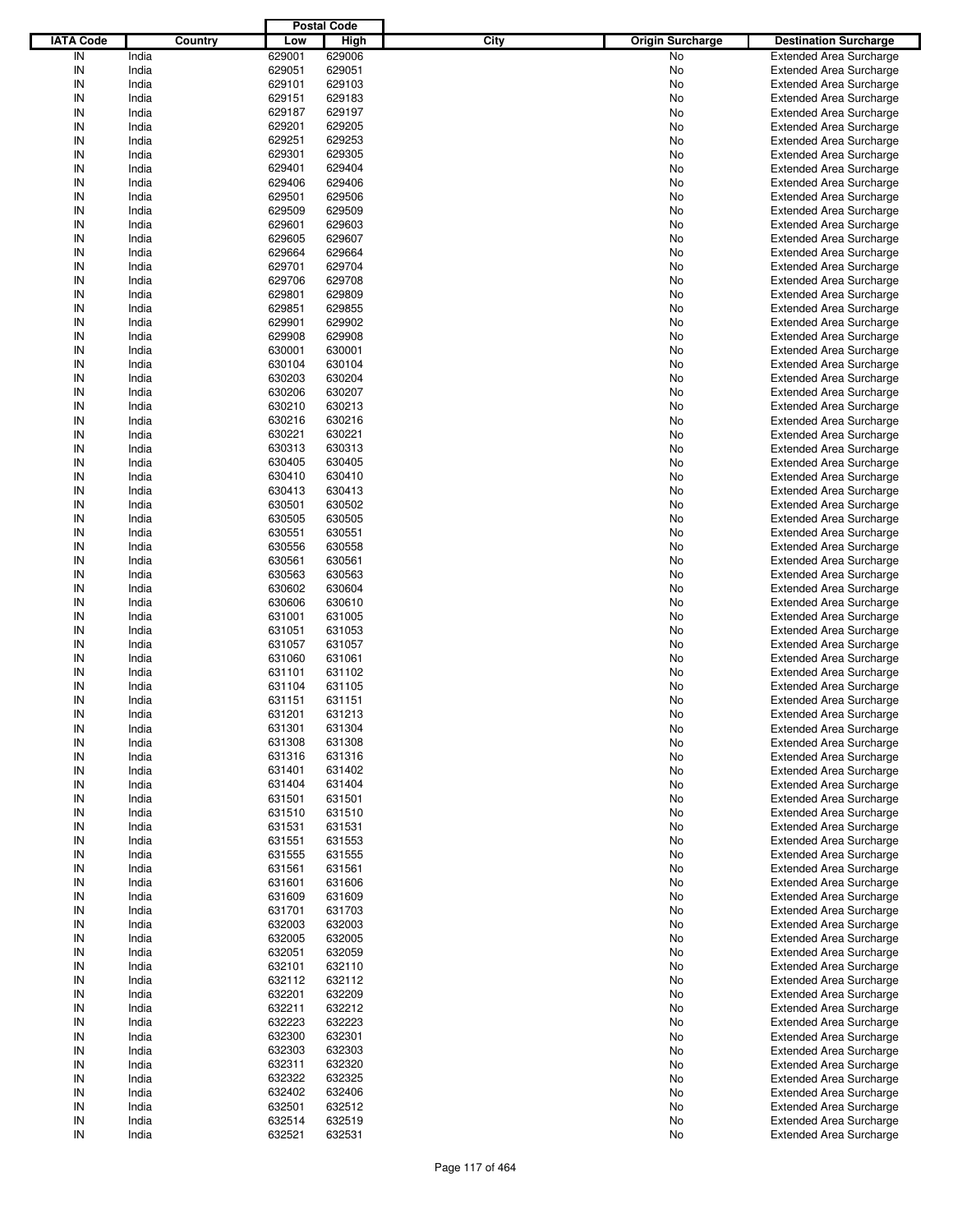|                  |         |        | <b>Postal Code</b> |                                 |                                |
|------------------|---------|--------|--------------------|---------------------------------|--------------------------------|
| <b>IATA Code</b> | Country | Low    | <b>High</b>        | City<br><b>Origin Surcharge</b> | <b>Destination Surcharge</b>   |
| IN               | India   | 629001 | 629006             | No                              | <b>Extended Area Surcharge</b> |
| IN               | India   | 629051 | 629051             | No                              | <b>Extended Area Surcharge</b> |
| IN               | India   | 629101 | 629103             | No                              | <b>Extended Area Surcharge</b> |
| IN               | India   | 629151 | 629183             | No                              | <b>Extended Area Surcharge</b> |
| IN               | India   | 629187 | 629197             | No                              | <b>Extended Area Surcharge</b> |
| IN               |         |        |                    |                                 |                                |
|                  | India   | 629201 | 629205             | No                              | <b>Extended Area Surcharge</b> |
| IN               | India   | 629251 | 629253             | No                              | <b>Extended Area Surcharge</b> |
| IN               | India   | 629301 | 629305             | No                              | <b>Extended Area Surcharge</b> |
| IN               | India   | 629401 | 629404             | No                              | <b>Extended Area Surcharge</b> |
| IN               | India   | 629406 | 629406             | No                              | <b>Extended Area Surcharge</b> |
| IN               | India   | 629501 | 629506             | No                              | <b>Extended Area Surcharge</b> |
| IN               | India   | 629509 | 629509             | No                              | <b>Extended Area Surcharge</b> |
| IN               | India   | 629601 | 629603             | No                              | <b>Extended Area Surcharge</b> |
| IN               | India   | 629605 | 629607             | No                              | <b>Extended Area Surcharge</b> |
| IN               | India   | 629664 | 629664             | No                              | <b>Extended Area Surcharge</b> |
| IN               | India   | 629701 | 629704             | No                              | <b>Extended Area Surcharge</b> |
| IN               | India   | 629706 | 629708             | No                              | <b>Extended Area Surcharge</b> |
| IN               | India   | 629801 | 629809             | No                              | <b>Extended Area Surcharge</b> |
| IN               | India   | 629851 | 629855             | No                              | <b>Extended Area Surcharge</b> |
| IN               | India   | 629901 | 629902             | No                              | <b>Extended Area Surcharge</b> |
| IN               | India   | 629908 | 629908             | No                              | <b>Extended Area Surcharge</b> |
| IN               |         |        |                    |                                 |                                |
|                  | India   | 630001 | 630001             | No                              | <b>Extended Area Surcharge</b> |
| IN               | India   | 630104 | 630104             | No                              | <b>Extended Area Surcharge</b> |
| IN               | India   | 630203 | 630204             | No                              | <b>Extended Area Surcharge</b> |
| IN               | India   | 630206 | 630207             | No                              | <b>Extended Area Surcharge</b> |
| IN               | India   | 630210 | 630213             | No                              | <b>Extended Area Surcharge</b> |
| IN               | India   | 630216 | 630216             | No                              | <b>Extended Area Surcharge</b> |
| IN               | India   | 630221 | 630221             | No                              | <b>Extended Area Surcharge</b> |
| IN               | India   | 630313 | 630313             | No                              | <b>Extended Area Surcharge</b> |
| IN               | India   | 630405 | 630405             | No                              | <b>Extended Area Surcharge</b> |
| IN               | India   | 630410 | 630410             | No                              | <b>Extended Area Surcharge</b> |
| IN               | India   | 630413 | 630413             | No                              | <b>Extended Area Surcharge</b> |
| IN               | India   | 630501 | 630502             | No                              | <b>Extended Area Surcharge</b> |
| IN               | India   | 630505 | 630505             | No                              | <b>Extended Area Surcharge</b> |
| IN               | India   | 630551 | 630551             | No                              | <b>Extended Area Surcharge</b> |
| IN               | India   | 630556 | 630558             |                                 | <b>Extended Area Surcharge</b> |
|                  |         |        |                    | No                              |                                |
| IN               | India   | 630561 | 630561             | No                              | <b>Extended Area Surcharge</b> |
| IN               | India   | 630563 | 630563             | No                              | <b>Extended Area Surcharge</b> |
| IN               | India   | 630602 | 630604             | No                              | <b>Extended Area Surcharge</b> |
| IN               | India   | 630606 | 630610             | No                              | <b>Extended Area Surcharge</b> |
| IN               | India   | 631001 | 631005             | No                              | <b>Extended Area Surcharge</b> |
| IN               | India   | 631051 | 631053             | No                              | <b>Extended Area Surcharge</b> |
| IN               | India   | 631057 | 631057             | No                              | <b>Extended Area Surcharge</b> |
| IN               | India   | 631060 | 631061             | No                              | <b>Extended Area Surcharge</b> |
| IN               | India   | 631101 | 631102             | No                              | <b>Extended Area Surcharge</b> |
| IN               | India   | 631104 | 631105             | No                              | <b>Extended Area Surcharge</b> |
| IN               | India   | 631151 | 631151             | No                              | <b>Extended Area Surcharge</b> |
| IN               | India   | 631201 | 631213             | No                              | <b>Extended Area Surcharge</b> |
| IN               | India   | 631301 | 631304             | No                              | <b>Extended Area Surcharge</b> |
| IN               | India   | 631308 | 631308             | No                              | <b>Extended Area Surcharge</b> |
| IN               | India   | 631316 | 631316             | No                              | <b>Extended Area Surcharge</b> |
| IN               | India   | 631401 | 631402             | No                              | <b>Extended Area Surcharge</b> |
|                  |         |        |                    |                                 |                                |
| IN               | India   | 631404 | 631404             | No                              | <b>Extended Area Surcharge</b> |
| IN               | India   | 631501 | 631501             | No                              | <b>Extended Area Surcharge</b> |
| IN               | India   | 631510 | 631510             | No                              | <b>Extended Area Surcharge</b> |
| IN               | India   | 631531 | 631531             | No                              | <b>Extended Area Surcharge</b> |
| IN               | India   | 631551 | 631553             | No                              | <b>Extended Area Surcharge</b> |
| IN               | India   | 631555 | 631555             | No                              | <b>Extended Area Surcharge</b> |
| IN               | India   | 631561 | 631561             | No                              | <b>Extended Area Surcharge</b> |
| IN               | India   | 631601 | 631606             | No                              | <b>Extended Area Surcharge</b> |
| IN               | India   | 631609 | 631609             | No                              | <b>Extended Area Surcharge</b> |
| IN               | India   | 631701 | 631703             | No                              | <b>Extended Area Surcharge</b> |
| IN               | India   | 632003 | 632003             | No                              | <b>Extended Area Surcharge</b> |
| IN               | India   | 632005 | 632005             | No                              | <b>Extended Area Surcharge</b> |
| IN               | India   | 632051 | 632059             | No                              | <b>Extended Area Surcharge</b> |
| IN               | India   | 632101 | 632110             | No                              | <b>Extended Area Surcharge</b> |
| IN               | India   | 632112 | 632112             | No                              | <b>Extended Area Surcharge</b> |
| IN               | India   | 632201 | 632209             | No                              | <b>Extended Area Surcharge</b> |
| IN               | India   | 632211 | 632212             |                                 |                                |
|                  |         |        |                    | No                              | <b>Extended Area Surcharge</b> |
| IN               | India   | 632223 | 632223             | No                              | <b>Extended Area Surcharge</b> |
| IN               | India   | 632300 | 632301             | No                              | <b>Extended Area Surcharge</b> |
| IN               | India   | 632303 | 632303             | No                              | <b>Extended Area Surcharge</b> |
| IN               | India   | 632311 | 632320             | No                              | <b>Extended Area Surcharge</b> |
| IN               | India   | 632322 | 632325             | No                              | <b>Extended Area Surcharge</b> |
| IN               | India   | 632402 | 632406             | No                              | <b>Extended Area Surcharge</b> |
| IN               | India   | 632501 | 632512             | No                              | <b>Extended Area Surcharge</b> |
| IN               | India   | 632514 | 632519             | No                              | <b>Extended Area Surcharge</b> |
| $\sf IN$         | India   | 632521 | 632531             | No                              | <b>Extended Area Surcharge</b> |
|                  |         |        |                    |                                 |                                |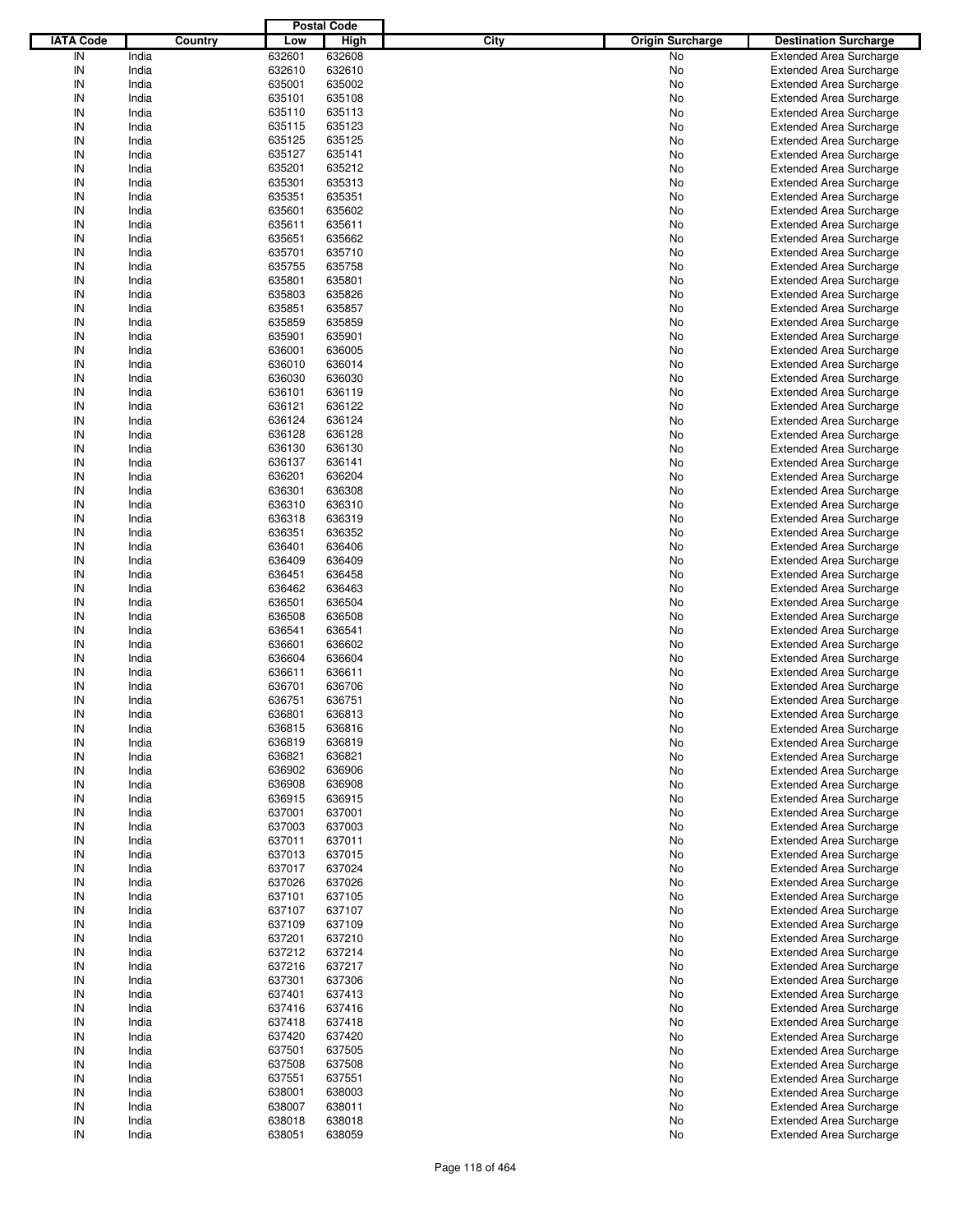|                  |         |        | <b>Postal Code</b> |      |                                                         |  |
|------------------|---------|--------|--------------------|------|---------------------------------------------------------|--|
| <b>IATA Code</b> | Country | Low    | <b>High</b>        | City | <b>Origin Surcharge</b><br><b>Destination Surcharge</b> |  |
| IN               | India   | 632601 | 632608             |      | No<br><b>Extended Area Surcharge</b>                    |  |
| IN               | India   | 632610 | 632610             |      | No<br><b>Extended Area Surcharge</b>                    |  |
| IN               | India   | 635001 | 635002             |      | No<br><b>Extended Area Surcharge</b>                    |  |
| IN               | India   | 635101 | 635108             |      | No<br><b>Extended Area Surcharge</b>                    |  |
| IN               | India   | 635110 | 635113             |      | No<br><b>Extended Area Surcharge</b>                    |  |
| IN               | India   | 635115 | 635123             |      | No<br><b>Extended Area Surcharge</b>                    |  |
| IN               | India   | 635125 | 635125             |      |                                                         |  |
| IN               |         |        |                    |      | No<br><b>Extended Area Surcharge</b>                    |  |
|                  | India   | 635127 | 635141             |      | No<br><b>Extended Area Surcharge</b>                    |  |
| IN               | India   | 635201 | 635212             |      | No<br><b>Extended Area Surcharge</b>                    |  |
| IN               | India   | 635301 | 635313             |      | No<br><b>Extended Area Surcharge</b>                    |  |
| IN               | India   | 635351 | 635351             |      | No<br><b>Extended Area Surcharge</b>                    |  |
| IN               | India   | 635601 | 635602             |      | No<br><b>Extended Area Surcharge</b>                    |  |
| IN               | India   | 635611 | 635611             |      | No<br><b>Extended Area Surcharge</b>                    |  |
| IN               | India   | 635651 | 635662             |      | No<br><b>Extended Area Surcharge</b>                    |  |
| IN               | India   | 635701 | 635710             |      | No<br><b>Extended Area Surcharge</b>                    |  |
| IN               | India   | 635755 | 635758             |      | No<br><b>Extended Area Surcharge</b>                    |  |
| IN               | India   | 635801 | 635801             |      | No<br><b>Extended Area Surcharge</b>                    |  |
| IN               | India   | 635803 | 635826             |      | No<br><b>Extended Area Surcharge</b>                    |  |
| IN               | India   | 635851 | 635857             |      | No<br><b>Extended Area Surcharge</b>                    |  |
| IN               | India   | 635859 | 635859             |      | <b>Extended Area Surcharge</b><br>No                    |  |
| IN               | India   | 635901 | 635901             |      | No<br><b>Extended Area Surcharge</b>                    |  |
| IN               | India   | 636001 | 636005             |      | No<br><b>Extended Area Surcharge</b>                    |  |
| IN               | India   | 636010 | 636014             |      | No<br><b>Extended Area Surcharge</b>                    |  |
| IN               | India   | 636030 | 636030             |      | <b>Extended Area Surcharge</b><br>No                    |  |
| IN               | India   | 636101 | 636119             |      | No<br><b>Extended Area Surcharge</b>                    |  |
| IN               | India   | 636121 | 636122             |      | No<br><b>Extended Area Surcharge</b>                    |  |
| IN               |         |        |                    |      |                                                         |  |
|                  | India   | 636124 | 636124             |      | No<br><b>Extended Area Surcharge</b>                    |  |
| IN               | India   | 636128 | 636128             |      | <b>Extended Area Surcharge</b><br>No                    |  |
| IN               | India   | 636130 | 636130             |      | No<br><b>Extended Area Surcharge</b>                    |  |
| IN               | India   | 636137 | 636141             |      | No<br><b>Extended Area Surcharge</b>                    |  |
| IN               | India   | 636201 | 636204             |      | No<br><b>Extended Area Surcharge</b>                    |  |
| IN               | India   | 636301 | 636308             |      | <b>Extended Area Surcharge</b><br>No                    |  |
| IN               | India   | 636310 | 636310             |      | No<br><b>Extended Area Surcharge</b>                    |  |
| IN               | India   | 636318 | 636319             |      | No<br><b>Extended Area Surcharge</b>                    |  |
| IN               | India   | 636351 | 636352             |      | No<br><b>Extended Area Surcharge</b>                    |  |
| IN               | India   | 636401 | 636406             |      | <b>Extended Area Surcharge</b><br>No                    |  |
| IN               | India   | 636409 | 636409             |      | No<br><b>Extended Area Surcharge</b>                    |  |
| IN               | India   | 636451 | 636458             |      | No<br><b>Extended Area Surcharge</b>                    |  |
| IN               | India   | 636462 | 636463             |      | No<br><b>Extended Area Surcharge</b>                    |  |
| IN               | India   | 636501 | 636504             |      | No<br><b>Extended Area Surcharge</b>                    |  |
| IN               | India   | 636508 | 636508             |      | No<br><b>Extended Area Surcharge</b>                    |  |
| IN               | India   | 636541 | 636541             |      | No<br><b>Extended Area Surcharge</b>                    |  |
| IN               | India   | 636601 | 636602             |      | No<br><b>Extended Area Surcharge</b>                    |  |
| IN               | India   | 636604 | 636604             |      | <b>Extended Area Surcharge</b><br>No                    |  |
| IN               | India   | 636611 | 636611             |      | <b>Extended Area Surcharge</b><br>No                    |  |
| IN               | India   | 636701 | 636706             |      | <b>Extended Area Surcharge</b><br>No                    |  |
| IN               |         |        |                    |      |                                                         |  |
|                  | India   | 636751 | 636751             |      | No<br><b>Extended Area Surcharge</b>                    |  |
| IN               | India   | 636801 | 636813             |      | No<br><b>Extended Area Surcharge</b>                    |  |
| IN               | India   | 636815 | 636816             |      | No<br><b>Extended Area Surcharge</b>                    |  |
| IN               | India   | 636819 | 636819             |      | <b>Extended Area Surcharge</b><br>No                    |  |
| IN               | India   | 636821 | 636821             |      | <b>Extended Area Surcharge</b><br>No                    |  |
| IN               | India   | 636902 | 636906             |      | <b>Extended Area Surcharge</b><br>No                    |  |
| IN               | India   | 636908 | 636908             |      | <b>Extended Area Surcharge</b><br>No                    |  |
| IN               | India   | 636915 | 636915             |      | <b>Extended Area Surcharge</b><br>No                    |  |
| IN               | India   | 637001 | 637001             |      | <b>Extended Area Surcharge</b><br>No                    |  |
| IN               | India   | 637003 | 637003             |      | <b>Extended Area Surcharge</b><br>No                    |  |
| IN               | India   | 637011 | 637011             |      | <b>Extended Area Surcharge</b><br>No                    |  |
| IN               | India   | 637013 | 637015             |      | <b>Extended Area Surcharge</b><br>No                    |  |
| IN               | India   | 637017 | 637024             |      | <b>Extended Area Surcharge</b><br>No                    |  |
| IN               | India   | 637026 | 637026             |      | <b>Extended Area Surcharge</b><br>No                    |  |
| IN               | India   | 637101 | 637105             |      | <b>Extended Area Surcharge</b><br>No                    |  |
| IN               | India   | 637107 | 637107             |      | <b>Extended Area Surcharge</b><br>No                    |  |
| IN               | India   | 637109 | 637109             |      | <b>Extended Area Surcharge</b><br>No                    |  |
| IN               | India   | 637201 | 637210             |      | <b>Extended Area Surcharge</b><br>No                    |  |
| IN               | India   | 637212 | 637214             |      | <b>Extended Area Surcharge</b>                          |  |
| IN               | India   | 637216 | 637217             |      | No<br><b>Extended Area Surcharge</b>                    |  |
|                  |         |        |                    |      | No                                                      |  |
| IN               | India   | 637301 | 637306             |      | <b>Extended Area Surcharge</b><br>No                    |  |
| IN               | India   | 637401 | 637413             |      | <b>Extended Area Surcharge</b><br>No                    |  |
| IN               | India   | 637416 | 637416             |      | <b>Extended Area Surcharge</b><br>No                    |  |
| IN               | India   | 637418 | 637418             |      | <b>Extended Area Surcharge</b><br>No                    |  |
| IN               | India   | 637420 | 637420             |      | <b>Extended Area Surcharge</b><br>No                    |  |
| IN               | India   | 637501 | 637505             |      | <b>Extended Area Surcharge</b><br>No                    |  |
| IN               | India   | 637508 | 637508             |      | <b>Extended Area Surcharge</b><br>No                    |  |
| IN               | India   | 637551 | 637551             |      | <b>Extended Area Surcharge</b><br>No                    |  |
| IN               | India   | 638001 | 638003             |      | <b>Extended Area Surcharge</b><br>No                    |  |
| IN               | India   | 638007 | 638011             |      | <b>Extended Area Surcharge</b><br>No                    |  |
| IN               | India   | 638018 | 638018             |      | <b>Extended Area Surcharge</b><br>No                    |  |
| $\sf IN$         | India   | 638051 | 638059             |      | <b>Extended Area Surcharge</b><br>No                    |  |
|                  |         |        |                    |      |                                                         |  |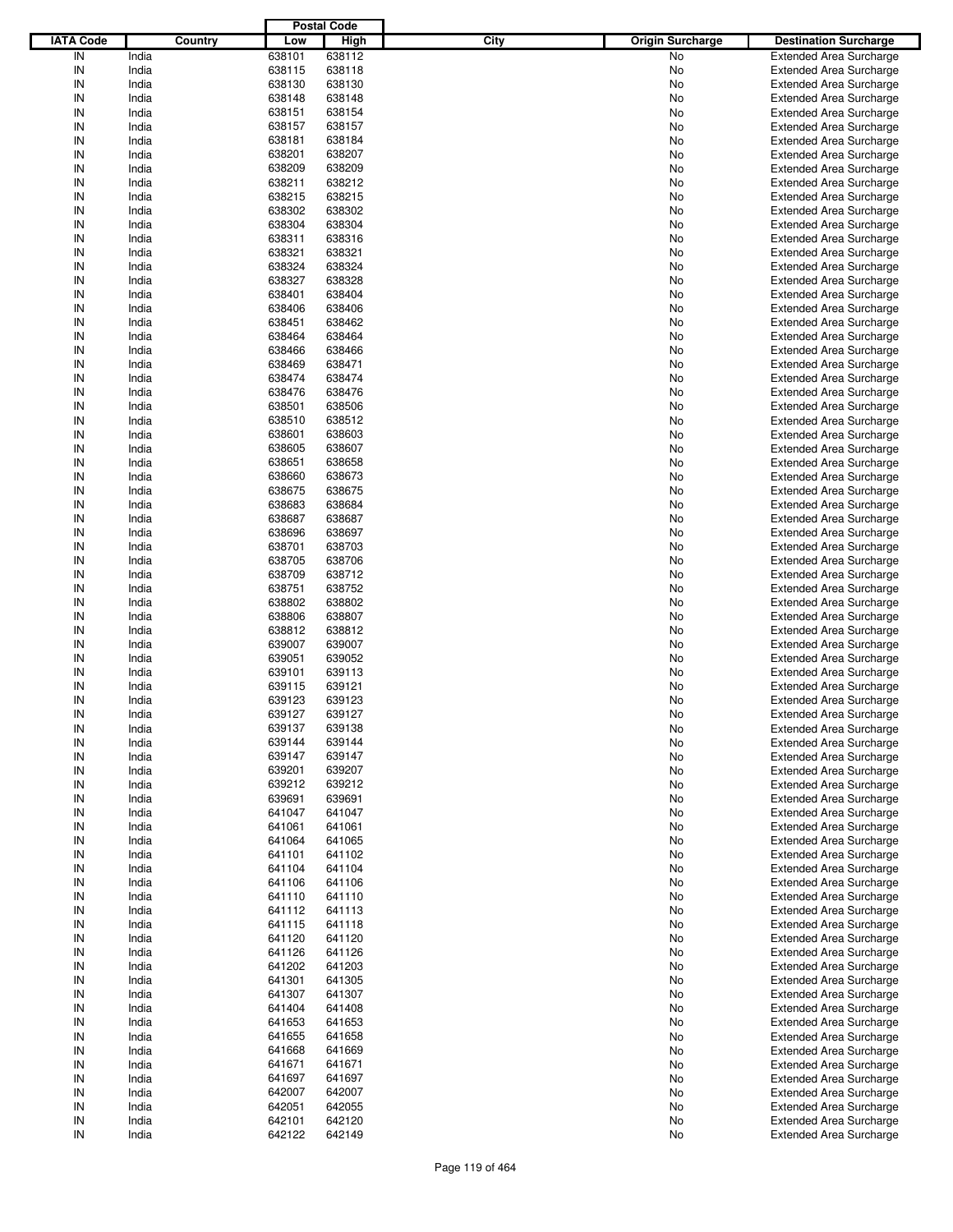|                  |         |        | <b>Postal Code</b> |      |                         |                                |
|------------------|---------|--------|--------------------|------|-------------------------|--------------------------------|
| <b>IATA Code</b> | Country | Low    | High               | City | <b>Origin Surcharge</b> | <b>Destination Surcharge</b>   |
| IN               | India   | 638101 | 638112             |      | <b>No</b>               | <b>Extended Area Surcharge</b> |
| IN               | India   | 638115 | 638118             |      | No                      | <b>Extended Area Surcharge</b> |
| IN               | India   | 638130 | 638130             |      | No                      | <b>Extended Area Surcharge</b> |
| IN               | India   | 638148 | 638148             |      | No                      | <b>Extended Area Surcharge</b> |
| IN               | India   | 638151 | 638154             |      | No                      | <b>Extended Area Surcharge</b> |
| IN               | India   | 638157 | 638157             |      | No                      | <b>Extended Area Surcharge</b> |
| IN               | India   | 638181 | 638184             |      |                         |                                |
|                  |         |        |                    |      | No                      | <b>Extended Area Surcharge</b> |
| IN               | India   | 638201 | 638207             |      | No                      | <b>Extended Area Surcharge</b> |
| IN               | India   | 638209 | 638209             |      | No                      | <b>Extended Area Surcharge</b> |
| IN               | India   | 638211 | 638212             |      | No                      | <b>Extended Area Surcharge</b> |
| IN               | India   | 638215 | 638215             |      | No                      | <b>Extended Area Surcharge</b> |
| IN               | India   | 638302 | 638302             |      | No                      | <b>Extended Area Surcharge</b> |
| IN               | India   | 638304 | 638304             |      | No                      | <b>Extended Area Surcharge</b> |
| IN               | India   | 638311 | 638316             |      | No                      | <b>Extended Area Surcharge</b> |
| IN               | India   | 638321 | 638321             |      | No                      | <b>Extended Area Surcharge</b> |
| IN               | India   | 638324 | 638324             |      | No                      | <b>Extended Area Surcharge</b> |
| IN               | India   | 638327 | 638328             |      | No                      | <b>Extended Area Surcharge</b> |
| IN               | India   | 638401 | 638404             |      | No                      | <b>Extended Area Surcharge</b> |
| IN               | India   | 638406 | 638406             |      | No                      | <b>Extended Area Surcharge</b> |
| IN               | India   | 638451 | 638462             |      | No                      | <b>Extended Area Surcharge</b> |
| IN               | India   | 638464 | 638464             |      | No                      | <b>Extended Area Surcharge</b> |
| IN               | India   | 638466 | 638466             |      | No                      | <b>Extended Area Surcharge</b> |
| IN               | India   | 638469 | 638471             |      | No                      | <b>Extended Area Surcharge</b> |
| IN               | India   | 638474 | 638474             |      | No                      | <b>Extended Area Surcharge</b> |
| IN               | India   | 638476 | 638476             |      | No                      | <b>Extended Area Surcharge</b> |
| IN               | India   | 638501 | 638506             |      | No                      | <b>Extended Area Surcharge</b> |
|                  |         |        |                    |      |                         |                                |
| IN               | India   | 638510 | 638512             |      | No                      | <b>Extended Area Surcharge</b> |
| IN               | India   | 638601 | 638603             |      | No                      | <b>Extended Area Surcharge</b> |
| IN               | India   | 638605 | 638607             |      | No                      | <b>Extended Area Surcharge</b> |
| IN               | India   | 638651 | 638658             |      | No                      | <b>Extended Area Surcharge</b> |
| IN               | India   | 638660 | 638673             |      | No                      | <b>Extended Area Surcharge</b> |
| IN               | India   | 638675 | 638675             |      | No                      | <b>Extended Area Surcharge</b> |
| IN               | India   | 638683 | 638684             |      | No                      | <b>Extended Area Surcharge</b> |
| IN               | India   | 638687 | 638687             |      | No                      | <b>Extended Area Surcharge</b> |
| IN               | India   | 638696 | 638697             |      | No                      | <b>Extended Area Surcharge</b> |
| IN               | India   | 638701 | 638703             |      | No                      | <b>Extended Area Surcharge</b> |
| IN               | India   | 638705 | 638706             |      | No                      | <b>Extended Area Surcharge</b> |
| IN               | India   | 638709 | 638712             |      | No                      | <b>Extended Area Surcharge</b> |
| IN               | India   | 638751 | 638752             |      | No                      | <b>Extended Area Surcharge</b> |
| IN               | India   | 638802 | 638802             |      | No                      | <b>Extended Area Surcharge</b> |
| IN               | India   | 638806 | 638807             |      | No                      | <b>Extended Area Surcharge</b> |
| IN               | India   | 638812 | 638812             |      | No                      | <b>Extended Area Surcharge</b> |
| IN               | India   | 639007 | 639007             |      | No                      | <b>Extended Area Surcharge</b> |
| IN               | India   | 639051 | 639052             |      | No                      | <b>Extended Area Surcharge</b> |
| IN               | India   | 639101 | 639113             |      | No                      | <b>Extended Area Surcharge</b> |
| IN               | India   | 639115 | 639121             |      | No                      | <b>Extended Area Surcharge</b> |
| IN               |         |        | 639123             |      |                         |                                |
|                  | India   | 639123 |                    |      | No                      | <b>Extended Area Surcharge</b> |
| IN               | India   | 639127 | 639127             |      | No                      | <b>Extended Area Surcharge</b> |
| IN               | India   | 639137 | 639138             |      | No                      | <b>Extended Area Surcharge</b> |
| IN               | India   | 639144 | 639144             |      | No                      | <b>Extended Area Surcharge</b> |
| IN               | India   | 639147 | 639147             |      | No                      | <b>Extended Area Surcharge</b> |
| IN               | India   | 639201 | 639207             |      | No                      | <b>Extended Area Surcharge</b> |
| IN               | India   | 639212 | 639212             |      | No                      | <b>Extended Area Surcharge</b> |
| IN               | India   | 639691 | 639691             |      | No                      | <b>Extended Area Surcharge</b> |
| IN               | India   | 641047 | 641047             |      | No                      | <b>Extended Area Surcharge</b> |
| IN               | India   | 641061 | 641061             |      | No                      | <b>Extended Area Surcharge</b> |
| IN               | India   | 641064 | 641065             |      | No                      | <b>Extended Area Surcharge</b> |
| IN               | India   | 641101 | 641102             |      | No                      | <b>Extended Area Surcharge</b> |
| IN               | India   | 641104 | 641104             |      | No                      | <b>Extended Area Surcharge</b> |
| IN               | India   | 641106 | 641106             |      | No                      | <b>Extended Area Surcharge</b> |
| IN               | India   | 641110 | 641110             |      | No                      | <b>Extended Area Surcharge</b> |
| IN               | India   | 641112 | 641113             |      | No                      | <b>Extended Area Surcharge</b> |
| IN               | India   | 641115 | 641118             |      | No                      | <b>Extended Area Surcharge</b> |
| IN               | India   | 641120 | 641120             |      | No                      | <b>Extended Area Surcharge</b> |
| IN               | India   | 641126 | 641126             |      | No                      | <b>Extended Area Surcharge</b> |
| IN               | India   | 641202 | 641203             |      | No                      | <b>Extended Area Surcharge</b> |
| IN               | India   | 641301 | 641305             |      | No                      | <b>Extended Area Surcharge</b> |
| IN               | India   | 641307 | 641307             |      |                         | <b>Extended Area Surcharge</b> |
|                  |         |        |                    |      | No                      |                                |
| IN               | India   | 641404 | 641408             |      | No                      | <b>Extended Area Surcharge</b> |
| IN               | India   | 641653 | 641653             |      | No                      | <b>Extended Area Surcharge</b> |
| IN               | India   | 641655 | 641658             |      | No                      | <b>Extended Area Surcharge</b> |
| IN               | India   | 641668 | 641669             |      | No                      | <b>Extended Area Surcharge</b> |
| IN               | India   | 641671 | 641671             |      | No                      | <b>Extended Area Surcharge</b> |
| IN               | India   | 641697 | 641697             |      | No                      | <b>Extended Area Surcharge</b> |
| IN               | India   | 642007 | 642007             |      | No                      | <b>Extended Area Surcharge</b> |
| IN               | India   | 642051 | 642055             |      | No                      | <b>Extended Area Surcharge</b> |
| IN               | India   | 642101 | 642120             |      | No                      | <b>Extended Area Surcharge</b> |
| IN               | India   | 642122 | 642149             |      | No                      | <b>Extended Area Surcharge</b> |
|                  |         |        |                    |      |                         |                                |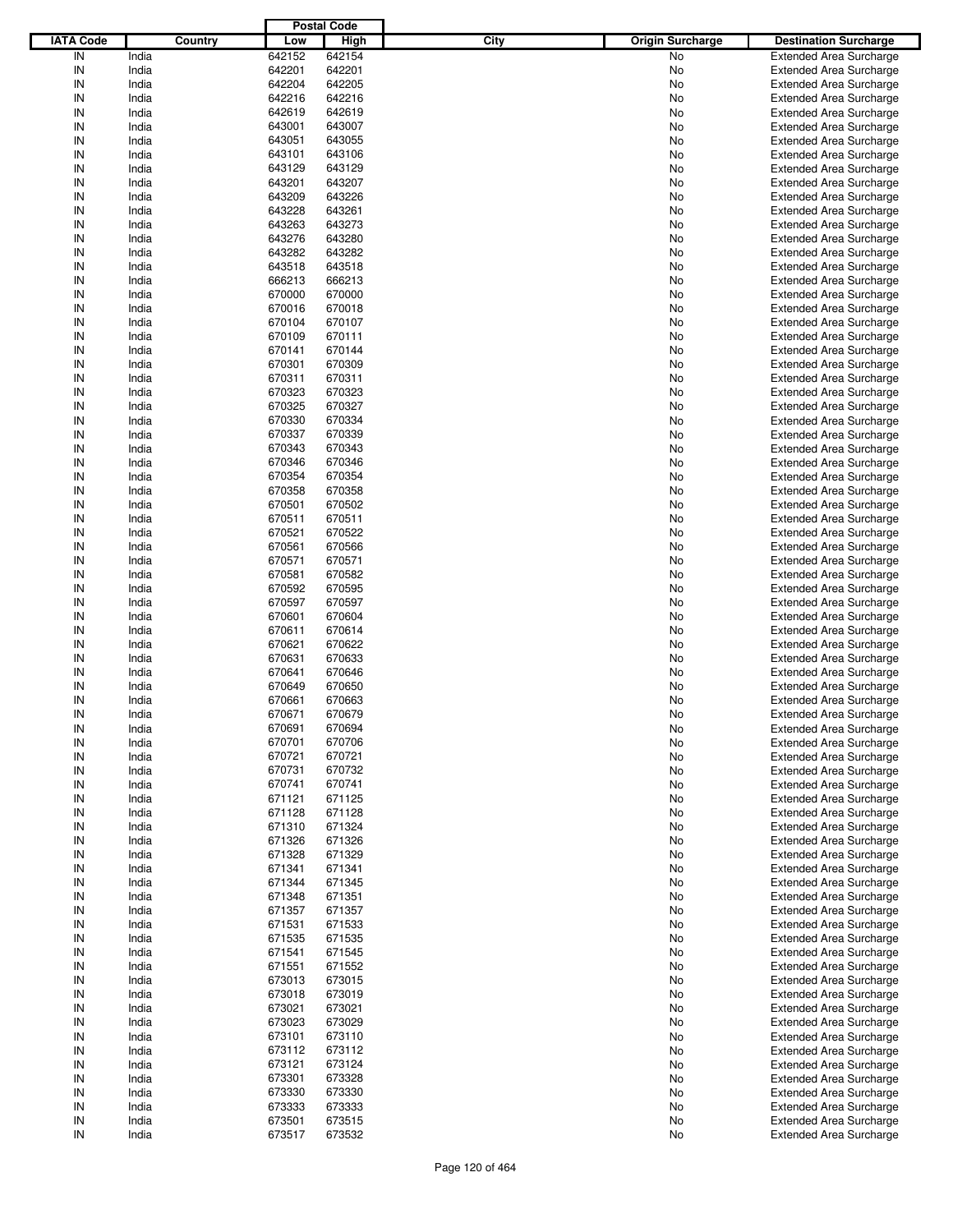|                  |         |        | <b>Postal Code</b> |                                 |                                |
|------------------|---------|--------|--------------------|---------------------------------|--------------------------------|
| <b>IATA Code</b> | Country | Low    | High               | City<br><b>Origin Surcharge</b> | <b>Destination Surcharge</b>   |
| IN               | India   | 642152 | 642154             | No                              | <b>Extended Area Surcharge</b> |
| IN               | India   | 642201 | 642201             | No                              | <b>Extended Area Surcharge</b> |
| IN               | India   | 642204 | 642205             | No                              | <b>Extended Area Surcharge</b> |
| IN               | India   | 642216 | 642216             | No                              | <b>Extended Area Surcharge</b> |
| IN               | India   | 642619 | 642619             | No                              | <b>Extended Area Surcharge</b> |
| IN               | India   | 643001 | 643007             | No                              | <b>Extended Area Surcharge</b> |
| IN               | India   | 643051 | 643055             | No                              | <b>Extended Area Surcharge</b> |
|                  |         |        |                    |                                 |                                |
| IN               | India   | 643101 | 643106             | No                              | <b>Extended Area Surcharge</b> |
| IN               | India   | 643129 | 643129             | No                              | <b>Extended Area Surcharge</b> |
| IN               | India   | 643201 | 643207             | No                              | <b>Extended Area Surcharge</b> |
| IN               | India   | 643209 | 643226             | No                              | <b>Extended Area Surcharge</b> |
| IN               | India   | 643228 | 643261             | No                              | <b>Extended Area Surcharge</b> |
| IN               | India   | 643263 | 643273             | No                              | <b>Extended Area Surcharge</b> |
| IN               | India   | 643276 | 643280             | No                              | <b>Extended Area Surcharge</b> |
| IN               | India   | 643282 | 643282             | No                              | <b>Extended Area Surcharge</b> |
| IN               | India   | 643518 | 643518             | No                              | <b>Extended Area Surcharge</b> |
| IN               | India   | 666213 | 666213             | No                              | <b>Extended Area Surcharge</b> |
| IN               | India   | 670000 | 670000             | No                              | <b>Extended Area Surcharge</b> |
| IN               | India   | 670016 | 670018             | No                              | <b>Extended Area Surcharge</b> |
| IN               | India   | 670104 | 670107             | No                              | <b>Extended Area Surcharge</b> |
| IN               | India   | 670109 | 670111             | No                              | <b>Extended Area Surcharge</b> |
| IN               | India   | 670141 | 670144             | No                              | <b>Extended Area Surcharge</b> |
| IN               | India   | 670301 | 670309             | No                              | <b>Extended Area Surcharge</b> |
| IN               | India   | 670311 | 670311             | No                              | <b>Extended Area Surcharge</b> |
| IN               | India   | 670323 | 670323             | No                              | <b>Extended Area Surcharge</b> |
| IN               | India   | 670325 | 670327             | No                              | <b>Extended Area Surcharge</b> |
|                  |         |        |                    |                                 |                                |
| IN               | India   | 670330 | 670334             | No                              | <b>Extended Area Surcharge</b> |
| IN               | India   | 670337 | 670339             | No                              | <b>Extended Area Surcharge</b> |
| IN               | India   | 670343 | 670343             | No                              | <b>Extended Area Surcharge</b> |
| IN               | India   | 670346 | 670346             | No                              | <b>Extended Area Surcharge</b> |
| IN               | India   | 670354 | 670354             | No                              | <b>Extended Area Surcharge</b> |
| IN               | India   | 670358 | 670358             | No                              | <b>Extended Area Surcharge</b> |
| IN               | India   | 670501 | 670502             | No                              | <b>Extended Area Surcharge</b> |
| IN               | India   | 670511 | 670511             | No                              | <b>Extended Area Surcharge</b> |
| IN               | India   | 670521 | 670522             | No                              | <b>Extended Area Surcharge</b> |
| IN               | India   | 670561 | 670566             | No                              | <b>Extended Area Surcharge</b> |
| IN               | India   | 670571 | 670571             | No                              | <b>Extended Area Surcharge</b> |
| IN               | India   | 670581 | 670582             | No                              | <b>Extended Area Surcharge</b> |
| IN               | India   | 670592 | 670595             | No                              | <b>Extended Area Surcharge</b> |
| IN               | India   | 670597 | 670597             | No                              | <b>Extended Area Surcharge</b> |
| IN               | India   | 670601 | 670604             | No                              | <b>Extended Area Surcharge</b> |
| IN               | India   | 670611 | 670614             | No                              | <b>Extended Area Surcharge</b> |
| IN               | India   | 670621 | 670622             | No                              | <b>Extended Area Surcharge</b> |
| IN               | India   | 670631 | 670633             | No                              | <b>Extended Area Surcharge</b> |
| IN               | India   | 670641 | 670646             | No                              | <b>Extended Area Surcharge</b> |
| IN               | India   | 670649 | 670650             | No                              | <b>Extended Area Surcharge</b> |
| IN               |         |        | 670663             |                                 |                                |
|                  | India   | 670661 |                    | No                              | <b>Extended Area Surcharge</b> |
| IN               | India   | 670671 | 670679             | No                              | <b>Extended Area Surcharge</b> |
| IN               | India   | 670691 | 670694             | No                              | <b>Extended Area Surcharge</b> |
| IN               | India   | 670701 | 670706             | No                              | <b>Extended Area Surcharge</b> |
| IN               | India   | 670721 | 670721             | No                              | <b>Extended Area Surcharge</b> |
| IN               | India   | 670731 | 670732             | No                              | <b>Extended Area Surcharge</b> |
| IN               | India   | 670741 | 670741             | No                              | <b>Extended Area Surcharge</b> |
| IN               | India   | 671121 | 671125             | No                              | <b>Extended Area Surcharge</b> |
| IN               | India   | 671128 | 671128             | No                              | <b>Extended Area Surcharge</b> |
| IN               | India   | 671310 | 671324             | No                              | <b>Extended Area Surcharge</b> |
| IN               | India   | 671326 | 671326             | No                              | <b>Extended Area Surcharge</b> |
| IN               | India   | 671328 | 671329             | No                              | <b>Extended Area Surcharge</b> |
| IN               | India   | 671341 | 671341             | No                              | <b>Extended Area Surcharge</b> |
| IN               | India   | 671344 | 671345             | No                              | <b>Extended Area Surcharge</b> |
| IN               | India   | 671348 | 671351             | No                              | <b>Extended Area Surcharge</b> |
| IN               | India   | 671357 | 671357             | No                              | <b>Extended Area Surcharge</b> |
| IN               | India   | 671531 | 671533             | No                              | <b>Extended Area Surcharge</b> |
| IN               | India   | 671535 | 671535             | No                              | <b>Extended Area Surcharge</b> |
| IN               | India   | 671541 | 671545             | No                              | <b>Extended Area Surcharge</b> |
| IN               | India   | 671551 | 671552             | No                              | <b>Extended Area Surcharge</b> |
| IN               | India   | 673013 | 673015             | No                              | <b>Extended Area Surcharge</b> |
|                  |         |        |                    |                                 |                                |
| IN               | India   | 673018 | 673019             | No                              | <b>Extended Area Surcharge</b> |
| IN               | India   | 673021 | 673021             | No                              | <b>Extended Area Surcharge</b> |
| IN               | India   | 673023 | 673029             | No                              | <b>Extended Area Surcharge</b> |
| IN               | India   | 673101 | 673110             | No                              | <b>Extended Area Surcharge</b> |
| IN               | India   | 673112 | 673112             | No                              | <b>Extended Area Surcharge</b> |
| IN               | India   | 673121 | 673124             | No                              | <b>Extended Area Surcharge</b> |
| IN               | India   | 673301 | 673328             | No                              | <b>Extended Area Surcharge</b> |
| IN               | India   | 673330 | 673330             | No                              | <b>Extended Area Surcharge</b> |
| IN               | India   | 673333 | 673333             | No                              | <b>Extended Area Surcharge</b> |
| IN               | India   | 673501 | 673515             | No                              | <b>Extended Area Surcharge</b> |
| IN               | India   | 673517 | 673532             | No                              | <b>Extended Area Surcharge</b> |
|                  |         |        |                    |                                 |                                |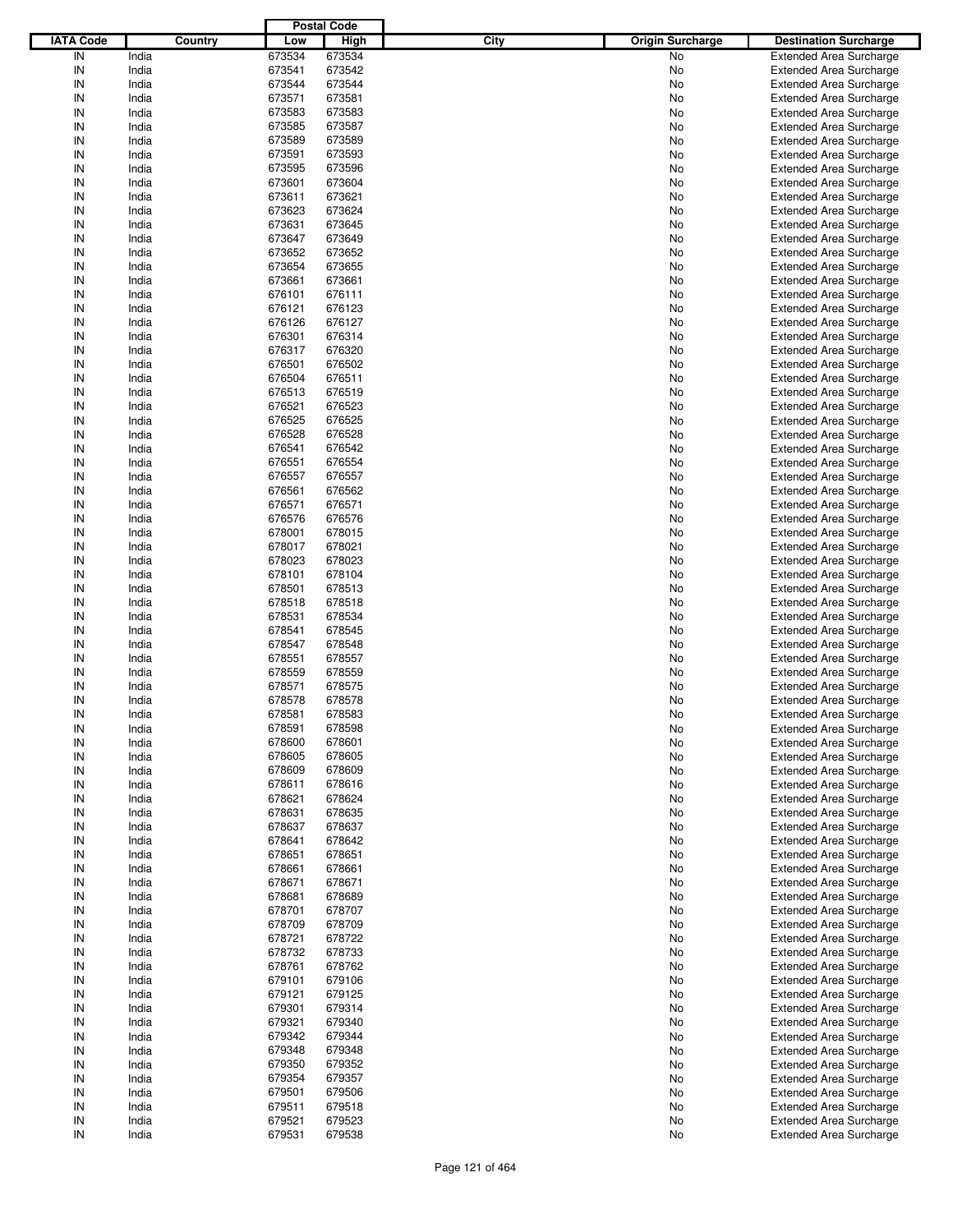|                  |         |        | <b>Postal Code</b> |                                        |                                |
|------------------|---------|--------|--------------------|----------------------------------------|--------------------------------|
| <b>IATA Code</b> | Country | Low    | High               | <b>City</b><br><b>Origin Surcharge</b> | <b>Destination Surcharge</b>   |
| IN               | India   | 673534 | 673534             | <b>No</b>                              | <b>Extended Area Surcharge</b> |
| IN               | India   | 673541 | 673542             | No                                     | <b>Extended Area Surcharge</b> |
| IN               | India   | 673544 | 673544             | No                                     | <b>Extended Area Surcharge</b> |
| IN               | India   | 673571 | 673581             | No                                     | <b>Extended Area Surcharge</b> |
| IN               | India   | 673583 | 673583             | No                                     | <b>Extended Area Surcharge</b> |
| IN               | India   | 673585 | 673587             | No                                     | <b>Extended Area Surcharge</b> |
| IN               | India   | 673589 | 673589             |                                        |                                |
|                  |         |        |                    | No                                     | <b>Extended Area Surcharge</b> |
| IN               | India   | 673591 | 673593             | No                                     | <b>Extended Area Surcharge</b> |
| IN               | India   | 673595 | 673596             | No                                     | <b>Extended Area Surcharge</b> |
| IN               | India   | 673601 | 673604             | No                                     | <b>Extended Area Surcharge</b> |
| IN               | India   | 673611 | 673621             | No                                     | <b>Extended Area Surcharge</b> |
| IN               | India   | 673623 | 673624             | No                                     | <b>Extended Area Surcharge</b> |
| IN               | India   | 673631 | 673645             | No                                     | <b>Extended Area Surcharge</b> |
| IN               | India   | 673647 | 673649             | No                                     | <b>Extended Area Surcharge</b> |
| IN               | India   | 673652 | 673652             | No                                     | <b>Extended Area Surcharge</b> |
| IN               | India   | 673654 | 673655             | No                                     | <b>Extended Area Surcharge</b> |
| IN               | India   | 673661 | 673661             | No                                     | <b>Extended Area Surcharge</b> |
| IN               | India   | 676101 | 676111             | No                                     | <b>Extended Area Surcharge</b> |
| IN               | India   | 676121 | 676123             | No                                     | <b>Extended Area Surcharge</b> |
| IN               | India   | 676126 | 676127             | No                                     | <b>Extended Area Surcharge</b> |
| IN               | India   | 676301 | 676314             | No                                     | <b>Extended Area Surcharge</b> |
| IN               | India   | 676317 | 676320             | No                                     | <b>Extended Area Surcharge</b> |
| IN               | India   | 676501 | 676502             | No                                     | <b>Extended Area Surcharge</b> |
| IN               | India   | 676504 | 676511             | No                                     | <b>Extended Area Surcharge</b> |
| IN               | India   | 676513 | 676519             | No                                     | <b>Extended Area Surcharge</b> |
| IN               | India   | 676521 | 676523             | No                                     | <b>Extended Area Surcharge</b> |
| IN               | India   | 676525 | 676525             | No                                     | <b>Extended Area Surcharge</b> |
| IN               | India   | 676528 | 676528             | No                                     | <b>Extended Area Surcharge</b> |
| IN               | India   | 676541 | 676542             | No                                     | <b>Extended Area Surcharge</b> |
| IN               | India   | 676551 | 676554             | No                                     | <b>Extended Area Surcharge</b> |
|                  |         |        |                    |                                        |                                |
| IN               | India   | 676557 | 676557             | No                                     | <b>Extended Area Surcharge</b> |
| IN               | India   | 676561 | 676562             | No                                     | <b>Extended Area Surcharge</b> |
| IN               | India   | 676571 | 676571             | No                                     | <b>Extended Area Surcharge</b> |
| IN               | India   | 676576 | 676576             | No                                     | <b>Extended Area Surcharge</b> |
| IN               | India   | 678001 | 678015             | No                                     | <b>Extended Area Surcharge</b> |
| IN               | India   | 678017 | 678021             | No                                     | <b>Extended Area Surcharge</b> |
| IN               | India   | 678023 | 678023             | No                                     | <b>Extended Area Surcharge</b> |
| IN               | India   | 678101 | 678104             | No                                     | <b>Extended Area Surcharge</b> |
| IN               | India   | 678501 | 678513             | No                                     | <b>Extended Area Surcharge</b> |
| IN               | India   | 678518 | 678518             | No                                     | <b>Extended Area Surcharge</b> |
| IN               | India   | 678531 | 678534             | No                                     | <b>Extended Area Surcharge</b> |
| IN               | India   | 678541 | 678545             | No                                     | <b>Extended Area Surcharge</b> |
| IN               | India   | 678547 | 678548             | No                                     | <b>Extended Area Surcharge</b> |
| IN               | India   | 678551 | 678557             | No                                     | <b>Extended Area Surcharge</b> |
| IN               | India   | 678559 | 678559             | No                                     | <b>Extended Area Surcharge</b> |
| IN               | India   | 678571 | 678575             | No                                     | <b>Extended Area Surcharge</b> |
| IN               | India   | 678578 | 678578             | No                                     | <b>Extended Area Surcharge</b> |
| IN               | India   | 678581 | 678583             | No                                     | <b>Extended Area Surcharge</b> |
| IN               | India   | 678591 | 678598             | No                                     | <b>Extended Area Surcharge</b> |
|                  | India   | 678600 | 678601             |                                        | <b>Extended Area Surcharge</b> |
| IN               |         |        |                    | No                                     |                                |
| IN               | India   | 678605 | 678605             | No                                     | <b>Extended Area Surcharge</b> |
| IN               | India   | 678609 | 678609             | No                                     | <b>Extended Area Surcharge</b> |
| IN               | India   | 678611 | 678616             | No                                     | <b>Extended Area Surcharge</b> |
| IN               | India   | 678621 | 678624             | No                                     | <b>Extended Area Surcharge</b> |
| IN               | India   | 678631 | 678635             | No                                     | <b>Extended Area Surcharge</b> |
| IN               | India   | 678637 | 678637             | No                                     | <b>Extended Area Surcharge</b> |
| IN               | India   | 678641 | 678642             | No                                     | <b>Extended Area Surcharge</b> |
| IN               | India   | 678651 | 678651             | No                                     | <b>Extended Area Surcharge</b> |
| IN               | India   | 678661 | 678661             | No                                     | <b>Extended Area Surcharge</b> |
| IN               | India   | 678671 | 678671             | No                                     | <b>Extended Area Surcharge</b> |
| IN               | India   | 678681 | 678689             | No                                     | <b>Extended Area Surcharge</b> |
| IN               | India   | 678701 | 678707             | No                                     | <b>Extended Area Surcharge</b> |
| IN               | India   | 678709 | 678709             | No                                     | <b>Extended Area Surcharge</b> |
| IN               | India   | 678721 | 678722             | No                                     | <b>Extended Area Surcharge</b> |
| IN               | India   | 678732 | 678733             | No                                     | <b>Extended Area Surcharge</b> |
| IN               | India   | 678761 | 678762             | No                                     | <b>Extended Area Surcharge</b> |
| IN               | India   | 679101 | 679106             | No                                     | <b>Extended Area Surcharge</b> |
| IN               | India   | 679121 | 679125             | No                                     | <b>Extended Area Surcharge</b> |
| IN               | India   | 679301 | 679314             | No                                     | <b>Extended Area Surcharge</b> |
| IN               | India   | 679321 | 679340             | No                                     | <b>Extended Area Surcharge</b> |
| IN               | India   | 679342 | 679344             | No                                     | <b>Extended Area Surcharge</b> |
| IN               | India   | 679348 | 679348             | No                                     | <b>Extended Area Surcharge</b> |
| IN               | India   | 679350 | 679352             | No                                     | <b>Extended Area Surcharge</b> |
|                  |         |        |                    |                                        |                                |
| IN               | India   | 679354 | 679357             | No                                     | <b>Extended Area Surcharge</b> |
| IN               | India   | 679501 | 679506             | No                                     | <b>Extended Area Surcharge</b> |
| IN               | India   | 679511 | 679518             | No                                     | <b>Extended Area Surcharge</b> |
| IN               | India   | 679521 | 679523             | No                                     | <b>Extended Area Surcharge</b> |
| IN               | India   | 679531 | 679538             | No                                     | <b>Extended Area Surcharge</b> |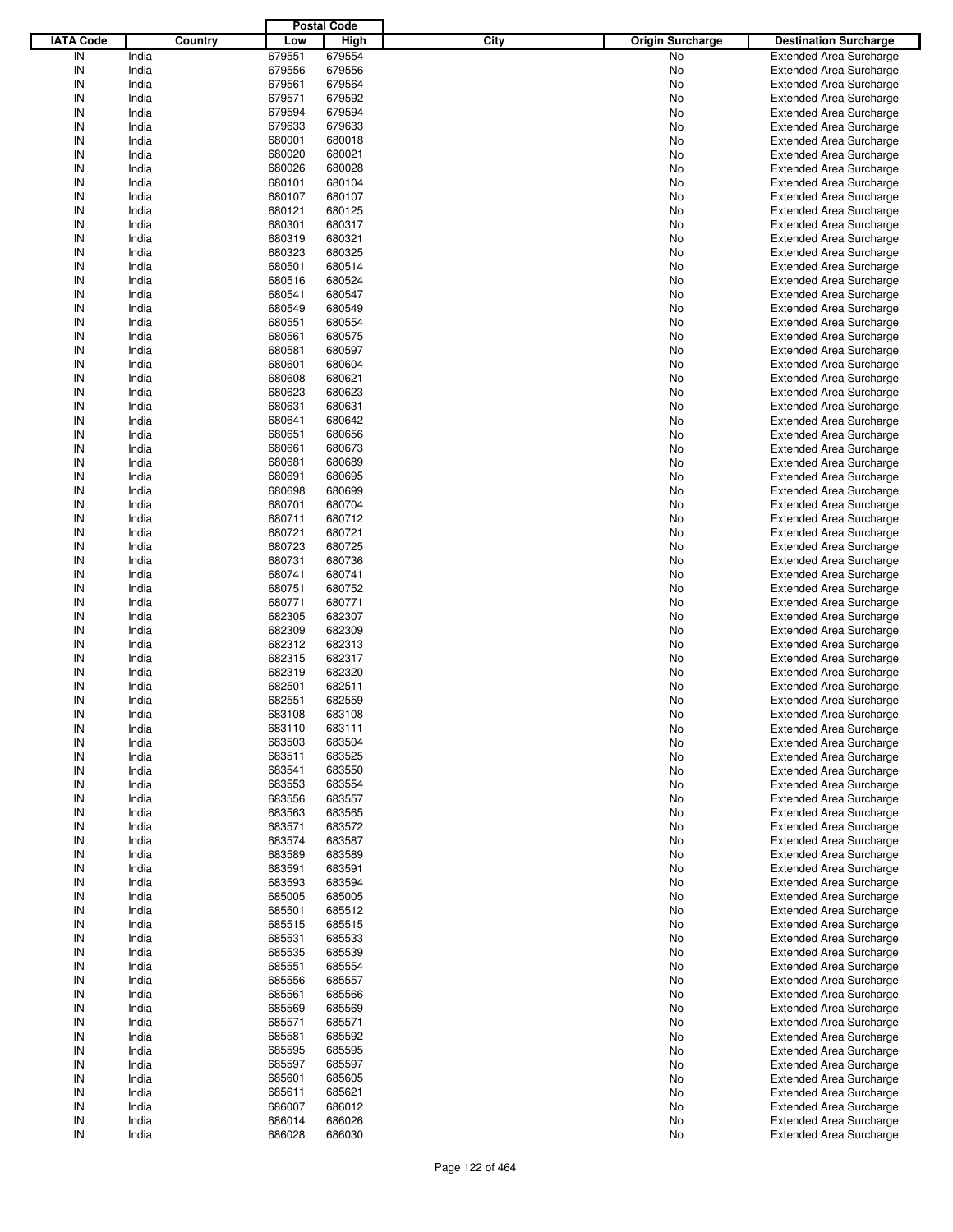|                  |         |        | <b>Postal Code</b> |      |                         |                                |
|------------------|---------|--------|--------------------|------|-------------------------|--------------------------------|
| <b>IATA Code</b> | Country | Low    | <b>High</b>        | City | <b>Origin Surcharge</b> | <b>Destination Surcharge</b>   |
| IN               | India   | 679551 | 679554             |      | No                      | <b>Extended Area Surcharge</b> |
| IN               | India   | 679556 | 679556             |      | No                      | <b>Extended Area Surcharge</b> |
| IN               | India   | 679561 | 679564             |      | No                      | <b>Extended Area Surcharge</b> |
| IN               | India   | 679571 | 679592             |      | No                      | <b>Extended Area Surcharge</b> |
| IN               | India   | 679594 | 679594             |      | No                      | <b>Extended Area Surcharge</b> |
| IN               | India   | 679633 | 679633             |      | No                      | <b>Extended Area Surcharge</b> |
| IN               | India   | 680001 | 680018             |      |                         |                                |
| IN               |         |        |                    |      | No                      | <b>Extended Area Surcharge</b> |
|                  | India   | 680020 | 680021             |      | No                      | <b>Extended Area Surcharge</b> |
| IN               | India   | 680026 | 680028             |      | No                      | <b>Extended Area Surcharge</b> |
| IN               | India   | 680101 | 680104             |      | No                      | <b>Extended Area Surcharge</b> |
| IN               | India   | 680107 | 680107             |      | No                      | <b>Extended Area Surcharge</b> |
| IN               | India   | 680121 | 680125             |      | No                      | <b>Extended Area Surcharge</b> |
| IN               | India   | 680301 | 680317             |      | No                      | <b>Extended Area Surcharge</b> |
| IN               | India   | 680319 | 680321             |      | No                      | <b>Extended Area Surcharge</b> |
| IN               | India   | 680323 | 680325             |      | No                      | <b>Extended Area Surcharge</b> |
| IN               | India   | 680501 | 680514             |      | No                      | <b>Extended Area Surcharge</b> |
| IN               | India   | 680516 | 680524             |      | No                      | <b>Extended Area Surcharge</b> |
| IN               | India   | 680541 | 680547             |      | No                      | <b>Extended Area Surcharge</b> |
| IN               | India   | 680549 | 680549             |      | No                      | <b>Extended Area Surcharge</b> |
| IN               | India   | 680551 | 680554             |      | No                      | <b>Extended Area Surcharge</b> |
| IN               | India   | 680561 | 680575             |      | No                      | <b>Extended Area Surcharge</b> |
| IN               | India   | 680581 | 680597             |      | No                      | <b>Extended Area Surcharge</b> |
| IN               | India   | 680601 | 680604             |      | No                      | <b>Extended Area Surcharge</b> |
| IN               | India   | 680608 | 680621             |      | No                      | <b>Extended Area Surcharge</b> |
| IN               | India   | 680623 | 680623             |      | No                      | <b>Extended Area Surcharge</b> |
| IN               | India   | 680631 | 680631             |      | No                      | <b>Extended Area Surcharge</b> |
| IN               |         |        |                    |      |                         |                                |
|                  | India   | 680641 | 680642             |      | No                      | <b>Extended Area Surcharge</b> |
| IN               | India   | 680651 | 680656             |      | No                      | <b>Extended Area Surcharge</b> |
| IN               | India   | 680661 | 680673             |      | No                      | <b>Extended Area Surcharge</b> |
| IN               | India   | 680681 | 680689             |      | No                      | <b>Extended Area Surcharge</b> |
| IN               | India   | 680691 | 680695             |      | No                      | <b>Extended Area Surcharge</b> |
| IN               | India   | 680698 | 680699             |      | No                      | <b>Extended Area Surcharge</b> |
| IN               | India   | 680701 | 680704             |      | No                      | <b>Extended Area Surcharge</b> |
| IN               | India   | 680711 | 680712             |      | No                      | <b>Extended Area Surcharge</b> |
| IN               | India   | 680721 | 680721             |      | No                      | <b>Extended Area Surcharge</b> |
| IN               | India   | 680723 | 680725             |      | No                      | <b>Extended Area Surcharge</b> |
| IN               | India   | 680731 | 680736             |      | No                      | <b>Extended Area Surcharge</b> |
| IN               | India   | 680741 | 680741             |      | No                      | <b>Extended Area Surcharge</b> |
| IN               | India   | 680751 | 680752             |      | No                      | <b>Extended Area Surcharge</b> |
| IN               | India   | 680771 | 680771             |      | No                      | <b>Extended Area Surcharge</b> |
| IN               | India   | 682305 | 682307             |      | No                      | <b>Extended Area Surcharge</b> |
| IN               | India   | 682309 | 682309             |      | No                      | <b>Extended Area Surcharge</b> |
| IN               | India   | 682312 | 682313             |      | No                      | <b>Extended Area Surcharge</b> |
| IN               | India   | 682315 | 682317             |      | No                      | <b>Extended Area Surcharge</b> |
| IN               | India   | 682319 | 682320             |      | No                      | <b>Extended Area Surcharge</b> |
| IN               | India   | 682501 | 682511             |      | No                      | <b>Extended Area Surcharge</b> |
| IN               |         |        |                    |      |                         |                                |
|                  | India   | 682551 | 682559             |      | No                      | <b>Extended Area Surcharge</b> |
| IN               | India   | 683108 | 683108             |      | No                      | <b>Extended Area Surcharge</b> |
| IN               | India   | 683110 | 683111             |      | No                      | <b>Extended Area Surcharge</b> |
| IN               | India   | 683503 | 683504             |      | No                      | <b>Extended Area Surcharge</b> |
| IN               | India   | 683511 | 683525             |      | No                      | <b>Extended Area Surcharge</b> |
| IN               | India   | 683541 | 683550             |      | No                      | <b>Extended Area Surcharge</b> |
| IN               | India   | 683553 | 683554             |      | No                      | <b>Extended Area Surcharge</b> |
| IN               | India   | 683556 | 683557             |      | No                      | <b>Extended Area Surcharge</b> |
| IN               | India   | 683563 | 683565             |      | No                      | <b>Extended Area Surcharge</b> |
| IN               | India   | 683571 | 683572             |      | No                      | <b>Extended Area Surcharge</b> |
| IN               | India   | 683574 | 683587             |      | No                      | <b>Extended Area Surcharge</b> |
| IN               | India   | 683589 | 683589             |      | No                      | <b>Extended Area Surcharge</b> |
| IN               | India   | 683591 | 683591             |      | No                      | <b>Extended Area Surcharge</b> |
| IN               | India   | 683593 | 683594             |      | No                      | <b>Extended Area Surcharge</b> |
| IN               | India   | 685005 | 685005             |      | No                      | <b>Extended Area Surcharge</b> |
| IN               | India   | 685501 | 685512             |      | No                      | <b>Extended Area Surcharge</b> |
| IN               | India   | 685515 | 685515             |      | No                      | <b>Extended Area Surcharge</b> |
| IN               | India   | 685531 | 685533             |      | No                      | <b>Extended Area Surcharge</b> |
| IN               | India   | 685535 | 685539             |      | No                      | <b>Extended Area Surcharge</b> |
| IN               | India   | 685551 | 685554             |      | No                      | <b>Extended Area Surcharge</b> |
| IN               | India   | 685556 |                    |      |                         | <b>Extended Area Surcharge</b> |
|                  |         |        | 685557             |      | No                      |                                |
| IN               | India   | 685561 | 685566             |      | No                      | <b>Extended Area Surcharge</b> |
| IN               | India   | 685569 | 685569             |      | No                      | <b>Extended Area Surcharge</b> |
| IN               | India   | 685571 | 685571             |      | No                      | <b>Extended Area Surcharge</b> |
| IN               | India   | 685581 | 685592             |      | No                      | <b>Extended Area Surcharge</b> |
| IN               | India   | 685595 | 685595             |      | No                      | <b>Extended Area Surcharge</b> |
| IN               | India   | 685597 | 685597             |      | No                      | <b>Extended Area Surcharge</b> |
| IN               | India   | 685601 | 685605             |      | No                      | <b>Extended Area Surcharge</b> |
| IN               | India   | 685611 | 685621             |      | No                      | <b>Extended Area Surcharge</b> |
| IN               | India   | 686007 | 686012             |      | No                      | Extended Area Surcharge        |
| IN               | India   | 686014 | 686026             |      | No                      | <b>Extended Area Surcharge</b> |
| $\sf IN$         | India   | 686028 | 686030             |      | No                      | <b>Extended Area Surcharge</b> |
|                  |         |        |                    |      |                         |                                |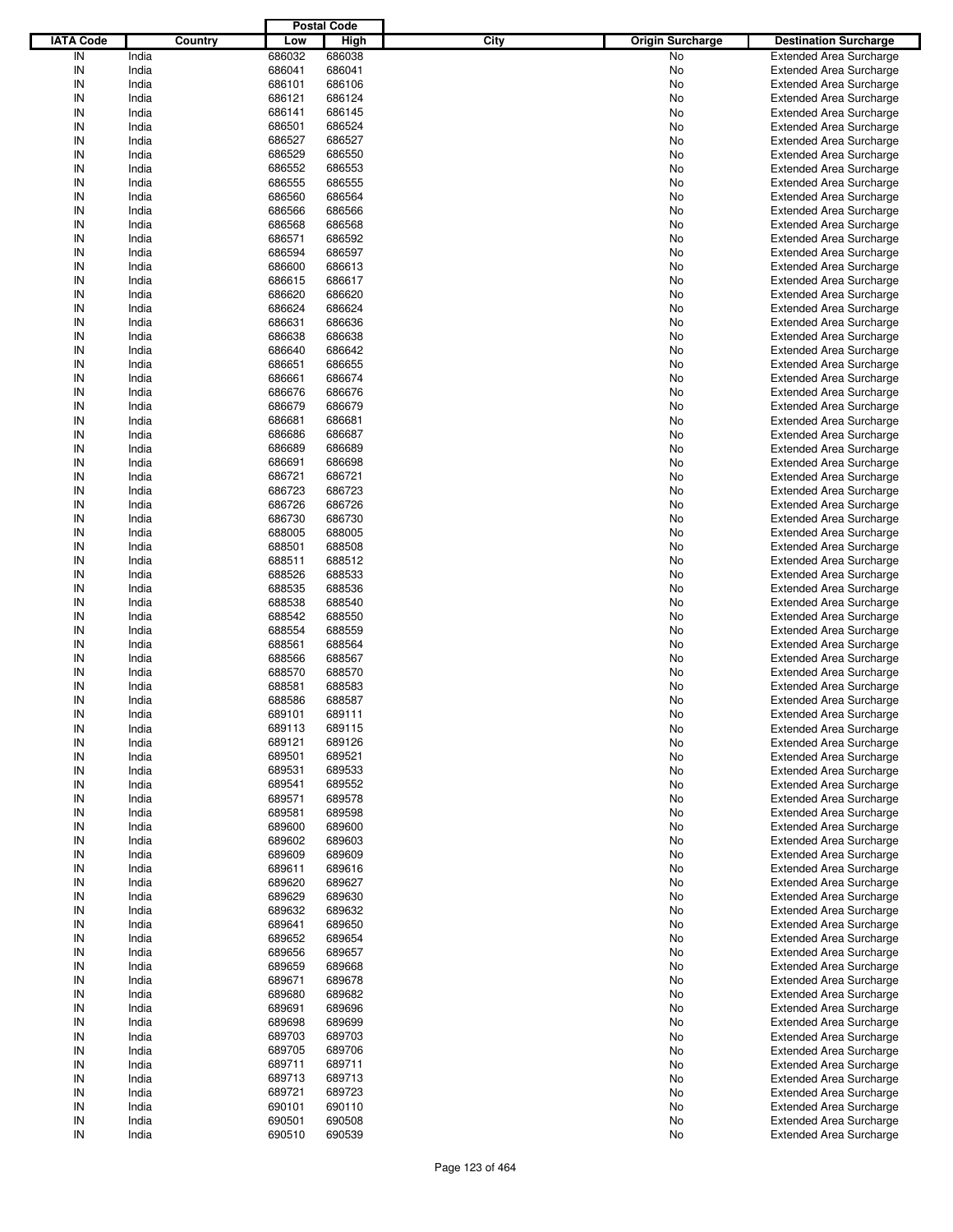|                  |         |        | <b>Postal Code</b> |                                 |                                |
|------------------|---------|--------|--------------------|---------------------------------|--------------------------------|
| <b>IATA Code</b> | Country | Low    | <b>High</b>        | City<br><b>Origin Surcharge</b> | <b>Destination Surcharge</b>   |
|                  |         |        |                    | No                              |                                |
| IN               | India   | 686032 | 686038             |                                 | <b>Extended Area Surcharge</b> |
| IN               | India   | 686041 | 686041             | No                              | <b>Extended Area Surcharge</b> |
| IN               | India   | 686101 | 686106             | No                              | <b>Extended Area Surcharge</b> |
| IN               | India   | 686121 | 686124             | No                              | <b>Extended Area Surcharge</b> |
| IN               | India   | 686141 | 686145             | No                              | <b>Extended Area Surcharge</b> |
| IN               | India   | 686501 | 686524             | No                              | <b>Extended Area Surcharge</b> |
| IN               | India   | 686527 | 686527             | No                              | <b>Extended Area Surcharge</b> |
| IN               | India   | 686529 | 686550             | No                              | <b>Extended Area Surcharge</b> |
| IN               | India   | 686552 | 686553             | No                              | <b>Extended Area Surcharge</b> |
| IN               |         |        |                    |                                 |                                |
|                  | India   | 686555 | 686555             | No                              | <b>Extended Area Surcharge</b> |
| IN               | India   | 686560 | 686564             | No                              | <b>Extended Area Surcharge</b> |
| IN               | India   | 686566 | 686566             | No                              | <b>Extended Area Surcharge</b> |
| IN               | India   | 686568 | 686568             | No                              | <b>Extended Area Surcharge</b> |
| IN               | India   | 686571 | 686592             | No                              | <b>Extended Area Surcharge</b> |
| IN               | India   | 686594 | 686597             | No                              | <b>Extended Area Surcharge</b> |
| IN               | India   | 686600 | 686613             | No                              | <b>Extended Area Surcharge</b> |
| IN               | India   | 686615 | 686617             | No                              | <b>Extended Area Surcharge</b> |
| IN               | India   | 686620 | 686620             | No                              | <b>Extended Area Surcharge</b> |
| IN               | India   | 686624 | 686624             | No                              |                                |
|                  |         |        |                    |                                 | <b>Extended Area Surcharge</b> |
| IN               | India   | 686631 | 686636             | No                              | <b>Extended Area Surcharge</b> |
| IN               | India   | 686638 | 686638             | No                              | <b>Extended Area Surcharge</b> |
| IN               | India   | 686640 | 686642             | No                              | <b>Extended Area Surcharge</b> |
| IN               | India   | 686651 | 686655             | No                              | <b>Extended Area Surcharge</b> |
| IN               | India   | 686661 | 686674             | No                              | <b>Extended Area Surcharge</b> |
| IN               | India   | 686676 | 686676             | No                              | <b>Extended Area Surcharge</b> |
| IN               | India   | 686679 | 686679             | No                              | <b>Extended Area Surcharge</b> |
| IN               | India   | 686681 | 686681             | No                              | <b>Extended Area Surcharge</b> |
| IN               | India   | 686686 | 686687             | No                              | <b>Extended Area Surcharge</b> |
|                  |         |        |                    |                                 |                                |
| IN               | India   | 686689 | 686689             | No                              | <b>Extended Area Surcharge</b> |
| IN               | India   | 686691 | 686698             | No                              | <b>Extended Area Surcharge</b> |
| IN               | India   | 686721 | 686721             | No                              | <b>Extended Area Surcharge</b> |
| IN               | India   | 686723 | 686723             | No                              | <b>Extended Area Surcharge</b> |
| IN               | India   | 686726 | 686726             | No                              | <b>Extended Area Surcharge</b> |
| IN               | India   | 686730 | 686730             | No                              | <b>Extended Area Surcharge</b> |
| IN               | India   | 688005 | 688005             | No                              | <b>Extended Area Surcharge</b> |
| IN               | India   | 688501 | 688508             | No                              | <b>Extended Area Surcharge</b> |
| IN               | India   | 688511 | 688512             | No                              | <b>Extended Area Surcharge</b> |
| IN               |         |        |                    |                                 |                                |
|                  | India   | 688526 | 688533             | No                              | <b>Extended Area Surcharge</b> |
| IN               | India   | 688535 | 688536             | No                              | <b>Extended Area Surcharge</b> |
| IN               | India   | 688538 | 688540             | No                              | <b>Extended Area Surcharge</b> |
| IN               | India   | 688542 | 688550             | No                              | <b>Extended Area Surcharge</b> |
| IN               | India   | 688554 | 688559             | No                              | <b>Extended Area Surcharge</b> |
| IN               | India   | 688561 | 688564             | No                              | <b>Extended Area Surcharge</b> |
| IN               | India   | 688566 | 688567             | No                              | <b>Extended Area Surcharge</b> |
| IN               | India   | 688570 | 688570             | No                              | <b>Extended Area Surcharge</b> |
| IN               | India   | 688581 | 688583             | No                              | <b>Extended Area Surcharge</b> |
| IN               | India   | 688586 | 688587             | No                              | <b>Extended Area Surcharge</b> |
|                  |         |        |                    |                                 | <b>Extended Area Surcharge</b> |
| IN               | India   | 689101 | 689111             | No                              |                                |
| IN               | India   | 689113 | 689115             | No                              | <b>Extended Area Surcharge</b> |
| IN               | India   | 689121 | 689126             | No                              | <b>Extended Area Surcharge</b> |
| IN               | India   | 689501 | 689521             | No                              | <b>Extended Area Surcharge</b> |
| IN               | India   | 689531 | 689533             | No                              | <b>Extended Area Surcharge</b> |
| IN               | India   | 689541 | 689552             | No                              | <b>Extended Area Surcharge</b> |
| IN               | India   | 689571 | 689578             | No                              | <b>Extended Area Surcharge</b> |
| IN               | India   | 689581 | 689598             | No                              | <b>Extended Area Surcharge</b> |
| IN               | India   | 689600 | 689600             | No                              | <b>Extended Area Surcharge</b> |
| IN               | India   | 689602 | 689603             | No                              | <b>Extended Area Surcharge</b> |
|                  |         |        |                    |                                 |                                |
| IN               | India   | 689609 | 689609             | No                              | <b>Extended Area Surcharge</b> |
| IN               | India   | 689611 | 689616             | No                              | <b>Extended Area Surcharge</b> |
| IN               | India   | 689620 | 689627             | No                              | <b>Extended Area Surcharge</b> |
| IN               | India   | 689629 | 689630             | No                              | <b>Extended Area Surcharge</b> |
| IN               | India   | 689632 | 689632             | No                              | <b>Extended Area Surcharge</b> |
| IN               | India   | 689641 | 689650             | No                              | <b>Extended Area Surcharge</b> |
| IN               | India   | 689652 | 689654             | No                              | <b>Extended Area Surcharge</b> |
| IN               | India   | 689656 | 689657             | No                              | <b>Extended Area Surcharge</b> |
| IN               | India   | 689659 | 689668             | No                              | <b>Extended Area Surcharge</b> |
| IN               | India   | 689671 | 689678             | No                              | <b>Extended Area Surcharge</b> |
| IN               | India   | 689680 | 689682             | No                              | <b>Extended Area Surcharge</b> |
|                  |         |        |                    |                                 |                                |
| IN               | India   | 689691 | 689696             | No                              | <b>Extended Area Surcharge</b> |
| IN               | India   | 689698 | 689699             | No                              | <b>Extended Area Surcharge</b> |
| IN               | India   | 689703 | 689703             | No                              | <b>Extended Area Surcharge</b> |
| IN               | India   | 689705 | 689706             | No                              | <b>Extended Area Surcharge</b> |
| IN               | India   | 689711 | 689711             | No                              | <b>Extended Area Surcharge</b> |
| IN               | India   | 689713 | 689713             | No                              | <b>Extended Area Surcharge</b> |
| IN               | India   | 689721 | 689723             | No                              | <b>Extended Area Surcharge</b> |
| IN               | India   | 690101 | 690110             | No                              | <b>Extended Area Surcharge</b> |
| IN               | India   | 690501 | 690508             | No                              | <b>Extended Area Surcharge</b> |
| $\sf IN$         | India   | 690510 | 690539             | No                              | <b>Extended Area Surcharge</b> |
|                  |         |        |                    |                                 |                                |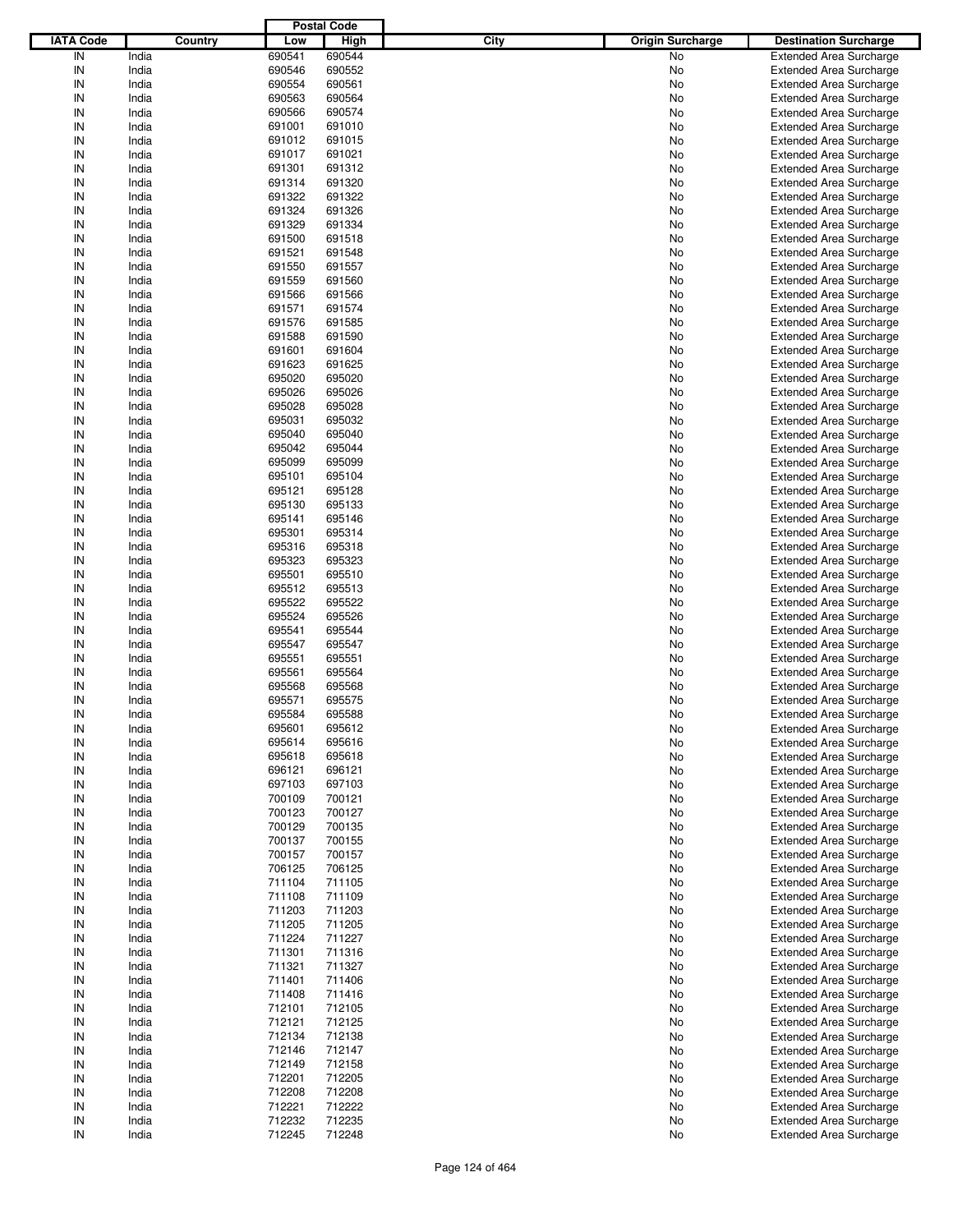|                  |         |        | <b>Postal Code</b> |      |                         |                                |
|------------------|---------|--------|--------------------|------|-------------------------|--------------------------------|
| <b>IATA Code</b> | Country | Low    | <b>High</b>        | City | <b>Origin Surcharge</b> | <b>Destination Surcharge</b>   |
| IN               | India   | 690541 | 690544             |      | No                      | <b>Extended Area Surcharge</b> |
| IN               | India   | 690546 | 690552             |      | No                      | <b>Extended Area Surcharge</b> |
| IN               | India   | 690554 | 690561             |      | No                      | <b>Extended Area Surcharge</b> |
| IN               | India   | 690563 | 690564             |      | No                      | <b>Extended Area Surcharge</b> |
| IN               | India   | 690566 | 690574             |      | No                      | <b>Extended Area Surcharge</b> |
| IN               | India   | 691001 | 691010             |      | No                      | <b>Extended Area Surcharge</b> |
| IN               | India   | 691012 | 691015             |      |                         |                                |
|                  |         |        |                    |      | No                      | <b>Extended Area Surcharge</b> |
| IN               | India   | 691017 | 691021             |      | No                      | <b>Extended Area Surcharge</b> |
| IN               | India   | 691301 | 691312             |      | No                      | <b>Extended Area Surcharge</b> |
| IN               | India   | 691314 | 691320             |      | No                      | <b>Extended Area Surcharge</b> |
| IN               | India   | 691322 | 691322             |      | No                      | <b>Extended Area Surcharge</b> |
| IN               | India   | 691324 | 691326             |      | No                      | <b>Extended Area Surcharge</b> |
| IN               | India   | 691329 | 691334             |      | No                      | <b>Extended Area Surcharge</b> |
| IN               | India   | 691500 | 691518             |      | No                      | <b>Extended Area Surcharge</b> |
| IN               | India   | 691521 | 691548             |      | No                      | <b>Extended Area Surcharge</b> |
| IN               | India   | 691550 | 691557             |      | No                      | <b>Extended Area Surcharge</b> |
| IN               | India   | 691559 | 691560             |      | No                      | <b>Extended Area Surcharge</b> |
| IN               | India   | 691566 | 691566             |      | No                      | <b>Extended Area Surcharge</b> |
| IN               | India   | 691571 | 691574             |      | No                      | <b>Extended Area Surcharge</b> |
| IN               | India   | 691576 | 691585             |      | No                      | <b>Extended Area Surcharge</b> |
| IN               | India   | 691588 | 691590             |      | No                      | <b>Extended Area Surcharge</b> |
| IN               | India   | 691601 | 691604             |      | No                      | <b>Extended Area Surcharge</b> |
| IN               | India   | 691623 | 691625             |      | No                      | <b>Extended Area Surcharge</b> |
| IN               | India   | 695020 | 695020             |      | No                      | <b>Extended Area Surcharge</b> |
| IN               | India   | 695026 | 695026             |      | No                      | <b>Extended Area Surcharge</b> |
| IN               | India   | 695028 | 695028             |      | No                      | <b>Extended Area Surcharge</b> |
| IN               | India   | 695031 | 695032             |      | No                      | <b>Extended Area Surcharge</b> |
| IN               | India   | 695040 | 695040             |      |                         | <b>Extended Area Surcharge</b> |
| IN               |         |        |                    |      | No                      |                                |
|                  | India   | 695042 | 695044             |      | No                      | <b>Extended Area Surcharge</b> |
| IN               | India   | 695099 | 695099             |      | No                      | <b>Extended Area Surcharge</b> |
| IN               | India   | 695101 | 695104             |      | No                      | <b>Extended Area Surcharge</b> |
| IN               | India   | 695121 | 695128             |      | No                      | <b>Extended Area Surcharge</b> |
| IN               | India   | 695130 | 695133             |      | No                      | <b>Extended Area Surcharge</b> |
| IN               | India   | 695141 | 695146             |      | No                      | <b>Extended Area Surcharge</b> |
| IN               | India   | 695301 | 695314             |      | No                      | <b>Extended Area Surcharge</b> |
| IN               | India   | 695316 | 695318             |      | No                      | <b>Extended Area Surcharge</b> |
| IN               | India   | 695323 | 695323             |      | No                      | <b>Extended Area Surcharge</b> |
| IN               | India   | 695501 | 695510             |      | No                      | <b>Extended Area Surcharge</b> |
| IN               | India   | 695512 | 695513             |      | No                      | <b>Extended Area Surcharge</b> |
| IN               | India   | 695522 | 695522             |      | No                      | <b>Extended Area Surcharge</b> |
| IN               | India   | 695524 | 695526             |      | No                      | <b>Extended Area Surcharge</b> |
| IN               | India   | 695541 | 695544             |      | No                      | <b>Extended Area Surcharge</b> |
| IN               | India   | 695547 | 695547             |      | No                      | <b>Extended Area Surcharge</b> |
| IN               | India   | 695551 | 695551             |      | No                      | <b>Extended Area Surcharge</b> |
| IN               | India   | 695561 | 695564             |      | No                      | <b>Extended Area Surcharge</b> |
| IN               | India   | 695568 | 695568             |      | No                      | <b>Extended Area Surcharge</b> |
| IN               | India   | 695571 | 695575             |      | No                      | <b>Extended Area Surcharge</b> |
|                  |         |        | 695588             |      |                         |                                |
| IN               | India   | 695584 |                    |      | No                      | <b>Extended Area Surcharge</b> |
| IN               | India   | 695601 | 695612             |      | No                      | <b>Extended Area Surcharge</b> |
| IN               | India   | 695614 | 695616             |      | No                      | <b>Extended Area Surcharge</b> |
| IN               | India   | 695618 | 695618             |      | No                      | <b>Extended Area Surcharge</b> |
| IN               | India   | 696121 | 696121             |      | No                      | <b>Extended Area Surcharge</b> |
| IN               | India   | 697103 | 697103             |      | No                      | <b>Extended Area Surcharge</b> |
| IN               | India   | 700109 | 700121             |      | No                      | <b>Extended Area Surcharge</b> |
| IN               | India   | 700123 | 700127             |      | No                      | <b>Extended Area Surcharge</b> |
| IN               | India   | 700129 | 700135             |      | No                      | <b>Extended Area Surcharge</b> |
| IN               | India   | 700137 | 700155             |      | No                      | <b>Extended Area Surcharge</b> |
| IN               | India   | 700157 | 700157             |      | No                      | <b>Extended Area Surcharge</b> |
| IN               | India   | 706125 | 706125             |      | No                      | <b>Extended Area Surcharge</b> |
| IN               | India   | 711104 | 711105             |      | No                      | <b>Extended Area Surcharge</b> |
| IN               | India   | 711108 | 711109             |      | No                      | <b>Extended Area Surcharge</b> |
| IN               | India   | 711203 | 711203             |      | No                      | <b>Extended Area Surcharge</b> |
| IN               | India   | 711205 | 711205             |      | No                      | <b>Extended Area Surcharge</b> |
| IN               | India   | 711224 | 711227             |      | No                      | <b>Extended Area Surcharge</b> |
| IN               | India   | 711301 | 711316             |      | No                      | <b>Extended Area Surcharge</b> |
| IN               | India   | 711321 | 711327             |      | No                      | <b>Extended Area Surcharge</b> |
| IN               | India   | 711401 | 711406             |      | No                      | <b>Extended Area Surcharge</b> |
| IN               | India   | 711408 | 711416             |      | No                      | <b>Extended Area Surcharge</b> |
|                  |         |        |                    |      |                         |                                |
| IN               | India   | 712101 | 712105             |      | No                      | <b>Extended Area Surcharge</b> |
| IN               | India   | 712121 | 712125             |      | No                      | <b>Extended Area Surcharge</b> |
| IN               | India   | 712134 | 712138             |      | No                      | <b>Extended Area Surcharge</b> |
| IN               | India   | 712146 | 712147             |      | No                      | <b>Extended Area Surcharge</b> |
| IN               | India   | 712149 | 712158             |      | No                      | <b>Extended Area Surcharge</b> |
| IN               | India   | 712201 | 712205             |      | No                      | <b>Extended Area Surcharge</b> |
| IN               | India   | 712208 | 712208             |      | No                      | <b>Extended Area Surcharge</b> |
| IN               | India   | 712221 | 712222             |      | No                      | <b>Extended Area Surcharge</b> |
| IN               | India   | 712232 | 712235             |      | No                      | <b>Extended Area Surcharge</b> |
| $\sf IN$         | India   | 712245 | 712248             |      | No                      | <b>Extended Area Surcharge</b> |
|                  |         |        |                    |      |                         |                                |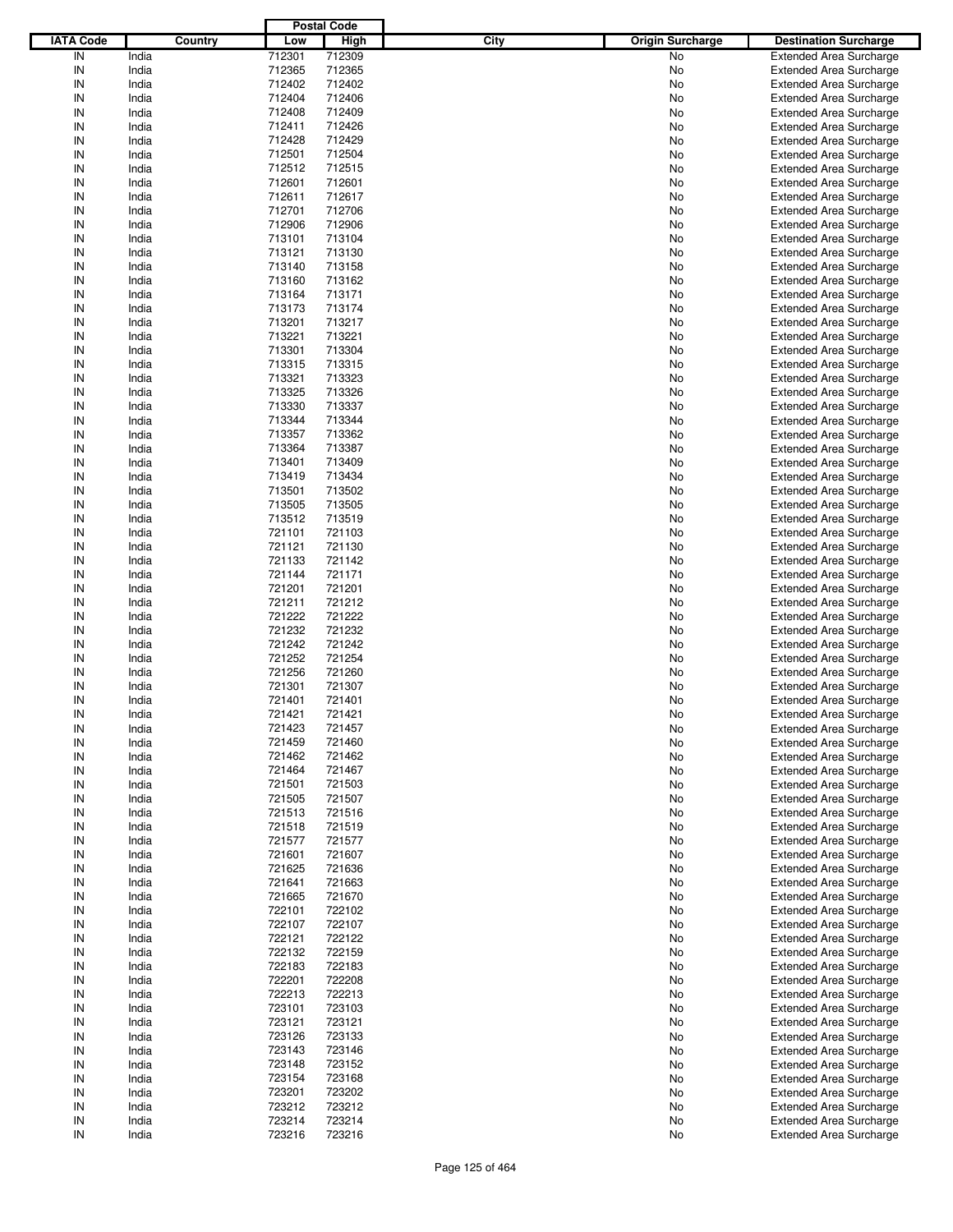|                  |         |        | <b>Postal Code</b> |      |                         |                                |
|------------------|---------|--------|--------------------|------|-------------------------|--------------------------------|
| <b>IATA Code</b> | Country | Low    | <b>High</b>        | City | <b>Origin Surcharge</b> | <b>Destination Surcharge</b>   |
| IN               | India   | 712301 | 712309             |      | No                      | <b>Extended Area Surcharge</b> |
| IN               | India   | 712365 | 712365             |      | No                      | <b>Extended Area Surcharge</b> |
| IN               | India   | 712402 | 712402             |      | No                      | <b>Extended Area Surcharge</b> |
| IN               | India   | 712404 | 712406             |      | No                      | <b>Extended Area Surcharge</b> |
| IN               | India   | 712408 | 712409             |      | No                      | <b>Extended Area Surcharge</b> |
| IN               | India   | 712411 | 712426             |      | No                      | <b>Extended Area Surcharge</b> |
| IN               | India   |        | 712429             |      |                         |                                |
| IN               |         | 712428 |                    |      | No                      | <b>Extended Area Surcharge</b> |
|                  | India   | 712501 | 712504             |      | No                      | <b>Extended Area Surcharge</b> |
| IN               | India   | 712512 | 712515             |      | No                      | <b>Extended Area Surcharge</b> |
| IN               | India   | 712601 | 712601             |      | No                      | <b>Extended Area Surcharge</b> |
| IN               | India   | 712611 | 712617             |      | No                      | <b>Extended Area Surcharge</b> |
| IN               | India   | 712701 | 712706             |      | No                      | <b>Extended Area Surcharge</b> |
| IN               | India   | 712906 | 712906             |      | No                      | <b>Extended Area Surcharge</b> |
| IN               | India   | 713101 | 713104             |      | No                      | <b>Extended Area Surcharge</b> |
| IN               | India   | 713121 | 713130             |      | No                      | <b>Extended Area Surcharge</b> |
| IN               | India   | 713140 | 713158             |      | No                      | <b>Extended Area Surcharge</b> |
| IN               | India   | 713160 | 713162             |      | No                      | <b>Extended Area Surcharge</b> |
| IN               | India   | 713164 | 713171             |      | No                      | <b>Extended Area Surcharge</b> |
| IN               | India   | 713173 | 713174             |      | No                      | <b>Extended Area Surcharge</b> |
| IN               | India   | 713201 | 713217             |      | No                      | <b>Extended Area Surcharge</b> |
| IN               | India   | 713221 | 713221             |      | No                      | <b>Extended Area Surcharge</b> |
| IN               | India   | 713301 | 713304             |      | No                      | <b>Extended Area Surcharge</b> |
| IN               | India   | 713315 | 713315             |      | No                      | <b>Extended Area Surcharge</b> |
| IN               | India   | 713321 | 713323             |      | No                      | <b>Extended Area Surcharge</b> |
| IN               | India   | 713325 | 713326             |      | No                      | <b>Extended Area Surcharge</b> |
| IN               | India   | 713330 | 713337             |      | No                      | <b>Extended Area Surcharge</b> |
| IN               | India   | 713344 | 713344             |      | No                      | <b>Extended Area Surcharge</b> |
| IN               | India   | 713357 | 713362             |      | No                      | <b>Extended Area Surcharge</b> |
| IN               |         |        |                    |      |                         |                                |
|                  | India   | 713364 | 713387             |      | No                      | <b>Extended Area Surcharge</b> |
| IN               | India   | 713401 | 713409             |      | No                      | <b>Extended Area Surcharge</b> |
| IN               | India   | 713419 | 713434             |      | No                      | <b>Extended Area Surcharge</b> |
| IN               | India   | 713501 | 713502             |      | No                      | <b>Extended Area Surcharge</b> |
| IN               | India   | 713505 | 713505             |      | No                      | <b>Extended Area Surcharge</b> |
| IN               | India   | 713512 | 713519             |      | No                      | <b>Extended Area Surcharge</b> |
| IN               | India   | 721101 | 721103             |      | No                      | <b>Extended Area Surcharge</b> |
| IN               | India   | 721121 | 721130             |      | No                      | <b>Extended Area Surcharge</b> |
| IN               | India   | 721133 | 721142             |      | No                      | <b>Extended Area Surcharge</b> |
| IN               | India   | 721144 | 721171             |      | No                      | <b>Extended Area Surcharge</b> |
| IN               | India   | 721201 | 721201             |      | No                      | <b>Extended Area Surcharge</b> |
| IN               | India   | 721211 | 721212             |      | No                      | <b>Extended Area Surcharge</b> |
| IN               | India   | 721222 | 721222             |      | No                      | <b>Extended Area Surcharge</b> |
| IN               | India   | 721232 | 721232             |      | No                      | <b>Extended Area Surcharge</b> |
| IN               | India   | 721242 | 721242             |      | No                      | <b>Extended Area Surcharge</b> |
| IN               | India   | 721252 | 721254             |      | No                      | <b>Extended Area Surcharge</b> |
| IN               | India   | 721256 | 721260             |      | No                      | <b>Extended Area Surcharge</b> |
| IN               | India   | 721301 | 721307             |      | No                      | <b>Extended Area Surcharge</b> |
| IN               | India   | 721401 | 721401             |      | No                      | <b>Extended Area Surcharge</b> |
| IN               | India   | 721421 | 721421             |      | No                      | <b>Extended Area Surcharge</b> |
|                  |         |        |                    |      |                         |                                |
| IN               | India   | 721423 | 721457             |      | No                      | <b>Extended Area Surcharge</b> |
| IN               | India   | 721459 | 721460             |      | No                      | <b>Extended Area Surcharge</b> |
| IN               | India   | 721462 | 721462             |      | No                      | <b>Extended Area Surcharge</b> |
| IN               | India   | 721464 | 721467             |      | No                      | <b>Extended Area Surcharge</b> |
| IN               | India   | 721501 | 721503             |      | No                      | <b>Extended Area Surcharge</b> |
| IN               | India   | 721505 | 721507             |      | No                      | <b>Extended Area Surcharge</b> |
| IN               | India   | 721513 | 721516             |      | No                      | <b>Extended Area Surcharge</b> |
| IN               | India   | 721518 | 721519             |      | No                      | <b>Extended Area Surcharge</b> |
| IN               | India   | 721577 | 721577             |      | No                      | <b>Extended Area Surcharge</b> |
| IN               | India   | 721601 | 721607             |      | No                      | <b>Extended Area Surcharge</b> |
| IN               | India   | 721625 | 721636             |      | No                      | <b>Extended Area Surcharge</b> |
| IN               | India   | 721641 | 721663             |      | No                      | <b>Extended Area Surcharge</b> |
| IN               | India   | 721665 | 721670             |      | No                      | <b>Extended Area Surcharge</b> |
| IN               | India   | 722101 | 722102             |      | No                      | <b>Extended Area Surcharge</b> |
| IN               | India   | 722107 | 722107             |      | No                      | <b>Extended Area Surcharge</b> |
| IN               | India   | 722121 | 722122             |      | No                      | <b>Extended Area Surcharge</b> |
| IN               | India   | 722132 | 722159             |      | No                      | <b>Extended Area Surcharge</b> |
| IN               | India   | 722183 | 722183             |      | No                      | <b>Extended Area Surcharge</b> |
| IN               | India   | 722201 | 722208             |      | No                      | <b>Extended Area Surcharge</b> |
| IN               | India   | 722213 | 722213             |      | No                      | <b>Extended Area Surcharge</b> |
| IN               | India   | 723101 | 723103             |      | No                      | <b>Extended Area Surcharge</b> |
| IN               | India   | 723121 | 723121             |      | No                      | <b>Extended Area Surcharge</b> |
| IN               |         | 723126 | 723133             |      |                         | <b>Extended Area Surcharge</b> |
|                  | India   |        |                    |      | No                      |                                |
| IN               | India   | 723143 | 723146             |      | No                      | <b>Extended Area Surcharge</b> |
| IN               | India   | 723148 | 723152             |      | No                      | <b>Extended Area Surcharge</b> |
| IN               | India   | 723154 | 723168             |      | No                      | <b>Extended Area Surcharge</b> |
| IN               | India   | 723201 | 723202             |      | No                      | <b>Extended Area Surcharge</b> |
| IN               | India   | 723212 | 723212             |      | No                      | Extended Area Surcharge        |
| IN               | India   | 723214 | 723214             |      | No                      | <b>Extended Area Surcharge</b> |
| $\sf IN$         | India   | 723216 | 723216             |      | No                      | <b>Extended Area Surcharge</b> |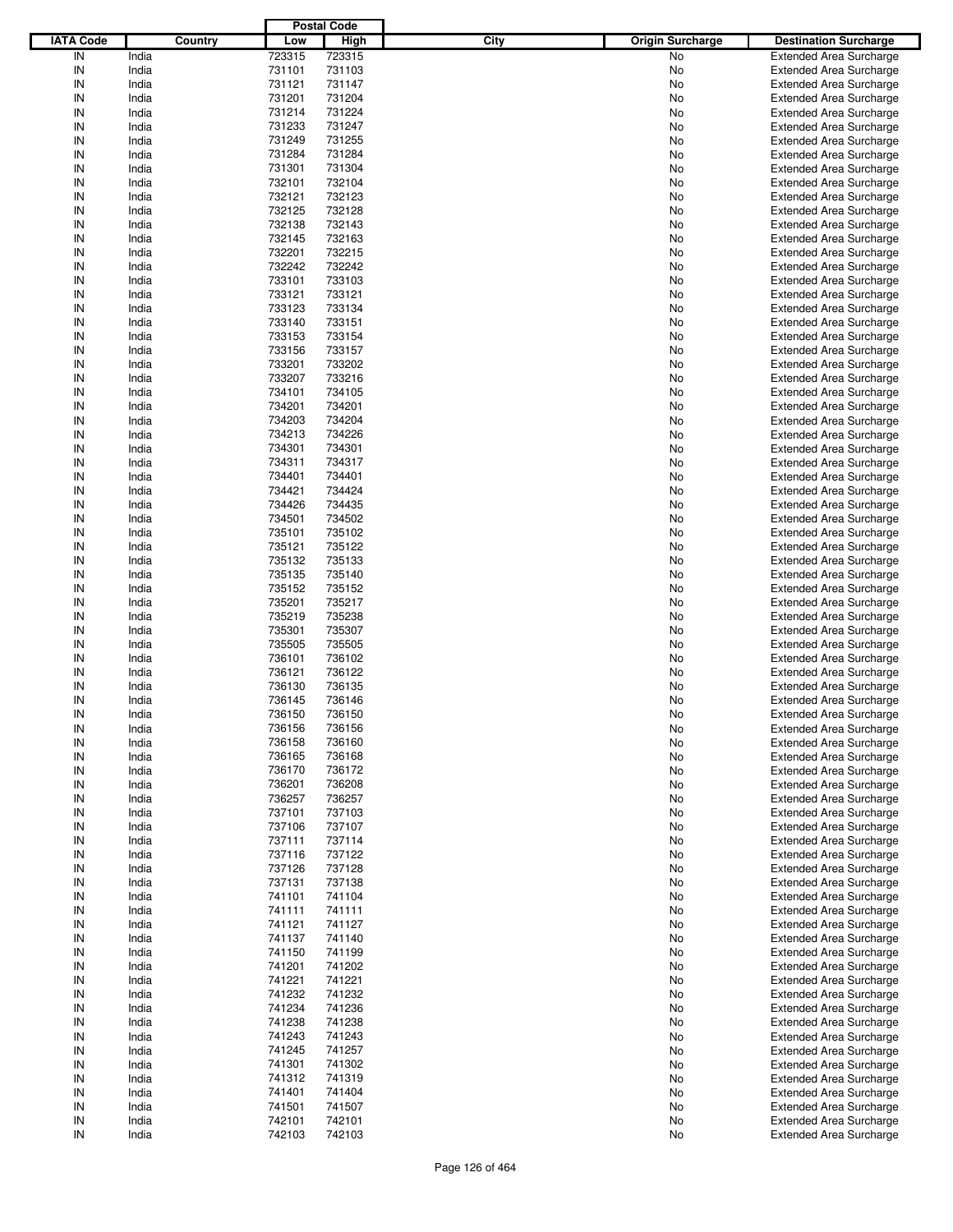|                  |         |        | <b>Postal Code</b> |                                 |                                |
|------------------|---------|--------|--------------------|---------------------------------|--------------------------------|
| <b>IATA Code</b> | Country | Low    | <b>High</b>        | City<br><b>Origin Surcharge</b> | <b>Destination Surcharge</b>   |
| IN               | India   | 723315 | 723315             | No                              |                                |
|                  |         |        |                    |                                 | <b>Extended Area Surcharge</b> |
| IN               | India   | 731101 | 731103             | No                              | <b>Extended Area Surcharge</b> |
| IN               | India   | 731121 | 731147             | No                              | <b>Extended Area Surcharge</b> |
| IN               | India   | 731201 | 731204             | No                              | <b>Extended Area Surcharge</b> |
| IN               | India   | 731214 | 731224             | No                              | <b>Extended Area Surcharge</b> |
| IN               | India   | 731233 | 731247             | No                              | <b>Extended Area Surcharge</b> |
| IN               | India   | 731249 | 731255             | No                              | <b>Extended Area Surcharge</b> |
| IN               | India   | 731284 | 731284             | No                              | <b>Extended Area Surcharge</b> |
| IN               | India   | 731301 | 731304             | No                              | <b>Extended Area Surcharge</b> |
|                  |         |        |                    |                                 |                                |
| IN               | India   | 732101 | 732104             | No                              | <b>Extended Area Surcharge</b> |
| IN               | India   | 732121 | 732123             | No                              | <b>Extended Area Surcharge</b> |
| IN               | India   | 732125 | 732128             | No                              | <b>Extended Area Surcharge</b> |
| IN               | India   | 732138 | 732143             | No                              | <b>Extended Area Surcharge</b> |
| IN               | India   | 732145 | 732163             | No                              | <b>Extended Area Surcharge</b> |
| IN               | India   | 732201 | 732215             | No                              | <b>Extended Area Surcharge</b> |
| IN               | India   | 732242 | 732242             | No                              | <b>Extended Area Surcharge</b> |
| IN               | India   | 733101 | 733103             | No                              | <b>Extended Area Surcharge</b> |
| IN               | India   | 733121 | 733121             | No                              | <b>Extended Area Surcharge</b> |
| IN               |         |        |                    |                                 |                                |
|                  | India   | 733123 | 733134             | No                              | <b>Extended Area Surcharge</b> |
| IN               | India   | 733140 | 733151             | No                              | <b>Extended Area Surcharge</b> |
| IN               | India   | 733153 | 733154             | No                              | <b>Extended Area Surcharge</b> |
| IN               | India   | 733156 | 733157             | No                              | <b>Extended Area Surcharge</b> |
| IN               | India   | 733201 | 733202             | No                              | <b>Extended Area Surcharge</b> |
| IN               | India   | 733207 | 733216             | No                              | <b>Extended Area Surcharge</b> |
| IN               | India   | 734101 | 734105             | No                              | <b>Extended Area Surcharge</b> |
| IN               | India   | 734201 | 734201             | No                              | <b>Extended Area Surcharge</b> |
| IN               |         |        |                    |                                 |                                |
| IN               | India   | 734203 | 734204<br>734226   | No                              | <b>Extended Area Surcharge</b> |
|                  | India   | 734213 |                    | No                              | <b>Extended Area Surcharge</b> |
| IN               | India   | 734301 | 734301             | No                              | <b>Extended Area Surcharge</b> |
| IN               | India   | 734311 | 734317             | No                              | <b>Extended Area Surcharge</b> |
| IN               | India   | 734401 | 734401             | No                              | <b>Extended Area Surcharge</b> |
| IN               | India   | 734421 | 734424             | No                              | <b>Extended Area Surcharge</b> |
| IN               | India   | 734426 | 734435             | No                              | <b>Extended Area Surcharge</b> |
| IN               | India   | 734501 | 734502             | No                              | <b>Extended Area Surcharge</b> |
| IN               | India   | 735101 | 735102             | No                              | <b>Extended Area Surcharge</b> |
| IN               |         | 735121 |                    |                                 |                                |
|                  | India   |        | 735122             | No                              | <b>Extended Area Surcharge</b> |
| IN               | India   | 735132 | 735133             | No                              | <b>Extended Area Surcharge</b> |
| IN               | India   | 735135 | 735140             | No                              | <b>Extended Area Surcharge</b> |
| IN               | India   | 735152 | 735152             | No                              | <b>Extended Area Surcharge</b> |
| IN               | India   | 735201 | 735217             | No                              | <b>Extended Area Surcharge</b> |
| IN               | India   | 735219 | 735238             | No                              | <b>Extended Area Surcharge</b> |
| IN               | India   | 735301 | 735307             | No                              | <b>Extended Area Surcharge</b> |
| IN               | India   | 735505 | 735505             | No                              | <b>Extended Area Surcharge</b> |
| IN               | India   | 736101 | 736102             | No                              | <b>Extended Area Surcharge</b> |
| IN               | India   | 736121 | 736122             | No                              | <b>Extended Area Surcharge</b> |
|                  |         |        |                    |                                 |                                |
| IN               | India   | 736130 | 736135             | No                              | <b>Extended Area Surcharge</b> |
| IN               | India   | 736145 | 736146             | No                              | <b>Extended Area Surcharge</b> |
| IN               | India   | 736150 | 736150             | No                              | <b>Extended Area Surcharge</b> |
| IN               | India   | 736156 | 736156             | No                              | <b>Extended Area Surcharge</b> |
| IN               | India   | 736158 | 736160             | No                              | <b>Extended Area Surcharge</b> |
| IN               | India   | 736165 | 736168             | No                              | <b>Extended Area Surcharge</b> |
| IN               | India   | 736170 | 736172             | No                              | <b>Extended Area Surcharge</b> |
| IN               | India   | 736201 | 736208             | No                              | <b>Extended Area Surcharge</b> |
| IN               | India   | 736257 | 736257             | No                              | <b>Extended Area Surcharge</b> |
| IN               | India   | 737101 | 737103             | No                              | <b>Extended Area Surcharge</b> |
|                  |         |        |                    |                                 |                                |
| IN               | India   | 737106 | 737107             | No                              | <b>Extended Area Surcharge</b> |
| IN               | India   | 737111 | 737114             | No                              | <b>Extended Area Surcharge</b> |
| IN               | India   | 737116 | 737122             | No                              | <b>Extended Area Surcharge</b> |
| IN               | India   | 737126 | 737128             | No                              | <b>Extended Area Surcharge</b> |
| IN               | India   | 737131 | 737138             | No                              | <b>Extended Area Surcharge</b> |
| IN               | India   | 741101 | 741104             | No                              | <b>Extended Area Surcharge</b> |
| IN               | India   | 741111 | 741111             | No                              | <b>Extended Area Surcharge</b> |
| IN               | India   | 741121 | 741127             | No                              | <b>Extended Area Surcharge</b> |
| IN               | India   | 741137 | 741140             | No                              | <b>Extended Area Surcharge</b> |
| IN               | India   | 741150 | 741199             | No                              | <b>Extended Area Surcharge</b> |
|                  |         |        |                    |                                 |                                |
| IN               | India   | 741201 | 741202             | No                              | <b>Extended Area Surcharge</b> |
| IN               | India   | 741221 | 741221             | No                              | <b>Extended Area Surcharge</b> |
| IN               | India   | 741232 | 741232             | No                              | <b>Extended Area Surcharge</b> |
| IN               | India   | 741234 | 741236             | No                              | <b>Extended Area Surcharge</b> |
| IN               | India   | 741238 | 741238             | No                              | <b>Extended Area Surcharge</b> |
| IN               | India   | 741243 | 741243             | No                              | <b>Extended Area Surcharge</b> |
| IN               | India   | 741245 | 741257             | No                              | <b>Extended Area Surcharge</b> |
| IN               | India   | 741301 | 741302             | No                              | <b>Extended Area Surcharge</b> |
| IN               | India   | 741312 | 741319             | No                              | <b>Extended Area Surcharge</b> |
|                  |         |        |                    |                                 |                                |
| IN               | India   | 741401 | 741404             | No                              | <b>Extended Area Surcharge</b> |
| IN               | India   | 741501 | 741507             | No                              | <b>Extended Area Surcharge</b> |
| IN               | India   | 742101 | 742101             | No                              | <b>Extended Area Surcharge</b> |
| $\sf IN$         | India   | 742103 | 742103             | No                              | <b>Extended Area Surcharge</b> |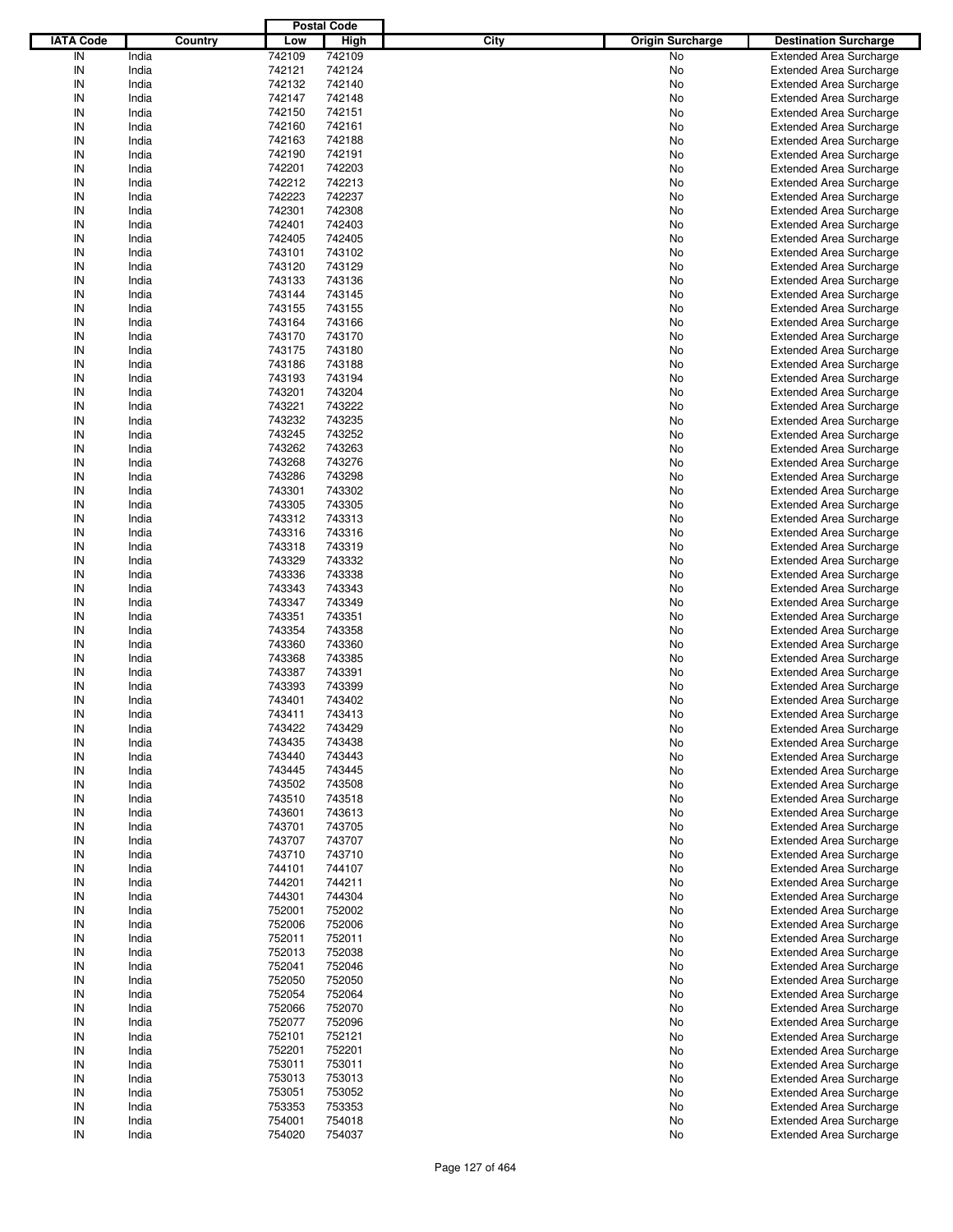|                  |         |        | <b>Postal Code</b> |                                 |                                |
|------------------|---------|--------|--------------------|---------------------------------|--------------------------------|
| <b>IATA Code</b> | Country | Low    | <b>High</b>        | City<br><b>Origin Surcharge</b> | <b>Destination Surcharge</b>   |
| IN               | India   |        | 742109             |                                 |                                |
|                  |         | 742109 |                    | No                              | <b>Extended Area Surcharge</b> |
| IN               | India   | 742121 | 742124             | No                              | <b>Extended Area Surcharge</b> |
| IN               | India   | 742132 | 742140             | No                              | <b>Extended Area Surcharge</b> |
| IN               | India   | 742147 | 742148             | No                              | <b>Extended Area Surcharge</b> |
| IN               | India   | 742150 | 742151             | No                              | <b>Extended Area Surcharge</b> |
| IN               | India   | 742160 | 742161             | No                              | <b>Extended Area Surcharge</b> |
| IN               | India   | 742163 | 742188             | No                              | <b>Extended Area Surcharge</b> |
| IN               | India   | 742190 | 742191             | No                              | <b>Extended Area Surcharge</b> |
| IN               | India   | 742201 | 742203             | No                              | <b>Extended Area Surcharge</b> |
| IN               | India   | 742212 | 742213             | No                              | <b>Extended Area Surcharge</b> |
| IN               |         |        |                    |                                 |                                |
|                  | India   | 742223 | 742237             | No                              | <b>Extended Area Surcharge</b> |
| IN               | India   | 742301 | 742308             | No                              | <b>Extended Area Surcharge</b> |
| IN               | India   | 742401 | 742403             | No                              | <b>Extended Area Surcharge</b> |
| IN               | India   | 742405 | 742405             | No                              | <b>Extended Area Surcharge</b> |
| IN               | India   | 743101 | 743102             | No                              | <b>Extended Area Surcharge</b> |
| IN               | India   | 743120 | 743129             | No                              | <b>Extended Area Surcharge</b> |
| IN               | India   | 743133 | 743136             | No                              | <b>Extended Area Surcharge</b> |
| IN               | India   | 743144 | 743145             | No                              | <b>Extended Area Surcharge</b> |
| IN               | India   | 743155 | 743155             | No                              | <b>Extended Area Surcharge</b> |
| IN               | India   | 743164 | 743166             | No                              | <b>Extended Area Surcharge</b> |
| IN               | India   | 743170 | 743170             | No                              | <b>Extended Area Surcharge</b> |
| IN               | India   | 743175 | 743180             | No                              |                                |
|                  |         |        |                    |                                 | <b>Extended Area Surcharge</b> |
| IN               | India   | 743186 | 743188             | No                              | <b>Extended Area Surcharge</b> |
| IN               | India   | 743193 | 743194             | No                              | <b>Extended Area Surcharge</b> |
| IN               | India   | 743201 | 743204             | No                              | <b>Extended Area Surcharge</b> |
| IN               | India   | 743221 | 743222             | No                              | <b>Extended Area Surcharge</b> |
| IN               | India   | 743232 | 743235             | No                              | <b>Extended Area Surcharge</b> |
| IN               | India   | 743245 | 743252             | No                              | <b>Extended Area Surcharge</b> |
| IN               | India   | 743262 | 743263             | No                              | <b>Extended Area Surcharge</b> |
| IN               | India   | 743268 | 743276             | No                              | <b>Extended Area Surcharge</b> |
| IN               | India   | 743286 | 743298             | No                              | <b>Extended Area Surcharge</b> |
| IN               | India   | 743301 | 743302             | No                              | <b>Extended Area Surcharge</b> |
| IN               | India   | 743305 | 743305             | No                              | <b>Extended Area Surcharge</b> |
|                  |         |        |                    |                                 |                                |
| IN               | India   | 743312 | 743313             | No                              | <b>Extended Area Surcharge</b> |
| IN               | India   | 743316 | 743316             | No                              | <b>Extended Area Surcharge</b> |
| IN               | India   | 743318 | 743319             | No                              | <b>Extended Area Surcharge</b> |
| IN               | India   | 743329 | 743332             | No                              | <b>Extended Area Surcharge</b> |
| IN               | India   | 743336 | 743338             | No                              | <b>Extended Area Surcharge</b> |
| IN               | India   | 743343 | 743343             | No                              | <b>Extended Area Surcharge</b> |
| IN               | India   | 743347 | 743349             | No                              | <b>Extended Area Surcharge</b> |
| IN               | India   | 743351 | 743351             | No                              | <b>Extended Area Surcharge</b> |
| IN               | India   | 743354 | 743358             | No                              | <b>Extended Area Surcharge</b> |
| IN               | India   | 743360 | 743360             | No                              | <b>Extended Area Surcharge</b> |
| IN               | India   | 743368 | 743385             | No                              | <b>Extended Area Surcharge</b> |
| IN               |         |        |                    |                                 |                                |
|                  | India   | 743387 | 743391             | No                              | <b>Extended Area Surcharge</b> |
| IN               | India   | 743393 | 743399             | No                              | <b>Extended Area Surcharge</b> |
| IN               | India   | 743401 | 743402             | No                              | <b>Extended Area Surcharge</b> |
| IN               | India   | 743411 | 743413             | No                              | <b>Extended Area Surcharge</b> |
| IN               | India   | 743422 | 743429             | No                              | <b>Extended Area Surcharge</b> |
| IN               | India   | 743435 | 743438             | No                              | <b>Extended Area Surcharge</b> |
| IN               | India   | 743440 | 743443             | No                              | <b>Extended Area Surcharge</b> |
| IN               | India   | 743445 | 743445             | No                              | <b>Extended Area Surcharge</b> |
| IN               | India   | 743502 | 743508             | No                              | <b>Extended Area Surcharge</b> |
| IN               | India   | 743510 | 743518             | No                              | <b>Extended Area Surcharge</b> |
| IN               | India   | 743601 | 743613             | No                              | <b>Extended Area Surcharge</b> |
| IN               | India   | 743701 | 743705             | No                              | <b>Extended Area Surcharge</b> |
| IN               | India   | 743707 | 743707             | No                              | <b>Extended Area Surcharge</b> |
| IN               | India   | 743710 | 743710             | No                              | <b>Extended Area Surcharge</b> |
|                  |         |        |                    |                                 |                                |
| IN               | India   | 744101 | 744107             | No                              | <b>Extended Area Surcharge</b> |
| IN               | India   | 744201 | 744211             | No                              | <b>Extended Area Surcharge</b> |
| IN               | India   | 744301 | 744304             | No                              | <b>Extended Area Surcharge</b> |
| IN               | India   | 752001 | 752002             | No                              | <b>Extended Area Surcharge</b> |
| IN               | India   | 752006 | 752006             | No                              | <b>Extended Area Surcharge</b> |
| IN               | India   | 752011 | 752011             | No                              | <b>Extended Area Surcharge</b> |
| IN               | India   | 752013 | 752038             | No                              | <b>Extended Area Surcharge</b> |
| IN               | India   | 752041 | 752046             | No                              | <b>Extended Area Surcharge</b> |
| IN               | India   | 752050 | 752050             | No                              | <b>Extended Area Surcharge</b> |
| IN               | India   | 752054 | 752064             | No                              | <b>Extended Area Surcharge</b> |
| IN               | India   | 752066 | 752070             | No                              | <b>Extended Area Surcharge</b> |
| IN               | India   | 752077 | 752096             | No                              | <b>Extended Area Surcharge</b> |
| IN               | India   | 752101 | 752121             |                                 | <b>Extended Area Surcharge</b> |
|                  |         |        |                    | No                              |                                |
| IN               | India   | 752201 | 752201             | No                              | <b>Extended Area Surcharge</b> |
| IN               | India   | 753011 | 753011             | No                              | <b>Extended Area Surcharge</b> |
| IN               | India   | 753013 | 753013             | No                              | <b>Extended Area Surcharge</b> |
| IN               | India   | 753051 | 753052             | No                              | <b>Extended Area Surcharge</b> |
| IN               | India   | 753353 | 753353             | No                              | <b>Extended Area Surcharge</b> |
| IN               | India   | 754001 | 754018             | No                              | <b>Extended Area Surcharge</b> |
| $\sf IN$         | India   | 754020 | 754037             | No                              | <b>Extended Area Surcharge</b> |
|                  |         |        |                    |                                 |                                |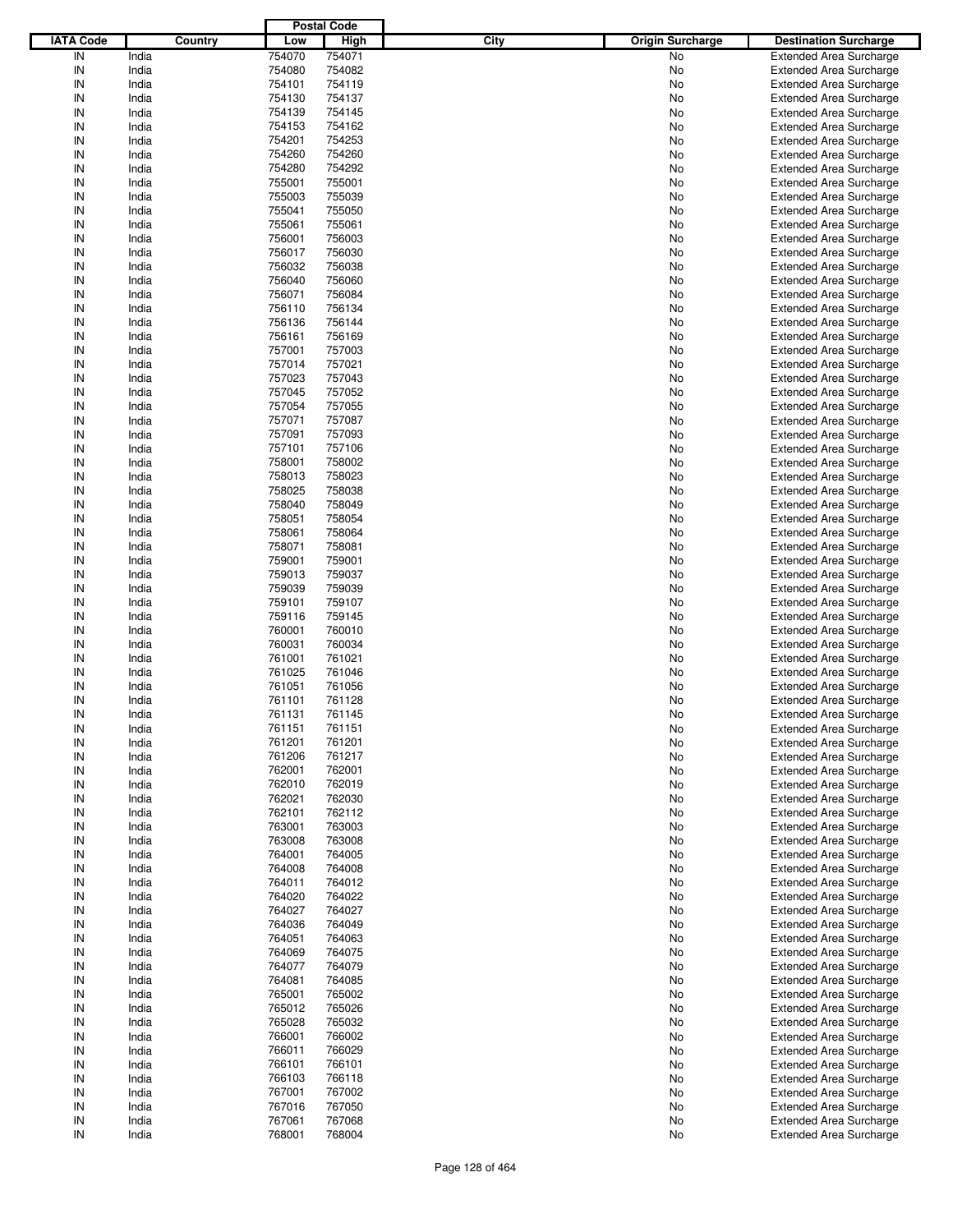|                  |         |        | <b>Postal Code</b> |                                 |                                |
|------------------|---------|--------|--------------------|---------------------------------|--------------------------------|
| <b>IATA Code</b> | Country | Low    | <b>High</b>        | City<br><b>Origin Surcharge</b> | <b>Destination Surcharge</b>   |
| IN               | India   | 754070 | 754071             | No                              |                                |
|                  |         |        |                    |                                 | <b>Extended Area Surcharge</b> |
| IN               | India   | 754080 | 754082             | No                              | <b>Extended Area Surcharge</b> |
| IN               | India   | 754101 | 754119             | No                              | <b>Extended Area Surcharge</b> |
| IN               | India   | 754130 | 754137             | No                              | <b>Extended Area Surcharge</b> |
| IN               | India   | 754139 | 754145             | No                              | <b>Extended Area Surcharge</b> |
| IN               | India   | 754153 | 754162             | No                              | <b>Extended Area Surcharge</b> |
| IN               | India   | 754201 | 754253             | No                              | <b>Extended Area Surcharge</b> |
| IN               | India   | 754260 | 754260             | No                              | <b>Extended Area Surcharge</b> |
| IN               | India   | 754280 | 754292             | No                              | <b>Extended Area Surcharge</b> |
|                  |         |        |                    |                                 |                                |
| IN               | India   | 755001 | 755001             | No                              | <b>Extended Area Surcharge</b> |
| IN               | India   | 755003 | 755039             | No                              | <b>Extended Area Surcharge</b> |
| IN               | India   | 755041 | 755050             | No                              | <b>Extended Area Surcharge</b> |
| IN               | India   | 755061 | 755061             | No                              | <b>Extended Area Surcharge</b> |
| IN               | India   | 756001 | 756003             | No                              | <b>Extended Area Surcharge</b> |
| IN               | India   | 756017 | 756030             | No                              | <b>Extended Area Surcharge</b> |
| IN               | India   | 756032 | 756038             | No                              | <b>Extended Area Surcharge</b> |
| IN               | India   | 756040 | 756060             | No                              | <b>Extended Area Surcharge</b> |
| IN               | India   | 756071 | 756084             | No                              | <b>Extended Area Surcharge</b> |
|                  |         |        |                    |                                 |                                |
| IN               | India   | 756110 | 756134             | No                              | <b>Extended Area Surcharge</b> |
| IN               | India   | 756136 | 756144             | No                              | <b>Extended Area Surcharge</b> |
| IN               | India   | 756161 | 756169             | No                              | <b>Extended Area Surcharge</b> |
| IN               | India   | 757001 | 757003             | No                              | <b>Extended Area Surcharge</b> |
| IN               | India   | 757014 | 757021             | No                              | <b>Extended Area Surcharge</b> |
| IN               | India   | 757023 | 757043             | No                              | <b>Extended Area Surcharge</b> |
| IN               | India   | 757045 | 757052             | No                              | <b>Extended Area Surcharge</b> |
| IN               | India   | 757054 | 757055             | No                              | <b>Extended Area Surcharge</b> |
|                  |         |        |                    |                                 |                                |
| IN               | India   | 757071 | 757087             | No                              | <b>Extended Area Surcharge</b> |
| IN               | India   | 757091 | 757093             | No                              | <b>Extended Area Surcharge</b> |
| IN               | India   | 757101 | 757106             | No                              | <b>Extended Area Surcharge</b> |
| IN               | India   | 758001 | 758002             | No                              | <b>Extended Area Surcharge</b> |
| IN               | India   | 758013 | 758023             | No                              | <b>Extended Area Surcharge</b> |
| IN               | India   | 758025 | 758038             | No                              | <b>Extended Area Surcharge</b> |
| IN               | India   | 758040 | 758049             | No                              | <b>Extended Area Surcharge</b> |
| IN               | India   | 758051 | 758054             | No                              | <b>Extended Area Surcharge</b> |
| IN               | India   | 758061 | 758064             | No                              | <b>Extended Area Surcharge</b> |
|                  |         |        |                    |                                 |                                |
| IN               | India   | 758071 | 758081             | No                              | <b>Extended Area Surcharge</b> |
| IN               | India   | 759001 | 759001             | No                              | <b>Extended Area Surcharge</b> |
| IN               | India   | 759013 | 759037             | No                              | <b>Extended Area Surcharge</b> |
| IN               | India   | 759039 | 759039             | No                              | <b>Extended Area Surcharge</b> |
| IN               | India   | 759101 | 759107             | No                              | <b>Extended Area Surcharge</b> |
| IN               | India   | 759116 | 759145             | No                              | <b>Extended Area Surcharge</b> |
| IN               | India   | 760001 | 760010             | No                              | <b>Extended Area Surcharge</b> |
| IN               | India   | 760031 | 760034             | No                              | <b>Extended Area Surcharge</b> |
| IN               | India   | 761001 | 761021             | No                              | <b>Extended Area Surcharge</b> |
| IN               |         |        |                    |                                 |                                |
|                  | India   | 761025 | 761046             | No                              | <b>Extended Area Surcharge</b> |
| IN               | India   | 761051 | 761056             | No                              | <b>Extended Area Surcharge</b> |
| IN               | India   | 761101 | 761128             | No                              | <b>Extended Area Surcharge</b> |
| IN               | India   | 761131 | 761145             | No                              | <b>Extended Area Surcharge</b> |
| IN               | India   | 761151 | 761151             | No                              | <b>Extended Area Surcharge</b> |
| IN               | India   | 761201 | 761201             | No                              | <b>Extended Area Surcharge</b> |
| IN               | India   | 761206 | 761217             | No                              | <b>Extended Area Surcharge</b> |
| IN               | India   | 762001 | 762001             | No                              | <b>Extended Area Surcharge</b> |
| IN               | India   | 762010 | 762019             | No                              | <b>Extended Area Surcharge</b> |
| IN               | India   | 762021 | 762030             | No                              | <b>Extended Area Surcharge</b> |
|                  |         |        |                    |                                 |                                |
| IN               | India   | 762101 | 762112             | No                              | <b>Extended Area Surcharge</b> |
| IN               | India   | 763001 | 763003             | No                              | <b>Extended Area Surcharge</b> |
| IN               | India   | 763008 | 763008             | No                              | <b>Extended Area Surcharge</b> |
| IN               | India   | 764001 | 764005             | No                              | <b>Extended Area Surcharge</b> |
| IN               | India   | 764008 | 764008             | No                              | <b>Extended Area Surcharge</b> |
| IN               | India   | 764011 | 764012             | No                              | <b>Extended Area Surcharge</b> |
| IN               | India   | 764020 | 764022             | No                              | <b>Extended Area Surcharge</b> |
| IN               | India   | 764027 | 764027             | No                              | <b>Extended Area Surcharge</b> |
| IN               | India   | 764036 | 764049             | No                              | <b>Extended Area Surcharge</b> |
| IN               | India   | 764051 | 764063             | No                              | <b>Extended Area Surcharge</b> |
|                  |         |        |                    |                                 |                                |
| IN               | India   | 764069 | 764075             | No                              | <b>Extended Area Surcharge</b> |
| IN               | India   | 764077 | 764079             | No                              | <b>Extended Area Surcharge</b> |
| IN               | India   | 764081 | 764085             | No                              | <b>Extended Area Surcharge</b> |
| IN               | India   | 765001 | 765002             | No                              | <b>Extended Area Surcharge</b> |
| IN               | India   | 765012 | 765026             | No                              | <b>Extended Area Surcharge</b> |
| IN               | India   | 765028 | 765032             | No                              | <b>Extended Area Surcharge</b> |
| IN               | India   | 766001 | 766002             | No                              | <b>Extended Area Surcharge</b> |
| IN               | India   | 766011 | 766029             | No                              | <b>Extended Area Surcharge</b> |
| IN               | India   | 766101 | 766101             | No                              | <b>Extended Area Surcharge</b> |
| IN               | India   | 766103 | 766118             | No                              | <b>Extended Area Surcharge</b> |
|                  |         |        |                    |                                 |                                |
| IN               | India   | 767001 | 767002             | No                              | <b>Extended Area Surcharge</b> |
| IN               | India   | 767016 | 767050             | No                              | <b>Extended Area Surcharge</b> |
| IN               | India   | 767061 | 767068             | No                              | <b>Extended Area Surcharge</b> |
| $\sf IN$         | India   | 768001 | 768004             | No                              | <b>Extended Area Surcharge</b> |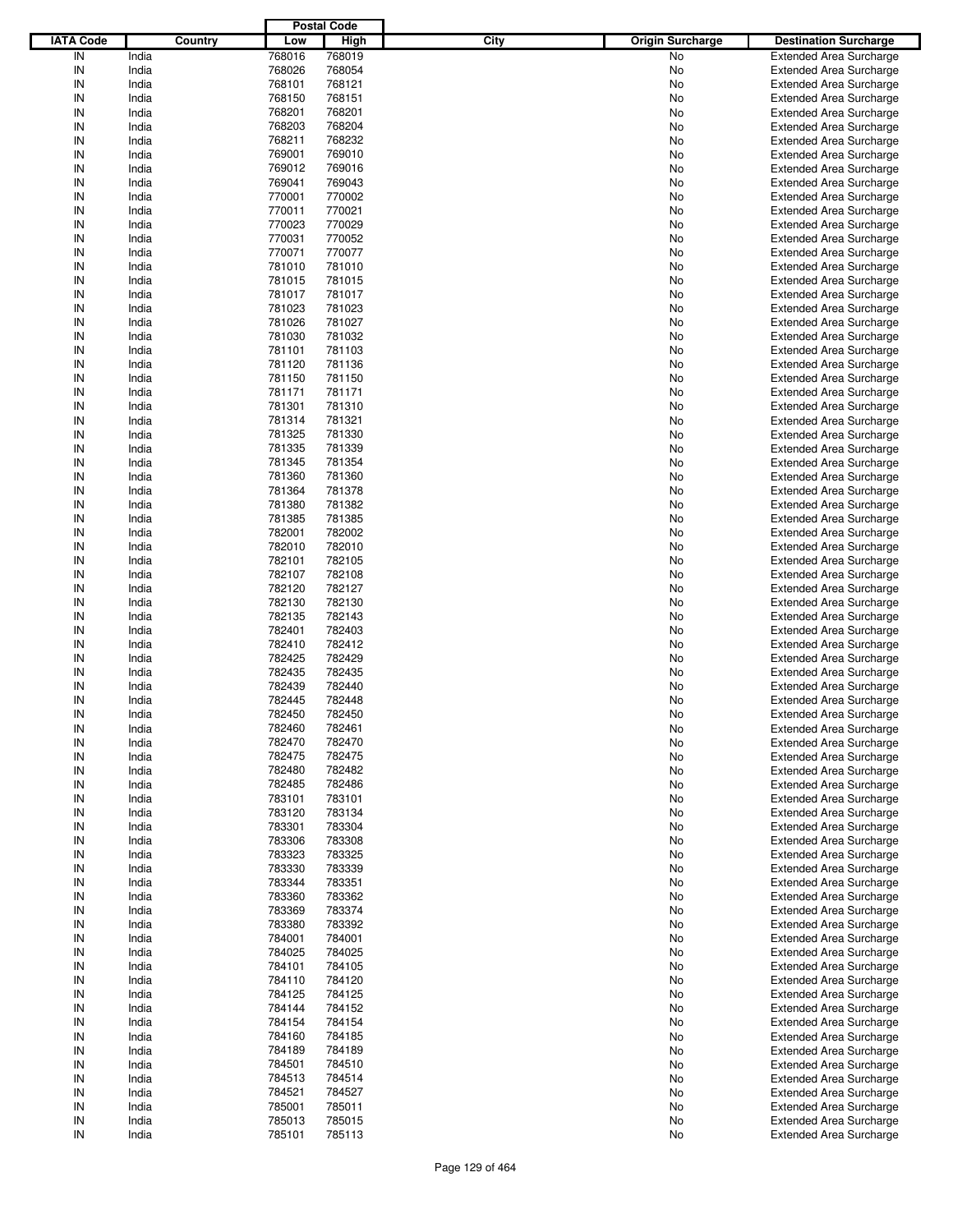|                  |         |        | <b>Postal Code</b> |      |                         |                                |
|------------------|---------|--------|--------------------|------|-------------------------|--------------------------------|
| <b>IATA Code</b> | Country | Low    | <b>High</b>        | City | <b>Origin Surcharge</b> | <b>Destination Surcharge</b>   |
| IN               | India   | 768016 | 768019             |      | No                      | <b>Extended Area Surcharge</b> |
| IN               | India   | 768026 | 768054             |      | No                      | <b>Extended Area Surcharge</b> |
| IN               | India   | 768101 | 768121             |      | No                      | <b>Extended Area Surcharge</b> |
| IN               | India   | 768150 | 768151             |      | No                      | <b>Extended Area Surcharge</b> |
| IN               | India   | 768201 | 768201             |      | No                      | <b>Extended Area Surcharge</b> |
| IN               | India   | 768203 | 768204             |      | No                      | <b>Extended Area Surcharge</b> |
| IN               | India   | 768211 | 768232             |      |                         |                                |
| IN               |         |        | 769010             |      | No                      | <b>Extended Area Surcharge</b> |
|                  | India   | 769001 |                    |      | No                      | <b>Extended Area Surcharge</b> |
| IN               | India   | 769012 | 769016             |      | No                      | <b>Extended Area Surcharge</b> |
| IN               | India   | 769041 | 769043             |      | No                      | <b>Extended Area Surcharge</b> |
| IN               | India   | 770001 | 770002             |      | No                      | <b>Extended Area Surcharge</b> |
| IN               | India   | 770011 | 770021             |      | No                      | <b>Extended Area Surcharge</b> |
| IN               | India   | 770023 | 770029             |      | No                      | <b>Extended Area Surcharge</b> |
| IN               | India   | 770031 | 770052             |      | No                      | <b>Extended Area Surcharge</b> |
| IN               | India   | 770071 | 770077             |      | No                      | <b>Extended Area Surcharge</b> |
| IN               | India   | 781010 | 781010             |      | No                      | <b>Extended Area Surcharge</b> |
| IN               | India   | 781015 | 781015             |      | No                      | <b>Extended Area Surcharge</b> |
| IN               | India   | 781017 | 781017             |      | No                      | <b>Extended Area Surcharge</b> |
| IN               | India   | 781023 | 781023             |      | No                      | <b>Extended Area Surcharge</b> |
| IN               | India   | 781026 | 781027             |      | No                      | <b>Extended Area Surcharge</b> |
| IN               | India   | 781030 | 781032             |      | No                      | <b>Extended Area Surcharge</b> |
| IN               | India   | 781101 | 781103             |      | No                      | <b>Extended Area Surcharge</b> |
| IN               | India   | 781120 | 781136             |      | No                      | <b>Extended Area Surcharge</b> |
| IN               | India   | 781150 | 781150             |      | No                      | <b>Extended Area Surcharge</b> |
| IN               | India   | 781171 | 781171             |      | No                      | <b>Extended Area Surcharge</b> |
| IN               | India   | 781301 | 781310             |      | No                      | <b>Extended Area Surcharge</b> |
| IN               | India   | 781314 | 781321             |      | No                      | <b>Extended Area Surcharge</b> |
| IN               | India   | 781325 | 781330             |      | No                      | <b>Extended Area Surcharge</b> |
| IN               | India   | 781335 | 781339             |      | No                      | <b>Extended Area Surcharge</b> |
| IN               | India   | 781345 | 781354             |      |                         |                                |
|                  |         |        |                    |      | No                      | <b>Extended Area Surcharge</b> |
| IN               | India   | 781360 | 781360             |      | No                      | <b>Extended Area Surcharge</b> |
| IN               | India   | 781364 | 781378             |      | No                      | <b>Extended Area Surcharge</b> |
| IN               | India   | 781380 | 781382             |      | No                      | <b>Extended Area Surcharge</b> |
| IN               | India   | 781385 | 781385             |      | No                      | <b>Extended Area Surcharge</b> |
| IN               | India   | 782001 | 782002             |      | No                      | <b>Extended Area Surcharge</b> |
| IN               | India   | 782010 | 782010             |      | No                      | <b>Extended Area Surcharge</b> |
| IN               | India   | 782101 | 782105             |      | No                      | <b>Extended Area Surcharge</b> |
| IN               | India   | 782107 | 782108             |      | No                      | <b>Extended Area Surcharge</b> |
| IN               | India   | 782120 | 782127             |      | No                      | <b>Extended Area Surcharge</b> |
| IN               | India   | 782130 | 782130             |      | No                      | <b>Extended Area Surcharge</b> |
| IN               | India   | 782135 | 782143             |      | No                      | <b>Extended Area Surcharge</b> |
| IN               | India   | 782401 | 782403             |      | No                      | <b>Extended Area Surcharge</b> |
| IN               | India   | 782410 | 782412             |      | No                      | <b>Extended Area Surcharge</b> |
| IN               | India   | 782425 | 782429             |      | No                      | <b>Extended Area Surcharge</b> |
| IN               | India   | 782435 | 782435             |      | No                      | <b>Extended Area Surcharge</b> |
| IN               | India   | 782439 | 782440             |      | No                      | <b>Extended Area Surcharge</b> |
| IN               | India   | 782445 | 782448             |      | No                      | <b>Extended Area Surcharge</b> |
| IN               | India   | 782450 | 782450             |      | No                      | <b>Extended Area Surcharge</b> |
| IN               | India   | 782460 | 782461             |      | No                      | <b>Extended Area Surcharge</b> |
|                  |         |        |                    |      |                         |                                |
| IN               | India   | 782470 | 782470             |      | No                      | <b>Extended Area Surcharge</b> |
| IN               | India   | 782475 | 782475             |      | No                      | <b>Extended Area Surcharge</b> |
| IN               | India   | 782480 | 782482             |      | No                      | <b>Extended Area Surcharge</b> |
| IN               | India   | 782485 | 782486             |      | No                      | <b>Extended Area Surcharge</b> |
| IN               | India   | 783101 | 783101             |      | No                      | <b>Extended Area Surcharge</b> |
| IN               | India   | 783120 | 783134             |      | No                      | <b>Extended Area Surcharge</b> |
| IN               | India   | 783301 | 783304             |      | No                      | <b>Extended Area Surcharge</b> |
| IN               | India   | 783306 | 783308             |      | No                      | <b>Extended Area Surcharge</b> |
| IN               | India   | 783323 | 783325             |      | No                      | <b>Extended Area Surcharge</b> |
| IN               | India   | 783330 | 783339             |      | No                      | <b>Extended Area Surcharge</b> |
| IN               | India   | 783344 | 783351             |      | No                      | <b>Extended Area Surcharge</b> |
| IN               | India   | 783360 | 783362             |      | No                      | <b>Extended Area Surcharge</b> |
| IN               | India   | 783369 | 783374             |      | No                      | <b>Extended Area Surcharge</b> |
| IN               | India   | 783380 | 783392             |      | No                      | <b>Extended Area Surcharge</b> |
| IN               | India   | 784001 | 784001             |      | No                      | <b>Extended Area Surcharge</b> |
| IN               | India   | 784025 | 784025             |      | No                      | <b>Extended Area Surcharge</b> |
| IN               | India   | 784101 | 784105             |      | No                      | <b>Extended Area Surcharge</b> |
| IN               | India   | 784110 | 784120             |      | No                      | <b>Extended Area Surcharge</b> |
| IN               | India   | 784125 | 784125             |      | No                      | <b>Extended Area Surcharge</b> |
| IN               | India   | 784144 | 784152             |      | No                      | <b>Extended Area Surcharge</b> |
| IN               | India   | 784154 | 784154             |      | No                      | <b>Extended Area Surcharge</b> |
| IN               | India   | 784160 | 784185             |      | No                      | <b>Extended Area Surcharge</b> |
| IN               | India   | 784189 | 784189             |      | No                      | <b>Extended Area Surcharge</b> |
| IN               |         | 784501 | 784510             |      |                         | <b>Extended Area Surcharge</b> |
|                  | India   |        |                    |      | No                      |                                |
| IN               | India   | 784513 | 784514             |      | No                      | <b>Extended Area Surcharge</b> |
| IN               | India   | 784521 | 784527             |      | No                      | <b>Extended Area Surcharge</b> |
| IN               | India   | 785001 | 785011             |      | No                      | <b>Extended Area Surcharge</b> |
| IN               | India   | 785013 | 785015             |      | No                      | <b>Extended Area Surcharge</b> |
| $\sf IN$         | India   | 785101 | 785113             |      | No                      | <b>Extended Area Surcharge</b> |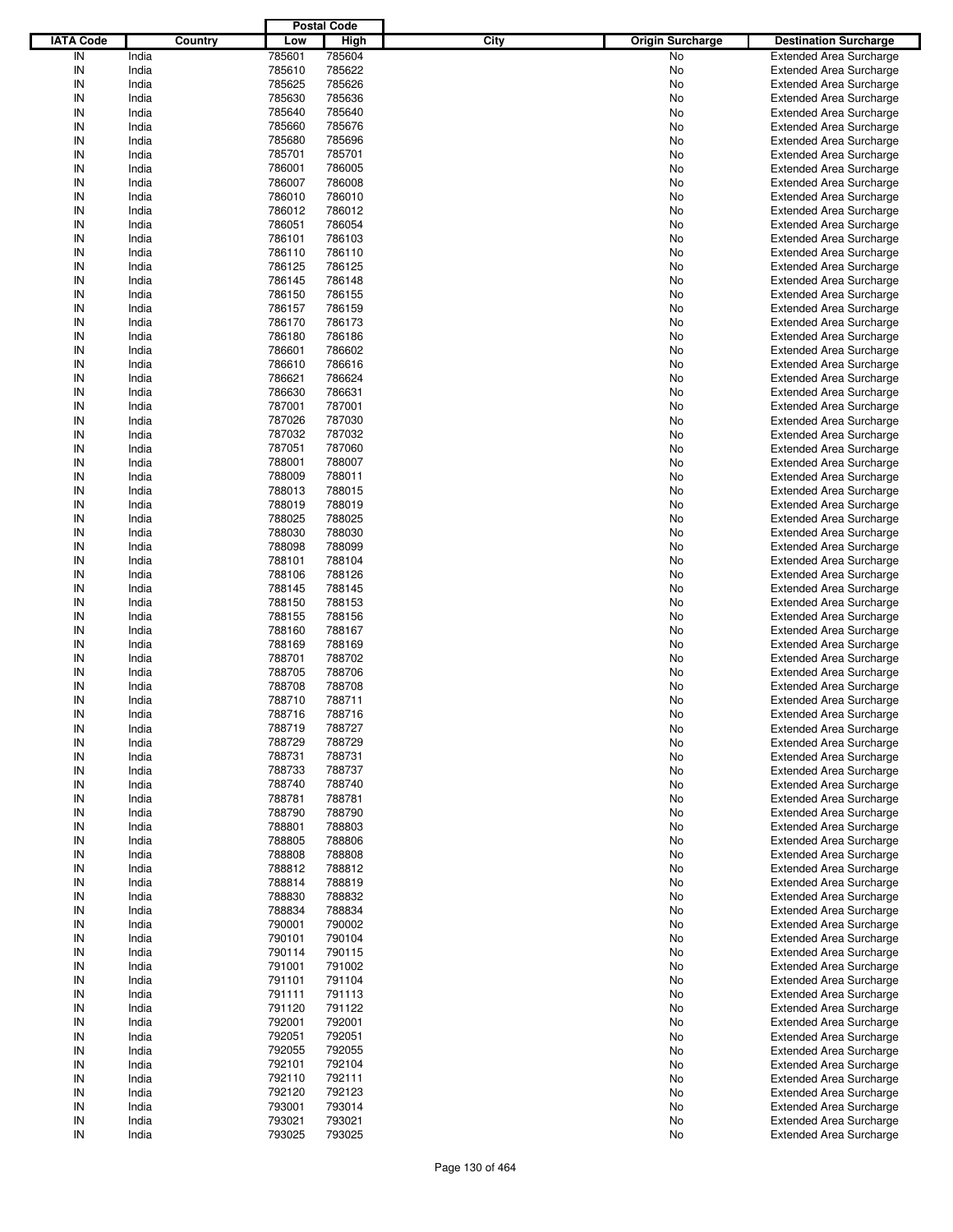|                  |         |        | <b>Postal Code</b> |      |                         |                                |
|------------------|---------|--------|--------------------|------|-------------------------|--------------------------------|
| <b>IATA Code</b> | Country | Low    | <b>High</b>        | City | <b>Origin Surcharge</b> | <b>Destination Surcharge</b>   |
| IN               | India   | 785601 | 785604             |      | No                      | <b>Extended Area Surcharge</b> |
| IN               | India   | 785610 | 785622             |      | No                      | <b>Extended Area Surcharge</b> |
| IN               | India   | 785625 | 785626             |      | No                      | <b>Extended Area Surcharge</b> |
| IN               | India   | 785630 | 785636             |      | No                      | <b>Extended Area Surcharge</b> |
| IN               | India   | 785640 | 785640             |      | No                      | <b>Extended Area Surcharge</b> |
| IN               | India   | 785660 | 785676             |      | No                      | <b>Extended Area Surcharge</b> |
| IN               | India   | 785680 | 785696             |      |                         |                                |
| IN               |         |        |                    |      | No                      | <b>Extended Area Surcharge</b> |
|                  | India   | 785701 | 785701             |      | No                      | <b>Extended Area Surcharge</b> |
| IN               | India   | 786001 | 786005             |      | No                      | <b>Extended Area Surcharge</b> |
| IN               | India   | 786007 | 786008             |      | No                      | <b>Extended Area Surcharge</b> |
| IN               | India   | 786010 | 786010             |      | No                      | <b>Extended Area Surcharge</b> |
| IN               | India   | 786012 | 786012             |      | No                      | <b>Extended Area Surcharge</b> |
| IN               | India   | 786051 | 786054             |      | No                      | <b>Extended Area Surcharge</b> |
| IN               | India   | 786101 | 786103             |      | No                      | <b>Extended Area Surcharge</b> |
| IN               | India   | 786110 | 786110             |      | No                      | <b>Extended Area Surcharge</b> |
| IN               | India   | 786125 | 786125             |      | No                      | <b>Extended Area Surcharge</b> |
| IN               | India   | 786145 | 786148             |      | No                      | <b>Extended Area Surcharge</b> |
| IN               | India   | 786150 | 786155             |      | No                      | <b>Extended Area Surcharge</b> |
| IN               | India   | 786157 | 786159             |      | No                      | <b>Extended Area Surcharge</b> |
| IN               | India   | 786170 | 786173             |      | No                      | <b>Extended Area Surcharge</b> |
| IN               | India   | 786180 | 786186             |      | No                      | <b>Extended Area Surcharge</b> |
| IN               | India   | 786601 | 786602             |      | No                      | <b>Extended Area Surcharge</b> |
| IN               | India   | 786610 | 786616             |      | No                      | <b>Extended Area Surcharge</b> |
| IN               | India   | 786621 | 786624             |      | No                      | <b>Extended Area Surcharge</b> |
| IN               | India   | 786630 | 786631             |      | No                      | <b>Extended Area Surcharge</b> |
| IN               | India   | 787001 | 787001             |      | No                      | <b>Extended Area Surcharge</b> |
| IN               | India   | 787026 | 787030             |      | No                      | <b>Extended Area Surcharge</b> |
| IN               | India   | 787032 | 787032             |      | No                      | <b>Extended Area Surcharge</b> |
| IN               |         |        |                    |      |                         |                                |
|                  | India   | 787051 | 787060             |      | No                      | <b>Extended Area Surcharge</b> |
| IN               | India   | 788001 | 788007             |      | No                      | <b>Extended Area Surcharge</b> |
| IN               | India   | 788009 | 788011             |      | No                      | <b>Extended Area Surcharge</b> |
| IN               | India   | 788013 | 788015             |      | No                      | <b>Extended Area Surcharge</b> |
| IN               | India   | 788019 | 788019             |      | No                      | <b>Extended Area Surcharge</b> |
| IN               | India   | 788025 | 788025             |      | No                      | <b>Extended Area Surcharge</b> |
| IN               | India   | 788030 | 788030             |      | No                      | <b>Extended Area Surcharge</b> |
| IN               | India   | 788098 | 788099             |      | No                      | <b>Extended Area Surcharge</b> |
| IN               | India   | 788101 | 788104             |      | No                      | <b>Extended Area Surcharge</b> |
| IN               | India   | 788106 | 788126             |      | No                      | <b>Extended Area Surcharge</b> |
| IN               | India   | 788145 | 788145             |      | No                      | <b>Extended Area Surcharge</b> |
| IN               | India   | 788150 | 788153             |      | No                      | <b>Extended Area Surcharge</b> |
| IN               | India   | 788155 | 788156             |      | No                      | <b>Extended Area Surcharge</b> |
| IN               | India   | 788160 | 788167             |      | No                      | <b>Extended Area Surcharge</b> |
| IN               | India   | 788169 | 788169             |      | No                      | <b>Extended Area Surcharge</b> |
| IN               | India   | 788701 | 788702             |      | No                      | <b>Extended Area Surcharge</b> |
| IN               | India   | 788705 | 788706             |      | No                      | <b>Extended Area Surcharge</b> |
| IN               | India   | 788708 | 788708             |      | No                      | <b>Extended Area Surcharge</b> |
| IN               | India   | 788710 | 788711             |      | No                      | <b>Extended Area Surcharge</b> |
| IN               | India   | 788716 | 788716             |      | No                      | <b>Extended Area Surcharge</b> |
|                  |         |        |                    |      |                         |                                |
| IN               | India   | 788719 | 788727             |      | No                      | <b>Extended Area Surcharge</b> |
| IN               | India   | 788729 | 788729             |      | No                      | <b>Extended Area Surcharge</b> |
| IN               | India   | 788731 | 788731             |      | No                      | <b>Extended Area Surcharge</b> |
| IN               | India   | 788733 | 788737             |      | No                      | <b>Extended Area Surcharge</b> |
| IN               | India   | 788740 | 788740             |      | No                      | <b>Extended Area Surcharge</b> |
| IN               | India   | 788781 | 788781             |      | No                      | <b>Extended Area Surcharge</b> |
| IN               | India   | 788790 | 788790             |      | No                      | <b>Extended Area Surcharge</b> |
| IN               | India   | 788801 | 788803             |      | No                      | <b>Extended Area Surcharge</b> |
| IN               | India   | 788805 | 788806             |      | No                      | <b>Extended Area Surcharge</b> |
| IN               | India   | 788808 | 788808             |      | No                      | <b>Extended Area Surcharge</b> |
| IN               | India   | 788812 | 788812             |      | No                      | <b>Extended Area Surcharge</b> |
| IN               | India   | 788814 | 788819             |      | No                      | <b>Extended Area Surcharge</b> |
| IN               | India   | 788830 | 788832             |      | No                      | <b>Extended Area Surcharge</b> |
| IN               | India   | 788834 | 788834             |      | No                      | <b>Extended Area Surcharge</b> |
| IN               | India   | 790001 | 790002             |      | No                      | <b>Extended Area Surcharge</b> |
| IN               | India   | 790101 | 790104             |      | No                      | <b>Extended Area Surcharge</b> |
| IN               | India   | 790114 | 790115             |      | No                      | <b>Extended Area Surcharge</b> |
| IN               | India   | 791001 | 791002             |      | No                      | <b>Extended Area Surcharge</b> |
| IN               | India   | 791101 | 791104             |      | No                      | <b>Extended Area Surcharge</b> |
| IN               | India   | 791111 | 791113             |      | No                      | <b>Extended Area Surcharge</b> |
| IN               | India   | 791120 | 791122             |      |                         | <b>Extended Area Surcharge</b> |
|                  |         |        |                    |      | No                      |                                |
| IN               | India   | 792001 | 792001             |      | No                      | <b>Extended Area Surcharge</b> |
| IN               | India   | 792051 | 792051             |      | No                      | <b>Extended Area Surcharge</b> |
| IN               | India   | 792055 | 792055             |      | No                      | <b>Extended Area Surcharge</b> |
| IN               | India   | 792101 | 792104             |      | No                      | <b>Extended Area Surcharge</b> |
| IN               | India   | 792110 | 792111             |      | No                      | <b>Extended Area Surcharge</b> |
| IN               | India   | 792120 | 792123             |      | No                      | <b>Extended Area Surcharge</b> |
| IN               | India   | 793001 | 793014             |      | No                      | <b>Extended Area Surcharge</b> |
| IN               | India   | 793021 | 793021             |      | No                      | <b>Extended Area Surcharge</b> |
| $\sf IN$         | India   | 793025 | 793025             |      | No                      | <b>Extended Area Surcharge</b> |
|                  |         |        |                    |      |                         |                                |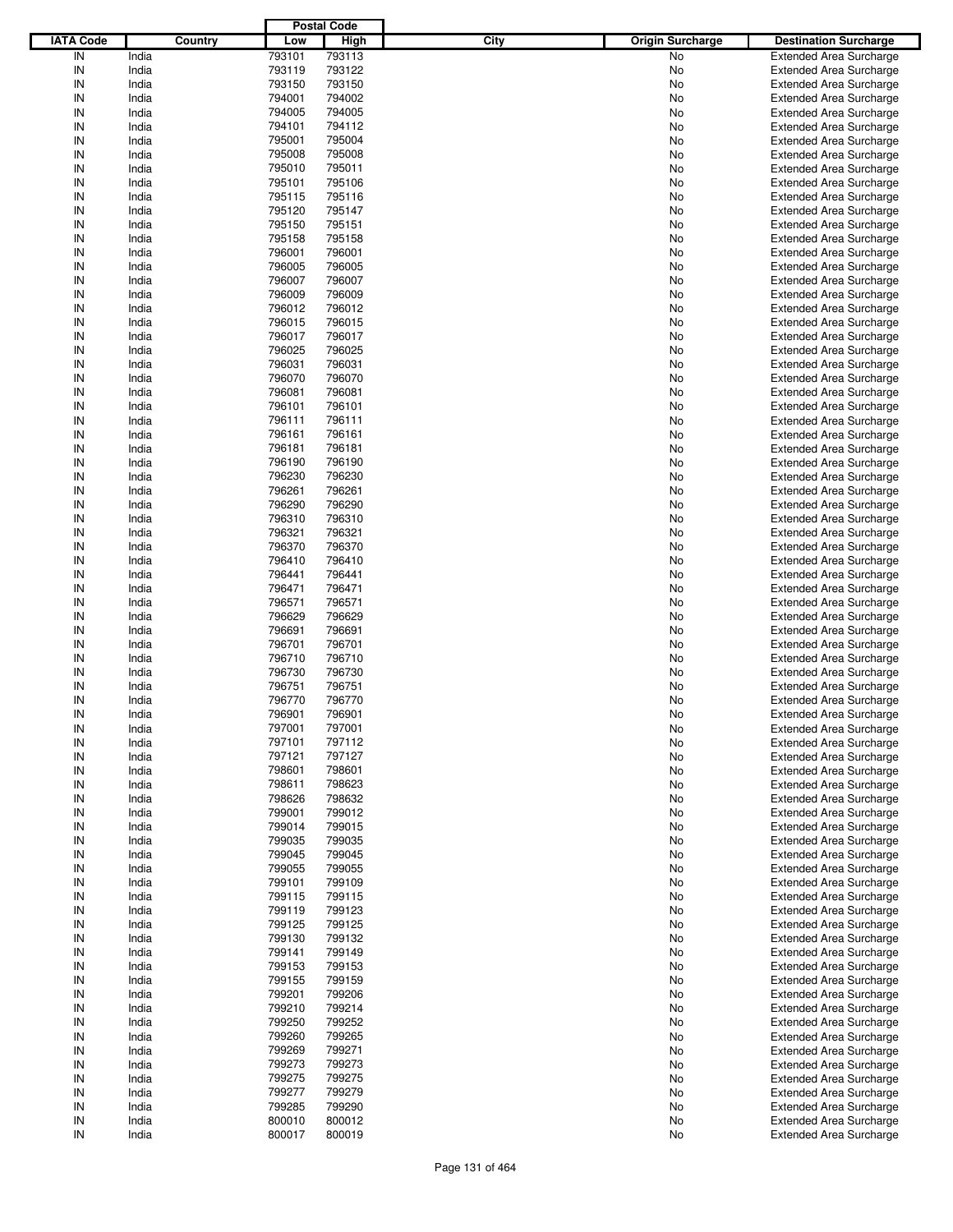|                  |         |        | <b>Postal Code</b> |      |                         |                                |
|------------------|---------|--------|--------------------|------|-------------------------|--------------------------------|
| <b>IATA Code</b> | Country | Low    | <b>High</b>        | City | <b>Origin Surcharge</b> | <b>Destination Surcharge</b>   |
| IN               | India   | 793101 | 793113             |      | No                      | <b>Extended Area Surcharge</b> |
| IN               | India   | 793119 | 793122             |      | No                      | <b>Extended Area Surcharge</b> |
| IN               | India   | 793150 | 793150             |      | No                      | <b>Extended Area Surcharge</b> |
| IN               | India   | 794001 | 794002             |      | No                      | <b>Extended Area Surcharge</b> |
| IN               | India   | 794005 | 794005             |      | No                      | <b>Extended Area Surcharge</b> |
| IN               | India   | 794101 | 794112             |      | No                      | <b>Extended Area Surcharge</b> |
| IN               | India   | 795001 | 795004             |      |                         |                                |
|                  |         |        |                    |      | No                      | <b>Extended Area Surcharge</b> |
| IN               | India   | 795008 | 795008             |      | No                      | <b>Extended Area Surcharge</b> |
| IN               | India   | 795010 | 795011             |      | No                      | <b>Extended Area Surcharge</b> |
| IN               | India   | 795101 | 795106             |      | No                      | <b>Extended Area Surcharge</b> |
| IN               | India   | 795115 | 795116             |      | No                      | <b>Extended Area Surcharge</b> |
| IN               | India   | 795120 | 795147             |      | No                      | <b>Extended Area Surcharge</b> |
| IN               | India   | 795150 | 795151             |      | No                      | <b>Extended Area Surcharge</b> |
| IN               | India   | 795158 | 795158             |      | No                      | <b>Extended Area Surcharge</b> |
| IN               | India   | 796001 | 796001             |      | No                      | <b>Extended Area Surcharge</b> |
| IN               | India   | 796005 | 796005             |      | No                      | <b>Extended Area Surcharge</b> |
| IN               | India   | 796007 | 796007             |      | No                      | <b>Extended Area Surcharge</b> |
| IN               | India   | 796009 | 796009             |      | No                      | <b>Extended Area Surcharge</b> |
| IN               | India   | 796012 | 796012             |      | No                      | <b>Extended Area Surcharge</b> |
| IN               | India   | 796015 | 796015             |      | No                      | <b>Extended Area Surcharge</b> |
| IN               | India   | 796017 | 796017             |      | No                      | <b>Extended Area Surcharge</b> |
| IN               | India   | 796025 | 796025             |      | No                      | <b>Extended Area Surcharge</b> |
| IN               | India   | 796031 | 796031             |      | No                      | <b>Extended Area Surcharge</b> |
| IN               | India   | 796070 | 796070             |      | No                      | <b>Extended Area Surcharge</b> |
| IN               | India   | 796081 | 796081             |      | No                      | <b>Extended Area Surcharge</b> |
| IN               | India   | 796101 | 796101             |      | No                      | <b>Extended Area Surcharge</b> |
| IN               | India   | 796111 | 796111             |      | No                      | <b>Extended Area Surcharge</b> |
| IN               | India   | 796161 | 796161             |      |                         | <b>Extended Area Surcharge</b> |
| IN               |         |        |                    |      | No                      |                                |
|                  | India   | 796181 | 796181             |      | No                      | <b>Extended Area Surcharge</b> |
| IN               | India   | 796190 | 796190             |      | No                      | <b>Extended Area Surcharge</b> |
| IN               | India   | 796230 | 796230             |      | No                      | <b>Extended Area Surcharge</b> |
| IN               | India   | 796261 | 796261             |      | No                      | <b>Extended Area Surcharge</b> |
| IN               | India   | 796290 | 796290             |      | No                      | <b>Extended Area Surcharge</b> |
| IN               | India   | 796310 | 796310             |      | No                      | <b>Extended Area Surcharge</b> |
| IN               | India   | 796321 | 796321             |      | No                      | <b>Extended Area Surcharge</b> |
| IN               | India   | 796370 | 796370             |      | No                      | <b>Extended Area Surcharge</b> |
| IN               | India   | 796410 | 796410             |      | No                      | <b>Extended Area Surcharge</b> |
| IN               | India   | 796441 | 796441             |      | No                      | <b>Extended Area Surcharge</b> |
| IN               | India   | 796471 | 796471             |      | No                      | <b>Extended Area Surcharge</b> |
| IN               | India   | 796571 | 796571             |      | No                      | <b>Extended Area Surcharge</b> |
| IN               | India   | 796629 | 796629             |      | No                      | <b>Extended Area Surcharge</b> |
| IN               | India   | 796691 | 796691             |      | No                      | <b>Extended Area Surcharge</b> |
| IN               | India   | 796701 | 796701             |      | No                      | <b>Extended Area Surcharge</b> |
| IN               | India   | 796710 | 796710             |      | No                      | <b>Extended Area Surcharge</b> |
| IN               | India   | 796730 | 796730             |      | No                      | <b>Extended Area Surcharge</b> |
| IN               | India   | 796751 | 796751             |      | No                      | <b>Extended Area Surcharge</b> |
| IN               | India   | 796770 | 796770             |      | No                      | <b>Extended Area Surcharge</b> |
|                  |         |        |                    |      |                         |                                |
| IN               | India   | 796901 | 796901             |      | No                      | <b>Extended Area Surcharge</b> |
| IN               | India   | 797001 | 797001             |      | No                      | <b>Extended Area Surcharge</b> |
| IN               | India   | 797101 | 797112             |      | No                      | <b>Extended Area Surcharge</b> |
| IN               | India   | 797121 | 797127             |      | No                      | <b>Extended Area Surcharge</b> |
| IN               | India   | 798601 | 798601             |      | No                      | <b>Extended Area Surcharge</b> |
| IN               | India   | 798611 | 798623             |      | No                      | <b>Extended Area Surcharge</b> |
| IN               | India   | 798626 | 798632             |      | No                      | <b>Extended Area Surcharge</b> |
| IN               | India   | 799001 | 799012             |      | No                      | <b>Extended Area Surcharge</b> |
| IN               | India   | 799014 | 799015             |      | No                      | <b>Extended Area Surcharge</b> |
| IN               | India   | 799035 | 799035             |      | No                      | <b>Extended Area Surcharge</b> |
| IN               | India   | 799045 | 799045             |      | No                      | <b>Extended Area Surcharge</b> |
| IN               | India   | 799055 | 799055             |      | No                      | <b>Extended Area Surcharge</b> |
| IN               | India   | 799101 | 799109             |      | No                      | <b>Extended Area Surcharge</b> |
| IN               | India   | 799115 | 799115             |      | No                      | <b>Extended Area Surcharge</b> |
| IN               | India   | 799119 | 799123             |      | No                      | <b>Extended Area Surcharge</b> |
| IN               | India   | 799125 | 799125             |      | No                      | <b>Extended Area Surcharge</b> |
| IN               | India   | 799130 | 799132             |      | No                      | <b>Extended Area Surcharge</b> |
| IN               | India   | 799141 | 799149             |      | No                      | <b>Extended Area Surcharge</b> |
| IN               | India   | 799153 | 799153             |      | No                      | <b>Extended Area Surcharge</b> |
|                  |         |        |                    |      |                         |                                |
| IN               | India   | 799155 | 799159             |      | No                      | <b>Extended Area Surcharge</b> |
| IN               | India   | 799201 | 799206             |      | No                      | <b>Extended Area Surcharge</b> |
| IN               | India   | 799210 | 799214             |      | No                      | <b>Extended Area Surcharge</b> |
| IN               | India   | 799250 | 799252             |      | No                      | <b>Extended Area Surcharge</b> |
| IN               | India   | 799260 | 799265             |      | No                      | <b>Extended Area Surcharge</b> |
| IN               | India   | 799269 | 799271             |      | No                      | <b>Extended Area Surcharge</b> |
| IN               | India   | 799273 | 799273             |      | No                      | <b>Extended Area Surcharge</b> |
| IN               | India   | 799275 | 799275             |      | No                      | <b>Extended Area Surcharge</b> |
| IN               | India   | 799277 | 799279             |      | No                      | <b>Extended Area Surcharge</b> |
| IN               | India   | 799285 | 799290             |      | No                      | <b>Extended Area Surcharge</b> |
| IN               | India   | 800010 | 800012             |      | No                      | <b>Extended Area Surcharge</b> |
| $\sf IN$         | India   | 800017 | 800019             |      | No                      | <b>Extended Area Surcharge</b> |
|                  |         |        |                    |      |                         |                                |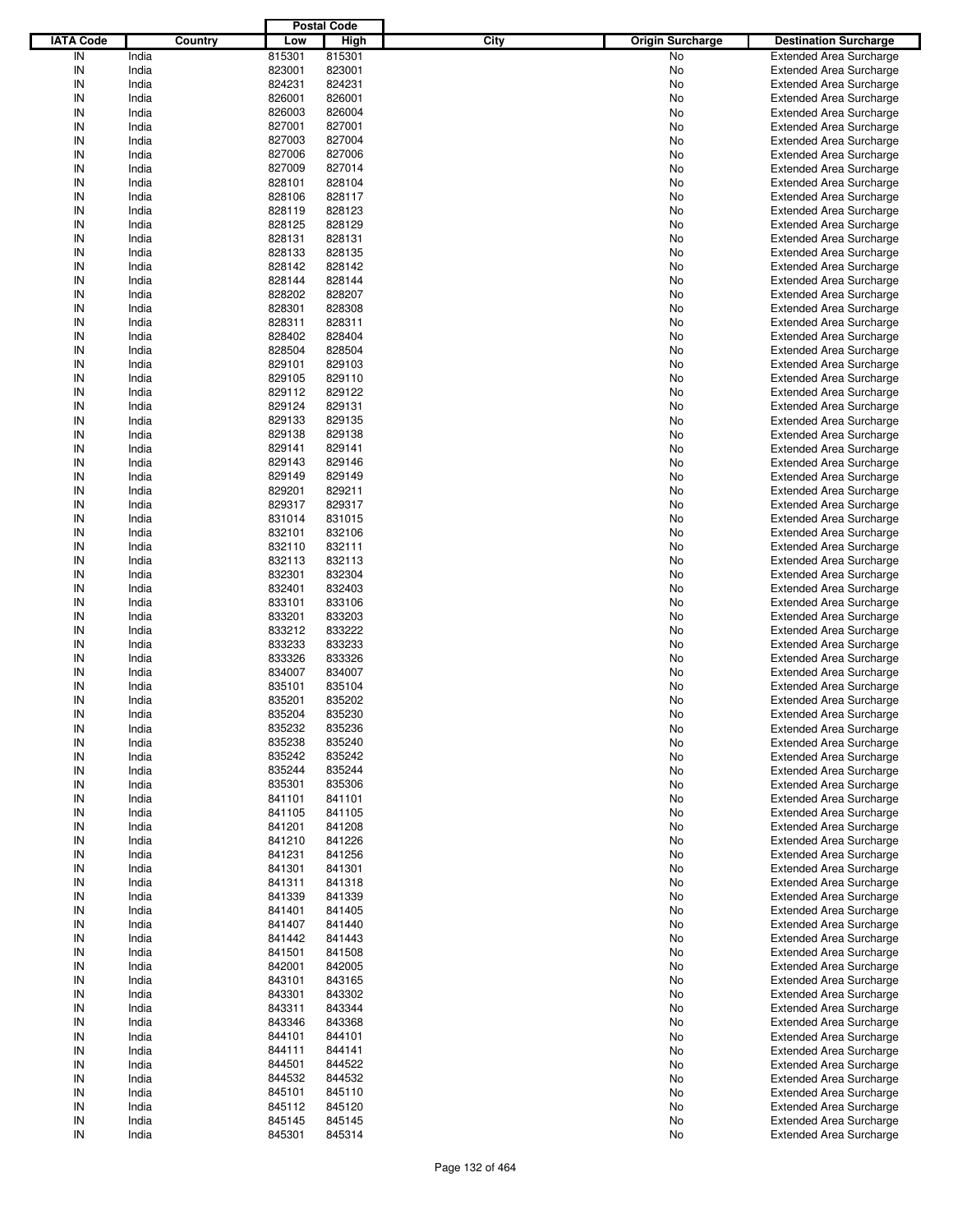|                  |         |        | <b>Postal Code</b> |                                        |                                |
|------------------|---------|--------|--------------------|----------------------------------------|--------------------------------|
| <b>IATA Code</b> | Country | Low    | High               | <b>City</b><br><b>Origin Surcharge</b> | <b>Destination Surcharge</b>   |
| IN               | India   | 815301 | 815301             | <b>No</b>                              | <b>Extended Area Surcharge</b> |
| IN               | India   | 823001 | 823001             | No                                     | <b>Extended Area Surcharge</b> |
| IN               | India   | 824231 | 824231             | No                                     | <b>Extended Area Surcharge</b> |
| IN               | India   | 826001 | 826001             | No                                     | <b>Extended Area Surcharge</b> |
| IN               | India   | 826003 | 826004             | No                                     | <b>Extended Area Surcharge</b> |
| IN               | India   | 827001 | 827001             | No                                     | <b>Extended Area Surcharge</b> |
| IN               | India   | 827003 | 827004             |                                        |                                |
|                  |         |        |                    | No                                     | <b>Extended Area Surcharge</b> |
| IN               | India   | 827006 | 827006             | No                                     | <b>Extended Area Surcharge</b> |
| IN               | India   | 827009 | 827014             | No                                     | <b>Extended Area Surcharge</b> |
| IN               | India   | 828101 | 828104             | No                                     | <b>Extended Area Surcharge</b> |
| IN               | India   | 828106 | 828117             | No                                     | <b>Extended Area Surcharge</b> |
| IN               | India   | 828119 | 828123             | No                                     | <b>Extended Area Surcharge</b> |
| IN               | India   | 828125 | 828129             | No                                     | <b>Extended Area Surcharge</b> |
| IN               | India   | 828131 | 828131             | No                                     | <b>Extended Area Surcharge</b> |
| IN               | India   | 828133 | 828135             | No                                     | <b>Extended Area Surcharge</b> |
| IN               | India   | 828142 | 828142             | No                                     | <b>Extended Area Surcharge</b> |
| IN               | India   | 828144 | 828144             | No                                     | <b>Extended Area Surcharge</b> |
| IN               | India   | 828202 | 828207             | No                                     | <b>Extended Area Surcharge</b> |
| IN               | India   | 828301 | 828308             | No                                     | <b>Extended Area Surcharge</b> |
| IN               | India   | 828311 | 828311             | No                                     | <b>Extended Area Surcharge</b> |
| IN               | India   | 828402 | 828404             | No                                     | <b>Extended Area Surcharge</b> |
| IN               | India   | 828504 | 828504             | No                                     | <b>Extended Area Surcharge</b> |
| IN               | India   | 829101 | 829103             | No                                     | <b>Extended Area Surcharge</b> |
| IN               | India   | 829105 | 829110             | No                                     | <b>Extended Area Surcharge</b> |
| IN               | India   | 829112 | 829122             | No                                     | <b>Extended Area Surcharge</b> |
| IN               | India   | 829124 | 829131             | No                                     | <b>Extended Area Surcharge</b> |
| IN               | India   | 829133 | 829135             | No                                     | <b>Extended Area Surcharge</b> |
| IN               | India   | 829138 | 829138             | No                                     | <b>Extended Area Surcharge</b> |
|                  |         |        |                    |                                        |                                |
| IN               | India   | 829141 | 829141             | No                                     | <b>Extended Area Surcharge</b> |
| IN               | India   | 829143 | 829146             | No                                     | <b>Extended Area Surcharge</b> |
| IN               | India   | 829149 | 829149             | No                                     | <b>Extended Area Surcharge</b> |
| IN               | India   | 829201 | 829211             | No                                     | <b>Extended Area Surcharge</b> |
| IN               | India   | 829317 | 829317             | No                                     | <b>Extended Area Surcharge</b> |
| IN               | India   | 831014 | 831015             | No                                     | <b>Extended Area Surcharge</b> |
| IN               | India   | 832101 | 832106             | No                                     | <b>Extended Area Surcharge</b> |
| IN               | India   | 832110 | 832111             | No                                     | <b>Extended Area Surcharge</b> |
| IN               | India   | 832113 | 832113             | No                                     | <b>Extended Area Surcharge</b> |
| IN               | India   | 832301 | 832304             | No                                     | <b>Extended Area Surcharge</b> |
| IN               | India   | 832401 | 832403             | No                                     | <b>Extended Area Surcharge</b> |
| IN               | India   | 833101 | 833106             | No                                     | <b>Extended Area Surcharge</b> |
| IN               | India   | 833201 | 833203             | No                                     | <b>Extended Area Surcharge</b> |
| IN               | India   | 833212 | 833222             | No                                     | <b>Extended Area Surcharge</b> |
| IN               | India   | 833233 | 833233             | No                                     | <b>Extended Area Surcharge</b> |
| IN               | India   | 833326 | 833326             | No                                     | <b>Extended Area Surcharge</b> |
| IN               | India   | 834007 | 834007             | No                                     | <b>Extended Area Surcharge</b> |
| IN               | India   | 835101 | 835104             | No                                     | <b>Extended Area Surcharge</b> |
| IN               | India   | 835201 | 835202             | No                                     | <b>Extended Area Surcharge</b> |
|                  |         |        |                    |                                        |                                |
| IN               | India   | 835204 | 835230             | No                                     | <b>Extended Area Surcharge</b> |
| IN               | India   | 835232 | 835236             | No                                     | <b>Extended Area Surcharge</b> |
| IN               | India   | 835238 | 835240             | No                                     | <b>Extended Area Surcharge</b> |
| IN               | India   | 835242 | 835242             | No                                     | <b>Extended Area Surcharge</b> |
| IN               | India   | 835244 | 835244             | No                                     | <b>Extended Area Surcharge</b> |
| IN               | India   | 835301 | 835306             | No                                     | <b>Extended Area Surcharge</b> |
| IN               | India   | 841101 | 841101             | No                                     | <b>Extended Area Surcharge</b> |
| IN               | India   | 841105 | 841105             | No                                     | <b>Extended Area Surcharge</b> |
| IN               | India   | 841201 | 841208             | No                                     | <b>Extended Area Surcharge</b> |
| IN               | India   | 841210 | 841226             | No                                     | <b>Extended Area Surcharge</b> |
| IN               | India   | 841231 | 841256             | No                                     | <b>Extended Area Surcharge</b> |
| IN               | India   | 841301 | 841301             | No                                     | <b>Extended Area Surcharge</b> |
| IN               | India   | 841311 | 841318             | No                                     | <b>Extended Area Surcharge</b> |
| IN               | India   | 841339 | 841339             | No                                     | <b>Extended Area Surcharge</b> |
| IN               | India   | 841401 | 841405             | No                                     | <b>Extended Area Surcharge</b> |
| IN               | India   | 841407 | 841440             | No                                     | <b>Extended Area Surcharge</b> |
| IN               | India   | 841442 | 841443             | No                                     | <b>Extended Area Surcharge</b> |
| IN               | India   | 841501 | 841508             | No                                     | <b>Extended Area Surcharge</b> |
| IN               | India   | 842001 | 842005             | No                                     | <b>Extended Area Surcharge</b> |
| IN               | India   | 843101 | 843165             | No                                     | <b>Extended Area Surcharge</b> |
|                  |         |        |                    |                                        |                                |
| IN               | India   | 843301 | 843302             | No                                     | <b>Extended Area Surcharge</b> |
| IN               | India   | 843311 | 843344             | No                                     | <b>Extended Area Surcharge</b> |
| IN               | India   | 843346 | 843368             | No                                     | <b>Extended Area Surcharge</b> |
| IN               | India   | 844101 | 844101             | No                                     | <b>Extended Area Surcharge</b> |
| IN               | India   | 844111 | 844141             | No                                     | <b>Extended Area Surcharge</b> |
| IN               | India   | 844501 | 844522             | No                                     | <b>Extended Area Surcharge</b> |
| IN               | India   | 844532 | 844532             | No                                     | <b>Extended Area Surcharge</b> |
| IN               | India   | 845101 | 845110             | No                                     | <b>Extended Area Surcharge</b> |
| IN               | India   | 845112 | 845120             | No                                     | <b>Extended Area Surcharge</b> |
| IN               | India   | 845145 | 845145             | No                                     | <b>Extended Area Surcharge</b> |
| IN               | India   | 845301 | 845314             | No                                     | <b>Extended Area Surcharge</b> |
|                  |         |        |                    |                                        |                                |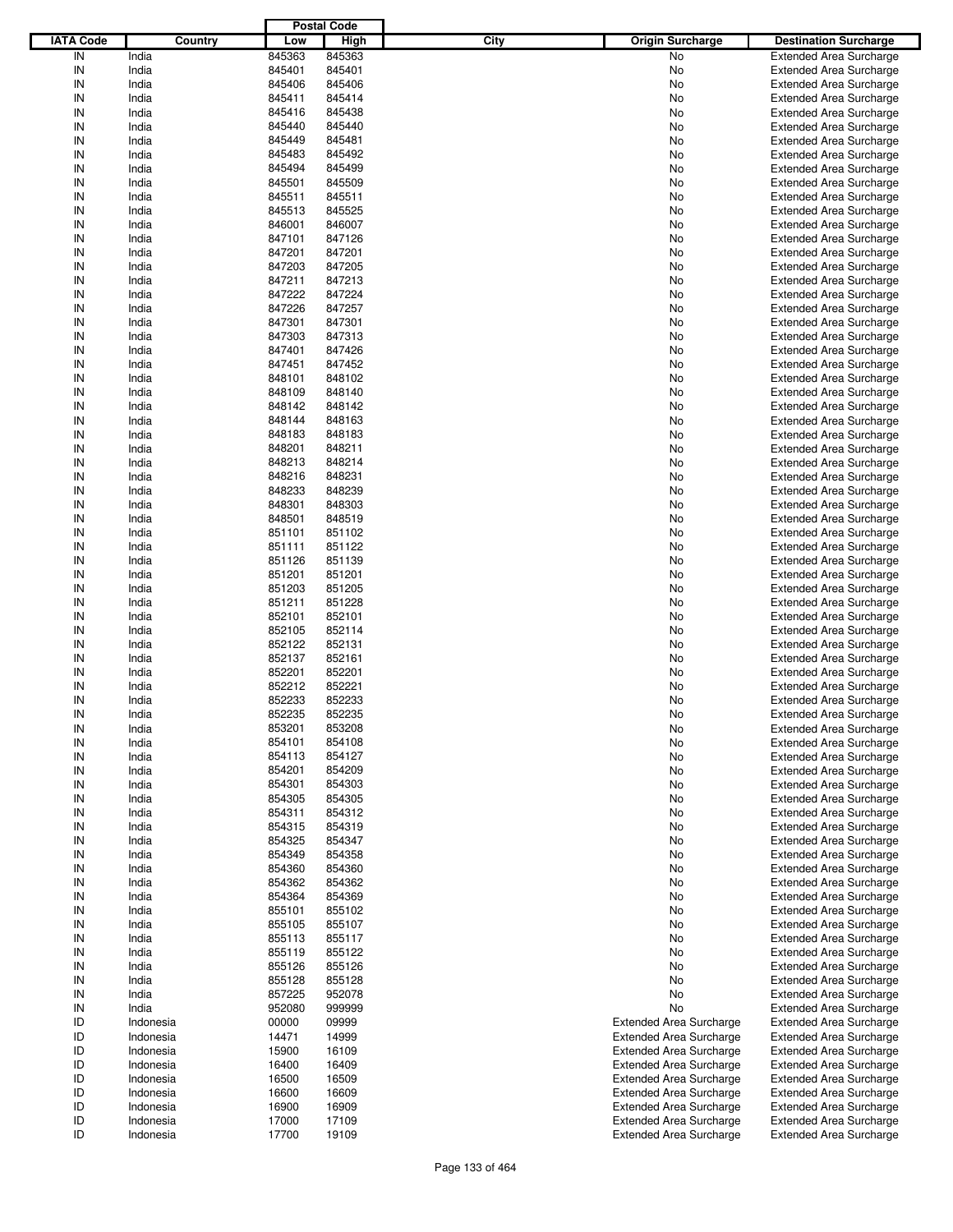|                  |           |        | <b>Postal Code</b> |                                        |                                |
|------------------|-----------|--------|--------------------|----------------------------------------|--------------------------------|
| <b>IATA Code</b> | Country   | Low    | High               | <b>City</b><br><b>Origin Surcharge</b> | <b>Destination Surcharge</b>   |
| IN               |           | 845363 | 845363             | <b>No</b>                              |                                |
|                  | India     |        |                    |                                        | <b>Extended Area Surcharge</b> |
| IN               | India     | 845401 | 845401             | No                                     | <b>Extended Area Surcharge</b> |
| IN               | India     | 845406 | 845406             | No                                     | <b>Extended Area Surcharge</b> |
| IN               | India     | 845411 | 845414             | No                                     | <b>Extended Area Surcharge</b> |
| IN               | India     | 845416 | 845438             | No                                     | <b>Extended Area Surcharge</b> |
| IN               | India     | 845440 | 845440             | No                                     | <b>Extended Area Surcharge</b> |
| IN               | India     | 845449 | 845481             | No                                     | <b>Extended Area Surcharge</b> |
| IN               | India     | 845483 | 845492             | No                                     | <b>Extended Area Surcharge</b> |
|                  |           |        |                    |                                        |                                |
| IN               | India     | 845494 | 845499             | No                                     | <b>Extended Area Surcharge</b> |
| IN               | India     | 845501 | 845509             | No                                     | <b>Extended Area Surcharge</b> |
| IN               | India     | 845511 | 845511             | No                                     | <b>Extended Area Surcharge</b> |
| IN               | India     | 845513 | 845525             | No                                     | <b>Extended Area Surcharge</b> |
| IN               | India     | 846001 | 846007             | No                                     | <b>Extended Area Surcharge</b> |
| IN               | India     | 847101 | 847126             | No                                     | <b>Extended Area Surcharge</b> |
| IN               | India     | 847201 | 847201             | No                                     | <b>Extended Area Surcharge</b> |
| IN               | India     | 847203 | 847205             | No                                     | <b>Extended Area Surcharge</b> |
| IN               | India     | 847211 | 847213             | No                                     | <b>Extended Area Surcharge</b> |
|                  |           |        |                    |                                        |                                |
| IN               | India     | 847222 | 847224             | No                                     | <b>Extended Area Surcharge</b> |
| IN               | India     | 847226 | 847257             | No                                     | <b>Extended Area Surcharge</b> |
| IN               | India     | 847301 | 847301             | No                                     | <b>Extended Area Surcharge</b> |
| IN               | India     | 847303 | 847313             | No                                     | <b>Extended Area Surcharge</b> |
| IN               | India     | 847401 | 847426             | No                                     | <b>Extended Area Surcharge</b> |
| IN               | India     | 847451 | 847452             | No                                     | <b>Extended Area Surcharge</b> |
| IN               | India     | 848101 | 848102             | No                                     | <b>Extended Area Surcharge</b> |
| IN               | India     | 848109 | 848140             |                                        |                                |
|                  |           |        |                    | No                                     | <b>Extended Area Surcharge</b> |
| IN               | India     | 848142 | 848142             | No                                     | <b>Extended Area Surcharge</b> |
| IN               | India     | 848144 | 848163             | No                                     | <b>Extended Area Surcharge</b> |
| IN               | India     | 848183 | 848183             | No                                     | <b>Extended Area Surcharge</b> |
| IN               | India     | 848201 | 848211             | No                                     | <b>Extended Area Surcharge</b> |
| IN               | India     | 848213 | 848214             | No                                     | <b>Extended Area Surcharge</b> |
| IN               | India     | 848216 | 848231             | No                                     | <b>Extended Area Surcharge</b> |
| IN               | India     | 848233 | 848239             | No                                     | <b>Extended Area Surcharge</b> |
|                  |           |        |                    |                                        |                                |
| IN               | India     | 848301 | 848303             | No                                     | <b>Extended Area Surcharge</b> |
| IN               | India     | 848501 | 848519             | No                                     | <b>Extended Area Surcharge</b> |
| IN               | India     | 851101 | 851102             | No                                     | <b>Extended Area Surcharge</b> |
| IN               | India     | 851111 | 851122             | No                                     | <b>Extended Area Surcharge</b> |
| IN               | India     | 851126 | 851139             | No                                     | <b>Extended Area Surcharge</b> |
| IN               | India     | 851201 | 851201             | No                                     | <b>Extended Area Surcharge</b> |
| IN               | India     | 851203 | 851205             | No                                     | <b>Extended Area Surcharge</b> |
| IN               | India     | 851211 | 851228             | No                                     | <b>Extended Area Surcharge</b> |
|                  |           |        |                    |                                        |                                |
| IN               | India     | 852101 | 852101             | No                                     | <b>Extended Area Surcharge</b> |
| IN               | India     | 852105 | 852114             | No                                     | <b>Extended Area Surcharge</b> |
| IN               | India     | 852122 | 852131             | No                                     | <b>Extended Area Surcharge</b> |
| IN               | India     | 852137 | 852161             | No                                     | <b>Extended Area Surcharge</b> |
| IN               | India     | 852201 | 852201             | No                                     | <b>Extended Area Surcharge</b> |
| IN               | India     | 852212 | 852221             | No                                     | <b>Extended Area Surcharge</b> |
| IN               | India     | 852233 | 852233             | No                                     | <b>Extended Area Surcharge</b> |
| IN               | India     | 852235 | 852235             | No                                     | <b>Extended Area Surcharge</b> |
|                  |           |        |                    |                                        |                                |
| IN               | India     | 853201 | 853208             | No                                     | <b>Extended Area Surcharge</b> |
| IN               | India     | 854101 | 854108             | No                                     | <b>Extended Area Surcharge</b> |
| IN               | India     | 854113 | 854127             | No                                     | <b>Extended Area Surcharge</b> |
| IN               | India     | 854201 | 854209             | No                                     | <b>Extended Area Surcharge</b> |
| IN               | India     | 854301 | 854303             | No                                     | <b>Extended Area Surcharge</b> |
| IN               | India     | 854305 | 854305             | No                                     | <b>Extended Area Surcharge</b> |
| IN               | India     | 854311 | 854312             | No                                     | <b>Extended Area Surcharge</b> |
| IN               | India     | 854315 | 854319             | No                                     | <b>Extended Area Surcharge</b> |
| IN               | India     | 854325 | 854347             | No                                     | <b>Extended Area Surcharge</b> |
|                  |           |        |                    |                                        |                                |
| IN               | India     | 854349 | 854358             | No                                     | <b>Extended Area Surcharge</b> |
| IN               | India     | 854360 | 854360             | No                                     | <b>Extended Area Surcharge</b> |
| IN               | India     | 854362 | 854362             | No                                     | <b>Extended Area Surcharge</b> |
| IN               | India     | 854364 | 854369             | No                                     | <b>Extended Area Surcharge</b> |
| IN               | India     | 855101 | 855102             | No                                     | <b>Extended Area Surcharge</b> |
| IN               | India     | 855105 | 855107             | No                                     | <b>Extended Area Surcharge</b> |
| IN               | India     | 855113 | 855117             | No                                     | <b>Extended Area Surcharge</b> |
| IN               | India     | 855119 | 855122             | No                                     | <b>Extended Area Surcharge</b> |
| IN               | India     | 855126 | 855126             | No                                     | <b>Extended Area Surcharge</b> |
|                  |           |        |                    |                                        |                                |
| IN               | India     | 855128 | 855128             | No                                     | <b>Extended Area Surcharge</b> |
| IN               | India     | 857225 | 952078             | No                                     | <b>Extended Area Surcharge</b> |
| IN               | India     | 952080 | 999999             | No                                     | <b>Extended Area Surcharge</b> |
| ID               | Indonesia | 00000  | 09999              | <b>Extended Area Surcharge</b>         | <b>Extended Area Surcharge</b> |
| ID               | Indonesia | 14471  | 14999              | <b>Extended Area Surcharge</b>         | <b>Extended Area Surcharge</b> |
| ID               | Indonesia | 15900  | 16109              | <b>Extended Area Surcharge</b>         | <b>Extended Area Surcharge</b> |
| ID               | Indonesia | 16400  | 16409              | <b>Extended Area Surcharge</b>         | <b>Extended Area Surcharge</b> |
| ID               | Indonesia | 16500  | 16509              | <b>Extended Area Surcharge</b>         | Extended Area Surcharge        |
|                  |           |        |                    |                                        |                                |
| ID               | Indonesia | 16600  | 16609              | <b>Extended Area Surcharge</b>         | <b>Extended Area Surcharge</b> |
| ID               | Indonesia | 16900  | 16909              | <b>Extended Area Surcharge</b>         | Extended Area Surcharge        |
| ID               | Indonesia | 17000  | 17109              | <b>Extended Area Surcharge</b>         | <b>Extended Area Surcharge</b> |
| ID               | Indonesia | 17700  | 19109              | <b>Extended Area Surcharge</b>         | <b>Extended Area Surcharge</b> |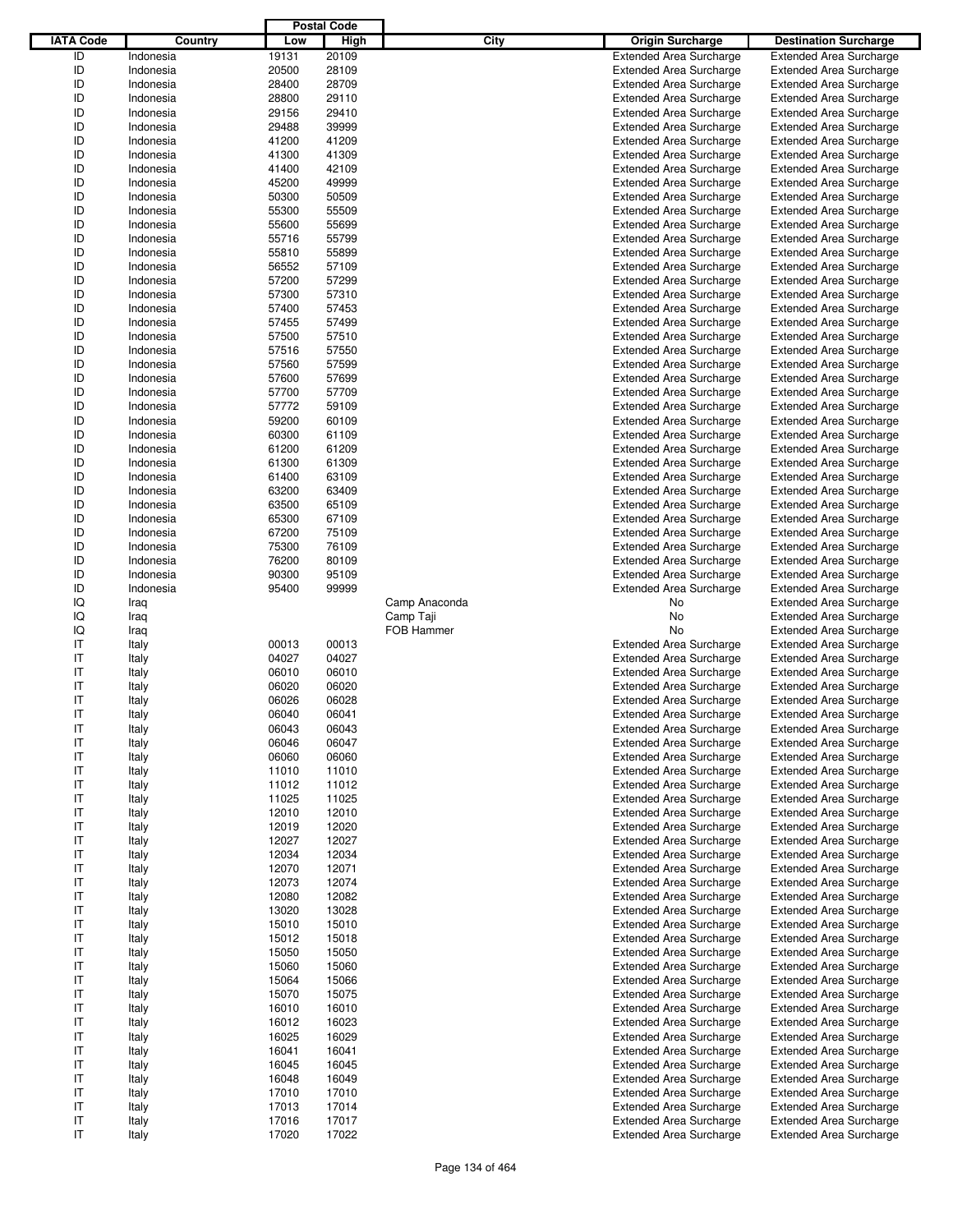|                  |           |       | <b>Postal Code</b> |               |                                |                                |
|------------------|-----------|-------|--------------------|---------------|--------------------------------|--------------------------------|
| <b>IATA Code</b> | Country   | Low   | High               | City          | <b>Origin Surcharge</b>        | <b>Destination Surcharge</b>   |
| ID               | Indonesia | 19131 | 20109              |               | <b>Extended Area Surcharge</b> | <b>Extended Area Surcharge</b> |
| ID               | Indonesia | 20500 | 28109              |               | <b>Extended Area Surcharge</b> | <b>Extended Area Surcharge</b> |
| ID               | Indonesia | 28400 | 28709              |               | <b>Extended Area Surcharge</b> | <b>Extended Area Surcharge</b> |
| ID               | Indonesia | 28800 | 29110              |               | <b>Extended Area Surcharge</b> | <b>Extended Area Surcharge</b> |
| ID               | Indonesia | 29156 | 29410              |               | <b>Extended Area Surcharge</b> | <b>Extended Area Surcharge</b> |
| ID               | Indonesia | 29488 | 39999              |               | <b>Extended Area Surcharge</b> | <b>Extended Area Surcharge</b> |
| ID               | Indonesia | 41200 | 41209              |               |                                |                                |
| ID               |           |       |                    |               | <b>Extended Area Surcharge</b> | <b>Extended Area Surcharge</b> |
|                  | Indonesia | 41300 | 41309              |               | <b>Extended Area Surcharge</b> | <b>Extended Area Surcharge</b> |
| ID               | Indonesia | 41400 | 42109              |               | <b>Extended Area Surcharge</b> | <b>Extended Area Surcharge</b> |
| ID               | Indonesia | 45200 | 49999              |               | <b>Extended Area Surcharge</b> | <b>Extended Area Surcharge</b> |
| ID               | Indonesia | 50300 | 50509              |               | <b>Extended Area Surcharge</b> | <b>Extended Area Surcharge</b> |
| ID               | Indonesia | 55300 | 55509              |               | <b>Extended Area Surcharge</b> | <b>Extended Area Surcharge</b> |
| ID               | Indonesia | 55600 | 55699              |               | <b>Extended Area Surcharge</b> | <b>Extended Area Surcharge</b> |
| ID               | Indonesia | 55716 | 55799              |               | <b>Extended Area Surcharge</b> | <b>Extended Area Surcharge</b> |
| ID               | Indonesia | 55810 | 55899              |               | <b>Extended Area Surcharge</b> | <b>Extended Area Surcharge</b> |
| ID               | Indonesia | 56552 | 57109              |               | <b>Extended Area Surcharge</b> | <b>Extended Area Surcharge</b> |
| ID               | Indonesia | 57200 | 57299              |               | <b>Extended Area Surcharge</b> | <b>Extended Area Surcharge</b> |
| ID               | Indonesia | 57300 | 57310              |               | <b>Extended Area Surcharge</b> | <b>Extended Area Surcharge</b> |
| ID               | Indonesia | 57400 | 57453              |               | <b>Extended Area Surcharge</b> | <b>Extended Area Surcharge</b> |
| ID               | Indonesia | 57455 | 57499              |               | <b>Extended Area Surcharge</b> | <b>Extended Area Surcharge</b> |
| ID               | Indonesia | 57500 | 57510              |               | <b>Extended Area Surcharge</b> | <b>Extended Area Surcharge</b> |
| ID               | Indonesia | 57516 | 57550              |               | <b>Extended Area Surcharge</b> | <b>Extended Area Surcharge</b> |
| ID               | Indonesia | 57560 | 57599              |               | <b>Extended Area Surcharge</b> | <b>Extended Area Surcharge</b> |
| ID               | Indonesia | 57600 | 57699              |               | <b>Extended Area Surcharge</b> | <b>Extended Area Surcharge</b> |
| ID               | Indonesia | 57700 | 57709              |               | <b>Extended Area Surcharge</b> | <b>Extended Area Surcharge</b> |
| ID               | Indonesia | 57772 | 59109              |               |                                | <b>Extended Area Surcharge</b> |
|                  |           |       |                    |               | <b>Extended Area Surcharge</b> |                                |
| ID               | Indonesia | 59200 | 60109              |               | <b>Extended Area Surcharge</b> | <b>Extended Area Surcharge</b> |
| ID               | Indonesia | 60300 | 61109              |               | <b>Extended Area Surcharge</b> | <b>Extended Area Surcharge</b> |
| ID               | Indonesia | 61200 | 61209              |               | <b>Extended Area Surcharge</b> | <b>Extended Area Surcharge</b> |
| ID               | Indonesia | 61300 | 61309              |               | <b>Extended Area Surcharge</b> | <b>Extended Area Surcharge</b> |
| ID               | Indonesia | 61400 | 63109              |               | <b>Extended Area Surcharge</b> | <b>Extended Area Surcharge</b> |
| ID               | Indonesia | 63200 | 63409              |               | <b>Extended Area Surcharge</b> | <b>Extended Area Surcharge</b> |
| ID               | Indonesia | 63500 | 65109              |               | <b>Extended Area Surcharge</b> | <b>Extended Area Surcharge</b> |
| ID               | Indonesia | 65300 | 67109              |               | <b>Extended Area Surcharge</b> | <b>Extended Area Surcharge</b> |
| ID               | Indonesia | 67200 | 75109              |               | <b>Extended Area Surcharge</b> | <b>Extended Area Surcharge</b> |
| ID               | Indonesia | 75300 | 76109              |               | <b>Extended Area Surcharge</b> | <b>Extended Area Surcharge</b> |
| ID               | Indonesia | 76200 | 80109              |               | <b>Extended Area Surcharge</b> | <b>Extended Area Surcharge</b> |
| ID               | Indonesia | 90300 | 95109              |               | <b>Extended Area Surcharge</b> | <b>Extended Area Surcharge</b> |
| ID               | Indonesia | 95400 | 99999              |               | <b>Extended Area Surcharge</b> | <b>Extended Area Surcharge</b> |
| IQ               | Iraq      |       |                    | Camp Anaconda | No                             | <b>Extended Area Surcharge</b> |
| IQ               | Iraq      |       |                    | Camp Taji     | No                             | <b>Extended Area Surcharge</b> |
| IQ               | Iraq      |       |                    | FOB Hammer    | No                             | <b>Extended Area Surcharge</b> |
| IT               | Italy     | 00013 | 00013              |               | <b>Extended Area Surcharge</b> | <b>Extended Area Surcharge</b> |
| IT               | Italy     | 04027 | 04027              |               | <b>Extended Area Surcharge</b> | <b>Extended Area Surcharge</b> |
| IT               |           | 06010 | 06010              |               | <b>Extended Area Surcharge</b> | <b>Extended Area Surcharge</b> |
| IT               | Italy     |       |                    |               | <b>Extended Area Surcharge</b> |                                |
|                  | Italy     | 06020 | 06020              |               |                                | <b>Extended Area Surcharge</b> |
| IT               | Italy     | 06026 | 06028              |               | <b>Extended Area Surcharge</b> | <b>Extended Area Surcharge</b> |
| IT               | Italy     | 06040 | 06041              |               | <b>Extended Area Surcharge</b> | <b>Extended Area Surcharge</b> |
| IT               | Italy     | 06043 | 06043              |               | <b>Extended Area Surcharge</b> | <b>Extended Area Surcharge</b> |
| IT               | Italy     | 06046 | 06047              |               | <b>Extended Area Surcharge</b> | <b>Extended Area Surcharge</b> |
| IT               | Italy     | 06060 | 06060              |               | <b>Extended Area Surcharge</b> | <b>Extended Area Surcharge</b> |
| IT               | Italy     | 11010 | 11010              |               | <b>Extended Area Surcharge</b> | <b>Extended Area Surcharge</b> |
| IT               | Italy     | 11012 | 11012              |               | <b>Extended Area Surcharge</b> | <b>Extended Area Surcharge</b> |
| IT               | Italy     | 11025 | 11025              |               | <b>Extended Area Surcharge</b> | <b>Extended Area Surcharge</b> |
| IT               | Italy     | 12010 | 12010              |               | <b>Extended Area Surcharge</b> | <b>Extended Area Surcharge</b> |
| IT               | Italy     | 12019 | 12020              |               | <b>Extended Area Surcharge</b> | <b>Extended Area Surcharge</b> |
| IT               | Italy     | 12027 | 12027              |               | <b>Extended Area Surcharge</b> | <b>Extended Area Surcharge</b> |
| IT               | Italy     | 12034 | 12034              |               | <b>Extended Area Surcharge</b> | <b>Extended Area Surcharge</b> |
| IT               | Italy     | 12070 | 12071              |               | <b>Extended Area Surcharge</b> | <b>Extended Area Surcharge</b> |
| IT               | Italy     | 12073 | 12074              |               | <b>Extended Area Surcharge</b> | <b>Extended Area Surcharge</b> |
| IT               | Italy     | 12080 | 12082              |               | <b>Extended Area Surcharge</b> | <b>Extended Area Surcharge</b> |
| IT               | Italy     | 13020 | 13028              |               | <b>Extended Area Surcharge</b> | <b>Extended Area Surcharge</b> |
| IT               | Italy     | 15010 | 15010              |               | <b>Extended Area Surcharge</b> | <b>Extended Area Surcharge</b> |
| IT               |           | 15012 | 15018              |               | <b>Extended Area Surcharge</b> | <b>Extended Area Surcharge</b> |
|                  | Italy     |       |                    |               |                                |                                |
| IT               | Italy     | 15050 | 15050              |               | <b>Extended Area Surcharge</b> | <b>Extended Area Surcharge</b> |
| IT               | Italy     | 15060 | 15060              |               | <b>Extended Area Surcharge</b> | <b>Extended Area Surcharge</b> |
| IT               | Italy     | 15064 | 15066              |               | <b>Extended Area Surcharge</b> | <b>Extended Area Surcharge</b> |
| IT               | Italy     | 15070 | 15075              |               | <b>Extended Area Surcharge</b> | <b>Extended Area Surcharge</b> |
| IT               | Italy     | 16010 | 16010              |               | <b>Extended Area Surcharge</b> | <b>Extended Area Surcharge</b> |
| IT               | Italy     | 16012 | 16023              |               | <b>Extended Area Surcharge</b> | <b>Extended Area Surcharge</b> |
| IT               | Italy     | 16025 | 16029              |               | <b>Extended Area Surcharge</b> | <b>Extended Area Surcharge</b> |
| IT               | Italy     | 16041 | 16041              |               | <b>Extended Area Surcharge</b> | <b>Extended Area Surcharge</b> |
| IT               | Italy     | 16045 | 16045              |               | <b>Extended Area Surcharge</b> | <b>Extended Area Surcharge</b> |
| IT               | Italy     | 16048 | 16049              |               | <b>Extended Area Surcharge</b> | <b>Extended Area Surcharge</b> |
| IT               | Italy     | 17010 | 17010              |               | <b>Extended Area Surcharge</b> | <b>Extended Area Surcharge</b> |
| IT               | Italy     | 17013 | 17014              |               | <b>Extended Area Surcharge</b> | <b>Extended Area Surcharge</b> |
| IT               | Italy     | 17016 | 17017              |               | <b>Extended Area Surcharge</b> | <b>Extended Area Surcharge</b> |
| IT               | Italy     | 17020 | 17022              |               | <b>Extended Area Surcharge</b> | <b>Extended Area Surcharge</b> |
|                  |           |       |                    |               |                                |                                |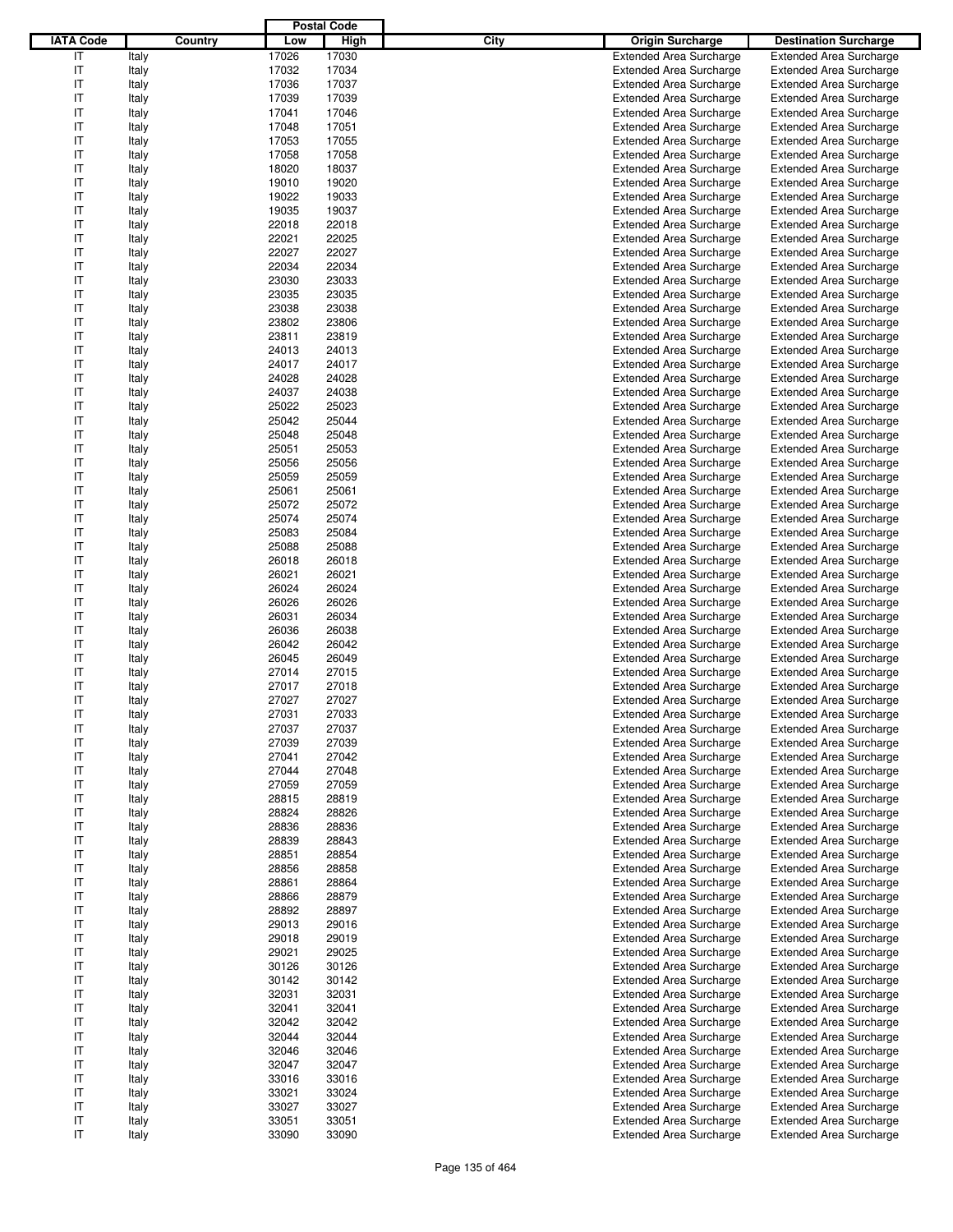|                  |         |       | <b>Postal Code</b> |                                        |                                |
|------------------|---------|-------|--------------------|----------------------------------------|--------------------------------|
| <b>IATA Code</b> | Country | Low   | High               | <b>City</b><br><b>Origin Surcharge</b> | <b>Destination Surcharge</b>   |
| IT               | Italy   | 17026 | 17030              | <b>Extended Area Surcharge</b>         | <b>Extended Area Surcharge</b> |
| IT               | Italy   | 17032 | 17034              | <b>Extended Area Surcharge</b>         | <b>Extended Area Surcharge</b> |
| IT               | Italy   | 17036 | 17037              | <b>Extended Area Surcharge</b>         | <b>Extended Area Surcharge</b> |
| IT               | Italy   | 17039 | 17039              | <b>Extended Area Surcharge</b>         | <b>Extended Area Surcharge</b> |
| IT               | Italy   | 17041 | 17046              | <b>Extended Area Surcharge</b>         | <b>Extended Area Surcharge</b> |
| IT               | Italy   | 17048 | 17051              | <b>Extended Area Surcharge</b>         | <b>Extended Area Surcharge</b> |
| IT               | Italy   | 17053 | 17055              | <b>Extended Area Surcharge</b>         | <b>Extended Area Surcharge</b> |
| IT               | Italy   | 17058 | 17058              | <b>Extended Area Surcharge</b>         | <b>Extended Area Surcharge</b> |
| IT               | Italy   | 18020 | 18037              | <b>Extended Area Surcharge</b>         | <b>Extended Area Surcharge</b> |
| IT               |         | 19010 | 19020              |                                        |                                |
|                  | Italy   |       |                    | <b>Extended Area Surcharge</b>         | <b>Extended Area Surcharge</b> |
| IT               | Italy   | 19022 | 19033              | <b>Extended Area Surcharge</b>         | <b>Extended Area Surcharge</b> |
| IT               | Italy   | 19035 | 19037              | <b>Extended Area Surcharge</b>         | <b>Extended Area Surcharge</b> |
| IT               | Italy   | 22018 | 22018              | <b>Extended Area Surcharge</b>         | <b>Extended Area Surcharge</b> |
| IT               | Italy   | 22021 | 22025              | <b>Extended Area Surcharge</b>         | <b>Extended Area Surcharge</b> |
| IT               | Italy   | 22027 | 22027              | <b>Extended Area Surcharge</b>         | <b>Extended Area Surcharge</b> |
| IT               | Italy   | 22034 | 22034              | <b>Extended Area Surcharge</b>         | <b>Extended Area Surcharge</b> |
| IT               | Italy   | 23030 | 23033              | <b>Extended Area Surcharge</b>         | <b>Extended Area Surcharge</b> |
| IT               | Italy   | 23035 | 23035              | <b>Extended Area Surcharge</b>         | <b>Extended Area Surcharge</b> |
| IT               | Italy   | 23038 | 23038              | <b>Extended Area Surcharge</b>         | <b>Extended Area Surcharge</b> |
| IT               | Italy   | 23802 | 23806              | <b>Extended Area Surcharge</b>         | <b>Extended Area Surcharge</b> |
| IT               | Italy   | 23811 | 23819              | <b>Extended Area Surcharge</b>         | <b>Extended Area Surcharge</b> |
| IT               | Italy   | 24013 | 24013              | <b>Extended Area Surcharge</b>         | <b>Extended Area Surcharge</b> |
| IT               | Italy   | 24017 | 24017              | <b>Extended Area Surcharge</b>         | <b>Extended Area Surcharge</b> |
| IT               | Italy   | 24028 | 24028              | <b>Extended Area Surcharge</b>         | <b>Extended Area Surcharge</b> |
| IT               | Italy   | 24037 | 24038              | <b>Extended Area Surcharge</b>         | <b>Extended Area Surcharge</b> |
| IT               | Italy   | 25022 | 25023              | <b>Extended Area Surcharge</b>         | <b>Extended Area Surcharge</b> |
| IT               | Italy   | 25042 | 25044              | <b>Extended Area Surcharge</b>         | <b>Extended Area Surcharge</b> |
| IT               | Italy   | 25048 | 25048              | <b>Extended Area Surcharge</b>         | <b>Extended Area Surcharge</b> |
| IT               | Italy   | 25051 | 25053              | <b>Extended Area Surcharge</b>         | <b>Extended Area Surcharge</b> |
| IT               | Italy   | 25056 | 25056              | <b>Extended Area Surcharge</b>         | <b>Extended Area Surcharge</b> |
| IT               | Italy   | 25059 | 25059              | <b>Extended Area Surcharge</b>         | <b>Extended Area Surcharge</b> |
| IT               | Italy   | 25061 | 25061              | <b>Extended Area Surcharge</b>         | <b>Extended Area Surcharge</b> |
| IT               | Italy   | 25072 | 25072              | <b>Extended Area Surcharge</b>         | <b>Extended Area Surcharge</b> |
| IT               | Italy   | 25074 | 25074              | <b>Extended Area Surcharge</b>         | <b>Extended Area Surcharge</b> |
| IT               | Italy   | 25083 | 25084              | <b>Extended Area Surcharge</b>         | <b>Extended Area Surcharge</b> |
| IT               | Italy   | 25088 | 25088              | <b>Extended Area Surcharge</b>         | <b>Extended Area Surcharge</b> |
| IT               | Italy   | 26018 | 26018              | <b>Extended Area Surcharge</b>         | <b>Extended Area Surcharge</b> |
| IT               | Italy   | 26021 | 26021              | <b>Extended Area Surcharge</b>         | <b>Extended Area Surcharge</b> |
| IT               | Italy   | 26024 | 26024              | <b>Extended Area Surcharge</b>         | <b>Extended Area Surcharge</b> |
| IT               |         | 26026 | 26026              | <b>Extended Area Surcharge</b>         | <b>Extended Area Surcharge</b> |
|                  | Italy   |       |                    |                                        |                                |
| IT               | Italy   | 26031 | 26034              | <b>Extended Area Surcharge</b>         | <b>Extended Area Surcharge</b> |
| IT               | Italy   | 26036 | 26038              | <b>Extended Area Surcharge</b>         | <b>Extended Area Surcharge</b> |
| IT               | Italy   | 26042 | 26042              | <b>Extended Area Surcharge</b>         | <b>Extended Area Surcharge</b> |
| IT               | Italy   | 26045 | 26049              | <b>Extended Area Surcharge</b>         | <b>Extended Area Surcharge</b> |
| IT               | Italy   | 27014 | 27015              | <b>Extended Area Surcharge</b>         | <b>Extended Area Surcharge</b> |
| IT               | Italy   | 27017 | 27018              | <b>Extended Area Surcharge</b>         | <b>Extended Area Surcharge</b> |
| IT               | Italy   | 27027 | 27027              | <b>Extended Area Surcharge</b>         | <b>Extended Area Surcharge</b> |
| IT               | Italy   | 27031 | 27033              | <b>Extended Area Surcharge</b>         | <b>Extended Area Surcharge</b> |
| IT               | Italy   | 27037 | 27037              | <b>Extended Area Surcharge</b>         | <b>Extended Area Surcharge</b> |
| IT               | Italy   | 27039 | 27039              | <b>Extended Area Surcharge</b>         | <b>Extended Area Surcharge</b> |
| ΙT               | Italy   | 27041 | 27042              | <b>Extended Area Surcharge</b>         | <b>Extended Area Surcharge</b> |
| IT               | Italy   | 27044 | 27048              | <b>Extended Area Surcharge</b>         | <b>Extended Area Surcharge</b> |
| IT               | Italy   | 27059 | 27059              | <b>Extended Area Surcharge</b>         | <b>Extended Area Surcharge</b> |
| ΙT               | Italy   | 28815 | 28819              | <b>Extended Area Surcharge</b>         | <b>Extended Area Surcharge</b> |
| ΙT               | Italy   | 28824 | 28826              | <b>Extended Area Surcharge</b>         | <b>Extended Area Surcharge</b> |
| IT               | Italy   | 28836 | 28836              | <b>Extended Area Surcharge</b>         | <b>Extended Area Surcharge</b> |
| IT               | Italy   | 28839 | 28843              | <b>Extended Area Surcharge</b>         | <b>Extended Area Surcharge</b> |
| ΙT               | Italy   | 28851 | 28854              | <b>Extended Area Surcharge</b>         | <b>Extended Area Surcharge</b> |
| ΙT               | Italy   | 28856 | 28858              | <b>Extended Area Surcharge</b>         | <b>Extended Area Surcharge</b> |
| IT               | Italy   | 28861 | 28864              | <b>Extended Area Surcharge</b>         | <b>Extended Area Surcharge</b> |
| IT               | Italy   | 28866 | 28879              | <b>Extended Area Surcharge</b>         | <b>Extended Area Surcharge</b> |
| ΙT               | Italy   | 28892 | 28897              | <b>Extended Area Surcharge</b>         | <b>Extended Area Surcharge</b> |
| ΙT               | Italy   | 29013 | 29016              | <b>Extended Area Surcharge</b>         | <b>Extended Area Surcharge</b> |
| IT               | Italy   | 29018 | 29019              | <b>Extended Area Surcharge</b>         | <b>Extended Area Surcharge</b> |
| IT               | Italy   | 29021 | 29025              | <b>Extended Area Surcharge</b>         | <b>Extended Area Surcharge</b> |
| ΙT               | Italy   | 30126 | 30126              | <b>Extended Area Surcharge</b>         | <b>Extended Area Surcharge</b> |
| ΙT               | Italy   | 30142 | 30142              | <b>Extended Area Surcharge</b>         | <b>Extended Area Surcharge</b> |
| IT               | Italy   | 32031 | 32031              | <b>Extended Area Surcharge</b>         | <b>Extended Area Surcharge</b> |
| IT               | Italy   | 32041 | 32041              | <b>Extended Area Surcharge</b>         | <b>Extended Area Surcharge</b> |
| ΙT               | Italy   | 32042 | 32042              | <b>Extended Area Surcharge</b>         | <b>Extended Area Surcharge</b> |
| IT               | Italy   | 32044 | 32044              | <b>Extended Area Surcharge</b>         | <b>Extended Area Surcharge</b> |
| IT               | Italy   | 32046 | 32046              | <b>Extended Area Surcharge</b>         | <b>Extended Area Surcharge</b> |
| IT               | Italy   | 32047 | 32047              | <b>Extended Area Surcharge</b>         | <b>Extended Area Surcharge</b> |
| IT               | Italy   | 33016 | 33016              | <b>Extended Area Surcharge</b>         | <b>Extended Area Surcharge</b> |
| IT               | Italy   | 33021 | 33024              | <b>Extended Area Surcharge</b>         | <b>Extended Area Surcharge</b> |
| IT               | Italy   | 33027 | 33027              | <b>Extended Area Surcharge</b>         | <b>Extended Area Surcharge</b> |
| IT               | Italy   | 33051 | 33051              | <b>Extended Area Surcharge</b>         | <b>Extended Area Surcharge</b> |
| ΙT               | Italy   | 33090 | 33090              | <b>Extended Area Surcharge</b>         | <b>Extended Area Surcharge</b> |
|                  |         |       |                    |                                        |                                |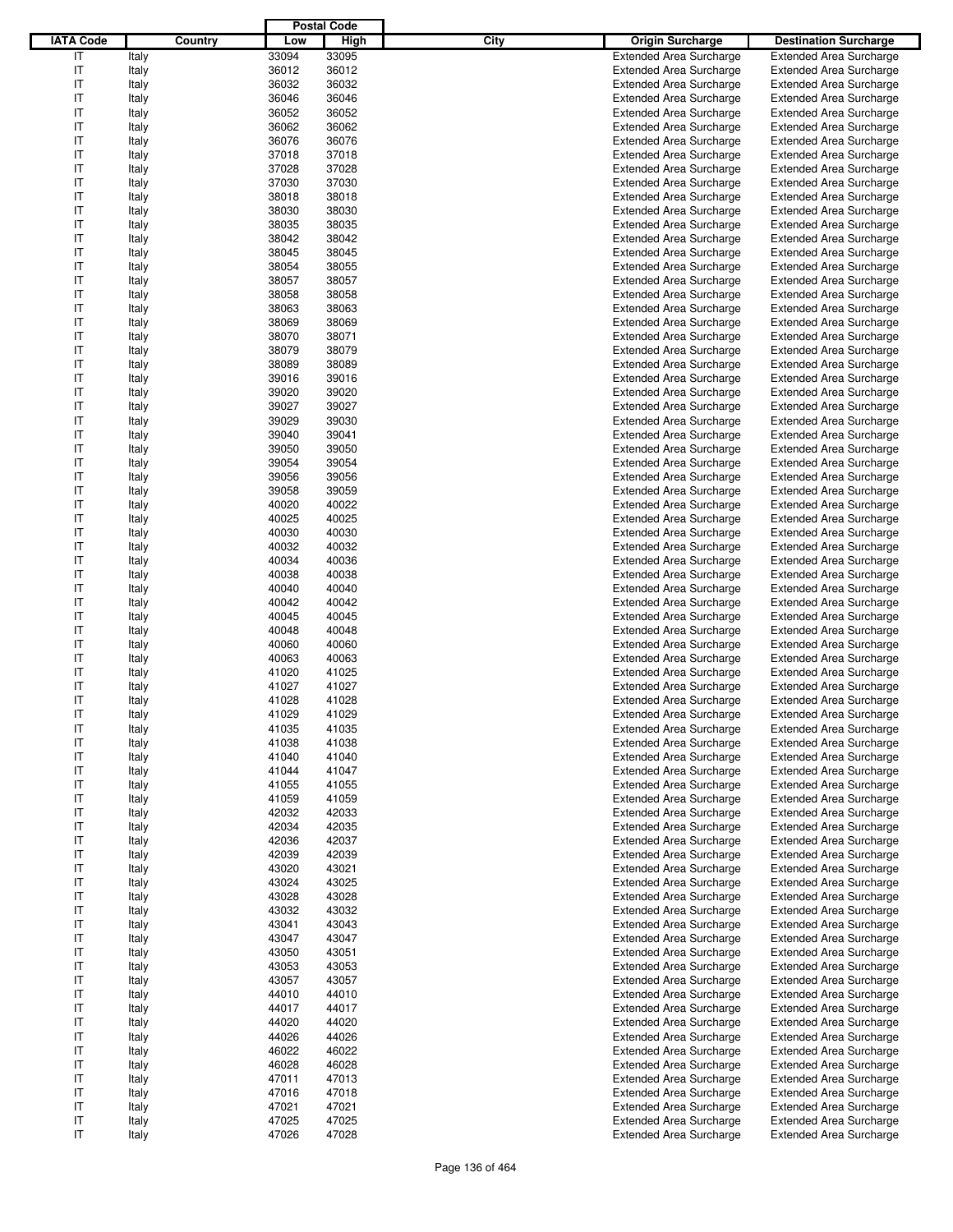|                  |         |       | <b>Postal Code</b> |                                        |                                |
|------------------|---------|-------|--------------------|----------------------------------------|--------------------------------|
| <b>IATA Code</b> | Country | Low   | High               | <b>City</b><br><b>Origin Surcharge</b> | <b>Destination Surcharge</b>   |
| IT               | Italy   | 33094 | 33095              | <b>Extended Area Surcharge</b>         | <b>Extended Area Surcharge</b> |
| IT               | Italy   | 36012 | 36012              | <b>Extended Area Surcharge</b>         | <b>Extended Area Surcharge</b> |
| IT               | Italy   | 36032 | 36032              | <b>Extended Area Surcharge</b>         | <b>Extended Area Surcharge</b> |
| IT               | Italy   | 36046 | 36046              | <b>Extended Area Surcharge</b>         | <b>Extended Area Surcharge</b> |
| IT               | Italy   | 36052 | 36052              | <b>Extended Area Surcharge</b>         | <b>Extended Area Surcharge</b> |
| IT               | Italy   | 36062 | 36062              | <b>Extended Area Surcharge</b>         | <b>Extended Area Surcharge</b> |
| IT               |         | 36076 | 36076              | <b>Extended Area Surcharge</b>         |                                |
|                  | Italy   |       |                    |                                        | <b>Extended Area Surcharge</b> |
| IT               | Italy   | 37018 | 37018              | <b>Extended Area Surcharge</b>         | <b>Extended Area Surcharge</b> |
| IT               | Italy   | 37028 | 37028              | <b>Extended Area Surcharge</b>         | <b>Extended Area Surcharge</b> |
| IT               | Italy   | 37030 | 37030              | <b>Extended Area Surcharge</b>         | <b>Extended Area Surcharge</b> |
| IT               | Italy   | 38018 | 38018              | <b>Extended Area Surcharge</b>         | <b>Extended Area Surcharge</b> |
| IT               | Italy   | 38030 | 38030              | <b>Extended Area Surcharge</b>         | <b>Extended Area Surcharge</b> |
| IT               | Italy   | 38035 | 38035              | <b>Extended Area Surcharge</b>         | <b>Extended Area Surcharge</b> |
| IT               | Italy   | 38042 | 38042              | <b>Extended Area Surcharge</b>         | <b>Extended Area Surcharge</b> |
| IT               | Italy   | 38045 | 38045              | <b>Extended Area Surcharge</b>         | <b>Extended Area Surcharge</b> |
| IT               | Italy   | 38054 | 38055              | <b>Extended Area Surcharge</b>         | <b>Extended Area Surcharge</b> |
| IT               | Italy   | 38057 | 38057              | <b>Extended Area Surcharge</b>         | <b>Extended Area Surcharge</b> |
| IT               | Italy   | 38058 | 38058              | <b>Extended Area Surcharge</b>         | <b>Extended Area Surcharge</b> |
| IT               | Italy   | 38063 | 38063              | <b>Extended Area Surcharge</b>         | <b>Extended Area Surcharge</b> |
| IT               | Italy   | 38069 | 38069              | <b>Extended Area Surcharge</b>         | <b>Extended Area Surcharge</b> |
| IT               | Italy   | 38070 | 38071              | <b>Extended Area Surcharge</b>         | <b>Extended Area Surcharge</b> |
| IT               | Italy   | 38079 | 38079              | <b>Extended Area Surcharge</b>         | <b>Extended Area Surcharge</b> |
| IT               | Italy   | 38089 | 38089              | <b>Extended Area Surcharge</b>         | <b>Extended Area Surcharge</b> |
| IT               | Italy   | 39016 | 39016              | <b>Extended Area Surcharge</b>         | <b>Extended Area Surcharge</b> |
|                  |         |       |                    |                                        |                                |
| IT               | Italy   | 39020 | 39020              | <b>Extended Area Surcharge</b>         | <b>Extended Area Surcharge</b> |
| IT               | Italy   | 39027 | 39027              | <b>Extended Area Surcharge</b>         | <b>Extended Area Surcharge</b> |
| IT               | Italy   | 39029 | 39030              | <b>Extended Area Surcharge</b>         | <b>Extended Area Surcharge</b> |
| IT               | Italy   | 39040 | 39041              | <b>Extended Area Surcharge</b>         | <b>Extended Area Surcharge</b> |
| IT               | Italy   | 39050 | 39050              | <b>Extended Area Surcharge</b>         | <b>Extended Area Surcharge</b> |
| IT               | Italy   | 39054 | 39054              | <b>Extended Area Surcharge</b>         | <b>Extended Area Surcharge</b> |
| IT               | Italy   | 39056 | 39056              | <b>Extended Area Surcharge</b>         | <b>Extended Area Surcharge</b> |
| IT               | Italy   | 39058 | 39059              | <b>Extended Area Surcharge</b>         | <b>Extended Area Surcharge</b> |
| IT               | Italy   | 40020 | 40022              | <b>Extended Area Surcharge</b>         | <b>Extended Area Surcharge</b> |
| IT               | Italy   | 40025 | 40025              | <b>Extended Area Surcharge</b>         | <b>Extended Area Surcharge</b> |
| IT               | Italy   | 40030 | 40030              | <b>Extended Area Surcharge</b>         | <b>Extended Area Surcharge</b> |
| IT               | Italy   | 40032 | 40032              | <b>Extended Area Surcharge</b>         | <b>Extended Area Surcharge</b> |
| IT               | Italy   | 40034 | 40036              | <b>Extended Area Surcharge</b>         | <b>Extended Area Surcharge</b> |
| IT               | Italy   | 40038 | 40038              | <b>Extended Area Surcharge</b>         | <b>Extended Area Surcharge</b> |
| IT               | Italy   | 40040 | 40040              | <b>Extended Area Surcharge</b>         | <b>Extended Area Surcharge</b> |
| IT               | Italy   | 40042 | 40042              | <b>Extended Area Surcharge</b>         | <b>Extended Area Surcharge</b> |
| IT               | Italy   | 40045 | 40045              | <b>Extended Area Surcharge</b>         | <b>Extended Area Surcharge</b> |
| IT               | Italy   | 40048 | 40048              | <b>Extended Area Surcharge</b>         | <b>Extended Area Surcharge</b> |
|                  |         |       |                    |                                        | <b>Extended Area Surcharge</b> |
| IT               | Italy   | 40060 | 40060              | <b>Extended Area Surcharge</b>         |                                |
| IT               | Italy   | 40063 | 40063              | <b>Extended Area Surcharge</b>         | <b>Extended Area Surcharge</b> |
| IT               | Italy   | 41020 | 41025              | <b>Extended Area Surcharge</b>         | <b>Extended Area Surcharge</b> |
| IT               | Italy   | 41027 | 41027              | <b>Extended Area Surcharge</b>         | <b>Extended Area Surcharge</b> |
| IT               | Italy   | 41028 | 41028              | <b>Extended Area Surcharge</b>         | <b>Extended Area Surcharge</b> |
| IT               | Italy   | 41029 | 41029              | <b>Extended Area Surcharge</b>         | <b>Extended Area Surcharge</b> |
| IT               | Italy   | 41035 | 41035              | <b>Extended Area Surcharge</b>         | <b>Extended Area Surcharge</b> |
| IT               | Italy   | 41038 | 41038              | <b>Extended Area Surcharge</b>         | <b>Extended Area Surcharge</b> |
| ΙT               | Italy   | 41040 | 41040              | <b>Extended Area Surcharge</b>         | <b>Extended Area Surcharge</b> |
| IT               | Italy   | 41044 | 41047              | <b>Extended Area Surcharge</b>         | <b>Extended Area Surcharge</b> |
| IT               | Italy   | 41055 | 41055              | <b>Extended Area Surcharge</b>         | <b>Extended Area Surcharge</b> |
| ΙT               | Italy   | 41059 | 41059              | <b>Extended Area Surcharge</b>         | <b>Extended Area Surcharge</b> |
| ΙT               | Italy   | 42032 | 42033              | <b>Extended Area Surcharge</b>         | <b>Extended Area Surcharge</b> |
| IT               | Italy   | 42034 | 42035              | <b>Extended Area Surcharge</b>         | <b>Extended Area Surcharge</b> |
| IT               | Italy   | 42036 | 42037              | <b>Extended Area Surcharge</b>         | <b>Extended Area Surcharge</b> |
| ΙT               | Italy   | 42039 | 42039              | <b>Extended Area Surcharge</b>         | <b>Extended Area Surcharge</b> |
| ΙT               | Italy   | 43020 | 43021              | <b>Extended Area Surcharge</b>         | <b>Extended Area Surcharge</b> |
| IT               | Italy   | 43024 | 43025              | <b>Extended Area Surcharge</b>         | <b>Extended Area Surcharge</b> |
| ΙT               |         | 43028 | 43028              | <b>Extended Area Surcharge</b>         | <b>Extended Area Surcharge</b> |
|                  | Italy   |       |                    |                                        |                                |
| ΙT               | Italy   | 43032 | 43032              | <b>Extended Area Surcharge</b>         | <b>Extended Area Surcharge</b> |
| ΙT               | Italy   | 43041 | 43043              | <b>Extended Area Surcharge</b>         | <b>Extended Area Surcharge</b> |
| IT               | Italy   | 43047 | 43047              | <b>Extended Area Surcharge</b>         | <b>Extended Area Surcharge</b> |
| ΙT               | Italy   | 43050 | 43051              | <b>Extended Area Surcharge</b>         | <b>Extended Area Surcharge</b> |
| ΙT               | Italy   | 43053 | 43053              | <b>Extended Area Surcharge</b>         | <b>Extended Area Surcharge</b> |
| ΙT               | Italy   | 43057 | 43057              | <b>Extended Area Surcharge</b>         | <b>Extended Area Surcharge</b> |
| IT               | Italy   | 44010 | 44010              | <b>Extended Area Surcharge</b>         | <b>Extended Area Surcharge</b> |
| ΙT               | Italy   | 44017 | 44017              | <b>Extended Area Surcharge</b>         | <b>Extended Area Surcharge</b> |
| ΙT               | Italy   | 44020 | 44020              | <b>Extended Area Surcharge</b>         | <b>Extended Area Surcharge</b> |
| IT               | Italy   | 44026 | 44026              | <b>Extended Area Surcharge</b>         | <b>Extended Area Surcharge</b> |
| IT               | Italy   | 46022 | 46022              | <b>Extended Area Surcharge</b>         | <b>Extended Area Surcharge</b> |
| ΙT               | Italy   | 46028 | 46028              | <b>Extended Area Surcharge</b>         | <b>Extended Area Surcharge</b> |
| ΙT               | Italy   | 47011 | 47013              | <b>Extended Area Surcharge</b>         | <b>Extended Area Surcharge</b> |
| IT               | Italy   | 47016 | 47018              | <b>Extended Area Surcharge</b>         | <b>Extended Area Surcharge</b> |
| IT               | Italy   | 47021 | 47021              | <b>Extended Area Surcharge</b>         | <b>Extended Area Surcharge</b> |
| IT               | Italy   | 47025 | 47025              | <b>Extended Area Surcharge</b>         | <b>Extended Area Surcharge</b> |
| IT               |         |       |                    |                                        |                                |
|                  | Italy   | 47026 | 47028              | <b>Extended Area Surcharge</b>         | <b>Extended Area Surcharge</b> |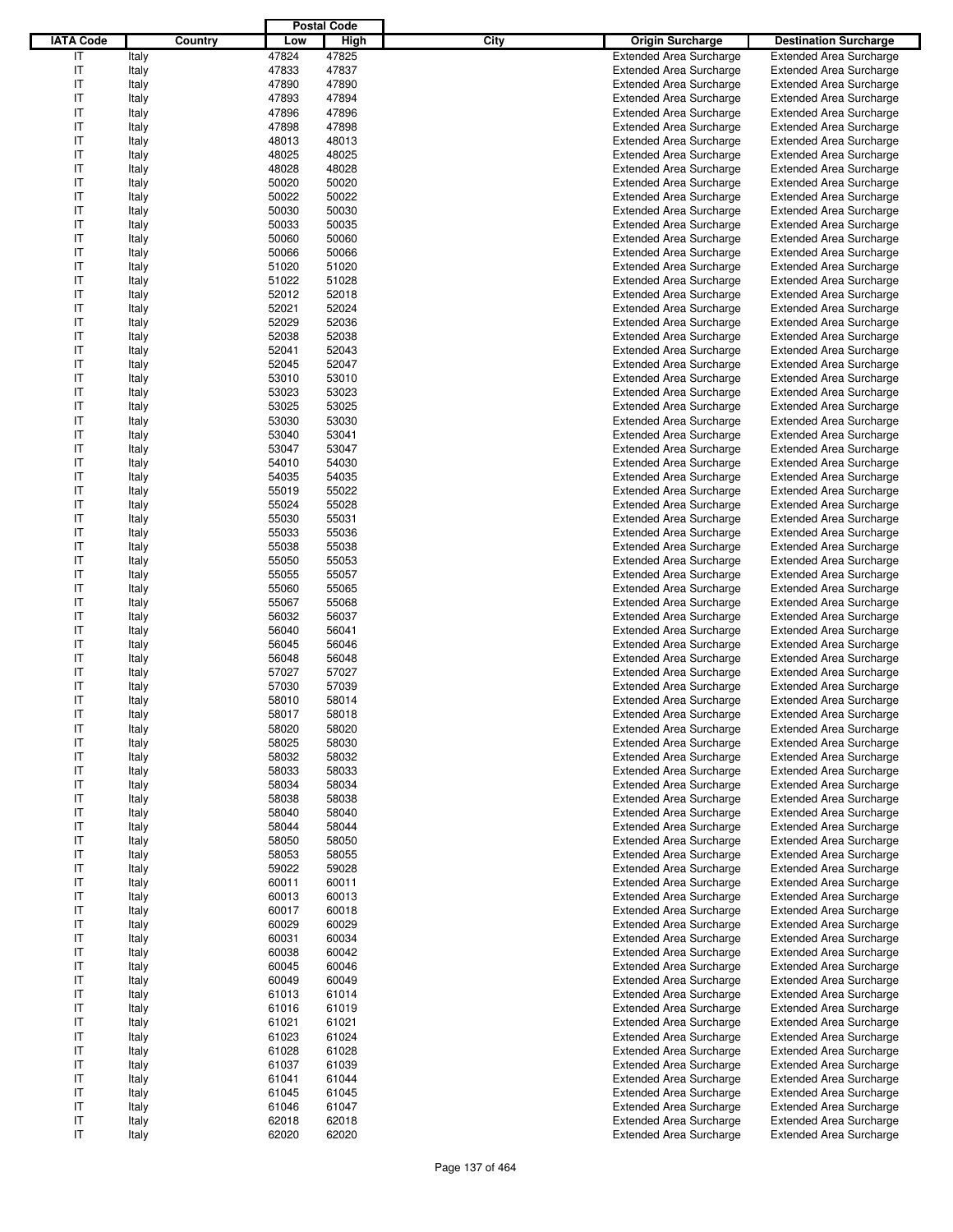|                  |                |                | <b>Postal Code</b> |                                                                  |                                                                  |
|------------------|----------------|----------------|--------------------|------------------------------------------------------------------|------------------------------------------------------------------|
| <b>IATA Code</b> | Country        | Low            | High               | <b>City</b><br><b>Origin Surcharge</b>                           | <b>Destination Surcharge</b>                                     |
| IT               | Italy          | 47824          | 47825              | <b>Extended Area Surcharge</b>                                   | <b>Extended Area Surcharge</b>                                   |
| IT               | Italy          | 47833          | 47837              | <b>Extended Area Surcharge</b>                                   | <b>Extended Area Surcharge</b>                                   |
| IT               | Italy          | 47890          | 47890              | <b>Extended Area Surcharge</b>                                   | <b>Extended Area Surcharge</b>                                   |
| IT               | Italy          | 47893          | 47894              | <b>Extended Area Surcharge</b>                                   | <b>Extended Area Surcharge</b>                                   |
| IT               | Italy          | 47896          | 47896              | <b>Extended Area Surcharge</b>                                   | <b>Extended Area Surcharge</b>                                   |
| IT               | Italy          | 47898          | 47898              | <b>Extended Area Surcharge</b>                                   | <b>Extended Area Surcharge</b>                                   |
| IT               | Italy          | 48013          | 48013              | <b>Extended Area Surcharge</b>                                   | <b>Extended Area Surcharge</b>                                   |
| IT               | Italy          | 48025          | 48025              | <b>Extended Area Surcharge</b>                                   | <b>Extended Area Surcharge</b>                                   |
| IT               | Italy          | 48028          | 48028              | <b>Extended Area Surcharge</b>                                   | <b>Extended Area Surcharge</b>                                   |
| IT               | Italy          | 50020          | 50020              | <b>Extended Area Surcharge</b>                                   | <b>Extended Area Surcharge</b>                                   |
| IT               | Italy          | 50022          | 50022              | <b>Extended Area Surcharge</b>                                   | <b>Extended Area Surcharge</b>                                   |
| IT               | Italy          | 50030          | 50030              | <b>Extended Area Surcharge</b>                                   | <b>Extended Area Surcharge</b>                                   |
| IT               | Italy          | 50033          | 50035              | <b>Extended Area Surcharge</b>                                   | <b>Extended Area Surcharge</b>                                   |
| IT               | Italy          | 50060          | 50060              | <b>Extended Area Surcharge</b>                                   | <b>Extended Area Surcharge</b>                                   |
| IT               | Italy          | 50066          | 50066              | <b>Extended Area Surcharge</b>                                   | <b>Extended Area Surcharge</b>                                   |
| IT<br>IT         | Italy          | 51020<br>51022 | 51020<br>51028     | <b>Extended Area Surcharge</b><br><b>Extended Area Surcharge</b> | <b>Extended Area Surcharge</b>                                   |
| IT               | Italy<br>Italy | 52012          | 52018              | <b>Extended Area Surcharge</b>                                   | <b>Extended Area Surcharge</b><br><b>Extended Area Surcharge</b> |
| IT               | Italy          | 52021          | 52024              | <b>Extended Area Surcharge</b>                                   | <b>Extended Area Surcharge</b>                                   |
| IT               | Italy          | 52029          | 52036              | <b>Extended Area Surcharge</b>                                   | <b>Extended Area Surcharge</b>                                   |
| IT               | Italy          | 52038          | 52038              | <b>Extended Area Surcharge</b>                                   | <b>Extended Area Surcharge</b>                                   |
| IT               | Italy          | 52041          | 52043              | <b>Extended Area Surcharge</b>                                   | <b>Extended Area Surcharge</b>                                   |
| IT               | Italy          | 52045          | 52047              | <b>Extended Area Surcharge</b>                                   | <b>Extended Area Surcharge</b>                                   |
| IT               | Italy          | 53010          | 53010              | <b>Extended Area Surcharge</b>                                   | <b>Extended Area Surcharge</b>                                   |
| IT               | Italy          | 53023          | 53023              | <b>Extended Area Surcharge</b>                                   | <b>Extended Area Surcharge</b>                                   |
| IT               | Italy          | 53025          | 53025              | <b>Extended Area Surcharge</b>                                   | <b>Extended Area Surcharge</b>                                   |
| IT               | Italy          | 53030          | 53030              | <b>Extended Area Surcharge</b>                                   | <b>Extended Area Surcharge</b>                                   |
| IT               | Italy          | 53040          | 53041              | <b>Extended Area Surcharge</b>                                   | <b>Extended Area Surcharge</b>                                   |
| IT               | Italy          | 53047          | 53047              | <b>Extended Area Surcharge</b>                                   | <b>Extended Area Surcharge</b>                                   |
| IT               | Italy          | 54010          | 54030              | <b>Extended Area Surcharge</b>                                   | <b>Extended Area Surcharge</b>                                   |
| IT               | Italy          | 54035          | 54035              | <b>Extended Area Surcharge</b>                                   | <b>Extended Area Surcharge</b>                                   |
| IT               | Italy          | 55019          | 55022              | <b>Extended Area Surcharge</b>                                   | <b>Extended Area Surcharge</b>                                   |
| IT               | Italy          | 55024          | 55028              | <b>Extended Area Surcharge</b>                                   | <b>Extended Area Surcharge</b>                                   |
| IT               | Italy          | 55030          | 55031              | <b>Extended Area Surcharge</b>                                   | <b>Extended Area Surcharge</b>                                   |
| IT               | Italy          | 55033          | 55036              | <b>Extended Area Surcharge</b>                                   | <b>Extended Area Surcharge</b>                                   |
| IT               | Italy          | 55038          | 55038              | <b>Extended Area Surcharge</b>                                   | <b>Extended Area Surcharge</b>                                   |
| IT               | Italy          | 55050          | 55053              | <b>Extended Area Surcharge</b>                                   | <b>Extended Area Surcharge</b>                                   |
| IT               | Italy          | 55055          | 55057              | <b>Extended Area Surcharge</b>                                   | <b>Extended Area Surcharge</b>                                   |
| IT               | Italy          | 55060          | 55065              | <b>Extended Area Surcharge</b>                                   | <b>Extended Area Surcharge</b>                                   |
| IT               | Italy          | 55067          | 55068              | <b>Extended Area Surcharge</b>                                   | <b>Extended Area Surcharge</b>                                   |
| IT               | Italy          | 56032          | 56037              | <b>Extended Area Surcharge</b>                                   | <b>Extended Area Surcharge</b>                                   |
| IT               | Italy          | 56040          | 56041              | <b>Extended Area Surcharge</b>                                   | <b>Extended Area Surcharge</b>                                   |
| IT               | Italy          | 56045          | 56046              | <b>Extended Area Surcharge</b>                                   | <b>Extended Area Surcharge</b>                                   |
| IT               | Italy          | 56048          | 56048              | <b>Extended Area Surcharge</b>                                   | <b>Extended Area Surcharge</b>                                   |
| IT               | Italy          | 57027          | 57027              | <b>Extended Area Surcharge</b>                                   | <b>Extended Area Surcharge</b>                                   |
| IT               | Italy          | 57030          | 57039              | <b>Extended Area Surcharge</b>                                   | <b>Extended Area Surcharge</b>                                   |
| IT               | Italy          | 58010          | 58014              | <b>Extended Area Surcharge</b>                                   | <b>Extended Area Surcharge</b>                                   |
| IT               | Italy          | 58017          | 58018              | <b>Extended Area Surcharge</b>                                   | <b>Extended Area Surcharge</b>                                   |
| IT               | Italy          | 58020          | 58020              | <b>Extended Area Surcharge</b>                                   | <b>Extended Area Surcharge</b>                                   |
| IT               | Italy          | 58025          | 58030              | <b>Extended Area Surcharge</b>                                   | <b>Extended Area Surcharge</b>                                   |
| ΙT               | Italy          | 58032          | 58032              | <b>Extended Area Surcharge</b>                                   | <b>Extended Area Surcharge</b>                                   |
| IT<br>IT         | Italy          | 58033<br>58034 | 58033              | <b>Extended Area Surcharge</b>                                   | <b>Extended Area Surcharge</b>                                   |
| ΙT               | Italy<br>Italy | 58038          | 58034<br>58038     | <b>Extended Area Surcharge</b><br><b>Extended Area Surcharge</b> | <b>Extended Area Surcharge</b><br><b>Extended Area Surcharge</b> |
| ΙT               | Italy          | 58040          | 58040              | <b>Extended Area Surcharge</b>                                   | <b>Extended Area Surcharge</b>                                   |
| IT               | Italy          | 58044          | 58044              | <b>Extended Area Surcharge</b>                                   | <b>Extended Area Surcharge</b>                                   |
| IT               | Italy          | 58050          | 58050              | <b>Extended Area Surcharge</b>                                   | <b>Extended Area Surcharge</b>                                   |
| ΙT               | Italy          | 58053          | 58055              | <b>Extended Area Surcharge</b>                                   | <b>Extended Area Surcharge</b>                                   |
| ΙT               | Italy          | 59022          | 59028              | <b>Extended Area Surcharge</b>                                   | <b>Extended Area Surcharge</b>                                   |
| IT               | Italy          | 60011          | 60011              | <b>Extended Area Surcharge</b>                                   | <b>Extended Area Surcharge</b>                                   |
| ΙT               | Italy          | 60013          | 60013              | <b>Extended Area Surcharge</b>                                   | <b>Extended Area Surcharge</b>                                   |
| ΙT               | Italy          | 60017          | 60018              | <b>Extended Area Surcharge</b>                                   | <b>Extended Area Surcharge</b>                                   |
| ΙT               | Italy          | 60029          | 60029              | <b>Extended Area Surcharge</b>                                   | <b>Extended Area Surcharge</b>                                   |
| IT               | Italy          | 60031          | 60034              | <b>Extended Area Surcharge</b>                                   | <b>Extended Area Surcharge</b>                                   |
| ΙT               | Italy          | 60038          | 60042              | <b>Extended Area Surcharge</b>                                   | <b>Extended Area Surcharge</b>                                   |
| ΙT               | Italy          | 60045          | 60046              | <b>Extended Area Surcharge</b>                                   | <b>Extended Area Surcharge</b>                                   |
| ΙT               | Italy          | 60049          | 60049              | <b>Extended Area Surcharge</b>                                   | <b>Extended Area Surcharge</b>                                   |
| IT               | Italy          | 61013          | 61014              | <b>Extended Area Surcharge</b>                                   | <b>Extended Area Surcharge</b>                                   |
| ΙT               | Italy          | 61016          | 61019              | <b>Extended Area Surcharge</b>                                   | <b>Extended Area Surcharge</b>                                   |
| ΙT               | Italy          | 61021          | 61021              | <b>Extended Area Surcharge</b>                                   | <b>Extended Area Surcharge</b>                                   |
| ΙT               | Italy          | 61023          | 61024              | <b>Extended Area Surcharge</b>                                   | <b>Extended Area Surcharge</b>                                   |
| IT               | Italy          | 61028          | 61028              | <b>Extended Area Surcharge</b>                                   | <b>Extended Area Surcharge</b>                                   |
| ΙT               | Italy          | 61037          | 61039              | <b>Extended Area Surcharge</b>                                   | <b>Extended Area Surcharge</b>                                   |
| ΙT               | Italy          | 61041          | 61044              | <b>Extended Area Surcharge</b>                                   | <b>Extended Area Surcharge</b>                                   |
| IT               | Italy          | 61045          | 61045              | <b>Extended Area Surcharge</b>                                   | <b>Extended Area Surcharge</b>                                   |
| IT               | Italy          | 61046          | 61047              | <b>Extended Area Surcharge</b>                                   | <b>Extended Area Surcharge</b>                                   |
| IT               | Italy          | 62018          | 62018              | <b>Extended Area Surcharge</b>                                   | <b>Extended Area Surcharge</b>                                   |
| ΙT               | Italy          | 62020          | 62020              | <b>Extended Area Surcharge</b>                                   | <b>Extended Area Surcharge</b>                                   |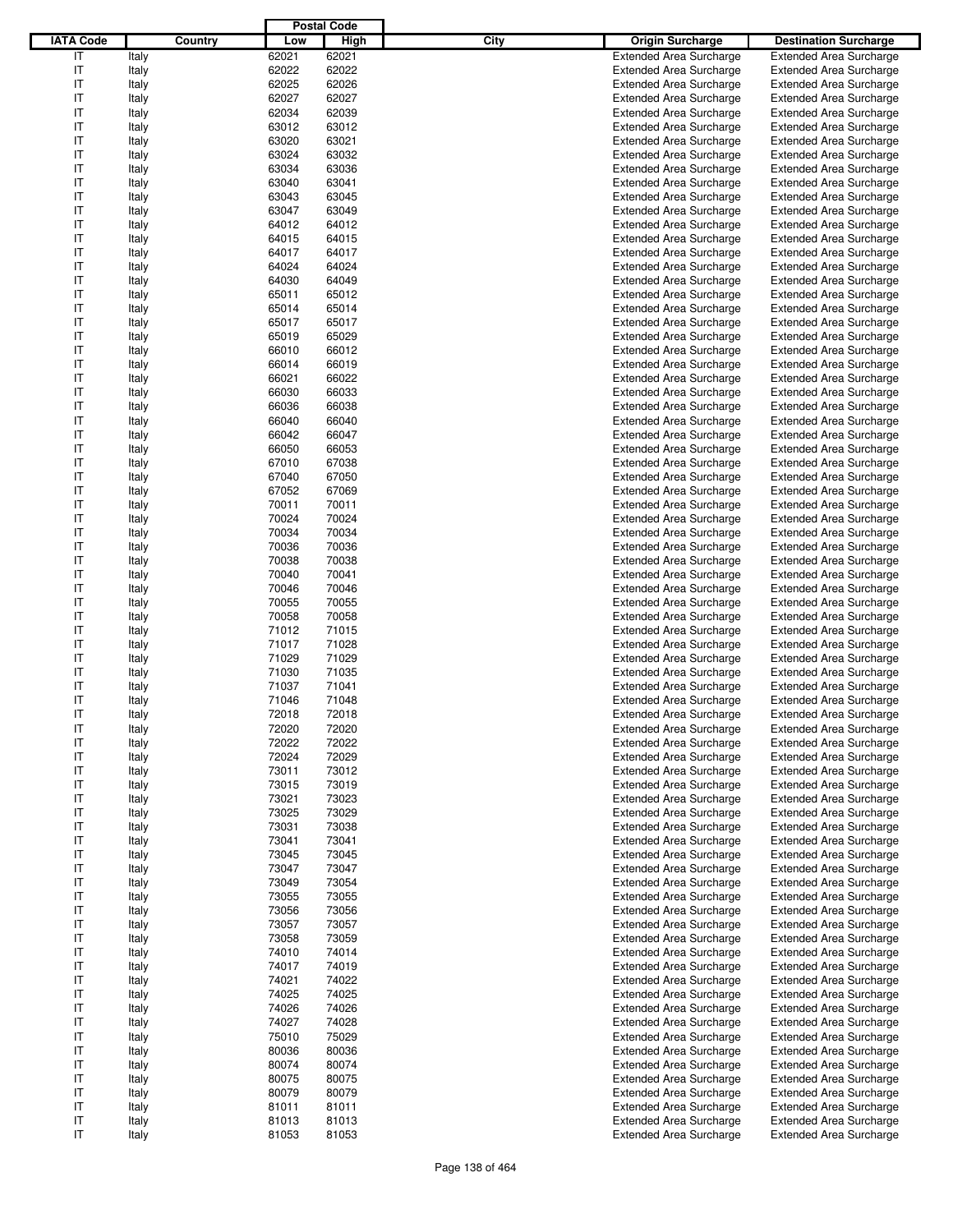|                  |                |                | <b>Postal Code</b> |                                                                  |                                                                  |
|------------------|----------------|----------------|--------------------|------------------------------------------------------------------|------------------------------------------------------------------|
| <b>IATA Code</b> | Country        | Low            | High               | <b>City</b><br><b>Origin Surcharge</b>                           | <b>Destination Surcharge</b>                                     |
| IT               | Italy          | 62021          | 62021              | <b>Extended Area Surcharge</b>                                   | <b>Extended Area Surcharge</b>                                   |
| IT               | Italy          | 62022          | 62022              | <b>Extended Area Surcharge</b>                                   | <b>Extended Area Surcharge</b>                                   |
| IT               | Italy          | 62025          | 62026              | <b>Extended Area Surcharge</b>                                   | <b>Extended Area Surcharge</b>                                   |
| IT               | Italy          | 62027          | 62027              | <b>Extended Area Surcharge</b>                                   | <b>Extended Area Surcharge</b>                                   |
| IT               | Italy          | 62034          | 62039              | <b>Extended Area Surcharge</b>                                   | <b>Extended Area Surcharge</b>                                   |
| IT               | Italy          | 63012          | 63012              | <b>Extended Area Surcharge</b>                                   | <b>Extended Area Surcharge</b>                                   |
| IT               | Italy          | 63020          | 63021              | <b>Extended Area Surcharge</b>                                   | <b>Extended Area Surcharge</b>                                   |
| IT               | Italy          | 63024          | 63032              | <b>Extended Area Surcharge</b>                                   | <b>Extended Area Surcharge</b>                                   |
| IT               | Italy          | 63034          | 63036              | <b>Extended Area Surcharge</b>                                   | <b>Extended Area Surcharge</b>                                   |
| IT               | Italy          | 63040          | 63041              | <b>Extended Area Surcharge</b>                                   | <b>Extended Area Surcharge</b>                                   |
| IT               | Italy          | 63043          | 63045              | <b>Extended Area Surcharge</b>                                   | <b>Extended Area Surcharge</b>                                   |
| IT               | Italy          | 63047          | 63049              | <b>Extended Area Surcharge</b>                                   | <b>Extended Area Surcharge</b>                                   |
| IT               | Italy          | 64012          | 64012              | <b>Extended Area Surcharge</b>                                   | <b>Extended Area Surcharge</b>                                   |
| IT               | Italy          | 64015          | 64015              | <b>Extended Area Surcharge</b>                                   | <b>Extended Area Surcharge</b>                                   |
| IT               | Italy          | 64017<br>64024 | 64017<br>64024     | <b>Extended Area Surcharge</b>                                   | <b>Extended Area Surcharge</b>                                   |
| IT<br>IT         | Italy          | 64030          | 64049              | <b>Extended Area Surcharge</b><br><b>Extended Area Surcharge</b> | <b>Extended Area Surcharge</b>                                   |
| IT               | Italy<br>Italy | 65011          | 65012              | <b>Extended Area Surcharge</b>                                   | <b>Extended Area Surcharge</b><br><b>Extended Area Surcharge</b> |
| IT               | Italy          | 65014          | 65014              | <b>Extended Area Surcharge</b>                                   | <b>Extended Area Surcharge</b>                                   |
| IT               | Italy          | 65017          | 65017              | <b>Extended Area Surcharge</b>                                   | <b>Extended Area Surcharge</b>                                   |
| IT               | Italy          | 65019          | 65029              | <b>Extended Area Surcharge</b>                                   | <b>Extended Area Surcharge</b>                                   |
| IT               | Italy          | 66010          | 66012              | <b>Extended Area Surcharge</b>                                   | <b>Extended Area Surcharge</b>                                   |
| IT               | Italy          | 66014          | 66019              | <b>Extended Area Surcharge</b>                                   | <b>Extended Area Surcharge</b>                                   |
| IT               | Italy          | 66021          | 66022              | <b>Extended Area Surcharge</b>                                   | <b>Extended Area Surcharge</b>                                   |
| IT               | Italy          | 66030          | 66033              | <b>Extended Area Surcharge</b>                                   | <b>Extended Area Surcharge</b>                                   |
| IT               | Italy          | 66036          | 66038              | <b>Extended Area Surcharge</b>                                   | <b>Extended Area Surcharge</b>                                   |
| IT               | Italy          | 66040          | 66040              | <b>Extended Area Surcharge</b>                                   | <b>Extended Area Surcharge</b>                                   |
| IT               | Italy          | 66042          | 66047              | <b>Extended Area Surcharge</b>                                   | <b>Extended Area Surcharge</b>                                   |
| IT               | Italy          | 66050          | 66053              | <b>Extended Area Surcharge</b>                                   | <b>Extended Area Surcharge</b>                                   |
| IT               | Italy          | 67010          | 67038              | <b>Extended Area Surcharge</b>                                   | <b>Extended Area Surcharge</b>                                   |
| IT               | Italy          | 67040          | 67050              | <b>Extended Area Surcharge</b>                                   | <b>Extended Area Surcharge</b>                                   |
| IT               | Italy          | 67052          | 67069              | <b>Extended Area Surcharge</b>                                   | <b>Extended Area Surcharge</b>                                   |
| IT               | Italy          | 70011          | 70011              | <b>Extended Area Surcharge</b>                                   | <b>Extended Area Surcharge</b>                                   |
| IT               | Italy          | 70024          | 70024              | <b>Extended Area Surcharge</b>                                   | <b>Extended Area Surcharge</b>                                   |
| IT               | Italy          | 70034          | 70034              | <b>Extended Area Surcharge</b>                                   | <b>Extended Area Surcharge</b>                                   |
| IT               | Italy          | 70036          | 70036              | <b>Extended Area Surcharge</b>                                   | <b>Extended Area Surcharge</b>                                   |
| IT               | Italy          | 70038          | 70038              | <b>Extended Area Surcharge</b>                                   | <b>Extended Area Surcharge</b>                                   |
| IT               | Italy          | 70040          | 70041              | <b>Extended Area Surcharge</b>                                   | <b>Extended Area Surcharge</b>                                   |
| IT               | Italy          | 70046          | 70046              | <b>Extended Area Surcharge</b>                                   | <b>Extended Area Surcharge</b>                                   |
| IT               | Italy          | 70055          | 70055              | <b>Extended Area Surcharge</b>                                   | <b>Extended Area Surcharge</b>                                   |
| IT               | Italy          | 70058          | 70058              | <b>Extended Area Surcharge</b>                                   | <b>Extended Area Surcharge</b>                                   |
| IT               | Italy          | 71012          | 71015              | <b>Extended Area Surcharge</b>                                   | <b>Extended Area Surcharge</b>                                   |
| IT               | Italy          | 71017          | 71028              | <b>Extended Area Surcharge</b>                                   | <b>Extended Area Surcharge</b>                                   |
| IT               | Italy          | 71029          | 71029              | <b>Extended Area Surcharge</b>                                   | <b>Extended Area Surcharge</b>                                   |
| IT               | Italy          | 71030          | 71035              | <b>Extended Area Surcharge</b>                                   | <b>Extended Area Surcharge</b>                                   |
| IT               | Italy          | 71037          | 71041              | <b>Extended Area Surcharge</b>                                   | <b>Extended Area Surcharge</b>                                   |
| IT               | Italy          | 71046          | 71048              | <b>Extended Area Surcharge</b>                                   | <b>Extended Area Surcharge</b>                                   |
| IT               | Italy          | 72018          | 72018              | <b>Extended Area Surcharge</b>                                   | <b>Extended Area Surcharge</b>                                   |
| IT               | Italy          | 72020          | 72020              | <b>Extended Area Surcharge</b>                                   | <b>Extended Area Surcharge</b>                                   |
| ΙT               | Italy          | 72022          | 72022              | <b>Extended Area Surcharge</b>                                   | <b>Extended Area Surcharge</b>                                   |
| ΙT               | Italy          | 72024          | 72029              | <b>Extended Area Surcharge</b><br><b>Extended Area Surcharge</b> | <b>Extended Area Surcharge</b>                                   |
| IT<br>IT         | Italy          | 73011<br>73015 | 73012<br>73019     | <b>Extended Area Surcharge</b>                                   | <b>Extended Area Surcharge</b><br><b>Extended Area Surcharge</b> |
| ΙT               | Italy<br>Italy | 73021          | 73023              | <b>Extended Area Surcharge</b>                                   | <b>Extended Area Surcharge</b>                                   |
| ΙT               | Italy          | 73025          | 73029              | <b>Extended Area Surcharge</b>                                   | <b>Extended Area Surcharge</b>                                   |
| IT               | Italy          | 73031          | 73038              | <b>Extended Area Surcharge</b>                                   | <b>Extended Area Surcharge</b>                                   |
| ΙT               | Italy          | 73041          | 73041              | <b>Extended Area Surcharge</b>                                   | <b>Extended Area Surcharge</b>                                   |
| ΙT               | Italy          | 73045          | 73045              | <b>Extended Area Surcharge</b>                                   | <b>Extended Area Surcharge</b>                                   |
| ΙT               | Italy          | 73047          | 73047              | <b>Extended Area Surcharge</b>                                   | <b>Extended Area Surcharge</b>                                   |
| IT               | Italy          | 73049          | 73054              | <b>Extended Area Surcharge</b>                                   | <b>Extended Area Surcharge</b>                                   |
| ΙT               | Italy          | 73055          | 73055              | <b>Extended Area Surcharge</b>                                   | <b>Extended Area Surcharge</b>                                   |
| ΙT               | Italy          | 73056          | 73056              | <b>Extended Area Surcharge</b>                                   | <b>Extended Area Surcharge</b>                                   |
| ΙT               | Italy          | 73057          | 73057              | <b>Extended Area Surcharge</b>                                   | <b>Extended Area Surcharge</b>                                   |
| IT               | Italy          | 73058          | 73059              | <b>Extended Area Surcharge</b>                                   | <b>Extended Area Surcharge</b>                                   |
| ΙT               | Italy          | 74010          | 74014              | <b>Extended Area Surcharge</b>                                   | <b>Extended Area Surcharge</b>                                   |
| ΙT               | Italy          | 74017          | 74019              | <b>Extended Area Surcharge</b>                                   | <b>Extended Area Surcharge</b>                                   |
| ΙT               | Italy          | 74021          | 74022              | <b>Extended Area Surcharge</b>                                   | <b>Extended Area Surcharge</b>                                   |
| IT               | Italy          | 74025          | 74025              | <b>Extended Area Surcharge</b>                                   | <b>Extended Area Surcharge</b>                                   |
| ΙT               | Italy          | 74026          | 74026              | <b>Extended Area Surcharge</b>                                   | <b>Extended Area Surcharge</b>                                   |
| ΙT               | Italy          | 74027          | 74028              | <b>Extended Area Surcharge</b>                                   | <b>Extended Area Surcharge</b>                                   |
| ΙT               | Italy          | 75010          | 75029              | <b>Extended Area Surcharge</b>                                   | <b>Extended Area Surcharge</b>                                   |
| IT               | Italy          | 80036          | 80036              | <b>Extended Area Surcharge</b>                                   | <b>Extended Area Surcharge</b>                                   |
| ΙT               | Italy          | 80074          | 80074              | <b>Extended Area Surcharge</b>                                   | <b>Extended Area Surcharge</b>                                   |
| ΙT               | Italy          | 80075          | 80075              | <b>Extended Area Surcharge</b>                                   | <b>Extended Area Surcharge</b>                                   |
| ΙT               | Italy          | 80079          | 80079              | <b>Extended Area Surcharge</b>                                   | <b>Extended Area Surcharge</b>                                   |
| IT               | Italy          | 81011          | 81011              | <b>Extended Area Surcharge</b>                                   | <b>Extended Area Surcharge</b>                                   |
| IT               | Italy          | 81013          | 81013              | <b>Extended Area Surcharge</b>                                   | <b>Extended Area Surcharge</b>                                   |
| ΙT               | Italy          | 81053          | 81053              | <b>Extended Area Surcharge</b>                                   | <b>Extended Area Surcharge</b>                                   |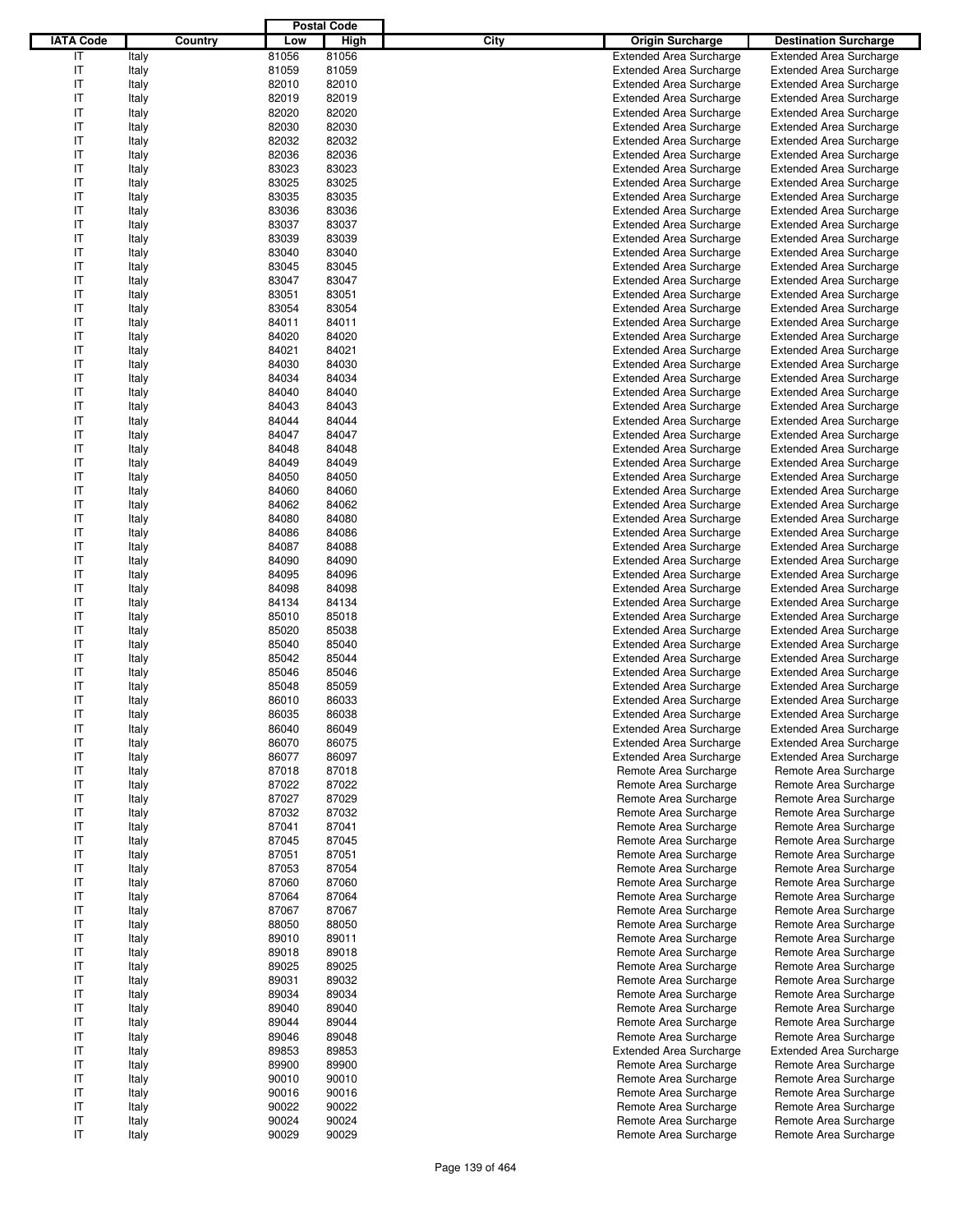|                  |         |       | <b>Postal Code</b> |                                 |                                |
|------------------|---------|-------|--------------------|---------------------------------|--------------------------------|
| <b>IATA Code</b> | Country | Low   | <b>High</b>        | City<br><b>Origin Surcharge</b> | <b>Destination Surcharge</b>   |
| IT               | Italy   | 81056 | 81056              | <b>Extended Area Surcharge</b>  | <b>Extended Area Surcharge</b> |
| IT               | Italy   | 81059 | 81059              | <b>Extended Area Surcharge</b>  | <b>Extended Area Surcharge</b> |
| IT               | Italy   | 82010 | 82010              | <b>Extended Area Surcharge</b>  | <b>Extended Area Surcharge</b> |
| IT               | Italy   | 82019 | 82019              | <b>Extended Area Surcharge</b>  | <b>Extended Area Surcharge</b> |
| IT               | Italy   | 82020 | 82020              | <b>Extended Area Surcharge</b>  | <b>Extended Area Surcharge</b> |
| IT               | Italy   | 82030 | 82030              | <b>Extended Area Surcharge</b>  | <b>Extended Area Surcharge</b> |
| IT               |         | 82032 | 82032              | <b>Extended Area Surcharge</b>  |                                |
|                  | Italy   | 82036 |                    |                                 | <b>Extended Area Surcharge</b> |
| IT               | Italy   |       | 82036              | <b>Extended Area Surcharge</b>  | <b>Extended Area Surcharge</b> |
| IT               | Italy   | 83023 | 83023              | <b>Extended Area Surcharge</b>  | <b>Extended Area Surcharge</b> |
| IT               | Italy   | 83025 | 83025              | <b>Extended Area Surcharge</b>  | <b>Extended Area Surcharge</b> |
| IT               | Italy   | 83035 | 83035              | <b>Extended Area Surcharge</b>  | <b>Extended Area Surcharge</b> |
| IT               | Italy   | 83036 | 83036              | <b>Extended Area Surcharge</b>  | <b>Extended Area Surcharge</b> |
| IT               | Italy   | 83037 | 83037              | <b>Extended Area Surcharge</b>  | <b>Extended Area Surcharge</b> |
| IT               | Italy   | 83039 | 83039              | <b>Extended Area Surcharge</b>  | <b>Extended Area Surcharge</b> |
| IT               | Italy   | 83040 | 83040              | <b>Extended Area Surcharge</b>  | <b>Extended Area Surcharge</b> |
| IT               | Italy   | 83045 | 83045              | <b>Extended Area Surcharge</b>  | <b>Extended Area Surcharge</b> |
| IT               | Italy   | 83047 | 83047              | <b>Extended Area Surcharge</b>  | <b>Extended Area Surcharge</b> |
| IT               | Italy   | 83051 | 83051              | <b>Extended Area Surcharge</b>  | <b>Extended Area Surcharge</b> |
| IT               | Italy   | 83054 | 83054              | <b>Extended Area Surcharge</b>  | <b>Extended Area Surcharge</b> |
| IT               | Italy   | 84011 | 84011              | <b>Extended Area Surcharge</b>  | <b>Extended Area Surcharge</b> |
| IT               | Italy   | 84020 | 84020              | <b>Extended Area Surcharge</b>  | <b>Extended Area Surcharge</b> |
| IT               | Italy   | 84021 | 84021              | <b>Extended Area Surcharge</b>  | <b>Extended Area Surcharge</b> |
| IT               | Italy   | 84030 | 84030              | <b>Extended Area Surcharge</b>  | <b>Extended Area Surcharge</b> |
| IT               | Italy   | 84034 | 84034              | <b>Extended Area Surcharge</b>  | <b>Extended Area Surcharge</b> |
| IT               | Italy   | 84040 | 84040              | <b>Extended Area Surcharge</b>  | <b>Extended Area Surcharge</b> |
| IT               |         | 84043 | 84043              | <b>Extended Area Surcharge</b>  | <b>Extended Area Surcharge</b> |
|                  | Italy   |       |                    |                                 |                                |
| IT               | Italy   | 84044 | 84044              | <b>Extended Area Surcharge</b>  | <b>Extended Area Surcharge</b> |
| IT               | Italy   | 84047 | 84047              | <b>Extended Area Surcharge</b>  | <b>Extended Area Surcharge</b> |
| IT               | Italy   | 84048 | 84048              | <b>Extended Area Surcharge</b>  | <b>Extended Area Surcharge</b> |
| IT               | Italy   | 84049 | 84049              | <b>Extended Area Surcharge</b>  | <b>Extended Area Surcharge</b> |
| IT               | Italy   | 84050 | 84050              | <b>Extended Area Surcharge</b>  | <b>Extended Area Surcharge</b> |
| IT               | Italy   | 84060 | 84060              | <b>Extended Area Surcharge</b>  | <b>Extended Area Surcharge</b> |
| IT               | Italy   | 84062 | 84062              | <b>Extended Area Surcharge</b>  | <b>Extended Area Surcharge</b> |
| IT               | Italy   | 84080 | 84080              | <b>Extended Area Surcharge</b>  | <b>Extended Area Surcharge</b> |
| IT               | Italy   | 84086 | 84086              | <b>Extended Area Surcharge</b>  | <b>Extended Area Surcharge</b> |
| IT               | Italy   | 84087 | 84088              | <b>Extended Area Surcharge</b>  | <b>Extended Area Surcharge</b> |
| IT               | Italy   | 84090 | 84090              | <b>Extended Area Surcharge</b>  | <b>Extended Area Surcharge</b> |
| IT               | Italy   | 84095 | 84096              | <b>Extended Area Surcharge</b>  | <b>Extended Area Surcharge</b> |
| IT               | Italy   | 84098 | 84098              | <b>Extended Area Surcharge</b>  | <b>Extended Area Surcharge</b> |
| IT               | Italy   | 84134 | 84134              | <b>Extended Area Surcharge</b>  | <b>Extended Area Surcharge</b> |
| IT               | Italy   | 85010 | 85018              | <b>Extended Area Surcharge</b>  | <b>Extended Area Surcharge</b> |
| IT               | Italy   | 85020 | 85038              | <b>Extended Area Surcharge</b>  | <b>Extended Area Surcharge</b> |
| IT               | Italy   | 85040 | 85040              | <b>Extended Area Surcharge</b>  | <b>Extended Area Surcharge</b> |
| IT               | Italy   | 85042 | 85044              | <b>Extended Area Surcharge</b>  | <b>Extended Area Surcharge</b> |
| IT               |         | 85046 | 85046              | <b>Extended Area Surcharge</b>  | <b>Extended Area Surcharge</b> |
| IT               | Italy   |       |                    |                                 |                                |
|                  | Italy   | 85048 | 85059              | <b>Extended Area Surcharge</b>  | <b>Extended Area Surcharge</b> |
| IT               | Italy   | 86010 | 86033              | <b>Extended Area Surcharge</b>  | <b>Extended Area Surcharge</b> |
| IT               | Italy   | 86035 | 86038              | <b>Extended Area Surcharge</b>  | <b>Extended Area Surcharge</b> |
| IT               | Italy   | 86040 | 86049              | <b>Extended Area Surcharge</b>  | <b>Extended Area Surcharge</b> |
| IT               | Italy   | 86070 | 86075              | <b>Extended Area Surcharge</b>  | <b>Extended Area Surcharge</b> |
| IT               | Italy   | 86077 | 86097              | <b>Extended Area Surcharge</b>  | <b>Extended Area Surcharge</b> |
| IT               | Italy   | 87018 | 87018              | Remote Area Surcharge           | Remote Area Surcharge          |
| IT               | Italy   | 87022 | 87022              | Remote Area Surcharge           | Remote Area Surcharge          |
| IT               | Italy   | 87027 | 87029              | Remote Area Surcharge           | Remote Area Surcharge          |
| IT               | Italy   | 87032 | 87032              | Remote Area Surcharge           | Remote Area Surcharge          |
| IT               | Italy   | 87041 | 87041              | Remote Area Surcharge           | Remote Area Surcharge          |
| IT               | Italy   | 87045 | 87045              | Remote Area Surcharge           | Remote Area Surcharge          |
| IT               | Italy   | 87051 | 87051              | Remote Area Surcharge           | Remote Area Surcharge          |
| IT               | Italy   | 87053 | 87054              | Remote Area Surcharge           | Remote Area Surcharge          |
| IT               | Italy   | 87060 | 87060              | Remote Area Surcharge           | Remote Area Surcharge          |
| IT               | Italy   | 87064 | 87064              | Remote Area Surcharge           | Remote Area Surcharge          |
| IT               | Italy   | 87067 | 87067              | Remote Area Surcharge           | Remote Area Surcharge          |
| IT               | Italy   | 88050 | 88050              | Remote Area Surcharge           | Remote Area Surcharge          |
| IT               |         | 89010 | 89011              | Remote Area Surcharge           | Remote Area Surcharge          |
|                  | Italy   |       |                    |                                 |                                |
| IT               | Italy   | 89018 | 89018              | Remote Area Surcharge           | Remote Area Surcharge          |
| IT               | Italy   | 89025 | 89025              | Remote Area Surcharge           | Remote Area Surcharge          |
| IT               | Italy   | 89031 | 89032              | Remote Area Surcharge           | Remote Area Surcharge          |
| IT               | Italy   | 89034 | 89034              | Remote Area Surcharge           | Remote Area Surcharge          |
| IT               | Italy   | 89040 | 89040              | Remote Area Surcharge           | Remote Area Surcharge          |
| IT               | Italy   | 89044 | 89044              | Remote Area Surcharge           | Remote Area Surcharge          |
| IT               | Italy   | 89046 | 89048              | Remote Area Surcharge           | Remote Area Surcharge          |
| IT               | Italy   | 89853 | 89853              | <b>Extended Area Surcharge</b>  | <b>Extended Area Surcharge</b> |
| IT               | Italy   | 89900 | 89900              | Remote Area Surcharge           | Remote Area Surcharge          |
| IT               | Italy   | 90010 | 90010              | Remote Area Surcharge           | Remote Area Surcharge          |
| IT               | Italy   | 90016 | 90016              | Remote Area Surcharge           | Remote Area Surcharge          |
| IT               | Italy   | 90022 | 90022              | Remote Area Surcharge           | Remote Area Surcharge          |
| IT               | Italy   | 90024 | 90024              | Remote Area Surcharge           | Remote Area Surcharge          |
| IT               | Italy   | 90029 | 90029              | Remote Area Surcharge           | Remote Area Surcharge          |
|                  |         |       |                    |                                 |                                |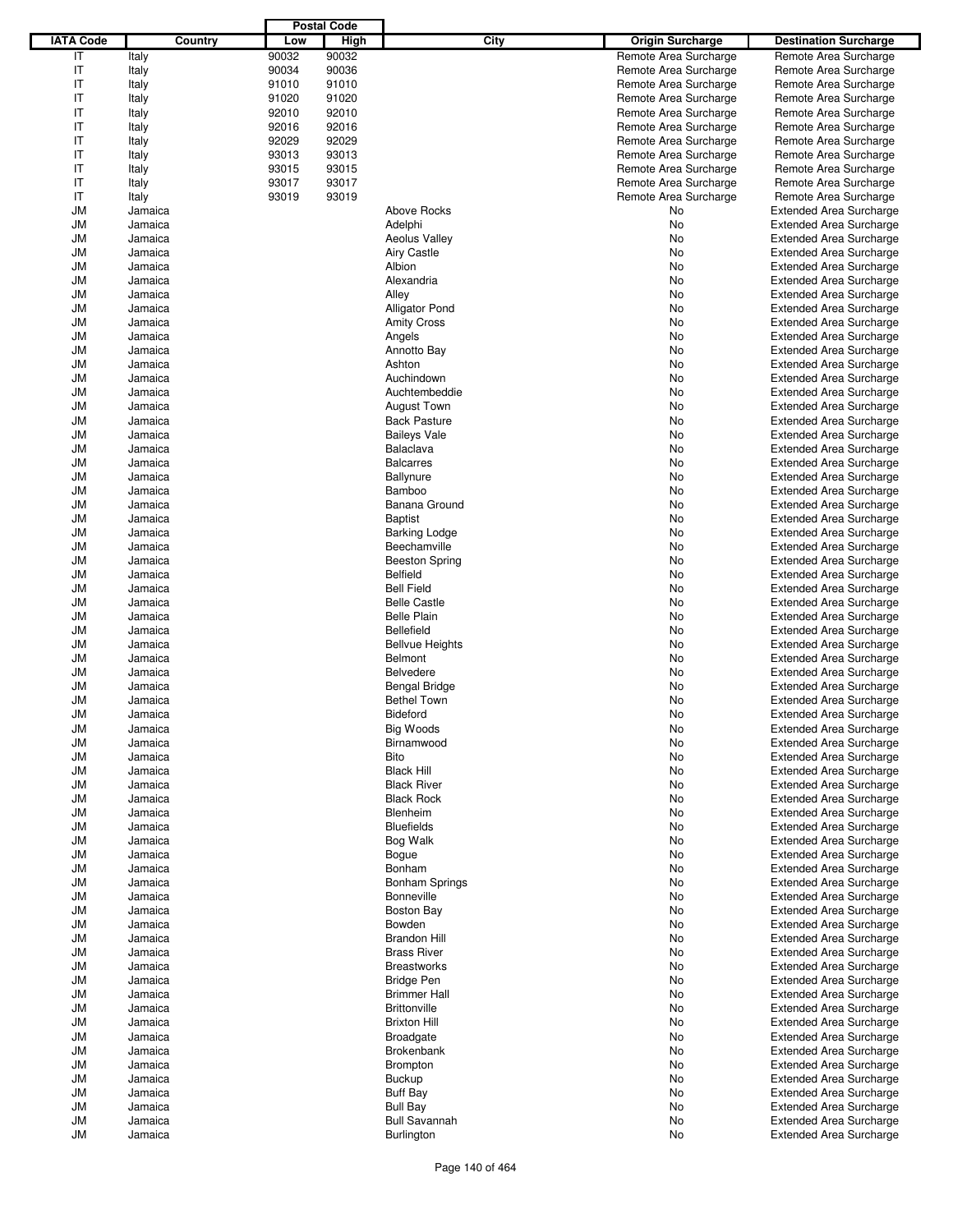|                  |         |         |       | <b>Postal Code</b> |                        |                         |                                |
|------------------|---------|---------|-------|--------------------|------------------------|-------------------------|--------------------------------|
| <b>IATA Code</b> |         | Country | Low   | <b>High</b>        | City                   | <b>Origin Surcharge</b> | <b>Destination Surcharge</b>   |
| IT               | Italy   |         | 90032 | 90032              |                        | Remote Area Surcharge   | Remote Area Surcharge          |
| IT               | Italy   |         | 90034 | 90036              |                        | Remote Area Surcharge   | Remote Area Surcharge          |
| IT               | Italy   |         | 91010 | 91010              |                        | Remote Area Surcharge   | Remote Area Surcharge          |
| IT               | Italy   |         | 91020 | 91020              |                        | Remote Area Surcharge   | Remote Area Surcharge          |
| IT               | Italy   |         | 92010 | 92010              |                        | Remote Area Surcharge   | Remote Area Surcharge          |
| IT               |         |         | 92016 | 92016              |                        | Remote Area Surcharge   |                                |
| IT               | Italy   |         |       |                    |                        |                         | Remote Area Surcharge          |
|                  | Italy   |         | 92029 | 92029              |                        | Remote Area Surcharge   | Remote Area Surcharge          |
| IT               | Italy   |         | 93013 | 93013              |                        | Remote Area Surcharge   | Remote Area Surcharge          |
| IT               | Italy   |         | 93015 | 93015              |                        | Remote Area Surcharge   | Remote Area Surcharge          |
| IT               | Italy   |         | 93017 | 93017              |                        | Remote Area Surcharge   | Remote Area Surcharge          |
| IT               | Italy   |         | 93019 | 93019              |                        | Remote Area Surcharge   | Remote Area Surcharge          |
| <b>JM</b>        | Jamaica |         |       |                    | <b>Above Rocks</b>     | No                      | <b>Extended Area Surcharge</b> |
| <b>JM</b>        | Jamaica |         |       |                    | Adelphi                | No                      | <b>Extended Area Surcharge</b> |
| <b>JM</b>        | Jamaica |         |       |                    | <b>Aeolus Valley</b>   | No                      | <b>Extended Area Surcharge</b> |
| JM               | Jamaica |         |       |                    | <b>Airy Castle</b>     | No                      | <b>Extended Area Surcharge</b> |
| <b>JM</b>        | Jamaica |         |       |                    | Albion                 | No                      | <b>Extended Area Surcharge</b> |
| JM               | Jamaica |         |       |                    | Alexandria             | No                      | <b>Extended Area Surcharge</b> |
| <b>JM</b>        | Jamaica |         |       |                    | Alley                  | No                      | <b>Extended Area Surcharge</b> |
| <b>JM</b>        | Jamaica |         |       |                    | Alligator Pond         | No                      | <b>Extended Area Surcharge</b> |
| <b>JM</b>        | Jamaica |         |       |                    | <b>Amity Cross</b>     | No                      | <b>Extended Area Surcharge</b> |
| JM               | Jamaica |         |       |                    | Angels                 | No                      | <b>Extended Area Surcharge</b> |
| <b>JM</b>        | Jamaica |         |       |                    | Annotto Bay            | No                      | <b>Extended Area Surcharge</b> |
| <b>JM</b>        | Jamaica |         |       |                    | Ashton                 | No                      | <b>Extended Area Surcharge</b> |
| <b>JM</b>        | Jamaica |         |       |                    | Auchindown             | No                      | <b>Extended Area Surcharge</b> |
|                  |         |         |       |                    |                        |                         |                                |
| JM               | Jamaica |         |       |                    | Auchtembeddie          | No                      | <b>Extended Area Surcharge</b> |
| <b>JM</b>        | Jamaica |         |       |                    | <b>August Town</b>     | No                      | <b>Extended Area Surcharge</b> |
| JM               | Jamaica |         |       |                    | <b>Back Pasture</b>    | No                      | <b>Extended Area Surcharge</b> |
| <b>JM</b>        | Jamaica |         |       |                    | <b>Baileys Vale</b>    | No                      | <b>Extended Area Surcharge</b> |
| <b>JM</b>        | Jamaica |         |       |                    | Balaclava              | No                      | <b>Extended Area Surcharge</b> |
| <b>JM</b>        | Jamaica |         |       |                    | <b>Balcarres</b>       | No                      | <b>Extended Area Surcharge</b> |
| JM               | Jamaica |         |       |                    | Ballynure              | No                      | <b>Extended Area Surcharge</b> |
| <b>JM</b>        | Jamaica |         |       |                    | Bamboo                 | No                      | <b>Extended Area Surcharge</b> |
| <b>JM</b>        | Jamaica |         |       |                    | Banana Ground          | No                      | <b>Extended Area Surcharge</b> |
| <b>JM</b>        | Jamaica |         |       |                    | <b>Baptist</b>         | No                      | <b>Extended Area Surcharge</b> |
| JM               | Jamaica |         |       |                    | <b>Barking Lodge</b>   | No                      | <b>Extended Area Surcharge</b> |
| <b>JM</b>        | Jamaica |         |       |                    | Beechamville           | No                      | <b>Extended Area Surcharge</b> |
| JM               | Jamaica |         |       |                    | <b>Beeston Spring</b>  | No                      | <b>Extended Area Surcharge</b> |
| <b>JM</b>        | Jamaica |         |       |                    | <b>Belfield</b>        | No                      | <b>Extended Area Surcharge</b> |
| <b>JM</b>        | Jamaica |         |       |                    | <b>Bell Field</b>      | No                      | <b>Extended Area Surcharge</b> |
| <b>JM</b>        | Jamaica |         |       |                    | <b>Belle Castle</b>    | No                      | <b>Extended Area Surcharge</b> |
| JM               | Jamaica |         |       |                    | <b>Belle Plain</b>     | No                      | <b>Extended Area Surcharge</b> |
| <b>JM</b>        |         |         |       |                    | <b>Bellefield</b>      | No                      |                                |
|                  | Jamaica |         |       |                    |                        |                         | <b>Extended Area Surcharge</b> |
| JM               | Jamaica |         |       |                    | <b>Bellvue Heights</b> | No                      | <b>Extended Area Surcharge</b> |
| <b>JM</b>        | Jamaica |         |       |                    | <b>Belmont</b>         | No                      | <b>Extended Area Surcharge</b> |
| JM               | Jamaica |         |       |                    | <b>Belvedere</b>       | No                      | <b>Extended Area Surcharge</b> |
| JM               | Jamaica |         |       |                    | <b>Bengal Bridge</b>   | No                      | <b>Extended Area Surcharge</b> |
| JM               | Jamaica |         |       |                    | <b>Bethel Town</b>     | No.                     | <b>Extended Area Surcharge</b> |
| JM               | Jamaica |         |       |                    | Bideford               | No                      | <b>Extended Area Surcharge</b> |
| <b>JM</b>        | Jamaica |         |       |                    | Big Woods              | No                      | <b>Extended Area Surcharge</b> |
| <b>JM</b>        | Jamaica |         |       |                    | Birnamwood             | No                      | <b>Extended Area Surcharge</b> |
| JM               | Jamaica |         |       |                    | Bito                   | No                      | <b>Extended Area Surcharge</b> |
| <b>JM</b>        | Jamaica |         |       |                    | <b>Black Hill</b>      | No                      | <b>Extended Area Surcharge</b> |
| JM               | Jamaica |         |       |                    | <b>Black River</b>     | No                      | <b>Extended Area Surcharge</b> |
| <b>JM</b>        | Jamaica |         |       |                    | <b>Black Rock</b>      | No                      | <b>Extended Area Surcharge</b> |
| JM               | Jamaica |         |       |                    | Blenheim               | No                      | <b>Extended Area Surcharge</b> |
| <b>JM</b>        | Jamaica |         |       |                    | <b>Bluefields</b>      | No                      | <b>Extended Area Surcharge</b> |
| JM               | Jamaica |         |       |                    | Bog Walk               | No                      | <b>Extended Area Surcharge</b> |
| JM               | Jamaica |         |       |                    | Bogue                  | No                      | <b>Extended Area Surcharge</b> |
| JM               | Jamaica |         |       |                    | Bonham                 | No                      | <b>Extended Area Surcharge</b> |
| <b>JM</b>        | Jamaica |         |       |                    | <b>Bonham Springs</b>  | No                      | <b>Extended Area Surcharge</b> |
|                  |         |         |       |                    | <b>Bonneville</b>      |                         | <b>Extended Area Surcharge</b> |
| JM               | Jamaica |         |       |                    |                        | No                      |                                |
| <b>JM</b>        | Jamaica |         |       |                    | <b>Boston Bay</b>      | No                      | <b>Extended Area Surcharge</b> |
| JM               | Jamaica |         |       |                    | Bowden                 | No                      | <b>Extended Area Surcharge</b> |
| JM               | Jamaica |         |       |                    | <b>Brandon Hill</b>    | No                      | <b>Extended Area Surcharge</b> |
| JM               | Jamaica |         |       |                    | <b>Brass River</b>     | No                      | <b>Extended Area Surcharge</b> |
| <b>JM</b>        | Jamaica |         |       |                    | <b>Breastworks</b>     | No                      | <b>Extended Area Surcharge</b> |
| JM               | Jamaica |         |       |                    | <b>Bridge Pen</b>      | No                      | <b>Extended Area Surcharge</b> |
| JM               | Jamaica |         |       |                    | <b>Brimmer Hall</b>    | No                      | <b>Extended Area Surcharge</b> |
| JM               | Jamaica |         |       |                    | Brittonville           | No                      | <b>Extended Area Surcharge</b> |
| <b>JM</b>        | Jamaica |         |       |                    | <b>Brixton Hill</b>    | No                      | <b>Extended Area Surcharge</b> |
| JM               | Jamaica |         |       |                    | <b>Broadgate</b>       | No                      | <b>Extended Area Surcharge</b> |
| <b>JM</b>        | Jamaica |         |       |                    | <b>Brokenbank</b>      | No                      | <b>Extended Area Surcharge</b> |
| JM               | Jamaica |         |       |                    | <b>Brompton</b>        | No                      | <b>Extended Area Surcharge</b> |
| JM               | Jamaica |         |       |                    | <b>Buckup</b>          | No                      | <b>Extended Area Surcharge</b> |
| JM               | Jamaica |         |       |                    | <b>Buff Bay</b>        | No                      | Extended Area Surcharge        |
| <b>JM</b>        | Jamaica |         |       |                    | <b>Bull Bay</b>        | No                      | <b>Extended Area Surcharge</b> |
| JM               | Jamaica |         |       |                    | <b>Bull Savannah</b>   | No                      | <b>Extended Area Surcharge</b> |
| JM               | Jamaica |         |       |                    | <b>Burlington</b>      | No                      | <b>Extended Area Surcharge</b> |
|                  |         |         |       |                    |                        |                         |                                |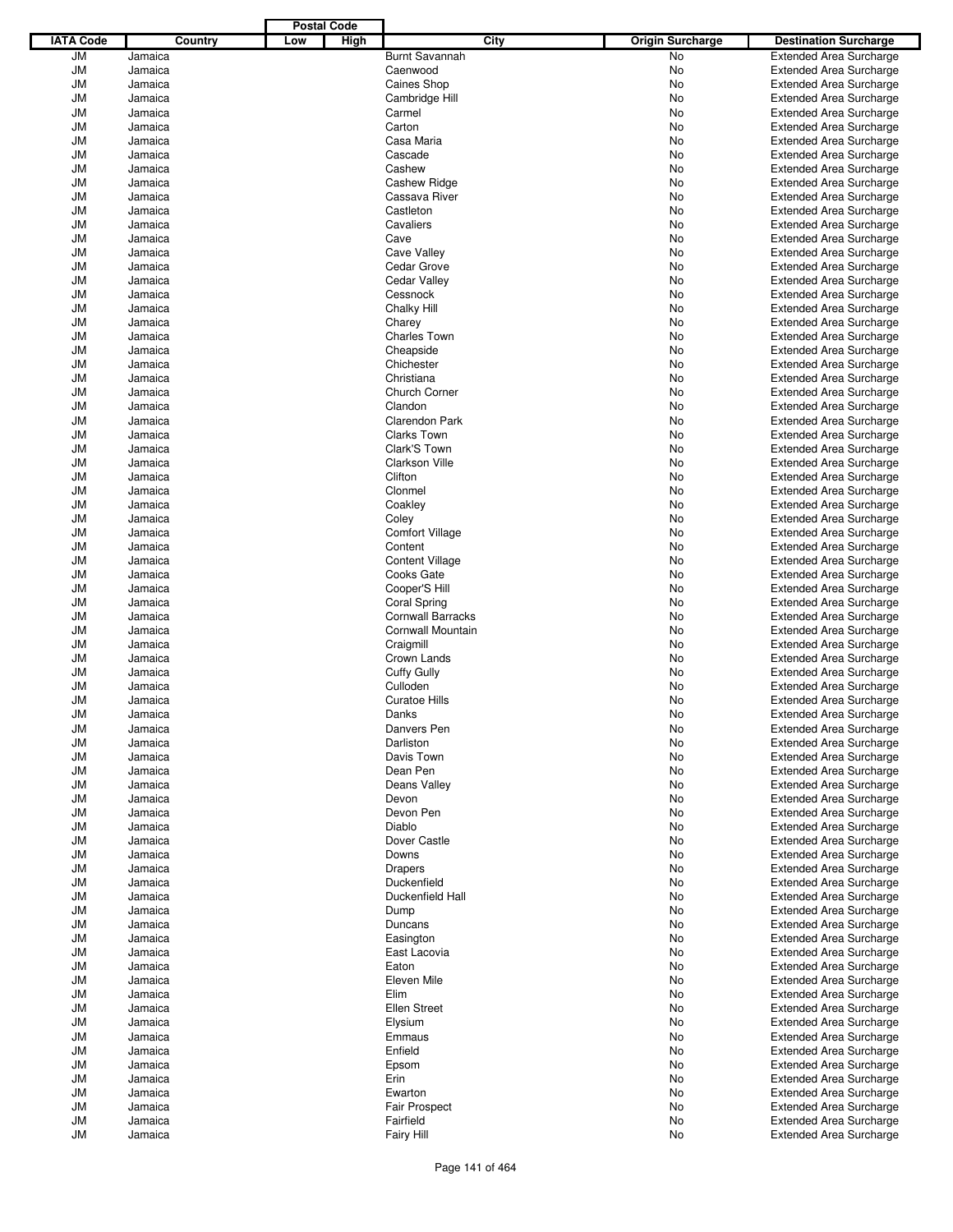|                  |         |         |     | <b>Postal Code</b> |                          |                         |                                |
|------------------|---------|---------|-----|--------------------|--------------------------|-------------------------|--------------------------------|
| <b>IATA Code</b> |         | Country | Low | High               | City                     | <b>Origin Surcharge</b> | <b>Destination Surcharge</b>   |
| <b>JM</b>        | Jamaica |         |     |                    | <b>Burnt Savannah</b>    | <b>No</b>               | <b>Extended Area Surcharge</b> |
| <b>JM</b>        | Jamaica |         |     |                    | Caenwood                 | No                      | <b>Extended Area Surcharge</b> |
| <b>JM</b>        | Jamaica |         |     |                    | <b>Caines Shop</b>       | <b>No</b>               | <b>Extended Area Surcharge</b> |
| <b>JM</b>        | Jamaica |         |     |                    | Cambridge Hill           | No                      | <b>Extended Area Surcharge</b> |
| <b>JM</b>        | Jamaica |         |     |                    | Carmel                   | No                      | <b>Extended Area Surcharge</b> |
| <b>JM</b>        | Jamaica |         |     |                    | Carton                   | No                      | <b>Extended Area Surcharge</b> |
|                  |         |         |     |                    |                          |                         |                                |
| <b>JM</b>        | Jamaica |         |     |                    | Casa Maria               | No                      | <b>Extended Area Surcharge</b> |
| <b>JM</b>        | Jamaica |         |     |                    | Cascade                  | No                      | <b>Extended Area Surcharge</b> |
| <b>JM</b>        | Jamaica |         |     |                    | Cashew                   | No                      | <b>Extended Area Surcharge</b> |
| <b>JM</b>        | Jamaica |         |     |                    | <b>Cashew Ridge</b>      | No                      | <b>Extended Area Surcharge</b> |
| <b>JM</b>        | Jamaica |         |     |                    | Cassava River            | No                      | <b>Extended Area Surcharge</b> |
| <b>JM</b>        | Jamaica |         |     |                    | Castleton                | No                      | <b>Extended Area Surcharge</b> |
| <b>JM</b>        | Jamaica |         |     |                    | Cavaliers                | No                      | <b>Extended Area Surcharge</b> |
| <b>JM</b>        | Jamaica |         |     |                    | Cave                     | No                      | <b>Extended Area Surcharge</b> |
| <b>JM</b>        | Jamaica |         |     |                    | Cave Valley              | No                      | <b>Extended Area Surcharge</b> |
| <b>JM</b>        | Jamaica |         |     |                    | Cedar Grove              | No                      | <b>Extended Area Surcharge</b> |
| <b>JM</b>        | Jamaica |         |     |                    | <b>Cedar Valley</b>      | No                      | <b>Extended Area Surcharge</b> |
| <b>JM</b>        | Jamaica |         |     |                    | Cessnock                 | No                      | <b>Extended Area Surcharge</b> |
| <b>JM</b>        | Jamaica |         |     |                    | Chalky Hill              | No                      | <b>Extended Area Surcharge</b> |
| <b>JM</b>        | Jamaica |         |     |                    | Charey                   | No                      | <b>Extended Area Surcharge</b> |
| <b>JM</b>        | Jamaica |         |     |                    | <b>Charles Town</b>      | No                      | <b>Extended Area Surcharge</b> |
| <b>JM</b>        | Jamaica |         |     |                    | Cheapside                | No                      | <b>Extended Area Surcharge</b> |
|                  |         |         |     |                    |                          |                         |                                |
| <b>JM</b>        | Jamaica |         |     |                    | Chichester               | No                      | <b>Extended Area Surcharge</b> |
| <b>JM</b>        | Jamaica |         |     |                    | Christiana               | No                      | <b>Extended Area Surcharge</b> |
| <b>JM</b>        | Jamaica |         |     |                    | Church Corner            | No                      | <b>Extended Area Surcharge</b> |
| <b>JM</b>        | Jamaica |         |     |                    | Clandon                  | No                      | <b>Extended Area Surcharge</b> |
| <b>JM</b>        | Jamaica |         |     |                    | Clarendon Park           | No                      | <b>Extended Area Surcharge</b> |
| <b>JM</b>        | Jamaica |         |     |                    | Clarks Town              | No                      | <b>Extended Area Surcharge</b> |
| <b>JM</b>        | Jamaica |         |     |                    | Clark'S Town             | No                      | <b>Extended Area Surcharge</b> |
| <b>JM</b>        | Jamaica |         |     |                    | <b>Clarkson Ville</b>    | No                      | <b>Extended Area Surcharge</b> |
| <b>JM</b>        | Jamaica |         |     |                    | Clifton                  | No                      | <b>Extended Area Surcharge</b> |
| <b>JM</b>        | Jamaica |         |     |                    | Clonmel                  | No                      | <b>Extended Area Surcharge</b> |
| <b>JM</b>        | Jamaica |         |     |                    | Coakley                  | No                      | <b>Extended Area Surcharge</b> |
| <b>JM</b>        | Jamaica |         |     |                    | Coley                    | No                      | <b>Extended Area Surcharge</b> |
| <b>JM</b>        | Jamaica |         |     |                    | <b>Comfort Village</b>   | No                      | <b>Extended Area Surcharge</b> |
| <b>JM</b>        | Jamaica |         |     |                    | Content                  | No                      | <b>Extended Area Surcharge</b> |
| <b>JM</b>        | Jamaica |         |     |                    | <b>Content Village</b>   | No                      | <b>Extended Area Surcharge</b> |
| <b>JM</b>        | Jamaica |         |     |                    | Cooks Gate               | No                      | <b>Extended Area Surcharge</b> |
| <b>JM</b>        | Jamaica |         |     |                    | Cooper'S Hill            | No                      | <b>Extended Area Surcharge</b> |
|                  |         |         |     |                    |                          |                         |                                |
| <b>JM</b>        | Jamaica |         |     |                    | Coral Spring             | No                      | <b>Extended Area Surcharge</b> |
| <b>JM</b>        | Jamaica |         |     |                    | <b>Cornwall Barracks</b> | No                      | <b>Extended Area Surcharge</b> |
| <b>JM</b>        | Jamaica |         |     |                    | Cornwall Mountain        | No                      | <b>Extended Area Surcharge</b> |
| <b>JM</b>        | Jamaica |         |     |                    | Craigmill                | No                      | <b>Extended Area Surcharge</b> |
| <b>JM</b>        | Jamaica |         |     |                    | Crown Lands              | No                      | <b>Extended Area Surcharge</b> |
| <b>JM</b>        | Jamaica |         |     |                    | <b>Cuffy Gully</b>       | No                      | <b>Extended Area Surcharge</b> |
| JM               | Jamaica |         |     |                    | Culloden                 | No                      | <b>Extended Area Surcharge</b> |
| JM               | Jamaica |         |     |                    | <b>Curatoe Hills</b>     | No                      | <b>Extended Area Surcharge</b> |
| JM               | Jamaica |         |     |                    | Danks                    | No                      | <b>Extended Area Surcharge</b> |
| <b>JM</b>        | Jamaica |         |     |                    | Danvers Pen              | No                      | <b>Extended Area Surcharge</b> |
| <b>JM</b>        | Jamaica |         |     |                    | Darliston                | No                      | <b>Extended Area Surcharge</b> |
| JM               | Jamaica |         |     |                    | Davis Town               | No                      | <b>Extended Area Surcharge</b> |
| <b>JM</b>        | Jamaica |         |     |                    | Dean Pen                 | No                      | <b>Extended Area Surcharge</b> |
| JM               | Jamaica |         |     |                    | Deans Valley             | No                      | <b>Extended Area Surcharge</b> |
| <b>JM</b>        | Jamaica |         |     |                    | Devon                    | No                      | <b>Extended Area Surcharge</b> |
| JM               | Jamaica |         |     |                    | Devon Pen                | No                      | <b>Extended Area Surcharge</b> |
| <b>JM</b>        | Jamaica |         |     |                    | Diablo                   | No                      | <b>Extended Area Surcharge</b> |
|                  |         |         |     |                    | Dover Castle             |                         |                                |
| JM               | Jamaica |         |     |                    |                          | No                      | <b>Extended Area Surcharge</b> |
| <b>JM</b>        | Jamaica |         |     |                    | Downs                    | No                      | <b>Extended Area Surcharge</b> |
| JM               | Jamaica |         |     |                    | <b>Drapers</b>           | No                      | <b>Extended Area Surcharge</b> |
| <b>JM</b>        | Jamaica |         |     |                    | Duckenfield              | No                      | <b>Extended Area Surcharge</b> |
| JM               | Jamaica |         |     |                    | Duckenfield Hall         | No                      | <b>Extended Area Surcharge</b> |
| <b>JM</b>        | Jamaica |         |     |                    | Dump                     | No                      | <b>Extended Area Surcharge</b> |
| JM               | Jamaica |         |     |                    | Duncans                  | No                      | <b>Extended Area Surcharge</b> |
| JM               | Jamaica |         |     |                    | Easington                | No                      | <b>Extended Area Surcharge</b> |
| JM               | Jamaica |         |     |                    | East Lacovia             | No                      | <b>Extended Area Surcharge</b> |
| <b>JM</b>        | Jamaica |         |     |                    | Eaton                    | No                      | <b>Extended Area Surcharge</b> |
| JM               | Jamaica |         |     |                    | Eleven Mile              | No                      | <b>Extended Area Surcharge</b> |
| JM               | Jamaica |         |     |                    | Elim                     | No                      | <b>Extended Area Surcharge</b> |
| JM               | Jamaica |         |     |                    | Ellen Street             | No                      | <b>Extended Area Surcharge</b> |
| <b>JM</b>        | Jamaica |         |     |                    | Elysium                  | No                      | <b>Extended Area Surcharge</b> |
| JM               | Jamaica |         |     |                    | Emmaus                   | No                      | <b>Extended Area Surcharge</b> |
| <b>JM</b>        | Jamaica |         |     |                    | Enfield                  | No                      | <b>Extended Area Surcharge</b> |
|                  |         |         |     |                    |                          |                         |                                |
| JM               | Jamaica |         |     |                    | Epsom                    | No                      | <b>Extended Area Surcharge</b> |
| JM               | Jamaica |         |     |                    | Erin                     | No                      | <b>Extended Area Surcharge</b> |
| JM               | Jamaica |         |     |                    | Ewarton                  | No                      | <b>Extended Area Surcharge</b> |
| <b>JM</b>        | Jamaica |         |     |                    | Fair Prospect            | No                      | <b>Extended Area Surcharge</b> |
| JM               | Jamaica |         |     |                    | Fairfield                | No                      | <b>Extended Area Surcharge</b> |
| JM               | Jamaica |         |     |                    | Fairy Hill               | No                      | <b>Extended Area Surcharge</b> |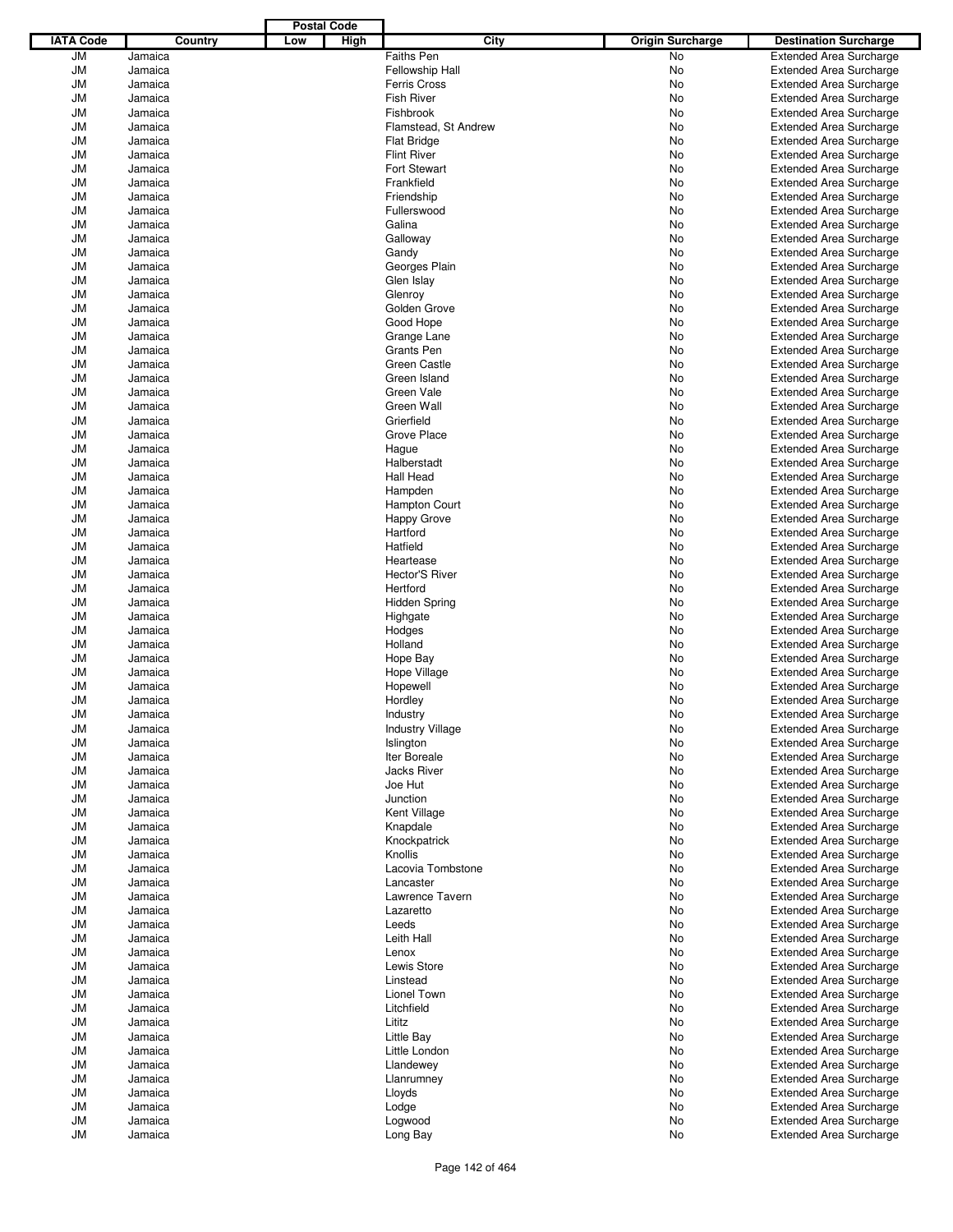|                  |                    |         |     | <b>Postal Code</b> |                                    |                         |                                                                  |
|------------------|--------------------|---------|-----|--------------------|------------------------------------|-------------------------|------------------------------------------------------------------|
| <b>IATA Code</b> |                    | Country | Low | High               | City                               | <b>Origin Surcharge</b> | <b>Destination Surcharge</b>                                     |
| JМ               | Jamaica            |         |     |                    | <b>Faiths Pen</b>                  | <b>No</b>               | <b>Extended Area Surcharge</b>                                   |
| JM               | Jamaica            |         |     |                    | Fellowship Hall                    | No                      | <b>Extended Area Surcharge</b>                                   |
| JM               | Jamaica            |         |     |                    | <b>Ferris Cross</b>                | No                      | Extended Area Surcharge                                          |
| JM               | Jamaica            |         |     |                    | <b>Fish River</b>                  | No                      | <b>Extended Area Surcharge</b>                                   |
| JМ               | Jamaica            |         |     |                    | Fishbrook                          | No                      | <b>Extended Area Surcharge</b>                                   |
| JM               | Jamaica            |         |     |                    | Flamstead, St Andrew               | No                      | <b>Extended Area Surcharge</b>                                   |
| JМ               | Jamaica            |         |     |                    | <b>Flat Bridge</b>                 | No                      | <b>Extended Area Surcharge</b>                                   |
| JM               | Jamaica            |         |     |                    | <b>Flint River</b>                 | No                      | <b>Extended Area Surcharge</b>                                   |
| JМ               | Jamaica            |         |     |                    | <b>Fort Stewart</b>                | No                      | <b>Extended Area Surcharge</b>                                   |
| JM               | Jamaica            |         |     |                    | Frankfield                         | No                      | <b>Extended Area Surcharge</b>                                   |
| JМ               | Jamaica            |         |     |                    | Friendship                         | No                      | <b>Extended Area Surcharge</b>                                   |
| JM               | Jamaica            |         |     |                    | Fullerswood                        | No                      | <b>Extended Area Surcharge</b>                                   |
| JМ               | Jamaica            |         |     |                    | Galina                             | No                      | <b>Extended Area Surcharge</b>                                   |
| JM               | Jamaica            |         |     |                    | Galloway                           | No                      | <b>Extended Area Surcharge</b>                                   |
| JМ               | Jamaica<br>Jamaica |         |     |                    | Gandy<br>Georges Plain             | No                      | <b>Extended Area Surcharge</b>                                   |
| JM<br>JМ         | Jamaica            |         |     |                    | Glen Islay                         | No<br>No                | <b>Extended Area Surcharge</b><br><b>Extended Area Surcharge</b> |
| JM               | Jamaica            |         |     |                    | Glenroy                            | No                      | <b>Extended Area Surcharge</b>                                   |
| JМ               | Jamaica            |         |     |                    | Golden Grove                       | No                      | <b>Extended Area Surcharge</b>                                   |
| JM               | Jamaica            |         |     |                    | Good Hope                          | No                      | <b>Extended Area Surcharge</b>                                   |
| JМ               | Jamaica            |         |     |                    | Grange Lane                        | No                      | <b>Extended Area Surcharge</b>                                   |
| JM               | Jamaica            |         |     |                    | <b>Grants Pen</b>                  | No                      | <b>Extended Area Surcharge</b>                                   |
| JМ               | Jamaica            |         |     |                    | Green Castle                       | No                      | <b>Extended Area Surcharge</b>                                   |
| JM               | Jamaica            |         |     |                    | Green Island                       | No                      | <b>Extended Area Surcharge</b>                                   |
| JМ               | Jamaica            |         |     |                    | Green Vale                         | No                      | <b>Extended Area Surcharge</b>                                   |
| JM               | Jamaica            |         |     |                    | Green Wall                         | No                      | <b>Extended Area Surcharge</b>                                   |
| JМ               | Jamaica            |         |     |                    | Grierfield                         | No                      | <b>Extended Area Surcharge</b>                                   |
| JM               | Jamaica            |         |     |                    | Grove Place                        | No                      | <b>Extended Area Surcharge</b>                                   |
| JМ               | Jamaica            |         |     |                    | Haque                              | No                      | <b>Extended Area Surcharge</b>                                   |
| JM               | Jamaica            |         |     |                    | Halberstadt                        | No                      | <b>Extended Area Surcharge</b>                                   |
| JМ               | Jamaica            |         |     |                    | Hall Head                          | No                      | <b>Extended Area Surcharge</b>                                   |
| JM               | Jamaica            |         |     |                    | Hampden                            | No                      | <b>Extended Area Surcharge</b>                                   |
| JМ               | Jamaica            |         |     |                    | <b>Hampton Court</b>               | No                      | <b>Extended Area Surcharge</b>                                   |
| JM               | Jamaica            |         |     |                    | Happy Grove                        | No                      | <b>Extended Area Surcharge</b>                                   |
| JМ               | Jamaica            |         |     |                    | Hartford                           | No                      | <b>Extended Area Surcharge</b>                                   |
| JM               | Jamaica            |         |     |                    | Hatfield                           | No                      | <b>Extended Area Surcharge</b>                                   |
| JМ               | Jamaica            |         |     |                    | Heartease                          | No                      | <b>Extended Area Surcharge</b>                                   |
| JM               | Jamaica            |         |     |                    | <b>Hector'S River</b>              | No                      | <b>Extended Area Surcharge</b>                                   |
| JМ               | Jamaica            |         |     |                    | Hertford                           | No                      | <b>Extended Area Surcharge</b>                                   |
| JM               | Jamaica            |         |     |                    | <b>Hidden Spring</b>               | No                      | <b>Extended Area Surcharge</b>                                   |
| JМ               | Jamaica            |         |     |                    | Highgate                           | No                      | <b>Extended Area Surcharge</b>                                   |
| JM               | Jamaica            |         |     |                    | Hodges                             | No                      | <b>Extended Area Surcharge</b>                                   |
| JМ               | Jamaica            |         |     |                    | Holland                            | No                      | <b>Extended Area Surcharge</b>                                   |
| JM               | Jamaica            |         |     |                    | Hope Bay                           | No                      | <b>Extended Area Surcharge</b>                                   |
| JM               | Jamaica            |         |     |                    | Hope Village                       | No                      | <b>Extended Area Surcharge</b>                                   |
| JM               | Jamaica            |         |     |                    | Hopewell                           | No                      | <b>Extended Area Surcharge</b>                                   |
| JM               | Jamaica            |         |     |                    | Hordley                            | No                      | <b>Extended Area Surcharge</b>                                   |
| JM               | Jamaica            |         |     |                    | Industry                           | No                      | <b>Extended Area Surcharge</b>                                   |
| JМ               | Jamaica            |         |     |                    | <b>Industry Village</b>            | No                      | <b>Extended Area Surcharge</b>                                   |
| JM               | Jamaica            |         |     |                    | Islington                          | No                      | <b>Extended Area Surcharge</b>                                   |
| JM               | Jamaica            |         |     |                    | Iter Boreale<br><b>Jacks River</b> | No                      | <b>Extended Area Surcharge</b><br><b>Extended Area Surcharge</b> |
| JМ               | Jamaica<br>Jamaica |         |     |                    | Joe Hut                            | No<br>No                |                                                                  |
| JM<br>JM         | Jamaica            |         |     |                    | Junction                           | No                      | <b>Extended Area Surcharge</b><br><b>Extended Area Surcharge</b> |
| JM               | Jamaica            |         |     |                    | Kent Village                       | No                      | <b>Extended Area Surcharge</b>                                   |
| JМ               | Jamaica            |         |     |                    | Knapdale                           | No                      | <b>Extended Area Surcharge</b>                                   |
| JM               | Jamaica            |         |     |                    | Knockpatrick                       | No                      | <b>Extended Area Surcharge</b>                                   |
| JM               | Jamaica            |         |     |                    | Knollis                            | No                      | <b>Extended Area Surcharge</b>                                   |
| JM               | Jamaica            |         |     |                    | Lacovia Tombstone                  | No                      | <b>Extended Area Surcharge</b>                                   |
| JM               | Jamaica            |         |     |                    | Lancaster                          | No                      | <b>Extended Area Surcharge</b>                                   |
| JM               | Jamaica            |         |     |                    | Lawrence Tavern                    | No                      | <b>Extended Area Surcharge</b>                                   |
| JM               | Jamaica            |         |     |                    | Lazaretto                          | No                      | <b>Extended Area Surcharge</b>                                   |
| JM               | Jamaica            |         |     |                    | Leeds                              | No                      | <b>Extended Area Surcharge</b>                                   |
| JM               | Jamaica            |         |     |                    | Leith Hall                         | No                      | <b>Extended Area Surcharge</b>                                   |
| JM               | Jamaica            |         |     |                    | Lenox                              | No                      | <b>Extended Area Surcharge</b>                                   |
| JM               | Jamaica            |         |     |                    | Lewis Store                        | No                      | <b>Extended Area Surcharge</b>                                   |
| JM               | Jamaica            |         |     |                    | Linstead                           | No                      | <b>Extended Area Surcharge</b>                                   |
| JM               | Jamaica            |         |     |                    | Lionel Town                        | No                      | <b>Extended Area Surcharge</b>                                   |
| JM               | Jamaica            |         |     |                    | Litchfield                         | No                      | <b>Extended Area Surcharge</b>                                   |
| JM               | Jamaica            |         |     |                    | Lititz                             | No                      | <b>Extended Area Surcharge</b>                                   |
| JM               | Jamaica            |         |     |                    | Little Bay                         | No                      | <b>Extended Area Surcharge</b>                                   |
| JM               | Jamaica            |         |     |                    | Little London                      | No                      | <b>Extended Area Surcharge</b>                                   |
| JM               | Jamaica            |         |     |                    | Llandewey                          | No                      | <b>Extended Area Surcharge</b>                                   |
| JM               | Jamaica            |         |     |                    | Llanrumney                         | No                      | <b>Extended Area Surcharge</b>                                   |
| JM               | Jamaica            |         |     |                    | Lloyds                             | No                      | <b>Extended Area Surcharge</b>                                   |
| JM               | Jamaica            |         |     |                    | Lodge                              | No                      | <b>Extended Area Surcharge</b>                                   |
| JM               | Jamaica            |         |     |                    | Logwood                            | No                      | <b>Extended Area Surcharge</b>                                   |
| JМ               | Jamaica            |         |     |                    | Long Bay                           | No                      | <b>Extended Area Surcharge</b>                                   |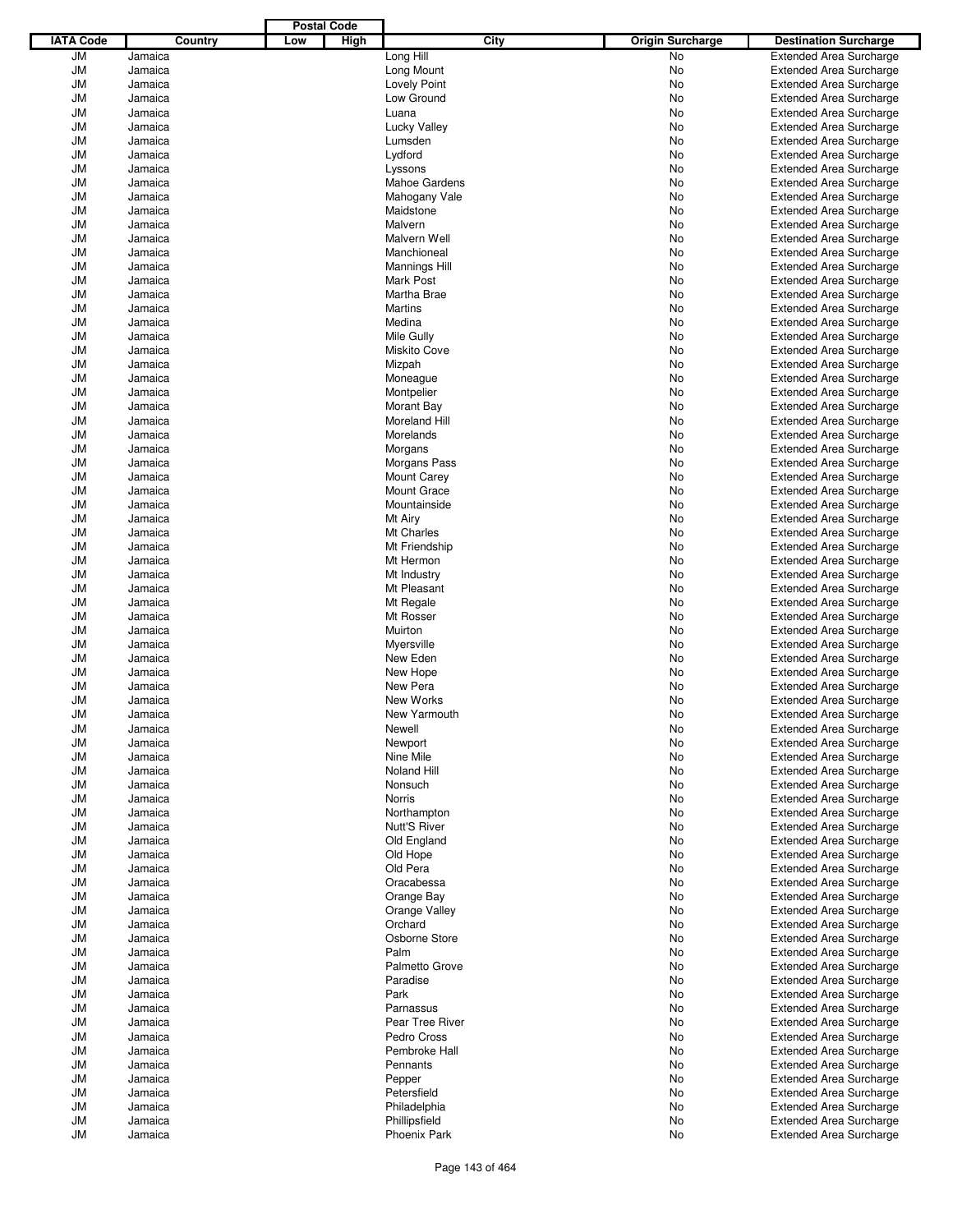|                  |                    |         |     | <b>Postal Code</b> |                                          |      |                         |                                                                  |
|------------------|--------------------|---------|-----|--------------------|------------------------------------------|------|-------------------------|------------------------------------------------------------------|
| <b>IATA Code</b> |                    | Country | Low | High               |                                          | City | <b>Origin Surcharge</b> | <b>Destination Surcharge</b>                                     |
| JМ               | Jamaica            |         |     |                    | Long Hill                                |      | No                      | <b>Extended Area Surcharge</b>                                   |
| JM               | Jamaica            |         |     |                    | Long Mount                               |      | No                      | <b>Extended Area Surcharge</b>                                   |
| JМ               | Jamaica            |         |     |                    | <b>Lovely Point</b>                      |      | No                      | <b>Extended Area Surcharge</b>                                   |
| JM               | Jamaica            |         |     |                    | Low Ground                               |      | No                      | <b>Extended Area Surcharge</b>                                   |
| JМ               | Jamaica            |         |     |                    | Luana                                    |      | No                      | <b>Extended Area Surcharge</b>                                   |
| JM               | Jamaica            |         |     |                    | <b>Lucky Valley</b>                      |      | No                      | <b>Extended Area Surcharge</b>                                   |
| JM               | Jamaica            |         |     |                    | Lumsden                                  |      | No                      | <b>Extended Area Surcharge</b>                                   |
| JM               | Jamaica            |         |     |                    | Lydford                                  |      | No                      | <b>Extended Area Surcharge</b>                                   |
| JM               | Jamaica            |         |     |                    | Lyssons                                  |      | No                      | <b>Extended Area Surcharge</b>                                   |
| JM               | Jamaica            |         |     |                    | <b>Mahoe Gardens</b>                     |      | No                      | <b>Extended Area Surcharge</b>                                   |
| JM               | Jamaica            |         |     |                    | Mahogany Vale                            |      | No                      | <b>Extended Area Surcharge</b>                                   |
| JM               | Jamaica            |         |     |                    | Maidstone                                |      | No                      | <b>Extended Area Surcharge</b>                                   |
| JМ               | Jamaica            |         |     |                    | Malvern                                  |      | No                      | <b>Extended Area Surcharge</b>                                   |
| JM               | Jamaica            |         |     |                    | Malvern Well                             |      | No                      | <b>Extended Area Surcharge</b>                                   |
| JM               | Jamaica            |         |     |                    | Manchioneal                              |      | No                      | <b>Extended Area Surcharge</b>                                   |
| JM               | Jamaica<br>Jamaica |         |     |                    | <b>Mannings Hill</b><br><b>Mark Post</b> |      | No                      | <b>Extended Area Surcharge</b>                                   |
| JМ               | Jamaica            |         |     |                    | Martha Brae                              |      | No                      | <b>Extended Area Surcharge</b>                                   |
| JM<br>JM         | Jamaica            |         |     |                    | Martins                                  |      | No<br>No                | <b>Extended Area Surcharge</b><br><b>Extended Area Surcharge</b> |
| JM               | Jamaica            |         |     |                    | Medina                                   |      | No                      | <b>Extended Area Surcharge</b>                                   |
| JM               | Jamaica            |         |     |                    | Mile Gully                               |      | No                      | <b>Extended Area Surcharge</b>                                   |
| JM               | Jamaica            |         |     |                    | <b>Miskito Cove</b>                      |      | No                      | <b>Extended Area Surcharge</b>                                   |
| JМ               | Jamaica            |         |     |                    | Mizpah                                   |      | No                      | <b>Extended Area Surcharge</b>                                   |
| JM               | Jamaica            |         |     |                    | Moneague                                 |      | No                      | <b>Extended Area Surcharge</b>                                   |
| JM               | Jamaica            |         |     |                    | Montpelier                               |      | No                      | <b>Extended Area Surcharge</b>                                   |
| JM               | Jamaica            |         |     |                    | Morant Bay                               |      | No                      | <b>Extended Area Surcharge</b>                                   |
| JM               | Jamaica            |         |     |                    | Moreland Hill                            |      | No                      | <b>Extended Area Surcharge</b>                                   |
| JM               | Jamaica            |         |     |                    | Morelands                                |      | No                      | <b>Extended Area Surcharge</b>                                   |
| JМ               | Jamaica            |         |     |                    | Morgans                                  |      | No                      | <b>Extended Area Surcharge</b>                                   |
| JM               | Jamaica            |         |     |                    | Morgans Pass                             |      | No                      | <b>Extended Area Surcharge</b>                                   |
| JM               | Jamaica            |         |     |                    | <b>Mount Carey</b>                       |      | No                      | <b>Extended Area Surcharge</b>                                   |
| JM               | Jamaica            |         |     |                    | <b>Mount Grace</b>                       |      | No                      | <b>Extended Area Surcharge</b>                                   |
| JМ               | Jamaica            |         |     |                    | Mountainside                             |      | No                      | <b>Extended Area Surcharge</b>                                   |
| JM               | Jamaica            |         |     |                    | Mt Airy                                  |      | No                      | <b>Extended Area Surcharge</b>                                   |
| JM               | Jamaica            |         |     |                    | Mt Charles                               |      | No                      | <b>Extended Area Surcharge</b>                                   |
| JM               | Jamaica            |         |     |                    | Mt Friendship                            |      | No                      | <b>Extended Area Surcharge</b>                                   |
| JM               | Jamaica            |         |     |                    | Mt Hermon                                |      | No                      | <b>Extended Area Surcharge</b>                                   |
| JM               | Jamaica            |         |     |                    | Mt Industry                              |      | No                      | <b>Extended Area Surcharge</b>                                   |
| JM               | Jamaica            |         |     |                    | Mt Pleasant                              |      | No                      | <b>Extended Area Surcharge</b>                                   |
| JM               | Jamaica            |         |     |                    | Mt Regale                                |      | No                      | <b>Extended Area Surcharge</b>                                   |
| JМ               | Jamaica            |         |     |                    | Mt Rosser                                |      | No                      | <b>Extended Area Surcharge</b>                                   |
| JM               | Jamaica            |         |     |                    | Muirton                                  |      | No                      | <b>Extended Area Surcharge</b>                                   |
| JM               | Jamaica            |         |     |                    | Myersville                               |      | No                      | <b>Extended Area Surcharge</b>                                   |
| JM               | Jamaica            |         |     |                    | New Eden                                 |      | No                      | <b>Extended Area Surcharge</b>                                   |
| JM               | Jamaica            |         |     |                    | New Hope                                 |      | No                      | <b>Extended Area Surcharge</b>                                   |
| JM               | Jamaica            |         |     |                    | New Pera                                 |      | No                      | <b>Extended Area Surcharge</b>                                   |
| JM               | Jamaica            |         |     |                    | New Works                                |      | No                      | <b>Extended Area Surcharge</b>                                   |
| JM               | Jamaica            |         |     |                    | New Yarmouth                             |      | No                      | <b>Extended Area Surcharge</b>                                   |
| JM               | Jamaica            |         |     |                    | Newell                                   |      | No                      | <b>Extended Area Surcharge</b>                                   |
| JM               | Jamaica            |         |     |                    | Newport                                  |      | No                      | <b>Extended Area Surcharge</b>                                   |
| JM               | Jamaica            |         |     |                    | Nine Mile                                |      | No                      | <b>Extended Area Surcharge</b>                                   |
| JM               | Jamaica            |         |     |                    | Noland Hill                              |      | No                      | <b>Extended Area Surcharge</b>                                   |
| JM               | Jamaica            |         |     |                    | Nonsuch                                  |      | No                      | <b>Extended Area Surcharge</b><br><b>Extended Area Surcharge</b> |
| JM               | Jamaica            |         |     |                    | Norris                                   |      | No                      |                                                                  |
| JM<br>JM         | Jamaica<br>Jamaica |         |     |                    | Northampton<br><b>Nutt'S River</b>       |      | No<br>No                | <b>Extended Area Surcharge</b><br><b>Extended Area Surcharge</b> |
| JM               | Jamaica            |         |     |                    | Old England                              |      | No                      | <b>Extended Area Surcharge</b>                                   |
| JM               | Jamaica            |         |     |                    | Old Hope                                 |      | No                      | <b>Extended Area Surcharge</b>                                   |
| JM               | Jamaica            |         |     |                    | Old Pera                                 |      | No                      | <b>Extended Area Surcharge</b>                                   |
| JM               | Jamaica            |         |     |                    | Oracabessa                               |      | No                      | <b>Extended Area Surcharge</b>                                   |
| JM               | Jamaica            |         |     |                    | Orange Bay                               |      | No                      | <b>Extended Area Surcharge</b>                                   |
| JM               | Jamaica            |         |     |                    | Orange Valley                            |      | No                      | <b>Extended Area Surcharge</b>                                   |
| JM               | Jamaica            |         |     |                    | Orchard                                  |      | No                      | <b>Extended Area Surcharge</b>                                   |
| JM               | Jamaica            |         |     |                    | Osborne Store                            |      | No                      | <b>Extended Area Surcharge</b>                                   |
| JM               | Jamaica            |         |     |                    | Palm                                     |      | No                      | <b>Extended Area Surcharge</b>                                   |
| JM               | Jamaica            |         |     |                    | Palmetto Grove                           |      | No                      | <b>Extended Area Surcharge</b>                                   |
| JM               | Jamaica            |         |     |                    | Paradise                                 |      | No                      | <b>Extended Area Surcharge</b>                                   |
| JM               | Jamaica            |         |     |                    | Park                                     |      | No                      | <b>Extended Area Surcharge</b>                                   |
| JM               | Jamaica            |         |     |                    | Parnassus                                |      | No                      | <b>Extended Area Surcharge</b>                                   |
| JM               | Jamaica            |         |     |                    | Pear Tree River                          |      | No                      | <b>Extended Area Surcharge</b>                                   |
| JM               | Jamaica            |         |     |                    | Pedro Cross                              |      | No                      | <b>Extended Area Surcharge</b>                                   |
| JM               | Jamaica            |         |     |                    | Pembroke Hall                            |      | No                      | <b>Extended Area Surcharge</b>                                   |
| JM               | Jamaica            |         |     |                    | Pennants                                 |      | No                      | <b>Extended Area Surcharge</b>                                   |
| JM               | Jamaica            |         |     |                    | Pepper                                   |      | No                      | <b>Extended Area Surcharge</b>                                   |
| JM               | Jamaica            |         |     |                    | Petersfield                              |      | No                      | <b>Extended Area Surcharge</b>                                   |
| JM               | Jamaica            |         |     |                    | Philadelphia                             |      | No                      | <b>Extended Area Surcharge</b>                                   |
| JM               | Jamaica            |         |     |                    | Phillipsfield                            |      | No                      | <b>Extended Area Surcharge</b>                                   |
| JM               | Jamaica            |         |     |                    | Phoenix Park                             |      | No                      | <b>Extended Area Surcharge</b>                                   |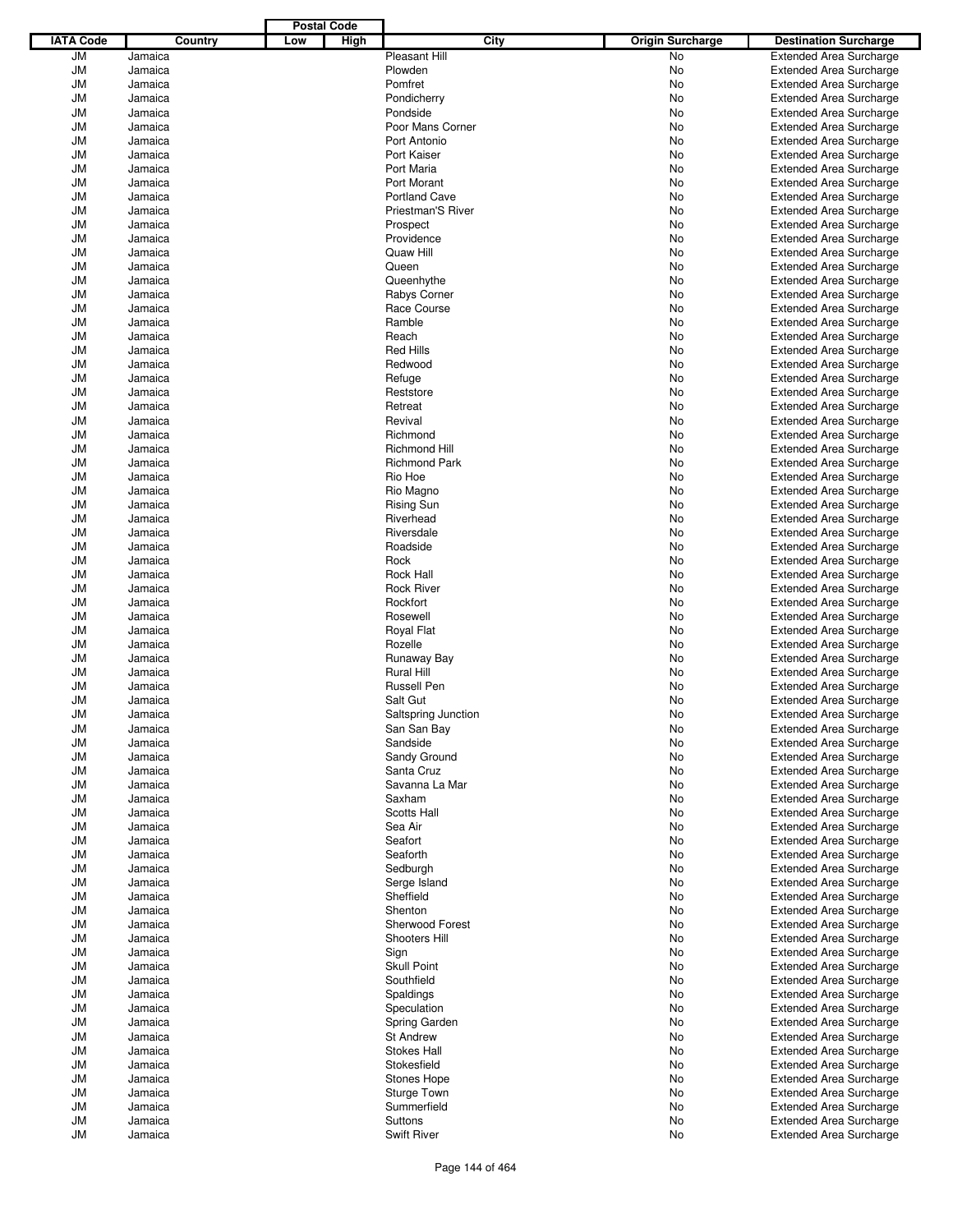|                  |                    |     | <b>Postal Code</b> |                             |                         |                                                                  |
|------------------|--------------------|-----|--------------------|-----------------------------|-------------------------|------------------------------------------------------------------|
| <b>IATA Code</b> | Country            | Low | High               | City                        | <b>Origin Surcharge</b> | <b>Destination Surcharge</b>                                     |
| JМ               | Jamaica            |     |                    | Pleasant Hill               | <b>No</b>               | <b>Extended Area Surcharge</b>                                   |
| JM               | Jamaica            |     |                    | Plowden                     | No                      | <b>Extended Area Surcharge</b>                                   |
| JM               | Jamaica            |     |                    | Pomfret                     | No                      | Extended Area Surcharge                                          |
| JM               | Jamaica            |     |                    | Pondicherry                 | No                      | <b>Extended Area Surcharge</b>                                   |
| JM               | Jamaica            |     |                    | Pondside                    | No                      | <b>Extended Area Surcharge</b>                                   |
| JM               | Jamaica            |     |                    | Poor Mans Corner            | No                      | <b>Extended Area Surcharge</b>                                   |
| JM               | Jamaica            |     |                    | Port Antonio                | No                      | <b>Extended Area Surcharge</b>                                   |
| JM               | Jamaica            |     |                    | Port Kaiser                 | No                      | <b>Extended Area Surcharge</b>                                   |
| JМ               | Jamaica            |     |                    | Port Maria                  | No                      | <b>Extended Area Surcharge</b>                                   |
| JM               | Jamaica            |     |                    | Port Morant                 | No                      | <b>Extended Area Surcharge</b>                                   |
| JM               | Jamaica            |     |                    | Portland Cave               | No                      | <b>Extended Area Surcharge</b>                                   |
| JM               | Jamaica            |     |                    | <b>Priestman'S River</b>    | No                      | <b>Extended Area Surcharge</b>                                   |
| JМ               | Jamaica            |     |                    | Prospect                    | No                      | <b>Extended Area Surcharge</b>                                   |
| JM               | Jamaica            |     |                    | Providence                  | No                      | <b>Extended Area Surcharge</b>                                   |
| JМ               | Jamaica            |     |                    | Quaw Hill                   | No                      | <b>Extended Area Surcharge</b>                                   |
| JM               | Jamaica            |     |                    | Queen                       | No                      | <b>Extended Area Surcharge</b>                                   |
| JМ               | Jamaica            |     |                    | Queenhythe                  | No                      | <b>Extended Area Surcharge</b>                                   |
| JM<br>JМ         | Jamaica<br>Jamaica |     |                    | Rabys Corner<br>Race Course | No<br>No                | <b>Extended Area Surcharge</b><br><b>Extended Area Surcharge</b> |
| JM               | Jamaica            |     |                    | Ramble                      | No                      | <b>Extended Area Surcharge</b>                                   |
| JМ               | Jamaica            |     |                    | Reach                       | No                      | <b>Extended Area Surcharge</b>                                   |
| JM               | Jamaica            |     |                    | <b>Red Hills</b>            | No                      | <b>Extended Area Surcharge</b>                                   |
| JM               | Jamaica            |     |                    | Redwood                     | No                      | <b>Extended Area Surcharge</b>                                   |
| JM               | Jamaica            |     |                    | Refuge                      | No                      | <b>Extended Area Surcharge</b>                                   |
| JМ               | Jamaica            |     |                    | Reststore                   | No                      | <b>Extended Area Surcharge</b>                                   |
| JM               | Jamaica            |     |                    | Retreat                     | No                      | <b>Extended Area Surcharge</b>                                   |
| JM               | Jamaica            |     |                    | Revival                     | No                      | <b>Extended Area Surcharge</b>                                   |
| JM               | Jamaica            |     |                    | Richmond                    | No                      | <b>Extended Area Surcharge</b>                                   |
| JМ               | Jamaica            |     |                    | <b>Richmond Hill</b>        | No                      | <b>Extended Area Surcharge</b>                                   |
| JM               | Jamaica            |     |                    | <b>Richmond Park</b>        | No                      | <b>Extended Area Surcharge</b>                                   |
| JМ               | Jamaica            |     |                    | Rio Hoe                     | No                      | <b>Extended Area Surcharge</b>                                   |
| JM               | Jamaica            |     |                    | Rio Magno                   | No                      | <b>Extended Area Surcharge</b>                                   |
| JМ               | Jamaica            |     |                    | <b>Rising Sun</b>           | No                      | <b>Extended Area Surcharge</b>                                   |
| JM               | Jamaica            |     |                    | Riverhead                   | No                      | <b>Extended Area Surcharge</b>                                   |
| JМ               | Jamaica            |     |                    | Riversdale                  | No                      | <b>Extended Area Surcharge</b>                                   |
| JM               | Jamaica            |     |                    | Roadside                    | No                      | <b>Extended Area Surcharge</b>                                   |
| JМ               | Jamaica            |     |                    | Rock                        | No                      | <b>Extended Area Surcharge</b>                                   |
| JM               | Jamaica            |     |                    | <b>Rock Hall</b>            | No                      | <b>Extended Area Surcharge</b>                                   |
| JM               | Jamaica            |     |                    | <b>Rock River</b>           | No                      | <b>Extended Area Surcharge</b>                                   |
| JM               | Jamaica            |     |                    | Rockfort                    | No                      | <b>Extended Area Surcharge</b>                                   |
| JМ               | Jamaica            |     |                    | Rosewell                    | No                      | <b>Extended Area Surcharge</b>                                   |
| JM               | Jamaica            |     |                    | Royal Flat                  | No                      | <b>Extended Area Surcharge</b>                                   |
| JМ               | Jamaica            |     |                    | Rozelle                     | No                      | <b>Extended Area Surcharge</b>                                   |
| JM               | Jamaica            |     |                    | Runaway Bay                 | No                      | <b>Extended Area Surcharge</b>                                   |
| JM               | Jamaica            |     |                    | <b>Rural Hill</b>           | No                      | <b>Extended Area Surcharge</b>                                   |
| JM               | Jamaica            |     |                    | Russell Pen                 | No                      | <b>Extended Area Surcharge</b>                                   |
| JM               | Jamaica            |     |                    | Salt Gut                    | No                      | <b>Extended Area Surcharge</b>                                   |
| JM               | Jamaica            |     |                    | Saltspring Junction         | No                      | <b>Extended Area Surcharge</b>                                   |
| JМ               | Jamaica            |     |                    | San San Bay                 | No                      | <b>Extended Area Surcharge</b>                                   |
| JM               | Jamaica            |     |                    | Sandside                    | No                      | <b>Extended Area Surcharge</b>                                   |
| JM               | Jamaica<br>Jamaica |     |                    | Sandy Ground<br>Santa Cruz  | No                      | <b>Extended Area Surcharge</b>                                   |
| JM<br>JM         | Jamaica            |     |                    | Savanna La Mar              | No<br>No                | <b>Extended Area Surcharge</b><br><b>Extended Area Surcharge</b> |
| JM               | Jamaica            |     |                    | Saxham                      | No                      | <b>Extended Area Surcharge</b>                                   |
| JM               | Jamaica            |     |                    | <b>Scotts Hall</b>          | No                      | <b>Extended Area Surcharge</b>                                   |
| JM               | Jamaica            |     |                    | Sea Air                     | No                      | <b>Extended Area Surcharge</b>                                   |
| JM               | Jamaica            |     |                    | Seafort                     | No                      | <b>Extended Area Surcharge</b>                                   |
| JM               | Jamaica            |     |                    | Seaforth                    | No                      | <b>Extended Area Surcharge</b>                                   |
| JM               | Jamaica            |     |                    | Sedburgh                    | No                      | <b>Extended Area Surcharge</b>                                   |
| JM               | Jamaica            |     |                    | Serge Island                | No                      | <b>Extended Area Surcharge</b>                                   |
| JM               | Jamaica            |     |                    | Sheffield                   | No                      | <b>Extended Area Surcharge</b>                                   |
| JM               | Jamaica            |     |                    | Shenton                     | No                      | <b>Extended Area Surcharge</b>                                   |
| JM               | Jamaica            |     |                    | Sherwood Forest             | No                      | <b>Extended Area Surcharge</b>                                   |
| JM               | Jamaica            |     |                    | Shooters Hill               | No                      | <b>Extended Area Surcharge</b>                                   |
| JM               | Jamaica            |     |                    | Sign                        | No                      | <b>Extended Area Surcharge</b>                                   |
| JM               | Jamaica            |     |                    | Skull Point                 | No                      | <b>Extended Area Surcharge</b>                                   |
| JM               | Jamaica            |     |                    | Southfield                  | No                      | <b>Extended Area Surcharge</b>                                   |
| JM               | Jamaica            |     |                    | Spaldings                   | No                      | <b>Extended Area Surcharge</b>                                   |
| JM               | Jamaica            |     |                    | Speculation                 | No                      | <b>Extended Area Surcharge</b>                                   |
| JM               | Jamaica            |     |                    | Spring Garden               | No                      | <b>Extended Area Surcharge</b>                                   |
| JM               | Jamaica            |     |                    | <b>St Andrew</b>            | No                      | <b>Extended Area Surcharge</b>                                   |
| JM               | Jamaica            |     |                    | <b>Stokes Hall</b>          | No                      | <b>Extended Area Surcharge</b>                                   |
| JM               | Jamaica            |     |                    | Stokesfield                 | No                      | <b>Extended Area Surcharge</b>                                   |
| JM               | Jamaica            |     |                    | Stones Hope                 | No                      | <b>Extended Area Surcharge</b>                                   |
| JM               | Jamaica            |     |                    | Sturge Town                 | No                      | <b>Extended Area Surcharge</b>                                   |
| JM               | Jamaica            |     |                    | Summerfield                 | No                      | <b>Extended Area Surcharge</b>                                   |
| JM               | Jamaica            |     |                    | Suttons                     | No                      | <b>Extended Area Surcharge</b>                                   |
| JМ               | Jamaica            |     |                    | Swift River                 | No                      | <b>Extended Area Surcharge</b>                                   |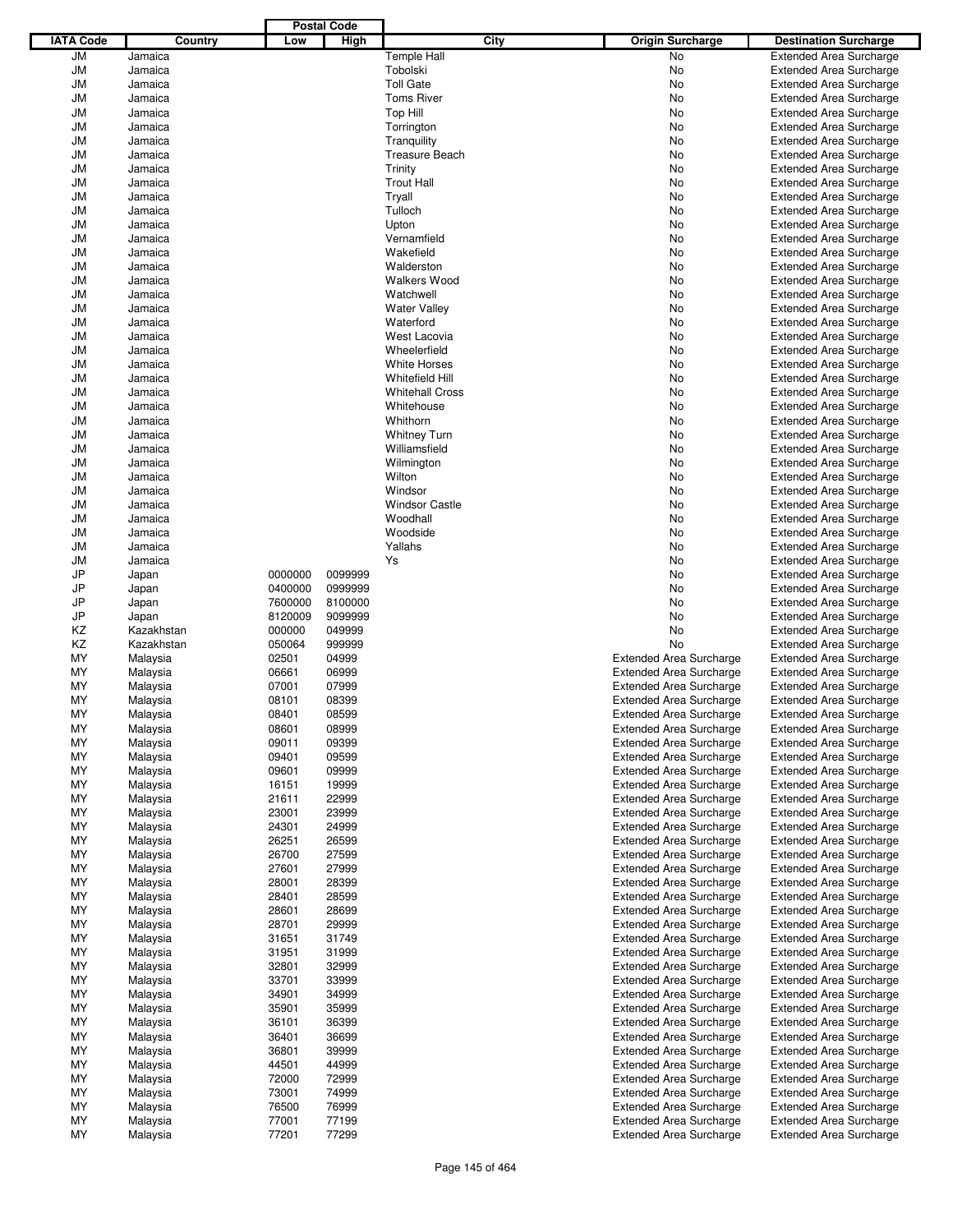|                  |                    |         | <b>Postal Code</b> |                         |      |                                |                                                                  |
|------------------|--------------------|---------|--------------------|-------------------------|------|--------------------------------|------------------------------------------------------------------|
| <b>IATA Code</b> | Country            | Low     | High               |                         | City | <b>Origin Surcharge</b>        | <b>Destination Surcharge</b>                                     |
| JM               | Jamaica            |         |                    | <b>Temple Hall</b>      |      | No                             | <b>Extended Area Surcharge</b>                                   |
| <b>JM</b>        | Jamaica            |         |                    | Tobolski                |      | No                             | <b>Extended Area Surcharge</b>                                   |
| <b>JM</b>        | Jamaica            |         |                    | <b>Toll Gate</b>        |      | No                             | <b>Extended Area Surcharge</b>                                   |
| <b>JM</b>        | Jamaica            |         |                    | <b>Toms River</b>       |      | No                             | <b>Extended Area Surcharge</b>                                   |
| JM               | Jamaica            |         |                    | Top Hill                |      | No                             | <b>Extended Area Surcharge</b>                                   |
| <b>JM</b>        | Jamaica            |         |                    | Torrington              |      | No                             | <b>Extended Area Surcharge</b>                                   |
| JM               | Jamaica            |         |                    | Tranquility             |      | No                             | <b>Extended Area Surcharge</b>                                   |
| <b>JM</b>        | Jamaica            |         |                    | <b>Treasure Beach</b>   |      | No                             | <b>Extended Area Surcharge</b>                                   |
| <b>JM</b>        | Jamaica            |         |                    | Trinity                 |      | No                             | <b>Extended Area Surcharge</b>                                   |
| <b>JM</b>        | Jamaica            |         |                    | <b>Trout Hall</b>       |      | No                             | <b>Extended Area Surcharge</b>                                   |
| JM               | Jamaica            |         |                    | Tryall                  |      | No                             | <b>Extended Area Surcharge</b>                                   |
| <b>JM</b>        | Jamaica            |         |                    | Tulloch                 |      | No                             | <b>Extended Area Surcharge</b>                                   |
| <b>JM</b>        | Jamaica            |         |                    | Upton                   |      | No                             | <b>Extended Area Surcharge</b>                                   |
| <b>JM</b>        | Jamaica            |         |                    | Vernamfield             |      | No                             | <b>Extended Area Surcharge</b>                                   |
| JM               | Jamaica            |         |                    | Wakefield<br>Walderston |      | No                             | <b>Extended Area Surcharge</b>                                   |
| <b>JM</b>        | Jamaica<br>Jamaica |         |                    | <b>Walkers Wood</b>     |      | No<br>No                       | <b>Extended Area Surcharge</b><br><b>Extended Area Surcharge</b> |
| JM<br><b>JM</b>  | Jamaica            |         |                    | Watchwell               |      | No                             | <b>Extended Area Surcharge</b>                                   |
| JM               | Jamaica            |         |                    | <b>Water Valley</b>     |      | No                             | <b>Extended Area Surcharge</b>                                   |
| <b>JM</b>        | Jamaica            |         |                    | Waterford               |      | No                             | <b>Extended Area Surcharge</b>                                   |
| JM               | Jamaica            |         |                    | West Lacovia            |      | No                             | <b>Extended Area Surcharge</b>                                   |
| <b>JM</b>        | Jamaica            |         |                    | Wheelerfield            |      | No                             | <b>Extended Area Surcharge</b>                                   |
| JM               | Jamaica            |         |                    | <b>White Horses</b>     |      | No                             | <b>Extended Area Surcharge</b>                                   |
| <b>JM</b>        | Jamaica            |         |                    | Whitefield Hill         |      | No                             | <b>Extended Area Surcharge</b>                                   |
| JM               | Jamaica            |         |                    | <b>Whitehall Cross</b>  |      | No                             | <b>Extended Area Surcharge</b>                                   |
| <b>JM</b>        | Jamaica            |         |                    | Whitehouse              |      | No                             | <b>Extended Area Surcharge</b>                                   |
| JM               | Jamaica            |         |                    | Whithorn                |      | No                             | <b>Extended Area Surcharge</b>                                   |
| <b>JM</b>        | Jamaica            |         |                    | <b>Whitney Turn</b>     |      | No                             | <b>Extended Area Surcharge</b>                                   |
| <b>JM</b>        | Jamaica            |         |                    | Williamsfield           |      | No                             | <b>Extended Area Surcharge</b>                                   |
| <b>JM</b>        | Jamaica            |         |                    | Wilmington              |      | No                             | <b>Extended Area Surcharge</b>                                   |
| JM               | Jamaica            |         |                    | Wilton                  |      | No                             | <b>Extended Area Surcharge</b>                                   |
| <b>JM</b>        | Jamaica            |         |                    | Windsor                 |      | No                             | <b>Extended Area Surcharge</b>                                   |
| <b>JM</b>        | Jamaica            |         |                    | <b>Windsor Castle</b>   |      | No                             | <b>Extended Area Surcharge</b>                                   |
| <b>JM</b>        | Jamaica            |         |                    | Woodhall                |      | No                             | <b>Extended Area Surcharge</b>                                   |
| JM               | Jamaica            |         |                    | Woodside                |      | No                             | <b>Extended Area Surcharge</b>                                   |
| <b>JM</b>        | Jamaica            |         |                    | Yallahs                 |      | No                             | <b>Extended Area Surcharge</b>                                   |
| <b>JM</b>        | Jamaica            |         |                    | Ys                      |      | No                             | <b>Extended Area Surcharge</b>                                   |
| JP               | Japan              | 0000000 | 0099999            |                         |      | No                             | <b>Extended Area Surcharge</b>                                   |
| JP               | Japan              | 0400000 | 0999999            |                         |      | No                             | <b>Extended Area Surcharge</b>                                   |
| JP               | Japan              | 7600000 | 8100000            |                         |      | No                             | <b>Extended Area Surcharge</b>                                   |
| JP               | Japan              | 8120009 | 9099999            |                         |      | No                             | <b>Extended Area Surcharge</b>                                   |
| ΚZ               | Kazakhstan         | 000000  | 049999             |                         |      | No                             | <b>Extended Area Surcharge</b>                                   |
| ΚZ               | Kazakhstan         | 050064  | 999999             |                         |      | No                             | <b>Extended Area Surcharge</b>                                   |
| MY               | Malaysia           | 02501   | 04999              |                         |      | <b>Extended Area Surcharge</b> | <b>Extended Area Surcharge</b>                                   |
| MY               | Malaysia           | 06661   | 06999              |                         |      | <b>Extended Area Surcharge</b> | <b>Extended Area Surcharge</b>                                   |
| MY               | Malaysia           | 07001   | 07999              |                         |      | <b>Extended Area Surcharge</b> | <b>Extended Area Surcharge</b>                                   |
| MY               | Malaysia           | 08101   | 08399              |                         |      | <b>Extended Area Surcharge</b> | <b>Extended Area Surcharge</b>                                   |
| MY               | Malaysia           | 08401   | 08599              |                         |      | <b>Extended Area Surcharge</b> | <b>Extended Area Surcharge</b>                                   |
| ΜY               | Malaysia           | 08601   | 08999              |                         |      | <b>Extended Area Surcharge</b> | <b>Extended Area Surcharge</b>                                   |
| ΜY               | Malaysia           | 09011   | 09399              |                         |      | <b>Extended Area Surcharge</b> | <b>Extended Area Surcharge</b>                                   |
| ΜY               | Malaysia           | 09401   | 09599              |                         |      | <b>Extended Area Surcharge</b> | <b>Extended Area Surcharge</b>                                   |
| ΜY               | Malaysia           | 09601   | 09999              |                         |      | <b>Extended Area Surcharge</b> | <b>Extended Area Surcharge</b>                                   |
| ΜY               | Malaysia           | 16151   | 19999              |                         |      | <b>Extended Area Surcharge</b> | <b>Extended Area Surcharge</b>                                   |
| ΜY               | Malaysia           | 21611   | 22999              |                         |      | <b>Extended Area Surcharge</b> | <b>Extended Area Surcharge</b>                                   |
| ΜY               | Malaysia           | 23001   | 23999              |                         |      | <b>Extended Area Surcharge</b> | <b>Extended Area Surcharge</b>                                   |
| ΜY               | Malaysia           | 24301   | 24999              |                         |      | <b>Extended Area Surcharge</b> | <b>Extended Area Surcharge</b>                                   |
| ΜY               | Malaysia           | 26251   | 26599              |                         |      | <b>Extended Area Surcharge</b> | <b>Extended Area Surcharge</b>                                   |
| ΜY               | Malaysia           | 26700   | 27599              |                         |      | <b>Extended Area Surcharge</b> | <b>Extended Area Surcharge</b>                                   |
| ΜY               | Malaysia           | 27601   | 27999              |                         |      | <b>Extended Area Surcharge</b> | <b>Extended Area Surcharge</b>                                   |
| ΜY               | Malaysia           | 28001   | 28399              |                         |      | <b>Extended Area Surcharge</b> | <b>Extended Area Surcharge</b>                                   |
| ΜY               | Malaysia           | 28401   | 28599              |                         |      | <b>Extended Area Surcharge</b> | <b>Extended Area Surcharge</b>                                   |
| ΜY               | Malaysia           | 28601   | 28699              |                         |      | <b>Extended Area Surcharge</b> | <b>Extended Area Surcharge</b>                                   |
| ΜY               | Malaysia           | 28701   | 29999              |                         |      | <b>Extended Area Surcharge</b> | <b>Extended Area Surcharge</b>                                   |
| ΜY               | Malaysia           | 31651   | 31749              |                         |      | <b>Extended Area Surcharge</b> | <b>Extended Area Surcharge</b>                                   |
| ΜY               | Malaysia           | 31951   | 31999              |                         |      | <b>Extended Area Surcharge</b> | <b>Extended Area Surcharge</b>                                   |
| ΜY               | Malaysia           | 32801   | 32999              |                         |      | <b>Extended Area Surcharge</b> | <b>Extended Area Surcharge</b>                                   |
| ΜY               | Malaysia           | 33701   | 33999              |                         |      | <b>Extended Area Surcharge</b> | <b>Extended Area Surcharge</b>                                   |
| ΜY               | Malaysia           | 34901   | 34999              |                         |      | <b>Extended Area Surcharge</b> | <b>Extended Area Surcharge</b>                                   |
| ΜY               | Malaysia           | 35901   | 35999              |                         |      | <b>Extended Area Surcharge</b> | <b>Extended Area Surcharge</b>                                   |
| ΜY               | Malaysia           | 36101   | 36399              |                         |      | <b>Extended Area Surcharge</b> | <b>Extended Area Surcharge</b>                                   |
| ΜY               | Malaysia           | 36401   | 36699              |                         |      | <b>Extended Area Surcharge</b> | <b>Extended Area Surcharge</b>                                   |
| ΜY               | Malaysia           | 36801   | 39999              |                         |      | <b>Extended Area Surcharge</b> | <b>Extended Area Surcharge</b>                                   |
| ΜY               | Malaysia           | 44501   | 44999              |                         |      | <b>Extended Area Surcharge</b> | <b>Extended Area Surcharge</b>                                   |
| ΜY               | Malaysia           | 72000   | 72999              |                         |      | <b>Extended Area Surcharge</b> | <b>Extended Area Surcharge</b>                                   |
| ΜY               | Malaysia           | 73001   | 74999              |                         |      | <b>Extended Area Surcharge</b> | <b>Extended Area Surcharge</b>                                   |
| ΜY               | Malaysia           | 76500   | 76999              |                         |      | <b>Extended Area Surcharge</b> | <b>Extended Area Surcharge</b>                                   |
| ΜY               | Malaysia           | 77001   | 77199              |                         |      | <b>Extended Area Surcharge</b> | <b>Extended Area Surcharge</b>                                   |
| ΜY               | Malaysia           | 77201   | 77299              |                         |      | <b>Extended Area Surcharge</b> | <b>Extended Area Surcharge</b>                                   |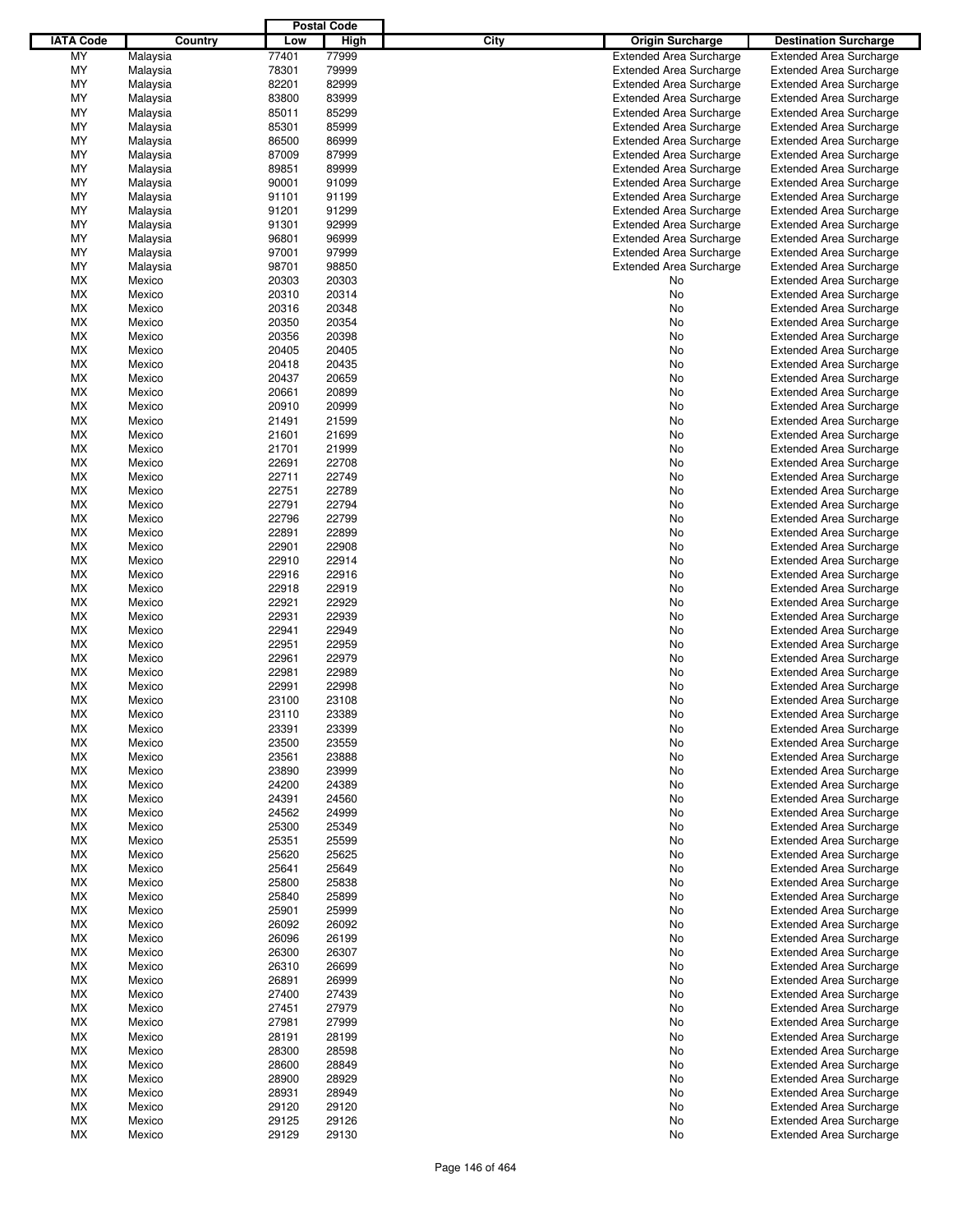|                  |          |       | <b>Postal Code</b> |                                 |                                |
|------------------|----------|-------|--------------------|---------------------------------|--------------------------------|
| <b>IATA Code</b> | Country  | Low   | High               | City<br><b>Origin Surcharge</b> | <b>Destination Surcharge</b>   |
| MY               | Malaysia | 77401 | 77999              | <b>Extended Area Surcharge</b>  | <b>Extended Area Surcharge</b> |
| MY               |          | 78301 | 79999              | <b>Extended Area Surcharge</b>  | <b>Extended Area Surcharge</b> |
| MY               | Malaysia |       |                    |                                 |                                |
|                  | Malaysia | 82201 | 82999<br>83999     | <b>Extended Area Surcharge</b>  | <b>Extended Area Surcharge</b> |
| MY               | Malaysia | 83800 |                    | <b>Extended Area Surcharge</b>  | <b>Extended Area Surcharge</b> |
| MY               | Malaysia | 85011 | 85299              | <b>Extended Area Surcharge</b>  | <b>Extended Area Surcharge</b> |
| MY               | Malaysia | 85301 | 85999              | <b>Extended Area Surcharge</b>  | <b>Extended Area Surcharge</b> |
| MY               | Malaysia | 86500 | 86999              | <b>Extended Area Surcharge</b>  | <b>Extended Area Surcharge</b> |
| MY               | Malaysia | 87009 | 87999              | <b>Extended Area Surcharge</b>  | <b>Extended Area Surcharge</b> |
| MY               | Malaysia | 89851 | 89999              | <b>Extended Area Surcharge</b>  | <b>Extended Area Surcharge</b> |
| MY               | Malaysia | 90001 | 91099              | <b>Extended Area Surcharge</b>  | <b>Extended Area Surcharge</b> |
| MY               | Malaysia | 91101 | 91199              | <b>Extended Area Surcharge</b>  | <b>Extended Area Surcharge</b> |
| MY               | Malaysia | 91201 | 91299              | <b>Extended Area Surcharge</b>  | <b>Extended Area Surcharge</b> |
| MY               | Malaysia | 91301 | 92999              | <b>Extended Area Surcharge</b>  | <b>Extended Area Surcharge</b> |
| MY               | Malaysia | 96801 | 96999              | <b>Extended Area Surcharge</b>  | <b>Extended Area Surcharge</b> |
| MY               | Malaysia | 97001 | 97999              | <b>Extended Area Surcharge</b>  | <b>Extended Area Surcharge</b> |
| MY               | Malaysia | 98701 | 98850              | <b>Extended Area Surcharge</b>  | <b>Extended Area Surcharge</b> |
| МX               | Mexico   | 20303 | 20303              | No                              | <b>Extended Area Surcharge</b> |
| MX               | Mexico   | 20310 | 20314              | No                              | <b>Extended Area Surcharge</b> |
| МX               | Mexico   | 20316 | 20348              | No                              | <b>Extended Area Surcharge</b> |
| MX               | Mexico   | 20350 | 20354              | No                              | <b>Extended Area Surcharge</b> |
|                  |          |       |                    |                                 |                                |
| МX               | Mexico   | 20356 | 20398              | No                              | <b>Extended Area Surcharge</b> |
| MX               | Mexico   | 20405 | 20405              | No                              | <b>Extended Area Surcharge</b> |
| МX               | Mexico   | 20418 | 20435              | No                              | <b>Extended Area Surcharge</b> |
| MX               | Mexico   | 20437 | 20659              | No                              | <b>Extended Area Surcharge</b> |
| МX               | Mexico   | 20661 | 20899              | No                              | <b>Extended Area Surcharge</b> |
| MX               | Mexico   | 20910 | 20999              | No                              | <b>Extended Area Surcharge</b> |
| МX               | Mexico   | 21491 | 21599              | No                              | <b>Extended Area Surcharge</b> |
| MX               | Mexico   | 21601 | 21699              | No                              | <b>Extended Area Surcharge</b> |
| МX               | Mexico   | 21701 | 21999              | No                              | <b>Extended Area Surcharge</b> |
| MX               | Mexico   | 22691 | 22708              | No                              | <b>Extended Area Surcharge</b> |
| МX               | Mexico   | 22711 | 22749              | No                              | <b>Extended Area Surcharge</b> |
| MX               | Mexico   | 22751 | 22789              | No                              | <b>Extended Area Surcharge</b> |
| МX               | Mexico   | 22791 | 22794              | No                              | <b>Extended Area Surcharge</b> |
| MX               | Mexico   | 22796 | 22799              | No                              | <b>Extended Area Surcharge</b> |
| МX               | Mexico   | 22891 | 22899              | No                              | <b>Extended Area Surcharge</b> |
| MX               | Mexico   | 22901 | 22908              | No                              | <b>Extended Area Surcharge</b> |
| МX               |          | 22910 | 22914              |                                 |                                |
|                  | Mexico   |       |                    | No                              | <b>Extended Area Surcharge</b> |
| MX               | Mexico   | 22916 | 22916              | No                              | <b>Extended Area Surcharge</b> |
| МX               | Mexico   | 22918 | 22919              | No                              | <b>Extended Area Surcharge</b> |
| MX               | Mexico   | 22921 | 22929              | No                              | <b>Extended Area Surcharge</b> |
| МX               | Mexico   | 22931 | 22939              | No                              | <b>Extended Area Surcharge</b> |
| МX               | Mexico   | 22941 | 22949              | No                              | <b>Extended Area Surcharge</b> |
| МX               | Mexico   | 22951 | 22959              | No                              | <b>Extended Area Surcharge</b> |
| MX               | Mexico   | 22961 | 22979              | No                              | <b>Extended Area Surcharge</b> |
| МX               | Mexico   | 22981 | 22989              | No                              | Extended Area Surcharge        |
| МX               | Mexico   | 22991 | 22998              | No                              | <b>Extended Area Surcharge</b> |
| МX               | Mexico   | 23100 | 23108              | No                              | <b>Extended Area Surcharge</b> |
| <b>MX</b>        | Mexico   | 23110 | 23389              | No                              | <b>Extended Area Surcharge</b> |
| MX               | Mexico   | 23391 | 23399              | No                              | <b>Extended Area Surcharge</b> |
| МX               | Mexico   | 23500 | 23559              | No                              | <b>Extended Area Surcharge</b> |
| МX               | Mexico   | 23561 | 23888              | No                              | <b>Extended Area Surcharge</b> |
| МX               | Mexico   | 23890 | 23999              | No                              | <b>Extended Area Surcharge</b> |
| МX               | Mexico   | 24200 | 24389              | No                              | <b>Extended Area Surcharge</b> |
|                  |          |       |                    |                                 |                                |
| МX               | Mexico   | 24391 | 24560              | No                              | Extended Area Surcharge        |
| МX               | Mexico   | 24562 | 24999              | No                              | <b>Extended Area Surcharge</b> |
| МX               | Mexico   | 25300 | 25349              | No                              | <b>Extended Area Surcharge</b> |
| MX               | Mexico   | 25351 | 25599              | No                              | <b>Extended Area Surcharge</b> |
| МX               | Mexico   | 25620 | 25625              | No                              | Extended Area Surcharge        |
| МX               | Mexico   | 25641 | 25649              | No                              | <b>Extended Area Surcharge</b> |
| МX               | Mexico   | 25800 | 25838              | No                              | <b>Extended Area Surcharge</b> |
| MX               | Mexico   | 25840 | 25899              | No                              | <b>Extended Area Surcharge</b> |
| МX               | Mexico   | 25901 | 25999              | No                              | Extended Area Surcharge        |
| МX               | Mexico   | 26092 | 26092              | No                              | <b>Extended Area Surcharge</b> |
| МX               | Mexico   | 26096 | 26199              | No                              | <b>Extended Area Surcharge</b> |
| МX               | Mexico   | 26300 | 26307              | No                              | <b>Extended Area Surcharge</b> |
| МX               | Mexico   | 26310 | 26699              | No                              | Extended Area Surcharge        |
| МX               | Mexico   | 26891 | 26999              | No                              | <b>Extended Area Surcharge</b> |
| МX               | Mexico   | 27400 | 27439              | No                              | <b>Extended Area Surcharge</b> |
| МX               |          | 27451 | 27979              |                                 | <b>Extended Area Surcharge</b> |
|                  | Mexico   |       |                    | No                              |                                |
| МX               | Mexico   | 27981 | 27999              | No                              | Extended Area Surcharge        |
| МX               | Mexico   | 28191 | 28199              | No                              | <b>Extended Area Surcharge</b> |
| МX               | Mexico   | 28300 | 28598              | No                              | <b>Extended Area Surcharge</b> |
| MX               | Mexico   | 28600 | 28849              | No                              | <b>Extended Area Surcharge</b> |
| МX               | Mexico   | 28900 | 28929              | No                              | Extended Area Surcharge        |
| МX               | Mexico   | 28931 | 28949              | No                              | <b>Extended Area Surcharge</b> |
| МX               | Mexico   | 29120 | 29120              | No                              | <b>Extended Area Surcharge</b> |
| MX               | Mexico   | 29125 | 29126              | No                              | <b>Extended Area Surcharge</b> |
| МX               | Mexico   | 29129 | 29130              | No                              | <b>Extended Area Surcharge</b> |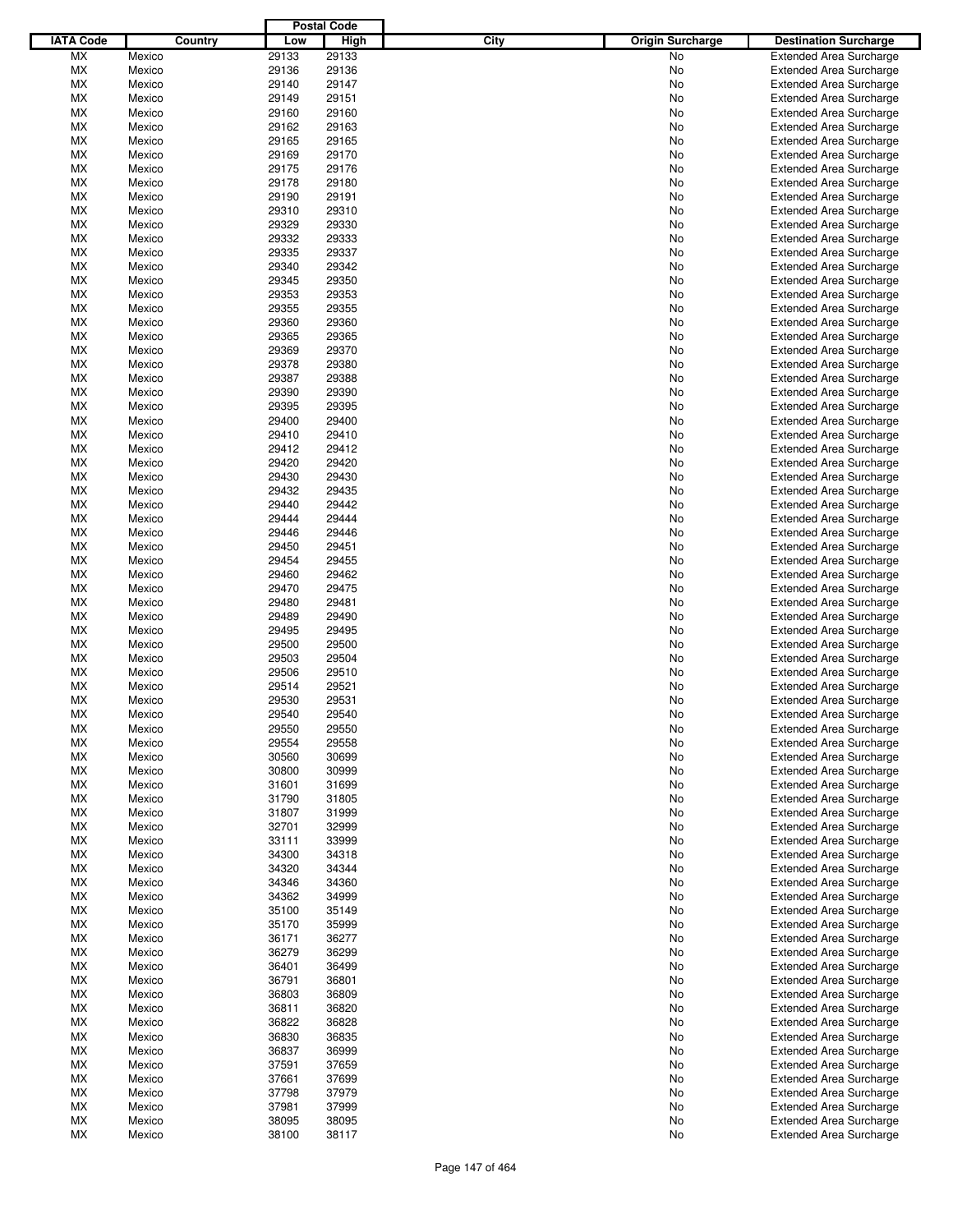|                  |         |       | <b>Postal Code</b> |                                 |                                |
|------------------|---------|-------|--------------------|---------------------------------|--------------------------------|
| <b>IATA Code</b> | Country | Low   | <b>High</b>        | City<br><b>Origin Surcharge</b> | <b>Destination Surcharge</b>   |
| <b>MX</b>        | Mexico  | 29133 | 29133              | <b>No</b>                       | <b>Extended Area Surcharge</b> |
| МX               | Mexico  | 29136 | 29136              | No                              | <b>Extended Area Surcharge</b> |
| МX               | Mexico  | 29140 | 29147              | No                              | <b>Extended Area Surcharge</b> |
| МX               | Mexico  | 29149 | 29151              | No                              | <b>Extended Area Surcharge</b> |
| МX               | Mexico  | 29160 | 29160              | No                              | <b>Extended Area Surcharge</b> |
|                  |         |       |                    |                                 |                                |
| МX               | Mexico  | 29162 | 29163              | No                              | <b>Extended Area Surcharge</b> |
| МX               | Mexico  | 29165 | 29165              | No                              | <b>Extended Area Surcharge</b> |
| МX               | Mexico  | 29169 | 29170              | No                              | <b>Extended Area Surcharge</b> |
| МX               | Mexico  | 29175 | 29176              | No                              | <b>Extended Area Surcharge</b> |
| МX               | Mexico  | 29178 | 29180              | No                              | <b>Extended Area Surcharge</b> |
| МX               | Mexico  | 29190 | 29191              | No                              | <b>Extended Area Surcharge</b> |
| МX               | Mexico  | 29310 | 29310              | No                              | <b>Extended Area Surcharge</b> |
| МX               | Mexico  | 29329 | 29330              | No                              | <b>Extended Area Surcharge</b> |
| МX               | Mexico  | 29332 | 29333              | No                              | <b>Extended Area Surcharge</b> |
| МX               | Mexico  | 29335 | 29337              | No                              | <b>Extended Area Surcharge</b> |
| МX               | Mexico  | 29340 | 29342              | No                              | <b>Extended Area Surcharge</b> |
| МX               | Mexico  | 29345 | 29350              | No                              | <b>Extended Area Surcharge</b> |
| МX               | Mexico  | 29353 | 29353              | No                              | <b>Extended Area Surcharge</b> |
| МX               | Mexico  | 29355 | 29355              | No                              | <b>Extended Area Surcharge</b> |
| МX               | Mexico  | 29360 | 29360              | No                              | <b>Extended Area Surcharge</b> |
|                  |         |       |                    |                                 |                                |
| МX               | Mexico  | 29365 | 29365              | No                              | <b>Extended Area Surcharge</b> |
| МX               | Mexico  | 29369 | 29370              | No                              | <b>Extended Area Surcharge</b> |
| МX               | Mexico  | 29378 | 29380              | No                              | <b>Extended Area Surcharge</b> |
| МX               | Mexico  | 29387 | 29388              | No                              | <b>Extended Area Surcharge</b> |
| МX               | Mexico  | 29390 | 29390              | No                              | <b>Extended Area Surcharge</b> |
| МX               | Mexico  | 29395 | 29395              | No                              | <b>Extended Area Surcharge</b> |
| МX               | Mexico  | 29400 | 29400              | No                              | <b>Extended Area Surcharge</b> |
| МX               | Mexico  | 29410 | 29410              | No                              | <b>Extended Area Surcharge</b> |
| МX               | Mexico  | 29412 | 29412              | No                              | <b>Extended Area Surcharge</b> |
| МX               | Mexico  | 29420 | 29420              | No                              | <b>Extended Area Surcharge</b> |
| МX               | Mexico  | 29430 | 29430              | No                              | <b>Extended Area Surcharge</b> |
| МX               | Mexico  | 29432 | 29435              | No                              | <b>Extended Area Surcharge</b> |
|                  |         |       | 29442              |                                 |                                |
| МX               | Mexico  | 29440 |                    | No                              | <b>Extended Area Surcharge</b> |
| МX               | Mexico  | 29444 | 29444              | No                              | <b>Extended Area Surcharge</b> |
| МX               | Mexico  | 29446 | 29446              | No                              | <b>Extended Area Surcharge</b> |
| МX               | Mexico  | 29450 | 29451              | No                              | <b>Extended Area Surcharge</b> |
| МX               | Mexico  | 29454 | 29455              | No                              | <b>Extended Area Surcharge</b> |
| МX               | Mexico  | 29460 | 29462              | No                              | <b>Extended Area Surcharge</b> |
| МX               | Mexico  | 29470 | 29475              | No                              | <b>Extended Area Surcharge</b> |
| МX               | Mexico  | 29480 | 29481              | No                              | <b>Extended Area Surcharge</b> |
| МX               | Mexico  | 29489 | 29490              | No                              | <b>Extended Area Surcharge</b> |
| МX               | Mexico  | 29495 | 29495              | No                              | <b>Extended Area Surcharge</b> |
| МX               | Mexico  | 29500 | 29500              | No                              | <b>Extended Area Surcharge</b> |
| МX               | Mexico  | 29503 | 29504              | No                              | <b>Extended Area Surcharge</b> |
| МX               | Mexico  | 29506 | 29510              | No                              | <b>Extended Area Surcharge</b> |
| МX               | Mexico  | 29514 | 29521              | No                              | <b>Extended Area Surcharge</b> |
| МX               | Mexico  | 29530 | 29531              | No                              | <b>Extended Area Surcharge</b> |
| <b>MX</b>        | Mexico  | 29540 | 29540              | No                              | <b>Extended Area Surcharge</b> |
| МX               |         | 29550 | 29550              |                                 |                                |
|                  | Mexico  |       |                    | No                              | <b>Extended Area Surcharge</b> |
| МX               | Mexico  | 29554 | 29558              | No                              | <b>Extended Area Surcharge</b> |
| МX               | Mexico  | 30560 | 30699              | No                              | <b>Extended Area Surcharge</b> |
| МX               | Mexico  | 30800 | 30999              | No                              | <b>Extended Area Surcharge</b> |
| МX               | Mexico  | 31601 | 31699              | No                              | <b>Extended Area Surcharge</b> |
| МX               | Mexico  | 31790 | 31805              | No                              | <b>Extended Area Surcharge</b> |
| МX               | Mexico  | 31807 | 31999              | No                              | <b>Extended Area Surcharge</b> |
| МX               | Mexico  | 32701 | 32999              | No                              | <b>Extended Area Surcharge</b> |
| МX               | Mexico  | 33111 | 33999              | No                              | <b>Extended Area Surcharge</b> |
| МX               | Mexico  | 34300 | 34318              | No                              | Extended Area Surcharge        |
| МX               | Mexico  | 34320 | 34344              | No                              | <b>Extended Area Surcharge</b> |
| МX               | Mexico  | 34346 | 34360              | No                              | <b>Extended Area Surcharge</b> |
| МX               | Mexico  | 34362 | 34999              | No                              | <b>Extended Area Surcharge</b> |
| МX               | Mexico  | 35100 | 35149              | No                              | Extended Area Surcharge        |
| МX               | Mexico  | 35170 | 35999              | No                              | <b>Extended Area Surcharge</b> |
|                  | Mexico  | 36171 | 36277              | No                              | <b>Extended Area Surcharge</b> |
| МX               |         |       |                    |                                 |                                |
| МX               | Mexico  | 36279 | 36299              | No                              | <b>Extended Area Surcharge</b> |
| МX               | Mexico  | 36401 | 36499              | No                              | <b>Extended Area Surcharge</b> |
| МX               | Mexico  | 36791 | 36801              | No                              | <b>Extended Area Surcharge</b> |
| МX               | Mexico  | 36803 | 36809              | No                              | <b>Extended Area Surcharge</b> |
| МX               | Mexico  | 36811 | 36820              | No                              | <b>Extended Area Surcharge</b> |
| МX               | Mexico  | 36822 | 36828              | No                              | <b>Extended Area Surcharge</b> |
| МX               | Mexico  | 36830 | 36835              | No                              | <b>Extended Area Surcharge</b> |
| МX               | Mexico  | 36837 | 36999              | No                              | <b>Extended Area Surcharge</b> |
| МX               | Mexico  | 37591 | 37659              | No                              | <b>Extended Area Surcharge</b> |
| МX               | Mexico  | 37661 | 37699              | No                              | Extended Area Surcharge        |
| МX               | Mexico  | 37798 | 37979              | No                              | <b>Extended Area Surcharge</b> |
| МX               | Mexico  | 37981 | 37999              | No                              | <b>Extended Area Surcharge</b> |
| МX               | Mexico  | 38095 | 38095              | No                              | <b>Extended Area Surcharge</b> |
| МX               | Mexico  | 38100 | 38117              | No                              | <b>Extended Area Surcharge</b> |
|                  |         |       |                    |                                 |                                |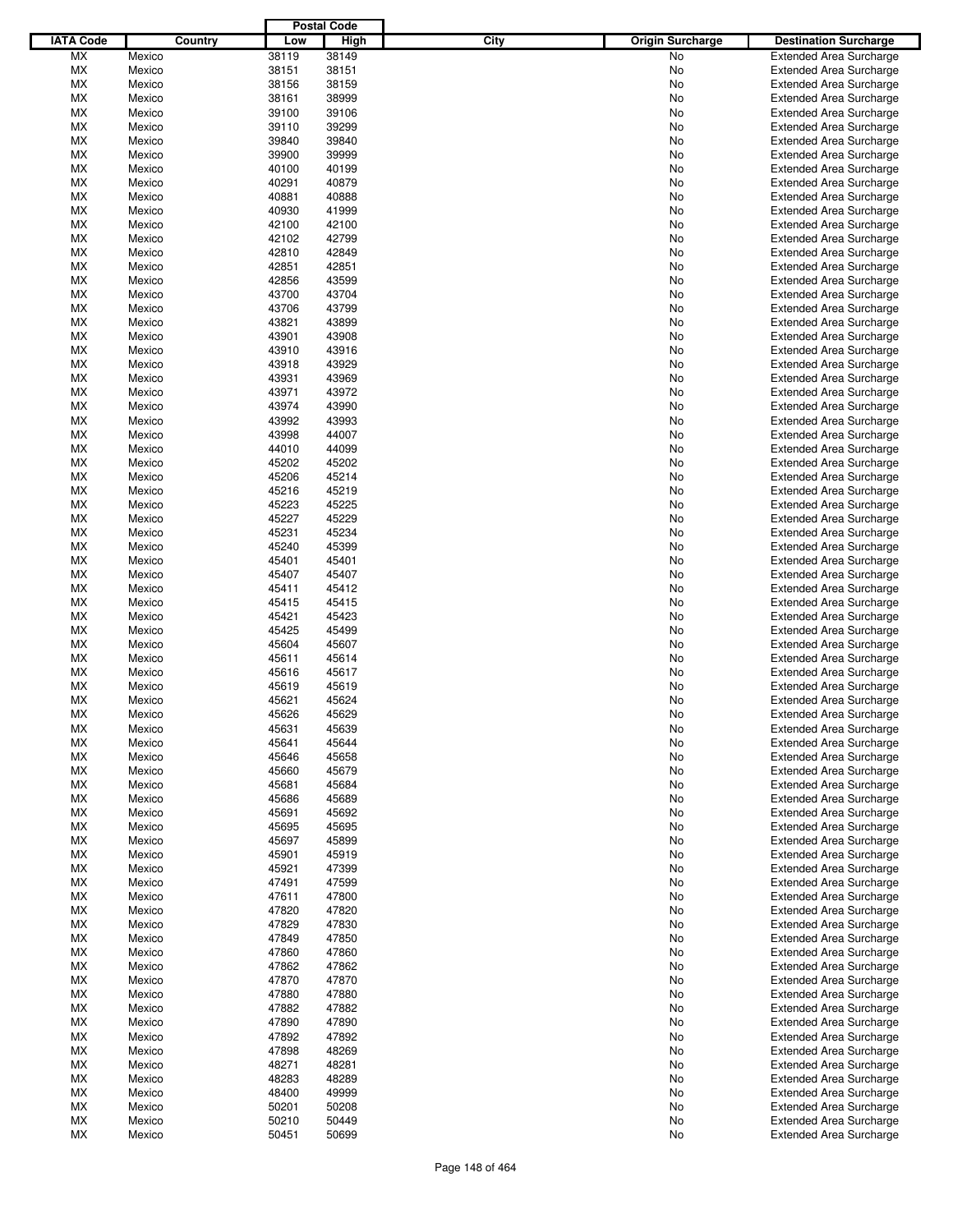|                  |         |       | <b>Postal Code</b> |      |                         |                                |
|------------------|---------|-------|--------------------|------|-------------------------|--------------------------------|
| <b>IATA Code</b> | Country | Low   | <b>High</b>        | City | <b>Origin Surcharge</b> | <b>Destination Surcharge</b>   |
| MX               | Mexico  | 38119 | 38149              |      | No.                     | <b>Extended Area Surcharge</b> |
| МX               | Mexico  | 38151 | 38151              |      | No                      | <b>Extended Area Surcharge</b> |
| МX               | Mexico  | 38156 | 38159              |      | No                      | <b>Extended Area Surcharge</b> |
| МX               | Mexico  | 38161 | 38999              |      | No                      | <b>Extended Area Surcharge</b> |
| МX               | Mexico  | 39100 | 39106              |      | No                      | <b>Extended Area Surcharge</b> |
|                  | Mexico  |       |                    |      |                         |                                |
| МX               |         | 39110 | 39299              |      | No                      | <b>Extended Area Surcharge</b> |
| МX               | Mexico  | 39840 | 39840              |      | No                      | <b>Extended Area Surcharge</b> |
| МX               | Mexico  | 39900 | 39999              |      | No                      | <b>Extended Area Surcharge</b> |
| МX               | Mexico  | 40100 | 40199              |      | No                      | <b>Extended Area Surcharge</b> |
| МX               | Mexico  | 40291 | 40879              |      | No                      | <b>Extended Area Surcharge</b> |
| МX               | Mexico  | 40881 | 40888              |      | No                      | <b>Extended Area Surcharge</b> |
| МX               | Mexico  | 40930 | 41999              |      | No                      | <b>Extended Area Surcharge</b> |
| МX               | Mexico  | 42100 | 42100              |      | No                      | <b>Extended Area Surcharge</b> |
| МX               | Mexico  | 42102 | 42799              |      | No                      | <b>Extended Area Surcharge</b> |
| МX               | Mexico  | 42810 | 42849              |      | No                      | <b>Extended Area Surcharge</b> |
| МX               | Mexico  | 42851 | 42851              |      | No                      | <b>Extended Area Surcharge</b> |
| МX               | Mexico  | 42856 | 43599              |      | No                      | <b>Extended Area Surcharge</b> |
| МX               | Mexico  | 43700 | 43704              |      | No                      | <b>Extended Area Surcharge</b> |
| МX               | Mexico  | 43706 | 43799              |      | No                      | <b>Extended Area Surcharge</b> |
| МX               | Mexico  | 43821 | 43899              |      | No                      | <b>Extended Area Surcharge</b> |
| МX               | Mexico  | 43901 | 43908              |      |                         |                                |
|                  |         |       |                    |      | No                      | <b>Extended Area Surcharge</b> |
| МX               | Mexico  | 43910 | 43916              |      | No                      | <b>Extended Area Surcharge</b> |
| МX               | Mexico  | 43918 | 43929              |      | No                      | <b>Extended Area Surcharge</b> |
| МX               | Mexico  | 43931 | 43969              |      | No                      | <b>Extended Area Surcharge</b> |
| МX               | Mexico  | 43971 | 43972              |      | No                      | <b>Extended Area Surcharge</b> |
| МX               | Mexico  | 43974 | 43990              |      | No                      | <b>Extended Area Surcharge</b> |
| МX               | Mexico  | 43992 | 43993              |      | No                      | <b>Extended Area Surcharge</b> |
| МX               | Mexico  | 43998 | 44007              |      | No                      | <b>Extended Area Surcharge</b> |
| МX               | Mexico  | 44010 | 44099              |      | No                      | <b>Extended Area Surcharge</b> |
| МX               | Mexico  | 45202 | 45202              |      | No                      | <b>Extended Area Surcharge</b> |
| МX               | Mexico  | 45206 | 45214              |      | No                      | <b>Extended Area Surcharge</b> |
| МX               | Mexico  | 45216 | 45219              |      | No                      | <b>Extended Area Surcharge</b> |
| МX               | Mexico  | 45223 | 45225              |      | No                      | <b>Extended Area Surcharge</b> |
| МX               | Mexico  | 45227 | 45229              |      | No                      | <b>Extended Area Surcharge</b> |
| МX               | Mexico  | 45231 | 45234              |      | No                      | <b>Extended Area Surcharge</b> |
|                  | Mexico  | 45240 |                    |      |                         |                                |
| МX               |         |       | 45399              |      | No                      | <b>Extended Area Surcharge</b> |
| МX               | Mexico  | 45401 | 45401              |      | No                      | <b>Extended Area Surcharge</b> |
| МX               | Mexico  | 45407 | 45407              |      | No                      | <b>Extended Area Surcharge</b> |
| МX               | Mexico  | 45411 | 45412              |      | No                      | <b>Extended Area Surcharge</b> |
| МX               | Mexico  | 45415 | 45415              |      | No                      | <b>Extended Area Surcharge</b> |
| МX               | Mexico  | 45421 | 45423              |      | No                      | <b>Extended Area Surcharge</b> |
| МX               | Mexico  | 45425 | 45499              |      | No                      | <b>Extended Area Surcharge</b> |
| МX               | Mexico  | 45604 | 45607              |      | No                      | <b>Extended Area Surcharge</b> |
| МX               | Mexico  | 45611 | 45614              |      | No                      | <b>Extended Area Surcharge</b> |
| МX               | Mexico  | 45616 | 45617              |      | No                      | <b>Extended Area Surcharge</b> |
| <b>MX</b>        | Mexico  | 45619 | 45619              |      | No                      | <b>Extended Area Surcharge</b> |
| МX               | Mexico  | 45621 | 45624              |      | No                      | <b>Extended Area Surcharge</b> |
| <b>MX</b>        | Mexico  | 45626 | 45629              |      | No                      | <b>Extended Area Surcharge</b> |
| МX               | Mexico  | 45631 | 45639              |      | No                      | <b>Extended Area Surcharge</b> |
| МX               | Mexico  | 45641 | 45644              |      | No                      | <b>Extended Area Surcharge</b> |
| МX               | Mexico  | 45646 | 45658              |      | No                      | <b>Extended Area Surcharge</b> |
| МX               | Mexico  | 45660 | 45679              |      | No                      | <b>Extended Area Surcharge</b> |
| МX               | Mexico  | 45681 | 45684              |      | No                      | <b>Extended Area Surcharge</b> |
| МX               |         | 45686 | 45689              |      |                         |                                |
|                  | Mexico  |       |                    |      | No.                     | <b>Extended Area Surcharge</b> |
| МX               | Mexico  | 45691 | 45692              |      | No                      | <b>Extended Area Surcharge</b> |
| МX               | Mexico  | 45695 | 45695              |      | No.                     | <b>Extended Area Surcharge</b> |
| МX               | Mexico  | 45697 | 45899              |      | No                      | <b>Extended Area Surcharge</b> |
| МX               | Mexico  | 45901 | 45919              |      | No.                     | <b>Extended Area Surcharge</b> |
| МX               | Mexico  | 45921 | 47399              |      | No                      | <b>Extended Area Surcharge</b> |
| МX               | Mexico  | 47491 | 47599              |      | No                      | <b>Extended Area Surcharge</b> |
| МX               | Mexico  | 47611 | 47800              |      | No                      | <b>Extended Area Surcharge</b> |
| МX               | Mexico  | 47820 | 47820              |      | No.                     | <b>Extended Area Surcharge</b> |
| МX               | Mexico  | 47829 | 47830              |      | No                      | <b>Extended Area Surcharge</b> |
| МX               | Mexico  | 47849 | 47850              |      | No                      | <b>Extended Area Surcharge</b> |
| МX               | Mexico  | 47860 | 47860              |      | No.                     | <b>Extended Area Surcharge</b> |
| МX               | Mexico  | 47862 | 47862              |      | No.                     | <b>Extended Area Surcharge</b> |
| МX               | Mexico  | 47870 | 47870              |      | No                      | <b>Extended Area Surcharge</b> |
| МX               | Mexico  | 47880 | 47880              |      | No.                     | <b>Extended Area Surcharge</b> |
|                  |         |       |                    |      |                         |                                |
| МX               | Mexico  | 47882 | 47882              |      | No.                     | <b>Extended Area Surcharge</b> |
| МX               | Mexico  | 47890 | 47890              |      | No.                     | <b>Extended Area Surcharge</b> |
| МX               | Mexico  | 47892 | 47892              |      | No                      | <b>Extended Area Surcharge</b> |
| МX               | Mexico  | 47898 | 48269              |      | No.                     | <b>Extended Area Surcharge</b> |
| МX               | Mexico  | 48271 | 48281              |      | No                      | <b>Extended Area Surcharge</b> |
| МX               | Mexico  | 48283 | 48289              |      | No                      | <b>Extended Area Surcharge</b> |
| МX               | Mexico  | 48400 | 49999              |      | No                      | <b>Extended Area Surcharge</b> |
| МX               | Mexico  | 50201 | 50208              |      | No                      | <b>Extended Area Surcharge</b> |
| МX               | Mexico  | 50210 | 50449              |      | No                      | <b>Extended Area Surcharge</b> |
| МX               | Mexico  | 50451 | 50699              |      | No                      | <b>Extended Area Surcharge</b> |
|                  |         |       |                    |      |                         |                                |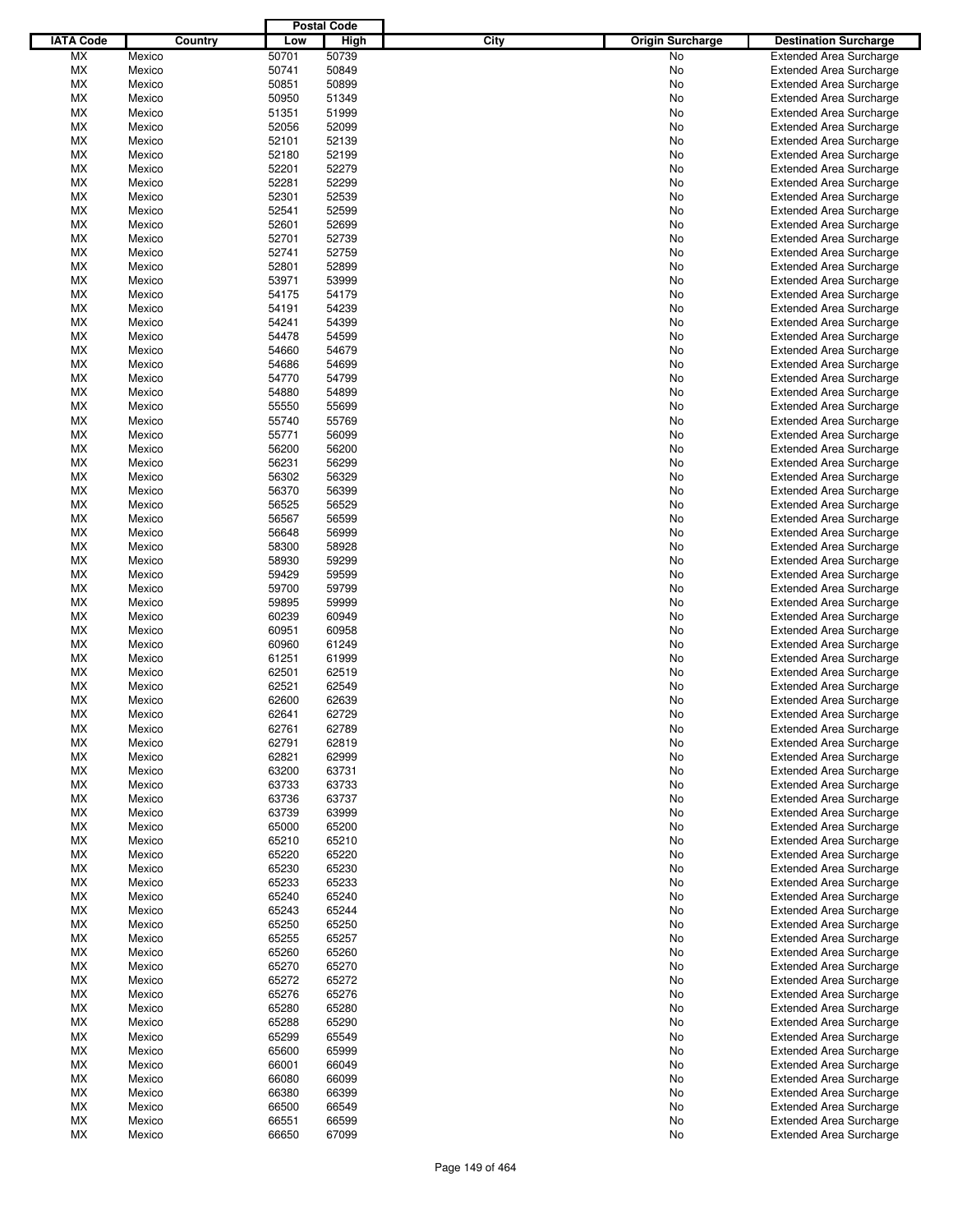|                  |         |       | <b>Postal Code</b> |                                 |                                |
|------------------|---------|-------|--------------------|---------------------------------|--------------------------------|
| <b>IATA Code</b> | Country | Low   | <b>High</b>        | City<br><b>Origin Surcharge</b> | <b>Destination Surcharge</b>   |
| <b>MX</b>        | Mexico  | 50701 | 50739              | <b>No</b>                       | <b>Extended Area Surcharge</b> |
| МX               | Mexico  | 50741 | 50849              | No                              | <b>Extended Area Surcharge</b> |
| МX               | Mexico  | 50851 | 50899              | No                              | <b>Extended Area Surcharge</b> |
| МX               | Mexico  | 50950 | 51349              | No                              | <b>Extended Area Surcharge</b> |
| МX               | Mexico  | 51351 | 51999              | No                              | <b>Extended Area Surcharge</b> |
| МX               | Mexico  | 52056 | 52099              | No                              | <b>Extended Area Surcharge</b> |
| МX               |         | 52101 | 52139              | No                              |                                |
|                  | Mexico  |       |                    |                                 | <b>Extended Area Surcharge</b> |
| МX               | Mexico  | 52180 | 52199              | No                              | <b>Extended Area Surcharge</b> |
| МX               | Mexico  | 52201 | 52279              | No                              | <b>Extended Area Surcharge</b> |
| МX               | Mexico  | 52281 | 52299              | No                              | <b>Extended Area Surcharge</b> |
| МX               | Mexico  | 52301 | 52539              | No                              | <b>Extended Area Surcharge</b> |
| МX               | Mexico  | 52541 | 52599              | No                              | <b>Extended Area Surcharge</b> |
| МX               | Mexico  | 52601 | 52699              | No                              | <b>Extended Area Surcharge</b> |
| МX               | Mexico  | 52701 | 52739              | No                              | <b>Extended Area Surcharge</b> |
| МX               | Mexico  | 52741 | 52759              | No                              | <b>Extended Area Surcharge</b> |
| МX               | Mexico  | 52801 | 52899              | No                              | <b>Extended Area Surcharge</b> |
| МX               | Mexico  | 53971 | 53999              | No                              | <b>Extended Area Surcharge</b> |
| МX               | Mexico  | 54175 | 54179              | No                              | <b>Extended Area Surcharge</b> |
| МX               | Mexico  | 54191 | 54239              | No                              | <b>Extended Area Surcharge</b> |
| МX               | Mexico  | 54241 | 54399              | No                              | <b>Extended Area Surcharge</b> |
| МX               | Mexico  | 54478 | 54599              | No                              | <b>Extended Area Surcharge</b> |
| МX               | Mexico  | 54660 | 54679              | No                              | <b>Extended Area Surcharge</b> |
| МX               | Mexico  | 54686 | 54699              | No                              | <b>Extended Area Surcharge</b> |
| МX               | Mexico  | 54770 | 54799              | No                              | <b>Extended Area Surcharge</b> |
| МX               | Mexico  | 54880 | 54899              | No                              | <b>Extended Area Surcharge</b> |
| МX               | Mexico  | 55550 | 55699              | No                              |                                |
|                  |         |       |                    |                                 | <b>Extended Area Surcharge</b> |
| МX               | Mexico  | 55740 | 55769              | No                              | <b>Extended Area Surcharge</b> |
| МX               | Mexico  | 55771 | 56099              | No                              | <b>Extended Area Surcharge</b> |
| МX               | Mexico  | 56200 | 56200              | No                              | <b>Extended Area Surcharge</b> |
| МX               | Mexico  | 56231 | 56299              | No                              | <b>Extended Area Surcharge</b> |
| МX               | Mexico  | 56302 | 56329              | No                              | <b>Extended Area Surcharge</b> |
| МX               | Mexico  | 56370 | 56399              | No                              | <b>Extended Area Surcharge</b> |
| МX               | Mexico  | 56525 | 56529              | No                              | <b>Extended Area Surcharge</b> |
| МX               | Mexico  | 56567 | 56599              | No                              | <b>Extended Area Surcharge</b> |
| МX               | Mexico  | 56648 | 56999              | No                              | <b>Extended Area Surcharge</b> |
| МX               | Mexico  | 58300 | 58928              | No                              | <b>Extended Area Surcharge</b> |
| МX               | Mexico  | 58930 | 59299              | No                              | <b>Extended Area Surcharge</b> |
| МX               | Mexico  | 59429 | 59599              | No                              | <b>Extended Area Surcharge</b> |
| МX               | Mexico  | 59700 | 59799              | No                              | <b>Extended Area Surcharge</b> |
| МX               | Mexico  | 59895 | 59999              | No                              | <b>Extended Area Surcharge</b> |
| МX               | Mexico  | 60239 | 60949              | No                              | <b>Extended Area Surcharge</b> |
| МX               | Mexico  | 60951 | 60958              | No                              | <b>Extended Area Surcharge</b> |
| МX               | Mexico  | 60960 | 61249              | No                              | <b>Extended Area Surcharge</b> |
| МX               | Mexico  | 61251 | 61999              | No                              | <b>Extended Area Surcharge</b> |
| МX               | Mexico  | 62501 | 62519              | No                              | <b>Extended Area Surcharge</b> |
|                  |         |       |                    |                                 |                                |
| МX               | Mexico  | 62521 | 62549              | No                              | <b>Extended Area Surcharge</b> |
| МX               | Mexico  | 62600 | 62639              | No                              | <b>Extended Area Surcharge</b> |
| <b>MX</b>        | Mexico  | 62641 | 62729              | No                              | <b>Extended Area Surcharge</b> |
| МX               | Mexico  | 62761 | 62789              | No                              | <b>Extended Area Surcharge</b> |
| МX               | Mexico  | 62791 | 62819              | No                              | <b>Extended Area Surcharge</b> |
| МX               | Mexico  | 62821 | 62999              | No                              | <b>Extended Area Surcharge</b> |
| МX               | Mexico  | 63200 | 63731              | No                              | <b>Extended Area Surcharge</b> |
| МX               | Mexico  | 63733 | 63733              | No                              | <b>Extended Area Surcharge</b> |
| МX               | Mexico  | 63736 | 63737              | No                              | <b>Extended Area Surcharge</b> |
| МX               | Mexico  | 63739 | 63999              | No                              | <b>Extended Area Surcharge</b> |
| МX               | Mexico  | 65000 | 65200              | No                              | <b>Extended Area Surcharge</b> |
| МX               | Mexico  | 65210 | 65210              | No                              | <b>Extended Area Surcharge</b> |
| МX               | Mexico  | 65220 | 65220              | No                              | <b>Extended Area Surcharge</b> |
| МX               | Mexico  | 65230 | 65230              | No                              | <b>Extended Area Surcharge</b> |
| МX               | Mexico  | 65233 | 65233              | No                              | <b>Extended Area Surcharge</b> |
| МX               | Mexico  | 65240 | 65240              | No                              | <b>Extended Area Surcharge</b> |
| МX               | Mexico  | 65243 | 65244              | No                              | Extended Area Surcharge        |
| МX               | Mexico  | 65250 | 65250              | No                              | <b>Extended Area Surcharge</b> |
|                  | Mexico  | 65255 | 65257              | No                              | <b>Extended Area Surcharge</b> |
| МX               |         |       |                    |                                 |                                |
| МX               | Mexico  | 65260 | 65260              | No                              | <b>Extended Area Surcharge</b> |
| МX               | Mexico  | 65270 | 65270              | No                              | Extended Area Surcharge        |
| МX               | Mexico  | 65272 | 65272              | No                              | <b>Extended Area Surcharge</b> |
| МX               | Mexico  | 65276 | 65276              | No                              | <b>Extended Area Surcharge</b> |
| МX               | Mexico  | 65280 | 65280              | No                              | <b>Extended Area Surcharge</b> |
| МX               | Mexico  | 65288 | 65290              | No                              | <b>Extended Area Surcharge</b> |
| МX               | Mexico  | 65299 | 65549              | No                              | <b>Extended Area Surcharge</b> |
| МX               | Mexico  | 65600 | 65999              | No                              | <b>Extended Area Surcharge</b> |
| МX               | Mexico  | 66001 | 66049              | No                              | <b>Extended Area Surcharge</b> |
| МX               | Mexico  | 66080 | 66099              | No                              | Extended Area Surcharge        |
| МX               | Mexico  | 66380 | 66399              | No                              | <b>Extended Area Surcharge</b> |
| МX               | Mexico  | 66500 | 66549              | No                              | <b>Extended Area Surcharge</b> |
| МX               | Mexico  | 66551 | 66599              | No                              | <b>Extended Area Surcharge</b> |
| МX               | Mexico  | 66650 | 67099              | No                              | <b>Extended Area Surcharge</b> |
|                  |         |       |                    |                                 |                                |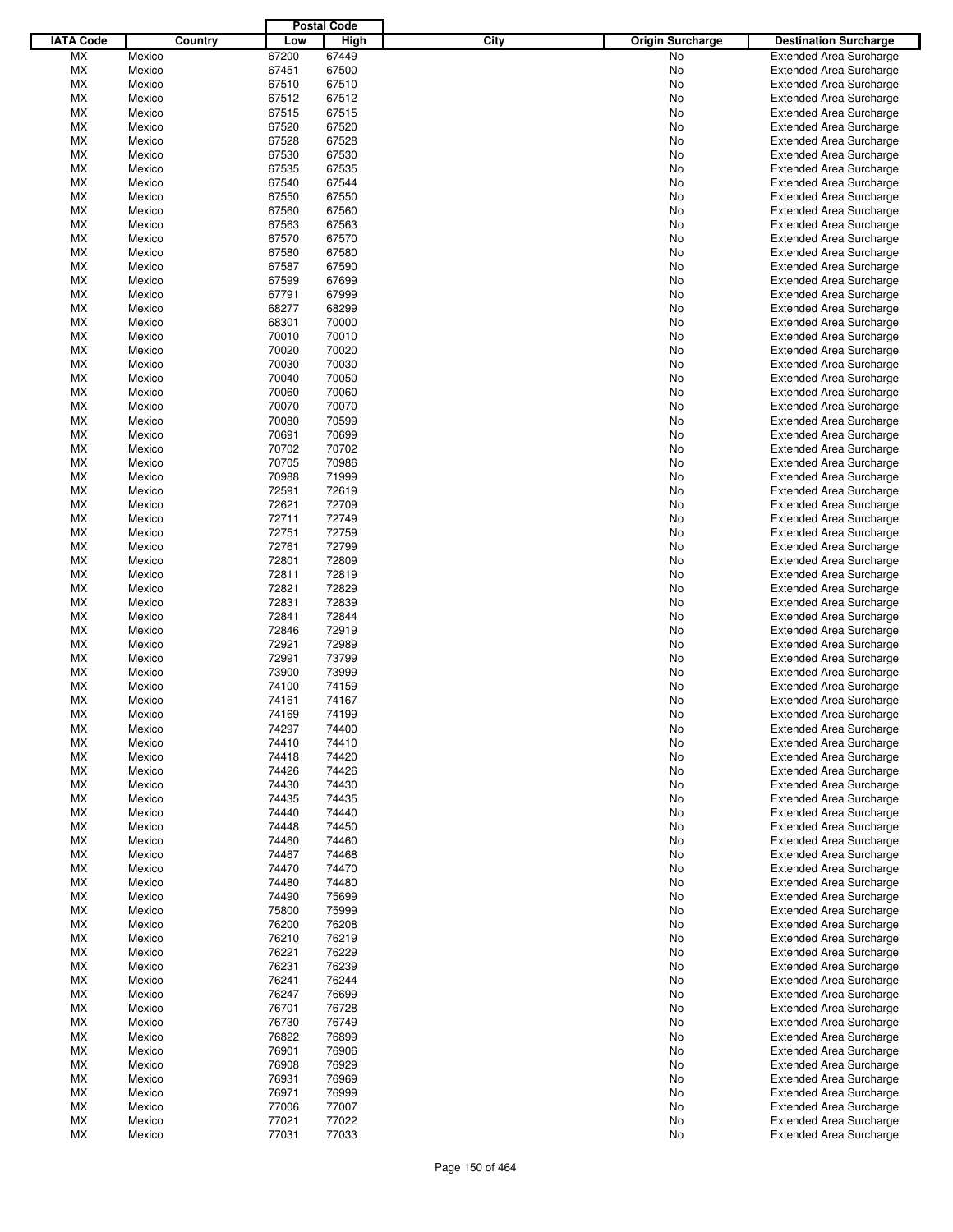|                  |         |       | <b>Postal Code</b> |                                 |                                |
|------------------|---------|-------|--------------------|---------------------------------|--------------------------------|
| <b>IATA Code</b> | Country | Low   | <b>High</b>        | City<br><b>Origin Surcharge</b> | <b>Destination Surcharge</b>   |
| <b>MX</b>        | Mexico  | 67200 | 67449              | <b>No</b>                       | <b>Extended Area Surcharge</b> |
| МX               | Mexico  | 67451 | 67500              | No                              | <b>Extended Area Surcharge</b> |
| МX               | Mexico  | 67510 | 67510              | No                              | <b>Extended Area Surcharge</b> |
| МX               | Mexico  | 67512 | 67512              | No                              | <b>Extended Area Surcharge</b> |
| МX               | Mexico  | 67515 | 67515              | No                              | <b>Extended Area Surcharge</b> |
| МX               | Mexico  | 67520 | 67520              | No                              | <b>Extended Area Surcharge</b> |
| МX               | Mexico  | 67528 | 67528              | No                              |                                |
|                  |         |       |                    |                                 | <b>Extended Area Surcharge</b> |
| МX               | Mexico  | 67530 | 67530              | No                              | <b>Extended Area Surcharge</b> |
| МX               | Mexico  | 67535 | 67535              | No                              | <b>Extended Area Surcharge</b> |
| МX               | Mexico  | 67540 | 67544              | No                              | <b>Extended Area Surcharge</b> |
| МX               | Mexico  | 67550 | 67550              | No                              | <b>Extended Area Surcharge</b> |
| МX               | Mexico  | 67560 | 67560              | No                              | <b>Extended Area Surcharge</b> |
| МX               | Mexico  | 67563 | 67563              | No                              | <b>Extended Area Surcharge</b> |
| МX               | Mexico  | 67570 | 67570              | No                              | <b>Extended Area Surcharge</b> |
| МX               | Mexico  | 67580 | 67580              | No                              | <b>Extended Area Surcharge</b> |
| МX               | Mexico  | 67587 | 67590              | No                              | <b>Extended Area Surcharge</b> |
| МX               | Mexico  | 67599 | 67699              | No                              | <b>Extended Area Surcharge</b> |
| МX               | Mexico  | 67791 | 67999              | No                              | <b>Extended Area Surcharge</b> |
| МX               | Mexico  | 68277 | 68299              | No                              | <b>Extended Area Surcharge</b> |
| МX               | Mexico  | 68301 | 70000              | No                              | <b>Extended Area Surcharge</b> |
| МX               | Mexico  | 70010 | 70010              | No                              | <b>Extended Area Surcharge</b> |
| МX               | Mexico  | 70020 | 70020              | No                              | <b>Extended Area Surcharge</b> |
| МX               | Mexico  | 70030 | 70030              | No                              | <b>Extended Area Surcharge</b> |
| МX               | Mexico  | 70040 | 70050              | No                              | <b>Extended Area Surcharge</b> |
| МX               | Mexico  | 70060 | 70060              | No                              | <b>Extended Area Surcharge</b> |
| МX               | Mexico  | 70070 | 70070              | No                              | <b>Extended Area Surcharge</b> |
|                  |         |       |                    |                                 |                                |
| МX               | Mexico  | 70080 | 70599              | No                              | <b>Extended Area Surcharge</b> |
| МX               | Mexico  | 70691 | 70699              | No                              | <b>Extended Area Surcharge</b> |
| МX               | Mexico  | 70702 | 70702              | No                              | <b>Extended Area Surcharge</b> |
| МX               | Mexico  | 70705 | 70986              | No                              | <b>Extended Area Surcharge</b> |
| МX               | Mexico  | 70988 | 71999              | No                              | <b>Extended Area Surcharge</b> |
| МX               | Mexico  | 72591 | 72619              | No                              | <b>Extended Area Surcharge</b> |
| МX               | Mexico  | 72621 | 72709              | No                              | <b>Extended Area Surcharge</b> |
| МX               | Mexico  | 72711 | 72749              | No                              | <b>Extended Area Surcharge</b> |
| МX               | Mexico  | 72751 | 72759              | No                              | <b>Extended Area Surcharge</b> |
| МX               | Mexico  | 72761 | 72799              | No                              | <b>Extended Area Surcharge</b> |
| МX               | Mexico  | 72801 | 72809              | No                              | <b>Extended Area Surcharge</b> |
| МX               | Mexico  | 72811 | 72819              | No                              | <b>Extended Area Surcharge</b> |
| МX               | Mexico  | 72821 | 72829              | No                              | <b>Extended Area Surcharge</b> |
| МX               | Mexico  | 72831 | 72839              | No                              | <b>Extended Area Surcharge</b> |
| МX               | Mexico  | 72841 | 72844              | No                              | <b>Extended Area Surcharge</b> |
| МX               | Mexico  | 72846 | 72919              | No                              | <b>Extended Area Surcharge</b> |
| МX               | Mexico  | 72921 | 72989              | No                              | <b>Extended Area Surcharge</b> |
| МX               | Mexico  | 72991 | 73799              | No                              | <b>Extended Area Surcharge</b> |
| МX               | Mexico  | 73900 | 73999              | No                              | Extended Area Surcharge        |
| МX               | Mexico  | 74100 | 74159              | No                              | <b>Extended Area Surcharge</b> |
| МX               |         |       | 74167              |                                 |                                |
|                  | Mexico  | 74161 |                    | No                              | <b>Extended Area Surcharge</b> |
| <b>MX</b>        | Mexico  | 74169 | 74199              | No                              | <b>Extended Area Surcharge</b> |
| МX               | Mexico  | 74297 | 74400              | No                              | <b>Extended Area Surcharge</b> |
| МX               | Mexico  | 74410 | 74410              | No                              | <b>Extended Area Surcharge</b> |
| МX               | Mexico  | 74418 | 74420              | No                              | <b>Extended Area Surcharge</b> |
| МX               | Mexico  | 74426 | 74426              | No                              | <b>Extended Area Surcharge</b> |
| МX               | Mexico  | 74430 | 74430              | No                              | <b>Extended Area Surcharge</b> |
| МX               | Mexico  | 74435 | 74435              | No                              | <b>Extended Area Surcharge</b> |
| МX               | Mexico  | 74440 | 74440              | No                              | <b>Extended Area Surcharge</b> |
| МX               | Mexico  | 74448 | 74450              | No                              | <b>Extended Area Surcharge</b> |
| МX               | Mexico  | 74460 | 74460              | No                              | <b>Extended Area Surcharge</b> |
| МX               | Mexico  | 74467 | 74468              | No                              | Extended Area Surcharge        |
| МX               | Mexico  | 74470 | 74470              | No                              | <b>Extended Area Surcharge</b> |
| МX               | Mexico  | 74480 | 74480              | No                              | <b>Extended Area Surcharge</b> |
| МX               | Mexico  | 74490 | 75699              | No                              | <b>Extended Area Surcharge</b> |
| МX               | Mexico  | 75800 | 75999              | No                              | Extended Area Surcharge        |
| МX               | Mexico  | 76200 | 76208              | No                              | <b>Extended Area Surcharge</b> |
| МX               | Mexico  | 76210 | 76219              | No                              | <b>Extended Area Surcharge</b> |
| МX               | Mexico  | 76221 | 76229              | No                              | <b>Extended Area Surcharge</b> |
| МX               | Mexico  | 76231 | 76239              | No                              | Extended Area Surcharge        |
| МX               | Mexico  | 76241 | 76244              | No                              | <b>Extended Area Surcharge</b> |
|                  |         |       |                    |                                 |                                |
| МX               | Mexico  | 76247 | 76699              | No                              | <b>Extended Area Surcharge</b> |
| МX               | Mexico  | 76701 | 76728              | No                              | <b>Extended Area Surcharge</b> |
| МX               | Mexico  | 76730 | 76749              | No                              | <b>Extended Area Surcharge</b> |
| МX               | Mexico  | 76822 | 76899              | No                              | <b>Extended Area Surcharge</b> |
| МX               | Mexico  | 76901 | 76906              | No                              | <b>Extended Area Surcharge</b> |
| МX               | Mexico  | 76908 | 76929              | No                              | <b>Extended Area Surcharge</b> |
| МX               | Mexico  | 76931 | 76969              | No                              | Extended Area Surcharge        |
| МX               | Mexico  | 76971 | 76999              | No                              | <b>Extended Area Surcharge</b> |
| МX               | Mexico  | 77006 | 77007              | No                              | Extended Area Surcharge        |
| МX               | Mexico  | 77021 | 77022              | No                              | <b>Extended Area Surcharge</b> |
| МX               | Mexico  | 77031 | 77033              | No                              | <b>Extended Area Surcharge</b> |
|                  |         |       |                    |                                 |                                |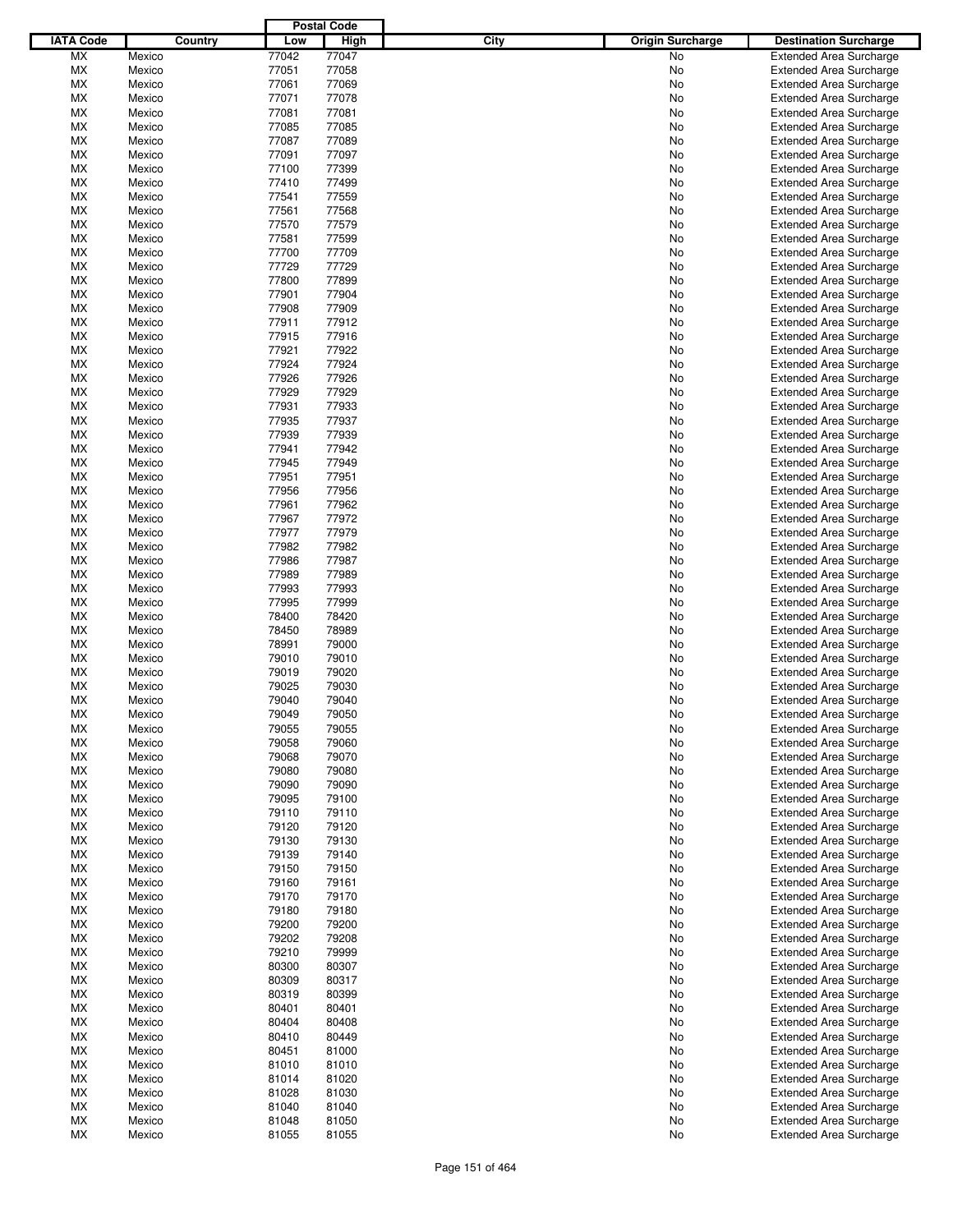|                  |                  |                | <b>Postal Code</b> |                                 |                                                                  |
|------------------|------------------|----------------|--------------------|---------------------------------|------------------------------------------------------------------|
| <b>IATA Code</b> | Country          | Low            | <b>High</b>        | City<br><b>Origin Surcharge</b> | <b>Destination Surcharge</b>                                     |
| <b>MX</b>        | Mexico           | 77042          | 77047              | <b>No</b>                       | <b>Extended Area Surcharge</b>                                   |
| МX               | Mexico           | 77051          | 77058              | No                              | <b>Extended Area Surcharge</b>                                   |
| МX               | Mexico           | 77061          | 77069              | No                              | <b>Extended Area Surcharge</b>                                   |
| МX               | Mexico           | 77071          | 77078              | No                              | <b>Extended Area Surcharge</b>                                   |
| МX               | Mexico           | 77081          | 77081              | No                              | <b>Extended Area Surcharge</b>                                   |
| МX               | Mexico           | 77085          | 77085              | No                              | <b>Extended Area Surcharge</b>                                   |
| МX               | Mexico           | 77087          | 77089              | No                              | <b>Extended Area Surcharge</b>                                   |
| МX               | Mexico           | 77091          | 77097              | No                              | <b>Extended Area Surcharge</b>                                   |
| МX               | Mexico           | 77100          | 77399              | No                              | <b>Extended Area Surcharge</b>                                   |
| МX               | Mexico           | 77410          | 77499              | No                              | <b>Extended Area Surcharge</b>                                   |
| МX               | Mexico           | 77541          | 77559              | No                              | <b>Extended Area Surcharge</b>                                   |
| МX               | Mexico           | 77561          | 77568              | No                              | <b>Extended Area Surcharge</b>                                   |
| МX               | Mexico           | 77570          | 77579              | No                              | <b>Extended Area Surcharge</b>                                   |
| МX               | Mexico           | 77581          | 77599              | No                              | <b>Extended Area Surcharge</b>                                   |
| МX               | Mexico           | 77700<br>77729 | 77709<br>77729     | No                              | <b>Extended Area Surcharge</b>                                   |
| МX<br>МX         | Mexico<br>Mexico | 77800          | 77899              | No<br>No                        | <b>Extended Area Surcharge</b><br><b>Extended Area Surcharge</b> |
| МX               | Mexico           | 77901          | 77904              | No                              | <b>Extended Area Surcharge</b>                                   |
| МX               | Mexico           | 77908          | 77909              | No                              | <b>Extended Area Surcharge</b>                                   |
| МX               | Mexico           | 77911          | 77912              | No                              | <b>Extended Area Surcharge</b>                                   |
| МX               | Mexico           | 77915          | 77916              | No                              | <b>Extended Area Surcharge</b>                                   |
| МX               | Mexico           | 77921          | 77922              | No                              | <b>Extended Area Surcharge</b>                                   |
| МX               | Mexico           | 77924          | 77924              | No                              | <b>Extended Area Surcharge</b>                                   |
| МX               | Mexico           | 77926          | 77926              | No                              | <b>Extended Area Surcharge</b>                                   |
| МX               | Mexico           | 77929          | 77929              | No                              | Extended Area Surcharge                                          |
| МX               | Mexico           | 77931          | 77933              | No                              | <b>Extended Area Surcharge</b>                                   |
| МX               | Mexico           | 77935          | 77937              | No                              | <b>Extended Area Surcharge</b>                                   |
| МX               | Mexico           | 77939          | 77939              | No                              | <b>Extended Area Surcharge</b>                                   |
| МX               | Mexico           | 77941          | 77942              | No                              | <b>Extended Area Surcharge</b>                                   |
| МX               | Mexico           | 77945          | 77949              | No                              | <b>Extended Area Surcharge</b>                                   |
| МX               | Mexico           | 77951          | 77951              | No                              | <b>Extended Area Surcharge</b>                                   |
| МX               | Mexico           | 77956          | 77956              | No                              | <b>Extended Area Surcharge</b>                                   |
| МX               | Mexico           | 77961          | 77962              | No                              | <b>Extended Area Surcharge</b>                                   |
| МX               | Mexico           | 77967          | 77972              | No                              | <b>Extended Area Surcharge</b>                                   |
| МX               | Mexico           | 77977          | 77979              | No                              | <b>Extended Area Surcharge</b>                                   |
| МX               | Mexico           | 77982          | 77982              | No                              | <b>Extended Area Surcharge</b>                                   |
| МX               | Mexico           | 77986          | 77987              | No                              | <b>Extended Area Surcharge</b>                                   |
| МX               | Mexico           | 77989          | 77989              | No                              | <b>Extended Area Surcharge</b>                                   |
| МX               | Mexico           | 77993          | 77993              | No                              | <b>Extended Area Surcharge</b>                                   |
| МX               | Mexico           | 77995          | 77999              | No                              | <b>Extended Area Surcharge</b>                                   |
| МX               | Mexico           | 78400          | 78420              | No                              | <b>Extended Area Surcharge</b>                                   |
| МX               | Mexico           | 78450          | 78989              | No                              | <b>Extended Area Surcharge</b>                                   |
| МX               | Mexico           | 78991          | 79000              | No                              | <b>Extended Area Surcharge</b>                                   |
| МX               | Mexico           | 79010          | 79010              | No                              | <b>Extended Area Surcharge</b>                                   |
| МX               | Mexico           | 79019          | 79020              | No                              | <b>Extended Area Surcharge</b>                                   |
| МX               | Mexico           | 79025          | 79030              | No                              | <b>Extended Area Surcharge</b>                                   |
| МX               | Mexico           | 79040          | 79040              | No                              | <b>Extended Area Surcharge</b>                                   |
| <b>MX</b>        | Mexico           | 79049          | 79050              | No                              | <b>Extended Area Surcharge</b>                                   |
| МX               | Mexico           | 79055          | 79055              | No                              | <b>Extended Area Surcharge</b>                                   |
| МX               | Mexico           | 79058          | 79060              | No                              | <b>Extended Area Surcharge</b>                                   |
| МX               | Mexico           | 79068          | 79070              | No                              | <b>Extended Area Surcharge</b>                                   |
| МX               | Mexico           | 79080          | 79080              | No                              | <b>Extended Area Surcharge</b>                                   |
| МX<br>МX         | Mexico<br>Mexico | 79090<br>79095 | 79090<br>79100     | No                              | <b>Extended Area Surcharge</b><br><b>Extended Area Surcharge</b> |
| МX               | Mexico           | 79110          | 79110              | No<br>No                        | <b>Extended Area Surcharge</b>                                   |
| МX               | Mexico           | 79120          | 79120              | No                              | <b>Extended Area Surcharge</b>                                   |
| МX               | Mexico           | 79130          | 79130              | No                              | <b>Extended Area Surcharge</b>                                   |
| МX               | Mexico           | 79139          | 79140              | No                              | Extended Area Surcharge                                          |
| МX               | Mexico           | 79150          | 79150              | No                              | <b>Extended Area Surcharge</b>                                   |
| МX               | Mexico           | 79160          | 79161              | No                              | <b>Extended Area Surcharge</b>                                   |
| МX               | Mexico           | 79170          | 79170              | No                              | <b>Extended Area Surcharge</b>                                   |
| МX               | Mexico           | 79180          | 79180              | No                              | Extended Area Surcharge                                          |
| МX               | Mexico           | 79200          | 79200              | No                              | <b>Extended Area Surcharge</b>                                   |
| МX               | Mexico           | 79202          | 79208              | No                              | <b>Extended Area Surcharge</b>                                   |
| МX               | Mexico           | 79210          | 79999              | No                              | <b>Extended Area Surcharge</b>                                   |
| МX               | Mexico           | 80300          | 80307              | No                              | Extended Area Surcharge                                          |
| МX               | Mexico           | 80309          | 80317              | No                              | <b>Extended Area Surcharge</b>                                   |
| МX               | Mexico           | 80319          | 80399              | No                              | <b>Extended Area Surcharge</b>                                   |
| МX               | Mexico           | 80401          | 80401              | No                              | <b>Extended Area Surcharge</b>                                   |
| МX               | Mexico           | 80404          | 80408              | No                              | <b>Extended Area Surcharge</b>                                   |
| МX               | Mexico           | 80410          | 80449              | No                              | <b>Extended Area Surcharge</b>                                   |
| МX               | Mexico           | 80451          | 81000              | No                              | <b>Extended Area Surcharge</b>                                   |
| МX               | Mexico           | 81010          | 81010              | No                              | <b>Extended Area Surcharge</b>                                   |
| МX               | Mexico           | 81014          | 81020              | No                              | Extended Area Surcharge                                          |
| МX               | Mexico           | 81028          | 81030              | No                              | <b>Extended Area Surcharge</b>                                   |
| МX               | Mexico           | 81040          | 81040              | No                              | <b>Extended Area Surcharge</b>                                   |
| МX               | Mexico           | 81048          | 81050              | No                              | <b>Extended Area Surcharge</b>                                   |
| МX               | Mexico           | 81055          | 81055              | No                              | <b>Extended Area Surcharge</b>                                   |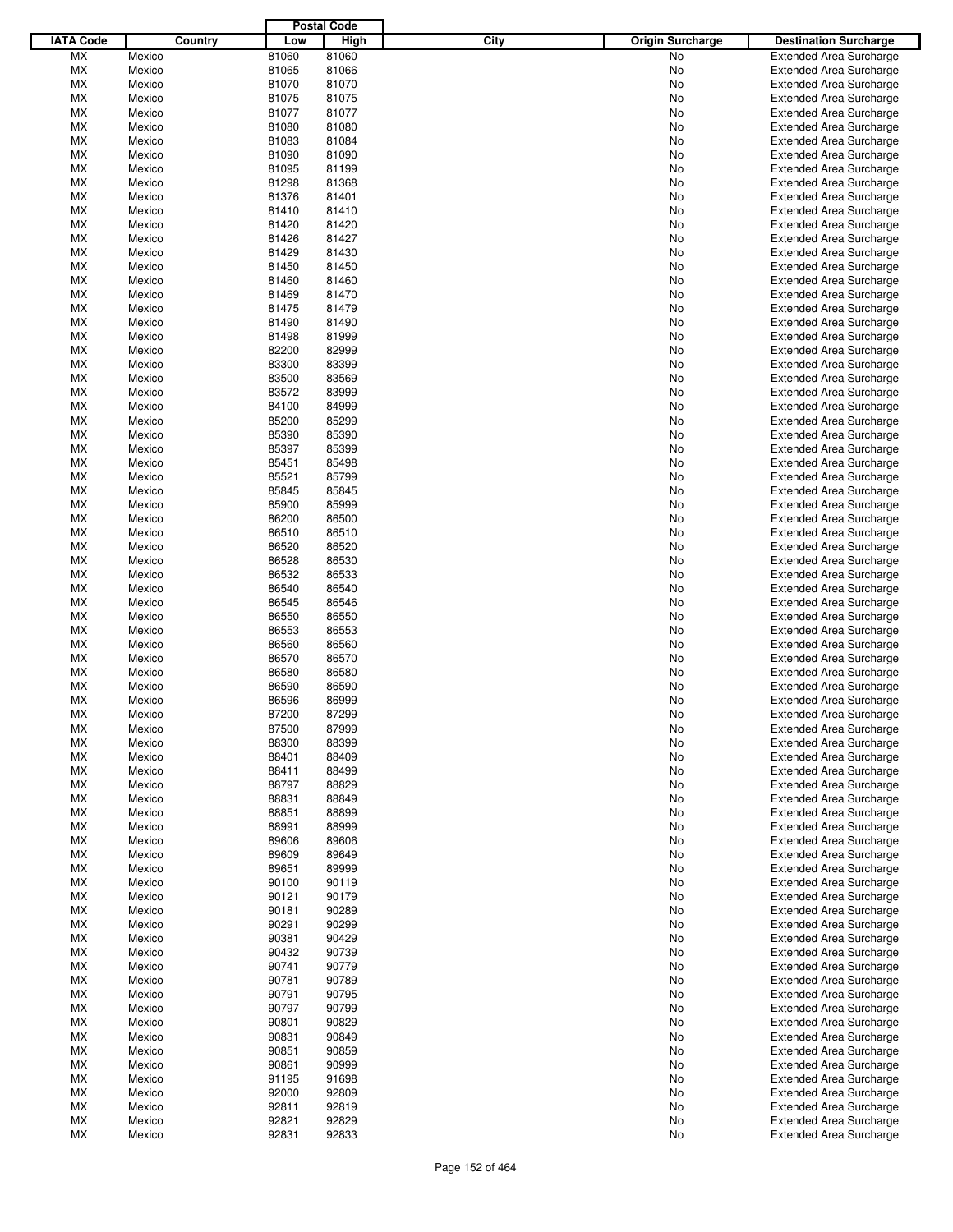|                  |                  |         |                | <b>Postal Code</b> |                                        |                                                                  |
|------------------|------------------|---------|----------------|--------------------|----------------------------------------|------------------------------------------------------------------|
| <b>IATA Code</b> |                  | Country | Low            | <b>High</b>        | <b>City</b><br><b>Origin Surcharge</b> | <b>Destination Surcharge</b>                                     |
| МX               | Mexico           |         | 81060          | 81060              | No                                     | <b>Extended Area Surcharge</b>                                   |
| МX               | Mexico           |         | 81065          | 81066              | No                                     | <b>Extended Area Surcharge</b>                                   |
| МX               | Mexico           |         | 81070          | 81070              | No                                     | <b>Extended Area Surcharge</b>                                   |
| МX               | Mexico           |         | 81075          | 81075              | No                                     | <b>Extended Area Surcharge</b>                                   |
| МX               | Mexico           |         | 81077          | 81077              | No                                     | <b>Extended Area Surcharge</b>                                   |
| МX               | Mexico           |         | 81080          | 81080              | No                                     | <b>Extended Area Surcharge</b>                                   |
| МX               | Mexico           |         | 81083          | 81084              | No                                     | <b>Extended Area Surcharge</b>                                   |
| МX               | Mexico           |         | 81090          | 81090              | No                                     | <b>Extended Area Surcharge</b>                                   |
| МX               | Mexico           |         | 81095          | 81199              | No                                     | <b>Extended Area Surcharge</b>                                   |
| МX               | Mexico           |         | 81298          | 81368              | No                                     | <b>Extended Area Surcharge</b>                                   |
| МX               | Mexico           |         | 81376          | 81401              | No                                     | <b>Extended Area Surcharge</b>                                   |
| МX               | Mexico           |         | 81410          | 81410              | No                                     | <b>Extended Area Surcharge</b>                                   |
| МX               | Mexico           |         | 81420          | 81420              | No                                     | <b>Extended Area Surcharge</b>                                   |
| МX               | Mexico           |         | 81426          | 81427              | No                                     | <b>Extended Area Surcharge</b>                                   |
| МX               | Mexico           |         | 81429          | 81430              | No                                     | <b>Extended Area Surcharge</b>                                   |
| МX               | Mexico           |         | 81450          | 81450              | No                                     | <b>Extended Area Surcharge</b>                                   |
| МX               | Mexico           |         | 81460          | 81460              | No                                     | <b>Extended Area Surcharge</b>                                   |
| МX               | Mexico           |         | 81469          | 81470              | No                                     | <b>Extended Area Surcharge</b>                                   |
| МX               | Mexico           |         | 81475          | 81479              | No                                     | <b>Extended Area Surcharge</b>                                   |
| МX               | Mexico           |         | 81490          | 81490              | No                                     | <b>Extended Area Surcharge</b>                                   |
| МX               | Mexico           |         | 81498          | 81999              | No                                     | <b>Extended Area Surcharge</b>                                   |
| МX               | Mexico           |         | 82200          | 82999              | No                                     | <b>Extended Area Surcharge</b>                                   |
| МX               | Mexico           |         | 83300          | 83399              | No                                     | <b>Extended Area Surcharge</b>                                   |
| МX               | Mexico           |         | 83500          | 83569              | No                                     | <b>Extended Area Surcharge</b>                                   |
| МX               | Mexico           |         | 83572          | 83999              | No                                     | <b>Extended Area Surcharge</b>                                   |
| МX               | Mexico           |         | 84100          | 84999              | No                                     | <b>Extended Area Surcharge</b>                                   |
| МX               | Mexico           |         | 85200          | 85299              | No                                     | <b>Extended Area Surcharge</b>                                   |
| МX               | Mexico           |         | 85390          | 85390              | No                                     | <b>Extended Area Surcharge</b>                                   |
| МX               | Mexico           |         | 85397          | 85399              | No                                     | <b>Extended Area Surcharge</b>                                   |
| МX               | Mexico           |         | 85451          | 85498              | No                                     | <b>Extended Area Surcharge</b>                                   |
| МX               | Mexico           |         | 85521          | 85799              | No                                     | <b>Extended Area Surcharge</b>                                   |
| МX               | Mexico           |         | 85845          | 85845              | No                                     | <b>Extended Area Surcharge</b>                                   |
| МX               | Mexico           |         | 85900          | 85999              | No                                     | <b>Extended Area Surcharge</b>                                   |
| МX               | Mexico           |         | 86200          | 86500              | No                                     | <b>Extended Area Surcharge</b>                                   |
| МX               | Mexico           |         | 86510          | 86510              | No                                     | <b>Extended Area Surcharge</b>                                   |
| МX               | Mexico           |         | 86520          | 86520              | No                                     | <b>Extended Area Surcharge</b>                                   |
| МX               | Mexico           |         | 86528          | 86530              | No                                     | <b>Extended Area Surcharge</b>                                   |
| МX               | Mexico           |         | 86532          | 86533              | No                                     | <b>Extended Area Surcharge</b>                                   |
| МX               | Mexico           |         | 86540          | 86540              | No                                     | <b>Extended Area Surcharge</b>                                   |
| МX               | Mexico           |         | 86545          | 86546              | No                                     | <b>Extended Area Surcharge</b>                                   |
| МX               | Mexico           |         | 86550          | 86550              | No                                     | <b>Extended Area Surcharge</b>                                   |
| МX               | Mexico           |         | 86553          | 86553              | No                                     | <b>Extended Area Surcharge</b>                                   |
| МX               | Mexico           |         | 86560          | 86560              | No                                     | <b>Extended Area Surcharge</b>                                   |
| МX               | Mexico           |         | 86570          | 86570              | No                                     | <b>Extended Area Surcharge</b>                                   |
| МX               | Mexico           |         | 86580          | 86580              | No                                     | <b>Extended Area Surcharge</b>                                   |
| МX               | Mexico           |         | 86590          | 86590              | No                                     | <b>Extended Area Surcharge</b>                                   |
| МX               | Mexico           |         | 86596          | 86999              | No                                     | <b>Extended Area Surcharge</b>                                   |
| <b>MX</b>        | Mexico           |         | 87200          | 87299              | No                                     | <b>Extended Area Surcharge</b>                                   |
| МX               | Mexico           |         | 87500          | 87999              | No                                     | <b>Extended Area Surcharge</b>                                   |
| МX               | Mexico           |         | 88300          | 88399              | No                                     | <b>Extended Area Surcharge</b>                                   |
| МX               | Mexico           |         | 88401          | 88409              | No                                     | <b>Extended Area Surcharge</b>                                   |
| МX               | Mexico           |         | 88411          | 88499              | No                                     | <b>Extended Area Surcharge</b>                                   |
| МX               | Mexico           |         | 88797<br>88831 | 88829<br>88849     | No                                     | <b>Extended Area Surcharge</b>                                   |
| МX               | Mexico           |         |                |                    | No                                     | <b>Extended Area Surcharge</b>                                   |
| МX               | Mexico           |         | 88851<br>88991 | 88899<br>88999     | No                                     | <b>Extended Area Surcharge</b>                                   |
| МX<br>МX         | Mexico<br>Mexico |         | 89606          | 89606              | No<br>No                               | <b>Extended Area Surcharge</b><br><b>Extended Area Surcharge</b> |
| МX               | Mexico           |         | 89609          | 89649              | No                                     | <b>Extended Area Surcharge</b>                                   |
| МX               | Mexico           |         | 89651          | 89999              | No                                     | <b>Extended Area Surcharge</b>                                   |
| МX               | Mexico           |         | 90100          | 90119              | No                                     | <b>Extended Area Surcharge</b>                                   |
| МX               | Mexico           |         | 90121          | 90179              | No                                     | <b>Extended Area Surcharge</b>                                   |
| МX               | Mexico           |         | 90181          | 90289              | No                                     | <b>Extended Area Surcharge</b>                                   |
| МX               | Mexico           |         | 90291          | 90299              | No                                     | <b>Extended Area Surcharge</b>                                   |
| МX               | Mexico           |         | 90381          | 90429              | No                                     | <b>Extended Area Surcharge</b>                                   |
| МX               | Mexico           |         | 90432          | 90739              | No                                     | <b>Extended Area Surcharge</b>                                   |
| МX               | Mexico           |         | 90741          | 90779              | No                                     | <b>Extended Area Surcharge</b>                                   |
| МX               | Mexico           |         | 90781          | 90789              | No                                     | <b>Extended Area Surcharge</b>                                   |
| МX               | Mexico           |         | 90791          | 90795              | No                                     | <b>Extended Area Surcharge</b>                                   |
| МX               | Mexico           |         | 90797          | 90799              | No                                     | <b>Extended Area Surcharge</b>                                   |
| МX               | Mexico           |         | 90801          | 90829              | No                                     | <b>Extended Area Surcharge</b>                                   |
| МX               | Mexico           |         | 90831          | 90849              | No                                     | <b>Extended Area Surcharge</b>                                   |
| МX               | Mexico           |         | 90851          | 90859              | No                                     | <b>Extended Area Surcharge</b>                                   |
| МX               | Mexico           |         | 90861          | 90999              | No                                     | <b>Extended Area Surcharge</b>                                   |
| МX               | Mexico           |         | 91195          | 91698              | No                                     | <b>Extended Area Surcharge</b>                                   |
| МX               | Mexico           |         | 92000          | 92809              | No                                     | <b>Extended Area Surcharge</b>                                   |
| МX               | Mexico           |         | 92811          | 92819              | No                                     | <b>Extended Area Surcharge</b>                                   |
| МX               | Mexico           |         | 92821          | 92829              | No                                     | <b>Extended Area Surcharge</b>                                   |
| МX               | Mexico           |         | 92831          | 92833              | No                                     | <b>Extended Area Surcharge</b>                                   |
|                  |                  |         |                |                    |                                        |                                                                  |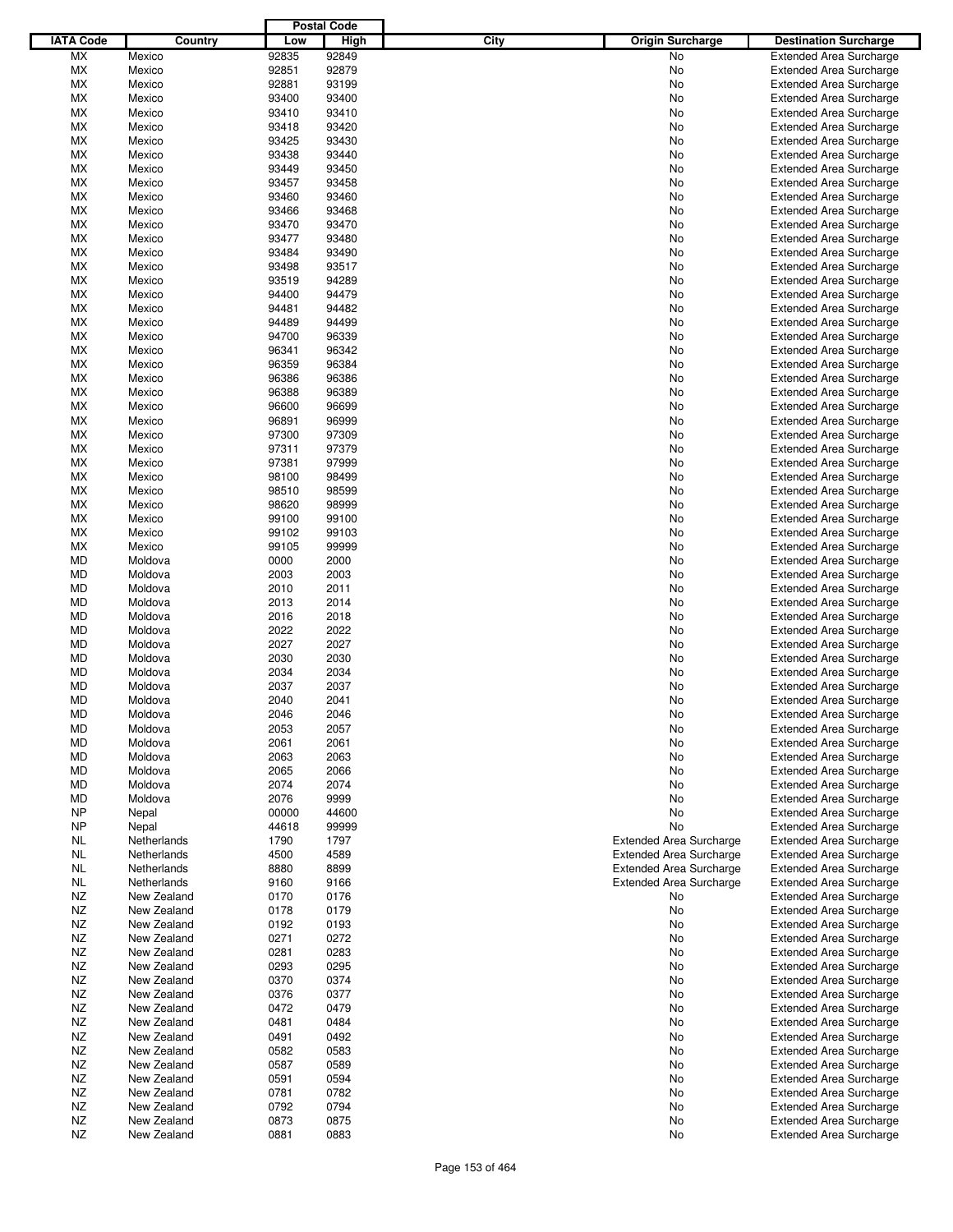|                  |             |       | <b>Postal Code</b> |      |                                |                                |
|------------------|-------------|-------|--------------------|------|--------------------------------|--------------------------------|
| <b>IATA Code</b> | Country     | Low   | <b>High</b>        | City | <b>Origin Surcharge</b>        | <b>Destination Surcharge</b>   |
| <b>MX</b>        | Mexico      | 92835 | 92849              |      | <b>No</b>                      | <b>Extended Area Surcharge</b> |
| МX               | Mexico      | 92851 | 92879              |      | No                             | <b>Extended Area Surcharge</b> |
| МX               |             |       |                    |      |                                |                                |
|                  | Mexico      | 92881 | 93199              |      | No                             | <b>Extended Area Surcharge</b> |
| МX               | Mexico      | 93400 | 93400              |      | No                             | <b>Extended Area Surcharge</b> |
| МX               | Mexico      | 93410 | 93410              |      | No                             | <b>Extended Area Surcharge</b> |
| МX               | Mexico      | 93418 | 93420              |      | No                             | <b>Extended Area Surcharge</b> |
| МX               | Mexico      | 93425 | 93430              |      | No                             | <b>Extended Area Surcharge</b> |
| МX               | Mexico      | 93438 | 93440              |      | No                             | <b>Extended Area Surcharge</b> |
| МX               | Mexico      | 93449 | 93450              |      | No                             | <b>Extended Area Surcharge</b> |
| МX               | Mexico      | 93457 | 93458              |      | No                             | <b>Extended Area Surcharge</b> |
| МX               | Mexico      | 93460 | 93460              |      | No                             | <b>Extended Area Surcharge</b> |
| МX               | Mexico      | 93466 | 93468              |      | No                             | <b>Extended Area Surcharge</b> |
| МX               | Mexico      | 93470 | 93470              |      | No                             | <b>Extended Area Surcharge</b> |
| МX               | Mexico      | 93477 | 93480              |      | No                             | <b>Extended Area Surcharge</b> |
| МX               | Mexico      | 93484 | 93490              |      | No                             | <b>Extended Area Surcharge</b> |
| МX               | Mexico      | 93498 | 93517              |      | No                             | <b>Extended Area Surcharge</b> |
| МX               | Mexico      | 93519 | 94289              |      | No                             | <b>Extended Area Surcharge</b> |
| МX               | Mexico      | 94400 | 94479              |      |                                |                                |
|                  |             |       |                    |      | No                             | <b>Extended Area Surcharge</b> |
| МX               | Mexico      | 94481 | 94482              |      | No                             | <b>Extended Area Surcharge</b> |
| МX               | Mexico      | 94489 | 94499              |      | No                             | <b>Extended Area Surcharge</b> |
| МX               | Mexico      | 94700 | 96339              |      | No                             | <b>Extended Area Surcharge</b> |
| МX               | Mexico      | 96341 | 96342              |      | No                             | <b>Extended Area Surcharge</b> |
| МX               | Mexico      | 96359 | 96384              |      | No                             | <b>Extended Area Surcharge</b> |
| МX               | Mexico      | 96386 | 96386              |      | No                             | <b>Extended Area Surcharge</b> |
| МX               | Mexico      | 96388 | 96389              |      | No                             | <b>Extended Area Surcharge</b> |
| МX               | Mexico      | 96600 | 96699              |      | No                             | <b>Extended Area Surcharge</b> |
| МX               | Mexico      | 96891 | 96999              |      | No                             | <b>Extended Area Surcharge</b> |
| МX               | Mexico      | 97300 | 97309              |      | No                             | <b>Extended Area Surcharge</b> |
| МX               | Mexico      | 97311 | 97379              |      | No                             | <b>Extended Area Surcharge</b> |
| МX               | Mexico      | 97381 | 97999              |      | No                             | <b>Extended Area Surcharge</b> |
| МX               | Mexico      | 98100 | 98499              |      | No                             | <b>Extended Area Surcharge</b> |
| МX               | Mexico      | 98510 | 98599              |      | No                             | <b>Extended Area Surcharge</b> |
| МX               | Mexico      | 98620 | 98999              |      | No                             | <b>Extended Area Surcharge</b> |
|                  |             |       |                    |      |                                |                                |
| МX               | Mexico      | 99100 | 99100              |      | No                             | <b>Extended Area Surcharge</b> |
| МX               | Mexico      | 99102 | 99103              |      | No                             | <b>Extended Area Surcharge</b> |
| МX               | Mexico      | 99105 | 99999              |      | No                             | <b>Extended Area Surcharge</b> |
| MD               | Moldova     | 0000  | 2000               |      | No                             | <b>Extended Area Surcharge</b> |
| MD               | Moldova     | 2003  | 2003               |      | No                             | <b>Extended Area Surcharge</b> |
| MD               | Moldova     | 2010  | 2011               |      | No                             | <b>Extended Area Surcharge</b> |
| MD               | Moldova     | 2013  | 2014               |      | No                             | <b>Extended Area Surcharge</b> |
| MD               | Moldova     | 2016  | 2018               |      | No                             | <b>Extended Area Surcharge</b> |
| MD               | Moldova     | 2022  | 2022               |      | No                             | <b>Extended Area Surcharge</b> |
| MD               | Moldova     | 2027  | 2027               |      | No                             | <b>Extended Area Surcharge</b> |
| MD               | Moldova     | 2030  | 2030               |      | No                             | <b>Extended Area Surcharge</b> |
| MD               | Moldova     | 2034  | 2034               |      | No                             | <b>Extended Area Surcharge</b> |
| MD               | Moldova     | 2037  | 2037               |      | No                             | <b>Extended Area Surcharge</b> |
| MD               | Moldova     | 2040  | 2041               |      | No                             | <b>Extended Area Surcharge</b> |
| MD               | Moldova     | 2046  | 2046               |      | No                             | <b>Extended Area Surcharge</b> |
| MD               | Moldova     | 2053  | 2057               |      | No                             | <b>Extended Area Surcharge</b> |
| MD               | Moldova     | 2061  | 2061               |      |                                |                                |
|                  |             |       |                    |      | No                             | <b>Extended Area Surcharge</b> |
| MD               | Moldova     | 2063  | 2063               |      | No                             | <b>Extended Area Surcharge</b> |
| MD               | Moldova     | 2065  | 2066               |      | No                             | <b>Extended Area Surcharge</b> |
| MD               | Moldova     | 2074  | 2074               |      | No                             | <b>Extended Area Surcharge</b> |
| MD               | Moldova     | 2076  | 9999               |      | No                             | <b>Extended Area Surcharge</b> |
| <b>NP</b>        | Nepal       | 00000 | 44600              |      | No                             | <b>Extended Area Surcharge</b> |
| <b>NP</b>        | Nepal       | 44618 | 99999              |      | No                             | <b>Extended Area Surcharge</b> |
| NL               | Netherlands | 1790  | 1797               |      | <b>Extended Area Surcharge</b> | <b>Extended Area Surcharge</b> |
| <b>NL</b>        | Netherlands | 4500  | 4589               |      | <b>Extended Area Surcharge</b> | <b>Extended Area Surcharge</b> |
| <b>NL</b>        | Netherlands | 8880  | 8899               |      | <b>Extended Area Surcharge</b> | <b>Extended Area Surcharge</b> |
| <b>NL</b>        | Netherlands | 9160  | 9166               |      | <b>Extended Area Surcharge</b> | <b>Extended Area Surcharge</b> |
| NZ               | New Zealand | 0170  | 0176               |      | No                             | <b>Extended Area Surcharge</b> |
| NZ               | New Zealand | 0178  | 0179               |      | No                             | <b>Extended Area Surcharge</b> |
| NZ               | New Zealand | 0192  | 0193               |      | No                             | <b>Extended Area Surcharge</b> |
| NZ               | New Zealand | 0271  | 0272               |      | No                             | <b>Extended Area Surcharge</b> |
| NZ               | New Zealand | 0281  | 0283               |      | No                             | <b>Extended Area Surcharge</b> |
| NZ               |             | 0293  | 0295               |      |                                | <b>Extended Area Surcharge</b> |
|                  | New Zealand |       |                    |      | No                             |                                |
| NZ               | New Zealand | 0370  | 0374               |      | No                             | <b>Extended Area Surcharge</b> |
| NZ               | New Zealand | 0376  | 0377               |      | No                             | <b>Extended Area Surcharge</b> |
| NZ               | New Zealand | 0472  | 0479               |      | No                             | <b>Extended Area Surcharge</b> |
| NZ               | New Zealand | 0481  | 0484               |      | No                             | <b>Extended Area Surcharge</b> |
| NZ               | New Zealand | 0491  | 0492               |      | No                             | <b>Extended Area Surcharge</b> |
| NZ               | New Zealand | 0582  | 0583               |      | No                             | <b>Extended Area Surcharge</b> |
| NZ               | New Zealand | 0587  | 0589               |      | No                             | <b>Extended Area Surcharge</b> |
| NZ               | New Zealand | 0591  | 0594               |      | No                             | <b>Extended Area Surcharge</b> |
| NZ               | New Zealand | 0781  | 0782               |      | No                             | <b>Extended Area Surcharge</b> |
| NZ               | New Zealand | 0792  | 0794               |      | No                             | <b>Extended Area Surcharge</b> |
| NZ               | New Zealand | 0873  | 0875               |      | No                             | <b>Extended Area Surcharge</b> |
| ΝZ               | New Zealand | 0881  | 0883               |      | No                             | <b>Extended Area Surcharge</b> |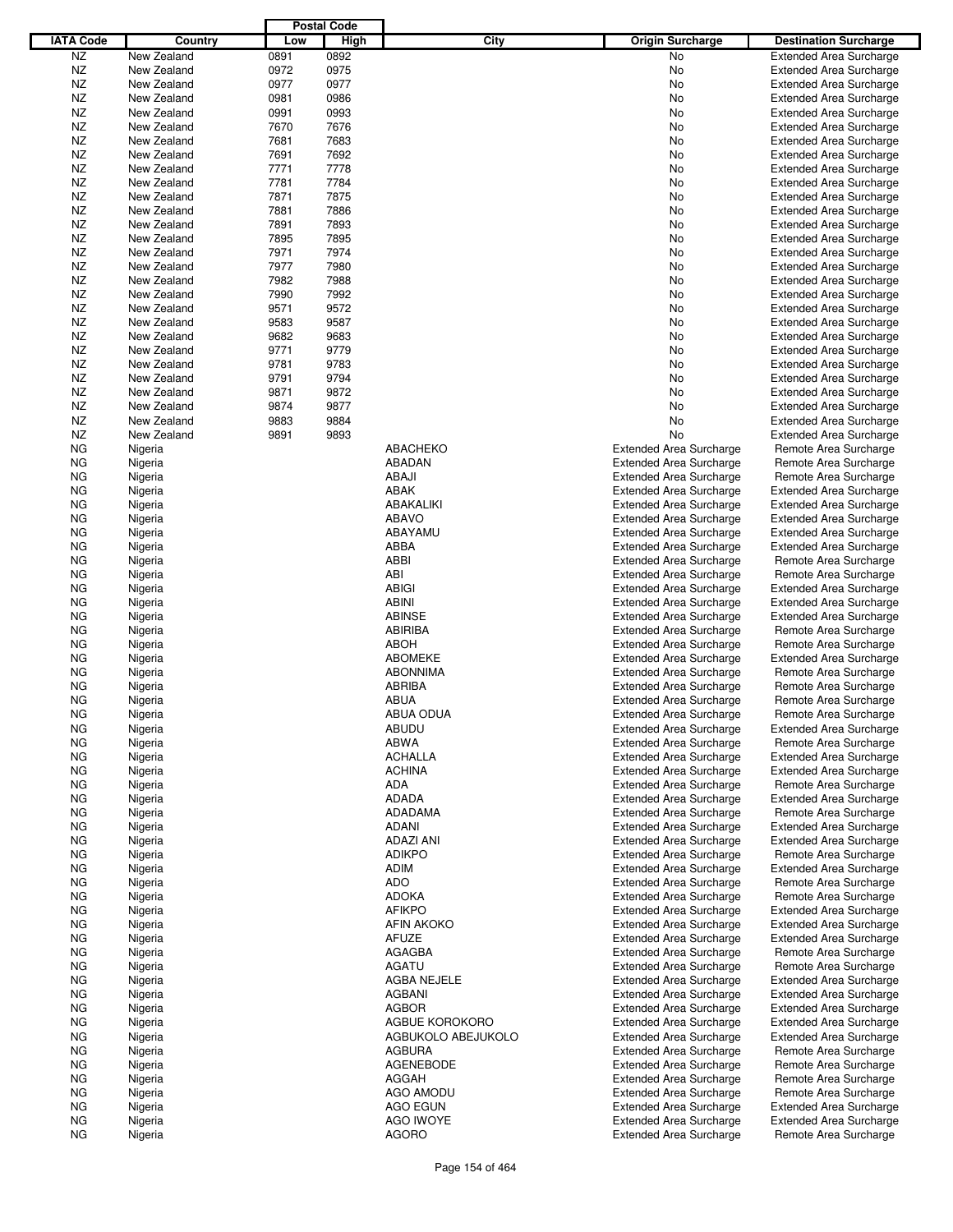|                  |             |      | <b>Postal Code</b> |                    |                                |                                |
|------------------|-------------|------|--------------------|--------------------|--------------------------------|--------------------------------|
| <b>IATA Code</b> | Country     | Low  | High               | City               | <b>Origin Surcharge</b>        | <b>Destination Surcharge</b>   |
|                  |             |      |                    |                    |                                |                                |
| NZ               | New Zealand | 0891 | 0892               |                    | No                             | <b>Extended Area Surcharge</b> |
| NZ               | New Zealand | 0972 | 0975               |                    | No                             | <b>Extended Area Surcharge</b> |
| <b>NZ</b>        | New Zealand | 0977 | 0977               |                    | No                             | <b>Extended Area Surcharge</b> |
| NZ               | New Zealand | 0981 | 0986               |                    | No                             | <b>Extended Area Surcharge</b> |
| NZ               | New Zealand | 0991 | 0993               |                    | No                             | <b>Extended Area Surcharge</b> |
| <b>NZ</b>        | New Zealand | 7670 | 7676               |                    | No                             | <b>Extended Area Surcharge</b> |
| NZ               | New Zealand | 7681 | 7683               |                    | No                             | <b>Extended Area Surcharge</b> |
| <b>NZ</b>        | New Zealand | 7691 | 7692               |                    | No                             | <b>Extended Area Surcharge</b> |
| <b>NZ</b>        | New Zealand | 7771 | 7778               |                    | No                             | <b>Extended Area Surcharge</b> |
| <b>NZ</b>        | New Zealand | 7781 | 7784               |                    | No                             | <b>Extended Area Surcharge</b> |
| NZ               | New Zealand |      | 7875               |                    |                                | <b>Extended Area Surcharge</b> |
|                  |             | 7871 |                    |                    | No                             |                                |
| <b>NZ</b>        | New Zealand | 7881 | 7886               |                    | No                             | <b>Extended Area Surcharge</b> |
| NZ               | New Zealand | 7891 | 7893               |                    | No                             | <b>Extended Area Surcharge</b> |
| <b>NZ</b>        | New Zealand | 7895 | 7895               |                    | No                             | <b>Extended Area Surcharge</b> |
| <b>NZ</b>        | New Zealand | 7971 | 7974               |                    | No                             | <b>Extended Area Surcharge</b> |
| <b>NZ</b>        | New Zealand | 7977 | 7980               |                    | No                             | <b>Extended Area Surcharge</b> |
| NZ               | New Zealand | 7982 | 7988               |                    | No                             | <b>Extended Area Surcharge</b> |
| <b>NZ</b>        | New Zealand | 7990 | 7992               |                    | No                             | <b>Extended Area Surcharge</b> |
| <b>NZ</b>        | New Zealand | 9571 | 9572               |                    | No                             | <b>Extended Area Surcharge</b> |
| <b>NZ</b>        | New Zealand |      |                    |                    |                                |                                |
|                  |             | 9583 | 9587               |                    | No                             | <b>Extended Area Surcharge</b> |
| <b>NZ</b>        | New Zealand | 9682 | 9683               |                    | No                             | <b>Extended Area Surcharge</b> |
| <b>NZ</b>        | New Zealand | 9771 | 9779               |                    | No                             | <b>Extended Area Surcharge</b> |
| NZ               | New Zealand | 9781 | 9783               |                    | No                             | <b>Extended Area Surcharge</b> |
| <b>NZ</b>        | New Zealand | 9791 | 9794               |                    | No                             | <b>Extended Area Surcharge</b> |
| <b>NZ</b>        | New Zealand | 9871 | 9872               |                    | No                             | <b>Extended Area Surcharge</b> |
| <b>NZ</b>        | New Zealand | 9874 | 9877               |                    | No                             | <b>Extended Area Surcharge</b> |
| <b>NZ</b>        | New Zealand | 9883 | 9884               |                    | No                             | <b>Extended Area Surcharge</b> |
| <b>NZ</b>        | New Zealand | 9891 | 9893               |                    | No                             | <b>Extended Area Surcharge</b> |
| ΝG               | Nigeria     |      |                    | <b>ABACHEKO</b>    | <b>Extended Area Surcharge</b> | Remote Area Surcharge          |
|                  |             |      |                    |                    |                                |                                |
| ΝG               | Nigeria     |      |                    | <b>ABADAN</b>      | <b>Extended Area Surcharge</b> | Remote Area Surcharge          |
| ΝG               | Nigeria     |      |                    | ABAJI              | <b>Extended Area Surcharge</b> | Remote Area Surcharge          |
| ΝG               | Nigeria     |      |                    | <b>ABAK</b>        | <b>Extended Area Surcharge</b> | <b>Extended Area Surcharge</b> |
| ΝG               | Nigeria     |      |                    | ABAKALIKI          | <b>Extended Area Surcharge</b> | <b>Extended Area Surcharge</b> |
| ΝG               | Nigeria     |      |                    | <b>ABAVO</b>       | <b>Extended Area Surcharge</b> | <b>Extended Area Surcharge</b> |
| ΝG               | Nigeria     |      |                    | ABAYAMU            | <b>Extended Area Surcharge</b> | <b>Extended Area Surcharge</b> |
| ΝG               | Nigeria     |      |                    | ABBA               | <b>Extended Area Surcharge</b> | <b>Extended Area Surcharge</b> |
| ΝG               | Nigeria     |      |                    | ABBI               | <b>Extended Area Surcharge</b> | Remote Area Surcharge          |
| ΝG               | Nigeria     |      |                    | ABI                | <b>Extended Area Surcharge</b> | Remote Area Surcharge          |
|                  |             |      |                    | <b>ABIGI</b>       |                                |                                |
| ΝG               | Nigeria     |      |                    |                    | <b>Extended Area Surcharge</b> | <b>Extended Area Surcharge</b> |
| ΝG               | Nigeria     |      |                    | <b>ABINI</b>       | <b>Extended Area Surcharge</b> | <b>Extended Area Surcharge</b> |
| ΝG               | Nigeria     |      |                    | <b>ABINSE</b>      | <b>Extended Area Surcharge</b> | <b>Extended Area Surcharge</b> |
| ΝG               | Nigeria     |      |                    | ABIRIBA            | <b>Extended Area Surcharge</b> | Remote Area Surcharge          |
| ΝG               | Nigeria     |      |                    | <b>ABOH</b>        | <b>Extended Area Surcharge</b> | Remote Area Surcharge          |
| ΝG               | Nigeria     |      |                    | <b>ABOMEKE</b>     | <b>Extended Area Surcharge</b> | <b>Extended Area Surcharge</b> |
| ΝG               | Nigeria     |      |                    | <b>ABONNIMA</b>    | <b>Extended Area Surcharge</b> | Remote Area Surcharge          |
| ΝG               | Nigeria     |      |                    | ABRIBA             | <b>Extended Area Surcharge</b> | Remote Area Surcharge          |
| ΝG               | Nigeria     |      |                    | <b>ABUA</b>        | <b>Extended Area Surcharge</b> | Remote Area Surcharge          |
| ΝG               |             |      |                    | ABUA ODUA          | <b>Extended Area Surcharge</b> | Remote Area Surcharge          |
|                  | Nigeria     |      |                    |                    |                                | <b>Extended Area Surcharge</b> |
| ΝG               | Nigeria     |      |                    | <b>ABUDU</b>       | <b>Extended Area Surcharge</b> |                                |
| ΝG               | Nigeria     |      |                    | <b>ABWA</b>        | <b>Extended Area Surcharge</b> | Remote Area Surcharge          |
| ΝG               | Nigeria     |      |                    | <b>ACHALLA</b>     | <b>Extended Area Surcharge</b> | <b>Extended Area Surcharge</b> |
| ΝG               | Nigeria     |      |                    | <b>ACHINA</b>      | <b>Extended Area Surcharge</b> | <b>Extended Area Surcharge</b> |
| ΝG               | Nigeria     |      |                    | ADA                | <b>Extended Area Surcharge</b> | Remote Area Surcharge          |
| ΝG               | Nigeria     |      |                    | <b>ADADA</b>       | <b>Extended Area Surcharge</b> | <b>Extended Area Surcharge</b> |
| ΝG               | Nigeria     |      |                    | ADADAMA            | <b>Extended Area Surcharge</b> | Remote Area Surcharge          |
| ΝG               | Nigeria     |      |                    | <b>ADANI</b>       | <b>Extended Area Surcharge</b> | <b>Extended Area Surcharge</b> |
| ΝG               | Nigeria     |      |                    | ADAZI ANI          | <b>Extended Area Surcharge</b> | <b>Extended Area Surcharge</b> |
| ΝG               | Nigeria     |      |                    | <b>ADIKPO</b>      | <b>Extended Area Surcharge</b> | Remote Area Surcharge          |
| ΝG               | Nigeria     |      |                    | <b>ADIM</b>        | <b>Extended Area Surcharge</b> | <b>Extended Area Surcharge</b> |
| ΝG               |             |      |                    | <b>ADO</b>         | <b>Extended Area Surcharge</b> |                                |
|                  | Nigeria     |      |                    |                    |                                | Remote Area Surcharge          |
| ΝG               | Nigeria     |      |                    | <b>ADOKA</b>       | <b>Extended Area Surcharge</b> | Remote Area Surcharge          |
| ΝG               | Nigeria     |      |                    | <b>AFIKPO</b>      | <b>Extended Area Surcharge</b> | <b>Extended Area Surcharge</b> |
| ΝG               | Nigeria     |      |                    | AFIN AKOKO         | <b>Extended Area Surcharge</b> | <b>Extended Area Surcharge</b> |
| ΝG               | Nigeria     |      |                    | AFUZE              | <b>Extended Area Surcharge</b> | <b>Extended Area Surcharge</b> |
| ΝG               | Nigeria     |      |                    | AGAGBA             | <b>Extended Area Surcharge</b> | Remote Area Surcharge          |
| ΝG               | Nigeria     |      |                    | <b>AGATU</b>       | <b>Extended Area Surcharge</b> | Remote Area Surcharge          |
| ΝG               | Nigeria     |      |                    | AGBA NEJELE        | <b>Extended Area Surcharge</b> | <b>Extended Area Surcharge</b> |
| ΝG               | Nigeria     |      |                    | AGBANI             | <b>Extended Area Surcharge</b> | <b>Extended Area Surcharge</b> |
| ΝG               | Nigeria     |      |                    | <b>AGBOR</b>       | <b>Extended Area Surcharge</b> | <b>Extended Area Surcharge</b> |
|                  |             |      |                    | AGBUE KOROKORO     |                                |                                |
| ΝG               | Nigeria     |      |                    |                    | <b>Extended Area Surcharge</b> | <b>Extended Area Surcharge</b> |
| ΝG               | Nigeria     |      |                    | AGBUKOLO ABEJUKOLO | <b>Extended Area Surcharge</b> | <b>Extended Area Surcharge</b> |
| ΝG               | Nigeria     |      |                    | <b>AGBURA</b>      | <b>Extended Area Surcharge</b> | Remote Area Surcharge          |
| ΝG               | Nigeria     |      |                    | <b>AGENEBODE</b>   | <b>Extended Area Surcharge</b> | Remote Area Surcharge          |
| ΝG               | Nigeria     |      |                    | AGGAH              | <b>Extended Area Surcharge</b> | Remote Area Surcharge          |
| ΝG               | Nigeria     |      |                    | AGO AMODU          | <b>Extended Area Surcharge</b> | Remote Area Surcharge          |
| ΝG               | Nigeria     |      |                    | <b>AGO EGUN</b>    | <b>Extended Area Surcharge</b> | <b>Extended Area Surcharge</b> |
| ΝG               | Nigeria     |      |                    | <b>AGO IWOYE</b>   | <b>Extended Area Surcharge</b> | <b>Extended Area Surcharge</b> |
| ΝG               | Nigeria     |      |                    | <b>AGORO</b>       | <b>Extended Area Surcharge</b> | Remote Area Surcharge          |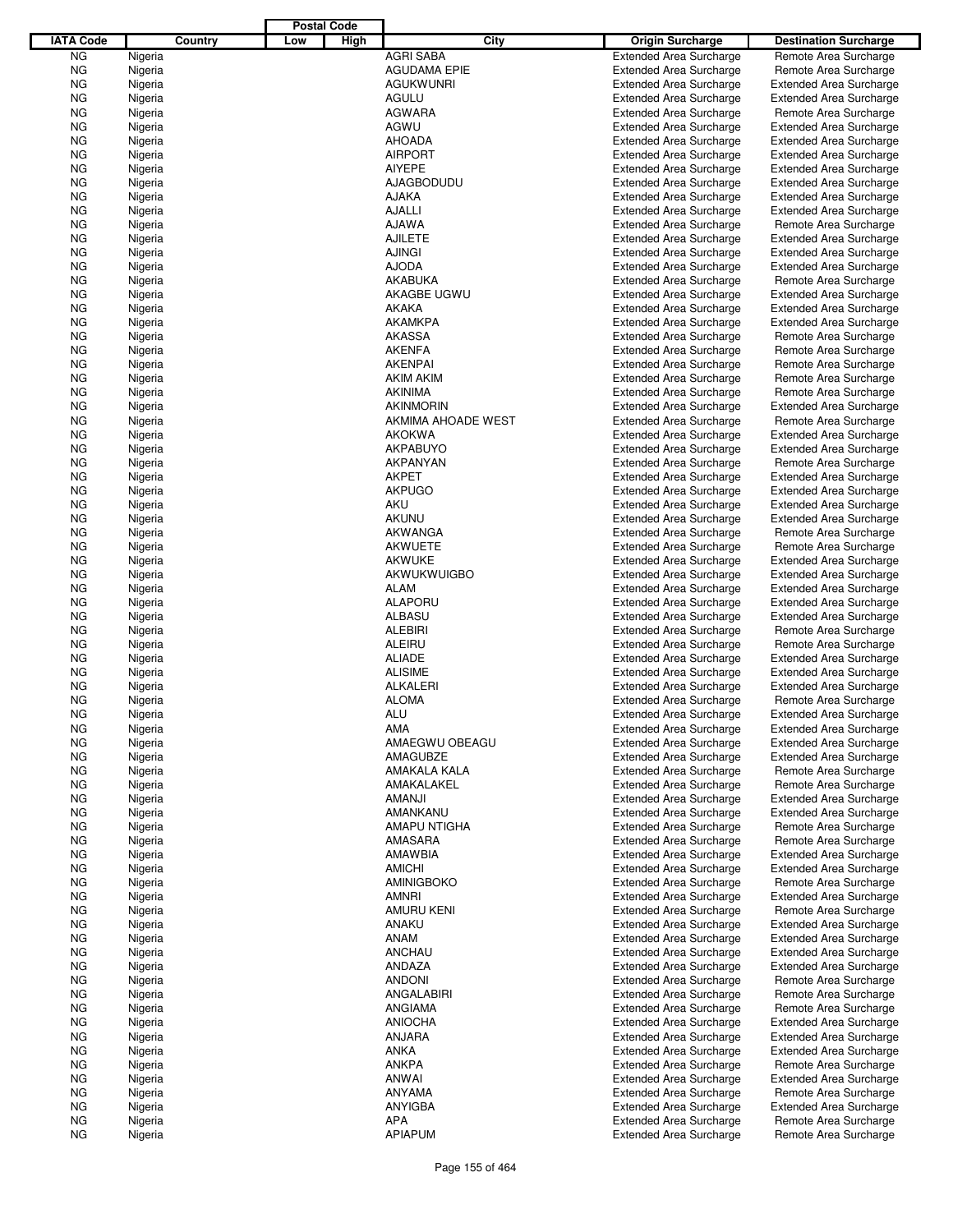|                  |                    |         |     | <b>Postal Code</b> |                               |                                                                  |                                                         |
|------------------|--------------------|---------|-----|--------------------|-------------------------------|------------------------------------------------------------------|---------------------------------------------------------|
| <b>IATA Code</b> |                    | Country | Low | High               | City                          | <b>Origin Surcharge</b>                                          | <b>Destination Surcharge</b>                            |
| <b>NG</b>        | Nigeria            |         |     |                    | <b>AGRI SABA</b>              | <b>Extended Area Surcharge</b>                                   | Remote Area Surcharge                                   |
| <b>NG</b>        | Nigeria            |         |     |                    | <b>AGUDAMA EPIE</b>           | <b>Extended Area Surcharge</b>                                   | Remote Area Surcharge                                   |
| <b>NG</b>        | Nigeria            |         |     |                    | <b>AGUKWUNRI</b>              | <b>Extended Area Surcharge</b>                                   | <b>Extended Area Surcharge</b>                          |
| <b>NG</b>        | Nigeria            |         |     |                    | AGULU                         | <b>Extended Area Surcharge</b>                                   | <b>Extended Area Surcharge</b>                          |
| <b>NG</b>        | Nigeria            |         |     |                    | <b>AGWARA</b>                 | <b>Extended Area Surcharge</b>                                   | Remote Area Surcharge                                   |
| <b>NG</b>        | Nigeria            |         |     |                    | AGWU                          | <b>Extended Area Surcharge</b>                                   | <b>Extended Area Surcharge</b>                          |
| ΝG               | Nigeria            |         |     |                    | <b>AHOADA</b>                 | <b>Extended Area Surcharge</b>                                   | <b>Extended Area Surcharge</b>                          |
| <b>NG</b>        | Nigeria            |         |     |                    | <b>AIRPORT</b>                | <b>Extended Area Surcharge</b>                                   | <b>Extended Area Surcharge</b>                          |
| <b>NG</b>        | Nigeria            |         |     |                    | <b>AIYEPE</b>                 | <b>Extended Area Surcharge</b>                                   | <b>Extended Area Surcharge</b>                          |
| <b>NG</b>        | Nigeria            |         |     |                    | AJAGBODUDU                    | <b>Extended Area Surcharge</b>                                   | <b>Extended Area Surcharge</b>                          |
| ΝG               | Nigeria            |         |     |                    | AJAKA                         | <b>Extended Area Surcharge</b>                                   | <b>Extended Area Surcharge</b>                          |
| <b>NG</b>        | Nigeria            |         |     |                    | <b>AJALLI</b>                 | <b>Extended Area Surcharge</b>                                   | <b>Extended Area Surcharge</b>                          |
| <b>NG</b>        | Nigeria            |         |     |                    | <b>AJAWA</b>                  | <b>Extended Area Surcharge</b>                                   | Remote Area Surcharge                                   |
| <b>NG</b>        | Nigeria            |         |     |                    | <b>AJILETE</b>                | <b>Extended Area Surcharge</b>                                   | <b>Extended Area Surcharge</b>                          |
| ΝG               | Nigeria            |         |     |                    | <b>AJINGI</b><br><b>AJODA</b> | <b>Extended Area Surcharge</b>                                   | <b>Extended Area Surcharge</b>                          |
| <b>NG</b><br>ΝG  | Nigeria<br>Nigeria |         |     |                    | AKABUKA                       | <b>Extended Area Surcharge</b><br><b>Extended Area Surcharge</b> | <b>Extended Area Surcharge</b><br>Remote Area Surcharge |
| <b>NG</b>        | Nigeria            |         |     |                    | AKAGBE UGWU                   | <b>Extended Area Surcharge</b>                                   | <b>Extended Area Surcharge</b>                          |
| <b>NG</b>        | Nigeria            |         |     |                    | AKAKA                         | <b>Extended Area Surcharge</b>                                   | <b>Extended Area Surcharge</b>                          |
| <b>NG</b>        | Nigeria            |         |     |                    | <b>AKAMKPA</b>                | <b>Extended Area Surcharge</b>                                   | <b>Extended Area Surcharge</b>                          |
| ΝG               | Nigeria            |         |     |                    | <b>AKASSA</b>                 | <b>Extended Area Surcharge</b>                                   | Remote Area Surcharge                                   |
| <b>NG</b>        | Nigeria            |         |     |                    | <b>AKENFA</b>                 | <b>Extended Area Surcharge</b>                                   | Remote Area Surcharge                                   |
| <b>NG</b>        | Nigeria            |         |     |                    | <b>AKENPAI</b>                | <b>Extended Area Surcharge</b>                                   | Remote Area Surcharge                                   |
| <b>NG</b>        | Nigeria            |         |     |                    | <b>AKIM AKIM</b>              | <b>Extended Area Surcharge</b>                                   | Remote Area Surcharge                                   |
| ΝG               | Nigeria            |         |     |                    | <b>AKINIMA</b>                | <b>Extended Area Surcharge</b>                                   | Remote Area Surcharge                                   |
| <b>NG</b>        | Nigeria            |         |     |                    | <b>AKINMORIN</b>              | <b>Extended Area Surcharge</b>                                   | <b>Extended Area Surcharge</b>                          |
| ΝG               | Nigeria            |         |     |                    | AKMIMA AHOADE WEST            | <b>Extended Area Surcharge</b>                                   | Remote Area Surcharge                                   |
| <b>NG</b>        | Nigeria            |         |     |                    | <b>AKOKWA</b>                 | <b>Extended Area Surcharge</b>                                   | <b>Extended Area Surcharge</b>                          |
| <b>NG</b>        | Nigeria            |         |     |                    | <b>AKPABUYO</b>               | <b>Extended Area Surcharge</b>                                   | <b>Extended Area Surcharge</b>                          |
| <b>NG</b>        | Nigeria            |         |     |                    | AKPANYAN                      | <b>Extended Area Surcharge</b>                                   | Remote Area Surcharge                                   |
| ΝG               | Nigeria            |         |     |                    | AKPET                         | <b>Extended Area Surcharge</b>                                   | <b>Extended Area Surcharge</b>                          |
| <b>NG</b>        | Nigeria            |         |     |                    | <b>AKPUGO</b>                 | <b>Extended Area Surcharge</b>                                   | <b>Extended Area Surcharge</b>                          |
| <b>NG</b>        | Nigeria            |         |     |                    | <b>AKU</b>                    | <b>Extended Area Surcharge</b>                                   | <b>Extended Area Surcharge</b>                          |
| <b>NG</b>        | Nigeria            |         |     |                    | <b>AKUNU</b>                  | <b>Extended Area Surcharge</b>                                   | <b>Extended Area Surcharge</b>                          |
| ΝG               | Nigeria            |         |     |                    | AKWANGA                       | <b>Extended Area Surcharge</b>                                   | Remote Area Surcharge                                   |
| <b>NG</b>        | Nigeria            |         |     |                    | <b>AKWUETE</b>                | <b>Extended Area Surcharge</b>                                   | Remote Area Surcharge                                   |
| ΝG               | Nigeria            |         |     |                    | <b>AKWUKE</b>                 | <b>Extended Area Surcharge</b>                                   | <b>Extended Area Surcharge</b>                          |
| <b>NG</b>        | Nigeria            |         |     |                    | AKWUKWUIGBO                   | <b>Extended Area Surcharge</b>                                   | <b>Extended Area Surcharge</b>                          |
| <b>NG</b>        | Nigeria            |         |     |                    | <b>ALAM</b>                   | <b>Extended Area Surcharge</b>                                   | <b>Extended Area Surcharge</b>                          |
| <b>NG</b>        | Nigeria            |         |     |                    | ALAPORU                       | <b>Extended Area Surcharge</b>                                   | <b>Extended Area Surcharge</b>                          |
| ΝG               | Nigeria            |         |     |                    | ALBASU                        | <b>Extended Area Surcharge</b>                                   | <b>Extended Area Surcharge</b>                          |
| <b>NG</b>        | Nigeria            |         |     |                    | <b>ALEBIRI</b>                | <b>Extended Area Surcharge</b>                                   | Remote Area Surcharge                                   |
| <b>NG</b>        | Nigeria            |         |     |                    | ALEIRU                        | <b>Extended Area Surcharge</b>                                   | Remote Area Surcharge                                   |
| <b>NG</b>        | Nigeria            |         |     |                    | <b>ALIADE</b>                 | <b>Extended Area Surcharge</b>                                   | <b>Extended Area Surcharge</b>                          |
| ΝG               | Nigeria            |         |     |                    | <b>ALISIME</b>                | <b>Extended Area Surcharge</b>                                   | <b>Extended Area Surcharge</b>                          |
| ΝG               | Nigeria            |         |     |                    | <b>ALKALERI</b>               | <b>Extended Area Surcharge</b>                                   | <b>Extended Area Surcharge</b>                          |
| ΝG               | Nigeria            |         |     |                    | <b>ALOMA</b>                  | <b>Extended Area Surcharge</b>                                   | Remote Area Surcharge                                   |
| <b>NG</b>        | Nigeria            |         |     |                    | ALU                           | <b>Extended Area Surcharge</b>                                   | <b>Extended Area Surcharge</b>                          |
| ΝG               | Nigeria            |         |     |                    | AMA                           | <b>Extended Area Surcharge</b>                                   | <b>Extended Area Surcharge</b>                          |
| ΝG               | Nigeria            |         |     |                    | AMAEGWU OBEAGU                | <b>Extended Area Surcharge</b>                                   | <b>Extended Area Surcharge</b>                          |
| ΝG               | Nigeria            |         |     |                    | AMAGUBZE                      | <b>Extended Area Surcharge</b>                                   | <b>Extended Area Surcharge</b>                          |
| ΝG               | Nigeria            |         |     |                    | AMAKALA KALA                  | <b>Extended Area Surcharge</b>                                   | Remote Area Surcharge                                   |
| ΝG               | Nigeria            |         |     |                    | AMAKALAKEL                    | <b>Extended Area Surcharge</b>                                   | Remote Area Surcharge                                   |
| ΝG               | Nigeria            |         |     |                    | <b>AMANJI</b>                 | <b>Extended Area Surcharge</b>                                   | <b>Extended Area Surcharge</b>                          |
| ΝG               | Nigeria            |         |     |                    | AMANKANU<br>AMAPU NTIGHA      | <b>Extended Area Surcharge</b>                                   | <b>Extended Area Surcharge</b>                          |
| ΝG               | Nigeria<br>Nigeria |         |     |                    |                               | <b>Extended Area Surcharge</b>                                   | Remote Area Surcharge<br>Remote Area Surcharge          |
| ΝG<br>ΝG         | Nigeria            |         |     |                    | AMASARA<br>AMAWBIA            | <b>Extended Area Surcharge</b><br><b>Extended Area Surcharge</b> | <b>Extended Area Surcharge</b>                          |
| ΝG               | Nigeria            |         |     |                    | <b>AMICHI</b>                 | <b>Extended Area Surcharge</b>                                   | <b>Extended Area Surcharge</b>                          |
| ΝG               | Nigeria            |         |     |                    | <b>AMINIGBOKO</b>             | <b>Extended Area Surcharge</b>                                   | Remote Area Surcharge                                   |
| ΝG               | Nigeria            |         |     |                    | AMNRI                         | <b>Extended Area Surcharge</b>                                   | <b>Extended Area Surcharge</b>                          |
| ΝG               | Nigeria            |         |     |                    | AMURU KENI                    | <b>Extended Area Surcharge</b>                                   | Remote Area Surcharge                                   |
| ΝG               | Nigeria            |         |     |                    | ANAKU                         | <b>Extended Area Surcharge</b>                                   | <b>Extended Area Surcharge</b>                          |
| ΝG               | Nigeria            |         |     |                    | <b>ANAM</b>                   | <b>Extended Area Surcharge</b>                                   | <b>Extended Area Surcharge</b>                          |
| ΝG               | Nigeria            |         |     |                    | ANCHAU                        | <b>Extended Area Surcharge</b>                                   | <b>Extended Area Surcharge</b>                          |
| ΝG               | Nigeria            |         |     |                    | ANDAZA                        | <b>Extended Area Surcharge</b>                                   | <b>Extended Area Surcharge</b>                          |
| ΝG               | Nigeria            |         |     |                    | <b>ANDONI</b>                 | <b>Extended Area Surcharge</b>                                   | Remote Area Surcharge                                   |
| ΝG               | Nigeria            |         |     |                    | ANGALABIRI                    | <b>Extended Area Surcharge</b>                                   | Remote Area Surcharge                                   |
| ΝG               | Nigeria            |         |     |                    | ANGIAMA                       | <b>Extended Area Surcharge</b>                                   | Remote Area Surcharge                                   |
| ΝG               | Nigeria            |         |     |                    | <b>ANIOCHA</b>                | <b>Extended Area Surcharge</b>                                   | <b>Extended Area Surcharge</b>                          |
| ΝG               | Nigeria            |         |     |                    | ANJARA                        | <b>Extended Area Surcharge</b>                                   | <b>Extended Area Surcharge</b>                          |
| ΝG               | Nigeria            |         |     |                    | <b>ANKA</b>                   | <b>Extended Area Surcharge</b>                                   | <b>Extended Area Surcharge</b>                          |
| ΝG               | Nigeria            |         |     |                    | <b>ANKPA</b>                  | <b>Extended Area Surcharge</b>                                   | Remote Area Surcharge                                   |
| ΝG               | Nigeria            |         |     |                    | ANWAI                         | <b>Extended Area Surcharge</b>                                   | Extended Area Surcharge                                 |
| ΝG               | Nigeria            |         |     |                    | ANYAMA                        | <b>Extended Area Surcharge</b>                                   | Remote Area Surcharge                                   |
| ΝG               | Nigeria            |         |     |                    | ANYIGBA                       | <b>Extended Area Surcharge</b>                                   | Extended Area Surcharge                                 |
| ΝG               | Nigeria            |         |     |                    | <b>APA</b>                    | <b>Extended Area Surcharge</b>                                   | Remote Area Surcharge                                   |
| ΝG               | Nigeria            |         |     |                    | <b>APIAPUM</b>                | <b>Extended Area Surcharge</b>                                   | Remote Area Surcharge                                   |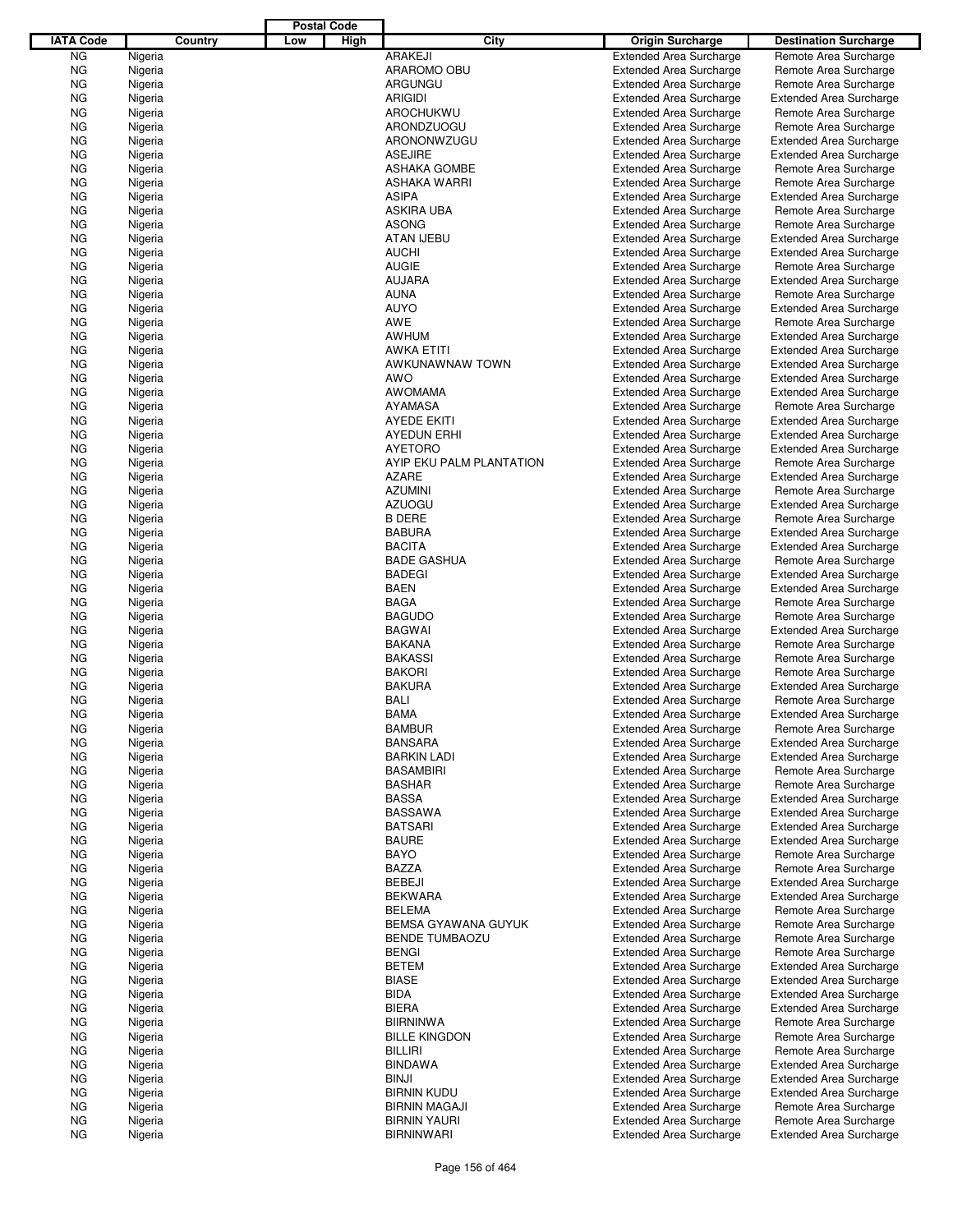|                  |                    |         |     | <b>Postal Code</b> |                                 |                                                                  |                                                |
|------------------|--------------------|---------|-----|--------------------|---------------------------------|------------------------------------------------------------------|------------------------------------------------|
| <b>IATA Code</b> |                    | Country | Low | High               | City                            | <b>Origin Surcharge</b>                                          | <b>Destination Surcharge</b>                   |
| <b>NG</b>        | Nigeria            |         |     |                    | <b>ARAKEJI</b>                  | <b>Extended Area Surcharge</b>                                   | Remote Area Surcharge                          |
| <b>NG</b>        | Nigeria            |         |     |                    | ARAROMO OBU                     | <b>Extended Area Surcharge</b>                                   | Remote Area Surcharge                          |
| <b>NG</b>        | Nigeria            |         |     |                    | ARGUNGU                         | <b>Extended Area Surcharge</b>                                   | Remote Area Surcharge                          |
| <b>NG</b>        | Nigeria            |         |     |                    | <b>ARIGIDI</b>                  | <b>Extended Area Surcharge</b>                                   | <b>Extended Area Surcharge</b>                 |
| <b>NG</b>        | Nigeria            |         |     |                    | AROCHUKWU                       | <b>Extended Area Surcharge</b>                                   | Remote Area Surcharge                          |
| <b>NG</b>        | Nigeria            |         |     |                    | ARONDZUOGU                      | <b>Extended Area Surcharge</b>                                   | Remote Area Surcharge                          |
| ΝG               | Nigeria            |         |     |                    | ARONONWZUGU                     | <b>Extended Area Surcharge</b>                                   | <b>Extended Area Surcharge</b>                 |
| <b>NG</b>        | Nigeria            |         |     |                    | <b>ASEJIRE</b>                  | <b>Extended Area Surcharge</b>                                   | <b>Extended Area Surcharge</b>                 |
| ΝG               | Nigeria            |         |     |                    | <b>ASHAKA GOMBE</b>             | <b>Extended Area Surcharge</b>                                   | Remote Area Surcharge                          |
| ΝG               | Nigeria            |         |     |                    | <b>ASHAKA WARRI</b>             | <b>Extended Area Surcharge</b>                                   | Remote Area Surcharge                          |
| ΝG               | Nigeria            |         |     |                    | <b>ASIPA</b>                    | <b>Extended Area Surcharge</b>                                   | <b>Extended Area Surcharge</b>                 |
| <b>NG</b>        | Nigeria            |         |     |                    | <b>ASKIRA UBA</b>               | <b>Extended Area Surcharge</b>                                   | Remote Area Surcharge                          |
| ΝG               | Nigeria            |         |     |                    | <b>ASONG</b>                    | <b>Extended Area Surcharge</b>                                   | Remote Area Surcharge                          |
| ΝG               | Nigeria            |         |     |                    | <b>ATAN IJEBU</b>               | <b>Extended Area Surcharge</b>                                   | <b>Extended Area Surcharge</b>                 |
| ΝG               | Nigeria            |         |     |                    | <b>AUCHI</b>                    | <b>Extended Area Surcharge</b>                                   | <b>Extended Area Surcharge</b>                 |
| <b>NG</b>        | Nigeria            |         |     |                    | <b>AUGIE</b>                    | <b>Extended Area Surcharge</b>                                   | Remote Area Surcharge                          |
| ΝG               | Nigeria            |         |     |                    | <b>AUJARA</b>                   | <b>Extended Area Surcharge</b>                                   | <b>Extended Area Surcharge</b>                 |
| <b>NG</b>        | Nigeria            |         |     |                    | <b>AUNA</b>                     | <b>Extended Area Surcharge</b>                                   | Remote Area Surcharge                          |
| ΝG               | Nigeria            |         |     |                    | <b>AUYO</b><br>AWE              | <b>Extended Area Surcharge</b>                                   | <b>Extended Area Surcharge</b>                 |
| <b>NG</b>        | Nigeria            |         |     |                    |                                 | <b>Extended Area Surcharge</b>                                   | Remote Area Surcharge                          |
| ΝG               | Nigeria            |         |     |                    | <b>AWHUM</b>                    | <b>Extended Area Surcharge</b>                                   | <b>Extended Area Surcharge</b>                 |
| <b>NG</b>        | Nigeria            |         |     |                    | <b>AWKA ETITI</b>               | <b>Extended Area Surcharge</b>                                   | <b>Extended Area Surcharge</b>                 |
| ΝG               | Nigeria            |         |     |                    | AWKUNAWNAW TOWN                 | <b>Extended Area Surcharge</b>                                   | <b>Extended Area Surcharge</b>                 |
| <b>NG</b>        | Nigeria            |         |     |                    | <b>AWO</b>                      | <b>Extended Area Surcharge</b>                                   | <b>Extended Area Surcharge</b>                 |
| ΝG               | Nigeria            |         |     |                    | <b>AWOMAMA</b>                  | <b>Extended Area Surcharge</b>                                   | <b>Extended Area Surcharge</b>                 |
| ΝG               | Nigeria            |         |     |                    | <b>AYAMASA</b>                  | <b>Extended Area Surcharge</b>                                   | Remote Area Surcharge                          |
| ΝG               | Nigeria            |         |     |                    | <b>AYEDE EKITI</b>              | <b>Extended Area Surcharge</b>                                   | <b>Extended Area Surcharge</b>                 |
| <b>NG</b>        | Nigeria            |         |     |                    | <b>AYEDUN ERHI</b>              | <b>Extended Area Surcharge</b>                                   | <b>Extended Area Surcharge</b>                 |
| ΝG               | Nigeria            |         |     |                    | <b>AYETORO</b>                  | <b>Extended Area Surcharge</b>                                   | <b>Extended Area Surcharge</b>                 |
| <b>NG</b>        | Nigeria            |         |     |                    | AYIP EKU PALM PLANTATION        | <b>Extended Area Surcharge</b>                                   | Remote Area Surcharge                          |
| ΝG               | Nigeria            |         |     |                    | <b>AZARE</b>                    | <b>Extended Area Surcharge</b>                                   | <b>Extended Area Surcharge</b>                 |
| ΝG               | Nigeria            |         |     |                    | <b>AZUMINI</b>                  | <b>Extended Area Surcharge</b>                                   | Remote Area Surcharge                          |
| ΝG               | Nigeria            |         |     |                    | <b>AZUOGU</b>                   | <b>Extended Area Surcharge</b>                                   | <b>Extended Area Surcharge</b>                 |
| <b>NG</b>        | Nigeria            |         |     |                    | <b>B DERE</b>                   | <b>Extended Area Surcharge</b>                                   | Remote Area Surcharge                          |
| ΝG               | Nigeria            |         |     |                    | <b>BABURA</b>                   | <b>Extended Area Surcharge</b>                                   | <b>Extended Area Surcharge</b>                 |
| <b>NG</b>        | Nigeria            |         |     |                    | <b>BACITA</b>                   | <b>Extended Area Surcharge</b>                                   | <b>Extended Area Surcharge</b>                 |
| ΝG               | Nigeria            |         |     |                    | <b>BADE GASHUA</b>              | <b>Extended Area Surcharge</b>                                   | Remote Area Surcharge                          |
| ΝG               | Nigeria            |         |     |                    | <b>BADEGI</b>                   | <b>Extended Area Surcharge</b>                                   | <b>Extended Area Surcharge</b>                 |
| ΝG               | Nigeria            |         |     |                    | <b>BAEN</b>                     | <b>Extended Area Surcharge</b>                                   | <b>Extended Area Surcharge</b>                 |
| <b>NG</b>        | Nigeria            |         |     |                    | <b>BAGA</b>                     | <b>Extended Area Surcharge</b>                                   | Remote Area Surcharge                          |
| ΝG               | Nigeria            |         |     |                    | <b>BAGUDO</b>                   | <b>Extended Area Surcharge</b>                                   | Remote Area Surcharge                          |
| ΝG               | Nigeria            |         |     |                    | <b>BAGWAI</b>                   | <b>Extended Area Surcharge</b>                                   | <b>Extended Area Surcharge</b>                 |
| ΝG               | Nigeria            |         |     |                    | <b>BAKANA</b>                   | <b>Extended Area Surcharge</b>                                   | Remote Area Surcharge                          |
| ΝG               | Nigeria<br>Nigeria |         |     |                    | <b>BAKASSI</b><br><b>BAKORI</b> | <b>Extended Area Surcharge</b><br><b>Extended Area Surcharge</b> | Remote Area Surcharge<br>Remote Area Surcharge |
| ΝG<br>ΝG         | Nigeria            |         |     |                    | <b>BAKURA</b>                   | <b>Extended Area Surcharge</b>                                   | <b>Extended Area Surcharge</b>                 |
| ΝG               | Nigeria            |         |     |                    | <b>BALI</b>                     | <b>Extended Area Surcharge</b>                                   | Remote Area Surcharge                          |
| <b>NG</b>        | Nigeria            |         |     |                    | <b>BAMA</b>                     | <b>Extended Area Surcharge</b>                                   | <b>Extended Area Surcharge</b>                 |
| ΝG               | Nigeria            |         |     |                    | <b>BAMBUR</b>                   | <b>Extended Area Surcharge</b>                                   | Remote Area Surcharge                          |
| ΝG               | Nigeria            |         |     |                    | <b>BANSARA</b>                  | <b>Extended Area Surcharge</b>                                   | <b>Extended Area Surcharge</b>                 |
| ΝG               | Nigeria            |         |     |                    | <b>BARKIN LADI</b>              | <b>Extended Area Surcharge</b>                                   | <b>Extended Area Surcharge</b>                 |
| ΝG               | Nigeria            |         |     |                    | <b>BASAMBIRI</b>                | <b>Extended Area Surcharge</b>                                   | Remote Area Surcharge                          |
| ΝG               | Nigeria            |         |     |                    | <b>BASHAR</b>                   | <b>Extended Area Surcharge</b>                                   | Remote Area Surcharge                          |
| ΝG               | Nigeria            |         |     |                    | <b>BASSA</b>                    | <b>Extended Area Surcharge</b>                                   | <b>Extended Area Surcharge</b>                 |
| ΝG               | Nigeria            |         |     |                    | <b>BASSAWA</b>                  | <b>Extended Area Surcharge</b>                                   | <b>Extended Area Surcharge</b>                 |
| ΝG               | Nigeria            |         |     |                    | <b>BATSARI</b>                  | <b>Extended Area Surcharge</b>                                   | <b>Extended Area Surcharge</b>                 |
| ΝG               | Nigeria            |         |     |                    | <b>BAURE</b>                    | <b>Extended Area Surcharge</b>                                   | <b>Extended Area Surcharge</b>                 |
| ΝG               | Nigeria            |         |     |                    | <b>BAYO</b>                     | <b>Extended Area Surcharge</b>                                   | Remote Area Surcharge                          |
| ΝG               | Nigeria            |         |     |                    | <b>BAZZA</b>                    | <b>Extended Area Surcharge</b>                                   | Remote Area Surcharge                          |
| ΝG               | Nigeria            |         |     |                    | <b>BEBEJI</b>                   | <b>Extended Area Surcharge</b>                                   | <b>Extended Area Surcharge</b>                 |
| ΝG               | Nigeria            |         |     |                    | <b>BEKWARA</b>                  | <b>Extended Area Surcharge</b>                                   | <b>Extended Area Surcharge</b>                 |
| ΝG               | Nigeria            |         |     |                    | <b>BELEMA</b>                   | <b>Extended Area Surcharge</b>                                   | Remote Area Surcharge                          |
| ΝG               | Nigeria            |         |     |                    | BEMSA GYAWANA GUYUK             | <b>Extended Area Surcharge</b>                                   | Remote Area Surcharge                          |
| ΝG               | Nigeria            |         |     |                    | <b>BENDE TUMBAOZU</b>           | <b>Extended Area Surcharge</b>                                   | Remote Area Surcharge                          |
| ΝG               | Nigeria            |         |     |                    | <b>BENGI</b>                    | <b>Extended Area Surcharge</b>                                   | Remote Area Surcharge                          |
| ΝG               | Nigeria            |         |     |                    | <b>BETEM</b>                    | <b>Extended Area Surcharge</b>                                   | <b>Extended Area Surcharge</b>                 |
| ΝG               | Nigeria            |         |     |                    | <b>BIASE</b>                    | <b>Extended Area Surcharge</b>                                   | <b>Extended Area Surcharge</b>                 |
| ΝG               | Nigeria            |         |     |                    | <b>BIDA</b>                     | <b>Extended Area Surcharge</b>                                   | <b>Extended Area Surcharge</b>                 |
| ΝG               | Nigeria            |         |     |                    | <b>BIERA</b>                    | <b>Extended Area Surcharge</b>                                   | <b>Extended Area Surcharge</b>                 |
| ΝG               | Nigeria            |         |     |                    | <b>BIIRNINWA</b>                | <b>Extended Area Surcharge</b>                                   | Remote Area Surcharge                          |
| ΝG               | Nigeria            |         |     |                    | <b>BILLE KINGDON</b>            | <b>Extended Area Surcharge</b>                                   | Remote Area Surcharge                          |
| ΝG               | Nigeria            |         |     |                    | <b>BILLIRI</b>                  | <b>Extended Area Surcharge</b>                                   | Remote Area Surcharge                          |
| ΝG               | Nigeria            |         |     |                    | <b>BINDAWA</b>                  | <b>Extended Area Surcharge</b>                                   | <b>Extended Area Surcharge</b>                 |
| ΝG               | Nigeria            |         |     |                    | <b>BINJI</b>                    | <b>Extended Area Surcharge</b>                                   | <b>Extended Area Surcharge</b>                 |
| ΝG               | Nigeria            |         |     |                    | <b>BIRNIN KUDU</b>              | <b>Extended Area Surcharge</b>                                   | <b>Extended Area Surcharge</b>                 |
| ΝG               | Nigeria            |         |     |                    | <b>BIRNIN MAGAJI</b>            | <b>Extended Area Surcharge</b>                                   | Remote Area Surcharge                          |
| ΝG               | Nigeria            |         |     |                    | <b>BIRNIN YAURI</b>             | <b>Extended Area Surcharge</b>                                   | Remote Area Surcharge                          |
| ΝG               | Nigeria            |         |     |                    | <b>BIRNINWARI</b>               | <b>Extended Area Surcharge</b>                                   | <b>Extended Area Surcharge</b>                 |
|                  |                    |         |     |                    |                                 |                                                                  |                                                |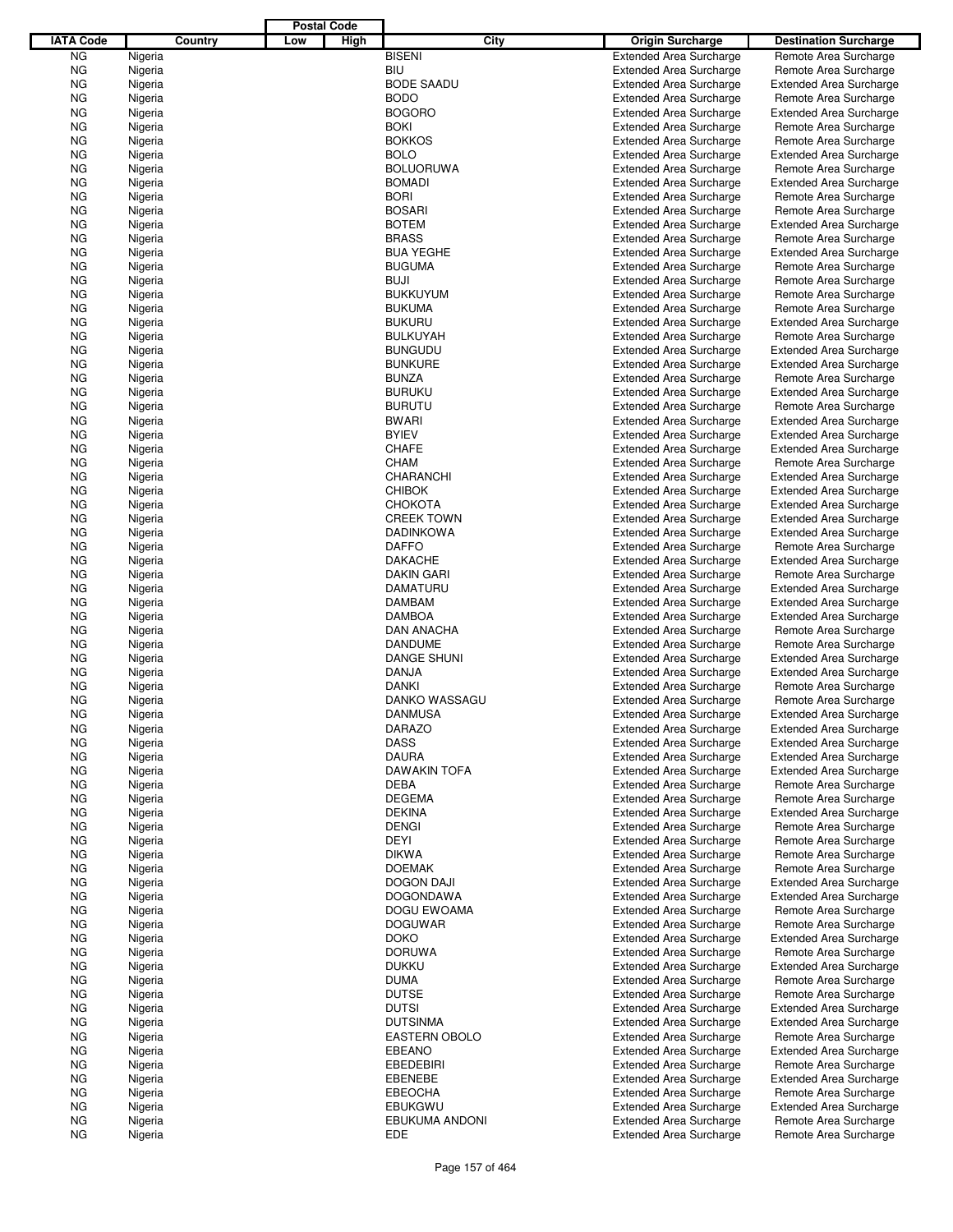|                  |                    |         |     | <b>Postal Code</b> |                              |                                                                  |                                                         |
|------------------|--------------------|---------|-----|--------------------|------------------------------|------------------------------------------------------------------|---------------------------------------------------------|
| <b>IATA Code</b> |                    | Country | Low | High               | City                         | <b>Origin Surcharge</b>                                          | <b>Destination Surcharge</b>                            |
| <b>NG</b>        | Nigeria            |         |     |                    | <b>BISENI</b>                | <b>Extended Area Surcharge</b>                                   | Remote Area Surcharge                                   |
| <b>NG</b>        | Nigeria            |         |     |                    | BIU                          | <b>Extended Area Surcharge</b>                                   | Remote Area Surcharge                                   |
| <b>NG</b>        | Nigeria            |         |     |                    | <b>BODE SAADU</b>            | <b>Extended Area Surcharge</b>                                   | <b>Extended Area Surcharge</b>                          |
| <b>NG</b>        | Nigeria            |         |     |                    | <b>BODO</b>                  | <b>Extended Area Surcharge</b>                                   | Remote Area Surcharge                                   |
| <b>NG</b>        | Nigeria            |         |     |                    | <b>BOGORO</b>                | <b>Extended Area Surcharge</b>                                   | <b>Extended Area Surcharge</b>                          |
| <b>NG</b>        | Nigeria            |         |     |                    | <b>BOKI</b>                  | <b>Extended Area Surcharge</b>                                   | Remote Area Surcharge                                   |
| ΝG               | Nigeria            |         |     |                    | <b>BOKKOS</b>                | <b>Extended Area Surcharge</b>                                   | Remote Area Surcharge                                   |
| <b>NG</b>        | Nigeria            |         |     |                    | <b>BOLO</b>                  | <b>Extended Area Surcharge</b>                                   | <b>Extended Area Surcharge</b>                          |
| <b>NG</b>        | Nigeria            |         |     |                    | <b>BOLUORUWA</b>             | <b>Extended Area Surcharge</b>                                   | Remote Area Surcharge                                   |
| <b>NG</b>        | Nigeria            |         |     |                    | <b>BOMADI</b>                | <b>Extended Area Surcharge</b>                                   | <b>Extended Area Surcharge</b>                          |
| ΝG               | Nigeria            |         |     |                    | <b>BORI</b>                  | <b>Extended Area Surcharge</b>                                   | Remote Area Surcharge                                   |
| <b>NG</b>        | Nigeria            |         |     |                    | <b>BOSARI</b>                | <b>Extended Area Surcharge</b>                                   | Remote Area Surcharge                                   |
| <b>NG</b>        | Nigeria            |         |     |                    | <b>BOTEM</b><br><b>BRASS</b> | <b>Extended Area Surcharge</b>                                   | <b>Extended Area Surcharge</b>                          |
| <b>NG</b><br>ΝG  | Nigeria<br>Nigeria |         |     |                    | <b>BUA YEGHE</b>             | <b>Extended Area Surcharge</b><br><b>Extended Area Surcharge</b> | Remote Area Surcharge<br><b>Extended Area Surcharge</b> |
| <b>NG</b>        | Nigeria            |         |     |                    | <b>BUGUMA</b>                | <b>Extended Area Surcharge</b>                                   | Remote Area Surcharge                                   |
| ΝG               | Nigeria            |         |     |                    | <b>BUJI</b>                  | <b>Extended Area Surcharge</b>                                   | Remote Area Surcharge                                   |
| <b>NG</b>        | Nigeria            |         |     |                    | <b>BUKKUYUM</b>              | <b>Extended Area Surcharge</b>                                   | Remote Area Surcharge                                   |
| <b>NG</b>        | Nigeria            |         |     |                    | <b>BUKUMA</b>                | <b>Extended Area Surcharge</b>                                   | Remote Area Surcharge                                   |
| <b>NG</b>        | Nigeria            |         |     |                    | <b>BUKURU</b>                | <b>Extended Area Surcharge</b>                                   | <b>Extended Area Surcharge</b>                          |
| ΝG               | Nigeria            |         |     |                    | <b>BULKUYAH</b>              | <b>Extended Area Surcharge</b>                                   | Remote Area Surcharge                                   |
| <b>NG</b>        | Nigeria            |         |     |                    | <b>BUNGUDU</b>               | <b>Extended Area Surcharge</b>                                   | <b>Extended Area Surcharge</b>                          |
| <b>NG</b>        | Nigeria            |         |     |                    | <b>BUNKURE</b>               | <b>Extended Area Surcharge</b>                                   | <b>Extended Area Surcharge</b>                          |
| <b>NG</b>        | Nigeria            |         |     |                    | <b>BUNZA</b>                 | <b>Extended Area Surcharge</b>                                   | Remote Area Surcharge                                   |
| ΝG               | Nigeria            |         |     |                    | <b>BURUKU</b>                | <b>Extended Area Surcharge</b>                                   | <b>Extended Area Surcharge</b>                          |
| <b>NG</b>        | Nigeria            |         |     |                    | <b>BURUTU</b>                | <b>Extended Area Surcharge</b>                                   | Remote Area Surcharge                                   |
| ΝG               | Nigeria            |         |     |                    | <b>BWARI</b>                 | <b>Extended Area Surcharge</b>                                   | <b>Extended Area Surcharge</b>                          |
| <b>NG</b>        | Nigeria            |         |     |                    | <b>BYIEV</b>                 | <b>Extended Area Surcharge</b>                                   | <b>Extended Area Surcharge</b>                          |
| <b>NG</b>        | Nigeria            |         |     |                    | <b>CHAFE</b>                 | <b>Extended Area Surcharge</b>                                   | <b>Extended Area Surcharge</b>                          |
| <b>NG</b>        | Nigeria            |         |     |                    | <b>CHAM</b>                  | <b>Extended Area Surcharge</b>                                   | Remote Area Surcharge                                   |
| ΝG               | Nigeria            |         |     |                    | CHARANCHI                    | <b>Extended Area Surcharge</b>                                   | <b>Extended Area Surcharge</b>                          |
| <b>NG</b>        | Nigeria            |         |     |                    | <b>CHIBOK</b>                | <b>Extended Area Surcharge</b>                                   | <b>Extended Area Surcharge</b>                          |
| <b>NG</b>        | Nigeria            |         |     |                    | <b>CHOKOTA</b>               | <b>Extended Area Surcharge</b>                                   | <b>Extended Area Surcharge</b>                          |
| <b>NG</b>        | Nigeria            |         |     |                    | <b>CREEK TOWN</b>            | <b>Extended Area Surcharge</b>                                   | <b>Extended Area Surcharge</b>                          |
| ΝG               | Nigeria            |         |     |                    | <b>DADINKOWA</b>             | <b>Extended Area Surcharge</b>                                   | <b>Extended Area Surcharge</b>                          |
| <b>NG</b>        | Nigeria            |         |     |                    | <b>DAFFO</b>                 | <b>Extended Area Surcharge</b>                                   | Remote Area Surcharge                                   |
| ΝG               | Nigeria            |         |     |                    | <b>DAKACHE</b>               | <b>Extended Area Surcharge</b>                                   | <b>Extended Area Surcharge</b>                          |
| <b>NG</b>        | Nigeria            |         |     |                    | DAKIN GARI                   | <b>Extended Area Surcharge</b>                                   | Remote Area Surcharge                                   |
| <b>NG</b>        | Nigeria            |         |     |                    | <b>DAMATURU</b>              | <b>Extended Area Surcharge</b>                                   | <b>Extended Area Surcharge</b>                          |
| <b>NG</b>        | Nigeria            |         |     |                    | <b>DAMBAM</b>                | <b>Extended Area Surcharge</b>                                   | <b>Extended Area Surcharge</b>                          |
| ΝG               | Nigeria            |         |     |                    | <b>DAMBOA</b>                | <b>Extended Area Surcharge</b>                                   | <b>Extended Area Surcharge</b>                          |
| <b>NG</b>        | Nigeria            |         |     |                    | <b>DAN ANACHA</b>            | <b>Extended Area Surcharge</b>                                   | Remote Area Surcharge                                   |
| <b>NG</b>        | Nigeria            |         |     |                    | <b>DANDUME</b>               | <b>Extended Area Surcharge</b>                                   | Remote Area Surcharge                                   |
| <b>NG</b>        | Nigeria            |         |     |                    | <b>DANGE SHUNI</b>           | <b>Extended Area Surcharge</b>                                   | <b>Extended Area Surcharge</b>                          |
| ΝG               | Nigeria            |         |     |                    | <b>DANJA</b>                 | <b>Extended Area Surcharge</b>                                   | <b>Extended Area Surcharge</b>                          |
| ΝG               | Nigeria            |         |     |                    | <b>DANKI</b>                 | <b>Extended Area Surcharge</b>                                   | Remote Area Surcharge                                   |
| ΝG               | Nigeria            |         |     |                    | <b>DANKO WASSAGU</b>         | <b>Extended Area Surcharge</b>                                   | Remote Area Surcharge                                   |
| <b>NG</b>        | Nigeria            |         |     |                    | <b>DANMUSA</b>               | <b>Extended Area Surcharge</b>                                   | <b>Extended Area Surcharge</b>                          |
| ΝG               | Nigeria            |         |     |                    | DARAZO                       | <b>Extended Area Surcharge</b>                                   | <b>Extended Area Surcharge</b>                          |
| ΝG               | Nigeria            |         |     |                    | <b>DASS</b>                  | <b>Extended Area Surcharge</b>                                   | Extended Area Surcharge                                 |
| ΝG               | Nigeria            |         |     |                    | <b>DAURA</b>                 | <b>Extended Area Surcharge</b>                                   | <b>Extended Area Surcharge</b>                          |
| ΝG               | Nigeria            |         |     |                    | <b>DAWAKIN TOFA</b>          | <b>Extended Area Surcharge</b>                                   | <b>Extended Area Surcharge</b>                          |
| ΝG               | Nigeria            |         |     |                    | <b>DEBA</b>                  | <b>Extended Area Surcharge</b>                                   | Remote Area Surcharge                                   |
| ΝG               | Nigeria            |         |     |                    | <b>DEGEMA</b>                | <b>Extended Area Surcharge</b>                                   | Remote Area Surcharge                                   |
| ΝG               | Nigeria            |         |     |                    | <b>DEKINA</b>                | <b>Extended Area Surcharge</b>                                   | <b>Extended Area Surcharge</b>                          |
| ΝG               | Nigeria            |         |     |                    | <b>DENGI</b>                 | <b>Extended Area Surcharge</b>                                   | Remote Area Surcharge                                   |
| ΝG               | Nigeria            |         |     |                    | DEYI                         | <b>Extended Area Surcharge</b>                                   | Remote Area Surcharge                                   |
| ΝG               | Nigeria            |         |     |                    | <b>DIKWA</b>                 | <b>Extended Area Surcharge</b>                                   | Remote Area Surcharge                                   |
| ΝG               | Nigeria            |         |     |                    | <b>DOEMAK</b>                | <b>Extended Area Surcharge</b>                                   | Remote Area Surcharge                                   |
| ΝG               | Nigeria            |         |     |                    | <b>DOGON DAJI</b>            | <b>Extended Area Surcharge</b>                                   | <b>Extended Area Surcharge</b>                          |
| ΝG               | Nigeria            |         |     |                    | <b>DOGONDAWA</b>             | <b>Extended Area Surcharge</b>                                   | <b>Extended Area Surcharge</b>                          |
| ΝG               | Nigeria            |         |     |                    | DOGU EWOAMA                  | <b>Extended Area Surcharge</b>                                   | Remote Area Surcharge                                   |
| ΝG               | Nigeria            |         |     |                    | <b>DOGUWAR</b>               | <b>Extended Area Surcharge</b>                                   | Remote Area Surcharge                                   |
| ΝG               | Nigeria            |         |     |                    | <b>DOKO</b>                  | <b>Extended Area Surcharge</b>                                   | <b>Extended Area Surcharge</b>                          |
| ΝG               | Nigeria            |         |     |                    | <b>DORUWA</b>                | <b>Extended Area Surcharge</b>                                   | Remote Area Surcharge                                   |
| ΝG               | Nigeria            |         |     |                    | <b>DUKKU</b>                 | <b>Extended Area Surcharge</b>                                   | <b>Extended Area Surcharge</b>                          |
| ΝG               | Nigeria            |         |     |                    | <b>DUMA</b>                  | <b>Extended Area Surcharge</b>                                   | Remote Area Surcharge                                   |
| ΝG               | Nigeria            |         |     |                    | <b>DUTSE</b>                 | <b>Extended Area Surcharge</b>                                   | Remote Area Surcharge                                   |
| ΝG               | Nigeria            |         |     |                    | <b>DUTSI</b>                 | <b>Extended Area Surcharge</b>                                   | <b>Extended Area Surcharge</b>                          |
| ΝG               | Nigeria            |         |     |                    | <b>DUTSINMA</b>              | <b>Extended Area Surcharge</b>                                   | <b>Extended Area Surcharge</b>                          |
| ΝG               | Nigeria            |         |     |                    | <b>EASTERN OBOLO</b>         | <b>Extended Area Surcharge</b>                                   | Remote Area Surcharge                                   |
| ΝG               | Nigeria            |         |     |                    | <b>EBEANO</b>                | <b>Extended Area Surcharge</b>                                   | <b>Extended Area Surcharge</b>                          |
| ΝG               | Nigeria            |         |     |                    | <b>EBEDEBIRI</b>             | <b>Extended Area Surcharge</b>                                   | Remote Area Surcharge                                   |
| ΝG               | Nigeria            |         |     |                    | <b>EBENEBE</b>               | <b>Extended Area Surcharge</b>                                   | <b>Extended Area Surcharge</b>                          |
| ΝG               | Nigeria            |         |     |                    | <b>EBEOCHA</b>               | <b>Extended Area Surcharge</b>                                   | Remote Area Surcharge                                   |
| ΝG               | Nigeria            |         |     |                    | <b>EBUKGWU</b>               | <b>Extended Area Surcharge</b>                                   | <b>Extended Area Surcharge</b>                          |
| ΝG               | Nigeria            |         |     |                    | EBUKUMA ANDONI               | <b>Extended Area Surcharge</b>                                   | Remote Area Surcharge                                   |
| ΝG               | Nigeria            |         |     |                    | EDE                          | <b>Extended Area Surcharge</b>                                   | Remote Area Surcharge                                   |
|                  |                    |         |     |                    |                              |                                                                  |                                                         |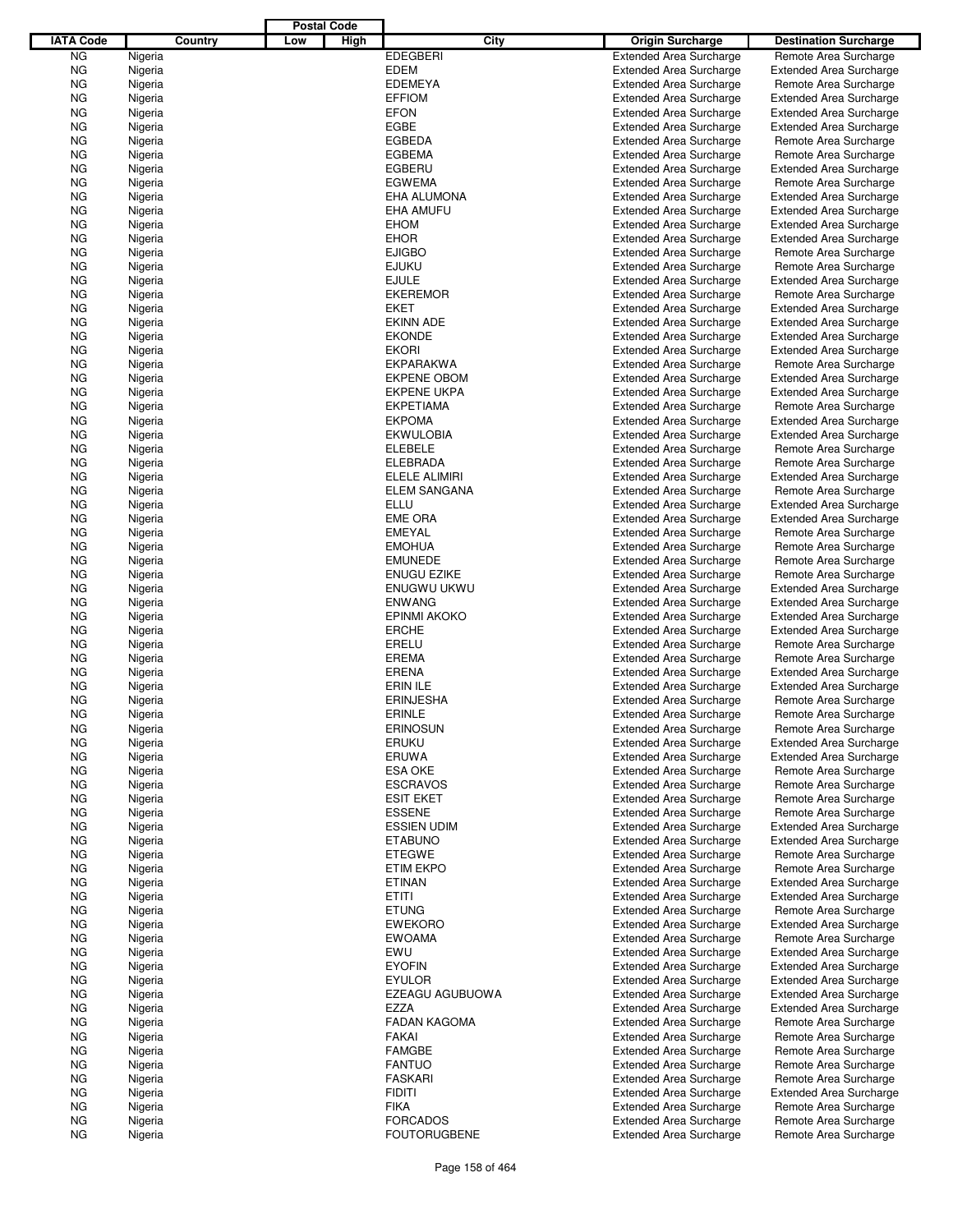|                  |                    |         |     | <b>Postal Code</b> |                               |      |                                                                  |                                                         |
|------------------|--------------------|---------|-----|--------------------|-------------------------------|------|------------------------------------------------------------------|---------------------------------------------------------|
| <b>IATA Code</b> |                    | Country | Low | High               |                               | City | <b>Origin Surcharge</b>                                          | <b>Destination Surcharge</b>                            |
| <b>NG</b>        | Nigeria            |         |     |                    | <b>EDEGBERI</b>               |      | <b>Extended Area Surcharge</b>                                   | Remote Area Surcharge                                   |
| <b>NG</b>        | Nigeria            |         |     |                    | <b>EDEM</b>                   |      | <b>Extended Area Surcharge</b>                                   | <b>Extended Area Surcharge</b>                          |
| <b>NG</b>        | Nigeria            |         |     |                    | <b>EDEMEYA</b>                |      | <b>Extended Area Surcharge</b>                                   | Remote Area Surcharge                                   |
| <b>NG</b>        | Nigeria            |         |     |                    | <b>EFFIOM</b>                 |      | <b>Extended Area Surcharge</b>                                   | <b>Extended Area Surcharge</b>                          |
| <b>NG</b>        | Nigeria            |         |     |                    | <b>EFON</b>                   |      | <b>Extended Area Surcharge</b>                                   | <b>Extended Area Surcharge</b>                          |
| <b>NG</b>        | Nigeria            |         |     |                    | <b>EGBE</b>                   |      | <b>Extended Area Surcharge</b>                                   | <b>Extended Area Surcharge</b>                          |
| ΝG               | Nigeria            |         |     |                    | <b>EGBEDA</b>                 |      | <b>Extended Area Surcharge</b>                                   | Remote Area Surcharge                                   |
| <b>NG</b>        | Nigeria            |         |     |                    | <b>EGBEMA</b>                 |      | <b>Extended Area Surcharge</b>                                   | Remote Area Surcharge                                   |
| <b>NG</b>        | Nigeria            |         |     |                    | EGBERU                        |      | <b>Extended Area Surcharge</b>                                   | <b>Extended Area Surcharge</b>                          |
| <b>NG</b>        | Nigeria            |         |     |                    | <b>EGWEMA</b>                 |      | <b>Extended Area Surcharge</b>                                   | Remote Area Surcharge                                   |
| ΝG               | Nigeria            |         |     |                    | EHA ALUMONA                   |      | <b>Extended Area Surcharge</b>                                   | <b>Extended Area Surcharge</b>                          |
| <b>NG</b>        | Nigeria            |         |     |                    | <b>EHA AMUFU</b>              |      | <b>Extended Area Surcharge</b>                                   | <b>Extended Area Surcharge</b>                          |
| <b>NG</b>        | Nigeria            |         |     |                    | <b>EHOM</b>                   |      | <b>Extended Area Surcharge</b>                                   | <b>Extended Area Surcharge</b>                          |
| ΝG               | Nigeria            |         |     |                    | <b>EHOR</b>                   |      | <b>Extended Area Surcharge</b>                                   | <b>Extended Area Surcharge</b>                          |
| ΝG<br><b>NG</b>  | Nigeria<br>Nigeria |         |     |                    | <b>EJIGBO</b><br><b>EJUKU</b> |      | <b>Extended Area Surcharge</b><br><b>Extended Area Surcharge</b> | Remote Area Surcharge                                   |
| ΝG               | Nigeria            |         |     |                    | <b>EJULE</b>                  |      | <b>Extended Area Surcharge</b>                                   | Remote Area Surcharge<br><b>Extended Area Surcharge</b> |
| <b>NG</b>        | Nigeria            |         |     |                    | <b>EKEREMOR</b>               |      | <b>Extended Area Surcharge</b>                                   | Remote Area Surcharge                                   |
| ΝG               | Nigeria            |         |     |                    | EKET                          |      | <b>Extended Area Surcharge</b>                                   | <b>Extended Area Surcharge</b>                          |
| <b>NG</b>        | Nigeria            |         |     |                    | <b>EKINN ADE</b>              |      | <b>Extended Area Surcharge</b>                                   | <b>Extended Area Surcharge</b>                          |
| ΝG               | Nigeria            |         |     |                    | <b>EKONDE</b>                 |      | <b>Extended Area Surcharge</b>                                   | <b>Extended Area Surcharge</b>                          |
| <b>NG</b>        | Nigeria            |         |     |                    | <b>EKORI</b>                  |      | <b>Extended Area Surcharge</b>                                   | <b>Extended Area Surcharge</b>                          |
| ΝG               | Nigeria            |         |     |                    | <b>EKPARAKWA</b>              |      | <b>Extended Area Surcharge</b>                                   | Remote Area Surcharge                                   |
| <b>NG</b>        | Nigeria            |         |     |                    | <b>EKPENE OBOM</b>            |      | <b>Extended Area Surcharge</b>                                   | <b>Extended Area Surcharge</b>                          |
| ΝG               | Nigeria            |         |     |                    | <b>EKPENE UKPA</b>            |      | <b>Extended Area Surcharge</b>                                   | <b>Extended Area Surcharge</b>                          |
| <b>NG</b>        | Nigeria            |         |     |                    | <b>EKPETIAMA</b>              |      | <b>Extended Area Surcharge</b>                                   | Remote Area Surcharge                                   |
| ΝG               | Nigeria            |         |     |                    | <b>EKPOMA</b>                 |      | <b>Extended Area Surcharge</b>                                   | <b>Extended Area Surcharge</b>                          |
| <b>NG</b>        | Nigeria            |         |     |                    | <b>EKWULOBIA</b>              |      | <b>Extended Area Surcharge</b>                                   | <b>Extended Area Surcharge</b>                          |
| <b>NG</b>        | Nigeria            |         |     |                    | <b>ELEBELE</b>                |      | <b>Extended Area Surcharge</b>                                   | Remote Area Surcharge                                   |
| <b>NG</b>        | Nigeria            |         |     |                    | ELEBRADA                      |      | <b>Extended Area Surcharge</b>                                   | Remote Area Surcharge                                   |
| ΝG               | Nigeria            |         |     |                    | ELELE ALIMIRI                 |      | <b>Extended Area Surcharge</b>                                   | <b>Extended Area Surcharge</b>                          |
| <b>NG</b>        | Nigeria            |         |     |                    | <b>ELEM SANGANA</b>           |      | <b>Extended Area Surcharge</b>                                   | Remote Area Surcharge                                   |
| <b>NG</b>        | Nigeria            |         |     |                    | <b>ELLU</b>                   |      | <b>Extended Area Surcharge</b>                                   | <b>Extended Area Surcharge</b>                          |
| ΝG               | Nigeria            |         |     |                    | <b>EME ORA</b>                |      | <b>Extended Area Surcharge</b>                                   | <b>Extended Area Surcharge</b>                          |
| ΝG               | Nigeria            |         |     |                    | <b>EMEYAL</b>                 |      | <b>Extended Area Surcharge</b>                                   | Remote Area Surcharge                                   |
| <b>NG</b>        | Nigeria            |         |     |                    | <b>EMOHUA</b>                 |      | <b>Extended Area Surcharge</b>                                   | Remote Area Surcharge                                   |
| ΝG               | Nigeria            |         |     |                    | <b>EMUNEDE</b>                |      | <b>Extended Area Surcharge</b>                                   | Remote Area Surcharge                                   |
| ΝG               | Nigeria            |         |     |                    | <b>ENUGU EZIKE</b>            |      | <b>Extended Area Surcharge</b>                                   | Remote Area Surcharge                                   |
| ΝG               | Nigeria            |         |     |                    | ENUGWU UKWU                   |      | <b>Extended Area Surcharge</b>                                   | <b>Extended Area Surcharge</b>                          |
| <b>NG</b>        | Nigeria            |         |     |                    | <b>ENWANG</b>                 |      | <b>Extended Area Surcharge</b>                                   | <b>Extended Area Surcharge</b>                          |
| ΝG               | Nigeria            |         |     |                    | <b>EPINMI AKOKO</b>           |      | <b>Extended Area Surcharge</b>                                   | <b>Extended Area Surcharge</b>                          |
| <b>NG</b>        | Nigeria            |         |     |                    | <b>ERCHE</b>                  |      | <b>Extended Area Surcharge</b>                                   | <b>Extended Area Surcharge</b>                          |
| ΝG               | Nigeria            |         |     |                    | ERELU                         |      | <b>Extended Area Surcharge</b>                                   | Remote Area Surcharge                                   |
| <b>NG</b>        | Nigeria            |         |     |                    | <b>EREMA</b>                  |      | <b>Extended Area Surcharge</b>                                   | Remote Area Surcharge                                   |
| ΝG               | Nigeria            |         |     |                    | <b>ERENA</b>                  |      | <b>Extended Area Surcharge</b>                                   | <b>Extended Area Surcharge</b>                          |
| ΝG               | Nigeria            |         |     |                    | <b>ERIN ILE</b>               |      | <b>Extended Area Surcharge</b>                                   | <b>Extended Area Surcharge</b>                          |
| ΝG               | Nigeria            |         |     |                    | <b>ERINJESHA</b>              |      | <b>Extended Area Surcharge</b>                                   | Remote Area Surcharge                                   |
| <b>NG</b>        | Nigeria            |         |     |                    | ERINLE                        |      | <b>Extended Area Surcharge</b>                                   | Remote Area Surcharge                                   |
| ΝG               | Nigeria            |         |     |                    | <b>ERINOSUN</b>               |      | <b>Extended Area Surcharge</b>                                   | Remote Area Surcharge                                   |
| ΝG               | Nigeria            |         |     |                    | <b>ERUKU</b>                  |      | <b>Extended Area Surcharge</b>                                   | <b>Extended Area Surcharge</b>                          |
| ΝG               | Nigeria            |         |     |                    | ERUWA<br><b>ESA OKE</b>       |      | <b>Extended Area Surcharge</b>                                   | <b>Extended Area Surcharge</b>                          |
| ΝG<br>ΝG         | Nigeria<br>Nigeria |         |     |                    | <b>ESCRAVOS</b>               |      | <b>Extended Area Surcharge</b><br><b>Extended Area Surcharge</b> | Remote Area Surcharge<br>Remote Area Surcharge          |
| ΝG               | Nigeria            |         |     |                    | <b>ESIT EKET</b>              |      | <b>Extended Area Surcharge</b>                                   | Remote Area Surcharge                                   |
| ΝG               | Nigeria            |         |     |                    | <b>ESSENE</b>                 |      | <b>Extended Area Surcharge</b>                                   | Remote Area Surcharge                                   |
| ΝG               | Nigeria            |         |     |                    | <b>ESSIEN UDIM</b>            |      | <b>Extended Area Surcharge</b>                                   | <b>Extended Area Surcharge</b>                          |
| ΝG               | Nigeria            |         |     |                    | <b>ETABUNO</b>                |      | <b>Extended Area Surcharge</b>                                   | <b>Extended Area Surcharge</b>                          |
| ΝG               | Nigeria            |         |     |                    | <b>ETEGWE</b>                 |      | <b>Extended Area Surcharge</b>                                   | Remote Area Surcharge                                   |
| ΝG               | Nigeria            |         |     |                    | <b>ETIM EKPO</b>              |      | <b>Extended Area Surcharge</b>                                   | Remote Area Surcharge                                   |
| ΝG               | Nigeria            |         |     |                    | <b>ETINAN</b>                 |      | <b>Extended Area Surcharge</b>                                   | <b>Extended Area Surcharge</b>                          |
| ΝG               | Nigeria            |         |     |                    | ETITI                         |      | <b>Extended Area Surcharge</b>                                   | <b>Extended Area Surcharge</b>                          |
| ΝG               | Nigeria            |         |     |                    | <b>ETUNG</b>                  |      | <b>Extended Area Surcharge</b>                                   | Remote Area Surcharge                                   |
| ΝG               | Nigeria            |         |     |                    | <b>EWEKORO</b>                |      | <b>Extended Area Surcharge</b>                                   | <b>Extended Area Surcharge</b>                          |
| ΝG               | Nigeria            |         |     |                    | <b>EWOAMA</b>                 |      | <b>Extended Area Surcharge</b>                                   | Remote Area Surcharge                                   |
| ΝG               | Nigeria            |         |     |                    | EWU                           |      | <b>Extended Area Surcharge</b>                                   | <b>Extended Area Surcharge</b>                          |
| ΝG               | Nigeria            |         |     |                    | <b>EYOFIN</b>                 |      | <b>Extended Area Surcharge</b>                                   | <b>Extended Area Surcharge</b>                          |
| ΝG               | Nigeria            |         |     |                    | <b>EYULOR</b>                 |      | <b>Extended Area Surcharge</b>                                   | <b>Extended Area Surcharge</b>                          |
| ΝG               | Nigeria            |         |     |                    | EZEAGU AGUBUOWA               |      | <b>Extended Area Surcharge</b>                                   | <b>Extended Area Surcharge</b>                          |
| ΝG               | Nigeria            |         |     |                    | EZZA                          |      | <b>Extended Area Surcharge</b>                                   | <b>Extended Area Surcharge</b>                          |
| ΝG               | Nigeria            |         |     |                    | <b>FADAN KAGOMA</b>           |      | <b>Extended Area Surcharge</b>                                   | Remote Area Surcharge                                   |
| ΝG               | Nigeria            |         |     |                    | <b>FAKAI</b>                  |      | <b>Extended Area Surcharge</b>                                   | Remote Area Surcharge                                   |
| ΝG               | Nigeria            |         |     |                    | <b>FAMGBE</b>                 |      | <b>Extended Area Surcharge</b>                                   | Remote Area Surcharge                                   |
| ΝG               | Nigeria            |         |     |                    | <b>FANTUO</b>                 |      | <b>Extended Area Surcharge</b>                                   | Remote Area Surcharge                                   |
| ΝG               | Nigeria            |         |     |                    | <b>FASKARI</b>                |      | <b>Extended Area Surcharge</b>                                   | Remote Area Surcharge                                   |
| ΝG               | Nigeria            |         |     |                    | <b>FIDITI</b>                 |      | <b>Extended Area Surcharge</b>                                   | <b>Extended Area Surcharge</b>                          |
| ΝG               | Nigeria            |         |     |                    | <b>FIKA</b>                   |      | <b>Extended Area Surcharge</b>                                   | Remote Area Surcharge                                   |
| ΝG               | Nigeria            |         |     |                    | <b>FORCADOS</b>               |      | <b>Extended Area Surcharge</b>                                   | Remote Area Surcharge                                   |
| ΝG               | Nigeria            |         |     |                    | <b>FOUTORUGBENE</b>           |      | <b>Extended Area Surcharge</b>                                   | Remote Area Surcharge                                   |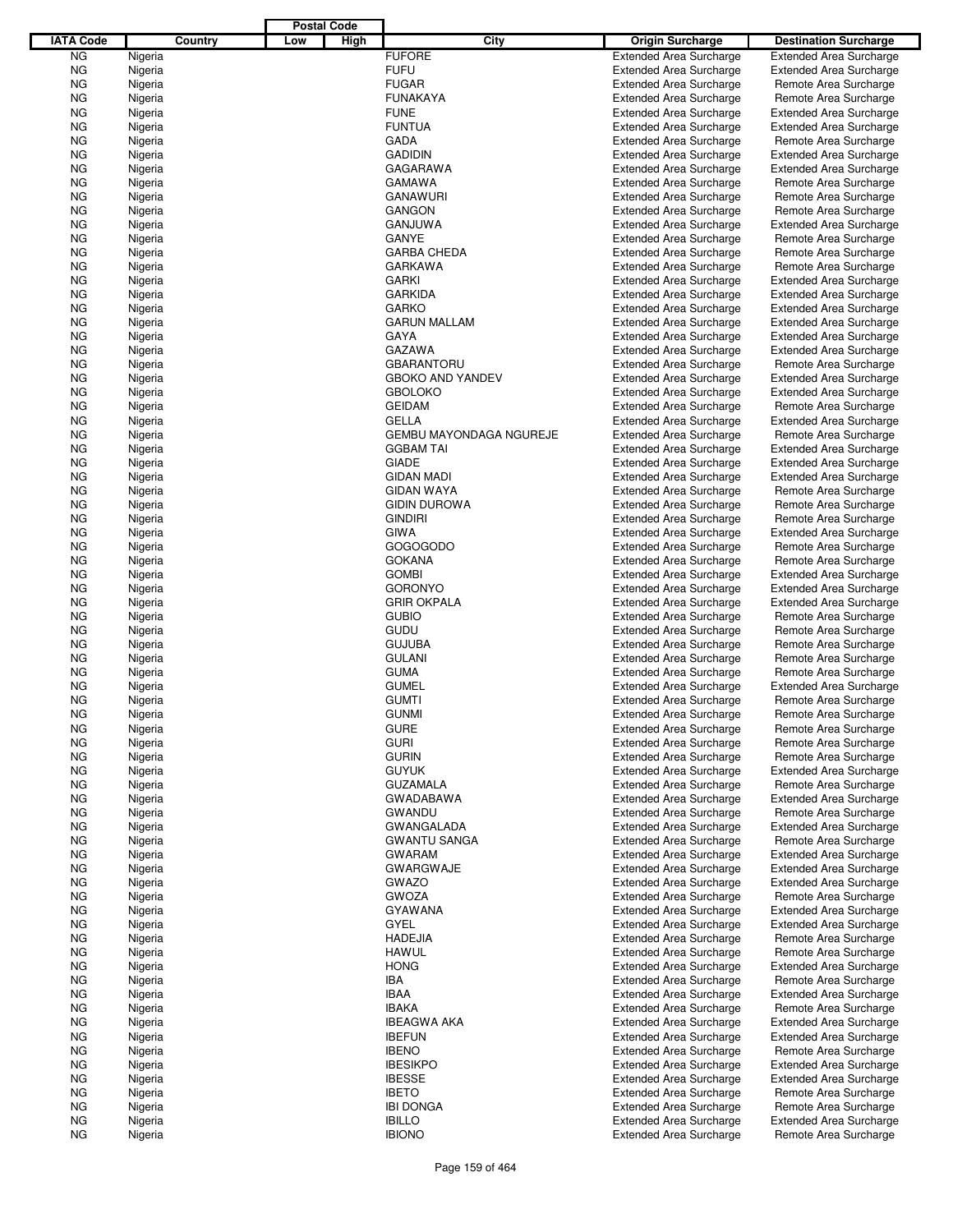|                  |         |         |     | <b>Postal Code</b> |                                |                                |                                |
|------------------|---------|---------|-----|--------------------|--------------------------------|--------------------------------|--------------------------------|
| <b>IATA Code</b> |         | Country | Low | High               | City                           | <b>Origin Surcharge</b>        | <b>Destination Surcharge</b>   |
| ΝG               | Nigeria |         |     |                    | <b>FUFORE</b>                  | <b>Extended Area Surcharge</b> | <b>Extended Area Surcharge</b> |
| ΝG               | Nigeria |         |     |                    | <b>FUFU</b>                    | <b>Extended Area Surcharge</b> | <b>Extended Area Surcharge</b> |
| ΝG               | Nigeria |         |     |                    | <b>FUGAR</b>                   | <b>Extended Area Surcharge</b> | Remote Area Surcharge          |
| ΝG               | Nigeria |         |     |                    | <b>FUNAKAYA</b>                | <b>Extended Area Surcharge</b> | Remote Area Surcharge          |
| ΝG               | Nigeria |         |     |                    | <b>FUNE</b>                    | <b>Extended Area Surcharge</b> | <b>Extended Area Surcharge</b> |
| ΝG               | Nigeria |         |     |                    | <b>FUNTUA</b>                  | <b>Extended Area Surcharge</b> | <b>Extended Area Surcharge</b> |
| ΝG               | Nigeria |         |     |                    | <b>GADA</b>                    | <b>Extended Area Surcharge</b> | Remote Area Surcharge          |
| ΝG               | Nigeria |         |     |                    | <b>GADIDIN</b>                 | <b>Extended Area Surcharge</b> | <b>Extended Area Surcharge</b> |
| ΝG               | Nigeria |         |     |                    | GAGARAWA                       | <b>Extended Area Surcharge</b> | <b>Extended Area Surcharge</b> |
| ΝG               | Nigeria |         |     |                    | <b>GAMAWA</b>                  | <b>Extended Area Surcharge</b> | Remote Area Surcharge          |
| ΝG               | Nigeria |         |     |                    | <b>GANAWURI</b>                | <b>Extended Area Surcharge</b> | Remote Area Surcharge          |
| ΝG               | Nigeria |         |     |                    | <b>GANGON</b>                  | <b>Extended Area Surcharge</b> | Remote Area Surcharge          |
| ΝG               | Nigeria |         |     |                    | <b>GANJUWA</b>                 | <b>Extended Area Surcharge</b> | <b>Extended Area Surcharge</b> |
| ΝG               | Nigeria |         |     |                    | <b>GANYE</b>                   | <b>Extended Area Surcharge</b> | Remote Area Surcharge          |
| ΝG               | Nigeria |         |     |                    | <b>GARBA CHEDA</b>             | <b>Extended Area Surcharge</b> | Remote Area Surcharge          |
| ΝG               | Nigeria |         |     |                    | <b>GARKAWA</b>                 | <b>Extended Area Surcharge</b> | Remote Area Surcharge          |
| ΝG               | Nigeria |         |     |                    | <b>GARKI</b>                   | <b>Extended Area Surcharge</b> | <b>Extended Area Surcharge</b> |
| ΝG               | Nigeria |         |     |                    | <b>GARKIDA</b>                 | <b>Extended Area Surcharge</b> | <b>Extended Area Surcharge</b> |
| ΝG               | Nigeria |         |     |                    | <b>GARKO</b>                   | <b>Extended Area Surcharge</b> | <b>Extended Area Surcharge</b> |
| ΝG               | Nigeria |         |     |                    | <b>GARUN MALLAM</b>            | <b>Extended Area Surcharge</b> | <b>Extended Area Surcharge</b> |
| ΝG               | Nigeria |         |     |                    | <b>GAYA</b>                    | <b>Extended Area Surcharge</b> | <b>Extended Area Surcharge</b> |
| ΝG               | Nigeria |         |     |                    | GAZAWA                         | <b>Extended Area Surcharge</b> | <b>Extended Area Surcharge</b> |
| ΝG               | Nigeria |         |     |                    | <b>GBARANTORU</b>              | <b>Extended Area Surcharge</b> | Remote Area Surcharge          |
| ΝG               | Nigeria |         |     |                    | <b>GBOKO AND YANDEV</b>        | <b>Extended Area Surcharge</b> | <b>Extended Area Surcharge</b> |
| ΝG               | Nigeria |         |     |                    | <b>GBOLOKO</b>                 | <b>Extended Area Surcharge</b> | <b>Extended Area Surcharge</b> |
| ΝG               | Nigeria |         |     |                    | <b>GEIDAM</b>                  | <b>Extended Area Surcharge</b> | Remote Area Surcharge          |
| ΝG               | Nigeria |         |     |                    | <b>GELLA</b>                   | <b>Extended Area Surcharge</b> | <b>Extended Area Surcharge</b> |
| ΝG               | Nigeria |         |     |                    | <b>GEMBU MAYONDAGA NGUREJE</b> | <b>Extended Area Surcharge</b> | Remote Area Surcharge          |
| ΝG               | Nigeria |         |     |                    | <b>GGBAM TAI</b>               | <b>Extended Area Surcharge</b> | <b>Extended Area Surcharge</b> |
| ΝG               | Nigeria |         |     |                    | <b>GIADE</b>                   | <b>Extended Area Surcharge</b> | <b>Extended Area Surcharge</b> |
| ΝG               | Nigeria |         |     |                    | <b>GIDAN MADI</b>              | <b>Extended Area Surcharge</b> | <b>Extended Area Surcharge</b> |
| ΝG               | Nigeria |         |     |                    | <b>GIDAN WAYA</b>              | <b>Extended Area Surcharge</b> | Remote Area Surcharge          |
| ΝG               | Nigeria |         |     |                    | <b>GIDIN DUROWA</b>            | <b>Extended Area Surcharge</b> | Remote Area Surcharge          |
| ΝG               | Nigeria |         |     |                    | <b>GINDIRI</b>                 | <b>Extended Area Surcharge</b> | Remote Area Surcharge          |
| ΝG               | Nigeria |         |     |                    | <b>GIWA</b>                    | <b>Extended Area Surcharge</b> | <b>Extended Area Surcharge</b> |
| ΝG               | Nigeria |         |     |                    | GOGOGODO                       | <b>Extended Area Surcharge</b> | Remote Area Surcharge          |
| ΝG               | Nigeria |         |     |                    | <b>GOKANA</b>                  | <b>Extended Area Surcharge</b> | Remote Area Surcharge          |
| ΝG               | Nigeria |         |     |                    | <b>GOMBI</b>                   | <b>Extended Area Surcharge</b> | <b>Extended Area Surcharge</b> |
| ΝG               | Nigeria |         |     |                    | <b>GORONYO</b>                 | <b>Extended Area Surcharge</b> | <b>Extended Area Surcharge</b> |
| ΝG               | Nigeria |         |     |                    | <b>GRIR OKPALA</b>             | <b>Extended Area Surcharge</b> | <b>Extended Area Surcharge</b> |
| ΝG               | Nigeria |         |     |                    | <b>GUBIO</b>                   | <b>Extended Area Surcharge</b> | Remote Area Surcharge          |
| ΝG               | Nigeria |         |     |                    | <b>GUDU</b>                    | <b>Extended Area Surcharge</b> | Remote Area Surcharge          |
| ΝG               | Nigeria |         |     |                    | <b>GUJUBA</b>                  | <b>Extended Area Surcharge</b> | Remote Area Surcharge          |
| ΝG               | Nigeria |         |     |                    | <b>GULANI</b>                  | <b>Extended Area Surcharge</b> | Remote Area Surcharge          |
| ΝG               | Nigeria |         |     |                    | <b>GUMA</b>                    | <b>Extended Area Surcharge</b> | Remote Area Surcharge          |
| ΝG               | Nigeria |         |     |                    | <b>GUMEL</b>                   | <b>Extended Area Surcharge</b> | <b>Extended Area Surcharge</b> |
| ΝG               | Nigeria |         |     |                    | <b>GUMTI</b>                   | <b>Extended Area Surcharge</b> | Remote Area Surcharge          |
| NG               | Nigeria |         |     |                    | <b>GUNMI</b>                   | <b>Extended Area Surcharge</b> | Remote Area Surcharge          |
| ΝG               | Nigeria |         |     |                    | <b>GURE</b>                    | <b>Extended Area Surcharge</b> | Remote Area Surcharge          |
| ΝG               | Nigeria |         |     |                    | <b>GURI</b>                    | <b>Extended Area Surcharge</b> | Remote Area Surcharge          |
| ΝG               | Nigeria |         |     |                    | <b>GURIN</b>                   | <b>Extended Area Surcharge</b> | Remote Area Surcharge          |
| ΝG               | Nigeria |         |     |                    | <b>GUYUK</b>                   | <b>Extended Area Surcharge</b> | <b>Extended Area Surcharge</b> |
| ΝG               | Nigeria |         |     |                    | <b>GUZAMALA</b>                | <b>Extended Area Surcharge</b> | Remote Area Surcharge          |
| ΝG               | Nigeria |         |     |                    | GWADABAWA                      | <b>Extended Area Surcharge</b> | <b>Extended Area Surcharge</b> |
| ΝG               | Nigeria |         |     |                    | <b>GWANDU</b>                  | <b>Extended Area Surcharge</b> | Remote Area Surcharge          |
| ΝG               | Nigeria |         |     |                    | <b>GWANGALADA</b>              | <b>Extended Area Surcharge</b> | <b>Extended Area Surcharge</b> |
| ΝG               | Nigeria |         |     |                    | <b>GWANTU SANGA</b>            | <b>Extended Area Surcharge</b> | Remote Area Surcharge          |
| ΝG               | Nigeria |         |     |                    | <b>GWARAM</b>                  | <b>Extended Area Surcharge</b> | <b>Extended Area Surcharge</b> |
| ΝG               | Nigeria |         |     |                    | <b>GWARGWAJE</b>               | <b>Extended Area Surcharge</b> | <b>Extended Area Surcharge</b> |
| ΝG               | Nigeria |         |     |                    | <b>GWAZO</b>                   | <b>Extended Area Surcharge</b> | <b>Extended Area Surcharge</b> |
| ΝG               | Nigeria |         |     |                    | <b>GWOZA</b>                   | <b>Extended Area Surcharge</b> | Remote Area Surcharge          |
| ΝG               | Nigeria |         |     |                    | <b>GYAWANA</b>                 | <b>Extended Area Surcharge</b> | <b>Extended Area Surcharge</b> |
| ΝG               | Nigeria |         |     |                    | GYEL                           | <b>Extended Area Surcharge</b> | <b>Extended Area Surcharge</b> |
| ΝG               | Nigeria |         |     |                    | <b>HADEJIA</b>                 | <b>Extended Area Surcharge</b> | Remote Area Surcharge          |
| ΝG               | Nigeria |         |     |                    | <b>HAWUL</b>                   | <b>Extended Area Surcharge</b> | Remote Area Surcharge          |
| ΝG               | Nigeria |         |     |                    | <b>HONG</b>                    | <b>Extended Area Surcharge</b> | <b>Extended Area Surcharge</b> |
| ΝG               | Nigeria |         |     |                    | IBA                            | <b>Extended Area Surcharge</b> | Remote Area Surcharge          |
| ΝG               | Nigeria |         |     |                    | <b>IBAA</b>                    | <b>Extended Area Surcharge</b> | <b>Extended Area Surcharge</b> |
| ΝG               | Nigeria |         |     |                    | <b>IBAKA</b>                   | <b>Extended Area Surcharge</b> | Remote Area Surcharge          |
| ΝG               | Nigeria |         |     |                    | <b>IBEAGWA AKA</b>             | <b>Extended Area Surcharge</b> | <b>Extended Area Surcharge</b> |
| ΝG               | Nigeria |         |     |                    | <b>IBEFUN</b>                  | <b>Extended Area Surcharge</b> | <b>Extended Area Surcharge</b> |
| ΝG               | Nigeria |         |     |                    | <b>IBENO</b>                   | <b>Extended Area Surcharge</b> | Remote Area Surcharge          |
| ΝG               | Nigeria |         |     |                    | <b>IBESIKPO</b>                | <b>Extended Area Surcharge</b> | <b>Extended Area Surcharge</b> |
| ΝG               | Nigeria |         |     |                    | <b>IBESSE</b>                  | <b>Extended Area Surcharge</b> | <b>Extended Area Surcharge</b> |
| ΝG               | Nigeria |         |     |                    | <b>IBETO</b>                   | <b>Extended Area Surcharge</b> | Remote Area Surcharge          |
| ΝG               | Nigeria |         |     |                    | <b>IBI DONGA</b>               | <b>Extended Area Surcharge</b> | Remote Area Surcharge          |
| ΝG               | Nigeria |         |     |                    | <b>IBILLO</b>                  | <b>Extended Area Surcharge</b> | <b>Extended Area Surcharge</b> |
| ΝG               | Nigeria |         |     |                    | <b>IBIONO</b>                  | <b>Extended Area Surcharge</b> | Remote Area Surcharge          |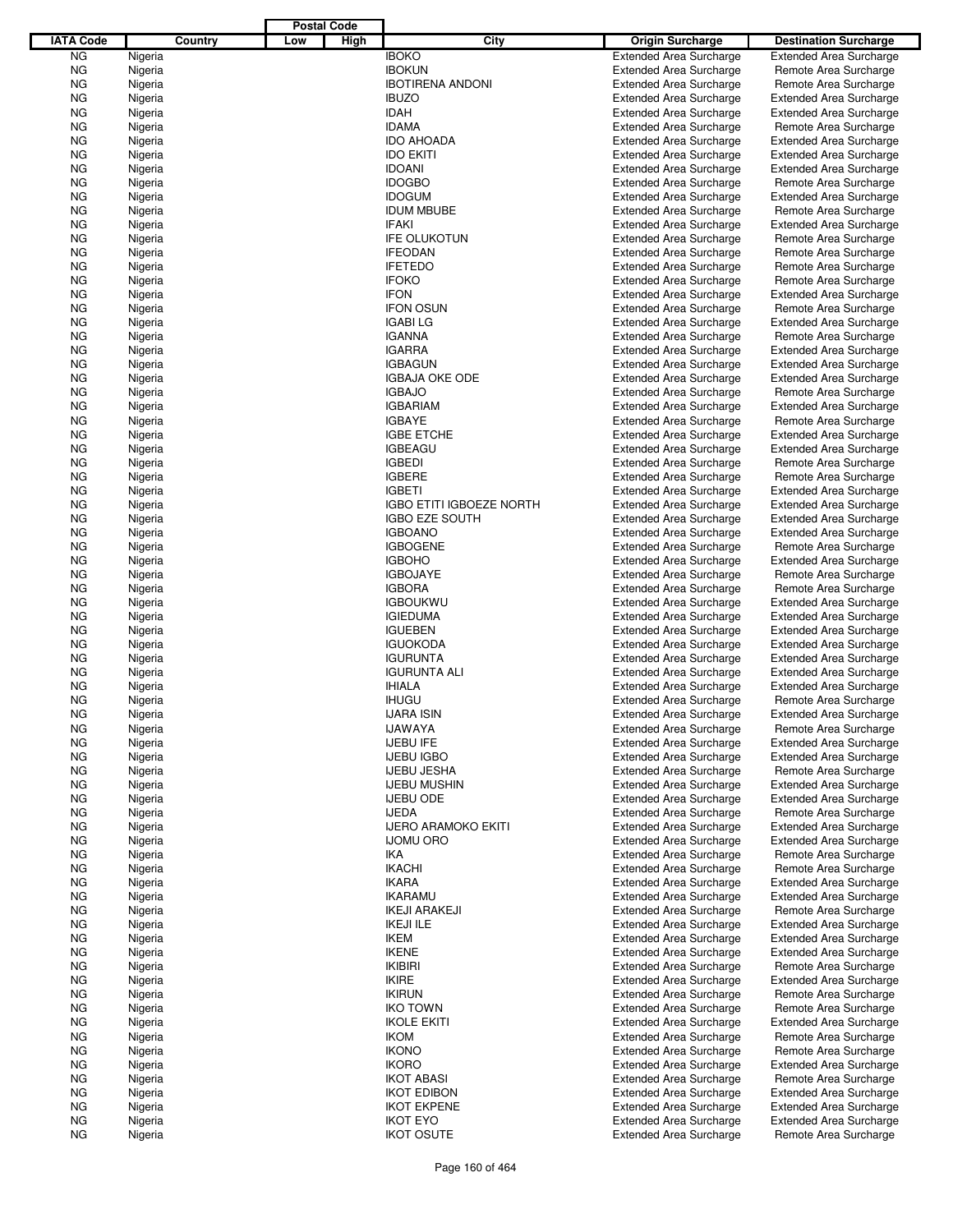|                  |         |         |     | <b>Postal Code</b> |                                 |                                |                                |
|------------------|---------|---------|-----|--------------------|---------------------------------|--------------------------------|--------------------------------|
| <b>IATA Code</b> |         | Country | Low | High               | City                            | <b>Origin Surcharge</b>        | <b>Destination Surcharge</b>   |
| <b>NG</b>        | Nigeria |         |     |                    | <b>IBOKO</b>                    | <b>Extended Area Surcharge</b> | <b>Extended Area Surcharge</b> |
| <b>NG</b>        | Nigeria |         |     |                    | <b>IBOKUN</b>                   | <b>Extended Area Surcharge</b> | Remote Area Surcharge          |
| <b>NG</b>        | Nigeria |         |     |                    | <b>IBOTIRENA ANDONI</b>         | <b>Extended Area Surcharge</b> | Remote Area Surcharge          |
| <b>NG</b>        | Nigeria |         |     |                    | <b>IBUZO</b>                    | <b>Extended Area Surcharge</b> | <b>Extended Area Surcharge</b> |
| <b>NG</b>        | Nigeria |         |     |                    | <b>IDAH</b>                     | <b>Extended Area Surcharge</b> | <b>Extended Area Surcharge</b> |
| <b>NG</b>        | Nigeria |         |     |                    | <b>IDAMA</b>                    | <b>Extended Area Surcharge</b> | Remote Area Surcharge          |
|                  |         |         |     |                    | <b>IDO AHOADA</b>               |                                |                                |
| ΝG               | Nigeria |         |     |                    |                                 | <b>Extended Area Surcharge</b> | <b>Extended Area Surcharge</b> |
| <b>NG</b>        | Nigeria |         |     |                    | <b>IDO EKITI</b>                | <b>Extended Area Surcharge</b> | <b>Extended Area Surcharge</b> |
| <b>NG</b>        | Nigeria |         |     |                    | <b>IDOANI</b>                   | <b>Extended Area Surcharge</b> | <b>Extended Area Surcharge</b> |
| <b>NG</b>        | Nigeria |         |     |                    | <b>IDOGBO</b>                   | <b>Extended Area Surcharge</b> | Remote Area Surcharge          |
| ΝG               | Nigeria |         |     |                    | <b>IDOGUM</b>                   | <b>Extended Area Surcharge</b> | <b>Extended Area Surcharge</b> |
| <b>NG</b>        | Nigeria |         |     |                    | <b>IDUM MBUBE</b>               | <b>Extended Area Surcharge</b> | Remote Area Surcharge          |
| <b>NG</b>        | Nigeria |         |     |                    | <b>IFAKI</b>                    | <b>Extended Area Surcharge</b> | <b>Extended Area Surcharge</b> |
| <b>NG</b>        | Nigeria |         |     |                    | <b>IFE OLUKOTUN</b>             | <b>Extended Area Surcharge</b> | Remote Area Surcharge          |
| ΝG               | Nigeria |         |     |                    | <b>IFEODAN</b>                  | <b>Extended Area Surcharge</b> | Remote Area Surcharge          |
| <b>NG</b>        | Nigeria |         |     |                    | <b>IFETEDO</b>                  | <b>Extended Area Surcharge</b> | Remote Area Surcharge          |
| ΝG               | Nigeria |         |     |                    | <b>IFOKO</b>                    | <b>Extended Area Surcharge</b> | Remote Area Surcharge          |
| <b>NG</b>        | Nigeria |         |     |                    | <b>IFON</b>                     | <b>Extended Area Surcharge</b> | <b>Extended Area Surcharge</b> |
| <b>NG</b>        | Nigeria |         |     |                    | <b>IFON OSUN</b>                | <b>Extended Area Surcharge</b> | Remote Area Surcharge          |
| <b>NG</b>        | Nigeria |         |     |                    | <b>IGABI LG</b>                 | <b>Extended Area Surcharge</b> | <b>Extended Area Surcharge</b> |
| ΝG               | Nigeria |         |     |                    | <b>IGANNA</b>                   | <b>Extended Area Surcharge</b> | Remote Area Surcharge          |
| <b>NG</b>        | Nigeria |         |     |                    | <b>IGARRA</b>                   | <b>Extended Area Surcharge</b> | <b>Extended Area Surcharge</b> |
| <b>NG</b>        | Nigeria |         |     |                    | <b>IGBAGUN</b>                  | <b>Extended Area Surcharge</b> | <b>Extended Area Surcharge</b> |
|                  |         |         |     |                    |                                 |                                |                                |
| <b>NG</b>        | Nigeria |         |     |                    | <b>IGBAJA OKE ODE</b>           | <b>Extended Area Surcharge</b> | <b>Extended Area Surcharge</b> |
| ΝG               | Nigeria |         |     |                    | <b>IGBAJO</b>                   | <b>Extended Area Surcharge</b> | Remote Area Surcharge          |
| <b>NG</b>        | Nigeria |         |     |                    | <b>IGBARIAM</b>                 | <b>Extended Area Surcharge</b> | <b>Extended Area Surcharge</b> |
| ΝG               | Nigeria |         |     |                    | <b>IGBAYE</b>                   | <b>Extended Area Surcharge</b> | Remote Area Surcharge          |
| <b>NG</b>        | Nigeria |         |     |                    | <b>IGBE ETCHE</b>               | <b>Extended Area Surcharge</b> | <b>Extended Area Surcharge</b> |
| <b>NG</b>        | Nigeria |         |     |                    | <b>IGBEAGU</b>                  | <b>Extended Area Surcharge</b> | <b>Extended Area Surcharge</b> |
| <b>NG</b>        | Nigeria |         |     |                    | <b>IGBEDI</b>                   | <b>Extended Area Surcharge</b> | Remote Area Surcharge          |
| ΝG               | Nigeria |         |     |                    | <b>IGBERE</b>                   | <b>Extended Area Surcharge</b> | Remote Area Surcharge          |
| <b>NG</b>        | Nigeria |         |     |                    | <b>IGBETI</b>                   | <b>Extended Area Surcharge</b> | <b>Extended Area Surcharge</b> |
| <b>NG</b>        | Nigeria |         |     |                    | <b>IGBO ETITI IGBOEZE NORTH</b> | <b>Extended Area Surcharge</b> | <b>Extended Area Surcharge</b> |
| <b>NG</b>        | Nigeria |         |     |                    | <b>IGBO EZE SOUTH</b>           | <b>Extended Area Surcharge</b> | <b>Extended Area Surcharge</b> |
| ΝG               | Nigeria |         |     |                    | <b>IGBOANO</b>                  | <b>Extended Area Surcharge</b> | <b>Extended Area Surcharge</b> |
|                  |         |         |     |                    |                                 |                                |                                |
| <b>NG</b>        | Nigeria |         |     |                    | <b>IGBOGENE</b>                 | <b>Extended Area Surcharge</b> | Remote Area Surcharge          |
| ΝG               | Nigeria |         |     |                    | <b>IGBOHO</b>                   | <b>Extended Area Surcharge</b> | <b>Extended Area Surcharge</b> |
| <b>NG</b>        | Nigeria |         |     |                    | <b>IGBOJAYE</b>                 | <b>Extended Area Surcharge</b> | Remote Area Surcharge          |
| <b>NG</b>        | Nigeria |         |     |                    | <b>IGBORA</b>                   | <b>Extended Area Surcharge</b> | Remote Area Surcharge          |
| <b>NG</b>        | Nigeria |         |     |                    | <b>IGBOUKWU</b>                 | <b>Extended Area Surcharge</b> | <b>Extended Area Surcharge</b> |
| ΝG               | Nigeria |         |     |                    | <b>IGIEDUMA</b>                 | <b>Extended Area Surcharge</b> | <b>Extended Area Surcharge</b> |
| <b>NG</b>        | Nigeria |         |     |                    | <b>IGUEBEN</b>                  | <b>Extended Area Surcharge</b> | <b>Extended Area Surcharge</b> |
| <b>NG</b>        | Nigeria |         |     |                    | <b>IGUOKODA</b>                 | <b>Extended Area Surcharge</b> | <b>Extended Area Surcharge</b> |
| <b>NG</b>        | Nigeria |         |     |                    | <b>IGURUNTA</b>                 | <b>Extended Area Surcharge</b> | <b>Extended Area Surcharge</b> |
| ΝG               | Nigeria |         |     |                    | <b>IGURUNTA ALI</b>             | <b>Extended Area Surcharge</b> | <b>Extended Area Surcharge</b> |
| ΝG               | Nigeria |         |     |                    | <b>IHIALA</b>                   | <b>Extended Area Surcharge</b> | <b>Extended Area Surcharge</b> |
| ΝG               | Nigeria |         |     |                    | <b>IHUGU</b>                    | <b>Extended Area Surcharge</b> | Remote Area Surcharge          |
| <b>NG</b>        | Nigeria |         |     |                    | <b>IJARA ISIN</b>               | <b>Extended Area Surcharge</b> | <b>Extended Area Surcharge</b> |
| ΝG               | Nigeria |         |     |                    | <b>IJAWAYA</b>                  | <b>Extended Area Surcharge</b> | Remote Area Surcharge          |
| ΝG               | Nigeria |         |     |                    | <b>IJEBU IFE</b>                | <b>Extended Area Surcharge</b> |                                |
|                  |         |         |     |                    |                                 |                                | <b>Extended Area Surcharge</b> |
| ΝG               | Nigeria |         |     |                    | <b>IJEBU IGBO</b>               | <b>Extended Area Surcharge</b> | <b>Extended Area Surcharge</b> |
| ΝG               | Nigeria |         |     |                    | <b>IJEBU JESHA</b>              | <b>Extended Area Surcharge</b> | Remote Area Surcharge          |
| ΝG               | Nigeria |         |     |                    | <b>IJEBU MUSHIN</b>             | <b>Extended Area Surcharge</b> | <b>Extended Area Surcharge</b> |
| ΝG               | Nigeria |         |     |                    | <b>IJEBU ODE</b>                | <b>Extended Area Surcharge</b> | <b>Extended Area Surcharge</b> |
| ΝG               | Nigeria |         |     |                    | <b>IJEDA</b>                    | <b>Extended Area Surcharge</b> | Remote Area Surcharge          |
| ΝG               | Nigeria |         |     |                    | <b>IJERO ARAMOKO EKITI</b>      | <b>Extended Area Surcharge</b> | <b>Extended Area Surcharge</b> |
| ΝG               | Nigeria |         |     |                    | <b>IJOMU ORO</b>                | <b>Extended Area Surcharge</b> | <b>Extended Area Surcharge</b> |
| ΝG               | Nigeria |         |     |                    | IKA                             | <b>Extended Area Surcharge</b> | Remote Area Surcharge          |
| ΝG               | Nigeria |         |     |                    | <b>IKACHI</b>                   | <b>Extended Area Surcharge</b> | Remote Area Surcharge          |
| ΝG               | Nigeria |         |     |                    | <b>IKARA</b>                    | <b>Extended Area Surcharge</b> | <b>Extended Area Surcharge</b> |
| ΝG               | Nigeria |         |     |                    | <b>IKARAMU</b>                  | <b>Extended Area Surcharge</b> | <b>Extended Area Surcharge</b> |
| ΝG               | Nigeria |         |     |                    | <b>IKEJI ARAKEJI</b>            | <b>Extended Area Surcharge</b> | Remote Area Surcharge          |
| ΝG               | Nigeria |         |     |                    | <b>IKEJI ILE</b>                | <b>Extended Area Surcharge</b> | <b>Extended Area Surcharge</b> |
| ΝG               | Nigeria |         |     |                    | IKEM                            | <b>Extended Area Surcharge</b> | <b>Extended Area Surcharge</b> |
| ΝG               | Nigeria |         |     |                    | <b>IKENE</b>                    | <b>Extended Area Surcharge</b> | <b>Extended Area Surcharge</b> |
|                  |         |         |     |                    |                                 |                                |                                |
| ΝG               | Nigeria |         |     |                    | <b>IKIBIRI</b>                  | <b>Extended Area Surcharge</b> | Remote Area Surcharge          |
| ΝG               | Nigeria |         |     |                    | <b>IKIRE</b>                    | <b>Extended Area Surcharge</b> | <b>Extended Area Surcharge</b> |
| ΝG               | Nigeria |         |     |                    | <b>IKIRUN</b>                   | <b>Extended Area Surcharge</b> | Remote Area Surcharge          |
| ΝG               | Nigeria |         |     |                    | <b>IKO TOWN</b>                 | <b>Extended Area Surcharge</b> | Remote Area Surcharge          |
| ΝG               | Nigeria |         |     |                    | <b>IKOLE EKITI</b>              | <b>Extended Area Surcharge</b> | <b>Extended Area Surcharge</b> |
| ΝG               | Nigeria |         |     |                    | <b>IKOM</b>                     | <b>Extended Area Surcharge</b> | Remote Area Surcharge          |
| ΝG               | Nigeria |         |     |                    | <b>IKONO</b>                    | <b>Extended Area Surcharge</b> | Remote Area Surcharge          |
| ΝG               | Nigeria |         |     |                    | <b>IKORO</b>                    | <b>Extended Area Surcharge</b> | <b>Extended Area Surcharge</b> |
| ΝG               | Nigeria |         |     |                    | <b>IKOT ABASI</b>               | <b>Extended Area Surcharge</b> | Remote Area Surcharge          |
| ΝG               | Nigeria |         |     |                    | <b>IKOT EDIBON</b>              | <b>Extended Area Surcharge</b> | <b>Extended Area Surcharge</b> |
| ΝG               | Nigeria |         |     |                    | <b>IKOT EKPENE</b>              | <b>Extended Area Surcharge</b> | <b>Extended Area Surcharge</b> |
| ΝG               | Nigeria |         |     |                    | <b>IKOT EYO</b>                 | <b>Extended Area Surcharge</b> | <b>Extended Area Surcharge</b> |
| ΝG               | Nigeria |         |     |                    | <b>IKOT OSUTE</b>               | <b>Extended Area Surcharge</b> | Remote Area Surcharge          |
|                  |         |         |     |                    |                                 |                                |                                |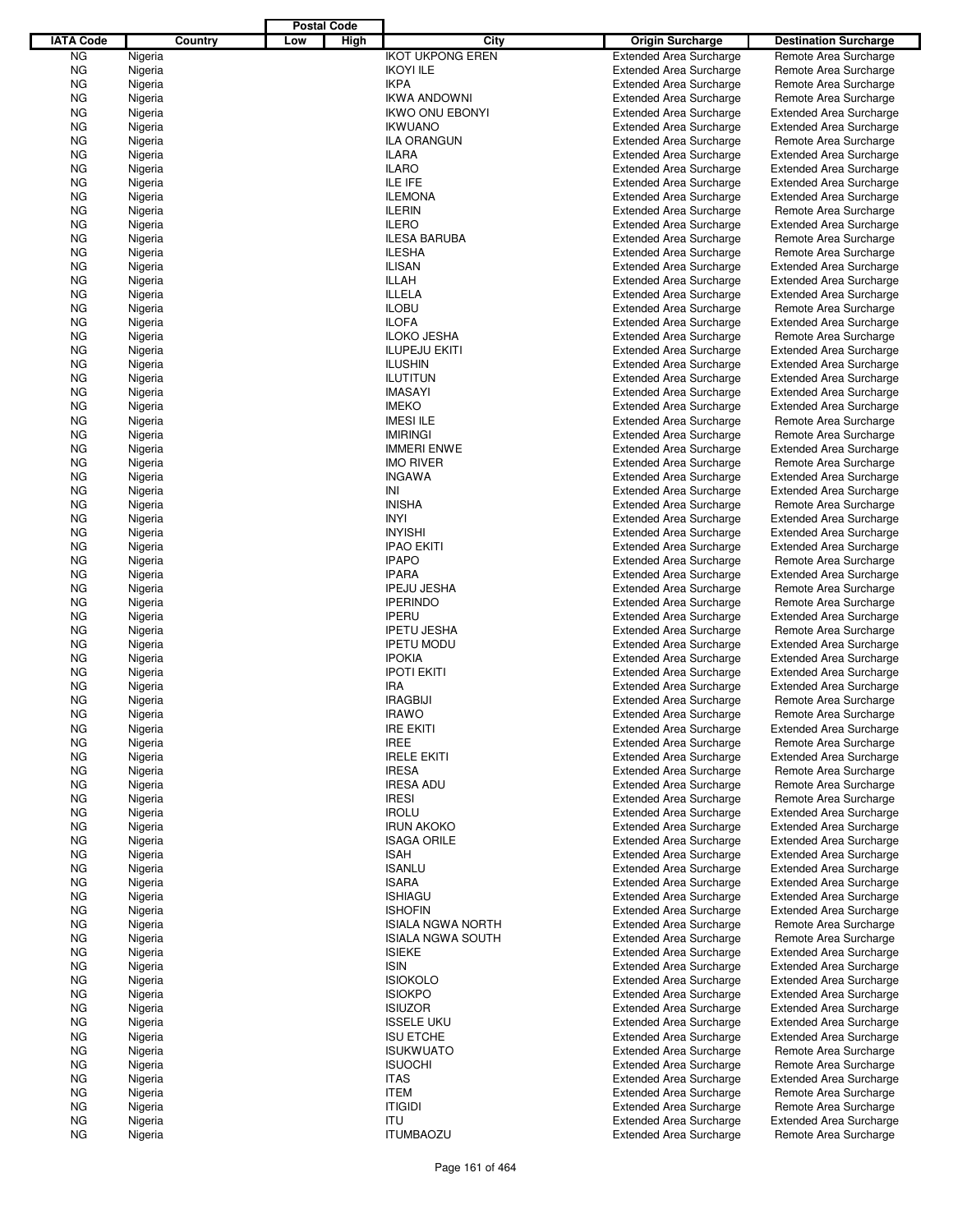|                  |                    |         |     | <b>Postal Code</b> |                                     |                                                                  |                                                         |
|------------------|--------------------|---------|-----|--------------------|-------------------------------------|------------------------------------------------------------------|---------------------------------------------------------|
| <b>IATA Code</b> |                    | Country | Low | High               | City                                | <b>Origin Surcharge</b>                                          | <b>Destination Surcharge</b>                            |
| <b>NG</b>        | Nigeria            |         |     |                    | <b>IKOT UKPONG EREN</b>             | <b>Extended Area Surcharge</b>                                   | Remote Area Surcharge                                   |
| <b>NG</b>        | Nigeria            |         |     |                    | <b>IKOYI ILE</b>                    | <b>Extended Area Surcharge</b>                                   | Remote Area Surcharge                                   |
| <b>NG</b>        | Nigeria            |         |     |                    | <b>IKPA</b>                         | <b>Extended Area Surcharge</b>                                   | Remote Area Surcharge                                   |
| <b>NG</b>        | Nigeria            |         |     |                    | <b>IKWA ANDOWNI</b>                 | <b>Extended Area Surcharge</b>                                   | Remote Area Surcharge                                   |
| <b>NG</b>        | Nigeria            |         |     |                    | <b>IKWO ONU EBONYI</b>              | <b>Extended Area Surcharge</b>                                   | <b>Extended Area Surcharge</b>                          |
| <b>NG</b>        | Nigeria            |         |     |                    | <b>IKWUANO</b>                      | <b>Extended Area Surcharge</b>                                   | <b>Extended Area Surcharge</b>                          |
| ΝG               | Nigeria            |         |     |                    | <b>ILA ORANGUN</b>                  | <b>Extended Area Surcharge</b>                                   | Remote Area Surcharge                                   |
| <b>NG</b>        | Nigeria            |         |     |                    | <b>ILARA</b>                        | <b>Extended Area Surcharge</b>                                   | <b>Extended Area Surcharge</b>                          |
| <b>NG</b>        | Nigeria            |         |     |                    | <b>ILARO</b>                        | <b>Extended Area Surcharge</b>                                   | <b>Extended Area Surcharge</b>                          |
| <b>NG</b>        | Nigeria            |         |     |                    | ILE IFE                             | <b>Extended Area Surcharge</b>                                   | <b>Extended Area Surcharge</b>                          |
| ΝG               | Nigeria            |         |     |                    | <b>ILEMONA</b>                      | <b>Extended Area Surcharge</b>                                   | <b>Extended Area Surcharge</b>                          |
| <b>NG</b>        | Nigeria            |         |     |                    | <b>ILERIN</b>                       | <b>Extended Area Surcharge</b>                                   | Remote Area Surcharge                                   |
| ΝG               | Nigeria            |         |     |                    | <b>ILERO</b><br><b>ILESA BARUBA</b> | <b>Extended Area Surcharge</b>                                   | <b>Extended Area Surcharge</b>                          |
| <b>NG</b><br>ΝG  | Nigeria<br>Nigeria |         |     |                    | <b>ILESHA</b>                       | <b>Extended Area Surcharge</b><br><b>Extended Area Surcharge</b> | Remote Area Surcharge<br>Remote Area Surcharge          |
| <b>NG</b>        | Nigeria            |         |     |                    | <b>ILISAN</b>                       | <b>Extended Area Surcharge</b>                                   | <b>Extended Area Surcharge</b>                          |
| ΝG               | Nigeria            |         |     |                    | <b>ILLAH</b>                        | <b>Extended Area Surcharge</b>                                   | <b>Extended Area Surcharge</b>                          |
| <b>NG</b>        | Nigeria            |         |     |                    | ILLELA                              | <b>Extended Area Surcharge</b>                                   | <b>Extended Area Surcharge</b>                          |
| ΝG               | Nigeria            |         |     |                    | <b>ILOBU</b>                        | <b>Extended Area Surcharge</b>                                   | Remote Area Surcharge                                   |
| <b>NG</b>        | Nigeria            |         |     |                    | <b>ILOFA</b>                        | <b>Extended Area Surcharge</b>                                   | <b>Extended Area Surcharge</b>                          |
| <b>NG</b>        | Nigeria            |         |     |                    | <b>ILOKO JESHA</b>                  | <b>Extended Area Surcharge</b>                                   | Remote Area Surcharge                                   |
| <b>NG</b>        | Nigeria            |         |     |                    | <b>ILUPEJU EKITI</b>                | <b>Extended Area Surcharge</b>                                   | <b>Extended Area Surcharge</b>                          |
| ΝG               | Nigeria            |         |     |                    | <b>ILUSHIN</b>                      | <b>Extended Area Surcharge</b>                                   | <b>Extended Area Surcharge</b>                          |
| <b>NG</b>        | Nigeria            |         |     |                    | <b>ILUTITUN</b>                     | <b>Extended Area Surcharge</b>                                   | <b>Extended Area Surcharge</b>                          |
| ΝG               | Nigeria            |         |     |                    | <b>IMASAYI</b>                      | <b>Extended Area Surcharge</b>                                   | <b>Extended Area Surcharge</b>                          |
| <b>NG</b>        | Nigeria            |         |     |                    | <b>IMEKO</b>                        | <b>Extended Area Surcharge</b>                                   | <b>Extended Area Surcharge</b>                          |
| ΝG               | Nigeria            |         |     |                    | <b>IMESI ILE</b>                    | <b>Extended Area Surcharge</b>                                   | Remote Area Surcharge                                   |
| <b>NG</b>        | Nigeria            |         |     |                    | <b>IMIRINGI</b>                     | <b>Extended Area Surcharge</b>                                   | Remote Area Surcharge                                   |
| ΝG               | Nigeria            |         |     |                    | <b>IMMERI ENWE</b>                  | <b>Extended Area Surcharge</b>                                   | <b>Extended Area Surcharge</b>                          |
| <b>NG</b>        | Nigeria            |         |     |                    | <b>IMO RIVER</b>                    | <b>Extended Area Surcharge</b>                                   | Remote Area Surcharge                                   |
| ΝG               | Nigeria            |         |     |                    | <b>INGAWA</b>                       | <b>Extended Area Surcharge</b>                                   | <b>Extended Area Surcharge</b>                          |
| <b>NG</b>        | Nigeria            |         |     |                    | INI                                 | <b>Extended Area Surcharge</b>                                   | <b>Extended Area Surcharge</b>                          |
| ΝG               | Nigeria            |         |     |                    | <b>INISHA</b>                       | <b>Extended Area Surcharge</b>                                   | Remote Area Surcharge                                   |
| <b>NG</b>        | Nigeria            |         |     |                    | <b>INYI</b>                         | <b>Extended Area Surcharge</b>                                   | <b>Extended Area Surcharge</b>                          |
| ΝG               | Nigeria            |         |     |                    | <b>INYISHI</b>                      | <b>Extended Area Surcharge</b>                                   | <b>Extended Area Surcharge</b>                          |
| <b>NG</b>        | Nigeria            |         |     |                    | <b>IPAO EKITI</b>                   | <b>Extended Area Surcharge</b>                                   | <b>Extended Area Surcharge</b>                          |
| ΝG               | Nigeria            |         |     |                    | <b>IPAPO</b>                        | <b>Extended Area Surcharge</b>                                   | Remote Area Surcharge                                   |
| <b>NG</b>        | Nigeria            |         |     |                    | <b>IPARA</b>                        | <b>Extended Area Surcharge</b>                                   | <b>Extended Area Surcharge</b>                          |
| ΝG               | Nigeria            |         |     |                    | <b>IPEJU JESHA</b>                  | <b>Extended Area Surcharge</b>                                   | Remote Area Surcharge                                   |
| <b>NG</b>        | Nigeria            |         |     |                    | <b>IPERINDO</b>                     | <b>Extended Area Surcharge</b>                                   | Remote Area Surcharge                                   |
| ΝG               | Nigeria            |         |     |                    | <b>IPERU</b>                        | <b>Extended Area Surcharge</b>                                   | <b>Extended Area Surcharge</b>                          |
| <b>NG</b>        | Nigeria            |         |     |                    | <b>IPETU JESHA</b>                  | <b>Extended Area Surcharge</b>                                   | Remote Area Surcharge                                   |
| ΝG               | Nigeria            |         |     |                    | <b>IPETU MODU</b>                   | <b>Extended Area Surcharge</b>                                   | <b>Extended Area Surcharge</b>                          |
| <b>NG</b>        | Nigeria            |         |     |                    | <b>IPOKIA</b>                       | <b>Extended Area Surcharge</b><br><b>Extended Area Surcharge</b> | <b>Extended Area Surcharge</b>                          |
| ΝG               | Nigeria            |         |     |                    | <b>IPOTI EKITI</b><br><b>IRA</b>    |                                                                  | <b>Extended Area Surcharge</b>                          |
| ΝG<br>ΝG         | Nigeria            |         |     |                    | <b>IRAGBIJI</b>                     | <b>Extended Area Surcharge</b><br><b>Extended Area Surcharge</b> | <b>Extended Area Surcharge</b><br>Remote Area Surcharge |
| <b>NG</b>        | Nigeria<br>Nigeria |         |     |                    | <b>IRAWO</b>                        | <b>Extended Area Surcharge</b>                                   | Remote Area Surcharge                                   |
| ΝG               | Nigeria            |         |     |                    | <b>IRE EKITI</b>                    | <b>Extended Area Surcharge</b>                                   | <b>Extended Area Surcharge</b>                          |
| ΝG               | Nigeria            |         |     |                    | <b>IREE</b>                         | <b>Extended Area Surcharge</b>                                   | Remote Area Surcharge                                   |
| ΝG               | Nigeria            |         |     |                    | <b>IRELE EKITI</b>                  | <b>Extended Area Surcharge</b>                                   | <b>Extended Area Surcharge</b>                          |
| ΝG               | Nigeria            |         |     |                    | <b>IRESA</b>                        | <b>Extended Area Surcharge</b>                                   | Remote Area Surcharge                                   |
| ΝG               | Nigeria            |         |     |                    | <b>IRESA ADU</b>                    | <b>Extended Area Surcharge</b>                                   | Remote Area Surcharge                                   |
| ΝG               | Nigeria            |         |     |                    | <b>IRESI</b>                        | <b>Extended Area Surcharge</b>                                   | Remote Area Surcharge                                   |
| ΝG               | Nigeria            |         |     |                    | <b>IROLU</b>                        | <b>Extended Area Surcharge</b>                                   | <b>Extended Area Surcharge</b>                          |
| ΝG               | Nigeria            |         |     |                    | <b>IRUN AKOKO</b>                   | <b>Extended Area Surcharge</b>                                   | <b>Extended Area Surcharge</b>                          |
| ΝG               | Nigeria            |         |     |                    | <b>ISAGA ORILE</b>                  | <b>Extended Area Surcharge</b>                                   | <b>Extended Area Surcharge</b>                          |
| ΝG               | Nigeria            |         |     |                    | <b>ISAH</b>                         | <b>Extended Area Surcharge</b>                                   | <b>Extended Area Surcharge</b>                          |
| ΝG               | Nigeria            |         |     |                    | <b>ISANLU</b>                       | <b>Extended Area Surcharge</b>                                   | <b>Extended Area Surcharge</b>                          |
| ΝG               | Nigeria            |         |     |                    | <b>ISARA</b>                        | <b>Extended Area Surcharge</b>                                   | <b>Extended Area Surcharge</b>                          |
| ΝG               | Nigeria            |         |     |                    | <b>ISHIAGU</b>                      | <b>Extended Area Surcharge</b>                                   | <b>Extended Area Surcharge</b>                          |
| ΝG               | Nigeria            |         |     |                    | <b>ISHOFIN</b>                      | <b>Extended Area Surcharge</b>                                   | <b>Extended Area Surcharge</b>                          |
| ΝG               | Nigeria            |         |     |                    | <b>ISIALA NGWA NORTH</b>            | <b>Extended Area Surcharge</b>                                   | Remote Area Surcharge                                   |
| ΝG               | Nigeria            |         |     |                    | <b>ISIALA NGWA SOUTH</b>            | <b>Extended Area Surcharge</b>                                   | Remote Area Surcharge                                   |
| ΝG               | Nigeria            |         |     |                    | <b>ISIEKE</b>                       | <b>Extended Area Surcharge</b>                                   | <b>Extended Area Surcharge</b>                          |
| ΝG               | Nigeria            |         |     |                    | <b>ISIN</b>                         | <b>Extended Area Surcharge</b>                                   | <b>Extended Area Surcharge</b>                          |
| ΝG               | Nigeria            |         |     |                    | <b>ISIOKOLO</b>                     | <b>Extended Area Surcharge</b>                                   | <b>Extended Area Surcharge</b>                          |
| ΝG               | Nigeria            |         |     |                    | <b>ISIOKPO</b>                      | <b>Extended Area Surcharge</b>                                   | <b>Extended Area Surcharge</b>                          |
| ΝG               | Nigeria            |         |     |                    | <b>ISIUZOR</b>                      | <b>Extended Area Surcharge</b>                                   | <b>Extended Area Surcharge</b>                          |
| ΝG               | Nigeria            |         |     |                    | <b>ISSELE UKU</b>                   | <b>Extended Area Surcharge</b>                                   | <b>Extended Area Surcharge</b>                          |
| ΝG               | Nigeria            |         |     |                    | <b>ISU ETCHE</b>                    | <b>Extended Area Surcharge</b>                                   | <b>Extended Area Surcharge</b>                          |
| ΝG               | Nigeria            |         |     |                    | <b>ISUKWUATO</b>                    | <b>Extended Area Surcharge</b>                                   | Remote Area Surcharge                                   |
| ΝG               | Nigeria            |         |     |                    | <b>ISUOCHI</b>                      | <b>Extended Area Surcharge</b>                                   | Remote Area Surcharge                                   |
| ΝG               | Nigeria            |         |     |                    | <b>ITAS</b>                         | <b>Extended Area Surcharge</b>                                   | <b>Extended Area Surcharge</b>                          |
| ΝG               | Nigeria            |         |     |                    | <b>ITEM</b>                         | <b>Extended Area Surcharge</b>                                   | Remote Area Surcharge                                   |
| ΝG               | Nigeria            |         |     |                    | <b>ITIGIDI</b>                      | <b>Extended Area Surcharge</b>                                   | Remote Area Surcharge                                   |
| ΝG               | Nigeria            |         |     |                    | <b>ITU</b>                          | <b>Extended Area Surcharge</b>                                   | <b>Extended Area Surcharge</b>                          |
| ΝG               | Nigeria            |         |     |                    | <b>ITUMBAOZU</b>                    | <b>Extended Area Surcharge</b>                                   | Remote Area Surcharge                                   |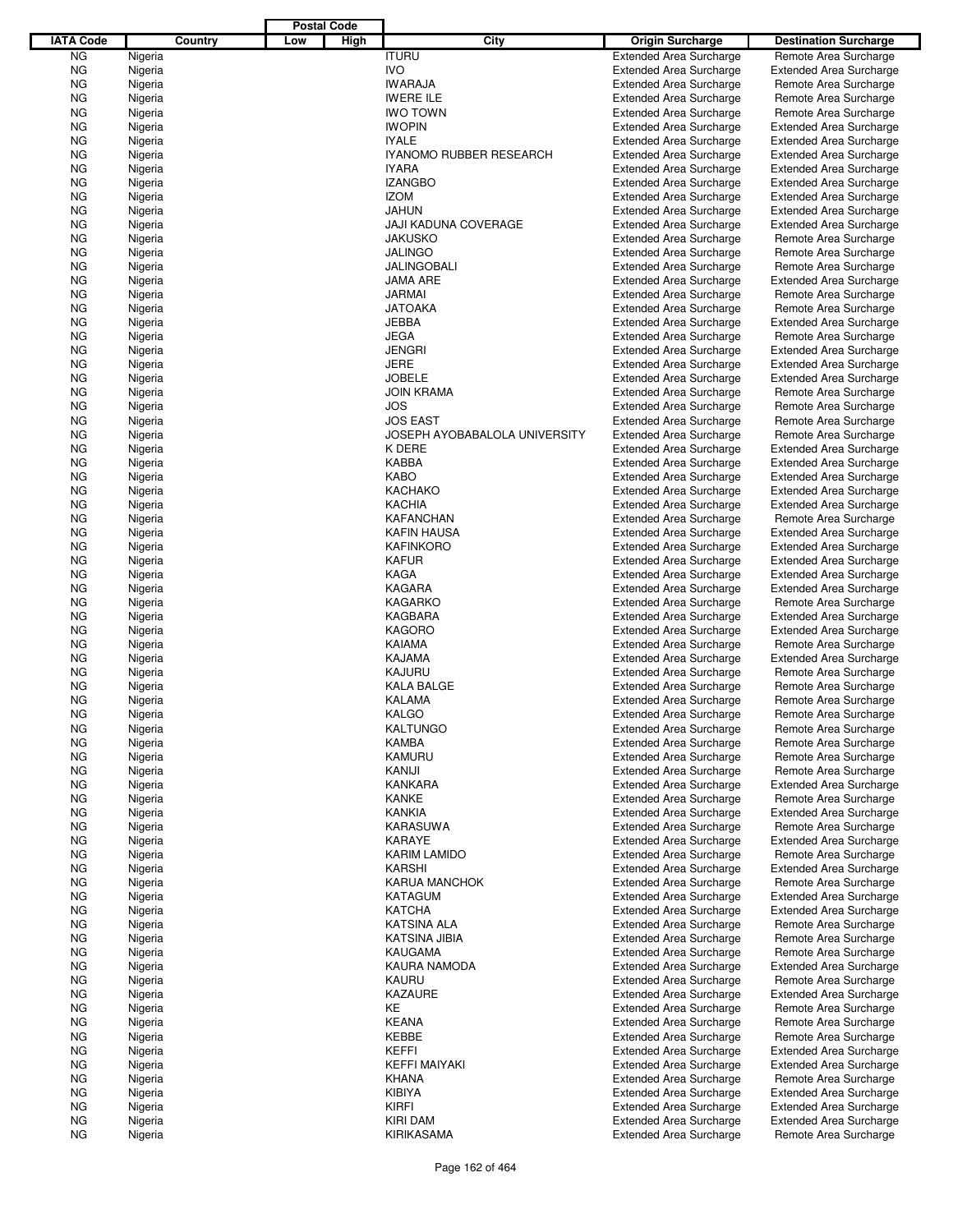|                  |         |         |     | <b>Postal Code</b> |                                |                                |                                |  |
|------------------|---------|---------|-----|--------------------|--------------------------------|--------------------------------|--------------------------------|--|
| <b>IATA Code</b> |         | Country | Low | High               | City                           | <b>Origin Surcharge</b>        | <b>Destination Surcharge</b>   |  |
| <b>NG</b>        | Nigeria |         |     |                    | <b>ITURU</b>                   | <b>Extended Area Surcharge</b> | Remote Area Surcharge          |  |
| <b>NG</b>        | Nigeria |         |     |                    | <b>IVO</b>                     | <b>Extended Area Surcharge</b> | <b>Extended Area Surcharge</b> |  |
| <b>NG</b>        | Nigeria |         |     |                    | <b>IWARAJA</b>                 | <b>Extended Area Surcharge</b> | Remote Area Surcharge          |  |
| <b>NG</b>        | Nigeria |         |     |                    | <b>IWERE ILE</b>               | <b>Extended Area Surcharge</b> | Remote Area Surcharge          |  |
| <b>NG</b>        | Nigeria |         |     |                    | <b>IWO TOWN</b>                | <b>Extended Area Surcharge</b> | Remote Area Surcharge          |  |
| <b>NG</b>        | Nigeria |         |     |                    | <b>IWOPIN</b>                  | <b>Extended Area Surcharge</b> | <b>Extended Area Surcharge</b> |  |
|                  |         |         |     |                    | <b>IYALE</b>                   |                                |                                |  |
| ΝG               | Nigeria |         |     |                    |                                | <b>Extended Area Surcharge</b> | <b>Extended Area Surcharge</b> |  |
| <b>NG</b>        | Nigeria |         |     |                    | <b>IYANOMO RUBBER RESEARCH</b> | <b>Extended Area Surcharge</b> | <b>Extended Area Surcharge</b> |  |
| <b>NG</b>        | Nigeria |         |     |                    | <b>IYARA</b>                   | <b>Extended Area Surcharge</b> | <b>Extended Area Surcharge</b> |  |
| <b>NG</b>        | Nigeria |         |     |                    | <b>IZANGBO</b>                 | <b>Extended Area Surcharge</b> | <b>Extended Area Surcharge</b> |  |
| ΝG               | Nigeria |         |     |                    | <b>IZOM</b>                    | <b>Extended Area Surcharge</b> | <b>Extended Area Surcharge</b> |  |
| <b>NG</b>        | Nigeria |         |     |                    | <b>JAHUN</b>                   | <b>Extended Area Surcharge</b> | <b>Extended Area Surcharge</b> |  |
| <b>NG</b>        | Nigeria |         |     |                    | JAJI KADUNA COVERAGE           | <b>Extended Area Surcharge</b> | <b>Extended Area Surcharge</b> |  |
| ΝG               | Nigeria |         |     |                    | <b>JAKUSKO</b>                 | <b>Extended Area Surcharge</b> | Remote Area Surcharge          |  |
| ΝG               | Nigeria |         |     |                    | <b>JALINGO</b>                 | <b>Extended Area Surcharge</b> | Remote Area Surcharge          |  |
| <b>NG</b>        | Nigeria |         |     |                    | <b>JALINGOBALI</b>             | <b>Extended Area Surcharge</b> | Remote Area Surcharge          |  |
| ΝG               | Nigeria |         |     |                    | <b>JAMA ARE</b>                | <b>Extended Area Surcharge</b> | <b>Extended Area Surcharge</b> |  |
| <b>NG</b>        | Nigeria |         |     |                    | <b>JARMAI</b>                  | <b>Extended Area Surcharge</b> | Remote Area Surcharge          |  |
| ΝG               | Nigeria |         |     |                    | <b>JATOAKA</b>                 | <b>Extended Area Surcharge</b> | Remote Area Surcharge          |  |
| <b>NG</b>        | Nigeria |         |     |                    | <b>JEBBA</b>                   | <b>Extended Area Surcharge</b> | <b>Extended Area Surcharge</b> |  |
| ΝG               | Nigeria |         |     |                    | <b>JEGA</b>                    | <b>Extended Area Surcharge</b> | Remote Area Surcharge          |  |
| <b>NG</b>        | Nigeria |         |     |                    | <b>JENGRI</b>                  | <b>Extended Area Surcharge</b> | <b>Extended Area Surcharge</b> |  |
| ΝG               | Nigeria |         |     |                    | <b>JERE</b>                    | <b>Extended Area Surcharge</b> | <b>Extended Area Surcharge</b> |  |
| <b>NG</b>        |         |         |     |                    | <b>JOBELE</b>                  | <b>Extended Area Surcharge</b> |                                |  |
|                  | Nigeria |         |     |                    |                                |                                | <b>Extended Area Surcharge</b> |  |
| ΝG               | Nigeria |         |     |                    | <b>JOIN KRAMA</b>              | <b>Extended Area Surcharge</b> | Remote Area Surcharge          |  |
| <b>NG</b>        | Nigeria |         |     |                    | <b>JOS</b>                     | <b>Extended Area Surcharge</b> | Remote Area Surcharge          |  |
| ΝG               | Nigeria |         |     |                    | <b>JOS EAST</b>                | <b>Extended Area Surcharge</b> | Remote Area Surcharge          |  |
| <b>NG</b>        | Nigeria |         |     |                    | JOSEPH AYOBABALOLA UNIVERSITY  | <b>Extended Area Surcharge</b> | Remote Area Surcharge          |  |
| ΝG               | Nigeria |         |     |                    | K DERE                         | <b>Extended Area Surcharge</b> | <b>Extended Area Surcharge</b> |  |
| <b>NG</b>        | Nigeria |         |     |                    | KABBA                          | <b>Extended Area Surcharge</b> | <b>Extended Area Surcharge</b> |  |
| ΝG               | Nigeria |         |     |                    | <b>KABO</b>                    | <b>Extended Area Surcharge</b> | <b>Extended Area Surcharge</b> |  |
| <b>NG</b>        | Nigeria |         |     |                    | <b>KACHAKO</b>                 | <b>Extended Area Surcharge</b> | <b>Extended Area Surcharge</b> |  |
| ΝG               | Nigeria |         |     |                    | <b>KACHIA</b>                  | <b>Extended Area Surcharge</b> | <b>Extended Area Surcharge</b> |  |
| <b>NG</b>        | Nigeria |         |     |                    | <b>KAFANCHAN</b>               | <b>Extended Area Surcharge</b> | Remote Area Surcharge          |  |
| ΝG               | Nigeria |         |     |                    | <b>KAFIN HAUSA</b>             | <b>Extended Area Surcharge</b> | <b>Extended Area Surcharge</b> |  |
| <b>NG</b>        | Nigeria |         |     |                    | <b>KAFINKORO</b>               | <b>Extended Area Surcharge</b> | <b>Extended Area Surcharge</b> |  |
| ΝG               | Nigeria |         |     |                    | <b>KAFUR</b>                   | <b>Extended Area Surcharge</b> | <b>Extended Area Surcharge</b> |  |
| <b>NG</b>        | Nigeria |         |     |                    | <b>KAGA</b>                    | <b>Extended Area Surcharge</b> | <b>Extended Area Surcharge</b> |  |
| ΝG               | Nigeria |         |     |                    | KAGARA                         | <b>Extended Area Surcharge</b> | <b>Extended Area Surcharge</b> |  |
| <b>NG</b>        | Nigeria |         |     |                    | <b>KAGARKO</b>                 | <b>Extended Area Surcharge</b> | Remote Area Surcharge          |  |
|                  | Nigeria |         |     |                    | KAGBARA                        | <b>Extended Area Surcharge</b> | <b>Extended Area Surcharge</b> |  |
| ΝG               |         |         |     |                    | <b>KAGORO</b>                  |                                |                                |  |
| <b>NG</b>        | Nigeria |         |     |                    |                                | <b>Extended Area Surcharge</b> | <b>Extended Area Surcharge</b> |  |
| ΝG               | Nigeria |         |     |                    | KAIAMA                         | <b>Extended Area Surcharge</b> | Remote Area Surcharge          |  |
| <b>NG</b>        | Nigeria |         |     |                    | <b>KAJAMA</b>                  | <b>Extended Area Surcharge</b> | <b>Extended Area Surcharge</b> |  |
| ΝG               | Nigeria |         |     |                    | KAJURU                         | <b>Extended Area Surcharge</b> | Remote Area Surcharge          |  |
| ΝG               | Nigeria |         |     |                    | <b>KALA BALGE</b>              | <b>Extended Area Surcharge</b> | Remote Area Surcharge          |  |
| ΝG               | Nigeria |         |     |                    | <b>KALAMA</b>                  | <b>Extended Area Surcharge</b> | Remote Area Surcharge          |  |
| <b>NG</b>        | Nigeria |         |     |                    | KALGO                          | <b>Extended Area Surcharge</b> | Remote Area Surcharge          |  |
| ΝG               | Nigeria |         |     |                    | <b>KALTUNGO</b>                | <b>Extended Area Surcharge</b> | Remote Area Surcharge          |  |
| ΝG               | Nigeria |         |     |                    | <b>KAMBA</b>                   | <b>Extended Area Surcharge</b> | Remote Area Surcharge          |  |
| ΝG               | Nigeria |         |     |                    | <b>KAMURU</b>                  | <b>Extended Area Surcharge</b> | Remote Area Surcharge          |  |
| ΝG               | Nigeria |         |     |                    | KANIJI                         | <b>Extended Area Surcharge</b> | Remote Area Surcharge          |  |
| ΝG               | Nigeria |         |     |                    | <b>KANKARA</b>                 | <b>Extended Area Surcharge</b> | <b>Extended Area Surcharge</b> |  |
| ΝG               | Nigeria |         |     |                    | <b>KANKE</b>                   | <b>Extended Area Surcharge</b> | Remote Area Surcharge          |  |
| ΝG               | Nigeria |         |     |                    | <b>KANKIA</b>                  | <b>Extended Area Surcharge</b> | <b>Extended Area Surcharge</b> |  |
| ΝG               | Nigeria |         |     |                    | <b>KARASUWA</b>                | <b>Extended Area Surcharge</b> | Remote Area Surcharge          |  |
| ΝG               | Nigeria |         |     |                    | KARAYE                         | <b>Extended Area Surcharge</b> | <b>Extended Area Surcharge</b> |  |
| ΝG               | Nigeria |         |     |                    | <b>KARIM LAMIDO</b>            | <b>Extended Area Surcharge</b> | Remote Area Surcharge          |  |
| ΝG               | Nigeria |         |     |                    | KARSHI                         | <b>Extended Area Surcharge</b> | <b>Extended Area Surcharge</b> |  |
| ΝG               | Nigeria |         |     |                    | <b>KARUA MANCHOK</b>           | <b>Extended Area Surcharge</b> | Remote Area Surcharge          |  |
|                  |         |         |     |                    |                                |                                |                                |  |
| ΝG               | Nigeria |         |     |                    | KATAGUM                        | <b>Extended Area Surcharge</b> | <b>Extended Area Surcharge</b> |  |
| ΝG               | Nigeria |         |     |                    | <b>KATCHA</b>                  | <b>Extended Area Surcharge</b> | <b>Extended Area Surcharge</b> |  |
| ΝG               | Nigeria |         |     |                    | KATSINA ALA                    | <b>Extended Area Surcharge</b> | Remote Area Surcharge          |  |
| ΝG               | Nigeria |         |     |                    | <b>KATSINA JIBIA</b>           | <b>Extended Area Surcharge</b> | Remote Area Surcharge          |  |
| ΝG               | Nigeria |         |     |                    | KAUGAMA                        | <b>Extended Area Surcharge</b> | Remote Area Surcharge          |  |
| ΝG               | Nigeria |         |     |                    | KAURA NAMODA                   | <b>Extended Area Surcharge</b> | <b>Extended Area Surcharge</b> |  |
| ΝG               | Nigeria |         |     |                    | KAURU                          | <b>Extended Area Surcharge</b> | Remote Area Surcharge          |  |
| ΝG               | Nigeria |         |     |                    | <b>KAZAURE</b>                 | <b>Extended Area Surcharge</b> | <b>Extended Area Surcharge</b> |  |
| ΝG               | Nigeria |         |     |                    | KE                             | <b>Extended Area Surcharge</b> | Remote Area Surcharge          |  |
| ΝG               | Nigeria |         |     |                    | <b>KEANA</b>                   | <b>Extended Area Surcharge</b> | Remote Area Surcharge          |  |
| ΝG               | Nigeria |         |     |                    | KEBBE                          | <b>Extended Area Surcharge</b> | Remote Area Surcharge          |  |
| ΝG               | Nigeria |         |     |                    | KEFFI                          | <b>Extended Area Surcharge</b> | <b>Extended Area Surcharge</b> |  |
| ΝG               | Nigeria |         |     |                    | <b>KEFFI MAIYAKI</b>           | <b>Extended Area Surcharge</b> | <b>Extended Area Surcharge</b> |  |
| ΝG               | Nigeria |         |     |                    | <b>KHANA</b>                   | <b>Extended Area Surcharge</b> | Remote Area Surcharge          |  |
| ΝG               | Nigeria |         |     |                    | <b>KIBIYA</b>                  | <b>Extended Area Surcharge</b> | <b>Extended Area Surcharge</b> |  |
| ΝG               | Nigeria |         |     |                    | KIRFI                          | <b>Extended Area Surcharge</b> | <b>Extended Area Surcharge</b> |  |
|                  |         |         |     |                    |                                |                                |                                |  |
| ΝG               | Nigeria |         |     |                    | <b>KIRI DAM</b>                | <b>Extended Area Surcharge</b> | <b>Extended Area Surcharge</b> |  |
| <b>NG</b>        | Nigeria |         |     |                    | KIRIKASAMA                     | <b>Extended Area Surcharge</b> | Remote Area Surcharge          |  |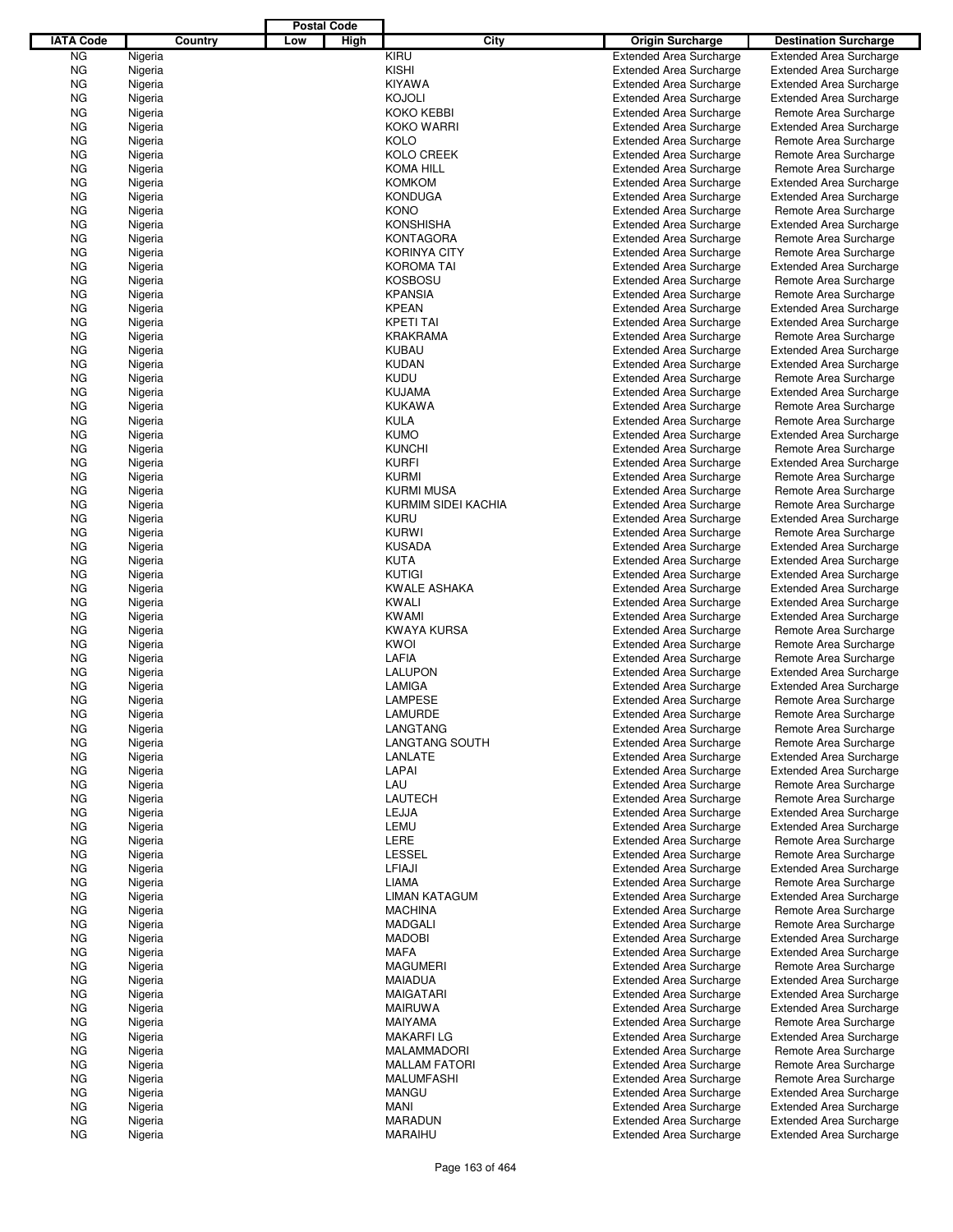|                  |                    |         |     | <b>Postal Code</b> |                                          |                                                                  |                                                                  |
|------------------|--------------------|---------|-----|--------------------|------------------------------------------|------------------------------------------------------------------|------------------------------------------------------------------|
| <b>IATA Code</b> |                    | Country | Low | High               | City                                     | <b>Origin Surcharge</b>                                          | <b>Destination Surcharge</b>                                     |
| <b>NG</b>        | Nigeria            |         |     |                    | KIRU                                     | <b>Extended Area Surcharge</b>                                   | <b>Extended Area Surcharge</b>                                   |
| <b>NG</b>        | Nigeria            |         |     |                    | <b>KISHI</b>                             | <b>Extended Area Surcharge</b>                                   | <b>Extended Area Surcharge</b>                                   |
| <b>NG</b>        | Nigeria            |         |     |                    | <b>KIYAWA</b>                            | <b>Extended Area Surcharge</b>                                   | <b>Extended Area Surcharge</b>                                   |
| <b>NG</b>        | Nigeria            |         |     |                    | <b>KOJOLI</b>                            | <b>Extended Area Surcharge</b>                                   | <b>Extended Area Surcharge</b>                                   |
| <b>NG</b>        | Nigeria            |         |     |                    | <b>KOKO KEBBI</b>                        | <b>Extended Area Surcharge</b>                                   | Remote Area Surcharge                                            |
| <b>NG</b>        | Nigeria            |         |     |                    | <b>KOKO WARRI</b>                        | <b>Extended Area Surcharge</b>                                   | <b>Extended Area Surcharge</b>                                   |
| ΝG               | Nigeria            |         |     |                    | <b>KOLO</b>                              | <b>Extended Area Surcharge</b>                                   | Remote Area Surcharge                                            |
| <b>NG</b>        | Nigeria            |         |     |                    | <b>KOLO CREEK</b>                        | <b>Extended Area Surcharge</b>                                   | Remote Area Surcharge                                            |
| <b>NG</b>        | Nigeria            |         |     |                    | <b>KOMA HILL</b>                         | <b>Extended Area Surcharge</b>                                   | Remote Area Surcharge                                            |
| <b>NG</b>        | Nigeria            |         |     |                    | <b>KOMKOM</b>                            | <b>Extended Area Surcharge</b>                                   | <b>Extended Area Surcharge</b>                                   |
| ΝG               | Nigeria            |         |     |                    | <b>KONDUGA</b>                           | <b>Extended Area Surcharge</b>                                   | <b>Extended Area Surcharge</b>                                   |
| <b>NG</b>        | Nigeria            |         |     |                    | <b>KONO</b>                              | <b>Extended Area Surcharge</b>                                   | Remote Area Surcharge                                            |
| ΝG               | Nigeria            |         |     |                    | <b>KONSHISHA</b>                         | <b>Extended Area Surcharge</b>                                   | <b>Extended Area Surcharge</b>                                   |
| <b>NG</b>        | Nigeria            |         |     |                    | <b>KONTAGORA</b>                         | <b>Extended Area Surcharge</b>                                   | Remote Area Surcharge                                            |
| ΝG<br><b>NG</b>  | Nigeria<br>Nigeria |         |     |                    | <b>KORINYA CITY</b><br><b>KOROMA TAI</b> | <b>Extended Area Surcharge</b><br><b>Extended Area Surcharge</b> | Remote Area Surcharge                                            |
| ΝG               | Nigeria            |         |     |                    | <b>KOSBOSU</b>                           | <b>Extended Area Surcharge</b>                                   | <b>Extended Area Surcharge</b><br>Remote Area Surcharge          |
| <b>NG</b>        | Nigeria            |         |     |                    | <b>KPANSIA</b>                           | <b>Extended Area Surcharge</b>                                   | Remote Area Surcharge                                            |
| ΝG               | Nigeria            |         |     |                    | <b>KPEAN</b>                             | <b>Extended Area Surcharge</b>                                   | <b>Extended Area Surcharge</b>                                   |
| <b>NG</b>        | Nigeria            |         |     |                    | <b>KPETI TAI</b>                         | <b>Extended Area Surcharge</b>                                   | <b>Extended Area Surcharge</b>                                   |
| ΝG               | Nigeria            |         |     |                    | <b>KRAKRAMA</b>                          | <b>Extended Area Surcharge</b>                                   | Remote Area Surcharge                                            |
| <b>NG</b>        | Nigeria            |         |     |                    | <b>KUBAU</b>                             | <b>Extended Area Surcharge</b>                                   | <b>Extended Area Surcharge</b>                                   |
| ΝG               | Nigeria            |         |     |                    | <b>KUDAN</b>                             | <b>Extended Area Surcharge</b>                                   | <b>Extended Area Surcharge</b>                                   |
| <b>NG</b>        | Nigeria            |         |     |                    | <b>KUDU</b>                              | <b>Extended Area Surcharge</b>                                   | Remote Area Surcharge                                            |
| ΝG               | Nigeria            |         |     |                    | <b>KUJAMA</b>                            | <b>Extended Area Surcharge</b>                                   | <b>Extended Area Surcharge</b>                                   |
| <b>NG</b>        | Nigeria            |         |     |                    | <b>KUKAWA</b>                            | <b>Extended Area Surcharge</b>                                   | Remote Area Surcharge                                            |
| ΝG               | Nigeria            |         |     |                    | <b>KULA</b>                              | <b>Extended Area Surcharge</b>                                   | Remote Area Surcharge                                            |
| <b>NG</b>        | Nigeria            |         |     |                    | <b>KUMO</b>                              | <b>Extended Area Surcharge</b>                                   | <b>Extended Area Surcharge</b>                                   |
| ΝG               | Nigeria            |         |     |                    | <b>KUNCHI</b>                            | <b>Extended Area Surcharge</b>                                   | Remote Area Surcharge                                            |
| <b>NG</b>        | Nigeria            |         |     |                    | <b>KURFI</b>                             | <b>Extended Area Surcharge</b>                                   | <b>Extended Area Surcharge</b>                                   |
| ΝG               | Nigeria            |         |     |                    | <b>KURMI</b>                             | <b>Extended Area Surcharge</b>                                   | Remote Area Surcharge                                            |
| <b>NG</b>        | Nigeria            |         |     |                    | <b>KURMI MUSA</b>                        | <b>Extended Area Surcharge</b>                                   | Remote Area Surcharge                                            |
| ΝG               | Nigeria            |         |     |                    | KURMIM SIDEI KACHIA                      | <b>Extended Area Surcharge</b>                                   | Remote Area Surcharge                                            |
| <b>NG</b>        | Nigeria            |         |     |                    | <b>KURU</b>                              | <b>Extended Area Surcharge</b>                                   | <b>Extended Area Surcharge</b>                                   |
| ΝG               | Nigeria            |         |     |                    | <b>KURWI</b>                             | <b>Extended Area Surcharge</b>                                   | Remote Area Surcharge                                            |
| <b>NG</b>        | Nigeria            |         |     |                    | <b>KUSADA</b>                            | <b>Extended Area Surcharge</b>                                   | <b>Extended Area Surcharge</b>                                   |
| ΝG               | Nigeria            |         |     |                    | <b>KUTA</b>                              | <b>Extended Area Surcharge</b>                                   | <b>Extended Area Surcharge</b>                                   |
| <b>NG</b>        | Nigeria            |         |     |                    | <b>KUTIGI</b>                            | <b>Extended Area Surcharge</b>                                   | <b>Extended Area Surcharge</b>                                   |
| ΝG               | Nigeria            |         |     |                    | <b>KWALE ASHAKA</b>                      | <b>Extended Area Surcharge</b>                                   | <b>Extended Area Surcharge</b>                                   |
| <b>NG</b>        | Nigeria            |         |     |                    | <b>KWALI</b>                             | <b>Extended Area Surcharge</b>                                   | <b>Extended Area Surcharge</b>                                   |
| ΝG               | Nigeria            |         |     |                    | <b>KWAMI</b>                             | <b>Extended Area Surcharge</b>                                   | <b>Extended Area Surcharge</b>                                   |
| <b>NG</b>        | Nigeria            |         |     |                    | <b>KWAYA KURSA</b>                       | <b>Extended Area Surcharge</b>                                   | Remote Area Surcharge                                            |
| ΝG               | Nigeria            |         |     |                    | <b>KWOI</b>                              | <b>Extended Area Surcharge</b>                                   | Remote Area Surcharge                                            |
| <b>NG</b>        | Nigeria            |         |     |                    | LAFIA                                    | <b>Extended Area Surcharge</b>                                   | Remote Area Surcharge                                            |
| ΝG               | Nigeria            |         |     |                    | <b>LALUPON</b>                           | <b>Extended Area Surcharge</b>                                   | <b>Extended Area Surcharge</b>                                   |
| ΝG               | Nigeria            |         |     |                    | LAMIGA                                   | <b>Extended Area Surcharge</b>                                   | <b>Extended Area Surcharge</b>                                   |
| ΝG               | Nigeria            |         |     |                    | <b>LAMPESE</b>                           | <b>Extended Area Surcharge</b>                                   | Remote Area Surcharge                                            |
| <b>NG</b>        | Nigeria            |         |     |                    | LAMURDE                                  | <b>Extended Area Surcharge</b>                                   | Remote Area Surcharge                                            |
| ΝG               | Nigeria            |         |     |                    | LANGTANG                                 | <b>Extended Area Surcharge</b>                                   | Remote Area Surcharge                                            |
| ΝG               | Nigeria            |         |     |                    | LANGTANG SOUTH                           | <b>Extended Area Surcharge</b>                                   | Remote Area Surcharge                                            |
| ΝG               | Nigeria            |         |     |                    | LANLATE                                  | <b>Extended Area Surcharge</b><br><b>Extended Area Surcharge</b> | <b>Extended Area Surcharge</b><br><b>Extended Area Surcharge</b> |
| ΝG               | Nigeria            |         |     |                    | LAPAI<br>LAU                             |                                                                  | Remote Area Surcharge                                            |
| ΝG<br>ΝG         | Nigeria            |         |     |                    | LAUTECH                                  | <b>Extended Area Surcharge</b><br><b>Extended Area Surcharge</b> | Remote Area Surcharge                                            |
| ΝG               | Nigeria<br>Nigeria |         |     |                    | LEJJA                                    | <b>Extended Area Surcharge</b>                                   | <b>Extended Area Surcharge</b>                                   |
| ΝG               | Nigeria            |         |     |                    | LEMU                                     | <b>Extended Area Surcharge</b>                                   | <b>Extended Area Surcharge</b>                                   |
| ΝG               | Nigeria            |         |     |                    | LERE                                     | <b>Extended Area Surcharge</b>                                   | Remote Area Surcharge                                            |
| ΝG               | Nigeria            |         |     |                    | <b>LESSEL</b>                            | <b>Extended Area Surcharge</b>                                   | Remote Area Surcharge                                            |
| ΝG               | Nigeria            |         |     |                    | LFIAJI                                   | <b>Extended Area Surcharge</b>                                   | <b>Extended Area Surcharge</b>                                   |
| ΝG               | Nigeria            |         |     |                    | <b>LIAMA</b>                             | <b>Extended Area Surcharge</b>                                   | Remote Area Surcharge                                            |
| ΝG               | Nigeria            |         |     |                    | LIMAN KATAGUM                            | <b>Extended Area Surcharge</b>                                   | <b>Extended Area Surcharge</b>                                   |
| ΝG               | Nigeria            |         |     |                    | <b>MACHINA</b>                           | <b>Extended Area Surcharge</b>                                   | Remote Area Surcharge                                            |
| ΝG               | Nigeria            |         |     |                    | <b>MADGALI</b>                           | <b>Extended Area Surcharge</b>                                   | Remote Area Surcharge                                            |
| ΝG               | Nigeria            |         |     |                    | <b>MADOBI</b>                            | <b>Extended Area Surcharge</b>                                   | <b>Extended Area Surcharge</b>                                   |
| ΝG               | Nigeria            |         |     |                    | <b>MAFA</b>                              | <b>Extended Area Surcharge</b>                                   | <b>Extended Area Surcharge</b>                                   |
| ΝG               | Nigeria            |         |     |                    | <b>MAGUMERI</b>                          | <b>Extended Area Surcharge</b>                                   | Remote Area Surcharge                                            |
| ΝG               | Nigeria            |         |     |                    | <b>MAIADUA</b>                           | <b>Extended Area Surcharge</b>                                   | <b>Extended Area Surcharge</b>                                   |
| ΝG               | Nigeria            |         |     |                    | <b>MAIGATARI</b>                         | <b>Extended Area Surcharge</b>                                   | <b>Extended Area Surcharge</b>                                   |
| ΝG               | Nigeria            |         |     |                    | <b>MAIRUWA</b>                           | <b>Extended Area Surcharge</b>                                   | <b>Extended Area Surcharge</b>                                   |
| ΝG               | Nigeria            |         |     |                    | <b>MAIYAMA</b>                           | <b>Extended Area Surcharge</b>                                   | Remote Area Surcharge                                            |
| ΝG               | Nigeria            |         |     |                    | <b>MAKARFILG</b>                         | <b>Extended Area Surcharge</b>                                   | <b>Extended Area Surcharge</b>                                   |
| ΝG               | Nigeria            |         |     |                    | MALAMMADORI                              | <b>Extended Area Surcharge</b>                                   | Remote Area Surcharge                                            |
| ΝG               | Nigeria            |         |     |                    | <b>MALLAM FATORI</b>                     | <b>Extended Area Surcharge</b>                                   | Remote Area Surcharge                                            |
| ΝG               | Nigeria            |         |     |                    | <b>MALUMFASHI</b>                        | <b>Extended Area Surcharge</b>                                   | Remote Area Surcharge                                            |
| ΝG               | Nigeria            |         |     |                    | <b>MANGU</b>                             | <b>Extended Area Surcharge</b>                                   | <b>Extended Area Surcharge</b>                                   |
| ΝG               | Nigeria            |         |     |                    | <b>MANI</b>                              | <b>Extended Area Surcharge</b>                                   | <b>Extended Area Surcharge</b>                                   |
| ΝG               | Nigeria            |         |     |                    | <b>MARADUN</b>                           | <b>Extended Area Surcharge</b>                                   | <b>Extended Area Surcharge</b>                                   |
| ΝG               | Nigeria            |         |     |                    | MARAIHU                                  | <b>Extended Area Surcharge</b>                                   | <b>Extended Area Surcharge</b>                                   |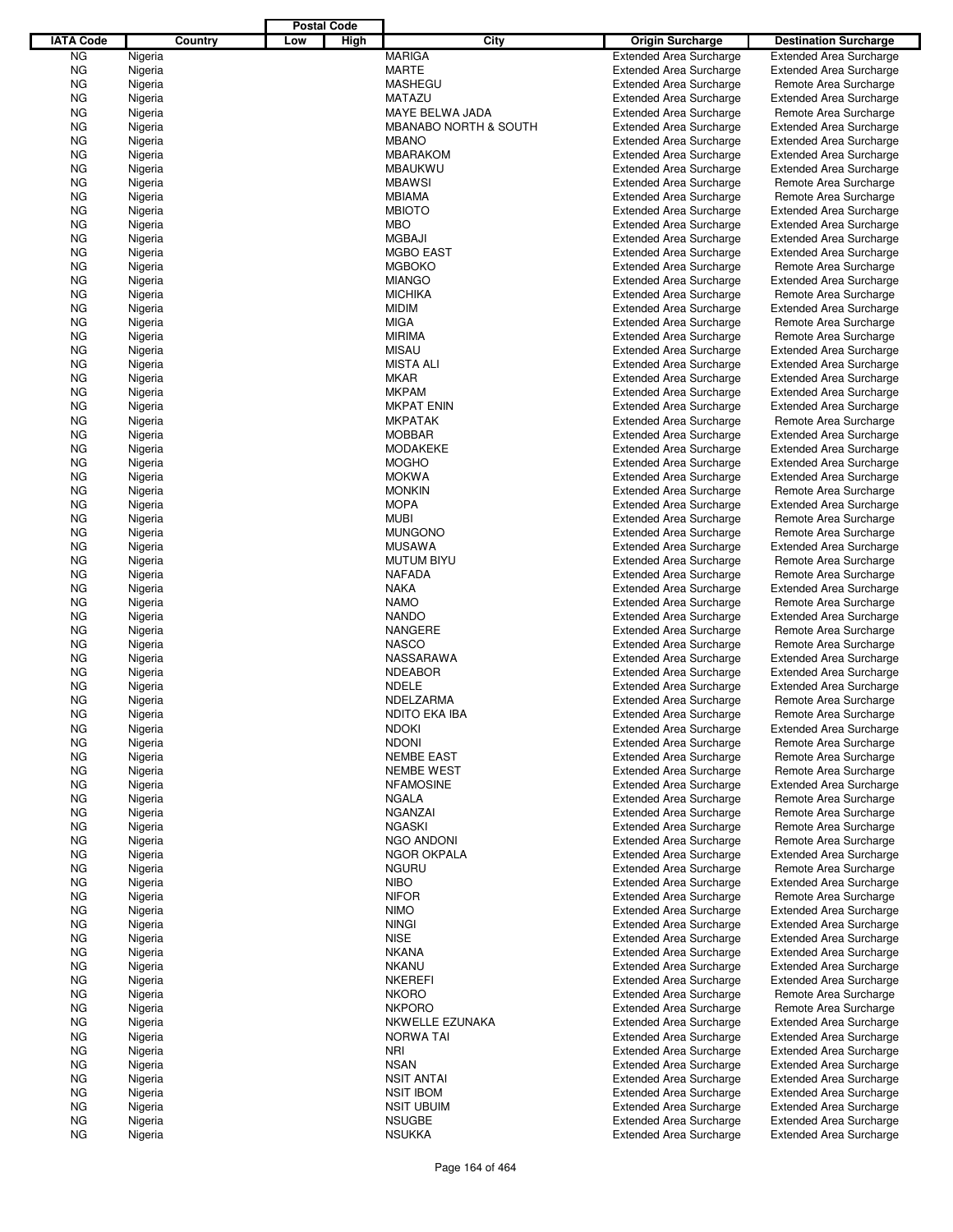|                  |                    |         |     | <b>Postal Code</b> |                                   |                                                                  |                                                         |
|------------------|--------------------|---------|-----|--------------------|-----------------------------------|------------------------------------------------------------------|---------------------------------------------------------|
| <b>IATA Code</b> |                    | Country | Low | High               | City                              | <b>Origin Surcharge</b>                                          | <b>Destination Surcharge</b>                            |
| <b>NG</b>        | Nigeria            |         |     |                    | <b>MARIGA</b>                     | <b>Extended Area Surcharge</b>                                   | <b>Extended Area Surcharge</b>                          |
| <b>NG</b>        | Nigeria            |         |     |                    | MARTE                             | <b>Extended Area Surcharge</b>                                   | <b>Extended Area Surcharge</b>                          |
| <b>NG</b>        | Nigeria            |         |     |                    | <b>MASHEGU</b>                    | <b>Extended Area Surcharge</b>                                   | Remote Area Surcharge                                   |
| <b>NG</b>        | Nigeria            |         |     |                    | <b>MATAZU</b>                     | <b>Extended Area Surcharge</b>                                   | <b>Extended Area Surcharge</b>                          |
| <b>NG</b>        | Nigeria            |         |     |                    | MAYE BELWA JADA                   | <b>Extended Area Surcharge</b>                                   | Remote Area Surcharge                                   |
| <b>NG</b>        | Nigeria            |         |     |                    | <b>MBANABO NORTH &amp; SOUTH</b>  | <b>Extended Area Surcharge</b>                                   | <b>Extended Area Surcharge</b>                          |
| ΝG               | Nigeria            |         |     |                    | <b>MBANO</b>                      | <b>Extended Area Surcharge</b>                                   | <b>Extended Area Surcharge</b>                          |
| <b>NG</b>        | Nigeria            |         |     |                    | <b>MBARAKOM</b>                   | <b>Extended Area Surcharge</b>                                   | <b>Extended Area Surcharge</b>                          |
| ΝG               | Nigeria            |         |     |                    | <b>MBAUKWU</b>                    | <b>Extended Area Surcharge</b>                                   | <b>Extended Area Surcharge</b>                          |
| ΝG               | Nigeria            |         |     |                    | <b>MBAWSI</b>                     | <b>Extended Area Surcharge</b>                                   | Remote Area Surcharge                                   |
| ΝG               | Nigeria            |         |     |                    | <b>MBIAMA</b>                     | <b>Extended Area Surcharge</b>                                   | Remote Area Surcharge                                   |
| <b>NG</b>        | Nigeria            |         |     |                    | <b>MBIOTO</b>                     | <b>Extended Area Surcharge</b>                                   | <b>Extended Area Surcharge</b>                          |
| ΝG               | Nigeria            |         |     |                    | <b>MBO</b>                        | <b>Extended Area Surcharge</b>                                   | <b>Extended Area Surcharge</b>                          |
| ΝG<br>ΝG         | Nigeria<br>Nigeria |         |     |                    | <b>MGBAJI</b><br><b>MGBO EAST</b> | <b>Extended Area Surcharge</b>                                   | <b>Extended Area Surcharge</b>                          |
| ΝG               | Nigeria            |         |     |                    | <b>MGBOKO</b>                     | <b>Extended Area Surcharge</b><br><b>Extended Area Surcharge</b> | <b>Extended Area Surcharge</b><br>Remote Area Surcharge |
| ΝG               | Nigeria            |         |     |                    | <b>MIANGO</b>                     | <b>Extended Area Surcharge</b>                                   | <b>Extended Area Surcharge</b>                          |
| <b>NG</b>        | Nigeria            |         |     |                    | <b>MICHIKA</b>                    | <b>Extended Area Surcharge</b>                                   | Remote Area Surcharge                                   |
| ΝG               | Nigeria            |         |     |                    | <b>MIDIM</b>                      | <b>Extended Area Surcharge</b>                                   | <b>Extended Area Surcharge</b>                          |
| <b>NG</b>        | Nigeria            |         |     |                    | <b>MIGA</b>                       | <b>Extended Area Surcharge</b>                                   | Remote Area Surcharge                                   |
| ΝG               | Nigeria            |         |     |                    | <b>MIRIMA</b>                     | <b>Extended Area Surcharge</b>                                   | Remote Area Surcharge                                   |
| ΝG               | Nigeria            |         |     |                    | <b>MISAU</b>                      | <b>Extended Area Surcharge</b>                                   | <b>Extended Area Surcharge</b>                          |
| ΝG               | Nigeria            |         |     |                    | <b>MISTA ALI</b>                  | <b>Extended Area Surcharge</b>                                   | <b>Extended Area Surcharge</b>                          |
| <b>NG</b>        | Nigeria            |         |     |                    | <b>MKAR</b>                       | <b>Extended Area Surcharge</b>                                   | <b>Extended Area Surcharge</b>                          |
| ΝG               | Nigeria            |         |     |                    | <b>MKPAM</b>                      | <b>Extended Area Surcharge</b>                                   | <b>Extended Area Surcharge</b>                          |
| ΝG               | Nigeria            |         |     |                    | <b>MKPAT ENIN</b>                 | <b>Extended Area Surcharge</b>                                   | <b>Extended Area Surcharge</b>                          |
| ΝG               | Nigeria            |         |     |                    | <b>MKPATAK</b>                    | <b>Extended Area Surcharge</b>                                   | Remote Area Surcharge                                   |
| <b>NG</b>        | Nigeria            |         |     |                    | <b>MOBBAR</b>                     | <b>Extended Area Surcharge</b>                                   | <b>Extended Area Surcharge</b>                          |
| ΝG               | Nigeria            |         |     |                    | <b>MODAKEKE</b>                   | <b>Extended Area Surcharge</b>                                   | <b>Extended Area Surcharge</b>                          |
| <b>NG</b>        | Nigeria            |         |     |                    | <b>MOGHO</b>                      | <b>Extended Area Surcharge</b>                                   | <b>Extended Area Surcharge</b>                          |
| ΝG               | Nigeria            |         |     |                    | <b>MOKWA</b>                      | <b>Extended Area Surcharge</b>                                   | <b>Extended Area Surcharge</b>                          |
| ΝG               | Nigeria            |         |     |                    | <b>MONKIN</b>                     | <b>Extended Area Surcharge</b>                                   | Remote Area Surcharge                                   |
| ΝG               | Nigeria            |         |     |                    | <b>MOPA</b>                       | <b>Extended Area Surcharge</b>                                   | <b>Extended Area Surcharge</b>                          |
| <b>NG</b>        | Nigeria            |         |     |                    | <b>MUBI</b>                       | <b>Extended Area Surcharge</b>                                   | Remote Area Surcharge                                   |
| ΝG               | Nigeria            |         |     |                    | <b>MUNGONO</b>                    | <b>Extended Area Surcharge</b>                                   | Remote Area Surcharge                                   |
| <b>NG</b>        | Nigeria            |         |     |                    | <b>MUSAWA</b>                     | <b>Extended Area Surcharge</b>                                   | <b>Extended Area Surcharge</b>                          |
| ΝG               | Nigeria            |         |     |                    | <b>MUTUM BIYU</b>                 | <b>Extended Area Surcharge</b>                                   | Remote Area Surcharge                                   |
| ΝG               | Nigeria            |         |     |                    | <b>NAFADA</b>                     | <b>Extended Area Surcharge</b>                                   | Remote Area Surcharge                                   |
| ΝG               | Nigeria            |         |     |                    | <b>NAKA</b>                       | <b>Extended Area Surcharge</b>                                   | <b>Extended Area Surcharge</b>                          |
| <b>NG</b>        | Nigeria            |         |     |                    | <b>NAMO</b>                       | <b>Extended Area Surcharge</b>                                   | Remote Area Surcharge                                   |
| ΝG               | Nigeria            |         |     |                    | <b>NANDO</b>                      | <b>Extended Area Surcharge</b>                                   | <b>Extended Area Surcharge</b>                          |
| ΝG               | Nigeria            |         |     |                    | <b>NANGERE</b>                    | <b>Extended Area Surcharge</b>                                   | Remote Area Surcharge                                   |
| ΝG               | Nigeria            |         |     |                    | <b>NASCO</b>                      | <b>Extended Area Surcharge</b>                                   | Remote Area Surcharge                                   |
| ΝG               | Nigeria            |         |     |                    | NASSARAWA                         | <b>Extended Area Surcharge</b>                                   | <b>Extended Area Surcharge</b>                          |
| ΝG               | Nigeria            |         |     |                    | <b>NDEABOR</b>                    | <b>Extended Area Surcharge</b>                                   | <b>Extended Area Surcharge</b>                          |
| ΝG               | Nigeria            |         |     |                    | <b>NDELE</b>                      | <b>Extended Area Surcharge</b>                                   | <b>Extended Area Surcharge</b>                          |
| ΝG               | Nigeria            |         |     |                    | NDELZARMA                         | <b>Extended Area Surcharge</b>                                   | Remote Area Surcharge                                   |
| <b>NG</b>        | Nigeria            |         |     |                    | NDITO EKA IBA                     | <b>Extended Area Surcharge</b>                                   | Remote Area Surcharge                                   |
| ΝG               | Nigeria            |         |     |                    | <b>NDOKI</b>                      | <b>Extended Area Surcharge</b>                                   | <b>Extended Area Surcharge</b>                          |
| ΝG               | Nigeria            |         |     |                    | <b>NDONI</b>                      | <b>Extended Area Surcharge</b>                                   | Remote Area Surcharge                                   |
| ΝG               | Nigeria            |         |     |                    | <b>NEMBE EAST</b>                 | <b>Extended Area Surcharge</b>                                   | Remote Area Surcharge                                   |
| ΝG               | Nigeria            |         |     |                    | <b>NEMBE WEST</b>                 | <b>Extended Area Surcharge</b>                                   | Remote Area Surcharge                                   |
| ΝG               | Nigeria            |         |     |                    | <b>NFAMOSINE</b>                  | <b>Extended Area Surcharge</b>                                   | <b>Extended Area Surcharge</b>                          |
| ΝG               | Nigeria            |         |     |                    | <b>NGALA</b>                      | <b>Extended Area Surcharge</b>                                   | Remote Area Surcharge                                   |
| ΝG               | Nigeria            |         |     |                    | <b>NGANZAI</b>                    | <b>Extended Area Surcharge</b>                                   | Remote Area Surcharge                                   |
| ΝG               | Nigeria            |         |     |                    | <b>NGASKI</b>                     | <b>Extended Area Surcharge</b>                                   | Remote Area Surcharge                                   |
| ΝG               | Nigeria            |         |     |                    | <b>NGO ANDONI</b>                 | <b>Extended Area Surcharge</b>                                   | Remote Area Surcharge                                   |
| ΝG               | Nigeria            |         |     |                    | <b>NGOR OKPALA</b>                | <b>Extended Area Surcharge</b>                                   | <b>Extended Area Surcharge</b>                          |
| ΝG               | Nigeria            |         |     |                    | <b>NGURU</b>                      | <b>Extended Area Surcharge</b>                                   | Remote Area Surcharge                                   |
| ΝG               | Nigeria            |         |     |                    | <b>NIBO</b>                       | <b>Extended Area Surcharge</b>                                   | <b>Extended Area Surcharge</b>                          |
| ΝG               | Nigeria            |         |     |                    | <b>NIFOR</b>                      | <b>Extended Area Surcharge</b>                                   | Remote Area Surcharge                                   |
| ΝG               | Nigeria            |         |     |                    | <b>NIMO</b>                       | <b>Extended Area Surcharge</b>                                   | <b>Extended Area Surcharge</b>                          |
| ΝG               | Nigeria            |         |     |                    | <b>NINGI</b>                      | <b>Extended Area Surcharge</b>                                   | <b>Extended Area Surcharge</b>                          |
| ΝG               | Nigeria            |         |     |                    | <b>NISE</b>                       | <b>Extended Area Surcharge</b>                                   | <b>Extended Area Surcharge</b>                          |
| ΝG               | Nigeria            |         |     |                    | <b>NKANA</b>                      | <b>Extended Area Surcharge</b>                                   | <b>Extended Area Surcharge</b>                          |
| ΝG               | Nigeria            |         |     |                    | <b>NKANU</b>                      | <b>Extended Area Surcharge</b>                                   | <b>Extended Area Surcharge</b>                          |
| ΝG               | Nigeria            |         |     |                    | <b>NKEREFI</b>                    | <b>Extended Area Surcharge</b>                                   | <b>Extended Area Surcharge</b>                          |
| ΝG               | Nigeria            |         |     |                    | <b>NKORO</b>                      | <b>Extended Area Surcharge</b>                                   | Remote Area Surcharge                                   |
| ΝG               | Nigeria            |         |     |                    | <b>NKPORO</b>                     | <b>Extended Area Surcharge</b>                                   | Remote Area Surcharge                                   |
| ΝG               | Nigeria            |         |     |                    | NKWELLE EZUNAKA                   | <b>Extended Area Surcharge</b>                                   | <b>Extended Area Surcharge</b>                          |
| ΝG               | Nigeria            |         |     |                    | <b>NORWA TAI</b>                  | <b>Extended Area Surcharge</b>                                   | <b>Extended Area Surcharge</b>                          |
| ΝG               | Nigeria            |         |     |                    | NRI                               | <b>Extended Area Surcharge</b>                                   | <b>Extended Area Surcharge</b>                          |
| ΝG               | Nigeria            |         |     |                    | <b>NSAN</b>                       | <b>Extended Area Surcharge</b>                                   | <b>Extended Area Surcharge</b>                          |
| ΝG               | Nigeria            |         |     |                    | <b>NSIT ANTAI</b>                 | <b>Extended Area Surcharge</b>                                   | <b>Extended Area Surcharge</b>                          |
| ΝG               | Nigeria            |         |     |                    | <b>NSIT IBOM</b>                  | <b>Extended Area Surcharge</b>                                   | <b>Extended Area Surcharge</b>                          |
| ΝG               | Nigeria            |         |     |                    | <b>NSIT UBUIM</b>                 | <b>Extended Area Surcharge</b>                                   | <b>Extended Area Surcharge</b>                          |
| ΝG               | Nigeria            |         |     |                    | <b>NSUGBE</b>                     | <b>Extended Area Surcharge</b>                                   | <b>Extended Area Surcharge</b>                          |
| ΝG               | Nigeria            |         |     |                    | <b>NSUKKA</b>                     | <b>Extended Area Surcharge</b>                                   | <b>Extended Area Surcharge</b>                          |
|                  |                    |         |     |                    |                                   |                                                                  |                                                         |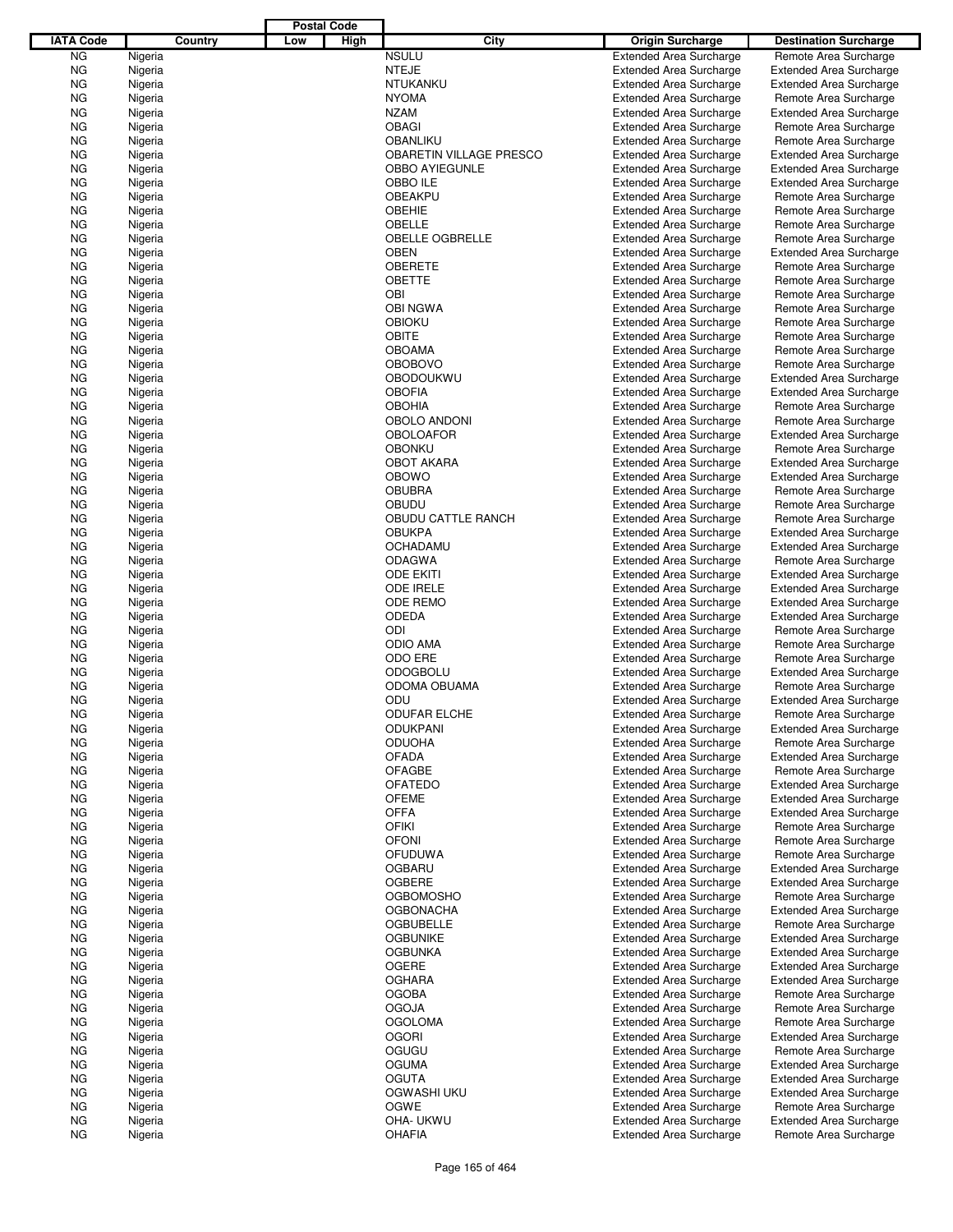|                  |                    |         |     | <b>Postal Code</b> |                                  |                                                                  |                                                         |
|------------------|--------------------|---------|-----|--------------------|----------------------------------|------------------------------------------------------------------|---------------------------------------------------------|
| <b>IATA Code</b> |                    | Country | Low | High               | City                             | <b>Origin Surcharge</b>                                          | <b>Destination Surcharge</b>                            |
| <b>NG</b>        | Nigeria            |         |     |                    | <b>NSULU</b>                     | <b>Extended Area Surcharge</b>                                   | Remote Area Surcharge                                   |
| <b>NG</b>        | Nigeria            |         |     |                    | <b>NTEJE</b>                     | <b>Extended Area Surcharge</b>                                   | <b>Extended Area Surcharge</b>                          |
| <b>NG</b>        | Nigeria            |         |     |                    | NTUKANKU                         | <b>Extended Area Surcharge</b>                                   | <b>Extended Area Surcharge</b>                          |
| <b>NG</b>        | Nigeria            |         |     |                    | <b>NYOMA</b>                     | <b>Extended Area Surcharge</b>                                   | Remote Area Surcharge                                   |
| <b>NG</b>        | Nigeria            |         |     |                    | <b>NZAM</b>                      | <b>Extended Area Surcharge</b>                                   | <b>Extended Area Surcharge</b>                          |
| <b>NG</b>        | Nigeria            |         |     |                    | <b>OBAGI</b>                     | <b>Extended Area Surcharge</b>                                   | Remote Area Surcharge                                   |
| ΝG               | Nigeria            |         |     |                    | <b>OBANLIKU</b>                  | <b>Extended Area Surcharge</b>                                   | Remote Area Surcharge                                   |
| <b>NG</b>        | Nigeria            |         |     |                    | OBARETIN VILLAGE PRESCO          | <b>Extended Area Surcharge</b>                                   | <b>Extended Area Surcharge</b>                          |
| ΝG               | Nigeria            |         |     |                    | <b>OBBO AYIEGUNLE</b>            | <b>Extended Area Surcharge</b>                                   | <b>Extended Area Surcharge</b>                          |
| <b>NG</b>        | Nigeria            |         |     |                    | OBBO ILE                         | <b>Extended Area Surcharge</b>                                   | <b>Extended Area Surcharge</b>                          |
| ΝG               | Nigeria            |         |     |                    | OBEAKPU                          | <b>Extended Area Surcharge</b>                                   | Remote Area Surcharge                                   |
| <b>NG</b>        | Nigeria            |         |     |                    | <b>OBEHIE</b>                    | <b>Extended Area Surcharge</b>                                   | Remote Area Surcharge                                   |
| ΝG<br><b>NG</b>  | Nigeria<br>Nigeria |         |     |                    | OBELLE<br><b>OBELLE OGBRELLE</b> | <b>Extended Area Surcharge</b>                                   | Remote Area Surcharge                                   |
| ΝG               | Nigeria            |         |     |                    | <b>OBEN</b>                      | <b>Extended Area Surcharge</b><br><b>Extended Area Surcharge</b> | Remote Area Surcharge<br><b>Extended Area Surcharge</b> |
| <b>NG</b>        | Nigeria            |         |     |                    | <b>OBERETE</b>                   | <b>Extended Area Surcharge</b>                                   | Remote Area Surcharge                                   |
| ΝG               | Nigeria            |         |     |                    | <b>OBETTE</b>                    | <b>Extended Area Surcharge</b>                                   | Remote Area Surcharge                                   |
| <b>NG</b>        | Nigeria            |         |     |                    | <b>OBI</b>                       | <b>Extended Area Surcharge</b>                                   | Remote Area Surcharge                                   |
| ΝG               | Nigeria            |         |     |                    | <b>OBI NGWA</b>                  | <b>Extended Area Surcharge</b>                                   | Remote Area Surcharge                                   |
| <b>NG</b>        | Nigeria            |         |     |                    | <b>OBIOKU</b>                    | <b>Extended Area Surcharge</b>                                   | Remote Area Surcharge                                   |
| ΝG               | Nigeria            |         |     |                    | OBITE                            | <b>Extended Area Surcharge</b>                                   | Remote Area Surcharge                                   |
| <b>NG</b>        | Nigeria            |         |     |                    | <b>OBOAMA</b>                    | <b>Extended Area Surcharge</b>                                   | Remote Area Surcharge                                   |
| ΝG               | Nigeria            |         |     |                    | <b>OBOBOVO</b>                   | <b>Extended Area Surcharge</b>                                   | Remote Area Surcharge                                   |
| <b>NG</b>        | Nigeria            |         |     |                    | <b>OBODOUKWU</b>                 | <b>Extended Area Surcharge</b>                                   | <b>Extended Area Surcharge</b>                          |
| ΝG               | Nigeria            |         |     |                    | <b>OBOFIA</b>                    | <b>Extended Area Surcharge</b>                                   | <b>Extended Area Surcharge</b>                          |
| <b>NG</b>        | Nigeria            |         |     |                    | <b>OBOHIA</b>                    | <b>Extended Area Surcharge</b>                                   | Remote Area Surcharge                                   |
| ΝG               | Nigeria            |         |     |                    | OBOLO ANDONI                     | <b>Extended Area Surcharge</b>                                   | Remote Area Surcharge                                   |
| <b>NG</b>        | Nigeria            |         |     |                    | <b>OBOLOAFOR</b>                 | <b>Extended Area Surcharge</b>                                   | <b>Extended Area Surcharge</b>                          |
| ΝG               | Nigeria            |         |     |                    | <b>OBONKU</b>                    | <b>Extended Area Surcharge</b>                                   | Remote Area Surcharge                                   |
| <b>NG</b>        | Nigeria            |         |     |                    | <b>OBOT AKARA</b>                | <b>Extended Area Surcharge</b>                                   | <b>Extended Area Surcharge</b>                          |
| ΝG               | Nigeria            |         |     |                    | <b>OBOWO</b>                     | <b>Extended Area Surcharge</b>                                   | <b>Extended Area Surcharge</b>                          |
| <b>NG</b>        | Nigeria            |         |     |                    | <b>OBUBRA</b>                    | <b>Extended Area Surcharge</b>                                   | Remote Area Surcharge                                   |
| ΝG               | Nigeria            |         |     |                    | <b>OBUDU</b>                     | <b>Extended Area Surcharge</b>                                   | Remote Area Surcharge                                   |
| <b>NG</b>        | Nigeria            |         |     |                    | OBUDU CATTLE RANCH               | <b>Extended Area Surcharge</b>                                   | Remote Area Surcharge                                   |
| ΝG               | Nigeria            |         |     |                    | <b>OBUKPA</b>                    | <b>Extended Area Surcharge</b>                                   | <b>Extended Area Surcharge</b>                          |
| <b>NG</b>        | Nigeria            |         |     |                    | <b>OCHADAMU</b>                  | <b>Extended Area Surcharge</b>                                   | <b>Extended Area Surcharge</b>                          |
| ΝG               | Nigeria            |         |     |                    | <b>ODAGWA</b>                    | <b>Extended Area Surcharge</b>                                   | Remote Area Surcharge                                   |
| <b>NG</b>        | Nigeria            |         |     |                    | <b>ODE EKITI</b>                 | <b>Extended Area Surcharge</b>                                   | <b>Extended Area Surcharge</b>                          |
| ΝG               | Nigeria            |         |     |                    | <b>ODE IRELE</b>                 | <b>Extended Area Surcharge</b>                                   | <b>Extended Area Surcharge</b>                          |
| <b>NG</b>        | Nigeria            |         |     |                    | ODE REMO                         | <b>Extended Area Surcharge</b>                                   | <b>Extended Area Surcharge</b>                          |
| ΝG               | Nigeria            |         |     |                    | <b>ODEDA</b>                     | <b>Extended Area Surcharge</b>                                   | <b>Extended Area Surcharge</b>                          |
| <b>NG</b>        | Nigeria            |         |     |                    | ODI                              | <b>Extended Area Surcharge</b><br><b>Extended Area Surcharge</b> | Remote Area Surcharge<br>Remote Area Surcharge          |
| ΝG<br><b>NG</b>  | Nigeria<br>Nigeria |         |     |                    | <b>ODIO AMA</b><br>ODO ERE       | <b>Extended Area Surcharge</b>                                   | Remote Area Surcharge                                   |
| ΝG               | Nigeria            |         |     |                    | <b>ODOGBOLU</b>                  | <b>Extended Area Surcharge</b>                                   | Extended Area Surcharge                                 |
| ΝG               | Nigeria            |         |     |                    | <b>ODOMA OBUAMA</b>              | <b>Extended Area Surcharge</b>                                   | Remote Area Surcharge                                   |
| ΝG               | Nigeria            |         |     |                    | ODU                              | <b>Extended Area Surcharge</b>                                   | <b>Extended Area Surcharge</b>                          |
| <b>NG</b>        | Nigeria            |         |     |                    | ODUFAR ELCHE                     | <b>Extended Area Surcharge</b>                                   | Remote Area Surcharge                                   |
| ΝG               | Nigeria            |         |     |                    | <b>ODUKPANI</b>                  | <b>Extended Area Surcharge</b>                                   | <b>Extended Area Surcharge</b>                          |
| ΝG               | Nigeria            |         |     |                    | <b>ODUOHA</b>                    | <b>Extended Area Surcharge</b>                                   | Remote Area Surcharge                                   |
| ΝG               | Nigeria            |         |     |                    | <b>OFADA</b>                     | <b>Extended Area Surcharge</b>                                   | <b>Extended Area Surcharge</b>                          |
| ΝG               | Nigeria            |         |     |                    | <b>OFAGBE</b>                    | <b>Extended Area Surcharge</b>                                   | Remote Area Surcharge                                   |
| ΝG               | Nigeria            |         |     |                    | <b>OFATEDO</b>                   | <b>Extended Area Surcharge</b>                                   | <b>Extended Area Surcharge</b>                          |
| ΝG               | Nigeria            |         |     |                    | <b>OFEME</b>                     | <b>Extended Area Surcharge</b>                                   | <b>Extended Area Surcharge</b>                          |
| ΝG               | Nigeria            |         |     |                    | <b>OFFA</b>                      | <b>Extended Area Surcharge</b>                                   | <b>Extended Area Surcharge</b>                          |
| ΝG               | Nigeria            |         |     |                    | <b>OFIKI</b>                     | <b>Extended Area Surcharge</b>                                   | Remote Area Surcharge                                   |
| ΝG               | Nigeria            |         |     |                    | <b>OFONI</b>                     | <b>Extended Area Surcharge</b>                                   | Remote Area Surcharge                                   |
| ΝG               | Nigeria            |         |     |                    | <b>OFUDUWA</b>                   | <b>Extended Area Surcharge</b>                                   | Remote Area Surcharge                                   |
| ΝG               | Nigeria            |         |     |                    | <b>OGBARU</b>                    | <b>Extended Area Surcharge</b>                                   | <b>Extended Area Surcharge</b>                          |
| ΝG               | Nigeria            |         |     |                    | <b>OGBERE</b>                    | <b>Extended Area Surcharge</b>                                   | <b>Extended Area Surcharge</b>                          |
| ΝG               | Nigeria            |         |     |                    | <b>OGBOMOSHO</b>                 | <b>Extended Area Surcharge</b>                                   | Remote Area Surcharge                                   |
| ΝG               | Nigeria            |         |     |                    | <b>OGBONACHA</b>                 | <b>Extended Area Surcharge</b>                                   | <b>Extended Area Surcharge</b>                          |
| ΝG               | Nigeria            |         |     |                    | <b>OGBUBELLE</b>                 | <b>Extended Area Surcharge</b>                                   | Remote Area Surcharge                                   |
| ΝG               | Nigeria            |         |     |                    | <b>OGBUNIKE</b>                  | <b>Extended Area Surcharge</b>                                   | <b>Extended Area Surcharge</b>                          |
| ΝG               | Nigeria            |         |     |                    | <b>OGBUNKA</b>                   | <b>Extended Area Surcharge</b>                                   | <b>Extended Area Surcharge</b>                          |
| ΝG               | Nigeria            |         |     |                    | OGERE                            | <b>Extended Area Surcharge</b>                                   | <b>Extended Area Surcharge</b>                          |
| ΝG               | Nigeria            |         |     |                    | <b>OGHARA</b>                    | <b>Extended Area Surcharge</b>                                   | <b>Extended Area Surcharge</b>                          |
| ΝG               | Nigeria            |         |     |                    | <b>OGOBA</b>                     | <b>Extended Area Surcharge</b>                                   | Remote Area Surcharge                                   |
| ΝG               | Nigeria            |         |     |                    | <b>OGOJA</b>                     | <b>Extended Area Surcharge</b>                                   | Remote Area Surcharge                                   |
| ΝG               | Nigeria            |         |     |                    | <b>OGOLOMA</b>                   | <b>Extended Area Surcharge</b>                                   | Remote Area Surcharge                                   |
| ΝG               | Nigeria            |         |     |                    | <b>OGORI</b>                     | <b>Extended Area Surcharge</b>                                   | <b>Extended Area Surcharge</b>                          |
| ΝG               | Nigeria            |         |     |                    | OGUGU                            | <b>Extended Area Surcharge</b>                                   | Remote Area Surcharge                                   |
| ΝG               | Nigeria            |         |     |                    | <b>OGUMA</b>                     | <b>Extended Area Surcharge</b>                                   | <b>Extended Area Surcharge</b>                          |
| ΝG               | Nigeria            |         |     |                    | <b>OGUTA</b>                     | <b>Extended Area Surcharge</b>                                   | <b>Extended Area Surcharge</b>                          |
| ΝG               | Nigeria            |         |     |                    | OGWASHI UKU<br>OGWE              | <b>Extended Area Surcharge</b>                                   | <b>Extended Area Surcharge</b>                          |
| ΝG<br>ΝG         | Nigeria            |         |     |                    | OHA- UKWU                        | <b>Extended Area Surcharge</b><br><b>Extended Area Surcharge</b> | Remote Area Surcharge<br><b>Extended Area Surcharge</b> |
| ΝG               | Nigeria<br>Nigeria |         |     |                    | <b>OHAFIA</b>                    | <b>Extended Area Surcharge</b>                                   | Remote Area Surcharge                                   |
|                  |                    |         |     |                    |                                  |                                                                  |                                                         |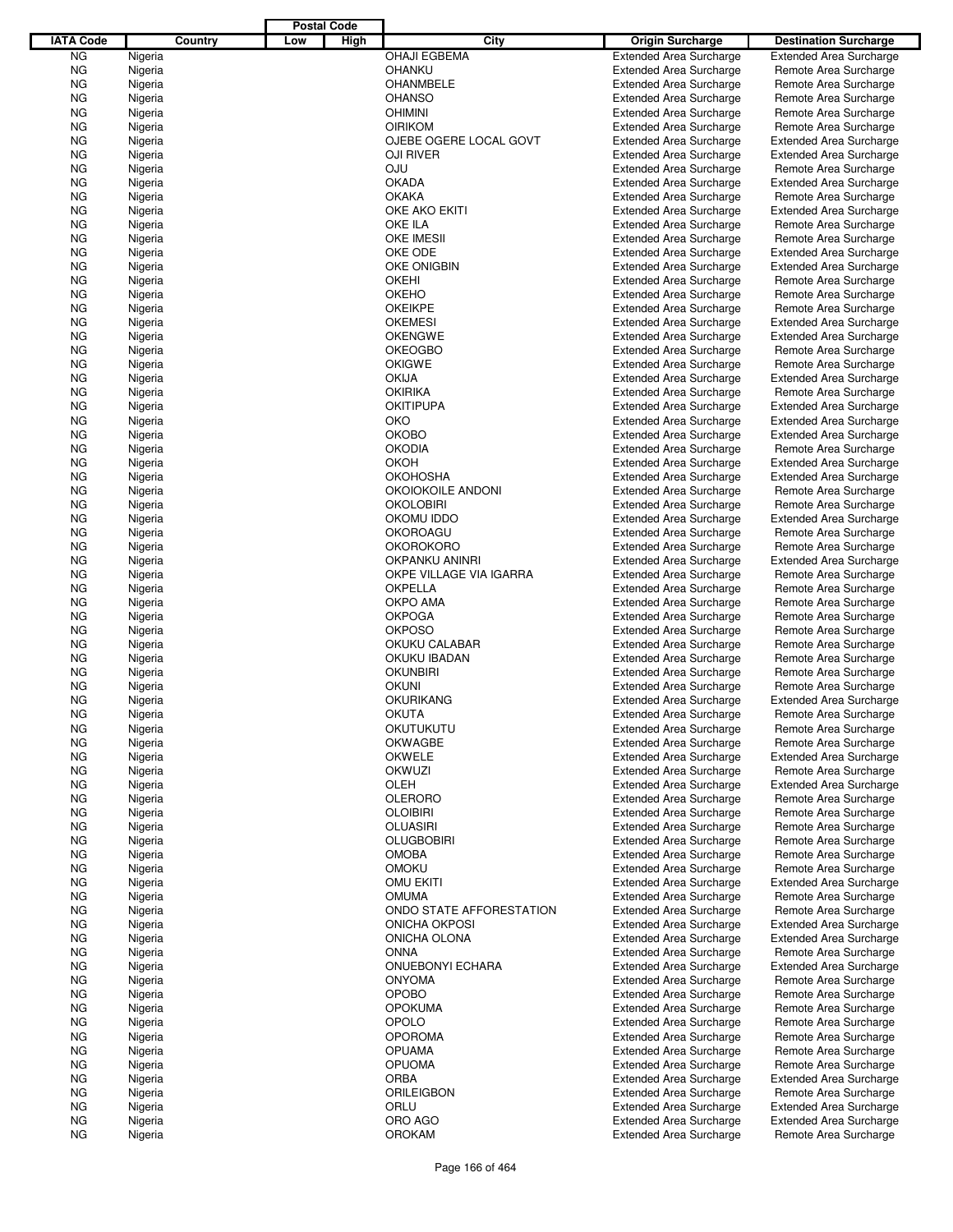|                  |         |         |     | <b>Postal Code</b> |                          |                                |                                |
|------------------|---------|---------|-----|--------------------|--------------------------|--------------------------------|--------------------------------|
| <b>IATA Code</b> |         | Country | Low | High               | City                     | <b>Origin Surcharge</b>        | <b>Destination Surcharge</b>   |
| ΝG               | Nigeria |         |     |                    | <b>OHAJI EGBEMA</b>      | <b>Extended Area Surcharge</b> | <b>Extended Area Surcharge</b> |
| ΝG               | Nigeria |         |     |                    | OHANKU                   | <b>Extended Area Surcharge</b> | Remote Area Surcharge          |
| ΝG               | Nigeria |         |     |                    | <b>OHANMBELE</b>         | <b>Extended Area Surcharge</b> | Remote Area Surcharge          |
| ΝG               | Nigeria |         |     |                    | <b>OHANSO</b>            | <b>Extended Area Surcharge</b> | Remote Area Surcharge          |
| ΝG               | Nigeria |         |     |                    | <b>OHIMINI</b>           | <b>Extended Area Surcharge</b> | Remote Area Surcharge          |
| ΝG               | Nigeria |         |     |                    | <b>OIRIKOM</b>           | <b>Extended Area Surcharge</b> | Remote Area Surcharge          |
|                  |         |         |     |                    | OJEBE OGERE LOCAL GOVT   |                                |                                |
| ΝG               | Nigeria |         |     |                    |                          | <b>Extended Area Surcharge</b> | <b>Extended Area Surcharge</b> |
| ΝG               | Nigeria |         |     |                    | <b>OJI RIVER</b>         | <b>Extended Area Surcharge</b> | <b>Extended Area Surcharge</b> |
| ΝG               | Nigeria |         |     |                    | <b>OJU</b>               | <b>Extended Area Surcharge</b> | Remote Area Surcharge          |
| ΝG               | Nigeria |         |     |                    | <b>OKADA</b>             | <b>Extended Area Surcharge</b> | <b>Extended Area Surcharge</b> |
| ΝG               | Nigeria |         |     |                    | <b>OKAKA</b>             | <b>Extended Area Surcharge</b> | Remote Area Surcharge          |
| ΝG               | Nigeria |         |     |                    | OKE AKO EKITI            | <b>Extended Area Surcharge</b> | <b>Extended Area Surcharge</b> |
| ΝG               | Nigeria |         |     |                    | OKE ILA                  | <b>Extended Area Surcharge</b> | Remote Area Surcharge          |
| ΝG               | Nigeria |         |     |                    | <b>OKE IMESII</b>        | <b>Extended Area Surcharge</b> | Remote Area Surcharge          |
| ΝG               | Nigeria |         |     |                    | OKE ODE                  | <b>Extended Area Surcharge</b> | <b>Extended Area Surcharge</b> |
| ΝG               | Nigeria |         |     |                    | OKE ONIGBIN              | <b>Extended Area Surcharge</b> | <b>Extended Area Surcharge</b> |
| ΝG               | Nigeria |         |     |                    | <b>OKEHI</b>             | <b>Extended Area Surcharge</b> | Remote Area Surcharge          |
| ΝG               | Nigeria |         |     |                    | <b>OKEHO</b>             | <b>Extended Area Surcharge</b> | Remote Area Surcharge          |
| ΝG               | Nigeria |         |     |                    | <b>OKEIKPE</b>           | <b>Extended Area Surcharge</b> | Remote Area Surcharge          |
| ΝG               | Nigeria |         |     |                    | <b>OKEMESI</b>           | <b>Extended Area Surcharge</b> | <b>Extended Area Surcharge</b> |
| ΝG               | Nigeria |         |     |                    | <b>OKENGWE</b>           | <b>Extended Area Surcharge</b> | <b>Extended Area Surcharge</b> |
| ΝG               | Nigeria |         |     |                    | <b>OKEOGBO</b>           | <b>Extended Area Surcharge</b> | Remote Area Surcharge          |
| ΝG               | Nigeria |         |     |                    | <b>OKIGWE</b>            | <b>Extended Area Surcharge</b> | Remote Area Surcharge          |
|                  |         |         |     |                    | <b>OKIJA</b>             |                                |                                |
| ΝG               | Nigeria |         |     |                    |                          | <b>Extended Area Surcharge</b> | <b>Extended Area Surcharge</b> |
| ΝG               | Nigeria |         |     |                    | <b>OKIRIKA</b>           | <b>Extended Area Surcharge</b> | Remote Area Surcharge          |
| ΝG               | Nigeria |         |     |                    | <b>OKITIPUPA</b>         | <b>Extended Area Surcharge</b> | <b>Extended Area Surcharge</b> |
| ΝG               | Nigeria |         |     |                    | <b>OKO</b>               | <b>Extended Area Surcharge</b> | <b>Extended Area Surcharge</b> |
| ΝG               | Nigeria |         |     |                    | <b>OKOBO</b>             | <b>Extended Area Surcharge</b> | <b>Extended Area Surcharge</b> |
| ΝG               | Nigeria |         |     |                    | <b>OKODIA</b>            | <b>Extended Area Surcharge</b> | Remote Area Surcharge          |
| ΝG               | Nigeria |         |     |                    | <b>OKOH</b>              | <b>Extended Area Surcharge</b> | <b>Extended Area Surcharge</b> |
| ΝG               | Nigeria |         |     |                    | <b>OKOHOSHA</b>          | <b>Extended Area Surcharge</b> | <b>Extended Area Surcharge</b> |
| ΝG               | Nigeria |         |     |                    | OKOIOKOILE ANDONI        | <b>Extended Area Surcharge</b> | Remote Area Surcharge          |
| ΝG               | Nigeria |         |     |                    | <b>OKOLOBIRI</b>         | <b>Extended Area Surcharge</b> | Remote Area Surcharge          |
| ΝG               | Nigeria |         |     |                    | OKOMU IDDO               | <b>Extended Area Surcharge</b> | <b>Extended Area Surcharge</b> |
| ΝG               | Nigeria |         |     |                    | <b>OKOROAGU</b>          | <b>Extended Area Surcharge</b> | Remote Area Surcharge          |
| ΝG               | Nigeria |         |     |                    | <b>OKOROKORO</b>         | <b>Extended Area Surcharge</b> | Remote Area Surcharge          |
| ΝG               | Nigeria |         |     |                    | <b>OKPANKU ANINRI</b>    | <b>Extended Area Surcharge</b> | <b>Extended Area Surcharge</b> |
| ΝG               | Nigeria |         |     |                    | OKPE VILLAGE VIA IGARRA  | <b>Extended Area Surcharge</b> | Remote Area Surcharge          |
| ΝG               | Nigeria |         |     |                    | <b>OKPELLA</b>           | <b>Extended Area Surcharge</b> | Remote Area Surcharge          |
| ΝG               | Nigeria |         |     |                    | OKPO AMA                 | <b>Extended Area Surcharge</b> | Remote Area Surcharge          |
| ΝG               | Nigeria |         |     |                    | <b>OKPOGA</b>            | <b>Extended Area Surcharge</b> |                                |
|                  |         |         |     |                    |                          |                                | Remote Area Surcharge          |
| ΝG               | Nigeria |         |     |                    | <b>OKPOSO</b>            | <b>Extended Area Surcharge</b> | Remote Area Surcharge          |
| ΝG               | Nigeria |         |     |                    | OKUKU CALABAR            | <b>Extended Area Surcharge</b> | Remote Area Surcharge          |
| ΝG               | Nigeria |         |     |                    | OKUKU IBADAN             | <b>Extended Area Surcharge</b> | Remote Area Surcharge          |
| ΝG               | Nigeria |         |     |                    | <b>OKUNBIRI</b>          | <b>Extended Area Surcharge</b> | Remote Area Surcharge          |
| ΝG               | Nigeria |         |     |                    | <b>OKUNI</b>             | <b>Extended Area Surcharge</b> | Remote Area Surcharge          |
| ΝG               | Nigeria |         |     |                    | <b>OKURIKANG</b>         | <b>Extended Area Surcharge</b> | <b>Extended Area Surcharge</b> |
| ΝG               | Nigeria |         |     |                    | OKUTA                    | <b>Extended Area Surcharge</b> | Remote Area Surcharge          |
| ΝG               | Nigeria |         |     |                    | OKUTUKUTU                | <b>Extended Area Surcharge</b> | Remote Area Surcharge          |
| ΝG               | Nigeria |         |     |                    | <b>OKWAGBE</b>           | <b>Extended Area Surcharge</b> | Remote Area Surcharge          |
| ΝG               | Nigeria |         |     |                    | <b>OKWELE</b>            | <b>Extended Area Surcharge</b> | <b>Extended Area Surcharge</b> |
| ΝG               | Nigeria |         |     |                    | OKWUZI                   | <b>Extended Area Surcharge</b> | Remote Area Surcharge          |
| ΝG               | Nigeria |         |     |                    | OLEH                     | <b>Extended Area Surcharge</b> | <b>Extended Area Surcharge</b> |
| ΝG               | Nigeria |         |     |                    | <b>OLERORO</b>           | <b>Extended Area Surcharge</b> | Remote Area Surcharge          |
| ΝG               | Nigeria |         |     |                    | <b>OLOIBIRI</b>          | <b>Extended Area Surcharge</b> | Remote Area Surcharge          |
| ΝG               | Nigeria |         |     |                    | <b>OLUASIRI</b>          | <b>Extended Area Surcharge</b> | Remote Area Surcharge          |
| ΝG               | Nigeria |         |     |                    | <b>OLUGBOBIRI</b>        | <b>Extended Area Surcharge</b> | Remote Area Surcharge          |
| ΝG               | Nigeria |         |     |                    | <b>OMOBA</b>             | <b>Extended Area Surcharge</b> | Remote Area Surcharge          |
|                  |         |         |     |                    | <b>OMOKU</b>             | <b>Extended Area Surcharge</b> | Remote Area Surcharge          |
| ΝG               | Nigeria |         |     |                    |                          |                                |                                |
| ΝG               | Nigeria |         |     |                    | <b>OMU EKITI</b>         | <b>Extended Area Surcharge</b> | <b>Extended Area Surcharge</b> |
| ΝG               | Nigeria |         |     |                    | <b>OMUMA</b>             | <b>Extended Area Surcharge</b> | Remote Area Surcharge          |
| ΝG               | Nigeria |         |     |                    | ONDO STATE AFFORESTATION | <b>Extended Area Surcharge</b> | Remote Area Surcharge          |
| ΝG               | Nigeria |         |     |                    | <b>ONICHA OKPOSI</b>     | <b>Extended Area Surcharge</b> | <b>Extended Area Surcharge</b> |
| ΝG               | Nigeria |         |     |                    | ONICHA OLONA             | <b>Extended Area Surcharge</b> | <b>Extended Area Surcharge</b> |
| ΝG               | Nigeria |         |     |                    | <b>ONNA</b>              | <b>Extended Area Surcharge</b> | Remote Area Surcharge          |
| ΝG               | Nigeria |         |     |                    | <b>ONUEBONYI ECHARA</b>  | <b>Extended Area Surcharge</b> | <b>Extended Area Surcharge</b> |
| ΝG               | Nigeria |         |     |                    | <b>ONYOMA</b>            | <b>Extended Area Surcharge</b> | Remote Area Surcharge          |
| ΝG               | Nigeria |         |     |                    | <b>OPOBO</b>             | <b>Extended Area Surcharge</b> | Remote Area Surcharge          |
| ΝG               | Nigeria |         |     |                    | <b>OPOKUMA</b>           | <b>Extended Area Surcharge</b> | Remote Area Surcharge          |
| ΝG               | Nigeria |         |     |                    | <b>OPOLO</b>             | <b>Extended Area Surcharge</b> | Remote Area Surcharge          |
| ΝG               | Nigeria |         |     |                    | <b>OPOROMA</b>           | <b>Extended Area Surcharge</b> | Remote Area Surcharge          |
| ΝG               | Nigeria |         |     |                    | <b>OPUAMA</b>            | <b>Extended Area Surcharge</b> | Remote Area Surcharge          |
| ΝG               | Nigeria |         |     |                    | <b>OPUOMA</b>            | <b>Extended Area Surcharge</b> | Remote Area Surcharge          |
| ΝG               | Nigeria |         |     |                    | <b>ORBA</b>              | <b>Extended Area Surcharge</b> | <b>Extended Area Surcharge</b> |
|                  |         |         |     |                    | <b>ORILEIGBON</b>        |                                |                                |
| ΝG               | Nigeria |         |     |                    |                          | <b>Extended Area Surcharge</b> | Remote Area Surcharge          |
| ΝG               | Nigeria |         |     |                    | ORLU                     | <b>Extended Area Surcharge</b> | <b>Extended Area Surcharge</b> |
| ΝG               | Nigeria |         |     |                    | ORO AGO                  | <b>Extended Area Surcharge</b> | <b>Extended Area Surcharge</b> |
| <b>NG</b>        | Nigeria |         |     |                    | <b>OROKAM</b>            | <b>Extended Area Surcharge</b> | Remote Area Surcharge          |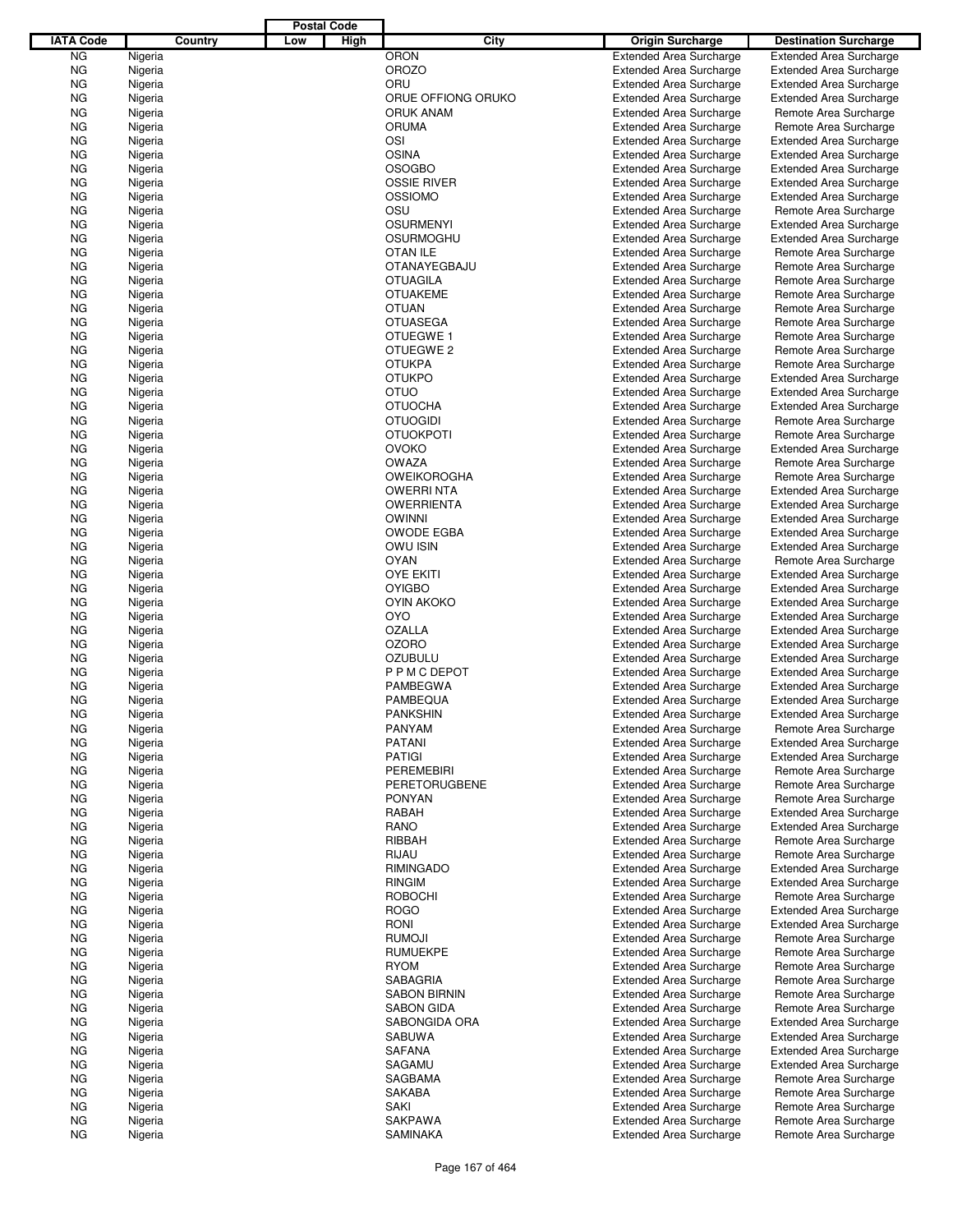|                  |                    |         |     | <b>Postal Code</b> |                                      |                                                                  |                                                |
|------------------|--------------------|---------|-----|--------------------|--------------------------------------|------------------------------------------------------------------|------------------------------------------------|
| <b>IATA Code</b> |                    | Country | Low | High               | City                                 | <b>Origin Surcharge</b>                                          | <b>Destination Surcharge</b>                   |
| <b>NG</b>        | Nigeria            |         |     |                    | <b>ORON</b>                          | <b>Extended Area Surcharge</b>                                   | <b>Extended Area Surcharge</b>                 |
| <b>NG</b>        | Nigeria            |         |     |                    | <b>OROZO</b>                         | <b>Extended Area Surcharge</b>                                   | <b>Extended Area Surcharge</b>                 |
| <b>NG</b>        | Nigeria            |         |     |                    | ORU                                  | <b>Extended Area Surcharge</b>                                   | <b>Extended Area Surcharge</b>                 |
| <b>NG</b>        | Nigeria            |         |     |                    | ORUE OFFIONG ORUKO                   | <b>Extended Area Surcharge</b>                                   | <b>Extended Area Surcharge</b>                 |
| <b>NG</b>        | Nigeria            |         |     |                    | <b>ORUK ANAM</b>                     | <b>Extended Area Surcharge</b>                                   | Remote Area Surcharge                          |
| <b>NG</b>        | Nigeria            |         |     |                    | <b>ORUMA</b>                         | <b>Extended Area Surcharge</b>                                   | Remote Area Surcharge                          |
| ΝG               | Nigeria            |         |     |                    | OSI                                  | <b>Extended Area Surcharge</b>                                   | <b>Extended Area Surcharge</b>                 |
| <b>NG</b>        | Nigeria            |         |     |                    | <b>OSINA</b>                         | <b>Extended Area Surcharge</b>                                   | <b>Extended Area Surcharge</b>                 |
| ΝG               | Nigeria            |         |     |                    | <b>OSOGBO</b>                        | <b>Extended Area Surcharge</b>                                   | <b>Extended Area Surcharge</b>                 |
| ΝG               | Nigeria            |         |     |                    | <b>OSSIE RIVER</b>                   | <b>Extended Area Surcharge</b>                                   | <b>Extended Area Surcharge</b>                 |
| ΝG               | Nigeria            |         |     |                    | <b>OSSIOMO</b>                       | <b>Extended Area Surcharge</b>                                   | <b>Extended Area Surcharge</b>                 |
| <b>NG</b>        | Nigeria            |         |     |                    | OSU                                  | <b>Extended Area Surcharge</b>                                   | Remote Area Surcharge                          |
| ΝG               | Nigeria            |         |     |                    | <b>OSURMENYI</b><br><b>OSURMOGHU</b> | <b>Extended Area Surcharge</b>                                   | <b>Extended Area Surcharge</b>                 |
| <b>NG</b><br>ΝG  | Nigeria<br>Nigeria |         |     |                    | <b>OTAN ILE</b>                      | <b>Extended Area Surcharge</b><br><b>Extended Area Surcharge</b> | <b>Extended Area Surcharge</b>                 |
| <b>NG</b>        | Nigeria            |         |     |                    | <b>OTANAYEGBAJU</b>                  | <b>Extended Area Surcharge</b>                                   | Remote Area Surcharge<br>Remote Area Surcharge |
| ΝG               | Nigeria            |         |     |                    | <b>OTUAGILA</b>                      | <b>Extended Area Surcharge</b>                                   | Remote Area Surcharge                          |
| <b>NG</b>        | Nigeria            |         |     |                    | <b>OTUAKEME</b>                      | <b>Extended Area Surcharge</b>                                   | Remote Area Surcharge                          |
| ΝG               | Nigeria            |         |     |                    | <b>OTUAN</b>                         | <b>Extended Area Surcharge</b>                                   | Remote Area Surcharge                          |
| <b>NG</b>        | Nigeria            |         |     |                    | <b>OTUASEGA</b>                      | <b>Extended Area Surcharge</b>                                   | Remote Area Surcharge                          |
| ΝG               | Nigeria            |         |     |                    | OTUEGWE 1                            | <b>Extended Area Surcharge</b>                                   | Remote Area Surcharge                          |
| <b>NG</b>        | Nigeria            |         |     |                    | OTUEGWE 2                            | <b>Extended Area Surcharge</b>                                   | Remote Area Surcharge                          |
| ΝG               | Nigeria            |         |     |                    | <b>OTUKPA</b>                        | <b>Extended Area Surcharge</b>                                   | Remote Area Surcharge                          |
| <b>NG</b>        | Nigeria            |         |     |                    | <b>OTUKPO</b>                        | <b>Extended Area Surcharge</b>                                   | <b>Extended Area Surcharge</b>                 |
| ΝG               | Nigeria            |         |     |                    | <b>OTUO</b>                          | <b>Extended Area Surcharge</b>                                   | <b>Extended Area Surcharge</b>                 |
| ΝG               | Nigeria            |         |     |                    | <b>OTUOCHA</b>                       | <b>Extended Area Surcharge</b>                                   | <b>Extended Area Surcharge</b>                 |
| ΝG               | Nigeria            |         |     |                    | <b>OTUOGIDI</b>                      | <b>Extended Area Surcharge</b>                                   | Remote Area Surcharge                          |
| <b>NG</b>        | Nigeria            |         |     |                    | <b>OTUOKPOTI</b>                     | <b>Extended Area Surcharge</b>                                   | Remote Area Surcharge                          |
| ΝG               | Nigeria            |         |     |                    | <b>OVOKO</b>                         | <b>Extended Area Surcharge</b>                                   | <b>Extended Area Surcharge</b>                 |
| <b>NG</b>        | Nigeria            |         |     |                    | <b>OWAZA</b>                         | <b>Extended Area Surcharge</b>                                   | Remote Area Surcharge                          |
| ΝG               | Nigeria            |         |     |                    | <b>OWEIKOROGHA</b>                   | <b>Extended Area Surcharge</b>                                   | Remote Area Surcharge                          |
| <b>NG</b>        | Nigeria            |         |     |                    | <b>OWERRINTA</b>                     | <b>Extended Area Surcharge</b>                                   | <b>Extended Area Surcharge</b>                 |
| ΝG               | Nigeria            |         |     |                    | <b>OWERRIENTA</b>                    | <b>Extended Area Surcharge</b>                                   | <b>Extended Area Surcharge</b>                 |
| <b>NG</b>        | Nigeria            |         |     |                    | <b>OWINNI</b>                        | <b>Extended Area Surcharge</b>                                   | <b>Extended Area Surcharge</b>                 |
| ΝG               | Nigeria            |         |     |                    | <b>OWODE EGBA</b>                    | <b>Extended Area Surcharge</b>                                   | <b>Extended Area Surcharge</b>                 |
| <b>NG</b>        | Nigeria            |         |     |                    | <b>OWU ISIN</b>                      | <b>Extended Area Surcharge</b>                                   | <b>Extended Area Surcharge</b>                 |
| ΝG               | Nigeria            |         |     |                    | <b>OYAN</b>                          | <b>Extended Area Surcharge</b>                                   | Remote Area Surcharge                          |
| ΝG               | Nigeria            |         |     |                    | <b>OYE EKITI</b>                     | <b>Extended Area Surcharge</b>                                   | <b>Extended Area Surcharge</b>                 |
| ΝG               | Nigeria            |         |     |                    | <b>OYIGBO</b>                        | <b>Extended Area Surcharge</b>                                   | <b>Extended Area Surcharge</b>                 |
| <b>NG</b>        | Nigeria            |         |     |                    | <b>OYIN AKOKO</b>                    | <b>Extended Area Surcharge</b>                                   | <b>Extended Area Surcharge</b>                 |
| ΝG               | Nigeria            |         |     |                    | <b>OYO</b>                           | <b>Extended Area Surcharge</b>                                   | <b>Extended Area Surcharge</b>                 |
| ΝG               | Nigeria            |         |     |                    | <b>OZALLA</b>                        | <b>Extended Area Surcharge</b>                                   | <b>Extended Area Surcharge</b>                 |
| ΝG               | Nigeria            |         |     |                    | <b>OZORO</b>                         | <b>Extended Area Surcharge</b>                                   | <b>Extended Area Surcharge</b>                 |
| ΝG               | Nigeria            |         |     |                    | <b>OZUBULU</b>                       | <b>Extended Area Surcharge</b>                                   | <b>Extended Area Surcharge</b>                 |
| ΝG               | Nigeria            |         |     |                    | P P M C DEPOT                        | <b>Extended Area Surcharge</b>                                   | <b>Extended Area Surcharge</b>                 |
| ΝG               | Nigeria            |         |     |                    | <b>PAMBEGWA</b>                      | <b>Extended Area Surcharge</b>                                   | <b>Extended Area Surcharge</b>                 |
| ΝG               | Nigeria            |         |     |                    | PAMBEQUA                             | <b>Extended Area Surcharge</b>                                   | <b>Extended Area Surcharge</b>                 |
| <b>NG</b>        | Nigeria            |         |     |                    | <b>PANKSHIN</b>                      | <b>Extended Area Surcharge</b>                                   | <b>Extended Area Surcharge</b>                 |
| ΝG               | Nigeria            |         |     |                    | PANYAM                               | <b>Extended Area Surcharge</b>                                   | Remote Area Surcharge                          |
| ΝG               | Nigeria            |         |     |                    | <b>PATANI</b>                        | <b>Extended Area Surcharge</b>                                   | <b>Extended Area Surcharge</b>                 |
| ΝG               | Nigeria            |         |     |                    | <b>PATIGI</b>                        | <b>Extended Area Surcharge</b>                                   | <b>Extended Area Surcharge</b>                 |
| ΝG               | Nigeria            |         |     |                    | <b>PEREMEBIRI</b>                    | <b>Extended Area Surcharge</b>                                   | Remote Area Surcharge                          |
| ΝG               | Nigeria            |         |     |                    | <b>PERETORUGBENE</b>                 | <b>Extended Area Surcharge</b>                                   | Remote Area Surcharge                          |
| ΝG               | Nigeria            |         |     |                    | <b>PONYAN</b>                        | <b>Extended Area Surcharge</b>                                   | Remote Area Surcharge                          |
| ΝG               | Nigeria            |         |     |                    | RABAH                                | <b>Extended Area Surcharge</b>                                   | <b>Extended Area Surcharge</b>                 |
| ΝG               | Nigeria            |         |     |                    | <b>RANO</b>                          | <b>Extended Area Surcharge</b>                                   | <b>Extended Area Surcharge</b>                 |
| ΝG               | Nigeria            |         |     |                    | RIBBAH                               | <b>Extended Area Surcharge</b>                                   | Remote Area Surcharge                          |
| ΝG               | Nigeria            |         |     |                    | RIJAU                                | <b>Extended Area Surcharge</b>                                   | Remote Area Surcharge                          |
| ΝG               | Nigeria            |         |     |                    | <b>RIMINGADO</b>                     | <b>Extended Area Surcharge</b>                                   | <b>Extended Area Surcharge</b>                 |
| ΝG               | Nigeria            |         |     |                    | <b>RINGIM</b>                        | <b>Extended Area Surcharge</b>                                   | <b>Extended Area Surcharge</b>                 |
| ΝG               | Nigeria            |         |     |                    | <b>ROBOCHI</b>                       | <b>Extended Area Surcharge</b>                                   | Remote Area Surcharge                          |
| ΝG               | Nigeria            |         |     |                    | <b>ROGO</b>                          | <b>Extended Area Surcharge</b>                                   | <b>Extended Area Surcharge</b>                 |
| ΝG               | Nigeria            |         |     |                    | RONI                                 | <b>Extended Area Surcharge</b>                                   | <b>Extended Area Surcharge</b>                 |
| ΝG               | Nigeria            |         |     |                    | <b>RUMOJI</b>                        | <b>Extended Area Surcharge</b>                                   | Remote Area Surcharge                          |
| ΝG               | Nigeria            |         |     |                    | <b>RUMUEKPE</b>                      | <b>Extended Area Surcharge</b>                                   | Remote Area Surcharge                          |
| ΝG               | Nigeria            |         |     |                    | <b>RYOM</b>                          | <b>Extended Area Surcharge</b>                                   | Remote Area Surcharge                          |
| ΝG               | Nigeria            |         |     |                    | SABAGRIA                             | <b>Extended Area Surcharge</b>                                   | Remote Area Surcharge                          |
| ΝG               | Nigeria            |         |     |                    | <b>SABON BIRNIN</b>                  | <b>Extended Area Surcharge</b>                                   | Remote Area Surcharge                          |
| ΝG               | Nigeria            |         |     |                    | <b>SABON GIDA</b>                    | <b>Extended Area Surcharge</b>                                   | Remote Area Surcharge                          |
| ΝG               | Nigeria            |         |     |                    | SABONGIDA ORA                        | <b>Extended Area Surcharge</b>                                   | <b>Extended Area Surcharge</b>                 |
| ΝG               | Nigeria            |         |     |                    | <b>SABUWA</b>                        | <b>Extended Area Surcharge</b>                                   | <b>Extended Area Surcharge</b>                 |
| ΝG               | Nigeria            |         |     |                    | <b>SAFANA</b>                        | <b>Extended Area Surcharge</b>                                   | <b>Extended Area Surcharge</b>                 |
| ΝG               | Nigeria            |         |     |                    | SAGAMU                               | <b>Extended Area Surcharge</b>                                   | <b>Extended Area Surcharge</b>                 |
| ΝG               | Nigeria            |         |     |                    | SAGBAMA                              | <b>Extended Area Surcharge</b>                                   | Remote Area Surcharge                          |
| ΝG               | Nigeria            |         |     |                    | <b>SAKABA</b>                        | <b>Extended Area Surcharge</b>                                   | Remote Area Surcharge                          |
| ΝG               | Nigeria            |         |     |                    | <b>SAKI</b>                          | <b>Extended Area Surcharge</b>                                   | Remote Area Surcharge                          |
| ΝG               | Nigeria            |         |     |                    | <b>SAKPAWA</b>                       | <b>Extended Area Surcharge</b>                                   | Remote Area Surcharge                          |
| ΝG               | Nigeria            |         |     |                    | SAMINAKA                             | <b>Extended Area Surcharge</b>                                   | Remote Area Surcharge                          |
|                  |                    |         |     |                    |                                      |                                                                  |                                                |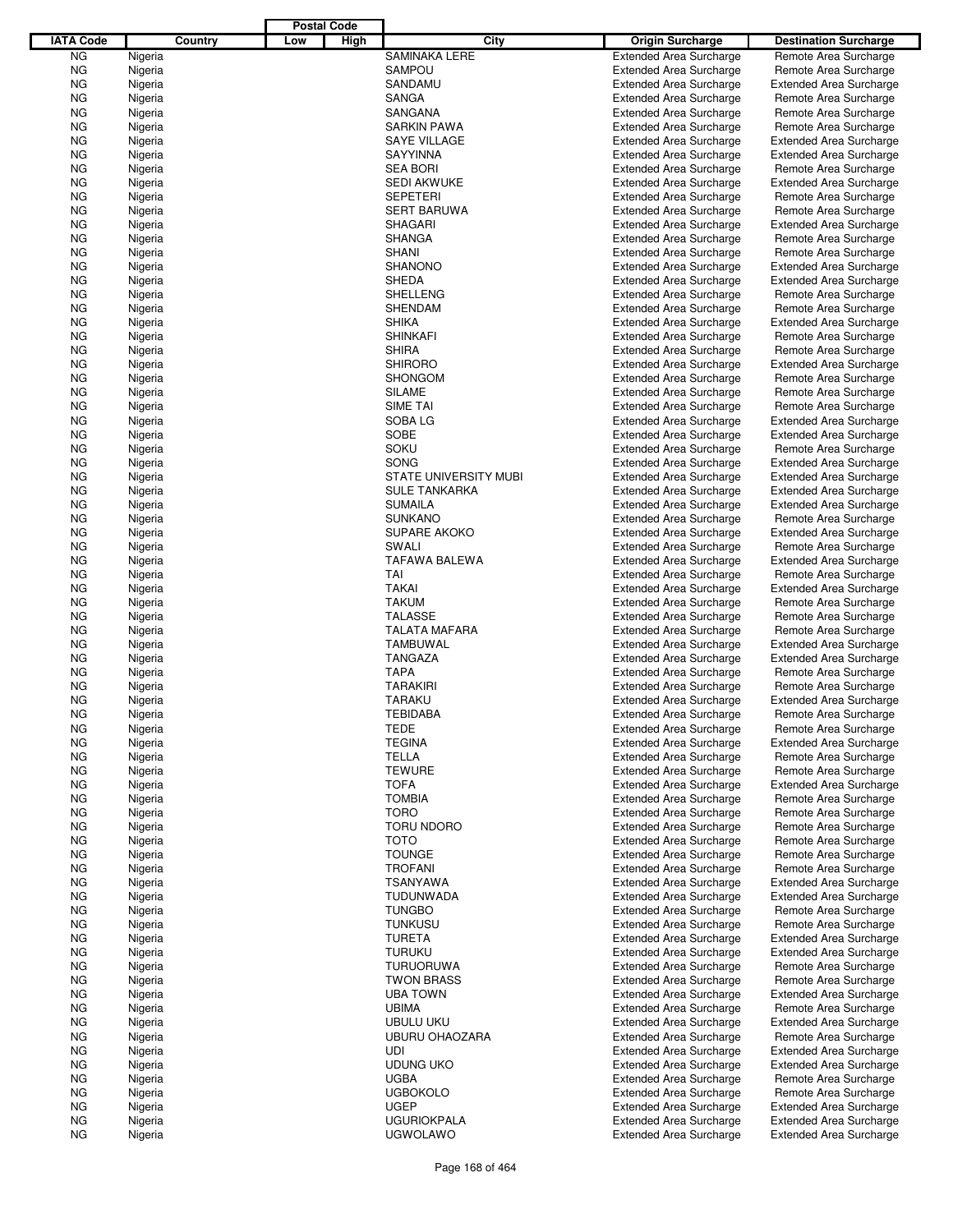|                  |                    |         |     | <b>Postal Code</b> |                                |                                                                  |                                                                  |
|------------------|--------------------|---------|-----|--------------------|--------------------------------|------------------------------------------------------------------|------------------------------------------------------------------|
| <b>IATA Code</b> |                    | Country | Low | High               | City                           | Origin Surcharge                                                 | <b>Destination Surcharge</b>                                     |
| NG               | Nigeria            |         |     |                    | <b>SAMINAKA LERE</b>           | <b>Extended Area Surcharge</b>                                   | Remote Area Surcharge                                            |
| ΝG               | Nigeria            |         |     |                    | <b>SAMPOU</b>                  | <b>Extended Area Surcharge</b>                                   | Remote Area Surcharge                                            |
| ΝG               | Nigeria            |         |     |                    | SANDAMU                        | <b>Extended Area Surcharge</b>                                   | <b>Extended Area Surcharge</b>                                   |
| ΝG               | Nigeria            |         |     |                    | SANGA                          | <b>Extended Area Surcharge</b>                                   | Remote Area Surcharge                                            |
| ΝG               | Nigeria            |         |     |                    | SANGANA                        | <b>Extended Area Surcharge</b>                                   | Remote Area Surcharge                                            |
| ΝG               | Nigeria            |         |     |                    | <b>SARKIN PAWA</b>             | <b>Extended Area Surcharge</b>                                   | Remote Area Surcharge                                            |
| ΝG               | Nigeria            |         |     |                    | <b>SAYE VILLAGE</b>            | <b>Extended Area Surcharge</b>                                   | <b>Extended Area Surcharge</b>                                   |
| ΝG               | Nigeria            |         |     |                    | <b>SAYYINNA</b>                | <b>Extended Area Surcharge</b>                                   | <b>Extended Area Surcharge</b>                                   |
| ΝG               | Nigeria            |         |     |                    | <b>SEA BORI</b>                | <b>Extended Area Surcharge</b>                                   | Remote Area Surcharge                                            |
| ΝG               | Nigeria            |         |     |                    | <b>SEDI AKWUKE</b>             | <b>Extended Area Surcharge</b>                                   | <b>Extended Area Surcharge</b>                                   |
| ΝG               | Nigeria            |         |     |                    | <b>SEPETERI</b>                | <b>Extended Area Surcharge</b>                                   | Remote Area Surcharge                                            |
| ΝG               | Nigeria            |         |     |                    | <b>SERT BARUWA</b>             | <b>Extended Area Surcharge</b>                                   | Remote Area Surcharge                                            |
| ΝG               | Nigeria            |         |     |                    | <b>SHAGARI</b>                 | <b>Extended Area Surcharge</b>                                   | <b>Extended Area Surcharge</b>                                   |
| ΝG               | Nigeria            |         |     |                    | <b>SHANGA</b>                  | <b>Extended Area Surcharge</b>                                   | Remote Area Surcharge                                            |
| ΝG<br>ΝG         | Nigeria<br>Nigeria |         |     |                    | <b>SHANI</b><br><b>SHANONO</b> | <b>Extended Area Surcharge</b><br><b>Extended Area Surcharge</b> | Remote Area Surcharge                                            |
| ΝG               | Nigeria            |         |     |                    | <b>SHEDA</b>                   | <b>Extended Area Surcharge</b>                                   | <b>Extended Area Surcharge</b><br><b>Extended Area Surcharge</b> |
| ΝG               | Nigeria            |         |     |                    | <b>SHELLENG</b>                | <b>Extended Area Surcharge</b>                                   | Remote Area Surcharge                                            |
| ΝG               | Nigeria            |         |     |                    | <b>SHENDAM</b>                 | <b>Extended Area Surcharge</b>                                   | Remote Area Surcharge                                            |
| ΝG               | Nigeria            |         |     |                    | <b>SHIKA</b>                   | <b>Extended Area Surcharge</b>                                   | <b>Extended Area Surcharge</b>                                   |
| ΝG               | Nigeria            |         |     |                    | <b>SHINKAFI</b>                | <b>Extended Area Surcharge</b>                                   | Remote Area Surcharge                                            |
| ΝG               | Nigeria            |         |     |                    | <b>SHIRA</b>                   | <b>Extended Area Surcharge</b>                                   | Remote Area Surcharge                                            |
| ΝG               | Nigeria            |         |     |                    | <b>SHIRORO</b>                 | <b>Extended Area Surcharge</b>                                   | <b>Extended Area Surcharge</b>                                   |
| ΝG               | Nigeria            |         |     |                    | <b>SHONGOM</b>                 | <b>Extended Area Surcharge</b>                                   | Remote Area Surcharge                                            |
| ΝG               | Nigeria            |         |     |                    | <b>SILAME</b>                  | <b>Extended Area Surcharge</b>                                   | Remote Area Surcharge                                            |
| ΝG               | Nigeria            |         |     |                    | SIME TAI                       | <b>Extended Area Surcharge</b>                                   | Remote Area Surcharge                                            |
| ΝG               | Nigeria            |         |     |                    | SOBA LG                        | <b>Extended Area Surcharge</b>                                   | <b>Extended Area Surcharge</b>                                   |
| ΝG               | Nigeria            |         |     |                    | <b>SOBE</b>                    | <b>Extended Area Surcharge</b>                                   | <b>Extended Area Surcharge</b>                                   |
| ΝG               | Nigeria            |         |     |                    | <b>SOKU</b>                    | <b>Extended Area Surcharge</b>                                   | Remote Area Surcharge                                            |
| ΝG               | Nigeria            |         |     |                    | SONG                           | <b>Extended Area Surcharge</b>                                   | <b>Extended Area Surcharge</b>                                   |
| ΝG               | Nigeria            |         |     |                    | <b>STATE UNIVERSITY MUBI</b>   | <b>Extended Area Surcharge</b>                                   | <b>Extended Area Surcharge</b>                                   |
| ΝG               | Nigeria            |         |     |                    | <b>SULE TANKARKA</b>           | <b>Extended Area Surcharge</b>                                   | <b>Extended Area Surcharge</b>                                   |
| ΝG               | Nigeria            |         |     |                    | <b>SUMAILA</b>                 | <b>Extended Area Surcharge</b>                                   | <b>Extended Area Surcharge</b>                                   |
| ΝG               | Nigeria            |         |     |                    | <b>SUNKANO</b>                 | <b>Extended Area Surcharge</b>                                   | Remote Area Surcharge                                            |
| ΝG               | Nigeria            |         |     |                    | <b>SUPARE AKOKO</b>            | <b>Extended Area Surcharge</b>                                   | <b>Extended Area Surcharge</b>                                   |
| ΝG               | Nigeria            |         |     |                    | SWALI                          | <b>Extended Area Surcharge</b>                                   | Remote Area Surcharge                                            |
| ΝG               | Nigeria            |         |     |                    | <b>TAFAWA BALEWA</b>           | <b>Extended Area Surcharge</b>                                   | <b>Extended Area Surcharge</b>                                   |
| ΝG               | Nigeria            |         |     |                    | TAI                            | <b>Extended Area Surcharge</b>                                   | Remote Area Surcharge                                            |
| ΝG               | Nigeria            |         |     |                    | <b>TAKAI</b>                   | <b>Extended Area Surcharge</b>                                   | <b>Extended Area Surcharge</b>                                   |
| ΝG               | Nigeria            |         |     |                    | <b>TAKUM</b>                   | <b>Extended Area Surcharge</b>                                   | Remote Area Surcharge                                            |
| ΝG               | Nigeria            |         |     |                    | <b>TALASSE</b>                 | <b>Extended Area Surcharge</b>                                   | Remote Area Surcharge                                            |
| ΝG               | Nigeria            |         |     |                    | <b>TALATA MAFARA</b>           | <b>Extended Area Surcharge</b>                                   | Remote Area Surcharge                                            |
| ΝG               | Nigeria            |         |     |                    | <b>TAMBUWAL</b>                | <b>Extended Area Surcharge</b>                                   | <b>Extended Area Surcharge</b>                                   |
| ΝG               | Nigeria            |         |     |                    | <b>TANGAZA</b>                 | <b>Extended Area Surcharge</b>                                   | <b>Extended Area Surcharge</b>                                   |
| ΝG               | Nigeria            |         |     |                    | <b>TAPA</b>                    | <b>Extended Area Surcharge</b>                                   | Remote Area Surcharge                                            |
| ΝG               | Nigeria            |         |     |                    | <b>TARAKIRI</b>                | <b>Extended Area Surcharge</b>                                   | Remote Area Surcharge                                            |
| ΝG               | Nigeria            |         |     |                    | <b>TARAKU</b>                  | <b>Extended Area Surcharge</b>                                   | <b>Extended Area Surcharge</b>                                   |
| ΝG               | Nigeria            |         |     |                    | <b>TEBIDABA</b>                | <b>Extended Area Surcharge</b>                                   | Remote Area Surcharge                                            |
| ΝG               | Nigeria            |         |     |                    | <b>TEDE</b>                    | <b>Extended Area Surcharge</b>                                   | Remote Area Surcharge                                            |
| ΝG               | Nigeria            |         |     |                    | <b>TEGINA</b>                  | <b>Extended Area Surcharge</b>                                   | <b>Extended Area Surcharge</b>                                   |
| ΝG               | Nigeria            |         |     |                    | <b>TELLA</b><br><b>TEWURE</b>  | <b>Extended Area Surcharge</b><br><b>Extended Area Surcharge</b> | Remote Area Surcharge<br>Remote Area Surcharge                   |
| ΝG               | Nigeria            |         |     |                    | <b>TOFA</b>                    |                                                                  | <b>Extended Area Surcharge</b>                                   |
| ΝG<br>ΝG         | Nigeria<br>Nigeria |         |     |                    | <b>TOMBIA</b>                  | <b>Extended Area Surcharge</b><br><b>Extended Area Surcharge</b> | Remote Area Surcharge                                            |
| ΝG               | Nigeria            |         |     |                    | <b>TORO</b>                    | <b>Extended Area Surcharge</b>                                   | Remote Area Surcharge                                            |
| ΝG               | Nigeria            |         |     |                    | <b>TORU NDORO</b>              | <b>Extended Area Surcharge</b>                                   | Remote Area Surcharge                                            |
| ΝG               | Nigeria            |         |     |                    | <b>TOTO</b>                    | <b>Extended Area Surcharge</b>                                   | Remote Area Surcharge                                            |
| ΝG               | Nigeria            |         |     |                    | <b>TOUNGE</b>                  | <b>Extended Area Surcharge</b>                                   | Remote Area Surcharge                                            |
| ΝG               | Nigeria            |         |     |                    | <b>TROFANI</b>                 | <b>Extended Area Surcharge</b>                                   | Remote Area Surcharge                                            |
| ΝG               | Nigeria            |         |     |                    | <b>TSANYAWA</b>                | <b>Extended Area Surcharge</b>                                   | <b>Extended Area Surcharge</b>                                   |
| ΝG               | Nigeria            |         |     |                    | TUDUNWADA                      | <b>Extended Area Surcharge</b>                                   | <b>Extended Area Surcharge</b>                                   |
| ΝG               | Nigeria            |         |     |                    | <b>TUNGBO</b>                  | <b>Extended Area Surcharge</b>                                   | Remote Area Surcharge                                            |
| ΝG               | Nigeria            |         |     |                    | <b>TUNKUSU</b>                 | <b>Extended Area Surcharge</b>                                   | Remote Area Surcharge                                            |
| ΝG               | Nigeria            |         |     |                    | <b>TURETA</b>                  | <b>Extended Area Surcharge</b>                                   | <b>Extended Area Surcharge</b>                                   |
| ΝG               | Nigeria            |         |     |                    | <b>TURUKU</b>                  | <b>Extended Area Surcharge</b>                                   | <b>Extended Area Surcharge</b>                                   |
| ΝG               | Nigeria            |         |     |                    | <b>TURUORUWA</b>               | <b>Extended Area Surcharge</b>                                   | Remote Area Surcharge                                            |
| ΝG               | Nigeria            |         |     |                    | <b>TWON BRASS</b>              | <b>Extended Area Surcharge</b>                                   | Remote Area Surcharge                                            |
| ΝG               | Nigeria            |         |     |                    | <b>UBA TOWN</b>                | <b>Extended Area Surcharge</b>                                   | <b>Extended Area Surcharge</b>                                   |
| ΝG               | Nigeria            |         |     |                    | <b>UBIMA</b>                   | <b>Extended Area Surcharge</b>                                   | Remote Area Surcharge                                            |
| ΝG               | Nigeria            |         |     |                    | <b>UBULU UKU</b>               | <b>Extended Area Surcharge</b>                                   | <b>Extended Area Surcharge</b>                                   |
| ΝG               | Nigeria            |         |     |                    | <b>UBURU OHAOZARA</b>          | <b>Extended Area Surcharge</b>                                   | Remote Area Surcharge                                            |
| ΝG               | Nigeria            |         |     |                    | <b>UDI</b>                     | <b>Extended Area Surcharge</b>                                   | <b>Extended Area Surcharge</b>                                   |
| ΝG               | Nigeria            |         |     |                    | <b>UDUNG UKO</b>               | <b>Extended Area Surcharge</b>                                   | <b>Extended Area Surcharge</b>                                   |
| ΝG               | Nigeria            |         |     |                    | <b>UGBA</b>                    | <b>Extended Area Surcharge</b>                                   | Remote Area Surcharge                                            |
| ΝG               | Nigeria            |         |     |                    | <b>UGBOKOLO</b>                | <b>Extended Area Surcharge</b>                                   | Remote Area Surcharge                                            |
| ΝG               | Nigeria            |         |     |                    | <b>UGEP</b>                    | <b>Extended Area Surcharge</b>                                   | <b>Extended Area Surcharge</b>                                   |
| ΝG               | Nigeria            |         |     |                    | <b>UGURIOKPALA</b>             | <b>Extended Area Surcharge</b>                                   | <b>Extended Area Surcharge</b>                                   |
| ΝG               | Nigeria            |         |     |                    | <b>UGWOLAWO</b>                | <b>Extended Area Surcharge</b>                                   | <b>Extended Area Surcharge</b>                                   |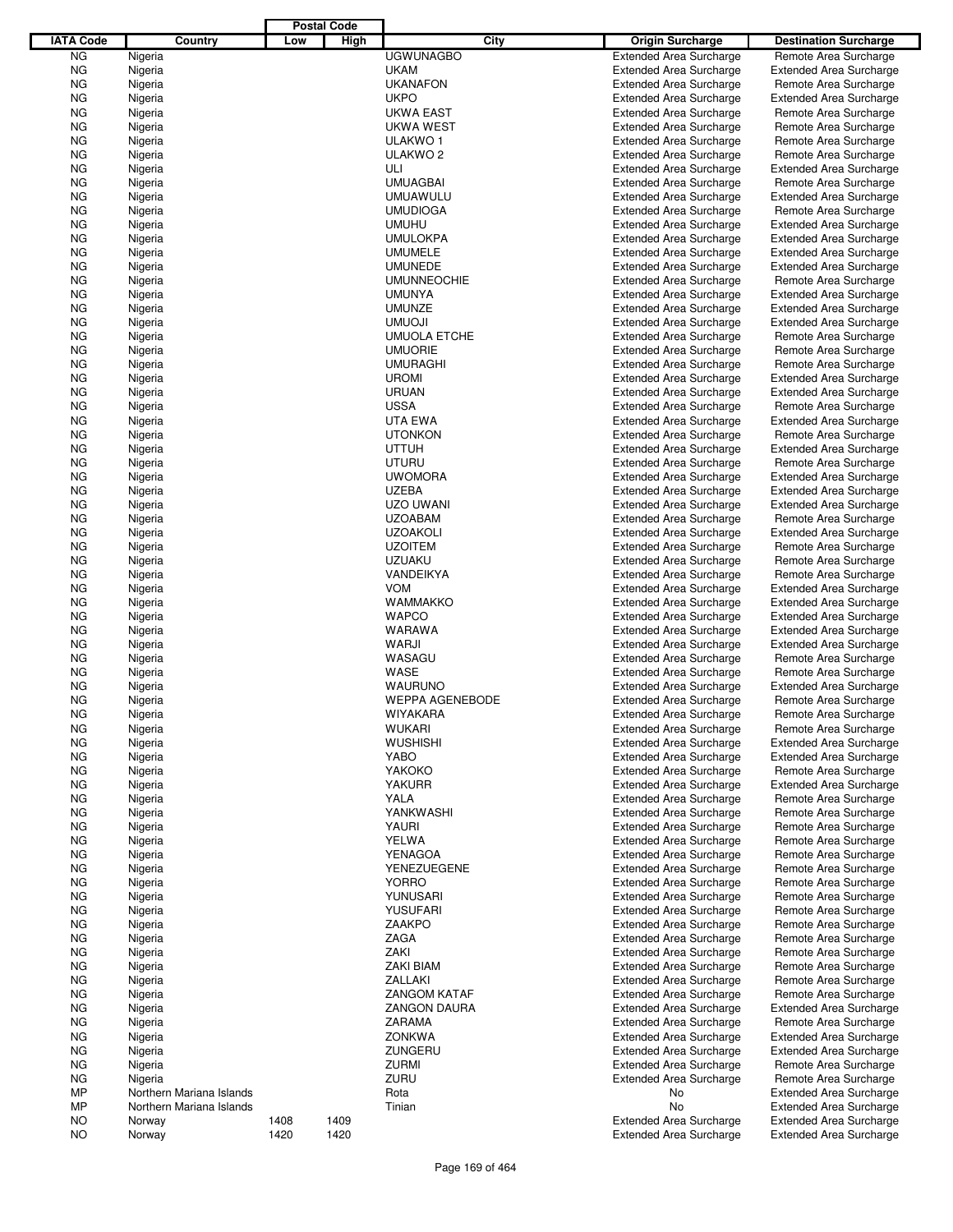|                  |                          |      | <b>Postal Code</b> |                                     |                                                                  |                                                         |
|------------------|--------------------------|------|--------------------|-------------------------------------|------------------------------------------------------------------|---------------------------------------------------------|
| <b>IATA Code</b> | Country                  | Low  | High               | City                                | <b>Origin Surcharge</b>                                          | <b>Destination Surcharge</b>                            |
| ΝG               | Nigeria                  |      |                    | <b>UGWUNAGBO</b>                    | <b>Extended Area Surcharge</b>                                   | Remote Area Surcharge                                   |
| ΝG               | Nigeria                  |      |                    | <b>UKAM</b>                         | <b>Extended Area Surcharge</b>                                   | <b>Extended Area Surcharge</b>                          |
| ΝG               | Nigeria                  |      |                    | <b>UKANAFON</b>                     | <b>Extended Area Surcharge</b>                                   | Remote Area Surcharge                                   |
| ΝG               | Nigeria                  |      |                    | <b>UKPO</b>                         | <b>Extended Area Surcharge</b>                                   | <b>Extended Area Surcharge</b>                          |
| ΝG               | Nigeria                  |      |                    | <b>UKWA EAST</b>                    | <b>Extended Area Surcharge</b>                                   | Remote Area Surcharge                                   |
| ΝG               | Nigeria                  |      |                    | UKWA WEST                           | <b>Extended Area Surcharge</b>                                   | Remote Area Surcharge                                   |
| ΝG               | Nigeria                  |      |                    | ULAKWO 1                            | <b>Extended Area Surcharge</b>                                   | Remote Area Surcharge                                   |
| ΝG               | Nigeria                  |      |                    | ULAKWO <sub>2</sub>                 | <b>Extended Area Surcharge</b>                                   | Remote Area Surcharge                                   |
| ΝG               | Nigeria                  |      |                    | ULI                                 | <b>Extended Area Surcharge</b>                                   | <b>Extended Area Surcharge</b>                          |
| ΝG               | Nigeria                  |      |                    | <b>UMUAGBAI</b>                     | <b>Extended Area Surcharge</b>                                   | Remote Area Surcharge                                   |
| ΝG               | Nigeria                  |      |                    | <b>UMUAWULU</b>                     | <b>Extended Area Surcharge</b>                                   | <b>Extended Area Surcharge</b>                          |
| ΝG               | Nigeria                  |      |                    | <b>UMUDIOGA</b>                     | <b>Extended Area Surcharge</b>                                   | Remote Area Surcharge                                   |
| ΝG               | Nigeria                  |      |                    | <b>UMUHU</b>                        | <b>Extended Area Surcharge</b>                                   | <b>Extended Area Surcharge</b>                          |
| ΝG               | Nigeria                  |      |                    | <b>UMULOKPA</b>                     | <b>Extended Area Surcharge</b>                                   | <b>Extended Area Surcharge</b>                          |
| ΝG               | Nigeria                  |      |                    | <b>UMUMELE</b>                      | <b>Extended Area Surcharge</b>                                   | <b>Extended Area Surcharge</b>                          |
| ΝG               | Nigeria                  |      |                    | <b>UMUNEDE</b>                      | <b>Extended Area Surcharge</b>                                   | <b>Extended Area Surcharge</b>                          |
| ΝG<br>ΝG         | Nigeria<br>Nigeria       |      |                    | <b>UMUNNEOCHIE</b><br><b>UMUNYA</b> | <b>Extended Area Surcharge</b><br><b>Extended Area Surcharge</b> | Remote Area Surcharge<br><b>Extended Area Surcharge</b> |
| ΝG               | Nigeria                  |      |                    | <b>UMUNZE</b>                       | <b>Extended Area Surcharge</b>                                   | <b>Extended Area Surcharge</b>                          |
| ΝG               | Nigeria                  |      |                    | <b>UMUOJI</b>                       | <b>Extended Area Surcharge</b>                                   | <b>Extended Area Surcharge</b>                          |
| ΝG               | Nigeria                  |      |                    | <b>UMUOLA ETCHE</b>                 | <b>Extended Area Surcharge</b>                                   | Remote Area Surcharge                                   |
| ΝG               | Nigeria                  |      |                    | <b>UMUORIE</b>                      | <b>Extended Area Surcharge</b>                                   | Remote Area Surcharge                                   |
| ΝG               | Nigeria                  |      |                    | <b>UMURAGHI</b>                     | <b>Extended Area Surcharge</b>                                   | Remote Area Surcharge                                   |
| ΝG               | Nigeria                  |      |                    | <b>UROMI</b>                        | <b>Extended Area Surcharge</b>                                   | <b>Extended Area Surcharge</b>                          |
| ΝG               | Nigeria                  |      |                    | <b>URUAN</b>                        | <b>Extended Area Surcharge</b>                                   | <b>Extended Area Surcharge</b>                          |
| ΝG               | Nigeria                  |      |                    | <b>USSA</b>                         | <b>Extended Area Surcharge</b>                                   | Remote Area Surcharge                                   |
| ΝG               | Nigeria                  |      |                    | UTA EWA                             | <b>Extended Area Surcharge</b>                                   | <b>Extended Area Surcharge</b>                          |
| ΝG               | Nigeria                  |      |                    | <b>UTONKON</b>                      | <b>Extended Area Surcharge</b>                                   | Remote Area Surcharge                                   |
| ΝG               | Nigeria                  |      |                    | <b>UTTUH</b>                        | <b>Extended Area Surcharge</b>                                   | <b>Extended Area Surcharge</b>                          |
| ΝG               | Nigeria                  |      |                    | <b>UTURU</b>                        | <b>Extended Area Surcharge</b>                                   | Remote Area Surcharge                                   |
| ΝG               | Nigeria                  |      |                    | <b>UWOMORA</b>                      | <b>Extended Area Surcharge</b>                                   | <b>Extended Area Surcharge</b>                          |
| ΝG               | Nigeria                  |      |                    | <b>UZEBA</b>                        | <b>Extended Area Surcharge</b>                                   | <b>Extended Area Surcharge</b>                          |
| ΝG               | Nigeria                  |      |                    | UZO UWANI                           | <b>Extended Area Surcharge</b>                                   | <b>Extended Area Surcharge</b>                          |
| ΝG               | Nigeria                  |      |                    | <b>UZOABAM</b>                      | <b>Extended Area Surcharge</b>                                   | Remote Area Surcharge                                   |
| ΝG               | Nigeria                  |      |                    | <b>UZOAKOLI</b>                     | <b>Extended Area Surcharge</b>                                   | <b>Extended Area Surcharge</b>                          |
| ΝG               | Nigeria                  |      |                    | <b>UZOITEM</b>                      | <b>Extended Area Surcharge</b>                                   | Remote Area Surcharge                                   |
| ΝG               | Nigeria                  |      |                    | <b>UZUAKU</b>                       | <b>Extended Area Surcharge</b>                                   | Remote Area Surcharge                                   |
| ΝG               | Nigeria                  |      |                    | VANDEIKYA                           | <b>Extended Area Surcharge</b>                                   | Remote Area Surcharge                                   |
| ΝG               | Nigeria                  |      |                    | <b>VOM</b>                          | <b>Extended Area Surcharge</b>                                   | <b>Extended Area Surcharge</b>                          |
| ΝG               | Nigeria                  |      |                    | <b>WAMMAKKO</b>                     | <b>Extended Area Surcharge</b>                                   | <b>Extended Area Surcharge</b>                          |
| ΝG               | Nigeria                  |      |                    | <b>WAPCO</b>                        | <b>Extended Area Surcharge</b>                                   | <b>Extended Area Surcharge</b>                          |
| ΝG               | Nigeria                  |      |                    | <b>WARAWA</b>                       | <b>Extended Area Surcharge</b>                                   | <b>Extended Area Surcharge</b>                          |
| ΝG               | Nigeria                  |      |                    | WARJI                               | <b>Extended Area Surcharge</b>                                   | <b>Extended Area Surcharge</b>                          |
| ΝG               | Nigeria                  |      |                    | WASAGU                              | <b>Extended Area Surcharge</b>                                   | Remote Area Surcharge                                   |
| ΝG               | Nigeria                  |      |                    | WASE                                | <b>Extended Area Surcharge</b>                                   | Remote Area Surcharge                                   |
| ΝG               | Nigeria                  |      |                    | <b>WAURUNO</b>                      | <b>Extended Area Surcharge</b>                                   | <b>Extended Area Surcharge</b>                          |
| ΝG               | Nigeria                  |      |                    | <b>WEPPA AGENEBODE</b>              | <b>Extended Area Surcharge</b>                                   | Remote Area Surcharge                                   |
| NG               | Nigeria                  |      |                    | WIYAKARA                            | <b>Extended Area Surcharge</b>                                   | Remote Area Surcharge                                   |
| ΝG               | Nigeria                  |      |                    | <b>WUKARI</b>                       | <b>Extended Area Surcharge</b>                                   | Remote Area Surcharge                                   |
| ΝG               | Nigeria                  |      |                    | <b>WUSHISHI</b>                     | <b>Extended Area Surcharge</b>                                   | <b>Extended Area Surcharge</b>                          |
| ΝG               | Nigeria                  |      |                    | YABO                                | <b>Extended Area Surcharge</b>                                   | <b>Extended Area Surcharge</b>                          |
| ΝG               | Nigeria                  |      |                    | YAKOKO                              | <b>Extended Area Surcharge</b>                                   | Remote Area Surcharge                                   |
| ΝG               | Nigeria                  |      |                    | <b>YAKURR</b>                       | <b>Extended Area Surcharge</b>                                   | <b>Extended Area Surcharge</b>                          |
| ΝG               | Nigeria                  |      |                    | YALA                                | <b>Extended Area Surcharge</b>                                   | Remote Area Surcharge                                   |
| ΝG               | Nigeria                  |      |                    | YANKWASHI                           | <b>Extended Area Surcharge</b>                                   | Remote Area Surcharge                                   |
| ΝG               | Nigeria                  |      |                    | YAURI                               | <b>Extended Area Surcharge</b><br><b>Extended Area Surcharge</b> | Remote Area Surcharge                                   |
| ΝG               | Nigeria                  |      |                    | <b>YELWA</b><br><b>YENAGOA</b>      |                                                                  | Remote Area Surcharge<br>Remote Area Surcharge          |
| ΝG               | Nigeria                  |      |                    | <b>YENEZUEGENE</b>                  | <b>Extended Area Surcharge</b>                                   |                                                         |
| ΝG<br>ΝG         | Nigeria<br>Nigeria       |      |                    | <b>YORRO</b>                        | <b>Extended Area Surcharge</b><br><b>Extended Area Surcharge</b> | Remote Area Surcharge<br>Remote Area Surcharge          |
| ΝG               | Nigeria                  |      |                    | YUNUSARI                            | <b>Extended Area Surcharge</b>                                   | Remote Area Surcharge                                   |
| ΝG               | Nigeria                  |      |                    | <b>YUSUFARI</b>                     | <b>Extended Area Surcharge</b>                                   | Remote Area Surcharge                                   |
| ΝG               | Nigeria                  |      |                    | ZAAKPO                              | <b>Extended Area Surcharge</b>                                   | Remote Area Surcharge                                   |
| ΝG               | Nigeria                  |      |                    | ZAGA                                | <b>Extended Area Surcharge</b>                                   | Remote Area Surcharge                                   |
| ΝG               | Nigeria                  |      |                    | ZAKI                                | <b>Extended Area Surcharge</b>                                   | Remote Area Surcharge                                   |
| ΝG               | Nigeria                  |      |                    | <b>ZAKI BIAM</b>                    | <b>Extended Area Surcharge</b>                                   | Remote Area Surcharge                                   |
| ΝG               | Nigeria                  |      |                    | ZALLAKI                             | <b>Extended Area Surcharge</b>                                   | Remote Area Surcharge                                   |
| ΝG               | Nigeria                  |      |                    | <b>ZANGOM KATAF</b>                 | <b>Extended Area Surcharge</b>                                   | Remote Area Surcharge                                   |
| ΝG               | Nigeria                  |      |                    | <b>ZANGON DAURA</b>                 | <b>Extended Area Surcharge</b>                                   | <b>Extended Area Surcharge</b>                          |
| ΝG               | Nigeria                  |      |                    | ZARAMA                              | <b>Extended Area Surcharge</b>                                   | Remote Area Surcharge                                   |
| ΝG               | Nigeria                  |      |                    | <b>ZONKWA</b>                       | <b>Extended Area Surcharge</b>                                   | <b>Extended Area Surcharge</b>                          |
| ΝG               | Nigeria                  |      |                    | ZUNGERU                             | <b>Extended Area Surcharge</b>                                   | <b>Extended Area Surcharge</b>                          |
| ΝG               | Nigeria                  |      |                    | <b>ZURMI</b>                        | <b>Extended Area Surcharge</b>                                   | Remote Area Surcharge                                   |
| ΝG               | Nigeria                  |      |                    | ZURU                                | <b>Extended Area Surcharge</b>                                   | Remote Area Surcharge                                   |
| МP               | Northern Mariana Islands |      |                    | Rota                                | No                                                               | <b>Extended Area Surcharge</b>                          |
| МP               | Northern Mariana Islands |      |                    | Tinian                              | No                                                               | <b>Extended Area Surcharge</b>                          |
| NO               | Norway                   | 1408 | 1409               |                                     | <b>Extended Area Surcharge</b>                                   | <b>Extended Area Surcharge</b>                          |
| NO.              | Norway                   | 1420 | 1420               |                                     | <b>Extended Area Surcharge</b>                                   | <b>Extended Area Surcharge</b>                          |

J,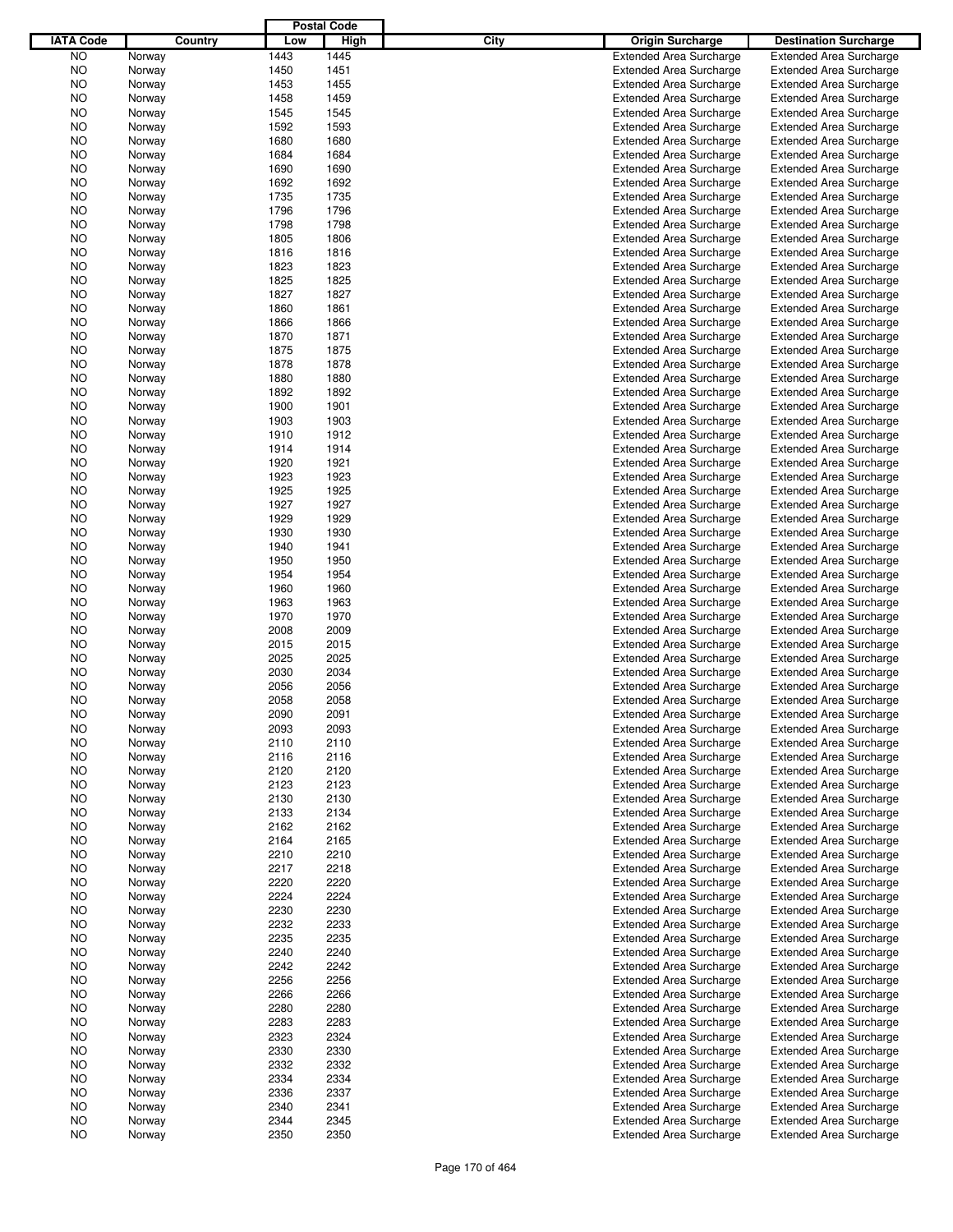|                  |         |      | <b>Postal Code</b> |      |                                |                                |
|------------------|---------|------|--------------------|------|--------------------------------|--------------------------------|
| <b>IATA Code</b> | Country | Low  | High               | City | Origin Surcharge               | <b>Destination Surcharge</b>   |
| <b>NO</b>        | Norway  | 1443 | 1445               |      | <b>Extended Area Surcharge</b> | <b>Extended Area Surcharge</b> |
| <b>NO</b>        | Norway  | 1450 | 1451               |      | <b>Extended Area Surcharge</b> | <b>Extended Area Surcharge</b> |
| NO               | Norway  | 1453 | 1455               |      | <b>Extended Area Surcharge</b> | <b>Extended Area Surcharge</b> |
| NO               | Norway  | 1458 | 1459               |      | <b>Extended Area Surcharge</b> | <b>Extended Area Surcharge</b> |
| NO               | Norway  | 1545 | 1545               |      | <b>Extended Area Surcharge</b> | <b>Extended Area Surcharge</b> |
| NO               | Norway  | 1592 | 1593               |      | <b>Extended Area Surcharge</b> | <b>Extended Area Surcharge</b> |
| NO               | Norway  | 1680 | 1680               |      | <b>Extended Area Surcharge</b> | <b>Extended Area Surcharge</b> |
| NO               |         | 1684 | 1684               |      | <b>Extended Area Surcharge</b> | <b>Extended Area Surcharge</b> |
|                  | Norway  | 1690 | 1690               |      |                                |                                |
| NO               | Norway  |      |                    |      | <b>Extended Area Surcharge</b> | <b>Extended Area Surcharge</b> |
| NO               | Norway  | 1692 | 1692               |      | <b>Extended Area Surcharge</b> | <b>Extended Area Surcharge</b> |
| NO               | Norway  | 1735 | 1735               |      | <b>Extended Area Surcharge</b> | <b>Extended Area Surcharge</b> |
| NO               | Norway  | 1796 | 1796               |      | <b>Extended Area Surcharge</b> | <b>Extended Area Surcharge</b> |
| NO               | Norway  | 1798 | 1798               |      | <b>Extended Area Surcharge</b> | <b>Extended Area Surcharge</b> |
| NO               | Norway  | 1805 | 1806               |      | <b>Extended Area Surcharge</b> | <b>Extended Area Surcharge</b> |
| NO               | Norway  | 1816 | 1816               |      | <b>Extended Area Surcharge</b> | <b>Extended Area Surcharge</b> |
| NO               | Norway  | 1823 | 1823               |      | <b>Extended Area Surcharge</b> | <b>Extended Area Surcharge</b> |
| NO               | Norway  | 1825 | 1825               |      | <b>Extended Area Surcharge</b> | <b>Extended Area Surcharge</b> |
| NO               | Norway  | 1827 | 1827               |      | <b>Extended Area Surcharge</b> | <b>Extended Area Surcharge</b> |
| NO               | Norway  | 1860 | 1861               |      | <b>Extended Area Surcharge</b> | <b>Extended Area Surcharge</b> |
| NO               | Norway  | 1866 | 1866               |      | <b>Extended Area Surcharge</b> | <b>Extended Area Surcharge</b> |
| NO               | Norway  | 1870 | 1871               |      | <b>Extended Area Surcharge</b> | <b>Extended Area Surcharge</b> |
| NO               | Norway  | 1875 | 1875               |      | <b>Extended Area Surcharge</b> | <b>Extended Area Surcharge</b> |
| NO               | Norway  | 1878 | 1878               |      | <b>Extended Area Surcharge</b> | <b>Extended Area Surcharge</b> |
| NO               | Norway  | 1880 | 1880               |      | <b>Extended Area Surcharge</b> | <b>Extended Area Surcharge</b> |
| NO               | Norway  | 1892 | 1892               |      | <b>Extended Area Surcharge</b> | <b>Extended Area Surcharge</b> |
| NO               | Norway  | 1900 | 1901               |      | <b>Extended Area Surcharge</b> | <b>Extended Area Surcharge</b> |
| NO               | Norway  | 1903 | 1903               |      | <b>Extended Area Surcharge</b> | <b>Extended Area Surcharge</b> |
| NO               | Norway  | 1910 | 1912               |      | <b>Extended Area Surcharge</b> | <b>Extended Area Surcharge</b> |
| NO               | Norway  | 1914 | 1914               |      | <b>Extended Area Surcharge</b> | <b>Extended Area Surcharge</b> |
| NO               | Norway  | 1920 | 1921               |      | <b>Extended Area Surcharge</b> | <b>Extended Area Surcharge</b> |
| NO               | Norway  | 1923 | 1923               |      | <b>Extended Area Surcharge</b> | <b>Extended Area Surcharge</b> |
| NO               |         | 1925 | 1925               |      | <b>Extended Area Surcharge</b> | <b>Extended Area Surcharge</b> |
|                  | Norway  |      |                    |      |                                |                                |
| NO               | Norway  | 1927 | 1927               |      | <b>Extended Area Surcharge</b> | <b>Extended Area Surcharge</b> |
| NO               | Norway  | 1929 | 1929               |      | <b>Extended Area Surcharge</b> | <b>Extended Area Surcharge</b> |
| NO               | Norway  | 1930 | 1930               |      | <b>Extended Area Surcharge</b> | <b>Extended Area Surcharge</b> |
| NO               | Norway  | 1940 | 1941               |      | <b>Extended Area Surcharge</b> | <b>Extended Area Surcharge</b> |
| NO               | Norway  | 1950 | 1950               |      | <b>Extended Area Surcharge</b> | <b>Extended Area Surcharge</b> |
| NO               | Norway  | 1954 | 1954               |      | <b>Extended Area Surcharge</b> | <b>Extended Area Surcharge</b> |
| NO               | Norway  | 1960 | 1960               |      | <b>Extended Area Surcharge</b> | <b>Extended Area Surcharge</b> |
| NO               | Norway  | 1963 | 1963               |      | <b>Extended Area Surcharge</b> | <b>Extended Area Surcharge</b> |
| NO               | Norway  | 1970 | 1970               |      | <b>Extended Area Surcharge</b> | <b>Extended Area Surcharge</b> |
| NO               | Norway  | 2008 | 2009               |      | <b>Extended Area Surcharge</b> | <b>Extended Area Surcharge</b> |
| NO               | Norway  | 2015 | 2015               |      | <b>Extended Area Surcharge</b> | <b>Extended Area Surcharge</b> |
| NO               | Norway  | 2025 | 2025               |      | <b>Extended Area Surcharge</b> | <b>Extended Area Surcharge</b> |
| NO               | Norway  | 2030 | 2034               |      | <b>Extended Area Surcharge</b> | <b>Extended Area Surcharge</b> |
| NO               | Norway  | 2056 | 2056               |      | <b>Extended Area Surcharge</b> | <b>Extended Area Surcharge</b> |
| NO               | Norway  | 2058 | 2058               |      | <b>Extended Area Surcharge</b> | <b>Extended Area Surcharge</b> |
| NO               | Norway  | 2090 | 2091               |      | <b>Extended Area Surcharge</b> | <b>Extended Area Surcharge</b> |
| NO               | Norway  | 2093 | 2093               |      | <b>Extended Area Surcharge</b> | <b>Extended Area Surcharge</b> |
| NO               | Norway  | 2110 | 2110               |      | <b>Extended Area Surcharge</b> | <b>Extended Area Surcharge</b> |
| NO               | Norway  | 2116 | 2116               |      | <b>Extended Area Surcharge</b> | <b>Extended Area Surcharge</b> |
| NO               | Norway  | 2120 | 2120               |      | <b>Extended Area Surcharge</b> | <b>Extended Area Surcharge</b> |
| NO.              | Norway  | 2123 | 2123               |      | <b>Extended Area Surcharge</b> | <b>Extended Area Surcharge</b> |
| NO               | Norway  | 2130 | 2130               |      | <b>Extended Area Surcharge</b> | <b>Extended Area Surcharge</b> |
| NO.              | Norway  | 2133 | 2134               |      | <b>Extended Area Surcharge</b> | <b>Extended Area Surcharge</b> |
| NO               | Norway  | 2162 | 2162               |      | <b>Extended Area Surcharge</b> | <b>Extended Area Surcharge</b> |
| NO.              | Norway  | 2164 | 2165               |      | <b>Extended Area Surcharge</b> | <b>Extended Area Surcharge</b> |
| NO               | Norway  | 2210 | 2210               |      | <b>Extended Area Surcharge</b> | <b>Extended Area Surcharge</b> |
| NO.              | Norway  | 2217 | 2218               |      | <b>Extended Area Surcharge</b> | <b>Extended Area Surcharge</b> |
| NO               |         | 2220 | 2220               |      | <b>Extended Area Surcharge</b> | <b>Extended Area Surcharge</b> |
|                  | Norway  |      |                    |      | <b>Extended Area Surcharge</b> |                                |
| NO.              | Norway  | 2224 | 2224               |      |                                | <b>Extended Area Surcharge</b> |
| NO               | Norway  | 2230 | 2230               |      | <b>Extended Area Surcharge</b> | <b>Extended Area Surcharge</b> |
| NO.              | Norway  | 2232 | 2233               |      | <b>Extended Area Surcharge</b> | <b>Extended Area Surcharge</b> |
| NO               | Norway  | 2235 | 2235               |      | <b>Extended Area Surcharge</b> | <b>Extended Area Surcharge</b> |
| NO.              | Norway  | 2240 | 2240               |      | <b>Extended Area Surcharge</b> | <b>Extended Area Surcharge</b> |
| NO               | Norway  | 2242 | 2242               |      | <b>Extended Area Surcharge</b> | <b>Extended Area Surcharge</b> |
| NO.              | Norway  | 2256 | 2256               |      | <b>Extended Area Surcharge</b> | <b>Extended Area Surcharge</b> |
| NO               | Norway  | 2266 | 2266               |      | <b>Extended Area Surcharge</b> | <b>Extended Area Surcharge</b> |
| NO.              | Norway  | 2280 | 2280               |      | <b>Extended Area Surcharge</b> | <b>Extended Area Surcharge</b> |
| NO               | Norway  | 2283 | 2283               |      | <b>Extended Area Surcharge</b> | <b>Extended Area Surcharge</b> |
| NO.              | Norway  | 2323 | 2324               |      | <b>Extended Area Surcharge</b> | <b>Extended Area Surcharge</b> |
| NO               | Norway  | 2330 | 2330               |      | <b>Extended Area Surcharge</b> | <b>Extended Area Surcharge</b> |
| NO.              | Norway  | 2332 | 2332               |      | <b>Extended Area Surcharge</b> | <b>Extended Area Surcharge</b> |
| NO               | Norway  | 2334 | 2334               |      | <b>Extended Area Surcharge</b> | <b>Extended Area Surcharge</b> |
| NO.              | Norway  | 2336 | 2337               |      | <b>Extended Area Surcharge</b> | <b>Extended Area Surcharge</b> |
| NO               | Norway  | 2340 | 2341               |      | <b>Extended Area Surcharge</b> | <b>Extended Area Surcharge</b> |
| NO               | Norway  | 2344 | 2345               |      | <b>Extended Area Surcharge</b> | <b>Extended Area Surcharge</b> |
| <b>NO</b>        | Norway  | 2350 | 2350               |      | <b>Extended Area Surcharge</b> | <b>Extended Area Surcharge</b> |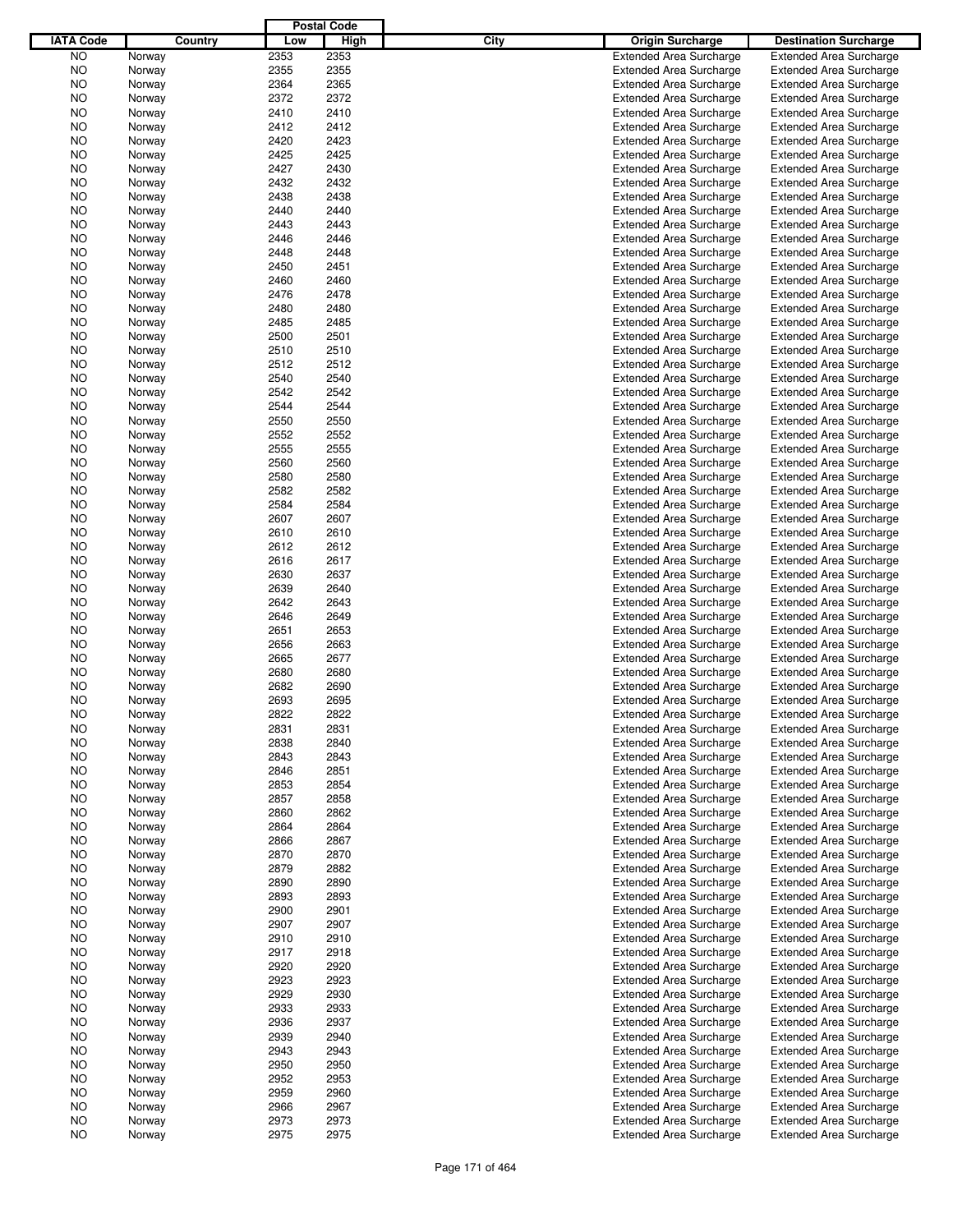|                  |                  |         |              | <b>Postal Code</b> |      |                                |                                |
|------------------|------------------|---------|--------------|--------------------|------|--------------------------------|--------------------------------|
| <b>IATA Code</b> |                  | Country | Low          | High               | City | Origin Surcharge               | <b>Destination Surcharge</b>   |
| <b>NO</b>        | Norway           |         | 2353         | 2353               |      | <b>Extended Area Surcharge</b> | <b>Extended Area Surcharge</b> |
| <b>NO</b>        | Norway           |         | 2355         | 2355               |      | <b>Extended Area Surcharge</b> | <b>Extended Area Surcharge</b> |
| NO               | Norway           |         | 2364         | 2365               |      | <b>Extended Area Surcharge</b> | <b>Extended Area Surcharge</b> |
| NO               | Norway           |         | 2372         | 2372               |      | <b>Extended Area Surcharge</b> | <b>Extended Area Surcharge</b> |
| NO               | Norway           |         | 2410         | 2410               |      | <b>Extended Area Surcharge</b> | <b>Extended Area Surcharge</b> |
| NO               | Norway           |         | 2412         | 2412               |      | <b>Extended Area Surcharge</b> | <b>Extended Area Surcharge</b> |
|                  |                  |         |              |                    |      |                                |                                |
| NO               | Norway           |         | 2420         | 2423               |      | <b>Extended Area Surcharge</b> | <b>Extended Area Surcharge</b> |
| NO               | Norway           |         | 2425         | 2425               |      | <b>Extended Area Surcharge</b> | <b>Extended Area Surcharge</b> |
| NO               | Norway           |         | 2427         | 2430               |      | <b>Extended Area Surcharge</b> | <b>Extended Area Surcharge</b> |
| NO               | Norway           |         | 2432         | 2432               |      | <b>Extended Area Surcharge</b> | <b>Extended Area Surcharge</b> |
| NO               | Norway           |         | 2438         | 2438               |      | <b>Extended Area Surcharge</b> | <b>Extended Area Surcharge</b> |
| NO               | Norway           |         | 2440         | 2440               |      | <b>Extended Area Surcharge</b> | <b>Extended Area Surcharge</b> |
| NO               | Norway           |         | 2443         | 2443               |      | <b>Extended Area Surcharge</b> | <b>Extended Area Surcharge</b> |
| NO               | Norway           |         | 2446         | 2446               |      | <b>Extended Area Surcharge</b> | <b>Extended Area Surcharge</b> |
| NO               | Norway           |         | 2448         | 2448               |      | <b>Extended Area Surcharge</b> | <b>Extended Area Surcharge</b> |
| NO               | Norway           |         | 2450         | 2451               |      | <b>Extended Area Surcharge</b> | <b>Extended Area Surcharge</b> |
| NO               | Norway           |         | 2460         | 2460               |      | <b>Extended Area Surcharge</b> | <b>Extended Area Surcharge</b> |
| NO               | Norway           |         | 2476         | 2478               |      | <b>Extended Area Surcharge</b> | <b>Extended Area Surcharge</b> |
| NO               | Norway           |         | 2480         | 2480               |      | <b>Extended Area Surcharge</b> | <b>Extended Area Surcharge</b> |
| NO               | Norway           |         | 2485         | 2485               |      | <b>Extended Area Surcharge</b> | <b>Extended Area Surcharge</b> |
| NO               | Norway           |         | 2500         | 2501               |      | <b>Extended Area Surcharge</b> | <b>Extended Area Surcharge</b> |
| NO               | Norway           |         | 2510         | 2510               |      | <b>Extended Area Surcharge</b> | <b>Extended Area Surcharge</b> |
| NO               | Norway           |         | 2512         | 2512               |      | <b>Extended Area Surcharge</b> | <b>Extended Area Surcharge</b> |
| NO               | Norway           |         | 2540         | 2540               |      | <b>Extended Area Surcharge</b> | <b>Extended Area Surcharge</b> |
|                  |                  |         | 2542         | 2542               |      | <b>Extended Area Surcharge</b> |                                |
| NO               | Norway           |         |              |                    |      |                                | <b>Extended Area Surcharge</b> |
| NO               | Norway           |         | 2544         | 2544               |      | <b>Extended Area Surcharge</b> | <b>Extended Area Surcharge</b> |
| NO               | Norway           |         | 2550         | 2550               |      | <b>Extended Area Surcharge</b> | <b>Extended Area Surcharge</b> |
| NO               | Norway           |         | 2552         | 2552               |      | <b>Extended Area Surcharge</b> | <b>Extended Area Surcharge</b> |
| NO               | Norway           |         | 2555         | 2555               |      | <b>Extended Area Surcharge</b> | <b>Extended Area Surcharge</b> |
| NO               | Norway           |         | 2560         | 2560               |      | <b>Extended Area Surcharge</b> | <b>Extended Area Surcharge</b> |
| NO               | Norway           |         | 2580         | 2580               |      | <b>Extended Area Surcharge</b> | <b>Extended Area Surcharge</b> |
| NO               | Norway           |         | 2582         | 2582               |      | <b>Extended Area Surcharge</b> | <b>Extended Area Surcharge</b> |
| NO               | Norway           |         | 2584         | 2584               |      | <b>Extended Area Surcharge</b> | <b>Extended Area Surcharge</b> |
| NO               | Norway           |         | 2607         | 2607               |      | <b>Extended Area Surcharge</b> | <b>Extended Area Surcharge</b> |
| NO               | Norway           |         | 2610         | 2610               |      | <b>Extended Area Surcharge</b> | <b>Extended Area Surcharge</b> |
| NO               | Norway           |         | 2612         | 2612               |      | <b>Extended Area Surcharge</b> | <b>Extended Area Surcharge</b> |
| NO               | Norway           |         | 2616         | 2617               |      | <b>Extended Area Surcharge</b> | <b>Extended Area Surcharge</b> |
| NO               | Norway           |         | 2630         | 2637               |      | <b>Extended Area Surcharge</b> | <b>Extended Area Surcharge</b> |
| NO               | Norway           |         | 2639         | 2640               |      | <b>Extended Area Surcharge</b> | <b>Extended Area Surcharge</b> |
| NO               | Norway           |         | 2642         | 2643               |      | <b>Extended Area Surcharge</b> | <b>Extended Area Surcharge</b> |
| NO               | Norway           |         | 2646         | 2649               |      | <b>Extended Area Surcharge</b> | <b>Extended Area Surcharge</b> |
| NO               | Norway           |         | 2651         | 2653               |      | <b>Extended Area Surcharge</b> | <b>Extended Area Surcharge</b> |
|                  |                  |         | 2656         | 2663               |      | <b>Extended Area Surcharge</b> | <b>Extended Area Surcharge</b> |
| NO               | Norway           |         |              |                    |      |                                |                                |
| NO               | Norway           |         | 2665         | 2677               |      | <b>Extended Area Surcharge</b> | <b>Extended Area Surcharge</b> |
| NO               | Norway           |         | 2680         | 2680               |      | <b>Extended Area Surcharge</b> | <b>Extended Area Surcharge</b> |
| NO               | Norway           |         | 2682         | 2690               |      | <b>Extended Area Surcharge</b> | <b>Extended Area Surcharge</b> |
| NO               | Norway           |         | 2693         | 2695               |      | <b>Extended Area Surcharge</b> | <b>Extended Area Surcharge</b> |
| NO               | Norway           |         | 2822         | 2822               |      | <b>Extended Area Surcharge</b> | <b>Extended Area Surcharge</b> |
| NO               | Norway           |         | 2831         | 2831               |      | <b>Extended Area Surcharge</b> | <b>Extended Area Surcharge</b> |
| NO               | Norway           |         | 2838         | 2840               |      | <b>Extended Area Surcharge</b> | <b>Extended Area Surcharge</b> |
| NO               | Norway           |         | 2843         | 2843               |      | <b>Extended Area Surcharge</b> | <b>Extended Area Surcharge</b> |
| NO               | Norway           |         | 2846         | 2851               |      | <b>Extended Area Surcharge</b> | <b>Extended Area Surcharge</b> |
| NO               | Norway           |         | 2853         | 2854               |      | <b>Extended Area Surcharge</b> | <b>Extended Area Surcharge</b> |
| NO               | Norway           |         | 2857         | 2858               |      | <b>Extended Area Surcharge</b> | <b>Extended Area Surcharge</b> |
| NO.              | Norway           |         | 2860         | 2862               |      | <b>Extended Area Surcharge</b> | <b>Extended Area Surcharge</b> |
| NO               | Norway           |         | 2864         | 2864               |      | <b>Extended Area Surcharge</b> | <b>Extended Area Surcharge</b> |
| NO.              | Norway           |         | 2866         | 2867               |      | <b>Extended Area Surcharge</b> | <b>Extended Area Surcharge</b> |
| NO               | Norway           |         | 2870         | 2870               |      | <b>Extended Area Surcharge</b> | <b>Extended Area Surcharge</b> |
| NO.              | Norway           |         | 2879         | 2882               |      | <b>Extended Area Surcharge</b> | <b>Extended Area Surcharge</b> |
| NO               | Norway           |         | 2890         | 2890               |      | <b>Extended Area Surcharge</b> | <b>Extended Area Surcharge</b> |
| NO.              | Norway           |         | 2893         | 2893               |      | <b>Extended Area Surcharge</b> | <b>Extended Area Surcharge</b> |
|                  |                  |         | 2900         | 2901               |      |                                |                                |
| NO               | Norway           |         |              |                    |      | <b>Extended Area Surcharge</b> | <b>Extended Area Surcharge</b> |
| NO.              | Norway           |         | 2907         | 2907               |      | <b>Extended Area Surcharge</b> | <b>Extended Area Surcharge</b> |
| NO               | Norway           |         | 2910         | 2910               |      | <b>Extended Area Surcharge</b> | <b>Extended Area Surcharge</b> |
| NO.              | Norway           |         | 2917         | 2918               |      | <b>Extended Area Surcharge</b> | <b>Extended Area Surcharge</b> |
| NO               | Norway           |         | 2920         | 2920               |      | <b>Extended Area Surcharge</b> | <b>Extended Area Surcharge</b> |
| NO.              | Norway           |         | 2923         | 2923               |      | <b>Extended Area Surcharge</b> | <b>Extended Area Surcharge</b> |
| NO               | Norway           |         | 2929         | 2930               |      | <b>Extended Area Surcharge</b> | <b>Extended Area Surcharge</b> |
| NO.              | Norway           |         | 2933         | 2933               |      | <b>Extended Area Surcharge</b> | <b>Extended Area Surcharge</b> |
| NO               | Norway           |         | 2936         | 2937               |      | <b>Extended Area Surcharge</b> | <b>Extended Area Surcharge</b> |
| NO.              | Norway           |         | 2939         | 2940               |      | <b>Extended Area Surcharge</b> | <b>Extended Area Surcharge</b> |
| NO               | Norway           |         | 2943         | 2943               |      | <b>Extended Area Surcharge</b> | <b>Extended Area Surcharge</b> |
| NO.              | Norway           |         | 2950         | 2950               |      | <b>Extended Area Surcharge</b> | <b>Extended Area Surcharge</b> |
| NO               | Norway           |         | 2952         | 2953               |      | <b>Extended Area Surcharge</b> | <b>Extended Area Surcharge</b> |
| NO.              | Norway           |         | 2959         | 2960               |      | <b>Extended Area Surcharge</b> | <b>Extended Area Surcharge</b> |
| NO               | Norway           |         | 2966         | 2967               |      | <b>Extended Area Surcharge</b> | <b>Extended Area Surcharge</b> |
|                  |                  |         |              | 2973               |      | <b>Extended Area Surcharge</b> | <b>Extended Area Surcharge</b> |
| NO<br><b>NO</b>  | Norway<br>Norway |         | 2973<br>2975 | 2975               |      | <b>Extended Area Surcharge</b> | <b>Extended Area Surcharge</b> |
|                  |                  |         |              |                    |      |                                |                                |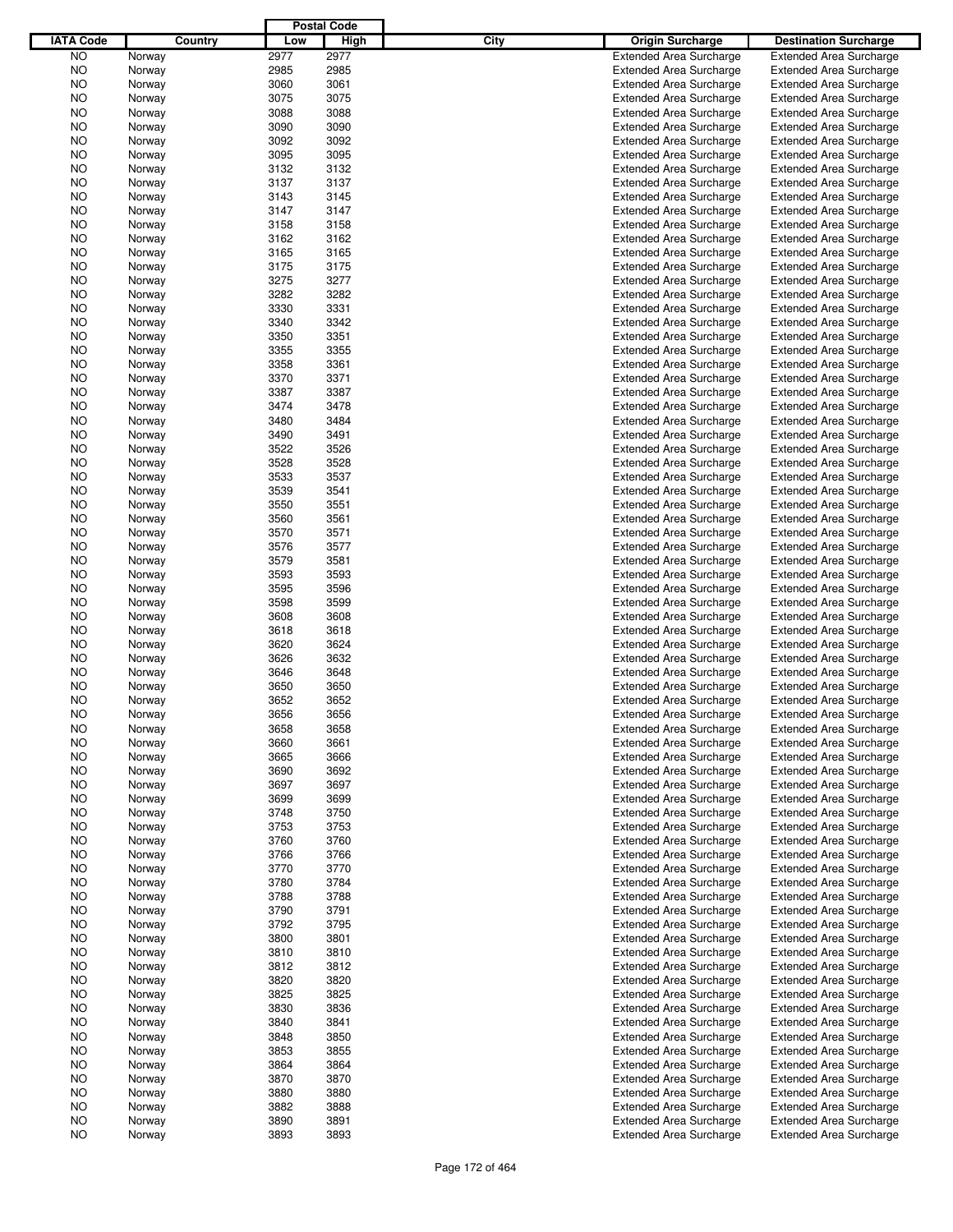|                  |         |      | <b>Postal Code</b> |      |                                |                                |
|------------------|---------|------|--------------------|------|--------------------------------|--------------------------------|
| <b>IATA Code</b> | Country | Low  | High               | City | <b>Origin Surcharge</b>        | <b>Destination Surcharge</b>   |
| <b>NO</b>        | Norway  | 2977 | 2977               |      | <b>Extended Area Surcharge</b> | <b>Extended Area Surcharge</b> |
| <b>NO</b>        | Norway  | 2985 | 2985               |      | <b>Extended Area Surcharge</b> | <b>Extended Area Surcharge</b> |
| NO               | Norway  | 3060 | 3061               |      | <b>Extended Area Surcharge</b> | <b>Extended Area Surcharge</b> |
| NO               | Norway  | 3075 | 3075               |      | <b>Extended Area Surcharge</b> | <b>Extended Area Surcharge</b> |
| NO               | Norway  | 3088 | 3088               |      | <b>Extended Area Surcharge</b> | <b>Extended Area Surcharge</b> |
| NO               | Norway  | 3090 | 3090               |      | <b>Extended Area Surcharge</b> | <b>Extended Area Surcharge</b> |
|                  |         |      |                    |      |                                |                                |
| NO               | Norway  | 3092 | 3092               |      | <b>Extended Area Surcharge</b> | <b>Extended Area Surcharge</b> |
| NO               | Norway  | 3095 | 3095               |      | <b>Extended Area Surcharge</b> | <b>Extended Area Surcharge</b> |
| NO               | Norway  | 3132 | 3132               |      | <b>Extended Area Surcharge</b> | <b>Extended Area Surcharge</b> |
| NO               | Norway  | 3137 | 3137               |      | <b>Extended Area Surcharge</b> | <b>Extended Area Surcharge</b> |
| NO               | Norway  | 3143 | 3145               |      | <b>Extended Area Surcharge</b> | <b>Extended Area Surcharge</b> |
| NO               | Norway  | 3147 | 3147               |      | <b>Extended Area Surcharge</b> | <b>Extended Area Surcharge</b> |
| NO               | Norway  | 3158 | 3158               |      | <b>Extended Area Surcharge</b> | <b>Extended Area Surcharge</b> |
| NO               | Norway  | 3162 | 3162               |      | <b>Extended Area Surcharge</b> | <b>Extended Area Surcharge</b> |
| NO               | Norway  | 3165 | 3165               |      | <b>Extended Area Surcharge</b> | <b>Extended Area Surcharge</b> |
| NO               | Norway  | 3175 | 3175               |      | <b>Extended Area Surcharge</b> | <b>Extended Area Surcharge</b> |
| NO               | Norway  | 3275 | 3277               |      | <b>Extended Area Surcharge</b> | <b>Extended Area Surcharge</b> |
| NO               | Norway  | 3282 | 3282               |      | <b>Extended Area Surcharge</b> | <b>Extended Area Surcharge</b> |
| NO               | Norway  | 3330 | 3331               |      | <b>Extended Area Surcharge</b> | <b>Extended Area Surcharge</b> |
| NO               | Norway  | 3340 | 3342               |      | <b>Extended Area Surcharge</b> | <b>Extended Area Surcharge</b> |
| NO               | Norway  | 3350 | 3351               |      | <b>Extended Area Surcharge</b> | <b>Extended Area Surcharge</b> |
| NO               | Norway  | 3355 | 3355               |      | <b>Extended Area Surcharge</b> | <b>Extended Area Surcharge</b> |
| NO               | Norway  | 3358 | 3361               |      | <b>Extended Area Surcharge</b> | <b>Extended Area Surcharge</b> |
| NO               | Norway  | 3370 | 3371               |      | <b>Extended Area Surcharge</b> | <b>Extended Area Surcharge</b> |
|                  |         | 3387 | 3387               |      | <b>Extended Area Surcharge</b> |                                |
| NO               | Norway  |      |                    |      |                                | <b>Extended Area Surcharge</b> |
| NO               | Norway  | 3474 | 3478               |      | <b>Extended Area Surcharge</b> | <b>Extended Area Surcharge</b> |
| NO               | Norway  | 3480 | 3484               |      | <b>Extended Area Surcharge</b> | <b>Extended Area Surcharge</b> |
| NO               | Norway  | 3490 | 3491               |      | <b>Extended Area Surcharge</b> | <b>Extended Area Surcharge</b> |
| NO               | Norway  | 3522 | 3526               |      | <b>Extended Area Surcharge</b> | <b>Extended Area Surcharge</b> |
| NO               | Norway  | 3528 | 3528               |      | <b>Extended Area Surcharge</b> | <b>Extended Area Surcharge</b> |
| NO               | Norway  | 3533 | 3537               |      | <b>Extended Area Surcharge</b> | <b>Extended Area Surcharge</b> |
| NO               | Norway  | 3539 | 3541               |      | <b>Extended Area Surcharge</b> | <b>Extended Area Surcharge</b> |
| NO               | Norway  | 3550 | 3551               |      | <b>Extended Area Surcharge</b> | <b>Extended Area Surcharge</b> |
| NO               | Norway  | 3560 | 3561               |      | <b>Extended Area Surcharge</b> | <b>Extended Area Surcharge</b> |
| NO               | Norway  | 3570 | 3571               |      | <b>Extended Area Surcharge</b> | <b>Extended Area Surcharge</b> |
| NO               | Norway  | 3576 | 3577               |      | <b>Extended Area Surcharge</b> | <b>Extended Area Surcharge</b> |
| NO               | Norway  | 3579 | 3581               |      | <b>Extended Area Surcharge</b> | <b>Extended Area Surcharge</b> |
| NO               | Norway  | 3593 | 3593               |      | <b>Extended Area Surcharge</b> | <b>Extended Area Surcharge</b> |
| NO               | Norway  | 3595 | 3596               |      | <b>Extended Area Surcharge</b> | <b>Extended Area Surcharge</b> |
| NO               | Norway  | 3598 | 3599               |      | <b>Extended Area Surcharge</b> | <b>Extended Area Surcharge</b> |
| NO               | Norway  | 3608 | 3608               |      | <b>Extended Area Surcharge</b> | <b>Extended Area Surcharge</b> |
| NO               | Norway  | 3618 | 3618               |      | <b>Extended Area Surcharge</b> | <b>Extended Area Surcharge</b> |
|                  |         | 3620 | 3624               |      |                                |                                |
| NO               | Norway  |      |                    |      | <b>Extended Area Surcharge</b> | <b>Extended Area Surcharge</b> |
| NO               | Norway  | 3626 | 3632               |      | <b>Extended Area Surcharge</b> | <b>Extended Area Surcharge</b> |
| ΝO               | Norway  | 3646 | 3648               |      | <b>Extended Area Surcharge</b> | <b>Extended Area Surcharge</b> |
| NO               | Norway  | 3650 | 3650               |      | <b>Extended Area Surcharge</b> | <b>Extended Area Surcharge</b> |
| NO               | Norway  | 3652 | 3652               |      | <b>Extended Area Surcharge</b> | <b>Extended Area Surcharge</b> |
| NO               | Norway  | 3656 | 3656               |      | <b>Extended Area Surcharge</b> | <b>Extended Area Surcharge</b> |
| NO               | Norway  | 3658 | 3658               |      | <b>Extended Area Surcharge</b> | <b>Extended Area Surcharge</b> |
| NO.              | Norway  | 3660 | 3661               |      | <b>Extended Area Surcharge</b> | <b>Extended Area Surcharge</b> |
| NO.              | Norway  | 3665 | 3666               |      | <b>Extended Area Surcharge</b> | <b>Extended Area Surcharge</b> |
| NO               | Norway  | 3690 | 3692               |      | <b>Extended Area Surcharge</b> | <b>Extended Area Surcharge</b> |
| NO.              | Norway  | 3697 | 3697               |      | <b>Extended Area Surcharge</b> | <b>Extended Area Surcharge</b> |
| NO.              | Norway  | 3699 | 3699               |      | <b>Extended Area Surcharge</b> | <b>Extended Area Surcharge</b> |
| NO.              | Norway  | 3748 | 3750               |      | <b>Extended Area Surcharge</b> | <b>Extended Area Surcharge</b> |
| NO.              | Norway  | 3753 | 3753               |      | <b>Extended Area Surcharge</b> | <b>Extended Area Surcharge</b> |
| NO.              | Norway  | 3760 | 3760               |      | <b>Extended Area Surcharge</b> | <b>Extended Area Surcharge</b> |
| NO.              | Norway  | 3766 | 3766               |      | <b>Extended Area Surcharge</b> | <b>Extended Area Surcharge</b> |
| NO.              | Norway  | 3770 | 3770               |      | <b>Extended Area Surcharge</b> | <b>Extended Area Surcharge</b> |
| NO.              |         | 3780 | 3784               |      | <b>Extended Area Surcharge</b> | <b>Extended Area Surcharge</b> |
|                  | Norway  |      |                    |      |                                |                                |
| NO.              | Norway  | 3788 | 3788               |      | <b>Extended Area Surcharge</b> | <b>Extended Area Surcharge</b> |
| NO.              | Norway  | 3790 | 3791               |      | <b>Extended Area Surcharge</b> | <b>Extended Area Surcharge</b> |
| NO.              | Norway  | 3792 | 3795               |      | <b>Extended Area Surcharge</b> | <b>Extended Area Surcharge</b> |
| NO.              | Norway  | 3800 | 3801               |      | <b>Extended Area Surcharge</b> | <b>Extended Area Surcharge</b> |
| NO.              | Norway  | 3810 | 3810               |      | <b>Extended Area Surcharge</b> | <b>Extended Area Surcharge</b> |
| NO.              | Norway  | 3812 | 3812               |      | <b>Extended Area Surcharge</b> | <b>Extended Area Surcharge</b> |
| NO.              | Norway  | 3820 | 3820               |      | <b>Extended Area Surcharge</b> | <b>Extended Area Surcharge</b> |
| NO.              | Norway  | 3825 | 3825               |      | <b>Extended Area Surcharge</b> | <b>Extended Area Surcharge</b> |
| NO.              | Norway  | 3830 | 3836               |      | <b>Extended Area Surcharge</b> | <b>Extended Area Surcharge</b> |
| NO.              | Norway  | 3840 | 3841               |      | <b>Extended Area Surcharge</b> | <b>Extended Area Surcharge</b> |
| NO.              | Norway  | 3848 | 3850               |      | <b>Extended Area Surcharge</b> | <b>Extended Area Surcharge</b> |
| NO.              | Norway  | 3853 | 3855               |      | <b>Extended Area Surcharge</b> | <b>Extended Area Surcharge</b> |
| NO.              | Norway  | 3864 | 3864               |      | <b>Extended Area Surcharge</b> | <b>Extended Area Surcharge</b> |
| NO.              | Norway  | 3870 | 3870               |      | <b>Extended Area Surcharge</b> | <b>Extended Area Surcharge</b> |
| NO.              | Norway  | 3880 | 3880               |      | <b>Extended Area Surcharge</b> | <b>Extended Area Surcharge</b> |
| NO.              | Norway  | 3882 | 3888               |      | <b>Extended Area Surcharge</b> | <b>Extended Area Surcharge</b> |
|                  |         |      |                    |      |                                |                                |
| NO               | Norway  | 3890 | 3891               |      | <b>Extended Area Surcharge</b> | <b>Extended Area Surcharge</b> |
| <b>NO</b>        | Norway  | 3893 | 3893               |      | <b>Extended Area Surcharge</b> | <b>Extended Area Surcharge</b> |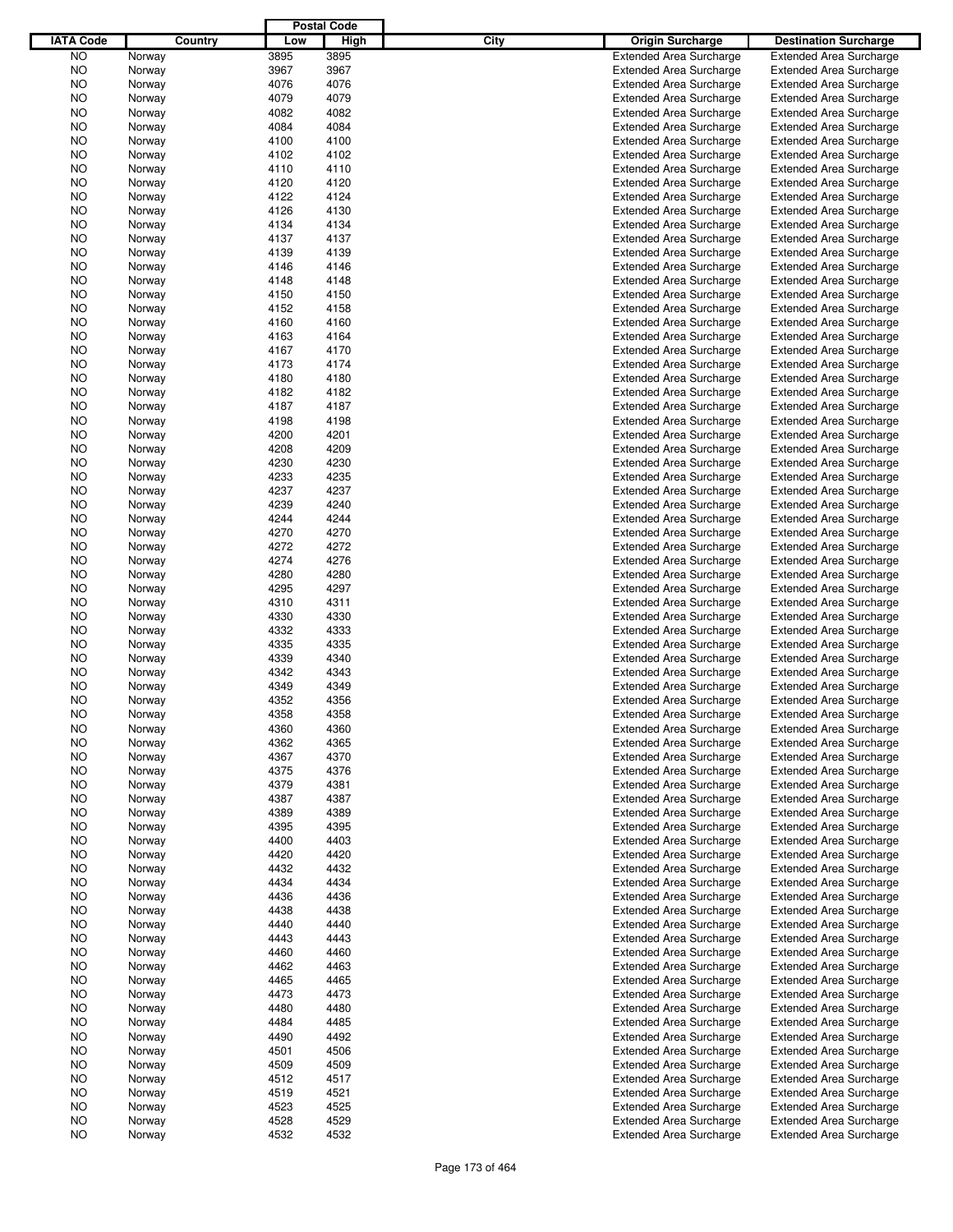|                  |         |      | <b>Postal Code</b> |      |                                |                                |
|------------------|---------|------|--------------------|------|--------------------------------|--------------------------------|
| <b>IATA Code</b> | Country | Low  | High               | City | Origin Surcharge               | <b>Destination Surcharge</b>   |
| <b>NO</b>        | Norway  | 3895 | 3895               |      | <b>Extended Area Surcharge</b> | <b>Extended Area Surcharge</b> |
| <b>NO</b>        | Norway  | 3967 | 3967               |      | <b>Extended Area Surcharge</b> | <b>Extended Area Surcharge</b> |
| NO               | Norway  | 4076 | 4076               |      | <b>Extended Area Surcharge</b> | <b>Extended Area Surcharge</b> |
| NO               | Norway  | 4079 | 4079               |      | <b>Extended Area Surcharge</b> | <b>Extended Area Surcharge</b> |
| NO               | Norway  | 4082 | 4082               |      | <b>Extended Area Surcharge</b> | <b>Extended Area Surcharge</b> |
| NO               | Norway  | 4084 | 4084               |      | <b>Extended Area Surcharge</b> | <b>Extended Area Surcharge</b> |
|                  |         |      |                    |      |                                |                                |
| NO               | Norway  | 4100 | 4100               |      | <b>Extended Area Surcharge</b> | <b>Extended Area Surcharge</b> |
| NO               | Norway  | 4102 | 4102               |      | <b>Extended Area Surcharge</b> | <b>Extended Area Surcharge</b> |
| NO               | Norway  | 4110 | 4110               |      | <b>Extended Area Surcharge</b> | <b>Extended Area Surcharge</b> |
| NO               | Norway  | 4120 | 4120               |      | <b>Extended Area Surcharge</b> | <b>Extended Area Surcharge</b> |
| NO               | Norway  | 4122 | 4124               |      | <b>Extended Area Surcharge</b> | <b>Extended Area Surcharge</b> |
| NO               | Norway  | 4126 | 4130               |      | <b>Extended Area Surcharge</b> | <b>Extended Area Surcharge</b> |
| NO               | Norway  | 4134 | 4134               |      | <b>Extended Area Surcharge</b> | <b>Extended Area Surcharge</b> |
| NO               | Norway  | 4137 | 4137               |      | <b>Extended Area Surcharge</b> | <b>Extended Area Surcharge</b> |
| NO               | Norway  | 4139 | 4139               |      | <b>Extended Area Surcharge</b> | <b>Extended Area Surcharge</b> |
| NO               | Norway  | 4146 | 4146               |      | <b>Extended Area Surcharge</b> | <b>Extended Area Surcharge</b> |
| NO               | Norway  | 4148 | 4148               |      | <b>Extended Area Surcharge</b> | <b>Extended Area Surcharge</b> |
| NO               | Norway  | 4150 | 4150               |      | <b>Extended Area Surcharge</b> | <b>Extended Area Surcharge</b> |
| NO               | Norway  | 4152 | 4158               |      | <b>Extended Area Surcharge</b> | <b>Extended Area Surcharge</b> |
| NO               | Norway  | 4160 | 4160               |      | <b>Extended Area Surcharge</b> | <b>Extended Area Surcharge</b> |
| NO               | Norway  | 4163 | 4164               |      | <b>Extended Area Surcharge</b> | <b>Extended Area Surcharge</b> |
| NO               | Norway  | 4167 | 4170               |      | <b>Extended Area Surcharge</b> | <b>Extended Area Surcharge</b> |
| NO               | Norway  | 4173 | 4174               |      | <b>Extended Area Surcharge</b> | <b>Extended Area Surcharge</b> |
| NO               | Norway  | 4180 | 4180               |      | <b>Extended Area Surcharge</b> | <b>Extended Area Surcharge</b> |
|                  |         | 4182 | 4182               |      | <b>Extended Area Surcharge</b> |                                |
| NO               | Norway  |      |                    |      |                                | <b>Extended Area Surcharge</b> |
| NO               | Norway  | 4187 | 4187               |      | <b>Extended Area Surcharge</b> | <b>Extended Area Surcharge</b> |
| NO               | Norway  | 4198 | 4198               |      | <b>Extended Area Surcharge</b> | <b>Extended Area Surcharge</b> |
| NO               | Norway  | 4200 | 4201               |      | <b>Extended Area Surcharge</b> | <b>Extended Area Surcharge</b> |
| NO               | Norway  | 4208 | 4209               |      | <b>Extended Area Surcharge</b> | <b>Extended Area Surcharge</b> |
| NO               | Norway  | 4230 | 4230               |      | <b>Extended Area Surcharge</b> | <b>Extended Area Surcharge</b> |
| NO               | Norway  | 4233 | 4235               |      | <b>Extended Area Surcharge</b> | <b>Extended Area Surcharge</b> |
| NO               | Norway  | 4237 | 4237               |      | <b>Extended Area Surcharge</b> | <b>Extended Area Surcharge</b> |
| NO               | Norway  | 4239 | 4240               |      | <b>Extended Area Surcharge</b> | <b>Extended Area Surcharge</b> |
| NO               | Norway  | 4244 | 4244               |      | <b>Extended Area Surcharge</b> | <b>Extended Area Surcharge</b> |
| NO               | Norway  | 4270 | 4270               |      | <b>Extended Area Surcharge</b> | <b>Extended Area Surcharge</b> |
| NO               | Norway  | 4272 | 4272               |      | <b>Extended Area Surcharge</b> | <b>Extended Area Surcharge</b> |
| NO               | Norway  | 4274 | 4276               |      | <b>Extended Area Surcharge</b> | <b>Extended Area Surcharge</b> |
| NO               | Norway  | 4280 | 4280               |      | <b>Extended Area Surcharge</b> | <b>Extended Area Surcharge</b> |
| NO               | Norway  | 4295 | 4297               |      | <b>Extended Area Surcharge</b> | <b>Extended Area Surcharge</b> |
| NO               | Norway  | 4310 | 4311               |      | <b>Extended Area Surcharge</b> | <b>Extended Area Surcharge</b> |
| NO               | Norway  | 4330 | 4330               |      | <b>Extended Area Surcharge</b> | <b>Extended Area Surcharge</b> |
| NO               | Norway  | 4332 | 4333               |      | <b>Extended Area Surcharge</b> | <b>Extended Area Surcharge</b> |
|                  |         | 4335 | 4335               |      |                                | <b>Extended Area Surcharge</b> |
| NO               | Norway  |      |                    |      | <b>Extended Area Surcharge</b> |                                |
| NO               | Norway  | 4339 | 4340               |      | <b>Extended Area Surcharge</b> | <b>Extended Area Surcharge</b> |
| NO               | Norway  | 4342 | 4343               |      | <b>Extended Area Surcharge</b> | <b>Extended Area Surcharge</b> |
| NO               | Norway  | 4349 | 4349               |      | <b>Extended Area Surcharge</b> | <b>Extended Area Surcharge</b> |
| NO               | Norway  | 4352 | 4356               |      | <b>Extended Area Surcharge</b> | <b>Extended Area Surcharge</b> |
| NO               | Norway  | 4358 | 4358               |      | <b>Extended Area Surcharge</b> | <b>Extended Area Surcharge</b> |
| NO               | Norway  | 4360 | 4360               |      | <b>Extended Area Surcharge</b> | <b>Extended Area Surcharge</b> |
| NO               | Norway  | 4362 | 4365               |      | <b>Extended Area Surcharge</b> | <b>Extended Area Surcharge</b> |
| NO               | Norway  | 4367 | 4370               |      | <b>Extended Area Surcharge</b> | <b>Extended Area Surcharge</b> |
| NO               | Norway  | 4375 | 4376               |      | <b>Extended Area Surcharge</b> | <b>Extended Area Surcharge</b> |
| NO               | Norway  | 4379 | 4381               |      | <b>Extended Area Surcharge</b> | <b>Extended Area Surcharge</b> |
| NO               | Norway  | 4387 | 4387               |      | <b>Extended Area Surcharge</b> | <b>Extended Area Surcharge</b> |
| NO.              | Norway  | 4389 | 4389               |      | <b>Extended Area Surcharge</b> | <b>Extended Area Surcharge</b> |
| NO               | Norway  | 4395 | 4395               |      | <b>Extended Area Surcharge</b> | <b>Extended Area Surcharge</b> |
| NO.              | Norway  | 4400 | 4403               |      | <b>Extended Area Surcharge</b> | <b>Extended Area Surcharge</b> |
| NO               | Norway  | 4420 | 4420               |      | <b>Extended Area Surcharge</b> | <b>Extended Area Surcharge</b> |
| NO.              | Norway  | 4432 | 4432               |      | <b>Extended Area Surcharge</b> | <b>Extended Area Surcharge</b> |
| NO               | Norway  | 4434 | 4434               |      | <b>Extended Area Surcharge</b> | <b>Extended Area Surcharge</b> |
|                  |         |      |                    |      | <b>Extended Area Surcharge</b> |                                |
| NO.              | Norway  | 4436 | 4436               |      |                                | <b>Extended Area Surcharge</b> |
| NO               | Norway  | 4438 | 4438               |      | <b>Extended Area Surcharge</b> | <b>Extended Area Surcharge</b> |
| NO.              | Norway  | 4440 | 4440               |      | <b>Extended Area Surcharge</b> | <b>Extended Area Surcharge</b> |
| NO               | Norway  | 4443 | 4443               |      | <b>Extended Area Surcharge</b> | <b>Extended Area Surcharge</b> |
| NO.              | Norway  | 4460 | 4460               |      | <b>Extended Area Surcharge</b> | <b>Extended Area Surcharge</b> |
| NO               | Norway  | 4462 | 4463               |      | <b>Extended Area Surcharge</b> | <b>Extended Area Surcharge</b> |
| NO.              | Norway  | 4465 | 4465               |      | <b>Extended Area Surcharge</b> | <b>Extended Area Surcharge</b> |
| NO               | Norway  | 4473 | 4473               |      | <b>Extended Area Surcharge</b> | <b>Extended Area Surcharge</b> |
| NO.              | Norway  | 4480 | 4480               |      | <b>Extended Area Surcharge</b> | <b>Extended Area Surcharge</b> |
| NO               | Norway  | 4484 | 4485               |      | <b>Extended Area Surcharge</b> | <b>Extended Area Surcharge</b> |
| NO.              | Norway  | 4490 | 4492               |      | <b>Extended Area Surcharge</b> | <b>Extended Area Surcharge</b> |
| NO               | Norway  | 4501 | 4506               |      | <b>Extended Area Surcharge</b> | <b>Extended Area Surcharge</b> |
| NO.              | Norway  | 4509 | 4509               |      | <b>Extended Area Surcharge</b> | <b>Extended Area Surcharge</b> |
| NO               | Norway  | 4512 | 4517               |      | <b>Extended Area Surcharge</b> | <b>Extended Area Surcharge</b> |
| NO.              | Norway  | 4519 | 4521               |      | <b>Extended Area Surcharge</b> | <b>Extended Area Surcharge</b> |
| NO               | Norway  | 4523 | 4525               |      | <b>Extended Area Surcharge</b> | <b>Extended Area Surcharge</b> |
| NO               | Norway  | 4528 | 4529               |      | <b>Extended Area Surcharge</b> | <b>Extended Area Surcharge</b> |
| <b>NO</b>        | Norway  | 4532 | 4532               |      | <b>Extended Area Surcharge</b> | <b>Extended Area Surcharge</b> |
|                  |         |      |                    |      |                                |                                |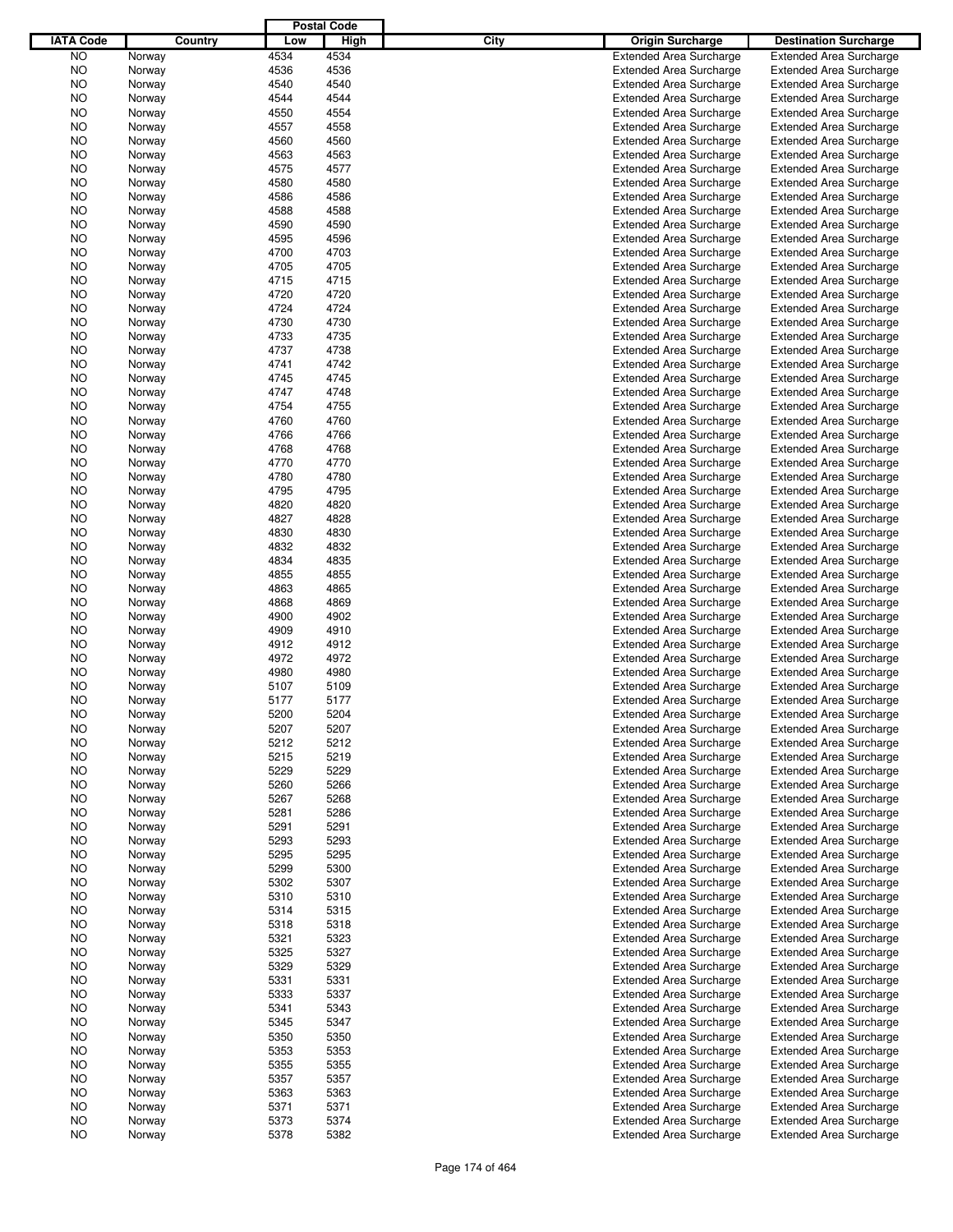|                  |         |      | <b>Postal Code</b> |      |                                |                                                                  |
|------------------|---------|------|--------------------|------|--------------------------------|------------------------------------------------------------------|
| <b>IATA Code</b> | Country | Low  | High               | City | Origin Surcharge               | <b>Destination Surcharge</b>                                     |
| <b>NO</b>        | Norway  | 4534 | 4534               |      | <b>Extended Area Surcharge</b> | <b>Extended Area Surcharge</b>                                   |
| <b>NO</b>        | Norway  | 4536 | 4536               |      | <b>Extended Area Surcharge</b> | <b>Extended Area Surcharge</b>                                   |
| NO               | Norway  | 4540 | 4540               |      | <b>Extended Area Surcharge</b> | <b>Extended Area Surcharge</b>                                   |
| NO               | Norway  | 4544 | 4544               |      | <b>Extended Area Surcharge</b> | <b>Extended Area Surcharge</b>                                   |
| NO               | Norway  | 4550 | 4554               |      | <b>Extended Area Surcharge</b> | <b>Extended Area Surcharge</b>                                   |
| NO               | Norway  | 4557 | 4558               |      | <b>Extended Area Surcharge</b> | <b>Extended Area Surcharge</b>                                   |
|                  |         |      |                    |      |                                |                                                                  |
| NO               | Norway  | 4560 | 4560               |      | <b>Extended Area Surcharge</b> | <b>Extended Area Surcharge</b>                                   |
| NO               | Norway  | 4563 | 4563               |      | <b>Extended Area Surcharge</b> | <b>Extended Area Surcharge</b>                                   |
| NO               | Norway  | 4575 | 4577               |      | <b>Extended Area Surcharge</b> | <b>Extended Area Surcharge</b>                                   |
| NO               | Norway  | 4580 | 4580               |      | <b>Extended Area Surcharge</b> | <b>Extended Area Surcharge</b>                                   |
| NO               | Norway  | 4586 | 4586               |      | <b>Extended Area Surcharge</b> | <b>Extended Area Surcharge</b>                                   |
| NO               | Norway  | 4588 | 4588               |      | <b>Extended Area Surcharge</b> | <b>Extended Area Surcharge</b>                                   |
| NO               | Norway  | 4590 | 4590               |      | <b>Extended Area Surcharge</b> | <b>Extended Area Surcharge</b>                                   |
| NO               | Norway  | 4595 | 4596               |      | <b>Extended Area Surcharge</b> | <b>Extended Area Surcharge</b>                                   |
| NO               | Norway  | 4700 | 4703               |      | <b>Extended Area Surcharge</b> | <b>Extended Area Surcharge</b>                                   |
| NO               | Norway  | 4705 | 4705               |      | <b>Extended Area Surcharge</b> | <b>Extended Area Surcharge</b>                                   |
| NO               | Norway  | 4715 | 4715               |      | <b>Extended Area Surcharge</b> | <b>Extended Area Surcharge</b>                                   |
| NO               | Norway  | 4720 | 4720               |      | <b>Extended Area Surcharge</b> | <b>Extended Area Surcharge</b>                                   |
| NO               | Norway  | 4724 | 4724               |      | <b>Extended Area Surcharge</b> | <b>Extended Area Surcharge</b>                                   |
| NO               | Norway  | 4730 | 4730               |      | <b>Extended Area Surcharge</b> | <b>Extended Area Surcharge</b>                                   |
| NO               | Norway  | 4733 | 4735               |      | <b>Extended Area Surcharge</b> | <b>Extended Area Surcharge</b>                                   |
| NO               | Norway  | 4737 | 4738               |      | <b>Extended Area Surcharge</b> | <b>Extended Area Surcharge</b>                                   |
| NO               | Norway  | 4741 | 4742               |      | <b>Extended Area Surcharge</b> | <b>Extended Area Surcharge</b>                                   |
|                  |         | 4745 | 4745               |      | <b>Extended Area Surcharge</b> |                                                                  |
| NO               | Norway  |      |                    |      |                                | <b>Extended Area Surcharge</b>                                   |
| NO               | Norway  | 4747 | 4748               |      | <b>Extended Area Surcharge</b> | <b>Extended Area Surcharge</b>                                   |
| NO               | Norway  | 4754 | 4755               |      | <b>Extended Area Surcharge</b> | <b>Extended Area Surcharge</b>                                   |
| NO               | Norway  | 4760 | 4760               |      | <b>Extended Area Surcharge</b> | <b>Extended Area Surcharge</b>                                   |
| NO               | Norway  | 4766 | 4766               |      | <b>Extended Area Surcharge</b> | <b>Extended Area Surcharge</b>                                   |
| NO               | Norway  | 4768 | 4768               |      | <b>Extended Area Surcharge</b> | <b>Extended Area Surcharge</b>                                   |
| NO               | Norway  | 4770 | 4770               |      | <b>Extended Area Surcharge</b> | <b>Extended Area Surcharge</b>                                   |
| NO               | Norway  | 4780 | 4780               |      | <b>Extended Area Surcharge</b> | <b>Extended Area Surcharge</b>                                   |
| NO               | Norway  | 4795 | 4795               |      | <b>Extended Area Surcharge</b> | <b>Extended Area Surcharge</b>                                   |
| NO               | Norway  | 4820 | 4820               |      | <b>Extended Area Surcharge</b> | <b>Extended Area Surcharge</b>                                   |
| NO               | Norway  | 4827 | 4828               |      | <b>Extended Area Surcharge</b> | <b>Extended Area Surcharge</b>                                   |
| NO               | Norway  | 4830 | 4830               |      | <b>Extended Area Surcharge</b> | <b>Extended Area Surcharge</b>                                   |
| NO               | Norway  | 4832 | 4832               |      | <b>Extended Area Surcharge</b> | <b>Extended Area Surcharge</b>                                   |
| NO               | Norway  | 4834 | 4835               |      | <b>Extended Area Surcharge</b> | <b>Extended Area Surcharge</b>                                   |
| NO               | Norway  | 4855 | 4855               |      | <b>Extended Area Surcharge</b> | <b>Extended Area Surcharge</b>                                   |
| NO               | Norway  | 4863 | 4865               |      | <b>Extended Area Surcharge</b> | <b>Extended Area Surcharge</b>                                   |
| NO               | Norway  | 4868 | 4869               |      | <b>Extended Area Surcharge</b> | <b>Extended Area Surcharge</b>                                   |
|                  |         | 4900 | 4902               |      |                                |                                                                  |
| NO               | Norway  |      |                    |      | <b>Extended Area Surcharge</b> | <b>Extended Area Surcharge</b><br><b>Extended Area Surcharge</b> |
| NO               | Norway  | 4909 | 4910               |      | <b>Extended Area Surcharge</b> |                                                                  |
| NO               | Norway  | 4912 | 4912               |      | <b>Extended Area Surcharge</b> | <b>Extended Area Surcharge</b>                                   |
| NO               | Norway  | 4972 | 4972               |      | <b>Extended Area Surcharge</b> | <b>Extended Area Surcharge</b>                                   |
| NO               | Norway  | 4980 | 4980               |      | <b>Extended Area Surcharge</b> | <b>Extended Area Surcharge</b>                                   |
| NO               | Norway  | 5107 | 5109               |      | <b>Extended Area Surcharge</b> | <b>Extended Area Surcharge</b>                                   |
| NO               | Norway  | 5177 | 5177               |      | <b>Extended Area Surcharge</b> | <b>Extended Area Surcharge</b>                                   |
| NO               | Norway  | 5200 | 5204               |      | <b>Extended Area Surcharge</b> | <b>Extended Area Surcharge</b>                                   |
| NO               | Norway  | 5207 | 5207               |      | <b>Extended Area Surcharge</b> | <b>Extended Area Surcharge</b>                                   |
| NO               | Norway  | 5212 | 5212               |      | <b>Extended Area Surcharge</b> | <b>Extended Area Surcharge</b>                                   |
| NO               | Norway  | 5215 | 5219               |      | <b>Extended Area Surcharge</b> | <b>Extended Area Surcharge</b>                                   |
| NO               | Norway  | 5229 | 5229               |      | <b>Extended Area Surcharge</b> | <b>Extended Area Surcharge</b>                                   |
| NO.              | Norway  | 5260 | 5266               |      | <b>Extended Area Surcharge</b> | <b>Extended Area Surcharge</b>                                   |
| NO               | Norway  | 5267 | 5268               |      | <b>Extended Area Surcharge</b> | <b>Extended Area Surcharge</b>                                   |
| NO.              | Norway  | 5281 | 5286               |      | <b>Extended Area Surcharge</b> | <b>Extended Area Surcharge</b>                                   |
| NO               | Norway  | 5291 | 5291               |      | <b>Extended Area Surcharge</b> | <b>Extended Area Surcharge</b>                                   |
| NO.              | Norway  | 5293 | 5293               |      | <b>Extended Area Surcharge</b> | <b>Extended Area Surcharge</b>                                   |
| NO               | Norway  | 5295 | 5295               |      | <b>Extended Area Surcharge</b> | <b>Extended Area Surcharge</b>                                   |
|                  |         |      |                    |      | <b>Extended Area Surcharge</b> |                                                                  |
| NO.              | Norway  | 5299 | 5300               |      |                                | <b>Extended Area Surcharge</b>                                   |
| NO               | Norway  | 5302 | 5307               |      | <b>Extended Area Surcharge</b> | <b>Extended Area Surcharge</b>                                   |
| NO.              | Norway  | 5310 | 5310               |      | <b>Extended Area Surcharge</b> | <b>Extended Area Surcharge</b>                                   |
| NO               | Norway  | 5314 | 5315               |      | <b>Extended Area Surcharge</b> | <b>Extended Area Surcharge</b>                                   |
| NO.              | Norway  | 5318 | 5318               |      | <b>Extended Area Surcharge</b> | <b>Extended Area Surcharge</b>                                   |
| NO               | Norway  | 5321 | 5323               |      | <b>Extended Area Surcharge</b> | <b>Extended Area Surcharge</b>                                   |
| NO.              | Norway  | 5325 | 5327               |      | <b>Extended Area Surcharge</b> | <b>Extended Area Surcharge</b>                                   |
| NO               | Norway  | 5329 | 5329               |      | <b>Extended Area Surcharge</b> | <b>Extended Area Surcharge</b>                                   |
| NO.              | Norway  | 5331 | 5331               |      | <b>Extended Area Surcharge</b> | <b>Extended Area Surcharge</b>                                   |
| NO               | Norway  | 5333 | 5337               |      | <b>Extended Area Surcharge</b> | <b>Extended Area Surcharge</b>                                   |
| NO.              | Norway  | 5341 | 5343               |      | <b>Extended Area Surcharge</b> | <b>Extended Area Surcharge</b>                                   |
| NO               | Norway  | 5345 | 5347               |      | <b>Extended Area Surcharge</b> | <b>Extended Area Surcharge</b>                                   |
| NO.              | Norway  | 5350 | 5350               |      | <b>Extended Area Surcharge</b> | <b>Extended Area Surcharge</b>                                   |
| NO               | Norway  | 5353 | 5353               |      | <b>Extended Area Surcharge</b> | <b>Extended Area Surcharge</b>                                   |
| NO.              | Norway  | 5355 | 5355               |      | <b>Extended Area Surcharge</b> | <b>Extended Area Surcharge</b>                                   |
| NO               | Norway  | 5357 | 5357               |      | <b>Extended Area Surcharge</b> | <b>Extended Area Surcharge</b>                                   |
| NO.              |         | 5363 | 5363               |      | <b>Extended Area Surcharge</b> | <b>Extended Area Surcharge</b>                                   |
|                  | Norway  |      |                    |      |                                |                                                                  |
| NO               | Norway  | 5371 | 5371               |      | <b>Extended Area Surcharge</b> | <b>Extended Area Surcharge</b>                                   |
| NO               | Norway  | 5373 | 5374               |      | <b>Extended Area Surcharge</b> | <b>Extended Area Surcharge</b>                                   |
| <b>NO</b>        | Norway  | 5378 | 5382               |      | <b>Extended Area Surcharge</b> | <b>Extended Area Surcharge</b>                                   |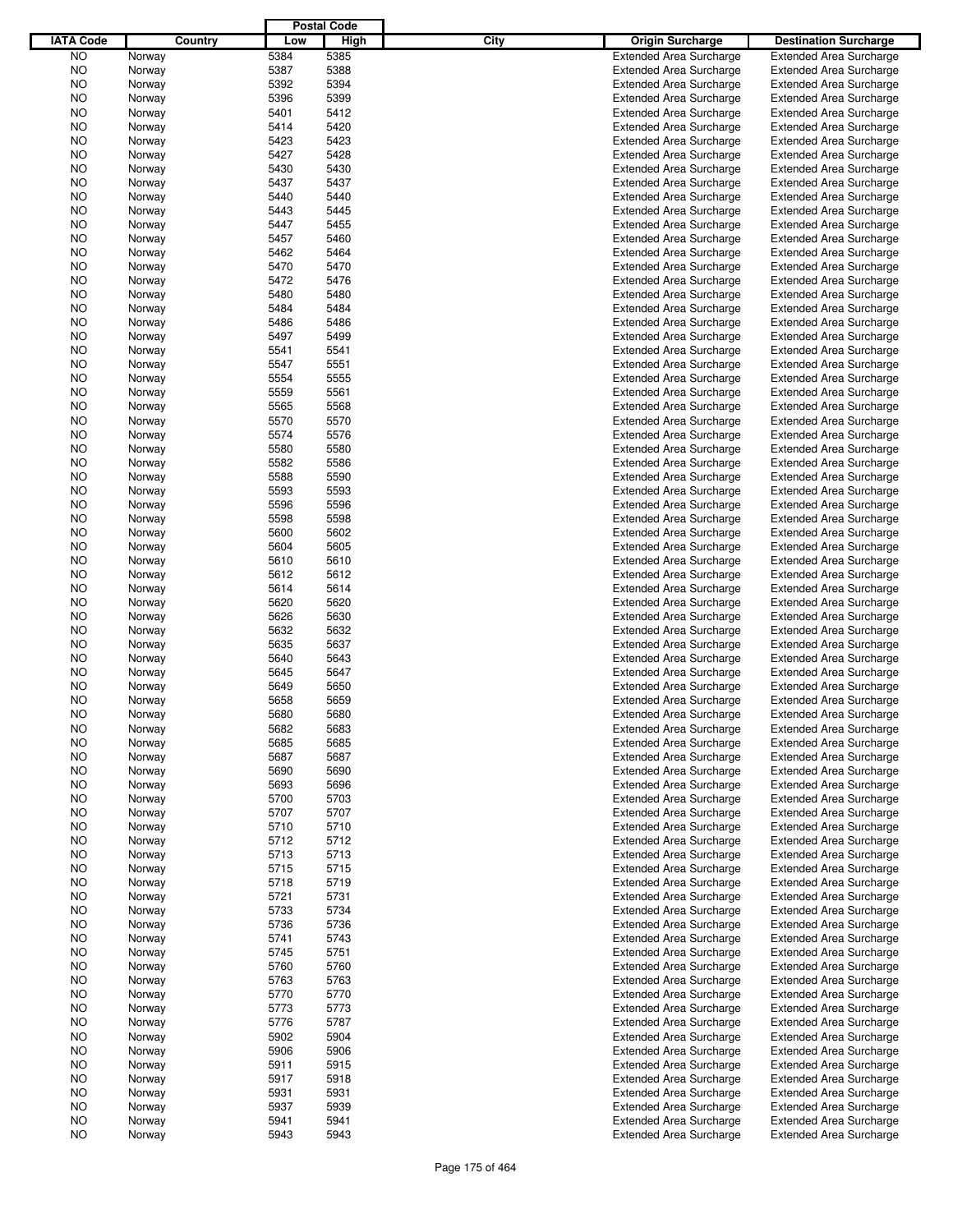|                  |         |      | <b>Postal Code</b> |      |                                |                                |
|------------------|---------|------|--------------------|------|--------------------------------|--------------------------------|
| <b>IATA Code</b> | Country | Low  | High               | City | <b>Origin Surcharge</b>        | <b>Destination Surcharge</b>   |
| <b>NO</b>        | Norway  | 5384 | 5385               |      | <b>Extended Area Surcharge</b> | <b>Extended Area Surcharge</b> |
| <b>NO</b>        | Norway  | 5387 | 5388               |      | <b>Extended Area Surcharge</b> | <b>Extended Area Surcharge</b> |
| NO               | Norway  | 5392 | 5394               |      | <b>Extended Area Surcharge</b> | <b>Extended Area Surcharge</b> |
| NO               | Norway  | 5396 | 5399               |      | <b>Extended Area Surcharge</b> | <b>Extended Area Surcharge</b> |
| NO               | Norway  | 5401 | 5412               |      | <b>Extended Area Surcharge</b> | <b>Extended Area Surcharge</b> |
| NO               | Norway  | 5414 | 5420               |      | <b>Extended Area Surcharge</b> | <b>Extended Area Surcharge</b> |
| NO               | Norway  | 5423 | 5423               |      | <b>Extended Area Surcharge</b> | <b>Extended Area Surcharge</b> |
| NO               |         | 5427 | 5428               |      | <b>Extended Area Surcharge</b> | <b>Extended Area Surcharge</b> |
|                  | Norway  | 5430 | 5430               |      |                                |                                |
| NO               | Norway  |      |                    |      | <b>Extended Area Surcharge</b> | <b>Extended Area Surcharge</b> |
| NO               | Norway  | 5437 | 5437               |      | <b>Extended Area Surcharge</b> | <b>Extended Area Surcharge</b> |
| NO               | Norway  | 5440 | 5440               |      | <b>Extended Area Surcharge</b> | <b>Extended Area Surcharge</b> |
| NO               | Norway  | 5443 | 5445               |      | <b>Extended Area Surcharge</b> | <b>Extended Area Surcharge</b> |
| NO               | Norway  | 5447 | 5455               |      | <b>Extended Area Surcharge</b> | <b>Extended Area Surcharge</b> |
| NO               | Norway  | 5457 | 5460               |      | <b>Extended Area Surcharge</b> | <b>Extended Area Surcharge</b> |
| NO               | Norway  | 5462 | 5464               |      | <b>Extended Area Surcharge</b> | <b>Extended Area Surcharge</b> |
| NO               | Norway  | 5470 | 5470               |      | <b>Extended Area Surcharge</b> | <b>Extended Area Surcharge</b> |
| NO               | Norway  | 5472 | 5476               |      | <b>Extended Area Surcharge</b> | <b>Extended Area Surcharge</b> |
| NO               | Norway  | 5480 | 5480               |      | <b>Extended Area Surcharge</b> | <b>Extended Area Surcharge</b> |
| NO               | Norway  | 5484 | 5484               |      | <b>Extended Area Surcharge</b> | <b>Extended Area Surcharge</b> |
| NO               | Norway  | 5486 | 5486               |      | <b>Extended Area Surcharge</b> | <b>Extended Area Surcharge</b> |
| NO               | Norway  | 5497 | 5499               |      | <b>Extended Area Surcharge</b> | <b>Extended Area Surcharge</b> |
| NO               | Norway  | 5541 | 5541               |      | <b>Extended Area Surcharge</b> | <b>Extended Area Surcharge</b> |
| NO               | Norway  | 5547 | 5551               |      | <b>Extended Area Surcharge</b> | <b>Extended Area Surcharge</b> |
| NO               | Norway  | 5554 | 5555               |      | <b>Extended Area Surcharge</b> | <b>Extended Area Surcharge</b> |
| NO               | Norway  | 5559 | 5561               |      | <b>Extended Area Surcharge</b> | <b>Extended Area Surcharge</b> |
| NO               | Norway  | 5565 | 5568               |      | <b>Extended Area Surcharge</b> | <b>Extended Area Surcharge</b> |
| NO               | Norway  | 5570 | 5570               |      | <b>Extended Area Surcharge</b> | <b>Extended Area Surcharge</b> |
| NO               | Norway  | 5574 | 5576               |      | <b>Extended Area Surcharge</b> | <b>Extended Area Surcharge</b> |
| NO               | Norway  | 5580 | 5580               |      | <b>Extended Area Surcharge</b> | <b>Extended Area Surcharge</b> |
| NO               | Norway  | 5582 | 5586               |      | <b>Extended Area Surcharge</b> | <b>Extended Area Surcharge</b> |
| NO               | Norway  | 5588 | 5590               |      | <b>Extended Area Surcharge</b> | <b>Extended Area Surcharge</b> |
| NO               |         | 5593 | 5593               |      | <b>Extended Area Surcharge</b> | <b>Extended Area Surcharge</b> |
|                  | Norway  |      |                    |      |                                |                                |
| NO               | Norway  | 5596 | 5596               |      | <b>Extended Area Surcharge</b> | <b>Extended Area Surcharge</b> |
| NO               | Norway  | 5598 | 5598               |      | <b>Extended Area Surcharge</b> | <b>Extended Area Surcharge</b> |
| NO               | Norway  | 5600 | 5602               |      | <b>Extended Area Surcharge</b> | <b>Extended Area Surcharge</b> |
| NO               | Norway  | 5604 | 5605               |      | <b>Extended Area Surcharge</b> | <b>Extended Area Surcharge</b> |
| NO               | Norway  | 5610 | 5610               |      | <b>Extended Area Surcharge</b> | <b>Extended Area Surcharge</b> |
| NO               | Norway  | 5612 | 5612               |      | <b>Extended Area Surcharge</b> | <b>Extended Area Surcharge</b> |
| NO               | Norway  | 5614 | 5614               |      | <b>Extended Area Surcharge</b> | <b>Extended Area Surcharge</b> |
| NO               | Norway  | 5620 | 5620               |      | <b>Extended Area Surcharge</b> | <b>Extended Area Surcharge</b> |
| NO               | Norway  | 5626 | 5630               |      | <b>Extended Area Surcharge</b> | <b>Extended Area Surcharge</b> |
| NO               | Norway  | 5632 | 5632               |      | <b>Extended Area Surcharge</b> | <b>Extended Area Surcharge</b> |
| NO               | Norway  | 5635 | 5637               |      | <b>Extended Area Surcharge</b> | <b>Extended Area Surcharge</b> |
| NO               | Norway  | 5640 | 5643               |      | <b>Extended Area Surcharge</b> | <b>Extended Area Surcharge</b> |
| ΝO               | Norway  | 5645 | 5647               |      | <b>Extended Area Surcharge</b> | <b>Extended Area Surcharge</b> |
| NO               | Norway  | 5649 | 5650               |      | <b>Extended Area Surcharge</b> | <b>Extended Area Surcharge</b> |
| NO               | Norway  | 5658 | 5659               |      | <b>Extended Area Surcharge</b> | <b>Extended Area Surcharge</b> |
| NO               | Norway  | 5680 | 5680               |      | <b>Extended Area Surcharge</b> | <b>Extended Area Surcharge</b> |
| NO.              | Norway  | 5682 | 5683               |      | <b>Extended Area Surcharge</b> | <b>Extended Area Surcharge</b> |
| NO.              | Norway  | 5685 | 5685               |      | <b>Extended Area Surcharge</b> | <b>Extended Area Surcharge</b> |
| NO.              | Norway  | 5687 | 5687               |      | <b>Extended Area Surcharge</b> | <b>Extended Area Surcharge</b> |
| NO.              | Norway  | 5690 | 5690               |      | <b>Extended Area Surcharge</b> | <b>Extended Area Surcharge</b> |
| NO.              | Norway  | 5693 | 5696               |      | <b>Extended Area Surcharge</b> | <b>Extended Area Surcharge</b> |
| NO.              | Norway  | 5700 | 5703               |      | <b>Extended Area Surcharge</b> | <b>Extended Area Surcharge</b> |
| NO.              | Norway  | 5707 | 5707               |      | <b>Extended Area Surcharge</b> | <b>Extended Area Surcharge</b> |
| NO.              | Norway  | 5710 | 5710               |      | <b>Extended Area Surcharge</b> | <b>Extended Area Surcharge</b> |
| NO.              | Norway  | 5712 | 5712               |      | <b>Extended Area Surcharge</b> | <b>Extended Area Surcharge</b> |
| NO.              | Norway  | 5713 | 5713               |      | <b>Extended Area Surcharge</b> | <b>Extended Area Surcharge</b> |
| NO.              | Norway  | 5715 | 5715               |      | <b>Extended Area Surcharge</b> | <b>Extended Area Surcharge</b> |
| NO.              | Norway  | 5718 | 5719               |      | <b>Extended Area Surcharge</b> | <b>Extended Area Surcharge</b> |
| NO.              |         | 5721 | 5731               |      | <b>Extended Area Surcharge</b> | <b>Extended Area Surcharge</b> |
|                  | Norway  |      |                    |      |                                | <b>Extended Area Surcharge</b> |
| NO.              | Norway  | 5733 | 5734               |      | <b>Extended Area Surcharge</b> |                                |
| NO.              | Norway  | 5736 | 5736               |      | <b>Extended Area Surcharge</b> | <b>Extended Area Surcharge</b> |
| NO.              | Norway  | 5741 | 5743               |      | <b>Extended Area Surcharge</b> | <b>Extended Area Surcharge</b> |
| NO.              | Norway  | 5745 | 5751               |      | <b>Extended Area Surcharge</b> | <b>Extended Area Surcharge</b> |
| NO.              | Norway  | 5760 | 5760               |      | <b>Extended Area Surcharge</b> | <b>Extended Area Surcharge</b> |
| NO.              | Norway  | 5763 | 5763               |      | <b>Extended Area Surcharge</b> | <b>Extended Area Surcharge</b> |
| NO.              | Norway  | 5770 | 5770               |      | <b>Extended Area Surcharge</b> | <b>Extended Area Surcharge</b> |
| NO.              | Norway  | 5773 | 5773               |      | <b>Extended Area Surcharge</b> | <b>Extended Area Surcharge</b> |
| NO.              | Norway  | 5776 | 5787               |      | <b>Extended Area Surcharge</b> | <b>Extended Area Surcharge</b> |
| NO.              | Norway  | 5902 | 5904               |      | <b>Extended Area Surcharge</b> | <b>Extended Area Surcharge</b> |
| NO.              | Norway  | 5906 | 5906               |      | <b>Extended Area Surcharge</b> | <b>Extended Area Surcharge</b> |
| NO.              | Norway  | 5911 | 5915               |      | <b>Extended Area Surcharge</b> | <b>Extended Area Surcharge</b> |
| NO.              | Norway  | 5917 | 5918               |      | <b>Extended Area Surcharge</b> | <b>Extended Area Surcharge</b> |
| NO.              | Norway  | 5931 | 5931               |      | <b>Extended Area Surcharge</b> | <b>Extended Area Surcharge</b> |
| NO.              | Norway  | 5937 | 5939               |      | <b>Extended Area Surcharge</b> | <b>Extended Area Surcharge</b> |
| NO               | Norway  | 5941 | 5941               |      | <b>Extended Area Surcharge</b> | <b>Extended Area Surcharge</b> |
| <b>NO</b>        | Norway  | 5943 | 5943               |      | <b>Extended Area Surcharge</b> | <b>Extended Area Surcharge</b> |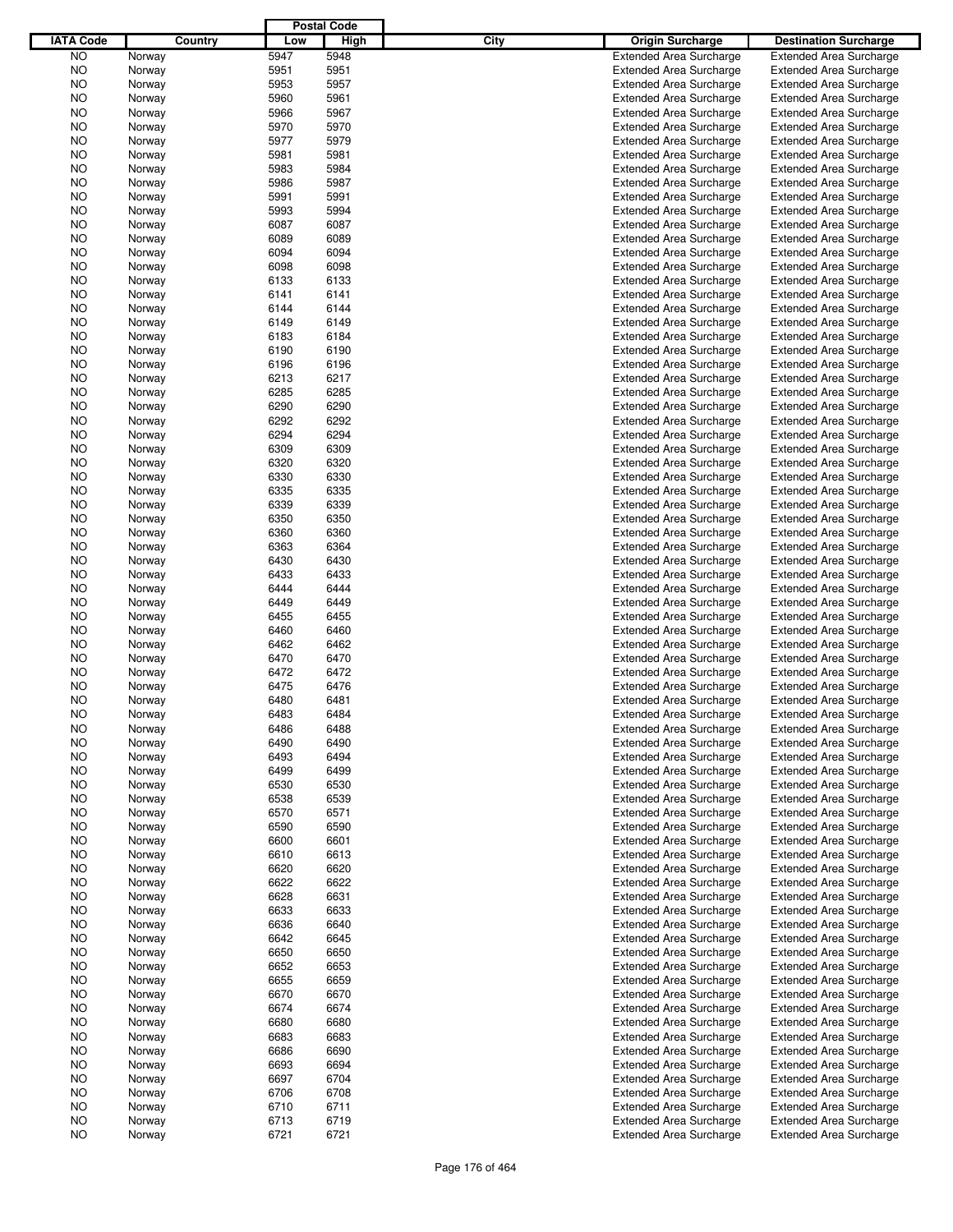|                  |        |         |      | <b>Postal Code</b> |      |                                                                  |                                |
|------------------|--------|---------|------|--------------------|------|------------------------------------------------------------------|--------------------------------|
| <b>IATA Code</b> |        | Country | Low  | High               | City | <b>Origin Surcharge</b>                                          | <b>Destination Surcharge</b>   |
| <b>NO</b>        | Norway |         | 5947 | 5948               |      | <b>Extended Area Surcharge</b>                                   | <b>Extended Area Surcharge</b> |
| <b>NO</b>        | Norway |         | 5951 | 5951               |      | <b>Extended Area Surcharge</b>                                   | <b>Extended Area Surcharge</b> |
| NO               | Norway |         | 5953 | 5957               |      | <b>Extended Area Surcharge</b>                                   | <b>Extended Area Surcharge</b> |
| NO               | Norway |         | 5960 | 5961               |      | <b>Extended Area Surcharge</b>                                   | <b>Extended Area Surcharge</b> |
| NO               | Norway |         | 5966 | 5967               |      | <b>Extended Area Surcharge</b>                                   | <b>Extended Area Surcharge</b> |
| NO               | Norway |         | 5970 | 5970               |      | <b>Extended Area Surcharge</b>                                   | <b>Extended Area Surcharge</b> |
|                  |        |         |      |                    |      |                                                                  |                                |
| NO               | Norway |         | 5977 | 5979               |      | <b>Extended Area Surcharge</b>                                   | <b>Extended Area Surcharge</b> |
| NO               | Norway |         | 5981 | 5981               |      | <b>Extended Area Surcharge</b>                                   | <b>Extended Area Surcharge</b> |
| NO               | Norway |         | 5983 | 5984               |      | <b>Extended Area Surcharge</b>                                   | <b>Extended Area Surcharge</b> |
| NO               | Norway |         | 5986 | 5987               |      | <b>Extended Area Surcharge</b>                                   | <b>Extended Area Surcharge</b> |
| NO               | Norway |         | 5991 | 5991               |      | <b>Extended Area Surcharge</b>                                   | <b>Extended Area Surcharge</b> |
| NO               | Norway |         | 5993 | 5994               |      | <b>Extended Area Surcharge</b>                                   | <b>Extended Area Surcharge</b> |
| NO               | Norway |         | 6087 | 6087               |      | <b>Extended Area Surcharge</b>                                   | <b>Extended Area Surcharge</b> |
| NO               | Norway |         | 6089 | 6089               |      | <b>Extended Area Surcharge</b>                                   | <b>Extended Area Surcharge</b> |
| NO               | Norway |         | 6094 | 6094               |      | <b>Extended Area Surcharge</b>                                   | <b>Extended Area Surcharge</b> |
| NO               | Norway |         | 6098 | 6098               |      | <b>Extended Area Surcharge</b>                                   | <b>Extended Area Surcharge</b> |
| NO               | Norway |         | 6133 | 6133               |      | <b>Extended Area Surcharge</b>                                   | <b>Extended Area Surcharge</b> |
| NO               | Norway |         | 6141 | 6141               |      | <b>Extended Area Surcharge</b>                                   | <b>Extended Area Surcharge</b> |
| NO               | Norway |         | 6144 | 6144               |      | <b>Extended Area Surcharge</b>                                   | <b>Extended Area Surcharge</b> |
| NO               | Norway |         | 6149 | 6149               |      | <b>Extended Area Surcharge</b>                                   | <b>Extended Area Surcharge</b> |
| NO               | Norway |         | 6183 | 6184               |      | <b>Extended Area Surcharge</b>                                   | <b>Extended Area Surcharge</b> |
| NO               | Norway |         | 6190 | 6190               |      | <b>Extended Area Surcharge</b>                                   | <b>Extended Area Surcharge</b> |
| NO               | Norway |         | 6196 | 6196               |      | <b>Extended Area Surcharge</b>                                   | <b>Extended Area Surcharge</b> |
|                  |        |         |      | 6217               |      | <b>Extended Area Surcharge</b>                                   |                                |
| NO               | Norway |         | 6213 |                    |      |                                                                  | <b>Extended Area Surcharge</b> |
| NO               | Norway |         | 6285 | 6285               |      | <b>Extended Area Surcharge</b>                                   | <b>Extended Area Surcharge</b> |
| NO               | Norway |         | 6290 | 6290               |      | <b>Extended Area Surcharge</b>                                   | <b>Extended Area Surcharge</b> |
| NO               | Norway |         | 6292 | 6292               |      | <b>Extended Area Surcharge</b>                                   | <b>Extended Area Surcharge</b> |
| NO               | Norway |         | 6294 | 6294               |      | <b>Extended Area Surcharge</b>                                   | <b>Extended Area Surcharge</b> |
| NO               | Norway |         | 6309 | 6309               |      | <b>Extended Area Surcharge</b>                                   | <b>Extended Area Surcharge</b> |
| NO               | Norway |         | 6320 | 6320               |      | <b>Extended Area Surcharge</b>                                   | <b>Extended Area Surcharge</b> |
| NO               | Norway |         | 6330 | 6330               |      | <b>Extended Area Surcharge</b>                                   | <b>Extended Area Surcharge</b> |
| NO               | Norway |         | 6335 | 6335               |      | <b>Extended Area Surcharge</b>                                   | <b>Extended Area Surcharge</b> |
| NO               | Norway |         | 6339 | 6339               |      | <b>Extended Area Surcharge</b>                                   | <b>Extended Area Surcharge</b> |
| NO               | Norway |         | 6350 | 6350               |      | <b>Extended Area Surcharge</b>                                   | <b>Extended Area Surcharge</b> |
| NO               | Norway |         | 6360 | 6360               |      | <b>Extended Area Surcharge</b>                                   | <b>Extended Area Surcharge</b> |
| NO               | Norway |         | 6363 | 6364               |      | <b>Extended Area Surcharge</b>                                   | <b>Extended Area Surcharge</b> |
| NO               | Norway |         | 6430 | 6430               |      | <b>Extended Area Surcharge</b>                                   | <b>Extended Area Surcharge</b> |
| NO               | Norway |         | 6433 | 6433               |      | <b>Extended Area Surcharge</b>                                   | <b>Extended Area Surcharge</b> |
| NO               | Norway |         | 6444 | 6444               |      | <b>Extended Area Surcharge</b>                                   | <b>Extended Area Surcharge</b> |
| NO               | Norway |         | 6449 | 6449               |      | <b>Extended Area Surcharge</b>                                   | <b>Extended Area Surcharge</b> |
|                  |        |         | 6455 | 6455               |      |                                                                  |                                |
| NO               | Norway |         |      | 6460               |      | <b>Extended Area Surcharge</b><br><b>Extended Area Surcharge</b> | <b>Extended Area Surcharge</b> |
| NO               | Norway |         | 6460 |                    |      |                                                                  | <b>Extended Area Surcharge</b> |
| NO               | Norway |         | 6462 | 6462               |      | <b>Extended Area Surcharge</b>                                   | <b>Extended Area Surcharge</b> |
| NO               | Norway |         | 6470 | 6470               |      | <b>Extended Area Surcharge</b>                                   | <b>Extended Area Surcharge</b> |
| ΝO               | Norway |         | 6472 | 6472               |      | <b>Extended Area Surcharge</b>                                   | <b>Extended Area Surcharge</b> |
| NO               | Norway |         | 6475 | 6476               |      | <b>Extended Area Surcharge</b>                                   | <b>Extended Area Surcharge</b> |
| NO               | Norway |         | 6480 | 6481               |      | <b>Extended Area Surcharge</b>                                   | <b>Extended Area Surcharge</b> |
| NO               | Norway |         | 6483 | 6484               |      | <b>Extended Area Surcharge</b>                                   | <b>Extended Area Surcharge</b> |
| NO               | Norway |         | 6486 | 6488               |      | <b>Extended Area Surcharge</b>                                   | <b>Extended Area Surcharge</b> |
| NO.              | Norway |         | 6490 | 6490               |      | <b>Extended Area Surcharge</b>                                   | <b>Extended Area Surcharge</b> |
| NO.              | Norway |         | 6493 | 6494               |      | <b>Extended Area Surcharge</b>                                   | <b>Extended Area Surcharge</b> |
| NO.              | Norway |         | 6499 | 6499               |      | <b>Extended Area Surcharge</b>                                   | <b>Extended Area Surcharge</b> |
| NO.              | Norway |         | 6530 | 6530               |      | <b>Extended Area Surcharge</b>                                   | <b>Extended Area Surcharge</b> |
| NO.              | Norway |         | 6538 | 6539               |      | <b>Extended Area Surcharge</b>                                   | <b>Extended Area Surcharge</b> |
| NO.              | Norway |         | 6570 | 6571               |      | <b>Extended Area Surcharge</b>                                   | <b>Extended Area Surcharge</b> |
| NO.              | Norway |         | 6590 | 6590               |      | <b>Extended Area Surcharge</b>                                   | <b>Extended Area Surcharge</b> |
| NO.              | Norway |         | 6600 | 6601               |      | <b>Extended Area Surcharge</b>                                   | <b>Extended Area Surcharge</b> |
| NO.              | Norway |         | 6610 | 6613               |      | <b>Extended Area Surcharge</b>                                   | <b>Extended Area Surcharge</b> |
|                  |        |         | 6620 | 6620               |      |                                                                  |                                |
| NO.              | Norway |         |      |                    |      | <b>Extended Area Surcharge</b>                                   | <b>Extended Area Surcharge</b> |
| NO.              | Norway |         | 6622 | 6622               |      | <b>Extended Area Surcharge</b>                                   | <b>Extended Area Surcharge</b> |
| NO.              | Norway |         | 6628 | 6631               |      | <b>Extended Area Surcharge</b>                                   | <b>Extended Area Surcharge</b> |
| NO.              | Norway |         | 6633 | 6633               |      | <b>Extended Area Surcharge</b>                                   | <b>Extended Area Surcharge</b> |
| NO.              | Norway |         | 6636 | 6640               |      | <b>Extended Area Surcharge</b>                                   | <b>Extended Area Surcharge</b> |
| NO.              | Norway |         | 6642 | 6645               |      | <b>Extended Area Surcharge</b>                                   | <b>Extended Area Surcharge</b> |
| NO.              | Norway |         | 6650 | 6650               |      | <b>Extended Area Surcharge</b>                                   | <b>Extended Area Surcharge</b> |
| NO.              | Norway |         | 6652 | 6653               |      | <b>Extended Area Surcharge</b>                                   | <b>Extended Area Surcharge</b> |
| NO.              | Norway |         | 6655 | 6659               |      | <b>Extended Area Surcharge</b>                                   | <b>Extended Area Surcharge</b> |
| NO.              | Norway |         | 6670 | 6670               |      | <b>Extended Area Surcharge</b>                                   | <b>Extended Area Surcharge</b> |
| NO.              | Norway |         | 6674 | 6674               |      | <b>Extended Area Surcharge</b>                                   | <b>Extended Area Surcharge</b> |
| NO.              | Norway |         | 6680 | 6680               |      | <b>Extended Area Surcharge</b>                                   | <b>Extended Area Surcharge</b> |
| NO.              | Norway |         | 6683 | 6683               |      | <b>Extended Area Surcharge</b>                                   | <b>Extended Area Surcharge</b> |
| NO.              | Norway |         | 6686 | 6690               |      | <b>Extended Area Surcharge</b>                                   | <b>Extended Area Surcharge</b> |
| NO.              | Norway |         | 6693 | 6694               |      | <b>Extended Area Surcharge</b>                                   | <b>Extended Area Surcharge</b> |
| NO.              | Norway |         | 6697 | 6704               |      | <b>Extended Area Surcharge</b>                                   | <b>Extended Area Surcharge</b> |
| NO.              |        |         | 6706 | 6708               |      | <b>Extended Area Surcharge</b>                                   | <b>Extended Area Surcharge</b> |
|                  | Norway |         |      |                    |      |                                                                  |                                |
| NO.              | Norway |         | 6710 | 6711               |      | <b>Extended Area Surcharge</b>                                   | <b>Extended Area Surcharge</b> |
| NO               | Norway |         | 6713 | 6719               |      | <b>Extended Area Surcharge</b>                                   | <b>Extended Area Surcharge</b> |
| <b>NO</b>        | Norway |         | 6721 | 6721               |      | <b>Extended Area Surcharge</b>                                   | <b>Extended Area Surcharge</b> |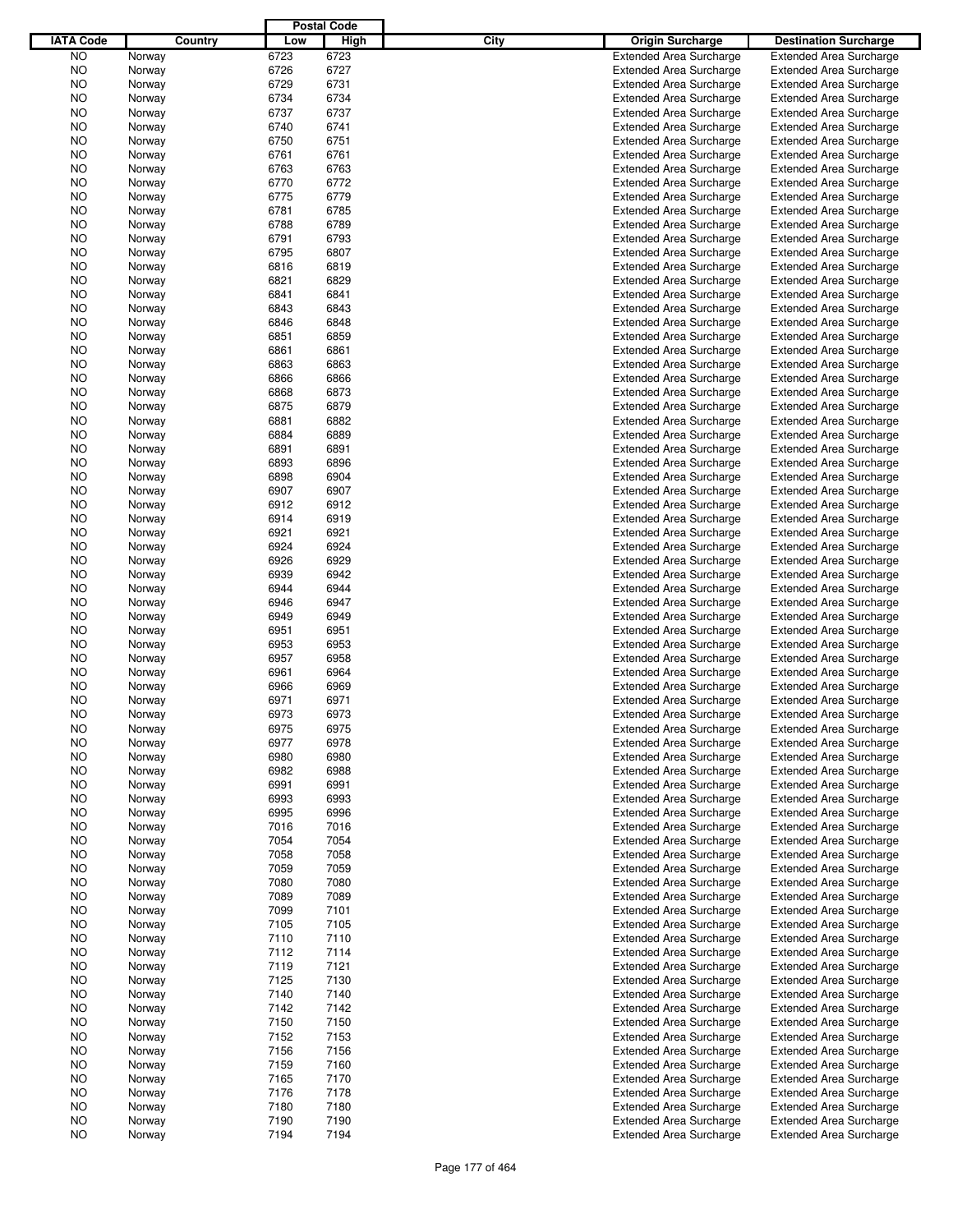|                  |        |         |      | <b>Postal Code</b> |      |                                |                                |
|------------------|--------|---------|------|--------------------|------|--------------------------------|--------------------------------|
| <b>IATA Code</b> |        | Country | Low  | High               | City | <b>Origin Surcharge</b>        | <b>Destination Surcharge</b>   |
| <b>NO</b>        | Norway |         | 6723 | 6723               |      | <b>Extended Area Surcharge</b> | <b>Extended Area Surcharge</b> |
| <b>NO</b>        | Norway |         | 6726 | 6727               |      | <b>Extended Area Surcharge</b> | <b>Extended Area Surcharge</b> |
| NO               | Norway |         | 6729 | 6731               |      | <b>Extended Area Surcharge</b> | <b>Extended Area Surcharge</b> |
| NO               | Norway |         | 6734 | 6734               |      | <b>Extended Area Surcharge</b> | <b>Extended Area Surcharge</b> |
| NO               | Norway |         | 6737 | 6737               |      | <b>Extended Area Surcharge</b> | <b>Extended Area Surcharge</b> |
| NO               | Norway |         | 6740 | 6741               |      | <b>Extended Area Surcharge</b> | <b>Extended Area Surcharge</b> |
| NO               | Norway |         | 6750 | 6751               |      | <b>Extended Area Surcharge</b> | <b>Extended Area Surcharge</b> |
| NO               |        |         | 6761 | 6761               |      | <b>Extended Area Surcharge</b> | <b>Extended Area Surcharge</b> |
|                  | Norway |         | 6763 | 6763               |      |                                |                                |
| NO               | Norway |         |      | 6772               |      | <b>Extended Area Surcharge</b> | <b>Extended Area Surcharge</b> |
| NO               | Norway |         | 6770 |                    |      | <b>Extended Area Surcharge</b> | <b>Extended Area Surcharge</b> |
| NO               | Norway |         | 6775 | 6779               |      | <b>Extended Area Surcharge</b> | <b>Extended Area Surcharge</b> |
| NO               | Norway |         | 6781 | 6785               |      | <b>Extended Area Surcharge</b> | <b>Extended Area Surcharge</b> |
| NO               | Norway |         | 6788 | 6789               |      | <b>Extended Area Surcharge</b> | <b>Extended Area Surcharge</b> |
| NO               | Norway |         | 6791 | 6793               |      | <b>Extended Area Surcharge</b> | <b>Extended Area Surcharge</b> |
| NO               | Norway |         | 6795 | 6807               |      | <b>Extended Area Surcharge</b> | <b>Extended Area Surcharge</b> |
| NO               | Norway |         | 6816 | 6819               |      | <b>Extended Area Surcharge</b> | <b>Extended Area Surcharge</b> |
| NO               | Norway |         | 6821 | 6829               |      | <b>Extended Area Surcharge</b> | <b>Extended Area Surcharge</b> |
| NO               | Norway |         | 6841 | 6841               |      | <b>Extended Area Surcharge</b> | <b>Extended Area Surcharge</b> |
| NO               | Norway |         | 6843 | 6843               |      | <b>Extended Area Surcharge</b> | <b>Extended Area Surcharge</b> |
| NO               | Norway |         | 6846 | 6848               |      | <b>Extended Area Surcharge</b> | <b>Extended Area Surcharge</b> |
| NO               | Norway |         | 6851 | 6859               |      | <b>Extended Area Surcharge</b> | <b>Extended Area Surcharge</b> |
| NO               | Norway |         | 6861 | 6861               |      | <b>Extended Area Surcharge</b> | <b>Extended Area Surcharge</b> |
| NO               | Norway |         | 6863 | 6863               |      | <b>Extended Area Surcharge</b> | <b>Extended Area Surcharge</b> |
| NO               | Norway |         | 6866 | 6866               |      | <b>Extended Area Surcharge</b> | <b>Extended Area Surcharge</b> |
| NO               | Norway |         | 6868 | 6873               |      | <b>Extended Area Surcharge</b> | <b>Extended Area Surcharge</b> |
| NO               | Norway |         | 6875 | 6879               |      | <b>Extended Area Surcharge</b> | <b>Extended Area Surcharge</b> |
| NO               | Norway |         | 6881 | 6882               |      | <b>Extended Area Surcharge</b> | <b>Extended Area Surcharge</b> |
| NO               | Norway |         | 6884 | 6889               |      | <b>Extended Area Surcharge</b> | <b>Extended Area Surcharge</b> |
| NO               | Norway |         | 6891 | 6891               |      | <b>Extended Area Surcharge</b> | <b>Extended Area Surcharge</b> |
| NO               | Norway |         | 6893 | 6896               |      | <b>Extended Area Surcharge</b> | <b>Extended Area Surcharge</b> |
| NO               | Norway |         | 6898 | 6904               |      | <b>Extended Area Surcharge</b> | <b>Extended Area Surcharge</b> |
| NO               |        |         | 6907 | 6907               |      | <b>Extended Area Surcharge</b> | <b>Extended Area Surcharge</b> |
|                  | Norway |         |      |                    |      |                                |                                |
| NO               | Norway |         | 6912 | 6912               |      | <b>Extended Area Surcharge</b> | <b>Extended Area Surcharge</b> |
| NO               | Norway |         | 6914 | 6919               |      | <b>Extended Area Surcharge</b> | <b>Extended Area Surcharge</b> |
| NO               | Norway |         | 6921 | 6921               |      | <b>Extended Area Surcharge</b> | <b>Extended Area Surcharge</b> |
| NO               | Norway |         | 6924 | 6924               |      | <b>Extended Area Surcharge</b> | <b>Extended Area Surcharge</b> |
| NO               | Norway |         | 6926 | 6929               |      | <b>Extended Area Surcharge</b> | <b>Extended Area Surcharge</b> |
| NO               | Norway |         | 6939 | 6942               |      | <b>Extended Area Surcharge</b> | <b>Extended Area Surcharge</b> |
| NO               | Norway |         | 6944 | 6944               |      | <b>Extended Area Surcharge</b> | <b>Extended Area Surcharge</b> |
| NO               | Norway |         | 6946 | 6947               |      | <b>Extended Area Surcharge</b> | <b>Extended Area Surcharge</b> |
| NO               | Norway |         | 6949 | 6949               |      | <b>Extended Area Surcharge</b> | <b>Extended Area Surcharge</b> |
| NO               | Norway |         | 6951 | 6951               |      | <b>Extended Area Surcharge</b> | <b>Extended Area Surcharge</b> |
| NO               | Norway |         | 6953 | 6953               |      | <b>Extended Area Surcharge</b> | <b>Extended Area Surcharge</b> |
| NO               | Norway |         | 6957 | 6958               |      | <b>Extended Area Surcharge</b> | <b>Extended Area Surcharge</b> |
| ΝO               | Norway |         | 6961 | 6964               |      | <b>Extended Area Surcharge</b> | <b>Extended Area Surcharge</b> |
| NO               | Norway |         | 6966 | 6969               |      | <b>Extended Area Surcharge</b> | <b>Extended Area Surcharge</b> |
| NO               | Norway |         | 6971 | 6971               |      | <b>Extended Area Surcharge</b> | <b>Extended Area Surcharge</b> |
| NO               | Norway |         | 6973 | 6973               |      | <b>Extended Area Surcharge</b> | <b>Extended Area Surcharge</b> |
| NO.              | Norway |         | 6975 | 6975               |      | <b>Extended Area Surcharge</b> | <b>Extended Area Surcharge</b> |
| NO.              | Norway |         | 6977 | 6978               |      | <b>Extended Area Surcharge</b> | <b>Extended Area Surcharge</b> |
| NO.              | Norway |         | 6980 | 6980               |      | <b>Extended Area Surcharge</b> | <b>Extended Area Surcharge</b> |
| NO.              | Norway |         | 6982 | 6988               |      | <b>Extended Area Surcharge</b> | <b>Extended Area Surcharge</b> |
| NO.              | Norway |         | 6991 | 6991               |      | <b>Extended Area Surcharge</b> | <b>Extended Area Surcharge</b> |
| NO.              | Norway |         | 6993 | 6993               |      | <b>Extended Area Surcharge</b> | <b>Extended Area Surcharge</b> |
| NO.              | Norway |         | 6995 | 6996               |      | <b>Extended Area Surcharge</b> | <b>Extended Area Surcharge</b> |
| NO.              | Norway |         | 7016 | 7016               |      | <b>Extended Area Surcharge</b> | <b>Extended Area Surcharge</b> |
| NO.              | Norway |         | 7054 | 7054               |      | <b>Extended Area Surcharge</b> | <b>Extended Area Surcharge</b> |
| NO.              | Norway |         | 7058 | 7058               |      | <b>Extended Area Surcharge</b> | <b>Extended Area Surcharge</b> |
| NO.              | Norway |         | 7059 | 7059               |      | <b>Extended Area Surcharge</b> | <b>Extended Area Surcharge</b> |
| NO.              |        |         | 7080 | 7080               |      | <b>Extended Area Surcharge</b> | <b>Extended Area Surcharge</b> |
|                  | Norway |         |      |                    |      | <b>Extended Area Surcharge</b> | <b>Extended Area Surcharge</b> |
| NO.              | Norway |         | 7089 | 7089               |      |                                |                                |
| NO.              | Norway |         | 7099 | 7101               |      | <b>Extended Area Surcharge</b> | <b>Extended Area Surcharge</b> |
| NO.              | Norway |         | 7105 | 7105               |      | <b>Extended Area Surcharge</b> | <b>Extended Area Surcharge</b> |
| NO.              | Norway |         | 7110 | 7110               |      | <b>Extended Area Surcharge</b> | <b>Extended Area Surcharge</b> |
| NO.              | Norway |         | 7112 | 7114               |      | <b>Extended Area Surcharge</b> | <b>Extended Area Surcharge</b> |
| NO.              | Norway |         | 7119 | 7121               |      | <b>Extended Area Surcharge</b> | <b>Extended Area Surcharge</b> |
| NO.              | Norway |         | 7125 | 7130               |      | <b>Extended Area Surcharge</b> | <b>Extended Area Surcharge</b> |
| NO.              | Norway |         | 7140 | 7140               |      | <b>Extended Area Surcharge</b> | <b>Extended Area Surcharge</b> |
| NO.              | Norway |         | 7142 | 7142               |      | <b>Extended Area Surcharge</b> | <b>Extended Area Surcharge</b> |
| NO.              | Norway |         | 7150 | 7150               |      | <b>Extended Area Surcharge</b> | <b>Extended Area Surcharge</b> |
| NO.              | Norway |         | 7152 | 7153               |      | <b>Extended Area Surcharge</b> | <b>Extended Area Surcharge</b> |
| NO.              | Norway |         | 7156 | 7156               |      | <b>Extended Area Surcharge</b> | <b>Extended Area Surcharge</b> |
| NO.              | Norway |         | 7159 | 7160               |      | <b>Extended Area Surcharge</b> | <b>Extended Area Surcharge</b> |
| NO.              | Norway |         | 7165 | 7170               |      | <b>Extended Area Surcharge</b> | <b>Extended Area Surcharge</b> |
| NO.              | Norway |         | 7176 | 7178               |      | <b>Extended Area Surcharge</b> | <b>Extended Area Surcharge</b> |
| NO.              | Norway |         | 7180 | 7180               |      | <b>Extended Area Surcharge</b> | <b>Extended Area Surcharge</b> |
| NO               | Norway |         | 7190 | 7190               |      | <b>Extended Area Surcharge</b> | <b>Extended Area Surcharge</b> |
| <b>NO</b>        | Norway |         | 7194 | 7194               |      | <b>Extended Area Surcharge</b> | <b>Extended Area Surcharge</b> |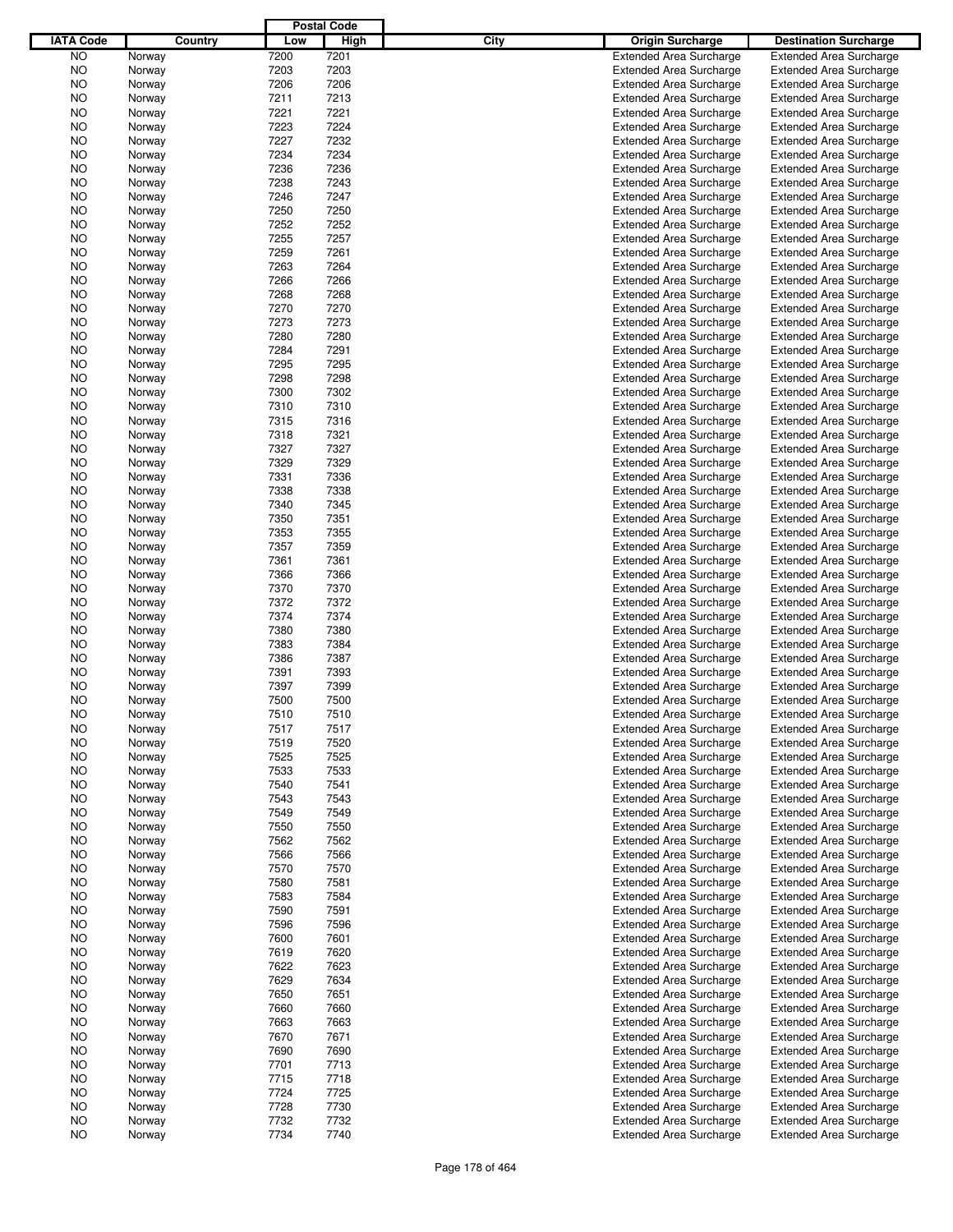|                  |         |      | <b>Postal Code</b> |                                 |                                |
|------------------|---------|------|--------------------|---------------------------------|--------------------------------|
| <b>IATA Code</b> | Country | Low  | High               | City<br><b>Origin Surcharge</b> | <b>Destination Surcharge</b>   |
| <b>NO</b>        | Norway  | 7200 | 7201               | <b>Extended Area Surcharge</b>  | <b>Extended Area Surcharge</b> |
| <b>NO</b>        | Norway  | 7203 | 7203               | <b>Extended Area Surcharge</b>  | <b>Extended Area Surcharge</b> |
| <b>NO</b>        | Norway  | 7206 | 7206               | <b>Extended Area Surcharge</b>  | <b>Extended Area Surcharge</b> |
| <b>NO</b>        | Norway  | 7211 | 7213               | <b>Extended Area Surcharge</b>  | <b>Extended Area Surcharge</b> |
| NO               | Norway  | 7221 | 7221               | <b>Extended Area Surcharge</b>  | <b>Extended Area Surcharge</b> |
| NO               | Norway  | 7223 | 7224               | <b>Extended Area Surcharge</b>  | <b>Extended Area Surcharge</b> |
|                  |         |      |                    |                                 |                                |
| NO               | Norway  | 7227 | 7232               | <b>Extended Area Surcharge</b>  | <b>Extended Area Surcharge</b> |
| NO               | Norway  | 7234 | 7234               | <b>Extended Area Surcharge</b>  | <b>Extended Area Surcharge</b> |
| NO               | Norway  | 7236 | 7236               | <b>Extended Area Surcharge</b>  | <b>Extended Area Surcharge</b> |
| NO               | Norway  | 7238 | 7243               | <b>Extended Area Surcharge</b>  | <b>Extended Area Surcharge</b> |
| NO               | Norway  | 7246 | 7247               | <b>Extended Area Surcharge</b>  | <b>Extended Area Surcharge</b> |
| NO               | Norway  | 7250 | 7250               | <b>Extended Area Surcharge</b>  | <b>Extended Area Surcharge</b> |
| NO               | Norway  | 7252 | 7252               | <b>Extended Area Surcharge</b>  | <b>Extended Area Surcharge</b> |
| NO               | Norway  | 7255 | 7257               | <b>Extended Area Surcharge</b>  | <b>Extended Area Surcharge</b> |
| NO               | Norway  | 7259 | 7261               | <b>Extended Area Surcharge</b>  | <b>Extended Area Surcharge</b> |
| NO               | Norway  | 7263 | 7264               | <b>Extended Area Surcharge</b>  | <b>Extended Area Surcharge</b> |
| NO               | Norway  | 7266 | 7266               | <b>Extended Area Surcharge</b>  | <b>Extended Area Surcharge</b> |
| NO               | Norway  | 7268 | 7268               | <b>Extended Area Surcharge</b>  | <b>Extended Area Surcharge</b> |
| NO               | Norway  | 7270 | 7270               | <b>Extended Area Surcharge</b>  | <b>Extended Area Surcharge</b> |
| NO               | Norway  | 7273 | 7273               | <b>Extended Area Surcharge</b>  | <b>Extended Area Surcharge</b> |
| NO               | Norway  | 7280 | 7280               | <b>Extended Area Surcharge</b>  | <b>Extended Area Surcharge</b> |
| NO               | Norway  | 7284 | 7291               | <b>Extended Area Surcharge</b>  | <b>Extended Area Surcharge</b> |
| NO               | Norway  | 7295 | 7295               | <b>Extended Area Surcharge</b>  | <b>Extended Area Surcharge</b> |
|                  |         |      | 7298               |                                 | <b>Extended Area Surcharge</b> |
| NO               | Norway  | 7298 |                    | <b>Extended Area Surcharge</b>  |                                |
| NO               | Norway  | 7300 | 7302               | <b>Extended Area Surcharge</b>  | <b>Extended Area Surcharge</b> |
| NO               | Norway  | 7310 | 7310               | <b>Extended Area Surcharge</b>  | <b>Extended Area Surcharge</b> |
| NO               | Norway  | 7315 | 7316               | <b>Extended Area Surcharge</b>  | <b>Extended Area Surcharge</b> |
| NO               | Norway  | 7318 | 7321               | <b>Extended Area Surcharge</b>  | <b>Extended Area Surcharge</b> |
| NO               | Norway  | 7327 | 7327               | <b>Extended Area Surcharge</b>  | <b>Extended Area Surcharge</b> |
| NO               | Norway  | 7329 | 7329               | <b>Extended Area Surcharge</b>  | <b>Extended Area Surcharge</b> |
| NO               | Norway  | 7331 | 7336               | <b>Extended Area Surcharge</b>  | <b>Extended Area Surcharge</b> |
| NO               | Norway  | 7338 | 7338               | <b>Extended Area Surcharge</b>  | <b>Extended Area Surcharge</b> |
| NO               | Norway  | 7340 | 7345               | <b>Extended Area Surcharge</b>  | <b>Extended Area Surcharge</b> |
| NO               | Norway  | 7350 | 7351               | <b>Extended Area Surcharge</b>  | <b>Extended Area Surcharge</b> |
| NO               | Norway  | 7353 | 7355               | <b>Extended Area Surcharge</b>  | <b>Extended Area Surcharge</b> |
| NO               | Norway  | 7357 | 7359               | <b>Extended Area Surcharge</b>  | <b>Extended Area Surcharge</b> |
| NO               | Norway  | 7361 | 7361               | <b>Extended Area Surcharge</b>  | <b>Extended Area Surcharge</b> |
| NO               | Norway  | 7366 | 7366               | <b>Extended Area Surcharge</b>  | <b>Extended Area Surcharge</b> |
| NO               | Norway  | 7370 | 7370               | <b>Extended Area Surcharge</b>  | <b>Extended Area Surcharge</b> |
| NO               | Norway  | 7372 | 7372               | <b>Extended Area Surcharge</b>  | <b>Extended Area Surcharge</b> |
|                  |         | 7374 | 7374               |                                 |                                |
| NO               | Norway  |      |                    | <b>Extended Area Surcharge</b>  | <b>Extended Area Surcharge</b> |
| NO               | Norway  | 7380 | 7380               | <b>Extended Area Surcharge</b>  | <b>Extended Area Surcharge</b> |
| NO               | Norway  | 7383 | 7384               | <b>Extended Area Surcharge</b>  | <b>Extended Area Surcharge</b> |
| NO               | Norway  | 7386 | 7387               | <b>Extended Area Surcharge</b>  | <b>Extended Area Surcharge</b> |
| ΝO               | Norway  | 7391 | 7393               | <b>Extended Area Surcharge</b>  | <b>Extended Area Surcharge</b> |
| NO               | Norway  | 7397 | 7399               | <b>Extended Area Surcharge</b>  | <b>Extended Area Surcharge</b> |
| NO               | Norway  | 7500 | 7500               | <b>Extended Area Surcharge</b>  | <b>Extended Area Surcharge</b> |
| NO               | Norway  | 7510 | 7510               | <b>Extended Area Surcharge</b>  | <b>Extended Area Surcharge</b> |
| NO.              | Norway  | 7517 | 7517               | <b>Extended Area Surcharge</b>  | <b>Extended Area Surcharge</b> |
| NO.              | Norway  | 7519 | 7520               | <b>Extended Area Surcharge</b>  | <b>Extended Area Surcharge</b> |
| NO.              | Norway  | 7525 | 7525               | <b>Extended Area Surcharge</b>  | <b>Extended Area Surcharge</b> |
| NO.              | Norway  | 7533 | 7533               | <b>Extended Area Surcharge</b>  | <b>Extended Area Surcharge</b> |
| NO.              | Norway  | 7540 | 7541               | <b>Extended Area Surcharge</b>  | <b>Extended Area Surcharge</b> |
| NO.              | Norway  | 7543 | 7543               | <b>Extended Area Surcharge</b>  | <b>Extended Area Surcharge</b> |
| NO.              | Norway  | 7549 | 7549               | <b>Extended Area Surcharge</b>  | <b>Extended Area Surcharge</b> |
| NO.              | Norway  | 7550 | 7550               | <b>Extended Area Surcharge</b>  | <b>Extended Area Surcharge</b> |
| NO.              | Norway  | 7562 | 7562               | <b>Extended Area Surcharge</b>  | <b>Extended Area Surcharge</b> |
| NO.              | Norway  | 7566 | 7566               | <b>Extended Area Surcharge</b>  | <b>Extended Area Surcharge</b> |
|                  |         | 7570 | 7570               |                                 | <b>Extended Area Surcharge</b> |
| NO.              | Norway  |      |                    | <b>Extended Area Surcharge</b>  |                                |
| NO.              | Norway  | 7580 | 7581               | <b>Extended Area Surcharge</b>  | <b>Extended Area Surcharge</b> |
| NO.              | Norway  | 7583 | 7584               | <b>Extended Area Surcharge</b>  | <b>Extended Area Surcharge</b> |
| NO.              | Norway  | 7590 | 7591               | <b>Extended Area Surcharge</b>  | <b>Extended Area Surcharge</b> |
| NO.              | Norway  | 7596 | 7596               | <b>Extended Area Surcharge</b>  | <b>Extended Area Surcharge</b> |
| NO.              | Norway  | 7600 | 7601               | <b>Extended Area Surcharge</b>  | <b>Extended Area Surcharge</b> |
| NO.              | Norway  | 7619 | 7620               | <b>Extended Area Surcharge</b>  | <b>Extended Area Surcharge</b> |
| NO.              | Norway  | 7622 | 7623               | <b>Extended Area Surcharge</b>  | <b>Extended Area Surcharge</b> |
| NO.              | Norway  | 7629 | 7634               | <b>Extended Area Surcharge</b>  | <b>Extended Area Surcharge</b> |
| NO.              | Norway  | 7650 | 7651               | <b>Extended Area Surcharge</b>  | <b>Extended Area Surcharge</b> |
| NO.              | Norway  | 7660 | 7660               | <b>Extended Area Surcharge</b>  | <b>Extended Area Surcharge</b> |
| NO.              | Norway  | 7663 | 7663               | <b>Extended Area Surcharge</b>  | <b>Extended Area Surcharge</b> |
| NO.              | Norway  | 7670 | 7671               | <b>Extended Area Surcharge</b>  | <b>Extended Area Surcharge</b> |
| NO.              | Norway  | 7690 | 7690               | <b>Extended Area Surcharge</b>  | <b>Extended Area Surcharge</b> |
| NO.              | Norway  | 7701 | 7713               | <b>Extended Area Surcharge</b>  | <b>Extended Area Surcharge</b> |
| NO.              | Norway  | 7715 | 7718               | <b>Extended Area Surcharge</b>  | <b>Extended Area Surcharge</b> |
| NO.              |         | 7724 | 7725               | <b>Extended Area Surcharge</b>  | <b>Extended Area Surcharge</b> |
|                  | Norway  |      |                    |                                 |                                |
| NO.              | Norway  | 7728 | 7730               | <b>Extended Area Surcharge</b>  | <b>Extended Area Surcharge</b> |
| NO               | Norway  | 7732 | 7732               | <b>Extended Area Surcharge</b>  | <b>Extended Area Surcharge</b> |
| <b>NO</b>        | Norway  | 7734 | 7740               | <b>Extended Area Surcharge</b>  | <b>Extended Area Surcharge</b> |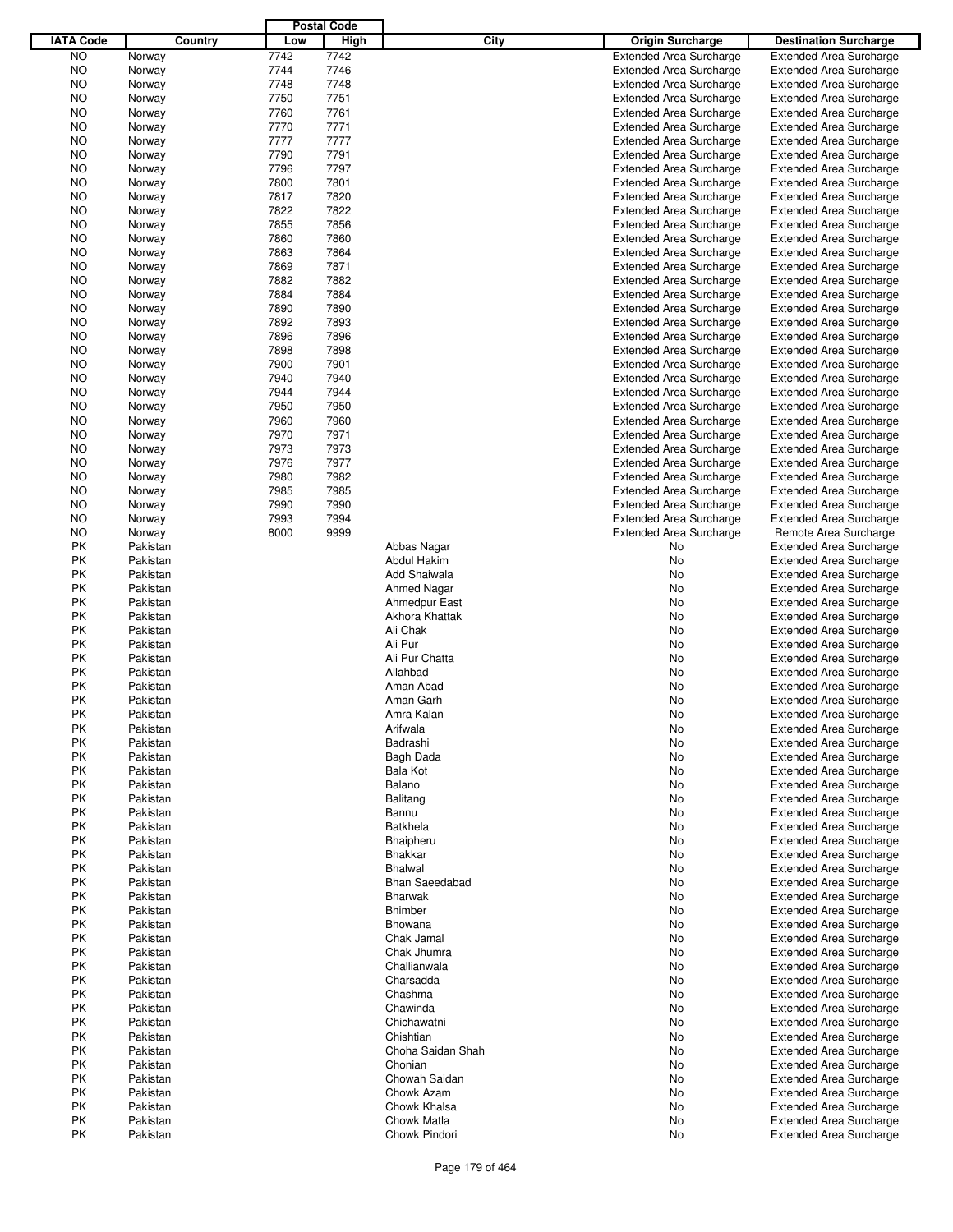|                  |          |      | <b>Postal Code</b> |                       |                                |                                                                  |
|------------------|----------|------|--------------------|-----------------------|--------------------------------|------------------------------------------------------------------|
| <b>IATA Code</b> | Country  | Low  | High               | City                  | <b>Origin Surcharge</b>        | <b>Destination Surcharge</b>                                     |
| <b>NO</b>        | Norway   | 7742 | 7742               |                       | <b>Extended Area Surcharge</b> | <b>Extended Area Surcharge</b>                                   |
| <b>NO</b>        | Norway   | 7744 | 7746               |                       | <b>Extended Area Surcharge</b> | <b>Extended Area Surcharge</b>                                   |
| <b>NO</b>        | Norway   | 7748 | 7748               |                       | <b>Extended Area Surcharge</b> | <b>Extended Area Surcharge</b>                                   |
| <b>NO</b>        | Norway   | 7750 | 7751               |                       | <b>Extended Area Surcharge</b> | <b>Extended Area Surcharge</b>                                   |
| <b>NO</b>        | Norway   | 7760 | 7761               |                       | <b>Extended Area Surcharge</b> | <b>Extended Area Surcharge</b>                                   |
| <b>NO</b>        | Norway   | 7770 | 7771               |                       | <b>Extended Area Surcharge</b> | <b>Extended Area Surcharge</b>                                   |
| NO               | Norway   | 7777 | 7777               |                       | <b>Extended Area Surcharge</b> | <b>Extended Area Surcharge</b>                                   |
| <b>NO</b>        | Norway   | 7790 | 7791               |                       | <b>Extended Area Surcharge</b> | <b>Extended Area Surcharge</b>                                   |
| <b>NO</b>        | Norway   | 7796 | 7797               |                       | <b>Extended Area Surcharge</b> | <b>Extended Area Surcharge</b>                                   |
| <b>NO</b>        | Norway   | 7800 | 7801               |                       | <b>Extended Area Surcharge</b> | <b>Extended Area Surcharge</b>                                   |
| <b>NO</b>        |          | 7817 | 7820               |                       | <b>Extended Area Surcharge</b> | <b>Extended Area Surcharge</b>                                   |
| <b>NO</b>        | Norway   | 7822 | 7822               |                       | <b>Extended Area Surcharge</b> | <b>Extended Area Surcharge</b>                                   |
|                  | Norway   | 7855 | 7856               |                       | <b>Extended Area Surcharge</b> |                                                                  |
| NO               | Norway   |      | 7860               |                       |                                | <b>Extended Area Surcharge</b>                                   |
| <b>NO</b>        | Norway   | 7860 |                    |                       | <b>Extended Area Surcharge</b> | <b>Extended Area Surcharge</b>                                   |
| <b>NO</b>        | Norway   | 7863 | 7864               |                       | <b>Extended Area Surcharge</b> | <b>Extended Area Surcharge</b>                                   |
| <b>NO</b>        | Norway   | 7869 | 7871               |                       | <b>Extended Area Surcharge</b> | <b>Extended Area Surcharge</b>                                   |
| <b>NO</b>        | Norway   | 7882 | 7882               |                       | <b>Extended Area Surcharge</b> | <b>Extended Area Surcharge</b>                                   |
| <b>NO</b>        | Norway   | 7884 | 7884               |                       | <b>Extended Area Surcharge</b> | <b>Extended Area Surcharge</b>                                   |
| NO               | Norway   | 7890 | 7890               |                       | <b>Extended Area Surcharge</b> | <b>Extended Area Surcharge</b>                                   |
| <b>NO</b>        | Norway   | 7892 | 7893               |                       | <b>Extended Area Surcharge</b> | <b>Extended Area Surcharge</b>                                   |
| <b>NO</b>        | Norway   | 7896 | 7896               |                       | <b>Extended Area Surcharge</b> | <b>Extended Area Surcharge</b>                                   |
| <b>NO</b>        | Norway   | 7898 | 7898               |                       | <b>Extended Area Surcharge</b> | <b>Extended Area Surcharge</b>                                   |
| NO               | Norway   | 7900 | 7901               |                       | <b>Extended Area Surcharge</b> | <b>Extended Area Surcharge</b>                                   |
| <b>NO</b>        | Norway   | 7940 | 7940               |                       | <b>Extended Area Surcharge</b> | <b>Extended Area Surcharge</b>                                   |
| NO               | Norway   | 7944 | 7944               |                       | <b>Extended Area Surcharge</b> | <b>Extended Area Surcharge</b>                                   |
| <b>NO</b>        | Norway   | 7950 | 7950               |                       | <b>Extended Area Surcharge</b> | <b>Extended Area Surcharge</b>                                   |
| <b>NO</b>        | Norway   | 7960 | 7960               |                       | <b>Extended Area Surcharge</b> | <b>Extended Area Surcharge</b>                                   |
| <b>NO</b>        | Norway   | 7970 | 7971               |                       | <b>Extended Area Surcharge</b> | <b>Extended Area Surcharge</b>                                   |
| NO               | Norway   | 7973 | 7973               |                       | <b>Extended Area Surcharge</b> | <b>Extended Area Surcharge</b>                                   |
| <b>NO</b>        | Norway   | 7976 | 7977               |                       | <b>Extended Area Surcharge</b> | <b>Extended Area Surcharge</b>                                   |
| <b>NO</b>        | Norway   | 7980 | 7982               |                       | <b>Extended Area Surcharge</b> | <b>Extended Area Surcharge</b>                                   |
| <b>NO</b>        | Norway   | 7985 | 7985               |                       | <b>Extended Area Surcharge</b> | <b>Extended Area Surcharge</b>                                   |
| <b>NO</b>        | Norway   | 7990 | 7990               |                       | <b>Extended Area Surcharge</b> | <b>Extended Area Surcharge</b>                                   |
| <b>NO</b>        | Norway   | 7993 | 7994               |                       | <b>Extended Area Surcharge</b> | <b>Extended Area Surcharge</b>                                   |
| <b>NO</b>        | Norway   | 8000 | 9999               |                       | <b>Extended Area Surcharge</b> | Remote Area Surcharge                                            |
| PK               | Pakistan |      |                    | Abbas Nagar           | No                             | <b>Extended Area Surcharge</b>                                   |
| PK               | Pakistan |      |                    | Abdul Hakim           | No                             | <b>Extended Area Surcharge</b>                                   |
| PK               | Pakistan |      |                    | Add Shaiwala          | No                             | <b>Extended Area Surcharge</b>                                   |
| PK               | Pakistan |      |                    | <b>Ahmed Nagar</b>    | No                             | <b>Extended Area Surcharge</b>                                   |
| PK               | Pakistan |      |                    | Ahmedpur East         | No                             | <b>Extended Area Surcharge</b>                                   |
| PK               | Pakistan |      |                    | Akhora Khattak        | No                             | <b>Extended Area Surcharge</b>                                   |
| PK               | Pakistan |      |                    | Ali Chak              | No                             | <b>Extended Area Surcharge</b>                                   |
| PK               | Pakistan |      |                    | Ali Pur               | No                             | <b>Extended Area Surcharge</b>                                   |
| PK               | Pakistan |      |                    | Ali Pur Chatta        | No                             | <b>Extended Area Surcharge</b>                                   |
| PK               | Pakistan |      |                    | Allahbad              | No                             | <b>Extended Area Surcharge</b>                                   |
| PK               | Pakistan |      |                    | Aman Abad             | No                             | <b>Extended Area Surcharge</b>                                   |
| PK               | Pakistan |      |                    | Aman Garh             | No                             | <b>Extended Area Surcharge</b>                                   |
| PΚ               | Pakistan |      |                    | Amra Kalan            | No                             | <b>Extended Area Surcharge</b>                                   |
| РK               | Pakistan |      |                    | Arifwala              | No                             | <b>Extended Area Surcharge</b>                                   |
| PK               | Pakistan |      |                    | Badrashi              | No                             | <b>Extended Area Surcharge</b>                                   |
| PK               | Pakistan |      |                    | Bagh Dada             | No                             | <b>Extended Area Surcharge</b>                                   |
| PK               | Pakistan |      |                    | Bala Kot              | No                             | <b>Extended Area Surcharge</b>                                   |
| PK               | Pakistan |      |                    | Balano                | No                             | <b>Extended Area Surcharge</b>                                   |
| PK               | Pakistan |      |                    | Balitang              | No                             | <b>Extended Area Surcharge</b>                                   |
| PK               | Pakistan |      |                    | Bannu                 | No                             | <b>Extended Area Surcharge</b>                                   |
| PK               | Pakistan |      |                    | <b>Batkhela</b>       | No                             | <b>Extended Area Surcharge</b>                                   |
| PK               | Pakistan |      |                    | Bhaipheru             | No                             | <b>Extended Area Surcharge</b>                                   |
| PK               | Pakistan |      |                    | <b>Bhakkar</b>        | No                             | <b>Extended Area Surcharge</b>                                   |
| PK               | Pakistan |      |                    | <b>Bhalwal</b>        | No                             | <b>Extended Area Surcharge</b>                                   |
| PK               | Pakistan |      |                    | <b>Bhan Saeedabad</b> | No                             | <b>Extended Area Surcharge</b>                                   |
| PK               | Pakistan |      |                    | <b>Bharwak</b>        | No                             | <b>Extended Area Surcharge</b>                                   |
| PK               | Pakistan |      |                    | Bhimber               | No                             | <b>Extended Area Surcharge</b>                                   |
| PK               | Pakistan |      |                    | Bhowana               | No                             | <b>Extended Area Surcharge</b>                                   |
| PK               | Pakistan |      |                    | Chak Jamal            | No                             | <b>Extended Area Surcharge</b>                                   |
| PK               | Pakistan |      |                    | Chak Jhumra           |                                |                                                                  |
| PK               | Pakistan |      |                    | Challianwala          | No<br>No                       | <b>Extended Area Surcharge</b><br><b>Extended Area Surcharge</b> |
| PK               | Pakistan |      |                    | Charsadda             | No                             | <b>Extended Area Surcharge</b>                                   |
| PK               | Pakistan |      |                    | Chashma               |                                | <b>Extended Area Surcharge</b>                                   |
|                  |          |      |                    |                       | No                             |                                                                  |
| PK               | Pakistan |      |                    | Chawinda              | No                             | <b>Extended Area Surcharge</b>                                   |
| PK               | Pakistan |      |                    | Chichawatni           | No                             | <b>Extended Area Surcharge</b>                                   |
| PK               | Pakistan |      |                    | Chishtian             | No                             | <b>Extended Area Surcharge</b>                                   |
| PK               | Pakistan |      |                    | Choha Saidan Shah     | No                             | <b>Extended Area Surcharge</b>                                   |
| PK               | Pakistan |      |                    | Chonian               | No                             | <b>Extended Area Surcharge</b>                                   |
| PK               | Pakistan |      |                    | Chowah Saidan         | No                             | <b>Extended Area Surcharge</b>                                   |
| PK               | Pakistan |      |                    | Chowk Azam            | No                             | <b>Extended Area Surcharge</b>                                   |
| PK               | Pakistan |      |                    | Chowk Khalsa          | No                             | <b>Extended Area Surcharge</b>                                   |
| PK               | Pakistan |      |                    | Chowk Matla           | No                             | <b>Extended Area Surcharge</b>                                   |
| PK               | Pakistan |      |                    | Chowk Pindori         | No                             | <b>Extended Area Surcharge</b>                                   |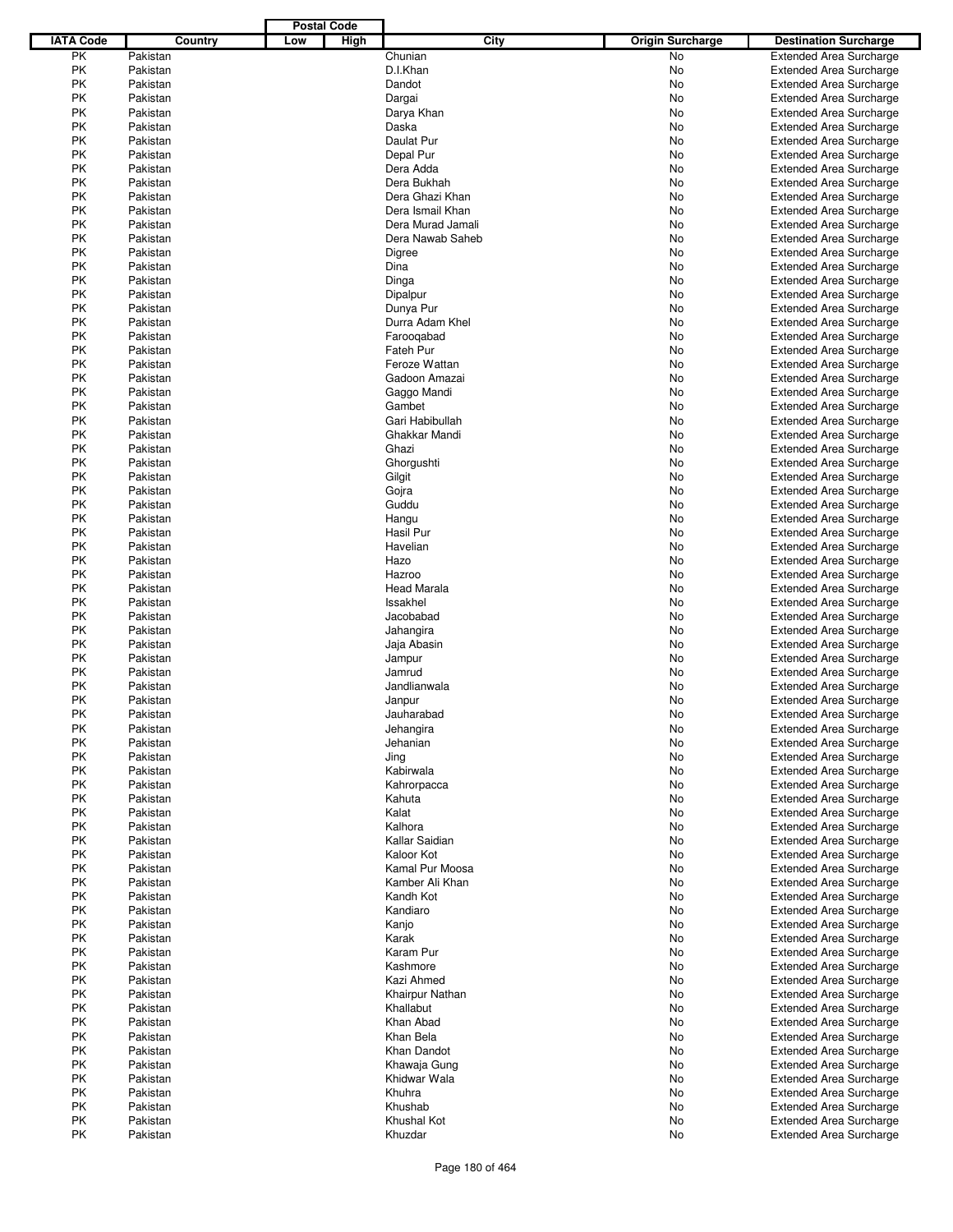|                  |          |     | <b>Postal Code</b> |                    |                         |                                |
|------------------|----------|-----|--------------------|--------------------|-------------------------|--------------------------------|
| <b>IATA Code</b> | Country  | Low | High               | City               | <b>Origin Surcharge</b> | <b>Destination Surcharge</b>   |
| PK               | Pakistan |     |                    | Chunian            | <b>No</b>               | <b>Extended Area Surcharge</b> |
| PK               | Pakistan |     |                    | D.I.Khan           | No                      | <b>Extended Area Surcharge</b> |
| PK               | Pakistan |     |                    | Dandot             | No                      | <b>Extended Area Surcharge</b> |
| PK               | Pakistan |     |                    | Dargai             | No                      | <b>Extended Area Surcharge</b> |
| PK               | Pakistan |     |                    | Darya Khan         | No                      | <b>Extended Area Surcharge</b> |
| PK               | Pakistan |     |                    | Daska              | No                      | <b>Extended Area Surcharge</b> |
|                  |          |     |                    |                    |                         |                                |
| PK               | Pakistan |     |                    | Daulat Pur         | No                      | <b>Extended Area Surcharge</b> |
| PK               | Pakistan |     |                    | Depal Pur          | No                      | <b>Extended Area Surcharge</b> |
| PK               | Pakistan |     |                    | Dera Adda          | No                      | <b>Extended Area Surcharge</b> |
| PK               | Pakistan |     |                    | Dera Bukhah        | No                      | <b>Extended Area Surcharge</b> |
| PK               | Pakistan |     |                    | Dera Ghazi Khan    | No                      | <b>Extended Area Surcharge</b> |
| <b>PK</b>        | Pakistan |     |                    | Dera Ismail Khan   | No                      | <b>Extended Area Surcharge</b> |
| PK               | Pakistan |     |                    | Dera Murad Jamali  | No                      | <b>Extended Area Surcharge</b> |
| PK               | Pakistan |     |                    | Dera Nawab Saheb   | No                      | <b>Extended Area Surcharge</b> |
| PK               | Pakistan |     |                    | Digree             | No                      | <b>Extended Area Surcharge</b> |
| PK               | Pakistan |     |                    | Dina               | No                      | <b>Extended Area Surcharge</b> |
| PK               | Pakistan |     |                    | Dinga              | No                      | <b>Extended Area Surcharge</b> |
| PK               | Pakistan |     |                    | Dipalpur           | No                      | <b>Extended Area Surcharge</b> |
| PK               | Pakistan |     |                    | Dunya Pur          | No                      | <b>Extended Area Surcharge</b> |
| PK               | Pakistan |     |                    | Durra Adam Khel    | No                      | <b>Extended Area Surcharge</b> |
| PK               | Pakistan |     |                    | Farooqabad         | No                      | <b>Extended Area Surcharge</b> |
| PK               | Pakistan |     |                    | Fateh Pur          | No                      | <b>Extended Area Surcharge</b> |
|                  |          |     |                    | Feroze Wattan      |                         |                                |
| PK               | Pakistan |     |                    |                    | No                      | <b>Extended Area Surcharge</b> |
| PK               | Pakistan |     |                    | Gadoon Amazai      | No                      | <b>Extended Area Surcharge</b> |
| PK               | Pakistan |     |                    | Gaggo Mandi        | No                      | <b>Extended Area Surcharge</b> |
| PK               | Pakistan |     |                    | Gambet             | No                      | <b>Extended Area Surcharge</b> |
| PK               | Pakistan |     |                    | Gari Habibullah    | No                      | <b>Extended Area Surcharge</b> |
| <b>PK</b>        | Pakistan |     |                    | Ghakkar Mandi      | No                      | <b>Extended Area Surcharge</b> |
| PK               | Pakistan |     |                    | Ghazi              | No                      | <b>Extended Area Surcharge</b> |
| PK               | Pakistan |     |                    | Ghorgushti         | No                      | <b>Extended Area Surcharge</b> |
| PK               | Pakistan |     |                    | Gilgit             | No                      | <b>Extended Area Surcharge</b> |
| PK               | Pakistan |     |                    | Gojra              | No                      | <b>Extended Area Surcharge</b> |
| PK               | Pakistan |     |                    | Guddu              | No                      | <b>Extended Area Surcharge</b> |
| PK               | Pakistan |     |                    | Hangu              | No                      | <b>Extended Area Surcharge</b> |
| PK               | Pakistan |     |                    | Hasil Pur          | No                      | <b>Extended Area Surcharge</b> |
| PK               | Pakistan |     |                    | Havelian           | No                      | <b>Extended Area Surcharge</b> |
| PK               | Pakistan |     |                    | Hazo               | No                      | <b>Extended Area Surcharge</b> |
| PK               | Pakistan |     |                    | Hazroo             | No                      | <b>Extended Area Surcharge</b> |
| PK               | Pakistan |     |                    | <b>Head Marala</b> | No                      | <b>Extended Area Surcharge</b> |
| <b>PK</b>        |          |     |                    |                    |                         |                                |
|                  | Pakistan |     |                    | Issakhel           | No                      | <b>Extended Area Surcharge</b> |
| PK               | Pakistan |     |                    | Jacobabad          | No                      | <b>Extended Area Surcharge</b> |
| PK               | Pakistan |     |                    | Jahangira          | No                      | <b>Extended Area Surcharge</b> |
| PK               | Pakistan |     |                    | Jaja Abasin        | No                      | <b>Extended Area Surcharge</b> |
| PK               | Pakistan |     |                    | Jampur             | No                      | <b>Extended Area Surcharge</b> |
| PK               | Pakistan |     |                    | Jamrud             | No                      | <b>Extended Area Surcharge</b> |
| PK               | Pakistan |     |                    | Jandlianwala       | No                      | <b>Extended Area Surcharge</b> |
| PK.              | Pakistan |     |                    | Janpur             | No                      | <b>Extended Area Surcharge</b> |
| PΚ               | Pakistan |     |                    | Jauharabad         | No                      | <b>Extended Area Surcharge</b> |
| PK               | Pakistan |     |                    | Jehangira          | No                      | <b>Extended Area Surcharge</b> |
| PК               | Pakistan |     |                    | Jehanian           | No                      | <b>Extended Area Surcharge</b> |
| PK               | Pakistan |     |                    | Jing               | No                      | <b>Extended Area Surcharge</b> |
| PK               | Pakistan |     |                    | Kabirwala          | No                      | <b>Extended Area Surcharge</b> |
| PK               | Pakistan |     |                    | Kahrorpacca        | No                      | <b>Extended Area Surcharge</b> |
| PK               | Pakistan |     |                    | Kahuta             | No                      | <b>Extended Area Surcharge</b> |
| PK               | Pakistan |     |                    | Kalat              | No                      | <b>Extended Area Surcharge</b> |
| PK               | Pakistan |     |                    | Kalhora            | No                      | <b>Extended Area Surcharge</b> |
|                  | Pakistan |     |                    | Kallar Saidian     |                         |                                |
| PK               |          |     |                    |                    | No                      | <b>Extended Area Surcharge</b> |
| PK               | Pakistan |     |                    | Kaloor Kot         | No                      | <b>Extended Area Surcharge</b> |
| PK               | Pakistan |     |                    | Kamal Pur Moosa    | No                      | <b>Extended Area Surcharge</b> |
| PK               | Pakistan |     |                    | Kamber Ali Khan    | No                      | <b>Extended Area Surcharge</b> |
| PK               | Pakistan |     |                    | Kandh Kot          | No                      | <b>Extended Area Surcharge</b> |
| PK               | Pakistan |     |                    | Kandiaro           | No                      | <b>Extended Area Surcharge</b> |
| PK               | Pakistan |     |                    | Kanjo              | No                      | <b>Extended Area Surcharge</b> |
| PK               | Pakistan |     |                    | Karak              | No                      | <b>Extended Area Surcharge</b> |
| PK               | Pakistan |     |                    | Karam Pur          | No                      | <b>Extended Area Surcharge</b> |
| PK               | Pakistan |     |                    | Kashmore           | No                      | <b>Extended Area Surcharge</b> |
| PK               | Pakistan |     |                    | Kazi Ahmed         | No                      | <b>Extended Area Surcharge</b> |
| PK               | Pakistan |     |                    | Khairpur Nathan    | No                      | <b>Extended Area Surcharge</b> |
| PK               | Pakistan |     |                    | Khallabut          | No                      | <b>Extended Area Surcharge</b> |
| PK               | Pakistan |     |                    | Khan Abad          | No                      | <b>Extended Area Surcharge</b> |
| PK               | Pakistan |     |                    | Khan Bela          | No                      | <b>Extended Area Surcharge</b> |
| PK               | Pakistan |     |                    | Khan Dandot        | No                      | <b>Extended Area Surcharge</b> |
|                  | Pakistan |     |                    |                    |                         |                                |
| PK               |          |     |                    | Khawaja Gung       | No                      | <b>Extended Area Surcharge</b> |
| PK               | Pakistan |     |                    | Khidwar Wala       | No                      | <b>Extended Area Surcharge</b> |
| PK               | Pakistan |     |                    | Khuhra             | No                      | <b>Extended Area Surcharge</b> |
| PK               | Pakistan |     |                    | Khushab            | No                      | <b>Extended Area Surcharge</b> |
| PK               | Pakistan |     |                    | Khushal Kot        | No                      | <b>Extended Area Surcharge</b> |
| PK               | Pakistan |     |                    | Khuzdar            | No                      | <b>Extended Area Surcharge</b> |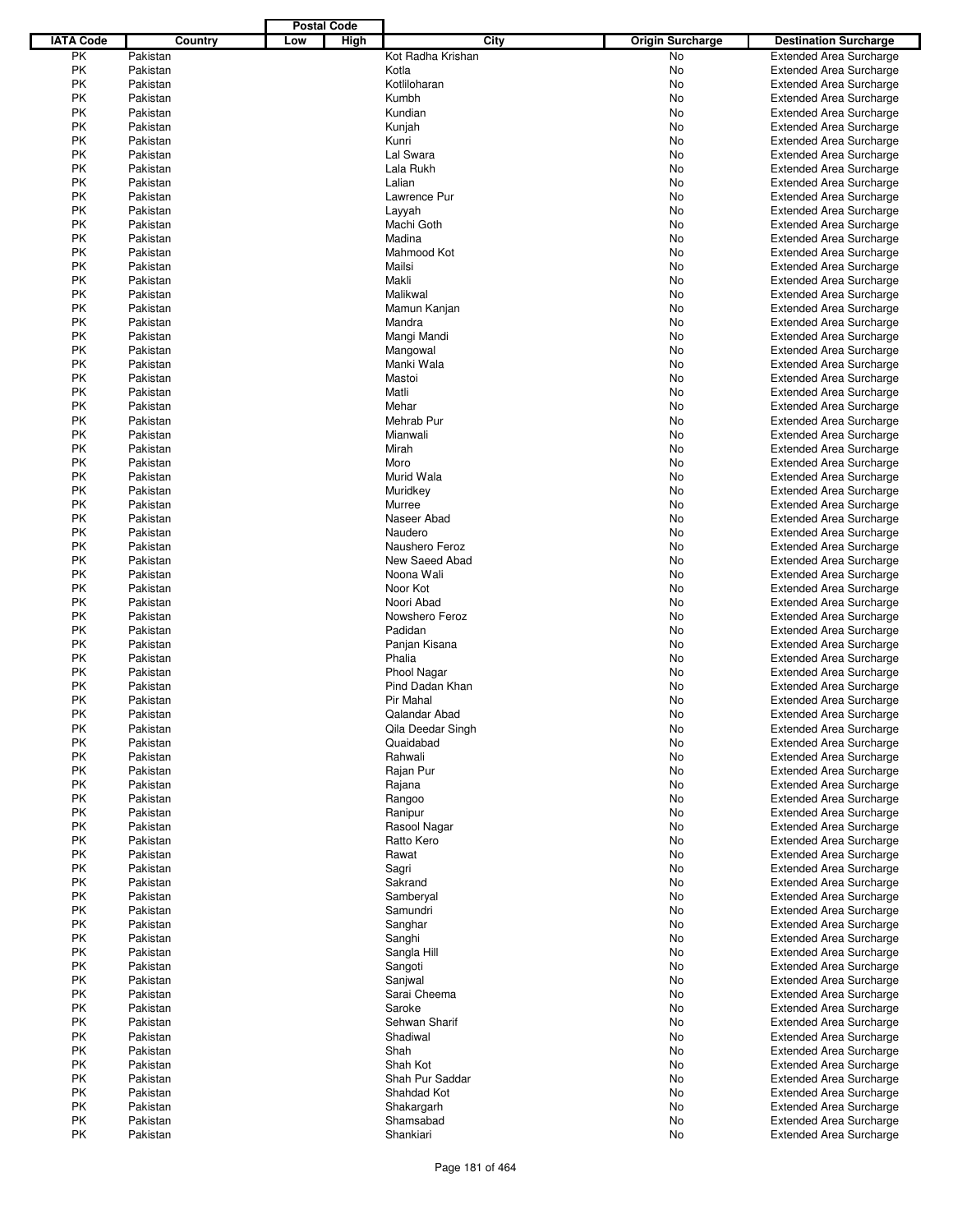|                  |          |     | <b>Postal Code</b> |                    |                         |                                |
|------------------|----------|-----|--------------------|--------------------|-------------------------|--------------------------------|
| <b>IATA Code</b> | Country  | Low | High               | City               | <b>Origin Surcharge</b> | <b>Destination Surcharge</b>   |
| PK               | Pakistan |     |                    | Kot Radha Krishan  | <b>No</b>               | <b>Extended Area Surcharge</b> |
| PK               | Pakistan |     |                    | Kotla              | No                      | <b>Extended Area Surcharge</b> |
| PK               | Pakistan |     |                    | Kotliloharan       | No                      | <b>Extended Area Surcharge</b> |
| PK               | Pakistan |     |                    | Kumbh              | No                      | <b>Extended Area Surcharge</b> |
| PK               | Pakistan |     |                    | Kundian            | No                      | <b>Extended Area Surcharge</b> |
| РK               | Pakistan |     |                    |                    |                         | <b>Extended Area Surcharge</b> |
|                  |          |     |                    | Kunjah             | No                      |                                |
| PK               | Pakistan |     |                    | Kunri              | No                      | <b>Extended Area Surcharge</b> |
| PK               | Pakistan |     |                    | Lal Swara          | No                      | <b>Extended Area Surcharge</b> |
| PK               | Pakistan |     |                    | Lala Rukh          | No                      | <b>Extended Area Surcharge</b> |
| РK               | Pakistan |     |                    | Lalian             | No                      | <b>Extended Area Surcharge</b> |
| PK               | Pakistan |     |                    | Lawrence Pur       | No                      | <b>Extended Area Surcharge</b> |
| PK               | Pakistan |     |                    | Layyah             | No                      | <b>Extended Area Surcharge</b> |
| PK               | Pakistan |     |                    | Machi Goth         | No                      | <b>Extended Area Surcharge</b> |
| PK               | Pakistan |     |                    | Madina             | No                      | <b>Extended Area Surcharge</b> |
| PK               | Pakistan |     |                    | Mahmood Kot        | No                      | <b>Extended Area Surcharge</b> |
| РK               | Pakistan |     |                    | Mailsi             | No                      | <b>Extended Area Surcharge</b> |
| PK               | Pakistan |     |                    | Makli              | No                      | <b>Extended Area Surcharge</b> |
| PK               | Pakistan |     |                    | Malikwal           | No                      | <b>Extended Area Surcharge</b> |
| PK               | Pakistan |     |                    | Mamun Kanjan       | No                      | <b>Extended Area Surcharge</b> |
| РK               | Pakistan |     |                    | Mandra             | No                      | <b>Extended Area Surcharge</b> |
| PK               | Pakistan |     |                    | Mangi Mandi        | No                      | <b>Extended Area Surcharge</b> |
| PK               | Pakistan |     |                    |                    | No                      | <b>Extended Area Surcharge</b> |
|                  |          |     |                    | Mangowal           |                         |                                |
| PK               | Pakistan |     |                    | Manki Wala         | No                      | <b>Extended Area Surcharge</b> |
| PK               | Pakistan |     |                    | Mastoi             | No                      | <b>Extended Area Surcharge</b> |
| PK               | Pakistan |     |                    | Matli              | No                      | <b>Extended Area Surcharge</b> |
| PK               | Pakistan |     |                    | Mehar              | No                      | <b>Extended Area Surcharge</b> |
| PK               | Pakistan |     |                    | Mehrab Pur         | No                      | <b>Extended Area Surcharge</b> |
| PK               | Pakistan |     |                    | Mianwali           | No                      | <b>Extended Area Surcharge</b> |
| PK               | Pakistan |     |                    | Mirah              | No                      | <b>Extended Area Surcharge</b> |
| PK               | Pakistan |     |                    | Moro               | No                      | <b>Extended Area Surcharge</b> |
| PK               | Pakistan |     |                    | Murid Wala         | No                      | <b>Extended Area Surcharge</b> |
| PK               | Pakistan |     |                    | Muridkey           | No                      | <b>Extended Area Surcharge</b> |
| PK               | Pakistan |     |                    | Murree             | No                      | <b>Extended Area Surcharge</b> |
| PK               | Pakistan |     |                    | Naseer Abad        | No                      | <b>Extended Area Surcharge</b> |
| PK               | Pakistan |     |                    | Naudero            | No                      | <b>Extended Area Surcharge</b> |
| PK               | Pakistan |     |                    | Naushero Feroz     | No                      | <b>Extended Area Surcharge</b> |
| PK               | Pakistan |     |                    | New Saeed Abad     | No                      | <b>Extended Area Surcharge</b> |
| PK               | Pakistan |     |                    | Noona Wali         | No                      | <b>Extended Area Surcharge</b> |
| PK               | Pakistan |     |                    | Noor Kot           | No                      | <b>Extended Area Surcharge</b> |
| PK               |          |     |                    | Noori Abad         |                         |                                |
|                  | Pakistan |     |                    |                    | No                      | <b>Extended Area Surcharge</b> |
| PK               | Pakistan |     |                    | Nowshero Feroz     | No                      | <b>Extended Area Surcharge</b> |
| PK               | Pakistan |     |                    | Padidan            | No                      | <b>Extended Area Surcharge</b> |
| PK               | Pakistan |     |                    | Panjan Kisana      | No                      | <b>Extended Area Surcharge</b> |
| PK               | Pakistan |     |                    | Phalia             | No                      | <b>Extended Area Surcharge</b> |
| PK               | Pakistan |     |                    | <b>Phool Nagar</b> | No                      | <b>Extended Area Surcharge</b> |
| PK               | Pakistan |     |                    | Pind Dadan Khan    | No                      | <b>Extended Area Surcharge</b> |
| РK               | Pakistan |     |                    | Pir Mahal          | No                      | <b>Extended Area Surcharge</b> |
| PK               | Pakistan |     |                    | Qalandar Abad      | No                      | <b>Extended Area Surcharge</b> |
| РK               | Pakistan |     |                    | Qila Deedar Singh  | No                      | <b>Extended Area Surcharge</b> |
| РK               | Pakistan |     |                    | Quaidabad          | No                      | <b>Extended Area Surcharge</b> |
| PK               | Pakistan |     |                    | Rahwali            | No                      | <b>Extended Area Surcharge</b> |
| PK               | Pakistan |     |                    | Rajan Pur          | No                      | <b>Extended Area Surcharge</b> |
| PK               | Pakistan |     |                    | Rajana             | No                      | <b>Extended Area Surcharge</b> |
| PK               | Pakistan |     |                    | Rangoo             | No                      | <b>Extended Area Surcharge</b> |
| PK               | Pakistan |     |                    | Ranipur            | No                      | Extended Area Surcharge        |
| РK               | Pakistan |     |                    | Rasool Nagar       | No                      | <b>Extended Area Surcharge</b> |
|                  | Pakistan |     |                    | Ratto Kero         |                         | <b>Extended Area Surcharge</b> |
| PK               |          |     |                    |                    | No                      |                                |
| PK               | Pakistan |     |                    | Rawat              | No                      | <b>Extended Area Surcharge</b> |
| PK               | Pakistan |     |                    | Sagri              | No                      | <b>Extended Area Surcharge</b> |
| РK               | Pakistan |     |                    | Sakrand            | No                      | <b>Extended Area Surcharge</b> |
| PK               | Pakistan |     |                    | Samberyal          | No                      | <b>Extended Area Surcharge</b> |
| PK               | Pakistan |     |                    | Samundri           | No                      | <b>Extended Area Surcharge</b> |
| PK               | Pakistan |     |                    | Sanghar            | No                      | <b>Extended Area Surcharge</b> |
| PK               | Pakistan |     |                    | Sanghi             | No                      | <b>Extended Area Surcharge</b> |
| PK               | Pakistan |     |                    | Sangla Hill        | No                      | <b>Extended Area Surcharge</b> |
| РK               | Pakistan |     |                    | Sangoti            | No                      | <b>Extended Area Surcharge</b> |
| PK               | Pakistan |     |                    | Sanjwal            | No                      | <b>Extended Area Surcharge</b> |
| PK               | Pakistan |     |                    | Sarai Cheema       | No                      | <b>Extended Area Surcharge</b> |
| PK               | Pakistan |     |                    | Saroke             | No                      | <b>Extended Area Surcharge</b> |
| РK               | Pakistan |     |                    | Sehwan Sharif      | No                      | <b>Extended Area Surcharge</b> |
| PK               | Pakistan |     |                    | Shadiwal           | No                      | <b>Extended Area Surcharge</b> |
| PK               | Pakistan |     |                    | Shah               | No                      | <b>Extended Area Surcharge</b> |
|                  | Pakistan |     |                    | Shah Kot           |                         |                                |
| PK               |          |     |                    |                    | No                      | <b>Extended Area Surcharge</b> |
| PK               | Pakistan |     |                    | Shah Pur Saddar    | No                      | <b>Extended Area Surcharge</b> |
| PK               | Pakistan |     |                    | Shahdad Kot        | No                      | Extended Area Surcharge        |
| РK               | Pakistan |     |                    | Shakargarh         | No                      | Extended Area Surcharge        |
| PK               | Pakistan |     |                    | Shamsabad          | No                      | <b>Extended Area Surcharge</b> |
| PK               | Pakistan |     |                    | Shankiari          | No                      | <b>Extended Area Surcharge</b> |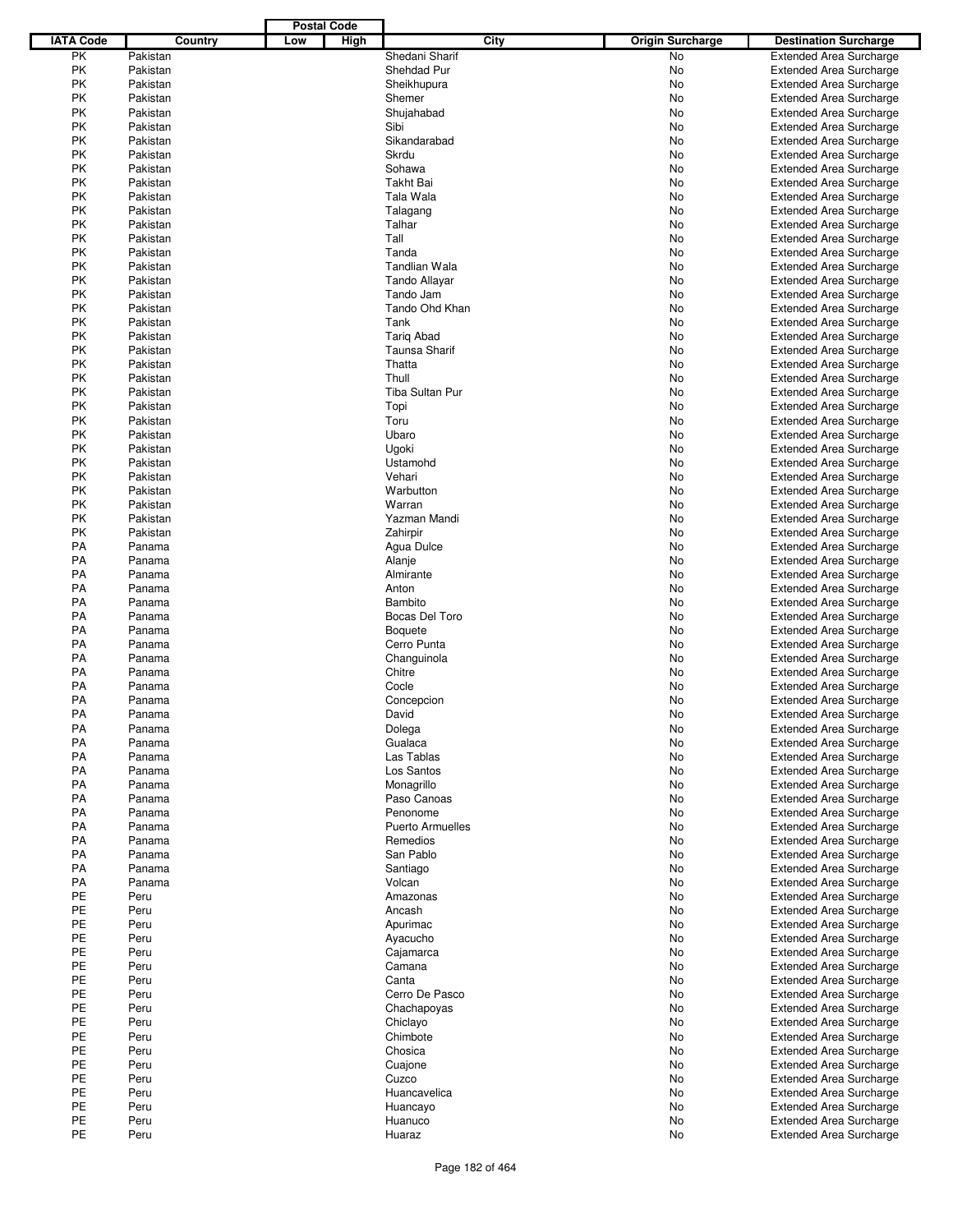|                  |          |     | <b>Postal Code</b> |                         |      |                         |                                |
|------------------|----------|-----|--------------------|-------------------------|------|-------------------------|--------------------------------|
| <b>IATA Code</b> | Country  | Low | High               |                         | City | <b>Origin Surcharge</b> | <b>Destination Surcharge</b>   |
| PK               | Pakistan |     |                    | Shedani Sharif          |      | <b>No</b>               | <b>Extended Area Surcharge</b> |
| PK               | Pakistan |     |                    | Shehdad Pur             |      | No                      | <b>Extended Area Surcharge</b> |
| PK               | Pakistan |     |                    | Sheikhupura             |      | No                      | <b>Extended Area Surcharge</b> |
| PK               | Pakistan |     |                    | Shemer                  |      | No                      | <b>Extended Area Surcharge</b> |
| PK               | Pakistan |     |                    | Shujahabad              |      | No                      | <b>Extended Area Surcharge</b> |
| PK               |          |     |                    | Sibi                    |      |                         |                                |
|                  | Pakistan |     |                    |                         |      | No                      | <b>Extended Area Surcharge</b> |
| PK               | Pakistan |     |                    | Sikandarabad            |      | No                      | <b>Extended Area Surcharge</b> |
| <b>PK</b>        | Pakistan |     |                    | Skrdu                   |      | No                      | <b>Extended Area Surcharge</b> |
| PK               | Pakistan |     |                    | Sohawa                  |      | No                      | <b>Extended Area Surcharge</b> |
| PK               | Pakistan |     |                    | Takht Bai               |      | No                      | <b>Extended Area Surcharge</b> |
| PK               | Pakistan |     |                    | Tala Wala               |      | No                      | <b>Extended Area Surcharge</b> |
| <b>PK</b>        | Pakistan |     |                    | Talagang                |      | No                      | <b>Extended Area Surcharge</b> |
| PK               | Pakistan |     |                    | Talhar                  |      | No                      | <b>Extended Area Surcharge</b> |
| PK               | Pakistan |     |                    | Tall                    |      | No                      | <b>Extended Area Surcharge</b> |
| PK               | Pakistan |     |                    | Tanda                   |      | No                      | <b>Extended Area Surcharge</b> |
| <b>PK</b>        | Pakistan |     |                    | <b>Tandlian Wala</b>    |      | No                      | <b>Extended Area Surcharge</b> |
| PK               | Pakistan |     |                    | <b>Tando Allayar</b>    |      | No                      | <b>Extended Area Surcharge</b> |
|                  |          |     |                    |                         |      |                         |                                |
| PK               | Pakistan |     |                    | Tando Jam               |      | No                      | <b>Extended Area Surcharge</b> |
| PK               | Pakistan |     |                    | Tando Ohd Khan          |      | No                      | <b>Extended Area Surcharge</b> |
| PK               | Pakistan |     |                    | Tank                    |      | No                      | <b>Extended Area Surcharge</b> |
| PK               | Pakistan |     |                    | <b>Tarig Abad</b>       |      | No                      | <b>Extended Area Surcharge</b> |
| PK               | Pakistan |     |                    | Taunsa Sharif           |      | No                      | <b>Extended Area Surcharge</b> |
| PK               | Pakistan |     |                    | Thatta                  |      | No                      | <b>Extended Area Surcharge</b> |
| <b>PK</b>        | Pakistan |     |                    | Thull                   |      | No                      | <b>Extended Area Surcharge</b> |
| PK               | Pakistan |     |                    | <b>Tiba Sultan Pur</b>  |      | No                      | <b>Extended Area Surcharge</b> |
| PK               | Pakistan |     |                    | Topi                    |      | No                      | <b>Extended Area Surcharge</b> |
| PK               | Pakistan |     |                    | Toru                    |      | No                      | <b>Extended Area Surcharge</b> |
| <b>PK</b>        | Pakistan |     |                    | Ubaro                   |      | No                      | <b>Extended Area Surcharge</b> |
| PK               | Pakistan |     |                    |                         |      |                         |                                |
|                  |          |     |                    | Ugoki                   |      | No                      | <b>Extended Area Surcharge</b> |
| PK               | Pakistan |     |                    | Ustamohd                |      | No                      | <b>Extended Area Surcharge</b> |
| PK               | Pakistan |     |                    | Vehari                  |      | No                      | <b>Extended Area Surcharge</b> |
| PK               | Pakistan |     |                    | Warbutton               |      | No                      | <b>Extended Area Surcharge</b> |
| PK               | Pakistan |     |                    | Warran                  |      | No                      | <b>Extended Area Surcharge</b> |
| PK               | Pakistan |     |                    | Yazman Mandi            |      | No                      | <b>Extended Area Surcharge</b> |
| PK               | Pakistan |     |                    | Zahirpir                |      | No                      | <b>Extended Area Surcharge</b> |
| <b>PA</b>        | Panama   |     |                    | Agua Dulce              |      | No                      | <b>Extended Area Surcharge</b> |
| PA               | Panama   |     |                    | Alanje                  |      | No                      | <b>Extended Area Surcharge</b> |
| PA               | Panama   |     |                    | Almirante               |      | No                      | <b>Extended Area Surcharge</b> |
| PA               | Panama   |     |                    | Anton                   |      | No                      | <b>Extended Area Surcharge</b> |
| PA               | Panama   |     |                    | Bambito                 |      | No                      | <b>Extended Area Surcharge</b> |
| PA               | Panama   |     |                    | Bocas Del Toro          |      | No                      | <b>Extended Area Surcharge</b> |
| PA               |          |     |                    |                         |      |                         |                                |
|                  | Panama   |     |                    | <b>Boquete</b>          |      | No                      | <b>Extended Area Surcharge</b> |
| <b>PA</b>        | Panama   |     |                    | Cerro Punta             |      | No                      | <b>Extended Area Surcharge</b> |
| PA               | Panama   |     |                    | Changuinola             |      | No                      | <b>Extended Area Surcharge</b> |
| PA               | Panama   |     |                    | Chitre                  |      | No                      | <b>Extended Area Surcharge</b> |
| PA               | Panama   |     |                    | Cocle                   |      | No                      | <b>Extended Area Surcharge</b> |
| PA               | Panama   |     |                    | Concepcion              |      | No                      | <b>Extended Area Surcharge</b> |
| PA               | Panama   |     |                    | David                   |      | No                      | <b>Extended Area Surcharge</b> |
| PA               | Panama   |     |                    | Dolega                  |      | No                      | <b>Extended Area Surcharge</b> |
| PA               | Panama   |     |                    | Gualaca                 |      | No                      | <b>Extended Area Surcharge</b> |
| PA               | Panama   |     |                    | Las Tablas              |      | No                      | <b>Extended Area Surcharge</b> |
| PA               | Panama   |     |                    | Los Santos              |      | No                      | <b>Extended Area Surcharge</b> |
| PA               | Panama   |     |                    | Monagrillo              |      | No                      | <b>Extended Area Surcharge</b> |
| PA               | Panama   |     |                    | Paso Canoas             |      | No                      | <b>Extended Area Surcharge</b> |
| PA               | Panama   |     |                    | Penonome                |      | No                      | <b>Extended Area Surcharge</b> |
| PA               | Panama   |     |                    | <b>Puerto Armuelles</b> |      | No                      | <b>Extended Area Surcharge</b> |
| PA               | Panama   |     |                    | Remedios                |      | No                      | <b>Extended Area Surcharge</b> |
| PA               | Panama   |     |                    | San Pablo               |      | No                      | <b>Extended Area Surcharge</b> |
|                  |          |     |                    |                         |      |                         |                                |
| PA               | Panama   |     |                    | Santiago                |      | No                      | <b>Extended Area Surcharge</b> |
| PA               | Panama   |     |                    | Volcan                  |      | No                      | <b>Extended Area Surcharge</b> |
| PE               | Peru     |     |                    | Amazonas                |      | No                      | <b>Extended Area Surcharge</b> |
| PE               | Peru     |     |                    | Ancash                  |      | No                      | <b>Extended Area Surcharge</b> |
| PE               | Peru     |     |                    | Apurimac                |      | No                      | <b>Extended Area Surcharge</b> |
| PE               | Peru     |     |                    | Ayacucho                |      | No                      | <b>Extended Area Surcharge</b> |
| PE               | Peru     |     |                    | Cajamarca               |      | No                      | <b>Extended Area Surcharge</b> |
| PE               | Peru     |     |                    | Camana                  |      | No                      | <b>Extended Area Surcharge</b> |
| PE               | Peru     |     |                    | Canta                   |      | No                      | <b>Extended Area Surcharge</b> |
| PE               | Peru     |     |                    | Cerro De Pasco          |      | No                      | <b>Extended Area Surcharge</b> |
| PE               | Peru     |     |                    | Chachapoyas             |      | No                      | <b>Extended Area Surcharge</b> |
| PE               | Peru     |     |                    | Chiclayo                |      | No                      | <b>Extended Area Surcharge</b> |
| PE               | Peru     |     |                    | Chimbote                |      | No                      | <b>Extended Area Surcharge</b> |
| PE               | Peru     |     |                    | Chosica                 |      | No                      | <b>Extended Area Surcharge</b> |
| PE               | Peru     |     |                    |                         |      | No                      | <b>Extended Area Surcharge</b> |
| PE               | Peru     |     |                    | Cuajone<br>Cuzco        |      |                         |                                |
|                  |          |     |                    |                         |      | No                      | <b>Extended Area Surcharge</b> |
| PE               | Peru     |     |                    | Huancavelica            |      | No                      | <b>Extended Area Surcharge</b> |
| PE               | Peru     |     |                    | Huancayo                |      | No                      | <b>Extended Area Surcharge</b> |
| PE               | Peru     |     |                    | Huanuco                 |      | No                      | <b>Extended Area Surcharge</b> |
| PE               | Peru     |     |                    | Huaraz                  |      | No                      | <b>Extended Area Surcharge</b> |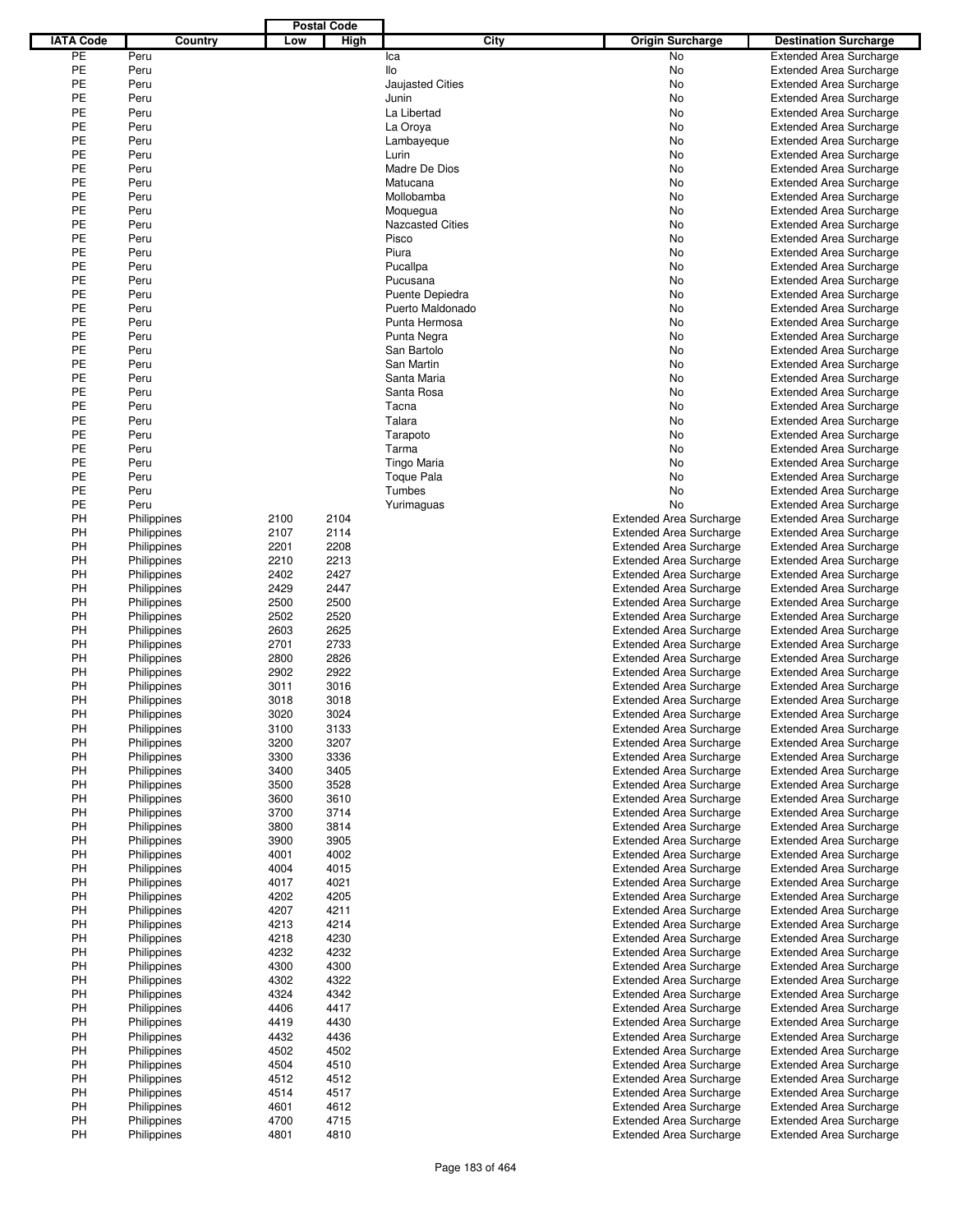|                  |             |      | <b>Postal Code</b> |                         |                                |                                |
|------------------|-------------|------|--------------------|-------------------------|--------------------------------|--------------------------------|
| <b>IATA Code</b> | Country     | Low  | High               | City                    | <b>Origin Surcharge</b>        | <b>Destination Surcharge</b>   |
| PE               | Peru        |      |                    | Ica                     | <b>No</b>                      | <b>Extended Area Surcharge</b> |
| PE               | Peru        |      |                    | llo                     | No                             | <b>Extended Area Surcharge</b> |
| PE               | Peru        |      |                    | <b>Jaujasted Cities</b> | No                             | <b>Extended Area Surcharge</b> |
| PE               | Peru        |      |                    | Junin                   | No                             | <b>Extended Area Surcharge</b> |
| PE               | Peru        |      |                    | La Libertad             | No                             | <b>Extended Area Surcharge</b> |
| PE               | Peru        |      |                    | La Oroya                | No                             | <b>Extended Area Surcharge</b> |
| PE               | Peru        |      |                    |                         | No                             | <b>Extended Area Surcharge</b> |
| PE               | Peru        |      |                    | Lambayeque<br>Lurin     | No                             | <b>Extended Area Surcharge</b> |
| PE               |             |      |                    | Madre De Dios           |                                |                                |
|                  | Peru        |      |                    |                         | No                             | <b>Extended Area Surcharge</b> |
| PE               | Peru        |      |                    | Matucana                | No                             | <b>Extended Area Surcharge</b> |
| PE               | Peru        |      |                    | Mollobamba              | No                             | <b>Extended Area Surcharge</b> |
| PE               | Peru        |      |                    | Moquegua                | No                             | <b>Extended Area Surcharge</b> |
| PE               | Peru        |      |                    | <b>Nazcasted Cities</b> | No                             | <b>Extended Area Surcharge</b> |
| PE               | Peru        |      |                    | Pisco                   | No                             | <b>Extended Area Surcharge</b> |
| PE               | Peru        |      |                    | Piura                   | No                             | <b>Extended Area Surcharge</b> |
| PE               | Peru        |      |                    | Pucallpa                | No                             | <b>Extended Area Surcharge</b> |
| PE               | Peru        |      |                    | Pucusana                | No                             | <b>Extended Area Surcharge</b> |
| PE               | Peru        |      |                    | Puente Depiedra         | No                             | <b>Extended Area Surcharge</b> |
| PE               | Peru        |      |                    | Puerto Maldonado        | No                             | <b>Extended Area Surcharge</b> |
| PE               | Peru        |      |                    | Punta Hermosa           | No                             | <b>Extended Area Surcharge</b> |
| PE               | Peru        |      |                    | Punta Negra             | No                             | <b>Extended Area Surcharge</b> |
| PE               | Peru        |      |                    | San Bartolo             | No                             | <b>Extended Area Surcharge</b> |
| PE               | Peru        |      |                    | San Martin              | No                             | <b>Extended Area Surcharge</b> |
| PE               | Peru        |      |                    | Santa Maria             | No                             | <b>Extended Area Surcharge</b> |
| PE               | Peru        |      |                    | Santa Rosa              | No                             | <b>Extended Area Surcharge</b> |
| PE               | Peru        |      |                    | Tacna                   | No                             | <b>Extended Area Surcharge</b> |
| PE               | Peru        |      |                    | Talara                  | No                             | <b>Extended Area Surcharge</b> |
| PE               | Peru        |      |                    | Tarapoto                | No                             | <b>Extended Area Surcharge</b> |
| PE               | Peru        |      |                    | Tarma                   | No                             | <b>Extended Area Surcharge</b> |
| PE               | Peru        |      |                    | <b>Tingo Maria</b>      | No                             | <b>Extended Area Surcharge</b> |
| PE               | Peru        |      |                    | <b>Toque Pala</b>       | No                             |                                |
| PE               |             |      |                    |                         |                                | <b>Extended Area Surcharge</b> |
|                  | Peru        |      |                    | Tumbes                  | No                             | <b>Extended Area Surcharge</b> |
| PE               | Peru        |      |                    | Yurimaguas              | No                             | <b>Extended Area Surcharge</b> |
| PH               | Philippines | 2100 | 2104               |                         | <b>Extended Area Surcharge</b> | <b>Extended Area Surcharge</b> |
| PH               | Philippines | 2107 | 2114               |                         | <b>Extended Area Surcharge</b> | <b>Extended Area Surcharge</b> |
| PH               | Philippines | 2201 | 2208               |                         | <b>Extended Area Surcharge</b> | <b>Extended Area Surcharge</b> |
| PH               | Philippines | 2210 | 2213               |                         | <b>Extended Area Surcharge</b> | <b>Extended Area Surcharge</b> |
| PH               | Philippines | 2402 | 2427               |                         | <b>Extended Area Surcharge</b> | <b>Extended Area Surcharge</b> |
| PH               | Philippines | 2429 | 2447               |                         | <b>Extended Area Surcharge</b> | <b>Extended Area Surcharge</b> |
| PH               | Philippines | 2500 | 2500               |                         | <b>Extended Area Surcharge</b> | <b>Extended Area Surcharge</b> |
| PH               | Philippines | 2502 | 2520               |                         | <b>Extended Area Surcharge</b> | <b>Extended Area Surcharge</b> |
| PH               | Philippines | 2603 | 2625               |                         | <b>Extended Area Surcharge</b> | <b>Extended Area Surcharge</b> |
| PH               | Philippines | 2701 | 2733               |                         | <b>Extended Area Surcharge</b> | <b>Extended Area Surcharge</b> |
| PH               | Philippines | 2800 | 2826               |                         | <b>Extended Area Surcharge</b> | <b>Extended Area Surcharge</b> |
| PH               | Philippines | 2902 | 2922               |                         | <b>Extended Area Surcharge</b> | <b>Extended Area Surcharge</b> |
| PH               | Philippines | 3011 | 3016               |                         | <b>Extended Area Surcharge</b> | <b>Extended Area Surcharge</b> |
| PH               | Philippines | 3018 | 3018               |                         | <b>Extended Area Surcharge</b> | <b>Extended Area Surcharge</b> |
| PH               | Philippines | 3020 | 3024               |                         | <b>Extended Area Surcharge</b> | <b>Extended Area Surcharge</b> |
| PH               | Philippines | 3100 | 3133               |                         | <b>Extended Area Surcharge</b> | <b>Extended Area Surcharge</b> |
| PH               | Philippines | 3200 | 3207               |                         | <b>Extended Area Surcharge</b> | <b>Extended Area Surcharge</b> |
| PH               |             |      | 3336               |                         |                                | <b>Extended Area Surcharge</b> |
|                  | Philippines | 3300 |                    |                         | <b>Extended Area Surcharge</b> |                                |
| PH               | Philippines | 3400 | 3405               |                         | <b>Extended Area Surcharge</b> | <b>Extended Area Surcharge</b> |
| PH               | Philippines | 3500 | 3528               |                         | <b>Extended Area Surcharge</b> | <b>Extended Area Surcharge</b> |
| PH               | Philippines | 3600 | 3610               |                         | <b>Extended Area Surcharge</b> | <b>Extended Area Surcharge</b> |
| PH               | Philippines | 3700 | 3714               |                         | <b>Extended Area Surcharge</b> | <b>Extended Area Surcharge</b> |
| PH               | Philippines | 3800 | 3814               |                         | <b>Extended Area Surcharge</b> | <b>Extended Area Surcharge</b> |
| PH               | Philippines | 3900 | 3905               |                         | <b>Extended Area Surcharge</b> | <b>Extended Area Surcharge</b> |
| PH               | Philippines | 4001 | 4002               |                         | <b>Extended Area Surcharge</b> | <b>Extended Area Surcharge</b> |
| PH               | Philippines | 4004 | 4015               |                         | <b>Extended Area Surcharge</b> | <b>Extended Area Surcharge</b> |
| PH               | Philippines | 4017 | 4021               |                         | <b>Extended Area Surcharge</b> | <b>Extended Area Surcharge</b> |
| PH               | Philippines | 4202 | 4205               |                         | <b>Extended Area Surcharge</b> | <b>Extended Area Surcharge</b> |
| PH               | Philippines | 4207 | 4211               |                         | <b>Extended Area Surcharge</b> | <b>Extended Area Surcharge</b> |
| PH               | Philippines | 4213 | 4214               |                         | <b>Extended Area Surcharge</b> | <b>Extended Area Surcharge</b> |
| PH               | Philippines | 4218 | 4230               |                         | <b>Extended Area Surcharge</b> | <b>Extended Area Surcharge</b> |
| PH               | Philippines | 4232 | 4232               |                         | <b>Extended Area Surcharge</b> | <b>Extended Area Surcharge</b> |
| PH               | Philippines | 4300 | 4300               |                         | <b>Extended Area Surcharge</b> | <b>Extended Area Surcharge</b> |
| PH               | Philippines | 4302 | 4322               |                         | <b>Extended Area Surcharge</b> | <b>Extended Area Surcharge</b> |
| PH               | Philippines | 4324 | 4342               |                         | <b>Extended Area Surcharge</b> | <b>Extended Area Surcharge</b> |
| PH               | Philippines | 4406 | 4417               |                         | <b>Extended Area Surcharge</b> | <b>Extended Area Surcharge</b> |
| PH               |             | 4419 | 4430               |                         | <b>Extended Area Surcharge</b> | <b>Extended Area Surcharge</b> |
|                  | Philippines |      |                    |                         |                                |                                |
| PH               | Philippines | 4432 | 4436               |                         | <b>Extended Area Surcharge</b> | <b>Extended Area Surcharge</b> |
| PH               | Philippines | 4502 | 4502               |                         | <b>Extended Area Surcharge</b> | <b>Extended Area Surcharge</b> |
| PH               | Philippines | 4504 | 4510               |                         | <b>Extended Area Surcharge</b> | <b>Extended Area Surcharge</b> |
| PH               | Philippines | 4512 | 4512               |                         | <b>Extended Area Surcharge</b> | <b>Extended Area Surcharge</b> |
| PH               | Philippines | 4514 | 4517               |                         | <b>Extended Area Surcharge</b> | <b>Extended Area Surcharge</b> |
| PH               | Philippines | 4601 | 4612               |                         | <b>Extended Area Surcharge</b> | <b>Extended Area Surcharge</b> |
| PH               | Philippines | 4700 | 4715               |                         | <b>Extended Area Surcharge</b> | <b>Extended Area Surcharge</b> |
| PH               | Philippines | 4801 | 4810               |                         | <b>Extended Area Surcharge</b> | <b>Extended Area Surcharge</b> |
|                  |             |      |                    |                         |                                |                                |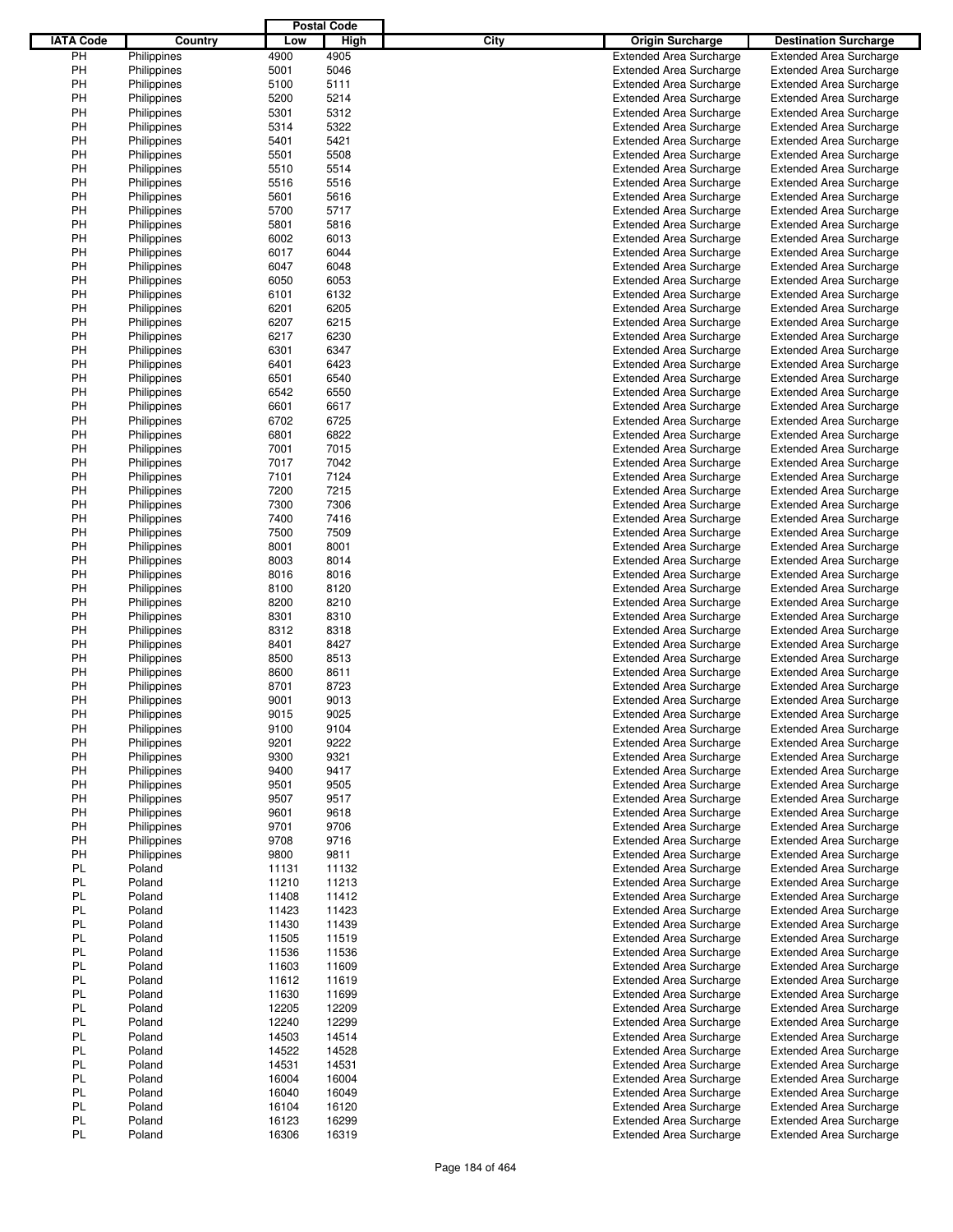|                  |             |       | <b>Postal Code</b> |      |                                |                                |
|------------------|-------------|-------|--------------------|------|--------------------------------|--------------------------------|
| <b>IATA Code</b> | Country     | Low   | High               | City | <b>Origin Surcharge</b>        | <b>Destination Surcharge</b>   |
| PH               | Philippines | 4900  | 4905               |      | <b>Extended Area Surcharge</b> | <b>Extended Area Surcharge</b> |
| PH               | Philippines | 5001  | 5046               |      | <b>Extended Area Surcharge</b> | <b>Extended Area Surcharge</b> |
| PH               | Philippines | 5100  | 5111               |      | <b>Extended Area Surcharge</b> | <b>Extended Area Surcharge</b> |
| PH               | Philippines | 5200  | 5214               |      | <b>Extended Area Surcharge</b> | <b>Extended Area Surcharge</b> |
| PH               | Philippines | 5301  | 5312               |      | <b>Extended Area Surcharge</b> | <b>Extended Area Surcharge</b> |
| PH               | Philippines | 5314  | 5322               |      | <b>Extended Area Surcharge</b> | <b>Extended Area Surcharge</b> |
|                  |             |       |                    |      |                                |                                |
| PH               | Philippines | 5401  | 5421               |      | <b>Extended Area Surcharge</b> | <b>Extended Area Surcharge</b> |
| PH               | Philippines | 5501  | 5508               |      | <b>Extended Area Surcharge</b> | <b>Extended Area Surcharge</b> |
| PH               | Philippines | 5510  | 5514               |      | <b>Extended Area Surcharge</b> | <b>Extended Area Surcharge</b> |
| PH               | Philippines | 5516  | 5516               |      | <b>Extended Area Surcharge</b> | <b>Extended Area Surcharge</b> |
| PH               | Philippines | 5601  | 5616               |      | <b>Extended Area Surcharge</b> | <b>Extended Area Surcharge</b> |
| PH               | Philippines | 5700  | 5717               |      | <b>Extended Area Surcharge</b> | <b>Extended Area Surcharge</b> |
| PH               | Philippines | 5801  | 5816               |      | <b>Extended Area Surcharge</b> | <b>Extended Area Surcharge</b> |
| PH               | Philippines | 6002  | 6013               |      | <b>Extended Area Surcharge</b> | <b>Extended Area Surcharge</b> |
| PH               | Philippines | 6017  | 6044               |      | <b>Extended Area Surcharge</b> | <b>Extended Area Surcharge</b> |
| PH               | Philippines | 6047  | 6048               |      | <b>Extended Area Surcharge</b> | <b>Extended Area Surcharge</b> |
| PH               | Philippines | 6050  | 6053               |      | <b>Extended Area Surcharge</b> | <b>Extended Area Surcharge</b> |
| PH               | Philippines | 6101  | 6132               |      | <b>Extended Area Surcharge</b> | <b>Extended Area Surcharge</b> |
| PH               | Philippines | 6201  | 6205               |      | <b>Extended Area Surcharge</b> | <b>Extended Area Surcharge</b> |
| PH               | Philippines | 6207  | 6215               |      | <b>Extended Area Surcharge</b> | <b>Extended Area Surcharge</b> |
| PH               | Philippines | 6217  | 6230               |      | <b>Extended Area Surcharge</b> | <b>Extended Area Surcharge</b> |
| PH               | Philippines | 6301  | 6347               |      | <b>Extended Area Surcharge</b> | <b>Extended Area Surcharge</b> |
| PH               | Philippines | 6401  | 6423               |      | <b>Extended Area Surcharge</b> | <b>Extended Area Surcharge</b> |
| PH               | Philippines | 6501  | 6540               |      | <b>Extended Area Surcharge</b> | <b>Extended Area Surcharge</b> |
| PH               | Philippines | 6542  | 6550               |      | <b>Extended Area Surcharge</b> | <b>Extended Area Surcharge</b> |
|                  |             |       | 6617               |      |                                |                                |
| PH               | Philippines | 6601  |                    |      | <b>Extended Area Surcharge</b> | <b>Extended Area Surcharge</b> |
| PH               | Philippines | 6702  | 6725               |      | <b>Extended Area Surcharge</b> | <b>Extended Area Surcharge</b> |
| PH               | Philippines | 6801  | 6822               |      | <b>Extended Area Surcharge</b> | <b>Extended Area Surcharge</b> |
| PH               | Philippines | 7001  | 7015               |      | <b>Extended Area Surcharge</b> | <b>Extended Area Surcharge</b> |
| PH               | Philippines | 7017  | 7042               |      | <b>Extended Area Surcharge</b> | <b>Extended Area Surcharge</b> |
| PH               | Philippines | 7101  | 7124               |      | <b>Extended Area Surcharge</b> | <b>Extended Area Surcharge</b> |
| PH               | Philippines | 7200  | 7215               |      | <b>Extended Area Surcharge</b> | <b>Extended Area Surcharge</b> |
| PH               | Philippines | 7300  | 7306               |      | <b>Extended Area Surcharge</b> | <b>Extended Area Surcharge</b> |
| PH               | Philippines | 7400  | 7416               |      | <b>Extended Area Surcharge</b> | <b>Extended Area Surcharge</b> |
| PH               | Philippines | 7500  | 7509               |      | <b>Extended Area Surcharge</b> | <b>Extended Area Surcharge</b> |
| PH               | Philippines | 8001  | 8001               |      | <b>Extended Area Surcharge</b> | <b>Extended Area Surcharge</b> |
| PH               | Philippines | 8003  | 8014               |      | <b>Extended Area Surcharge</b> | <b>Extended Area Surcharge</b> |
| PH               | Philippines | 8016  | 8016               |      | <b>Extended Area Surcharge</b> | <b>Extended Area Surcharge</b> |
| PH               | Philippines | 8100  | 8120               |      | <b>Extended Area Surcharge</b> | <b>Extended Area Surcharge</b> |
| PH               | Philippines | 8200  | 8210               |      | <b>Extended Area Surcharge</b> | <b>Extended Area Surcharge</b> |
| PH               | Philippines | 8301  | 8310               |      | <b>Extended Area Surcharge</b> | <b>Extended Area Surcharge</b> |
| PH               | Philippines | 8312  | 8318               |      | <b>Extended Area Surcharge</b> | <b>Extended Area Surcharge</b> |
| PH               | Philippines | 8401  | 8427               |      | <b>Extended Area Surcharge</b> | <b>Extended Area Surcharge</b> |
| PH               |             |       |                    |      |                                | <b>Extended Area Surcharge</b> |
|                  | Philippines | 8500  | 8513               |      | <b>Extended Area Surcharge</b> |                                |
| PH               | Philippines | 8600  | 8611               |      | <b>Extended Area Surcharge</b> | <b>Extended Area Surcharge</b> |
| PH               | Philippines | 8701  | 8723               |      | <b>Extended Area Surcharge</b> | <b>Extended Area Surcharge</b> |
| PH               | Philippines | 9001  | 9013               |      | <b>Extended Area Surcharge</b> | <b>Extended Area Surcharge</b> |
| PH               | Philippines | 9015  | 9025               |      | <b>Extended Area Surcharge</b> | <b>Extended Area Surcharge</b> |
| PH               | Philippines | 9100  | 9104               |      | <b>Extended Area Surcharge</b> | <b>Extended Area Surcharge</b> |
| PH               | Philippines | 9201  | 9222               |      | <b>Extended Area Surcharge</b> | <b>Extended Area Surcharge</b> |
| PH               | Philippines | 9300  | 9321               |      | <b>Extended Area Surcharge</b> | <b>Extended Area Surcharge</b> |
| PH               | Philippines | 9400  | 9417               |      | <b>Extended Area Surcharge</b> | <b>Extended Area Surcharge</b> |
| PH               | Philippines | 9501  | 9505               |      | <b>Extended Area Surcharge</b> | <b>Extended Area Surcharge</b> |
| PH               | Philippines | 9507  | 9517               |      | <b>Extended Area Surcharge</b> | <b>Extended Area Surcharge</b> |
| PH               | Philippines | 9601  | 9618               |      | <b>Extended Area Surcharge</b> | <b>Extended Area Surcharge</b> |
| PH               | Philippines | 9701  | 9706               |      | <b>Extended Area Surcharge</b> | <b>Extended Area Surcharge</b> |
| PH               | Philippines | 9708  | 9716               |      | <b>Extended Area Surcharge</b> | <b>Extended Area Surcharge</b> |
| PH               | Philippines | 9800  | 9811               |      | <b>Extended Area Surcharge</b> | <b>Extended Area Surcharge</b> |
| PL.              | Poland      | 11131 | 11132              |      | <b>Extended Area Surcharge</b> | <b>Extended Area Surcharge</b> |
| PL.              | Poland      | 11210 | 11213              |      | <b>Extended Area Surcharge</b> | <b>Extended Area Surcharge</b> |
| PL.              | Poland      | 11408 | 11412              |      | <b>Extended Area Surcharge</b> | <b>Extended Area Surcharge</b> |
| PL.              | Poland      | 11423 | 11423              |      | <b>Extended Area Surcharge</b> | <b>Extended Area Surcharge</b> |
|                  |             |       |                    |      |                                |                                |
| PL.              | Poland      | 11430 | 11439              |      | <b>Extended Area Surcharge</b> | <b>Extended Area Surcharge</b> |
| PL.              | Poland      | 11505 | 11519              |      | <b>Extended Area Surcharge</b> | <b>Extended Area Surcharge</b> |
| PL.              | Poland      | 11536 | 11536              |      | <b>Extended Area Surcharge</b> | <b>Extended Area Surcharge</b> |
| PL.              | Poland      | 11603 | 11609              |      | <b>Extended Area Surcharge</b> | <b>Extended Area Surcharge</b> |
| PL               | Poland      | 11612 | 11619              |      | <b>Extended Area Surcharge</b> | <b>Extended Area Surcharge</b> |
| PL.              | Poland      | 11630 | 11699              |      | <b>Extended Area Surcharge</b> | <b>Extended Area Surcharge</b> |
| PL.              | Poland      | 12205 | 12209              |      | <b>Extended Area Surcharge</b> | <b>Extended Area Surcharge</b> |
| PL.              | Poland      | 12240 | 12299              |      | <b>Extended Area Surcharge</b> | <b>Extended Area Surcharge</b> |
| PL.              | Poland      | 14503 | 14514              |      | <b>Extended Area Surcharge</b> | <b>Extended Area Surcharge</b> |
| PL.              | Poland      | 14522 | 14528              |      | <b>Extended Area Surcharge</b> | <b>Extended Area Surcharge</b> |
| PL.              | Poland      | 14531 | 14531              |      | <b>Extended Area Surcharge</b> | <b>Extended Area Surcharge</b> |
| PL.              | Poland      | 16004 | 16004              |      | <b>Extended Area Surcharge</b> | <b>Extended Area Surcharge</b> |
| PL.              | Poland      | 16040 | 16049              |      | <b>Extended Area Surcharge</b> | <b>Extended Area Surcharge</b> |
| PL               | Poland      | 16104 | 16120              |      | <b>Extended Area Surcharge</b> | <b>Extended Area Surcharge</b> |
| PL               | Poland      | 16123 | 16299              |      | <b>Extended Area Surcharge</b> | <b>Extended Area Surcharge</b> |
| PL               | Poland      | 16306 | 16319              |      | <b>Extended Area Surcharge</b> | <b>Extended Area Surcharge</b> |
|                  |             |       |                    |      |                                |                                |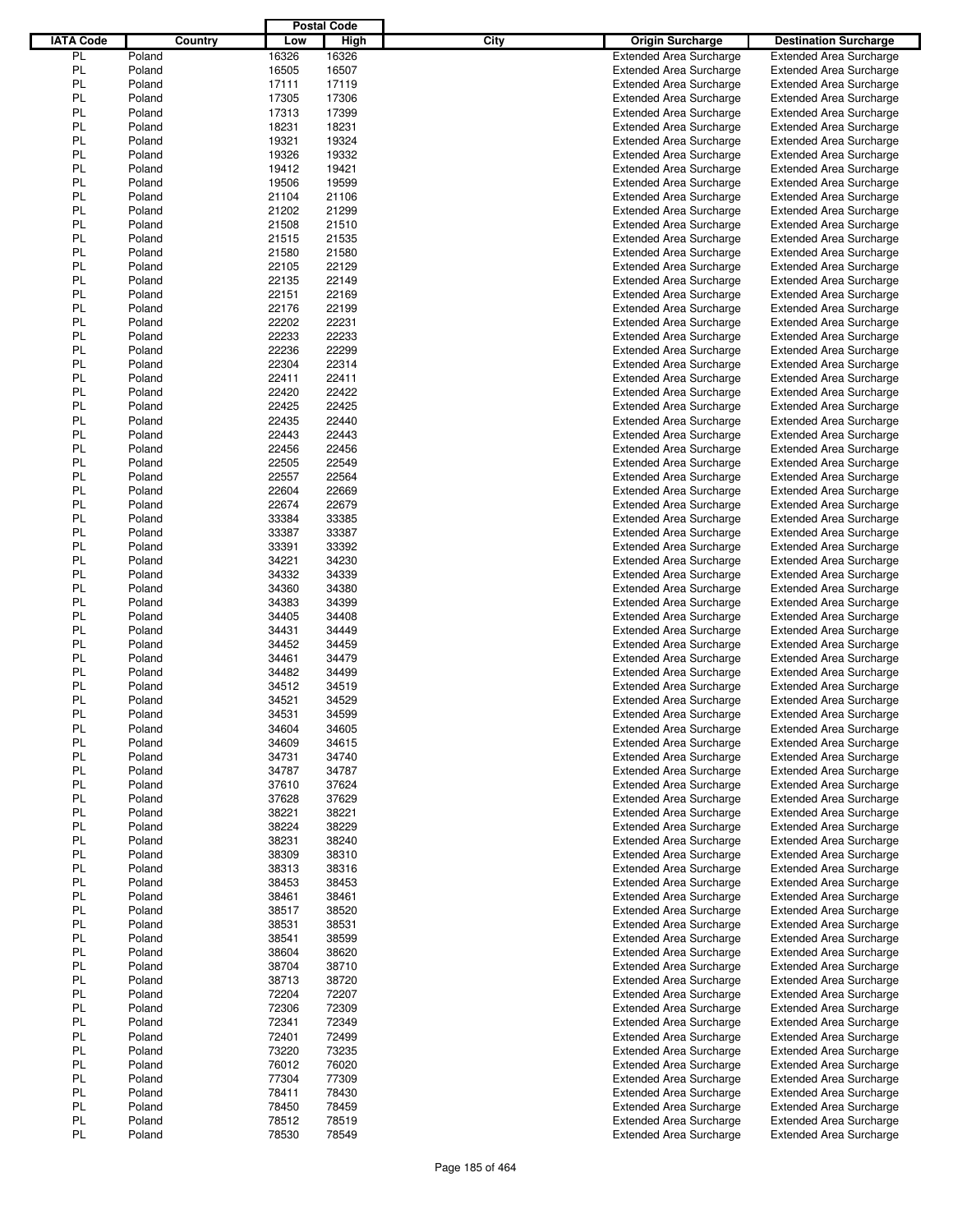|                  |        |         |       | <b>Postal Code</b> |      |                                |                                |
|------------------|--------|---------|-------|--------------------|------|--------------------------------|--------------------------------|
| <b>IATA Code</b> |        | Country | Low   | High               | City | <b>Origin Surcharge</b>        | <b>Destination Surcharge</b>   |
| PL               | Poland |         | 16326 | 16326              |      | <b>Extended Area Surcharge</b> | <b>Extended Area Surcharge</b> |
| PL               | Poland |         | 16505 | 16507              |      | <b>Extended Area Surcharge</b> | <b>Extended Area Surcharge</b> |
| PL               | Poland |         | 17111 | 17119              |      | <b>Extended Area Surcharge</b> | <b>Extended Area Surcharge</b> |
| PL               | Poland |         | 17305 | 17306              |      | <b>Extended Area Surcharge</b> | <b>Extended Area Surcharge</b> |
| PL               | Poland |         | 17313 | 17399              |      | <b>Extended Area Surcharge</b> | <b>Extended Area Surcharge</b> |
| PL               | Poland |         | 18231 | 18231              |      | <b>Extended Area Surcharge</b> | <b>Extended Area Surcharge</b> |
| PL               | Poland |         | 19321 | 19324              |      | <b>Extended Area Surcharge</b> | <b>Extended Area Surcharge</b> |
| PL               | Poland |         | 19326 | 19332              |      | <b>Extended Area Surcharge</b> | <b>Extended Area Surcharge</b> |
| PL               | Poland |         | 19412 | 19421              |      | <b>Extended Area Surcharge</b> | <b>Extended Area Surcharge</b> |
| PL               |        |         |       |                    |      |                                |                                |
|                  | Poland |         | 19506 | 19599              |      | <b>Extended Area Surcharge</b> | <b>Extended Area Surcharge</b> |
| PL               | Poland |         | 21104 | 21106              |      | <b>Extended Area Surcharge</b> | <b>Extended Area Surcharge</b> |
| PL               | Poland |         | 21202 | 21299              |      | <b>Extended Area Surcharge</b> | <b>Extended Area Surcharge</b> |
| PL               | Poland |         | 21508 | 21510              |      | <b>Extended Area Surcharge</b> | <b>Extended Area Surcharge</b> |
| PL               | Poland |         | 21515 | 21535              |      | <b>Extended Area Surcharge</b> | <b>Extended Area Surcharge</b> |
| PL               | Poland |         | 21580 | 21580              |      | <b>Extended Area Surcharge</b> | <b>Extended Area Surcharge</b> |
| PL               | Poland |         | 22105 | 22129              |      | <b>Extended Area Surcharge</b> | <b>Extended Area Surcharge</b> |
| PL               | Poland |         | 22135 | 22149              |      | <b>Extended Area Surcharge</b> | <b>Extended Area Surcharge</b> |
| PL               | Poland |         | 22151 | 22169              |      | <b>Extended Area Surcharge</b> | <b>Extended Area Surcharge</b> |
| PL               | Poland |         | 22176 | 22199              |      | <b>Extended Area Surcharge</b> | <b>Extended Area Surcharge</b> |
| PL               | Poland |         | 22202 | 22231              |      | <b>Extended Area Surcharge</b> | <b>Extended Area Surcharge</b> |
| PL               | Poland |         | 22233 | 22233              |      | <b>Extended Area Surcharge</b> | <b>Extended Area Surcharge</b> |
| PL               | Poland |         | 22236 | 22299              |      | <b>Extended Area Surcharge</b> | <b>Extended Area Surcharge</b> |
| PL               | Poland |         | 22304 | 22314              |      | <b>Extended Area Surcharge</b> | <b>Extended Area Surcharge</b> |
| PL               | Poland |         | 22411 | 22411              |      | <b>Extended Area Surcharge</b> | <b>Extended Area Surcharge</b> |
| PL               | Poland |         | 22420 | 22422              |      | <b>Extended Area Surcharge</b> | <b>Extended Area Surcharge</b> |
| PL               | Poland |         | 22425 | 22425              |      | <b>Extended Area Surcharge</b> | <b>Extended Area Surcharge</b> |
| PL               | Poland |         | 22435 | 22440              |      | <b>Extended Area Surcharge</b> | <b>Extended Area Surcharge</b> |
| PL               | Poland |         | 22443 | 22443              |      | <b>Extended Area Surcharge</b> | <b>Extended Area Surcharge</b> |
| PL               | Poland |         | 22456 | 22456              |      | <b>Extended Area Surcharge</b> | <b>Extended Area Surcharge</b> |
| PL               | Poland |         | 22505 | 22549              |      | <b>Extended Area Surcharge</b> | <b>Extended Area Surcharge</b> |
| PL               | Poland |         | 22557 | 22564              |      | <b>Extended Area Surcharge</b> | <b>Extended Area Surcharge</b> |
| PL               | Poland |         | 22604 | 22669              |      | <b>Extended Area Surcharge</b> | <b>Extended Area Surcharge</b> |
| PL               | Poland |         | 22674 | 22679              |      | <b>Extended Area Surcharge</b> | <b>Extended Area Surcharge</b> |
| PL               | Poland |         | 33384 | 33385              |      |                                |                                |
|                  |        |         |       |                    |      | <b>Extended Area Surcharge</b> | <b>Extended Area Surcharge</b> |
| PL               | Poland |         | 33387 | 33387              |      | <b>Extended Area Surcharge</b> | <b>Extended Area Surcharge</b> |
| PL               | Poland |         | 33391 | 33392              |      | <b>Extended Area Surcharge</b> | <b>Extended Area Surcharge</b> |
| PL               | Poland |         | 34221 | 34230              |      | <b>Extended Area Surcharge</b> | <b>Extended Area Surcharge</b> |
| PL               | Poland |         | 34332 | 34339              |      | <b>Extended Area Surcharge</b> | <b>Extended Area Surcharge</b> |
| PL               | Poland |         | 34360 | 34380              |      | <b>Extended Area Surcharge</b> | <b>Extended Area Surcharge</b> |
| PL               | Poland |         | 34383 | 34399              |      | <b>Extended Area Surcharge</b> | <b>Extended Area Surcharge</b> |
| PL               | Poland |         | 34405 | 34408              |      | <b>Extended Area Surcharge</b> | <b>Extended Area Surcharge</b> |
| PL               | Poland |         | 34431 | 34449              |      | <b>Extended Area Surcharge</b> | <b>Extended Area Surcharge</b> |
| PL               | Poland |         | 34452 | 34459              |      | <b>Extended Area Surcharge</b> | <b>Extended Area Surcharge</b> |
| PL               | Poland |         | 34461 | 34479              |      | <b>Extended Area Surcharge</b> | <b>Extended Area Surcharge</b> |
| PL               | Poland |         | 34482 | 34499              |      | <b>Extended Area Surcharge</b> | <b>Extended Area Surcharge</b> |
| PL               | Poland |         | 34512 | 34519              |      | <b>Extended Area Surcharge</b> | <b>Extended Area Surcharge</b> |
| PL               | Poland |         | 34521 | 34529              |      | <b>Extended Area Surcharge</b> | <b>Extended Area Surcharge</b> |
| PL               | Poland |         | 34531 | 34599              |      | <b>Extended Area Surcharge</b> | <b>Extended Area Surcharge</b> |
| PL               | Poland |         | 34604 | 34605              |      | <b>Extended Area Surcharge</b> | <b>Extended Area Surcharge</b> |
| PL               | Poland |         | 34609 | 34615              |      | <b>Extended Area Surcharge</b> | <b>Extended Area Surcharge</b> |
| PL               | Poland |         | 34731 | 34740              |      | <b>Extended Area Surcharge</b> | <b>Extended Area Surcharge</b> |
| PL               | Poland |         | 34787 | 34787              |      | <b>Extended Area Surcharge</b> | <b>Extended Area Surcharge</b> |
| PL               | Poland |         | 37610 | 37624              |      | <b>Extended Area Surcharge</b> | <b>Extended Area Surcharge</b> |
| PL               | Poland |         | 37628 | 37629              |      | <b>Extended Area Surcharge</b> | <b>Extended Area Surcharge</b> |
| PL               | Poland |         | 38221 | 38221              |      | <b>Extended Area Surcharge</b> | <b>Extended Area Surcharge</b> |
| PL               | Poland |         | 38224 | 38229              |      | <b>Extended Area Surcharge</b> | <b>Extended Area Surcharge</b> |
| PL               | Poland |         | 38231 | 38240              |      | <b>Extended Area Surcharge</b> | <b>Extended Area Surcharge</b> |
| PL               | Poland |         | 38309 | 38310              |      | <b>Extended Area Surcharge</b> | <b>Extended Area Surcharge</b> |
| PL               | Poland |         | 38313 | 38316              |      | <b>Extended Area Surcharge</b> | <b>Extended Area Surcharge</b> |
| PL               | Poland |         | 38453 | 38453              |      | <b>Extended Area Surcharge</b> | <b>Extended Area Surcharge</b> |
| PL               | Poland |         | 38461 | 38461              |      | <b>Extended Area Surcharge</b> | <b>Extended Area Surcharge</b> |
| PL               | Poland |         | 38517 | 38520              |      | <b>Extended Area Surcharge</b> | <b>Extended Area Surcharge</b> |
| PL               | Poland |         | 38531 | 38531              |      | <b>Extended Area Surcharge</b> | <b>Extended Area Surcharge</b> |
| PL               | Poland |         | 38541 | 38599              |      | <b>Extended Area Surcharge</b> | <b>Extended Area Surcharge</b> |
| PL               | Poland |         | 38604 | 38620              |      | <b>Extended Area Surcharge</b> | <b>Extended Area Surcharge</b> |
| PL               | Poland |         | 38704 | 38710              |      | <b>Extended Area Surcharge</b> | <b>Extended Area Surcharge</b> |
| PL               | Poland |         | 38713 | 38720              |      | <b>Extended Area Surcharge</b> | <b>Extended Area Surcharge</b> |
| PL               | Poland |         | 72204 | 72207              |      | <b>Extended Area Surcharge</b> | <b>Extended Area Surcharge</b> |
|                  |        |         |       |                    |      |                                |                                |
| PL               | Poland |         | 72306 | 72309              |      | <b>Extended Area Surcharge</b> | <b>Extended Area Surcharge</b> |
| PL               | Poland |         | 72341 | 72349              |      | <b>Extended Area Surcharge</b> | <b>Extended Area Surcharge</b> |
| PL               | Poland |         | 72401 | 72499              |      | <b>Extended Area Surcharge</b> | <b>Extended Area Surcharge</b> |
| PL               | Poland |         | 73220 | 73235              |      | <b>Extended Area Surcharge</b> | <b>Extended Area Surcharge</b> |
| PL               | Poland |         | 76012 | 76020              |      | <b>Extended Area Surcharge</b> | <b>Extended Area Surcharge</b> |
| PL               | Poland |         | 77304 | 77309              |      | <b>Extended Area Surcharge</b> | <b>Extended Area Surcharge</b> |
| PL               | Poland |         | 78411 | 78430              |      | <b>Extended Area Surcharge</b> | <b>Extended Area Surcharge</b> |
| PL               | Poland |         | 78450 | 78459              |      | <b>Extended Area Surcharge</b> | <b>Extended Area Surcharge</b> |
| PL               | Poland |         | 78512 | 78519              |      | <b>Extended Area Surcharge</b> | <b>Extended Area Surcharge</b> |
| PL               | Poland |         | 78530 | 78549              |      | <b>Extended Area Surcharge</b> | <b>Extended Area Surcharge</b> |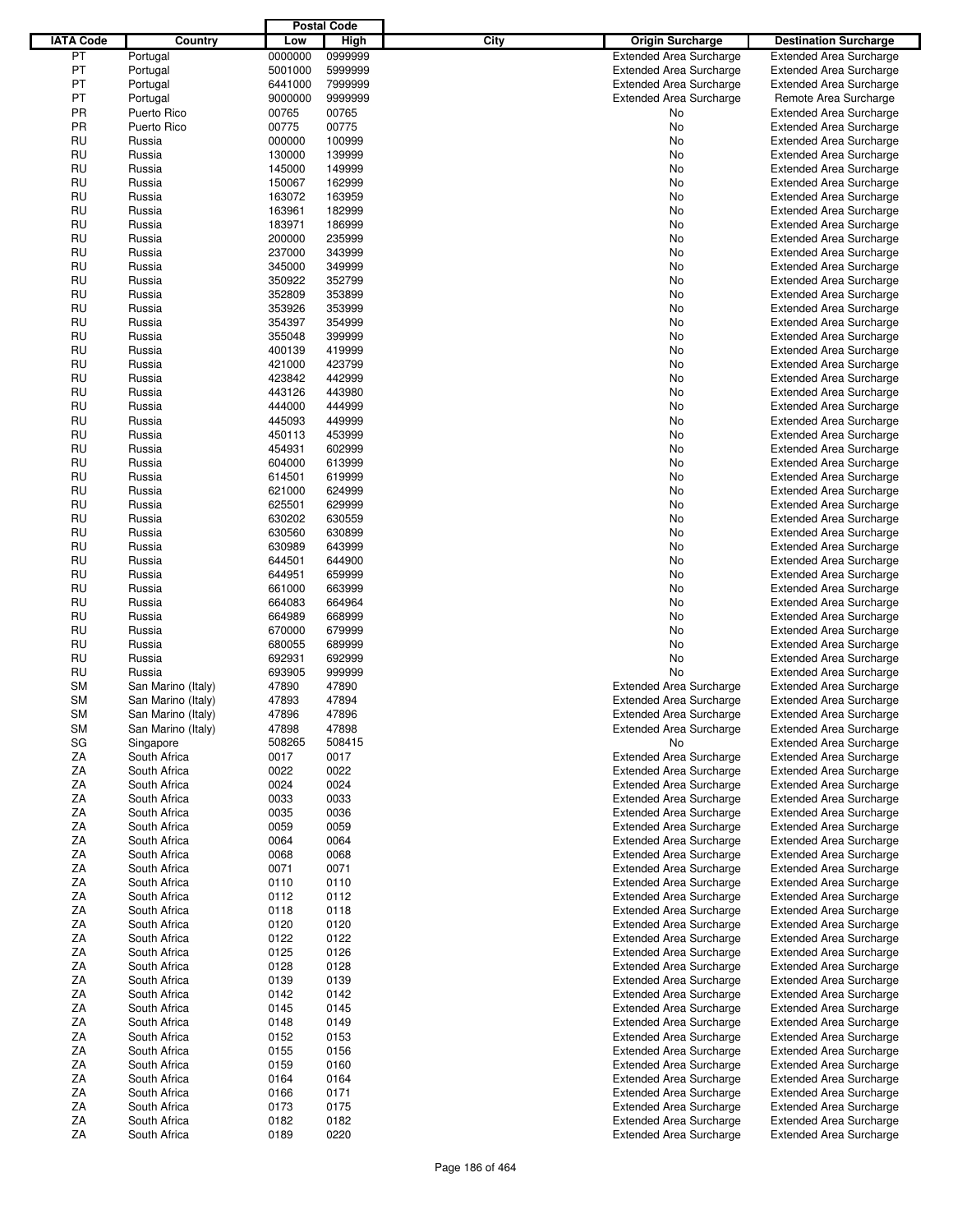|                  |                              |         | <b>Postal Code</b> |                                |                                |
|------------------|------------------------------|---------|--------------------|--------------------------------|--------------------------------|
| <b>IATA Code</b> | Country                      | Low     | High               | City<br>Origin Surcharge       | <b>Destination Surcharge</b>   |
| PT               | Portugal                     | 0000000 | 0999999            | <b>Extended Area Surcharge</b> | <b>Extended Area Surcharge</b> |
| PT               | Portugal                     | 5001000 | 5999999            | <b>Extended Area Surcharge</b> | <b>Extended Area Surcharge</b> |
| PT               | Portugal                     | 6441000 | 7999999            | <b>Extended Area Surcharge</b> | <b>Extended Area Surcharge</b> |
| PT               | Portugal                     | 9000000 | 9999999            | <b>Extended Area Surcharge</b> | Remote Area Surcharge          |
| PR               | Puerto Rico                  | 00765   | 00765              | No                             |                                |
|                  |                              |         |                    |                                | <b>Extended Area Surcharge</b> |
| PR               | Puerto Rico                  | 00775   | 00775              | No                             | <b>Extended Area Surcharge</b> |
| RU               | Russia                       | 000000  | 100999             | No                             | <b>Extended Area Surcharge</b> |
| RU               | Russia                       | 130000  | 139999             | No                             | <b>Extended Area Surcharge</b> |
| RU               | Russia                       | 145000  | 149999             | No                             | <b>Extended Area Surcharge</b> |
| RU               | Russia                       | 150067  | 162999             | No                             | <b>Extended Area Surcharge</b> |
| RU               | Russia                       | 163072  | 163959             | No                             | <b>Extended Area Surcharge</b> |
| RU               | Russia                       | 163961  | 182999             | No                             | <b>Extended Area Surcharge</b> |
| RU               | Russia                       | 183971  | 186999             | No                             | <b>Extended Area Surcharge</b> |
| RU               | Russia                       | 200000  | 235999             | No                             | <b>Extended Area Surcharge</b> |
| RU               | Russia                       | 237000  | 343999             | No                             | <b>Extended Area Surcharge</b> |
| RU               | Russia                       | 345000  | 349999             | No                             | <b>Extended Area Surcharge</b> |
| RU               | Russia                       | 350922  | 352799             | No                             | <b>Extended Area Surcharge</b> |
| RU               | Russia                       | 352809  | 353899             | No                             | <b>Extended Area Surcharge</b> |
| RU               | Russia                       | 353926  | 353999             | No                             | <b>Extended Area Surcharge</b> |
| RU               | Russia                       | 354397  | 354999             | No                             | <b>Extended Area Surcharge</b> |
| RU               | Russia                       | 355048  | 399999             | No                             | <b>Extended Area Surcharge</b> |
|                  |                              |         |                    |                                |                                |
| RU               | Russia                       | 400139  | 419999             | No                             | <b>Extended Area Surcharge</b> |
| RU               | Russia                       | 421000  | 423799             | No                             | <b>Extended Area Surcharge</b> |
| RU               | Russia                       | 423842  | 442999             | No                             | <b>Extended Area Surcharge</b> |
| RU               | Russia                       | 443126  | 443980             | No                             | <b>Extended Area Surcharge</b> |
| RU               | Russia                       | 444000  | 444999             | No                             | <b>Extended Area Surcharge</b> |
| RU               | Russia                       | 445093  | 449999             | No                             | <b>Extended Area Surcharge</b> |
| RU               | Russia                       | 450113  | 453999             | No                             | <b>Extended Area Surcharge</b> |
| RU               | Russia                       | 454931  | 602999             | No                             | <b>Extended Area Surcharge</b> |
| RU               | Russia                       | 604000  | 613999             | No                             | <b>Extended Area Surcharge</b> |
| RU               | Russia                       | 614501  | 619999             | No                             | <b>Extended Area Surcharge</b> |
| RU               | Russia                       | 621000  | 624999             | No                             | <b>Extended Area Surcharge</b> |
| RU               | Russia                       | 625501  | 629999             | No                             | <b>Extended Area Surcharge</b> |
| RU               | Russia                       | 630202  | 630559             | No                             | <b>Extended Area Surcharge</b> |
| RU               | Russia                       | 630560  | 630899             | No                             | <b>Extended Area Surcharge</b> |
| RU               | Russia                       | 630989  | 643999             | No                             | <b>Extended Area Surcharge</b> |
| RU               | Russia                       | 644501  | 644900             | No                             | <b>Extended Area Surcharge</b> |
|                  |                              |         |                    |                                |                                |
| RU               | Russia                       | 644951  | 659999             | No                             | <b>Extended Area Surcharge</b> |
| RU               | Russia                       | 661000  | 663999             | No                             | <b>Extended Area Surcharge</b> |
| RU               | Russia                       | 664083  | 664964             | No                             | <b>Extended Area Surcharge</b> |
| RU               | Russia                       | 664989  | 668999             | No                             | <b>Extended Area Surcharge</b> |
| RU               | Russia                       | 670000  | 679999             | No                             | <b>Extended Area Surcharge</b> |
| RU               | Russia                       | 680055  | 689999             | No                             | <b>Extended Area Surcharge</b> |
| RU               | Russia                       | 692931  | 692999             | No                             | <b>Extended Area Surcharge</b> |
| RU               | Russia                       | 693905  | 999999             | No                             | <b>Extended Area Surcharge</b> |
| <b>SM</b>        | San Marino (Italy)           | 47890   | 47890              | <b>Extended Area Surcharge</b> | <b>Extended Area Surcharge</b> |
| <b>SM</b>        | San Marino (Italy)           | 47893   | 47894              | <b>Extended Area Surcharge</b> | <b>Extended Area Surcharge</b> |
| <b>SM</b>        | San Marino (Italy)           | 47896   | 47896              | <b>Extended Area Surcharge</b> | <b>Extended Area Surcharge</b> |
| <b>SM</b>        | San Marino (Italy)           | 47898   | 47898              | <b>Extended Area Surcharge</b> | <b>Extended Area Surcharge</b> |
| SG               | Singapore                    | 508265  | 508415             | No.                            | <b>Extended Area Surcharge</b> |
| ΖA               | South Africa                 | 0017    | 0017               | <b>Extended Area Surcharge</b> | <b>Extended Area Surcharge</b> |
| ΖA               | South Africa                 | 0022    | 0022               | <b>Extended Area Surcharge</b> | <b>Extended Area Surcharge</b> |
| ΖA               | South Africa                 | 0024    | 0024               | <b>Extended Area Surcharge</b> | <b>Extended Area Surcharge</b> |
| ΖA               | South Africa                 | 0033    | 0033               | <b>Extended Area Surcharge</b> | <b>Extended Area Surcharge</b> |
| ΖA               |                              |         |                    |                                | <b>Extended Area Surcharge</b> |
|                  | South Africa<br>South Africa | 0035    | 0036               | <b>Extended Area Surcharge</b> |                                |
| ΖA               |                              | 0059    | 0059               | <b>Extended Area Surcharge</b> | <b>Extended Area Surcharge</b> |
| ΖA               | South Africa                 | 0064    | 0064               | <b>Extended Area Surcharge</b> | <b>Extended Area Surcharge</b> |
| ΖA               | South Africa                 | 0068    | 0068               | <b>Extended Area Surcharge</b> | <b>Extended Area Surcharge</b> |
| ΖA               | South Africa                 | 0071    | 0071               | <b>Extended Area Surcharge</b> | <b>Extended Area Surcharge</b> |
| ΖA               | South Africa                 | 0110    | 0110               | <b>Extended Area Surcharge</b> | <b>Extended Area Surcharge</b> |
| ΖA               | South Africa                 | 0112    | 0112               | <b>Extended Area Surcharge</b> | <b>Extended Area Surcharge</b> |
| ΖA               | South Africa                 | 0118    | 0118               | <b>Extended Area Surcharge</b> | <b>Extended Area Surcharge</b> |
| ΖA               | South Africa                 | 0120    | 0120               | <b>Extended Area Surcharge</b> | <b>Extended Area Surcharge</b> |
| ΖA               | South Africa                 | 0122    | 0122               | <b>Extended Area Surcharge</b> | <b>Extended Area Surcharge</b> |
| ΖA               | South Africa                 | 0125    | 0126               | <b>Extended Area Surcharge</b> | <b>Extended Area Surcharge</b> |
| ΖA               | South Africa                 | 0128    | 0128               | <b>Extended Area Surcharge</b> | <b>Extended Area Surcharge</b> |
| ΖA               | South Africa                 | 0139    | 0139               | <b>Extended Area Surcharge</b> | <b>Extended Area Surcharge</b> |
| ΖA               | South Africa                 | 0142    | 0142               | <b>Extended Area Surcharge</b> | <b>Extended Area Surcharge</b> |
| ΖA               | South Africa                 | 0145    | 0145               | <b>Extended Area Surcharge</b> | <b>Extended Area Surcharge</b> |
| ΖA               | South Africa                 | 0148    | 0149               | <b>Extended Area Surcharge</b> | <b>Extended Area Surcharge</b> |
| ΖA               | South Africa                 | 0152    | 0153               | <b>Extended Area Surcharge</b> | <b>Extended Area Surcharge</b> |
| ΖA               |                              | 0155    |                    |                                |                                |
|                  | South Africa                 |         | 0156               | <b>Extended Area Surcharge</b> | <b>Extended Area Surcharge</b> |
| ΖA               | South Africa                 | 0159    | 0160               | <b>Extended Area Surcharge</b> | <b>Extended Area Surcharge</b> |
| ΖA               | South Africa                 | 0164    | 0164               | <b>Extended Area Surcharge</b> | <b>Extended Area Surcharge</b> |
| ΖA               | South Africa                 | 0166    | 0171               | <b>Extended Area Surcharge</b> | <b>Extended Area Surcharge</b> |
| ΖA               | South Africa                 | 0173    | 0175               | <b>Extended Area Surcharge</b> | <b>Extended Area Surcharge</b> |
| ZA               | South Africa                 | 0182    | 0182               | <b>Extended Area Surcharge</b> | <b>Extended Area Surcharge</b> |
| ΖA               | South Africa                 | 0189    | 0220               | <b>Extended Area Surcharge</b> | <b>Extended Area Surcharge</b> |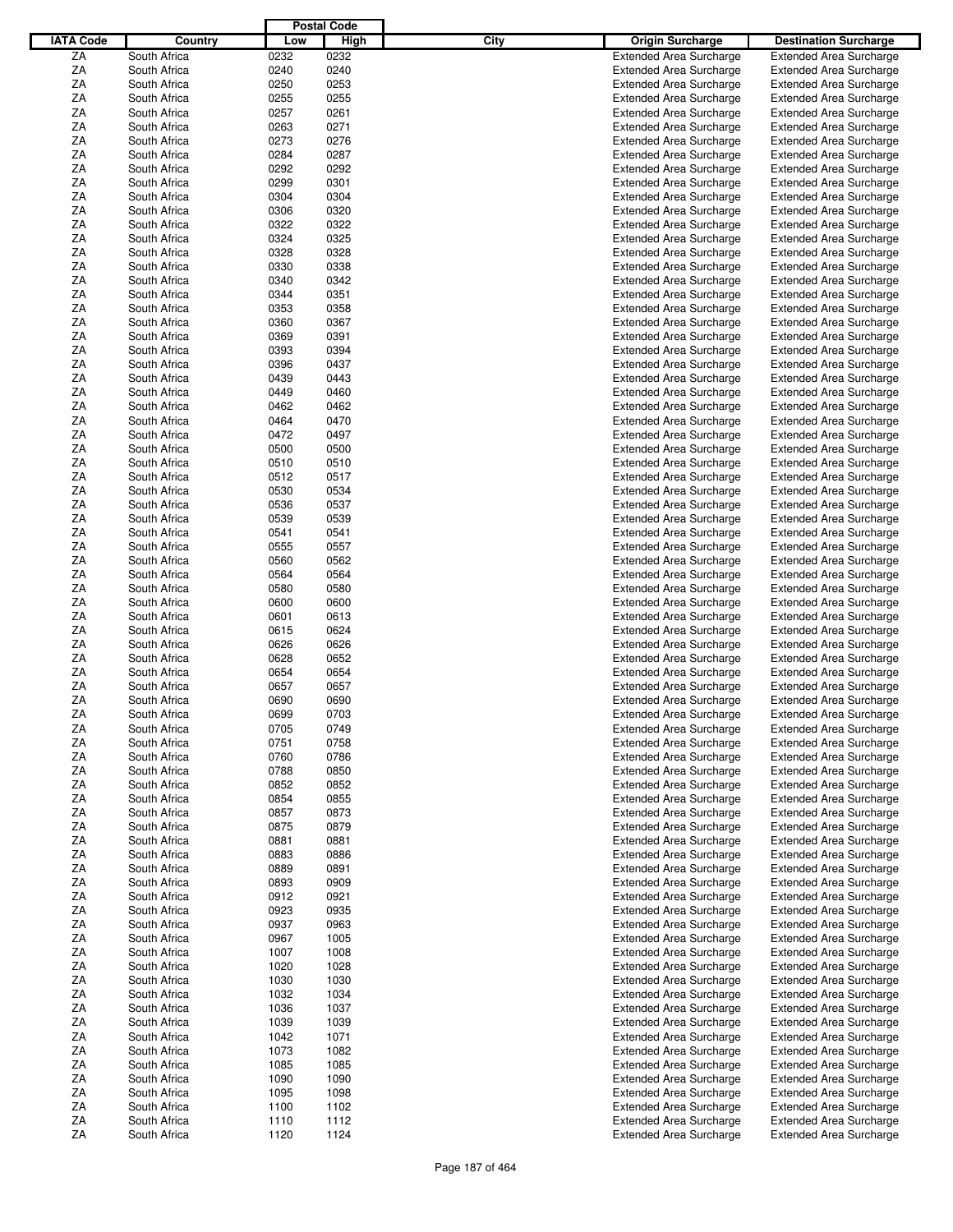|                  |              |      | <b>Postal Code</b> |      |                                |                                |
|------------------|--------------|------|--------------------|------|--------------------------------|--------------------------------|
| <b>IATA Code</b> | Country      | Low  | High               | City | <b>Origin Surcharge</b>        | <b>Destination Surcharge</b>   |
|                  |              |      | 0232               |      |                                |                                |
| ZA               | South Africa | 0232 |                    |      | <b>Extended Area Surcharge</b> | <b>Extended Area Surcharge</b> |
| ΖA               | South Africa | 0240 | 0240               |      | <b>Extended Area Surcharge</b> | <b>Extended Area Surcharge</b> |
| ΖA               | South Africa | 0250 | 0253               |      | <b>Extended Area Surcharge</b> | <b>Extended Area Surcharge</b> |
| ΖA               | South Africa | 0255 | 0255               |      | <b>Extended Area Surcharge</b> | <b>Extended Area Surcharge</b> |
| ΖA               | South Africa | 0257 | 0261               |      | <b>Extended Area Surcharge</b> | <b>Extended Area Surcharge</b> |
| ΖA               | South Africa | 0263 | 0271               |      | <b>Extended Area Surcharge</b> | <b>Extended Area Surcharge</b> |
| ΖA               | South Africa | 0273 | 0276               |      | <b>Extended Area Surcharge</b> | <b>Extended Area Surcharge</b> |
| ΖA               | South Africa | 0284 | 0287               |      | <b>Extended Area Surcharge</b> | <b>Extended Area Surcharge</b> |
|                  |              |      |                    |      |                                |                                |
| ΖA               | South Africa | 0292 | 0292               |      | <b>Extended Area Surcharge</b> | <b>Extended Area Surcharge</b> |
| ΖA               | South Africa | 0299 | 0301               |      | <b>Extended Area Surcharge</b> | <b>Extended Area Surcharge</b> |
| ΖA               | South Africa | 0304 | 0304               |      | <b>Extended Area Surcharge</b> | <b>Extended Area Surcharge</b> |
| ΖA               | South Africa | 0306 | 0320               |      | <b>Extended Area Surcharge</b> | <b>Extended Area Surcharge</b> |
| ΖA               | South Africa | 0322 | 0322               |      | <b>Extended Area Surcharge</b> | <b>Extended Area Surcharge</b> |
| ΖA               | South Africa | 0324 | 0325               |      | <b>Extended Area Surcharge</b> | <b>Extended Area Surcharge</b> |
| ΖA               | South Africa | 0328 | 0328               |      | <b>Extended Area Surcharge</b> | <b>Extended Area Surcharge</b> |
| ΖA               | South Africa | 0330 | 0338               |      | <b>Extended Area Surcharge</b> | <b>Extended Area Surcharge</b> |
| ΖA               | South Africa | 0340 | 0342               |      |                                |                                |
|                  |              |      |                    |      | <b>Extended Area Surcharge</b> | <b>Extended Area Surcharge</b> |
| ΖA               | South Africa | 0344 | 0351               |      | <b>Extended Area Surcharge</b> | <b>Extended Area Surcharge</b> |
| ΖA               | South Africa | 0353 | 0358               |      | <b>Extended Area Surcharge</b> | <b>Extended Area Surcharge</b> |
| ΖA               | South Africa | 0360 | 0367               |      | <b>Extended Area Surcharge</b> | <b>Extended Area Surcharge</b> |
| ΖA               | South Africa | 0369 | 0391               |      | <b>Extended Area Surcharge</b> | <b>Extended Area Surcharge</b> |
| ΖA               | South Africa | 0393 | 0394               |      | <b>Extended Area Surcharge</b> | <b>Extended Area Surcharge</b> |
| ΖA               | South Africa | 0396 | 0437               |      | <b>Extended Area Surcharge</b> | <b>Extended Area Surcharge</b> |
| ΖA               | South Africa | 0439 | 0443               |      | <b>Extended Area Surcharge</b> | <b>Extended Area Surcharge</b> |
| ΖA               | South Africa | 0449 | 0460               |      |                                | <b>Extended Area Surcharge</b> |
|                  |              |      |                    |      | <b>Extended Area Surcharge</b> |                                |
| ΖA               | South Africa | 0462 | 0462               |      | <b>Extended Area Surcharge</b> | <b>Extended Area Surcharge</b> |
| ΖA               | South Africa | 0464 | 0470               |      | <b>Extended Area Surcharge</b> | <b>Extended Area Surcharge</b> |
| ΖA               | South Africa | 0472 | 0497               |      | <b>Extended Area Surcharge</b> | <b>Extended Area Surcharge</b> |
| ΖA               | South Africa | 0500 | 0500               |      | <b>Extended Area Surcharge</b> | <b>Extended Area Surcharge</b> |
| ΖA               | South Africa | 0510 | 0510               |      | <b>Extended Area Surcharge</b> | <b>Extended Area Surcharge</b> |
| ΖA               | South Africa | 0512 | 0517               |      | <b>Extended Area Surcharge</b> | <b>Extended Area Surcharge</b> |
| ΖA               | South Africa | 0530 | 0534               |      | <b>Extended Area Surcharge</b> | <b>Extended Area Surcharge</b> |
|                  |              |      |                    |      |                                |                                |
| ΖA               | South Africa | 0536 | 0537               |      | <b>Extended Area Surcharge</b> | <b>Extended Area Surcharge</b> |
| ΖA               | South Africa | 0539 | 0539               |      | <b>Extended Area Surcharge</b> | <b>Extended Area Surcharge</b> |
| ΖA               | South Africa | 0541 | 0541               |      | <b>Extended Area Surcharge</b> | <b>Extended Area Surcharge</b> |
| ΖA               | South Africa | 0555 | 0557               |      | <b>Extended Area Surcharge</b> | <b>Extended Area Surcharge</b> |
| ΖA               | South Africa | 0560 | 0562               |      | <b>Extended Area Surcharge</b> | <b>Extended Area Surcharge</b> |
| ΖA               | South Africa | 0564 | 0564               |      | <b>Extended Area Surcharge</b> | <b>Extended Area Surcharge</b> |
| ΖA               | South Africa | 0580 | 0580               |      | <b>Extended Area Surcharge</b> | <b>Extended Area Surcharge</b> |
| ΖA               | South Africa | 0600 | 0600               |      | <b>Extended Area Surcharge</b> | <b>Extended Area Surcharge</b> |
| ΖA               | South Africa | 0601 | 0613               |      | <b>Extended Area Surcharge</b> | <b>Extended Area Surcharge</b> |
|                  |              |      |                    |      |                                |                                |
| ΖA               | South Africa | 0615 | 0624               |      | <b>Extended Area Surcharge</b> | <b>Extended Area Surcharge</b> |
| ΖA               | South Africa | 0626 | 0626               |      | <b>Extended Area Surcharge</b> | <b>Extended Area Surcharge</b> |
| ΖA               | South Africa | 0628 | 0652               |      | <b>Extended Area Surcharge</b> | <b>Extended Area Surcharge</b> |
| ΖA               | South Africa | 0654 | 0654               |      | <b>Extended Area Surcharge</b> | <b>Extended Area Surcharge</b> |
| ΖA               | South Africa | 0657 | 0657               |      | <b>Extended Area Surcharge</b> | <b>Extended Area Surcharge</b> |
| ΖA               | South Africa | 0690 | 0690               |      | <b>Extended Area Surcharge</b> | <b>Extended Area Surcharge</b> |
| ZA               | South Africa | 0699 | 0703               |      | <b>Extended Area Surcharge</b> | <b>Extended Area Surcharge</b> |
| ΖA               | South Africa | 0705 | 0749               |      | <b>Extended Area Surcharge</b> | <b>Extended Area Surcharge</b> |
| ΖA               | South Africa | 0751 | 0758               |      | <b>Extended Area Surcharge</b> | <b>Extended Area Surcharge</b> |
|                  |              |      |                    |      |                                |                                |
| ΖA               | South Africa | 0760 | 0786               |      | <b>Extended Area Surcharge</b> | <b>Extended Area Surcharge</b> |
| ΖA               | South Africa | 0788 | 0850               |      | <b>Extended Area Surcharge</b> | <b>Extended Area Surcharge</b> |
| ΖA               | South Africa | 0852 | 0852               |      | <b>Extended Area Surcharge</b> | <b>Extended Area Surcharge</b> |
| ΖA               | South Africa | 0854 | 0855               |      | <b>Extended Area Surcharge</b> | <b>Extended Area Surcharge</b> |
| ΖA               | South Africa | 0857 | 0873               |      | <b>Extended Area Surcharge</b> | <b>Extended Area Surcharge</b> |
| ΖA               | South Africa | 0875 | 0879               |      | <b>Extended Area Surcharge</b> | <b>Extended Area Surcharge</b> |
| ΖA               | South Africa | 0881 | 0881               |      | <b>Extended Area Surcharge</b> | <b>Extended Area Surcharge</b> |
| ZA               | South Africa | 0883 | 0886               |      | <b>Extended Area Surcharge</b> | <b>Extended Area Surcharge</b> |
| ZA               | South Africa | 0889 | 0891               |      | <b>Extended Area Surcharge</b> | <b>Extended Area Surcharge</b> |
|                  |              |      |                    |      |                                |                                |
| ΖA               | South Africa | 0893 | 0909               |      | <b>Extended Area Surcharge</b> | <b>Extended Area Surcharge</b> |
| ΖA               | South Africa | 0912 | 0921               |      | <b>Extended Area Surcharge</b> | <b>Extended Area Surcharge</b> |
| ΖA               | South Africa | 0923 | 0935               |      | <b>Extended Area Surcharge</b> | <b>Extended Area Surcharge</b> |
| ZA               | South Africa | 0937 | 0963               |      | <b>Extended Area Surcharge</b> | <b>Extended Area Surcharge</b> |
| ΖA               | South Africa | 0967 | 1005               |      | <b>Extended Area Surcharge</b> | <b>Extended Area Surcharge</b> |
| ΖA               | South Africa | 1007 | 1008               |      | <b>Extended Area Surcharge</b> | <b>Extended Area Surcharge</b> |
| ΖA               | South Africa | 1020 | 1028               |      | <b>Extended Area Surcharge</b> | <b>Extended Area Surcharge</b> |
| ΖA               | South Africa | 1030 | 1030               |      | <b>Extended Area Surcharge</b> | <b>Extended Area Surcharge</b> |
| ZA               |              | 1032 | 1034               |      |                                |                                |
|                  | South Africa |      |                    |      | <b>Extended Area Surcharge</b> | <b>Extended Area Surcharge</b> |
| ΖA               | South Africa | 1036 | 1037               |      | <b>Extended Area Surcharge</b> | <b>Extended Area Surcharge</b> |
| ΖA               | South Africa | 1039 | 1039               |      | <b>Extended Area Surcharge</b> | <b>Extended Area Surcharge</b> |
| ΖA               | South Africa | 1042 | 1071               |      | <b>Extended Area Surcharge</b> | <b>Extended Area Surcharge</b> |
| ZA               | South Africa | 1073 | 1082               |      | <b>Extended Area Surcharge</b> | <b>Extended Area Surcharge</b> |
| ΖA               | South Africa | 1085 | 1085               |      | <b>Extended Area Surcharge</b> | <b>Extended Area Surcharge</b> |
| ΖA               | South Africa | 1090 | 1090               |      | <b>Extended Area Surcharge</b> | <b>Extended Area Surcharge</b> |
| ΖA               | South Africa | 1095 | 1098               |      | <b>Extended Area Surcharge</b> | <b>Extended Area Surcharge</b> |
| ZA               | South Africa | 1100 | 1102               |      | <b>Extended Area Surcharge</b> | <b>Extended Area Surcharge</b> |
|                  |              |      |                    |      |                                |                                |
| ΖA               | South Africa | 1110 | 1112               |      | <b>Extended Area Surcharge</b> | <b>Extended Area Surcharge</b> |
| ZA               | South Africa | 1120 | 1124               |      | <b>Extended Area Surcharge</b> | <b>Extended Area Surcharge</b> |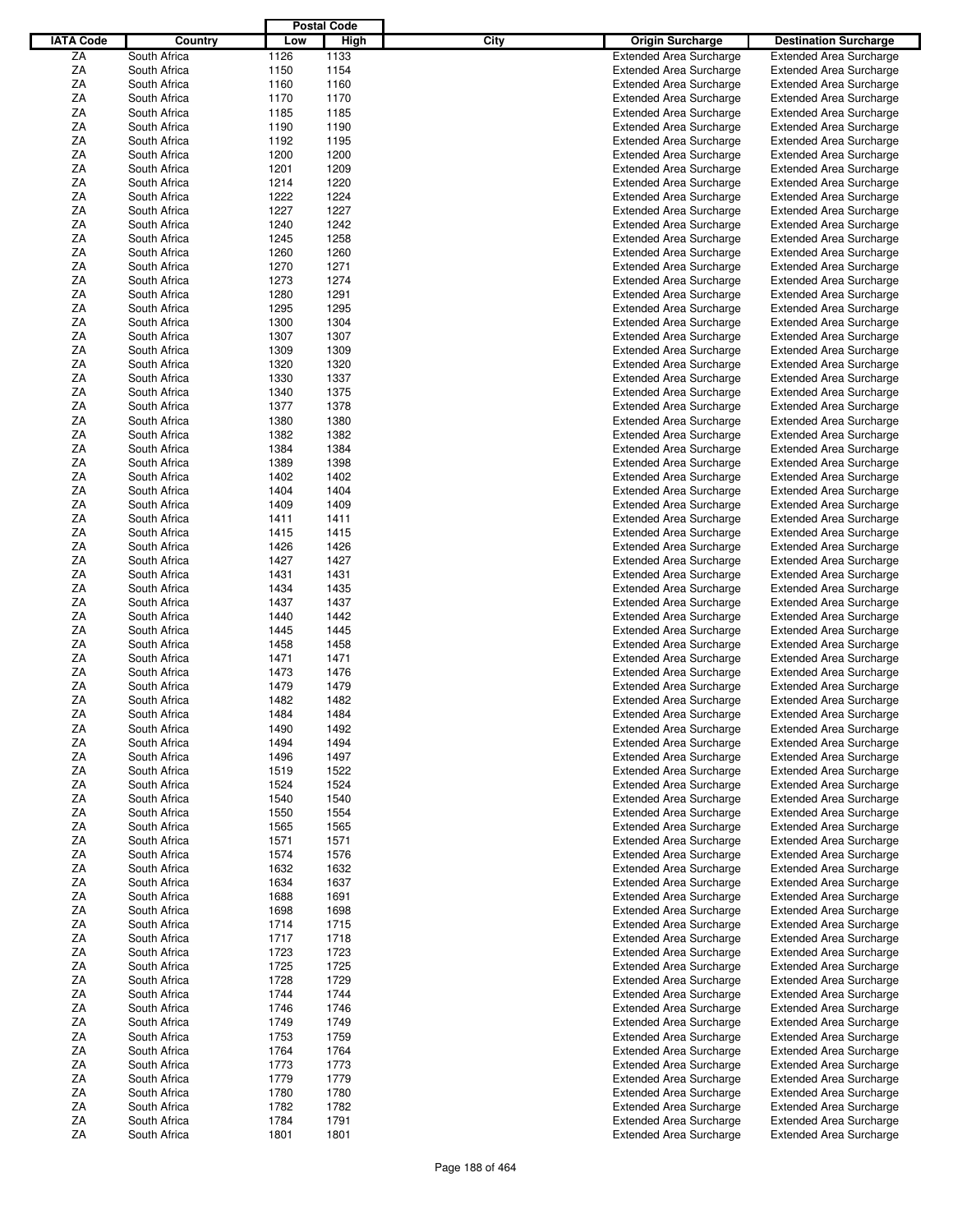|                  |              |      | <b>Postal Code</b> |      |                                |                                                                  |
|------------------|--------------|------|--------------------|------|--------------------------------|------------------------------------------------------------------|
| <b>IATA Code</b> | Country      | Low  | High               | City | <b>Origin Surcharge</b>        | <b>Destination Surcharge</b>                                     |
| ZA               | South Africa | 1126 | 1133               |      | <b>Extended Area Surcharge</b> | <b>Extended Area Surcharge</b>                                   |
| ΖA               | South Africa | 1150 | 1154               |      | <b>Extended Area Surcharge</b> | <b>Extended Area Surcharge</b>                                   |
| ΖA               | South Africa | 1160 | 1160               |      | <b>Extended Area Surcharge</b> | <b>Extended Area Surcharge</b>                                   |
| ΖA               | South Africa | 1170 | 1170               |      | <b>Extended Area Surcharge</b> | <b>Extended Area Surcharge</b>                                   |
| ΖA               | South Africa | 1185 | 1185               |      | <b>Extended Area Surcharge</b> | <b>Extended Area Surcharge</b>                                   |
| ΖA               | South Africa | 1190 | 1190               |      |                                |                                                                  |
|                  |              |      |                    |      | <b>Extended Area Surcharge</b> | <b>Extended Area Surcharge</b>                                   |
| ΖA               | South Africa | 1192 | 1195               |      | <b>Extended Area Surcharge</b> | <b>Extended Area Surcharge</b>                                   |
| ΖA               | South Africa | 1200 | 1200               |      | <b>Extended Area Surcharge</b> | <b>Extended Area Surcharge</b>                                   |
| ΖA               | South Africa | 1201 | 1209               |      | <b>Extended Area Surcharge</b> | <b>Extended Area Surcharge</b>                                   |
| ΖA               | South Africa | 1214 | 1220               |      | <b>Extended Area Surcharge</b> | <b>Extended Area Surcharge</b>                                   |
| ΖA               | South Africa | 1222 | 1224               |      | <b>Extended Area Surcharge</b> | <b>Extended Area Surcharge</b>                                   |
| ΖA               | South Africa | 1227 | 1227               |      | <b>Extended Area Surcharge</b> | <b>Extended Area Surcharge</b>                                   |
| ΖA               | South Africa | 1240 | 1242               |      | <b>Extended Area Surcharge</b> | <b>Extended Area Surcharge</b>                                   |
| ΖA               | South Africa | 1245 | 1258               |      | <b>Extended Area Surcharge</b> | <b>Extended Area Surcharge</b>                                   |
| ΖA               | South Africa | 1260 | 1260               |      | <b>Extended Area Surcharge</b> | <b>Extended Area Surcharge</b>                                   |
| ΖA               | South Africa | 1270 | 1271               |      | <b>Extended Area Surcharge</b> | <b>Extended Area Surcharge</b>                                   |
| ΖA               | South Africa | 1273 | 1274               |      | <b>Extended Area Surcharge</b> | <b>Extended Area Surcharge</b>                                   |
| ΖA               | South Africa | 1280 | 1291               |      | <b>Extended Area Surcharge</b> | <b>Extended Area Surcharge</b>                                   |
| ΖA               | South Africa | 1295 | 1295               |      | <b>Extended Area Surcharge</b> | <b>Extended Area Surcharge</b>                                   |
| ΖA               | South Africa | 1300 | 1304               |      | <b>Extended Area Surcharge</b> | <b>Extended Area Surcharge</b>                                   |
| ΖA               | South Africa | 1307 | 1307               |      | <b>Extended Area Surcharge</b> | <b>Extended Area Surcharge</b>                                   |
| ΖA               | South Africa | 1309 | 1309               |      | <b>Extended Area Surcharge</b> | <b>Extended Area Surcharge</b>                                   |
| ΖA               | South Africa | 1320 | 1320               |      | <b>Extended Area Surcharge</b> | <b>Extended Area Surcharge</b>                                   |
|                  | South Africa |      |                    |      |                                |                                                                  |
| ΖA               |              | 1330 | 1337               |      | <b>Extended Area Surcharge</b> | <b>Extended Area Surcharge</b>                                   |
| ΖA               | South Africa | 1340 | 1375               |      | <b>Extended Area Surcharge</b> | <b>Extended Area Surcharge</b>                                   |
| ΖA               | South Africa | 1377 | 1378               |      | <b>Extended Area Surcharge</b> | <b>Extended Area Surcharge</b>                                   |
| ΖA               | South Africa | 1380 | 1380               |      | <b>Extended Area Surcharge</b> | <b>Extended Area Surcharge</b>                                   |
| ΖA               | South Africa | 1382 | 1382               |      | <b>Extended Area Surcharge</b> | <b>Extended Area Surcharge</b>                                   |
| ΖA               | South Africa | 1384 | 1384               |      | <b>Extended Area Surcharge</b> | <b>Extended Area Surcharge</b>                                   |
| ΖA               | South Africa | 1389 | 1398               |      | <b>Extended Area Surcharge</b> | <b>Extended Area Surcharge</b>                                   |
| ΖA               | South Africa | 1402 | 1402               |      | <b>Extended Area Surcharge</b> | <b>Extended Area Surcharge</b>                                   |
| ΖA               | South Africa | 1404 | 1404               |      | <b>Extended Area Surcharge</b> | <b>Extended Area Surcharge</b>                                   |
| ΖA               | South Africa | 1409 | 1409               |      | <b>Extended Area Surcharge</b> | <b>Extended Area Surcharge</b>                                   |
| ΖA               | South Africa | 1411 | 1411               |      | <b>Extended Area Surcharge</b> | <b>Extended Area Surcharge</b>                                   |
| ΖA               | South Africa | 1415 | 1415               |      | <b>Extended Area Surcharge</b> | <b>Extended Area Surcharge</b>                                   |
| ΖA               | South Africa | 1426 | 1426               |      | <b>Extended Area Surcharge</b> | <b>Extended Area Surcharge</b>                                   |
| ΖA               | South Africa | 1427 | 1427               |      | <b>Extended Area Surcharge</b> | <b>Extended Area Surcharge</b>                                   |
| ΖA               | South Africa | 1431 | 1431               |      | <b>Extended Area Surcharge</b> | <b>Extended Area Surcharge</b>                                   |
| ΖA               | South Africa | 1434 | 1435               |      | <b>Extended Area Surcharge</b> | <b>Extended Area Surcharge</b>                                   |
| ΖA               | South Africa | 1437 | 1437               |      | <b>Extended Area Surcharge</b> | <b>Extended Area Surcharge</b>                                   |
|                  | South Africa |      | 1442               |      |                                |                                                                  |
| ΖA               |              | 1440 |                    |      | <b>Extended Area Surcharge</b> | <b>Extended Area Surcharge</b>                                   |
| ΖA               | South Africa | 1445 | 1445               |      | <b>Extended Area Surcharge</b> | <b>Extended Area Surcharge</b>                                   |
| ΖA               | South Africa | 1458 | 1458               |      | <b>Extended Area Surcharge</b> | <b>Extended Area Surcharge</b>                                   |
| ΖA               | South Africa | 1471 | 1471               |      | <b>Extended Area Surcharge</b> | <b>Extended Area Surcharge</b>                                   |
| ΖA               | South Africa | 1473 | 1476               |      | <b>Extended Area Surcharge</b> | <b>Extended Area Surcharge</b>                                   |
| ΖA               | South Africa | 1479 | 1479               |      | <b>Extended Area Surcharge</b> | <b>Extended Area Surcharge</b>                                   |
| ΖA               | South Africa | 1482 | 1482               |      | <b>Extended Area Surcharge</b> | <b>Extended Area Surcharge</b>                                   |
| ZA               | South Africa | 1484 | 1484               |      | <b>Extended Area Surcharge</b> | <b>Extended Area Surcharge</b>                                   |
| ΖA               | South Africa | 1490 | 1492               |      | <b>Extended Area Surcharge</b> | <b>Extended Area Surcharge</b>                                   |
| ΖA               | South Africa | 1494 | 1494               |      | <b>Extended Area Surcharge</b> | <b>Extended Area Surcharge</b>                                   |
| ΖA               | South Africa | 1496 | 1497               |      | <b>Extended Area Surcharge</b> | <b>Extended Area Surcharge</b>                                   |
| ΖA               | South Africa | 1519 | 1522               |      | <b>Extended Area Surcharge</b> | <b>Extended Area Surcharge</b>                                   |
| ΖA               | South Africa | 1524 | 1524               |      | <b>Extended Area Surcharge</b> | <b>Extended Area Surcharge</b>                                   |
| ΖA               | South Africa | 1540 | 1540               |      | <b>Extended Area Surcharge</b> | <b>Extended Area Surcharge</b>                                   |
| ΖA               | South Africa | 1550 | 1554               |      | <b>Extended Area Surcharge</b> | <b>Extended Area Surcharge</b>                                   |
| ΖA               | South Africa | 1565 | 1565               |      | <b>Extended Area Surcharge</b> | <b>Extended Area Surcharge</b>                                   |
| ΖA               | South Africa | 1571 | 1571               |      | <b>Extended Area Surcharge</b> | <b>Extended Area Surcharge</b>                                   |
| ZA               | South Africa | 1574 | 1576               |      | <b>Extended Area Surcharge</b> |                                                                  |
| ZA               | South Africa | 1632 | 1632               |      | <b>Extended Area Surcharge</b> | <b>Extended Area Surcharge</b><br><b>Extended Area Surcharge</b> |
|                  |              |      |                    |      |                                |                                                                  |
| ΖA               | South Africa | 1634 | 1637               |      | <b>Extended Area Surcharge</b> | <b>Extended Area Surcharge</b>                                   |
| ΖA               | South Africa | 1688 | 1691               |      | <b>Extended Area Surcharge</b> | <b>Extended Area Surcharge</b>                                   |
| ΖA               | South Africa | 1698 | 1698               |      | <b>Extended Area Surcharge</b> | <b>Extended Area Surcharge</b>                                   |
| ZA               | South Africa | 1714 | 1715               |      | <b>Extended Area Surcharge</b> | <b>Extended Area Surcharge</b>                                   |
| ΖA               | South Africa | 1717 | 1718               |      | <b>Extended Area Surcharge</b> | <b>Extended Area Surcharge</b>                                   |
| ΖA               | South Africa | 1723 | 1723               |      | <b>Extended Area Surcharge</b> | <b>Extended Area Surcharge</b>                                   |
| ΖA               | South Africa | 1725 | 1725               |      | <b>Extended Area Surcharge</b> | <b>Extended Area Surcharge</b>                                   |
| ΖA               | South Africa | 1728 | 1729               |      | <b>Extended Area Surcharge</b> | <b>Extended Area Surcharge</b>                                   |
| ZA               | South Africa | 1744 | 1744               |      | <b>Extended Area Surcharge</b> | <b>Extended Area Surcharge</b>                                   |
| ΖA               | South Africa | 1746 | 1746               |      | <b>Extended Area Surcharge</b> | <b>Extended Area Surcharge</b>                                   |
| ΖA               | South Africa | 1749 | 1749               |      | <b>Extended Area Surcharge</b> | <b>Extended Area Surcharge</b>                                   |
| ΖA               | South Africa | 1753 | 1759               |      | <b>Extended Area Surcharge</b> | <b>Extended Area Surcharge</b>                                   |
| ZA               | South Africa | 1764 | 1764               |      | <b>Extended Area Surcharge</b> | <b>Extended Area Surcharge</b>                                   |
| ΖA               | South Africa | 1773 | 1773               |      | <b>Extended Area Surcharge</b> | <b>Extended Area Surcharge</b>                                   |
| ΖA               | South Africa | 1779 | 1779               |      | <b>Extended Area Surcharge</b> | <b>Extended Area Surcharge</b>                                   |
| ΖA               | South Africa | 1780 | 1780               |      | <b>Extended Area Surcharge</b> | <b>Extended Area Surcharge</b>                                   |
|                  |              |      |                    |      |                                |                                                                  |
| ZA               | South Africa | 1782 | 1782               |      | <b>Extended Area Surcharge</b> | <b>Extended Area Surcharge</b>                                   |
| ΖA               | South Africa | 1784 | 1791               |      | <b>Extended Area Surcharge</b> | <b>Extended Area Surcharge</b>                                   |
| ZA               | South Africa | 1801 | 1801               |      | <b>Extended Area Surcharge</b> | <b>Extended Area Surcharge</b>                                   |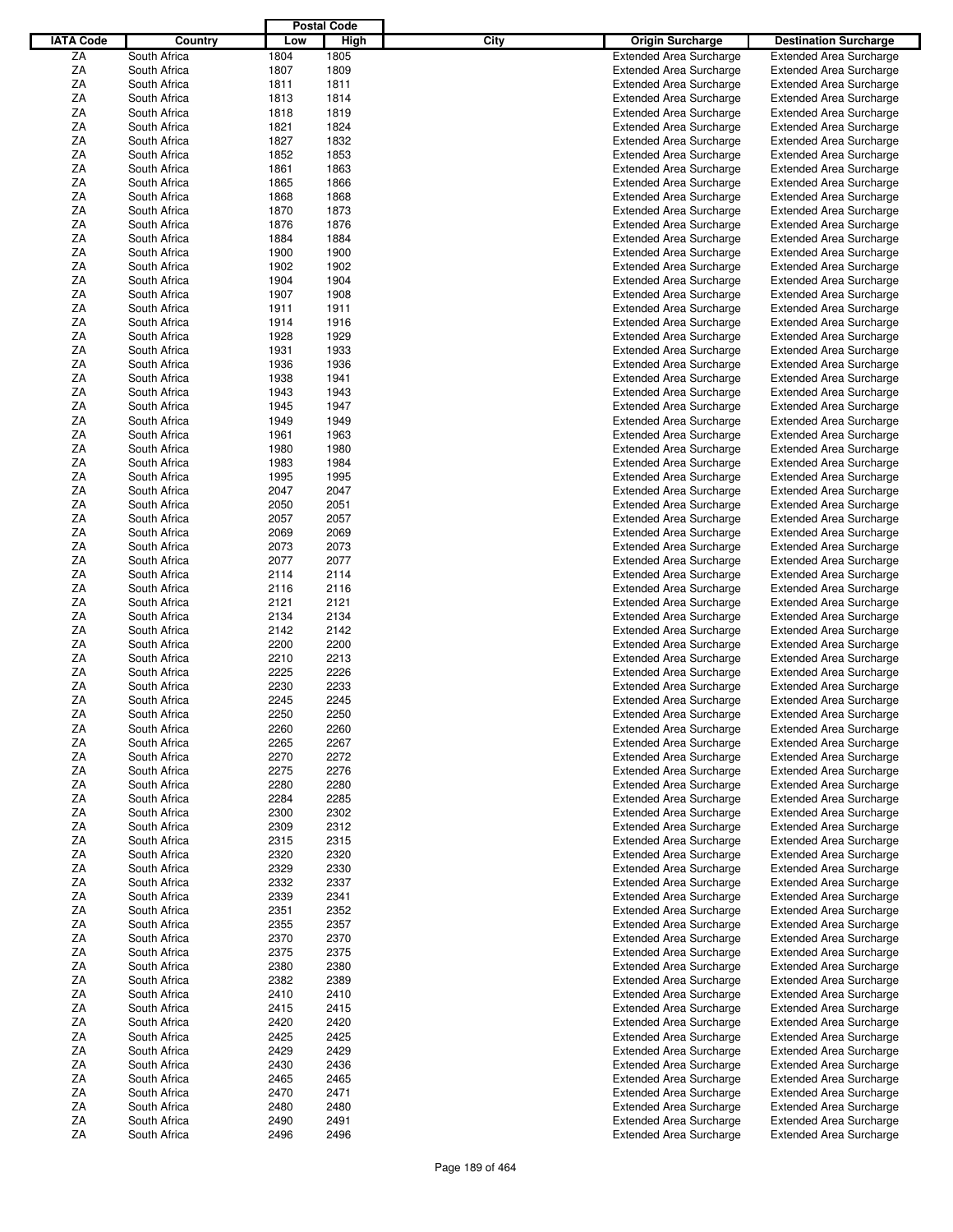|                  |                              |              | <b>Postal Code</b> |      |                                                                  |                                |
|------------------|------------------------------|--------------|--------------------|------|------------------------------------------------------------------|--------------------------------|
| <b>IATA Code</b> | Country                      | Low          | High               | City | <b>Origin Surcharge</b>                                          | <b>Destination Surcharge</b>   |
| ZA               | South Africa                 | 1804         | 1805               |      | <b>Extended Area Surcharge</b>                                   | <b>Extended Area Surcharge</b> |
| ΖA               | South Africa                 | 1807         | 1809               |      | <b>Extended Area Surcharge</b>                                   | <b>Extended Area Surcharge</b> |
| ΖA               | South Africa                 | 1811         | 1811               |      | <b>Extended Area Surcharge</b>                                   | <b>Extended Area Surcharge</b> |
| ΖA               | South Africa                 | 1813         | 1814               |      | <b>Extended Area Surcharge</b>                                   | <b>Extended Area Surcharge</b> |
| ΖA               | South Africa                 | 1818         | 1819               |      | <b>Extended Area Surcharge</b>                                   | <b>Extended Area Surcharge</b> |
|                  |                              |              |                    |      |                                                                  |                                |
| ΖA               | South Africa                 | 1821         | 1824               |      | <b>Extended Area Surcharge</b>                                   | <b>Extended Area Surcharge</b> |
| ΖA               | South Africa                 | 1827         | 1832               |      | <b>Extended Area Surcharge</b>                                   | <b>Extended Area Surcharge</b> |
| ΖA               | South Africa                 | 1852         | 1853               |      | <b>Extended Area Surcharge</b>                                   | <b>Extended Area Surcharge</b> |
| ΖA               | South Africa                 | 1861         | 1863               |      | <b>Extended Area Surcharge</b>                                   | <b>Extended Area Surcharge</b> |
| ΖA               | South Africa                 | 1865         | 1866               |      | <b>Extended Area Surcharge</b>                                   | <b>Extended Area Surcharge</b> |
| ΖA               | South Africa                 | 1868         | 1868               |      | <b>Extended Area Surcharge</b>                                   | <b>Extended Area Surcharge</b> |
| ΖA               | South Africa                 | 1870         | 1873               |      | <b>Extended Area Surcharge</b>                                   | <b>Extended Area Surcharge</b> |
| ΖA               | South Africa                 | 1876         | 1876               |      | <b>Extended Area Surcharge</b>                                   | <b>Extended Area Surcharge</b> |
| ΖA               | South Africa                 | 1884         | 1884               |      | <b>Extended Area Surcharge</b>                                   | <b>Extended Area Surcharge</b> |
| ΖA               | South Africa                 | 1900         | 1900               |      | <b>Extended Area Surcharge</b>                                   | <b>Extended Area Surcharge</b> |
| ΖA               | South Africa                 | 1902         | 1902               |      | <b>Extended Area Surcharge</b>                                   | <b>Extended Area Surcharge</b> |
| ΖA               | South Africa                 | 1904         | 1904               |      | <b>Extended Area Surcharge</b>                                   | <b>Extended Area Surcharge</b> |
| ΖA               | South Africa                 | 1907         | 1908               |      | <b>Extended Area Surcharge</b>                                   | <b>Extended Area Surcharge</b> |
| ΖA               | South Africa                 | 1911         | 1911               |      | <b>Extended Area Surcharge</b>                                   | <b>Extended Area Surcharge</b> |
| ΖA               | South Africa                 | 1914         | 1916               |      | <b>Extended Area Surcharge</b>                                   | <b>Extended Area Surcharge</b> |
| ΖA               | South Africa                 |              | 1929               |      |                                                                  |                                |
|                  |                              | 1928         |                    |      | <b>Extended Area Surcharge</b>                                   | <b>Extended Area Surcharge</b> |
| ΖA               | South Africa                 | 1931         | 1933               |      | <b>Extended Area Surcharge</b>                                   | <b>Extended Area Surcharge</b> |
| ΖA               | South Africa                 | 1936         | 1936               |      | <b>Extended Area Surcharge</b>                                   | <b>Extended Area Surcharge</b> |
| ΖA               | South Africa                 | 1938         | 1941               |      | <b>Extended Area Surcharge</b>                                   | <b>Extended Area Surcharge</b> |
| ΖA               | South Africa                 | 1943         | 1943               |      | <b>Extended Area Surcharge</b>                                   | <b>Extended Area Surcharge</b> |
| ΖA               | South Africa                 | 1945         | 1947               |      | <b>Extended Area Surcharge</b>                                   | <b>Extended Area Surcharge</b> |
| ΖA               | South Africa                 | 1949         | 1949               |      | <b>Extended Area Surcharge</b>                                   | <b>Extended Area Surcharge</b> |
| ΖA               | South Africa                 | 1961         | 1963               |      | <b>Extended Area Surcharge</b>                                   | <b>Extended Area Surcharge</b> |
| ΖA               | South Africa                 | 1980         | 1980               |      | <b>Extended Area Surcharge</b>                                   | <b>Extended Area Surcharge</b> |
| ΖA               | South Africa                 | 1983         | 1984               |      | <b>Extended Area Surcharge</b>                                   | <b>Extended Area Surcharge</b> |
| ΖA               | South Africa                 | 1995         | 1995               |      | <b>Extended Area Surcharge</b>                                   | <b>Extended Area Surcharge</b> |
| ΖA               | South Africa                 | 2047         | 2047               |      | <b>Extended Area Surcharge</b>                                   | <b>Extended Area Surcharge</b> |
| ΖA               | South Africa                 | 2050         | 2051               |      | <b>Extended Area Surcharge</b>                                   | <b>Extended Area Surcharge</b> |
| ΖA               | South Africa                 | 2057         | 2057               |      | <b>Extended Area Surcharge</b>                                   | <b>Extended Area Surcharge</b> |
| ΖA               | South Africa                 | 2069         | 2069               |      | <b>Extended Area Surcharge</b>                                   | <b>Extended Area Surcharge</b> |
| ΖA               | South Africa                 | 2073         | 2073               |      | <b>Extended Area Surcharge</b>                                   | <b>Extended Area Surcharge</b> |
| ΖA               | South Africa                 | 2077         | 2077               |      | <b>Extended Area Surcharge</b>                                   | <b>Extended Area Surcharge</b> |
|                  |                              |              | 2114               |      |                                                                  |                                |
| ΖA               | South Africa                 | 2114         |                    |      | <b>Extended Area Surcharge</b>                                   | <b>Extended Area Surcharge</b> |
| ΖA               | South Africa                 | 2116         | 2116               |      | <b>Extended Area Surcharge</b>                                   | <b>Extended Area Surcharge</b> |
| ΖA               | South Africa                 | 2121         | 2121               |      | <b>Extended Area Surcharge</b>                                   | <b>Extended Area Surcharge</b> |
| ΖA               | South Africa                 | 2134         | 2134               |      | <b>Extended Area Surcharge</b>                                   | <b>Extended Area Surcharge</b> |
| ΖA               | South Africa                 | 2142         | 2142               |      | <b>Extended Area Surcharge</b>                                   | <b>Extended Area Surcharge</b> |
| ΖA               | South Africa                 | 2200         | 2200               |      | <b>Extended Area Surcharge</b>                                   | <b>Extended Area Surcharge</b> |
| ΖA               | South Africa                 | 2210         | 2213               |      | <b>Extended Area Surcharge</b>                                   | <b>Extended Area Surcharge</b> |
| ΖA               | South Africa                 | 2225         | 2226               |      | <b>Extended Area Surcharge</b>                                   | <b>Extended Area Surcharge</b> |
| ΖA               | South Africa                 | 2230         | 2233               |      | <b>Extended Area Surcharge</b>                                   | <b>Extended Area Surcharge</b> |
| ΖA               | South Africa                 | 2245         | 2245               |      | <b>Extended Area Surcharge</b>                                   | <b>Extended Area Surcharge</b> |
| ZA               | South Africa                 | 2250         | 2250               |      | <b>Extended Area Surcharge</b>                                   | <b>Extended Area Surcharge</b> |
| ΖA               | South Africa                 | 2260         | 2260               |      | <b>Extended Area Surcharge</b>                                   | <b>Extended Area Surcharge</b> |
| ΖA               | South Africa                 | 2265         | 2267               |      | <b>Extended Area Surcharge</b>                                   | <b>Extended Area Surcharge</b> |
| ΖA               | South Africa                 | 2270         | 2272               |      | <b>Extended Area Surcharge</b>                                   | <b>Extended Area Surcharge</b> |
| ΖA               | South Africa                 | 2275         | 2276               |      | <b>Extended Area Surcharge</b>                                   | <b>Extended Area Surcharge</b> |
| ΖA               | South Africa                 | 2280         | 2280               |      | <b>Extended Area Surcharge</b>                                   | <b>Extended Area Surcharge</b> |
| ΖA               | South Africa                 | 2284         | 2285               |      | <b>Extended Area Surcharge</b>                                   | <b>Extended Area Surcharge</b> |
|                  |                              |              |                    |      |                                                                  | <b>Extended Area Surcharge</b> |
| ΖA<br>ΖA         | South Africa<br>South Africa | 2300<br>2309 | 2302<br>2312       |      | <b>Extended Area Surcharge</b><br><b>Extended Area Surcharge</b> | <b>Extended Area Surcharge</b> |
|                  |                              |              |                    |      |                                                                  |                                |
| ΖA               | South Africa                 | 2315         | 2315               |      | Extended Area Surcharge                                          | <b>Extended Area Surcharge</b> |
| ZA               | South Africa                 | 2320         | 2320               |      | <b>Extended Area Surcharge</b>                                   | <b>Extended Area Surcharge</b> |
| ZA               | South Africa                 | 2329         | 2330               |      | <b>Extended Area Surcharge</b>                                   | <b>Extended Area Surcharge</b> |
| ΖA               | South Africa                 | 2332         | 2337               |      | <b>Extended Area Surcharge</b>                                   | <b>Extended Area Surcharge</b> |
| ΖA               | South Africa                 | 2339         | 2341               |      | <b>Extended Area Surcharge</b>                                   | <b>Extended Area Surcharge</b> |
| ΖA               | South Africa                 | 2351         | 2352               |      | <b>Extended Area Surcharge</b>                                   | <b>Extended Area Surcharge</b> |
| ΖA               | South Africa                 | 2355         | 2357               |      | <b>Extended Area Surcharge</b>                                   | <b>Extended Area Surcharge</b> |
| ΖA               | South Africa                 | 2370         | 2370               |      | <b>Extended Area Surcharge</b>                                   | <b>Extended Area Surcharge</b> |
| ΖA               | South Africa                 | 2375         | 2375               |      | <b>Extended Area Surcharge</b>                                   | <b>Extended Area Surcharge</b> |
| ΖA               | South Africa                 | 2380         | 2380               |      | <b>Extended Area Surcharge</b>                                   | <b>Extended Area Surcharge</b> |
| ΖA               | South Africa                 | 2382         | 2389               |      | <b>Extended Area Surcharge</b>                                   | <b>Extended Area Surcharge</b> |
| ΖA               | South Africa                 | 2410         | 2410               |      | <b>Extended Area Surcharge</b>                                   | <b>Extended Area Surcharge</b> |
| ZA               | South Africa                 | 2415         | 2415               |      | <b>Extended Area Surcharge</b>                                   | <b>Extended Area Surcharge</b> |
| ΖA               | South Africa                 | 2420         | 2420               |      | <b>Extended Area Surcharge</b>                                   | <b>Extended Area Surcharge</b> |
| ΖA               | South Africa                 | 2425         | 2425               |      | <b>Extended Area Surcharge</b>                                   | <b>Extended Area Surcharge</b> |
| ZA               | South Africa                 | 2429         | 2429               |      | <b>Extended Area Surcharge</b>                                   | <b>Extended Area Surcharge</b> |
|                  |                              |              |                    |      |                                                                  |                                |
| ΖA               | South Africa                 | 2430         | 2436               |      | <b>Extended Area Surcharge</b>                                   | <b>Extended Area Surcharge</b> |
| ΖA               | South Africa                 | 2465         | 2465               |      | <b>Extended Area Surcharge</b>                                   | <b>Extended Area Surcharge</b> |
| ΖA               | South Africa                 | 2470         | 2471               |      | <b>Extended Area Surcharge</b>                                   | <b>Extended Area Surcharge</b> |
| ZA               | South Africa                 | 2480         | 2480               |      | <b>Extended Area Surcharge</b>                                   | <b>Extended Area Surcharge</b> |
| ΖA               | South Africa                 | 2490         | 2491               |      | <b>Extended Area Surcharge</b>                                   | <b>Extended Area Surcharge</b> |
| ZA               | South Africa                 | 2496         | 2496               |      | <b>Extended Area Surcharge</b>                                   | <b>Extended Area Surcharge</b> |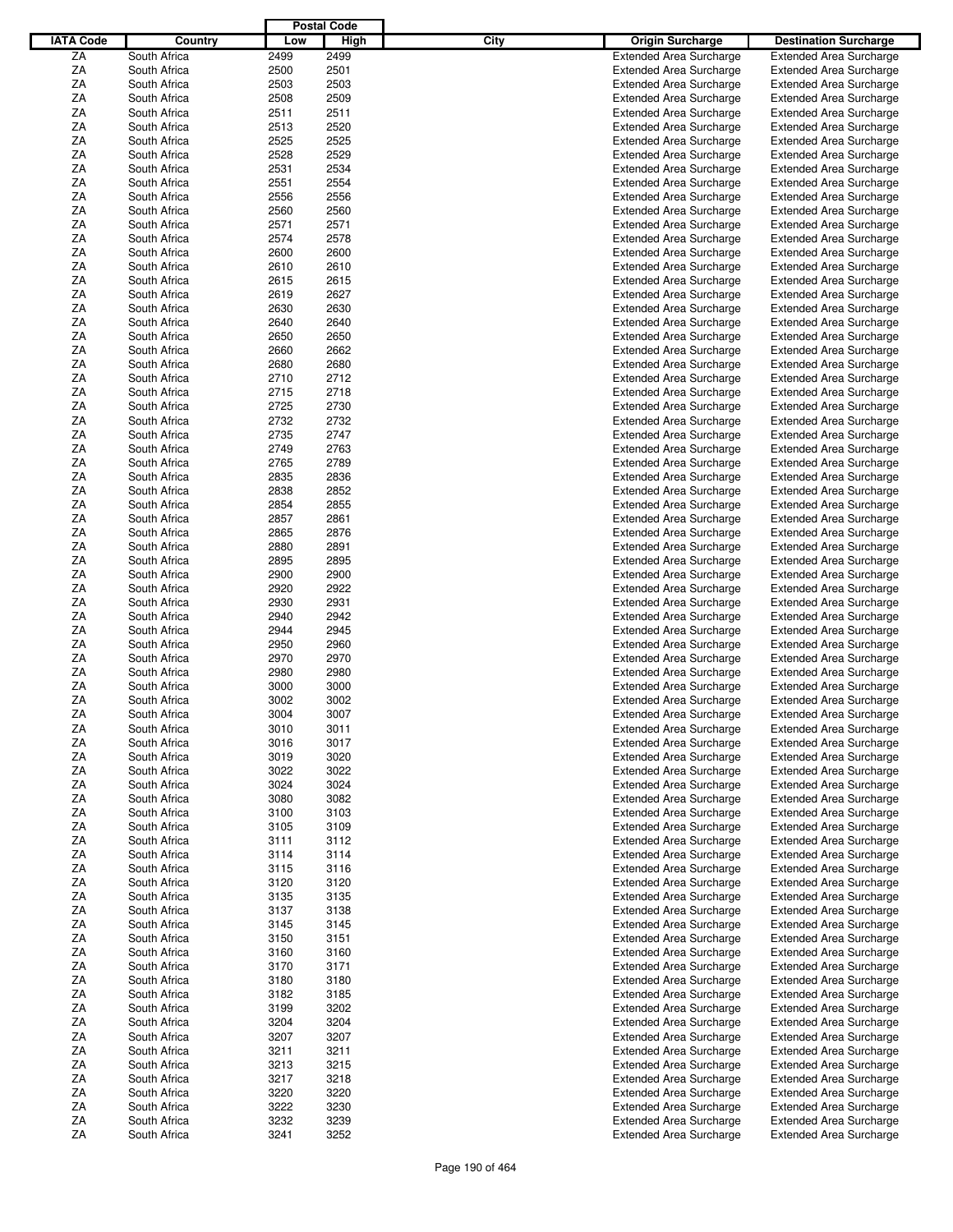|                  |              |      | <b>Postal Code</b> |             |                                |                                |
|------------------|--------------|------|--------------------|-------------|--------------------------------|--------------------------------|
| <b>IATA Code</b> | Country      | Low  | High               | <b>City</b> | <b>Origin Surcharge</b>        | <b>Destination Surcharge</b>   |
| ZA               | South Africa | 2499 | 2499               |             | <b>Extended Area Surcharge</b> | <b>Extended Area Surcharge</b> |
| ΖA               | South Africa | 2500 | 2501               |             | <b>Extended Area Surcharge</b> | <b>Extended Area Surcharge</b> |
| ΖA               |              |      |                    |             |                                |                                |
|                  | South Africa | 2503 | 2503               |             | <b>Extended Area Surcharge</b> | <b>Extended Area Surcharge</b> |
| ΖA               | South Africa | 2508 | 2509               |             | <b>Extended Area Surcharge</b> | <b>Extended Area Surcharge</b> |
| ΖA               | South Africa | 2511 | 2511               |             | <b>Extended Area Surcharge</b> | <b>Extended Area Surcharge</b> |
| ΖA               | South Africa | 2513 | 2520               |             | <b>Extended Area Surcharge</b> | <b>Extended Area Surcharge</b> |
| ΖA               | South Africa | 2525 | 2525               |             | <b>Extended Area Surcharge</b> | <b>Extended Area Surcharge</b> |
| ΖA               | South Africa | 2528 | 2529               |             | <b>Extended Area Surcharge</b> | <b>Extended Area Surcharge</b> |
| ΖA               | South Africa | 2531 | 2534               |             | <b>Extended Area Surcharge</b> | <b>Extended Area Surcharge</b> |
| ΖA               | South Africa | 2551 | 2554               |             | <b>Extended Area Surcharge</b> | <b>Extended Area Surcharge</b> |
| ΖA               | South Africa | 2556 | 2556               |             | <b>Extended Area Surcharge</b> | <b>Extended Area Surcharge</b> |
| ΖA               | South Africa | 2560 | 2560               |             | <b>Extended Area Surcharge</b> | <b>Extended Area Surcharge</b> |
| ΖA               | South Africa | 2571 | 2571               |             | <b>Extended Area Surcharge</b> | <b>Extended Area Surcharge</b> |
| ΖA               | South Africa | 2574 | 2578               |             | <b>Extended Area Surcharge</b> | <b>Extended Area Surcharge</b> |
|                  |              |      |                    |             |                                |                                |
| ΖA               | South Africa | 2600 | 2600               |             | <b>Extended Area Surcharge</b> | <b>Extended Area Surcharge</b> |
| ΖA               | South Africa | 2610 | 2610               |             | <b>Extended Area Surcharge</b> | <b>Extended Area Surcharge</b> |
| ΖA               | South Africa | 2615 | 2615               |             | <b>Extended Area Surcharge</b> | <b>Extended Area Surcharge</b> |
| ΖA               | South Africa | 2619 | 2627               |             | <b>Extended Area Surcharge</b> | <b>Extended Area Surcharge</b> |
| ΖA               | South Africa | 2630 | 2630               |             | <b>Extended Area Surcharge</b> | <b>Extended Area Surcharge</b> |
| ΖA               | South Africa | 2640 | 2640               |             | <b>Extended Area Surcharge</b> | <b>Extended Area Surcharge</b> |
| ΖA               | South Africa | 2650 | 2650               |             | <b>Extended Area Surcharge</b> | <b>Extended Area Surcharge</b> |
| ΖA               | South Africa | 2660 | 2662               |             | <b>Extended Area Surcharge</b> | <b>Extended Area Surcharge</b> |
| ΖA               | South Africa | 2680 | 2680               |             | <b>Extended Area Surcharge</b> | <b>Extended Area Surcharge</b> |
| ΖA               | South Africa | 2710 | 2712               |             | <b>Extended Area Surcharge</b> | <b>Extended Area Surcharge</b> |
| ΖA               | South Africa | 2715 | 2718               |             | <b>Extended Area Surcharge</b> | <b>Extended Area Surcharge</b> |
| ΖA               | South Africa | 2725 | 2730               |             |                                |                                |
|                  |              |      |                    |             | <b>Extended Area Surcharge</b> | <b>Extended Area Surcharge</b> |
| ΖA               | South Africa | 2732 | 2732               |             | <b>Extended Area Surcharge</b> | <b>Extended Area Surcharge</b> |
| ΖA               | South Africa | 2735 | 2747               |             | <b>Extended Area Surcharge</b> | <b>Extended Area Surcharge</b> |
| ΖA               | South Africa | 2749 | 2763               |             | <b>Extended Area Surcharge</b> | <b>Extended Area Surcharge</b> |
| ΖA               | South Africa | 2765 | 2789               |             | <b>Extended Area Surcharge</b> | <b>Extended Area Surcharge</b> |
| ΖA               | South Africa | 2835 | 2836               |             | <b>Extended Area Surcharge</b> | <b>Extended Area Surcharge</b> |
| ΖA               | South Africa | 2838 | 2852               |             | <b>Extended Area Surcharge</b> | <b>Extended Area Surcharge</b> |
| ΖA               | South Africa | 2854 | 2855               |             | <b>Extended Area Surcharge</b> | <b>Extended Area Surcharge</b> |
| ΖA               | South Africa | 2857 | 2861               |             | <b>Extended Area Surcharge</b> | <b>Extended Area Surcharge</b> |
| ΖA               | South Africa | 2865 | 2876               |             | <b>Extended Area Surcharge</b> | <b>Extended Area Surcharge</b> |
| ΖA               | South Africa | 2880 | 2891               |             | <b>Extended Area Surcharge</b> | <b>Extended Area Surcharge</b> |
| ΖA               | South Africa | 2895 | 2895               |             | <b>Extended Area Surcharge</b> | <b>Extended Area Surcharge</b> |
| ΖA               | South Africa | 2900 | 2900               |             |                                |                                |
|                  |              |      |                    |             | <b>Extended Area Surcharge</b> | <b>Extended Area Surcharge</b> |
| ΖA               | South Africa | 2920 | 2922               |             | <b>Extended Area Surcharge</b> | <b>Extended Area Surcharge</b> |
| ΖA               | South Africa | 2930 | 2931               |             | <b>Extended Area Surcharge</b> | <b>Extended Area Surcharge</b> |
| ΖA               | South Africa | 2940 | 2942               |             | <b>Extended Area Surcharge</b> | <b>Extended Area Surcharge</b> |
| ΖA               | South Africa | 2944 | 2945               |             | <b>Extended Area Surcharge</b> | <b>Extended Area Surcharge</b> |
| ΖA               | South Africa | 2950 | 2960               |             | <b>Extended Area Surcharge</b> | <b>Extended Area Surcharge</b> |
| ΖA               | South Africa | 2970 | 2970               |             | <b>Extended Area Surcharge</b> | <b>Extended Area Surcharge</b> |
| ΖA               | South Africa | 2980 | 2980               |             | <b>Extended Area Surcharge</b> | <b>Extended Area Surcharge</b> |
| ΖA               | South Africa | 3000 | 3000               |             | <b>Extended Area Surcharge</b> | <b>Extended Area Surcharge</b> |
| ΖA               | South Africa | 3002 | 3002               |             | <b>Extended Area Surcharge</b> | <b>Extended Area Surcharge</b> |
| ZA               | South Africa | 3004 | 3007               |             | <b>Extended Area Surcharge</b> | <b>Extended Area Surcharge</b> |
| ΖA               | South Africa | 3010 | 3011               |             | <b>Extended Area Surcharge</b> | <b>Extended Area Surcharge</b> |
| ΖA               | South Africa | 3016 | 3017               |             | <b>Extended Area Surcharge</b> | <b>Extended Area Surcharge</b> |
| ΖA               | South Africa | 3019 | 3020               |             | <b>Extended Area Surcharge</b> | <b>Extended Area Surcharge</b> |
|                  | South Africa |      |                    |             |                                |                                |
| ΖA               |              | 3022 | 3022               |             | <b>Extended Area Surcharge</b> | <b>Extended Area Surcharge</b> |
| ΖA               | South Africa | 3024 | 3024               |             | <b>Extended Area Surcharge</b> | <b>Extended Area Surcharge</b> |
| ΖA               | South Africa | 3080 | 3082               |             | <b>Extended Area Surcharge</b> | <b>Extended Area Surcharge</b> |
| ΖA               | South Africa | 3100 | 3103               |             | <b>Extended Area Surcharge</b> | <b>Extended Area Surcharge</b> |
| ΖA               | South Africa | 3105 | 3109               |             | <b>Extended Area Surcharge</b> | <b>Extended Area Surcharge</b> |
| ΖA               | South Africa | 3111 | 3112               |             | <b>Extended Area Surcharge</b> | <b>Extended Area Surcharge</b> |
| ΖA               | South Africa | 3114 | 3114               |             | <b>Extended Area Surcharge</b> | <b>Extended Area Surcharge</b> |
| ΖA               | South Africa | 3115 | 3116               |             | <b>Extended Area Surcharge</b> | <b>Extended Area Surcharge</b> |
| ΖA               | South Africa | 3120 | 3120               |             | <b>Extended Area Surcharge</b> | <b>Extended Area Surcharge</b> |
| ΖA               | South Africa | 3135 | 3135               |             | <b>Extended Area Surcharge</b> | <b>Extended Area Surcharge</b> |
| ΖA               | South Africa | 3137 | 3138               |             | <b>Extended Area Surcharge</b> | <b>Extended Area Surcharge</b> |
| ΖA               | South Africa | 3145 | 3145               |             | <b>Extended Area Surcharge</b> | <b>Extended Area Surcharge</b> |
| ΖA               | South Africa | 3150 | 3151               |             | <b>Extended Area Surcharge</b> | <b>Extended Area Surcharge</b> |
| ΖA               | South Africa | 3160 | 3160               |             | <b>Extended Area Surcharge</b> | <b>Extended Area Surcharge</b> |
| ΖA               | South Africa | 3170 | 3171               |             | <b>Extended Area Surcharge</b> | <b>Extended Area Surcharge</b> |
|                  |              |      |                    |             |                                |                                |
| ΖA               | South Africa | 3180 | 3180               |             | <b>Extended Area Surcharge</b> | <b>Extended Area Surcharge</b> |
| ΖA               | South Africa | 3182 | 3185               |             | <b>Extended Area Surcharge</b> | <b>Extended Area Surcharge</b> |
| ΖA               | South Africa | 3199 | 3202               |             | <b>Extended Area Surcharge</b> | <b>Extended Area Surcharge</b> |
| ΖA               | South Africa | 3204 | 3204               |             | <b>Extended Area Surcharge</b> | <b>Extended Area Surcharge</b> |
| ΖA               | South Africa | 3207 | 3207               |             | <b>Extended Area Surcharge</b> | <b>Extended Area Surcharge</b> |
| ΖA               | South Africa | 3211 | 3211               |             | <b>Extended Area Surcharge</b> | <b>Extended Area Surcharge</b> |
| ΖA               | South Africa | 3213 | 3215               |             | <b>Extended Area Surcharge</b> | <b>Extended Area Surcharge</b> |
| ΖA               | South Africa | 3217 | 3218               |             | <b>Extended Area Surcharge</b> | <b>Extended Area Surcharge</b> |
| ΖA               | South Africa | 3220 | 3220               |             | <b>Extended Area Surcharge</b> | <b>Extended Area Surcharge</b> |
| ΖA               | South Africa | 3222 | 3230               |             | <b>Extended Area Surcharge</b> | <b>Extended Area Surcharge</b> |
| ZA               | South Africa | 3232 | 3239               |             | <b>Extended Area Surcharge</b> | <b>Extended Area Surcharge</b> |
| ZA               | South Africa | 3241 | 3252               |             | <b>Extended Area Surcharge</b> | <b>Extended Area Surcharge</b> |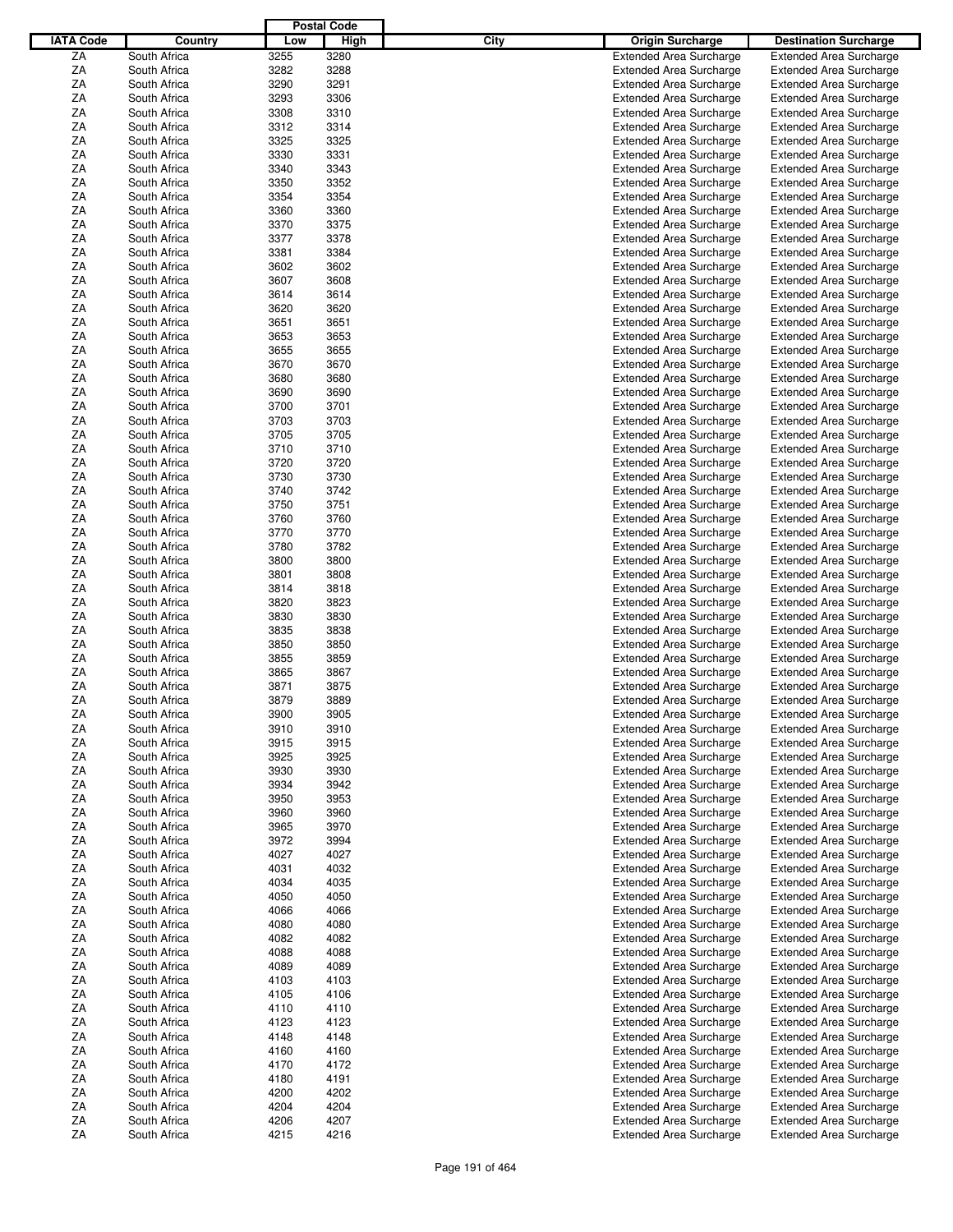|                  |              |      | <b>Postal Code</b> |      |                                |                                |
|------------------|--------------|------|--------------------|------|--------------------------------|--------------------------------|
| <b>IATA Code</b> | Country      | Low  | High               | City | <b>Origin Surcharge</b>        | <b>Destination Surcharge</b>   |
| ZA               | South Africa | 3255 | 3280               |      | <b>Extended Area Surcharge</b> | <b>Extended Area Surcharge</b> |
| ΖA               | South Africa | 3282 | 3288               |      | <b>Extended Area Surcharge</b> | <b>Extended Area Surcharge</b> |
| ΖA               | South Africa | 3290 | 3291               |      | <b>Extended Area Surcharge</b> | <b>Extended Area Surcharge</b> |
| ΖA               | South Africa | 3293 | 3306               |      | <b>Extended Area Surcharge</b> | <b>Extended Area Surcharge</b> |
| ΖA               | South Africa | 3308 | 3310               |      | <b>Extended Area Surcharge</b> | <b>Extended Area Surcharge</b> |
| ΖA               | South Africa | 3312 | 3314               |      | <b>Extended Area Surcharge</b> |                                |
|                  |              |      |                    |      |                                | <b>Extended Area Surcharge</b> |
| ΖA               | South Africa | 3325 | 3325               |      | <b>Extended Area Surcharge</b> | <b>Extended Area Surcharge</b> |
| ΖA               | South Africa | 3330 | 3331               |      | <b>Extended Area Surcharge</b> | <b>Extended Area Surcharge</b> |
| ΖA               | South Africa | 3340 | 3343               |      | <b>Extended Area Surcharge</b> | <b>Extended Area Surcharge</b> |
| ΖA               | South Africa | 3350 | 3352               |      | <b>Extended Area Surcharge</b> | <b>Extended Area Surcharge</b> |
| ΖA               | South Africa | 3354 | 3354               |      | <b>Extended Area Surcharge</b> | <b>Extended Area Surcharge</b> |
| ΖA               | South Africa | 3360 | 3360               |      | <b>Extended Area Surcharge</b> | <b>Extended Area Surcharge</b> |
| ΖA               | South Africa | 3370 | 3375               |      | <b>Extended Area Surcharge</b> | <b>Extended Area Surcharge</b> |
| ΖA               | South Africa | 3377 | 3378               |      | <b>Extended Area Surcharge</b> | <b>Extended Area Surcharge</b> |
| ΖA               | South Africa | 3381 | 3384               |      | <b>Extended Area Surcharge</b> | <b>Extended Area Surcharge</b> |
| ΖA               | South Africa | 3602 | 3602               |      | <b>Extended Area Surcharge</b> | <b>Extended Area Surcharge</b> |
| ΖA               | South Africa | 3607 | 3608               |      | <b>Extended Area Surcharge</b> | <b>Extended Area Surcharge</b> |
| ΖA               | South Africa | 3614 | 3614               |      | <b>Extended Area Surcharge</b> | <b>Extended Area Surcharge</b> |
| ΖA               | South Africa | 3620 | 3620               |      | <b>Extended Area Surcharge</b> | <b>Extended Area Surcharge</b> |
| ΖA               | South Africa | 3651 | 3651               |      | <b>Extended Area Surcharge</b> | <b>Extended Area Surcharge</b> |
| ΖA               | South Africa | 3653 | 3653               |      | <b>Extended Area Surcharge</b> | <b>Extended Area Surcharge</b> |
| ΖA               | South Africa | 3655 | 3655               |      | <b>Extended Area Surcharge</b> | <b>Extended Area Surcharge</b> |
| ΖA               | South Africa | 3670 | 3670               |      | <b>Extended Area Surcharge</b> | <b>Extended Area Surcharge</b> |
|                  |              |      |                    |      |                                |                                |
| ΖA               | South Africa | 3680 | 3680               |      | <b>Extended Area Surcharge</b> | <b>Extended Area Surcharge</b> |
| ΖA               | South Africa | 3690 | 3690               |      | <b>Extended Area Surcharge</b> | <b>Extended Area Surcharge</b> |
| ΖA               | South Africa | 3700 | 3701               |      | <b>Extended Area Surcharge</b> | <b>Extended Area Surcharge</b> |
| ΖA               | South Africa | 3703 | 3703               |      | <b>Extended Area Surcharge</b> | <b>Extended Area Surcharge</b> |
| ΖA               | South Africa | 3705 | 3705               |      | <b>Extended Area Surcharge</b> | <b>Extended Area Surcharge</b> |
| ΖA               | South Africa | 3710 | 3710               |      | <b>Extended Area Surcharge</b> | <b>Extended Area Surcharge</b> |
| ΖA               | South Africa | 3720 | 3720               |      | <b>Extended Area Surcharge</b> | <b>Extended Area Surcharge</b> |
| ΖA               | South Africa | 3730 | 3730               |      | <b>Extended Area Surcharge</b> | <b>Extended Area Surcharge</b> |
| ΖA               | South Africa | 3740 | 3742               |      | <b>Extended Area Surcharge</b> | <b>Extended Area Surcharge</b> |
| ΖA               | South Africa | 3750 | 3751               |      | <b>Extended Area Surcharge</b> | <b>Extended Area Surcharge</b> |
| ΖA               | South Africa | 3760 | 3760               |      | <b>Extended Area Surcharge</b> | <b>Extended Area Surcharge</b> |
| ΖA               | South Africa | 3770 | 3770               |      | <b>Extended Area Surcharge</b> | <b>Extended Area Surcharge</b> |
| ΖA               | South Africa | 3780 | 3782               |      | <b>Extended Area Surcharge</b> | <b>Extended Area Surcharge</b> |
| ΖA               | South Africa | 3800 | 3800               |      | <b>Extended Area Surcharge</b> | <b>Extended Area Surcharge</b> |
| ΖA               | South Africa | 3801 | 3808               |      | <b>Extended Area Surcharge</b> | <b>Extended Area Surcharge</b> |
| ΖA               | South Africa | 3814 | 3818               |      | <b>Extended Area Surcharge</b> | <b>Extended Area Surcharge</b> |
| ΖA               | South Africa | 3820 | 3823               |      | <b>Extended Area Surcharge</b> | <b>Extended Area Surcharge</b> |
|                  | South Africa | 3830 | 3830               |      |                                |                                |
| ΖA               |              |      |                    |      | <b>Extended Area Surcharge</b> | <b>Extended Area Surcharge</b> |
| ΖA               | South Africa | 3835 | 3838               |      | <b>Extended Area Surcharge</b> | <b>Extended Area Surcharge</b> |
| ΖA               | South Africa | 3850 | 3850               |      | <b>Extended Area Surcharge</b> | <b>Extended Area Surcharge</b> |
| ΖA               | South Africa | 3855 | 3859               |      | <b>Extended Area Surcharge</b> | <b>Extended Area Surcharge</b> |
| ΖA               | South Africa | 3865 | 3867               |      | <b>Extended Area Surcharge</b> | <b>Extended Area Surcharge</b> |
| ΖA               | South Africa | 3871 | 3875               |      | <b>Extended Area Surcharge</b> | <b>Extended Area Surcharge</b> |
| ΖA               | South Africa | 3879 | 3889               |      | <b>Extended Area Surcharge</b> | <b>Extended Area Surcharge</b> |
| ZA               | South Africa | 3900 | 3905               |      | <b>Extended Area Surcharge</b> | <b>Extended Area Surcharge</b> |
| ΖA               | South Africa | 3910 | 3910               |      | <b>Extended Area Surcharge</b> | <b>Extended Area Surcharge</b> |
| ΖA               | South Africa | 3915 | 3915               |      | <b>Extended Area Surcharge</b> | <b>Extended Area Surcharge</b> |
| ΖA               | South Africa | 3925 | 3925               |      | <b>Extended Area Surcharge</b> | <b>Extended Area Surcharge</b> |
| ΖA               | South Africa | 3930 | 3930               |      | <b>Extended Area Surcharge</b> | <b>Extended Area Surcharge</b> |
| ΖA               | South Africa | 3934 | 3942               |      | <b>Extended Area Surcharge</b> | <b>Extended Area Surcharge</b> |
| ΖA               | South Africa | 3950 | 3953               |      | <b>Extended Area Surcharge</b> | <b>Extended Area Surcharge</b> |
| ΖA               | South Africa | 3960 | 3960               |      | <b>Extended Area Surcharge</b> | <b>Extended Area Surcharge</b> |
| ΖA               | South Africa | 3965 | 3970               |      | <b>Extended Area Surcharge</b> | <b>Extended Area Surcharge</b> |
| ΖA               | South Africa | 3972 | 3994               |      | <b>Extended Area Surcharge</b> | <b>Extended Area Surcharge</b> |
| ZA               | South Africa | 4027 | 4027               |      | <b>Extended Area Surcharge</b> | <b>Extended Area Surcharge</b> |
| ZA               |              |      |                    |      | <b>Extended Area Surcharge</b> | <b>Extended Area Surcharge</b> |
|                  | South Africa | 4031 | 4032               |      |                                |                                |
| ΖA               | South Africa | 4034 | 4035               |      | <b>Extended Area Surcharge</b> | <b>Extended Area Surcharge</b> |
| ΖA               | South Africa | 4050 | 4050               |      | <b>Extended Area Surcharge</b> | <b>Extended Area Surcharge</b> |
| ΖA               | South Africa | 4066 | 4066               |      | <b>Extended Area Surcharge</b> | <b>Extended Area Surcharge</b> |
| ΖA               | South Africa | 4080 | 4080               |      | <b>Extended Area Surcharge</b> | <b>Extended Area Surcharge</b> |
| ΖA               | South Africa | 4082 | 4082               |      | <b>Extended Area Surcharge</b> | <b>Extended Area Surcharge</b> |
| ΖA               | South Africa | 4088 | 4088               |      | <b>Extended Area Surcharge</b> | <b>Extended Area Surcharge</b> |
| ΖA               | South Africa | 4089 | 4089               |      | <b>Extended Area Surcharge</b> | <b>Extended Area Surcharge</b> |
| ΖA               | South Africa | 4103 | 4103               |      | <b>Extended Area Surcharge</b> | <b>Extended Area Surcharge</b> |
| ΖA               | South Africa | 4105 | 4106               |      | <b>Extended Area Surcharge</b> | <b>Extended Area Surcharge</b> |
| ΖA               | South Africa | 4110 | 4110               |      | <b>Extended Area Surcharge</b> | <b>Extended Area Surcharge</b> |
| ΖA               | South Africa | 4123 | 4123               |      | <b>Extended Area Surcharge</b> | <b>Extended Area Surcharge</b> |
| ΖA               | South Africa | 4148 | 4148               |      | <b>Extended Area Surcharge</b> | <b>Extended Area Surcharge</b> |
| ZA               | South Africa | 4160 | 4160               |      | <b>Extended Area Surcharge</b> | <b>Extended Area Surcharge</b> |
| ΖA               | South Africa | 4170 | 4172               |      | <b>Extended Area Surcharge</b> | <b>Extended Area Surcharge</b> |
| ΖA               | South Africa | 4180 | 4191               |      | <b>Extended Area Surcharge</b> | <b>Extended Area Surcharge</b> |
| ΖA               | South Africa | 4200 | 4202               |      | <b>Extended Area Surcharge</b> | <b>Extended Area Surcharge</b> |
|                  |              |      |                    |      |                                |                                |
| ZA               | South Africa | 4204 | 4204               |      | <b>Extended Area Surcharge</b> | <b>Extended Area Surcharge</b> |
| ΖA               | South Africa | 4206 | 4207               |      | <b>Extended Area Surcharge</b> | <b>Extended Area Surcharge</b> |
| ZA               | South Africa | 4215 | 4216               |      | <b>Extended Area Surcharge</b> | <b>Extended Area Surcharge</b> |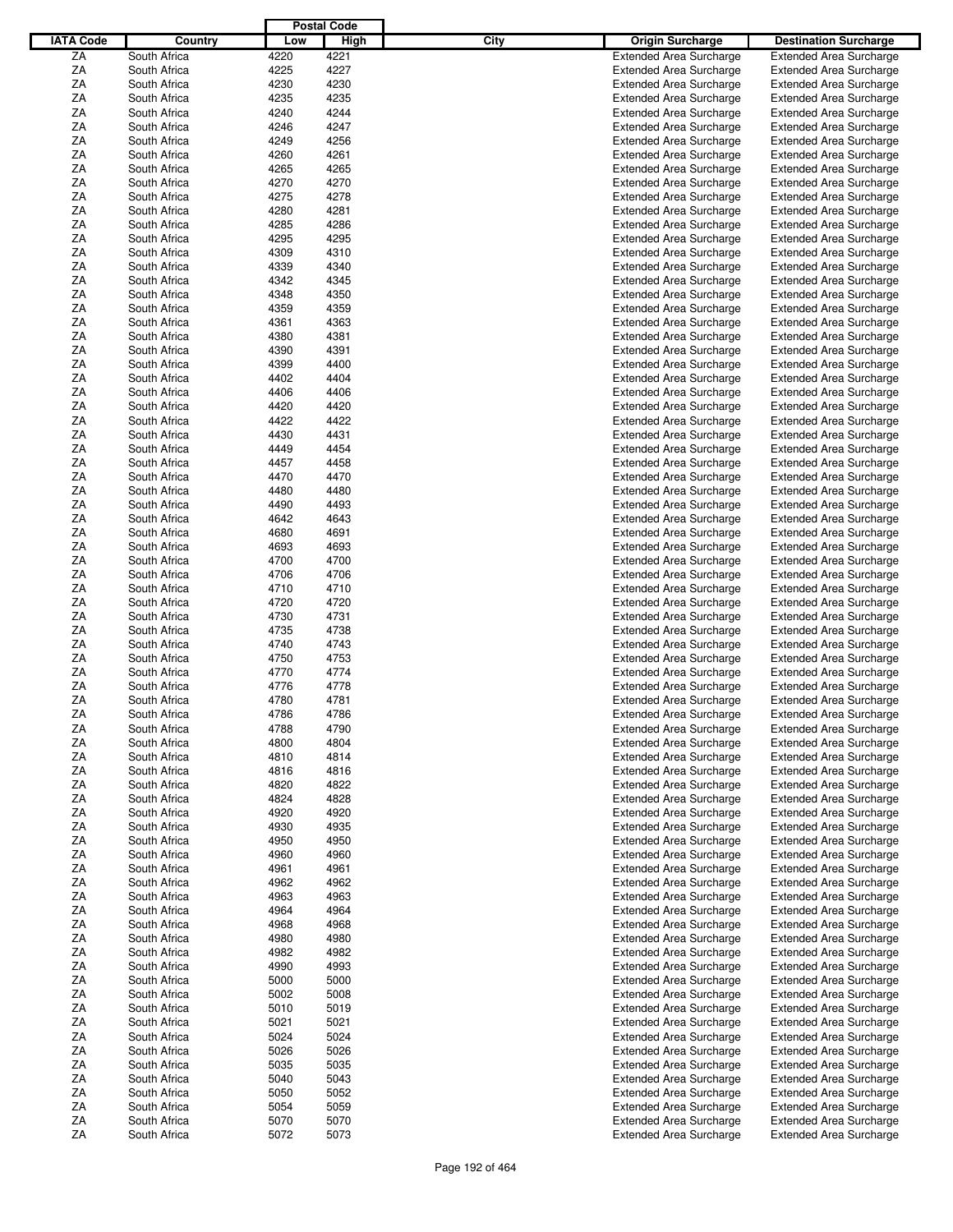|                  |              |      | <b>Postal Code</b> |      |                                |                                |
|------------------|--------------|------|--------------------|------|--------------------------------|--------------------------------|
| <b>IATA Code</b> | Country      | Low  | High               | City | <b>Origin Surcharge</b>        | <b>Destination Surcharge</b>   |
|                  |              |      |                    |      |                                |                                |
| ZA               | South Africa | 4220 | 4221               |      | <b>Extended Area Surcharge</b> | <b>Extended Area Surcharge</b> |
| ΖA               | South Africa | 4225 | 4227               |      | <b>Extended Area Surcharge</b> | <b>Extended Area Surcharge</b> |
| ΖA               | South Africa | 4230 | 4230               |      | <b>Extended Area Surcharge</b> | <b>Extended Area Surcharge</b> |
| ΖA               | South Africa | 4235 | 4235               |      | <b>Extended Area Surcharge</b> | <b>Extended Area Surcharge</b> |
| ΖA               | South Africa | 4240 | 4244               |      | <b>Extended Area Surcharge</b> | <b>Extended Area Surcharge</b> |
| ΖA               | South Africa | 4246 | 4247               |      | <b>Extended Area Surcharge</b> | <b>Extended Area Surcharge</b> |
| ΖA               | South Africa | 4249 | 4256               |      | <b>Extended Area Surcharge</b> | <b>Extended Area Surcharge</b> |
| ΖA               | South Africa | 4260 | 4261               |      | <b>Extended Area Surcharge</b> | <b>Extended Area Surcharge</b> |
|                  |              |      |                    |      |                                |                                |
| ΖA               | South Africa | 4265 | 4265               |      | <b>Extended Area Surcharge</b> | <b>Extended Area Surcharge</b> |
| ΖA               | South Africa | 4270 | 4270               |      | <b>Extended Area Surcharge</b> | <b>Extended Area Surcharge</b> |
| ΖA               | South Africa | 4275 | 4278               |      | <b>Extended Area Surcharge</b> | <b>Extended Area Surcharge</b> |
| ΖA               | South Africa | 4280 | 4281               |      | <b>Extended Area Surcharge</b> | <b>Extended Area Surcharge</b> |
| ΖA               | South Africa | 4285 | 4286               |      | <b>Extended Area Surcharge</b> | <b>Extended Area Surcharge</b> |
| ΖA               | South Africa | 4295 | 4295               |      | <b>Extended Area Surcharge</b> | <b>Extended Area Surcharge</b> |
| ΖA               | South Africa | 4309 | 4310               |      | <b>Extended Area Surcharge</b> | <b>Extended Area Surcharge</b> |
| ΖA               | South Africa | 4339 | 4340               |      | <b>Extended Area Surcharge</b> | <b>Extended Area Surcharge</b> |
|                  |              |      |                    |      |                                |                                |
| ΖA               | South Africa | 4342 | 4345               |      | <b>Extended Area Surcharge</b> | <b>Extended Area Surcharge</b> |
| ΖA               | South Africa | 4348 | 4350               |      | <b>Extended Area Surcharge</b> | <b>Extended Area Surcharge</b> |
| ΖA               | South Africa | 4359 | 4359               |      | <b>Extended Area Surcharge</b> | <b>Extended Area Surcharge</b> |
| ΖA               | South Africa | 4361 | 4363               |      | <b>Extended Area Surcharge</b> | <b>Extended Area Surcharge</b> |
| ΖA               | South Africa | 4380 | 4381               |      | <b>Extended Area Surcharge</b> | <b>Extended Area Surcharge</b> |
| ΖA               | South Africa | 4390 | 4391               |      | <b>Extended Area Surcharge</b> | <b>Extended Area Surcharge</b> |
| ΖA               | South Africa | 4399 | 4400               |      | <b>Extended Area Surcharge</b> | <b>Extended Area Surcharge</b> |
| ΖA               | South Africa | 4402 | 4404               |      | <b>Extended Area Surcharge</b> | <b>Extended Area Surcharge</b> |
|                  |              |      |                    |      |                                |                                |
| ΖA               | South Africa | 4406 | 4406               |      | <b>Extended Area Surcharge</b> | <b>Extended Area Surcharge</b> |
| ΖA               | South Africa | 4420 | 4420               |      | <b>Extended Area Surcharge</b> | <b>Extended Area Surcharge</b> |
| ΖA               | South Africa | 4422 | 4422               |      | <b>Extended Area Surcharge</b> | <b>Extended Area Surcharge</b> |
| ΖA               | South Africa | 4430 | 4431               |      | <b>Extended Area Surcharge</b> | <b>Extended Area Surcharge</b> |
| ΖA               | South Africa | 4449 | 4454               |      | <b>Extended Area Surcharge</b> | <b>Extended Area Surcharge</b> |
| ΖA               | South Africa | 4457 | 4458               |      | <b>Extended Area Surcharge</b> | <b>Extended Area Surcharge</b> |
| ΖA               | South Africa | 4470 | 4470               |      | <b>Extended Area Surcharge</b> | <b>Extended Area Surcharge</b> |
|                  |              |      | 4480               |      |                                |                                |
| ΖA               | South Africa | 4480 |                    |      | <b>Extended Area Surcharge</b> | <b>Extended Area Surcharge</b> |
| ΖA               | South Africa | 4490 | 4493               |      | <b>Extended Area Surcharge</b> | <b>Extended Area Surcharge</b> |
| ΖA               | South Africa | 4642 | 4643               |      | <b>Extended Area Surcharge</b> | <b>Extended Area Surcharge</b> |
| ΖA               | South Africa | 4680 | 4691               |      | <b>Extended Area Surcharge</b> | <b>Extended Area Surcharge</b> |
| ΖA               | South Africa | 4693 | 4693               |      | <b>Extended Area Surcharge</b> | <b>Extended Area Surcharge</b> |
| ΖA               | South Africa | 4700 | 4700               |      | <b>Extended Area Surcharge</b> | <b>Extended Area Surcharge</b> |
| ΖA               | South Africa | 4706 | 4706               |      | <b>Extended Area Surcharge</b> | <b>Extended Area Surcharge</b> |
| ΖA               | South Africa | 4710 | 4710               |      | <b>Extended Area Surcharge</b> | <b>Extended Area Surcharge</b> |
|                  |              |      | 4720               |      |                                |                                |
| ΖA               | South Africa | 4720 |                    |      | <b>Extended Area Surcharge</b> | <b>Extended Area Surcharge</b> |
| ΖA               | South Africa | 4730 | 4731               |      | <b>Extended Area Surcharge</b> | <b>Extended Area Surcharge</b> |
| ΖA               | South Africa | 4735 | 4738               |      | <b>Extended Area Surcharge</b> | <b>Extended Area Surcharge</b> |
| ΖA               | South Africa | 4740 | 4743               |      | <b>Extended Area Surcharge</b> | <b>Extended Area Surcharge</b> |
| ΖA               | South Africa | 4750 | 4753               |      | <b>Extended Area Surcharge</b> | <b>Extended Area Surcharge</b> |
| ΖA               | South Africa | 4770 | 4774               |      | <b>Extended Area Surcharge</b> | <b>Extended Area Surcharge</b> |
| ΖA               | South Africa | 4776 | 4778               |      | <b>Extended Area Surcharge</b> | <b>Extended Area Surcharge</b> |
| ΖA               | South Africa | 4780 | 4781               |      | <b>Extended Area Surcharge</b> | <b>Extended Area Surcharge</b> |
| ZA               | South Africa | 4786 | 4786               |      | <b>Extended Area Surcharge</b> | <b>Extended Area Surcharge</b> |
|                  |              |      |                    |      |                                |                                |
| ΖA               | South Africa | 4788 | 4790               |      | <b>Extended Area Surcharge</b> | <b>Extended Area Surcharge</b> |
| ΖA               | South Africa | 4800 | 4804               |      | <b>Extended Area Surcharge</b> | <b>Extended Area Surcharge</b> |
| ΖA               | South Africa | 4810 | 4814               |      | <b>Extended Area Surcharge</b> | <b>Extended Area Surcharge</b> |
| ΖA               | South Africa | 4816 | 4816               |      | <b>Extended Area Surcharge</b> | <b>Extended Area Surcharge</b> |
| ΖA               | South Africa | 4820 | 4822               |      | <b>Extended Area Surcharge</b> | <b>Extended Area Surcharge</b> |
| ΖA               | South Africa | 4824 | 4828               |      | <b>Extended Area Surcharge</b> | <b>Extended Area Surcharge</b> |
| ΖA               | South Africa | 4920 | 4920               |      | <b>Extended Area Surcharge</b> | <b>Extended Area Surcharge</b> |
| ΖA               | South Africa | 4930 | 4935               |      | <b>Extended Area Surcharge</b> | <b>Extended Area Surcharge</b> |
| ΖA               | South Africa | 4950 | 4950               |      | <b>Extended Area Surcharge</b> | <b>Extended Area Surcharge</b> |
|                  |              |      |                    |      |                                |                                |
| ZA               | South Africa | 4960 | 4960               |      | <b>Extended Area Surcharge</b> | <b>Extended Area Surcharge</b> |
| ZA               | South Africa | 4961 | 4961               |      | <b>Extended Area Surcharge</b> | <b>Extended Area Surcharge</b> |
| ΖA               | South Africa | 4962 | 4962               |      | <b>Extended Area Surcharge</b> | <b>Extended Area Surcharge</b> |
| ΖA               | South Africa | 4963 | 4963               |      | <b>Extended Area Surcharge</b> | <b>Extended Area Surcharge</b> |
| ΖA               | South Africa | 4964 | 4964               |      | <b>Extended Area Surcharge</b> | <b>Extended Area Surcharge</b> |
| ΖA               | South Africa | 4968 | 4968               |      | <b>Extended Area Surcharge</b> | <b>Extended Area Surcharge</b> |
| ΖA               | South Africa | 4980 | 4980               |      | <b>Extended Area Surcharge</b> | <b>Extended Area Surcharge</b> |
| ΖA               | South Africa | 4982 | 4982               |      | <b>Extended Area Surcharge</b> | <b>Extended Area Surcharge</b> |
|                  |              |      |                    |      |                                |                                |
| ΖA               | South Africa | 4990 | 4993               |      | <b>Extended Area Surcharge</b> | <b>Extended Area Surcharge</b> |
| ΖA               | South Africa | 5000 | 5000               |      | <b>Extended Area Surcharge</b> | <b>Extended Area Surcharge</b> |
| ΖA               | South Africa | 5002 | 5008               |      | <b>Extended Area Surcharge</b> | <b>Extended Area Surcharge</b> |
| ΖA               | South Africa | 5010 | 5019               |      | <b>Extended Area Surcharge</b> | <b>Extended Area Surcharge</b> |
| ΖA               | South Africa | 5021 | 5021               |      | <b>Extended Area Surcharge</b> | <b>Extended Area Surcharge</b> |
| ΖA               | South Africa | 5024 | 5024               |      | <b>Extended Area Surcharge</b> | <b>Extended Area Surcharge</b> |
| ZA               | South Africa | 5026 | 5026               |      | <b>Extended Area Surcharge</b> | <b>Extended Area Surcharge</b> |
| ΖA               | South Africa | 5035 | 5035               |      | <b>Extended Area Surcharge</b> | <b>Extended Area Surcharge</b> |
|                  |              |      |                    |      |                                |                                |
| ΖA               | South Africa | 5040 | 5043               |      | <b>Extended Area Surcharge</b> | <b>Extended Area Surcharge</b> |
| ΖA               | South Africa | 5050 | 5052               |      | <b>Extended Area Surcharge</b> | <b>Extended Area Surcharge</b> |
| ZA               | South Africa | 5054 | 5059               |      | <b>Extended Area Surcharge</b> | <b>Extended Area Surcharge</b> |
| ΖA               | South Africa | 5070 | 5070               |      | <b>Extended Area Surcharge</b> | <b>Extended Area Surcharge</b> |
| ZA               | South Africa | 5072 | 5073               |      | <b>Extended Area Surcharge</b> | <b>Extended Area Surcharge</b> |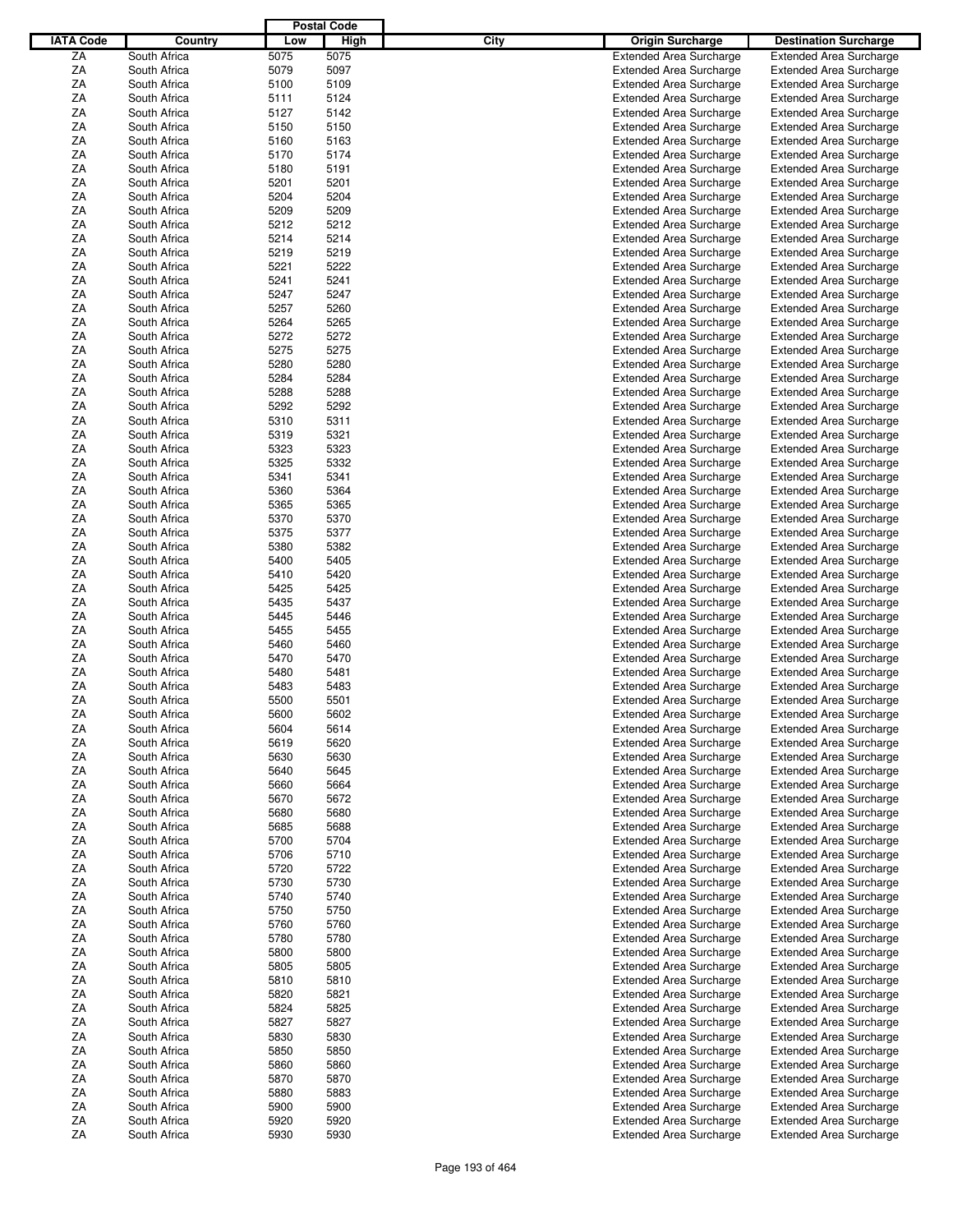|                  |              |      | <b>Postal Code</b> |      |                                |                                |
|------------------|--------------|------|--------------------|------|--------------------------------|--------------------------------|
| <b>IATA Code</b> | Country      | Low  | High               | City | <b>Origin Surcharge</b>        | <b>Destination Surcharge</b>   |
| ZA               | South Africa | 5075 | 5075               |      | <b>Extended Area Surcharge</b> | <b>Extended Area Surcharge</b> |
| ΖA               | South Africa | 5079 | 5097               |      | <b>Extended Area Surcharge</b> | <b>Extended Area Surcharge</b> |
| ΖA               | South Africa | 5100 | 5109               |      | <b>Extended Area Surcharge</b> | <b>Extended Area Surcharge</b> |
| ΖA               | South Africa | 5111 | 5124               |      | <b>Extended Area Surcharge</b> | <b>Extended Area Surcharge</b> |
| ΖA               | South Africa | 5127 | 5142               |      | <b>Extended Area Surcharge</b> | <b>Extended Area Surcharge</b> |
| ΖA               | South Africa | 5150 | 5150               |      | <b>Extended Area Surcharge</b> | <b>Extended Area Surcharge</b> |
|                  |              |      |                    |      |                                |                                |
| ΖA               | South Africa | 5160 | 5163               |      | <b>Extended Area Surcharge</b> | <b>Extended Area Surcharge</b> |
| ΖA               | South Africa | 5170 | 5174               |      | <b>Extended Area Surcharge</b> | <b>Extended Area Surcharge</b> |
| ΖA               | South Africa | 5180 | 5191               |      | <b>Extended Area Surcharge</b> | <b>Extended Area Surcharge</b> |
| ΖA               | South Africa | 5201 | 5201               |      | <b>Extended Area Surcharge</b> | <b>Extended Area Surcharge</b> |
| ΖA               | South Africa | 5204 | 5204               |      | <b>Extended Area Surcharge</b> | <b>Extended Area Surcharge</b> |
| ΖA               | South Africa | 5209 | 5209               |      | <b>Extended Area Surcharge</b> | <b>Extended Area Surcharge</b> |
| ΖA               | South Africa | 5212 | 5212               |      | <b>Extended Area Surcharge</b> | <b>Extended Area Surcharge</b> |
| ΖA               | South Africa | 5214 | 5214               |      | <b>Extended Area Surcharge</b> | <b>Extended Area Surcharge</b> |
| ΖA               | South Africa | 5219 | 5219               |      | <b>Extended Area Surcharge</b> | <b>Extended Area Surcharge</b> |
| ΖA               | South Africa | 5221 | 5222               |      | <b>Extended Area Surcharge</b> | <b>Extended Area Surcharge</b> |
| ΖA               | South Africa | 5241 | 5241               |      | <b>Extended Area Surcharge</b> | <b>Extended Area Surcharge</b> |
| ΖA               | South Africa | 5247 | 5247               |      | <b>Extended Area Surcharge</b> | <b>Extended Area Surcharge</b> |
| ΖA               | South Africa | 5257 | 5260               |      | <b>Extended Area Surcharge</b> | <b>Extended Area Surcharge</b> |
| ΖA               | South Africa | 5264 | 5265               |      | <b>Extended Area Surcharge</b> | <b>Extended Area Surcharge</b> |
| ΖA               | South Africa | 5272 | 5272               |      | <b>Extended Area Surcharge</b> | <b>Extended Area Surcharge</b> |
| ΖA               | South Africa | 5275 | 5275               |      | <b>Extended Area Surcharge</b> | <b>Extended Area Surcharge</b> |
|                  |              |      |                    |      |                                |                                |
| ΖA               | South Africa | 5280 | 5280               |      | <b>Extended Area Surcharge</b> | <b>Extended Area Surcharge</b> |
| ΖA               | South Africa | 5284 | 5284               |      | <b>Extended Area Surcharge</b> | <b>Extended Area Surcharge</b> |
| ΖA               | South Africa | 5288 | 5288               |      | <b>Extended Area Surcharge</b> | <b>Extended Area Surcharge</b> |
| ΖA               | South Africa | 5292 | 5292               |      | <b>Extended Area Surcharge</b> | <b>Extended Area Surcharge</b> |
| ΖA               | South Africa | 5310 | 5311               |      | <b>Extended Area Surcharge</b> | <b>Extended Area Surcharge</b> |
| ΖA               | South Africa | 5319 | 5321               |      | <b>Extended Area Surcharge</b> | <b>Extended Area Surcharge</b> |
| ΖA               | South Africa | 5323 | 5323               |      | <b>Extended Area Surcharge</b> | <b>Extended Area Surcharge</b> |
| ΖA               | South Africa | 5325 | 5332               |      | <b>Extended Area Surcharge</b> | <b>Extended Area Surcharge</b> |
| ΖA               | South Africa | 5341 | 5341               |      | <b>Extended Area Surcharge</b> | <b>Extended Area Surcharge</b> |
| ΖA               | South Africa | 5360 | 5364               |      | <b>Extended Area Surcharge</b> | <b>Extended Area Surcharge</b> |
| ΖA               | South Africa | 5365 | 5365               |      | <b>Extended Area Surcharge</b> | <b>Extended Area Surcharge</b> |
| ΖA               | South Africa | 5370 | 5370               |      | <b>Extended Area Surcharge</b> | <b>Extended Area Surcharge</b> |
| ΖA               | South Africa | 5375 | 5377               |      | <b>Extended Area Surcharge</b> | <b>Extended Area Surcharge</b> |
| ΖA               | South Africa | 5380 | 5382               |      | <b>Extended Area Surcharge</b> | <b>Extended Area Surcharge</b> |
| ΖA               | South Africa | 5400 | 5405               |      | <b>Extended Area Surcharge</b> | <b>Extended Area Surcharge</b> |
| ΖA               | South Africa | 5410 | 5420               |      | <b>Extended Area Surcharge</b> | <b>Extended Area Surcharge</b> |
| ΖA               | South Africa | 5425 | 5425               |      | <b>Extended Area Surcharge</b> | <b>Extended Area Surcharge</b> |
|                  |              |      |                    |      |                                |                                |
| ΖA               | South Africa | 5435 | 5437               |      | <b>Extended Area Surcharge</b> | <b>Extended Area Surcharge</b> |
| ΖA               | South Africa | 5445 | 5446               |      | <b>Extended Area Surcharge</b> | <b>Extended Area Surcharge</b> |
| ΖA               | South Africa | 5455 | 5455               |      | <b>Extended Area Surcharge</b> | <b>Extended Area Surcharge</b> |
| ΖA               | South Africa | 5460 | 5460               |      | <b>Extended Area Surcharge</b> | <b>Extended Area Surcharge</b> |
| ΖA               | South Africa | 5470 | 5470               |      | <b>Extended Area Surcharge</b> | <b>Extended Area Surcharge</b> |
| ΖA               | South Africa | 5480 | 5481               |      | <b>Extended Area Surcharge</b> | <b>Extended Area Surcharge</b> |
| ΖA               | South Africa | 5483 | 5483               |      | <b>Extended Area Surcharge</b> | <b>Extended Area Surcharge</b> |
| ΖA               | South Africa | 5500 | 5501               |      | <b>Extended Area Surcharge</b> | <b>Extended Area Surcharge</b> |
| ZA               | South Africa | 5600 | 5602               |      | <b>Extended Area Surcharge</b> | <b>Extended Area Surcharge</b> |
| ΖA               | South Africa | 5604 | 5614               |      | <b>Extended Area Surcharge</b> | <b>Extended Area Surcharge</b> |
| ΖA               | South Africa | 5619 | 5620               |      | <b>Extended Area Surcharge</b> | <b>Extended Area Surcharge</b> |
| ΖA               | South Africa | 5630 | 5630               |      | <b>Extended Area Surcharge</b> | <b>Extended Area Surcharge</b> |
| ΖA               | South Africa | 5640 | 5645               |      | <b>Extended Area Surcharge</b> | <b>Extended Area Surcharge</b> |
| ΖA               | South Africa | 5660 | 5664               |      | <b>Extended Area Surcharge</b> | <b>Extended Area Surcharge</b> |
| ΖA               | South Africa | 5670 | 5672               |      | <b>Extended Area Surcharge</b> | <b>Extended Area Surcharge</b> |
| ΖA               | South Africa | 5680 | 5680               |      | <b>Extended Area Surcharge</b> | <b>Extended Area Surcharge</b> |
| ΖA               | South Africa | 5685 | 5688               |      | <b>Extended Area Surcharge</b> | <b>Extended Area Surcharge</b> |
| ΖA               | South Africa | 5700 | 5704               |      | <b>Extended Area Surcharge</b> | <b>Extended Area Surcharge</b> |
|                  |              |      |                    |      |                                |                                |
| ZA               | South Africa | 5706 | 5710               |      | <b>Extended Area Surcharge</b> | <b>Extended Area Surcharge</b> |
| ZA               | South Africa | 5720 | 5722               |      | <b>Extended Area Surcharge</b> | <b>Extended Area Surcharge</b> |
| ΖA               | South Africa | 5730 | 5730               |      | <b>Extended Area Surcharge</b> | <b>Extended Area Surcharge</b> |
| ΖA               | South Africa | 5740 | 5740               |      | <b>Extended Area Surcharge</b> | <b>Extended Area Surcharge</b> |
| ΖA               | South Africa | 5750 | 5750               |      | <b>Extended Area Surcharge</b> | <b>Extended Area Surcharge</b> |
| ZA               | South Africa | 5760 | 5760               |      | <b>Extended Area Surcharge</b> | <b>Extended Area Surcharge</b> |
| ΖA               | South Africa | 5780 | 5780               |      | <b>Extended Area Surcharge</b> | <b>Extended Area Surcharge</b> |
| ΖA               | South Africa | 5800 | 5800               |      | <b>Extended Area Surcharge</b> | <b>Extended Area Surcharge</b> |
| ΖA               | South Africa | 5805 | 5805               |      | <b>Extended Area Surcharge</b> | <b>Extended Area Surcharge</b> |
| ΖA               | South Africa | 5810 | 5810               |      | <b>Extended Area Surcharge</b> | <b>Extended Area Surcharge</b> |
| ΖA               | South Africa | 5820 | 5821               |      | <b>Extended Area Surcharge</b> | <b>Extended Area Surcharge</b> |
| ΖA               | South Africa | 5824 | 5825               |      | <b>Extended Area Surcharge</b> | <b>Extended Area Surcharge</b> |
| ΖA               | South Africa | 5827 | 5827               |      | <b>Extended Area Surcharge</b> | <b>Extended Area Surcharge</b> |
| ΖA               | South Africa | 5830 | 5830               |      | <b>Extended Area Surcharge</b> | <b>Extended Area Surcharge</b> |
| ZA               | South Africa | 5850 | 5850               |      | <b>Extended Area Surcharge</b> | <b>Extended Area Surcharge</b> |
| ΖA               |              |      | 5860               |      | <b>Extended Area Surcharge</b> | <b>Extended Area Surcharge</b> |
|                  | South Africa | 5860 |                    |      |                                |                                |
| ΖA               | South Africa | 5870 | 5870               |      | <b>Extended Area Surcharge</b> | <b>Extended Area Surcharge</b> |
| ΖA               | South Africa | 5880 | 5883               |      | <b>Extended Area Surcharge</b> | <b>Extended Area Surcharge</b> |
| ZA               | South Africa | 5900 | 5900               |      | <b>Extended Area Surcharge</b> | <b>Extended Area Surcharge</b> |
| ΖA               | South Africa | 5920 | 5920               |      | <b>Extended Area Surcharge</b> | <b>Extended Area Surcharge</b> |
| ZA               | South Africa | 5930 | 5930               |      | <b>Extended Area Surcharge</b> | <b>Extended Area Surcharge</b> |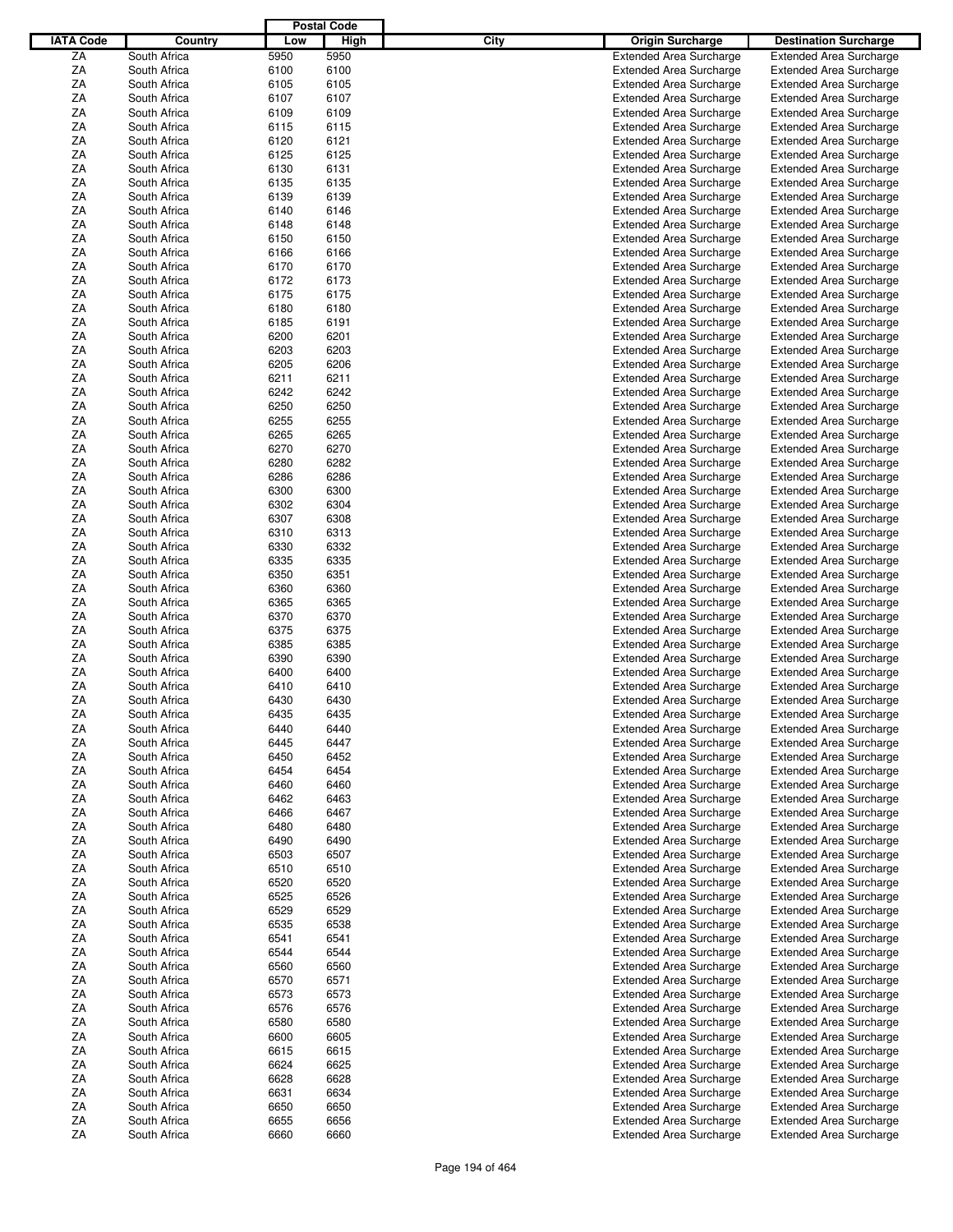|                  |              |      | <b>Postal Code</b> |             |                                |                                |
|------------------|--------------|------|--------------------|-------------|--------------------------------|--------------------------------|
| <b>IATA Code</b> | Country      | Low  | High               | <b>City</b> | <b>Origin Surcharge</b>        | <b>Destination Surcharge</b>   |
| ZA               | South Africa | 5950 | 5950               |             | <b>Extended Area Surcharge</b> | <b>Extended Area Surcharge</b> |
| ΖA               | South Africa | 6100 | 6100               |             | <b>Extended Area Surcharge</b> | <b>Extended Area Surcharge</b> |
| ΖA               | South Africa | 6105 | 6105               |             | <b>Extended Area Surcharge</b> | <b>Extended Area Surcharge</b> |
| ΖA               | South Africa | 6107 | 6107               |             | <b>Extended Area Surcharge</b> | <b>Extended Area Surcharge</b> |
| ΖA               | South Africa | 6109 | 6109               |             | <b>Extended Area Surcharge</b> | <b>Extended Area Surcharge</b> |
| ΖA               | South Africa | 6115 | 6115               |             | <b>Extended Area Surcharge</b> | <b>Extended Area Surcharge</b> |
|                  |              |      |                    |             |                                |                                |
| ΖA               | South Africa | 6120 | 6121               |             | <b>Extended Area Surcharge</b> | <b>Extended Area Surcharge</b> |
| ΖA               | South Africa | 6125 | 6125               |             | <b>Extended Area Surcharge</b> | <b>Extended Area Surcharge</b> |
| ΖA               | South Africa | 6130 | 6131               |             | <b>Extended Area Surcharge</b> | <b>Extended Area Surcharge</b> |
| ΖA               | South Africa | 6135 | 6135               |             | <b>Extended Area Surcharge</b> | <b>Extended Area Surcharge</b> |
| ΖA               | South Africa | 6139 | 6139               |             | <b>Extended Area Surcharge</b> | <b>Extended Area Surcharge</b> |
| ΖA               | South Africa | 6140 | 6146               |             | <b>Extended Area Surcharge</b> | <b>Extended Area Surcharge</b> |
| ΖA               | South Africa | 6148 | 6148               |             | <b>Extended Area Surcharge</b> | <b>Extended Area Surcharge</b> |
| ΖA               | South Africa | 6150 | 6150               |             | <b>Extended Area Surcharge</b> | <b>Extended Area Surcharge</b> |
| ΖA               | South Africa | 6166 | 6166               |             | <b>Extended Area Surcharge</b> | <b>Extended Area Surcharge</b> |
| ΖA               | South Africa | 6170 | 6170               |             | <b>Extended Area Surcharge</b> | <b>Extended Area Surcharge</b> |
| ΖA               | South Africa | 6172 | 6173               |             | <b>Extended Area Surcharge</b> | <b>Extended Area Surcharge</b> |
| ΖA               | South Africa | 6175 | 6175               |             | <b>Extended Area Surcharge</b> | <b>Extended Area Surcharge</b> |
| ΖA               | South Africa | 6180 | 6180               |             | <b>Extended Area Surcharge</b> | <b>Extended Area Surcharge</b> |
| ΖA               | South Africa | 6185 | 6191               |             | <b>Extended Area Surcharge</b> | <b>Extended Area Surcharge</b> |
| ΖA               | South Africa | 6200 | 6201               |             | <b>Extended Area Surcharge</b> | <b>Extended Area Surcharge</b> |
| ΖA               | South Africa | 6203 | 6203               |             | <b>Extended Area Surcharge</b> | <b>Extended Area Surcharge</b> |
| ΖA               | South Africa | 6205 | 6206               |             | <b>Extended Area Surcharge</b> | <b>Extended Area Surcharge</b> |
|                  |              |      |                    |             | <b>Extended Area Surcharge</b> |                                |
| ΖA               | South Africa | 6211 | 6211               |             |                                | <b>Extended Area Surcharge</b> |
| ΖA               | South Africa | 6242 | 6242               |             | <b>Extended Area Surcharge</b> | <b>Extended Area Surcharge</b> |
| ΖA               | South Africa | 6250 | 6250               |             | <b>Extended Area Surcharge</b> | <b>Extended Area Surcharge</b> |
| ΖA               | South Africa | 6255 | 6255               |             | <b>Extended Area Surcharge</b> | <b>Extended Area Surcharge</b> |
| ΖA               | South Africa | 6265 | 6265               |             | <b>Extended Area Surcharge</b> | <b>Extended Area Surcharge</b> |
| ΖA               | South Africa | 6270 | 6270               |             | <b>Extended Area Surcharge</b> | <b>Extended Area Surcharge</b> |
| ΖA               | South Africa | 6280 | 6282               |             | <b>Extended Area Surcharge</b> | <b>Extended Area Surcharge</b> |
| ΖA               | South Africa | 6286 | 6286               |             | <b>Extended Area Surcharge</b> | <b>Extended Area Surcharge</b> |
| ΖA               | South Africa | 6300 | 6300               |             | <b>Extended Area Surcharge</b> | <b>Extended Area Surcharge</b> |
| ΖA               | South Africa | 6302 | 6304               |             | <b>Extended Area Surcharge</b> | <b>Extended Area Surcharge</b> |
| ΖA               | South Africa | 6307 | 6308               |             | <b>Extended Area Surcharge</b> | <b>Extended Area Surcharge</b> |
| ΖA               | South Africa | 6310 | 6313               |             | <b>Extended Area Surcharge</b> | <b>Extended Area Surcharge</b> |
| ΖA               | South Africa | 6330 | 6332               |             | <b>Extended Area Surcharge</b> | <b>Extended Area Surcharge</b> |
| ΖA               | South Africa | 6335 | 6335               |             | <b>Extended Area Surcharge</b> | <b>Extended Area Surcharge</b> |
| ΖA               | South Africa | 6350 | 6351               |             | <b>Extended Area Surcharge</b> | <b>Extended Area Surcharge</b> |
| ΖA               | South Africa | 6360 | 6360               |             | <b>Extended Area Surcharge</b> | <b>Extended Area Surcharge</b> |
| ΖA               | South Africa | 6365 | 6365               |             | <b>Extended Area Surcharge</b> | <b>Extended Area Surcharge</b> |
| ΖA               | South Africa | 6370 | 6370               |             |                                |                                |
|                  |              |      |                    |             | <b>Extended Area Surcharge</b> | <b>Extended Area Surcharge</b> |
| ΖA               | South Africa | 6375 | 6375               |             | <b>Extended Area Surcharge</b> | <b>Extended Area Surcharge</b> |
| ΖA               | South Africa | 6385 | 6385               |             | <b>Extended Area Surcharge</b> | <b>Extended Area Surcharge</b> |
| ΖA               | South Africa | 6390 | 6390               |             | <b>Extended Area Surcharge</b> | <b>Extended Area Surcharge</b> |
| ΖA               | South Africa | 6400 | 6400               |             | <b>Extended Area Surcharge</b> | <b>Extended Area Surcharge</b> |
| ΖA               | South Africa | 6410 | 6410               |             | <b>Extended Area Surcharge</b> | <b>Extended Area Surcharge</b> |
| ΖA               | South Africa | 6430 | 6430               |             | <b>Extended Area Surcharge</b> | <b>Extended Area Surcharge</b> |
| ZA               | South Africa | 6435 | 6435               |             | <b>Extended Area Surcharge</b> | <b>Extended Area Surcharge</b> |
| ΖA               | South Africa | 6440 | 6440               |             | <b>Extended Area Surcharge</b> | <b>Extended Area Surcharge</b> |
| ΖA               | South Africa | 6445 | 6447               |             | <b>Extended Area Surcharge</b> | <b>Extended Area Surcharge</b> |
| ΖA               | South Africa | 6450 | 6452               |             | <b>Extended Area Surcharge</b> | <b>Extended Area Surcharge</b> |
| ΖA               | South Africa | 6454 | 6454               |             | <b>Extended Area Surcharge</b> | <b>Extended Area Surcharge</b> |
| ΖA               | South Africa | 6460 | 6460               |             | <b>Extended Area Surcharge</b> | <b>Extended Area Surcharge</b> |
| ΖA               | South Africa | 6462 | 6463               |             | <b>Extended Area Surcharge</b> | <b>Extended Area Surcharge</b> |
| ΖA               | South Africa | 6466 | 6467               |             | <b>Extended Area Surcharge</b> | <b>Extended Area Surcharge</b> |
| ΖA               | South Africa | 6480 | 6480               |             | <b>Extended Area Surcharge</b> | <b>Extended Area Surcharge</b> |
| ΖA               | South Africa | 6490 | 6490               |             | <b>Extended Area Surcharge</b> | <b>Extended Area Surcharge</b> |
| ΖA               | South Africa | 6503 | 6507               |             | <b>Extended Area Surcharge</b> | <b>Extended Area Surcharge</b> |
|                  |              |      |                    |             |                                |                                |
| ΖA               | South Africa | 6510 | 6510               |             | <b>Extended Area Surcharge</b> | <b>Extended Area Surcharge</b> |
| ΖA               | South Africa | 6520 | 6520               |             | <b>Extended Area Surcharge</b> | <b>Extended Area Surcharge</b> |
| ΖA               | South Africa | 6525 | 6526               |             | <b>Extended Area Surcharge</b> | <b>Extended Area Surcharge</b> |
| ΖA               | South Africa | 6529 | 6529               |             | <b>Extended Area Surcharge</b> | <b>Extended Area Surcharge</b> |
| ΖA               | South Africa | 6535 | 6538               |             | <b>Extended Area Surcharge</b> | <b>Extended Area Surcharge</b> |
| ΖA               | South Africa | 6541 | 6541               |             | <b>Extended Area Surcharge</b> | <b>Extended Area Surcharge</b> |
| ΖA               | South Africa | 6544 | 6544               |             | <b>Extended Area Surcharge</b> | <b>Extended Area Surcharge</b> |
| ΖA               | South Africa | 6560 | 6560               |             | <b>Extended Area Surcharge</b> | <b>Extended Area Surcharge</b> |
| ΖA               | South Africa | 6570 | 6571               |             | <b>Extended Area Surcharge</b> | <b>Extended Area Surcharge</b> |
| ΖA               | South Africa | 6573 | 6573               |             | <b>Extended Area Surcharge</b> | <b>Extended Area Surcharge</b> |
| ΖA               | South Africa | 6576 | 6576               |             | <b>Extended Area Surcharge</b> | <b>Extended Area Surcharge</b> |
| ΖA               | South Africa | 6580 | 6580               |             | <b>Extended Area Surcharge</b> | <b>Extended Area Surcharge</b> |
| ΖA               | South Africa | 6600 | 6605               |             | <b>Extended Area Surcharge</b> | <b>Extended Area Surcharge</b> |
| ΖA               | South Africa | 6615 | 6615               |             | <b>Extended Area Surcharge</b> | <b>Extended Area Surcharge</b> |
| ΖA               | South Africa | 6624 | 6625               |             | <b>Extended Area Surcharge</b> | <b>Extended Area Surcharge</b> |
| ΖA               | South Africa | 6628 | 6628               |             | <b>Extended Area Surcharge</b> | <b>Extended Area Surcharge</b> |
| ΖA               | South Africa | 6631 | 6634               |             | <b>Extended Area Surcharge</b> | <b>Extended Area Surcharge</b> |
|                  |              |      |                    |             |                                |                                |
| ΖA               | South Africa | 6650 | 6650               |             | <b>Extended Area Surcharge</b> | <b>Extended Area Surcharge</b> |
| ZA               | South Africa | 6655 | 6656               |             | <b>Extended Area Surcharge</b> | <b>Extended Area Surcharge</b> |
| ZA               | South Africa | 6660 | 6660               |             | <b>Extended Area Surcharge</b> | <b>Extended Area Surcharge</b> |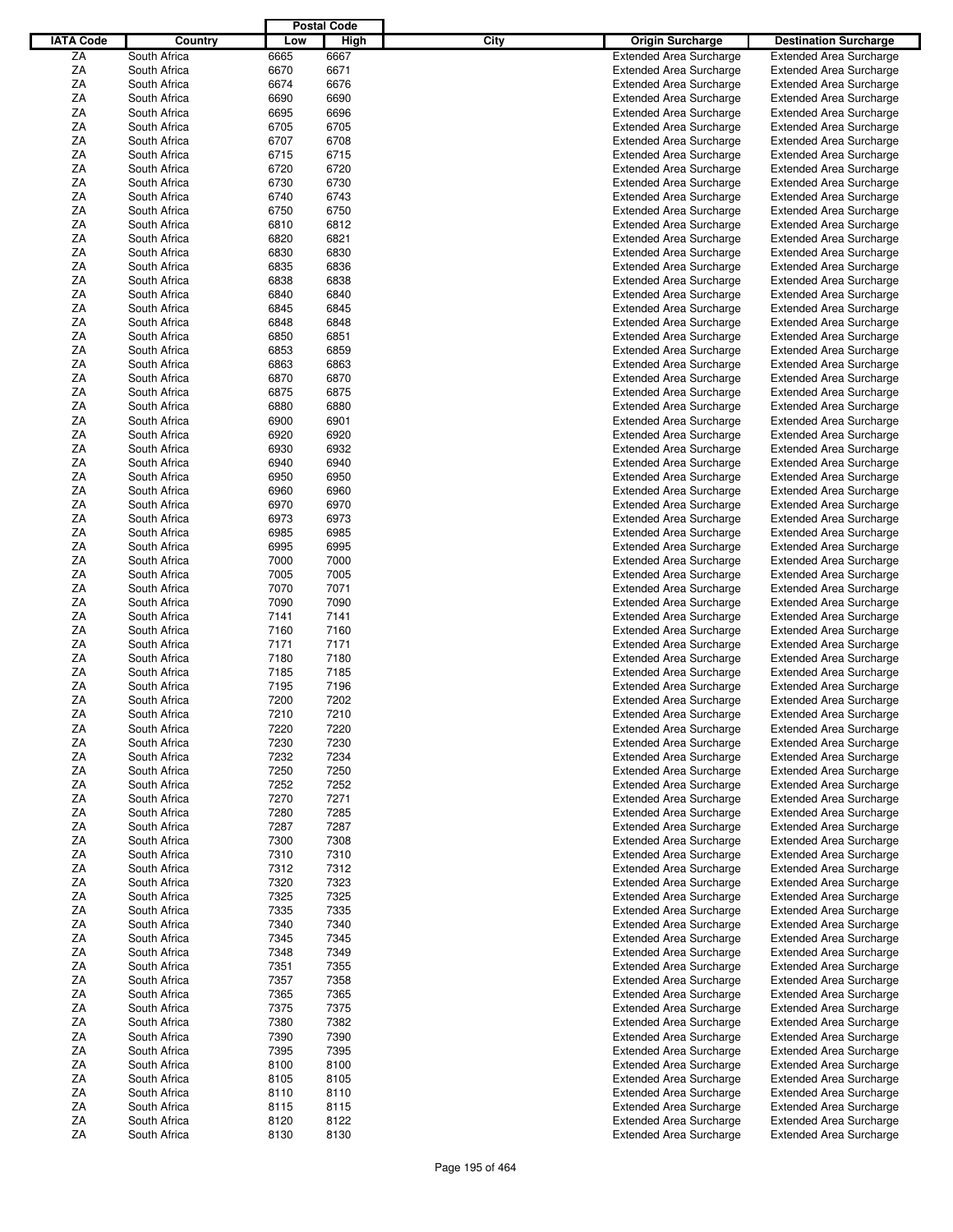|                  |              |      | <b>Postal Code</b> |      |                                |                                |
|------------------|--------------|------|--------------------|------|--------------------------------|--------------------------------|
| <b>IATA Code</b> | Country      | Low  | High               | City | <b>Origin Surcharge</b>        | <b>Destination Surcharge</b>   |
|                  |              |      | 6667               |      |                                |                                |
| ZA               | South Africa | 6665 |                    |      | <b>Extended Area Surcharge</b> | <b>Extended Area Surcharge</b> |
| ΖA               | South Africa | 6670 | 6671               |      | <b>Extended Area Surcharge</b> | <b>Extended Area Surcharge</b> |
| ΖA               | South Africa | 6674 | 6676               |      | <b>Extended Area Surcharge</b> | <b>Extended Area Surcharge</b> |
| ΖA               | South Africa | 6690 | 6690               |      | <b>Extended Area Surcharge</b> | <b>Extended Area Surcharge</b> |
| ΖA               | South Africa | 6695 | 6696               |      | <b>Extended Area Surcharge</b> | <b>Extended Area Surcharge</b> |
| ΖA               | South Africa | 6705 | 6705               |      | <b>Extended Area Surcharge</b> | <b>Extended Area Surcharge</b> |
| ΖA               | South Africa | 6707 | 6708               |      | <b>Extended Area Surcharge</b> | <b>Extended Area Surcharge</b> |
| ΖA               | South Africa | 6715 | 6715               |      | <b>Extended Area Surcharge</b> | <b>Extended Area Surcharge</b> |
|                  |              |      |                    |      |                                |                                |
| ΖA               | South Africa | 6720 | 6720               |      | <b>Extended Area Surcharge</b> | <b>Extended Area Surcharge</b> |
| ΖA               | South Africa | 6730 | 6730               |      | <b>Extended Area Surcharge</b> | <b>Extended Area Surcharge</b> |
| ΖA               | South Africa | 6740 | 6743               |      | <b>Extended Area Surcharge</b> | <b>Extended Area Surcharge</b> |
| ΖA               | South Africa | 6750 | 6750               |      | <b>Extended Area Surcharge</b> | <b>Extended Area Surcharge</b> |
| ΖA               | South Africa | 6810 | 6812               |      | <b>Extended Area Surcharge</b> | <b>Extended Area Surcharge</b> |
| ΖA               | South Africa | 6820 | 6821               |      | <b>Extended Area Surcharge</b> | <b>Extended Area Surcharge</b> |
| ΖA               | South Africa | 6830 | 6830               |      | <b>Extended Area Surcharge</b> | <b>Extended Area Surcharge</b> |
| ΖA               | South Africa | 6835 | 6836               |      | <b>Extended Area Surcharge</b> | <b>Extended Area Surcharge</b> |
|                  |              |      |                    |      |                                |                                |
| ΖA               | South Africa | 6838 | 6838               |      | <b>Extended Area Surcharge</b> | <b>Extended Area Surcharge</b> |
| ΖA               | South Africa | 6840 | 6840               |      | <b>Extended Area Surcharge</b> | <b>Extended Area Surcharge</b> |
| ΖA               | South Africa | 6845 | 6845               |      | <b>Extended Area Surcharge</b> | <b>Extended Area Surcharge</b> |
| ΖA               | South Africa | 6848 | 6848               |      | <b>Extended Area Surcharge</b> | <b>Extended Area Surcharge</b> |
| ΖA               | South Africa | 6850 | 6851               |      | <b>Extended Area Surcharge</b> | <b>Extended Area Surcharge</b> |
| ΖA               | South Africa | 6853 | 6859               |      | <b>Extended Area Surcharge</b> | <b>Extended Area Surcharge</b> |
| ΖA               | South Africa | 6863 | 6863               |      | <b>Extended Area Surcharge</b> | <b>Extended Area Surcharge</b> |
| ΖA               | South Africa | 6870 | 6870               |      | <b>Extended Area Surcharge</b> | <b>Extended Area Surcharge</b> |
|                  |              |      |                    |      |                                |                                |
| ΖA               | South Africa | 6875 | 6875               |      | <b>Extended Area Surcharge</b> | <b>Extended Area Surcharge</b> |
| ΖA               | South Africa | 6880 | 6880               |      | <b>Extended Area Surcharge</b> | <b>Extended Area Surcharge</b> |
| ΖA               | South Africa | 6900 | 6901               |      | <b>Extended Area Surcharge</b> | <b>Extended Area Surcharge</b> |
| ΖA               | South Africa | 6920 | 6920               |      | <b>Extended Area Surcharge</b> | <b>Extended Area Surcharge</b> |
| ΖA               | South Africa | 6930 | 6932               |      | <b>Extended Area Surcharge</b> | <b>Extended Area Surcharge</b> |
| ΖA               | South Africa | 6940 | 6940               |      | <b>Extended Area Surcharge</b> | <b>Extended Area Surcharge</b> |
| ΖA               | South Africa | 6950 | 6950               |      | <b>Extended Area Surcharge</b> | <b>Extended Area Surcharge</b> |
|                  |              |      |                    |      |                                |                                |
| ΖA               | South Africa | 6960 | 6960               |      | <b>Extended Area Surcharge</b> | <b>Extended Area Surcharge</b> |
| ΖA               | South Africa | 6970 | 6970               |      | <b>Extended Area Surcharge</b> | <b>Extended Area Surcharge</b> |
| ΖA               | South Africa | 6973 | 6973               |      | <b>Extended Area Surcharge</b> | <b>Extended Area Surcharge</b> |
| ΖA               | South Africa | 6985 | 6985               |      | <b>Extended Area Surcharge</b> | <b>Extended Area Surcharge</b> |
| ΖA               | South Africa | 6995 | 6995               |      | <b>Extended Area Surcharge</b> | <b>Extended Area Surcharge</b> |
| ΖA               | South Africa | 7000 | 7000               |      | <b>Extended Area Surcharge</b> | <b>Extended Area Surcharge</b> |
| ΖA               | South Africa | 7005 | 7005               |      | <b>Extended Area Surcharge</b> | <b>Extended Area Surcharge</b> |
|                  |              |      |                    |      |                                |                                |
| ΖA               | South Africa | 7070 | 7071               |      | <b>Extended Area Surcharge</b> | <b>Extended Area Surcharge</b> |
| ΖA               | South Africa | 7090 | 7090               |      | <b>Extended Area Surcharge</b> | <b>Extended Area Surcharge</b> |
| ΖA               | South Africa | 7141 | 7141               |      | <b>Extended Area Surcharge</b> | <b>Extended Area Surcharge</b> |
| ΖA               | South Africa | 7160 | 7160               |      | <b>Extended Area Surcharge</b> | <b>Extended Area Surcharge</b> |
| ΖA               | South Africa | 7171 | 7171               |      | <b>Extended Area Surcharge</b> | <b>Extended Area Surcharge</b> |
| ΖA               | South Africa | 7180 | 7180               |      | <b>Extended Area Surcharge</b> | <b>Extended Area Surcharge</b> |
| ΖA               | South Africa | 7185 | 7185               |      | <b>Extended Area Surcharge</b> | <b>Extended Area Surcharge</b> |
| ΖA               | South Africa | 7195 | 7196               |      | <b>Extended Area Surcharge</b> | <b>Extended Area Surcharge</b> |
| ΖA               | South Africa | 7200 | 7202               |      | <b>Extended Area Surcharge</b> | <b>Extended Area Surcharge</b> |
|                  |              |      |                    |      |                                |                                |
| ZA               | South Africa | 7210 | 7210               |      | <b>Extended Area Surcharge</b> | <b>Extended Area Surcharge</b> |
| ΖA               | South Africa | 7220 | 7220               |      | <b>Extended Area Surcharge</b> | <b>Extended Area Surcharge</b> |
| ΖA               | South Africa | 7230 | 7230               |      | <b>Extended Area Surcharge</b> | <b>Extended Area Surcharge</b> |
| ΖA               | South Africa | 7232 | 7234               |      | <b>Extended Area Surcharge</b> | <b>Extended Area Surcharge</b> |
| ΖA               | South Africa | 7250 | 7250               |      | <b>Extended Area Surcharge</b> | <b>Extended Area Surcharge</b> |
| ΖA               | South Africa | 7252 | 7252               |      | <b>Extended Area Surcharge</b> | <b>Extended Area Surcharge</b> |
| ΖA               | South Africa | 7270 | 7271               |      | <b>Extended Area Surcharge</b> | <b>Extended Area Surcharge</b> |
| ΖA               | South Africa | 7280 | 7285               |      | <b>Extended Area Surcharge</b> | <b>Extended Area Surcharge</b> |
|                  |              |      |                    |      |                                |                                |
| ΖA               | South Africa | 7287 | 7287               |      | <b>Extended Area Surcharge</b> | <b>Extended Area Surcharge</b> |
| ΖA               | South Africa | 7300 | 7308               |      | <b>Extended Area Surcharge</b> | <b>Extended Area Surcharge</b> |
| ZA               | South Africa | 7310 | 7310               |      | <b>Extended Area Surcharge</b> | <b>Extended Area Surcharge</b> |
| ZA               | South Africa | 7312 | 7312               |      | <b>Extended Area Surcharge</b> | <b>Extended Area Surcharge</b> |
| ΖA               | South Africa | 7320 | 7323               |      | <b>Extended Area Surcharge</b> | <b>Extended Area Surcharge</b> |
| ΖA               | South Africa | 7325 | 7325               |      | <b>Extended Area Surcharge</b> | <b>Extended Area Surcharge</b> |
| ΖA               | South Africa | 7335 | 7335               |      | <b>Extended Area Surcharge</b> | <b>Extended Area Surcharge</b> |
| ZA               | South Africa | 7340 | 7340               |      | <b>Extended Area Surcharge</b> | <b>Extended Area Surcharge</b> |
|                  | South Africa | 7345 | 7345               |      | <b>Extended Area Surcharge</b> |                                |
| ΖA               |              |      |                    |      |                                | <b>Extended Area Surcharge</b> |
| ΖA               | South Africa | 7348 | 7349               |      | <b>Extended Area Surcharge</b> | <b>Extended Area Surcharge</b> |
| ΖA               | South Africa | 7351 | 7355               |      | <b>Extended Area Surcharge</b> | <b>Extended Area Surcharge</b> |
| ΖA               | South Africa | 7357 | 7358               |      | <b>Extended Area Surcharge</b> | <b>Extended Area Surcharge</b> |
| ZA               | South Africa | 7365 | 7365               |      | <b>Extended Area Surcharge</b> | <b>Extended Area Surcharge</b> |
| ΖA               | South Africa | 7375 | 7375               |      | <b>Extended Area Surcharge</b> | <b>Extended Area Surcharge</b> |
| ΖA               | South Africa | 7380 | 7382               |      | <b>Extended Area Surcharge</b> | <b>Extended Area Surcharge</b> |
| ΖA               | South Africa | 7390 | 7390               |      | <b>Extended Area Surcharge</b> | <b>Extended Area Surcharge</b> |
| ZA               | South Africa |      | 7395               |      |                                |                                |
|                  |              | 7395 |                    |      | <b>Extended Area Surcharge</b> | <b>Extended Area Surcharge</b> |
| ΖA               | South Africa | 8100 | 8100               |      | <b>Extended Area Surcharge</b> | <b>Extended Area Surcharge</b> |
| ΖA               | South Africa | 8105 | 8105               |      | <b>Extended Area Surcharge</b> | <b>Extended Area Surcharge</b> |
| ΖA               | South Africa | 8110 | 8110               |      | <b>Extended Area Surcharge</b> | <b>Extended Area Surcharge</b> |
| ZA               | South Africa | 8115 | 8115               |      | <b>Extended Area Surcharge</b> | <b>Extended Area Surcharge</b> |
| ΖA               | South Africa | 8120 | 8122               |      | <b>Extended Area Surcharge</b> | <b>Extended Area Surcharge</b> |
| ZA               | South Africa | 8130 | 8130               |      | <b>Extended Area Surcharge</b> | <b>Extended Area Surcharge</b> |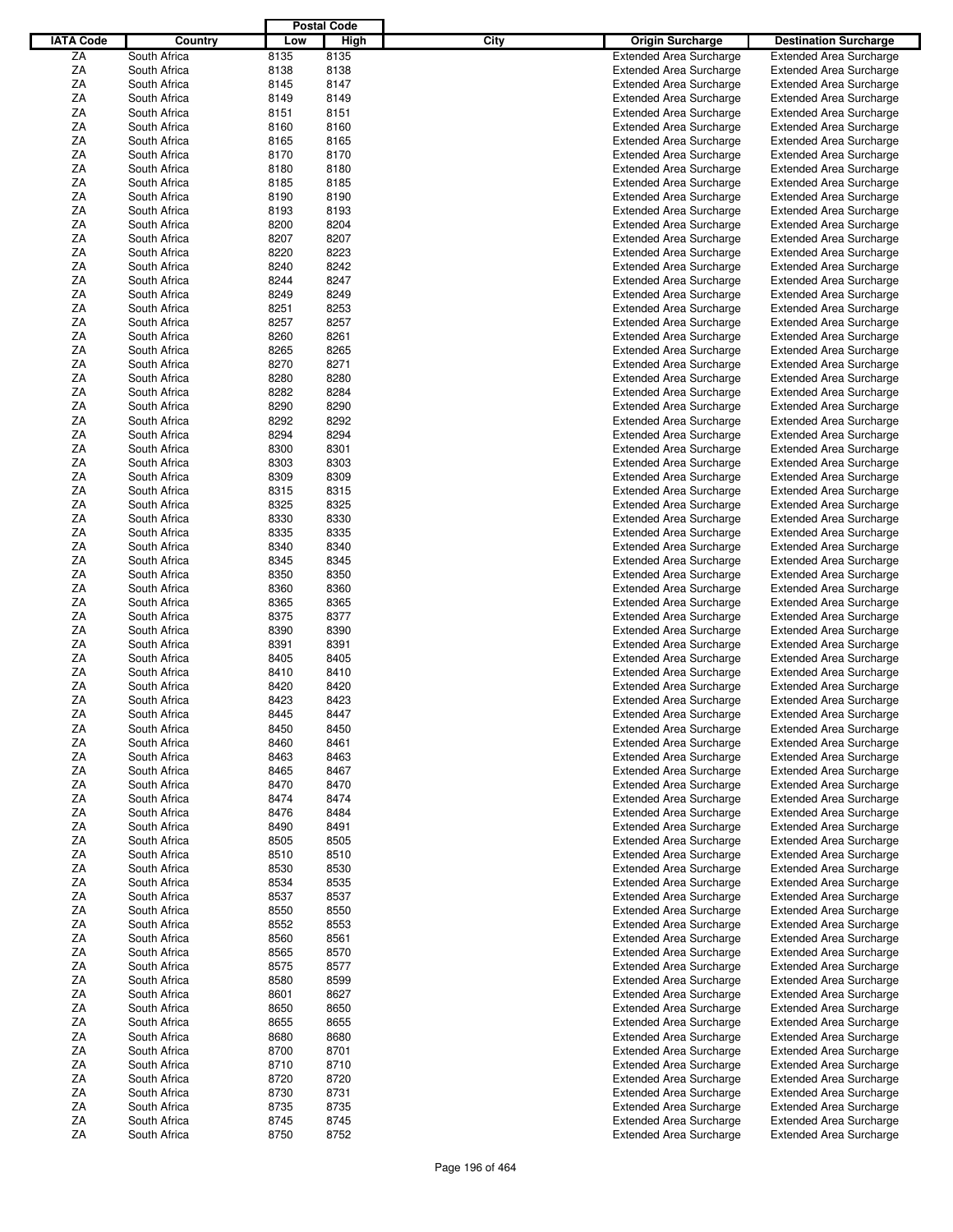|                  |              |      | <b>Postal Code</b> |      |                                |                                |
|------------------|--------------|------|--------------------|------|--------------------------------|--------------------------------|
| <b>IATA Code</b> | Country      | Low  | High               | City | <b>Origin Surcharge</b>        | <b>Destination Surcharge</b>   |
| ZA               | South Africa | 8135 | 8135               |      | <b>Extended Area Surcharge</b> | <b>Extended Area Surcharge</b> |
| ΖA               | South Africa | 8138 | 8138               |      | <b>Extended Area Surcharge</b> | <b>Extended Area Surcharge</b> |
| ΖA               | South Africa | 8145 | 8147               |      | <b>Extended Area Surcharge</b> | <b>Extended Area Surcharge</b> |
| ΖA               | South Africa | 8149 | 8149               |      | <b>Extended Area Surcharge</b> | <b>Extended Area Surcharge</b> |
| ΖA               | South Africa | 8151 | 8151               |      | <b>Extended Area Surcharge</b> | <b>Extended Area Surcharge</b> |
| ΖA               | South Africa |      | 8160               |      | <b>Extended Area Surcharge</b> |                                |
|                  |              | 8160 |                    |      |                                | <b>Extended Area Surcharge</b> |
| ΖA               | South Africa | 8165 | 8165               |      | <b>Extended Area Surcharge</b> | <b>Extended Area Surcharge</b> |
| ΖA               | South Africa | 8170 | 8170               |      | <b>Extended Area Surcharge</b> | <b>Extended Area Surcharge</b> |
| ΖA               | South Africa | 8180 | 8180               |      | <b>Extended Area Surcharge</b> | <b>Extended Area Surcharge</b> |
| ΖA               | South Africa | 8185 | 8185               |      | <b>Extended Area Surcharge</b> | <b>Extended Area Surcharge</b> |
| ΖA               | South Africa | 8190 | 8190               |      | <b>Extended Area Surcharge</b> | <b>Extended Area Surcharge</b> |
| ΖA               | South Africa | 8193 | 8193               |      | <b>Extended Area Surcharge</b> | <b>Extended Area Surcharge</b> |
| ΖA               | South Africa | 8200 | 8204               |      | <b>Extended Area Surcharge</b> | <b>Extended Area Surcharge</b> |
| ΖA               | South Africa | 8207 | 8207               |      | <b>Extended Area Surcharge</b> | <b>Extended Area Surcharge</b> |
| ΖA               | South Africa | 8220 | 8223               |      | <b>Extended Area Surcharge</b> | <b>Extended Area Surcharge</b> |
| ΖA               | South Africa | 8240 | 8242               |      | <b>Extended Area Surcharge</b> | <b>Extended Area Surcharge</b> |
| ΖA               | South Africa | 8244 | 8247               |      | <b>Extended Area Surcharge</b> | <b>Extended Area Surcharge</b> |
| ΖA               | South Africa | 8249 | 8249               |      | <b>Extended Area Surcharge</b> | <b>Extended Area Surcharge</b> |
| ΖA               | South Africa | 8251 | 8253               |      | <b>Extended Area Surcharge</b> | <b>Extended Area Surcharge</b> |
| ΖA               | South Africa | 8257 | 8257               |      | <b>Extended Area Surcharge</b> | <b>Extended Area Surcharge</b> |
| ΖA               | South Africa | 8260 | 8261               |      | <b>Extended Area Surcharge</b> | <b>Extended Area Surcharge</b> |
| ΖA               | South Africa | 8265 | 8265               |      | <b>Extended Area Surcharge</b> | <b>Extended Area Surcharge</b> |
| ΖA               | South Africa | 8270 | 8271               |      | <b>Extended Area Surcharge</b> | <b>Extended Area Surcharge</b> |
| ΖA               | South Africa | 8280 | 8280               |      | <b>Extended Area Surcharge</b> | <b>Extended Area Surcharge</b> |
| ΖA               | South Africa | 8282 | 8284               |      | <b>Extended Area Surcharge</b> | <b>Extended Area Surcharge</b> |
|                  |              |      |                    |      |                                |                                |
| ΖA               | South Africa | 8290 | 8290               |      | <b>Extended Area Surcharge</b> | <b>Extended Area Surcharge</b> |
| ΖA               | South Africa | 8292 | 8292               |      | <b>Extended Area Surcharge</b> | <b>Extended Area Surcharge</b> |
| ΖA               | South Africa | 8294 | 8294               |      | <b>Extended Area Surcharge</b> | <b>Extended Area Surcharge</b> |
| ΖA               | South Africa | 8300 | 8301               |      | <b>Extended Area Surcharge</b> | <b>Extended Area Surcharge</b> |
| ΖA               | South Africa | 8303 | 8303               |      | <b>Extended Area Surcharge</b> | <b>Extended Area Surcharge</b> |
| ΖA               | South Africa | 8309 | 8309               |      | <b>Extended Area Surcharge</b> | <b>Extended Area Surcharge</b> |
| ΖA               | South Africa | 8315 | 8315               |      | <b>Extended Area Surcharge</b> | <b>Extended Area Surcharge</b> |
| ΖA               | South Africa | 8325 | 8325               |      | <b>Extended Area Surcharge</b> | <b>Extended Area Surcharge</b> |
| ΖA               | South Africa | 8330 | 8330               |      | <b>Extended Area Surcharge</b> | <b>Extended Area Surcharge</b> |
| ΖA               | South Africa | 8335 | 8335               |      | <b>Extended Area Surcharge</b> | <b>Extended Area Surcharge</b> |
| ΖA               | South Africa | 8340 | 8340               |      | <b>Extended Area Surcharge</b> | <b>Extended Area Surcharge</b> |
| ΖA               | South Africa | 8345 | 8345               |      | <b>Extended Area Surcharge</b> | <b>Extended Area Surcharge</b> |
| ΖA               | South Africa | 8350 | 8350               |      | <b>Extended Area Surcharge</b> | <b>Extended Area Surcharge</b> |
| ΖA               | South Africa | 8360 | 8360               |      | <b>Extended Area Surcharge</b> | <b>Extended Area Surcharge</b> |
| ΖA               | South Africa | 8365 | 8365               |      | <b>Extended Area Surcharge</b> | <b>Extended Area Surcharge</b> |
| ΖA               | South Africa | 8375 | 8377               |      | <b>Extended Area Surcharge</b> | <b>Extended Area Surcharge</b> |
| ΖA               | South Africa | 8390 | 8390               |      | <b>Extended Area Surcharge</b> | <b>Extended Area Surcharge</b> |
| ΖA               |              | 8391 | 8391               |      |                                |                                |
|                  | South Africa |      |                    |      | <b>Extended Area Surcharge</b> | <b>Extended Area Surcharge</b> |
| ΖA               | South Africa | 8405 | 8405               |      | <b>Extended Area Surcharge</b> | <b>Extended Area Surcharge</b> |
| ΖA               | South Africa | 8410 | 8410               |      | <b>Extended Area Surcharge</b> | <b>Extended Area Surcharge</b> |
| ΖA               | South Africa | 8420 | 8420               |      | <b>Extended Area Surcharge</b> | <b>Extended Area Surcharge</b> |
| ΖA               | South Africa | 8423 | 8423               |      | <b>Extended Area Surcharge</b> | <b>Extended Area Surcharge</b> |
| ZA               | South Africa | 8445 | 8447               |      | <b>Extended Area Surcharge</b> | <b>Extended Area Surcharge</b> |
| ΖA               | South Africa | 8450 | 8450               |      | <b>Extended Area Surcharge</b> | <b>Extended Area Surcharge</b> |
| ΖA               | South Africa | 8460 | 8461               |      | <b>Extended Area Surcharge</b> | <b>Extended Area Surcharge</b> |
| ΖA               | South Africa | 8463 | 8463               |      | <b>Extended Area Surcharge</b> | <b>Extended Area Surcharge</b> |
| ΖA               | South Africa | 8465 | 8467               |      | <b>Extended Area Surcharge</b> | <b>Extended Area Surcharge</b> |
| ΖA               | South Africa | 8470 | 8470               |      | <b>Extended Area Surcharge</b> | <b>Extended Area Surcharge</b> |
| ΖA               | South Africa | 8474 | 8474               |      | <b>Extended Area Surcharge</b> | <b>Extended Area Surcharge</b> |
| ΖA               | South Africa | 8476 | 8484               |      | <b>Extended Area Surcharge</b> | <b>Extended Area Surcharge</b> |
| ΖA               | South Africa | 8490 | 8491               |      | <b>Extended Area Surcharge</b> | <b>Extended Area Surcharge</b> |
| ΖA               | South Africa | 8505 | 8505               |      | <b>Extended Area Surcharge</b> | <b>Extended Area Surcharge</b> |
| ZA               | South Africa | 8510 | 8510               |      | <b>Extended Area Surcharge</b> | <b>Extended Area Surcharge</b> |
| ZA               | South Africa | 8530 | 8530               |      | <b>Extended Area Surcharge</b> | <b>Extended Area Surcharge</b> |
| ΖA               | South Africa | 8534 | 8535               |      | <b>Extended Area Surcharge</b> | <b>Extended Area Surcharge</b> |
| ΖA               | South Africa | 8537 | 8537               |      | <b>Extended Area Surcharge</b> | <b>Extended Area Surcharge</b> |
| ΖA               |              |      |                    |      |                                |                                |
|                  | South Africa | 8550 | 8550               |      | <b>Extended Area Surcharge</b> | <b>Extended Area Surcharge</b> |
| ΖA               | South Africa | 8552 | 8553               |      | <b>Extended Area Surcharge</b> | <b>Extended Area Surcharge</b> |
| ΖA               | South Africa | 8560 | 8561               |      | <b>Extended Area Surcharge</b> | <b>Extended Area Surcharge</b> |
| ΖA               | South Africa | 8565 | 8570               |      | <b>Extended Area Surcharge</b> | <b>Extended Area Surcharge</b> |
| ΖA               | South Africa | 8575 | 8577               |      | <b>Extended Area Surcharge</b> | <b>Extended Area Surcharge</b> |
| ΖA               | South Africa | 8580 | 8599               |      | <b>Extended Area Surcharge</b> | <b>Extended Area Surcharge</b> |
| ΖA               | South Africa | 8601 | 8627               |      | <b>Extended Area Surcharge</b> | <b>Extended Area Surcharge</b> |
| ΖA               | South Africa | 8650 | 8650               |      | <b>Extended Area Surcharge</b> | <b>Extended Area Surcharge</b> |
| ΖA               | South Africa | 8655 | 8655               |      | <b>Extended Area Surcharge</b> | <b>Extended Area Surcharge</b> |
| ΖA               | South Africa | 8680 | 8680               |      | <b>Extended Area Surcharge</b> | <b>Extended Area Surcharge</b> |
| ZA               | South Africa | 8700 | 8701               |      | <b>Extended Area Surcharge</b> | <b>Extended Area Surcharge</b> |
| ΖA               | South Africa | 8710 | 8710               |      | <b>Extended Area Surcharge</b> | <b>Extended Area Surcharge</b> |
| ΖA               | South Africa | 8720 | 8720               |      | <b>Extended Area Surcharge</b> | <b>Extended Area Surcharge</b> |
| ΖA               | South Africa | 8730 | 8731               |      | <b>Extended Area Surcharge</b> | <b>Extended Area Surcharge</b> |
| ZA               | South Africa | 8735 | 8735               |      | <b>Extended Area Surcharge</b> | <b>Extended Area Surcharge</b> |
|                  | South Africa |      |                    |      | <b>Extended Area Surcharge</b> | <b>Extended Area Surcharge</b> |
| ΖA<br>ZA         |              | 8745 | 8745<br>8752       |      |                                |                                |
|                  | South Africa | 8750 |                    |      | <b>Extended Area Surcharge</b> | <b>Extended Area Surcharge</b> |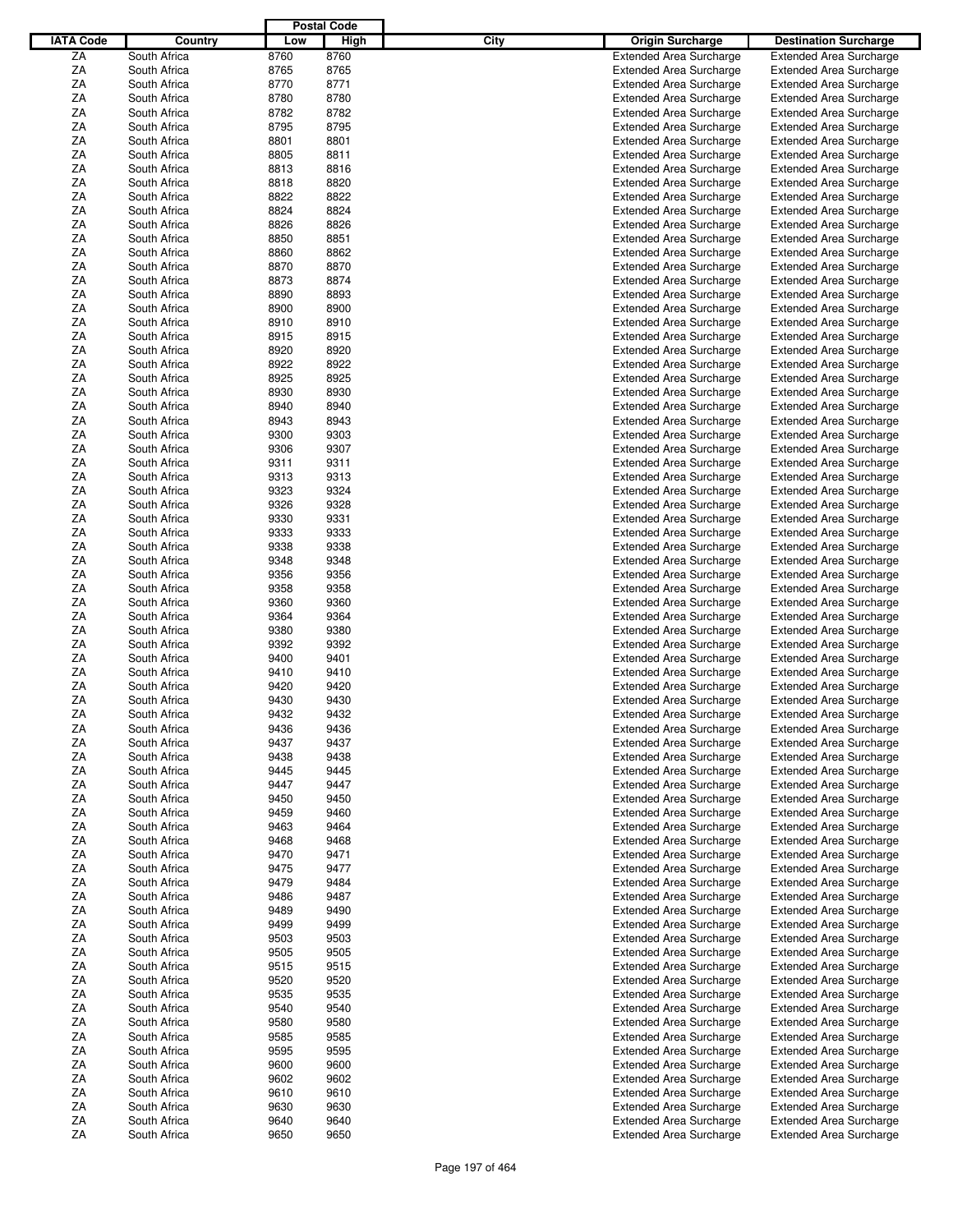|                  |              |      | <b>Postal Code</b> |      |                                |                                |
|------------------|--------------|------|--------------------|------|--------------------------------|--------------------------------|
| <b>IATA Code</b> | Country      | Low  | High               | City | <b>Origin Surcharge</b>        | <b>Destination Surcharge</b>   |
| ZA               | South Africa | 8760 | 8760               |      | <b>Extended Area Surcharge</b> | <b>Extended Area Surcharge</b> |
| ΖA               | South Africa | 8765 | 8765               |      | <b>Extended Area Surcharge</b> | <b>Extended Area Surcharge</b> |
| ΖA               | South Africa | 8770 | 8771               |      | <b>Extended Area Surcharge</b> | <b>Extended Area Surcharge</b> |
| ΖA               | South Africa | 8780 | 8780               |      | <b>Extended Area Surcharge</b> | <b>Extended Area Surcharge</b> |
| ΖA               | South Africa | 8782 | 8782               |      | <b>Extended Area Surcharge</b> | <b>Extended Area Surcharge</b> |
| ΖA               | South Africa | 8795 | 8795               |      |                                |                                |
|                  |              |      |                    |      | <b>Extended Area Surcharge</b> | <b>Extended Area Surcharge</b> |
| ΖA               | South Africa | 8801 | 8801               |      | <b>Extended Area Surcharge</b> | <b>Extended Area Surcharge</b> |
| ΖA               | South Africa | 8805 | 8811               |      | <b>Extended Area Surcharge</b> | <b>Extended Area Surcharge</b> |
| ΖA               | South Africa | 8813 | 8816               |      | <b>Extended Area Surcharge</b> | <b>Extended Area Surcharge</b> |
| ΖA               | South Africa | 8818 | 8820               |      | <b>Extended Area Surcharge</b> | <b>Extended Area Surcharge</b> |
| ΖA               | South Africa | 8822 | 8822               |      | <b>Extended Area Surcharge</b> | <b>Extended Area Surcharge</b> |
| ΖA               | South Africa | 8824 | 8824               |      | <b>Extended Area Surcharge</b> | <b>Extended Area Surcharge</b> |
| ΖA               | South Africa | 8826 | 8826               |      | <b>Extended Area Surcharge</b> | <b>Extended Area Surcharge</b> |
| ΖA               | South Africa | 8850 | 8851               |      | <b>Extended Area Surcharge</b> | <b>Extended Area Surcharge</b> |
| ΖA               | South Africa | 8860 | 8862               |      | <b>Extended Area Surcharge</b> | <b>Extended Area Surcharge</b> |
| ΖA               | South Africa | 8870 | 8870               |      | <b>Extended Area Surcharge</b> | <b>Extended Area Surcharge</b> |
| ΖA               | South Africa | 8873 | 8874               |      | <b>Extended Area Surcharge</b> | <b>Extended Area Surcharge</b> |
| ΖA               | South Africa | 8890 | 8893               |      | <b>Extended Area Surcharge</b> | <b>Extended Area Surcharge</b> |
| ΖA               | South Africa | 8900 | 8900               |      | <b>Extended Area Surcharge</b> | <b>Extended Area Surcharge</b> |
| ΖA               | South Africa | 8910 | 8910               |      | <b>Extended Area Surcharge</b> | <b>Extended Area Surcharge</b> |
| ΖA               | South Africa | 8915 | 8915               |      | <b>Extended Area Surcharge</b> | <b>Extended Area Surcharge</b> |
| ΖA               | South Africa | 8920 | 8920               |      | <b>Extended Area Surcharge</b> | <b>Extended Area Surcharge</b> |
|                  |              |      |                    |      |                                |                                |
| ΖA               | South Africa | 8922 | 8922               |      | <b>Extended Area Surcharge</b> | <b>Extended Area Surcharge</b> |
| ΖA               | South Africa | 8925 | 8925               |      | <b>Extended Area Surcharge</b> | <b>Extended Area Surcharge</b> |
| ΖA               | South Africa | 8930 | 8930               |      | <b>Extended Area Surcharge</b> | <b>Extended Area Surcharge</b> |
| ΖA               | South Africa | 8940 | 8940               |      | <b>Extended Area Surcharge</b> | <b>Extended Area Surcharge</b> |
| ΖA               | South Africa | 8943 | 8943               |      | <b>Extended Area Surcharge</b> | <b>Extended Area Surcharge</b> |
| ΖA               | South Africa | 9300 | 9303               |      | <b>Extended Area Surcharge</b> | <b>Extended Area Surcharge</b> |
| ΖA               | South Africa | 9306 | 9307               |      | <b>Extended Area Surcharge</b> | <b>Extended Area Surcharge</b> |
| ΖA               | South Africa | 9311 | 9311               |      | <b>Extended Area Surcharge</b> | <b>Extended Area Surcharge</b> |
| ΖA               | South Africa | 9313 | 9313               |      | <b>Extended Area Surcharge</b> | <b>Extended Area Surcharge</b> |
| ΖA               | South Africa | 9323 | 9324               |      | <b>Extended Area Surcharge</b> | <b>Extended Area Surcharge</b> |
| ΖA               | South Africa | 9326 | 9328               |      | <b>Extended Area Surcharge</b> | <b>Extended Area Surcharge</b> |
| ΖA               | South Africa | 9330 | 9331               |      | <b>Extended Area Surcharge</b> | <b>Extended Area Surcharge</b> |
| ΖA               | South Africa | 9333 | 9333               |      | <b>Extended Area Surcharge</b> | <b>Extended Area Surcharge</b> |
| ΖA               | South Africa | 9338 | 9338               |      | <b>Extended Area Surcharge</b> | <b>Extended Area Surcharge</b> |
| ΖA               | South Africa | 9348 | 9348               |      | <b>Extended Area Surcharge</b> | <b>Extended Area Surcharge</b> |
| ΖA               | South Africa | 9356 | 9356               |      | <b>Extended Area Surcharge</b> | <b>Extended Area Surcharge</b> |
| ΖA               | South Africa | 9358 | 9358               |      | <b>Extended Area Surcharge</b> | <b>Extended Area Surcharge</b> |
|                  |              |      |                    |      |                                |                                |
| ΖA               | South Africa | 9360 | 9360               |      | <b>Extended Area Surcharge</b> | <b>Extended Area Surcharge</b> |
| ΖA               | South Africa | 9364 | 9364               |      | <b>Extended Area Surcharge</b> | <b>Extended Area Surcharge</b> |
| ΖA               | South Africa | 9380 | 9380               |      | <b>Extended Area Surcharge</b> | <b>Extended Area Surcharge</b> |
| ΖA               | South Africa | 9392 | 9392               |      | <b>Extended Area Surcharge</b> | <b>Extended Area Surcharge</b> |
| ΖA               | South Africa | 9400 | 9401               |      | <b>Extended Area Surcharge</b> | <b>Extended Area Surcharge</b> |
| ΖA               | South Africa | 9410 | 9410               |      | <b>Extended Area Surcharge</b> | <b>Extended Area Surcharge</b> |
| ΖA               | South Africa | 9420 | 9420               |      | <b>Extended Area Surcharge</b> | <b>Extended Area Surcharge</b> |
| ΖA               | South Africa | 9430 | 9430               |      | <b>Extended Area Surcharge</b> | <b>Extended Area Surcharge</b> |
| ZA               | South Africa | 9432 | 9432               |      | <b>Extended Area Surcharge</b> | <b>Extended Area Surcharge</b> |
| ΖA               | South Africa | 9436 | 9436               |      | <b>Extended Area Surcharge</b> | <b>Extended Area Surcharge</b> |
| ΖA               | South Africa | 9437 | 9437               |      | <b>Extended Area Surcharge</b> | <b>Extended Area Surcharge</b> |
| ΖA               | South Africa | 9438 | 9438               |      | <b>Extended Area Surcharge</b> | <b>Extended Area Surcharge</b> |
| ΖA               | South Africa | 9445 | 9445               |      | <b>Extended Area Surcharge</b> | <b>Extended Area Surcharge</b> |
| ΖA               | South Africa | 9447 | 9447               |      | <b>Extended Area Surcharge</b> | <b>Extended Area Surcharge</b> |
| ΖA               | South Africa | 9450 | 9450               |      | <b>Extended Area Surcharge</b> | <b>Extended Area Surcharge</b> |
| ΖA               | South Africa | 9459 | 9460               |      | <b>Extended Area Surcharge</b> | <b>Extended Area Surcharge</b> |
| ΖA               | South Africa | 9463 | 9464               |      | <b>Extended Area Surcharge</b> |                                |
|                  |              |      |                    |      |                                | <b>Extended Area Surcharge</b> |
| ΖA               | South Africa | 9468 | 9468               |      | Extended Area Surcharge        | <b>Extended Area Surcharge</b> |
| ZA               | South Africa | 9470 | 9471               |      | <b>Extended Area Surcharge</b> | <b>Extended Area Surcharge</b> |
| ZA               | South Africa | 9475 | 9477               |      | <b>Extended Area Surcharge</b> | <b>Extended Area Surcharge</b> |
| ΖA               | South Africa | 9479 | 9484               |      | <b>Extended Area Surcharge</b> | <b>Extended Area Surcharge</b> |
| ΖA               | South Africa | 9486 | 9487               |      | Extended Area Surcharge        | <b>Extended Area Surcharge</b> |
| ΖA               | South Africa | 9489 | 9490               |      | <b>Extended Area Surcharge</b> | <b>Extended Area Surcharge</b> |
| ΖA               | South Africa | 9499 | 9499               |      | <b>Extended Area Surcharge</b> | <b>Extended Area Surcharge</b> |
| ΖA               | South Africa | 9503 | 9503               |      | <b>Extended Area Surcharge</b> | <b>Extended Area Surcharge</b> |
| ΖA               | South Africa | 9505 | 9505               |      | <b>Extended Area Surcharge</b> | <b>Extended Area Surcharge</b> |
| ΖA               | South Africa | 9515 | 9515               |      | <b>Extended Area Surcharge</b> | <b>Extended Area Surcharge</b> |
| ΖA               | South Africa | 9520 | 9520               |      | <b>Extended Area Surcharge</b> | <b>Extended Area Surcharge</b> |
| ΖA               | South Africa | 9535 | 9535               |      | <b>Extended Area Surcharge</b> | <b>Extended Area Surcharge</b> |
| ZA               | South Africa | 9540 | 9540               |      | <b>Extended Area Surcharge</b> | <b>Extended Area Surcharge</b> |
| ΖA               | South Africa | 9580 | 9580               |      | <b>Extended Area Surcharge</b> | <b>Extended Area Surcharge</b> |
| ΖA               | South Africa | 9585 | 9585               |      | <b>Extended Area Surcharge</b> | <b>Extended Area Surcharge</b> |
| ZA               | South Africa | 9595 | 9595               |      | <b>Extended Area Surcharge</b> | <b>Extended Area Surcharge</b> |
|                  |              |      |                    |      |                                |                                |
| ΖA               | South Africa | 9600 | 9600               |      | <b>Extended Area Surcharge</b> | <b>Extended Area Surcharge</b> |
| ΖA               | South Africa | 9602 | 9602               |      | <b>Extended Area Surcharge</b> | <b>Extended Area Surcharge</b> |
| ΖA               | South Africa | 9610 | 9610               |      | <b>Extended Area Surcharge</b> | <b>Extended Area Surcharge</b> |
| ZA               | South Africa | 9630 | 9630               |      | <b>Extended Area Surcharge</b> | <b>Extended Area Surcharge</b> |
| ΖA               | South Africa | 9640 | 9640               |      | <b>Extended Area Surcharge</b> | <b>Extended Area Surcharge</b> |
| ZA               | South Africa | 9650 | 9650               |      | <b>Extended Area Surcharge</b> | <b>Extended Area Surcharge</b> |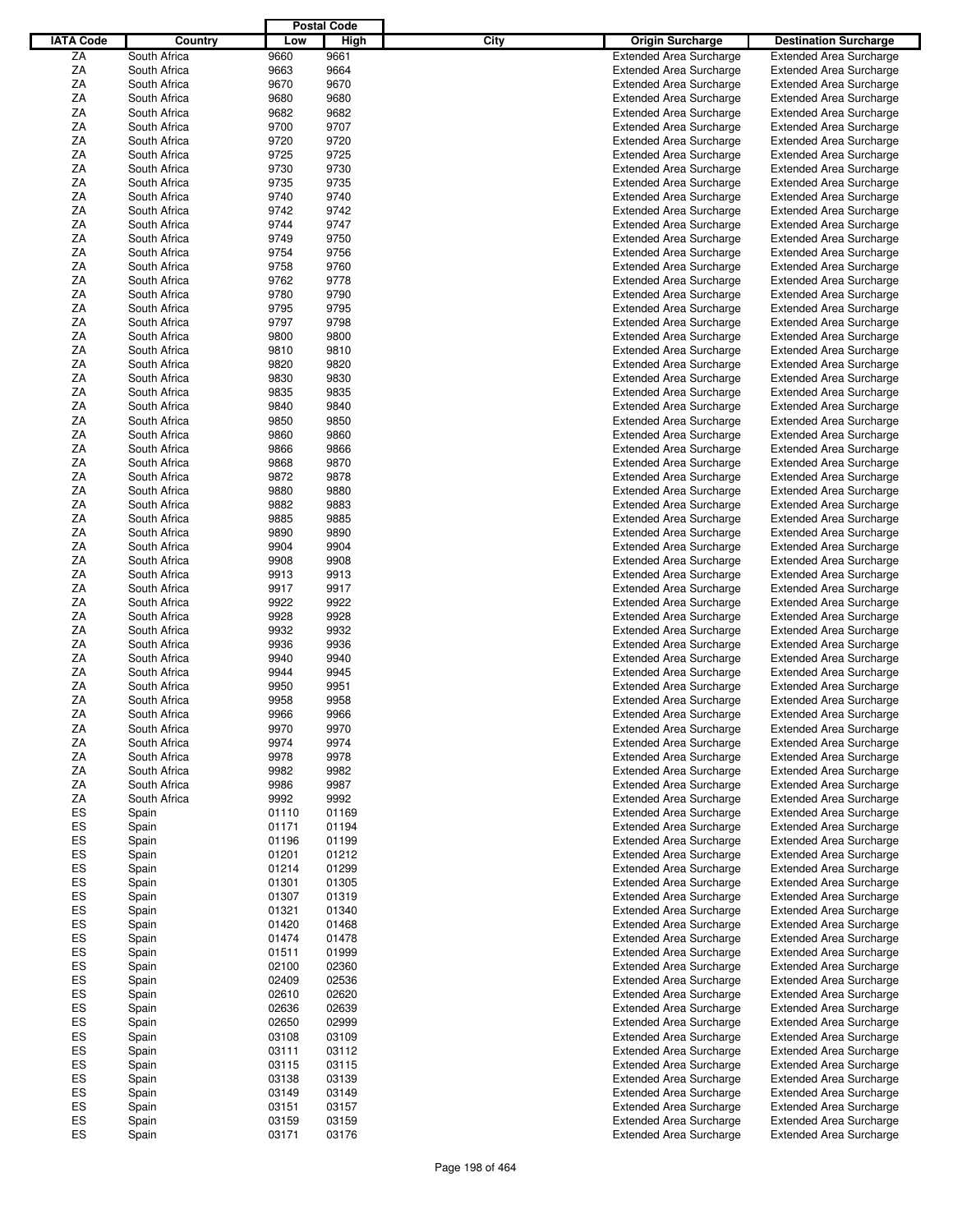|                  |              |       | <b>Postal Code</b> |      |                                |                                |
|------------------|--------------|-------|--------------------|------|--------------------------------|--------------------------------|
| <b>IATA Code</b> | Country      | Low   | High               | City | <b>Origin Surcharge</b>        | <b>Destination Surcharge</b>   |
|                  |              |       |                    |      |                                |                                |
| ZA               | South Africa | 9660  | 9661               |      | <b>Extended Area Surcharge</b> | <b>Extended Area Surcharge</b> |
| ΖA               | South Africa | 9663  | 9664               |      | <b>Extended Area Surcharge</b> | <b>Extended Area Surcharge</b> |
| ΖA               | South Africa | 9670  | 9670               |      | <b>Extended Area Surcharge</b> | <b>Extended Area Surcharge</b> |
| ΖA               | South Africa | 9680  | 9680               |      | <b>Extended Area Surcharge</b> | <b>Extended Area Surcharge</b> |
| ΖA               | South Africa | 9682  | 9682               |      | <b>Extended Area Surcharge</b> | <b>Extended Area Surcharge</b> |
| ΖA               | South Africa | 9700  | 9707               |      | <b>Extended Area Surcharge</b> | <b>Extended Area Surcharge</b> |
| ΖA               | South Africa | 9720  | 9720               |      | <b>Extended Area Surcharge</b> | <b>Extended Area Surcharge</b> |
| ΖA               | South Africa | 9725  | 9725               |      | <b>Extended Area Surcharge</b> | <b>Extended Area Surcharge</b> |
|                  |              |       |                    |      |                                |                                |
| ΖA               | South Africa | 9730  | 9730               |      | <b>Extended Area Surcharge</b> | <b>Extended Area Surcharge</b> |
| ΖA               | South Africa | 9735  | 9735               |      | <b>Extended Area Surcharge</b> | <b>Extended Area Surcharge</b> |
| ΖA               | South Africa | 9740  | 9740               |      | <b>Extended Area Surcharge</b> | <b>Extended Area Surcharge</b> |
| ΖA               | South Africa | 9742  | 9742               |      | <b>Extended Area Surcharge</b> | <b>Extended Area Surcharge</b> |
| ΖA               | South Africa | 9744  | 9747               |      | <b>Extended Area Surcharge</b> | <b>Extended Area Surcharge</b> |
| ΖA               | South Africa | 9749  | 9750               |      | <b>Extended Area Surcharge</b> | <b>Extended Area Surcharge</b> |
| ΖA               | South Africa | 9754  | 9756               |      | <b>Extended Area Surcharge</b> | <b>Extended Area Surcharge</b> |
| ΖA               | South Africa | 9758  | 9760               |      | <b>Extended Area Surcharge</b> | <b>Extended Area Surcharge</b> |
| ΖA               | South Africa | 9762  | 9778               |      |                                |                                |
|                  |              |       |                    |      | <b>Extended Area Surcharge</b> | <b>Extended Area Surcharge</b> |
| ΖA               | South Africa | 9780  | 9790               |      | <b>Extended Area Surcharge</b> | <b>Extended Area Surcharge</b> |
| ΖA               | South Africa | 9795  | 9795               |      | <b>Extended Area Surcharge</b> | <b>Extended Area Surcharge</b> |
| ΖA               | South Africa | 9797  | 9798               |      | <b>Extended Area Surcharge</b> | <b>Extended Area Surcharge</b> |
| ΖA               | South Africa | 9800  | 9800               |      | <b>Extended Area Surcharge</b> | <b>Extended Area Surcharge</b> |
| ΖA               | South Africa | 9810  | 9810               |      | <b>Extended Area Surcharge</b> | <b>Extended Area Surcharge</b> |
| ΖA               | South Africa | 9820  | 9820               |      | <b>Extended Area Surcharge</b> | <b>Extended Area Surcharge</b> |
| ΖA               | South Africa | 9830  | 9830               |      | <b>Extended Area Surcharge</b> | <b>Extended Area Surcharge</b> |
| ΖA               | South Africa | 9835  | 9835               |      |                                | <b>Extended Area Surcharge</b> |
|                  |              |       |                    |      | <b>Extended Area Surcharge</b> |                                |
| ΖA               | South Africa | 9840  | 9840               |      | <b>Extended Area Surcharge</b> | <b>Extended Area Surcharge</b> |
| ΖA               | South Africa | 9850  | 9850               |      | <b>Extended Area Surcharge</b> | <b>Extended Area Surcharge</b> |
| ΖA               | South Africa | 9860  | 9860               |      | <b>Extended Area Surcharge</b> | <b>Extended Area Surcharge</b> |
| ΖA               | South Africa | 9866  | 9866               |      | <b>Extended Area Surcharge</b> | <b>Extended Area Surcharge</b> |
| ΖA               | South Africa | 9868  | 9870               |      | <b>Extended Area Surcharge</b> | <b>Extended Area Surcharge</b> |
| ΖA               | South Africa | 9872  | 9878               |      | <b>Extended Area Surcharge</b> | <b>Extended Area Surcharge</b> |
| ΖA               | South Africa | 9880  | 9880               |      | <b>Extended Area Surcharge</b> | <b>Extended Area Surcharge</b> |
|                  |              |       |                    |      |                                |                                |
| ΖA               | South Africa | 9882  | 9883               |      | <b>Extended Area Surcharge</b> | <b>Extended Area Surcharge</b> |
| ΖA               | South Africa | 9885  | 9885               |      | <b>Extended Area Surcharge</b> | <b>Extended Area Surcharge</b> |
| ΖA               | South Africa | 9890  | 9890               |      | <b>Extended Area Surcharge</b> | <b>Extended Area Surcharge</b> |
| ΖA               | South Africa | 9904  | 9904               |      | <b>Extended Area Surcharge</b> | <b>Extended Area Surcharge</b> |
| ΖA               | South Africa | 9908  | 9908               |      | <b>Extended Area Surcharge</b> | <b>Extended Area Surcharge</b> |
| ΖA               | South Africa | 9913  | 9913               |      | <b>Extended Area Surcharge</b> | <b>Extended Area Surcharge</b> |
| ΖA               | South Africa | 9917  | 9917               |      | <b>Extended Area Surcharge</b> | <b>Extended Area Surcharge</b> |
| ΖA               | South Africa | 9922  | 9922               |      | <b>Extended Area Surcharge</b> | <b>Extended Area Surcharge</b> |
|                  |              |       |                    |      |                                |                                |
| ΖA               | South Africa | 9928  | 9928               |      | <b>Extended Area Surcharge</b> | <b>Extended Area Surcharge</b> |
| ΖA               | South Africa | 9932  | 9932               |      | <b>Extended Area Surcharge</b> | <b>Extended Area Surcharge</b> |
| ΖA               | South Africa | 9936  | 9936               |      | <b>Extended Area Surcharge</b> | <b>Extended Area Surcharge</b> |
| ΖA               | South Africa | 9940  | 9940               |      | <b>Extended Area Surcharge</b> | <b>Extended Area Surcharge</b> |
| ΖA               | South Africa | 9944  | 9945               |      | <b>Extended Area Surcharge</b> | <b>Extended Area Surcharge</b> |
| ΖA               | South Africa | 9950  | 9951               |      | <b>Extended Area Surcharge</b> | <b>Extended Area Surcharge</b> |
| ΖA               | South Africa | 9958  | 9958               |      | <b>Extended Area Surcharge</b> | <b>Extended Area Surcharge</b> |
| ZA               | South Africa | 9966  | 9966               |      | <b>Extended Area Surcharge</b> | <b>Extended Area Surcharge</b> |
|                  |              |       |                    |      |                                |                                |
| ΖA               | South Africa | 9970  | 9970               |      | <b>Extended Area Surcharge</b> | <b>Extended Area Surcharge</b> |
| ΖA               | South Africa | 9974  | 9974               |      | <b>Extended Area Surcharge</b> | <b>Extended Area Surcharge</b> |
| ΖA               | South Africa | 9978  | 9978               |      | <b>Extended Area Surcharge</b> | <b>Extended Area Surcharge</b> |
| ΖA               | South Africa | 9982  | 9982               |      | <b>Extended Area Surcharge</b> | <b>Extended Area Surcharge</b> |
| ΖA               | South Africa | 9986  | 9987               |      | <b>Extended Area Surcharge</b> | <b>Extended Area Surcharge</b> |
| ΖA               | South Africa | 9992  | 9992               |      | <b>Extended Area Surcharge</b> | <b>Extended Area Surcharge</b> |
| ES               | Spain        | 01110 | 01169              |      | <b>Extended Area Surcharge</b> | <b>Extended Area Surcharge</b> |
| ES               | Spain        | 01171 | 01194              |      | <b>Extended Area Surcharge</b> | <b>Extended Area Surcharge</b> |
| ES               | Spain        | 01196 | 01199              |      | <b>Extended Area Surcharge</b> | <b>Extended Area Surcharge</b> |
|                  |              |       |                    |      |                                |                                |
| ES               | Spain        | 01201 | 01212              |      | <b>Extended Area Surcharge</b> | <b>Extended Area Surcharge</b> |
| ES               | Spain        | 01214 | 01299              |      | <b>Extended Area Surcharge</b> | <b>Extended Area Surcharge</b> |
| ES               | Spain        | 01301 | 01305              |      | <b>Extended Area Surcharge</b> | <b>Extended Area Surcharge</b> |
| ES               | Spain        | 01307 | 01319              |      | <b>Extended Area Surcharge</b> | <b>Extended Area Surcharge</b> |
| ES               | Spain        | 01321 | 01340              |      | <b>Extended Area Surcharge</b> | <b>Extended Area Surcharge</b> |
| ES               | Spain        | 01420 | 01468              |      | <b>Extended Area Surcharge</b> | <b>Extended Area Surcharge</b> |
| ES               | Spain        | 01474 | 01478              |      | <b>Extended Area Surcharge</b> | <b>Extended Area Surcharge</b> |
| ES               | Spain        | 01511 | 01999              |      | <b>Extended Area Surcharge</b> | <b>Extended Area Surcharge</b> |
| ES               |              | 02100 | 02360              |      | <b>Extended Area Surcharge</b> |                                |
|                  | Spain        |       |                    |      |                                | <b>Extended Area Surcharge</b> |
| ES               | Spain        | 02409 | 02536              |      | <b>Extended Area Surcharge</b> | <b>Extended Area Surcharge</b> |
| ES               | Spain        | 02610 | 02620              |      | <b>Extended Area Surcharge</b> | <b>Extended Area Surcharge</b> |
| ES               | Spain        | 02636 | 02639              |      | <b>Extended Area Surcharge</b> | <b>Extended Area Surcharge</b> |
| ES               | Spain        | 02650 | 02999              |      | <b>Extended Area Surcharge</b> | <b>Extended Area Surcharge</b> |
| ES               | Spain        | 03108 | 03109              |      | <b>Extended Area Surcharge</b> | <b>Extended Area Surcharge</b> |
| ES               | Spain        | 03111 | 03112              |      | <b>Extended Area Surcharge</b> | <b>Extended Area Surcharge</b> |
| ES               | Spain        | 03115 | 03115              |      | <b>Extended Area Surcharge</b> | <b>Extended Area Surcharge</b> |
|                  |              |       |                    |      |                                |                                |
| ES               | Spain        | 03138 | 03139              |      | <b>Extended Area Surcharge</b> | <b>Extended Area Surcharge</b> |
| ES               | Spain        | 03149 | 03149              |      | <b>Extended Area Surcharge</b> | <b>Extended Area Surcharge</b> |
| ES               | Spain        | 03151 | 03157              |      | <b>Extended Area Surcharge</b> | <b>Extended Area Surcharge</b> |
| ES               | Spain        | 03159 | 03159              |      | <b>Extended Area Surcharge</b> | <b>Extended Area Surcharge</b> |
| ES               | Spain        | 03171 | 03176              |      | <b>Extended Area Surcharge</b> | <b>Extended Area Surcharge</b> |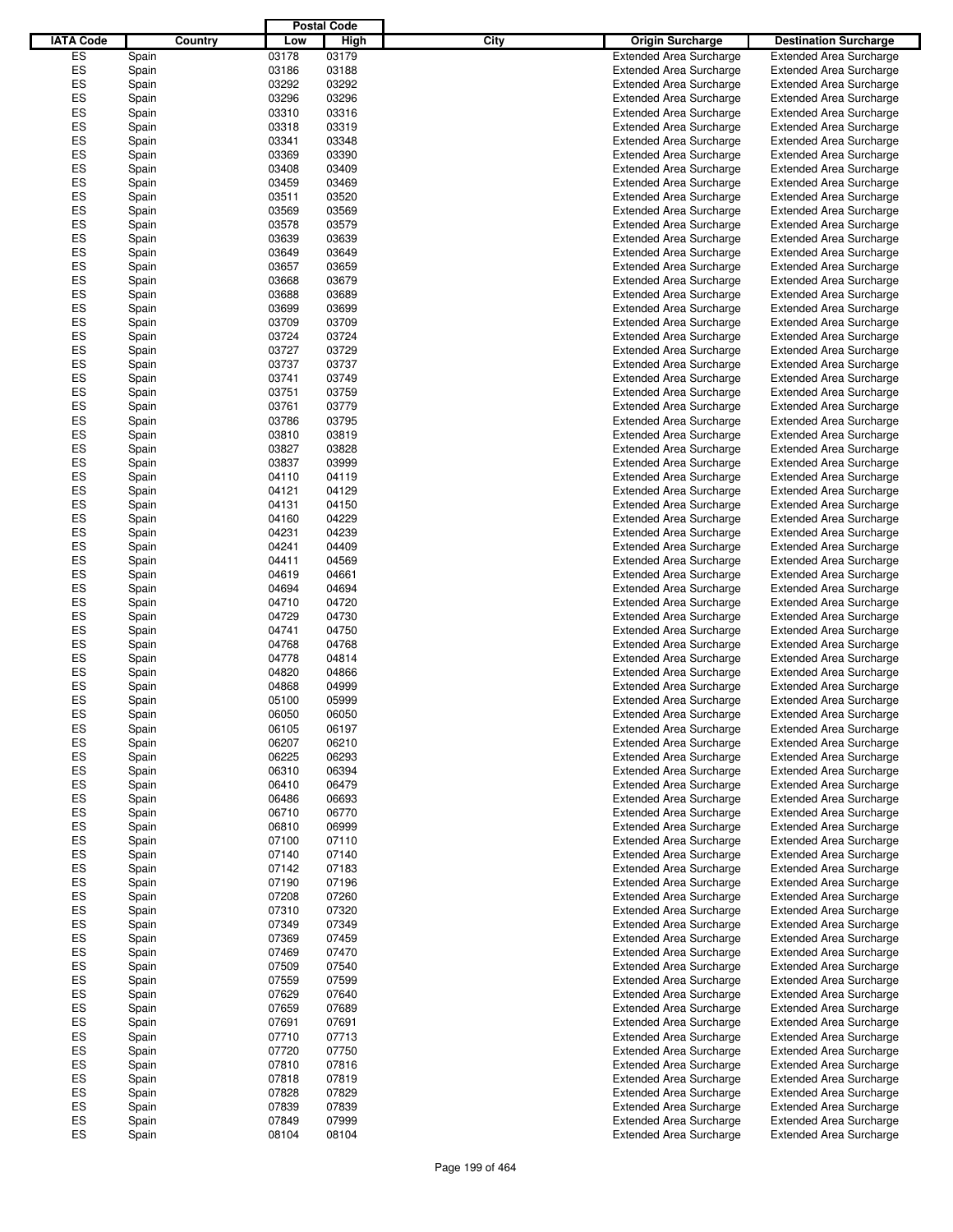|                  |         |       | <b>Postal Code</b> |                                 |                                |
|------------------|---------|-------|--------------------|---------------------------------|--------------------------------|
| <b>IATA Code</b> | Country | Low   | High               | City<br><b>Origin Surcharge</b> | <b>Destination Surcharge</b>   |
| ES               | Spain   | 03178 | 03179              | <b>Extended Area Surcharge</b>  | <b>Extended Area Surcharge</b> |
| ES               | Spain   | 03186 | 03188              | <b>Extended Area Surcharge</b>  | <b>Extended Area Surcharge</b> |
| ES               | Spain   | 03292 | 03292              | <b>Extended Area Surcharge</b>  | <b>Extended Area Surcharge</b> |
| ES               | Spain   | 03296 | 03296              | <b>Extended Area Surcharge</b>  | <b>Extended Area Surcharge</b> |
| ES               | Spain   | 03310 | 03316              | <b>Extended Area Surcharge</b>  | <b>Extended Area Surcharge</b> |
| ES               |         | 03318 | 03319              | <b>Extended Area Surcharge</b>  | <b>Extended Area Surcharge</b> |
| ES               | Spain   | 03341 | 03348              |                                 |                                |
| ES               | Spain   |       |                    | <b>Extended Area Surcharge</b>  | <b>Extended Area Surcharge</b> |
|                  | Spain   | 03369 | 03390              | <b>Extended Area Surcharge</b>  | <b>Extended Area Surcharge</b> |
| ES               | Spain   | 03408 | 03409              | <b>Extended Area Surcharge</b>  | <b>Extended Area Surcharge</b> |
| ES               | Spain   | 03459 | 03469              | <b>Extended Area Surcharge</b>  | <b>Extended Area Surcharge</b> |
| ES               | Spain   | 03511 | 03520              | <b>Extended Area Surcharge</b>  | <b>Extended Area Surcharge</b> |
| ES               | Spain   | 03569 | 03569              | <b>Extended Area Surcharge</b>  | <b>Extended Area Surcharge</b> |
| ES               | Spain   | 03578 | 03579              | <b>Extended Area Surcharge</b>  | <b>Extended Area Surcharge</b> |
| ES               | Spain   | 03639 | 03639              | <b>Extended Area Surcharge</b>  | <b>Extended Area Surcharge</b> |
| ES               | Spain   | 03649 | 03649              | <b>Extended Area Surcharge</b>  | <b>Extended Area Surcharge</b> |
| ES               | Spain   | 03657 | 03659              | <b>Extended Area Surcharge</b>  | <b>Extended Area Surcharge</b> |
| ES               | Spain   | 03668 | 03679              | <b>Extended Area Surcharge</b>  | <b>Extended Area Surcharge</b> |
| ES               | Spain   | 03688 | 03689              | <b>Extended Area Surcharge</b>  | <b>Extended Area Surcharge</b> |
| ES               | Spain   | 03699 | 03699              | <b>Extended Area Surcharge</b>  | <b>Extended Area Surcharge</b> |
| ES               | Spain   | 03709 | 03709              | <b>Extended Area Surcharge</b>  | <b>Extended Area Surcharge</b> |
| ES               | Spain   | 03724 | 03724              | <b>Extended Area Surcharge</b>  | <b>Extended Area Surcharge</b> |
| ES               | Spain   | 03727 | 03729              | <b>Extended Area Surcharge</b>  | <b>Extended Area Surcharge</b> |
| ES               | Spain   | 03737 | 03737              | <b>Extended Area Surcharge</b>  | <b>Extended Area Surcharge</b> |
| ES               | Spain   | 03741 | 03749              | <b>Extended Area Surcharge</b>  | <b>Extended Area Surcharge</b> |
| ES               | Spain   | 03751 | 03759              | <b>Extended Area Surcharge</b>  | <b>Extended Area Surcharge</b> |
| ES               | Spain   | 03761 | 03779              | <b>Extended Area Surcharge</b>  | <b>Extended Area Surcharge</b> |
| ES               | Spain   | 03786 | 03795              | <b>Extended Area Surcharge</b>  | <b>Extended Area Surcharge</b> |
| ES               | Spain   | 03810 | 03819              | <b>Extended Area Surcharge</b>  | <b>Extended Area Surcharge</b> |
| ES               |         | 03827 | 03828              | <b>Extended Area Surcharge</b>  | <b>Extended Area Surcharge</b> |
| ES               | Spain   |       |                    |                                 |                                |
|                  | Spain   | 03837 | 03999              | <b>Extended Area Surcharge</b>  | <b>Extended Area Surcharge</b> |
| ES               | Spain   | 04110 | 04119              | <b>Extended Area Surcharge</b>  | <b>Extended Area Surcharge</b> |
| ES               | Spain   | 04121 | 04129              | <b>Extended Area Surcharge</b>  | <b>Extended Area Surcharge</b> |
| ES               | Spain   | 04131 | 04150              | <b>Extended Area Surcharge</b>  | <b>Extended Area Surcharge</b> |
| ES               | Spain   | 04160 | 04229              | <b>Extended Area Surcharge</b>  | <b>Extended Area Surcharge</b> |
| ES               | Spain   | 04231 | 04239              | <b>Extended Area Surcharge</b>  | <b>Extended Area Surcharge</b> |
| ES               | Spain   | 04241 | 04409              | <b>Extended Area Surcharge</b>  | <b>Extended Area Surcharge</b> |
| ES               | Spain   | 04411 | 04569              | <b>Extended Area Surcharge</b>  | <b>Extended Area Surcharge</b> |
| ES               | Spain   | 04619 | 04661              | <b>Extended Area Surcharge</b>  | <b>Extended Area Surcharge</b> |
| ES               | Spain   | 04694 | 04694              | <b>Extended Area Surcharge</b>  | <b>Extended Area Surcharge</b> |
| ES               | Spain   | 04710 | 04720              | <b>Extended Area Surcharge</b>  | <b>Extended Area Surcharge</b> |
| ES               | Spain   | 04729 | 04730              | <b>Extended Area Surcharge</b>  | <b>Extended Area Surcharge</b> |
| ES               | Spain   | 04741 | 04750              | <b>Extended Area Surcharge</b>  | <b>Extended Area Surcharge</b> |
| ES               | Spain   | 04768 | 04768              | <b>Extended Area Surcharge</b>  | <b>Extended Area Surcharge</b> |
| ES               | Spain   | 04778 | 04814              | <b>Extended Area Surcharge</b>  | <b>Extended Area Surcharge</b> |
| ES               | Spain   | 04820 | 04866              | <b>Extended Area Surcharge</b>  | <b>Extended Area Surcharge</b> |
| ES               | Spain   | 04868 | 04999              | <b>Extended Area Surcharge</b>  | <b>Extended Area Surcharge</b> |
| ES               | Spain   | 05100 | 05999              | <b>Extended Area Surcharge</b>  | <b>Extended Area Surcharge</b> |
| ES               | Spain   | 06050 | 06050              | <b>Extended Area Surcharge</b>  | <b>Extended Area Surcharge</b> |
| ES               | Spain   | 06105 | 06197              | <b>Extended Area Surcharge</b>  | <b>Extended Area Surcharge</b> |
| ES               | Spain   | 06207 | 06210              | <b>Extended Area Surcharge</b>  | <b>Extended Area Surcharge</b> |
| ES               | Spain   | 06225 | 06293              | <b>Extended Area Surcharge</b>  | <b>Extended Area Surcharge</b> |
| ES               | Spain   | 06310 | 06394              | <b>Extended Area Surcharge</b>  | <b>Extended Area Surcharge</b> |
| ES               | Spain   | 06410 | 06479              | <b>Extended Area Surcharge</b>  | <b>Extended Area Surcharge</b> |
| ES               | Spain   | 06486 | 06693              | <b>Extended Area Surcharge</b>  | <b>Extended Area Surcharge</b> |
| ES               | Spain   | 06710 | 06770              | <b>Extended Area Surcharge</b>  | <b>Extended Area Surcharge</b> |
| ES               |         | 06810 | 06999              | <b>Extended Area Surcharge</b>  | <b>Extended Area Surcharge</b> |
| ES               | Spain   |       |                    |                                 |                                |
|                  | Spain   | 07100 | 07110              | <b>Extended Area Surcharge</b>  | <b>Extended Area Surcharge</b> |
| ES               | Spain   | 07140 | 07140              | <b>Extended Area Surcharge</b>  | <b>Extended Area Surcharge</b> |
| ES               | Spain   | 07142 | 07183              | <b>Extended Area Surcharge</b>  | <b>Extended Area Surcharge</b> |
| ES               | Spain   | 07190 | 07196              | <b>Extended Area Surcharge</b>  | <b>Extended Area Surcharge</b> |
| ES               | Spain   | 07208 | 07260              | <b>Extended Area Surcharge</b>  | <b>Extended Area Surcharge</b> |
| ES               | Spain   | 07310 | 07320              | <b>Extended Area Surcharge</b>  | <b>Extended Area Surcharge</b> |
| ES               | Spain   | 07349 | 07349              | <b>Extended Area Surcharge</b>  | <b>Extended Area Surcharge</b> |
| ES               | Spain   | 07369 | 07459              | <b>Extended Area Surcharge</b>  | <b>Extended Area Surcharge</b> |
| ES               | Spain   | 07469 | 07470              | <b>Extended Area Surcharge</b>  | <b>Extended Area Surcharge</b> |
| ES               | Spain   | 07509 | 07540              | <b>Extended Area Surcharge</b>  | <b>Extended Area Surcharge</b> |
| ES               | Spain   | 07559 | 07599              | <b>Extended Area Surcharge</b>  | <b>Extended Area Surcharge</b> |
| ES               | Spain   | 07629 | 07640              | <b>Extended Area Surcharge</b>  | <b>Extended Area Surcharge</b> |
| ES               | Spain   | 07659 | 07689              | <b>Extended Area Surcharge</b>  | <b>Extended Area Surcharge</b> |
| ES               | Spain   | 07691 | 07691              | <b>Extended Area Surcharge</b>  | <b>Extended Area Surcharge</b> |
| ES               | Spain   | 07710 | 07713              | <b>Extended Area Surcharge</b>  | <b>Extended Area Surcharge</b> |
| ES               | Spain   | 07720 | 07750              | <b>Extended Area Surcharge</b>  | <b>Extended Area Surcharge</b> |
| ES               | Spain   | 07810 | 07816              | <b>Extended Area Surcharge</b>  | <b>Extended Area Surcharge</b> |
| ES               | Spain   | 07818 | 07819              | <b>Extended Area Surcharge</b>  | <b>Extended Area Surcharge</b> |
| ES               | Spain   | 07828 | 07829              | <b>Extended Area Surcharge</b>  | <b>Extended Area Surcharge</b> |
| ES               | Spain   | 07839 | 07839              | <b>Extended Area Surcharge</b>  | <b>Extended Area Surcharge</b> |
| ES               | Spain   | 07849 | 07999              | <b>Extended Area Surcharge</b>  | <b>Extended Area Surcharge</b> |
| ES               | Spain   | 08104 | 08104              | <b>Extended Area Surcharge</b>  | <b>Extended Area Surcharge</b> |
|                  |         |       |                    |                                 |                                |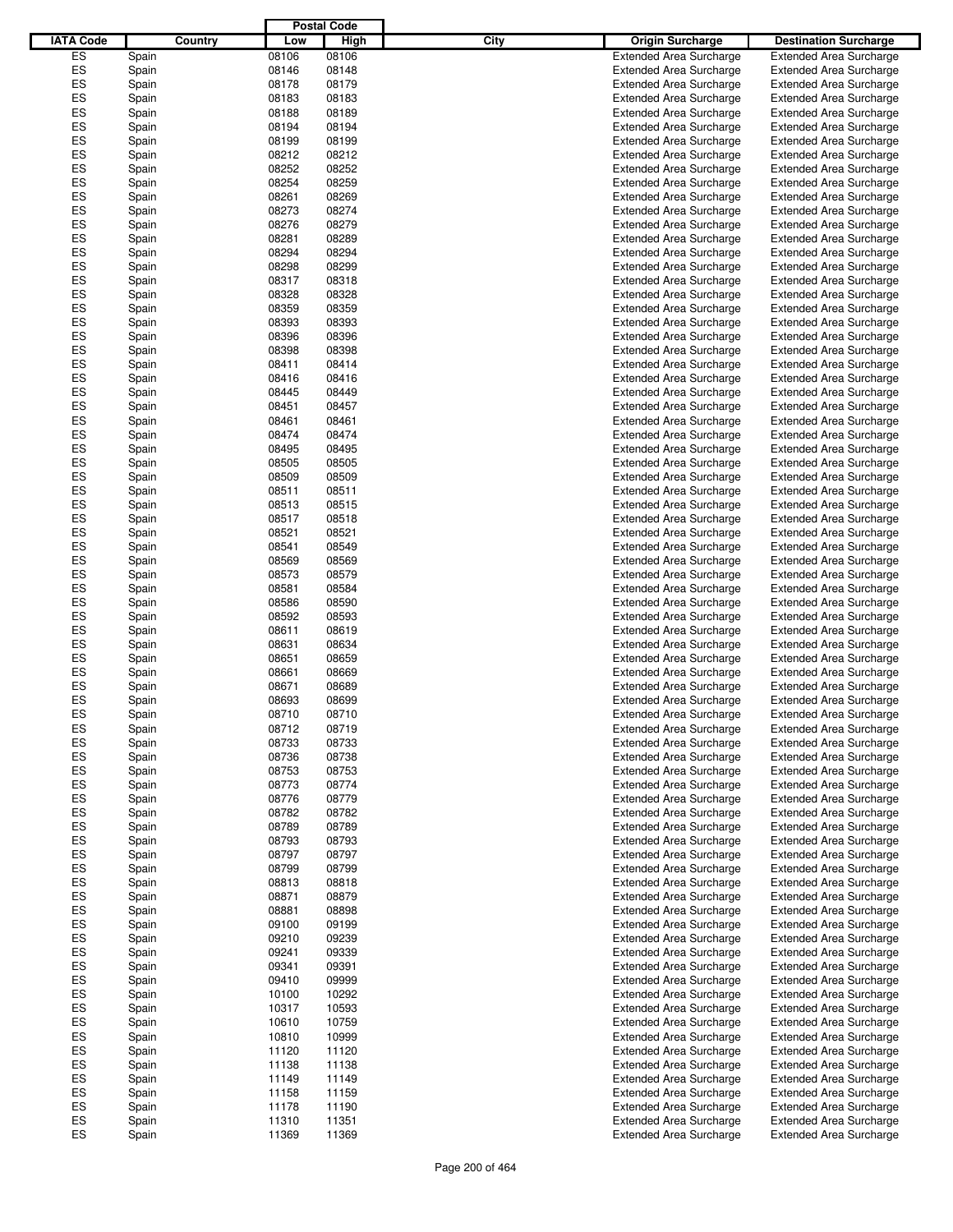|                  |         |       | <b>Postal Code</b> |                                 |                                |
|------------------|---------|-------|--------------------|---------------------------------|--------------------------------|
| <b>IATA Code</b> | Country | Low   | High               | City<br><b>Origin Surcharge</b> | <b>Destination Surcharge</b>   |
| ES               | Spain   | 08106 | 08106              | <b>Extended Area Surcharge</b>  | <b>Extended Area Surcharge</b> |
| ES               |         |       |                    |                                 |                                |
|                  | Spain   | 08146 | 08148              | <b>Extended Area Surcharge</b>  | <b>Extended Area Surcharge</b> |
| ES               | Spain   | 08178 | 08179              | <b>Extended Area Surcharge</b>  | <b>Extended Area Surcharge</b> |
| ES               | Spain   | 08183 | 08183              | <b>Extended Area Surcharge</b>  | <b>Extended Area Surcharge</b> |
| ES               | Spain   | 08188 | 08189              | <b>Extended Area Surcharge</b>  | <b>Extended Area Surcharge</b> |
| ES               | Spain   | 08194 | 08194              | <b>Extended Area Surcharge</b>  | <b>Extended Area Surcharge</b> |
| ES               | Spain   | 08199 | 08199              | <b>Extended Area Surcharge</b>  | <b>Extended Area Surcharge</b> |
| ES               | Spain   | 08212 | 08212              | <b>Extended Area Surcharge</b>  | <b>Extended Area Surcharge</b> |
| ES               | Spain   | 08252 | 08252              | <b>Extended Area Surcharge</b>  | <b>Extended Area Surcharge</b> |
| ES               | Spain   | 08254 | 08259              | <b>Extended Area Surcharge</b>  | <b>Extended Area Surcharge</b> |
| ES               | Spain   | 08261 | 08269              | <b>Extended Area Surcharge</b>  | <b>Extended Area Surcharge</b> |
| ES               | Spain   | 08273 | 08274              | <b>Extended Area Surcharge</b>  | <b>Extended Area Surcharge</b> |
| ES               |         | 08276 | 08279              | <b>Extended Area Surcharge</b>  |                                |
|                  | Spain   |       |                    |                                 | <b>Extended Area Surcharge</b> |
| ES               | Spain   | 08281 | 08289              | <b>Extended Area Surcharge</b>  | <b>Extended Area Surcharge</b> |
| ES               | Spain   | 08294 | 08294              | <b>Extended Area Surcharge</b>  | <b>Extended Area Surcharge</b> |
| ES               | Spain   | 08298 | 08299              | <b>Extended Area Surcharge</b>  | <b>Extended Area Surcharge</b> |
| ES               | Spain   | 08317 | 08318              | <b>Extended Area Surcharge</b>  | <b>Extended Area Surcharge</b> |
| ES               | Spain   | 08328 | 08328              | <b>Extended Area Surcharge</b>  | <b>Extended Area Surcharge</b> |
| ES               | Spain   | 08359 | 08359              | <b>Extended Area Surcharge</b>  | <b>Extended Area Surcharge</b> |
| ES               | Spain   | 08393 | 08393              | <b>Extended Area Surcharge</b>  | <b>Extended Area Surcharge</b> |
| ES               | Spain   | 08396 | 08396              | <b>Extended Area Surcharge</b>  | <b>Extended Area Surcharge</b> |
| ES               | Spain   | 08398 | 08398              | <b>Extended Area Surcharge</b>  | <b>Extended Area Surcharge</b> |
| ES               | Spain   | 08411 | 08414              | <b>Extended Area Surcharge</b>  | <b>Extended Area Surcharge</b> |
| ES               |         |       |                    |                                 |                                |
|                  | Spain   | 08416 | 08416              | <b>Extended Area Surcharge</b>  | <b>Extended Area Surcharge</b> |
| ES               | Spain   | 08445 | 08449              | <b>Extended Area Surcharge</b>  | <b>Extended Area Surcharge</b> |
| ES               | Spain   | 08451 | 08457              | <b>Extended Area Surcharge</b>  | <b>Extended Area Surcharge</b> |
| ES               | Spain   | 08461 | 08461              | <b>Extended Area Surcharge</b>  | <b>Extended Area Surcharge</b> |
| ES               | Spain   | 08474 | 08474              | <b>Extended Area Surcharge</b>  | <b>Extended Area Surcharge</b> |
| ES               | Spain   | 08495 | 08495              | <b>Extended Area Surcharge</b>  | <b>Extended Area Surcharge</b> |
| ES               | Spain   | 08505 | 08505              | <b>Extended Area Surcharge</b>  | <b>Extended Area Surcharge</b> |
| ES               | Spain   | 08509 | 08509              | <b>Extended Area Surcharge</b>  | <b>Extended Area Surcharge</b> |
| ES               | Spain   | 08511 | 08511              | <b>Extended Area Surcharge</b>  | <b>Extended Area Surcharge</b> |
| ES               | Spain   | 08513 | 08515              | <b>Extended Area Surcharge</b>  | <b>Extended Area Surcharge</b> |
| ES               | Spain   | 08517 | 08518              | <b>Extended Area Surcharge</b>  | <b>Extended Area Surcharge</b> |
| ES               |         |       |                    |                                 |                                |
|                  | Spain   | 08521 | 08521              | <b>Extended Area Surcharge</b>  | <b>Extended Area Surcharge</b> |
| ES               | Spain   | 08541 | 08549              | <b>Extended Area Surcharge</b>  | <b>Extended Area Surcharge</b> |
| ES               | Spain   | 08569 | 08569              | <b>Extended Area Surcharge</b>  | <b>Extended Area Surcharge</b> |
| ES               | Spain   | 08573 | 08579              | <b>Extended Area Surcharge</b>  | <b>Extended Area Surcharge</b> |
| ES               | Spain   | 08581 | 08584              | <b>Extended Area Surcharge</b>  | <b>Extended Area Surcharge</b> |
| ES               | Spain   | 08586 | 08590              | <b>Extended Area Surcharge</b>  | <b>Extended Area Surcharge</b> |
| ES               | Spain   | 08592 | 08593              | <b>Extended Area Surcharge</b>  | <b>Extended Area Surcharge</b> |
| ES               | Spain   | 08611 | 08619              | <b>Extended Area Surcharge</b>  | <b>Extended Area Surcharge</b> |
| ES               | Spain   | 08631 | 08634              | <b>Extended Area Surcharge</b>  | <b>Extended Area Surcharge</b> |
| ES               | Spain   | 08651 | 08659              | <b>Extended Area Surcharge</b>  | <b>Extended Area Surcharge</b> |
| ES               | Spain   | 08661 | 08669              | <b>Extended Area Surcharge</b>  | <b>Extended Area Surcharge</b> |
| ES               | Spain   | 08671 | 08689              | <b>Extended Area Surcharge</b>  | <b>Extended Area Surcharge</b> |
| ES               | Spain   | 08693 | 08699              | <b>Extended Area Surcharge</b>  | <b>Extended Area Surcharge</b> |
|                  |         | 08710 |                    |                                 |                                |
| ES               | Spain   |       | 08710              | <b>Extended Area Surcharge</b>  | <b>Extended Area Surcharge</b> |
| ES               | Spain   | 08712 | 08719              | <b>Extended Area Surcharge</b>  | <b>Extended Area Surcharge</b> |
| ES               | Spain   | 08733 | 08733              | <b>Extended Area Surcharge</b>  | <b>Extended Area Surcharge</b> |
| ES               | Spain   | 08736 | 08738              | <b>Extended Area Surcharge</b>  | <b>Extended Area Surcharge</b> |
| ES               | Spain   | 08753 | 08753              | <b>Extended Area Surcharge</b>  | <b>Extended Area Surcharge</b> |
| ES               | Spain   | 08773 | 08774              | <b>Extended Area Surcharge</b>  | <b>Extended Area Surcharge</b> |
| ES               | Spain   | 08776 | 08779              | <b>Extended Area Surcharge</b>  | <b>Extended Area Surcharge</b> |
| ES               | Spain   | 08782 | 08782              | <b>Extended Area Surcharge</b>  | <b>Extended Area Surcharge</b> |
| ES               | Spain   | 08789 | 08789              | <b>Extended Area Surcharge</b>  | <b>Extended Area Surcharge</b> |
| ES               | Spain   | 08793 | 08793              | <b>Extended Area Surcharge</b>  | <b>Extended Area Surcharge</b> |
| ES               | Spain   | 08797 | 08797              | <b>Extended Area Surcharge</b>  | <b>Extended Area Surcharge</b> |
| ES               | Spain   | 08799 | 08799              | <b>Extended Area Surcharge</b>  | <b>Extended Area Surcharge</b> |
| ES               | Spain   | 08813 | 08818              | <b>Extended Area Surcharge</b>  | <b>Extended Area Surcharge</b> |
| ES               |         | 08871 | 08879              | <b>Extended Area Surcharge</b>  | <b>Extended Area Surcharge</b> |
|                  | Spain   |       |                    |                                 |                                |
| ES               | Spain   | 08881 | 08898              | <b>Extended Area Surcharge</b>  | <b>Extended Area Surcharge</b> |
| ES               | Spain   | 09100 | 09199              | <b>Extended Area Surcharge</b>  | <b>Extended Area Surcharge</b> |
| ES               | Spain   | 09210 | 09239              | <b>Extended Area Surcharge</b>  | <b>Extended Area Surcharge</b> |
| ES               | Spain   | 09241 | 09339              | <b>Extended Area Surcharge</b>  | <b>Extended Area Surcharge</b> |
| ES               | Spain   | 09341 | 09391              | <b>Extended Area Surcharge</b>  | <b>Extended Area Surcharge</b> |
| ES               | Spain   | 09410 | 09999              | <b>Extended Area Surcharge</b>  | <b>Extended Area Surcharge</b> |
| ES               | Spain   | 10100 | 10292              | <b>Extended Area Surcharge</b>  | <b>Extended Area Surcharge</b> |
| ES               | Spain   | 10317 | 10593              | <b>Extended Area Surcharge</b>  | <b>Extended Area Surcharge</b> |
| ES               | Spain   | 10610 | 10759              | <b>Extended Area Surcharge</b>  | <b>Extended Area Surcharge</b> |
| ES               | Spain   | 10810 | 10999              | <b>Extended Area Surcharge</b>  | <b>Extended Area Surcharge</b> |
| ES               | Spain   | 11120 | 11120              | <b>Extended Area Surcharge</b>  | <b>Extended Area Surcharge</b> |
| ES               | Spain   | 11138 | 11138              | <b>Extended Area Surcharge</b>  | <b>Extended Area Surcharge</b> |
| ES               |         | 11149 | 11149              | <b>Extended Area Surcharge</b>  | <b>Extended Area Surcharge</b> |
|                  | Spain   |       |                    |                                 |                                |
| ES               | Spain   | 11158 | 11159              | <b>Extended Area Surcharge</b>  | <b>Extended Area Surcharge</b> |
| ES               | Spain   | 11178 | 11190              | <b>Extended Area Surcharge</b>  | <b>Extended Area Surcharge</b> |
| ES               | Spain   | 11310 | 11351              | <b>Extended Area Surcharge</b>  | <b>Extended Area Surcharge</b> |
| ES               | Spain   | 11369 | 11369              | <b>Extended Area Surcharge</b>  | <b>Extended Area Surcharge</b> |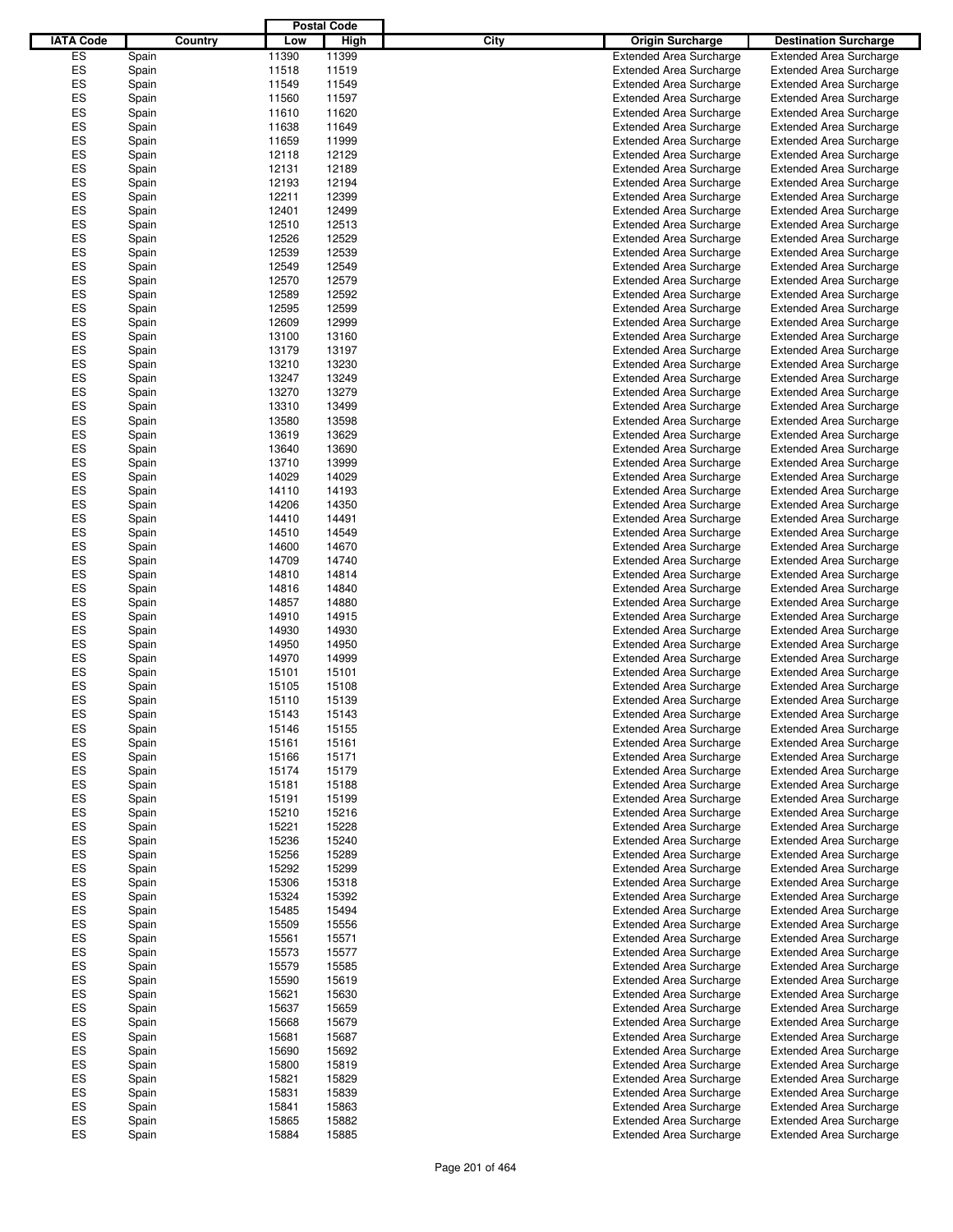|                  |       |         |       | <b>Postal Code</b> |      |                                |                                |
|------------------|-------|---------|-------|--------------------|------|--------------------------------|--------------------------------|
| <b>IATA Code</b> |       | Country | Low   | High               | City | <b>Origin Surcharge</b>        | <b>Destination Surcharge</b>   |
| ES               | Spain |         | 11390 | 11399              |      | <b>Extended Area Surcharge</b> | <b>Extended Area Surcharge</b> |
| ES               | Spain |         | 11518 | 11519              |      | <b>Extended Area Surcharge</b> | <b>Extended Area Surcharge</b> |
| ES               | Spain |         | 11549 | 11549              |      | <b>Extended Area Surcharge</b> | <b>Extended Area Surcharge</b> |
| ES               | Spain |         | 11560 | 11597              |      | <b>Extended Area Surcharge</b> | <b>Extended Area Surcharge</b> |
| ES               | Spain |         | 11610 | 11620              |      | <b>Extended Area Surcharge</b> | <b>Extended Area Surcharge</b> |
| ES               |       |         | 11638 | 11649              |      |                                |                                |
|                  | Spain |         |       |                    |      | <b>Extended Area Surcharge</b> | <b>Extended Area Surcharge</b> |
| ES               | Spain |         | 11659 | 11999              |      | <b>Extended Area Surcharge</b> | <b>Extended Area Surcharge</b> |
| ES               | Spain |         | 12118 | 12129              |      | <b>Extended Area Surcharge</b> | <b>Extended Area Surcharge</b> |
| ES               | Spain |         | 12131 | 12189              |      | <b>Extended Area Surcharge</b> | <b>Extended Area Surcharge</b> |
| ES               | Spain |         | 12193 | 12194              |      | <b>Extended Area Surcharge</b> | <b>Extended Area Surcharge</b> |
| ES               | Spain |         | 12211 | 12399              |      | <b>Extended Area Surcharge</b> | <b>Extended Area Surcharge</b> |
| ES               | Spain |         | 12401 | 12499              |      | <b>Extended Area Surcharge</b> | <b>Extended Area Surcharge</b> |
| ES               | Spain |         | 12510 | 12513              |      | <b>Extended Area Surcharge</b> | <b>Extended Area Surcharge</b> |
| ES               | Spain |         | 12526 | 12529              |      | <b>Extended Area Surcharge</b> | <b>Extended Area Surcharge</b> |
| ES               | Spain |         | 12539 | 12539              |      | <b>Extended Area Surcharge</b> | <b>Extended Area Surcharge</b> |
| ES               | Spain |         | 12549 | 12549              |      | <b>Extended Area Surcharge</b> | <b>Extended Area Surcharge</b> |
| ES               | Spain |         | 12570 | 12579              |      | <b>Extended Area Surcharge</b> | <b>Extended Area Surcharge</b> |
| ES               | Spain |         | 12589 | 12592              |      | <b>Extended Area Surcharge</b> | <b>Extended Area Surcharge</b> |
| ES               | Spain |         | 12595 | 12599              |      | <b>Extended Area Surcharge</b> | <b>Extended Area Surcharge</b> |
| ES               | Spain |         | 12609 | 12999              |      | <b>Extended Area Surcharge</b> | <b>Extended Area Surcharge</b> |
| ES               | Spain |         | 13100 | 13160              |      | <b>Extended Area Surcharge</b> | <b>Extended Area Surcharge</b> |
| ES               | Spain |         | 13179 | 13197              |      | <b>Extended Area Surcharge</b> | <b>Extended Area Surcharge</b> |
| ES               | Spain |         | 13210 | 13230              |      | <b>Extended Area Surcharge</b> | <b>Extended Area Surcharge</b> |
| ES               |       |         | 13247 | 13249              |      | <b>Extended Area Surcharge</b> | <b>Extended Area Surcharge</b> |
| ES               | Spain |         |       |                    |      |                                |                                |
|                  | Spain |         | 13270 | 13279              |      | <b>Extended Area Surcharge</b> | <b>Extended Area Surcharge</b> |
| ES               | Spain |         | 13310 | 13499              |      | <b>Extended Area Surcharge</b> | <b>Extended Area Surcharge</b> |
| ES               | Spain |         | 13580 | 13598              |      | <b>Extended Area Surcharge</b> | <b>Extended Area Surcharge</b> |
| ES               | Spain |         | 13619 | 13629              |      | <b>Extended Area Surcharge</b> | <b>Extended Area Surcharge</b> |
| ES               | Spain |         | 13640 | 13690              |      | <b>Extended Area Surcharge</b> | <b>Extended Area Surcharge</b> |
| ES               | Spain |         | 13710 | 13999              |      | <b>Extended Area Surcharge</b> | <b>Extended Area Surcharge</b> |
| ES               | Spain |         | 14029 | 14029              |      | <b>Extended Area Surcharge</b> | <b>Extended Area Surcharge</b> |
| ES               | Spain |         | 14110 | 14193              |      | <b>Extended Area Surcharge</b> | <b>Extended Area Surcharge</b> |
| ES               | Spain |         | 14206 | 14350              |      | <b>Extended Area Surcharge</b> | <b>Extended Area Surcharge</b> |
| ES               | Spain |         | 14410 | 14491              |      | <b>Extended Area Surcharge</b> | <b>Extended Area Surcharge</b> |
| ES               | Spain |         | 14510 | 14549              |      | <b>Extended Area Surcharge</b> | <b>Extended Area Surcharge</b> |
| ES               | Spain |         | 14600 | 14670              |      | <b>Extended Area Surcharge</b> | <b>Extended Area Surcharge</b> |
| ES               | Spain |         | 14709 | 14740              |      | <b>Extended Area Surcharge</b> | <b>Extended Area Surcharge</b> |
| ES               | Spain |         | 14810 | 14814              |      | <b>Extended Area Surcharge</b> | <b>Extended Area Surcharge</b> |
| ES               | Spain |         | 14816 | 14840              |      | <b>Extended Area Surcharge</b> | <b>Extended Area Surcharge</b> |
| ES               | Spain |         | 14857 | 14880              |      | <b>Extended Area Surcharge</b> | <b>Extended Area Surcharge</b> |
| ES               | Spain |         | 14910 | 14915              |      | <b>Extended Area Surcharge</b> | <b>Extended Area Surcharge</b> |
| ES               |       |         | 14930 | 14930              |      |                                | <b>Extended Area Surcharge</b> |
|                  | Spain |         |       |                    |      | <b>Extended Area Surcharge</b> |                                |
| ES               | Spain |         | 14950 | 14950              |      | <b>Extended Area Surcharge</b> | <b>Extended Area Surcharge</b> |
| ES               | Spain |         | 14970 | 14999              |      | <b>Extended Area Surcharge</b> | <b>Extended Area Surcharge</b> |
| ES               | Spain |         | 15101 | 15101              |      | <b>Extended Area Surcharge</b> | <b>Extended Area Surcharge</b> |
| ES               | Spain |         | 15105 | 15108              |      | <b>Extended Area Surcharge</b> | <b>Extended Area Surcharge</b> |
| ES               | Spain |         | 15110 | 15139              |      | <b>Extended Area Surcharge</b> | <b>Extended Area Surcharge</b> |
| ES               | Spain |         | 15143 | 15143              |      | <b>Extended Area Surcharge</b> | <b>Extended Area Surcharge</b> |
| ES               | Spain |         | 15146 | 15155              |      | <b>Extended Area Surcharge</b> | <b>Extended Area Surcharge</b> |
| ES               | Spain |         | 15161 | 15161              |      | <b>Extended Area Surcharge</b> | <b>Extended Area Surcharge</b> |
| ES               | Spain |         | 15166 | 15171              |      | <b>Extended Area Surcharge</b> | <b>Extended Area Surcharge</b> |
| ES               | Spain |         | 15174 | 15179              |      | <b>Extended Area Surcharge</b> | <b>Extended Area Surcharge</b> |
| ES               | Spain |         | 15181 | 15188              |      | <b>Extended Area Surcharge</b> | <b>Extended Area Surcharge</b> |
| ES               | Spain |         | 15191 | 15199              |      | <b>Extended Area Surcharge</b> | <b>Extended Area Surcharge</b> |
| ES               | Spain |         | 15210 | 15216              |      | <b>Extended Area Surcharge</b> | <b>Extended Area Surcharge</b> |
| ES               | Spain |         | 15221 | 15228              |      | <b>Extended Area Surcharge</b> | <b>Extended Area Surcharge</b> |
| ES               | Spain |         | 15236 | 15240              |      | <b>Extended Area Surcharge</b> | <b>Extended Area Surcharge</b> |
| ES               | Spain |         | 15256 | 15289              |      | <b>Extended Area Surcharge</b> | <b>Extended Area Surcharge</b> |
| ES               | Spain |         | 15292 | 15299              |      | <b>Extended Area Surcharge</b> | <b>Extended Area Surcharge</b> |
| ES               |       |         | 15306 | 15318              |      |                                |                                |
|                  | Spain |         |       |                    |      | <b>Extended Area Surcharge</b> | <b>Extended Area Surcharge</b> |
| ES               | Spain |         | 15324 | 15392              |      | <b>Extended Area Surcharge</b> | <b>Extended Area Surcharge</b> |
| ES               | Spain |         | 15485 | 15494              |      | <b>Extended Area Surcharge</b> | <b>Extended Area Surcharge</b> |
| ES               | Spain |         | 15509 | 15556              |      | <b>Extended Area Surcharge</b> | <b>Extended Area Surcharge</b> |
| ES               | Spain |         | 15561 | 15571              |      | <b>Extended Area Surcharge</b> | <b>Extended Area Surcharge</b> |
| ES               | Spain |         | 15573 | 15577              |      | <b>Extended Area Surcharge</b> | <b>Extended Area Surcharge</b> |
| ES               | Spain |         | 15579 | 15585              |      | <b>Extended Area Surcharge</b> | <b>Extended Area Surcharge</b> |
| ES               | Spain |         | 15590 | 15619              |      | <b>Extended Area Surcharge</b> | <b>Extended Area Surcharge</b> |
| ES               | Spain |         | 15621 | 15630              |      | <b>Extended Area Surcharge</b> | <b>Extended Area Surcharge</b> |
| ES               | Spain |         | 15637 | 15659              |      | <b>Extended Area Surcharge</b> | <b>Extended Area Surcharge</b> |
| ES               | Spain |         | 15668 | 15679              |      | <b>Extended Area Surcharge</b> | <b>Extended Area Surcharge</b> |
| ES               | Spain |         | 15681 | 15687              |      | <b>Extended Area Surcharge</b> | <b>Extended Area Surcharge</b> |
| ES               | Spain |         | 15690 | 15692              |      | <b>Extended Area Surcharge</b> | <b>Extended Area Surcharge</b> |
| ES               | Spain |         | 15800 | 15819              |      | <b>Extended Area Surcharge</b> | <b>Extended Area Surcharge</b> |
| ES               | Spain |         | 15821 | 15829              |      | <b>Extended Area Surcharge</b> | <b>Extended Area Surcharge</b> |
| ES               | Spain |         | 15831 | 15839              |      | <b>Extended Area Surcharge</b> | <b>Extended Area Surcharge</b> |
| ES               | Spain |         | 15841 | 15863              |      | <b>Extended Area Surcharge</b> | <b>Extended Area Surcharge</b> |
|                  |       |         |       |                    |      |                                |                                |
| ES               | Spain |         | 15865 | 15882              |      | <b>Extended Area Surcharge</b> | <b>Extended Area Surcharge</b> |
| ES               | Spain |         | 15884 | 15885              |      | <b>Extended Area Surcharge</b> | <b>Extended Area Surcharge</b> |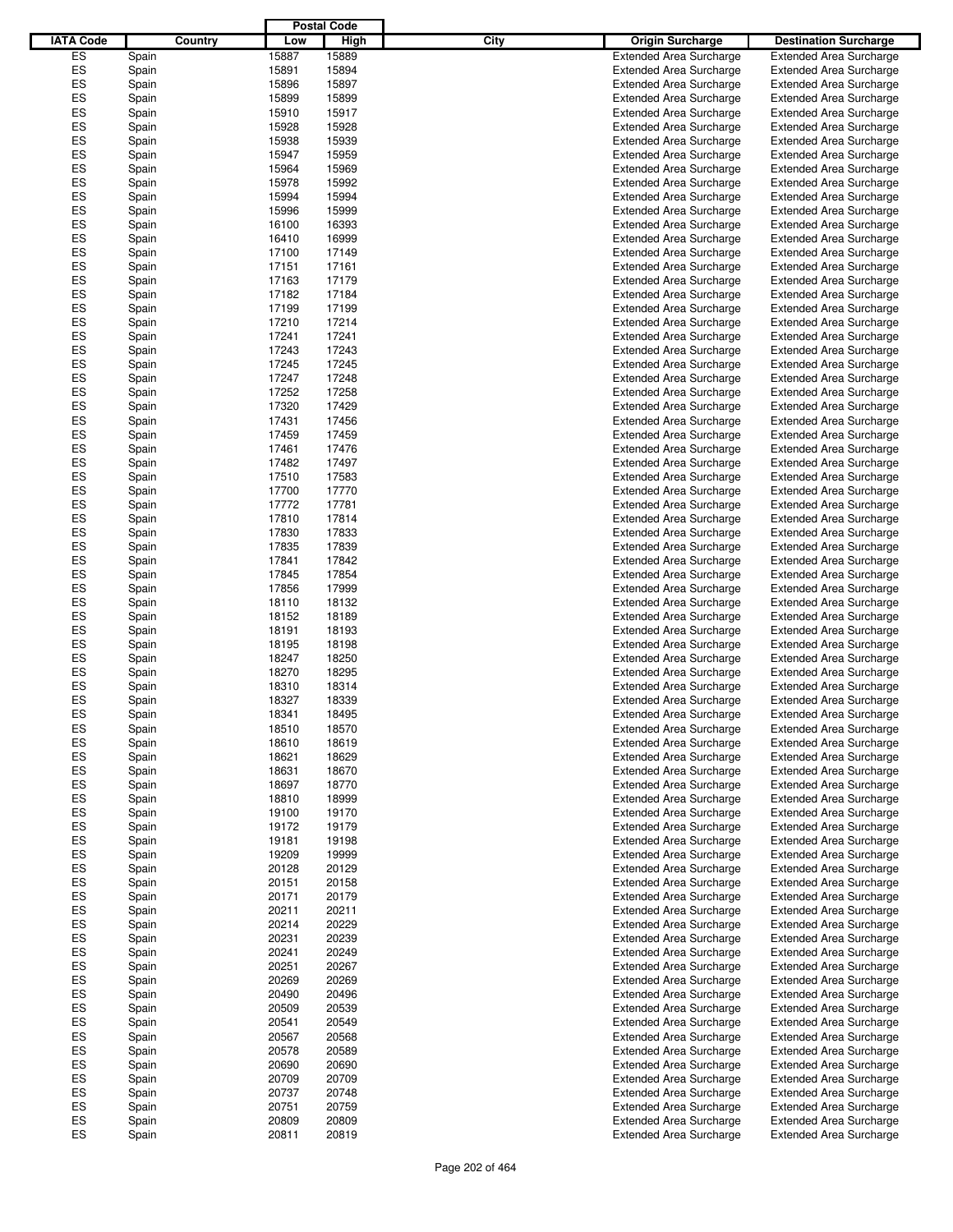|                  |       |         |       | <b>Postal Code</b> |      |                                |                                |
|------------------|-------|---------|-------|--------------------|------|--------------------------------|--------------------------------|
| <b>IATA Code</b> |       | Country | Low   | High               | City | <b>Origin Surcharge</b>        | <b>Destination Surcharge</b>   |
| ES               | Spain |         | 15887 | 15889              |      | <b>Extended Area Surcharge</b> | <b>Extended Area Surcharge</b> |
| ES               | Spain |         | 15891 | 15894              |      | <b>Extended Area Surcharge</b> | <b>Extended Area Surcharge</b> |
| ES               | Spain |         | 15896 | 15897              |      | <b>Extended Area Surcharge</b> | <b>Extended Area Surcharge</b> |
| ES               | Spain |         | 15899 | 15899              |      | <b>Extended Area Surcharge</b> | <b>Extended Area Surcharge</b> |
| ES               |       |         | 15910 | 15917              |      | <b>Extended Area Surcharge</b> | <b>Extended Area Surcharge</b> |
|                  | Spain |         |       |                    |      |                                |                                |
| ES               | Spain |         | 15928 | 15928              |      | <b>Extended Area Surcharge</b> | <b>Extended Area Surcharge</b> |
| ES               | Spain |         | 15938 | 15939              |      | <b>Extended Area Surcharge</b> | <b>Extended Area Surcharge</b> |
| ES               | Spain |         | 15947 | 15959              |      | <b>Extended Area Surcharge</b> | <b>Extended Area Surcharge</b> |
| ES               | Spain |         | 15964 | 15969              |      | <b>Extended Area Surcharge</b> | <b>Extended Area Surcharge</b> |
| ES               | Spain |         | 15978 | 15992              |      | <b>Extended Area Surcharge</b> | <b>Extended Area Surcharge</b> |
| ES               | Spain |         | 15994 | 15994              |      | <b>Extended Area Surcharge</b> | <b>Extended Area Surcharge</b> |
| ES               | Spain |         | 15996 | 15999              |      | <b>Extended Area Surcharge</b> | <b>Extended Area Surcharge</b> |
| ES               | Spain |         | 16100 | 16393              |      | <b>Extended Area Surcharge</b> | <b>Extended Area Surcharge</b> |
| ES               | Spain |         | 16410 | 16999              |      | <b>Extended Area Surcharge</b> | <b>Extended Area Surcharge</b> |
| ES               | Spain |         | 17100 | 17149              |      | <b>Extended Area Surcharge</b> | <b>Extended Area Surcharge</b> |
| ES               | Spain |         | 17151 | 17161              |      | <b>Extended Area Surcharge</b> | <b>Extended Area Surcharge</b> |
| ES               | Spain |         | 17163 | 17179              |      | <b>Extended Area Surcharge</b> | <b>Extended Area Surcharge</b> |
| ES               | Spain |         | 17182 | 17184              |      | <b>Extended Area Surcharge</b> | <b>Extended Area Surcharge</b> |
| ES               | Spain |         | 17199 | 17199              |      | <b>Extended Area Surcharge</b> | <b>Extended Area Surcharge</b> |
| ES               |       |         | 17210 | 17214              |      |                                |                                |
|                  | Spain |         |       |                    |      | <b>Extended Area Surcharge</b> | <b>Extended Area Surcharge</b> |
| ES               | Spain |         | 17241 | 17241              |      | <b>Extended Area Surcharge</b> | <b>Extended Area Surcharge</b> |
| ES               | Spain |         | 17243 | 17243              |      | <b>Extended Area Surcharge</b> | <b>Extended Area Surcharge</b> |
| ES               | Spain |         | 17245 | 17245              |      | <b>Extended Area Surcharge</b> | <b>Extended Area Surcharge</b> |
| ES               | Spain |         | 17247 | 17248              |      | <b>Extended Area Surcharge</b> | <b>Extended Area Surcharge</b> |
| ES               | Spain |         | 17252 | 17258              |      | <b>Extended Area Surcharge</b> | <b>Extended Area Surcharge</b> |
| ES               | Spain |         | 17320 | 17429              |      | <b>Extended Area Surcharge</b> | <b>Extended Area Surcharge</b> |
| ES               | Spain |         | 17431 | 17456              |      | <b>Extended Area Surcharge</b> | <b>Extended Area Surcharge</b> |
| ES               | Spain |         | 17459 | 17459              |      | <b>Extended Area Surcharge</b> | <b>Extended Area Surcharge</b> |
| ES               | Spain |         | 17461 | 17476              |      | <b>Extended Area Surcharge</b> | <b>Extended Area Surcharge</b> |
| ES               | Spain |         | 17482 | 17497              |      | <b>Extended Area Surcharge</b> | <b>Extended Area Surcharge</b> |
| ES               | Spain |         | 17510 | 17583              |      | <b>Extended Area Surcharge</b> | <b>Extended Area Surcharge</b> |
| ES               |       |         | 17700 | 17770              |      | <b>Extended Area Surcharge</b> | <b>Extended Area Surcharge</b> |
|                  | Spain |         |       |                    |      |                                |                                |
| ES               | Spain |         | 17772 | 17781              |      | <b>Extended Area Surcharge</b> | <b>Extended Area Surcharge</b> |
| ES               | Spain |         | 17810 | 17814              |      | <b>Extended Area Surcharge</b> | <b>Extended Area Surcharge</b> |
| ES               | Spain |         | 17830 | 17833              |      | <b>Extended Area Surcharge</b> | <b>Extended Area Surcharge</b> |
| ES               | Spain |         | 17835 | 17839              |      | <b>Extended Area Surcharge</b> | <b>Extended Area Surcharge</b> |
| ES               | Spain |         | 17841 | 17842              |      | <b>Extended Area Surcharge</b> | <b>Extended Area Surcharge</b> |
| ES               | Spain |         | 17845 | 17854              |      | <b>Extended Area Surcharge</b> | <b>Extended Area Surcharge</b> |
| ES               | Spain |         | 17856 | 17999              |      | <b>Extended Area Surcharge</b> | <b>Extended Area Surcharge</b> |
| ES               | Spain |         | 18110 | 18132              |      | <b>Extended Area Surcharge</b> | <b>Extended Area Surcharge</b> |
| ES               | Spain |         | 18152 | 18189              |      | <b>Extended Area Surcharge</b> | <b>Extended Area Surcharge</b> |
| ES               | Spain |         | 18191 | 18193              |      | <b>Extended Area Surcharge</b> | <b>Extended Area Surcharge</b> |
| ES               | Spain |         | 18195 | 18198              |      | <b>Extended Area Surcharge</b> | <b>Extended Area Surcharge</b> |
| ES               | Spain |         | 18247 | 18250              |      | <b>Extended Area Surcharge</b> | <b>Extended Area Surcharge</b> |
| ES               | Spain |         | 18270 | 18295              |      | <b>Extended Area Surcharge</b> | <b>Extended Area Surcharge</b> |
| ES               |       |         |       |                    |      |                                |                                |
|                  | Spain |         | 18310 | 18314              |      | <b>Extended Area Surcharge</b> | <b>Extended Area Surcharge</b> |
| ES               | Spain |         | 18327 | 18339              |      | <b>Extended Area Surcharge</b> | <b>Extended Area Surcharge</b> |
| ES               | Spain |         | 18341 | 18495              |      | <b>Extended Area Surcharge</b> | <b>Extended Area Surcharge</b> |
| ES               | Spain |         | 18510 | 18570              |      | <b>Extended Area Surcharge</b> | <b>Extended Area Surcharge</b> |
| ES               | Spain |         | 18610 | 18619              |      | <b>Extended Area Surcharge</b> | <b>Extended Area Surcharge</b> |
| ES               | Spain |         | 18621 | 18629              |      | <b>Extended Area Surcharge</b> | <b>Extended Area Surcharge</b> |
| ES               | Spain |         | 18631 | 18670              |      | <b>Extended Area Surcharge</b> | <b>Extended Area Surcharge</b> |
| ES               | Spain |         | 18697 | 18770              |      | <b>Extended Area Surcharge</b> | <b>Extended Area Surcharge</b> |
| ES               | Spain |         | 18810 | 18999              |      | <b>Extended Area Surcharge</b> | <b>Extended Area Surcharge</b> |
| ES               | Spain |         | 19100 | 19170              |      | <b>Extended Area Surcharge</b> | <b>Extended Area Surcharge</b> |
| ES               | Spain |         | 19172 | 19179              |      | <b>Extended Area Surcharge</b> | <b>Extended Area Surcharge</b> |
| ES               | Spain |         | 19181 | 19198              |      | <b>Extended Area Surcharge</b> | <b>Extended Area Surcharge</b> |
| ES               | Spain |         | 19209 | 19999              |      | <b>Extended Area Surcharge</b> | <b>Extended Area Surcharge</b> |
| ES               | Spain |         | 20128 | 20129              |      | <b>Extended Area Surcharge</b> | <b>Extended Area Surcharge</b> |
| ES               | Spain |         | 20151 | 20158              |      | <b>Extended Area Surcharge</b> | <b>Extended Area Surcharge</b> |
| ES               |       |         | 20171 | 20179              |      | <b>Extended Area Surcharge</b> | <b>Extended Area Surcharge</b> |
|                  | Spain |         |       |                    |      |                                |                                |
| ES               | Spain |         | 20211 | 20211              |      | <b>Extended Area Surcharge</b> | <b>Extended Area Surcharge</b> |
| ES               | Spain |         | 20214 | 20229              |      | <b>Extended Area Surcharge</b> | <b>Extended Area Surcharge</b> |
| ES               | Spain |         | 20231 | 20239              |      | <b>Extended Area Surcharge</b> | <b>Extended Area Surcharge</b> |
| ES               | Spain |         | 20241 | 20249              |      | <b>Extended Area Surcharge</b> | <b>Extended Area Surcharge</b> |
| ES               | Spain |         | 20251 | 20267              |      | <b>Extended Area Surcharge</b> | <b>Extended Area Surcharge</b> |
| ES               | Spain |         | 20269 | 20269              |      | <b>Extended Area Surcharge</b> | <b>Extended Area Surcharge</b> |
| ES               | Spain |         | 20490 | 20496              |      | <b>Extended Area Surcharge</b> | <b>Extended Area Surcharge</b> |
| ES               | Spain |         | 20509 | 20539              |      | <b>Extended Area Surcharge</b> | <b>Extended Area Surcharge</b> |
| ES               | Spain |         | 20541 | 20549              |      | <b>Extended Area Surcharge</b> | <b>Extended Area Surcharge</b> |
| ES               | Spain |         | 20567 | 20568              |      | <b>Extended Area Surcharge</b> | <b>Extended Area Surcharge</b> |
| ES               | Spain |         | 20578 | 20589              |      | <b>Extended Area Surcharge</b> | <b>Extended Area Surcharge</b> |
| ES               | Spain |         | 20690 | 20690              |      | <b>Extended Area Surcharge</b> | <b>Extended Area Surcharge</b> |
| ES               | Spain |         | 20709 | 20709              |      | <b>Extended Area Surcharge</b> | <b>Extended Area Surcharge</b> |
| ES               | Spain |         | 20737 | 20748              |      | <b>Extended Area Surcharge</b> | <b>Extended Area Surcharge</b> |
| ES               |       |         | 20751 | 20759              |      | <b>Extended Area Surcharge</b> |                                |
|                  | Spain |         |       |                    |      |                                | <b>Extended Area Surcharge</b> |
| ES               | Spain |         | 20809 | 20809              |      | <b>Extended Area Surcharge</b> | <b>Extended Area Surcharge</b> |
| ES               | Spain |         | 20811 | 20819              |      | <b>Extended Area Surcharge</b> | <b>Extended Area Surcharge</b> |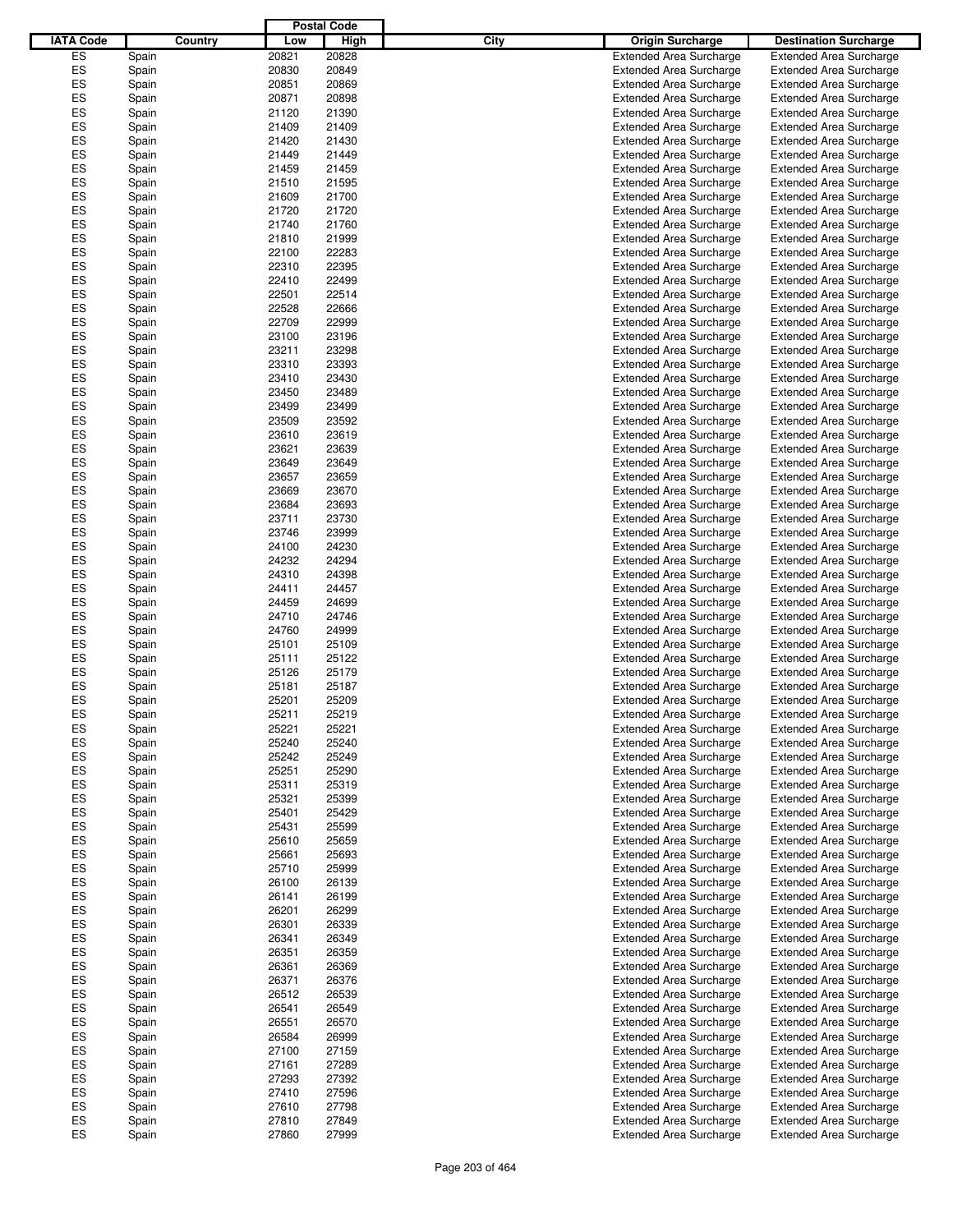|                  |         |       | <b>Postal Code</b> |                                 |                                |
|------------------|---------|-------|--------------------|---------------------------------|--------------------------------|
| <b>IATA Code</b> | Country | Low   | High               | City<br><b>Origin Surcharge</b> | <b>Destination Surcharge</b>   |
| ES               | Spain   | 20821 | 20828              | <b>Extended Area Surcharge</b>  | <b>Extended Area Surcharge</b> |
|                  |         |       |                    |                                 |                                |
| ES               | Spain   | 20830 | 20849              | <b>Extended Area Surcharge</b>  | <b>Extended Area Surcharge</b> |
| ES               | Spain   | 20851 | 20869              | <b>Extended Area Surcharge</b>  | <b>Extended Area Surcharge</b> |
| ES               | Spain   | 20871 | 20898              | <b>Extended Area Surcharge</b>  | <b>Extended Area Surcharge</b> |
| ES               | Spain   | 21120 | 21390              | <b>Extended Area Surcharge</b>  | <b>Extended Area Surcharge</b> |
| ES               | Spain   | 21409 | 21409              | <b>Extended Area Surcharge</b>  | <b>Extended Area Surcharge</b> |
| ES               | Spain   | 21420 | 21430              | <b>Extended Area Surcharge</b>  | <b>Extended Area Surcharge</b> |
| ES               | Spain   | 21449 | 21449              | <b>Extended Area Surcharge</b>  | <b>Extended Area Surcharge</b> |
| ES               | Spain   | 21459 | 21459              | <b>Extended Area Surcharge</b>  | <b>Extended Area Surcharge</b> |
| ES               |         |       | 21595              |                                 |                                |
|                  | Spain   | 21510 |                    | <b>Extended Area Surcharge</b>  | <b>Extended Area Surcharge</b> |
| ES               | Spain   | 21609 | 21700              | <b>Extended Area Surcharge</b>  | <b>Extended Area Surcharge</b> |
| ES               | Spain   | 21720 | 21720              | <b>Extended Area Surcharge</b>  | <b>Extended Area Surcharge</b> |
| ES               | Spain   | 21740 | 21760              | <b>Extended Area Surcharge</b>  | <b>Extended Area Surcharge</b> |
| ES               | Spain   | 21810 | 21999              | <b>Extended Area Surcharge</b>  | <b>Extended Area Surcharge</b> |
| ES               | Spain   | 22100 | 22283              | <b>Extended Area Surcharge</b>  | <b>Extended Area Surcharge</b> |
| ES               | Spain   | 22310 | 22395              | <b>Extended Area Surcharge</b>  | <b>Extended Area Surcharge</b> |
| ES               | Spain   | 22410 | 22499              | <b>Extended Area Surcharge</b>  | <b>Extended Area Surcharge</b> |
| ES               | Spain   | 22501 | 22514              | <b>Extended Area Surcharge</b>  | <b>Extended Area Surcharge</b> |
|                  |         |       |                    |                                 |                                |
| ES               | Spain   | 22528 | 22666              | <b>Extended Area Surcharge</b>  | <b>Extended Area Surcharge</b> |
| ES               | Spain   | 22709 | 22999              | <b>Extended Area Surcharge</b>  | <b>Extended Area Surcharge</b> |
| ES               | Spain   | 23100 | 23196              | <b>Extended Area Surcharge</b>  | <b>Extended Area Surcharge</b> |
| ES               | Spain   | 23211 | 23298              | <b>Extended Area Surcharge</b>  | <b>Extended Area Surcharge</b> |
| ES               | Spain   | 23310 | 23393              | <b>Extended Area Surcharge</b>  | <b>Extended Area Surcharge</b> |
| ES               | Spain   | 23410 | 23430              | <b>Extended Area Surcharge</b>  | <b>Extended Area Surcharge</b> |
| ES               | Spain   | 23450 | 23489              | <b>Extended Area Surcharge</b>  | <b>Extended Area Surcharge</b> |
| ES               | Spain   | 23499 | 23499              | <b>Extended Area Surcharge</b>  | <b>Extended Area Surcharge</b> |
| ES               |         | 23509 | 23592              |                                 | <b>Extended Area Surcharge</b> |
|                  | Spain   |       |                    | <b>Extended Area Surcharge</b>  |                                |
| ES               | Spain   | 23610 | 23619              | <b>Extended Area Surcharge</b>  | <b>Extended Area Surcharge</b> |
| ES               | Spain   | 23621 | 23639              | <b>Extended Area Surcharge</b>  | <b>Extended Area Surcharge</b> |
| ES               | Spain   | 23649 | 23649              | <b>Extended Area Surcharge</b>  | <b>Extended Area Surcharge</b> |
| ES               | Spain   | 23657 | 23659              | <b>Extended Area Surcharge</b>  | <b>Extended Area Surcharge</b> |
| ES               | Spain   | 23669 | 23670              | <b>Extended Area Surcharge</b>  | <b>Extended Area Surcharge</b> |
| ES               | Spain   | 23684 | 23693              | <b>Extended Area Surcharge</b>  | <b>Extended Area Surcharge</b> |
| ES               | Spain   | 23711 | 23730              | <b>Extended Area Surcharge</b>  | <b>Extended Area Surcharge</b> |
| ES               | Spain   | 23746 | 23999              | <b>Extended Area Surcharge</b>  | <b>Extended Area Surcharge</b> |
| ES               |         | 24100 | 24230              | <b>Extended Area Surcharge</b>  | <b>Extended Area Surcharge</b> |
|                  | Spain   |       |                    |                                 |                                |
| ES               | Spain   | 24232 | 24294              | <b>Extended Area Surcharge</b>  | <b>Extended Area Surcharge</b> |
| ES               | Spain   | 24310 | 24398              | <b>Extended Area Surcharge</b>  | <b>Extended Area Surcharge</b> |
| ES               | Spain   | 24411 | 24457              | <b>Extended Area Surcharge</b>  | <b>Extended Area Surcharge</b> |
| ES               | Spain   | 24459 | 24699              | <b>Extended Area Surcharge</b>  | <b>Extended Area Surcharge</b> |
| ES               | Spain   | 24710 | 24746              | <b>Extended Area Surcharge</b>  | <b>Extended Area Surcharge</b> |
| ES               | Spain   | 24760 | 24999              | <b>Extended Area Surcharge</b>  | <b>Extended Area Surcharge</b> |
| ES               | Spain   | 25101 | 25109              | <b>Extended Area Surcharge</b>  | <b>Extended Area Surcharge</b> |
| ES               | Spain   | 25111 | 25122              | <b>Extended Area Surcharge</b>  | <b>Extended Area Surcharge</b> |
| ES               | Spain   | 25126 | 25179              | <b>Extended Area Surcharge</b>  | <b>Extended Area Surcharge</b> |
| ES               |         |       | 25187              |                                 | <b>Extended Area Surcharge</b> |
|                  | Spain   | 25181 |                    | <b>Extended Area Surcharge</b>  |                                |
| ES               | Spain   | 25201 | 25209              | <b>Extended Area Surcharge</b>  | <b>Extended Area Surcharge</b> |
| ES               | Spain   | 25211 | 25219              | <b>Extended Area Surcharge</b>  | <b>Extended Area Surcharge</b> |
| ES               | Spain   | 25221 | 25221              | <b>Extended Area Surcharge</b>  | <b>Extended Area Surcharge</b> |
| ES               | Spain   | 25240 | 25240              | <b>Extended Area Surcharge</b>  | <b>Extended Area Surcharge</b> |
| ES               | Spain   | 25242 | 25249              | <b>Extended Area Surcharge</b>  | <b>Extended Area Surcharge</b> |
| ES               | Spain   | 25251 | 25290              | <b>Extended Area Surcharge</b>  | <b>Extended Area Surcharge</b> |
| ES               | Spain   | 25311 | 25319              | <b>Extended Area Surcharge</b>  | <b>Extended Area Surcharge</b> |
| ES               | Spain   | 25321 | 25399              | <b>Extended Area Surcharge</b>  | <b>Extended Area Surcharge</b> |
| ES               | Spain   | 25401 | 25429              | <b>Extended Area Surcharge</b>  | <b>Extended Area Surcharge</b> |
| ES               |         | 25431 | 25599              | <b>Extended Area Surcharge</b>  |                                |
|                  | Spain   |       |                    |                                 | <b>Extended Area Surcharge</b> |
| ES               | Spain   | 25610 | 25659              | <b>Extended Area Surcharge</b>  | <b>Extended Area Surcharge</b> |
| ES               | Spain   | 25661 | 25693              | <b>Extended Area Surcharge</b>  | <b>Extended Area Surcharge</b> |
| ES               | Spain   | 25710 | 25999              | <b>Extended Area Surcharge</b>  | <b>Extended Area Surcharge</b> |
| ES               | Spain   | 26100 | 26139              | <b>Extended Area Surcharge</b>  | <b>Extended Area Surcharge</b> |
| ES               | Spain   | 26141 | 26199              | <b>Extended Area Surcharge</b>  | <b>Extended Area Surcharge</b> |
| ES               | Spain   | 26201 | 26299              | <b>Extended Area Surcharge</b>  | <b>Extended Area Surcharge</b> |
| ES               | Spain   | 26301 | 26339              | <b>Extended Area Surcharge</b>  | <b>Extended Area Surcharge</b> |
| ES               | Spain   | 26341 | 26349              | <b>Extended Area Surcharge</b>  | <b>Extended Area Surcharge</b> |
| ES               |         | 26351 | 26359              | <b>Extended Area Surcharge</b>  | <b>Extended Area Surcharge</b> |
|                  | Spain   |       |                    |                                 |                                |
| ES               | Spain   | 26361 | 26369              | <b>Extended Area Surcharge</b>  | <b>Extended Area Surcharge</b> |
| ES               | Spain   | 26371 | 26376              | <b>Extended Area Surcharge</b>  | <b>Extended Area Surcharge</b> |
| ES               | Spain   | 26512 | 26539              | <b>Extended Area Surcharge</b>  | <b>Extended Area Surcharge</b> |
| ES               | Spain   | 26541 | 26549              | <b>Extended Area Surcharge</b>  | <b>Extended Area Surcharge</b> |
| ES               | Spain   | 26551 | 26570              | <b>Extended Area Surcharge</b>  | <b>Extended Area Surcharge</b> |
| ES               | Spain   | 26584 | 26999              | <b>Extended Area Surcharge</b>  | <b>Extended Area Surcharge</b> |
| ES               | Spain   | 27100 | 27159              | <b>Extended Area Surcharge</b>  | <b>Extended Area Surcharge</b> |
| ES               | Spain   | 27161 | 27289              | <b>Extended Area Surcharge</b>  | <b>Extended Area Surcharge</b> |
| ES               | Spain   | 27293 | 27392              | <b>Extended Area Surcharge</b>  | <b>Extended Area Surcharge</b> |
| ES               |         | 27410 | 27596              | <b>Extended Area Surcharge</b>  | <b>Extended Area Surcharge</b> |
|                  | Spain   |       |                    |                                 |                                |
| ES               | Spain   | 27610 | 27798              | <b>Extended Area Surcharge</b>  | <b>Extended Area Surcharge</b> |
| ES               | Spain   | 27810 | 27849              | <b>Extended Area Surcharge</b>  | <b>Extended Area Surcharge</b> |
| ES               | Spain   | 27860 | 27999              | <b>Extended Area Surcharge</b>  | <b>Extended Area Surcharge</b> |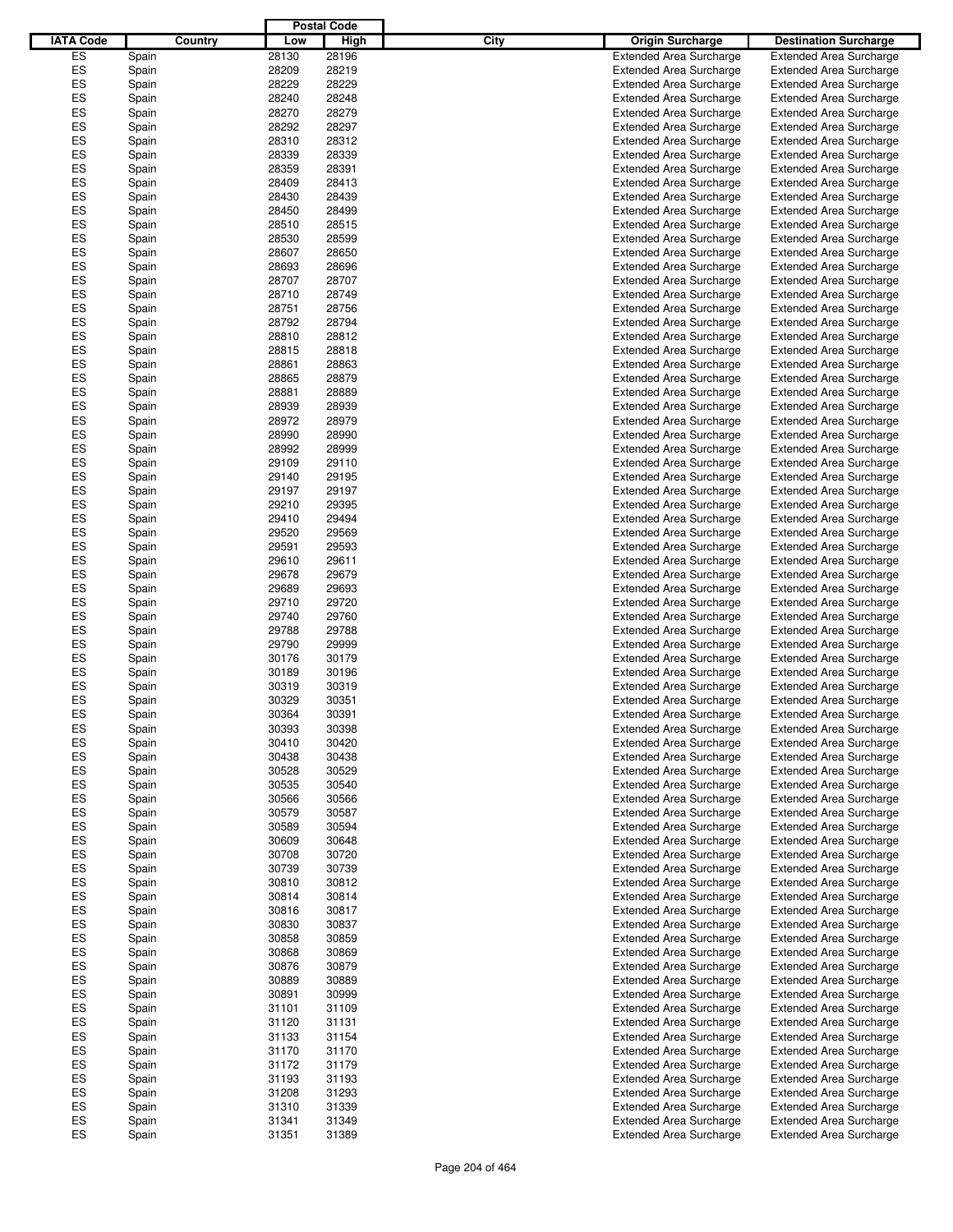|                  |         |       | <b>Postal Code</b> |                                 |                                |
|------------------|---------|-------|--------------------|---------------------------------|--------------------------------|
| <b>IATA Code</b> | Country | Low   | High               | City<br><b>Origin Surcharge</b> | <b>Destination Surcharge</b>   |
| ES               | Spain   | 28130 | 28196              | <b>Extended Area Surcharge</b>  | <b>Extended Area Surcharge</b> |
|                  |         |       |                    |                                 |                                |
| ES               | Spain   | 28209 | 28219              | <b>Extended Area Surcharge</b>  | <b>Extended Area Surcharge</b> |
| ES               | Spain   | 28229 | 28229              | <b>Extended Area Surcharge</b>  | <b>Extended Area Surcharge</b> |
| ES               | Spain   | 28240 | 28248              | <b>Extended Area Surcharge</b>  | <b>Extended Area Surcharge</b> |
| ES               | Spain   | 28270 | 28279              | <b>Extended Area Surcharge</b>  | <b>Extended Area Surcharge</b> |
| ES               | Spain   | 28292 | 28297              | <b>Extended Area Surcharge</b>  | <b>Extended Area Surcharge</b> |
| ES               | Spain   | 28310 | 28312              | <b>Extended Area Surcharge</b>  | <b>Extended Area Surcharge</b> |
| ES               | Spain   | 28339 | 28339              | <b>Extended Area Surcharge</b>  | <b>Extended Area Surcharge</b> |
| ES               | Spain   | 28359 | 28391              | <b>Extended Area Surcharge</b>  | <b>Extended Area Surcharge</b> |
| ES               | Spain   | 28409 | 28413              | <b>Extended Area Surcharge</b>  | <b>Extended Area Surcharge</b> |
| ES               |         |       |                    |                                 |                                |
|                  | Spain   | 28430 | 28439              | <b>Extended Area Surcharge</b>  | <b>Extended Area Surcharge</b> |
| ES               | Spain   | 28450 | 28499              | <b>Extended Area Surcharge</b>  | <b>Extended Area Surcharge</b> |
| ES               | Spain   | 28510 | 28515              | <b>Extended Area Surcharge</b>  | <b>Extended Area Surcharge</b> |
| ES               | Spain   | 28530 | 28599              | <b>Extended Area Surcharge</b>  | <b>Extended Area Surcharge</b> |
| ES               | Spain   | 28607 | 28650              | <b>Extended Area Surcharge</b>  | <b>Extended Area Surcharge</b> |
| ES               | Spain   | 28693 | 28696              | <b>Extended Area Surcharge</b>  | <b>Extended Area Surcharge</b> |
| ES               | Spain   | 28707 | 28707              | <b>Extended Area Surcharge</b>  | <b>Extended Area Surcharge</b> |
| ES               | Spain   | 28710 | 28749              | <b>Extended Area Surcharge</b>  | <b>Extended Area Surcharge</b> |
| ES               | Spain   | 28751 | 28756              | <b>Extended Area Surcharge</b>  | <b>Extended Area Surcharge</b> |
| ES               | Spain   | 28792 | 28794              | <b>Extended Area Surcharge</b>  | <b>Extended Area Surcharge</b> |
| ES               |         | 28810 | 28812              | <b>Extended Area Surcharge</b>  | <b>Extended Area Surcharge</b> |
|                  | Spain   |       |                    |                                 |                                |
| ES               | Spain   | 28815 | 28818              | <b>Extended Area Surcharge</b>  | <b>Extended Area Surcharge</b> |
| ES               | Spain   | 28861 | 28863              | <b>Extended Area Surcharge</b>  | <b>Extended Area Surcharge</b> |
| ES               | Spain   | 28865 | 28879              | <b>Extended Area Surcharge</b>  | <b>Extended Area Surcharge</b> |
| ES               | Spain   | 28881 | 28889              | <b>Extended Area Surcharge</b>  | <b>Extended Area Surcharge</b> |
| ES               | Spain   | 28939 | 28939              | <b>Extended Area Surcharge</b>  | <b>Extended Area Surcharge</b> |
| ES               | Spain   | 28972 | 28979              | <b>Extended Area Surcharge</b>  | <b>Extended Area Surcharge</b> |
| ES               | Spain   | 28990 | 28990              | <b>Extended Area Surcharge</b>  | <b>Extended Area Surcharge</b> |
| ES               | Spain   | 28992 | 28999              | <b>Extended Area Surcharge</b>  | <b>Extended Area Surcharge</b> |
| ES               | Spain   | 29109 | 29110              | <b>Extended Area Surcharge</b>  | <b>Extended Area Surcharge</b> |
| ES               |         | 29140 | 29195              | <b>Extended Area Surcharge</b>  | <b>Extended Area Surcharge</b> |
|                  | Spain   |       |                    |                                 |                                |
| ES               | Spain   | 29197 | 29197              | <b>Extended Area Surcharge</b>  | <b>Extended Area Surcharge</b> |
| ES               | Spain   | 29210 | 29395              | <b>Extended Area Surcharge</b>  | <b>Extended Area Surcharge</b> |
| ES               | Spain   | 29410 | 29494              | <b>Extended Area Surcharge</b>  | <b>Extended Area Surcharge</b> |
| ES               | Spain   | 29520 | 29569              | <b>Extended Area Surcharge</b>  | <b>Extended Area Surcharge</b> |
| ES               | Spain   | 29591 | 29593              | <b>Extended Area Surcharge</b>  | <b>Extended Area Surcharge</b> |
| ES               | Spain   | 29610 | 29611              | <b>Extended Area Surcharge</b>  | <b>Extended Area Surcharge</b> |
| ES               | Spain   | 29678 | 29679              | <b>Extended Area Surcharge</b>  | <b>Extended Area Surcharge</b> |
| ES               | Spain   | 29689 | 29693              | <b>Extended Area Surcharge</b>  | <b>Extended Area Surcharge</b> |
| ES               | Spain   | 29710 | 29720              | <b>Extended Area Surcharge</b>  | <b>Extended Area Surcharge</b> |
| ES               | Spain   | 29740 | 29760              | <b>Extended Area Surcharge</b>  | <b>Extended Area Surcharge</b> |
| ES               |         |       |                    |                                 |                                |
|                  | Spain   | 29788 | 29788              | <b>Extended Area Surcharge</b>  | <b>Extended Area Surcharge</b> |
| ES               | Spain   | 29790 | 29999              | <b>Extended Area Surcharge</b>  | <b>Extended Area Surcharge</b> |
| ES               | Spain   | 30176 | 30179              | <b>Extended Area Surcharge</b>  | <b>Extended Area Surcharge</b> |
| ES               | Spain   | 30189 | 30196              | <b>Extended Area Surcharge</b>  | <b>Extended Area Surcharge</b> |
| ES               | Spain   | 30319 | 30319              | <b>Extended Area Surcharge</b>  | <b>Extended Area Surcharge</b> |
| ES               | Spain   | 30329 | 30351              | <b>Extended Area Surcharge</b>  | <b>Extended Area Surcharge</b> |
| ES               | Spain   | 30364 | 30391              | <b>Extended Area Surcharge</b>  | <b>Extended Area Surcharge</b> |
| ES               | Spain   | 30393 | 30398              | <b>Extended Area Surcharge</b>  | <b>Extended Area Surcharge</b> |
| ES               | Spain   | 30410 | 30420              | <b>Extended Area Surcharge</b>  | <b>Extended Area Surcharge</b> |
| ES               | Spain   | 30438 | 30438              | <b>Extended Area Surcharge</b>  | <b>Extended Area Surcharge</b> |
| ES               | Spain   | 30528 | 30529              | <b>Extended Area Surcharge</b>  | <b>Extended Area Surcharge</b> |
| ES               |         |       | 30540              | <b>Extended Area Surcharge</b>  | <b>Extended Area Surcharge</b> |
| ES               | Spain   | 30535 |                    |                                 |                                |
|                  | Spain   | 30566 | 30566              | <b>Extended Area Surcharge</b>  | <b>Extended Area Surcharge</b> |
| ES               | Spain   | 30579 | 30587              | <b>Extended Area Surcharge</b>  | <b>Extended Area Surcharge</b> |
| ES               | Spain   | 30589 | 30594              | <b>Extended Area Surcharge</b>  | <b>Extended Area Surcharge</b> |
| ES               | Spain   | 30609 | 30648              | <b>Extended Area Surcharge</b>  | <b>Extended Area Surcharge</b> |
| ES               | Spain   | 30708 | 30720              | <b>Extended Area Surcharge</b>  | <b>Extended Area Surcharge</b> |
| ES               | Spain   | 30739 | 30739              | <b>Extended Area Surcharge</b>  | <b>Extended Area Surcharge</b> |
| ES               | Spain   | 30810 | 30812              | <b>Extended Area Surcharge</b>  | <b>Extended Area Surcharge</b> |
| ES               | Spain   | 30814 | 30814              | <b>Extended Area Surcharge</b>  | <b>Extended Area Surcharge</b> |
| ES               | Spain   | 30816 | 30817              | <b>Extended Area Surcharge</b>  | <b>Extended Area Surcharge</b> |
| ES               | Spain   | 30830 | 30837              | <b>Extended Area Surcharge</b>  | <b>Extended Area Surcharge</b> |
| ES               | Spain   | 30858 | 30859              | <b>Extended Area Surcharge</b>  | <b>Extended Area Surcharge</b> |
| ES               |         |       |                    |                                 |                                |
| ES               | Spain   | 30868 | 30869              | <b>Extended Area Surcharge</b>  | <b>Extended Area Surcharge</b> |
|                  | Spain   | 30876 | 30879              | <b>Extended Area Surcharge</b>  | <b>Extended Area Surcharge</b> |
| ES               | Spain   | 30889 | 30889              | <b>Extended Area Surcharge</b>  | <b>Extended Area Surcharge</b> |
| ES               | Spain   | 30891 | 30999              | <b>Extended Area Surcharge</b>  | <b>Extended Area Surcharge</b> |
| ES               | Spain   | 31101 | 31109              | <b>Extended Area Surcharge</b>  | <b>Extended Area Surcharge</b> |
| ES               | Spain   | 31120 | 31131              | <b>Extended Area Surcharge</b>  | <b>Extended Area Surcharge</b> |
| ES               | Spain   | 31133 | 31154              | <b>Extended Area Surcharge</b>  | <b>Extended Area Surcharge</b> |
| ES               | Spain   | 31170 | 31170              | <b>Extended Area Surcharge</b>  | <b>Extended Area Surcharge</b> |
| ES               | Spain   | 31172 | 31179              | <b>Extended Area Surcharge</b>  | <b>Extended Area Surcharge</b> |
| ES               | Spain   | 31193 | 31193              | <b>Extended Area Surcharge</b>  | <b>Extended Area Surcharge</b> |
| ES               | Spain   | 31208 | 31293              | <b>Extended Area Surcharge</b>  | <b>Extended Area Surcharge</b> |
|                  |         |       |                    |                                 |                                |
| ES               | Spain   | 31310 | 31339              | <b>Extended Area Surcharge</b>  | <b>Extended Area Surcharge</b> |
| ES               | Spain   | 31341 | 31349              | <b>Extended Area Surcharge</b>  | <b>Extended Area Surcharge</b> |
| ES               | Spain   | 31351 | 31389              | <b>Extended Area Surcharge</b>  | <b>Extended Area Surcharge</b> |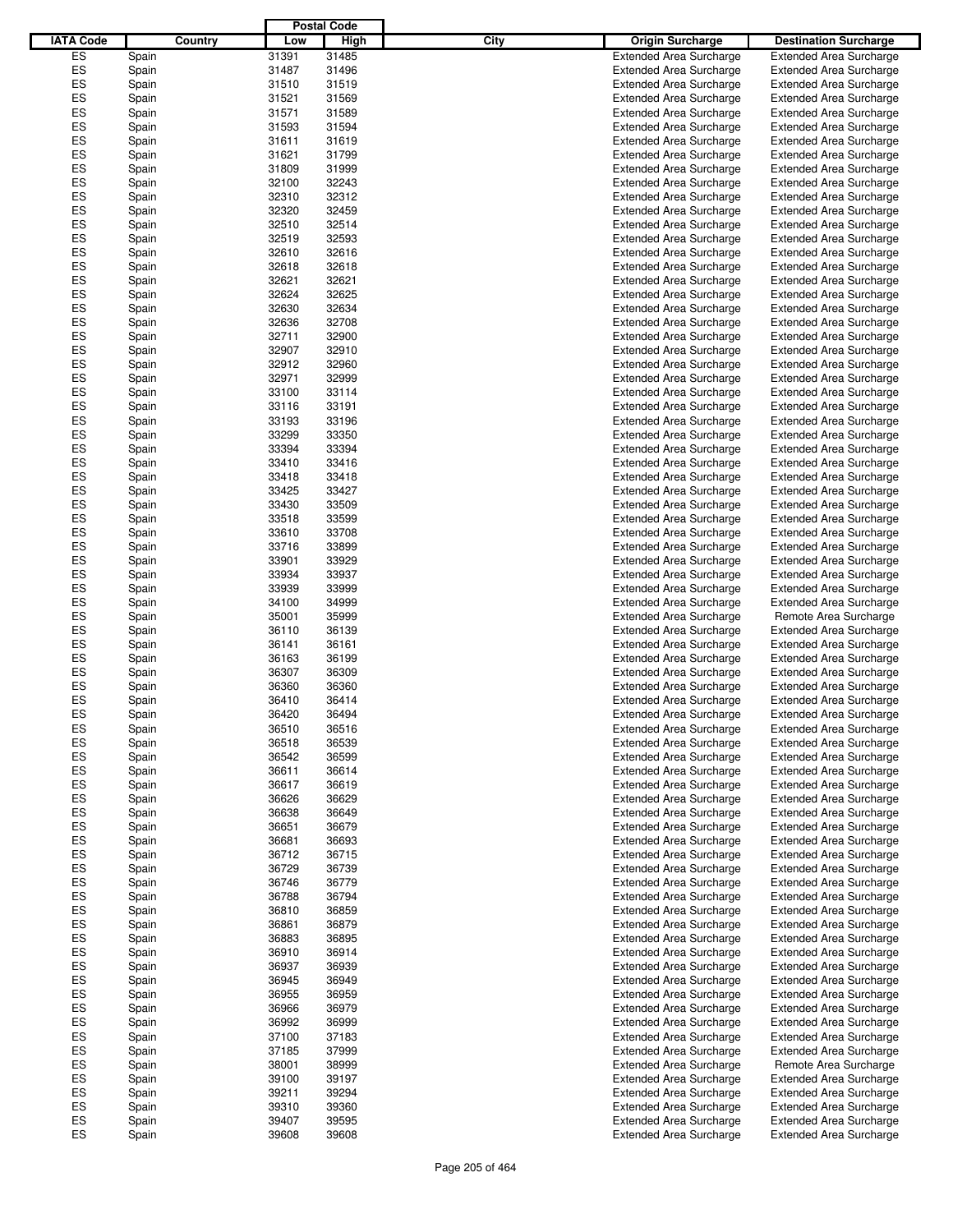|                  |       |         |       | <b>Postal Code</b> |      |                                |                                |
|------------------|-------|---------|-------|--------------------|------|--------------------------------|--------------------------------|
| <b>IATA Code</b> |       | Country | Low   | High               | City | <b>Origin Surcharge</b>        | <b>Destination Surcharge</b>   |
| ES               | Spain |         | 31391 | 31485              |      | <b>Extended Area Surcharge</b> | <b>Extended Area Surcharge</b> |
| ES               | Spain |         | 31487 | 31496              |      | <b>Extended Area Surcharge</b> | <b>Extended Area Surcharge</b> |
| ES               | Spain |         | 31510 | 31519              |      | <b>Extended Area Surcharge</b> | <b>Extended Area Surcharge</b> |
| ES               | Spain |         | 31521 | 31569              |      | <b>Extended Area Surcharge</b> | <b>Extended Area Surcharge</b> |
| ES               | Spain |         | 31571 | 31589              |      | <b>Extended Area Surcharge</b> | <b>Extended Area Surcharge</b> |
| ES               | Spain |         | 31593 | 31594              |      | <b>Extended Area Surcharge</b> | <b>Extended Area Surcharge</b> |
| ES               | Spain |         | 31611 | 31619              |      | <b>Extended Area Surcharge</b> | <b>Extended Area Surcharge</b> |
| ES               | Spain |         | 31621 | 31799              |      | <b>Extended Area Surcharge</b> | <b>Extended Area Surcharge</b> |
| ES               | Spain |         | 31809 | 31999              |      | <b>Extended Area Surcharge</b> | <b>Extended Area Surcharge</b> |
| ES               | Spain |         | 32100 | 32243              |      | <b>Extended Area Surcharge</b> | <b>Extended Area Surcharge</b> |
| ES               | Spain |         | 32310 | 32312              |      | <b>Extended Area Surcharge</b> | <b>Extended Area Surcharge</b> |
| ES               | Spain |         | 32320 | 32459              |      | <b>Extended Area Surcharge</b> | <b>Extended Area Surcharge</b> |
| ES               | Spain |         | 32510 | 32514              |      | <b>Extended Area Surcharge</b> | <b>Extended Area Surcharge</b> |
| ES               | Spain |         | 32519 | 32593              |      | <b>Extended Area Surcharge</b> | <b>Extended Area Surcharge</b> |
| ES               | Spain |         | 32610 | 32616              |      | <b>Extended Area Surcharge</b> | <b>Extended Area Surcharge</b> |
| ES               | Spain |         | 32618 | 32618              |      | <b>Extended Area Surcharge</b> | <b>Extended Area Surcharge</b> |
| ES               | Spain |         | 32621 | 32621              |      | <b>Extended Area Surcharge</b> | <b>Extended Area Surcharge</b> |
| ES               | Spain |         | 32624 | 32625              |      | <b>Extended Area Surcharge</b> | <b>Extended Area Surcharge</b> |
| ES               | Spain |         | 32630 | 32634              |      | <b>Extended Area Surcharge</b> | <b>Extended Area Surcharge</b> |
| ES               | Spain |         | 32636 | 32708              |      | <b>Extended Area Surcharge</b> | <b>Extended Area Surcharge</b> |
| ES               | Spain |         | 32711 | 32900              |      | <b>Extended Area Surcharge</b> | <b>Extended Area Surcharge</b> |
| ES               | Spain |         | 32907 | 32910              |      | <b>Extended Area Surcharge</b> | <b>Extended Area Surcharge</b> |
| ES               | Spain |         | 32912 | 32960              |      | <b>Extended Area Surcharge</b> | <b>Extended Area Surcharge</b> |
| ES               | Spain |         | 32971 | 32999              |      | <b>Extended Area Surcharge</b> | <b>Extended Area Surcharge</b> |
| ES               | Spain |         | 33100 | 33114              |      | <b>Extended Area Surcharge</b> | <b>Extended Area Surcharge</b> |
| ES               | Spain |         | 33116 | 33191              |      | <b>Extended Area Surcharge</b> | <b>Extended Area Surcharge</b> |
| ES               | Spain |         | 33193 | 33196              |      | <b>Extended Area Surcharge</b> | <b>Extended Area Surcharge</b> |
| ES               | Spain |         | 33299 | 33350              |      | <b>Extended Area Surcharge</b> | <b>Extended Area Surcharge</b> |
| ES               | Spain |         | 33394 | 33394              |      | <b>Extended Area Surcharge</b> | <b>Extended Area Surcharge</b> |
| ES               | Spain |         | 33410 | 33416              |      | <b>Extended Area Surcharge</b> | <b>Extended Area Surcharge</b> |
| ES               | Spain |         | 33418 | 33418              |      | <b>Extended Area Surcharge</b> | <b>Extended Area Surcharge</b> |
| ES               | Spain |         | 33425 | 33427              |      | <b>Extended Area Surcharge</b> | <b>Extended Area Surcharge</b> |
| ES               | Spain |         | 33430 | 33509              |      | <b>Extended Area Surcharge</b> | <b>Extended Area Surcharge</b> |
| ES               | Spain |         | 33518 | 33599              |      | <b>Extended Area Surcharge</b> | <b>Extended Area Surcharge</b> |
| ES               | Spain |         | 33610 | 33708              |      | <b>Extended Area Surcharge</b> | <b>Extended Area Surcharge</b> |
| ES               | Spain |         | 33716 | 33899              |      | <b>Extended Area Surcharge</b> | <b>Extended Area Surcharge</b> |
| ES               | Spain |         | 33901 | 33929              |      | <b>Extended Area Surcharge</b> | <b>Extended Area Surcharge</b> |
| ES               | Spain |         | 33934 | 33937              |      | <b>Extended Area Surcharge</b> | <b>Extended Area Surcharge</b> |
| ES               | Spain |         | 33939 | 33999              |      | <b>Extended Area Surcharge</b> | <b>Extended Area Surcharge</b> |
| ES               | Spain |         | 34100 | 34999              |      | <b>Extended Area Surcharge</b> | <b>Extended Area Surcharge</b> |
| ES               | Spain |         | 35001 | 35999              |      | <b>Extended Area Surcharge</b> | Remote Area Surcharge          |
| ES               | Spain |         | 36110 | 36139              |      | <b>Extended Area Surcharge</b> | <b>Extended Area Surcharge</b> |
| ES               | Spain |         | 36141 | 36161              |      | <b>Extended Area Surcharge</b> | <b>Extended Area Surcharge</b> |
| ES               | Spain |         | 36163 | 36199              |      | <b>Extended Area Surcharge</b> | <b>Extended Area Surcharge</b> |
| ES               | Spain |         | 36307 | 36309              |      | <b>Extended Area Surcharge</b> | <b>Extended Area Surcharge</b> |
| ES               | Spain |         | 36360 | 36360              |      | <b>Extended Area Surcharge</b> | <b>Extended Area Surcharge</b> |
| ES               | Spain |         | 36410 | 36414              |      | <b>Extended Area Surcharge</b> | <b>Extended Area Surcharge</b> |
| ES               | Spain |         | 36420 | 36494              |      | <b>Extended Area Surcharge</b> | <b>Extended Area Surcharge</b> |
| ES               | Spain |         | 36510 | 36516              |      | <b>Extended Area Surcharge</b> | <b>Extended Area Surcharge</b> |
| ES               | Spain |         | 36518 | 36539              |      | <b>Extended Area Surcharge</b> | <b>Extended Area Surcharge</b> |
| ES               | Spain |         | 36542 | 36599              |      | <b>Extended Area Surcharge</b> | <b>Extended Area Surcharge</b> |
| ES               | Spain |         | 36611 | 36614              |      | <b>Extended Area Surcharge</b> | <b>Extended Area Surcharge</b> |
| ES               | Spain |         | 36617 | 36619              |      | <b>Extended Area Surcharge</b> | <b>Extended Area Surcharge</b> |
| ES               | Spain |         | 36626 | 36629              |      | <b>Extended Area Surcharge</b> | <b>Extended Area Surcharge</b> |
| ES               | Spain |         | 36638 | 36649              |      | <b>Extended Area Surcharge</b> | <b>Extended Area Surcharge</b> |
| ES               | Spain |         | 36651 | 36679              |      | <b>Extended Area Surcharge</b> | <b>Extended Area Surcharge</b> |
| ES               | Spain |         | 36681 | 36693              |      | <b>Extended Area Surcharge</b> | <b>Extended Area Surcharge</b> |
| ES               | Spain |         | 36712 | 36715              |      | <b>Extended Area Surcharge</b> | <b>Extended Area Surcharge</b> |
| ES               | Spain |         | 36729 | 36739              |      | <b>Extended Area Surcharge</b> | <b>Extended Area Surcharge</b> |
| ES               | Spain |         | 36746 | 36779              |      | <b>Extended Area Surcharge</b> | <b>Extended Area Surcharge</b> |
| ES               | Spain |         | 36788 | 36794              |      | <b>Extended Area Surcharge</b> | <b>Extended Area Surcharge</b> |
| ES               | Spain |         | 36810 | 36859              |      | <b>Extended Area Surcharge</b> | <b>Extended Area Surcharge</b> |
| ES               | Spain |         | 36861 | 36879              |      | <b>Extended Area Surcharge</b> | <b>Extended Area Surcharge</b> |
| ES               | Spain |         | 36883 | 36895              |      | <b>Extended Area Surcharge</b> | <b>Extended Area Surcharge</b> |
| ES               | Spain |         | 36910 | 36914              |      | <b>Extended Area Surcharge</b> | <b>Extended Area Surcharge</b> |
| ES               | Spain |         | 36937 | 36939              |      | <b>Extended Area Surcharge</b> | <b>Extended Area Surcharge</b> |
| ES               | Spain |         | 36945 | 36949              |      | <b>Extended Area Surcharge</b> | <b>Extended Area Surcharge</b> |
| ES               | Spain |         | 36955 | 36959              |      | <b>Extended Area Surcharge</b> | <b>Extended Area Surcharge</b> |
| ES               | Spain |         | 36966 | 36979              |      | <b>Extended Area Surcharge</b> | <b>Extended Area Surcharge</b> |
| ES               | Spain |         | 36992 | 36999              |      | <b>Extended Area Surcharge</b> | <b>Extended Area Surcharge</b> |
| ES               | Spain |         | 37100 | 37183              |      | <b>Extended Area Surcharge</b> | <b>Extended Area Surcharge</b> |
| ES               | Spain |         | 37185 | 37999              |      | <b>Extended Area Surcharge</b> | <b>Extended Area Surcharge</b> |
| ES               | Spain |         | 38001 | 38999              |      | <b>Extended Area Surcharge</b> | Remote Area Surcharge          |
| ES               | Spain |         | 39100 | 39197              |      | <b>Extended Area Surcharge</b> | <b>Extended Area Surcharge</b> |
| ES               | Spain |         | 39211 | 39294              |      | <b>Extended Area Surcharge</b> | <b>Extended Area Surcharge</b> |
| ES               | Spain |         | 39310 | 39360              |      | <b>Extended Area Surcharge</b> | <b>Extended Area Surcharge</b> |
| ES               | Spain |         | 39407 | 39595              |      | <b>Extended Area Surcharge</b> | <b>Extended Area Surcharge</b> |
| ES               | Spain |         | 39608 | 39608              |      | <b>Extended Area Surcharge</b> | <b>Extended Area Surcharge</b> |
|                  |       |         |       |                    |      |                                |                                |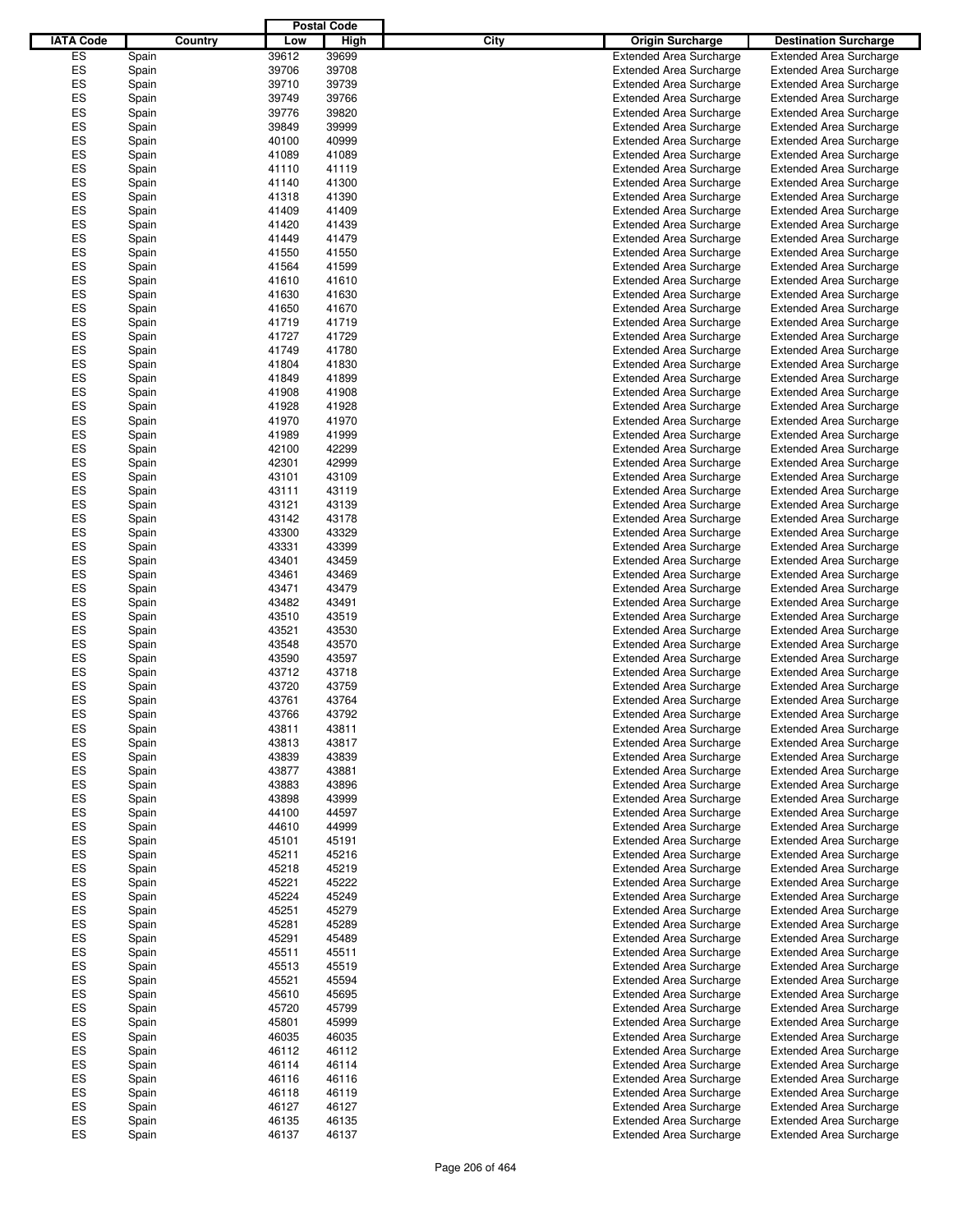|                  |         |       | <b>Postal Code</b> |                                 |                                |
|------------------|---------|-------|--------------------|---------------------------------|--------------------------------|
| <b>IATA Code</b> | Country | Low   | High               | City<br><b>Origin Surcharge</b> | <b>Destination Surcharge</b>   |
| ES               | Spain   | 39612 | 39699              | <b>Extended Area Surcharge</b>  | <b>Extended Area Surcharge</b> |
| ES               | Spain   | 39706 | 39708              | <b>Extended Area Surcharge</b>  | <b>Extended Area Surcharge</b> |
| ES               | Spain   | 39710 | 39739              | <b>Extended Area Surcharge</b>  | <b>Extended Area Surcharge</b> |
| ES               | Spain   | 39749 | 39766              | <b>Extended Area Surcharge</b>  | <b>Extended Area Surcharge</b> |
| ES               | Spain   | 39776 | 39820              | <b>Extended Area Surcharge</b>  | <b>Extended Area Surcharge</b> |
| ES               |         | 39849 | 39999              | <b>Extended Area Surcharge</b>  | <b>Extended Area Surcharge</b> |
| ES               | Spain   |       | 40999              |                                 |                                |
|                  | Spain   | 40100 |                    | <b>Extended Area Surcharge</b>  | <b>Extended Area Surcharge</b> |
| ES               | Spain   | 41089 | 41089              | <b>Extended Area Surcharge</b>  | <b>Extended Area Surcharge</b> |
| ES               | Spain   | 41110 | 41119              | <b>Extended Area Surcharge</b>  | <b>Extended Area Surcharge</b> |
| ES               | Spain   | 41140 | 41300              | <b>Extended Area Surcharge</b>  | <b>Extended Area Surcharge</b> |
| ES               | Spain   | 41318 | 41390              | <b>Extended Area Surcharge</b>  | <b>Extended Area Surcharge</b> |
| ES               | Spain   | 41409 | 41409              | <b>Extended Area Surcharge</b>  | <b>Extended Area Surcharge</b> |
| ES               | Spain   | 41420 | 41439              | <b>Extended Area Surcharge</b>  | <b>Extended Area Surcharge</b> |
| ES               | Spain   | 41449 | 41479              | <b>Extended Area Surcharge</b>  | <b>Extended Area Surcharge</b> |
| ES               | Spain   | 41550 | 41550              | <b>Extended Area Surcharge</b>  | <b>Extended Area Surcharge</b> |
| ES               | Spain   | 41564 | 41599              | <b>Extended Area Surcharge</b>  | <b>Extended Area Surcharge</b> |
| ES               | Spain   | 41610 | 41610              | <b>Extended Area Surcharge</b>  | <b>Extended Area Surcharge</b> |
| ES               | Spain   | 41630 | 41630              | <b>Extended Area Surcharge</b>  | <b>Extended Area Surcharge</b> |
| ES               | Spain   | 41650 | 41670              | <b>Extended Area Surcharge</b>  | <b>Extended Area Surcharge</b> |
| ES               | Spain   | 41719 | 41719              | <b>Extended Area Surcharge</b>  | <b>Extended Area Surcharge</b> |
| ES               | Spain   | 41727 | 41729              | <b>Extended Area Surcharge</b>  | <b>Extended Area Surcharge</b> |
| ES               | Spain   | 41749 | 41780              | <b>Extended Area Surcharge</b>  | <b>Extended Area Surcharge</b> |
| ES               | Spain   | 41804 | 41830              | <b>Extended Area Surcharge</b>  | <b>Extended Area Surcharge</b> |
| ES               | Spain   | 41849 | 41899              | <b>Extended Area Surcharge</b>  | <b>Extended Area Surcharge</b> |
| ES               | Spain   | 41908 | 41908              | <b>Extended Area Surcharge</b>  | <b>Extended Area Surcharge</b> |
| ES               | Spain   | 41928 | 41928              | <b>Extended Area Surcharge</b>  | <b>Extended Area Surcharge</b> |
| ES               | Spain   | 41970 | 41970              | <b>Extended Area Surcharge</b>  | <b>Extended Area Surcharge</b> |
| ES               |         | 41989 | 41999              |                                 |                                |
| ES               | Spain   |       |                    | <b>Extended Area Surcharge</b>  | <b>Extended Area Surcharge</b> |
|                  | Spain   | 42100 | 42299              | <b>Extended Area Surcharge</b>  | <b>Extended Area Surcharge</b> |
| ES               | Spain   | 42301 | 42999              | <b>Extended Area Surcharge</b>  | <b>Extended Area Surcharge</b> |
| ES               | Spain   | 43101 | 43109              | <b>Extended Area Surcharge</b>  | <b>Extended Area Surcharge</b> |
| ES               | Spain   | 43111 | 43119              | <b>Extended Area Surcharge</b>  | <b>Extended Area Surcharge</b> |
| ES               | Spain   | 43121 | 43139              | <b>Extended Area Surcharge</b>  | <b>Extended Area Surcharge</b> |
| ES               | Spain   | 43142 | 43178              | <b>Extended Area Surcharge</b>  | <b>Extended Area Surcharge</b> |
| ES               | Spain   | 43300 | 43329              | <b>Extended Area Surcharge</b>  | <b>Extended Area Surcharge</b> |
| ES               | Spain   | 43331 | 43399              | <b>Extended Area Surcharge</b>  | <b>Extended Area Surcharge</b> |
| ES               | Spain   | 43401 | 43459              | <b>Extended Area Surcharge</b>  | <b>Extended Area Surcharge</b> |
| ES               | Spain   | 43461 | 43469              | <b>Extended Area Surcharge</b>  | <b>Extended Area Surcharge</b> |
| ES               | Spain   | 43471 | 43479              | <b>Extended Area Surcharge</b>  | <b>Extended Area Surcharge</b> |
| ES               | Spain   | 43482 | 43491              | <b>Extended Area Surcharge</b>  | <b>Extended Area Surcharge</b> |
| ES               | Spain   | 43510 | 43519              | <b>Extended Area Surcharge</b>  | <b>Extended Area Surcharge</b> |
| ES               | Spain   | 43521 | 43530              | <b>Extended Area Surcharge</b>  | <b>Extended Area Surcharge</b> |
| ES               | Spain   | 43548 | 43570              | <b>Extended Area Surcharge</b>  | <b>Extended Area Surcharge</b> |
| ES               | Spain   | 43590 | 43597              | <b>Extended Area Surcharge</b>  | <b>Extended Area Surcharge</b> |
| ES               | Spain   | 43712 | 43718              | <b>Extended Area Surcharge</b>  | <b>Extended Area Surcharge</b> |
| ES               | Spain   | 43720 | 43759              | <b>Extended Area Surcharge</b>  | <b>Extended Area Surcharge</b> |
| ES               | Spain   | 43761 | 43764              | <b>Extended Area Surcharge</b>  | <b>Extended Area Surcharge</b> |
| ES               | Spain   | 43766 | 43792              | <b>Extended Area Surcharge</b>  | <b>Extended Area Surcharge</b> |
| ES               | Spain   | 43811 | 43811              | <b>Extended Area Surcharge</b>  | <b>Extended Area Surcharge</b> |
| ES               | Spain   | 43813 | 43817              | <b>Extended Area Surcharge</b>  | <b>Extended Area Surcharge</b> |
| ES               |         | 43839 | 43839              | <b>Extended Area Surcharge</b>  | <b>Extended Area Surcharge</b> |
| ES               | Spain   |       |                    |                                 |                                |
| ES               | Spain   | 43877 | 43881              | <b>Extended Area Surcharge</b>  | <b>Extended Area Surcharge</b> |
|                  | Spain   | 43883 | 43896              | <b>Extended Area Surcharge</b>  | <b>Extended Area Surcharge</b> |
| ES               | Spain   | 43898 | 43999              | <b>Extended Area Surcharge</b>  | <b>Extended Area Surcharge</b> |
| ES               | Spain   | 44100 | 44597              | <b>Extended Area Surcharge</b>  | <b>Extended Area Surcharge</b> |
| ES               | Spain   | 44610 | 44999              | <b>Extended Area Surcharge</b>  | <b>Extended Area Surcharge</b> |
| ES               | Spain   | 45101 | 45191              | <b>Extended Area Surcharge</b>  | <b>Extended Area Surcharge</b> |
| ES               | Spain   | 45211 | 45216              | <b>Extended Area Surcharge</b>  | <b>Extended Area Surcharge</b> |
| ES               | Spain   | 45218 | 45219              | <b>Extended Area Surcharge</b>  | <b>Extended Area Surcharge</b> |
| ES               | Spain   | 45221 | 45222              | <b>Extended Area Surcharge</b>  | <b>Extended Area Surcharge</b> |
| ES               | Spain   | 45224 | 45249              | <b>Extended Area Surcharge</b>  | <b>Extended Area Surcharge</b> |
| ES               | Spain   | 45251 | 45279              | <b>Extended Area Surcharge</b>  | <b>Extended Area Surcharge</b> |
| ES               | Spain   | 45281 | 45289              | <b>Extended Area Surcharge</b>  | <b>Extended Area Surcharge</b> |
| ES               | Spain   | 45291 | 45489              | <b>Extended Area Surcharge</b>  | <b>Extended Area Surcharge</b> |
| ES               | Spain   | 45511 | 45511              | <b>Extended Area Surcharge</b>  | <b>Extended Area Surcharge</b> |
| ES               | Spain   | 45513 | 45519              | <b>Extended Area Surcharge</b>  | <b>Extended Area Surcharge</b> |
| ES               | Spain   | 45521 | 45594              | <b>Extended Area Surcharge</b>  | <b>Extended Area Surcharge</b> |
| ES               | Spain   | 45610 | 45695              | <b>Extended Area Surcharge</b>  | <b>Extended Area Surcharge</b> |
| ES               | Spain   | 45720 | 45799              | <b>Extended Area Surcharge</b>  | <b>Extended Area Surcharge</b> |
| ES               | Spain   | 45801 | 45999              | <b>Extended Area Surcharge</b>  | <b>Extended Area Surcharge</b> |
| ES               | Spain   | 46035 | 46035              | <b>Extended Area Surcharge</b>  | <b>Extended Area Surcharge</b> |
| ES               | Spain   | 46112 | 46112              | <b>Extended Area Surcharge</b>  | <b>Extended Area Surcharge</b> |
| ES               | Spain   | 46114 | 46114              | <b>Extended Area Surcharge</b>  | <b>Extended Area Surcharge</b> |
| ES               | Spain   | 46116 | 46116              | <b>Extended Area Surcharge</b>  | <b>Extended Area Surcharge</b> |
| ES               | Spain   | 46118 | 46119              | <b>Extended Area Surcharge</b>  | <b>Extended Area Surcharge</b> |
| ES               |         | 46127 | 46127              | <b>Extended Area Surcharge</b>  | <b>Extended Area Surcharge</b> |
|                  | Spain   |       |                    |                                 |                                |
| ES               | Spain   | 46135 | 46135              | <b>Extended Area Surcharge</b>  | <b>Extended Area Surcharge</b> |
| ES               | Spain   | 46137 | 46137              | <b>Extended Area Surcharge</b>  | <b>Extended Area Surcharge</b> |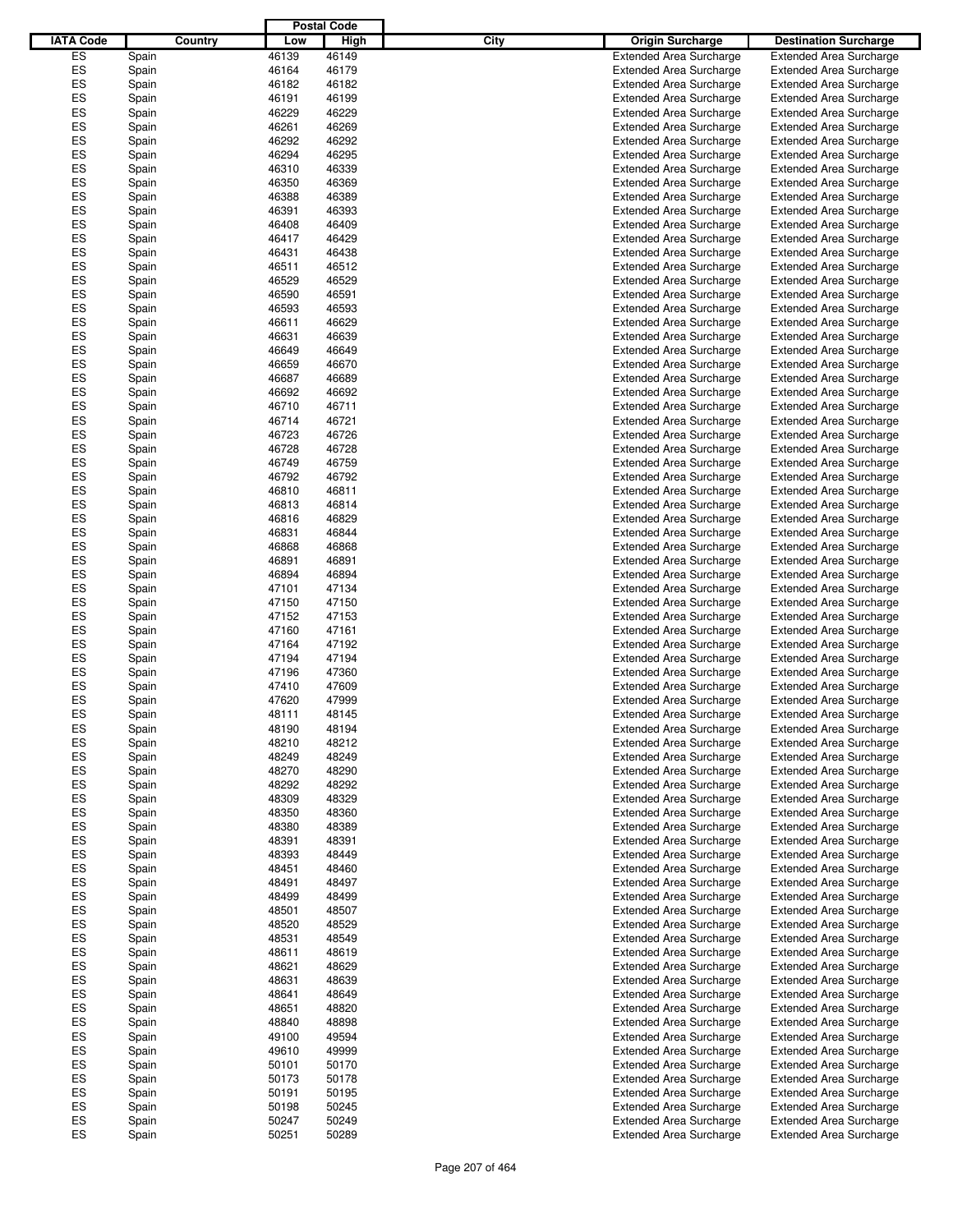|                  |       |         |       | <b>Postal Code</b> |      |                                |                                |
|------------------|-------|---------|-------|--------------------|------|--------------------------------|--------------------------------|
| <b>IATA Code</b> |       | Country | Low   | High               | City | <b>Origin Surcharge</b>        | <b>Destination Surcharge</b>   |
| ES               | Spain |         | 46139 | 46149              |      | <b>Extended Area Surcharge</b> | <b>Extended Area Surcharge</b> |
| ES               | Spain |         | 46164 | 46179              |      | <b>Extended Area Surcharge</b> | <b>Extended Area Surcharge</b> |
| ES               | Spain |         | 46182 | 46182              |      | <b>Extended Area Surcharge</b> | <b>Extended Area Surcharge</b> |
| ES               | Spain |         | 46191 | 46199              |      | <b>Extended Area Surcharge</b> | <b>Extended Area Surcharge</b> |
| ES               | Spain |         | 46229 | 46229              |      | <b>Extended Area Surcharge</b> | <b>Extended Area Surcharge</b> |
| ES               |       |         | 46261 | 46269              |      |                                |                                |
|                  | Spain |         |       |                    |      | <b>Extended Area Surcharge</b> | <b>Extended Area Surcharge</b> |
| ES               | Spain |         | 46292 | 46292              |      | <b>Extended Area Surcharge</b> | <b>Extended Area Surcharge</b> |
| ES               | Spain |         | 46294 | 46295              |      | <b>Extended Area Surcharge</b> | <b>Extended Area Surcharge</b> |
| ES               | Spain |         | 46310 | 46339              |      | <b>Extended Area Surcharge</b> | <b>Extended Area Surcharge</b> |
| ES               | Spain |         | 46350 | 46369              |      | <b>Extended Area Surcharge</b> | <b>Extended Area Surcharge</b> |
| ES               | Spain |         | 46388 | 46389              |      | <b>Extended Area Surcharge</b> | <b>Extended Area Surcharge</b> |
| ES               | Spain |         | 46391 | 46393              |      | <b>Extended Area Surcharge</b> | <b>Extended Area Surcharge</b> |
| ES               | Spain |         | 46408 | 46409              |      | <b>Extended Area Surcharge</b> | <b>Extended Area Surcharge</b> |
| ES               | Spain |         | 46417 | 46429              |      | <b>Extended Area Surcharge</b> | <b>Extended Area Surcharge</b> |
| ES               | Spain |         | 46431 | 46438              |      | <b>Extended Area Surcharge</b> | <b>Extended Area Surcharge</b> |
| ES               | Spain |         | 46511 | 46512              |      | <b>Extended Area Surcharge</b> | <b>Extended Area Surcharge</b> |
| ES               | Spain |         | 46529 | 46529              |      | <b>Extended Area Surcharge</b> | <b>Extended Area Surcharge</b> |
| ES               | Spain |         | 46590 | 46591              |      | <b>Extended Area Surcharge</b> | <b>Extended Area Surcharge</b> |
| ES               | Spain |         | 46593 | 46593              |      | <b>Extended Area Surcharge</b> | <b>Extended Area Surcharge</b> |
| ES               | Spain |         | 46611 | 46629              |      | <b>Extended Area Surcharge</b> | <b>Extended Area Surcharge</b> |
| ES               | Spain |         | 46631 | 46639              |      | <b>Extended Area Surcharge</b> | <b>Extended Area Surcharge</b> |
| ES               | Spain |         | 46649 | 46649              |      | <b>Extended Area Surcharge</b> | <b>Extended Area Surcharge</b> |
| ES               | Spain |         | 46659 | 46670              |      | <b>Extended Area Surcharge</b> | <b>Extended Area Surcharge</b> |
| ES               |       |         | 46687 | 46689              |      | <b>Extended Area Surcharge</b> | <b>Extended Area Surcharge</b> |
|                  | Spain |         |       |                    |      |                                |                                |
| ES               | Spain |         | 46692 | 46692              |      | <b>Extended Area Surcharge</b> | <b>Extended Area Surcharge</b> |
| ES               | Spain |         | 46710 | 46711              |      | <b>Extended Area Surcharge</b> | <b>Extended Area Surcharge</b> |
| ES               | Spain |         | 46714 | 46721              |      | <b>Extended Area Surcharge</b> | <b>Extended Area Surcharge</b> |
| ES               | Spain |         | 46723 | 46726              |      | <b>Extended Area Surcharge</b> | <b>Extended Area Surcharge</b> |
| ES               | Spain |         | 46728 | 46728              |      | <b>Extended Area Surcharge</b> | <b>Extended Area Surcharge</b> |
| ES               | Spain |         | 46749 | 46759              |      | <b>Extended Area Surcharge</b> | <b>Extended Area Surcharge</b> |
| ES               | Spain |         | 46792 | 46792              |      | <b>Extended Area Surcharge</b> | <b>Extended Area Surcharge</b> |
| ES               | Spain |         | 46810 | 46811              |      | <b>Extended Area Surcharge</b> | <b>Extended Area Surcharge</b> |
| ES               | Spain |         | 46813 | 46814              |      | <b>Extended Area Surcharge</b> | <b>Extended Area Surcharge</b> |
| ES               | Spain |         | 46816 | 46829              |      | <b>Extended Area Surcharge</b> | <b>Extended Area Surcharge</b> |
| ES               | Spain |         | 46831 | 46844              |      | <b>Extended Area Surcharge</b> | <b>Extended Area Surcharge</b> |
| ES               | Spain |         | 46868 | 46868              |      | <b>Extended Area Surcharge</b> | <b>Extended Area Surcharge</b> |
| ES               | Spain |         | 46891 | 46891              |      | <b>Extended Area Surcharge</b> | <b>Extended Area Surcharge</b> |
| ES               | Spain |         | 46894 | 46894              |      | <b>Extended Area Surcharge</b> | <b>Extended Area Surcharge</b> |
| ES               | Spain |         | 47101 | 47134              |      | <b>Extended Area Surcharge</b> | <b>Extended Area Surcharge</b> |
| ES               | Spain |         | 47150 | 47150              |      | <b>Extended Area Surcharge</b> | <b>Extended Area Surcharge</b> |
| ES               | Spain |         | 47152 | 47153              |      | <b>Extended Area Surcharge</b> | <b>Extended Area Surcharge</b> |
| ES               | Spain |         | 47160 | 47161              |      | <b>Extended Area Surcharge</b> | <b>Extended Area Surcharge</b> |
|                  |       |         |       | 47192              |      |                                |                                |
| ES               | Spain |         | 47164 |                    |      | <b>Extended Area Surcharge</b> | <b>Extended Area Surcharge</b> |
| ES               | Spain |         | 47194 | 47194              |      | <b>Extended Area Surcharge</b> | <b>Extended Area Surcharge</b> |
| ES               | Spain |         | 47196 | 47360              |      | <b>Extended Area Surcharge</b> | <b>Extended Area Surcharge</b> |
| ES               | Spain |         | 47410 | 47609              |      | <b>Extended Area Surcharge</b> | <b>Extended Area Surcharge</b> |
| ES               | Spain |         | 47620 | 47999              |      | <b>Extended Area Surcharge</b> | <b>Extended Area Surcharge</b> |
| ES               | Spain |         | 48111 | 48145              |      | <b>Extended Area Surcharge</b> | <b>Extended Area Surcharge</b> |
| ES               | Spain |         | 48190 | 48194              |      | <b>Extended Area Surcharge</b> | <b>Extended Area Surcharge</b> |
| ES               | Spain |         | 48210 | 48212              |      | <b>Extended Area Surcharge</b> | <b>Extended Area Surcharge</b> |
| ES               | Spain |         | 48249 | 48249              |      | <b>Extended Area Surcharge</b> | <b>Extended Area Surcharge</b> |
| ES               | Spain |         | 48270 | 48290              |      | <b>Extended Area Surcharge</b> | <b>Extended Area Surcharge</b> |
| ES               | Spain |         | 48292 | 48292              |      | <b>Extended Area Surcharge</b> | <b>Extended Area Surcharge</b> |
| ES               | Spain |         | 48309 | 48329              |      | <b>Extended Area Surcharge</b> | <b>Extended Area Surcharge</b> |
| ES               | Spain |         | 48350 | 48360              |      | <b>Extended Area Surcharge</b> | <b>Extended Area Surcharge</b> |
| ES               | Spain |         | 48380 | 48389              |      | <b>Extended Area Surcharge</b> | <b>Extended Area Surcharge</b> |
| ES               | Spain |         | 48391 | 48391              |      | <b>Extended Area Surcharge</b> | <b>Extended Area Surcharge</b> |
| ES               | Spain |         | 48393 | 48449              |      | <b>Extended Area Surcharge</b> | <b>Extended Area Surcharge</b> |
| ES               | Spain |         | 48451 | 48460              |      | <b>Extended Area Surcharge</b> | <b>Extended Area Surcharge</b> |
| ES               | Spain |         | 48491 | 48497              |      | <b>Extended Area Surcharge</b> | <b>Extended Area Surcharge</b> |
| ES               |       |         |       |                    |      |                                |                                |
|                  | Spain |         | 48499 | 48499              |      | <b>Extended Area Surcharge</b> | <b>Extended Area Surcharge</b> |
| ES               | Spain |         | 48501 | 48507              |      | <b>Extended Area Surcharge</b> | <b>Extended Area Surcharge</b> |
| ES               | Spain |         | 48520 | 48529              |      | <b>Extended Area Surcharge</b> | <b>Extended Area Surcharge</b> |
| ES               | Spain |         | 48531 | 48549              |      | <b>Extended Area Surcharge</b> | <b>Extended Area Surcharge</b> |
| ES               | Spain |         | 48611 | 48619              |      | <b>Extended Area Surcharge</b> | <b>Extended Area Surcharge</b> |
| ES               | Spain |         | 48621 | 48629              |      | <b>Extended Area Surcharge</b> | <b>Extended Area Surcharge</b> |
| ES               | Spain |         | 48631 | 48639              |      | <b>Extended Area Surcharge</b> | <b>Extended Area Surcharge</b> |
| ES               | Spain |         | 48641 | 48649              |      | <b>Extended Area Surcharge</b> | <b>Extended Area Surcharge</b> |
| ES               | Spain |         | 48651 | 48820              |      | <b>Extended Area Surcharge</b> | <b>Extended Area Surcharge</b> |
| ES               | Spain |         | 48840 | 48898              |      | <b>Extended Area Surcharge</b> | <b>Extended Area Surcharge</b> |
| ES               | Spain |         | 49100 | 49594              |      | <b>Extended Area Surcharge</b> | <b>Extended Area Surcharge</b> |
| ES               | Spain |         | 49610 | 49999              |      | <b>Extended Area Surcharge</b> | <b>Extended Area Surcharge</b> |
| ES               | Spain |         | 50101 | 50170              |      | <b>Extended Area Surcharge</b> | <b>Extended Area Surcharge</b> |
| ES               | Spain |         | 50173 | 50178              |      | <b>Extended Area Surcharge</b> | <b>Extended Area Surcharge</b> |
| ES               | Spain |         | 50191 | 50195              |      | <b>Extended Area Surcharge</b> | <b>Extended Area Surcharge</b> |
| ES               | Spain |         | 50198 | 50245              |      | <b>Extended Area Surcharge</b> | <b>Extended Area Surcharge</b> |
| ES               |       |         |       |                    |      |                                |                                |
| ES               | Spain |         | 50247 | 50249              |      | <b>Extended Area Surcharge</b> | <b>Extended Area Surcharge</b> |
|                  | Spain |         | 50251 | 50289              |      | <b>Extended Area Surcharge</b> | <b>Extended Area Surcharge</b> |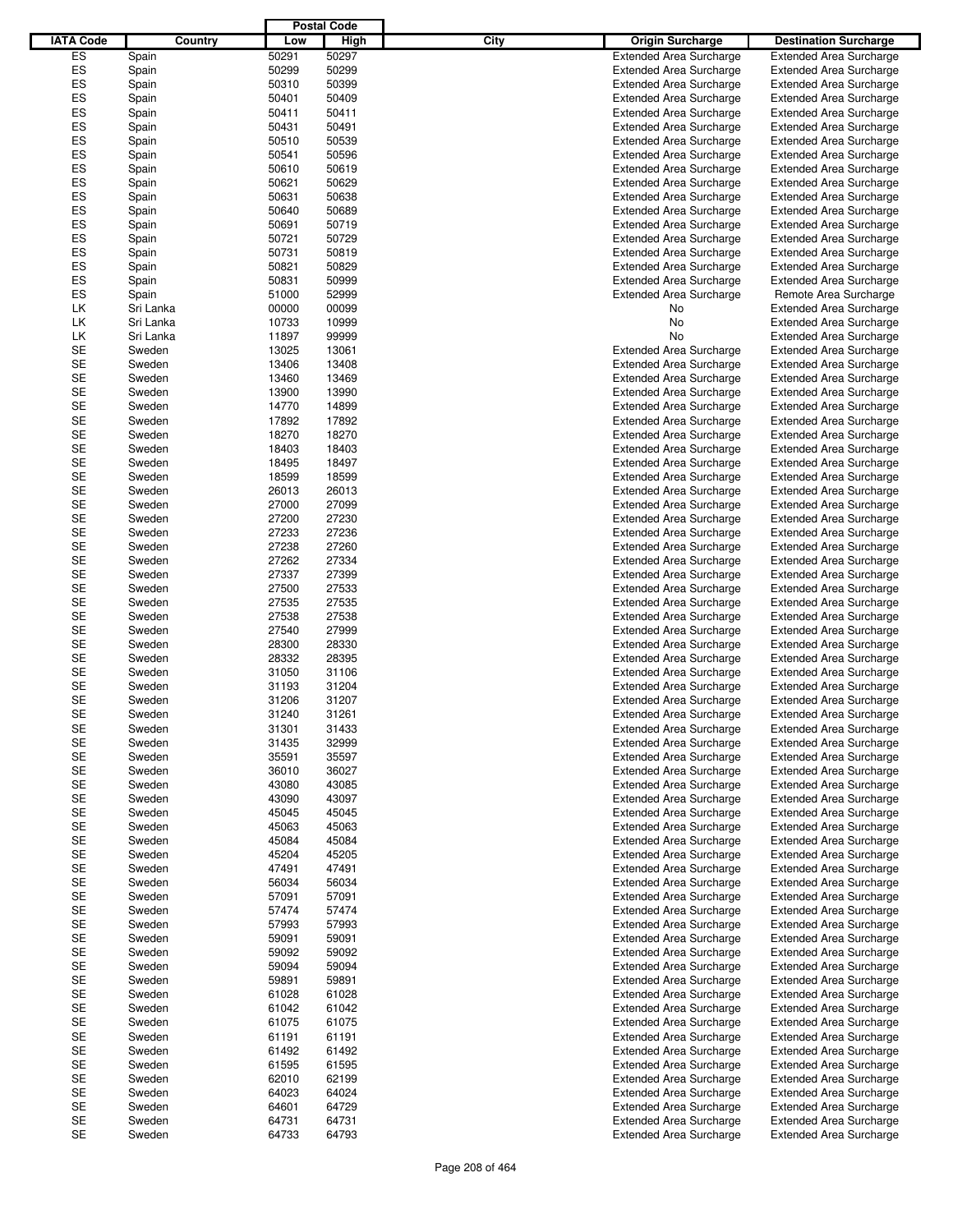|                  |           |       | <b>Postal Code</b> |             |                                |                                |
|------------------|-----------|-------|--------------------|-------------|--------------------------------|--------------------------------|
| <b>IATA Code</b> | Country   | Low   | <b>High</b>        | <b>City</b> | <b>Origin Surcharge</b>        | <b>Destination Surcharge</b>   |
|                  |           |       |                    |             | <b>Extended Area Surcharge</b> | <b>Extended Area Surcharge</b> |
| ES               | Spain     | 50291 | 50297              |             |                                |                                |
| ES               | Spain     | 50299 | 50299              |             | <b>Extended Area Surcharge</b> | <b>Extended Area Surcharge</b> |
| ES               | Spain     | 50310 | 50399              |             | <b>Extended Area Surcharge</b> | <b>Extended Area Surcharge</b> |
| ES               | Spain     | 50401 | 50409              |             | <b>Extended Area Surcharge</b> | <b>Extended Area Surcharge</b> |
| ES               | Spain     | 50411 | 50411              |             | <b>Extended Area Surcharge</b> | <b>Extended Area Surcharge</b> |
| ES               | Spain     | 50431 | 50491              |             | <b>Extended Area Surcharge</b> | <b>Extended Area Surcharge</b> |
| ES               | Spain     | 50510 | 50539              |             | <b>Extended Area Surcharge</b> | <b>Extended Area Surcharge</b> |
| ES               | Spain     | 50541 | 50596              |             | <b>Extended Area Surcharge</b> | <b>Extended Area Surcharge</b> |
| ES               | Spain     | 50610 | 50619              |             | <b>Extended Area Surcharge</b> | <b>Extended Area Surcharge</b> |
| ES               | Spain     | 50621 | 50629              |             | <b>Extended Area Surcharge</b> | <b>Extended Area Surcharge</b> |
| ES               | Spain     | 50631 | 50638              |             | <b>Extended Area Surcharge</b> | <b>Extended Area Surcharge</b> |
| ES               | Spain     | 50640 | 50689              |             | <b>Extended Area Surcharge</b> | <b>Extended Area Surcharge</b> |
| ES               | Spain     | 50691 | 50719              |             | <b>Extended Area Surcharge</b> | <b>Extended Area Surcharge</b> |
| ES               | Spain     | 50721 | 50729              |             | <b>Extended Area Surcharge</b> | <b>Extended Area Surcharge</b> |
| ES               | Spain     | 50731 | 50819              |             | <b>Extended Area Surcharge</b> | <b>Extended Area Surcharge</b> |
| ES               | Spain     | 50821 | 50829              |             | <b>Extended Area Surcharge</b> | <b>Extended Area Surcharge</b> |
| ES               | Spain     | 50831 | 50999              |             | <b>Extended Area Surcharge</b> | <b>Extended Area Surcharge</b> |
| ES               | Spain     | 51000 | 52999              |             | <b>Extended Area Surcharge</b> | Remote Area Surcharge          |
| LK               | Sri Lanka | 00000 | 00099              |             | No                             | <b>Extended Area Surcharge</b> |
| LK               | Sri Lanka | 10733 | 10999              |             | No                             | <b>Extended Area Surcharge</b> |
| LK               |           | 11897 |                    |             | No                             |                                |
|                  | Sri Lanka |       | 99999              |             |                                | <b>Extended Area Surcharge</b> |
| <b>SE</b>        | Sweden    | 13025 | 13061              |             | <b>Extended Area Surcharge</b> | <b>Extended Area Surcharge</b> |
| <b>SE</b>        | Sweden    | 13406 | 13408              |             | <b>Extended Area Surcharge</b> | <b>Extended Area Surcharge</b> |
| <b>SE</b>        | Sweden    | 13460 | 13469              |             | <b>Extended Area Surcharge</b> | <b>Extended Area Surcharge</b> |
| <b>SE</b>        | Sweden    | 13900 | 13990              |             | <b>Extended Area Surcharge</b> | <b>Extended Area Surcharge</b> |
| <b>SE</b>        | Sweden    | 14770 | 14899              |             | <b>Extended Area Surcharge</b> | <b>Extended Area Surcharge</b> |
| <b>SE</b>        | Sweden    | 17892 | 17892              |             | <b>Extended Area Surcharge</b> | <b>Extended Area Surcharge</b> |
| <b>SE</b>        | Sweden    | 18270 | 18270              |             | <b>Extended Area Surcharge</b> | <b>Extended Area Surcharge</b> |
| <b>SE</b>        | Sweden    | 18403 | 18403              |             | <b>Extended Area Surcharge</b> | <b>Extended Area Surcharge</b> |
| <b>SE</b>        | Sweden    | 18495 | 18497              |             | <b>Extended Area Surcharge</b> | <b>Extended Area Surcharge</b> |
| <b>SE</b>        | Sweden    | 18599 | 18599              |             | <b>Extended Area Surcharge</b> | <b>Extended Area Surcharge</b> |
| <b>SE</b>        | Sweden    | 26013 | 26013              |             | <b>Extended Area Surcharge</b> | <b>Extended Area Surcharge</b> |
| <b>SE</b>        | Sweden    | 27000 | 27099              |             | <b>Extended Area Surcharge</b> | <b>Extended Area Surcharge</b> |
| <b>SE</b>        | Sweden    | 27200 | 27230              |             | <b>Extended Area Surcharge</b> | <b>Extended Area Surcharge</b> |
| <b>SE</b>        | Sweden    | 27233 | 27236              |             | <b>Extended Area Surcharge</b> | <b>Extended Area Surcharge</b> |
| <b>SE</b>        | Sweden    | 27238 | 27260              |             | <b>Extended Area Surcharge</b> | <b>Extended Area Surcharge</b> |
| <b>SE</b>        | Sweden    | 27262 | 27334              |             | <b>Extended Area Surcharge</b> | <b>Extended Area Surcharge</b> |
| <b>SE</b>        | Sweden    | 27337 | 27399              |             | <b>Extended Area Surcharge</b> | <b>Extended Area Surcharge</b> |
| <b>SE</b>        |           |       |                    |             |                                |                                |
|                  | Sweden    | 27500 | 27533              |             | <b>Extended Area Surcharge</b> | <b>Extended Area Surcharge</b> |
| <b>SE</b>        | Sweden    | 27535 | 27535              |             | <b>Extended Area Surcharge</b> | <b>Extended Area Surcharge</b> |
| <b>SE</b>        | Sweden    | 27538 | 27538              |             | <b>Extended Area Surcharge</b> | <b>Extended Area Surcharge</b> |
| <b>SE</b>        | Sweden    | 27540 | 27999              |             | <b>Extended Area Surcharge</b> | <b>Extended Area Surcharge</b> |
| <b>SE</b>        | Sweden    | 28300 | 28330              |             | <b>Extended Area Surcharge</b> | <b>Extended Area Surcharge</b> |
| <b>SE</b>        | Sweden    | 28332 | 28395              |             | <b>Extended Area Surcharge</b> | <b>Extended Area Surcharge</b> |
| <b>SE</b>        | Sweden    | 31050 | 31106              |             | <b>Extended Area Surcharge</b> | <b>Extended Area Surcharge</b> |
| <b>SE</b>        | Sweden    | 31193 | 31204              |             | <b>Extended Area Surcharge</b> | <b>Extended Area Surcharge</b> |
| <b>SE</b>        | Sweden    | 31206 | 31207              |             | <b>Extended Area Surcharge</b> | <b>Extended Area Surcharge</b> |
| SЕ               | Sweden    | 31240 | 31261              |             | Extended Area Surcharge        | <b>Extended Area Surcharge</b> |
| <b>SE</b>        | Sweden    | 31301 | 31433              |             | <b>Extended Area Surcharge</b> | <b>Extended Area Surcharge</b> |
| <b>SE</b>        | Sweden    | 31435 | 32999              |             | <b>Extended Area Surcharge</b> | <b>Extended Area Surcharge</b> |
| <b>SE</b>        | Sweden    | 35591 | 35597              |             | <b>Extended Area Surcharge</b> | <b>Extended Area Surcharge</b> |
| SE               | Sweden    | 36010 | 36027              |             | <b>Extended Area Surcharge</b> | <b>Extended Area Surcharge</b> |
| SE               | Sweden    | 43080 | 43085              |             | <b>Extended Area Surcharge</b> | <b>Extended Area Surcharge</b> |
| SE               | Sweden    | 43090 | 43097              |             | <b>Extended Area Surcharge</b> | <b>Extended Area Surcharge</b> |
| SE               | Sweden    | 45045 | 45045              |             | <b>Extended Area Surcharge</b> | <b>Extended Area Surcharge</b> |
| <b>SE</b>        | Sweden    | 45063 | 45063              |             | <b>Extended Area Surcharge</b> | <b>Extended Area Surcharge</b> |
| <b>SE</b>        | Sweden    | 45084 | 45084              |             | <b>Extended Area Surcharge</b> | <b>Extended Area Surcharge</b> |
| SE               | Sweden    | 45204 | 45205              |             | <b>Extended Area Surcharge</b> | <b>Extended Area Surcharge</b> |
| SE               | Sweden    | 47491 | 47491              |             | <b>Extended Area Surcharge</b> | <b>Extended Area Surcharge</b> |
| SE               |           |       |                    |             | <b>Extended Area Surcharge</b> |                                |
|                  | Sweden    | 56034 | 56034              |             |                                | <b>Extended Area Surcharge</b> |
| <b>SE</b>        | Sweden    | 57091 | 57091              |             | <b>Extended Area Surcharge</b> | <b>Extended Area Surcharge</b> |
| SE               | Sweden    | 57474 | 57474              |             | <b>Extended Area Surcharge</b> | <b>Extended Area Surcharge</b> |
| SE               | Sweden    | 57993 | 57993              |             | <b>Extended Area Surcharge</b> | <b>Extended Area Surcharge</b> |
| SE               | Sweden    | 59091 | 59091              |             | <b>Extended Area Surcharge</b> | <b>Extended Area Surcharge</b> |
| SE               | Sweden    | 59092 | 59092              |             | <b>Extended Area Surcharge</b> | <b>Extended Area Surcharge</b> |
| SE               | Sweden    | 59094 | 59094              |             | <b>Extended Area Surcharge</b> | <b>Extended Area Surcharge</b> |
| <b>SE</b>        | Sweden    | 59891 | 59891              |             | <b>Extended Area Surcharge</b> | <b>Extended Area Surcharge</b> |
| SE               | Sweden    | 61028 | 61028              |             | <b>Extended Area Surcharge</b> | <b>Extended Area Surcharge</b> |
| SE               | Sweden    | 61042 | 61042              |             | <b>Extended Area Surcharge</b> | <b>Extended Area Surcharge</b> |
| SE               | Sweden    | 61075 | 61075              |             | <b>Extended Area Surcharge</b> | <b>Extended Area Surcharge</b> |
| SE               | Sweden    | 61191 | 61191              |             | <b>Extended Area Surcharge</b> | <b>Extended Area Surcharge</b> |
| <b>SE</b>        | Sweden    | 61492 | 61492              |             | <b>Extended Area Surcharge</b> | <b>Extended Area Surcharge</b> |
| <b>SE</b>        | Sweden    | 61595 | 61595              |             | <b>Extended Area Surcharge</b> | <b>Extended Area Surcharge</b> |
| SE               | Sweden    | 62010 | 62199              |             | <b>Extended Area Surcharge</b> | <b>Extended Area Surcharge</b> |
| SE               | Sweden    | 64023 | 64024              |             | <b>Extended Area Surcharge</b> | <b>Extended Area Surcharge</b> |
| SE               | Sweden    | 64601 | 64729              |             | <b>Extended Area Surcharge</b> | <b>Extended Area Surcharge</b> |
| SE               |           |       |                    |             |                                |                                |
| SE               | Sweden    | 64731 | 64731              |             | <b>Extended Area Surcharge</b> | <b>Extended Area Surcharge</b> |
|                  | Sweden    | 64733 | 64793              |             | <b>Extended Area Surcharge</b> | <b>Extended Area Surcharge</b> |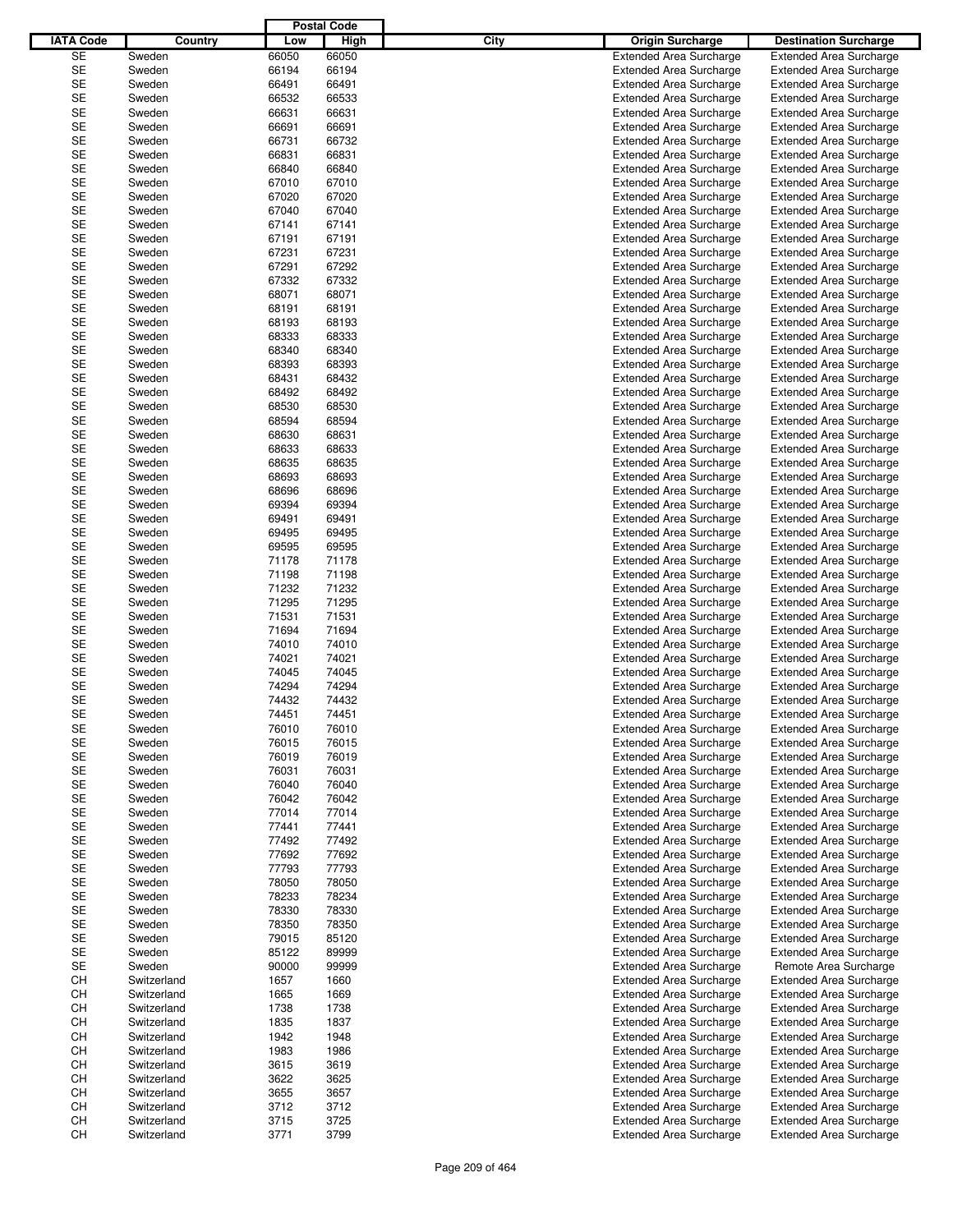|                  |             |       | <b>Postal Code</b> |      |                                |                                |
|------------------|-------------|-------|--------------------|------|--------------------------------|--------------------------------|
| <b>IATA Code</b> | Country     | Low   | High               | City | <b>Origin Surcharge</b>        | <b>Destination Surcharge</b>   |
| <b>SE</b>        |             |       |                    |      |                                |                                |
|                  | Sweden      | 66050 | 66050              |      | <b>Extended Area Surcharge</b> | <b>Extended Area Surcharge</b> |
| SE               | Sweden      | 66194 | 66194              |      | <b>Extended Area Surcharge</b> | <b>Extended Area Surcharge</b> |
| <b>SE</b>        | Sweden      | 66491 | 66491              |      | <b>Extended Area Surcharge</b> | <b>Extended Area Surcharge</b> |
| <b>SE</b>        | Sweden      | 66532 | 66533              |      | <b>Extended Area Surcharge</b> | <b>Extended Area Surcharge</b> |
| SE               | Sweden      | 66631 | 66631              |      | <b>Extended Area Surcharge</b> | <b>Extended Area Surcharge</b> |
| <b>SE</b>        | Sweden      | 66691 | 66691              |      | <b>Extended Area Surcharge</b> | <b>Extended Area Surcharge</b> |
| SE               | Sweden      | 66731 | 66732              |      | <b>Extended Area Surcharge</b> | <b>Extended Area Surcharge</b> |
| <b>SE</b>        | Sweden      | 66831 | 66831              |      | <b>Extended Area Surcharge</b> | <b>Extended Area Surcharge</b> |
| <b>SE</b>        |             |       |                    |      |                                |                                |
|                  | Sweden      | 66840 | 66840              |      | <b>Extended Area Surcharge</b> | <b>Extended Area Surcharge</b> |
| <b>SE</b>        | Sweden      | 67010 | 67010              |      | <b>Extended Area Surcharge</b> | <b>Extended Area Surcharge</b> |
| SE               | Sweden      | 67020 | 67020              |      | <b>Extended Area Surcharge</b> | <b>Extended Area Surcharge</b> |
| <b>SE</b>        | Sweden      | 67040 | 67040              |      | <b>Extended Area Surcharge</b> | <b>Extended Area Surcharge</b> |
| <b>SE</b>        | Sweden      | 67141 | 67141              |      | <b>Extended Area Surcharge</b> | <b>Extended Area Surcharge</b> |
| <b>SE</b>        | Sweden      | 67191 | 67191              |      | <b>Extended Area Surcharge</b> | <b>Extended Area Surcharge</b> |
| SE               | Sweden      | 67231 | 67231              |      | <b>Extended Area Surcharge</b> | <b>Extended Area Surcharge</b> |
| <b>SE</b>        | Sweden      | 67291 | 67292              |      |                                |                                |
|                  |             |       |                    |      | <b>Extended Area Surcharge</b> | <b>Extended Area Surcharge</b> |
| <b>SE</b>        | Sweden      | 67332 | 67332              |      | <b>Extended Area Surcharge</b> | <b>Extended Area Surcharge</b> |
| <b>SE</b>        | Sweden      | 68071 | 68071              |      | <b>Extended Area Surcharge</b> | <b>Extended Area Surcharge</b> |
| <b>SE</b>        | Sweden      | 68191 | 68191              |      | <b>Extended Area Surcharge</b> | <b>Extended Area Surcharge</b> |
| <b>SE</b>        | Sweden      | 68193 | 68193              |      | <b>Extended Area Surcharge</b> | <b>Extended Area Surcharge</b> |
| SE               | Sweden      | 68333 | 68333              |      | <b>Extended Area Surcharge</b> | <b>Extended Area Surcharge</b> |
| <b>SE</b>        | Sweden      | 68340 | 68340              |      | <b>Extended Area Surcharge</b> | <b>Extended Area Surcharge</b> |
| <b>SE</b>        | Sweden      | 68393 | 68393              |      | <b>Extended Area Surcharge</b> | <b>Extended Area Surcharge</b> |
|                  |             |       |                    |      |                                |                                |
| <b>SE</b>        | Sweden      | 68431 | 68432              |      | <b>Extended Area Surcharge</b> | <b>Extended Area Surcharge</b> |
| <b>SE</b>        | Sweden      | 68492 | 68492              |      | <b>Extended Area Surcharge</b> | <b>Extended Area Surcharge</b> |
| <b>SE</b>        | Sweden      | 68530 | 68530              |      | <b>Extended Area Surcharge</b> | <b>Extended Area Surcharge</b> |
| <b>SE</b>        | Sweden      | 68594 | 68594              |      | <b>Extended Area Surcharge</b> | <b>Extended Area Surcharge</b> |
| <b>SE</b>        | Sweden      | 68630 | 68631              |      | <b>Extended Area Surcharge</b> | <b>Extended Area Surcharge</b> |
| <b>SE</b>        | Sweden      | 68633 | 68633              |      | <b>Extended Area Surcharge</b> | <b>Extended Area Surcharge</b> |
| <b>SE</b>        | Sweden      | 68635 | 68635              |      | <b>Extended Area Surcharge</b> | <b>Extended Area Surcharge</b> |
|                  |             |       |                    |      |                                |                                |
| SE               | Sweden      | 68693 | 68693              |      | <b>Extended Area Surcharge</b> | <b>Extended Area Surcharge</b> |
| <b>SE</b>        | Sweden      | 68696 | 68696              |      | <b>Extended Area Surcharge</b> | <b>Extended Area Surcharge</b> |
| <b>SE</b>        | Sweden      | 69394 | 69394              |      | <b>Extended Area Surcharge</b> | <b>Extended Area Surcharge</b> |
| <b>SE</b>        | Sweden      | 69491 | 69491              |      | <b>Extended Area Surcharge</b> | <b>Extended Area Surcharge</b> |
| SE               | Sweden      | 69495 | 69495              |      | <b>Extended Area Surcharge</b> | <b>Extended Area Surcharge</b> |
| <b>SE</b>        | Sweden      | 69595 | 69595              |      | <b>Extended Area Surcharge</b> | <b>Extended Area Surcharge</b> |
| <b>SE</b>        | Sweden      | 71178 | 71178              |      | <b>Extended Area Surcharge</b> | <b>Extended Area Surcharge</b> |
| <b>SE</b>        | Sweden      | 71198 | 71198              |      | <b>Extended Area Surcharge</b> | <b>Extended Area Surcharge</b> |
|                  |             |       |                    |      |                                |                                |
| <b>SE</b>        | Sweden      | 71232 | 71232              |      | <b>Extended Area Surcharge</b> | <b>Extended Area Surcharge</b> |
| <b>SE</b>        | Sweden      | 71295 | 71295              |      | <b>Extended Area Surcharge</b> | <b>Extended Area Surcharge</b> |
| SE               | Sweden      | 71531 | 71531              |      | <b>Extended Area Surcharge</b> | <b>Extended Area Surcharge</b> |
| <b>SE</b>        | Sweden      | 71694 | 71694              |      | <b>Extended Area Surcharge</b> | <b>Extended Area Surcharge</b> |
| <b>SE</b>        | Sweden      | 74010 | 74010              |      | <b>Extended Area Surcharge</b> | <b>Extended Area Surcharge</b> |
| <b>SE</b>        | Sweden      | 74021 | 74021              |      | <b>Extended Area Surcharge</b> | <b>Extended Area Surcharge</b> |
| <b>SE</b>        | Sweden      | 74045 | 74045              |      | <b>Extended Area Surcharge</b> | <b>Extended Area Surcharge</b> |
| <b>SE</b>        |             |       |                    |      |                                |                                |
|                  | Sweden      | 74294 | 74294              |      | <b>Extended Area Surcharge</b> | <b>Extended Area Surcharge</b> |
| <b>SE</b>        | Sweden      | 74432 | 74432              |      | <b>Extended Area Surcharge</b> | <b>Extended Area Surcharge</b> |
| <b>SE</b>        | Sweden      | 74451 | 74451              |      | <b>Extended Area Surcharge</b> | <b>Extended Area Surcharge</b> |
| SE               | Sweden      | 76010 | 76010              |      | <b>Extended Area Surcharge</b> | <b>Extended Area Surcharge</b> |
| SE               | Sweden      | 76015 | 76015              |      | <b>Extended Area Surcharge</b> | <b>Extended Area Surcharge</b> |
| SE               | Sweden      | 76019 | 76019              |      | <b>Extended Area Surcharge</b> | <b>Extended Area Surcharge</b> |
| SE               | Sweden      | 76031 | 76031              |      | <b>Extended Area Surcharge</b> | <b>Extended Area Surcharge</b> |
| SE               | Sweden      | 76040 | 76040              |      | <b>Extended Area Surcharge</b> | <b>Extended Area Surcharge</b> |
| SE               | Sweden      | 76042 | 76042              |      | <b>Extended Area Surcharge</b> | <b>Extended Area Surcharge</b> |
|                  |             |       |                    |      |                                |                                |
| SE               | Sweden      | 77014 | 77014              |      | <b>Extended Area Surcharge</b> | <b>Extended Area Surcharge</b> |
| <b>SE</b>        | Sweden      | 77441 | 77441              |      | <b>Extended Area Surcharge</b> | <b>Extended Area Surcharge</b> |
| SE               | Sweden      | 77492 | 77492              |      | <b>Extended Area Surcharge</b> | <b>Extended Area Surcharge</b> |
| SE               | Sweden      | 77692 | 77692              |      | <b>Extended Area Surcharge</b> | <b>Extended Area Surcharge</b> |
| SE               | Sweden      | 77793 | 77793              |      | <b>Extended Area Surcharge</b> | <b>Extended Area Surcharge</b> |
| SE               | Sweden      | 78050 | 78050              |      | <b>Extended Area Surcharge</b> | <b>Extended Area Surcharge</b> |
| SE               | Sweden      | 78233 | 78234              |      | <b>Extended Area Surcharge</b> | <b>Extended Area Surcharge</b> |
| SE               | Sweden      | 78330 | 78330              |      | <b>Extended Area Surcharge</b> |                                |
|                  |             |       |                    |      |                                | <b>Extended Area Surcharge</b> |
| SE               | Sweden      | 78350 | 78350              |      | <b>Extended Area Surcharge</b> | <b>Extended Area Surcharge</b> |
| SE               | Sweden      | 79015 | 85120              |      | <b>Extended Area Surcharge</b> | <b>Extended Area Surcharge</b> |
| SE               | Sweden      | 85122 | 89999              |      | <b>Extended Area Surcharge</b> | <b>Extended Area Surcharge</b> |
| SE               | Sweden      | 90000 | 99999              |      | <b>Extended Area Surcharge</b> | Remote Area Surcharge          |
| CН               | Switzerland | 1657  | 1660               |      | <b>Extended Area Surcharge</b> | <b>Extended Area Surcharge</b> |
| CH               | Switzerland | 1665  | 1669               |      | <b>Extended Area Surcharge</b> | <b>Extended Area Surcharge</b> |
| CН               | Switzerland | 1738  | 1738               |      | <b>Extended Area Surcharge</b> | <b>Extended Area Surcharge</b> |
|                  |             |       |                    |      |                                |                                |
| CН               | Switzerland | 1835  | 1837               |      | <b>Extended Area Surcharge</b> | <b>Extended Area Surcharge</b> |
| CН               | Switzerland | 1942  | 1948               |      | <b>Extended Area Surcharge</b> | <b>Extended Area Surcharge</b> |
| CH               | Switzerland | 1983  | 1986               |      | <b>Extended Area Surcharge</b> | <b>Extended Area Surcharge</b> |
| CН               | Switzerland | 3615  | 3619               |      | <b>Extended Area Surcharge</b> | <b>Extended Area Surcharge</b> |
| CН               | Switzerland | 3622  | 3625               |      | <b>Extended Area Surcharge</b> | <b>Extended Area Surcharge</b> |
| CН               | Switzerland | 3655  | 3657               |      | <b>Extended Area Surcharge</b> | <b>Extended Area Surcharge</b> |
| CH               | Switzerland | 3712  | 3712               |      | <b>Extended Area Surcharge</b> | <b>Extended Area Surcharge</b> |
| CН               | Switzerland | 3715  | 3725               |      | <b>Extended Area Surcharge</b> | <b>Extended Area Surcharge</b> |
| CН               |             |       | 3799               |      |                                |                                |
|                  | Switzerland | 3771  |                    |      | <b>Extended Area Surcharge</b> | <b>Extended Area Surcharge</b> |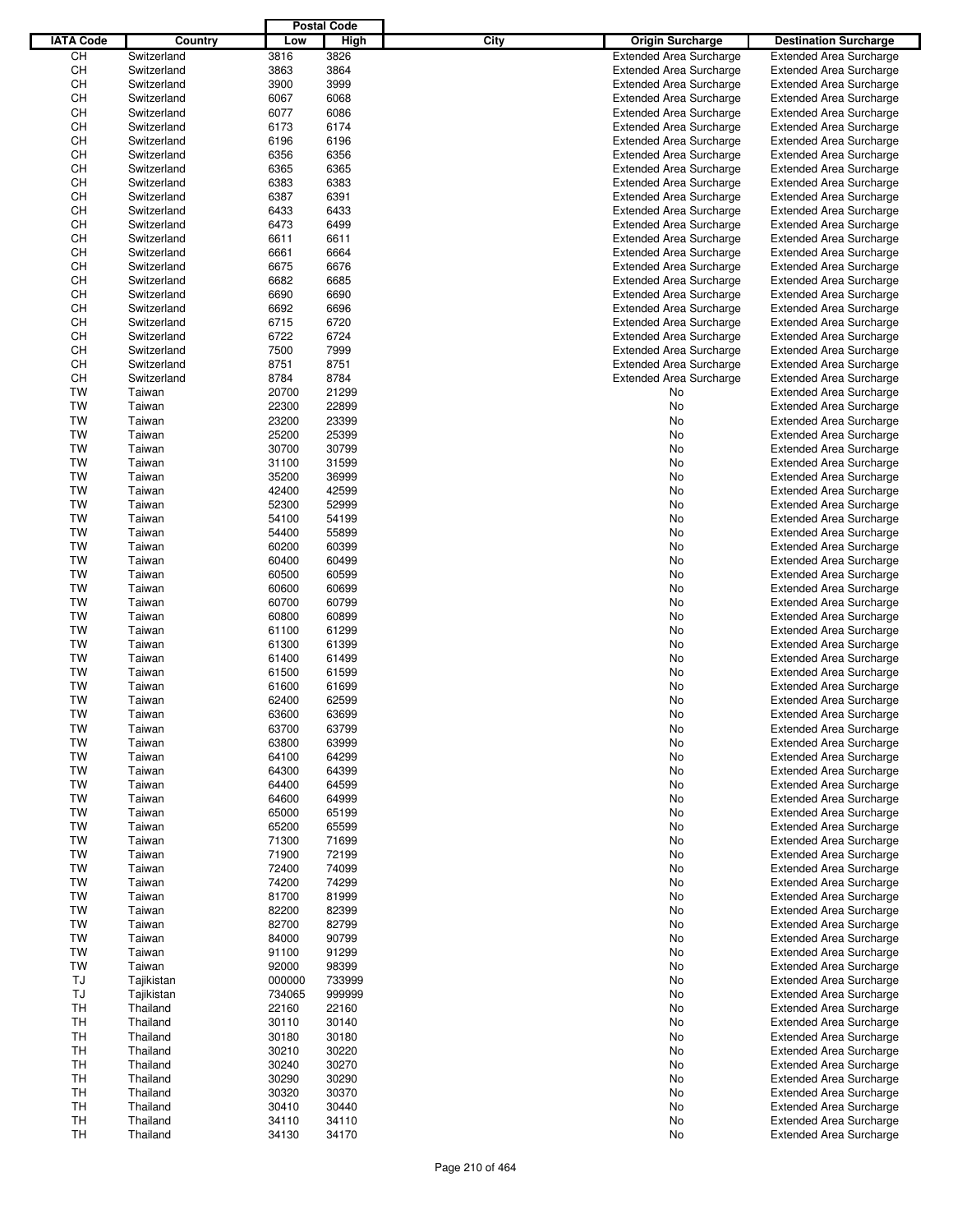|                  |             |        | <b>Postal Code</b> |      |                                |                                |
|------------------|-------------|--------|--------------------|------|--------------------------------|--------------------------------|
| <b>IATA Code</b> | Country     | Low    | High               | City | <b>Origin Surcharge</b>        | <b>Destination Surcharge</b>   |
| CH               | Switzerland | 3816   | 3826               |      | <b>Extended Area Surcharge</b> | <b>Extended Area Surcharge</b> |
| <b>CH</b>        | Switzerland | 3863   | 3864               |      | <b>Extended Area Surcharge</b> | <b>Extended Area Surcharge</b> |
| CH               | Switzerland | 3900   | 3999               |      | <b>Extended Area Surcharge</b> | <b>Extended Area Surcharge</b> |
| CН               | Switzerland | 6067   | 6068               |      | <b>Extended Area Surcharge</b> | <b>Extended Area Surcharge</b> |
| СH               | Switzerland | 6077   | 6086               |      | <b>Extended Area Surcharge</b> | <b>Extended Area Surcharge</b> |
| CH               | Switzerland | 6173   | 6174               |      | <b>Extended Area Surcharge</b> | <b>Extended Area Surcharge</b> |
|                  |             |        | 6196               |      |                                |                                |
| СH               | Switzerland | 6196   |                    |      | <b>Extended Area Surcharge</b> | <b>Extended Area Surcharge</b> |
| CН               | Switzerland | 6356   | 6356               |      | <b>Extended Area Surcharge</b> | <b>Extended Area Surcharge</b> |
| СH               | Switzerland | 6365   | 6365               |      | <b>Extended Area Surcharge</b> | <b>Extended Area Surcharge</b> |
| CH               | Switzerland | 6383   | 6383               |      | <b>Extended Area Surcharge</b> | <b>Extended Area Surcharge</b> |
| СH               | Switzerland | 6387   | 6391               |      | <b>Extended Area Surcharge</b> | <b>Extended Area Surcharge</b> |
| CН               | Switzerland | 6433   | 6433               |      | <b>Extended Area Surcharge</b> | <b>Extended Area Surcharge</b> |
| СH               | Switzerland | 6473   | 6499               |      | <b>Extended Area Surcharge</b> | <b>Extended Area Surcharge</b> |
| CН               | Switzerland | 6611   | 6611               |      | <b>Extended Area Surcharge</b> | <b>Extended Area Surcharge</b> |
| СH               | Switzerland | 6661   | 6664               |      | <b>Extended Area Surcharge</b> | <b>Extended Area Surcharge</b> |
| CH               | Switzerland | 6675   | 6676               |      | <b>Extended Area Surcharge</b> | <b>Extended Area Surcharge</b> |
| СH               | Switzerland | 6682   | 6685               |      | <b>Extended Area Surcharge</b> | <b>Extended Area Surcharge</b> |
| CН               | Switzerland | 6690   | 6690               |      | <b>Extended Area Surcharge</b> | <b>Extended Area Surcharge</b> |
| СH               | Switzerland | 6692   | 6696               |      | <b>Extended Area Surcharge</b> | <b>Extended Area Surcharge</b> |
| CH               | Switzerland | 6715   | 6720               |      | <b>Extended Area Surcharge</b> | <b>Extended Area Surcharge</b> |
| СH               | Switzerland | 6722   | 6724               |      | <b>Extended Area Surcharge</b> | <b>Extended Area Surcharge</b> |
| CН               | Switzerland | 7500   | 7999               |      | <b>Extended Area Surcharge</b> | <b>Extended Area Surcharge</b> |
| СH               | Switzerland | 8751   | 8751               |      | <b>Extended Area Surcharge</b> | <b>Extended Area Surcharge</b> |
| CН               | Switzerland | 8784   | 8784               |      | <b>Extended Area Surcharge</b> | <b>Extended Area Surcharge</b> |
| TW               | Taiwan      | 20700  | 21299              |      | No                             | <b>Extended Area Surcharge</b> |
| TW               | Taiwan      | 22300  | 22899              |      | No                             |                                |
|                  |             |        |                    |      |                                | <b>Extended Area Surcharge</b> |
| TW               | Taiwan      | 23200  | 23399              |      | No                             | <b>Extended Area Surcharge</b> |
| TW               | Taiwan      | 25200  | 25399              |      | No                             | <b>Extended Area Surcharge</b> |
| TW               | Taiwan      | 30700  | 30799              |      | No                             | <b>Extended Area Surcharge</b> |
| TW               | Taiwan      | 31100  | 31599              |      | No                             | <b>Extended Area Surcharge</b> |
| TW               | Taiwan      | 35200  | 36999              |      | No                             | <b>Extended Area Surcharge</b> |
| TW               | Taiwan      | 42400  | 42599              |      | No                             | <b>Extended Area Surcharge</b> |
| TW               | Taiwan      | 52300  | 52999              |      | No                             | <b>Extended Area Surcharge</b> |
| TW               | Taiwan      | 54100  | 54199              |      | No                             | <b>Extended Area Surcharge</b> |
| TW               | Taiwan      | 54400  | 55899              |      | No                             | <b>Extended Area Surcharge</b> |
| TW               | Taiwan      | 60200  | 60399              |      | No                             | <b>Extended Area Surcharge</b> |
| TW               | Taiwan      | 60400  | 60499              |      | No                             | <b>Extended Area Surcharge</b> |
| TW               | Taiwan      | 60500  | 60599              |      | No                             | <b>Extended Area Surcharge</b> |
| TW               | Taiwan      | 60600  | 60699              |      | No                             | <b>Extended Area Surcharge</b> |
| TW               | Taiwan      | 60700  | 60799              |      | No                             | <b>Extended Area Surcharge</b> |
| TW               | Taiwan      | 60800  | 60899              |      | No                             | <b>Extended Area Surcharge</b> |
| TW               | Taiwan      | 61100  | 61299              |      | No                             | <b>Extended Area Surcharge</b> |
| TW               | Taiwan      | 61300  | 61399              |      | No                             | <b>Extended Area Surcharge</b> |
| TW               | Taiwan      | 61400  | 61499              |      | No                             | <b>Extended Area Surcharge</b> |
|                  |             |        |                    |      |                                |                                |
| TW               | Taiwan      | 61500  | 61599              |      | No                             | <b>Extended Area Surcharge</b> |
| TW               | Taiwan      | 61600  | 61699              |      | No                             | <b>Extended Area Surcharge</b> |
| TW               | Taiwan      | 62400  | 62599              |      | No                             | <b>Extended Area Surcharge</b> |
| TW               | Taiwan      | 63600  | 63699              |      | No                             | <b>Extended Area Surcharge</b> |
| TW               | Taiwan      | 63700  | 63799              |      | No                             | <b>Extended Area Surcharge</b> |
| TW               | Taiwan      | 63800  | 63999              |      | No                             | <b>Extended Area Surcharge</b> |
| TW               | Taiwan      | 64100  | 64299              |      | No                             | <b>Extended Area Surcharge</b> |
| TW               | Taiwan      | 64300  | 64399              |      | No                             | <b>Extended Area Surcharge</b> |
| TW               | Taiwan      | 64400  | 64599              |      | No                             | <b>Extended Area Surcharge</b> |
| TW               | Taiwan      | 64600  | 64999              |      | No                             | <b>Extended Area Surcharge</b> |
| TW               | Taiwan      | 65000  | 65199              |      | No                             | Extended Area Surcharge        |
| TW               | Taiwan      | 65200  | 65599              |      | No                             | <b>Extended Area Surcharge</b> |
| TW               | Taiwan      | 71300  | 71699              |      | No                             | <b>Extended Area Surcharge</b> |
| TW               | Taiwan      | 71900  | 72199              |      | No                             | <b>Extended Area Surcharge</b> |
| TW               | Taiwan      | 72400  | 74099              |      | No                             | Extended Area Surcharge        |
| TW               | Taiwan      | 74200  | 74299              |      | No                             | <b>Extended Area Surcharge</b> |
| TW               | Taiwan      | 81700  | 81999              |      | No                             | <b>Extended Area Surcharge</b> |
| TW               | Taiwan      | 82200  | 82399              |      | No                             | Extended Area Surcharge        |
| TW               | Taiwan      | 82700  | 82799              |      | No                             | Extended Area Surcharge        |
| TW               | Taiwan      | 84000  | 90799              |      | No                             | <b>Extended Area Surcharge</b> |
|                  |             |        |                    |      |                                |                                |
| TW               | Taiwan      | 91100  | 91299              |      | No                             | <b>Extended Area Surcharge</b> |
| TW               | Taiwan      | 92000  | 98399              |      | No                             | <b>Extended Area Surcharge</b> |
| TJ               | Tajikistan  | 000000 | 733999             |      | No                             | Extended Area Surcharge        |
| TJ               | Tajikistan  | 734065 | 999999             |      | No                             | <b>Extended Area Surcharge</b> |
| TH               | Thailand    | 22160  | 22160              |      | No                             | Extended Area Surcharge        |
| TН               | Thailand    | 30110  | 30140              |      | No                             | <b>Extended Area Surcharge</b> |
| TH               | Thailand    | 30180  | 30180              |      | No                             | <b>Extended Area Surcharge</b> |
| <b>TH</b>        | Thailand    | 30210  | 30220              |      | No                             | <b>Extended Area Surcharge</b> |
| TH               | Thailand    | 30240  | 30270              |      | No                             | <b>Extended Area Surcharge</b> |
| <b>TH</b>        | Thailand    | 30290  | 30290              |      | No                             | Extended Area Surcharge        |
| TH               | Thailand    | 30320  | 30370              |      | No                             | Extended Area Surcharge        |
| <b>TH</b>        | Thailand    | 30410  | 30440              |      | No                             | Extended Area Surcharge        |
| TH               | Thailand    | 34110  | 34110              |      | No                             | <b>Extended Area Surcharge</b> |
| TH               | Thailand    | 34130  | 34170              |      | No                             | <b>Extended Area Surcharge</b> |
|                  |             |        |                    |      |                                |                                |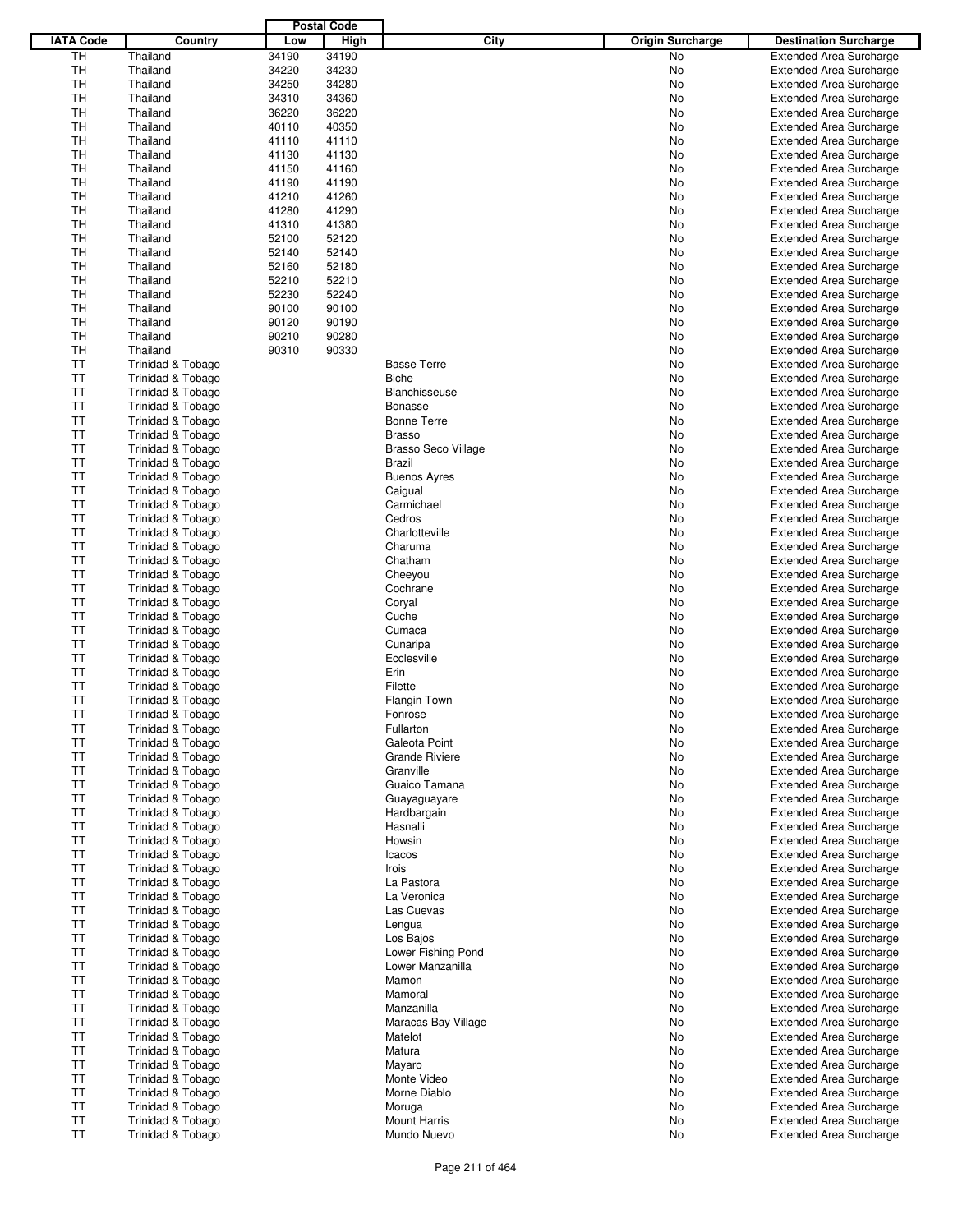|                  |                              |       | <b>Postal Code</b> |                            |                         |                                |
|------------------|------------------------------|-------|--------------------|----------------------------|-------------------------|--------------------------------|
| <b>IATA Code</b> | Country                      | Low   | High               | City                       | <b>Origin Surcharge</b> | <b>Destination Surcharge</b>   |
| TH               | Thailand                     | 34190 | 34190              |                            | <b>No</b>               |                                |
|                  |                              |       |                    |                            |                         | <b>Extended Area Surcharge</b> |
| <b>TH</b>        | Thailand                     | 34220 | 34230              |                            | No                      | <b>Extended Area Surcharge</b> |
| TН               | Thailand                     | 34250 | 34280              |                            | No                      | <b>Extended Area Surcharge</b> |
| TН               | Thailand                     | 34310 | 34360              |                            | No                      | <b>Extended Area Surcharge</b> |
| <b>TH</b>        | Thailand                     | 36220 | 36220              |                            | No                      | <b>Extended Area Surcharge</b> |
| <b>TH</b>        | Thailand                     | 40110 | 40350              |                            | No                      | <b>Extended Area Surcharge</b> |
| TН               | Thailand                     | 41110 | 41110              |                            | No                      | <b>Extended Area Surcharge</b> |
| <b>TH</b>        | Thailand                     | 41130 | 41130              |                            | No                      | <b>Extended Area Surcharge</b> |
| <b>TH</b>        | Thailand                     | 41150 | 41160              |                            | No                      | <b>Extended Area Surcharge</b> |
| TН               | Thailand                     | 41190 | 41190              |                            | No                      | <b>Extended Area Surcharge</b> |
| <b>TH</b>        |                              |       |                    |                            |                         |                                |
|                  | Thailand                     | 41210 | 41260              |                            | No                      | <b>Extended Area Surcharge</b> |
| TH               | Thailand                     | 41280 | 41290              |                            | No                      | <b>Extended Area Surcharge</b> |
| TН               | Thailand                     | 41310 | 41380              |                            | No                      | <b>Extended Area Surcharge</b> |
| <b>TH</b>        | Thailand                     | 52100 | 52120              |                            | No                      | <b>Extended Area Surcharge</b> |
| TH               | Thailand                     | 52140 | 52140              |                            | No                      | <b>Extended Area Surcharge</b> |
| TН               | Thailand                     | 52160 | 52180              |                            | No                      | <b>Extended Area Surcharge</b> |
| TН               | Thailand                     | 52210 | 52210              |                            | No                      | <b>Extended Area Surcharge</b> |
| <b>TH</b>        | Thailand                     | 52230 | 52240              |                            | No                      | <b>Extended Area Surcharge</b> |
| TН               | Thailand                     | 90100 | 90100              |                            | No                      | <b>Extended Area Surcharge</b> |
| TН               | Thailand                     | 90120 | 90190              |                            | No                      | <b>Extended Area Surcharge</b> |
| <b>TH</b>        |                              |       |                    |                            |                         |                                |
|                  | Thailand                     | 90210 | 90280              |                            | No                      | <b>Extended Area Surcharge</b> |
| TН               | Thailand                     | 90310 | 90330              |                            | No                      | <b>Extended Area Surcharge</b> |
| ТT               | Trinidad & Tobago            |       |                    | <b>Basse Terre</b>         | No                      | <b>Extended Area Surcharge</b> |
| <b>TT</b>        | Trinidad & Tobago            |       |                    | <b>Biche</b>               | No                      | <b>Extended Area Surcharge</b> |
| TT               | Trinidad & Tobago            |       |                    | <b>Blanchisseuse</b>       | No                      | <b>Extended Area Surcharge</b> |
| <b>TT</b>        | Trinidad & Tobago            |       |                    | <b>Bonasse</b>             | No                      | <b>Extended Area Surcharge</b> |
| TT               | Trinidad & Tobago            |       |                    | <b>Bonne Terre</b>         | No                      | <b>Extended Area Surcharge</b> |
| <b>TT</b>        | Trinidad & Tobago            |       |                    | <b>Brasso</b>              | No                      | <b>Extended Area Surcharge</b> |
| <b>TT</b>        | Trinidad & Tobago            |       |                    | <b>Brasso Seco Village</b> | No                      | <b>Extended Area Surcharge</b> |
| <b>TT</b>        | Trinidad & Tobago            |       |                    | <b>Brazil</b>              | No                      | <b>Extended Area Surcharge</b> |
|                  |                              |       |                    |                            |                         |                                |
| TT               | Trinidad & Tobago            |       |                    | <b>Buenos Ayres</b>        | No                      | <b>Extended Area Surcharge</b> |
| ТT               | Trinidad & Tobago            |       |                    | Caigual                    | No                      | <b>Extended Area Surcharge</b> |
| <b>TT</b>        | Trinidad & Tobago            |       |                    | Carmichael                 | No                      | <b>Extended Area Surcharge</b> |
| <b>TT</b>        | Trinidad & Tobago            |       |                    | Cedros                     | No                      | <b>Extended Area Surcharge</b> |
| TT               | Trinidad & Tobago            |       |                    | Charlotteville             | No                      | <b>Extended Area Surcharge</b> |
| <b>TT</b>        | Trinidad & Tobago            |       |                    | Charuma                    | No                      | <b>Extended Area Surcharge</b> |
| TT               | Trinidad & Tobago            |       |                    | Chatham                    | No                      | <b>Extended Area Surcharge</b> |
| <b>TT</b>        | Trinidad & Tobago            |       |                    | Cheeyou                    | No                      | <b>Extended Area Surcharge</b> |
| TT               | Trinidad & Tobago            |       |                    | Cochrane                   | No                      | <b>Extended Area Surcharge</b> |
| <b>TT</b>        |                              |       |                    |                            |                         |                                |
|                  | Trinidad & Tobago            |       |                    | Coryal                     | No                      | <b>Extended Area Surcharge</b> |
| TT               | Trinidad & Tobago            |       |                    | Cuche                      | No                      | <b>Extended Area Surcharge</b> |
| <b>TT</b>        | Trinidad & Tobago            |       |                    | Cumaca                     | No                      | <b>Extended Area Surcharge</b> |
| TT               | Trinidad & Tobago            |       |                    | Cunaripa                   | No                      | <b>Extended Area Surcharge</b> |
| <b>TT</b>        | Trinidad & Tobago            |       |                    | Ecclesville                | No                      | <b>Extended Area Surcharge</b> |
| ТT               | <b>Trinidad &amp; Tobago</b> |       |                    | Erin                       | No                      | <b>Extended Area Surcharge</b> |
| <b>TT</b>        | Trinidad & Tobago            |       |                    | Filette                    | No                      | <b>Extended Area Surcharge</b> |
| <b>TT</b>        | Trinidad & Tobago            |       |                    | <b>Flangin Town</b>        | No                      | <b>Extended Area Surcharge</b> |
| TT               | Trinidad & Tobago            |       |                    | Fonrose                    | No                      | <b>Extended Area Surcharge</b> |
| <b>TT</b>        | Trinidad & Tobago            |       |                    | Fullarton                  | No                      | <b>Extended Area Surcharge</b> |
| TT               | Trinidad & Tobago            |       |                    | Galeota Point              | No                      | <b>Extended Area Surcharge</b> |
|                  |                              |       |                    |                            |                         |                                |
| TT               | Trinidad & Tobago            |       |                    | <b>Grande Riviere</b>      | No                      | <b>Extended Area Surcharge</b> |
| TT               | Trinidad & Tobago            |       |                    | Granville                  | No                      | <b>Extended Area Surcharge</b> |
| <b>TT</b>        | Trinidad & Tobago            |       |                    | Guaico Tamana              | No                      | <b>Extended Area Surcharge</b> |
| TT               | Trinidad & Tobago            |       |                    | Guayaguayare               | No                      | <b>Extended Area Surcharge</b> |
| <b>TT</b>        | Trinidad & Tobago            |       |                    | Hardbargain                | No                      | <b>Extended Area Surcharge</b> |
| <b>TT</b>        | Trinidad & Tobago            |       |                    | Hasnalli                   | No                      | <b>Extended Area Surcharge</b> |
| TT               | Trinidad & Tobago            |       |                    | Howsin                     | No                      | <b>Extended Area Surcharge</b> |
| <b>TT</b>        | Trinidad & Tobago            |       |                    | Icacos                     | No                      | <b>Extended Area Surcharge</b> |
| <b>TT</b>        | Trinidad & Tobago            |       |                    | Irois                      | No                      | <b>Extended Area Surcharge</b> |
| TT               | Trinidad & Tobago            |       |                    | La Pastora                 | No                      | <b>Extended Area Surcharge</b> |
| <b>TT</b>        |                              |       |                    |                            |                         |                                |
|                  | Trinidad & Tobago            |       |                    | La Veronica                | No                      | <b>Extended Area Surcharge</b> |
| <b>TT</b>        | Trinidad & Tobago            |       |                    | Las Cuevas                 | No                      | <b>Extended Area Surcharge</b> |
| TT               | Trinidad & Tobago            |       |                    | Lengua                     | No                      | <b>Extended Area Surcharge</b> |
| TT               | Trinidad & Tobago            |       |                    | Los Bajos                  | No                      | <b>Extended Area Surcharge</b> |
| <b>TT</b>        | Trinidad & Tobago            |       |                    | Lower Fishing Pond         | No                      | <b>Extended Area Surcharge</b> |
| TT               | Trinidad & Tobago            |       |                    | Lower Manzanilla           | No                      | <b>Extended Area Surcharge</b> |
| TT               | Trinidad & Tobago            |       |                    | Mamon                      | No                      | <b>Extended Area Surcharge</b> |
| <b>TT</b>        | Trinidad & Tobago            |       |                    | Mamoral                    | No                      | <b>Extended Area Surcharge</b> |
| TT               | Trinidad & Tobago            |       |                    | Manzanilla                 | No                      | <b>Extended Area Surcharge</b> |
| TT               | Trinidad & Tobago            |       |                    | Maracas Bay Village        | No                      | <b>Extended Area Surcharge</b> |
| <b>TT</b>        | Trinidad & Tobago            |       |                    | Matelot                    | No                      | <b>Extended Area Surcharge</b> |
|                  |                              |       |                    |                            |                         |                                |
| TT               | Trinidad & Tobago            |       |                    | Matura                     | No                      | <b>Extended Area Surcharge</b> |
| TT               | Trinidad & Tobago            |       |                    | Mayaro                     | No                      | <b>Extended Area Surcharge</b> |
| <b>TT</b>        | Trinidad & Tobago            |       |                    | Monte Video                | No                      | <b>Extended Area Surcharge</b> |
| TT               | Trinidad & Tobago            |       |                    | Morne Diablo               | No                      | <b>Extended Area Surcharge</b> |
| TT               | Trinidad & Tobago            |       |                    | Moruga                     | No                      | <b>Extended Area Surcharge</b> |
| <b>TT</b>        | Trinidad & Tobago            |       |                    | <b>Mount Harris</b>        | No                      | <b>Extended Area Surcharge</b> |
| <b>TT</b>        | Trinidad & Tobago            |       |                    | Mundo Nuevo                | No                      | <b>Extended Area Surcharge</b> |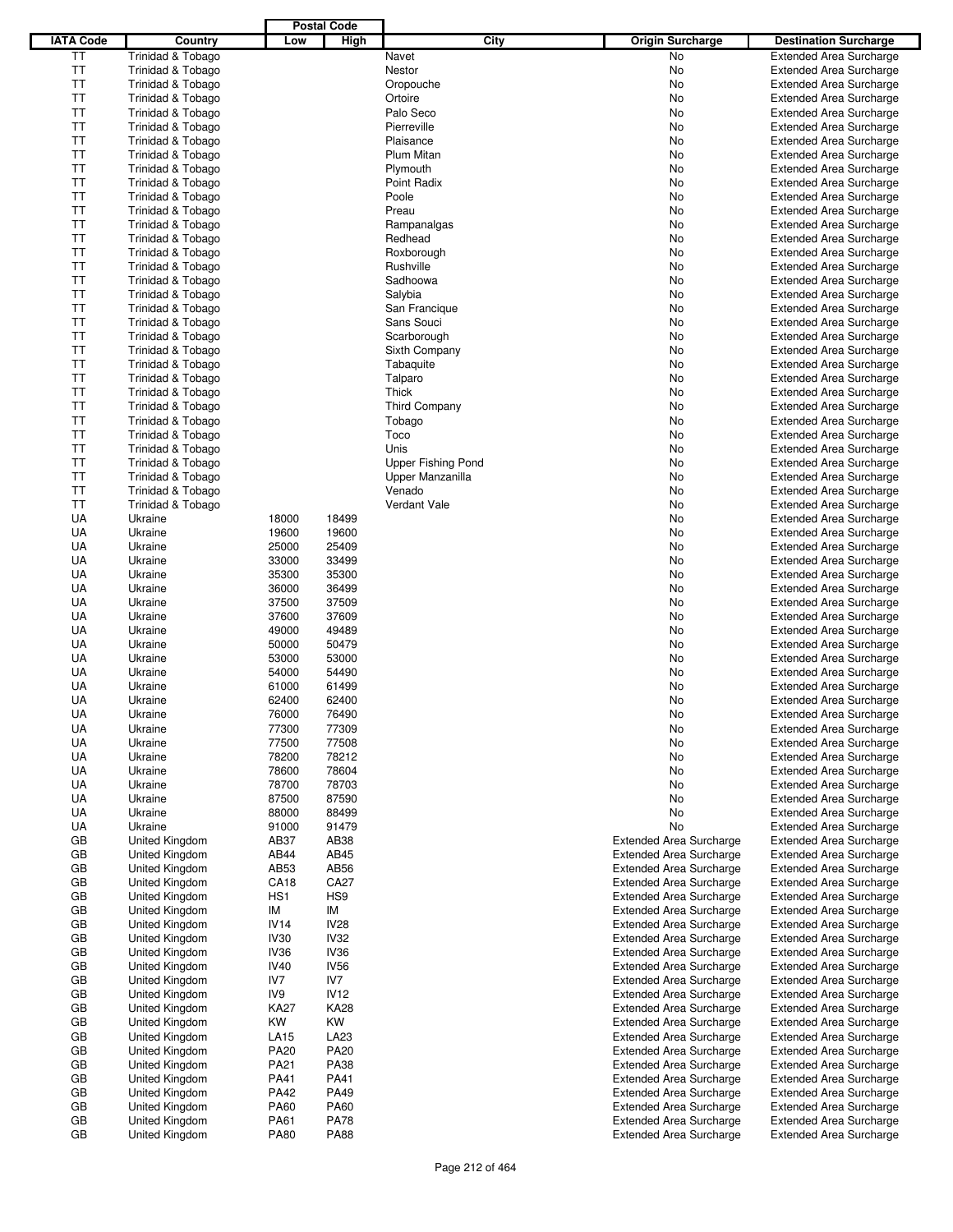|                        |                                         |                  | <b>Postal Code</b>  |                           |                                                                  |                                                                  |
|------------------------|-----------------------------------------|------------------|---------------------|---------------------------|------------------------------------------------------------------|------------------------------------------------------------------|
| <b>IATA Code</b>       | Country                                 | Low              | High                | City                      | <b>Origin Surcharge</b>                                          | <b>Destination Surcharge</b>                                     |
| ΤT                     | Trinidad & Tobago                       |                  |                     | Navet                     | No                                                               | <b>Extended Area Surcharge</b>                                   |
| ΤT                     | Trinidad & Tobago                       |                  |                     | Nestor                    | No                                                               | <b>Extended Area Surcharge</b>                                   |
| ΤT<br><b>TT</b>        | Trinidad & Tobago                       |                  |                     | Oropouche                 | No                                                               | <b>Extended Area Surcharge</b>                                   |
| <b>TT</b>              | Trinidad & Tobago<br>Trinidad & Tobago  |                  |                     | Ortoire<br>Palo Seco      | No<br>No                                                         | <b>Extended Area Surcharge</b><br><b>Extended Area Surcharge</b> |
| <b>TT</b>              | Trinidad & Tobago                       |                  |                     | Pierreville               | No                                                               | <b>Extended Area Surcharge</b>                                   |
| ТT                     | Trinidad & Tobago                       |                  |                     | Plaisance                 | No                                                               | <b>Extended Area Surcharge</b>                                   |
| <b>TT</b>              | Trinidad & Tobago                       |                  |                     | Plum Mitan                | No                                                               | <b>Extended Area Surcharge</b>                                   |
| <b>TT</b>              | Trinidad & Tobago                       |                  |                     | Plymouth                  | No                                                               | <b>Extended Area Surcharge</b>                                   |
| <b>TT</b>              | Trinidad & Tobago                       |                  |                     | Point Radix               | No                                                               | <b>Extended Area Surcharge</b>                                   |
| <b>TT</b>              | Trinidad & Tobago                       |                  |                     | Poole                     | No                                                               | <b>Extended Area Surcharge</b>                                   |
| <b>TT</b>              | Trinidad & Tobago                       |                  |                     | Preau                     | No                                                               | <b>Extended Area Surcharge</b>                                   |
| <b>TT</b><br><b>TT</b> | Trinidad & Tobago<br>Trinidad & Tobago  |                  |                     | Rampanalgas<br>Redhead    | No<br>No                                                         | <b>Extended Area Surcharge</b><br><b>Extended Area Surcharge</b> |
| <b>TT</b>              | Trinidad & Tobago                       |                  |                     | Roxborough                | No                                                               | <b>Extended Area Surcharge</b>                                   |
| <b>TT</b>              | Trinidad & Tobago                       |                  |                     | Rushville                 | No                                                               | <b>Extended Area Surcharge</b>                                   |
| <b>TT</b>              | Trinidad & Tobago                       |                  |                     | Sadhoowa                  | No                                                               | <b>Extended Area Surcharge</b>                                   |
| <b>TT</b>              | Trinidad & Tobago                       |                  |                     | Salybia                   | No                                                               | <b>Extended Area Surcharge</b>                                   |
| ΤT                     | Trinidad & Tobago                       |                  |                     | San Francique             | No                                                               | <b>Extended Area Surcharge</b>                                   |
| <b>TT</b>              | Trinidad & Tobago                       |                  |                     | Sans Souci                | No                                                               | <b>Extended Area Surcharge</b>                                   |
| ТT                     | Trinidad & Tobago                       |                  |                     | Scarborough               | No                                                               | <b>Extended Area Surcharge</b>                                   |
| <b>TT</b><br>TT        | Trinidad & Tobago                       |                  |                     | Sixth Company             | No                                                               | <b>Extended Area Surcharge</b>                                   |
| <b>TT</b>              | Trinidad & Tobago<br>Trinidad & Tobago  |                  |                     | Tabaquite<br>Talparo      | No<br>No                                                         | <b>Extended Area Surcharge</b><br><b>Extended Area Surcharge</b> |
| <b>TT</b>              | Trinidad & Tobago                       |                  |                     | Thick                     | No                                                               | <b>Extended Area Surcharge</b>                                   |
| <b>TT</b>              | Trinidad & Tobago                       |                  |                     | Third Company             | No                                                               | <b>Extended Area Surcharge</b>                                   |
| TT                     | Trinidad & Tobago                       |                  |                     | Tobago                    | No                                                               | <b>Extended Area Surcharge</b>                                   |
| <b>TT</b>              | Trinidad & Tobago                       |                  |                     | Toco                      | No                                                               | <b>Extended Area Surcharge</b>                                   |
| <b>TT</b>              | Trinidad & Tobago                       |                  |                     | Unis                      | No                                                               | <b>Extended Area Surcharge</b>                                   |
| TT                     | Trinidad & Tobago                       |                  |                     | <b>Upper Fishing Pond</b> | No                                                               | <b>Extended Area Surcharge</b>                                   |
| TT                     | Trinidad & Tobago                       |                  |                     | Upper Manzanilla          | No                                                               | <b>Extended Area Surcharge</b>                                   |
| <b>TT</b>              | Trinidad & Tobago                       |                  |                     | Venado                    | No                                                               | <b>Extended Area Surcharge</b>                                   |
| ΤT<br>UA               | Trinidad & Tobago<br>Ukraine            | 18000            | 18499               | Verdant Vale              | No<br>No                                                         | <b>Extended Area Surcharge</b><br><b>Extended Area Surcharge</b> |
| UA                     | Ukraine                                 | 19600            | 19600               |                           | No                                                               | <b>Extended Area Surcharge</b>                                   |
| UA                     | Ukraine                                 | 25000            | 25409               |                           | No                                                               | <b>Extended Area Surcharge</b>                                   |
| UA                     | Ukraine                                 | 33000            | 33499               |                           | No                                                               | <b>Extended Area Surcharge</b>                                   |
| UA                     | Ukraine                                 | 35300            | 35300               |                           | No                                                               | <b>Extended Area Surcharge</b>                                   |
| UA                     | Ukraine                                 | 36000            | 36499               |                           | No                                                               | <b>Extended Area Surcharge</b>                                   |
| UA                     | Ukraine                                 | 37500            | 37509               |                           | No                                                               | <b>Extended Area Surcharge</b>                                   |
| UA                     | Ukraine                                 | 37600            | 37609               |                           | No                                                               | <b>Extended Area Surcharge</b>                                   |
| UA                     | Ukraine                                 | 49000            | 49489               |                           | No                                                               | <b>Extended Area Surcharge</b>                                   |
| UA<br>UA               | Ukraine<br>Ukraine                      | 50000<br>53000   | 50479<br>53000      |                           | No                                                               | <b>Extended Area Surcharge</b><br><b>Extended Area Surcharge</b> |
| UA                     | Ukraine                                 | 54000            | 54490               |                           | No<br>No                                                         | <b>Extended Area Surcharge</b>                                   |
| UA                     | Ukraine                                 | 61000            | 61499               |                           | No                                                               | <b>Extended Area Surcharge</b>                                   |
| UA                     | Ukraine                                 | 62400            | 62400               |                           | No                                                               | <b>Extended Area Surcharge</b>                                   |
| UA                     | Ukraine                                 | 76000            | 76490               |                           | No                                                               | <b>Extended Area Surcharge</b>                                   |
| UA                     | Ukraine                                 | 77300            | 77309               |                           | No.                                                              | <b>Extended Area Surcharge</b>                                   |
| UA                     | Ukraine                                 | 77500            | 77508               |                           | No                                                               | <b>Extended Area Surcharge</b>                                   |
| UA                     | Ukraine                                 | 78200            | 78212               |                           | No                                                               | <b>Extended Area Surcharge</b>                                   |
| UA                     | Ukraine                                 | 78600            | 78604               |                           | No                                                               | <b>Extended Area Surcharge</b>                                   |
| UA<br>UA               | Ukraine<br>Ukraine                      | 78700<br>87500   | 78703<br>87590      |                           | No.<br>No                                                        | <b>Extended Area Surcharge</b><br><b>Extended Area Surcharge</b> |
| UA                     | Ukraine                                 | 88000            | 88499               |                           | No                                                               | <b>Extended Area Surcharge</b>                                   |
| UA                     | Ukraine                                 | 91000            | 91479               |                           | No                                                               | <b>Extended Area Surcharge</b>                                   |
| GB                     | United Kingdom                          | AB37             | AB38                |                           | <b>Extended Area Surcharge</b>                                   | <b>Extended Area Surcharge</b>                                   |
| GB                     | United Kingdom                          | AB44             | AB45                |                           | <b>Extended Area Surcharge</b>                                   | <b>Extended Area Surcharge</b>                                   |
| GB                     | United Kingdom                          | AB53             | AB56                |                           | <b>Extended Area Surcharge</b>                                   | <b>Extended Area Surcharge</b>                                   |
| GB                     | United Kingdom                          | <b>CA18</b>      | CA27                |                           | <b>Extended Area Surcharge</b>                                   | <b>Extended Area Surcharge</b>                                   |
| GB                     | United Kingdom                          | HS <sub>1</sub>  | HS <sub>9</sub>     |                           | <b>Extended Area Surcharge</b>                                   | <b>Extended Area Surcharge</b>                                   |
| GB<br>GB               | <b>United Kingdom</b><br>United Kingdom | ΙM<br>IV14       | ΙM<br><b>IV28</b>   |                           | <b>Extended Area Surcharge</b>                                   | <b>Extended Area Surcharge</b>                                   |
| GB                     | United Kingdom                          | <b>IV30</b>      | <b>IV32</b>         |                           | <b>Extended Area Surcharge</b><br><b>Extended Area Surcharge</b> | <b>Extended Area Surcharge</b><br><b>Extended Area Surcharge</b> |
| GB                     | United Kingdom                          | IV <sub>36</sub> | IV36                |                           | <b>Extended Area Surcharge</b>                                   | <b>Extended Area Surcharge</b>                                   |
| GB                     | United Kingdom                          | <b>IV40</b>      | <b>IV56</b>         |                           | <b>Extended Area Surcharge</b>                                   | <b>Extended Area Surcharge</b>                                   |
| GB                     | United Kingdom                          | IV7              | IV7                 |                           | <b>Extended Area Surcharge</b>                                   | <b>Extended Area Surcharge</b>                                   |
| GB                     | United Kingdom                          | IV9              | <b>IV12</b>         |                           | <b>Extended Area Surcharge</b>                                   | <b>Extended Area Surcharge</b>                                   |
| GB                     | United Kingdom                          | <b>KA27</b>      | <b>KA28</b>         |                           | <b>Extended Area Surcharge</b>                                   | <b>Extended Area Surcharge</b>                                   |
| GB                     | United Kingdom                          | KW               | KW                  |                           | <b>Extended Area Surcharge</b>                                   | <b>Extended Area Surcharge</b>                                   |
| GB                     | United Kingdom                          | LA15             | LA23                |                           | <b>Extended Area Surcharge</b>                                   | <b>Extended Area Surcharge</b>                                   |
| GB                     | United Kingdom                          | <b>PA20</b>      | PA20<br><b>PA38</b> |                           | <b>Extended Area Surcharge</b>                                   | <b>Extended Area Surcharge</b>                                   |
| GB<br>GB               | United Kingdom<br>United Kingdom        | PA21<br>PA41     | PA41                |                           | <b>Extended Area Surcharge</b><br><b>Extended Area Surcharge</b> | <b>Extended Area Surcharge</b><br><b>Extended Area Surcharge</b> |
| GB                     | United Kingdom                          | PA42             | PA49                |                           | <b>Extended Area Surcharge</b>                                   | <b>Extended Area Surcharge</b>                                   |
| GB                     | United Kingdom                          | PA60             | PA60                |                           | <b>Extended Area Surcharge</b>                                   | <b>Extended Area Surcharge</b>                                   |
| GB                     | United Kingdom                          | PA61             | <b>PA78</b>         |                           | <b>Extended Area Surcharge</b>                                   | <b>Extended Area Surcharge</b>                                   |
| GB                     | United Kingdom                          | <b>PA80</b>      | <b>PA88</b>         |                           | <b>Extended Area Surcharge</b>                                   | <b>Extended Area Surcharge</b>                                   |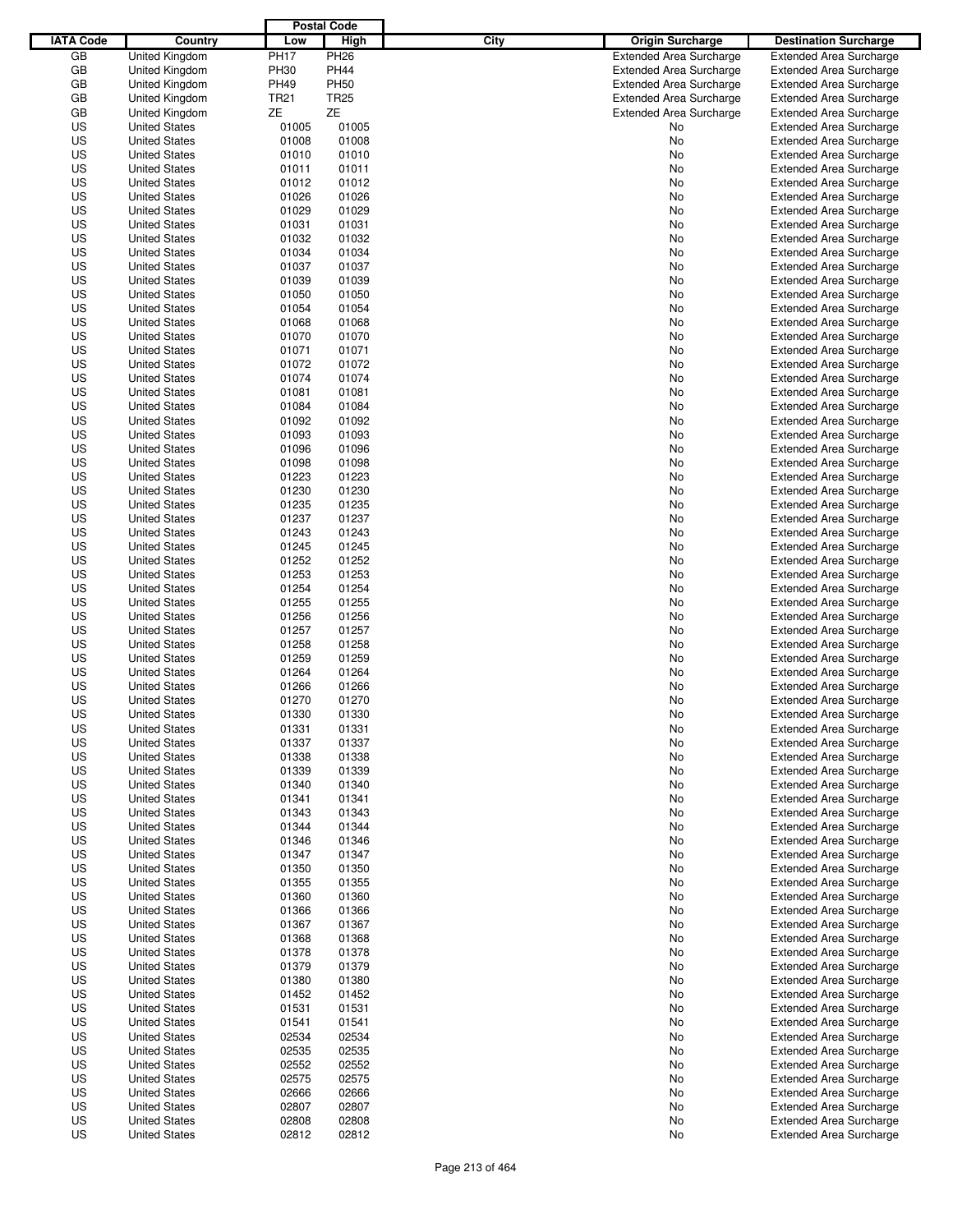|                  |                                              |                | <b>Postal Code</b> |                                 |                                                                  |
|------------------|----------------------------------------------|----------------|--------------------|---------------------------------|------------------------------------------------------------------|
| <b>IATA Code</b> | Country                                      | Low            | <b>High</b>        | City<br><b>Origin Surcharge</b> | <b>Destination Surcharge</b>                                     |
| GB               | <b>United Kingdom</b>                        | <b>PH17</b>    | <b>PH26</b>        | <b>Extended Area Surcharge</b>  | <b>Extended Area Surcharge</b>                                   |
| GB               | United Kingdom                               | <b>PH30</b>    | <b>PH44</b>        | <b>Extended Area Surcharge</b>  | <b>Extended Area Surcharge</b>                                   |
| GB               | <b>United Kingdom</b>                        | <b>PH49</b>    | <b>PH50</b>        | <b>Extended Area Surcharge</b>  | <b>Extended Area Surcharge</b>                                   |
| GB               | United Kingdom                               | <b>TR21</b>    | <b>TR25</b>        | <b>Extended Area Surcharge</b>  | <b>Extended Area Surcharge</b>                                   |
| GB               | <b>United Kingdom</b>                        | ZΕ             | ZΕ                 | <b>Extended Area Surcharge</b>  | <b>Extended Area Surcharge</b>                                   |
| US               | <b>United States</b>                         | 01005          | 01005              | No                              | <b>Extended Area Surcharge</b>                                   |
| US               | <b>United States</b>                         | 01008          | 01008              | No                              | <b>Extended Area Surcharge</b>                                   |
| US               | <b>United States</b>                         | 01010          | 01010              | No                              | <b>Extended Area Surcharge</b>                                   |
| US               | <b>United States</b>                         | 01011          | 01011              | No                              | <b>Extended Area Surcharge</b>                                   |
| US               | <b>United States</b>                         | 01012          | 01012              | No                              | <b>Extended Area Surcharge</b>                                   |
| US               | <b>United States</b>                         | 01026          | 01026              | No                              | <b>Extended Area Surcharge</b>                                   |
| US               | <b>United States</b>                         | 01029          | 01029              | No                              | <b>Extended Area Surcharge</b>                                   |
| US               | <b>United States</b>                         | 01031          | 01031              | No                              | <b>Extended Area Surcharge</b>                                   |
| US               | <b>United States</b>                         | 01032          | 01032              | No                              | <b>Extended Area Surcharge</b>                                   |
| US               | <b>United States</b>                         | 01034          | 01034              | No                              | <b>Extended Area Surcharge</b>                                   |
| US               | <b>United States</b>                         | 01037          | 01037              | No                              | <b>Extended Area Surcharge</b>                                   |
| US               | <b>United States</b>                         | 01039          | 01039              | No                              | <b>Extended Area Surcharge</b>                                   |
| US               | <b>United States</b>                         | 01050          | 01050              | No                              | <b>Extended Area Surcharge</b>                                   |
| US               | <b>United States</b>                         | 01054          | 01054              | No                              | <b>Extended Area Surcharge</b>                                   |
| US               | <b>United States</b>                         | 01068          | 01068              | No                              | <b>Extended Area Surcharge</b>                                   |
| US               | <b>United States</b>                         | 01070          | 01070              | No                              | <b>Extended Area Surcharge</b>                                   |
| US               | <b>United States</b>                         | 01071          | 01071              | No                              | <b>Extended Area Surcharge</b>                                   |
| US               | <b>United States</b>                         | 01072          | 01072              | No                              | <b>Extended Area Surcharge</b>                                   |
| US               | <b>United States</b>                         | 01074          | 01074              | No                              | <b>Extended Area Surcharge</b>                                   |
| US               | <b>United States</b>                         | 01081          | 01081              | No                              | <b>Extended Area Surcharge</b>                                   |
| US               | <b>United States</b>                         | 01084          | 01084              | No                              | <b>Extended Area Surcharge</b>                                   |
| US               | <b>United States</b>                         | 01092          | 01092              | No                              | <b>Extended Area Surcharge</b>                                   |
| US               | <b>United States</b>                         | 01093          | 01093              | No                              | <b>Extended Area Surcharge</b>                                   |
| US               | <b>United States</b>                         | 01096          | 01096              | No                              | <b>Extended Area Surcharge</b>                                   |
| US               | <b>United States</b>                         | 01098          | 01098              | No                              | <b>Extended Area Surcharge</b>                                   |
| US               | <b>United States</b>                         | 01223          | 01223              | No                              | <b>Extended Area Surcharge</b>                                   |
| US               | <b>United States</b>                         | 01230          | 01230              | No                              | <b>Extended Area Surcharge</b>                                   |
| US               | <b>United States</b>                         | 01235          | 01235              | No                              | <b>Extended Area Surcharge</b>                                   |
| US               | <b>United States</b>                         | 01237          | 01237              | No                              | <b>Extended Area Surcharge</b>                                   |
| US               | <b>United States</b>                         | 01243          | 01243              | No                              | <b>Extended Area Surcharge</b>                                   |
| US               | <b>United States</b>                         | 01245          | 01245              | No                              | <b>Extended Area Surcharge</b>                                   |
| US               | <b>United States</b>                         | 01252          | 01252              | No                              | <b>Extended Area Surcharge</b>                                   |
| US               | <b>United States</b>                         | 01253          | 01253              | No                              | <b>Extended Area Surcharge</b>                                   |
| US               | <b>United States</b>                         | 01254          | 01254              | No                              | <b>Extended Area Surcharge</b>                                   |
| US               | <b>United States</b>                         | 01255          | 01255              | No                              | <b>Extended Area Surcharge</b>                                   |
| US               | <b>United States</b>                         | 01256          | 01256              | No                              | <b>Extended Area Surcharge</b>                                   |
| US               | <b>United States</b>                         | 01257          | 01257              | No                              | <b>Extended Area Surcharge</b>                                   |
| US               | <b>United States</b>                         | 01258          | 01258              | No                              | <b>Extended Area Surcharge</b>                                   |
| US               | <b>United States</b>                         | 01259          | 01259              | No                              | <b>Extended Area Surcharge</b>                                   |
| US               | <b>United States</b>                         | 01264          | 01264              | No                              | Extended Area Surcharge                                          |
| US               | <b>United States</b>                         | 01266          | 01266              | No                              | <b>Extended Area Surcharge</b>                                   |
| US               | <b>United States</b>                         | 01270          | 01270              | No                              | <b>Extended Area Surcharge</b>                                   |
| US               | <b>United States</b>                         | 01330          | 01330              | No                              | <b>Extended Area Surcharge</b>                                   |
| US               | <b>United States</b>                         | 01331          | 01331              | No                              | <b>Extended Area Surcharge</b>                                   |
| US               | <b>United States</b>                         | 01337          | 01337              | No                              | <b>Extended Area Surcharge</b>                                   |
| US               | <b>United States</b>                         | 01338          | 01338              | No                              | <b>Extended Area Surcharge</b>                                   |
| US               | <b>United States</b>                         | 01339          | 01339              | No                              | <b>Extended Area Surcharge</b>                                   |
| US               | <b>United States</b>                         | 01340          | 01340              | No                              | <b>Extended Area Surcharge</b>                                   |
| US<br>US         | <b>United States</b><br><b>United States</b> | 01341<br>01343 | 01341<br>01343     | No<br>No                        | <b>Extended Area Surcharge</b><br><b>Extended Area Surcharge</b> |
|                  |                                              |                |                    |                                 |                                                                  |
| US<br>US         | <b>United States</b><br><b>United States</b> | 01344<br>01346 | 01344<br>01346     | No<br>No                        | <b>Extended Area Surcharge</b><br><b>Extended Area Surcharge</b> |
| US               | <b>United States</b>                         | 01347          | 01347              | No                              | <b>Extended Area Surcharge</b>                                   |
| US               | <b>United States</b>                         | 01350          | 01350              | No                              | <b>Extended Area Surcharge</b>                                   |
| US               | <b>United States</b>                         | 01355          | 01355              | No                              | <b>Extended Area Surcharge</b>                                   |
| US               | <b>United States</b>                         | 01360          | 01360              | No                              | <b>Extended Area Surcharge</b>                                   |
| US               | <b>United States</b>                         | 01366          | 01366              | No                              | <b>Extended Area Surcharge</b>                                   |
| US               | <b>United States</b>                         | 01367          | 01367              | No                              | <b>Extended Area Surcharge</b>                                   |
| US               | <b>United States</b>                         | 01368          | 01368              | No                              | <b>Extended Area Surcharge</b>                                   |
| US               | <b>United States</b>                         | 01378          | 01378              | No                              | <b>Extended Area Surcharge</b>                                   |
| US               | <b>United States</b>                         | 01379          | 01379              | No                              | <b>Extended Area Surcharge</b>                                   |
| US               | <b>United States</b>                         | 01380          | 01380              | No                              | <b>Extended Area Surcharge</b>                                   |
| US               | <b>United States</b>                         | 01452          | 01452              | No                              | <b>Extended Area Surcharge</b>                                   |
| US               | <b>United States</b>                         | 01531          | 01531              | No                              | <b>Extended Area Surcharge</b>                                   |
| US               | <b>United States</b>                         | 01541          | 01541              | No                              | Extended Area Surcharge                                          |
| US               | <b>United States</b>                         | 02534          | 02534              | No                              | <b>Extended Area Surcharge</b>                                   |
| US               | <b>United States</b>                         | 02535          | 02535              | No                              | <b>Extended Area Surcharge</b>                                   |
| US               | <b>United States</b>                         | 02552          | 02552              | No                              | <b>Extended Area Surcharge</b>                                   |
| US               | <b>United States</b>                         | 02575          | 02575              | No                              | <b>Extended Area Surcharge</b>                                   |
| US               | <b>United States</b>                         | 02666          | 02666              | No                              | <b>Extended Area Surcharge</b>                                   |
| US               | <b>United States</b>                         | 02807          | 02807              | No                              | <b>Extended Area Surcharge</b>                                   |
| US               | <b>United States</b>                         | 02808          | 02808              | No                              | <b>Extended Area Surcharge</b>                                   |
| US               | <b>United States</b>                         | 02812          | 02812              | No                              | <b>Extended Area Surcharge</b>                                   |
|                  |                                              |                |                    |                                 |                                                                  |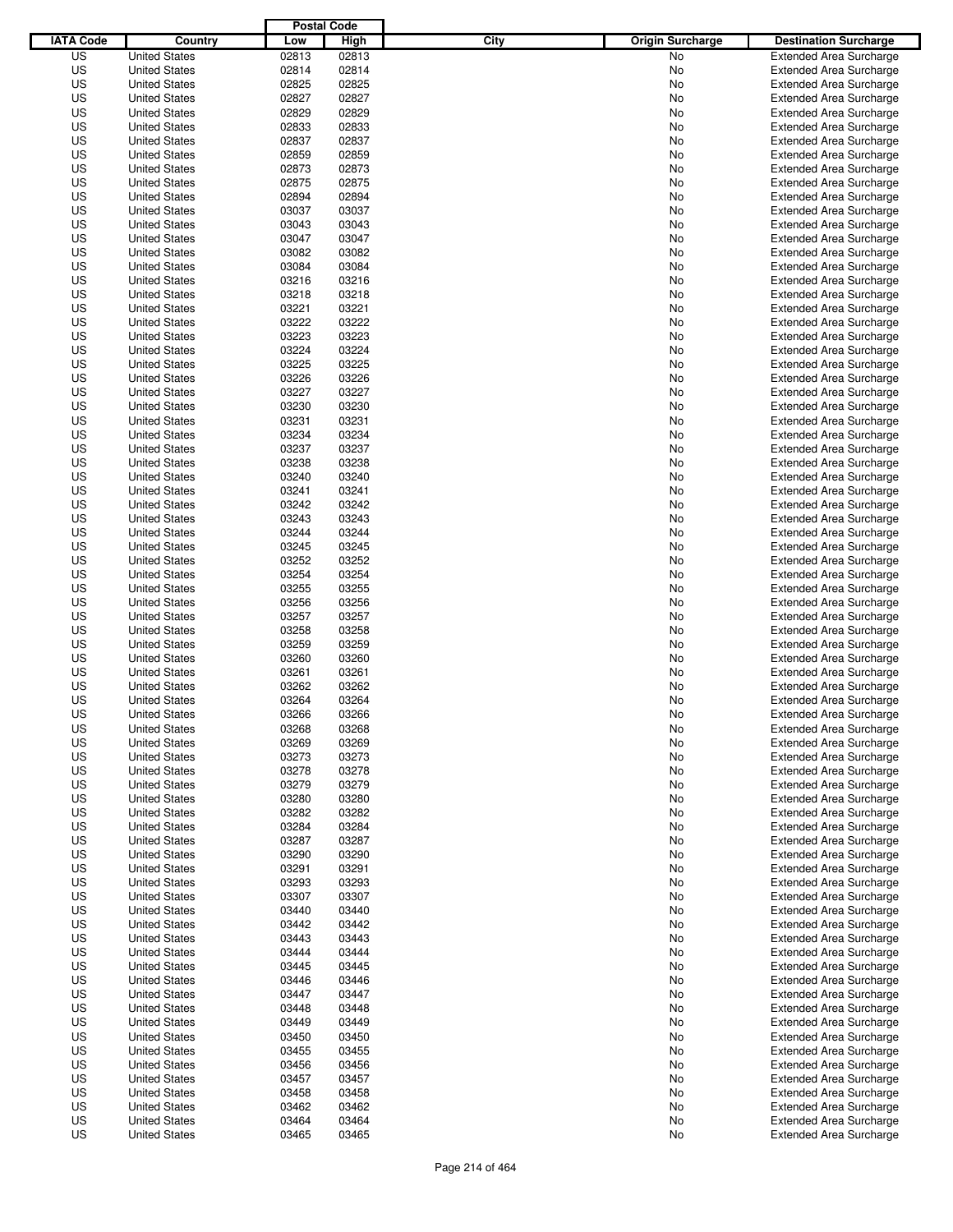|                  |                      | <b>Postal Code</b> |       |                                 |                                |
|------------------|----------------------|--------------------|-------|---------------------------------|--------------------------------|
| <b>IATA Code</b> | Country              | Low                | High  | City<br><b>Origin Surcharge</b> | <b>Destination Surcharge</b>   |
| US               | <b>United States</b> | 02813              | 02813 | <b>No</b>                       | <b>Extended Area Surcharge</b> |
| US               | <b>United States</b> | 02814              | 02814 | No                              | <b>Extended Area Surcharge</b> |
| US               | <b>United States</b> | 02825              | 02825 | No                              | <b>Extended Area Surcharge</b> |
| US               | <b>United States</b> | 02827              | 02827 | No                              | <b>Extended Area Surcharge</b> |
| US               | <b>United States</b> | 02829              | 02829 | No                              | <b>Extended Area Surcharge</b> |
| US               | <b>United States</b> | 02833              | 02833 | No                              | <b>Extended Area Surcharge</b> |
| US               | <b>United States</b> | 02837              | 02837 | No                              | <b>Extended Area Surcharge</b> |
| US               | <b>United States</b> | 02859              | 02859 | No                              | <b>Extended Area Surcharge</b> |
| US               | <b>United States</b> | 02873              | 02873 | No                              | <b>Extended Area Surcharge</b> |
| US               | <b>United States</b> | 02875              | 02875 | No                              | <b>Extended Area Surcharge</b> |
| US               | <b>United States</b> | 02894              | 02894 | No                              | <b>Extended Area Surcharge</b> |
| US               | <b>United States</b> | 03037              | 03037 | No                              | <b>Extended Area Surcharge</b> |
| US               | <b>United States</b> | 03043              | 03043 | No                              | <b>Extended Area Surcharge</b> |
| US               | <b>United States</b> | 03047              | 03047 | No                              | <b>Extended Area Surcharge</b> |
| US               | <b>United States</b> | 03082              | 03082 | No                              | <b>Extended Area Surcharge</b> |
| US               | <b>United States</b> | 03084              | 03084 | No                              | <b>Extended Area Surcharge</b> |
| US               | <b>United States</b> | 03216              | 03216 | No                              | <b>Extended Area Surcharge</b> |
| US               | <b>United States</b> | 03218              | 03218 | No                              | <b>Extended Area Surcharge</b> |
| US               | <b>United States</b> | 03221              | 03221 | No                              | <b>Extended Area Surcharge</b> |
| US               | <b>United States</b> | 03222              | 03222 | No                              | <b>Extended Area Surcharge</b> |
| US               | <b>United States</b> | 03223              | 03223 | No                              | <b>Extended Area Surcharge</b> |
| US               | <b>United States</b> | 03224              | 03224 | No                              | <b>Extended Area Surcharge</b> |
| US               | <b>United States</b> | 03225              | 03225 | No                              | <b>Extended Area Surcharge</b> |
| US               | <b>United States</b> | 03226              | 03226 | No                              | <b>Extended Area Surcharge</b> |
| US               | <b>United States</b> | 03227              | 03227 | No                              | <b>Extended Area Surcharge</b> |
| US               | <b>United States</b> | 03230              | 03230 | No                              | <b>Extended Area Surcharge</b> |
| US               | <b>United States</b> | 03231              | 03231 | No                              | <b>Extended Area Surcharge</b> |
| US               | <b>United States</b> | 03234              | 03234 | No                              | <b>Extended Area Surcharge</b> |
| US               | <b>United States</b> | 03237              | 03237 | No                              | <b>Extended Area Surcharge</b> |
| US               | <b>United States</b> | 03238              | 03238 | No                              | <b>Extended Area Surcharge</b> |
| US               | <b>United States</b> | 03240              | 03240 | No                              | <b>Extended Area Surcharge</b> |
| US               | <b>United States</b> | 03241              | 03241 | No                              | <b>Extended Area Surcharge</b> |
| US               | <b>United States</b> | 03242              | 03242 | No                              | <b>Extended Area Surcharge</b> |
| US               | <b>United States</b> | 03243              | 03243 | No                              | <b>Extended Area Surcharge</b> |
| US               | <b>United States</b> | 03244              | 03244 | No                              | <b>Extended Area Surcharge</b> |
| US               | <b>United States</b> | 03245              | 03245 | No                              | <b>Extended Area Surcharge</b> |
| US               | <b>United States</b> | 03252              | 03252 | No                              | <b>Extended Area Surcharge</b> |
| US               | <b>United States</b> | 03254              | 03254 | No                              | <b>Extended Area Surcharge</b> |
| US               | <b>United States</b> | 03255              | 03255 | No                              | <b>Extended Area Surcharge</b> |
| US               | <b>United States</b> | 03256              | 03256 | No                              | <b>Extended Area Surcharge</b> |
| US               | <b>United States</b> | 03257              | 03257 | No                              | <b>Extended Area Surcharge</b> |
| US               | <b>United States</b> | 03258              | 03258 | No                              | <b>Extended Area Surcharge</b> |
| US               | <b>United States</b> | 03259              | 03259 | No                              | <b>Extended Area Surcharge</b> |
| US               | <b>United States</b> | 03260              | 03260 | No                              | <b>Extended Area Surcharge</b> |
| US               | <b>United States</b> | 03261              | 03261 | No                              | <b>Extended Area Surcharge</b> |
| US               | <b>United States</b> | 03262              | 03262 | No                              | <b>Extended Area Surcharge</b> |
| US               | <b>United States</b> | 03264              | 03264 | No                              | <b>Extended Area Surcharge</b> |
| US               | <b>United States</b> | 03266              | 03266 | No                              | <b>Extended Area Surcharge</b> |
| US               | <b>United States</b> | 03268              | 03268 | No                              | <b>Extended Area Surcharge</b> |
| US               | <b>United States</b> | 03269              | 03269 | No                              | <b>Extended Area Surcharge</b> |
| US               | <b>United States</b> | 03273              | 03273 | No                              | <b>Extended Area Surcharge</b> |
| US               | <b>United States</b> | 03278              | 03278 | No                              | <b>Extended Area Surcharge</b> |
| US               | <b>United States</b> | 03279              | 03279 | No                              | <b>Extended Area Surcharge</b> |
| US               | <b>United States</b> | 03280              | 03280 | No                              | <b>Extended Area Surcharge</b> |
| US               | <b>United States</b> | 03282              | 03282 | No                              | <b>Extended Area Surcharge</b> |
| US               | <b>United States</b> | 03284              | 03284 | No                              | <b>Extended Area Surcharge</b> |
| US               | <b>United States</b> | 03287              | 03287 | No                              | <b>Extended Area Surcharge</b> |
| US               | <b>United States</b> | 03290              | 03290 | No                              | <b>Extended Area Surcharge</b> |
| US               | <b>United States</b> | 03291              | 03291 | No                              | <b>Extended Area Surcharge</b> |
| US               | <b>United States</b> | 03293              | 03293 | No                              | <b>Extended Area Surcharge</b> |
| US               | <b>United States</b> | 03307              | 03307 | No                              | <b>Extended Area Surcharge</b> |
| US               | <b>United States</b> | 03440              | 03440 | No                              | <b>Extended Area Surcharge</b> |
| US               | <b>United States</b> | 03442              | 03442 | No                              | <b>Extended Area Surcharge</b> |
| US               | <b>United States</b> | 03443              | 03443 | No                              | <b>Extended Area Surcharge</b> |
| US               | <b>United States</b> | 03444              | 03444 | No                              | <b>Extended Area Surcharge</b> |
| US               | <b>United States</b> | 03445              | 03445 | No                              | <b>Extended Area Surcharge</b> |
| US               | <b>United States</b> | 03446              | 03446 | No                              | <b>Extended Area Surcharge</b> |
| US               | <b>United States</b> | 03447              | 03447 | No                              | <b>Extended Area Surcharge</b> |
| US               | <b>United States</b> | 03448              | 03448 | No                              | <b>Extended Area Surcharge</b> |
| US               | <b>United States</b> | 03449              | 03449 | No                              | <b>Extended Area Surcharge</b> |
| US               | <b>United States</b> | 03450              | 03450 | No                              | <b>Extended Area Surcharge</b> |
| US               | <b>United States</b> | 03455              | 03455 | No                              | <b>Extended Area Surcharge</b> |
| US               | <b>United States</b> | 03456              | 03456 | No                              | <b>Extended Area Surcharge</b> |
| US               | <b>United States</b> | 03457              | 03457 | No                              | <b>Extended Area Surcharge</b> |
| US               | <b>United States</b> | 03458              | 03458 | No                              | <b>Extended Area Surcharge</b> |
| US               | <b>United States</b> | 03462              | 03462 | No                              | <b>Extended Area Surcharge</b> |
| US               | <b>United States</b> | 03464              | 03464 | No                              | <b>Extended Area Surcharge</b> |
| US               | <b>United States</b> | 03465              | 03465 | No                              | <b>Extended Area Surcharge</b> |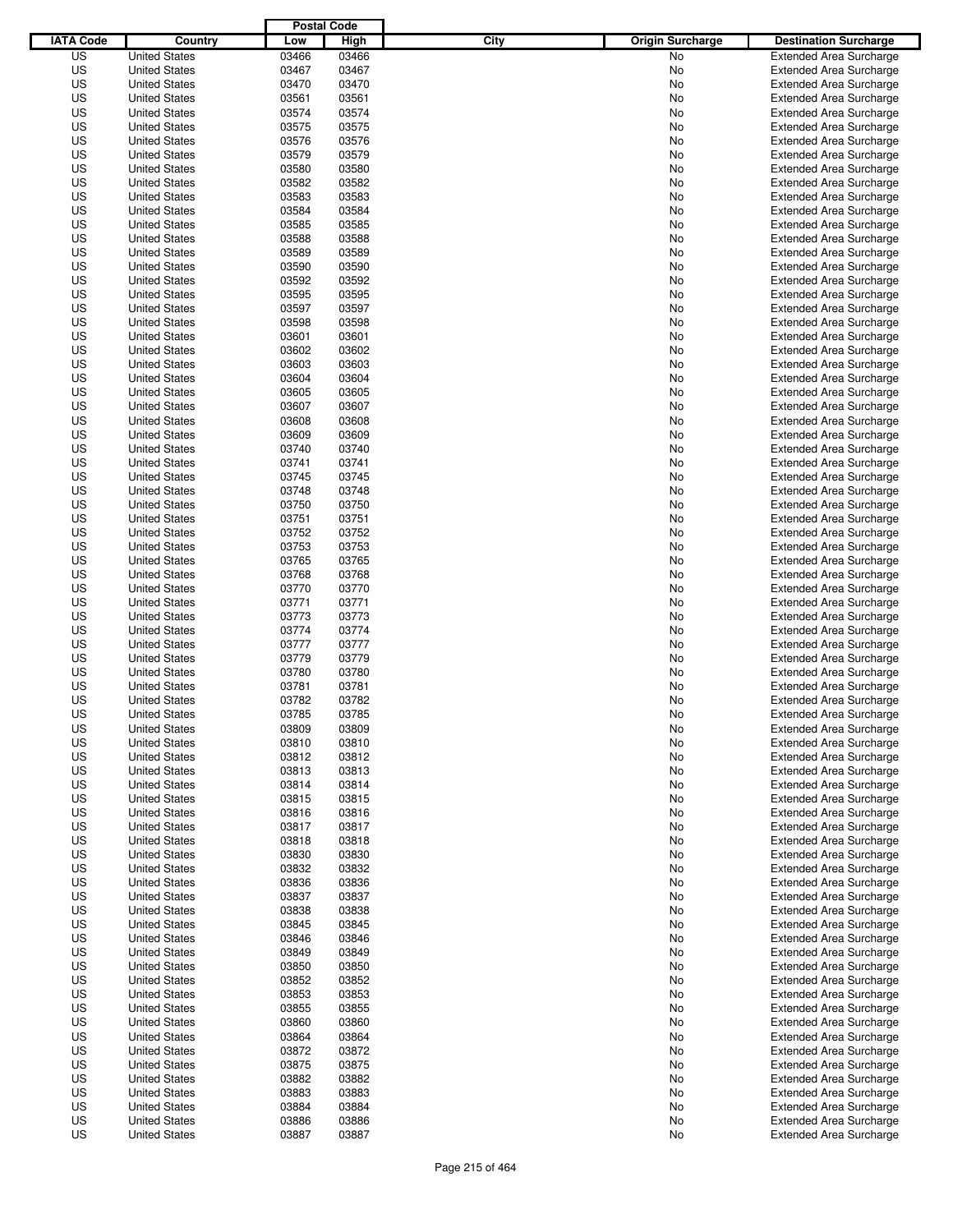|                  |                      | <b>Postal Code</b> |       |                                 |                                |
|------------------|----------------------|--------------------|-------|---------------------------------|--------------------------------|
| <b>IATA Code</b> | Country              | Low                | High  | City<br><b>Origin Surcharge</b> | <b>Destination Surcharge</b>   |
| US               | <b>United States</b> | 03466              | 03466 | <b>No</b>                       | <b>Extended Area Surcharge</b> |
| US               | <b>United States</b> | 03467              | 03467 | No                              | <b>Extended Area Surcharge</b> |
| US               | <b>United States</b> | 03470              | 03470 | No                              | <b>Extended Area Surcharge</b> |
| US               | <b>United States</b> | 03561              | 03561 | No                              | <b>Extended Area Surcharge</b> |
| US               | <b>United States</b> | 03574              | 03574 | No                              | <b>Extended Area Surcharge</b> |
| US               | <b>United States</b> | 03575              | 03575 | No                              | <b>Extended Area Surcharge</b> |
| US               | <b>United States</b> | 03576              | 03576 | No                              | <b>Extended Area Surcharge</b> |
| US               | <b>United States</b> | 03579              | 03579 | No                              | <b>Extended Area Surcharge</b> |
| US               | <b>United States</b> | 03580              | 03580 | No                              | <b>Extended Area Surcharge</b> |
| US               | <b>United States</b> | 03582              | 03582 | No                              | <b>Extended Area Surcharge</b> |
| US               | <b>United States</b> | 03583              | 03583 | No                              | <b>Extended Area Surcharge</b> |
| US               | <b>United States</b> | 03584              | 03584 | No                              | <b>Extended Area Surcharge</b> |
| US               | <b>United States</b> | 03585              | 03585 | No                              | <b>Extended Area Surcharge</b> |
| US               | <b>United States</b> | 03588              | 03588 | No                              | <b>Extended Area Surcharge</b> |
| US               | <b>United States</b> | 03589              | 03589 | No                              | <b>Extended Area Surcharge</b> |
| US               | <b>United States</b> | 03590              | 03590 | No                              | <b>Extended Area Surcharge</b> |
| US               | <b>United States</b> | 03592              | 03592 | No                              | <b>Extended Area Surcharge</b> |
| US               | <b>United States</b> | 03595              | 03595 | No                              | <b>Extended Area Surcharge</b> |
| US               | <b>United States</b> | 03597              | 03597 | No                              | <b>Extended Area Surcharge</b> |
| US               | <b>United States</b> | 03598              | 03598 | No                              | <b>Extended Area Surcharge</b> |
| US               | <b>United States</b> | 03601              | 03601 | No                              | <b>Extended Area Surcharge</b> |
| US               | <b>United States</b> | 03602              | 03602 | No                              | <b>Extended Area Surcharge</b> |
| US               | <b>United States</b> | 03603              | 03603 | No                              | <b>Extended Area Surcharge</b> |
| US               | <b>United States</b> | 03604              | 03604 | No                              | <b>Extended Area Surcharge</b> |
| US               | <b>United States</b> | 03605              | 03605 | No                              | <b>Extended Area Surcharge</b> |
| US               | <b>United States</b> | 03607              | 03607 | No                              | <b>Extended Area Surcharge</b> |
| US               | <b>United States</b> | 03608              | 03608 | No                              | <b>Extended Area Surcharge</b> |
| US               | <b>United States</b> | 03609              | 03609 | No                              | <b>Extended Area Surcharge</b> |
| US               | <b>United States</b> | 03740              | 03740 | No                              | <b>Extended Area Surcharge</b> |
| US               | <b>United States</b> | 03741              | 03741 | No                              | <b>Extended Area Surcharge</b> |
| US               | <b>United States</b> | 03745              | 03745 | No                              | <b>Extended Area Surcharge</b> |
| US               | <b>United States</b> | 03748              | 03748 | No                              | <b>Extended Area Surcharge</b> |
| US               | <b>United States</b> | 03750              | 03750 | No                              | <b>Extended Area Surcharge</b> |
| US               | <b>United States</b> | 03751              | 03751 | No                              | <b>Extended Area Surcharge</b> |
| US               | <b>United States</b> | 03752              | 03752 | No                              | <b>Extended Area Surcharge</b> |
| US               | <b>United States</b> | 03753              | 03753 | No                              | <b>Extended Area Surcharge</b> |
| US               | <b>United States</b> | 03765              | 03765 | No                              | <b>Extended Area Surcharge</b> |
| US               | <b>United States</b> | 03768              | 03768 | No                              | <b>Extended Area Surcharge</b> |
| US               | <b>United States</b> | 03770              | 03770 | No                              | <b>Extended Area Surcharge</b> |
| US               | <b>United States</b> | 03771              | 03771 | No                              | <b>Extended Area Surcharge</b> |
| US               | <b>United States</b> | 03773              | 03773 | No                              | <b>Extended Area Surcharge</b> |
| US               | <b>United States</b> | 03774              | 03774 | No                              | <b>Extended Area Surcharge</b> |
| US               | <b>United States</b> | 03777              | 03777 | No                              | <b>Extended Area Surcharge</b> |
| US               | <b>United States</b> | 03779              | 03779 | No                              | <b>Extended Area Surcharge</b> |
| US               | <b>United States</b> | 03780              | 03780 | No                              | Extended Area Surcharge        |
| US               | <b>United States</b> | 03781              | 03781 | No                              | <b>Extended Area Surcharge</b> |
| US               | <b>United States</b> | 03782              | 03782 | No                              | <b>Extended Area Surcharge</b> |
| US               | <b>United States</b> | 03785              | 03785 | No                              | <b>Extended Area Surcharge</b> |
| US               | <b>United States</b> | 03809              | 03809 | No                              | <b>Extended Area Surcharge</b> |
| US               | <b>United States</b> | 03810              | 03810 | No                              | <b>Extended Area Surcharge</b> |
| US               | <b>United States</b> | 03812              | 03812 | No                              | <b>Extended Area Surcharge</b> |
| US               | <b>United States</b> | 03813              | 03813 | No                              | <b>Extended Area Surcharge</b> |
| US               | <b>United States</b> | 03814              | 03814 | No                              | <b>Extended Area Surcharge</b> |
| US               | <b>United States</b> | 03815              | 03815 | No                              | <b>Extended Area Surcharge</b> |
| US               | <b>United States</b> | 03816              | 03816 | No                              | <b>Extended Area Surcharge</b> |
| US               | <b>United States</b> | 03817              | 03817 | No                              | <b>Extended Area Surcharge</b> |
| US               | <b>United States</b> | 03818              | 03818 | No                              | <b>Extended Area Surcharge</b> |
| US               | <b>United States</b> | 03830              | 03830 | No                              | <b>Extended Area Surcharge</b> |
| US               | <b>United States</b> | 03832              | 03832 | No                              | <b>Extended Area Surcharge</b> |
| US               | <b>United States</b> | 03836              | 03836 | No                              | <b>Extended Area Surcharge</b> |
| US               | <b>United States</b> | 03837              | 03837 | No                              | <b>Extended Area Surcharge</b> |
| US               | <b>United States</b> | 03838              | 03838 | No                              | <b>Extended Area Surcharge</b> |
| US               | <b>United States</b> | 03845              | 03845 | No                              | <b>Extended Area Surcharge</b> |
| US               | <b>United States</b> | 03846              | 03846 | No                              | <b>Extended Area Surcharge</b> |
| US               | <b>United States</b> | 03849              | 03849 | No                              | <b>Extended Area Surcharge</b> |
| US               | <b>United States</b> | 03850              | 03850 | No                              | <b>Extended Area Surcharge</b> |
| US               | <b>United States</b> | 03852              | 03852 | No                              | <b>Extended Area Surcharge</b> |
| US               | <b>United States</b> | 03853              | 03853 | No                              | <b>Extended Area Surcharge</b> |
| US               | <b>United States</b> | 03855              | 03855 | No                              | <b>Extended Area Surcharge</b> |
| US               | <b>United States</b> | 03860              | 03860 | No                              | <b>Extended Area Surcharge</b> |
| US               | <b>United States</b> | 03864              | 03864 | No                              | <b>Extended Area Surcharge</b> |
| US               | <b>United States</b> | 03872              | 03872 | No                              | <b>Extended Area Surcharge</b> |
| US               | <b>United States</b> | 03875              | 03875 | No                              | <b>Extended Area Surcharge</b> |
| US               | <b>United States</b> | 03882              | 03882 | No                              | <b>Extended Area Surcharge</b> |
| US               | <b>United States</b> | 03883              | 03883 | No                              | <b>Extended Area Surcharge</b> |
| US               | <b>United States</b> | 03884              | 03884 | No                              | <b>Extended Area Surcharge</b> |
| US               | <b>United States</b> | 03886              | 03886 | No                              | <b>Extended Area Surcharge</b> |
| US               | <b>United States</b> | 03887              | 03887 | No                              | <b>Extended Area Surcharge</b> |
|                  |                      |                    |       |                                 |                                |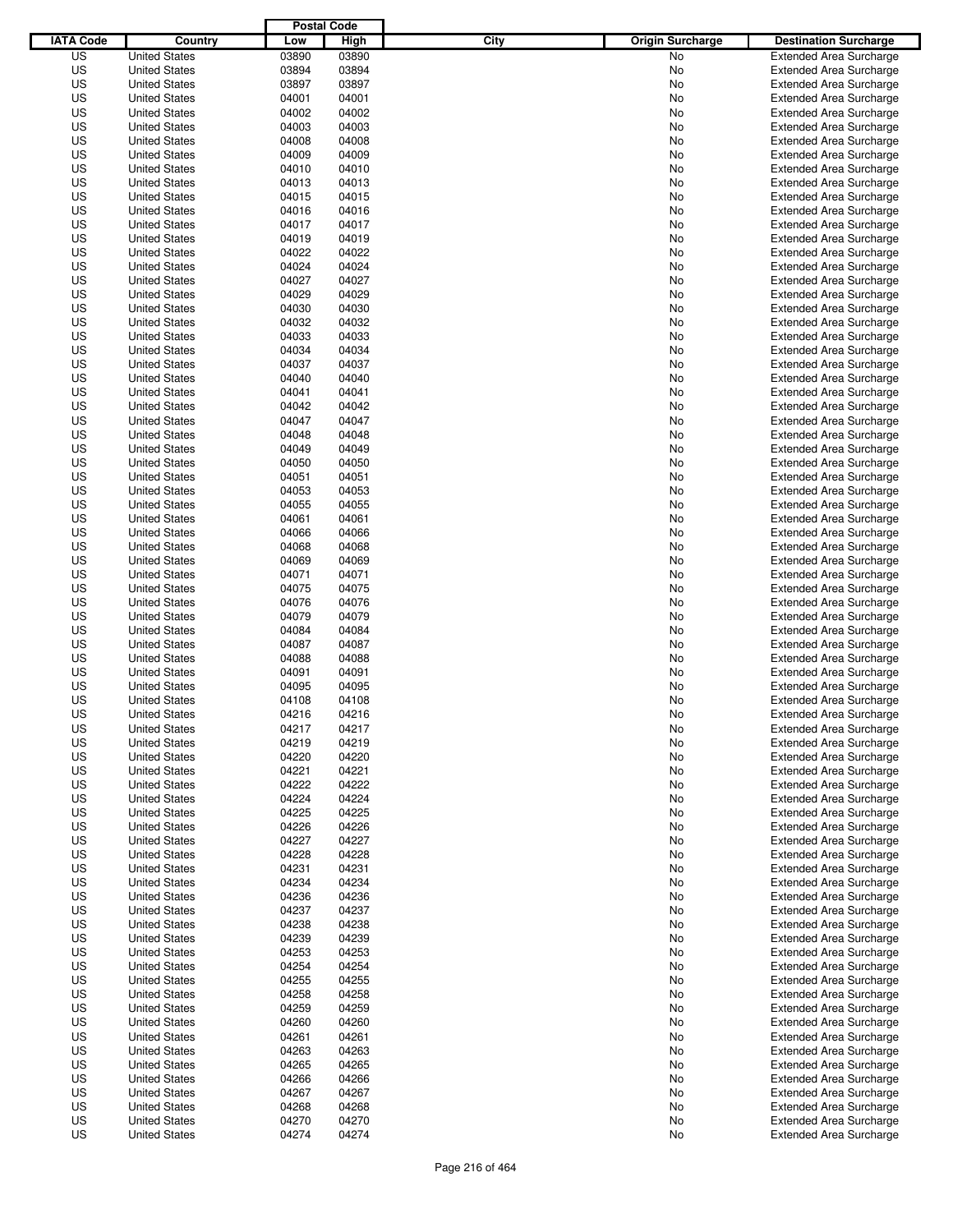|                  |                      | <b>Postal Code</b> |       |                                 |                                |
|------------------|----------------------|--------------------|-------|---------------------------------|--------------------------------|
| <b>IATA Code</b> | Country              | Low                | High  | City<br><b>Origin Surcharge</b> | <b>Destination Surcharge</b>   |
| US               | <b>United States</b> | 03890              | 03890 | <b>No</b>                       | <b>Extended Area Surcharge</b> |
| US               | <b>United States</b> | 03894              | 03894 | No                              | <b>Extended Area Surcharge</b> |
| US               | <b>United States</b> | 03897              | 03897 | No                              | <b>Extended Area Surcharge</b> |
| US               | <b>United States</b> | 04001              | 04001 | No                              | <b>Extended Area Surcharge</b> |
| US               | <b>United States</b> | 04002              | 04002 | No                              | <b>Extended Area Surcharge</b> |
| US               | <b>United States</b> | 04003              | 04003 | No                              | <b>Extended Area Surcharge</b> |
| US               | <b>United States</b> | 04008              | 04008 | No                              | <b>Extended Area Surcharge</b> |
| US               | <b>United States</b> | 04009              | 04009 | No                              | <b>Extended Area Surcharge</b> |
| US               | <b>United States</b> | 04010              | 04010 | No                              | <b>Extended Area Surcharge</b> |
| US               | <b>United States</b> | 04013              | 04013 | No                              | <b>Extended Area Surcharge</b> |
| US               | <b>United States</b> | 04015              | 04015 | No                              | <b>Extended Area Surcharge</b> |
| US               | <b>United States</b> | 04016              | 04016 | No                              | <b>Extended Area Surcharge</b> |
| US               | <b>United States</b> | 04017              | 04017 | No                              | <b>Extended Area Surcharge</b> |
| US               | <b>United States</b> | 04019              | 04019 | No                              | <b>Extended Area Surcharge</b> |
| US               | <b>United States</b> | 04022              | 04022 | No                              | <b>Extended Area Surcharge</b> |
| US               | <b>United States</b> | 04024              | 04024 | No                              | <b>Extended Area Surcharge</b> |
| US               | <b>United States</b> | 04027              | 04027 | No                              | <b>Extended Area Surcharge</b> |
| US               | <b>United States</b> | 04029              | 04029 | No                              | <b>Extended Area Surcharge</b> |
| US               | <b>United States</b> | 04030              | 04030 | No                              | <b>Extended Area Surcharge</b> |
| US               | <b>United States</b> | 04032              | 04032 | No                              | <b>Extended Area Surcharge</b> |
| US               | <b>United States</b> | 04033              | 04033 | No                              | <b>Extended Area Surcharge</b> |
| US               | <b>United States</b> | 04034              | 04034 | No                              | <b>Extended Area Surcharge</b> |
| US               | <b>United States</b> | 04037              | 04037 | No                              | <b>Extended Area Surcharge</b> |
| US               | <b>United States</b> | 04040              | 04040 | No                              | <b>Extended Area Surcharge</b> |
| US               | <b>United States</b> | 04041              | 04041 | No                              | <b>Extended Area Surcharge</b> |
| US               | <b>United States</b> | 04042              | 04042 | No                              | <b>Extended Area Surcharge</b> |
| US               | <b>United States</b> | 04047              | 04047 | No                              | <b>Extended Area Surcharge</b> |
| US               | <b>United States</b> | 04048              | 04048 | No                              | <b>Extended Area Surcharge</b> |
| US               | <b>United States</b> | 04049              | 04049 | No                              | <b>Extended Area Surcharge</b> |
| US               | <b>United States</b> | 04050              | 04050 | No                              | <b>Extended Area Surcharge</b> |
| US               | <b>United States</b> | 04051              | 04051 | No                              | <b>Extended Area Surcharge</b> |
| US               | <b>United States</b> | 04053              | 04053 | No                              | <b>Extended Area Surcharge</b> |
| US               | <b>United States</b> | 04055              | 04055 | No                              | <b>Extended Area Surcharge</b> |
| US               | <b>United States</b> | 04061              | 04061 | No                              | <b>Extended Area Surcharge</b> |
| US               | <b>United States</b> | 04066              | 04066 | No                              | <b>Extended Area Surcharge</b> |
| US               | <b>United States</b> | 04068              | 04068 | No                              | <b>Extended Area Surcharge</b> |
| US               | <b>United States</b> | 04069              | 04069 | No                              | <b>Extended Area Surcharge</b> |
| US               | <b>United States</b> | 04071              | 04071 | No                              | <b>Extended Area Surcharge</b> |
| US               | <b>United States</b> | 04075              | 04075 | No                              | <b>Extended Area Surcharge</b> |
| US               | <b>United States</b> | 04076              | 04076 | No                              | <b>Extended Area Surcharge</b> |
| US               | <b>United States</b> | 04079              | 04079 | No                              | <b>Extended Area Surcharge</b> |
| US               | <b>United States</b> | 04084              | 04084 | No                              | <b>Extended Area Surcharge</b> |
| US               | <b>United States</b> | 04087              | 04087 | No                              | <b>Extended Area Surcharge</b> |
| US               | <b>United States</b> | 04088              | 04088 | No                              | <b>Extended Area Surcharge</b> |
| US               | <b>United States</b> | 04091              | 04091 | No                              | Extended Area Surcharge        |
| US               | <b>United States</b> | 04095              | 04095 | No                              | <b>Extended Area Surcharge</b> |
| US               | <b>United States</b> | 04108              | 04108 | No                              | <b>Extended Area Surcharge</b> |
| US               | <b>United States</b> | 04216              | 04216 | No                              | <b>Extended Area Surcharge</b> |
| US               | <b>United States</b> | 04217              | 04217 | No                              | <b>Extended Area Surcharge</b> |
| US               | <b>United States</b> | 04219              | 04219 | No                              | <b>Extended Area Surcharge</b> |
| US               | <b>United States</b> | 04220              | 04220 | No                              | <b>Extended Area Surcharge</b> |
| US               | <b>United States</b> | 04221              | 04221 | No                              | <b>Extended Area Surcharge</b> |
| US               | <b>United States</b> | 04222              | 04222 | No                              | <b>Extended Area Surcharge</b> |
| US               | <b>United States</b> | 04224              | 04224 | No                              | <b>Extended Area Surcharge</b> |
| US               | <b>United States</b> | 04225              | 04225 | No                              | <b>Extended Area Surcharge</b> |
| US               | <b>United States</b> | 04226              | 04226 | No                              | <b>Extended Area Surcharge</b> |
| US               | <b>United States</b> | 04227              | 04227 | No                              | <b>Extended Area Surcharge</b> |
| US               | <b>United States</b> | 04228              | 04228 | No                              | <b>Extended Area Surcharge</b> |
| US               | <b>United States</b> | 04231              | 04231 | No                              | <b>Extended Area Surcharge</b> |
| US               | <b>United States</b> | 04234              | 04234 | No                              | <b>Extended Area Surcharge</b> |
| US               | <b>United States</b> | 04236              | 04236 | No                              | <b>Extended Area Surcharge</b> |
| US               | <b>United States</b> | 04237              | 04237 | No                              | <b>Extended Area Surcharge</b> |
| US               | <b>United States</b> | 04238              | 04238 | No                              | <b>Extended Area Surcharge</b> |
| US               | <b>United States</b> | 04239              | 04239 | No                              | <b>Extended Area Surcharge</b> |
| US               | <b>United States</b> | 04253              | 04253 | No                              | <b>Extended Area Surcharge</b> |
| US               | <b>United States</b> | 04254              | 04254 | No                              | <b>Extended Area Surcharge</b> |
| US               | <b>United States</b> | 04255              | 04255 | No                              | <b>Extended Area Surcharge</b> |
| US               | <b>United States</b> | 04258              | 04258 | No                              | <b>Extended Area Surcharge</b> |
| US               | <b>United States</b> | 04259              | 04259 | No                              | <b>Extended Area Surcharge</b> |
| US               | <b>United States</b> | 04260              | 04260 | No                              | <b>Extended Area Surcharge</b> |
| US               | <b>United States</b> | 04261              | 04261 | No                              | <b>Extended Area Surcharge</b> |
| US               | <b>United States</b> | 04263              | 04263 | No                              | <b>Extended Area Surcharge</b> |
| US               | <b>United States</b> | 04265              | 04265 | No                              | <b>Extended Area Surcharge</b> |
| US               | <b>United States</b> | 04266              | 04266 | No                              | <b>Extended Area Surcharge</b> |
| US               | <b>United States</b> | 04267              | 04267 | No                              | <b>Extended Area Surcharge</b> |
| US               | <b>United States</b> | 04268              | 04268 | No                              | <b>Extended Area Surcharge</b> |
| US               | <b>United States</b> | 04270              | 04270 | No                              | <b>Extended Area Surcharge</b> |
| US               | <b>United States</b> | 04274              | 04274 | No                              | <b>Extended Area Surcharge</b> |
|                  |                      |                    |       |                                 |                                |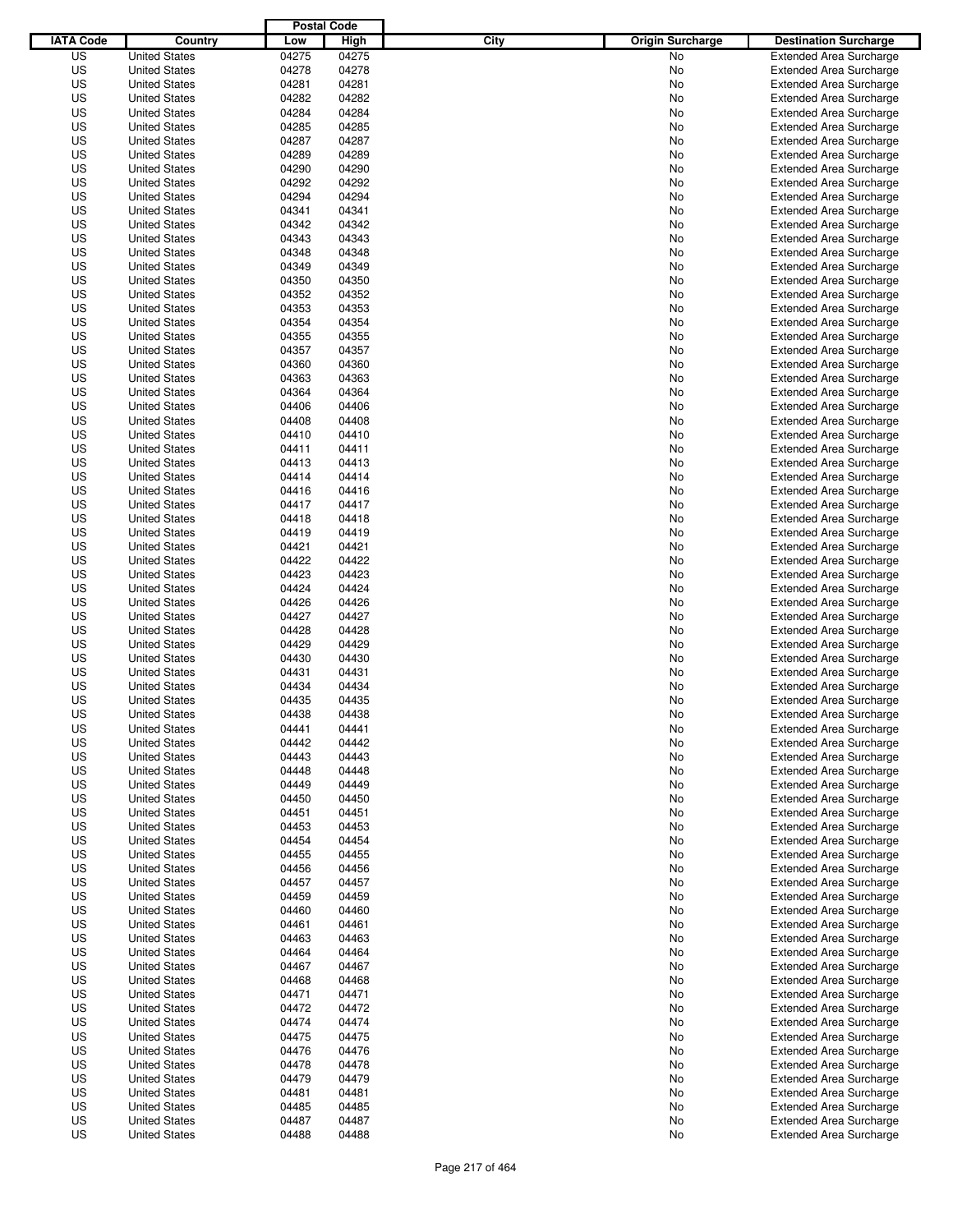|                  |                                              | <b>Postal Code</b> |                |                                 |                                                                  |
|------------------|----------------------------------------------|--------------------|----------------|---------------------------------|------------------------------------------------------------------|
| <b>IATA Code</b> | Country                                      | Low                | High           | City<br><b>Origin Surcharge</b> | <b>Destination Surcharge</b>                                     |
| US               | <b>United States</b>                         | 04275              | 04275          | <b>No</b>                       | <b>Extended Area Surcharge</b>                                   |
| US               | <b>United States</b>                         | 04278              | 04278          | No                              | <b>Extended Area Surcharge</b>                                   |
| US               | <b>United States</b>                         | 04281              | 04281          | No                              | <b>Extended Area Surcharge</b>                                   |
| US               | <b>United States</b>                         | 04282              | 04282          | No                              | <b>Extended Area Surcharge</b>                                   |
| US               | <b>United States</b>                         | 04284              | 04284          | No                              | <b>Extended Area Surcharge</b>                                   |
| US               | <b>United States</b>                         | 04285              | 04285          | No                              | <b>Extended Area Surcharge</b>                                   |
| US               | <b>United States</b>                         | 04287              | 04287          | No                              | <b>Extended Area Surcharge</b>                                   |
| US               | <b>United States</b>                         | 04289              | 04289          | No                              | <b>Extended Area Surcharge</b>                                   |
| US               | <b>United States</b>                         | 04290              | 04290          | No                              | <b>Extended Area Surcharge</b>                                   |
| US               | <b>United States</b>                         | 04292              | 04292          | No                              | <b>Extended Area Surcharge</b>                                   |
| US               | <b>United States</b>                         | 04294              | 04294          | No                              | <b>Extended Area Surcharge</b>                                   |
| US               | <b>United States</b>                         | 04341              | 04341          | No                              | <b>Extended Area Surcharge</b>                                   |
| US               | <b>United States</b>                         | 04342              | 04342          | No                              | <b>Extended Area Surcharge</b>                                   |
| US               | <b>United States</b>                         | 04343              | 04343          | No                              | <b>Extended Area Surcharge</b>                                   |
| US               | <b>United States</b>                         | 04348              | 04348          | No                              | <b>Extended Area Surcharge</b>                                   |
| US               | <b>United States</b>                         | 04349              | 04349          | No                              | <b>Extended Area Surcharge</b>                                   |
| US               | <b>United States</b>                         | 04350              | 04350          | No                              | <b>Extended Area Surcharge</b>                                   |
| US               | <b>United States</b>                         | 04352              | 04352          | No                              | <b>Extended Area Surcharge</b>                                   |
| US               | <b>United States</b>                         | 04353              | 04353          | No                              | <b>Extended Area Surcharge</b>                                   |
| US               | <b>United States</b>                         | 04354              | 04354          | No                              | <b>Extended Area Surcharge</b>                                   |
| US               | <b>United States</b>                         | 04355              | 04355          | No                              | <b>Extended Area Surcharge</b>                                   |
| US               | <b>United States</b>                         | 04357              | 04357          | No                              | <b>Extended Area Surcharge</b>                                   |
| US               | <b>United States</b>                         | 04360              | 04360          | No                              | <b>Extended Area Surcharge</b>                                   |
| US               | <b>United States</b>                         | 04363              | 04363          | No                              | <b>Extended Area Surcharge</b>                                   |
| US               | <b>United States</b>                         | 04364              | 04364          | No                              | <b>Extended Area Surcharge</b>                                   |
| US               | <b>United States</b>                         | 04406              | 04406          | No                              | <b>Extended Area Surcharge</b>                                   |
| US               | <b>United States</b>                         | 04408              | 04408          | No                              | <b>Extended Area Surcharge</b>                                   |
| US               | <b>United States</b>                         | 04410              | 04410          | No                              | <b>Extended Area Surcharge</b>                                   |
| US               | <b>United States</b>                         | 04411              | 04411          | No                              | <b>Extended Area Surcharge</b>                                   |
| US               | <b>United States</b>                         | 04413              | 04413          | No                              | <b>Extended Area Surcharge</b>                                   |
| US               | <b>United States</b>                         | 04414              | 04414          | No                              | <b>Extended Area Surcharge</b>                                   |
| US               | <b>United States</b>                         | 04416              | 04416          | No                              | <b>Extended Area Surcharge</b>                                   |
| US               | <b>United States</b>                         | 04417              | 04417          | No                              | <b>Extended Area Surcharge</b>                                   |
| US               | <b>United States</b>                         | 04418              | 04418          | No                              | <b>Extended Area Surcharge</b>                                   |
| US               | <b>United States</b>                         | 04419              | 04419          | No                              | <b>Extended Area Surcharge</b>                                   |
| US               | <b>United States</b>                         | 04421              | 04421          | No                              | <b>Extended Area Surcharge</b>                                   |
| US               | <b>United States</b>                         | 04422              | 04422          | No                              | <b>Extended Area Surcharge</b>                                   |
| US               | <b>United States</b>                         | 04423              | 04423          | No                              | <b>Extended Area Surcharge</b>                                   |
| US               | <b>United States</b>                         | 04424              | 04424          | No                              | <b>Extended Area Surcharge</b>                                   |
| US               | <b>United States</b>                         | 04426              | 04426          | No                              | <b>Extended Area Surcharge</b>                                   |
| US               | <b>United States</b>                         | 04427              | 04427          | No                              | <b>Extended Area Surcharge</b>                                   |
| US               | <b>United States</b>                         | 04428              | 04428          | No                              | <b>Extended Area Surcharge</b>                                   |
| US               | <b>United States</b>                         | 04429              | 04429          | No                              | <b>Extended Area Surcharge</b>                                   |
| US               | <b>United States</b>                         | 04430              | 04430          | No                              | <b>Extended Area Surcharge</b>                                   |
| US               | <b>United States</b>                         | 04431              | 04431          | No                              | <b>Extended Area Surcharge</b>                                   |
| US               | <b>United States</b>                         | 04434              | 04434          | No                              | <b>Extended Area Surcharge</b>                                   |
| US               | <b>United States</b>                         | 04435              | 04435          | No                              | <b>Extended Area Surcharge</b>                                   |
| US               | <b>United States</b>                         | 04438              | 04438          | No                              | <b>Extended Area Surcharge</b>                                   |
| US               | <b>United States</b>                         | 04441              | 04441          | No                              | <b>Extended Area Surcharge</b>                                   |
| US               | <b>United States</b>                         | 04442              | 04442          | No                              | <b>Extended Area Surcharge</b>                                   |
| US               | <b>United States</b>                         | 04443              | 04443          | No                              | <b>Extended Area Surcharge</b>                                   |
| US               | <b>United States</b>                         | 04448              | 04448          | No                              | <b>Extended Area Surcharge</b>                                   |
| US               | <b>United States</b>                         | 04449              | 04449          | No                              | <b>Extended Area Surcharge</b>                                   |
| US               | <b>United States</b>                         | 04450              | 04450          | No                              | <b>Extended Area Surcharge</b>                                   |
| US               | <b>United States</b>                         | 04451              | 04451          | No                              | <b>Extended Area Surcharge</b>                                   |
| US               | <b>United States</b>                         | 04453              | 04453          | No                              | <b>Extended Area Surcharge</b>                                   |
| US               | <b>United States</b>                         | 04454              | 04454          | No                              | <b>Extended Area Surcharge</b>                                   |
| US               | <b>United States</b>                         | 04455              | 04455          | No                              | <b>Extended Area Surcharge</b>                                   |
| US               | <b>United States</b>                         | 04456              | 04456          | No                              | <b>Extended Area Surcharge</b>                                   |
| US               | <b>United States</b>                         | 04457              | 04457          | No                              | <b>Extended Area Surcharge</b>                                   |
| US               | <b>United States</b>                         | 04459              | 04459          | No                              | <b>Extended Area Surcharge</b>                                   |
| US               | <b>United States</b>                         | 04460              | 04460          | No                              | <b>Extended Area Surcharge</b>                                   |
| US               | <b>United States</b>                         | 04461              | 04461          | No                              | <b>Extended Area Surcharge</b>                                   |
| US               | <b>United States</b>                         | 04463              | 04463          | No                              | <b>Extended Area Surcharge</b>                                   |
| US               | <b>United States</b>                         | 04464              | 04464          | No                              | <b>Extended Area Surcharge</b>                                   |
| US               | <b>United States</b>                         | 04467              | 04467          | No                              | <b>Extended Area Surcharge</b>                                   |
| US               | <b>United States</b>                         | 04468              | 04468          | No                              | <b>Extended Area Surcharge</b>                                   |
| US               | <b>United States</b>                         | 04471              | 04471          | No                              | <b>Extended Area Surcharge</b>                                   |
| US               | <b>United States</b>                         | 04472              | 04472          | No                              | <b>Extended Area Surcharge</b>                                   |
| US               | <b>United States</b>                         | 04474              | 04474          | No                              | <b>Extended Area Surcharge</b>                                   |
| US               | <b>United States</b>                         | 04475              | 04475          | No                              | <b>Extended Area Surcharge</b>                                   |
| US               | <b>United States</b>                         | 04476              | 04476          |                                 | <b>Extended Area Surcharge</b>                                   |
| US               |                                              |                    | 04478          | No                              | <b>Extended Area Surcharge</b>                                   |
| US               | <b>United States</b><br><b>United States</b> | 04478<br>04479     | 04479          | No                              |                                                                  |
| US               |                                              |                    |                | No                              | <b>Extended Area Surcharge</b><br><b>Extended Area Surcharge</b> |
| US               | <b>United States</b><br><b>United States</b> | 04481<br>04485     | 04481<br>04485 | No<br>No                        | <b>Extended Area Surcharge</b>                                   |
| US               | <b>United States</b>                         | 04487              | 04487          | No                              | <b>Extended Area Surcharge</b>                                   |
| US               | <b>United States</b>                         | 04488              | 04488          | No                              | <b>Extended Area Surcharge</b>                                   |
|                  |                                              |                    |                |                                 |                                                                  |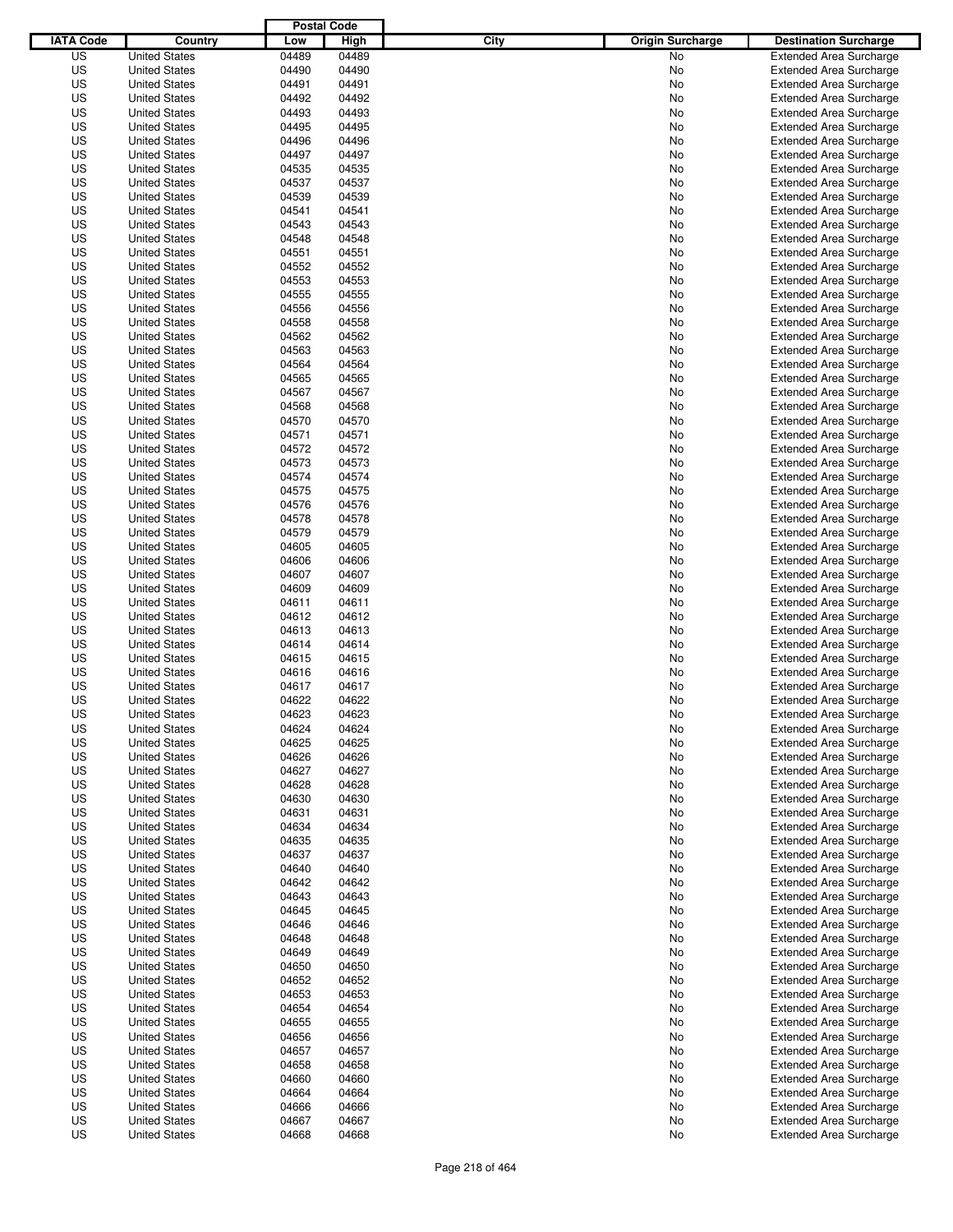|                  |                                              |                | <b>Postal Code</b> |                                 |                                                                  |
|------------------|----------------------------------------------|----------------|--------------------|---------------------------------|------------------------------------------------------------------|
| <b>IATA Code</b> | Country                                      | Low            | High               | City<br><b>Origin Surcharge</b> | <b>Destination Surcharge</b>                                     |
| US               | <b>United States</b>                         | 04489          | 04489              | <b>No</b>                       | <b>Extended Area Surcharge</b>                                   |
| US               | <b>United States</b>                         | 04490          | 04490              | No                              | <b>Extended Area Surcharge</b>                                   |
| US               | <b>United States</b>                         | 04491          | 04491              | No                              | <b>Extended Area Surcharge</b>                                   |
| US               | <b>United States</b>                         | 04492          | 04492              | No                              | <b>Extended Area Surcharge</b>                                   |
| US               | <b>United States</b>                         | 04493          | 04493              | No                              | <b>Extended Area Surcharge</b>                                   |
| US               | <b>United States</b>                         | 04495          | 04495              | No                              | <b>Extended Area Surcharge</b>                                   |
| US               | <b>United States</b>                         | 04496          | 04496              | No                              | <b>Extended Area Surcharge</b>                                   |
| US               | <b>United States</b>                         | 04497          | 04497              | No                              | <b>Extended Area Surcharge</b>                                   |
| US               | <b>United States</b>                         | 04535          | 04535              | No                              | <b>Extended Area Surcharge</b>                                   |
| US               | <b>United States</b>                         | 04537          | 04537              | No                              | <b>Extended Area Surcharge</b>                                   |
| US               | <b>United States</b>                         | 04539          | 04539              | No                              | <b>Extended Area Surcharge</b>                                   |
| US               | <b>United States</b>                         | 04541          | 04541              | No                              | <b>Extended Area Surcharge</b>                                   |
| US               | <b>United States</b>                         | 04543          | 04543              | No                              | <b>Extended Area Surcharge</b>                                   |
| US               | <b>United States</b>                         | 04548          | 04548              | No                              | <b>Extended Area Surcharge</b>                                   |
| US               | <b>United States</b>                         | 04551          | 04551              | No                              | <b>Extended Area Surcharge</b>                                   |
| US               | <b>United States</b>                         | 04552          | 04552              | No                              | <b>Extended Area Surcharge</b>                                   |
| US               | <b>United States</b>                         | 04553          | 04553              | No                              | <b>Extended Area Surcharge</b>                                   |
| US               | <b>United States</b>                         | 04555          | 04555              | No                              | <b>Extended Area Surcharge</b>                                   |
| US               | <b>United States</b>                         | 04556          | 04556              | No                              | <b>Extended Area Surcharge</b>                                   |
| US               | <b>United States</b>                         | 04558          | 04558              | No                              | <b>Extended Area Surcharge</b>                                   |
| US               | <b>United States</b>                         | 04562          | 04562              | No                              | <b>Extended Area Surcharge</b>                                   |
| US               | <b>United States</b>                         | 04563          | 04563              | No                              | <b>Extended Area Surcharge</b>                                   |
| US               | <b>United States</b>                         | 04564          | 04564              | No                              | <b>Extended Area Surcharge</b>                                   |
| US               | <b>United States</b>                         | 04565          | 04565              | No                              | <b>Extended Area Surcharge</b>                                   |
| US<br>US         | <b>United States</b>                         | 04567<br>04568 | 04567<br>04568     | No                              | <b>Extended Area Surcharge</b><br><b>Extended Area Surcharge</b> |
|                  | <b>United States</b><br><b>United States</b> |                |                    | No                              |                                                                  |
| US               |                                              | 04570<br>04571 | 04570              | No                              | <b>Extended Area Surcharge</b>                                   |
| US<br>US         | <b>United States</b><br><b>United States</b> | 04572          | 04571<br>04572     | No<br>No                        | <b>Extended Area Surcharge</b><br><b>Extended Area Surcharge</b> |
| US               | <b>United States</b>                         | 04573          | 04573              | No                              | <b>Extended Area Surcharge</b>                                   |
| US               | <b>United States</b>                         | 04574          | 04574              | No                              | <b>Extended Area Surcharge</b>                                   |
| US               | <b>United States</b>                         | 04575          | 04575              | No                              | <b>Extended Area Surcharge</b>                                   |
| US               | <b>United States</b>                         | 04576          | 04576              | No                              | <b>Extended Area Surcharge</b>                                   |
| US               | <b>United States</b>                         | 04578          | 04578              | No                              | <b>Extended Area Surcharge</b>                                   |
| US               | <b>United States</b>                         | 04579          | 04579              | No                              | <b>Extended Area Surcharge</b>                                   |
| US               | <b>United States</b>                         | 04605          | 04605              | No                              | <b>Extended Area Surcharge</b>                                   |
| US               | <b>United States</b>                         | 04606          | 04606              | No                              | <b>Extended Area Surcharge</b>                                   |
| US               | <b>United States</b>                         | 04607          | 04607              | No                              | <b>Extended Area Surcharge</b>                                   |
| US               | <b>United States</b>                         | 04609          | 04609              | No                              | <b>Extended Area Surcharge</b>                                   |
| US               | <b>United States</b>                         | 04611          | 04611              | No                              | <b>Extended Area Surcharge</b>                                   |
| US               | <b>United States</b>                         | 04612          | 04612              | No                              | <b>Extended Area Surcharge</b>                                   |
| US               | <b>United States</b>                         | 04613          | 04613              | No                              | <b>Extended Area Surcharge</b>                                   |
| US               | <b>United States</b>                         | 04614          | 04614              | No                              | <b>Extended Area Surcharge</b>                                   |
| US               | <b>United States</b>                         | 04615          | 04615              | No                              | <b>Extended Area Surcharge</b>                                   |
| US               | <b>United States</b>                         | 04616          | 04616              | No                              | Extended Area Surcharge                                          |
| US               | <b>United States</b>                         | 04617          | 04617              | No                              | <b>Extended Area Surcharge</b>                                   |
| US               | <b>United States</b>                         | 04622          | 04622              | No                              | <b>Extended Area Surcharge</b>                                   |
| US               | <b>United States</b>                         | 04623          | 04623              | No                              | <b>Extended Area Surcharge</b>                                   |
| US               | <b>United States</b>                         | 04624          | 04624              | No                              | <b>Extended Area Surcharge</b>                                   |
| US               | <b>United States</b>                         | 04625          | 04625              | No                              | <b>Extended Area Surcharge</b>                                   |
| US               | <b>United States</b>                         | 04626          | 04626              | No                              | <b>Extended Area Surcharge</b>                                   |
| US               | <b>United States</b>                         | 04627          | 04627              | No                              | <b>Extended Area Surcharge</b>                                   |
| US               | <b>United States</b>                         | 04628          | 04628              | No                              | <b>Extended Area Surcharge</b>                                   |
| US               | <b>United States</b>                         | 04630          | 04630              | No                              | <b>Extended Area Surcharge</b>                                   |
| US               | <b>United States</b>                         | 04631          | 04631              | No                              | <b>Extended Area Surcharge</b>                                   |
| US               | <b>United States</b>                         | 04634          | 04634              | No                              | <b>Extended Area Surcharge</b>                                   |
| US               | <b>United States</b>                         | 04635          | 04635              | No                              | <b>Extended Area Surcharge</b>                                   |
| US               | <b>United States</b>                         | 04637          | 04637              | No                              | <b>Extended Area Surcharge</b>                                   |
| US               | <b>United States</b>                         | 04640          | 04640              | No                              | <b>Extended Area Surcharge</b>                                   |
| US               | <b>United States</b>                         | 04642          | 04642              | No                              | <b>Extended Area Surcharge</b>                                   |
| US               | <b>United States</b>                         | 04643          | 04643              | No                              | <b>Extended Area Surcharge</b>                                   |
| US               | <b>United States</b>                         | 04645          | 04645              | No                              | <b>Extended Area Surcharge</b>                                   |
| US               | <b>United States</b>                         | 04646          | 04646              | No                              | <b>Extended Area Surcharge</b>                                   |
| US               | <b>United States</b>                         | 04648          | 04648              | No                              | <b>Extended Area Surcharge</b>                                   |
| US               | <b>United States</b>                         | 04649          | 04649              | No                              | <b>Extended Area Surcharge</b>                                   |
| US               | <b>United States</b>                         | 04650          | 04650              | No                              | <b>Extended Area Surcharge</b>                                   |
| US               | <b>United States</b>                         | 04652          | 04652              | No                              | <b>Extended Area Surcharge</b>                                   |
| US               | <b>United States</b>                         | 04653          | 04653              | No                              | <b>Extended Area Surcharge</b>                                   |
| US               | <b>United States</b>                         | 04654          | 04654              | No                              | <b>Extended Area Surcharge</b>                                   |
| US               | <b>United States</b>                         | 04655          | 04655              | No                              | <b>Extended Area Surcharge</b>                                   |
| US               | <b>United States</b>                         | 04656          | 04656              | No                              | <b>Extended Area Surcharge</b>                                   |
| US               | <b>United States</b>                         | 04657          | 04657              | No                              | <b>Extended Area Surcharge</b>                                   |
| US               | <b>United States</b>                         | 04658          | 04658              | No                              | <b>Extended Area Surcharge</b>                                   |
| US               | <b>United States</b>                         | 04660          | 04660              | No                              | <b>Extended Area Surcharge</b>                                   |
| US               | <b>United States</b>                         | 04664          | 04664              | No                              | <b>Extended Area Surcharge</b>                                   |
| US               | <b>United States</b>                         | 04666          | 04666              | No                              | <b>Extended Area Surcharge</b>                                   |
| US               | <b>United States</b>                         | 04667          | 04667              | No                              | <b>Extended Area Surcharge</b>                                   |
| US               | <b>United States</b>                         | 04668          | 04668              | No                              | <b>Extended Area Surcharge</b>                                   |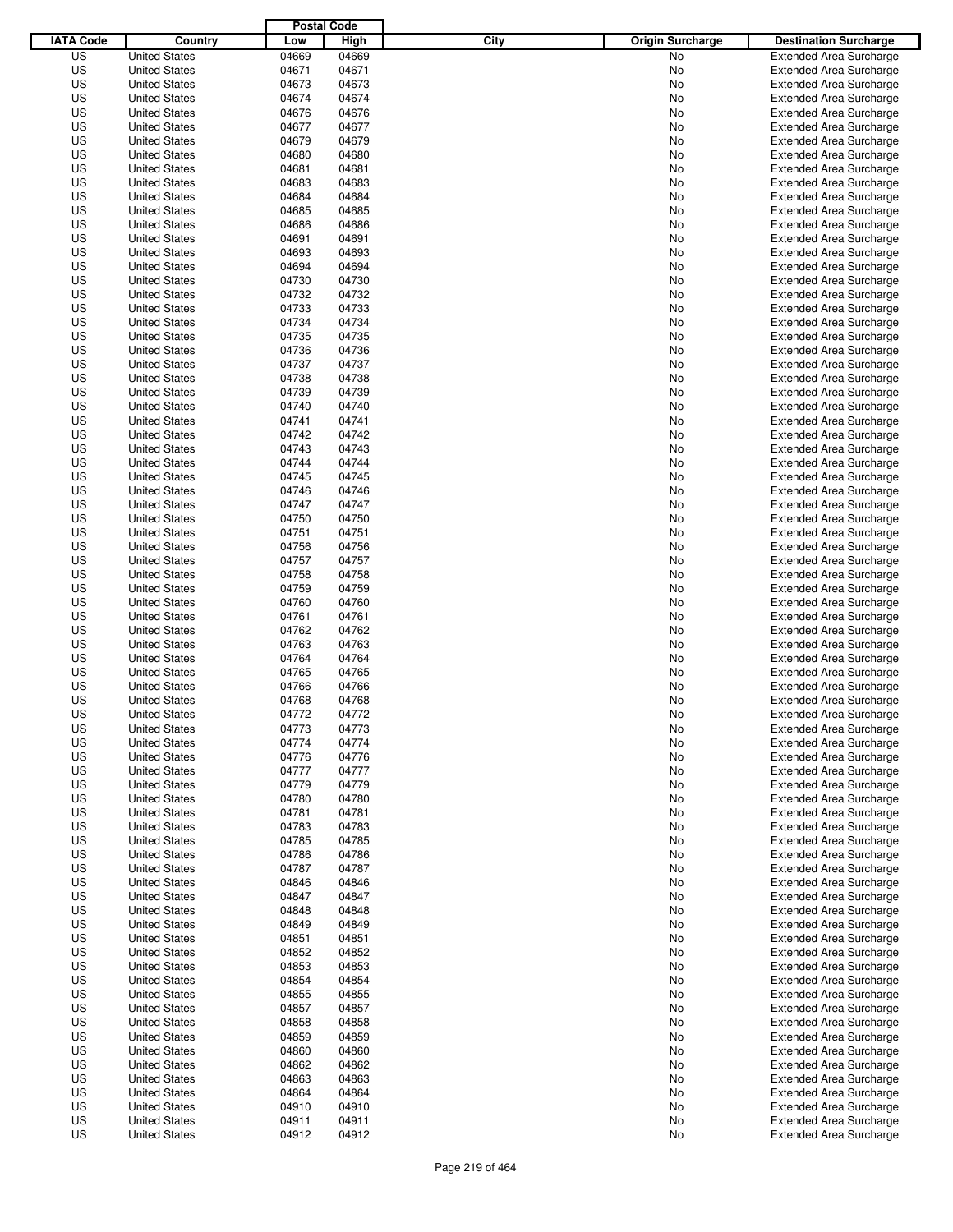|                  |                      |       | <b>Postal Code</b> |                                 |                                |
|------------------|----------------------|-------|--------------------|---------------------------------|--------------------------------|
| <b>IATA Code</b> | Country              | Low   | High               | City<br><b>Origin Surcharge</b> | <b>Destination Surcharge</b>   |
| US               | <b>United States</b> | 04669 | 04669              | <b>No</b>                       | <b>Extended Area Surcharge</b> |
| US               | <b>United States</b> | 04671 | 04671              | No                              | <b>Extended Area Surcharge</b> |
| US               | <b>United States</b> | 04673 | 04673              | No                              | <b>Extended Area Surcharge</b> |
| US               | <b>United States</b> | 04674 | 04674              | No                              | <b>Extended Area Surcharge</b> |
| US               | <b>United States</b> | 04676 | 04676              | No                              | <b>Extended Area Surcharge</b> |
| US               | <b>United States</b> | 04677 | 04677              | No                              | <b>Extended Area Surcharge</b> |
| US               | <b>United States</b> | 04679 | 04679              | No                              | <b>Extended Area Surcharge</b> |
| US               | <b>United States</b> | 04680 | 04680              | No                              | <b>Extended Area Surcharge</b> |
| US               | <b>United States</b> | 04681 | 04681              | No                              | <b>Extended Area Surcharge</b> |
| US               | <b>United States</b> | 04683 | 04683              | No                              | <b>Extended Area Surcharge</b> |
| US               | <b>United States</b> | 04684 | 04684              | No                              | <b>Extended Area Surcharge</b> |
| US               | <b>United States</b> | 04685 | 04685              | No                              | <b>Extended Area Surcharge</b> |
| US               | <b>United States</b> | 04686 | 04686              | No                              | <b>Extended Area Surcharge</b> |
| US               | <b>United States</b> | 04691 | 04691              | No                              | <b>Extended Area Surcharge</b> |
| US               | <b>United States</b> | 04693 | 04693              | No                              | <b>Extended Area Surcharge</b> |
| US               | <b>United States</b> | 04694 | 04694              | No                              | <b>Extended Area Surcharge</b> |
| US               | <b>United States</b> | 04730 | 04730              | No                              | <b>Extended Area Surcharge</b> |
| US               | <b>United States</b> | 04732 | 04732              | No                              | <b>Extended Area Surcharge</b> |
| US               | <b>United States</b> | 04733 | 04733              | No                              | <b>Extended Area Surcharge</b> |
| US               | <b>United States</b> | 04734 | 04734              | No                              | <b>Extended Area Surcharge</b> |
| US               | <b>United States</b> | 04735 | 04735              | No                              | <b>Extended Area Surcharge</b> |
| US               | <b>United States</b> | 04736 | 04736              | No                              | <b>Extended Area Surcharge</b> |
| US               | <b>United States</b> | 04737 | 04737              | No                              | <b>Extended Area Surcharge</b> |
| US               | <b>United States</b> | 04738 | 04738              | No                              | <b>Extended Area Surcharge</b> |
| US               | <b>United States</b> | 04739 | 04739              | No                              | <b>Extended Area Surcharge</b> |
| US               | <b>United States</b> | 04740 | 04740              | No                              | <b>Extended Area Surcharge</b> |
| US               | <b>United States</b> | 04741 | 04741              | No                              | <b>Extended Area Surcharge</b> |
| US               | <b>United States</b> | 04742 | 04742              | No                              | <b>Extended Area Surcharge</b> |
| US               | <b>United States</b> | 04743 | 04743              | No                              | <b>Extended Area Surcharge</b> |
| US               | <b>United States</b> | 04744 | 04744              | No                              | <b>Extended Area Surcharge</b> |
| US               | <b>United States</b> | 04745 | 04745              | No                              | <b>Extended Area Surcharge</b> |
| US               | <b>United States</b> | 04746 | 04746              | No                              | <b>Extended Area Surcharge</b> |
| US               | <b>United States</b> | 04747 | 04747              | No                              | <b>Extended Area Surcharge</b> |
| US               | <b>United States</b> | 04750 | 04750              | No                              | <b>Extended Area Surcharge</b> |
| US               | <b>United States</b> | 04751 | 04751              | No                              | <b>Extended Area Surcharge</b> |
| US               | <b>United States</b> | 04756 | 04756              | No                              | <b>Extended Area Surcharge</b> |
| US               | <b>United States</b> | 04757 | 04757              | No                              | <b>Extended Area Surcharge</b> |
| US               | <b>United States</b> | 04758 | 04758              | No                              | <b>Extended Area Surcharge</b> |
| US               | <b>United States</b> | 04759 | 04759              | No                              | <b>Extended Area Surcharge</b> |
| US               | <b>United States</b> | 04760 | 04760              | No                              | <b>Extended Area Surcharge</b> |
| US               | <b>United States</b> | 04761 | 04761              | No                              | <b>Extended Area Surcharge</b> |
| US               | <b>United States</b> | 04762 | 04762              | No                              | <b>Extended Area Surcharge</b> |
| US               | <b>United States</b> | 04763 | 04763              | No                              | <b>Extended Area Surcharge</b> |
| US               | <b>United States</b> | 04764 | 04764              | No                              | <b>Extended Area Surcharge</b> |
| US               | <b>United States</b> | 04765 | 04765              | No                              | Extended Area Surcharge        |
| US               | <b>United States</b> | 04766 | 04766              | No                              | <b>Extended Area Surcharge</b> |
| US               | <b>United States</b> | 04768 | 04768              | No                              | <b>Extended Area Surcharge</b> |
| US               | <b>United States</b> | 04772 | 04772              | No                              | <b>Extended Area Surcharge</b> |
| US               | <b>United States</b> | 04773 | 04773              | No                              | <b>Extended Area Surcharge</b> |
| US               | <b>United States</b> | 04774 | 04774              | No                              | <b>Extended Area Surcharge</b> |
| US               | <b>United States</b> | 04776 | 04776              | No                              | <b>Extended Area Surcharge</b> |
| US               | <b>United States</b> | 04777 | 04777              | No                              | <b>Extended Area Surcharge</b> |
| US               | <b>United States</b> | 04779 | 04779              | No                              | <b>Extended Area Surcharge</b> |
| US               | <b>United States</b> | 04780 | 04780              | No                              | <b>Extended Area Surcharge</b> |
| US               | <b>United States</b> | 04781 | 04781              | No                              | <b>Extended Area Surcharge</b> |
| US               | <b>United States</b> | 04783 | 04783              | No                              | <b>Extended Area Surcharge</b> |
| US               | <b>United States</b> | 04785 | 04785              | No                              | <b>Extended Area Surcharge</b> |
| US               | <b>United States</b> | 04786 | 04786              | No                              | <b>Extended Area Surcharge</b> |
| US               | <b>United States</b> | 04787 | 04787              | No                              | <b>Extended Area Surcharge</b> |
| US               | <b>United States</b> | 04846 | 04846              | No                              | <b>Extended Area Surcharge</b> |
| US               | <b>United States</b> | 04847 | 04847              | No                              | <b>Extended Area Surcharge</b> |
| US               | <b>United States</b> | 04848 | 04848              | No                              | <b>Extended Area Surcharge</b> |
| US               | <b>United States</b> | 04849 | 04849              | No                              | <b>Extended Area Surcharge</b> |
| US               | <b>United States</b> | 04851 | 04851              | No                              | <b>Extended Area Surcharge</b> |
| US               | <b>United States</b> | 04852 | 04852              | No                              | <b>Extended Area Surcharge</b> |
| US               | <b>United States</b> | 04853 | 04853              | No                              | <b>Extended Area Surcharge</b> |
| US               | <b>United States</b> | 04854 | 04854              | No                              | <b>Extended Area Surcharge</b> |
| US               | <b>United States</b> | 04855 | 04855              | No                              | <b>Extended Area Surcharge</b> |
| US               | <b>United States</b> | 04857 | 04857              | No                              | <b>Extended Area Surcharge</b> |
| US               | <b>United States</b> | 04858 | 04858              | No                              | <b>Extended Area Surcharge</b> |
| US               | <b>United States</b> | 04859 | 04859              | No                              | <b>Extended Area Surcharge</b> |
| US               | <b>United States</b> | 04860 | 04860              | No                              | <b>Extended Area Surcharge</b> |
| US               | <b>United States</b> | 04862 | 04862              | No                              | <b>Extended Area Surcharge</b> |
| US               | <b>United States</b> | 04863 | 04863              | No                              | <b>Extended Area Surcharge</b> |
| US               | <b>United States</b> | 04864 | 04864              | No                              | <b>Extended Area Surcharge</b> |
| US               | <b>United States</b> | 04910 | 04910              | No                              | <b>Extended Area Surcharge</b> |
| US               | <b>United States</b> | 04911 | 04911              | No                              | <b>Extended Area Surcharge</b> |
| US               | <b>United States</b> | 04912 | 04912              | No                              | <b>Extended Area Surcharge</b> |
|                  |                      |       |                    |                                 |                                |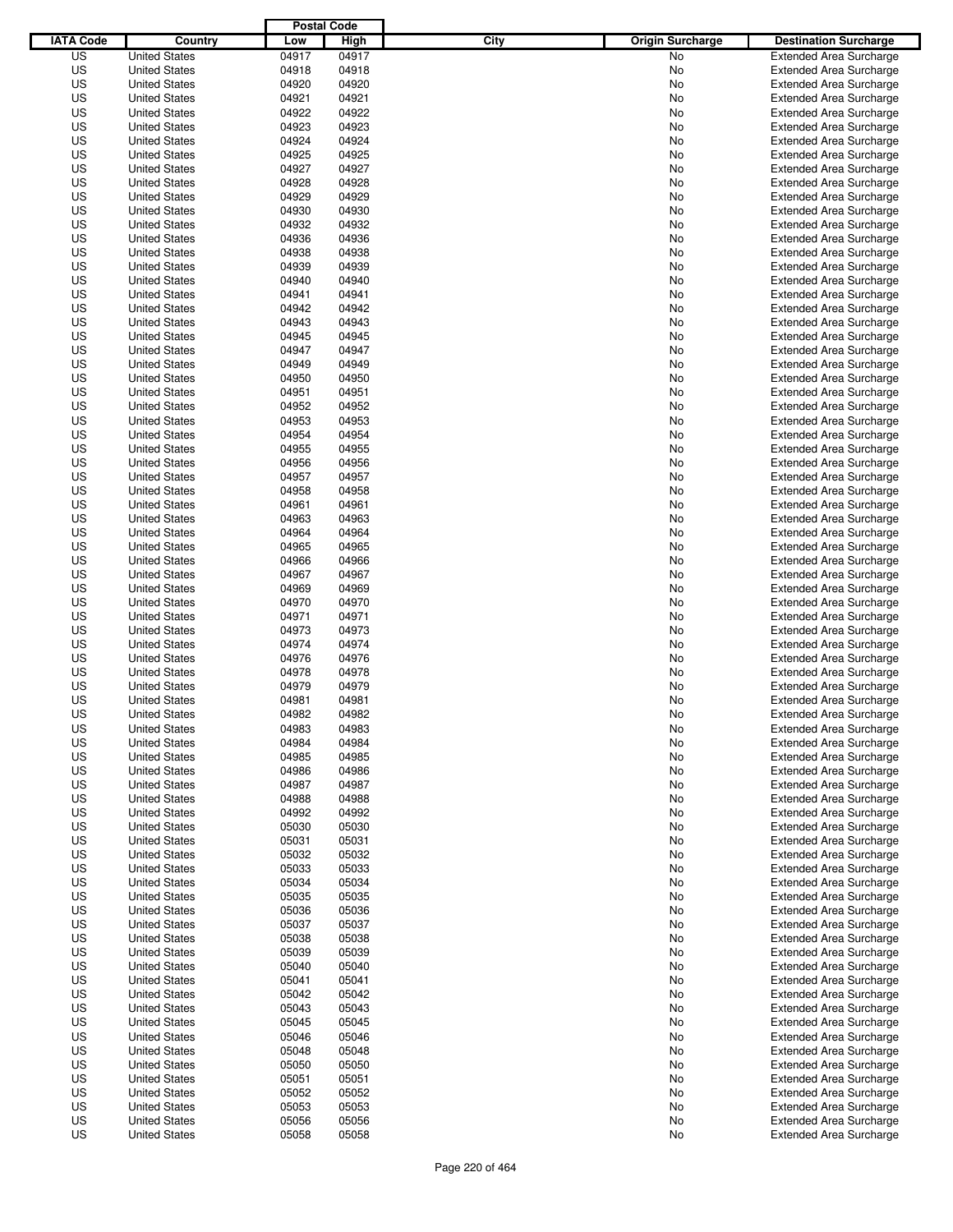|                  |                                              | <b>Postal Code</b> |                |                                 |                                                                  |
|------------------|----------------------------------------------|--------------------|----------------|---------------------------------|------------------------------------------------------------------|
| <b>IATA Code</b> | Country                                      | Low                | High           | City<br><b>Origin Surcharge</b> | <b>Destination Surcharge</b>                                     |
| US               | <b>United States</b>                         | 04917              | 04917          | <b>No</b>                       | <b>Extended Area Surcharge</b>                                   |
| US               | <b>United States</b>                         | 04918              | 04918          | No                              | <b>Extended Area Surcharge</b>                                   |
| US               | <b>United States</b>                         | 04920              | 04920          | No                              | <b>Extended Area Surcharge</b>                                   |
| US               | <b>United States</b>                         | 04921              | 04921          | No                              | <b>Extended Area Surcharge</b>                                   |
| US               | <b>United States</b>                         | 04922              | 04922          | No                              | <b>Extended Area Surcharge</b>                                   |
| US               | <b>United States</b>                         | 04923              | 04923          | No                              | <b>Extended Area Surcharge</b>                                   |
| US               | <b>United States</b>                         | 04924              | 04924          | No                              | <b>Extended Area Surcharge</b>                                   |
| US               | <b>United States</b>                         | 04925              | 04925          | No                              | <b>Extended Area Surcharge</b>                                   |
| US               | <b>United States</b>                         | 04927              | 04927          | No                              | <b>Extended Area Surcharge</b>                                   |
| US               | <b>United States</b>                         | 04928              | 04928          | No                              | <b>Extended Area Surcharge</b>                                   |
| US               | <b>United States</b>                         | 04929              | 04929          | No                              | <b>Extended Area Surcharge</b>                                   |
| US               | <b>United States</b>                         | 04930              | 04930          | No                              | <b>Extended Area Surcharge</b>                                   |
| US               | <b>United States</b>                         | 04932              | 04932          | No                              | <b>Extended Area Surcharge</b>                                   |
| US               | <b>United States</b>                         | 04936              | 04936          | No                              | <b>Extended Area Surcharge</b>                                   |
| US               | <b>United States</b>                         | 04938              | 04938          | No                              | <b>Extended Area Surcharge</b>                                   |
| US               | <b>United States</b>                         | 04939              | 04939          | No                              | <b>Extended Area Surcharge</b>                                   |
| US               | <b>United States</b>                         | 04940              | 04940          | No                              | <b>Extended Area Surcharge</b>                                   |
| US               | <b>United States</b>                         | 04941              | 04941          | No                              | <b>Extended Area Surcharge</b>                                   |
| US               | <b>United States</b>                         | 04942              | 04942          | No                              | <b>Extended Area Surcharge</b>                                   |
| US               | <b>United States</b>                         | 04943              | 04943          | No                              | <b>Extended Area Surcharge</b>                                   |
| US               | <b>United States</b>                         | 04945              | 04945          | No                              | <b>Extended Area Surcharge</b>                                   |
| US               | <b>United States</b>                         | 04947              | 04947          | No                              | <b>Extended Area Surcharge</b>                                   |
| US               | <b>United States</b>                         | 04949              | 04949          | No                              | <b>Extended Area Surcharge</b>                                   |
| US               | <b>United States</b>                         | 04950              | 04950          | No                              | <b>Extended Area Surcharge</b>                                   |
| US               | <b>United States</b>                         | 04951              | 04951          | No                              | <b>Extended Area Surcharge</b>                                   |
| US               | <b>United States</b>                         | 04952              | 04952          | No                              | <b>Extended Area Surcharge</b>                                   |
| US               | <b>United States</b>                         | 04953              | 04953          | No                              | <b>Extended Area Surcharge</b>                                   |
| US               | <b>United States</b>                         | 04954              | 04954          | No                              | <b>Extended Area Surcharge</b>                                   |
| US               | <b>United States</b>                         | 04955              | 04955          | No                              | <b>Extended Area Surcharge</b>                                   |
| US               | <b>United States</b>                         | 04956              | 04956          | No                              | <b>Extended Area Surcharge</b>                                   |
| US               | <b>United States</b>                         | 04957              | 04957          | No                              | <b>Extended Area Surcharge</b>                                   |
| US               | <b>United States</b>                         | 04958              | 04958          | No                              | <b>Extended Area Surcharge</b>                                   |
| US               | <b>United States</b>                         | 04961              | 04961          | No                              | <b>Extended Area Surcharge</b>                                   |
| US               | <b>United States</b>                         | 04963              | 04963          | No                              | <b>Extended Area Surcharge</b>                                   |
| US               | <b>United States</b>                         | 04964              | 04964          | No                              | <b>Extended Area Surcharge</b>                                   |
| US               | <b>United States</b>                         | 04965              | 04965          | No                              | <b>Extended Area Surcharge</b>                                   |
| US               | <b>United States</b>                         | 04966              | 04966          | No                              | <b>Extended Area Surcharge</b>                                   |
| US               | <b>United States</b>                         | 04967              | 04967          | No                              | <b>Extended Area Surcharge</b>                                   |
| US               | <b>United States</b>                         | 04969              | 04969          | No                              | <b>Extended Area Surcharge</b>                                   |
| US               | <b>United States</b>                         | 04970              | 04970          | No                              | <b>Extended Area Surcharge</b>                                   |
| US               | <b>United States</b>                         | 04971              | 04971          | No                              | <b>Extended Area Surcharge</b>                                   |
| US               | <b>United States</b>                         | 04973              | 04973          | No                              | <b>Extended Area Surcharge</b>                                   |
| US               | <b>United States</b>                         | 04974              | 04974          | No                              | <b>Extended Area Surcharge</b>                                   |
| US               | <b>United States</b>                         | 04976              | 04976          | No                              | <b>Extended Area Surcharge</b>                                   |
| US               | <b>United States</b>                         | 04978              | 04978          | No                              | Extended Area Surcharge                                          |
| US               | <b>United States</b>                         | 04979              | 04979          | No                              | <b>Extended Area Surcharge</b>                                   |
| US               | <b>United States</b>                         | 04981              | 04981          | No                              | <b>Extended Area Surcharge</b>                                   |
| US               | <b>United States</b>                         | 04982              | 04982          | No                              | <b>Extended Area Surcharge</b>                                   |
| US               | <b>United States</b>                         | 04983              | 04983          | No                              | <b>Extended Area Surcharge</b>                                   |
| US               | <b>United States</b>                         | 04984              | 04984          | No                              | <b>Extended Area Surcharge</b>                                   |
| US               | <b>United States</b>                         | 04985              | 04985          | No                              | <b>Extended Area Surcharge</b>                                   |
| US               | <b>United States</b>                         | 04986              | 04986          | No                              | <b>Extended Area Surcharge</b>                                   |
| US               | <b>United States</b>                         | 04987              | 04987          | No                              | <b>Extended Area Surcharge</b>                                   |
| US               | <b>United States</b>                         | 04988              | 04988          | No                              | <b>Extended Area Surcharge</b>                                   |
| US               | <b>United States</b>                         | 04992              | 04992          | No                              | <b>Extended Area Surcharge</b>                                   |
| US               | <b>United States</b>                         | 05030              | 05030          | No                              | <b>Extended Area Surcharge</b>                                   |
| US               | <b>United States</b>                         | 05031              | 05031          | No                              | <b>Extended Area Surcharge</b>                                   |
| US<br>US         | <b>United States</b>                         | 05032<br>05033     | 05032<br>05033 | No                              | <b>Extended Area Surcharge</b><br><b>Extended Area Surcharge</b> |
|                  | <b>United States</b>                         |                    |                | No                              |                                                                  |
| US               | <b>United States</b>                         | 05034              | 05034          | No                              | <b>Extended Area Surcharge</b>                                   |
| US<br>US         | <b>United States</b><br><b>United States</b> | 05035<br>05036     | 05035<br>05036 | No<br>No                        | <b>Extended Area Surcharge</b><br><b>Extended Area Surcharge</b> |
| US               | <b>United States</b>                         | 05037              | 05037          | No                              | <b>Extended Area Surcharge</b>                                   |
|                  |                                              |                    |                |                                 |                                                                  |
| US<br>US         | <b>United States</b><br><b>United States</b> | 05038<br>05039     | 05038<br>05039 | No<br>No                        | <b>Extended Area Surcharge</b><br><b>Extended Area Surcharge</b> |
| US               | <b>United States</b>                         | 05040              | 05040          | No                              | <b>Extended Area Surcharge</b>                                   |
| US               | <b>United States</b>                         | 05041              | 05041          | No                              | <b>Extended Area Surcharge</b>                                   |
| US               | <b>United States</b>                         | 05042              | 05042          | No                              | <b>Extended Area Surcharge</b>                                   |
| US               | <b>United States</b>                         | 05043              | 05043          | No                              | <b>Extended Area Surcharge</b>                                   |
| US               | <b>United States</b>                         | 05045              | 05045          | No                              | <b>Extended Area Surcharge</b>                                   |
| US               | <b>United States</b>                         | 05046              | 05046          | No                              | <b>Extended Area Surcharge</b>                                   |
| US               | <b>United States</b>                         | 05048              | 05048          | No                              | <b>Extended Area Surcharge</b>                                   |
| US               | <b>United States</b>                         | 05050              | 05050          | No                              | <b>Extended Area Surcharge</b>                                   |
| US               | <b>United States</b>                         | 05051              | 05051          | No                              | <b>Extended Area Surcharge</b>                                   |
| US               | <b>United States</b>                         | 05052              | 05052          | No                              | <b>Extended Area Surcharge</b>                                   |
| US               | <b>United States</b>                         | 05053              | 05053          | No                              | <b>Extended Area Surcharge</b>                                   |
| US               | <b>United States</b>                         | 05056              | 05056          | No                              | <b>Extended Area Surcharge</b>                                   |
| US               | <b>United States</b>                         | 05058              | 05058          | No                              | <b>Extended Area Surcharge</b>                                   |
|                  |                                              |                    |                |                                 |                                                                  |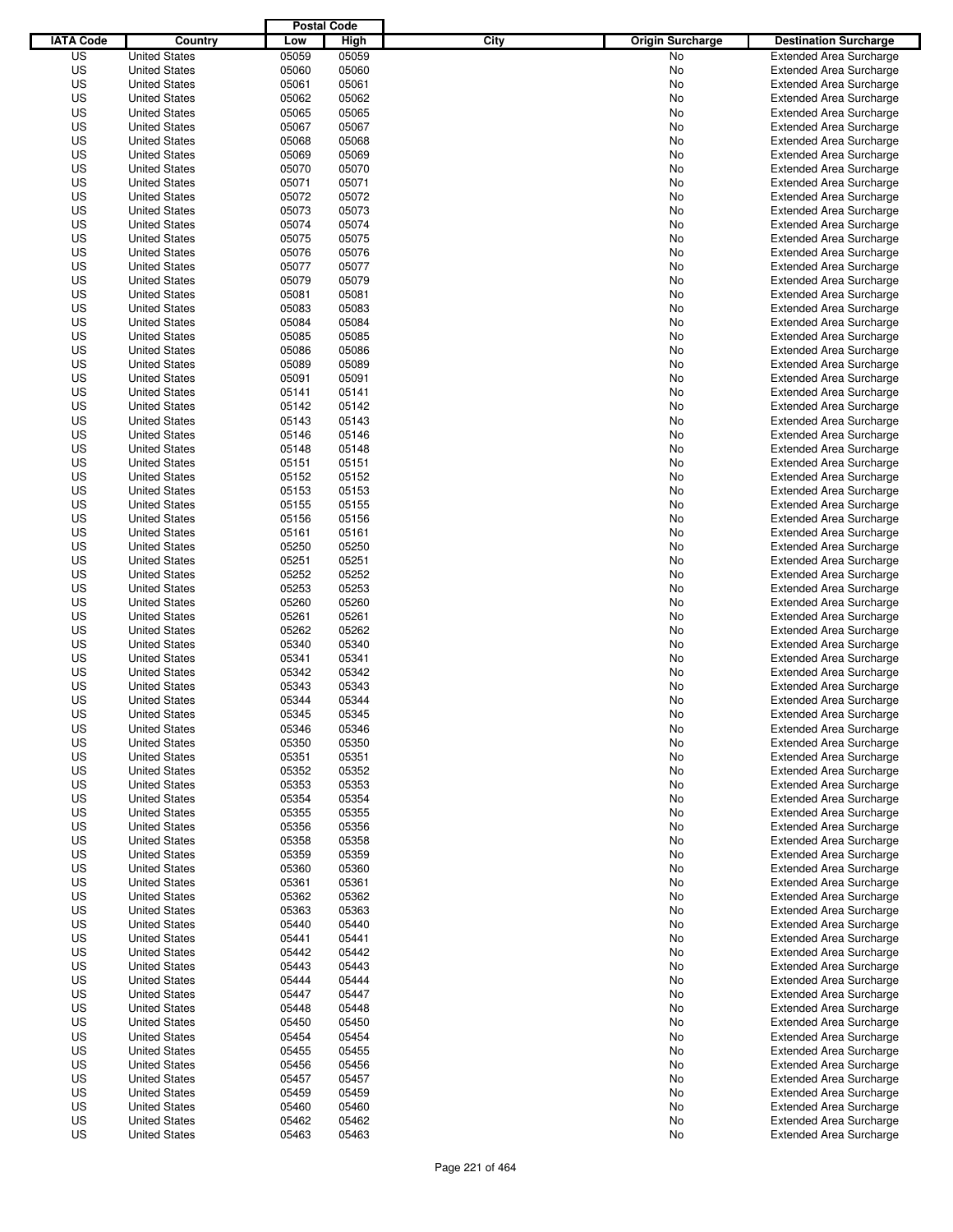|                  |                      | <b>Postal Code</b> |       |                                 |                                |
|------------------|----------------------|--------------------|-------|---------------------------------|--------------------------------|
| <b>IATA Code</b> | Country              | Low                | High  | City<br><b>Origin Surcharge</b> | <b>Destination Surcharge</b>   |
| US               | <b>United States</b> | 05059              | 05059 | <b>No</b>                       | <b>Extended Area Surcharge</b> |
| US               | <b>United States</b> | 05060              | 05060 | No                              | <b>Extended Area Surcharge</b> |
| US               | <b>United States</b> | 05061              | 05061 | No                              | <b>Extended Area Surcharge</b> |
| US               | <b>United States</b> | 05062              | 05062 | No                              | <b>Extended Area Surcharge</b> |
| US               | <b>United States</b> | 05065              | 05065 | No                              | <b>Extended Area Surcharge</b> |
| US               | <b>United States</b> | 05067              | 05067 | No                              | <b>Extended Area Surcharge</b> |
| US               | <b>United States</b> | 05068              | 05068 | No                              | <b>Extended Area Surcharge</b> |
| US               | <b>United States</b> | 05069              | 05069 | No                              | <b>Extended Area Surcharge</b> |
| US               | <b>United States</b> | 05070              | 05070 | No                              | <b>Extended Area Surcharge</b> |
| US               | <b>United States</b> | 05071              | 05071 | No                              | <b>Extended Area Surcharge</b> |
| US               | <b>United States</b> | 05072              | 05072 | No                              | <b>Extended Area Surcharge</b> |
| US               | <b>United States</b> | 05073              | 05073 | No                              | <b>Extended Area Surcharge</b> |
| US               | <b>United States</b> | 05074              | 05074 | No                              | <b>Extended Area Surcharge</b> |
| US               | <b>United States</b> | 05075              | 05075 | No                              | <b>Extended Area Surcharge</b> |
| US               | <b>United States</b> | 05076              | 05076 | No                              | <b>Extended Area Surcharge</b> |
| US               | <b>United States</b> | 05077              | 05077 | No                              | <b>Extended Area Surcharge</b> |
| US               | <b>United States</b> | 05079              | 05079 | No                              | <b>Extended Area Surcharge</b> |
| US               | <b>United States</b> | 05081              | 05081 | No                              | <b>Extended Area Surcharge</b> |
| US               | <b>United States</b> | 05083              | 05083 | No                              | <b>Extended Area Surcharge</b> |
| US               | <b>United States</b> | 05084              | 05084 | No                              | <b>Extended Area Surcharge</b> |
| US               | <b>United States</b> | 05085              | 05085 | No                              | <b>Extended Area Surcharge</b> |
| US               | <b>United States</b> | 05086              | 05086 | No                              | <b>Extended Area Surcharge</b> |
| US               | <b>United States</b> | 05089              | 05089 | No                              | <b>Extended Area Surcharge</b> |
| US               | <b>United States</b> | 05091              | 05091 | No                              | <b>Extended Area Surcharge</b> |
| US               | <b>United States</b> | 05141              | 05141 | No                              | <b>Extended Area Surcharge</b> |
| US               | <b>United States</b> | 05142              | 05142 | No                              | <b>Extended Area Surcharge</b> |
| US               | <b>United States</b> | 05143              | 05143 | No                              | <b>Extended Area Surcharge</b> |
| US               | <b>United States</b> | 05146              | 05146 | No                              | <b>Extended Area Surcharge</b> |
| US               | <b>United States</b> | 05148              | 05148 | No                              | <b>Extended Area Surcharge</b> |
| US               | <b>United States</b> | 05151              | 05151 | No                              | <b>Extended Area Surcharge</b> |
| US               | <b>United States</b> | 05152              | 05152 | No                              | <b>Extended Area Surcharge</b> |
| US               | <b>United States</b> | 05153              | 05153 | No                              | <b>Extended Area Surcharge</b> |
| US               | <b>United States</b> | 05155              | 05155 | No                              | <b>Extended Area Surcharge</b> |
| US               | <b>United States</b> | 05156              | 05156 | No                              | <b>Extended Area Surcharge</b> |
| US               | <b>United States</b> | 05161              | 05161 | No                              | <b>Extended Area Surcharge</b> |
| US               | <b>United States</b> | 05250              | 05250 | No                              | <b>Extended Area Surcharge</b> |
| US               | <b>United States</b> | 05251              | 05251 | No                              | <b>Extended Area Surcharge</b> |
| US               | <b>United States</b> | 05252              | 05252 | No                              | <b>Extended Area Surcharge</b> |
| US               | <b>United States</b> | 05253              | 05253 | No                              | <b>Extended Area Surcharge</b> |
| US               | <b>United States</b> | 05260              | 05260 | No                              | <b>Extended Area Surcharge</b> |
| US               | <b>United States</b> | 05261              | 05261 | No                              | <b>Extended Area Surcharge</b> |
| US               | <b>United States</b> | 05262              | 05262 | No                              | <b>Extended Area Surcharge</b> |
| US               | <b>United States</b> | 05340              | 05340 | No                              | <b>Extended Area Surcharge</b> |
| US               | <b>United States</b> | 05341              | 05341 | No                              | <b>Extended Area Surcharge</b> |
| US               | <b>United States</b> | 05342              | 05342 | No                              | Extended Area Surcharge        |
| US               | <b>United States</b> | 05343              | 05343 | No                              | <b>Extended Area Surcharge</b> |
| US               | <b>United States</b> | 05344              | 05344 | No                              | <b>Extended Area Surcharge</b> |
| US               | <b>United States</b> | 05345              | 05345 | No                              | <b>Extended Area Surcharge</b> |
| US               | <b>United States</b> | 05346              | 05346 | No                              | <b>Extended Area Surcharge</b> |
| US               | <b>United States</b> | 05350              | 05350 | No                              | <b>Extended Area Surcharge</b> |
| US               | <b>United States</b> | 05351              | 05351 | No                              | <b>Extended Area Surcharge</b> |
| US               | <b>United States</b> | 05352              | 05352 | No                              | <b>Extended Area Surcharge</b> |
| US               | <b>United States</b> | 05353              | 05353 | No                              | <b>Extended Area Surcharge</b> |
| US               | <b>United States</b> | 05354              | 05354 | No                              | <b>Extended Area Surcharge</b> |
| US               | <b>United States</b> | 05355              | 05355 | No                              | <b>Extended Area Surcharge</b> |
| US               | <b>United States</b> | 05356              | 05356 | No                              | <b>Extended Area Surcharge</b> |
| US               | <b>United States</b> | 05358              | 05358 | No                              | <b>Extended Area Surcharge</b> |
| US               | <b>United States</b> | 05359              | 05359 | No                              | <b>Extended Area Surcharge</b> |
| US               | <b>United States</b> | 05360              | 05360 | No                              | <b>Extended Area Surcharge</b> |
| US               | <b>United States</b> | 05361              | 05361 | No                              | <b>Extended Area Surcharge</b> |
| US               | <b>United States</b> | 05362              | 05362 | No                              | <b>Extended Area Surcharge</b> |
| US               | <b>United States</b> | 05363              | 05363 | No                              | <b>Extended Area Surcharge</b> |
| US               | <b>United States</b> | 05440              | 05440 | No                              | <b>Extended Area Surcharge</b> |
| US               | <b>United States</b> | 05441              | 05441 | No                              | <b>Extended Area Surcharge</b> |
| US               | <b>United States</b> | 05442              | 05442 | No                              | <b>Extended Area Surcharge</b> |
| US               | <b>United States</b> | 05443              | 05443 | No                              | <b>Extended Area Surcharge</b> |
| US               | <b>United States</b> | 05444              | 05444 | No                              | <b>Extended Area Surcharge</b> |
| US               | <b>United States</b> | 05447              | 05447 | No                              | <b>Extended Area Surcharge</b> |
| US               | <b>United States</b> | 05448              | 05448 | No                              | <b>Extended Area Surcharge</b> |
| US               | <b>United States</b> | 05450              | 05450 | No                              | <b>Extended Area Surcharge</b> |
| US               | <b>United States</b> | 05454              | 05454 | No                              | <b>Extended Area Surcharge</b> |
| US               | <b>United States</b> | 05455              | 05455 | No                              | <b>Extended Area Surcharge</b> |
| US               | <b>United States</b> | 05456              | 05456 | No                              | <b>Extended Area Surcharge</b> |
| US               | <b>United States</b> | 05457              | 05457 | No                              | <b>Extended Area Surcharge</b> |
| US               | <b>United States</b> | 05459              | 05459 | No                              | <b>Extended Area Surcharge</b> |
| US               | <b>United States</b> | 05460              | 05460 | No                              | <b>Extended Area Surcharge</b> |
| US               | <b>United States</b> | 05462              | 05462 | No                              | <b>Extended Area Surcharge</b> |
| US               | <b>United States</b> | 05463              | 05463 | No                              | <b>Extended Area Surcharge</b> |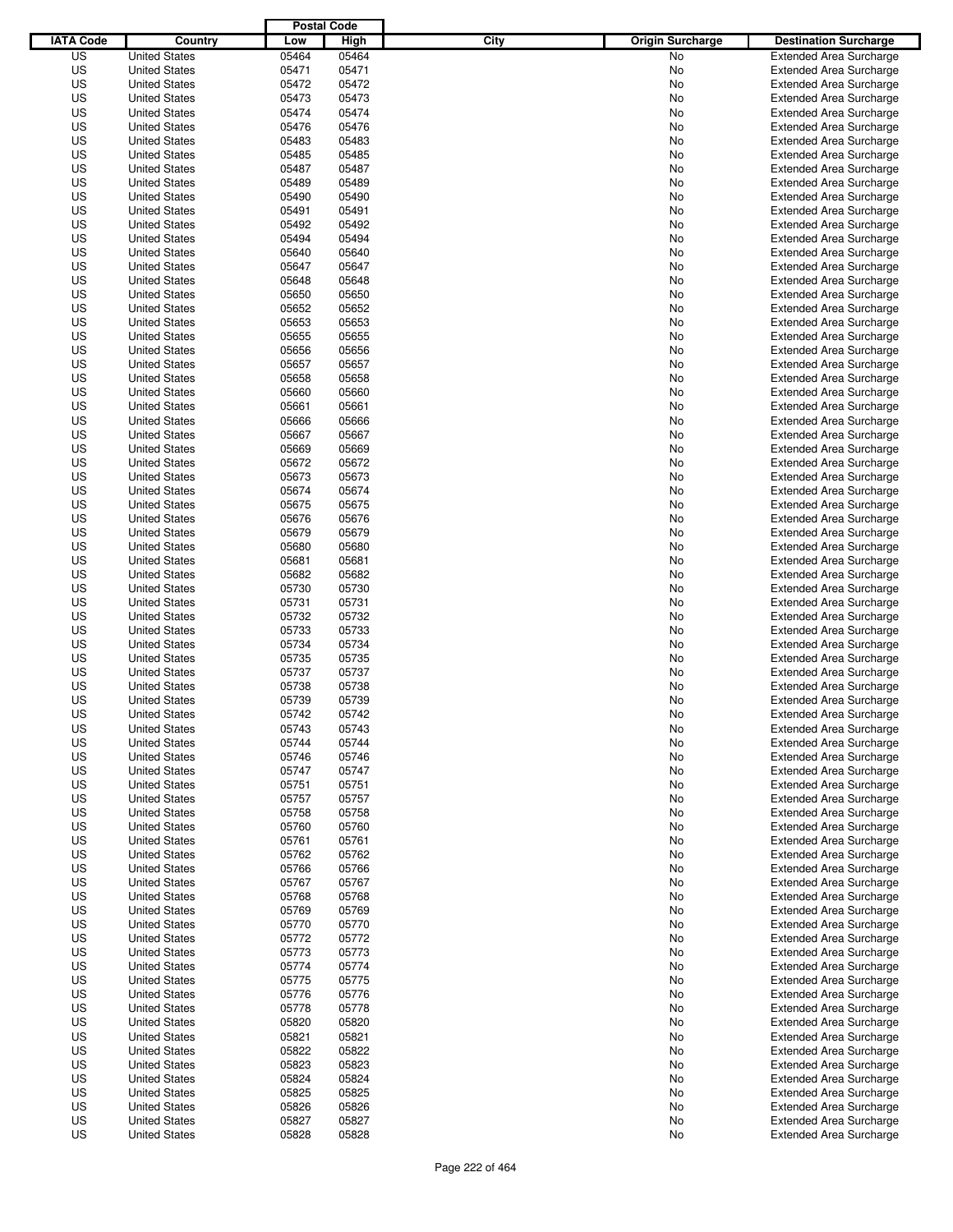|                  |                      | <b>Postal Code</b> |       |                                 |                                |
|------------------|----------------------|--------------------|-------|---------------------------------|--------------------------------|
| <b>IATA Code</b> | Country              | Low                | High  | City<br><b>Origin Surcharge</b> | <b>Destination Surcharge</b>   |
| US               | <b>United States</b> | 05464              | 05464 | <b>No</b>                       | <b>Extended Area Surcharge</b> |
| US               | <b>United States</b> | 05471              | 05471 | No                              | <b>Extended Area Surcharge</b> |
| US               | <b>United States</b> | 05472              | 05472 | No                              | <b>Extended Area Surcharge</b> |
| US               | <b>United States</b> | 05473              | 05473 | No                              | <b>Extended Area Surcharge</b> |
| US               | <b>United States</b> | 05474              | 05474 | No                              | <b>Extended Area Surcharge</b> |
| US               | <b>United States</b> | 05476              | 05476 | No                              | <b>Extended Area Surcharge</b> |
| US               | <b>United States</b> | 05483              | 05483 | No                              | <b>Extended Area Surcharge</b> |
| US               | <b>United States</b> | 05485              | 05485 | No                              | <b>Extended Area Surcharge</b> |
| US               | <b>United States</b> | 05487              | 05487 | No                              | <b>Extended Area Surcharge</b> |
| US               | <b>United States</b> | 05489              | 05489 | No                              | <b>Extended Area Surcharge</b> |
| US               | <b>United States</b> | 05490              | 05490 | No                              | <b>Extended Area Surcharge</b> |
| US               | <b>United States</b> | 05491              | 05491 | No                              | <b>Extended Area Surcharge</b> |
| US               | <b>United States</b> | 05492              | 05492 | No                              | <b>Extended Area Surcharge</b> |
| US               | <b>United States</b> | 05494              | 05494 | No                              | <b>Extended Area Surcharge</b> |
| US               | <b>United States</b> | 05640              | 05640 | No                              | <b>Extended Area Surcharge</b> |
| US               | <b>United States</b> | 05647              | 05647 | No                              | <b>Extended Area Surcharge</b> |
| US               | <b>United States</b> | 05648              | 05648 | No                              | <b>Extended Area Surcharge</b> |
| US               | <b>United States</b> | 05650              | 05650 | No                              | <b>Extended Area Surcharge</b> |
| US               | <b>United States</b> | 05652              | 05652 | No                              | <b>Extended Area Surcharge</b> |
| US               | <b>United States</b> | 05653              | 05653 | No                              | <b>Extended Area Surcharge</b> |
| US               | <b>United States</b> | 05655              | 05655 | No                              | <b>Extended Area Surcharge</b> |
| US               | <b>United States</b> | 05656              | 05656 | No                              | <b>Extended Area Surcharge</b> |
| US               | <b>United States</b> | 05657              | 05657 | No                              | <b>Extended Area Surcharge</b> |
| US               | <b>United States</b> | 05658              | 05658 | No                              | <b>Extended Area Surcharge</b> |
| US               | <b>United States</b> | 05660              | 05660 | No                              | <b>Extended Area Surcharge</b> |
| US               | <b>United States</b> | 05661              | 05661 | No                              | <b>Extended Area Surcharge</b> |
| US               | <b>United States</b> | 05666              | 05666 | No                              | <b>Extended Area Surcharge</b> |
| US               | <b>United States</b> | 05667              | 05667 | No                              | <b>Extended Area Surcharge</b> |
| US               | <b>United States</b> | 05669              | 05669 | No                              | <b>Extended Area Surcharge</b> |
| US               | <b>United States</b> | 05672              | 05672 | No                              | <b>Extended Area Surcharge</b> |
| US               | <b>United States</b> | 05673              | 05673 | No                              | <b>Extended Area Surcharge</b> |
| US               | <b>United States</b> | 05674              | 05674 | No                              | <b>Extended Area Surcharge</b> |
| US               | <b>United States</b> | 05675              | 05675 | No                              | <b>Extended Area Surcharge</b> |
| US               | <b>United States</b> | 05676              | 05676 | No                              | <b>Extended Area Surcharge</b> |
| US               | <b>United States</b> | 05679              | 05679 | No                              | <b>Extended Area Surcharge</b> |
| US               | <b>United States</b> | 05680              | 05680 | No                              | <b>Extended Area Surcharge</b> |
| US               | <b>United States</b> | 05681              | 05681 | No                              | <b>Extended Area Surcharge</b> |
| US               | <b>United States</b> | 05682              | 05682 | No                              | <b>Extended Area Surcharge</b> |
| US               | <b>United States</b> | 05730              | 05730 | No                              | <b>Extended Area Surcharge</b> |
| US               | <b>United States</b> | 05731              | 05731 | No                              | <b>Extended Area Surcharge</b> |
| US               | <b>United States</b> | 05732              | 05732 | No                              | <b>Extended Area Surcharge</b> |
| US               | <b>United States</b> | 05733              | 05733 | No                              | <b>Extended Area Surcharge</b> |
| US               | <b>United States</b> | 05734              | 05734 | No                              | <b>Extended Area Surcharge</b> |
| US               | <b>United States</b> | 05735              | 05735 | No                              | <b>Extended Area Surcharge</b> |
| US               | <b>United States</b> | 05737              | 05737 | No                              | Extended Area Surcharge        |
| US               | <b>United States</b> | 05738              | 05738 | No                              | <b>Extended Area Surcharge</b> |
| US               | <b>United States</b> | 05739              | 05739 | No                              | <b>Extended Area Surcharge</b> |
| US               | <b>United States</b> | 05742              | 05742 | No                              | <b>Extended Area Surcharge</b> |
| US               | <b>United States</b> | 05743              | 05743 | No                              | <b>Extended Area Surcharge</b> |
| US               | <b>United States</b> | 05744              | 05744 | No                              | <b>Extended Area Surcharge</b> |
| US               | <b>United States</b> | 05746              | 05746 | No                              | <b>Extended Area Surcharge</b> |
| US               | <b>United States</b> | 05747              | 05747 | No                              | <b>Extended Area Surcharge</b> |
| US               | <b>United States</b> | 05751              | 05751 | No                              | <b>Extended Area Surcharge</b> |
| US               | <b>United States</b> | 05757              | 05757 | No                              | <b>Extended Area Surcharge</b> |
| US               | <b>United States</b> | 05758              | 05758 | No                              | <b>Extended Area Surcharge</b> |
| US               | <b>United States</b> | 05760              | 05760 | No                              | <b>Extended Area Surcharge</b> |
| US               | <b>United States</b> | 05761              | 05761 | No                              | <b>Extended Area Surcharge</b> |
| US               | <b>United States</b> | 05762              | 05762 | No                              | <b>Extended Area Surcharge</b> |
| US               | <b>United States</b> | 05766              | 05766 | No                              | <b>Extended Area Surcharge</b> |
| US               | <b>United States</b> | 05767              | 05767 | No                              | <b>Extended Area Surcharge</b> |
| US               | <b>United States</b> | 05768              | 05768 | No                              | <b>Extended Area Surcharge</b> |
| US               | <b>United States</b> | 05769              | 05769 | No                              | <b>Extended Area Surcharge</b> |
| US               | <b>United States</b> | 05770              | 05770 | No                              | <b>Extended Area Surcharge</b> |
| US               | <b>United States</b> | 05772              | 05772 | No                              | <b>Extended Area Surcharge</b> |
| US               | <b>United States</b> | 05773              | 05773 | No                              | <b>Extended Area Surcharge</b> |
| US               | <b>United States</b> | 05774              | 05774 | No                              | <b>Extended Area Surcharge</b> |
| US               | <b>United States</b> | 05775              | 05775 | No                              | <b>Extended Area Surcharge</b> |
| US               | <b>United States</b> | 05776              | 05776 | No                              | <b>Extended Area Surcharge</b> |
| US               | <b>United States</b> | 05778              | 05778 | No                              | <b>Extended Area Surcharge</b> |
| US               | <b>United States</b> | 05820              | 05820 | No                              | <b>Extended Area Surcharge</b> |
| US               | <b>United States</b> | 05821              | 05821 | No                              | <b>Extended Area Surcharge</b> |
| US               | <b>United States</b> | 05822              | 05822 | No                              | <b>Extended Area Surcharge</b> |
| US               | <b>United States</b> | 05823              | 05823 | No                              | <b>Extended Area Surcharge</b> |
| US               | <b>United States</b> | 05824              | 05824 | No                              | <b>Extended Area Surcharge</b> |
| US               | <b>United States</b> | 05825              | 05825 | No                              | <b>Extended Area Surcharge</b> |
| US               | <b>United States</b> | 05826              | 05826 | No                              | <b>Extended Area Surcharge</b> |
| US               | <b>United States</b> | 05827              | 05827 | No                              | <b>Extended Area Surcharge</b> |
| US               | <b>United States</b> | 05828              | 05828 | No                              | <b>Extended Area Surcharge</b> |
|                  |                      |                    |       |                                 |                                |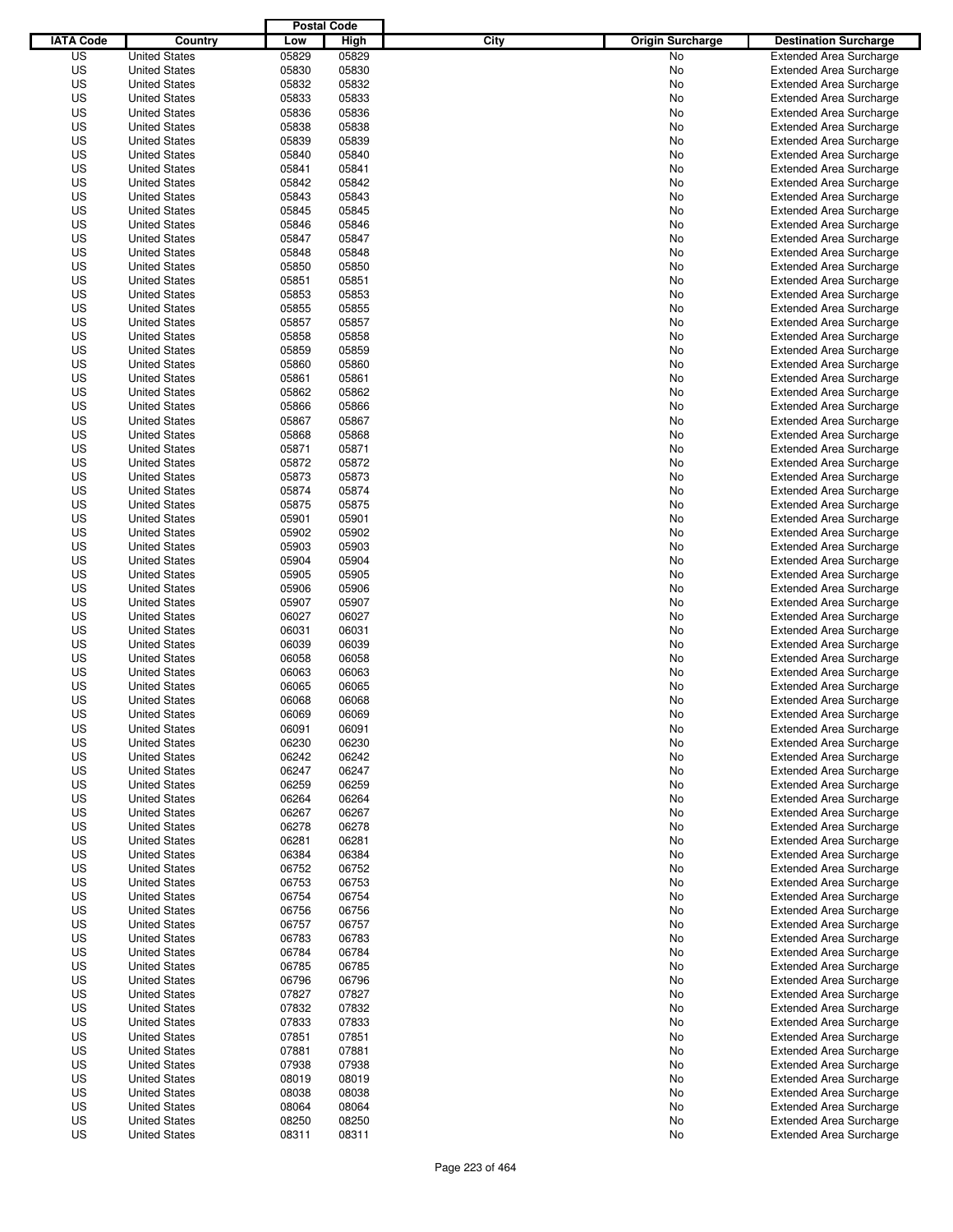|                  |                      | <b>Postal Code</b> |       |                                 |                                |
|------------------|----------------------|--------------------|-------|---------------------------------|--------------------------------|
| <b>IATA Code</b> | Country              | Low                | High  | City<br><b>Origin Surcharge</b> | <b>Destination Surcharge</b>   |
| US               | <b>United States</b> | 05829              | 05829 | <b>No</b>                       | <b>Extended Area Surcharge</b> |
| US               | <b>United States</b> | 05830              | 05830 | No                              | <b>Extended Area Surcharge</b> |
| US               | <b>United States</b> | 05832              | 05832 | No                              | <b>Extended Area Surcharge</b> |
| US               | <b>United States</b> | 05833              | 05833 | No                              | <b>Extended Area Surcharge</b> |
| US               | <b>United States</b> | 05836              | 05836 | No                              | <b>Extended Area Surcharge</b> |
| US               | <b>United States</b> | 05838              | 05838 | No                              | <b>Extended Area Surcharge</b> |
| US               | <b>United States</b> | 05839              | 05839 | No                              | <b>Extended Area Surcharge</b> |
| US               | <b>United States</b> | 05840              | 05840 | No                              | <b>Extended Area Surcharge</b> |
| US               | <b>United States</b> | 05841              | 05841 | No                              | <b>Extended Area Surcharge</b> |
| US               | <b>United States</b> | 05842              | 05842 | No                              | <b>Extended Area Surcharge</b> |
| US               | <b>United States</b> | 05843              | 05843 | No                              | <b>Extended Area Surcharge</b> |
| US               | <b>United States</b> | 05845              | 05845 | No                              | <b>Extended Area Surcharge</b> |
| US               | <b>United States</b> | 05846              | 05846 | No                              | <b>Extended Area Surcharge</b> |
| US               | <b>United States</b> | 05847              | 05847 | No                              | <b>Extended Area Surcharge</b> |
| US               | <b>United States</b> | 05848              | 05848 | No                              | <b>Extended Area Surcharge</b> |
| US               | <b>United States</b> | 05850              | 05850 | No                              | <b>Extended Area Surcharge</b> |
| US               | <b>United States</b> | 05851              | 05851 | No                              | <b>Extended Area Surcharge</b> |
| US               | <b>United States</b> | 05853              | 05853 | No                              | <b>Extended Area Surcharge</b> |
| US               | <b>United States</b> | 05855              | 05855 | No                              | <b>Extended Area Surcharge</b> |
| US               | <b>United States</b> | 05857              | 05857 | No                              | <b>Extended Area Surcharge</b> |
| US               | <b>United States</b> | 05858              | 05858 | No                              | <b>Extended Area Surcharge</b> |
| US               | <b>United States</b> | 05859              | 05859 | No                              | <b>Extended Area Surcharge</b> |
| US               | <b>United States</b> | 05860              | 05860 | No                              | <b>Extended Area Surcharge</b> |
| US               | <b>United States</b> | 05861              | 05861 | No                              | <b>Extended Area Surcharge</b> |
| US               | <b>United States</b> | 05862              | 05862 | No                              | <b>Extended Area Surcharge</b> |
| US               | <b>United States</b> | 05866              | 05866 | No                              | <b>Extended Area Surcharge</b> |
| US               | <b>United States</b> | 05867              | 05867 | No                              | <b>Extended Area Surcharge</b> |
| US               | <b>United States</b> | 05868              | 05868 | No                              | <b>Extended Area Surcharge</b> |
| US               | <b>United States</b> | 05871              | 05871 | No                              | <b>Extended Area Surcharge</b> |
| US               | <b>United States</b> | 05872              | 05872 | No                              | <b>Extended Area Surcharge</b> |
| US               | <b>United States</b> | 05873              | 05873 | No                              | <b>Extended Area Surcharge</b> |
| US               | <b>United States</b> | 05874              | 05874 | No                              | <b>Extended Area Surcharge</b> |
| US               | <b>United States</b> | 05875              | 05875 | No                              | <b>Extended Area Surcharge</b> |
| US               | <b>United States</b> | 05901              | 05901 | No                              | <b>Extended Area Surcharge</b> |
| US               | <b>United States</b> | 05902              | 05902 | No                              | <b>Extended Area Surcharge</b> |
| US               | <b>United States</b> | 05903              | 05903 | No                              | <b>Extended Area Surcharge</b> |
| US               | <b>United States</b> | 05904              | 05904 | No                              | <b>Extended Area Surcharge</b> |
| US               | <b>United States</b> | 05905              | 05905 | No                              | <b>Extended Area Surcharge</b> |
| US               | <b>United States</b> | 05906              | 05906 | No                              | <b>Extended Area Surcharge</b> |
| US               | <b>United States</b> | 05907              | 05907 | No                              | <b>Extended Area Surcharge</b> |
| US               | <b>United States</b> | 06027              | 06027 | No                              | <b>Extended Area Surcharge</b> |
| US               | <b>United States</b> | 06031              | 06031 | No                              | <b>Extended Area Surcharge</b> |
| US               | <b>United States</b> | 06039              | 06039 | No                              | <b>Extended Area Surcharge</b> |
| US               | <b>United States</b> | 06058              | 06058 | No                              | <b>Extended Area Surcharge</b> |
| US               | <b>United States</b> | 06063              | 06063 | No                              | Extended Area Surcharge        |
| US               | <b>United States</b> | 06065              | 06065 | No                              | <b>Extended Area Surcharge</b> |
| US               | <b>United States</b> | 06068              | 06068 | No                              | <b>Extended Area Surcharge</b> |
| US               | <b>United States</b> | 06069              | 06069 | No                              | <b>Extended Area Surcharge</b> |
| US               | <b>United States</b> | 06091              | 06091 | No                              | <b>Extended Area Surcharge</b> |
| US               | <b>United States</b> | 06230              | 06230 | No                              | <b>Extended Area Surcharge</b> |
| US               | <b>United States</b> | 06242              | 06242 | No                              | <b>Extended Area Surcharge</b> |
| US               | <b>United States</b> | 06247              | 06247 | No                              | <b>Extended Area Surcharge</b> |
| US               | <b>United States</b> | 06259              | 06259 | No                              | <b>Extended Area Surcharge</b> |
| US               | <b>United States</b> | 06264              | 06264 | No                              | <b>Extended Area Surcharge</b> |
| US               | <b>United States</b> | 06267              | 06267 | No                              | <b>Extended Area Surcharge</b> |
| US               | <b>United States</b> | 06278              | 06278 | No                              | <b>Extended Area Surcharge</b> |
| US               | <b>United States</b> | 06281              | 06281 | No                              | <b>Extended Area Surcharge</b> |
| US               | <b>United States</b> | 06384              | 06384 | No                              | <b>Extended Area Surcharge</b> |
| US               | <b>United States</b> | 06752              | 06752 | No                              | <b>Extended Area Surcharge</b> |
| US               | <b>United States</b> | 06753              | 06753 | No                              | <b>Extended Area Surcharge</b> |
| US               | <b>United States</b> | 06754              | 06754 | No                              | <b>Extended Area Surcharge</b> |
| US               | <b>United States</b> | 06756              | 06756 | No                              | <b>Extended Area Surcharge</b> |
| US               | <b>United States</b> | 06757              | 06757 | No                              | <b>Extended Area Surcharge</b> |
| US               | <b>United States</b> | 06783              | 06783 | No                              | <b>Extended Area Surcharge</b> |
| US               | <b>United States</b> | 06784              | 06784 | No                              | <b>Extended Area Surcharge</b> |
| US               | <b>United States</b> | 06785              | 06785 | No                              | <b>Extended Area Surcharge</b> |
| US               | <b>United States</b> | 06796              | 06796 | No                              | <b>Extended Area Surcharge</b> |
| US               | <b>United States</b> | 07827              | 07827 | No                              | <b>Extended Area Surcharge</b> |
| US               | <b>United States</b> | 07832              | 07832 | No                              | <b>Extended Area Surcharge</b> |
| US               | <b>United States</b> | 07833              | 07833 | No                              | Extended Area Surcharge        |
| US               | <b>United States</b> | 07851              | 07851 | No                              | <b>Extended Area Surcharge</b> |
| US               | <b>United States</b> | 07881              | 07881 | No                              | <b>Extended Area Surcharge</b> |
| US               | <b>United States</b> | 07938              | 07938 | No                              | <b>Extended Area Surcharge</b> |
| US               | <b>United States</b> | 08019              | 08019 | No                              | <b>Extended Area Surcharge</b> |
| US               | <b>United States</b> | 08038              | 08038 | No                              | <b>Extended Area Surcharge</b> |
| US               | <b>United States</b> | 08064              | 08064 | No                              | <b>Extended Area Surcharge</b> |
| US               | <b>United States</b> | 08250              | 08250 | No                              | <b>Extended Area Surcharge</b> |
| US               | <b>United States</b> | 08311              | 08311 | No                              | <b>Extended Area Surcharge</b> |
|                  |                      |                    |       |                                 |                                |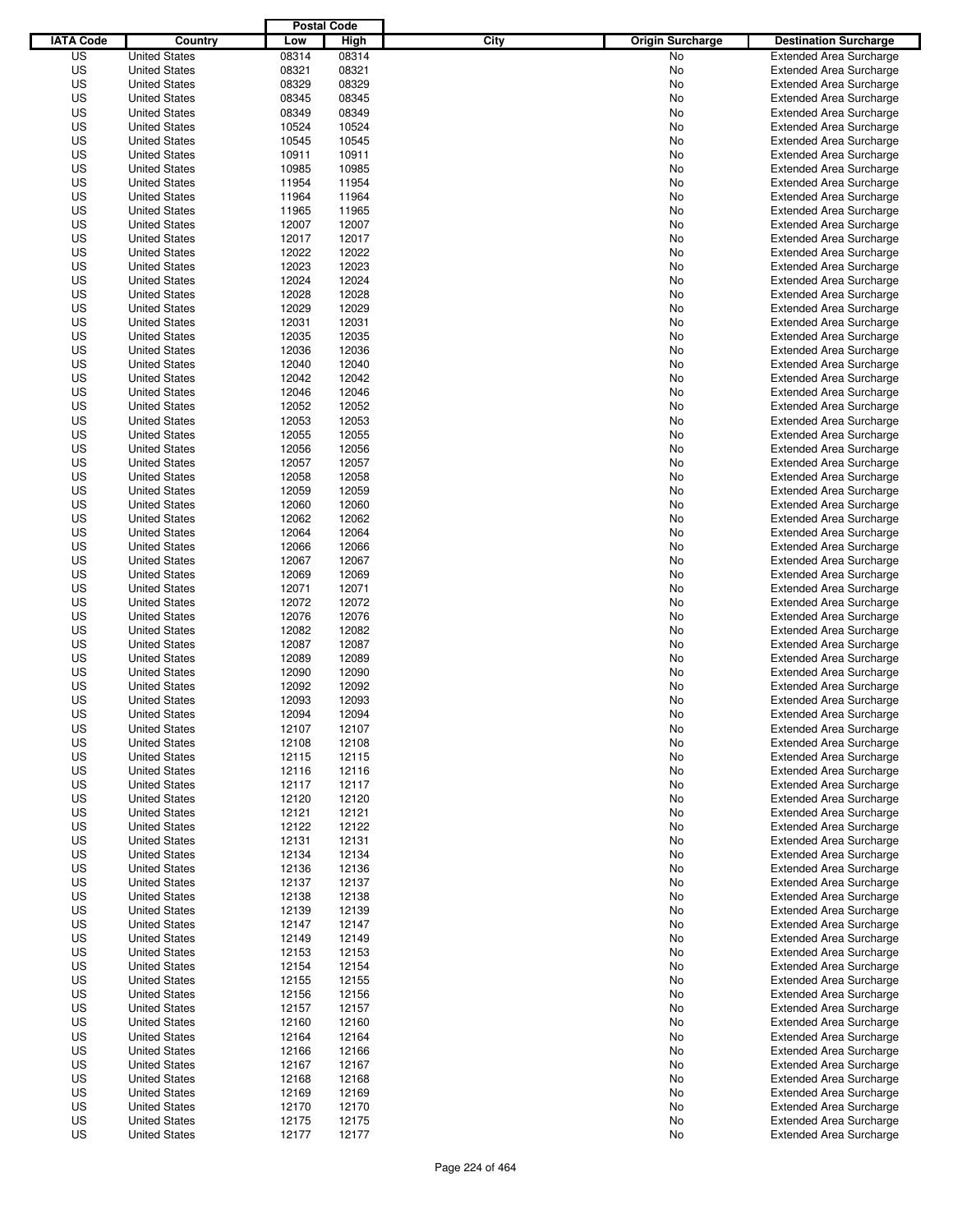|                  |                      | <b>Postal Code</b> |       |                                 |                                |
|------------------|----------------------|--------------------|-------|---------------------------------|--------------------------------|
| <b>IATA Code</b> | Country              | Low                | High  | City<br><b>Origin Surcharge</b> | <b>Destination Surcharge</b>   |
| US               | <b>United States</b> | 08314              | 08314 | <b>No</b>                       | <b>Extended Area Surcharge</b> |
| US               | <b>United States</b> | 08321              | 08321 | No                              | <b>Extended Area Surcharge</b> |
| US               | <b>United States</b> | 08329              | 08329 | No                              | <b>Extended Area Surcharge</b> |
| US               | <b>United States</b> | 08345              | 08345 | No                              | <b>Extended Area Surcharge</b> |
| US               | <b>United States</b> | 08349              | 08349 | No                              | <b>Extended Area Surcharge</b> |
| US               | <b>United States</b> | 10524              | 10524 | No                              | <b>Extended Area Surcharge</b> |
| US               | <b>United States</b> | 10545              | 10545 | No                              | <b>Extended Area Surcharge</b> |
| US               | <b>United States</b> | 10911              | 10911 | No                              | <b>Extended Area Surcharge</b> |
| US               | <b>United States</b> | 10985              | 10985 | No                              | <b>Extended Area Surcharge</b> |
| US               | <b>United States</b> | 11954              | 11954 | No                              | <b>Extended Area Surcharge</b> |
| US               | <b>United States</b> | 11964              | 11964 | No                              | <b>Extended Area Surcharge</b> |
| US               | <b>United States</b> | 11965              | 11965 | No                              | <b>Extended Area Surcharge</b> |
| US               | <b>United States</b> | 12007              | 12007 | No                              | <b>Extended Area Surcharge</b> |
| US               | <b>United States</b> | 12017              | 12017 | No                              | <b>Extended Area Surcharge</b> |
| US               | <b>United States</b> | 12022              | 12022 | No                              | <b>Extended Area Surcharge</b> |
| US               | <b>United States</b> | 12023              | 12023 | No                              | <b>Extended Area Surcharge</b> |
| US               | <b>United States</b> | 12024              | 12024 | No                              | <b>Extended Area Surcharge</b> |
| US               | <b>United States</b> | 12028              | 12028 | No                              | <b>Extended Area Surcharge</b> |
| US               | <b>United States</b> | 12029              | 12029 | No                              | <b>Extended Area Surcharge</b> |
| US               | <b>United States</b> | 12031              | 12031 | No                              | <b>Extended Area Surcharge</b> |
| US               | <b>United States</b> | 12035              | 12035 | No                              | <b>Extended Area Surcharge</b> |
| US               | <b>United States</b> | 12036              | 12036 | No                              | <b>Extended Area Surcharge</b> |
| US               | <b>United States</b> | 12040              | 12040 | No                              | <b>Extended Area Surcharge</b> |
| US               | <b>United States</b> | 12042              | 12042 | No                              | <b>Extended Area Surcharge</b> |
| US               | <b>United States</b> | 12046              | 12046 | No                              | <b>Extended Area Surcharge</b> |
| US               | <b>United States</b> | 12052              | 12052 | No                              | <b>Extended Area Surcharge</b> |
| US               | <b>United States</b> | 12053              | 12053 | No                              | <b>Extended Area Surcharge</b> |
| US               | <b>United States</b> | 12055              | 12055 | No                              | <b>Extended Area Surcharge</b> |
| US               | <b>United States</b> | 12056              | 12056 | No                              | <b>Extended Area Surcharge</b> |
| US               | <b>United States</b> | 12057              | 12057 | No                              | <b>Extended Area Surcharge</b> |
| US               | <b>United States</b> | 12058              | 12058 | No                              | <b>Extended Area Surcharge</b> |
| US               | <b>United States</b> | 12059              | 12059 | No                              | <b>Extended Area Surcharge</b> |
| US               | <b>United States</b> | 12060              | 12060 | No                              | <b>Extended Area Surcharge</b> |
| US               | <b>United States</b> | 12062              | 12062 | No                              | <b>Extended Area Surcharge</b> |
| US               | <b>United States</b> | 12064              | 12064 | No                              | <b>Extended Area Surcharge</b> |
| US               | <b>United States</b> | 12066              | 12066 | No                              | <b>Extended Area Surcharge</b> |
| US               | <b>United States</b> | 12067              | 12067 | No                              | <b>Extended Area Surcharge</b> |
| US               | <b>United States</b> | 12069              | 12069 | No                              | <b>Extended Area Surcharge</b> |
| US               | <b>United States</b> | 12071              | 12071 | No                              | <b>Extended Area Surcharge</b> |
| US               | <b>United States</b> | 12072              | 12072 | No                              | <b>Extended Area Surcharge</b> |
| US               | <b>United States</b> | 12076              | 12076 | No                              | <b>Extended Area Surcharge</b> |
| US               | <b>United States</b> | 12082              | 12082 | No                              | <b>Extended Area Surcharge</b> |
| US               | <b>United States</b> | 12087              | 12087 | No                              | <b>Extended Area Surcharge</b> |
| US               | <b>United States</b> | 12089              | 12089 | No                              | <b>Extended Area Surcharge</b> |
| US               | <b>United States</b> | 12090              | 12090 | No                              | Extended Area Surcharge        |
| US               | <b>United States</b> | 12092              | 12092 | No                              | <b>Extended Area Surcharge</b> |
| US               | <b>United States</b> | 12093              | 12093 | No                              | <b>Extended Area Surcharge</b> |
| US               | <b>United States</b> | 12094              | 12094 | No                              | <b>Extended Area Surcharge</b> |
| US               | <b>United States</b> | 12107              | 12107 | No                              | <b>Extended Area Surcharge</b> |
| US               | <b>United States</b> | 12108              | 12108 | No                              | <b>Extended Area Surcharge</b> |
| US               | <b>United States</b> | 12115              | 12115 | No                              | <b>Extended Area Surcharge</b> |
| US               | <b>United States</b> | 12116              | 12116 | No                              | <b>Extended Area Surcharge</b> |
| US               | <b>United States</b> | 12117              | 12117 | No                              | <b>Extended Area Surcharge</b> |
| US               | <b>United States</b> | 12120              | 12120 | No                              | <b>Extended Area Surcharge</b> |
| US               | <b>United States</b> | 12121              | 12121 | No                              | <b>Extended Area Surcharge</b> |
| US               | <b>United States</b> | 12122              | 12122 | No                              | <b>Extended Area Surcharge</b> |
| US               | <b>United States</b> | 12131              | 12131 | No                              | <b>Extended Area Surcharge</b> |
| US               | <b>United States</b> | 12134              | 12134 | No                              | <b>Extended Area Surcharge</b> |
| US               | <b>United States</b> | 12136              | 12136 | No                              | <b>Extended Area Surcharge</b> |
| US               | <b>United States</b> | 12137              | 12137 | No                              | <b>Extended Area Surcharge</b> |
| US               | <b>United States</b> | 12138              | 12138 | No                              | <b>Extended Area Surcharge</b> |
| US               | <b>United States</b> | 12139              | 12139 | No                              | <b>Extended Area Surcharge</b> |
| US               | <b>United States</b> | 12147              | 12147 | No                              | <b>Extended Area Surcharge</b> |
| US               | <b>United States</b> | 12149              | 12149 | No                              | <b>Extended Area Surcharge</b> |
| US               | <b>United States</b> | 12153              | 12153 | No                              | <b>Extended Area Surcharge</b> |
| US               | <b>United States</b> | 12154              | 12154 | No                              | <b>Extended Area Surcharge</b> |
| US               | <b>United States</b> | 12155              | 12155 | No                              | <b>Extended Area Surcharge</b> |
| US               | <b>United States</b> | 12156              | 12156 | No                              | <b>Extended Area Surcharge</b> |
| US               | <b>United States</b> | 12157              | 12157 | No                              | <b>Extended Area Surcharge</b> |
| US               | <b>United States</b> | 12160              | 12160 | No                              | Extended Area Surcharge        |
| US               | <b>United States</b> | 12164              | 12164 | No                              | <b>Extended Area Surcharge</b> |
| US               | <b>United States</b> | 12166              | 12166 | No                              | <b>Extended Area Surcharge</b> |
| US               | <b>United States</b> | 12167              | 12167 | No                              | <b>Extended Area Surcharge</b> |
| US               | <b>United States</b> | 12168              | 12168 | No                              | <b>Extended Area Surcharge</b> |
| US               | <b>United States</b> | 12169              | 12169 | No                              | <b>Extended Area Surcharge</b> |
| US               | <b>United States</b> | 12170              | 12170 | No                              | <b>Extended Area Surcharge</b> |
| US               | <b>United States</b> | 12175              | 12175 | No                              | <b>Extended Area Surcharge</b> |
| US               | <b>United States</b> | 12177              | 12177 | No                              | <b>Extended Area Surcharge</b> |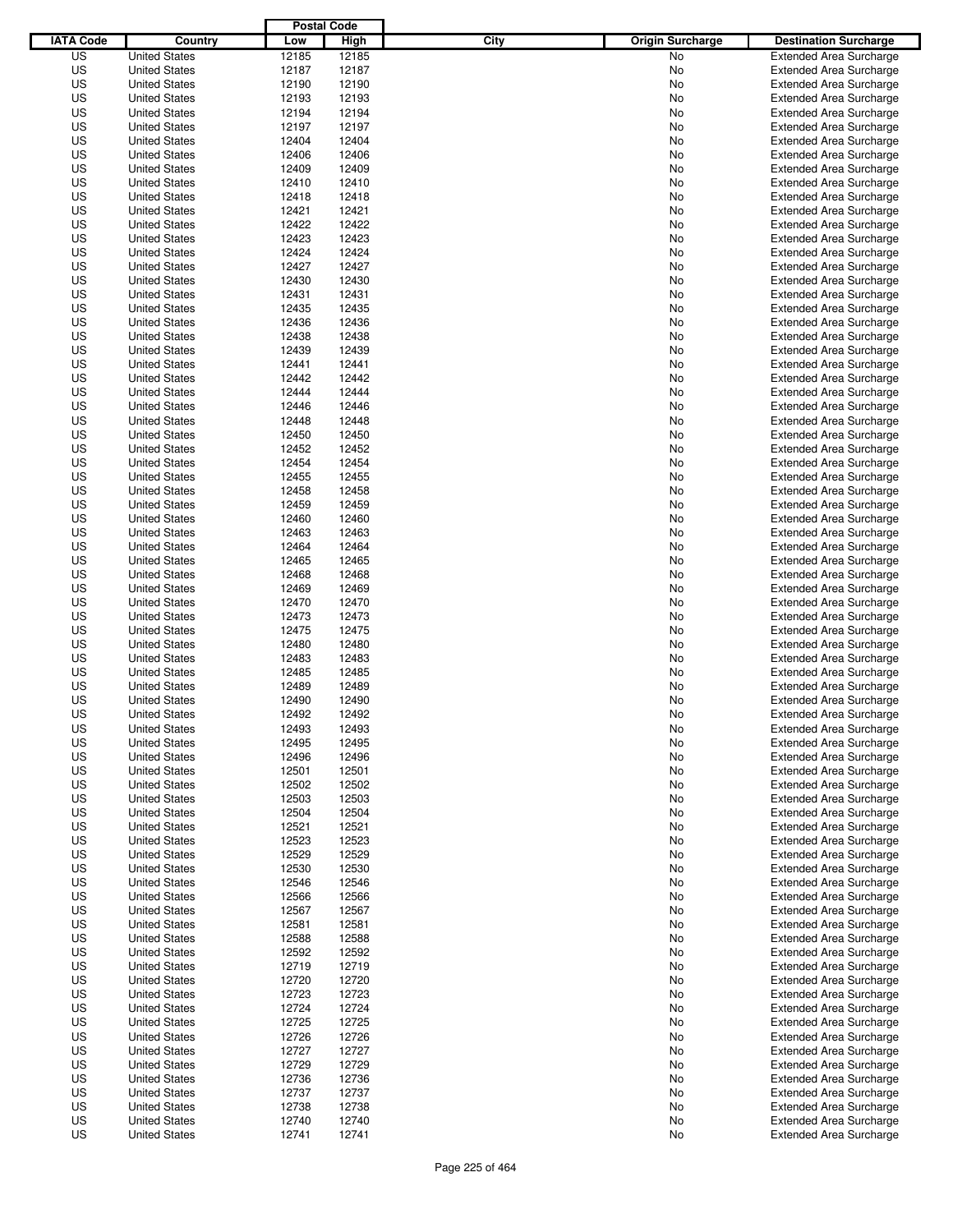|                  |                      | <b>Postal Code</b> |       |                                 |                                |
|------------------|----------------------|--------------------|-------|---------------------------------|--------------------------------|
| <b>IATA Code</b> | Country              | Low                | High  | City<br><b>Origin Surcharge</b> | <b>Destination Surcharge</b>   |
| US               | <b>United States</b> | 12185              | 12185 | <b>No</b>                       | <b>Extended Area Surcharge</b> |
| US               | <b>United States</b> | 12187              | 12187 | No                              | <b>Extended Area Surcharge</b> |
| US               | <b>United States</b> | 12190              | 12190 | No                              | <b>Extended Area Surcharge</b> |
| US               | <b>United States</b> | 12193              | 12193 | No                              | <b>Extended Area Surcharge</b> |
| US               | <b>United States</b> | 12194              | 12194 | No                              | <b>Extended Area Surcharge</b> |
| US               | <b>United States</b> | 12197              | 12197 | No                              | <b>Extended Area Surcharge</b> |
| US               | <b>United States</b> | 12404              | 12404 | No                              | <b>Extended Area Surcharge</b> |
| US               | <b>United States</b> | 12406              | 12406 | No                              | <b>Extended Area Surcharge</b> |
| US               | <b>United States</b> | 12409              | 12409 | No                              | <b>Extended Area Surcharge</b> |
| US               | <b>United States</b> | 12410              | 12410 | No                              | <b>Extended Area Surcharge</b> |
| US               | <b>United States</b> | 12418              | 12418 | No                              | <b>Extended Area Surcharge</b> |
| US               | <b>United States</b> | 12421              | 12421 | No                              | <b>Extended Area Surcharge</b> |
| US               | <b>United States</b> | 12422              | 12422 | No                              | <b>Extended Area Surcharge</b> |
| US               | <b>United States</b> | 12423              | 12423 | No                              | <b>Extended Area Surcharge</b> |
| US               | <b>United States</b> | 12424              | 12424 | No                              | <b>Extended Area Surcharge</b> |
| US               | <b>United States</b> | 12427              | 12427 | No                              | <b>Extended Area Surcharge</b> |
| US               | <b>United States</b> | 12430              | 12430 | No                              | <b>Extended Area Surcharge</b> |
| US               | <b>United States</b> | 12431              | 12431 | No                              | <b>Extended Area Surcharge</b> |
| US               | <b>United States</b> | 12435              | 12435 | No                              | <b>Extended Area Surcharge</b> |
| US               | <b>United States</b> | 12436              | 12436 | No                              | <b>Extended Area Surcharge</b> |
| US               | <b>United States</b> | 12438              | 12438 | No                              | <b>Extended Area Surcharge</b> |
| US               | <b>United States</b> | 12439              | 12439 | No                              | <b>Extended Area Surcharge</b> |
| US               | <b>United States</b> | 12441              | 12441 | No                              | <b>Extended Area Surcharge</b> |
| US               | <b>United States</b> | 12442              | 12442 | No                              | <b>Extended Area Surcharge</b> |
| US               | <b>United States</b> | 12444              | 12444 | No                              | <b>Extended Area Surcharge</b> |
| US               | <b>United States</b> | 12446              | 12446 | No                              | <b>Extended Area Surcharge</b> |
| US               | <b>United States</b> | 12448              | 12448 | No                              | <b>Extended Area Surcharge</b> |
| US               | <b>United States</b> | 12450              | 12450 | No                              | <b>Extended Area Surcharge</b> |
| US               | <b>United States</b> | 12452              | 12452 | No                              | <b>Extended Area Surcharge</b> |
| US               | <b>United States</b> | 12454              | 12454 | No                              | <b>Extended Area Surcharge</b> |
| US               | <b>United States</b> | 12455              | 12455 | No                              | <b>Extended Area Surcharge</b> |
| US               | <b>United States</b> | 12458              | 12458 | No                              | <b>Extended Area Surcharge</b> |
| US               | <b>United States</b> | 12459              | 12459 | No                              | <b>Extended Area Surcharge</b> |
| US               | <b>United States</b> | 12460              | 12460 | No                              | <b>Extended Area Surcharge</b> |
| US               | <b>United States</b> | 12463              | 12463 | No                              | <b>Extended Area Surcharge</b> |
| US               | <b>United States</b> | 12464              | 12464 | No                              | <b>Extended Area Surcharge</b> |
| US               | <b>United States</b> | 12465              | 12465 | No                              | <b>Extended Area Surcharge</b> |
| US               | <b>United States</b> | 12468              | 12468 | No                              | <b>Extended Area Surcharge</b> |
| US               | <b>United States</b> | 12469              | 12469 | No                              | <b>Extended Area Surcharge</b> |
| US               | <b>United States</b> | 12470              | 12470 | No                              | <b>Extended Area Surcharge</b> |
| US               | <b>United States</b> | 12473              | 12473 | No                              | <b>Extended Area Surcharge</b> |
| US               | <b>United States</b> | 12475              | 12475 | No                              | <b>Extended Area Surcharge</b> |
| US               | <b>United States</b> | 12480              | 12480 | No                              | <b>Extended Area Surcharge</b> |
| US               | <b>United States</b> | 12483              | 12483 | No                              | <b>Extended Area Surcharge</b> |
| US               | <b>United States</b> | 12485              | 12485 | No                              | Extended Area Surcharge        |
| US               | <b>United States</b> | 12489              | 12489 | No                              | <b>Extended Area Surcharge</b> |
| US               | <b>United States</b> | 12490              | 12490 | No                              | <b>Extended Area Surcharge</b> |
| US               | <b>United States</b> | 12492              | 12492 | No                              | <b>Extended Area Surcharge</b> |
| US               | <b>United States</b> | 12493              | 12493 | No                              | <b>Extended Area Surcharge</b> |
| US               | <b>United States</b> | 12495              | 12495 | No                              | <b>Extended Area Surcharge</b> |
| US               | <b>United States</b> | 12496              | 12496 | No                              | <b>Extended Area Surcharge</b> |
| US               | <b>United States</b> | 12501              | 12501 | No                              | <b>Extended Area Surcharge</b> |
| US               | <b>United States</b> | 12502              | 12502 | No                              | <b>Extended Area Surcharge</b> |
| US               | <b>United States</b> | 12503              | 12503 | No                              | <b>Extended Area Surcharge</b> |
| US               | <b>United States</b> | 12504              | 12504 | No                              | <b>Extended Area Surcharge</b> |
| US               | <b>United States</b> | 12521              | 12521 | No                              | <b>Extended Area Surcharge</b> |
| US               | <b>United States</b> | 12523              | 12523 | No                              | <b>Extended Area Surcharge</b> |
| US               | <b>United States</b> | 12529              | 12529 | No                              | <b>Extended Area Surcharge</b> |
| US               | <b>United States</b> | 12530              | 12530 | No                              | <b>Extended Area Surcharge</b> |
| US               | <b>United States</b> | 12546              | 12546 | No                              | <b>Extended Area Surcharge</b> |
| US               | <b>United States</b> | 12566              | 12566 | No                              | <b>Extended Area Surcharge</b> |
| US               | <b>United States</b> | 12567              | 12567 | No                              | <b>Extended Area Surcharge</b> |
| US               | <b>United States</b> | 12581              | 12581 | No                              | <b>Extended Area Surcharge</b> |
| US               | <b>United States</b> | 12588              | 12588 | No                              | <b>Extended Area Surcharge</b> |
| US               | <b>United States</b> | 12592              | 12592 | No                              | <b>Extended Area Surcharge</b> |
| US               | <b>United States</b> | 12719              | 12719 | No                              | <b>Extended Area Surcharge</b> |
| US               | <b>United States</b> | 12720              | 12720 | No                              | <b>Extended Area Surcharge</b> |
| US               | <b>United States</b> | 12723              | 12723 | No                              | <b>Extended Area Surcharge</b> |
| US               | <b>United States</b> | 12724              | 12724 | No                              | <b>Extended Area Surcharge</b> |
| US               | <b>United States</b> | 12725              | 12725 | No                              | <b>Extended Area Surcharge</b> |
| US               | <b>United States</b> | 12726              | 12726 | No                              | <b>Extended Area Surcharge</b> |
| US               | <b>United States</b> | 12727              | 12727 | No                              | <b>Extended Area Surcharge</b> |
| US               | <b>United States</b> | 12729              | 12729 | No                              | <b>Extended Area Surcharge</b> |
| US               | <b>United States</b> | 12736              | 12736 | No                              | <b>Extended Area Surcharge</b> |
| US               | <b>United States</b> | 12737              | 12737 | No                              | <b>Extended Area Surcharge</b> |
| US               | <b>United States</b> | 12738              | 12738 | No                              | <b>Extended Area Surcharge</b> |
| US               | <b>United States</b> | 12740              | 12740 | No                              | <b>Extended Area Surcharge</b> |
| US               | <b>United States</b> | 12741              | 12741 | No                              | <b>Extended Area Surcharge</b> |
|                  |                      |                    |       |                                 |                                |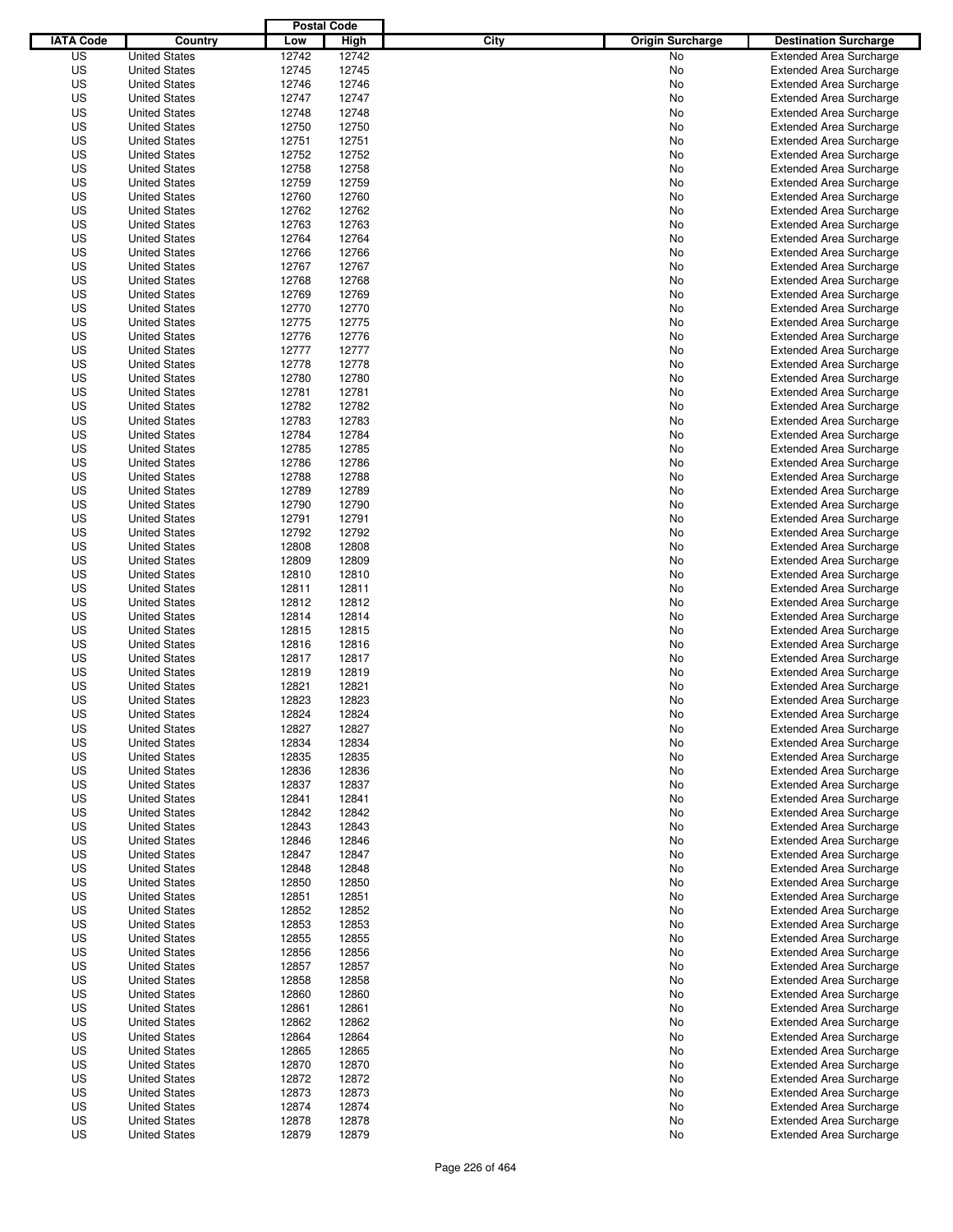|                  |                      | <b>Postal Code</b> |       |                                 |                                |
|------------------|----------------------|--------------------|-------|---------------------------------|--------------------------------|
| <b>IATA Code</b> | Country              | Low                | High  | City<br><b>Origin Surcharge</b> | <b>Destination Surcharge</b>   |
| US               | <b>United States</b> | 12742              | 12742 | <b>No</b>                       | <b>Extended Area Surcharge</b> |
| US               | <b>United States</b> | 12745              | 12745 | No                              | <b>Extended Area Surcharge</b> |
| US               | <b>United States</b> | 12746              | 12746 | No                              | <b>Extended Area Surcharge</b> |
| US               | <b>United States</b> | 12747              | 12747 | No                              | <b>Extended Area Surcharge</b> |
| US               | <b>United States</b> | 12748              | 12748 | No                              | <b>Extended Area Surcharge</b> |
| US               | <b>United States</b> | 12750              | 12750 | No                              | <b>Extended Area Surcharge</b> |
| US               | <b>United States</b> | 12751              | 12751 | No                              | <b>Extended Area Surcharge</b> |
| US               | <b>United States</b> | 12752              | 12752 | No                              | <b>Extended Area Surcharge</b> |
| US               | <b>United States</b> | 12758              | 12758 | No                              | <b>Extended Area Surcharge</b> |
| US               | <b>United States</b> | 12759              | 12759 | No                              | <b>Extended Area Surcharge</b> |
| US               | <b>United States</b> | 12760              | 12760 | No                              | <b>Extended Area Surcharge</b> |
| US               | <b>United States</b> | 12762              | 12762 | No                              | <b>Extended Area Surcharge</b> |
| US               | <b>United States</b> | 12763              | 12763 | No                              | <b>Extended Area Surcharge</b> |
| US               | <b>United States</b> | 12764              | 12764 | No                              | <b>Extended Area Surcharge</b> |
| US               | <b>United States</b> | 12766              | 12766 | No                              | <b>Extended Area Surcharge</b> |
| US               | <b>United States</b> | 12767              | 12767 | No                              | <b>Extended Area Surcharge</b> |
| US               | <b>United States</b> | 12768              | 12768 | No                              | <b>Extended Area Surcharge</b> |
| US               | <b>United States</b> | 12769              | 12769 | No                              | <b>Extended Area Surcharge</b> |
| US               | <b>United States</b> | 12770              | 12770 | No                              | <b>Extended Area Surcharge</b> |
| US               | <b>United States</b> | 12775              | 12775 | No                              | <b>Extended Area Surcharge</b> |
| US               | <b>United States</b> | 12776              | 12776 | No                              | <b>Extended Area Surcharge</b> |
| US               | <b>United States</b> | 12777              | 12777 | No                              | <b>Extended Area Surcharge</b> |
| US               | <b>United States</b> | 12778              | 12778 | No                              | <b>Extended Area Surcharge</b> |
| US               | <b>United States</b> | 12780              | 12780 | No                              | <b>Extended Area Surcharge</b> |
| US               | <b>United States</b> | 12781              | 12781 | No                              | <b>Extended Area Surcharge</b> |
| US               | <b>United States</b> | 12782              | 12782 | No                              | <b>Extended Area Surcharge</b> |
| US               | <b>United States</b> | 12783              | 12783 | No                              | <b>Extended Area Surcharge</b> |
| US               | <b>United States</b> | 12784              | 12784 | No                              | <b>Extended Area Surcharge</b> |
| US               | <b>United States</b> | 12785              | 12785 | No                              | <b>Extended Area Surcharge</b> |
| US               | <b>United States</b> | 12786              | 12786 | No                              | <b>Extended Area Surcharge</b> |
| US               | <b>United States</b> | 12788              | 12788 | No                              | <b>Extended Area Surcharge</b> |
| US               | <b>United States</b> | 12789              | 12789 | No                              | <b>Extended Area Surcharge</b> |
| US               | <b>United States</b> | 12790              | 12790 | No                              | <b>Extended Area Surcharge</b> |
| US               | <b>United States</b> | 12791              | 12791 | No                              | <b>Extended Area Surcharge</b> |
| US               | <b>United States</b> | 12792              | 12792 | No                              | <b>Extended Area Surcharge</b> |
| US               | <b>United States</b> | 12808              | 12808 | No                              | <b>Extended Area Surcharge</b> |
| US               | <b>United States</b> | 12809              | 12809 | No                              | <b>Extended Area Surcharge</b> |
| US               | <b>United States</b> | 12810              | 12810 | No                              | <b>Extended Area Surcharge</b> |
| US               | <b>United States</b> | 12811              | 12811 | No                              | <b>Extended Area Surcharge</b> |
| US               | <b>United States</b> | 12812              | 12812 | No                              | <b>Extended Area Surcharge</b> |
| US               | <b>United States</b> | 12814              | 12814 | No                              | <b>Extended Area Surcharge</b> |
| US               | <b>United States</b> | 12815              | 12815 | No                              | <b>Extended Area Surcharge</b> |
| US               | <b>United States</b> | 12816              | 12816 | No                              | <b>Extended Area Surcharge</b> |
| US               | <b>United States</b> | 12817              | 12817 | No                              | <b>Extended Area Surcharge</b> |
| US               | <b>United States</b> | 12819              | 12819 | No                              | Extended Area Surcharge        |
| US               | <b>United States</b> | 12821              | 12821 | No                              | <b>Extended Area Surcharge</b> |
| US               | <b>United States</b> | 12823              | 12823 | No                              | <b>Extended Area Surcharge</b> |
| US               | <b>United States</b> | 12824              | 12824 | No                              | <b>Extended Area Surcharge</b> |
| US               | <b>United States</b> | 12827              | 12827 | No                              | <b>Extended Area Surcharge</b> |
| US               | <b>United States</b> | 12834              | 12834 | No                              | <b>Extended Area Surcharge</b> |
| US               | <b>United States</b> | 12835              | 12835 | No                              | <b>Extended Area Surcharge</b> |
| US               | <b>United States</b> | 12836              | 12836 | No                              | <b>Extended Area Surcharge</b> |
| US               | <b>United States</b> | 12837              | 12837 | No                              | <b>Extended Area Surcharge</b> |
| US               | <b>United States</b> | 12841              | 12841 | No                              | <b>Extended Area Surcharge</b> |
| US               | <b>United States</b> | 12842              | 12842 | No                              | <b>Extended Area Surcharge</b> |
| US               | <b>United States</b> | 12843              | 12843 | No                              | <b>Extended Area Surcharge</b> |
| US               | <b>United States</b> | 12846              | 12846 | No                              | <b>Extended Area Surcharge</b> |
| US               | <b>United States</b> | 12847              | 12847 | No                              | <b>Extended Area Surcharge</b> |
| US               | <b>United States</b> | 12848              | 12848 | No                              | <b>Extended Area Surcharge</b> |
| US               | <b>United States</b> | 12850              | 12850 | No                              | <b>Extended Area Surcharge</b> |
| US               | <b>United States</b> | 12851              | 12851 | No                              | <b>Extended Area Surcharge</b> |
| US               | <b>United States</b> | 12852              | 12852 | No                              | <b>Extended Area Surcharge</b> |
| US               | <b>United States</b> | 12853              | 12853 | No                              | <b>Extended Area Surcharge</b> |
| US               | <b>United States</b> | 12855              | 12855 | No                              | <b>Extended Area Surcharge</b> |
| US               | <b>United States</b> | 12856              | 12856 | No                              | <b>Extended Area Surcharge</b> |
| US               | <b>United States</b> | 12857              | 12857 | No                              | <b>Extended Area Surcharge</b> |
| US               | <b>United States</b> | 12858              | 12858 | No                              | <b>Extended Area Surcharge</b> |
| US               | <b>United States</b> | 12860              | 12860 | No                              | <b>Extended Area Surcharge</b> |
| US               | <b>United States</b> | 12861              | 12861 | No                              | <b>Extended Area Surcharge</b> |
| US               | <b>United States</b> | 12862              | 12862 | No                              | <b>Extended Area Surcharge</b> |
| US               | <b>United States</b> | 12864              | 12864 | No                              | <b>Extended Area Surcharge</b> |
| US               | <b>United States</b> | 12865              | 12865 | No                              | <b>Extended Area Surcharge</b> |
| US               | <b>United States</b> | 12870              | 12870 | No                              | <b>Extended Area Surcharge</b> |
| US               | <b>United States</b> | 12872              | 12872 | No                              | <b>Extended Area Surcharge</b> |
| US               | <b>United States</b> | 12873              | 12873 | No                              | <b>Extended Area Surcharge</b> |
| US               | <b>United States</b> | 12874              | 12874 | No                              | <b>Extended Area Surcharge</b> |
| US               | <b>United States</b> | 12878              | 12878 | No                              | <b>Extended Area Surcharge</b> |
| US               | <b>United States</b> | 12879              | 12879 | No                              | <b>Extended Area Surcharge</b> |
|                  |                      |                    |       |                                 |                                |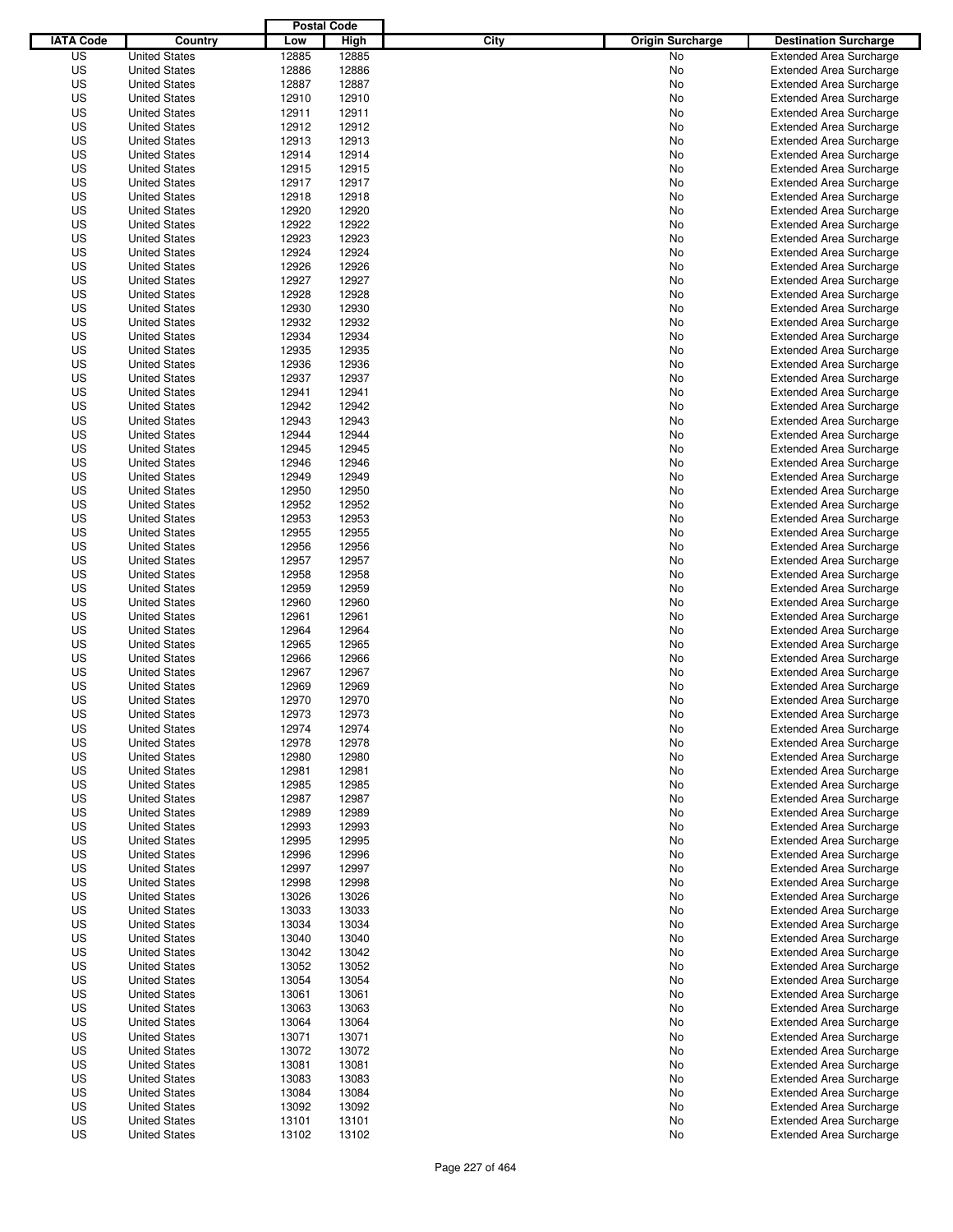|                  |                      | <b>Postal Code</b> |       |                                 |                                |
|------------------|----------------------|--------------------|-------|---------------------------------|--------------------------------|
| <b>IATA Code</b> | Country              | Low                | High  | City<br><b>Origin Surcharge</b> | <b>Destination Surcharge</b>   |
| US               | <b>United States</b> | 12885              | 12885 | <b>No</b>                       | <b>Extended Area Surcharge</b> |
| US               | <b>United States</b> | 12886              | 12886 | No                              | <b>Extended Area Surcharge</b> |
| US               | <b>United States</b> | 12887              | 12887 | No                              | <b>Extended Area Surcharge</b> |
| US               | <b>United States</b> | 12910              | 12910 | No                              | <b>Extended Area Surcharge</b> |
| US               | <b>United States</b> | 12911              | 12911 | No                              | <b>Extended Area Surcharge</b> |
| US               | <b>United States</b> | 12912              | 12912 | No                              | <b>Extended Area Surcharge</b> |
| US               | <b>United States</b> | 12913              | 12913 | No                              | <b>Extended Area Surcharge</b> |
| US               | <b>United States</b> | 12914              | 12914 | No                              | <b>Extended Area Surcharge</b> |
| US               | <b>United States</b> | 12915              | 12915 | No                              | <b>Extended Area Surcharge</b> |
| US               | <b>United States</b> | 12917              | 12917 | No                              | <b>Extended Area Surcharge</b> |
| US               | <b>United States</b> | 12918              | 12918 | No                              | <b>Extended Area Surcharge</b> |
| US               | <b>United States</b> | 12920              | 12920 | No                              | <b>Extended Area Surcharge</b> |
| US               | <b>United States</b> | 12922              | 12922 | No                              | <b>Extended Area Surcharge</b> |
| US               | <b>United States</b> | 12923              | 12923 | No                              | <b>Extended Area Surcharge</b> |
| US               | <b>United States</b> | 12924              | 12924 | No                              | <b>Extended Area Surcharge</b> |
| US               | <b>United States</b> | 12926              | 12926 | No                              | <b>Extended Area Surcharge</b> |
| US               | <b>United States</b> | 12927              | 12927 | No                              | <b>Extended Area Surcharge</b> |
| US               | <b>United States</b> | 12928              | 12928 | No                              | <b>Extended Area Surcharge</b> |
| US               | <b>United States</b> | 12930              | 12930 | No                              | <b>Extended Area Surcharge</b> |
| US               | <b>United States</b> | 12932              | 12932 | No                              | <b>Extended Area Surcharge</b> |
| US               | <b>United States</b> | 12934              | 12934 | No                              | <b>Extended Area Surcharge</b> |
| US               | <b>United States</b> | 12935              | 12935 | No                              | <b>Extended Area Surcharge</b> |
| US               | <b>United States</b> | 12936              | 12936 | No                              | <b>Extended Area Surcharge</b> |
| US               | <b>United States</b> | 12937              | 12937 | No                              | <b>Extended Area Surcharge</b> |
| US               | <b>United States</b> | 12941              | 12941 | No                              | <b>Extended Area Surcharge</b> |
| US               | <b>United States</b> | 12942              | 12942 | No                              | <b>Extended Area Surcharge</b> |
| US               | <b>United States</b> | 12943              | 12943 | No                              | <b>Extended Area Surcharge</b> |
| US               | <b>United States</b> | 12944              | 12944 | No                              | <b>Extended Area Surcharge</b> |
| US               | <b>United States</b> | 12945              | 12945 | No                              | <b>Extended Area Surcharge</b> |
| US               | <b>United States</b> | 12946              | 12946 | No                              | <b>Extended Area Surcharge</b> |
| US               | <b>United States</b> | 12949              | 12949 | No                              | <b>Extended Area Surcharge</b> |
| US               | <b>United States</b> | 12950              | 12950 | No                              | <b>Extended Area Surcharge</b> |
| US               | <b>United States</b> | 12952              | 12952 | No                              | <b>Extended Area Surcharge</b> |
| US               | <b>United States</b> | 12953              | 12953 | No                              | <b>Extended Area Surcharge</b> |
| US               | <b>United States</b> | 12955              | 12955 | No                              | <b>Extended Area Surcharge</b> |
| US               | <b>United States</b> | 12956              | 12956 | No                              | <b>Extended Area Surcharge</b> |
| US               | <b>United States</b> | 12957              | 12957 | No                              | <b>Extended Area Surcharge</b> |
| US               | <b>United States</b> | 12958              | 12958 | No                              | <b>Extended Area Surcharge</b> |
| US               | <b>United States</b> | 12959              | 12959 | No                              | <b>Extended Area Surcharge</b> |
| US               | <b>United States</b> | 12960              | 12960 | No                              | <b>Extended Area Surcharge</b> |
| US               | <b>United States</b> | 12961              | 12961 | No                              | <b>Extended Area Surcharge</b> |
| US               | <b>United States</b> | 12964              | 12964 | No                              | <b>Extended Area Surcharge</b> |
| US               | <b>United States</b> | 12965              | 12965 | No                              | <b>Extended Area Surcharge</b> |
| US               | <b>United States</b> | 12966              | 12966 | No                              | <b>Extended Area Surcharge</b> |
| US               | <b>United States</b> | 12967              | 12967 | No                              | <b>Extended Area Surcharge</b> |
| US               | <b>United States</b> | 12969              | 12969 | No                              | <b>Extended Area Surcharge</b> |
| US               | <b>United States</b> | 12970              | 12970 | No                              | <b>Extended Area Surcharge</b> |
| US               | <b>United States</b> | 12973              | 12973 | No                              | <b>Extended Area Surcharge</b> |
| US               | <b>United States</b> | 12974              | 12974 | No                              | <b>Extended Area Surcharge</b> |
| US               | <b>United States</b> | 12978              | 12978 | No                              | <b>Extended Area Surcharge</b> |
| US               | <b>United States</b> | 12980              | 12980 | No                              | <b>Extended Area Surcharge</b> |
| US               | <b>United States</b> | 12981              | 12981 | No                              | <b>Extended Area Surcharge</b> |
| US               | <b>United States</b> | 12985              | 12985 | No                              | <b>Extended Area Surcharge</b> |
| US               | <b>United States</b> | 12987              | 12987 | No                              | <b>Extended Area Surcharge</b> |
| US               | <b>United States</b> | 12989              | 12989 | No                              | <b>Extended Area Surcharge</b> |
| US               | <b>United States</b> | 12993              | 12993 | No                              | <b>Extended Area Surcharge</b> |
| US               | <b>United States</b> | 12995              | 12995 | No                              | <b>Extended Area Surcharge</b> |
| US               | <b>United States</b> | 12996              | 12996 | No                              | <b>Extended Area Surcharge</b> |
| US               | <b>United States</b> | 12997              | 12997 | No                              | <b>Extended Area Surcharge</b> |
| US               | <b>United States</b> | 12998              | 12998 | No                              | <b>Extended Area Surcharge</b> |
| US               | <b>United States</b> | 13026              | 13026 | No                              | <b>Extended Area Surcharge</b> |
| US               | <b>United States</b> | 13033              | 13033 | No                              | <b>Extended Area Surcharge</b> |
| US               | <b>United States</b> | 13034              | 13034 | No                              | <b>Extended Area Surcharge</b> |
| US               | <b>United States</b> | 13040              | 13040 | No                              | <b>Extended Area Surcharge</b> |
| US               | <b>United States</b> | 13042              | 13042 | No                              | <b>Extended Area Surcharge</b> |
| US               | <b>United States</b> | 13052              | 13052 | No                              | <b>Extended Area Surcharge</b> |
| US               | <b>United States</b> | 13054              | 13054 | No                              | <b>Extended Area Surcharge</b> |
| US               | <b>United States</b> | 13061              | 13061 | No                              | <b>Extended Area Surcharge</b> |
| US               | <b>United States</b> | 13063              | 13063 | No                              | <b>Extended Area Surcharge</b> |
| US               | <b>United States</b> | 13064              | 13064 | No                              | <b>Extended Area Surcharge</b> |
| US               | <b>United States</b> | 13071              | 13071 | No                              | <b>Extended Area Surcharge</b> |
| US               | <b>United States</b> | 13072              | 13072 | No                              | <b>Extended Area Surcharge</b> |
| US               | <b>United States</b> | 13081              | 13081 | No                              | <b>Extended Area Surcharge</b> |
| US               | <b>United States</b> | 13083              | 13083 | No                              | <b>Extended Area Surcharge</b> |
| US               | <b>United States</b> | 13084              | 13084 | No                              | <b>Extended Area Surcharge</b> |
| US               | <b>United States</b> | 13092              | 13092 | No                              | <b>Extended Area Surcharge</b> |
| US               | <b>United States</b> | 13101              | 13101 | No                              | <b>Extended Area Surcharge</b> |
| US               | <b>United States</b> | 13102              | 13102 | No                              | <b>Extended Area Surcharge</b> |
|                  |                      |                    |       |                                 |                                |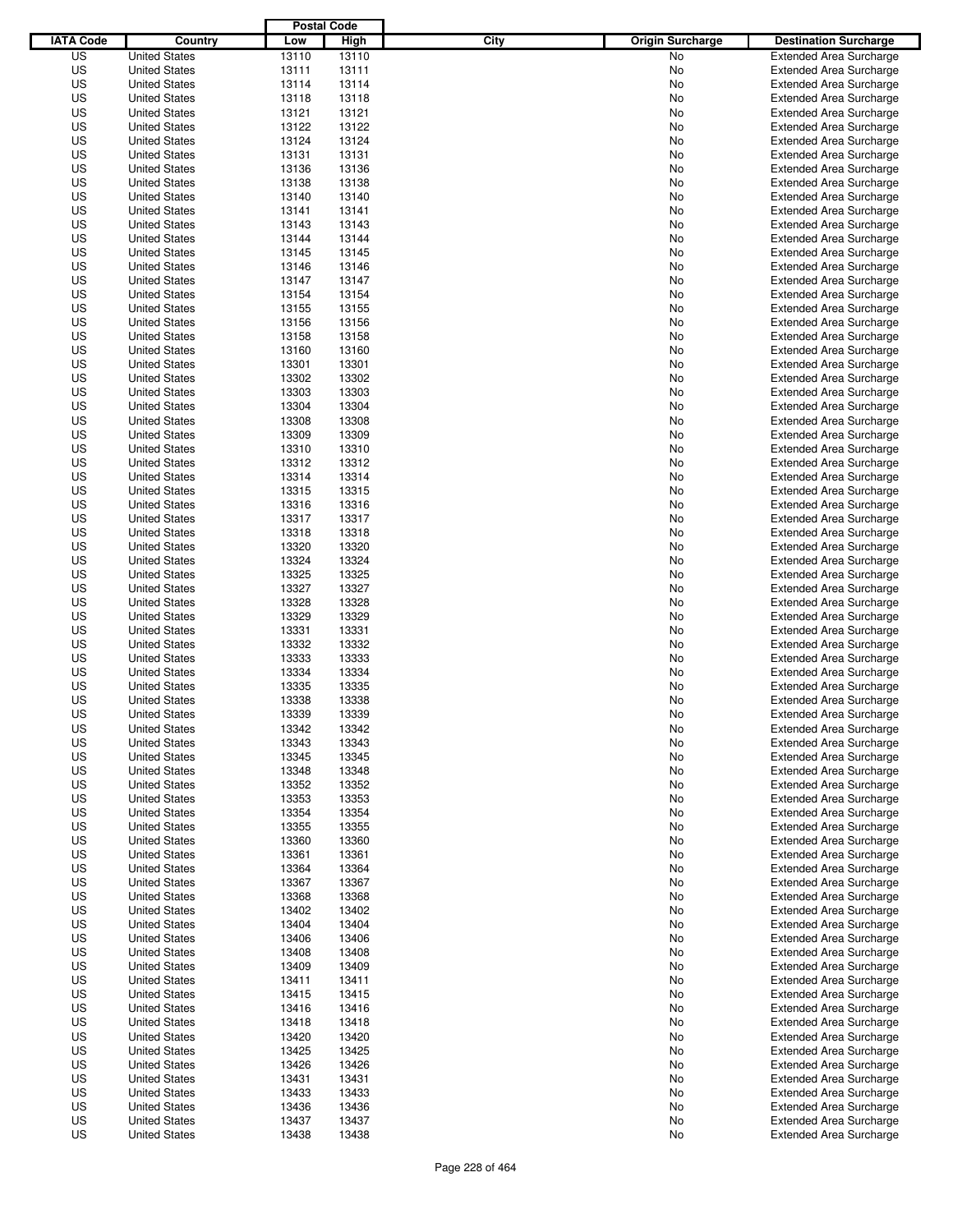|                  |                                              | <b>Postal Code</b> |                |                                 |                                                                  |
|------------------|----------------------------------------------|--------------------|----------------|---------------------------------|------------------------------------------------------------------|
| <b>IATA Code</b> | Country                                      | Low                | High           | City<br><b>Origin Surcharge</b> | <b>Destination Surcharge</b>                                     |
| US               | <b>United States</b>                         | 13110              | 13110          | <b>No</b>                       | <b>Extended Area Surcharge</b>                                   |
| US               | <b>United States</b>                         | 13111              | 13111          | No                              | <b>Extended Area Surcharge</b>                                   |
| US               | <b>United States</b>                         | 13114              | 13114          | No                              | <b>Extended Area Surcharge</b>                                   |
| US               | <b>United States</b>                         | 13118              | 13118          | No                              | <b>Extended Area Surcharge</b>                                   |
| US               | <b>United States</b>                         | 13121              | 13121          | No                              | <b>Extended Area Surcharge</b>                                   |
| US               | <b>United States</b>                         | 13122              | 13122          | No                              | <b>Extended Area Surcharge</b>                                   |
| US               | <b>United States</b>                         | 13124              | 13124          | No                              | <b>Extended Area Surcharge</b>                                   |
| US               | <b>United States</b>                         | 13131              | 13131          | No                              | <b>Extended Area Surcharge</b>                                   |
| US               | <b>United States</b>                         | 13136              | 13136          | No                              | <b>Extended Area Surcharge</b>                                   |
| US               | <b>United States</b>                         | 13138              | 13138          | No                              | <b>Extended Area Surcharge</b>                                   |
| US               | <b>United States</b>                         | 13140              | 13140          | No                              | <b>Extended Area Surcharge</b>                                   |
| US               | <b>United States</b>                         | 13141              | 13141          | No                              | <b>Extended Area Surcharge</b>                                   |
| US               | <b>United States</b>                         | 13143              | 13143          | No                              | <b>Extended Area Surcharge</b>                                   |
| US               | <b>United States</b>                         | 13144              | 13144          | No                              | <b>Extended Area Surcharge</b>                                   |
| US               | <b>United States</b>                         | 13145              | 13145          | No                              | <b>Extended Area Surcharge</b>                                   |
| US               | <b>United States</b>                         | 13146              | 13146          | No                              | <b>Extended Area Surcharge</b>                                   |
| US               | <b>United States</b>                         | 13147              | 13147          | No                              | <b>Extended Area Surcharge</b>                                   |
| US               | <b>United States</b>                         | 13154              | 13154          | No                              | <b>Extended Area Surcharge</b>                                   |
| US               | <b>United States</b>                         | 13155              | 13155          | No                              | <b>Extended Area Surcharge</b>                                   |
| US               | <b>United States</b>                         | 13156              | 13156          | No                              | <b>Extended Area Surcharge</b>                                   |
| US               | <b>United States</b>                         | 13158              | 13158          | No                              | <b>Extended Area Surcharge</b>                                   |
| US               | <b>United States</b>                         | 13160              | 13160          | No                              | <b>Extended Area Surcharge</b>                                   |
| US               | <b>United States</b>                         | 13301              | 13301          | No                              | <b>Extended Area Surcharge</b>                                   |
| US               | <b>United States</b>                         | 13302              | 13302          | No                              | <b>Extended Area Surcharge</b>                                   |
| US               | <b>United States</b>                         | 13303              | 13303          | No                              | <b>Extended Area Surcharge</b>                                   |
| US               | <b>United States</b>                         | 13304              | 13304          | No                              | <b>Extended Area Surcharge</b>                                   |
| US               | <b>United States</b>                         | 13308              | 13308          | No                              | <b>Extended Area Surcharge</b>                                   |
| US               | <b>United States</b>                         | 13309              | 13309          | No                              | <b>Extended Area Surcharge</b>                                   |
| US               | <b>United States</b>                         | 13310              | 13310          | No                              | <b>Extended Area Surcharge</b>                                   |
| US               | <b>United States</b>                         | 13312              | 13312          | No                              | <b>Extended Area Surcharge</b>                                   |
| US               | <b>United States</b>                         | 13314              | 13314          | No                              | <b>Extended Area Surcharge</b>                                   |
| US               | <b>United States</b>                         | 13315              | 13315          | No                              | <b>Extended Area Surcharge</b>                                   |
| US               | <b>United States</b>                         | 13316              | 13316          | No                              | <b>Extended Area Surcharge</b>                                   |
| US               | <b>United States</b>                         | 13317              | 13317          | No                              | <b>Extended Area Surcharge</b>                                   |
| US               | <b>United States</b>                         | 13318              | 13318          | No                              | <b>Extended Area Surcharge</b>                                   |
| US               | <b>United States</b>                         | 13320              | 13320          | No                              | <b>Extended Area Surcharge</b>                                   |
| US               | <b>United States</b>                         | 13324              | 13324          | No                              | <b>Extended Area Surcharge</b>                                   |
| US               | <b>United States</b>                         | 13325              | 13325          | No                              | <b>Extended Area Surcharge</b>                                   |
| US               | <b>United States</b>                         | 13327              | 13327          | No                              | <b>Extended Area Surcharge</b>                                   |
| US               | <b>United States</b>                         | 13328              | 13328          | No                              | <b>Extended Area Surcharge</b>                                   |
| US               | <b>United States</b>                         | 13329              | 13329          | No                              | <b>Extended Area Surcharge</b>                                   |
| US               | <b>United States</b>                         | 13331              | 13331          | No                              | <b>Extended Area Surcharge</b>                                   |
| US               | <b>United States</b>                         | 13332              | 13332          | No                              | <b>Extended Area Surcharge</b>                                   |
| US               | <b>United States</b>                         | 13333              | 13333          | No                              | <b>Extended Area Surcharge</b>                                   |
| US               | <b>United States</b>                         | 13334              | 13334          | No                              | Extended Area Surcharge                                          |
| US               | <b>United States</b>                         | 13335              | 13335          | No                              | <b>Extended Area Surcharge</b>                                   |
| US               | <b>United States</b>                         | 13338              | 13338          | No                              | <b>Extended Area Surcharge</b>                                   |
| US               | <b>United States</b>                         | 13339              | 13339          | No                              | <b>Extended Area Surcharge</b>                                   |
| US               | <b>United States</b>                         | 13342              | 13342          | No                              | <b>Extended Area Surcharge</b>                                   |
| US               | <b>United States</b>                         | 13343              | 13343          | No                              | <b>Extended Area Surcharge</b>                                   |
| US               | <b>United States</b>                         | 13345              | 13345          | No                              | <b>Extended Area Surcharge</b>                                   |
| US               | <b>United States</b>                         | 13348              | 13348          | No                              | <b>Extended Area Surcharge</b>                                   |
| US               | <b>United States</b>                         | 13352              | 13352          | No                              | <b>Extended Area Surcharge</b>                                   |
| US               | <b>United States</b>                         | 13353              | 13353          | No                              | <b>Extended Area Surcharge</b>                                   |
| US               | <b>United States</b>                         | 13354              | 13354          | No                              | <b>Extended Area Surcharge</b>                                   |
| US               | <b>United States</b>                         | 13355              | 13355          | No                              | <b>Extended Area Surcharge</b>                                   |
| US               | <b>United States</b>                         | 13360              | 13360          | No                              | <b>Extended Area Surcharge</b>                                   |
| US               | <b>United States</b>                         | 13361              | 13361          | No                              | <b>Extended Area Surcharge</b>                                   |
| US               | <b>United States</b>                         | 13364              | 13364          | No                              | <b>Extended Area Surcharge</b>                                   |
| US               | <b>United States</b>                         | 13367              | 13367          | No                              | <b>Extended Area Surcharge</b>                                   |
| US               | <b>United States</b>                         | 13368              | 13368          | No                              | <b>Extended Area Surcharge</b>                                   |
| US<br>US         | <b>United States</b>                         | 13402<br>13404     | 13402<br>13404 | No                              | <b>Extended Area Surcharge</b><br><b>Extended Area Surcharge</b> |
|                  | <b>United States</b>                         |                    |                | No                              |                                                                  |
| US<br>US         | <b>United States</b><br><b>United States</b> | 13406              | 13406          | No<br>No                        | <b>Extended Area Surcharge</b><br><b>Extended Area Surcharge</b> |
| US               | <b>United States</b>                         | 13408<br>13409     | 13408<br>13409 | No                              | <b>Extended Area Surcharge</b>                                   |
| US               | <b>United States</b>                         | 13411              | 13411          | No                              | <b>Extended Area Surcharge</b>                                   |
| US               | <b>United States</b>                         | 13415              | 13415          | No                              | <b>Extended Area Surcharge</b>                                   |
| US               | <b>United States</b>                         | 13416              | 13416          | No                              | <b>Extended Area Surcharge</b>                                   |
| US               | <b>United States</b>                         | 13418              | 13418          | No                              | <b>Extended Area Surcharge</b>                                   |
| US               | <b>United States</b>                         | 13420              | 13420          | No                              | <b>Extended Area Surcharge</b>                                   |
| US               | <b>United States</b>                         | 13425              | 13425          | No                              | <b>Extended Area Surcharge</b>                                   |
| US               | <b>United States</b>                         | 13426              | 13426          | No                              | <b>Extended Area Surcharge</b>                                   |
| US               | <b>United States</b>                         | 13431              | 13431          | No                              | <b>Extended Area Surcharge</b>                                   |
| US               | <b>United States</b>                         | 13433              | 13433          | No                              | <b>Extended Area Surcharge</b>                                   |
| US               | <b>United States</b>                         | 13436              | 13436          | No                              | <b>Extended Area Surcharge</b>                                   |
| US               | <b>United States</b>                         | 13437              | 13437          | No                              | <b>Extended Area Surcharge</b>                                   |
| US               | <b>United States</b>                         | 13438              | 13438          | No                              | <b>Extended Area Surcharge</b>                                   |
|                  |                                              |                    |                |                                 |                                                                  |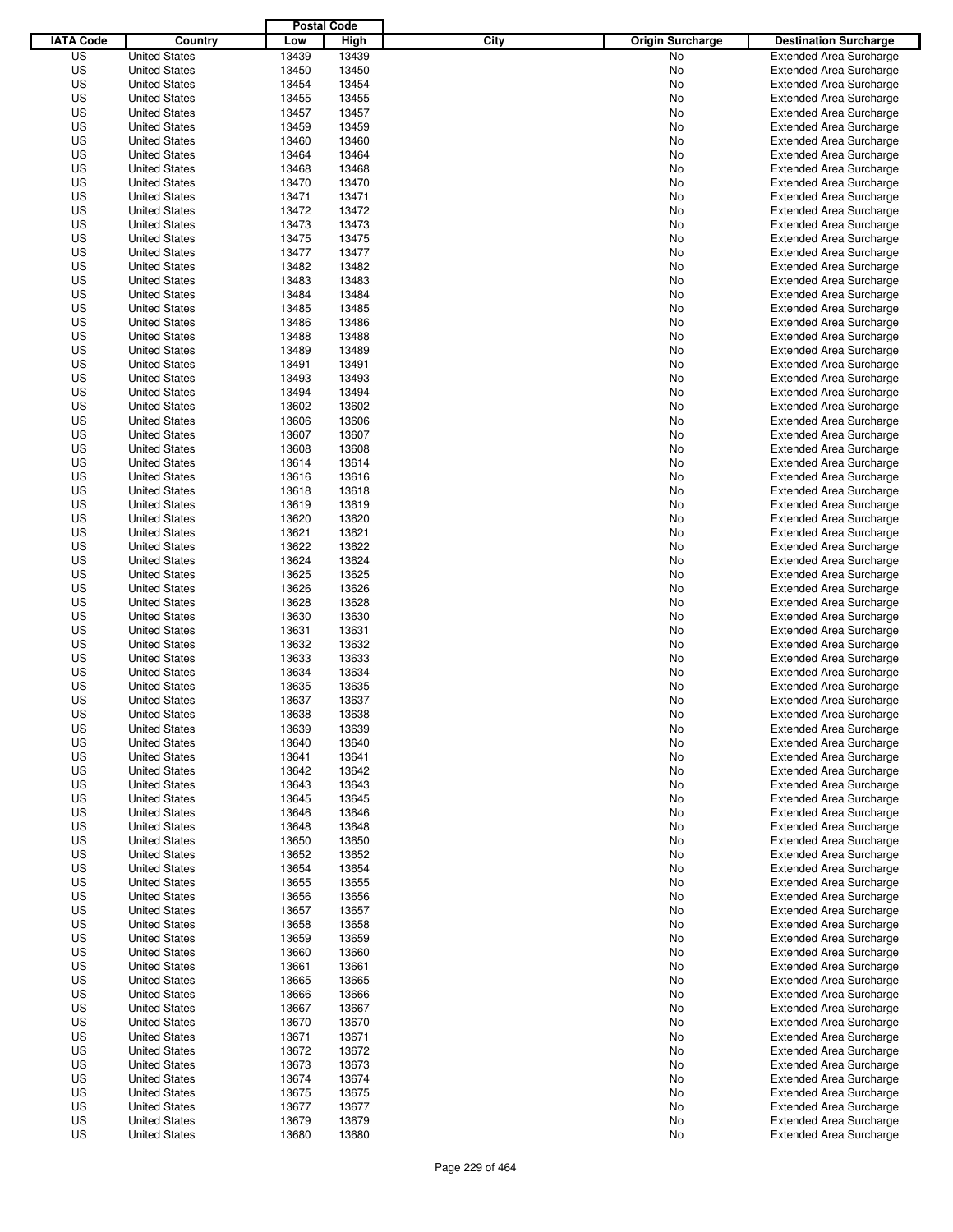|                  |                      | <b>Postal Code</b> |       |                                 |                                                                  |
|------------------|----------------------|--------------------|-------|---------------------------------|------------------------------------------------------------------|
| <b>IATA Code</b> | Country              | Low                | High  | City<br><b>Origin Surcharge</b> | <b>Destination Surcharge</b>                                     |
| US               | <b>United States</b> | 13439              | 13439 | <b>No</b>                       | <b>Extended Area Surcharge</b>                                   |
| US               | <b>United States</b> | 13450              | 13450 | No                              | <b>Extended Area Surcharge</b>                                   |
| US               | <b>United States</b> | 13454              | 13454 | No                              | <b>Extended Area Surcharge</b>                                   |
| US               | <b>United States</b> | 13455              | 13455 | No                              | <b>Extended Area Surcharge</b>                                   |
| US               | <b>United States</b> | 13457              | 13457 | No                              | <b>Extended Area Surcharge</b>                                   |
| US               | <b>United States</b> | 13459              | 13459 | No                              | <b>Extended Area Surcharge</b>                                   |
| US               | <b>United States</b> | 13460              | 13460 | No                              | <b>Extended Area Surcharge</b>                                   |
| US               | <b>United States</b> | 13464              | 13464 | No                              | <b>Extended Area Surcharge</b>                                   |
| US               | <b>United States</b> | 13468              | 13468 | No                              | <b>Extended Area Surcharge</b>                                   |
| US               | <b>United States</b> | 13470              | 13470 | No                              | <b>Extended Area Surcharge</b>                                   |
| US               | <b>United States</b> | 13471              | 13471 | No                              | <b>Extended Area Surcharge</b>                                   |
| US               | <b>United States</b> | 13472              | 13472 | No                              | <b>Extended Area Surcharge</b>                                   |
| US               | <b>United States</b> | 13473              | 13473 | No                              | <b>Extended Area Surcharge</b>                                   |
| US               | <b>United States</b> | 13475              | 13475 | No                              | <b>Extended Area Surcharge</b>                                   |
| US               | <b>United States</b> | 13477              | 13477 | No                              | <b>Extended Area Surcharge</b>                                   |
| US               | <b>United States</b> | 13482              | 13482 | No                              | <b>Extended Area Surcharge</b>                                   |
| US               | <b>United States</b> | 13483              | 13483 | No                              | <b>Extended Area Surcharge</b>                                   |
| US               | <b>United States</b> | 13484              | 13484 | No                              | <b>Extended Area Surcharge</b>                                   |
| US               | <b>United States</b> | 13485              | 13485 | No                              | <b>Extended Area Surcharge</b>                                   |
| US               | <b>United States</b> | 13486              | 13486 | No                              | <b>Extended Area Surcharge</b>                                   |
| US               | <b>United States</b> | 13488              | 13488 | No                              | <b>Extended Area Surcharge</b>                                   |
| US               | <b>United States</b> | 13489              | 13489 | No                              | <b>Extended Area Surcharge</b>                                   |
| US               | <b>United States</b> | 13491              | 13491 | No                              | <b>Extended Area Surcharge</b>                                   |
| US               | <b>United States</b> | 13493              | 13493 | No                              | <b>Extended Area Surcharge</b>                                   |
| US               | <b>United States</b> | 13494              | 13494 | No                              | <b>Extended Area Surcharge</b>                                   |
| US               | <b>United States</b> | 13602              | 13602 | No                              | <b>Extended Area Surcharge</b>                                   |
| US               | <b>United States</b> | 13606              | 13606 | No                              | <b>Extended Area Surcharge</b>                                   |
| US               | <b>United States</b> | 13607              | 13607 | No                              | <b>Extended Area Surcharge</b>                                   |
| US               | <b>United States</b> | 13608              | 13608 | No                              | <b>Extended Area Surcharge</b>                                   |
| US               | <b>United States</b> | 13614              | 13614 | No                              | <b>Extended Area Surcharge</b>                                   |
| US               | <b>United States</b> | 13616              | 13616 | No                              | <b>Extended Area Surcharge</b>                                   |
| US               | <b>United States</b> | 13618              | 13618 |                                 |                                                                  |
| US               | <b>United States</b> | 13619              | 13619 | No                              | <b>Extended Area Surcharge</b><br><b>Extended Area Surcharge</b> |
|                  |                      |                    |       | No                              |                                                                  |
| US               | <b>United States</b> | 13620              | 13620 | No                              | <b>Extended Area Surcharge</b>                                   |
| US               | <b>United States</b> | 13621              | 13621 | No                              | <b>Extended Area Surcharge</b>                                   |
| US               | <b>United States</b> | 13622              | 13622 | No                              | <b>Extended Area Surcharge</b>                                   |
| US               | <b>United States</b> | 13624              | 13624 | No                              | <b>Extended Area Surcharge</b>                                   |
| US               | <b>United States</b> | 13625              | 13625 | No                              | <b>Extended Area Surcharge</b>                                   |
| US               | <b>United States</b> | 13626              | 13626 | No                              | <b>Extended Area Surcharge</b>                                   |
| US               | <b>United States</b> | 13628              | 13628 | No                              | <b>Extended Area Surcharge</b>                                   |
| US               | <b>United States</b> | 13630              | 13630 | No                              | <b>Extended Area Surcharge</b>                                   |
| US               | <b>United States</b> | 13631              | 13631 | No                              | <b>Extended Area Surcharge</b>                                   |
| US               | <b>United States</b> | 13632              | 13632 | No                              | <b>Extended Area Surcharge</b>                                   |
| US               | <b>United States</b> | 13633              | 13633 | No                              | <b>Extended Area Surcharge</b>                                   |
| US               | <b>United States</b> | 13634              | 13634 | No                              | Extended Area Surcharge                                          |
| US               | <b>United States</b> | 13635              | 13635 | No                              | <b>Extended Area Surcharge</b>                                   |
| US               | <b>United States</b> | 13637              | 13637 | No                              | <b>Extended Area Surcharge</b>                                   |
| US               | <b>United States</b> | 13638              | 13638 | No                              | <b>Extended Area Surcharge</b>                                   |
| US               | <b>United States</b> | 13639              | 13639 | No                              | <b>Extended Area Surcharge</b>                                   |
| US               | <b>United States</b> | 13640              | 13640 | No                              | <b>Extended Area Surcharge</b>                                   |
| US               | <b>United States</b> | 13641              | 13641 | No                              | <b>Extended Area Surcharge</b>                                   |
| US               | <b>United States</b> | 13642              | 13642 | No                              | <b>Extended Area Surcharge</b>                                   |
| US               | <b>United States</b> | 13643              | 13643 | No                              | <b>Extended Area Surcharge</b>                                   |
| US               | <b>United States</b> | 13645              | 13645 | No                              | <b>Extended Area Surcharge</b>                                   |
| US               | <b>United States</b> | 13646              | 13646 | No                              | <b>Extended Area Surcharge</b>                                   |
| US               | <b>United States</b> | 13648              | 13648 | No                              | <b>Extended Area Surcharge</b>                                   |
| US               | <b>United States</b> | 13650              | 13650 | No                              | <b>Extended Area Surcharge</b>                                   |
| US               | <b>United States</b> | 13652              | 13652 | No                              | <b>Extended Area Surcharge</b>                                   |
| US               | <b>United States</b> | 13654              | 13654 | No                              | <b>Extended Area Surcharge</b>                                   |
| US               | <b>United States</b> | 13655              | 13655 | No                              | <b>Extended Area Surcharge</b>                                   |
| US               | <b>United States</b> | 13656              | 13656 | No                              | <b>Extended Area Surcharge</b>                                   |
| US               | <b>United States</b> | 13657              | 13657 | No                              | <b>Extended Area Surcharge</b>                                   |
| US               | <b>United States</b> | 13658              | 13658 | No                              | <b>Extended Area Surcharge</b>                                   |
| US               | <b>United States</b> | 13659              | 13659 | No                              | <b>Extended Area Surcharge</b>                                   |
| US               | <b>United States</b> | 13660              | 13660 | No                              | <b>Extended Area Surcharge</b>                                   |
| US               | <b>United States</b> | 13661              | 13661 | No                              | <b>Extended Area Surcharge</b>                                   |
| US               | <b>United States</b> | 13665              | 13665 | No                              | <b>Extended Area Surcharge</b>                                   |
| US               | <b>United States</b> | 13666              | 13666 | No                              | <b>Extended Area Surcharge</b>                                   |
| US               | <b>United States</b> | 13667              | 13667 | No                              | <b>Extended Area Surcharge</b>                                   |
| US               | <b>United States</b> | 13670              | 13670 | No                              | <b>Extended Area Surcharge</b>                                   |
| US               | <b>United States</b> | 13671              | 13671 | No                              | <b>Extended Area Surcharge</b>                                   |
| US               | <b>United States</b> | 13672              | 13672 | No                              | <b>Extended Area Surcharge</b>                                   |
| US               | <b>United States</b> | 13673              | 13673 | No                              | <b>Extended Area Surcharge</b>                                   |
| US               | <b>United States</b> | 13674              | 13674 | No                              | <b>Extended Area Surcharge</b>                                   |
| US               | <b>United States</b> | 13675              | 13675 | No                              | <b>Extended Area Surcharge</b>                                   |
| US               | <b>United States</b> | 13677              | 13677 | No                              | <b>Extended Area Surcharge</b>                                   |
| US               | <b>United States</b> | 13679              | 13679 | No                              | <b>Extended Area Surcharge</b>                                   |
| US               | <b>United States</b> | 13680              | 13680 | No                              | <b>Extended Area Surcharge</b>                                   |
|                  |                      |                    |       |                                 |                                                                  |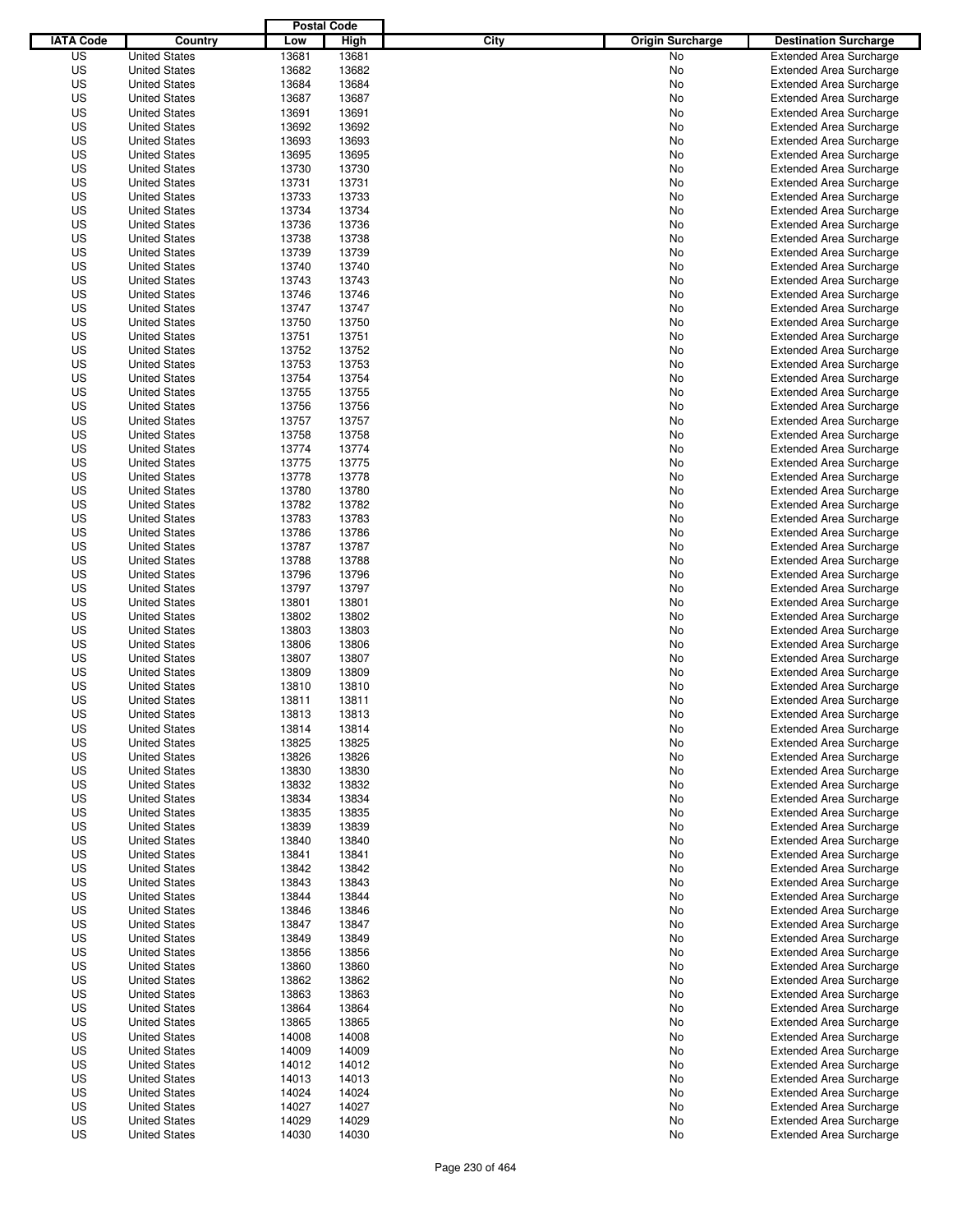|                  |                      | <b>Postal Code</b> |       |                                 |                                |
|------------------|----------------------|--------------------|-------|---------------------------------|--------------------------------|
| <b>IATA Code</b> | Country              | Low                | High  | City<br><b>Origin Surcharge</b> | <b>Destination Surcharge</b>   |
| US               | <b>United States</b> | 13681              | 13681 | <b>No</b>                       | <b>Extended Area Surcharge</b> |
| US               | <b>United States</b> | 13682              | 13682 | No                              | <b>Extended Area Surcharge</b> |
| US               | <b>United States</b> | 13684              | 13684 | No                              | <b>Extended Area Surcharge</b> |
| US               | <b>United States</b> | 13687              | 13687 | No                              | <b>Extended Area Surcharge</b> |
| US               | <b>United States</b> | 13691              | 13691 | No                              | <b>Extended Area Surcharge</b> |
| US               | <b>United States</b> | 13692              | 13692 | No                              | <b>Extended Area Surcharge</b> |
| US               | <b>United States</b> | 13693              | 13693 | No                              | <b>Extended Area Surcharge</b> |
| US               | <b>United States</b> | 13695              | 13695 | No                              | <b>Extended Area Surcharge</b> |
| US               | <b>United States</b> | 13730              | 13730 | No                              | <b>Extended Area Surcharge</b> |
| US               | <b>United States</b> | 13731              | 13731 | No                              | <b>Extended Area Surcharge</b> |
| US               | <b>United States</b> | 13733              | 13733 | No                              | <b>Extended Area Surcharge</b> |
| US               | <b>United States</b> | 13734              | 13734 | No                              | <b>Extended Area Surcharge</b> |
| US               | <b>United States</b> | 13736              | 13736 | No                              | <b>Extended Area Surcharge</b> |
| US               | <b>United States</b> | 13738              | 13738 | No                              | <b>Extended Area Surcharge</b> |
| US               | <b>United States</b> | 13739              | 13739 | No                              | <b>Extended Area Surcharge</b> |
| US               | <b>United States</b> | 13740              | 13740 | No                              | <b>Extended Area Surcharge</b> |
| US               | <b>United States</b> | 13743              | 13743 | No                              | <b>Extended Area Surcharge</b> |
| US               | <b>United States</b> | 13746              | 13746 | No                              | <b>Extended Area Surcharge</b> |
| US               | <b>United States</b> | 13747              | 13747 | No                              | <b>Extended Area Surcharge</b> |
| US               | <b>United States</b> | 13750              | 13750 | No                              | <b>Extended Area Surcharge</b> |
| US               | <b>United States</b> | 13751              | 13751 | No                              | <b>Extended Area Surcharge</b> |
| US               | <b>United States</b> | 13752              | 13752 | No                              | <b>Extended Area Surcharge</b> |
| US               | <b>United States</b> | 13753              | 13753 | No                              | <b>Extended Area Surcharge</b> |
| US               | <b>United States</b> | 13754              | 13754 | No                              | <b>Extended Area Surcharge</b> |
| US               | <b>United States</b> | 13755              | 13755 | No                              | <b>Extended Area Surcharge</b> |
| US               | <b>United States</b> | 13756              | 13756 | No                              | <b>Extended Area Surcharge</b> |
| US               | <b>United States</b> | 13757              | 13757 | No                              | <b>Extended Area Surcharge</b> |
| US               | <b>United States</b> | 13758              | 13758 | No                              | <b>Extended Area Surcharge</b> |
| US               | <b>United States</b> | 13774              | 13774 | No                              | <b>Extended Area Surcharge</b> |
| US               | <b>United States</b> | 13775              | 13775 | No                              | <b>Extended Area Surcharge</b> |
| US               | <b>United States</b> | 13778              | 13778 | No                              | <b>Extended Area Surcharge</b> |
| US               | <b>United States</b> | 13780              | 13780 | No                              | <b>Extended Area Surcharge</b> |
| US               | <b>United States</b> | 13782              | 13782 | No                              | <b>Extended Area Surcharge</b> |
| US               | <b>United States</b> | 13783              | 13783 | No                              | <b>Extended Area Surcharge</b> |
| US               | <b>United States</b> | 13786              | 13786 | No                              | <b>Extended Area Surcharge</b> |
| US               | <b>United States</b> | 13787              | 13787 | No                              | <b>Extended Area Surcharge</b> |
| US               | <b>United States</b> | 13788              | 13788 | No                              | <b>Extended Area Surcharge</b> |
| US               | <b>United States</b> | 13796              | 13796 | No                              | <b>Extended Area Surcharge</b> |
| US               | <b>United States</b> | 13797              | 13797 | No                              | <b>Extended Area Surcharge</b> |
| US               | <b>United States</b> | 13801              | 13801 | No                              | <b>Extended Area Surcharge</b> |
| US               | <b>United States</b> | 13802              | 13802 | No                              | <b>Extended Area Surcharge</b> |
| US               | <b>United States</b> | 13803              | 13803 | No                              | <b>Extended Area Surcharge</b> |
| US               | <b>United States</b> | 13806              | 13806 | No                              | <b>Extended Area Surcharge</b> |
| US               | <b>United States</b> | 13807              | 13807 | No                              | <b>Extended Area Surcharge</b> |
| US               | <b>United States</b> | 13809              | 13809 | No                              | Extended Area Surcharge        |
| US               | <b>United States</b> | 13810              | 13810 | No                              | <b>Extended Area Surcharge</b> |
| US               | <b>United States</b> | 13811              | 13811 | No                              | <b>Extended Area Surcharge</b> |
| US               | <b>United States</b> | 13813              | 13813 | No                              | <b>Extended Area Surcharge</b> |
| US               | <b>United States</b> | 13814              | 13814 | No                              | <b>Extended Area Surcharge</b> |
| US               | <b>United States</b> | 13825              | 13825 | No                              | <b>Extended Area Surcharge</b> |
| US               | <b>United States</b> | 13826              | 13826 | No                              | <b>Extended Area Surcharge</b> |
| US               | <b>United States</b> | 13830              | 13830 | No                              | <b>Extended Area Surcharge</b> |
| US               | <b>United States</b> | 13832              | 13832 | No                              | <b>Extended Area Surcharge</b> |
| US               | <b>United States</b> | 13834              | 13834 | No                              | <b>Extended Area Surcharge</b> |
| US               | <b>United States</b> | 13835              | 13835 | No                              | <b>Extended Area Surcharge</b> |
| US               | <b>United States</b> | 13839              | 13839 | No                              | <b>Extended Area Surcharge</b> |
| US               | <b>United States</b> | 13840              | 13840 | No                              | <b>Extended Area Surcharge</b> |
| US               | <b>United States</b> | 13841              | 13841 | No                              | <b>Extended Area Surcharge</b> |
| US               | <b>United States</b> | 13842              | 13842 | No                              | <b>Extended Area Surcharge</b> |
| US               | <b>United States</b> | 13843              | 13843 | No                              | <b>Extended Area Surcharge</b> |
| US               | <b>United States</b> | 13844              | 13844 | No                              | <b>Extended Area Surcharge</b> |
| US               | <b>United States</b> | 13846              | 13846 | No                              | <b>Extended Area Surcharge</b> |
| US               | <b>United States</b> | 13847              | 13847 | No                              | <b>Extended Area Surcharge</b> |
| US               | <b>United States</b> | 13849              | 13849 | No                              | <b>Extended Area Surcharge</b> |
| US               | <b>United States</b> | 13856              | 13856 | No                              | <b>Extended Area Surcharge</b> |
| US               | <b>United States</b> | 13860              | 13860 | No                              | <b>Extended Area Surcharge</b> |
| US               | <b>United States</b> | 13862              | 13862 | No                              | <b>Extended Area Surcharge</b> |
| US               | <b>United States</b> | 13863              | 13863 | No                              | <b>Extended Area Surcharge</b> |
| US               | <b>United States</b> | 13864              | 13864 | No                              | <b>Extended Area Surcharge</b> |
| US               | <b>United States</b> | 13865              | 13865 | No                              | <b>Extended Area Surcharge</b> |
| US               | <b>United States</b> | 14008              | 14008 | No                              | <b>Extended Area Surcharge</b> |
| US               | <b>United States</b> | 14009              | 14009 | No                              | <b>Extended Area Surcharge</b> |
| US               | <b>United States</b> | 14012              | 14012 | No                              | <b>Extended Area Surcharge</b> |
| US               | <b>United States</b> | 14013              | 14013 | No                              | <b>Extended Area Surcharge</b> |
| US               | <b>United States</b> | 14024              | 14024 | No                              | <b>Extended Area Surcharge</b> |
| US               | <b>United States</b> | 14027              | 14027 | No                              | <b>Extended Area Surcharge</b> |
| US               | <b>United States</b> | 14029              | 14029 | No                              | <b>Extended Area Surcharge</b> |
| US               | <b>United States</b> | 14030              | 14030 | No                              | <b>Extended Area Surcharge</b> |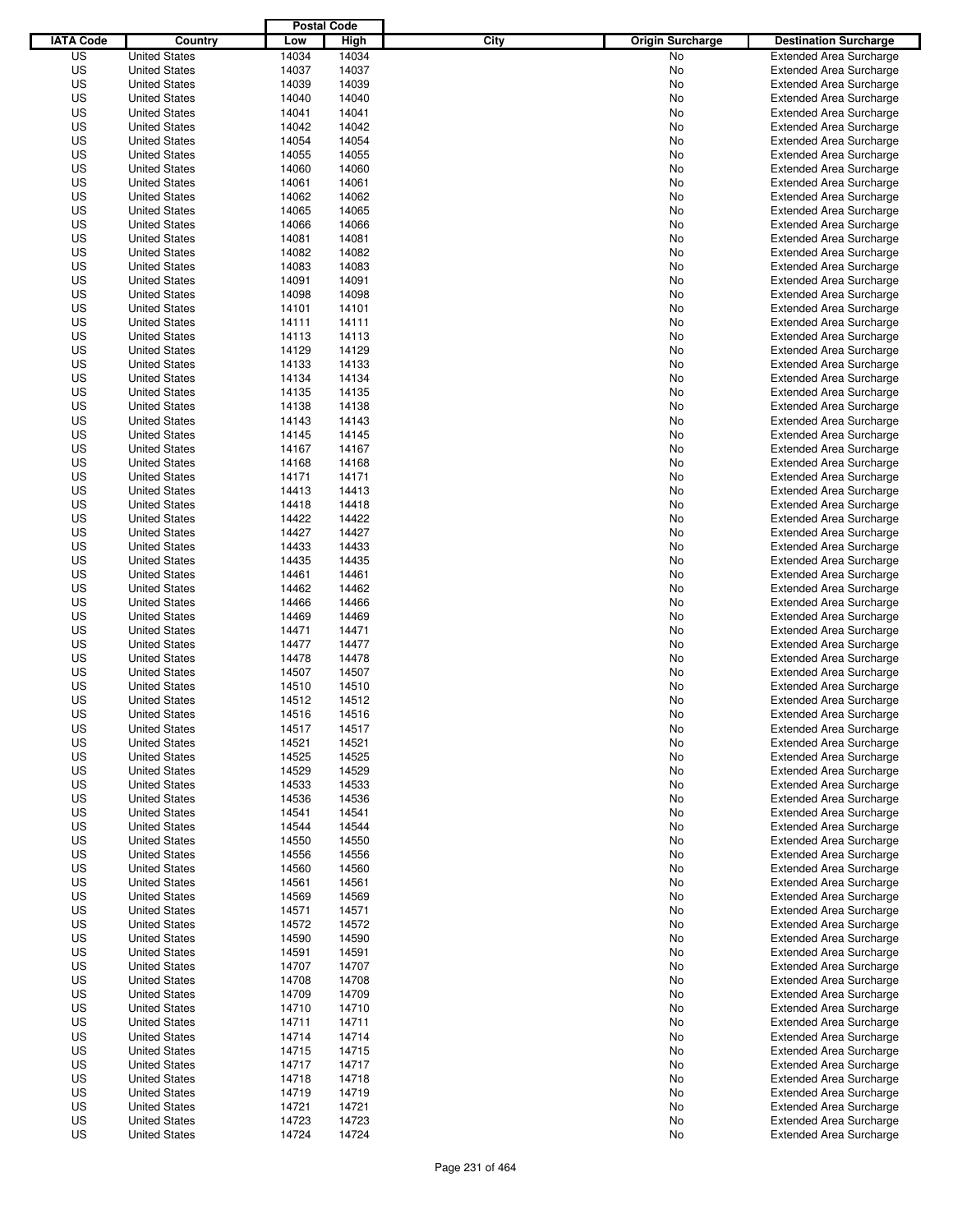|                  |                      | <b>Postal Code</b> |       |                                 |                                |
|------------------|----------------------|--------------------|-------|---------------------------------|--------------------------------|
| <b>IATA Code</b> | Country              | Low                | High  | City<br><b>Origin Surcharge</b> | <b>Destination Surcharge</b>   |
| US               | <b>United States</b> | 14034              | 14034 | <b>No</b>                       | <b>Extended Area Surcharge</b> |
| US               | <b>United States</b> | 14037              | 14037 | No                              | <b>Extended Area Surcharge</b> |
| US               | <b>United States</b> | 14039              | 14039 | No                              | <b>Extended Area Surcharge</b> |
| US               | <b>United States</b> | 14040              | 14040 | No                              | <b>Extended Area Surcharge</b> |
| US               | <b>United States</b> | 14041              | 14041 | No                              | <b>Extended Area Surcharge</b> |
| US               | <b>United States</b> | 14042              | 14042 | No                              | <b>Extended Area Surcharge</b> |
| US               | <b>United States</b> | 14054              | 14054 | No                              | <b>Extended Area Surcharge</b> |
| US               | <b>United States</b> | 14055              | 14055 | No                              | <b>Extended Area Surcharge</b> |
| US               | <b>United States</b> | 14060              | 14060 | No                              | <b>Extended Area Surcharge</b> |
| US               | <b>United States</b> | 14061              | 14061 | No                              | <b>Extended Area Surcharge</b> |
| US               | <b>United States</b> | 14062              | 14062 | No                              | <b>Extended Area Surcharge</b> |
| US               | <b>United States</b> | 14065              | 14065 | No                              | <b>Extended Area Surcharge</b> |
| US               | <b>United States</b> | 14066              | 14066 | No                              | <b>Extended Area Surcharge</b> |
| US               | <b>United States</b> | 14081              | 14081 | No                              | <b>Extended Area Surcharge</b> |
| US               | <b>United States</b> | 14082              | 14082 | No                              | <b>Extended Area Surcharge</b> |
| US               | <b>United States</b> | 14083              | 14083 | No                              | <b>Extended Area Surcharge</b> |
| US               | <b>United States</b> | 14091              | 14091 | No                              | <b>Extended Area Surcharge</b> |
| US               | <b>United States</b> | 14098              | 14098 | No                              | <b>Extended Area Surcharge</b> |
| US               | <b>United States</b> | 14101              | 14101 | No                              | <b>Extended Area Surcharge</b> |
| US               | <b>United States</b> | 14111              | 14111 | No                              | <b>Extended Area Surcharge</b> |
| US               | <b>United States</b> | 14113              | 14113 | No                              | <b>Extended Area Surcharge</b> |
| US               | <b>United States</b> | 14129              | 14129 | No                              | <b>Extended Area Surcharge</b> |
| US               | <b>United States</b> | 14133              | 14133 | No                              | <b>Extended Area Surcharge</b> |
| US               | <b>United States</b> | 14134              | 14134 | No                              | <b>Extended Area Surcharge</b> |
| US               | <b>United States</b> | 14135              | 14135 | No                              | <b>Extended Area Surcharge</b> |
| US               | <b>United States</b> | 14138              | 14138 | No                              | <b>Extended Area Surcharge</b> |
| US               | <b>United States</b> | 14143              | 14143 | No                              | <b>Extended Area Surcharge</b> |
| US               | <b>United States</b> | 14145              | 14145 | No                              | <b>Extended Area Surcharge</b> |
| US               | <b>United States</b> | 14167              | 14167 | No                              | <b>Extended Area Surcharge</b> |
| US               | <b>United States</b> | 14168              | 14168 | No                              | <b>Extended Area Surcharge</b> |
| US               | <b>United States</b> | 14171              | 14171 | No                              | <b>Extended Area Surcharge</b> |
| US               | <b>United States</b> | 14413              | 14413 | No                              | <b>Extended Area Surcharge</b> |
| US               | <b>United States</b> | 14418              | 14418 | No                              | <b>Extended Area Surcharge</b> |
| US               | <b>United States</b> | 14422              | 14422 | No                              | <b>Extended Area Surcharge</b> |
| US               | <b>United States</b> | 14427              | 14427 | No                              | <b>Extended Area Surcharge</b> |
| US               | <b>United States</b> | 14433              | 14433 | No                              | <b>Extended Area Surcharge</b> |
| US               | <b>United States</b> | 14435              | 14435 | No                              | <b>Extended Area Surcharge</b> |
| US               | <b>United States</b> | 14461              | 14461 | No                              | <b>Extended Area Surcharge</b> |
| US               | <b>United States</b> | 14462              | 14462 | No                              | <b>Extended Area Surcharge</b> |
| US               | <b>United States</b> | 14466              | 14466 | No                              | <b>Extended Area Surcharge</b> |
| US               | <b>United States</b> | 14469              | 14469 | No                              | <b>Extended Area Surcharge</b> |
| US               | <b>United States</b> | 14471              | 14471 | No                              | <b>Extended Area Surcharge</b> |
| US               | <b>United States</b> | 14477              | 14477 | No                              | <b>Extended Area Surcharge</b> |
| US               | <b>United States</b> | 14478              | 14478 | No                              | <b>Extended Area Surcharge</b> |
| US               | <b>United States</b> | 14507              | 14507 | No                              | Extended Area Surcharge        |
| US               | <b>United States</b> | 14510              | 14510 | No                              | <b>Extended Area Surcharge</b> |
| US               | <b>United States</b> | 14512              | 14512 | No                              | <b>Extended Area Surcharge</b> |
| US               | <b>United States</b> | 14516              | 14516 | No                              | <b>Extended Area Surcharge</b> |
| US               | <b>United States</b> | 14517              | 14517 | No                              | <b>Extended Area Surcharge</b> |
| US               | <b>United States</b> | 14521              | 14521 | No                              | <b>Extended Area Surcharge</b> |
| US               | <b>United States</b> | 14525              | 14525 | No                              | <b>Extended Area Surcharge</b> |
| US               | <b>United States</b> | 14529              | 14529 | No                              | <b>Extended Area Surcharge</b> |
| US               | <b>United States</b> | 14533              | 14533 | No                              | <b>Extended Area Surcharge</b> |
| US               | <b>United States</b> | 14536              | 14536 | No                              | <b>Extended Area Surcharge</b> |
| US               | <b>United States</b> | 14541              | 14541 | No                              | <b>Extended Area Surcharge</b> |
| US               | <b>United States</b> | 14544              | 14544 | No                              | <b>Extended Area Surcharge</b> |
| US               | <b>United States</b> | 14550              | 14550 | No                              | <b>Extended Area Surcharge</b> |
| US               | <b>United States</b> | 14556              | 14556 | No                              | <b>Extended Area Surcharge</b> |
| US               | <b>United States</b> | 14560              | 14560 | No                              | <b>Extended Area Surcharge</b> |
| US               | <b>United States</b> | 14561              | 14561 | No                              | <b>Extended Area Surcharge</b> |
| US               | <b>United States</b> | 14569              | 14569 | No                              | <b>Extended Area Surcharge</b> |
| US               | <b>United States</b> | 14571              | 14571 | No                              | <b>Extended Area Surcharge</b> |
| US               | <b>United States</b> | 14572              | 14572 | No                              | <b>Extended Area Surcharge</b> |
| US               | <b>United States</b> | 14590              | 14590 | No                              | <b>Extended Area Surcharge</b> |
| US               | <b>United States</b> | 14591              | 14591 | No                              | <b>Extended Area Surcharge</b> |
| US               | <b>United States</b> | 14707              | 14707 | No                              | <b>Extended Area Surcharge</b> |
| US               | <b>United States</b> | 14708              | 14708 | No                              | <b>Extended Area Surcharge</b> |
| US               | <b>United States</b> | 14709              | 14709 | No                              | <b>Extended Area Surcharge</b> |
| US               | <b>United States</b> | 14710              | 14710 | No                              | <b>Extended Area Surcharge</b> |
| US               | <b>United States</b> | 14711              | 14711 | No                              | Extended Area Surcharge        |
| US               | <b>United States</b> | 14714              | 14714 | No                              | <b>Extended Area Surcharge</b> |
| US               | <b>United States</b> | 14715              | 14715 | No                              | <b>Extended Area Surcharge</b> |
| US               | <b>United States</b> | 14717              | 14717 | No                              | <b>Extended Area Surcharge</b> |
| US               | <b>United States</b> | 14718              | 14718 | No                              | <b>Extended Area Surcharge</b> |
| US               | <b>United States</b> | 14719              | 14719 | No                              | <b>Extended Area Surcharge</b> |
| US               | <b>United States</b> | 14721              | 14721 | No                              | <b>Extended Area Surcharge</b> |
| US               | <b>United States</b> | 14723              | 14723 | No                              | <b>Extended Area Surcharge</b> |
| US               | <b>United States</b> | 14724              | 14724 | No                              | <b>Extended Area Surcharge</b> |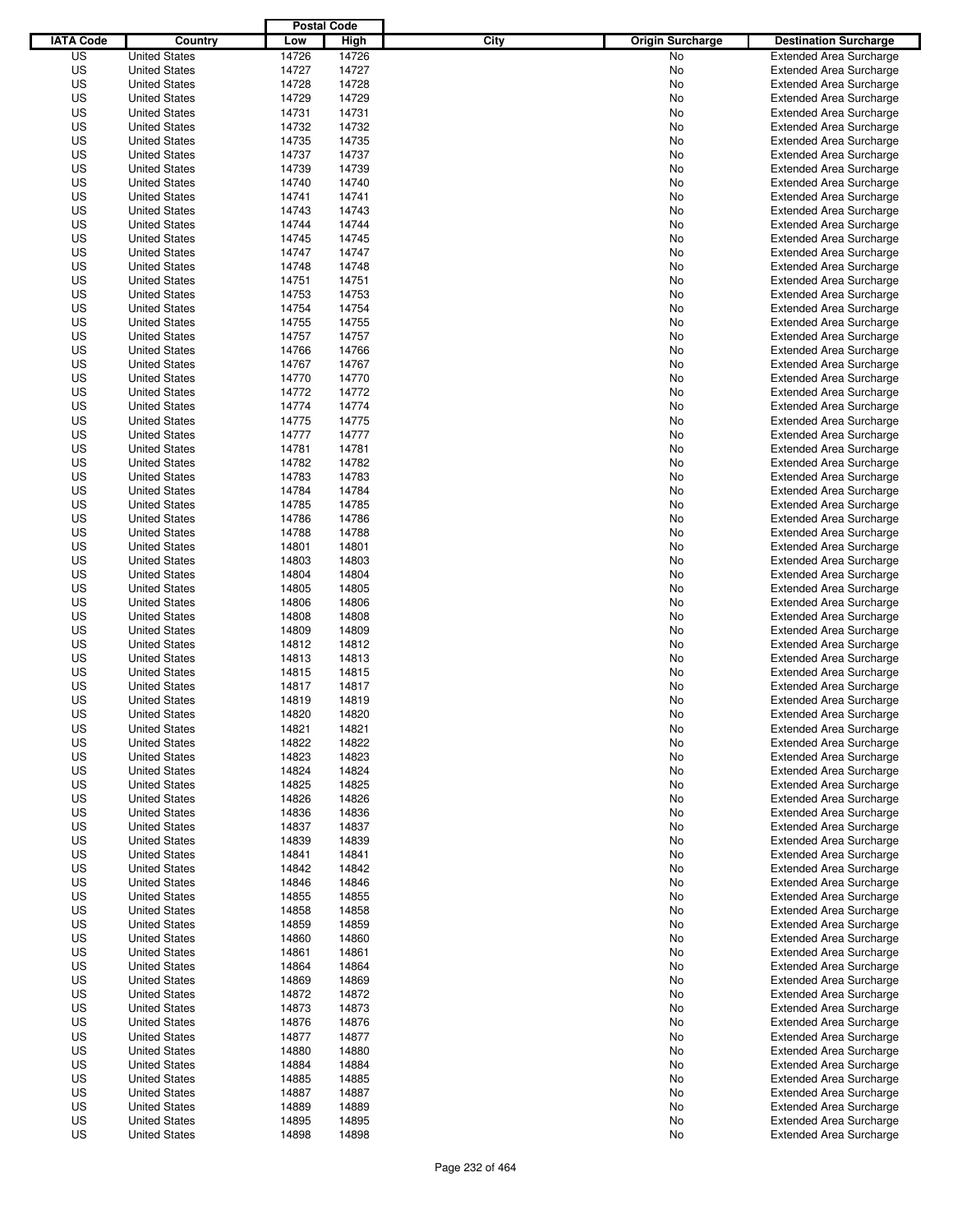|                  |                                              | <b>Postal Code</b> |       |                                 |                                |
|------------------|----------------------------------------------|--------------------|-------|---------------------------------|--------------------------------|
| <b>IATA Code</b> | Country                                      | Low                | High  | City<br><b>Origin Surcharge</b> | <b>Destination Surcharge</b>   |
| US               | <b>United States</b>                         | 14726              | 14726 | <b>No</b>                       | <b>Extended Area Surcharge</b> |
| US               | <b>United States</b>                         | 14727              | 14727 | No                              | <b>Extended Area Surcharge</b> |
| US               | <b>United States</b>                         | 14728              | 14728 | No                              | <b>Extended Area Surcharge</b> |
| US               | <b>United States</b>                         | 14729              | 14729 | No                              | <b>Extended Area Surcharge</b> |
| US               | <b>United States</b>                         | 14731              | 14731 | No                              | <b>Extended Area Surcharge</b> |
| US               | <b>United States</b>                         | 14732              | 14732 | No                              | <b>Extended Area Surcharge</b> |
| US               | <b>United States</b>                         | 14735              | 14735 | No                              | <b>Extended Area Surcharge</b> |
| US               | <b>United States</b>                         | 14737              | 14737 | No                              | <b>Extended Area Surcharge</b> |
| US               | <b>United States</b>                         | 14739              | 14739 | No                              | <b>Extended Area Surcharge</b> |
| US               | <b>United States</b>                         | 14740              | 14740 | No                              | <b>Extended Area Surcharge</b> |
| US               | <b>United States</b>                         | 14741              | 14741 | No                              | <b>Extended Area Surcharge</b> |
| US               | <b>United States</b>                         | 14743              | 14743 | No                              | <b>Extended Area Surcharge</b> |
| US               | <b>United States</b>                         | 14744              | 14744 | No                              | <b>Extended Area Surcharge</b> |
| US               | <b>United States</b>                         | 14745              | 14745 | No                              | <b>Extended Area Surcharge</b> |
| US               | <b>United States</b>                         | 14747              | 14747 | No                              | <b>Extended Area Surcharge</b> |
| US               | <b>United States</b>                         | 14748              | 14748 | No                              | <b>Extended Area Surcharge</b> |
| US               | <b>United States</b>                         | 14751              | 14751 | No                              | <b>Extended Area Surcharge</b> |
| US               | <b>United States</b>                         | 14753              | 14753 | No                              | <b>Extended Area Surcharge</b> |
| US               | <b>United States</b>                         | 14754              | 14754 | No                              | <b>Extended Area Surcharge</b> |
| US               | <b>United States</b>                         | 14755              | 14755 | No                              | <b>Extended Area Surcharge</b> |
| US               | <b>United States</b>                         | 14757              | 14757 | No                              | <b>Extended Area Surcharge</b> |
| US               | <b>United States</b>                         | 14766              | 14766 | No                              | <b>Extended Area Surcharge</b> |
| US               | <b>United States</b>                         | 14767              | 14767 | No                              | <b>Extended Area Surcharge</b> |
| US               | <b>United States</b>                         | 14770              | 14770 | No                              | <b>Extended Area Surcharge</b> |
| US               | <b>United States</b>                         | 14772              | 14772 | No                              | <b>Extended Area Surcharge</b> |
| US               | <b>United States</b>                         | 14774              | 14774 | No                              | <b>Extended Area Surcharge</b> |
| US               | <b>United States</b>                         | 14775              | 14775 | No                              | <b>Extended Area Surcharge</b> |
| US               | <b>United States</b>                         | 14777              | 14777 | No                              | <b>Extended Area Surcharge</b> |
| US               | <b>United States</b>                         | 14781              | 14781 | No                              | <b>Extended Area Surcharge</b> |
| US               | <b>United States</b>                         | 14782              | 14782 | No                              | <b>Extended Area Surcharge</b> |
| US               | <b>United States</b>                         | 14783              | 14783 | No                              | <b>Extended Area Surcharge</b> |
| US               | <b>United States</b>                         | 14784              | 14784 | No                              | <b>Extended Area Surcharge</b> |
| US               | <b>United States</b>                         | 14785              | 14785 | No                              | <b>Extended Area Surcharge</b> |
| US               | <b>United States</b>                         | 14786              | 14786 | No                              | <b>Extended Area Surcharge</b> |
| US               |                                              | 14788              | 14788 |                                 |                                |
|                  | <b>United States</b>                         |                    |       | No                              | <b>Extended Area Surcharge</b> |
| US               | <b>United States</b><br><b>United States</b> | 14801              | 14801 | No                              | <b>Extended Area Surcharge</b> |
| US               |                                              | 14803              | 14803 | No                              | <b>Extended Area Surcharge</b> |
| US               | <b>United States</b>                         | 14804              | 14804 | No                              | <b>Extended Area Surcharge</b> |
| US               | <b>United States</b>                         | 14805              | 14805 | No                              | <b>Extended Area Surcharge</b> |
| US               | <b>United States</b>                         | 14806              | 14806 | No                              | <b>Extended Area Surcharge</b> |
| US               | <b>United States</b>                         | 14808              | 14808 | No                              | <b>Extended Area Surcharge</b> |
| US               | <b>United States</b>                         | 14809              | 14809 | No                              | <b>Extended Area Surcharge</b> |
| US               | <b>United States</b>                         | 14812              | 14812 | No                              | <b>Extended Area Surcharge</b> |
| US               | <b>United States</b>                         | 14813              | 14813 | No                              | <b>Extended Area Surcharge</b> |
| US               | <b>United States</b>                         | 14815              | 14815 | No                              | Extended Area Surcharge        |
| US               | <b>United States</b>                         | 14817              | 14817 | No                              | <b>Extended Area Surcharge</b> |
| US               | <b>United States</b>                         | 14819              | 14819 | No                              | <b>Extended Area Surcharge</b> |
| US               | <b>United States</b>                         | 14820              | 14820 | No                              | <b>Extended Area Surcharge</b> |
| US               | <b>United States</b>                         | 14821              | 14821 | No                              | <b>Extended Area Surcharge</b> |
| US               | <b>United States</b>                         | 14822              | 14822 | No                              | <b>Extended Area Surcharge</b> |
| US               | <b>United States</b>                         | 14823              | 14823 | No                              | <b>Extended Area Surcharge</b> |
| US               | <b>United States</b>                         | 14824              | 14824 | No                              | <b>Extended Area Surcharge</b> |
| US               | <b>United States</b>                         | 14825              | 14825 | No                              | <b>Extended Area Surcharge</b> |
| US               | <b>United States</b>                         | 14826              | 14826 | No                              | <b>Extended Area Surcharge</b> |
| US               | <b>United States</b>                         | 14836              | 14836 | No                              | <b>Extended Area Surcharge</b> |
| US               | <b>United States</b>                         | 14837              | 14837 | No                              | <b>Extended Area Surcharge</b> |
| US               | <b>United States</b>                         | 14839              | 14839 | No                              | <b>Extended Area Surcharge</b> |
| US               | <b>United States</b>                         | 14841              | 14841 | No                              | <b>Extended Area Surcharge</b> |
| US               | <b>United States</b>                         | 14842              | 14842 | No                              | <b>Extended Area Surcharge</b> |
| US               | <b>United States</b>                         | 14846              | 14846 | No                              | <b>Extended Area Surcharge</b> |
| US               | <b>United States</b>                         | 14855              | 14855 | No                              | <b>Extended Area Surcharge</b> |
| US               | <b>United States</b>                         | 14858              | 14858 | No                              | <b>Extended Area Surcharge</b> |
| US               | <b>United States</b>                         | 14859              | 14859 | No                              | <b>Extended Area Surcharge</b> |
| US               | <b>United States</b>                         | 14860              | 14860 | No                              | <b>Extended Area Surcharge</b> |
| US               | <b>United States</b>                         | 14861              | 14861 | No                              | <b>Extended Area Surcharge</b> |
| US               | <b>United States</b>                         | 14864              | 14864 | No                              | <b>Extended Area Surcharge</b> |
| US               | <b>United States</b>                         | 14869              | 14869 | No                              | <b>Extended Area Surcharge</b> |
| US               | <b>United States</b>                         | 14872              | 14872 | No                              | <b>Extended Area Surcharge</b> |
| US               | <b>United States</b>                         | 14873              | 14873 | No                              | <b>Extended Area Surcharge</b> |
| US               | <b>United States</b>                         | 14876              | 14876 | No                              | <b>Extended Area Surcharge</b> |
| US               | <b>United States</b>                         | 14877              | 14877 | No                              | <b>Extended Area Surcharge</b> |
| US               | <b>United States</b>                         | 14880              | 14880 | No                              | <b>Extended Area Surcharge</b> |
| US               | <b>United States</b>                         | 14884              | 14884 | No                              | <b>Extended Area Surcharge</b> |
| US               | <b>United States</b>                         | 14885              | 14885 | No                              | <b>Extended Area Surcharge</b> |
| US               | <b>United States</b>                         | 14887              | 14887 | No                              | <b>Extended Area Surcharge</b> |
| US               | <b>United States</b>                         | 14889              | 14889 | No                              | <b>Extended Area Surcharge</b> |
| US               | <b>United States</b>                         | 14895              | 14895 | No                              | <b>Extended Area Surcharge</b> |
| US               | <b>United States</b>                         | 14898              | 14898 | No                              | <b>Extended Area Surcharge</b> |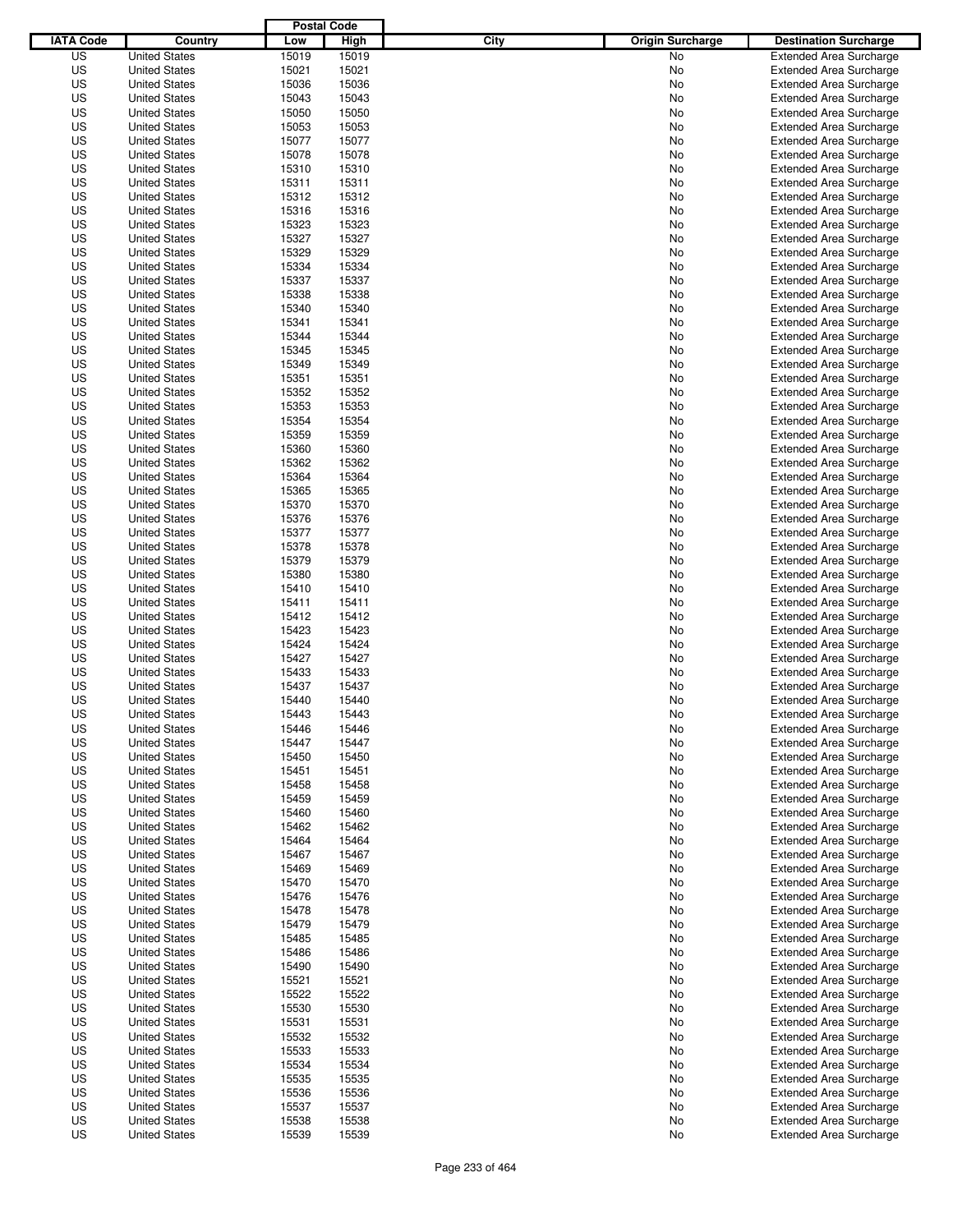|                  |                      | <b>Postal Code</b> |                |                                 |                                |
|------------------|----------------------|--------------------|----------------|---------------------------------|--------------------------------|
| <b>IATA Code</b> | Country              | Low                | High           | City<br><b>Origin Surcharge</b> | <b>Destination Surcharge</b>   |
| US               | <b>United States</b> | 15019              | 15019          | <b>No</b>                       | <b>Extended Area Surcharge</b> |
| US               | <b>United States</b> | 15021              | 15021          | No                              | <b>Extended Area Surcharge</b> |
| US               | <b>United States</b> | 15036              | 15036          | No                              | <b>Extended Area Surcharge</b> |
| US               | <b>United States</b> | 15043              | 15043          | No                              | <b>Extended Area Surcharge</b> |
| US               | <b>United States</b> | 15050              | 15050          | No                              | <b>Extended Area Surcharge</b> |
| US               | <b>United States</b> | 15053              | 15053          | No                              | <b>Extended Area Surcharge</b> |
| US               | <b>United States</b> | 15077              | 15077          | No                              | <b>Extended Area Surcharge</b> |
| US               | <b>United States</b> | 15078              | 15078          | No                              | <b>Extended Area Surcharge</b> |
| US               | <b>United States</b> | 15310              | 15310          | No                              | <b>Extended Area Surcharge</b> |
| US               | <b>United States</b> | 15311              | 15311          | No                              | <b>Extended Area Surcharge</b> |
| US               | <b>United States</b> | 15312              | 15312          | No                              | <b>Extended Area Surcharge</b> |
| US               | <b>United States</b> | 15316              | 15316          | No                              | <b>Extended Area Surcharge</b> |
| US               | <b>United States</b> | 15323              | 15323          | No                              | <b>Extended Area Surcharge</b> |
| US               | <b>United States</b> | 15327              | 15327          | No                              | <b>Extended Area Surcharge</b> |
| US               | <b>United States</b> | 15329              | 15329          | No                              | <b>Extended Area Surcharge</b> |
| US               | <b>United States</b> | 15334              | 15334          | No                              | <b>Extended Area Surcharge</b> |
| US               | <b>United States</b> | 15337              | 15337          | No                              | <b>Extended Area Surcharge</b> |
| US               | <b>United States</b> | 15338              | 15338          | No                              | <b>Extended Area Surcharge</b> |
| US               | <b>United States</b> | 15340              | 15340          | No                              | <b>Extended Area Surcharge</b> |
| US               | <b>United States</b> | 15341              | 15341          | No                              | <b>Extended Area Surcharge</b> |
| US               | <b>United States</b> | 15344              | 15344          | No                              | <b>Extended Area Surcharge</b> |
| US               | <b>United States</b> | 15345              | 15345          | No                              | <b>Extended Area Surcharge</b> |
| US               | <b>United States</b> | 15349              | 15349          | No                              | <b>Extended Area Surcharge</b> |
| US               | <b>United States</b> | 15351              | 15351          | No                              | <b>Extended Area Surcharge</b> |
| US               | <b>United States</b> | 15352              | 15352          | No                              | <b>Extended Area Surcharge</b> |
| US               | <b>United States</b> | 15353              | 15353          | No                              | <b>Extended Area Surcharge</b> |
| US               | <b>United States</b> | 15354              | 15354          | No                              | <b>Extended Area Surcharge</b> |
| US               | <b>United States</b> | 15359              | 15359          | No                              | <b>Extended Area Surcharge</b> |
| US               | <b>United States</b> | 15360              | 15360          | No                              | <b>Extended Area Surcharge</b> |
| US               | <b>United States</b> | 15362              | 15362          | No                              | <b>Extended Area Surcharge</b> |
| US               | <b>United States</b> | 15364              | 15364          | No                              | <b>Extended Area Surcharge</b> |
| US               | <b>United States</b> | 15365              | 15365          | No                              | <b>Extended Area Surcharge</b> |
| US               | <b>United States</b> | 15370              | 15370          | No                              | <b>Extended Area Surcharge</b> |
| US               | <b>United States</b> | 15376              | 15376          | No                              | <b>Extended Area Surcharge</b> |
| US               | <b>United States</b> | 15377              | 15377          | No                              | <b>Extended Area Surcharge</b> |
| US               | <b>United States</b> | 15378              | 15378          | No                              | <b>Extended Area Surcharge</b> |
| US               | <b>United States</b> | 15379              | 15379          | No                              | <b>Extended Area Surcharge</b> |
| US               | <b>United States</b> | 15380              | 15380          | No                              | <b>Extended Area Surcharge</b> |
| US               | <b>United States</b> | 15410              | 15410          | No                              | <b>Extended Area Surcharge</b> |
| US               | <b>United States</b> | 15411              | 15411          | No                              | <b>Extended Area Surcharge</b> |
| US               | <b>United States</b> | 15412              | 15412          | No                              | <b>Extended Area Surcharge</b> |
| US               | <b>United States</b> | 15423              | 15423          | No                              | <b>Extended Area Surcharge</b> |
| US               | <b>United States</b> | 15424              | 15424          | No                              | <b>Extended Area Surcharge</b> |
| US               | <b>United States</b> | 15427              | 15427          | No                              | <b>Extended Area Surcharge</b> |
| US               | <b>United States</b> | 15433              | 15433          | No                              | Extended Area Surcharge        |
| US               | <b>United States</b> | 15437              | 15437          | No                              | <b>Extended Area Surcharge</b> |
| US               | <b>United States</b> | 15440              | 15440          | No                              | <b>Extended Area Surcharge</b> |
| US               | <b>United States</b> | 15443              | 15443          | No                              | <b>Extended Area Surcharge</b> |
| US               | <b>United States</b> | 15446              | 15446          | No                              | <b>Extended Area Surcharge</b> |
| US               | <b>United States</b> | 15447              | 15447          | No                              | <b>Extended Area Surcharge</b> |
| US               | <b>United States</b> | 15450              | 15450          | No                              | <b>Extended Area Surcharge</b> |
| US               | <b>United States</b> | 15451              | 15451          | No                              | <b>Extended Area Surcharge</b> |
| US               | <b>United States</b> | 15458              | 15458          | No                              | <b>Extended Area Surcharge</b> |
| US               | <b>United States</b> | 15459              | 15459          | No                              | <b>Extended Area Surcharge</b> |
| US               | <b>United States</b> | 15460              | 15460          | No                              | <b>Extended Area Surcharge</b> |
| US               | <b>United States</b> | 15462              | 15462          | No                              | <b>Extended Area Surcharge</b> |
| US               | <b>United States</b> | 15464              | 15464          | No                              | <b>Extended Area Surcharge</b> |
| US               | <b>United States</b> | 15467              | 15467          | No                              | <b>Extended Area Surcharge</b> |
| US               | <b>United States</b> | 15469              | 15469          | No                              | <b>Extended Area Surcharge</b> |
| US               | <b>United States</b> | 15470              | 15470          | No                              | <b>Extended Area Surcharge</b> |
| US               | <b>United States</b> | 15476              |                | No                              | <b>Extended Area Surcharge</b> |
| US               | <b>United States</b> | 15478              | 15476<br>15478 | No                              | <b>Extended Area Surcharge</b> |
| US               |                      | 15479              | 15479          |                                 | <b>Extended Area Surcharge</b> |
| US               | <b>United States</b> | 15485              | 15485          | No                              | <b>Extended Area Surcharge</b> |
|                  | <b>United States</b> |                    |                | No                              |                                |
| US               | <b>United States</b> | 15486              | 15486          | No                              | <b>Extended Area Surcharge</b> |
| US               | <b>United States</b> | 15490              | 15490          | No                              | <b>Extended Area Surcharge</b> |
| US               | <b>United States</b> | 15521              | 15521          | No                              | <b>Extended Area Surcharge</b> |
| US               | <b>United States</b> | 15522              | 15522          | No                              | <b>Extended Area Surcharge</b> |
| US               | <b>United States</b> | 15530              | 15530          | No                              | <b>Extended Area Surcharge</b> |
| US               | <b>United States</b> | 15531              | 15531          | No                              | <b>Extended Area Surcharge</b> |
| US               | <b>United States</b> | 15532              | 15532          | No                              | <b>Extended Area Surcharge</b> |
| US               | <b>United States</b> | 15533              | 15533          | No                              | <b>Extended Area Surcharge</b> |
| US               | <b>United States</b> | 15534              | 15534          | No                              | <b>Extended Area Surcharge</b> |
| US               | <b>United States</b> | 15535              | 15535          | No                              | <b>Extended Area Surcharge</b> |
| US               | <b>United States</b> | 15536              | 15536          | No                              | <b>Extended Area Surcharge</b> |
| US               | <b>United States</b> | 15537              | 15537          | No                              | <b>Extended Area Surcharge</b> |
| US               | <b>United States</b> | 15538              | 15538          | No                              | <b>Extended Area Surcharge</b> |
| US               | <b>United States</b> | 15539              | 15539          | No                              | <b>Extended Area Surcharge</b> |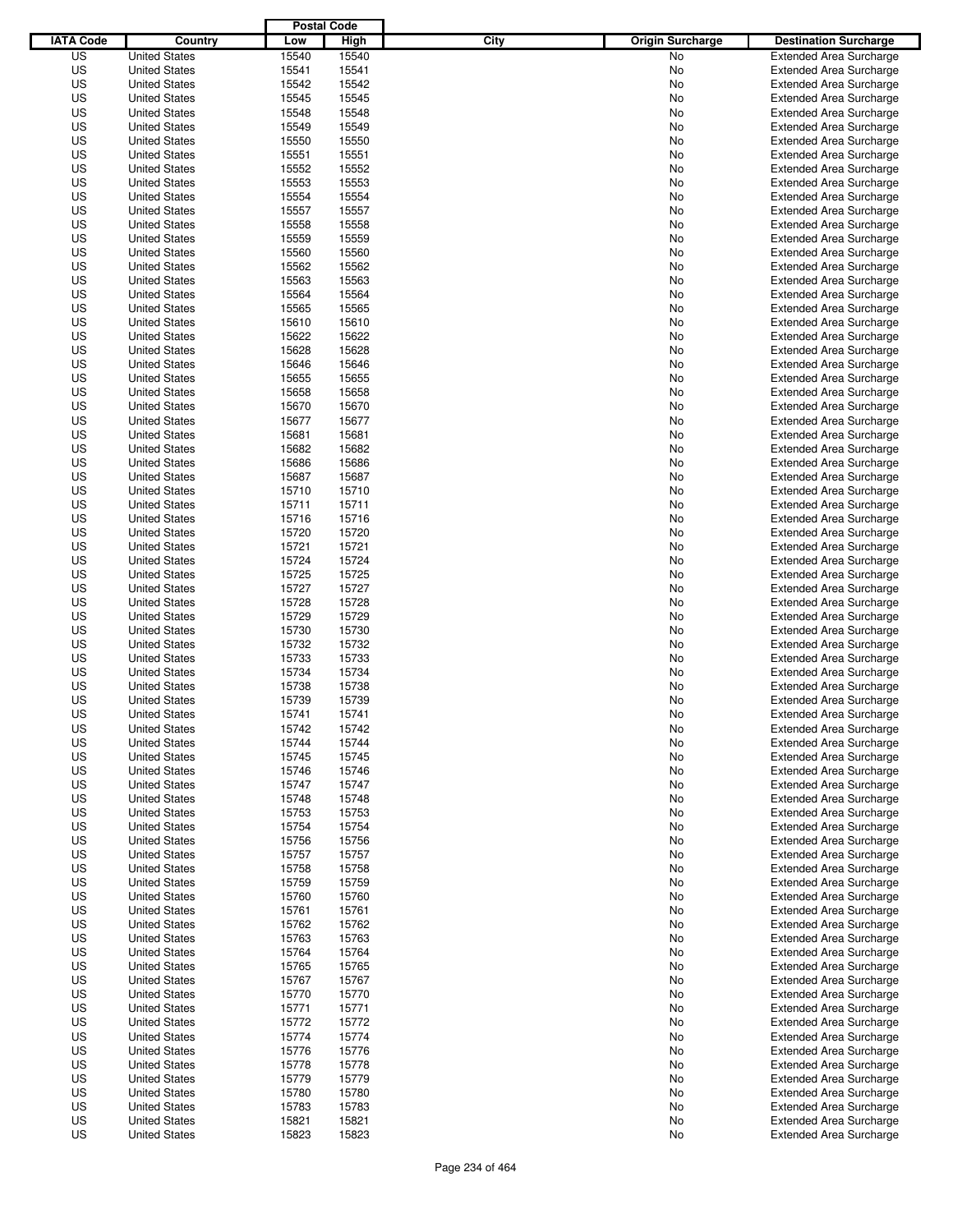|                  |                      | <b>Postal Code</b> |       |                                 |                                |
|------------------|----------------------|--------------------|-------|---------------------------------|--------------------------------|
| <b>IATA Code</b> | Country              | Low                | High  | City<br><b>Origin Surcharge</b> | <b>Destination Surcharge</b>   |
| US               | <b>United States</b> | 15540              | 15540 | <b>No</b>                       | <b>Extended Area Surcharge</b> |
| US               | <b>United States</b> | 15541              | 15541 | No                              | <b>Extended Area Surcharge</b> |
| US               | <b>United States</b> | 15542              | 15542 | No                              | <b>Extended Area Surcharge</b> |
| US               | <b>United States</b> | 15545              | 15545 | No                              | <b>Extended Area Surcharge</b> |
| US               | <b>United States</b> | 15548              | 15548 | No                              | <b>Extended Area Surcharge</b> |
| US               | <b>United States</b> | 15549              | 15549 | No                              | <b>Extended Area Surcharge</b> |
| US               | <b>United States</b> | 15550              | 15550 | No                              | <b>Extended Area Surcharge</b> |
| US               | <b>United States</b> | 15551              | 15551 | No                              | <b>Extended Area Surcharge</b> |
| US               | <b>United States</b> | 15552              | 15552 | No                              | <b>Extended Area Surcharge</b> |
| US               | <b>United States</b> | 15553              | 15553 | No                              | <b>Extended Area Surcharge</b> |
| US               | <b>United States</b> | 15554              | 15554 | No                              | <b>Extended Area Surcharge</b> |
| US               | <b>United States</b> | 15557              | 15557 | No                              | <b>Extended Area Surcharge</b> |
| US               | <b>United States</b> | 15558              | 15558 | No                              | <b>Extended Area Surcharge</b> |
| US               | <b>United States</b> | 15559              | 15559 | No                              | <b>Extended Area Surcharge</b> |
| US               | <b>United States</b> | 15560              | 15560 | No                              | <b>Extended Area Surcharge</b> |
| US               | <b>United States</b> | 15562              | 15562 | No                              | <b>Extended Area Surcharge</b> |
| US               | <b>United States</b> | 15563              | 15563 | No                              | <b>Extended Area Surcharge</b> |
| US               | <b>United States</b> | 15564              | 15564 | No                              | <b>Extended Area Surcharge</b> |
| US               | <b>United States</b> | 15565              | 15565 | No                              | <b>Extended Area Surcharge</b> |
| US               | <b>United States</b> | 15610              | 15610 | No                              | <b>Extended Area Surcharge</b> |
| US               | <b>United States</b> | 15622              | 15622 | No                              | <b>Extended Area Surcharge</b> |
| US               | <b>United States</b> | 15628              | 15628 | No                              | <b>Extended Area Surcharge</b> |
| US               | <b>United States</b> | 15646              | 15646 | No                              | <b>Extended Area Surcharge</b> |
| US               | <b>United States</b> | 15655              | 15655 | No                              | <b>Extended Area Surcharge</b> |
| US               | <b>United States</b> | 15658              | 15658 | No                              | <b>Extended Area Surcharge</b> |
| US               | <b>United States</b> | 15670              | 15670 | No                              | <b>Extended Area Surcharge</b> |
| US               | <b>United States</b> | 15677              | 15677 | No                              | <b>Extended Area Surcharge</b> |
| US               | <b>United States</b> | 15681              | 15681 | No                              | <b>Extended Area Surcharge</b> |
| US               | <b>United States</b> | 15682              | 15682 | No                              | <b>Extended Area Surcharge</b> |
| US               | <b>United States</b> | 15686              | 15686 | No                              | <b>Extended Area Surcharge</b> |
| US               | <b>United States</b> | 15687              | 15687 | No                              | <b>Extended Area Surcharge</b> |
| US               | <b>United States</b> | 15710              | 15710 | No                              | <b>Extended Area Surcharge</b> |
| US               | <b>United States</b> | 15711              | 15711 | No                              | <b>Extended Area Surcharge</b> |
| US               | <b>United States</b> | 15716              | 15716 | No                              | <b>Extended Area Surcharge</b> |
| US               | <b>United States</b> | 15720              | 15720 | No                              | <b>Extended Area Surcharge</b> |
| US               | <b>United States</b> | 15721              | 15721 | No                              | <b>Extended Area Surcharge</b> |
| US               | <b>United States</b> | 15724              | 15724 | No                              | <b>Extended Area Surcharge</b> |
| US               | <b>United States</b> | 15725              | 15725 | No                              | <b>Extended Area Surcharge</b> |
| US               | <b>United States</b> | 15727              | 15727 | No                              | <b>Extended Area Surcharge</b> |
| US               | <b>United States</b> | 15728              | 15728 | No                              | <b>Extended Area Surcharge</b> |
| US               | <b>United States</b> | 15729              | 15729 | No                              | <b>Extended Area Surcharge</b> |
| US               | <b>United States</b> | 15730              | 15730 | No                              | <b>Extended Area Surcharge</b> |
| US               | <b>United States</b> | 15732              | 15732 | No                              | <b>Extended Area Surcharge</b> |
| US               | <b>United States</b> | 15733              | 15733 | No                              | <b>Extended Area Surcharge</b> |
| US               | <b>United States</b> | 15734              | 15734 | No                              | Extended Area Surcharge        |
| US               | <b>United States</b> | 15738              | 15738 | No                              | <b>Extended Area Surcharge</b> |
| US               | <b>United States</b> | 15739              | 15739 | No                              | <b>Extended Area Surcharge</b> |
| US               | <b>United States</b> | 15741              | 15741 | No                              | <b>Extended Area Surcharge</b> |
| US               | <b>United States</b> | 15742              | 15742 | No                              | <b>Extended Area Surcharge</b> |
| US               | <b>United States</b> | 15744              | 15744 | No                              | <b>Extended Area Surcharge</b> |
| US               | <b>United States</b> | 15745              | 15745 | No                              | <b>Extended Area Surcharge</b> |
| US               | <b>United States</b> | 15746              | 15746 | No                              | <b>Extended Area Surcharge</b> |
| US               | <b>United States</b> | 15747              | 15747 | No                              | <b>Extended Area Surcharge</b> |
| US               | <b>United States</b> | 15748              | 15748 | No                              | <b>Extended Area Surcharge</b> |
| US               | <b>United States</b> | 15753              | 15753 | No                              | <b>Extended Area Surcharge</b> |
| US               | <b>United States</b> | 15754              | 15754 | No                              | <b>Extended Area Surcharge</b> |
| US               | <b>United States</b> | 15756              | 15756 | No                              | <b>Extended Area Surcharge</b> |
| US               | <b>United States</b> | 15757              | 15757 | No                              | <b>Extended Area Surcharge</b> |
| US               | <b>United States</b> | 15758              | 15758 | No                              | <b>Extended Area Surcharge</b> |
| US               | <b>United States</b> | 15759              | 15759 | No                              | <b>Extended Area Surcharge</b> |
| US               | <b>United States</b> | 15760              | 15760 | No                              | <b>Extended Area Surcharge</b> |
| US               | <b>United States</b> | 15761              | 15761 | No                              | <b>Extended Area Surcharge</b> |
| US               | <b>United States</b> | 15762              | 15762 | No                              | <b>Extended Area Surcharge</b> |
| US               | <b>United States</b> | 15763              | 15763 | No                              | <b>Extended Area Surcharge</b> |
| US               | <b>United States</b> | 15764              | 15764 | No                              | <b>Extended Area Surcharge</b> |
| US               | <b>United States</b> | 15765              | 15765 | No                              | <b>Extended Area Surcharge</b> |
| US               | <b>United States</b> | 15767              | 15767 | No                              | <b>Extended Area Surcharge</b> |
| US               | <b>United States</b> | 15770              | 15770 | No                              | <b>Extended Area Surcharge</b> |
| US               | <b>United States</b> | 15771              | 15771 | No                              | <b>Extended Area Surcharge</b> |
| US               | <b>United States</b> | 15772              | 15772 | No                              | Extended Area Surcharge        |
| US               | <b>United States</b> | 15774              | 15774 | No                              | <b>Extended Area Surcharge</b> |
| US               | <b>United States</b> | 15776              | 15776 | No                              | <b>Extended Area Surcharge</b> |
| US               | <b>United States</b> | 15778              | 15778 | No                              | <b>Extended Area Surcharge</b> |
| US               | <b>United States</b> | 15779              | 15779 | No                              | <b>Extended Area Surcharge</b> |
| US               | <b>United States</b> | 15780              | 15780 | No                              | <b>Extended Area Surcharge</b> |
| US               | <b>United States</b> | 15783              | 15783 | No                              | <b>Extended Area Surcharge</b> |
| US               | <b>United States</b> | 15821              | 15821 | No                              | <b>Extended Area Surcharge</b> |
| US               | <b>United States</b> | 15823              | 15823 | No                              | <b>Extended Area Surcharge</b> |
|                  |                      |                    |       |                                 |                                |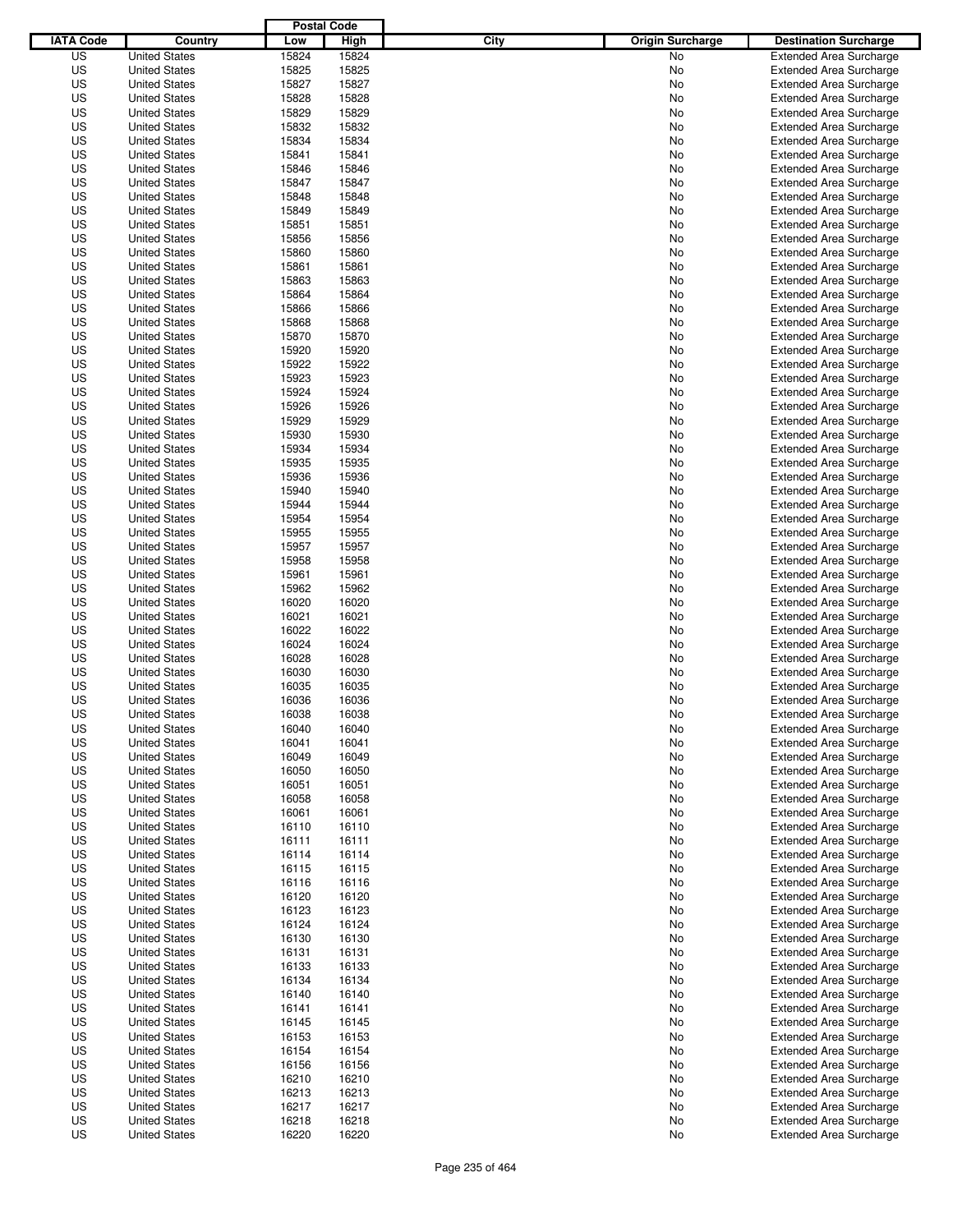|                  |                      | <b>Postal Code</b> |       |                                 |                                |
|------------------|----------------------|--------------------|-------|---------------------------------|--------------------------------|
| <b>IATA Code</b> | Country              | Low                | High  | City<br><b>Origin Surcharge</b> | <b>Destination Surcharge</b>   |
| US               | <b>United States</b> | 15824              | 15824 | <b>No</b>                       | <b>Extended Area Surcharge</b> |
| US               | <b>United States</b> | 15825              | 15825 | No                              | <b>Extended Area Surcharge</b> |
| US               | <b>United States</b> | 15827              | 15827 | No                              | <b>Extended Area Surcharge</b> |
| US               | <b>United States</b> | 15828              | 15828 | No                              | <b>Extended Area Surcharge</b> |
| US               | <b>United States</b> | 15829              | 15829 | No                              | <b>Extended Area Surcharge</b> |
| US               | <b>United States</b> | 15832              | 15832 | No                              | <b>Extended Area Surcharge</b> |
| US               | <b>United States</b> | 15834              | 15834 | No                              | <b>Extended Area Surcharge</b> |
| US               | <b>United States</b> | 15841              | 15841 | No                              | <b>Extended Area Surcharge</b> |
| US               | <b>United States</b> | 15846              | 15846 | No                              | <b>Extended Area Surcharge</b> |
| US               | <b>United States</b> | 15847              | 15847 | No                              | <b>Extended Area Surcharge</b> |
| US               | <b>United States</b> | 15848              | 15848 | No                              | <b>Extended Area Surcharge</b> |
| US               | <b>United States</b> | 15849              | 15849 | No                              | <b>Extended Area Surcharge</b> |
| US               | <b>United States</b> | 15851              | 15851 | No                              | <b>Extended Area Surcharge</b> |
| US               | <b>United States</b> | 15856              | 15856 | No                              | <b>Extended Area Surcharge</b> |
| US               | <b>United States</b> | 15860              | 15860 | No                              | <b>Extended Area Surcharge</b> |
| US               | <b>United States</b> | 15861              | 15861 | No                              | <b>Extended Area Surcharge</b> |
| US               | <b>United States</b> | 15863              | 15863 | No                              | <b>Extended Area Surcharge</b> |
| US               | <b>United States</b> | 15864              | 15864 | No                              | <b>Extended Area Surcharge</b> |
| US               | <b>United States</b> | 15866              | 15866 | No                              | <b>Extended Area Surcharge</b> |
| US               | <b>United States</b> | 15868              | 15868 | No                              | <b>Extended Area Surcharge</b> |
| US               | <b>United States</b> | 15870              | 15870 | No                              | <b>Extended Area Surcharge</b> |
| US               | <b>United States</b> | 15920              | 15920 | No                              | <b>Extended Area Surcharge</b> |
| US               | <b>United States</b> | 15922              | 15922 | No                              | <b>Extended Area Surcharge</b> |
| US               | <b>United States</b> | 15923              | 15923 | No                              | <b>Extended Area Surcharge</b> |
| US               | <b>United States</b> | 15924              | 15924 | No                              | <b>Extended Area Surcharge</b> |
| US               | <b>United States</b> | 15926              | 15926 | No                              | <b>Extended Area Surcharge</b> |
| US               | <b>United States</b> | 15929              | 15929 | No                              | <b>Extended Area Surcharge</b> |
| US               | <b>United States</b> | 15930              | 15930 | No                              | <b>Extended Area Surcharge</b> |
| US               | <b>United States</b> | 15934              | 15934 | No                              | <b>Extended Area Surcharge</b> |
| US               | <b>United States</b> | 15935              | 15935 | No                              | <b>Extended Area Surcharge</b> |
| US               | <b>United States</b> | 15936              | 15936 | No                              | <b>Extended Area Surcharge</b> |
| US               | <b>United States</b> | 15940              | 15940 | No                              | <b>Extended Area Surcharge</b> |
| US               | <b>United States</b> | 15944              | 15944 | No                              | <b>Extended Area Surcharge</b> |
| US               | <b>United States</b> | 15954              | 15954 | No                              | <b>Extended Area Surcharge</b> |
| US               | <b>United States</b> | 15955              | 15955 | No                              | <b>Extended Area Surcharge</b> |
| US               | <b>United States</b> | 15957              | 15957 | No                              | <b>Extended Area Surcharge</b> |
| US               | <b>United States</b> | 15958              | 15958 | No                              | <b>Extended Area Surcharge</b> |
| US               | <b>United States</b> | 15961              | 15961 | No                              | <b>Extended Area Surcharge</b> |
| US               | <b>United States</b> | 15962              | 15962 | No                              | <b>Extended Area Surcharge</b> |
| US               | <b>United States</b> | 16020              | 16020 | No                              | <b>Extended Area Surcharge</b> |
| US               | <b>United States</b> | 16021              | 16021 | No                              | <b>Extended Area Surcharge</b> |
| US               | <b>United States</b> | 16022              | 16022 | No                              | <b>Extended Area Surcharge</b> |
| US               | <b>United States</b> | 16024              | 16024 | No                              | <b>Extended Area Surcharge</b> |
| US               | <b>United States</b> | 16028              | 16028 | No                              | <b>Extended Area Surcharge</b> |
| US               | <b>United States</b> | 16030              | 16030 | No                              | Extended Area Surcharge        |
| US               | <b>United States</b> | 16035              | 16035 | No                              | <b>Extended Area Surcharge</b> |
| US               | <b>United States</b> | 16036              | 16036 | No                              | <b>Extended Area Surcharge</b> |
| US               | <b>United States</b> | 16038              | 16038 | No                              | <b>Extended Area Surcharge</b> |
| US               | <b>United States</b> | 16040              | 16040 | No                              | <b>Extended Area Surcharge</b> |
| US               | <b>United States</b> | 16041              | 16041 | No                              | <b>Extended Area Surcharge</b> |
| US               | <b>United States</b> | 16049              | 16049 | No                              | <b>Extended Area Surcharge</b> |
| US               | <b>United States</b> | 16050              | 16050 | No                              | <b>Extended Area Surcharge</b> |
| US               | <b>United States</b> | 16051              | 16051 | No                              | <b>Extended Area Surcharge</b> |
| US               | <b>United States</b> | 16058              | 16058 | No                              | <b>Extended Area Surcharge</b> |
| US               | <b>United States</b> | 16061              | 16061 | No                              | <b>Extended Area Surcharge</b> |
| US               | <b>United States</b> | 16110              | 16110 | No                              | <b>Extended Area Surcharge</b> |
| US               | <b>United States</b> | 16111              | 16111 | No                              | <b>Extended Area Surcharge</b> |
| US               | <b>United States</b> | 16114              | 16114 | No                              | <b>Extended Area Surcharge</b> |
| US               | <b>United States</b> | 16115              | 16115 | No                              | <b>Extended Area Surcharge</b> |
| US               | <b>United States</b> | 16116              | 16116 | No                              | <b>Extended Area Surcharge</b> |
| US               | <b>United States</b> | 16120              | 16120 | No                              | <b>Extended Area Surcharge</b> |
| US               | <b>United States</b> | 16123              | 16123 | No                              | <b>Extended Area Surcharge</b> |
| US               | <b>United States</b> | 16124              | 16124 | No                              | <b>Extended Area Surcharge</b> |
| US               | <b>United States</b> | 16130              | 16130 | No                              | <b>Extended Area Surcharge</b> |
| US               | <b>United States</b> | 16131              | 16131 | No                              | <b>Extended Area Surcharge</b> |
| US               | <b>United States</b> | 16133              | 16133 | No                              | <b>Extended Area Surcharge</b> |
| US               | <b>United States</b> | 16134              | 16134 | No                              | <b>Extended Area Surcharge</b> |
| US               | <b>United States</b> | 16140              | 16140 | No                              | <b>Extended Area Surcharge</b> |
| US               | <b>United States</b> | 16141              | 16141 | No                              | <b>Extended Area Surcharge</b> |
| US               | <b>United States</b> | 16145              | 16145 | No                              | <b>Extended Area Surcharge</b> |
| US               | <b>United States</b> | 16153              | 16153 | No                              | <b>Extended Area Surcharge</b> |
| US               | <b>United States</b> | 16154              | 16154 | No                              | <b>Extended Area Surcharge</b> |
| US               | <b>United States</b> | 16156              | 16156 | No                              | <b>Extended Area Surcharge</b> |
| US               | <b>United States</b> | 16210              | 16210 | No                              | <b>Extended Area Surcharge</b> |
| US               | <b>United States</b> | 16213              | 16213 | No                              | <b>Extended Area Surcharge</b> |
| US               | <b>United States</b> | 16217              | 16217 | No                              | Extended Area Surcharge        |
| US               | <b>United States</b> | 16218              | 16218 | No                              | <b>Extended Area Surcharge</b> |
| US               | <b>United States</b> | 16220              | 16220 | No                              | <b>Extended Area Surcharge</b> |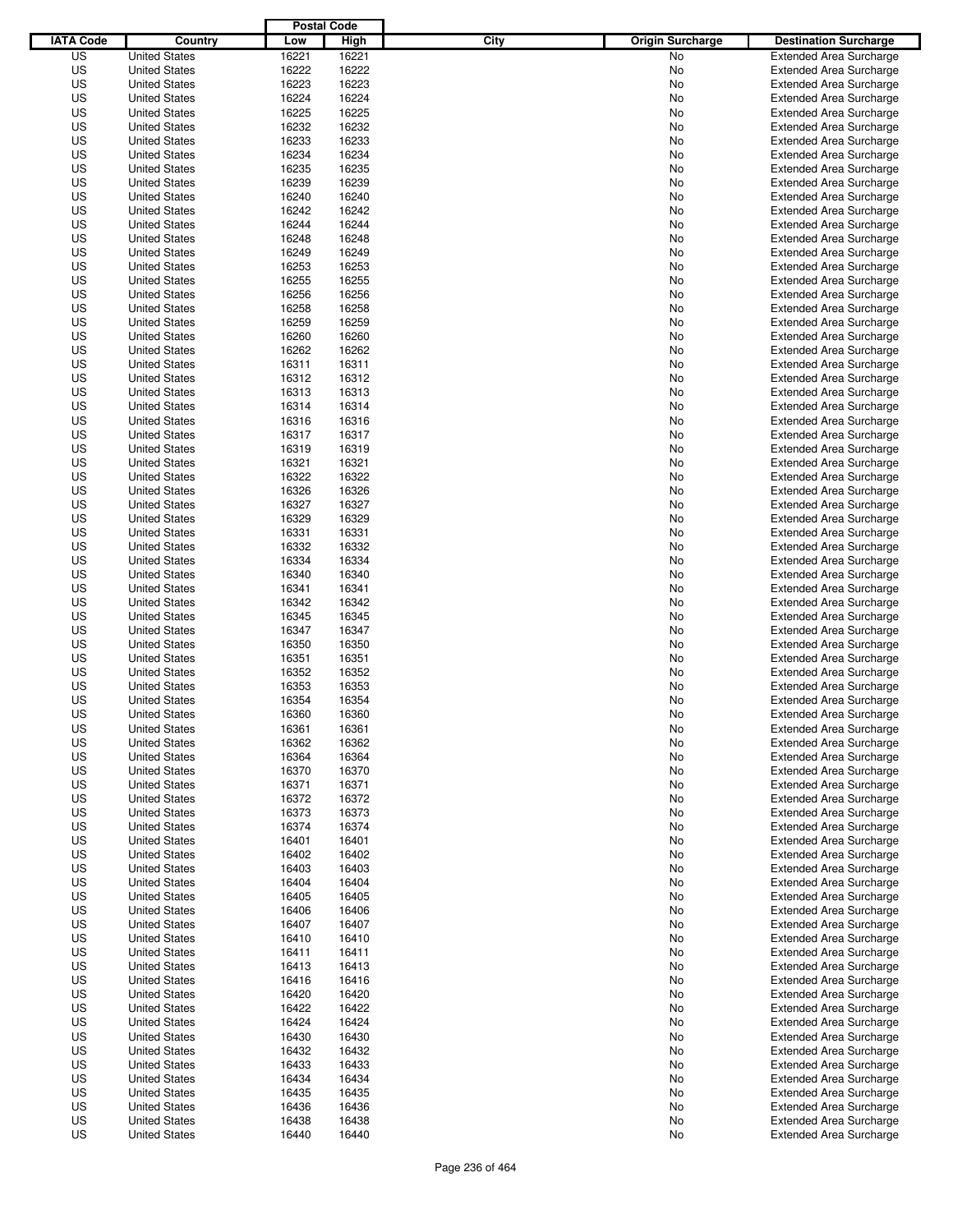|                  |                      | <b>Postal Code</b> |       |                                 |                                |
|------------------|----------------------|--------------------|-------|---------------------------------|--------------------------------|
| <b>IATA Code</b> | Country              | Low                | High  | City<br><b>Origin Surcharge</b> | <b>Destination Surcharge</b>   |
| US               | <b>United States</b> | 16221              | 16221 | <b>No</b>                       | <b>Extended Area Surcharge</b> |
| US               | <b>United States</b> | 16222              | 16222 | No                              | <b>Extended Area Surcharge</b> |
| US               | <b>United States</b> | 16223              | 16223 | No                              | <b>Extended Area Surcharge</b> |
| US               | <b>United States</b> | 16224              | 16224 | No                              | <b>Extended Area Surcharge</b> |
| US               | <b>United States</b> | 16225              | 16225 | No                              | <b>Extended Area Surcharge</b> |
| US               | <b>United States</b> | 16232              | 16232 | No                              | <b>Extended Area Surcharge</b> |
| US               | <b>United States</b> | 16233              | 16233 | No                              | <b>Extended Area Surcharge</b> |
| US               | <b>United States</b> | 16234              | 16234 | No                              | <b>Extended Area Surcharge</b> |
| US               | <b>United States</b> | 16235              | 16235 | No                              | <b>Extended Area Surcharge</b> |
| US               | <b>United States</b> | 16239              | 16239 | No                              | <b>Extended Area Surcharge</b> |
| US               | <b>United States</b> | 16240              | 16240 | No                              | <b>Extended Area Surcharge</b> |
| US               | <b>United States</b> | 16242              | 16242 | No                              | <b>Extended Area Surcharge</b> |
| US               | <b>United States</b> | 16244              | 16244 | No                              | <b>Extended Area Surcharge</b> |
| US               | <b>United States</b> | 16248              | 16248 | No                              | <b>Extended Area Surcharge</b> |
| US               | <b>United States</b> | 16249              | 16249 | No                              | <b>Extended Area Surcharge</b> |
| US               | <b>United States</b> | 16253              | 16253 | No                              | <b>Extended Area Surcharge</b> |
| US               | <b>United States</b> | 16255              | 16255 | No                              | <b>Extended Area Surcharge</b> |
| US               | <b>United States</b> | 16256              | 16256 | No                              | <b>Extended Area Surcharge</b> |
| US               | <b>United States</b> | 16258              | 16258 | No                              | <b>Extended Area Surcharge</b> |
| US               | <b>United States</b> | 16259              | 16259 | No                              | <b>Extended Area Surcharge</b> |
| US               | <b>United States</b> | 16260              | 16260 | No                              | <b>Extended Area Surcharge</b> |
| US               | <b>United States</b> | 16262              | 16262 | No                              | <b>Extended Area Surcharge</b> |
| US               | <b>United States</b> | 16311              | 16311 | No                              | <b>Extended Area Surcharge</b> |
| US               | <b>United States</b> | 16312              | 16312 | No                              | <b>Extended Area Surcharge</b> |
| US               | <b>United States</b> | 16313              | 16313 | No                              | <b>Extended Area Surcharge</b> |
| US               | <b>United States</b> | 16314              | 16314 | No                              | <b>Extended Area Surcharge</b> |
| US               | <b>United States</b> | 16316              | 16316 | No                              | <b>Extended Area Surcharge</b> |
| US               | <b>United States</b> | 16317              | 16317 | No                              | <b>Extended Area Surcharge</b> |
| US               | <b>United States</b> | 16319              | 16319 | No                              | <b>Extended Area Surcharge</b> |
| US               | <b>United States</b> | 16321              | 16321 | No                              | <b>Extended Area Surcharge</b> |
| US               | <b>United States</b> | 16322              | 16322 | No                              | <b>Extended Area Surcharge</b> |
| US               | <b>United States</b> | 16326              | 16326 | No                              | <b>Extended Area Surcharge</b> |
| US               | <b>United States</b> | 16327              | 16327 | No                              | <b>Extended Area Surcharge</b> |
| US               | <b>United States</b> | 16329              | 16329 | No                              | <b>Extended Area Surcharge</b> |
| US               | <b>United States</b> | 16331              | 16331 | No                              | <b>Extended Area Surcharge</b> |
| US               | <b>United States</b> | 16332              | 16332 | No                              | <b>Extended Area Surcharge</b> |
| US               | <b>United States</b> | 16334              | 16334 | No                              | <b>Extended Area Surcharge</b> |
| US               | <b>United States</b> | 16340              | 16340 | No                              | <b>Extended Area Surcharge</b> |
| US               | <b>United States</b> | 16341              | 16341 | No                              | <b>Extended Area Surcharge</b> |
| US               | <b>United States</b> | 16342              | 16342 | No                              | <b>Extended Area Surcharge</b> |
| US               | <b>United States</b> | 16345              | 16345 | No                              | <b>Extended Area Surcharge</b> |
| US               | <b>United States</b> | 16347              | 16347 | No                              | <b>Extended Area Surcharge</b> |
| US               | <b>United States</b> | 16350              | 16350 | No                              | <b>Extended Area Surcharge</b> |
| US               | <b>United States</b> | 16351              | 16351 | No                              | <b>Extended Area Surcharge</b> |
| US               | <b>United States</b> | 16352              | 16352 | No                              | Extended Area Surcharge        |
| US               | <b>United States</b> | 16353              | 16353 | No                              | <b>Extended Area Surcharge</b> |
| US               | <b>United States</b> | 16354              | 16354 | No                              | <b>Extended Area Surcharge</b> |
| US               | <b>United States</b> | 16360              | 16360 | No                              | <b>Extended Area Surcharge</b> |
| US               | <b>United States</b> | 16361              | 16361 | No                              | <b>Extended Area Surcharge</b> |
| US               | <b>United States</b> | 16362              | 16362 | No                              | <b>Extended Area Surcharge</b> |
| US               | <b>United States</b> | 16364              | 16364 | No                              | <b>Extended Area Surcharge</b> |
| US               | <b>United States</b> | 16370              | 16370 | No                              | <b>Extended Area Surcharge</b> |
| US               | <b>United States</b> | 16371              | 16371 | No                              | <b>Extended Area Surcharge</b> |
| US               | <b>United States</b> | 16372              | 16372 | No                              | <b>Extended Area Surcharge</b> |
| US               | <b>United States</b> | 16373              | 16373 | No                              | <b>Extended Area Surcharge</b> |
| US               | <b>United States</b> | 16374              | 16374 | No                              | <b>Extended Area Surcharge</b> |
| US               | <b>United States</b> | 16401              | 16401 | No                              | <b>Extended Area Surcharge</b> |
| US               | <b>United States</b> | 16402              | 16402 | No                              | <b>Extended Area Surcharge</b> |
| US               | <b>United States</b> | 16403              | 16403 | No                              | <b>Extended Area Surcharge</b> |
| US               | <b>United States</b> | 16404              | 16404 | No                              | <b>Extended Area Surcharge</b> |
| US               | <b>United States</b> | 16405              | 16405 | No                              | <b>Extended Area Surcharge</b> |
| US               | <b>United States</b> | 16406              | 16406 | No                              | <b>Extended Area Surcharge</b> |
| US               | <b>United States</b> | 16407              | 16407 | No                              | <b>Extended Area Surcharge</b> |
| US               | <b>United States</b> | 16410              | 16410 | No                              | <b>Extended Area Surcharge</b> |
| US               | <b>United States</b> | 16411              | 16411 | No                              | <b>Extended Area Surcharge</b> |
| US               | <b>United States</b> | 16413              | 16413 | No                              | <b>Extended Area Surcharge</b> |
| US               | <b>United States</b> | 16416              | 16416 | No                              | <b>Extended Area Surcharge</b> |
| US               | <b>United States</b> | 16420              | 16420 | No                              | <b>Extended Area Surcharge</b> |
| US               | <b>United States</b> | 16422              | 16422 | No                              | <b>Extended Area Surcharge</b> |
| US               | <b>United States</b> | 16424              | 16424 | No                              | Extended Area Surcharge        |
| US               | <b>United States</b> | 16430              | 16430 | No                              | <b>Extended Area Surcharge</b> |
| US               | <b>United States</b> | 16432              | 16432 | No                              | <b>Extended Area Surcharge</b> |
| US               | <b>United States</b> | 16433              | 16433 | No                              | <b>Extended Area Surcharge</b> |
| US               | <b>United States</b> | 16434              | 16434 | No                              | <b>Extended Area Surcharge</b> |
| US               | <b>United States</b> | 16435              | 16435 | No                              | <b>Extended Area Surcharge</b> |
| US               | <b>United States</b> | 16436              | 16436 | No                              | <b>Extended Area Surcharge</b> |
| US               | <b>United States</b> | 16438              | 16438 | No                              | <b>Extended Area Surcharge</b> |
| US               | <b>United States</b> | 16440              | 16440 | No                              | <b>Extended Area Surcharge</b> |
|                  |                      |                    |       |                                 |                                |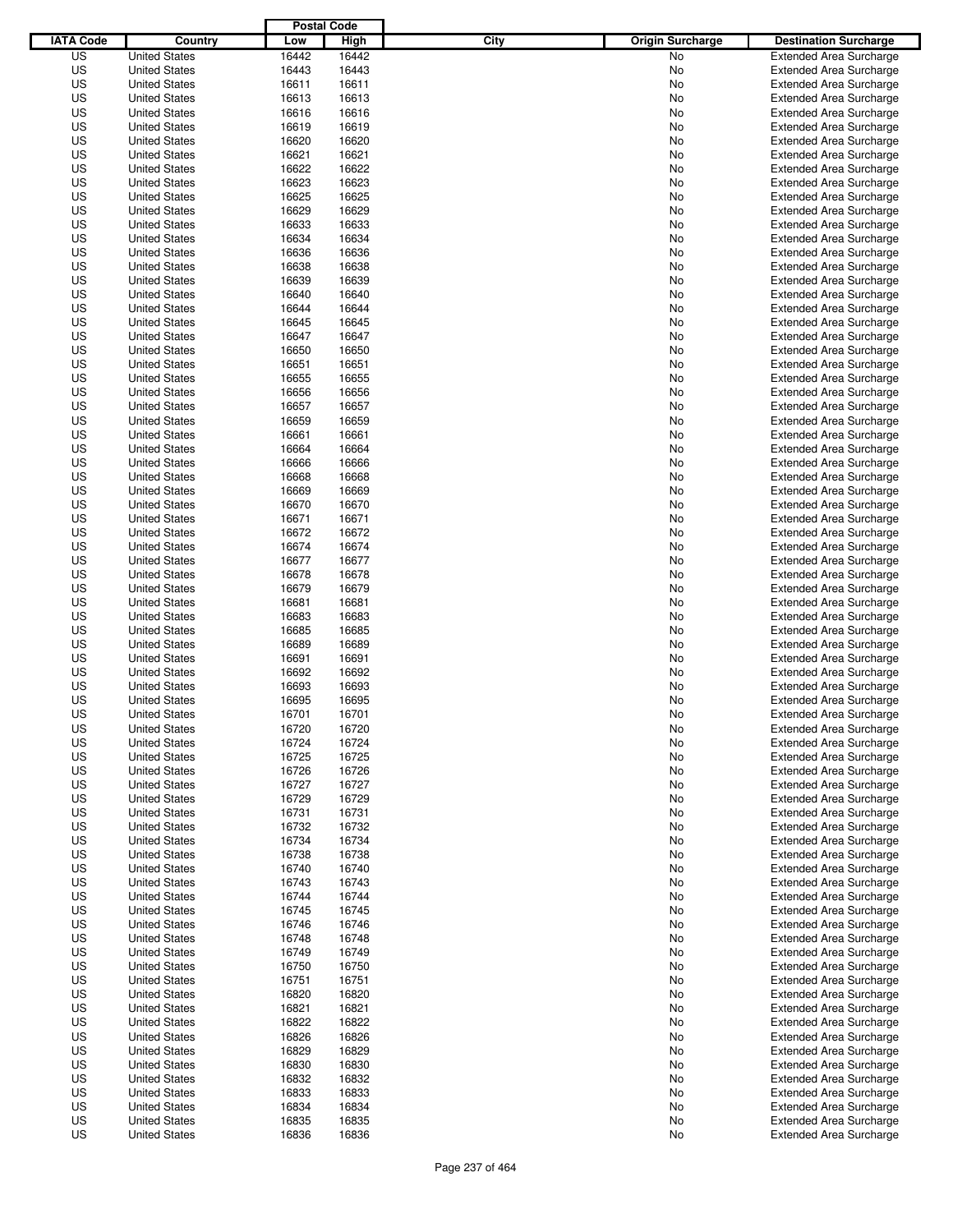|                  |                                              | <b>Postal Code</b> |                |                                 |                                |
|------------------|----------------------------------------------|--------------------|----------------|---------------------------------|--------------------------------|
| <b>IATA Code</b> | Country                                      | Low                | High           | City<br><b>Origin Surcharge</b> | <b>Destination Surcharge</b>   |
| US               | <b>United States</b>                         | 16442              | 16442          | <b>No</b>                       | <b>Extended Area Surcharge</b> |
| US               | <b>United States</b>                         | 16443              | 16443          | No                              | <b>Extended Area Surcharge</b> |
| US               | <b>United States</b>                         | 16611              | 16611          | No                              | <b>Extended Area Surcharge</b> |
| US               | <b>United States</b>                         | 16613              | 16613          | No                              | <b>Extended Area Surcharge</b> |
| US               | <b>United States</b>                         | 16616              | 16616          | No                              | <b>Extended Area Surcharge</b> |
| US               | <b>United States</b>                         | 16619              | 16619          | No                              | <b>Extended Area Surcharge</b> |
| US               | <b>United States</b>                         | 16620              | 16620          | No                              | <b>Extended Area Surcharge</b> |
| US               | <b>United States</b>                         | 16621              | 16621          | No                              | <b>Extended Area Surcharge</b> |
| US               | <b>United States</b>                         | 16622              | 16622          | No                              | <b>Extended Area Surcharge</b> |
| US               | <b>United States</b>                         | 16623              | 16623          | No                              | <b>Extended Area Surcharge</b> |
| US               | <b>United States</b>                         | 16625              | 16625          | No                              | <b>Extended Area Surcharge</b> |
| US               | <b>United States</b>                         | 16629              | 16629          | No                              | <b>Extended Area Surcharge</b> |
| US               | <b>United States</b>                         | 16633              | 16633          | No                              | <b>Extended Area Surcharge</b> |
| US               | <b>United States</b>                         | 16634              | 16634          | No                              | <b>Extended Area Surcharge</b> |
| US               | <b>United States</b>                         | 16636              | 16636          | No                              | <b>Extended Area Surcharge</b> |
| US               | <b>United States</b>                         | 16638              | 16638          | No                              | <b>Extended Area Surcharge</b> |
| US               | <b>United States</b>                         | 16639              | 16639          | No                              | <b>Extended Area Surcharge</b> |
| US               | <b>United States</b>                         | 16640              | 16640          | No                              | <b>Extended Area Surcharge</b> |
| US               | <b>United States</b>                         | 16644              | 16644          | No                              | <b>Extended Area Surcharge</b> |
| US               | <b>United States</b>                         | 16645              | 16645          | No                              | <b>Extended Area Surcharge</b> |
| US               | <b>United States</b>                         | 16647              | 16647          | No                              | <b>Extended Area Surcharge</b> |
| US               | <b>United States</b>                         | 16650              | 16650          | No                              | <b>Extended Area Surcharge</b> |
| US               | <b>United States</b>                         | 16651              | 16651          | No                              | <b>Extended Area Surcharge</b> |
| US               | <b>United States</b>                         | 16655              | 16655          | No                              | <b>Extended Area Surcharge</b> |
| US               | <b>United States</b>                         | 16656              | 16656          | No                              | <b>Extended Area Surcharge</b> |
| US               | <b>United States</b>                         | 16657              | 16657          | No                              | <b>Extended Area Surcharge</b> |
| US               | <b>United States</b>                         | 16659              | 16659          | No                              | <b>Extended Area Surcharge</b> |
| US               | <b>United States</b>                         | 16661              | 16661          | No                              | <b>Extended Area Surcharge</b> |
| US               | <b>United States</b>                         | 16664              | 16664          | No                              | <b>Extended Area Surcharge</b> |
| US               | <b>United States</b>                         | 16666              | 16666          | No                              | <b>Extended Area Surcharge</b> |
| US               | <b>United States</b>                         | 16668              | 16668          | No                              | <b>Extended Area Surcharge</b> |
| US               | <b>United States</b>                         | 16669              | 16669          | No                              | <b>Extended Area Surcharge</b> |
| US               | <b>United States</b>                         | 16670              | 16670          | No                              | <b>Extended Area Surcharge</b> |
| US               | <b>United States</b>                         | 16671              | 16671          | No                              | <b>Extended Area Surcharge</b> |
| US               | <b>United States</b>                         | 16672              | 16672          | No                              | <b>Extended Area Surcharge</b> |
| US               | <b>United States</b>                         | 16674              | 16674          | No                              | <b>Extended Area Surcharge</b> |
| US               | <b>United States</b>                         | 16677              | 16677          | No                              | <b>Extended Area Surcharge</b> |
| US               | <b>United States</b>                         | 16678              | 16678          | No                              | <b>Extended Area Surcharge</b> |
| US               | <b>United States</b>                         | 16679              | 16679          | No                              | <b>Extended Area Surcharge</b> |
| US               | <b>United States</b>                         | 16681              | 16681          | No                              | <b>Extended Area Surcharge</b> |
| US               | <b>United States</b>                         | 16683              | 16683          | No                              | <b>Extended Area Surcharge</b> |
| US               | <b>United States</b>                         | 16685              | 16685          | No                              | <b>Extended Area Surcharge</b> |
| US               | <b>United States</b>                         | 16689              | 16689          | No                              | <b>Extended Area Surcharge</b> |
| US               | <b>United States</b>                         | 16691              | 16691          | No                              | <b>Extended Area Surcharge</b> |
| US               | <b>United States</b>                         | 16692              | 16692          | No                              | Extended Area Surcharge        |
| US               | <b>United States</b>                         | 16693              | 16693          | No                              | <b>Extended Area Surcharge</b> |
| US               | <b>United States</b>                         | 16695              | 16695          | No                              | <b>Extended Area Surcharge</b> |
| US               | <b>United States</b>                         | 16701              | 16701          | No                              | <b>Extended Area Surcharge</b> |
| US               | <b>United States</b>                         | 16720              | 16720          | No                              | <b>Extended Area Surcharge</b> |
| US               | <b>United States</b>                         | 16724              | 16724          | No                              | <b>Extended Area Surcharge</b> |
| US               | <b>United States</b>                         | 16725              | 16725          | No                              | <b>Extended Area Surcharge</b> |
| US               | <b>United States</b>                         | 16726              | 16726          | No                              | <b>Extended Area Surcharge</b> |
| US               | <b>United States</b>                         | 16727              | 16727          | No                              | <b>Extended Area Surcharge</b> |
| US               | <b>United States</b>                         | 16729              | 16729          | No                              | <b>Extended Area Surcharge</b> |
| US               | <b>United States</b>                         | 16731              | 16731          | No                              | <b>Extended Area Surcharge</b> |
| US               | <b>United States</b>                         | 16732              | 16732          | No                              | <b>Extended Area Surcharge</b> |
| US               | <b>United States</b>                         | 16734              | 16734          | No                              | <b>Extended Area Surcharge</b> |
| US               | <b>United States</b>                         | 16738              | 16738          | No                              | <b>Extended Area Surcharge</b> |
| US               | <b>United States</b>                         | 16740              | 16740          | No                              | <b>Extended Area Surcharge</b> |
| US               | <b>United States</b>                         | 16743              | 16743          | No                              | <b>Extended Area Surcharge</b> |
| US               | <b>United States</b>                         | 16744              | 16744          | No                              | <b>Extended Area Surcharge</b> |
| US               | <b>United States</b>                         | 16745              | 16745          | No                              | <b>Extended Area Surcharge</b> |
| US               | <b>United States</b>                         | 16746              | 16746          | No                              | <b>Extended Area Surcharge</b> |
| US               | <b>United States</b>                         | 16748              | 16748          | No                              | <b>Extended Area Surcharge</b> |
| US               | <b>United States</b>                         | 16749              | 16749          | No                              | <b>Extended Area Surcharge</b> |
| US               | <b>United States</b>                         | 16750              | 16750          | No                              | <b>Extended Area Surcharge</b> |
| US               | <b>United States</b>                         | 16751              | 16751          | No                              | <b>Extended Area Surcharge</b> |
| US               | <b>United States</b>                         | 16820              | 16820          | No                              | <b>Extended Area Surcharge</b> |
| US               | <b>United States</b>                         | 16821              | 16821          | No                              | <b>Extended Area Surcharge</b> |
| US               | <b>United States</b>                         | 16822              | 16822          |                                 | <b>Extended Area Surcharge</b> |
| US               |                                              | 16826              | 16826          | No                              | <b>Extended Area Surcharge</b> |
| US               | <b>United States</b><br><b>United States</b> | 16829              | 16829          | No<br>No                        | <b>Extended Area Surcharge</b> |
| US               |                                              |                    |                |                                 | <b>Extended Area Surcharge</b> |
| US               | <b>United States</b><br><b>United States</b> | 16830<br>16832     | 16830<br>16832 | No                              | <b>Extended Area Surcharge</b> |
|                  |                                              |                    |                | No                              |                                |
| US               | <b>United States</b>                         | 16833              | 16833          | No                              | <b>Extended Area Surcharge</b> |
| US<br>US         | <b>United States</b>                         | 16834              | 16834          | No                              | <b>Extended Area Surcharge</b> |
|                  | <b>United States</b><br><b>United States</b> | 16835              | 16835          | No                              | <b>Extended Area Surcharge</b> |
| US               |                                              | 16836              | 16836          | No                              | <b>Extended Area Surcharge</b> |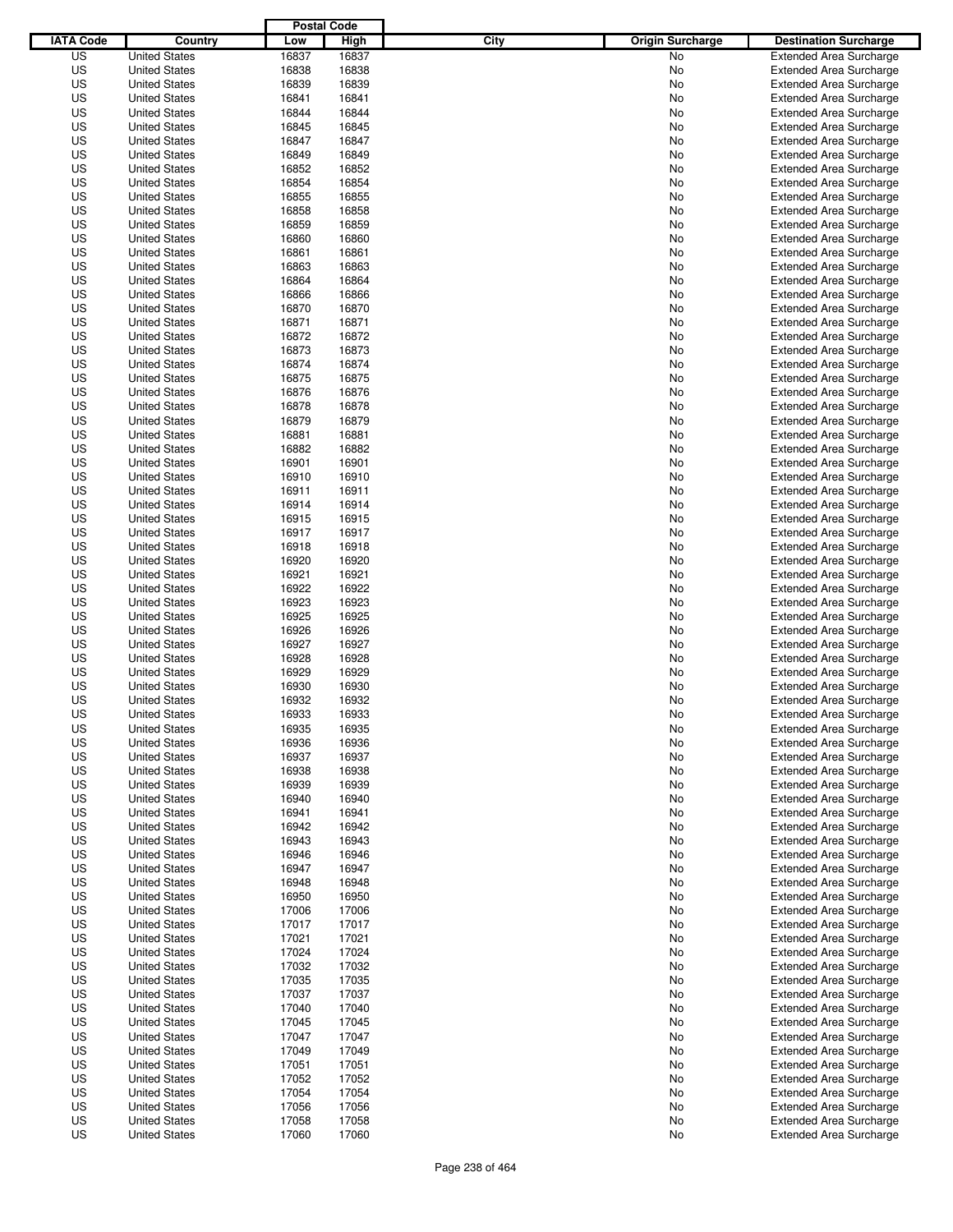|                  |                      | <b>Postal Code</b> |       |                                 |                                |
|------------------|----------------------|--------------------|-------|---------------------------------|--------------------------------|
| <b>IATA Code</b> | Country              | Low                | High  | City<br><b>Origin Surcharge</b> | <b>Destination Surcharge</b>   |
| US               | <b>United States</b> | 16837              | 16837 | <b>No</b>                       | <b>Extended Area Surcharge</b> |
| US               | <b>United States</b> | 16838              | 16838 | No                              | <b>Extended Area Surcharge</b> |
| US               | <b>United States</b> | 16839              | 16839 | No                              | <b>Extended Area Surcharge</b> |
| US               | <b>United States</b> | 16841              | 16841 | No                              | <b>Extended Area Surcharge</b> |
| US               | <b>United States</b> | 16844              | 16844 | No                              | <b>Extended Area Surcharge</b> |
| US               | <b>United States</b> | 16845              | 16845 | No                              | <b>Extended Area Surcharge</b> |
| US               | <b>United States</b> | 16847              | 16847 | No                              | <b>Extended Area Surcharge</b> |
| US               | <b>United States</b> | 16849              | 16849 | No                              | <b>Extended Area Surcharge</b> |
| US               | <b>United States</b> | 16852              | 16852 | No                              | <b>Extended Area Surcharge</b> |
| US               | <b>United States</b> | 16854              | 16854 | No                              | <b>Extended Area Surcharge</b> |
| US               | <b>United States</b> | 16855              | 16855 | No                              | <b>Extended Area Surcharge</b> |
| US               | <b>United States</b> | 16858              | 16858 | No                              | <b>Extended Area Surcharge</b> |
| US               | <b>United States</b> | 16859              | 16859 | No                              | <b>Extended Area Surcharge</b> |
| US               | <b>United States</b> | 16860              | 16860 | No                              | <b>Extended Area Surcharge</b> |
| US               | <b>United States</b> | 16861              | 16861 | No                              | <b>Extended Area Surcharge</b> |
| US               | <b>United States</b> | 16863              | 16863 | No                              | <b>Extended Area Surcharge</b> |
| US               | <b>United States</b> | 16864              | 16864 | No                              | <b>Extended Area Surcharge</b> |
| US               | <b>United States</b> | 16866              | 16866 | No                              | <b>Extended Area Surcharge</b> |
| US               | <b>United States</b> | 16870              | 16870 | No                              | <b>Extended Area Surcharge</b> |
| US               | <b>United States</b> | 16871              | 16871 | No                              | <b>Extended Area Surcharge</b> |
| US               | <b>United States</b> | 16872              | 16872 | No                              | <b>Extended Area Surcharge</b> |
| US               | <b>United States</b> | 16873              | 16873 | No                              | <b>Extended Area Surcharge</b> |
| US               | <b>United States</b> | 16874              | 16874 | No                              | <b>Extended Area Surcharge</b> |
| US               | <b>United States</b> | 16875              | 16875 | No                              | <b>Extended Area Surcharge</b> |
| US               | <b>United States</b> | 16876              | 16876 | No                              | <b>Extended Area Surcharge</b> |
| US               | <b>United States</b> | 16878              | 16878 | No                              | <b>Extended Area Surcharge</b> |
| US               | <b>United States</b> | 16879              | 16879 | No                              | <b>Extended Area Surcharge</b> |
| US               | <b>United States</b> | 16881              | 16881 | No                              | <b>Extended Area Surcharge</b> |
| US               | <b>United States</b> | 16882              | 16882 | No                              | <b>Extended Area Surcharge</b> |
| US               | <b>United States</b> | 16901              | 16901 | No                              | <b>Extended Area Surcharge</b> |
| US               | <b>United States</b> | 16910              | 16910 | No                              | <b>Extended Area Surcharge</b> |
| US               | <b>United States</b> | 16911              | 16911 | No                              | <b>Extended Area Surcharge</b> |
| US               | <b>United States</b> | 16914              | 16914 | No                              | <b>Extended Area Surcharge</b> |
| US               | <b>United States</b> | 16915              | 16915 | No                              | <b>Extended Area Surcharge</b> |
| US               | <b>United States</b> | 16917              | 16917 | No                              | <b>Extended Area Surcharge</b> |
| US               | <b>United States</b> | 16918              | 16918 | No                              | <b>Extended Area Surcharge</b> |
| US               | <b>United States</b> | 16920              | 16920 | No                              | <b>Extended Area Surcharge</b> |
| US               | <b>United States</b> | 16921              | 16921 | No                              | <b>Extended Area Surcharge</b> |
| US               | <b>United States</b> | 16922              | 16922 | No                              | <b>Extended Area Surcharge</b> |
| US               | <b>United States</b> | 16923              | 16923 | No                              | <b>Extended Area Surcharge</b> |
| US               | <b>United States</b> | 16925              | 16925 | No                              | <b>Extended Area Surcharge</b> |
| US               | <b>United States</b> | 16926              | 16926 | No                              | <b>Extended Area Surcharge</b> |
| US               | <b>United States</b> | 16927              | 16927 | No                              | <b>Extended Area Surcharge</b> |
| US               | <b>United States</b> | 16928              | 16928 | No                              | <b>Extended Area Surcharge</b> |
| US               | <b>United States</b> | 16929              | 16929 | No                              | Extended Area Surcharge        |
| US               | <b>United States</b> | 16930              | 16930 | No                              | <b>Extended Area Surcharge</b> |
| US               | <b>United States</b> | 16932              | 16932 | No                              | <b>Extended Area Surcharge</b> |
| US               | <b>United States</b> | 16933              | 16933 | No                              | <b>Extended Area Surcharge</b> |
| US               | <b>United States</b> | 16935              | 16935 | No                              | <b>Extended Area Surcharge</b> |
| US               | <b>United States</b> | 16936              | 16936 | No                              | <b>Extended Area Surcharge</b> |
| US               | <b>United States</b> | 16937              | 16937 | No                              | <b>Extended Area Surcharge</b> |
| US               | <b>United States</b> | 16938              | 16938 | No                              | <b>Extended Area Surcharge</b> |
| US               | <b>United States</b> | 16939              | 16939 | No                              | <b>Extended Area Surcharge</b> |
| US               | <b>United States</b> | 16940              | 16940 | No                              | <b>Extended Area Surcharge</b> |
| US               | <b>United States</b> | 16941              | 16941 | No                              | <b>Extended Area Surcharge</b> |
| US               | <b>United States</b> | 16942              | 16942 | No                              | <b>Extended Area Surcharge</b> |
| US               | <b>United States</b> | 16943              | 16943 | No                              | <b>Extended Area Surcharge</b> |
| US               | <b>United States</b> | 16946              | 16946 | No                              | <b>Extended Area Surcharge</b> |
| US               | <b>United States</b> | 16947              | 16947 | No                              | <b>Extended Area Surcharge</b> |
| US               | <b>United States</b> | 16948              | 16948 | No                              | <b>Extended Area Surcharge</b> |
| US               | <b>United States</b> | 16950              | 16950 | No                              | <b>Extended Area Surcharge</b> |
| US               | <b>United States</b> | 17006              | 17006 | No                              | <b>Extended Area Surcharge</b> |
| US               | <b>United States</b> | 17017              | 17017 | No                              | <b>Extended Area Surcharge</b> |
| US               | <b>United States</b> | 17021              | 17021 | No                              | <b>Extended Area Surcharge</b> |
| US               | <b>United States</b> | 17024              | 17024 | No                              | <b>Extended Area Surcharge</b> |
| US               | <b>United States</b> | 17032              | 17032 | No                              | <b>Extended Area Surcharge</b> |
| US               | <b>United States</b> | 17035              | 17035 | No                              | <b>Extended Area Surcharge</b> |
| US               | <b>United States</b> | 17037              | 17037 | No                              | <b>Extended Area Surcharge</b> |
| US               | <b>United States</b> | 17040              | 17040 | No                              | <b>Extended Area Surcharge</b> |
| US               | <b>United States</b> | 17045              | 17045 | No                              | Extended Area Surcharge        |
| US               | <b>United States</b> | 17047              | 17047 | No                              | <b>Extended Area Surcharge</b> |
| US               | <b>United States</b> | 17049              | 17049 | No                              | <b>Extended Area Surcharge</b> |
| US               | <b>United States</b> | 17051              | 17051 | No                              | <b>Extended Area Surcharge</b> |
| US               | <b>United States</b> | 17052              | 17052 | No                              | Extended Area Surcharge        |
| US               | <b>United States</b> | 17054              | 17054 | No                              | <b>Extended Area Surcharge</b> |
| US               | <b>United States</b> | 17056              | 17056 | No                              | <b>Extended Area Surcharge</b> |
| US               | <b>United States</b> | 17058              | 17058 | No                              | <b>Extended Area Surcharge</b> |
| US               | <b>United States</b> | 17060              | 17060 | No                              | <b>Extended Area Surcharge</b> |
|                  |                      |                    |       |                                 |                                |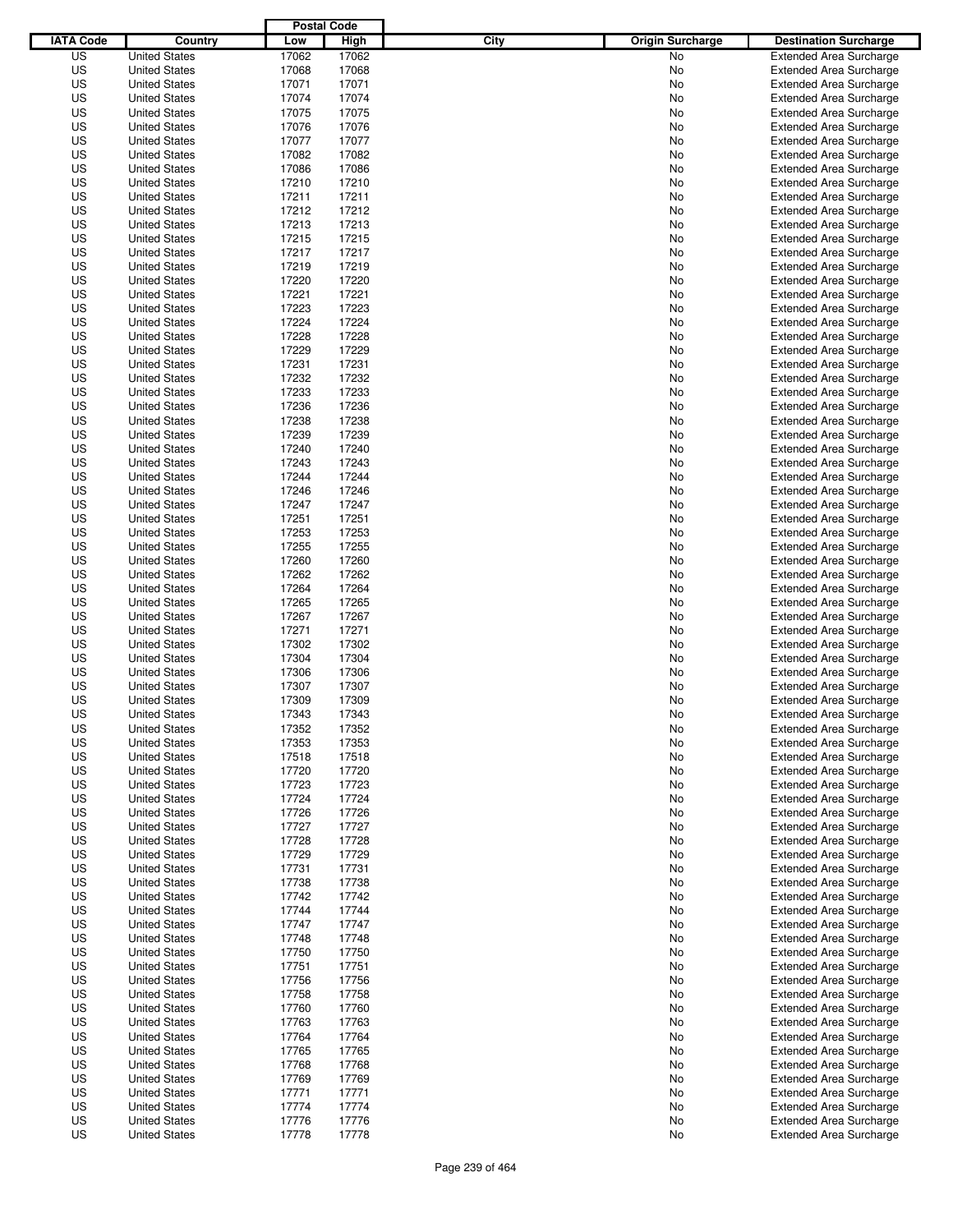|                  |                                              | <b>Postal Code</b> |                |                                 |                                |
|------------------|----------------------------------------------|--------------------|----------------|---------------------------------|--------------------------------|
| <b>IATA Code</b> | Country                                      | Low                | <b>High</b>    | City<br><b>Origin Surcharge</b> | <b>Destination Surcharge</b>   |
| US               | <b>United States</b>                         | 17062              | 17062          | <b>No</b>                       | <b>Extended Area Surcharge</b> |
| US               | <b>United States</b>                         | 17068              | 17068          | No                              | <b>Extended Area Surcharge</b> |
| US               | <b>United States</b>                         | 17071              | 17071          | No                              | <b>Extended Area Surcharge</b> |
| US               | <b>United States</b>                         | 17074              | 17074          | No                              | <b>Extended Area Surcharge</b> |
| US               | <b>United States</b>                         | 17075              | 17075          | No                              | <b>Extended Area Surcharge</b> |
| US               | <b>United States</b>                         | 17076              | 17076          | No                              | <b>Extended Area Surcharge</b> |
| US               | <b>United States</b>                         | 17077              | 17077          | No                              | <b>Extended Area Surcharge</b> |
| US               | <b>United States</b>                         | 17082              | 17082          | No                              | <b>Extended Area Surcharge</b> |
| US               | <b>United States</b>                         | 17086              | 17086          | No                              | <b>Extended Area Surcharge</b> |
| US               | <b>United States</b>                         | 17210              | 17210          | No                              | <b>Extended Area Surcharge</b> |
| US               | <b>United States</b>                         | 17211              | 17211          | No                              | <b>Extended Area Surcharge</b> |
| US               | <b>United States</b>                         | 17212              | 17212          | No                              | <b>Extended Area Surcharge</b> |
| US               | <b>United States</b>                         | 17213              | 17213          | No                              | <b>Extended Area Surcharge</b> |
| US               | <b>United States</b>                         | 17215              | 17215          | No                              | <b>Extended Area Surcharge</b> |
| US               | <b>United States</b>                         | 17217              | 17217          | No                              | <b>Extended Area Surcharge</b> |
| US               | <b>United States</b>                         | 17219              | 17219          | No                              | <b>Extended Area Surcharge</b> |
| US               | <b>United States</b>                         | 17220              | 17220          | No                              | <b>Extended Area Surcharge</b> |
| US               | <b>United States</b>                         | 17221              | 17221          | No                              | <b>Extended Area Surcharge</b> |
| US               | <b>United States</b>                         | 17223              | 17223          | No                              | <b>Extended Area Surcharge</b> |
| US               | <b>United States</b>                         | 17224              | 17224          | No                              | <b>Extended Area Surcharge</b> |
| US               | <b>United States</b>                         | 17228              | 17228          | No                              | <b>Extended Area Surcharge</b> |
| US               | <b>United States</b>                         | 17229              | 17229          | No                              | <b>Extended Area Surcharge</b> |
| US               | <b>United States</b>                         | 17231              | 17231          | No                              | <b>Extended Area Surcharge</b> |
| US               | <b>United States</b>                         | 17232              | 17232          | No                              | <b>Extended Area Surcharge</b> |
| US               | <b>United States</b>                         | 17233              | 17233          | No                              | <b>Extended Area Surcharge</b> |
| US               | <b>United States</b>                         | 17236              | 17236          | No                              | <b>Extended Area Surcharge</b> |
| US               | <b>United States</b>                         | 17238              | 17238          | No                              | <b>Extended Area Surcharge</b> |
| US               | <b>United States</b>                         | 17239              | 17239          | No                              | <b>Extended Area Surcharge</b> |
| US               | <b>United States</b>                         | 17240              | 17240          | No                              | <b>Extended Area Surcharge</b> |
| US               | <b>United States</b>                         | 17243              | 17243          | No                              | <b>Extended Area Surcharge</b> |
| US               | <b>United States</b>                         | 17244              | 17244          | No                              | <b>Extended Area Surcharge</b> |
| US               | <b>United States</b>                         | 17246              | 17246          | No                              | <b>Extended Area Surcharge</b> |
| US               | <b>United States</b>                         | 17247              | 17247          | No                              | <b>Extended Area Surcharge</b> |
| US               | <b>United States</b>                         | 17251              | 17251          | No                              | <b>Extended Area Surcharge</b> |
| US               | <b>United States</b>                         | 17253              | 17253          | No                              | <b>Extended Area Surcharge</b> |
| US               | <b>United States</b>                         | 17255              | 17255          | No                              | <b>Extended Area Surcharge</b> |
| US               | <b>United States</b>                         | 17260              | 17260          | No                              | <b>Extended Area Surcharge</b> |
| US               | <b>United States</b>                         | 17262              | 17262          | No                              | <b>Extended Area Surcharge</b> |
| US               | <b>United States</b>                         | 17264              | 17264          | No                              | <b>Extended Area Surcharge</b> |
| US               | <b>United States</b>                         | 17265              | 17265          | No                              | <b>Extended Area Surcharge</b> |
| US               | <b>United States</b>                         | 17267              | 17267          | No                              | <b>Extended Area Surcharge</b> |
| US               | <b>United States</b>                         | 17271              | 17271          | No                              | <b>Extended Area Surcharge</b> |
| US               | <b>United States</b>                         | 17302              | 17302          | No                              | <b>Extended Area Surcharge</b> |
| US               | <b>United States</b>                         | 17304              | 17304          | No                              | <b>Extended Area Surcharge</b> |
| US               | <b>United States</b>                         | 17306              | 17306          | No                              | Extended Area Surcharge        |
| US               | <b>United States</b>                         | 17307              | 17307          | No                              | <b>Extended Area Surcharge</b> |
| US               | <b>United States</b>                         | 17309              | 17309          | No                              | <b>Extended Area Surcharge</b> |
| US               | <b>United States</b>                         | 17343              |                | No                              | <b>Extended Area Surcharge</b> |
| US               | <b>United States</b>                         | 17352              | 17343<br>17352 |                                 |                                |
|                  |                                              |                    |                | No                              | <b>Extended Area Surcharge</b> |
| US               | <b>United States</b>                         | 17353              | 17353          | No                              | <b>Extended Area Surcharge</b> |
| US               | <b>United States</b>                         | 17518              | 17518          | No                              | <b>Extended Area Surcharge</b> |
| US               | <b>United States</b>                         | 17720              | 17720          | No                              | <b>Extended Area Surcharge</b> |
| US               | <b>United States</b>                         | 17723              | 17723          | No                              | <b>Extended Area Surcharge</b> |
| US               | <b>United States</b><br><b>United States</b> | 17724              | 17724          | No                              | <b>Extended Area Surcharge</b> |
| US               |                                              | 17726              | 17726          | No                              | <b>Extended Area Surcharge</b> |
| US               | <b>United States</b>                         | 17727              | 17727          | No                              | <b>Extended Area Surcharge</b> |
| US               | <b>United States</b>                         | 17728              | 17728          | No                              | <b>Extended Area Surcharge</b> |
| US               | <b>United States</b>                         | 17729              | 17729          | No                              | <b>Extended Area Surcharge</b> |
| US               | <b>United States</b><br><b>United States</b> | 17731              | 17731          | No                              | <b>Extended Area Surcharge</b> |
| US               |                                              | 17738              | 17738          | No                              | <b>Extended Area Surcharge</b> |
| US               | <b>United States</b>                         | 17742              | 17742          | No                              | <b>Extended Area Surcharge</b> |
| US               | <b>United States</b>                         | 17744              | 17744          | No                              | <b>Extended Area Surcharge</b> |
| US               | <b>United States</b>                         | 17747              | 17747          | No                              | <b>Extended Area Surcharge</b> |
| US               | <b>United States</b>                         | 17748              | 17748          | No                              | <b>Extended Area Surcharge</b> |
| US               | <b>United States</b>                         | 17750              | 17750          | No                              | <b>Extended Area Surcharge</b> |
| US               | <b>United States</b>                         | 17751              | 17751          | No                              | <b>Extended Area Surcharge</b> |
| US               | <b>United States</b>                         | 17756              | 17756          | No                              | <b>Extended Area Surcharge</b> |
| US               | <b>United States</b>                         | 17758              | 17758          | No                              | <b>Extended Area Surcharge</b> |
| US               | <b>United States</b>                         | 17760              | 17760          | No                              | <b>Extended Area Surcharge</b> |
| US               | <b>United States</b>                         | 17763              | 17763          | No                              | <b>Extended Area Surcharge</b> |
| US               | <b>United States</b>                         | 17764              | 17764          | No                              | <b>Extended Area Surcharge</b> |
| US               | <b>United States</b>                         | 17765              | 17765          | No                              | <b>Extended Area Surcharge</b> |
| US               | <b>United States</b>                         | 17768              | 17768          | No                              | <b>Extended Area Surcharge</b> |
| US               | <b>United States</b>                         | 17769              | 17769          | No                              | <b>Extended Area Surcharge</b> |
| US               | <b>United States</b>                         | 17771              | 17771          | No                              | <b>Extended Area Surcharge</b> |
| US               | <b>United States</b>                         | 17774              | 17774          | No                              | <b>Extended Area Surcharge</b> |
| US               | <b>United States</b>                         | 17776              | 17776          | No                              | <b>Extended Area Surcharge</b> |
| US               | <b>United States</b>                         | 17778              | 17778          | No                              | <b>Extended Area Surcharge</b> |
|                  |                                              |                    |                |                                 |                                |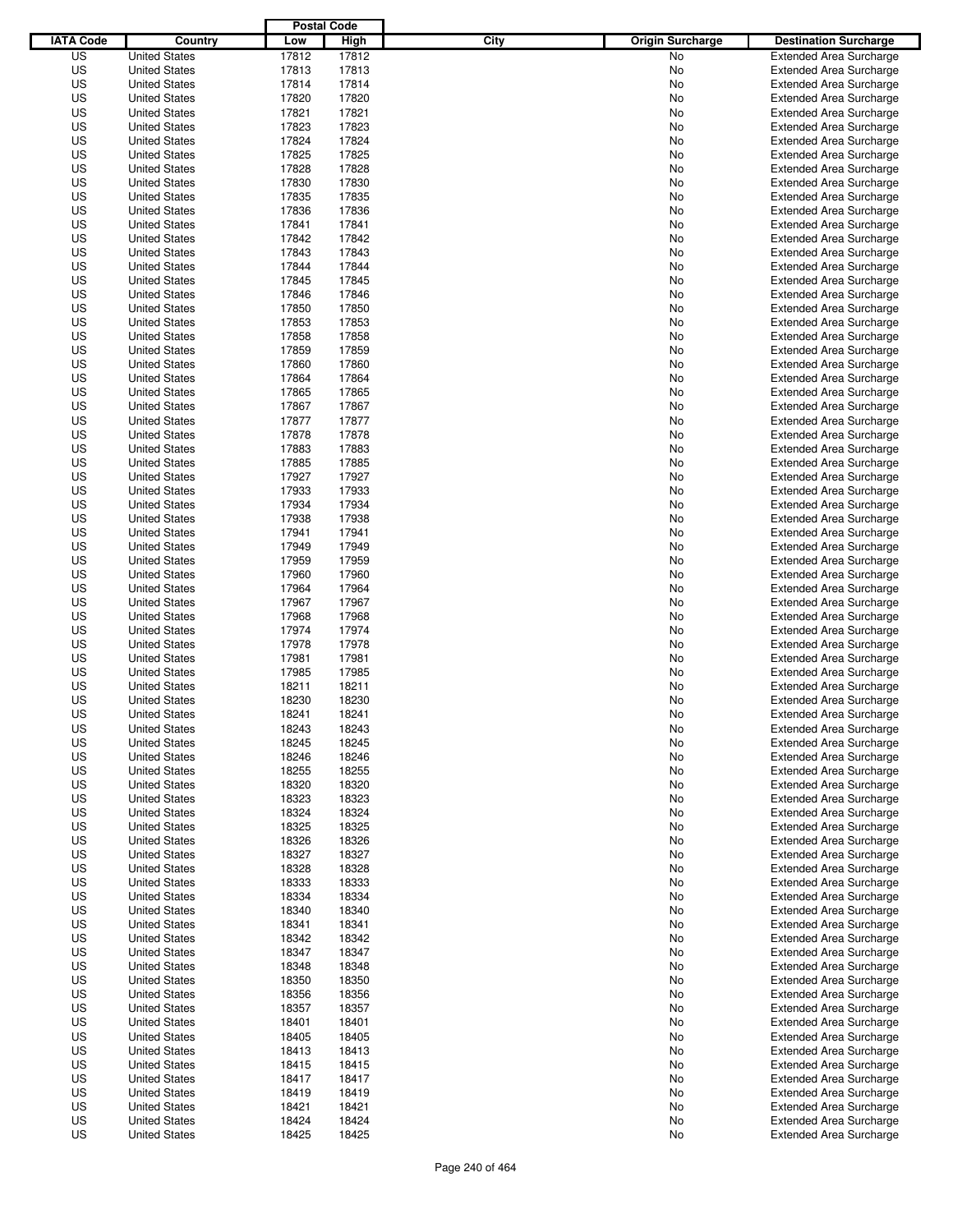|                  |                      | <b>Postal Code</b> |             |                                 |                                |
|------------------|----------------------|--------------------|-------------|---------------------------------|--------------------------------|
| <b>IATA Code</b> | Country              | Low                | <b>High</b> | City<br><b>Origin Surcharge</b> | <b>Destination Surcharge</b>   |
| US               | <b>United States</b> | 17812              | 17812       | <b>No</b>                       | <b>Extended Area Surcharge</b> |
| US               | <b>United States</b> | 17813              | 17813       | No                              | <b>Extended Area Surcharge</b> |
| US               | <b>United States</b> | 17814              | 17814       | No                              | <b>Extended Area Surcharge</b> |
| US               | <b>United States</b> | 17820              | 17820       | No                              | <b>Extended Area Surcharge</b> |
| US               | <b>United States</b> | 17821              | 17821       | No                              | <b>Extended Area Surcharge</b> |
| US               | <b>United States</b> | 17823              | 17823       | No                              | <b>Extended Area Surcharge</b> |
| US               | <b>United States</b> | 17824              | 17824       | No                              | <b>Extended Area Surcharge</b> |
| US               | <b>United States</b> | 17825              | 17825       | No                              | <b>Extended Area Surcharge</b> |
| US               | <b>United States</b> | 17828              | 17828       | No                              | <b>Extended Area Surcharge</b> |
| US               | <b>United States</b> | 17830              | 17830       | No                              | <b>Extended Area Surcharge</b> |
| US               | <b>United States</b> | 17835              | 17835       | No                              | <b>Extended Area Surcharge</b> |
| US               | <b>United States</b> | 17836              | 17836       | No                              | <b>Extended Area Surcharge</b> |
| US               | <b>United States</b> | 17841              | 17841       | No                              | <b>Extended Area Surcharge</b> |
| US               | <b>United States</b> | 17842              | 17842       | No                              | <b>Extended Area Surcharge</b> |
| US               | <b>United States</b> | 17843              | 17843       | No                              | <b>Extended Area Surcharge</b> |
| US               | <b>United States</b> | 17844              | 17844       | No                              | <b>Extended Area Surcharge</b> |
| US               | <b>United States</b> | 17845              | 17845       | No                              | <b>Extended Area Surcharge</b> |
| US               | <b>United States</b> | 17846              | 17846       | No                              | <b>Extended Area Surcharge</b> |
| US               | <b>United States</b> | 17850              | 17850       | No                              | <b>Extended Area Surcharge</b> |
| US               | <b>United States</b> | 17853              | 17853       | No                              | <b>Extended Area Surcharge</b> |
| US               | <b>United States</b> | 17858              | 17858       | No                              | <b>Extended Area Surcharge</b> |
| US               | <b>United States</b> | 17859              | 17859       | No                              | <b>Extended Area Surcharge</b> |
| US               | <b>United States</b> | 17860              | 17860       | No                              | <b>Extended Area Surcharge</b> |
| US               | <b>United States</b> | 17864              | 17864       | No                              | <b>Extended Area Surcharge</b> |
| US               | <b>United States</b> | 17865              | 17865       | No                              | <b>Extended Area Surcharge</b> |
| US               | <b>United States</b> | 17867              | 17867       | No                              | <b>Extended Area Surcharge</b> |
| US               | <b>United States</b> | 17877              | 17877       | No                              | <b>Extended Area Surcharge</b> |
| US               | <b>United States</b> | 17878              | 17878       | No                              | <b>Extended Area Surcharge</b> |
| US               | <b>United States</b> | 17883              | 17883       | No                              | <b>Extended Area Surcharge</b> |
| US               | <b>United States</b> | 17885              | 17885       | No                              | <b>Extended Area Surcharge</b> |
| US               | <b>United States</b> | 17927              | 17927       | No                              | <b>Extended Area Surcharge</b> |
| US               | <b>United States</b> | 17933              | 17933       | No                              | <b>Extended Area Surcharge</b> |
| US               | <b>United States</b> | 17934              | 17934       | No                              | <b>Extended Area Surcharge</b> |
| US               | <b>United States</b> | 17938              | 17938       | No                              | <b>Extended Area Surcharge</b> |
| US               | <b>United States</b> | 17941              | 17941       | No                              | <b>Extended Area Surcharge</b> |
| US               | <b>United States</b> | 17949              | 17949       | No                              | <b>Extended Area Surcharge</b> |
| US               | <b>United States</b> | 17959              | 17959       | No                              | <b>Extended Area Surcharge</b> |
| US               | <b>United States</b> | 17960              | 17960       | No                              | <b>Extended Area Surcharge</b> |
| US               | <b>United States</b> | 17964              | 17964       | No                              | <b>Extended Area Surcharge</b> |
| US               | <b>United States</b> | 17967              | 17967       | No                              | <b>Extended Area Surcharge</b> |
| US               | <b>United States</b> | 17968              | 17968       | No                              | <b>Extended Area Surcharge</b> |
| US               | <b>United States</b> | 17974              | 17974       | No                              | <b>Extended Area Surcharge</b> |
| US               | <b>United States</b> | 17978              | 17978       | No                              | <b>Extended Area Surcharge</b> |
| US               | <b>United States</b> | 17981              | 17981       | No                              | <b>Extended Area Surcharge</b> |
| US               | <b>United States</b> | 17985              | 17985       | No                              | Extended Area Surcharge        |
| US               | <b>United States</b> | 18211              | 18211       | No                              | <b>Extended Area Surcharge</b> |
| US               | <b>United States</b> | 18230              | 18230       | No                              | <b>Extended Area Surcharge</b> |
| US               | <b>United States</b> | 18241              | 18241       | No                              | <b>Extended Area Surcharge</b> |
| US               | <b>United States</b> | 18243              | 18243       | No                              | <b>Extended Area Surcharge</b> |
| US               | <b>United States</b> | 18245              | 18245       | No                              | <b>Extended Area Surcharge</b> |
| US               | <b>United States</b> | 18246              | 18246       | No                              | <b>Extended Area Surcharge</b> |
| US               | <b>United States</b> | 18255              | 18255       | No                              | <b>Extended Area Surcharge</b> |
| US               | <b>United States</b> | 18320              | 18320       | No                              | <b>Extended Area Surcharge</b> |
| US               | <b>United States</b> | 18323              | 18323       | No                              | <b>Extended Area Surcharge</b> |
| US               | <b>United States</b> | 18324              | 18324       | No                              | <b>Extended Area Surcharge</b> |
| US               | <b>United States</b> | 18325              | 18325       | No                              | <b>Extended Area Surcharge</b> |
| US               | <b>United States</b> | 18326              | 18326       | No                              | <b>Extended Area Surcharge</b> |
| US               | <b>United States</b> | 18327              | 18327       | No                              | <b>Extended Area Surcharge</b> |
| US               | <b>United States</b> | 18328              | 18328       | No                              | <b>Extended Area Surcharge</b> |
| US               | <b>United States</b> | 18333              | 18333       | No                              | <b>Extended Area Surcharge</b> |
| US               | <b>United States</b> | 18334              | 18334       | No                              | <b>Extended Area Surcharge</b> |
| US               | <b>United States</b> | 18340              | 18340       | No                              | Extended Area Surcharge        |
| US               | <b>United States</b> | 18341              | 18341       | No                              | <b>Extended Area Surcharge</b> |
| US               | <b>United States</b> | 18342              | 18342       | No                              | <b>Extended Area Surcharge</b> |
| US               | <b>United States</b> | 18347              | 18347       | No                              | <b>Extended Area Surcharge</b> |
| US               | <b>United States</b> | 18348              | 18348       | No                              | <b>Extended Area Surcharge</b> |
| US               | <b>United States</b> | 18350              | 18350       | No                              | <b>Extended Area Surcharge</b> |
| US               | <b>United States</b> | 18356              | 18356       | No                              | <b>Extended Area Surcharge</b> |
| US               | <b>United States</b> | 18357              | 18357       | No                              | <b>Extended Area Surcharge</b> |
| US               | <b>United States</b> | 18401              | 18401       | No                              | <b>Extended Area Surcharge</b> |
| US               | <b>United States</b> | 18405              | 18405       | No                              | <b>Extended Area Surcharge</b> |
| US               | <b>United States</b> | 18413              | 18413       | No                              | <b>Extended Area Surcharge</b> |
| US               | <b>United States</b> | 18415              | 18415       | No                              | <b>Extended Area Surcharge</b> |
| US               | <b>United States</b> | 18417              | 18417       | No                              | <b>Extended Area Surcharge</b> |
| US               | <b>United States</b> | 18419              | 18419       | No                              | <b>Extended Area Surcharge</b> |
| US               | <b>United States</b> | 18421              | 18421       | No                              | <b>Extended Area Surcharge</b> |
| US               | <b>United States</b> | 18424              | 18424       | No                              | <b>Extended Area Surcharge</b> |
| US               | <b>United States</b> | 18425              | 18425       | No                              | <b>Extended Area Surcharge</b> |
|                  |                      |                    |             |                                 |                                |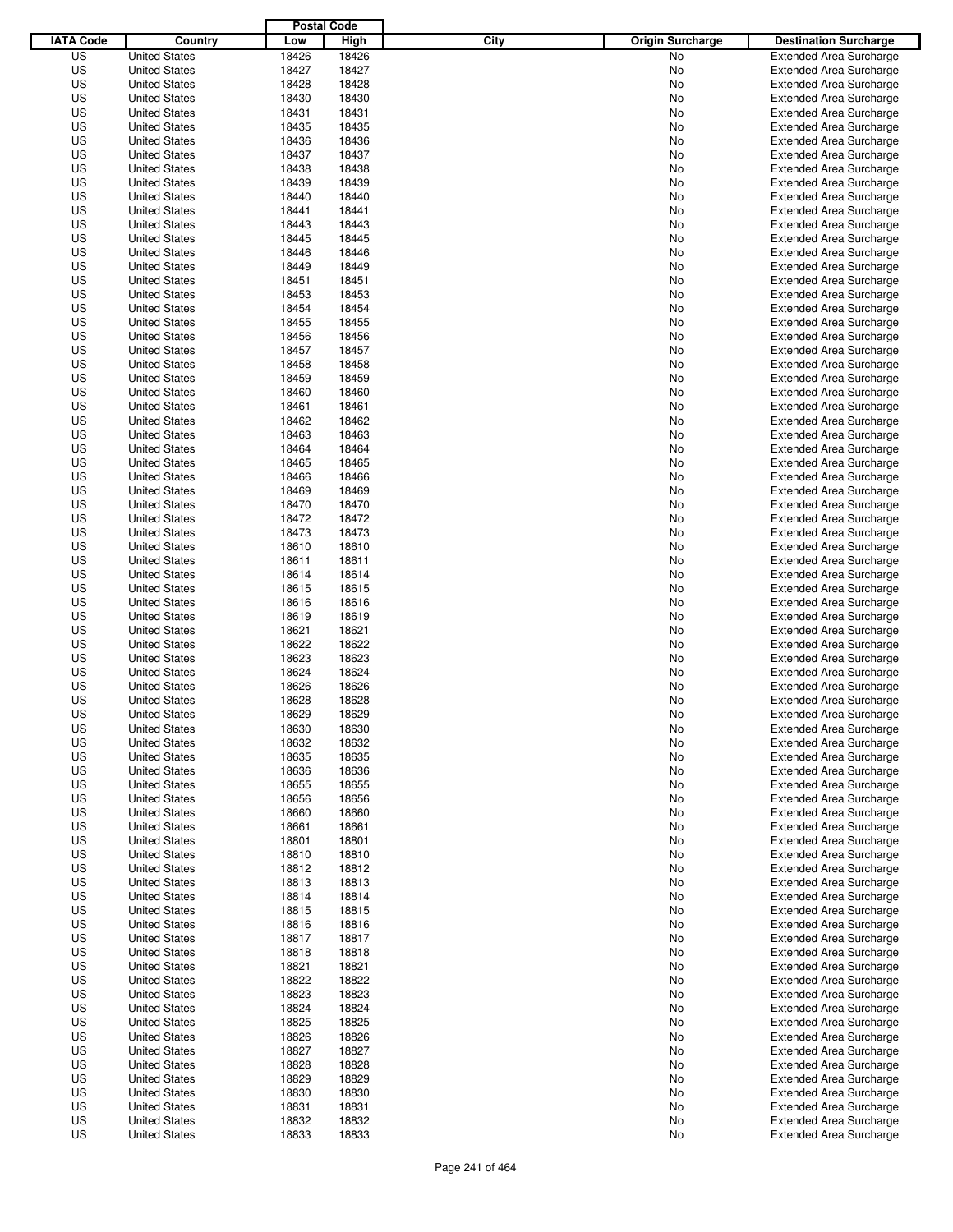|                  |                      | <b>Postal Code</b> |       |                                 |                                |
|------------------|----------------------|--------------------|-------|---------------------------------|--------------------------------|
| <b>IATA Code</b> | Country              | Low                | High  | City<br><b>Origin Surcharge</b> | <b>Destination Surcharge</b>   |
| US               | <b>United States</b> | 18426              | 18426 | <b>No</b>                       | <b>Extended Area Surcharge</b> |
| US               | <b>United States</b> | 18427              | 18427 | No                              | <b>Extended Area Surcharge</b> |
| US               | <b>United States</b> | 18428              | 18428 | No                              | <b>Extended Area Surcharge</b> |
| US               | <b>United States</b> | 18430              | 18430 | No                              | <b>Extended Area Surcharge</b> |
| US               | <b>United States</b> | 18431              | 18431 | No                              | <b>Extended Area Surcharge</b> |
| US               | <b>United States</b> | 18435              | 18435 | No                              | <b>Extended Area Surcharge</b> |
| US               | <b>United States</b> | 18436              | 18436 | No                              | <b>Extended Area Surcharge</b> |
| US               | <b>United States</b> | 18437              | 18437 | No                              | <b>Extended Area Surcharge</b> |
| US               | <b>United States</b> | 18438              | 18438 | No                              | <b>Extended Area Surcharge</b> |
| US               | <b>United States</b> | 18439              | 18439 | No                              | <b>Extended Area Surcharge</b> |
| US               | <b>United States</b> | 18440              | 18440 | No                              | <b>Extended Area Surcharge</b> |
| US               | <b>United States</b> | 18441              | 18441 | No                              | <b>Extended Area Surcharge</b> |
| US               | <b>United States</b> | 18443              | 18443 | No                              | <b>Extended Area Surcharge</b> |
| US               | <b>United States</b> | 18445              | 18445 | No                              | <b>Extended Area Surcharge</b> |
| US               | <b>United States</b> | 18446              | 18446 | No                              | <b>Extended Area Surcharge</b> |
| US               | <b>United States</b> | 18449              | 18449 | No                              | <b>Extended Area Surcharge</b> |
| US               | <b>United States</b> | 18451              | 18451 | No                              | <b>Extended Area Surcharge</b> |
| US               | <b>United States</b> | 18453              | 18453 | No                              | <b>Extended Area Surcharge</b> |
| US               | <b>United States</b> | 18454              | 18454 | No                              | <b>Extended Area Surcharge</b> |
| US               | <b>United States</b> | 18455              | 18455 | No                              | <b>Extended Area Surcharge</b> |
| US               | <b>United States</b> | 18456              | 18456 | No                              | <b>Extended Area Surcharge</b> |
| US               | <b>United States</b> | 18457              | 18457 | No                              | <b>Extended Area Surcharge</b> |
| US               | <b>United States</b> | 18458              | 18458 | No                              | <b>Extended Area Surcharge</b> |
| US               | <b>United States</b> | 18459              | 18459 | No                              | <b>Extended Area Surcharge</b> |
| US               | <b>United States</b> | 18460              | 18460 | No                              | <b>Extended Area Surcharge</b> |
| US               | <b>United States</b> | 18461              | 18461 | No                              | <b>Extended Area Surcharge</b> |
| US               | <b>United States</b> | 18462              | 18462 | No                              | <b>Extended Area Surcharge</b> |
| US               | <b>United States</b> | 18463              | 18463 | No                              | <b>Extended Area Surcharge</b> |
| US               | <b>United States</b> | 18464              | 18464 | No                              | <b>Extended Area Surcharge</b> |
| US               | <b>United States</b> | 18465              | 18465 | No                              | <b>Extended Area Surcharge</b> |
| US               | <b>United States</b> | 18466              | 18466 | No                              | <b>Extended Area Surcharge</b> |
| US               | <b>United States</b> | 18469              | 18469 | No                              | <b>Extended Area Surcharge</b> |
| US               | <b>United States</b> | 18470              | 18470 | No                              | <b>Extended Area Surcharge</b> |
| US               | <b>United States</b> | 18472              | 18472 | No                              | <b>Extended Area Surcharge</b> |
| US               | <b>United States</b> | 18473              | 18473 | No                              | <b>Extended Area Surcharge</b> |
| US               | <b>United States</b> | 18610              | 18610 | No                              | <b>Extended Area Surcharge</b> |
| US               | <b>United States</b> | 18611              | 18611 | No                              | <b>Extended Area Surcharge</b> |
| US               |                      | 18614              | 18614 |                                 |                                |
|                  | <b>United States</b> |                    |       | No                              | <b>Extended Area Surcharge</b> |
| US               | <b>United States</b> | 18615              | 18615 | No                              | <b>Extended Area Surcharge</b> |
| US               | <b>United States</b> | 18616              | 18616 | No                              | <b>Extended Area Surcharge</b> |
| US               | <b>United States</b> | 18619              | 18619 | No                              | <b>Extended Area Surcharge</b> |
| US               | <b>United States</b> | 18621              | 18621 | No                              | <b>Extended Area Surcharge</b> |
| US               | <b>United States</b> | 18622              | 18622 | No                              | <b>Extended Area Surcharge</b> |
| US               | <b>United States</b> | 18623              | 18623 | No                              | <b>Extended Area Surcharge</b> |
| US               | <b>United States</b> | 18624              | 18624 | No                              | Extended Area Surcharge        |
| US               | <b>United States</b> | 18626              | 18626 | No                              | <b>Extended Area Surcharge</b> |
| US               | <b>United States</b> | 18628              | 18628 | No                              | <b>Extended Area Surcharge</b> |
| US               | <b>United States</b> | 18629              | 18629 | No                              | <b>Extended Area Surcharge</b> |
| US               | <b>United States</b> | 18630              | 18630 | No                              | <b>Extended Area Surcharge</b> |
| US               | <b>United States</b> | 18632              | 18632 | No                              | <b>Extended Area Surcharge</b> |
| US               | <b>United States</b> | 18635              | 18635 | No                              | <b>Extended Area Surcharge</b> |
| US               | <b>United States</b> | 18636              | 18636 | No                              | <b>Extended Area Surcharge</b> |
| US               | <b>United States</b> | 18655              | 18655 | No                              | <b>Extended Area Surcharge</b> |
| US               | <b>United States</b> | 18656              | 18656 | No                              | <b>Extended Area Surcharge</b> |
| US               | <b>United States</b> | 18660              | 18660 | No                              | <b>Extended Area Surcharge</b> |
| US               | <b>United States</b> | 18661              | 18661 | No                              | <b>Extended Area Surcharge</b> |
| US               | <b>United States</b> | 18801              | 18801 | No                              | <b>Extended Area Surcharge</b> |
| US               | <b>United States</b> | 18810              | 18810 | No                              | <b>Extended Area Surcharge</b> |
| US               | <b>United States</b> | 18812              | 18812 | No                              | <b>Extended Area Surcharge</b> |
| US               | <b>United States</b> | 18813              | 18813 | No                              | <b>Extended Area Surcharge</b> |
| US               | <b>United States</b> | 18814              | 18814 | No                              | <b>Extended Area Surcharge</b> |
| US               | <b>United States</b> | 18815              | 18815 | No                              | <b>Extended Area Surcharge</b> |
| US               | <b>United States</b> | 18816              | 18816 | No                              | <b>Extended Area Surcharge</b> |
| US               | <b>United States</b> | 18817              | 18817 | No                              | <b>Extended Area Surcharge</b> |
| US               | <b>United States</b> | 18818              | 18818 | No                              | <b>Extended Area Surcharge</b> |
| US               | <b>United States</b> | 18821              | 18821 | No                              | <b>Extended Area Surcharge</b> |
| US               | <b>United States</b> | 18822              | 18822 | No                              | <b>Extended Area Surcharge</b> |
| US               | <b>United States</b> | 18823              | 18823 | No                              | <b>Extended Area Surcharge</b> |
| US               | <b>United States</b> | 18824              | 18824 | No                              | <b>Extended Area Surcharge</b> |
| US               | <b>United States</b> | 18825              | 18825 | No                              | <b>Extended Area Surcharge</b> |
| US               | <b>United States</b> | 18826              | 18826 | No                              | <b>Extended Area Surcharge</b> |
| US               | <b>United States</b> | 18827              | 18827 | No                              | <b>Extended Area Surcharge</b> |
| US               | <b>United States</b> | 18828              | 18828 | No                              | <b>Extended Area Surcharge</b> |
| US               | <b>United States</b> | 18829              | 18829 | No                              | <b>Extended Area Surcharge</b> |
| US               | <b>United States</b> | 18830              | 18830 | No                              | <b>Extended Area Surcharge</b> |
| US               | <b>United States</b> | 18831              | 18831 | No                              | <b>Extended Area Surcharge</b> |
| US               | <b>United States</b> | 18832              | 18832 | No                              | <b>Extended Area Surcharge</b> |
| US               | <b>United States</b> | 18833              | 18833 | No                              | <b>Extended Area Surcharge</b> |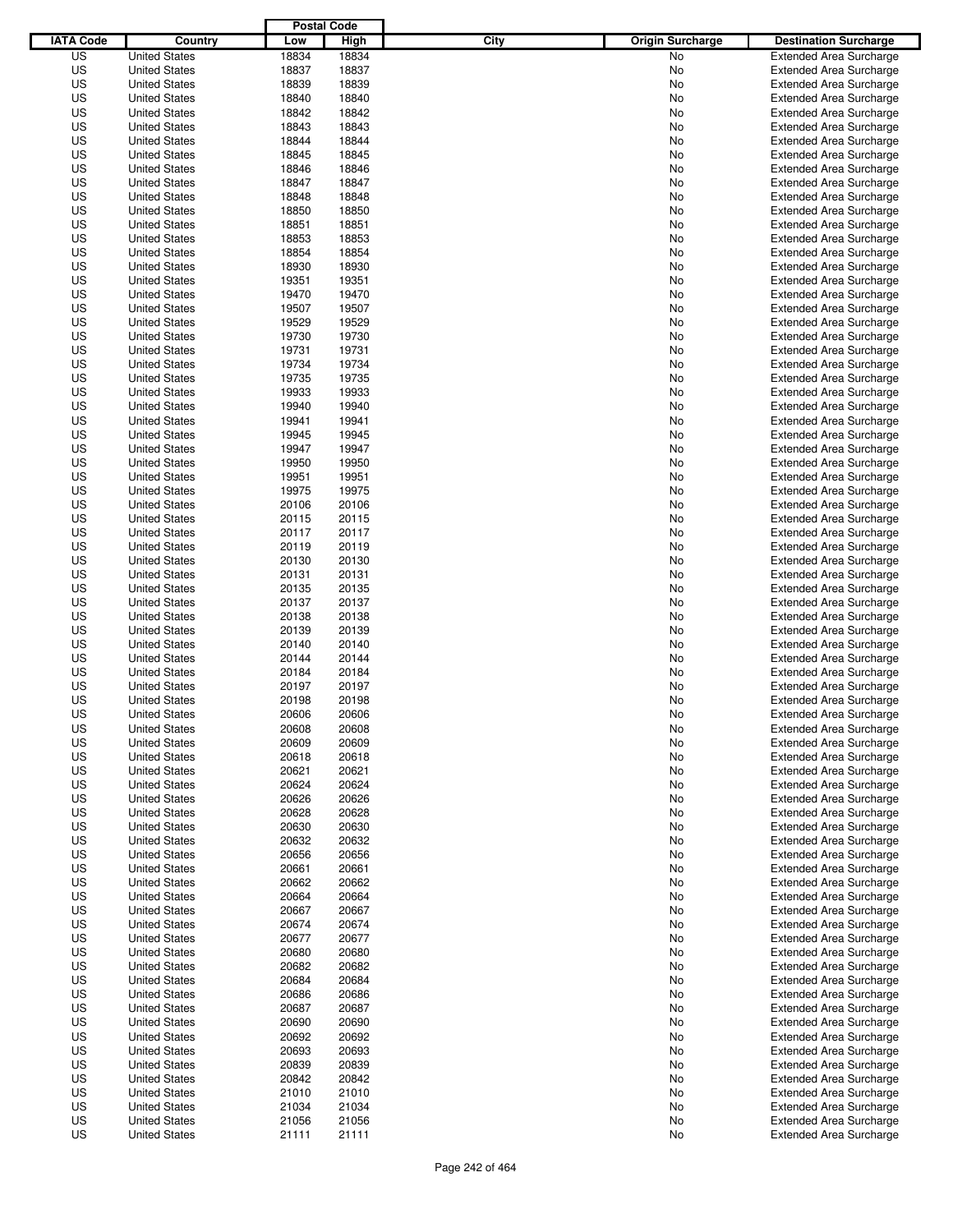|                  |                      | <b>Postal Code</b> |       |                                 |                                |
|------------------|----------------------|--------------------|-------|---------------------------------|--------------------------------|
| <b>IATA Code</b> | Country              | Low                | High  | City<br><b>Origin Surcharge</b> | <b>Destination Surcharge</b>   |
| US               | <b>United States</b> | 18834              | 18834 | <b>No</b>                       | <b>Extended Area Surcharge</b> |
| US               | <b>United States</b> | 18837              | 18837 | No                              | <b>Extended Area Surcharge</b> |
| US               | <b>United States</b> | 18839              | 18839 | No                              | <b>Extended Area Surcharge</b> |
| US               | <b>United States</b> | 18840              | 18840 | No                              | <b>Extended Area Surcharge</b> |
| US               | <b>United States</b> | 18842              | 18842 | No                              | <b>Extended Area Surcharge</b> |
| US               | <b>United States</b> | 18843              | 18843 | No                              | <b>Extended Area Surcharge</b> |
| US               | <b>United States</b> | 18844              | 18844 | No                              | <b>Extended Area Surcharge</b> |
| US               | <b>United States</b> | 18845              | 18845 | No                              | <b>Extended Area Surcharge</b> |
| US               | <b>United States</b> | 18846              | 18846 | No                              | <b>Extended Area Surcharge</b> |
| US               | <b>United States</b> | 18847              | 18847 | No                              | <b>Extended Area Surcharge</b> |
| US               | <b>United States</b> | 18848              | 18848 | No                              | <b>Extended Area Surcharge</b> |
| US               | <b>United States</b> | 18850              | 18850 | No                              | <b>Extended Area Surcharge</b> |
| US               | <b>United States</b> | 18851              | 18851 | No                              | <b>Extended Area Surcharge</b> |
| US               | <b>United States</b> | 18853              | 18853 | No                              | <b>Extended Area Surcharge</b> |
| US               | <b>United States</b> | 18854              | 18854 | No                              | <b>Extended Area Surcharge</b> |
| US               | <b>United States</b> | 18930              | 18930 | No                              | <b>Extended Area Surcharge</b> |
| US               | <b>United States</b> | 19351              | 19351 | No                              | <b>Extended Area Surcharge</b> |
| US               | <b>United States</b> | 19470              | 19470 | No                              | <b>Extended Area Surcharge</b> |
| US               | <b>United States</b> | 19507              | 19507 | No                              | <b>Extended Area Surcharge</b> |
| US               | <b>United States</b> | 19529              | 19529 | No                              | <b>Extended Area Surcharge</b> |
| US               | <b>United States</b> | 19730              | 19730 | No                              | <b>Extended Area Surcharge</b> |
| US               | <b>United States</b> | 19731              | 19731 | No                              | <b>Extended Area Surcharge</b> |
| US               | <b>United States</b> | 19734              | 19734 | No                              | <b>Extended Area Surcharge</b> |
| US               | <b>United States</b> | 19735              | 19735 | No                              | <b>Extended Area Surcharge</b> |
| US               | <b>United States</b> | 19933              | 19933 | No                              | <b>Extended Area Surcharge</b> |
| US               | <b>United States</b> | 19940              | 19940 | No                              | <b>Extended Area Surcharge</b> |
| US               | <b>United States</b> | 19941              | 19941 | No                              | <b>Extended Area Surcharge</b> |
| US               | <b>United States</b> | 19945              | 19945 | No                              | <b>Extended Area Surcharge</b> |
| US               | <b>United States</b> | 19947              | 19947 | No                              | <b>Extended Area Surcharge</b> |
| US               | <b>United States</b> | 19950              | 19950 | No                              | <b>Extended Area Surcharge</b> |
| US               | <b>United States</b> | 19951              | 19951 | No                              | <b>Extended Area Surcharge</b> |
| US               | <b>United States</b> | 19975              | 19975 | No                              | <b>Extended Area Surcharge</b> |
| US               | <b>United States</b> | 20106              | 20106 | No                              | <b>Extended Area Surcharge</b> |
| US               | <b>United States</b> | 20115              | 20115 | No                              | <b>Extended Area Surcharge</b> |
| US               | <b>United States</b> | 20117              | 20117 | No                              | <b>Extended Area Surcharge</b> |
| US               | <b>United States</b> | 20119              | 20119 | No                              | <b>Extended Area Surcharge</b> |
| US               | <b>United States</b> | 20130              | 20130 | No                              | <b>Extended Area Surcharge</b> |
| US               | <b>United States</b> | 20131              | 20131 | No                              | <b>Extended Area Surcharge</b> |
| US               | <b>United States</b> | 20135              | 20135 | No                              | <b>Extended Area Surcharge</b> |
| US               | <b>United States</b> | 20137              | 20137 | No                              | <b>Extended Area Surcharge</b> |
| US               | <b>United States</b> | 20138              | 20138 | No                              | <b>Extended Area Surcharge</b> |
| US               | <b>United States</b> | 20139              | 20139 | No                              | <b>Extended Area Surcharge</b> |
| US               | <b>United States</b> | 20140              | 20140 | No                              | <b>Extended Area Surcharge</b> |
| US               | <b>United States</b> | 20144              | 20144 | No                              | <b>Extended Area Surcharge</b> |
| US               | <b>United States</b> | 20184              | 20184 | No                              | Extended Area Surcharge        |
| US               | <b>United States</b> | 20197              | 20197 | No                              | <b>Extended Area Surcharge</b> |
| US               | <b>United States</b> | 20198              | 20198 | No                              | <b>Extended Area Surcharge</b> |
| US               | <b>United States</b> | 20606              | 20606 | No                              | <b>Extended Area Surcharge</b> |
| US               | <b>United States</b> | 20608              | 20608 | No                              | <b>Extended Area Surcharge</b> |
| US               | <b>United States</b> | 20609              | 20609 | No                              | <b>Extended Area Surcharge</b> |
| US               | <b>United States</b> | 20618              | 20618 | No                              | <b>Extended Area Surcharge</b> |
| US               | <b>United States</b> | 20621              | 20621 | No                              | <b>Extended Area Surcharge</b> |
| US               | <b>United States</b> | 20624              | 20624 | No                              | <b>Extended Area Surcharge</b> |
| US               | <b>United States</b> | 20626              | 20626 | No                              | <b>Extended Area Surcharge</b> |
| US               | <b>United States</b> | 20628              | 20628 | No                              | <b>Extended Area Surcharge</b> |
| US               | <b>United States</b> | 20630              | 20630 | No                              | <b>Extended Area Surcharge</b> |
| US               | <b>United States</b> | 20632              | 20632 | No                              | <b>Extended Area Surcharge</b> |
| US               | <b>United States</b> | 20656              | 20656 | No                              | <b>Extended Area Surcharge</b> |
| US               | <b>United States</b> | 20661              | 20661 | No                              | <b>Extended Area Surcharge</b> |
| US               | <b>United States</b> | 20662              | 20662 | No                              | <b>Extended Area Surcharge</b> |
| US               | <b>United States</b> | 20664              | 20664 | No                              | <b>Extended Area Surcharge</b> |
| US               | <b>United States</b> | 20667              | 20667 | No                              | <b>Extended Area Surcharge</b> |
| US               | <b>United States</b> | 20674              | 20674 | No                              | <b>Extended Area Surcharge</b> |
| US               | <b>United States</b> | 20677              | 20677 | No                              | <b>Extended Area Surcharge</b> |
| US               | <b>United States</b> | 20680              | 20680 | No                              | <b>Extended Area Surcharge</b> |
| US               | <b>United States</b> | 20682              | 20682 | No                              | <b>Extended Area Surcharge</b> |
| US               | <b>United States</b> | 20684              | 20684 | No                              | <b>Extended Area Surcharge</b> |
| US               | <b>United States</b> | 20686              | 20686 | No                              | <b>Extended Area Surcharge</b> |
| US               | <b>United States</b> | 20687              | 20687 | No                              | <b>Extended Area Surcharge</b> |
| US               | <b>United States</b> | 20690              | 20690 | No                              | <b>Extended Area Surcharge</b> |
| US               | <b>United States</b> | 20692              | 20692 | No                              | <b>Extended Area Surcharge</b> |
| US               | <b>United States</b> | 20693              | 20693 | No                              | <b>Extended Area Surcharge</b> |
| US               | <b>United States</b> | 20839              | 20839 | No                              | <b>Extended Area Surcharge</b> |
| US               | <b>United States</b> | 20842              | 20842 | No                              | <b>Extended Area Surcharge</b> |
| US               | <b>United States</b> | 21010              | 21010 | No                              | <b>Extended Area Surcharge</b> |
| US               | <b>United States</b> | 21034              | 21034 | No                              | <b>Extended Area Surcharge</b> |
| US               | <b>United States</b> | 21056              | 21056 | No                              | <b>Extended Area Surcharge</b> |
| US               | <b>United States</b> | 21111              | 21111 | No                              | <b>Extended Area Surcharge</b> |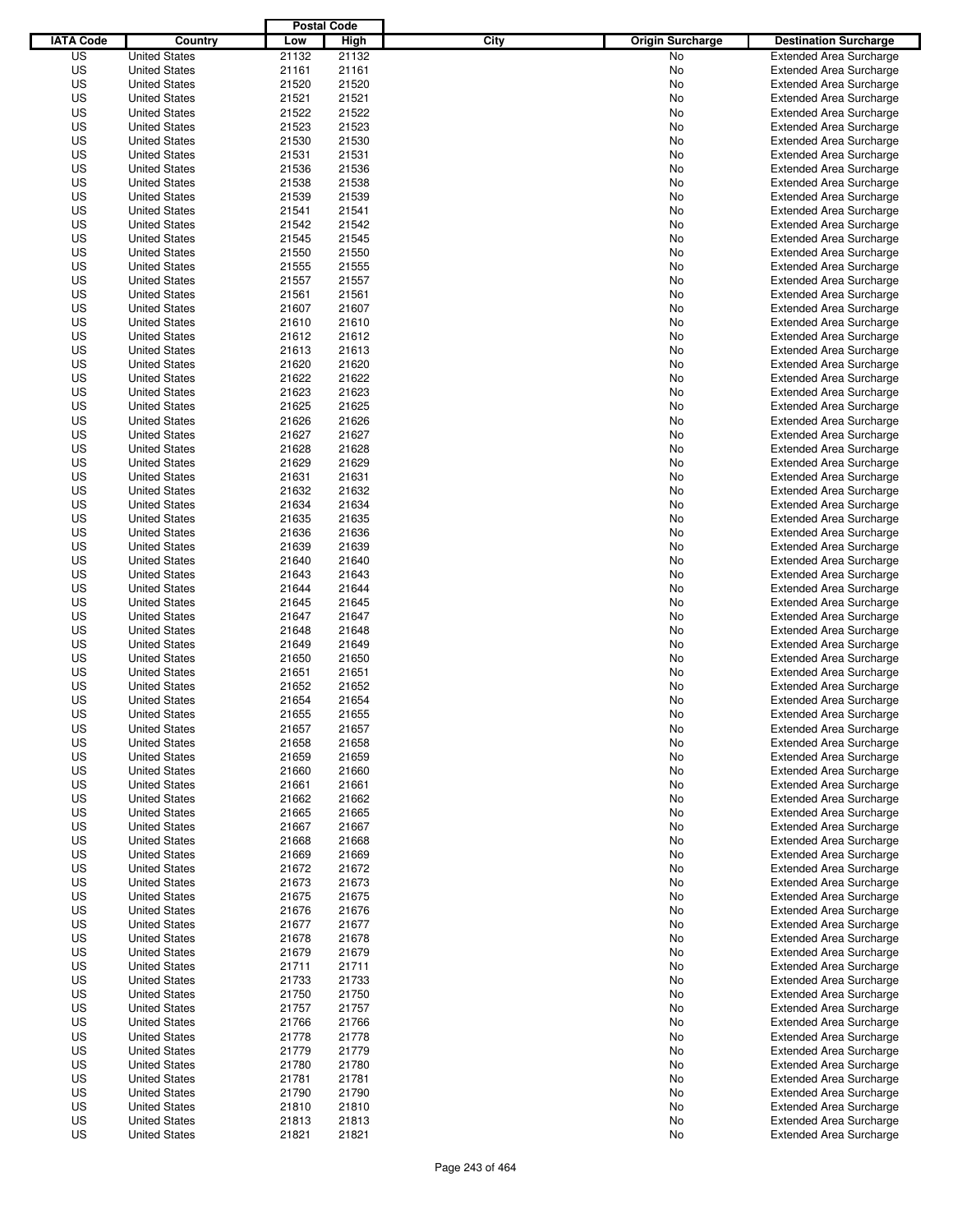|                  |                                              | <b>Postal Code</b> |                |                                 |                                                                  |
|------------------|----------------------------------------------|--------------------|----------------|---------------------------------|------------------------------------------------------------------|
| <b>IATA Code</b> | Country                                      | Low                | High           | City<br><b>Origin Surcharge</b> | <b>Destination Surcharge</b>                                     |
| US               | <b>United States</b>                         | 21132              | 21132          | <b>No</b>                       | <b>Extended Area Surcharge</b>                                   |
| US               | <b>United States</b>                         | 21161              | 21161          | No                              | <b>Extended Area Surcharge</b>                                   |
| US               | <b>United States</b>                         | 21520              | 21520          | No                              | <b>Extended Area Surcharge</b>                                   |
| US               | <b>United States</b>                         | 21521              | 21521          | No                              | <b>Extended Area Surcharge</b>                                   |
| US               | <b>United States</b>                         | 21522              | 21522          | No                              | <b>Extended Area Surcharge</b>                                   |
| US               | <b>United States</b>                         | 21523              | 21523          | No                              | <b>Extended Area Surcharge</b>                                   |
| US               | <b>United States</b>                         | 21530              | 21530          | No                              | <b>Extended Area Surcharge</b>                                   |
| US               | <b>United States</b>                         | 21531              | 21531          | No                              | <b>Extended Area Surcharge</b>                                   |
| US               | <b>United States</b>                         | 21536              | 21536          | No                              | <b>Extended Area Surcharge</b>                                   |
| US               | <b>United States</b>                         | 21538              | 21538          | No                              | <b>Extended Area Surcharge</b>                                   |
| US               | <b>United States</b>                         | 21539              | 21539          | No                              | <b>Extended Area Surcharge</b>                                   |
| US               | <b>United States</b>                         | 21541              | 21541          | No                              | <b>Extended Area Surcharge</b>                                   |
| US               | <b>United States</b>                         | 21542              | 21542          | No                              | <b>Extended Area Surcharge</b>                                   |
| US               | <b>United States</b>                         | 21545              | 21545          | No                              | <b>Extended Area Surcharge</b>                                   |
| US               | <b>United States</b>                         | 21550              | 21550          | No                              | <b>Extended Area Surcharge</b>                                   |
| US               | <b>United States</b>                         | 21555              | 21555          | No                              | <b>Extended Area Surcharge</b>                                   |
| US               | <b>United States</b>                         | 21557              | 21557          | No                              | <b>Extended Area Surcharge</b>                                   |
| US               | <b>United States</b>                         | 21561              | 21561          | No                              | <b>Extended Area Surcharge</b>                                   |
| US               | <b>United States</b>                         | 21607              | 21607          | No                              | <b>Extended Area Surcharge</b>                                   |
| US               | <b>United States</b>                         | 21610              | 21610          | No                              | <b>Extended Area Surcharge</b>                                   |
| US               | <b>United States</b>                         | 21612              | 21612          | No                              | <b>Extended Area Surcharge</b>                                   |
| US               | <b>United States</b>                         | 21613              | 21613          | No                              | <b>Extended Area Surcharge</b>                                   |
| US               | <b>United States</b>                         | 21620              | 21620          | No                              | <b>Extended Area Surcharge</b>                                   |
| US               | <b>United States</b>                         | 21622              | 21622          | No                              | <b>Extended Area Surcharge</b>                                   |
| US               | <b>United States</b>                         | 21623              | 21623          | No                              | <b>Extended Area Surcharge</b>                                   |
| US               | <b>United States</b>                         | 21625              | 21625          | No                              | <b>Extended Area Surcharge</b>                                   |
| US               | <b>United States</b>                         | 21626              | 21626          | No                              | <b>Extended Area Surcharge</b>                                   |
| US               | <b>United States</b>                         | 21627              | 21627          | No                              | <b>Extended Area Surcharge</b>                                   |
| US               | <b>United States</b>                         | 21628              | 21628          | No                              | <b>Extended Area Surcharge</b>                                   |
| US               | <b>United States</b>                         | 21629              | 21629          | No                              | <b>Extended Area Surcharge</b>                                   |
| US               | <b>United States</b>                         | 21631              | 21631          | No                              | <b>Extended Area Surcharge</b>                                   |
| US               | <b>United States</b>                         | 21632              | 21632          | No                              | <b>Extended Area Surcharge</b>                                   |
| US               | <b>United States</b>                         | 21634              | 21634          | No                              | <b>Extended Area Surcharge</b>                                   |
| US               | <b>United States</b>                         | 21635              | 21635          | No                              | <b>Extended Area Surcharge</b>                                   |
| US               | <b>United States</b>                         | 21636              | 21636          | No                              | <b>Extended Area Surcharge</b>                                   |
| US               | <b>United States</b>                         | 21639              | 21639          | No                              | <b>Extended Area Surcharge</b>                                   |
| US               | <b>United States</b>                         | 21640              | 21640          | No                              | <b>Extended Area Surcharge</b>                                   |
| US               | <b>United States</b>                         | 21643              | 21643          | No                              | <b>Extended Area Surcharge</b>                                   |
| US               |                                              |                    | 21644          |                                 | <b>Extended Area Surcharge</b>                                   |
| US               | <b>United States</b><br><b>United States</b> | 21644              | 21645          | No                              |                                                                  |
| US               | <b>United States</b>                         | 21645<br>21647     | 21647          | No<br>No                        | <b>Extended Area Surcharge</b><br><b>Extended Area Surcharge</b> |
| US               |                                              |                    | 21648          |                                 |                                                                  |
| US               | <b>United States</b>                         | 21648              |                | No                              | <b>Extended Area Surcharge</b>                                   |
| US               | <b>United States</b><br><b>United States</b> | 21649<br>21650     | 21649<br>21650 | No<br>No                        | <b>Extended Area Surcharge</b><br><b>Extended Area Surcharge</b> |
| US               | <b>United States</b>                         |                    |                |                                 | <b>Extended Area Surcharge</b>                                   |
| US               | <b>United States</b>                         | 21651<br>21652     | 21651<br>21652 | No<br>No                        | <b>Extended Area Surcharge</b>                                   |
| US               | <b>United States</b>                         | 21654              | 21654          | No                              | <b>Extended Area Surcharge</b>                                   |
| US               | <b>United States</b>                         | 21655              | 21655          | No                              | <b>Extended Area Surcharge</b>                                   |
| US               | <b>United States</b>                         | 21657              |                |                                 |                                                                  |
|                  |                                              |                    | 21657          | No                              | <b>Extended Area Surcharge</b><br><b>Extended Area Surcharge</b> |
| US               | <b>United States</b>                         | 21658              | 21658          | No                              |                                                                  |
| US               | <b>United States</b>                         | 21659              | 21659          | No                              | <b>Extended Area Surcharge</b>                                   |
| US               | <b>United States</b>                         | 21660              | 21660          | No                              | <b>Extended Area Surcharge</b>                                   |
| US               | <b>United States</b>                         | 21661              | 21661          | No                              | <b>Extended Area Surcharge</b>                                   |
| US<br>US         | <b>United States</b><br><b>United States</b> | 21662<br>21665     | 21662<br>21665 | No                              | <b>Extended Area Surcharge</b><br><b>Extended Area Surcharge</b> |
|                  |                                              |                    |                | No                              |                                                                  |
| US               | <b>United States</b>                         | 21667              | 21667          | No                              | <b>Extended Area Surcharge</b>                                   |
| US               | <b>United States</b>                         | 21668              | 21668          | No                              | <b>Extended Area Surcharge</b>                                   |
| US               | <b>United States</b>                         | 21669              | 21669          | No                              | <b>Extended Area Surcharge</b>                                   |
| US               | <b>United States</b>                         | 21672              | 21672          | No                              | <b>Extended Area Surcharge</b>                                   |
| US               | <b>United States</b>                         | 21673              | 21673          | No                              | <b>Extended Area Surcharge</b>                                   |
| US               | <b>United States</b>                         | 21675              | 21675          | No                              | <b>Extended Area Surcharge</b>                                   |
| US               | <b>United States</b>                         | 21676              | 21676          | No                              | <b>Extended Area Surcharge</b>                                   |
| US               | <b>United States</b>                         | 21677              | 21677          | No                              | <b>Extended Area Surcharge</b>                                   |
| US               | <b>United States</b>                         | 21678              | 21678          | No                              | <b>Extended Area Surcharge</b>                                   |
| US               | <b>United States</b>                         | 21679              | 21679          | No                              | <b>Extended Area Surcharge</b>                                   |
| US               | <b>United States</b>                         | 21711              | 21711          | No                              | <b>Extended Area Surcharge</b>                                   |
| US               | <b>United States</b>                         | 21733              | 21733          | No                              | <b>Extended Area Surcharge</b>                                   |
| US               | <b>United States</b>                         | 21750              | 21750          | No                              | <b>Extended Area Surcharge</b>                                   |
| US               | <b>United States</b>                         | 21757              | 21757          | No                              | <b>Extended Area Surcharge</b>                                   |
| US               | <b>United States</b>                         | 21766              | 21766          | No                              | <b>Extended Area Surcharge</b>                                   |
| US               | <b>United States</b>                         | 21778              | 21778          | No                              | <b>Extended Area Surcharge</b>                                   |
| US               | <b>United States</b>                         | 21779              | 21779          | No                              | <b>Extended Area Surcharge</b>                                   |
| US               | <b>United States</b>                         | 21780              | 21780          | No                              | <b>Extended Area Surcharge</b>                                   |
| US               | <b>United States</b>                         | 21781              | 21781          | No                              | <b>Extended Area Surcharge</b>                                   |
| US               | <b>United States</b>                         | 21790              | 21790          | No                              | <b>Extended Area Surcharge</b>                                   |
| US               | <b>United States</b>                         | 21810              | 21810          | No                              | <b>Extended Area Surcharge</b>                                   |
| US               | <b>United States</b>                         | 21813              | 21813          | No                              | <b>Extended Area Surcharge</b>                                   |
| US               | <b>United States</b>                         | 21821              | 21821          | No                              | <b>Extended Area Surcharge</b>                                   |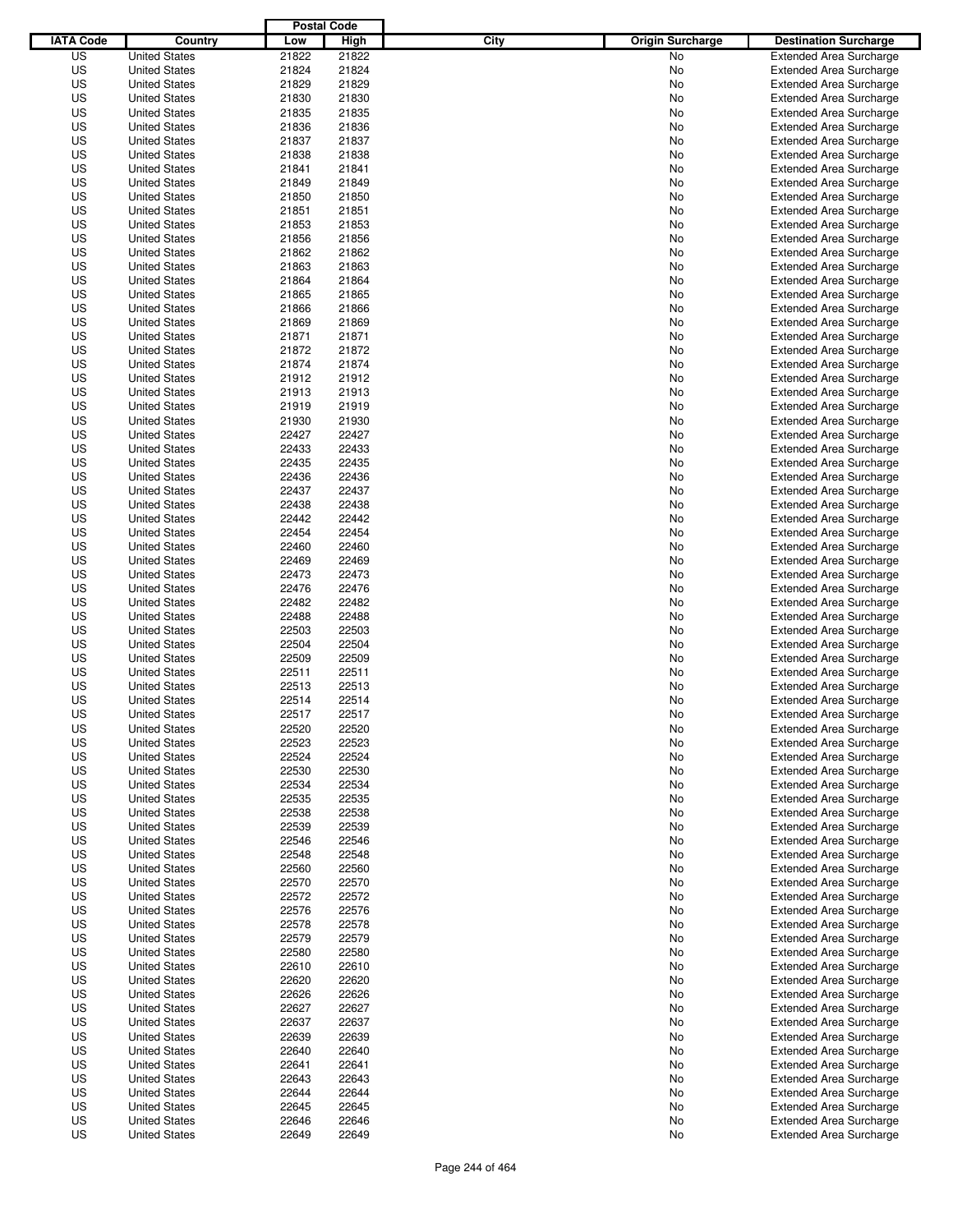|                  |                                              | <b>Postal Code</b> |                |                                 |                                                                  |
|------------------|----------------------------------------------|--------------------|----------------|---------------------------------|------------------------------------------------------------------|
| <b>IATA Code</b> | Country                                      | Low                | High           | City<br><b>Origin Surcharge</b> | <b>Destination Surcharge</b>                                     |
| US               | <b>United States</b>                         | 21822              | 21822          | <b>No</b>                       | <b>Extended Area Surcharge</b>                                   |
| US               | <b>United States</b>                         | 21824              | 21824          | No                              | <b>Extended Area Surcharge</b>                                   |
| US               | <b>United States</b>                         | 21829              | 21829          | No                              | <b>Extended Area Surcharge</b>                                   |
| US               | <b>United States</b>                         | 21830              | 21830          | No                              | <b>Extended Area Surcharge</b>                                   |
| US               | <b>United States</b>                         | 21835              | 21835          | No                              | <b>Extended Area Surcharge</b>                                   |
| US               | <b>United States</b>                         | 21836              | 21836          | No                              | <b>Extended Area Surcharge</b>                                   |
| US               | <b>United States</b>                         | 21837              | 21837          | No                              | <b>Extended Area Surcharge</b>                                   |
| US               | <b>United States</b>                         | 21838              | 21838          | No                              | <b>Extended Area Surcharge</b>                                   |
| US               | <b>United States</b>                         | 21841              | 21841          | No                              | <b>Extended Area Surcharge</b>                                   |
| US               | <b>United States</b>                         | 21849              | 21849          | No                              | <b>Extended Area Surcharge</b>                                   |
| US               | <b>United States</b>                         | 21850              | 21850          | No                              | <b>Extended Area Surcharge</b>                                   |
| US               | <b>United States</b>                         | 21851              | 21851          | No                              | <b>Extended Area Surcharge</b>                                   |
| US               | <b>United States</b>                         | 21853              | 21853          | No                              | <b>Extended Area Surcharge</b>                                   |
| US               | <b>United States</b>                         | 21856              | 21856          | No                              | <b>Extended Area Surcharge</b>                                   |
| US               | <b>United States</b>                         | 21862              | 21862          | No                              | <b>Extended Area Surcharge</b>                                   |
| US               | <b>United States</b>                         | 21863              | 21863          | No                              | <b>Extended Area Surcharge</b>                                   |
| US               | <b>United States</b>                         | 21864              | 21864          | No                              | <b>Extended Area Surcharge</b>                                   |
| US               | <b>United States</b>                         | 21865              | 21865          | No                              | <b>Extended Area Surcharge</b>                                   |
| US               | <b>United States</b>                         | 21866              | 21866          | No                              | <b>Extended Area Surcharge</b>                                   |
| US               | <b>United States</b>                         | 21869              | 21869          | No                              | <b>Extended Area Surcharge</b>                                   |
| US               | <b>United States</b>                         | 21871              | 21871          | No                              | <b>Extended Area Surcharge</b>                                   |
| US               | <b>United States</b>                         | 21872              | 21872          | No                              | <b>Extended Area Surcharge</b>                                   |
| US               | <b>United States</b>                         | 21874              | 21874          | No                              | <b>Extended Area Surcharge</b>                                   |
| US               | <b>United States</b>                         | 21912              | 21912          | No                              | <b>Extended Area Surcharge</b>                                   |
| US               | <b>United States</b>                         | 21913              | 21913          | No                              | <b>Extended Area Surcharge</b>                                   |
| US               | <b>United States</b>                         | 21919              | 21919          | No                              | <b>Extended Area Surcharge</b>                                   |
| US               | <b>United States</b>                         | 21930              | 21930          | No                              | <b>Extended Area Surcharge</b>                                   |
| US               | <b>United States</b>                         | 22427              | 22427          | No                              | <b>Extended Area Surcharge</b>                                   |
| US               | <b>United States</b>                         | 22433              | 22433          | No                              | <b>Extended Area Surcharge</b>                                   |
| US               | <b>United States</b>                         | 22435              | 22435          | No                              | <b>Extended Area Surcharge</b>                                   |
| US               | <b>United States</b>                         | 22436              | 22436          | No                              | <b>Extended Area Surcharge</b>                                   |
| US               | <b>United States</b>                         | 22437              | 22437          | No                              | <b>Extended Area Surcharge</b>                                   |
| US               | <b>United States</b>                         | 22438              | 22438          | No                              | <b>Extended Area Surcharge</b>                                   |
| US               | <b>United States</b>                         | 22442              | 22442          | No                              | <b>Extended Area Surcharge</b>                                   |
| US               | <b>United States</b>                         | 22454              | 22454          | No                              | <b>Extended Area Surcharge</b>                                   |
| US               | <b>United States</b>                         | 22460              | 22460          | No                              | <b>Extended Area Surcharge</b>                                   |
| US               | <b>United States</b>                         | 22469              | 22469          | No                              | <b>Extended Area Surcharge</b>                                   |
| US               | <b>United States</b>                         | 22473              | 22473          | No                              | <b>Extended Area Surcharge</b>                                   |
| US               | <b>United States</b>                         | 22476              | 22476          | No                              | <b>Extended Area Surcharge</b>                                   |
| US               | <b>United States</b>                         | 22482              | 22482          | No                              | <b>Extended Area Surcharge</b>                                   |
| US               | <b>United States</b>                         | 22488              | 22488          | No                              | <b>Extended Area Surcharge</b>                                   |
| US               | <b>United States</b>                         | 22503              | 22503          | No                              | <b>Extended Area Surcharge</b>                                   |
| US               | <b>United States</b>                         | 22504              | 22504          | No                              | <b>Extended Area Surcharge</b>                                   |
| US               | <b>United States</b>                         | 22509              | 22509          | No                              | <b>Extended Area Surcharge</b>                                   |
| US               | <b>United States</b>                         | 22511              | 22511          | No                              | <b>Extended Area Surcharge</b>                                   |
| US               | <b>United States</b>                         | 22513              | 22513          | No                              | <b>Extended Area Surcharge</b>                                   |
| US               | <b>United States</b>                         | 22514              | 22514          | No                              | <b>Extended Area Surcharge</b>                                   |
| US               | <b>United States</b>                         | 22517              | 22517          | No                              | <b>Extended Area Surcharge</b>                                   |
| US               | <b>United States</b>                         | 22520              | 22520          | No                              | <b>Extended Area Surcharge</b>                                   |
| US               | <b>United States</b>                         | 22523              | 22523          |                                 | <b>Extended Area Surcharge</b>                                   |
| US               |                                              | 22524              | 22524          | No                              | <b>Extended Area Surcharge</b>                                   |
|                  | <b>United States</b>                         |                    |                | No                              |                                                                  |
| US<br>US         | <b>United States</b>                         | 22530<br>22534     | 22530<br>22534 | No                              | <b>Extended Area Surcharge</b><br><b>Extended Area Surcharge</b> |
| US               | <b>United States</b><br><b>United States</b> | 22535              | 22535          | No<br>No                        | <b>Extended Area Surcharge</b>                                   |
|                  |                                              |                    |                |                                 |                                                                  |
| US<br>US         | <b>United States</b><br><b>United States</b> | 22538<br>22539     | 22538<br>22539 | No<br>No                        | <b>Extended Area Surcharge</b><br><b>Extended Area Surcharge</b> |
| US               | <b>United States</b>                         | 22546              | 22546          | No                              | <b>Extended Area Surcharge</b>                                   |
| US               | <b>United States</b>                         | 22548              | 22548          | No                              | <b>Extended Area Surcharge</b>                                   |
| US               | <b>United States</b>                         | 22560              | 22560          | No                              | <b>Extended Area Surcharge</b>                                   |
| US               | <b>United States</b>                         | 22570              | 22570          | No                              | <b>Extended Area Surcharge</b>                                   |
| US               |                                              | 22572              | 22572          |                                 | <b>Extended Area Surcharge</b>                                   |
|                  | <b>United States</b>                         |                    |                | No                              |                                                                  |
| US               | <b>United States</b>                         | 22576              | 22576          | No                              | <b>Extended Area Surcharge</b>                                   |
| US               | <b>United States</b>                         | 22578              | 22578          | No                              | <b>Extended Area Surcharge</b>                                   |
| US               | <b>United States</b>                         | 22579              | 22579          | No                              | <b>Extended Area Surcharge</b>                                   |
| US               | <b>United States</b>                         | 22580              | 22580          | No                              | <b>Extended Area Surcharge</b>                                   |
| US               | <b>United States</b>                         | 22610              | 22610          | No                              | <b>Extended Area Surcharge</b>                                   |
| US               | <b>United States</b>                         | 22620              | 22620          | No                              | <b>Extended Area Surcharge</b>                                   |
| US               | <b>United States</b>                         | 22626              | 22626          | No                              | <b>Extended Area Surcharge</b>                                   |
| US               | <b>United States</b>                         | 22627              | 22627          | No                              | <b>Extended Area Surcharge</b>                                   |
| US               | <b>United States</b>                         | 22637              | 22637          | No                              | <b>Extended Area Surcharge</b>                                   |
| US               | <b>United States</b>                         | 22639              | 22639          | No                              | <b>Extended Area Surcharge</b>                                   |
| US               | <b>United States</b>                         | 22640              | 22640          | No                              | <b>Extended Area Surcharge</b>                                   |
| US               | <b>United States</b>                         | 22641              | 22641          | No                              | <b>Extended Area Surcharge</b>                                   |
| US               | <b>United States</b>                         | 22643              | 22643          | No                              | <b>Extended Area Surcharge</b>                                   |
| US               | <b>United States</b>                         | 22644              | 22644          | No                              | <b>Extended Area Surcharge</b>                                   |
| US               | <b>United States</b>                         | 22645              | 22645          | No                              | <b>Extended Area Surcharge</b>                                   |
| US               | <b>United States</b>                         | 22646              | 22646          | No                              | <b>Extended Area Surcharge</b>                                   |
| US               | <b>United States</b>                         | 22649              | 22649          | No                              | <b>Extended Area Surcharge</b>                                   |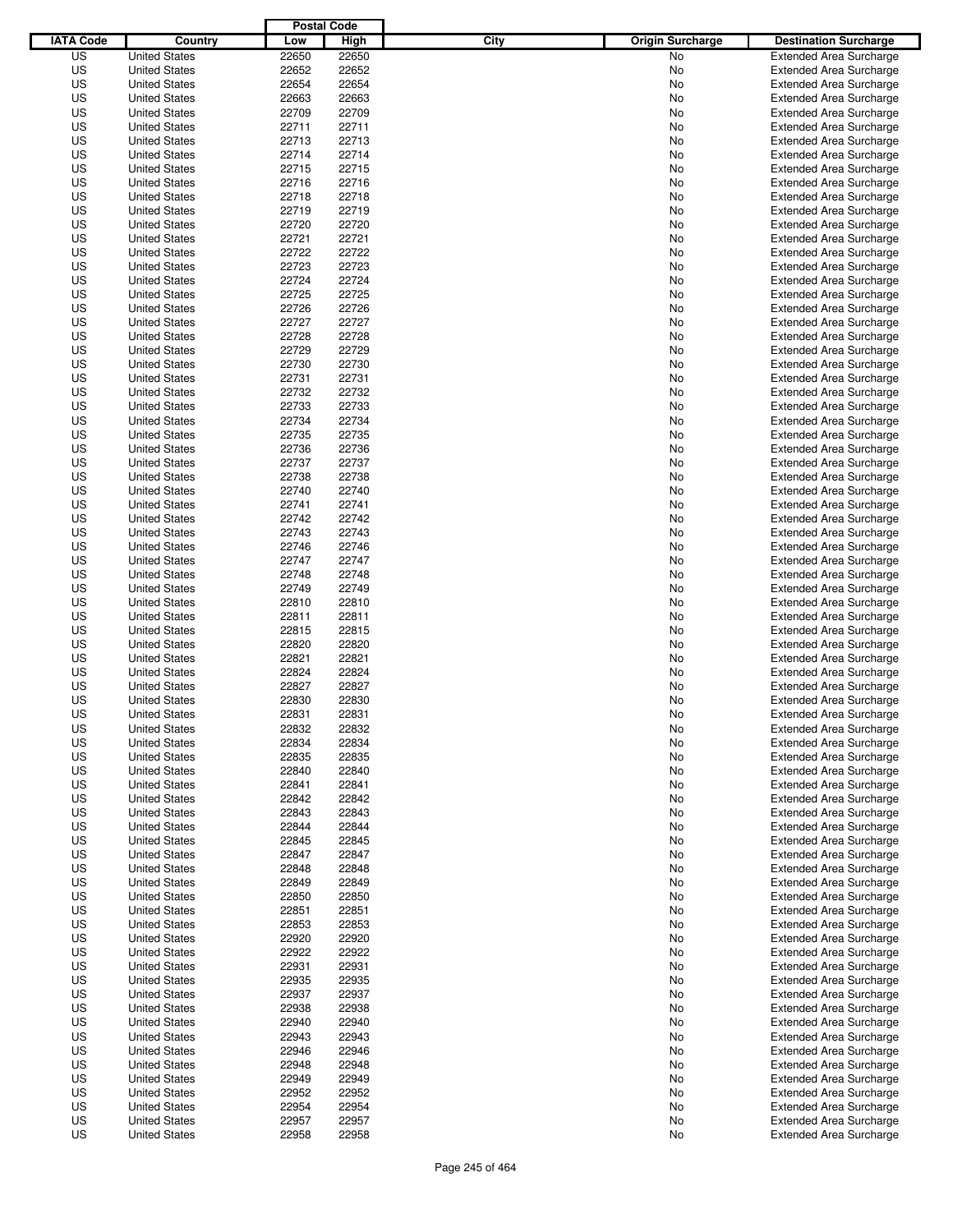|                  |                                              | <b>Postal Code</b> |                |                                 |                                |
|------------------|----------------------------------------------|--------------------|----------------|---------------------------------|--------------------------------|
| <b>IATA Code</b> | Country                                      | Low                | High           | City<br><b>Origin Surcharge</b> | <b>Destination Surcharge</b>   |
| US               | <b>United States</b>                         | 22650              | 22650          | No                              | <b>Extended Area Surcharge</b> |
| US               | <b>United States</b>                         | 22652              | 22652          | No                              | <b>Extended Area Surcharge</b> |
| US               | <b>United States</b>                         | 22654              | 22654          | No                              | <b>Extended Area Surcharge</b> |
| US               | <b>United States</b>                         | 22663              | 22663          | No                              | <b>Extended Area Surcharge</b> |
| US               | <b>United States</b>                         | 22709              | 22709          | No                              | <b>Extended Area Surcharge</b> |
| US               | <b>United States</b>                         | 22711              | 22711          | No                              | <b>Extended Area Surcharge</b> |
| US               | <b>United States</b>                         | 22713              | 22713          | No                              | <b>Extended Area Surcharge</b> |
| US               | <b>United States</b>                         | 22714              | 22714          | No                              | <b>Extended Area Surcharge</b> |
| US               | <b>United States</b>                         | 22715              | 22715          | No                              | <b>Extended Area Surcharge</b> |
| US               | <b>United States</b>                         | 22716              | 22716          | No                              | <b>Extended Area Surcharge</b> |
| US               | <b>United States</b>                         | 22718              | 22718          | No                              | <b>Extended Area Surcharge</b> |
| US               | <b>United States</b>                         | 22719              | 22719          | No                              | <b>Extended Area Surcharge</b> |
| US               | <b>United States</b>                         | 22720              | 22720          | No                              | <b>Extended Area Surcharge</b> |
| US               | <b>United States</b>                         | 22721              | 22721          | No                              | <b>Extended Area Surcharge</b> |
| US               | <b>United States</b>                         | 22722              | 22722          | No                              | <b>Extended Area Surcharge</b> |
| US               | <b>United States</b>                         | 22723              | 22723          | No                              | <b>Extended Area Surcharge</b> |
| US               | <b>United States</b>                         | 22724              | 22724          | No                              | <b>Extended Area Surcharge</b> |
| US               | <b>United States</b>                         | 22725              | 22725          | No                              | <b>Extended Area Surcharge</b> |
| US               | <b>United States</b>                         | 22726              | 22726          | No                              | <b>Extended Area Surcharge</b> |
| US               | <b>United States</b>                         | 22727              | 22727          | No                              | <b>Extended Area Surcharge</b> |
| US               | <b>United States</b>                         | 22728              | 22728          | No                              | <b>Extended Area Surcharge</b> |
| US               | <b>United States</b>                         | 22729              | 22729          | No                              | <b>Extended Area Surcharge</b> |
| US               | <b>United States</b>                         | 22730              | 22730          | No                              | <b>Extended Area Surcharge</b> |
| US               | <b>United States</b>                         | 22731              | 22731          | No                              | <b>Extended Area Surcharge</b> |
| US               | <b>United States</b>                         | 22732              | 22732          | No                              | <b>Extended Area Surcharge</b> |
| US               | <b>United States</b>                         | 22733              | 22733          | No                              | <b>Extended Area Surcharge</b> |
| US               | <b>United States</b>                         | 22734              | 22734          | No                              | <b>Extended Area Surcharge</b> |
| US               | <b>United States</b>                         | 22735              | 22735          | No                              | <b>Extended Area Surcharge</b> |
| US               | <b>United States</b>                         | 22736              | 22736          | No                              | <b>Extended Area Surcharge</b> |
| US               | <b>United States</b>                         | 22737              | 22737          | No                              | <b>Extended Area Surcharge</b> |
| US               | <b>United States</b>                         | 22738              | 22738          | No                              | <b>Extended Area Surcharge</b> |
| US               | <b>United States</b>                         | 22740              | 22740          | No                              | <b>Extended Area Surcharge</b> |
| US               | <b>United States</b>                         | 22741              | 22741          | No                              | <b>Extended Area Surcharge</b> |
| US               | <b>United States</b>                         | 22742              | 22742          | No                              | <b>Extended Area Surcharge</b> |
| US               | <b>United States</b>                         | 22743              | 22743          | No                              | <b>Extended Area Surcharge</b> |
| US               | <b>United States</b>                         | 22746              | 22746          | No                              | <b>Extended Area Surcharge</b> |
| US               | <b>United States</b>                         | 22747              | 22747          | No                              | <b>Extended Area Surcharge</b> |
| US               | <b>United States</b>                         | 22748              | 22748          | No                              | <b>Extended Area Surcharge</b> |
| US               | <b>United States</b>                         | 22749              | 22749          |                                 |                                |
|                  | <b>United States</b>                         | 22810              |                | No                              | <b>Extended Area Surcharge</b> |
| US               |                                              |                    | 22810          | No                              | <b>Extended Area Surcharge</b> |
| US               | <b>United States</b>                         | 22811              | 22811          | No                              | <b>Extended Area Surcharge</b> |
| US               | <b>United States</b>                         | 22815              | 22815          | No                              | <b>Extended Area Surcharge</b> |
| US               | <b>United States</b>                         | 22820              | 22820          | No                              | <b>Extended Area Surcharge</b> |
| US               | <b>United States</b><br><b>United States</b> | 22821              | 22821          | No                              | <b>Extended Area Surcharge</b> |
| US<br>US         |                                              | 22824              | 22824<br>22827 | No                              | Extended Area Surcharge        |
|                  | <b>United States</b>                         | 22827              |                | No                              | <b>Extended Area Surcharge</b> |
| US               | <b>United States</b>                         | 22830              | 22830          | No                              | <b>Extended Area Surcharge</b> |
| US               | <b>United States</b>                         | 22831              | 22831          | No                              | <b>Extended Area Surcharge</b> |
| US               | <b>United States</b>                         | 22832              | 22832          | No                              | <b>Extended Area Surcharge</b> |
| US               | <b>United States</b>                         | 22834              | 22834          | No                              | <b>Extended Area Surcharge</b> |
| US               | <b>United States</b>                         | 22835              | 22835          | No                              | <b>Extended Area Surcharge</b> |
| US               | <b>United States</b>                         | 22840              | 22840          | No                              | <b>Extended Area Surcharge</b> |
| US               | <b>United States</b>                         | 22841              | 22841          | No                              | <b>Extended Area Surcharge</b> |
| US               | <b>United States</b>                         | 22842              | 22842          | No                              | <b>Extended Area Surcharge</b> |
| US               | <b>United States</b>                         | 22843              | 22843          | No                              | <b>Extended Area Surcharge</b> |
| US               | <b>United States</b>                         | 22844              | 22844          | No                              | <b>Extended Area Surcharge</b> |
| US               | <b>United States</b>                         | 22845              | 22845          | No                              | <b>Extended Area Surcharge</b> |
| US               | <b>United States</b>                         | 22847              | 22847          | No                              | <b>Extended Area Surcharge</b> |
| US               | <b>United States</b>                         | 22848              | 22848          | No                              | <b>Extended Area Surcharge</b> |
| US               | <b>United States</b>                         | 22849              | 22849          | No                              | <b>Extended Area Surcharge</b> |
| US               | <b>United States</b>                         | 22850              | 22850          | No                              | <b>Extended Area Surcharge</b> |
| US               | <b>United States</b>                         | 22851              | 22851          | No                              | <b>Extended Area Surcharge</b> |
| US               | <b>United States</b>                         | 22853              | 22853          | No                              | <b>Extended Area Surcharge</b> |
| US               | <b>United States</b>                         | 22920              | 22920          | No                              | <b>Extended Area Surcharge</b> |
| US               | <b>United States</b>                         | 22922              | 22922          | No                              | <b>Extended Area Surcharge</b> |
| US               | <b>United States</b>                         | 22931              | 22931          | No                              | <b>Extended Area Surcharge</b> |
| US               | <b>United States</b>                         | 22935              | 22935          | No                              | <b>Extended Area Surcharge</b> |
| US               | <b>United States</b>                         | 22937              | 22937          | No                              | <b>Extended Area Surcharge</b> |
| US               | <b>United States</b>                         | 22938              | 22938          | No                              | <b>Extended Area Surcharge</b> |
| US               | <b>United States</b>                         | 22940              | 22940          | No                              | <b>Extended Area Surcharge</b> |
| US               | <b>United States</b>                         | 22943              | 22943          | No                              | <b>Extended Area Surcharge</b> |
| US               | <b>United States</b>                         | 22946              | 22946          | No                              | <b>Extended Area Surcharge</b> |
| US               | <b>United States</b>                         | 22948              | 22948          | No                              | <b>Extended Area Surcharge</b> |
| US               | <b>United States</b>                         | 22949              | 22949          | No                              | <b>Extended Area Surcharge</b> |
| US               | <b>United States</b>                         | 22952              | 22952          | No                              | <b>Extended Area Surcharge</b> |
| US               | <b>United States</b>                         | 22954              | 22954          | No                              | <b>Extended Area Surcharge</b> |
| US               | <b>United States</b>                         | 22957              | 22957          | No                              | <b>Extended Area Surcharge</b> |
| US               | <b>United States</b>                         | 22958              | 22958          | No                              | <b>Extended Area Surcharge</b> |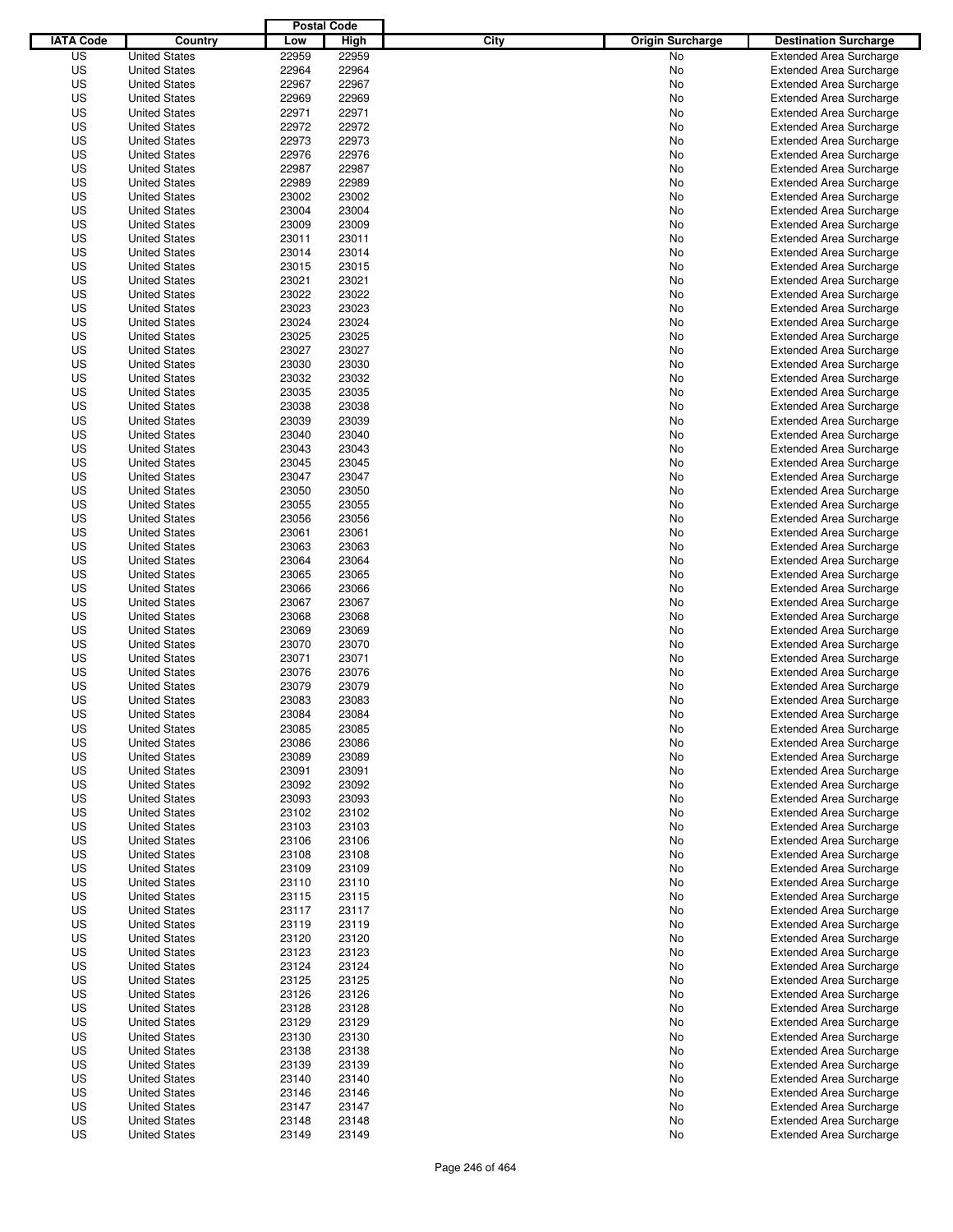|                  |                      | <b>Postal Code</b> |       |                                 |                                |
|------------------|----------------------|--------------------|-------|---------------------------------|--------------------------------|
| <b>IATA Code</b> | Country              | Low                | High  | City<br><b>Origin Surcharge</b> | <b>Destination Surcharge</b>   |
| US               | <b>United States</b> | 22959              | 22959 | No                              | <b>Extended Area Surcharge</b> |
| US               | <b>United States</b> | 22964              | 22964 | No                              | <b>Extended Area Surcharge</b> |
| US               | <b>United States</b> | 22967              | 22967 | No                              | <b>Extended Area Surcharge</b> |
| US               | <b>United States</b> | 22969              | 22969 | No                              | <b>Extended Area Surcharge</b> |
| US               | <b>United States</b> | 22971              | 22971 | No                              | <b>Extended Area Surcharge</b> |
| US               | <b>United States</b> | 22972              | 22972 | No                              | <b>Extended Area Surcharge</b> |
| US               | <b>United States</b> | 22973              | 22973 | No                              | <b>Extended Area Surcharge</b> |
| US               | <b>United States</b> | 22976              | 22976 | No                              | <b>Extended Area Surcharge</b> |
| US               | <b>United States</b> | 22987              | 22987 | No                              | <b>Extended Area Surcharge</b> |
| US               | <b>United States</b> | 22989              | 22989 | No                              | <b>Extended Area Surcharge</b> |
| US               | <b>United States</b> | 23002              | 23002 | No                              | <b>Extended Area Surcharge</b> |
| US               | <b>United States</b> | 23004              | 23004 | No                              | <b>Extended Area Surcharge</b> |
| US               | <b>United States</b> | 23009              | 23009 | No                              | <b>Extended Area Surcharge</b> |
| US               | <b>United States</b> | 23011              | 23011 | No                              | <b>Extended Area Surcharge</b> |
| US               | <b>United States</b> | 23014              | 23014 | No                              | <b>Extended Area Surcharge</b> |
| US               | <b>United States</b> | 23015              | 23015 | No                              | <b>Extended Area Surcharge</b> |
| US               | <b>United States</b> | 23021              | 23021 | No                              | <b>Extended Area Surcharge</b> |
| US               | <b>United States</b> | 23022              | 23022 | No                              | <b>Extended Area Surcharge</b> |
| US               | <b>United States</b> | 23023              | 23023 | No                              | <b>Extended Area Surcharge</b> |
| US               | <b>United States</b> | 23024              | 23024 | No                              | <b>Extended Area Surcharge</b> |
| US               | <b>United States</b> | 23025              | 23025 | No                              | <b>Extended Area Surcharge</b> |
| US               | <b>United States</b> | 23027              | 23027 | No                              | <b>Extended Area Surcharge</b> |
| US               | <b>United States</b> | 23030              | 23030 | No                              | <b>Extended Area Surcharge</b> |
| US               | <b>United States</b> | 23032              | 23032 | No                              | <b>Extended Area Surcharge</b> |
| US               | <b>United States</b> | 23035              | 23035 | No                              | <b>Extended Area Surcharge</b> |
| US               | <b>United States</b> | 23038              | 23038 | No                              | <b>Extended Area Surcharge</b> |
| US               | <b>United States</b> | 23039              | 23039 | No                              | <b>Extended Area Surcharge</b> |
| US               | <b>United States</b> | 23040              | 23040 | No                              | <b>Extended Area Surcharge</b> |
| US               | <b>United States</b> | 23043              | 23043 | No                              | <b>Extended Area Surcharge</b> |
| US               | <b>United States</b> | 23045              | 23045 | No                              | <b>Extended Area Surcharge</b> |
| US               | <b>United States</b> | 23047              | 23047 | No                              | <b>Extended Area Surcharge</b> |
| US               | <b>United States</b> | 23050              | 23050 | No                              | <b>Extended Area Surcharge</b> |
| US               | <b>United States</b> | 23055              | 23055 | No                              | <b>Extended Area Surcharge</b> |
| US               | <b>United States</b> | 23056              | 23056 | No                              | <b>Extended Area Surcharge</b> |
| US               | <b>United States</b> | 23061              | 23061 | No                              | <b>Extended Area Surcharge</b> |
| US               | <b>United States</b> | 23063              | 23063 | No                              | <b>Extended Area Surcharge</b> |
| US               | <b>United States</b> | 23064              | 23064 | No                              | <b>Extended Area Surcharge</b> |
| US               | <b>United States</b> | 23065              | 23065 | No                              | <b>Extended Area Surcharge</b> |
| US               | <b>United States</b> | 23066              | 23066 | No                              | <b>Extended Area Surcharge</b> |
| US               | <b>United States</b> | 23067              | 23067 | No                              | <b>Extended Area Surcharge</b> |
| US               | <b>United States</b> | 23068              | 23068 | No                              | <b>Extended Area Surcharge</b> |
| US               | <b>United States</b> | 23069              | 23069 | No                              | <b>Extended Area Surcharge</b> |
| US               | <b>United States</b> | 23070              | 23070 | No                              | <b>Extended Area Surcharge</b> |
| US               | <b>United States</b> | 23071              | 23071 | No                              | <b>Extended Area Surcharge</b> |
| US               | <b>United States</b> | 23076              | 23076 | No                              | Extended Area Surcharge        |
| US               | <b>United States</b> | 23079              | 23079 | No                              | <b>Extended Area Surcharge</b> |
| US               | <b>United States</b> | 23083              | 23083 | No                              | <b>Extended Area Surcharge</b> |
| US               | <b>United States</b> | 23084              | 23084 | No                              | <b>Extended Area Surcharge</b> |
| US               | <b>United States</b> | 23085              | 23085 | No                              | <b>Extended Area Surcharge</b> |
| US               | <b>United States</b> | 23086              | 23086 | No                              | <b>Extended Area Surcharge</b> |
| US               | <b>United States</b> | 23089              | 23089 | No                              | <b>Extended Area Surcharge</b> |
| US               | <b>United States</b> | 23091              | 23091 | No                              | <b>Extended Area Surcharge</b> |
| US               | <b>United States</b> | 23092              | 23092 | No                              | <b>Extended Area Surcharge</b> |
| US               | <b>United States</b> | 23093              | 23093 | No                              | <b>Extended Area Surcharge</b> |
| US               | <b>United States</b> | 23102              | 23102 | No                              | <b>Extended Area Surcharge</b> |
| US               | <b>United States</b> | 23103              | 23103 | No                              | <b>Extended Area Surcharge</b> |
| US               | <b>United States</b> | 23106              | 23106 | No                              | <b>Extended Area Surcharge</b> |
| US               | <b>United States</b> | 23108              | 23108 | No                              | <b>Extended Area Surcharge</b> |
| US               | <b>United States</b> | 23109              | 23109 | No                              | <b>Extended Area Surcharge</b> |
| US               | <b>United States</b> | 23110              | 23110 | No                              | <b>Extended Area Surcharge</b> |
| US               | <b>United States</b> | 23115              | 23115 | No                              | <b>Extended Area Surcharge</b> |
| US               | <b>United States</b> | 23117              | 23117 | No                              | Extended Area Surcharge        |
| US               | <b>United States</b> | 23119              | 23119 | No                              | <b>Extended Area Surcharge</b> |
| US               | <b>United States</b> | 23120              | 23120 | No                              | <b>Extended Area Surcharge</b> |
| US               | <b>United States</b> | 23123              | 23123 | No                              | <b>Extended Area Surcharge</b> |
| US               | <b>United States</b> | 23124              | 23124 | No                              | <b>Extended Area Surcharge</b> |
| US               | <b>United States</b> | 23125              | 23125 | No                              | <b>Extended Area Surcharge</b> |
| US               | <b>United States</b> | 23126              | 23126 | No                              | <b>Extended Area Surcharge</b> |
| US               | <b>United States</b> | 23128              | 23128 | No                              | <b>Extended Area Surcharge</b> |
| US               | <b>United States</b> | 23129              | 23129 | No                              | <b>Extended Area Surcharge</b> |
| US               | <b>United States</b> | 23130              | 23130 | No                              | <b>Extended Area Surcharge</b> |
| US               | <b>United States</b> | 23138              | 23138 | No                              | <b>Extended Area Surcharge</b> |
| US               | <b>United States</b> | 23139              | 23139 | No                              | <b>Extended Area Surcharge</b> |
| US               | <b>United States</b> | 23140              | 23140 | No                              | <b>Extended Area Surcharge</b> |
| US               | <b>United States</b> | 23146              | 23146 | No                              | <b>Extended Area Surcharge</b> |
| US               | <b>United States</b> | 23147              | 23147 | No                              | <b>Extended Area Surcharge</b> |
| US               | <b>United States</b> | 23148              | 23148 | No                              | <b>Extended Area Surcharge</b> |
| US               | <b>United States</b> | 23149              | 23149 | No                              | <b>Extended Area Surcharge</b> |
|                  |                      |                    |       |                                 |                                |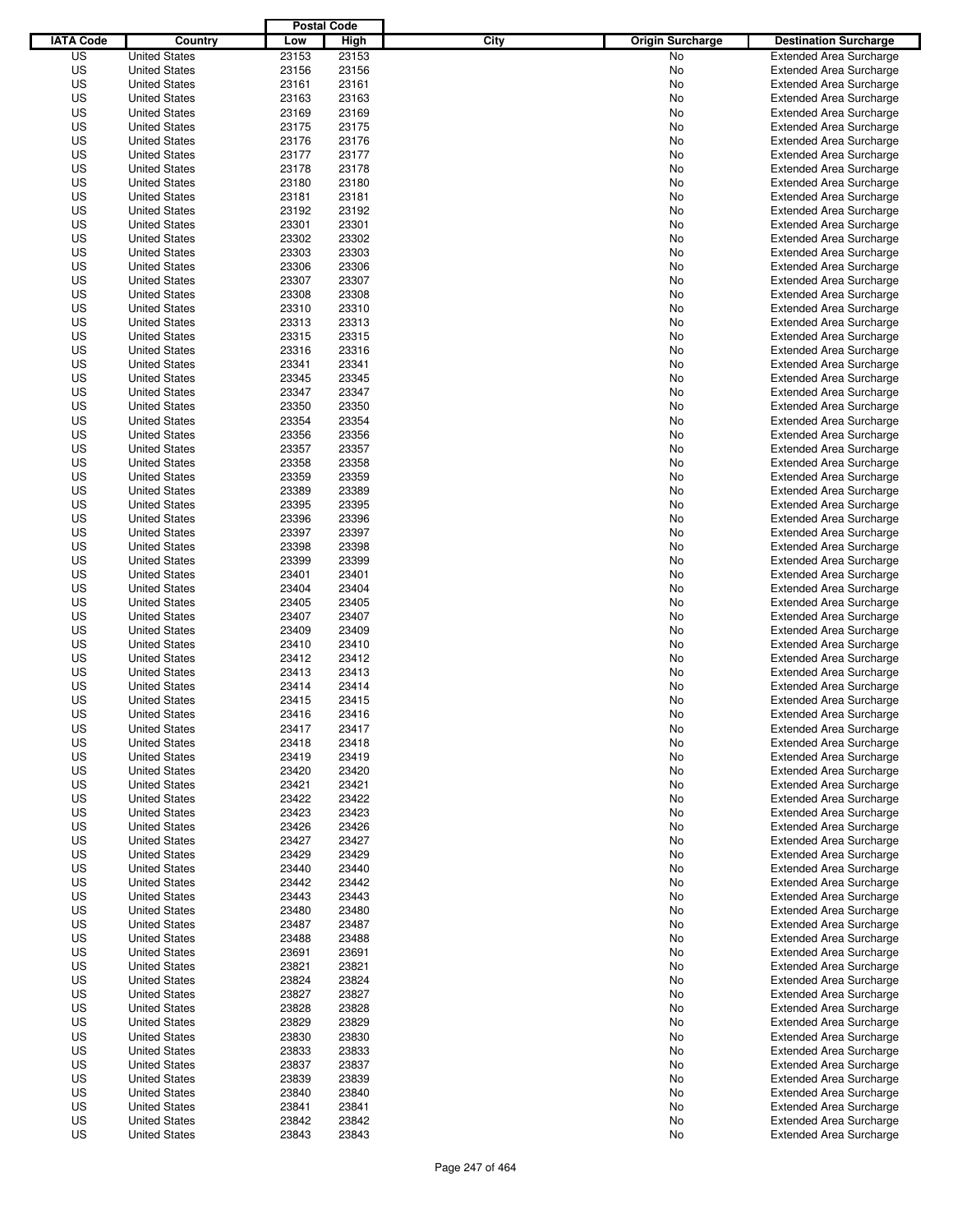|                  |                                              | <b>Postal Code</b> |                |                                 |                                                                  |
|------------------|----------------------------------------------|--------------------|----------------|---------------------------------|------------------------------------------------------------------|
| <b>IATA Code</b> | Country                                      | Low                | High           | City<br><b>Origin Surcharge</b> | <b>Destination Surcharge</b>                                     |
| US               | <b>United States</b>                         | 23153              | 23153          | <b>No</b>                       | <b>Extended Area Surcharge</b>                                   |
| US               | <b>United States</b>                         | 23156              | 23156          | No                              | <b>Extended Area Surcharge</b>                                   |
| US               | <b>United States</b>                         | 23161              | 23161          | No                              | <b>Extended Area Surcharge</b>                                   |
| US               | <b>United States</b>                         | 23163              | 23163          | No                              | <b>Extended Area Surcharge</b>                                   |
| US               | <b>United States</b>                         | 23169              | 23169          | No                              | <b>Extended Area Surcharge</b>                                   |
| US               | <b>United States</b>                         | 23175              | 23175          | No                              | <b>Extended Area Surcharge</b>                                   |
| US               | <b>United States</b>                         | 23176              | 23176          | No                              | <b>Extended Area Surcharge</b>                                   |
| US               | <b>United States</b>                         | 23177              | 23177          | No                              | <b>Extended Area Surcharge</b>                                   |
| US               | <b>United States</b>                         | 23178              | 23178          | No                              | <b>Extended Area Surcharge</b>                                   |
| US               | <b>United States</b>                         | 23180              | 23180          | No                              | <b>Extended Area Surcharge</b>                                   |
| US               | <b>United States</b>                         | 23181              | 23181          | No                              | <b>Extended Area Surcharge</b>                                   |
| US               | <b>United States</b>                         | 23192              | 23192          | No                              | <b>Extended Area Surcharge</b>                                   |
| US               | <b>United States</b>                         | 23301              | 23301          | No                              | <b>Extended Area Surcharge</b>                                   |
| US               | <b>United States</b>                         | 23302              | 23302          | No                              | <b>Extended Area Surcharge</b>                                   |
| US               | <b>United States</b>                         | 23303              | 23303          | No                              | <b>Extended Area Surcharge</b>                                   |
| US               | <b>United States</b>                         | 23306              | 23306          | No                              | <b>Extended Area Surcharge</b>                                   |
| US               | <b>United States</b>                         | 23307              | 23307          | No                              | <b>Extended Area Surcharge</b>                                   |
| US               | <b>United States</b>                         | 23308              | 23308          | No                              | <b>Extended Area Surcharge</b>                                   |
| US               | <b>United States</b>                         | 23310              | 23310          | No                              | <b>Extended Area Surcharge</b>                                   |
| US               | <b>United States</b>                         | 23313              | 23313          | No                              | <b>Extended Area Surcharge</b>                                   |
| US               | <b>United States</b>                         | 23315              | 23315          | No                              | <b>Extended Area Surcharge</b>                                   |
| US               | <b>United States</b>                         | 23316              | 23316          | No                              | <b>Extended Area Surcharge</b>                                   |
| US               | <b>United States</b>                         | 23341              | 23341          | No                              | <b>Extended Area Surcharge</b>                                   |
| US               | <b>United States</b>                         | 23345              | 23345          | No                              | <b>Extended Area Surcharge</b>                                   |
| US               | <b>United States</b>                         | 23347              | 23347          | No                              | <b>Extended Area Surcharge</b>                                   |
| US               | <b>United States</b>                         | 23350              | 23350          | No                              | <b>Extended Area Surcharge</b>                                   |
| US               | <b>United States</b>                         | 23354              | 23354          | No                              | <b>Extended Area Surcharge</b>                                   |
| US               | <b>United States</b>                         | 23356              | 23356          | No                              | <b>Extended Area Surcharge</b>                                   |
| US               | <b>United States</b>                         | 23357              | 23357          | No                              | <b>Extended Area Surcharge</b>                                   |
| US               | <b>United States</b>                         | 23358              | 23358          | No                              | <b>Extended Area Surcharge</b>                                   |
| US               | <b>United States</b>                         | 23359              | 23359          | No                              | <b>Extended Area Surcharge</b>                                   |
| US               | <b>United States</b>                         | 23389              | 23389          | No                              | <b>Extended Area Surcharge</b>                                   |
| US               | <b>United States</b>                         | 23395              | 23395          | No                              | <b>Extended Area Surcharge</b>                                   |
| US               | <b>United States</b>                         | 23396              | 23396          | No                              | <b>Extended Area Surcharge</b>                                   |
| US               | <b>United States</b>                         | 23397              | 23397          | No                              | <b>Extended Area Surcharge</b>                                   |
| US               | <b>United States</b>                         | 23398              | 23398          | No                              | <b>Extended Area Surcharge</b>                                   |
| US               | <b>United States</b>                         | 23399              | 23399          | No                              | <b>Extended Area Surcharge</b>                                   |
| US               | <b>United States</b>                         | 23401              | 23401          | No                              | <b>Extended Area Surcharge</b>                                   |
| US               | <b>United States</b>                         | 23404              | 23404          | No                              | <b>Extended Area Surcharge</b>                                   |
| US               | <b>United States</b>                         | 23405              | 23405          | No                              | <b>Extended Area Surcharge</b>                                   |
| US               | <b>United States</b>                         | 23407              | 23407          | No                              | <b>Extended Area Surcharge</b>                                   |
| US               | <b>United States</b>                         | 23409              | 23409          | No                              | <b>Extended Area Surcharge</b>                                   |
| US               | <b>United States</b>                         | 23410              | 23410          | No                              | <b>Extended Area Surcharge</b>                                   |
| US               | <b>United States</b>                         | 23412              | 23412          | No                              | <b>Extended Area Surcharge</b>                                   |
| US               | <b>United States</b>                         | 23413              | 23413          | No                              | <b>Extended Area Surcharge</b>                                   |
| US               | <b>United States</b>                         | 23414              | 23414          | No                              | <b>Extended Area Surcharge</b>                                   |
| US               | <b>United States</b>                         | 23415              | 23415          | No                              | <b>Extended Area Surcharge</b>                                   |
| US               | <b>United States</b>                         | 23416              | 23416          | No                              | <b>Extended Area Surcharge</b>                                   |
| US               | <b>United States</b>                         | 23417              | 23417          | No                              | <b>Extended Area Surcharge</b>                                   |
| US               | <b>United States</b>                         |                    | 23418          |                                 | <b>Extended Area Surcharge</b>                                   |
| US               |                                              | 23418              | 23419          | No                              | <b>Extended Area Surcharge</b>                                   |
|                  | <b>United States</b>                         | 23419              |                | No                              |                                                                  |
| US               | <b>United States</b>                         | 23420              | 23420          | No                              | <b>Extended Area Surcharge</b>                                   |
| US<br>US         | <b>United States</b><br><b>United States</b> | 23421<br>23422     | 23421<br>23422 | No                              | <b>Extended Area Surcharge</b><br><b>Extended Area Surcharge</b> |
|                  |                                              |                    |                | No                              |                                                                  |
| US<br>US         | <b>United States</b><br><b>United States</b> | 23423<br>23426     | 23423<br>23426 | No                              | <b>Extended Area Surcharge</b><br><b>Extended Area Surcharge</b> |
|                  |                                              |                    |                | No                              |                                                                  |
| US               | <b>United States</b>                         | 23427              | 23427          | No                              | <b>Extended Area Surcharge</b>                                   |
| US<br>US         | <b>United States</b><br><b>United States</b> | 23429<br>23440     | 23429<br>23440 | No<br>No                        | <b>Extended Area Surcharge</b><br><b>Extended Area Surcharge</b> |
|                  |                                              |                    |                |                                 |                                                                  |
| US               | <b>United States</b>                         | 23442              | 23442          | No                              | <b>Extended Area Surcharge</b>                                   |
| US               | <b>United States</b>                         | 23443              | 23443          | No                              | <b>Extended Area Surcharge</b>                                   |
| US               | <b>United States</b>                         | 23480              | 23480          | No                              | <b>Extended Area Surcharge</b>                                   |
| US               | <b>United States</b>                         | 23487              | 23487          | No                              | <b>Extended Area Surcharge</b>                                   |
| US               | <b>United States</b>                         | 23488              | 23488          | No                              | <b>Extended Area Surcharge</b>                                   |
| US               | <b>United States</b>                         | 23691              | 23691          | No                              | <b>Extended Area Surcharge</b>                                   |
| US               | <b>United States</b>                         | 23821              | 23821          | No                              | <b>Extended Area Surcharge</b>                                   |
| US               | <b>United States</b>                         | 23824              | 23824          | No                              | <b>Extended Area Surcharge</b>                                   |
| US               | <b>United States</b>                         | 23827              | 23827          | No                              | <b>Extended Area Surcharge</b>                                   |
| US               | <b>United States</b>                         | 23828              | 23828          | No                              | <b>Extended Area Surcharge</b>                                   |
| US               | <b>United States</b>                         | 23829              | 23829          | No                              | <b>Extended Area Surcharge</b>                                   |
| US               | <b>United States</b>                         | 23830              | 23830          | No                              | <b>Extended Area Surcharge</b>                                   |
| US               | <b>United States</b>                         | 23833              | 23833          | No                              | <b>Extended Area Surcharge</b>                                   |
| US               | <b>United States</b>                         | 23837              | 23837          | No                              | <b>Extended Area Surcharge</b>                                   |
| US               | <b>United States</b>                         | 23839              | 23839          | No                              | <b>Extended Area Surcharge</b>                                   |
| US               | <b>United States</b>                         | 23840              | 23840          | No                              | <b>Extended Area Surcharge</b>                                   |
| US               | <b>United States</b>                         | 23841              | 23841          | No                              | <b>Extended Area Surcharge</b>                                   |
| US               | <b>United States</b>                         | 23842              | 23842          | No                              | <b>Extended Area Surcharge</b>                                   |
| US               | <b>United States</b>                         | 23843              | 23843          | No                              | <b>Extended Area Surcharge</b>                                   |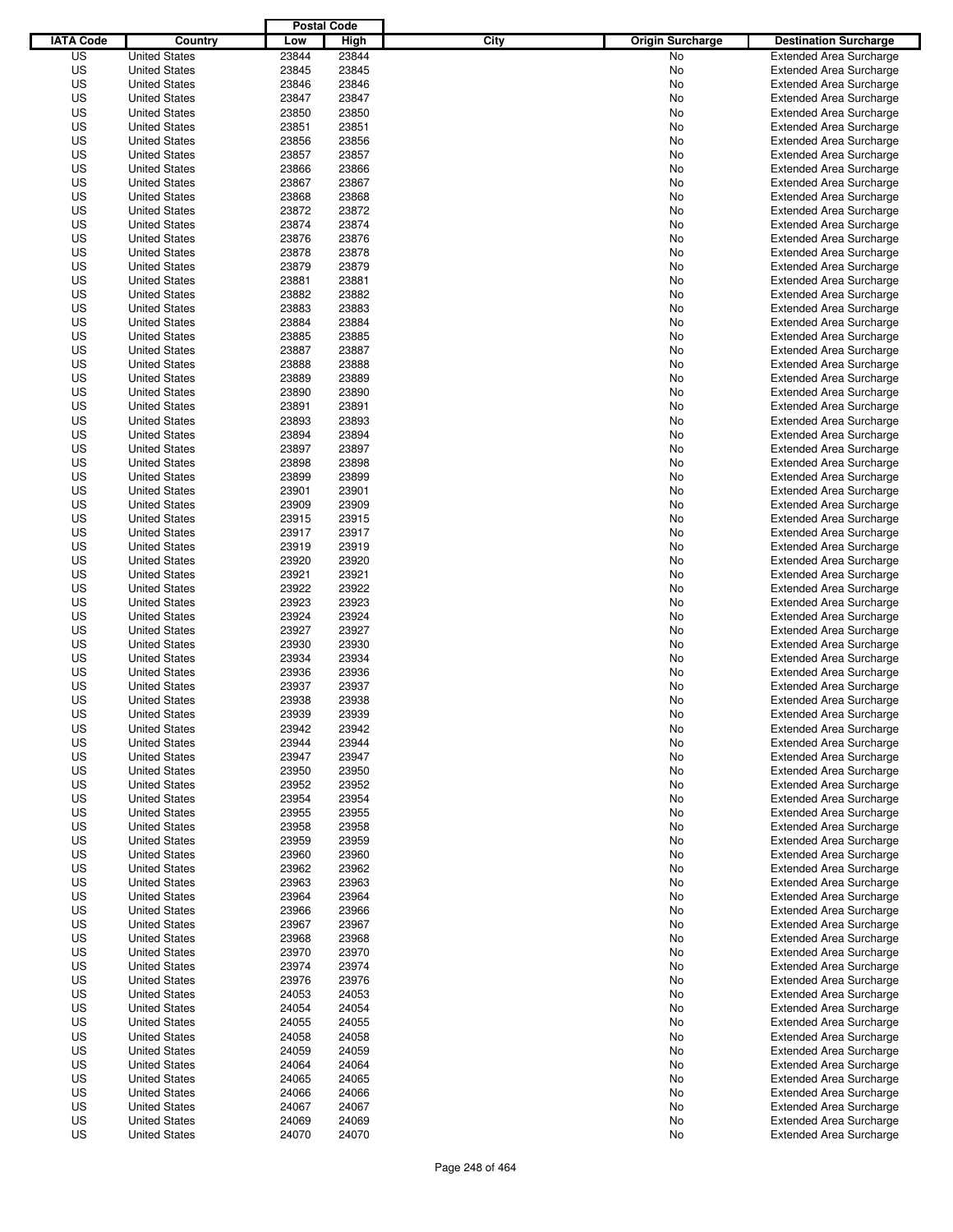|                  |                      | <b>Postal Code</b> |       |                                 |                                |
|------------------|----------------------|--------------------|-------|---------------------------------|--------------------------------|
| <b>IATA Code</b> | Country              | Low                | High  | City<br><b>Origin Surcharge</b> | <b>Destination Surcharge</b>   |
| US               | <b>United States</b> | 23844              | 23844 | No                              | <b>Extended Area Surcharge</b> |
| US               | <b>United States</b> | 23845              | 23845 | No                              | <b>Extended Area Surcharge</b> |
| US               | <b>United States</b> | 23846              | 23846 | No                              | <b>Extended Area Surcharge</b> |
| US               | <b>United States</b> | 23847              | 23847 | No                              | <b>Extended Area Surcharge</b> |
| US               | <b>United States</b> | 23850              | 23850 | No                              | <b>Extended Area Surcharge</b> |
| US               | <b>United States</b> | 23851              | 23851 | No                              | <b>Extended Area Surcharge</b> |
| US               | <b>United States</b> | 23856              | 23856 | No                              | <b>Extended Area Surcharge</b> |
| US               | <b>United States</b> | 23857              | 23857 | No                              | <b>Extended Area Surcharge</b> |
| US               | <b>United States</b> | 23866              | 23866 | No                              | <b>Extended Area Surcharge</b> |
| US               | <b>United States</b> | 23867              | 23867 | No                              | <b>Extended Area Surcharge</b> |
| US               | <b>United States</b> | 23868              | 23868 | No                              | <b>Extended Area Surcharge</b> |
| US               | <b>United States</b> | 23872              | 23872 | No                              | <b>Extended Area Surcharge</b> |
| US               | <b>United States</b> | 23874              | 23874 | No                              | <b>Extended Area Surcharge</b> |
| US               | <b>United States</b> | 23876              | 23876 | No                              | <b>Extended Area Surcharge</b> |
| US               | <b>United States</b> | 23878              | 23878 | No                              | <b>Extended Area Surcharge</b> |
| US               | <b>United States</b> | 23879              | 23879 | No                              | <b>Extended Area Surcharge</b> |
| US               | <b>United States</b> | 23881              | 23881 | No                              | <b>Extended Area Surcharge</b> |
| US               | <b>United States</b> | 23882              | 23882 | No                              | <b>Extended Area Surcharge</b> |
| US               | <b>United States</b> | 23883              | 23883 | No                              | <b>Extended Area Surcharge</b> |
| US               | <b>United States</b> | 23884              | 23884 | No                              | <b>Extended Area Surcharge</b> |
| US               | <b>United States</b> | 23885              | 23885 | No                              | <b>Extended Area Surcharge</b> |
| US               | <b>United States</b> | 23887              | 23887 | No                              | <b>Extended Area Surcharge</b> |
| US               | <b>United States</b> | 23888              | 23888 | No                              | <b>Extended Area Surcharge</b> |
| US               | <b>United States</b> | 23889              | 23889 | No                              | <b>Extended Area Surcharge</b> |
| US               | <b>United States</b> | 23890              | 23890 | No                              | <b>Extended Area Surcharge</b> |
| US               | <b>United States</b> | 23891              | 23891 | No                              | <b>Extended Area Surcharge</b> |
| US               | <b>United States</b> | 23893              | 23893 | No                              | <b>Extended Area Surcharge</b> |
| US               | <b>United States</b> | 23894              | 23894 | No                              | <b>Extended Area Surcharge</b> |
| US               | <b>United States</b> | 23897              | 23897 | No                              | <b>Extended Area Surcharge</b> |
| US               | <b>United States</b> | 23898              | 23898 | No                              | <b>Extended Area Surcharge</b> |
| US               | <b>United States</b> | 23899              | 23899 | No                              | <b>Extended Area Surcharge</b> |
| US               | <b>United States</b> | 23901              | 23901 | No                              | <b>Extended Area Surcharge</b> |
| US               | <b>United States</b> | 23909              | 23909 | No                              | <b>Extended Area Surcharge</b> |
| US               | <b>United States</b> | 23915              | 23915 | No                              | <b>Extended Area Surcharge</b> |
| US               | <b>United States</b> | 23917              | 23917 | No                              | <b>Extended Area Surcharge</b> |
| US               | <b>United States</b> | 23919              | 23919 | No                              | <b>Extended Area Surcharge</b> |
| US               | <b>United States</b> | 23920              | 23920 | No                              | <b>Extended Area Surcharge</b> |
| US               | <b>United States</b> | 23921              | 23921 | No                              | <b>Extended Area Surcharge</b> |
| US               | <b>United States</b> | 23922              | 23922 | No                              | <b>Extended Area Surcharge</b> |
| US               | <b>United States</b> | 23923              | 23923 | No                              | <b>Extended Area Surcharge</b> |
| US               | <b>United States</b> | 23924              | 23924 | No                              | <b>Extended Area Surcharge</b> |
| US               | <b>United States</b> | 23927              | 23927 | No                              | <b>Extended Area Surcharge</b> |
| US               | <b>United States</b> | 23930              | 23930 | No                              | <b>Extended Area Surcharge</b> |
| US               | <b>United States</b> | 23934              | 23934 | No                              | <b>Extended Area Surcharge</b> |
| US               | <b>United States</b> | 23936              | 23936 | No                              | <b>Extended Area Surcharge</b> |
| US               | <b>United States</b> | 23937              | 23937 | No                              | <b>Extended Area Surcharge</b> |
| US               | <b>United States</b> | 23938              | 23938 | No                              | <b>Extended Area Surcharge</b> |
| US               | <b>United States</b> | 23939              | 23939 | No                              | <b>Extended Area Surcharge</b> |
| US               | <b>United States</b> | 23942              | 23942 | No                              | <b>Extended Area Surcharge</b> |
| US               | <b>United States</b> | 23944              | 23944 | No                              | <b>Extended Area Surcharge</b> |
| US               | <b>United States</b> | 23947              | 23947 | No                              | <b>Extended Area Surcharge</b> |
| US               | <b>United States</b> | 23950              | 23950 | No                              | <b>Extended Area Surcharge</b> |
| US               | <b>United States</b> | 23952              | 23952 | No                              | <b>Extended Area Surcharge</b> |
| US               | <b>United States</b> | 23954              | 23954 | No                              | <b>Extended Area Surcharge</b> |
| US               | <b>United States</b> | 23955              | 23955 | No                              | <b>Extended Area Surcharge</b> |
| US               | <b>United States</b> | 23958              | 23958 | No                              | <b>Extended Area Surcharge</b> |
| US               | <b>United States</b> | 23959              | 23959 | No                              | <b>Extended Area Surcharge</b> |
| US               | <b>United States</b> | 23960              | 23960 | No                              | <b>Extended Area Surcharge</b> |
| US               | <b>United States</b> | 23962              | 23962 | No                              | <b>Extended Area Surcharge</b> |
| US               | <b>United States</b> | 23963              | 23963 | No                              | <b>Extended Area Surcharge</b> |
| US               | <b>United States</b> | 23964              | 23964 | No                              | <b>Extended Area Surcharge</b> |
| US               | <b>United States</b> | 23966              | 23966 | No                              | <b>Extended Area Surcharge</b> |
| US               | <b>United States</b> | 23967              | 23967 | No                              | <b>Extended Area Surcharge</b> |
| US               | <b>United States</b> | 23968              | 23968 | No                              | <b>Extended Area Surcharge</b> |
| US               | <b>United States</b> | 23970              | 23970 | No                              | <b>Extended Area Surcharge</b> |
| US               | <b>United States</b> | 23974              | 23974 | No                              | <b>Extended Area Surcharge</b> |
| US               | <b>United States</b> | 23976              | 23976 | No                              | <b>Extended Area Surcharge</b> |
| US               | <b>United States</b> | 24053              | 24053 | No                              | <b>Extended Area Surcharge</b> |
| US               | <b>United States</b> | 24054              | 24054 | No                              | <b>Extended Area Surcharge</b> |
| US               | <b>United States</b> | 24055              | 24055 | No                              | <b>Extended Area Surcharge</b> |
| US               | <b>United States</b> | 24058              | 24058 | No                              | <b>Extended Area Surcharge</b> |
| US               | <b>United States</b> | 24059              | 24059 | No                              | <b>Extended Area Surcharge</b> |
| US               | <b>United States</b> | 24064              | 24064 | No                              | <b>Extended Area Surcharge</b> |
| US               | <b>United States</b> | 24065              | 24065 | No                              | <b>Extended Area Surcharge</b> |
| US               | <b>United States</b> | 24066              | 24066 | No                              | <b>Extended Area Surcharge</b> |
| US               | <b>United States</b> | 24067              | 24067 | No                              | <b>Extended Area Surcharge</b> |
| US               | <b>United States</b> | 24069              | 24069 | No                              | <b>Extended Area Surcharge</b> |
| US               | <b>United States</b> | 24070              | 24070 | No                              | <b>Extended Area Surcharge</b> |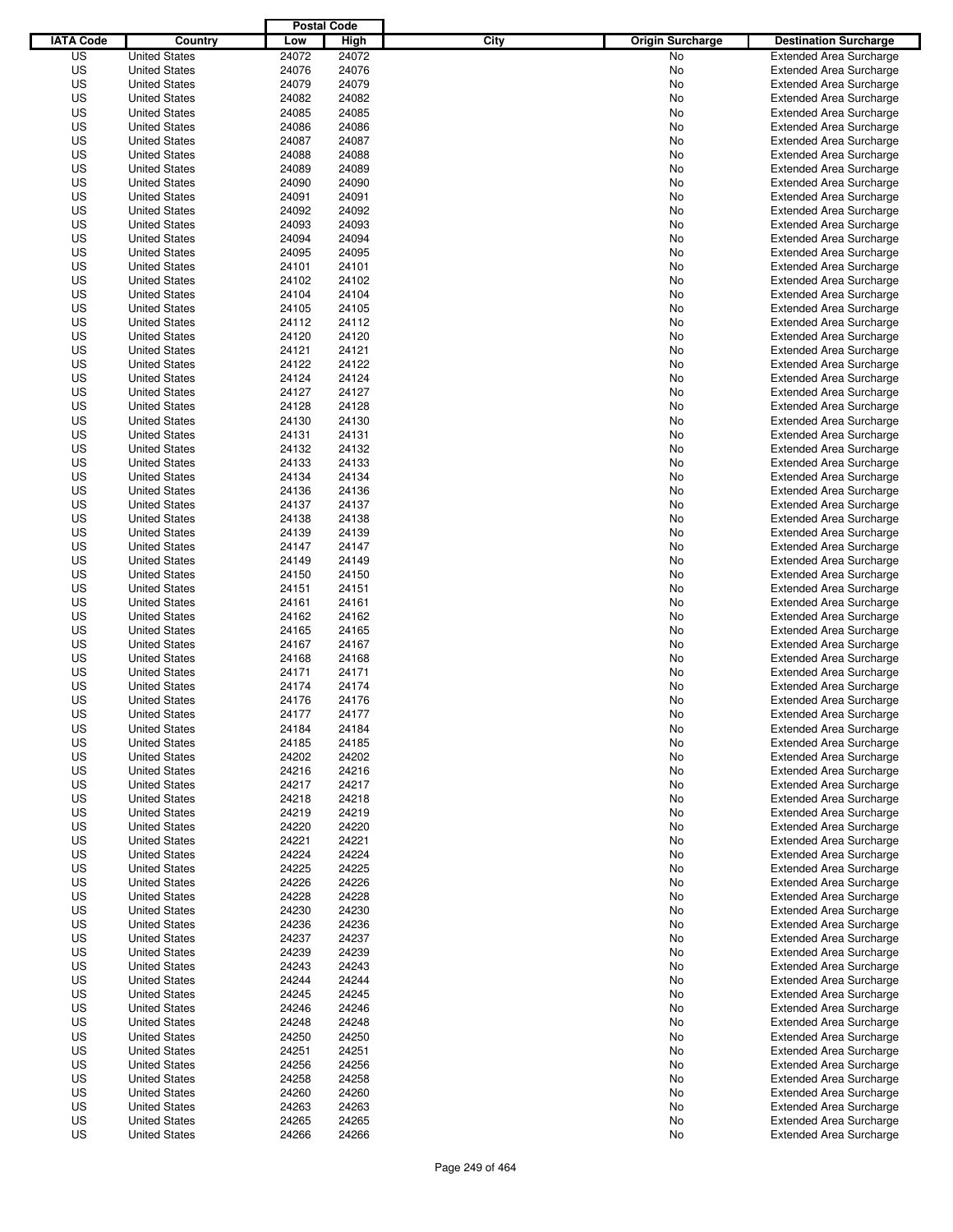|                  |                      | <b>Postal Code</b> |       |                                 |                                |
|------------------|----------------------|--------------------|-------|---------------------------------|--------------------------------|
| <b>IATA Code</b> | Country              | Low                | High  | City<br><b>Origin Surcharge</b> | <b>Destination Surcharge</b>   |
| US               | <b>United States</b> | 24072              | 24072 | <b>No</b>                       | <b>Extended Area Surcharge</b> |
| US               | <b>United States</b> | 24076              | 24076 | No                              | <b>Extended Area Surcharge</b> |
| US               | <b>United States</b> | 24079              | 24079 | No                              | <b>Extended Area Surcharge</b> |
| US               | <b>United States</b> | 24082              | 24082 | No                              | <b>Extended Area Surcharge</b> |
| US               | <b>United States</b> | 24085              | 24085 | No                              | <b>Extended Area Surcharge</b> |
| US               | <b>United States</b> | 24086              | 24086 | No                              | <b>Extended Area Surcharge</b> |
| US               | <b>United States</b> | 24087              | 24087 | No                              | <b>Extended Area Surcharge</b> |
| US               | <b>United States</b> | 24088              | 24088 | No                              | <b>Extended Area Surcharge</b> |
| US               | <b>United States</b> | 24089              | 24089 | No                              | <b>Extended Area Surcharge</b> |
| US               | <b>United States</b> | 24090              | 24090 | No                              | <b>Extended Area Surcharge</b> |
| US               | <b>United States</b> | 24091              | 24091 | No                              | <b>Extended Area Surcharge</b> |
| US               | <b>United States</b> | 24092              | 24092 | No                              | <b>Extended Area Surcharge</b> |
| US               | <b>United States</b> | 24093              | 24093 | No                              | <b>Extended Area Surcharge</b> |
| US               | <b>United States</b> | 24094              | 24094 | No                              | <b>Extended Area Surcharge</b> |
| US               | <b>United States</b> | 24095              | 24095 | No                              | <b>Extended Area Surcharge</b> |
| US               | <b>United States</b> | 24101              | 24101 | No                              | <b>Extended Area Surcharge</b> |
| US               | <b>United States</b> | 24102              | 24102 | No                              | <b>Extended Area Surcharge</b> |
| US               | <b>United States</b> | 24104              | 24104 | No                              | <b>Extended Area Surcharge</b> |
| US               | <b>United States</b> | 24105              | 24105 | No                              | <b>Extended Area Surcharge</b> |
| US               | <b>United States</b> | 24112              | 24112 | No                              | <b>Extended Area Surcharge</b> |
| US               | <b>United States</b> | 24120              | 24120 | No                              | <b>Extended Area Surcharge</b> |
| US               | <b>United States</b> | 24121              | 24121 | No                              | <b>Extended Area Surcharge</b> |
| US               | <b>United States</b> | 24122              | 24122 | No                              | <b>Extended Area Surcharge</b> |
| US               | <b>United States</b> | 24124              | 24124 | No                              | <b>Extended Area Surcharge</b> |
| US               | <b>United States</b> | 24127              | 24127 | No                              | <b>Extended Area Surcharge</b> |
| US               | <b>United States</b> | 24128              | 24128 | No                              | <b>Extended Area Surcharge</b> |
| US               | <b>United States</b> | 24130              | 24130 | No                              | <b>Extended Area Surcharge</b> |
| US               | <b>United States</b> | 24131              | 24131 | No                              | <b>Extended Area Surcharge</b> |
| US               | <b>United States</b> | 24132              | 24132 | No                              | <b>Extended Area Surcharge</b> |
| US               | <b>United States</b> | 24133              | 24133 | No                              | <b>Extended Area Surcharge</b> |
| US               | <b>United States</b> | 24134              | 24134 | No                              | <b>Extended Area Surcharge</b> |
| US               | <b>United States</b> | 24136              | 24136 | No                              | <b>Extended Area Surcharge</b> |
| US               | <b>United States</b> | 24137              | 24137 | No                              | <b>Extended Area Surcharge</b> |
| US               | <b>United States</b> | 24138              | 24138 | No                              | <b>Extended Area Surcharge</b> |
| US               | <b>United States</b> | 24139              | 24139 | No                              | <b>Extended Area Surcharge</b> |
| US               | <b>United States</b> | 24147              | 24147 | No                              | <b>Extended Area Surcharge</b> |
| US               | <b>United States</b> | 24149              | 24149 | No                              | <b>Extended Area Surcharge</b> |
| US               | <b>United States</b> | 24150              | 24150 | No                              | <b>Extended Area Surcharge</b> |
| US               | <b>United States</b> | 24151              | 24151 | No                              | <b>Extended Area Surcharge</b> |
| US               | <b>United States</b> | 24161              | 24161 | No                              | <b>Extended Area Surcharge</b> |
| US               | <b>United States</b> | 24162              | 24162 | No                              | <b>Extended Area Surcharge</b> |
| US               | <b>United States</b> | 24165              | 24165 | No                              | <b>Extended Area Surcharge</b> |
| US               | <b>United States</b> | 24167              | 24167 | No                              | <b>Extended Area Surcharge</b> |
| US               | <b>United States</b> | 24168              | 24168 | No                              | <b>Extended Area Surcharge</b> |
| US               | <b>United States</b> | 24171              | 24171 | No                              | <b>Extended Area Surcharge</b> |
| US               | <b>United States</b> | 24174              | 24174 | No                              | <b>Extended Area Surcharge</b> |
| US               | <b>United States</b> | 24176              | 24176 | No                              | <b>Extended Area Surcharge</b> |
| US               | <b>United States</b> | 24177              | 24177 | No                              | <b>Extended Area Surcharge</b> |
| US               | <b>United States</b> | 24184              | 24184 | No                              | <b>Extended Area Surcharge</b> |
| US               | <b>United States</b> | 24185              | 24185 | No                              | <b>Extended Area Surcharge</b> |
| US               | <b>United States</b> | 24202              | 24202 | No                              | <b>Extended Area Surcharge</b> |
| US               | <b>United States</b> | 24216              | 24216 | No                              | <b>Extended Area Surcharge</b> |
| US               | <b>United States</b> | 24217              | 24217 | No                              | <b>Extended Area Surcharge</b> |
| US               | <b>United States</b> | 24218              | 24218 | No                              | <b>Extended Area Surcharge</b> |
| US               | <b>United States</b> | 24219              | 24219 | No                              | <b>Extended Area Surcharge</b> |
| US               | <b>United States</b> | 24220              | 24220 | No                              | <b>Extended Area Surcharge</b> |
| US               | <b>United States</b> | 24221              | 24221 | No                              | <b>Extended Area Surcharge</b> |
| US               | <b>United States</b> | 24224              | 24224 | No                              | <b>Extended Area Surcharge</b> |
| US               | <b>United States</b> | 24225              | 24225 | No                              | <b>Extended Area Surcharge</b> |
| US               | <b>United States</b> | 24226              | 24226 | No                              | <b>Extended Area Surcharge</b> |
| US               | <b>United States</b> | 24228              | 24228 | No                              | <b>Extended Area Surcharge</b> |
| US               | <b>United States</b> | 24230              | 24230 | No                              | <b>Extended Area Surcharge</b> |
| US               | <b>United States</b> | 24236              | 24236 | No                              | <b>Extended Area Surcharge</b> |
| US               | <b>United States</b> | 24237              | 24237 | No                              | <b>Extended Area Surcharge</b> |
| US               | <b>United States</b> | 24239              | 24239 | No                              | <b>Extended Area Surcharge</b> |
| US               | <b>United States</b> | 24243              | 24243 | No                              | <b>Extended Area Surcharge</b> |
| US               | <b>United States</b> | 24244              | 24244 | No                              | <b>Extended Area Surcharge</b> |
| US               | <b>United States</b> | 24245              | 24245 | No                              | <b>Extended Area Surcharge</b> |
| US               | <b>United States</b> | 24246              | 24246 | No                              | <b>Extended Area Surcharge</b> |
| US               | <b>United States</b> | 24248              | 24248 | No                              | <b>Extended Area Surcharge</b> |
| US               | <b>United States</b> | 24250              | 24250 | No                              | <b>Extended Area Surcharge</b> |
| US               | <b>United States</b> | 24251              | 24251 | No                              | <b>Extended Area Surcharge</b> |
| US               | <b>United States</b> | 24256              | 24256 | No                              | <b>Extended Area Surcharge</b> |
| US               | <b>United States</b> | 24258              | 24258 | No                              | <b>Extended Area Surcharge</b> |
| US               | <b>United States</b> | 24260              | 24260 | No                              | <b>Extended Area Surcharge</b> |
| US               | <b>United States</b> | 24263              | 24263 | No                              | <b>Extended Area Surcharge</b> |
| US               | <b>United States</b> | 24265              | 24265 | No                              | <b>Extended Area Surcharge</b> |
| US               | <b>United States</b> | 24266              | 24266 | No                              | <b>Extended Area Surcharge</b> |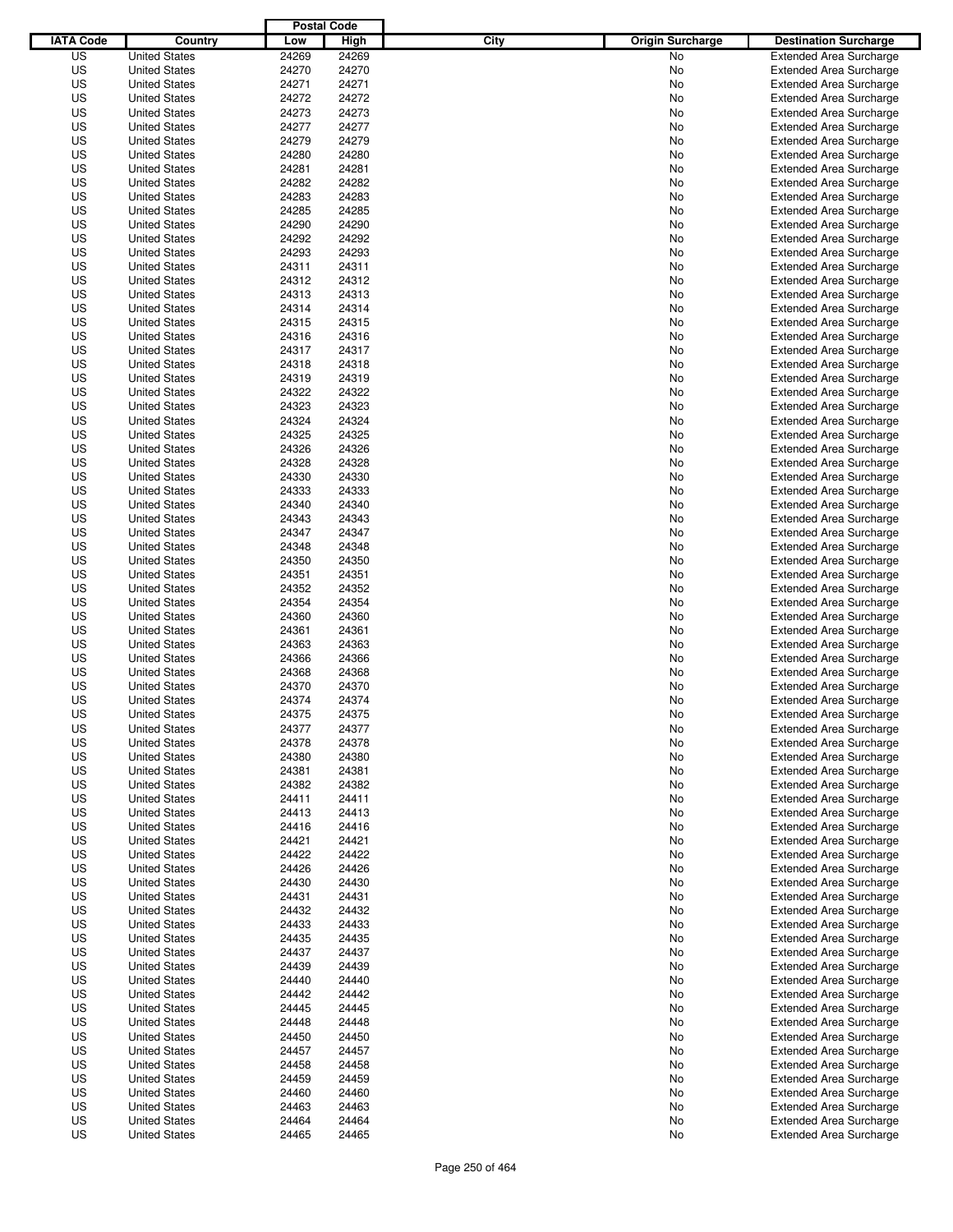|                  |                      | <b>Postal Code</b> |       |                                 |                                |
|------------------|----------------------|--------------------|-------|---------------------------------|--------------------------------|
| <b>IATA Code</b> | Country              | Low                | High  | City<br><b>Origin Surcharge</b> | <b>Destination Surcharge</b>   |
| US               | <b>United States</b> | 24269              | 24269 | <b>No</b>                       | <b>Extended Area Surcharge</b> |
| US               | <b>United States</b> | 24270              | 24270 | No                              | <b>Extended Area Surcharge</b> |
| US               | <b>United States</b> | 24271              | 24271 | No                              | <b>Extended Area Surcharge</b> |
| US               | <b>United States</b> | 24272              | 24272 | No                              | <b>Extended Area Surcharge</b> |
| US               | <b>United States</b> | 24273              | 24273 | No                              | <b>Extended Area Surcharge</b> |
| US               | <b>United States</b> | 24277              | 24277 | No                              | <b>Extended Area Surcharge</b> |
| US               | <b>United States</b> | 24279              | 24279 | No                              | <b>Extended Area Surcharge</b> |
| US               | <b>United States</b> | 24280              | 24280 | No                              | <b>Extended Area Surcharge</b> |
| US               | <b>United States</b> | 24281              | 24281 | No                              | <b>Extended Area Surcharge</b> |
| US               | <b>United States</b> | 24282              | 24282 | No                              | <b>Extended Area Surcharge</b> |
| US               | <b>United States</b> | 24283              | 24283 | No                              | <b>Extended Area Surcharge</b> |
| US               | <b>United States</b> | 24285              | 24285 | No                              | <b>Extended Area Surcharge</b> |
| US               | <b>United States</b> | 24290              | 24290 | No                              | <b>Extended Area Surcharge</b> |
| US               | <b>United States</b> | 24292              | 24292 | No                              | <b>Extended Area Surcharge</b> |
| US               | <b>United States</b> | 24293              | 24293 | No                              | <b>Extended Area Surcharge</b> |
| US               | <b>United States</b> | 24311              | 24311 | No                              | <b>Extended Area Surcharge</b> |
| US               | <b>United States</b> | 24312              | 24312 | No                              | <b>Extended Area Surcharge</b> |
| US               | <b>United States</b> | 24313              | 24313 | No                              | <b>Extended Area Surcharge</b> |
| US               | <b>United States</b> | 24314              | 24314 | No                              | <b>Extended Area Surcharge</b> |
| US               | <b>United States</b> | 24315              | 24315 | No                              | <b>Extended Area Surcharge</b> |
| US               | <b>United States</b> | 24316              | 24316 | No                              | <b>Extended Area Surcharge</b> |
| US               | <b>United States</b> | 24317              | 24317 | No                              | <b>Extended Area Surcharge</b> |
| US               | <b>United States</b> | 24318              | 24318 | No                              | <b>Extended Area Surcharge</b> |
| US               | <b>United States</b> | 24319              | 24319 | No                              | <b>Extended Area Surcharge</b> |
| US               | <b>United States</b> | 24322              | 24322 | No                              | <b>Extended Area Surcharge</b> |
| US               | <b>United States</b> | 24323              | 24323 | No                              | <b>Extended Area Surcharge</b> |
| US               | <b>United States</b> | 24324              | 24324 | No                              | <b>Extended Area Surcharge</b> |
| US               | <b>United States</b> | 24325              | 24325 | No                              | <b>Extended Area Surcharge</b> |
| US               | <b>United States</b> | 24326              | 24326 | No                              | <b>Extended Area Surcharge</b> |
| US               | <b>United States</b> | 24328              | 24328 | No                              | <b>Extended Area Surcharge</b> |
| US               | <b>United States</b> | 24330              | 24330 | No                              | <b>Extended Area Surcharge</b> |
| US               | <b>United States</b> | 24333              | 24333 | No                              | <b>Extended Area Surcharge</b> |
| US               | <b>United States</b> | 24340              | 24340 | No                              | <b>Extended Area Surcharge</b> |
| US               | <b>United States</b> | 24343              | 24343 | No                              | <b>Extended Area Surcharge</b> |
| US               | <b>United States</b> | 24347              | 24347 | No                              | <b>Extended Area Surcharge</b> |
| US               | <b>United States</b> | 24348              | 24348 | No                              | <b>Extended Area Surcharge</b> |
| US               | <b>United States</b> | 24350              | 24350 | No                              | <b>Extended Area Surcharge</b> |
| US               | <b>United States</b> | 24351              | 24351 | No                              | <b>Extended Area Surcharge</b> |
| US               | <b>United States</b> | 24352              | 24352 | No                              | <b>Extended Area Surcharge</b> |
| US               | <b>United States</b> | 24354              | 24354 | No                              | <b>Extended Area Surcharge</b> |
| US               | <b>United States</b> | 24360              | 24360 | No                              | <b>Extended Area Surcharge</b> |
| US               | <b>United States</b> | 24361              | 24361 | No                              | <b>Extended Area Surcharge</b> |
| US               | <b>United States</b> | 24363              | 24363 | No                              | <b>Extended Area Surcharge</b> |
| US               | <b>United States</b> | 24366              | 24366 | No                              | <b>Extended Area Surcharge</b> |
| US               | <b>United States</b> | 24368              | 24368 | No                              | <b>Extended Area Surcharge</b> |
| US               | <b>United States</b> | 24370              | 24370 | No                              | <b>Extended Area Surcharge</b> |
| US               | <b>United States</b> | 24374              | 24374 | No                              | <b>Extended Area Surcharge</b> |
| US               | <b>United States</b> | 24375              | 24375 | No                              | <b>Extended Area Surcharge</b> |
| US               | <b>United States</b> | 24377              | 24377 | No                              | <b>Extended Area Surcharge</b> |
| US               | <b>United States</b> | 24378              | 24378 | No                              | <b>Extended Area Surcharge</b> |
| US               | <b>United States</b> | 24380              | 24380 | No                              | <b>Extended Area Surcharge</b> |
| US               | <b>United States</b> | 24381              | 24381 | No                              | <b>Extended Area Surcharge</b> |
| US               | <b>United States</b> | 24382              | 24382 | No                              | <b>Extended Area Surcharge</b> |
| US               | <b>United States</b> | 24411              | 24411 | No                              | <b>Extended Area Surcharge</b> |
| US               | <b>United States</b> | 24413              | 24413 | No                              | <b>Extended Area Surcharge</b> |
| US               | <b>United States</b> | 24416              | 24416 | No                              | <b>Extended Area Surcharge</b> |
| US               | <b>United States</b> | 24421              | 24421 | No                              | <b>Extended Area Surcharge</b> |
| US               | <b>United States</b> | 24422              | 24422 | No                              | <b>Extended Area Surcharge</b> |
| US               | <b>United States</b> | 24426              | 24426 | No                              | <b>Extended Area Surcharge</b> |
| US               | <b>United States</b> | 24430              | 24430 | No                              | <b>Extended Area Surcharge</b> |
| US               | <b>United States</b> | 24431              | 24431 | No                              | <b>Extended Area Surcharge</b> |
| US               | <b>United States</b> | 24432              | 24432 | No                              | <b>Extended Area Surcharge</b> |
| US               | <b>United States</b> | 24433              | 24433 | No                              | <b>Extended Area Surcharge</b> |
| US               | <b>United States</b> | 24435              | 24435 | No                              | <b>Extended Area Surcharge</b> |
| US               | <b>United States</b> | 24437              | 24437 | No                              | <b>Extended Area Surcharge</b> |
| US               | <b>United States</b> | 24439              | 24439 | No                              | <b>Extended Area Surcharge</b> |
| US               | <b>United States</b> | 24440              | 24440 | No                              | <b>Extended Area Surcharge</b> |
| US               | <b>United States</b> | 24442              | 24442 | No                              | <b>Extended Area Surcharge</b> |
| US               | <b>United States</b> | 24445              | 24445 | No                              | <b>Extended Area Surcharge</b> |
| US               | <b>United States</b> | 24448              | 24448 | No                              | <b>Extended Area Surcharge</b> |
| US               | <b>United States</b> | 24450              | 24450 | No                              | <b>Extended Area Surcharge</b> |
| US               | <b>United States</b> | 24457              | 24457 | No                              | <b>Extended Area Surcharge</b> |
| US               | <b>United States</b> | 24458              | 24458 | No                              | <b>Extended Area Surcharge</b> |
| US               | <b>United States</b> | 24459              | 24459 | No                              | <b>Extended Area Surcharge</b> |
| US               | <b>United States</b> | 24460              | 24460 | No                              | <b>Extended Area Surcharge</b> |
| US               | <b>United States</b> | 24463              | 24463 | No                              | <b>Extended Area Surcharge</b> |
| US               | <b>United States</b> | 24464              | 24464 | No                              | <b>Extended Area Surcharge</b> |
| US               | <b>United States</b> | 24465              | 24465 | No                              | <b>Extended Area Surcharge</b> |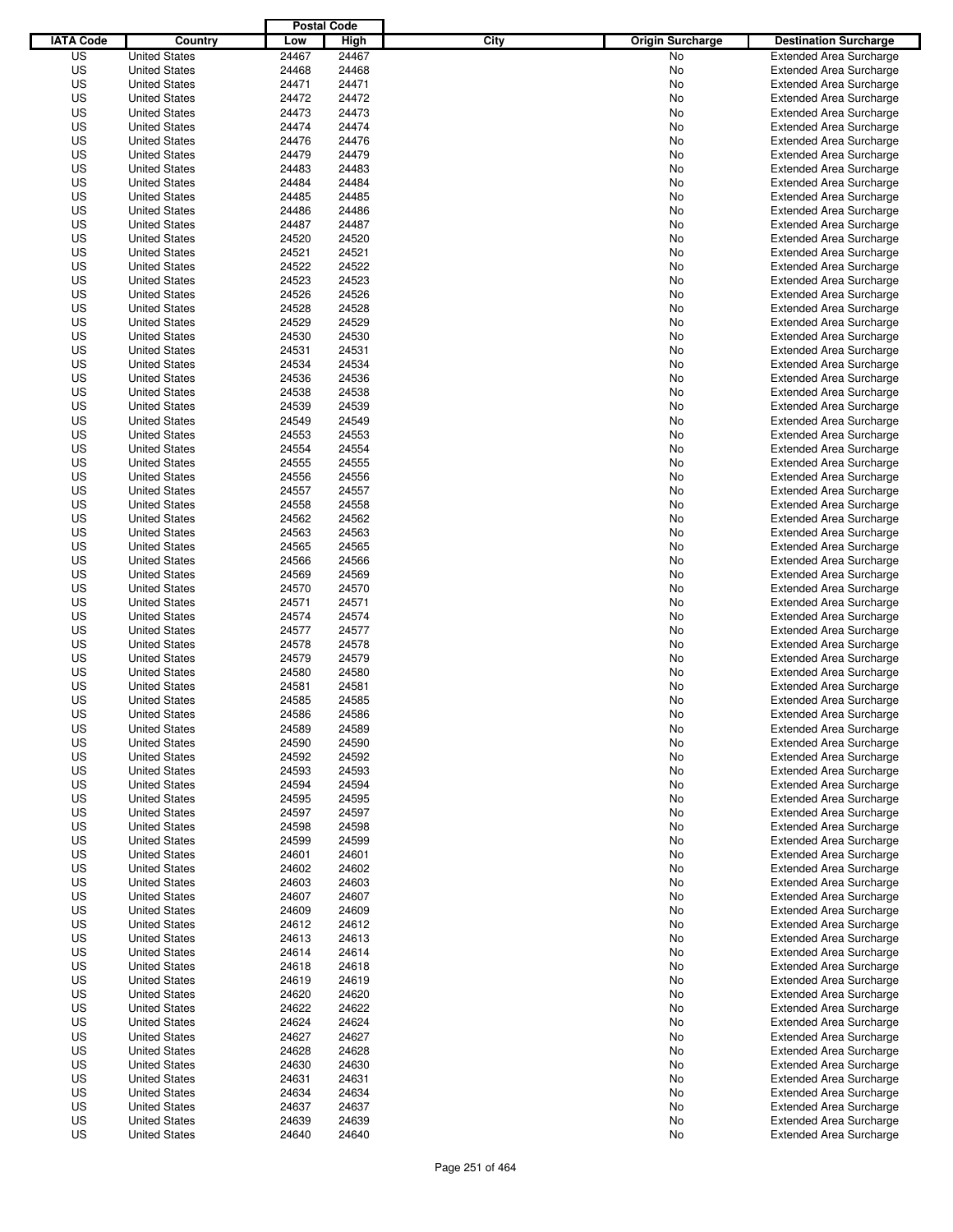|                  |                                              | <b>Postal Code</b> |                |                                 |                                                                  |
|------------------|----------------------------------------------|--------------------|----------------|---------------------------------|------------------------------------------------------------------|
| <b>IATA Code</b> | Country                                      | Low                | High           | City<br><b>Origin Surcharge</b> | <b>Destination Surcharge</b>                                     |
| US               | <b>United States</b>                         | 24467              | 24467          | <b>No</b>                       | <b>Extended Area Surcharge</b>                                   |
| US               | <b>United States</b>                         | 24468              | 24468          | No                              | <b>Extended Area Surcharge</b>                                   |
| US               | <b>United States</b>                         | 24471              | 24471          | No                              | <b>Extended Area Surcharge</b>                                   |
| US               | <b>United States</b>                         | 24472              | 24472          | No                              | <b>Extended Area Surcharge</b>                                   |
| US               | <b>United States</b>                         | 24473              | 24473          | No                              | <b>Extended Area Surcharge</b>                                   |
| US               | <b>United States</b>                         | 24474              | 24474          | No                              | <b>Extended Area Surcharge</b>                                   |
| US               | <b>United States</b>                         | 24476              | 24476          | No                              | <b>Extended Area Surcharge</b>                                   |
| US               | <b>United States</b>                         | 24479              | 24479          | No                              | <b>Extended Area Surcharge</b>                                   |
| US               | <b>United States</b>                         | 24483              | 24483          | No                              | <b>Extended Area Surcharge</b>                                   |
| US               | <b>United States</b>                         | 24484              | 24484          | No                              | <b>Extended Area Surcharge</b>                                   |
| US               | <b>United States</b>                         | 24485              | 24485          | No                              | <b>Extended Area Surcharge</b>                                   |
| US               | <b>United States</b>                         | 24486              | 24486          | No                              | <b>Extended Area Surcharge</b>                                   |
| US               | <b>United States</b>                         | 24487              | 24487          | No                              | <b>Extended Area Surcharge</b>                                   |
| US               | <b>United States</b>                         | 24520              | 24520          | No                              | <b>Extended Area Surcharge</b>                                   |
| US               | <b>United States</b>                         | 24521              | 24521          | No                              | <b>Extended Area Surcharge</b>                                   |
| US               | <b>United States</b>                         | 24522              | 24522          | No                              | <b>Extended Area Surcharge</b>                                   |
| US               | <b>United States</b>                         | 24523              | 24523          | No                              | <b>Extended Area Surcharge</b>                                   |
| US               | <b>United States</b>                         | 24526              | 24526          | No                              | <b>Extended Area Surcharge</b>                                   |
| US               | <b>United States</b>                         | 24528              | 24528          | No                              | <b>Extended Area Surcharge</b>                                   |
| US               | <b>United States</b>                         | 24529              | 24529          | No                              | <b>Extended Area Surcharge</b>                                   |
| US               | <b>United States</b>                         | 24530              | 24530          | No                              | <b>Extended Area Surcharge</b>                                   |
| US               | <b>United States</b>                         | 24531              | 24531          | No                              | <b>Extended Area Surcharge</b>                                   |
| US               | <b>United States</b>                         | 24534              | 24534          | No                              | <b>Extended Area Surcharge</b>                                   |
| US               | <b>United States</b>                         | 24536              | 24536          | No                              | <b>Extended Area Surcharge</b>                                   |
| US               | <b>United States</b>                         | 24538              | 24538          | No                              | <b>Extended Area Surcharge</b>                                   |
| US               | <b>United States</b>                         | 24539              | 24539          | No                              | <b>Extended Area Surcharge</b>                                   |
| US               | <b>United States</b>                         | 24549              | 24549          | No                              | <b>Extended Area Surcharge</b>                                   |
| US               | <b>United States</b>                         | 24553              | 24553          | No                              | <b>Extended Area Surcharge</b>                                   |
| US               | <b>United States</b>                         | 24554              | 24554          | No                              | <b>Extended Area Surcharge</b>                                   |
| US               | <b>United States</b>                         | 24555              | 24555          | No                              | <b>Extended Area Surcharge</b>                                   |
| US               | <b>United States</b>                         | 24556              | 24556          | No                              | <b>Extended Area Surcharge</b>                                   |
| US               | <b>United States</b><br><b>United States</b> | 24557              | 24557          | No                              | <b>Extended Area Surcharge</b>                                   |
| US               |                                              | 24558              | 24558          | No                              | <b>Extended Area Surcharge</b>                                   |
| US<br>US         | <b>United States</b><br><b>United States</b> | 24562<br>24563     | 24562<br>24563 | No<br>No                        | <b>Extended Area Surcharge</b><br><b>Extended Area Surcharge</b> |
| US               | <b>United States</b>                         | 24565              | 24565          | No                              | <b>Extended Area Surcharge</b>                                   |
| US               | <b>United States</b>                         | 24566              | 24566          | No                              | <b>Extended Area Surcharge</b>                                   |
| US               | <b>United States</b>                         | 24569              | 24569          | No                              | <b>Extended Area Surcharge</b>                                   |
| US               | <b>United States</b>                         | 24570              | 24570          | No                              | <b>Extended Area Surcharge</b>                                   |
| US               | <b>United States</b>                         | 24571              | 24571          | No                              | <b>Extended Area Surcharge</b>                                   |
| US               | <b>United States</b>                         | 24574              | 24574          | No                              | <b>Extended Area Surcharge</b>                                   |
| US               | <b>United States</b>                         | 24577              | 24577          | No                              | <b>Extended Area Surcharge</b>                                   |
| US               | <b>United States</b>                         | 24578              | 24578          | No                              | <b>Extended Area Surcharge</b>                                   |
| US               | <b>United States</b>                         | 24579              | 24579          | No                              | <b>Extended Area Surcharge</b>                                   |
| US               | <b>United States</b>                         | 24580              | 24580          | No                              | <b>Extended Area Surcharge</b>                                   |
| US               | <b>United States</b>                         | 24581              | 24581          | No                              | <b>Extended Area Surcharge</b>                                   |
| US               | <b>United States</b>                         | 24585              | 24585          | No                              | <b>Extended Area Surcharge</b>                                   |
| US               | <b>United States</b>                         | 24586              | 24586          | No                              | <b>Extended Area Surcharge</b>                                   |
| US               | <b>United States</b>                         | 24589              | 24589          | No                              | <b>Extended Area Surcharge</b>                                   |
| US               | <b>United States</b>                         | 24590              | 24590          | No                              | <b>Extended Area Surcharge</b>                                   |
| US               | <b>United States</b>                         | 24592              | 24592          | No                              | <b>Extended Area Surcharge</b>                                   |
| US               | <b>United States</b>                         | 24593              | 24593          | No                              | <b>Extended Area Surcharge</b>                                   |
| US               | <b>United States</b>                         | 24594              | 24594          | No                              | <b>Extended Area Surcharge</b>                                   |
| US               | <b>United States</b>                         | 24595              | 24595          | No                              | <b>Extended Area Surcharge</b>                                   |
| US               | <b>United States</b>                         | 24597              | 24597          | No                              | <b>Extended Area Surcharge</b>                                   |
| US               | <b>United States</b>                         | 24598              | 24598          | No                              | <b>Extended Area Surcharge</b>                                   |
| US               | <b>United States</b>                         | 24599              | 24599          | No                              | <b>Extended Area Surcharge</b>                                   |
| US               | <b>United States</b>                         | 24601              | 24601          | No                              | <b>Extended Area Surcharge</b>                                   |
| US               | <b>United States</b>                         | 24602              | 24602          | No                              | <b>Extended Area Surcharge</b>                                   |
| US               | <b>United States</b>                         | 24603              | 24603          | No                              | <b>Extended Area Surcharge</b>                                   |
| US               | <b>United States</b>                         | 24607              | 24607          | No                              | <b>Extended Area Surcharge</b>                                   |
| US               | <b>United States</b>                         | 24609              | 24609          | No                              | <b>Extended Area Surcharge</b>                                   |
| US               | <b>United States</b>                         | 24612              | 24612          | No                              | <b>Extended Area Surcharge</b>                                   |
| US               | <b>United States</b>                         | 24613              | 24613          | No                              | <b>Extended Area Surcharge</b>                                   |
| US               | <b>United States</b>                         | 24614              | 24614          | No                              | <b>Extended Area Surcharge</b>                                   |
| US               | <b>United States</b>                         | 24618              | 24618          | No                              | <b>Extended Area Surcharge</b>                                   |
| US               | <b>United States</b>                         | 24619              | 24619          | No                              | <b>Extended Area Surcharge</b>                                   |
| US               | <b>United States</b>                         | 24620              | 24620          | No                              | <b>Extended Area Surcharge</b>                                   |
| US               | <b>United States</b>                         | 24622              | 24622          | No                              | <b>Extended Area Surcharge</b>                                   |
| US               | <b>United States</b>                         | 24624              | 24624          | No                              | <b>Extended Area Surcharge</b>                                   |
| US               | <b>United States</b>                         | 24627              | 24627          | No                              | <b>Extended Area Surcharge</b>                                   |
| US               | <b>United States</b>                         | 24628              | 24628          | No                              | <b>Extended Area Surcharge</b>                                   |
| US               | <b>United States</b>                         | 24630              | 24630          | No                              | <b>Extended Area Surcharge</b>                                   |
| US               | <b>United States</b>                         | 24631              | 24631          | No                              | <b>Extended Area Surcharge</b>                                   |
| US               | <b>United States</b>                         | 24634              | 24634          | No                              | <b>Extended Area Surcharge</b>                                   |
| US               | <b>United States</b>                         | 24637              | 24637          | No                              | <b>Extended Area Surcharge</b>                                   |
| US               | <b>United States</b>                         | 24639              | 24639          | No                              | <b>Extended Area Surcharge</b>                                   |
| US               | <b>United States</b>                         | 24640              | 24640          | No                              | <b>Extended Area Surcharge</b>                                   |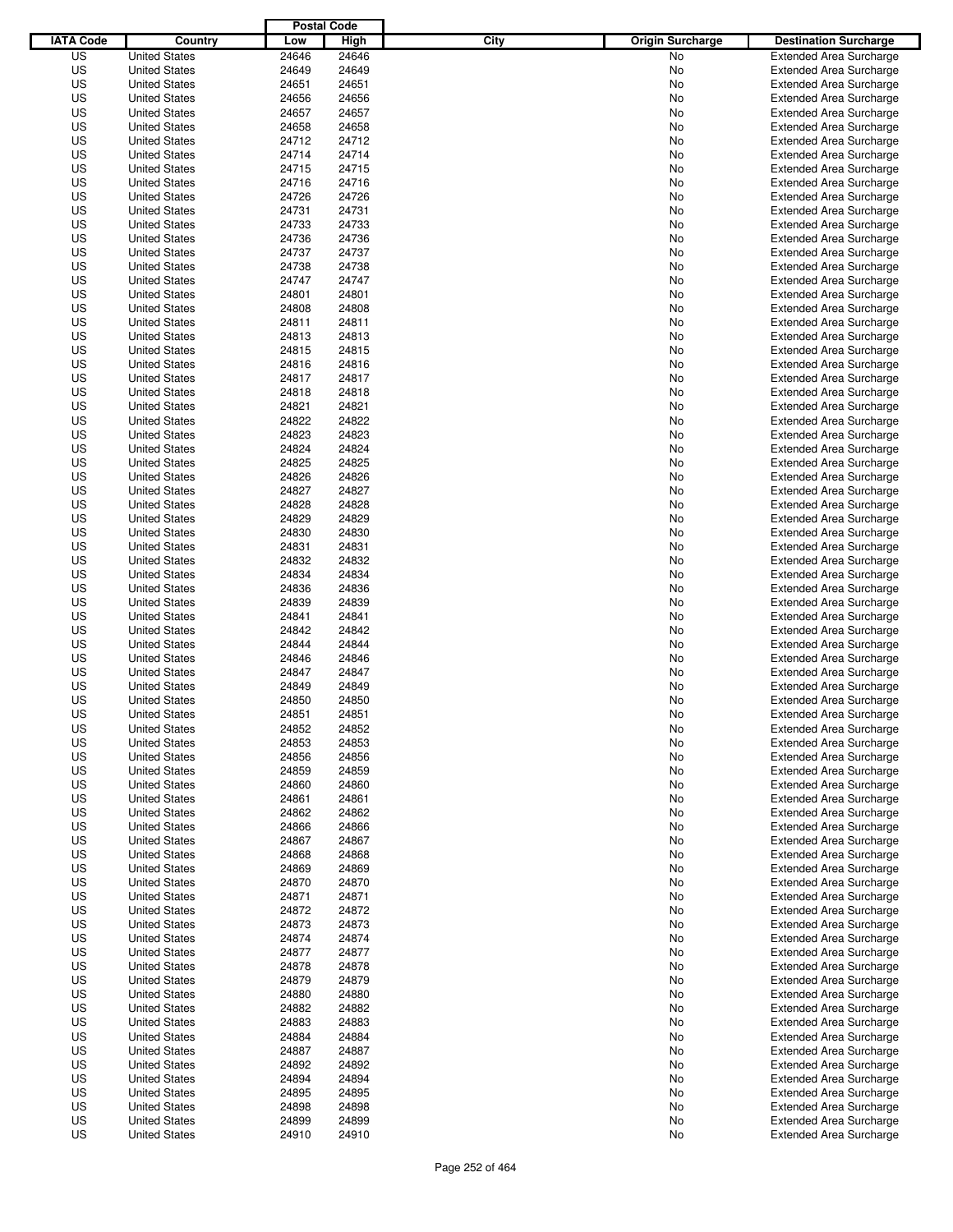|                  |                      | <b>Postal Code</b> |       |                                 |                                |
|------------------|----------------------|--------------------|-------|---------------------------------|--------------------------------|
| <b>IATA Code</b> | Country              | Low                | High  | City<br><b>Origin Surcharge</b> | <b>Destination Surcharge</b>   |
| US               | <b>United States</b> | 24646              | 24646 | <b>No</b>                       | <b>Extended Area Surcharge</b> |
| US               | <b>United States</b> | 24649              | 24649 | No                              | <b>Extended Area Surcharge</b> |
| US               | <b>United States</b> | 24651              | 24651 | No                              | <b>Extended Area Surcharge</b> |
| US               | <b>United States</b> | 24656              | 24656 | No                              | <b>Extended Area Surcharge</b> |
| US               | <b>United States</b> | 24657              | 24657 | No                              | <b>Extended Area Surcharge</b> |
| US               | <b>United States</b> | 24658              | 24658 | No                              | <b>Extended Area Surcharge</b> |
| US               | <b>United States</b> | 24712              | 24712 | No                              | <b>Extended Area Surcharge</b> |
| US               | <b>United States</b> | 24714              | 24714 | No                              | <b>Extended Area Surcharge</b> |
| US               | <b>United States</b> | 24715              | 24715 | No                              | <b>Extended Area Surcharge</b> |
| US               | <b>United States</b> | 24716              | 24716 | No                              | <b>Extended Area Surcharge</b> |
| US               | <b>United States</b> | 24726              | 24726 | No                              | <b>Extended Area Surcharge</b> |
| US               | <b>United States</b> | 24731              | 24731 | No                              | <b>Extended Area Surcharge</b> |
| US               | <b>United States</b> | 24733              | 24733 | No                              | <b>Extended Area Surcharge</b> |
| US               | <b>United States</b> | 24736              | 24736 | No                              | <b>Extended Area Surcharge</b> |
| US               | <b>United States</b> | 24737              | 24737 | No                              | <b>Extended Area Surcharge</b> |
| US               | <b>United States</b> | 24738              | 24738 | No                              | <b>Extended Area Surcharge</b> |
| US               | <b>United States</b> | 24747              | 24747 | No                              | <b>Extended Area Surcharge</b> |
| US               | <b>United States</b> | 24801              | 24801 | No                              | <b>Extended Area Surcharge</b> |
| US               | <b>United States</b> | 24808              | 24808 | No                              | <b>Extended Area Surcharge</b> |
| US               | <b>United States</b> | 24811              | 24811 | No                              | <b>Extended Area Surcharge</b> |
| US               | <b>United States</b> | 24813              | 24813 | No                              | <b>Extended Area Surcharge</b> |
| US               | <b>United States</b> | 24815              | 24815 | No                              | <b>Extended Area Surcharge</b> |
| US               | <b>United States</b> | 24816              | 24816 | No                              | <b>Extended Area Surcharge</b> |
| US               | <b>United States</b> | 24817              | 24817 | No                              | <b>Extended Area Surcharge</b> |
| US               | <b>United States</b> | 24818              | 24818 | No                              | <b>Extended Area Surcharge</b> |
| US               | <b>United States</b> | 24821              | 24821 | No                              | <b>Extended Area Surcharge</b> |
| US               | <b>United States</b> | 24822              | 24822 | No                              | <b>Extended Area Surcharge</b> |
| US               | <b>United States</b> | 24823              | 24823 | No                              | <b>Extended Area Surcharge</b> |
| US               | <b>United States</b> | 24824              | 24824 | No                              | <b>Extended Area Surcharge</b> |
| US               | <b>United States</b> | 24825              | 24825 | No                              | <b>Extended Area Surcharge</b> |
| US               | <b>United States</b> | 24826              | 24826 | No                              | <b>Extended Area Surcharge</b> |
| US               | <b>United States</b> | 24827              | 24827 | No                              | <b>Extended Area Surcharge</b> |
| US               | <b>United States</b> | 24828              | 24828 | No                              | <b>Extended Area Surcharge</b> |
| US               | <b>United States</b> | 24829              | 24829 | No                              | <b>Extended Area Surcharge</b> |
| US               | <b>United States</b> | 24830              | 24830 | No                              | <b>Extended Area Surcharge</b> |
| US               | <b>United States</b> | 24831              | 24831 | No                              | <b>Extended Area Surcharge</b> |
| US               | <b>United States</b> | 24832              | 24832 | No                              | <b>Extended Area Surcharge</b> |
| US               | <b>United States</b> | 24834              | 24834 | No                              | <b>Extended Area Surcharge</b> |
| US               | <b>United States</b> | 24836              | 24836 | No                              | <b>Extended Area Surcharge</b> |
| US               | <b>United States</b> | 24839              | 24839 | No                              | <b>Extended Area Surcharge</b> |
| US               | <b>United States</b> | 24841              | 24841 | No                              | <b>Extended Area Surcharge</b> |
| US               | <b>United States</b> | 24842              | 24842 | No                              | <b>Extended Area Surcharge</b> |
| US               | <b>United States</b> | 24844              | 24844 | No                              | <b>Extended Area Surcharge</b> |
| US               | <b>United States</b> | 24846              | 24846 | No                              | <b>Extended Area Surcharge</b> |
| US               | <b>United States</b> | 24847              | 24847 | No                              | <b>Extended Area Surcharge</b> |
| US               | <b>United States</b> | 24849              | 24849 | No                              | <b>Extended Area Surcharge</b> |
| US               | <b>United States</b> | 24850              | 24850 | No                              | <b>Extended Area Surcharge</b> |
| US               | <b>United States</b> | 24851              | 24851 | No                              | <b>Extended Area Surcharge</b> |
| US               | <b>United States</b> | 24852              | 24852 | No                              | <b>Extended Area Surcharge</b> |
| US               | <b>United States</b> | 24853              | 24853 | No                              | <b>Extended Area Surcharge</b> |
| US               | <b>United States</b> | 24856              | 24856 | No                              | <b>Extended Area Surcharge</b> |
| US               | <b>United States</b> | 24859              | 24859 | No                              | <b>Extended Area Surcharge</b> |
| US               | <b>United States</b> | 24860              | 24860 | No                              | <b>Extended Area Surcharge</b> |
| US               | <b>United States</b> | 24861              | 24861 | No                              | <b>Extended Area Surcharge</b> |
| US               | <b>United States</b> | 24862              | 24862 | No                              | <b>Extended Area Surcharge</b> |
| US               | <b>United States</b> | 24866              | 24866 | No                              | <b>Extended Area Surcharge</b> |
| US               | <b>United States</b> | 24867              | 24867 | No                              | <b>Extended Area Surcharge</b> |
| US               | <b>United States</b> | 24868              | 24868 | No                              | <b>Extended Area Surcharge</b> |
| US               | <b>United States</b> | 24869              | 24869 | No                              | <b>Extended Area Surcharge</b> |
| US               | <b>United States</b> | 24870              | 24870 | No                              | <b>Extended Area Surcharge</b> |
| US               | <b>United States</b> | 24871              | 24871 | No                              | <b>Extended Area Surcharge</b> |
| US               | <b>United States</b> | 24872              | 24872 | No                              | <b>Extended Area Surcharge</b> |
| US               | <b>United States</b> | 24873              | 24873 | No                              | <b>Extended Area Surcharge</b> |
| US               | <b>United States</b> | 24874              | 24874 | No                              | <b>Extended Area Surcharge</b> |
| US               | <b>United States</b> | 24877              | 24877 | No                              | <b>Extended Area Surcharge</b> |
| US               | <b>United States</b> | 24878              | 24878 | No                              | <b>Extended Area Surcharge</b> |
| US               | <b>United States</b> | 24879              | 24879 | No                              | <b>Extended Area Surcharge</b> |
| US               | <b>United States</b> | 24880              | 24880 | No                              | <b>Extended Area Surcharge</b> |
| US               | <b>United States</b> | 24882              | 24882 | No                              | <b>Extended Area Surcharge</b> |
| US               | <b>United States</b> | 24883              | 24883 | No                              | <b>Extended Area Surcharge</b> |
| US               | <b>United States</b> | 24884              | 24884 | No                              | <b>Extended Area Surcharge</b> |
| US               | <b>United States</b> | 24887              | 24887 | No                              | <b>Extended Area Surcharge</b> |
| US               | <b>United States</b> | 24892              | 24892 | No                              | <b>Extended Area Surcharge</b> |
| US               | <b>United States</b> | 24894              | 24894 | No                              | <b>Extended Area Surcharge</b> |
| US               | <b>United States</b> | 24895              | 24895 | No                              | <b>Extended Area Surcharge</b> |
| US               | <b>United States</b> | 24898              | 24898 | No                              | <b>Extended Area Surcharge</b> |
| US               | <b>United States</b> | 24899              | 24899 | No                              | <b>Extended Area Surcharge</b> |
| US               | <b>United States</b> | 24910              | 24910 | No                              | <b>Extended Area Surcharge</b> |
|                  |                      |                    |       |                                 |                                |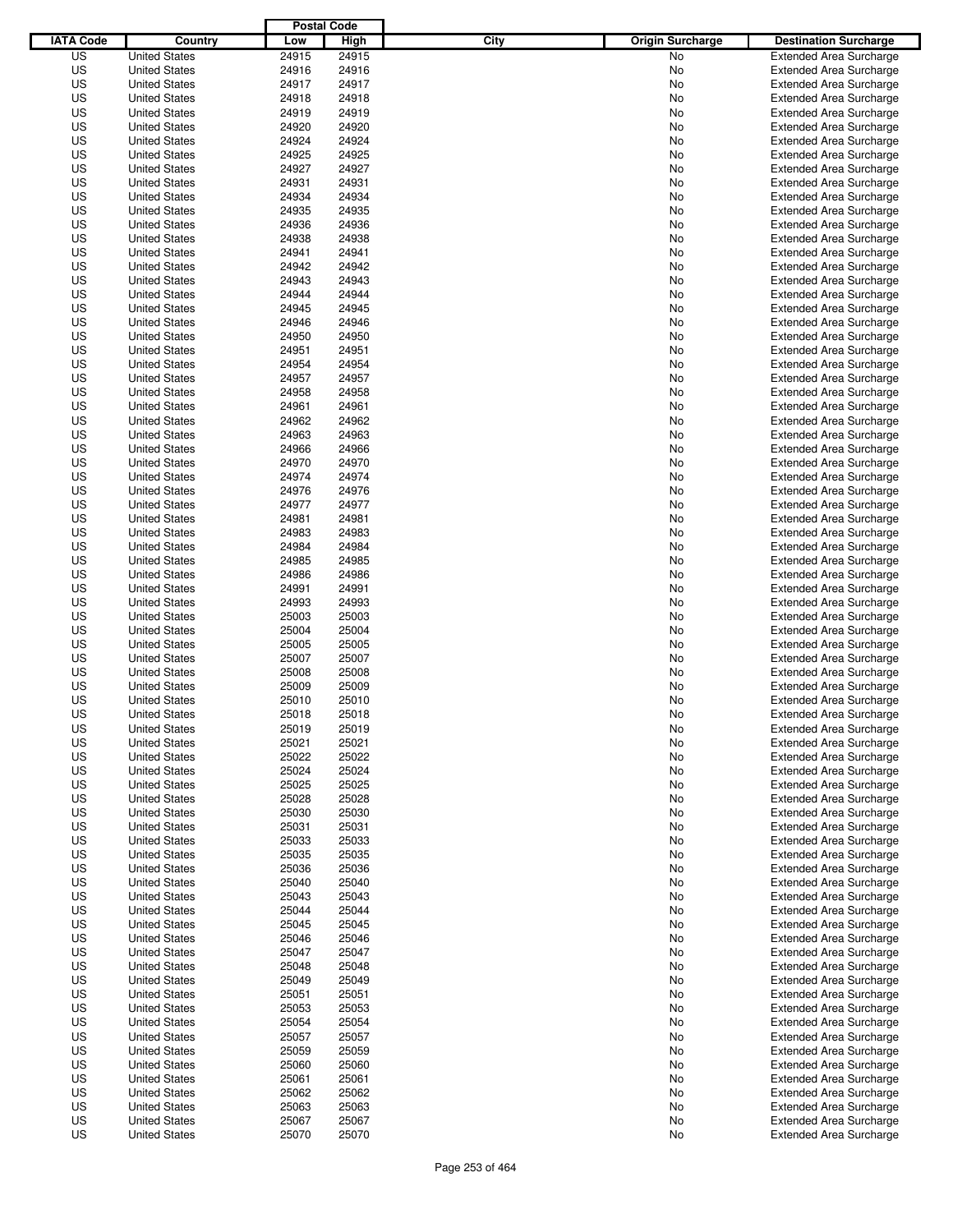|                  |                                              | <b>Postal Code</b> |                |                                 |                                                                  |
|------------------|----------------------------------------------|--------------------|----------------|---------------------------------|------------------------------------------------------------------|
| <b>IATA Code</b> | Country                                      | Low                | High           | City<br><b>Origin Surcharge</b> | <b>Destination Surcharge</b>                                     |
| US               | <b>United States</b>                         | 24915              | 24915          | <b>No</b>                       | <b>Extended Area Surcharge</b>                                   |
| US               | <b>United States</b>                         | 24916              | 24916          | No                              | <b>Extended Area Surcharge</b>                                   |
| US               | <b>United States</b>                         | 24917              | 24917          | No                              | <b>Extended Area Surcharge</b>                                   |
| US               | <b>United States</b>                         | 24918              | 24918          | No                              | <b>Extended Area Surcharge</b>                                   |
| US               | <b>United States</b>                         | 24919              | 24919          | No                              | <b>Extended Area Surcharge</b>                                   |
| US               | <b>United States</b>                         | 24920              | 24920          | No                              | <b>Extended Area Surcharge</b>                                   |
| US               | <b>United States</b>                         | 24924              | 24924          | No                              | <b>Extended Area Surcharge</b>                                   |
| US               | <b>United States</b>                         | 24925              | 24925          | No                              | <b>Extended Area Surcharge</b>                                   |
| US               | <b>United States</b>                         | 24927              | 24927          | No                              | <b>Extended Area Surcharge</b>                                   |
| US               | <b>United States</b>                         | 24931              | 24931          | No                              | <b>Extended Area Surcharge</b>                                   |
| US               | <b>United States</b>                         | 24934              | 24934          | No                              | <b>Extended Area Surcharge</b>                                   |
| US               | <b>United States</b>                         | 24935              | 24935          | No                              | <b>Extended Area Surcharge</b>                                   |
| US               | <b>United States</b>                         | 24936              | 24936          | No                              | <b>Extended Area Surcharge</b>                                   |
| US               | <b>United States</b>                         | 24938              | 24938          | No                              | <b>Extended Area Surcharge</b>                                   |
| US               | <b>United States</b>                         | 24941              | 24941          | No                              | <b>Extended Area Surcharge</b>                                   |
| US               | <b>United States</b>                         | 24942              | 24942          | No                              | <b>Extended Area Surcharge</b>                                   |
| US               | <b>United States</b>                         | 24943              | 24943          | No                              | <b>Extended Area Surcharge</b>                                   |
| US               | <b>United States</b>                         | 24944              | 24944          | No                              | <b>Extended Area Surcharge</b>                                   |
| US               | <b>United States</b><br><b>United States</b> | 24945              | 24945          | No                              | <b>Extended Area Surcharge</b>                                   |
| US               | <b>United States</b>                         | 24946              | 24946          | No                              | <b>Extended Area Surcharge</b>                                   |
| US               |                                              | 24950              | 24950          | No                              | <b>Extended Area Surcharge</b>                                   |
| US               | <b>United States</b>                         | 24951              | 24951          | No                              | <b>Extended Area Surcharge</b>                                   |
| US               | <b>United States</b><br><b>United States</b> | 24954<br>24957     | 24954          | No                              | <b>Extended Area Surcharge</b>                                   |
| US               |                                              |                    | 24957          | No                              | <b>Extended Area Surcharge</b>                                   |
| US<br>US         | <b>United States</b>                         | 24958<br>24961     | 24958<br>24961 | No                              | <b>Extended Area Surcharge</b><br><b>Extended Area Surcharge</b> |
| US               | <b>United States</b><br><b>United States</b> | 24962              | 24962          | No                              |                                                                  |
| US               | <b>United States</b>                         | 24963              | 24963          | No<br>No                        | <b>Extended Area Surcharge</b><br><b>Extended Area Surcharge</b> |
| US               | <b>United States</b>                         | 24966              | 24966          | No                              | <b>Extended Area Surcharge</b>                                   |
| US               | <b>United States</b>                         | 24970              | 24970          | No                              | <b>Extended Area Surcharge</b>                                   |
| US               | <b>United States</b>                         | 24974              | 24974          | No                              | <b>Extended Area Surcharge</b>                                   |
| US               | <b>United States</b>                         | 24976              | 24976          | No                              | <b>Extended Area Surcharge</b>                                   |
| US               | <b>United States</b>                         | 24977              | 24977          | No                              | <b>Extended Area Surcharge</b>                                   |
| US               | <b>United States</b>                         | 24981              | 24981          | No                              | <b>Extended Area Surcharge</b>                                   |
| US               | <b>United States</b>                         | 24983              | 24983          | No                              | <b>Extended Area Surcharge</b>                                   |
| US               | <b>United States</b>                         | 24984              | 24984          | No                              | <b>Extended Area Surcharge</b>                                   |
| US               | <b>United States</b>                         | 24985              | 24985          | No                              | <b>Extended Area Surcharge</b>                                   |
| US               | <b>United States</b>                         | 24986              | 24986          | No                              | <b>Extended Area Surcharge</b>                                   |
| US               | <b>United States</b>                         | 24991              | 24991          | No                              | <b>Extended Area Surcharge</b>                                   |
| US               | <b>United States</b>                         | 24993              | 24993          | No                              | <b>Extended Area Surcharge</b>                                   |
| US               | <b>United States</b>                         | 25003              | 25003          | No                              | <b>Extended Area Surcharge</b>                                   |
| US               | <b>United States</b>                         | 25004              | 25004          | No                              | <b>Extended Area Surcharge</b>                                   |
| US               | <b>United States</b>                         | 25005              | 25005          | No                              | <b>Extended Area Surcharge</b>                                   |
| US               | <b>United States</b>                         | 25007              | 25007          | No                              | <b>Extended Area Surcharge</b>                                   |
| US               | <b>United States</b>                         | 25008              | 25008          | No                              | <b>Extended Area Surcharge</b>                                   |
| US               | <b>United States</b>                         | 25009              | 25009          | No                              | <b>Extended Area Surcharge</b>                                   |
| US               | <b>United States</b>                         | 25010              | 25010          | No                              | <b>Extended Area Surcharge</b>                                   |
| US               | <b>United States</b>                         | 25018              | 25018          | No                              | <b>Extended Area Surcharge</b>                                   |
| US               | <b>United States</b>                         | 25019              | 25019          | No                              | <b>Extended Area Surcharge</b>                                   |
| US               | <b>United States</b>                         | 25021              | 25021          | No                              | <b>Extended Area Surcharge</b>                                   |
| US               | <b>United States</b>                         | 25022              | 25022          | No                              | <b>Extended Area Surcharge</b>                                   |
| US               | <b>United States</b>                         | 25024              | 25024          | No                              | <b>Extended Area Surcharge</b>                                   |
| US               | <b>United States</b>                         | 25025              | 25025          | No                              | <b>Extended Area Surcharge</b>                                   |
| US               | <b>United States</b>                         | 25028              | 25028          | No                              | <b>Extended Area Surcharge</b>                                   |
| US               | <b>United States</b>                         | 25030              | 25030          | No                              | <b>Extended Area Surcharge</b>                                   |
| US               | <b>United States</b>                         | 25031              | 25031          | No                              | <b>Extended Area Surcharge</b>                                   |
| US               | <b>United States</b>                         | 25033              | 25033          | No                              | <b>Extended Area Surcharge</b>                                   |
| US               | <b>United States</b>                         | 25035              | 25035          | No                              | <b>Extended Area Surcharge</b>                                   |
| US               | <b>United States</b>                         | 25036              | 25036          | No                              | <b>Extended Area Surcharge</b>                                   |
| US               | <b>United States</b>                         | 25040              | 25040          | No                              | <b>Extended Area Surcharge</b>                                   |
| US               | <b>United States</b>                         | 25043              | 25043          | No                              | <b>Extended Area Surcharge</b>                                   |
| US               | <b>United States</b>                         | 25044              | 25044          | No                              | <b>Extended Area Surcharge</b>                                   |
| US               | <b>United States</b>                         | 25045              | 25045          | No                              | <b>Extended Area Surcharge</b>                                   |
| US               | <b>United States</b>                         | 25046              | 25046          | No                              | <b>Extended Area Surcharge</b>                                   |
| US               | <b>United States</b>                         | 25047              | 25047          | No                              | <b>Extended Area Surcharge</b>                                   |
| US               | <b>United States</b>                         | 25048              | 25048          | No                              | <b>Extended Area Surcharge</b>                                   |
| US               | <b>United States</b>                         | 25049              | 25049          | No                              | <b>Extended Area Surcharge</b>                                   |
| US               | <b>United States</b>                         | 25051              | 25051          | No                              | <b>Extended Area Surcharge</b>                                   |
| US               | <b>United States</b>                         | 25053              | 25053          | No                              | <b>Extended Area Surcharge</b>                                   |
| US               | <b>United States</b>                         | 25054              | 25054          | No                              | <b>Extended Area Surcharge</b>                                   |
| US               | <b>United States</b>                         | 25057              | 25057          | No                              | <b>Extended Area Surcharge</b>                                   |
| US               | <b>United States</b>                         | 25059              | 25059          | No                              | <b>Extended Area Surcharge</b>                                   |
| US               | <b>United States</b>                         | 25060              | 25060          | No                              | <b>Extended Area Surcharge</b>                                   |
| US               | <b>United States</b>                         | 25061              | 25061          | No                              | <b>Extended Area Surcharge</b>                                   |
| US<br>US         | <b>United States</b>                         | 25062<br>25063     | 25062<br>25063 | No                              | <b>Extended Area Surcharge</b>                                   |
| US               | <b>United States</b><br><b>United States</b> | 25067              | 25067          | No<br>No                        | <b>Extended Area Surcharge</b><br><b>Extended Area Surcharge</b> |
| US               | <b>United States</b>                         | 25070              | 25070          | No                              | <b>Extended Area Surcharge</b>                                   |
|                  |                                              |                    |                |                                 |                                                                  |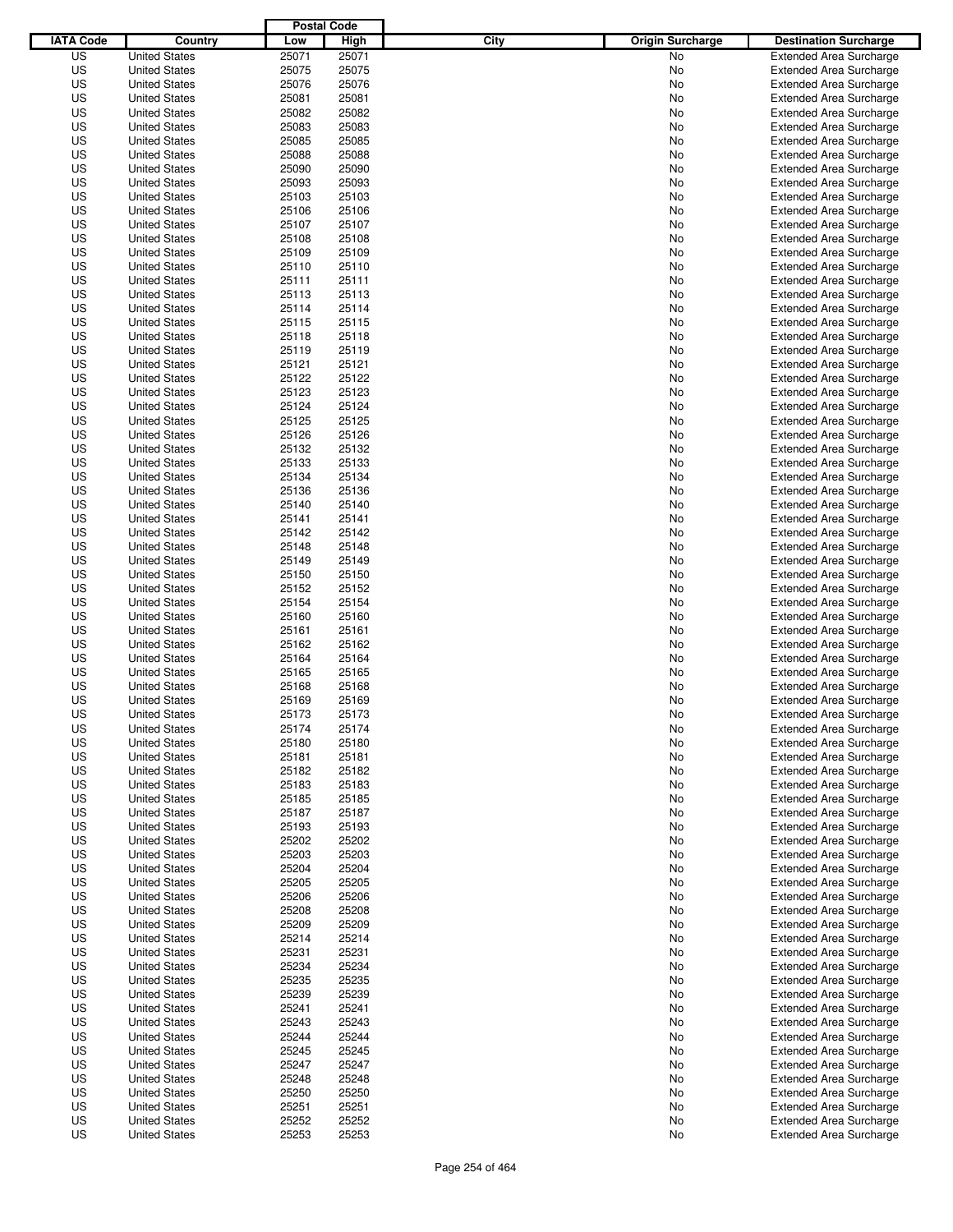|                  |                      | <b>Postal Code</b> |       |                                 |                                |
|------------------|----------------------|--------------------|-------|---------------------------------|--------------------------------|
| <b>IATA Code</b> | Country              | Low                | High  | City<br><b>Origin Surcharge</b> | <b>Destination Surcharge</b>   |
| US               | <b>United States</b> | 25071              | 25071 | <b>No</b>                       | <b>Extended Area Surcharge</b> |
| US               | <b>United States</b> | 25075              | 25075 | No                              | <b>Extended Area Surcharge</b> |
| US               | <b>United States</b> | 25076              | 25076 | No                              | <b>Extended Area Surcharge</b> |
| US               | <b>United States</b> | 25081              | 25081 | No                              | <b>Extended Area Surcharge</b> |
| US               | <b>United States</b> | 25082              | 25082 | No                              | <b>Extended Area Surcharge</b> |
| US               | <b>United States</b> | 25083              | 25083 | No                              | <b>Extended Area Surcharge</b> |
| US               | <b>United States</b> | 25085              | 25085 | No                              | <b>Extended Area Surcharge</b> |
| US               | <b>United States</b> | 25088              | 25088 | No                              | <b>Extended Area Surcharge</b> |
| US               | <b>United States</b> | 25090              | 25090 | No                              | <b>Extended Area Surcharge</b> |
| US               | <b>United States</b> | 25093              | 25093 | No                              | <b>Extended Area Surcharge</b> |
| US               | <b>United States</b> | 25103              | 25103 | No                              | <b>Extended Area Surcharge</b> |
| US               | <b>United States</b> | 25106              | 25106 | No                              | <b>Extended Area Surcharge</b> |
| US               | <b>United States</b> | 25107              | 25107 | No                              | <b>Extended Area Surcharge</b> |
| US               | <b>United States</b> | 25108              | 25108 | No                              | <b>Extended Area Surcharge</b> |
| US               | <b>United States</b> | 25109              | 25109 | No                              | <b>Extended Area Surcharge</b> |
| US               | <b>United States</b> | 25110              | 25110 | No                              | <b>Extended Area Surcharge</b> |
| US               | <b>United States</b> | 25111              | 25111 | No                              | <b>Extended Area Surcharge</b> |
| US               | <b>United States</b> | 25113              | 25113 | No                              | <b>Extended Area Surcharge</b> |
| US               | <b>United States</b> | 25114              | 25114 | No                              | <b>Extended Area Surcharge</b> |
| US               | <b>United States</b> | 25115              | 25115 | No                              | <b>Extended Area Surcharge</b> |
| US               | <b>United States</b> | 25118              | 25118 | No                              | <b>Extended Area Surcharge</b> |
| US               | <b>United States</b> | 25119              | 25119 | No                              | <b>Extended Area Surcharge</b> |
| US               | <b>United States</b> | 25121              | 25121 | No                              | <b>Extended Area Surcharge</b> |
| US               | <b>United States</b> | 25122              | 25122 | No                              | <b>Extended Area Surcharge</b> |
| US               | <b>United States</b> | 25123              | 25123 | No                              | <b>Extended Area Surcharge</b> |
| US               | <b>United States</b> | 25124              | 25124 | No                              | <b>Extended Area Surcharge</b> |
| US               | <b>United States</b> | 25125              | 25125 | No                              | <b>Extended Area Surcharge</b> |
| US               | <b>United States</b> | 25126              | 25126 | No                              | <b>Extended Area Surcharge</b> |
| US               | <b>United States</b> | 25132              | 25132 | No                              | <b>Extended Area Surcharge</b> |
| US               | <b>United States</b> | 25133              | 25133 | No                              | <b>Extended Area Surcharge</b> |
| US               | <b>United States</b> | 25134              | 25134 | No                              | <b>Extended Area Surcharge</b> |
| US               | <b>United States</b> | 25136              | 25136 | No                              | <b>Extended Area Surcharge</b> |
| US               | <b>United States</b> | 25140              | 25140 | No                              | <b>Extended Area Surcharge</b> |
| US               | <b>United States</b> | 25141              | 25141 | No                              | <b>Extended Area Surcharge</b> |
| US               | <b>United States</b> | 25142              | 25142 | No                              | <b>Extended Area Surcharge</b> |
| US               | <b>United States</b> | 25148              | 25148 | No                              | <b>Extended Area Surcharge</b> |
| US               | <b>United States</b> | 25149              | 25149 | No                              | <b>Extended Area Surcharge</b> |
| US               | <b>United States</b> | 25150              | 25150 | No                              | <b>Extended Area Surcharge</b> |
| US               | <b>United States</b> | 25152              | 25152 | No                              | <b>Extended Area Surcharge</b> |
| US               | <b>United States</b> | 25154              | 25154 | No                              | <b>Extended Area Surcharge</b> |
| US               | <b>United States</b> | 25160              | 25160 | No                              | <b>Extended Area Surcharge</b> |
| US               | <b>United States</b> | 25161              | 25161 | No                              | <b>Extended Area Surcharge</b> |
| US               | <b>United States</b> | 25162              | 25162 | No                              | <b>Extended Area Surcharge</b> |
| US               | <b>United States</b> | 25164              | 25164 | No                              | <b>Extended Area Surcharge</b> |
| US               | <b>United States</b> | 25165              | 25165 | No                              | <b>Extended Area Surcharge</b> |
| US               | <b>United States</b> | 25168              | 25168 | No                              | <b>Extended Area Surcharge</b> |
| US               | <b>United States</b> | 25169              | 25169 | No                              | <b>Extended Area Surcharge</b> |
| US               | <b>United States</b> | 25173              | 25173 | No                              | <b>Extended Area Surcharge</b> |
| US               | <b>United States</b> | 25174              | 25174 | No                              | <b>Extended Area Surcharge</b> |
| US               | <b>United States</b> | 25180              | 25180 | No                              | <b>Extended Area Surcharge</b> |
| US               | <b>United States</b> | 25181              | 25181 | No                              | <b>Extended Area Surcharge</b> |
| US               | <b>United States</b> | 25182              | 25182 | No                              | <b>Extended Area Surcharge</b> |
| US               | <b>United States</b> | 25183              | 25183 | No                              | <b>Extended Area Surcharge</b> |
| US               | <b>United States</b> | 25185              | 25185 | No                              | <b>Extended Area Surcharge</b> |
| US               | <b>United States</b> | 25187              | 25187 | No                              | <b>Extended Area Surcharge</b> |
| US               | <b>United States</b> | 25193              | 25193 | No                              | <b>Extended Area Surcharge</b> |
| US               | <b>United States</b> | 25202              | 25202 | No                              | <b>Extended Area Surcharge</b> |
| US               | <b>United States</b> | 25203              | 25203 | No                              | <b>Extended Area Surcharge</b> |
| US               | <b>United States</b> | 25204              | 25204 | No                              | <b>Extended Area Surcharge</b> |
| US               | <b>United States</b> | 25205              | 25205 | No                              | <b>Extended Area Surcharge</b> |
| US               | <b>United States</b> | 25206              | 25206 | No                              | <b>Extended Area Surcharge</b> |
| US               | <b>United States</b> | 25208              | 25208 | No                              | <b>Extended Area Surcharge</b> |
| US               | <b>United States</b> | 25209              | 25209 | No                              | <b>Extended Area Surcharge</b> |
| US               | <b>United States</b> | 25214              | 25214 | No                              | <b>Extended Area Surcharge</b> |
| US               | <b>United States</b> | 25231              | 25231 | No                              | <b>Extended Area Surcharge</b> |
| US               | <b>United States</b> | 25234              | 25234 | No                              | <b>Extended Area Surcharge</b> |
| US               | <b>United States</b> | 25235              | 25235 | No                              | <b>Extended Area Surcharge</b> |
| US               | <b>United States</b> | 25239              | 25239 | No                              | <b>Extended Area Surcharge</b> |
| US               | <b>United States</b> | 25241              | 25241 | No                              | <b>Extended Area Surcharge</b> |
| US               | <b>United States</b> | 25243              | 25243 | No                              | <b>Extended Area Surcharge</b> |
| US               | <b>United States</b> | 25244              | 25244 | No                              | <b>Extended Area Surcharge</b> |
| US               | <b>United States</b> | 25245              | 25245 | No                              | <b>Extended Area Surcharge</b> |
| US               | <b>United States</b> | 25247              | 25247 | No                              | <b>Extended Area Surcharge</b> |
| US               | <b>United States</b> | 25248              | 25248 | No                              | <b>Extended Area Surcharge</b> |
| US               | <b>United States</b> | 25250              | 25250 | No                              | <b>Extended Area Surcharge</b> |
| US               | <b>United States</b> | 25251              | 25251 | No                              | <b>Extended Area Surcharge</b> |
| US               | <b>United States</b> | 25252              | 25252 | No                              | <b>Extended Area Surcharge</b> |
| US               | <b>United States</b> | 25253              | 25253 | No                              | <b>Extended Area Surcharge</b> |
|                  |                      |                    |       |                                 |                                |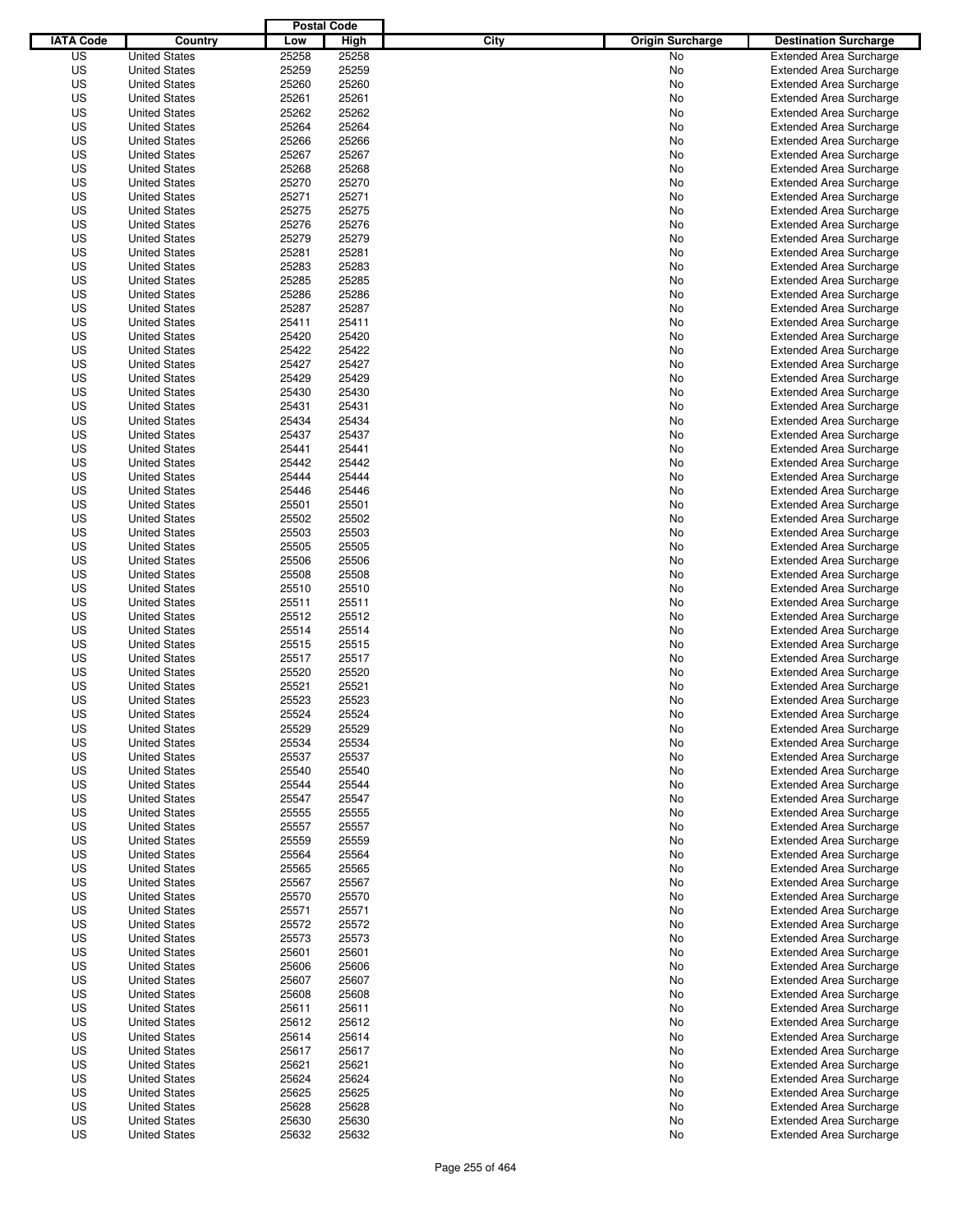|                  |                      | <b>Postal Code</b> |       |                                 |                                |
|------------------|----------------------|--------------------|-------|---------------------------------|--------------------------------|
| <b>IATA Code</b> | Country              | Low                | High  | City<br><b>Origin Surcharge</b> | <b>Destination Surcharge</b>   |
| US               | <b>United States</b> | 25258              | 25258 | <b>No</b>                       | <b>Extended Area Surcharge</b> |
| US               | <b>United States</b> | 25259              | 25259 | No                              | <b>Extended Area Surcharge</b> |
| US               | <b>United States</b> | 25260              | 25260 | No                              | <b>Extended Area Surcharge</b> |
| US               | <b>United States</b> | 25261              | 25261 | No                              | <b>Extended Area Surcharge</b> |
| US               | <b>United States</b> | 25262              | 25262 | No                              | <b>Extended Area Surcharge</b> |
| US               | <b>United States</b> | 25264              | 25264 | No                              | <b>Extended Area Surcharge</b> |
| US               | <b>United States</b> | 25266              | 25266 | No                              | <b>Extended Area Surcharge</b> |
| US               | <b>United States</b> | 25267              | 25267 | No                              | <b>Extended Area Surcharge</b> |
| US               | <b>United States</b> | 25268              | 25268 | No                              | <b>Extended Area Surcharge</b> |
| US               | <b>United States</b> | 25270              | 25270 | No                              | <b>Extended Area Surcharge</b> |
| US               | <b>United States</b> | 25271              | 25271 | No                              | <b>Extended Area Surcharge</b> |
| US               | <b>United States</b> | 25275              | 25275 | No                              | <b>Extended Area Surcharge</b> |
| US               | <b>United States</b> | 25276              | 25276 | No                              | <b>Extended Area Surcharge</b> |
| US               | <b>United States</b> | 25279              | 25279 | No                              | <b>Extended Area Surcharge</b> |
| US               | <b>United States</b> | 25281              | 25281 | No                              | <b>Extended Area Surcharge</b> |
| US               | <b>United States</b> | 25283              | 25283 | No                              | <b>Extended Area Surcharge</b> |
| US               | <b>United States</b> | 25285              | 25285 | No                              | <b>Extended Area Surcharge</b> |
| US               | <b>United States</b> | 25286              | 25286 | No                              | <b>Extended Area Surcharge</b> |
| US               | <b>United States</b> | 25287              | 25287 | No                              | <b>Extended Area Surcharge</b> |
| US               | <b>United States</b> | 25411              | 25411 | No                              | <b>Extended Area Surcharge</b> |
| US               | <b>United States</b> | 25420              | 25420 | No                              | <b>Extended Area Surcharge</b> |
| US               | <b>United States</b> | 25422              | 25422 | No                              | <b>Extended Area Surcharge</b> |
| US               | <b>United States</b> | 25427              | 25427 | No                              | <b>Extended Area Surcharge</b> |
| US               | <b>United States</b> | 25429              | 25429 | No                              | <b>Extended Area Surcharge</b> |
| US               | <b>United States</b> | 25430              | 25430 | No                              | <b>Extended Area Surcharge</b> |
| US               | <b>United States</b> | 25431              | 25431 | No                              | <b>Extended Area Surcharge</b> |
| US               | <b>United States</b> | 25434              | 25434 | No                              | <b>Extended Area Surcharge</b> |
| US               | <b>United States</b> | 25437              | 25437 | No                              | <b>Extended Area Surcharge</b> |
| US               | <b>United States</b> | 25441              | 25441 | No                              | <b>Extended Area Surcharge</b> |
| US               | <b>United States</b> | 25442              | 25442 | No                              | <b>Extended Area Surcharge</b> |
| US               | <b>United States</b> | 25444              | 25444 | No                              | <b>Extended Area Surcharge</b> |
| US               | <b>United States</b> | 25446              | 25446 | No                              | <b>Extended Area Surcharge</b> |
| US               | <b>United States</b> | 25501              | 25501 | No                              | <b>Extended Area Surcharge</b> |
| US               | <b>United States</b> | 25502              | 25502 | No                              | <b>Extended Area Surcharge</b> |
| US               | <b>United States</b> | 25503              | 25503 | No                              | <b>Extended Area Surcharge</b> |
| US               | <b>United States</b> | 25505              | 25505 | No                              | <b>Extended Area Surcharge</b> |
| US               | <b>United States</b> | 25506              | 25506 | No                              | <b>Extended Area Surcharge</b> |
| US               | <b>United States</b> | 25508              | 25508 | No                              | <b>Extended Area Surcharge</b> |
| US               | <b>United States</b> | 25510              | 25510 | No                              | <b>Extended Area Surcharge</b> |
| US               | <b>United States</b> | 25511              | 25511 | No                              | <b>Extended Area Surcharge</b> |
| US               | <b>United States</b> | 25512              | 25512 | No                              | <b>Extended Area Surcharge</b> |
| US               | <b>United States</b> | 25514              | 25514 | No                              | <b>Extended Area Surcharge</b> |
| US               | <b>United States</b> | 25515              | 25515 | No                              | <b>Extended Area Surcharge</b> |
| US               | <b>United States</b> | 25517              | 25517 | No                              | <b>Extended Area Surcharge</b> |
| US               | <b>United States</b> | 25520              | 25520 | No                              | <b>Extended Area Surcharge</b> |
| US               | <b>United States</b> | 25521              | 25521 | No                              | <b>Extended Area Surcharge</b> |
| US               | <b>United States</b> | 25523              | 25523 | No                              | <b>Extended Area Surcharge</b> |
| US               | <b>United States</b> | 25524              | 25524 | No                              | <b>Extended Area Surcharge</b> |
| US               | <b>United States</b> | 25529              | 25529 | No                              | <b>Extended Area Surcharge</b> |
| US               | <b>United States</b> | 25534              | 25534 | No                              | <b>Extended Area Surcharge</b> |
| US               | <b>United States</b> | 25537              | 25537 | No                              | <b>Extended Area Surcharge</b> |
| US               | <b>United States</b> | 25540              | 25540 | No                              | <b>Extended Area Surcharge</b> |
| US               | <b>United States</b> | 25544              | 25544 | No                              | <b>Extended Area Surcharge</b> |
| US               | <b>United States</b> | 25547              | 25547 | No                              | <b>Extended Area Surcharge</b> |
| US               | <b>United States</b> | 25555              | 25555 | No                              | <b>Extended Area Surcharge</b> |
| US               | <b>United States</b> | 25557              | 25557 | No                              | <b>Extended Area Surcharge</b> |
| US               | <b>United States</b> | 25559              | 25559 | No                              | <b>Extended Area Surcharge</b> |
| US               | <b>United States</b> | 25564              | 25564 | No                              | <b>Extended Area Surcharge</b> |
| US               | <b>United States</b> | 25565              | 25565 | No                              | <b>Extended Area Surcharge</b> |
| US               | <b>United States</b> | 25567              | 25567 | No                              | <b>Extended Area Surcharge</b> |
| US               | <b>United States</b> | 25570              | 25570 | No                              | <b>Extended Area Surcharge</b> |
| US               | <b>United States</b> | 25571              | 25571 | No                              | <b>Extended Area Surcharge</b> |
| US               | <b>United States</b> | 25572              | 25572 | No                              | <b>Extended Area Surcharge</b> |
| US               | <b>United States</b> | 25573              | 25573 | No                              | <b>Extended Area Surcharge</b> |
| US               | <b>United States</b> | 25601              | 25601 | No                              | <b>Extended Area Surcharge</b> |
| US               | <b>United States</b> | 25606              | 25606 | No                              | <b>Extended Area Surcharge</b> |
| US               | <b>United States</b> | 25607              | 25607 | No                              | <b>Extended Area Surcharge</b> |
| US               | <b>United States</b> | 25608              | 25608 | No                              | <b>Extended Area Surcharge</b> |
| US               | <b>United States</b> | 25611              | 25611 | No                              | <b>Extended Area Surcharge</b> |
| US               | <b>United States</b> | 25612              | 25612 | No                              | <b>Extended Area Surcharge</b> |
| US               | <b>United States</b> | 25614              | 25614 | No                              | <b>Extended Area Surcharge</b> |
| US               | <b>United States</b> | 25617              | 25617 | No                              | <b>Extended Area Surcharge</b> |
| US               | <b>United States</b> | 25621              | 25621 | No                              | <b>Extended Area Surcharge</b> |
| US               | <b>United States</b> | 25624              | 25624 | No                              | <b>Extended Area Surcharge</b> |
| US               | <b>United States</b> | 25625              | 25625 | No                              | <b>Extended Area Surcharge</b> |
| US               | <b>United States</b> | 25628              | 25628 | No                              | <b>Extended Area Surcharge</b> |
| US               | <b>United States</b> | 25630              | 25630 | No                              | <b>Extended Area Surcharge</b> |
| US               | <b>United States</b> | 25632              | 25632 | No                              | <b>Extended Area Surcharge</b> |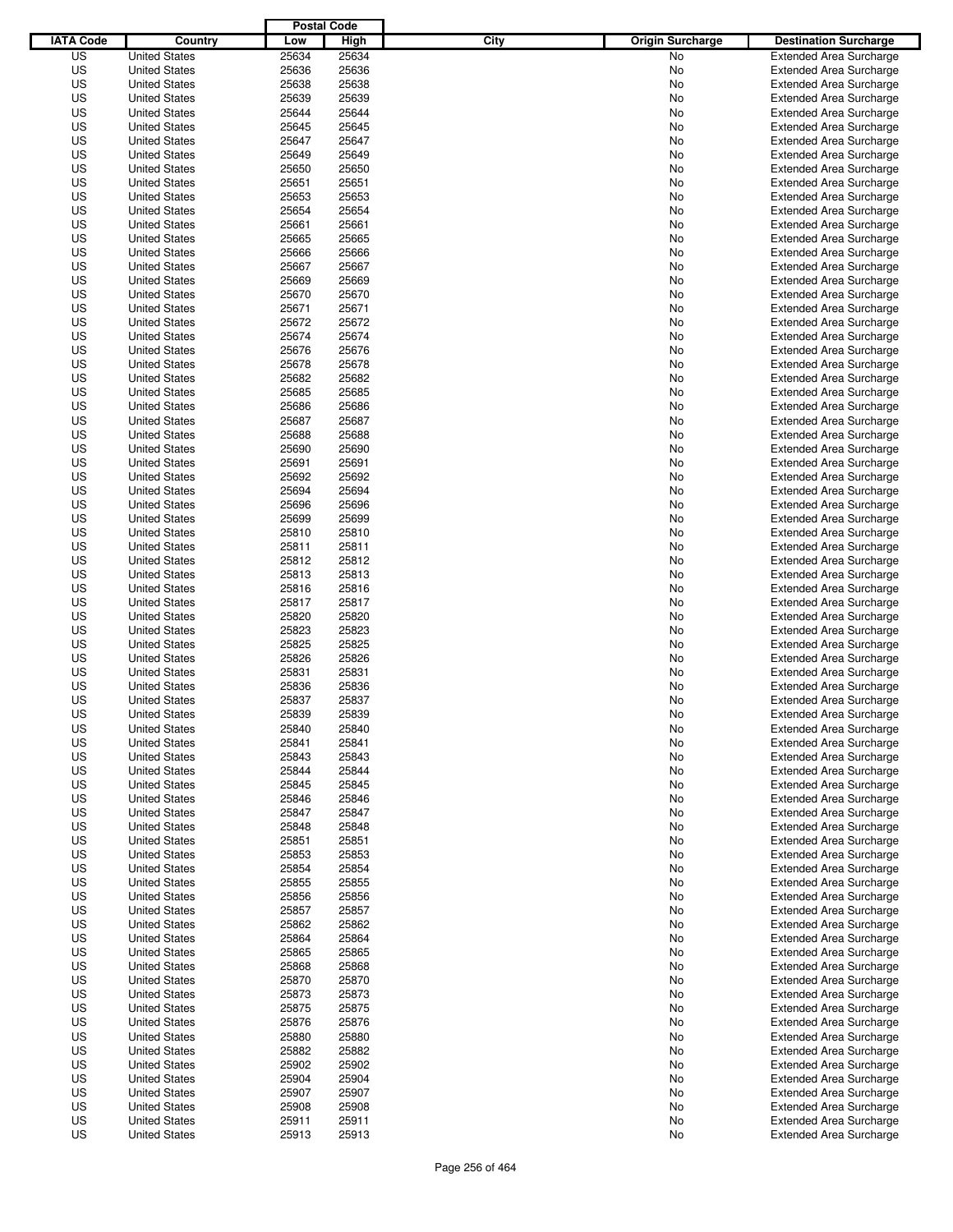|                  |                      | <b>Postal Code</b> |       |                                 |                                |
|------------------|----------------------|--------------------|-------|---------------------------------|--------------------------------|
| <b>IATA Code</b> | Country              | Low                | High  | City<br><b>Origin Surcharge</b> | <b>Destination Surcharge</b>   |
| US               | <b>United States</b> | 25634              | 25634 | <b>No</b>                       | <b>Extended Area Surcharge</b> |
| US               | <b>United States</b> | 25636              | 25636 | No                              | <b>Extended Area Surcharge</b> |
| US               | <b>United States</b> | 25638              | 25638 | No                              | <b>Extended Area Surcharge</b> |
| US               | <b>United States</b> | 25639              | 25639 | No                              | <b>Extended Area Surcharge</b> |
| US               | <b>United States</b> | 25644              | 25644 | No                              | <b>Extended Area Surcharge</b> |
| US               | <b>United States</b> | 25645              | 25645 | No                              | <b>Extended Area Surcharge</b> |
| US               | <b>United States</b> | 25647              | 25647 | No                              | <b>Extended Area Surcharge</b> |
| US               | <b>United States</b> | 25649              | 25649 | No                              | <b>Extended Area Surcharge</b> |
| US               | <b>United States</b> | 25650              | 25650 | No                              | <b>Extended Area Surcharge</b> |
| US               | <b>United States</b> | 25651              | 25651 | No                              | <b>Extended Area Surcharge</b> |
| US               | <b>United States</b> | 25653              | 25653 | No                              | <b>Extended Area Surcharge</b> |
| US               | <b>United States</b> | 25654              | 25654 | No                              | <b>Extended Area Surcharge</b> |
| US               | <b>United States</b> | 25661              | 25661 | No                              | <b>Extended Area Surcharge</b> |
| US               | <b>United States</b> | 25665              | 25665 | No                              | <b>Extended Area Surcharge</b> |
| US               | <b>United States</b> | 25666              | 25666 | No                              | <b>Extended Area Surcharge</b> |
| US               | <b>United States</b> | 25667              | 25667 | No                              | <b>Extended Area Surcharge</b> |
| US               | <b>United States</b> | 25669              | 25669 | No                              | <b>Extended Area Surcharge</b> |
| US               | <b>United States</b> | 25670              | 25670 | No                              | <b>Extended Area Surcharge</b> |
| US               | <b>United States</b> | 25671              | 25671 | No                              | <b>Extended Area Surcharge</b> |
| US               | <b>United States</b> | 25672              | 25672 | No                              | <b>Extended Area Surcharge</b> |
| US               | <b>United States</b> | 25674              | 25674 | No                              | <b>Extended Area Surcharge</b> |
| US               | <b>United States</b> | 25676              | 25676 | No                              | <b>Extended Area Surcharge</b> |
| US               | <b>United States</b> | 25678              | 25678 | No                              | <b>Extended Area Surcharge</b> |
| US               | <b>United States</b> | 25682              | 25682 | No                              | <b>Extended Area Surcharge</b> |
| US               | <b>United States</b> | 25685              | 25685 | No                              | <b>Extended Area Surcharge</b> |
| US               | <b>United States</b> | 25686              | 25686 | No                              | <b>Extended Area Surcharge</b> |
| US               | <b>United States</b> | 25687              | 25687 | No                              | <b>Extended Area Surcharge</b> |
| US               | <b>United States</b> | 25688              | 25688 | No                              | <b>Extended Area Surcharge</b> |
| US               | <b>United States</b> | 25690              | 25690 | No                              | <b>Extended Area Surcharge</b> |
| US               | <b>United States</b> | 25691              | 25691 | No                              | <b>Extended Area Surcharge</b> |
| US               | <b>United States</b> | 25692              | 25692 | No                              | <b>Extended Area Surcharge</b> |
| US               | <b>United States</b> | 25694              | 25694 | No                              | <b>Extended Area Surcharge</b> |
| US               | <b>United States</b> | 25696              | 25696 | No                              | <b>Extended Area Surcharge</b> |
| US               | <b>United States</b> | 25699              | 25699 | No                              | <b>Extended Area Surcharge</b> |
| US               | <b>United States</b> | 25810              | 25810 | No                              | <b>Extended Area Surcharge</b> |
| US               | <b>United States</b> | 25811              | 25811 | No                              | <b>Extended Area Surcharge</b> |
| US               | <b>United States</b> | 25812              | 25812 | No                              | <b>Extended Area Surcharge</b> |
| US               | <b>United States</b> | 25813              | 25813 | No                              | <b>Extended Area Surcharge</b> |
| US               | <b>United States</b> | 25816              | 25816 | No                              | <b>Extended Area Surcharge</b> |
| US               | <b>United States</b> | 25817              | 25817 | No                              | <b>Extended Area Surcharge</b> |
| US               | <b>United States</b> | 25820              | 25820 | No                              | <b>Extended Area Surcharge</b> |
| US               | <b>United States</b> | 25823              | 25823 | No                              | <b>Extended Area Surcharge</b> |
| US               | <b>United States</b> | 25825              | 25825 | No                              | <b>Extended Area Surcharge</b> |
| US               | <b>United States</b> | 25826              | 25826 | No                              | <b>Extended Area Surcharge</b> |
| US               | <b>United States</b> | 25831              | 25831 | No                              | <b>Extended Area Surcharge</b> |
| US               | <b>United States</b> | 25836              | 25836 | No                              | <b>Extended Area Surcharge</b> |
| US               | <b>United States</b> | 25837              | 25837 | No                              | <b>Extended Area Surcharge</b> |
| US               | <b>United States</b> | 25839              | 25839 | No                              | <b>Extended Area Surcharge</b> |
| US               | <b>United States</b> | 25840              | 25840 | No                              | <b>Extended Area Surcharge</b> |
| US               | <b>United States</b> | 25841              | 25841 | No                              | <b>Extended Area Surcharge</b> |
| US               | <b>United States</b> | 25843              | 25843 | No                              | <b>Extended Area Surcharge</b> |
| US               | <b>United States</b> | 25844              | 25844 | No                              | <b>Extended Area Surcharge</b> |
| US               | <b>United States</b> | 25845              | 25845 | No                              | <b>Extended Area Surcharge</b> |
| US               | <b>United States</b> | 25846              | 25846 | No                              | <b>Extended Area Surcharge</b> |
| US               | <b>United States</b> | 25847              | 25847 | No                              | <b>Extended Area Surcharge</b> |
| US               | <b>United States</b> | 25848              | 25848 | No                              | <b>Extended Area Surcharge</b> |
| US               | <b>United States</b> | 25851              | 25851 | No                              | <b>Extended Area Surcharge</b> |
| US               | <b>United States</b> | 25853              | 25853 | No                              | <b>Extended Area Surcharge</b> |
| US               | <b>United States</b> | 25854              | 25854 | No                              | <b>Extended Area Surcharge</b> |
| US               | <b>United States</b> | 25855              | 25855 | No                              | <b>Extended Area Surcharge</b> |
| US               | <b>United States</b> | 25856              | 25856 | No                              | <b>Extended Area Surcharge</b> |
| US               | <b>United States</b> | 25857              | 25857 | No                              | <b>Extended Area Surcharge</b> |
| US               | <b>United States</b> | 25862              | 25862 | No                              | <b>Extended Area Surcharge</b> |
| US               | <b>United States</b> | 25864              | 25864 | No                              | <b>Extended Area Surcharge</b> |
| US               | <b>United States</b> | 25865              | 25865 | No                              | <b>Extended Area Surcharge</b> |
| US               | <b>United States</b> | 25868              | 25868 | No                              | <b>Extended Area Surcharge</b> |
| US               | <b>United States</b> | 25870              | 25870 | No                              | <b>Extended Area Surcharge</b> |
| US               | <b>United States</b> | 25873              | 25873 | No                              | <b>Extended Area Surcharge</b> |
| US               | <b>United States</b> | 25875              | 25875 | No                              | <b>Extended Area Surcharge</b> |
| US               | <b>United States</b> | 25876              | 25876 | No                              | <b>Extended Area Surcharge</b> |
| US               | <b>United States</b> | 25880              | 25880 | No                              | <b>Extended Area Surcharge</b> |
| US               | <b>United States</b> | 25882              | 25882 | No                              | <b>Extended Area Surcharge</b> |
| US               | <b>United States</b> | 25902              | 25902 | No                              | <b>Extended Area Surcharge</b> |
| US               | <b>United States</b> | 25904              | 25904 | No                              | <b>Extended Area Surcharge</b> |
| US               | <b>United States</b> | 25907              | 25907 | No                              | <b>Extended Area Surcharge</b> |
| US               | <b>United States</b> | 25908              | 25908 | No                              | <b>Extended Area Surcharge</b> |
| US               | <b>United States</b> | 25911              | 25911 | No                              | <b>Extended Area Surcharge</b> |
| US               | <b>United States</b> | 25913              | 25913 | No                              | <b>Extended Area Surcharge</b> |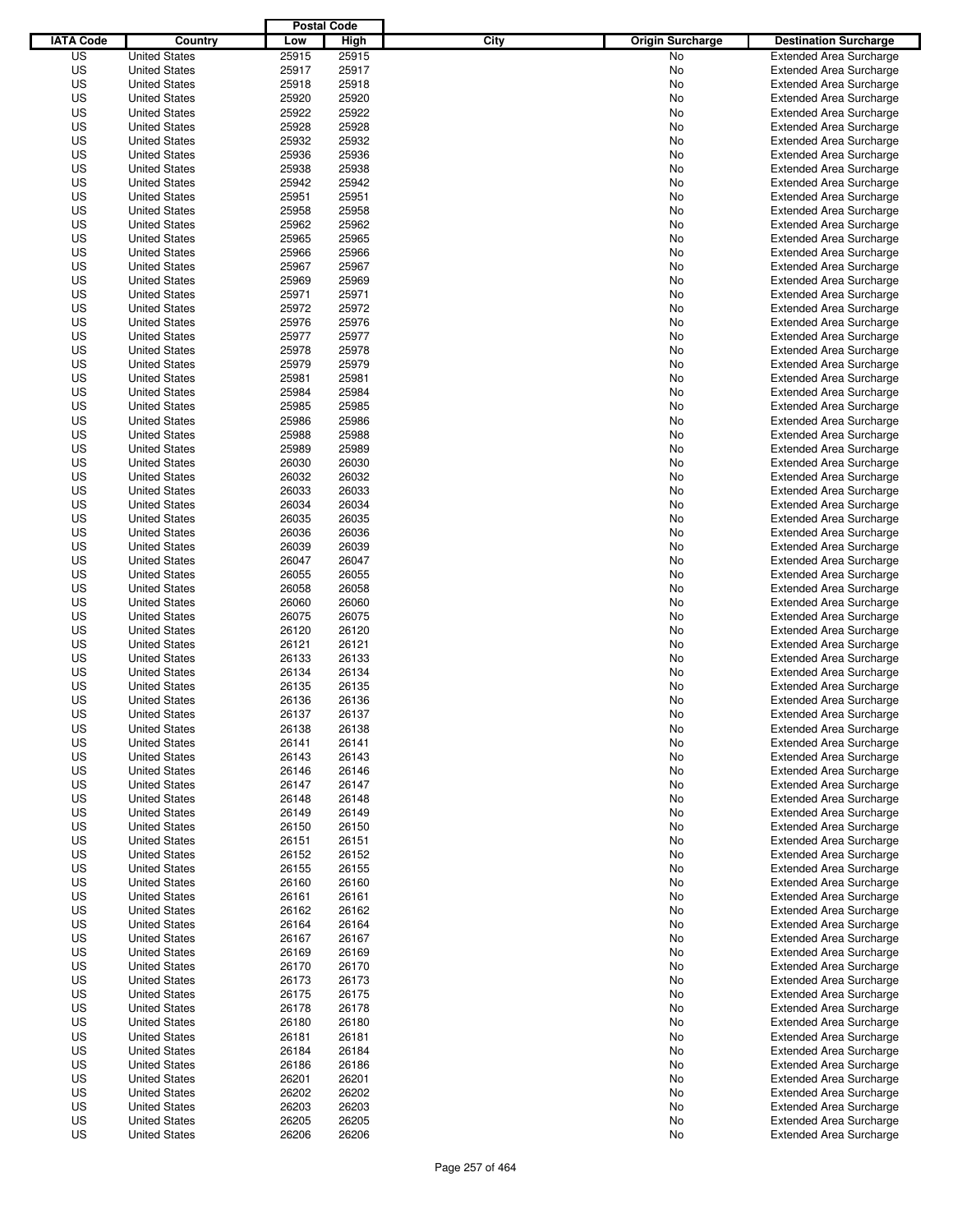|                  |                      | <b>Postal Code</b> |       |                                 |                                |
|------------------|----------------------|--------------------|-------|---------------------------------|--------------------------------|
| <b>IATA Code</b> | Country              | Low                | High  | City<br><b>Origin Surcharge</b> | <b>Destination Surcharge</b>   |
| US               | <b>United States</b> | 25915              | 25915 | <b>No</b>                       | <b>Extended Area Surcharge</b> |
| US               | <b>United States</b> | 25917              | 25917 | No                              | <b>Extended Area Surcharge</b> |
| US               | <b>United States</b> | 25918              | 25918 | No                              | <b>Extended Area Surcharge</b> |
| US               | <b>United States</b> | 25920              | 25920 | No                              | <b>Extended Area Surcharge</b> |
| US               | <b>United States</b> | 25922              | 25922 | No                              | <b>Extended Area Surcharge</b> |
| US               | <b>United States</b> | 25928              | 25928 | No                              | <b>Extended Area Surcharge</b> |
| US               | <b>United States</b> | 25932              | 25932 | No                              | <b>Extended Area Surcharge</b> |
| US               | <b>United States</b> | 25936              | 25936 | No                              | <b>Extended Area Surcharge</b> |
| US               | <b>United States</b> | 25938              | 25938 | No                              | <b>Extended Area Surcharge</b> |
| US               | <b>United States</b> | 25942              | 25942 | No                              | <b>Extended Area Surcharge</b> |
| US               | <b>United States</b> | 25951              | 25951 | No                              | <b>Extended Area Surcharge</b> |
| US               | <b>United States</b> | 25958              | 25958 | No                              | <b>Extended Area Surcharge</b> |
| US               | <b>United States</b> | 25962              | 25962 | No                              | <b>Extended Area Surcharge</b> |
| US               | <b>United States</b> | 25965              | 25965 | No                              | <b>Extended Area Surcharge</b> |
| US               | <b>United States</b> | 25966              | 25966 | No                              | <b>Extended Area Surcharge</b> |
| US               | <b>United States</b> | 25967              | 25967 | No                              | <b>Extended Area Surcharge</b> |
| US               | <b>United States</b> | 25969              | 25969 | No                              | <b>Extended Area Surcharge</b> |
| US               | <b>United States</b> | 25971              | 25971 | No                              | <b>Extended Area Surcharge</b> |
| US               | <b>United States</b> | 25972              | 25972 | No                              | <b>Extended Area Surcharge</b> |
| US               | <b>United States</b> | 25976              | 25976 | No                              | <b>Extended Area Surcharge</b> |
| US               | <b>United States</b> | 25977              | 25977 | No                              | <b>Extended Area Surcharge</b> |
| US               | <b>United States</b> | 25978              | 25978 | No                              | <b>Extended Area Surcharge</b> |
| US               | <b>United States</b> | 25979              | 25979 | No                              | <b>Extended Area Surcharge</b> |
| US               | <b>United States</b> | 25981              | 25981 | No                              | <b>Extended Area Surcharge</b> |
| US               | <b>United States</b> | 25984              | 25984 | No                              | <b>Extended Area Surcharge</b> |
| US               | <b>United States</b> | 25985              | 25985 | No                              | <b>Extended Area Surcharge</b> |
| US               | <b>United States</b> | 25986              | 25986 | No                              | <b>Extended Area Surcharge</b> |
| US               | <b>United States</b> | 25988              | 25988 | No                              | <b>Extended Area Surcharge</b> |
| US               | <b>United States</b> | 25989              | 25989 | No                              | <b>Extended Area Surcharge</b> |
| US               | <b>United States</b> | 26030              | 26030 | No                              | <b>Extended Area Surcharge</b> |
| US               | <b>United States</b> | 26032              | 26032 | No                              | <b>Extended Area Surcharge</b> |
| US               | <b>United States</b> | 26033              | 26033 | No                              | <b>Extended Area Surcharge</b> |
| US               | <b>United States</b> | 26034              | 26034 | No                              | <b>Extended Area Surcharge</b> |
| US               |                      | 26035              | 26035 |                                 |                                |
|                  | <b>United States</b> |                    |       | No                              | <b>Extended Area Surcharge</b> |
| US               | <b>United States</b> | 26036              | 26036 | No                              | <b>Extended Area Surcharge</b> |
| US               | <b>United States</b> | 26039              | 26039 | No                              | <b>Extended Area Surcharge</b> |
| US               | <b>United States</b> | 26047              | 26047 | No                              | <b>Extended Area Surcharge</b> |
| US               | <b>United States</b> | 26055              | 26055 | No                              | <b>Extended Area Surcharge</b> |
| US               | <b>United States</b> | 26058              | 26058 | No                              | <b>Extended Area Surcharge</b> |
| US               | <b>United States</b> | 26060              | 26060 | No                              | <b>Extended Area Surcharge</b> |
| US               | <b>United States</b> | 26075              | 26075 | No                              | <b>Extended Area Surcharge</b> |
| US               | <b>United States</b> | 26120              | 26120 | No                              | <b>Extended Area Surcharge</b> |
| US               | <b>United States</b> | 26121              | 26121 | No                              | <b>Extended Area Surcharge</b> |
| US               | <b>United States</b> | 26133              | 26133 | No                              | <b>Extended Area Surcharge</b> |
| US               | <b>United States</b> | 26134              | 26134 | No                              | <b>Extended Area Surcharge</b> |
| US               | <b>United States</b> | 26135              | 26135 | No                              | <b>Extended Area Surcharge</b> |
| US               | <b>United States</b> | 26136              | 26136 | No                              | <b>Extended Area Surcharge</b> |
| US               | <b>United States</b> | 26137              | 26137 | No                              | <b>Extended Area Surcharge</b> |
| US               | <b>United States</b> | 26138              | 26138 | No                              | <b>Extended Area Surcharge</b> |
| US               | <b>United States</b> | 26141              | 26141 | No                              | <b>Extended Area Surcharge</b> |
| US               | <b>United States</b> | 26143              | 26143 | No                              | <b>Extended Area Surcharge</b> |
| US               | <b>United States</b> | 26146              | 26146 | No                              | <b>Extended Area Surcharge</b> |
| US               | <b>United States</b> | 26147              | 26147 | No                              | <b>Extended Area Surcharge</b> |
| US               | <b>United States</b> | 26148              | 26148 | No                              | <b>Extended Area Surcharge</b> |
| US               | <b>United States</b> | 26149              | 26149 | No                              | <b>Extended Area Surcharge</b> |
| US               | <b>United States</b> | 26150              | 26150 | No                              | <b>Extended Area Surcharge</b> |
| US               | <b>United States</b> | 26151              | 26151 | No                              | <b>Extended Area Surcharge</b> |
| US               | <b>United States</b> | 26152              | 26152 | No                              | <b>Extended Area Surcharge</b> |
| US               | <b>United States</b> | 26155              | 26155 | No                              | <b>Extended Area Surcharge</b> |
| US               | <b>United States</b> | 26160              | 26160 | No                              | <b>Extended Area Surcharge</b> |
| US               | <b>United States</b> | 26161              | 26161 | No                              | <b>Extended Area Surcharge</b> |
| US               | <b>United States</b> | 26162              | 26162 | No                              | <b>Extended Area Surcharge</b> |
| US               | <b>United States</b> | 26164              | 26164 | No                              | <b>Extended Area Surcharge</b> |
| US               | <b>United States</b> | 26167              | 26167 | No                              | <b>Extended Area Surcharge</b> |
| US               | <b>United States</b> | 26169              | 26169 | No                              | <b>Extended Area Surcharge</b> |
| US               | <b>United States</b> | 26170              | 26170 | No                              | <b>Extended Area Surcharge</b> |
| US               | <b>United States</b> | 26173              | 26173 | No                              | <b>Extended Area Surcharge</b> |
| US               | <b>United States</b> | 26175              | 26175 | No                              | <b>Extended Area Surcharge</b> |
| US               | <b>United States</b> | 26178              | 26178 | No                              | <b>Extended Area Surcharge</b> |
| US               | <b>United States</b> | 26180              | 26180 | No                              | <b>Extended Area Surcharge</b> |
| US               | <b>United States</b> | 26181              | 26181 | No                              | <b>Extended Area Surcharge</b> |
| US               | <b>United States</b> | 26184              | 26184 | No                              | <b>Extended Area Surcharge</b> |
| US               | <b>United States</b> | 26186              | 26186 | No                              | <b>Extended Area Surcharge</b> |
| US               | <b>United States</b> | 26201              | 26201 | No                              | <b>Extended Area Surcharge</b> |
| US               | <b>United States</b> | 26202              | 26202 | No                              | <b>Extended Area Surcharge</b> |
| US               | <b>United States</b> | 26203              | 26203 | No                              | <b>Extended Area Surcharge</b> |
| US               | <b>United States</b> | 26205              | 26205 | No                              | <b>Extended Area Surcharge</b> |
| US               | <b>United States</b> | 26206              | 26206 | No                              | <b>Extended Area Surcharge</b> |
|                  |                      |                    |       |                                 |                                |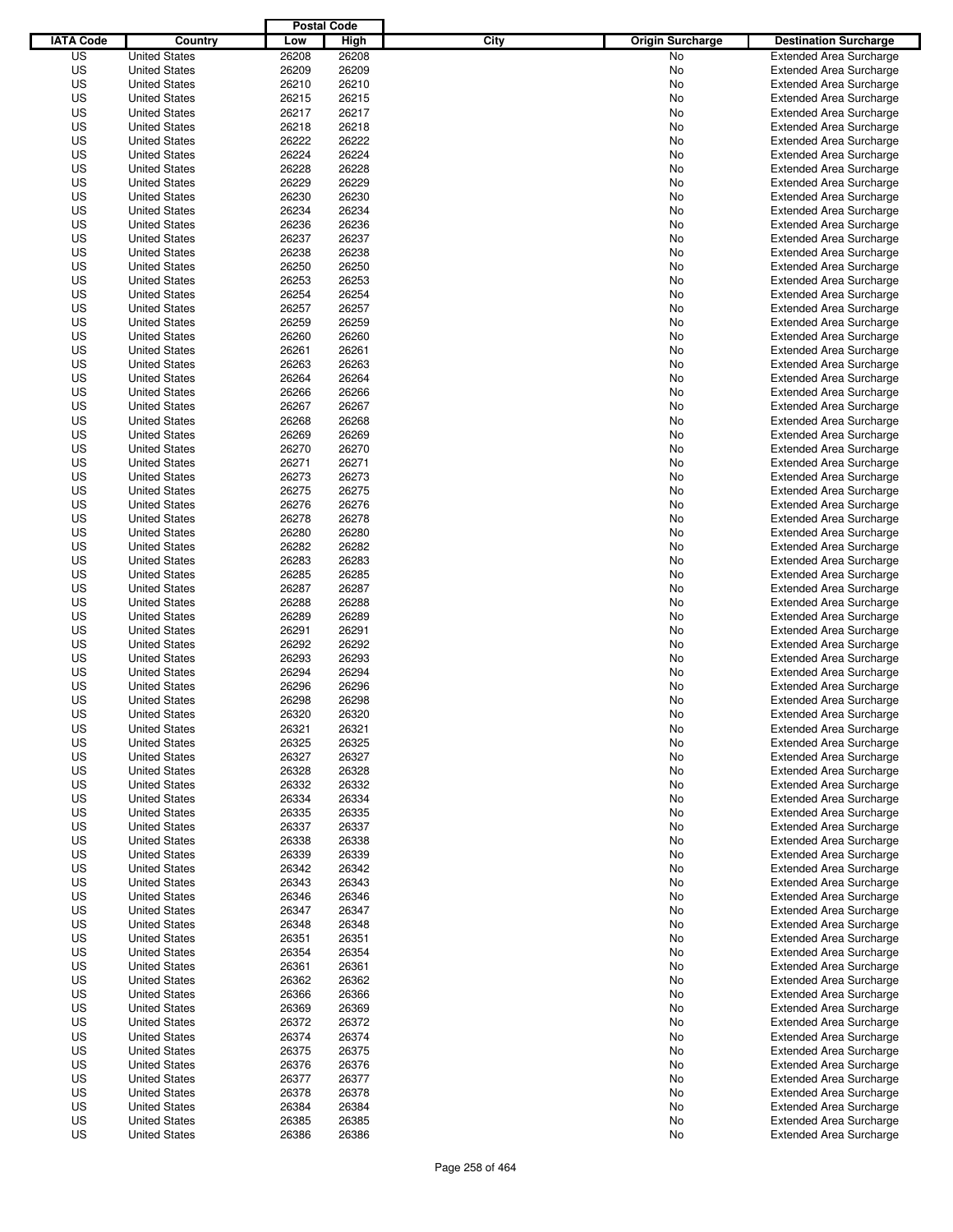|                  |                      | <b>Postal Code</b> |                |                                 |                                |
|------------------|----------------------|--------------------|----------------|---------------------------------|--------------------------------|
| <b>IATA Code</b> | Country              | Low                | High           | City<br><b>Origin Surcharge</b> | <b>Destination Surcharge</b>   |
| US               | <b>United States</b> | 26208              | 26208          | No                              | <b>Extended Area Surcharge</b> |
| US               | <b>United States</b> | 26209              | 26209          | No                              | <b>Extended Area Surcharge</b> |
| US               | <b>United States</b> | 26210              | 26210          | No                              | <b>Extended Area Surcharge</b> |
| US               | <b>United States</b> | 26215              | 26215          | No                              | <b>Extended Area Surcharge</b> |
| US               | <b>United States</b> | 26217              | 26217          | No                              | <b>Extended Area Surcharge</b> |
| US               | <b>United States</b> | 26218              | 26218          | No                              | <b>Extended Area Surcharge</b> |
| US               | <b>United States</b> | 26222              | 26222          | No                              | <b>Extended Area Surcharge</b> |
| US               | <b>United States</b> | 26224              | 26224          | No                              | <b>Extended Area Surcharge</b> |
| US               | <b>United States</b> | 26228              | 26228          | No                              | <b>Extended Area Surcharge</b> |
| US               | <b>United States</b> | 26229              | 26229          | No                              | <b>Extended Area Surcharge</b> |
| US               | <b>United States</b> | 26230              | 26230          | No                              | <b>Extended Area Surcharge</b> |
| US               | <b>United States</b> | 26234              | 26234          | No                              | <b>Extended Area Surcharge</b> |
| US               | <b>United States</b> | 26236              | 26236          | No                              | <b>Extended Area Surcharge</b> |
| US               | <b>United States</b> | 26237              | 26237          | No                              | <b>Extended Area Surcharge</b> |
| US               | <b>United States</b> | 26238              | 26238          | No                              | <b>Extended Area Surcharge</b> |
| US               | <b>United States</b> | 26250              | 26250          | No                              | <b>Extended Area Surcharge</b> |
| US               | <b>United States</b> | 26253              | 26253          | No                              | <b>Extended Area Surcharge</b> |
| US               | <b>United States</b> | 26254              | 26254          | No                              | <b>Extended Area Surcharge</b> |
| US               | <b>United States</b> | 26257              | 26257          | No                              | <b>Extended Area Surcharge</b> |
| US               | <b>United States</b> | 26259              | 26259          | No                              | <b>Extended Area Surcharge</b> |
| US               | <b>United States</b> | 26260              | 26260          | No                              | <b>Extended Area Surcharge</b> |
| US               | <b>United States</b> | 26261              | 26261          | No                              | <b>Extended Area Surcharge</b> |
| US               | <b>United States</b> | 26263              | 26263          | No                              | <b>Extended Area Surcharge</b> |
| US               | <b>United States</b> | 26264              | 26264          | No                              | <b>Extended Area Surcharge</b> |
| US               | <b>United States</b> | 26266              | 26266          | No                              | <b>Extended Area Surcharge</b> |
| US               | <b>United States</b> | 26267              | 26267          | No                              | <b>Extended Area Surcharge</b> |
| US               | <b>United States</b> | 26268              | 26268          | No                              | <b>Extended Area Surcharge</b> |
| US               | <b>United States</b> | 26269              | 26269          | No                              | <b>Extended Area Surcharge</b> |
| US               | <b>United States</b> | 26270              | 26270          | No                              | <b>Extended Area Surcharge</b> |
| US               | <b>United States</b> | 26271              | 26271          | No                              | <b>Extended Area Surcharge</b> |
| US               | <b>United States</b> | 26273              | 26273          | No                              | <b>Extended Area Surcharge</b> |
| US               | <b>United States</b> | 26275              | 26275          | No                              | <b>Extended Area Surcharge</b> |
| US               | <b>United States</b> | 26276              | 26276          | No                              | <b>Extended Area Surcharge</b> |
| US               | <b>United States</b> | 26278              | 26278          | No                              | <b>Extended Area Surcharge</b> |
| US               | <b>United States</b> | 26280              | 26280          | No                              | <b>Extended Area Surcharge</b> |
| US               | <b>United States</b> | 26282              | 26282          | No                              | <b>Extended Area Surcharge</b> |
| US               | <b>United States</b> | 26283              | 26283          | No                              | <b>Extended Area Surcharge</b> |
| US               | <b>United States</b> | 26285              | 26285          | No                              | <b>Extended Area Surcharge</b> |
| US               | <b>United States</b> | 26287              | 26287          |                                 |                                |
|                  | <b>United States</b> |                    | 26288          | No                              | <b>Extended Area Surcharge</b> |
| US               |                      | 26288              |                | No                              | <b>Extended Area Surcharge</b> |
| US               | <b>United States</b> | 26289              | 26289          | No                              | <b>Extended Area Surcharge</b> |
| US               | <b>United States</b> | 26291              | 26291          | No                              | <b>Extended Area Surcharge</b> |
| US               | <b>United States</b> | 26292              | 26292<br>26293 | No                              | <b>Extended Area Surcharge</b> |
| US               | <b>United States</b> | 26293              |                | No                              | <b>Extended Area Surcharge</b> |
| US<br>US         | <b>United States</b> | 26294              | 26294<br>26296 | No                              | <b>Extended Area Surcharge</b> |
|                  | <b>United States</b> | 26296              |                | No                              | <b>Extended Area Surcharge</b> |
| US               | <b>United States</b> | 26298              | 26298          | No                              | <b>Extended Area Surcharge</b> |
| US               | <b>United States</b> | 26320              | 26320          | No                              | <b>Extended Area Surcharge</b> |
| US               | <b>United States</b> | 26321              | 26321          | No                              | <b>Extended Area Surcharge</b> |
| US               | <b>United States</b> | 26325              | 26325          | No                              | <b>Extended Area Surcharge</b> |
| US               | <b>United States</b> | 26327              | 26327          | No                              | <b>Extended Area Surcharge</b> |
| US               | <b>United States</b> | 26328              | 26328          | No                              | <b>Extended Area Surcharge</b> |
| US               | <b>United States</b> | 26332              | 26332          | No                              | <b>Extended Area Surcharge</b> |
| US               | <b>United States</b> | 26334              | 26334          | No                              | <b>Extended Area Surcharge</b> |
| US               | <b>United States</b> | 26335              | 26335          | No                              | <b>Extended Area Surcharge</b> |
| US               | <b>United States</b> | 26337              | 26337          | No                              | <b>Extended Area Surcharge</b> |
| US               | <b>United States</b> | 26338              | 26338          | No                              | <b>Extended Area Surcharge</b> |
| US               | <b>United States</b> | 26339              | 26339          | No                              | <b>Extended Area Surcharge</b> |
| US               | <b>United States</b> | 26342              | 26342          | No                              | <b>Extended Area Surcharge</b> |
| US               | <b>United States</b> | 26343              | 26343          | No                              | <b>Extended Area Surcharge</b> |
| US               | <b>United States</b> | 26346              | 26346          | No                              | <b>Extended Area Surcharge</b> |
| US               | <b>United States</b> | 26347              | 26347          | No                              | <b>Extended Area Surcharge</b> |
| US               | <b>United States</b> | 26348              | 26348          | No                              | <b>Extended Area Surcharge</b> |
| US               | <b>United States</b> | 26351              | 26351          | No                              | <b>Extended Area Surcharge</b> |
| US               | <b>United States</b> | 26354              | 26354          | No                              | <b>Extended Area Surcharge</b> |
| US               | <b>United States</b> | 26361              | 26361          | No                              | <b>Extended Area Surcharge</b> |
| US               | <b>United States</b> | 26362              | 26362          | No                              | <b>Extended Area Surcharge</b> |
| US               | <b>United States</b> | 26366              | 26366          | No                              | <b>Extended Area Surcharge</b> |
| US               | <b>United States</b> | 26369              | 26369          | No                              | <b>Extended Area Surcharge</b> |
| US               | <b>United States</b> | 26372              | 26372          | No                              | <b>Extended Area Surcharge</b> |
| US               | <b>United States</b> | 26374              | 26374          | No                              | <b>Extended Area Surcharge</b> |
| US               | <b>United States</b> | 26375              | 26375          | No                              | <b>Extended Area Surcharge</b> |
| US               | <b>United States</b> | 26376              | 26376          | No                              | <b>Extended Area Surcharge</b> |
| US               | <b>United States</b> | 26377              | 26377          | No                              | <b>Extended Area Surcharge</b> |
| US               | <b>United States</b> | 26378              | 26378          | No                              | <b>Extended Area Surcharge</b> |
| US               | <b>United States</b> | 26384              | 26384          | No                              | <b>Extended Area Surcharge</b> |
| US               | <b>United States</b> | 26385              | 26385          | No                              | <b>Extended Area Surcharge</b> |
| US               | <b>United States</b> | 26386              | 26386          | No                              | <b>Extended Area Surcharge</b> |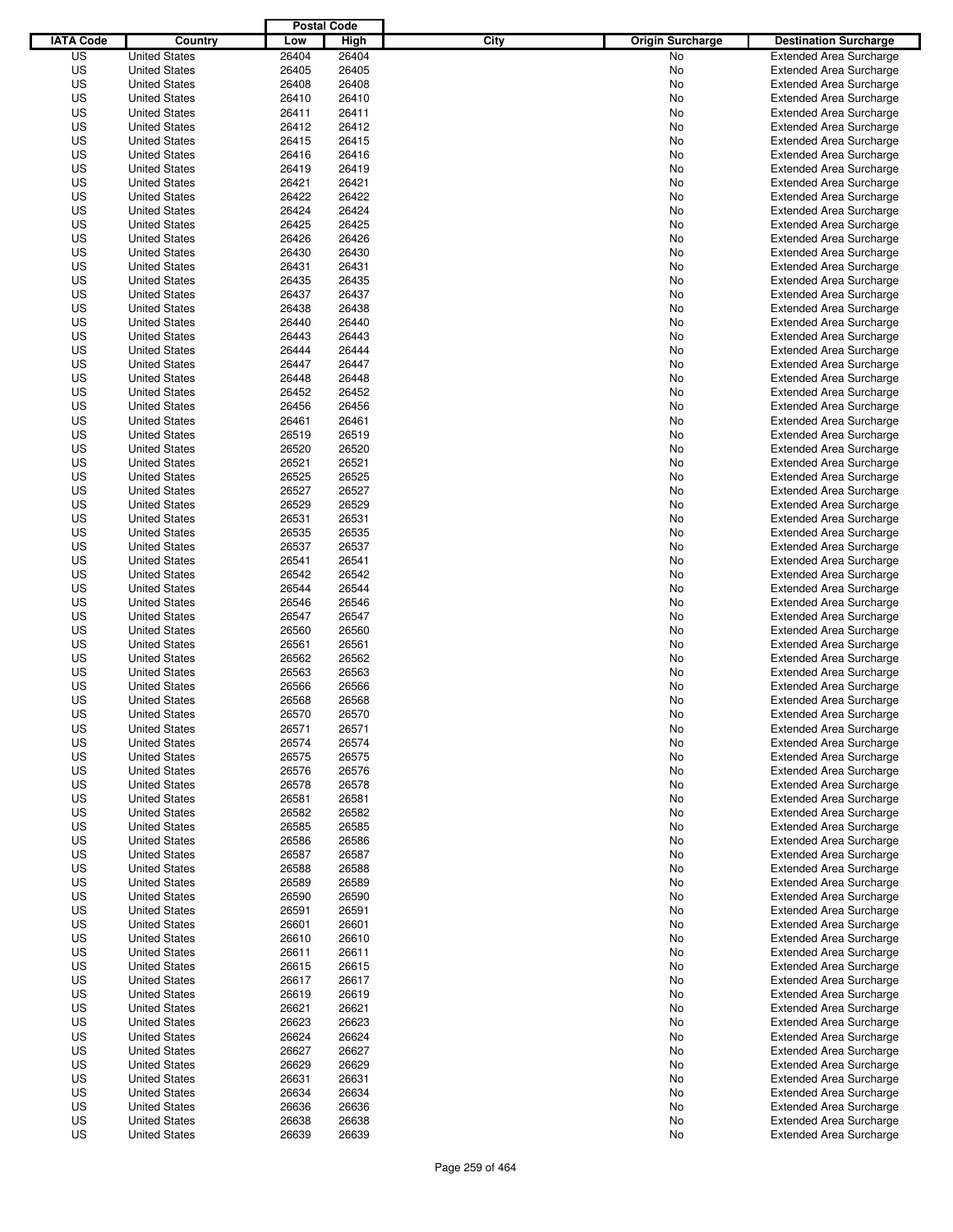|                  |                      | <b>Postal Code</b> |       |                                 |                                |
|------------------|----------------------|--------------------|-------|---------------------------------|--------------------------------|
| <b>IATA Code</b> | Country              | Low                | High  | City<br><b>Origin Surcharge</b> | <b>Destination Surcharge</b>   |
| US               | <b>United States</b> | 26404              | 26404 | <b>No</b>                       | <b>Extended Area Surcharge</b> |
| US               | <b>United States</b> | 26405              | 26405 | No                              | <b>Extended Area Surcharge</b> |
| US               | <b>United States</b> | 26408              | 26408 | No                              | <b>Extended Area Surcharge</b> |
| US               | <b>United States</b> | 26410              | 26410 | No                              | <b>Extended Area Surcharge</b> |
| US               | <b>United States</b> | 26411              | 26411 | No                              | <b>Extended Area Surcharge</b> |
| US               | <b>United States</b> | 26412              | 26412 | No                              | <b>Extended Area Surcharge</b> |
| US               | <b>United States</b> | 26415              | 26415 | No                              | <b>Extended Area Surcharge</b> |
| US               | <b>United States</b> | 26416              | 26416 | No                              | <b>Extended Area Surcharge</b> |
| US               | <b>United States</b> | 26419              | 26419 | No                              | <b>Extended Area Surcharge</b> |
| US               | <b>United States</b> | 26421              | 26421 | No                              | <b>Extended Area Surcharge</b> |
| US               | <b>United States</b> | 26422              | 26422 | No                              | <b>Extended Area Surcharge</b> |
| US               | <b>United States</b> | 26424              | 26424 | No                              | <b>Extended Area Surcharge</b> |
| US               | <b>United States</b> | 26425              | 26425 | No                              | <b>Extended Area Surcharge</b> |
| US               | <b>United States</b> | 26426              | 26426 | No                              | <b>Extended Area Surcharge</b> |
| US               | <b>United States</b> | 26430              | 26430 | No                              | <b>Extended Area Surcharge</b> |
| US               | <b>United States</b> | 26431              | 26431 | No                              | <b>Extended Area Surcharge</b> |
| US               | <b>United States</b> | 26435              | 26435 | No                              | <b>Extended Area Surcharge</b> |
| US               | <b>United States</b> | 26437              | 26437 | No                              | <b>Extended Area Surcharge</b> |
| US               | <b>United States</b> | 26438              | 26438 | No                              | <b>Extended Area Surcharge</b> |
| US               | <b>United States</b> | 26440              | 26440 | No                              | <b>Extended Area Surcharge</b> |
| US               | <b>United States</b> | 26443              | 26443 | No                              | <b>Extended Area Surcharge</b> |
| US               | <b>United States</b> | 26444              | 26444 | No                              | <b>Extended Area Surcharge</b> |
| US               | <b>United States</b> | 26447              | 26447 | No                              | <b>Extended Area Surcharge</b> |
| US               | <b>United States</b> | 26448              | 26448 | No                              | <b>Extended Area Surcharge</b> |
| US               | <b>United States</b> | 26452              | 26452 | No                              | <b>Extended Area Surcharge</b> |
| US               | <b>United States</b> | 26456              | 26456 | No                              | <b>Extended Area Surcharge</b> |
| US               | <b>United States</b> | 26461              | 26461 | No                              | <b>Extended Area Surcharge</b> |
| US               | <b>United States</b> | 26519              | 26519 | No                              | <b>Extended Area Surcharge</b> |
| US               | <b>United States</b> | 26520              | 26520 | No                              | <b>Extended Area Surcharge</b> |
| US               | <b>United States</b> | 26521              | 26521 | No                              | <b>Extended Area Surcharge</b> |
| US               | <b>United States</b> | 26525              | 26525 | No                              | <b>Extended Area Surcharge</b> |
| US               | <b>United States</b> | 26527              | 26527 |                                 |                                |
|                  |                      |                    |       | No                              | <b>Extended Area Surcharge</b> |
| US               | <b>United States</b> | 26529              | 26529 | No                              | <b>Extended Area Surcharge</b> |
| US               | <b>United States</b> | 26531              | 26531 | No                              | <b>Extended Area Surcharge</b> |
| US               | <b>United States</b> | 26535              | 26535 | No                              | <b>Extended Area Surcharge</b> |
| US               | <b>United States</b> | 26537              | 26537 | No                              | <b>Extended Area Surcharge</b> |
| US               | <b>United States</b> | 26541              | 26541 | No                              | <b>Extended Area Surcharge</b> |
| US               | <b>United States</b> | 26542              | 26542 | No                              | <b>Extended Area Surcharge</b> |
| US               | <b>United States</b> | 26544              | 26544 | No                              | <b>Extended Area Surcharge</b> |
| US               | <b>United States</b> | 26546              | 26546 | No                              | <b>Extended Area Surcharge</b> |
| US               | <b>United States</b> | 26547              | 26547 | No                              | <b>Extended Area Surcharge</b> |
| US               | <b>United States</b> | 26560              | 26560 | No                              | <b>Extended Area Surcharge</b> |
| US               | <b>United States</b> | 26561              | 26561 | No                              | <b>Extended Area Surcharge</b> |
| US               | <b>United States</b> | 26562              | 26562 | No                              | <b>Extended Area Surcharge</b> |
| US               | <b>United States</b> | 26563              | 26563 | No                              | <b>Extended Area Surcharge</b> |
| US               | <b>United States</b> | 26566              | 26566 | No                              | <b>Extended Area Surcharge</b> |
| US               | <b>United States</b> | 26568              | 26568 | No                              | <b>Extended Area Surcharge</b> |
| US               | <b>United States</b> | 26570              | 26570 | No                              | <b>Extended Area Surcharge</b> |
| US               | <b>United States</b> | 26571              | 26571 | No                              | <b>Extended Area Surcharge</b> |
| US               | <b>United States</b> | 26574              | 26574 | No                              | <b>Extended Area Surcharge</b> |
| US               | <b>United States</b> | 26575              | 26575 | No                              | <b>Extended Area Surcharge</b> |
| US               | <b>United States</b> | 26576              | 26576 | No                              | <b>Extended Area Surcharge</b> |
| US               | <b>United States</b> | 26578              | 26578 | No                              | <b>Extended Area Surcharge</b> |
| US               | <b>United States</b> | 26581              | 26581 | No                              | <b>Extended Area Surcharge</b> |
| US               | <b>United States</b> | 26582              | 26582 | No                              | <b>Extended Area Surcharge</b> |
| US               | <b>United States</b> | 26585              | 26585 | No                              | <b>Extended Area Surcharge</b> |
| US               | <b>United States</b> | 26586              | 26586 | No                              | <b>Extended Area Surcharge</b> |
| US               | <b>United States</b> | 26587              | 26587 | No                              | <b>Extended Area Surcharge</b> |
| US               | <b>United States</b> | 26588              | 26588 | No                              | <b>Extended Area Surcharge</b> |
| US               | <b>United States</b> | 26589              | 26589 | No                              | <b>Extended Area Surcharge</b> |
| US               | <b>United States</b> | 26590              | 26590 | No                              | <b>Extended Area Surcharge</b> |
| US               | <b>United States</b> | 26591              | 26591 | No                              | <b>Extended Area Surcharge</b> |
| US               | <b>United States</b> | 26601              | 26601 | No                              | <b>Extended Area Surcharge</b> |
| US               | <b>United States</b> | 26610              | 26610 | No                              | <b>Extended Area Surcharge</b> |
| US               | <b>United States</b> | 26611              | 26611 | No                              | <b>Extended Area Surcharge</b> |
| US               | <b>United States</b> | 26615              | 26615 | No                              | <b>Extended Area Surcharge</b> |
| US               | <b>United States</b> | 26617              | 26617 | No                              | <b>Extended Area Surcharge</b> |
| US               | <b>United States</b> | 26619              | 26619 | No                              | <b>Extended Area Surcharge</b> |
| US               | <b>United States</b> | 26621              | 26621 | No                              | <b>Extended Area Surcharge</b> |
| US               | <b>United States</b> | 26623              | 26623 | No                              | <b>Extended Area Surcharge</b> |
| US               | <b>United States</b> | 26624              | 26624 | No                              | <b>Extended Area Surcharge</b> |
| US               | <b>United States</b> | 26627              | 26627 | No                              | <b>Extended Area Surcharge</b> |
| US               | <b>United States</b> | 26629              | 26629 | No                              | <b>Extended Area Surcharge</b> |
| US               | <b>United States</b> | 26631              | 26631 | No                              | <b>Extended Area Surcharge</b> |
| US               | <b>United States</b> | 26634              | 26634 | No                              | <b>Extended Area Surcharge</b> |
| US               | <b>United States</b> | 26636              | 26636 | No                              | <b>Extended Area Surcharge</b> |
| US               | <b>United States</b> | 26638              | 26638 | No                              | <b>Extended Area Surcharge</b> |
| US               | <b>United States</b> | 26639              | 26639 | No                              | <b>Extended Area Surcharge</b> |
|                  |                      |                    |       |                                 |                                |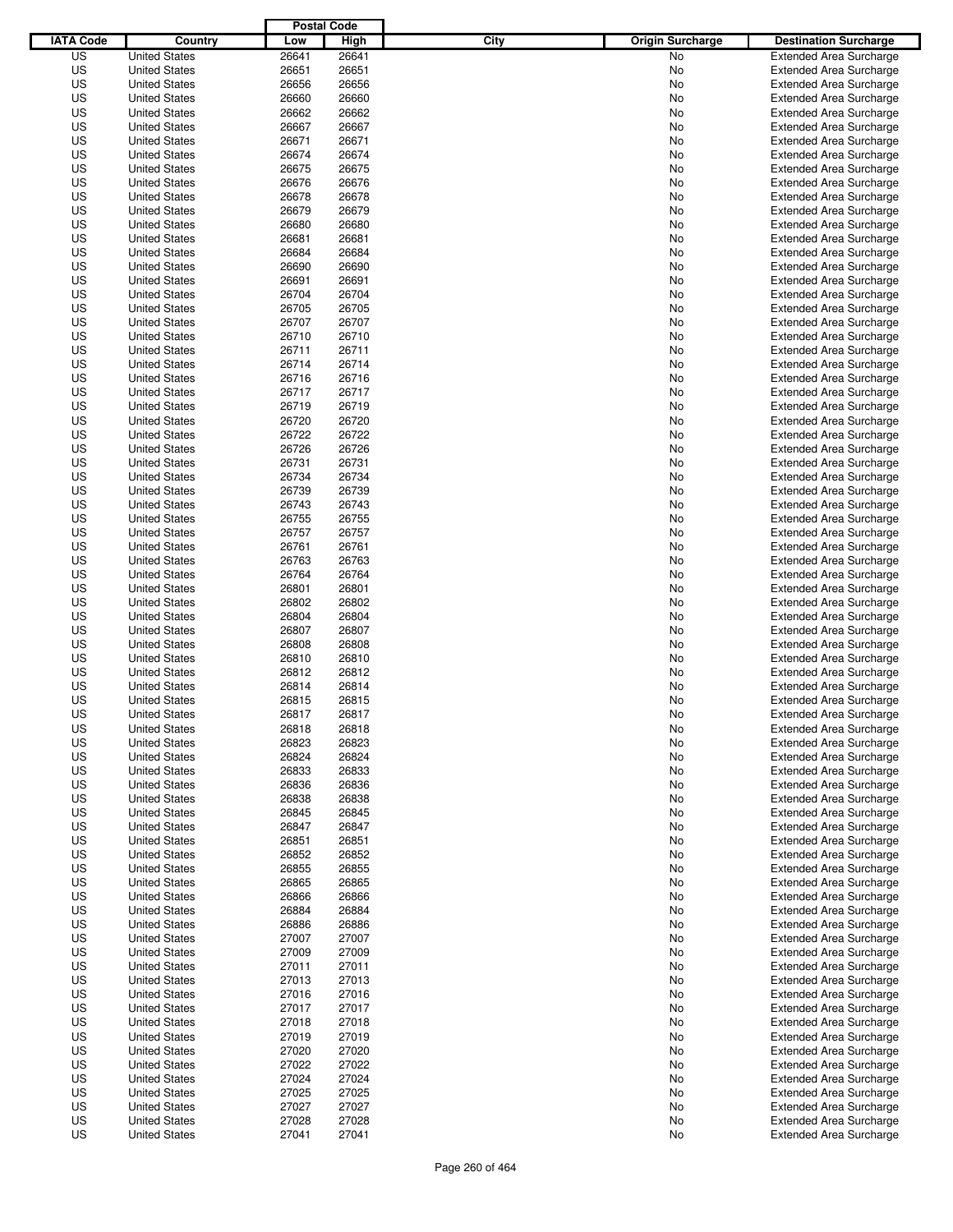|                  |                      | <b>Postal Code</b> |       |                                 |                                |
|------------------|----------------------|--------------------|-------|---------------------------------|--------------------------------|
| <b>IATA Code</b> | Country              | Low                | High  | City<br><b>Origin Surcharge</b> | <b>Destination Surcharge</b>   |
| US               | <b>United States</b> | 26641              | 26641 | <b>No</b>                       | <b>Extended Area Surcharge</b> |
| US               | <b>United States</b> | 26651              | 26651 | No                              | <b>Extended Area Surcharge</b> |
| US               | <b>United States</b> | 26656              | 26656 | No                              | <b>Extended Area Surcharge</b> |
| US               | <b>United States</b> | 26660              | 26660 | No                              | <b>Extended Area Surcharge</b> |
| US               | <b>United States</b> | 26662              | 26662 | No                              | <b>Extended Area Surcharge</b> |
| US               | <b>United States</b> | 26667              | 26667 | No                              | <b>Extended Area Surcharge</b> |
| US               | <b>United States</b> | 26671              | 26671 | No                              | <b>Extended Area Surcharge</b> |
| US               | <b>United States</b> | 26674              | 26674 | No                              | <b>Extended Area Surcharge</b> |
| US               | <b>United States</b> | 26675              | 26675 | No                              | <b>Extended Area Surcharge</b> |
| US               | <b>United States</b> | 26676              | 26676 | No                              | <b>Extended Area Surcharge</b> |
| US               | <b>United States</b> | 26678              | 26678 | No                              | <b>Extended Area Surcharge</b> |
| US               | <b>United States</b> | 26679              | 26679 | No                              | <b>Extended Area Surcharge</b> |
| US               | <b>United States</b> | 26680              | 26680 | No                              | <b>Extended Area Surcharge</b> |
| US               | <b>United States</b> | 26681              | 26681 | No                              | <b>Extended Area Surcharge</b> |
| US               | <b>United States</b> | 26684              | 26684 | No                              | <b>Extended Area Surcharge</b> |
| US               | <b>United States</b> | 26690              | 26690 | No                              | <b>Extended Area Surcharge</b> |
| US               | <b>United States</b> | 26691              | 26691 | No                              | <b>Extended Area Surcharge</b> |
| US               | <b>United States</b> | 26704              | 26704 | No                              | <b>Extended Area Surcharge</b> |
| US               | <b>United States</b> | 26705              | 26705 | No                              | <b>Extended Area Surcharge</b> |
| US               | <b>United States</b> | 26707              | 26707 | No                              | <b>Extended Area Surcharge</b> |
| US               | <b>United States</b> | 26710              | 26710 | No                              | <b>Extended Area Surcharge</b> |
| US               | <b>United States</b> | 26711              | 26711 | No                              | <b>Extended Area Surcharge</b> |
| US               | <b>United States</b> | 26714              | 26714 | No                              | <b>Extended Area Surcharge</b> |
| US               | <b>United States</b> | 26716              | 26716 | No                              | <b>Extended Area Surcharge</b> |
| US               | <b>United States</b> | 26717              | 26717 | No                              | <b>Extended Area Surcharge</b> |
| US               | <b>United States</b> | 26719              | 26719 | No                              | <b>Extended Area Surcharge</b> |
| US               | <b>United States</b> | 26720              | 26720 | No                              | <b>Extended Area Surcharge</b> |
| US               | <b>United States</b> | 26722              | 26722 | No                              | <b>Extended Area Surcharge</b> |
| US               | <b>United States</b> | 26726              | 26726 | No                              | <b>Extended Area Surcharge</b> |
| US               | <b>United States</b> | 26731              | 26731 | No                              | <b>Extended Area Surcharge</b> |
| US               | <b>United States</b> | 26734              | 26734 | No                              | <b>Extended Area Surcharge</b> |
| US               | <b>United States</b> | 26739              | 26739 | No                              | <b>Extended Area Surcharge</b> |
| US               | <b>United States</b> | 26743              | 26743 | No                              | <b>Extended Area Surcharge</b> |
| US               | <b>United States</b> | 26755              | 26755 | No                              | <b>Extended Area Surcharge</b> |
| US               | <b>United States</b> | 26757              | 26757 | No                              | <b>Extended Area Surcharge</b> |
| US               | <b>United States</b> | 26761              | 26761 | No                              | <b>Extended Area Surcharge</b> |
| US               | <b>United States</b> | 26763              | 26763 | No                              | <b>Extended Area Surcharge</b> |
| US               | <b>United States</b> | 26764              | 26764 | No                              | <b>Extended Area Surcharge</b> |
| US               | <b>United States</b> | 26801              | 26801 | No                              | <b>Extended Area Surcharge</b> |
| US               | <b>United States</b> | 26802              | 26802 | No                              | <b>Extended Area Surcharge</b> |
| US               | <b>United States</b> | 26804              | 26804 | No                              | <b>Extended Area Surcharge</b> |
| US               | <b>United States</b> | 26807              | 26807 | No                              | <b>Extended Area Surcharge</b> |
| US               | <b>United States</b> | 26808              | 26808 | No                              | <b>Extended Area Surcharge</b> |
| US               | <b>United States</b> | 26810              | 26810 | No                              | <b>Extended Area Surcharge</b> |
| US               | <b>United States</b> | 26812              | 26812 | No                              | <b>Extended Area Surcharge</b> |
| US               | <b>United States</b> | 26814              | 26814 | No                              | <b>Extended Area Surcharge</b> |
| US               | <b>United States</b> | 26815              | 26815 | No                              | <b>Extended Area Surcharge</b> |
| US               | <b>United States</b> | 26817              | 26817 | No                              | <b>Extended Area Surcharge</b> |
| US               | <b>United States</b> | 26818              | 26818 | No                              | <b>Extended Area Surcharge</b> |
| US               | <b>United States</b> | 26823              | 26823 | No                              | <b>Extended Area Surcharge</b> |
| US               | <b>United States</b> | 26824              | 26824 | No                              | <b>Extended Area Surcharge</b> |
| US               | <b>United States</b> | 26833              | 26833 | No                              | <b>Extended Area Surcharge</b> |
| US               | <b>United States</b> | 26836              | 26836 | No                              | <b>Extended Area Surcharge</b> |
| US               | <b>United States</b> | 26838              | 26838 | No                              | <b>Extended Area Surcharge</b> |
| US               | <b>United States</b> | 26845              | 26845 | No                              | <b>Extended Area Surcharge</b> |
| US               | <b>United States</b> | 26847              | 26847 | No                              | <b>Extended Area Surcharge</b> |
| US               | <b>United States</b> | 26851              | 26851 | No                              | <b>Extended Area Surcharge</b> |
| US               | <b>United States</b> | 26852              | 26852 | No                              | <b>Extended Area Surcharge</b> |
| US               | <b>United States</b> | 26855              | 26855 | No                              | <b>Extended Area Surcharge</b> |
| US               | <b>United States</b> | 26865              | 26865 | No                              | <b>Extended Area Surcharge</b> |
| US               | <b>United States</b> | 26866              | 26866 | No                              | <b>Extended Area Surcharge</b> |
| US               | <b>United States</b> | 26884              | 26884 | No                              | <b>Extended Area Surcharge</b> |
| US               | <b>United States</b> | 26886              | 26886 | No                              | <b>Extended Area Surcharge</b> |
| US               | <b>United States</b> | 27007              | 27007 | No                              | <b>Extended Area Surcharge</b> |
| US               | <b>United States</b> | 27009              | 27009 | No                              | <b>Extended Area Surcharge</b> |
| US               | <b>United States</b> | 27011              | 27011 | No                              | <b>Extended Area Surcharge</b> |
| US               | <b>United States</b> | 27013              | 27013 | No                              | <b>Extended Area Surcharge</b> |
| US               | <b>United States</b> | 27016              | 27016 | No                              | <b>Extended Area Surcharge</b> |
| US               | <b>United States</b> | 27017              | 27017 | No                              | <b>Extended Area Surcharge</b> |
| US               | <b>United States</b> | 27018              | 27018 | No                              | <b>Extended Area Surcharge</b> |
| US               | <b>United States</b> | 27019              | 27019 | No                              | <b>Extended Area Surcharge</b> |
| US               | <b>United States</b> | 27020              | 27020 | No                              | <b>Extended Area Surcharge</b> |
| US               | <b>United States</b> | 27022              | 27022 | No                              | <b>Extended Area Surcharge</b> |
| US               | <b>United States</b> | 27024              | 27024 | No                              | <b>Extended Area Surcharge</b> |
| US               | <b>United States</b> | 27025              | 27025 | No                              | <b>Extended Area Surcharge</b> |
| US               | <b>United States</b> | 27027              | 27027 | No                              | <b>Extended Area Surcharge</b> |
| US               | <b>United States</b> | 27028              | 27028 | No                              | <b>Extended Area Surcharge</b> |
| US               | <b>United States</b> | 27041              | 27041 | No                              | <b>Extended Area Surcharge</b> |
|                  |                      |                    |       |                                 |                                |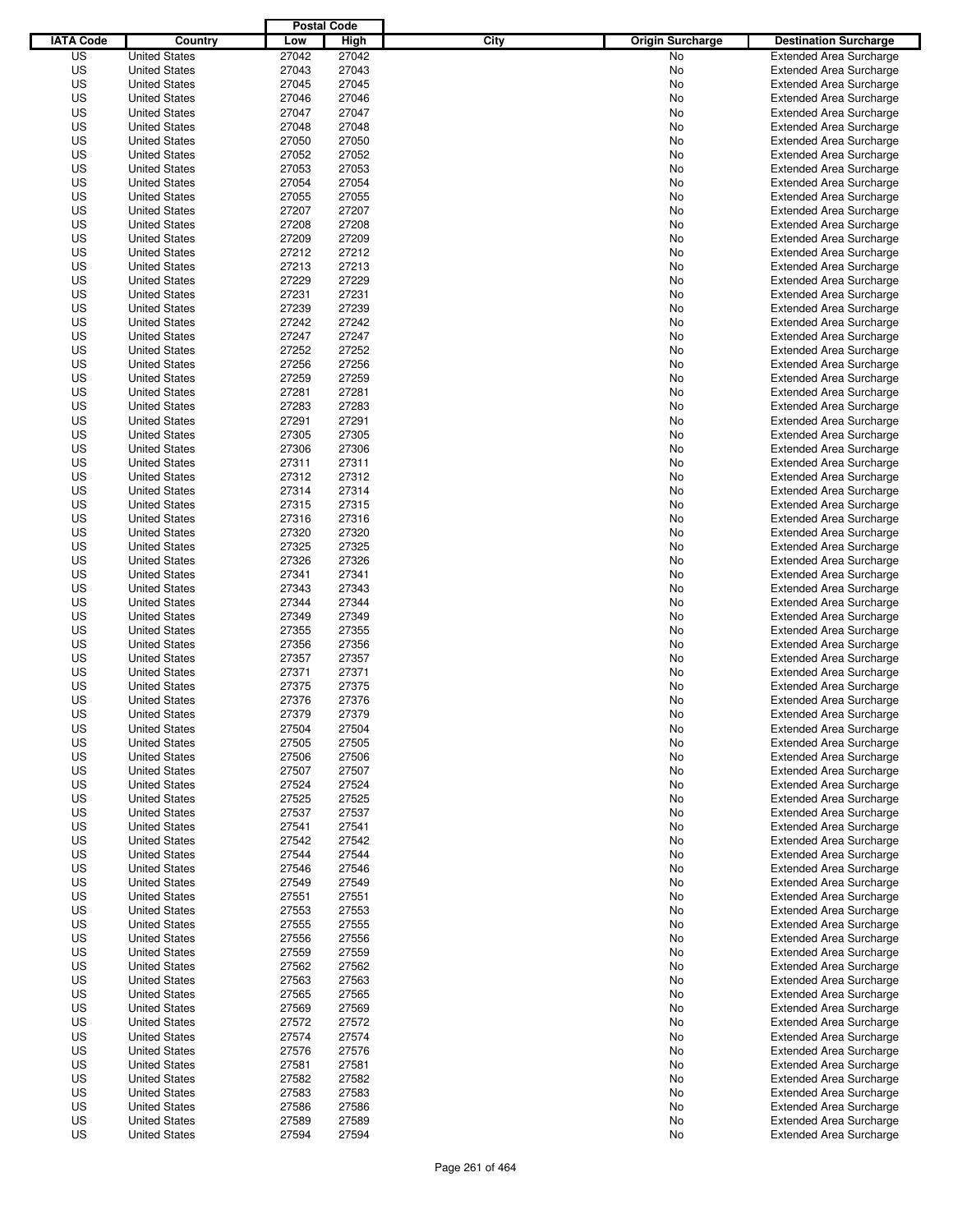|                  |                      | <b>Postal Code</b> |       |                                 |                                |
|------------------|----------------------|--------------------|-------|---------------------------------|--------------------------------|
| <b>IATA Code</b> | Country              | Low                | High  | City<br><b>Origin Surcharge</b> | <b>Destination Surcharge</b>   |
| US               | <b>United States</b> | 27042              | 27042 | <b>No</b>                       | <b>Extended Area Surcharge</b> |
| US               | <b>United States</b> | 27043              | 27043 | No                              | <b>Extended Area Surcharge</b> |
| US               | <b>United States</b> | 27045              | 27045 | No                              | <b>Extended Area Surcharge</b> |
| US               | <b>United States</b> | 27046              | 27046 | No                              | <b>Extended Area Surcharge</b> |
| US               | <b>United States</b> | 27047              | 27047 | No                              | <b>Extended Area Surcharge</b> |
| US               | <b>United States</b> | 27048              | 27048 | No                              | <b>Extended Area Surcharge</b> |
| US               | <b>United States</b> | 27050              | 27050 | No                              | <b>Extended Area Surcharge</b> |
| US               | <b>United States</b> | 27052              | 27052 | No                              | <b>Extended Area Surcharge</b> |
| US               | <b>United States</b> | 27053              | 27053 | No                              | <b>Extended Area Surcharge</b> |
| US               | <b>United States</b> | 27054              | 27054 | No                              | <b>Extended Area Surcharge</b> |
| US               | <b>United States</b> | 27055              | 27055 | No                              | <b>Extended Area Surcharge</b> |
| US               | <b>United States</b> | 27207              | 27207 | No                              | <b>Extended Area Surcharge</b> |
| US               | <b>United States</b> | 27208              | 27208 | No                              | <b>Extended Area Surcharge</b> |
| US               | <b>United States</b> | 27209              | 27209 | No                              | <b>Extended Area Surcharge</b> |
| US               | <b>United States</b> | 27212              | 27212 | No                              | <b>Extended Area Surcharge</b> |
| US               | <b>United States</b> | 27213              | 27213 | No                              | <b>Extended Area Surcharge</b> |
| US               | <b>United States</b> | 27229              | 27229 | No                              | <b>Extended Area Surcharge</b> |
| US               | <b>United States</b> | 27231              | 27231 | No                              | <b>Extended Area Surcharge</b> |
| US               | <b>United States</b> | 27239              | 27239 | No                              | <b>Extended Area Surcharge</b> |
| US               | <b>United States</b> | 27242              | 27242 | No                              | <b>Extended Area Surcharge</b> |
| US               | <b>United States</b> | 27247              | 27247 | No                              | <b>Extended Area Surcharge</b> |
| US               | <b>United States</b> | 27252              | 27252 | No                              | <b>Extended Area Surcharge</b> |
| US               | <b>United States</b> | 27256              | 27256 | No                              | <b>Extended Area Surcharge</b> |
| US               | <b>United States</b> | 27259              | 27259 | No                              | <b>Extended Area Surcharge</b> |
| US               | <b>United States</b> | 27281              | 27281 | No                              | <b>Extended Area Surcharge</b> |
| US               | <b>United States</b> | 27283              | 27283 | No                              | <b>Extended Area Surcharge</b> |
| US               | <b>United States</b> | 27291              | 27291 | No                              | <b>Extended Area Surcharge</b> |
| US               | <b>United States</b> | 27305              | 27305 | No                              | <b>Extended Area Surcharge</b> |
| US               | <b>United States</b> | 27306              | 27306 | No                              | <b>Extended Area Surcharge</b> |
| US               | <b>United States</b> | 27311              | 27311 | No                              | <b>Extended Area Surcharge</b> |
| US               | <b>United States</b> | 27312              | 27312 | No                              | <b>Extended Area Surcharge</b> |
| US               | <b>United States</b> | 27314              | 27314 | No                              | <b>Extended Area Surcharge</b> |
| US               | <b>United States</b> | 27315              | 27315 | No                              | <b>Extended Area Surcharge</b> |
| US               | <b>United States</b> | 27316              | 27316 | No                              | <b>Extended Area Surcharge</b> |
| US               | <b>United States</b> | 27320              | 27320 | No                              | <b>Extended Area Surcharge</b> |
| US               | <b>United States</b> | 27325              | 27325 | No                              | <b>Extended Area Surcharge</b> |
| US               | <b>United States</b> | 27326              | 27326 | No                              | <b>Extended Area Surcharge</b> |
| US               | <b>United States</b> | 27341              | 27341 | No                              | <b>Extended Area Surcharge</b> |
| US               | <b>United States</b> | 27343              | 27343 | No                              | <b>Extended Area Surcharge</b> |
| US               | <b>United States</b> | 27344              | 27344 | No                              | <b>Extended Area Surcharge</b> |
| US               | <b>United States</b> | 27349              | 27349 | No                              | <b>Extended Area Surcharge</b> |
| US               | <b>United States</b> | 27355              | 27355 | No                              | <b>Extended Area Surcharge</b> |
| US               | <b>United States</b> | 27356              | 27356 | No                              | <b>Extended Area Surcharge</b> |
| US               | <b>United States</b> | 27357              | 27357 | No                              | <b>Extended Area Surcharge</b> |
| US               | <b>United States</b> | 27371              | 27371 | No                              | <b>Extended Area Surcharge</b> |
| US               | <b>United States</b> | 27375              | 27375 | No                              | <b>Extended Area Surcharge</b> |
| US               | <b>United States</b> | 27376              | 27376 | No                              | <b>Extended Area Surcharge</b> |
| US               | <b>United States</b> | 27379              | 27379 | No                              | <b>Extended Area Surcharge</b> |
| US               | <b>United States</b> | 27504              | 27504 | No                              | <b>Extended Area Surcharge</b> |
| US               | <b>United States</b> | 27505              | 27505 | No                              | <b>Extended Area Surcharge</b> |
| US               | <b>United States</b> | 27506              | 27506 | No                              | <b>Extended Area Surcharge</b> |
| US               | <b>United States</b> | 27507              | 27507 | No                              | <b>Extended Area Surcharge</b> |
| US               | <b>United States</b> | 27524              | 27524 | No                              | <b>Extended Area Surcharge</b> |
| US               | <b>United States</b> | 27525              | 27525 | No                              | <b>Extended Area Surcharge</b> |
| US               | <b>United States</b> | 27537              | 27537 | No                              | <b>Extended Area Surcharge</b> |
| US               | <b>United States</b> | 27541              | 27541 | No                              | <b>Extended Area Surcharge</b> |
| US               | <b>United States</b> | 27542              | 27542 |                                 | <b>Extended Area Surcharge</b> |
| US               | <b>United States</b> | 27544              | 27544 | No<br>No                        | <b>Extended Area Surcharge</b> |
| US               | <b>United States</b> | 27546              | 27546 | No                              | <b>Extended Area Surcharge</b> |
| US               | <b>United States</b> | 27549              | 27549 |                                 | <b>Extended Area Surcharge</b> |
| US               |                      | 27551              |       | No                              | <b>Extended Area Surcharge</b> |
|                  | <b>United States</b> |                    | 27551 | No                              |                                |
| US               | <b>United States</b> | 27553              | 27553 | No                              | <b>Extended Area Surcharge</b> |
| US               | <b>United States</b> | 27555              | 27555 | No                              | <b>Extended Area Surcharge</b> |
| US               | <b>United States</b> | 27556              | 27556 | No                              | <b>Extended Area Surcharge</b> |
| US               | <b>United States</b> | 27559              | 27559 | No                              | <b>Extended Area Surcharge</b> |
| US               | <b>United States</b> | 27562              | 27562 | No                              | <b>Extended Area Surcharge</b> |
| US               | <b>United States</b> | 27563              | 27563 | No                              | <b>Extended Area Surcharge</b> |
| US               | <b>United States</b> | 27565              | 27565 | No                              | <b>Extended Area Surcharge</b> |
| US               | <b>United States</b> | 27569              | 27569 | No                              | <b>Extended Area Surcharge</b> |
| US               | <b>United States</b> | 27572              | 27572 | No                              | <b>Extended Area Surcharge</b> |
| US               | <b>United States</b> | 27574              | 27574 | No                              | <b>Extended Area Surcharge</b> |
| US               | <b>United States</b> | 27576              | 27576 | No                              | <b>Extended Area Surcharge</b> |
| US               | <b>United States</b> | 27581              | 27581 | No                              | <b>Extended Area Surcharge</b> |
| US               | <b>United States</b> | 27582              | 27582 | No                              | <b>Extended Area Surcharge</b> |
| US               | <b>United States</b> | 27583              | 27583 | No                              | <b>Extended Area Surcharge</b> |
| US               | <b>United States</b> | 27586              | 27586 | No                              | <b>Extended Area Surcharge</b> |
| US               | <b>United States</b> | 27589              | 27589 | No                              | <b>Extended Area Surcharge</b> |
| US               | <b>United States</b> | 27594              | 27594 | No                              | <b>Extended Area Surcharge</b> |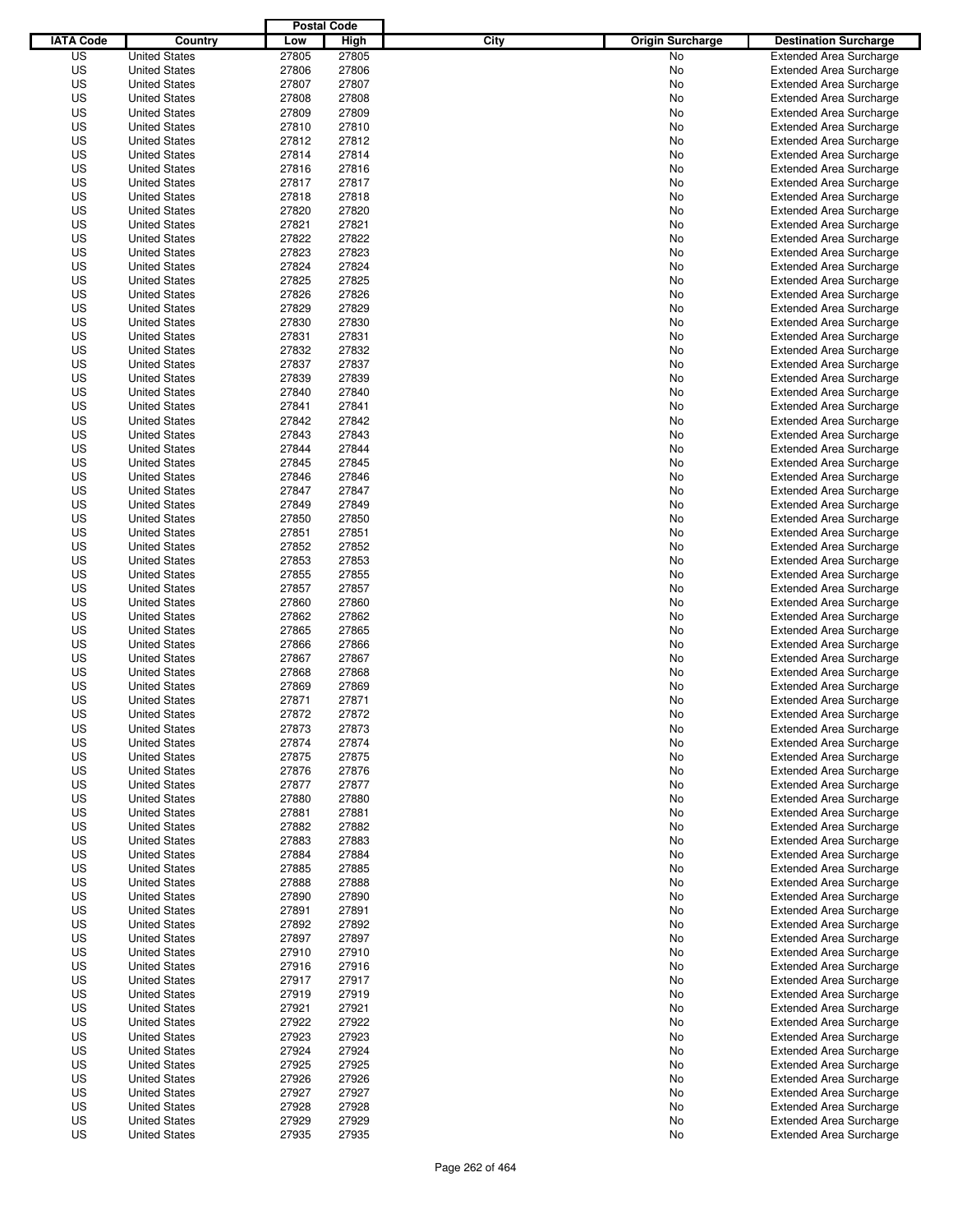|                  |                      | <b>Postal Code</b> |       |                                 |                                |
|------------------|----------------------|--------------------|-------|---------------------------------|--------------------------------|
| <b>IATA Code</b> | Country              | Low                | High  | City<br><b>Origin Surcharge</b> | <b>Destination Surcharge</b>   |
| US               | <b>United States</b> | 27805              | 27805 | <b>No</b>                       | <b>Extended Area Surcharge</b> |
| US               | <b>United States</b> | 27806              | 27806 | No                              | <b>Extended Area Surcharge</b> |
| US               | <b>United States</b> | 27807              | 27807 | No                              | <b>Extended Area Surcharge</b> |
| US               | <b>United States</b> | 27808              | 27808 | No                              | <b>Extended Area Surcharge</b> |
| US               | <b>United States</b> | 27809              | 27809 | No                              | <b>Extended Area Surcharge</b> |
| US               | <b>United States</b> | 27810              | 27810 | No                              | <b>Extended Area Surcharge</b> |
| US               | <b>United States</b> | 27812              | 27812 | No                              | <b>Extended Area Surcharge</b> |
| US               | <b>United States</b> | 27814              | 27814 | No                              | <b>Extended Area Surcharge</b> |
| US               | <b>United States</b> | 27816              | 27816 | No                              | <b>Extended Area Surcharge</b> |
| US               | <b>United States</b> | 27817              | 27817 | No                              | <b>Extended Area Surcharge</b> |
| US               | <b>United States</b> | 27818              | 27818 | No                              | <b>Extended Area Surcharge</b> |
| US               | <b>United States</b> | 27820              | 27820 | No                              | <b>Extended Area Surcharge</b> |
| US               | <b>United States</b> | 27821              | 27821 | No                              | <b>Extended Area Surcharge</b> |
| US               | <b>United States</b> | 27822              | 27822 | No                              | <b>Extended Area Surcharge</b> |
| US               | <b>United States</b> | 27823              | 27823 | No                              | <b>Extended Area Surcharge</b> |
| US               | <b>United States</b> | 27824              | 27824 | No                              | <b>Extended Area Surcharge</b> |
| US               | <b>United States</b> | 27825              | 27825 | No                              | <b>Extended Area Surcharge</b> |
| US               | <b>United States</b> | 27826              | 27826 | No                              | <b>Extended Area Surcharge</b> |
| US               | <b>United States</b> | 27829              | 27829 | No                              | <b>Extended Area Surcharge</b> |
| US               | <b>United States</b> | 27830              | 27830 | No                              | <b>Extended Area Surcharge</b> |
| US               | <b>United States</b> | 27831              | 27831 | No                              | <b>Extended Area Surcharge</b> |
| US               | <b>United States</b> | 27832              | 27832 | No                              | <b>Extended Area Surcharge</b> |
| US               | <b>United States</b> | 27837              | 27837 | No                              | <b>Extended Area Surcharge</b> |
| US               | <b>United States</b> | 27839              | 27839 | No                              | <b>Extended Area Surcharge</b> |
| US               | <b>United States</b> | 27840              | 27840 | No                              | <b>Extended Area Surcharge</b> |
| US               | <b>United States</b> | 27841              | 27841 | No                              | <b>Extended Area Surcharge</b> |
| US               | <b>United States</b> | 27842              | 27842 | No                              | <b>Extended Area Surcharge</b> |
| US               | <b>United States</b> | 27843              | 27843 | No                              | <b>Extended Area Surcharge</b> |
| US               | <b>United States</b> | 27844              | 27844 | No                              | <b>Extended Area Surcharge</b> |
| US               | <b>United States</b> | 27845              | 27845 | No                              | <b>Extended Area Surcharge</b> |
| US               | <b>United States</b> | 27846              | 27846 | No                              | <b>Extended Area Surcharge</b> |
| US               | <b>United States</b> | 27847              | 27847 | No                              | <b>Extended Area Surcharge</b> |
| US               | <b>United States</b> | 27849              | 27849 | No                              | <b>Extended Area Surcharge</b> |
| US               | <b>United States</b> | 27850              | 27850 | No                              | <b>Extended Area Surcharge</b> |
| US               | <b>United States</b> | 27851              | 27851 | No                              | <b>Extended Area Surcharge</b> |
| US               | <b>United States</b> | 27852              | 27852 | No                              | <b>Extended Area Surcharge</b> |
| US               | <b>United States</b> | 27853              | 27853 | No                              | <b>Extended Area Surcharge</b> |
| US               | <b>United States</b> | 27855              | 27855 | No                              | <b>Extended Area Surcharge</b> |
| US               | <b>United States</b> | 27857              | 27857 | No                              | <b>Extended Area Surcharge</b> |
| US               | <b>United States</b> | 27860              | 27860 | No                              | <b>Extended Area Surcharge</b> |
| US               | <b>United States</b> | 27862              | 27862 | No                              | <b>Extended Area Surcharge</b> |
| US               | <b>United States</b> | 27865              | 27865 | No                              | <b>Extended Area Surcharge</b> |
| US               | <b>United States</b> | 27866              | 27866 | No                              | <b>Extended Area Surcharge</b> |
| US               | <b>United States</b> | 27867              | 27867 | No                              | <b>Extended Area Surcharge</b> |
| US               | <b>United States</b> | 27868              | 27868 | No                              | Extended Area Surcharge        |
| US               | <b>United States</b> | 27869              | 27869 | No                              | <b>Extended Area Surcharge</b> |
| US               | <b>United States</b> | 27871              | 27871 | No                              | <b>Extended Area Surcharge</b> |
| US               | <b>United States</b> | 27872              | 27872 | No                              | <b>Extended Area Surcharge</b> |
| US               | <b>United States</b> | 27873              | 27873 | No                              | <b>Extended Area Surcharge</b> |
| US               | <b>United States</b> | 27874              | 27874 | No                              | <b>Extended Area Surcharge</b> |
| US               | <b>United States</b> | 27875              | 27875 | No                              | <b>Extended Area Surcharge</b> |
| US               | <b>United States</b> | 27876              | 27876 | No                              | <b>Extended Area Surcharge</b> |
| US               | <b>United States</b> | 27877              | 27877 | No                              | <b>Extended Area Surcharge</b> |
| US               | <b>United States</b> | 27880              | 27880 | No                              | <b>Extended Area Surcharge</b> |
| US               | <b>United States</b> | 27881              | 27881 | No                              | <b>Extended Area Surcharge</b> |
| US               | <b>United States</b> | 27882              | 27882 | No                              | <b>Extended Area Surcharge</b> |
| US               | <b>United States</b> | 27883              | 27883 | No                              | <b>Extended Area Surcharge</b> |
| US               | <b>United States</b> | 27884              | 27884 | No                              | <b>Extended Area Surcharge</b> |
| US               | <b>United States</b> | 27885              | 27885 | No                              | <b>Extended Area Surcharge</b> |
| US               | <b>United States</b> | 27888              | 27888 | No                              | <b>Extended Area Surcharge</b> |
| US               | <b>United States</b> | 27890              | 27890 | No                              | <b>Extended Area Surcharge</b> |
| US               | <b>United States</b> | 27891              | 27891 | No                              | <b>Extended Area Surcharge</b> |
| US               | <b>United States</b> | 27892              | 27892 | No                              | <b>Extended Area Surcharge</b> |
| US               | <b>United States</b> | 27897              | 27897 | No                              | <b>Extended Area Surcharge</b> |
| US               | <b>United States</b> | 27910              | 27910 | No                              | <b>Extended Area Surcharge</b> |
| US               | <b>United States</b> | 27916              | 27916 | No                              | <b>Extended Area Surcharge</b> |
| US               | <b>United States</b> | 27917              | 27917 | No                              | <b>Extended Area Surcharge</b> |
| US               | <b>United States</b> | 27919              | 27919 | No                              | <b>Extended Area Surcharge</b> |
| US               | <b>United States</b> | 27921              | 27921 | No                              | <b>Extended Area Surcharge</b> |
| US               | <b>United States</b> | 27922              | 27922 | No                              | <b>Extended Area Surcharge</b> |
| US               | <b>United States</b> | 27923              | 27923 | No                              | <b>Extended Area Surcharge</b> |
| US               | <b>United States</b> | 27924              | 27924 | No                              | <b>Extended Area Surcharge</b> |
| US               | <b>United States</b> | 27925              | 27925 | No                              | <b>Extended Area Surcharge</b> |
| US               | <b>United States</b> | 27926              | 27926 | No                              | <b>Extended Area Surcharge</b> |
| US               | <b>United States</b> | 27927              | 27927 | No                              | <b>Extended Area Surcharge</b> |
| US               | <b>United States</b> | 27928              | 27928 | No                              | <b>Extended Area Surcharge</b> |
| US               | <b>United States</b> | 27929              | 27929 | No                              | <b>Extended Area Surcharge</b> |
| US               | <b>United States</b> | 27935              | 27935 | No                              | <b>Extended Area Surcharge</b> |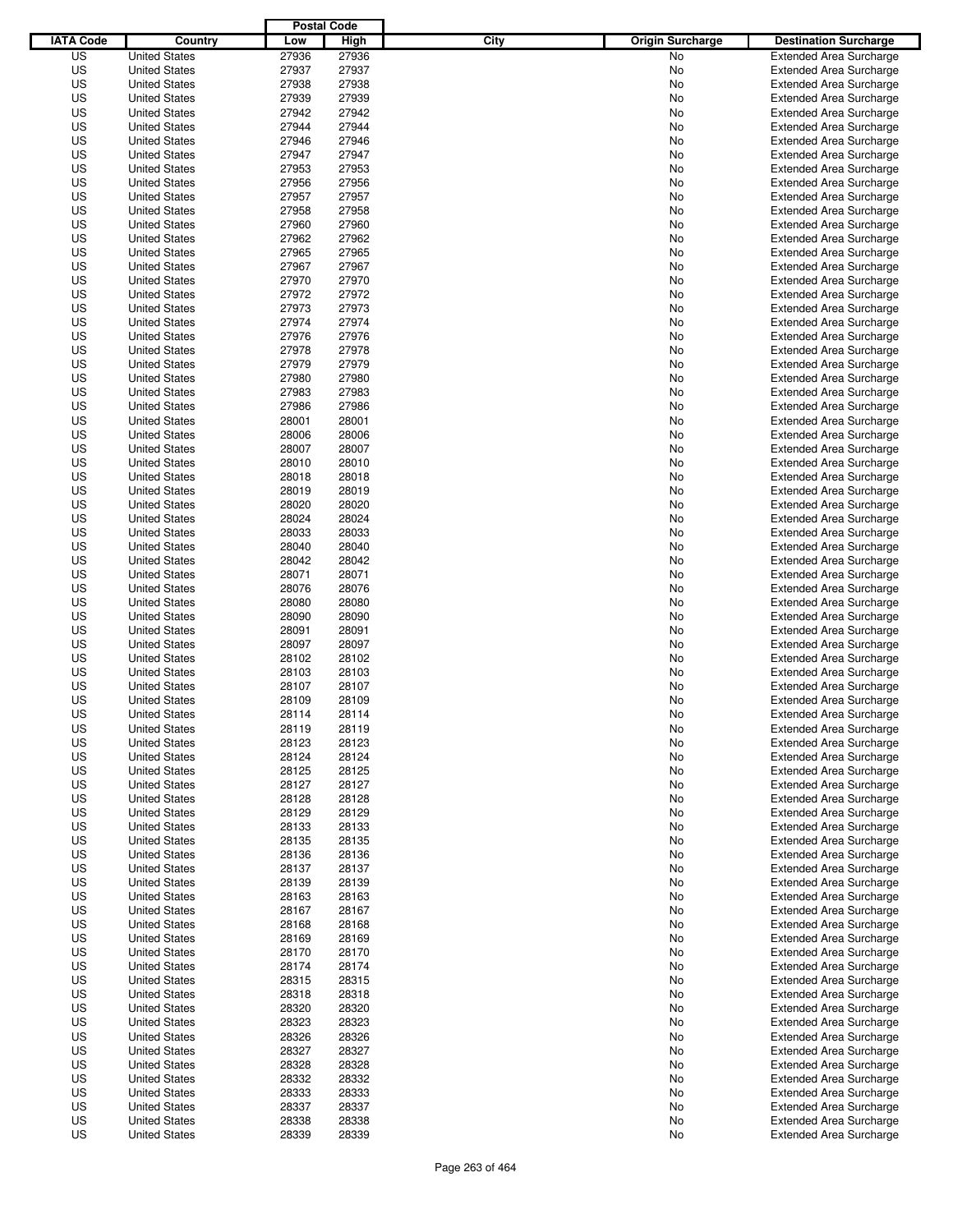|                  |                      | <b>Postal Code</b> |       |                                 |                                |
|------------------|----------------------|--------------------|-------|---------------------------------|--------------------------------|
| <b>IATA Code</b> | Country              | Low                | High  | City<br><b>Origin Surcharge</b> | <b>Destination Surcharge</b>   |
| US               | <b>United States</b> | 27936              | 27936 | <b>No</b>                       | <b>Extended Area Surcharge</b> |
| US               | <b>United States</b> | 27937              | 27937 | No                              | <b>Extended Area Surcharge</b> |
| US               | <b>United States</b> | 27938              | 27938 | No                              | <b>Extended Area Surcharge</b> |
| US               | <b>United States</b> | 27939              | 27939 | No                              | <b>Extended Area Surcharge</b> |
| US               | <b>United States</b> | 27942              | 27942 | No                              | <b>Extended Area Surcharge</b> |
| US               | <b>United States</b> | 27944              | 27944 | No                              | <b>Extended Area Surcharge</b> |
| US               | <b>United States</b> | 27946              | 27946 | No                              | <b>Extended Area Surcharge</b> |
| US               | <b>United States</b> | 27947              | 27947 | No                              | <b>Extended Area Surcharge</b> |
| US               | <b>United States</b> | 27953              | 27953 | No                              | <b>Extended Area Surcharge</b> |
| US               | <b>United States</b> | 27956              | 27956 | No                              | <b>Extended Area Surcharge</b> |
| US               | <b>United States</b> | 27957              | 27957 | No                              | <b>Extended Area Surcharge</b> |
| US               | <b>United States</b> | 27958              | 27958 | No                              | <b>Extended Area Surcharge</b> |
| US               | <b>United States</b> | 27960              | 27960 | No                              | <b>Extended Area Surcharge</b> |
| US               | <b>United States</b> | 27962              | 27962 | No                              | <b>Extended Area Surcharge</b> |
| US               | <b>United States</b> | 27965              | 27965 | No                              | <b>Extended Area Surcharge</b> |
| US               | <b>United States</b> | 27967              | 27967 | No                              | <b>Extended Area Surcharge</b> |
| US               | <b>United States</b> | 27970              | 27970 | No                              | <b>Extended Area Surcharge</b> |
| US               | <b>United States</b> | 27972              | 27972 | No                              | <b>Extended Area Surcharge</b> |
| US               | <b>United States</b> | 27973              | 27973 | No                              | <b>Extended Area Surcharge</b> |
| US               | <b>United States</b> | 27974              | 27974 | No                              | <b>Extended Area Surcharge</b> |
| US               | <b>United States</b> | 27976              | 27976 | No                              | <b>Extended Area Surcharge</b> |
| US               | <b>United States</b> | 27978              | 27978 | No                              | <b>Extended Area Surcharge</b> |
| US               | <b>United States</b> | 27979              | 27979 | No                              | <b>Extended Area Surcharge</b> |
| US               | <b>United States</b> | 27980              | 27980 | No                              | <b>Extended Area Surcharge</b> |
| US               | <b>United States</b> | 27983              | 27983 | No                              | <b>Extended Area Surcharge</b> |
| US               | <b>United States</b> | 27986              | 27986 | No                              | <b>Extended Area Surcharge</b> |
| US               | <b>United States</b> | 28001              | 28001 | No                              | <b>Extended Area Surcharge</b> |
| US               | <b>United States</b> | 28006              | 28006 | No                              | <b>Extended Area Surcharge</b> |
| US               | <b>United States</b> | 28007              | 28007 | No                              | <b>Extended Area Surcharge</b> |
| US               | <b>United States</b> | 28010              | 28010 | No                              | <b>Extended Area Surcharge</b> |
| US               | <b>United States</b> | 28018              | 28018 | No                              | <b>Extended Area Surcharge</b> |
| US               | <b>United States</b> | 28019              | 28019 | No                              | <b>Extended Area Surcharge</b> |
| US               | <b>United States</b> | 28020              | 28020 | No                              | <b>Extended Area Surcharge</b> |
| US               | <b>United States</b> | 28024              | 28024 | No                              | <b>Extended Area Surcharge</b> |
| US               | <b>United States</b> | 28033              | 28033 | No                              | <b>Extended Area Surcharge</b> |
| US               | <b>United States</b> | 28040              | 28040 | No                              | <b>Extended Area Surcharge</b> |
| US               | <b>United States</b> | 28042              | 28042 | No                              | <b>Extended Area Surcharge</b> |
| US               | <b>United States</b> | 28071              | 28071 | No                              | <b>Extended Area Surcharge</b> |
| US               | <b>United States</b> | 28076              | 28076 | No                              | <b>Extended Area Surcharge</b> |
| US               | <b>United States</b> | 28080              | 28080 | No                              | <b>Extended Area Surcharge</b> |
| US               | <b>United States</b> | 28090              | 28090 | No                              | <b>Extended Area Surcharge</b> |
| US               | <b>United States</b> | 28091              | 28091 | No                              | <b>Extended Area Surcharge</b> |
| US               | <b>United States</b> | 28097              | 28097 | No                              | <b>Extended Area Surcharge</b> |
| US               | <b>United States</b> | 28102              | 28102 | No                              | <b>Extended Area Surcharge</b> |
| US               | <b>United States</b> | 28103              | 28103 | No                              | <b>Extended Area Surcharge</b> |
| US               | <b>United States</b> | 28107              | 28107 | No                              | <b>Extended Area Surcharge</b> |
| US               | <b>United States</b> | 28109              | 28109 | No                              | <b>Extended Area Surcharge</b> |
| US               | <b>United States</b> | 28114              | 28114 | No                              | <b>Extended Area Surcharge</b> |
| US               | <b>United States</b> | 28119              | 28119 | No                              | <b>Extended Area Surcharge</b> |
| US               | <b>United States</b> | 28123              | 28123 | No                              | <b>Extended Area Surcharge</b> |
| US               | <b>United States</b> | 28124              | 28124 | No                              | <b>Extended Area Surcharge</b> |
| US               | <b>United States</b> | 28125              | 28125 | No                              | <b>Extended Area Surcharge</b> |
| US               | <b>United States</b> | 28127              | 28127 | No                              | <b>Extended Area Surcharge</b> |
| US               | <b>United States</b> | 28128              | 28128 | No                              | <b>Extended Area Surcharge</b> |
| US               | <b>United States</b> | 28129              | 28129 | No                              | <b>Extended Area Surcharge</b> |
| US               | <b>United States</b> | 28133              | 28133 | No                              | <b>Extended Area Surcharge</b> |
| US               | <b>United States</b> | 28135              | 28135 | No                              | <b>Extended Area Surcharge</b> |
| US               | <b>United States</b> | 28136              | 28136 | No                              | <b>Extended Area Surcharge</b> |
| US               | <b>United States</b> | 28137              | 28137 | No                              | <b>Extended Area Surcharge</b> |
| US               | <b>United States</b> | 28139              | 28139 | No                              | <b>Extended Area Surcharge</b> |
| US               | <b>United States</b> | 28163              | 28163 | No                              | <b>Extended Area Surcharge</b> |
| US               | <b>United States</b> | 28167              | 28167 | No                              | <b>Extended Area Surcharge</b> |
| US               | <b>United States</b> | 28168              | 28168 | No                              | <b>Extended Area Surcharge</b> |
| US               | <b>United States</b> | 28169              | 28169 | No                              | <b>Extended Area Surcharge</b> |
| US               | <b>United States</b> | 28170              | 28170 | No                              | <b>Extended Area Surcharge</b> |
| US               | <b>United States</b> | 28174              | 28174 | No                              | <b>Extended Area Surcharge</b> |
| US               | <b>United States</b> | 28315              | 28315 | No                              | <b>Extended Area Surcharge</b> |
| US               | <b>United States</b> | 28318              | 28318 | No                              | <b>Extended Area Surcharge</b> |
| US               | <b>United States</b> | 28320              | 28320 | No                              | <b>Extended Area Surcharge</b> |
| US               | <b>United States</b> | 28323              | 28323 | No                              | <b>Extended Area Surcharge</b> |
| US               | <b>United States</b> | 28326              | 28326 | No                              | <b>Extended Area Surcharge</b> |
| US               | <b>United States</b> | 28327              | 28327 | No                              | <b>Extended Area Surcharge</b> |
| US               | <b>United States</b> | 28328              | 28328 | No                              | <b>Extended Area Surcharge</b> |
| US               | <b>United States</b> | 28332              | 28332 | No                              | <b>Extended Area Surcharge</b> |
| US               | <b>United States</b> | 28333              | 28333 | No                              | <b>Extended Area Surcharge</b> |
| US               | <b>United States</b> | 28337              | 28337 | No                              | <b>Extended Area Surcharge</b> |
| US               | <b>United States</b> | 28338              | 28338 | No                              | <b>Extended Area Surcharge</b> |
| US               | <b>United States</b> | 28339              | 28339 | No                              | <b>Extended Area Surcharge</b> |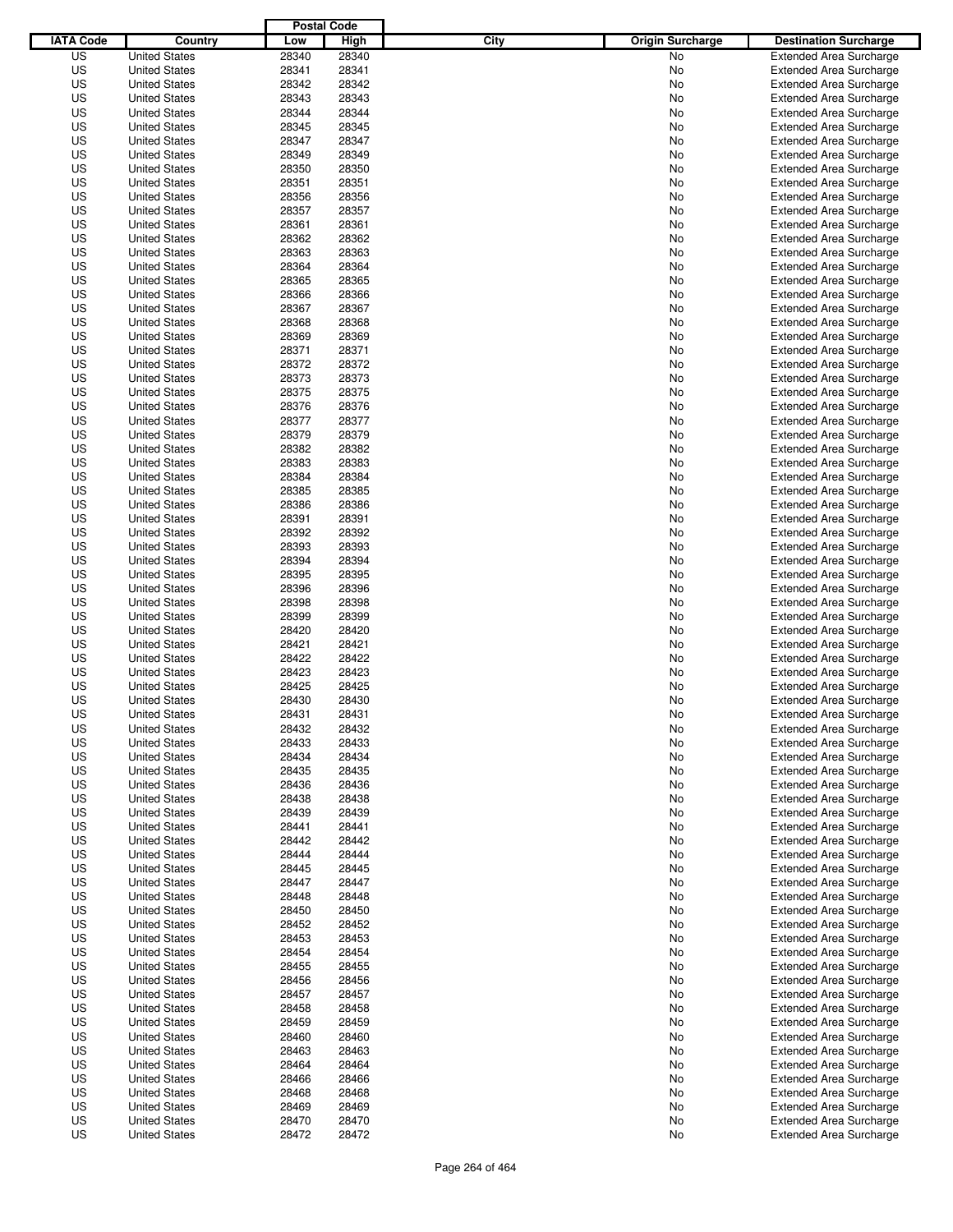|                  |                                              | <b>Postal Code</b> |                |                                 |                                                                  |
|------------------|----------------------------------------------|--------------------|----------------|---------------------------------|------------------------------------------------------------------|
| <b>IATA Code</b> | Country                                      | Low                | High           | City<br><b>Origin Surcharge</b> | <b>Destination Surcharge</b>                                     |
| US               | <b>United States</b>                         | 28340              | 28340          | <b>No</b>                       | <b>Extended Area Surcharge</b>                                   |
| US               | <b>United States</b>                         | 28341              | 28341          | No                              | <b>Extended Area Surcharge</b>                                   |
| US               | <b>United States</b>                         | 28342              | 28342          | No                              | <b>Extended Area Surcharge</b>                                   |
| US               | <b>United States</b>                         | 28343              | 28343          | No                              | <b>Extended Area Surcharge</b>                                   |
| US               | <b>United States</b>                         | 28344              | 28344          | No                              | <b>Extended Area Surcharge</b>                                   |
| US               | <b>United States</b>                         | 28345              | 28345          | No                              | <b>Extended Area Surcharge</b>                                   |
| US               | <b>United States</b>                         | 28347              | 28347          | No                              | <b>Extended Area Surcharge</b>                                   |
| US               | <b>United States</b>                         | 28349              | 28349          | No                              | <b>Extended Area Surcharge</b>                                   |
| US               | <b>United States</b>                         | 28350              | 28350          | No                              | <b>Extended Area Surcharge</b>                                   |
| US               | <b>United States</b>                         | 28351              | 28351          | No                              | <b>Extended Area Surcharge</b>                                   |
| US               | <b>United States</b>                         | 28356              | 28356          | No                              | <b>Extended Area Surcharge</b>                                   |
| US               | <b>United States</b>                         | 28357              | 28357          | No                              | <b>Extended Area Surcharge</b>                                   |
| US               | <b>United States</b>                         | 28361              | 28361          | No                              | <b>Extended Area Surcharge</b>                                   |
| US               | <b>United States</b>                         | 28362              | 28362          | No                              | <b>Extended Area Surcharge</b>                                   |
| US               | <b>United States</b>                         | 28363              | 28363          | No                              | <b>Extended Area Surcharge</b>                                   |
| US               | <b>United States</b>                         | 28364              | 28364          | No                              | <b>Extended Area Surcharge</b>                                   |
| US               | <b>United States</b>                         | 28365              | 28365          | No                              | <b>Extended Area Surcharge</b>                                   |
| US               | <b>United States</b>                         | 28366              | 28366          | No                              | <b>Extended Area Surcharge</b>                                   |
| US               | <b>United States</b>                         | 28367              | 28367          | No                              | <b>Extended Area Surcharge</b>                                   |
| US               | <b>United States</b>                         | 28368              | 28368          | No                              | <b>Extended Area Surcharge</b>                                   |
| US               | <b>United States</b>                         | 28369              | 28369          | No                              | <b>Extended Area Surcharge</b>                                   |
| US               | <b>United States</b>                         | 28371              | 28371          | No                              | <b>Extended Area Surcharge</b>                                   |
| US               | <b>United States</b>                         | 28372              | 28372          | No                              | <b>Extended Area Surcharge</b>                                   |
| US               | <b>United States</b>                         | 28373              | 28373          | No                              | <b>Extended Area Surcharge</b>                                   |
| US               | <b>United States</b>                         | 28375              | 28375          | No                              | <b>Extended Area Surcharge</b>                                   |
| US               | <b>United States</b>                         | 28376              | 28376          | No                              | <b>Extended Area Surcharge</b>                                   |
| US               | <b>United States</b>                         | 28377              | 28377          | No                              | <b>Extended Area Surcharge</b>                                   |
| US               | <b>United States</b>                         | 28379              | 28379          | No                              | <b>Extended Area Surcharge</b>                                   |
| US               | <b>United States</b>                         | 28382              | 28382          | No                              | <b>Extended Area Surcharge</b>                                   |
| US               | <b>United States</b>                         | 28383              | 28383          | No                              | <b>Extended Area Surcharge</b>                                   |
| US               | <b>United States</b>                         | 28384              | 28384          | No                              | <b>Extended Area Surcharge</b>                                   |
| US               | <b>United States</b>                         | 28385              | 28385          | No                              | <b>Extended Area Surcharge</b>                                   |
| US               | <b>United States</b>                         | 28386              | 28386          | No                              | <b>Extended Area Surcharge</b>                                   |
| US               | <b>United States</b>                         | 28391              | 28391          | No                              | <b>Extended Area Surcharge</b>                                   |
| US               | <b>United States</b>                         | 28392              | 28392          | No                              | <b>Extended Area Surcharge</b>                                   |
| US               | <b>United States</b>                         | 28393              | 28393          | No                              | <b>Extended Area Surcharge</b>                                   |
| US               | <b>United States</b>                         | 28394              | 28394          | No                              | <b>Extended Area Surcharge</b>                                   |
| US               | <b>United States</b>                         | 28395              | 28395          | No                              | <b>Extended Area Surcharge</b>                                   |
| US               | <b>United States</b>                         | 28396              | 28396          | No                              | <b>Extended Area Surcharge</b>                                   |
| US               | <b>United States</b>                         | 28398              | 28398          | No                              | <b>Extended Area Surcharge</b>                                   |
| US               | <b>United States</b>                         | 28399              | 28399          | No                              | <b>Extended Area Surcharge</b>                                   |
| US               | <b>United States</b>                         | 28420              | 28420          | No                              | <b>Extended Area Surcharge</b>                                   |
| US               | <b>United States</b>                         | 28421              | 28421          | No                              | <b>Extended Area Surcharge</b>                                   |
| US               | <b>United States</b>                         | 28422              | 28422          | No                              | <b>Extended Area Surcharge</b>                                   |
| US               | <b>United States</b>                         | 28423              | 28423          | No                              | <b>Extended Area Surcharge</b>                                   |
| US               | <b>United States</b>                         | 28425              | 28425          | No                              | <b>Extended Area Surcharge</b>                                   |
| US               | <b>United States</b>                         | 28430              | 28430          | No                              | <b>Extended Area Surcharge</b>                                   |
| US               | <b>United States</b>                         | 28431              | 28431          | No                              | <b>Extended Area Surcharge</b>                                   |
| US               | <b>United States</b>                         | 28432              | 28432          | No                              | <b>Extended Area Surcharge</b>                                   |
| US               | <b>United States</b>                         | 28433              | 28433          |                                 | <b>Extended Area Surcharge</b>                                   |
| US               |                                              |                    | 28434          | No                              | <b>Extended Area Surcharge</b>                                   |
|                  | <b>United States</b>                         | 28434              |                | No                              |                                                                  |
| US<br>US         | <b>United States</b>                         | 28435              | 28435<br>28436 | No                              | <b>Extended Area Surcharge</b>                                   |
| US               | <b>United States</b><br><b>United States</b> | 28436<br>28438     | 28438          | No<br>No                        | <b>Extended Area Surcharge</b><br><b>Extended Area Surcharge</b> |
|                  |                                              |                    |                |                                 |                                                                  |
| US<br>US         | <b>United States</b><br><b>United States</b> | 28439<br>28441     | 28439<br>28441 | No<br>No                        | <b>Extended Area Surcharge</b><br><b>Extended Area Surcharge</b> |
|                  |                                              |                    |                |                                 |                                                                  |
| US               | <b>United States</b>                         | 28442              | 28442          | No                              | <b>Extended Area Surcharge</b>                                   |
| US<br>US         | <b>United States</b><br><b>United States</b> | 28444<br>28445     | 28444<br>28445 | No<br>No                        | <b>Extended Area Surcharge</b><br><b>Extended Area Surcharge</b> |
|                  |                                              |                    |                |                                 |                                                                  |
| US               | <b>United States</b>                         | 28447              | 28447          | No                              | <b>Extended Area Surcharge</b>                                   |
| US               | <b>United States</b>                         | 28448              | 28448          | No                              | <b>Extended Area Surcharge</b>                                   |
| US               | <b>United States</b>                         | 28450              | 28450          | No                              | <b>Extended Area Surcharge</b>                                   |
| US               | <b>United States</b>                         | 28452              | 28452          | No                              | <b>Extended Area Surcharge</b>                                   |
| US               | <b>United States</b>                         | 28453              | 28453          | No                              | <b>Extended Area Surcharge</b>                                   |
| US               | <b>United States</b>                         | 28454              | 28454          | No                              | <b>Extended Area Surcharge</b>                                   |
| US               | <b>United States</b>                         | 28455              | 28455          | No                              | <b>Extended Area Surcharge</b>                                   |
| US               | <b>United States</b>                         | 28456              | 28456          | No                              | <b>Extended Area Surcharge</b>                                   |
| US               | <b>United States</b>                         | 28457              | 28457          | No                              | <b>Extended Area Surcharge</b>                                   |
| US               | <b>United States</b>                         | 28458              | 28458          | No                              | <b>Extended Area Surcharge</b>                                   |
| US               | <b>United States</b>                         | 28459              | 28459          | No                              | <b>Extended Area Surcharge</b>                                   |
| US               | <b>United States</b>                         | 28460              | 28460          | No                              | <b>Extended Area Surcharge</b>                                   |
| US               | <b>United States</b>                         | 28463              | 28463          | No                              | <b>Extended Area Surcharge</b>                                   |
| US               | <b>United States</b>                         | 28464              | 28464          | No                              | <b>Extended Area Surcharge</b>                                   |
| US               | <b>United States</b>                         | 28466              | 28466          | No                              | <b>Extended Area Surcharge</b>                                   |
| US               | <b>United States</b>                         | 28468              | 28468          | No                              | <b>Extended Area Surcharge</b>                                   |
| US               | <b>United States</b>                         | 28469              | 28469          | No                              | <b>Extended Area Surcharge</b>                                   |
| US               | <b>United States</b>                         | 28470              | 28470          | No                              | <b>Extended Area Surcharge</b>                                   |
| US               | <b>United States</b>                         | 28472              | 28472          | No                              | <b>Extended Area Surcharge</b>                                   |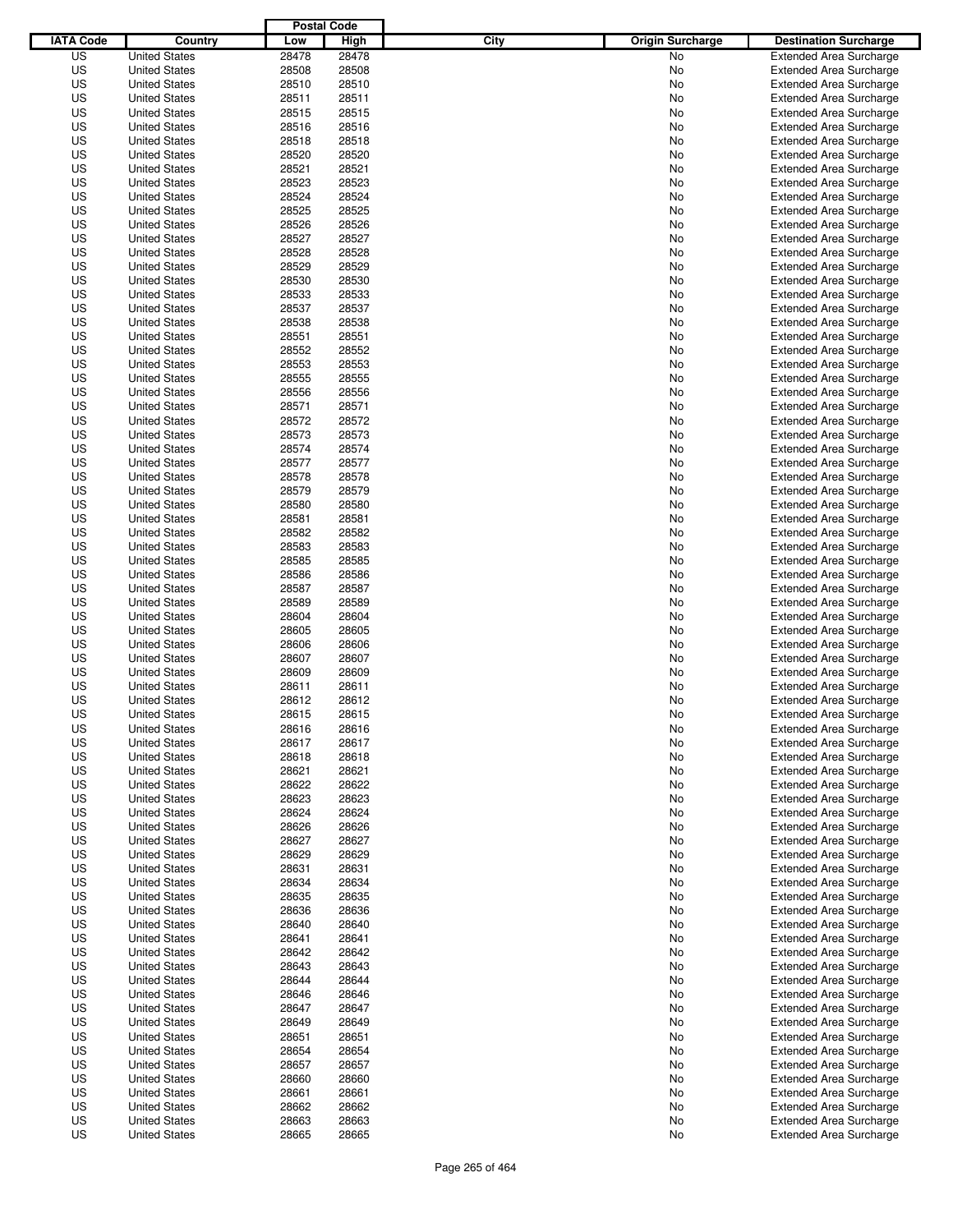|                  |                                              | <b>Postal Code</b> |                |                                 |                                                                  |
|------------------|----------------------------------------------|--------------------|----------------|---------------------------------|------------------------------------------------------------------|
| <b>IATA Code</b> | Country                                      | Low                | High           | City<br><b>Origin Surcharge</b> | <b>Destination Surcharge</b>                                     |
| US               | <b>United States</b>                         | 28478              | 28478          | <b>No</b>                       | <b>Extended Area Surcharge</b>                                   |
| US               | <b>United States</b>                         | 28508              | 28508          | No                              | <b>Extended Area Surcharge</b>                                   |
| US               | <b>United States</b>                         | 28510              | 28510          | No                              | <b>Extended Area Surcharge</b>                                   |
| US               | <b>United States</b>                         | 28511              | 28511          | No                              | <b>Extended Area Surcharge</b>                                   |
| US               | <b>United States</b>                         | 28515              | 28515          | No                              | <b>Extended Area Surcharge</b>                                   |
| US               | <b>United States</b>                         | 28516              | 28516          | No                              | <b>Extended Area Surcharge</b>                                   |
| US               | <b>United States</b>                         | 28518              | 28518          | No                              | <b>Extended Area Surcharge</b>                                   |
| US               | <b>United States</b>                         | 28520              | 28520          | No                              | <b>Extended Area Surcharge</b>                                   |
| US               | <b>United States</b>                         | 28521              | 28521          | No                              | <b>Extended Area Surcharge</b>                                   |
| US               | <b>United States</b>                         | 28523              | 28523          | No                              | <b>Extended Area Surcharge</b>                                   |
| US               | <b>United States</b>                         | 28524              | 28524          | No                              | <b>Extended Area Surcharge</b>                                   |
| US               | <b>United States</b>                         | 28525              | 28525          | No                              | <b>Extended Area Surcharge</b>                                   |
| US               | <b>United States</b>                         | 28526              | 28526          | No                              | <b>Extended Area Surcharge</b>                                   |
| US               | <b>United States</b>                         | 28527              | 28527          | No                              | <b>Extended Area Surcharge</b>                                   |
| US               | <b>United States</b>                         | 28528              | 28528          | No                              | <b>Extended Area Surcharge</b>                                   |
| US               | <b>United States</b>                         | 28529              | 28529          | No                              | <b>Extended Area Surcharge</b>                                   |
| US               | <b>United States</b>                         | 28530              | 28530          | No                              | <b>Extended Area Surcharge</b>                                   |
| US               | <b>United States</b>                         | 28533              | 28533          | No                              | <b>Extended Area Surcharge</b>                                   |
| US               | <b>United States</b>                         | 28537              | 28537          | No                              | <b>Extended Area Surcharge</b>                                   |
| US               | <b>United States</b>                         | 28538              | 28538          | No                              | <b>Extended Area Surcharge</b>                                   |
| US               | <b>United States</b>                         | 28551              | 28551          | No                              | <b>Extended Area Surcharge</b>                                   |
| US               | <b>United States</b>                         | 28552              | 28552          | No                              | <b>Extended Area Surcharge</b>                                   |
| US               | <b>United States</b>                         | 28553              | 28553          | No                              | <b>Extended Area Surcharge</b>                                   |
| US               | <b>United States</b>                         | 28555              | 28555          | No                              | <b>Extended Area Surcharge</b>                                   |
| US               | <b>United States</b>                         | 28556              | 28556          | No                              | <b>Extended Area Surcharge</b>                                   |
| US               | <b>United States</b>                         | 28571              | 28571          | No                              | <b>Extended Area Surcharge</b>                                   |
| US               | <b>United States</b>                         | 28572              | 28572          | No                              | <b>Extended Area Surcharge</b>                                   |
| US               | <b>United States</b>                         | 28573              | 28573          | No                              | <b>Extended Area Surcharge</b>                                   |
| US               | <b>United States</b>                         | 28574              | 28574          | No                              | <b>Extended Area Surcharge</b>                                   |
| US               | <b>United States</b>                         | 28577              | 28577          | No                              | <b>Extended Area Surcharge</b>                                   |
| US               | <b>United States</b>                         | 28578              | 28578          | No                              | <b>Extended Area Surcharge</b>                                   |
| US               | <b>United States</b>                         | 28579              | 28579          | No                              | <b>Extended Area Surcharge</b>                                   |
| US               | <b>United States</b>                         | 28580              | 28580          | No                              | <b>Extended Area Surcharge</b>                                   |
| US               | <b>United States</b>                         | 28581              | 28581          | No                              | <b>Extended Area Surcharge</b>                                   |
| US               | <b>United States</b>                         | 28582              | 28582          | No                              | <b>Extended Area Surcharge</b>                                   |
| US               | <b>United States</b>                         | 28583              | 28583          | No                              | <b>Extended Area Surcharge</b>                                   |
| US               | <b>United States</b>                         | 28585              | 28585          | No                              | <b>Extended Area Surcharge</b>                                   |
| US               | <b>United States</b>                         | 28586              | 28586          | No                              | <b>Extended Area Surcharge</b>                                   |
| US               | <b>United States</b>                         | 28587              | 28587          | No                              | <b>Extended Area Surcharge</b>                                   |
| US               | <b>United States</b>                         | 28589              | 28589          | No                              | <b>Extended Area Surcharge</b>                                   |
| US               | <b>United States</b>                         | 28604              | 28604          | No                              | <b>Extended Area Surcharge</b>                                   |
| US               | <b>United States</b>                         | 28605              | 28605          | No                              | <b>Extended Area Surcharge</b>                                   |
| US               | <b>United States</b>                         | 28606              | 28606          | No                              | <b>Extended Area Surcharge</b>                                   |
| US               | <b>United States</b>                         | 28607              | 28607          | No                              | <b>Extended Area Surcharge</b>                                   |
| US<br>US         | <b>United States</b><br><b>United States</b> | 28609<br>28611     | 28609<br>28611 | No<br>No                        | <b>Extended Area Surcharge</b><br><b>Extended Area Surcharge</b> |
| US               | <b>United States</b>                         | 28612              | 28612          | No                              | <b>Extended Area Surcharge</b>                                   |
| US               | <b>United States</b>                         | 28615              | 28615          | No                              | <b>Extended Area Surcharge</b>                                   |
| US               | <b>United States</b>                         | 28616              | 28616          | No                              | <b>Extended Area Surcharge</b>                                   |
| US               | <b>United States</b>                         | 28617              | 28617          | No                              | <b>Extended Area Surcharge</b>                                   |
| US               | <b>United States</b>                         | 28618              | 28618          | No                              | <b>Extended Area Surcharge</b>                                   |
| US               | <b>United States</b>                         | 28621              | 28621          | No                              | <b>Extended Area Surcharge</b>                                   |
| US               | <b>United States</b>                         | 28622              | 28622          | No                              | <b>Extended Area Surcharge</b>                                   |
| US               | <b>United States</b>                         | 28623              | 28623          | No                              | <b>Extended Area Surcharge</b>                                   |
| US               | <b>United States</b>                         | 28624              | 28624          | No                              | <b>Extended Area Surcharge</b>                                   |
| US               | <b>United States</b>                         | 28626              | 28626          | No                              | <b>Extended Area Surcharge</b>                                   |
| US               | <b>United States</b>                         | 28627              | 28627          | No                              | <b>Extended Area Surcharge</b>                                   |
| US               | <b>United States</b>                         | 28629              | 28629          | No                              | <b>Extended Area Surcharge</b>                                   |
| US               | <b>United States</b>                         | 28631              | 28631          | No                              | <b>Extended Area Surcharge</b>                                   |
| US               | <b>United States</b>                         | 28634              | 28634          | No                              | <b>Extended Area Surcharge</b>                                   |
| US               | <b>United States</b>                         | 28635              | 28635          | No                              | <b>Extended Area Surcharge</b>                                   |
| US               | <b>United States</b>                         | 28636              | 28636          | No                              | <b>Extended Area Surcharge</b>                                   |
| US               | <b>United States</b>                         | 28640              | 28640          | No                              | <b>Extended Area Surcharge</b>                                   |
| US               | <b>United States</b>                         | 28641              | 28641          | No                              | <b>Extended Area Surcharge</b>                                   |
| US               | <b>United States</b>                         | 28642              | 28642          | No                              | <b>Extended Area Surcharge</b>                                   |
| US               | <b>United States</b>                         | 28643              | 28643          | No                              | <b>Extended Area Surcharge</b>                                   |
| US               | <b>United States</b>                         | 28644              | 28644          | No                              | <b>Extended Area Surcharge</b>                                   |
| US               | <b>United States</b>                         | 28646              | 28646          | No                              | <b>Extended Area Surcharge</b>                                   |
| US               | <b>United States</b>                         | 28647              | 28647          | No                              | <b>Extended Area Surcharge</b>                                   |
| US               | <b>United States</b>                         | 28649              | 28649          | No                              | <b>Extended Area Surcharge</b>                                   |
| US               | <b>United States</b>                         | 28651              | 28651          | No                              | <b>Extended Area Surcharge</b>                                   |
| US               | <b>United States</b>                         | 28654              | 28654          | No                              | <b>Extended Area Surcharge</b>                                   |
| US               | <b>United States</b>                         | 28657              | 28657          | No                              | <b>Extended Area Surcharge</b>                                   |
| US               | <b>United States</b>                         | 28660              | 28660          | No                              | <b>Extended Area Surcharge</b>                                   |
| US               | <b>United States</b>                         | 28661              | 28661          | No                              | <b>Extended Area Surcharge</b>                                   |
| US               | <b>United States</b>                         | 28662              | 28662          | No                              | <b>Extended Area Surcharge</b>                                   |
| US               | <b>United States</b>                         | 28663              | 28663          | No                              | <b>Extended Area Surcharge</b>                                   |
| US               | <b>United States</b>                         | 28665              | 28665          | No                              | <b>Extended Area Surcharge</b>                                   |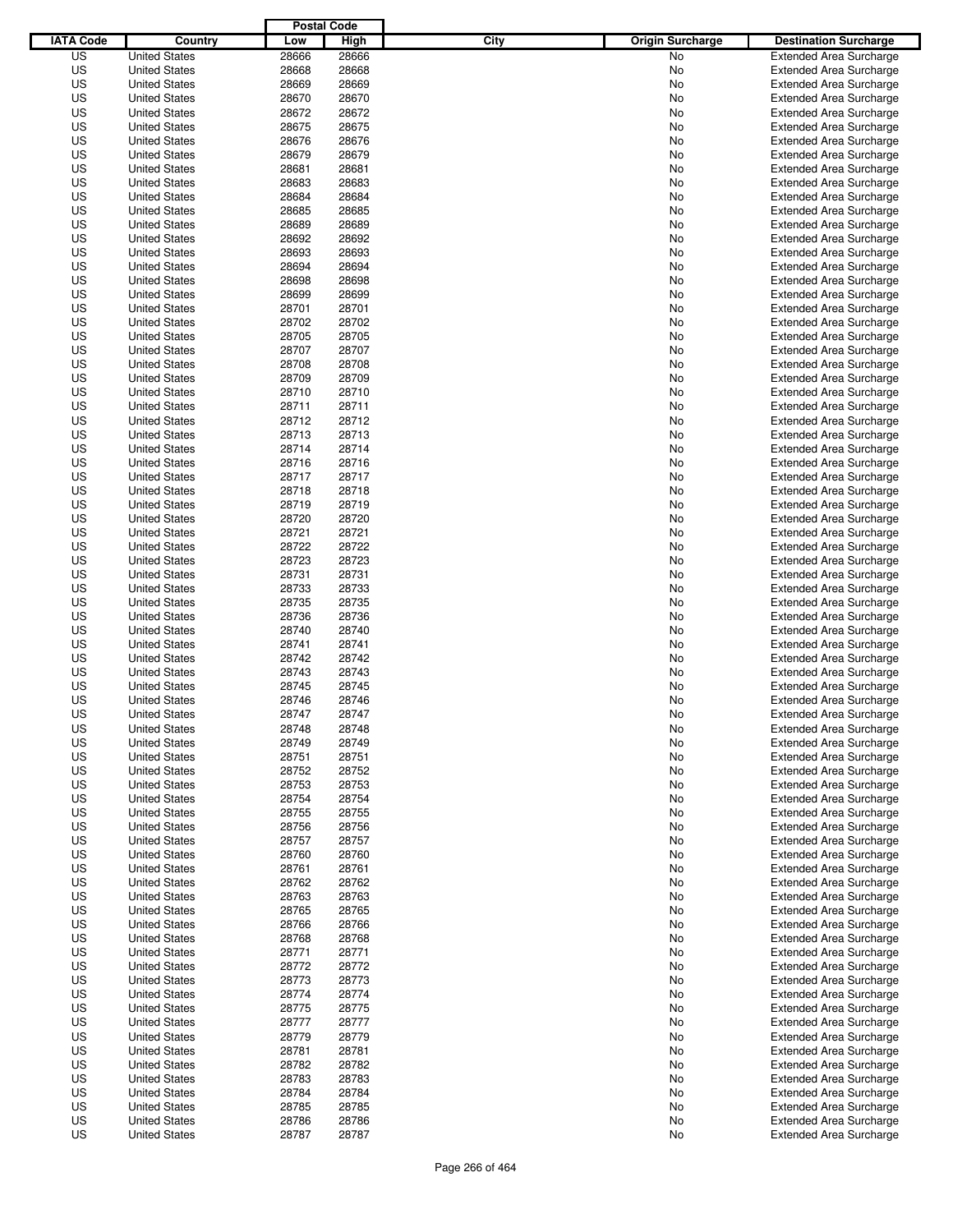|                  |                      | <b>Postal Code</b> |       |                                 |                                |
|------------------|----------------------|--------------------|-------|---------------------------------|--------------------------------|
| <b>IATA Code</b> | Country              | Low                | High  | City<br><b>Origin Surcharge</b> | <b>Destination Surcharge</b>   |
| US               | <b>United States</b> | 28666              | 28666 | <b>No</b>                       | <b>Extended Area Surcharge</b> |
| US               | <b>United States</b> | 28668              | 28668 | No                              | <b>Extended Area Surcharge</b> |
| US               | <b>United States</b> | 28669              | 28669 | No                              | <b>Extended Area Surcharge</b> |
| US               | <b>United States</b> | 28670              | 28670 | No                              | <b>Extended Area Surcharge</b> |
| US               | <b>United States</b> | 28672              | 28672 | No                              | <b>Extended Area Surcharge</b> |
| US               | <b>United States</b> | 28675              | 28675 | No                              | <b>Extended Area Surcharge</b> |
| US               | <b>United States</b> | 28676              | 28676 | No                              | <b>Extended Area Surcharge</b> |
| US               | <b>United States</b> | 28679              | 28679 | No                              | <b>Extended Area Surcharge</b> |
| US               | <b>United States</b> | 28681              | 28681 | No                              | <b>Extended Area Surcharge</b> |
| US               | <b>United States</b> | 28683              | 28683 | No                              | <b>Extended Area Surcharge</b> |
| US               | <b>United States</b> | 28684              | 28684 | No                              | <b>Extended Area Surcharge</b> |
| US               | <b>United States</b> | 28685              | 28685 | No                              | <b>Extended Area Surcharge</b> |
| US               | <b>United States</b> | 28689              | 28689 | No                              | <b>Extended Area Surcharge</b> |
| US               | <b>United States</b> | 28692              | 28692 | No                              | <b>Extended Area Surcharge</b> |
| US               | <b>United States</b> | 28693              | 28693 | No                              | <b>Extended Area Surcharge</b> |
| US               | <b>United States</b> | 28694              | 28694 | No                              | <b>Extended Area Surcharge</b> |
| US               | <b>United States</b> | 28698              | 28698 | No                              | <b>Extended Area Surcharge</b> |
| US               | <b>United States</b> | 28699              | 28699 | No                              | <b>Extended Area Surcharge</b> |
| US               | <b>United States</b> | 28701              | 28701 | No                              | <b>Extended Area Surcharge</b> |
| US               | <b>United States</b> | 28702              | 28702 | No                              | <b>Extended Area Surcharge</b> |
| US               | <b>United States</b> | 28705              | 28705 | No                              | <b>Extended Area Surcharge</b> |
| US               | <b>United States</b> | 28707              | 28707 | No                              | <b>Extended Area Surcharge</b> |
| US               | <b>United States</b> | 28708              | 28708 | No                              | <b>Extended Area Surcharge</b> |
| US               | <b>United States</b> | 28709              | 28709 | No                              | <b>Extended Area Surcharge</b> |
| US               | <b>United States</b> | 28710              | 28710 | No                              | <b>Extended Area Surcharge</b> |
| US               | <b>United States</b> | 28711              | 28711 | No                              | <b>Extended Area Surcharge</b> |
| US               | <b>United States</b> | 28712              | 28712 | No                              | <b>Extended Area Surcharge</b> |
| US               | <b>United States</b> | 28713              | 28713 | No                              | <b>Extended Area Surcharge</b> |
| US               | <b>United States</b> | 28714              | 28714 | No                              | <b>Extended Area Surcharge</b> |
| US               | <b>United States</b> | 28716              | 28716 | No                              | <b>Extended Area Surcharge</b> |
| US               | <b>United States</b> | 28717              | 28717 | No                              | <b>Extended Area Surcharge</b> |
| US               | <b>United States</b> | 28718              | 28718 | No                              | <b>Extended Area Surcharge</b> |
| US               | <b>United States</b> | 28719              | 28719 | No                              | <b>Extended Area Surcharge</b> |
| US               | <b>United States</b> | 28720              | 28720 | No                              | <b>Extended Area Surcharge</b> |
| US               | <b>United States</b> | 28721              | 28721 | No                              | <b>Extended Area Surcharge</b> |
| US               | <b>United States</b> | 28722              | 28722 | No                              | <b>Extended Area Surcharge</b> |
| US               | <b>United States</b> | 28723              | 28723 | No                              | <b>Extended Area Surcharge</b> |
| US               | <b>United States</b> | 28731              | 28731 | No                              | <b>Extended Area Surcharge</b> |
| US               | <b>United States</b> | 28733              | 28733 | No                              | <b>Extended Area Surcharge</b> |
| US               | <b>United States</b> | 28735              | 28735 | No                              | <b>Extended Area Surcharge</b> |
| US               | <b>United States</b> | 28736              | 28736 | No                              | <b>Extended Area Surcharge</b> |
| US               | <b>United States</b> | 28740              | 28740 | No                              | <b>Extended Area Surcharge</b> |
| US               | <b>United States</b> | 28741              | 28741 | No                              | <b>Extended Area Surcharge</b> |
| US               | <b>United States</b> | 28742              | 28742 | No                              | <b>Extended Area Surcharge</b> |
| US               | <b>United States</b> | 28743              | 28743 | No                              | <b>Extended Area Surcharge</b> |
| US               | <b>United States</b> | 28745              | 28745 | No                              | <b>Extended Area Surcharge</b> |
| US               | <b>United States</b> | 28746              | 28746 | No                              | <b>Extended Area Surcharge</b> |
| US               | <b>United States</b> | 28747              | 28747 | No                              | <b>Extended Area Surcharge</b> |
| US               | <b>United States</b> | 28748              | 28748 | No                              | <b>Extended Area Surcharge</b> |
| US               | <b>United States</b> | 28749              | 28749 | No                              | <b>Extended Area Surcharge</b> |
| US               | <b>United States</b> | 28751              | 28751 | No                              | <b>Extended Area Surcharge</b> |
| US               | <b>United States</b> | 28752              | 28752 | No                              | <b>Extended Area Surcharge</b> |
| US               | <b>United States</b> | 28753              | 28753 | No                              | <b>Extended Area Surcharge</b> |
| US               | <b>United States</b> | 28754              | 28754 | No                              | <b>Extended Area Surcharge</b> |
| US               | <b>United States</b> | 28755              | 28755 | No                              | <b>Extended Area Surcharge</b> |
| US               | <b>United States</b> | 28756              | 28756 | No                              | <b>Extended Area Surcharge</b> |
| US               | <b>United States</b> | 28757              | 28757 | No                              | <b>Extended Area Surcharge</b> |
| US               | <b>United States</b> | 28760              | 28760 | No                              | <b>Extended Area Surcharge</b> |
| US               | <b>United States</b> | 28761              | 28761 | No                              | <b>Extended Area Surcharge</b> |
| US               | <b>United States</b> | 28762              | 28762 | No                              | <b>Extended Area Surcharge</b> |
| US               | <b>United States</b> | 28763              | 28763 | No                              | <b>Extended Area Surcharge</b> |
| US               | <b>United States</b> | 28765              | 28765 | No                              | <b>Extended Area Surcharge</b> |
| US               | <b>United States</b> | 28766              | 28766 | No                              | <b>Extended Area Surcharge</b> |
| US               | <b>United States</b> | 28768              | 28768 | No                              | <b>Extended Area Surcharge</b> |
| US               | <b>United States</b> | 28771              | 28771 | No                              | <b>Extended Area Surcharge</b> |
| US               | <b>United States</b> | 28772              | 28772 | No                              | <b>Extended Area Surcharge</b> |
| US               | <b>United States</b> | 28773              | 28773 | No                              | <b>Extended Area Surcharge</b> |
| US               | <b>United States</b> | 28774              | 28774 | No                              | <b>Extended Area Surcharge</b> |
| US               | <b>United States</b> | 28775              | 28775 | No                              | <b>Extended Area Surcharge</b> |
| US               | <b>United States</b> | 28777              | 28777 | No                              | <b>Extended Area Surcharge</b> |
| US               | <b>United States</b> | 28779              | 28779 | No                              | <b>Extended Area Surcharge</b> |
| US               | <b>United States</b> | 28781              | 28781 | No                              | <b>Extended Area Surcharge</b> |
| US               | <b>United States</b> | 28782              | 28782 | No                              | <b>Extended Area Surcharge</b> |
| US               | <b>United States</b> | 28783              | 28783 | No                              | <b>Extended Area Surcharge</b> |
| US               | <b>United States</b> | 28784              | 28784 | No                              | <b>Extended Area Surcharge</b> |
| US               | <b>United States</b> | 28785              | 28785 | No                              | <b>Extended Area Surcharge</b> |
| US               | <b>United States</b> | 28786              | 28786 | No                              | <b>Extended Area Surcharge</b> |
| US               | <b>United States</b> | 28787              | 28787 | No                              | <b>Extended Area Surcharge</b> |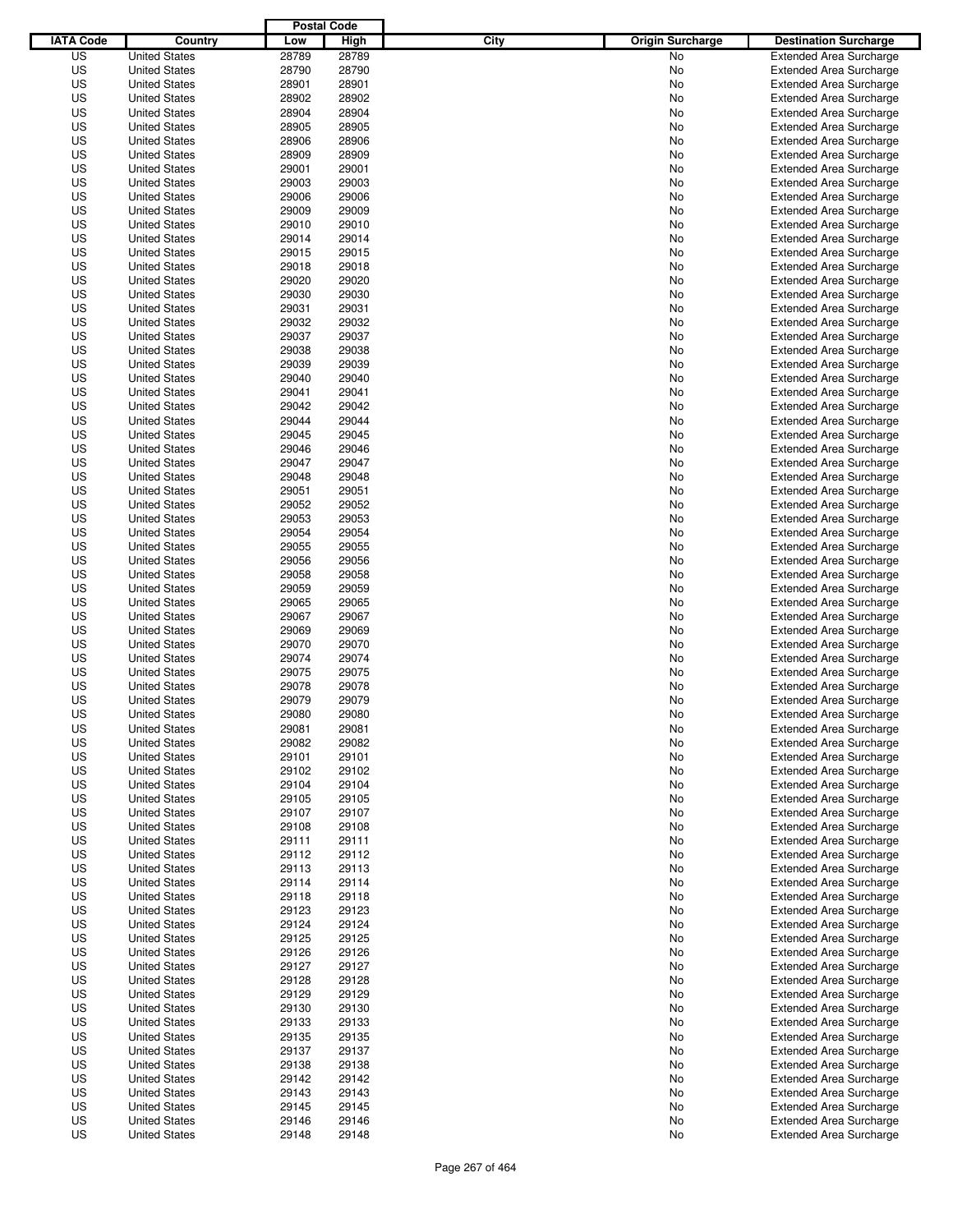|                  |                                              | <b>Postal Code</b> |                |                                 |                                                                  |
|------------------|----------------------------------------------|--------------------|----------------|---------------------------------|------------------------------------------------------------------|
| <b>IATA Code</b> | Country                                      | Low                | High           | City<br><b>Origin Surcharge</b> | <b>Destination Surcharge</b>                                     |
| US               | <b>United States</b>                         | 28789              | 28789          | <b>No</b>                       | <b>Extended Area Surcharge</b>                                   |
| US               | <b>United States</b>                         | 28790              | 28790          | No                              | <b>Extended Area Surcharge</b>                                   |
| US               | <b>United States</b>                         | 28901              | 28901          | No                              | <b>Extended Area Surcharge</b>                                   |
| US               | <b>United States</b>                         | 28902              | 28902          | No                              | <b>Extended Area Surcharge</b>                                   |
| US               | <b>United States</b>                         | 28904              | 28904          | No                              | <b>Extended Area Surcharge</b>                                   |
| US               | <b>United States</b>                         | 28905              | 28905          | No                              | <b>Extended Area Surcharge</b>                                   |
| US               | <b>United States</b>                         | 28906              | 28906          | No                              | <b>Extended Area Surcharge</b>                                   |
| US               | <b>United States</b>                         | 28909              | 28909          | No                              | <b>Extended Area Surcharge</b>                                   |
| US               | <b>United States</b>                         | 29001              | 29001          | No                              | <b>Extended Area Surcharge</b>                                   |
| US               | <b>United States</b>                         | 29003              | 29003          | No                              | <b>Extended Area Surcharge</b>                                   |
| US               | <b>United States</b>                         | 29006              | 29006          | No                              | <b>Extended Area Surcharge</b>                                   |
| US               | <b>United States</b>                         | 29009              | 29009          | No                              | <b>Extended Area Surcharge</b>                                   |
| US               | <b>United States</b>                         | 29010              | 29010          | No                              | <b>Extended Area Surcharge</b>                                   |
| US               | <b>United States</b>                         | 29014              | 29014          | No                              | <b>Extended Area Surcharge</b>                                   |
| US               | <b>United States</b>                         | 29015              | 29015          | No                              | <b>Extended Area Surcharge</b>                                   |
| US               | <b>United States</b>                         | 29018              | 29018          | No                              | <b>Extended Area Surcharge</b>                                   |
| US               | <b>United States</b>                         | 29020              | 29020          | No                              | <b>Extended Area Surcharge</b>                                   |
| US               | <b>United States</b>                         | 29030              | 29030          | No                              | <b>Extended Area Surcharge</b>                                   |
| US               | <b>United States</b>                         | 29031              | 29031          | No                              | <b>Extended Area Surcharge</b>                                   |
| US               | <b>United States</b>                         | 29032              | 29032          | No                              | <b>Extended Area Surcharge</b>                                   |
| US               | <b>United States</b>                         | 29037              | 29037          | No                              | <b>Extended Area Surcharge</b>                                   |
| US               | <b>United States</b>                         | 29038              | 29038          | No                              | <b>Extended Area Surcharge</b>                                   |
| US               | <b>United States</b>                         | 29039              | 29039          | No                              | <b>Extended Area Surcharge</b>                                   |
| US               | <b>United States</b>                         | 29040              | 29040          | No                              | <b>Extended Area Surcharge</b>                                   |
| US               | <b>United States</b>                         | 29041              | 29041          | No                              | <b>Extended Area Surcharge</b>                                   |
| US               | <b>United States</b>                         | 29042              | 29042          | No                              | <b>Extended Area Surcharge</b>                                   |
| US               | <b>United States</b>                         | 29044              | 29044          | No                              | <b>Extended Area Surcharge</b>                                   |
| US               | <b>United States</b>                         | 29045              | 29045          | No                              | <b>Extended Area Surcharge</b>                                   |
| US               | <b>United States</b>                         | 29046              | 29046          | No                              | <b>Extended Area Surcharge</b>                                   |
| US               | <b>United States</b>                         | 29047              | 29047          | No                              | <b>Extended Area Surcharge</b>                                   |
| US               | <b>United States</b>                         | 29048              | 29048          | No                              | <b>Extended Area Surcharge</b>                                   |
| US               | <b>United States</b>                         | 29051              | 29051          | No                              | <b>Extended Area Surcharge</b>                                   |
| US               | <b>United States</b>                         | 29052              | 29052          | No                              | <b>Extended Area Surcharge</b>                                   |
| US               | <b>United States</b>                         | 29053              | 29053          | No                              | <b>Extended Area Surcharge</b>                                   |
| US               | <b>United States</b>                         | 29054              | 29054          | No                              | <b>Extended Area Surcharge</b>                                   |
| US               | <b>United States</b>                         | 29055              | 29055          | No                              | <b>Extended Area Surcharge</b>                                   |
| US               | <b>United States</b>                         | 29056              | 29056          | No                              | <b>Extended Area Surcharge</b>                                   |
| US               | <b>United States</b>                         | 29058              | 29058          | No                              | <b>Extended Area Surcharge</b>                                   |
| US               | <b>United States</b>                         | 29059              | 29059          | No                              | <b>Extended Area Surcharge</b>                                   |
| US               | <b>United States</b>                         | 29065              | 29065          |                                 |                                                                  |
| US               |                                              | 29067              | 29067          | No                              | <b>Extended Area Surcharge</b><br><b>Extended Area Surcharge</b> |
|                  | <b>United States</b>                         |                    |                | No                              |                                                                  |
| US               | <b>United States</b>                         | 29069              | 29069          | No                              | <b>Extended Area Surcharge</b>                                   |
| US               | <b>United States</b>                         | 29070              | 29070          | No                              | <b>Extended Area Surcharge</b>                                   |
| US               | <b>United States</b>                         | 29074              | 29074          | No                              | <b>Extended Area Surcharge</b>                                   |
| US               | <b>United States</b>                         | 29075              | 29075          | No                              | <b>Extended Area Surcharge</b>                                   |
| US<br>US         | <b>United States</b><br><b>United States</b> | 29078<br>29079     | 29078<br>29079 | No<br>No                        | <b>Extended Area Surcharge</b>                                   |
|                  | <b>United States</b>                         |                    |                |                                 | <b>Extended Area Surcharge</b><br><b>Extended Area Surcharge</b> |
| US               |                                              | 29080              | 29080          | No                              |                                                                  |
| US               | <b>United States</b>                         | 29081              | 29081          | No                              | <b>Extended Area Surcharge</b>                                   |
| US               | <b>United States</b>                         | 29082              | 29082          | No                              | <b>Extended Area Surcharge</b>                                   |
| US               | <b>United States</b>                         | 29101              | 29101          | No                              | <b>Extended Area Surcharge</b>                                   |
| US               | <b>United States</b>                         | 29102              | 29102          | No                              | <b>Extended Area Surcharge</b>                                   |
| US               | <b>United States</b>                         | 29104              | 29104          | No                              | <b>Extended Area Surcharge</b>                                   |
| US               | <b>United States</b>                         | 29105              | 29105          | No                              | <b>Extended Area Surcharge</b>                                   |
| US               | <b>United States</b>                         | 29107              | 29107          | No                              | <b>Extended Area Surcharge</b>                                   |
| US               | <b>United States</b>                         | 29108              | 29108          | No                              | <b>Extended Area Surcharge</b>                                   |
| US               | <b>United States</b>                         | 29111              | 29111          | No                              | <b>Extended Area Surcharge</b>                                   |
| US               | <b>United States</b>                         | 29112              | 29112          | No                              | <b>Extended Area Surcharge</b>                                   |
| US               | <b>United States</b>                         | 29113              | 29113          | No                              | <b>Extended Area Surcharge</b>                                   |
| US               | <b>United States</b>                         | 29114              | 29114          | No                              | <b>Extended Area Surcharge</b>                                   |
| US               | <b>United States</b>                         | 29118              | 29118          | No                              | <b>Extended Area Surcharge</b>                                   |
| US               | <b>United States</b>                         | 29123              | 29123          | No                              | <b>Extended Area Surcharge</b>                                   |
| US               | <b>United States</b>                         | 29124              | 29124          | No                              | <b>Extended Area Surcharge</b>                                   |
| US               | <b>United States</b>                         | 29125              | 29125          | No                              | <b>Extended Area Surcharge</b>                                   |
| US               | <b>United States</b>                         | 29126              | 29126          | No                              | <b>Extended Area Surcharge</b>                                   |
| US               | <b>United States</b>                         | 29127              | 29127          | No                              | <b>Extended Area Surcharge</b>                                   |
| US               | <b>United States</b>                         | 29128              | 29128          | No                              | <b>Extended Area Surcharge</b>                                   |
| US               | <b>United States</b>                         | 29129              | 29129          | No                              | <b>Extended Area Surcharge</b>                                   |
| US               | <b>United States</b>                         | 29130              | 29130          | No                              | <b>Extended Area Surcharge</b>                                   |
| US               | <b>United States</b>                         | 29133              | 29133          | No                              | <b>Extended Area Surcharge</b>                                   |
| US               | <b>United States</b>                         | 29135              | 29135          | No                              | <b>Extended Area Surcharge</b>                                   |
| US               | <b>United States</b>                         | 29137              | 29137          | No                              | <b>Extended Area Surcharge</b>                                   |
| US               | <b>United States</b>                         | 29138              | 29138          | No                              | <b>Extended Area Surcharge</b>                                   |
| US               | <b>United States</b>                         | 29142              | 29142          | No                              | <b>Extended Area Surcharge</b>                                   |
| US               | <b>United States</b>                         | 29143              | 29143          | No                              | <b>Extended Area Surcharge</b>                                   |
| US               | <b>United States</b>                         | 29145              | 29145          | No                              | <b>Extended Area Surcharge</b>                                   |
| US               | <b>United States</b>                         | 29146              | 29146          | No                              | <b>Extended Area Surcharge</b>                                   |
| US               | <b>United States</b>                         | 29148              | 29148          | No                              | <b>Extended Area Surcharge</b>                                   |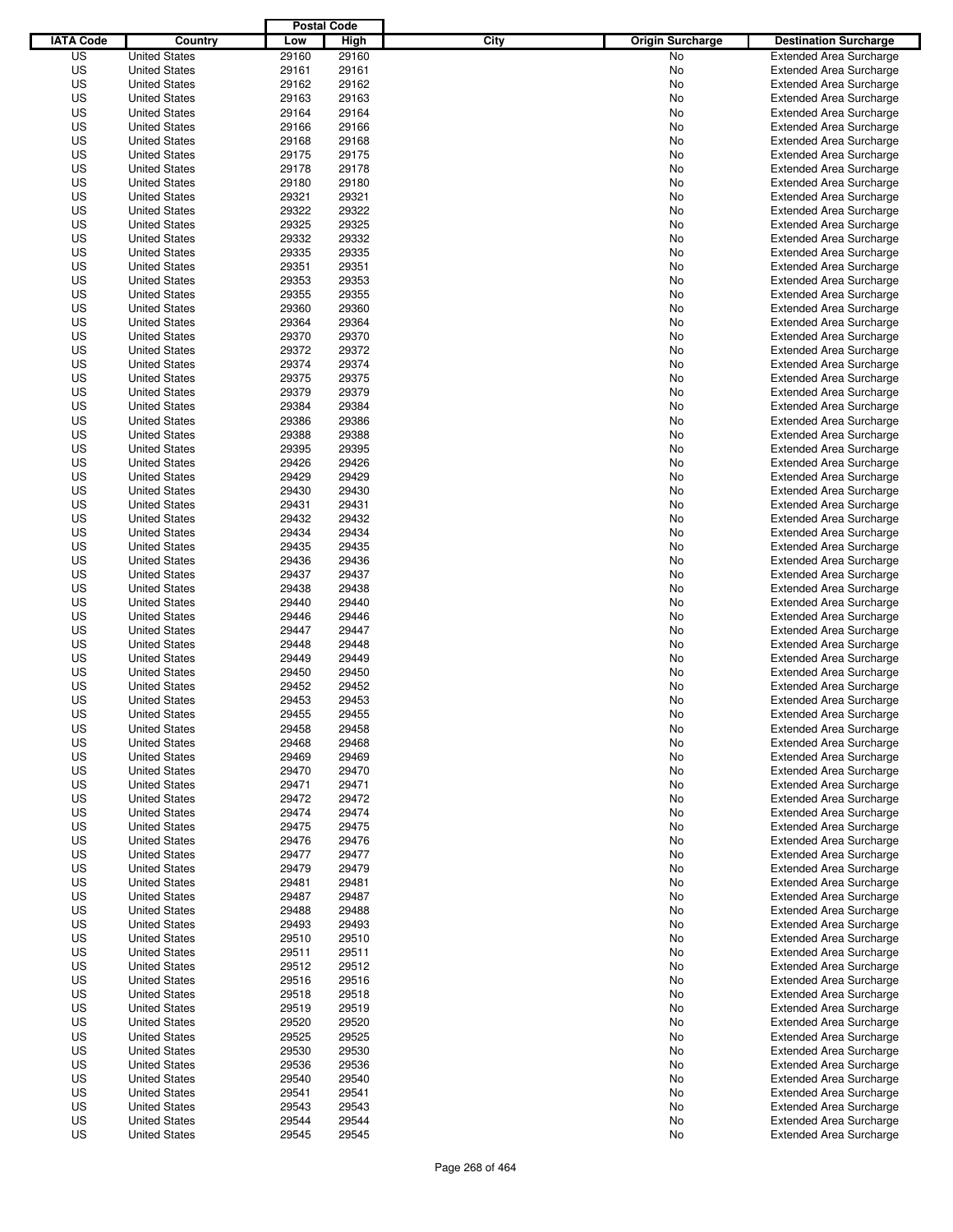|                  |                                              | <b>Postal Code</b> |                |                                 |                                |
|------------------|----------------------------------------------|--------------------|----------------|---------------------------------|--------------------------------|
| <b>IATA Code</b> | Country                                      | Low                | High           | City<br><b>Origin Surcharge</b> | <b>Destination Surcharge</b>   |
| US               | <b>United States</b>                         | 29160              | 29160          | <b>No</b>                       | <b>Extended Area Surcharge</b> |
| US               | <b>United States</b>                         | 29161              | 29161          | No                              | <b>Extended Area Surcharge</b> |
| US               | <b>United States</b>                         | 29162              | 29162          | No                              | <b>Extended Area Surcharge</b> |
| US               | <b>United States</b>                         | 29163              | 29163          | No                              | <b>Extended Area Surcharge</b> |
| US               | <b>United States</b>                         | 29164              | 29164          | No                              | <b>Extended Area Surcharge</b> |
| US               | <b>United States</b>                         | 29166              | 29166          | No                              | <b>Extended Area Surcharge</b> |
| US               | <b>United States</b>                         | 29168              | 29168          | No                              | <b>Extended Area Surcharge</b> |
| US               | <b>United States</b>                         | 29175              | 29175          | No                              | <b>Extended Area Surcharge</b> |
| US               | <b>United States</b>                         | 29178              | 29178          | No                              | <b>Extended Area Surcharge</b> |
| US               | <b>United States</b>                         | 29180              | 29180          | No                              | <b>Extended Area Surcharge</b> |
| US               | <b>United States</b>                         | 29321              | 29321          | No                              | <b>Extended Area Surcharge</b> |
| US               | <b>United States</b>                         | 29322              | 29322          | No                              | <b>Extended Area Surcharge</b> |
| US               | <b>United States</b>                         | 29325              | 29325          | No                              | <b>Extended Area Surcharge</b> |
| US               | <b>United States</b>                         | 29332              | 29332          | No                              | <b>Extended Area Surcharge</b> |
| US               | <b>United States</b>                         | 29335              | 29335          | No                              | <b>Extended Area Surcharge</b> |
| US               | <b>United States</b>                         | 29351              | 29351          | No                              | <b>Extended Area Surcharge</b> |
| US               | <b>United States</b>                         | 29353              | 29353          | No                              | <b>Extended Area Surcharge</b> |
| US               | <b>United States</b>                         | 29355              | 29355          | No                              | <b>Extended Area Surcharge</b> |
| US               | <b>United States</b>                         | 29360              | 29360          | No                              | <b>Extended Area Surcharge</b> |
| US               | <b>United States</b>                         | 29364              | 29364          | No                              | <b>Extended Area Surcharge</b> |
| US               | <b>United States</b>                         | 29370              | 29370          | No                              | <b>Extended Area Surcharge</b> |
| US               | <b>United States</b>                         | 29372              | 29372          | No                              | <b>Extended Area Surcharge</b> |
| US               | <b>United States</b>                         | 29374              | 29374          | No                              | <b>Extended Area Surcharge</b> |
| US               | <b>United States</b>                         | 29375              | 29375          | No                              | <b>Extended Area Surcharge</b> |
| US               | <b>United States</b>                         | 29379              | 29379          | No                              | <b>Extended Area Surcharge</b> |
| US               | <b>United States</b>                         | 29384              | 29384          | No                              | <b>Extended Area Surcharge</b> |
| US               | <b>United States</b>                         | 29386              | 29386          | No                              | <b>Extended Area Surcharge</b> |
| US               | <b>United States</b>                         | 29388              | 29388          | No                              | <b>Extended Area Surcharge</b> |
| US               | <b>United States</b>                         | 29395              | 29395          | No                              | <b>Extended Area Surcharge</b> |
| US               | <b>United States</b>                         | 29426              | 29426          | No                              | <b>Extended Area Surcharge</b> |
| US               | <b>United States</b>                         | 29429              | 29429          | No                              | <b>Extended Area Surcharge</b> |
| US               | <b>United States</b>                         | 29430              | 29430          | No                              | <b>Extended Area Surcharge</b> |
| US               | <b>United States</b>                         | 29431              | 29431          | No                              | <b>Extended Area Surcharge</b> |
| US               | <b>United States</b>                         | 29432              | 29432          | No                              | <b>Extended Area Surcharge</b> |
| US               | <b>United States</b>                         | 29434              | 29434          | No                              | <b>Extended Area Surcharge</b> |
| US               | <b>United States</b>                         | 29435              | 29435          | No                              | <b>Extended Area Surcharge</b> |
| US               | <b>United States</b>                         | 29436              | 29436          | No                              | <b>Extended Area Surcharge</b> |
| US               | <b>United States</b>                         | 29437              | 29437          | No                              | <b>Extended Area Surcharge</b> |
| US               | <b>United States</b>                         | 29438              | 29438          | No                              | <b>Extended Area Surcharge</b> |
| US               | <b>United States</b>                         | 29440              | 29440          | No                              | <b>Extended Area Surcharge</b> |
| US               | <b>United States</b>                         | 29446              | 29446          | No                              | <b>Extended Area Surcharge</b> |
| US               | <b>United States</b>                         | 29447              | 29447          | No                              | <b>Extended Area Surcharge</b> |
| US               | <b>United States</b>                         | 29448              | 29448          | No                              | <b>Extended Area Surcharge</b> |
| US               | <b>United States</b>                         | 29449              | 29449          | No                              | <b>Extended Area Surcharge</b> |
| US               | <b>United States</b>                         | 29450              | 29450          | No                              | <b>Extended Area Surcharge</b> |
| US               | <b>United States</b>                         | 29452              | 29452          | No                              | <b>Extended Area Surcharge</b> |
| US               | <b>United States</b>                         | 29453              | 29453          | No                              | <b>Extended Area Surcharge</b> |
| US               | <b>United States</b>                         | 29455              | 29455          | No                              | <b>Extended Area Surcharge</b> |
| US               | <b>United States</b>                         | 29458              | 29458          | No                              | <b>Extended Area Surcharge</b> |
| US               | <b>United States</b>                         | 29468              | 29468          | No                              | <b>Extended Area Surcharge</b> |
| US               | <b>United States</b>                         | 29469              | 29469          | No                              | <b>Extended Area Surcharge</b> |
| US               | <b>United States</b>                         | 29470              | 29470          | No                              | <b>Extended Area Surcharge</b> |
| US               | <b>United States</b>                         | 29471              | 29471          | No                              | <b>Extended Area Surcharge</b> |
| US               | <b>United States</b>                         | 29472              | 29472          | No                              | <b>Extended Area Surcharge</b> |
| US               | <b>United States</b>                         | 29474              | 29474          | No                              | <b>Extended Area Surcharge</b> |
| US               | <b>United States</b>                         | 29475              | 29475          | No                              | <b>Extended Area Surcharge</b> |
| US               | <b>United States</b>                         | 29476              | 29476          | No                              | <b>Extended Area Surcharge</b> |
| US               | <b>United States</b>                         | 29477              | 29477          | No                              | <b>Extended Area Surcharge</b> |
| US               | <b>United States</b>                         | 29479              | 29479          | No                              | <b>Extended Area Surcharge</b> |
| US               | <b>United States</b>                         | 29481              | 29481          | No                              | <b>Extended Area Surcharge</b> |
| US               | <b>United States</b>                         | 29487              | 29487          | No                              | <b>Extended Area Surcharge</b> |
| US               | <b>United States</b>                         | 29488              | 29488          | No                              | <b>Extended Area Surcharge</b> |
| US               | <b>United States</b>                         | 29493              | 29493          | No                              | <b>Extended Area Surcharge</b> |
| US               | <b>United States</b>                         | 29510              | 29510          | No                              | <b>Extended Area Surcharge</b> |
| US               | <b>United States</b>                         |                    |                | No                              | <b>Extended Area Surcharge</b> |
| US               | <b>United States</b>                         | 29511<br>29512     | 29511<br>29512 | No                              | <b>Extended Area Surcharge</b> |
| US               | <b>United States</b>                         | 29516              | 29516          | No                              | <b>Extended Area Surcharge</b> |
| US               | <b>United States</b>                         | 29518              | 29518          | No                              | <b>Extended Area Surcharge</b> |
| US               | <b>United States</b>                         | 29519              |                |                                 | <b>Extended Area Surcharge</b> |
| US               | <b>United States</b>                         | 29520              | 29519<br>29520 | No                              | <b>Extended Area Surcharge</b> |
| US               |                                              | 29525              | 29525          | No                              | <b>Extended Area Surcharge</b> |
| US               | <b>United States</b><br><b>United States</b> | 29530              | 29530          | No                              | <b>Extended Area Surcharge</b> |
| US               |                                              |                    | 29536          | No                              | <b>Extended Area Surcharge</b> |
| US               | <b>United States</b><br><b>United States</b> | 29536<br>29540     | 29540          | No                              | <b>Extended Area Surcharge</b> |
|                  |                                              |                    |                | No                              |                                |
| US               | <b>United States</b>                         | 29541              | 29541          | No                              | <b>Extended Area Surcharge</b> |
| US<br>US         | <b>United States</b>                         | 29543              | 29543          | No                              | <b>Extended Area Surcharge</b> |
|                  | <b>United States</b>                         | 29544              | 29544          | No                              | <b>Extended Area Surcharge</b> |
| US               | <b>United States</b>                         | 29545              | 29545          | No                              | <b>Extended Area Surcharge</b> |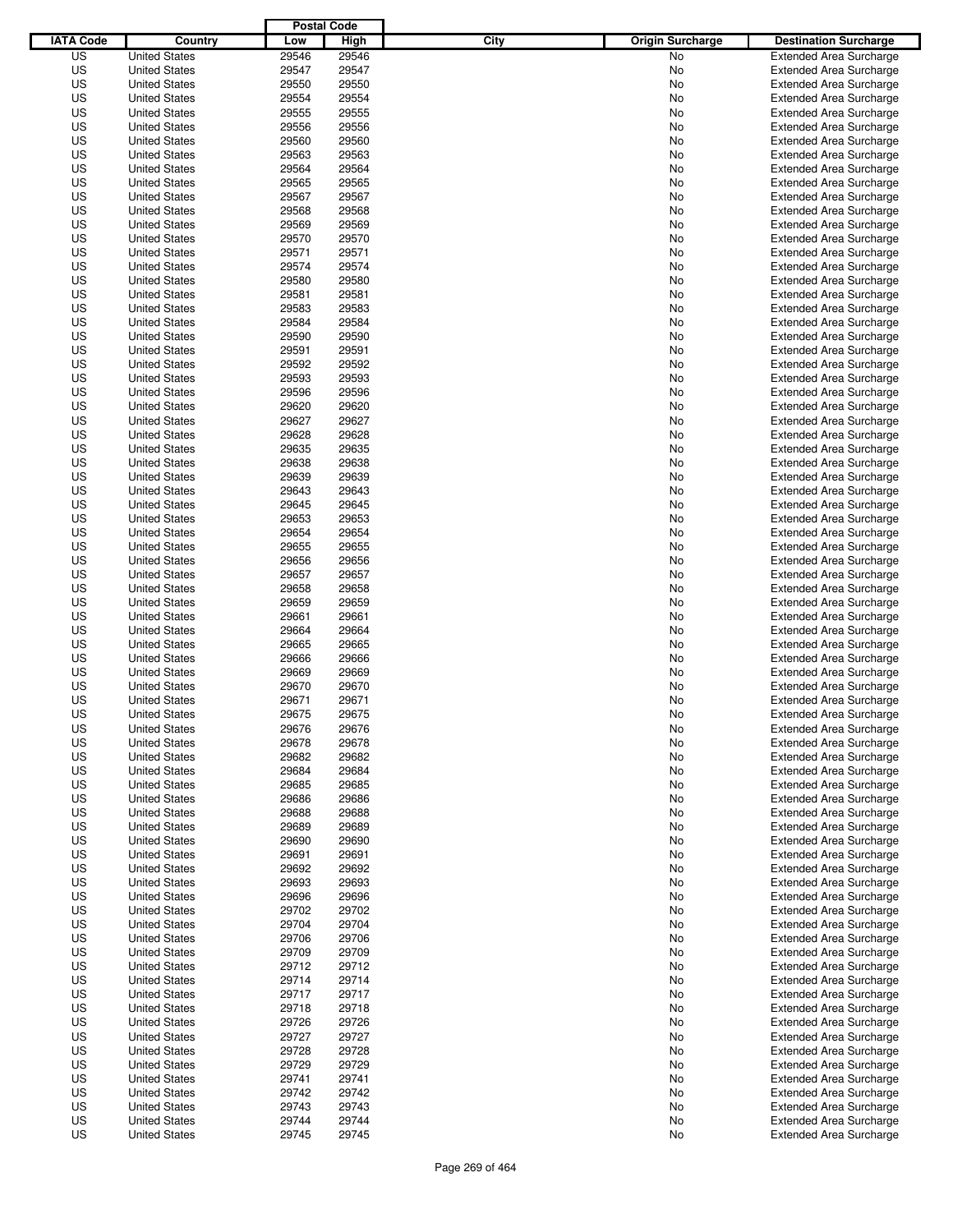|                  |                      | <b>Postal Code</b> |       |                                 |                                |
|------------------|----------------------|--------------------|-------|---------------------------------|--------------------------------|
| <b>IATA Code</b> | Country              | Low                | High  | City<br><b>Origin Surcharge</b> | <b>Destination Surcharge</b>   |
| US               | <b>United States</b> | 29546              | 29546 | <b>No</b>                       | <b>Extended Area Surcharge</b> |
| US               | <b>United States</b> | 29547              | 29547 | No                              | <b>Extended Area Surcharge</b> |
| US               | <b>United States</b> | 29550              | 29550 | No                              | <b>Extended Area Surcharge</b> |
| US               | <b>United States</b> | 29554              | 29554 | No                              | <b>Extended Area Surcharge</b> |
| US               | <b>United States</b> | 29555              | 29555 | No                              | <b>Extended Area Surcharge</b> |
| US               | <b>United States</b> | 29556              | 29556 | No                              | <b>Extended Area Surcharge</b> |
| US               | <b>United States</b> | 29560              | 29560 | No                              | <b>Extended Area Surcharge</b> |
| US               | <b>United States</b> | 29563              | 29563 | No                              | <b>Extended Area Surcharge</b> |
| US               | <b>United States</b> | 29564              | 29564 | No                              | <b>Extended Area Surcharge</b> |
| US               | <b>United States</b> | 29565              | 29565 | No                              | <b>Extended Area Surcharge</b> |
| US               | <b>United States</b> | 29567              | 29567 | No                              | <b>Extended Area Surcharge</b> |
| US               | <b>United States</b> | 29568              | 29568 | No                              | <b>Extended Area Surcharge</b> |
| US               | <b>United States</b> | 29569              | 29569 | No                              | <b>Extended Area Surcharge</b> |
| US               | <b>United States</b> | 29570              | 29570 | No                              | <b>Extended Area Surcharge</b> |
| US               | <b>United States</b> | 29571              | 29571 | No                              | <b>Extended Area Surcharge</b> |
| US               | <b>United States</b> | 29574              | 29574 | No                              | <b>Extended Area Surcharge</b> |
| US               | <b>United States</b> | 29580              | 29580 | No                              | <b>Extended Area Surcharge</b> |
| US               | <b>United States</b> | 29581              | 29581 | No                              | <b>Extended Area Surcharge</b> |
| US               | <b>United States</b> | 29583              | 29583 | No                              | <b>Extended Area Surcharge</b> |
| US               | <b>United States</b> | 29584              | 29584 | No                              | <b>Extended Area Surcharge</b> |
| US               | <b>United States</b> | 29590              | 29590 | No                              | <b>Extended Area Surcharge</b> |
| US               | <b>United States</b> | 29591              | 29591 | No                              | <b>Extended Area Surcharge</b> |
| US               | <b>United States</b> | 29592              | 29592 | No                              | <b>Extended Area Surcharge</b> |
| US               | <b>United States</b> | 29593              | 29593 | No                              | <b>Extended Area Surcharge</b> |
| US               | <b>United States</b> | 29596              | 29596 | No                              | <b>Extended Area Surcharge</b> |
| US               | <b>United States</b> | 29620              | 29620 | No                              | <b>Extended Area Surcharge</b> |
| US               | <b>United States</b> | 29627              | 29627 | No                              | <b>Extended Area Surcharge</b> |
| US               | <b>United States</b> | 29628              | 29628 | No                              | <b>Extended Area Surcharge</b> |
| US               | <b>United States</b> | 29635              | 29635 | No                              | <b>Extended Area Surcharge</b> |
| US               | <b>United States</b> | 29638              | 29638 | No                              | <b>Extended Area Surcharge</b> |
| US               | <b>United States</b> | 29639              | 29639 | No                              | <b>Extended Area Surcharge</b> |
| US               | <b>United States</b> | 29643              | 29643 | No                              | <b>Extended Area Surcharge</b> |
| US               | <b>United States</b> | 29645              | 29645 | No                              | <b>Extended Area Surcharge</b> |
| US               | <b>United States</b> | 29653              | 29653 | No                              | <b>Extended Area Surcharge</b> |
| US               | <b>United States</b> | 29654              | 29654 | No                              | <b>Extended Area Surcharge</b> |
| US               | <b>United States</b> | 29655              | 29655 | No                              | <b>Extended Area Surcharge</b> |
| US               | <b>United States</b> | 29656              | 29656 | No                              | <b>Extended Area Surcharge</b> |
| US               | <b>United States</b> | 29657              | 29657 | No                              | <b>Extended Area Surcharge</b> |
| US               | <b>United States</b> | 29658              | 29658 | No                              | <b>Extended Area Surcharge</b> |
| US               | <b>United States</b> | 29659              | 29659 | No                              | <b>Extended Area Surcharge</b> |
| US               | <b>United States</b> | 29661              | 29661 | No                              | <b>Extended Area Surcharge</b> |
| US               | <b>United States</b> | 29664              | 29664 | No                              | <b>Extended Area Surcharge</b> |
| US               | <b>United States</b> | 29665              | 29665 | No                              | <b>Extended Area Surcharge</b> |
| US               | <b>United States</b> | 29666              | 29666 | No                              | <b>Extended Area Surcharge</b> |
| US               | <b>United States</b> | 29669              | 29669 | No                              | <b>Extended Area Surcharge</b> |
| US               | <b>United States</b> | 29670              | 29670 | No                              | <b>Extended Area Surcharge</b> |
| US               | <b>United States</b> | 29671              | 29671 | No                              | <b>Extended Area Surcharge</b> |
| US               | <b>United States</b> | 29675              | 29675 | No                              | <b>Extended Area Surcharge</b> |
| US               | <b>United States</b> | 29676              | 29676 | No                              | <b>Extended Area Surcharge</b> |
| US               | <b>United States</b> | 29678              | 29678 | No                              | <b>Extended Area Surcharge</b> |
| US               | <b>United States</b> | 29682              | 29682 | No                              | <b>Extended Area Surcharge</b> |
| US               | <b>United States</b> | 29684              | 29684 | No                              | <b>Extended Area Surcharge</b> |
| US               | <b>United States</b> | 29685              | 29685 | No                              | <b>Extended Area Surcharge</b> |
| US               | <b>United States</b> | 29686              | 29686 | No                              | <b>Extended Area Surcharge</b> |
| US               | <b>United States</b> | 29688              | 29688 | No                              | <b>Extended Area Surcharge</b> |
| US               | <b>United States</b> | 29689              | 29689 | No                              | <b>Extended Area Surcharge</b> |
| US               | <b>United States</b> | 29690              | 29690 | No                              | <b>Extended Area Surcharge</b> |
| US               | <b>United States</b> | 29691              | 29691 | No                              | <b>Extended Area Surcharge</b> |
| US               | <b>United States</b> | 29692              | 29692 | No                              | <b>Extended Area Surcharge</b> |
| US               | <b>United States</b> | 29693              | 29693 | No                              | <b>Extended Area Surcharge</b> |
| US               | <b>United States</b> | 29696              | 29696 | No                              | <b>Extended Area Surcharge</b> |
| US               | <b>United States</b> | 29702              | 29702 | No                              | <b>Extended Area Surcharge</b> |
| US               | <b>United States</b> | 29704              | 29704 | No                              | <b>Extended Area Surcharge</b> |
| US               | <b>United States</b> | 29706              | 29706 | No                              | <b>Extended Area Surcharge</b> |
| US               | <b>United States</b> | 29709              | 29709 | No                              | <b>Extended Area Surcharge</b> |
| US               | <b>United States</b> | 29712              | 29712 | No                              | <b>Extended Area Surcharge</b> |
| US               | <b>United States</b> | 29714              | 29714 | No                              | <b>Extended Area Surcharge</b> |
| US               | <b>United States</b> | 29717              | 29717 | No                              | <b>Extended Area Surcharge</b> |
| US               | <b>United States</b> | 29718              | 29718 | No                              | <b>Extended Area Surcharge</b> |
| US               | <b>United States</b> | 29726              | 29726 | No                              | <b>Extended Area Surcharge</b> |
| US               | <b>United States</b> | 29727              | 29727 | No                              | <b>Extended Area Surcharge</b> |
| US               | <b>United States</b> | 29728              | 29728 | No                              | <b>Extended Area Surcharge</b> |
| US               | <b>United States</b> | 29729              | 29729 | No                              | <b>Extended Area Surcharge</b> |
| US               | <b>United States</b> | 29741              | 29741 | No                              | <b>Extended Area Surcharge</b> |
| US               | <b>United States</b> | 29742              | 29742 | No                              | <b>Extended Area Surcharge</b> |
| US               | <b>United States</b> | 29743              | 29743 | No                              | <b>Extended Area Surcharge</b> |
| US               | <b>United States</b> | 29744              | 29744 | No                              | <b>Extended Area Surcharge</b> |
| US               | <b>United States</b> | 29745              | 29745 | No                              | <b>Extended Area Surcharge</b> |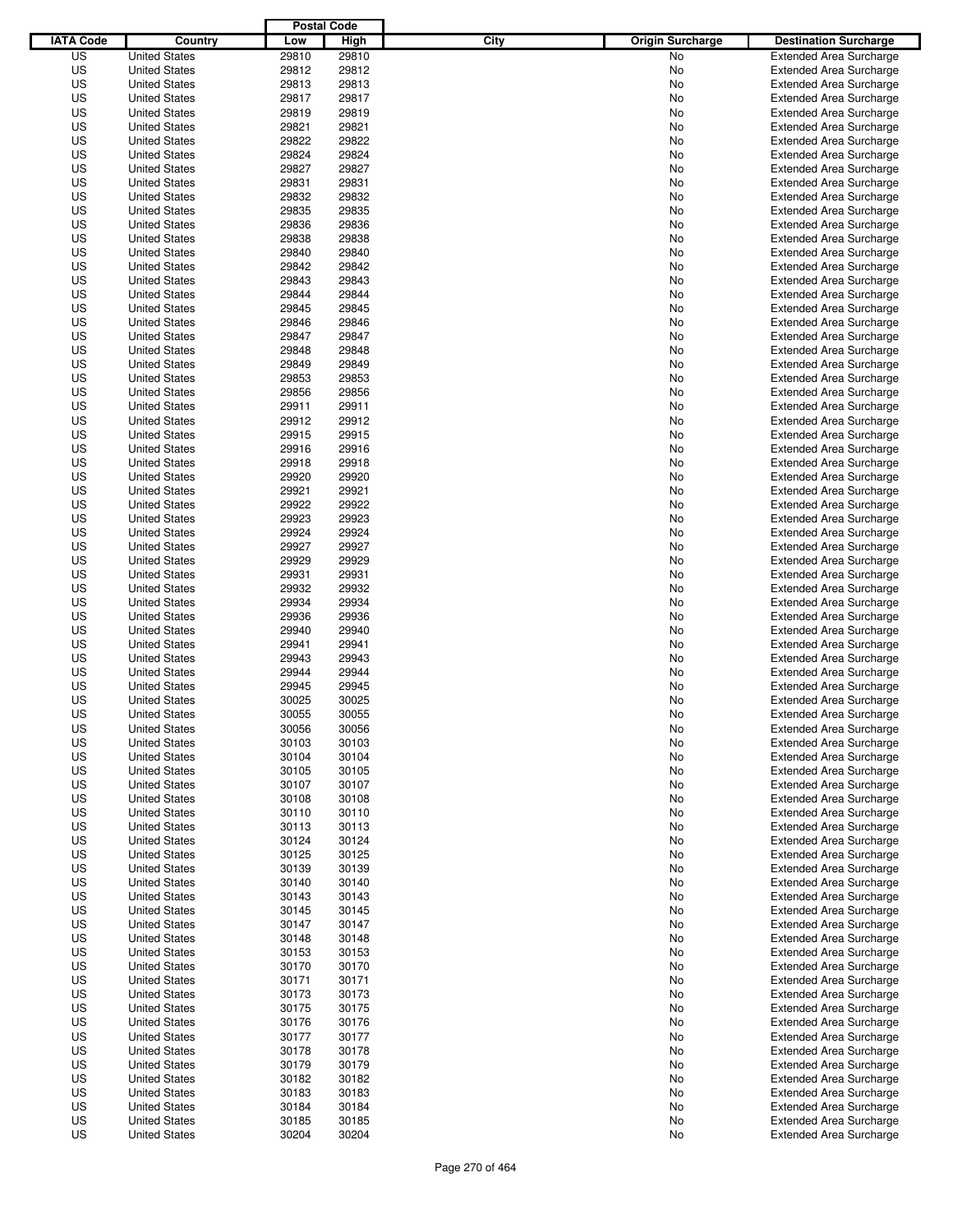|                  |                      | <b>Postal Code</b> |       |                                 |                                |
|------------------|----------------------|--------------------|-------|---------------------------------|--------------------------------|
| <b>IATA Code</b> | Country              | Low                | High  | City<br><b>Origin Surcharge</b> | <b>Destination Surcharge</b>   |
| US               | <b>United States</b> | 29810              | 29810 | <b>No</b>                       | <b>Extended Area Surcharge</b> |
| US               | <b>United States</b> | 29812              | 29812 | No                              | <b>Extended Area Surcharge</b> |
| US               | <b>United States</b> | 29813              | 29813 | No                              | <b>Extended Area Surcharge</b> |
| US               | <b>United States</b> | 29817              | 29817 | No                              | <b>Extended Area Surcharge</b> |
| US               | <b>United States</b> | 29819              | 29819 | No                              | <b>Extended Area Surcharge</b> |
| US               | <b>United States</b> | 29821              | 29821 | No                              | <b>Extended Area Surcharge</b> |
| US               | <b>United States</b> | 29822              | 29822 | No                              | <b>Extended Area Surcharge</b> |
| US               | <b>United States</b> | 29824              | 29824 | No                              | <b>Extended Area Surcharge</b> |
| US               | <b>United States</b> | 29827              | 29827 | No                              | <b>Extended Area Surcharge</b> |
| US               | <b>United States</b> | 29831              | 29831 | No                              | <b>Extended Area Surcharge</b> |
| US               | <b>United States</b> | 29832              | 29832 | No                              | <b>Extended Area Surcharge</b> |
| US               | <b>United States</b> | 29835              | 29835 | No                              | <b>Extended Area Surcharge</b> |
| US               | <b>United States</b> | 29836              | 29836 | No                              | <b>Extended Area Surcharge</b> |
| US               | <b>United States</b> | 29838              | 29838 | No                              | <b>Extended Area Surcharge</b> |
| US               | <b>United States</b> | 29840              | 29840 | No                              | <b>Extended Area Surcharge</b> |
| US               | <b>United States</b> | 29842              | 29842 | No                              | <b>Extended Area Surcharge</b> |
| US               | <b>United States</b> | 29843              | 29843 | No                              | <b>Extended Area Surcharge</b> |
| US               | <b>United States</b> | 29844              | 29844 | No                              | <b>Extended Area Surcharge</b> |
| US               | <b>United States</b> | 29845              | 29845 | No                              | <b>Extended Area Surcharge</b> |
| US               | <b>United States</b> | 29846              | 29846 | No                              | <b>Extended Area Surcharge</b> |
| US               | <b>United States</b> | 29847              | 29847 | No                              | <b>Extended Area Surcharge</b> |
| US               | <b>United States</b> | 29848              | 29848 | No                              | <b>Extended Area Surcharge</b> |
| US               | <b>United States</b> | 29849              | 29849 | No                              | <b>Extended Area Surcharge</b> |
| US               | <b>United States</b> | 29853              | 29853 | No                              | <b>Extended Area Surcharge</b> |
| US               | <b>United States</b> | 29856              | 29856 | No                              | <b>Extended Area Surcharge</b> |
| US               | <b>United States</b> | 29911              | 29911 | No                              | <b>Extended Area Surcharge</b> |
| US               | <b>United States</b> | 29912              | 29912 | No                              | <b>Extended Area Surcharge</b> |
| US               | <b>United States</b> | 29915              | 29915 | No                              | <b>Extended Area Surcharge</b> |
| US               | <b>United States</b> | 29916              | 29916 | No                              | <b>Extended Area Surcharge</b> |
| US               | <b>United States</b> | 29918              | 29918 | No                              | <b>Extended Area Surcharge</b> |
| US               | <b>United States</b> | 29920              | 29920 | No                              | <b>Extended Area Surcharge</b> |
| US               | <b>United States</b> | 29921              | 29921 | No                              | <b>Extended Area Surcharge</b> |
| US               | <b>United States</b> | 29922              | 29922 | No                              | <b>Extended Area Surcharge</b> |
| US               | <b>United States</b> | 29923              | 29923 | No                              | <b>Extended Area Surcharge</b> |
| US               | <b>United States</b> | 29924              | 29924 | No                              | <b>Extended Area Surcharge</b> |
| US               | <b>United States</b> | 29927              | 29927 | No                              | <b>Extended Area Surcharge</b> |
| US               | <b>United States</b> | 29929              | 29929 | No                              | <b>Extended Area Surcharge</b> |
| US               | <b>United States</b> | 29931              | 29931 | No                              | <b>Extended Area Surcharge</b> |
| US               | <b>United States</b> | 29932              | 29932 | No                              | <b>Extended Area Surcharge</b> |
| US               | <b>United States</b> | 29934              | 29934 | No                              | <b>Extended Area Surcharge</b> |
| US               | <b>United States</b> | 29936              | 29936 | No                              | <b>Extended Area Surcharge</b> |
| US               | <b>United States</b> | 29940              | 29940 | No                              | <b>Extended Area Surcharge</b> |
| US               | <b>United States</b> | 29941              | 29941 | No                              | <b>Extended Area Surcharge</b> |
| US               | <b>United States</b> | 29943              | 29943 | No                              | <b>Extended Area Surcharge</b> |
| US               | <b>United States</b> | 29944              | 29944 | No                              | <b>Extended Area Surcharge</b> |
| US               | <b>United States</b> | 29945              | 29945 | No                              | <b>Extended Area Surcharge</b> |
| US               | <b>United States</b> | 30025              | 30025 | No                              | <b>Extended Area Surcharge</b> |
| US               | <b>United States</b> | 30055              | 30055 | No                              | <b>Extended Area Surcharge</b> |
| US               | <b>United States</b> | 30056              | 30056 | No                              | <b>Extended Area Surcharge</b> |
| US               | <b>United States</b> | 30103              | 30103 | No                              | <b>Extended Area Surcharge</b> |
| US               | <b>United States</b> | 30104              | 30104 | No                              | <b>Extended Area Surcharge</b> |
| US               | <b>United States</b> | 30105              | 30105 | No                              | <b>Extended Area Surcharge</b> |
| US               | <b>United States</b> | 30107              | 30107 | No                              | <b>Extended Area Surcharge</b> |
| US               | <b>United States</b> | 30108              | 30108 | No                              | <b>Extended Area Surcharge</b> |
| US               | <b>United States</b> | 30110              | 30110 | No                              | <b>Extended Area Surcharge</b> |
| US               | <b>United States</b> | 30113              | 30113 | No                              | <b>Extended Area Surcharge</b> |
| US               | <b>United States</b> | 30124              | 30124 | No                              | <b>Extended Area Surcharge</b> |
| US               | <b>United States</b> | 30125              | 30125 | No                              | <b>Extended Area Surcharge</b> |
| US               | <b>United States</b> | 30139              | 30139 | No                              | <b>Extended Area Surcharge</b> |
| US               | <b>United States</b> | 30140              | 30140 | No                              | <b>Extended Area Surcharge</b> |
| US               | <b>United States</b> | 30143              | 30143 | No                              | <b>Extended Area Surcharge</b> |
| US               | <b>United States</b> | 30145              | 30145 | No                              | <b>Extended Area Surcharge</b> |
| US               | <b>United States</b> | 30147              | 30147 | No                              | <b>Extended Area Surcharge</b> |
| US               | <b>United States</b> | 30148              | 30148 | No                              | <b>Extended Area Surcharge</b> |
| US               | <b>United States</b> | 30153              | 30153 | No                              | <b>Extended Area Surcharge</b> |
| US               | <b>United States</b> | 30170              | 30170 | No                              | <b>Extended Area Surcharge</b> |
| US               | <b>United States</b> | 30171              | 30171 | No                              | <b>Extended Area Surcharge</b> |
| US               | <b>United States</b> | 30173              | 30173 | No                              | <b>Extended Area Surcharge</b> |
| US               | <b>United States</b> | 30175              | 30175 | No                              | <b>Extended Area Surcharge</b> |
| US               | <b>United States</b> | 30176              | 30176 | No                              | <b>Extended Area Surcharge</b> |
| US               | <b>United States</b> | 30177              | 30177 | No                              | <b>Extended Area Surcharge</b> |
| US               | <b>United States</b> | 30178              | 30178 | No                              | <b>Extended Area Surcharge</b> |
| US               | <b>United States</b> | 30179              | 30179 | No                              | <b>Extended Area Surcharge</b> |
| US               | <b>United States</b> | 30182              | 30182 | No                              | <b>Extended Area Surcharge</b> |
| US               | <b>United States</b> | 30183              | 30183 | No                              | <b>Extended Area Surcharge</b> |
| US               | <b>United States</b> | 30184              | 30184 | No                              | <b>Extended Area Surcharge</b> |
| US               | <b>United States</b> | 30185              | 30185 | No                              | <b>Extended Area Surcharge</b> |
| US               | <b>United States</b> | 30204              | 30204 | No                              | <b>Extended Area Surcharge</b> |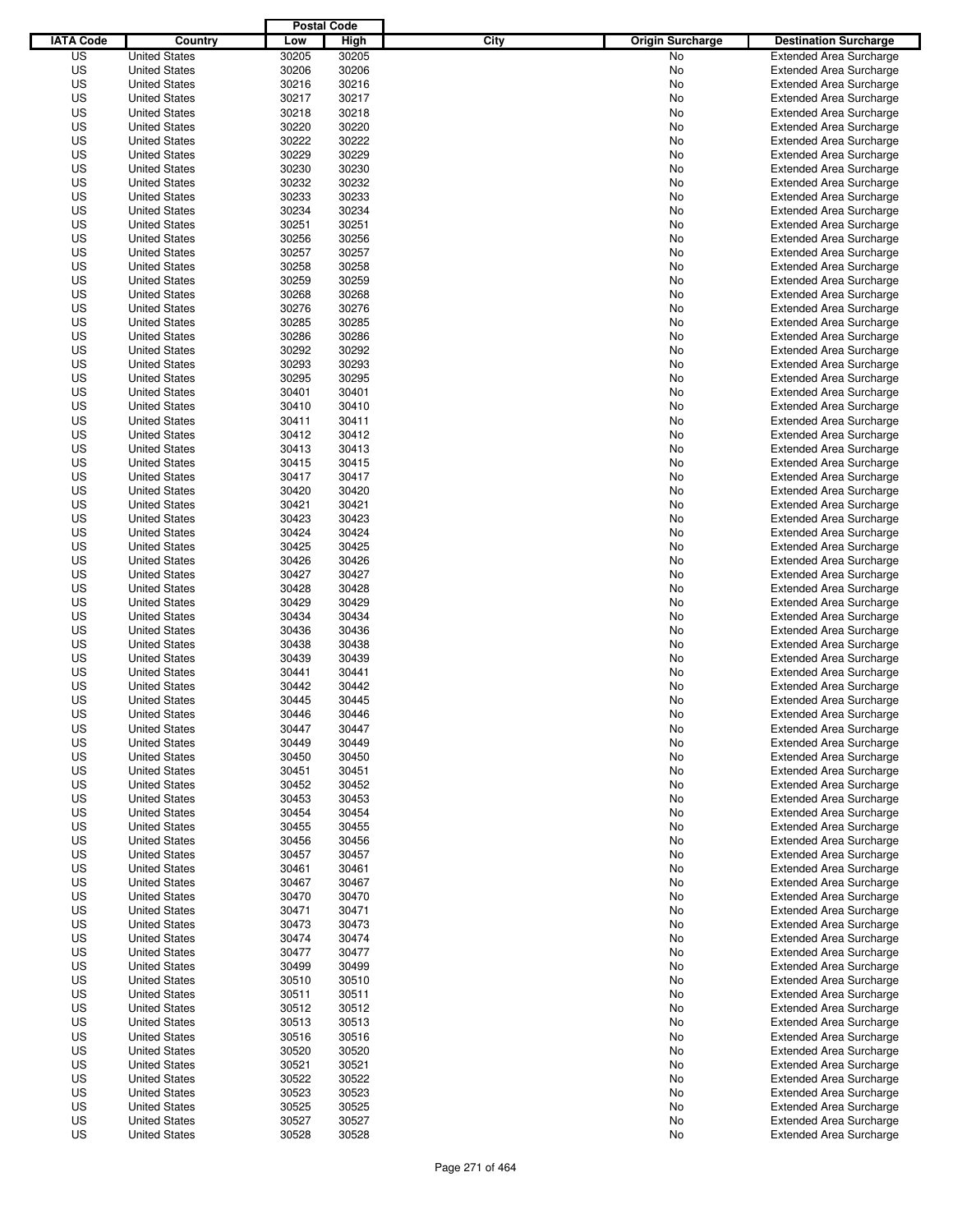|                  |                      | <b>Postal Code</b> |       |                                 |                                |
|------------------|----------------------|--------------------|-------|---------------------------------|--------------------------------|
| <b>IATA Code</b> | Country              | Low                | High  | City<br><b>Origin Surcharge</b> | <b>Destination Surcharge</b>   |
| US               | <b>United States</b> | 30205              | 30205 | <b>No</b>                       | <b>Extended Area Surcharge</b> |
| US               | <b>United States</b> | 30206              | 30206 | No                              | <b>Extended Area Surcharge</b> |
| US               | <b>United States</b> | 30216              | 30216 | No                              | <b>Extended Area Surcharge</b> |
| US               | <b>United States</b> | 30217              | 30217 | No                              | <b>Extended Area Surcharge</b> |
| US               | <b>United States</b> | 30218              | 30218 | No                              | <b>Extended Area Surcharge</b> |
| US               | <b>United States</b> | 30220              | 30220 | No                              | <b>Extended Area Surcharge</b> |
| US               | <b>United States</b> | 30222              | 30222 | No                              | <b>Extended Area Surcharge</b> |
| US               | <b>United States</b> | 30229              | 30229 | No                              | <b>Extended Area Surcharge</b> |
| US               | <b>United States</b> | 30230              | 30230 | No                              | <b>Extended Area Surcharge</b> |
| US               | <b>United States</b> | 30232              | 30232 | No                              | <b>Extended Area Surcharge</b> |
| US               | <b>United States</b> | 30233              | 30233 | No                              | <b>Extended Area Surcharge</b> |
| US               | <b>United States</b> | 30234              | 30234 | No                              | <b>Extended Area Surcharge</b> |
| US               | <b>United States</b> | 30251              | 30251 | No                              | <b>Extended Area Surcharge</b> |
| US               | <b>United States</b> | 30256              | 30256 | No                              | <b>Extended Area Surcharge</b> |
| US               | <b>United States</b> | 30257              | 30257 | No                              | <b>Extended Area Surcharge</b> |
| US               | <b>United States</b> | 30258              | 30258 | No                              | <b>Extended Area Surcharge</b> |
| US               | <b>United States</b> | 30259              | 30259 | No                              | <b>Extended Area Surcharge</b> |
| US               | <b>United States</b> | 30268              | 30268 | No                              | <b>Extended Area Surcharge</b> |
| US               | <b>United States</b> | 30276              | 30276 | No                              | <b>Extended Area Surcharge</b> |
| US               | <b>United States</b> | 30285              | 30285 | No                              | <b>Extended Area Surcharge</b> |
| US               | <b>United States</b> | 30286              | 30286 | No                              | <b>Extended Area Surcharge</b> |
| US               | <b>United States</b> | 30292              | 30292 | No                              | <b>Extended Area Surcharge</b> |
| US               | <b>United States</b> | 30293              | 30293 | No                              | <b>Extended Area Surcharge</b> |
| US               | <b>United States</b> | 30295              | 30295 | No                              | <b>Extended Area Surcharge</b> |
| US               | <b>United States</b> | 30401              | 30401 | No                              | <b>Extended Area Surcharge</b> |
| US               | <b>United States</b> | 30410              | 30410 | No                              | <b>Extended Area Surcharge</b> |
| US               | <b>United States</b> | 30411              | 30411 | No                              | <b>Extended Area Surcharge</b> |
| US               | <b>United States</b> | 30412              | 30412 | No                              | <b>Extended Area Surcharge</b> |
| US               | <b>United States</b> | 30413              | 30413 | No                              | <b>Extended Area Surcharge</b> |
| US               | <b>United States</b> | 30415              | 30415 | No                              | <b>Extended Area Surcharge</b> |
| US               | <b>United States</b> | 30417              | 30417 | No                              | <b>Extended Area Surcharge</b> |
| US               | <b>United States</b> | 30420              | 30420 | No                              | <b>Extended Area Surcharge</b> |
| US               | <b>United States</b> | 30421              | 30421 | No                              | <b>Extended Area Surcharge</b> |
| US               | <b>United States</b> | 30423              | 30423 | No                              | <b>Extended Area Surcharge</b> |
| US               | <b>United States</b> | 30424              | 30424 | No                              | <b>Extended Area Surcharge</b> |
| US               | <b>United States</b> | 30425              | 30425 | No                              | <b>Extended Area Surcharge</b> |
| US               | <b>United States</b> | 30426              | 30426 | No                              | <b>Extended Area Surcharge</b> |
| US               |                      | 30427              | 30427 |                                 |                                |
|                  | <b>United States</b> |                    |       | No                              | <b>Extended Area Surcharge</b> |
| US               | <b>United States</b> | 30428              | 30428 | No                              | <b>Extended Area Surcharge</b> |
| US               | <b>United States</b> | 30429              | 30429 | No                              | <b>Extended Area Surcharge</b> |
| US               | <b>United States</b> | 30434              | 30434 | No                              | <b>Extended Area Surcharge</b> |
| US               | <b>United States</b> | 30436              | 30436 | No                              | <b>Extended Area Surcharge</b> |
| US               | <b>United States</b> | 30438              | 30438 | No                              | <b>Extended Area Surcharge</b> |
| US               | <b>United States</b> | 30439              | 30439 | No                              | <b>Extended Area Surcharge</b> |
| US               | <b>United States</b> | 30441              | 30441 | No                              | <b>Extended Area Surcharge</b> |
| US               | <b>United States</b> | 30442              | 30442 | No                              | <b>Extended Area Surcharge</b> |
| US               | <b>United States</b> | 30445              | 30445 | No                              | <b>Extended Area Surcharge</b> |
| US               | <b>United States</b> | 30446              | 30446 | No                              | <b>Extended Area Surcharge</b> |
| US               | <b>United States</b> | 30447              | 30447 | No                              | <b>Extended Area Surcharge</b> |
| US               | <b>United States</b> | 30449              | 30449 | No                              | <b>Extended Area Surcharge</b> |
| US               | <b>United States</b> | 30450              | 30450 | No                              | <b>Extended Area Surcharge</b> |
| US               | <b>United States</b> | 30451              | 30451 | No                              | <b>Extended Area Surcharge</b> |
| US               | <b>United States</b> | 30452              | 30452 | No                              | <b>Extended Area Surcharge</b> |
| US               | <b>United States</b> | 30453              | 30453 | No                              | <b>Extended Area Surcharge</b> |
| US               | <b>United States</b> | 30454              | 30454 | No                              | <b>Extended Area Surcharge</b> |
| US               | <b>United States</b> | 30455              | 30455 | No                              | <b>Extended Area Surcharge</b> |
| US               | <b>United States</b> | 30456              | 30456 | No                              | <b>Extended Area Surcharge</b> |
| US               | <b>United States</b> | 30457              | 30457 | No                              | <b>Extended Area Surcharge</b> |
| US               | <b>United States</b> | 30461              | 30461 | No                              | <b>Extended Area Surcharge</b> |
| US               | <b>United States</b> | 30467              | 30467 | No                              | <b>Extended Area Surcharge</b> |
| US               | <b>United States</b> | 30470              | 30470 | No                              | <b>Extended Area Surcharge</b> |
| US               | <b>United States</b> | 30471              | 30471 | No                              | <b>Extended Area Surcharge</b> |
| US               | <b>United States</b> | 30473              | 30473 | No                              | <b>Extended Area Surcharge</b> |
| US               | <b>United States</b> | 30474              | 30474 | No                              | <b>Extended Area Surcharge</b> |
| US               | <b>United States</b> | 30477              | 30477 | No                              | <b>Extended Area Surcharge</b> |
| US               | <b>United States</b> | 30499              | 30499 | No                              | <b>Extended Area Surcharge</b> |
| US               | <b>United States</b> | 30510              | 30510 | No                              | <b>Extended Area Surcharge</b> |
| US               | <b>United States</b> | 30511              | 30511 | No                              | <b>Extended Area Surcharge</b> |
| US               | <b>United States</b> | 30512              | 30512 | No                              | <b>Extended Area Surcharge</b> |
| US               | <b>United States</b> | 30513              | 30513 | No                              | <b>Extended Area Surcharge</b> |
| US               | <b>United States</b> | 30516              | 30516 | No                              | <b>Extended Area Surcharge</b> |
| US               | <b>United States</b> | 30520              | 30520 | No                              | <b>Extended Area Surcharge</b> |
| US               | <b>United States</b> | 30521              | 30521 | No                              | <b>Extended Area Surcharge</b> |
| US               | <b>United States</b> | 30522              | 30522 | No                              | <b>Extended Area Surcharge</b> |
| US               | <b>United States</b> | 30523              | 30523 | No                              | <b>Extended Area Surcharge</b> |
| US               | <b>United States</b> | 30525              | 30525 | No                              | <b>Extended Area Surcharge</b> |
| US               | <b>United States</b> | 30527              | 30527 | No                              | <b>Extended Area Surcharge</b> |
| US               | <b>United States</b> | 30528              | 30528 | No                              | <b>Extended Area Surcharge</b> |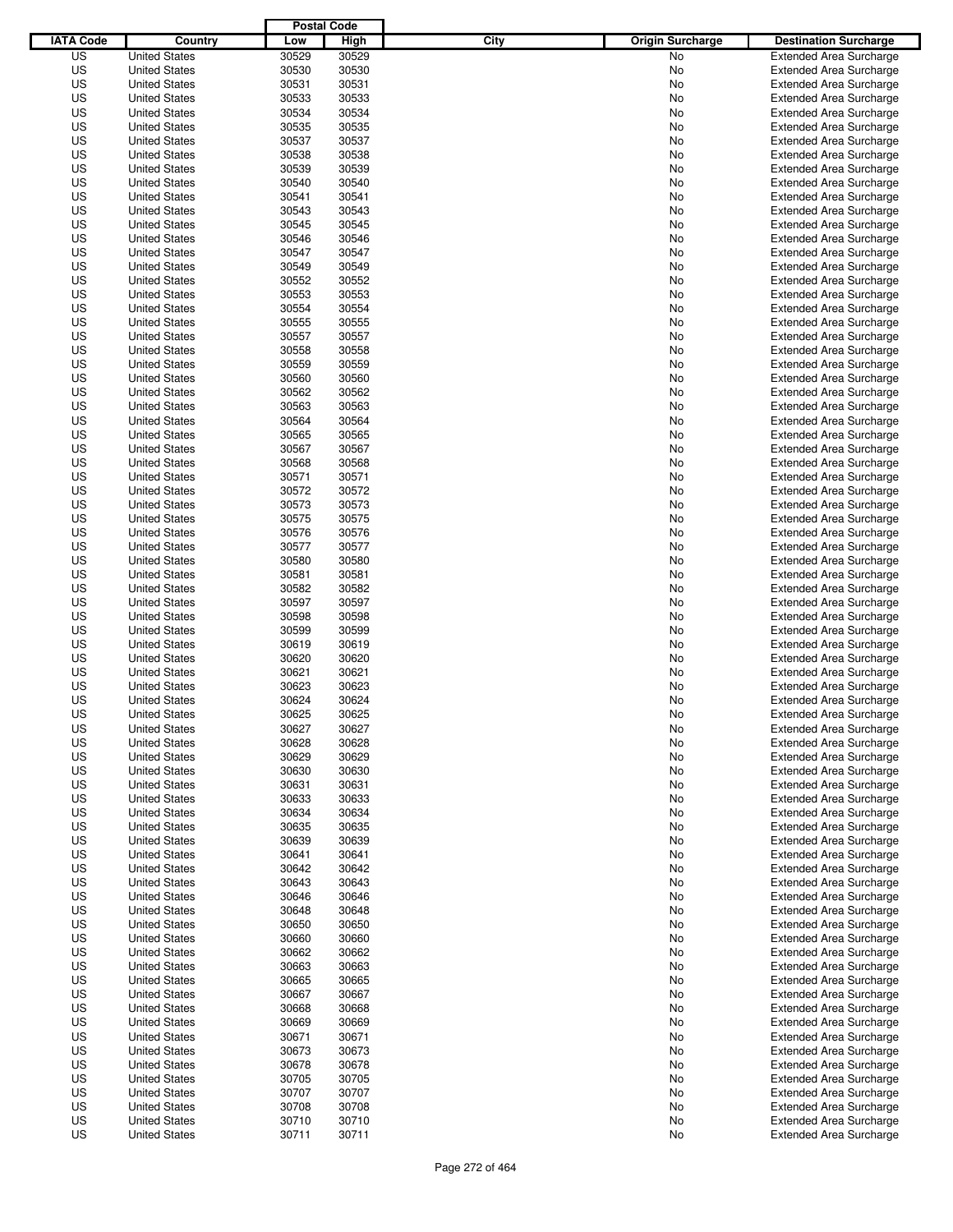|                  |                                              | <b>Postal Code</b> |                |                                 |                                                                  |
|------------------|----------------------------------------------|--------------------|----------------|---------------------------------|------------------------------------------------------------------|
| <b>IATA Code</b> | Country                                      | Low                | High           | City<br><b>Origin Surcharge</b> | <b>Destination Surcharge</b>                                     |
| US               | <b>United States</b>                         | 30529              | 30529          | <b>No</b>                       | <b>Extended Area Surcharge</b>                                   |
| US               | <b>United States</b>                         | 30530              | 30530          | No                              | <b>Extended Area Surcharge</b>                                   |
| US               | <b>United States</b>                         | 30531              | 30531          | No                              | <b>Extended Area Surcharge</b>                                   |
| US               | <b>United States</b>                         | 30533              | 30533          | No                              | <b>Extended Area Surcharge</b>                                   |
| US               | <b>United States</b>                         | 30534              | 30534          | No                              | <b>Extended Area Surcharge</b>                                   |
| US               | <b>United States</b>                         | 30535              | 30535          | No                              | <b>Extended Area Surcharge</b>                                   |
| US               | <b>United States</b>                         | 30537              | 30537          | No                              | <b>Extended Area Surcharge</b>                                   |
| US               | <b>United States</b>                         | 30538              | 30538          | No                              | <b>Extended Area Surcharge</b>                                   |
| US               | <b>United States</b>                         | 30539              | 30539          | No                              | <b>Extended Area Surcharge</b>                                   |
| US               | <b>United States</b>                         | 30540              | 30540          | No                              | <b>Extended Area Surcharge</b>                                   |
| US               | <b>United States</b>                         | 30541              | 30541          | No                              | <b>Extended Area Surcharge</b>                                   |
| US               | <b>United States</b>                         | 30543              | 30543          | No                              | <b>Extended Area Surcharge</b>                                   |
| US               | <b>United States</b>                         | 30545              | 30545          | No                              | <b>Extended Area Surcharge</b>                                   |
| US               | <b>United States</b>                         | 30546              | 30546          | No                              | <b>Extended Area Surcharge</b>                                   |
| US               | <b>United States</b>                         | 30547              | 30547          | No                              | <b>Extended Area Surcharge</b>                                   |
| US               | <b>United States</b>                         | 30549              | 30549          | No                              | <b>Extended Area Surcharge</b>                                   |
| US               | <b>United States</b>                         | 30552              | 30552          | No                              | <b>Extended Area Surcharge</b>                                   |
| US               | <b>United States</b>                         | 30553              | 30553          | No                              | <b>Extended Area Surcharge</b>                                   |
| US               | <b>United States</b>                         | 30554              | 30554          | No                              | <b>Extended Area Surcharge</b>                                   |
| US               | <b>United States</b>                         | 30555              | 30555          | No                              | <b>Extended Area Surcharge</b>                                   |
| US               | <b>United States</b>                         | 30557              | 30557          | No                              | <b>Extended Area Surcharge</b>                                   |
| US               | <b>United States</b>                         | 30558              | 30558          | No                              | <b>Extended Area Surcharge</b>                                   |
| US               | <b>United States</b>                         | 30559              | 30559          | No                              | <b>Extended Area Surcharge</b>                                   |
| US               | <b>United States</b>                         | 30560              | 30560          | No                              | <b>Extended Area Surcharge</b>                                   |
| US               | <b>United States</b>                         | 30562              | 30562          | No                              | <b>Extended Area Surcharge</b>                                   |
| US               | <b>United States</b>                         | 30563              | 30563          | No                              | <b>Extended Area Surcharge</b>                                   |
| US               | <b>United States</b>                         | 30564              | 30564          | No                              | <b>Extended Area Surcharge</b>                                   |
| US               | <b>United States</b>                         | 30565              | 30565          | No                              | <b>Extended Area Surcharge</b>                                   |
| US               | <b>United States</b>                         | 30567              | 30567          | No                              | <b>Extended Area Surcharge</b>                                   |
| US               | <b>United States</b>                         | 30568              | 30568          | No                              | <b>Extended Area Surcharge</b>                                   |
| US               | <b>United States</b>                         | 30571              | 30571          | No                              | <b>Extended Area Surcharge</b>                                   |
| US               | <b>United States</b>                         | 30572              | 30572          | No                              | <b>Extended Area Surcharge</b>                                   |
| US               | <b>United States</b>                         | 30573              | 30573          | No                              | <b>Extended Area Surcharge</b>                                   |
| US               | <b>United States</b>                         | 30575              | 30575          | No                              | <b>Extended Area Surcharge</b>                                   |
| US               | <b>United States</b>                         | 30576              | 30576          | No                              | <b>Extended Area Surcharge</b>                                   |
| US               | <b>United States</b>                         | 30577              | 30577          | No                              | <b>Extended Area Surcharge</b>                                   |
| US               | <b>United States</b>                         | 30580              | 30580          | No                              | <b>Extended Area Surcharge</b>                                   |
| US               | <b>United States</b>                         | 30581              | 30581          | No                              | <b>Extended Area Surcharge</b>                                   |
| US               | <b>United States</b>                         | 30582              | 30582          | No                              | <b>Extended Area Surcharge</b>                                   |
| US               | <b>United States</b>                         | 30597              | 30597          | No                              | <b>Extended Area Surcharge</b>                                   |
| US               | <b>United States</b>                         | 30598              | 30598          | No                              | <b>Extended Area Surcharge</b>                                   |
| US               | <b>United States</b>                         | 30599              | 30599          | No                              | <b>Extended Area Surcharge</b>                                   |
| US               | <b>United States</b>                         | 30619              | 30619          | No                              | <b>Extended Area Surcharge</b>                                   |
| US               | <b>United States</b>                         | 30620              | 30620          | No                              | <b>Extended Area Surcharge</b>                                   |
| US               | <b>United States</b>                         | 30621              | 30621          | No                              | <b>Extended Area Surcharge</b>                                   |
| US               | <b>United States</b>                         | 30623              | 30623          | No                              | <b>Extended Area Surcharge</b>                                   |
| US               | <b>United States</b>                         | 30624              | 30624          | No                              | <b>Extended Area Surcharge</b>                                   |
| US               | <b>United States</b>                         | 30625              | 30625          | No                              | <b>Extended Area Surcharge</b>                                   |
| US               | <b>United States</b>                         | 30627              | 30627          | No                              | <b>Extended Area Surcharge</b>                                   |
| US               | <b>United States</b>                         | 30628              | 30628          | No                              | <b>Extended Area Surcharge</b>                                   |
| US               | <b>United States</b>                         | 30629              | 30629          | No                              | <b>Extended Area Surcharge</b>                                   |
| US               |                                              | 30630              | 30630          |                                 | <b>Extended Area Surcharge</b>                                   |
|                  | <b>United States</b>                         |                    |                | No                              |                                                                  |
| US<br>US         | <b>United States</b><br><b>United States</b> | 30631<br>30633     | 30631<br>30633 | No<br>No                        | <b>Extended Area Surcharge</b><br><b>Extended Area Surcharge</b> |
| US               |                                              | 30634              | 30634          |                                 | <b>Extended Area Surcharge</b>                                   |
| US               | <b>United States</b><br><b>United States</b> | 30635              | 30635          | No<br>No                        | <b>Extended Area Surcharge</b>                                   |
| US               | <b>United States</b>                         | 30639              | 30639          | No                              | <b>Extended Area Surcharge</b>                                   |
| US               | <b>United States</b>                         |                    | 30641          |                                 | <b>Extended Area Surcharge</b>                                   |
| US               | <b>United States</b>                         | 30641<br>30642     | 30642          | No<br>No                        | <b>Extended Area Surcharge</b>                                   |
| US               | <b>United States</b>                         | 30643              | 30643          | No                              | <b>Extended Area Surcharge</b>                                   |
| US               |                                              |                    |                |                                 | <b>Extended Area Surcharge</b>                                   |
| US               | <b>United States</b><br><b>United States</b> | 30646<br>30648     | 30646<br>30648 | No                              | <b>Extended Area Surcharge</b>                                   |
|                  |                                              |                    |                | No                              |                                                                  |
| US               | <b>United States</b>                         | 30650              | 30650          | No                              | <b>Extended Area Surcharge</b>                                   |
| US               | <b>United States</b>                         | 30660              | 30660          | No                              | <b>Extended Area Surcharge</b>                                   |
| US               | <b>United States</b>                         | 30662              | 30662          | No                              | <b>Extended Area Surcharge</b>                                   |
| US               | <b>United States</b>                         | 30663              | 30663          | No                              | <b>Extended Area Surcharge</b>                                   |
| US               | <b>United States</b>                         | 30665              | 30665          | No                              | <b>Extended Area Surcharge</b>                                   |
| US               | <b>United States</b>                         | 30667              | 30667          | No                              | <b>Extended Area Surcharge</b>                                   |
| US               | <b>United States</b>                         | 30668              | 30668          | No                              | <b>Extended Area Surcharge</b>                                   |
| US               | <b>United States</b>                         | 30669              | 30669          | No                              | <b>Extended Area Surcharge</b>                                   |
| US               | <b>United States</b>                         | 30671              | 30671          | No                              | <b>Extended Area Surcharge</b>                                   |
| US               | <b>United States</b>                         | 30673              | 30673          | No                              | <b>Extended Area Surcharge</b>                                   |
| US               | <b>United States</b>                         | 30678              | 30678          | No                              | <b>Extended Area Surcharge</b>                                   |
| US               | <b>United States</b>                         | 30705              | 30705          | No                              | <b>Extended Area Surcharge</b>                                   |
| US               | <b>United States</b>                         | 30707              | 30707          | No                              | <b>Extended Area Surcharge</b>                                   |
| US               | <b>United States</b>                         | 30708              | 30708          | No                              | <b>Extended Area Surcharge</b>                                   |
| US               | <b>United States</b>                         | 30710              | 30710          | No                              | <b>Extended Area Surcharge</b>                                   |
| US               | <b>United States</b>                         | 30711              | 30711          | No                              | <b>Extended Area Surcharge</b>                                   |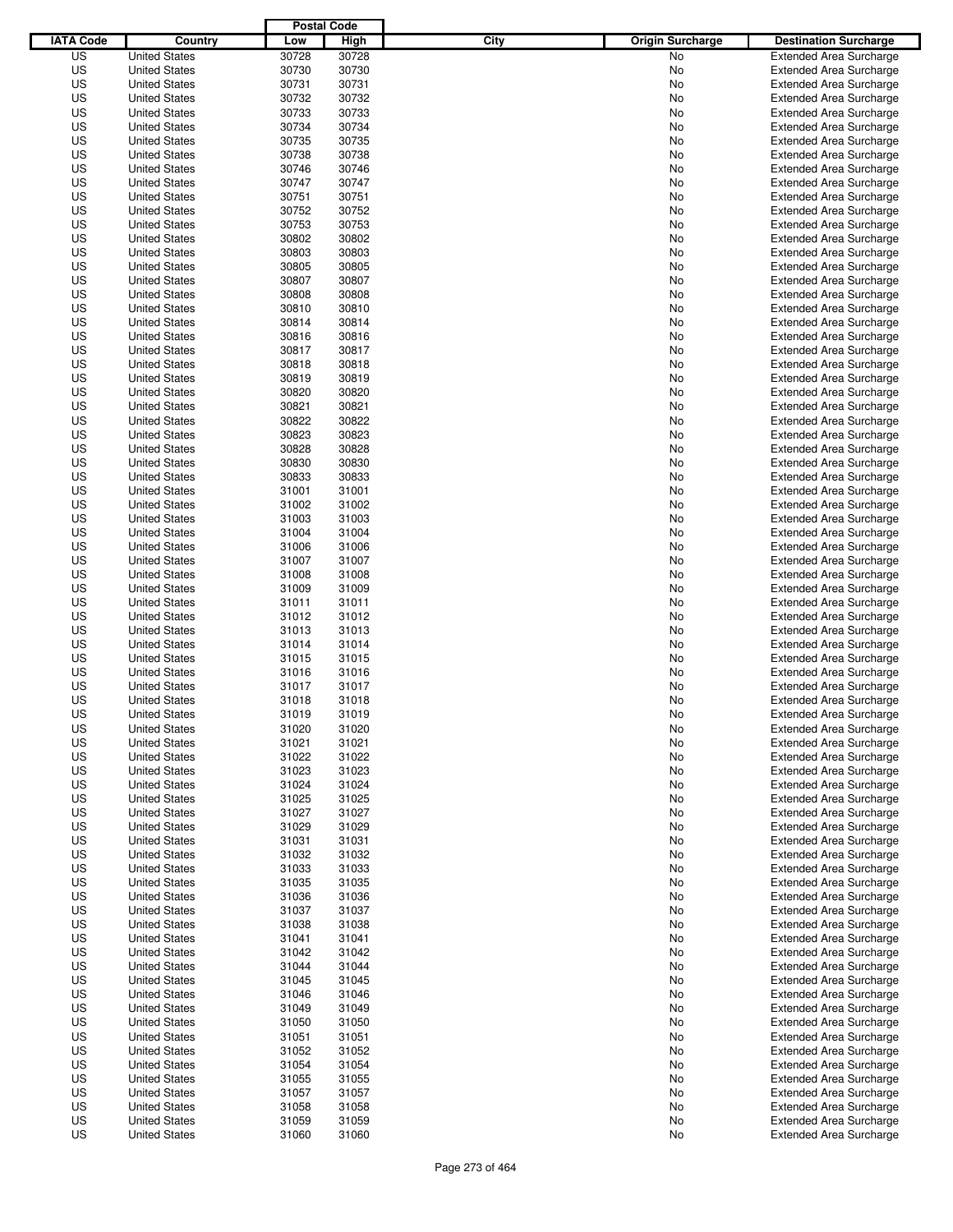|                  |                      | <b>Postal Code</b> |       |                                 |                                |
|------------------|----------------------|--------------------|-------|---------------------------------|--------------------------------|
| <b>IATA Code</b> | Country              | Low                | High  | City<br><b>Origin Surcharge</b> | <b>Destination Surcharge</b>   |
| US               | <b>United States</b> | 30728              | 30728 | <b>No</b>                       | <b>Extended Area Surcharge</b> |
| US               | <b>United States</b> | 30730              | 30730 | No                              | <b>Extended Area Surcharge</b> |
| US               | <b>United States</b> | 30731              | 30731 | No                              | <b>Extended Area Surcharge</b> |
| US               | <b>United States</b> | 30732              | 30732 | No                              | <b>Extended Area Surcharge</b> |
| US               | <b>United States</b> | 30733              | 30733 | No                              | <b>Extended Area Surcharge</b> |
| US               | <b>United States</b> | 30734              | 30734 | No                              | <b>Extended Area Surcharge</b> |
| US               | <b>United States</b> | 30735              | 30735 | No                              | <b>Extended Area Surcharge</b> |
| US               | <b>United States</b> | 30738              | 30738 | No                              | <b>Extended Area Surcharge</b> |
| US               | <b>United States</b> | 30746              | 30746 | No                              | <b>Extended Area Surcharge</b> |
| US               | <b>United States</b> | 30747              | 30747 | No                              | <b>Extended Area Surcharge</b> |
| US               | <b>United States</b> | 30751              | 30751 | No                              | <b>Extended Area Surcharge</b> |
| US               | <b>United States</b> | 30752              | 30752 | No                              | <b>Extended Area Surcharge</b> |
| US               | <b>United States</b> | 30753              | 30753 | No                              | <b>Extended Area Surcharge</b> |
| US               | <b>United States</b> | 30802              | 30802 | No                              | <b>Extended Area Surcharge</b> |
| US               | <b>United States</b> | 30803              | 30803 | No                              | <b>Extended Area Surcharge</b> |
| US               | <b>United States</b> | 30805              | 30805 | No                              | <b>Extended Area Surcharge</b> |
| US               | <b>United States</b> | 30807              | 30807 | No                              | <b>Extended Area Surcharge</b> |
| US               | <b>United States</b> | 30808              | 30808 | No                              | <b>Extended Area Surcharge</b> |
| US               | <b>United States</b> | 30810              | 30810 | No                              | <b>Extended Area Surcharge</b> |
| US               | <b>United States</b> | 30814              | 30814 | No                              | <b>Extended Area Surcharge</b> |
| US               | <b>United States</b> | 30816              | 30816 | No                              | <b>Extended Area Surcharge</b> |
| US               | <b>United States</b> | 30817              | 30817 | No                              | <b>Extended Area Surcharge</b> |
| US               | <b>United States</b> | 30818              | 30818 | No                              | <b>Extended Area Surcharge</b> |
| US               | <b>United States</b> | 30819              | 30819 | No                              | <b>Extended Area Surcharge</b> |
| US               | <b>United States</b> | 30820              | 30820 | No                              | <b>Extended Area Surcharge</b> |
| US               | <b>United States</b> | 30821              | 30821 | No                              | <b>Extended Area Surcharge</b> |
| US               | <b>United States</b> | 30822              | 30822 | No                              | <b>Extended Area Surcharge</b> |
| US               | <b>United States</b> | 30823              | 30823 | No                              | <b>Extended Area Surcharge</b> |
| US               | <b>United States</b> | 30828              | 30828 | No                              | <b>Extended Area Surcharge</b> |
| US               | <b>United States</b> | 30830              | 30830 | No                              | <b>Extended Area Surcharge</b> |
| US               | <b>United States</b> | 30833              | 30833 | No                              | <b>Extended Area Surcharge</b> |
| US               | <b>United States</b> | 31001              | 31001 | No                              | <b>Extended Area Surcharge</b> |
| US               | <b>United States</b> | 31002              | 31002 | No                              | <b>Extended Area Surcharge</b> |
| US               | <b>United States</b> | 31003              | 31003 | No                              | <b>Extended Area Surcharge</b> |
| US               | <b>United States</b> | 31004              | 31004 | No                              | <b>Extended Area Surcharge</b> |
| US               | <b>United States</b> | 31006              | 31006 | No                              | <b>Extended Area Surcharge</b> |
| US               | <b>United States</b> | 31007              | 31007 | No                              | <b>Extended Area Surcharge</b> |
| US               |                      | 31008              | 31008 |                                 |                                |
|                  | <b>United States</b> |                    |       | No                              | <b>Extended Area Surcharge</b> |
| US               | <b>United States</b> | 31009              | 31009 | No                              | <b>Extended Area Surcharge</b> |
| US               | <b>United States</b> | 31011              | 31011 | No                              | <b>Extended Area Surcharge</b> |
| US               | <b>United States</b> | 31012              | 31012 | No                              | <b>Extended Area Surcharge</b> |
| US               | <b>United States</b> | 31013              | 31013 | No                              | <b>Extended Area Surcharge</b> |
| US               | <b>United States</b> | 31014              | 31014 | No                              | <b>Extended Area Surcharge</b> |
| US               | <b>United States</b> | 31015              | 31015 | No                              | <b>Extended Area Surcharge</b> |
| US               | <b>United States</b> | 31016              | 31016 | No                              | <b>Extended Area Surcharge</b> |
| US               | <b>United States</b> | 31017              | 31017 | No                              | <b>Extended Area Surcharge</b> |
| US               | <b>United States</b> | 31018              | 31018 | No                              | <b>Extended Area Surcharge</b> |
| US               | <b>United States</b> | 31019              | 31019 | No                              | <b>Extended Area Surcharge</b> |
| US               | <b>United States</b> | 31020              | 31020 | No                              | <b>Extended Area Surcharge</b> |
| US               | <b>United States</b> | 31021              | 31021 | No                              | <b>Extended Area Surcharge</b> |
| US               | <b>United States</b> | 31022              | 31022 | No                              | <b>Extended Area Surcharge</b> |
| US               | <b>United States</b> | 31023              | 31023 | No                              | <b>Extended Area Surcharge</b> |
| US               | <b>United States</b> | 31024              | 31024 | No                              | <b>Extended Area Surcharge</b> |
| US               | <b>United States</b> | 31025              | 31025 | No                              | <b>Extended Area Surcharge</b> |
| US               | <b>United States</b> | 31027              | 31027 | No                              | <b>Extended Area Surcharge</b> |
| US               | <b>United States</b> | 31029              | 31029 | No                              | <b>Extended Area Surcharge</b> |
| US               | <b>United States</b> | 31031              | 31031 | No                              | <b>Extended Area Surcharge</b> |
| US               | <b>United States</b> | 31032              | 31032 | No                              | <b>Extended Area Surcharge</b> |
| US               | <b>United States</b> | 31033              | 31033 | No                              | <b>Extended Area Surcharge</b> |
| US               | <b>United States</b> | 31035              | 31035 | No                              | <b>Extended Area Surcharge</b> |
| US               | <b>United States</b> | 31036              | 31036 | No                              | <b>Extended Area Surcharge</b> |
| US               | <b>United States</b> | 31037              | 31037 | No                              | <b>Extended Area Surcharge</b> |
| US               | <b>United States</b> | 31038              | 31038 | No                              | <b>Extended Area Surcharge</b> |
| US               | <b>United States</b> | 31041              | 31041 | No                              | <b>Extended Area Surcharge</b> |
| US               | <b>United States</b> | 31042              | 31042 | No                              | <b>Extended Area Surcharge</b> |
| US               | <b>United States</b> | 31044              | 31044 | No                              | <b>Extended Area Surcharge</b> |
| US               | <b>United States</b> | 31045              | 31045 | No                              | <b>Extended Area Surcharge</b> |
| US               | <b>United States</b> | 31046              | 31046 | No                              | <b>Extended Area Surcharge</b> |
| US               | <b>United States</b> | 31049              | 31049 | No                              | <b>Extended Area Surcharge</b> |
| US               | <b>United States</b> | 31050              | 31050 | No                              | Extended Area Surcharge        |
| US               | <b>United States</b> | 31051              | 31051 | No                              | <b>Extended Area Surcharge</b> |
| US               | <b>United States</b> | 31052              | 31052 | No                              | <b>Extended Area Surcharge</b> |
| US               | <b>United States</b> | 31054              | 31054 | No                              | <b>Extended Area Surcharge</b> |
| US               | <b>United States</b> | 31055              | 31055 | No                              | <b>Extended Area Surcharge</b> |
| US               | <b>United States</b> | 31057              | 31057 | No                              | <b>Extended Area Surcharge</b> |
| US               | <b>United States</b> | 31058              | 31058 | No                              | <b>Extended Area Surcharge</b> |
| US               | <b>United States</b> | 31059              | 31059 | No                              | <b>Extended Area Surcharge</b> |
| US               | <b>United States</b> | 31060              | 31060 | No                              | <b>Extended Area Surcharge</b> |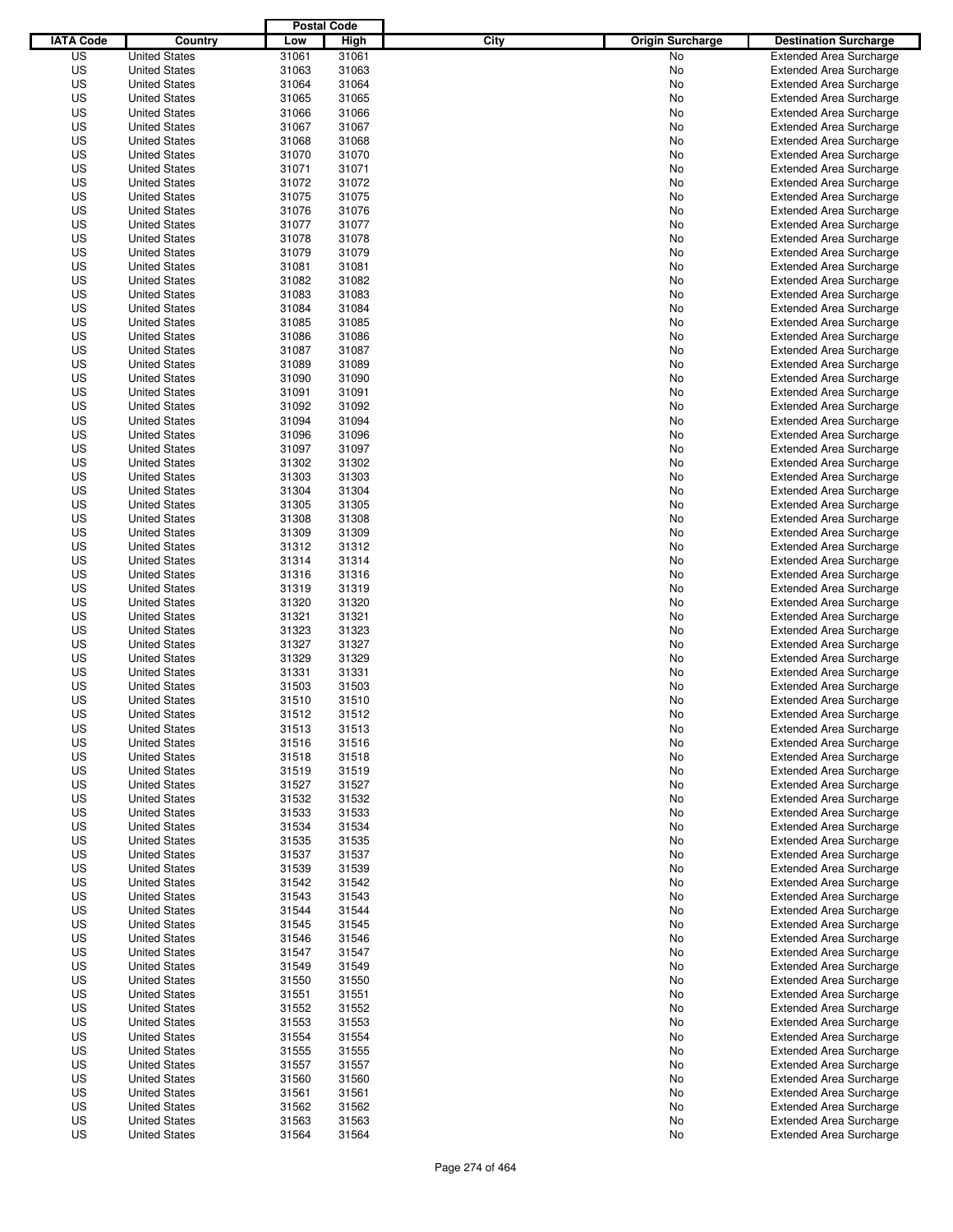|                  |                                              | <b>Postal Code</b> |                |                                 |                                                                  |
|------------------|----------------------------------------------|--------------------|----------------|---------------------------------|------------------------------------------------------------------|
| <b>IATA Code</b> | Country                                      | Low                | High           | City<br><b>Origin Surcharge</b> | <b>Destination Surcharge</b>                                     |
| US               | <b>United States</b>                         | 31061              | 31061          | <b>No</b>                       | <b>Extended Area Surcharge</b>                                   |
| US               | <b>United States</b>                         | 31063              | 31063          | No                              | <b>Extended Area Surcharge</b>                                   |
| US               | <b>United States</b>                         | 31064              | 31064          | No                              | <b>Extended Area Surcharge</b>                                   |
| US               | <b>United States</b>                         | 31065              | 31065          | No                              | <b>Extended Area Surcharge</b>                                   |
| US               | <b>United States</b>                         | 31066              | 31066          | No                              | <b>Extended Area Surcharge</b>                                   |
| US               | <b>United States</b>                         | 31067              | 31067          | No                              | <b>Extended Area Surcharge</b>                                   |
| US               | <b>United States</b>                         | 31068              | 31068          | No                              | <b>Extended Area Surcharge</b>                                   |
| US               | <b>United States</b>                         | 31070              | 31070          | No                              | <b>Extended Area Surcharge</b>                                   |
| US               | <b>United States</b>                         | 31071              | 31071          | No                              | <b>Extended Area Surcharge</b>                                   |
| US               | <b>United States</b>                         | 31072              | 31072          | No                              | <b>Extended Area Surcharge</b>                                   |
| US               | <b>United States</b>                         | 31075              | 31075          | No                              | <b>Extended Area Surcharge</b>                                   |
| US               | <b>United States</b>                         | 31076              | 31076          | No                              | <b>Extended Area Surcharge</b>                                   |
| US               | <b>United States</b>                         | 31077              | 31077          | No                              | <b>Extended Area Surcharge</b>                                   |
| US               | <b>United States</b>                         | 31078              | 31078          | No                              | <b>Extended Area Surcharge</b>                                   |
| US               | <b>United States</b>                         | 31079              | 31079          | No                              | <b>Extended Area Surcharge</b>                                   |
| US               | <b>United States</b>                         | 31081              | 31081          | No                              | <b>Extended Area Surcharge</b>                                   |
| US               | <b>United States</b>                         | 31082              | 31082          | No                              | <b>Extended Area Surcharge</b>                                   |
| US               | <b>United States</b>                         | 31083              | 31083          | No                              | <b>Extended Area Surcharge</b>                                   |
| US               | <b>United States</b>                         | 31084              | 31084          | No                              | <b>Extended Area Surcharge</b>                                   |
| US               | <b>United States</b>                         | 31085              | 31085          | No                              | <b>Extended Area Surcharge</b>                                   |
| US               | <b>United States</b>                         | 31086              | 31086          | No                              | <b>Extended Area Surcharge</b>                                   |
| US               | <b>United States</b>                         | 31087              | 31087          | No                              | <b>Extended Area Surcharge</b>                                   |
| US               | <b>United States</b>                         | 31089              | 31089          | No                              | <b>Extended Area Surcharge</b>                                   |
| US               | <b>United States</b>                         | 31090              | 31090          | No                              | <b>Extended Area Surcharge</b>                                   |
| US               | <b>United States</b>                         | 31091              | 31091          | No                              | <b>Extended Area Surcharge</b>                                   |
| US               | <b>United States</b>                         | 31092              | 31092          | No                              | <b>Extended Area Surcharge</b>                                   |
| US               | <b>United States</b>                         | 31094              | 31094          | No                              | <b>Extended Area Surcharge</b>                                   |
| US               | <b>United States</b>                         | 31096              | 31096          | No                              | <b>Extended Area Surcharge</b>                                   |
| US               | <b>United States</b>                         | 31097              | 31097          | No                              | <b>Extended Area Surcharge</b>                                   |
| US               | <b>United States</b>                         | 31302              | 31302          | No                              | <b>Extended Area Surcharge</b>                                   |
| US               | <b>United States</b>                         | 31303              | 31303          | No                              | <b>Extended Area Surcharge</b>                                   |
| US               | <b>United States</b>                         | 31304              | 31304          | No                              | <b>Extended Area Surcharge</b>                                   |
| US               | <b>United States</b>                         | 31305              | 31305          | No                              | <b>Extended Area Surcharge</b>                                   |
| US               | <b>United States</b>                         | 31308              | 31308          | No                              | <b>Extended Area Surcharge</b>                                   |
| US               | <b>United States</b>                         | 31309              | 31309          | No                              | <b>Extended Area Surcharge</b>                                   |
| US               | <b>United States</b>                         | 31312              | 31312          | No                              | <b>Extended Area Surcharge</b>                                   |
| US               | <b>United States</b>                         | 31314              | 31314          | No                              | <b>Extended Area Surcharge</b>                                   |
| US               | <b>United States</b>                         | 31316              | 31316          | No                              | <b>Extended Area Surcharge</b>                                   |
| US               | <b>United States</b>                         | 31319              | 31319          | No                              | <b>Extended Area Surcharge</b>                                   |
| US               | <b>United States</b>                         | 31320              | 31320          | No                              | <b>Extended Area Surcharge</b>                                   |
| US               | <b>United States</b>                         | 31321              | 31321          | No                              | <b>Extended Area Surcharge</b>                                   |
| US               | <b>United States</b>                         | 31323              | 31323          | No                              | <b>Extended Area Surcharge</b>                                   |
| US               | <b>United States</b>                         | 31327              | 31327          | No                              | <b>Extended Area Surcharge</b>                                   |
| US               | <b>United States</b>                         | 31329              | 31329          | No                              | <b>Extended Area Surcharge</b>                                   |
| US               | <b>United States</b>                         | 31331              | 31331          | No                              | <b>Extended Area Surcharge</b>                                   |
| US               | <b>United States</b>                         | 31503              | 31503          | No                              | <b>Extended Area Surcharge</b>                                   |
| US               | <b>United States</b>                         | 31510              | 31510          | No                              | <b>Extended Area Surcharge</b>                                   |
| US               | <b>United States</b>                         | 31512              | 31512          | No                              | <b>Extended Area Surcharge</b>                                   |
| US               | <b>United States</b>                         | 31513              | 31513          | No                              | <b>Extended Area Surcharge</b>                                   |
| US               | <b>United States</b>                         | 31516              | 31516          | No                              | <b>Extended Area Surcharge</b>                                   |
| US               | <b>United States</b>                         | 31518              | 31518          | No                              | <b>Extended Area Surcharge</b>                                   |
| US               |                                              | 31519              | 31519          |                                 |                                                                  |
| US               | <b>United States</b>                         | 31527              |                | No                              | <b>Extended Area Surcharge</b>                                   |
| US               | <b>United States</b><br><b>United States</b> | 31532              | 31527<br>31532 | No                              | <b>Extended Area Surcharge</b>                                   |
|                  |                                              |                    |                | No                              | <b>Extended Area Surcharge</b>                                   |
| US<br>US         | <b>United States</b>                         | 31533<br>31534     | 31533<br>31534 | No                              | <b>Extended Area Surcharge</b><br><b>Extended Area Surcharge</b> |
|                  | <b>United States</b>                         |                    |                | No                              |                                                                  |
| US               | <b>United States</b>                         | 31535              | 31535          | No                              | <b>Extended Area Surcharge</b>                                   |
| US<br>US         | <b>United States</b>                         | 31537<br>31539     | 31537<br>31539 | No                              | <b>Extended Area Surcharge</b><br><b>Extended Area Surcharge</b> |
|                  | <b>United States</b>                         |                    |                | No                              |                                                                  |
| US               | <b>United States</b>                         | 31542              | 31542          | No                              | <b>Extended Area Surcharge</b>                                   |
| US               | <b>United States</b>                         | 31543              | 31543          | No                              | <b>Extended Area Surcharge</b>                                   |
| US               | <b>United States</b>                         | 31544              | 31544          | No                              | <b>Extended Area Surcharge</b>                                   |
| US               | <b>United States</b>                         | 31545              | 31545          | No                              | <b>Extended Area Surcharge</b>                                   |
| US               | <b>United States</b>                         | 31546              | 31546          | No                              | <b>Extended Area Surcharge</b>                                   |
| US               | <b>United States</b>                         | 31547              | 31547          | No                              | <b>Extended Area Surcharge</b>                                   |
| US               | <b>United States</b>                         | 31549              | 31549          | No                              | <b>Extended Area Surcharge</b>                                   |
| US               | <b>United States</b>                         | 31550              | 31550          | No                              | <b>Extended Area Surcharge</b>                                   |
| US               | <b>United States</b>                         | 31551              | 31551          | No                              | <b>Extended Area Surcharge</b>                                   |
| US               | <b>United States</b>                         | 31552              | 31552          | No                              | <b>Extended Area Surcharge</b>                                   |
| US               | <b>United States</b>                         | 31553              | 31553          | No                              | Extended Area Surcharge                                          |
| US               | <b>United States</b>                         | 31554              | 31554          | No                              | <b>Extended Area Surcharge</b>                                   |
| US               | <b>United States</b>                         | 31555              | 31555          | No                              | <b>Extended Area Surcharge</b>                                   |
| US               | <b>United States</b>                         | 31557              | 31557          | No                              | <b>Extended Area Surcharge</b>                                   |
| US               | <b>United States</b>                         | 31560              | 31560          | No                              | <b>Extended Area Surcharge</b>                                   |
| US               | <b>United States</b>                         | 31561              | 31561          | No                              | <b>Extended Area Surcharge</b>                                   |
| US               | <b>United States</b>                         | 31562              | 31562          | No                              | <b>Extended Area Surcharge</b>                                   |
| US               | <b>United States</b>                         | 31563              | 31563          | No                              | <b>Extended Area Surcharge</b>                                   |
| US               | <b>United States</b>                         | 31564              | 31564          | No                              | <b>Extended Area Surcharge</b>                                   |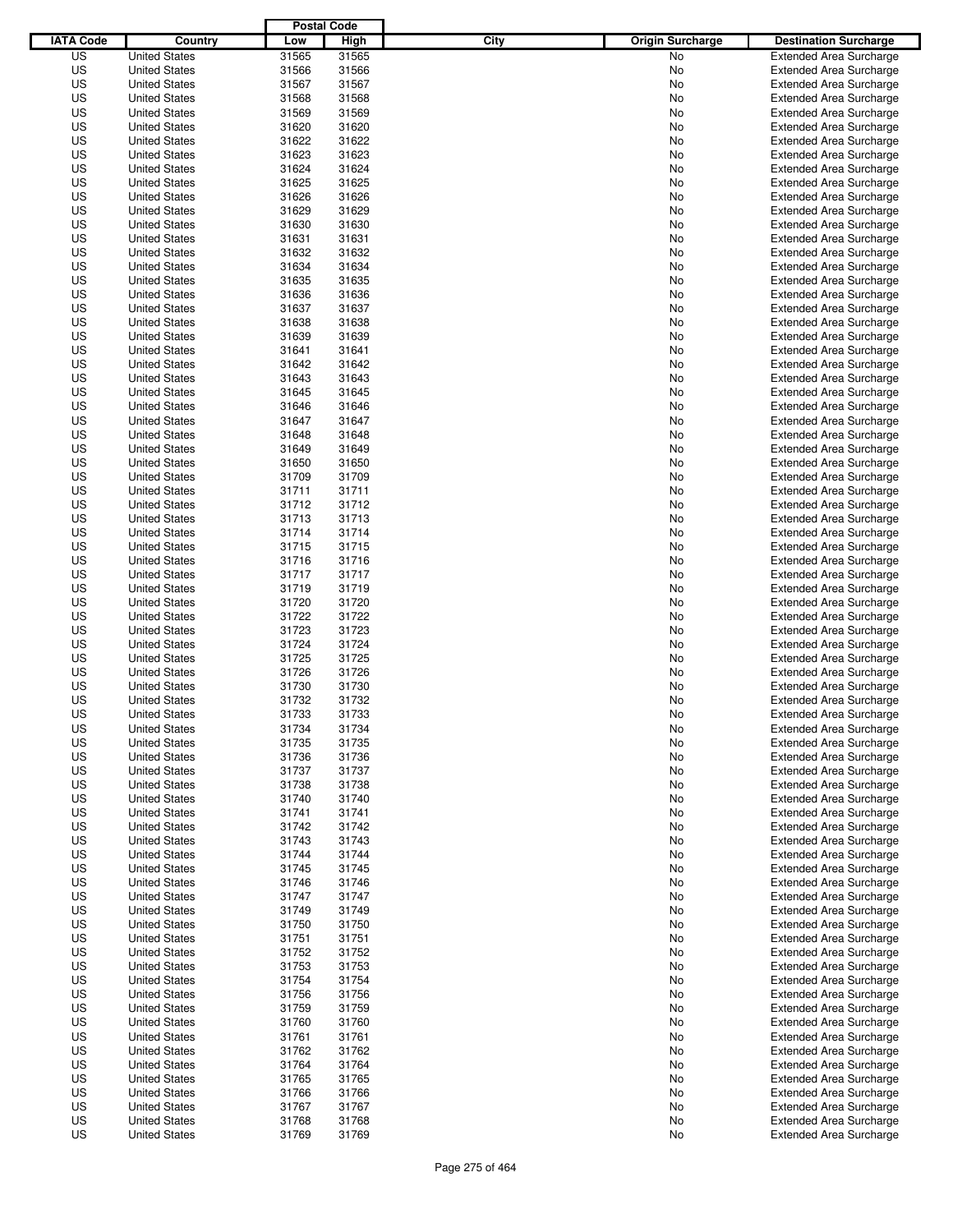|                  |                                              | <b>Postal Code</b> |                |                                 |                                                                  |
|------------------|----------------------------------------------|--------------------|----------------|---------------------------------|------------------------------------------------------------------|
| <b>IATA Code</b> | Country                                      | Low                | High           | City<br><b>Origin Surcharge</b> | <b>Destination Surcharge</b>                                     |
| US               | <b>United States</b>                         | 31565              | 31565          | <b>No</b>                       | <b>Extended Area Surcharge</b>                                   |
| US               | <b>United States</b>                         | 31566              | 31566          | No                              | <b>Extended Area Surcharge</b>                                   |
| US               | <b>United States</b>                         | 31567              | 31567          | No                              | <b>Extended Area Surcharge</b>                                   |
| US               | <b>United States</b>                         | 31568              | 31568          | No                              | <b>Extended Area Surcharge</b>                                   |
| US               | <b>United States</b>                         | 31569              | 31569          | No                              | <b>Extended Area Surcharge</b>                                   |
| US               | <b>United States</b>                         | 31620              | 31620          | No                              | <b>Extended Area Surcharge</b>                                   |
| US               | <b>United States</b>                         | 31622              | 31622          | No                              | <b>Extended Area Surcharge</b>                                   |
| US               | <b>United States</b>                         | 31623              | 31623          | No                              | <b>Extended Area Surcharge</b>                                   |
| US               | <b>United States</b>                         | 31624              | 31624          | No                              | <b>Extended Area Surcharge</b>                                   |
| US               | <b>United States</b>                         | 31625              | 31625          | No                              | <b>Extended Area Surcharge</b>                                   |
| US               | <b>United States</b>                         | 31626              | 31626          | No                              | <b>Extended Area Surcharge</b>                                   |
| US               | <b>United States</b>                         | 31629              | 31629          | No                              | <b>Extended Area Surcharge</b>                                   |
| US               | <b>United States</b>                         | 31630              | 31630          | No                              | <b>Extended Area Surcharge</b>                                   |
| US               | <b>United States</b>                         | 31631              | 31631          | No                              | <b>Extended Area Surcharge</b>                                   |
| US               | <b>United States</b>                         | 31632              | 31632          | No                              | <b>Extended Area Surcharge</b>                                   |
| US               | <b>United States</b>                         | 31634              | 31634          | No                              | <b>Extended Area Surcharge</b>                                   |
| US               | <b>United States</b>                         | 31635              | 31635          | No                              | <b>Extended Area Surcharge</b>                                   |
| US               | <b>United States</b>                         | 31636              | 31636          | No                              | <b>Extended Area Surcharge</b>                                   |
| US               | <b>United States</b>                         | 31637              | 31637          | No                              | <b>Extended Area Surcharge</b>                                   |
| US               | <b>United States</b>                         | 31638              | 31638          | No                              | <b>Extended Area Surcharge</b>                                   |
| US               | <b>United States</b>                         | 31639              | 31639          | No                              | <b>Extended Area Surcharge</b>                                   |
| US               | <b>United States</b>                         | 31641              | 31641          | No                              | <b>Extended Area Surcharge</b>                                   |
| US               | <b>United States</b>                         | 31642              | 31642          | No                              | <b>Extended Area Surcharge</b>                                   |
| US               | <b>United States</b>                         | 31643              | 31643          | No                              | <b>Extended Area Surcharge</b>                                   |
| US               | <b>United States</b>                         | 31645              | 31645          | No                              | <b>Extended Area Surcharge</b>                                   |
| US               | <b>United States</b>                         | 31646              | 31646          | No                              | <b>Extended Area Surcharge</b>                                   |
| US               | <b>United States</b>                         | 31647              | 31647          | No                              | <b>Extended Area Surcharge</b>                                   |
| US               | <b>United States</b>                         | 31648              | 31648          | No                              | <b>Extended Area Surcharge</b>                                   |
| US               | <b>United States</b>                         | 31649              | 31649          | No                              | <b>Extended Area Surcharge</b>                                   |
| US               | <b>United States</b>                         | 31650              | 31650          | No                              | <b>Extended Area Surcharge</b>                                   |
| US               | <b>United States</b>                         | 31709              | 31709          | No                              | <b>Extended Area Surcharge</b>                                   |
| US               | <b>United States</b><br><b>United States</b> | 31711              | 31711          | No                              | <b>Extended Area Surcharge</b>                                   |
| US<br>US         | <b>United States</b>                         | 31712<br>31713     | 31712<br>31713 | No                              | <b>Extended Area Surcharge</b>                                   |
| US               |                                              | 31714              | 31714          | No                              | <b>Extended Area Surcharge</b>                                   |
| US               | <b>United States</b><br><b>United States</b> | 31715              | 31715          | No                              | <b>Extended Area Surcharge</b><br><b>Extended Area Surcharge</b> |
| US               |                                              | 31716              | 31716          | No                              | <b>Extended Area Surcharge</b>                                   |
| US               | <b>United States</b><br><b>United States</b> | 31717              | 31717          | No<br>No                        | <b>Extended Area Surcharge</b>                                   |
| US               | <b>United States</b>                         | 31719              | 31719          | No                              | <b>Extended Area Surcharge</b>                                   |
| US               | <b>United States</b>                         | 31720              | 31720          | No                              | <b>Extended Area Surcharge</b>                                   |
| US               | <b>United States</b>                         | 31722              | 31722          | No                              | <b>Extended Area Surcharge</b>                                   |
| US               | <b>United States</b>                         | 31723              | 31723          | No                              | <b>Extended Area Surcharge</b>                                   |
| US               | <b>United States</b>                         | 31724              | 31724          | No                              | <b>Extended Area Surcharge</b>                                   |
| US               | <b>United States</b>                         | 31725              | 31725          | No                              | <b>Extended Area Surcharge</b>                                   |
| US               | <b>United States</b>                         | 31726              | 31726          | No                              | <b>Extended Area Surcharge</b>                                   |
| US               | <b>United States</b>                         | 31730              | 31730          | No                              | <b>Extended Area Surcharge</b>                                   |
| US               | <b>United States</b>                         | 31732              | 31732          | No                              | <b>Extended Area Surcharge</b>                                   |
| US               | <b>United States</b>                         | 31733              | 31733          | No                              | <b>Extended Area Surcharge</b>                                   |
| US               | <b>United States</b>                         | 31734              | 31734          | No                              | <b>Extended Area Surcharge</b>                                   |
| US               | <b>United States</b>                         | 31735              | 31735          | No                              | <b>Extended Area Surcharge</b>                                   |
| US               | <b>United States</b>                         | 31736              | 31736          | No                              | <b>Extended Area Surcharge</b>                                   |
| US               | <b>United States</b>                         | 31737              | 31737          | No                              | <b>Extended Area Surcharge</b>                                   |
| US               | <b>United States</b>                         | 31738              | 31738          | No                              | <b>Extended Area Surcharge</b>                                   |
| US               | <b>United States</b>                         | 31740              | 31740          | No                              | <b>Extended Area Surcharge</b>                                   |
| US               | <b>United States</b>                         | 31741              | 31741          | No                              | <b>Extended Area Surcharge</b>                                   |
| US               | <b>United States</b>                         | 31742              | 31742          | No                              | <b>Extended Area Surcharge</b>                                   |
| US               | <b>United States</b>                         | 31743              | 31743          | No                              | <b>Extended Area Surcharge</b>                                   |
| US               | <b>United States</b>                         | 31744              | 31744          | No                              | <b>Extended Area Surcharge</b>                                   |
| US               | <b>United States</b>                         | 31745              | 31745          | No                              | <b>Extended Area Surcharge</b>                                   |
| US               | <b>United States</b>                         | 31746              | 31746          | No                              | <b>Extended Area Surcharge</b>                                   |
| US               | <b>United States</b>                         | 31747              | 31747          | No                              | <b>Extended Area Surcharge</b>                                   |
| US               | <b>United States</b>                         | 31749              | 31749          | No                              | <b>Extended Area Surcharge</b>                                   |
| US               | <b>United States</b>                         | 31750              | 31750          | No                              | <b>Extended Area Surcharge</b>                                   |
| US               | <b>United States</b>                         | 31751              | 31751          | No                              | <b>Extended Area Surcharge</b>                                   |
| US               | <b>United States</b>                         | 31752              | 31752          | No                              | <b>Extended Area Surcharge</b>                                   |
| US               | <b>United States</b>                         | 31753              | 31753          | No                              | <b>Extended Area Surcharge</b>                                   |
| US               | <b>United States</b>                         | 31754              | 31754          | No                              | <b>Extended Area Surcharge</b>                                   |
| US               | <b>United States</b>                         | 31756              | 31756          | No                              | <b>Extended Area Surcharge</b>                                   |
| US               | <b>United States</b>                         | 31759              | 31759          | No                              | <b>Extended Area Surcharge</b>                                   |
| US               | <b>United States</b>                         | 31760              | 31760          | No                              | Extended Area Surcharge                                          |
| US               | <b>United States</b>                         | 31761              | 31761          | No                              | <b>Extended Area Surcharge</b>                                   |
| US               | <b>United States</b>                         | 31762              | 31762          | No                              | <b>Extended Area Surcharge</b>                                   |
| US               | <b>United States</b>                         | 31764              | 31764          | No                              | <b>Extended Area Surcharge</b>                                   |
| US               | <b>United States</b>                         | 31765              | 31765          | No                              | <b>Extended Area Surcharge</b>                                   |
| US               | <b>United States</b>                         | 31766              | 31766          | No                              | <b>Extended Area Surcharge</b>                                   |
| US               | <b>United States</b>                         | 31767              | 31767          | No                              | <b>Extended Area Surcharge</b>                                   |
| US               | <b>United States</b>                         | 31768              | 31768          | No                              | <b>Extended Area Surcharge</b>                                   |
| US               | <b>United States</b>                         | 31769              | 31769          | No                              | <b>Extended Area Surcharge</b>                                   |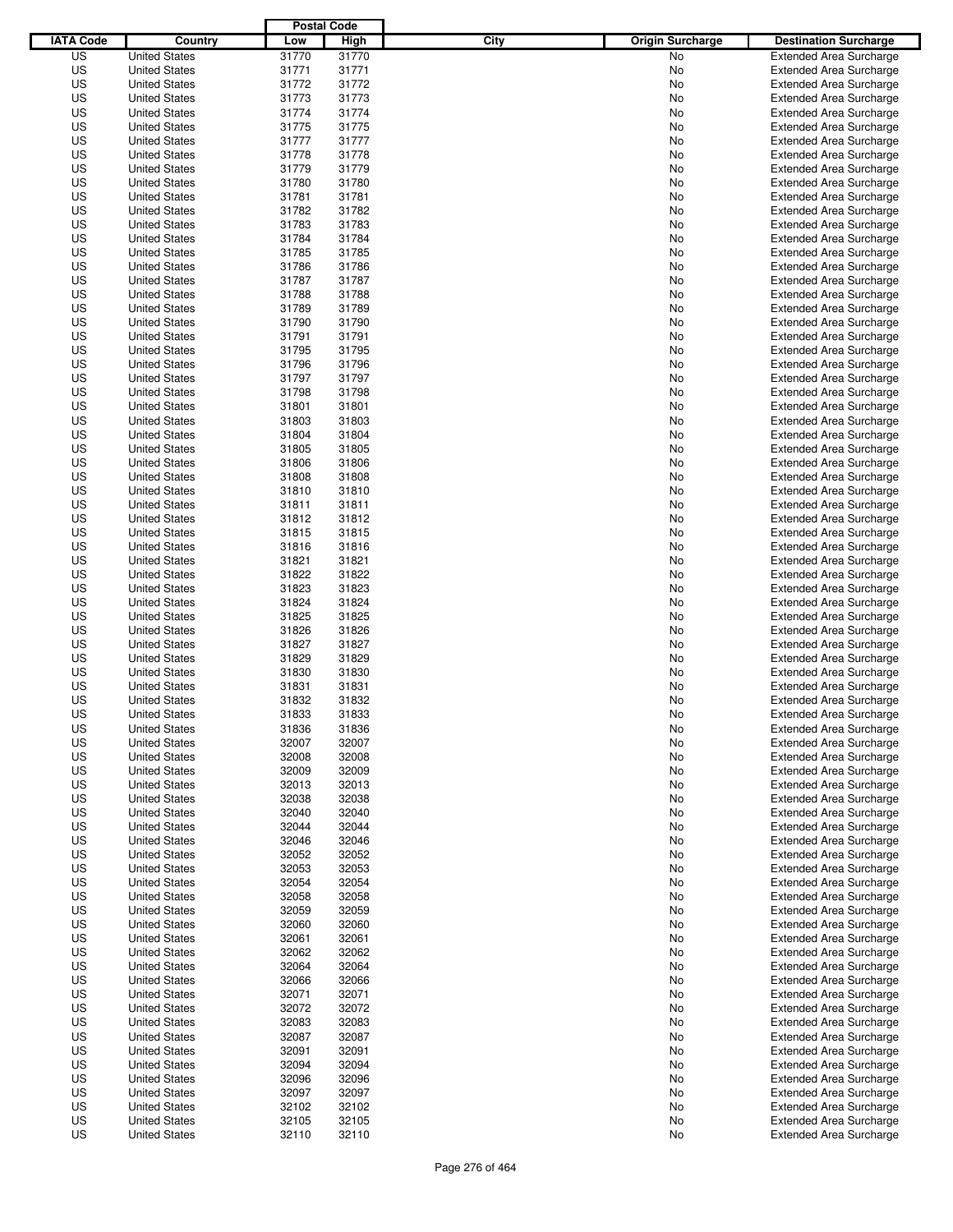|                  |                      | <b>Postal Code</b> |       |                                 |                                |
|------------------|----------------------|--------------------|-------|---------------------------------|--------------------------------|
| <b>IATA Code</b> | Country              | Low                | High  | City<br><b>Origin Surcharge</b> | <b>Destination Surcharge</b>   |
| US               | <b>United States</b> | 31770              | 31770 | <b>No</b>                       | <b>Extended Area Surcharge</b> |
| US               | <b>United States</b> | 31771              | 31771 | No                              | <b>Extended Area Surcharge</b> |
| US               | <b>United States</b> | 31772              | 31772 | No                              | <b>Extended Area Surcharge</b> |
| US               | <b>United States</b> | 31773              | 31773 | No                              | <b>Extended Area Surcharge</b> |
| US               | <b>United States</b> | 31774              | 31774 | No                              | <b>Extended Area Surcharge</b> |
| US               | <b>United States</b> | 31775              | 31775 | No                              | <b>Extended Area Surcharge</b> |
| US               | <b>United States</b> | 31777              | 31777 | No                              | <b>Extended Area Surcharge</b> |
| US               | <b>United States</b> | 31778              | 31778 | No                              | <b>Extended Area Surcharge</b> |
| US               | <b>United States</b> | 31779              | 31779 | No                              | <b>Extended Area Surcharge</b> |
| US               | <b>United States</b> | 31780              | 31780 | No                              | <b>Extended Area Surcharge</b> |
| US               | <b>United States</b> | 31781              | 31781 | No                              | <b>Extended Area Surcharge</b> |
| US               | <b>United States</b> | 31782              | 31782 | No                              | <b>Extended Area Surcharge</b> |
| US               | <b>United States</b> | 31783              | 31783 | No                              | <b>Extended Area Surcharge</b> |
| US               | <b>United States</b> | 31784              | 31784 | No                              | <b>Extended Area Surcharge</b> |
| US               | <b>United States</b> | 31785              | 31785 | No                              | <b>Extended Area Surcharge</b> |
| US               | <b>United States</b> | 31786              | 31786 | No                              | <b>Extended Area Surcharge</b> |
| US               | <b>United States</b> | 31787              | 31787 | No                              | <b>Extended Area Surcharge</b> |
| US               | <b>United States</b> | 31788              | 31788 | No                              | <b>Extended Area Surcharge</b> |
| US               | <b>United States</b> | 31789              | 31789 | No                              | <b>Extended Area Surcharge</b> |
| US               | <b>United States</b> | 31790              | 31790 | No                              | <b>Extended Area Surcharge</b> |
| US               | <b>United States</b> | 31791              | 31791 | No                              | <b>Extended Area Surcharge</b> |
| US               | <b>United States</b> | 31795              | 31795 | No                              | <b>Extended Area Surcharge</b> |
| US               | <b>United States</b> | 31796              | 31796 | No                              | <b>Extended Area Surcharge</b> |
| US               | <b>United States</b> | 31797              | 31797 | No                              | <b>Extended Area Surcharge</b> |
| US               | <b>United States</b> | 31798              | 31798 | No                              | <b>Extended Area Surcharge</b> |
| US               | <b>United States</b> | 31801              | 31801 | No                              | <b>Extended Area Surcharge</b> |
| US               | <b>United States</b> | 31803              | 31803 | No                              | <b>Extended Area Surcharge</b> |
| US               | <b>United States</b> | 31804              | 31804 | No                              | <b>Extended Area Surcharge</b> |
| US               | <b>United States</b> | 31805              | 31805 | No                              | <b>Extended Area Surcharge</b> |
| US               | <b>United States</b> | 31806              | 31806 | No                              | <b>Extended Area Surcharge</b> |
| US               | <b>United States</b> | 31808              | 31808 | No                              | <b>Extended Area Surcharge</b> |
| US               | <b>United States</b> | 31810              | 31810 | No                              | <b>Extended Area Surcharge</b> |
| US               | <b>United States</b> | 31811              | 31811 | No                              | <b>Extended Area Surcharge</b> |
| US               | <b>United States</b> | 31812              | 31812 | No                              | <b>Extended Area Surcharge</b> |
| US               |                      | 31815              |       |                                 |                                |
|                  | <b>United States</b> |                    | 31815 | No                              | <b>Extended Area Surcharge</b> |
| US               | <b>United States</b> | 31816              | 31816 | No                              | <b>Extended Area Surcharge</b> |
| US               | <b>United States</b> | 31821              | 31821 | No                              | <b>Extended Area Surcharge</b> |
| US               | <b>United States</b> | 31822              | 31822 | No                              | <b>Extended Area Surcharge</b> |
| US               | <b>United States</b> | 31823              | 31823 | No                              | <b>Extended Area Surcharge</b> |
| US               | <b>United States</b> | 31824              | 31824 | No                              | <b>Extended Area Surcharge</b> |
| US               | <b>United States</b> | 31825              | 31825 | No                              | <b>Extended Area Surcharge</b> |
| US               | <b>United States</b> | 31826              | 31826 | No                              | <b>Extended Area Surcharge</b> |
| US               | <b>United States</b> | 31827              | 31827 | No                              | <b>Extended Area Surcharge</b> |
| US               | <b>United States</b> | 31829              | 31829 | No                              | <b>Extended Area Surcharge</b> |
| US               | <b>United States</b> | 31830              | 31830 | No                              | Extended Area Surcharge        |
| US               | <b>United States</b> | 31831              | 31831 | No                              | <b>Extended Area Surcharge</b> |
| US               | <b>United States</b> | 31832              | 31832 | No                              | <b>Extended Area Surcharge</b> |
| US               | <b>United States</b> | 31833              | 31833 | No                              | <b>Extended Area Surcharge</b> |
| US               | <b>United States</b> | 31836              | 31836 | No                              | <b>Extended Area Surcharge</b> |
| US               | <b>United States</b> | 32007              | 32007 | No                              | <b>Extended Area Surcharge</b> |
| US               | <b>United States</b> | 32008              | 32008 | No                              | <b>Extended Area Surcharge</b> |
| US               | <b>United States</b> | 32009              | 32009 | No                              | <b>Extended Area Surcharge</b> |
| US               | <b>United States</b> | 32013              | 32013 | No                              | <b>Extended Area Surcharge</b> |
| US               | <b>United States</b> | 32038              | 32038 | No                              | <b>Extended Area Surcharge</b> |
| US               | <b>United States</b> | 32040              | 32040 | No                              | <b>Extended Area Surcharge</b> |
| US               | <b>United States</b> | 32044              | 32044 | No                              | <b>Extended Area Surcharge</b> |
| US               | <b>United States</b> | 32046              | 32046 | No                              | <b>Extended Area Surcharge</b> |
| US               | <b>United States</b> | 32052              | 32052 | No                              | <b>Extended Area Surcharge</b> |
| US               | <b>United States</b> | 32053              | 32053 | No                              | <b>Extended Area Surcharge</b> |
| US               | <b>United States</b> | 32054              | 32054 | No                              | <b>Extended Area Surcharge</b> |
| US               | <b>United States</b> | 32058              | 32058 | No                              | <b>Extended Area Surcharge</b> |
| US               | <b>United States</b> | 32059              | 32059 | No                              | <b>Extended Area Surcharge</b> |
| US               | <b>United States</b> | 32060              | 32060 | No                              | <b>Extended Area Surcharge</b> |
| US               | <b>United States</b> | 32061              | 32061 | No                              | <b>Extended Area Surcharge</b> |
| US               | <b>United States</b> | 32062              | 32062 | No                              | <b>Extended Area Surcharge</b> |
| US               | <b>United States</b> | 32064              | 32064 | No                              | <b>Extended Area Surcharge</b> |
| US               | <b>United States</b> | 32066              | 32066 | No                              | <b>Extended Area Surcharge</b> |
| US               | <b>United States</b> | 32071              | 32071 | No                              | <b>Extended Area Surcharge</b> |
| US               | <b>United States</b> | 32072              | 32072 | No                              | <b>Extended Area Surcharge</b> |
| US               | <b>United States</b> | 32083              | 32083 | No                              | <b>Extended Area Surcharge</b> |
| US               | <b>United States</b> | 32087              | 32087 | No                              | <b>Extended Area Surcharge</b> |
| US               | <b>United States</b> | 32091              | 32091 | No                              | <b>Extended Area Surcharge</b> |
| US               | <b>United States</b> | 32094              | 32094 | No                              | <b>Extended Area Surcharge</b> |
| US               | <b>United States</b> | 32096              | 32096 | No                              | <b>Extended Area Surcharge</b> |
| US               | <b>United States</b> | 32097              | 32097 | No                              | <b>Extended Area Surcharge</b> |
| US               | <b>United States</b> | 32102              | 32102 | No                              | <b>Extended Area Surcharge</b> |
| US               | <b>United States</b> | 32105              | 32105 | No                              | <b>Extended Area Surcharge</b> |
| US               | <b>United States</b> | 32110              | 32110 | No                              | <b>Extended Area Surcharge</b> |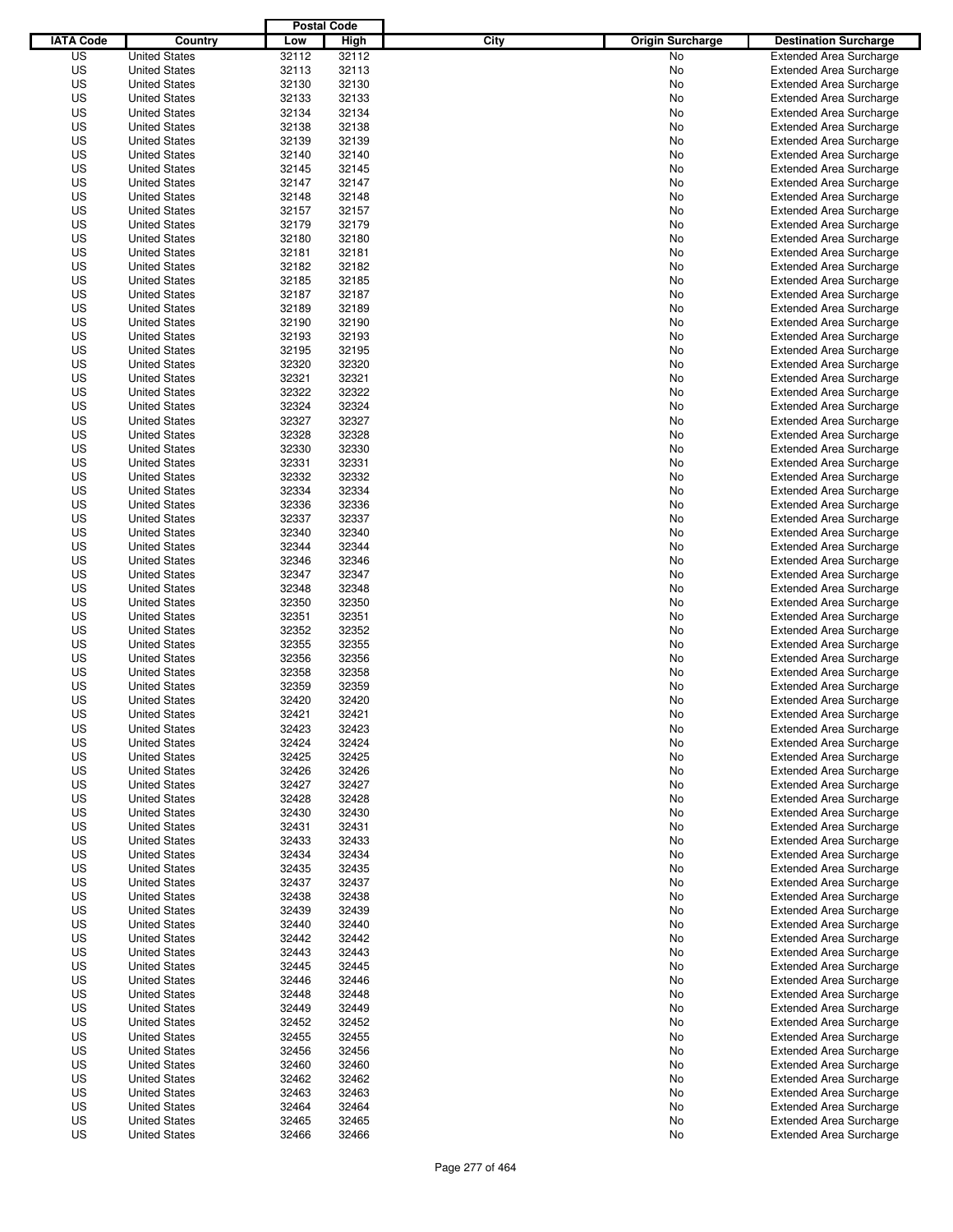|                  |                      | <b>Postal Code</b> |       |                                 |                                |
|------------------|----------------------|--------------------|-------|---------------------------------|--------------------------------|
| <b>IATA Code</b> | Country              | Low                | High  | City<br><b>Origin Surcharge</b> | <b>Destination Surcharge</b>   |
| US               | <b>United States</b> | 32112              | 32112 | <b>No</b>                       | <b>Extended Area Surcharge</b> |
| US               | <b>United States</b> | 32113              | 32113 | No                              | <b>Extended Area Surcharge</b> |
| US               | <b>United States</b> | 32130              | 32130 | No                              | <b>Extended Area Surcharge</b> |
| US               | <b>United States</b> | 32133              | 32133 | No                              | <b>Extended Area Surcharge</b> |
| US               | <b>United States</b> | 32134              | 32134 | No                              | <b>Extended Area Surcharge</b> |
| US               | <b>United States</b> | 32138              | 32138 | No                              | <b>Extended Area Surcharge</b> |
| US               | <b>United States</b> | 32139              | 32139 | No                              | <b>Extended Area Surcharge</b> |
| US               | <b>United States</b> | 32140              | 32140 | No                              | <b>Extended Area Surcharge</b> |
| US               | <b>United States</b> | 32145              | 32145 | No                              | <b>Extended Area Surcharge</b> |
| US               | <b>United States</b> | 32147              | 32147 | No                              | <b>Extended Area Surcharge</b> |
| US               | <b>United States</b> | 32148              | 32148 | No                              | <b>Extended Area Surcharge</b> |
| US               | <b>United States</b> | 32157              | 32157 | No                              | <b>Extended Area Surcharge</b> |
| US               | <b>United States</b> | 32179              | 32179 | No                              | <b>Extended Area Surcharge</b> |
| US               | <b>United States</b> | 32180              | 32180 | No                              | <b>Extended Area Surcharge</b> |
| US               | <b>United States</b> | 32181              | 32181 | No                              | <b>Extended Area Surcharge</b> |
| US               | <b>United States</b> | 32182              | 32182 | No                              | <b>Extended Area Surcharge</b> |
| US               | <b>United States</b> | 32185              | 32185 | No                              | <b>Extended Area Surcharge</b> |
| US               | <b>United States</b> | 32187              | 32187 | No                              | <b>Extended Area Surcharge</b> |
| US               | <b>United States</b> | 32189              | 32189 | No                              | <b>Extended Area Surcharge</b> |
| US               | <b>United States</b> | 32190              | 32190 | No                              | <b>Extended Area Surcharge</b> |
| US               | <b>United States</b> | 32193              | 32193 | No                              | <b>Extended Area Surcharge</b> |
| US               | <b>United States</b> | 32195              | 32195 | No                              | <b>Extended Area Surcharge</b> |
| US               | <b>United States</b> | 32320              | 32320 | No                              | <b>Extended Area Surcharge</b> |
| US               | <b>United States</b> | 32321              | 32321 | No                              | <b>Extended Area Surcharge</b> |
| US               | <b>United States</b> | 32322              | 32322 | No                              | <b>Extended Area Surcharge</b> |
| US               | <b>United States</b> | 32324              | 32324 | No                              | <b>Extended Area Surcharge</b> |
| US               | <b>United States</b> | 32327              | 32327 | No                              | <b>Extended Area Surcharge</b> |
| US               | <b>United States</b> | 32328              | 32328 | No                              | <b>Extended Area Surcharge</b> |
| US               | <b>United States</b> | 32330              | 32330 | No                              | <b>Extended Area Surcharge</b> |
| US               | <b>United States</b> | 32331              | 32331 | No                              | <b>Extended Area Surcharge</b> |
| US               | <b>United States</b> | 32332              | 32332 | No                              | <b>Extended Area Surcharge</b> |
| US               | <b>United States</b> | 32334              | 32334 | No                              | <b>Extended Area Surcharge</b> |
| US               |                      | 32336              | 32336 |                                 | <b>Extended Area Surcharge</b> |
|                  | <b>United States</b> |                    |       | No                              |                                |
| US               | <b>United States</b> | 32337              | 32337 | No                              | <b>Extended Area Surcharge</b> |
| US               | <b>United States</b> | 32340              | 32340 | No                              | <b>Extended Area Surcharge</b> |
| US               | <b>United States</b> | 32344              | 32344 | No                              | <b>Extended Area Surcharge</b> |
| US               | <b>United States</b> | 32346              | 32346 | No                              | <b>Extended Area Surcharge</b> |
| US               | <b>United States</b> | 32347              | 32347 | No                              | <b>Extended Area Surcharge</b> |
| US               | <b>United States</b> | 32348              | 32348 | No                              | <b>Extended Area Surcharge</b> |
| US               | <b>United States</b> | 32350              | 32350 | No                              | <b>Extended Area Surcharge</b> |
| US               | <b>United States</b> | 32351              | 32351 | No                              | <b>Extended Area Surcharge</b> |
| US               | <b>United States</b> | 32352              | 32352 | No                              | <b>Extended Area Surcharge</b> |
| US               | <b>United States</b> | 32355              | 32355 | No                              | <b>Extended Area Surcharge</b> |
| US               | <b>United States</b> | 32356              | 32356 | No                              | <b>Extended Area Surcharge</b> |
| US               | <b>United States</b> | 32358              | 32358 | No                              | <b>Extended Area Surcharge</b> |
| US               | <b>United States</b> | 32359              | 32359 | No                              | <b>Extended Area Surcharge</b> |
| US               | <b>United States</b> | 32420              | 32420 | No                              | <b>Extended Area Surcharge</b> |
| US               | <b>United States</b> | 32421              | 32421 | No                              | <b>Extended Area Surcharge</b> |
| US               | <b>United States</b> | 32423              | 32423 | No                              | <b>Extended Area Surcharge</b> |
| US               | <b>United States</b> | 32424              | 32424 | No                              | <b>Extended Area Surcharge</b> |
| US               | <b>United States</b> | 32425              | 32425 | No                              | <b>Extended Area Surcharge</b> |
| US               | <b>United States</b> | 32426              | 32426 | No                              | <b>Extended Area Surcharge</b> |
| US               | <b>United States</b> | 32427              | 32427 | No                              | <b>Extended Area Surcharge</b> |
| US               | <b>United States</b> | 32428              | 32428 | No                              | <b>Extended Area Surcharge</b> |
| US               | <b>United States</b> | 32430              | 32430 | No                              | <b>Extended Area Surcharge</b> |
| US               | <b>United States</b> | 32431              | 32431 | No                              | <b>Extended Area Surcharge</b> |
| US               | <b>United States</b> | 32433              | 32433 | No                              | <b>Extended Area Surcharge</b> |
| US               | <b>United States</b> | 32434              | 32434 | No                              | <b>Extended Area Surcharge</b> |
| US               | <b>United States</b> | 32435              | 32435 | No                              | <b>Extended Area Surcharge</b> |
| US               | <b>United States</b> | 32437              | 32437 | No                              | <b>Extended Area Surcharge</b> |
| US               | <b>United States</b> | 32438              | 32438 | No                              | <b>Extended Area Surcharge</b> |
| US               | <b>United States</b> | 32439              | 32439 | No                              | <b>Extended Area Surcharge</b> |
| US               | <b>United States</b> | 32440              | 32440 | No                              | <b>Extended Area Surcharge</b> |
| US               | <b>United States</b> | 32442              | 32442 | No                              | <b>Extended Area Surcharge</b> |
| US               | <b>United States</b> | 32443              | 32443 | No                              | <b>Extended Area Surcharge</b> |
| US               | <b>United States</b> | 32445              | 32445 | No                              | <b>Extended Area Surcharge</b> |
| US               | <b>United States</b> | 32446              | 32446 | No                              | <b>Extended Area Surcharge</b> |
| US               | <b>United States</b> | 32448              | 32448 | No                              | <b>Extended Area Surcharge</b> |
| US               | <b>United States</b> | 32449              | 32449 | No                              | <b>Extended Area Surcharge</b> |
| US               | <b>United States</b> | 32452              | 32452 | No                              | <b>Extended Area Surcharge</b> |
| US               | <b>United States</b> | 32455              | 32455 | No                              | <b>Extended Area Surcharge</b> |
| US               | <b>United States</b> | 32456              | 32456 | No                              | <b>Extended Area Surcharge</b> |
| US               | <b>United States</b> | 32460              | 32460 | No                              | <b>Extended Area Surcharge</b> |
| US               | <b>United States</b> | 32462              | 32462 | No                              | <b>Extended Area Surcharge</b> |
| US               | <b>United States</b> | 32463              | 32463 | No                              | <b>Extended Area Surcharge</b> |
| US               | <b>United States</b> | 32464              | 32464 | No                              | <b>Extended Area Surcharge</b> |
| US               | <b>United States</b> | 32465              | 32465 | No                              | <b>Extended Area Surcharge</b> |
| US               | <b>United States</b> | 32466              | 32466 | No                              | <b>Extended Area Surcharge</b> |
|                  |                      |                    |       |                                 |                                |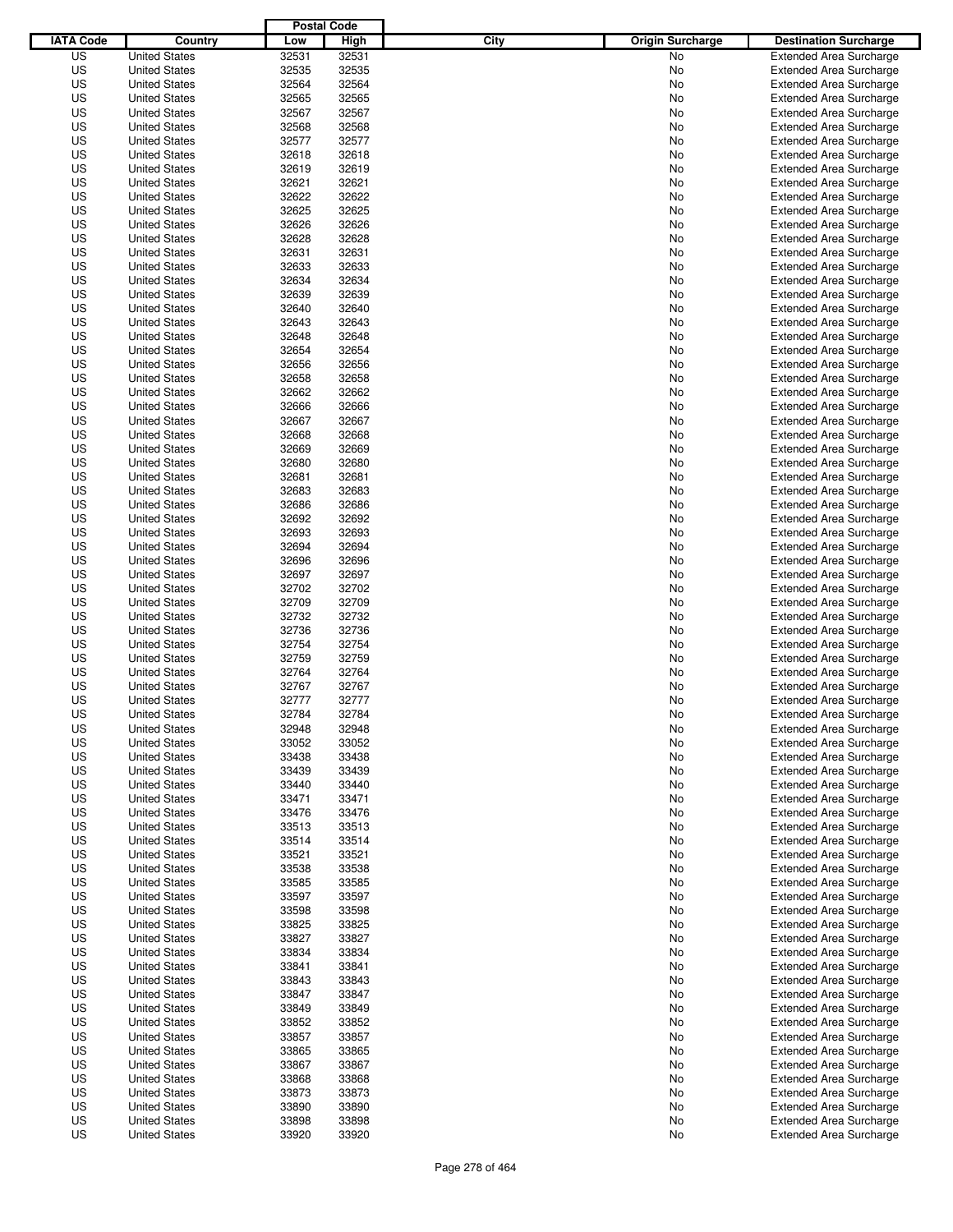|                  |                      | <b>Postal Code</b> |                |                                 |                                |
|------------------|----------------------|--------------------|----------------|---------------------------------|--------------------------------|
| <b>IATA Code</b> | Country              | Low                | High           | City<br><b>Origin Surcharge</b> | <b>Destination Surcharge</b>   |
| US               | <b>United States</b> | 32531              | 32531          | <b>No</b>                       | <b>Extended Area Surcharge</b> |
| US               | <b>United States</b> | 32535              | 32535          | No                              | <b>Extended Area Surcharge</b> |
| US               | <b>United States</b> | 32564              | 32564          | No                              | <b>Extended Area Surcharge</b> |
| US               | <b>United States</b> | 32565              | 32565          | No                              | <b>Extended Area Surcharge</b> |
| US               | <b>United States</b> | 32567              | 32567          | No                              | <b>Extended Area Surcharge</b> |
| US               | <b>United States</b> | 32568              | 32568          | No                              | <b>Extended Area Surcharge</b> |
| US               | <b>United States</b> | 32577              | 32577          | No                              | <b>Extended Area Surcharge</b> |
| US               | <b>United States</b> | 32618              | 32618          | No                              | <b>Extended Area Surcharge</b> |
| US               | <b>United States</b> | 32619              | 32619          | No                              | <b>Extended Area Surcharge</b> |
| US               | <b>United States</b> | 32621              | 32621          | No                              | <b>Extended Area Surcharge</b> |
| US               | <b>United States</b> | 32622              | 32622          | No                              | <b>Extended Area Surcharge</b> |
| US               | <b>United States</b> | 32625              | 32625          | No                              | <b>Extended Area Surcharge</b> |
| US               | <b>United States</b> | 32626              | 32626          | No                              | <b>Extended Area Surcharge</b> |
| US               | <b>United States</b> | 32628              | 32628          | No                              | <b>Extended Area Surcharge</b> |
| US               | <b>United States</b> | 32631              | 32631          | No                              | <b>Extended Area Surcharge</b> |
| US               | <b>United States</b> | 32633              | 32633          | No                              | <b>Extended Area Surcharge</b> |
| US               | <b>United States</b> | 32634              | 32634          | No                              | <b>Extended Area Surcharge</b> |
| US               | <b>United States</b> | 32639              | 32639          | No                              | <b>Extended Area Surcharge</b> |
| US               | <b>United States</b> | 32640              | 32640          | No                              | <b>Extended Area Surcharge</b> |
| US               | <b>United States</b> | 32643              | 32643          | No                              | <b>Extended Area Surcharge</b> |
| US               | <b>United States</b> | 32648              | 32648          | No                              | <b>Extended Area Surcharge</b> |
| US               | <b>United States</b> | 32654              | 32654          | No                              | <b>Extended Area Surcharge</b> |
| US               | <b>United States</b> | 32656              | 32656          | No                              | <b>Extended Area Surcharge</b> |
| US               | <b>United States</b> | 32658              | 32658          | No                              | <b>Extended Area Surcharge</b> |
| US               | <b>United States</b> | 32662              | 32662          | No                              | <b>Extended Area Surcharge</b> |
| US               | <b>United States</b> | 32666              | 32666          | No                              | <b>Extended Area Surcharge</b> |
| US               | <b>United States</b> | 32667              | 32667          | No                              | <b>Extended Area Surcharge</b> |
| US               | <b>United States</b> | 32668              | 32668          | No                              | <b>Extended Area Surcharge</b> |
| US               | <b>United States</b> | 32669              | 32669          | No                              | <b>Extended Area Surcharge</b> |
| US               | <b>United States</b> | 32680              | 32680          | No                              | <b>Extended Area Surcharge</b> |
| US               | <b>United States</b> | 32681              | 32681          | No                              | <b>Extended Area Surcharge</b> |
| US               | <b>United States</b> | 32683              | 32683          | No                              | <b>Extended Area Surcharge</b> |
| US               | <b>United States</b> | 32686              | 32686          | No                              | <b>Extended Area Surcharge</b> |
| US               | <b>United States</b> | 32692              | 32692          | No                              | <b>Extended Area Surcharge</b> |
| US               | <b>United States</b> | 32693              | 32693          | No                              | <b>Extended Area Surcharge</b> |
| US               | <b>United States</b> | 32694              | 32694          | No                              | <b>Extended Area Surcharge</b> |
| US               | <b>United States</b> | 32696              | 32696          | No                              | <b>Extended Area Surcharge</b> |
| US               | <b>United States</b> | 32697              | 32697          | No                              | <b>Extended Area Surcharge</b> |
| US               | <b>United States</b> | 32702              | 32702          | No                              | <b>Extended Area Surcharge</b> |
| US               | <b>United States</b> | 32709              | 32709          | No                              | <b>Extended Area Surcharge</b> |
| US               | <b>United States</b> | 32732              | 32732          | No                              | <b>Extended Area Surcharge</b> |
| US               | <b>United States</b> | 32736              | 32736          | No                              | <b>Extended Area Surcharge</b> |
| US               | <b>United States</b> | 32754              | 32754          | No                              | <b>Extended Area Surcharge</b> |
| US               | <b>United States</b> | 32759              | 32759          | No                              | <b>Extended Area Surcharge</b> |
| US               | <b>United States</b> | 32764              | 32764          | No                              | <b>Extended Area Surcharge</b> |
| US               | <b>United States</b> | 32767              | 32767          | No                              | <b>Extended Area Surcharge</b> |
| US               | <b>United States</b> | 32777              | 32777          | No                              | <b>Extended Area Surcharge</b> |
| US               | <b>United States</b> | 32784              | 32784          | No                              | <b>Extended Area Surcharge</b> |
| US               | <b>United States</b> | 32948              | 32948          | No                              | <b>Extended Area Surcharge</b> |
| US               | <b>United States</b> | 33052              | 33052          | No                              | <b>Extended Area Surcharge</b> |
| US               | <b>United States</b> | 33438              | 33438          | No                              | <b>Extended Area Surcharge</b> |
| US               | <b>United States</b> | 33439              | 33439          | No                              | <b>Extended Area Surcharge</b> |
| US               | <b>United States</b> | 33440              | 33440          | No                              | <b>Extended Area Surcharge</b> |
| US               | <b>United States</b> | 33471              | 33471          | No                              | <b>Extended Area Surcharge</b> |
| US               | <b>United States</b> | 33476              | 33476          | No                              | <b>Extended Area Surcharge</b> |
| US               | <b>United States</b> | 33513              | 33513          | No                              | <b>Extended Area Surcharge</b> |
| US               | <b>United States</b> | 33514              | 33514          | No                              | <b>Extended Area Surcharge</b> |
| US               | <b>United States</b> | 33521              | 33521          | No                              | <b>Extended Area Surcharge</b> |
| US               | <b>United States</b> | 33538              | 33538          | No                              | <b>Extended Area Surcharge</b> |
| US               | <b>United States</b> | 33585              | 33585          | No                              | <b>Extended Area Surcharge</b> |
| US               | <b>United States</b> | 33597              | 33597          | No                              | <b>Extended Area Surcharge</b> |
| US               | <b>United States</b> | 33598              | 33598          | No                              | <b>Extended Area Surcharge</b> |
| US               | <b>United States</b> | 33825              | 33825          | No                              | <b>Extended Area Surcharge</b> |
| US               | <b>United States</b> | 33827              | 33827          | No                              | <b>Extended Area Surcharge</b> |
| US               | <b>United States</b> | 33834              | 33834          | No                              | <b>Extended Area Surcharge</b> |
| US               | <b>United States</b> | 33841              | 33841          | No                              | <b>Extended Area Surcharge</b> |
| US               | <b>United States</b> | 33843              | 33843          | No                              | <b>Extended Area Surcharge</b> |
| US               | <b>United States</b> | 33847              | 33847          | No                              | <b>Extended Area Surcharge</b> |
| US               | <b>United States</b> | 33849              | 33849          | No                              | <b>Extended Area Surcharge</b> |
| US               | <b>United States</b> | 33852              | 33852          | No                              | <b>Extended Area Surcharge</b> |
| US               | <b>United States</b> | 33857              | 33857          | No                              | <b>Extended Area Surcharge</b> |
| US               | <b>United States</b> | 33865              | 33865          | No                              | <b>Extended Area Surcharge</b> |
| US               | <b>United States</b> | 33867              | 33867          | No                              | <b>Extended Area Surcharge</b> |
| US               | <b>United States</b> | 33868              | 33868          | No                              | <b>Extended Area Surcharge</b> |
| US               | <b>United States</b> |                    |                | No                              | <b>Extended Area Surcharge</b> |
| US               | <b>United States</b> | 33873              | 33873<br>33890 | No                              | <b>Extended Area Surcharge</b> |
| US               | <b>United States</b> | 33890<br>33898     | 33898          | No                              | <b>Extended Area Surcharge</b> |
| US               |                      | 33920              | 33920          | No                              |                                |
|                  | <b>United States</b> |                    |                |                                 | <b>Extended Area Surcharge</b> |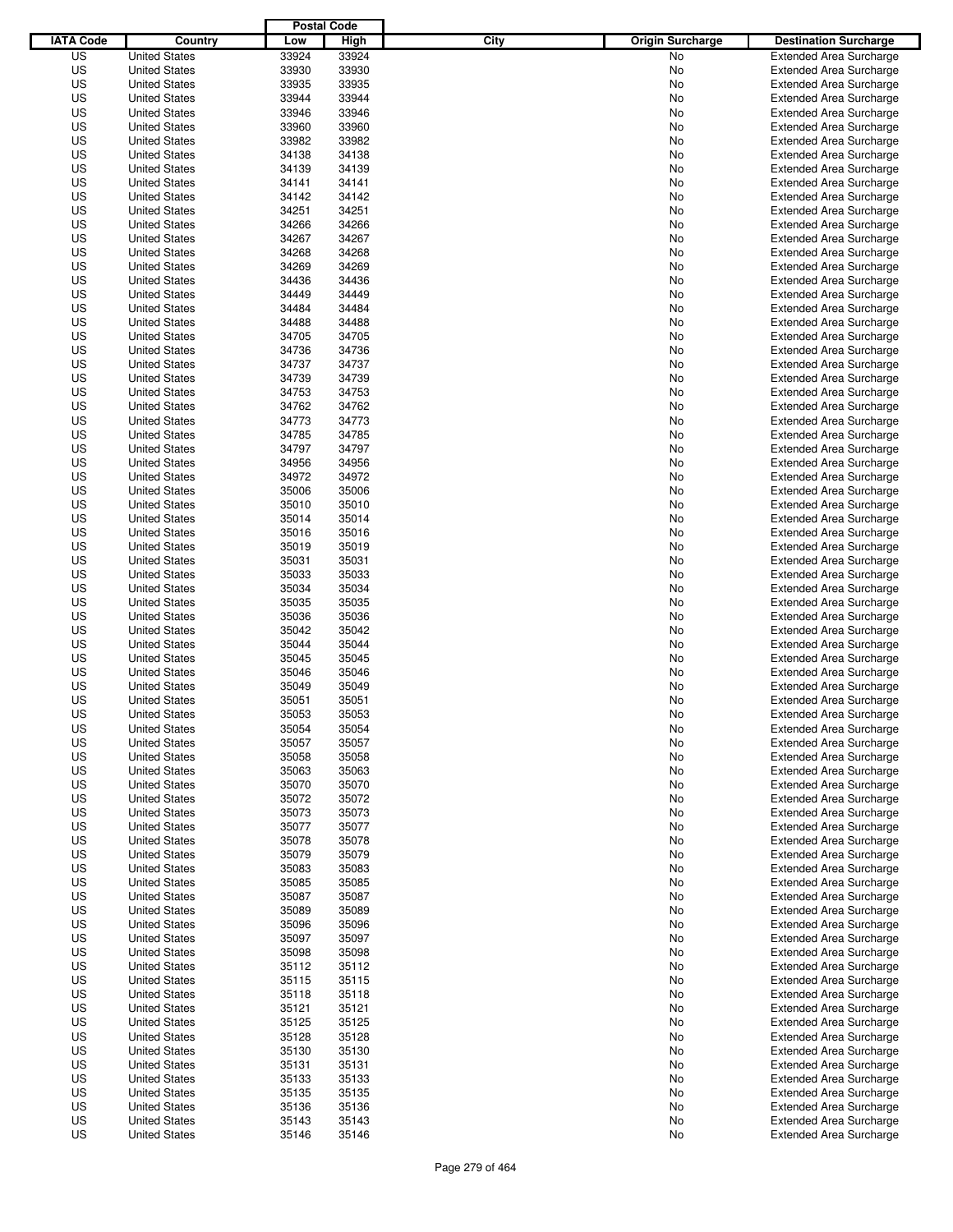|                  |                                              | <b>Postal Code</b> |                |                                 |                                                                  |
|------------------|----------------------------------------------|--------------------|----------------|---------------------------------|------------------------------------------------------------------|
| <b>IATA Code</b> | Country                                      | Low                | High           | City<br><b>Origin Surcharge</b> | <b>Destination Surcharge</b>                                     |
| US               | <b>United States</b>                         | 33924              | 33924          | <b>No</b>                       | <b>Extended Area Surcharge</b>                                   |
| US               | <b>United States</b>                         | 33930              | 33930          | No                              | <b>Extended Area Surcharge</b>                                   |
| US               | <b>United States</b>                         | 33935              | 33935          | No                              | <b>Extended Area Surcharge</b>                                   |
| US               | <b>United States</b>                         | 33944              | 33944          | No                              | <b>Extended Area Surcharge</b>                                   |
| US               | <b>United States</b>                         | 33946              | 33946          | No                              | <b>Extended Area Surcharge</b>                                   |
| US               | <b>United States</b>                         | 33960              | 33960          | No                              | <b>Extended Area Surcharge</b>                                   |
| US               | <b>United States</b>                         | 33982              | 33982          | No                              | <b>Extended Area Surcharge</b>                                   |
| US               | <b>United States</b>                         | 34138              | 34138          | No                              | <b>Extended Area Surcharge</b>                                   |
| US               | <b>United States</b>                         | 34139              | 34139          | No                              | <b>Extended Area Surcharge</b>                                   |
| US               | <b>United States</b>                         | 34141              | 34141          | No                              | <b>Extended Area Surcharge</b>                                   |
| US               | <b>United States</b>                         | 34142              | 34142          | No                              | <b>Extended Area Surcharge</b>                                   |
| US               | <b>United States</b>                         | 34251              | 34251          | No                              | <b>Extended Area Surcharge</b>                                   |
| US               | <b>United States</b>                         | 34266              | 34266          | No                              | <b>Extended Area Surcharge</b>                                   |
| US               | <b>United States</b>                         | 34267              | 34267          | No                              | <b>Extended Area Surcharge</b>                                   |
| US               | <b>United States</b>                         | 34268              | 34268          | No                              | <b>Extended Area Surcharge</b>                                   |
| US               | <b>United States</b>                         | 34269              | 34269          | No                              | <b>Extended Area Surcharge</b>                                   |
| US               | <b>United States</b>                         | 34436              | 34436          | No                              | <b>Extended Area Surcharge</b>                                   |
| US               | <b>United States</b>                         | 34449              | 34449          | No                              | <b>Extended Area Surcharge</b>                                   |
| US               | <b>United States</b>                         | 34484              | 34484          | No                              | <b>Extended Area Surcharge</b>                                   |
| US               | <b>United States</b><br><b>United States</b> | 34488              | 34488          | No                              | <b>Extended Area Surcharge</b>                                   |
| US               |                                              | 34705              | 34705          | No                              | <b>Extended Area Surcharge</b>                                   |
| US               | <b>United States</b>                         | 34736              | 34736          | No                              | <b>Extended Area Surcharge</b>                                   |
| US<br>US         | <b>United States</b><br><b>United States</b> | 34737<br>34739     | 34737<br>34739 | No                              | <b>Extended Area Surcharge</b>                                   |
| US               |                                              | 34753              | 34753          | No                              | <b>Extended Area Surcharge</b><br><b>Extended Area Surcharge</b> |
| US               | <b>United States</b>                         | 34762              | 34762          | No                              | <b>Extended Area Surcharge</b>                                   |
| US               | <b>United States</b>                         | 34773              | 34773          | No                              |                                                                  |
| US               | <b>United States</b><br><b>United States</b> | 34785              | 34785          | No<br>No                        | <b>Extended Area Surcharge</b><br><b>Extended Area Surcharge</b> |
| US               | <b>United States</b>                         | 34797              | 34797          | No                              | <b>Extended Area Surcharge</b>                                   |
| US               | <b>United States</b>                         | 34956              | 34956          | No                              | <b>Extended Area Surcharge</b>                                   |
| US               | <b>United States</b>                         | 34972              | 34972          | No                              | <b>Extended Area Surcharge</b>                                   |
| US               | <b>United States</b>                         | 35006              | 35006          | No                              | <b>Extended Area Surcharge</b>                                   |
| US               | <b>United States</b>                         | 35010              | 35010          | No                              | <b>Extended Area Surcharge</b>                                   |
| US               | <b>United States</b>                         | 35014              | 35014          | No                              | <b>Extended Area Surcharge</b>                                   |
| US               | <b>United States</b>                         | 35016              | 35016          | No                              | <b>Extended Area Surcharge</b>                                   |
| US               | <b>United States</b>                         | 35019              | 35019          | No                              | <b>Extended Area Surcharge</b>                                   |
| US               | <b>United States</b>                         | 35031              | 35031          | No                              | <b>Extended Area Surcharge</b>                                   |
| US               | <b>United States</b>                         | 35033              | 35033          | No                              | <b>Extended Area Surcharge</b>                                   |
| US               | <b>United States</b>                         | 35034              | 35034          | No                              | <b>Extended Area Surcharge</b>                                   |
| US               | <b>United States</b>                         | 35035              | 35035          | No                              | <b>Extended Area Surcharge</b>                                   |
| US               | <b>United States</b>                         | 35036              | 35036          | No                              | <b>Extended Area Surcharge</b>                                   |
| US               | <b>United States</b>                         | 35042              | 35042          | No                              | <b>Extended Area Surcharge</b>                                   |
| US               | <b>United States</b>                         | 35044              | 35044          | No                              | <b>Extended Area Surcharge</b>                                   |
| US               | <b>United States</b>                         | 35045              | 35045          | No                              | <b>Extended Area Surcharge</b>                                   |
| US               | <b>United States</b>                         | 35046              | 35046          | No                              | <b>Extended Area Surcharge</b>                                   |
| US               | <b>United States</b>                         | 35049              | 35049          | No                              | <b>Extended Area Surcharge</b>                                   |
| US               | <b>United States</b>                         | 35051              | 35051          | No                              | <b>Extended Area Surcharge</b>                                   |
| US               | <b>United States</b>                         | 35053              | 35053          | No                              | <b>Extended Area Surcharge</b>                                   |
| US               | <b>United States</b>                         | 35054              | 35054          | No                              | <b>Extended Area Surcharge</b>                                   |
| US               | <b>United States</b>                         | 35057              | 35057          | No                              | <b>Extended Area Surcharge</b>                                   |
| US               | <b>United States</b>                         | 35058              | 35058          | No                              | <b>Extended Area Surcharge</b>                                   |
| US               | <b>United States</b>                         | 35063              | 35063          | No                              | <b>Extended Area Surcharge</b>                                   |
| US               | <b>United States</b>                         | 35070              | 35070          | No                              | <b>Extended Area Surcharge</b>                                   |
| US               | <b>United States</b>                         | 35072              | 35072          | No                              | <b>Extended Area Surcharge</b>                                   |
| US               | <b>United States</b>                         | 35073              | 35073          | No                              | <b>Extended Area Surcharge</b>                                   |
| US               | <b>United States</b>                         | 35077              | 35077          | No                              | <b>Extended Area Surcharge</b>                                   |
| US               | <b>United States</b>                         | 35078              | 35078          | No                              | <b>Extended Area Surcharge</b>                                   |
| US               | <b>United States</b>                         | 35079              | 35079          | No                              | <b>Extended Area Surcharge</b>                                   |
| US               | <b>United States</b>                         | 35083              | 35083          | No                              | <b>Extended Area Surcharge</b>                                   |
| US               | <b>United States</b>                         | 35085              | 35085          | No                              | <b>Extended Area Surcharge</b>                                   |
| US               | <b>United States</b>                         | 35087              | 35087          | No                              | <b>Extended Area Surcharge</b>                                   |
| US               | <b>United States</b>                         | 35089              | 35089          | No                              | <b>Extended Area Surcharge</b>                                   |
| US               | <b>United States</b>                         | 35096              | 35096          | No                              | <b>Extended Area Surcharge</b>                                   |
| US               | <b>United States</b>                         | 35097              | 35097          | No                              | <b>Extended Area Surcharge</b>                                   |
| US               | <b>United States</b>                         | 35098              | 35098          | No                              | <b>Extended Area Surcharge</b>                                   |
| US               | <b>United States</b>                         | 35112              | 35112          | No                              | <b>Extended Area Surcharge</b>                                   |
| US               | <b>United States</b>                         | 35115              | 35115          | No                              | <b>Extended Area Surcharge</b>                                   |
| US               | <b>United States</b>                         | 35118              | 35118          | No                              | <b>Extended Area Surcharge</b>                                   |
| US               | <b>United States</b>                         | 35121              | 35121          | No                              | <b>Extended Area Surcharge</b>                                   |
| US               | <b>United States</b>                         | 35125              | 35125          | No                              | <b>Extended Area Surcharge</b>                                   |
| US               | <b>United States</b>                         | 35128              | 35128          | No                              | <b>Extended Area Surcharge</b>                                   |
| US               | <b>United States</b>                         | 35130              | 35130          | No                              | <b>Extended Area Surcharge</b>                                   |
| US               | <b>United States</b>                         | 35131              | 35131          | No                              | <b>Extended Area Surcharge</b>                                   |
| US               | <b>United States</b>                         | 35133              | 35133          | No                              | <b>Extended Area Surcharge</b>                                   |
| US               | <b>United States</b>                         | 35135              | 35135          | No                              | <b>Extended Area Surcharge</b>                                   |
| US               | <b>United States</b>                         | 35136              | 35136          | No                              | <b>Extended Area Surcharge</b>                                   |
| US               | <b>United States</b>                         | 35143              | 35143          | No                              | <b>Extended Area Surcharge</b>                                   |
| US               | <b>United States</b>                         | 35146              | 35146          | No                              | <b>Extended Area Surcharge</b>                                   |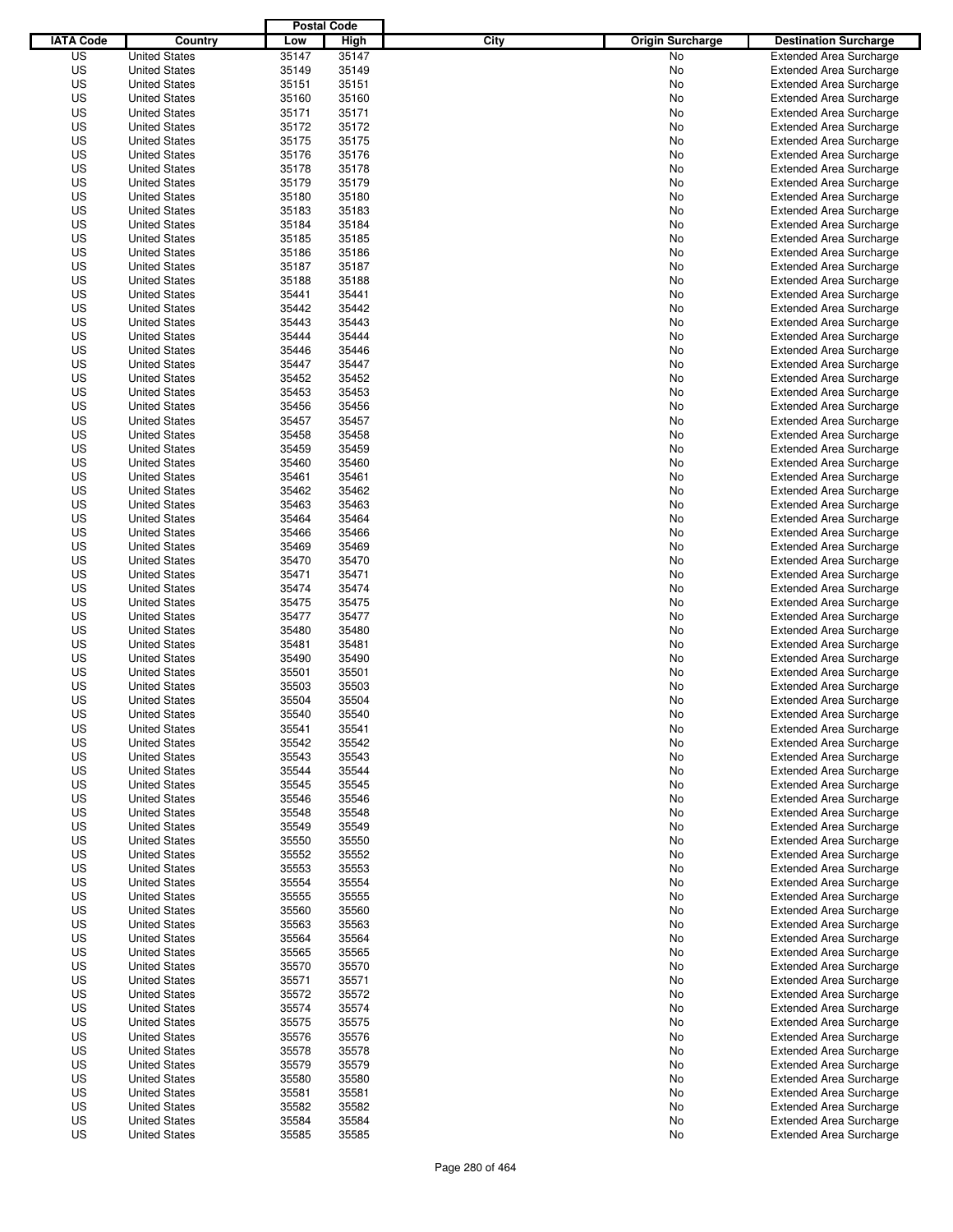|                  |                                              | <b>Postal Code</b> |                |                                 |                                                                  |
|------------------|----------------------------------------------|--------------------|----------------|---------------------------------|------------------------------------------------------------------|
| <b>IATA Code</b> | Country                                      | Low                | High           | City<br><b>Origin Surcharge</b> | <b>Destination Surcharge</b>                                     |
| US               | <b>United States</b>                         | 35147              | 35147          | <b>No</b>                       | <b>Extended Area Surcharge</b>                                   |
| US               | <b>United States</b>                         | 35149              | 35149          | No                              | <b>Extended Area Surcharge</b>                                   |
| US               | <b>United States</b>                         | 35151              | 35151          | No                              | <b>Extended Area Surcharge</b>                                   |
| US               | <b>United States</b>                         | 35160              | 35160          | No                              | <b>Extended Area Surcharge</b>                                   |
| US               | <b>United States</b>                         | 35171              | 35171          | No                              | <b>Extended Area Surcharge</b>                                   |
| US               | <b>United States</b>                         | 35172              | 35172          | No                              | <b>Extended Area Surcharge</b>                                   |
| US               | <b>United States</b>                         | 35175              | 35175          | No                              | <b>Extended Area Surcharge</b>                                   |
| US               | <b>United States</b>                         | 35176              | 35176          | No                              | <b>Extended Area Surcharge</b>                                   |
| US               | <b>United States</b>                         | 35178              | 35178          | No                              | <b>Extended Area Surcharge</b>                                   |
| US               | <b>United States</b>                         | 35179              | 35179          | No                              | <b>Extended Area Surcharge</b>                                   |
| US               | <b>United States</b>                         | 35180              | 35180          | No                              | <b>Extended Area Surcharge</b>                                   |
| US               | <b>United States</b>                         | 35183              | 35183          | No                              | <b>Extended Area Surcharge</b>                                   |
| US               | <b>United States</b>                         | 35184              | 35184          | No                              | <b>Extended Area Surcharge</b>                                   |
| US               | <b>United States</b>                         | 35185              | 35185          | No                              | <b>Extended Area Surcharge</b>                                   |
| US               | <b>United States</b>                         | 35186              | 35186          | No                              | <b>Extended Area Surcharge</b>                                   |
| US               | <b>United States</b>                         | 35187              | 35187          | No                              | <b>Extended Area Surcharge</b>                                   |
| US               | <b>United States</b>                         | 35188              | 35188          | No                              | <b>Extended Area Surcharge</b>                                   |
| US               | <b>United States</b>                         | 35441              | 35441          | No                              | <b>Extended Area Surcharge</b>                                   |
| US               | <b>United States</b>                         | 35442              | 35442          | No                              | <b>Extended Area Surcharge</b>                                   |
| US               | <b>United States</b>                         | 35443              | 35443          | No                              | <b>Extended Area Surcharge</b>                                   |
| US               | <b>United States</b>                         | 35444              | 35444          | No                              | <b>Extended Area Surcharge</b>                                   |
| US               | <b>United States</b>                         | 35446              | 35446          | No                              | <b>Extended Area Surcharge</b>                                   |
| US               | <b>United States</b>                         | 35447              | 35447          | No                              | <b>Extended Area Surcharge</b>                                   |
| US               | <b>United States</b>                         | 35452              | 35452          | No                              | <b>Extended Area Surcharge</b>                                   |
| US               | <b>United States</b>                         | 35453              | 35453          | No                              | <b>Extended Area Surcharge</b>                                   |
| US               | <b>United States</b>                         | 35456              | 35456          | No                              | <b>Extended Area Surcharge</b>                                   |
| US               | <b>United States</b>                         | 35457              | 35457          | No                              | <b>Extended Area Surcharge</b>                                   |
| US               | <b>United States</b>                         | 35458              | 35458          | No                              | <b>Extended Area Surcharge</b>                                   |
| US               | <b>United States</b>                         | 35459              | 35459          | No                              | <b>Extended Area Surcharge</b>                                   |
| US               | <b>United States</b>                         | 35460              | 35460          | No                              | <b>Extended Area Surcharge</b>                                   |
| US               | <b>United States</b>                         | 35461              | 35461          | No                              | <b>Extended Area Surcharge</b>                                   |
| US               | <b>United States</b>                         | 35462              | 35462          | No                              | <b>Extended Area Surcharge</b>                                   |
| US               | <b>United States</b>                         | 35463              | 35463          | No                              | <b>Extended Area Surcharge</b>                                   |
| US               | <b>United States</b>                         | 35464              | 35464          | No                              | <b>Extended Area Surcharge</b>                                   |
| US               | <b>United States</b>                         | 35466              | 35466          | No                              | <b>Extended Area Surcharge</b>                                   |
| US               | <b>United States</b>                         | 35469              | 35469          | No                              | <b>Extended Area Surcharge</b>                                   |
| US               | <b>United States</b>                         | 35470              | 35470          | No                              | <b>Extended Area Surcharge</b>                                   |
| US               | <b>United States</b>                         | 35471              | 35471          | No                              | <b>Extended Area Surcharge</b>                                   |
| US               | <b>United States</b>                         | 35474              | 35474          | No                              | <b>Extended Area Surcharge</b>                                   |
| US               | <b>United States</b>                         | 35475              | 35475          | No                              | <b>Extended Area Surcharge</b>                                   |
| US               | <b>United States</b>                         | 35477              | 35477          | No                              | <b>Extended Area Surcharge</b>                                   |
| US               | <b>United States</b>                         | 35480              | 35480          | No                              | <b>Extended Area Surcharge</b>                                   |
| US               | <b>United States</b>                         | 35481              | 35481          | No                              | <b>Extended Area Surcharge</b>                                   |
| US               | <b>United States</b>                         | 35490              | 35490          | No                              | <b>Extended Area Surcharge</b>                                   |
| US               | <b>United States</b>                         | 35501              | 35501          | No                              | <b>Extended Area Surcharge</b>                                   |
| US               | <b>United States</b>                         | 35503              | 35503          | No                              | <b>Extended Area Surcharge</b>                                   |
| US               | <b>United States</b>                         | 35504              | 35504          | No                              | <b>Extended Area Surcharge</b>                                   |
| US               | <b>United States</b>                         | 35540              | 35540          | No                              | <b>Extended Area Surcharge</b>                                   |
| US               | <b>United States</b>                         | 35541              | 35541          | No                              | <b>Extended Area Surcharge</b>                                   |
| US               | <b>United States</b>                         | 35542              | 35542          | No                              | <b>Extended Area Surcharge</b>                                   |
| US               | <b>United States</b>                         | 35543              | 35543          | No                              | <b>Extended Area Surcharge</b>                                   |
| US               | <b>United States</b>                         | 35544              | 35544          | No                              | <b>Extended Area Surcharge</b>                                   |
| US               | <b>United States</b>                         | 35545              | 35545          | No                              | <b>Extended Area Surcharge</b>                                   |
| US               | <b>United States</b>                         | 35546              | 35546          | No                              | <b>Extended Area Surcharge</b>                                   |
| US               | <b>United States</b>                         | 35548              | 35548          | No                              | <b>Extended Area Surcharge</b>                                   |
| US               | <b>United States</b>                         | 35549              | 35549          | No                              | <b>Extended Area Surcharge</b>                                   |
| US               | <b>United States</b>                         | 35550              | 35550          | No                              | <b>Extended Area Surcharge</b>                                   |
| US               | <b>United States</b><br><b>United States</b> | 35552              | 35552          | No                              | <b>Extended Area Surcharge</b>                                   |
| US<br>US         |                                              | 35553<br>35554     | 35553<br>35554 | No                              | <b>Extended Area Surcharge</b><br><b>Extended Area Surcharge</b> |
|                  | <b>United States</b>                         |                    |                | No                              |                                                                  |
| US<br>US         | <b>United States</b><br><b>United States</b> | 35555<br>35560     | 35555<br>35560 | No                              | <b>Extended Area Surcharge</b><br><b>Extended Area Surcharge</b> |
| US               | <b>United States</b>                         | 35563              | 35563          | No<br>No                        | <b>Extended Area Surcharge</b>                                   |
| US               | <b>United States</b>                         | 35564              | 35564          | No                              | <b>Extended Area Surcharge</b>                                   |
| US               |                                              | 35565              |                |                                 | <b>Extended Area Surcharge</b>                                   |
| US               | <b>United States</b><br><b>United States</b> | 35570              | 35565<br>35570 | No<br>No                        | <b>Extended Area Surcharge</b>                                   |
| US               | <b>United States</b>                         | 35571              | 35571          | No                              | <b>Extended Area Surcharge</b>                                   |
| US               | <b>United States</b>                         | 35572              | 35572          | No                              | <b>Extended Area Surcharge</b>                                   |
| US               | <b>United States</b>                         | 35574              | 35574          | No                              | <b>Extended Area Surcharge</b>                                   |
| US               | <b>United States</b>                         | 35575              | 35575          | No                              | <b>Extended Area Surcharge</b>                                   |
| US               | <b>United States</b>                         | 35576              | 35576          | No                              | <b>Extended Area Surcharge</b>                                   |
| US               | <b>United States</b>                         | 35578              | 35578          | No                              | <b>Extended Area Surcharge</b>                                   |
| US               | <b>United States</b>                         | 35579              | 35579          | No                              | <b>Extended Area Surcharge</b>                                   |
| US               | <b>United States</b>                         | 35580              | 35580          | No                              | <b>Extended Area Surcharge</b>                                   |
| US               | <b>United States</b>                         | 35581              | 35581          | No                              | <b>Extended Area Surcharge</b>                                   |
| US               | <b>United States</b>                         | 35582              | 35582          | No                              | <b>Extended Area Surcharge</b>                                   |
| US               | <b>United States</b>                         | 35584              | 35584          | No                              | <b>Extended Area Surcharge</b>                                   |
| US               | <b>United States</b>                         | 35585              | 35585          | No                              | <b>Extended Area Surcharge</b>                                   |
|                  |                                              |                    |                |                                 |                                                                  |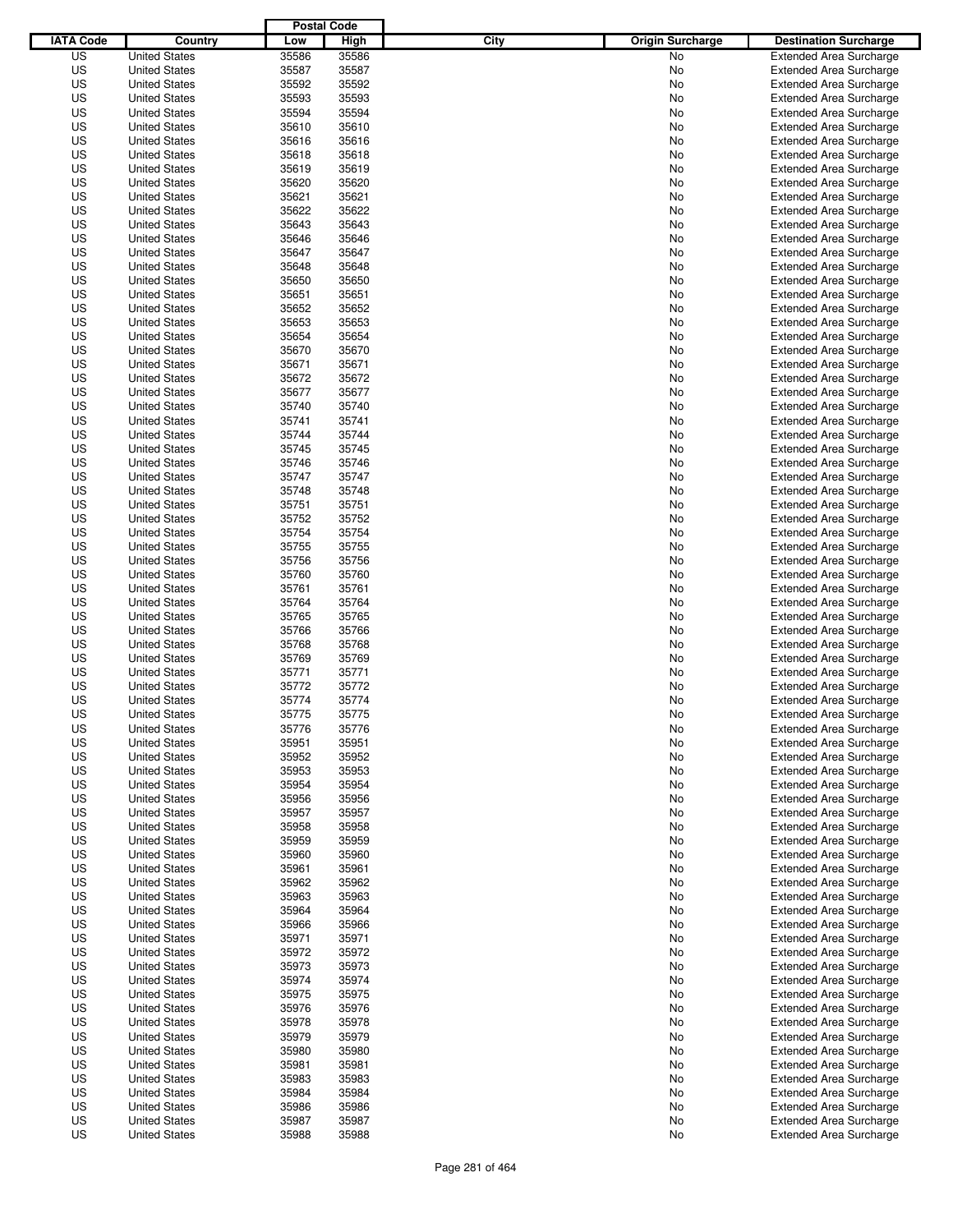|                  |                      | <b>Postal Code</b> |       |                                 |                                |
|------------------|----------------------|--------------------|-------|---------------------------------|--------------------------------|
| <b>IATA Code</b> | Country              | Low                | High  | City<br><b>Origin Surcharge</b> | <b>Destination Surcharge</b>   |
| US               | <b>United States</b> | 35586              | 35586 | <b>No</b>                       | <b>Extended Area Surcharge</b> |
| US               | <b>United States</b> | 35587              | 35587 | No                              | <b>Extended Area Surcharge</b> |
| US               | <b>United States</b> | 35592              | 35592 | No                              | <b>Extended Area Surcharge</b> |
| US               | <b>United States</b> | 35593              | 35593 | No                              | <b>Extended Area Surcharge</b> |
| US               | <b>United States</b> | 35594              | 35594 | No                              | <b>Extended Area Surcharge</b> |
| US               | <b>United States</b> | 35610              | 35610 | No                              | <b>Extended Area Surcharge</b> |
| US               | <b>United States</b> | 35616              | 35616 | No                              | <b>Extended Area Surcharge</b> |
| US               | <b>United States</b> | 35618              | 35618 | No                              | <b>Extended Area Surcharge</b> |
| US               | <b>United States</b> | 35619              | 35619 | No                              | <b>Extended Area Surcharge</b> |
| US               | <b>United States</b> | 35620              | 35620 | No                              | <b>Extended Area Surcharge</b> |
| US               | <b>United States</b> | 35621              | 35621 | No                              | <b>Extended Area Surcharge</b> |
| US               | <b>United States</b> | 35622              | 35622 | No                              | <b>Extended Area Surcharge</b> |
| US               | <b>United States</b> | 35643              | 35643 | No                              | <b>Extended Area Surcharge</b> |
| US               | <b>United States</b> | 35646              | 35646 | No                              | <b>Extended Area Surcharge</b> |
| US               | <b>United States</b> | 35647              | 35647 | No                              | <b>Extended Area Surcharge</b> |
| US               | <b>United States</b> | 35648              | 35648 | No                              | <b>Extended Area Surcharge</b> |
| US               | <b>United States</b> | 35650              | 35650 | No                              | <b>Extended Area Surcharge</b> |
| US               | <b>United States</b> | 35651              | 35651 | No                              | <b>Extended Area Surcharge</b> |
| US               | <b>United States</b> | 35652              | 35652 | No                              | <b>Extended Area Surcharge</b> |
| US               | <b>United States</b> | 35653              | 35653 | No                              | <b>Extended Area Surcharge</b> |
| US               | <b>United States</b> | 35654              | 35654 | No                              | <b>Extended Area Surcharge</b> |
| US               | <b>United States</b> | 35670              | 35670 | No                              | <b>Extended Area Surcharge</b> |
| US               | <b>United States</b> | 35671              | 35671 | No                              | <b>Extended Area Surcharge</b> |
| US               | <b>United States</b> | 35672              | 35672 | No                              | <b>Extended Area Surcharge</b> |
| US               | <b>United States</b> | 35677              | 35677 | No                              | <b>Extended Area Surcharge</b> |
| US               | <b>United States</b> | 35740              | 35740 | No                              | <b>Extended Area Surcharge</b> |
| US               | <b>United States</b> | 35741              | 35741 | No                              | <b>Extended Area Surcharge</b> |
| US               | <b>United States</b> | 35744              | 35744 | No                              | <b>Extended Area Surcharge</b> |
| US               | <b>United States</b> | 35745              | 35745 | No                              | <b>Extended Area Surcharge</b> |
| US               | <b>United States</b> | 35746              | 35746 | No                              | <b>Extended Area Surcharge</b> |
| US               | <b>United States</b> | 35747              | 35747 | No                              | <b>Extended Area Surcharge</b> |
| US               | <b>United States</b> | 35748              | 35748 | No                              | <b>Extended Area Surcharge</b> |
| US               | <b>United States</b> | 35751              | 35751 | No                              | <b>Extended Area Surcharge</b> |
| US               | <b>United States</b> | 35752              | 35752 | No                              | <b>Extended Area Surcharge</b> |
| US               | <b>United States</b> | 35754              | 35754 | No                              | <b>Extended Area Surcharge</b> |
| US               | <b>United States</b> | 35755              | 35755 | No                              | <b>Extended Area Surcharge</b> |
| US               | <b>United States</b> | 35756              | 35756 | No                              | <b>Extended Area Surcharge</b> |
| US               | <b>United States</b> | 35760              | 35760 | No                              | <b>Extended Area Surcharge</b> |
| US               | <b>United States</b> | 35761              | 35761 | No                              | <b>Extended Area Surcharge</b> |
| US               | <b>United States</b> | 35764              | 35764 | No                              | <b>Extended Area Surcharge</b> |
| US               | <b>United States</b> | 35765              | 35765 | No                              | <b>Extended Area Surcharge</b> |
| US               | <b>United States</b> | 35766              | 35766 | No                              | <b>Extended Area Surcharge</b> |
| US               | <b>United States</b> | 35768              | 35768 | No                              | <b>Extended Area Surcharge</b> |
| US               | <b>United States</b> | 35769              | 35769 | No                              | <b>Extended Area Surcharge</b> |
| US               | <b>United States</b> | 35771              | 35771 | No                              | <b>Extended Area Surcharge</b> |
| US               | <b>United States</b> | 35772              | 35772 | No                              | <b>Extended Area Surcharge</b> |
| US               | <b>United States</b> | 35774              | 35774 | No                              | <b>Extended Area Surcharge</b> |
| US               | <b>United States</b> | 35775              | 35775 | No                              | <b>Extended Area Surcharge</b> |
| US               | <b>United States</b> | 35776              | 35776 | No                              | <b>Extended Area Surcharge</b> |
| US               | <b>United States</b> | 35951              | 35951 | No                              | <b>Extended Area Surcharge</b> |
| US               | <b>United States</b> | 35952              | 35952 | No                              | <b>Extended Area Surcharge</b> |
| US               | <b>United States</b> | 35953              | 35953 | No                              | <b>Extended Area Surcharge</b> |
| US               | <b>United States</b> | 35954              | 35954 | No                              | <b>Extended Area Surcharge</b> |
| US               | <b>United States</b> | 35956              | 35956 | No                              | <b>Extended Area Surcharge</b> |
| US               | <b>United States</b> | 35957              | 35957 | No                              | <b>Extended Area Surcharge</b> |
| US               | <b>United States</b> | 35958              | 35958 | No                              | <b>Extended Area Surcharge</b> |
| US               | <b>United States</b> | 35959              | 35959 | No                              | <b>Extended Area Surcharge</b> |
| US               | <b>United States</b> | 35960              | 35960 | No                              | <b>Extended Area Surcharge</b> |
| US               | <b>United States</b> | 35961              | 35961 | No                              | <b>Extended Area Surcharge</b> |
| US               | <b>United States</b> | 35962              | 35962 | No                              | <b>Extended Area Surcharge</b> |
| US               | <b>United States</b> | 35963              | 35963 | No                              | <b>Extended Area Surcharge</b> |
| US               | <b>United States</b> | 35964              | 35964 | No                              | <b>Extended Area Surcharge</b> |
| US               | <b>United States</b> | 35966              | 35966 | No                              | <b>Extended Area Surcharge</b> |
| US               | <b>United States</b> | 35971              | 35971 | No                              | <b>Extended Area Surcharge</b> |
| US               | <b>United States</b> | 35972              | 35972 | No                              | <b>Extended Area Surcharge</b> |
| US               | <b>United States</b> | 35973              | 35973 | No                              | <b>Extended Area Surcharge</b> |
| US               | <b>United States</b> | 35974              | 35974 | No                              | <b>Extended Area Surcharge</b> |
| US               | <b>United States</b> | 35975              | 35975 | No                              | <b>Extended Area Surcharge</b> |
| US               | <b>United States</b> | 35976              | 35976 | No                              | <b>Extended Area Surcharge</b> |
| US               | <b>United States</b> | 35978              | 35978 | No                              | <b>Extended Area Surcharge</b> |
| US               | <b>United States</b> | 35979              | 35979 | No                              | <b>Extended Area Surcharge</b> |
| US               | <b>United States</b> | 35980              | 35980 | No                              | <b>Extended Area Surcharge</b> |
| US               | <b>United States</b> | 35981              | 35981 | No                              | <b>Extended Area Surcharge</b> |
| US               | <b>United States</b> | 35983              | 35983 | No                              | <b>Extended Area Surcharge</b> |
| US               | <b>United States</b> | 35984              | 35984 | No                              | <b>Extended Area Surcharge</b> |
| US               | <b>United States</b> | 35986              | 35986 | No                              | <b>Extended Area Surcharge</b> |
| US               | <b>United States</b> | 35987              | 35987 | No                              | <b>Extended Area Surcharge</b> |
| US               | <b>United States</b> | 35988              | 35988 | No                              | <b>Extended Area Surcharge</b> |
|                  |                      |                    |       |                                 |                                |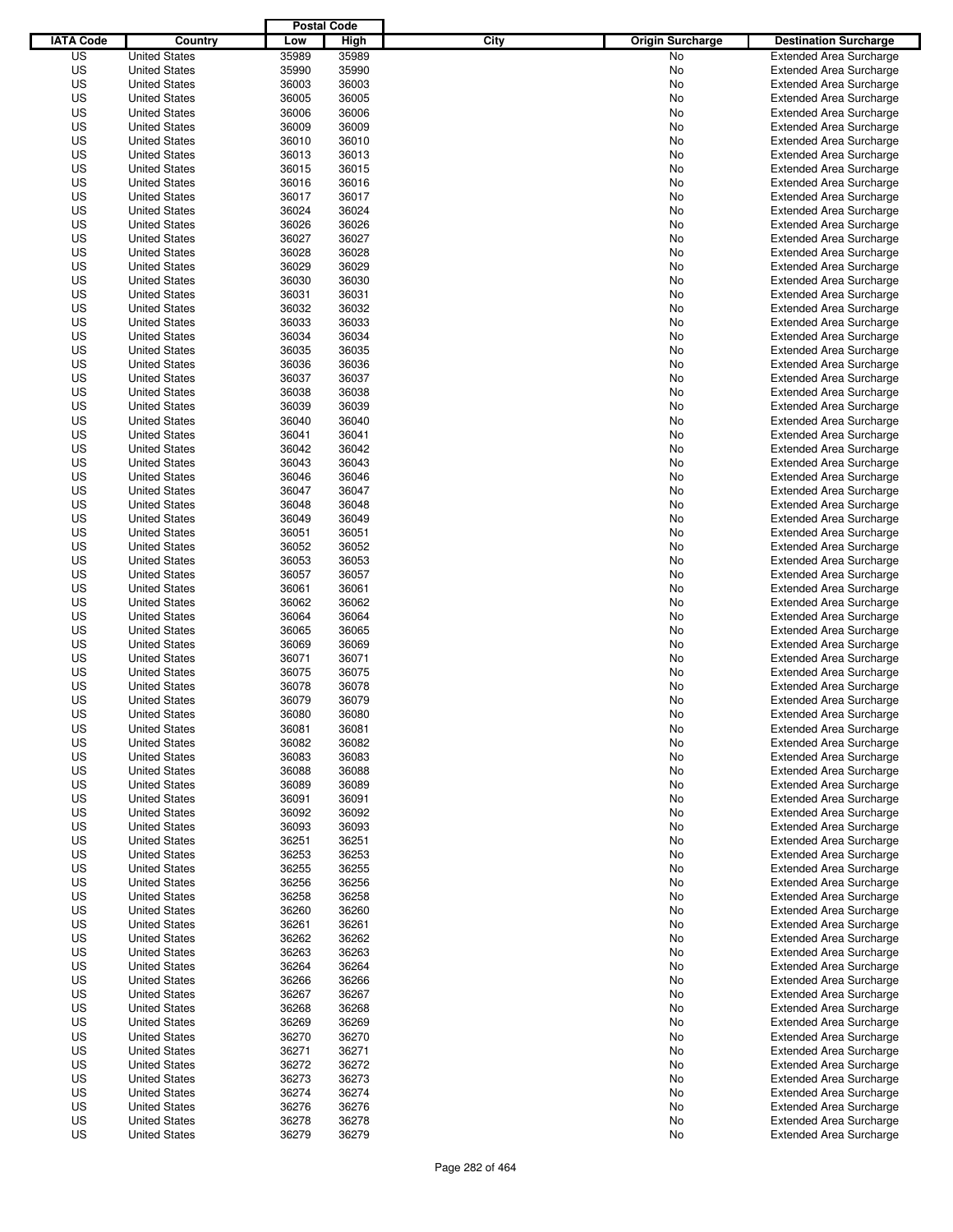|                  |                                              | <b>Postal Code</b> |                |                                 |                                                                  |
|------------------|----------------------------------------------|--------------------|----------------|---------------------------------|------------------------------------------------------------------|
| <b>IATA Code</b> | Country                                      | Low                | High           | City<br><b>Origin Surcharge</b> | <b>Destination Surcharge</b>                                     |
| US               | <b>United States</b>                         | 35989              | 35989          | <b>No</b>                       | <b>Extended Area Surcharge</b>                                   |
| US               | <b>United States</b>                         | 35990              | 35990          | No                              | <b>Extended Area Surcharge</b>                                   |
| US               | <b>United States</b>                         | 36003              | 36003          | No                              | <b>Extended Area Surcharge</b>                                   |
| US               | <b>United States</b>                         | 36005              | 36005          | No                              | <b>Extended Area Surcharge</b>                                   |
| US               | <b>United States</b>                         | 36006              | 36006          | No                              | <b>Extended Area Surcharge</b>                                   |
| US               | <b>United States</b>                         | 36009              | 36009          | No                              | <b>Extended Area Surcharge</b>                                   |
| US               | <b>United States</b>                         | 36010              | 36010          | No                              | <b>Extended Area Surcharge</b>                                   |
| US               | <b>United States</b>                         | 36013              | 36013          | No                              | <b>Extended Area Surcharge</b>                                   |
| US               | <b>United States</b>                         | 36015              | 36015          | No                              | <b>Extended Area Surcharge</b>                                   |
| US               | <b>United States</b>                         | 36016              | 36016          | No                              | <b>Extended Area Surcharge</b>                                   |
| US               | <b>United States</b>                         | 36017              | 36017          | No                              | <b>Extended Area Surcharge</b>                                   |
| US               | <b>United States</b>                         | 36024              | 36024          | No                              | <b>Extended Area Surcharge</b>                                   |
| US               | <b>United States</b>                         | 36026              | 36026          | No                              | <b>Extended Area Surcharge</b>                                   |
| US               | <b>United States</b>                         | 36027              | 36027          | No                              | <b>Extended Area Surcharge</b>                                   |
| US               | <b>United States</b>                         | 36028              | 36028          | No                              | <b>Extended Area Surcharge</b>                                   |
| US               | <b>United States</b>                         | 36029              | 36029          | No                              | <b>Extended Area Surcharge</b>                                   |
| US               | <b>United States</b>                         | 36030              | 36030          | No                              | <b>Extended Area Surcharge</b>                                   |
| US               | <b>United States</b>                         | 36031              | 36031          | No                              | <b>Extended Area Surcharge</b>                                   |
| US               | <b>United States</b>                         | 36032              | 36032          | No                              | <b>Extended Area Surcharge</b>                                   |
| US               | <b>United States</b>                         | 36033              | 36033          | No                              | <b>Extended Area Surcharge</b>                                   |
| US               | <b>United States</b>                         | 36034              | 36034          | No                              | <b>Extended Area Surcharge</b>                                   |
| US               | <b>United States</b>                         | 36035              | 36035          | No                              | <b>Extended Area Surcharge</b>                                   |
| US               | <b>United States</b>                         | 36036              | 36036          | No                              | <b>Extended Area Surcharge</b>                                   |
| US               | <b>United States</b>                         | 36037              | 36037          | No                              | <b>Extended Area Surcharge</b>                                   |
| US               | <b>United States</b>                         | 36038              | 36038          | No                              | <b>Extended Area Surcharge</b>                                   |
| US               | <b>United States</b>                         | 36039              | 36039          | No                              | <b>Extended Area Surcharge</b>                                   |
| US               | <b>United States</b>                         | 36040              | 36040          | No                              | <b>Extended Area Surcharge</b>                                   |
| US               | <b>United States</b>                         | 36041              | 36041          | No                              | <b>Extended Area Surcharge</b>                                   |
| US               | <b>United States</b>                         | 36042              | 36042          | No                              | <b>Extended Area Surcharge</b>                                   |
| US               | <b>United States</b>                         | 36043              | 36043          | No                              | <b>Extended Area Surcharge</b>                                   |
| US               | <b>United States</b>                         | 36046              | 36046          | No                              | <b>Extended Area Surcharge</b>                                   |
| US               | <b>United States</b>                         | 36047              | 36047          | No                              | <b>Extended Area Surcharge</b>                                   |
| US               | <b>United States</b>                         | 36048              | 36048          | No                              | <b>Extended Area Surcharge</b>                                   |
| US               | <b>United States</b>                         | 36049              | 36049          | No                              | <b>Extended Area Surcharge</b>                                   |
| US               | <b>United States</b>                         | 36051              | 36051          | No                              | <b>Extended Area Surcharge</b>                                   |
| US               | <b>United States</b>                         | 36052              | 36052          | No                              | <b>Extended Area Surcharge</b>                                   |
| US               | <b>United States</b>                         | 36053              | 36053          | No                              | <b>Extended Area Surcharge</b>                                   |
| US               | <b>United States</b>                         | 36057              | 36057          | No                              | <b>Extended Area Surcharge</b>                                   |
| US               | <b>United States</b>                         | 36061              | 36061          | No                              | <b>Extended Area Surcharge</b>                                   |
| US               | <b>United States</b>                         | 36062              | 36062          | No                              | <b>Extended Area Surcharge</b>                                   |
| US               | <b>United States</b>                         | 36064              | 36064          | No                              | <b>Extended Area Surcharge</b>                                   |
| US               | <b>United States</b>                         | 36065              | 36065          | No                              | <b>Extended Area Surcharge</b>                                   |
| US               | <b>United States</b>                         | 36069              | 36069          | No                              | <b>Extended Area Surcharge</b>                                   |
| US               | <b>United States</b>                         | 36071              | 36071          | No                              | <b>Extended Area Surcharge</b>                                   |
| US               | <b>United States</b>                         | 36075              | 36075          | No                              | <b>Extended Area Surcharge</b>                                   |
| US               | <b>United States</b>                         | 36078              | 36078          | No                              | <b>Extended Area Surcharge</b>                                   |
| US               | <b>United States</b>                         | 36079              | 36079          | No                              | <b>Extended Area Surcharge</b>                                   |
| US               | <b>United States</b>                         | 36080              | 36080          | No                              | <b>Extended Area Surcharge</b>                                   |
| US               | <b>United States</b>                         | 36081              | 36081          | No                              | <b>Extended Area Surcharge</b>                                   |
| US               | <b>United States</b>                         | 36082              | 36082          | No                              | <b>Extended Area Surcharge</b>                                   |
| US               | <b>United States</b>                         | 36083              | 36083          | No                              | <b>Extended Area Surcharge</b>                                   |
| US               | <b>United States</b>                         | 36088              | 36088          | No                              | <b>Extended Area Surcharge</b>                                   |
| US               | <b>United States</b>                         | 36089              | 36089          | No                              | <b>Extended Area Surcharge</b>                                   |
| US               | <b>United States</b>                         | 36091              | 36091          | No                              | <b>Extended Area Surcharge</b>                                   |
| US               | <b>United States</b>                         | 36092              | 36092          | No                              | <b>Extended Area Surcharge</b>                                   |
| US               | <b>United States</b>                         | 36093              | 36093          | No                              | <b>Extended Area Surcharge</b>                                   |
| US               | <b>United States</b>                         | 36251              | 36251          | No                              | <b>Extended Area Surcharge</b>                                   |
| US<br>US         | <b>United States</b><br><b>United States</b> | 36253<br>36255     | 36253<br>36255 | No<br>No                        | <b>Extended Area Surcharge</b><br><b>Extended Area Surcharge</b> |
|                  | <b>United States</b>                         |                    |                |                                 |                                                                  |
| US               |                                              | 36256              | 36256          | No                              | <b>Extended Area Surcharge</b>                                   |
| US               | <b>United States</b>                         | 36258              | 36258          | No                              | <b>Extended Area Surcharge</b>                                   |
| US<br>US         | <b>United States</b>                         | 36260<br>36261     | 36260<br>36261 | No                              | <b>Extended Area Surcharge</b><br><b>Extended Area Surcharge</b> |
| US               | <b>United States</b><br><b>United States</b> | 36262              | 36262          | No<br>No                        | <b>Extended Area Surcharge</b>                                   |
| US               |                                              | 36263              | 36263          |                                 | <b>Extended Area Surcharge</b>                                   |
| US               | <b>United States</b><br><b>United States</b> | 36264              | 36264          | No<br>No                        | <b>Extended Area Surcharge</b>                                   |
| US               | <b>United States</b>                         | 36266              | 36266          | No                              | <b>Extended Area Surcharge</b>                                   |
| US               | <b>United States</b>                         | 36267              | 36267          | No                              | <b>Extended Area Surcharge</b>                                   |
| US               | <b>United States</b>                         | 36268              | 36268          | No                              | <b>Extended Area Surcharge</b>                                   |
| US               | <b>United States</b>                         | 36269              | 36269          | No                              | <b>Extended Area Surcharge</b>                                   |
| US               | <b>United States</b>                         | 36270              | 36270          | No                              | <b>Extended Area Surcharge</b>                                   |
| US               | <b>United States</b>                         | 36271              | 36271          | No                              | <b>Extended Area Surcharge</b>                                   |
| US               | <b>United States</b>                         | 36272              | 36272          | No                              | <b>Extended Area Surcharge</b>                                   |
| US               | <b>United States</b>                         | 36273              | 36273          | No                              | <b>Extended Area Surcharge</b>                                   |
| US               | <b>United States</b>                         | 36274              | 36274          | No                              | <b>Extended Area Surcharge</b>                                   |
| US               | <b>United States</b>                         | 36276              | 36276          | No                              | <b>Extended Area Surcharge</b>                                   |
| US               | <b>United States</b>                         | 36278              | 36278          | No                              | <b>Extended Area Surcharge</b>                                   |
| US               | <b>United States</b>                         | 36279              | 36279          | No                              | <b>Extended Area Surcharge</b>                                   |
|                  |                                              |                    |                |                                 |                                                                  |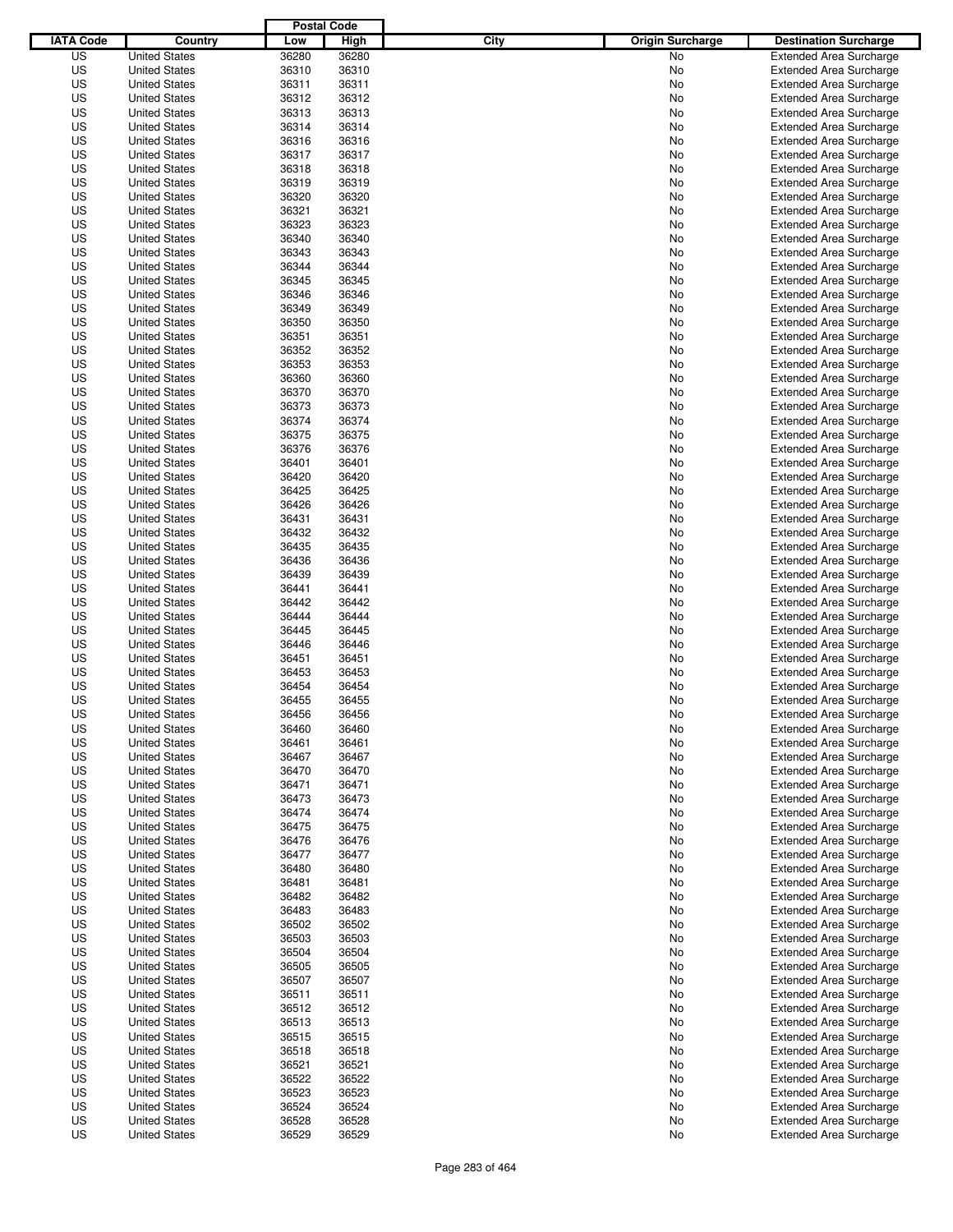|                  |                                              | <b>Postal Code</b> |                |                                 |                                                                  |
|------------------|----------------------------------------------|--------------------|----------------|---------------------------------|------------------------------------------------------------------|
| <b>IATA Code</b> | Country                                      | Low                | High           | City<br><b>Origin Surcharge</b> | <b>Destination Surcharge</b>                                     |
| US               | <b>United States</b>                         | 36280              | 36280          | <b>No</b>                       | <b>Extended Area Surcharge</b>                                   |
| US               | <b>United States</b>                         | 36310              | 36310          | No                              | <b>Extended Area Surcharge</b>                                   |
| US               | <b>United States</b>                         | 36311              | 36311          | No                              | <b>Extended Area Surcharge</b>                                   |
| US               | <b>United States</b>                         | 36312              | 36312          | No                              | <b>Extended Area Surcharge</b>                                   |
| US               | <b>United States</b>                         | 36313              | 36313          | No                              | <b>Extended Area Surcharge</b>                                   |
| US               | <b>United States</b>                         | 36314              | 36314          | No                              | <b>Extended Area Surcharge</b>                                   |
| US               | <b>United States</b>                         | 36316              | 36316          | No                              | <b>Extended Area Surcharge</b>                                   |
| US               | <b>United States</b>                         | 36317              | 36317          | No                              | <b>Extended Area Surcharge</b>                                   |
| US               | <b>United States</b>                         | 36318              | 36318          | No                              | <b>Extended Area Surcharge</b>                                   |
| US               | <b>United States</b>                         | 36319              | 36319          | No                              | <b>Extended Area Surcharge</b>                                   |
| US               | <b>United States</b>                         | 36320              | 36320          | No                              | <b>Extended Area Surcharge</b>                                   |
| US               | <b>United States</b>                         | 36321              | 36321          | No                              | <b>Extended Area Surcharge</b>                                   |
| US               | <b>United States</b>                         | 36323              | 36323          | No                              | <b>Extended Area Surcharge</b>                                   |
| US               | <b>United States</b>                         | 36340              | 36340          | No                              | <b>Extended Area Surcharge</b>                                   |
| US               | <b>United States</b>                         | 36343              | 36343          | No                              | <b>Extended Area Surcharge</b>                                   |
| US               | <b>United States</b>                         | 36344              | 36344          | No                              | <b>Extended Area Surcharge</b>                                   |
| US               | <b>United States</b>                         | 36345              | 36345          | No                              | <b>Extended Area Surcharge</b>                                   |
| US               | <b>United States</b>                         | 36346              | 36346          | No                              | <b>Extended Area Surcharge</b>                                   |
| US               | <b>United States</b>                         | 36349              | 36349          | No                              | <b>Extended Area Surcharge</b>                                   |
| US               | <b>United States</b>                         | 36350              | 36350          | No                              | <b>Extended Area Surcharge</b>                                   |
| US               | <b>United States</b>                         | 36351              | 36351          | No                              | <b>Extended Area Surcharge</b>                                   |
| US               | <b>United States</b>                         | 36352              | 36352          | No                              | <b>Extended Area Surcharge</b>                                   |
| US               | <b>United States</b>                         | 36353              | 36353          | No                              | <b>Extended Area Surcharge</b>                                   |
| US               | <b>United States</b>                         | 36360              | 36360          | No                              | <b>Extended Area Surcharge</b>                                   |
| US               | <b>United States</b>                         | 36370              | 36370          | No                              | <b>Extended Area Surcharge</b>                                   |
| US               | <b>United States</b>                         | 36373              | 36373          | No                              | <b>Extended Area Surcharge</b>                                   |
| US               | <b>United States</b>                         | 36374              | 36374          | No                              | <b>Extended Area Surcharge</b>                                   |
| US               | <b>United States</b>                         | 36375              | 36375          | No                              | <b>Extended Area Surcharge</b>                                   |
| US               | <b>United States</b>                         | 36376              | 36376          | No                              | <b>Extended Area Surcharge</b>                                   |
| US               | <b>United States</b>                         | 36401              | 36401          | No                              | <b>Extended Area Surcharge</b>                                   |
| US               | <b>United States</b>                         | 36420              | 36420          | No                              | <b>Extended Area Surcharge</b>                                   |
| US               | <b>United States</b>                         | 36425              | 36425          | No                              | <b>Extended Area Surcharge</b>                                   |
| US               | <b>United States</b>                         | 36426              | 36426          | No                              | <b>Extended Area Surcharge</b>                                   |
| US               | <b>United States</b>                         | 36431              | 36431          | No                              | <b>Extended Area Surcharge</b>                                   |
| US               | <b>United States</b>                         | 36432              | 36432          | No                              | <b>Extended Area Surcharge</b>                                   |
| US               | <b>United States</b>                         | 36435              | 36435          | No                              | <b>Extended Area Surcharge</b>                                   |
| US               | <b>United States</b>                         | 36436              | 36436          | No                              | <b>Extended Area Surcharge</b>                                   |
| US               | <b>United States</b>                         | 36439              | 36439          | No                              | <b>Extended Area Surcharge</b>                                   |
| US               | <b>United States</b>                         | 36441              | 36441          | No                              | <b>Extended Area Surcharge</b>                                   |
| US               | <b>United States</b>                         | 36442              | 36442          | No                              | <b>Extended Area Surcharge</b>                                   |
| US               | <b>United States</b>                         | 36444              | 36444          | No                              | <b>Extended Area Surcharge</b>                                   |
| US               | <b>United States</b>                         | 36445              | 36445          | No                              | <b>Extended Area Surcharge</b>                                   |
| US               | <b>United States</b>                         | 36446              | 36446          | No                              | <b>Extended Area Surcharge</b>                                   |
| US               | <b>United States</b>                         | 36451              | 36451          | No                              | <b>Extended Area Surcharge</b>                                   |
| US               | <b>United States</b>                         | 36453              | 36453          | No                              | <b>Extended Area Surcharge</b>                                   |
| US               | <b>United States</b>                         | 36454              | 36454          | No                              | <b>Extended Area Surcharge</b>                                   |
| US               | <b>United States</b>                         | 36455              | 36455          | No                              | <b>Extended Area Surcharge</b>                                   |
| US               | <b>United States</b>                         | 36456              | 36456          | No                              | <b>Extended Area Surcharge</b>                                   |
| US               | <b>United States</b>                         | 36460              | 36460          | No                              | <b>Extended Area Surcharge</b>                                   |
| US               | <b>United States</b>                         | 36461              | 36461          | No                              | <b>Extended Area Surcharge</b>                                   |
| US               | <b>United States</b>                         | 36467              | 36467          | No                              | <b>Extended Area Surcharge</b>                                   |
| US               | <b>United States</b>                         | 36470              | 36470          | No                              | <b>Extended Area Surcharge</b>                                   |
| US               | <b>United States</b>                         | 36471              | 36471          | No                              | <b>Extended Area Surcharge</b>                                   |
| US               | <b>United States</b>                         | 36473              | 36473          | No                              | <b>Extended Area Surcharge</b>                                   |
| US               | <b>United States</b>                         | 36474              | 36474          | No                              | <b>Extended Area Surcharge</b>                                   |
| US               | <b>United States</b>                         | 36475              | 36475          | No                              | <b>Extended Area Surcharge</b>                                   |
| US               | <b>United States</b>                         | 36476              | 36476          | No                              | <b>Extended Area Surcharge</b>                                   |
| US               | <b>United States</b>                         | 36477              | 36477          | No                              | <b>Extended Area Surcharge</b>                                   |
| US               | <b>United States</b><br><b>United States</b> | 36480              | 36480          | No                              | <b>Extended Area Surcharge</b>                                   |
| US               |                                              | 36481              | 36481          | No                              | <b>Extended Area Surcharge</b>                                   |
| US               | <b>United States</b>                         | 36482              | 36482          | No                              | <b>Extended Area Surcharge</b>                                   |
| US<br>US         | <b>United States</b>                         | 36483<br>36502     | 36483<br>36502 | No                              | <b>Extended Area Surcharge</b><br><b>Extended Area Surcharge</b> |
|                  | <b>United States</b>                         |                    |                | No                              |                                                                  |
| US<br>US         | <b>United States</b><br><b>United States</b> | 36503<br>36504     | 36503<br>36504 | No<br>No                        | <b>Extended Area Surcharge</b><br><b>Extended Area Surcharge</b> |
| US               | <b>United States</b>                         | 36505              | 36505          | No                              | <b>Extended Area Surcharge</b>                                   |
| US               | <b>United States</b>                         | 36507              | 36507          | No                              | <b>Extended Area Surcharge</b>                                   |
| US               | <b>United States</b>                         | 36511              | 36511          | No                              | <b>Extended Area Surcharge</b>                                   |
| US               | <b>United States</b>                         | 36512              |                |                                 | <b>Extended Area Surcharge</b>                                   |
| US               | <b>United States</b>                         | 36513              | 36512<br>36513 | No<br>No                        | <b>Extended Area Surcharge</b>                                   |
| US               | <b>United States</b>                         | 36515              | 36515          | No                              | <b>Extended Area Surcharge</b>                                   |
| US               | <b>United States</b>                         | 36518              | 36518          | No                              | <b>Extended Area Surcharge</b>                                   |
| US               | <b>United States</b>                         | 36521              | 36521          | No                              | <b>Extended Area Surcharge</b>                                   |
| US               | <b>United States</b>                         | 36522              | 36522          | No                              | <b>Extended Area Surcharge</b>                                   |
| US               | <b>United States</b>                         | 36523              | 36523          | No                              | <b>Extended Area Surcharge</b>                                   |
| US               | <b>United States</b>                         | 36524              | 36524          | No                              | <b>Extended Area Surcharge</b>                                   |
| US               | <b>United States</b>                         | 36528              | 36528          | No                              | <b>Extended Area Surcharge</b>                                   |
| US               | <b>United States</b>                         | 36529              | 36529          | No                              | <b>Extended Area Surcharge</b>                                   |
|                  |                                              |                    |                |                                 |                                                                  |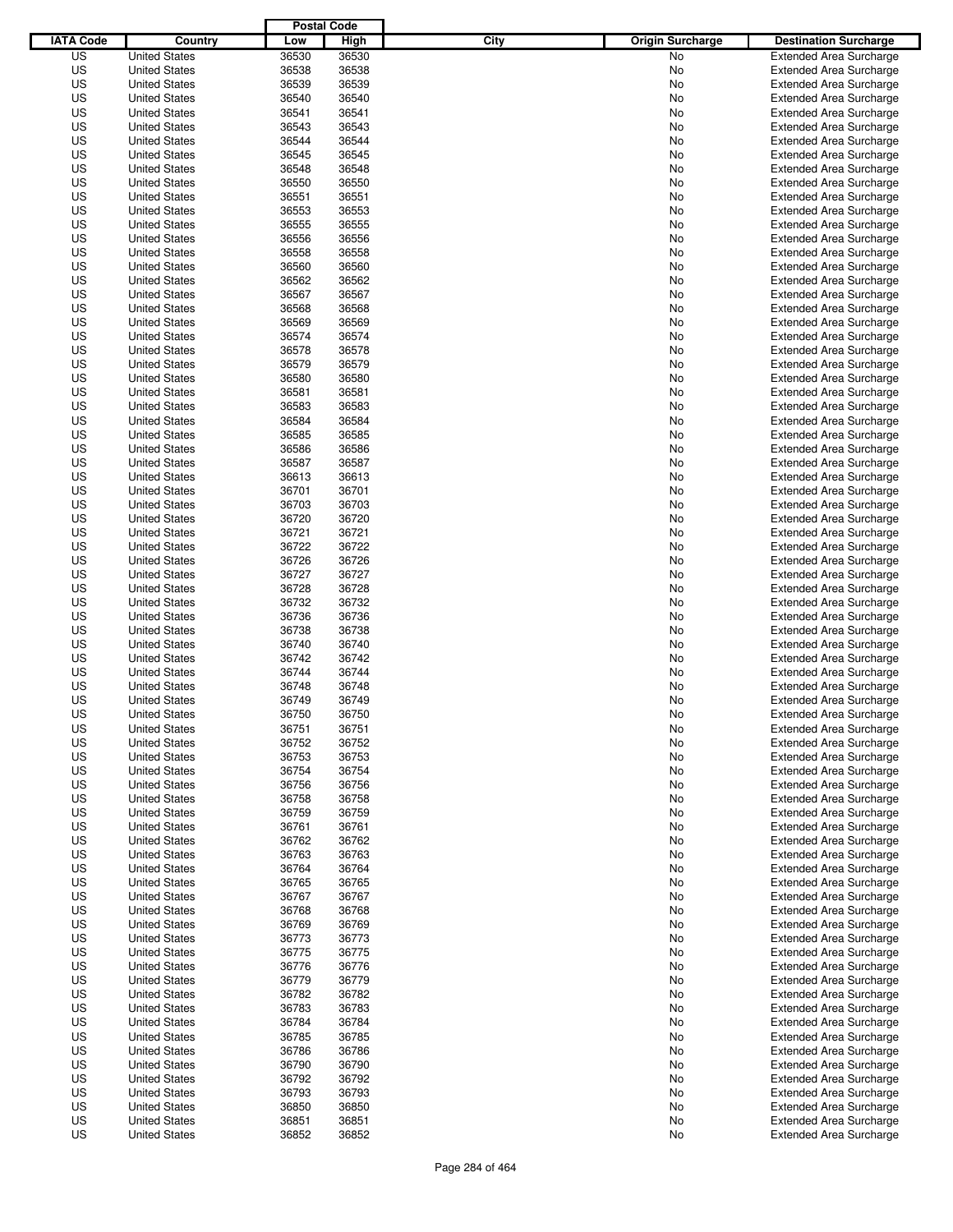|                  |                                              | <b>Postal Code</b> |       |                                 |                                |
|------------------|----------------------------------------------|--------------------|-------|---------------------------------|--------------------------------|
| <b>IATA Code</b> | Country                                      | Low                | High  | City<br><b>Origin Surcharge</b> | <b>Destination Surcharge</b>   |
| US               | <b>United States</b>                         | 36530              | 36530 | <b>No</b>                       | <b>Extended Area Surcharge</b> |
| US               | <b>United States</b>                         | 36538              | 36538 | No                              | <b>Extended Area Surcharge</b> |
| US               | <b>United States</b>                         | 36539              | 36539 | No                              | <b>Extended Area Surcharge</b> |
| US               | <b>United States</b>                         | 36540              | 36540 | No                              | <b>Extended Area Surcharge</b> |
| US               | <b>United States</b>                         | 36541              | 36541 | No                              | <b>Extended Area Surcharge</b> |
| US               | <b>United States</b>                         | 36543              | 36543 | No                              | <b>Extended Area Surcharge</b> |
| US               | <b>United States</b>                         | 36544              | 36544 | No                              | <b>Extended Area Surcharge</b> |
| US               | <b>United States</b>                         | 36545              | 36545 | No                              | <b>Extended Area Surcharge</b> |
| US               | <b>United States</b>                         | 36548              | 36548 | No                              | <b>Extended Area Surcharge</b> |
| US               | <b>United States</b>                         | 36550              | 36550 | No                              | <b>Extended Area Surcharge</b> |
| US               | <b>United States</b>                         | 36551              | 36551 | No                              | <b>Extended Area Surcharge</b> |
| US               | <b>United States</b>                         | 36553              | 36553 | No                              | <b>Extended Area Surcharge</b> |
| US               | <b>United States</b>                         | 36555              | 36555 | No                              | <b>Extended Area Surcharge</b> |
| US               | <b>United States</b>                         | 36556              | 36556 | No                              | <b>Extended Area Surcharge</b> |
| US               | <b>United States</b>                         | 36558              | 36558 | No                              | <b>Extended Area Surcharge</b> |
| US               | <b>United States</b>                         | 36560              | 36560 | No                              | <b>Extended Area Surcharge</b> |
| US               | <b>United States</b>                         | 36562              | 36562 | No                              | <b>Extended Area Surcharge</b> |
| US               | <b>United States</b>                         | 36567              | 36567 | No                              | <b>Extended Area Surcharge</b> |
| US               | <b>United States</b>                         | 36568              | 36568 | No                              | <b>Extended Area Surcharge</b> |
| US               | <b>United States</b>                         | 36569              | 36569 | No                              | <b>Extended Area Surcharge</b> |
| US               | <b>United States</b>                         | 36574              | 36574 | No                              | <b>Extended Area Surcharge</b> |
| US               | <b>United States</b>                         | 36578              | 36578 | No                              | <b>Extended Area Surcharge</b> |
| US               | <b>United States</b>                         | 36579              | 36579 | No                              | <b>Extended Area Surcharge</b> |
| US               | <b>United States</b>                         | 36580              | 36580 | No                              | <b>Extended Area Surcharge</b> |
| US               | <b>United States</b>                         | 36581              | 36581 | No                              | <b>Extended Area Surcharge</b> |
| US               | <b>United States</b>                         | 36583              | 36583 | No                              | <b>Extended Area Surcharge</b> |
| US               | <b>United States</b>                         | 36584              | 36584 | No                              | <b>Extended Area Surcharge</b> |
| US               | <b>United States</b>                         | 36585              | 36585 | No                              | <b>Extended Area Surcharge</b> |
| US               | <b>United States</b>                         | 36586              | 36586 | No                              | <b>Extended Area Surcharge</b> |
| US               | <b>United States</b>                         | 36587              | 36587 | No                              | <b>Extended Area Surcharge</b> |
| US               | <b>United States</b>                         | 36613              | 36613 | No                              | <b>Extended Area Surcharge</b> |
| US               | <b>United States</b>                         | 36701              | 36701 | No                              | <b>Extended Area Surcharge</b> |
| US               | <b>United States</b>                         | 36703              | 36703 | No                              | <b>Extended Area Surcharge</b> |
| US               | <b>United States</b>                         | 36720              | 36720 | No                              | <b>Extended Area Surcharge</b> |
| US               |                                              | 36721              | 36721 |                                 |                                |
|                  | <b>United States</b><br><b>United States</b> |                    |       | No                              | <b>Extended Area Surcharge</b> |
| US               |                                              | 36722              | 36722 | No                              | <b>Extended Area Surcharge</b> |
| US               | <b>United States</b>                         | 36726              | 36726 | No                              | <b>Extended Area Surcharge</b> |
| US               | <b>United States</b>                         | 36727              | 36727 | No                              | <b>Extended Area Surcharge</b> |
| US               | <b>United States</b>                         | 36728              | 36728 | No                              | <b>Extended Area Surcharge</b> |
| US               | <b>United States</b>                         | 36732              | 36732 | No                              | <b>Extended Area Surcharge</b> |
| US               | <b>United States</b>                         | 36736              | 36736 | No                              | <b>Extended Area Surcharge</b> |
| US               | <b>United States</b>                         | 36738              | 36738 | No                              | <b>Extended Area Surcharge</b> |
| US               | <b>United States</b>                         | 36740              | 36740 | No                              | <b>Extended Area Surcharge</b> |
| US               | <b>United States</b>                         | 36742              | 36742 | No                              | <b>Extended Area Surcharge</b> |
| US               | <b>United States</b>                         | 36744              | 36744 | No                              | <b>Extended Area Surcharge</b> |
| US               | <b>United States</b>                         | 36748              | 36748 | No                              | <b>Extended Area Surcharge</b> |
| US               | <b>United States</b>                         | 36749              | 36749 | No                              | <b>Extended Area Surcharge</b> |
| US               | <b>United States</b>                         | 36750              | 36750 | No                              | <b>Extended Area Surcharge</b> |
| US               | <b>United States</b>                         | 36751              | 36751 | No                              | <b>Extended Area Surcharge</b> |
| US               | <b>United States</b>                         | 36752              | 36752 | No                              | <b>Extended Area Surcharge</b> |
| US               | <b>United States</b>                         | 36753              | 36753 | No                              | <b>Extended Area Surcharge</b> |
| US               | <b>United States</b>                         | 36754              | 36754 | No                              | <b>Extended Area Surcharge</b> |
| US               | <b>United States</b>                         | 36756              | 36756 | No                              | <b>Extended Area Surcharge</b> |
| US               | <b>United States</b>                         | 36758              | 36758 | No                              | <b>Extended Area Surcharge</b> |
| US               | <b>United States</b>                         | 36759              | 36759 | No                              | <b>Extended Area Surcharge</b> |
| US               | <b>United States</b>                         | 36761              | 36761 | No                              | <b>Extended Area Surcharge</b> |
| US               | <b>United States</b>                         | 36762              | 36762 | No                              | <b>Extended Area Surcharge</b> |
| US               | <b>United States</b>                         | 36763              | 36763 | No                              | <b>Extended Area Surcharge</b> |
| US               | <b>United States</b>                         | 36764              | 36764 | No                              | <b>Extended Area Surcharge</b> |
| US               | <b>United States</b>                         | 36765              | 36765 | No                              | <b>Extended Area Surcharge</b> |
| US               | <b>United States</b>                         | 36767              | 36767 | No                              | <b>Extended Area Surcharge</b> |
| US               | <b>United States</b>                         | 36768              | 36768 | No                              | <b>Extended Area Surcharge</b> |
| US               | <b>United States</b>                         | 36769              | 36769 | No                              | <b>Extended Area Surcharge</b> |
| US               | <b>United States</b>                         | 36773              | 36773 | No                              | <b>Extended Area Surcharge</b> |
| US               | <b>United States</b>                         | 36775              | 36775 | No                              | <b>Extended Area Surcharge</b> |
| US               | <b>United States</b>                         | 36776              | 36776 | No                              | <b>Extended Area Surcharge</b> |
| US               | <b>United States</b>                         | 36779              | 36779 | No                              | <b>Extended Area Surcharge</b> |
| US               | <b>United States</b>                         | 36782              | 36782 | No                              | <b>Extended Area Surcharge</b> |
| US               | <b>United States</b>                         | 36783              | 36783 | No                              | <b>Extended Area Surcharge</b> |
| US               | <b>United States</b>                         | 36784              | 36784 | No                              | <b>Extended Area Surcharge</b> |
| US               | <b>United States</b>                         | 36785              | 36785 | No                              | <b>Extended Area Surcharge</b> |
| US               | <b>United States</b>                         | 36786              | 36786 | No                              | <b>Extended Area Surcharge</b> |
| US               | <b>United States</b>                         | 36790              | 36790 | No                              | <b>Extended Area Surcharge</b> |
| US               | <b>United States</b>                         | 36792              | 36792 | No                              | <b>Extended Area Surcharge</b> |
| US               | <b>United States</b>                         | 36793              | 36793 | No                              | <b>Extended Area Surcharge</b> |
| US               | <b>United States</b>                         | 36850              | 36850 | No                              | <b>Extended Area Surcharge</b> |
| US               | <b>United States</b>                         | 36851              | 36851 | No                              | <b>Extended Area Surcharge</b> |
| US               | <b>United States</b>                         | 36852              | 36852 | No                              | <b>Extended Area Surcharge</b> |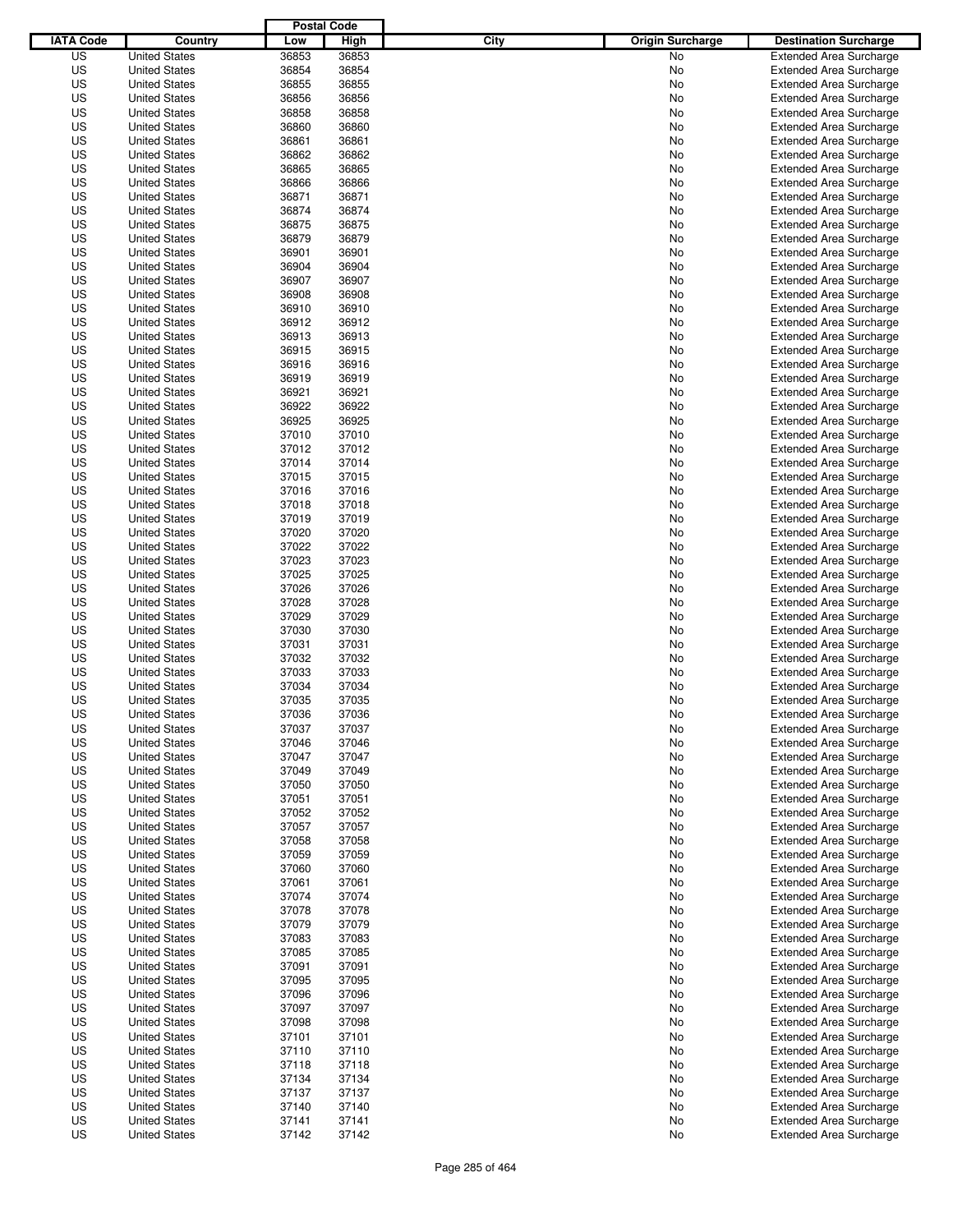| <b>IATA Code</b><br>City<br><b>Origin Surcharge</b><br>Country<br>Low<br>High<br>US<br>36853<br><b>United States</b><br>36853<br>No<br>US<br>36854<br>36854<br><b>United States</b><br>No<br>US<br>36855<br>36855<br><b>United States</b><br>No<br>36856<br>US<br><b>United States</b><br>36856<br>No<br>US<br><b>United States</b><br>36858<br>36858<br>No<br>US<br><b>United States</b><br>36860<br>36860<br>No<br>US<br>36861<br>36861<br><b>United States</b><br>No<br>US<br><b>United States</b><br>36862<br>36862<br>No<br>US<br><b>United States</b><br>36865<br>36865<br>No<br>US<br>36866<br>36866<br><b>United States</b><br>No<br>US<br>36871<br>36871<br><b>United States</b><br>No<br>US<br><b>United States</b><br>36874<br>36874<br>No<br><b>Extended Area Surcharge</b><br>US<br><b>United States</b><br>36875<br>36875<br>No<br>US<br>36879<br>36879<br><b>United States</b><br>No<br>US<br>36901<br>36901<br><b>United States</b><br>No<br><b>Extended Area Surcharge</b><br>US<br><b>United States</b><br>36904<br>36904<br>No<br><b>Extended Area Surcharge</b><br>US<br><b>United States</b><br>36907<br>36907<br>No<br><b>Extended Area Surcharge</b><br>US<br>36908<br>36908<br><b>United States</b><br>No<br><b>Extended Area Surcharge</b><br>US<br><b>United States</b><br>36910<br>36910<br>No<br><b>Extended Area Surcharge</b><br>US<br><b>United States</b><br>36912<br>36912<br>No<br><b>Extended Area Surcharge</b><br>US<br><b>United States</b><br>36913<br>36913<br>No<br><b>Extended Area Surcharge</b><br>US<br>36915<br>36915<br><b>United States</b><br>No<br><b>Extended Area Surcharge</b><br>US<br><b>United States</b><br>36916<br>36916<br>No<br><b>Extended Area Surcharge</b><br>US<br><b>United States</b><br>36919<br>36919<br>No<br><b>Extended Area Surcharge</b><br>US<br><b>United States</b><br>36921<br>36921<br>No<br><b>Extended Area Surcharge</b><br>36922<br>US<br><b>United States</b><br>36922<br>No<br><b>Extended Area Surcharge</b><br>US<br><b>United States</b><br>36925<br>36925<br>No<br><b>Extended Area Surcharge</b><br>US<br><b>United States</b><br>37010<br>37010<br>No<br><b>Extended Area Surcharge</b><br>US<br><b>United States</b><br>37012<br>37012<br>No<br><b>Extended Area Surcharge</b><br>US<br>37014<br>37014<br><b>United States</b><br>No<br><b>Extended Area Surcharge</b><br>US<br><b>United States</b><br>37015<br>37015<br>No<br><b>Extended Area Surcharge</b><br>US<br><b>United States</b><br>37016<br>37016<br>No<br><b>Extended Area Surcharge</b><br>US<br><b>United States</b><br>37018<br>37018<br>No<br><b>Extended Area Surcharge</b><br>US<br>37019<br>37019<br><b>United States</b><br>No<br><b>Extended Area Surcharge</b><br>US<br><b>United States</b><br>37020<br>37020<br>No<br><b>Extended Area Surcharge</b><br>US<br><b>United States</b><br>37022<br>37022<br>No<br><b>Extended Area Surcharge</b><br>US<br>37023<br>37023<br><b>United States</b><br>No<br><b>Extended Area Surcharge</b><br>US<br>37025<br>37025<br><b>United States</b><br>No<br><b>Extended Area Surcharge</b><br>US<br><b>United States</b><br>37026<br>37026<br>No<br><b>Extended Area Surcharge</b><br>US<br><b>United States</b><br>37028<br>37028<br>No<br><b>Extended Area Surcharge</b><br>US<br>37029<br>37029<br><b>United States</b><br>No<br><b>Extended Area Surcharge</b><br>US<br>37030<br>37030<br><b>United States</b><br>No<br><b>Extended Area Surcharge</b><br>US<br>37031<br>37031<br><b>United States</b><br>No<br><b>Extended Area Surcharge</b><br>US<br><b>United States</b><br>37032<br>37032<br>No<br><b>Extended Area Surcharge</b><br>US<br>37033<br>37033<br>Extended Area Surcharge<br><b>United States</b><br>No<br>US<br><b>United States</b><br>37034<br>37034<br><b>Extended Area Surcharge</b><br>No<br>US<br>37035<br>37035<br><b>United States</b><br>No<br><b>Extended Area Surcharge</b><br>US<br>37036<br><b>United States</b><br>37036<br>No<br><b>Extended Area Surcharge</b><br>US<br>37037<br>37037<br><b>United States</b><br>No<br><b>Extended Area Surcharge</b><br>US<br><b>United States</b><br>37046<br>37046<br>No<br><b>Extended Area Surcharge</b><br>US<br>37047<br>37047<br><b>United States</b><br>No<br><b>Extended Area Surcharge</b><br>US<br>37049<br>37049<br><b>United States</b><br>No<br><b>Extended Area Surcharge</b><br>US<br>37050<br>37050<br><b>United States</b><br><b>Extended Area Surcharge</b><br>No<br>US<br><b>United States</b><br>37051<br>37051<br><b>Extended Area Surcharge</b><br>No<br>US<br><b>United States</b><br>37052<br>37052<br><b>Extended Area Surcharge</b><br>No<br>US<br><b>United States</b><br>37057<br>37057<br>No<br>US<br>37058<br><b>United States</b><br>37058<br><b>Extended Area Surcharge</b><br>No<br>US<br><b>United States</b><br>37059<br>37059<br><b>Extended Area Surcharge</b><br>No<br>US<br><b>United States</b><br>37060<br>37060<br>No<br><b>Extended Area Surcharge</b><br>US<br>37061<br>37061<br><b>United States</b><br>No<br>US<br>37074<br><b>United States</b><br>37074<br><b>Extended Area Surcharge</b><br>No<br>US<br><b>United States</b><br>37078<br>37078<br>No<br>US<br><b>United States</b><br>37079<br>37079<br>No<br><b>Extended Area Surcharge</b><br>US<br>37083<br>37083<br><b>United States</b><br>No<br>US<br><b>United States</b><br>37085<br>37085<br>No<br>US<br><b>United States</b><br>37091<br>37091<br>No<br>US<br><b>United States</b><br>37095<br>37095<br>No<br>US<br>37096<br>37096<br><b>United States</b><br>No<br>US<br><b>United States</b><br>37097<br>37097<br>No<br>US<br><b>United States</b><br>37098<br>37098<br>No<br>US<br><b>United States</b><br>37101<br>37101<br>No<br>US<br>37110<br>37110<br><b>United States</b><br>No<br>US<br><b>United States</b><br>37118<br>37118<br>No<br>US<br><b>United States</b><br>37134<br>37134<br>No<br>US<br><b>United States</b><br>37137<br>37137<br>No<br>US<br><b>United States</b><br>37140<br>37140<br>No |    |                      | <b>Postal Code</b> |       |    |                                |
|--------------------------------------------------------------------------------------------------------------------------------------------------------------------------------------------------------------------------------------------------------------------------------------------------------------------------------------------------------------------------------------------------------------------------------------------------------------------------------------------------------------------------------------------------------------------------------------------------------------------------------------------------------------------------------------------------------------------------------------------------------------------------------------------------------------------------------------------------------------------------------------------------------------------------------------------------------------------------------------------------------------------------------------------------------------------------------------------------------------------------------------------------------------------------------------------------------------------------------------------------------------------------------------------------------------------------------------------------------------------------------------------------------------------------------------------------------------------------------------------------------------------------------------------------------------------------------------------------------------------------------------------------------------------------------------------------------------------------------------------------------------------------------------------------------------------------------------------------------------------------------------------------------------------------------------------------------------------------------------------------------------------------------------------------------------------------------------------------------------------------------------------------------------------------------------------------------------------------------------------------------------------------------------------------------------------------------------------------------------------------------------------------------------------------------------------------------------------------------------------------------------------------------------------------------------------------------------------------------------------------------------------------------------------------------------------------------------------------------------------------------------------------------------------------------------------------------------------------------------------------------------------------------------------------------------------------------------------------------------------------------------------------------------------------------------------------------------------------------------------------------------------------------------------------------------------------------------------------------------------------------------------------------------------------------------------------------------------------------------------------------------------------------------------------------------------------------------------------------------------------------------------------------------------------------------------------------------------------------------------------------------------------------------------------------------------------------------------------------------------------------------------------------------------------------------------------------------------------------------------------------------------------------------------------------------------------------------------------------------------------------------------------------------------------------------------------------------------------------------------------------------------------------------------------------------------------------------------------------------------------------------------------------------------------------------------------------------------------------------------------------------------------------------------------------------------------------------------------------------------------------------------------------------------------------------------------------------------------------------------------------------------------------------------------------------------------------------------------------------------------------------------------------------------------------------------------------------------------------------------------------------------------------------------------------------------------------------------------------------------------------------------------------------------------------------------------------------------------------------------------------------------------------------------------------------------------------------------------------------------------------------------------------------------------------------------------------------------------------------------------------------------------------------------------------------------------------------------------------------------------------------------------------------------------------------------------------------------------------------------------------------------------------------------------------------------------------------------------------------------------------------------------------------------------------------------------------------------------------------------------------------------------------------------------------------------------------------------------------------------------------------|----|----------------------|--------------------|-------|----|--------------------------------|
|                                                                                                                                                                                                                                                                                                                                                                                                                                                                                                                                                                                                                                                                                                                                                                                                                                                                                                                                                                                                                                                                                                                                                                                                                                                                                                                                                                                                                                                                                                                                                                                                                                                                                                                                                                                                                                                                                                                                                                                                                                                                                                                                                                                                                                                                                                                                                                                                                                                                                                                                                                                                                                                                                                                                                                                                                                                                                                                                                                                                                                                                                                                                                                                                                                                                                                                                                                                                                                                                                                                                                                                                                                                                                                                                                                                                                                                                                                                                                                                                                                                                                                                                                                                                                                                                                                                                                                                                                                                                                                                                                                                                                                                                                                                                                                                                                                                                                                                                                                                                                                                                                                                                                                                                                                                                                                                                                                                                                                                                                                                                                                                                                                                                                                                                                                                                                                                                                                                                                                                                              |    |                      |                    |       |    | <b>Destination Surcharge</b>   |
|                                                                                                                                                                                                                                                                                                                                                                                                                                                                                                                                                                                                                                                                                                                                                                                                                                                                                                                                                                                                                                                                                                                                                                                                                                                                                                                                                                                                                                                                                                                                                                                                                                                                                                                                                                                                                                                                                                                                                                                                                                                                                                                                                                                                                                                                                                                                                                                                                                                                                                                                                                                                                                                                                                                                                                                                                                                                                                                                                                                                                                                                                                                                                                                                                                                                                                                                                                                                                                                                                                                                                                                                                                                                                                                                                                                                                                                                                                                                                                                                                                                                                                                                                                                                                                                                                                                                                                                                                                                                                                                                                                                                                                                                                                                                                                                                                                                                                                                                                                                                                                                                                                                                                                                                                                                                                                                                                                                                                                                                                                                                                                                                                                                                                                                                                                                                                                                                                                                                                                                                              |    |                      |                    |       |    | <b>Extended Area Surcharge</b> |
|                                                                                                                                                                                                                                                                                                                                                                                                                                                                                                                                                                                                                                                                                                                                                                                                                                                                                                                                                                                                                                                                                                                                                                                                                                                                                                                                                                                                                                                                                                                                                                                                                                                                                                                                                                                                                                                                                                                                                                                                                                                                                                                                                                                                                                                                                                                                                                                                                                                                                                                                                                                                                                                                                                                                                                                                                                                                                                                                                                                                                                                                                                                                                                                                                                                                                                                                                                                                                                                                                                                                                                                                                                                                                                                                                                                                                                                                                                                                                                                                                                                                                                                                                                                                                                                                                                                                                                                                                                                                                                                                                                                                                                                                                                                                                                                                                                                                                                                                                                                                                                                                                                                                                                                                                                                                                                                                                                                                                                                                                                                                                                                                                                                                                                                                                                                                                                                                                                                                                                                                              |    |                      |                    |       |    | <b>Extended Area Surcharge</b> |
|                                                                                                                                                                                                                                                                                                                                                                                                                                                                                                                                                                                                                                                                                                                                                                                                                                                                                                                                                                                                                                                                                                                                                                                                                                                                                                                                                                                                                                                                                                                                                                                                                                                                                                                                                                                                                                                                                                                                                                                                                                                                                                                                                                                                                                                                                                                                                                                                                                                                                                                                                                                                                                                                                                                                                                                                                                                                                                                                                                                                                                                                                                                                                                                                                                                                                                                                                                                                                                                                                                                                                                                                                                                                                                                                                                                                                                                                                                                                                                                                                                                                                                                                                                                                                                                                                                                                                                                                                                                                                                                                                                                                                                                                                                                                                                                                                                                                                                                                                                                                                                                                                                                                                                                                                                                                                                                                                                                                                                                                                                                                                                                                                                                                                                                                                                                                                                                                                                                                                                                                              |    |                      |                    |       |    | <b>Extended Area Surcharge</b> |
|                                                                                                                                                                                                                                                                                                                                                                                                                                                                                                                                                                                                                                                                                                                                                                                                                                                                                                                                                                                                                                                                                                                                                                                                                                                                                                                                                                                                                                                                                                                                                                                                                                                                                                                                                                                                                                                                                                                                                                                                                                                                                                                                                                                                                                                                                                                                                                                                                                                                                                                                                                                                                                                                                                                                                                                                                                                                                                                                                                                                                                                                                                                                                                                                                                                                                                                                                                                                                                                                                                                                                                                                                                                                                                                                                                                                                                                                                                                                                                                                                                                                                                                                                                                                                                                                                                                                                                                                                                                                                                                                                                                                                                                                                                                                                                                                                                                                                                                                                                                                                                                                                                                                                                                                                                                                                                                                                                                                                                                                                                                                                                                                                                                                                                                                                                                                                                                                                                                                                                                                              |    |                      |                    |       |    | <b>Extended Area Surcharge</b> |
|                                                                                                                                                                                                                                                                                                                                                                                                                                                                                                                                                                                                                                                                                                                                                                                                                                                                                                                                                                                                                                                                                                                                                                                                                                                                                                                                                                                                                                                                                                                                                                                                                                                                                                                                                                                                                                                                                                                                                                                                                                                                                                                                                                                                                                                                                                                                                                                                                                                                                                                                                                                                                                                                                                                                                                                                                                                                                                                                                                                                                                                                                                                                                                                                                                                                                                                                                                                                                                                                                                                                                                                                                                                                                                                                                                                                                                                                                                                                                                                                                                                                                                                                                                                                                                                                                                                                                                                                                                                                                                                                                                                                                                                                                                                                                                                                                                                                                                                                                                                                                                                                                                                                                                                                                                                                                                                                                                                                                                                                                                                                                                                                                                                                                                                                                                                                                                                                                                                                                                                                              |    |                      |                    |       |    | <b>Extended Area Surcharge</b> |
|                                                                                                                                                                                                                                                                                                                                                                                                                                                                                                                                                                                                                                                                                                                                                                                                                                                                                                                                                                                                                                                                                                                                                                                                                                                                                                                                                                                                                                                                                                                                                                                                                                                                                                                                                                                                                                                                                                                                                                                                                                                                                                                                                                                                                                                                                                                                                                                                                                                                                                                                                                                                                                                                                                                                                                                                                                                                                                                                                                                                                                                                                                                                                                                                                                                                                                                                                                                                                                                                                                                                                                                                                                                                                                                                                                                                                                                                                                                                                                                                                                                                                                                                                                                                                                                                                                                                                                                                                                                                                                                                                                                                                                                                                                                                                                                                                                                                                                                                                                                                                                                                                                                                                                                                                                                                                                                                                                                                                                                                                                                                                                                                                                                                                                                                                                                                                                                                                                                                                                                                              |    |                      |                    |       |    | <b>Extended Area Surcharge</b> |
|                                                                                                                                                                                                                                                                                                                                                                                                                                                                                                                                                                                                                                                                                                                                                                                                                                                                                                                                                                                                                                                                                                                                                                                                                                                                                                                                                                                                                                                                                                                                                                                                                                                                                                                                                                                                                                                                                                                                                                                                                                                                                                                                                                                                                                                                                                                                                                                                                                                                                                                                                                                                                                                                                                                                                                                                                                                                                                                                                                                                                                                                                                                                                                                                                                                                                                                                                                                                                                                                                                                                                                                                                                                                                                                                                                                                                                                                                                                                                                                                                                                                                                                                                                                                                                                                                                                                                                                                                                                                                                                                                                                                                                                                                                                                                                                                                                                                                                                                                                                                                                                                                                                                                                                                                                                                                                                                                                                                                                                                                                                                                                                                                                                                                                                                                                                                                                                                                                                                                                                                              |    |                      |                    |       |    | <b>Extended Area Surcharge</b> |
|                                                                                                                                                                                                                                                                                                                                                                                                                                                                                                                                                                                                                                                                                                                                                                                                                                                                                                                                                                                                                                                                                                                                                                                                                                                                                                                                                                                                                                                                                                                                                                                                                                                                                                                                                                                                                                                                                                                                                                                                                                                                                                                                                                                                                                                                                                                                                                                                                                                                                                                                                                                                                                                                                                                                                                                                                                                                                                                                                                                                                                                                                                                                                                                                                                                                                                                                                                                                                                                                                                                                                                                                                                                                                                                                                                                                                                                                                                                                                                                                                                                                                                                                                                                                                                                                                                                                                                                                                                                                                                                                                                                                                                                                                                                                                                                                                                                                                                                                                                                                                                                                                                                                                                                                                                                                                                                                                                                                                                                                                                                                                                                                                                                                                                                                                                                                                                                                                                                                                                                                              |    |                      |                    |       |    | <b>Extended Area Surcharge</b> |
|                                                                                                                                                                                                                                                                                                                                                                                                                                                                                                                                                                                                                                                                                                                                                                                                                                                                                                                                                                                                                                                                                                                                                                                                                                                                                                                                                                                                                                                                                                                                                                                                                                                                                                                                                                                                                                                                                                                                                                                                                                                                                                                                                                                                                                                                                                                                                                                                                                                                                                                                                                                                                                                                                                                                                                                                                                                                                                                                                                                                                                                                                                                                                                                                                                                                                                                                                                                                                                                                                                                                                                                                                                                                                                                                                                                                                                                                                                                                                                                                                                                                                                                                                                                                                                                                                                                                                                                                                                                                                                                                                                                                                                                                                                                                                                                                                                                                                                                                                                                                                                                                                                                                                                                                                                                                                                                                                                                                                                                                                                                                                                                                                                                                                                                                                                                                                                                                                                                                                                                                              |    |                      |                    |       |    | <b>Extended Area Surcharge</b> |
|                                                                                                                                                                                                                                                                                                                                                                                                                                                                                                                                                                                                                                                                                                                                                                                                                                                                                                                                                                                                                                                                                                                                                                                                                                                                                                                                                                                                                                                                                                                                                                                                                                                                                                                                                                                                                                                                                                                                                                                                                                                                                                                                                                                                                                                                                                                                                                                                                                                                                                                                                                                                                                                                                                                                                                                                                                                                                                                                                                                                                                                                                                                                                                                                                                                                                                                                                                                                                                                                                                                                                                                                                                                                                                                                                                                                                                                                                                                                                                                                                                                                                                                                                                                                                                                                                                                                                                                                                                                                                                                                                                                                                                                                                                                                                                                                                                                                                                                                                                                                                                                                                                                                                                                                                                                                                                                                                                                                                                                                                                                                                                                                                                                                                                                                                                                                                                                                                                                                                                                                              |    |                      |                    |       |    | <b>Extended Area Surcharge</b> |
|                                                                                                                                                                                                                                                                                                                                                                                                                                                                                                                                                                                                                                                                                                                                                                                                                                                                                                                                                                                                                                                                                                                                                                                                                                                                                                                                                                                                                                                                                                                                                                                                                                                                                                                                                                                                                                                                                                                                                                                                                                                                                                                                                                                                                                                                                                                                                                                                                                                                                                                                                                                                                                                                                                                                                                                                                                                                                                                                                                                                                                                                                                                                                                                                                                                                                                                                                                                                                                                                                                                                                                                                                                                                                                                                                                                                                                                                                                                                                                                                                                                                                                                                                                                                                                                                                                                                                                                                                                                                                                                                                                                                                                                                                                                                                                                                                                                                                                                                                                                                                                                                                                                                                                                                                                                                                                                                                                                                                                                                                                                                                                                                                                                                                                                                                                                                                                                                                                                                                                                                              |    |                      |                    |       |    | <b>Extended Area Surcharge</b> |
|                                                                                                                                                                                                                                                                                                                                                                                                                                                                                                                                                                                                                                                                                                                                                                                                                                                                                                                                                                                                                                                                                                                                                                                                                                                                                                                                                                                                                                                                                                                                                                                                                                                                                                                                                                                                                                                                                                                                                                                                                                                                                                                                                                                                                                                                                                                                                                                                                                                                                                                                                                                                                                                                                                                                                                                                                                                                                                                                                                                                                                                                                                                                                                                                                                                                                                                                                                                                                                                                                                                                                                                                                                                                                                                                                                                                                                                                                                                                                                                                                                                                                                                                                                                                                                                                                                                                                                                                                                                                                                                                                                                                                                                                                                                                                                                                                                                                                                                                                                                                                                                                                                                                                                                                                                                                                                                                                                                                                                                                                                                                                                                                                                                                                                                                                                                                                                                                                                                                                                                                              |    |                      |                    |       |    |                                |
|                                                                                                                                                                                                                                                                                                                                                                                                                                                                                                                                                                                                                                                                                                                                                                                                                                                                                                                                                                                                                                                                                                                                                                                                                                                                                                                                                                                                                                                                                                                                                                                                                                                                                                                                                                                                                                                                                                                                                                                                                                                                                                                                                                                                                                                                                                                                                                                                                                                                                                                                                                                                                                                                                                                                                                                                                                                                                                                                                                                                                                                                                                                                                                                                                                                                                                                                                                                                                                                                                                                                                                                                                                                                                                                                                                                                                                                                                                                                                                                                                                                                                                                                                                                                                                                                                                                                                                                                                                                                                                                                                                                                                                                                                                                                                                                                                                                                                                                                                                                                                                                                                                                                                                                                                                                                                                                                                                                                                                                                                                                                                                                                                                                                                                                                                                                                                                                                                                                                                                                                              |    |                      |                    |       |    | <b>Extended Area Surcharge</b> |
|                                                                                                                                                                                                                                                                                                                                                                                                                                                                                                                                                                                                                                                                                                                                                                                                                                                                                                                                                                                                                                                                                                                                                                                                                                                                                                                                                                                                                                                                                                                                                                                                                                                                                                                                                                                                                                                                                                                                                                                                                                                                                                                                                                                                                                                                                                                                                                                                                                                                                                                                                                                                                                                                                                                                                                                                                                                                                                                                                                                                                                                                                                                                                                                                                                                                                                                                                                                                                                                                                                                                                                                                                                                                                                                                                                                                                                                                                                                                                                                                                                                                                                                                                                                                                                                                                                                                                                                                                                                                                                                                                                                                                                                                                                                                                                                                                                                                                                                                                                                                                                                                                                                                                                                                                                                                                                                                                                                                                                                                                                                                                                                                                                                                                                                                                                                                                                                                                                                                                                                                              |    |                      |                    |       |    | <b>Extended Area Surcharge</b> |
|                                                                                                                                                                                                                                                                                                                                                                                                                                                                                                                                                                                                                                                                                                                                                                                                                                                                                                                                                                                                                                                                                                                                                                                                                                                                                                                                                                                                                                                                                                                                                                                                                                                                                                                                                                                                                                                                                                                                                                                                                                                                                                                                                                                                                                                                                                                                                                                                                                                                                                                                                                                                                                                                                                                                                                                                                                                                                                                                                                                                                                                                                                                                                                                                                                                                                                                                                                                                                                                                                                                                                                                                                                                                                                                                                                                                                                                                                                                                                                                                                                                                                                                                                                                                                                                                                                                                                                                                                                                                                                                                                                                                                                                                                                                                                                                                                                                                                                                                                                                                                                                                                                                                                                                                                                                                                                                                                                                                                                                                                                                                                                                                                                                                                                                                                                                                                                                                                                                                                                                                              |    |                      |                    |       |    |                                |
|                                                                                                                                                                                                                                                                                                                                                                                                                                                                                                                                                                                                                                                                                                                                                                                                                                                                                                                                                                                                                                                                                                                                                                                                                                                                                                                                                                                                                                                                                                                                                                                                                                                                                                                                                                                                                                                                                                                                                                                                                                                                                                                                                                                                                                                                                                                                                                                                                                                                                                                                                                                                                                                                                                                                                                                                                                                                                                                                                                                                                                                                                                                                                                                                                                                                                                                                                                                                                                                                                                                                                                                                                                                                                                                                                                                                                                                                                                                                                                                                                                                                                                                                                                                                                                                                                                                                                                                                                                                                                                                                                                                                                                                                                                                                                                                                                                                                                                                                                                                                                                                                                                                                                                                                                                                                                                                                                                                                                                                                                                                                                                                                                                                                                                                                                                                                                                                                                                                                                                                                              |    |                      |                    |       |    |                                |
|                                                                                                                                                                                                                                                                                                                                                                                                                                                                                                                                                                                                                                                                                                                                                                                                                                                                                                                                                                                                                                                                                                                                                                                                                                                                                                                                                                                                                                                                                                                                                                                                                                                                                                                                                                                                                                                                                                                                                                                                                                                                                                                                                                                                                                                                                                                                                                                                                                                                                                                                                                                                                                                                                                                                                                                                                                                                                                                                                                                                                                                                                                                                                                                                                                                                                                                                                                                                                                                                                                                                                                                                                                                                                                                                                                                                                                                                                                                                                                                                                                                                                                                                                                                                                                                                                                                                                                                                                                                                                                                                                                                                                                                                                                                                                                                                                                                                                                                                                                                                                                                                                                                                                                                                                                                                                                                                                                                                                                                                                                                                                                                                                                                                                                                                                                                                                                                                                                                                                                                                              |    |                      |                    |       |    |                                |
|                                                                                                                                                                                                                                                                                                                                                                                                                                                                                                                                                                                                                                                                                                                                                                                                                                                                                                                                                                                                                                                                                                                                                                                                                                                                                                                                                                                                                                                                                                                                                                                                                                                                                                                                                                                                                                                                                                                                                                                                                                                                                                                                                                                                                                                                                                                                                                                                                                                                                                                                                                                                                                                                                                                                                                                                                                                                                                                                                                                                                                                                                                                                                                                                                                                                                                                                                                                                                                                                                                                                                                                                                                                                                                                                                                                                                                                                                                                                                                                                                                                                                                                                                                                                                                                                                                                                                                                                                                                                                                                                                                                                                                                                                                                                                                                                                                                                                                                                                                                                                                                                                                                                                                                                                                                                                                                                                                                                                                                                                                                                                                                                                                                                                                                                                                                                                                                                                                                                                                                                              |    |                      |                    |       |    |                                |
|                                                                                                                                                                                                                                                                                                                                                                                                                                                                                                                                                                                                                                                                                                                                                                                                                                                                                                                                                                                                                                                                                                                                                                                                                                                                                                                                                                                                                                                                                                                                                                                                                                                                                                                                                                                                                                                                                                                                                                                                                                                                                                                                                                                                                                                                                                                                                                                                                                                                                                                                                                                                                                                                                                                                                                                                                                                                                                                                                                                                                                                                                                                                                                                                                                                                                                                                                                                                                                                                                                                                                                                                                                                                                                                                                                                                                                                                                                                                                                                                                                                                                                                                                                                                                                                                                                                                                                                                                                                                                                                                                                                                                                                                                                                                                                                                                                                                                                                                                                                                                                                                                                                                                                                                                                                                                                                                                                                                                                                                                                                                                                                                                                                                                                                                                                                                                                                                                                                                                                                                              |    |                      |                    |       |    |                                |
|                                                                                                                                                                                                                                                                                                                                                                                                                                                                                                                                                                                                                                                                                                                                                                                                                                                                                                                                                                                                                                                                                                                                                                                                                                                                                                                                                                                                                                                                                                                                                                                                                                                                                                                                                                                                                                                                                                                                                                                                                                                                                                                                                                                                                                                                                                                                                                                                                                                                                                                                                                                                                                                                                                                                                                                                                                                                                                                                                                                                                                                                                                                                                                                                                                                                                                                                                                                                                                                                                                                                                                                                                                                                                                                                                                                                                                                                                                                                                                                                                                                                                                                                                                                                                                                                                                                                                                                                                                                                                                                                                                                                                                                                                                                                                                                                                                                                                                                                                                                                                                                                                                                                                                                                                                                                                                                                                                                                                                                                                                                                                                                                                                                                                                                                                                                                                                                                                                                                                                                                              |    |                      |                    |       |    |                                |
|                                                                                                                                                                                                                                                                                                                                                                                                                                                                                                                                                                                                                                                                                                                                                                                                                                                                                                                                                                                                                                                                                                                                                                                                                                                                                                                                                                                                                                                                                                                                                                                                                                                                                                                                                                                                                                                                                                                                                                                                                                                                                                                                                                                                                                                                                                                                                                                                                                                                                                                                                                                                                                                                                                                                                                                                                                                                                                                                                                                                                                                                                                                                                                                                                                                                                                                                                                                                                                                                                                                                                                                                                                                                                                                                                                                                                                                                                                                                                                                                                                                                                                                                                                                                                                                                                                                                                                                                                                                                                                                                                                                                                                                                                                                                                                                                                                                                                                                                                                                                                                                                                                                                                                                                                                                                                                                                                                                                                                                                                                                                                                                                                                                                                                                                                                                                                                                                                                                                                                                                              |    |                      |                    |       |    |                                |
|                                                                                                                                                                                                                                                                                                                                                                                                                                                                                                                                                                                                                                                                                                                                                                                                                                                                                                                                                                                                                                                                                                                                                                                                                                                                                                                                                                                                                                                                                                                                                                                                                                                                                                                                                                                                                                                                                                                                                                                                                                                                                                                                                                                                                                                                                                                                                                                                                                                                                                                                                                                                                                                                                                                                                                                                                                                                                                                                                                                                                                                                                                                                                                                                                                                                                                                                                                                                                                                                                                                                                                                                                                                                                                                                                                                                                                                                                                                                                                                                                                                                                                                                                                                                                                                                                                                                                                                                                                                                                                                                                                                                                                                                                                                                                                                                                                                                                                                                                                                                                                                                                                                                                                                                                                                                                                                                                                                                                                                                                                                                                                                                                                                                                                                                                                                                                                                                                                                                                                                                              |    |                      |                    |       |    |                                |
|                                                                                                                                                                                                                                                                                                                                                                                                                                                                                                                                                                                                                                                                                                                                                                                                                                                                                                                                                                                                                                                                                                                                                                                                                                                                                                                                                                                                                                                                                                                                                                                                                                                                                                                                                                                                                                                                                                                                                                                                                                                                                                                                                                                                                                                                                                                                                                                                                                                                                                                                                                                                                                                                                                                                                                                                                                                                                                                                                                                                                                                                                                                                                                                                                                                                                                                                                                                                                                                                                                                                                                                                                                                                                                                                                                                                                                                                                                                                                                                                                                                                                                                                                                                                                                                                                                                                                                                                                                                                                                                                                                                                                                                                                                                                                                                                                                                                                                                                                                                                                                                                                                                                                                                                                                                                                                                                                                                                                                                                                                                                                                                                                                                                                                                                                                                                                                                                                                                                                                                                              |    |                      |                    |       |    |                                |
|                                                                                                                                                                                                                                                                                                                                                                                                                                                                                                                                                                                                                                                                                                                                                                                                                                                                                                                                                                                                                                                                                                                                                                                                                                                                                                                                                                                                                                                                                                                                                                                                                                                                                                                                                                                                                                                                                                                                                                                                                                                                                                                                                                                                                                                                                                                                                                                                                                                                                                                                                                                                                                                                                                                                                                                                                                                                                                                                                                                                                                                                                                                                                                                                                                                                                                                                                                                                                                                                                                                                                                                                                                                                                                                                                                                                                                                                                                                                                                                                                                                                                                                                                                                                                                                                                                                                                                                                                                                                                                                                                                                                                                                                                                                                                                                                                                                                                                                                                                                                                                                                                                                                                                                                                                                                                                                                                                                                                                                                                                                                                                                                                                                                                                                                                                                                                                                                                                                                                                                                              |    |                      |                    |       |    |                                |
|                                                                                                                                                                                                                                                                                                                                                                                                                                                                                                                                                                                                                                                                                                                                                                                                                                                                                                                                                                                                                                                                                                                                                                                                                                                                                                                                                                                                                                                                                                                                                                                                                                                                                                                                                                                                                                                                                                                                                                                                                                                                                                                                                                                                                                                                                                                                                                                                                                                                                                                                                                                                                                                                                                                                                                                                                                                                                                                                                                                                                                                                                                                                                                                                                                                                                                                                                                                                                                                                                                                                                                                                                                                                                                                                                                                                                                                                                                                                                                                                                                                                                                                                                                                                                                                                                                                                                                                                                                                                                                                                                                                                                                                                                                                                                                                                                                                                                                                                                                                                                                                                                                                                                                                                                                                                                                                                                                                                                                                                                                                                                                                                                                                                                                                                                                                                                                                                                                                                                                                                              |    |                      |                    |       |    |                                |
|                                                                                                                                                                                                                                                                                                                                                                                                                                                                                                                                                                                                                                                                                                                                                                                                                                                                                                                                                                                                                                                                                                                                                                                                                                                                                                                                                                                                                                                                                                                                                                                                                                                                                                                                                                                                                                                                                                                                                                                                                                                                                                                                                                                                                                                                                                                                                                                                                                                                                                                                                                                                                                                                                                                                                                                                                                                                                                                                                                                                                                                                                                                                                                                                                                                                                                                                                                                                                                                                                                                                                                                                                                                                                                                                                                                                                                                                                                                                                                                                                                                                                                                                                                                                                                                                                                                                                                                                                                                                                                                                                                                                                                                                                                                                                                                                                                                                                                                                                                                                                                                                                                                                                                                                                                                                                                                                                                                                                                                                                                                                                                                                                                                                                                                                                                                                                                                                                                                                                                                                              |    |                      |                    |       |    |                                |
|                                                                                                                                                                                                                                                                                                                                                                                                                                                                                                                                                                                                                                                                                                                                                                                                                                                                                                                                                                                                                                                                                                                                                                                                                                                                                                                                                                                                                                                                                                                                                                                                                                                                                                                                                                                                                                                                                                                                                                                                                                                                                                                                                                                                                                                                                                                                                                                                                                                                                                                                                                                                                                                                                                                                                                                                                                                                                                                                                                                                                                                                                                                                                                                                                                                                                                                                                                                                                                                                                                                                                                                                                                                                                                                                                                                                                                                                                                                                                                                                                                                                                                                                                                                                                                                                                                                                                                                                                                                                                                                                                                                                                                                                                                                                                                                                                                                                                                                                                                                                                                                                                                                                                                                                                                                                                                                                                                                                                                                                                                                                                                                                                                                                                                                                                                                                                                                                                                                                                                                                              |    |                      |                    |       |    |                                |
|                                                                                                                                                                                                                                                                                                                                                                                                                                                                                                                                                                                                                                                                                                                                                                                                                                                                                                                                                                                                                                                                                                                                                                                                                                                                                                                                                                                                                                                                                                                                                                                                                                                                                                                                                                                                                                                                                                                                                                                                                                                                                                                                                                                                                                                                                                                                                                                                                                                                                                                                                                                                                                                                                                                                                                                                                                                                                                                                                                                                                                                                                                                                                                                                                                                                                                                                                                                                                                                                                                                                                                                                                                                                                                                                                                                                                                                                                                                                                                                                                                                                                                                                                                                                                                                                                                                                                                                                                                                                                                                                                                                                                                                                                                                                                                                                                                                                                                                                                                                                                                                                                                                                                                                                                                                                                                                                                                                                                                                                                                                                                                                                                                                                                                                                                                                                                                                                                                                                                                                                              |    |                      |                    |       |    |                                |
|                                                                                                                                                                                                                                                                                                                                                                                                                                                                                                                                                                                                                                                                                                                                                                                                                                                                                                                                                                                                                                                                                                                                                                                                                                                                                                                                                                                                                                                                                                                                                                                                                                                                                                                                                                                                                                                                                                                                                                                                                                                                                                                                                                                                                                                                                                                                                                                                                                                                                                                                                                                                                                                                                                                                                                                                                                                                                                                                                                                                                                                                                                                                                                                                                                                                                                                                                                                                                                                                                                                                                                                                                                                                                                                                                                                                                                                                                                                                                                                                                                                                                                                                                                                                                                                                                                                                                                                                                                                                                                                                                                                                                                                                                                                                                                                                                                                                                                                                                                                                                                                                                                                                                                                                                                                                                                                                                                                                                                                                                                                                                                                                                                                                                                                                                                                                                                                                                                                                                                                                              |    |                      |                    |       |    |                                |
|                                                                                                                                                                                                                                                                                                                                                                                                                                                                                                                                                                                                                                                                                                                                                                                                                                                                                                                                                                                                                                                                                                                                                                                                                                                                                                                                                                                                                                                                                                                                                                                                                                                                                                                                                                                                                                                                                                                                                                                                                                                                                                                                                                                                                                                                                                                                                                                                                                                                                                                                                                                                                                                                                                                                                                                                                                                                                                                                                                                                                                                                                                                                                                                                                                                                                                                                                                                                                                                                                                                                                                                                                                                                                                                                                                                                                                                                                                                                                                                                                                                                                                                                                                                                                                                                                                                                                                                                                                                                                                                                                                                                                                                                                                                                                                                                                                                                                                                                                                                                                                                                                                                                                                                                                                                                                                                                                                                                                                                                                                                                                                                                                                                                                                                                                                                                                                                                                                                                                                                                              |    |                      |                    |       |    |                                |
|                                                                                                                                                                                                                                                                                                                                                                                                                                                                                                                                                                                                                                                                                                                                                                                                                                                                                                                                                                                                                                                                                                                                                                                                                                                                                                                                                                                                                                                                                                                                                                                                                                                                                                                                                                                                                                                                                                                                                                                                                                                                                                                                                                                                                                                                                                                                                                                                                                                                                                                                                                                                                                                                                                                                                                                                                                                                                                                                                                                                                                                                                                                                                                                                                                                                                                                                                                                                                                                                                                                                                                                                                                                                                                                                                                                                                                                                                                                                                                                                                                                                                                                                                                                                                                                                                                                                                                                                                                                                                                                                                                                                                                                                                                                                                                                                                                                                                                                                                                                                                                                                                                                                                                                                                                                                                                                                                                                                                                                                                                                                                                                                                                                                                                                                                                                                                                                                                                                                                                                                              |    |                      |                    |       |    |                                |
|                                                                                                                                                                                                                                                                                                                                                                                                                                                                                                                                                                                                                                                                                                                                                                                                                                                                                                                                                                                                                                                                                                                                                                                                                                                                                                                                                                                                                                                                                                                                                                                                                                                                                                                                                                                                                                                                                                                                                                                                                                                                                                                                                                                                                                                                                                                                                                                                                                                                                                                                                                                                                                                                                                                                                                                                                                                                                                                                                                                                                                                                                                                                                                                                                                                                                                                                                                                                                                                                                                                                                                                                                                                                                                                                                                                                                                                                                                                                                                                                                                                                                                                                                                                                                                                                                                                                                                                                                                                                                                                                                                                                                                                                                                                                                                                                                                                                                                                                                                                                                                                                                                                                                                                                                                                                                                                                                                                                                                                                                                                                                                                                                                                                                                                                                                                                                                                                                                                                                                                                              |    |                      |                    |       |    |                                |
|                                                                                                                                                                                                                                                                                                                                                                                                                                                                                                                                                                                                                                                                                                                                                                                                                                                                                                                                                                                                                                                                                                                                                                                                                                                                                                                                                                                                                                                                                                                                                                                                                                                                                                                                                                                                                                                                                                                                                                                                                                                                                                                                                                                                                                                                                                                                                                                                                                                                                                                                                                                                                                                                                                                                                                                                                                                                                                                                                                                                                                                                                                                                                                                                                                                                                                                                                                                                                                                                                                                                                                                                                                                                                                                                                                                                                                                                                                                                                                                                                                                                                                                                                                                                                                                                                                                                                                                                                                                                                                                                                                                                                                                                                                                                                                                                                                                                                                                                                                                                                                                                                                                                                                                                                                                                                                                                                                                                                                                                                                                                                                                                                                                                                                                                                                                                                                                                                                                                                                                                              |    |                      |                    |       |    |                                |
|                                                                                                                                                                                                                                                                                                                                                                                                                                                                                                                                                                                                                                                                                                                                                                                                                                                                                                                                                                                                                                                                                                                                                                                                                                                                                                                                                                                                                                                                                                                                                                                                                                                                                                                                                                                                                                                                                                                                                                                                                                                                                                                                                                                                                                                                                                                                                                                                                                                                                                                                                                                                                                                                                                                                                                                                                                                                                                                                                                                                                                                                                                                                                                                                                                                                                                                                                                                                                                                                                                                                                                                                                                                                                                                                                                                                                                                                                                                                                                                                                                                                                                                                                                                                                                                                                                                                                                                                                                                                                                                                                                                                                                                                                                                                                                                                                                                                                                                                                                                                                                                                                                                                                                                                                                                                                                                                                                                                                                                                                                                                                                                                                                                                                                                                                                                                                                                                                                                                                                                                              |    |                      |                    |       |    |                                |
|                                                                                                                                                                                                                                                                                                                                                                                                                                                                                                                                                                                                                                                                                                                                                                                                                                                                                                                                                                                                                                                                                                                                                                                                                                                                                                                                                                                                                                                                                                                                                                                                                                                                                                                                                                                                                                                                                                                                                                                                                                                                                                                                                                                                                                                                                                                                                                                                                                                                                                                                                                                                                                                                                                                                                                                                                                                                                                                                                                                                                                                                                                                                                                                                                                                                                                                                                                                                                                                                                                                                                                                                                                                                                                                                                                                                                                                                                                                                                                                                                                                                                                                                                                                                                                                                                                                                                                                                                                                                                                                                                                                                                                                                                                                                                                                                                                                                                                                                                                                                                                                                                                                                                                                                                                                                                                                                                                                                                                                                                                                                                                                                                                                                                                                                                                                                                                                                                                                                                                                                              |    |                      |                    |       |    |                                |
|                                                                                                                                                                                                                                                                                                                                                                                                                                                                                                                                                                                                                                                                                                                                                                                                                                                                                                                                                                                                                                                                                                                                                                                                                                                                                                                                                                                                                                                                                                                                                                                                                                                                                                                                                                                                                                                                                                                                                                                                                                                                                                                                                                                                                                                                                                                                                                                                                                                                                                                                                                                                                                                                                                                                                                                                                                                                                                                                                                                                                                                                                                                                                                                                                                                                                                                                                                                                                                                                                                                                                                                                                                                                                                                                                                                                                                                                                                                                                                                                                                                                                                                                                                                                                                                                                                                                                                                                                                                                                                                                                                                                                                                                                                                                                                                                                                                                                                                                                                                                                                                                                                                                                                                                                                                                                                                                                                                                                                                                                                                                                                                                                                                                                                                                                                                                                                                                                                                                                                                                              |    |                      |                    |       |    |                                |
|                                                                                                                                                                                                                                                                                                                                                                                                                                                                                                                                                                                                                                                                                                                                                                                                                                                                                                                                                                                                                                                                                                                                                                                                                                                                                                                                                                                                                                                                                                                                                                                                                                                                                                                                                                                                                                                                                                                                                                                                                                                                                                                                                                                                                                                                                                                                                                                                                                                                                                                                                                                                                                                                                                                                                                                                                                                                                                                                                                                                                                                                                                                                                                                                                                                                                                                                                                                                                                                                                                                                                                                                                                                                                                                                                                                                                                                                                                                                                                                                                                                                                                                                                                                                                                                                                                                                                                                                                                                                                                                                                                                                                                                                                                                                                                                                                                                                                                                                                                                                                                                                                                                                                                                                                                                                                                                                                                                                                                                                                                                                                                                                                                                                                                                                                                                                                                                                                                                                                                                                              |    |                      |                    |       |    |                                |
|                                                                                                                                                                                                                                                                                                                                                                                                                                                                                                                                                                                                                                                                                                                                                                                                                                                                                                                                                                                                                                                                                                                                                                                                                                                                                                                                                                                                                                                                                                                                                                                                                                                                                                                                                                                                                                                                                                                                                                                                                                                                                                                                                                                                                                                                                                                                                                                                                                                                                                                                                                                                                                                                                                                                                                                                                                                                                                                                                                                                                                                                                                                                                                                                                                                                                                                                                                                                                                                                                                                                                                                                                                                                                                                                                                                                                                                                                                                                                                                                                                                                                                                                                                                                                                                                                                                                                                                                                                                                                                                                                                                                                                                                                                                                                                                                                                                                                                                                                                                                                                                                                                                                                                                                                                                                                                                                                                                                                                                                                                                                                                                                                                                                                                                                                                                                                                                                                                                                                                                                              |    |                      |                    |       |    |                                |
|                                                                                                                                                                                                                                                                                                                                                                                                                                                                                                                                                                                                                                                                                                                                                                                                                                                                                                                                                                                                                                                                                                                                                                                                                                                                                                                                                                                                                                                                                                                                                                                                                                                                                                                                                                                                                                                                                                                                                                                                                                                                                                                                                                                                                                                                                                                                                                                                                                                                                                                                                                                                                                                                                                                                                                                                                                                                                                                                                                                                                                                                                                                                                                                                                                                                                                                                                                                                                                                                                                                                                                                                                                                                                                                                                                                                                                                                                                                                                                                                                                                                                                                                                                                                                                                                                                                                                                                                                                                                                                                                                                                                                                                                                                                                                                                                                                                                                                                                                                                                                                                                                                                                                                                                                                                                                                                                                                                                                                                                                                                                                                                                                                                                                                                                                                                                                                                                                                                                                                                                              |    |                      |                    |       |    |                                |
|                                                                                                                                                                                                                                                                                                                                                                                                                                                                                                                                                                                                                                                                                                                                                                                                                                                                                                                                                                                                                                                                                                                                                                                                                                                                                                                                                                                                                                                                                                                                                                                                                                                                                                                                                                                                                                                                                                                                                                                                                                                                                                                                                                                                                                                                                                                                                                                                                                                                                                                                                                                                                                                                                                                                                                                                                                                                                                                                                                                                                                                                                                                                                                                                                                                                                                                                                                                                                                                                                                                                                                                                                                                                                                                                                                                                                                                                                                                                                                                                                                                                                                                                                                                                                                                                                                                                                                                                                                                                                                                                                                                                                                                                                                                                                                                                                                                                                                                                                                                                                                                                                                                                                                                                                                                                                                                                                                                                                                                                                                                                                                                                                                                                                                                                                                                                                                                                                                                                                                                                              |    |                      |                    |       |    |                                |
|                                                                                                                                                                                                                                                                                                                                                                                                                                                                                                                                                                                                                                                                                                                                                                                                                                                                                                                                                                                                                                                                                                                                                                                                                                                                                                                                                                                                                                                                                                                                                                                                                                                                                                                                                                                                                                                                                                                                                                                                                                                                                                                                                                                                                                                                                                                                                                                                                                                                                                                                                                                                                                                                                                                                                                                                                                                                                                                                                                                                                                                                                                                                                                                                                                                                                                                                                                                                                                                                                                                                                                                                                                                                                                                                                                                                                                                                                                                                                                                                                                                                                                                                                                                                                                                                                                                                                                                                                                                                                                                                                                                                                                                                                                                                                                                                                                                                                                                                                                                                                                                                                                                                                                                                                                                                                                                                                                                                                                                                                                                                                                                                                                                                                                                                                                                                                                                                                                                                                                                                              |    |                      |                    |       |    |                                |
|                                                                                                                                                                                                                                                                                                                                                                                                                                                                                                                                                                                                                                                                                                                                                                                                                                                                                                                                                                                                                                                                                                                                                                                                                                                                                                                                                                                                                                                                                                                                                                                                                                                                                                                                                                                                                                                                                                                                                                                                                                                                                                                                                                                                                                                                                                                                                                                                                                                                                                                                                                                                                                                                                                                                                                                                                                                                                                                                                                                                                                                                                                                                                                                                                                                                                                                                                                                                                                                                                                                                                                                                                                                                                                                                                                                                                                                                                                                                                                                                                                                                                                                                                                                                                                                                                                                                                                                                                                                                                                                                                                                                                                                                                                                                                                                                                                                                                                                                                                                                                                                                                                                                                                                                                                                                                                                                                                                                                                                                                                                                                                                                                                                                                                                                                                                                                                                                                                                                                                                                              |    |                      |                    |       |    |                                |
|                                                                                                                                                                                                                                                                                                                                                                                                                                                                                                                                                                                                                                                                                                                                                                                                                                                                                                                                                                                                                                                                                                                                                                                                                                                                                                                                                                                                                                                                                                                                                                                                                                                                                                                                                                                                                                                                                                                                                                                                                                                                                                                                                                                                                                                                                                                                                                                                                                                                                                                                                                                                                                                                                                                                                                                                                                                                                                                                                                                                                                                                                                                                                                                                                                                                                                                                                                                                                                                                                                                                                                                                                                                                                                                                                                                                                                                                                                                                                                                                                                                                                                                                                                                                                                                                                                                                                                                                                                                                                                                                                                                                                                                                                                                                                                                                                                                                                                                                                                                                                                                                                                                                                                                                                                                                                                                                                                                                                                                                                                                                                                                                                                                                                                                                                                                                                                                                                                                                                                                                              |    |                      |                    |       |    |                                |
|                                                                                                                                                                                                                                                                                                                                                                                                                                                                                                                                                                                                                                                                                                                                                                                                                                                                                                                                                                                                                                                                                                                                                                                                                                                                                                                                                                                                                                                                                                                                                                                                                                                                                                                                                                                                                                                                                                                                                                                                                                                                                                                                                                                                                                                                                                                                                                                                                                                                                                                                                                                                                                                                                                                                                                                                                                                                                                                                                                                                                                                                                                                                                                                                                                                                                                                                                                                                                                                                                                                                                                                                                                                                                                                                                                                                                                                                                                                                                                                                                                                                                                                                                                                                                                                                                                                                                                                                                                                                                                                                                                                                                                                                                                                                                                                                                                                                                                                                                                                                                                                                                                                                                                                                                                                                                                                                                                                                                                                                                                                                                                                                                                                                                                                                                                                                                                                                                                                                                                                                              |    |                      |                    |       |    |                                |
|                                                                                                                                                                                                                                                                                                                                                                                                                                                                                                                                                                                                                                                                                                                                                                                                                                                                                                                                                                                                                                                                                                                                                                                                                                                                                                                                                                                                                                                                                                                                                                                                                                                                                                                                                                                                                                                                                                                                                                                                                                                                                                                                                                                                                                                                                                                                                                                                                                                                                                                                                                                                                                                                                                                                                                                                                                                                                                                                                                                                                                                                                                                                                                                                                                                                                                                                                                                                                                                                                                                                                                                                                                                                                                                                                                                                                                                                                                                                                                                                                                                                                                                                                                                                                                                                                                                                                                                                                                                                                                                                                                                                                                                                                                                                                                                                                                                                                                                                                                                                                                                                                                                                                                                                                                                                                                                                                                                                                                                                                                                                                                                                                                                                                                                                                                                                                                                                                                                                                                                                              |    |                      |                    |       |    |                                |
|                                                                                                                                                                                                                                                                                                                                                                                                                                                                                                                                                                                                                                                                                                                                                                                                                                                                                                                                                                                                                                                                                                                                                                                                                                                                                                                                                                                                                                                                                                                                                                                                                                                                                                                                                                                                                                                                                                                                                                                                                                                                                                                                                                                                                                                                                                                                                                                                                                                                                                                                                                                                                                                                                                                                                                                                                                                                                                                                                                                                                                                                                                                                                                                                                                                                                                                                                                                                                                                                                                                                                                                                                                                                                                                                                                                                                                                                                                                                                                                                                                                                                                                                                                                                                                                                                                                                                                                                                                                                                                                                                                                                                                                                                                                                                                                                                                                                                                                                                                                                                                                                                                                                                                                                                                                                                                                                                                                                                                                                                                                                                                                                                                                                                                                                                                                                                                                                                                                                                                                                              |    |                      |                    |       |    |                                |
|                                                                                                                                                                                                                                                                                                                                                                                                                                                                                                                                                                                                                                                                                                                                                                                                                                                                                                                                                                                                                                                                                                                                                                                                                                                                                                                                                                                                                                                                                                                                                                                                                                                                                                                                                                                                                                                                                                                                                                                                                                                                                                                                                                                                                                                                                                                                                                                                                                                                                                                                                                                                                                                                                                                                                                                                                                                                                                                                                                                                                                                                                                                                                                                                                                                                                                                                                                                                                                                                                                                                                                                                                                                                                                                                                                                                                                                                                                                                                                                                                                                                                                                                                                                                                                                                                                                                                                                                                                                                                                                                                                                                                                                                                                                                                                                                                                                                                                                                                                                                                                                                                                                                                                                                                                                                                                                                                                                                                                                                                                                                                                                                                                                                                                                                                                                                                                                                                                                                                                                                              |    |                      |                    |       |    |                                |
|                                                                                                                                                                                                                                                                                                                                                                                                                                                                                                                                                                                                                                                                                                                                                                                                                                                                                                                                                                                                                                                                                                                                                                                                                                                                                                                                                                                                                                                                                                                                                                                                                                                                                                                                                                                                                                                                                                                                                                                                                                                                                                                                                                                                                                                                                                                                                                                                                                                                                                                                                                                                                                                                                                                                                                                                                                                                                                                                                                                                                                                                                                                                                                                                                                                                                                                                                                                                                                                                                                                                                                                                                                                                                                                                                                                                                                                                                                                                                                                                                                                                                                                                                                                                                                                                                                                                                                                                                                                                                                                                                                                                                                                                                                                                                                                                                                                                                                                                                                                                                                                                                                                                                                                                                                                                                                                                                                                                                                                                                                                                                                                                                                                                                                                                                                                                                                                                                                                                                                                                              |    |                      |                    |       |    |                                |
|                                                                                                                                                                                                                                                                                                                                                                                                                                                                                                                                                                                                                                                                                                                                                                                                                                                                                                                                                                                                                                                                                                                                                                                                                                                                                                                                                                                                                                                                                                                                                                                                                                                                                                                                                                                                                                                                                                                                                                                                                                                                                                                                                                                                                                                                                                                                                                                                                                                                                                                                                                                                                                                                                                                                                                                                                                                                                                                                                                                                                                                                                                                                                                                                                                                                                                                                                                                                                                                                                                                                                                                                                                                                                                                                                                                                                                                                                                                                                                                                                                                                                                                                                                                                                                                                                                                                                                                                                                                                                                                                                                                                                                                                                                                                                                                                                                                                                                                                                                                                                                                                                                                                                                                                                                                                                                                                                                                                                                                                                                                                                                                                                                                                                                                                                                                                                                                                                                                                                                                                              |    |                      |                    |       |    |                                |
|                                                                                                                                                                                                                                                                                                                                                                                                                                                                                                                                                                                                                                                                                                                                                                                                                                                                                                                                                                                                                                                                                                                                                                                                                                                                                                                                                                                                                                                                                                                                                                                                                                                                                                                                                                                                                                                                                                                                                                                                                                                                                                                                                                                                                                                                                                                                                                                                                                                                                                                                                                                                                                                                                                                                                                                                                                                                                                                                                                                                                                                                                                                                                                                                                                                                                                                                                                                                                                                                                                                                                                                                                                                                                                                                                                                                                                                                                                                                                                                                                                                                                                                                                                                                                                                                                                                                                                                                                                                                                                                                                                                                                                                                                                                                                                                                                                                                                                                                                                                                                                                                                                                                                                                                                                                                                                                                                                                                                                                                                                                                                                                                                                                                                                                                                                                                                                                                                                                                                                                                              |    |                      |                    |       |    |                                |
|                                                                                                                                                                                                                                                                                                                                                                                                                                                                                                                                                                                                                                                                                                                                                                                                                                                                                                                                                                                                                                                                                                                                                                                                                                                                                                                                                                                                                                                                                                                                                                                                                                                                                                                                                                                                                                                                                                                                                                                                                                                                                                                                                                                                                                                                                                                                                                                                                                                                                                                                                                                                                                                                                                                                                                                                                                                                                                                                                                                                                                                                                                                                                                                                                                                                                                                                                                                                                                                                                                                                                                                                                                                                                                                                                                                                                                                                                                                                                                                                                                                                                                                                                                                                                                                                                                                                                                                                                                                                                                                                                                                                                                                                                                                                                                                                                                                                                                                                                                                                                                                                                                                                                                                                                                                                                                                                                                                                                                                                                                                                                                                                                                                                                                                                                                                                                                                                                                                                                                                                              |    |                      |                    |       |    |                                |
|                                                                                                                                                                                                                                                                                                                                                                                                                                                                                                                                                                                                                                                                                                                                                                                                                                                                                                                                                                                                                                                                                                                                                                                                                                                                                                                                                                                                                                                                                                                                                                                                                                                                                                                                                                                                                                                                                                                                                                                                                                                                                                                                                                                                                                                                                                                                                                                                                                                                                                                                                                                                                                                                                                                                                                                                                                                                                                                                                                                                                                                                                                                                                                                                                                                                                                                                                                                                                                                                                                                                                                                                                                                                                                                                                                                                                                                                                                                                                                                                                                                                                                                                                                                                                                                                                                                                                                                                                                                                                                                                                                                                                                                                                                                                                                                                                                                                                                                                                                                                                                                                                                                                                                                                                                                                                                                                                                                                                                                                                                                                                                                                                                                                                                                                                                                                                                                                                                                                                                                                              |    |                      |                    |       |    |                                |
|                                                                                                                                                                                                                                                                                                                                                                                                                                                                                                                                                                                                                                                                                                                                                                                                                                                                                                                                                                                                                                                                                                                                                                                                                                                                                                                                                                                                                                                                                                                                                                                                                                                                                                                                                                                                                                                                                                                                                                                                                                                                                                                                                                                                                                                                                                                                                                                                                                                                                                                                                                                                                                                                                                                                                                                                                                                                                                                                                                                                                                                                                                                                                                                                                                                                                                                                                                                                                                                                                                                                                                                                                                                                                                                                                                                                                                                                                                                                                                                                                                                                                                                                                                                                                                                                                                                                                                                                                                                                                                                                                                                                                                                                                                                                                                                                                                                                                                                                                                                                                                                                                                                                                                                                                                                                                                                                                                                                                                                                                                                                                                                                                                                                                                                                                                                                                                                                                                                                                                                                              |    |                      |                    |       |    |                                |
|                                                                                                                                                                                                                                                                                                                                                                                                                                                                                                                                                                                                                                                                                                                                                                                                                                                                                                                                                                                                                                                                                                                                                                                                                                                                                                                                                                                                                                                                                                                                                                                                                                                                                                                                                                                                                                                                                                                                                                                                                                                                                                                                                                                                                                                                                                                                                                                                                                                                                                                                                                                                                                                                                                                                                                                                                                                                                                                                                                                                                                                                                                                                                                                                                                                                                                                                                                                                                                                                                                                                                                                                                                                                                                                                                                                                                                                                                                                                                                                                                                                                                                                                                                                                                                                                                                                                                                                                                                                                                                                                                                                                                                                                                                                                                                                                                                                                                                                                                                                                                                                                                                                                                                                                                                                                                                                                                                                                                                                                                                                                                                                                                                                                                                                                                                                                                                                                                                                                                                                                              |    |                      |                    |       |    |                                |
|                                                                                                                                                                                                                                                                                                                                                                                                                                                                                                                                                                                                                                                                                                                                                                                                                                                                                                                                                                                                                                                                                                                                                                                                                                                                                                                                                                                                                                                                                                                                                                                                                                                                                                                                                                                                                                                                                                                                                                                                                                                                                                                                                                                                                                                                                                                                                                                                                                                                                                                                                                                                                                                                                                                                                                                                                                                                                                                                                                                                                                                                                                                                                                                                                                                                                                                                                                                                                                                                                                                                                                                                                                                                                                                                                                                                                                                                                                                                                                                                                                                                                                                                                                                                                                                                                                                                                                                                                                                                                                                                                                                                                                                                                                                                                                                                                                                                                                                                                                                                                                                                                                                                                                                                                                                                                                                                                                                                                                                                                                                                                                                                                                                                                                                                                                                                                                                                                                                                                                                                              |    |                      |                    |       |    |                                |
|                                                                                                                                                                                                                                                                                                                                                                                                                                                                                                                                                                                                                                                                                                                                                                                                                                                                                                                                                                                                                                                                                                                                                                                                                                                                                                                                                                                                                                                                                                                                                                                                                                                                                                                                                                                                                                                                                                                                                                                                                                                                                                                                                                                                                                                                                                                                                                                                                                                                                                                                                                                                                                                                                                                                                                                                                                                                                                                                                                                                                                                                                                                                                                                                                                                                                                                                                                                                                                                                                                                                                                                                                                                                                                                                                                                                                                                                                                                                                                                                                                                                                                                                                                                                                                                                                                                                                                                                                                                                                                                                                                                                                                                                                                                                                                                                                                                                                                                                                                                                                                                                                                                                                                                                                                                                                                                                                                                                                                                                                                                                                                                                                                                                                                                                                                                                                                                                                                                                                                                                              |    |                      |                    |       |    |                                |
|                                                                                                                                                                                                                                                                                                                                                                                                                                                                                                                                                                                                                                                                                                                                                                                                                                                                                                                                                                                                                                                                                                                                                                                                                                                                                                                                                                                                                                                                                                                                                                                                                                                                                                                                                                                                                                                                                                                                                                                                                                                                                                                                                                                                                                                                                                                                                                                                                                                                                                                                                                                                                                                                                                                                                                                                                                                                                                                                                                                                                                                                                                                                                                                                                                                                                                                                                                                                                                                                                                                                                                                                                                                                                                                                                                                                                                                                                                                                                                                                                                                                                                                                                                                                                                                                                                                                                                                                                                                                                                                                                                                                                                                                                                                                                                                                                                                                                                                                                                                                                                                                                                                                                                                                                                                                                                                                                                                                                                                                                                                                                                                                                                                                                                                                                                                                                                                                                                                                                                                                              |    |                      |                    |       |    | <b>Extended Area Surcharge</b> |
|                                                                                                                                                                                                                                                                                                                                                                                                                                                                                                                                                                                                                                                                                                                                                                                                                                                                                                                                                                                                                                                                                                                                                                                                                                                                                                                                                                                                                                                                                                                                                                                                                                                                                                                                                                                                                                                                                                                                                                                                                                                                                                                                                                                                                                                                                                                                                                                                                                                                                                                                                                                                                                                                                                                                                                                                                                                                                                                                                                                                                                                                                                                                                                                                                                                                                                                                                                                                                                                                                                                                                                                                                                                                                                                                                                                                                                                                                                                                                                                                                                                                                                                                                                                                                                                                                                                                                                                                                                                                                                                                                                                                                                                                                                                                                                                                                                                                                                                                                                                                                                                                                                                                                                                                                                                                                                                                                                                                                                                                                                                                                                                                                                                                                                                                                                                                                                                                                                                                                                                                              |    |                      |                    |       |    |                                |
|                                                                                                                                                                                                                                                                                                                                                                                                                                                                                                                                                                                                                                                                                                                                                                                                                                                                                                                                                                                                                                                                                                                                                                                                                                                                                                                                                                                                                                                                                                                                                                                                                                                                                                                                                                                                                                                                                                                                                                                                                                                                                                                                                                                                                                                                                                                                                                                                                                                                                                                                                                                                                                                                                                                                                                                                                                                                                                                                                                                                                                                                                                                                                                                                                                                                                                                                                                                                                                                                                                                                                                                                                                                                                                                                                                                                                                                                                                                                                                                                                                                                                                                                                                                                                                                                                                                                                                                                                                                                                                                                                                                                                                                                                                                                                                                                                                                                                                                                                                                                                                                                                                                                                                                                                                                                                                                                                                                                                                                                                                                                                                                                                                                                                                                                                                                                                                                                                                                                                                                                              |    |                      |                    |       |    |                                |
|                                                                                                                                                                                                                                                                                                                                                                                                                                                                                                                                                                                                                                                                                                                                                                                                                                                                                                                                                                                                                                                                                                                                                                                                                                                                                                                                                                                                                                                                                                                                                                                                                                                                                                                                                                                                                                                                                                                                                                                                                                                                                                                                                                                                                                                                                                                                                                                                                                                                                                                                                                                                                                                                                                                                                                                                                                                                                                                                                                                                                                                                                                                                                                                                                                                                                                                                                                                                                                                                                                                                                                                                                                                                                                                                                                                                                                                                                                                                                                                                                                                                                                                                                                                                                                                                                                                                                                                                                                                                                                                                                                                                                                                                                                                                                                                                                                                                                                                                                                                                                                                                                                                                                                                                                                                                                                                                                                                                                                                                                                                                                                                                                                                                                                                                                                                                                                                                                                                                                                                                              |    |                      |                    |       |    |                                |
|                                                                                                                                                                                                                                                                                                                                                                                                                                                                                                                                                                                                                                                                                                                                                                                                                                                                                                                                                                                                                                                                                                                                                                                                                                                                                                                                                                                                                                                                                                                                                                                                                                                                                                                                                                                                                                                                                                                                                                                                                                                                                                                                                                                                                                                                                                                                                                                                                                                                                                                                                                                                                                                                                                                                                                                                                                                                                                                                                                                                                                                                                                                                                                                                                                                                                                                                                                                                                                                                                                                                                                                                                                                                                                                                                                                                                                                                                                                                                                                                                                                                                                                                                                                                                                                                                                                                                                                                                                                                                                                                                                                                                                                                                                                                                                                                                                                                                                                                                                                                                                                                                                                                                                                                                                                                                                                                                                                                                                                                                                                                                                                                                                                                                                                                                                                                                                                                                                                                                                                                              |    |                      |                    |       |    | <b>Extended Area Surcharge</b> |
|                                                                                                                                                                                                                                                                                                                                                                                                                                                                                                                                                                                                                                                                                                                                                                                                                                                                                                                                                                                                                                                                                                                                                                                                                                                                                                                                                                                                                                                                                                                                                                                                                                                                                                                                                                                                                                                                                                                                                                                                                                                                                                                                                                                                                                                                                                                                                                                                                                                                                                                                                                                                                                                                                                                                                                                                                                                                                                                                                                                                                                                                                                                                                                                                                                                                                                                                                                                                                                                                                                                                                                                                                                                                                                                                                                                                                                                                                                                                                                                                                                                                                                                                                                                                                                                                                                                                                                                                                                                                                                                                                                                                                                                                                                                                                                                                                                                                                                                                                                                                                                                                                                                                                                                                                                                                                                                                                                                                                                                                                                                                                                                                                                                                                                                                                                                                                                                                                                                                                                                                              |    |                      |                    |       |    |                                |
|                                                                                                                                                                                                                                                                                                                                                                                                                                                                                                                                                                                                                                                                                                                                                                                                                                                                                                                                                                                                                                                                                                                                                                                                                                                                                                                                                                                                                                                                                                                                                                                                                                                                                                                                                                                                                                                                                                                                                                                                                                                                                                                                                                                                                                                                                                                                                                                                                                                                                                                                                                                                                                                                                                                                                                                                                                                                                                                                                                                                                                                                                                                                                                                                                                                                                                                                                                                                                                                                                                                                                                                                                                                                                                                                                                                                                                                                                                                                                                                                                                                                                                                                                                                                                                                                                                                                                                                                                                                                                                                                                                                                                                                                                                                                                                                                                                                                                                                                                                                                                                                                                                                                                                                                                                                                                                                                                                                                                                                                                                                                                                                                                                                                                                                                                                                                                                                                                                                                                                                                              |    |                      |                    |       |    | <b>Extended Area Surcharge</b> |
|                                                                                                                                                                                                                                                                                                                                                                                                                                                                                                                                                                                                                                                                                                                                                                                                                                                                                                                                                                                                                                                                                                                                                                                                                                                                                                                                                                                                                                                                                                                                                                                                                                                                                                                                                                                                                                                                                                                                                                                                                                                                                                                                                                                                                                                                                                                                                                                                                                                                                                                                                                                                                                                                                                                                                                                                                                                                                                                                                                                                                                                                                                                                                                                                                                                                                                                                                                                                                                                                                                                                                                                                                                                                                                                                                                                                                                                                                                                                                                                                                                                                                                                                                                                                                                                                                                                                                                                                                                                                                                                                                                                                                                                                                                                                                                                                                                                                                                                                                                                                                                                                                                                                                                                                                                                                                                                                                                                                                                                                                                                                                                                                                                                                                                                                                                                                                                                                                                                                                                                                              |    |                      |                    |       |    |                                |
|                                                                                                                                                                                                                                                                                                                                                                                                                                                                                                                                                                                                                                                                                                                                                                                                                                                                                                                                                                                                                                                                                                                                                                                                                                                                                                                                                                                                                                                                                                                                                                                                                                                                                                                                                                                                                                                                                                                                                                                                                                                                                                                                                                                                                                                                                                                                                                                                                                                                                                                                                                                                                                                                                                                                                                                                                                                                                                                                                                                                                                                                                                                                                                                                                                                                                                                                                                                                                                                                                                                                                                                                                                                                                                                                                                                                                                                                                                                                                                                                                                                                                                                                                                                                                                                                                                                                                                                                                                                                                                                                                                                                                                                                                                                                                                                                                                                                                                                                                                                                                                                                                                                                                                                                                                                                                                                                                                                                                                                                                                                                                                                                                                                                                                                                                                                                                                                                                                                                                                                                              |    |                      |                    |       |    | <b>Extended Area Surcharge</b> |
|                                                                                                                                                                                                                                                                                                                                                                                                                                                                                                                                                                                                                                                                                                                                                                                                                                                                                                                                                                                                                                                                                                                                                                                                                                                                                                                                                                                                                                                                                                                                                                                                                                                                                                                                                                                                                                                                                                                                                                                                                                                                                                                                                                                                                                                                                                                                                                                                                                                                                                                                                                                                                                                                                                                                                                                                                                                                                                                                                                                                                                                                                                                                                                                                                                                                                                                                                                                                                                                                                                                                                                                                                                                                                                                                                                                                                                                                                                                                                                                                                                                                                                                                                                                                                                                                                                                                                                                                                                                                                                                                                                                                                                                                                                                                                                                                                                                                                                                                                                                                                                                                                                                                                                                                                                                                                                                                                                                                                                                                                                                                                                                                                                                                                                                                                                                                                                                                                                                                                                                                              |    |                      |                    |       |    | <b>Extended Area Surcharge</b> |
|                                                                                                                                                                                                                                                                                                                                                                                                                                                                                                                                                                                                                                                                                                                                                                                                                                                                                                                                                                                                                                                                                                                                                                                                                                                                                                                                                                                                                                                                                                                                                                                                                                                                                                                                                                                                                                                                                                                                                                                                                                                                                                                                                                                                                                                                                                                                                                                                                                                                                                                                                                                                                                                                                                                                                                                                                                                                                                                                                                                                                                                                                                                                                                                                                                                                                                                                                                                                                                                                                                                                                                                                                                                                                                                                                                                                                                                                                                                                                                                                                                                                                                                                                                                                                                                                                                                                                                                                                                                                                                                                                                                                                                                                                                                                                                                                                                                                                                                                                                                                                                                                                                                                                                                                                                                                                                                                                                                                                                                                                                                                                                                                                                                                                                                                                                                                                                                                                                                                                                                                              |    |                      |                    |       |    | <b>Extended Area Surcharge</b> |
|                                                                                                                                                                                                                                                                                                                                                                                                                                                                                                                                                                                                                                                                                                                                                                                                                                                                                                                                                                                                                                                                                                                                                                                                                                                                                                                                                                                                                                                                                                                                                                                                                                                                                                                                                                                                                                                                                                                                                                                                                                                                                                                                                                                                                                                                                                                                                                                                                                                                                                                                                                                                                                                                                                                                                                                                                                                                                                                                                                                                                                                                                                                                                                                                                                                                                                                                                                                                                                                                                                                                                                                                                                                                                                                                                                                                                                                                                                                                                                                                                                                                                                                                                                                                                                                                                                                                                                                                                                                                                                                                                                                                                                                                                                                                                                                                                                                                                                                                                                                                                                                                                                                                                                                                                                                                                                                                                                                                                                                                                                                                                                                                                                                                                                                                                                                                                                                                                                                                                                                                              |    |                      |                    |       |    | <b>Extended Area Surcharge</b> |
|                                                                                                                                                                                                                                                                                                                                                                                                                                                                                                                                                                                                                                                                                                                                                                                                                                                                                                                                                                                                                                                                                                                                                                                                                                                                                                                                                                                                                                                                                                                                                                                                                                                                                                                                                                                                                                                                                                                                                                                                                                                                                                                                                                                                                                                                                                                                                                                                                                                                                                                                                                                                                                                                                                                                                                                                                                                                                                                                                                                                                                                                                                                                                                                                                                                                                                                                                                                                                                                                                                                                                                                                                                                                                                                                                                                                                                                                                                                                                                                                                                                                                                                                                                                                                                                                                                                                                                                                                                                                                                                                                                                                                                                                                                                                                                                                                                                                                                                                                                                                                                                                                                                                                                                                                                                                                                                                                                                                                                                                                                                                                                                                                                                                                                                                                                                                                                                                                                                                                                                                              |    |                      |                    |       |    | <b>Extended Area Surcharge</b> |
|                                                                                                                                                                                                                                                                                                                                                                                                                                                                                                                                                                                                                                                                                                                                                                                                                                                                                                                                                                                                                                                                                                                                                                                                                                                                                                                                                                                                                                                                                                                                                                                                                                                                                                                                                                                                                                                                                                                                                                                                                                                                                                                                                                                                                                                                                                                                                                                                                                                                                                                                                                                                                                                                                                                                                                                                                                                                                                                                                                                                                                                                                                                                                                                                                                                                                                                                                                                                                                                                                                                                                                                                                                                                                                                                                                                                                                                                                                                                                                                                                                                                                                                                                                                                                                                                                                                                                                                                                                                                                                                                                                                                                                                                                                                                                                                                                                                                                                                                                                                                                                                                                                                                                                                                                                                                                                                                                                                                                                                                                                                                                                                                                                                                                                                                                                                                                                                                                                                                                                                                              |    |                      |                    |       |    | <b>Extended Area Surcharge</b> |
|                                                                                                                                                                                                                                                                                                                                                                                                                                                                                                                                                                                                                                                                                                                                                                                                                                                                                                                                                                                                                                                                                                                                                                                                                                                                                                                                                                                                                                                                                                                                                                                                                                                                                                                                                                                                                                                                                                                                                                                                                                                                                                                                                                                                                                                                                                                                                                                                                                                                                                                                                                                                                                                                                                                                                                                                                                                                                                                                                                                                                                                                                                                                                                                                                                                                                                                                                                                                                                                                                                                                                                                                                                                                                                                                                                                                                                                                                                                                                                                                                                                                                                                                                                                                                                                                                                                                                                                                                                                                                                                                                                                                                                                                                                                                                                                                                                                                                                                                                                                                                                                                                                                                                                                                                                                                                                                                                                                                                                                                                                                                                                                                                                                                                                                                                                                                                                                                                                                                                                                                              |    |                      |                    |       |    | <b>Extended Area Surcharge</b> |
|                                                                                                                                                                                                                                                                                                                                                                                                                                                                                                                                                                                                                                                                                                                                                                                                                                                                                                                                                                                                                                                                                                                                                                                                                                                                                                                                                                                                                                                                                                                                                                                                                                                                                                                                                                                                                                                                                                                                                                                                                                                                                                                                                                                                                                                                                                                                                                                                                                                                                                                                                                                                                                                                                                                                                                                                                                                                                                                                                                                                                                                                                                                                                                                                                                                                                                                                                                                                                                                                                                                                                                                                                                                                                                                                                                                                                                                                                                                                                                                                                                                                                                                                                                                                                                                                                                                                                                                                                                                                                                                                                                                                                                                                                                                                                                                                                                                                                                                                                                                                                                                                                                                                                                                                                                                                                                                                                                                                                                                                                                                                                                                                                                                                                                                                                                                                                                                                                                                                                                                                              |    |                      |                    |       |    | <b>Extended Area Surcharge</b> |
|                                                                                                                                                                                                                                                                                                                                                                                                                                                                                                                                                                                                                                                                                                                                                                                                                                                                                                                                                                                                                                                                                                                                                                                                                                                                                                                                                                                                                                                                                                                                                                                                                                                                                                                                                                                                                                                                                                                                                                                                                                                                                                                                                                                                                                                                                                                                                                                                                                                                                                                                                                                                                                                                                                                                                                                                                                                                                                                                                                                                                                                                                                                                                                                                                                                                                                                                                                                                                                                                                                                                                                                                                                                                                                                                                                                                                                                                                                                                                                                                                                                                                                                                                                                                                                                                                                                                                                                                                                                                                                                                                                                                                                                                                                                                                                                                                                                                                                                                                                                                                                                                                                                                                                                                                                                                                                                                                                                                                                                                                                                                                                                                                                                                                                                                                                                                                                                                                                                                                                                                              |    |                      |                    |       |    | <b>Extended Area Surcharge</b> |
|                                                                                                                                                                                                                                                                                                                                                                                                                                                                                                                                                                                                                                                                                                                                                                                                                                                                                                                                                                                                                                                                                                                                                                                                                                                                                                                                                                                                                                                                                                                                                                                                                                                                                                                                                                                                                                                                                                                                                                                                                                                                                                                                                                                                                                                                                                                                                                                                                                                                                                                                                                                                                                                                                                                                                                                                                                                                                                                                                                                                                                                                                                                                                                                                                                                                                                                                                                                                                                                                                                                                                                                                                                                                                                                                                                                                                                                                                                                                                                                                                                                                                                                                                                                                                                                                                                                                                                                                                                                                                                                                                                                                                                                                                                                                                                                                                                                                                                                                                                                                                                                                                                                                                                                                                                                                                                                                                                                                                                                                                                                                                                                                                                                                                                                                                                                                                                                                                                                                                                                                              |    |                      |                    |       |    | <b>Extended Area Surcharge</b> |
|                                                                                                                                                                                                                                                                                                                                                                                                                                                                                                                                                                                                                                                                                                                                                                                                                                                                                                                                                                                                                                                                                                                                                                                                                                                                                                                                                                                                                                                                                                                                                                                                                                                                                                                                                                                                                                                                                                                                                                                                                                                                                                                                                                                                                                                                                                                                                                                                                                                                                                                                                                                                                                                                                                                                                                                                                                                                                                                                                                                                                                                                                                                                                                                                                                                                                                                                                                                                                                                                                                                                                                                                                                                                                                                                                                                                                                                                                                                                                                                                                                                                                                                                                                                                                                                                                                                                                                                                                                                                                                                                                                                                                                                                                                                                                                                                                                                                                                                                                                                                                                                                                                                                                                                                                                                                                                                                                                                                                                                                                                                                                                                                                                                                                                                                                                                                                                                                                                                                                                                                              |    |                      |                    |       |    | <b>Extended Area Surcharge</b> |
|                                                                                                                                                                                                                                                                                                                                                                                                                                                                                                                                                                                                                                                                                                                                                                                                                                                                                                                                                                                                                                                                                                                                                                                                                                                                                                                                                                                                                                                                                                                                                                                                                                                                                                                                                                                                                                                                                                                                                                                                                                                                                                                                                                                                                                                                                                                                                                                                                                                                                                                                                                                                                                                                                                                                                                                                                                                                                                                                                                                                                                                                                                                                                                                                                                                                                                                                                                                                                                                                                                                                                                                                                                                                                                                                                                                                                                                                                                                                                                                                                                                                                                                                                                                                                                                                                                                                                                                                                                                                                                                                                                                                                                                                                                                                                                                                                                                                                                                                                                                                                                                                                                                                                                                                                                                                                                                                                                                                                                                                                                                                                                                                                                                                                                                                                                                                                                                                                                                                                                                                              |    |                      |                    |       |    | <b>Extended Area Surcharge</b> |
|                                                                                                                                                                                                                                                                                                                                                                                                                                                                                                                                                                                                                                                                                                                                                                                                                                                                                                                                                                                                                                                                                                                                                                                                                                                                                                                                                                                                                                                                                                                                                                                                                                                                                                                                                                                                                                                                                                                                                                                                                                                                                                                                                                                                                                                                                                                                                                                                                                                                                                                                                                                                                                                                                                                                                                                                                                                                                                                                                                                                                                                                                                                                                                                                                                                                                                                                                                                                                                                                                                                                                                                                                                                                                                                                                                                                                                                                                                                                                                                                                                                                                                                                                                                                                                                                                                                                                                                                                                                                                                                                                                                                                                                                                                                                                                                                                                                                                                                                                                                                                                                                                                                                                                                                                                                                                                                                                                                                                                                                                                                                                                                                                                                                                                                                                                                                                                                                                                                                                                                                              |    |                      |                    |       |    | <b>Extended Area Surcharge</b> |
|                                                                                                                                                                                                                                                                                                                                                                                                                                                                                                                                                                                                                                                                                                                                                                                                                                                                                                                                                                                                                                                                                                                                                                                                                                                                                                                                                                                                                                                                                                                                                                                                                                                                                                                                                                                                                                                                                                                                                                                                                                                                                                                                                                                                                                                                                                                                                                                                                                                                                                                                                                                                                                                                                                                                                                                                                                                                                                                                                                                                                                                                                                                                                                                                                                                                                                                                                                                                                                                                                                                                                                                                                                                                                                                                                                                                                                                                                                                                                                                                                                                                                                                                                                                                                                                                                                                                                                                                                                                                                                                                                                                                                                                                                                                                                                                                                                                                                                                                                                                                                                                                                                                                                                                                                                                                                                                                                                                                                                                                                                                                                                                                                                                                                                                                                                                                                                                                                                                                                                                                              | US | <b>United States</b> | 37141              | 37141 | No | <b>Extended Area Surcharge</b> |
| US<br><b>United States</b><br>37142<br>37142<br>No                                                                                                                                                                                                                                                                                                                                                                                                                                                                                                                                                                                                                                                                                                                                                                                                                                                                                                                                                                                                                                                                                                                                                                                                                                                                                                                                                                                                                                                                                                                                                                                                                                                                                                                                                                                                                                                                                                                                                                                                                                                                                                                                                                                                                                                                                                                                                                                                                                                                                                                                                                                                                                                                                                                                                                                                                                                                                                                                                                                                                                                                                                                                                                                                                                                                                                                                                                                                                                                                                                                                                                                                                                                                                                                                                                                                                                                                                                                                                                                                                                                                                                                                                                                                                                                                                                                                                                                                                                                                                                                                                                                                                                                                                                                                                                                                                                                                                                                                                                                                                                                                                                                                                                                                                                                                                                                                                                                                                                                                                                                                                                                                                                                                                                                                                                                                                                                                                                                                                           |    |                      |                    |       |    | <b>Extended Area Surcharge</b> |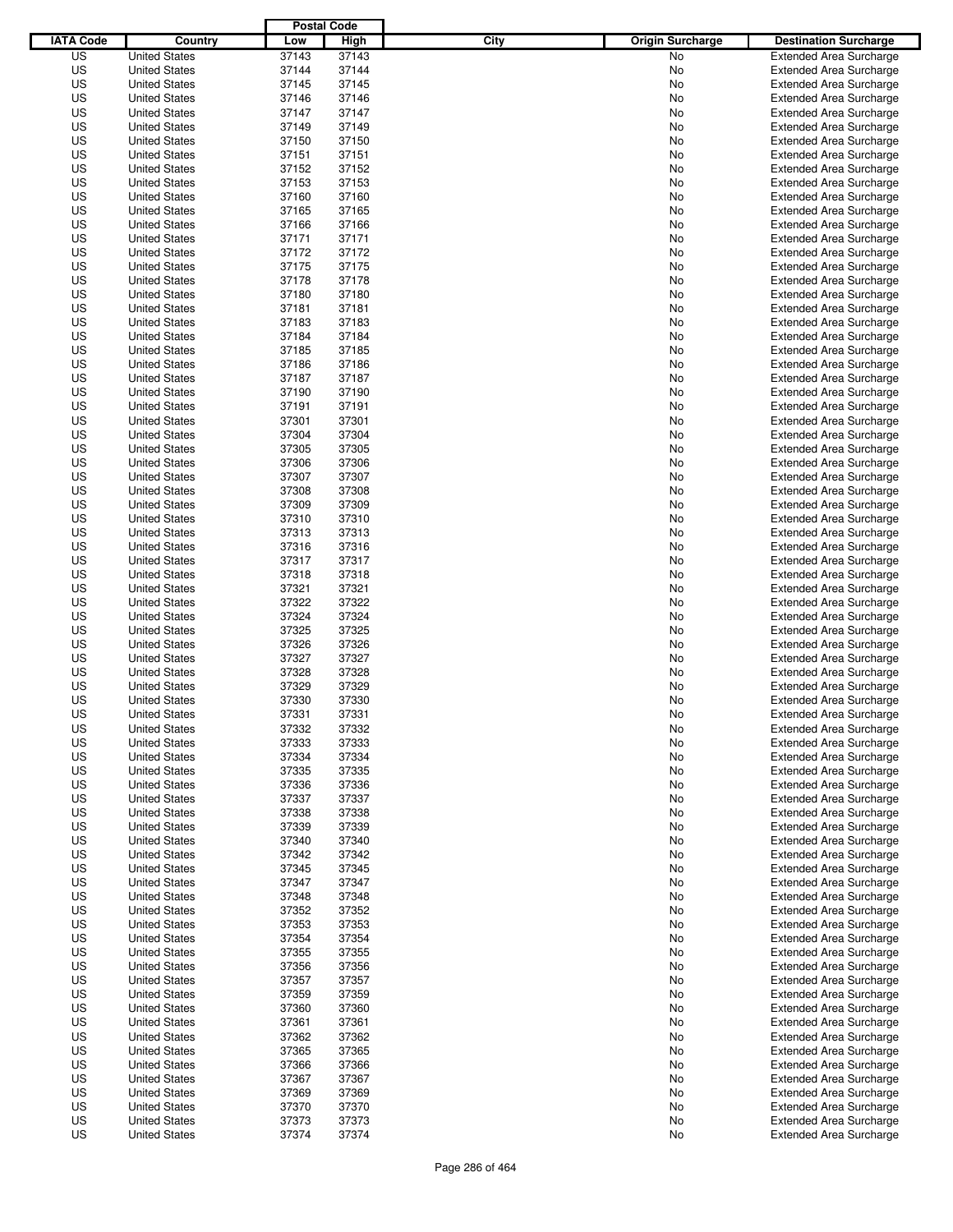|                  |                                              | <b>Postal Code</b> |                |                                 |                                                                  |
|------------------|----------------------------------------------|--------------------|----------------|---------------------------------|------------------------------------------------------------------|
| <b>IATA Code</b> | Country                                      | Low                | High           | City<br><b>Origin Surcharge</b> | <b>Destination Surcharge</b>                                     |
| US               | <b>United States</b>                         | 37143              | 37143          | <b>No</b>                       | <b>Extended Area Surcharge</b>                                   |
| US               | <b>United States</b>                         | 37144              | 37144          | No                              | <b>Extended Area Surcharge</b>                                   |
| US               | <b>United States</b>                         | 37145              | 37145          | No                              | <b>Extended Area Surcharge</b>                                   |
| US               | <b>United States</b>                         | 37146              | 37146          | No                              | <b>Extended Area Surcharge</b>                                   |
| US               | <b>United States</b>                         | 37147              | 37147          | No                              | <b>Extended Area Surcharge</b>                                   |
| US               | <b>United States</b>                         | 37149              | 37149          | No                              | <b>Extended Area Surcharge</b>                                   |
| US               | <b>United States</b>                         | 37150              | 37150          | No                              | <b>Extended Area Surcharge</b>                                   |
| US               | <b>United States</b>                         | 37151              | 37151          | No                              | <b>Extended Area Surcharge</b>                                   |
| US               | <b>United States</b>                         | 37152              | 37152          | No                              | <b>Extended Area Surcharge</b>                                   |
| US               | <b>United States</b>                         | 37153              | 37153          | No                              | <b>Extended Area Surcharge</b>                                   |
| US               | <b>United States</b>                         | 37160              | 37160          | No                              | <b>Extended Area Surcharge</b>                                   |
| US               | <b>United States</b>                         | 37165              | 37165          | No                              | <b>Extended Area Surcharge</b>                                   |
| US               | <b>United States</b>                         | 37166              | 37166          | No                              | <b>Extended Area Surcharge</b>                                   |
| US               | <b>United States</b>                         | 37171              | 37171          | No                              | <b>Extended Area Surcharge</b>                                   |
| US               | <b>United States</b>                         | 37172              | 37172          | No                              | <b>Extended Area Surcharge</b>                                   |
| US               | <b>United States</b>                         | 37175              | 37175          | No                              | <b>Extended Area Surcharge</b>                                   |
| US               | <b>United States</b>                         | 37178              | 37178          | No                              | <b>Extended Area Surcharge</b>                                   |
| US               | <b>United States</b>                         | 37180              | 37180          | No                              | <b>Extended Area Surcharge</b>                                   |
| US               | <b>United States</b>                         | 37181              | 37181          | No                              | <b>Extended Area Surcharge</b>                                   |
| US               | <b>United States</b>                         | 37183              | 37183          | No                              | <b>Extended Area Surcharge</b>                                   |
| US               | <b>United States</b>                         | 37184              | 37184          | No                              | <b>Extended Area Surcharge</b>                                   |
| US               | <b>United States</b>                         | 37185              | 37185          | No                              | <b>Extended Area Surcharge</b>                                   |
| US               | <b>United States</b>                         | 37186              | 37186          | No                              | <b>Extended Area Surcharge</b>                                   |
| US               | <b>United States</b>                         | 37187              | 37187          | No                              | <b>Extended Area Surcharge</b>                                   |
| US               | <b>United States</b>                         | 37190              | 37190          | No                              | <b>Extended Area Surcharge</b>                                   |
| US               | <b>United States</b>                         | 37191              | 37191          | No                              | <b>Extended Area Surcharge</b>                                   |
| US               | <b>United States</b>                         | 37301              | 37301          | No                              | <b>Extended Area Surcharge</b>                                   |
| US               | <b>United States</b>                         | 37304              | 37304          | No                              | <b>Extended Area Surcharge</b>                                   |
| US               | <b>United States</b>                         | 37305              | 37305          | No                              | <b>Extended Area Surcharge</b>                                   |
| US               | <b>United States</b>                         | 37306              | 37306          | No                              | <b>Extended Area Surcharge</b>                                   |
| US               | <b>United States</b>                         | 37307              | 37307          | No                              | <b>Extended Area Surcharge</b>                                   |
| US               | <b>United States</b>                         | 37308              | 37308          | No                              | <b>Extended Area Surcharge</b>                                   |
| US               | <b>United States</b>                         | 37309              | 37309          | No                              | <b>Extended Area Surcharge</b>                                   |
| US               | <b>United States</b>                         | 37310              | 37310          | No                              | <b>Extended Area Surcharge</b>                                   |
| US               | <b>United States</b>                         | 37313              | 37313          | No                              | <b>Extended Area Surcharge</b>                                   |
| US               | <b>United States</b>                         | 37316              | 37316          | No                              | <b>Extended Area Surcharge</b>                                   |
| US               | <b>United States</b>                         | 37317              | 37317          | No                              | <b>Extended Area Surcharge</b>                                   |
| US               | <b>United States</b>                         | 37318              | 37318          | No                              | <b>Extended Area Surcharge</b>                                   |
| US               | <b>United States</b>                         | 37321              | 37321          | No                              | <b>Extended Area Surcharge</b>                                   |
| US               | <b>United States</b>                         | 37322              | 37322          | No                              | <b>Extended Area Surcharge</b>                                   |
| US               | <b>United States</b>                         | 37324              | 37324          | No                              | <b>Extended Area Surcharge</b>                                   |
| US               | <b>United States</b>                         | 37325              | 37325          | No                              | <b>Extended Area Surcharge</b>                                   |
| US               | <b>United States</b>                         | 37326              | 37326          | No                              | <b>Extended Area Surcharge</b>                                   |
| US               | <b>United States</b>                         | 37327              | 37327          | No                              | <b>Extended Area Surcharge</b>                                   |
| US               | <b>United States</b>                         | 37328              | 37328          | No                              | Extended Area Surcharge                                          |
| US               | <b>United States</b>                         | 37329              | 37329          | No                              | <b>Extended Area Surcharge</b>                                   |
| US               | <b>United States</b>                         | 37330              | 37330          | No                              | <b>Extended Area Surcharge</b>                                   |
| US               | <b>United States</b>                         | 37331              | 37331          | No                              | <b>Extended Area Surcharge</b>                                   |
| US               | <b>United States</b>                         | 37332              | 37332          | No                              | <b>Extended Area Surcharge</b>                                   |
| US               | <b>United States</b>                         | 37333              | 37333          | No                              | <b>Extended Area Surcharge</b>                                   |
| US               | <b>United States</b>                         | 37334              | 37334          | No                              | <b>Extended Area Surcharge</b>                                   |
| US               | <b>United States</b>                         | 37335              | 37335          | No                              | <b>Extended Area Surcharge</b>                                   |
| US               | <b>United States</b>                         | 37336              | 37336          | No                              | <b>Extended Area Surcharge</b>                                   |
| US               | <b>United States</b>                         | 37337              | 37337          | No                              | <b>Extended Area Surcharge</b>                                   |
| US               | <b>United States</b>                         | 37338              | 37338          | No                              | <b>Extended Area Surcharge</b>                                   |
| US               | <b>United States</b>                         | 37339              | 37339          | No                              | <b>Extended Area Surcharge</b>                                   |
| US               | <b>United States</b>                         | 37340              | 37340          | No                              | <b>Extended Area Surcharge</b>                                   |
| US               | <b>United States</b>                         | 37342              | 37342          | No                              | <b>Extended Area Surcharge</b>                                   |
| US               | <b>United States</b>                         | 37345              | 37345          | No                              | <b>Extended Area Surcharge</b>                                   |
| US               | <b>United States</b>                         | 37347              | 37347          | No                              | <b>Extended Area Surcharge</b>                                   |
| US               | <b>United States</b>                         | 37348              | 37348          | No                              | <b>Extended Area Surcharge</b>                                   |
| US               | <b>United States</b>                         | 37352              | 37352          | No                              | <b>Extended Area Surcharge</b>                                   |
| US               | <b>United States</b>                         | 37353              | 37353          | No                              | <b>Extended Area Surcharge</b>                                   |
| US               | <b>United States</b>                         | 37354              | 37354          | No                              | <b>Extended Area Surcharge</b>                                   |
| US               | <b>United States</b><br><b>United States</b> | 37355              | 37355          | No                              | <b>Extended Area Surcharge</b>                                   |
| US               | <b>United States</b>                         | 37356              | 37356          | No                              | <b>Extended Area Surcharge</b>                                   |
| US               |                                              | 37357              | 37357          | No                              | <b>Extended Area Surcharge</b>                                   |
| US               | <b>United States</b>                         | 37359              | 37359          | No                              | <b>Extended Area Surcharge</b>                                   |
| US               | <b>United States</b><br><b>United States</b> | 37360              | 37360          | No                              | <b>Extended Area Surcharge</b>                                   |
| US<br>US         | <b>United States</b>                         | 37361<br>37362     | 37361<br>37362 | No                              | <b>Extended Area Surcharge</b><br><b>Extended Area Surcharge</b> |
| US               | <b>United States</b>                         | 37365              | 37365          | No<br>No                        | <b>Extended Area Surcharge</b>                                   |
| US               | <b>United States</b>                         | 37366              | 37366          | No                              | <b>Extended Area Surcharge</b>                                   |
| US               | <b>United States</b>                         | 37367              | 37367          | No                              | <b>Extended Area Surcharge</b>                                   |
| US               | <b>United States</b>                         | 37369              | 37369          | No                              | <b>Extended Area Surcharge</b>                                   |
| US               | <b>United States</b>                         | 37370              | 37370          | No                              | <b>Extended Area Surcharge</b>                                   |
| US               | <b>United States</b>                         | 37373              | 37373          | No                              | <b>Extended Area Surcharge</b>                                   |
| US               | <b>United States</b>                         | 37374              | 37374          | No                              | <b>Extended Area Surcharge</b>                                   |
|                  |                                              |                    |                |                                 |                                                                  |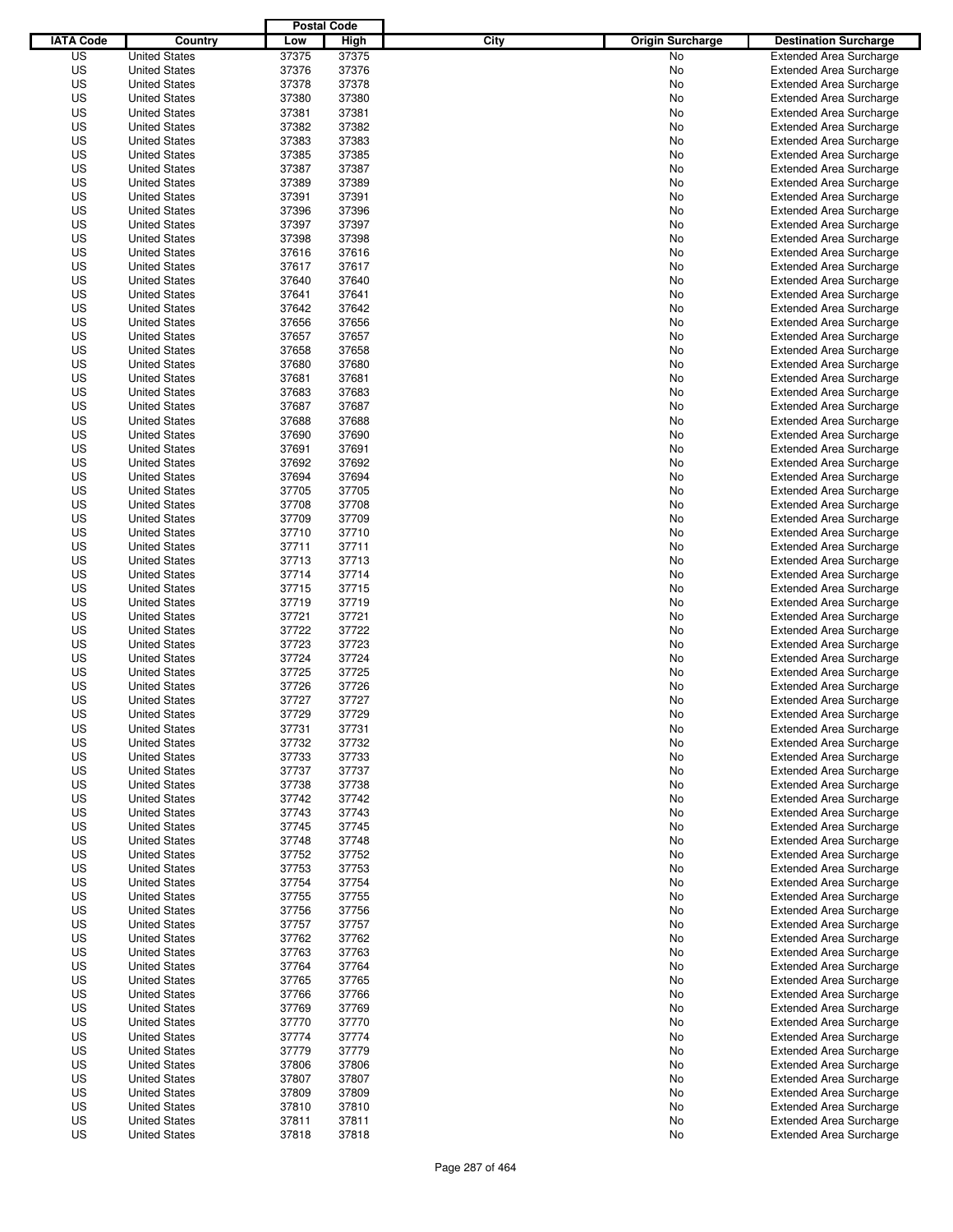|                  |                                              | <b>Postal Code</b> |       |                                 |                                |
|------------------|----------------------------------------------|--------------------|-------|---------------------------------|--------------------------------|
| <b>IATA Code</b> | Country                                      | Low                | High  | City<br><b>Origin Surcharge</b> | <b>Destination Surcharge</b>   |
| US               | <b>United States</b>                         | 37375              | 37375 | <b>No</b>                       | <b>Extended Area Surcharge</b> |
| US               | <b>United States</b>                         | 37376              | 37376 | No                              | <b>Extended Area Surcharge</b> |
| US               | <b>United States</b>                         | 37378              | 37378 | No                              | <b>Extended Area Surcharge</b> |
| US               | <b>United States</b>                         | 37380              | 37380 | No                              | <b>Extended Area Surcharge</b> |
| US               | <b>United States</b>                         | 37381              | 37381 | No                              | <b>Extended Area Surcharge</b> |
| US               | <b>United States</b>                         | 37382              | 37382 | No                              | <b>Extended Area Surcharge</b> |
| US               | <b>United States</b>                         | 37383              | 37383 | No                              | <b>Extended Area Surcharge</b> |
| US               | <b>United States</b>                         | 37385              | 37385 | No                              | <b>Extended Area Surcharge</b> |
| US               | <b>United States</b>                         | 37387              | 37387 | No                              | <b>Extended Area Surcharge</b> |
| US               | <b>United States</b>                         | 37389              | 37389 | No                              | <b>Extended Area Surcharge</b> |
| US               | <b>United States</b>                         | 37391              | 37391 | No                              | <b>Extended Area Surcharge</b> |
| US               | <b>United States</b>                         | 37396              | 37396 | No                              | <b>Extended Area Surcharge</b> |
| US               | <b>United States</b>                         | 37397              | 37397 | No                              | <b>Extended Area Surcharge</b> |
| US               | <b>United States</b>                         | 37398              | 37398 | No                              | <b>Extended Area Surcharge</b> |
| US               | <b>United States</b>                         | 37616              | 37616 | No                              | <b>Extended Area Surcharge</b> |
| US               | <b>United States</b>                         | 37617              | 37617 | No                              | <b>Extended Area Surcharge</b> |
| US               | <b>United States</b>                         | 37640              | 37640 | No                              | <b>Extended Area Surcharge</b> |
| US               | <b>United States</b>                         | 37641              | 37641 | No                              | <b>Extended Area Surcharge</b> |
| US               | <b>United States</b>                         | 37642              | 37642 | No                              | <b>Extended Area Surcharge</b> |
| US               | <b>United States</b>                         | 37656              | 37656 | No                              | <b>Extended Area Surcharge</b> |
| US               | <b>United States</b>                         | 37657              | 37657 | No                              | <b>Extended Area Surcharge</b> |
| US               | <b>United States</b>                         | 37658              | 37658 | No                              | <b>Extended Area Surcharge</b> |
| US               | <b>United States</b>                         | 37680              | 37680 | No                              | <b>Extended Area Surcharge</b> |
| US               | <b>United States</b>                         | 37681              | 37681 | No                              | <b>Extended Area Surcharge</b> |
| US               | <b>United States</b>                         | 37683              | 37683 | No                              | <b>Extended Area Surcharge</b> |
| US               | <b>United States</b>                         | 37687              | 37687 | No                              | <b>Extended Area Surcharge</b> |
| US               | <b>United States</b>                         | 37688              | 37688 | No                              | <b>Extended Area Surcharge</b> |
| US               | <b>United States</b>                         | 37690              | 37690 | No                              | <b>Extended Area Surcharge</b> |
| US               | <b>United States</b>                         | 37691              | 37691 | No                              | <b>Extended Area Surcharge</b> |
| US               | <b>United States</b>                         | 37692              | 37692 | No                              | <b>Extended Area Surcharge</b> |
| US               | <b>United States</b>                         | 37694              | 37694 | No                              | <b>Extended Area Surcharge</b> |
| US               | <b>United States</b>                         | 37705              | 37705 | No                              | <b>Extended Area Surcharge</b> |
| US               | <b>United States</b>                         | 37708              | 37708 | No                              | <b>Extended Area Surcharge</b> |
| US               | <b>United States</b>                         | 37709              | 37709 |                                 |                                |
|                  |                                              |                    |       | No                              | <b>Extended Area Surcharge</b> |
| US               | <b>United States</b><br><b>United States</b> | 37710              | 37710 | No                              | <b>Extended Area Surcharge</b> |
| US               |                                              | 37711              | 37711 | No                              | <b>Extended Area Surcharge</b> |
| US               | <b>United States</b>                         | 37713              | 37713 | No                              | <b>Extended Area Surcharge</b> |
| US               | <b>United States</b>                         | 37714              | 37714 | No                              | <b>Extended Area Surcharge</b> |
| US               | <b>United States</b>                         | 37715              | 37715 | No                              | <b>Extended Area Surcharge</b> |
| US               | <b>United States</b>                         | 37719              | 37719 | No                              | <b>Extended Area Surcharge</b> |
| US               | <b>United States</b>                         | 37721              | 37721 | No                              | <b>Extended Area Surcharge</b> |
| US               | <b>United States</b>                         | 37722              | 37722 | No                              | <b>Extended Area Surcharge</b> |
| US               | <b>United States</b>                         | 37723              | 37723 | No                              | <b>Extended Area Surcharge</b> |
| US               | <b>United States</b>                         | 37724              | 37724 | No                              | <b>Extended Area Surcharge</b> |
| US               | <b>United States</b>                         | 37725              | 37725 | No                              | Extended Area Surcharge        |
| US               | <b>United States</b>                         | 37726              | 37726 | No                              | <b>Extended Area Surcharge</b> |
| US               | <b>United States</b>                         | 37727              | 37727 | No                              | <b>Extended Area Surcharge</b> |
| US               | <b>United States</b>                         | 37729              | 37729 | No                              | <b>Extended Area Surcharge</b> |
| US               | <b>United States</b>                         | 37731              | 37731 | No                              | <b>Extended Area Surcharge</b> |
| US               | <b>United States</b>                         | 37732              | 37732 | No                              | <b>Extended Area Surcharge</b> |
| US               | <b>United States</b>                         | 37733              | 37733 | No                              | <b>Extended Area Surcharge</b> |
| US               | <b>United States</b>                         | 37737              | 37737 | No                              | <b>Extended Area Surcharge</b> |
| US               | <b>United States</b>                         | 37738              | 37738 | No                              | <b>Extended Area Surcharge</b> |
| US               | <b>United States</b>                         | 37742              | 37742 | No                              | <b>Extended Area Surcharge</b> |
| US               | <b>United States</b>                         | 37743              | 37743 | No                              | <b>Extended Area Surcharge</b> |
| US               | <b>United States</b>                         | 37745              | 37745 | No                              | <b>Extended Area Surcharge</b> |
| US               | <b>United States</b>                         | 37748              | 37748 | No                              | <b>Extended Area Surcharge</b> |
| US               | <b>United States</b>                         | 37752              | 37752 | No                              | <b>Extended Area Surcharge</b> |
| US               | <b>United States</b>                         | 37753              | 37753 | No                              | <b>Extended Area Surcharge</b> |
| US               | <b>United States</b>                         | 37754              | 37754 | No                              | <b>Extended Area Surcharge</b> |
| US               | <b>United States</b>                         | 37755              | 37755 | No                              | <b>Extended Area Surcharge</b> |
| US               | <b>United States</b>                         | 37756              | 37756 | No                              | <b>Extended Area Surcharge</b> |
| US               | <b>United States</b>                         | 37757              | 37757 | No                              | <b>Extended Area Surcharge</b> |
| US               | <b>United States</b>                         | 37762              | 37762 | No                              | <b>Extended Area Surcharge</b> |
| US               | <b>United States</b>                         | 37763              | 37763 | No                              | <b>Extended Area Surcharge</b> |
| US               | <b>United States</b>                         | 37764              | 37764 | No                              | <b>Extended Area Surcharge</b> |
| US               | <b>United States</b>                         | 37765              | 37765 | No                              | <b>Extended Area Surcharge</b> |
| US               | <b>United States</b>                         | 37766              | 37766 | No                              | <b>Extended Area Surcharge</b> |
| US               | <b>United States</b>                         | 37769              | 37769 | No                              | <b>Extended Area Surcharge</b> |
| US               | <b>United States</b>                         | 37770              | 37770 | No                              | <b>Extended Area Surcharge</b> |
| US               | <b>United States</b>                         | 37774              | 37774 | No                              | <b>Extended Area Surcharge</b> |
| US               | <b>United States</b>                         | 37779              | 37779 | No                              | <b>Extended Area Surcharge</b> |
| US               | <b>United States</b>                         | 37806              | 37806 | No                              | <b>Extended Area Surcharge</b> |
| US               | <b>United States</b>                         | 37807              | 37807 | No                              | <b>Extended Area Surcharge</b> |
| US               | <b>United States</b>                         | 37809              | 37809 | No                              | <b>Extended Area Surcharge</b> |
| US               | <b>United States</b>                         | 37810              | 37810 | No                              | <b>Extended Area Surcharge</b> |
| US               | <b>United States</b>                         | 37811              | 37811 | No                              | <b>Extended Area Surcharge</b> |
| US               | <b>United States</b>                         | 37818              | 37818 | No                              | <b>Extended Area Surcharge</b> |
|                  |                                              |                    |       |                                 |                                |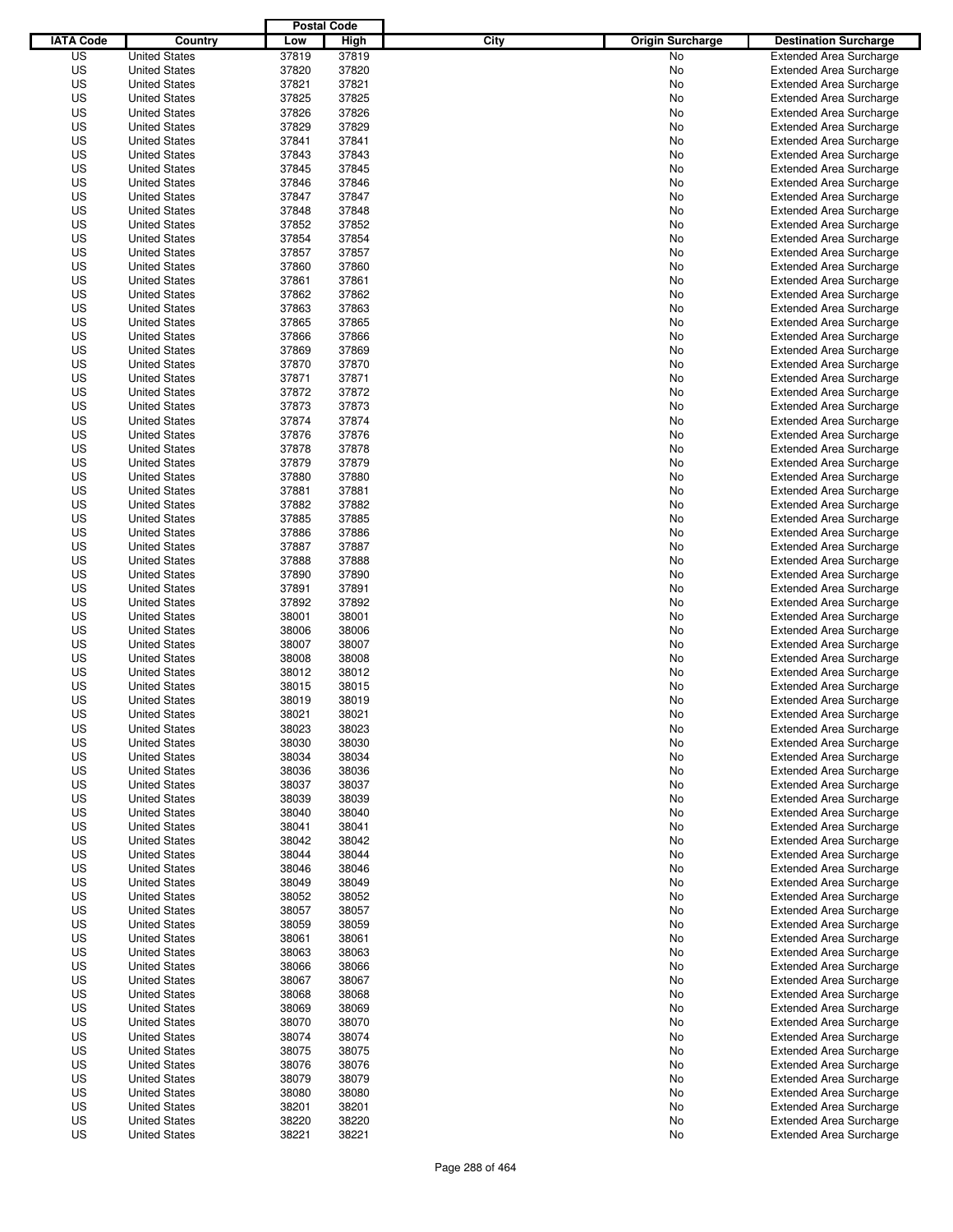|                  |                      | <b>Postal Code</b> |       |                                 |                                |
|------------------|----------------------|--------------------|-------|---------------------------------|--------------------------------|
| <b>IATA Code</b> | Country              | Low                | High  | City<br><b>Origin Surcharge</b> | <b>Destination Surcharge</b>   |
| US               | <b>United States</b> | 37819              | 37819 | No                              | <b>Extended Area Surcharge</b> |
| US               | <b>United States</b> | 37820              | 37820 | No                              | <b>Extended Area Surcharge</b> |
| US               | <b>United States</b> | 37821              | 37821 | No                              | <b>Extended Area Surcharge</b> |
| US               | <b>United States</b> | 37825              | 37825 | No                              | <b>Extended Area Surcharge</b> |
| US               | <b>United States</b> | 37826              | 37826 | No                              | <b>Extended Area Surcharge</b> |
| US               | <b>United States</b> | 37829              | 37829 | No                              | <b>Extended Area Surcharge</b> |
| US               | <b>United States</b> | 37841              | 37841 | No                              | <b>Extended Area Surcharge</b> |
| US               | <b>United States</b> | 37843              | 37843 | No                              | <b>Extended Area Surcharge</b> |
| US               | <b>United States</b> | 37845              | 37845 | No                              | <b>Extended Area Surcharge</b> |
| US               | <b>United States</b> | 37846              | 37846 | No                              | <b>Extended Area Surcharge</b> |
| US               | <b>United States</b> | 37847              | 37847 | No                              | <b>Extended Area Surcharge</b> |
| US               | <b>United States</b> | 37848              | 37848 | No                              | <b>Extended Area Surcharge</b> |
| US               | <b>United States</b> | 37852              | 37852 | No                              | <b>Extended Area Surcharge</b> |
| US               | <b>United States</b> | 37854              | 37854 | No                              | <b>Extended Area Surcharge</b> |
| US               | <b>United States</b> | 37857              | 37857 | No                              | <b>Extended Area Surcharge</b> |
| US               | <b>United States</b> | 37860              | 37860 | No                              | <b>Extended Area Surcharge</b> |
| US               | <b>United States</b> | 37861              | 37861 | No                              | <b>Extended Area Surcharge</b> |
| US               | <b>United States</b> | 37862              | 37862 | No                              | <b>Extended Area Surcharge</b> |
| US               | <b>United States</b> | 37863              | 37863 | No                              | <b>Extended Area Surcharge</b> |
| US               | <b>United States</b> | 37865              | 37865 | No                              | <b>Extended Area Surcharge</b> |
| US               | <b>United States</b> | 37866              | 37866 | No                              | <b>Extended Area Surcharge</b> |
| US               | <b>United States</b> | 37869              | 37869 | No                              | <b>Extended Area Surcharge</b> |
| US               | <b>United States</b> | 37870              | 37870 | No                              | <b>Extended Area Surcharge</b> |
| US               | <b>United States</b> | 37871              | 37871 | No                              | <b>Extended Area Surcharge</b> |
| US               | <b>United States</b> | 37872              | 37872 | No                              | <b>Extended Area Surcharge</b> |
| US               | <b>United States</b> | 37873              | 37873 | No                              | <b>Extended Area Surcharge</b> |
| US               | <b>United States</b> | 37874              | 37874 | No                              | <b>Extended Area Surcharge</b> |
| US               | <b>United States</b> | 37876              | 37876 | No                              | <b>Extended Area Surcharge</b> |
| US               | <b>United States</b> | 37878              | 37878 | No                              | <b>Extended Area Surcharge</b> |
| US               | <b>United States</b> | 37879              | 37879 | No                              | <b>Extended Area Surcharge</b> |
| US               | <b>United States</b> | 37880              | 37880 | No                              | <b>Extended Area Surcharge</b> |
| US               | <b>United States</b> | 37881              | 37881 |                                 |                                |
|                  | <b>United States</b> |                    |       | No                              | <b>Extended Area Surcharge</b> |
| US               |                      | 37882              | 37882 | No                              | <b>Extended Area Surcharge</b> |
| US               | <b>United States</b> | 37885              | 37885 | No                              | <b>Extended Area Surcharge</b> |
| US               | <b>United States</b> | 37886              | 37886 | No                              | <b>Extended Area Surcharge</b> |
| US               | <b>United States</b> | 37887              | 37887 | No                              | <b>Extended Area Surcharge</b> |
| US               | <b>United States</b> | 37888              | 37888 | No                              | <b>Extended Area Surcharge</b> |
| US               | <b>United States</b> | 37890              | 37890 | No                              | <b>Extended Area Surcharge</b> |
| US               | <b>United States</b> | 37891              | 37891 | No                              | <b>Extended Area Surcharge</b> |
| US               | <b>United States</b> | 37892              | 37892 | No                              | <b>Extended Area Surcharge</b> |
| US               | <b>United States</b> | 38001              | 38001 | No                              | <b>Extended Area Surcharge</b> |
| US               | <b>United States</b> | 38006              | 38006 | No                              | <b>Extended Area Surcharge</b> |
| US               | <b>United States</b> | 38007              | 38007 | No                              | <b>Extended Area Surcharge</b> |
| US               | <b>United States</b> | 38008              | 38008 | No                              | <b>Extended Area Surcharge</b> |
| US               | <b>United States</b> | 38012              | 38012 | No                              | Extended Area Surcharge        |
| US               | <b>United States</b> | 38015              | 38015 | No                              | <b>Extended Area Surcharge</b> |
| US               | <b>United States</b> | 38019              | 38019 | No                              | <b>Extended Area Surcharge</b> |
| US               | <b>United States</b> | 38021              | 38021 | No                              | <b>Extended Area Surcharge</b> |
| US               | <b>United States</b> | 38023              | 38023 | No                              | <b>Extended Area Surcharge</b> |
| US               | <b>United States</b> | 38030              | 38030 | No                              | <b>Extended Area Surcharge</b> |
| US               | <b>United States</b> | 38034              | 38034 | No                              | <b>Extended Area Surcharge</b> |
| US               | <b>United States</b> | 38036              | 38036 | No                              | <b>Extended Area Surcharge</b> |
| US               | <b>United States</b> | 38037              | 38037 | No                              | <b>Extended Area Surcharge</b> |
| US               | <b>United States</b> | 38039              | 38039 | No                              | <b>Extended Area Surcharge</b> |
| US               | <b>United States</b> | 38040              | 38040 | No                              | <b>Extended Area Surcharge</b> |
| US               | <b>United States</b> | 38041              | 38041 | No                              | <b>Extended Area Surcharge</b> |
| US               | <b>United States</b> | 38042              | 38042 | No                              | <b>Extended Area Surcharge</b> |
| US               | <b>United States</b> | 38044              | 38044 | No                              | <b>Extended Area Surcharge</b> |
| US               | <b>United States</b> | 38046              | 38046 | No                              | <b>Extended Area Surcharge</b> |
| US               | <b>United States</b> | 38049              | 38049 | No                              | <b>Extended Area Surcharge</b> |
| US               | <b>United States</b> | 38052              | 38052 | No                              | <b>Extended Area Surcharge</b> |
| US               | <b>United States</b> | 38057              | 38057 | No                              | <b>Extended Area Surcharge</b> |
| US               | <b>United States</b> | 38059              | 38059 | No                              | <b>Extended Area Surcharge</b> |
| US               | <b>United States</b> | 38061              | 38061 | No                              | <b>Extended Area Surcharge</b> |
| US               | <b>United States</b> | 38063              | 38063 | No                              | <b>Extended Area Surcharge</b> |
| US               | <b>United States</b> | 38066              | 38066 | No                              | <b>Extended Area Surcharge</b> |
| US               | <b>United States</b> | 38067              | 38067 | No                              | <b>Extended Area Surcharge</b> |
| US               | <b>United States</b> | 38068              | 38068 | No                              | <b>Extended Area Surcharge</b> |
| US               | <b>United States</b> | 38069              | 38069 | No                              | <b>Extended Area Surcharge</b> |
| US               | <b>United States</b> | 38070              | 38070 | No                              | <b>Extended Area Surcharge</b> |
| US               | <b>United States</b> | 38074              | 38074 | No                              | <b>Extended Area Surcharge</b> |
| US               | <b>United States</b> | 38075              | 38075 | No                              | <b>Extended Area Surcharge</b> |
| US               | <b>United States</b> | 38076              | 38076 | No                              | <b>Extended Area Surcharge</b> |
| US               | <b>United States</b> | 38079              | 38079 | No                              | <b>Extended Area Surcharge</b> |
| US               | <b>United States</b> | 38080              | 38080 | No                              | <b>Extended Area Surcharge</b> |
| US               | <b>United States</b> | 38201              | 38201 | No                              | <b>Extended Area Surcharge</b> |
| US               | <b>United States</b> | 38220              | 38220 | No                              | <b>Extended Area Surcharge</b> |
| US               | <b>United States</b> | 38221              | 38221 | No                              | <b>Extended Area Surcharge</b> |
|                  |                      |                    |       |                                 |                                |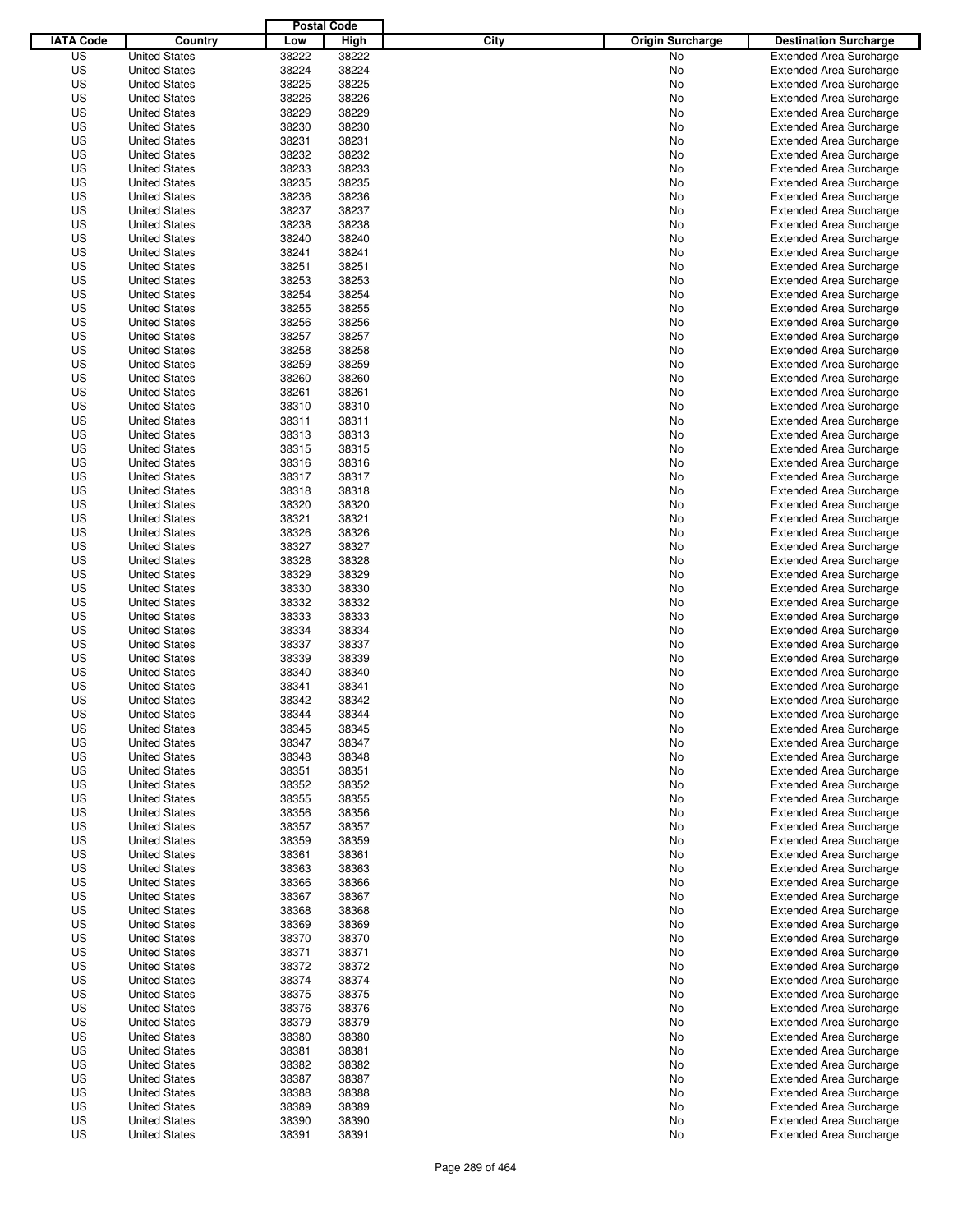|                  |                                              | <b>Postal Code</b> |       |                                 |                                |
|------------------|----------------------------------------------|--------------------|-------|---------------------------------|--------------------------------|
| <b>IATA Code</b> | Country                                      | Low                | High  | City<br><b>Origin Surcharge</b> | <b>Destination Surcharge</b>   |
| US               | <b>United States</b>                         | 38222              | 38222 | <b>No</b>                       | <b>Extended Area Surcharge</b> |
| US               | <b>United States</b>                         | 38224              | 38224 | No                              | <b>Extended Area Surcharge</b> |
| US               | <b>United States</b>                         | 38225              | 38225 | No                              | <b>Extended Area Surcharge</b> |
| US               | <b>United States</b>                         | 38226              | 38226 | No                              | <b>Extended Area Surcharge</b> |
| US               | <b>United States</b>                         | 38229              | 38229 | No                              | <b>Extended Area Surcharge</b> |
| US               | <b>United States</b>                         | 38230              | 38230 | No                              | <b>Extended Area Surcharge</b> |
| US               | <b>United States</b>                         | 38231              | 38231 | No                              | <b>Extended Area Surcharge</b> |
| US               | <b>United States</b>                         | 38232              | 38232 | No                              | <b>Extended Area Surcharge</b> |
| US               | <b>United States</b>                         | 38233              | 38233 | No                              | <b>Extended Area Surcharge</b> |
| US               | <b>United States</b>                         | 38235              | 38235 | No                              | <b>Extended Area Surcharge</b> |
| US               | <b>United States</b>                         | 38236              | 38236 | No                              | <b>Extended Area Surcharge</b> |
| US               | <b>United States</b>                         | 38237              | 38237 | No                              | <b>Extended Area Surcharge</b> |
| US               | <b>United States</b>                         | 38238              | 38238 | No                              | <b>Extended Area Surcharge</b> |
| US               | <b>United States</b>                         | 38240              | 38240 | No                              | <b>Extended Area Surcharge</b> |
| US               | <b>United States</b>                         | 38241              | 38241 | No                              | <b>Extended Area Surcharge</b> |
| US               | <b>United States</b>                         | 38251              | 38251 | No                              | <b>Extended Area Surcharge</b> |
| US               | <b>United States</b>                         | 38253              | 38253 | No                              | <b>Extended Area Surcharge</b> |
| US               | <b>United States</b>                         | 38254              | 38254 | No                              | <b>Extended Area Surcharge</b> |
| US               | <b>United States</b>                         | 38255              | 38255 | No                              | <b>Extended Area Surcharge</b> |
| US               | <b>United States</b>                         | 38256              | 38256 | No                              | <b>Extended Area Surcharge</b> |
| US               | <b>United States</b>                         | 38257              | 38257 | No                              | <b>Extended Area Surcharge</b> |
| US               | <b>United States</b>                         | 38258              | 38258 | No                              | <b>Extended Area Surcharge</b> |
| US               | <b>United States</b>                         | 38259              | 38259 | No                              | <b>Extended Area Surcharge</b> |
| US               | <b>United States</b>                         | 38260              | 38260 | No                              | <b>Extended Area Surcharge</b> |
| US               | <b>United States</b>                         | 38261              | 38261 | No                              | <b>Extended Area Surcharge</b> |
| US               | <b>United States</b>                         | 38310              | 38310 | No                              | <b>Extended Area Surcharge</b> |
| US               | <b>United States</b>                         | 38311              | 38311 | No                              | <b>Extended Area Surcharge</b> |
| US               | <b>United States</b>                         | 38313              | 38313 | No                              | <b>Extended Area Surcharge</b> |
| US               | <b>United States</b>                         | 38315              | 38315 | No                              | <b>Extended Area Surcharge</b> |
| US               | <b>United States</b>                         | 38316              | 38316 | No                              | <b>Extended Area Surcharge</b> |
| US               | <b>United States</b>                         | 38317              | 38317 | No                              | <b>Extended Area Surcharge</b> |
| US               | <b>United States</b>                         | 38318              | 38318 | No                              | <b>Extended Area Surcharge</b> |
| US               | <b>United States</b>                         | 38320              | 38320 | No                              | <b>Extended Area Surcharge</b> |
| US               |                                              | 38321              | 38321 |                                 |                                |
| US               | <b>United States</b>                         | 38326              | 38326 | No                              | <b>Extended Area Surcharge</b> |
|                  | <b>United States</b><br><b>United States</b> |                    |       | No                              | <b>Extended Area Surcharge</b> |
| US               |                                              | 38327              | 38327 | No                              | <b>Extended Area Surcharge</b> |
| US               | <b>United States</b>                         | 38328              | 38328 | No                              | <b>Extended Area Surcharge</b> |
| US               | <b>United States</b>                         | 38329              | 38329 | No                              | <b>Extended Area Surcharge</b> |
| US               | <b>United States</b>                         | 38330              | 38330 | No                              | <b>Extended Area Surcharge</b> |
| US               | <b>United States</b>                         | 38332              | 38332 | No                              | <b>Extended Area Surcharge</b> |
| US               | <b>United States</b>                         | 38333              | 38333 | No                              | <b>Extended Area Surcharge</b> |
| US               | <b>United States</b>                         | 38334              | 38334 | No                              | <b>Extended Area Surcharge</b> |
| US               | <b>United States</b>                         | 38337              | 38337 | No                              | <b>Extended Area Surcharge</b> |
| US               | <b>United States</b>                         | 38339              | 38339 | No                              | <b>Extended Area Surcharge</b> |
| US               | <b>United States</b>                         | 38340              | 38340 | No                              | <b>Extended Area Surcharge</b> |
| US               | <b>United States</b>                         | 38341              | 38341 | No                              | <b>Extended Area Surcharge</b> |
| US               | <b>United States</b>                         | 38342              | 38342 | No                              | <b>Extended Area Surcharge</b> |
| US               | <b>United States</b>                         | 38344              | 38344 | No                              | <b>Extended Area Surcharge</b> |
| US               | <b>United States</b>                         | 38345              | 38345 | No                              | <b>Extended Area Surcharge</b> |
| US               | <b>United States</b>                         | 38347              | 38347 | No                              | <b>Extended Area Surcharge</b> |
| US               | <b>United States</b>                         | 38348              | 38348 | No                              | <b>Extended Area Surcharge</b> |
| US               | <b>United States</b>                         | 38351              | 38351 | No                              | <b>Extended Area Surcharge</b> |
| US               | <b>United States</b>                         | 38352              | 38352 | No                              | <b>Extended Area Surcharge</b> |
| US               | <b>United States</b>                         | 38355              | 38355 | No                              | <b>Extended Area Surcharge</b> |
| US               | <b>United States</b>                         | 38356              | 38356 | No                              | <b>Extended Area Surcharge</b> |
| US               | <b>United States</b>                         | 38357              | 38357 | No                              | <b>Extended Area Surcharge</b> |
| US               | <b>United States</b>                         | 38359              | 38359 | No                              | <b>Extended Area Surcharge</b> |
| US               | <b>United States</b>                         | 38361              | 38361 | No                              | <b>Extended Area Surcharge</b> |
| US               | <b>United States</b>                         | 38363              | 38363 | No                              | <b>Extended Area Surcharge</b> |
| US               | <b>United States</b>                         | 38366              | 38366 | No                              | <b>Extended Area Surcharge</b> |
| US               | <b>United States</b>                         | 38367              | 38367 | No                              | <b>Extended Area Surcharge</b> |
| US               | <b>United States</b>                         | 38368              | 38368 | No                              | <b>Extended Area Surcharge</b> |
| US               | <b>United States</b>                         | 38369              | 38369 | No                              | <b>Extended Area Surcharge</b> |
| US               | <b>United States</b>                         | 38370              | 38370 | No                              | <b>Extended Area Surcharge</b> |
| US               | <b>United States</b>                         | 38371              | 38371 | No                              | <b>Extended Area Surcharge</b> |
| US               | <b>United States</b>                         | 38372              | 38372 | No                              | <b>Extended Area Surcharge</b> |
| US               | <b>United States</b>                         | 38374              | 38374 | No                              | <b>Extended Area Surcharge</b> |
| US               | <b>United States</b>                         | 38375              | 38375 | No                              | <b>Extended Area Surcharge</b> |
| US               | <b>United States</b>                         | 38376              | 38376 | No                              | <b>Extended Area Surcharge</b> |
| US               | <b>United States</b>                         | 38379              | 38379 | No                              | <b>Extended Area Surcharge</b> |
| US               | <b>United States</b>                         | 38380              | 38380 | No                              | <b>Extended Area Surcharge</b> |
| US               | <b>United States</b>                         | 38381              | 38381 | No                              | <b>Extended Area Surcharge</b> |
| US               | <b>United States</b>                         | 38382              | 38382 | No                              | <b>Extended Area Surcharge</b> |
| US               | <b>United States</b>                         | 38387              | 38387 | No                              | <b>Extended Area Surcharge</b> |
| US               | <b>United States</b>                         | 38388              | 38388 | No                              | <b>Extended Area Surcharge</b> |
| US               | <b>United States</b>                         | 38389              | 38389 | No                              | <b>Extended Area Surcharge</b> |
| US               | <b>United States</b>                         | 38390              | 38390 | No                              | <b>Extended Area Surcharge</b> |
| US               | <b>United States</b>                         | 38391              | 38391 | No                              | <b>Extended Area Surcharge</b> |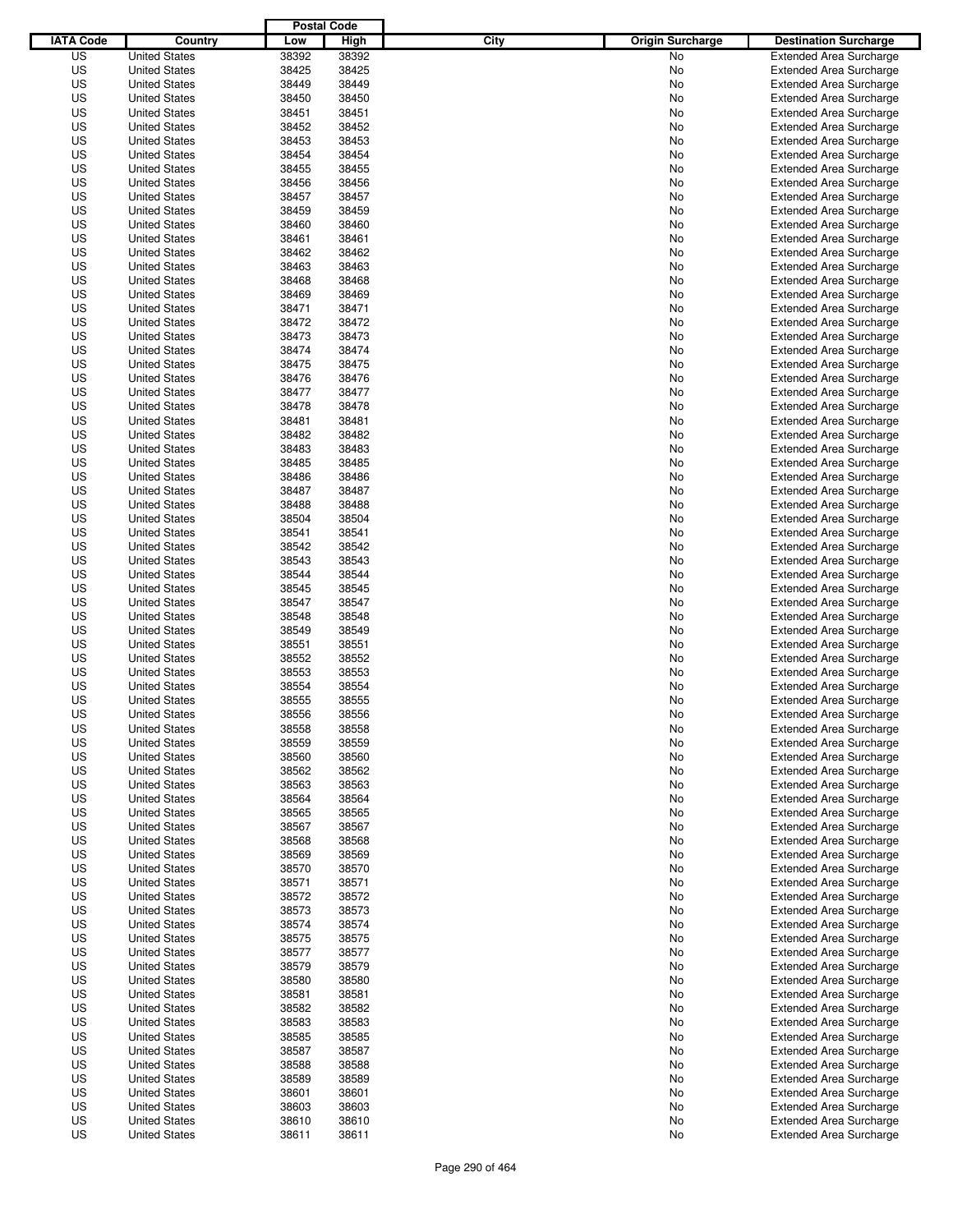|                  |                      | <b>Postal Code</b> |       |                                 |                                |
|------------------|----------------------|--------------------|-------|---------------------------------|--------------------------------|
| <b>IATA Code</b> | Country              | Low                | High  | City<br><b>Origin Surcharge</b> | <b>Destination Surcharge</b>   |
| US               | <b>United States</b> | 38392              | 38392 | <b>No</b>                       | <b>Extended Area Surcharge</b> |
| US               | <b>United States</b> | 38425              | 38425 | No                              | <b>Extended Area Surcharge</b> |
| US               | <b>United States</b> | 38449              | 38449 | No                              | <b>Extended Area Surcharge</b> |
| US               | <b>United States</b> | 38450              | 38450 | No                              | <b>Extended Area Surcharge</b> |
| US               | <b>United States</b> | 38451              | 38451 | No                              | <b>Extended Area Surcharge</b> |
| US               | <b>United States</b> | 38452              | 38452 | No                              | <b>Extended Area Surcharge</b> |
| US               | <b>United States</b> | 38453              | 38453 | No                              | <b>Extended Area Surcharge</b> |
| US               | <b>United States</b> | 38454              | 38454 | No                              | <b>Extended Area Surcharge</b> |
| US               | <b>United States</b> | 38455              | 38455 | No                              | <b>Extended Area Surcharge</b> |
| US               | <b>United States</b> | 38456              | 38456 | No                              | <b>Extended Area Surcharge</b> |
| US               | <b>United States</b> | 38457              | 38457 | No                              | <b>Extended Area Surcharge</b> |
| US               | <b>United States</b> | 38459              | 38459 | No                              | <b>Extended Area Surcharge</b> |
| US               | <b>United States</b> | 38460              | 38460 | No                              | <b>Extended Area Surcharge</b> |
| US               | <b>United States</b> | 38461              | 38461 | No                              | <b>Extended Area Surcharge</b> |
| US               | <b>United States</b> | 38462              | 38462 | No                              | <b>Extended Area Surcharge</b> |
| US               | <b>United States</b> | 38463              | 38463 | No                              | <b>Extended Area Surcharge</b> |
| US               | <b>United States</b> | 38468              | 38468 | No                              | <b>Extended Area Surcharge</b> |
| US               | <b>United States</b> | 38469              | 38469 | No                              | <b>Extended Area Surcharge</b> |
| US               | <b>United States</b> | 38471              | 38471 | No                              | <b>Extended Area Surcharge</b> |
| US               | <b>United States</b> | 38472              | 38472 | No                              | <b>Extended Area Surcharge</b> |
| US               | <b>United States</b> | 38473              | 38473 | No                              | <b>Extended Area Surcharge</b> |
| US               | <b>United States</b> | 38474              | 38474 | No                              | <b>Extended Area Surcharge</b> |
| US               | <b>United States</b> | 38475              | 38475 | No                              | <b>Extended Area Surcharge</b> |
| US               | <b>United States</b> | 38476              | 38476 | No                              | <b>Extended Area Surcharge</b> |
| US               | <b>United States</b> | 38477              | 38477 | No                              | <b>Extended Area Surcharge</b> |
| US               | <b>United States</b> | 38478              | 38478 | No                              | <b>Extended Area Surcharge</b> |
| US               | <b>United States</b> | 38481              | 38481 | No                              | <b>Extended Area Surcharge</b> |
| US               | <b>United States</b> | 38482              | 38482 | No                              | <b>Extended Area Surcharge</b> |
| US               | <b>United States</b> | 38483              | 38483 | No                              | <b>Extended Area Surcharge</b> |
| US               | <b>United States</b> | 38485              | 38485 | No                              | <b>Extended Area Surcharge</b> |
| US               | <b>United States</b> | 38486              | 38486 | No                              | <b>Extended Area Surcharge</b> |
| US               | <b>United States</b> | 38487              | 38487 | No                              | <b>Extended Area Surcharge</b> |
| US               | <b>United States</b> | 38488              | 38488 | No                              | <b>Extended Area Surcharge</b> |
| US               | <b>United States</b> | 38504              | 38504 | No                              | <b>Extended Area Surcharge</b> |
| US               | <b>United States</b> | 38541              | 38541 | No                              | <b>Extended Area Surcharge</b> |
| US               | <b>United States</b> | 38542              | 38542 | No                              | <b>Extended Area Surcharge</b> |
| US               | <b>United States</b> | 38543              | 38543 | No                              | <b>Extended Area Surcharge</b> |
| US               | <b>United States</b> | 38544              | 38544 | No                              | <b>Extended Area Surcharge</b> |
| US               | <b>United States</b> | 38545              | 38545 | No                              | <b>Extended Area Surcharge</b> |
| US               | <b>United States</b> | 38547              | 38547 | No                              | <b>Extended Area Surcharge</b> |
| US               | <b>United States</b> | 38548              | 38548 | No                              | <b>Extended Area Surcharge</b> |
| US               | <b>United States</b> | 38549              | 38549 | No                              | <b>Extended Area Surcharge</b> |
| US               | <b>United States</b> | 38551              | 38551 | No                              | <b>Extended Area Surcharge</b> |
| US               | <b>United States</b> | 38552              | 38552 | No                              | <b>Extended Area Surcharge</b> |
| US               | <b>United States</b> | 38553              | 38553 | No                              | <b>Extended Area Surcharge</b> |
| US               | <b>United States</b> | 38554              | 38554 | No                              | <b>Extended Area Surcharge</b> |
| US               | <b>United States</b> | 38555              | 38555 | No                              | <b>Extended Area Surcharge</b> |
| US               | <b>United States</b> | 38556              | 38556 | No                              | <b>Extended Area Surcharge</b> |
| US               | <b>United States</b> | 38558              | 38558 | No                              | <b>Extended Area Surcharge</b> |
| US               | <b>United States</b> | 38559              | 38559 | No                              | <b>Extended Area Surcharge</b> |
| US               | <b>United States</b> | 38560              | 38560 | No                              | <b>Extended Area Surcharge</b> |
| US               | <b>United States</b> | 38562              | 38562 | No                              | <b>Extended Area Surcharge</b> |
| US               | <b>United States</b> | 38563              | 38563 | No                              | <b>Extended Area Surcharge</b> |
| US               | <b>United States</b> | 38564              | 38564 | No                              | <b>Extended Area Surcharge</b> |
| US               | <b>United States</b> | 38565              | 38565 | No                              | <b>Extended Area Surcharge</b> |
| US               | <b>United States</b> | 38567              | 38567 | No                              | <b>Extended Area Surcharge</b> |
| US               | <b>United States</b> | 38568              | 38568 | No                              | <b>Extended Area Surcharge</b> |
| US               | <b>United States</b> | 38569              | 38569 | No                              | <b>Extended Area Surcharge</b> |
| US               | <b>United States</b> | 38570              | 38570 | No                              | <b>Extended Area Surcharge</b> |
| US               | <b>United States</b> | 38571              | 38571 | No                              | <b>Extended Area Surcharge</b> |
| US               | <b>United States</b> | 38572              | 38572 | No                              | <b>Extended Area Surcharge</b> |
| US               | <b>United States</b> | 38573              | 38573 | No                              | <b>Extended Area Surcharge</b> |
| US               | <b>United States</b> | 38574              | 38574 | No                              | <b>Extended Area Surcharge</b> |
| US               | <b>United States</b> | 38575              | 38575 | No                              | <b>Extended Area Surcharge</b> |
| US               | <b>United States</b> | 38577              | 38577 | No                              | <b>Extended Area Surcharge</b> |
| US               | <b>United States</b> | 38579              | 38579 | No                              | <b>Extended Area Surcharge</b> |
| US               | <b>United States</b> | 38580              | 38580 | No                              | <b>Extended Area Surcharge</b> |
| US               | <b>United States</b> | 38581              | 38581 | No                              | <b>Extended Area Surcharge</b> |
| US               | <b>United States</b> | 38582              | 38582 | No                              | <b>Extended Area Surcharge</b> |
| US               | <b>United States</b> | 38583              | 38583 | No                              | <b>Extended Area Surcharge</b> |
| US               | <b>United States</b> | 38585              | 38585 | No                              | <b>Extended Area Surcharge</b> |
| US               | <b>United States</b> | 38587              | 38587 | No                              | <b>Extended Area Surcharge</b> |
| US               | <b>United States</b> | 38588              | 38588 | No                              | <b>Extended Area Surcharge</b> |
| US               | <b>United States</b> | 38589              | 38589 | No                              | <b>Extended Area Surcharge</b> |
| US               | <b>United States</b> | 38601              | 38601 | No                              | <b>Extended Area Surcharge</b> |
| US               | <b>United States</b> | 38603              | 38603 | No                              | <b>Extended Area Surcharge</b> |
| US               | <b>United States</b> | 38610              | 38610 | No                              | <b>Extended Area Surcharge</b> |
| US               | <b>United States</b> | 38611              | 38611 | No                              | <b>Extended Area Surcharge</b> |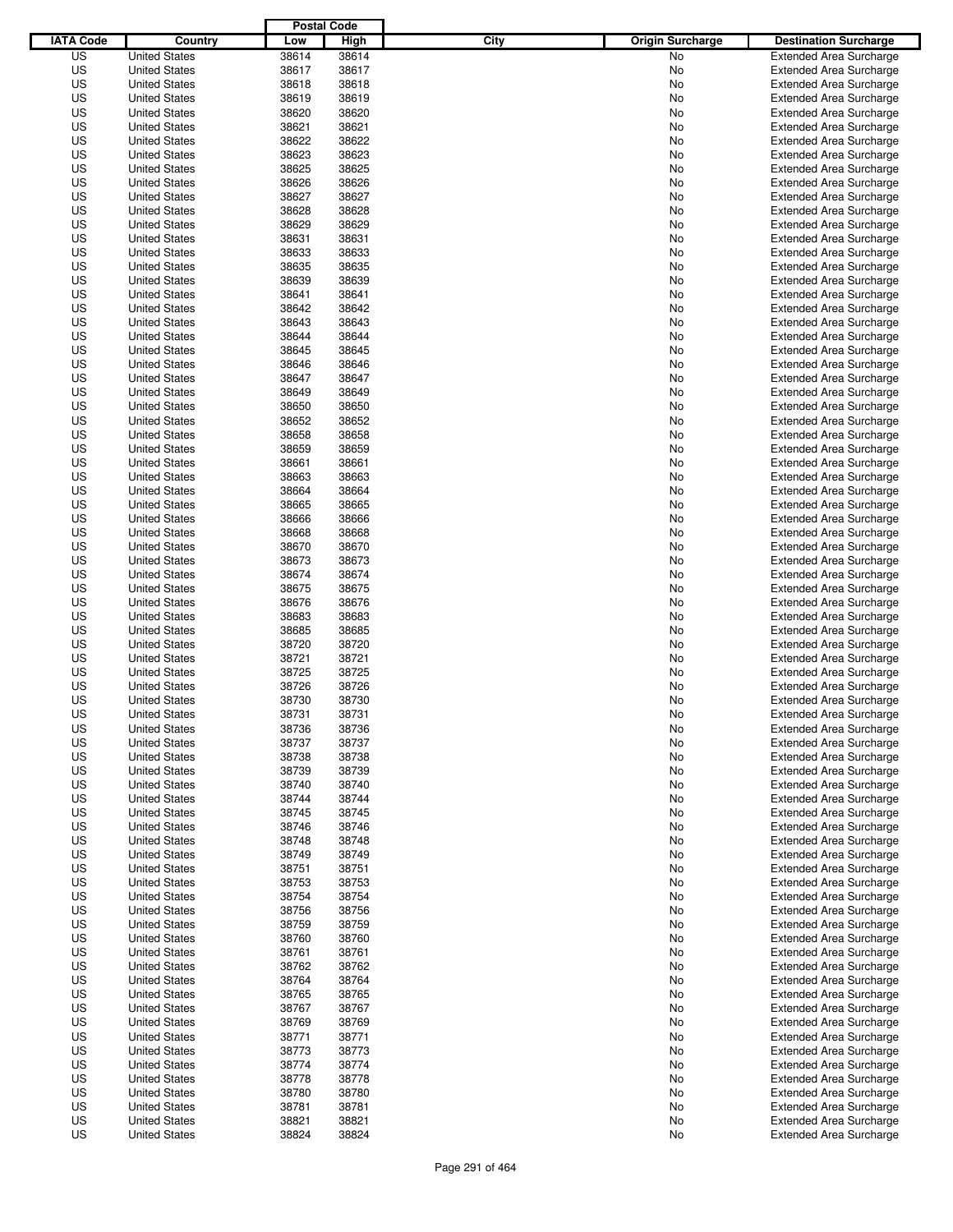|                  |                                              | <b>Postal Code</b> |                |                                 |                                                                  |
|------------------|----------------------------------------------|--------------------|----------------|---------------------------------|------------------------------------------------------------------|
| <b>IATA Code</b> | Country                                      | Low                | High           | City<br><b>Origin Surcharge</b> | <b>Destination Surcharge</b>                                     |
| US               | <b>United States</b>                         | 38614              | 38614          | <b>No</b>                       | <b>Extended Area Surcharge</b>                                   |
| US               | <b>United States</b>                         | 38617              | 38617          | No                              | <b>Extended Area Surcharge</b>                                   |
| US               | <b>United States</b>                         | 38618              | 38618          | No                              | <b>Extended Area Surcharge</b>                                   |
| US               | <b>United States</b>                         | 38619              | 38619          | No                              | <b>Extended Area Surcharge</b>                                   |
| US               | <b>United States</b>                         | 38620              | 38620          | No                              | <b>Extended Area Surcharge</b>                                   |
| US               | <b>United States</b>                         | 38621              | 38621          | No                              | <b>Extended Area Surcharge</b>                                   |
| US               | <b>United States</b>                         | 38622              | 38622          | No                              | <b>Extended Area Surcharge</b>                                   |
| US               | <b>United States</b>                         | 38623              | 38623          | No                              | <b>Extended Area Surcharge</b>                                   |
| US               | <b>United States</b>                         | 38625              | 38625          | No                              | <b>Extended Area Surcharge</b>                                   |
| US               | <b>United States</b>                         | 38626              | 38626          | No                              | <b>Extended Area Surcharge</b>                                   |
| US               | <b>United States</b>                         | 38627              | 38627          | No                              | <b>Extended Area Surcharge</b>                                   |
| US               | <b>United States</b>                         | 38628              | 38628          | No                              | <b>Extended Area Surcharge</b>                                   |
| US               | <b>United States</b>                         | 38629              | 38629          | No                              | <b>Extended Area Surcharge</b>                                   |
| US               | <b>United States</b>                         | 38631              | 38631          | No                              | <b>Extended Area Surcharge</b>                                   |
| US               | <b>United States</b>                         | 38633              | 38633          | No                              | <b>Extended Area Surcharge</b>                                   |
| US               | <b>United States</b>                         | 38635              | 38635          | No                              | <b>Extended Area Surcharge</b>                                   |
| US               | <b>United States</b>                         | 38639              | 38639          | No                              | <b>Extended Area Surcharge</b>                                   |
| US               | <b>United States</b>                         | 38641              | 38641          | No                              | <b>Extended Area Surcharge</b>                                   |
| US               | <b>United States</b>                         | 38642              | 38642          | No                              | <b>Extended Area Surcharge</b>                                   |
| US               | <b>United States</b>                         | 38643              | 38643          | No                              | <b>Extended Area Surcharge</b>                                   |
| US               | <b>United States</b>                         | 38644              | 38644          | No                              | <b>Extended Area Surcharge</b>                                   |
| US               | <b>United States</b>                         | 38645              | 38645          | No                              | <b>Extended Area Surcharge</b>                                   |
| US               | <b>United States</b>                         | 38646              | 38646          | No                              | <b>Extended Area Surcharge</b>                                   |
| US               | <b>United States</b>                         | 38647              | 38647          | No                              | <b>Extended Area Surcharge</b>                                   |
| US               | <b>United States</b>                         | 38649              | 38649          | No                              | <b>Extended Area Surcharge</b>                                   |
| US               | <b>United States</b>                         | 38650              | 38650          | No                              | <b>Extended Area Surcharge</b>                                   |
| US               | <b>United States</b>                         | 38652              | 38652          | No                              | <b>Extended Area Surcharge</b>                                   |
| US               | <b>United States</b>                         | 38658              | 38658          | No                              | <b>Extended Area Surcharge</b>                                   |
| US               | <b>United States</b>                         | 38659              | 38659          | No                              | <b>Extended Area Surcharge</b>                                   |
| US               | <b>United States</b>                         | 38661              | 38661          | No                              | <b>Extended Area Surcharge</b>                                   |
| US               | <b>United States</b>                         | 38663              | 38663          | No                              | <b>Extended Area Surcharge</b>                                   |
| US               | <b>United States</b>                         | 38664              | 38664          | No                              | <b>Extended Area Surcharge</b>                                   |
| US               | <b>United States</b>                         | 38665              | 38665          | No                              | <b>Extended Area Surcharge</b>                                   |
| US               | <b>United States</b>                         | 38666              | 38666          | No                              | <b>Extended Area Surcharge</b>                                   |
| US               | <b>United States</b>                         | 38668              | 38668          | No                              | <b>Extended Area Surcharge</b>                                   |
| US               | <b>United States</b>                         | 38670              | 38670          | No                              | <b>Extended Area Surcharge</b>                                   |
| US               | <b>United States</b>                         | 38673              | 38673          | No                              | <b>Extended Area Surcharge</b>                                   |
| US               | <b>United States</b>                         | 38674              | 38674          | No                              | <b>Extended Area Surcharge</b>                                   |
| US               | <b>United States</b>                         | 38675              | 38675          | No                              | <b>Extended Area Surcharge</b>                                   |
| US               | <b>United States</b>                         | 38676              | 38676          | No                              | <b>Extended Area Surcharge</b>                                   |
| US               | <b>United States</b>                         | 38683              | 38683          | No                              | <b>Extended Area Surcharge</b>                                   |
| US               | <b>United States</b>                         | 38685              | 38685          | No                              | <b>Extended Area Surcharge</b>                                   |
| US               | <b>United States</b>                         | 38720              | 38720          | No                              | <b>Extended Area Surcharge</b>                                   |
| US               | <b>United States</b>                         | 38721              | 38721          | No                              | <b>Extended Area Surcharge</b>                                   |
| US               | <b>United States</b>                         | 38725              | 38725          | No                              | <b>Extended Area Surcharge</b>                                   |
| US               | <b>United States</b>                         | 38726              | 38726          | No                              | <b>Extended Area Surcharge</b>                                   |
| US               | <b>United States</b>                         | 38730              | 38730          | No                              | <b>Extended Area Surcharge</b>                                   |
| US               | <b>United States</b>                         | 38731              | 38731          | No                              | <b>Extended Area Surcharge</b>                                   |
| US               | <b>United States</b>                         | 38736              | 38736          | No                              | <b>Extended Area Surcharge</b>                                   |
| US               | <b>United States</b>                         | 38737              | 38737          | No                              | <b>Extended Area Surcharge</b>                                   |
| US               | <b>United States</b>                         | 38738              | 38738          | No                              | <b>Extended Area Surcharge</b>                                   |
| US               | <b>United States</b>                         | 38739              | 38739          | No                              | <b>Extended Area Surcharge</b>                                   |
| US               | <b>United States</b>                         | 38740              | 38740          | No                              | <b>Extended Area Surcharge</b>                                   |
| US               | <b>United States</b>                         | 38744              | 38744          | No                              | <b>Extended Area Surcharge</b>                                   |
| US               | <b>United States</b>                         | 38745              | 38745          | No                              | <b>Extended Area Surcharge</b>                                   |
| US               | <b>United States</b>                         | 38746              | 38746          | No                              | <b>Extended Area Surcharge</b>                                   |
| US               | <b>United States</b>                         | 38748              | 38748          | No                              | <b>Extended Area Surcharge</b>                                   |
| US               | <b>United States</b>                         | 38749              | 38749          | No                              | <b>Extended Area Surcharge</b>                                   |
| US<br>US         | <b>United States</b>                         | 38751<br>38753     | 38751<br>38753 | No                              | <b>Extended Area Surcharge</b><br><b>Extended Area Surcharge</b> |
|                  | <b>United States</b>                         |                    |                | No                              |                                                                  |
| US<br>US         | <b>United States</b><br><b>United States</b> | 38754<br>38756     | 38754<br>38756 | No                              | <b>Extended Area Surcharge</b><br><b>Extended Area Surcharge</b> |
| US               | <b>United States</b>                         | 38759              | 38759          | No<br>No                        | <b>Extended Area Surcharge</b>                                   |
| US               | <b>United States</b>                         | 38760              | 38760          | No                              | <b>Extended Area Surcharge</b>                                   |
| US               | <b>United States</b>                         | 38761              | 38761          | No                              | <b>Extended Area Surcharge</b>                                   |
| US               | <b>United States</b>                         | 38762              | 38762          | No                              | <b>Extended Area Surcharge</b>                                   |
| US               | <b>United States</b>                         | 38764              | 38764          | No                              | <b>Extended Area Surcharge</b>                                   |
| US               | <b>United States</b>                         | 38765              | 38765          | No                              | <b>Extended Area Surcharge</b>                                   |
| US               | <b>United States</b>                         | 38767              | 38767          | No                              | <b>Extended Area Surcharge</b>                                   |
| US               | <b>United States</b>                         | 38769              | 38769          | No                              | <b>Extended Area Surcharge</b>                                   |
| US               | <b>United States</b>                         | 38771              | 38771          | No                              | <b>Extended Area Surcharge</b>                                   |
| US               | <b>United States</b>                         | 38773              | 38773          | No                              | <b>Extended Area Surcharge</b>                                   |
| US               | <b>United States</b>                         | 38774              | 38774          | No                              | <b>Extended Area Surcharge</b>                                   |
| US               | <b>United States</b>                         | 38778              | 38778          | No                              | <b>Extended Area Surcharge</b>                                   |
| US               | <b>United States</b>                         | 38780              | 38780          | No                              | <b>Extended Area Surcharge</b>                                   |
| US               | <b>United States</b>                         | 38781              | 38781          | No                              | <b>Extended Area Surcharge</b>                                   |
| US               | <b>United States</b>                         | 38821              | 38821          | No                              | <b>Extended Area Surcharge</b>                                   |
| US               | <b>United States</b>                         | 38824              | 38824          | No                              | <b>Extended Area Surcharge</b>                                   |
|                  |                                              |                    |                |                                 |                                                                  |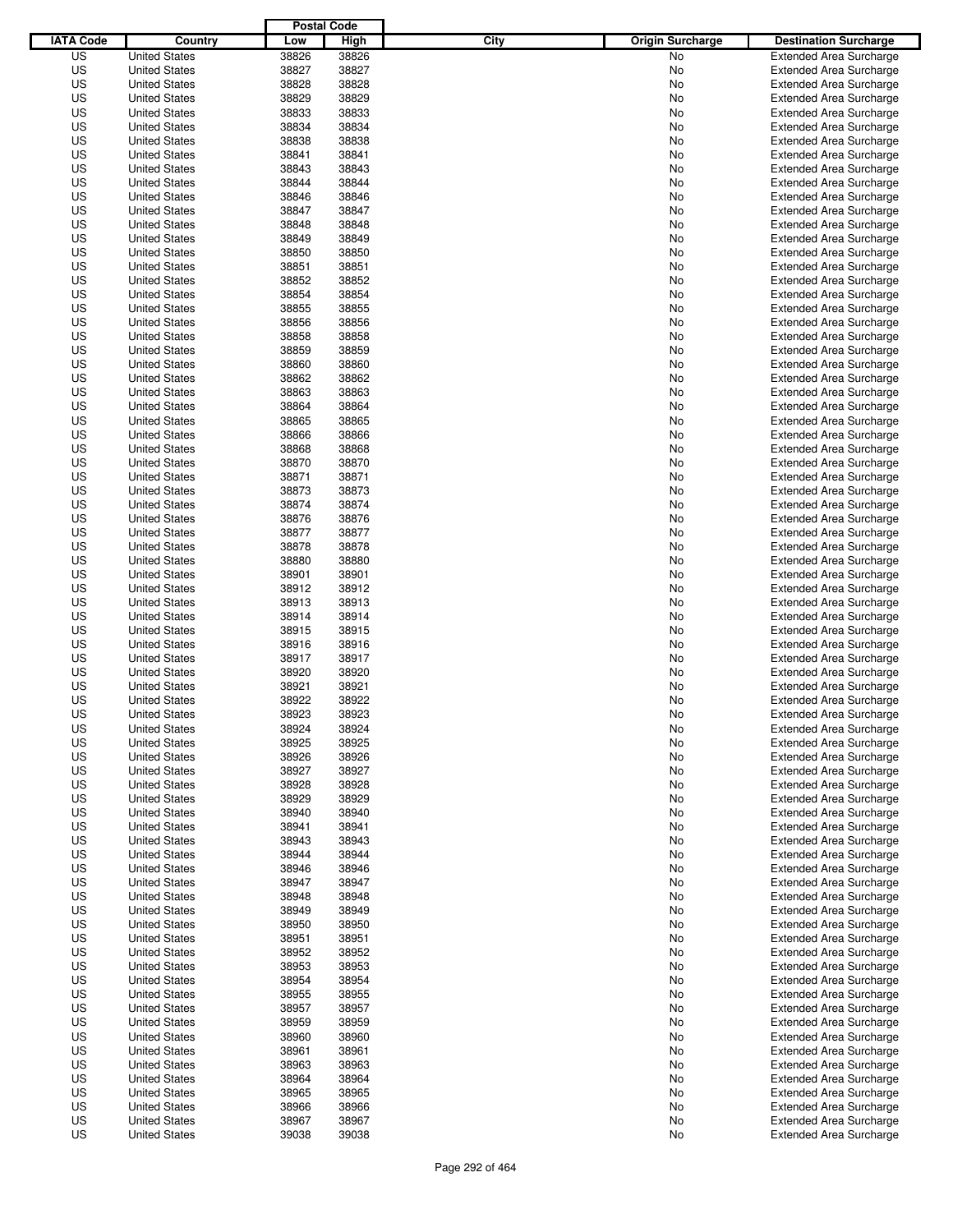|                  |                      | <b>Postal Code</b> |       |                                 |                                |
|------------------|----------------------|--------------------|-------|---------------------------------|--------------------------------|
| <b>IATA Code</b> | Country              | Low                | High  | City<br><b>Origin Surcharge</b> | <b>Destination Surcharge</b>   |
| US               | <b>United States</b> | 38826              | 38826 | <b>No</b>                       | <b>Extended Area Surcharge</b> |
| US               | <b>United States</b> | 38827              | 38827 | No                              | <b>Extended Area Surcharge</b> |
| US               | <b>United States</b> | 38828              | 38828 | No                              | <b>Extended Area Surcharge</b> |
| US               | <b>United States</b> | 38829              | 38829 | No                              | <b>Extended Area Surcharge</b> |
| US               | <b>United States</b> | 38833              | 38833 | No                              | <b>Extended Area Surcharge</b> |
| US               | <b>United States</b> | 38834              | 38834 | No                              | <b>Extended Area Surcharge</b> |
| US               | <b>United States</b> | 38838              | 38838 | No                              | <b>Extended Area Surcharge</b> |
| US               | <b>United States</b> | 38841              | 38841 | No                              | <b>Extended Area Surcharge</b> |
| US               | <b>United States</b> | 38843              | 38843 | No                              | <b>Extended Area Surcharge</b> |
| US               | <b>United States</b> | 38844              | 38844 | No                              | <b>Extended Area Surcharge</b> |
| US               | <b>United States</b> | 38846              | 38846 | No                              | <b>Extended Area Surcharge</b> |
| US               | <b>United States</b> | 38847              | 38847 | No                              | <b>Extended Area Surcharge</b> |
| US               | <b>United States</b> | 38848              | 38848 | No                              | <b>Extended Area Surcharge</b> |
| US               | <b>United States</b> | 38849              | 38849 | No                              | <b>Extended Area Surcharge</b> |
| US               | <b>United States</b> | 38850              | 38850 | No                              | <b>Extended Area Surcharge</b> |
| US               | <b>United States</b> | 38851              | 38851 | No                              | <b>Extended Area Surcharge</b> |
| US               | <b>United States</b> | 38852              | 38852 | No                              | <b>Extended Area Surcharge</b> |
| US               | <b>United States</b> | 38854              | 38854 | No                              | <b>Extended Area Surcharge</b> |
| US               | <b>United States</b> | 38855              | 38855 | No                              | <b>Extended Area Surcharge</b> |
| US               | <b>United States</b> | 38856              | 38856 | No                              | <b>Extended Area Surcharge</b> |
| US               | <b>United States</b> | 38858              | 38858 | No                              | <b>Extended Area Surcharge</b> |
| US               | <b>United States</b> | 38859              | 38859 | No                              | <b>Extended Area Surcharge</b> |
| US               | <b>United States</b> | 38860              | 38860 | No                              | <b>Extended Area Surcharge</b> |
| US               | <b>United States</b> | 38862              | 38862 | No                              | <b>Extended Area Surcharge</b> |
| US               | <b>United States</b> | 38863              | 38863 | No                              | <b>Extended Area Surcharge</b> |
| US               | <b>United States</b> | 38864              | 38864 | No                              | <b>Extended Area Surcharge</b> |
| US               | <b>United States</b> | 38865              | 38865 | No                              | <b>Extended Area Surcharge</b> |
| US               | <b>United States</b> | 38866              | 38866 | No                              | <b>Extended Area Surcharge</b> |
| US               | <b>United States</b> | 38868              | 38868 | No                              | <b>Extended Area Surcharge</b> |
| US               | <b>United States</b> | 38870              | 38870 | No                              | <b>Extended Area Surcharge</b> |
| US               | <b>United States</b> | 38871              | 38871 | No                              | <b>Extended Area Surcharge</b> |
| US               | <b>United States</b> | 38873              | 38873 | No                              | <b>Extended Area Surcharge</b> |
| US               | <b>United States</b> | 38874              | 38874 | No                              | <b>Extended Area Surcharge</b> |
| US               | <b>United States</b> | 38876              | 38876 | No                              | <b>Extended Area Surcharge</b> |
| US               | <b>United States</b> | 38877              | 38877 | No                              | <b>Extended Area Surcharge</b> |
| US               | <b>United States</b> | 38878              | 38878 | No                              | <b>Extended Area Surcharge</b> |
| US               | <b>United States</b> | 38880              | 38880 | No                              | <b>Extended Area Surcharge</b> |
| US               | <b>United States</b> | 38901              | 38901 | No                              | <b>Extended Area Surcharge</b> |
| US               | <b>United States</b> | 38912              | 38912 | No                              | <b>Extended Area Surcharge</b> |
| US               | <b>United States</b> | 38913              | 38913 | No                              | <b>Extended Area Surcharge</b> |
| US               | <b>United States</b> | 38914              | 38914 | No                              | <b>Extended Area Surcharge</b> |
| US               | <b>United States</b> | 38915              | 38915 | No                              | <b>Extended Area Surcharge</b> |
| US               | <b>United States</b> | 38916              | 38916 | No                              | <b>Extended Area Surcharge</b> |
| US               | <b>United States</b> | 38917              | 38917 | No                              | <b>Extended Area Surcharge</b> |
| US               | <b>United States</b> | 38920              | 38920 | No                              | <b>Extended Area Surcharge</b> |
| US               | <b>United States</b> | 38921              | 38921 | No                              | <b>Extended Area Surcharge</b> |
| US               | <b>United States</b> | 38922              | 38922 | No                              | <b>Extended Area Surcharge</b> |
| US               | <b>United States</b> | 38923              | 38923 | No                              | <b>Extended Area Surcharge</b> |
| US               | <b>United States</b> | 38924              | 38924 | No                              | <b>Extended Area Surcharge</b> |
| US               | <b>United States</b> | 38925              | 38925 | No                              | <b>Extended Area Surcharge</b> |
| US               | <b>United States</b> | 38926              | 38926 | No                              | <b>Extended Area Surcharge</b> |
| US               | <b>United States</b> | 38927              | 38927 | No                              | <b>Extended Area Surcharge</b> |
| US               | <b>United States</b> | 38928              | 38928 | No                              | <b>Extended Area Surcharge</b> |
| US               | <b>United States</b> | 38929              | 38929 | No                              | <b>Extended Area Surcharge</b> |
| US               | <b>United States</b> | 38940              | 38940 | No                              | <b>Extended Area Surcharge</b> |
| US               | <b>United States</b> | 38941              | 38941 | No                              | <b>Extended Area Surcharge</b> |
| US               | <b>United States</b> | 38943              | 38943 | No                              | <b>Extended Area Surcharge</b> |
| US               | <b>United States</b> | 38944              | 38944 | No                              | <b>Extended Area Surcharge</b> |
| US               | <b>United States</b> | 38946              | 38946 | No                              | <b>Extended Area Surcharge</b> |
| US               | <b>United States</b> | 38947              | 38947 | No                              | <b>Extended Area Surcharge</b> |
| US               | <b>United States</b> | 38948              | 38948 | No                              | <b>Extended Area Surcharge</b> |
| US               | <b>United States</b> | 38949              | 38949 | No                              | <b>Extended Area Surcharge</b> |
| US               | <b>United States</b> | 38950              | 38950 | No                              | <b>Extended Area Surcharge</b> |
| US               | <b>United States</b> | 38951              | 38951 | No                              | <b>Extended Area Surcharge</b> |
| US               | <b>United States</b> | 38952              | 38952 | No                              | <b>Extended Area Surcharge</b> |
| US               | <b>United States</b> | 38953              | 38953 | No                              | <b>Extended Area Surcharge</b> |
| US               | <b>United States</b> | 38954              | 38954 | No                              | <b>Extended Area Surcharge</b> |
| US               | <b>United States</b> | 38955              | 38955 | No                              | <b>Extended Area Surcharge</b> |
| US               | <b>United States</b> | 38957              | 38957 | No                              | <b>Extended Area Surcharge</b> |
| US               | <b>United States</b> | 38959              | 38959 | No                              | <b>Extended Area Surcharge</b> |
| US               | <b>United States</b> | 38960              | 38960 | No                              | <b>Extended Area Surcharge</b> |
| US               | <b>United States</b> | 38961              | 38961 | No                              | <b>Extended Area Surcharge</b> |
| US               | <b>United States</b> | 38963              | 38963 | No                              | <b>Extended Area Surcharge</b> |
| US               | <b>United States</b> | 38964              | 38964 | No                              | <b>Extended Area Surcharge</b> |
| US               | <b>United States</b> | 38965              | 38965 | No                              | <b>Extended Area Surcharge</b> |
| US               | <b>United States</b> | 38966              | 38966 | No                              | <b>Extended Area Surcharge</b> |
| US               | <b>United States</b> | 38967              | 38967 | No                              | <b>Extended Area Surcharge</b> |
| US               | <b>United States</b> | 39038              | 39038 | No                              | <b>Extended Area Surcharge</b> |
|                  |                      |                    |       |                                 |                                |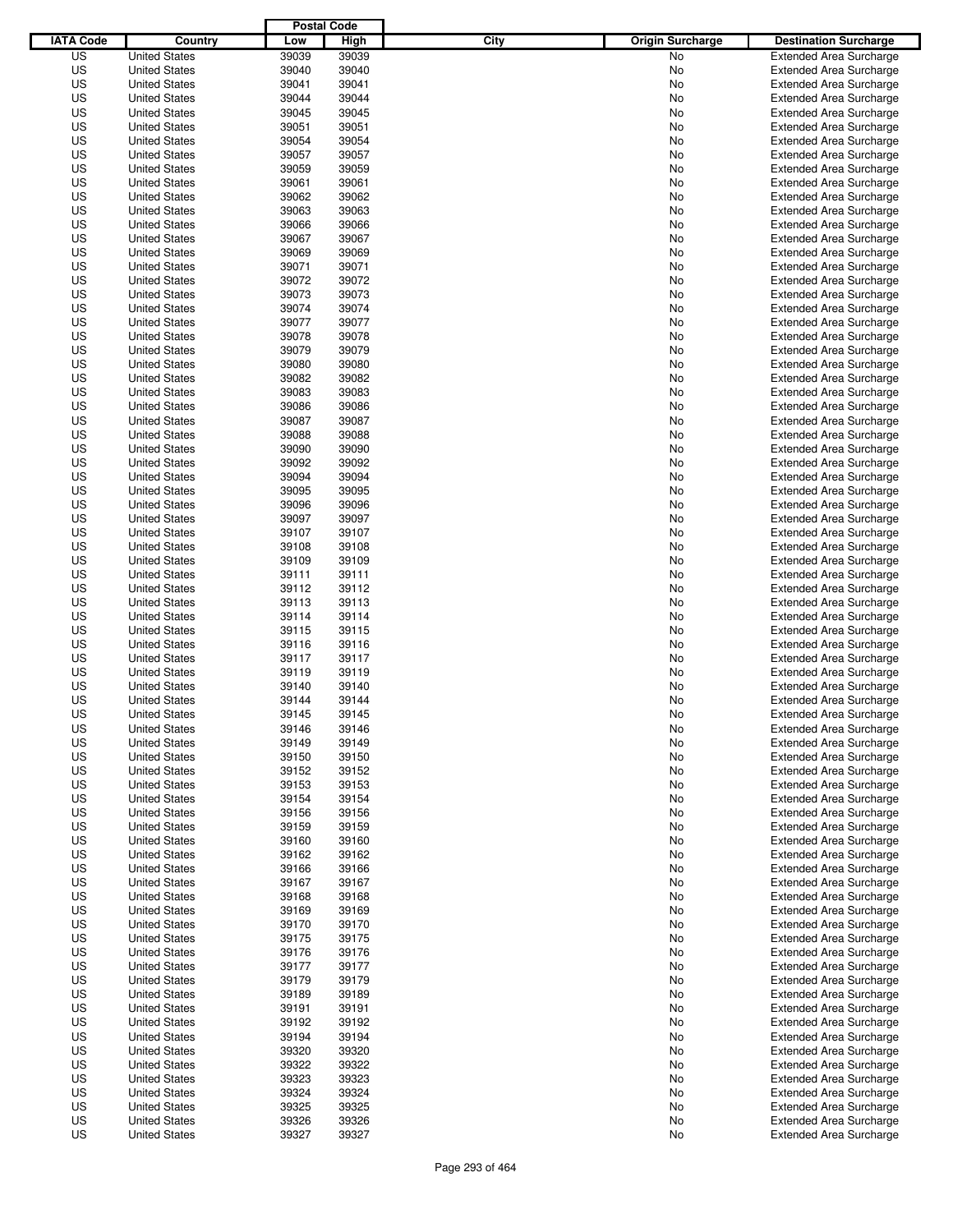|                  |                      | <b>Postal Code</b> |       |                                 |                                |
|------------------|----------------------|--------------------|-------|---------------------------------|--------------------------------|
| <b>IATA Code</b> | Country              | Low                | High  | City<br><b>Origin Surcharge</b> | <b>Destination Surcharge</b>   |
| US               | <b>United States</b> | 39039              | 39039 | <b>No</b>                       | <b>Extended Area Surcharge</b> |
| US               | <b>United States</b> | 39040              | 39040 | No                              | <b>Extended Area Surcharge</b> |
| US               | <b>United States</b> | 39041              | 39041 | No                              | <b>Extended Area Surcharge</b> |
| US               | <b>United States</b> | 39044              | 39044 | No                              | <b>Extended Area Surcharge</b> |
| US               | <b>United States</b> | 39045              | 39045 | No                              | <b>Extended Area Surcharge</b> |
| US               | <b>United States</b> | 39051              | 39051 | No                              | <b>Extended Area Surcharge</b> |
| US               | <b>United States</b> | 39054              | 39054 | No                              | <b>Extended Area Surcharge</b> |
| US               | <b>United States</b> | 39057              | 39057 | No                              | <b>Extended Area Surcharge</b> |
| US               | <b>United States</b> | 39059              | 39059 | No                              | <b>Extended Area Surcharge</b> |
| US               | <b>United States</b> | 39061              | 39061 | No                              | <b>Extended Area Surcharge</b> |
| US               | <b>United States</b> | 39062              | 39062 | No                              | <b>Extended Area Surcharge</b> |
| US               | <b>United States</b> | 39063              | 39063 | No                              | <b>Extended Area Surcharge</b> |
| US               | <b>United States</b> | 39066              | 39066 | No                              | <b>Extended Area Surcharge</b> |
| US               | <b>United States</b> | 39067              | 39067 | No                              | <b>Extended Area Surcharge</b> |
| US               | <b>United States</b> | 39069              | 39069 | No                              | <b>Extended Area Surcharge</b> |
| US               | <b>United States</b> | 39071              | 39071 | No                              | <b>Extended Area Surcharge</b> |
| US               | <b>United States</b> | 39072              | 39072 | No                              | <b>Extended Area Surcharge</b> |
| US               | <b>United States</b> | 39073              | 39073 | No                              | <b>Extended Area Surcharge</b> |
| US               | <b>United States</b> | 39074              | 39074 | No                              | <b>Extended Area Surcharge</b> |
| US               | <b>United States</b> | 39077              | 39077 | No                              | <b>Extended Area Surcharge</b> |
| US               | <b>United States</b> | 39078              | 39078 | No                              | <b>Extended Area Surcharge</b> |
| US               | <b>United States</b> | 39079              | 39079 | No                              | <b>Extended Area Surcharge</b> |
| US               | <b>United States</b> | 39080              | 39080 | No                              | <b>Extended Area Surcharge</b> |
| US               | <b>United States</b> | 39082              | 39082 | No                              | <b>Extended Area Surcharge</b> |
| US               | <b>United States</b> | 39083              | 39083 | No                              | <b>Extended Area Surcharge</b> |
| US               | <b>United States</b> | 39086              | 39086 | No                              | <b>Extended Area Surcharge</b> |
| US               | <b>United States</b> | 39087              | 39087 | No                              | <b>Extended Area Surcharge</b> |
| US               | <b>United States</b> | 39088              | 39088 | No                              | <b>Extended Area Surcharge</b> |
| US               | <b>United States</b> | 39090              | 39090 | No                              | <b>Extended Area Surcharge</b> |
| US               | <b>United States</b> | 39092              | 39092 | No                              | <b>Extended Area Surcharge</b> |
| US               | <b>United States</b> | 39094              | 39094 | No                              | <b>Extended Area Surcharge</b> |
| US               | <b>United States</b> | 39095              | 39095 | No                              | <b>Extended Area Surcharge</b> |
| US               | <b>United States</b> | 39096              | 39096 | No                              | <b>Extended Area Surcharge</b> |
| US               | <b>United States</b> | 39097              | 39097 | No                              | <b>Extended Area Surcharge</b> |
| US               | <b>United States</b> | 39107              | 39107 | No                              | <b>Extended Area Surcharge</b> |
| US               | <b>United States</b> | 39108              | 39108 | No                              | <b>Extended Area Surcharge</b> |
| US               | <b>United States</b> | 39109              | 39109 | No                              | <b>Extended Area Surcharge</b> |
| US               | <b>United States</b> | 39111              | 39111 | No                              | <b>Extended Area Surcharge</b> |
| US               | <b>United States</b> | 39112              | 39112 | No                              | <b>Extended Area Surcharge</b> |
| US               | <b>United States</b> | 39113              | 39113 | No                              | <b>Extended Area Surcharge</b> |
| US               | <b>United States</b> | 39114              | 39114 | No                              | <b>Extended Area Surcharge</b> |
| US               | <b>United States</b> | 39115              | 39115 | No                              | <b>Extended Area Surcharge</b> |
| US               | <b>United States</b> | 39116              | 39116 | No                              | <b>Extended Area Surcharge</b> |
| US               | <b>United States</b> | 39117              | 39117 | No                              | <b>Extended Area Surcharge</b> |
| US               | <b>United States</b> | 39119              | 39119 | No                              | <b>Extended Area Surcharge</b> |
| US               | <b>United States</b> | 39140              | 39140 | No                              | <b>Extended Area Surcharge</b> |
| US               | <b>United States</b> | 39144              | 39144 | No                              | <b>Extended Area Surcharge</b> |
| US               | <b>United States</b> | 39145              | 39145 | No                              | <b>Extended Area Surcharge</b> |
| US               | <b>United States</b> | 39146              | 39146 | No                              | <b>Extended Area Surcharge</b> |
| US               | <b>United States</b> | 39149              | 39149 | No                              | <b>Extended Area Surcharge</b> |
| US               | <b>United States</b> | 39150              | 39150 | No                              | <b>Extended Area Surcharge</b> |
| US               | <b>United States</b> | 39152              | 39152 | No                              | <b>Extended Area Surcharge</b> |
| US               | <b>United States</b> | 39153              | 39153 | No                              | <b>Extended Area Surcharge</b> |
| US               | <b>United States</b> | 39154              | 39154 | No                              | <b>Extended Area Surcharge</b> |
| US               | <b>United States</b> | 39156              | 39156 | No                              | <b>Extended Area Surcharge</b> |
| US               | <b>United States</b> | 39159              | 39159 | No                              | <b>Extended Area Surcharge</b> |
| US               | <b>United States</b> | 39160              | 39160 | No                              | <b>Extended Area Surcharge</b> |
| US               | <b>United States</b> | 39162              | 39162 | No                              | <b>Extended Area Surcharge</b> |
| US               | <b>United States</b> | 39166              | 39166 | No                              | <b>Extended Area Surcharge</b> |
| US               | <b>United States</b> | 39167              | 39167 | No                              | <b>Extended Area Surcharge</b> |
| US               | <b>United States</b> | 39168              | 39168 | No                              | <b>Extended Area Surcharge</b> |
| US               | <b>United States</b> | 39169              | 39169 | No                              | <b>Extended Area Surcharge</b> |
| US               | <b>United States</b> | 39170              | 39170 | No                              | <b>Extended Area Surcharge</b> |
| US               | <b>United States</b> | 39175              | 39175 | No                              | <b>Extended Area Surcharge</b> |
| US               | <b>United States</b> | 39176              | 39176 | No                              | <b>Extended Area Surcharge</b> |
| US               | <b>United States</b> | 39177              | 39177 | No                              | <b>Extended Area Surcharge</b> |
| US               | <b>United States</b> | 39179              | 39179 | No                              | <b>Extended Area Surcharge</b> |
| US               | <b>United States</b> | 39189              | 39189 | No                              | <b>Extended Area Surcharge</b> |
| US               | <b>United States</b> | 39191              | 39191 | No                              | <b>Extended Area Surcharge</b> |
| US               | <b>United States</b> | 39192              | 39192 | No                              | <b>Extended Area Surcharge</b> |
| US               | <b>United States</b> | 39194              | 39194 | No                              | <b>Extended Area Surcharge</b> |
| US               | <b>United States</b> | 39320              | 39320 | No                              | <b>Extended Area Surcharge</b> |
| US               | <b>United States</b> | 39322              | 39322 | No                              | <b>Extended Area Surcharge</b> |
| US               | <b>United States</b> | 39323              | 39323 | No                              | <b>Extended Area Surcharge</b> |
| US               | <b>United States</b> | 39324              | 39324 | No                              | <b>Extended Area Surcharge</b> |
| US               | <b>United States</b> | 39325              | 39325 | No                              | <b>Extended Area Surcharge</b> |
| US               | <b>United States</b> | 39326              | 39326 | No                              | <b>Extended Area Surcharge</b> |
| US               | <b>United States</b> | 39327              | 39327 | No                              | <b>Extended Area Surcharge</b> |
|                  |                      |                    |       |                                 |                                |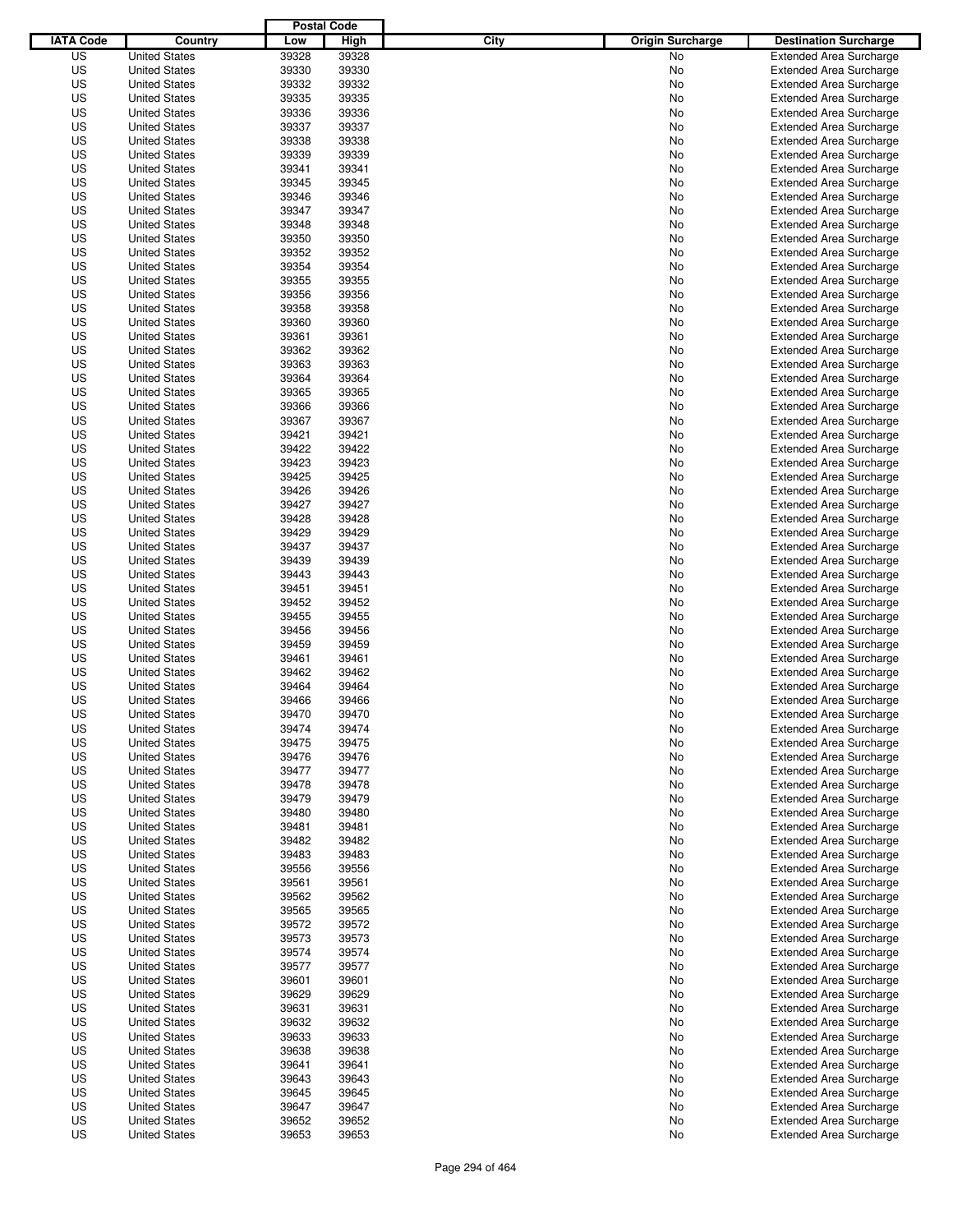|                  |                      | <b>Postal Code</b> |       |                                 |                                |
|------------------|----------------------|--------------------|-------|---------------------------------|--------------------------------|
| <b>IATA Code</b> | Country              | Low                | High  | City<br><b>Origin Surcharge</b> | <b>Destination Surcharge</b>   |
| US               | <b>United States</b> | 39328              | 39328 | <b>No</b>                       | <b>Extended Area Surcharge</b> |
| US               | <b>United States</b> | 39330              | 39330 | No                              | <b>Extended Area Surcharge</b> |
| US               | <b>United States</b> | 39332              | 39332 | No                              | <b>Extended Area Surcharge</b> |
| US               | <b>United States</b> | 39335              | 39335 | No                              | <b>Extended Area Surcharge</b> |
| US               | <b>United States</b> | 39336              | 39336 | No                              | <b>Extended Area Surcharge</b> |
| US               | <b>United States</b> | 39337              | 39337 | No                              | <b>Extended Area Surcharge</b> |
| US               | <b>United States</b> | 39338              | 39338 | No                              | <b>Extended Area Surcharge</b> |
| US               | <b>United States</b> | 39339              | 39339 | No                              | <b>Extended Area Surcharge</b> |
| US               | <b>United States</b> | 39341              | 39341 | No                              | <b>Extended Area Surcharge</b> |
| US               | <b>United States</b> | 39345              | 39345 | No                              | <b>Extended Area Surcharge</b> |
| US               | <b>United States</b> | 39346              | 39346 | No                              | <b>Extended Area Surcharge</b> |
| US               | <b>United States</b> | 39347              | 39347 | No                              | <b>Extended Area Surcharge</b> |
| US               | <b>United States</b> | 39348              | 39348 | No                              | <b>Extended Area Surcharge</b> |
| US               | <b>United States</b> | 39350              | 39350 | No                              | <b>Extended Area Surcharge</b> |
| US               | <b>United States</b> | 39352              | 39352 | No                              | <b>Extended Area Surcharge</b> |
| US               | <b>United States</b> | 39354              | 39354 | No                              | <b>Extended Area Surcharge</b> |
| US               | <b>United States</b> | 39355              | 39355 | No                              | <b>Extended Area Surcharge</b> |
| US               | <b>United States</b> | 39356              | 39356 | No                              | <b>Extended Area Surcharge</b> |
| US               | <b>United States</b> | 39358              | 39358 | No                              | <b>Extended Area Surcharge</b> |
| US               | <b>United States</b> | 39360              | 39360 | No                              | <b>Extended Area Surcharge</b> |
| US               | <b>United States</b> | 39361              | 39361 | No                              | <b>Extended Area Surcharge</b> |
| US               | <b>United States</b> | 39362              | 39362 | No                              | <b>Extended Area Surcharge</b> |
| US               | <b>United States</b> | 39363              | 39363 | No                              | <b>Extended Area Surcharge</b> |
| US               | <b>United States</b> | 39364              | 39364 | No                              | <b>Extended Area Surcharge</b> |
| US               | <b>United States</b> | 39365              | 39365 | No                              | <b>Extended Area Surcharge</b> |
| US               | <b>United States</b> | 39366              | 39366 | No                              | <b>Extended Area Surcharge</b> |
| US               | <b>United States</b> | 39367              | 39367 | No                              | <b>Extended Area Surcharge</b> |
| US               | <b>United States</b> | 39421              | 39421 | No                              | <b>Extended Area Surcharge</b> |
| US               | <b>United States</b> | 39422              | 39422 | No                              | <b>Extended Area Surcharge</b> |
| US               | <b>United States</b> | 39423              | 39423 | No                              | <b>Extended Area Surcharge</b> |
| US               | <b>United States</b> | 39425              | 39425 | No                              | <b>Extended Area Surcharge</b> |
| US               | <b>United States</b> | 39426              | 39426 | No                              | <b>Extended Area Surcharge</b> |
| US               | <b>United States</b> | 39427              | 39427 | No                              | <b>Extended Area Surcharge</b> |
| US               | <b>United States</b> | 39428              | 39428 | No                              | <b>Extended Area Surcharge</b> |
| US               | <b>United States</b> | 39429              | 39429 | No                              | <b>Extended Area Surcharge</b> |
| US               | <b>United States</b> | 39437              | 39437 | No                              | <b>Extended Area Surcharge</b> |
| US               | <b>United States</b> | 39439              | 39439 | No                              | <b>Extended Area Surcharge</b> |
| US               | <b>United States</b> | 39443              | 39443 | No                              | <b>Extended Area Surcharge</b> |
| US               | <b>United States</b> | 39451              | 39451 | No                              | <b>Extended Area Surcharge</b> |
| US               | <b>United States</b> | 39452              | 39452 | No                              | <b>Extended Area Surcharge</b> |
| US               | <b>United States</b> | 39455              | 39455 | No                              | <b>Extended Area Surcharge</b> |
| US               | <b>United States</b> | 39456              | 39456 | No                              | <b>Extended Area Surcharge</b> |
| US               | <b>United States</b> | 39459              | 39459 | No                              | <b>Extended Area Surcharge</b> |
| US               | <b>United States</b> | 39461              | 39461 | No                              | <b>Extended Area Surcharge</b> |
| US               | <b>United States</b> | 39462              | 39462 | No                              | <b>Extended Area Surcharge</b> |
| US               | <b>United States</b> | 39464              | 39464 | No                              | <b>Extended Area Surcharge</b> |
| US               | <b>United States</b> | 39466              | 39466 | No                              | <b>Extended Area Surcharge</b> |
| US               | <b>United States</b> | 39470              | 39470 | No                              | <b>Extended Area Surcharge</b> |
| US               | <b>United States</b> | 39474              | 39474 | No                              | <b>Extended Area Surcharge</b> |
| US               | <b>United States</b> | 39475              | 39475 | No                              | <b>Extended Area Surcharge</b> |
| US               | <b>United States</b> | 39476              | 39476 | No                              | <b>Extended Area Surcharge</b> |
| US               | <b>United States</b> | 39477              | 39477 | No                              | <b>Extended Area Surcharge</b> |
| US               | <b>United States</b> | 39478              | 39478 | No                              | <b>Extended Area Surcharge</b> |
| US               | <b>United States</b> | 39479              | 39479 | No                              | <b>Extended Area Surcharge</b> |
| US               | <b>United States</b> | 39480              | 39480 | No                              | <b>Extended Area Surcharge</b> |
| US               | <b>United States</b> | 39481              | 39481 | No                              | <b>Extended Area Surcharge</b> |
| US               | <b>United States</b> | 39482              | 39482 | No                              | <b>Extended Area Surcharge</b> |
| US               | <b>United States</b> | 39483              | 39483 | No                              | <b>Extended Area Surcharge</b> |
| US               | <b>United States</b> | 39556              | 39556 | No                              | <b>Extended Area Surcharge</b> |
| US               | <b>United States</b> | 39561              | 39561 | No                              | <b>Extended Area Surcharge</b> |
| US               | <b>United States</b> | 39562              | 39562 | No                              | <b>Extended Area Surcharge</b> |
| US               | <b>United States</b> | 39565              | 39565 | No                              | <b>Extended Area Surcharge</b> |
| US               | <b>United States</b> | 39572              | 39572 | No                              | <b>Extended Area Surcharge</b> |
| US               | <b>United States</b> | 39573              | 39573 | No                              | <b>Extended Area Surcharge</b> |
| US               | <b>United States</b> | 39574              | 39574 | No                              | <b>Extended Area Surcharge</b> |
| US               | <b>United States</b> | 39577              | 39577 | No                              | <b>Extended Area Surcharge</b> |
| US               | <b>United States</b> | 39601              | 39601 | No                              | <b>Extended Area Surcharge</b> |
| US               | <b>United States</b> | 39629              | 39629 | No                              | <b>Extended Area Surcharge</b> |
| US               | <b>United States</b> | 39631              | 39631 | No                              | <b>Extended Area Surcharge</b> |
| US               | <b>United States</b> | 39632              | 39632 | No                              | <b>Extended Area Surcharge</b> |
| US               | <b>United States</b> | 39633              | 39633 | No                              | <b>Extended Area Surcharge</b> |
| US               | <b>United States</b> | 39638              | 39638 | No                              | <b>Extended Area Surcharge</b> |
| US               | <b>United States</b> | 39641              | 39641 | No                              | <b>Extended Area Surcharge</b> |
| US               | <b>United States</b> | 39643              | 39643 | No                              | <b>Extended Area Surcharge</b> |
| US               | <b>United States</b> | 39645              | 39645 | No                              | <b>Extended Area Surcharge</b> |
| US               | <b>United States</b> | 39647              | 39647 | No                              | <b>Extended Area Surcharge</b> |
| US               | <b>United States</b> | 39652              | 39652 | No                              | <b>Extended Area Surcharge</b> |
| US               | <b>United States</b> | 39653              | 39653 | No                              | <b>Extended Area Surcharge</b> |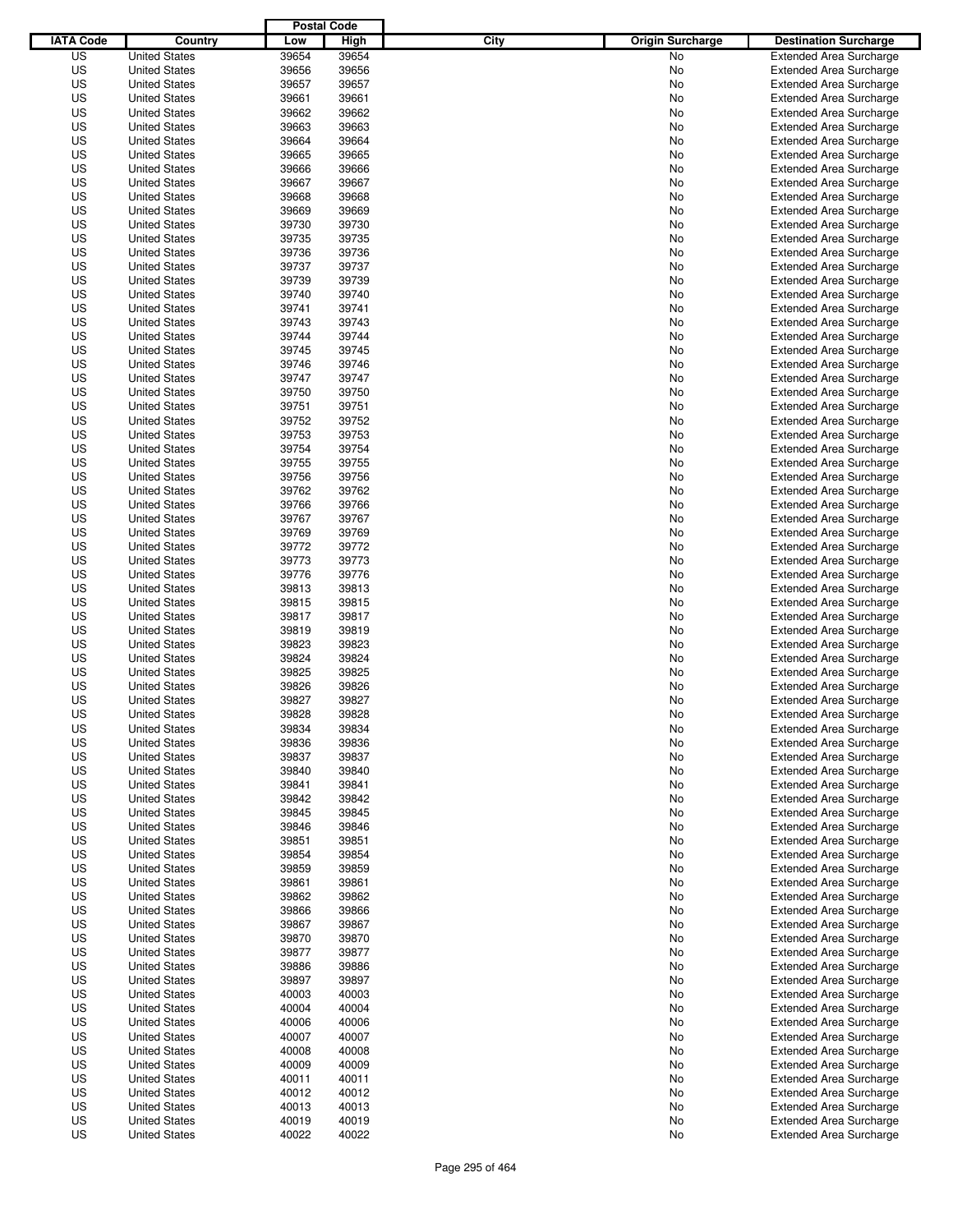|                  |                                              | <b>Postal Code</b> |                |                                 |                                                                  |
|------------------|----------------------------------------------|--------------------|----------------|---------------------------------|------------------------------------------------------------------|
| <b>IATA Code</b> | Country                                      | Low                | High           | City<br><b>Origin Surcharge</b> | <b>Destination Surcharge</b>                                     |
| US               | <b>United States</b>                         | 39654              | 39654          | <b>No</b>                       | <b>Extended Area Surcharge</b>                                   |
| US               | <b>United States</b>                         | 39656              | 39656          | No                              | <b>Extended Area Surcharge</b>                                   |
| US               | <b>United States</b>                         | 39657              | 39657          | No                              | <b>Extended Area Surcharge</b>                                   |
| US               | <b>United States</b>                         | 39661              | 39661          | No                              | <b>Extended Area Surcharge</b>                                   |
| US               | <b>United States</b>                         | 39662              | 39662          | No                              | <b>Extended Area Surcharge</b>                                   |
| US               | <b>United States</b>                         | 39663              | 39663          | No                              | <b>Extended Area Surcharge</b>                                   |
| US               | <b>United States</b>                         | 39664              | 39664          | No                              | <b>Extended Area Surcharge</b>                                   |
| US               | <b>United States</b>                         | 39665              | 39665          | No                              | <b>Extended Area Surcharge</b>                                   |
| US               | <b>United States</b>                         | 39666              | 39666          | No                              | <b>Extended Area Surcharge</b>                                   |
| US               | <b>United States</b>                         | 39667              | 39667          | No                              | <b>Extended Area Surcharge</b>                                   |
| US               | <b>United States</b>                         | 39668              | 39668          | No                              | <b>Extended Area Surcharge</b>                                   |
| US               | <b>United States</b>                         | 39669              | 39669          | No                              | <b>Extended Area Surcharge</b>                                   |
| US               | <b>United States</b>                         | 39730              | 39730          | No                              | <b>Extended Area Surcharge</b>                                   |
| US               | <b>United States</b>                         | 39735              | 39735          | No                              | <b>Extended Area Surcharge</b>                                   |
| US               | <b>United States</b>                         | 39736              | 39736          | No                              | <b>Extended Area Surcharge</b>                                   |
| US               | <b>United States</b>                         | 39737              | 39737          | No                              | <b>Extended Area Surcharge</b>                                   |
| US               | <b>United States</b>                         | 39739              | 39739          | No                              | <b>Extended Area Surcharge</b>                                   |
| US               | <b>United States</b>                         | 39740              | 39740          | No                              | <b>Extended Area Surcharge</b>                                   |
| US               | <b>United States</b>                         | 39741              | 39741          | No                              | <b>Extended Area Surcharge</b>                                   |
| US               | <b>United States</b>                         | 39743              | 39743          | No                              | <b>Extended Area Surcharge</b>                                   |
| US               | <b>United States</b>                         | 39744              | 39744          | No                              | <b>Extended Area Surcharge</b>                                   |
| US               | <b>United States</b>                         | 39745              | 39745          | No                              | <b>Extended Area Surcharge</b>                                   |
| US               | <b>United States</b>                         | 39746              | 39746          | No                              | <b>Extended Area Surcharge</b>                                   |
| US               | <b>United States</b>                         | 39747              | 39747          | No                              | <b>Extended Area Surcharge</b>                                   |
| US               | <b>United States</b>                         | 39750              | 39750          | No                              | <b>Extended Area Surcharge</b>                                   |
| US               | <b>United States</b>                         | 39751              | 39751          | No                              | <b>Extended Area Surcharge</b>                                   |
| US               | <b>United States</b>                         | 39752              | 39752          | No                              | <b>Extended Area Surcharge</b>                                   |
| US               | <b>United States</b>                         | 39753              | 39753          | No                              | <b>Extended Area Surcharge</b>                                   |
| US               | <b>United States</b>                         | 39754              | 39754          | No                              | <b>Extended Area Surcharge</b>                                   |
| US               | <b>United States</b>                         | 39755              | 39755          | No                              | <b>Extended Area Surcharge</b>                                   |
| US               | <b>United States</b>                         | 39756              | 39756          | No                              | <b>Extended Area Surcharge</b>                                   |
| US               | <b>United States</b>                         | 39762              | 39762          | No                              | <b>Extended Area Surcharge</b>                                   |
| US               | <b>United States</b>                         | 39766              | 39766          | No                              | <b>Extended Area Surcharge</b>                                   |
| US               | <b>United States</b>                         | 39767              | 39767          | No                              | <b>Extended Area Surcharge</b>                                   |
| US               | <b>United States</b>                         | 39769              | 39769          | No                              | <b>Extended Area Surcharge</b>                                   |
| US               | <b>United States</b>                         | 39772              | 39772          | No                              | <b>Extended Area Surcharge</b>                                   |
| US               | <b>United States</b>                         | 39773              | 39773          | No                              | <b>Extended Area Surcharge</b>                                   |
| US               | <b>United States</b>                         | 39776              | 39776          | No                              | <b>Extended Area Surcharge</b>                                   |
| US               | <b>United States</b>                         | 39813              | 39813          | No                              | <b>Extended Area Surcharge</b>                                   |
| US               | <b>United States</b>                         | 39815              | 39815          | No                              | <b>Extended Area Surcharge</b>                                   |
| US               | <b>United States</b>                         | 39817              | 39817          | No                              | <b>Extended Area Surcharge</b>                                   |
| US               | <b>United States</b>                         | 39819              | 39819          | No                              | <b>Extended Area Surcharge</b>                                   |
| US               | <b>United States</b>                         | 39823              | 39823          | No                              | <b>Extended Area Surcharge</b>                                   |
| US               | <b>United States</b>                         | 39824              | 39824          | No                              | <b>Extended Area Surcharge</b>                                   |
| US               | <b>United States</b>                         | 39825              | 39825          | No                              | <b>Extended Area Surcharge</b>                                   |
| US               | <b>United States</b>                         | 39826              | 39826          | No                              | <b>Extended Area Surcharge</b>                                   |
| US               | <b>United States</b>                         | 39827              | 39827          | No                              | <b>Extended Area Surcharge</b>                                   |
| US               | <b>United States</b>                         | 39828              | 39828          | No                              | <b>Extended Area Surcharge</b>                                   |
| US               | <b>United States</b>                         | 39834              | 39834          | No                              | <b>Extended Area Surcharge</b>                                   |
| US               | <b>United States</b>                         | 39836              | 39836          | No                              | <b>Extended Area Surcharge</b>                                   |
| US               | <b>United States</b>                         | 39837              | 39837          | No                              | <b>Extended Area Surcharge</b>                                   |
| US               | <b>United States</b>                         | 39840              | 39840          | No                              | <b>Extended Area Surcharge</b>                                   |
| US               | <b>United States</b>                         | 39841              | 39841          | No                              | <b>Extended Area Surcharge</b>                                   |
| US               | <b>United States</b>                         | 39842              | 39842          | No                              | <b>Extended Area Surcharge</b>                                   |
| US               | <b>United States</b>                         | 39845              | 39845          | No                              | <b>Extended Area Surcharge</b>                                   |
| US               | <b>United States</b>                         | 39846              | 39846          | No                              | <b>Extended Area Surcharge</b>                                   |
| US               | <b>United States</b>                         | 39851              | 39851          | No                              | <b>Extended Area Surcharge</b>                                   |
| US               | <b>United States</b>                         | 39854              | 39854          | No                              | <b>Extended Area Surcharge</b>                                   |
| US               | <b>United States</b><br><b>United States</b> | 39859              | 39859          | No                              | <b>Extended Area Surcharge</b>                                   |
| US               |                                              | 39861              | 39861          | No                              | <b>Extended Area Surcharge</b>                                   |
| US               | <b>United States</b>                         | 39862              | 39862          | No                              | <b>Extended Area Surcharge</b>                                   |
| US<br>US         | <b>United States</b>                         | 39866              | 39866          | No                              | <b>Extended Area Surcharge</b><br><b>Extended Area Surcharge</b> |
| US               | <b>United States</b><br><b>United States</b> | 39867<br>39870     | 39867<br>39870 | No<br>No                        | <b>Extended Area Surcharge</b>                                   |
|                  |                                              |                    |                |                                 |                                                                  |
| US<br>US         | <b>United States</b><br><b>United States</b> | 39877<br>39886     | 39877<br>39886 | No<br>No                        | <b>Extended Area Surcharge</b><br><b>Extended Area Surcharge</b> |
| US               | <b>United States</b>                         | 39897              | 39897          | No                              | <b>Extended Area Surcharge</b>                                   |
| US               | <b>United States</b>                         | 40003              | 40003          | No                              | <b>Extended Area Surcharge</b>                                   |
| US               | <b>United States</b>                         | 40004              | 40004          |                                 | <b>Extended Area Surcharge</b>                                   |
| US               | <b>United States</b>                         | 40006              | 40006          | No                              | <b>Extended Area Surcharge</b>                                   |
| US               |                                              | 40007              | 40007          | No                              | <b>Extended Area Surcharge</b>                                   |
| US               | <b>United States</b><br><b>United States</b> | 40008              | 40008          | No                              | <b>Extended Area Surcharge</b>                                   |
| US               |                                              | 40009              | 40009          | No                              | <b>Extended Area Surcharge</b>                                   |
| US               | <b>United States</b><br><b>United States</b> | 40011              | 40011          | No                              | <b>Extended Area Surcharge</b>                                   |
| US               |                                              | 40012              | 40012          | No                              | <b>Extended Area Surcharge</b>                                   |
| US               | <b>United States</b><br><b>United States</b> | 40013              | 40013          | No<br>No                        | <b>Extended Area Surcharge</b>                                   |
| US               | <b>United States</b>                         | 40019              | 40019          | No                              | <b>Extended Area Surcharge</b>                                   |
| US               |                                              | 40022              | 40022          | No                              | <b>Extended Area Surcharge</b>                                   |
|                  | <b>United States</b>                         |                    |                |                                 |                                                                  |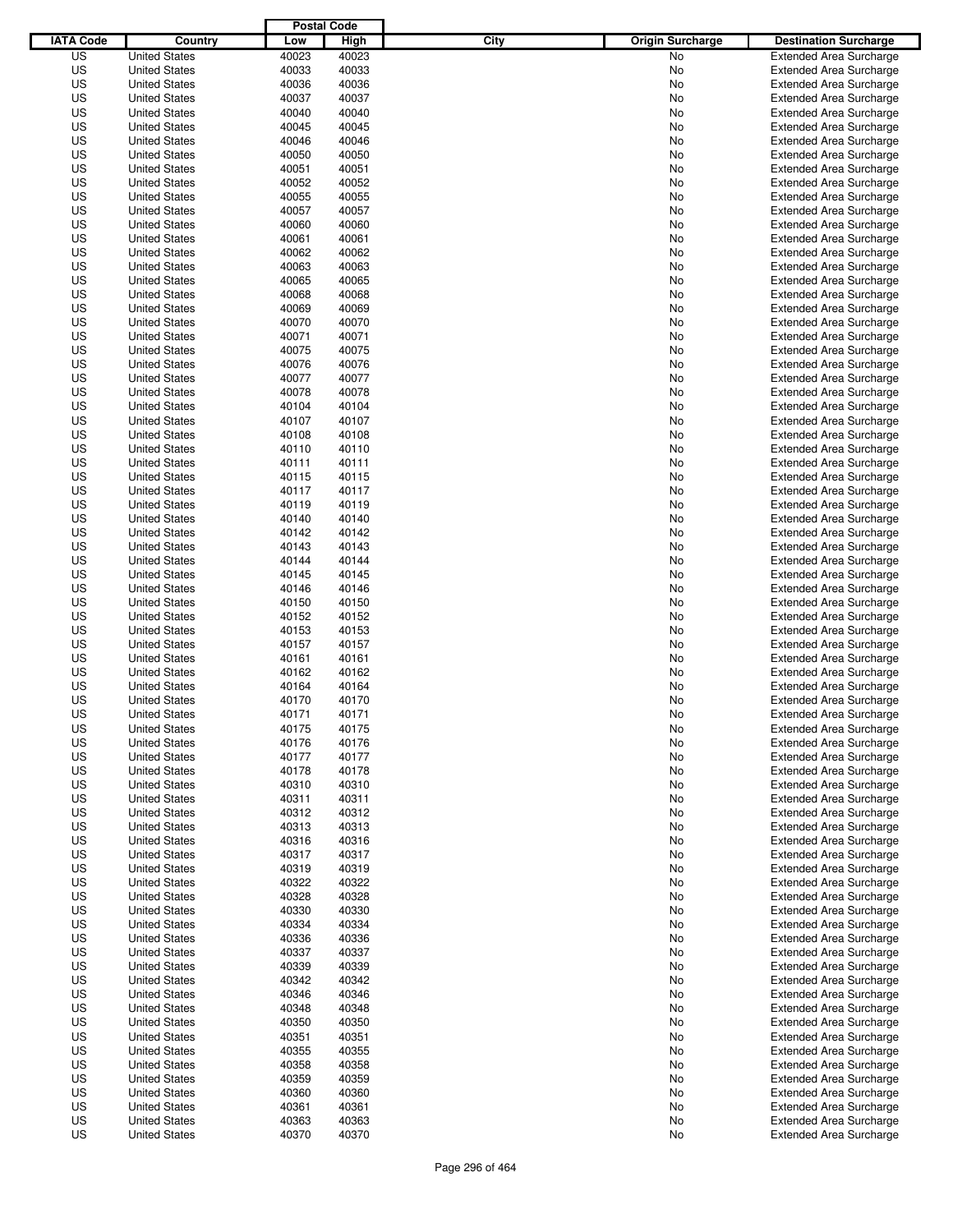|                  |                                              | <b>Postal Code</b> |                |                                 |                                                                  |
|------------------|----------------------------------------------|--------------------|----------------|---------------------------------|------------------------------------------------------------------|
| <b>IATA Code</b> | Country                                      | Low                | High           | City<br><b>Origin Surcharge</b> | <b>Destination Surcharge</b>                                     |
| US               | <b>United States</b>                         | 40023              | 40023          | <b>No</b>                       | <b>Extended Area Surcharge</b>                                   |
| US               | <b>United States</b>                         | 40033              | 40033          | No                              | <b>Extended Area Surcharge</b>                                   |
| US               | <b>United States</b>                         | 40036              | 40036          | No                              | <b>Extended Area Surcharge</b>                                   |
| US               | <b>United States</b>                         | 40037              | 40037          | No                              | <b>Extended Area Surcharge</b>                                   |
| US               | <b>United States</b>                         | 40040              | 40040          | No                              | <b>Extended Area Surcharge</b>                                   |
| US               | <b>United States</b>                         | 40045              | 40045          | No                              | <b>Extended Area Surcharge</b>                                   |
| US               | <b>United States</b>                         | 40046              | 40046          | No                              | <b>Extended Area Surcharge</b>                                   |
| US               | <b>United States</b>                         | 40050              | 40050          | No                              | <b>Extended Area Surcharge</b>                                   |
| US               | <b>United States</b>                         | 40051              | 40051          | No                              | <b>Extended Area Surcharge</b>                                   |
| US               | <b>United States</b>                         | 40052              | 40052          | No                              | <b>Extended Area Surcharge</b>                                   |
| US               | <b>United States</b>                         | 40055              | 40055          | No                              | <b>Extended Area Surcharge</b>                                   |
| US               | <b>United States</b>                         | 40057              | 40057          | No                              | <b>Extended Area Surcharge</b>                                   |
| US               | <b>United States</b>                         | 40060              | 40060          | No                              | <b>Extended Area Surcharge</b>                                   |
| US               | <b>United States</b>                         | 40061              | 40061          | No                              | <b>Extended Area Surcharge</b>                                   |
| US               | <b>United States</b>                         | 40062              | 40062          | No                              | <b>Extended Area Surcharge</b>                                   |
| US               | <b>United States</b>                         | 40063              | 40063          | No                              | <b>Extended Area Surcharge</b>                                   |
| US               | <b>United States</b>                         | 40065              | 40065          | No                              | <b>Extended Area Surcharge</b>                                   |
| US               | <b>United States</b>                         | 40068              | 40068          | No                              | <b>Extended Area Surcharge</b>                                   |
| US               | <b>United States</b>                         | 40069              | 40069          | No                              | <b>Extended Area Surcharge</b>                                   |
| US               | <b>United States</b>                         | 40070              | 40070          | No                              | <b>Extended Area Surcharge</b>                                   |
| US               | <b>United States</b>                         | 40071              | 40071          | No                              | <b>Extended Area Surcharge</b>                                   |
| US               | <b>United States</b>                         | 40075              | 40075          | No                              | <b>Extended Area Surcharge</b>                                   |
| US               | <b>United States</b>                         | 40076              | 40076          | No                              | <b>Extended Area Surcharge</b>                                   |
| US               | <b>United States</b>                         | 40077              | 40077          | No                              | <b>Extended Area Surcharge</b>                                   |
| US               | <b>United States</b>                         | 40078              | 40078          | No                              | <b>Extended Area Surcharge</b>                                   |
| US               | <b>United States</b>                         | 40104              | 40104          | No                              | <b>Extended Area Surcharge</b>                                   |
| US               | <b>United States</b>                         | 40107              | 40107          | No                              | <b>Extended Area Surcharge</b>                                   |
| US               | <b>United States</b>                         | 40108              | 40108          | No                              | <b>Extended Area Surcharge</b>                                   |
| US               | <b>United States</b>                         | 40110              | 40110          | No                              | <b>Extended Area Surcharge</b>                                   |
| US               | <b>United States</b>                         | 40111              | 40111          | No                              | <b>Extended Area Surcharge</b>                                   |
| US               | <b>United States</b>                         | 40115              | 40115          | No                              | <b>Extended Area Surcharge</b>                                   |
| US               | <b>United States</b>                         | 40117              | 40117          | No                              | <b>Extended Area Surcharge</b>                                   |
| US               | <b>United States</b>                         | 40119              | 40119          | No                              | <b>Extended Area Surcharge</b>                                   |
| US               | <b>United States</b>                         | 40140              | 40140          | No                              | <b>Extended Area Surcharge</b>                                   |
| US               | <b>United States</b>                         | 40142              | 40142          | No                              | <b>Extended Area Surcharge</b>                                   |
| US               | <b>United States</b>                         | 40143              | 40143          | No                              | <b>Extended Area Surcharge</b>                                   |
| US               | <b>United States</b>                         | 40144              | 40144          | No                              | <b>Extended Area Surcharge</b>                                   |
| US               |                                              | 40145              | 40145          |                                 |                                                                  |
|                  | <b>United States</b>                         |                    |                | No                              | <b>Extended Area Surcharge</b>                                   |
| US               | <b>United States</b>                         | 40146              | 40146          | No                              | <b>Extended Area Surcharge</b>                                   |
| US<br>US         | <b>United States</b>                         | 40150<br>40152     | 40150<br>40152 | No                              | <b>Extended Area Surcharge</b><br><b>Extended Area Surcharge</b> |
|                  | <b>United States</b>                         |                    |                | No                              |                                                                  |
| US               | <b>United States</b>                         | 40153              | 40153          | No                              | <b>Extended Area Surcharge</b>                                   |
| US               | <b>United States</b>                         | 40157              | 40157          | No                              | <b>Extended Area Surcharge</b>                                   |
| US               | <b>United States</b>                         | 40161              | 40161          | No                              | <b>Extended Area Surcharge</b>                                   |
| US               | <b>United States</b>                         | 40162              | 40162          | No                              | Extended Area Surcharge                                          |
| US<br>US         | <b>United States</b><br><b>United States</b> | 40164<br>40170     | 40164<br>40170 | No<br>No                        | <b>Extended Area Surcharge</b>                                   |
|                  |                                              |                    |                |                                 | <b>Extended Area Surcharge</b><br><b>Extended Area Surcharge</b> |
| US               | <b>United States</b>                         | 40171              | 40171          | No                              |                                                                  |
| US               | <b>United States</b>                         | 40175              | 40175          | No                              | <b>Extended Area Surcharge</b>                                   |
| US               | <b>United States</b>                         | 40176              | 40176          | No                              | <b>Extended Area Surcharge</b>                                   |
| US               | <b>United States</b>                         | 40177              | 40177          | No                              | <b>Extended Area Surcharge</b>                                   |
| US               | <b>United States</b>                         | 40178              | 40178          | No                              | <b>Extended Area Surcharge</b>                                   |
| US               | <b>United States</b>                         | 40310              | 40310          | No                              | <b>Extended Area Surcharge</b>                                   |
| US               | <b>United States</b>                         | 40311              | 40311          | No                              | <b>Extended Area Surcharge</b>                                   |
| US               | <b>United States</b>                         | 40312              | 40312          | No                              | <b>Extended Area Surcharge</b>                                   |
| US               | <b>United States</b>                         | 40313              | 40313          | No                              | <b>Extended Area Surcharge</b>                                   |
| US               | <b>United States</b>                         | 40316              | 40316          | No                              | <b>Extended Area Surcharge</b>                                   |
| US               | <b>United States</b>                         | 40317              | 40317          | No                              | <b>Extended Area Surcharge</b>                                   |
| US               | <b>United States</b>                         | 40319              | 40319          | No                              | <b>Extended Area Surcharge</b>                                   |
| US               | <b>United States</b>                         | 40322              | 40322          | No                              | <b>Extended Area Surcharge</b>                                   |
| US               | <b>United States</b>                         | 40328              | 40328          | No                              | <b>Extended Area Surcharge</b>                                   |
| US               | <b>United States</b>                         | 40330              | 40330          | No                              | <b>Extended Area Surcharge</b>                                   |
| US               | <b>United States</b>                         | 40334              | 40334          | No                              | <b>Extended Area Surcharge</b>                                   |
| US               | <b>United States</b>                         | 40336              | 40336          | No                              | <b>Extended Area Surcharge</b>                                   |
| US               | <b>United States</b>                         | 40337              | 40337          | No                              | <b>Extended Area Surcharge</b>                                   |
| US               | <b>United States</b>                         | 40339              | 40339          | No                              | <b>Extended Area Surcharge</b>                                   |
| US               | <b>United States</b>                         | 40342              | 40342          | No                              | <b>Extended Area Surcharge</b>                                   |
| US               | <b>United States</b>                         | 40346              | 40346          | No                              | <b>Extended Area Surcharge</b>                                   |
| US               | <b>United States</b>                         | 40348              | 40348          | No                              | <b>Extended Area Surcharge</b>                                   |
| US               | <b>United States</b>                         | 40350              | 40350          | No                              | <b>Extended Area Surcharge</b>                                   |
| US               | <b>United States</b>                         | 40351              | 40351          | No                              | <b>Extended Area Surcharge</b>                                   |
| US               | <b>United States</b>                         | 40355              | 40355          | No                              | <b>Extended Area Surcharge</b>                                   |
| US               | <b>United States</b>                         | 40358              | 40358          | No                              | <b>Extended Area Surcharge</b>                                   |
| US               | <b>United States</b>                         | 40359              | 40359          | No                              | <b>Extended Area Surcharge</b>                                   |
| US               | <b>United States</b>                         | 40360              | 40360          | No                              | <b>Extended Area Surcharge</b>                                   |
| US               | <b>United States</b>                         | 40361              | 40361          | No                              | <b>Extended Area Surcharge</b>                                   |
| US               | <b>United States</b>                         | 40363              | 40363          | No                              | <b>Extended Area Surcharge</b>                                   |
| US               | <b>United States</b>                         | 40370              | 40370          | No                              | <b>Extended Area Surcharge</b>                                   |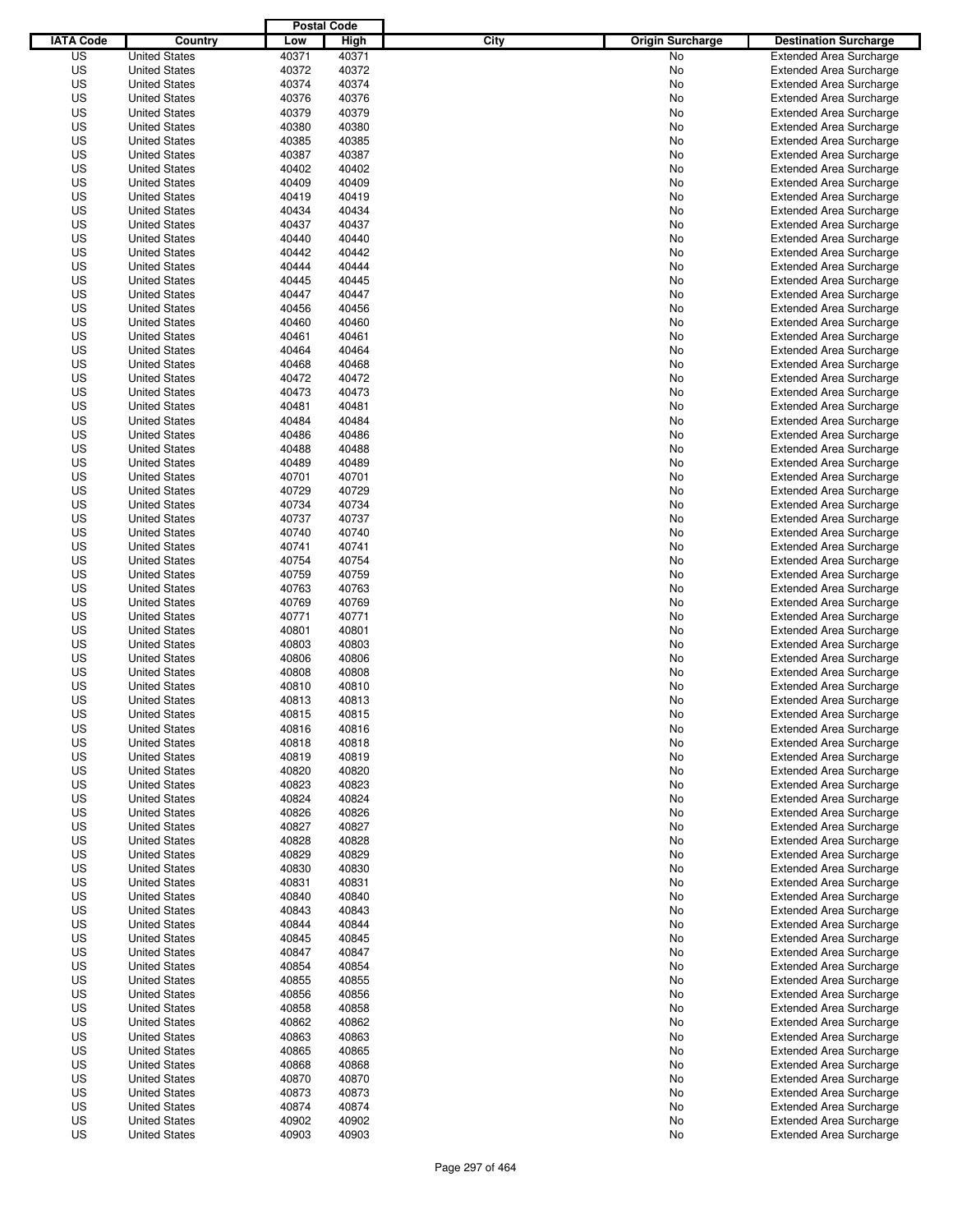|                  |                      | <b>Postal Code</b> |       |                                 |                                |
|------------------|----------------------|--------------------|-------|---------------------------------|--------------------------------|
| <b>IATA Code</b> | Country              | Low                | High  | City<br><b>Origin Surcharge</b> | <b>Destination Surcharge</b>   |
| US               | <b>United States</b> | 40371              | 40371 | <b>No</b>                       | <b>Extended Area Surcharge</b> |
| US               | <b>United States</b> | 40372              | 40372 | No                              | <b>Extended Area Surcharge</b> |
| US               | <b>United States</b> | 40374              | 40374 | No                              | <b>Extended Area Surcharge</b> |
| US               | <b>United States</b> | 40376              | 40376 | No                              | <b>Extended Area Surcharge</b> |
| US               | <b>United States</b> | 40379              | 40379 | No                              | <b>Extended Area Surcharge</b> |
| US               | <b>United States</b> | 40380              | 40380 | No                              | <b>Extended Area Surcharge</b> |
| US               | <b>United States</b> | 40385              | 40385 | No                              | <b>Extended Area Surcharge</b> |
| US               | <b>United States</b> | 40387              | 40387 | No                              | <b>Extended Area Surcharge</b> |
| US               | <b>United States</b> | 40402              | 40402 | No                              | <b>Extended Area Surcharge</b> |
| US               | <b>United States</b> | 40409              | 40409 | No                              | <b>Extended Area Surcharge</b> |
| US               | <b>United States</b> | 40419              | 40419 | No                              | <b>Extended Area Surcharge</b> |
| US               | <b>United States</b> | 40434              | 40434 | No                              | <b>Extended Area Surcharge</b> |
| US               | <b>United States</b> | 40437              | 40437 | No                              | <b>Extended Area Surcharge</b> |
| US               | <b>United States</b> | 40440              | 40440 | No                              | <b>Extended Area Surcharge</b> |
| US               | <b>United States</b> | 40442              | 40442 | No                              | <b>Extended Area Surcharge</b> |
| US               | <b>United States</b> | 40444              | 40444 | No                              | <b>Extended Area Surcharge</b> |
| US               | <b>United States</b> | 40445              | 40445 | No                              | <b>Extended Area Surcharge</b> |
| US               | <b>United States</b> | 40447              | 40447 | No                              | <b>Extended Area Surcharge</b> |
| US               | <b>United States</b> | 40456              | 40456 | No                              | <b>Extended Area Surcharge</b> |
| US               | <b>United States</b> | 40460              | 40460 | No                              | <b>Extended Area Surcharge</b> |
| US               | <b>United States</b> | 40461              | 40461 | No                              | <b>Extended Area Surcharge</b> |
| US               | <b>United States</b> | 40464              | 40464 | No                              | <b>Extended Area Surcharge</b> |
| US               | <b>United States</b> | 40468              | 40468 | No                              | <b>Extended Area Surcharge</b> |
| US               | <b>United States</b> | 40472              | 40472 | No                              | <b>Extended Area Surcharge</b> |
| US               | <b>United States</b> | 40473              | 40473 | No                              | <b>Extended Area Surcharge</b> |
| US               | <b>United States</b> | 40481              | 40481 | No                              | <b>Extended Area Surcharge</b> |
| US               | <b>United States</b> | 40484              | 40484 | No                              | <b>Extended Area Surcharge</b> |
| US               | <b>United States</b> | 40486              | 40486 | No                              | <b>Extended Area Surcharge</b> |
| US               | <b>United States</b> | 40488              | 40488 | No                              | <b>Extended Area Surcharge</b> |
| US               | <b>United States</b> | 40489              | 40489 | No                              | <b>Extended Area Surcharge</b> |
| US               | <b>United States</b> | 40701              | 40701 | No                              | <b>Extended Area Surcharge</b> |
| US               | <b>United States</b> | 40729              | 40729 | No                              | <b>Extended Area Surcharge</b> |
| US               | <b>United States</b> | 40734              | 40734 |                                 | <b>Extended Area Surcharge</b> |
|                  |                      |                    |       | No                              |                                |
| US               | <b>United States</b> | 40737              | 40737 | No                              | <b>Extended Area Surcharge</b> |
| US               | <b>United States</b> | 40740              | 40740 | No                              | <b>Extended Area Surcharge</b> |
| US               | <b>United States</b> | 40741              | 40741 | No                              | <b>Extended Area Surcharge</b> |
| US               | <b>United States</b> | 40754              | 40754 | No                              | <b>Extended Area Surcharge</b> |
| US               | <b>United States</b> | 40759              | 40759 | No                              | <b>Extended Area Surcharge</b> |
| US               | <b>United States</b> | 40763              | 40763 | No                              | <b>Extended Area Surcharge</b> |
| US               | <b>United States</b> | 40769              | 40769 | No                              | <b>Extended Area Surcharge</b> |
| US               | <b>United States</b> | 40771              | 40771 | No                              | <b>Extended Area Surcharge</b> |
| US               | <b>United States</b> | 40801              | 40801 | No                              | <b>Extended Area Surcharge</b> |
| US               | <b>United States</b> | 40803              | 40803 | No                              | <b>Extended Area Surcharge</b> |
| US               | <b>United States</b> | 40806              | 40806 | No                              | <b>Extended Area Surcharge</b> |
| US               | <b>United States</b> | 40808              | 40808 | No                              | Extended Area Surcharge        |
| US               | <b>United States</b> | 40810              | 40810 | No                              | <b>Extended Area Surcharge</b> |
| US               | <b>United States</b> | 40813              | 40813 | No                              | <b>Extended Area Surcharge</b> |
| US               | <b>United States</b> | 40815              | 40815 | No                              | <b>Extended Area Surcharge</b> |
| US               | <b>United States</b> | 40816              | 40816 | No                              | <b>Extended Area Surcharge</b> |
| US               | <b>United States</b> | 40818              | 40818 | No                              | <b>Extended Area Surcharge</b> |
| US               | <b>United States</b> | 40819              | 40819 | No                              | <b>Extended Area Surcharge</b> |
| US               | <b>United States</b> | 40820              | 40820 | No                              | <b>Extended Area Surcharge</b> |
| US               | <b>United States</b> | 40823              | 40823 | No                              | <b>Extended Area Surcharge</b> |
| US               | <b>United States</b> | 40824              | 40824 | No                              | <b>Extended Area Surcharge</b> |
| US               | <b>United States</b> | 40826              | 40826 | No                              | <b>Extended Area Surcharge</b> |
| US               | <b>United States</b> | 40827              | 40827 | No                              | <b>Extended Area Surcharge</b> |
| US               | <b>United States</b> | 40828              | 40828 | No                              | <b>Extended Area Surcharge</b> |
| US               | <b>United States</b> | 40829              | 40829 | No                              | <b>Extended Area Surcharge</b> |
| US               | <b>United States</b> | 40830              | 40830 | No                              | <b>Extended Area Surcharge</b> |
| US               | <b>United States</b> | 40831              | 40831 | No                              | <b>Extended Area Surcharge</b> |
| US               | <b>United States</b> | 40840              | 40840 | No                              | <b>Extended Area Surcharge</b> |
| US               | <b>United States</b> | 40843              | 40843 | No                              | <b>Extended Area Surcharge</b> |
| US               | <b>United States</b> | 40844              | 40844 | No                              | <b>Extended Area Surcharge</b> |
| US               | <b>United States</b> | 40845              | 40845 | No                              | <b>Extended Area Surcharge</b> |
| US               | <b>United States</b> | 40847              | 40847 | No                              | <b>Extended Area Surcharge</b> |
| US               | <b>United States</b> | 40854              | 40854 | No                              | <b>Extended Area Surcharge</b> |
| US               | <b>United States</b> | 40855              | 40855 | No                              | <b>Extended Area Surcharge</b> |
| US               | <b>United States</b> | 40856              | 40856 | No                              | <b>Extended Area Surcharge</b> |
| US               | <b>United States</b> | 40858              | 40858 | No                              | <b>Extended Area Surcharge</b> |
| US               | <b>United States</b> | 40862              | 40862 | No                              | <b>Extended Area Surcharge</b> |
| US               | <b>United States</b> | 40863              | 40863 | No                              | <b>Extended Area Surcharge</b> |
| US               | <b>United States</b> | 40865              | 40865 | No                              | <b>Extended Area Surcharge</b> |
| US               | <b>United States</b> | 40868              | 40868 | No                              | <b>Extended Area Surcharge</b> |
| US               | <b>United States</b> | 40870              | 40870 | No                              | <b>Extended Area Surcharge</b> |
| US               | <b>United States</b> | 40873              | 40873 | No                              | <b>Extended Area Surcharge</b> |
| US               | <b>United States</b> | 40874              | 40874 | No                              | <b>Extended Area Surcharge</b> |
| US               | <b>United States</b> | 40902              | 40902 | No                              | <b>Extended Area Surcharge</b> |
| US               | <b>United States</b> | 40903              | 40903 | No                              | <b>Extended Area Surcharge</b> |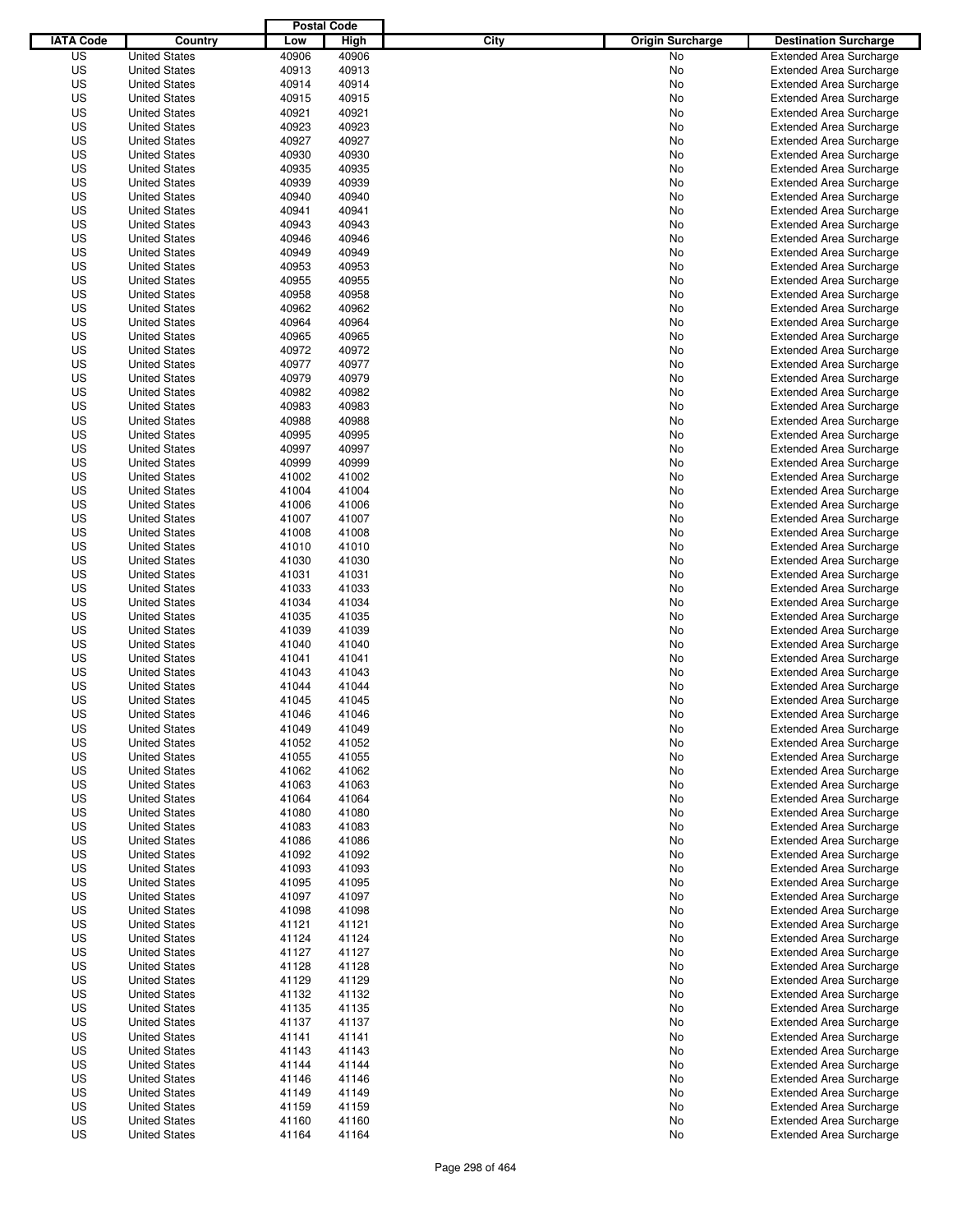|                  |                                              | <b>Postal Code</b> |                |                                 |                                                                  |
|------------------|----------------------------------------------|--------------------|----------------|---------------------------------|------------------------------------------------------------------|
| <b>IATA Code</b> | Country                                      | Low                | High           | City<br><b>Origin Surcharge</b> | <b>Destination Surcharge</b>                                     |
| US               | <b>United States</b>                         | 40906              | 40906          | <b>No</b>                       | <b>Extended Area Surcharge</b>                                   |
| US               | <b>United States</b>                         | 40913              | 40913          | No                              | <b>Extended Area Surcharge</b>                                   |
| US               | <b>United States</b>                         | 40914              | 40914          | No                              | <b>Extended Area Surcharge</b>                                   |
| US               | <b>United States</b>                         | 40915              | 40915          | No                              | <b>Extended Area Surcharge</b>                                   |
| US               | <b>United States</b>                         | 40921              | 40921          | No                              | <b>Extended Area Surcharge</b>                                   |
| US               | <b>United States</b>                         | 40923              | 40923          | No                              | <b>Extended Area Surcharge</b>                                   |
| US               | <b>United States</b>                         | 40927              | 40927          | No                              | <b>Extended Area Surcharge</b>                                   |
| US               | <b>United States</b>                         | 40930              | 40930          | No                              | <b>Extended Area Surcharge</b>                                   |
| US               | <b>United States</b>                         | 40935              | 40935          | No                              | <b>Extended Area Surcharge</b>                                   |
| US               | <b>United States</b>                         | 40939              | 40939          | No                              | <b>Extended Area Surcharge</b>                                   |
| US               | <b>United States</b>                         | 40940              | 40940          | No                              | <b>Extended Area Surcharge</b>                                   |
| US               | <b>United States</b>                         | 40941              | 40941          | No                              | <b>Extended Area Surcharge</b>                                   |
| US               | <b>United States</b>                         | 40943              | 40943          | No                              | <b>Extended Area Surcharge</b>                                   |
| US               | <b>United States</b>                         | 40946              | 40946          | No                              | <b>Extended Area Surcharge</b>                                   |
| US               | <b>United States</b>                         | 40949              | 40949          | No                              | <b>Extended Area Surcharge</b>                                   |
| US               | <b>United States</b>                         | 40953              | 40953          | No                              | <b>Extended Area Surcharge</b>                                   |
| US               | <b>United States</b>                         | 40955              | 40955          | No                              | <b>Extended Area Surcharge</b>                                   |
| US               | <b>United States</b>                         | 40958              | 40958          | No                              | <b>Extended Area Surcharge</b>                                   |
| US               | <b>United States</b>                         | 40962              | 40962          | No                              | <b>Extended Area Surcharge</b>                                   |
| US               | <b>United States</b>                         | 40964              | 40964          | No                              | <b>Extended Area Surcharge</b>                                   |
| US               | <b>United States</b>                         | 40965              | 40965          | No                              | <b>Extended Area Surcharge</b>                                   |
| US               | <b>United States</b>                         | 40972              | 40972          | No                              | <b>Extended Area Surcharge</b>                                   |
| US               | <b>United States</b>                         | 40977              | 40977          | No                              | <b>Extended Area Surcharge</b>                                   |
| US               | <b>United States</b>                         | 40979              | 40979          | No                              | <b>Extended Area Surcharge</b>                                   |
| US               | <b>United States</b>                         | 40982              | 40982          | No                              | <b>Extended Area Surcharge</b>                                   |
| US               | <b>United States</b>                         | 40983              | 40983          | No                              | <b>Extended Area Surcharge</b>                                   |
| US               | <b>United States</b>                         | 40988              | 40988          | No                              | <b>Extended Area Surcharge</b>                                   |
| US               | <b>United States</b>                         | 40995              | 40995          | No                              | <b>Extended Area Surcharge</b>                                   |
| US               | <b>United States</b>                         | 40997              | 40997          | No                              | <b>Extended Area Surcharge</b>                                   |
| US               | <b>United States</b>                         | 40999              | 40999          | No                              | <b>Extended Area Surcharge</b>                                   |
| US               | <b>United States</b>                         | 41002              | 41002          | No                              | <b>Extended Area Surcharge</b>                                   |
| US               | <b>United States</b>                         | 41004              | 41004          | No                              | <b>Extended Area Surcharge</b>                                   |
| US               | <b>United States</b>                         | 41006              | 41006          | No                              | <b>Extended Area Surcharge</b>                                   |
| US               | <b>United States</b>                         | 41007              | 41007          | No                              | <b>Extended Area Surcharge</b>                                   |
| US               | <b>United States</b>                         | 41008              | 41008          | No                              | <b>Extended Area Surcharge</b>                                   |
| US               | <b>United States</b>                         | 41010              | 41010          | No                              | <b>Extended Area Surcharge</b>                                   |
| US               | <b>United States</b>                         | 41030              | 41030          | No                              | <b>Extended Area Surcharge</b>                                   |
| US               | <b>United States</b>                         | 41031              | 41031          | No                              | <b>Extended Area Surcharge</b>                                   |
| US               | <b>United States</b>                         | 41033              | 41033          | No                              | <b>Extended Area Surcharge</b>                                   |
| US               | <b>United States</b>                         | 41034              | 41034          | No                              | <b>Extended Area Surcharge</b>                                   |
| US               | <b>United States</b>                         | 41035              | 41035          | No                              | <b>Extended Area Surcharge</b>                                   |
| US               | <b>United States</b>                         | 41039              | 41039          | No                              | <b>Extended Area Surcharge</b>                                   |
| US               | <b>United States</b>                         | 41040              | 41040          | No                              | <b>Extended Area Surcharge</b>                                   |
| US               | <b>United States</b>                         | 41041              | 41041          | No                              | <b>Extended Area Surcharge</b>                                   |
| US               | <b>United States</b>                         | 41043              | 41043          | No                              | <b>Extended Area Surcharge</b>                                   |
| US               | <b>United States</b>                         | 41044              | 41044          | No                              | <b>Extended Area Surcharge</b>                                   |
| US               | <b>United States</b>                         | 41045              | 41045          | No                              | <b>Extended Area Surcharge</b>                                   |
| US               | <b>United States</b>                         | 41046              | 41046          | No                              | <b>Extended Area Surcharge</b>                                   |
| US               | <b>United States</b>                         | 41049              | 41049          | No                              | <b>Extended Area Surcharge</b>                                   |
| US               | <b>United States</b>                         | 41052              | 41052          | No                              | <b>Extended Area Surcharge</b>                                   |
| US               | <b>United States</b>                         | 41055              | 41055          | No                              | <b>Extended Area Surcharge</b>                                   |
| US               | <b>United States</b>                         | 41062              | 41062          | No                              | <b>Extended Area Surcharge</b>                                   |
| US               | <b>United States</b>                         | 41063              | 41063          | No                              | <b>Extended Area Surcharge</b>                                   |
| US               | <b>United States</b>                         | 41064              | 41064          | No                              | <b>Extended Area Surcharge</b>                                   |
| US               | <b>United States</b>                         | 41080              | 41080          | No                              | <b>Extended Area Surcharge</b>                                   |
| US               | <b>United States</b>                         | 41083              | 41083          | No                              | <b>Extended Area Surcharge</b>                                   |
| US               | <b>United States</b>                         | 41086              | 41086          | No                              | <b>Extended Area Surcharge</b>                                   |
| US               | <b>United States</b>                         | 41092              | 41092          | No                              | <b>Extended Area Surcharge</b>                                   |
| US               | <b>United States</b>                         | 41093              | 41093          | No                              | <b>Extended Area Surcharge</b>                                   |
| US               | <b>United States</b>                         | 41095              | 41095          | No                              | <b>Extended Area Surcharge</b>                                   |
| US               | <b>United States</b>                         | 41097              | 41097          | No                              | <b>Extended Area Surcharge</b>                                   |
| US               | <b>United States</b>                         | 41098              | 41098          | No                              | <b>Extended Area Surcharge</b>                                   |
| US               | <b>United States</b>                         | 41121              | 41121          | No                              | <b>Extended Area Surcharge</b>                                   |
| US               | <b>United States</b>                         | 41124              | 41124          | No                              | <b>Extended Area Surcharge</b>                                   |
| US<br>US         | <b>United States</b><br><b>United States</b> | 41127<br>41128     | 41127<br>41128 | No<br>No                        | <b>Extended Area Surcharge</b><br><b>Extended Area Surcharge</b> |
| US               | <b>United States</b>                         | 41129              | 41129          | No                              | <b>Extended Area Surcharge</b>                                   |
| US               | <b>United States</b>                         | 41132              | 41132          | No                              | <b>Extended Area Surcharge</b>                                   |
| US               | <b>United States</b>                         | 41135              | 41135          | No                              | <b>Extended Area Surcharge</b>                                   |
| US               | <b>United States</b>                         | 41137              | 41137          | No                              | Extended Area Surcharge                                          |
| US               | <b>United States</b>                         | 41141              | 41141          | No                              | <b>Extended Area Surcharge</b>                                   |
| US               | <b>United States</b>                         | 41143              | 41143          | No                              | <b>Extended Area Surcharge</b>                                   |
| US               | <b>United States</b>                         | 41144              | 41144          | No                              | <b>Extended Area Surcharge</b>                                   |
| US               | <b>United States</b>                         | 41146              | 41146          | No                              | <b>Extended Area Surcharge</b>                                   |
| US               | <b>United States</b>                         | 41149              | 41149          | No                              | <b>Extended Area Surcharge</b>                                   |
| US               | <b>United States</b>                         | 41159              | 41159          | No                              | <b>Extended Area Surcharge</b>                                   |
| US               | <b>United States</b>                         | 41160              | 41160          | No                              | <b>Extended Area Surcharge</b>                                   |
| US               | <b>United States</b>                         | 41164              | 41164          | No                              | <b>Extended Area Surcharge</b>                                   |
|                  |                                              |                    |                |                                 |                                                                  |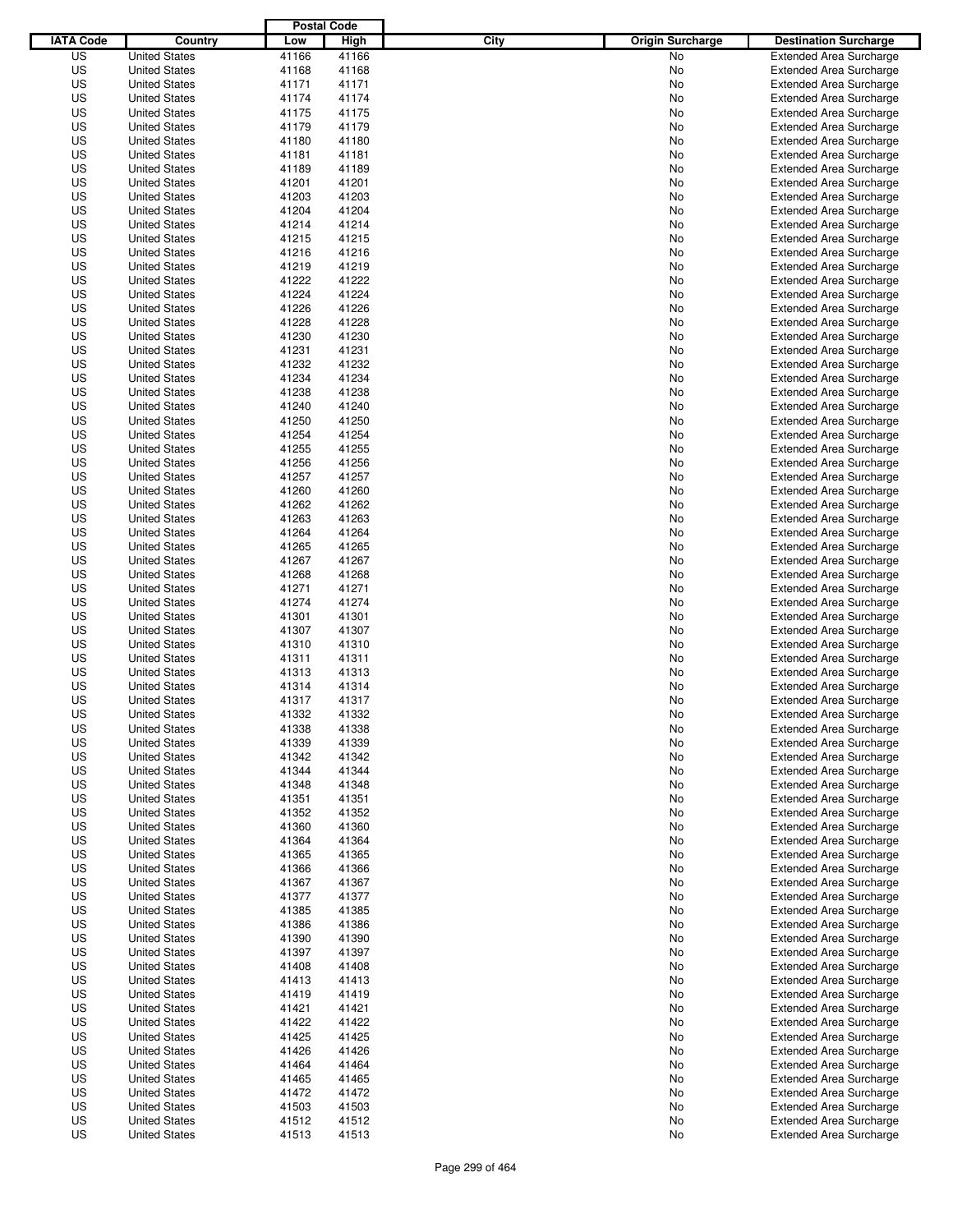|                  |                      | <b>Postal Code</b> |       |                                 |                                |
|------------------|----------------------|--------------------|-------|---------------------------------|--------------------------------|
| <b>IATA Code</b> | Country              | Low                | High  | City<br><b>Origin Surcharge</b> | <b>Destination Surcharge</b>   |
| US               | <b>United States</b> | 41166              | 41166 | <b>No</b>                       | <b>Extended Area Surcharge</b> |
| US               | <b>United States</b> | 41168              | 41168 | No                              | <b>Extended Area Surcharge</b> |
| US               | <b>United States</b> | 41171              | 41171 | No                              | <b>Extended Area Surcharge</b> |
| US               | <b>United States</b> | 41174              | 41174 | No                              | <b>Extended Area Surcharge</b> |
| US               | <b>United States</b> | 41175              | 41175 | No                              | <b>Extended Area Surcharge</b> |
| US               | <b>United States</b> | 41179              | 41179 | No                              | <b>Extended Area Surcharge</b> |
| US               | <b>United States</b> | 41180              | 41180 | No                              | <b>Extended Area Surcharge</b> |
| US               | <b>United States</b> | 41181              | 41181 | No                              | <b>Extended Area Surcharge</b> |
| US               | <b>United States</b> | 41189              | 41189 | No                              | <b>Extended Area Surcharge</b> |
| US               | <b>United States</b> | 41201              | 41201 | No                              | <b>Extended Area Surcharge</b> |
| US               | <b>United States</b> | 41203              | 41203 | No                              | <b>Extended Area Surcharge</b> |
| US               | <b>United States</b> | 41204              | 41204 | No                              | <b>Extended Area Surcharge</b> |
| US               | <b>United States</b> | 41214              | 41214 | No                              | <b>Extended Area Surcharge</b> |
| US               | <b>United States</b> | 41215              | 41215 | No                              | <b>Extended Area Surcharge</b> |
| US               | <b>United States</b> | 41216              | 41216 | No                              | <b>Extended Area Surcharge</b> |
| US               | <b>United States</b> | 41219              | 41219 | No                              | <b>Extended Area Surcharge</b> |
| US               | <b>United States</b> | 41222              | 41222 | No                              | <b>Extended Area Surcharge</b> |
| US               | <b>United States</b> | 41224              | 41224 | No                              | <b>Extended Area Surcharge</b> |
| US               | <b>United States</b> | 41226              | 41226 | No                              | <b>Extended Area Surcharge</b> |
| US               | <b>United States</b> | 41228              | 41228 | No                              | <b>Extended Area Surcharge</b> |
| US               | <b>United States</b> | 41230              | 41230 | No                              | <b>Extended Area Surcharge</b> |
| US               | <b>United States</b> | 41231              | 41231 | No                              | <b>Extended Area Surcharge</b> |
| US               | <b>United States</b> | 41232              | 41232 | No                              | <b>Extended Area Surcharge</b> |
| US               | <b>United States</b> | 41234              | 41234 | No                              | <b>Extended Area Surcharge</b> |
| US               | <b>United States</b> | 41238              | 41238 | No                              | <b>Extended Area Surcharge</b> |
| US               | <b>United States</b> | 41240              | 41240 | No                              | <b>Extended Area Surcharge</b> |
| US               | <b>United States</b> | 41250              | 41250 | No                              | <b>Extended Area Surcharge</b> |
| US               | <b>United States</b> | 41254              | 41254 | No                              | <b>Extended Area Surcharge</b> |
| US               | <b>United States</b> | 41255              | 41255 | No                              | <b>Extended Area Surcharge</b> |
| US               | <b>United States</b> | 41256              | 41256 | No                              | <b>Extended Area Surcharge</b> |
| US               | <b>United States</b> | 41257              | 41257 | No                              | <b>Extended Area Surcharge</b> |
| US               | <b>United States</b> | 41260              | 41260 | No                              | <b>Extended Area Surcharge</b> |
| US               | <b>United States</b> | 41262              | 41262 | No                              | <b>Extended Area Surcharge</b> |
| US               | <b>United States</b> | 41263              | 41263 | No                              | <b>Extended Area Surcharge</b> |
| US               | <b>United States</b> | 41264              | 41264 | No                              | <b>Extended Area Surcharge</b> |
| US               | <b>United States</b> | 41265              | 41265 | No                              | <b>Extended Area Surcharge</b> |
| US               | <b>United States</b> | 41267              | 41267 | No                              | <b>Extended Area Surcharge</b> |
| US               |                      | 41268              | 41268 |                                 |                                |
|                  | <b>United States</b> |                    |       | No                              | <b>Extended Area Surcharge</b> |
| US               | <b>United States</b> | 41271              | 41271 | No                              | <b>Extended Area Surcharge</b> |
| US               | <b>United States</b> | 41274              | 41274 | No                              | <b>Extended Area Surcharge</b> |
| US               | <b>United States</b> | 41301              | 41301 | No                              | <b>Extended Area Surcharge</b> |
| US               | <b>United States</b> | 41307              | 41307 | No                              | <b>Extended Area Surcharge</b> |
| US               | <b>United States</b> | 41310              | 41310 | No                              | <b>Extended Area Surcharge</b> |
| US               | <b>United States</b> | 41311              | 41311 | No                              | <b>Extended Area Surcharge</b> |
| US               | <b>United States</b> | 41313              | 41313 | No                              | Extended Area Surcharge        |
| US               | <b>United States</b> | 41314              | 41314 | No                              | <b>Extended Area Surcharge</b> |
| US               | <b>United States</b> | 41317              | 41317 | No                              | <b>Extended Area Surcharge</b> |
| US               | <b>United States</b> | 41332              | 41332 | No                              | <b>Extended Area Surcharge</b> |
| US               | <b>United States</b> | 41338              | 41338 | No                              | <b>Extended Area Surcharge</b> |
| US               | <b>United States</b> | 41339              | 41339 | No                              | <b>Extended Area Surcharge</b> |
| US               | <b>United States</b> | 41342              | 41342 | No                              | <b>Extended Area Surcharge</b> |
| US               | <b>United States</b> | 41344              | 41344 | No                              | <b>Extended Area Surcharge</b> |
| US               | <b>United States</b> | 41348              | 41348 | No                              | <b>Extended Area Surcharge</b> |
| US               | <b>United States</b> | 41351              | 41351 | No                              | <b>Extended Area Surcharge</b> |
| US               | <b>United States</b> | 41352              | 41352 | No                              | <b>Extended Area Surcharge</b> |
| US               | <b>United States</b> | 41360              | 41360 | No                              | <b>Extended Area Surcharge</b> |
| US               | <b>United States</b> | 41364              | 41364 | No                              | <b>Extended Area Surcharge</b> |
| US               | <b>United States</b> | 41365              | 41365 | No                              | <b>Extended Area Surcharge</b> |
| US               | <b>United States</b> | 41366              | 41366 | No                              | <b>Extended Area Surcharge</b> |
| US               | <b>United States</b> | 41367              | 41367 | No                              | <b>Extended Area Surcharge</b> |
| US               | <b>United States</b> | 41377              | 41377 | No                              | <b>Extended Area Surcharge</b> |
| US               | <b>United States</b> | 41385              | 41385 | No                              | <b>Extended Area Surcharge</b> |
| US               | <b>United States</b> | 41386              | 41386 | No                              | <b>Extended Area Surcharge</b> |
| US               | <b>United States</b> | 41390              | 41390 | No                              | <b>Extended Area Surcharge</b> |
| US               | <b>United States</b> | 41397              | 41397 | No                              | <b>Extended Area Surcharge</b> |
| US               | <b>United States</b> | 41408              | 41408 | No                              | <b>Extended Area Surcharge</b> |
| US               | <b>United States</b> | 41413              | 41413 | No                              | <b>Extended Area Surcharge</b> |
| US               | <b>United States</b> | 41419              | 41419 | No                              | <b>Extended Area Surcharge</b> |
| US               | <b>United States</b> | 41421              | 41421 | No                              | <b>Extended Area Surcharge</b> |
| US               | <b>United States</b> | 41422              | 41422 | No                              | Extended Area Surcharge        |
| US               | <b>United States</b> | 41425              | 41425 | No                              | <b>Extended Area Surcharge</b> |
| US               | <b>United States</b> | 41426              | 41426 | No                              | <b>Extended Area Surcharge</b> |
| US               | <b>United States</b> | 41464              | 41464 | No                              | <b>Extended Area Surcharge</b> |
| US               | <b>United States</b> | 41465              | 41465 | No                              | <b>Extended Area Surcharge</b> |
| US               | <b>United States</b> | 41472              | 41472 | No                              | <b>Extended Area Surcharge</b> |
| US               | <b>United States</b> | 41503              | 41503 | No                              | <b>Extended Area Surcharge</b> |
| US               | <b>United States</b> | 41512              | 41512 | No                              | <b>Extended Area Surcharge</b> |
| US               | <b>United States</b> | 41513              | 41513 | No                              | <b>Extended Area Surcharge</b> |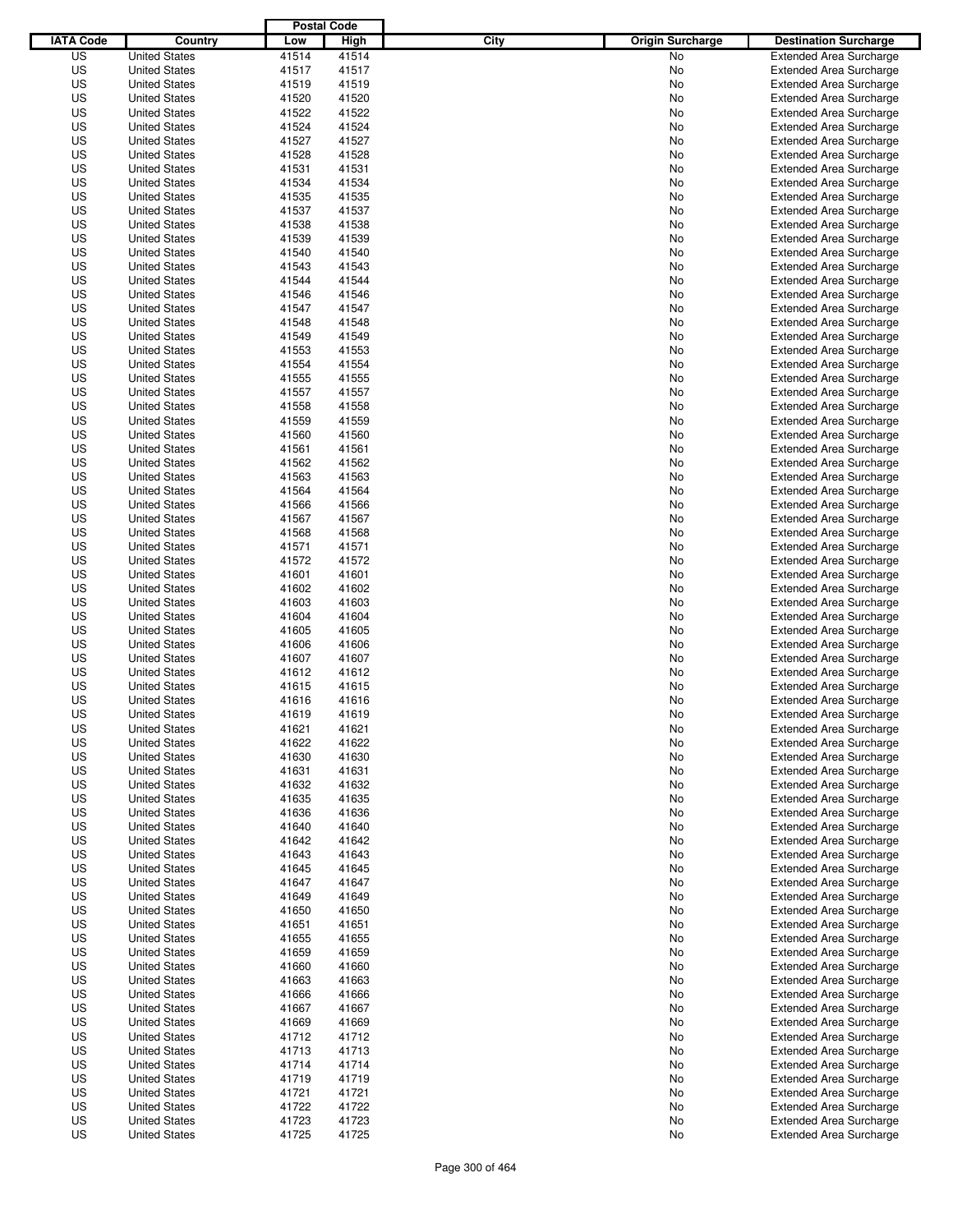|                  |                                              | <b>Postal Code</b> |                |                                 |                                                                  |
|------------------|----------------------------------------------|--------------------|----------------|---------------------------------|------------------------------------------------------------------|
| <b>IATA Code</b> | Country                                      | Low                | High           | City<br><b>Origin Surcharge</b> | <b>Destination Surcharge</b>                                     |
| US               | <b>United States</b>                         | 41514              | 41514          | <b>No</b>                       | <b>Extended Area Surcharge</b>                                   |
| US               | <b>United States</b>                         | 41517              | 41517          | No                              | <b>Extended Area Surcharge</b>                                   |
| US               | <b>United States</b>                         | 41519              | 41519          | No                              | <b>Extended Area Surcharge</b>                                   |
| US               | <b>United States</b>                         | 41520              | 41520          | No                              | <b>Extended Area Surcharge</b>                                   |
| US               | <b>United States</b>                         | 41522              | 41522          | No                              | <b>Extended Area Surcharge</b>                                   |
| US               | <b>United States</b>                         | 41524              | 41524          | No                              | <b>Extended Area Surcharge</b>                                   |
| US               | <b>United States</b>                         | 41527              | 41527          | No                              | <b>Extended Area Surcharge</b>                                   |
| US               | <b>United States</b>                         | 41528              | 41528          | No                              | <b>Extended Area Surcharge</b>                                   |
| US               | <b>United States</b>                         | 41531              | 41531          | No                              | <b>Extended Area Surcharge</b>                                   |
| US               | <b>United States</b>                         | 41534              | 41534          | No                              | <b>Extended Area Surcharge</b>                                   |
| US               | <b>United States</b>                         | 41535              | 41535          | No                              | <b>Extended Area Surcharge</b>                                   |
| US               | <b>United States</b>                         | 41537              | 41537          | No                              | <b>Extended Area Surcharge</b>                                   |
| US               | <b>United States</b>                         | 41538              | 41538          | No                              | <b>Extended Area Surcharge</b>                                   |
| US               | <b>United States</b>                         | 41539              | 41539          | No                              | <b>Extended Area Surcharge</b>                                   |
| US               | <b>United States</b>                         | 41540              | 41540          | No                              | <b>Extended Area Surcharge</b>                                   |
| US               | <b>United States</b>                         | 41543              | 41543          | No                              | <b>Extended Area Surcharge</b>                                   |
| US               | <b>United States</b>                         | 41544              | 41544          | No                              | <b>Extended Area Surcharge</b>                                   |
| US               | <b>United States</b>                         | 41546              | 41546          | No                              | <b>Extended Area Surcharge</b>                                   |
| US               | <b>United States</b>                         | 41547              | 41547          | No                              | <b>Extended Area Surcharge</b>                                   |
| US               | <b>United States</b>                         | 41548              | 41548          | No                              | <b>Extended Area Surcharge</b>                                   |
| US               | <b>United States</b>                         | 41549              | 41549          | No                              | <b>Extended Area Surcharge</b>                                   |
| US               | <b>United States</b>                         | 41553              | 41553          | No                              | <b>Extended Area Surcharge</b>                                   |
| US               | <b>United States</b>                         | 41554              | 41554          | No                              | <b>Extended Area Surcharge</b>                                   |
| US               | <b>United States</b>                         | 41555              | 41555          | No                              | <b>Extended Area Surcharge</b>                                   |
| US               | <b>United States</b>                         | 41557              | 41557          | No                              | <b>Extended Area Surcharge</b>                                   |
| US               | <b>United States</b>                         | 41558              | 41558          | No                              | <b>Extended Area Surcharge</b>                                   |
| US               | <b>United States</b>                         | 41559              | 41559          | No                              | <b>Extended Area Surcharge</b>                                   |
| US               | <b>United States</b>                         | 41560              | 41560          | No                              | <b>Extended Area Surcharge</b>                                   |
| US               | <b>United States</b>                         | 41561              | 41561          | No                              | <b>Extended Area Surcharge</b>                                   |
| US               | <b>United States</b>                         | 41562              | 41562          | No                              | <b>Extended Area Surcharge</b>                                   |
| US               | <b>United States</b>                         | 41563              | 41563          | No                              | <b>Extended Area Surcharge</b>                                   |
| US               | <b>United States</b>                         | 41564              | 41564          | No                              | <b>Extended Area Surcharge</b>                                   |
| US               | <b>United States</b>                         | 41566              | 41566          | No                              | <b>Extended Area Surcharge</b>                                   |
| US               | <b>United States</b>                         | 41567              | 41567          | No                              | <b>Extended Area Surcharge</b>                                   |
| US               | <b>United States</b>                         | 41568              | 41568          | No                              | <b>Extended Area Surcharge</b>                                   |
| US               | <b>United States</b>                         | 41571              | 41571          | No                              | <b>Extended Area Surcharge</b>                                   |
| US               | <b>United States</b>                         | 41572              | 41572          | No                              | <b>Extended Area Surcharge</b>                                   |
| US               | <b>United States</b>                         | 41601              | 41601          | No                              | <b>Extended Area Surcharge</b>                                   |
| US               | <b>United States</b>                         | 41602              | 41602          | No                              | <b>Extended Area Surcharge</b>                                   |
| US               | <b>United States</b>                         | 41603              | 41603          | No                              | <b>Extended Area Surcharge</b>                                   |
| US               | <b>United States</b>                         | 41604              | 41604          | No                              | <b>Extended Area Surcharge</b>                                   |
| US               | <b>United States</b>                         | 41605              | 41605          | No                              | <b>Extended Area Surcharge</b>                                   |
| US               | <b>United States</b>                         | 41606              | 41606          | No                              | <b>Extended Area Surcharge</b>                                   |
| US               | <b>United States</b>                         | 41607              | 41607          | No                              | <b>Extended Area Surcharge</b>                                   |
| US               | <b>United States</b>                         | 41612              | 41612          | No                              | Extended Area Surcharge                                          |
| US               | <b>United States</b>                         | 41615              | 41615          | No                              | <b>Extended Area Surcharge</b>                                   |
| US               | <b>United States</b>                         | 41616              | 41616          | No                              | <b>Extended Area Surcharge</b>                                   |
| US               | <b>United States</b>                         | 41619              | 41619          | No                              | <b>Extended Area Surcharge</b>                                   |
| US               | <b>United States</b>                         |                    |                |                                 |                                                                  |
| US               | <b>United States</b>                         | 41621<br>41622     | 41621<br>41622 | No                              | <b>Extended Area Surcharge</b><br><b>Extended Area Surcharge</b> |
|                  |                                              |                    |                | No                              |                                                                  |
| US               | <b>United States</b>                         | 41630              | 41630          | No                              | <b>Extended Area Surcharge</b>                                   |
| US               | <b>United States</b>                         | 41631              | 41631          | No                              | <b>Extended Area Surcharge</b>                                   |
| US<br>US         | <b>United States</b><br><b>United States</b> | 41632<br>41635     | 41632<br>41635 | No<br>No                        | <b>Extended Area Surcharge</b><br><b>Extended Area Surcharge</b> |
|                  |                                              |                    |                |                                 |                                                                  |
| US<br>US         | <b>United States</b><br><b>United States</b> | 41636<br>41640     | 41636<br>41640 | No<br>No                        | <b>Extended Area Surcharge</b><br><b>Extended Area Surcharge</b> |
|                  |                                              |                    |                |                                 |                                                                  |
| US               | <b>United States</b>                         | 41642              | 41642          | No                              | <b>Extended Area Surcharge</b>                                   |
| US<br>US         | <b>United States</b>                         | 41643<br>41645     | 41643<br>41645 | No                              | <b>Extended Area Surcharge</b><br><b>Extended Area Surcharge</b> |
|                  | <b>United States</b>                         |                    |                | No                              |                                                                  |
| US               | <b>United States</b>                         | 41647              | 41647          | No                              | <b>Extended Area Surcharge</b>                                   |
| US               | <b>United States</b>                         | 41649              | 41649          | No                              | <b>Extended Area Surcharge</b>                                   |
| US               | <b>United States</b>                         | 41650              | 41650          | No                              | <b>Extended Area Surcharge</b>                                   |
| US               | <b>United States</b>                         | 41651              | 41651          | No                              | <b>Extended Area Surcharge</b>                                   |
| US               | <b>United States</b>                         | 41655              | 41655          | No                              | <b>Extended Area Surcharge</b>                                   |
| US               | <b>United States</b>                         | 41659              | 41659          | No                              | <b>Extended Area Surcharge</b>                                   |
| US               | <b>United States</b>                         | 41660              | 41660          | No                              | <b>Extended Area Surcharge</b>                                   |
| US               | <b>United States</b>                         | 41663              | 41663          | No                              | <b>Extended Area Surcharge</b>                                   |
| US               | <b>United States</b>                         | 41666              | 41666          | No                              | <b>Extended Area Surcharge</b>                                   |
| US               | <b>United States</b>                         | 41667              | 41667          | No                              | <b>Extended Area Surcharge</b>                                   |
| US               | <b>United States</b>                         | 41669              | 41669          | No                              | Extended Area Surcharge                                          |
| US               | <b>United States</b>                         | 41712              | 41712          | No                              | <b>Extended Area Surcharge</b>                                   |
| US               | <b>United States</b>                         | 41713              | 41713          | No                              | <b>Extended Area Surcharge</b>                                   |
| US               | <b>United States</b>                         | 41714              | 41714          | No                              | <b>Extended Area Surcharge</b>                                   |
| US               | <b>United States</b>                         | 41719              | 41719          | No                              | <b>Extended Area Surcharge</b>                                   |
| US               | <b>United States</b>                         | 41721              | 41721          | No                              | <b>Extended Area Surcharge</b>                                   |
| US               | <b>United States</b>                         | 41722              | 41722          | No                              | <b>Extended Area Surcharge</b>                                   |
| US               | <b>United States</b>                         | 41723              | 41723          | No                              | <b>Extended Area Surcharge</b>                                   |
| US               | <b>United States</b>                         | 41725              | 41725          | No                              | <b>Extended Area Surcharge</b>                                   |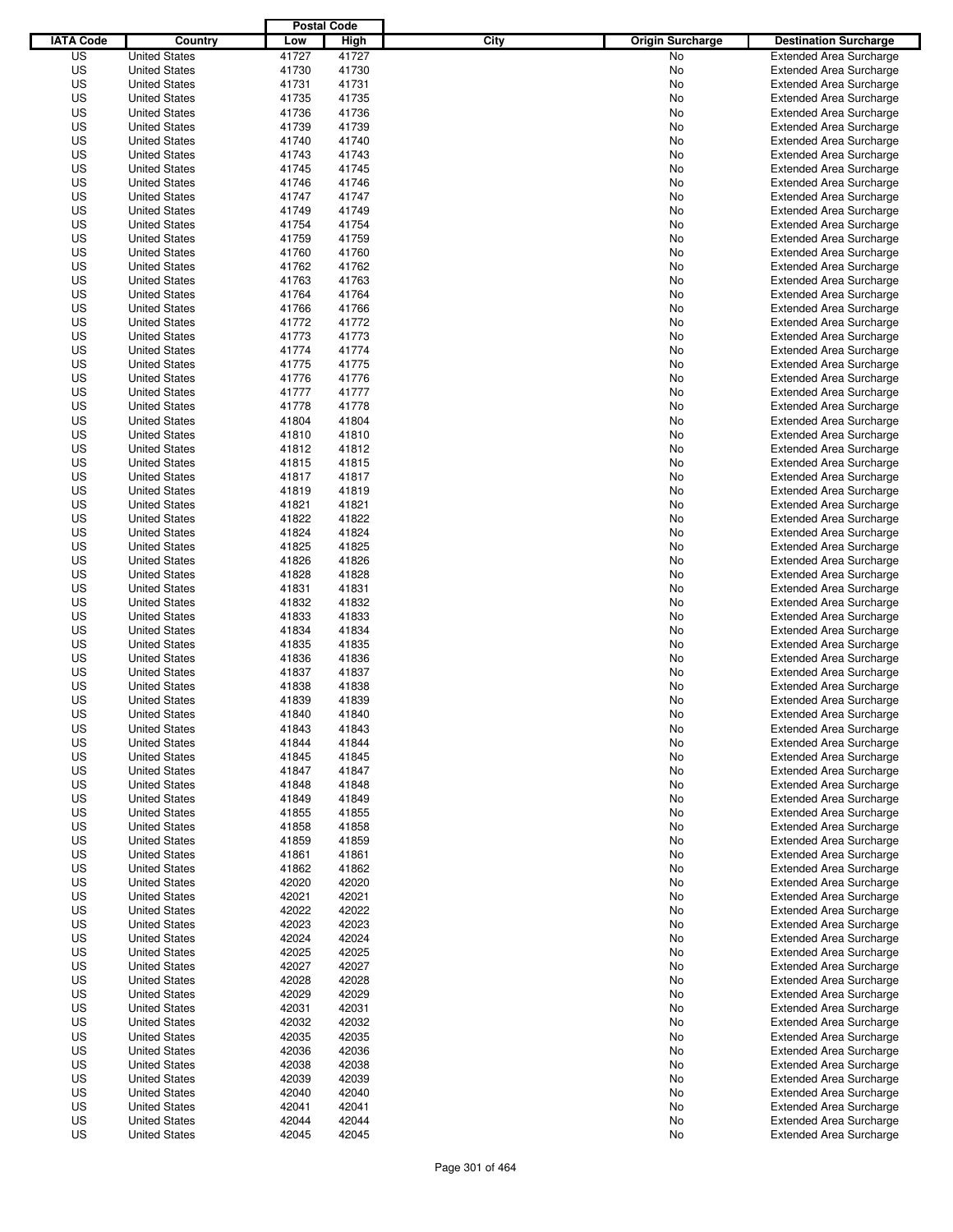|                  |                      | <b>Postal Code</b> |       |                                 |                                |
|------------------|----------------------|--------------------|-------|---------------------------------|--------------------------------|
| <b>IATA Code</b> | Country              | Low                | High  | City<br><b>Origin Surcharge</b> | <b>Destination Surcharge</b>   |
| US               | <b>United States</b> | 41727              | 41727 | <b>No</b>                       | <b>Extended Area Surcharge</b> |
| US               | <b>United States</b> | 41730              | 41730 | No                              | <b>Extended Area Surcharge</b> |
| US               | <b>United States</b> | 41731              | 41731 | No                              | <b>Extended Area Surcharge</b> |
| US               | <b>United States</b> | 41735              | 41735 | No                              | <b>Extended Area Surcharge</b> |
| US               | <b>United States</b> | 41736              | 41736 | No                              | <b>Extended Area Surcharge</b> |
| US               | <b>United States</b> | 41739              | 41739 | No                              | <b>Extended Area Surcharge</b> |
| US               | <b>United States</b> | 41740              | 41740 | No                              | <b>Extended Area Surcharge</b> |
| US               | <b>United States</b> | 41743              | 41743 | No                              | <b>Extended Area Surcharge</b> |
| US               | <b>United States</b> | 41745              | 41745 | No                              | <b>Extended Area Surcharge</b> |
| US               | <b>United States</b> | 41746              | 41746 | No                              | <b>Extended Area Surcharge</b> |
| US               | <b>United States</b> | 41747              | 41747 | No                              | <b>Extended Area Surcharge</b> |
| US               | <b>United States</b> | 41749              | 41749 | No                              | <b>Extended Area Surcharge</b> |
| US               | <b>United States</b> | 41754              | 41754 | No                              | <b>Extended Area Surcharge</b> |
| US               | <b>United States</b> | 41759              | 41759 | No                              | <b>Extended Area Surcharge</b> |
| US               | <b>United States</b> | 41760              | 41760 | No                              | <b>Extended Area Surcharge</b> |
| US               | <b>United States</b> | 41762              | 41762 | No                              | <b>Extended Area Surcharge</b> |
| US               | <b>United States</b> | 41763              | 41763 | No                              | <b>Extended Area Surcharge</b> |
| US               | <b>United States</b> | 41764              | 41764 | No                              | <b>Extended Area Surcharge</b> |
| US               | <b>United States</b> | 41766              | 41766 | No                              | <b>Extended Area Surcharge</b> |
| US               | <b>United States</b> | 41772              | 41772 | No                              | <b>Extended Area Surcharge</b> |
| US               | <b>United States</b> | 41773              | 41773 | No                              | <b>Extended Area Surcharge</b> |
| US               | <b>United States</b> | 41774              | 41774 | No                              | <b>Extended Area Surcharge</b> |
| US               | <b>United States</b> | 41775              | 41775 | No                              | <b>Extended Area Surcharge</b> |
| US               | <b>United States</b> | 41776              | 41776 | No                              | <b>Extended Area Surcharge</b> |
| US               | <b>United States</b> | 41777              | 41777 | No                              | <b>Extended Area Surcharge</b> |
| US               | <b>United States</b> | 41778              | 41778 | No                              | <b>Extended Area Surcharge</b> |
| US               | <b>United States</b> | 41804              | 41804 | No                              | <b>Extended Area Surcharge</b> |
| US               | <b>United States</b> | 41810              | 41810 | No                              | <b>Extended Area Surcharge</b> |
| US               | <b>United States</b> | 41812              | 41812 | No                              | <b>Extended Area Surcharge</b> |
| US               | <b>United States</b> | 41815              | 41815 | No                              | <b>Extended Area Surcharge</b> |
| US               | <b>United States</b> | 41817              | 41817 | No                              | <b>Extended Area Surcharge</b> |
| US               | <b>United States</b> | 41819              | 41819 | No                              | <b>Extended Area Surcharge</b> |
| US               | <b>United States</b> | 41821              | 41821 | No                              | <b>Extended Area Surcharge</b> |
| US               | <b>United States</b> | 41822              | 41822 | No                              | <b>Extended Area Surcharge</b> |
| US               |                      | 41824              | 41824 |                                 |                                |
|                  | <b>United States</b> |                    |       | No                              | <b>Extended Area Surcharge</b> |
| US               | <b>United States</b> | 41825              | 41825 | No                              | <b>Extended Area Surcharge</b> |
| US               | <b>United States</b> | 41826              | 41826 | No                              | <b>Extended Area Surcharge</b> |
| US               | <b>United States</b> | 41828              | 41828 | No                              | <b>Extended Area Surcharge</b> |
| US               | <b>United States</b> | 41831              | 41831 | No                              | <b>Extended Area Surcharge</b> |
| US               | <b>United States</b> | 41832              | 41832 | No                              | <b>Extended Area Surcharge</b> |
| US               | <b>United States</b> | 41833              | 41833 | No                              | <b>Extended Area Surcharge</b> |
| US               | <b>United States</b> | 41834              | 41834 | No                              | <b>Extended Area Surcharge</b> |
| US               | <b>United States</b> | 41835              | 41835 | No                              | <b>Extended Area Surcharge</b> |
| US               | <b>United States</b> | 41836              | 41836 | No                              | <b>Extended Area Surcharge</b> |
| US               | <b>United States</b> | 41837              | 41837 | No                              | Extended Area Surcharge        |
| US               | <b>United States</b> | 41838              | 41838 | No                              | <b>Extended Area Surcharge</b> |
| US               | <b>United States</b> | 41839              | 41839 | No                              | <b>Extended Area Surcharge</b> |
| US               | <b>United States</b> | 41840              | 41840 | No                              | <b>Extended Area Surcharge</b> |
| US               | <b>United States</b> | 41843              | 41843 | No                              | <b>Extended Area Surcharge</b> |
| US               | <b>United States</b> | 41844              | 41844 | No                              | <b>Extended Area Surcharge</b> |
| US               | <b>United States</b> | 41845              | 41845 | No                              | <b>Extended Area Surcharge</b> |
| US               | <b>United States</b> | 41847              | 41847 | No                              | <b>Extended Area Surcharge</b> |
| US               | <b>United States</b> | 41848              | 41848 | No                              | <b>Extended Area Surcharge</b> |
| US               | <b>United States</b> | 41849              | 41849 | No                              | <b>Extended Area Surcharge</b> |
| US               | <b>United States</b> | 41855              | 41855 | No                              | <b>Extended Area Surcharge</b> |
| US               | <b>United States</b> | 41858              | 41858 | No                              | <b>Extended Area Surcharge</b> |
| US               | <b>United States</b> | 41859              | 41859 | No                              | <b>Extended Area Surcharge</b> |
| US               | <b>United States</b> | 41861              | 41861 | No                              | <b>Extended Area Surcharge</b> |
| US               | <b>United States</b> | 41862              | 41862 | No                              | <b>Extended Area Surcharge</b> |
| US               | <b>United States</b> | 42020              | 42020 | No                              | <b>Extended Area Surcharge</b> |
| US               | <b>United States</b> | 42021              | 42021 | No                              | <b>Extended Area Surcharge</b> |
| US               | <b>United States</b> | 42022              | 42022 | No                              | <b>Extended Area Surcharge</b> |
| US               | <b>United States</b> | 42023              | 42023 | No                              | <b>Extended Area Surcharge</b> |
| US               | <b>United States</b> | 42024              | 42024 | No                              | <b>Extended Area Surcharge</b> |
| US               | <b>United States</b> | 42025              | 42025 | No                              | <b>Extended Area Surcharge</b> |
| US               | <b>United States</b> | 42027              | 42027 | No                              | <b>Extended Area Surcharge</b> |
| US               | <b>United States</b> | 42028              | 42028 | No                              | <b>Extended Area Surcharge</b> |
| US               | <b>United States</b> | 42029              | 42029 | No                              | <b>Extended Area Surcharge</b> |
| US               | <b>United States</b> | 42031              | 42031 | No                              | <b>Extended Area Surcharge</b> |
| US               | <b>United States</b> | 42032              | 42032 | No                              | <b>Extended Area Surcharge</b> |
| US               | <b>United States</b> | 42035              | 42035 | No                              | <b>Extended Area Surcharge</b> |
| US               | <b>United States</b> | 42036              | 42036 | No                              | <b>Extended Area Surcharge</b> |
| US               | <b>United States</b> | 42038              | 42038 | No                              | <b>Extended Area Surcharge</b> |
| US               | <b>United States</b> | 42039              | 42039 | No                              | <b>Extended Area Surcharge</b> |
| US               | <b>United States</b> | 42040              | 42040 | No                              | <b>Extended Area Surcharge</b> |
| US               | <b>United States</b> | 42041              | 42041 | No                              | <b>Extended Area Surcharge</b> |
| US               | <b>United States</b> | 42044              | 42044 | No                              | <b>Extended Area Surcharge</b> |
| US               | <b>United States</b> | 42045              | 42045 | No                              | <b>Extended Area Surcharge</b> |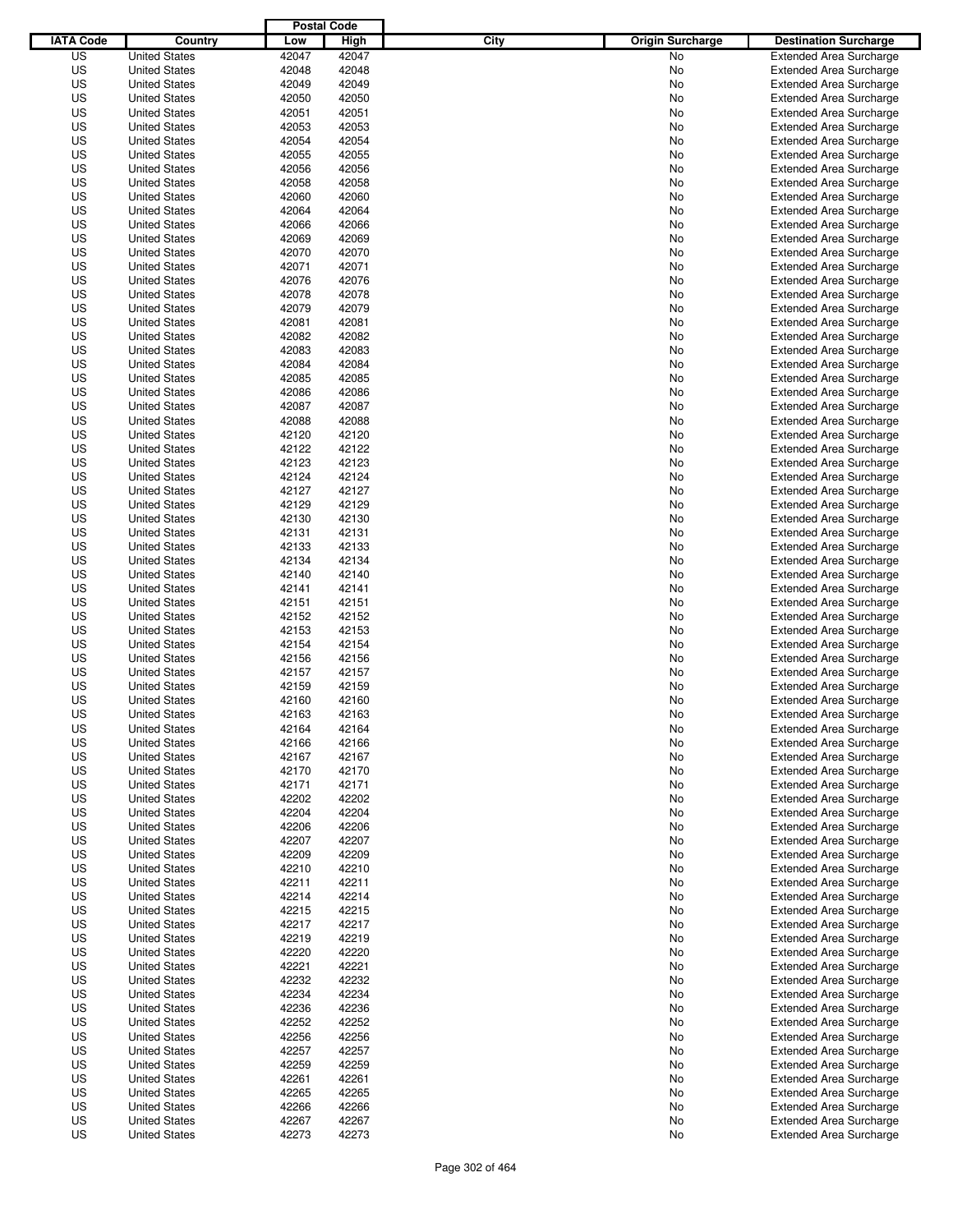|                  |                      | <b>Postal Code</b> |       |                                 |                                |
|------------------|----------------------|--------------------|-------|---------------------------------|--------------------------------|
| <b>IATA Code</b> | Country              | Low                | High  | City<br><b>Origin Surcharge</b> | <b>Destination Surcharge</b>   |
| US               | <b>United States</b> | 42047              | 42047 | <b>No</b>                       | <b>Extended Area Surcharge</b> |
| US               | <b>United States</b> | 42048              | 42048 | No                              | <b>Extended Area Surcharge</b> |
| US               | <b>United States</b> | 42049              | 42049 | No                              | <b>Extended Area Surcharge</b> |
| US               | <b>United States</b> | 42050              | 42050 | No                              | <b>Extended Area Surcharge</b> |
| US               | <b>United States</b> | 42051              | 42051 | No                              | <b>Extended Area Surcharge</b> |
| US               | <b>United States</b> | 42053              | 42053 | No                              | <b>Extended Area Surcharge</b> |
| US               | <b>United States</b> | 42054              | 42054 | No                              | <b>Extended Area Surcharge</b> |
| US               | <b>United States</b> | 42055              | 42055 | No                              | <b>Extended Area Surcharge</b> |
| US               | <b>United States</b> | 42056              | 42056 | No                              | <b>Extended Area Surcharge</b> |
| US               | <b>United States</b> | 42058              | 42058 | No                              | <b>Extended Area Surcharge</b> |
| US               | <b>United States</b> | 42060              | 42060 | No                              | <b>Extended Area Surcharge</b> |
| US               | <b>United States</b> | 42064              | 42064 | No                              | <b>Extended Area Surcharge</b> |
| US               | <b>United States</b> | 42066              | 42066 | No                              | <b>Extended Area Surcharge</b> |
| US               | <b>United States</b> | 42069              | 42069 | No                              | <b>Extended Area Surcharge</b> |
| US               | <b>United States</b> | 42070              | 42070 | No                              | <b>Extended Area Surcharge</b> |
| US               | <b>United States</b> | 42071              | 42071 | No                              | <b>Extended Area Surcharge</b> |
| US               | <b>United States</b> | 42076              | 42076 | No                              | <b>Extended Area Surcharge</b> |
| US               | <b>United States</b> | 42078              | 42078 | No                              | <b>Extended Area Surcharge</b> |
| US               | <b>United States</b> | 42079              | 42079 | No                              | <b>Extended Area Surcharge</b> |
| US               | <b>United States</b> | 42081              | 42081 | No                              | <b>Extended Area Surcharge</b> |
| US               | <b>United States</b> | 42082              | 42082 | No                              | <b>Extended Area Surcharge</b> |
| US               | <b>United States</b> | 42083              | 42083 | No                              | <b>Extended Area Surcharge</b> |
| US               | <b>United States</b> | 42084              | 42084 | No                              | <b>Extended Area Surcharge</b> |
| US               | <b>United States</b> | 42085              | 42085 | No                              | <b>Extended Area Surcharge</b> |
| US               | <b>United States</b> | 42086              | 42086 | No                              | <b>Extended Area Surcharge</b> |
| US               | <b>United States</b> | 42087              | 42087 | No                              | <b>Extended Area Surcharge</b> |
| US               | <b>United States</b> | 42088              | 42088 | No                              | <b>Extended Area Surcharge</b> |
| US               | <b>United States</b> | 42120              | 42120 | No                              | <b>Extended Area Surcharge</b> |
| US               | <b>United States</b> | 42122              | 42122 | No                              | <b>Extended Area Surcharge</b> |
| US               | <b>United States</b> | 42123              | 42123 | No                              | <b>Extended Area Surcharge</b> |
| US               | <b>United States</b> | 42124              | 42124 | No                              | <b>Extended Area Surcharge</b> |
| US               | <b>United States</b> | 42127              | 42127 | No                              | <b>Extended Area Surcharge</b> |
| US               | <b>United States</b> | 42129              | 42129 | No                              | <b>Extended Area Surcharge</b> |
| US               | <b>United States</b> | 42130              | 42130 | No                              | <b>Extended Area Surcharge</b> |
| US               | <b>United States</b> | 42131              | 42131 | No                              | <b>Extended Area Surcharge</b> |
| US               | <b>United States</b> | 42133              | 42133 | No                              | <b>Extended Area Surcharge</b> |
| US               | <b>United States</b> | 42134              | 42134 | No                              | <b>Extended Area Surcharge</b> |
| US               | <b>United States</b> | 42140              | 42140 | No                              | <b>Extended Area Surcharge</b> |
| US               | <b>United States</b> | 42141              | 42141 | No                              | <b>Extended Area Surcharge</b> |
| US               | <b>United States</b> | 42151              | 42151 | No                              | <b>Extended Area Surcharge</b> |
| US               | <b>United States</b> | 42152              | 42152 | No                              | <b>Extended Area Surcharge</b> |
| US               | <b>United States</b> | 42153              | 42153 | No                              | <b>Extended Area Surcharge</b> |
| US               | <b>United States</b> | 42154              | 42154 | No                              | <b>Extended Area Surcharge</b> |
| US               | <b>United States</b> | 42156              | 42156 | No                              | <b>Extended Area Surcharge</b> |
| US               | <b>United States</b> | 42157              | 42157 | No                              | <b>Extended Area Surcharge</b> |
| US               | <b>United States</b> | 42159              | 42159 | No                              | <b>Extended Area Surcharge</b> |
| US               | <b>United States</b> | 42160              | 42160 | No                              | <b>Extended Area Surcharge</b> |
| US               | <b>United States</b> | 42163              | 42163 | No                              | <b>Extended Area Surcharge</b> |
| US               | <b>United States</b> | 42164              | 42164 | No                              | <b>Extended Area Surcharge</b> |
| US               | <b>United States</b> | 42166              | 42166 | No                              | <b>Extended Area Surcharge</b> |
| US               | <b>United States</b> | 42167              | 42167 | No                              | <b>Extended Area Surcharge</b> |
| US               | <b>United States</b> | 42170              | 42170 | No                              | <b>Extended Area Surcharge</b> |
| US               | <b>United States</b> | 42171              | 42171 | No                              | <b>Extended Area Surcharge</b> |
| US               | <b>United States</b> | 42202              | 42202 | No                              | <b>Extended Area Surcharge</b> |
| US               | <b>United States</b> | 42204              | 42204 | No                              | <b>Extended Area Surcharge</b> |
| US               | <b>United States</b> | 42206              | 42206 | No                              | <b>Extended Area Surcharge</b> |
| US               | <b>United States</b> | 42207              | 42207 | No                              | <b>Extended Area Surcharge</b> |
| US               | <b>United States</b> | 42209              | 42209 | No                              | <b>Extended Area Surcharge</b> |
| US               | <b>United States</b> | 42210              | 42210 | No                              | <b>Extended Area Surcharge</b> |
| US               | <b>United States</b> | 42211              | 42211 | No                              | <b>Extended Area Surcharge</b> |
| US               | <b>United States</b> | 42214              | 42214 | No                              | <b>Extended Area Surcharge</b> |
| US               | <b>United States</b> | 42215              | 42215 | No                              | <b>Extended Area Surcharge</b> |
| US               | <b>United States</b> | 42217              | 42217 | No                              | <b>Extended Area Surcharge</b> |
| US               | <b>United States</b> | 42219              | 42219 | No                              | <b>Extended Area Surcharge</b> |
| US               | <b>United States</b> | 42220              | 42220 | No                              | <b>Extended Area Surcharge</b> |
| US               | <b>United States</b> | 42221              | 42221 | No                              | <b>Extended Area Surcharge</b> |
| US               | <b>United States</b> | 42232              | 42232 | No                              | <b>Extended Area Surcharge</b> |
| US               | <b>United States</b> | 42234              | 42234 | No                              | <b>Extended Area Surcharge</b> |
| US               | <b>United States</b> | 42236              | 42236 | No                              | <b>Extended Area Surcharge</b> |
| US               | <b>United States</b> | 42252              | 42252 | No                              | <b>Extended Area Surcharge</b> |
| US               | <b>United States</b> | 42256              | 42256 | No                              | <b>Extended Area Surcharge</b> |
| US               | <b>United States</b> | 42257              | 42257 | No                              | <b>Extended Area Surcharge</b> |
| US               | <b>United States</b> | 42259              | 42259 | No                              | <b>Extended Area Surcharge</b> |
| US               | <b>United States</b> | 42261              | 42261 | No                              | <b>Extended Area Surcharge</b> |
| US               | <b>United States</b> | 42265              | 42265 | No                              | <b>Extended Area Surcharge</b> |
| US               | <b>United States</b> | 42266              | 42266 | No                              | <b>Extended Area Surcharge</b> |
| US               | <b>United States</b> | 42267              | 42267 | No                              | <b>Extended Area Surcharge</b> |
| US               | <b>United States</b> | 42273              | 42273 | No                              | <b>Extended Area Surcharge</b> |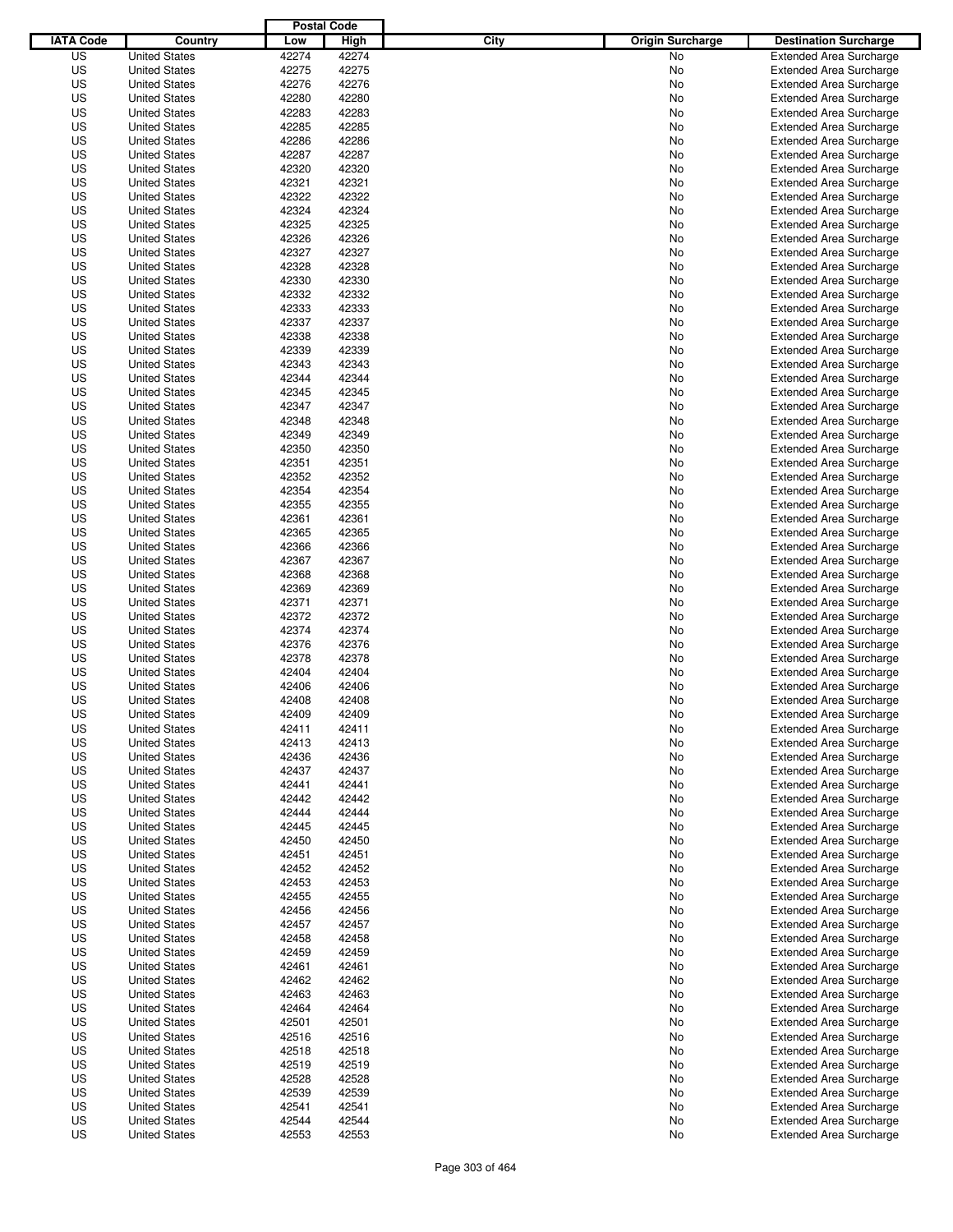|                  |                      | <b>Postal Code</b> |       |                                 |                                |
|------------------|----------------------|--------------------|-------|---------------------------------|--------------------------------|
| <b>IATA Code</b> | Country              | Low                | High  | City<br><b>Origin Surcharge</b> | <b>Destination Surcharge</b>   |
| US               | <b>United States</b> | 42274              | 42274 | <b>No</b>                       | <b>Extended Area Surcharge</b> |
| US               | <b>United States</b> | 42275              | 42275 | No                              | <b>Extended Area Surcharge</b> |
| US               | <b>United States</b> | 42276              | 42276 | No                              | <b>Extended Area Surcharge</b> |
| US               | <b>United States</b> | 42280              | 42280 | No                              | <b>Extended Area Surcharge</b> |
| US               | <b>United States</b> | 42283              | 42283 | No                              | <b>Extended Area Surcharge</b> |
| US               | <b>United States</b> | 42285              | 42285 | No                              | <b>Extended Area Surcharge</b> |
| US               | <b>United States</b> | 42286              | 42286 | No                              | <b>Extended Area Surcharge</b> |
| US               | <b>United States</b> | 42287              | 42287 | No                              | <b>Extended Area Surcharge</b> |
| US               | <b>United States</b> | 42320              | 42320 | No                              | <b>Extended Area Surcharge</b> |
| US               | <b>United States</b> | 42321              | 42321 | No                              | <b>Extended Area Surcharge</b> |
| US               | <b>United States</b> | 42322              | 42322 | No                              | <b>Extended Area Surcharge</b> |
| US               | <b>United States</b> | 42324              | 42324 | No                              | <b>Extended Area Surcharge</b> |
| US               | <b>United States</b> | 42325              | 42325 | No                              | <b>Extended Area Surcharge</b> |
| US               | <b>United States</b> | 42326              | 42326 | No                              | <b>Extended Area Surcharge</b> |
| US               | <b>United States</b> | 42327              | 42327 | No                              | <b>Extended Area Surcharge</b> |
| US               | <b>United States</b> | 42328              | 42328 | No                              | <b>Extended Area Surcharge</b> |
| US               | <b>United States</b> | 42330              | 42330 | No                              | <b>Extended Area Surcharge</b> |
| US               | <b>United States</b> | 42332              | 42332 | No                              | <b>Extended Area Surcharge</b> |
| US               | <b>United States</b> | 42333              | 42333 | No                              | <b>Extended Area Surcharge</b> |
| US               | <b>United States</b> | 42337              | 42337 | No                              | <b>Extended Area Surcharge</b> |
| US               | <b>United States</b> | 42338              | 42338 | No                              | <b>Extended Area Surcharge</b> |
| US               | <b>United States</b> | 42339              | 42339 | No                              | <b>Extended Area Surcharge</b> |
| US               | <b>United States</b> | 42343              | 42343 | No                              | <b>Extended Area Surcharge</b> |
| US               | <b>United States</b> | 42344              | 42344 | No                              | <b>Extended Area Surcharge</b> |
| US               | <b>United States</b> | 42345              | 42345 | No                              | <b>Extended Area Surcharge</b> |
| US               | <b>United States</b> | 42347              | 42347 | No                              | <b>Extended Area Surcharge</b> |
| US               | <b>United States</b> | 42348              | 42348 | No                              | <b>Extended Area Surcharge</b> |
| US               | <b>United States</b> | 42349              | 42349 | No                              | <b>Extended Area Surcharge</b> |
| US               | <b>United States</b> | 42350              | 42350 | No                              | <b>Extended Area Surcharge</b> |
| US               | <b>United States</b> | 42351              | 42351 | No                              | <b>Extended Area Surcharge</b> |
| US               | <b>United States</b> | 42352              | 42352 | No                              | <b>Extended Area Surcharge</b> |
| US               | <b>United States</b> | 42354              | 42354 | No                              | <b>Extended Area Surcharge</b> |
| US               | <b>United States</b> | 42355              | 42355 | No                              | <b>Extended Area Surcharge</b> |
| US               | <b>United States</b> | 42361              | 42361 | No                              | <b>Extended Area Surcharge</b> |
| US               | <b>United States</b> | 42365              | 42365 | No                              | <b>Extended Area Surcharge</b> |
| US               | <b>United States</b> | 42366              | 42366 | No                              | <b>Extended Area Surcharge</b> |
| US               | <b>United States</b> | 42367              | 42367 | No                              | <b>Extended Area Surcharge</b> |
| US               | <b>United States</b> | 42368              | 42368 | No                              | <b>Extended Area Surcharge</b> |
| US               | <b>United States</b> | 42369              | 42369 | No                              | <b>Extended Area Surcharge</b> |
| US               | <b>United States</b> | 42371              | 42371 | No                              | <b>Extended Area Surcharge</b> |
| US               | <b>United States</b> | 42372              | 42372 | No                              | <b>Extended Area Surcharge</b> |
| US               | <b>United States</b> | 42374              | 42374 | No                              | <b>Extended Area Surcharge</b> |
| US               | <b>United States</b> | 42376              | 42376 | No                              | <b>Extended Area Surcharge</b> |
| US               | <b>United States</b> | 42378              | 42378 | No                              | <b>Extended Area Surcharge</b> |
| US               | <b>United States</b> | 42404              | 42404 | No                              | <b>Extended Area Surcharge</b> |
| US               | <b>United States</b> | 42406              | 42406 | No                              | <b>Extended Area Surcharge</b> |
| US               | <b>United States</b> | 42408              | 42408 | No                              | <b>Extended Area Surcharge</b> |
| US               | <b>United States</b> | 42409              | 42409 | No                              | <b>Extended Area Surcharge</b> |
| US               | <b>United States</b> | 42411              | 42411 | No                              | <b>Extended Area Surcharge</b> |
| US               | <b>United States</b> | 42413              | 42413 | No                              | <b>Extended Area Surcharge</b> |
| US               | <b>United States</b> | 42436              | 42436 | No                              | <b>Extended Area Surcharge</b> |
| US               | <b>United States</b> | 42437              | 42437 | No                              | <b>Extended Area Surcharge</b> |
| US               | <b>United States</b> | 42441              | 42441 | No                              | <b>Extended Area Surcharge</b> |
| US               | <b>United States</b> | 42442              | 42442 | No                              | <b>Extended Area Surcharge</b> |
| US               | <b>United States</b> | 42444              | 42444 | No                              | <b>Extended Area Surcharge</b> |
| US               | <b>United States</b> | 42445              | 42445 | No                              | <b>Extended Area Surcharge</b> |
| US               | <b>United States</b> | 42450              | 42450 | No                              | <b>Extended Area Surcharge</b> |
| US               | <b>United States</b> | 42451              | 42451 | No                              | <b>Extended Area Surcharge</b> |
| US               | <b>United States</b> | 42452              | 42452 | No                              | <b>Extended Area Surcharge</b> |
| US               | <b>United States</b> | 42453              | 42453 | No                              | <b>Extended Area Surcharge</b> |
| US               | <b>United States</b> | 42455              | 42455 | No                              | <b>Extended Area Surcharge</b> |
| US               | <b>United States</b> | 42456              | 42456 | No                              | <b>Extended Area Surcharge</b> |
| US               | <b>United States</b> | 42457              | 42457 | No                              | <b>Extended Area Surcharge</b> |
| US               | <b>United States</b> | 42458              | 42458 | No                              | <b>Extended Area Surcharge</b> |
| US               | <b>United States</b> | 42459              | 42459 | No                              | <b>Extended Area Surcharge</b> |
| US               | <b>United States</b> | 42461              | 42461 | No                              | <b>Extended Area Surcharge</b> |
| US               | <b>United States</b> | 42462              | 42462 | No                              | <b>Extended Area Surcharge</b> |
| US               | <b>United States</b> | 42463              | 42463 | No                              | <b>Extended Area Surcharge</b> |
| US               | <b>United States</b> | 42464              | 42464 | No                              | <b>Extended Area Surcharge</b> |
| US               | <b>United States</b> | 42501              | 42501 | No                              | <b>Extended Area Surcharge</b> |
| US               | <b>United States</b> | 42516              | 42516 | No                              | <b>Extended Area Surcharge</b> |
| US               | <b>United States</b> | 42518              | 42518 | No                              | <b>Extended Area Surcharge</b> |
| US               | <b>United States</b> | 42519              | 42519 | No                              | <b>Extended Area Surcharge</b> |
| US               | <b>United States</b> | 42528              | 42528 | No                              | <b>Extended Area Surcharge</b> |
| US               | <b>United States</b> | 42539              | 42539 | No                              | <b>Extended Area Surcharge</b> |
| US               | <b>United States</b> | 42541              | 42541 | No                              | <b>Extended Area Surcharge</b> |
| US               | <b>United States</b> | 42544              | 42544 | No                              | <b>Extended Area Surcharge</b> |
| US               | <b>United States</b> | 42553              | 42553 | No                              | <b>Extended Area Surcharge</b> |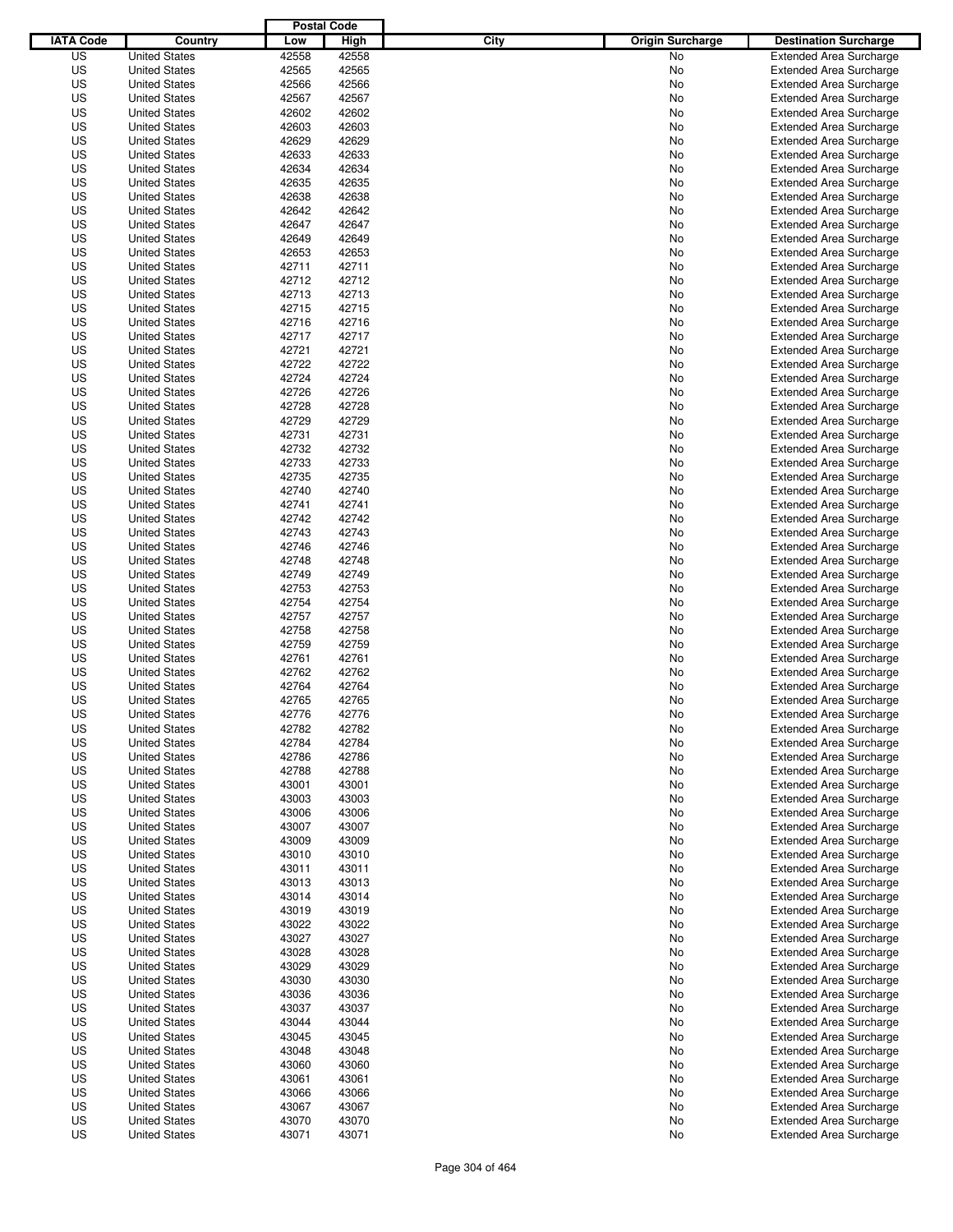|                  |                      | <b>Postal Code</b> |       |                                 |                                                                  |
|------------------|----------------------|--------------------|-------|---------------------------------|------------------------------------------------------------------|
| <b>IATA Code</b> | Country              | Low                | High  | City<br><b>Origin Surcharge</b> | <b>Destination Surcharge</b>                                     |
| US               | <b>United States</b> | 42558              | 42558 | <b>No</b>                       | <b>Extended Area Surcharge</b>                                   |
| US               | <b>United States</b> | 42565              | 42565 | No                              | <b>Extended Area Surcharge</b>                                   |
| US               | <b>United States</b> | 42566              | 42566 | No                              | <b>Extended Area Surcharge</b>                                   |
| US               | <b>United States</b> | 42567              | 42567 | No                              | <b>Extended Area Surcharge</b>                                   |
| US               | <b>United States</b> | 42602              | 42602 | No                              | <b>Extended Area Surcharge</b>                                   |
| US               | <b>United States</b> | 42603              | 42603 | No                              | <b>Extended Area Surcharge</b>                                   |
| US               | <b>United States</b> | 42629              | 42629 | No                              | <b>Extended Area Surcharge</b>                                   |
| US               | <b>United States</b> | 42633              | 42633 | No                              | <b>Extended Area Surcharge</b>                                   |
| US               | <b>United States</b> | 42634              | 42634 | No                              | <b>Extended Area Surcharge</b>                                   |
| US               | <b>United States</b> | 42635              | 42635 | No                              | <b>Extended Area Surcharge</b>                                   |
| US               | <b>United States</b> | 42638              | 42638 | No                              | <b>Extended Area Surcharge</b>                                   |
| US               | <b>United States</b> | 42642              | 42642 | No                              | <b>Extended Area Surcharge</b>                                   |
| US               | <b>United States</b> | 42647              | 42647 | No                              | <b>Extended Area Surcharge</b>                                   |
| US               | <b>United States</b> | 42649              | 42649 | No                              | <b>Extended Area Surcharge</b>                                   |
| US               | <b>United States</b> | 42653              | 42653 | No                              | <b>Extended Area Surcharge</b>                                   |
| US               | <b>United States</b> | 42711              | 42711 | No                              | <b>Extended Area Surcharge</b>                                   |
| US               | <b>United States</b> | 42712              | 42712 | No                              | <b>Extended Area Surcharge</b>                                   |
| US               | <b>United States</b> | 42713              | 42713 | No                              | <b>Extended Area Surcharge</b>                                   |
| US               | <b>United States</b> | 42715              | 42715 | No                              | <b>Extended Area Surcharge</b>                                   |
| US               | <b>United States</b> | 42716              | 42716 | No                              | <b>Extended Area Surcharge</b>                                   |
| US               | <b>United States</b> | 42717              | 42717 | No                              | <b>Extended Area Surcharge</b>                                   |
| US               | <b>United States</b> | 42721              | 42721 | No                              | <b>Extended Area Surcharge</b>                                   |
| US               | <b>United States</b> | 42722              | 42722 | No                              | <b>Extended Area Surcharge</b>                                   |
| US               | <b>United States</b> | 42724              | 42724 | No                              | <b>Extended Area Surcharge</b>                                   |
| US               | <b>United States</b> | 42726              | 42726 | No                              | <b>Extended Area Surcharge</b>                                   |
| US               | <b>United States</b> | 42728              | 42728 | No                              | <b>Extended Area Surcharge</b>                                   |
| US               | <b>United States</b> | 42729              | 42729 | No                              | <b>Extended Area Surcharge</b>                                   |
| US               | <b>United States</b> | 42731              | 42731 | No                              | <b>Extended Area Surcharge</b>                                   |
| US               | <b>United States</b> | 42732              | 42732 | No                              | <b>Extended Area Surcharge</b>                                   |
| US               | <b>United States</b> | 42733              | 42733 | No                              | <b>Extended Area Surcharge</b>                                   |
| US               | <b>United States</b> | 42735              | 42735 | No                              | <b>Extended Area Surcharge</b>                                   |
| US               | <b>United States</b> | 42740              | 42740 |                                 |                                                                  |
| US               | <b>United States</b> | 42741              | 42741 | No                              | <b>Extended Area Surcharge</b><br><b>Extended Area Surcharge</b> |
|                  |                      | 42742              |       | No                              |                                                                  |
| US               | <b>United States</b> |                    | 42742 | No                              | <b>Extended Area Surcharge</b>                                   |
| US               | <b>United States</b> | 42743              | 42743 | No                              | <b>Extended Area Surcharge</b>                                   |
| US               | <b>United States</b> | 42746              | 42746 | No                              | <b>Extended Area Surcharge</b>                                   |
| US               | <b>United States</b> | 42748              | 42748 | No                              | <b>Extended Area Surcharge</b>                                   |
| US               | <b>United States</b> | 42749              | 42749 | No                              | <b>Extended Area Surcharge</b>                                   |
| US               | <b>United States</b> | 42753              | 42753 | No                              | <b>Extended Area Surcharge</b>                                   |
| US               | <b>United States</b> | 42754              | 42754 | No                              | <b>Extended Area Surcharge</b>                                   |
| US               | <b>United States</b> | 42757              | 42757 | No                              | <b>Extended Area Surcharge</b>                                   |
| US               | <b>United States</b> | 42758              | 42758 | No                              | <b>Extended Area Surcharge</b>                                   |
| US               | <b>United States</b> | 42759              | 42759 | No                              | <b>Extended Area Surcharge</b>                                   |
| US               | <b>United States</b> | 42761              | 42761 | No                              | <b>Extended Area Surcharge</b>                                   |
| US               | <b>United States</b> | 42762              | 42762 | No                              | <b>Extended Area Surcharge</b>                                   |
| US               | <b>United States</b> | 42764              | 42764 | No                              | <b>Extended Area Surcharge</b>                                   |
| US               | <b>United States</b> | 42765              | 42765 | No                              | <b>Extended Area Surcharge</b>                                   |
| US               | <b>United States</b> | 42776              | 42776 | No                              | <b>Extended Area Surcharge</b>                                   |
| US               | <b>United States</b> | 42782              | 42782 | No                              | <b>Extended Area Surcharge</b>                                   |
| US               | <b>United States</b> | 42784              | 42784 | No                              | <b>Extended Area Surcharge</b>                                   |
| US               | <b>United States</b> | 42786              | 42786 | No                              | <b>Extended Area Surcharge</b>                                   |
| US               | <b>United States</b> | 42788              | 42788 | No                              | <b>Extended Area Surcharge</b>                                   |
| US               | <b>United States</b> | 43001              | 43001 | No                              | <b>Extended Area Surcharge</b>                                   |
| US               | <b>United States</b> | 43003              | 43003 | No                              | <b>Extended Area Surcharge</b>                                   |
| US               | <b>United States</b> | 43006              | 43006 | No                              | <b>Extended Area Surcharge</b>                                   |
| US               | <b>United States</b> | 43007              | 43007 | No                              | <b>Extended Area Surcharge</b>                                   |
| US               | <b>United States</b> | 43009              | 43009 | No                              | <b>Extended Area Surcharge</b>                                   |
| US               | <b>United States</b> | 43010              | 43010 | No                              | <b>Extended Area Surcharge</b>                                   |
| US               | <b>United States</b> | 43011              | 43011 | No                              | <b>Extended Area Surcharge</b>                                   |
| US               | <b>United States</b> | 43013              | 43013 | No                              | <b>Extended Area Surcharge</b>                                   |
| US               | <b>United States</b> | 43014              | 43014 | No                              | <b>Extended Area Surcharge</b>                                   |
| US               | <b>United States</b> | 43019              | 43019 | No                              | <b>Extended Area Surcharge</b>                                   |
| US               | <b>United States</b> | 43022              | 43022 | No                              | <b>Extended Area Surcharge</b>                                   |
| US               | <b>United States</b> | 43027              | 43027 | No                              | <b>Extended Area Surcharge</b>                                   |
| US               | <b>United States</b> | 43028              | 43028 | No                              | <b>Extended Area Surcharge</b>                                   |
| US               | <b>United States</b> | 43029              | 43029 | No                              | <b>Extended Area Surcharge</b>                                   |
| US               | <b>United States</b> | 43030              | 43030 | No                              | <b>Extended Area Surcharge</b>                                   |
| US               | <b>United States</b> | 43036              | 43036 | No                              | <b>Extended Area Surcharge</b>                                   |
| US               | <b>United States</b> | 43037              | 43037 | No                              | <b>Extended Area Surcharge</b>                                   |
| US               | <b>United States</b> | 43044              | 43044 | No                              | Extended Area Surcharge                                          |
| US               | <b>United States</b> | 43045              | 43045 | No                              | <b>Extended Area Surcharge</b>                                   |
| US               | <b>United States</b> | 43048              | 43048 | No                              | <b>Extended Area Surcharge</b>                                   |
| US               | <b>United States</b> | 43060              | 43060 | No                              | <b>Extended Area Surcharge</b>                                   |
| US               | <b>United States</b> | 43061              | 43061 | No                              | <b>Extended Area Surcharge</b>                                   |
| US               | <b>United States</b> | 43066              | 43066 | No                              | <b>Extended Area Surcharge</b>                                   |
| US               | <b>United States</b> | 43067              | 43067 | No                              | <b>Extended Area Surcharge</b>                                   |
| US               | <b>United States</b> | 43070              | 43070 | No                              | <b>Extended Area Surcharge</b>                                   |
| US               | <b>United States</b> | 43071              | 43071 | No                              | <b>Extended Area Surcharge</b>                                   |
|                  |                      |                    |       |                                 |                                                                  |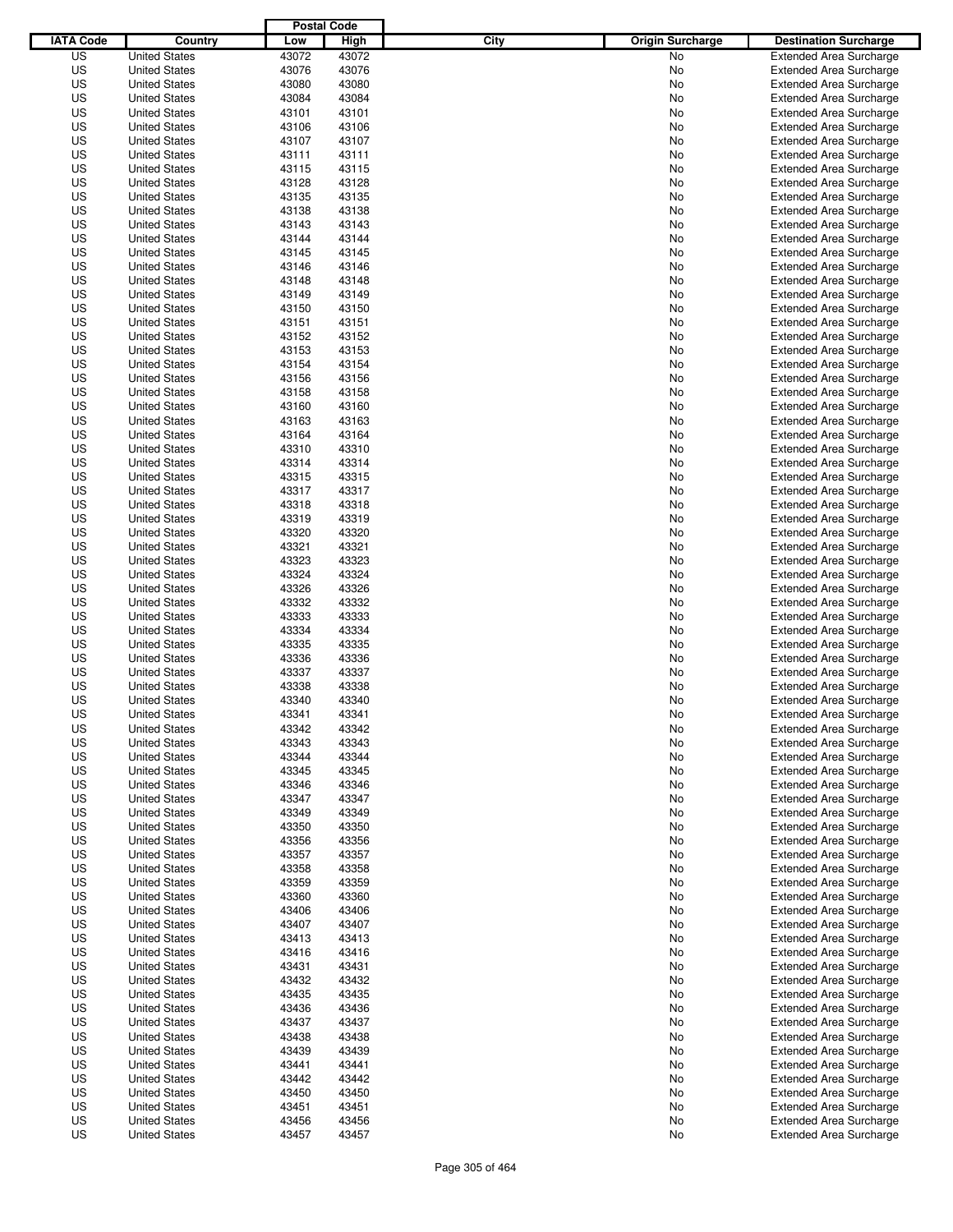|                  |                                              | <b>Postal Code</b> |                |                                 |                                                                  |
|------------------|----------------------------------------------|--------------------|----------------|---------------------------------|------------------------------------------------------------------|
| <b>IATA Code</b> | Country                                      | Low                | High           | City<br><b>Origin Surcharge</b> | <b>Destination Surcharge</b>                                     |
| US               | <b>United States</b>                         | 43072              | 43072          | No                              | <b>Extended Area Surcharge</b>                                   |
| US               | <b>United States</b>                         | 43076              | 43076          | No                              | <b>Extended Area Surcharge</b>                                   |
| US               | <b>United States</b>                         | 43080              | 43080          | No                              | <b>Extended Area Surcharge</b>                                   |
| US               | <b>United States</b>                         | 43084              | 43084          | No                              | <b>Extended Area Surcharge</b>                                   |
| US               | <b>United States</b>                         | 43101              | 43101          | No                              | <b>Extended Area Surcharge</b>                                   |
| US               | <b>United States</b>                         | 43106              | 43106          | No                              | <b>Extended Area Surcharge</b>                                   |
| US               | <b>United States</b>                         | 43107              | 43107          | No                              | <b>Extended Area Surcharge</b>                                   |
| US               | <b>United States</b>                         | 43111              | 43111          | No                              | <b>Extended Area Surcharge</b>                                   |
| US               | <b>United States</b>                         | 43115              | 43115          | No                              | <b>Extended Area Surcharge</b>                                   |
| US               | <b>United States</b><br><b>United States</b> | 43128              | 43128          | No                              | <b>Extended Area Surcharge</b>                                   |
| US<br>US         | <b>United States</b>                         | 43135<br>43138     | 43135<br>43138 | No<br>No                        | <b>Extended Area Surcharge</b><br><b>Extended Area Surcharge</b> |
| US               | <b>United States</b>                         | 43143              | 43143          | No                              | <b>Extended Area Surcharge</b>                                   |
| US               | <b>United States</b>                         | 43144              | 43144          | No                              | <b>Extended Area Surcharge</b>                                   |
| US               | <b>United States</b>                         | 43145              | 43145          | No                              | <b>Extended Area Surcharge</b>                                   |
| US               | <b>United States</b>                         | 43146              | 43146          | No                              | <b>Extended Area Surcharge</b>                                   |
| US               | <b>United States</b>                         | 43148              | 43148          | No                              | <b>Extended Area Surcharge</b>                                   |
| US               | <b>United States</b>                         | 43149              | 43149          | No                              | <b>Extended Area Surcharge</b>                                   |
| US               | <b>United States</b>                         | 43150              | 43150          | No                              | <b>Extended Area Surcharge</b>                                   |
| US               | <b>United States</b>                         | 43151              | 43151          | No                              | <b>Extended Area Surcharge</b>                                   |
| US               | <b>United States</b>                         | 43152              | 43152          | No                              | <b>Extended Area Surcharge</b>                                   |
| US               | <b>United States</b>                         | 43153              | 43153          | No                              | <b>Extended Area Surcharge</b>                                   |
| US               | <b>United States</b>                         | 43154              | 43154          | No                              | <b>Extended Area Surcharge</b>                                   |
| US               | <b>United States</b>                         | 43156              | 43156          | No                              | <b>Extended Area Surcharge</b>                                   |
| US               | <b>United States</b>                         | 43158              | 43158          | No                              | <b>Extended Area Surcharge</b>                                   |
| US               | <b>United States</b>                         | 43160              | 43160          | No                              | <b>Extended Area Surcharge</b>                                   |
| US               | <b>United States</b>                         | 43163              | 43163          | No                              | <b>Extended Area Surcharge</b>                                   |
| US               | <b>United States</b>                         | 43164              | 43164          | No                              | <b>Extended Area Surcharge</b>                                   |
| US               | <b>United States</b>                         | 43310              | 43310          | No                              | <b>Extended Area Surcharge</b>                                   |
| US               | <b>United States</b>                         | 43314              | 43314          | No                              | <b>Extended Area Surcharge</b>                                   |
| US               | <b>United States</b>                         | 43315              | 43315          | No                              | <b>Extended Area Surcharge</b>                                   |
| US               | <b>United States</b>                         | 43317              | 43317          | No                              | <b>Extended Area Surcharge</b>                                   |
| US               | <b>United States</b>                         | 43318              | 43318          | No                              | <b>Extended Area Surcharge</b>                                   |
| US               | <b>United States</b>                         | 43319              | 43319          | No                              | <b>Extended Area Surcharge</b>                                   |
| US               | <b>United States</b>                         | 43320              | 43320          | No                              | <b>Extended Area Surcharge</b>                                   |
| US               | <b>United States</b>                         | 43321              | 43321          | No                              | <b>Extended Area Surcharge</b>                                   |
| US               | <b>United States</b>                         | 43323              | 43323          | No                              | <b>Extended Area Surcharge</b>                                   |
| US               | <b>United States</b>                         | 43324              | 43324          | No                              | <b>Extended Area Surcharge</b>                                   |
| US               | <b>United States</b>                         | 43326              | 43326          | No                              | <b>Extended Area Surcharge</b>                                   |
| US               | <b>United States</b>                         | 43332              | 43332          | No                              | <b>Extended Area Surcharge</b>                                   |
| US               | <b>United States</b>                         | 43333              | 43333          | No                              | <b>Extended Area Surcharge</b>                                   |
| US               | <b>United States</b>                         | 43334              | 43334          | No                              | <b>Extended Area Surcharge</b>                                   |
| US               | <b>United States</b>                         | 43335              | 43335          | No                              | <b>Extended Area Surcharge</b>                                   |
| US               | <b>United States</b>                         | 43336              | 43336          | No                              | <b>Extended Area Surcharge</b>                                   |
| US               | <b>United States</b>                         | 43337              | 43337          | No                              | Extended Area Surcharge                                          |
| US               | <b>United States</b>                         | 43338              | 43338          | No                              | <b>Extended Area Surcharge</b>                                   |
| US               | <b>United States</b>                         | 43340              | 43340          | No                              | <b>Extended Area Surcharge</b>                                   |
| US               | <b>United States</b>                         | 43341              | 43341          | No                              | <b>Extended Area Surcharge</b>                                   |
| US               | <b>United States</b>                         | 43342              | 43342          | No                              | <b>Extended Area Surcharge</b>                                   |
| US               | <b>United States</b>                         | 43343              | 43343          | No                              | <b>Extended Area Surcharge</b>                                   |
| US               | <b>United States</b>                         | 43344              | 43344          | No                              | <b>Extended Area Surcharge</b>                                   |
| US<br>US         | <b>United States</b>                         | 43345<br>43346     | 43345<br>43346 | No                              | <b>Extended Area Surcharge</b>                                   |
| US               | <b>United States</b><br><b>United States</b> | 43347              | 43347          | No<br>No                        | <b>Extended Area Surcharge</b><br><b>Extended Area Surcharge</b> |
| US               | <b>United States</b>                         | 43349              | 43349          | No                              | <b>Extended Area Surcharge</b>                                   |
| US               | <b>United States</b>                         | 43350              | 43350          | No                              | <b>Extended Area Surcharge</b>                                   |
| US               | <b>United States</b>                         | 43356              | 43356          | No                              | <b>Extended Area Surcharge</b>                                   |
| US               | <b>United States</b>                         | 43357              | 43357          | No                              | <b>Extended Area Surcharge</b>                                   |
| US               | <b>United States</b>                         | 43358              | 43358          | No                              | <b>Extended Area Surcharge</b>                                   |
| US               | <b>United States</b>                         | 43359              | 43359          | No                              | <b>Extended Area Surcharge</b>                                   |
| US               | <b>United States</b>                         | 43360              | 43360          | No                              | <b>Extended Area Surcharge</b>                                   |
| US               | <b>United States</b>                         | 43406              | 43406          | No                              | <b>Extended Area Surcharge</b>                                   |
| US               | <b>United States</b>                         | 43407              | 43407          | No                              | <b>Extended Area Surcharge</b>                                   |
| US               | <b>United States</b>                         | 43413              | 43413          | No                              | <b>Extended Area Surcharge</b>                                   |
| US               | <b>United States</b>                         | 43416              | 43416          | No                              | <b>Extended Area Surcharge</b>                                   |
| US               | <b>United States</b>                         | 43431              | 43431          | No                              | <b>Extended Area Surcharge</b>                                   |
| US               | <b>United States</b>                         | 43432              | 43432          | No                              | <b>Extended Area Surcharge</b>                                   |
| US               | <b>United States</b>                         | 43435              | 43435          | No                              | <b>Extended Area Surcharge</b>                                   |
| US               | <b>United States</b>                         | 43436              | 43436          | No                              | <b>Extended Area Surcharge</b>                                   |
| US               | <b>United States</b>                         | 43437              | 43437          | No                              | <b>Extended Area Surcharge</b>                                   |
| US               | <b>United States</b>                         | 43438              | 43438          | No                              | <b>Extended Area Surcharge</b>                                   |
| US               | <b>United States</b>                         | 43439              | 43439          | No                              | <b>Extended Area Surcharge</b>                                   |
| US               | <b>United States</b>                         | 43441              | 43441          | No                              | <b>Extended Area Surcharge</b>                                   |
| US               | <b>United States</b>                         | 43442              | 43442          | No                              | <b>Extended Area Surcharge</b>                                   |
| US               | <b>United States</b>                         | 43450              | 43450          | No                              | <b>Extended Area Surcharge</b>                                   |
| US               | <b>United States</b>                         | 43451              | 43451          | No                              | <b>Extended Area Surcharge</b>                                   |
| US               | <b>United States</b>                         | 43456              | 43456          | No                              | <b>Extended Area Surcharge</b>                                   |
| US               | <b>United States</b>                         | 43457              | 43457          | No                              | <b>Extended Area Surcharge</b>                                   |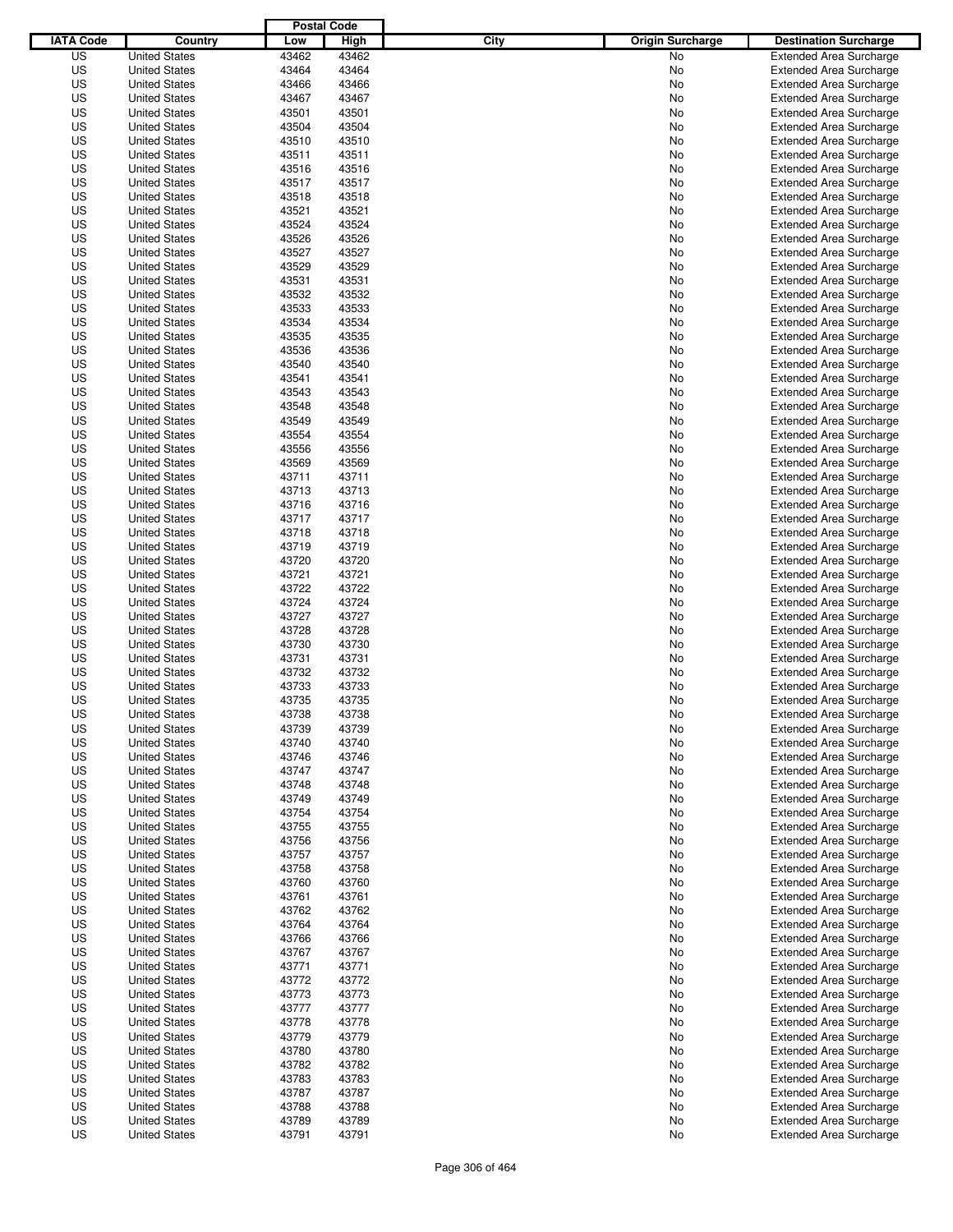|                  |                                              | <b>Postal Code</b> |                |                                 |                                                                  |
|------------------|----------------------------------------------|--------------------|----------------|---------------------------------|------------------------------------------------------------------|
| <b>IATA Code</b> | Country                                      | Low                | High           | City<br><b>Origin Surcharge</b> | <b>Destination Surcharge</b>                                     |
| US               | <b>United States</b>                         | 43462              | 43462          | <b>No</b>                       | <b>Extended Area Surcharge</b>                                   |
| US               | <b>United States</b>                         | 43464              | 43464          | No                              | <b>Extended Area Surcharge</b>                                   |
| US               | <b>United States</b>                         | 43466              | 43466          | No                              | <b>Extended Area Surcharge</b>                                   |
| US               | <b>United States</b>                         | 43467              | 43467          | No                              | <b>Extended Area Surcharge</b>                                   |
| US               | <b>United States</b>                         | 43501              | 43501          | No                              | <b>Extended Area Surcharge</b>                                   |
| US               | <b>United States</b>                         | 43504              | 43504          | No                              | <b>Extended Area Surcharge</b>                                   |
| US               | <b>United States</b>                         | 43510              | 43510          | No                              | <b>Extended Area Surcharge</b>                                   |
| US               | <b>United States</b>                         | 43511              | 43511          | No                              | <b>Extended Area Surcharge</b>                                   |
| US               | <b>United States</b>                         | 43516              | 43516          | No                              | <b>Extended Area Surcharge</b>                                   |
| US               | <b>United States</b>                         | 43517              | 43517          | No                              | <b>Extended Area Surcharge</b>                                   |
| US               | <b>United States</b>                         | 43518              | 43518          | No                              | <b>Extended Area Surcharge</b>                                   |
| US               | <b>United States</b>                         | 43521              | 43521          | No                              | <b>Extended Area Surcharge</b>                                   |
| US               | <b>United States</b>                         | 43524              | 43524          | No                              | <b>Extended Area Surcharge</b>                                   |
| US               | <b>United States</b>                         | 43526              | 43526          | No                              | <b>Extended Area Surcharge</b>                                   |
| US               | <b>United States</b>                         | 43527              | 43527          | No                              | <b>Extended Area Surcharge</b>                                   |
| US               | <b>United States</b>                         | 43529              | 43529          | No                              | <b>Extended Area Surcharge</b>                                   |
| US               | <b>United States</b>                         | 43531              | 43531          | No                              | <b>Extended Area Surcharge</b>                                   |
| US               | <b>United States</b>                         | 43532              | 43532          | No                              | <b>Extended Area Surcharge</b>                                   |
| US               | <b>United States</b>                         | 43533              | 43533          | No                              | <b>Extended Area Surcharge</b>                                   |
| US               | <b>United States</b>                         | 43534              | 43534          | No                              | <b>Extended Area Surcharge</b>                                   |
| US               | <b>United States</b>                         | 43535              | 43535          | No                              | <b>Extended Area Surcharge</b>                                   |
| US               | <b>United States</b>                         | 43536              | 43536          | No                              | <b>Extended Area Surcharge</b>                                   |
| US               | <b>United States</b>                         | 43540              | 43540          | No                              | <b>Extended Area Surcharge</b>                                   |
| US               | <b>United States</b>                         | 43541              | 43541          | No                              | <b>Extended Area Surcharge</b>                                   |
| US               | <b>United States</b>                         | 43543              | 43543          | No                              | <b>Extended Area Surcharge</b>                                   |
| US               | <b>United States</b>                         | 43548              | 43548          | No                              | <b>Extended Area Surcharge</b>                                   |
| US               | <b>United States</b>                         | 43549              | 43549          | No                              | <b>Extended Area Surcharge</b>                                   |
| US               | <b>United States</b>                         | 43554              | 43554          | No                              | <b>Extended Area Surcharge</b>                                   |
| US               | <b>United States</b>                         | 43556              | 43556          | No                              | <b>Extended Area Surcharge</b>                                   |
| US               | <b>United States</b>                         | 43569              | 43569          | No                              | <b>Extended Area Surcharge</b>                                   |
| US               | <b>United States</b>                         | 43711              | 43711          | No                              | <b>Extended Area Surcharge</b>                                   |
| US               | <b>United States</b>                         | 43713              | 43713          | No                              | <b>Extended Area Surcharge</b>                                   |
| US               | <b>United States</b>                         | 43716              | 43716          | No                              | <b>Extended Area Surcharge</b>                                   |
| US               | <b>United States</b>                         | 43717              | 43717          | No                              | <b>Extended Area Surcharge</b>                                   |
| US               | <b>United States</b>                         | 43718              | 43718          | No                              | <b>Extended Area Surcharge</b>                                   |
| US               | <b>United States</b>                         | 43719              | 43719          | No                              | <b>Extended Area Surcharge</b>                                   |
| US               | <b>United States</b>                         | 43720              | 43720          | No                              | <b>Extended Area Surcharge</b>                                   |
| US               | <b>United States</b>                         | 43721              | 43721          | No                              | <b>Extended Area Surcharge</b>                                   |
| US               | <b>United States</b>                         | 43722              | 43722          | No                              | <b>Extended Area Surcharge</b>                                   |
| US               | <b>United States</b>                         | 43724              | 43724          | No                              | <b>Extended Area Surcharge</b>                                   |
| US               | <b>United States</b>                         | 43727              | 43727          | No                              | <b>Extended Area Surcharge</b>                                   |
| US               | <b>United States</b>                         | 43728              | 43728          | No                              | <b>Extended Area Surcharge</b>                                   |
| US               | <b>United States</b>                         | 43730              | 43730          | No                              | <b>Extended Area Surcharge</b>                                   |
| US               | <b>United States</b>                         | 43731              | 43731          | No                              | <b>Extended Area Surcharge</b>                                   |
| US               | <b>United States</b>                         | 43732              | 43732          | No                              | Extended Area Surcharge                                          |
| US               | <b>United States</b>                         | 43733              | 43733          | No                              | <b>Extended Area Surcharge</b>                                   |
| US               | <b>United States</b>                         | 43735              | 43735          | No                              | <b>Extended Area Surcharge</b>                                   |
| US               | <b>United States</b>                         | 43738              | 43738          | No                              | <b>Extended Area Surcharge</b>                                   |
| US               | <b>United States</b>                         | 43739              | 43739          | No                              | <b>Extended Area Surcharge</b>                                   |
| US               | <b>United States</b>                         | 43740              | 43740          | No                              | <b>Extended Area Surcharge</b>                                   |
| US               | <b>United States</b>                         | 43746              | 43746          | No                              | <b>Extended Area Surcharge</b>                                   |
| US               | <b>United States</b>                         | 43747              | 43747          | No                              | <b>Extended Area Surcharge</b>                                   |
| US               | <b>United States</b>                         | 43748              | 43748          | No                              | <b>Extended Area Surcharge</b>                                   |
| US               | <b>United States</b><br><b>United States</b> | 43749              | 43749          | No                              | <b>Extended Area Surcharge</b>                                   |
| US<br>US         | <b>United States</b>                         | 43754<br>43755     | 43754<br>43755 | No<br>No                        | <b>Extended Area Surcharge</b><br><b>Extended Area Surcharge</b> |
| US               | <b>United States</b>                         | 43756              | 43756          | No                              | <b>Extended Area Surcharge</b>                                   |
| US               | <b>United States</b>                         | 43757              | 43757          | No                              | <b>Extended Area Surcharge</b>                                   |
| US               | <b>United States</b>                         | 43758              | 43758          | No                              | <b>Extended Area Surcharge</b>                                   |
| US               | <b>United States</b>                         | 43760              | 43760          | No                              | <b>Extended Area Surcharge</b>                                   |
| US               | <b>United States</b>                         | 43761              | 43761          | No                              | <b>Extended Area Surcharge</b>                                   |
| US               | <b>United States</b>                         | 43762              | 43762          | No                              | <b>Extended Area Surcharge</b>                                   |
| US               | <b>United States</b>                         | 43764              | 43764          | No                              | <b>Extended Area Surcharge</b>                                   |
| US               | <b>United States</b>                         | 43766              | 43766          | No                              | <b>Extended Area Surcharge</b>                                   |
| US               | <b>United States</b>                         | 43767              | 43767          | No                              | <b>Extended Area Surcharge</b>                                   |
| US               | <b>United States</b>                         | 43771              | 43771          | No                              | <b>Extended Area Surcharge</b>                                   |
| US               | <b>United States</b>                         | 43772              | 43772          | No                              | <b>Extended Area Surcharge</b>                                   |
| US               | <b>United States</b>                         | 43773              | 43773          | No                              | <b>Extended Area Surcharge</b>                                   |
| US               | <b>United States</b>                         | 43777              | 43777          | No                              | <b>Extended Area Surcharge</b>                                   |
| US               | <b>United States</b>                         | 43778              | 43778          | No                              | Extended Area Surcharge                                          |
| US               | <b>United States</b>                         | 43779              | 43779          | No                              | <b>Extended Area Surcharge</b>                                   |
| US               | <b>United States</b>                         | 43780              | 43780          | No                              | <b>Extended Area Surcharge</b>                                   |
| US               | <b>United States</b>                         | 43782              | 43782          | No                              | <b>Extended Area Surcharge</b>                                   |
| US               | <b>United States</b>                         | 43783              | 43783          | No                              | <b>Extended Area Surcharge</b>                                   |
| US               | <b>United States</b>                         | 43787              | 43787          | No                              | <b>Extended Area Surcharge</b>                                   |
| US               | <b>United States</b>                         | 43788              | 43788          | No                              | <b>Extended Area Surcharge</b>                                   |
| US               | <b>United States</b>                         | 43789              | 43789          | No                              | <b>Extended Area Surcharge</b>                                   |
| US               | <b>United States</b>                         | 43791              | 43791          | No                              | <b>Extended Area Surcharge</b>                                   |
|                  |                                              |                    |                |                                 |                                                                  |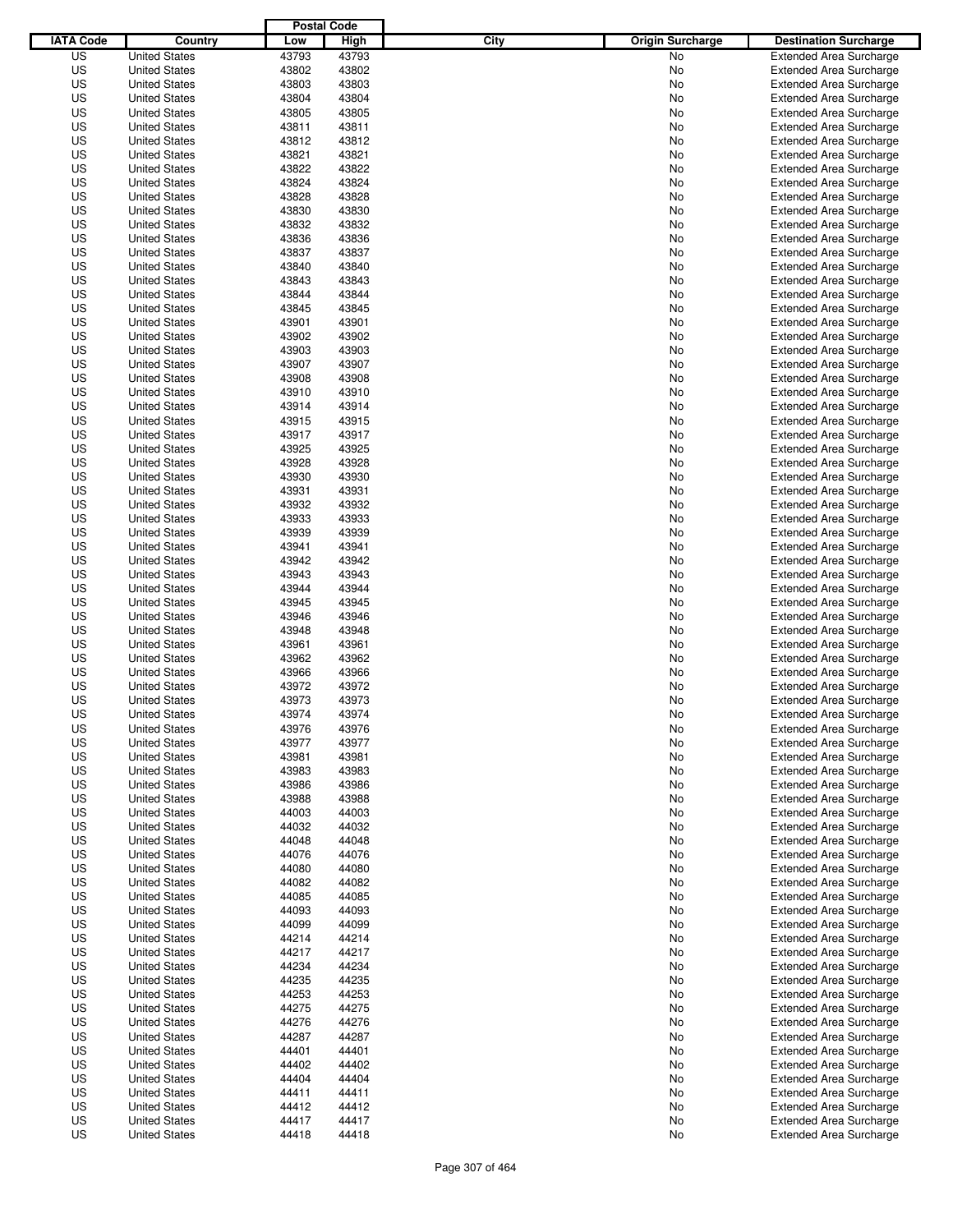|                  |                      | <b>Postal Code</b> |       |                                 |                                |
|------------------|----------------------|--------------------|-------|---------------------------------|--------------------------------|
| <b>IATA Code</b> | Country              | Low                | High  | City<br><b>Origin Surcharge</b> | <b>Destination Surcharge</b>   |
| US               | <b>United States</b> | 43793              | 43793 | No                              | <b>Extended Area Surcharge</b> |
| US               | <b>United States</b> | 43802              | 43802 | No                              | <b>Extended Area Surcharge</b> |
| US               | <b>United States</b> | 43803              | 43803 | No                              | <b>Extended Area Surcharge</b> |
| US               | <b>United States</b> | 43804              | 43804 | No                              | <b>Extended Area Surcharge</b> |
| US               | <b>United States</b> | 43805              | 43805 | No                              | <b>Extended Area Surcharge</b> |
| US               | <b>United States</b> | 43811              | 43811 | No                              | <b>Extended Area Surcharge</b> |
| US               | <b>United States</b> | 43812              | 43812 | No                              | <b>Extended Area Surcharge</b> |
| US               | <b>United States</b> | 43821              | 43821 | No                              | <b>Extended Area Surcharge</b> |
| US               | <b>United States</b> | 43822              | 43822 | No                              | <b>Extended Area Surcharge</b> |
| US               | <b>United States</b> | 43824              | 43824 | No                              | <b>Extended Area Surcharge</b> |
| US               | <b>United States</b> | 43828              | 43828 | No                              | <b>Extended Area Surcharge</b> |
| US               | <b>United States</b> | 43830              | 43830 | No                              | <b>Extended Area Surcharge</b> |
| US               | <b>United States</b> | 43832              | 43832 | No                              | <b>Extended Area Surcharge</b> |
| US               | <b>United States</b> | 43836              | 43836 | No                              | <b>Extended Area Surcharge</b> |
| US               | <b>United States</b> | 43837              | 43837 | No                              | <b>Extended Area Surcharge</b> |
| US               | <b>United States</b> | 43840              | 43840 | No                              | <b>Extended Area Surcharge</b> |
| US               | <b>United States</b> | 43843              | 43843 | No                              | <b>Extended Area Surcharge</b> |
| US               | <b>United States</b> | 43844              | 43844 | No                              | <b>Extended Area Surcharge</b> |
| US               | <b>United States</b> | 43845              | 43845 | No                              | <b>Extended Area Surcharge</b> |
| US               | <b>United States</b> | 43901              | 43901 | No                              | <b>Extended Area Surcharge</b> |
| US               | <b>United States</b> | 43902              | 43902 | No                              | <b>Extended Area Surcharge</b> |
| US               | <b>United States</b> | 43903              | 43903 | No                              | <b>Extended Area Surcharge</b> |
| US               | <b>United States</b> | 43907              | 43907 | No                              | <b>Extended Area Surcharge</b> |
| US               | <b>United States</b> | 43908              | 43908 | No                              | <b>Extended Area Surcharge</b> |
| US               | <b>United States</b> | 43910              | 43910 | No                              | <b>Extended Area Surcharge</b> |
| US               | <b>United States</b> | 43914              | 43914 | No                              | <b>Extended Area Surcharge</b> |
| US               | <b>United States</b> | 43915              | 43915 | No                              | <b>Extended Area Surcharge</b> |
| US               | <b>United States</b> | 43917              | 43917 | No                              | <b>Extended Area Surcharge</b> |
| US               | <b>United States</b> | 43925              | 43925 | No                              | <b>Extended Area Surcharge</b> |
| US               | <b>United States</b> | 43928              | 43928 | No                              | <b>Extended Area Surcharge</b> |
| US               | <b>United States</b> | 43930              | 43930 | No                              | <b>Extended Area Surcharge</b> |
| US               | <b>United States</b> | 43931              | 43931 | No                              | <b>Extended Area Surcharge</b> |
| US               | <b>United States</b> | 43932              | 43932 |                                 |                                |
|                  |                      |                    |       | No                              | <b>Extended Area Surcharge</b> |
| US               | <b>United States</b> | 43933              | 43933 | No                              | <b>Extended Area Surcharge</b> |
| US               | <b>United States</b> | 43939              | 43939 | No                              | <b>Extended Area Surcharge</b> |
| US               | <b>United States</b> | 43941              | 43941 | No                              | <b>Extended Area Surcharge</b> |
| US               | <b>United States</b> | 43942              | 43942 | No                              | <b>Extended Area Surcharge</b> |
| US               | <b>United States</b> | 43943              | 43943 | No                              | <b>Extended Area Surcharge</b> |
| US               | <b>United States</b> | 43944              | 43944 | No                              | <b>Extended Area Surcharge</b> |
| US               | <b>United States</b> | 43945              | 43945 | No                              | <b>Extended Area Surcharge</b> |
| US               | <b>United States</b> | 43946              | 43946 | No                              | <b>Extended Area Surcharge</b> |
| US               | <b>United States</b> | 43948              | 43948 | No                              | <b>Extended Area Surcharge</b> |
| US               | <b>United States</b> | 43961              | 43961 | No                              | <b>Extended Area Surcharge</b> |
| US               | <b>United States</b> | 43962              | 43962 | No                              | <b>Extended Area Surcharge</b> |
| US               | <b>United States</b> | 43966              | 43966 | No                              | Extended Area Surcharge        |
| US               | <b>United States</b> | 43972              | 43972 | No                              | <b>Extended Area Surcharge</b> |
| US               | <b>United States</b> | 43973              | 43973 | No                              | <b>Extended Area Surcharge</b> |
| US               | <b>United States</b> | 43974              | 43974 | No                              | <b>Extended Area Surcharge</b> |
| US               | <b>United States</b> | 43976              | 43976 | No                              | <b>Extended Area Surcharge</b> |
| US               | <b>United States</b> | 43977              | 43977 | No                              | <b>Extended Area Surcharge</b> |
| US               | <b>United States</b> | 43981              | 43981 | No                              | <b>Extended Area Surcharge</b> |
| US               | <b>United States</b> | 43983              | 43983 | No                              | <b>Extended Area Surcharge</b> |
| US               | <b>United States</b> | 43986              | 43986 | No                              | <b>Extended Area Surcharge</b> |
| US               | <b>United States</b> | 43988              | 43988 | No                              | <b>Extended Area Surcharge</b> |
| US               | <b>United States</b> | 44003              | 44003 | No                              | <b>Extended Area Surcharge</b> |
| US               | <b>United States</b> | 44032              | 44032 | No                              | <b>Extended Area Surcharge</b> |
| US               | <b>United States</b> | 44048              | 44048 | No                              | <b>Extended Area Surcharge</b> |
| US               | <b>United States</b> | 44076              | 44076 | No                              | <b>Extended Area Surcharge</b> |
| US               | <b>United States</b> | 44080              | 44080 | No                              | <b>Extended Area Surcharge</b> |
| US               | <b>United States</b> | 44082              | 44082 | No                              | <b>Extended Area Surcharge</b> |
| US               | <b>United States</b> | 44085              | 44085 | No                              | <b>Extended Area Surcharge</b> |
| US               | <b>United States</b> | 44093              | 44093 | No                              | <b>Extended Area Surcharge</b> |
| US               | <b>United States</b> | 44099              | 44099 | No                              | <b>Extended Area Surcharge</b> |
| US               | <b>United States</b> | 44214              | 44214 | No                              | <b>Extended Area Surcharge</b> |
| US               | <b>United States</b> | 44217              | 44217 | No                              | <b>Extended Area Surcharge</b> |
| US               | <b>United States</b> | 44234              | 44234 | No                              | <b>Extended Area Surcharge</b> |
| US               | <b>United States</b> | 44235              | 44235 | No                              | <b>Extended Area Surcharge</b> |
| US               | <b>United States</b> | 44253              | 44253 | No                              | <b>Extended Area Surcharge</b> |
| US               | <b>United States</b> | 44275              | 44275 | No                              | <b>Extended Area Surcharge</b> |
| US               | <b>United States</b> | 44276              | 44276 | No                              | <b>Extended Area Surcharge</b> |
| US               | <b>United States</b> | 44287              | 44287 | No                              | <b>Extended Area Surcharge</b> |
| US               | <b>United States</b> | 44401              | 44401 | No                              | <b>Extended Area Surcharge</b> |
| US               | <b>United States</b> | 44402              | 44402 | No                              | <b>Extended Area Surcharge</b> |
| US               | <b>United States</b> | 44404              | 44404 | No                              | <b>Extended Area Surcharge</b> |
| US               | <b>United States</b> | 44411              | 44411 | No                              | <b>Extended Area Surcharge</b> |
| US               | <b>United States</b> | 44412              | 44412 | No                              | <b>Extended Area Surcharge</b> |
| US               | <b>United States</b> | 44417              | 44417 | No                              | <b>Extended Area Surcharge</b> |
| US               | <b>United States</b> | 44418              | 44418 | No                              | <b>Extended Area Surcharge</b> |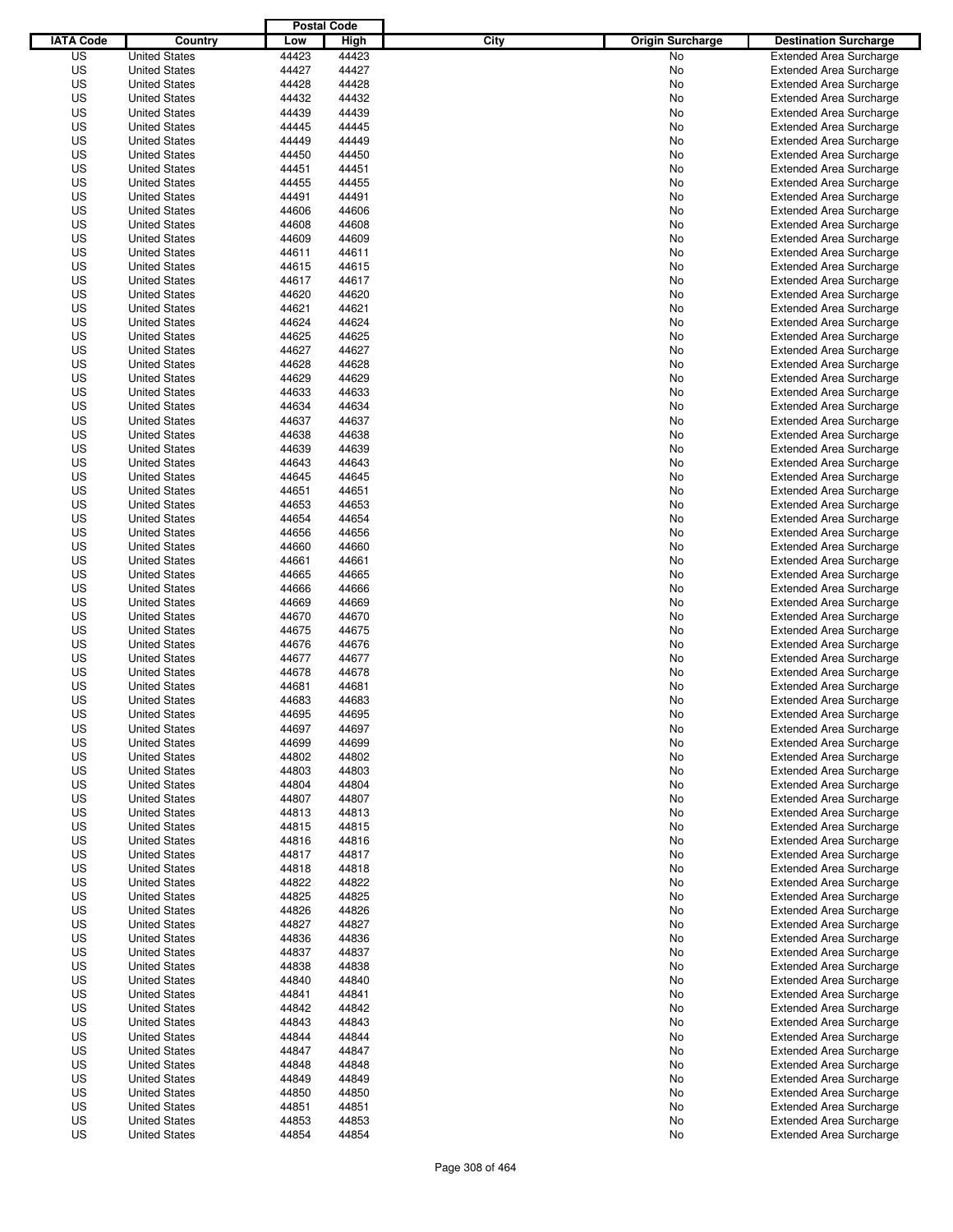|                  |                                              | <b>Postal Code</b> |                |                                 |                                                                  |
|------------------|----------------------------------------------|--------------------|----------------|---------------------------------|------------------------------------------------------------------|
| <b>IATA Code</b> | Country                                      | Low                | High           | City<br><b>Origin Surcharge</b> | <b>Destination Surcharge</b>                                     |
| US               | <b>United States</b>                         | 44423              | 44423          | <b>No</b>                       | <b>Extended Area Surcharge</b>                                   |
| US               | <b>United States</b>                         | 44427              | 44427          | No                              | <b>Extended Area Surcharge</b>                                   |
| US               | <b>United States</b>                         | 44428              | 44428          | No                              | <b>Extended Area Surcharge</b>                                   |
| US               | <b>United States</b>                         | 44432              | 44432          | No                              | <b>Extended Area Surcharge</b>                                   |
| US               | <b>United States</b>                         | 44439              | 44439          | No                              | <b>Extended Area Surcharge</b>                                   |
| US               | <b>United States</b>                         | 44445              | 44445          | No                              | <b>Extended Area Surcharge</b>                                   |
| US               | <b>United States</b>                         | 44449              | 44449          | No                              | <b>Extended Area Surcharge</b>                                   |
| US               | <b>United States</b>                         | 44450              | 44450          | No                              | <b>Extended Area Surcharge</b>                                   |
| US               | <b>United States</b>                         | 44451              | 44451          | No                              | <b>Extended Area Surcharge</b>                                   |
| US               | <b>United States</b>                         | 44455              | 44455          | No                              | <b>Extended Area Surcharge</b>                                   |
| US               | <b>United States</b>                         | 44491              | 44491          | No                              | <b>Extended Area Surcharge</b>                                   |
| US               | <b>United States</b>                         | 44606              | 44606          | No                              | <b>Extended Area Surcharge</b>                                   |
| US               | <b>United States</b>                         | 44608              | 44608          | No                              | <b>Extended Area Surcharge</b>                                   |
| US               | <b>United States</b>                         | 44609              | 44609          | No                              | <b>Extended Area Surcharge</b>                                   |
| US               | <b>United States</b>                         | 44611              | 44611          | No                              | <b>Extended Area Surcharge</b>                                   |
| US               | <b>United States</b>                         | 44615              | 44615          | No                              | <b>Extended Area Surcharge</b>                                   |
| US               | <b>United States</b>                         | 44617              | 44617          | No                              | <b>Extended Area Surcharge</b>                                   |
| US               | <b>United States</b>                         | 44620              | 44620          | No                              | <b>Extended Area Surcharge</b>                                   |
| US               | <b>United States</b>                         | 44621              | 44621          | No                              | <b>Extended Area Surcharge</b>                                   |
| US               | <b>United States</b>                         | 44624              | 44624          | No                              | <b>Extended Area Surcharge</b>                                   |
| US               | <b>United States</b>                         | 44625              | 44625          | No                              | <b>Extended Area Surcharge</b>                                   |
| US               | <b>United States</b>                         | 44627              | 44627          | No                              | <b>Extended Area Surcharge</b>                                   |
| US               | <b>United States</b>                         | 44628              | 44628          | No                              | <b>Extended Area Surcharge</b>                                   |
| US               | <b>United States</b>                         | 44629              | 44629          | No                              | <b>Extended Area Surcharge</b>                                   |
| US               | <b>United States</b>                         | 44633              | 44633          | No                              | <b>Extended Area Surcharge</b>                                   |
| US               | <b>United States</b>                         | 44634              | 44634          | No                              | <b>Extended Area Surcharge</b>                                   |
| US               | <b>United States</b>                         | 44637              | 44637          | No                              | <b>Extended Area Surcharge</b>                                   |
| US               | <b>United States</b>                         | 44638              | 44638          | No                              | <b>Extended Area Surcharge</b>                                   |
| US               | <b>United States</b>                         | 44639              | 44639          | No                              | <b>Extended Area Surcharge</b>                                   |
| US               | <b>United States</b>                         | 44643              | 44643          | No                              | <b>Extended Area Surcharge</b>                                   |
| US               | <b>United States</b>                         | 44645              | 44645          | No                              | <b>Extended Area Surcharge</b>                                   |
| US               | <b>United States</b>                         | 44651              | 44651          | No                              | <b>Extended Area Surcharge</b>                                   |
| US               | <b>United States</b>                         | 44653              | 44653          | No                              | <b>Extended Area Surcharge</b>                                   |
| US               | <b>United States</b>                         | 44654              | 44654          | No                              | <b>Extended Area Surcharge</b>                                   |
| US               | <b>United States</b>                         | 44656              | 44656          | No                              | <b>Extended Area Surcharge</b>                                   |
| US               | <b>United States</b>                         | 44660              | 44660          | No                              | <b>Extended Area Surcharge</b>                                   |
| US               | <b>United States</b>                         | 44661              | 44661          | No                              | <b>Extended Area Surcharge</b>                                   |
| US               | <b>United States</b>                         | 44665              | 44665          | No                              | <b>Extended Area Surcharge</b>                                   |
| US               | <b>United States</b>                         | 44666              | 44666          | No                              | <b>Extended Area Surcharge</b>                                   |
| US               | <b>United States</b>                         | 44669              | 44669          | No                              | <b>Extended Area Surcharge</b>                                   |
| US               | <b>United States</b>                         | 44670              | 44670          | No                              | <b>Extended Area Surcharge</b>                                   |
| US               | <b>United States</b>                         | 44675              | 44675          | No                              | <b>Extended Area Surcharge</b>                                   |
| US               | <b>United States</b>                         | 44676              | 44676          | No                              | <b>Extended Area Surcharge</b>                                   |
| US               | <b>United States</b>                         | 44677              | 44677          | No                              | <b>Extended Area Surcharge</b>                                   |
| US               | <b>United States</b>                         | 44678              | 44678          | No                              | <b>Extended Area Surcharge</b>                                   |
| US               | <b>United States</b>                         | 44681              | 44681          | No                              | <b>Extended Area Surcharge</b>                                   |
| US               | <b>United States</b>                         | 44683              | 44683          | No                              | <b>Extended Area Surcharge</b>                                   |
| US               | <b>United States</b>                         | 44695              | 44695          | No                              | <b>Extended Area Surcharge</b>                                   |
| US               | <b>United States</b>                         | 44697              | 44697          | No                              | <b>Extended Area Surcharge</b>                                   |
| US               | <b>United States</b>                         | 44699              | 44699          | No                              | <b>Extended Area Surcharge</b>                                   |
| US               | <b>United States</b>                         | 44802              | 44802          | No                              | <b>Extended Area Surcharge</b>                                   |
| US               | <b>United States</b>                         | 44803              | 44803          | No                              | <b>Extended Area Surcharge</b>                                   |
| US               | <b>United States</b>                         | 44804              | 44804          | No                              | <b>Extended Area Surcharge</b>                                   |
| US               | <b>United States</b>                         | 44807              | 44807          |                                 |                                                                  |
| US               | <b>United States</b>                         | 44813              | 44813          | No<br>No                        | <b>Extended Area Surcharge</b><br><b>Extended Area Surcharge</b> |
| US               | <b>United States</b>                         | 44815              | 44815          | No                              | <b>Extended Area Surcharge</b>                                   |
| US               | <b>United States</b>                         | 44816              | 44816          | No                              | <b>Extended Area Surcharge</b>                                   |
| US               | <b>United States</b>                         | 44817              | 44817          | No                              | <b>Extended Area Surcharge</b>                                   |
| US               | <b>United States</b>                         | 44818              | 44818          | No                              | <b>Extended Area Surcharge</b>                                   |
| US               | <b>United States</b>                         | 44822              | 44822          | No                              | <b>Extended Area Surcharge</b>                                   |
| US               | <b>United States</b>                         | 44825              | 44825          | No                              | <b>Extended Area Surcharge</b>                                   |
| US               | <b>United States</b>                         | 44826              | 44826          | No                              | <b>Extended Area Surcharge</b>                                   |
| US               | <b>United States</b>                         | 44827              | 44827          | No                              | <b>Extended Area Surcharge</b>                                   |
| US               | <b>United States</b>                         | 44836              | 44836          | No                              | <b>Extended Area Surcharge</b>                                   |
| US               | <b>United States</b>                         | 44837              | 44837          | No                              | <b>Extended Area Surcharge</b>                                   |
| US               | <b>United States</b>                         | 44838              | 44838          | No                              | <b>Extended Area Surcharge</b>                                   |
| US               | <b>United States</b>                         | 44840              | 44840          | No                              | <b>Extended Area Surcharge</b>                                   |
| US               | <b>United States</b>                         | 44841              | 44841          | No                              | <b>Extended Area Surcharge</b>                                   |
| US               | <b>United States</b>                         | 44842              | 44842          |                                 | <b>Extended Area Surcharge</b>                                   |
| US               | <b>United States</b>                         | 44843              | 44843          | No                              | <b>Extended Area Surcharge</b>                                   |
| US               | <b>United States</b>                         | 44844              | 44844          | No<br>No                        | <b>Extended Area Surcharge</b>                                   |
| US               | <b>United States</b>                         | 44847              | 44847          |                                 | <b>Extended Area Surcharge</b>                                   |
| US               |                                              |                    | 44848          | No                              | <b>Extended Area Surcharge</b>                                   |
| US               | <b>United States</b><br><b>United States</b> | 44848<br>44849     | 44849          | No                              |                                                                  |
|                  |                                              |                    |                | No                              | <b>Extended Area Surcharge</b>                                   |
| US               | <b>United States</b>                         | 44850              | 44850          | No                              | <b>Extended Area Surcharge</b>                                   |
| US<br>US         | <b>United States</b>                         | 44851              | 44851<br>44853 | No                              | <b>Extended Area Surcharge</b>                                   |
|                  | <b>United States</b>                         | 44853              |                | No                              | <b>Extended Area Surcharge</b>                                   |
| US               | <b>United States</b>                         | 44854              | 44854          | No                              | <b>Extended Area Surcharge</b>                                   |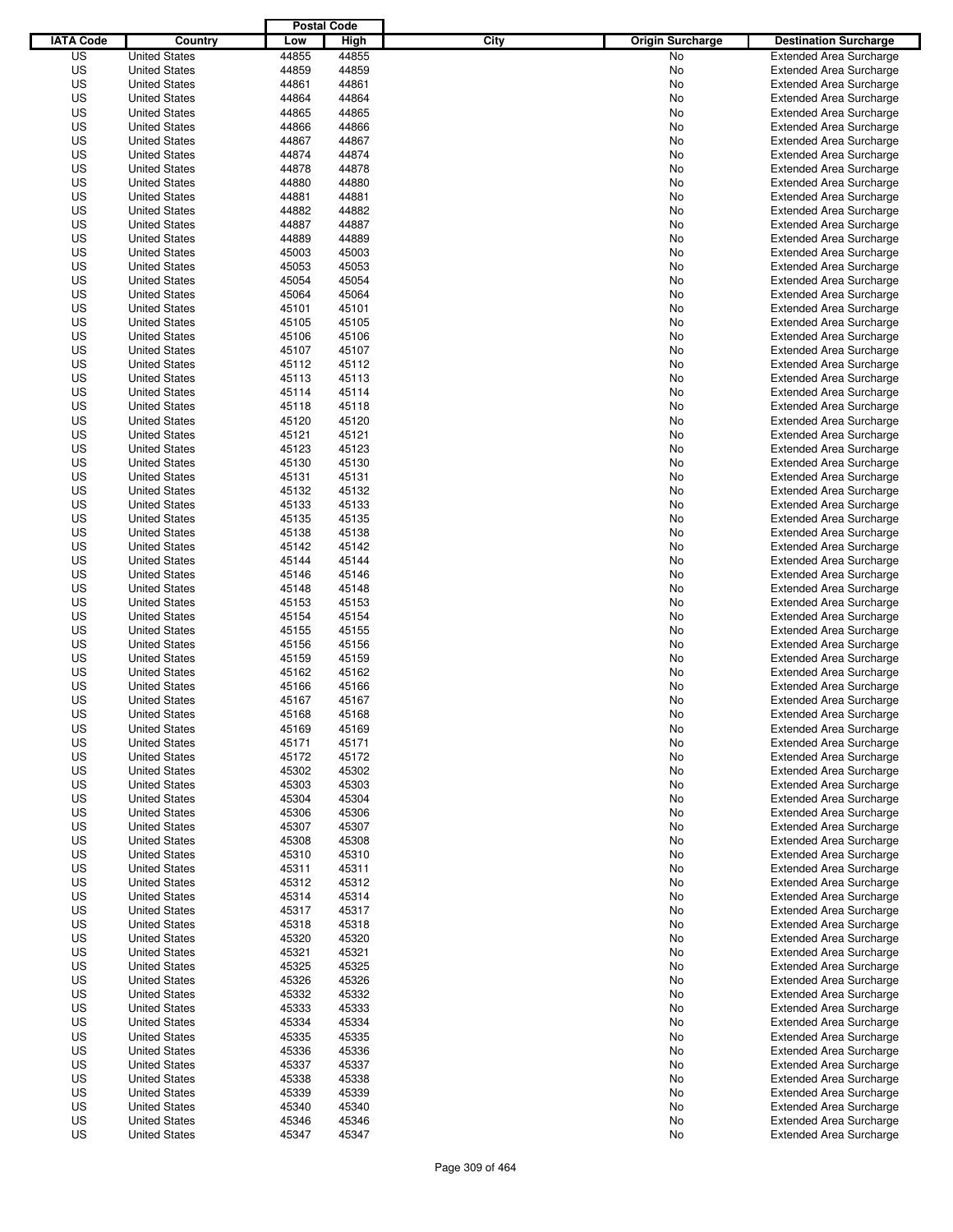|                  |                                              | <b>Postal Code</b> |                |                                 |                                                                  |
|------------------|----------------------------------------------|--------------------|----------------|---------------------------------|------------------------------------------------------------------|
| <b>IATA Code</b> | Country                                      | Low                | High           | City<br><b>Origin Surcharge</b> | <b>Destination Surcharge</b>                                     |
| US               | <b>United States</b>                         | 44855              | 44855          | <b>No</b>                       | <b>Extended Area Surcharge</b>                                   |
| US               | <b>United States</b>                         | 44859              | 44859          | No                              | <b>Extended Area Surcharge</b>                                   |
| US               | <b>United States</b>                         | 44861              | 44861          | No                              | <b>Extended Area Surcharge</b>                                   |
| US               | <b>United States</b>                         | 44864              | 44864          | No                              | <b>Extended Area Surcharge</b>                                   |
| US               | <b>United States</b>                         | 44865              | 44865          | No                              | <b>Extended Area Surcharge</b>                                   |
| US               | <b>United States</b>                         | 44866              | 44866          | No                              | <b>Extended Area Surcharge</b>                                   |
| US               | <b>United States</b>                         | 44867              | 44867          | No                              | <b>Extended Area Surcharge</b>                                   |
| US               | <b>United States</b>                         | 44874              | 44874          | No                              | <b>Extended Area Surcharge</b>                                   |
| US               | <b>United States</b>                         | 44878              | 44878          | No                              | <b>Extended Area Surcharge</b>                                   |
| US               | <b>United States</b>                         | 44880              | 44880          | No                              | <b>Extended Area Surcharge</b>                                   |
| US               | <b>United States</b>                         | 44881              | 44881          | No                              | <b>Extended Area Surcharge</b>                                   |
| US               | <b>United States</b>                         | 44882              | 44882          | No                              | <b>Extended Area Surcharge</b>                                   |
| US               | <b>United States</b>                         | 44887              | 44887          | No                              | <b>Extended Area Surcharge</b>                                   |
| US               | <b>United States</b>                         | 44889              | 44889          | No                              | <b>Extended Area Surcharge</b>                                   |
| US               | <b>United States</b>                         | 45003              | 45003          | No                              | <b>Extended Area Surcharge</b>                                   |
| US               | <b>United States</b>                         | 45053              | 45053          | No                              | <b>Extended Area Surcharge</b>                                   |
| US               | <b>United States</b>                         | 45054              | 45054          | No                              | <b>Extended Area Surcharge</b>                                   |
| US               | <b>United States</b>                         | 45064              | 45064          | No                              | <b>Extended Area Surcharge</b>                                   |
| US               | <b>United States</b>                         | 45101              | 45101          | No                              | <b>Extended Area Surcharge</b>                                   |
| US               | <b>United States</b>                         | 45105              | 45105          | No                              | <b>Extended Area Surcharge</b>                                   |
| US               | <b>United States</b>                         | 45106              | 45106          | No                              | <b>Extended Area Surcharge</b>                                   |
| US               | <b>United States</b>                         | 45107              | 45107          | No                              | <b>Extended Area Surcharge</b>                                   |
| US               | <b>United States</b>                         | 45112              | 45112          | No                              | <b>Extended Area Surcharge</b>                                   |
| US               | <b>United States</b>                         | 45113              | 45113          | No                              | <b>Extended Area Surcharge</b>                                   |
| US               | <b>United States</b>                         | 45114              | 45114          | No                              | <b>Extended Area Surcharge</b>                                   |
| US               | <b>United States</b><br><b>United States</b> | 45118              | 45118          | No                              | <b>Extended Area Surcharge</b>                                   |
| US               |                                              | 45120              | 45120          | No                              | <b>Extended Area Surcharge</b>                                   |
| US<br>US         | <b>United States</b><br><b>United States</b> | 45121<br>45123     | 45121<br>45123 | No<br>No                        | <b>Extended Area Surcharge</b><br><b>Extended Area Surcharge</b> |
| US               | <b>United States</b>                         | 45130              | 45130          | No                              | <b>Extended Area Surcharge</b>                                   |
| US               | <b>United States</b>                         | 45131              | 45131          | No                              | <b>Extended Area Surcharge</b>                                   |
| US               | <b>United States</b>                         | 45132              | 45132          | No                              | <b>Extended Area Surcharge</b>                                   |
| US               | <b>United States</b>                         | 45133              | 45133          | No                              | <b>Extended Area Surcharge</b>                                   |
| US               | <b>United States</b>                         | 45135              | 45135          | No                              | <b>Extended Area Surcharge</b>                                   |
| US               | <b>United States</b>                         | 45138              | 45138          | No                              | <b>Extended Area Surcharge</b>                                   |
| US               | <b>United States</b>                         | 45142              | 45142          | No                              | <b>Extended Area Surcharge</b>                                   |
| US               | <b>United States</b>                         | 45144              | 45144          | No                              | <b>Extended Area Surcharge</b>                                   |
| US               | <b>United States</b>                         | 45146              | 45146          | No                              | <b>Extended Area Surcharge</b>                                   |
| US               | <b>United States</b>                         | 45148              | 45148          | No                              | <b>Extended Area Surcharge</b>                                   |
| US               | <b>United States</b>                         | 45153              | 45153          | No                              | <b>Extended Area Surcharge</b>                                   |
| US               | <b>United States</b>                         | 45154              | 45154          | No                              | <b>Extended Area Surcharge</b>                                   |
| US               | <b>United States</b>                         | 45155              | 45155          | No                              | <b>Extended Area Surcharge</b>                                   |
| US               | <b>United States</b>                         | 45156              | 45156          | No                              | <b>Extended Area Surcharge</b>                                   |
| US               | <b>United States</b>                         | 45159              | 45159          | No                              | <b>Extended Area Surcharge</b>                                   |
| US               | <b>United States</b>                         | 45162              | 45162          | No                              | <b>Extended Area Surcharge</b>                                   |
| US               | <b>United States</b>                         | 45166              | 45166          | No                              | <b>Extended Area Surcharge</b>                                   |
| US               | <b>United States</b>                         | 45167              | 45167          | No                              | <b>Extended Area Surcharge</b>                                   |
| US               | <b>United States</b>                         | 45168              | 45168          | No                              | <b>Extended Area Surcharge</b>                                   |
| US               | <b>United States</b>                         | 45169              | 45169          | No                              | <b>Extended Area Surcharge</b>                                   |
| US               | <b>United States</b>                         | 45171              | 45171          | No                              | <b>Extended Area Surcharge</b>                                   |
| US               | <b>United States</b>                         | 45172              | 45172          | No                              | <b>Extended Area Surcharge</b>                                   |
| US               | <b>United States</b>                         | 45302              | 45302          | No                              | <b>Extended Area Surcharge</b>                                   |
| US               | <b>United States</b>                         | 45303              | 45303          | No                              | <b>Extended Area Surcharge</b>                                   |
| US               | <b>United States</b>                         | 45304              | 45304          | No                              | <b>Extended Area Surcharge</b>                                   |
| US               | <b>United States</b>                         | 45306              | 45306          | No                              | <b>Extended Area Surcharge</b>                                   |
| US               | <b>United States</b>                         | 45307              | 45307          | No                              | <b>Extended Area Surcharge</b>                                   |
| US               | <b>United States</b>                         | 45308              | 45308          | No                              | <b>Extended Area Surcharge</b>                                   |
| US               | <b>United States</b>                         | 45310              | 45310          | No                              | <b>Extended Area Surcharge</b>                                   |
| US               | <b>United States</b>                         | 45311              | 45311          | No                              | <b>Extended Area Surcharge</b>                                   |
| US               | <b>United States</b>                         | 45312              | 45312          | No                              | <b>Extended Area Surcharge</b>                                   |
| US               | <b>United States</b>                         | 45314              | 45314          | No                              | <b>Extended Area Surcharge</b>                                   |
| US               | <b>United States</b>                         | 45317              | 45317          | No                              | <b>Extended Area Surcharge</b>                                   |
| US               | <b>United States</b>                         | 45318              | 45318          | No                              | <b>Extended Area Surcharge</b>                                   |
| US               | <b>United States</b>                         | 45320              | 45320          | No                              | <b>Extended Area Surcharge</b>                                   |
| US               | <b>United States</b>                         | 45321              | 45321          | No                              | <b>Extended Area Surcharge</b>                                   |
| US               | <b>United States</b>                         | 45325              | 45325          | No                              | <b>Extended Area Surcharge</b>                                   |
| US               | <b>United States</b>                         | 45326              | 45326          | No                              | <b>Extended Area Surcharge</b>                                   |
| US               | <b>United States</b>                         | 45332              | 45332          | No                              | <b>Extended Area Surcharge</b>                                   |
| US               | <b>United States</b>                         | 45333              | 45333          | No                              | <b>Extended Area Surcharge</b>                                   |
| US               | <b>United States</b>                         | 45334              | 45334          | No                              | <b>Extended Area Surcharge</b>                                   |
| US               | <b>United States</b>                         | 45335              | 45335          | No                              | <b>Extended Area Surcharge</b>                                   |
| US               | <b>United States</b>                         | 45336              | 45336          | No                              | <b>Extended Area Surcharge</b>                                   |
| US               | <b>United States</b>                         | 45337              | 45337          | No                              | <b>Extended Area Surcharge</b>                                   |
| US               | <b>United States</b>                         | 45338              | 45338          | No                              | <b>Extended Area Surcharge</b>                                   |
| US               | <b>United States</b>                         | 45339              | 45339          | No                              | <b>Extended Area Surcharge</b>                                   |
| US               | <b>United States</b>                         | 45340              | 45340          | No                              | <b>Extended Area Surcharge</b>                                   |
| US               | <b>United States</b>                         | 45346              | 45346          | No                              | <b>Extended Area Surcharge</b>                                   |
| US               | <b>United States</b>                         | 45347              | 45347          | No                              | <b>Extended Area Surcharge</b>                                   |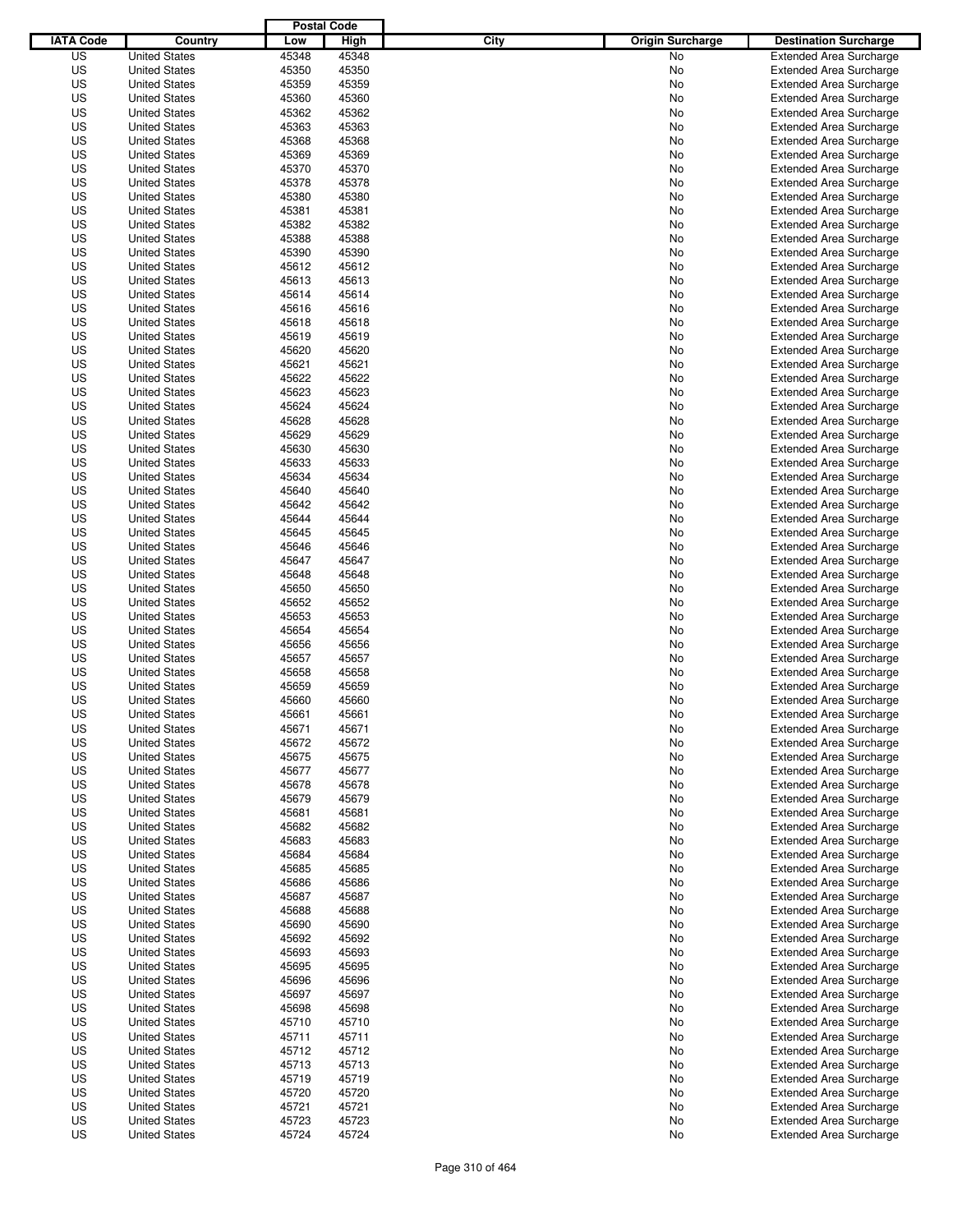|                  |                      | <b>Postal Code</b> |       |                                 |                                |
|------------------|----------------------|--------------------|-------|---------------------------------|--------------------------------|
| <b>IATA Code</b> | Country              | Low                | High  | City<br><b>Origin Surcharge</b> | <b>Destination Surcharge</b>   |
| US               | <b>United States</b> | 45348              | 45348 | <b>No</b>                       | <b>Extended Area Surcharge</b> |
| US               | <b>United States</b> | 45350              | 45350 | No                              | <b>Extended Area Surcharge</b> |
| US               | <b>United States</b> | 45359              | 45359 | No                              | <b>Extended Area Surcharge</b> |
| US               | <b>United States</b> | 45360              | 45360 | No                              | <b>Extended Area Surcharge</b> |
| US               | <b>United States</b> | 45362              | 45362 | No                              | <b>Extended Area Surcharge</b> |
| US               | <b>United States</b> | 45363              | 45363 | No                              | <b>Extended Area Surcharge</b> |
| US               | <b>United States</b> | 45368              | 45368 | No                              | <b>Extended Area Surcharge</b> |
| US               | <b>United States</b> | 45369              | 45369 | No                              | <b>Extended Area Surcharge</b> |
| US               | <b>United States</b> | 45370              | 45370 | No                              | <b>Extended Area Surcharge</b> |
| US               | <b>United States</b> | 45378              | 45378 | No                              | <b>Extended Area Surcharge</b> |
| US               | <b>United States</b> | 45380              | 45380 | No                              | <b>Extended Area Surcharge</b> |
| US               | <b>United States</b> | 45381              | 45381 | No                              | <b>Extended Area Surcharge</b> |
| US               | <b>United States</b> | 45382              | 45382 | No                              | <b>Extended Area Surcharge</b> |
| US               | <b>United States</b> | 45388              | 45388 | No                              | <b>Extended Area Surcharge</b> |
| US               | <b>United States</b> | 45390              | 45390 | No                              | <b>Extended Area Surcharge</b> |
| US               | <b>United States</b> | 45612              | 45612 | No                              | <b>Extended Area Surcharge</b> |
| US               | <b>United States</b> | 45613              | 45613 | No                              | <b>Extended Area Surcharge</b> |
| US               | <b>United States</b> | 45614              | 45614 | No                              | <b>Extended Area Surcharge</b> |
| US               | <b>United States</b> | 45616              | 45616 | No                              | <b>Extended Area Surcharge</b> |
| US               | <b>United States</b> | 45618              | 45618 | No                              | <b>Extended Area Surcharge</b> |
| US               | <b>United States</b> | 45619              | 45619 | No                              | <b>Extended Area Surcharge</b> |
| US               | <b>United States</b> | 45620              | 45620 | No                              | <b>Extended Area Surcharge</b> |
| US               | <b>United States</b> | 45621              | 45621 | No                              | <b>Extended Area Surcharge</b> |
| US               | <b>United States</b> | 45622              | 45622 | No                              | <b>Extended Area Surcharge</b> |
| US               | <b>United States</b> | 45623              | 45623 | No                              | <b>Extended Area Surcharge</b> |
| US               | <b>United States</b> | 45624              | 45624 | No                              | <b>Extended Area Surcharge</b> |
| US               | <b>United States</b> | 45628              | 45628 | No                              | <b>Extended Area Surcharge</b> |
| US               | <b>United States</b> | 45629              | 45629 | No                              | <b>Extended Area Surcharge</b> |
| US               | <b>United States</b> | 45630              | 45630 | No                              | <b>Extended Area Surcharge</b> |
| US               | <b>United States</b> | 45633              | 45633 | No                              | <b>Extended Area Surcharge</b> |
| US               | <b>United States</b> | 45634              | 45634 | No                              | <b>Extended Area Surcharge</b> |
| US               | <b>United States</b> | 45640              | 45640 | No                              | <b>Extended Area Surcharge</b> |
| US               | <b>United States</b> | 45642              | 45642 | No                              | <b>Extended Area Surcharge</b> |
| US               | <b>United States</b> | 45644              | 45644 | No                              | <b>Extended Area Surcharge</b> |
| US               | <b>United States</b> | 45645              | 45645 | No                              | <b>Extended Area Surcharge</b> |
| US               | <b>United States</b> | 45646              | 45646 | No                              | <b>Extended Area Surcharge</b> |
| US               | <b>United States</b> | 45647              | 45647 | No                              | <b>Extended Area Surcharge</b> |
| US               | <b>United States</b> | 45648              | 45648 | No                              | <b>Extended Area Surcharge</b> |
| US               | <b>United States</b> | 45650              | 45650 | No                              | <b>Extended Area Surcharge</b> |
| US               | <b>United States</b> | 45652              | 45652 | No                              | <b>Extended Area Surcharge</b> |
| US               | <b>United States</b> | 45653              | 45653 | No                              | <b>Extended Area Surcharge</b> |
| US               | <b>United States</b> | 45654              | 45654 | No                              | <b>Extended Area Surcharge</b> |
| US               | <b>United States</b> | 45656              | 45656 | No                              | <b>Extended Area Surcharge</b> |
| US               | <b>United States</b> | 45657              | 45657 | No                              | <b>Extended Area Surcharge</b> |
| US               | <b>United States</b> | 45658              | 45658 | No                              | <b>Extended Area Surcharge</b> |
| US               | <b>United States</b> | 45659              | 45659 | No                              | <b>Extended Area Surcharge</b> |
| US               | <b>United States</b> | 45660              | 45660 | No                              | <b>Extended Area Surcharge</b> |
| US               | <b>United States</b> | 45661              | 45661 | No                              | <b>Extended Area Surcharge</b> |
| US               | <b>United States</b> | 45671              | 45671 | No                              | <b>Extended Area Surcharge</b> |
| US               | <b>United States</b> | 45672              | 45672 | No                              | <b>Extended Area Surcharge</b> |
| US               | <b>United States</b> | 45675              | 45675 | No                              | <b>Extended Area Surcharge</b> |
| US               | <b>United States</b> | 45677              | 45677 | No                              | <b>Extended Area Surcharge</b> |
| US               | <b>United States</b> | 45678              | 45678 | No                              | <b>Extended Area Surcharge</b> |
| US               | <b>United States</b> | 45679              | 45679 | No                              | <b>Extended Area Surcharge</b> |
| US               | <b>United States</b> | 45681              | 45681 | No                              | <b>Extended Area Surcharge</b> |
| US               | <b>United States</b> | 45682              | 45682 | No                              | <b>Extended Area Surcharge</b> |
| US               | <b>United States</b> | 45683              | 45683 | No                              | <b>Extended Area Surcharge</b> |
| US               | <b>United States</b> | 45684              | 45684 | No                              | <b>Extended Area Surcharge</b> |
| US               | <b>United States</b> | 45685              | 45685 | No                              | <b>Extended Area Surcharge</b> |
| US               | <b>United States</b> | 45686              | 45686 | No                              | <b>Extended Area Surcharge</b> |
| US               | <b>United States</b> | 45687              | 45687 | No                              | <b>Extended Area Surcharge</b> |
| US               | <b>United States</b> | 45688              | 45688 | No                              | <b>Extended Area Surcharge</b> |
| US               | <b>United States</b> | 45690              | 45690 | No                              | <b>Extended Area Surcharge</b> |
| US               | <b>United States</b> | 45692              | 45692 | No                              | <b>Extended Area Surcharge</b> |
| US               | <b>United States</b> | 45693              | 45693 | No                              | <b>Extended Area Surcharge</b> |
| US               | <b>United States</b> | 45695              | 45695 | No                              | <b>Extended Area Surcharge</b> |
| US               | <b>United States</b> | 45696              | 45696 | No                              | <b>Extended Area Surcharge</b> |
| US               | <b>United States</b> | 45697              | 45697 | No                              | <b>Extended Area Surcharge</b> |
| US               | <b>United States</b> | 45698              | 45698 | No                              | <b>Extended Area Surcharge</b> |
| US               | <b>United States</b> | 45710              | 45710 | No                              | <b>Extended Area Surcharge</b> |
| US               | <b>United States</b> | 45711              | 45711 | No                              | <b>Extended Area Surcharge</b> |
| US               | <b>United States</b> | 45712              | 45712 | No                              | <b>Extended Area Surcharge</b> |
| US               | <b>United States</b> | 45713              | 45713 | No                              | <b>Extended Area Surcharge</b> |
| US               | <b>United States</b> | 45719              | 45719 | No                              | <b>Extended Area Surcharge</b> |
| US               | <b>United States</b> | 45720              | 45720 | No                              | <b>Extended Area Surcharge</b> |
| US               | <b>United States</b> | 45721              | 45721 | No                              | <b>Extended Area Surcharge</b> |
| US               | <b>United States</b> | 45723              | 45723 | No                              | <b>Extended Area Surcharge</b> |
| US               | <b>United States</b> | 45724              | 45724 | No                              | <b>Extended Area Surcharge</b> |
|                  |                      |                    |       |                                 |                                |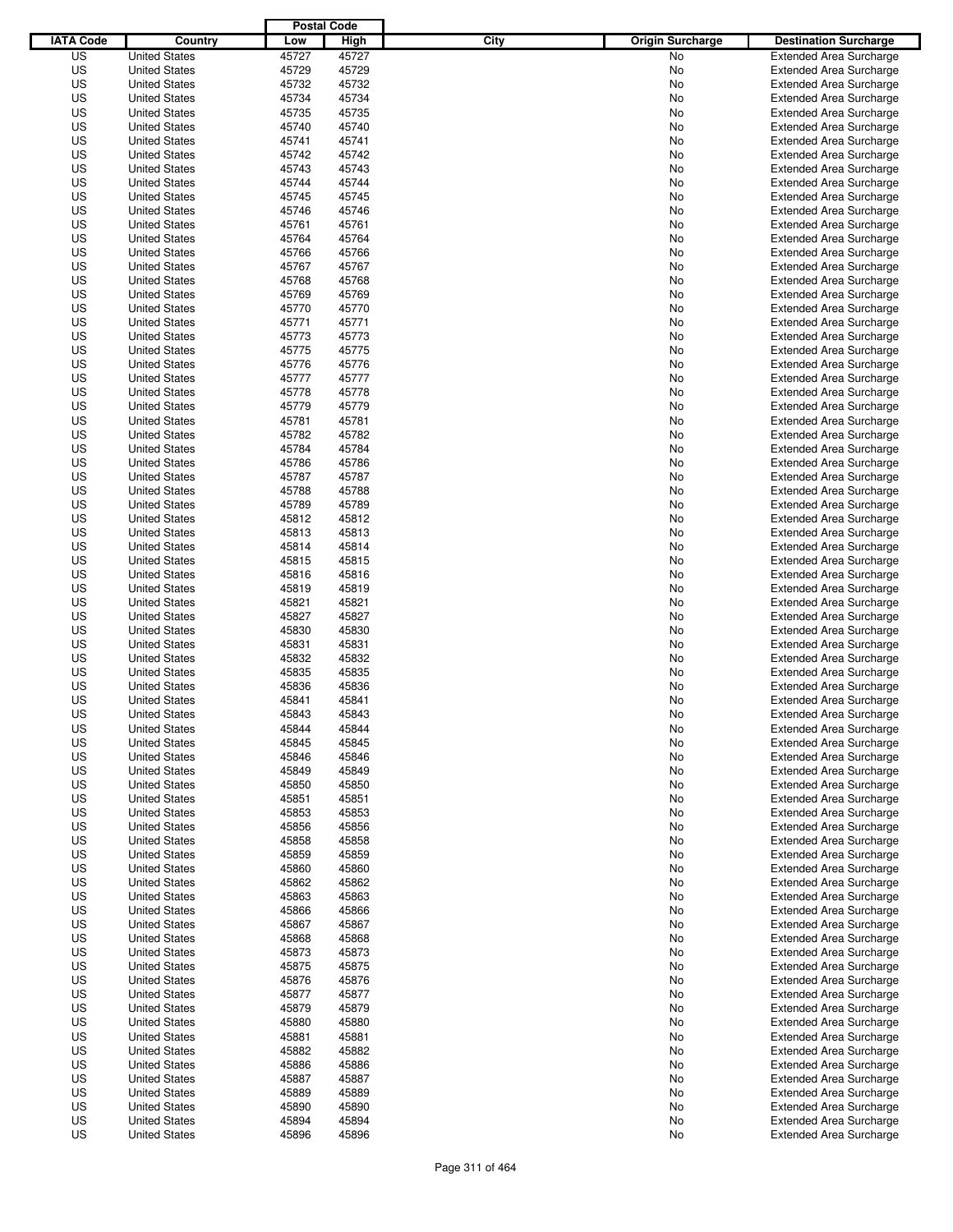|                  |                      | <b>Postal Code</b> |       |                                 |                                |
|------------------|----------------------|--------------------|-------|---------------------------------|--------------------------------|
| <b>IATA Code</b> | Country              | Low                | High  | City<br><b>Origin Surcharge</b> | <b>Destination Surcharge</b>   |
| US               | <b>United States</b> | 45727              | 45727 | <b>No</b>                       | <b>Extended Area Surcharge</b> |
| US               | <b>United States</b> | 45729              | 45729 | No                              | <b>Extended Area Surcharge</b> |
| US               | <b>United States</b> | 45732              | 45732 | No                              | <b>Extended Area Surcharge</b> |
| US               | <b>United States</b> | 45734              | 45734 | No                              | <b>Extended Area Surcharge</b> |
| US               | <b>United States</b> | 45735              | 45735 | No                              | <b>Extended Area Surcharge</b> |
| US               | <b>United States</b> | 45740              | 45740 | No                              | <b>Extended Area Surcharge</b> |
| US               | <b>United States</b> | 45741              | 45741 | No                              | <b>Extended Area Surcharge</b> |
| US               | <b>United States</b> | 45742              | 45742 | No                              | <b>Extended Area Surcharge</b> |
| US               | <b>United States</b> | 45743              | 45743 | No                              | <b>Extended Area Surcharge</b> |
| US               | <b>United States</b> | 45744              | 45744 | No                              | <b>Extended Area Surcharge</b> |
| US               | <b>United States</b> | 45745              | 45745 | No                              | <b>Extended Area Surcharge</b> |
| US               | <b>United States</b> | 45746              | 45746 | No                              | <b>Extended Area Surcharge</b> |
| US               | <b>United States</b> | 45761              | 45761 | No                              | <b>Extended Area Surcharge</b> |
| US               | <b>United States</b> | 45764              | 45764 | No                              | <b>Extended Area Surcharge</b> |
| US               | <b>United States</b> | 45766              | 45766 | No                              | <b>Extended Area Surcharge</b> |
| US               | <b>United States</b> | 45767              | 45767 | No                              | <b>Extended Area Surcharge</b> |
| US               | <b>United States</b> | 45768              | 45768 | No                              | <b>Extended Area Surcharge</b> |
| US               | <b>United States</b> | 45769              | 45769 | No                              | <b>Extended Area Surcharge</b> |
| US               | <b>United States</b> | 45770              | 45770 | No                              | <b>Extended Area Surcharge</b> |
| US               | <b>United States</b> | 45771              | 45771 | No                              | <b>Extended Area Surcharge</b> |
| US               | <b>United States</b> | 45773              | 45773 | No                              | <b>Extended Area Surcharge</b> |
| US               | <b>United States</b> | 45775              | 45775 | No                              | <b>Extended Area Surcharge</b> |
| US               | <b>United States</b> | 45776              | 45776 | No                              | <b>Extended Area Surcharge</b> |
| US               | <b>United States</b> | 45777              | 45777 | No                              | <b>Extended Area Surcharge</b> |
| US               | <b>United States</b> | 45778              | 45778 | No                              | <b>Extended Area Surcharge</b> |
| US               | <b>United States</b> | 45779              | 45779 | No                              | <b>Extended Area Surcharge</b> |
| US               | <b>United States</b> | 45781              | 45781 | No                              | <b>Extended Area Surcharge</b> |
| US               | <b>United States</b> | 45782              | 45782 | No                              | <b>Extended Area Surcharge</b> |
| US               | <b>United States</b> | 45784              | 45784 | No                              | <b>Extended Area Surcharge</b> |
| US               | <b>United States</b> | 45786              | 45786 | No                              | <b>Extended Area Surcharge</b> |
| US               | <b>United States</b> | 45787              | 45787 | No                              | <b>Extended Area Surcharge</b> |
| US               | <b>United States</b> | 45788              | 45788 |                                 |                                |
|                  | <b>United States</b> |                    |       | No                              | <b>Extended Area Surcharge</b> |
| US               |                      | 45789              | 45789 | No                              | <b>Extended Area Surcharge</b> |
| US               | <b>United States</b> | 45812              | 45812 | No                              | <b>Extended Area Surcharge</b> |
| US               | <b>United States</b> | 45813              | 45813 | No                              | <b>Extended Area Surcharge</b> |
| US               | <b>United States</b> | 45814              | 45814 | No                              | <b>Extended Area Surcharge</b> |
| US               | <b>United States</b> | 45815              | 45815 | No                              | <b>Extended Area Surcharge</b> |
| US               | <b>United States</b> | 45816              | 45816 | No                              | <b>Extended Area Surcharge</b> |
| US               | <b>United States</b> | 45819              | 45819 | No                              | <b>Extended Area Surcharge</b> |
| US               | <b>United States</b> | 45821              | 45821 | No                              | <b>Extended Area Surcharge</b> |
| US               | <b>United States</b> | 45827              | 45827 | No                              | <b>Extended Area Surcharge</b> |
| US               | <b>United States</b> | 45830              | 45830 | No                              | <b>Extended Area Surcharge</b> |
| US               | <b>United States</b> | 45831              | 45831 | No                              | <b>Extended Area Surcharge</b> |
| US               | <b>United States</b> | 45832              | 45832 | No                              | <b>Extended Area Surcharge</b> |
| US               | <b>United States</b> | 45835              | 45835 | No                              | Extended Area Surcharge        |
| US               | <b>United States</b> | 45836              | 45836 | No                              | <b>Extended Area Surcharge</b> |
| US               | <b>United States</b> | 45841              | 45841 | No                              | <b>Extended Area Surcharge</b> |
| US               | <b>United States</b> | 45843              | 45843 | No                              | <b>Extended Area Surcharge</b> |
| US               | <b>United States</b> | 45844              | 45844 | No                              | <b>Extended Area Surcharge</b> |
| US               | <b>United States</b> | 45845              | 45845 | No                              | <b>Extended Area Surcharge</b> |
| US               | <b>United States</b> | 45846              | 45846 | No                              | <b>Extended Area Surcharge</b> |
| US               | <b>United States</b> | 45849              | 45849 | No                              | <b>Extended Area Surcharge</b> |
| US               | <b>United States</b> | 45850              | 45850 | No                              | <b>Extended Area Surcharge</b> |
| US               | <b>United States</b> | 45851              | 45851 | No                              | <b>Extended Area Surcharge</b> |
| US               | <b>United States</b> | 45853              | 45853 | No                              | <b>Extended Area Surcharge</b> |
| US               | <b>United States</b> | 45856              | 45856 | No                              | <b>Extended Area Surcharge</b> |
| US               | <b>United States</b> | 45858              | 45858 | No                              | <b>Extended Area Surcharge</b> |
| US               | <b>United States</b> | 45859              | 45859 | No                              | <b>Extended Area Surcharge</b> |
| US               | <b>United States</b> | 45860              | 45860 | No                              | <b>Extended Area Surcharge</b> |
| US               | <b>United States</b> | 45862              | 45862 | No                              | <b>Extended Area Surcharge</b> |
| US               | <b>United States</b> | 45863              | 45863 | No                              | <b>Extended Area Surcharge</b> |
| US               | <b>United States</b> | 45866              | 45866 | No                              | <b>Extended Area Surcharge</b> |
| US               | <b>United States</b> | 45867              | 45867 | No                              | <b>Extended Area Surcharge</b> |
| US               | <b>United States</b> | 45868              | 45868 | No                              | <b>Extended Area Surcharge</b> |
| US               | <b>United States</b> | 45873              | 45873 | No                              | <b>Extended Area Surcharge</b> |
| US               | <b>United States</b> | 45875              | 45875 | No                              | <b>Extended Area Surcharge</b> |
| US               | <b>United States</b> | 45876              | 45876 | No                              | <b>Extended Area Surcharge</b> |
| US               | <b>United States</b> | 45877              | 45877 | No                              | <b>Extended Area Surcharge</b> |
| US               | <b>United States</b> | 45879              | 45879 | No                              | <b>Extended Area Surcharge</b> |
| US               | <b>United States</b> | 45880              | 45880 | No                              | <b>Extended Area Surcharge</b> |
| US               | <b>United States</b> | 45881              | 45881 | No                              | <b>Extended Area Surcharge</b> |
| US               | <b>United States</b> | 45882              | 45882 | No                              | <b>Extended Area Surcharge</b> |
| US               | <b>United States</b> | 45886              | 45886 | No                              | <b>Extended Area Surcharge</b> |
| US               | <b>United States</b> | 45887              | 45887 | No                              | <b>Extended Area Surcharge</b> |
| US               | <b>United States</b> | 45889              | 45889 | No                              | <b>Extended Area Surcharge</b> |
| US               | <b>United States</b> | 45890              | 45890 | No                              | <b>Extended Area Surcharge</b> |
| US               | <b>United States</b> | 45894              | 45894 | No                              | <b>Extended Area Surcharge</b> |
| US               | <b>United States</b> | 45896              | 45896 | No                              | <b>Extended Area Surcharge</b> |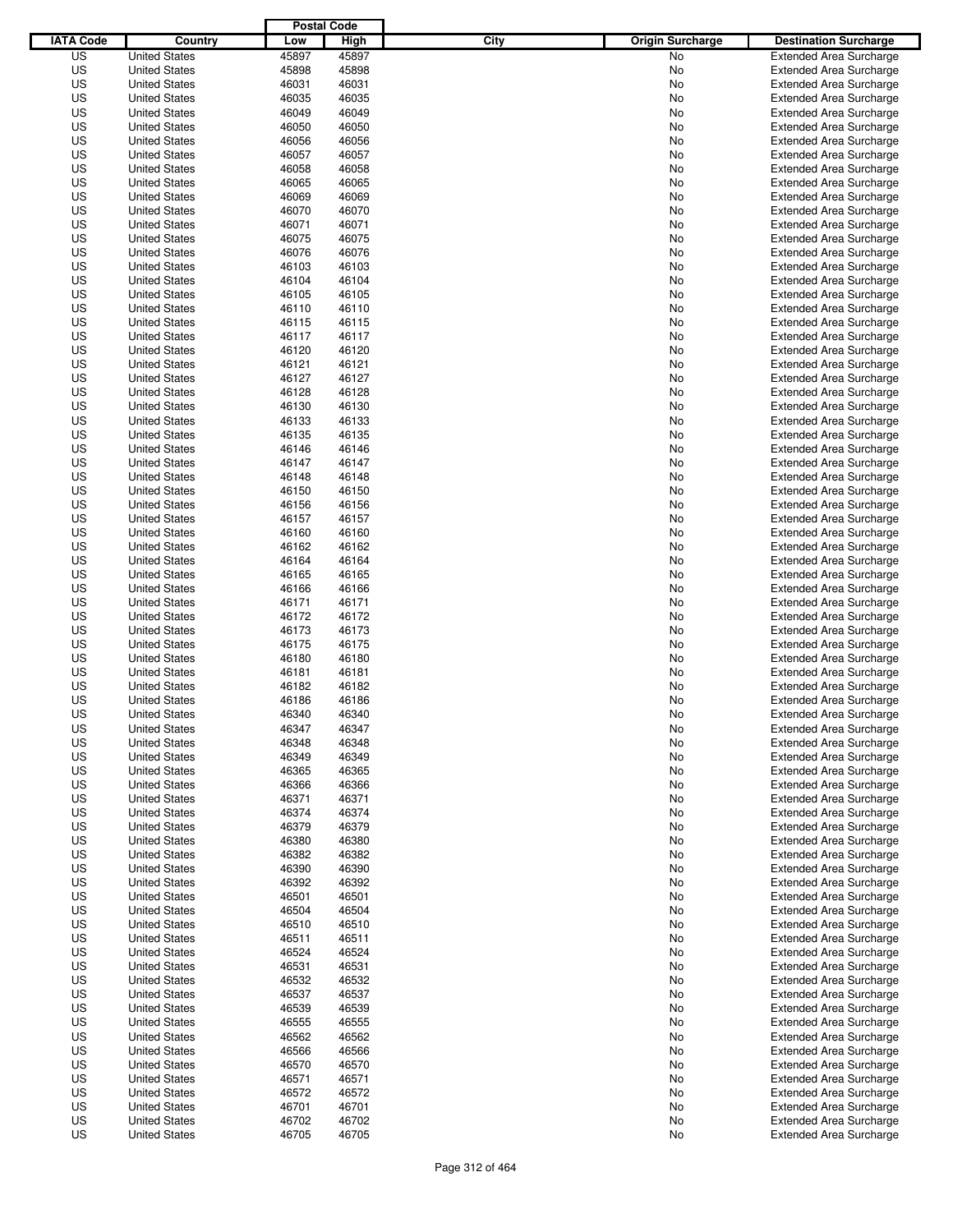|                  |                      | <b>Postal Code</b> |       |                                 |                                |
|------------------|----------------------|--------------------|-------|---------------------------------|--------------------------------|
| <b>IATA Code</b> | Country              | Low                | High  | City<br><b>Origin Surcharge</b> | <b>Destination Surcharge</b>   |
| US               | <b>United States</b> | 45897              | 45897 | <b>No</b>                       | <b>Extended Area Surcharge</b> |
| US               | <b>United States</b> | 45898              | 45898 | No                              | <b>Extended Area Surcharge</b> |
| US               | <b>United States</b> | 46031              | 46031 | No                              | <b>Extended Area Surcharge</b> |
| US               | <b>United States</b> | 46035              | 46035 | No                              | <b>Extended Area Surcharge</b> |
| US               | <b>United States</b> | 46049              | 46049 | No                              | <b>Extended Area Surcharge</b> |
| US               | <b>United States</b> | 46050              | 46050 | No                              | <b>Extended Area Surcharge</b> |
| US               | <b>United States</b> | 46056              | 46056 | No                              | <b>Extended Area Surcharge</b> |
| US               | <b>United States</b> | 46057              | 46057 | No                              | <b>Extended Area Surcharge</b> |
| US               | <b>United States</b> | 46058              | 46058 | No                              | <b>Extended Area Surcharge</b> |
| US               | <b>United States</b> | 46065              | 46065 | No                              | <b>Extended Area Surcharge</b> |
| US               | <b>United States</b> | 46069              | 46069 | No                              | <b>Extended Area Surcharge</b> |
| US               | <b>United States</b> | 46070              | 46070 | No                              | <b>Extended Area Surcharge</b> |
| US               | <b>United States</b> | 46071              | 46071 | No                              | <b>Extended Area Surcharge</b> |
| US               | <b>United States</b> | 46075              | 46075 | No                              | <b>Extended Area Surcharge</b> |
| US               | <b>United States</b> | 46076              | 46076 | No                              | <b>Extended Area Surcharge</b> |
| US               | <b>United States</b> | 46103              | 46103 | No                              | <b>Extended Area Surcharge</b> |
| US               | <b>United States</b> | 46104              | 46104 | No                              | <b>Extended Area Surcharge</b> |
| US               | <b>United States</b> | 46105              | 46105 | No                              | <b>Extended Area Surcharge</b> |
| US               | <b>United States</b> | 46110              | 46110 | No                              | <b>Extended Area Surcharge</b> |
| US               | <b>United States</b> | 46115              | 46115 | No                              | <b>Extended Area Surcharge</b> |
| US               | <b>United States</b> | 46117              | 46117 | No                              | <b>Extended Area Surcharge</b> |
| US               | <b>United States</b> | 46120              | 46120 | No                              | <b>Extended Area Surcharge</b> |
| US               | <b>United States</b> | 46121              | 46121 | No                              | <b>Extended Area Surcharge</b> |
| US               | <b>United States</b> | 46127              | 46127 | No                              | <b>Extended Area Surcharge</b> |
| US               | <b>United States</b> | 46128              | 46128 | No                              | <b>Extended Area Surcharge</b> |
| US               | <b>United States</b> | 46130              | 46130 | No                              | <b>Extended Area Surcharge</b> |
| US               | <b>United States</b> | 46133              | 46133 | No                              | <b>Extended Area Surcharge</b> |
| US               | <b>United States</b> | 46135              | 46135 | No                              | <b>Extended Area Surcharge</b> |
| US               | <b>United States</b> | 46146              | 46146 | No                              | <b>Extended Area Surcharge</b> |
| US               | <b>United States</b> | 46147              | 46147 | No                              | <b>Extended Area Surcharge</b> |
| US               | <b>United States</b> | 46148              | 46148 | No                              | <b>Extended Area Surcharge</b> |
| US               | <b>United States</b> | 46150              | 46150 | No                              | <b>Extended Area Surcharge</b> |
| US               | <b>United States</b> | 46156              | 46156 | No                              | <b>Extended Area Surcharge</b> |
| US               | <b>United States</b> | 46157              | 46157 | No                              | <b>Extended Area Surcharge</b> |
| US               | <b>United States</b> | 46160              | 46160 | No                              | <b>Extended Area Surcharge</b> |
| US               | <b>United States</b> | 46162              | 46162 | No                              | <b>Extended Area Surcharge</b> |
| US               | <b>United States</b> | 46164              | 46164 | No                              | <b>Extended Area Surcharge</b> |
| US               |                      | 46165              | 46165 |                                 |                                |
|                  | <b>United States</b> |                    |       | No                              | <b>Extended Area Surcharge</b> |
| US               | <b>United States</b> | 46166              | 46166 | No                              | <b>Extended Area Surcharge</b> |
| US               | <b>United States</b> | 46171              | 46171 | No                              | <b>Extended Area Surcharge</b> |
| US               | <b>United States</b> | 46172              | 46172 | No                              | <b>Extended Area Surcharge</b> |
| US               | <b>United States</b> | 46173              | 46173 | No                              | <b>Extended Area Surcharge</b> |
| US               | <b>United States</b> | 46175              | 46175 | No                              | <b>Extended Area Surcharge</b> |
| US               | <b>United States</b> | 46180              | 46180 | No                              | <b>Extended Area Surcharge</b> |
| US               | <b>United States</b> | 46181              | 46181 | No                              | Extended Area Surcharge        |
| US               | <b>United States</b> | 46182              | 46182 | No                              | <b>Extended Area Surcharge</b> |
| US               | <b>United States</b> | 46186              | 46186 | No                              | <b>Extended Area Surcharge</b> |
| US               | <b>United States</b> | 46340              | 46340 | No                              | <b>Extended Area Surcharge</b> |
| US               | <b>United States</b> | 46347              | 46347 | No                              | <b>Extended Area Surcharge</b> |
| US               | <b>United States</b> | 46348              | 46348 | No                              | <b>Extended Area Surcharge</b> |
| US               | <b>United States</b> | 46349              | 46349 | No                              | <b>Extended Area Surcharge</b> |
| US               | <b>United States</b> | 46365              | 46365 | No                              | <b>Extended Area Surcharge</b> |
| US               | <b>United States</b> | 46366              | 46366 | No                              | <b>Extended Area Surcharge</b> |
| US               | <b>United States</b> | 46371              | 46371 | No                              | <b>Extended Area Surcharge</b> |
| US               | <b>United States</b> | 46374              | 46374 | No                              | <b>Extended Area Surcharge</b> |
| US               | <b>United States</b> | 46379              | 46379 | No                              | <b>Extended Area Surcharge</b> |
| US               | <b>United States</b> | 46380              | 46380 | No                              | <b>Extended Area Surcharge</b> |
| US               | <b>United States</b> | 46382              | 46382 | No                              | <b>Extended Area Surcharge</b> |
| US               | <b>United States</b> | 46390              | 46390 | No                              | <b>Extended Area Surcharge</b> |
| US               | <b>United States</b> | 46392              | 46392 | No                              | <b>Extended Area Surcharge</b> |
| US               | <b>United States</b> | 46501              | 46501 | No                              | <b>Extended Area Surcharge</b> |
| US               | <b>United States</b> | 46504              | 46504 | No                              | <b>Extended Area Surcharge</b> |
| US               | <b>United States</b> | 46510              | 46510 | No                              | <b>Extended Area Surcharge</b> |
| US               | <b>United States</b> | 46511              | 46511 | No                              | <b>Extended Area Surcharge</b> |
| US               | <b>United States</b> | 46524              | 46524 | No                              | <b>Extended Area Surcharge</b> |
| US               | <b>United States</b> | 46531              | 46531 | No                              | <b>Extended Area Surcharge</b> |
| US               | <b>United States</b> | 46532              | 46532 | No                              | <b>Extended Area Surcharge</b> |
| US               | <b>United States</b> | 46537              | 46537 | No                              | <b>Extended Area Surcharge</b> |
| US               | <b>United States</b> | 46539              | 46539 | No                              | <b>Extended Area Surcharge</b> |
| US               | <b>United States</b> | 46555              | 46555 | No                              | <b>Extended Area Surcharge</b> |
| US               | <b>United States</b> | 46562              | 46562 | No                              | <b>Extended Area Surcharge</b> |
| US               | <b>United States</b> | 46566              | 46566 | No                              | <b>Extended Area Surcharge</b> |
| US               | <b>United States</b> | 46570              | 46570 | No                              | <b>Extended Area Surcharge</b> |
| US               | <b>United States</b> | 46571              | 46571 | No                              | <b>Extended Area Surcharge</b> |
| US               | <b>United States</b> | 46572              | 46572 | No                              | <b>Extended Area Surcharge</b> |
| US               | <b>United States</b> | 46701              | 46701 | No                              | <b>Extended Area Surcharge</b> |
| US               | <b>United States</b> | 46702              | 46702 | No                              | <b>Extended Area Surcharge</b> |
| US               | <b>United States</b> | 46705              | 46705 | No                              | <b>Extended Area Surcharge</b> |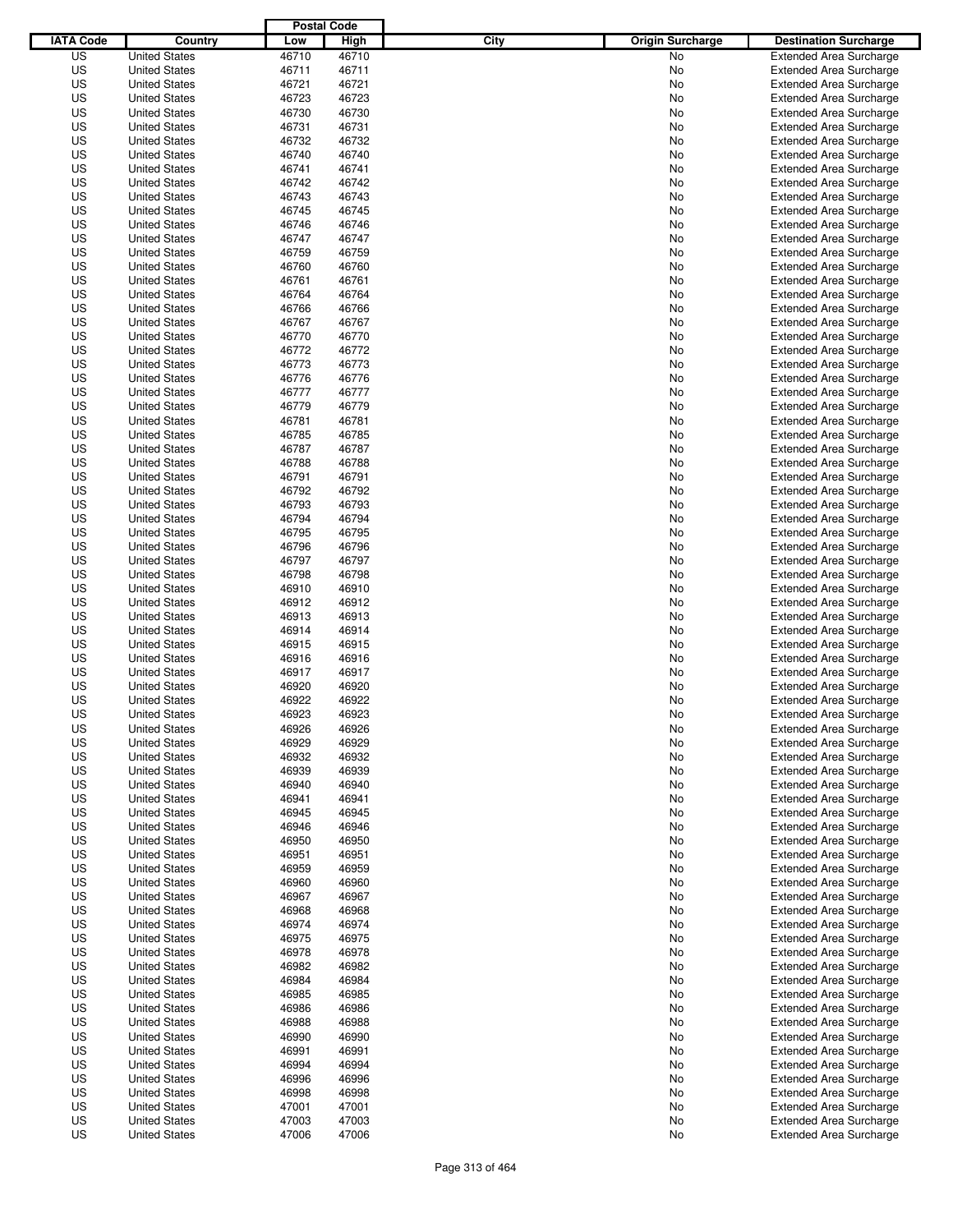|                  |                      | <b>Postal Code</b> |       |                                 |                                |
|------------------|----------------------|--------------------|-------|---------------------------------|--------------------------------|
| <b>IATA Code</b> | Country              | Low                | High  | City<br><b>Origin Surcharge</b> | <b>Destination Surcharge</b>   |
| US               | <b>United States</b> | 46710              | 46710 | <b>No</b>                       | <b>Extended Area Surcharge</b> |
| US               | <b>United States</b> | 46711              | 46711 | No                              | <b>Extended Area Surcharge</b> |
| US               | <b>United States</b> | 46721              | 46721 | No                              | <b>Extended Area Surcharge</b> |
| US               | <b>United States</b> | 46723              | 46723 | No                              | <b>Extended Area Surcharge</b> |
| US               | <b>United States</b> | 46730              | 46730 | No                              | <b>Extended Area Surcharge</b> |
| US               | <b>United States</b> | 46731              | 46731 | No                              | <b>Extended Area Surcharge</b> |
| US               | <b>United States</b> | 46732              | 46732 | No                              | <b>Extended Area Surcharge</b> |
| US               | <b>United States</b> | 46740              | 46740 | No                              | <b>Extended Area Surcharge</b> |
| US               | <b>United States</b> | 46741              | 46741 | No                              | <b>Extended Area Surcharge</b> |
| US               | <b>United States</b> | 46742              | 46742 | No                              | <b>Extended Area Surcharge</b> |
| US               | <b>United States</b> | 46743              | 46743 | No                              | <b>Extended Area Surcharge</b> |
| US               | <b>United States</b> | 46745              | 46745 | No                              | <b>Extended Area Surcharge</b> |
| US               | <b>United States</b> | 46746              | 46746 | No                              | <b>Extended Area Surcharge</b> |
| US               | <b>United States</b> | 46747              | 46747 | No                              | <b>Extended Area Surcharge</b> |
| US               | <b>United States</b> | 46759              | 46759 | No                              | <b>Extended Area Surcharge</b> |
| US               | <b>United States</b> | 46760              | 46760 | No                              | <b>Extended Area Surcharge</b> |
| US               | <b>United States</b> | 46761              | 46761 | No                              | <b>Extended Area Surcharge</b> |
| US               | <b>United States</b> | 46764              | 46764 | No                              | <b>Extended Area Surcharge</b> |
| US               | <b>United States</b> | 46766              | 46766 | No                              | <b>Extended Area Surcharge</b> |
| US               | <b>United States</b> | 46767              | 46767 | No                              | <b>Extended Area Surcharge</b> |
| US               | <b>United States</b> | 46770              | 46770 | No                              | <b>Extended Area Surcharge</b> |
| US               | <b>United States</b> | 46772              | 46772 | No                              | <b>Extended Area Surcharge</b> |
| US               | <b>United States</b> | 46773              | 46773 | No                              | <b>Extended Area Surcharge</b> |
| US               | <b>United States</b> | 46776              | 46776 | No                              | <b>Extended Area Surcharge</b> |
| US               | <b>United States</b> | 46777              | 46777 | No                              | <b>Extended Area Surcharge</b> |
| US               | <b>United States</b> | 46779              | 46779 | No                              | <b>Extended Area Surcharge</b> |
| US               | <b>United States</b> | 46781              | 46781 | No                              | <b>Extended Area Surcharge</b> |
| US               | <b>United States</b> | 46785              | 46785 | No                              | <b>Extended Area Surcharge</b> |
| US               | <b>United States</b> | 46787              | 46787 | No                              | <b>Extended Area Surcharge</b> |
| US               | <b>United States</b> | 46788              | 46788 | No                              | <b>Extended Area Surcharge</b> |
| US               | <b>United States</b> | 46791              | 46791 | No                              | <b>Extended Area Surcharge</b> |
| US               | <b>United States</b> | 46792              | 46792 | No                              | <b>Extended Area Surcharge</b> |
| US               | <b>United States</b> | 46793              | 46793 | No                              | <b>Extended Area Surcharge</b> |
| US               | <b>United States</b> | 46794              | 46794 | No                              | <b>Extended Area Surcharge</b> |
| US               | <b>United States</b> | 46795              | 46795 | No                              | <b>Extended Area Surcharge</b> |
| US               | <b>United States</b> | 46796              | 46796 | No                              | <b>Extended Area Surcharge</b> |
| US               | <b>United States</b> | 46797              | 46797 | No                              | <b>Extended Area Surcharge</b> |
| US               | <b>United States</b> | 46798              | 46798 | No                              | <b>Extended Area Surcharge</b> |
| US               | <b>United States</b> | 46910              | 46910 | No                              | <b>Extended Area Surcharge</b> |
| US               | <b>United States</b> | 46912              | 46912 | No                              | <b>Extended Area Surcharge</b> |
| US               | <b>United States</b> | 46913              | 46913 | No                              | <b>Extended Area Surcharge</b> |
| US               | <b>United States</b> | 46914              | 46914 | No                              | <b>Extended Area Surcharge</b> |
| US               | <b>United States</b> | 46915              | 46915 | No                              | <b>Extended Area Surcharge</b> |
| US               | <b>United States</b> | 46916              | 46916 | No                              | <b>Extended Area Surcharge</b> |
| US               | <b>United States</b> | 46917              | 46917 | No                              | Extended Area Surcharge        |
| US               | <b>United States</b> | 46920              | 46920 | No                              | <b>Extended Area Surcharge</b> |
| US               | <b>United States</b> | 46922              | 46922 | No                              | <b>Extended Area Surcharge</b> |
| US               | <b>United States</b> | 46923              | 46923 | No                              | <b>Extended Area Surcharge</b> |
| US               | <b>United States</b> | 46926              | 46926 | No                              | <b>Extended Area Surcharge</b> |
| US               | <b>United States</b> | 46929              | 46929 | No                              | <b>Extended Area Surcharge</b> |
| US               | <b>United States</b> | 46932              | 46932 | No                              | <b>Extended Area Surcharge</b> |
| US               | <b>United States</b> | 46939              | 46939 | No                              | <b>Extended Area Surcharge</b> |
| US               | <b>United States</b> | 46940              | 46940 | No                              | <b>Extended Area Surcharge</b> |
| US               | <b>United States</b> | 46941              | 46941 | No                              | <b>Extended Area Surcharge</b> |
| US               | <b>United States</b> | 46945              | 46945 | No                              | <b>Extended Area Surcharge</b> |
| US               | <b>United States</b> | 46946              | 46946 | No                              | <b>Extended Area Surcharge</b> |
| US               | <b>United States</b> | 46950              | 46950 | No                              | <b>Extended Area Surcharge</b> |
| US               | <b>United States</b> | 46951              | 46951 | No                              | <b>Extended Area Surcharge</b> |
| US               | <b>United States</b> | 46959              | 46959 | No                              | <b>Extended Area Surcharge</b> |
| US               | <b>United States</b> | 46960              | 46960 | No                              | <b>Extended Area Surcharge</b> |
| US               | <b>United States</b> | 46967              | 46967 | No                              | <b>Extended Area Surcharge</b> |
| US               | <b>United States</b> | 46968              | 46968 | No                              | <b>Extended Area Surcharge</b> |
| US               | <b>United States</b> | 46974              | 46974 | No                              | <b>Extended Area Surcharge</b> |
| US               | <b>United States</b> | 46975              | 46975 | No                              | <b>Extended Area Surcharge</b> |
| US               | <b>United States</b> | 46978              | 46978 | No                              | <b>Extended Area Surcharge</b> |
| US               | <b>United States</b> | 46982              | 46982 | No                              | <b>Extended Area Surcharge</b> |
| US               | <b>United States</b> | 46984              | 46984 | No                              | <b>Extended Area Surcharge</b> |
| US               | <b>United States</b> | 46985              | 46985 | No                              | <b>Extended Area Surcharge</b> |
| US               | <b>United States</b> | 46986              | 46986 | No                              | <b>Extended Area Surcharge</b> |
| US               | <b>United States</b> | 46988              | 46988 | No                              | <b>Extended Area Surcharge</b> |
| US               | <b>United States</b> | 46990              | 46990 | No                              | <b>Extended Area Surcharge</b> |
| US               | <b>United States</b> | 46991              | 46991 | No                              | <b>Extended Area Surcharge</b> |
| US               | <b>United States</b> | 46994              | 46994 | No                              | <b>Extended Area Surcharge</b> |
| US               | <b>United States</b> | 46996              | 46996 | No                              | <b>Extended Area Surcharge</b> |
| US               | <b>United States</b> | 46998              | 46998 | No                              | <b>Extended Area Surcharge</b> |
| US               | <b>United States</b> | 47001              | 47001 | No                              | <b>Extended Area Surcharge</b> |
| US               | <b>United States</b> | 47003              | 47003 | No                              | <b>Extended Area Surcharge</b> |
| US               | <b>United States</b> | 47006              | 47006 | No                              | <b>Extended Area Surcharge</b> |
|                  |                      |                    |       |                                 |                                |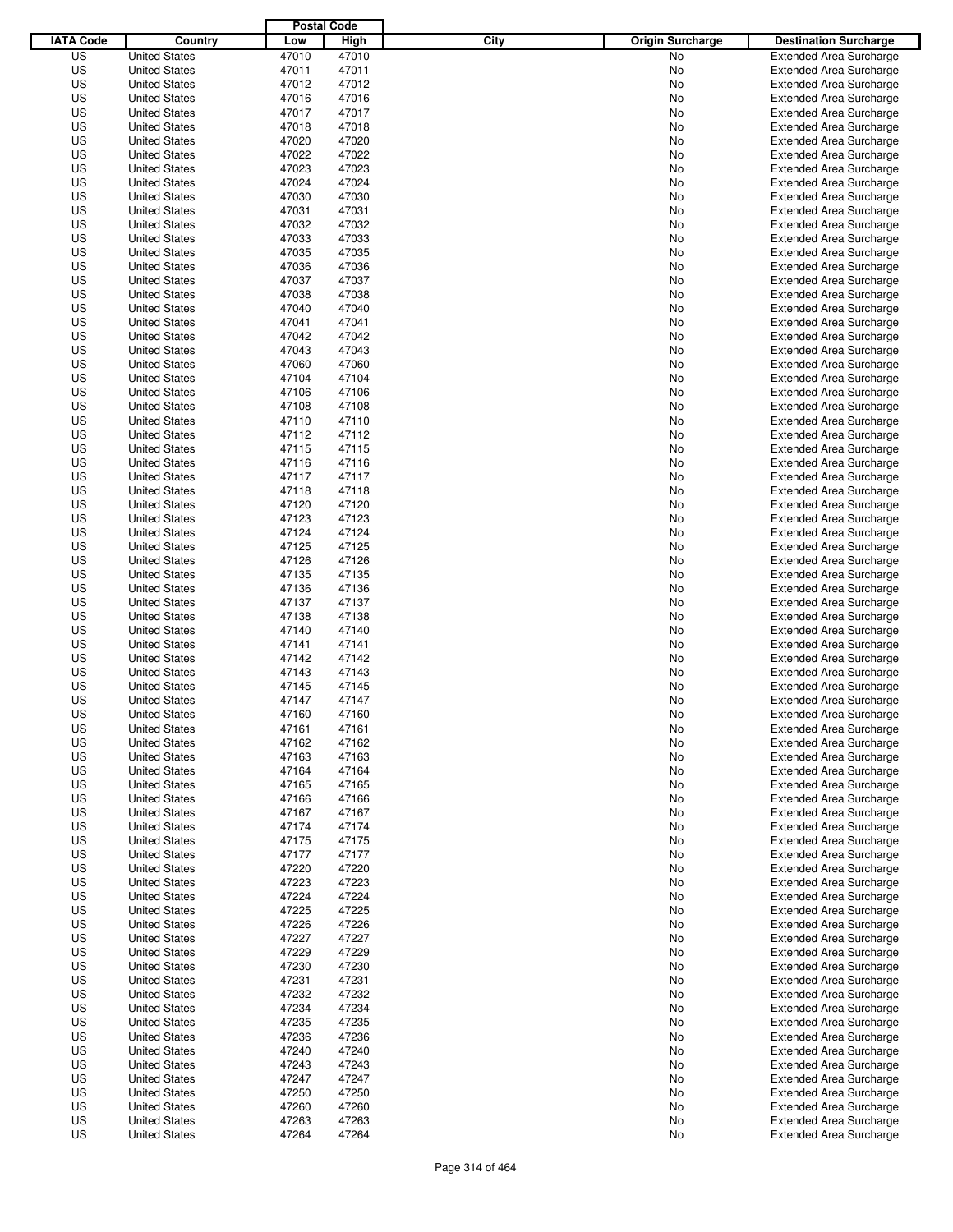|                  |                      | <b>Postal Code</b> |       |                                 |                                |
|------------------|----------------------|--------------------|-------|---------------------------------|--------------------------------|
| <b>IATA Code</b> | Country              | Low                | High  | City<br><b>Origin Surcharge</b> | <b>Destination Surcharge</b>   |
| US               | <b>United States</b> | 47010              | 47010 | <b>No</b>                       | <b>Extended Area Surcharge</b> |
| US               | <b>United States</b> | 47011              | 47011 | No                              | <b>Extended Area Surcharge</b> |
| US               | <b>United States</b> | 47012              | 47012 | No                              | <b>Extended Area Surcharge</b> |
| US               | <b>United States</b> | 47016              | 47016 | No                              | <b>Extended Area Surcharge</b> |
| US               | <b>United States</b> | 47017              | 47017 | No                              | <b>Extended Area Surcharge</b> |
| US               | <b>United States</b> | 47018              | 47018 | No                              | <b>Extended Area Surcharge</b> |
| US               | <b>United States</b> | 47020              | 47020 | No                              | <b>Extended Area Surcharge</b> |
| US               | <b>United States</b> | 47022              | 47022 | No                              | <b>Extended Area Surcharge</b> |
| US               | <b>United States</b> | 47023              | 47023 | No                              | <b>Extended Area Surcharge</b> |
| US               | <b>United States</b> | 47024              | 47024 | No                              | <b>Extended Area Surcharge</b> |
| US               | <b>United States</b> | 47030              | 47030 | No                              | <b>Extended Area Surcharge</b> |
| US               | <b>United States</b> | 47031              | 47031 | No                              | <b>Extended Area Surcharge</b> |
| US               | <b>United States</b> | 47032              | 47032 | No                              | <b>Extended Area Surcharge</b> |
| US               | <b>United States</b> | 47033              | 47033 | No                              | <b>Extended Area Surcharge</b> |
| US               | <b>United States</b> | 47035              | 47035 | No                              | <b>Extended Area Surcharge</b> |
| US               | <b>United States</b> | 47036              | 47036 | No                              | <b>Extended Area Surcharge</b> |
| US               | <b>United States</b> | 47037              | 47037 | No                              | <b>Extended Area Surcharge</b> |
| US               | <b>United States</b> | 47038              | 47038 | No                              | <b>Extended Area Surcharge</b> |
| US               | <b>United States</b> | 47040              | 47040 | No                              | <b>Extended Area Surcharge</b> |
| US               | <b>United States</b> | 47041              | 47041 | No                              | <b>Extended Area Surcharge</b> |
| US               | <b>United States</b> | 47042              | 47042 | No                              | <b>Extended Area Surcharge</b> |
| US               | <b>United States</b> | 47043              | 47043 | No                              | <b>Extended Area Surcharge</b> |
| US               | <b>United States</b> | 47060              | 47060 | No                              | <b>Extended Area Surcharge</b> |
| US               | <b>United States</b> | 47104              | 47104 | No                              | <b>Extended Area Surcharge</b> |
| US               | <b>United States</b> | 47106              | 47106 | No                              | <b>Extended Area Surcharge</b> |
| US               | <b>United States</b> | 47108              | 47108 | No                              | <b>Extended Area Surcharge</b> |
| US               | <b>United States</b> | 47110              | 47110 | No                              | <b>Extended Area Surcharge</b> |
| US               | <b>United States</b> | 47112              | 47112 | No                              | <b>Extended Area Surcharge</b> |
| US               | <b>United States</b> | 47115              | 47115 | No                              | <b>Extended Area Surcharge</b> |
| US               | <b>United States</b> | 47116              | 47116 | No                              | <b>Extended Area Surcharge</b> |
| US               | <b>United States</b> | 47117              | 47117 | No                              | <b>Extended Area Surcharge</b> |
| US               | <b>United States</b> | 47118              | 47118 | No                              | <b>Extended Area Surcharge</b> |
| US               | <b>United States</b> | 47120              | 47120 | No                              | <b>Extended Area Surcharge</b> |
| US               | <b>United States</b> | 47123              | 47123 | No                              | <b>Extended Area Surcharge</b> |
| US               | <b>United States</b> | 47124              | 47124 | No                              | <b>Extended Area Surcharge</b> |
| US               | <b>United States</b> | 47125              | 47125 | No                              | <b>Extended Area Surcharge</b> |
| US               | <b>United States</b> | 47126              | 47126 | No                              | <b>Extended Area Surcharge</b> |
| US               | <b>United States</b> | 47135              | 47135 | No                              | <b>Extended Area Surcharge</b> |
| US               | <b>United States</b> | 47136              | 47136 | No                              | <b>Extended Area Surcharge</b> |
| US               | <b>United States</b> | 47137              | 47137 | No                              | <b>Extended Area Surcharge</b> |
| US               | <b>United States</b> | 47138              | 47138 | No                              | <b>Extended Area Surcharge</b> |
| US               | <b>United States</b> | 47140              | 47140 | No                              | <b>Extended Area Surcharge</b> |
| US               | <b>United States</b> | 47141              | 47141 | No                              | <b>Extended Area Surcharge</b> |
| US               | <b>United States</b> | 47142              | 47142 | No                              | <b>Extended Area Surcharge</b> |
| US               | <b>United States</b> | 47143              | 47143 | No                              | Extended Area Surcharge        |
| US               | <b>United States</b> | 47145              | 47145 | No                              | <b>Extended Area Surcharge</b> |
| US               | <b>United States</b> | 47147              | 47147 | No                              | <b>Extended Area Surcharge</b> |
| US               | <b>United States</b> | 47160              | 47160 | No                              | <b>Extended Area Surcharge</b> |
| US               | <b>United States</b> | 47161              | 47161 | No                              | <b>Extended Area Surcharge</b> |
| US               | <b>United States</b> | 47162              | 47162 | No                              | <b>Extended Area Surcharge</b> |
| US               | <b>United States</b> | 47163              | 47163 | No                              | <b>Extended Area Surcharge</b> |
| US               | <b>United States</b> | 47164              | 47164 | No                              | <b>Extended Area Surcharge</b> |
| US               | <b>United States</b> | 47165              | 47165 | No                              | <b>Extended Area Surcharge</b> |
| US               | <b>United States</b> | 47166              | 47166 | No                              | <b>Extended Area Surcharge</b> |
| US               | <b>United States</b> | 47167              | 47167 | No                              | <b>Extended Area Surcharge</b> |
| US               | <b>United States</b> | 47174              | 47174 | No                              | <b>Extended Area Surcharge</b> |
| US               | <b>United States</b> | 47175              | 47175 | No                              | <b>Extended Area Surcharge</b> |
| US               | <b>United States</b> | 47177              | 47177 | No                              | <b>Extended Area Surcharge</b> |
| US               | <b>United States</b> | 47220              | 47220 | No                              | <b>Extended Area Surcharge</b> |
| US               | <b>United States</b> | 47223              | 47223 | No                              | <b>Extended Area Surcharge</b> |
| US               | <b>United States</b> | 47224              | 47224 | No                              | <b>Extended Area Surcharge</b> |
| US               | <b>United States</b> | 47225              | 47225 | No                              | <b>Extended Area Surcharge</b> |
| US               | <b>United States</b> | 47226              | 47226 | No                              | <b>Extended Area Surcharge</b> |
| US               | <b>United States</b> | 47227              | 47227 | No                              | <b>Extended Area Surcharge</b> |
| US               | <b>United States</b> | 47229              | 47229 | No                              | <b>Extended Area Surcharge</b> |
| US               | <b>United States</b> | 47230              | 47230 | No                              | <b>Extended Area Surcharge</b> |
| US               | <b>United States</b> | 47231              | 47231 | No                              | <b>Extended Area Surcharge</b> |
| US               | <b>United States</b> | 47232              | 47232 | No                              | <b>Extended Area Surcharge</b> |
| US               | <b>United States</b> | 47234              | 47234 | No                              | <b>Extended Area Surcharge</b> |
| US               | <b>United States</b> | 47235              | 47235 | No                              | Extended Area Surcharge        |
| US               | <b>United States</b> | 47236              | 47236 | No                              | <b>Extended Area Surcharge</b> |
| US               | <b>United States</b> | 47240              | 47240 | No                              | <b>Extended Area Surcharge</b> |
| US               | <b>United States</b> | 47243              | 47243 | No                              | <b>Extended Area Surcharge</b> |
| US               | <b>United States</b> | 47247              | 47247 | No                              | <b>Extended Area Surcharge</b> |
| US               | <b>United States</b> | 47250              | 47250 | No                              | <b>Extended Area Surcharge</b> |
| US               | <b>United States</b> | 47260              | 47260 | No                              | <b>Extended Area Surcharge</b> |
| US               | <b>United States</b> | 47263              | 47263 | No                              | <b>Extended Area Surcharge</b> |
| US               | <b>United States</b> | 47264              | 47264 | No                              | <b>Extended Area Surcharge</b> |
|                  |                      |                    |       |                                 |                                |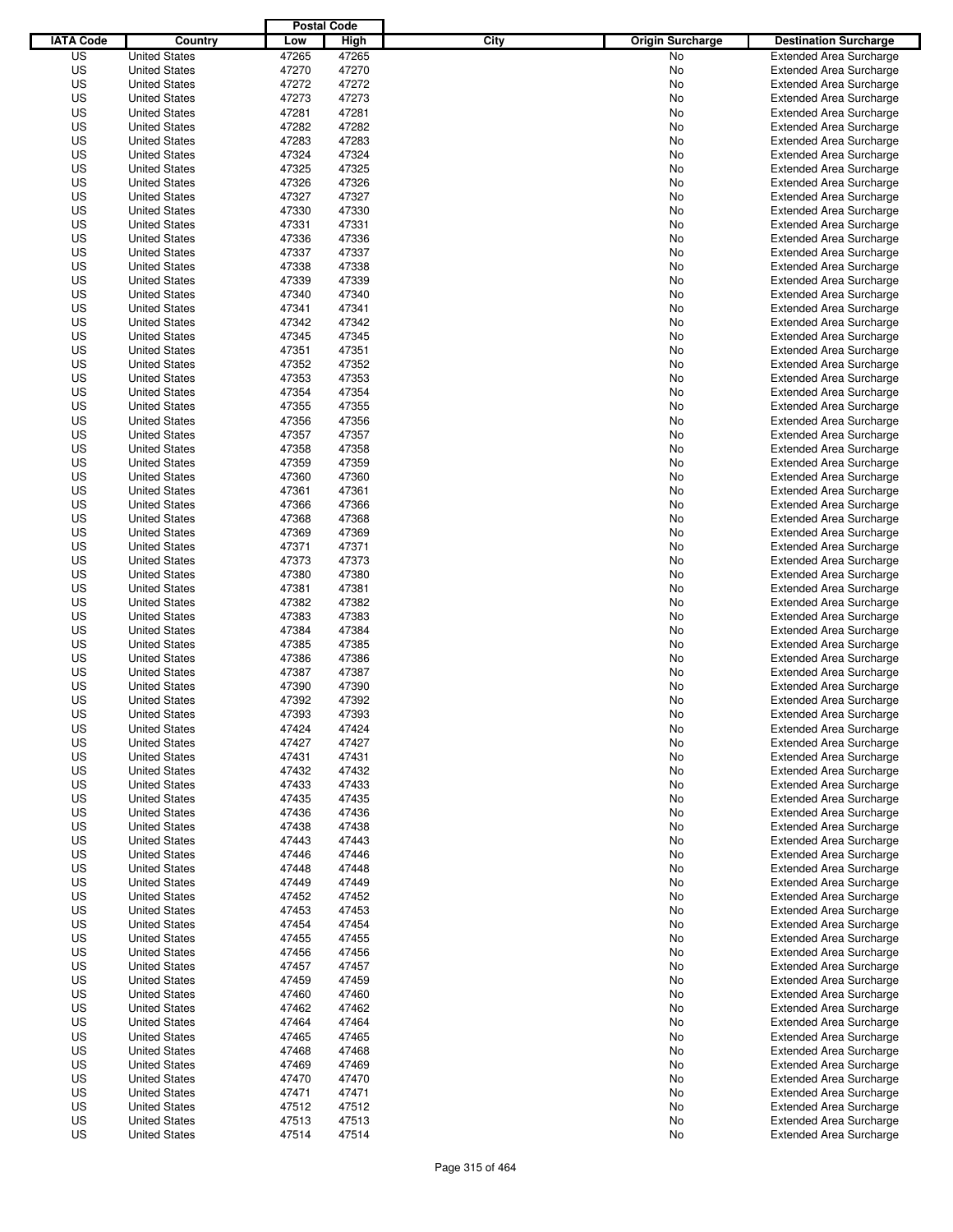|                  |                      | <b>Postal Code</b> |       |                                 |                                |
|------------------|----------------------|--------------------|-------|---------------------------------|--------------------------------|
| <b>IATA Code</b> | Country              | Low                | High  | City<br><b>Origin Surcharge</b> | <b>Destination Surcharge</b>   |
| US               | <b>United States</b> | 47265              | 47265 | <b>No</b>                       | <b>Extended Area Surcharge</b> |
| US               | <b>United States</b> | 47270              | 47270 | No                              | <b>Extended Area Surcharge</b> |
| US               | <b>United States</b> | 47272              | 47272 | No                              | <b>Extended Area Surcharge</b> |
| US               | <b>United States</b> | 47273              | 47273 | No                              | <b>Extended Area Surcharge</b> |
| US               | <b>United States</b> | 47281              | 47281 | No                              | <b>Extended Area Surcharge</b> |
| US               | <b>United States</b> | 47282              | 47282 | No                              | <b>Extended Area Surcharge</b> |
| US               | <b>United States</b> | 47283              | 47283 | No                              | <b>Extended Area Surcharge</b> |
| US               | <b>United States</b> | 47324              | 47324 | No                              | <b>Extended Area Surcharge</b> |
| US               | <b>United States</b> | 47325              | 47325 | No                              | <b>Extended Area Surcharge</b> |
| US               | <b>United States</b> | 47326              | 47326 | No                              | <b>Extended Area Surcharge</b> |
| US               | <b>United States</b> | 47327              | 47327 | No                              | <b>Extended Area Surcharge</b> |
| US               | <b>United States</b> | 47330              | 47330 | No                              | <b>Extended Area Surcharge</b> |
| US               | <b>United States</b> | 47331              | 47331 | No                              | <b>Extended Area Surcharge</b> |
| US               | <b>United States</b> | 47336              | 47336 | No                              | <b>Extended Area Surcharge</b> |
| US               | <b>United States</b> | 47337              | 47337 | No                              | <b>Extended Area Surcharge</b> |
| US               | <b>United States</b> | 47338              | 47338 | No                              | <b>Extended Area Surcharge</b> |
| US               | <b>United States</b> | 47339              | 47339 | No                              | <b>Extended Area Surcharge</b> |
| US               | <b>United States</b> | 47340              | 47340 | No                              | <b>Extended Area Surcharge</b> |
| US               | <b>United States</b> | 47341              | 47341 | No                              | <b>Extended Area Surcharge</b> |
| US               | <b>United States</b> | 47342              | 47342 | No                              | <b>Extended Area Surcharge</b> |
| US               | <b>United States</b> | 47345              | 47345 | No                              | <b>Extended Area Surcharge</b> |
| US               | <b>United States</b> | 47351              | 47351 | No                              | <b>Extended Area Surcharge</b> |
| US               | <b>United States</b> | 47352              | 47352 | No                              | <b>Extended Area Surcharge</b> |
| US               | <b>United States</b> | 47353              | 47353 | No                              | <b>Extended Area Surcharge</b> |
| US               | <b>United States</b> | 47354              | 47354 | No                              | <b>Extended Area Surcharge</b> |
| US               | <b>United States</b> | 47355              | 47355 | No                              | <b>Extended Area Surcharge</b> |
| US               | <b>United States</b> | 47356              | 47356 | No                              | <b>Extended Area Surcharge</b> |
| US               | <b>United States</b> | 47357              | 47357 | No                              | <b>Extended Area Surcharge</b> |
| US               | <b>United States</b> | 47358              | 47358 | No                              | <b>Extended Area Surcharge</b> |
| US               | <b>United States</b> | 47359              | 47359 | No                              | <b>Extended Area Surcharge</b> |
| US               | <b>United States</b> | 47360              | 47360 | No                              | <b>Extended Area Surcharge</b> |
| US               | <b>United States</b> | 47361              | 47361 | No                              | <b>Extended Area Surcharge</b> |
| US               | <b>United States</b> | 47366              | 47366 | No                              | <b>Extended Area Surcharge</b> |
| US               | <b>United States</b> | 47368              | 47368 | No                              | <b>Extended Area Surcharge</b> |
| US               | <b>United States</b> | 47369              | 47369 | No                              | <b>Extended Area Surcharge</b> |
| US               | <b>United States</b> | 47371              | 47371 | No                              | <b>Extended Area Surcharge</b> |
| US               | <b>United States</b> | 47373              | 47373 | No                              | <b>Extended Area Surcharge</b> |
| US               | <b>United States</b> | 47380              | 47380 | No                              | <b>Extended Area Surcharge</b> |
| US               | <b>United States</b> | 47381              | 47381 | No                              | <b>Extended Area Surcharge</b> |
| US               | <b>United States</b> | 47382              | 47382 | No                              | <b>Extended Area Surcharge</b> |
| US               | <b>United States</b> | 47383              | 47383 | No                              | <b>Extended Area Surcharge</b> |
| US               | <b>United States</b> | 47384              | 47384 | No                              | <b>Extended Area Surcharge</b> |
| US               | <b>United States</b> | 47385              | 47385 | No                              | <b>Extended Area Surcharge</b> |
| US               | <b>United States</b> | 47386              | 47386 | No                              | <b>Extended Area Surcharge</b> |
| US               | <b>United States</b> | 47387              | 47387 | No                              | Extended Area Surcharge        |
| US               | <b>United States</b> | 47390              | 47390 | No                              | <b>Extended Area Surcharge</b> |
| US               | <b>United States</b> | 47392              | 47392 | No                              | <b>Extended Area Surcharge</b> |
| US               | <b>United States</b> | 47393              | 47393 | No                              | <b>Extended Area Surcharge</b> |
| US               | <b>United States</b> | 47424              | 47424 | No                              | <b>Extended Area Surcharge</b> |
| US               | <b>United States</b> | 47427              | 47427 | No                              | <b>Extended Area Surcharge</b> |
| US               | <b>United States</b> | 47431              | 47431 | No                              | <b>Extended Area Surcharge</b> |
| US               | <b>United States</b> | 47432              | 47432 | No                              | <b>Extended Area Surcharge</b> |
| US               | <b>United States</b> | 47433              | 47433 | No                              | <b>Extended Area Surcharge</b> |
| US               | <b>United States</b> | 47435              | 47435 | No                              | <b>Extended Area Surcharge</b> |
| US               | <b>United States</b> | 47436              | 47436 | No                              | <b>Extended Area Surcharge</b> |
| US               | <b>United States</b> | 47438              | 47438 | No                              | <b>Extended Area Surcharge</b> |
| US               | <b>United States</b> | 47443              | 47443 | No                              | <b>Extended Area Surcharge</b> |
| US               | <b>United States</b> | 47446              | 47446 | No                              | <b>Extended Area Surcharge</b> |
| US               | <b>United States</b> | 47448              | 47448 | No                              | <b>Extended Area Surcharge</b> |
| US               | <b>United States</b> | 47449              | 47449 | No                              | <b>Extended Area Surcharge</b> |
| US               | <b>United States</b> | 47452              | 47452 | No                              | <b>Extended Area Surcharge</b> |
| US               | <b>United States</b> | 47453              | 47453 | No                              | <b>Extended Area Surcharge</b> |
| US               | <b>United States</b> | 47454              | 47454 | No                              | <b>Extended Area Surcharge</b> |
| US               | <b>United States</b> | 47455              | 47455 | No                              | <b>Extended Area Surcharge</b> |
| US               | <b>United States</b> | 47456              | 47456 | No                              | <b>Extended Area Surcharge</b> |
| US               | <b>United States</b> | 47457              | 47457 | No                              | <b>Extended Area Surcharge</b> |
| US               | <b>United States</b> | 47459              | 47459 | No                              | <b>Extended Area Surcharge</b> |
| US               | <b>United States</b> | 47460              | 47460 | No                              | <b>Extended Area Surcharge</b> |
| US               | <b>United States</b> | 47462              | 47462 | No                              | <b>Extended Area Surcharge</b> |
| US               | <b>United States</b> | 47464              | 47464 | No                              | Extended Area Surcharge        |
| US               | <b>United States</b> | 47465              | 47465 | No                              | <b>Extended Area Surcharge</b> |
| US               | <b>United States</b> | 47468              | 47468 | No                              | <b>Extended Area Surcharge</b> |
| US               | <b>United States</b> | 47469              | 47469 | No                              | <b>Extended Area Surcharge</b> |
| US               | <b>United States</b> | 47470              | 47470 | No                              | <b>Extended Area Surcharge</b> |
| US               | <b>United States</b> | 47471              | 47471 | No                              | <b>Extended Area Surcharge</b> |
| US               | <b>United States</b> | 47512              | 47512 | No                              | <b>Extended Area Surcharge</b> |
| US               | <b>United States</b> | 47513              | 47513 | No                              | <b>Extended Area Surcharge</b> |
| US               | <b>United States</b> | 47514              | 47514 | No                              | <b>Extended Area Surcharge</b> |
|                  |                      |                    |       |                                 |                                |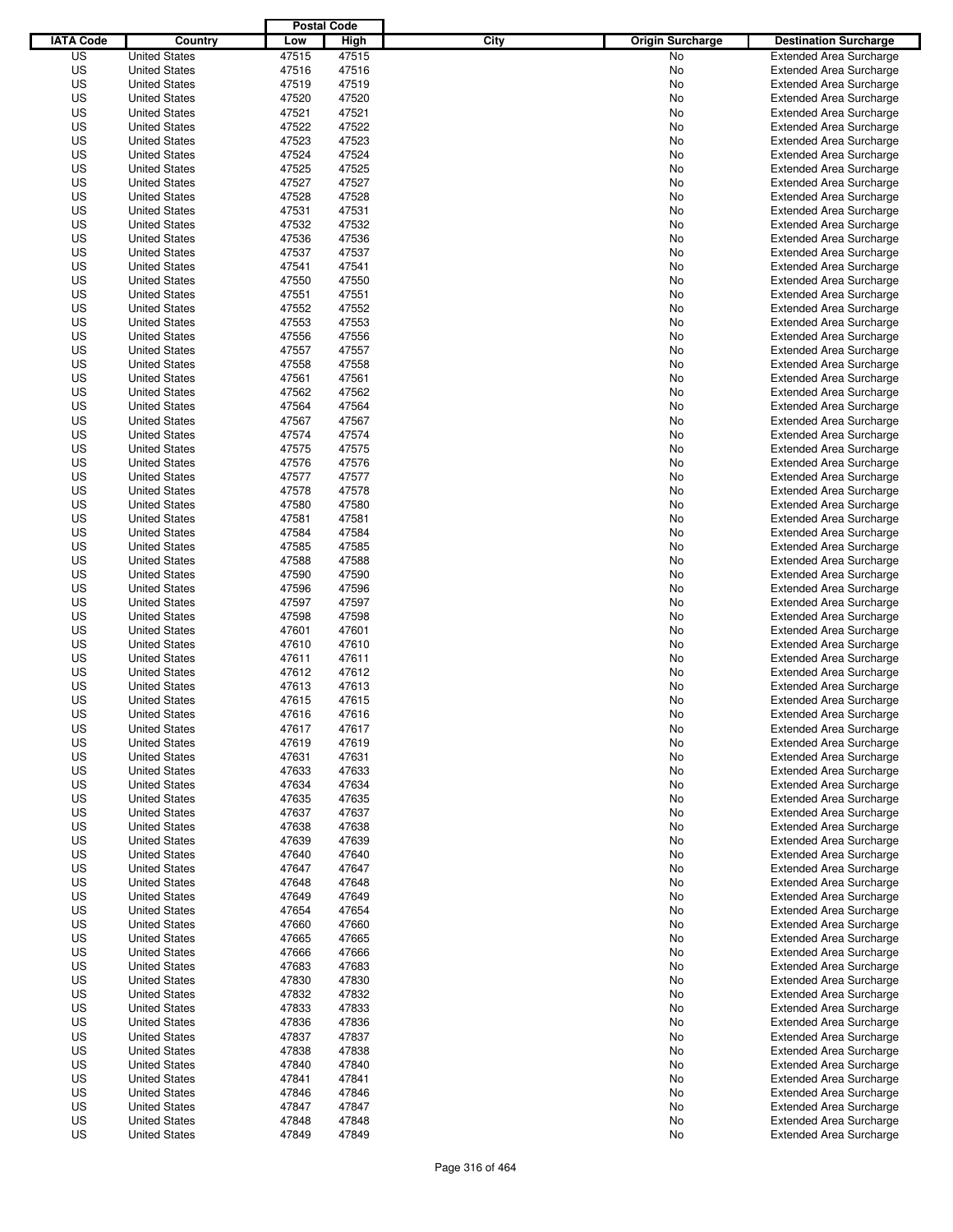|                  |                      | <b>Postal Code</b> |       |                                 |                                |
|------------------|----------------------|--------------------|-------|---------------------------------|--------------------------------|
| <b>IATA Code</b> | Country              | Low                | High  | City<br><b>Origin Surcharge</b> | <b>Destination Surcharge</b>   |
| US               | <b>United States</b> | 47515              | 47515 | <b>No</b>                       | <b>Extended Area Surcharge</b> |
| US               | <b>United States</b> | 47516              | 47516 | No                              | <b>Extended Area Surcharge</b> |
| US               | <b>United States</b> | 47519              | 47519 | No                              | <b>Extended Area Surcharge</b> |
| US               | <b>United States</b> | 47520              | 47520 | No                              | <b>Extended Area Surcharge</b> |
| US               | <b>United States</b> | 47521              | 47521 | No                              | <b>Extended Area Surcharge</b> |
| US               | <b>United States</b> | 47522              | 47522 | No                              | <b>Extended Area Surcharge</b> |
| US               | <b>United States</b> | 47523              | 47523 | No                              | <b>Extended Area Surcharge</b> |
| US               | <b>United States</b> | 47524              | 47524 | No                              | <b>Extended Area Surcharge</b> |
| US               | <b>United States</b> | 47525              | 47525 | No                              | <b>Extended Area Surcharge</b> |
| US               | <b>United States</b> | 47527              | 47527 | No                              | <b>Extended Area Surcharge</b> |
| US               | <b>United States</b> | 47528              | 47528 | No                              | <b>Extended Area Surcharge</b> |
| US               | <b>United States</b> | 47531              | 47531 | No                              | <b>Extended Area Surcharge</b> |
| US               | <b>United States</b> | 47532              | 47532 | No                              | <b>Extended Area Surcharge</b> |
| US               | <b>United States</b> | 47536              | 47536 | No                              | <b>Extended Area Surcharge</b> |
| US               | <b>United States</b> | 47537              | 47537 | No                              | <b>Extended Area Surcharge</b> |
| US               | <b>United States</b> | 47541              | 47541 | No                              | <b>Extended Area Surcharge</b> |
| US               | <b>United States</b> | 47550              | 47550 | No                              | <b>Extended Area Surcharge</b> |
| US               | <b>United States</b> | 47551              | 47551 | No                              | <b>Extended Area Surcharge</b> |
| US               | <b>United States</b> | 47552              | 47552 | No                              | <b>Extended Area Surcharge</b> |
| US               | <b>United States</b> | 47553              | 47553 | No                              | <b>Extended Area Surcharge</b> |
| US               | <b>United States</b> | 47556              | 47556 | No                              | <b>Extended Area Surcharge</b> |
| US               | <b>United States</b> | 47557              | 47557 | No                              | <b>Extended Area Surcharge</b> |
| US               | <b>United States</b> | 47558              | 47558 | No                              | <b>Extended Area Surcharge</b> |
| US               | <b>United States</b> | 47561              | 47561 | No                              | <b>Extended Area Surcharge</b> |
| US               | <b>United States</b> | 47562              | 47562 | No                              | <b>Extended Area Surcharge</b> |
| US               | <b>United States</b> | 47564              | 47564 | No                              | <b>Extended Area Surcharge</b> |
| US               | <b>United States</b> | 47567              | 47567 | No                              | <b>Extended Area Surcharge</b> |
| US               | <b>United States</b> | 47574              | 47574 | No                              | <b>Extended Area Surcharge</b> |
| US               | <b>United States</b> | 47575              | 47575 | No                              | <b>Extended Area Surcharge</b> |
| US               | <b>United States</b> | 47576              | 47576 | No                              | <b>Extended Area Surcharge</b> |
| US               | <b>United States</b> | 47577              | 47577 | No                              | <b>Extended Area Surcharge</b> |
| US               | <b>United States</b> | 47578              | 47578 | No                              | <b>Extended Area Surcharge</b> |
| US               | <b>United States</b> | 47580              | 47580 | No                              | <b>Extended Area Surcharge</b> |
| US               | <b>United States</b> | 47581              | 47581 | No                              | <b>Extended Area Surcharge</b> |
| US               | <b>United States</b> | 47584              | 47584 | No                              | <b>Extended Area Surcharge</b> |
| US               | <b>United States</b> | 47585              | 47585 | No                              | <b>Extended Area Surcharge</b> |
| US               | <b>United States</b> | 47588              | 47588 | No                              | <b>Extended Area Surcharge</b> |
| US               | <b>United States</b> | 47590              | 47590 | No                              | <b>Extended Area Surcharge</b> |
| US               | <b>United States</b> | 47596              | 47596 | No                              | <b>Extended Area Surcharge</b> |
| US               | <b>United States</b> | 47597              | 47597 | No                              | <b>Extended Area Surcharge</b> |
| US               | <b>United States</b> | 47598              | 47598 | No                              | <b>Extended Area Surcharge</b> |
| US               | <b>United States</b> | 47601              | 47601 | No                              | <b>Extended Area Surcharge</b> |
| US               | <b>United States</b> | 47610              | 47610 | No                              | <b>Extended Area Surcharge</b> |
| US               | <b>United States</b> | 47611              | 47611 | No                              | <b>Extended Area Surcharge</b> |
| US               | <b>United States</b> | 47612              | 47612 | No                              | Extended Area Surcharge        |
| US               | <b>United States</b> | 47613              | 47613 | No                              | <b>Extended Area Surcharge</b> |
| US               | <b>United States</b> | 47615              | 47615 | No                              | <b>Extended Area Surcharge</b> |
| US               | <b>United States</b> | 47616              | 47616 | No                              | <b>Extended Area Surcharge</b> |
| US               | <b>United States</b> | 47617              | 47617 | No                              | <b>Extended Area Surcharge</b> |
| US               | <b>United States</b> | 47619              | 47619 | No                              | <b>Extended Area Surcharge</b> |
| US               | <b>United States</b> | 47631              | 47631 | No                              | <b>Extended Area Surcharge</b> |
| US               | <b>United States</b> | 47633              | 47633 | No                              | <b>Extended Area Surcharge</b> |
| US               | <b>United States</b> | 47634              | 47634 | No                              | <b>Extended Area Surcharge</b> |
| US               | <b>United States</b> | 47635              | 47635 | No                              | <b>Extended Area Surcharge</b> |
| US               | <b>United States</b> | 47637              | 47637 | No                              | <b>Extended Area Surcharge</b> |
| US               | <b>United States</b> | 47638              | 47638 | No                              | <b>Extended Area Surcharge</b> |
| US               | <b>United States</b> | 47639              | 47639 | No                              | <b>Extended Area Surcharge</b> |
| US               | <b>United States</b> | 47640              | 47640 | No                              | <b>Extended Area Surcharge</b> |
| US               | <b>United States</b> | 47647              | 47647 | No                              | <b>Extended Area Surcharge</b> |
| US               | <b>United States</b> | 47648              | 47648 | No                              | <b>Extended Area Surcharge</b> |
| US               | <b>United States</b> | 47649              | 47649 | No                              | <b>Extended Area Surcharge</b> |
| US               | <b>United States</b> | 47654              | 47654 | No                              | <b>Extended Area Surcharge</b> |
| US               | <b>United States</b> | 47660              | 47660 | No                              | <b>Extended Area Surcharge</b> |
| US               | <b>United States</b> | 47665              | 47665 | No                              | <b>Extended Area Surcharge</b> |
| US               | <b>United States</b> | 47666              | 47666 | No                              | <b>Extended Area Surcharge</b> |
| US               | <b>United States</b> | 47683              | 47683 | No                              | <b>Extended Area Surcharge</b> |
| US               | <b>United States</b> | 47830              | 47830 | No                              | <b>Extended Area Surcharge</b> |
| US               | <b>United States</b> | 47832              | 47832 | No                              | <b>Extended Area Surcharge</b> |
| US               | <b>United States</b> | 47833              | 47833 | No                              | <b>Extended Area Surcharge</b> |
| US               | <b>United States</b> | 47836              | 47836 | No                              | <b>Extended Area Surcharge</b> |
| US               | <b>United States</b> | 47837              | 47837 | No                              | <b>Extended Area Surcharge</b> |
| US               | <b>United States</b> | 47838              | 47838 | No                              | <b>Extended Area Surcharge</b> |
| US               | <b>United States</b> | 47840              | 47840 | No                              | <b>Extended Area Surcharge</b> |
| US               | <b>United States</b> | 47841              | 47841 | No                              | <b>Extended Area Surcharge</b> |
| US               | <b>United States</b> | 47846              | 47846 | No                              | <b>Extended Area Surcharge</b> |
| US               | <b>United States</b> | 47847              | 47847 | No                              | <b>Extended Area Surcharge</b> |
| US               | <b>United States</b> | 47848              | 47848 | No                              | <b>Extended Area Surcharge</b> |
| US               | <b>United States</b> | 47849              | 47849 | No                              | <b>Extended Area Surcharge</b> |
|                  |                      |                    |       |                                 |                                |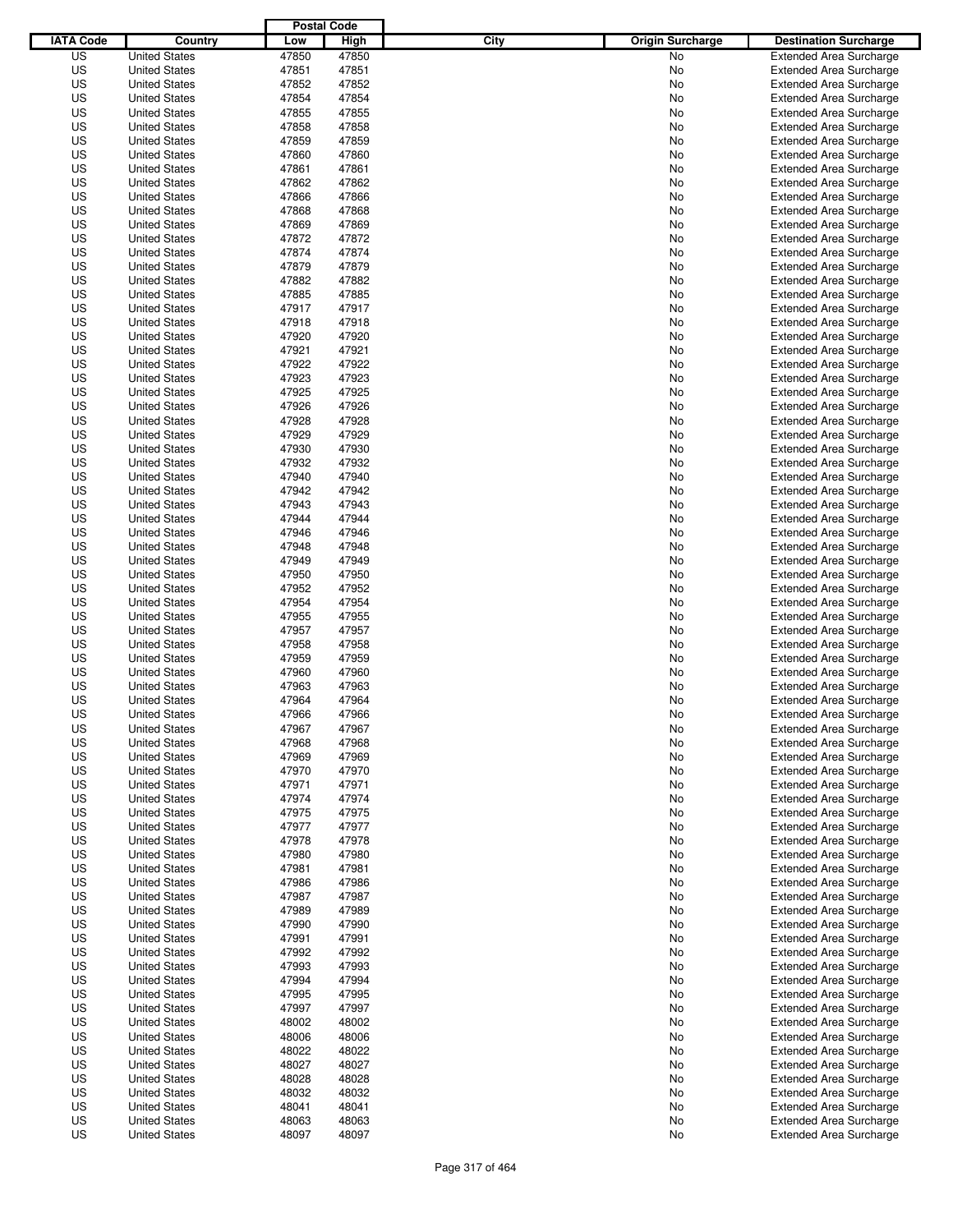|                  |                                              | <b>Postal Code</b> |                |                                 |                                                                  |
|------------------|----------------------------------------------|--------------------|----------------|---------------------------------|------------------------------------------------------------------|
| <b>IATA Code</b> | Country                                      | Low                | High           | City<br><b>Origin Surcharge</b> | <b>Destination Surcharge</b>                                     |
| US               | <b>United States</b>                         | 47850              | 47850          | <b>No</b>                       | <b>Extended Area Surcharge</b>                                   |
| US               | <b>United States</b>                         | 47851              | 47851          | No                              | <b>Extended Area Surcharge</b>                                   |
| US               | <b>United States</b>                         | 47852              | 47852          | No                              | <b>Extended Area Surcharge</b>                                   |
| US               | <b>United States</b>                         | 47854              | 47854          | No                              | <b>Extended Area Surcharge</b>                                   |
| US               | <b>United States</b>                         | 47855              | 47855          | No                              | <b>Extended Area Surcharge</b>                                   |
| US               | <b>United States</b>                         | 47858              | 47858          | No                              | <b>Extended Area Surcharge</b>                                   |
| US               | <b>United States</b>                         | 47859              | 47859          | No                              | <b>Extended Area Surcharge</b>                                   |
| US               | <b>United States</b>                         | 47860              | 47860          | No                              | <b>Extended Area Surcharge</b>                                   |
| US               | <b>United States</b>                         | 47861              | 47861          | No                              | <b>Extended Area Surcharge</b>                                   |
| US               | <b>United States</b>                         | 47862              | 47862          | No                              | <b>Extended Area Surcharge</b>                                   |
| US               | <b>United States</b>                         | 47866              | 47866          | No                              | <b>Extended Area Surcharge</b>                                   |
| US               | <b>United States</b>                         | 47868              | 47868          | No                              | <b>Extended Area Surcharge</b>                                   |
| US               | <b>United States</b>                         | 47869              | 47869          | No                              | <b>Extended Area Surcharge</b>                                   |
| US               | <b>United States</b>                         | 47872              | 47872          | No                              | <b>Extended Area Surcharge</b>                                   |
| US               | <b>United States</b>                         | 47874              | 47874          | No                              | <b>Extended Area Surcharge</b>                                   |
| US               | <b>United States</b>                         | 47879              | 47879          | No                              | <b>Extended Area Surcharge</b>                                   |
| US               | <b>United States</b>                         | 47882              | 47882          | No                              | <b>Extended Area Surcharge</b>                                   |
| US               | <b>United States</b>                         | 47885              | 47885          | No                              | <b>Extended Area Surcharge</b>                                   |
| US               | <b>United States</b>                         | 47917              | 47917          | No                              | <b>Extended Area Surcharge</b>                                   |
| US               | <b>United States</b>                         | 47918              | 47918          | No                              | <b>Extended Area Surcharge</b>                                   |
| US               | <b>United States</b>                         | 47920              | 47920          | No                              | <b>Extended Area Surcharge</b>                                   |
| US               | <b>United States</b>                         | 47921              | 47921          | No                              | <b>Extended Area Surcharge</b>                                   |
| US               | <b>United States</b>                         | 47922              | 47922          | No                              | <b>Extended Area Surcharge</b>                                   |
| US               | <b>United States</b>                         | 47923              | 47923          | No                              | <b>Extended Area Surcharge</b>                                   |
| US               | <b>United States</b>                         | 47925              | 47925          | No                              | <b>Extended Area Surcharge</b>                                   |
| US               | <b>United States</b>                         | 47926              | 47926          | No                              | <b>Extended Area Surcharge</b>                                   |
| US               | <b>United States</b>                         | 47928              | 47928          | No                              | <b>Extended Area Surcharge</b>                                   |
| US               | <b>United States</b>                         | 47929              | 47929          | No                              | <b>Extended Area Surcharge</b>                                   |
| US               | <b>United States</b>                         | 47930              | 47930          | No                              | <b>Extended Area Surcharge</b>                                   |
| US               | <b>United States</b>                         | 47932              | 47932          | No                              | <b>Extended Area Surcharge</b>                                   |
| US               | <b>United States</b>                         | 47940              | 47940          | No                              | <b>Extended Area Surcharge</b>                                   |
| US               | <b>United States</b>                         | 47942              | 47942          | No                              | <b>Extended Area Surcharge</b>                                   |
| US               | <b>United States</b>                         | 47943              | 47943          | No                              | <b>Extended Area Surcharge</b>                                   |
| US               | <b>United States</b>                         | 47944              | 47944          | No                              | <b>Extended Area Surcharge</b>                                   |
| US               | <b>United States</b>                         | 47946              | 47946          | No                              | <b>Extended Area Surcharge</b>                                   |
| US               | <b>United States</b>                         | 47948              | 47948          | No                              | <b>Extended Area Surcharge</b>                                   |
| US               | <b>United States</b>                         | 47949              | 47949          | No                              | <b>Extended Area Surcharge</b>                                   |
| US               | <b>United States</b>                         | 47950              | 47950          | No                              | <b>Extended Area Surcharge</b>                                   |
| US               | <b>United States</b>                         | 47952              | 47952          | No                              | <b>Extended Area Surcharge</b>                                   |
| US               | <b>United States</b>                         | 47954              | 47954          | No                              | <b>Extended Area Surcharge</b>                                   |
| US               | <b>United States</b>                         | 47955              | 47955          | No                              | <b>Extended Area Surcharge</b>                                   |
| US               | <b>United States</b>                         | 47957              | 47957          | No                              | <b>Extended Area Surcharge</b>                                   |
| US               | <b>United States</b>                         | 47958              | 47958          | No                              | <b>Extended Area Surcharge</b>                                   |
| US               | <b>United States</b>                         | 47959              | 47959          | No                              | <b>Extended Area Surcharge</b>                                   |
| US               | <b>United States</b>                         | 47960              | 47960          | No                              | Extended Area Surcharge                                          |
| US               | <b>United States</b>                         | 47963              | 47963          | No                              | <b>Extended Area Surcharge</b>                                   |
| US               | <b>United States</b>                         | 47964              | 47964          | No                              | <b>Extended Area Surcharge</b>                                   |
| US               | <b>United States</b>                         | 47966              | 47966          | No                              | <b>Extended Area Surcharge</b>                                   |
| US               | <b>United States</b>                         | 47967              | 47967          | No                              | <b>Extended Area Surcharge</b>                                   |
| US               | <b>United States</b>                         | 47968              | 47968          | No                              | <b>Extended Area Surcharge</b>                                   |
| US               | <b>United States</b>                         | 47969              | 47969          | No                              | <b>Extended Area Surcharge</b>                                   |
| US               | <b>United States</b>                         | 47970              | 47970          | No                              | <b>Extended Area Surcharge</b>                                   |
| US               | <b>United States</b>                         | 47971              | 47971          | No                              | <b>Extended Area Surcharge</b>                                   |
| US               | <b>United States</b>                         | 47974              | 47974          | No                              | <b>Extended Area Surcharge</b>                                   |
| US               | <b>United States</b>                         | 47975              | 47975          | No                              | <b>Extended Area Surcharge</b>                                   |
| US               | <b>United States</b>                         | 47977              | 47977          | No                              | <b>Extended Area Surcharge</b>                                   |
| US               | <b>United States</b>                         | 47978              | 47978          | No                              | <b>Extended Area Surcharge</b>                                   |
| US               | <b>United States</b>                         | 47980              | 47980          | No                              | <b>Extended Area Surcharge</b>                                   |
| US               | <b>United States</b>                         | 47981              | 47981          | No                              | <b>Extended Area Surcharge</b>                                   |
| US               | <b>United States</b>                         | 47986              | 47986          | No                              | <b>Extended Area Surcharge</b>                                   |
| US               | <b>United States</b>                         | 47987              | 47987          | No                              | <b>Extended Area Surcharge</b>                                   |
| US               | <b>United States</b>                         | 47989              | 47989          | No                              | <b>Extended Area Surcharge</b>                                   |
| US               | <b>United States</b>                         | 47990              | 47990          | No                              | <b>Extended Area Surcharge</b>                                   |
| US               | <b>United States</b>                         | 47991              | 47991          | No                              | <b>Extended Area Surcharge</b>                                   |
| US               | <b>United States</b>                         | 47992              | 47992          | No                              | <b>Extended Area Surcharge</b>                                   |
| US               | <b>United States</b>                         | 47993              | 47993          | No                              | <b>Extended Area Surcharge</b>                                   |
| US               | <b>United States</b>                         | 47994              | 47994          | No                              | <b>Extended Area Surcharge</b>                                   |
| US               | <b>United States</b>                         | 47995              | 47995          | No                              | <b>Extended Area Surcharge</b>                                   |
| US               | <b>United States</b>                         | 47997              | 47997          | No                              | <b>Extended Area Surcharge</b>                                   |
| US               | <b>United States</b>                         | 48002              | 48002          | No                              | <b>Extended Area Surcharge</b>                                   |
| US               | <b>United States</b>                         | 48006              | 48006          | No                              | <b>Extended Area Surcharge</b>                                   |
| US               | <b>United States</b>                         | 48022              | 48022          | No                              | <b>Extended Area Surcharge</b>                                   |
| US               | <b>United States</b>                         | 48027              | 48027          | No                              | <b>Extended Area Surcharge</b>                                   |
| US               | <b>United States</b>                         | 48028              | 48028          | No                              | <b>Extended Area Surcharge</b>                                   |
| US               | <b>United States</b>                         | 48032              | 48032          | No                              | <b>Extended Area Surcharge</b>                                   |
| US<br>US         | <b>United States</b>                         | 48041              | 48041<br>48063 | No                              | <b>Extended Area Surcharge</b>                                   |
| US               | <b>United States</b><br><b>United States</b> | 48063<br>48097     | 48097          | No<br>No                        | <b>Extended Area Surcharge</b><br><b>Extended Area Surcharge</b> |
|                  |                                              |                    |                |                                 |                                                                  |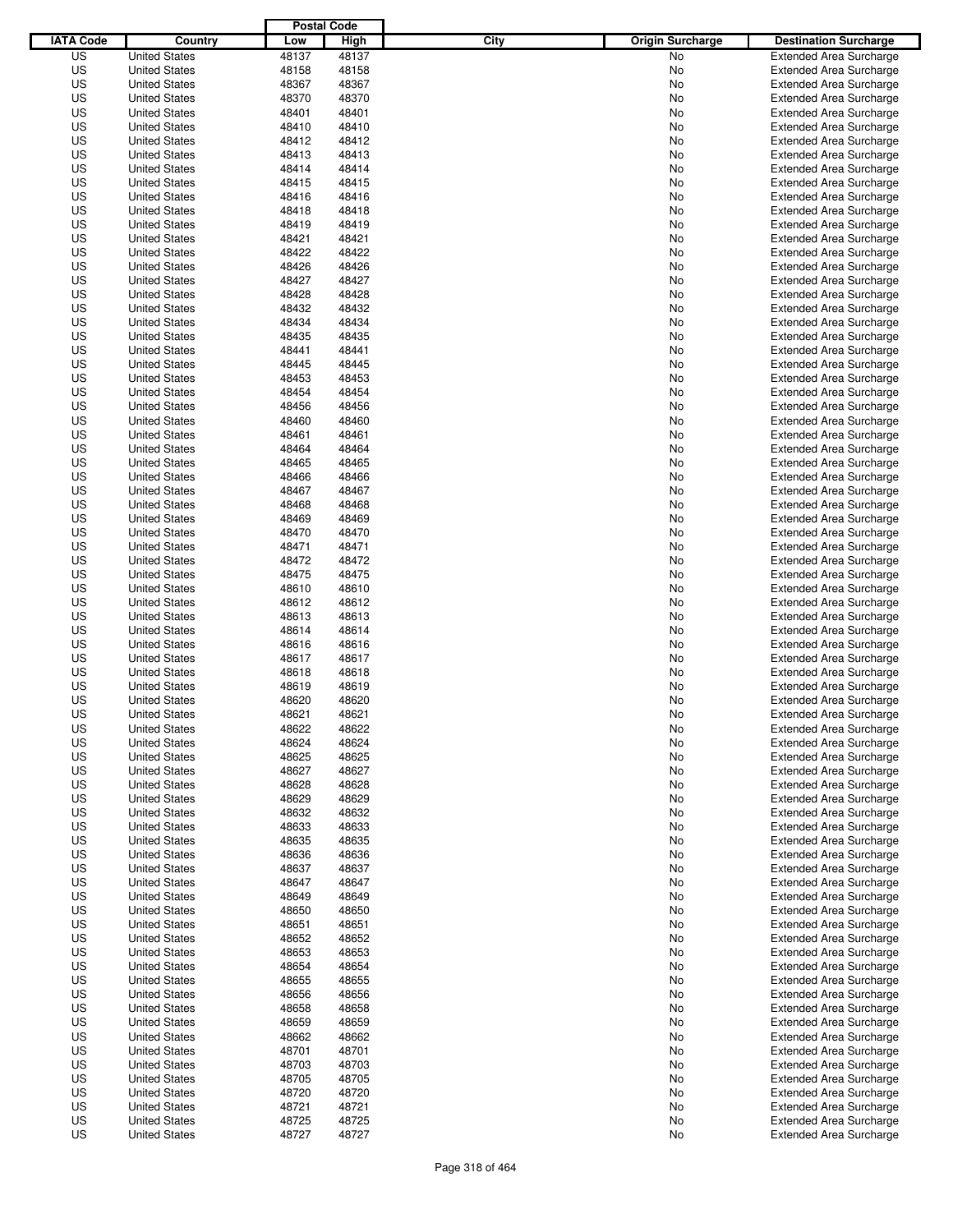|                  |                      | <b>Postal Code</b> |       |                                 |                                |
|------------------|----------------------|--------------------|-------|---------------------------------|--------------------------------|
| <b>IATA Code</b> | Country              | Low                | High  | City<br><b>Origin Surcharge</b> | <b>Destination Surcharge</b>   |
| US               | <b>United States</b> | 48137              | 48137 | <b>No</b>                       | <b>Extended Area Surcharge</b> |
| US               | <b>United States</b> | 48158              | 48158 | No                              | <b>Extended Area Surcharge</b> |
| US               | <b>United States</b> | 48367              | 48367 | No                              | <b>Extended Area Surcharge</b> |
| US               | <b>United States</b> | 48370              | 48370 | No                              | <b>Extended Area Surcharge</b> |
| US               | <b>United States</b> | 48401              | 48401 | No                              | <b>Extended Area Surcharge</b> |
| US               | <b>United States</b> | 48410              | 48410 | No                              | <b>Extended Area Surcharge</b> |
| US               | <b>United States</b> | 48412              | 48412 | No                              | <b>Extended Area Surcharge</b> |
| US               | <b>United States</b> | 48413              | 48413 | No                              | <b>Extended Area Surcharge</b> |
| US               | <b>United States</b> | 48414              | 48414 | No                              | <b>Extended Area Surcharge</b> |
| US               | <b>United States</b> | 48415              | 48415 | No                              | <b>Extended Area Surcharge</b> |
| US               | <b>United States</b> | 48416              | 48416 | No                              | <b>Extended Area Surcharge</b> |
| US               | <b>United States</b> | 48418              | 48418 | No                              | <b>Extended Area Surcharge</b> |
| US               | <b>United States</b> | 48419              | 48419 | No                              | <b>Extended Area Surcharge</b> |
| US               | <b>United States</b> | 48421              | 48421 | No                              | <b>Extended Area Surcharge</b> |
| US               | <b>United States</b> | 48422              | 48422 | No                              | <b>Extended Area Surcharge</b> |
| US               | <b>United States</b> | 48426              | 48426 | No                              | <b>Extended Area Surcharge</b> |
| US               | <b>United States</b> | 48427              | 48427 | No                              | <b>Extended Area Surcharge</b> |
| US               | <b>United States</b> | 48428              | 48428 | No                              | <b>Extended Area Surcharge</b> |
| US               | <b>United States</b> | 48432              | 48432 | No                              | <b>Extended Area Surcharge</b> |
| US               | <b>United States</b> | 48434              | 48434 | No                              | <b>Extended Area Surcharge</b> |
| US               | <b>United States</b> | 48435              | 48435 | No                              | <b>Extended Area Surcharge</b> |
| US               | <b>United States</b> | 48441              | 48441 | No                              | <b>Extended Area Surcharge</b> |
| US               | <b>United States</b> | 48445              | 48445 | No                              | <b>Extended Area Surcharge</b> |
| US               | <b>United States</b> | 48453              | 48453 | No                              | <b>Extended Area Surcharge</b> |
| US               | <b>United States</b> | 48454              | 48454 | No                              | <b>Extended Area Surcharge</b> |
| US               | <b>United States</b> | 48456              | 48456 | No                              | <b>Extended Area Surcharge</b> |
| US               | <b>United States</b> | 48460              | 48460 | No                              | <b>Extended Area Surcharge</b> |
| US               | <b>United States</b> | 48461              | 48461 | No                              | <b>Extended Area Surcharge</b> |
| US               | <b>United States</b> | 48464              | 48464 | No                              | <b>Extended Area Surcharge</b> |
| US               | <b>United States</b> | 48465              | 48465 | No                              | <b>Extended Area Surcharge</b> |
| US               | <b>United States</b> | 48466              | 48466 | No                              | <b>Extended Area Surcharge</b> |
| US               | <b>United States</b> | 48467              | 48467 | No                              | <b>Extended Area Surcharge</b> |
| US               | <b>United States</b> | 48468              | 48468 | No                              | <b>Extended Area Surcharge</b> |
| US               | <b>United States</b> | 48469              | 48469 | No                              | <b>Extended Area Surcharge</b> |
| US               | <b>United States</b> | 48470              | 48470 | No                              | <b>Extended Area Surcharge</b> |
| US               | <b>United States</b> | 48471              | 48471 | No                              | <b>Extended Area Surcharge</b> |
| US               | <b>United States</b> | 48472              | 48472 | No                              | <b>Extended Area Surcharge</b> |
| US               | <b>United States</b> | 48475              | 48475 | No                              | <b>Extended Area Surcharge</b> |
| US               | <b>United States</b> | 48610              | 48610 | No                              | <b>Extended Area Surcharge</b> |
| US               | <b>United States</b> | 48612              | 48612 | No                              | <b>Extended Area Surcharge</b> |
| US               | <b>United States</b> | 48613              | 48613 | No                              | <b>Extended Area Surcharge</b> |
| US               | <b>United States</b> | 48614              | 48614 | No                              | <b>Extended Area Surcharge</b> |
| US               | <b>United States</b> | 48616              | 48616 | No                              | <b>Extended Area Surcharge</b> |
| US               | <b>United States</b> | 48617              | 48617 | No                              | <b>Extended Area Surcharge</b> |
| US               | <b>United States</b> | 48618              | 48618 | No                              | Extended Area Surcharge        |
| US               | <b>United States</b> | 48619              | 48619 | No                              | <b>Extended Area Surcharge</b> |
| US               | <b>United States</b> | 48620              | 48620 | No                              | <b>Extended Area Surcharge</b> |
| US               | <b>United States</b> | 48621              | 48621 | No                              | <b>Extended Area Surcharge</b> |
| US               | <b>United States</b> | 48622              | 48622 | No                              | <b>Extended Area Surcharge</b> |
| US               | <b>United States</b> | 48624              | 48624 | No                              | <b>Extended Area Surcharge</b> |
| US               | <b>United States</b> | 48625              | 48625 | No                              | <b>Extended Area Surcharge</b> |
| US               | <b>United States</b> | 48627              | 48627 | No                              | <b>Extended Area Surcharge</b> |
| US               | <b>United States</b> | 48628              | 48628 | No                              | <b>Extended Area Surcharge</b> |
| US               | <b>United States</b> | 48629              | 48629 | No                              | <b>Extended Area Surcharge</b> |
| US               | <b>United States</b> | 48632              | 48632 | No                              | <b>Extended Area Surcharge</b> |
| US               | <b>United States</b> | 48633              | 48633 | No                              | <b>Extended Area Surcharge</b> |
| US               | <b>United States</b> | 48635              | 48635 | No                              | <b>Extended Area Surcharge</b> |
| US               | <b>United States</b> | 48636              | 48636 | No                              | <b>Extended Area Surcharge</b> |
| US               | <b>United States</b> | 48637              | 48637 | No                              | <b>Extended Area Surcharge</b> |
| US               | <b>United States</b> | 48647              | 48647 | No                              | <b>Extended Area Surcharge</b> |
| US               | <b>United States</b> | 48649              | 48649 | No                              | <b>Extended Area Surcharge</b> |
| US               | <b>United States</b> | 48650              | 48650 | No                              | <b>Extended Area Surcharge</b> |
| US               | <b>United States</b> | 48651              | 48651 | No                              | <b>Extended Area Surcharge</b> |
| US               | <b>United States</b> | 48652              | 48652 | No                              | <b>Extended Area Surcharge</b> |
| US               | <b>United States</b> | 48653              | 48653 | No                              | <b>Extended Area Surcharge</b> |
| US               | <b>United States</b> | 48654              | 48654 | No                              | <b>Extended Area Surcharge</b> |
| US               | <b>United States</b> | 48655              | 48655 | No                              | <b>Extended Area Surcharge</b> |
| US               | <b>United States</b> | 48656              | 48656 | No                              | <b>Extended Area Surcharge</b> |
| US               | <b>United States</b> | 48658              | 48658 | No                              | <b>Extended Area Surcharge</b> |
| US               | <b>United States</b> | 48659              | 48659 | No                              | <b>Extended Area Surcharge</b> |
| US               | <b>United States</b> | 48662              | 48662 | No                              | <b>Extended Area Surcharge</b> |
| US               | <b>United States</b> | 48701              | 48701 | No                              | <b>Extended Area Surcharge</b> |
| US               | <b>United States</b> | 48703              | 48703 | No                              | <b>Extended Area Surcharge</b> |
| US               | <b>United States</b> | 48705              | 48705 | No                              | <b>Extended Area Surcharge</b> |
| US               | <b>United States</b> | 48720              | 48720 | No                              | <b>Extended Area Surcharge</b> |
| US               | <b>United States</b> | 48721              | 48721 | No                              | <b>Extended Area Surcharge</b> |
| US               | <b>United States</b> | 48725              | 48725 | No                              | <b>Extended Area Surcharge</b> |
| US               | <b>United States</b> | 48727              | 48727 | No                              | <b>Extended Area Surcharge</b> |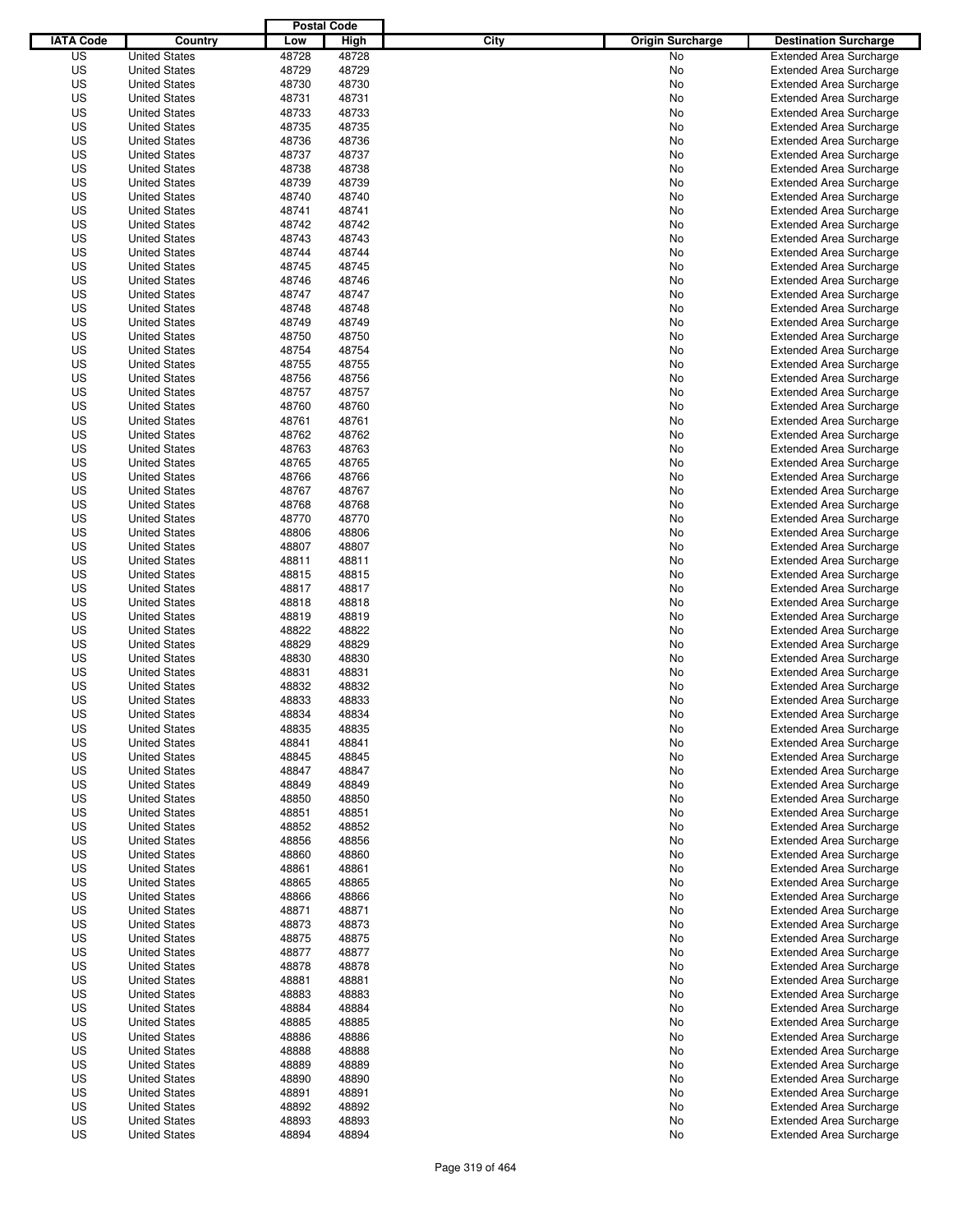|                  |                      | <b>Postal Code</b> |       |                                 |                                                                  |
|------------------|----------------------|--------------------|-------|---------------------------------|------------------------------------------------------------------|
| <b>IATA Code</b> | Country              | Low                | High  | City<br><b>Origin Surcharge</b> | <b>Destination Surcharge</b>                                     |
| US               | <b>United States</b> | 48728              | 48728 | <b>No</b>                       | <b>Extended Area Surcharge</b>                                   |
| US               | <b>United States</b> | 48729              | 48729 | No                              | <b>Extended Area Surcharge</b>                                   |
| US               | <b>United States</b> | 48730              | 48730 | No                              | <b>Extended Area Surcharge</b>                                   |
| US               | <b>United States</b> | 48731              | 48731 | No                              | <b>Extended Area Surcharge</b>                                   |
| US               | <b>United States</b> | 48733              | 48733 | No                              | <b>Extended Area Surcharge</b>                                   |
| US               | <b>United States</b> | 48735              | 48735 | No                              | <b>Extended Area Surcharge</b>                                   |
| US               | <b>United States</b> | 48736              | 48736 | No                              | <b>Extended Area Surcharge</b>                                   |
| US               | <b>United States</b> | 48737              | 48737 | No                              | <b>Extended Area Surcharge</b>                                   |
| US               | <b>United States</b> | 48738              | 48738 | No                              | <b>Extended Area Surcharge</b>                                   |
| US               | <b>United States</b> | 48739              | 48739 | No                              | <b>Extended Area Surcharge</b>                                   |
| US               | <b>United States</b> | 48740              | 48740 | No                              | <b>Extended Area Surcharge</b>                                   |
| US               | <b>United States</b> | 48741              | 48741 | No                              | <b>Extended Area Surcharge</b>                                   |
| US               | <b>United States</b> | 48742              | 48742 | No                              | <b>Extended Area Surcharge</b>                                   |
| US               | <b>United States</b> | 48743              | 48743 | No                              | <b>Extended Area Surcharge</b>                                   |
| US               | <b>United States</b> | 48744              | 48744 | No                              | <b>Extended Area Surcharge</b>                                   |
| US               | <b>United States</b> | 48745              | 48745 | No                              | <b>Extended Area Surcharge</b>                                   |
| US               | <b>United States</b> | 48746              | 48746 | No                              | <b>Extended Area Surcharge</b>                                   |
| US               | <b>United States</b> | 48747              | 48747 | No                              | <b>Extended Area Surcharge</b>                                   |
| US               | <b>United States</b> | 48748              | 48748 | No                              | <b>Extended Area Surcharge</b>                                   |
| US               | <b>United States</b> | 48749              | 48749 | No                              | <b>Extended Area Surcharge</b>                                   |
| US               | <b>United States</b> | 48750              | 48750 | No                              | <b>Extended Area Surcharge</b>                                   |
| US               | <b>United States</b> | 48754              | 48754 | No                              | <b>Extended Area Surcharge</b>                                   |
| US               | <b>United States</b> | 48755              | 48755 | No                              | <b>Extended Area Surcharge</b>                                   |
| US               | <b>United States</b> | 48756              | 48756 | No                              | <b>Extended Area Surcharge</b>                                   |
| US               | <b>United States</b> | 48757              | 48757 | No                              | <b>Extended Area Surcharge</b>                                   |
| US               | <b>United States</b> | 48760              | 48760 | No                              | <b>Extended Area Surcharge</b>                                   |
| US               | <b>United States</b> | 48761              | 48761 | No                              | <b>Extended Area Surcharge</b>                                   |
| US               | <b>United States</b> | 48762              | 48762 | No                              | <b>Extended Area Surcharge</b>                                   |
| US               | <b>United States</b> | 48763              | 48763 | No                              | <b>Extended Area Surcharge</b>                                   |
| US               | <b>United States</b> | 48765              | 48765 | No                              | <b>Extended Area Surcharge</b>                                   |
| US               | <b>United States</b> | 48766              | 48766 | No                              | <b>Extended Area Surcharge</b>                                   |
| US               | <b>United States</b> | 48767              | 48767 | No                              | <b>Extended Area Surcharge</b>                                   |
| US               | <b>United States</b> | 48768              | 48768 | No                              | <b>Extended Area Surcharge</b>                                   |
| US               | <b>United States</b> | 48770              | 48770 | No                              | <b>Extended Area Surcharge</b>                                   |
| US               | <b>United States</b> | 48806              | 48806 | No                              | <b>Extended Area Surcharge</b>                                   |
| US               | <b>United States</b> | 48807              | 48807 | No                              | <b>Extended Area Surcharge</b>                                   |
| US               | <b>United States</b> | 48811              | 48811 | No                              | <b>Extended Area Surcharge</b>                                   |
| US               | <b>United States</b> | 48815              | 48815 | No                              | <b>Extended Area Surcharge</b>                                   |
| US               | <b>United States</b> | 48817              | 48817 | No                              | <b>Extended Area Surcharge</b>                                   |
| US               | <b>United States</b> | 48818              | 48818 |                                 |                                                                  |
| US               |                      | 48819              | 48819 | No                              | <b>Extended Area Surcharge</b><br><b>Extended Area Surcharge</b> |
|                  | <b>United States</b> |                    |       | No                              | <b>Extended Area Surcharge</b>                                   |
| US               | <b>United States</b> | 48822              | 48822 | No                              |                                                                  |
| US               | <b>United States</b> | 48829              | 48829 | No                              | <b>Extended Area Surcharge</b>                                   |
| US               | <b>United States</b> | 48830              | 48830 | No                              | <b>Extended Area Surcharge</b>                                   |
| US<br>US         | <b>United States</b> | 48831              | 48831 | No                              | Extended Area Surcharge                                          |
|                  | <b>United States</b> | 48832              | 48832 | No                              | <b>Extended Area Surcharge</b>                                   |
| US               | <b>United States</b> | 48833              | 48833 | No                              | <b>Extended Area Surcharge</b>                                   |
| US               | <b>United States</b> | 48834              | 48834 | No                              | <b>Extended Area Surcharge</b>                                   |
| US               | <b>United States</b> | 48835              | 48835 | No                              | <b>Extended Area Surcharge</b>                                   |
| US               | <b>United States</b> | 48841              | 48841 | No                              | <b>Extended Area Surcharge</b>                                   |
| US               | <b>United States</b> | 48845              | 48845 | No                              | <b>Extended Area Surcharge</b>                                   |
| US               | <b>United States</b> | 48847              | 48847 | No                              | <b>Extended Area Surcharge</b>                                   |
| US               | <b>United States</b> | 48849              | 48849 | No                              | <b>Extended Area Surcharge</b>                                   |
| US               | <b>United States</b> | 48850              | 48850 | No                              | <b>Extended Area Surcharge</b>                                   |
| US               | <b>United States</b> | 48851              | 48851 | No                              | <b>Extended Area Surcharge</b>                                   |
| US               | <b>United States</b> | 48852              | 48852 | No                              | <b>Extended Area Surcharge</b>                                   |
| US               | <b>United States</b> | 48856              | 48856 | No                              | <b>Extended Area Surcharge</b>                                   |
| US               | <b>United States</b> | 48860              | 48860 | No                              | <b>Extended Area Surcharge</b>                                   |
| US               | <b>United States</b> | 48861              | 48861 | No                              | <b>Extended Area Surcharge</b>                                   |
| US               | <b>United States</b> | 48865              | 48865 | No                              | <b>Extended Area Surcharge</b>                                   |
| US               | <b>United States</b> | 48866              | 48866 | No                              | <b>Extended Area Surcharge</b>                                   |
| US               | <b>United States</b> | 48871              | 48871 | No                              | <b>Extended Area Surcharge</b>                                   |
| US               | <b>United States</b> | 48873              | 48873 | No                              | <b>Extended Area Surcharge</b>                                   |
| US               | <b>United States</b> | 48875              | 48875 | No                              | <b>Extended Area Surcharge</b>                                   |
| US               | <b>United States</b> | 48877              | 48877 | No                              | <b>Extended Area Surcharge</b>                                   |
| US               | <b>United States</b> | 48878              | 48878 | No                              | <b>Extended Area Surcharge</b>                                   |
| US               | <b>United States</b> | 48881              | 48881 | No                              | <b>Extended Area Surcharge</b>                                   |
| US               | <b>United States</b> | 48883              | 48883 | No                              | <b>Extended Area Surcharge</b>                                   |
| US               | <b>United States</b> | 48884              | 48884 | No                              | <b>Extended Area Surcharge</b>                                   |
| US               | <b>United States</b> | 48885              | 48885 | No                              | <b>Extended Area Surcharge</b>                                   |
| US               | <b>United States</b> | 48886              | 48886 | No                              | <b>Extended Area Surcharge</b>                                   |
| US               | <b>United States</b> | 48888              | 48888 | No                              | <b>Extended Area Surcharge</b>                                   |
| US               | <b>United States</b> | 48889              | 48889 | No                              | <b>Extended Area Surcharge</b>                                   |
| US               | <b>United States</b> | 48890              | 48890 | No                              | <b>Extended Area Surcharge</b>                                   |
| US               | <b>United States</b> | 48891              | 48891 | No                              | <b>Extended Area Surcharge</b>                                   |
| US               | <b>United States</b> | 48892              | 48892 | No                              | <b>Extended Area Surcharge</b>                                   |
| US               | <b>United States</b> | 48893              | 48893 | No                              | <b>Extended Area Surcharge</b>                                   |
| US               | <b>United States</b> | 48894              | 48894 | No                              | <b>Extended Area Surcharge</b>                                   |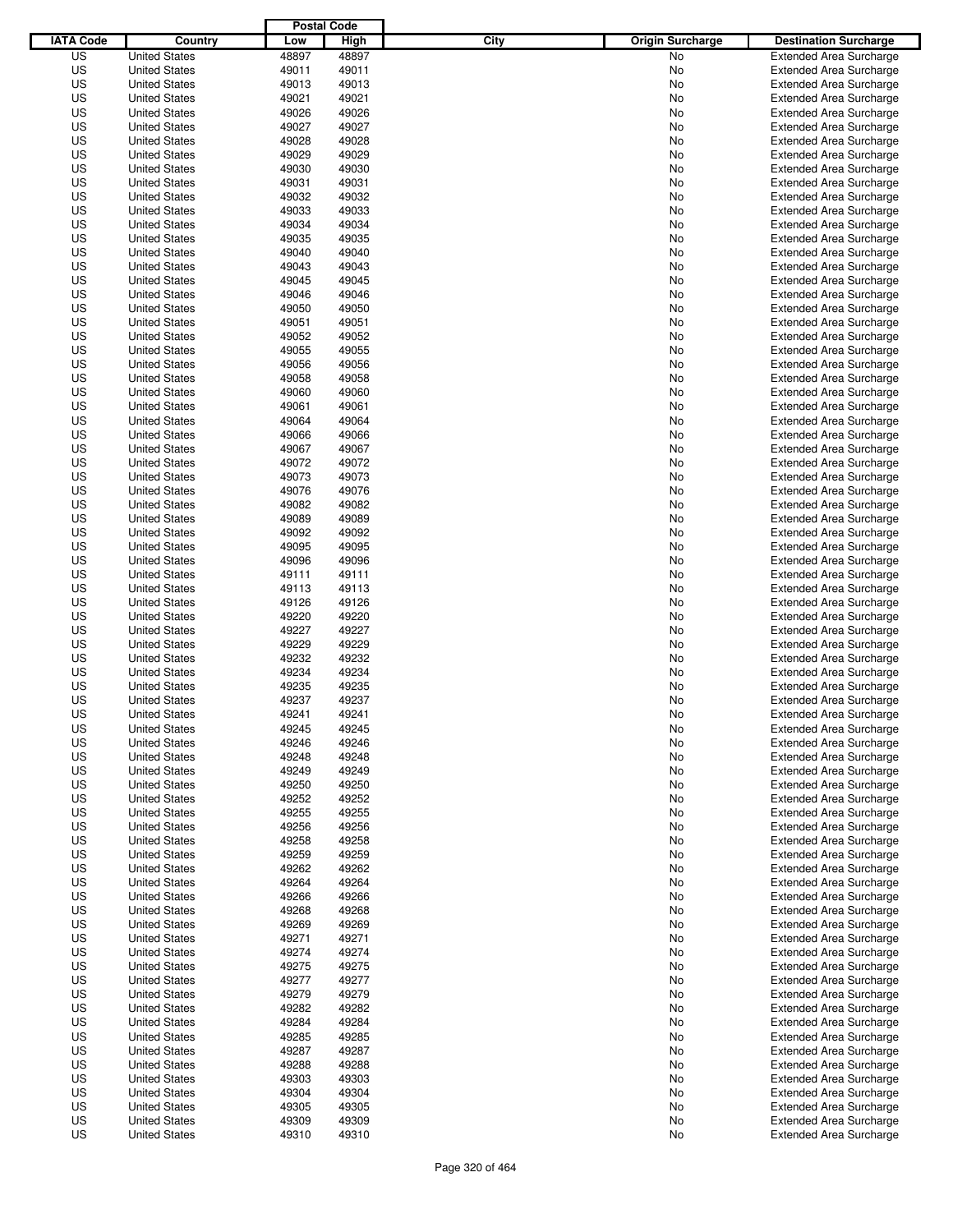|                  |                      | <b>Postal Code</b> |       |                                 |                                |
|------------------|----------------------|--------------------|-------|---------------------------------|--------------------------------|
| <b>IATA Code</b> | Country              | Low                | High  | City<br><b>Origin Surcharge</b> | <b>Destination Surcharge</b>   |
| US               | <b>United States</b> | 48897              | 48897 | <b>No</b>                       | <b>Extended Area Surcharge</b> |
| US               | <b>United States</b> | 49011              | 49011 | No                              | <b>Extended Area Surcharge</b> |
| US               | <b>United States</b> | 49013              | 49013 | No                              | <b>Extended Area Surcharge</b> |
| US               | <b>United States</b> | 49021              | 49021 | No                              | <b>Extended Area Surcharge</b> |
| US               | <b>United States</b> | 49026              | 49026 | No                              | <b>Extended Area Surcharge</b> |
| US               | <b>United States</b> | 49027              | 49027 | No                              | <b>Extended Area Surcharge</b> |
| US               | <b>United States</b> | 49028              | 49028 | No                              | <b>Extended Area Surcharge</b> |
| US               | <b>United States</b> | 49029              | 49029 | No                              | <b>Extended Area Surcharge</b> |
| US               | <b>United States</b> | 49030              | 49030 | No                              | <b>Extended Area Surcharge</b> |
| US               | <b>United States</b> | 49031              | 49031 | No                              | <b>Extended Area Surcharge</b> |
| US               | <b>United States</b> | 49032              | 49032 | No                              | <b>Extended Area Surcharge</b> |
| US               | <b>United States</b> | 49033              | 49033 | No                              | <b>Extended Area Surcharge</b> |
| US               | <b>United States</b> | 49034              | 49034 | No                              | <b>Extended Area Surcharge</b> |
| US               | <b>United States</b> | 49035              | 49035 | No                              | <b>Extended Area Surcharge</b> |
| US               | <b>United States</b> | 49040              | 49040 | No                              | <b>Extended Area Surcharge</b> |
| US               | <b>United States</b> | 49043              | 49043 | No                              | <b>Extended Area Surcharge</b> |
| US               | <b>United States</b> | 49045              | 49045 | No                              | <b>Extended Area Surcharge</b> |
| US               | <b>United States</b> | 49046              | 49046 | No                              | <b>Extended Area Surcharge</b> |
| US               | <b>United States</b> | 49050              | 49050 | No                              | <b>Extended Area Surcharge</b> |
| US               | <b>United States</b> | 49051              | 49051 | No                              | <b>Extended Area Surcharge</b> |
| US               | <b>United States</b> | 49052              | 49052 | No                              | <b>Extended Area Surcharge</b> |
| US               | <b>United States</b> | 49055              | 49055 | No                              | <b>Extended Area Surcharge</b> |
| US               | <b>United States</b> | 49056              | 49056 | No                              | <b>Extended Area Surcharge</b> |
| US               | <b>United States</b> | 49058              | 49058 | No                              | <b>Extended Area Surcharge</b> |
| US               | <b>United States</b> | 49060              | 49060 | No                              | <b>Extended Area Surcharge</b> |
| US               | <b>United States</b> | 49061              | 49061 | No                              | <b>Extended Area Surcharge</b> |
| US               | <b>United States</b> | 49064              | 49064 | No                              | <b>Extended Area Surcharge</b> |
| US               | <b>United States</b> | 49066              | 49066 | No                              | <b>Extended Area Surcharge</b> |
| US               | <b>United States</b> | 49067              | 49067 | No                              | <b>Extended Area Surcharge</b> |
| US               | <b>United States</b> | 49072              | 49072 | No                              | <b>Extended Area Surcharge</b> |
| US               | <b>United States</b> | 49073              | 49073 | No                              | <b>Extended Area Surcharge</b> |
| US               | <b>United States</b> | 49076              | 49076 | No                              | <b>Extended Area Surcharge</b> |
| US               | <b>United States</b> | 49082              | 49082 | No                              | <b>Extended Area Surcharge</b> |
| US               | <b>United States</b> | 49089              | 49089 | No                              | <b>Extended Area Surcharge</b> |
| US               | <b>United States</b> | 49092              | 49092 | No                              | <b>Extended Area Surcharge</b> |
| US               | <b>United States</b> | 49095              | 49095 | No                              | <b>Extended Area Surcharge</b> |
| US               | <b>United States</b> | 49096              | 49096 | No                              | <b>Extended Area Surcharge</b> |
| US               | <b>United States</b> | 49111              | 49111 | No                              | <b>Extended Area Surcharge</b> |
| US               | <b>United States</b> | 49113              | 49113 | No                              | <b>Extended Area Surcharge</b> |
| US               | <b>United States</b> | 49126              | 49126 | No                              | <b>Extended Area Surcharge</b> |
| US               | <b>United States</b> | 49220              | 49220 | No                              | <b>Extended Area Surcharge</b> |
| US               | <b>United States</b> | 49227              | 49227 | No                              | <b>Extended Area Surcharge</b> |
| US               | <b>United States</b> | 49229              | 49229 | No                              | <b>Extended Area Surcharge</b> |
| US               | <b>United States</b> | 49232              | 49232 | No                              | <b>Extended Area Surcharge</b> |
| US               | <b>United States</b> | 49234              | 49234 | No                              | Extended Area Surcharge        |
| US               | <b>United States</b> | 49235              | 49235 | No                              | <b>Extended Area Surcharge</b> |
| US               | <b>United States</b> | 49237              | 49237 | No                              | <b>Extended Area Surcharge</b> |
| US               | <b>United States</b> | 49241              | 49241 | No                              | <b>Extended Area Surcharge</b> |
| US               | <b>United States</b> | 49245              | 49245 | No                              | <b>Extended Area Surcharge</b> |
| US               | <b>United States</b> | 49246              | 49246 | No                              | <b>Extended Area Surcharge</b> |
| US               | <b>United States</b> | 49248              | 49248 | No                              | <b>Extended Area Surcharge</b> |
| US               | <b>United States</b> | 49249              | 49249 | No                              | <b>Extended Area Surcharge</b> |
| US               | <b>United States</b> | 49250              | 49250 | No                              | <b>Extended Area Surcharge</b> |
| US               | <b>United States</b> | 49252              | 49252 | No                              | <b>Extended Area Surcharge</b> |
| US               | <b>United States</b> | 49255              | 49255 | No                              | <b>Extended Area Surcharge</b> |
| US               | <b>United States</b> | 49256              | 49256 | No                              | <b>Extended Area Surcharge</b> |
| US               | <b>United States</b> | 49258              | 49258 | No                              | <b>Extended Area Surcharge</b> |
| US               | <b>United States</b> | 49259              | 49259 | No                              | <b>Extended Area Surcharge</b> |
| US               | <b>United States</b> | 49262              | 49262 | No                              | <b>Extended Area Surcharge</b> |
| US               | <b>United States</b> | 49264              | 49264 | No                              | <b>Extended Area Surcharge</b> |
| US               | <b>United States</b> | 49266              | 49266 | No                              | <b>Extended Area Surcharge</b> |
| US               | <b>United States</b> | 49268              | 49268 | No                              | <b>Extended Area Surcharge</b> |
| US               | <b>United States</b> | 49269              | 49269 | No                              | <b>Extended Area Surcharge</b> |
| US               | <b>United States</b> | 49271              | 49271 | No                              | <b>Extended Area Surcharge</b> |
| US               | <b>United States</b> | 49274              | 49274 | No                              | <b>Extended Area Surcharge</b> |
| US               | <b>United States</b> | 49275              | 49275 | No                              | <b>Extended Area Surcharge</b> |
| US               | <b>United States</b> | 49277              | 49277 | No                              | <b>Extended Area Surcharge</b> |
| US               | <b>United States</b> | 49279              | 49279 | No                              | <b>Extended Area Surcharge</b> |
| US               | <b>United States</b> | 49282              | 49282 | No                              | <b>Extended Area Surcharge</b> |
| US               | <b>United States</b> | 49284              | 49284 | No                              | <b>Extended Area Surcharge</b> |
| US               | <b>United States</b> | 49285              | 49285 | No                              | <b>Extended Area Surcharge</b> |
| US               | <b>United States</b> | 49287              | 49287 | No                              | <b>Extended Area Surcharge</b> |
| US               | <b>United States</b> | 49288              | 49288 | No                              | <b>Extended Area Surcharge</b> |
| US               | <b>United States</b> | 49303              | 49303 | No                              | <b>Extended Area Surcharge</b> |
| US               | <b>United States</b> | 49304              | 49304 | No                              | <b>Extended Area Surcharge</b> |
| US               | <b>United States</b> | 49305              | 49305 | No                              | <b>Extended Area Surcharge</b> |
| US               | <b>United States</b> | 49309              | 49309 | No                              | <b>Extended Area Surcharge</b> |
| US               | <b>United States</b> | 49310              | 49310 | No                              | <b>Extended Area Surcharge</b> |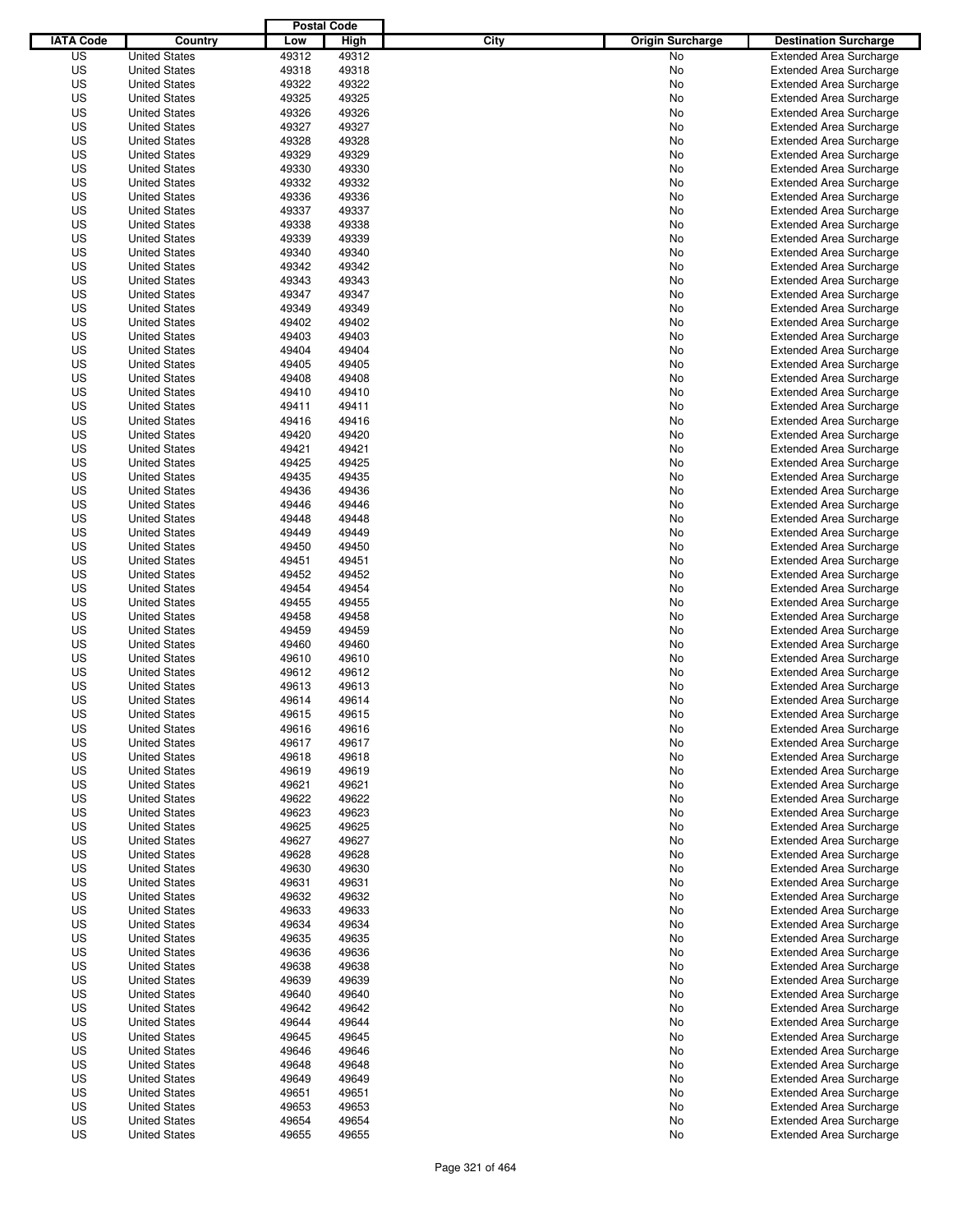|                  |                      | <b>Postal Code</b> |       |                                 |                                |
|------------------|----------------------|--------------------|-------|---------------------------------|--------------------------------|
| <b>IATA Code</b> | Country              | Low                | High  | City<br><b>Origin Surcharge</b> | <b>Destination Surcharge</b>   |
| US               | <b>United States</b> | 49312              | 49312 | <b>No</b>                       | <b>Extended Area Surcharge</b> |
| US               | <b>United States</b> | 49318              | 49318 | No                              | <b>Extended Area Surcharge</b> |
| US               | <b>United States</b> | 49322              | 49322 | No                              | <b>Extended Area Surcharge</b> |
| US               | <b>United States</b> | 49325              | 49325 | No                              | <b>Extended Area Surcharge</b> |
| US               | <b>United States</b> | 49326              | 49326 | No                              | <b>Extended Area Surcharge</b> |
| US               | <b>United States</b> | 49327              | 49327 | No                              | <b>Extended Area Surcharge</b> |
| US               | <b>United States</b> | 49328              | 49328 | No                              | <b>Extended Area Surcharge</b> |
| US               | <b>United States</b> | 49329              | 49329 | No                              | <b>Extended Area Surcharge</b> |
| US               | <b>United States</b> | 49330              | 49330 | No                              | <b>Extended Area Surcharge</b> |
| US               | <b>United States</b> | 49332              | 49332 | No                              | <b>Extended Area Surcharge</b> |
| US               | <b>United States</b> | 49336              | 49336 | No                              | <b>Extended Area Surcharge</b> |
| US               | <b>United States</b> | 49337              | 49337 | No                              | <b>Extended Area Surcharge</b> |
| US               | <b>United States</b> | 49338              | 49338 | No                              | <b>Extended Area Surcharge</b> |
| US               | <b>United States</b> | 49339              | 49339 | No                              | <b>Extended Area Surcharge</b> |
| US               | <b>United States</b> | 49340              | 49340 | No                              | <b>Extended Area Surcharge</b> |
| US               | <b>United States</b> | 49342              | 49342 | No                              | <b>Extended Area Surcharge</b> |
| US               | <b>United States</b> | 49343              | 49343 | No                              | <b>Extended Area Surcharge</b> |
| US               | <b>United States</b> | 49347              | 49347 | No                              | <b>Extended Area Surcharge</b> |
| US               | <b>United States</b> | 49349              | 49349 | No                              | <b>Extended Area Surcharge</b> |
| US               | <b>United States</b> | 49402              | 49402 | No                              | <b>Extended Area Surcharge</b> |
| US               | <b>United States</b> | 49403              | 49403 | No                              | <b>Extended Area Surcharge</b> |
| US               | <b>United States</b> | 49404              | 49404 | No                              | <b>Extended Area Surcharge</b> |
| US               | <b>United States</b> | 49405              | 49405 | No                              | <b>Extended Area Surcharge</b> |
| US               | <b>United States</b> | 49408              | 49408 | No                              | <b>Extended Area Surcharge</b> |
| US               | <b>United States</b> | 49410              | 49410 | No                              | <b>Extended Area Surcharge</b> |
| US               | <b>United States</b> | 49411              | 49411 | No                              | <b>Extended Area Surcharge</b> |
| US               | <b>United States</b> | 49416              | 49416 | No                              | <b>Extended Area Surcharge</b> |
| US               | <b>United States</b> | 49420              | 49420 | No                              | <b>Extended Area Surcharge</b> |
| US               | <b>United States</b> | 49421              | 49421 | No                              | <b>Extended Area Surcharge</b> |
| US               | <b>United States</b> | 49425              | 49425 | No                              | <b>Extended Area Surcharge</b> |
| US               | <b>United States</b> | 49435              | 49435 | No                              | <b>Extended Area Surcharge</b> |
| US               | <b>United States</b> | 49436              | 49436 | No                              | <b>Extended Area Surcharge</b> |
| US               | <b>United States</b> | 49446              | 49446 |                                 | <b>Extended Area Surcharge</b> |
|                  |                      |                    |       | No                              |                                |
| US               | <b>United States</b> | 49448              | 49448 | No                              | <b>Extended Area Surcharge</b> |
| US               | <b>United States</b> | 49449              | 49449 | No                              | <b>Extended Area Surcharge</b> |
| US               | <b>United States</b> | 49450              | 49450 | No                              | <b>Extended Area Surcharge</b> |
| US               | <b>United States</b> | 49451              | 49451 | No                              | <b>Extended Area Surcharge</b> |
| US               | <b>United States</b> | 49452              | 49452 | No                              | <b>Extended Area Surcharge</b> |
| US               | <b>United States</b> | 49454              | 49454 | No                              | <b>Extended Area Surcharge</b> |
| US               | <b>United States</b> | 49455              | 49455 | No                              | <b>Extended Area Surcharge</b> |
| US               | <b>United States</b> | 49458              | 49458 | No                              | <b>Extended Area Surcharge</b> |
| US               | <b>United States</b> | 49459              | 49459 | No                              | <b>Extended Area Surcharge</b> |
| US               | <b>United States</b> | 49460              | 49460 | No                              | <b>Extended Area Surcharge</b> |
| US               | <b>United States</b> | 49610              | 49610 | No                              | <b>Extended Area Surcharge</b> |
| US               | <b>United States</b> | 49612              | 49612 | No                              | <b>Extended Area Surcharge</b> |
| US               | <b>United States</b> | 49613              | 49613 | No                              | <b>Extended Area Surcharge</b> |
| US               | <b>United States</b> | 49614              | 49614 | No                              | <b>Extended Area Surcharge</b> |
| US               | <b>United States</b> | 49615              | 49615 | No                              | <b>Extended Area Surcharge</b> |
| US               | <b>United States</b> | 49616              | 49616 | No                              | <b>Extended Area Surcharge</b> |
| US               | <b>United States</b> | 49617              | 49617 | No                              | <b>Extended Area Surcharge</b> |
| US               | <b>United States</b> | 49618              | 49618 | No                              | <b>Extended Area Surcharge</b> |
| US               | <b>United States</b> | 49619              | 49619 | No                              | <b>Extended Area Surcharge</b> |
| US               | <b>United States</b> | 49621              | 49621 | No                              | <b>Extended Area Surcharge</b> |
| US               | <b>United States</b> | 49622              | 49622 | No                              | <b>Extended Area Surcharge</b> |
| US               | <b>United States</b> | 49623              | 49623 | No                              | <b>Extended Area Surcharge</b> |
| US               | <b>United States</b> | 49625              | 49625 | No                              | <b>Extended Area Surcharge</b> |
| US               | <b>United States</b> | 49627              | 49627 | No                              | <b>Extended Area Surcharge</b> |
| US               | <b>United States</b> | 49628              | 49628 | No                              | <b>Extended Area Surcharge</b> |
| US               | <b>United States</b> | 49630              | 49630 | No                              | <b>Extended Area Surcharge</b> |
| US               | <b>United States</b> | 49631              | 49631 | No                              | <b>Extended Area Surcharge</b> |
| US               | <b>United States</b> | 49632              | 49632 | No                              | <b>Extended Area Surcharge</b> |
| US               | <b>United States</b> | 49633              | 49633 | No                              | <b>Extended Area Surcharge</b> |
| US               | <b>United States</b> | 49634              | 49634 | No                              | <b>Extended Area Surcharge</b> |
| US               | <b>United States</b> | 49635              | 49635 | No                              | <b>Extended Area Surcharge</b> |
| US               | <b>United States</b> | 49636              | 49636 | No                              | <b>Extended Area Surcharge</b> |
| US               | <b>United States</b> | 49638              | 49638 | No                              | <b>Extended Area Surcharge</b> |
| US               | <b>United States</b> | 49639              | 49639 | No                              | <b>Extended Area Surcharge</b> |
| US               | <b>United States</b> | 49640              | 49640 | No                              | <b>Extended Area Surcharge</b> |
| US               | <b>United States</b> | 49642              | 49642 | No                              | <b>Extended Area Surcharge</b> |
| US               | <b>United States</b> | 49644              | 49644 | No                              | <b>Extended Area Surcharge</b> |
| US               | <b>United States</b> | 49645              | 49645 | No                              | <b>Extended Area Surcharge</b> |
| US               | <b>United States</b> | 49646              | 49646 | No                              | <b>Extended Area Surcharge</b> |
| US               | <b>United States</b> | 49648              | 49648 | No                              | <b>Extended Area Surcharge</b> |
| US               | <b>United States</b> | 49649              | 49649 | No                              | <b>Extended Area Surcharge</b> |
| US               | <b>United States</b> | 49651              | 49651 | No                              | <b>Extended Area Surcharge</b> |
| US               | <b>United States</b> | 49653              | 49653 | No                              | <b>Extended Area Surcharge</b> |
| US               | <b>United States</b> | 49654              | 49654 | No                              | <b>Extended Area Surcharge</b> |
| US               | <b>United States</b> | 49655              | 49655 | No                              | <b>Extended Area Surcharge</b> |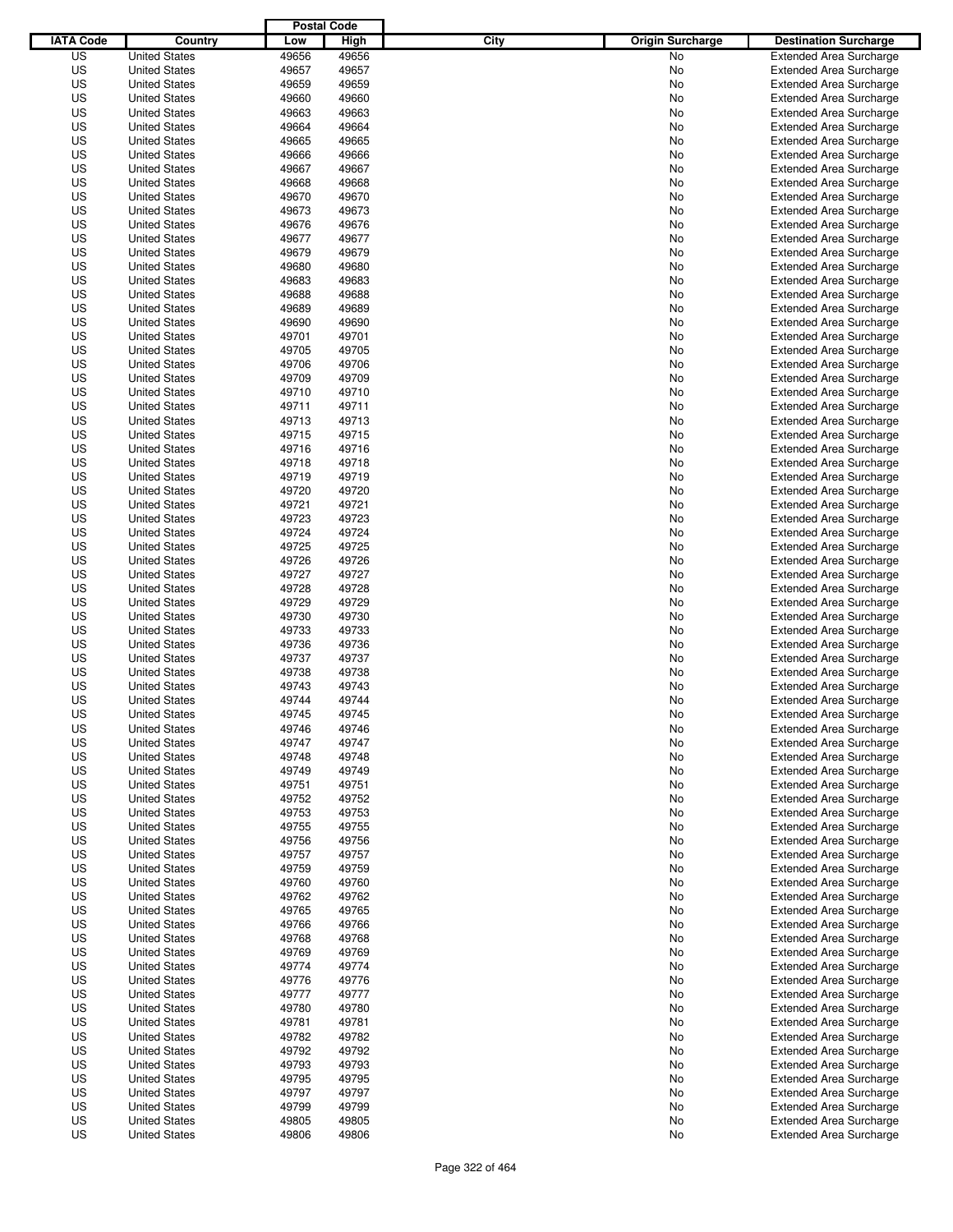|                  |                                              | <b>Postal Code</b> |                |                                 |                                                                  |
|------------------|----------------------------------------------|--------------------|----------------|---------------------------------|------------------------------------------------------------------|
| <b>IATA Code</b> | Country                                      | Low                | High           | City<br><b>Origin Surcharge</b> | <b>Destination Surcharge</b>                                     |
| US               | <b>United States</b>                         | 49656              | 49656          | <b>No</b>                       | <b>Extended Area Surcharge</b>                                   |
| US               | <b>United States</b>                         | 49657              | 49657          | No                              | <b>Extended Area Surcharge</b>                                   |
| US               | <b>United States</b>                         | 49659              | 49659          | No                              | <b>Extended Area Surcharge</b>                                   |
| US               | <b>United States</b>                         | 49660              | 49660          | No                              | <b>Extended Area Surcharge</b>                                   |
| US               | <b>United States</b>                         | 49663              | 49663          | No                              | <b>Extended Area Surcharge</b>                                   |
| US               | <b>United States</b>                         | 49664              | 49664          | No                              | <b>Extended Area Surcharge</b>                                   |
| US               | <b>United States</b>                         | 49665              | 49665          | No                              | <b>Extended Area Surcharge</b>                                   |
| US               | <b>United States</b>                         | 49666              | 49666          | No                              | <b>Extended Area Surcharge</b>                                   |
| US               | <b>United States</b>                         | 49667              | 49667          | No                              | <b>Extended Area Surcharge</b>                                   |
| US               | <b>United States</b>                         | 49668              | 49668          | No                              | <b>Extended Area Surcharge</b>                                   |
| US               | <b>United States</b>                         | 49670              | 49670          | No                              | <b>Extended Area Surcharge</b>                                   |
| US               | <b>United States</b>                         | 49673              | 49673          | No                              | <b>Extended Area Surcharge</b>                                   |
| US               | <b>United States</b>                         | 49676              | 49676          | No                              | <b>Extended Area Surcharge</b>                                   |
| US               | <b>United States</b>                         | 49677              | 49677          | No                              | <b>Extended Area Surcharge</b>                                   |
| US               | <b>United States</b>                         | 49679              | 49679          | No                              | <b>Extended Area Surcharge</b>                                   |
| US               | <b>United States</b>                         | 49680              | 49680          | No                              | <b>Extended Area Surcharge</b>                                   |
| US               | <b>United States</b>                         | 49683              | 49683          | No                              | <b>Extended Area Surcharge</b>                                   |
| US               | <b>United States</b>                         | 49688              | 49688          | No                              | <b>Extended Area Surcharge</b>                                   |
| US               | <b>United States</b>                         | 49689              | 49689          | No                              | <b>Extended Area Surcharge</b>                                   |
| US               | <b>United States</b>                         | 49690              | 49690          | No                              | <b>Extended Area Surcharge</b>                                   |
| US               | <b>United States</b>                         | 49701              | 49701          | No                              | <b>Extended Area Surcharge</b>                                   |
| US               | <b>United States</b>                         | 49705              | 49705          | No                              | <b>Extended Area Surcharge</b>                                   |
| US               | <b>United States</b>                         | 49706              | 49706          | No                              | <b>Extended Area Surcharge</b>                                   |
| US               | <b>United States</b>                         | 49709              | 49709          | No                              | <b>Extended Area Surcharge</b>                                   |
| US               | <b>United States</b>                         | 49710              | 49710          | No                              | <b>Extended Area Surcharge</b>                                   |
| US               | <b>United States</b>                         | 49711              | 49711          | No                              | <b>Extended Area Surcharge</b>                                   |
| US               | <b>United States</b>                         | 49713              | 49713          | No                              | <b>Extended Area Surcharge</b>                                   |
| US               | <b>United States</b>                         | 49715              | 49715          | No                              | <b>Extended Area Surcharge</b>                                   |
| US               | <b>United States</b>                         | 49716              | 49716          | No                              | <b>Extended Area Surcharge</b>                                   |
| US               | <b>United States</b>                         | 49718              | 49718          | No                              | <b>Extended Area Surcharge</b>                                   |
| US               | <b>United States</b>                         | 49719              | 49719          | No                              | <b>Extended Area Surcharge</b>                                   |
| US               | <b>United States</b>                         | 49720              | 49720          | No                              | <b>Extended Area Surcharge</b>                                   |
| US               | <b>United States</b>                         | 49721              | 49721          | No                              | <b>Extended Area Surcharge</b>                                   |
| US               | <b>United States</b>                         | 49723              | 49723          | No                              | <b>Extended Area Surcharge</b>                                   |
| US               | <b>United States</b>                         | 49724              | 49724          | No                              | <b>Extended Area Surcharge</b>                                   |
| US               | <b>United States</b>                         | 49725              | 49725          | No                              | <b>Extended Area Surcharge</b>                                   |
| US               | <b>United States</b>                         | 49726              | 49726          | No                              | <b>Extended Area Surcharge</b>                                   |
| US               | <b>United States</b>                         | 49727              | 49727          | No                              | <b>Extended Area Surcharge</b>                                   |
| US               | <b>United States</b>                         | 49728              | 49728          | No                              | <b>Extended Area Surcharge</b>                                   |
| US               | <b>United States</b>                         | 49729              | 49729          | No                              | <b>Extended Area Surcharge</b>                                   |
| US               | <b>United States</b>                         | 49730              | 49730          | No                              | <b>Extended Area Surcharge</b>                                   |
| US               | <b>United States</b>                         | 49733              | 49733          | No                              | <b>Extended Area Surcharge</b>                                   |
| US               | <b>United States</b>                         | 49736              | 49736          | No                              | <b>Extended Area Surcharge</b>                                   |
| US               | <b>United States</b>                         | 49737              | 49737          | No                              | <b>Extended Area Surcharge</b>                                   |
| US               | <b>United States</b>                         | 49738              | 49738          | No                              | Extended Area Surcharge                                          |
| US               | <b>United States</b>                         | 49743              | 49743          | No                              | <b>Extended Area Surcharge</b>                                   |
| US               | <b>United States</b>                         | 49744              | 49744          | No                              | <b>Extended Area Surcharge</b>                                   |
| US               | <b>United States</b>                         | 49745              | 49745          | No                              | <b>Extended Area Surcharge</b>                                   |
| US               | <b>United States</b>                         | 49746              | 49746          | No                              | <b>Extended Area Surcharge</b>                                   |
| US               | <b>United States</b>                         | 49747              | 49747          | No                              | <b>Extended Area Surcharge</b>                                   |
| US               | <b>United States</b>                         | 49748              | 49748          | No                              | <b>Extended Area Surcharge</b>                                   |
| US               | <b>United States</b>                         | 49749              | 49749          |                                 |                                                                  |
| US               |                                              | 49751              | 49751          | No                              | <b>Extended Area Surcharge</b><br><b>Extended Area Surcharge</b> |
| US               | <b>United States</b><br><b>United States</b> | 49752              | 49752          | No                              | <b>Extended Area Surcharge</b>                                   |
|                  | <b>United States</b>                         |                    |                | No                              |                                                                  |
| US<br>US         | <b>United States</b>                         | 49753<br>49755     | 49753<br>49755 | No<br>No                        | <b>Extended Area Surcharge</b><br><b>Extended Area Surcharge</b> |
|                  |                                              |                    |                |                                 |                                                                  |
| US               | <b>United States</b>                         | 49756              | 49756          | No                              | <b>Extended Area Surcharge</b>                                   |
| US<br>US         | <b>United States</b><br><b>United States</b> | 49757<br>49759     | 49757<br>49759 | No                              | <b>Extended Area Surcharge</b><br><b>Extended Area Surcharge</b> |
|                  |                                              |                    |                | No                              |                                                                  |
| US               | <b>United States</b>                         | 49760              | 49760          | No                              | <b>Extended Area Surcharge</b>                                   |
| US               | <b>United States</b>                         | 49762              | 49762          | No                              | <b>Extended Area Surcharge</b>                                   |
| US               | <b>United States</b>                         | 49765              | 49765          | No                              | <b>Extended Area Surcharge</b>                                   |
| US               | <b>United States</b>                         | 49766              | 49766          | No                              | <b>Extended Area Surcharge</b>                                   |
| US               | <b>United States</b>                         | 49768              | 49768          | No                              | <b>Extended Area Surcharge</b>                                   |
| US               | <b>United States</b>                         | 49769              | 49769          | No                              | <b>Extended Area Surcharge</b>                                   |
| US               | <b>United States</b>                         | 49774              | 49774          | No                              | <b>Extended Area Surcharge</b>                                   |
| US               | <b>United States</b>                         | 49776              | 49776          | No                              | <b>Extended Area Surcharge</b>                                   |
| US               | <b>United States</b>                         | 49777              | 49777          | No                              | <b>Extended Area Surcharge</b>                                   |
| US               | <b>United States</b>                         | 49780              | 49780          | No                              | <b>Extended Area Surcharge</b>                                   |
| US               | <b>United States</b>                         | 49781              | 49781          | No                              | Extended Area Surcharge                                          |
| US               | <b>United States</b>                         | 49782              | 49782          | No                              | <b>Extended Area Surcharge</b>                                   |
| US               | <b>United States</b>                         | 49792              | 49792          | No                              | <b>Extended Area Surcharge</b>                                   |
| US               | <b>United States</b>                         | 49793              | 49793          | No                              | <b>Extended Area Surcharge</b>                                   |
| US               | <b>United States</b>                         | 49795              | 49795          | No                              | <b>Extended Area Surcharge</b>                                   |
| US               | <b>United States</b>                         | 49797              | 49797          | No                              | <b>Extended Area Surcharge</b>                                   |
| US               | <b>United States</b>                         | 49799              | 49799          | No                              | <b>Extended Area Surcharge</b>                                   |
| US               | <b>United States</b>                         | 49805              | 49805          | No                              | <b>Extended Area Surcharge</b>                                   |
| US               | <b>United States</b>                         | 49806              | 49806          | No                              | <b>Extended Area Surcharge</b>                                   |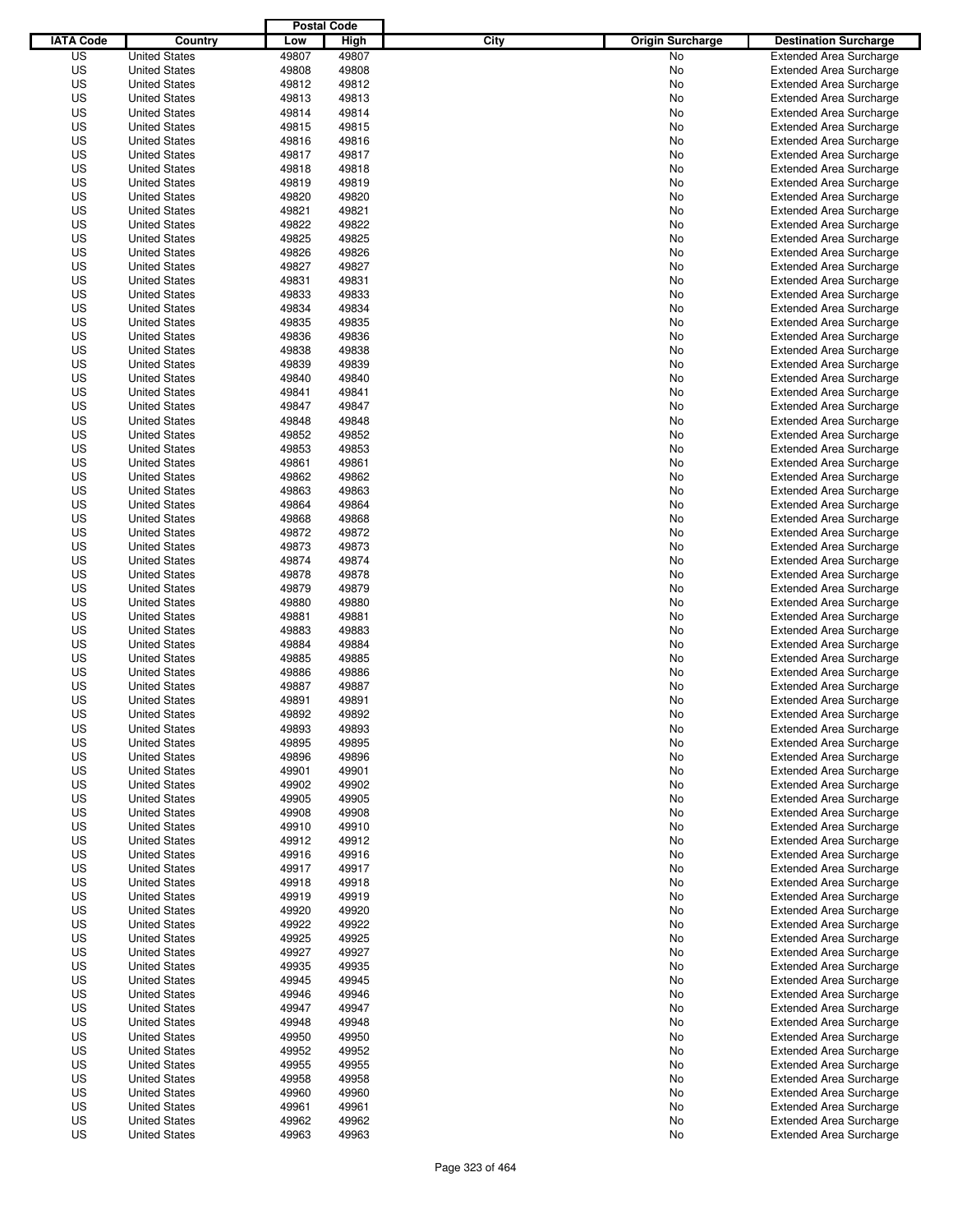|                  |                                              | <b>Postal Code</b> |                |                                 |                                                                  |
|------------------|----------------------------------------------|--------------------|----------------|---------------------------------|------------------------------------------------------------------|
| <b>IATA Code</b> | Country                                      | Low                | High           | City<br><b>Origin Surcharge</b> | <b>Destination Surcharge</b>                                     |
| US               | <b>United States</b>                         | 49807              | 49807          | <b>No</b>                       | <b>Extended Area Surcharge</b>                                   |
| US               | <b>United States</b>                         | 49808              | 49808          | No                              | <b>Extended Area Surcharge</b>                                   |
| US               | <b>United States</b>                         | 49812              | 49812          | No                              | <b>Extended Area Surcharge</b>                                   |
| US               | <b>United States</b>                         | 49813              | 49813          | No                              | <b>Extended Area Surcharge</b>                                   |
| US               | <b>United States</b>                         | 49814              | 49814          | No                              | <b>Extended Area Surcharge</b>                                   |
| US               | <b>United States</b>                         | 49815              | 49815          | No                              | <b>Extended Area Surcharge</b>                                   |
| US               | <b>United States</b>                         | 49816              | 49816          | No                              | <b>Extended Area Surcharge</b>                                   |
| US               | <b>United States</b>                         | 49817              | 49817          | No                              | <b>Extended Area Surcharge</b>                                   |
| US               | <b>United States</b>                         | 49818              | 49818          | No                              | <b>Extended Area Surcharge</b>                                   |
| US               | <b>United States</b>                         | 49819              | 49819          | No                              | <b>Extended Area Surcharge</b>                                   |
| US               | <b>United States</b>                         | 49820              | 49820          | No                              | <b>Extended Area Surcharge</b>                                   |
| US               | <b>United States</b>                         | 49821              | 49821          | No                              | <b>Extended Area Surcharge</b>                                   |
| US               | <b>United States</b>                         | 49822              | 49822          | No                              | <b>Extended Area Surcharge</b>                                   |
| US               | <b>United States</b>                         | 49825              | 49825          | No                              | <b>Extended Area Surcharge</b>                                   |
| US               | <b>United States</b>                         | 49826              | 49826          | No                              | <b>Extended Area Surcharge</b>                                   |
| US               | <b>United States</b>                         | 49827              | 49827          | No                              | <b>Extended Area Surcharge</b>                                   |
| US               | <b>United States</b>                         | 49831              | 49831          | No                              | <b>Extended Area Surcharge</b>                                   |
| US               | <b>United States</b>                         | 49833              | 49833          | No                              | <b>Extended Area Surcharge</b>                                   |
| US               | <b>United States</b>                         | 49834              | 49834          | No                              | <b>Extended Area Surcharge</b>                                   |
| US               | <b>United States</b>                         | 49835              | 49835          | No                              | <b>Extended Area Surcharge</b>                                   |
| US               | <b>United States</b>                         | 49836              | 49836          | No                              | <b>Extended Area Surcharge</b>                                   |
| US               | <b>United States</b>                         | 49838              | 49838          | No                              | <b>Extended Area Surcharge</b>                                   |
| US               | <b>United States</b>                         | 49839              | 49839          | No                              | <b>Extended Area Surcharge</b>                                   |
| US               | <b>United States</b>                         | 49840              | 49840          | No                              | <b>Extended Area Surcharge</b>                                   |
| US               | <b>United States</b>                         | 49841              | 49841          | No                              | <b>Extended Area Surcharge</b>                                   |
| US               | <b>United States</b>                         | 49847              | 49847          | No                              | <b>Extended Area Surcharge</b>                                   |
| US               | <b>United States</b>                         | 49848              | 49848          | No                              | <b>Extended Area Surcharge</b>                                   |
| US               | <b>United States</b>                         | 49852              | 49852          | No                              | <b>Extended Area Surcharge</b>                                   |
| US               | <b>United States</b>                         | 49853              | 49853          | No                              | <b>Extended Area Surcharge</b>                                   |
| US               | <b>United States</b>                         | 49861              | 49861          | No                              | <b>Extended Area Surcharge</b>                                   |
| US               | <b>United States</b>                         | 49862              | 49862          | No                              | <b>Extended Area Surcharge</b>                                   |
| US               | <b>United States</b>                         | 49863              | 49863          | No                              | <b>Extended Area Surcharge</b>                                   |
| US               | <b>United States</b>                         | 49864              | 49864          | No                              | <b>Extended Area Surcharge</b>                                   |
| US               | <b>United States</b>                         | 49868              | 49868          | No                              | <b>Extended Area Surcharge</b>                                   |
| US               | <b>United States</b>                         | 49872              | 49872          | No                              | <b>Extended Area Surcharge</b>                                   |
| US               | <b>United States</b>                         | 49873              | 49873          | No                              | <b>Extended Area Surcharge</b>                                   |
| US               | <b>United States</b>                         | 49874              | 49874          | No                              | <b>Extended Area Surcharge</b>                                   |
| US               | <b>United States</b>                         | 49878              | 49878          | No                              | <b>Extended Area Surcharge</b>                                   |
| US               | <b>United States</b>                         | 49879              | 49879          | No                              | <b>Extended Area Surcharge</b>                                   |
| US               | <b>United States</b>                         | 49880              | 49880          | No                              | <b>Extended Area Surcharge</b>                                   |
| US               | <b>United States</b>                         | 49881              | 49881          | No                              | <b>Extended Area Surcharge</b>                                   |
| US               | <b>United States</b>                         | 49883              | 49883          | No                              | <b>Extended Area Surcharge</b>                                   |
| US               | <b>United States</b>                         | 49884              | 49884          | No                              | <b>Extended Area Surcharge</b>                                   |
| US               | <b>United States</b>                         | 49885              | 49885          | No                              | <b>Extended Area Surcharge</b>                                   |
| US               | <b>United States</b>                         | 49886              | 49886          | No                              | <b>Extended Area Surcharge</b>                                   |
| US               | <b>United States</b>                         | 49887              | 49887          | No                              | <b>Extended Area Surcharge</b>                                   |
| US               | <b>United States</b>                         | 49891              | 49891          | No                              | <b>Extended Area Surcharge</b>                                   |
| US               | <b>United States</b>                         | 49892              | 49892          | No                              | <b>Extended Area Surcharge</b>                                   |
| US               | <b>United States</b>                         | 49893              | 49893          | No                              | <b>Extended Area Surcharge</b>                                   |
| US               | <b>United States</b>                         | 49895              | 49895          | No                              | <b>Extended Area Surcharge</b>                                   |
| US               | <b>United States</b>                         | 49896              | 49896          | No                              | <b>Extended Area Surcharge</b>                                   |
| US               | <b>United States</b>                         | 49901              | 49901          | No                              | <b>Extended Area Surcharge</b>                                   |
| US               | <b>United States</b>                         | 49902              | 49902          | No                              | <b>Extended Area Surcharge</b>                                   |
| US               | <b>United States</b>                         | 49905              | 49905          | No                              | <b>Extended Area Surcharge</b>                                   |
| US               | <b>United States</b>                         | 49908              | 49908          | No                              | <b>Extended Area Surcharge</b>                                   |
| US               | <b>United States</b>                         | 49910              | 49910          | No                              | <b>Extended Area Surcharge</b>                                   |
| US               | <b>United States</b>                         | 49912              | 49912          | No                              | <b>Extended Area Surcharge</b>                                   |
| US               | <b>United States</b>                         | 49916              | 49916          | No                              | <b>Extended Area Surcharge</b>                                   |
| US<br>US         | <b>United States</b><br><b>United States</b> | 49917<br>49918     | 49917<br>49918 | No                              | <b>Extended Area Surcharge</b><br><b>Extended Area Surcharge</b> |
|                  |                                              |                    |                | No                              |                                                                  |
| US<br>US         | <b>United States</b><br><b>United States</b> | 49919<br>49920     | 49919<br>49920 | No                              | <b>Extended Area Surcharge</b><br><b>Extended Area Surcharge</b> |
| US               | <b>United States</b>                         | 49922              | 49922          | No<br>No                        | <b>Extended Area Surcharge</b>                                   |
| US               | <b>United States</b>                         | 49925              | 49925          | No                              | <b>Extended Area Surcharge</b>                                   |
| US               | <b>United States</b>                         | 49927              | 49927          | No                              | <b>Extended Area Surcharge</b>                                   |
| US               | <b>United States</b>                         | 49935              | 49935          | No                              | <b>Extended Area Surcharge</b>                                   |
| US               | <b>United States</b>                         | 49945              | 49945          | No                              | <b>Extended Area Surcharge</b>                                   |
| US               | <b>United States</b>                         | 49946              | 49946          | No                              | <b>Extended Area Surcharge</b>                                   |
| US               | <b>United States</b>                         | 49947              | 49947          | No                              | <b>Extended Area Surcharge</b>                                   |
| US               | <b>United States</b>                         | 49948              | 49948          | No                              | <b>Extended Area Surcharge</b>                                   |
| US               | <b>United States</b>                         | 49950              | 49950          | No                              | <b>Extended Area Surcharge</b>                                   |
| US               | <b>United States</b>                         | 49952              | 49952          | No                              | <b>Extended Area Surcharge</b>                                   |
| US               | <b>United States</b>                         | 49955              | 49955          | No                              | <b>Extended Area Surcharge</b>                                   |
| US               | <b>United States</b>                         | 49958              | 49958          | No                              | <b>Extended Area Surcharge</b>                                   |
| US               | <b>United States</b>                         | 49960              | 49960          | No                              | <b>Extended Area Surcharge</b>                                   |
| US               | <b>United States</b>                         | 49961              | 49961          | No                              | <b>Extended Area Surcharge</b>                                   |
| US               | <b>United States</b>                         | 49962              | 49962          | No                              | <b>Extended Area Surcharge</b>                                   |
| US               | <b>United States</b>                         | 49963              | 49963          | No                              | <b>Extended Area Surcharge</b>                                   |
|                  |                                              |                    |                |                                 |                                                                  |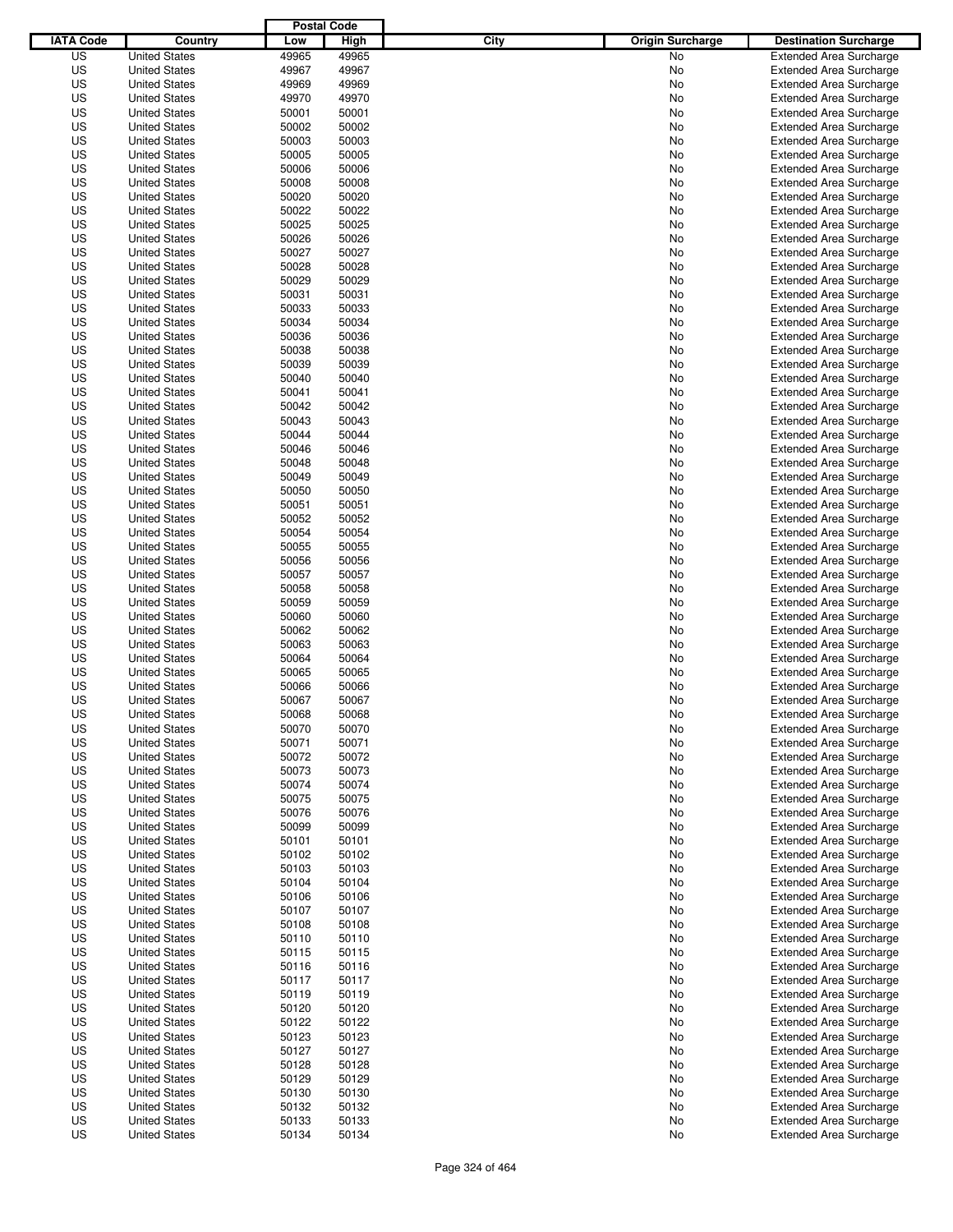|                  |                                              | <b>Postal Code</b> |                |                                 |                                                                  |
|------------------|----------------------------------------------|--------------------|----------------|---------------------------------|------------------------------------------------------------------|
| <b>IATA Code</b> | Country                                      | Low                | High           | City<br><b>Origin Surcharge</b> | <b>Destination Surcharge</b>                                     |
| US               | <b>United States</b>                         | 49965              | 49965          | <b>No</b>                       | <b>Extended Area Surcharge</b>                                   |
| US               | <b>United States</b>                         | 49967              | 49967          | No                              | <b>Extended Area Surcharge</b>                                   |
| US               | <b>United States</b>                         | 49969              | 49969          | No                              | <b>Extended Area Surcharge</b>                                   |
| US               | <b>United States</b>                         | 49970              | 49970          | No                              | <b>Extended Area Surcharge</b>                                   |
| US               | <b>United States</b>                         | 50001              | 50001          | No                              | <b>Extended Area Surcharge</b>                                   |
| US               | <b>United States</b>                         | 50002              | 50002          | No                              | <b>Extended Area Surcharge</b>                                   |
| US               | <b>United States</b>                         | 50003              | 50003          | No                              | <b>Extended Area Surcharge</b>                                   |
| US               | <b>United States</b>                         | 50005              | 50005          | No                              | <b>Extended Area Surcharge</b>                                   |
| US               | <b>United States</b>                         | 50006              | 50006          | No                              | <b>Extended Area Surcharge</b>                                   |
| US               | <b>United States</b>                         | 50008              | 50008          | No                              | <b>Extended Area Surcharge</b>                                   |
| US               | <b>United States</b>                         | 50020              | 50020          | No                              | <b>Extended Area Surcharge</b>                                   |
| US               | <b>United States</b>                         | 50022              | 50022          | No                              | <b>Extended Area Surcharge</b>                                   |
| US               | <b>United States</b>                         | 50025              | 50025          | No                              | <b>Extended Area Surcharge</b>                                   |
| US               | <b>United States</b>                         | 50026              | 50026          | No                              | <b>Extended Area Surcharge</b>                                   |
| US               | <b>United States</b>                         | 50027              | 50027          | No                              | <b>Extended Area Surcharge</b>                                   |
| US               | <b>United States</b>                         | 50028              | 50028          | No                              | <b>Extended Area Surcharge</b>                                   |
| US               | <b>United States</b>                         | 50029              | 50029          | No                              | <b>Extended Area Surcharge</b>                                   |
| US               | <b>United States</b>                         | 50031              | 50031          | No                              | <b>Extended Area Surcharge</b>                                   |
| US               | <b>United States</b>                         | 50033              | 50033          | No                              | <b>Extended Area Surcharge</b>                                   |
| US               | <b>United States</b><br><b>United States</b> | 50034              | 50034          | No                              | <b>Extended Area Surcharge</b>                                   |
| US               |                                              | 50036              | 50036          | No                              | <b>Extended Area Surcharge</b>                                   |
| US               | <b>United States</b>                         | 50038              | 50038          | No                              | <b>Extended Area Surcharge</b>                                   |
| US<br>US         | <b>United States</b><br><b>United States</b> | 50039<br>50040     | 50039<br>50040 | No                              | <b>Extended Area Surcharge</b>                                   |
| US               |                                              | 50041              | 50041          | No                              | <b>Extended Area Surcharge</b><br><b>Extended Area Surcharge</b> |
| US               | <b>United States</b>                         | 50042              | 50042          | No                              | <b>Extended Area Surcharge</b>                                   |
| US               | <b>United States</b><br><b>United States</b> | 50043              | 50043          | No                              | <b>Extended Area Surcharge</b>                                   |
| US               | <b>United States</b>                         | 50044              | 50044          | No<br>No                        | <b>Extended Area Surcharge</b>                                   |
| US               | <b>United States</b>                         | 50046              | 50046          | No                              | <b>Extended Area Surcharge</b>                                   |
| US               | <b>United States</b>                         | 50048              | 50048          | No                              | <b>Extended Area Surcharge</b>                                   |
| US               | <b>United States</b>                         | 50049              | 50049          | No                              | <b>Extended Area Surcharge</b>                                   |
| US               | <b>United States</b>                         | 50050              | 50050          | No                              | <b>Extended Area Surcharge</b>                                   |
| US               | <b>United States</b>                         | 50051              | 50051          | No                              | <b>Extended Area Surcharge</b>                                   |
| US               | <b>United States</b>                         | 50052              | 50052          | No                              | <b>Extended Area Surcharge</b>                                   |
| US               | <b>United States</b>                         | 50054              | 50054          | No                              | <b>Extended Area Surcharge</b>                                   |
| US               | <b>United States</b>                         | 50055              | 50055          | No                              | <b>Extended Area Surcharge</b>                                   |
| US               | <b>United States</b>                         | 50056              | 50056          | No                              | <b>Extended Area Surcharge</b>                                   |
| US               | <b>United States</b>                         | 50057              | 50057          | No                              | <b>Extended Area Surcharge</b>                                   |
| US               | <b>United States</b>                         | 50058              | 50058          | No                              | <b>Extended Area Surcharge</b>                                   |
| US               | <b>United States</b>                         | 50059              | 50059          | No                              | <b>Extended Area Surcharge</b>                                   |
| US               | <b>United States</b>                         | 50060              | 50060          | No                              | <b>Extended Area Surcharge</b>                                   |
| US               | <b>United States</b>                         | 50062              | 50062          | No                              | <b>Extended Area Surcharge</b>                                   |
| US               | <b>United States</b>                         | 50063              | 50063          | No                              | <b>Extended Area Surcharge</b>                                   |
| US               | <b>United States</b>                         | 50064              | 50064          | No                              | <b>Extended Area Surcharge</b>                                   |
| US               | <b>United States</b>                         | 50065              | 50065          | No                              | <b>Extended Area Surcharge</b>                                   |
| US               | <b>United States</b>                         | 50066              | 50066          | No                              | <b>Extended Area Surcharge</b>                                   |
| US               | <b>United States</b>                         | 50067              | 50067          | No                              | <b>Extended Area Surcharge</b>                                   |
| US               | <b>United States</b>                         | 50068              | 50068          | No                              | <b>Extended Area Surcharge</b>                                   |
| US               | <b>United States</b>                         | 50070              | 50070          | No                              | <b>Extended Area Surcharge</b>                                   |
| US               | <b>United States</b>                         | 50071              | 50071          | No                              | <b>Extended Area Surcharge</b>                                   |
| US               | <b>United States</b>                         | 50072              | 50072          | No                              | <b>Extended Area Surcharge</b>                                   |
| US               | <b>United States</b>                         | 50073              | 50073          | No                              | <b>Extended Area Surcharge</b>                                   |
| US               | <b>United States</b>                         | 50074              | 50074          | No                              | <b>Extended Area Surcharge</b>                                   |
| US               | <b>United States</b>                         | 50075              | 50075          | No                              | <b>Extended Area Surcharge</b>                                   |
| US               | <b>United States</b>                         | 50076              | 50076          | No                              | <b>Extended Area Surcharge</b>                                   |
| US               | <b>United States</b>                         | 50099              | 50099          | No                              | <b>Extended Area Surcharge</b>                                   |
| US               | <b>United States</b>                         | 50101              | 50101          | No                              | <b>Extended Area Surcharge</b>                                   |
| US               | <b>United States</b>                         | 50102              | 50102          | No                              | <b>Extended Area Surcharge</b>                                   |
| US               | <b>United States</b>                         | 50103              | 50103          | No                              | <b>Extended Area Surcharge</b>                                   |
| US               | <b>United States</b>                         | 50104              | 50104          | No                              | <b>Extended Area Surcharge</b>                                   |
| US               | <b>United States</b>                         | 50106              | 50106          | No                              | <b>Extended Area Surcharge</b>                                   |
| US               | <b>United States</b>                         | 50107              | 50107          | No                              | <b>Extended Area Surcharge</b>                                   |
| US               | <b>United States</b>                         | 50108              | 50108          | No                              | <b>Extended Area Surcharge</b>                                   |
| US               | <b>United States</b>                         | 50110              | 50110          | No                              | <b>Extended Area Surcharge</b>                                   |
| US               | <b>United States</b>                         | 50115              | 50115          | No                              | <b>Extended Area Surcharge</b>                                   |
| US               | <b>United States</b>                         | 50116              | 50116          | No                              | <b>Extended Area Surcharge</b>                                   |
| US               | <b>United States</b>                         | 50117              | 50117          | No                              | <b>Extended Area Surcharge</b>                                   |
| US               | <b>United States</b>                         | 50119              | 50119          | No                              | <b>Extended Area Surcharge</b>                                   |
| US               | <b>United States</b>                         | 50120              | 50120          | No                              | <b>Extended Area Surcharge</b>                                   |
| US               | <b>United States</b>                         | 50122              | 50122          | No                              | Extended Area Surcharge                                          |
| US               | <b>United States</b>                         | 50123              | 50123          | No                              | <b>Extended Area Surcharge</b>                                   |
| US               | <b>United States</b>                         | 50127              | 50127          | No                              | <b>Extended Area Surcharge</b>                                   |
| US               | <b>United States</b>                         | 50128              | 50128          | No                              | <b>Extended Area Surcharge</b>                                   |
| US               | <b>United States</b>                         | 50129              | 50129          | No                              | <b>Extended Area Surcharge</b>                                   |
| US               | <b>United States</b>                         | 50130              | 50130          | No                              | <b>Extended Area Surcharge</b>                                   |
| US               | <b>United States</b>                         | 50132              | 50132          | No                              | <b>Extended Area Surcharge</b>                                   |
| US               | <b>United States</b>                         | 50133              | 50133          | No                              | <b>Extended Area Surcharge</b>                                   |
| US               | <b>United States</b>                         | 50134              | 50134          | No                              | <b>Extended Area Surcharge</b>                                   |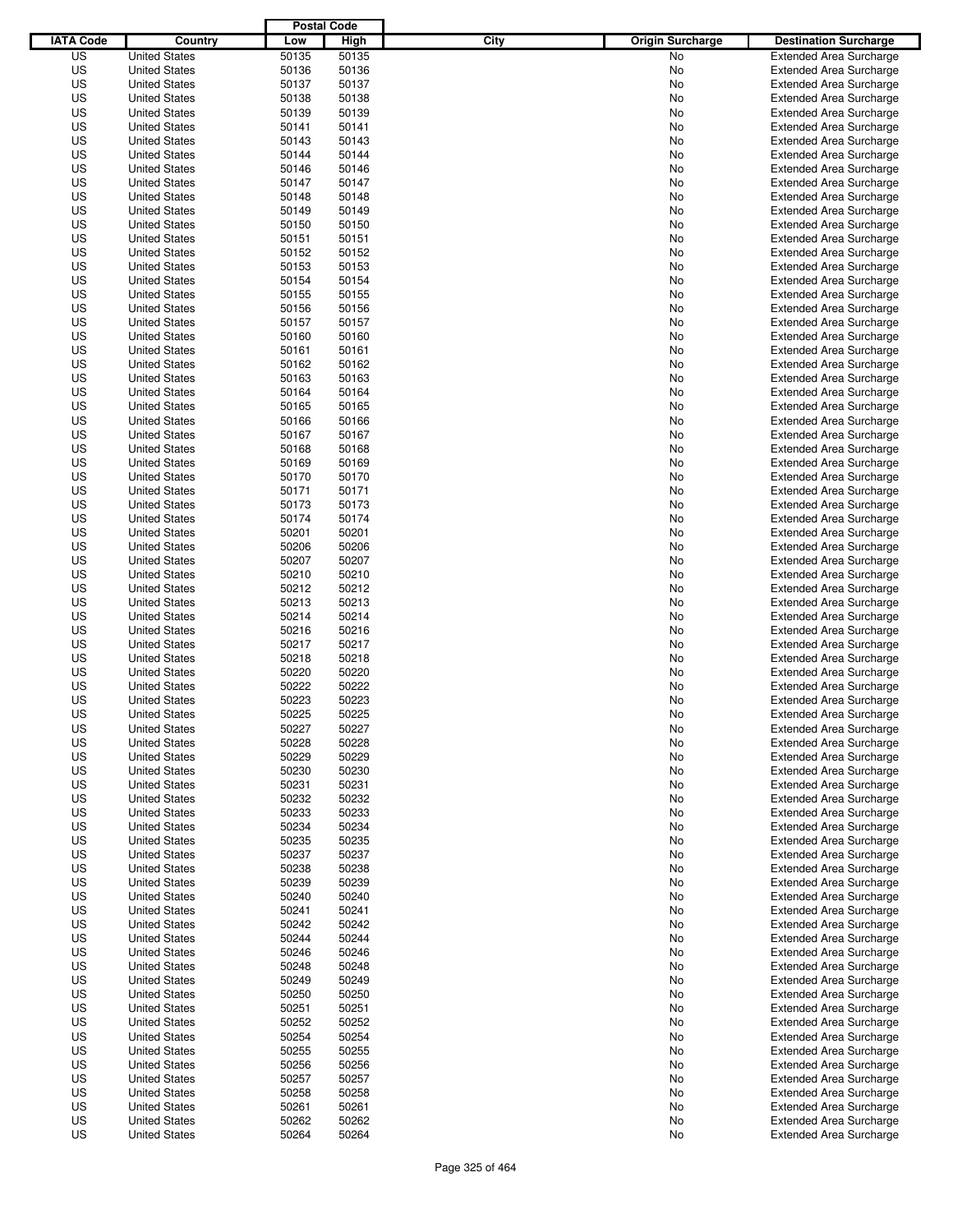|                  |                                              | <b>Postal Code</b> |                |                                 |                                                                  |
|------------------|----------------------------------------------|--------------------|----------------|---------------------------------|------------------------------------------------------------------|
| <b>IATA Code</b> | Country                                      | Low                | High           | City<br><b>Origin Surcharge</b> | <b>Destination Surcharge</b>                                     |
| US               | <b>United States</b>                         | 50135              | 50135          | <b>No</b>                       | <b>Extended Area Surcharge</b>                                   |
| US               | <b>United States</b>                         | 50136              | 50136          | No                              | <b>Extended Area Surcharge</b>                                   |
| US               | <b>United States</b>                         | 50137              | 50137          | No                              | <b>Extended Area Surcharge</b>                                   |
| US               | <b>United States</b>                         | 50138              | 50138          | No                              | <b>Extended Area Surcharge</b>                                   |
| US               | <b>United States</b>                         | 50139              | 50139          | No                              | <b>Extended Area Surcharge</b>                                   |
| US               | <b>United States</b>                         | 50141              | 50141          | No                              | <b>Extended Area Surcharge</b>                                   |
| US               | <b>United States</b>                         | 50143              | 50143          | No                              | <b>Extended Area Surcharge</b>                                   |
| US               | <b>United States</b>                         | 50144              | 50144          | No                              | <b>Extended Area Surcharge</b>                                   |
| US               | <b>United States</b>                         | 50146              | 50146          | No                              | <b>Extended Area Surcharge</b>                                   |
| US               | <b>United States</b>                         | 50147              | 50147          | No                              | <b>Extended Area Surcharge</b>                                   |
| US               | <b>United States</b>                         | 50148              | 50148          | No                              | <b>Extended Area Surcharge</b>                                   |
| US               | <b>United States</b>                         | 50149              | 50149          | No                              | <b>Extended Area Surcharge</b>                                   |
| US               | <b>United States</b>                         | 50150              | 50150          | No                              | <b>Extended Area Surcharge</b>                                   |
| US               | <b>United States</b>                         | 50151              | 50151          | No                              | <b>Extended Area Surcharge</b>                                   |
| US               | <b>United States</b>                         | 50152              | 50152          | No                              | <b>Extended Area Surcharge</b>                                   |
| US               | <b>United States</b>                         | 50153              | 50153          | No                              | <b>Extended Area Surcharge</b>                                   |
| US               | <b>United States</b>                         | 50154              | 50154          | No                              | <b>Extended Area Surcharge</b>                                   |
| US               | <b>United States</b>                         | 50155              | 50155          | No                              | <b>Extended Area Surcharge</b>                                   |
| US               | <b>United States</b>                         | 50156              | 50156          | No                              | <b>Extended Area Surcharge</b>                                   |
| US               | <b>United States</b>                         | 50157              | 50157          | No                              | <b>Extended Area Surcharge</b>                                   |
| US               | <b>United States</b>                         | 50160              | 50160          | No                              | <b>Extended Area Surcharge</b>                                   |
| US               | <b>United States</b>                         | 50161              | 50161          | No                              | <b>Extended Area Surcharge</b>                                   |
| US               | <b>United States</b>                         | 50162              | 50162          | No                              | <b>Extended Area Surcharge</b>                                   |
| US               | <b>United States</b>                         | 50163              | 50163          | No                              | <b>Extended Area Surcharge</b>                                   |
| US               | <b>United States</b>                         | 50164              | 50164          | No                              | <b>Extended Area Surcharge</b><br><b>Extended Area Surcharge</b> |
| US               | <b>United States</b><br><b>United States</b> | 50165              | 50165          | No                              |                                                                  |
| US<br>US         | <b>United States</b>                         | 50166<br>50167     | 50166<br>50167 | No                              | <b>Extended Area Surcharge</b>                                   |
| US               | <b>United States</b>                         | 50168              | 50168          | No<br>No                        | <b>Extended Area Surcharge</b><br><b>Extended Area Surcharge</b> |
| US               | <b>United States</b>                         | 50169              | 50169          | No                              | <b>Extended Area Surcharge</b>                                   |
| US               | <b>United States</b>                         | 50170              | 50170          | No                              | <b>Extended Area Surcharge</b>                                   |
| US               | <b>United States</b>                         | 50171              | 50171          | No                              | <b>Extended Area Surcharge</b>                                   |
| US               | <b>United States</b>                         | 50173              | 50173          | No                              | <b>Extended Area Surcharge</b>                                   |
| US               | <b>United States</b>                         | 50174              | 50174          | No                              | <b>Extended Area Surcharge</b>                                   |
| US               | <b>United States</b>                         | 50201              | 50201          | No                              | <b>Extended Area Surcharge</b>                                   |
| US               | <b>United States</b>                         | 50206              | 50206          | No                              | <b>Extended Area Surcharge</b>                                   |
| US               | <b>United States</b>                         | 50207              | 50207          | No                              | <b>Extended Area Surcharge</b>                                   |
| US               | <b>United States</b>                         | 50210              | 50210          | No                              | <b>Extended Area Surcharge</b>                                   |
| US               | <b>United States</b>                         | 50212              | 50212          | No                              | <b>Extended Area Surcharge</b>                                   |
| US               | <b>United States</b>                         | 50213              | 50213          | No                              | <b>Extended Area Surcharge</b>                                   |
| US               | <b>United States</b>                         | 50214              | 50214          | No                              | <b>Extended Area Surcharge</b>                                   |
| US               | <b>United States</b>                         | 50216              | 50216          | No                              | <b>Extended Area Surcharge</b>                                   |
| US               | <b>United States</b>                         | 50217              | 50217          | No                              | <b>Extended Area Surcharge</b>                                   |
| US               | <b>United States</b>                         | 50218              | 50218          | No                              | <b>Extended Area Surcharge</b>                                   |
| US               | <b>United States</b>                         | 50220              | 50220          | No                              | Extended Area Surcharge                                          |
| US               | <b>United States</b>                         | 50222              | 50222          | No                              | <b>Extended Area Surcharge</b>                                   |
| US               | <b>United States</b>                         | 50223              | 50223          | No                              | <b>Extended Area Surcharge</b>                                   |
| US               | <b>United States</b>                         | 50225              | 50225          | No                              | <b>Extended Area Surcharge</b>                                   |
| US               | <b>United States</b>                         | 50227              | 50227          | No                              | <b>Extended Area Surcharge</b>                                   |
| US               | <b>United States</b>                         | 50228              | 50228          | No                              | <b>Extended Area Surcharge</b>                                   |
| US               | <b>United States</b>                         | 50229              | 50229          | No                              | <b>Extended Area Surcharge</b>                                   |
| US               | <b>United States</b>                         | 50230              | 50230          | No                              | <b>Extended Area Surcharge</b>                                   |
| US               | <b>United States</b>                         | 50231              | 50231          | No                              | <b>Extended Area Surcharge</b>                                   |
| US               | <b>United States</b>                         | 50232              | 50232          | No                              | <b>Extended Area Surcharge</b>                                   |
| US               | <b>United States</b>                         | 50233              | 50233          | No                              | <b>Extended Area Surcharge</b>                                   |
| US               | <b>United States</b>                         | 50234              | 50234          | No                              | <b>Extended Area Surcharge</b>                                   |
| US               | <b>United States</b>                         | 50235              | 50235          | No                              | <b>Extended Area Surcharge</b>                                   |
| US               | <b>United States</b>                         | 50237              | 50237          | No                              | <b>Extended Area Surcharge</b>                                   |
| US               | <b>United States</b>                         | 50238              | 50238          | No                              | <b>Extended Area Surcharge</b>                                   |
| US               | <b>United States</b>                         | 50239              | 50239          | No                              | <b>Extended Area Surcharge</b>                                   |
| US               | <b>United States</b>                         | 50240              | 50240          | No                              | <b>Extended Area Surcharge</b>                                   |
| US               | <b>United States</b>                         | 50241              | 50241          | No                              | <b>Extended Area Surcharge</b>                                   |
| US               | <b>United States</b>                         | 50242              | 50242          | No                              | <b>Extended Area Surcharge</b>                                   |
| US               | <b>United States</b>                         | 50244              | 50244          | No                              | <b>Extended Area Surcharge</b>                                   |
| US               | <b>United States</b>                         | 50246              | 50246          | No                              | <b>Extended Area Surcharge</b>                                   |
| US               | <b>United States</b>                         | 50248              | 50248          | No                              | <b>Extended Area Surcharge</b>                                   |
| US               | <b>United States</b>                         | 50249              | 50249          | No                              | <b>Extended Area Surcharge</b>                                   |
| US               | <b>United States</b>                         | 50250              | 50250          | No                              | <b>Extended Area Surcharge</b>                                   |
| US               | <b>United States</b>                         | 50251              | 50251          | No                              | <b>Extended Area Surcharge</b>                                   |
| US               | <b>United States</b>                         | 50252              | 50252          | No                              | <b>Extended Area Surcharge</b>                                   |
| US               | <b>United States</b>                         | 50254              | 50254          | No                              | <b>Extended Area Surcharge</b>                                   |
| US               | <b>United States</b>                         | 50255              | 50255          | No                              | <b>Extended Area Surcharge</b>                                   |
| US               | <b>United States</b>                         | 50256              | 50256          | No                              | <b>Extended Area Surcharge</b>                                   |
| US               | <b>United States</b>                         | 50257              | 50257          | No                              | <b>Extended Area Surcharge</b>                                   |
| US               | <b>United States</b>                         | 50258              | 50258          | No                              | <b>Extended Area Surcharge</b>                                   |
| US               | <b>United States</b>                         | 50261              | 50261          | No                              | <b>Extended Area Surcharge</b>                                   |
| US<br>US         | <b>United States</b>                         | 50262<br>50264     | 50262<br>50264 | No<br>No                        | <b>Extended Area Surcharge</b><br><b>Extended Area Surcharge</b> |
|                  | <b>United States</b>                         |                    |                |                                 |                                                                  |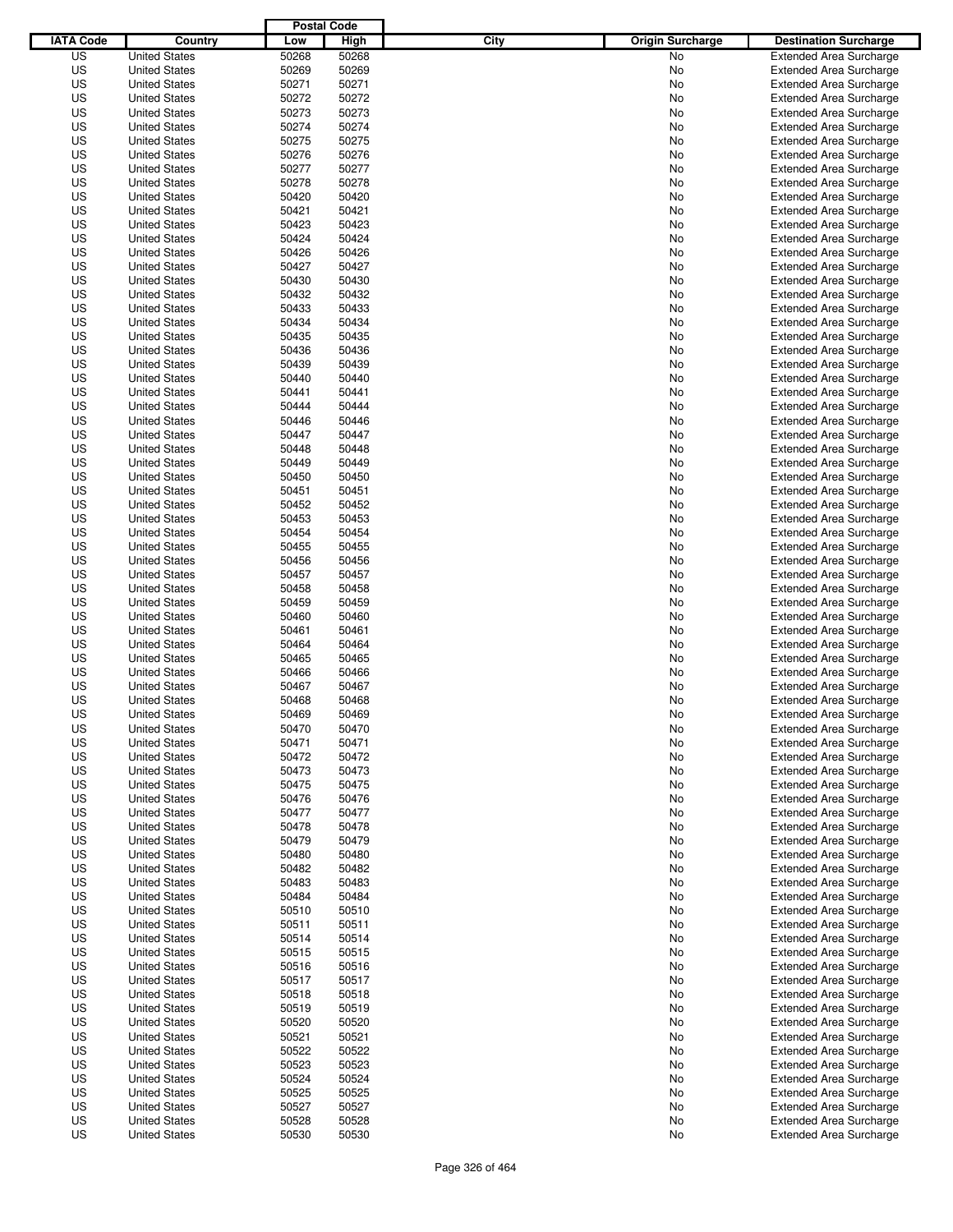|                  |                      | <b>Postal Code</b> |       |                                 |                                |
|------------------|----------------------|--------------------|-------|---------------------------------|--------------------------------|
| <b>IATA Code</b> | Country              | Low                | High  | City<br><b>Origin Surcharge</b> | <b>Destination Surcharge</b>   |
| US               | <b>United States</b> | 50268              | 50268 | No                              | <b>Extended Area Surcharge</b> |
| US               | <b>United States</b> | 50269              | 50269 | No                              | <b>Extended Area Surcharge</b> |
| US               | <b>United States</b> | 50271              | 50271 | No                              | <b>Extended Area Surcharge</b> |
| US               | <b>United States</b> | 50272              | 50272 | No                              | <b>Extended Area Surcharge</b> |
| US               | <b>United States</b> | 50273              | 50273 | No                              | <b>Extended Area Surcharge</b> |
| US               | <b>United States</b> | 50274              | 50274 | No                              | <b>Extended Area Surcharge</b> |
| US               | <b>United States</b> | 50275              | 50275 | No                              | <b>Extended Area Surcharge</b> |
| US               | <b>United States</b> | 50276              | 50276 | No                              | <b>Extended Area Surcharge</b> |
| US               | <b>United States</b> | 50277              | 50277 | No                              | <b>Extended Area Surcharge</b> |
| US               | <b>United States</b> | 50278              | 50278 | No                              | <b>Extended Area Surcharge</b> |
| US               | <b>United States</b> | 50420              | 50420 | No                              | <b>Extended Area Surcharge</b> |
| US               | <b>United States</b> | 50421              | 50421 | No                              | <b>Extended Area Surcharge</b> |
| US               | <b>United States</b> | 50423              | 50423 | No                              | <b>Extended Area Surcharge</b> |
| US               | <b>United States</b> | 50424              | 50424 | No                              | <b>Extended Area Surcharge</b> |
| US               | <b>United States</b> | 50426              | 50426 | No                              | <b>Extended Area Surcharge</b> |
| US               | <b>United States</b> | 50427              | 50427 | No                              | <b>Extended Area Surcharge</b> |
| US               | <b>United States</b> | 50430              | 50430 | No                              | <b>Extended Area Surcharge</b> |
| US               | <b>United States</b> | 50432              | 50432 | No                              | <b>Extended Area Surcharge</b> |
| US               | <b>United States</b> | 50433              | 50433 | No                              | <b>Extended Area Surcharge</b> |
| US               | <b>United States</b> | 50434              | 50434 | No                              | <b>Extended Area Surcharge</b> |
| US               | <b>United States</b> | 50435              | 50435 | No                              | <b>Extended Area Surcharge</b> |
| US               | <b>United States</b> | 50436              | 50436 | No                              | <b>Extended Area Surcharge</b> |
| US               | <b>United States</b> | 50439              | 50439 | No                              | <b>Extended Area Surcharge</b> |
| US               | <b>United States</b> | 50440              | 50440 | No                              | <b>Extended Area Surcharge</b> |
| US               | <b>United States</b> | 50441              | 50441 | No                              | <b>Extended Area Surcharge</b> |
| US               | <b>United States</b> | 50444              | 50444 | No                              | <b>Extended Area Surcharge</b> |
| US               | <b>United States</b> | 50446              | 50446 | No                              | <b>Extended Area Surcharge</b> |
| US               | <b>United States</b> | 50447              | 50447 | No                              | <b>Extended Area Surcharge</b> |
| US               | <b>United States</b> | 50448              | 50448 | No                              | <b>Extended Area Surcharge</b> |
| US               | <b>United States</b> | 50449              | 50449 | No                              | <b>Extended Area Surcharge</b> |
| US               | <b>United States</b> | 50450              | 50450 | No                              | <b>Extended Area Surcharge</b> |
| US               | <b>United States</b> | 50451              | 50451 | No                              | <b>Extended Area Surcharge</b> |
| US               | <b>United States</b> | 50452              | 50452 | No                              | <b>Extended Area Surcharge</b> |
| US               | <b>United States</b> | 50453              | 50453 |                                 |                                |
|                  | <b>United States</b> |                    |       | No                              | <b>Extended Area Surcharge</b> |
| US               |                      | 50454              | 50454 | No                              | <b>Extended Area Surcharge</b> |
| US               | <b>United States</b> | 50455              | 50455 | No                              | <b>Extended Area Surcharge</b> |
| US               | <b>United States</b> | 50456              | 50456 | No                              | <b>Extended Area Surcharge</b> |
| US               | <b>United States</b> | 50457              | 50457 | No                              | <b>Extended Area Surcharge</b> |
| US               | <b>United States</b> | 50458              | 50458 | No                              | <b>Extended Area Surcharge</b> |
| US               | <b>United States</b> | 50459              | 50459 | No                              | <b>Extended Area Surcharge</b> |
| US               | <b>United States</b> | 50460              | 50460 | No                              | <b>Extended Area Surcharge</b> |
| US               | <b>United States</b> | 50461              | 50461 | No                              | <b>Extended Area Surcharge</b> |
| US               | <b>United States</b> | 50464              | 50464 | No                              | <b>Extended Area Surcharge</b> |
| US               | <b>United States</b> | 50465              | 50465 | No                              | <b>Extended Area Surcharge</b> |
| US               | <b>United States</b> | 50466              | 50466 | No                              | Extended Area Surcharge        |
| US               | <b>United States</b> | 50467              | 50467 | No                              | <b>Extended Area Surcharge</b> |
| US               | <b>United States</b> | 50468              | 50468 | No                              | <b>Extended Area Surcharge</b> |
| US               | <b>United States</b> | 50469              | 50469 | No                              | <b>Extended Area Surcharge</b> |
| US               | <b>United States</b> | 50470              | 50470 | No                              | <b>Extended Area Surcharge</b> |
| US               | <b>United States</b> | 50471              | 50471 | No                              | <b>Extended Area Surcharge</b> |
| US               | <b>United States</b> | 50472              | 50472 | No                              | <b>Extended Area Surcharge</b> |
| US               | <b>United States</b> | 50473              | 50473 | No                              | <b>Extended Area Surcharge</b> |
| US               | <b>United States</b> | 50475              | 50475 | No                              | <b>Extended Area Surcharge</b> |
| US               | <b>United States</b> | 50476              | 50476 | No                              | <b>Extended Area Surcharge</b> |
| US               | <b>United States</b> | 50477              | 50477 | No                              | <b>Extended Area Surcharge</b> |
| US               | <b>United States</b> | 50478              | 50478 | No                              | <b>Extended Area Surcharge</b> |
| US               | <b>United States</b> | 50479              | 50479 | No                              | <b>Extended Area Surcharge</b> |
| US               | <b>United States</b> | 50480              | 50480 | No                              | <b>Extended Area Surcharge</b> |
| US               | <b>United States</b> | 50482              | 50482 | No                              | <b>Extended Area Surcharge</b> |
| US               | <b>United States</b> | 50483              | 50483 | No                              | <b>Extended Area Surcharge</b> |
| US               | <b>United States</b> | 50484              | 50484 | No                              | <b>Extended Area Surcharge</b> |
| US               | <b>United States</b> | 50510              | 50510 | No                              | <b>Extended Area Surcharge</b> |
| US               | <b>United States</b> | 50511              | 50511 | No                              | <b>Extended Area Surcharge</b> |
| US               | <b>United States</b> | 50514              | 50514 | No                              | <b>Extended Area Surcharge</b> |
| US               | <b>United States</b> | 50515              | 50515 | No                              | <b>Extended Area Surcharge</b> |
| US               | <b>United States</b> | 50516              | 50516 | No                              | <b>Extended Area Surcharge</b> |
| US               | <b>United States</b> | 50517              | 50517 | No                              | <b>Extended Area Surcharge</b> |
| US               | <b>United States</b> | 50518              | 50518 | No                              | <b>Extended Area Surcharge</b> |
| US               | <b>United States</b> | 50519              | 50519 | No                              | <b>Extended Area Surcharge</b> |
| US               | <b>United States</b> | 50520              | 50520 | No                              | <b>Extended Area Surcharge</b> |
| US               | <b>United States</b> | 50521              | 50521 | No                              | <b>Extended Area Surcharge</b> |
| US               | <b>United States</b> | 50522              | 50522 | No                              | <b>Extended Area Surcharge</b> |
| US               | <b>United States</b> | 50523              | 50523 | No                              | <b>Extended Area Surcharge</b> |
| US               | <b>United States</b> | 50524              | 50524 | No                              | <b>Extended Area Surcharge</b> |
| US               | <b>United States</b> | 50525              | 50525 | No                              | <b>Extended Area Surcharge</b> |
| US               | <b>United States</b> | 50527              | 50527 | No                              | <b>Extended Area Surcharge</b> |
| US               | <b>United States</b> | 50528              | 50528 | No                              | <b>Extended Area Surcharge</b> |
| US               | <b>United States</b> | 50530              | 50530 | No                              | <b>Extended Area Surcharge</b> |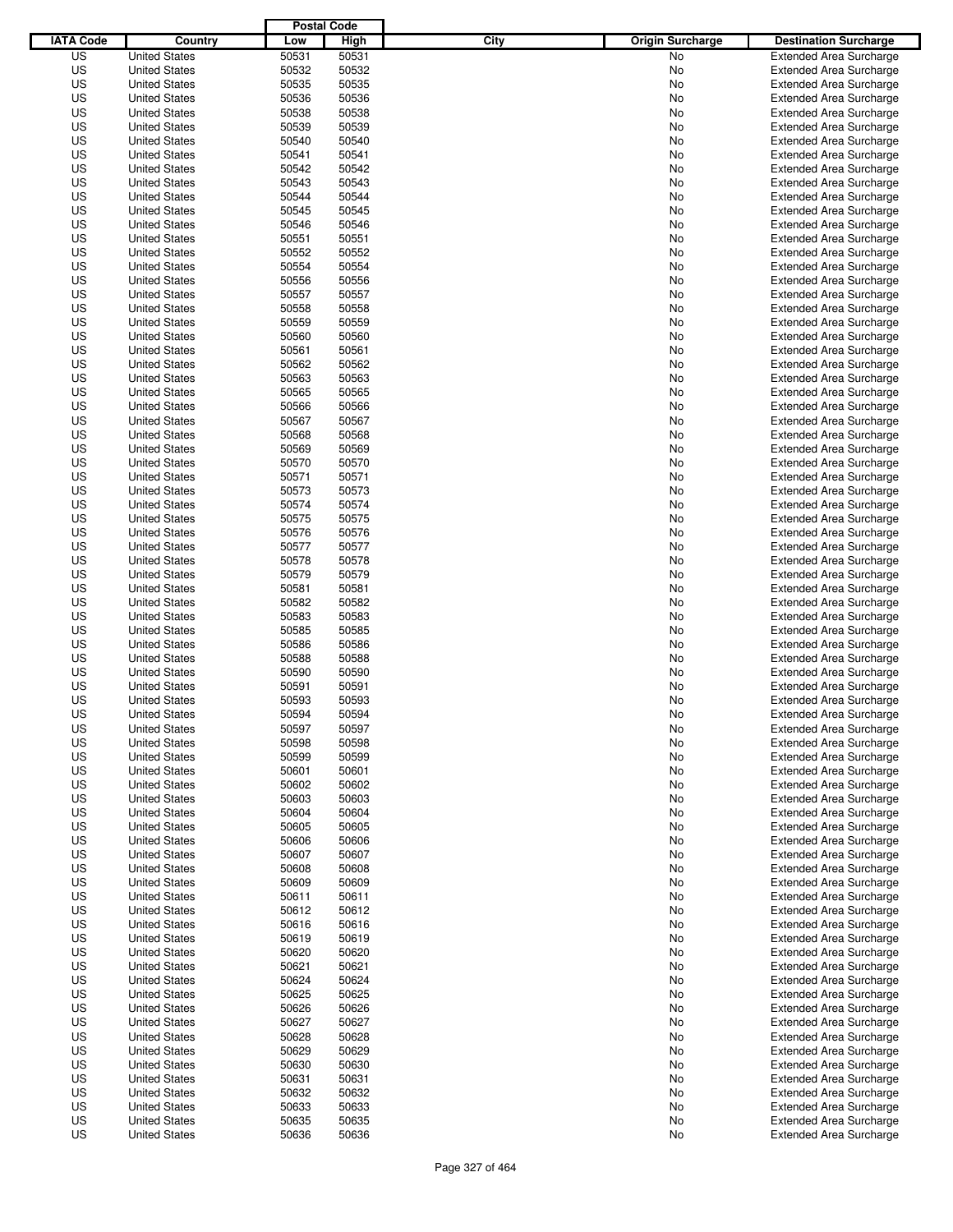|                  |                                              | <b>Postal Code</b> |                |                                 |                                |
|------------------|----------------------------------------------|--------------------|----------------|---------------------------------|--------------------------------|
| <b>IATA Code</b> | Country                                      | Low                | High           | City<br><b>Origin Surcharge</b> | <b>Destination Surcharge</b>   |
| US               | <b>United States</b>                         | 50531              | 50531          | <b>No</b>                       | <b>Extended Area Surcharge</b> |
| US               | <b>United States</b>                         | 50532              | 50532          | No                              | <b>Extended Area Surcharge</b> |
| US               | <b>United States</b>                         | 50535              | 50535          | No                              | <b>Extended Area Surcharge</b> |
| US               | <b>United States</b>                         | 50536              | 50536          | No                              | <b>Extended Area Surcharge</b> |
| US               | <b>United States</b>                         | 50538              | 50538          | No                              | <b>Extended Area Surcharge</b> |
| US               | <b>United States</b>                         | 50539              | 50539          | No                              | <b>Extended Area Surcharge</b> |
| US               | <b>United States</b>                         | 50540              | 50540          | No                              | <b>Extended Area Surcharge</b> |
| US               | <b>United States</b>                         | 50541              | 50541          | No                              | <b>Extended Area Surcharge</b> |
| US               | <b>United States</b>                         | 50542              | 50542          | No                              | <b>Extended Area Surcharge</b> |
| US               | <b>United States</b>                         | 50543              | 50543          | No                              | <b>Extended Area Surcharge</b> |
| US               | <b>United States</b>                         | 50544              | 50544          | No                              | <b>Extended Area Surcharge</b> |
| US               | <b>United States</b>                         | 50545              | 50545          | No                              | <b>Extended Area Surcharge</b> |
| US               | <b>United States</b>                         | 50546              | 50546          | No                              | <b>Extended Area Surcharge</b> |
| US               | <b>United States</b>                         | 50551              | 50551          | No                              | <b>Extended Area Surcharge</b> |
| US               | <b>United States</b>                         | 50552              | 50552          | No                              | <b>Extended Area Surcharge</b> |
| US               | <b>United States</b>                         | 50554              | 50554          | No                              | <b>Extended Area Surcharge</b> |
| US               | <b>United States</b>                         | 50556              | 50556          | No                              | <b>Extended Area Surcharge</b> |
| US               | <b>United States</b>                         | 50557              | 50557          | No                              | <b>Extended Area Surcharge</b> |
| US               | <b>United States</b>                         | 50558              | 50558          | No                              | <b>Extended Area Surcharge</b> |
| US               | <b>United States</b>                         | 50559              | 50559          | No                              | <b>Extended Area Surcharge</b> |
| US               | <b>United States</b>                         | 50560              | 50560          | No                              | <b>Extended Area Surcharge</b> |
| US               | <b>United States</b>                         | 50561              | 50561          | No                              | <b>Extended Area Surcharge</b> |
| US               | <b>United States</b>                         | 50562              | 50562          | No                              | <b>Extended Area Surcharge</b> |
| US               | <b>United States</b>                         | 50563              | 50563          | No                              | <b>Extended Area Surcharge</b> |
| US               | <b>United States</b>                         | 50565              | 50565          | No                              | <b>Extended Area Surcharge</b> |
| US               | <b>United States</b>                         | 50566              | 50566          | No                              | <b>Extended Area Surcharge</b> |
| US               | <b>United States</b>                         | 50567              | 50567          | No                              | <b>Extended Area Surcharge</b> |
| US               | <b>United States</b>                         | 50568              | 50568          | No                              | <b>Extended Area Surcharge</b> |
| US               | <b>United States</b>                         | 50569              | 50569          | No                              | <b>Extended Area Surcharge</b> |
| US               | <b>United States</b>                         | 50570              | 50570          | No                              | <b>Extended Area Surcharge</b> |
| US               | <b>United States</b>                         | 50571              | 50571          | No                              | <b>Extended Area Surcharge</b> |
| US               | <b>United States</b>                         | 50573              | 50573          | No                              | <b>Extended Area Surcharge</b> |
| US               | <b>United States</b>                         | 50574              | 50574          | No                              | <b>Extended Area Surcharge</b> |
| US               | <b>United States</b>                         | 50575              | 50575          | No                              | <b>Extended Area Surcharge</b> |
| US               | <b>United States</b>                         | 50576              | 50576          | No                              | <b>Extended Area Surcharge</b> |
| US               | <b>United States</b>                         | 50577              | 50577          | No                              | <b>Extended Area Surcharge</b> |
| US               | <b>United States</b>                         | 50578              | 50578          | No                              | <b>Extended Area Surcharge</b> |
| US               | <b>United States</b>                         | 50579              | 50579          | No                              | <b>Extended Area Surcharge</b> |
| US               | <b>United States</b>                         | 50581              | 50581          | No                              | <b>Extended Area Surcharge</b> |
| US               | <b>United States</b>                         | 50582              | 50582          | No                              | <b>Extended Area Surcharge</b> |
| US               | <b>United States</b>                         | 50583              | 50583          | No                              | <b>Extended Area Surcharge</b> |
| US               | <b>United States</b>                         | 50585              | 50585          | No                              | <b>Extended Area Surcharge</b> |
| US               | <b>United States</b>                         | 50586              | 50586          | No                              | <b>Extended Area Surcharge</b> |
| US               | <b>United States</b>                         | 50588              | 50588          | No                              | <b>Extended Area Surcharge</b> |
| US               | <b>United States</b>                         | 50590              | 50590          | No                              | <b>Extended Area Surcharge</b> |
| US               | <b>United States</b>                         | 50591              | 50591          | No                              | <b>Extended Area Surcharge</b> |
| US               | <b>United States</b>                         | 50593              | 50593          | No                              | <b>Extended Area Surcharge</b> |
| US               | <b>United States</b>                         | 50594              | 50594          | No                              | <b>Extended Area Surcharge</b> |
| US               | <b>United States</b>                         | 50597              | 50597          | No                              | <b>Extended Area Surcharge</b> |
| US               | <b>United States</b>                         | 50598              | 50598          | No                              | <b>Extended Area Surcharge</b> |
| US               | <b>United States</b>                         | 50599              | 50599          | No                              | <b>Extended Area Surcharge</b> |
| US               | <b>United States</b>                         | 50601              | 50601          | No                              | <b>Extended Area Surcharge</b> |
| US               | <b>United States</b>                         | 50602              | 50602          | No                              | <b>Extended Area Surcharge</b> |
| US               | <b>United States</b>                         | 50603              | 50603          | No                              | <b>Extended Area Surcharge</b> |
| US               | <b>United States</b>                         | 50604              | 50604          | No                              | <b>Extended Area Surcharge</b> |
| US               | <b>United States</b>                         | 50605              | 50605          | No                              | <b>Extended Area Surcharge</b> |
| US               | <b>United States</b>                         | 50606              | 50606          | No                              | <b>Extended Area Surcharge</b> |
| US               | <b>United States</b>                         | 50607              | 50607          | No                              | <b>Extended Area Surcharge</b> |
| US               | <b>United States</b>                         | 50608              | 50608          | No                              | <b>Extended Area Surcharge</b> |
| US               | <b>United States</b>                         | 50609              | 50609          | No                              | <b>Extended Area Surcharge</b> |
| US               | <b>United States</b>                         | 50611              | 50611          | No                              | <b>Extended Area Surcharge</b> |
| US               | <b>United States</b>                         | 50612              | 50612          | No                              | <b>Extended Area Surcharge</b> |
| US               | <b>United States</b>                         | 50616              | 50616          | No                              | <b>Extended Area Surcharge</b> |
| US               | <b>United States</b>                         | 50619              | 50619          | No                              | <b>Extended Area Surcharge</b> |
| US               | <b>United States</b>                         | 50620              | 50620          | No                              | <b>Extended Area Surcharge</b> |
| US               | <b>United States</b>                         | 50621              | 50621          | No                              | <b>Extended Area Surcharge</b> |
| US               | <b>United States</b>                         | 50624              | 50624          | No                              | <b>Extended Area Surcharge</b> |
| US               | <b>United States</b>                         | 50625              | 50625          | No                              | <b>Extended Area Surcharge</b> |
| US               | <b>United States</b>                         | 50626              |                |                                 | <b>Extended Area Surcharge</b> |
| US               | <b>United States</b>                         | 50627              | 50626<br>50627 | No                              | <b>Extended Area Surcharge</b> |
| US               |                                              | 50628              | 50628          | No                              | <b>Extended Area Surcharge</b> |
| US               | <b>United States</b><br><b>United States</b> | 50629              | 50629          | No                              | <b>Extended Area Surcharge</b> |
| US               |                                              |                    |                | No                              | <b>Extended Area Surcharge</b> |
| US               | <b>United States</b><br><b>United States</b> | 50630<br>50631     | 50630<br>50631 | No                              | <b>Extended Area Surcharge</b> |
|                  |                                              |                    |                | No                              |                                |
| US               | <b>United States</b>                         | 50632              | 50632          | No                              | <b>Extended Area Surcharge</b> |
| US<br>US         | <b>United States</b>                         | 50633              | 50633          | No                              | <b>Extended Area Surcharge</b> |
|                  | <b>United States</b><br><b>United States</b> | 50635              | 50635          | No                              | <b>Extended Area Surcharge</b> |
| US               |                                              | 50636              | 50636          | No                              | <b>Extended Area Surcharge</b> |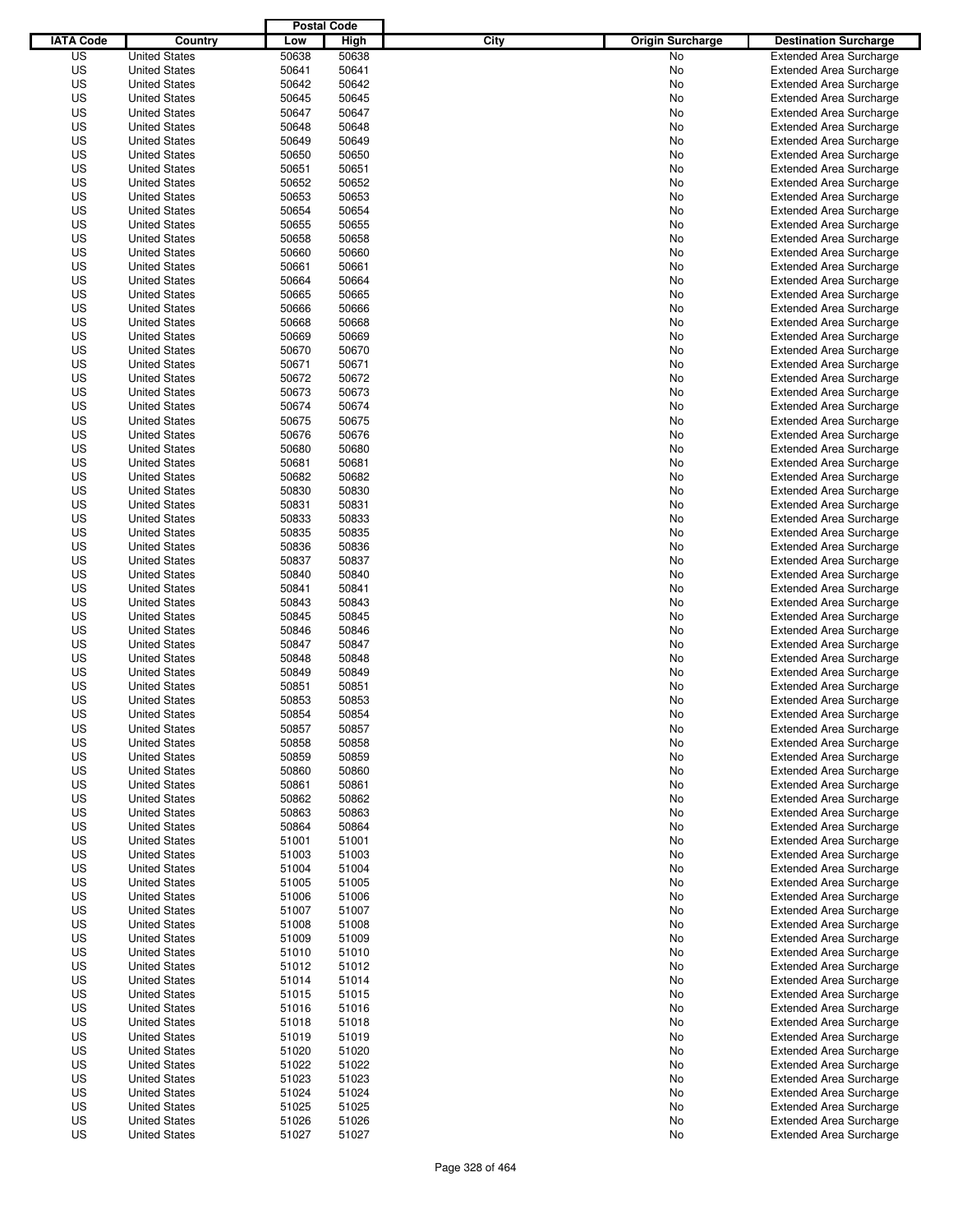|                  |                                              | <b>Postal Code</b> |                |                                 |                                                                  |
|------------------|----------------------------------------------|--------------------|----------------|---------------------------------|------------------------------------------------------------------|
| <b>IATA Code</b> | Country                                      | Low                | High           | City<br><b>Origin Surcharge</b> | <b>Destination Surcharge</b>                                     |
| US               | <b>United States</b>                         | 50638              | 50638          | <b>No</b>                       | <b>Extended Area Surcharge</b>                                   |
| US               | <b>United States</b>                         | 50641              | 50641          | No                              | <b>Extended Area Surcharge</b>                                   |
| US               | <b>United States</b>                         | 50642              | 50642          | No                              | <b>Extended Area Surcharge</b>                                   |
| US               | <b>United States</b>                         | 50645              | 50645          | No                              | <b>Extended Area Surcharge</b>                                   |
| US               | <b>United States</b>                         | 50647              | 50647          | No                              | <b>Extended Area Surcharge</b>                                   |
| US               | <b>United States</b>                         | 50648              | 50648          | No                              | <b>Extended Area Surcharge</b>                                   |
| US               | <b>United States</b>                         | 50649              | 50649          | No                              | <b>Extended Area Surcharge</b>                                   |
| US               | <b>United States</b>                         | 50650              | 50650          | No                              | <b>Extended Area Surcharge</b>                                   |
| US               | <b>United States</b>                         | 50651              | 50651          | No                              | <b>Extended Area Surcharge</b>                                   |
| US               | <b>United States</b>                         | 50652              | 50652          | No                              | <b>Extended Area Surcharge</b>                                   |
| US               | <b>United States</b>                         | 50653              | 50653          | No                              | <b>Extended Area Surcharge</b>                                   |
| US               | <b>United States</b>                         | 50654              | 50654          | No                              | <b>Extended Area Surcharge</b>                                   |
| US               | <b>United States</b>                         | 50655              | 50655          | No                              | <b>Extended Area Surcharge</b>                                   |
| US               | <b>United States</b>                         | 50658              | 50658          | No                              | <b>Extended Area Surcharge</b>                                   |
| US               | <b>United States</b>                         | 50660              | 50660          | No                              | <b>Extended Area Surcharge</b>                                   |
| US<br>US         | <b>United States</b><br><b>United States</b> | 50661<br>50664     | 50661<br>50664 | No<br>No                        | <b>Extended Area Surcharge</b><br><b>Extended Area Surcharge</b> |
| US               | <b>United States</b>                         | 50665              | 50665          | No                              | <b>Extended Area Surcharge</b>                                   |
| US               | <b>United States</b>                         | 50666              | 50666          | No                              | <b>Extended Area Surcharge</b>                                   |
| US               | <b>United States</b>                         | 50668              | 50668          | No                              | <b>Extended Area Surcharge</b>                                   |
| US               | <b>United States</b>                         | 50669              | 50669          | No                              | <b>Extended Area Surcharge</b>                                   |
| US               | <b>United States</b>                         | 50670              | 50670          | No                              | <b>Extended Area Surcharge</b>                                   |
| US               | <b>United States</b>                         | 50671              | 50671          | No                              | <b>Extended Area Surcharge</b>                                   |
| US               | <b>United States</b>                         | 50672              | 50672          | No                              | <b>Extended Area Surcharge</b>                                   |
| US               | <b>United States</b>                         | 50673              | 50673          | No                              | <b>Extended Area Surcharge</b>                                   |
| US               | <b>United States</b>                         | 50674              | 50674          | No                              | <b>Extended Area Surcharge</b>                                   |
| US               | <b>United States</b>                         | 50675              | 50675          | No                              | <b>Extended Area Surcharge</b>                                   |
| US               | <b>United States</b>                         | 50676              | 50676          | No                              | <b>Extended Area Surcharge</b>                                   |
| US               | <b>United States</b>                         | 50680              | 50680          | No                              | <b>Extended Area Surcharge</b>                                   |
| US               | <b>United States</b>                         | 50681              | 50681          | No                              | <b>Extended Area Surcharge</b>                                   |
| US               | <b>United States</b>                         | 50682              | 50682          | No                              | <b>Extended Area Surcharge</b>                                   |
| US               | <b>United States</b>                         | 50830              | 50830          | No                              | <b>Extended Area Surcharge</b>                                   |
| US               | <b>United States</b>                         | 50831              | 50831          | No                              | <b>Extended Area Surcharge</b>                                   |
| US               | <b>United States</b>                         | 50833              | 50833          | No                              | <b>Extended Area Surcharge</b>                                   |
| US               | <b>United States</b>                         | 50835              | 50835          | No                              | <b>Extended Area Surcharge</b>                                   |
| US               | <b>United States</b>                         | 50836              | 50836          | No                              | <b>Extended Area Surcharge</b>                                   |
| US               | <b>United States</b>                         | 50837              | 50837          | No                              | <b>Extended Area Surcharge</b>                                   |
| US               | <b>United States</b>                         | 50840              | 50840          | No                              | <b>Extended Area Surcharge</b>                                   |
| US               | <b>United States</b>                         | 50841              | 50841          | No                              | <b>Extended Area Surcharge</b>                                   |
| US               | <b>United States</b>                         | 50843              | 50843          | No                              | <b>Extended Area Surcharge</b>                                   |
| US               | <b>United States</b>                         | 50845              | 50845          | No                              | <b>Extended Area Surcharge</b>                                   |
| US               | <b>United States</b>                         | 50846              | 50846          | No                              | <b>Extended Area Surcharge</b>                                   |
| US               | <b>United States</b>                         | 50847              | 50847          | No                              | <b>Extended Area Surcharge</b>                                   |
| US               | <b>United States</b>                         | 50848              | 50848          | No                              | <b>Extended Area Surcharge</b>                                   |
| US               | <b>United States</b>                         | 50849              | 50849          | No                              | <b>Extended Area Surcharge</b>                                   |
| US               | <b>United States</b>                         | 50851              | 50851          | No                              | <b>Extended Area Surcharge</b>                                   |
| US               | <b>United States</b>                         | 50853              | 50853          | No                              | <b>Extended Area Surcharge</b>                                   |
| US               | <b>United States</b>                         | 50854              | 50854          | No                              | <b>Extended Area Surcharge</b>                                   |
| US               | <b>United States</b>                         | 50857              | 50857          | No                              | <b>Extended Area Surcharge</b>                                   |
| US               | <b>United States</b>                         | 50858              | 50858          | No                              | <b>Extended Area Surcharge</b>                                   |
| US               | <b>United States</b>                         | 50859              | 50859          | No                              | <b>Extended Area Surcharge</b>                                   |
| US               | <b>United States</b>                         | 50860              | 50860          | No                              | <b>Extended Area Surcharge</b>                                   |
| US               | <b>United States</b>                         | 50861              | 50861          | No                              | <b>Extended Area Surcharge</b>                                   |
| US               | <b>United States</b><br><b>United States</b> | 50862              | 50862          | No                              | <b>Extended Area Surcharge</b>                                   |
| US<br>US         | <b>United States</b>                         | 50863<br>50864     | 50863<br>50864 | No<br>No                        | <b>Extended Area Surcharge</b><br><b>Extended Area Surcharge</b> |
| US               |                                              |                    |                |                                 | <b>Extended Area Surcharge</b>                                   |
| US               | <b>United States</b><br><b>United States</b> | 51001<br>51003     | 51001<br>51003 | No<br>No                        | <b>Extended Area Surcharge</b>                                   |
| US               | <b>United States</b>                         | 51004              | 51004          | No                              | <b>Extended Area Surcharge</b>                                   |
| US               | <b>United States</b>                         | 51005              | 51005          | No                              | <b>Extended Area Surcharge</b>                                   |
| US               | <b>United States</b>                         | 51006              | 51006          | No                              | <b>Extended Area Surcharge</b>                                   |
| US               | <b>United States</b>                         | 51007              | 51007          | No                              | <b>Extended Area Surcharge</b>                                   |
| US               | <b>United States</b>                         | 51008              | 51008          | No                              | <b>Extended Area Surcharge</b>                                   |
| US               | <b>United States</b>                         | 51009              | 51009          | No                              | <b>Extended Area Surcharge</b>                                   |
| US               | <b>United States</b>                         | 51010              | 51010          | No                              | <b>Extended Area Surcharge</b>                                   |
| US               | <b>United States</b>                         | 51012              | 51012          | No                              | <b>Extended Area Surcharge</b>                                   |
| US               | <b>United States</b>                         | 51014              | 51014          | No                              | <b>Extended Area Surcharge</b>                                   |
| US               | <b>United States</b>                         | 51015              | 51015          | No                              | <b>Extended Area Surcharge</b>                                   |
| US               | <b>United States</b>                         | 51016              | 51016          | No                              | <b>Extended Area Surcharge</b>                                   |
| US               | <b>United States</b>                         | 51018              | 51018          | No                              | Extended Area Surcharge                                          |
| US               | <b>United States</b>                         | 51019              | 51019          | No                              | <b>Extended Area Surcharge</b>                                   |
| US               | <b>United States</b>                         | 51020              | 51020          | No                              | <b>Extended Area Surcharge</b>                                   |
| US               | <b>United States</b>                         | 51022              | 51022          | No                              | <b>Extended Area Surcharge</b>                                   |
| US               | <b>United States</b>                         | 51023              | 51023          | No                              | <b>Extended Area Surcharge</b>                                   |
| US               | <b>United States</b>                         | 51024              | 51024          | No                              | <b>Extended Area Surcharge</b>                                   |
| US               | <b>United States</b>                         | 51025              | 51025          | No                              | <b>Extended Area Surcharge</b>                                   |
| US               | <b>United States</b>                         | 51026              | 51026          | No                              | <b>Extended Area Surcharge</b>                                   |
| US               | <b>United States</b>                         | 51027              | 51027          | No                              | <b>Extended Area Surcharge</b>                                   |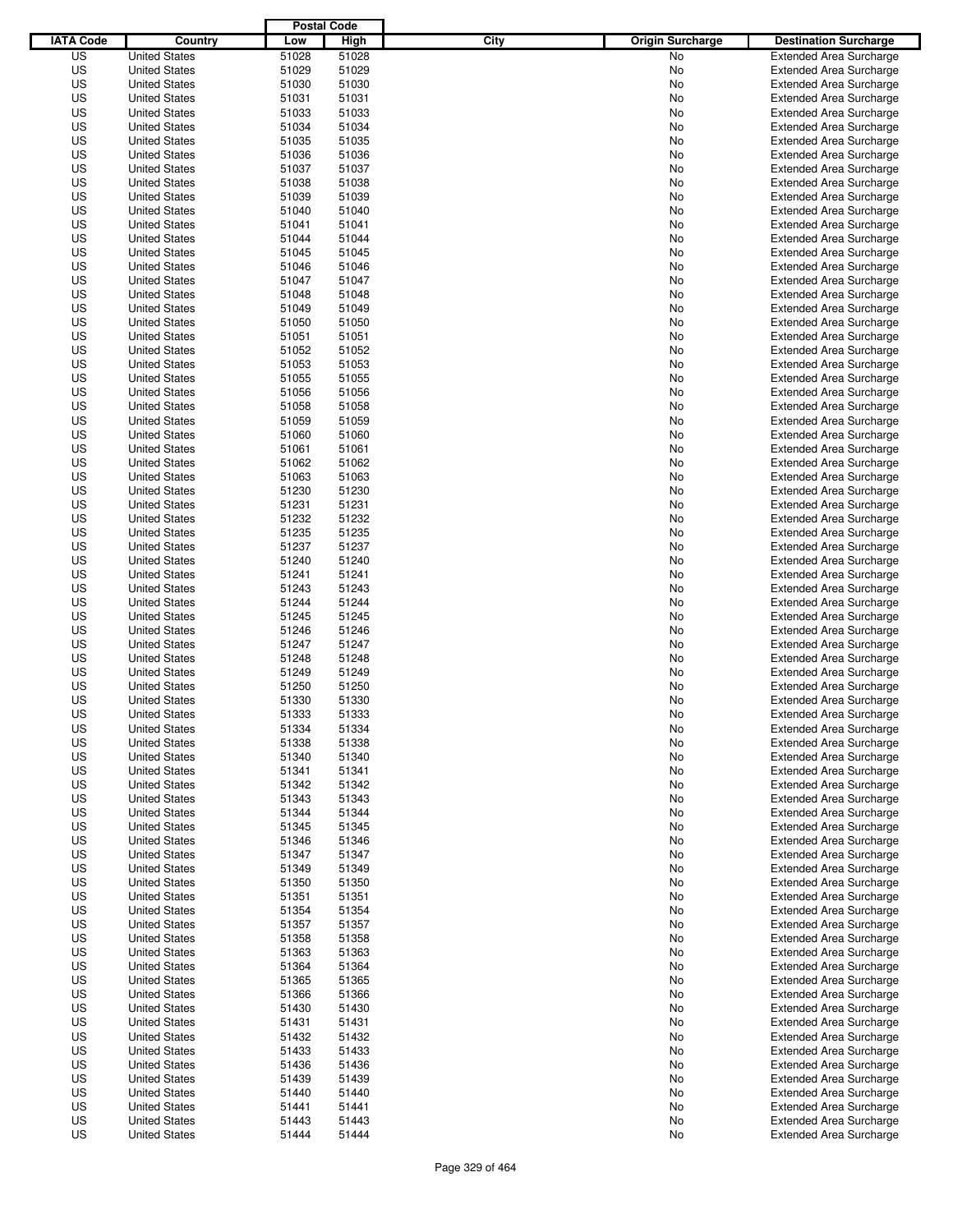|                  |                      | <b>Postal Code</b> |       |                                 |                                |
|------------------|----------------------|--------------------|-------|---------------------------------|--------------------------------|
| <b>IATA Code</b> | Country              | Low                | High  | City<br><b>Origin Surcharge</b> | <b>Destination Surcharge</b>   |
| US               | <b>United States</b> | 51028              | 51028 | <b>No</b>                       | <b>Extended Area Surcharge</b> |
| US               | <b>United States</b> | 51029              | 51029 | No                              | <b>Extended Area Surcharge</b> |
| US               | <b>United States</b> | 51030              | 51030 | No                              | <b>Extended Area Surcharge</b> |
| US               | <b>United States</b> | 51031              | 51031 | No                              | <b>Extended Area Surcharge</b> |
| US               | <b>United States</b> | 51033              | 51033 | No                              | <b>Extended Area Surcharge</b> |
| US               | <b>United States</b> | 51034              | 51034 | No                              | <b>Extended Area Surcharge</b> |
| US               | <b>United States</b> | 51035              | 51035 | No                              | <b>Extended Area Surcharge</b> |
| US               | <b>United States</b> | 51036              | 51036 | No                              | <b>Extended Area Surcharge</b> |
| US               | <b>United States</b> | 51037              | 51037 | No                              | <b>Extended Area Surcharge</b> |
| US               | <b>United States</b> | 51038              | 51038 | No                              | <b>Extended Area Surcharge</b> |
| US               | <b>United States</b> | 51039              | 51039 | No                              | <b>Extended Area Surcharge</b> |
| US               | <b>United States</b> | 51040              | 51040 | No                              | <b>Extended Area Surcharge</b> |
| US               | <b>United States</b> | 51041              | 51041 | No                              | <b>Extended Area Surcharge</b> |
| US               | <b>United States</b> | 51044              | 51044 | No                              | <b>Extended Area Surcharge</b> |
| US               | <b>United States</b> | 51045              | 51045 | No                              | <b>Extended Area Surcharge</b> |
| US               | <b>United States</b> | 51046              | 51046 | No                              | <b>Extended Area Surcharge</b> |
| US               | <b>United States</b> | 51047              | 51047 | No                              | <b>Extended Area Surcharge</b> |
| US               | <b>United States</b> | 51048              | 51048 | No                              | <b>Extended Area Surcharge</b> |
| US               | <b>United States</b> | 51049              | 51049 | No                              | <b>Extended Area Surcharge</b> |
| US               | <b>United States</b> | 51050              | 51050 | No                              | <b>Extended Area Surcharge</b> |
| US               | <b>United States</b> | 51051              | 51051 | No                              | <b>Extended Area Surcharge</b> |
| US               | <b>United States</b> | 51052              | 51052 | No                              | <b>Extended Area Surcharge</b> |
| US               | <b>United States</b> | 51053              | 51053 | No                              | <b>Extended Area Surcharge</b> |
| US               | <b>United States</b> | 51055              | 51055 | No                              | <b>Extended Area Surcharge</b> |
| US               | <b>United States</b> | 51056              | 51056 | No                              | <b>Extended Area Surcharge</b> |
| US               | <b>United States</b> | 51058              | 51058 | No                              | <b>Extended Area Surcharge</b> |
| US               | <b>United States</b> | 51059              | 51059 | No                              | <b>Extended Area Surcharge</b> |
| US               | <b>United States</b> | 51060              | 51060 | No                              | <b>Extended Area Surcharge</b> |
| US               | <b>United States</b> | 51061              | 51061 | No                              | <b>Extended Area Surcharge</b> |
| US               | <b>United States</b> | 51062              | 51062 | No                              | <b>Extended Area Surcharge</b> |
| US               | <b>United States</b> | 51063              | 51063 | No                              | <b>Extended Area Surcharge</b> |
| US               | <b>United States</b> | 51230              | 51230 | No                              | <b>Extended Area Surcharge</b> |
| US               | <b>United States</b> | 51231              | 51231 | No                              | <b>Extended Area Surcharge</b> |
| US               | <b>United States</b> | 51232              | 51232 | No                              | <b>Extended Area Surcharge</b> |
| US               | <b>United States</b> | 51235              | 51235 | No                              | <b>Extended Area Surcharge</b> |
| US               | <b>United States</b> | 51237              | 51237 | No                              | <b>Extended Area Surcharge</b> |
| US               | <b>United States</b> | 51240              | 51240 | No                              | <b>Extended Area Surcharge</b> |
| US               | <b>United States</b> | 51241              | 51241 | No                              | <b>Extended Area Surcharge</b> |
| US               | <b>United States</b> | 51243              | 51243 | No                              | <b>Extended Area Surcharge</b> |
| US               | <b>United States</b> | 51244              | 51244 | No                              | <b>Extended Area Surcharge</b> |
| US               | <b>United States</b> | 51245              | 51245 | No                              | <b>Extended Area Surcharge</b> |
| US               | <b>United States</b> | 51246              | 51246 | No                              | <b>Extended Area Surcharge</b> |
| US               | <b>United States</b> | 51247              | 51247 | No                              | <b>Extended Area Surcharge</b> |
| US               | <b>United States</b> | 51248              | 51248 | No                              | <b>Extended Area Surcharge</b> |
| US               | <b>United States</b> | 51249              | 51249 | No                              | Extended Area Surcharge        |
| US               | <b>United States</b> | 51250              | 51250 | No                              | <b>Extended Area Surcharge</b> |
| US               | <b>United States</b> | 51330              | 51330 | No                              | <b>Extended Area Surcharge</b> |
| US               | <b>United States</b> | 51333              | 51333 | No                              | <b>Extended Area Surcharge</b> |
| US               | <b>United States</b> | 51334              | 51334 | No                              | <b>Extended Area Surcharge</b> |
| US               | <b>United States</b> | 51338              | 51338 | No                              | <b>Extended Area Surcharge</b> |
| US               | <b>United States</b> | 51340              | 51340 | No                              | <b>Extended Area Surcharge</b> |
| US               | <b>United States</b> | 51341              | 51341 | No                              | <b>Extended Area Surcharge</b> |
| US               | <b>United States</b> | 51342              | 51342 | No                              | <b>Extended Area Surcharge</b> |
| US               | <b>United States</b> | 51343              | 51343 | No                              | <b>Extended Area Surcharge</b> |
| US               | <b>United States</b> | 51344              | 51344 | No                              | <b>Extended Area Surcharge</b> |
| US               | <b>United States</b> | 51345              | 51345 | No                              | <b>Extended Area Surcharge</b> |
| US               | <b>United States</b> | 51346              | 51346 | No                              | <b>Extended Area Surcharge</b> |
| US               | <b>United States</b> | 51347              | 51347 | No                              | <b>Extended Area Surcharge</b> |
| US               | <b>United States</b> | 51349              | 51349 | No                              | <b>Extended Area Surcharge</b> |
| US               | <b>United States</b> | 51350              | 51350 | No                              | <b>Extended Area Surcharge</b> |
| US               | <b>United States</b> | 51351              | 51351 | No                              | <b>Extended Area Surcharge</b> |
| US               | <b>United States</b> | 51354              | 51354 | No                              | <b>Extended Area Surcharge</b> |
| US               | <b>United States</b> | 51357              | 51357 | No                              | <b>Extended Area Surcharge</b> |
| US               | <b>United States</b> | 51358              | 51358 | No                              | <b>Extended Area Surcharge</b> |
| US               | <b>United States</b> | 51363              | 51363 | No                              | <b>Extended Area Surcharge</b> |
| US               | <b>United States</b> | 51364              | 51364 | No                              | <b>Extended Area Surcharge</b> |
| US               | <b>United States</b> | 51365              | 51365 | No                              | <b>Extended Area Surcharge</b> |
| US               | <b>United States</b> | 51366              | 51366 | No                              | <b>Extended Area Surcharge</b> |
| US               | <b>United States</b> | 51430              | 51430 | No                              | <b>Extended Area Surcharge</b> |
| US               | <b>United States</b> | 51431              | 51431 | No                              | Extended Area Surcharge        |
| US               | <b>United States</b> | 51432              | 51432 | No                              | <b>Extended Area Surcharge</b> |
| US               | <b>United States</b> | 51433              | 51433 | No                              | <b>Extended Area Surcharge</b> |
| US               | <b>United States</b> | 51436              | 51436 | No                              | <b>Extended Area Surcharge</b> |
| US               | <b>United States</b> | 51439              | 51439 | No                              | <b>Extended Area Surcharge</b> |
| US               | <b>United States</b> | 51440              | 51440 | No                              | <b>Extended Area Surcharge</b> |
| US               | <b>United States</b> | 51441              | 51441 | No                              | <b>Extended Area Surcharge</b> |
| US               | <b>United States</b> | 51443              | 51443 | No                              | <b>Extended Area Surcharge</b> |
| US               | <b>United States</b> | 51444              | 51444 | No                              | <b>Extended Area Surcharge</b> |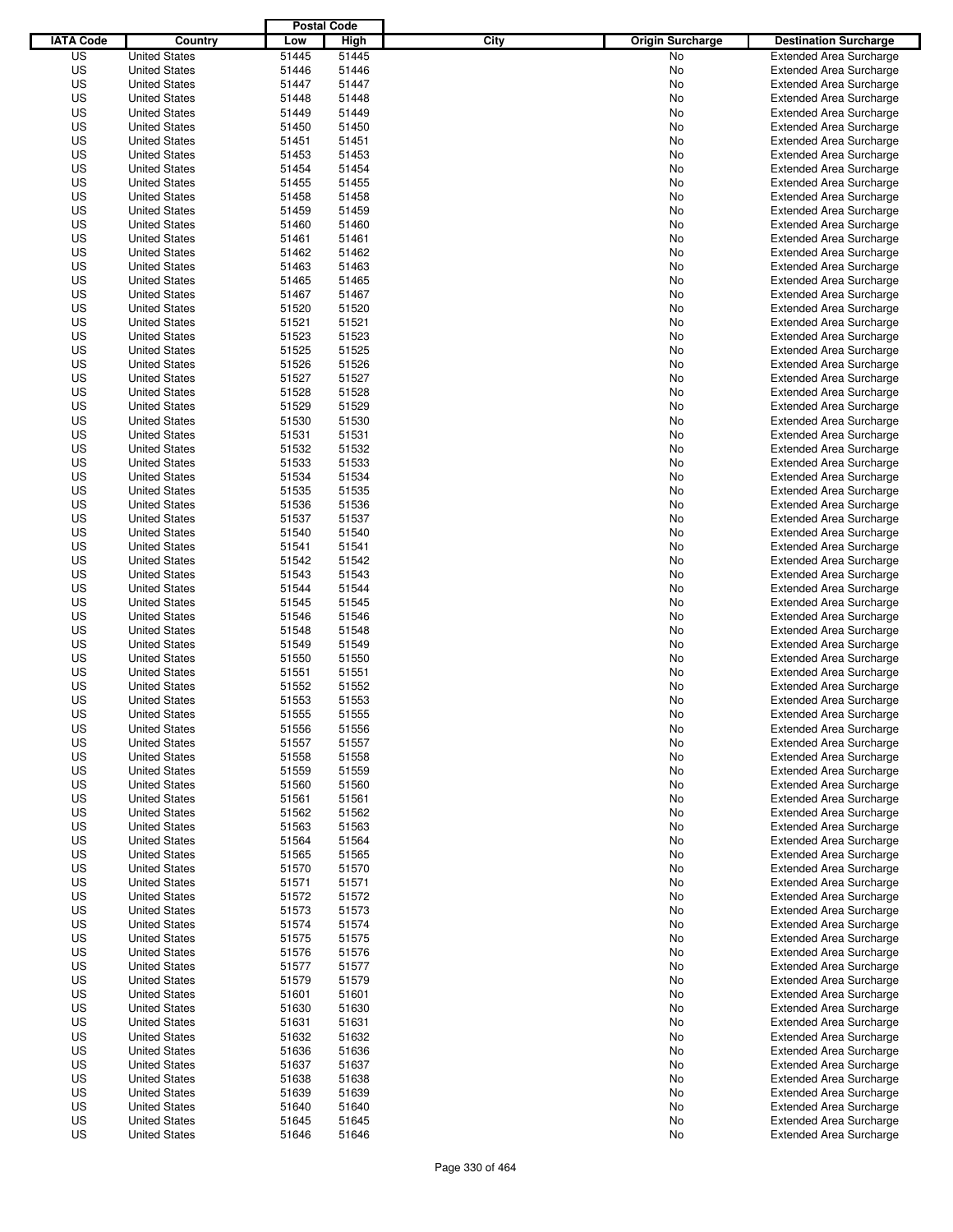|                  |                                              | <b>Postal Code</b> |                |                                 |                                                                  |
|------------------|----------------------------------------------|--------------------|----------------|---------------------------------|------------------------------------------------------------------|
| <b>IATA Code</b> | Country                                      | Low                | High           | City<br><b>Origin Surcharge</b> | <b>Destination Surcharge</b>                                     |
| US               | <b>United States</b>                         | 51445              | 51445          | <b>No</b>                       | <b>Extended Area Surcharge</b>                                   |
| US               | <b>United States</b>                         | 51446              | 51446          | No                              | <b>Extended Area Surcharge</b>                                   |
| US               | <b>United States</b>                         | 51447              | 51447          | No                              | <b>Extended Area Surcharge</b>                                   |
| US               | <b>United States</b>                         | 51448              | 51448          | No                              | <b>Extended Area Surcharge</b>                                   |
| US               | <b>United States</b>                         | 51449              | 51449          | No                              | <b>Extended Area Surcharge</b>                                   |
| US               | <b>United States</b>                         | 51450              | 51450          | No                              | <b>Extended Area Surcharge</b>                                   |
| US               | <b>United States</b>                         | 51451              | 51451          | No                              | <b>Extended Area Surcharge</b>                                   |
| US               | <b>United States</b>                         | 51453              | 51453          | No                              | <b>Extended Area Surcharge</b>                                   |
| US               | <b>United States</b>                         | 51454              | 51454          | No                              | <b>Extended Area Surcharge</b>                                   |
| US               | <b>United States</b>                         | 51455              | 51455          | No                              | <b>Extended Area Surcharge</b>                                   |
| US               | <b>United States</b>                         | 51458              | 51458          | No                              | <b>Extended Area Surcharge</b>                                   |
| US               | <b>United States</b>                         | 51459              | 51459          | No                              | <b>Extended Area Surcharge</b>                                   |
| US               | <b>United States</b>                         | 51460              | 51460          | No                              | <b>Extended Area Surcharge</b>                                   |
| US               | <b>United States</b>                         | 51461              | 51461          | No                              | <b>Extended Area Surcharge</b>                                   |
| US               | <b>United States</b>                         | 51462              | 51462          | No                              | <b>Extended Area Surcharge</b>                                   |
| US               | <b>United States</b>                         | 51463              | 51463          | No                              | <b>Extended Area Surcharge</b>                                   |
| US               | <b>United States</b>                         | 51465              | 51465          | No                              | <b>Extended Area Surcharge</b>                                   |
| US               | <b>United States</b>                         | 51467              | 51467          | No                              | <b>Extended Area Surcharge</b>                                   |
| US               | <b>United States</b>                         | 51520              | 51520          | No                              | <b>Extended Area Surcharge</b>                                   |
| US               | <b>United States</b>                         | 51521              | 51521          | No                              | <b>Extended Area Surcharge</b>                                   |
| US               | <b>United States</b>                         | 51523              | 51523          | No                              | <b>Extended Area Surcharge</b>                                   |
| US               | <b>United States</b>                         | 51525              | 51525          | No                              | <b>Extended Area Surcharge</b>                                   |
| US               | <b>United States</b>                         | 51526              | 51526          | No                              | <b>Extended Area Surcharge</b>                                   |
| US               | <b>United States</b>                         | 51527              | 51527          | No                              | <b>Extended Area Surcharge</b>                                   |
| US               | <b>United States</b>                         | 51528              | 51528          | No                              | <b>Extended Area Surcharge</b>                                   |
| US               | <b>United States</b>                         | 51529              | 51529          | No                              | <b>Extended Area Surcharge</b>                                   |
| US               | <b>United States</b>                         | 51530              | 51530          | No                              | <b>Extended Area Surcharge</b>                                   |
| US               | <b>United States</b>                         | 51531              | 51531          | No                              | <b>Extended Area Surcharge</b>                                   |
| US               | <b>United States</b>                         | 51532              | 51532          | No                              | <b>Extended Area Surcharge</b>                                   |
| US               | <b>United States</b>                         | 51533              | 51533          | No                              | <b>Extended Area Surcharge</b>                                   |
| US               | <b>United States</b>                         | 51534              | 51534          | No                              | <b>Extended Area Surcharge</b>                                   |
| US               | <b>United States</b><br><b>United States</b> | 51535              | 51535          | No                              | <b>Extended Area Surcharge</b>                                   |
| US<br>US         | <b>United States</b>                         | 51536<br>51537     | 51536<br>51537 | No                              | <b>Extended Area Surcharge</b>                                   |
| US               | <b>United States</b>                         | 51540              | 51540          | No<br>No                        | <b>Extended Area Surcharge</b><br><b>Extended Area Surcharge</b> |
| US               | <b>United States</b>                         | 51541              | 51541          | No                              | <b>Extended Area Surcharge</b>                                   |
| US               | <b>United States</b>                         | 51542              | 51542          | No                              | <b>Extended Area Surcharge</b>                                   |
| US               | <b>United States</b>                         | 51543              | 51543          | No                              | <b>Extended Area Surcharge</b>                                   |
| US               | <b>United States</b>                         | 51544              | 51544          | No                              | <b>Extended Area Surcharge</b>                                   |
| US               | <b>United States</b>                         | 51545              | 51545          | No                              | <b>Extended Area Surcharge</b>                                   |
| US               | <b>United States</b>                         | 51546              | 51546          | No                              | <b>Extended Area Surcharge</b>                                   |
| US               | <b>United States</b>                         | 51548              | 51548          | No                              | <b>Extended Area Surcharge</b>                                   |
| US               | <b>United States</b>                         | 51549              | 51549          | No                              | <b>Extended Area Surcharge</b>                                   |
| US               | <b>United States</b>                         | 51550              | 51550          | No                              | <b>Extended Area Surcharge</b>                                   |
| US               | <b>United States</b>                         | 51551              | 51551          | No                              | Extended Area Surcharge                                          |
| US               | <b>United States</b>                         | 51552              | 51552          | No                              | <b>Extended Area Surcharge</b>                                   |
| US               | <b>United States</b>                         | 51553              | 51553          | No                              | <b>Extended Area Surcharge</b>                                   |
| US               | <b>United States</b>                         | 51555              | 51555          | No                              | <b>Extended Area Surcharge</b>                                   |
| US               | <b>United States</b>                         | 51556              | 51556          | No                              | <b>Extended Area Surcharge</b>                                   |
| US               | <b>United States</b>                         | 51557              | 51557          | No                              | <b>Extended Area Surcharge</b>                                   |
| US               | <b>United States</b>                         | 51558              | 51558          | No                              | <b>Extended Area Surcharge</b>                                   |
| US               | <b>United States</b>                         | 51559              | 51559          | No                              | <b>Extended Area Surcharge</b>                                   |
| US               | <b>United States</b>                         | 51560              | 51560          | No                              | <b>Extended Area Surcharge</b>                                   |
| US               | <b>United States</b>                         | 51561              | 51561          | No                              | <b>Extended Area Surcharge</b>                                   |
| US               | <b>United States</b>                         | 51562              | 51562          | No                              | <b>Extended Area Surcharge</b>                                   |
| US               | <b>United States</b>                         | 51563              | 51563          | No                              | <b>Extended Area Surcharge</b>                                   |
| US               | <b>United States</b>                         | 51564              | 51564          | No                              | <b>Extended Area Surcharge</b>                                   |
| US               | <b>United States</b>                         | 51565              | 51565          | No                              | <b>Extended Area Surcharge</b>                                   |
| US               | <b>United States</b>                         | 51570              | 51570          | No                              | <b>Extended Area Surcharge</b>                                   |
| US               | <b>United States</b>                         | 51571              | 51571          | No                              | <b>Extended Area Surcharge</b>                                   |
| US               | <b>United States</b>                         | 51572              | 51572          | No                              | <b>Extended Area Surcharge</b>                                   |
| US               | <b>United States</b>                         | 51573              | 51573          | No                              | <b>Extended Area Surcharge</b>                                   |
| US               | <b>United States</b>                         | 51574              | 51574          | No                              | <b>Extended Area Surcharge</b>                                   |
| US               | <b>United States</b>                         | 51575              | 51575          | No                              | <b>Extended Area Surcharge</b>                                   |
| US               | <b>United States</b>                         | 51576              | 51576          | No                              | <b>Extended Area Surcharge</b>                                   |
| US               | <b>United States</b>                         | 51577              | 51577          | No                              | <b>Extended Area Surcharge</b>                                   |
| US               | <b>United States</b>                         | 51579              | 51579          | No                              | <b>Extended Area Surcharge</b>                                   |
| US               | <b>United States</b>                         | 51601              | 51601          | No                              | <b>Extended Area Surcharge</b>                                   |
| US               | <b>United States</b>                         | 51630              | 51630          | No                              | <b>Extended Area Surcharge</b>                                   |
| US               | <b>United States</b>                         | 51631              | 51631          | No                              | Extended Area Surcharge                                          |
| US               | <b>United States</b>                         | 51632              | 51632          | No                              | <b>Extended Area Surcharge</b>                                   |
| US               | <b>United States</b>                         | 51636              | 51636          | No                              | <b>Extended Area Surcharge</b>                                   |
| US               | <b>United States</b>                         | 51637              | 51637          | No                              | <b>Extended Area Surcharge</b>                                   |
| US               | <b>United States</b>                         | 51638              | 51638          | No                              | <b>Extended Area Surcharge</b>                                   |
| US               | <b>United States</b>                         | 51639              | 51639          | No                              | <b>Extended Area Surcharge</b>                                   |
| US               | <b>United States</b>                         | 51640              | 51640          | No                              | <b>Extended Area Surcharge</b>                                   |
| US<br>US         | <b>United States</b><br><b>United States</b> | 51645<br>51646     | 51645<br>51646 | No<br>No                        | <b>Extended Area Surcharge</b><br><b>Extended Area Surcharge</b> |
|                  |                                              |                    |                |                                 |                                                                  |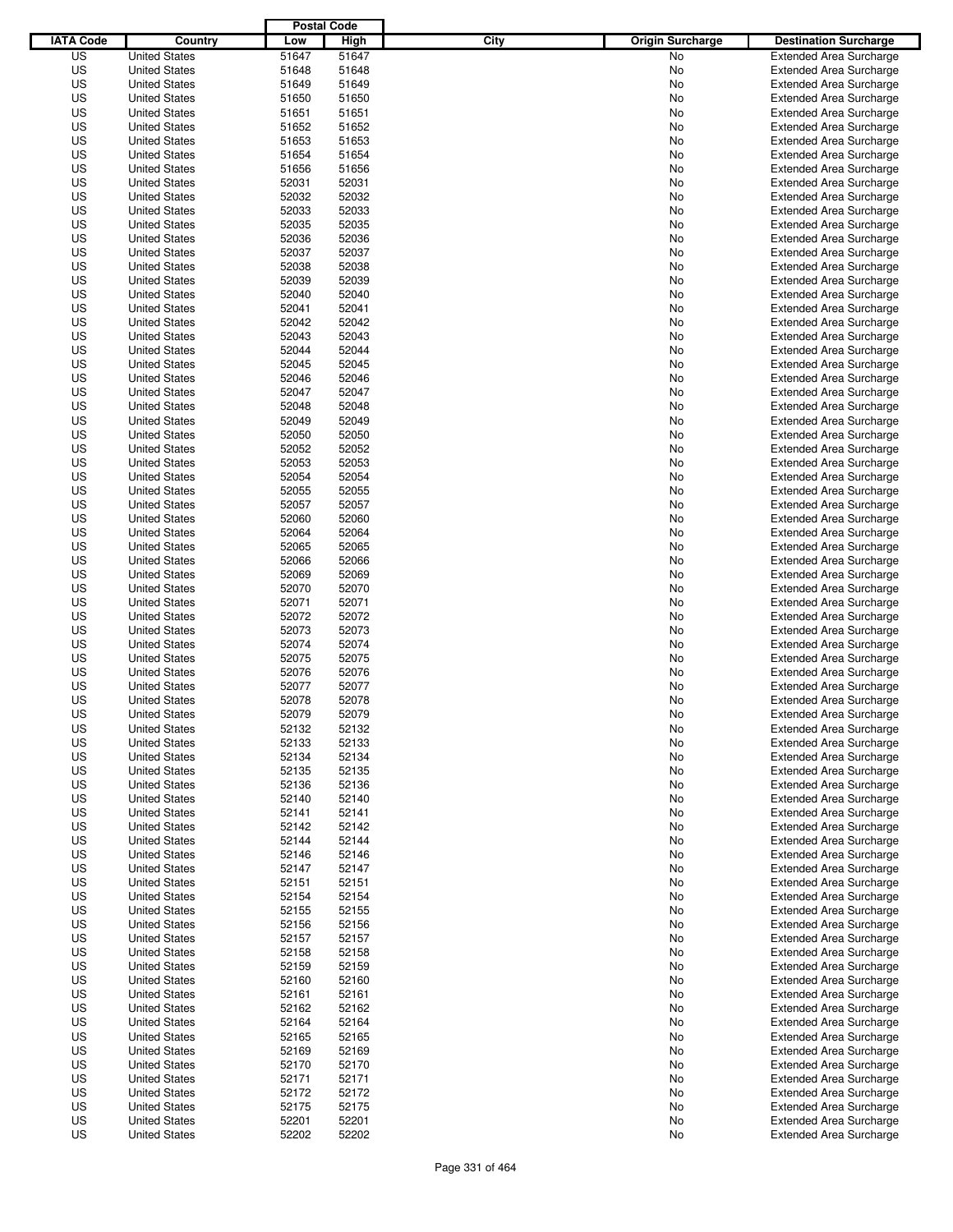|                  |                      | <b>Postal Code</b> |       |                                 |                                |
|------------------|----------------------|--------------------|-------|---------------------------------|--------------------------------|
| <b>IATA Code</b> | Country              | Low                | High  | City<br><b>Origin Surcharge</b> | <b>Destination Surcharge</b>   |
| US               | <b>United States</b> | 51647              | 51647 | <b>No</b>                       | <b>Extended Area Surcharge</b> |
| US               | <b>United States</b> | 51648              | 51648 | No                              | <b>Extended Area Surcharge</b> |
| US               | <b>United States</b> | 51649              | 51649 | No                              | <b>Extended Area Surcharge</b> |
| US               | <b>United States</b> | 51650              | 51650 | No                              | <b>Extended Area Surcharge</b> |
| US               | <b>United States</b> | 51651              | 51651 | No                              | <b>Extended Area Surcharge</b> |
| US               | <b>United States</b> | 51652              | 51652 | No                              | <b>Extended Area Surcharge</b> |
| US               | <b>United States</b> | 51653              | 51653 | No                              | <b>Extended Area Surcharge</b> |
| US               | <b>United States</b> | 51654              | 51654 | No                              | <b>Extended Area Surcharge</b> |
| US               | <b>United States</b> | 51656              | 51656 | No                              | <b>Extended Area Surcharge</b> |
| US               | <b>United States</b> | 52031              | 52031 | No                              | <b>Extended Area Surcharge</b> |
| US               | <b>United States</b> | 52032              | 52032 | No                              | <b>Extended Area Surcharge</b> |
| US               | <b>United States</b> | 52033              | 52033 | No                              | <b>Extended Area Surcharge</b> |
| US               | <b>United States</b> | 52035              | 52035 | No                              | <b>Extended Area Surcharge</b> |
| US               | <b>United States</b> | 52036              | 52036 | No                              | <b>Extended Area Surcharge</b> |
| US               | <b>United States</b> | 52037              | 52037 | No                              | <b>Extended Area Surcharge</b> |
| US               | <b>United States</b> | 52038              | 52038 | No                              | <b>Extended Area Surcharge</b> |
| US               | <b>United States</b> | 52039              | 52039 | No                              | <b>Extended Area Surcharge</b> |
| US               | <b>United States</b> | 52040              | 52040 | No                              | <b>Extended Area Surcharge</b> |
| US               | <b>United States</b> | 52041              | 52041 | No                              | <b>Extended Area Surcharge</b> |
| US               | <b>United States</b> | 52042              | 52042 | No                              | <b>Extended Area Surcharge</b> |
| US               | <b>United States</b> | 52043              | 52043 | No                              | <b>Extended Area Surcharge</b> |
| US               | <b>United States</b> | 52044              | 52044 | No                              | <b>Extended Area Surcharge</b> |
| US               | <b>United States</b> | 52045              | 52045 | No                              | <b>Extended Area Surcharge</b> |
| US               | <b>United States</b> | 52046              | 52046 | No                              | <b>Extended Area Surcharge</b> |
| US               | <b>United States</b> | 52047              | 52047 | No                              | <b>Extended Area Surcharge</b> |
| US               | <b>United States</b> | 52048              | 52048 | No                              | <b>Extended Area Surcharge</b> |
| US               | <b>United States</b> | 52049              | 52049 | No                              | <b>Extended Area Surcharge</b> |
| US               | <b>United States</b> | 52050              | 52050 | No                              | <b>Extended Area Surcharge</b> |
| US               | <b>United States</b> | 52052              | 52052 | No                              | <b>Extended Area Surcharge</b> |
| US               | <b>United States</b> | 52053              | 52053 | No                              | <b>Extended Area Surcharge</b> |
| US               | <b>United States</b> | 52054              | 52054 | No                              | <b>Extended Area Surcharge</b> |
| US               | <b>United States</b> | 52055              | 52055 | No                              | <b>Extended Area Surcharge</b> |
| US               | <b>United States</b> | 52057              | 52057 | No                              | <b>Extended Area Surcharge</b> |
| US               | <b>United States</b> | 52060              | 52060 | No                              | <b>Extended Area Surcharge</b> |
| US               | <b>United States</b> | 52064              | 52064 | No                              | <b>Extended Area Surcharge</b> |
| US               | <b>United States</b> | 52065              | 52065 | No                              | <b>Extended Area Surcharge</b> |
| US               | <b>United States</b> | 52066              | 52066 | No                              | <b>Extended Area Surcharge</b> |
| US               | <b>United States</b> | 52069              | 52069 | No                              | <b>Extended Area Surcharge</b> |
| US               | <b>United States</b> | 52070              | 52070 | No                              | <b>Extended Area Surcharge</b> |
| US               | <b>United States</b> | 52071              | 52071 | No                              | <b>Extended Area Surcharge</b> |
| US               | <b>United States</b> | 52072              | 52072 | No                              | <b>Extended Area Surcharge</b> |
| US               | <b>United States</b> | 52073              | 52073 | No                              | <b>Extended Area Surcharge</b> |
| US               | <b>United States</b> | 52074              | 52074 | No                              | <b>Extended Area Surcharge</b> |
| US               | <b>United States</b> | 52075              | 52075 | No                              | <b>Extended Area Surcharge</b> |
| US               | <b>United States</b> | 52076              | 52076 | No                              | <b>Extended Area Surcharge</b> |
| US               | <b>United States</b> | 52077              | 52077 | No                              | <b>Extended Area Surcharge</b> |
| US               | <b>United States</b> | 52078              | 52078 | No                              | <b>Extended Area Surcharge</b> |
| US               | <b>United States</b> | 52079              | 52079 | No                              | <b>Extended Area Surcharge</b> |
| US               | <b>United States</b> | 52132              | 52132 | No                              | <b>Extended Area Surcharge</b> |
| US               | <b>United States</b> | 52133              | 52133 | No                              | <b>Extended Area Surcharge</b> |
| US               | <b>United States</b> | 52134              | 52134 | No                              | <b>Extended Area Surcharge</b> |
| US               | <b>United States</b> | 52135              | 52135 | No                              | <b>Extended Area Surcharge</b> |
| US               | <b>United States</b> | 52136              | 52136 | No                              | <b>Extended Area Surcharge</b> |
| US               | <b>United States</b> | 52140              | 52140 | No                              | <b>Extended Area Surcharge</b> |
| US               | <b>United States</b> | 52141              | 52141 | No                              | <b>Extended Area Surcharge</b> |
| US               | <b>United States</b> | 52142              | 52142 | No                              | <b>Extended Area Surcharge</b> |
| US               | <b>United States</b> | 52144              | 52144 | No                              | <b>Extended Area Surcharge</b> |
| US               | <b>United States</b> | 52146              | 52146 | No                              | <b>Extended Area Surcharge</b> |
| US               | <b>United States</b> | 52147              | 52147 | No                              | <b>Extended Area Surcharge</b> |
| US               | <b>United States</b> | 52151              | 52151 | No                              | <b>Extended Area Surcharge</b> |
| US               | <b>United States</b> | 52154              | 52154 | No                              | <b>Extended Area Surcharge</b> |
| US               | <b>United States</b> | 52155              | 52155 | No                              | <b>Extended Area Surcharge</b> |
| US               | <b>United States</b> | 52156              | 52156 | No                              | <b>Extended Area Surcharge</b> |
| US               | <b>United States</b> | 52157              | 52157 | No                              | <b>Extended Area Surcharge</b> |
| US               | <b>United States</b> | 52158              | 52158 | No                              | <b>Extended Area Surcharge</b> |
| US               | <b>United States</b> | 52159              | 52159 | No                              | <b>Extended Area Surcharge</b> |
| US               | <b>United States</b> | 52160              | 52160 | No                              | <b>Extended Area Surcharge</b> |
| US               | <b>United States</b> | 52161              | 52161 | No                              | <b>Extended Area Surcharge</b> |
| US               | <b>United States</b> | 52162              | 52162 | No                              | <b>Extended Area Surcharge</b> |
| US               | <b>United States</b> | 52164              | 52164 | No                              | <b>Extended Area Surcharge</b> |
| US               | <b>United States</b> | 52165              | 52165 | No                              | <b>Extended Area Surcharge</b> |
| US               | <b>United States</b> | 52169              | 52169 | No                              | <b>Extended Area Surcharge</b> |
| US               | <b>United States</b> | 52170              | 52170 | No                              | <b>Extended Area Surcharge</b> |
| US               | <b>United States</b> | 52171              | 52171 | No                              | <b>Extended Area Surcharge</b> |
| US               | <b>United States</b> | 52172              | 52172 | No                              | <b>Extended Area Surcharge</b> |
| US               | <b>United States</b> | 52175              | 52175 | No                              | <b>Extended Area Surcharge</b> |
| US               | <b>United States</b> | 52201              | 52201 | No                              | <b>Extended Area Surcharge</b> |
| US               | <b>United States</b> | 52202              | 52202 | No                              | <b>Extended Area Surcharge</b> |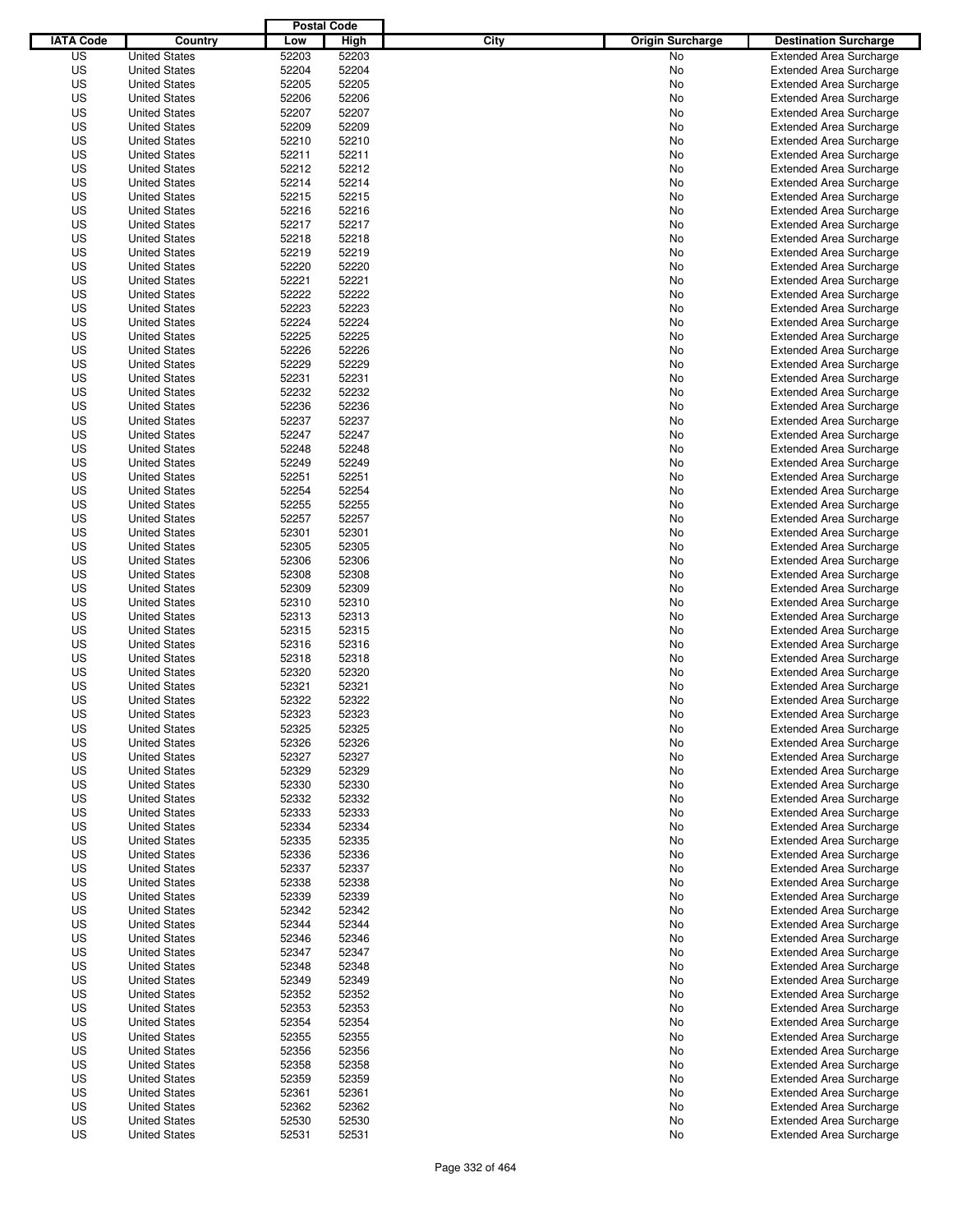|                  |                                              | <b>Postal Code</b> |                |                                 |                                                                  |
|------------------|----------------------------------------------|--------------------|----------------|---------------------------------|------------------------------------------------------------------|
| <b>IATA Code</b> | Country                                      | Low                | High           | City<br><b>Origin Surcharge</b> | <b>Destination Surcharge</b>                                     |
| US               | <b>United States</b>                         | 52203              | 52203          | <b>No</b>                       | <b>Extended Area Surcharge</b>                                   |
| US               | <b>United States</b>                         | 52204              | 52204          | No                              | <b>Extended Area Surcharge</b>                                   |
| US               | <b>United States</b>                         | 52205              | 52205          | No                              | <b>Extended Area Surcharge</b>                                   |
| US               | <b>United States</b>                         | 52206              | 52206          | No                              | <b>Extended Area Surcharge</b>                                   |
| US               | <b>United States</b>                         | 52207              | 52207          | No                              | <b>Extended Area Surcharge</b>                                   |
| US               | <b>United States</b>                         | 52209              | 52209          | No                              | <b>Extended Area Surcharge</b>                                   |
| US               | <b>United States</b>                         | 52210              | 52210          | No                              | <b>Extended Area Surcharge</b>                                   |
| US               | <b>United States</b>                         | 52211              | 52211          | No                              | <b>Extended Area Surcharge</b>                                   |
| US               | <b>United States</b>                         | 52212              | 52212          | No                              | <b>Extended Area Surcharge</b>                                   |
| US               | <b>United States</b>                         | 52214              | 52214          | No                              | <b>Extended Area Surcharge</b>                                   |
| US               | <b>United States</b>                         | 52215              | 52215          | No                              | <b>Extended Area Surcharge</b>                                   |
| US               | <b>United States</b>                         | 52216              | 52216          | No                              | <b>Extended Area Surcharge</b>                                   |
| US               | <b>United States</b>                         | 52217              | 52217          | No                              | <b>Extended Area Surcharge</b>                                   |
| US               | <b>United States</b>                         | 52218              | 52218          | No                              | <b>Extended Area Surcharge</b>                                   |
| US               | <b>United States</b>                         | 52219              | 52219          | No                              | <b>Extended Area Surcharge</b>                                   |
| US               | <b>United States</b>                         | 52220              | 52220          | No                              | <b>Extended Area Surcharge</b>                                   |
| US               | <b>United States</b>                         | 52221              | 52221          | No                              | <b>Extended Area Surcharge</b>                                   |
| US               | <b>United States</b>                         | 52222              | 52222          | No                              | <b>Extended Area Surcharge</b>                                   |
| US               | <b>United States</b>                         | 52223              | 52223          | No                              | <b>Extended Area Surcharge</b>                                   |
| US               | <b>United States</b>                         | 52224              | 52224          | No                              | <b>Extended Area Surcharge</b>                                   |
| US               | <b>United States</b>                         | 52225              | 52225          | No                              | <b>Extended Area Surcharge</b>                                   |
| US               | <b>United States</b>                         | 52226              | 52226          | No                              | <b>Extended Area Surcharge</b>                                   |
| US               | <b>United States</b>                         | 52229              | 52229          | No                              | <b>Extended Area Surcharge</b>                                   |
| US               | <b>United States</b>                         | 52231              | 52231          | No                              | <b>Extended Area Surcharge</b>                                   |
| US               | <b>United States</b>                         | 52232              | 52232          | No                              | <b>Extended Area Surcharge</b>                                   |
| US               | <b>United States</b>                         | 52236              | 52236          | No                              | <b>Extended Area Surcharge</b>                                   |
| US               | <b>United States</b>                         | 52237              | 52237          | No                              | <b>Extended Area Surcharge</b>                                   |
| US               | <b>United States</b>                         | 52247              | 52247          | No                              | <b>Extended Area Surcharge</b>                                   |
| US               | <b>United States</b>                         | 52248              | 52248          | No                              | <b>Extended Area Surcharge</b>                                   |
| US               | <b>United States</b>                         | 52249              | 52249          | No                              | <b>Extended Area Surcharge</b>                                   |
| US               | <b>United States</b>                         | 52251              | 52251          | No                              | <b>Extended Area Surcharge</b>                                   |
| US               | <b>United States</b>                         | 52254              | 52254          | No                              | <b>Extended Area Surcharge</b>                                   |
| US               | <b>United States</b>                         | 52255              | 52255          | No                              | <b>Extended Area Surcharge</b>                                   |
| US               | <b>United States</b>                         | 52257              | 52257          | No                              | <b>Extended Area Surcharge</b>                                   |
| US               | <b>United States</b>                         | 52301              | 52301          | No                              | <b>Extended Area Surcharge</b>                                   |
| US               | <b>United States</b>                         | 52305              | 52305          | No                              | <b>Extended Area Surcharge</b>                                   |
| US               | <b>United States</b>                         | 52306              | 52306          | No                              | <b>Extended Area Surcharge</b>                                   |
| US               | <b>United States</b>                         | 52308              | 52308          | No                              | <b>Extended Area Surcharge</b>                                   |
| US               | <b>United States</b>                         | 52309              | 52309          | No                              | <b>Extended Area Surcharge</b>                                   |
| US               | <b>United States</b>                         | 52310              | 52310          | No                              | <b>Extended Area Surcharge</b>                                   |
| US               | <b>United States</b>                         | 52313              | 52313          | No                              | <b>Extended Area Surcharge</b>                                   |
| US               | <b>United States</b>                         | 52315              | 52315          | No                              | <b>Extended Area Surcharge</b>                                   |
| US               | <b>United States</b>                         | 52316              | 52316          | No                              | <b>Extended Area Surcharge</b>                                   |
| US               | <b>United States</b>                         | 52318              | 52318          | No                              | <b>Extended Area Surcharge</b>                                   |
| US               | <b>United States</b>                         | 52320              | 52320          | No                              | <b>Extended Area Surcharge</b>                                   |
| US               | <b>United States</b>                         | 52321              | 52321          | No                              | <b>Extended Area Surcharge</b>                                   |
| US               | <b>United States</b>                         | 52322              | 52322          | No                              | <b>Extended Area Surcharge</b>                                   |
| US               | <b>United States</b>                         | 52323              | 52323          | No                              | <b>Extended Area Surcharge</b>                                   |
| US               | <b>United States</b>                         | 52325              | 52325          | No                              | <b>Extended Area Surcharge</b>                                   |
| US               | <b>United States</b>                         | 52326              | 52326          | No                              | <b>Extended Area Surcharge</b>                                   |
| US               | <b>United States</b>                         | 52327              | 52327          | No                              | <b>Extended Area Surcharge</b>                                   |
| US               | <b>United States</b>                         | 52329              | 52329          | No                              | <b>Extended Area Surcharge</b>                                   |
| US               | <b>United States</b>                         | 52330              | 52330          | No                              | <b>Extended Area Surcharge</b>                                   |
| US               | <b>United States</b>                         | 52332              | 52332          | No                              | <b>Extended Area Surcharge</b>                                   |
| US               | <b>United States</b>                         | 52333              | 52333          | No                              | <b>Extended Area Surcharge</b>                                   |
| US               | <b>United States</b>                         | 52334              | 52334          | No                              | <b>Extended Area Surcharge</b>                                   |
| US               | <b>United States</b>                         | 52335              | 52335          | No                              | <b>Extended Area Surcharge</b>                                   |
| US               | <b>United States</b>                         | 52336              | 52336          | No                              | <b>Extended Area Surcharge</b>                                   |
| US               | <b>United States</b>                         | 52337              | 52337          | No                              | <b>Extended Area Surcharge</b>                                   |
| US               | <b>United States</b>                         | 52338              | 52338          | No                              | <b>Extended Area Surcharge</b>                                   |
| US               | <b>United States</b>                         | 52339              | 52339          | No                              | <b>Extended Area Surcharge</b>                                   |
| US               | <b>United States</b>                         | 52342              | 52342          | No                              | <b>Extended Area Surcharge</b>                                   |
| US               | <b>United States</b>                         | 52344              | 52344          | No                              | <b>Extended Area Surcharge</b>                                   |
| US               | <b>United States</b>                         | 52346              | 52346          | No                              | <b>Extended Area Surcharge</b>                                   |
| US               | <b>United States</b>                         | 52347              | 52347          | No                              | <b>Extended Area Surcharge</b>                                   |
| US               | <b>United States</b>                         | 52348              | 52348          | No                              | <b>Extended Area Surcharge</b>                                   |
| US               | <b>United States</b>                         | 52349              | 52349          | No                              | <b>Extended Area Surcharge</b>                                   |
| US               | <b>United States</b>                         | 52352              | 52352          | No                              | <b>Extended Area Surcharge</b>                                   |
| US               | <b>United States</b>                         | 52353              | 52353          | No                              | <b>Extended Area Surcharge</b>                                   |
| US               | <b>United States</b>                         | 52354              | 52354          | No                              | <b>Extended Area Surcharge</b>                                   |
| US               | <b>United States</b>                         | 52355              | 52355          | No                              | <b>Extended Area Surcharge</b>                                   |
| US               | <b>United States</b>                         | 52356              | 52356          | No                              | <b>Extended Area Surcharge</b>                                   |
| US               |                                              | 52358              | 52358          |                                 | <b>Extended Area Surcharge</b>                                   |
|                  | <b>United States</b>                         |                    |                | No                              |                                                                  |
| US               | <b>United States</b>                         | 52359              | 52359          | No                              | <b>Extended Area Surcharge</b>                                   |
| US               | <b>United States</b>                         | 52361              | 52361          | No                              | <b>Extended Area Surcharge</b>                                   |
| US<br>US         | <b>United States</b><br><b>United States</b> | 52362<br>52530     | 52362          | No<br>No                        | <b>Extended Area Surcharge</b><br><b>Extended Area Surcharge</b> |
| US               |                                              | 52531              | 52530<br>52531 | No                              |                                                                  |
|                  | <b>United States</b>                         |                    |                |                                 | <b>Extended Area Surcharge</b>                                   |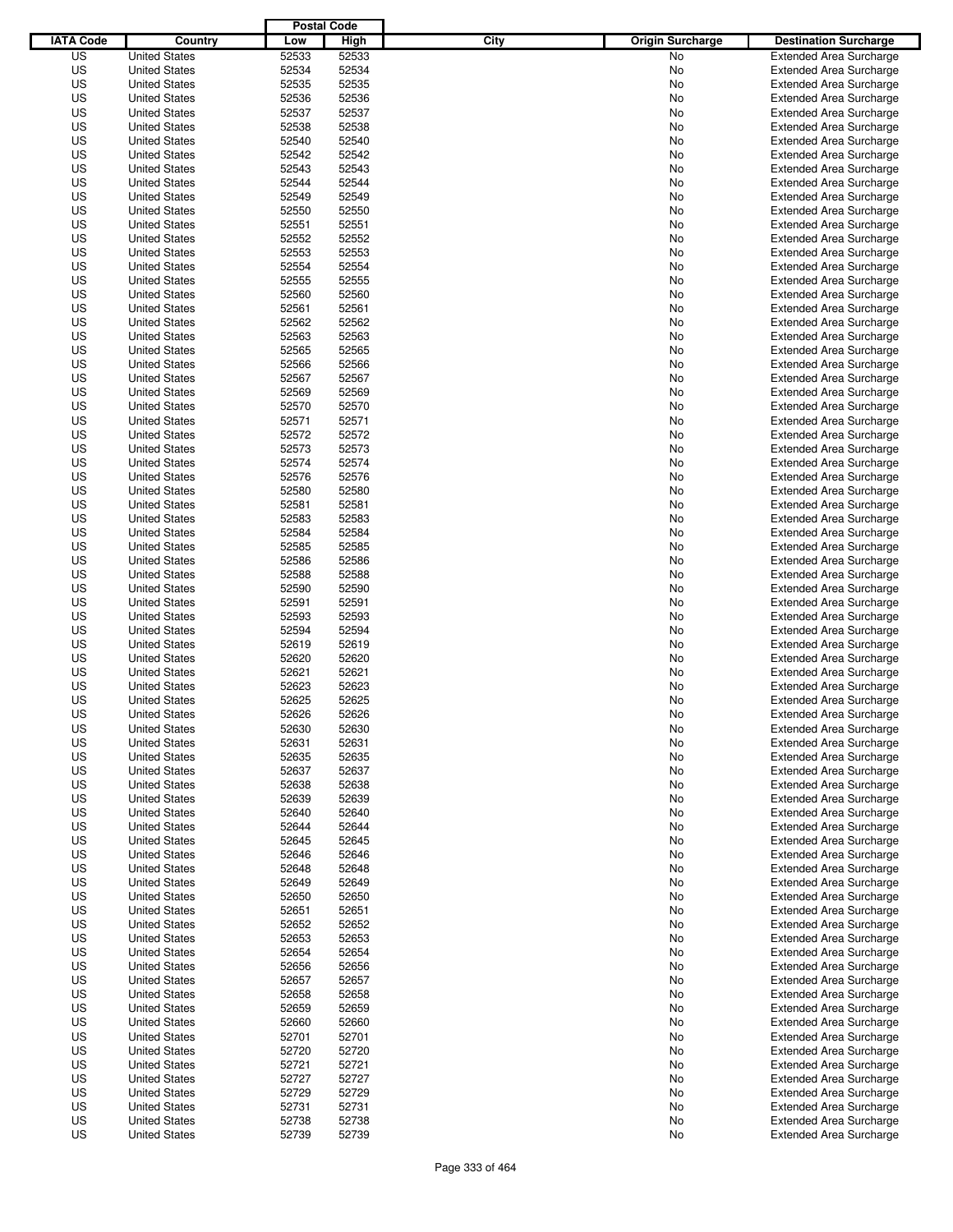|                  |                                              | <b>Postal Code</b> |       |                                 |                                |
|------------------|----------------------------------------------|--------------------|-------|---------------------------------|--------------------------------|
| <b>IATA Code</b> | Country                                      | Low                | High  | City<br><b>Origin Surcharge</b> | <b>Destination Surcharge</b>   |
| US               | <b>United States</b>                         | 52533              | 52533 | <b>No</b>                       | <b>Extended Area Surcharge</b> |
| US               | <b>United States</b>                         | 52534              | 52534 | No                              | <b>Extended Area Surcharge</b> |
| US               | <b>United States</b>                         | 52535              | 52535 | No                              | <b>Extended Area Surcharge</b> |
| US               | <b>United States</b>                         | 52536              | 52536 | No                              | <b>Extended Area Surcharge</b> |
| US               | <b>United States</b>                         | 52537              | 52537 | No                              | <b>Extended Area Surcharge</b> |
| US               | <b>United States</b>                         | 52538              | 52538 | No                              | <b>Extended Area Surcharge</b> |
| US               | <b>United States</b>                         | 52540              | 52540 | No                              | <b>Extended Area Surcharge</b> |
| US               | <b>United States</b>                         | 52542              | 52542 | No                              | <b>Extended Area Surcharge</b> |
| US               | <b>United States</b>                         | 52543              | 52543 | No                              | <b>Extended Area Surcharge</b> |
| US               | <b>United States</b>                         | 52544              | 52544 | No                              | <b>Extended Area Surcharge</b> |
| US               | <b>United States</b>                         | 52549              | 52549 | No                              | <b>Extended Area Surcharge</b> |
| US               | <b>United States</b>                         | 52550              | 52550 | No                              | <b>Extended Area Surcharge</b> |
| US               | <b>United States</b>                         | 52551              | 52551 | No                              | <b>Extended Area Surcharge</b> |
| US               | <b>United States</b>                         | 52552              | 52552 | No                              | <b>Extended Area Surcharge</b> |
| US               | <b>United States</b>                         | 52553              | 52553 | No                              | <b>Extended Area Surcharge</b> |
| US               | <b>United States</b>                         | 52554              | 52554 | No                              | <b>Extended Area Surcharge</b> |
| US               | <b>United States</b>                         | 52555              | 52555 | No                              | <b>Extended Area Surcharge</b> |
| US               | <b>United States</b>                         | 52560              | 52560 | No                              | <b>Extended Area Surcharge</b> |
| US               | <b>United States</b>                         | 52561              | 52561 | No                              | <b>Extended Area Surcharge</b> |
| US               | <b>United States</b>                         | 52562              | 52562 | No                              | <b>Extended Area Surcharge</b> |
| US               | <b>United States</b>                         | 52563              | 52563 | No                              | <b>Extended Area Surcharge</b> |
| US               | <b>United States</b>                         | 52565              | 52565 | No                              | <b>Extended Area Surcharge</b> |
| US               | <b>United States</b>                         | 52566              | 52566 | No                              | <b>Extended Area Surcharge</b> |
| US               | <b>United States</b>                         | 52567              | 52567 | No                              | <b>Extended Area Surcharge</b> |
| US               | <b>United States</b>                         | 52569              | 52569 | No                              | <b>Extended Area Surcharge</b> |
| US               | <b>United States</b>                         | 52570              | 52570 | No                              | <b>Extended Area Surcharge</b> |
| US               | <b>United States</b>                         | 52571              | 52571 | No                              | <b>Extended Area Surcharge</b> |
| US               | <b>United States</b>                         | 52572              | 52572 | No                              | <b>Extended Area Surcharge</b> |
| US               | <b>United States</b>                         | 52573              | 52573 | No                              | <b>Extended Area Surcharge</b> |
| US               | <b>United States</b>                         | 52574              | 52574 | No                              | <b>Extended Area Surcharge</b> |
| US               | <b>United States</b>                         | 52576              | 52576 | No                              | <b>Extended Area Surcharge</b> |
| US               | <b>United States</b>                         | 52580              | 52580 | No                              | <b>Extended Area Surcharge</b> |
| US               | <b>United States</b>                         | 52581              | 52581 | No                              | <b>Extended Area Surcharge</b> |
| US               | <b>United States</b>                         | 52583              | 52583 | No                              | <b>Extended Area Surcharge</b> |
| US               | <b>United States</b>                         | 52584              | 52584 | No                              | <b>Extended Area Surcharge</b> |
| US               | <b>United States</b>                         | 52585              | 52585 | No                              | <b>Extended Area Surcharge</b> |
| US               | <b>United States</b>                         | 52586              | 52586 | No                              | <b>Extended Area Surcharge</b> |
| US               |                                              | 52588              | 52588 |                                 |                                |
|                  | <b>United States</b>                         |                    |       | No                              | <b>Extended Area Surcharge</b> |
| US               | <b>United States</b><br><b>United States</b> | 52590              | 52590 | No                              | <b>Extended Area Surcharge</b> |
| US               |                                              | 52591              | 52591 | No                              | <b>Extended Area Surcharge</b> |
| US               | <b>United States</b>                         | 52593              | 52593 | No                              | <b>Extended Area Surcharge</b> |
| US               | <b>United States</b>                         | 52594              | 52594 | No                              | <b>Extended Area Surcharge</b> |
| US               | <b>United States</b>                         | 52619              | 52619 | No                              | <b>Extended Area Surcharge</b> |
| US               | <b>United States</b>                         | 52620              | 52620 | No                              | <b>Extended Area Surcharge</b> |
| US               | <b>United States</b>                         | 52621              | 52621 | No                              | <b>Extended Area Surcharge</b> |
| US               | <b>United States</b>                         | 52623              | 52623 | No                              | <b>Extended Area Surcharge</b> |
| US               | <b>United States</b>                         | 52625              | 52625 | No                              | <b>Extended Area Surcharge</b> |
| US               | <b>United States</b>                         | 52626              | 52626 | No                              | <b>Extended Area Surcharge</b> |
| US               | <b>United States</b>                         | 52630              | 52630 | No                              | <b>Extended Area Surcharge</b> |
| US               | <b>United States</b>                         | 52631              | 52631 | No                              | <b>Extended Area Surcharge</b> |
| US               | <b>United States</b>                         | 52635              | 52635 | No                              | <b>Extended Area Surcharge</b> |
| US               | <b>United States</b>                         | 52637              | 52637 | No                              | <b>Extended Area Surcharge</b> |
| US               | <b>United States</b>                         | 52638              | 52638 | No                              | <b>Extended Area Surcharge</b> |
| US               | <b>United States</b>                         | 52639              | 52639 | No                              | <b>Extended Area Surcharge</b> |
| US               | <b>United States</b>                         | 52640              | 52640 | No                              | <b>Extended Area Surcharge</b> |
| US               | <b>United States</b>                         | 52644              | 52644 | No                              | <b>Extended Area Surcharge</b> |
| US               | <b>United States</b>                         | 52645              | 52645 | No                              | <b>Extended Area Surcharge</b> |
| US               | <b>United States</b>                         | 52646              | 52646 | No                              | <b>Extended Area Surcharge</b> |
| US               | <b>United States</b>                         | 52648              | 52648 | No                              | <b>Extended Area Surcharge</b> |
| US               | <b>United States</b>                         | 52649              | 52649 | No                              | <b>Extended Area Surcharge</b> |
| US               | <b>United States</b>                         | 52650              | 52650 | No                              | <b>Extended Area Surcharge</b> |
| US               | <b>United States</b>                         | 52651              | 52651 | No                              | <b>Extended Area Surcharge</b> |
| US               | <b>United States</b>                         | 52652              | 52652 | No                              | <b>Extended Area Surcharge</b> |
| US               | <b>United States</b>                         | 52653              | 52653 | No                              | <b>Extended Area Surcharge</b> |
| US               | <b>United States</b>                         | 52654              | 52654 | No                              | <b>Extended Area Surcharge</b> |
| US               | <b>United States</b>                         | 52656              | 52656 | No                              | <b>Extended Area Surcharge</b> |
| US               | <b>United States</b>                         | 52657              | 52657 | No                              | <b>Extended Area Surcharge</b> |
| US               | <b>United States</b>                         | 52658              | 52658 | No                              | <b>Extended Area Surcharge</b> |
| US               | <b>United States</b>                         | 52659              | 52659 | No                              | <b>Extended Area Surcharge</b> |
| US               | <b>United States</b>                         | 52660              | 52660 | No                              | <b>Extended Area Surcharge</b> |
| US               | <b>United States</b>                         | 52701              | 52701 | No                              | <b>Extended Area Surcharge</b> |
| US               | <b>United States</b>                         | 52720              | 52720 | No                              | <b>Extended Area Surcharge</b> |
| US               | <b>United States</b>                         | 52721              | 52721 | No                              | <b>Extended Area Surcharge</b> |
| US               | <b>United States</b>                         | 52727              | 52727 | No                              | <b>Extended Area Surcharge</b> |
| US               | <b>United States</b>                         | 52729              | 52729 | No                              | <b>Extended Area Surcharge</b> |
| US               | <b>United States</b>                         | 52731              | 52731 | No                              | <b>Extended Area Surcharge</b> |
| US               | <b>United States</b>                         | 52738              | 52738 | No                              | <b>Extended Area Surcharge</b> |
| US               | <b>United States</b>                         | 52739              | 52739 | No                              | <b>Extended Area Surcharge</b> |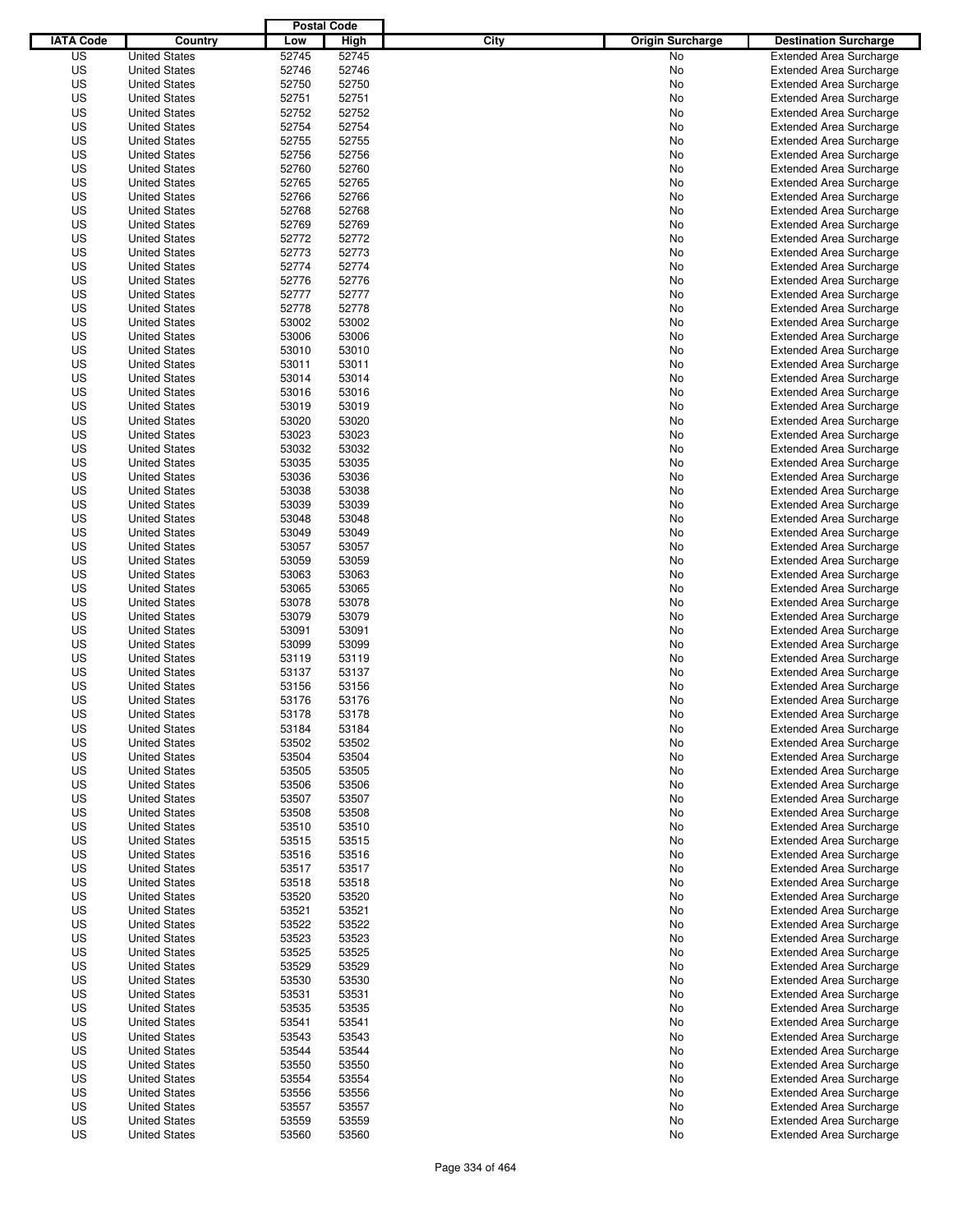|                  |                      | <b>Postal Code</b> |       |                                 |                                |
|------------------|----------------------|--------------------|-------|---------------------------------|--------------------------------|
| <b>IATA Code</b> | Country              | Low                | High  | City<br><b>Origin Surcharge</b> | <b>Destination Surcharge</b>   |
| US               | <b>United States</b> | 52745              | 52745 | <b>No</b>                       | <b>Extended Area Surcharge</b> |
| US               | <b>United States</b> | 52746              | 52746 | No                              | <b>Extended Area Surcharge</b> |
| US               | <b>United States</b> | 52750              | 52750 | No                              | <b>Extended Area Surcharge</b> |
| US               | <b>United States</b> | 52751              | 52751 | No                              | <b>Extended Area Surcharge</b> |
| US               | <b>United States</b> | 52752              | 52752 | No                              | <b>Extended Area Surcharge</b> |
| US               | <b>United States</b> | 52754              | 52754 | No                              | <b>Extended Area Surcharge</b> |
| US               | <b>United States</b> | 52755              | 52755 | No                              | <b>Extended Area Surcharge</b> |
| US               | <b>United States</b> | 52756              | 52756 | No                              | <b>Extended Area Surcharge</b> |
| US               | <b>United States</b> | 52760              | 52760 | No                              | <b>Extended Area Surcharge</b> |
| US               | <b>United States</b> | 52765              | 52765 | No                              | <b>Extended Area Surcharge</b> |
| US               | <b>United States</b> | 52766              | 52766 | No                              | <b>Extended Area Surcharge</b> |
| US               | <b>United States</b> | 52768              | 52768 | No                              | <b>Extended Area Surcharge</b> |
| US               | <b>United States</b> | 52769              | 52769 | No                              | <b>Extended Area Surcharge</b> |
| US               | <b>United States</b> | 52772              | 52772 | No                              | <b>Extended Area Surcharge</b> |
| US               | <b>United States</b> | 52773              | 52773 | No                              | <b>Extended Area Surcharge</b> |
| US               | <b>United States</b> | 52774              | 52774 | No                              | <b>Extended Area Surcharge</b> |
| US               | <b>United States</b> | 52776              | 52776 | No                              | <b>Extended Area Surcharge</b> |
| US               | <b>United States</b> | 52777              | 52777 | No                              | <b>Extended Area Surcharge</b> |
| US               | <b>United States</b> | 52778              | 52778 | No                              | <b>Extended Area Surcharge</b> |
| US               | <b>United States</b> | 53002              | 53002 | No                              | <b>Extended Area Surcharge</b> |
| US               | <b>United States</b> | 53006              | 53006 | No                              | <b>Extended Area Surcharge</b> |
| US               | <b>United States</b> | 53010              | 53010 | No                              | <b>Extended Area Surcharge</b> |
| US               | <b>United States</b> | 53011              | 53011 | No                              | <b>Extended Area Surcharge</b> |
| US               | <b>United States</b> | 53014              | 53014 | No                              | <b>Extended Area Surcharge</b> |
| US               | <b>United States</b> | 53016              | 53016 | No                              | <b>Extended Area Surcharge</b> |
| US               | <b>United States</b> | 53019              | 53019 | No                              | <b>Extended Area Surcharge</b> |
| US               | <b>United States</b> | 53020              | 53020 | No                              | <b>Extended Area Surcharge</b> |
| US               | <b>United States</b> | 53023              | 53023 | No                              | <b>Extended Area Surcharge</b> |
| US               | <b>United States</b> | 53032              | 53032 | No                              | <b>Extended Area Surcharge</b> |
| US               | <b>United States</b> | 53035              | 53035 | No                              | <b>Extended Area Surcharge</b> |
| US               | <b>United States</b> | 53036              | 53036 | No                              | <b>Extended Area Surcharge</b> |
| US               | <b>United States</b> | 53038              | 53038 | No                              | <b>Extended Area Surcharge</b> |
| US               | <b>United States</b> | 53039              | 53039 | No                              | <b>Extended Area Surcharge</b> |
| US               | <b>United States</b> | 53048              | 53048 | No                              | <b>Extended Area Surcharge</b> |
| US               | <b>United States</b> | 53049              | 53049 | No                              | <b>Extended Area Surcharge</b> |
| US               | <b>United States</b> | 53057              | 53057 | No                              | <b>Extended Area Surcharge</b> |
| US               | <b>United States</b> | 53059              | 53059 | No                              | <b>Extended Area Surcharge</b> |
| US               | <b>United States</b> | 53063              | 53063 | No                              | <b>Extended Area Surcharge</b> |
| US               | <b>United States</b> | 53065              | 53065 | No                              | <b>Extended Area Surcharge</b> |
| US               | <b>United States</b> | 53078              | 53078 | No                              | <b>Extended Area Surcharge</b> |
| US               | <b>United States</b> | 53079              | 53079 | No                              | <b>Extended Area Surcharge</b> |
| US               | <b>United States</b> | 53091              | 53091 | No                              | <b>Extended Area Surcharge</b> |
| US               | <b>United States</b> | 53099              | 53099 | No                              | <b>Extended Area Surcharge</b> |
| US               | <b>United States</b> | 53119              | 53119 | No                              | <b>Extended Area Surcharge</b> |
| US               | <b>United States</b> | 53137              | 53137 | No                              | <b>Extended Area Surcharge</b> |
| US               | <b>United States</b> | 53156              | 53156 | No                              | <b>Extended Area Surcharge</b> |
| US               | <b>United States</b> | 53176              | 53176 | No                              | <b>Extended Area Surcharge</b> |
| US               | <b>United States</b> | 53178              | 53178 | No                              | <b>Extended Area Surcharge</b> |
| US               | <b>United States</b> | 53184              | 53184 | No                              | <b>Extended Area Surcharge</b> |
| US               | <b>United States</b> | 53502              | 53502 | No                              | <b>Extended Area Surcharge</b> |
| US               | <b>United States</b> | 53504              | 53504 | No                              | <b>Extended Area Surcharge</b> |
| US               | <b>United States</b> | 53505              | 53505 | No                              | <b>Extended Area Surcharge</b> |
| US               | <b>United States</b> | 53506              | 53506 | No                              | <b>Extended Area Surcharge</b> |
| US               | <b>United States</b> | 53507              | 53507 | No                              | <b>Extended Area Surcharge</b> |
| US               | <b>United States</b> | 53508              | 53508 | No                              | <b>Extended Area Surcharge</b> |
| US               | <b>United States</b> | 53510              | 53510 | No                              | <b>Extended Area Surcharge</b> |
| US               | <b>United States</b> | 53515              | 53515 | No                              | <b>Extended Area Surcharge</b> |
| US               | <b>United States</b> | 53516              | 53516 | No                              | <b>Extended Area Surcharge</b> |
| US               | <b>United States</b> | 53517              | 53517 | No                              | <b>Extended Area Surcharge</b> |
| US               | <b>United States</b> | 53518              | 53518 | No                              | <b>Extended Area Surcharge</b> |
| US               | <b>United States</b> | 53520              | 53520 | No                              | <b>Extended Area Surcharge</b> |
| US               | <b>United States</b> | 53521              | 53521 | No                              | <b>Extended Area Surcharge</b> |
| US               | <b>United States</b> | 53522              | 53522 | No                              | <b>Extended Area Surcharge</b> |
| US               | <b>United States</b> | 53523              | 53523 | No                              | <b>Extended Area Surcharge</b> |
| US               | <b>United States</b> | 53525              | 53525 | No                              | <b>Extended Area Surcharge</b> |
| US               | <b>United States</b> | 53529              | 53529 | No                              | <b>Extended Area Surcharge</b> |
| US               | <b>United States</b> | 53530              | 53530 | No                              | <b>Extended Area Surcharge</b> |
| US               | <b>United States</b> | 53531              | 53531 | No                              | <b>Extended Area Surcharge</b> |
| US               | <b>United States</b> | 53535              | 53535 | No                              | <b>Extended Area Surcharge</b> |
| US               | <b>United States</b> | 53541              | 53541 | No                              | <b>Extended Area Surcharge</b> |
| US               | <b>United States</b> | 53543              | 53543 | No                              | <b>Extended Area Surcharge</b> |
| US               | <b>United States</b> | 53544              | 53544 | No                              | <b>Extended Area Surcharge</b> |
| US               | <b>United States</b> | 53550              | 53550 | No                              | <b>Extended Area Surcharge</b> |
| US               | <b>United States</b> | 53554              | 53554 | No                              | <b>Extended Area Surcharge</b> |
| US               | <b>United States</b> | 53556              | 53556 | No                              | <b>Extended Area Surcharge</b> |
| US               | <b>United States</b> | 53557              | 53557 | No                              | <b>Extended Area Surcharge</b> |
| US               | <b>United States</b> | 53559              | 53559 | No                              | <b>Extended Area Surcharge</b> |
| US               | <b>United States</b> | 53560              | 53560 | No                              | <b>Extended Area Surcharge</b> |
|                  |                      |                    |       |                                 |                                |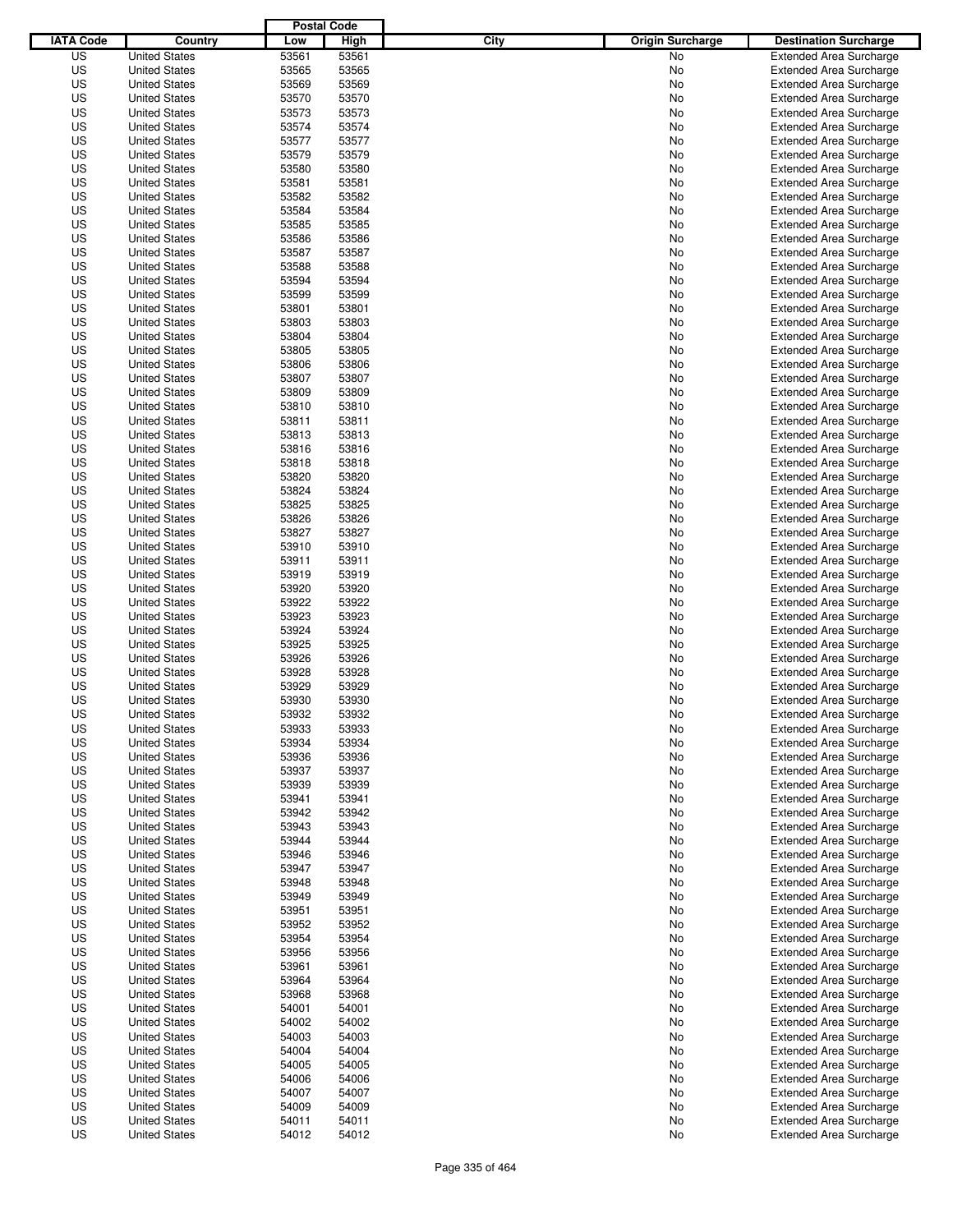|                  |                      | <b>Postal Code</b> |       |                                 |                                |
|------------------|----------------------|--------------------|-------|---------------------------------|--------------------------------|
| <b>IATA Code</b> | Country              | Low                | High  | City<br><b>Origin Surcharge</b> | <b>Destination Surcharge</b>   |
| US               | <b>United States</b> | 53561              | 53561 | <b>No</b>                       | <b>Extended Area Surcharge</b> |
| US               | <b>United States</b> | 53565              | 53565 | No                              | <b>Extended Area Surcharge</b> |
| US               | <b>United States</b> | 53569              | 53569 | No                              | <b>Extended Area Surcharge</b> |
| US               | <b>United States</b> | 53570              | 53570 | No                              | <b>Extended Area Surcharge</b> |
| US               | <b>United States</b> | 53573              | 53573 | No                              | <b>Extended Area Surcharge</b> |
| US               | <b>United States</b> | 53574              | 53574 | No                              | <b>Extended Area Surcharge</b> |
| US               | <b>United States</b> | 53577              | 53577 | No                              | <b>Extended Area Surcharge</b> |
| US               | <b>United States</b> | 53579              | 53579 | No                              | <b>Extended Area Surcharge</b> |
| US               | <b>United States</b> | 53580              | 53580 | No                              | <b>Extended Area Surcharge</b> |
| US               | <b>United States</b> | 53581              | 53581 | No                              | <b>Extended Area Surcharge</b> |
| US               | <b>United States</b> | 53582              | 53582 | No                              | <b>Extended Area Surcharge</b> |
| US               | <b>United States</b> | 53584              | 53584 | No                              | <b>Extended Area Surcharge</b> |
| US               | <b>United States</b> | 53585              | 53585 | No                              | <b>Extended Area Surcharge</b> |
| US               | <b>United States</b> | 53586              | 53586 | No                              | <b>Extended Area Surcharge</b> |
| US               | <b>United States</b> | 53587              | 53587 | No                              | <b>Extended Area Surcharge</b> |
| US               | <b>United States</b> | 53588              | 53588 | No                              | <b>Extended Area Surcharge</b> |
| US               | <b>United States</b> | 53594              | 53594 | No                              | <b>Extended Area Surcharge</b> |
| US               | <b>United States</b> | 53599              | 53599 | No                              | <b>Extended Area Surcharge</b> |
| US               | <b>United States</b> | 53801              | 53801 | No                              | <b>Extended Area Surcharge</b> |
| US               | <b>United States</b> | 53803              | 53803 | No                              | <b>Extended Area Surcharge</b> |
| US               | <b>United States</b> | 53804              | 53804 | No                              | <b>Extended Area Surcharge</b> |
| US               | <b>United States</b> | 53805              | 53805 | No                              | <b>Extended Area Surcharge</b> |
| US               | <b>United States</b> | 53806              | 53806 | No                              | <b>Extended Area Surcharge</b> |
| US               | <b>United States</b> | 53807              | 53807 | No                              | <b>Extended Area Surcharge</b> |
| US               | <b>United States</b> | 53809              | 53809 | No                              | <b>Extended Area Surcharge</b> |
| US               | <b>United States</b> | 53810              | 53810 | No                              | <b>Extended Area Surcharge</b> |
| US               | <b>United States</b> | 53811              | 53811 | No                              | <b>Extended Area Surcharge</b> |
| US               | <b>United States</b> | 53813              | 53813 | No                              | <b>Extended Area Surcharge</b> |
| US               | <b>United States</b> | 53816              | 53816 | No                              | <b>Extended Area Surcharge</b> |
| US               | <b>United States</b> | 53818              | 53818 | No                              | <b>Extended Area Surcharge</b> |
| US               | <b>United States</b> | 53820              | 53820 | No                              | <b>Extended Area Surcharge</b> |
| US               | <b>United States</b> | 53824              | 53824 | No                              | <b>Extended Area Surcharge</b> |
| US               | <b>United States</b> | 53825              | 53825 | No                              | <b>Extended Area Surcharge</b> |
| US               | <b>United States</b> | 53826              | 53826 | No                              | <b>Extended Area Surcharge</b> |
| US               | <b>United States</b> | 53827              | 53827 | No                              | <b>Extended Area Surcharge</b> |
| US               | <b>United States</b> | 53910              | 53910 | No                              | <b>Extended Area Surcharge</b> |
| US               | <b>United States</b> | 53911              | 53911 | No                              | <b>Extended Area Surcharge</b> |
| US               | <b>United States</b> | 53919              | 53919 | No                              | <b>Extended Area Surcharge</b> |
| US               | <b>United States</b> | 53920              | 53920 | No                              | <b>Extended Area Surcharge</b> |
| US               | <b>United States</b> | 53922              | 53922 | No                              | <b>Extended Area Surcharge</b> |
| US               | <b>United States</b> | 53923              | 53923 | No                              | <b>Extended Area Surcharge</b> |
| US               | <b>United States</b> | 53924              | 53924 | No                              | <b>Extended Area Surcharge</b> |
| US               | <b>United States</b> | 53925              | 53925 | No                              | <b>Extended Area Surcharge</b> |
| US               | <b>United States</b> | 53926              | 53926 | No                              | <b>Extended Area Surcharge</b> |
| US               | <b>United States</b> | 53928              | 53928 | No                              | <b>Extended Area Surcharge</b> |
| US               | <b>United States</b> | 53929              | 53929 | No                              | <b>Extended Area Surcharge</b> |
| US               | <b>United States</b> | 53930              | 53930 | No                              | <b>Extended Area Surcharge</b> |
| US               | <b>United States</b> | 53932              | 53932 | No                              | <b>Extended Area Surcharge</b> |
| US               | <b>United States</b> | 53933              | 53933 | No                              | <b>Extended Area Surcharge</b> |
| US               | <b>United States</b> | 53934              | 53934 | No                              | <b>Extended Area Surcharge</b> |
| US               | <b>United States</b> | 53936              | 53936 | No                              | <b>Extended Area Surcharge</b> |
| US               | <b>United States</b> | 53937              | 53937 | No                              | <b>Extended Area Surcharge</b> |
| US               | <b>United States</b> | 53939              | 53939 | No                              | <b>Extended Area Surcharge</b> |
| US               | <b>United States</b> | 53941              | 53941 | No                              | <b>Extended Area Surcharge</b> |
| US               | <b>United States</b> | 53942              | 53942 | No                              | <b>Extended Area Surcharge</b> |
| US               | <b>United States</b> | 53943              | 53943 | No                              | <b>Extended Area Surcharge</b> |
| US               | <b>United States</b> | 53944              | 53944 | No                              | <b>Extended Area Surcharge</b> |
| US               | <b>United States</b> | 53946              | 53946 | No                              | <b>Extended Area Surcharge</b> |
| US               | <b>United States</b> | 53947              | 53947 | No                              | <b>Extended Area Surcharge</b> |
| US               | <b>United States</b> | 53948              | 53948 | No                              | <b>Extended Area Surcharge</b> |
| US               | <b>United States</b> | 53949              | 53949 | No                              | <b>Extended Area Surcharge</b> |
| US               | <b>United States</b> | 53951              | 53951 | No                              | <b>Extended Area Surcharge</b> |
| US               | <b>United States</b> | 53952              | 53952 | No                              | <b>Extended Area Surcharge</b> |
| US               | <b>United States</b> | 53954              | 53954 | No                              | <b>Extended Area Surcharge</b> |
| US               | <b>United States</b> | 53956              | 53956 | No                              | <b>Extended Area Surcharge</b> |
| US               | <b>United States</b> | 53961              | 53961 | No                              | <b>Extended Area Surcharge</b> |
| US               | <b>United States</b> | 53964              | 53964 | No                              | <b>Extended Area Surcharge</b> |
| US               | <b>United States</b> | 53968              | 53968 | No                              | <b>Extended Area Surcharge</b> |
| US               | <b>United States</b> | 54001              | 54001 | No                              | <b>Extended Area Surcharge</b> |
| US               | <b>United States</b> | 54002              | 54002 | No                              | <b>Extended Area Surcharge</b> |
| US               | <b>United States</b> | 54003              | 54003 | No                              | <b>Extended Area Surcharge</b> |
| US               | <b>United States</b> | 54004              | 54004 | No                              | <b>Extended Area Surcharge</b> |
| US               | <b>United States</b> | 54005              | 54005 | No                              | <b>Extended Area Surcharge</b> |
| US               | <b>United States</b> | 54006              | 54006 | No                              | <b>Extended Area Surcharge</b> |
| US               | <b>United States</b> | 54007              | 54007 | No                              | <b>Extended Area Surcharge</b> |
| US               | <b>United States</b> | 54009              | 54009 | No                              | <b>Extended Area Surcharge</b> |
| US               | <b>United States</b> | 54011              | 54011 | No                              | <b>Extended Area Surcharge</b> |
| US               | <b>United States</b> | 54012              | 54012 | No                              | <b>Extended Area Surcharge</b> |
|                  |                      |                    |       |                                 |                                |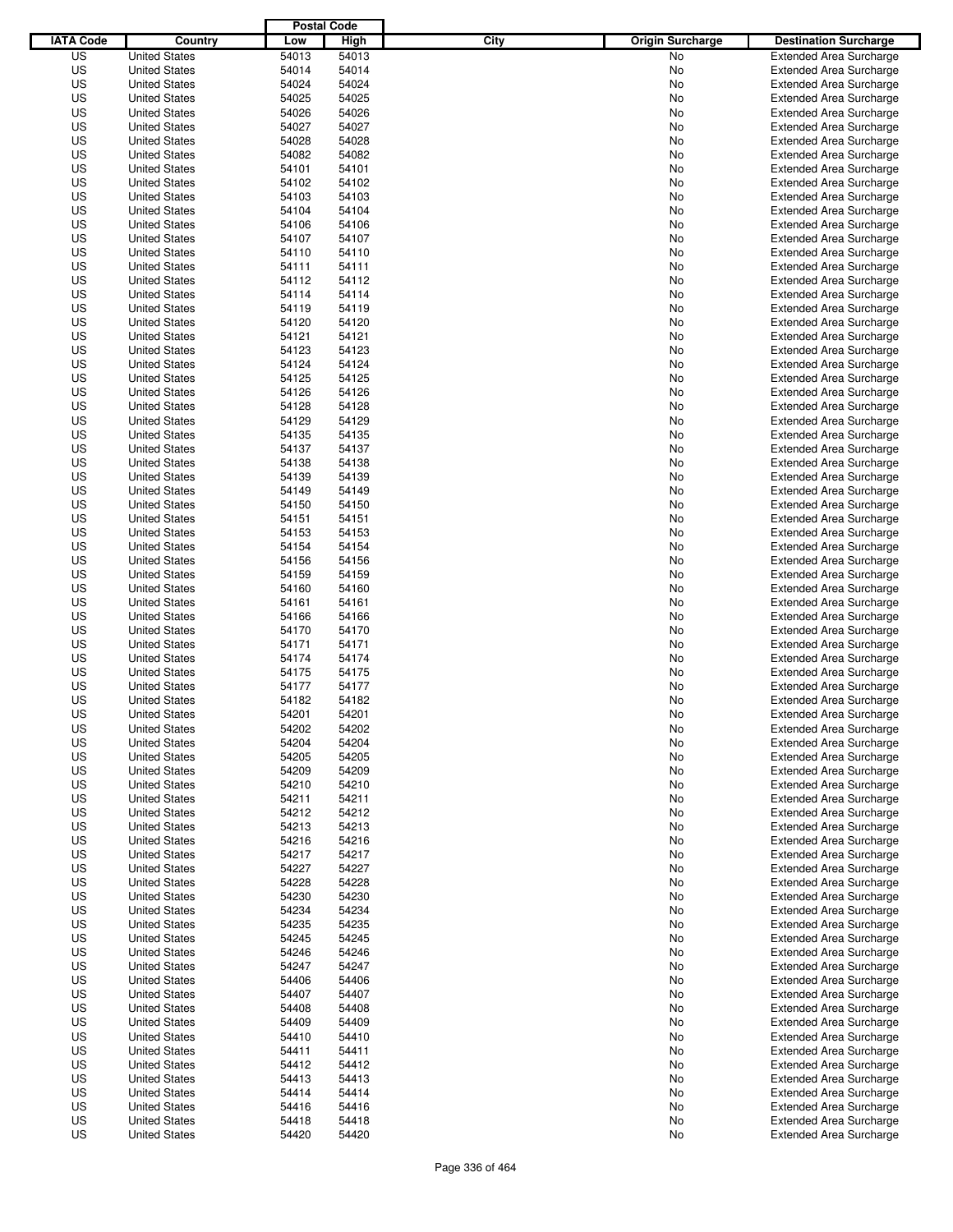|                  |                      | <b>Postal Code</b> |       |                                 |                                |
|------------------|----------------------|--------------------|-------|---------------------------------|--------------------------------|
| <b>IATA Code</b> | Country              | Low                | High  | City<br><b>Origin Surcharge</b> | <b>Destination Surcharge</b>   |
| US               | <b>United States</b> | 54013              | 54013 | <b>No</b>                       | <b>Extended Area Surcharge</b> |
| US               | <b>United States</b> | 54014              | 54014 | No                              | <b>Extended Area Surcharge</b> |
| US               | <b>United States</b> | 54024              | 54024 | No                              | <b>Extended Area Surcharge</b> |
| US               | <b>United States</b> | 54025              | 54025 | No                              | <b>Extended Area Surcharge</b> |
| US               | <b>United States</b> | 54026              | 54026 | No                              | <b>Extended Area Surcharge</b> |
| US               | <b>United States</b> | 54027              | 54027 | No                              | <b>Extended Area Surcharge</b> |
| US               | <b>United States</b> | 54028              | 54028 | No                              | <b>Extended Area Surcharge</b> |
| US               | <b>United States</b> | 54082              | 54082 | No                              | <b>Extended Area Surcharge</b> |
| US               | <b>United States</b> | 54101              | 54101 | No                              | <b>Extended Area Surcharge</b> |
| US               | <b>United States</b> | 54102              | 54102 | No                              | <b>Extended Area Surcharge</b> |
| US               | <b>United States</b> | 54103              | 54103 | No                              | <b>Extended Area Surcharge</b> |
| US               | <b>United States</b> | 54104              | 54104 | No                              | <b>Extended Area Surcharge</b> |
| US               | <b>United States</b> | 54106              | 54106 | No                              | <b>Extended Area Surcharge</b> |
| US               | <b>United States</b> | 54107              | 54107 | No                              | <b>Extended Area Surcharge</b> |
| US               | <b>United States</b> | 54110              | 54110 | No                              | <b>Extended Area Surcharge</b> |
| US               | <b>United States</b> | 54111              | 54111 | No                              | <b>Extended Area Surcharge</b> |
| US               | <b>United States</b> | 54112              | 54112 | No                              | <b>Extended Area Surcharge</b> |
| US               | <b>United States</b> | 54114              | 54114 | No                              | <b>Extended Area Surcharge</b> |
| US               | <b>United States</b> | 54119              | 54119 | No                              | <b>Extended Area Surcharge</b> |
| US               | <b>United States</b> | 54120              | 54120 | No                              | <b>Extended Area Surcharge</b> |
| US               | <b>United States</b> | 54121              | 54121 | No                              | <b>Extended Area Surcharge</b> |
| US               | <b>United States</b> | 54123              | 54123 | No                              | <b>Extended Area Surcharge</b> |
| US               | <b>United States</b> | 54124              | 54124 | No                              | <b>Extended Area Surcharge</b> |
| US               | <b>United States</b> | 54125              | 54125 | No                              | <b>Extended Area Surcharge</b> |
| US               | <b>United States</b> | 54126              | 54126 | No                              | <b>Extended Area Surcharge</b> |
| US               | <b>United States</b> | 54128              | 54128 | No                              | <b>Extended Area Surcharge</b> |
| US               | <b>United States</b> | 54129              | 54129 | No                              | <b>Extended Area Surcharge</b> |
| US               | <b>United States</b> | 54135              | 54135 | No                              | <b>Extended Area Surcharge</b> |
| US               | <b>United States</b> | 54137              | 54137 | No                              | <b>Extended Area Surcharge</b> |
| US               | <b>United States</b> | 54138              | 54138 | No                              | <b>Extended Area Surcharge</b> |
| US               | <b>United States</b> | 54139              | 54139 | No                              | <b>Extended Area Surcharge</b> |
| US               | <b>United States</b> | 54149              | 54149 | No                              | <b>Extended Area Surcharge</b> |
| US               | <b>United States</b> | 54150              | 54150 | No                              | <b>Extended Area Surcharge</b> |
| US               | <b>United States</b> | 54151              | 54151 | No                              | <b>Extended Area Surcharge</b> |
| US               | <b>United States</b> | 54153              | 54153 | No                              | <b>Extended Area Surcharge</b> |
| US               | <b>United States</b> | 54154              | 54154 | No                              | <b>Extended Area Surcharge</b> |
| US               | <b>United States</b> | 54156              | 54156 | No                              | <b>Extended Area Surcharge</b> |
| US               | <b>United States</b> | 54159              | 54159 | No                              | <b>Extended Area Surcharge</b> |
| US               | <b>United States</b> | 54160              | 54160 | No                              | <b>Extended Area Surcharge</b> |
| US               | <b>United States</b> | 54161              | 54161 | No                              | <b>Extended Area Surcharge</b> |
| US               | <b>United States</b> | 54166              | 54166 | No                              | <b>Extended Area Surcharge</b> |
| US               | <b>United States</b> | 54170              | 54170 | No                              | <b>Extended Area Surcharge</b> |
| US               | <b>United States</b> | 54171              | 54171 | No                              | <b>Extended Area Surcharge</b> |
| US               | <b>United States</b> | 54174              | 54174 | No                              | <b>Extended Area Surcharge</b> |
| US               | <b>United States</b> | 54175              | 54175 | No                              | Extended Area Surcharge        |
| US               | <b>United States</b> | 54177              | 54177 | No                              | <b>Extended Area Surcharge</b> |
| US               | <b>United States</b> | 54182              | 54182 | No                              | <b>Extended Area Surcharge</b> |
| US               | <b>United States</b> | 54201              | 54201 | No                              | <b>Extended Area Surcharge</b> |
| US               | <b>United States</b> | 54202              | 54202 | No                              | <b>Extended Area Surcharge</b> |
| US               | <b>United States</b> | 54204              | 54204 | No                              | <b>Extended Area Surcharge</b> |
| US               | <b>United States</b> | 54205              | 54205 | No                              | <b>Extended Area Surcharge</b> |
| US               | <b>United States</b> | 54209              | 54209 | No                              | <b>Extended Area Surcharge</b> |
| US               | <b>United States</b> | 54210              | 54210 | No                              | <b>Extended Area Surcharge</b> |
| US               | <b>United States</b> | 54211              | 54211 | No                              | <b>Extended Area Surcharge</b> |
| US               | <b>United States</b> | 54212              | 54212 | No                              | <b>Extended Area Surcharge</b> |
| US               | <b>United States</b> | 54213              | 54213 | No                              | <b>Extended Area Surcharge</b> |
| US               | <b>United States</b> | 54216              | 54216 | No                              | <b>Extended Area Surcharge</b> |
| US               | <b>United States</b> | 54217              | 54217 | No                              | <b>Extended Area Surcharge</b> |
| US               | <b>United States</b> | 54227              | 54227 | No                              | <b>Extended Area Surcharge</b> |
| US               | <b>United States</b> | 54228              | 54228 | No                              | <b>Extended Area Surcharge</b> |
| US               | <b>United States</b> | 54230              | 54230 | No                              | <b>Extended Area Surcharge</b> |
| US               | <b>United States</b> | 54234              | 54234 | No                              | <b>Extended Area Surcharge</b> |
| US               | <b>United States</b> | 54235              | 54235 | No                              | <b>Extended Area Surcharge</b> |
| US               | <b>United States</b> | 54245              | 54245 | No                              | <b>Extended Area Surcharge</b> |
| US               | <b>United States</b> | 54246              | 54246 | No                              | <b>Extended Area Surcharge</b> |
| US               | <b>United States</b> | 54247              | 54247 | No                              | <b>Extended Area Surcharge</b> |
| US               | <b>United States</b> | 54406              | 54406 | No                              | <b>Extended Area Surcharge</b> |
| US               | <b>United States</b> | 54407              | 54407 | No                              | <b>Extended Area Surcharge</b> |
| US               | <b>United States</b> | 54408              | 54408 | No                              | <b>Extended Area Surcharge</b> |
| US               | <b>United States</b> | 54409              | 54409 | No                              | <b>Extended Area Surcharge</b> |
| US               | <b>United States</b> | 54410              | 54410 | No                              | <b>Extended Area Surcharge</b> |
| US               | <b>United States</b> | 54411              | 54411 | No                              | <b>Extended Area Surcharge</b> |
| US               | <b>United States</b> | 54412              | 54412 | No                              | <b>Extended Area Surcharge</b> |
| US               | <b>United States</b> | 54413              | 54413 | No                              | <b>Extended Area Surcharge</b> |
| US               | <b>United States</b> | 54414              | 54414 | No                              | <b>Extended Area Surcharge</b> |
| US               | <b>United States</b> | 54416              | 54416 | No                              | <b>Extended Area Surcharge</b> |
| US               | <b>United States</b> | 54418              | 54418 | No                              | <b>Extended Area Surcharge</b> |
| US               | <b>United States</b> | 54420              | 54420 | No                              | <b>Extended Area Surcharge</b> |
|                  |                      |                    |       |                                 |                                |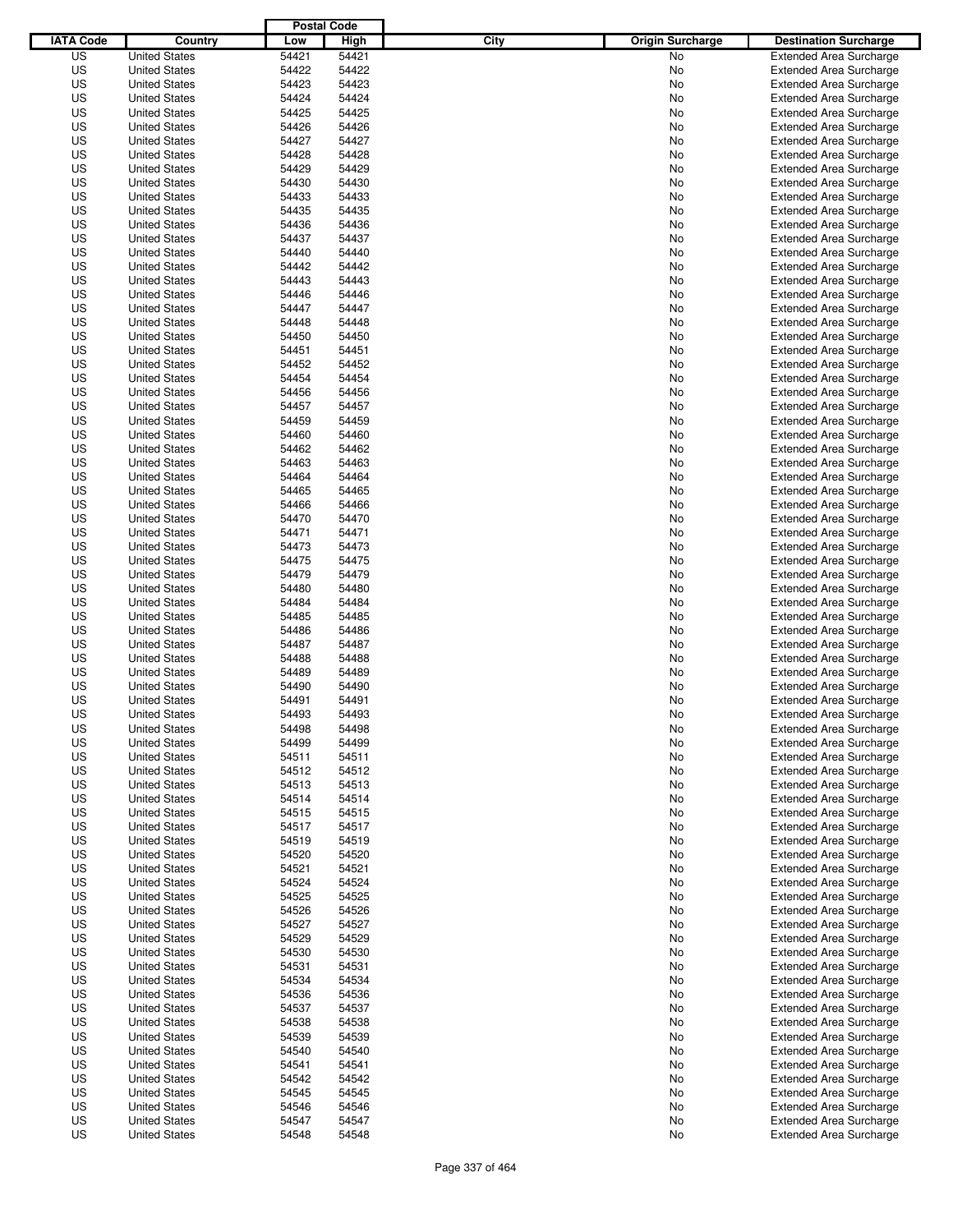|                  |                      | <b>Postal Code</b> |       |                                 |                                |
|------------------|----------------------|--------------------|-------|---------------------------------|--------------------------------|
| <b>IATA Code</b> | Country              | Low                | High  | City<br><b>Origin Surcharge</b> | <b>Destination Surcharge</b>   |
| US               | <b>United States</b> | 54421              | 54421 | <b>No</b>                       | <b>Extended Area Surcharge</b> |
| US               | <b>United States</b> | 54422              | 54422 | No                              | <b>Extended Area Surcharge</b> |
| US               | <b>United States</b> | 54423              | 54423 | No                              | <b>Extended Area Surcharge</b> |
| US               | <b>United States</b> | 54424              | 54424 | No                              | <b>Extended Area Surcharge</b> |
| US               | <b>United States</b> | 54425              | 54425 | No                              | <b>Extended Area Surcharge</b> |
| US               | <b>United States</b> | 54426              | 54426 | No                              | <b>Extended Area Surcharge</b> |
| US               | <b>United States</b> | 54427              | 54427 | No                              | <b>Extended Area Surcharge</b> |
| US               | <b>United States</b> | 54428              | 54428 | No                              | <b>Extended Area Surcharge</b> |
| US               | <b>United States</b> | 54429              | 54429 | No                              | <b>Extended Area Surcharge</b> |
| US               | <b>United States</b> | 54430              | 54430 | No                              | <b>Extended Area Surcharge</b> |
| US               | <b>United States</b> | 54433              | 54433 | No                              | <b>Extended Area Surcharge</b> |
| US               | <b>United States</b> | 54435              | 54435 | No                              | <b>Extended Area Surcharge</b> |
| US               | <b>United States</b> | 54436              | 54436 | No                              | <b>Extended Area Surcharge</b> |
| US               | <b>United States</b> | 54437              | 54437 | No                              | <b>Extended Area Surcharge</b> |
| US               | <b>United States</b> | 54440              | 54440 | No                              | <b>Extended Area Surcharge</b> |
| US               | <b>United States</b> | 54442              | 54442 | No                              | <b>Extended Area Surcharge</b> |
| US               | <b>United States</b> | 54443              | 54443 | No                              | <b>Extended Area Surcharge</b> |
| US               | <b>United States</b> | 54446              | 54446 | No                              | <b>Extended Area Surcharge</b> |
| US               | <b>United States</b> | 54447              | 54447 | No                              | <b>Extended Area Surcharge</b> |
| US               | <b>United States</b> | 54448              | 54448 | No                              | <b>Extended Area Surcharge</b> |
| US               | <b>United States</b> | 54450              | 54450 | No                              | <b>Extended Area Surcharge</b> |
| US               | <b>United States</b> | 54451              | 54451 | No                              | <b>Extended Area Surcharge</b> |
| US               | <b>United States</b> | 54452              | 54452 | No                              | <b>Extended Area Surcharge</b> |
| US               | <b>United States</b> | 54454              | 54454 | No                              | <b>Extended Area Surcharge</b> |
| US               | <b>United States</b> | 54456              | 54456 | No                              | <b>Extended Area Surcharge</b> |
| US               | <b>United States</b> | 54457              | 54457 | No                              | <b>Extended Area Surcharge</b> |
| US               | <b>United States</b> | 54459              | 54459 | No                              | <b>Extended Area Surcharge</b> |
| US               | <b>United States</b> | 54460              | 54460 | No                              | <b>Extended Area Surcharge</b> |
| US               | <b>United States</b> | 54462              | 54462 | No                              | <b>Extended Area Surcharge</b> |
| US               | <b>United States</b> | 54463              | 54463 | No                              | <b>Extended Area Surcharge</b> |
| US               | <b>United States</b> | 54464              | 54464 | No                              | <b>Extended Area Surcharge</b> |
| US               | <b>United States</b> | 54465              | 54465 | No                              | <b>Extended Area Surcharge</b> |
| US               | <b>United States</b> | 54466              | 54466 | No                              | <b>Extended Area Surcharge</b> |
| US               | <b>United States</b> | 54470              | 54470 | No                              | <b>Extended Area Surcharge</b> |
| US               | <b>United States</b> | 54471              | 54471 | No                              | <b>Extended Area Surcharge</b> |
| US               | <b>United States</b> | 54473              | 54473 | No                              | <b>Extended Area Surcharge</b> |
| US               | <b>United States</b> | 54475              | 54475 | No                              | <b>Extended Area Surcharge</b> |
| US               | <b>United States</b> | 54479              | 54479 | No                              | <b>Extended Area Surcharge</b> |
| US               | <b>United States</b> | 54480              | 54480 | No                              | <b>Extended Area Surcharge</b> |
| US               | <b>United States</b> | 54484              | 54484 | No                              | <b>Extended Area Surcharge</b> |
| US               | <b>United States</b> | 54485              | 54485 | No                              | <b>Extended Area Surcharge</b> |
| US               | <b>United States</b> | 54486              | 54486 | No                              | <b>Extended Area Surcharge</b> |
| US               | <b>United States</b> | 54487              | 54487 | No                              | <b>Extended Area Surcharge</b> |
| US               | <b>United States</b> | 54488              | 54488 | No                              | <b>Extended Area Surcharge</b> |
| US               | <b>United States</b> | 54489              | 54489 | No                              | <b>Extended Area Surcharge</b> |
| US               | <b>United States</b> | 54490              | 54490 | No                              | <b>Extended Area Surcharge</b> |
| US               | <b>United States</b> | 54491              | 54491 | No                              | <b>Extended Area Surcharge</b> |
| US               | <b>United States</b> | 54493              | 54493 | No                              | <b>Extended Area Surcharge</b> |
| US               | <b>United States</b> | 54498              | 54498 | No                              | <b>Extended Area Surcharge</b> |
| US               | <b>United States</b> | 54499              | 54499 | No                              | <b>Extended Area Surcharge</b> |
| US               | <b>United States</b> | 54511              | 54511 | No                              | <b>Extended Area Surcharge</b> |
| US               | <b>United States</b> | 54512              | 54512 | No                              | <b>Extended Area Surcharge</b> |
| US               | <b>United States</b> | 54513              | 54513 | No                              | <b>Extended Area Surcharge</b> |
| US               | <b>United States</b> | 54514              | 54514 | No                              | <b>Extended Area Surcharge</b> |
| US               | <b>United States</b> | 54515              | 54515 | No                              | <b>Extended Area Surcharge</b> |
| US               | <b>United States</b> | 54517              | 54517 | No                              | <b>Extended Area Surcharge</b> |
| US               | <b>United States</b> | 54519              | 54519 | No                              | <b>Extended Area Surcharge</b> |
| US               | <b>United States</b> | 54520              | 54520 | No                              | <b>Extended Area Surcharge</b> |
| US               | <b>United States</b> | 54521              | 54521 | No                              | <b>Extended Area Surcharge</b> |
| US               | <b>United States</b> | 54524              | 54524 | No                              | <b>Extended Area Surcharge</b> |
| US               | <b>United States</b> | 54525              | 54525 | No                              | <b>Extended Area Surcharge</b> |
| US               | <b>United States</b> | 54526              | 54526 | No                              | <b>Extended Area Surcharge</b> |
| US               | <b>United States</b> | 54527              | 54527 | No                              | <b>Extended Area Surcharge</b> |
| US               | <b>United States</b> | 54529              | 54529 | No                              | <b>Extended Area Surcharge</b> |
| US               | <b>United States</b> | 54530              | 54530 | No                              | <b>Extended Area Surcharge</b> |
| US               | <b>United States</b> | 54531              | 54531 | No                              | <b>Extended Area Surcharge</b> |
| US               | <b>United States</b> | 54534              | 54534 | No                              | <b>Extended Area Surcharge</b> |
| US               | <b>United States</b> | 54536              | 54536 | No                              | <b>Extended Area Surcharge</b> |
| US               | <b>United States</b> | 54537              | 54537 | No                              | <b>Extended Area Surcharge</b> |
| US               | <b>United States</b> | 54538              | 54538 | No                              | <b>Extended Area Surcharge</b> |
| US               | <b>United States</b> | 54539              | 54539 | No                              | <b>Extended Area Surcharge</b> |
| US               | <b>United States</b> | 54540              | 54540 | No                              | <b>Extended Area Surcharge</b> |
| US               | <b>United States</b> | 54541              | 54541 | No                              | <b>Extended Area Surcharge</b> |
| US               | <b>United States</b> | 54542              | 54542 | No                              | <b>Extended Area Surcharge</b> |
| US               | <b>United States</b> | 54545              | 54545 | No                              | <b>Extended Area Surcharge</b> |
| US               | <b>United States</b> | 54546              | 54546 | No                              | <b>Extended Area Surcharge</b> |
| US               | <b>United States</b> | 54547              | 54547 | No                              | <b>Extended Area Surcharge</b> |
| US               | <b>United States</b> | 54548              | 54548 | No                              | <b>Extended Area Surcharge</b> |
|                  |                      |                    |       |                                 |                                |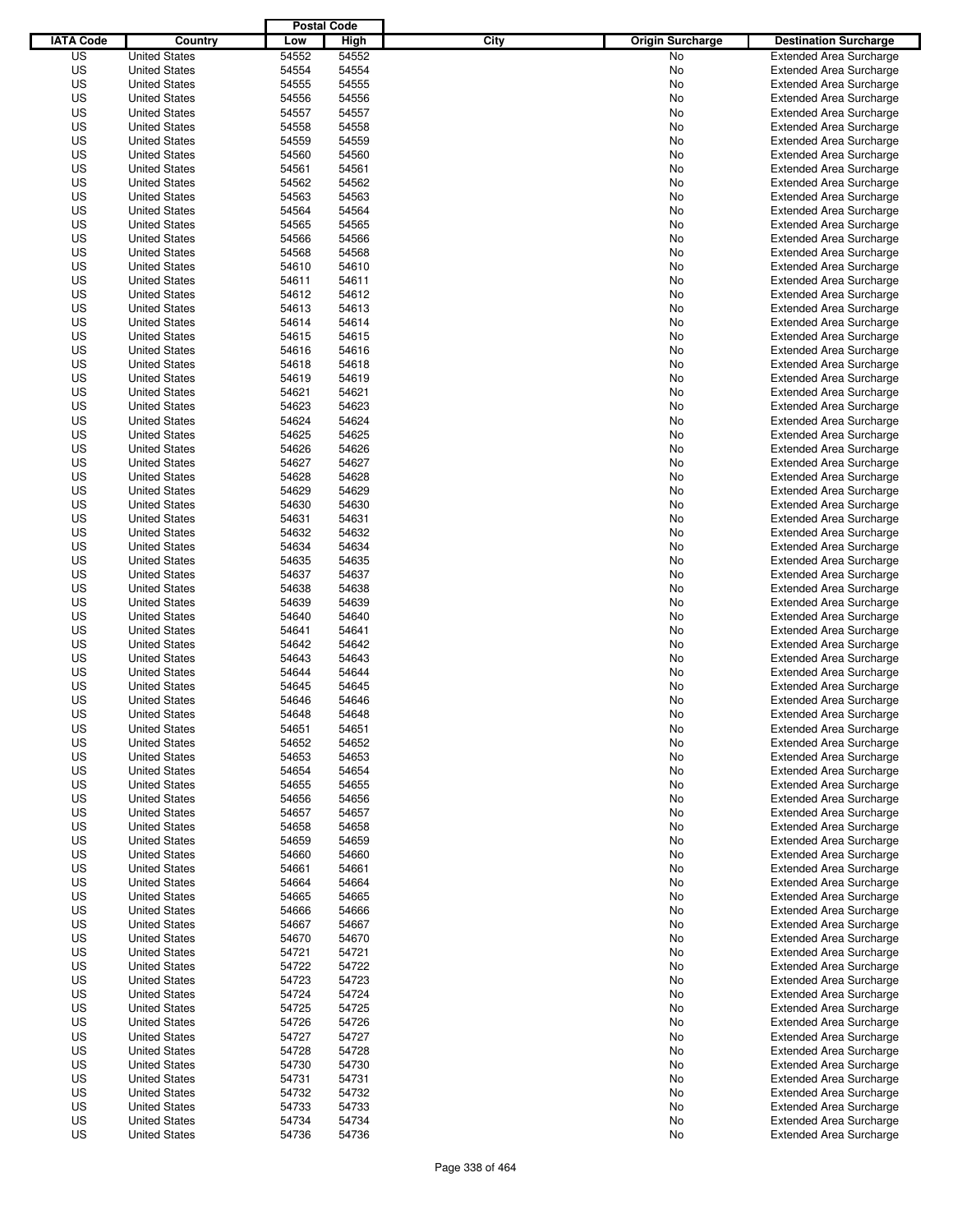|                  |                                              | <b>Postal Code</b> |                |                                 |                                                                  |
|------------------|----------------------------------------------|--------------------|----------------|---------------------------------|------------------------------------------------------------------|
| <b>IATA Code</b> | Country                                      | Low                | High           | City<br><b>Origin Surcharge</b> | <b>Destination Surcharge</b>                                     |
| US               | <b>United States</b>                         | 54552              | 54552          | <b>No</b>                       | <b>Extended Area Surcharge</b>                                   |
| US               | <b>United States</b>                         | 54554              | 54554          | No                              | <b>Extended Area Surcharge</b>                                   |
| US               | <b>United States</b>                         | 54555              | 54555          | No                              | <b>Extended Area Surcharge</b>                                   |
| US               | <b>United States</b>                         | 54556              | 54556          | No                              | <b>Extended Area Surcharge</b>                                   |
| US               | <b>United States</b>                         | 54557              | 54557          | No                              | <b>Extended Area Surcharge</b>                                   |
| US               | <b>United States</b>                         | 54558              | 54558          | No                              | <b>Extended Area Surcharge</b>                                   |
| US               | <b>United States</b>                         | 54559              | 54559          | No                              | <b>Extended Area Surcharge</b>                                   |
| US               | <b>United States</b>                         | 54560              | 54560          | No                              | <b>Extended Area Surcharge</b>                                   |
| US               | <b>United States</b>                         | 54561              | 54561          | No                              | <b>Extended Area Surcharge</b>                                   |
| US               | <b>United States</b>                         | 54562              | 54562          | No                              | <b>Extended Area Surcharge</b>                                   |
| US               | <b>United States</b>                         | 54563              | 54563          | No                              | <b>Extended Area Surcharge</b>                                   |
| US               | <b>United States</b>                         | 54564              | 54564          | No                              | <b>Extended Area Surcharge</b>                                   |
| US               | <b>United States</b>                         | 54565              | 54565          | No                              | <b>Extended Area Surcharge</b>                                   |
| US               | <b>United States</b>                         | 54566              | 54566          | No                              | <b>Extended Area Surcharge</b>                                   |
| US               | <b>United States</b>                         | 54568              | 54568          | No                              | <b>Extended Area Surcharge</b>                                   |
| US               | <b>United States</b>                         | 54610              | 54610          | No                              | <b>Extended Area Surcharge</b>                                   |
| US               | <b>United States</b>                         | 54611              | 54611          | No                              | <b>Extended Area Surcharge</b>                                   |
| US               | <b>United States</b>                         | 54612              | 54612          | No                              | <b>Extended Area Surcharge</b>                                   |
| US               | <b>United States</b>                         | 54613              | 54613          | No                              | <b>Extended Area Surcharge</b>                                   |
| US               | <b>United States</b>                         | 54614              | 54614          | No                              | <b>Extended Area Surcharge</b>                                   |
| US               | <b>United States</b>                         | 54615              | 54615          | No                              | <b>Extended Area Surcharge</b>                                   |
| US               | <b>United States</b>                         | 54616              | 54616          | No                              | <b>Extended Area Surcharge</b>                                   |
| US               | <b>United States</b><br><b>United States</b> | 54618              | 54618          | No                              | <b>Extended Area Surcharge</b>                                   |
| US               |                                              | 54619              | 54619          | No                              | <b>Extended Area Surcharge</b>                                   |
| US               | <b>United States</b>                         | 54621              | 54621          | No                              | <b>Extended Area Surcharge</b><br><b>Extended Area Surcharge</b> |
| US               | <b>United States</b>                         | 54623              | 54623          | No                              |                                                                  |
| US<br>US         | <b>United States</b><br><b>United States</b> | 54624<br>54625     | 54624<br>54625 | No                              | <b>Extended Area Surcharge</b><br><b>Extended Area Surcharge</b> |
| US               | <b>United States</b>                         | 54626              | 54626          | No<br>No                        | <b>Extended Area Surcharge</b>                                   |
| US               | <b>United States</b>                         | 54627              | 54627          | No                              | <b>Extended Area Surcharge</b>                                   |
| US               | <b>United States</b>                         | 54628              | 54628          | No                              | <b>Extended Area Surcharge</b>                                   |
| US               | <b>United States</b>                         | 54629              | 54629          | No                              | <b>Extended Area Surcharge</b>                                   |
| US               | <b>United States</b>                         | 54630              | 54630          | No                              | <b>Extended Area Surcharge</b>                                   |
| US               | <b>United States</b>                         | 54631              | 54631          | No                              | <b>Extended Area Surcharge</b>                                   |
| US               | <b>United States</b>                         | 54632              | 54632          | No                              | <b>Extended Area Surcharge</b>                                   |
| US               | <b>United States</b>                         | 54634              | 54634          | No                              | <b>Extended Area Surcharge</b>                                   |
| US               | <b>United States</b>                         | 54635              | 54635          | No                              | <b>Extended Area Surcharge</b>                                   |
| US               | <b>United States</b>                         | 54637              | 54637          | No                              | <b>Extended Area Surcharge</b>                                   |
| US               | <b>United States</b>                         | 54638              | 54638          | No                              | <b>Extended Area Surcharge</b>                                   |
| US               | <b>United States</b>                         | 54639              | 54639          | No                              | <b>Extended Area Surcharge</b>                                   |
| US               | <b>United States</b>                         | 54640              | 54640          | No                              | <b>Extended Area Surcharge</b>                                   |
| US               | <b>United States</b>                         | 54641              | 54641          | No                              | <b>Extended Area Surcharge</b>                                   |
| US               | <b>United States</b>                         | 54642              | 54642          | No                              | <b>Extended Area Surcharge</b>                                   |
| US               | <b>United States</b>                         | 54643              | 54643          | No                              | <b>Extended Area Surcharge</b>                                   |
| US               | <b>United States</b>                         | 54644              | 54644          | No                              | <b>Extended Area Surcharge</b>                                   |
| US               | <b>United States</b>                         | 54645              | 54645          | No                              | <b>Extended Area Surcharge</b>                                   |
| US               | <b>United States</b>                         | 54646              | 54646          | No                              | <b>Extended Area Surcharge</b>                                   |
| US               | <b>United States</b>                         | 54648              | 54648          | No                              | <b>Extended Area Surcharge</b>                                   |
| US               | <b>United States</b>                         | 54651              | 54651          | No                              | <b>Extended Area Surcharge</b>                                   |
| US               | <b>United States</b>                         | 54652              | 54652          | No                              | <b>Extended Area Surcharge</b>                                   |
| US               | <b>United States</b>                         | 54653              | 54653          | No                              | <b>Extended Area Surcharge</b>                                   |
| US               | <b>United States</b>                         | 54654              | 54654          | No                              | <b>Extended Area Surcharge</b>                                   |
| US               | <b>United States</b>                         | 54655              | 54655          | No                              | <b>Extended Area Surcharge</b>                                   |
| US               | <b>United States</b>                         | 54656              | 54656          | No                              | <b>Extended Area Surcharge</b>                                   |
| US               | <b>United States</b>                         | 54657              | 54657          | No                              | <b>Extended Area Surcharge</b>                                   |
| US               | <b>United States</b>                         | 54658              | 54658          | No                              | <b>Extended Area Surcharge</b>                                   |
| US               | <b>United States</b>                         | 54659              | 54659          | No                              | <b>Extended Area Surcharge</b>                                   |
| US               | <b>United States</b>                         | 54660              | 54660          | No                              | <b>Extended Area Surcharge</b>                                   |
| US               | <b>United States</b>                         | 54661              | 54661          | No                              | <b>Extended Area Surcharge</b>                                   |
| US               | <b>United States</b>                         | 54664              | 54664          | No                              | <b>Extended Area Surcharge</b>                                   |
| US               | <b>United States</b>                         | 54665              | 54665          | No                              | <b>Extended Area Surcharge</b>                                   |
| US               | <b>United States</b>                         | 54666              | 54666          | No                              | <b>Extended Area Surcharge</b>                                   |
| US               | <b>United States</b>                         | 54667              | 54667          | No                              | <b>Extended Area Surcharge</b>                                   |
| US               | <b>United States</b>                         | 54670              | 54670          | No                              | <b>Extended Area Surcharge</b>                                   |
| US               | <b>United States</b>                         | 54721              | 54721          | No                              | <b>Extended Area Surcharge</b>                                   |
| US               | <b>United States</b>                         | 54722              | 54722          | No                              | <b>Extended Area Surcharge</b>                                   |
| US               | <b>United States</b>                         | 54723              | 54723          | No                              | <b>Extended Area Surcharge</b>                                   |
| US               | <b>United States</b>                         | 54724              | 54724          | No                              | <b>Extended Area Surcharge</b>                                   |
| US               | <b>United States</b>                         | 54725              | 54725          | No                              | <b>Extended Area Surcharge</b>                                   |
| US               | <b>United States</b>                         | 54726              | 54726          | No                              | <b>Extended Area Surcharge</b>                                   |
| US               | <b>United States</b>                         | 54727              | 54727          | No                              | <b>Extended Area Surcharge</b>                                   |
| US               | <b>United States</b>                         | 54728              | 54728          | No                              | <b>Extended Area Surcharge</b>                                   |
| US               | <b>United States</b>                         | 54730              | 54730          | No                              | <b>Extended Area Surcharge</b>                                   |
| US               | <b>United States</b>                         | 54731              | 54731          | No                              | <b>Extended Area Surcharge</b>                                   |
| US               | <b>United States</b>                         | 54732              | 54732          | No                              | <b>Extended Area Surcharge</b>                                   |
| US               | <b>United States</b>                         | 54733              | 54733          | No                              | <b>Extended Area Surcharge</b>                                   |
| US<br>US         | <b>United States</b>                         | 54734<br>54736     | 54734<br>54736 | No<br>No                        | <b>Extended Area Surcharge</b><br><b>Extended Area Surcharge</b> |
|                  | <b>United States</b>                         |                    |                |                                 |                                                                  |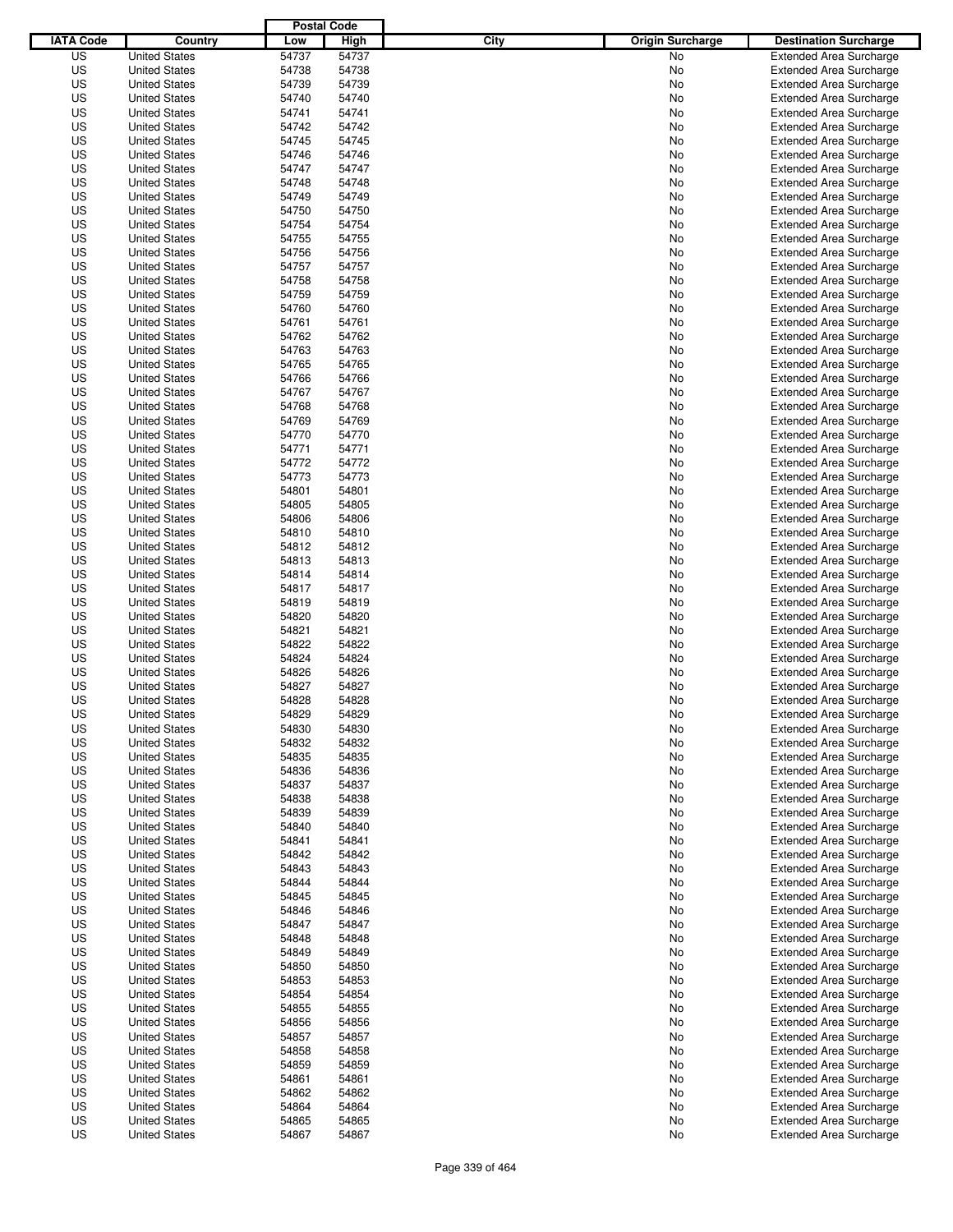|                  |                                              | <b>Postal Code</b> |                |                                 |                                                                  |
|------------------|----------------------------------------------|--------------------|----------------|---------------------------------|------------------------------------------------------------------|
| <b>IATA Code</b> | Country                                      | Low                | High           | City<br><b>Origin Surcharge</b> | <b>Destination Surcharge</b>                                     |
| US               | <b>United States</b>                         | 54737              | 54737          | <b>No</b>                       | <b>Extended Area Surcharge</b>                                   |
| US               | <b>United States</b>                         | 54738              | 54738          | No                              | <b>Extended Area Surcharge</b>                                   |
| US               | <b>United States</b>                         | 54739              | 54739          | No                              | <b>Extended Area Surcharge</b>                                   |
| US               | <b>United States</b>                         | 54740              | 54740          | No                              | <b>Extended Area Surcharge</b>                                   |
| US               | <b>United States</b>                         | 54741              | 54741          | No                              | <b>Extended Area Surcharge</b>                                   |
| US               | <b>United States</b>                         | 54742              | 54742          | No                              | <b>Extended Area Surcharge</b>                                   |
| US               | <b>United States</b>                         | 54745              | 54745          | No                              | <b>Extended Area Surcharge</b>                                   |
| US               | <b>United States</b>                         | 54746              | 54746          | No                              | <b>Extended Area Surcharge</b>                                   |
| US               | <b>United States</b>                         | 54747              | 54747          | No                              | <b>Extended Area Surcharge</b>                                   |
| US               | <b>United States</b>                         | 54748              | 54748          | No                              | <b>Extended Area Surcharge</b>                                   |
| US               | <b>United States</b>                         | 54749              | 54749          | No                              | <b>Extended Area Surcharge</b>                                   |
| US               | <b>United States</b>                         | 54750              | 54750          | No                              | <b>Extended Area Surcharge</b>                                   |
| US               | <b>United States</b>                         | 54754              | 54754          | No                              | <b>Extended Area Surcharge</b>                                   |
| US               | <b>United States</b>                         | 54755              | 54755          | No                              | <b>Extended Area Surcharge</b>                                   |
| US               | <b>United States</b>                         | 54756              | 54756          | No                              | <b>Extended Area Surcharge</b>                                   |
| US               | <b>United States</b>                         | 54757              | 54757          | No                              | <b>Extended Area Surcharge</b>                                   |
| US               | <b>United States</b>                         | 54758              | 54758          | No                              | <b>Extended Area Surcharge</b>                                   |
| US               | <b>United States</b>                         | 54759              | 54759          | No                              | <b>Extended Area Surcharge</b>                                   |
| US               | <b>United States</b>                         | 54760              | 54760          | No                              | <b>Extended Area Surcharge</b>                                   |
| US               | <b>United States</b>                         | 54761              | 54761          | No                              | <b>Extended Area Surcharge</b>                                   |
| US               | <b>United States</b>                         | 54762              | 54762          | No                              | <b>Extended Area Surcharge</b>                                   |
| US               | <b>United States</b>                         | 54763              | 54763          | No                              | <b>Extended Area Surcharge</b>                                   |
| US               | <b>United States</b>                         | 54765              | 54765          | No                              | <b>Extended Area Surcharge</b>                                   |
| US               | <b>United States</b>                         | 54766              | 54766          | No                              | <b>Extended Area Surcharge</b>                                   |
| US               | <b>United States</b>                         | 54767              | 54767          | No                              | <b>Extended Area Surcharge</b>                                   |
| US               | <b>United States</b>                         | 54768              | 54768          | No                              | <b>Extended Area Surcharge</b>                                   |
| US               | <b>United States</b>                         | 54769              | 54769          | No                              | <b>Extended Area Surcharge</b>                                   |
| US               | <b>United States</b>                         | 54770              | 54770          | No                              | <b>Extended Area Surcharge</b>                                   |
| US               | <b>United States</b>                         | 54771              | 54771          | No                              | <b>Extended Area Surcharge</b>                                   |
| US               | <b>United States</b>                         | 54772              | 54772          | No                              | <b>Extended Area Surcharge</b>                                   |
| US               | <b>United States</b>                         | 54773              | 54773          | No                              | <b>Extended Area Surcharge</b>                                   |
| US               | <b>United States</b>                         | 54801              | 54801          | No                              | <b>Extended Area Surcharge</b>                                   |
| US               | <b>United States</b>                         | 54805              | 54805          | No                              | <b>Extended Area Surcharge</b>                                   |
| US               | <b>United States</b>                         | 54806              | 54806          | No                              | <b>Extended Area Surcharge</b>                                   |
| US               | <b>United States</b>                         | 54810              | 54810          | No                              | <b>Extended Area Surcharge</b>                                   |
| US               | <b>United States</b>                         | 54812              | 54812          | No                              | <b>Extended Area Surcharge</b>                                   |
| US               | <b>United States</b>                         | 54813              | 54813          | No                              | <b>Extended Area Surcharge</b>                                   |
| US               | <b>United States</b>                         | 54814              | 54814          | No                              | <b>Extended Area Surcharge</b>                                   |
| US               | <b>United States</b>                         | 54817              | 54817          | No                              | <b>Extended Area Surcharge</b>                                   |
| US               | <b>United States</b>                         | 54819              | 54819          | No                              | <b>Extended Area Surcharge</b>                                   |
| US               | <b>United States</b>                         | 54820              | 54820          | No                              | <b>Extended Area Surcharge</b>                                   |
| US               | <b>United States</b>                         | 54821              | 54821          | No                              | <b>Extended Area Surcharge</b>                                   |
| US               | <b>United States</b>                         | 54822              | 54822          | No                              | <b>Extended Area Surcharge</b>                                   |
| US               | <b>United States</b>                         | 54824              | 54824          | No                              | <b>Extended Area Surcharge</b>                                   |
| US               | <b>United States</b>                         | 54826              | 54826          | No                              | Extended Area Surcharge                                          |
| US               | <b>United States</b>                         | 54827              | 54827          | No                              | <b>Extended Area Surcharge</b>                                   |
| US               | <b>United States</b>                         | 54828              | 54828          | No                              | <b>Extended Area Surcharge</b>                                   |
| US               | <b>United States</b>                         | 54829              | 54829          | No                              | <b>Extended Area Surcharge</b>                                   |
| US               | <b>United States</b>                         | 54830              | 54830          | No                              | <b>Extended Area Surcharge</b>                                   |
| US               | <b>United States</b>                         | 54832              | 54832          | No                              | <b>Extended Area Surcharge</b>                                   |
| US               | <b>United States</b>                         | 54835              | 54835          | No                              | <b>Extended Area Surcharge</b>                                   |
| US               | <b>United States</b>                         | 54836              | 54836          | No                              | <b>Extended Area Surcharge</b>                                   |
| US               | <b>United States</b>                         | 54837              | 54837          | No                              | <b>Extended Area Surcharge</b>                                   |
| US               | <b>United States</b>                         | 54838              | 54838          | No                              | <b>Extended Area Surcharge</b>                                   |
| US               | <b>United States</b>                         | 54839              | 54839          | No                              | <b>Extended Area Surcharge</b>                                   |
| US               | <b>United States</b>                         | 54840              | 54840          | No                              | <b>Extended Area Surcharge</b>                                   |
| US               | <b>United States</b>                         | 54841              | 54841          | No                              | <b>Extended Area Surcharge</b>                                   |
| US               | <b>United States</b>                         | 54842              | 54842          | No                              | <b>Extended Area Surcharge</b>                                   |
| US               | <b>United States</b>                         | 54843              | 54843          | No                              | <b>Extended Area Surcharge</b>                                   |
| US               | <b>United States</b>                         | 54844              | 54844          | No                              | <b>Extended Area Surcharge</b>                                   |
| US               | <b>United States</b>                         | 54845              | 54845          | No                              | <b>Extended Area Surcharge</b>                                   |
| US               | <b>United States</b>                         | 54846              | 54846          | No                              | <b>Extended Area Surcharge</b>                                   |
| US               | <b>United States</b>                         | 54847              | 54847          | No                              | <b>Extended Area Surcharge</b>                                   |
| US               | <b>United States</b>                         | 54848              | 54848          | No                              | <b>Extended Area Surcharge</b>                                   |
| US               | <b>United States</b>                         | 54849              | 54849          | No                              | <b>Extended Area Surcharge</b>                                   |
| US               | <b>United States</b>                         | 54850              | 54850          | No                              | <b>Extended Area Surcharge</b>                                   |
| US               | <b>United States</b>                         | 54853              | 54853          | No                              | <b>Extended Area Surcharge</b>                                   |
| US               | <b>United States</b>                         | 54854              | 54854          | No                              | <b>Extended Area Surcharge</b>                                   |
| US               | <b>United States</b>                         | 54855              | 54855          | No                              | <b>Extended Area Surcharge</b>                                   |
| US               | <b>United States</b>                         | 54856              | 54856          | No                              | <b>Extended Area Surcharge</b>                                   |
| US               | <b>United States</b>                         | 54857              | 54857          | No                              | <b>Extended Area Surcharge</b>                                   |
| US               | <b>United States</b>                         | 54858              | 54858          | No                              | <b>Extended Area Surcharge</b>                                   |
| US               | <b>United States</b>                         | 54859              | 54859          | No                              | <b>Extended Area Surcharge</b>                                   |
| US               | <b>United States</b>                         | 54861              | 54861          | No                              | <b>Extended Area Surcharge</b>                                   |
| US<br>US         | <b>United States</b>                         | 54862              | 54862<br>54864 | No                              | <b>Extended Area Surcharge</b>                                   |
| US               | <b>United States</b><br><b>United States</b> | 54864              |                | No                              | <b>Extended Area Surcharge</b><br><b>Extended Area Surcharge</b> |
| US               |                                              | 54865<br>54867     | 54865<br>54867 | No<br>No                        | <b>Extended Area Surcharge</b>                                   |
|                  | <b>United States</b>                         |                    |                |                                 |                                                                  |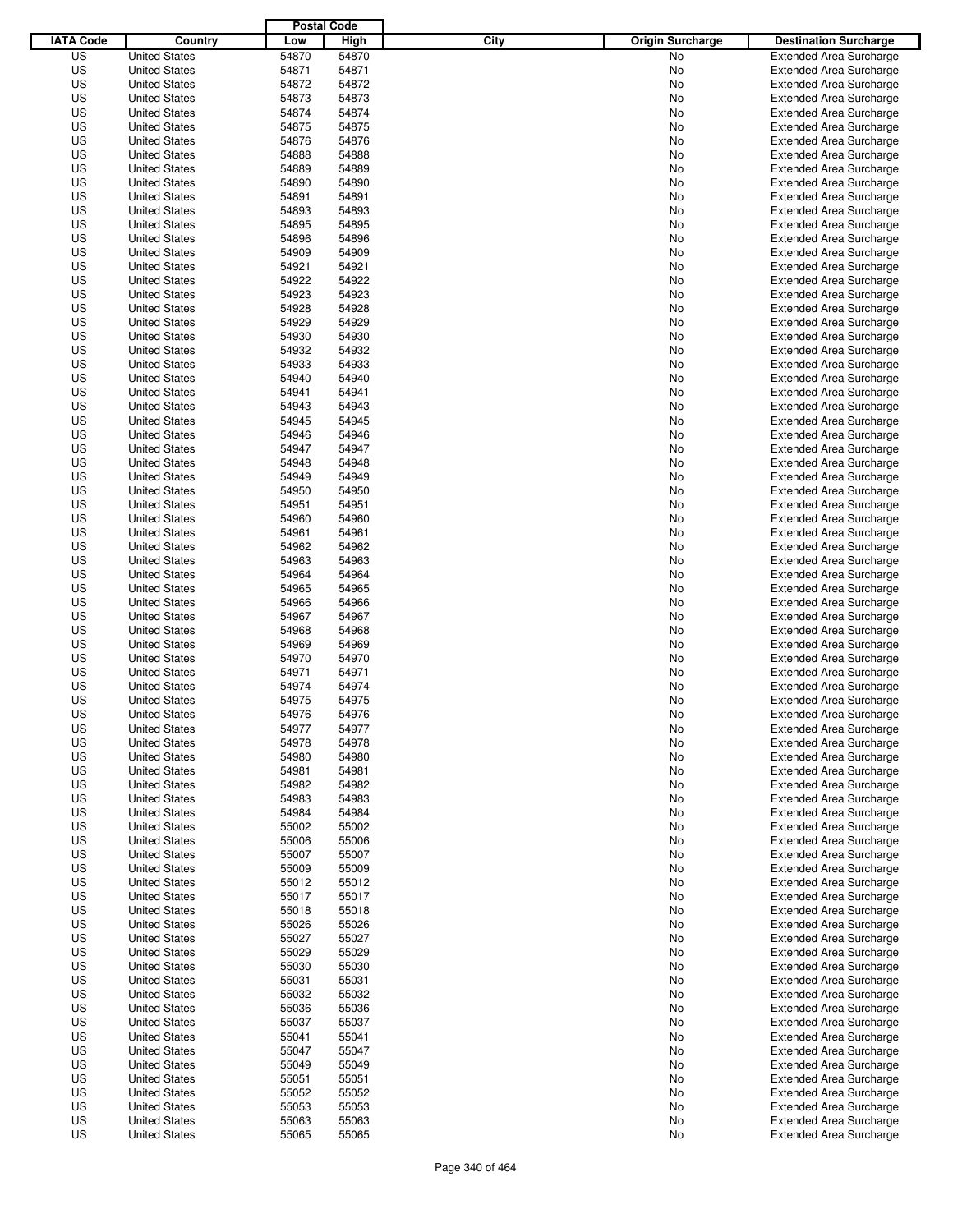|                  |                      | <b>Postal Code</b> |       |                                 |                                |
|------------------|----------------------|--------------------|-------|---------------------------------|--------------------------------|
| <b>IATA Code</b> | Country              | Low                | High  | City<br><b>Origin Surcharge</b> | <b>Destination Surcharge</b>   |
| US               | <b>United States</b> | 54870              | 54870 | No                              | <b>Extended Area Surcharge</b> |
| US               | <b>United States</b> | 54871              | 54871 | No                              | <b>Extended Area Surcharge</b> |
| US               | <b>United States</b> | 54872              | 54872 | No                              | <b>Extended Area Surcharge</b> |
| US               | <b>United States</b> | 54873              | 54873 | No                              | <b>Extended Area Surcharge</b> |
| US               | <b>United States</b> | 54874              | 54874 | No                              | <b>Extended Area Surcharge</b> |
| US               | <b>United States</b> | 54875              | 54875 | No                              | <b>Extended Area Surcharge</b> |
| US               | <b>United States</b> | 54876              | 54876 | No                              | <b>Extended Area Surcharge</b> |
| US               | <b>United States</b> | 54888              | 54888 | No                              | <b>Extended Area Surcharge</b> |
| US               | <b>United States</b> | 54889              | 54889 | No                              | <b>Extended Area Surcharge</b> |
| US               | <b>United States</b> | 54890              | 54890 | No                              | <b>Extended Area Surcharge</b> |
| US               | <b>United States</b> | 54891              | 54891 | No                              | <b>Extended Area Surcharge</b> |
| US               | <b>United States</b> | 54893              | 54893 | No                              | <b>Extended Area Surcharge</b> |
| US               | <b>United States</b> | 54895              | 54895 | No                              | <b>Extended Area Surcharge</b> |
| US               | <b>United States</b> | 54896              | 54896 | No                              | <b>Extended Area Surcharge</b> |
| US               | <b>United States</b> | 54909              | 54909 | No                              | <b>Extended Area Surcharge</b> |
| US               | <b>United States</b> | 54921              | 54921 | No                              | <b>Extended Area Surcharge</b> |
| US               | <b>United States</b> | 54922              | 54922 | No                              | <b>Extended Area Surcharge</b> |
| US               | <b>United States</b> | 54923              | 54923 | No                              | <b>Extended Area Surcharge</b> |
| US               | <b>United States</b> | 54928              | 54928 | No                              | <b>Extended Area Surcharge</b> |
| US               | <b>United States</b> | 54929              | 54929 | No                              | <b>Extended Area Surcharge</b> |
| US               | <b>United States</b> | 54930              | 54930 | No                              | <b>Extended Area Surcharge</b> |
| US               | <b>United States</b> | 54932              | 54932 | No                              | <b>Extended Area Surcharge</b> |
| US               | <b>United States</b> | 54933              | 54933 | No                              | <b>Extended Area Surcharge</b> |
| US               | <b>United States</b> | 54940              | 54940 | No                              | <b>Extended Area Surcharge</b> |
| US               | <b>United States</b> | 54941              | 54941 | No                              | <b>Extended Area Surcharge</b> |
| US               | <b>United States</b> | 54943              | 54943 | No                              | <b>Extended Area Surcharge</b> |
| US               | <b>United States</b> | 54945              | 54945 | No                              | <b>Extended Area Surcharge</b> |
| US               | <b>United States</b> | 54946              | 54946 | No                              | <b>Extended Area Surcharge</b> |
| US               | <b>United States</b> | 54947              | 54947 | No                              | <b>Extended Area Surcharge</b> |
| US               | <b>United States</b> | 54948              | 54948 | No                              | <b>Extended Area Surcharge</b> |
| US               | <b>United States</b> | 54949              | 54949 | No                              | <b>Extended Area Surcharge</b> |
| US               | <b>United States</b> | 54950              | 54950 | No                              | <b>Extended Area Surcharge</b> |
| US               | <b>United States</b> | 54951              | 54951 | No                              | <b>Extended Area Surcharge</b> |
| US               | <b>United States</b> | 54960              | 54960 | No                              | <b>Extended Area Surcharge</b> |
| US               | <b>United States</b> | 54961              | 54961 | No                              | <b>Extended Area Surcharge</b> |
| US               | <b>United States</b> | 54962              | 54962 | No                              | <b>Extended Area Surcharge</b> |
| US               | <b>United States</b> | 54963              | 54963 | No                              | <b>Extended Area Surcharge</b> |
| US               | <b>United States</b> | 54964              | 54964 | No                              | <b>Extended Area Surcharge</b> |
| US               | <b>United States</b> | 54965              | 54965 | No                              | <b>Extended Area Surcharge</b> |
| US               | <b>United States</b> | 54966              | 54966 | No                              | <b>Extended Area Surcharge</b> |
| US               | <b>United States</b> | 54967              | 54967 | No                              | <b>Extended Area Surcharge</b> |
| US               | <b>United States</b> | 54968              | 54968 | No                              | <b>Extended Area Surcharge</b> |
| US               | <b>United States</b> | 54969              | 54969 | No                              | <b>Extended Area Surcharge</b> |
| US               | <b>United States</b> | 54970              | 54970 | No                              | <b>Extended Area Surcharge</b> |
| US               | <b>United States</b> | 54971              | 54971 | No                              | Extended Area Surcharge        |
| US               | <b>United States</b> | 54974              | 54974 | No                              | <b>Extended Area Surcharge</b> |
| US               | <b>United States</b> | 54975              | 54975 | No                              | <b>Extended Area Surcharge</b> |
| US               | <b>United States</b> | 54976              | 54976 | No                              | <b>Extended Area Surcharge</b> |
| US               | <b>United States</b> | 54977              | 54977 | No                              | <b>Extended Area Surcharge</b> |
| US               | <b>United States</b> | 54978              | 54978 | No                              | <b>Extended Area Surcharge</b> |
| US               | <b>United States</b> | 54980              | 54980 | No                              | <b>Extended Area Surcharge</b> |
| US               | <b>United States</b> | 54981              | 54981 | No                              | <b>Extended Area Surcharge</b> |
| US               | <b>United States</b> | 54982              | 54982 | No                              | <b>Extended Area Surcharge</b> |
| US               | <b>United States</b> | 54983              | 54983 | No                              | <b>Extended Area Surcharge</b> |
| US               | <b>United States</b> | 54984              | 54984 | No                              | <b>Extended Area Surcharge</b> |
| US               | <b>United States</b> | 55002              | 55002 | No                              | <b>Extended Area Surcharge</b> |
| US               | <b>United States</b> | 55006              | 55006 | No                              | <b>Extended Area Surcharge</b> |
| US               | <b>United States</b> | 55007              | 55007 | No                              | <b>Extended Area Surcharge</b> |
| US               | <b>United States</b> | 55009              | 55009 | No                              | <b>Extended Area Surcharge</b> |
| US               | <b>United States</b> | 55012              | 55012 | No                              | <b>Extended Area Surcharge</b> |
| US               | <b>United States</b> | 55017              | 55017 | No                              | <b>Extended Area Surcharge</b> |
| US               | <b>United States</b> | 55018              | 55018 | No                              | Extended Area Surcharge        |
| US               | <b>United States</b> | 55026              | 55026 | No                              | <b>Extended Area Surcharge</b> |
| US               | <b>United States</b> | 55027              | 55027 | No                              | <b>Extended Area Surcharge</b> |
| US               | <b>United States</b> | 55029              | 55029 | No                              | <b>Extended Area Surcharge</b> |
| US               | <b>United States</b> | 55030              | 55030 | No                              | <b>Extended Area Surcharge</b> |
| US               | <b>United States</b> | 55031              | 55031 | No                              | <b>Extended Area Surcharge</b> |
| US               | <b>United States</b> | 55032              | 55032 | No                              | <b>Extended Area Surcharge</b> |
| US               | <b>United States</b> | 55036              | 55036 | No                              | <b>Extended Area Surcharge</b> |
| US               | <b>United States</b> | 55037              | 55037 | No                              | <b>Extended Area Surcharge</b> |
| US               | <b>United States</b> | 55041              | 55041 | No                              | <b>Extended Area Surcharge</b> |
| US               | <b>United States</b> | 55047              | 55047 | No                              | <b>Extended Area Surcharge</b> |
| US               | <b>United States</b> | 55049              | 55049 | No                              | <b>Extended Area Surcharge</b> |
| US               | <b>United States</b> | 55051              | 55051 | No                              | <b>Extended Area Surcharge</b> |
| US               | <b>United States</b> | 55052              | 55052 | No                              | <b>Extended Area Surcharge</b> |
| US               | <b>United States</b> | 55053              | 55053 | No                              | <b>Extended Area Surcharge</b> |
| US               | <b>United States</b> | 55063              | 55063 | No                              | <b>Extended Area Surcharge</b> |
| US               | <b>United States</b> | 55065              | 55065 | No                              | <b>Extended Area Surcharge</b> |
|                  |                      |                    |       |                                 |                                |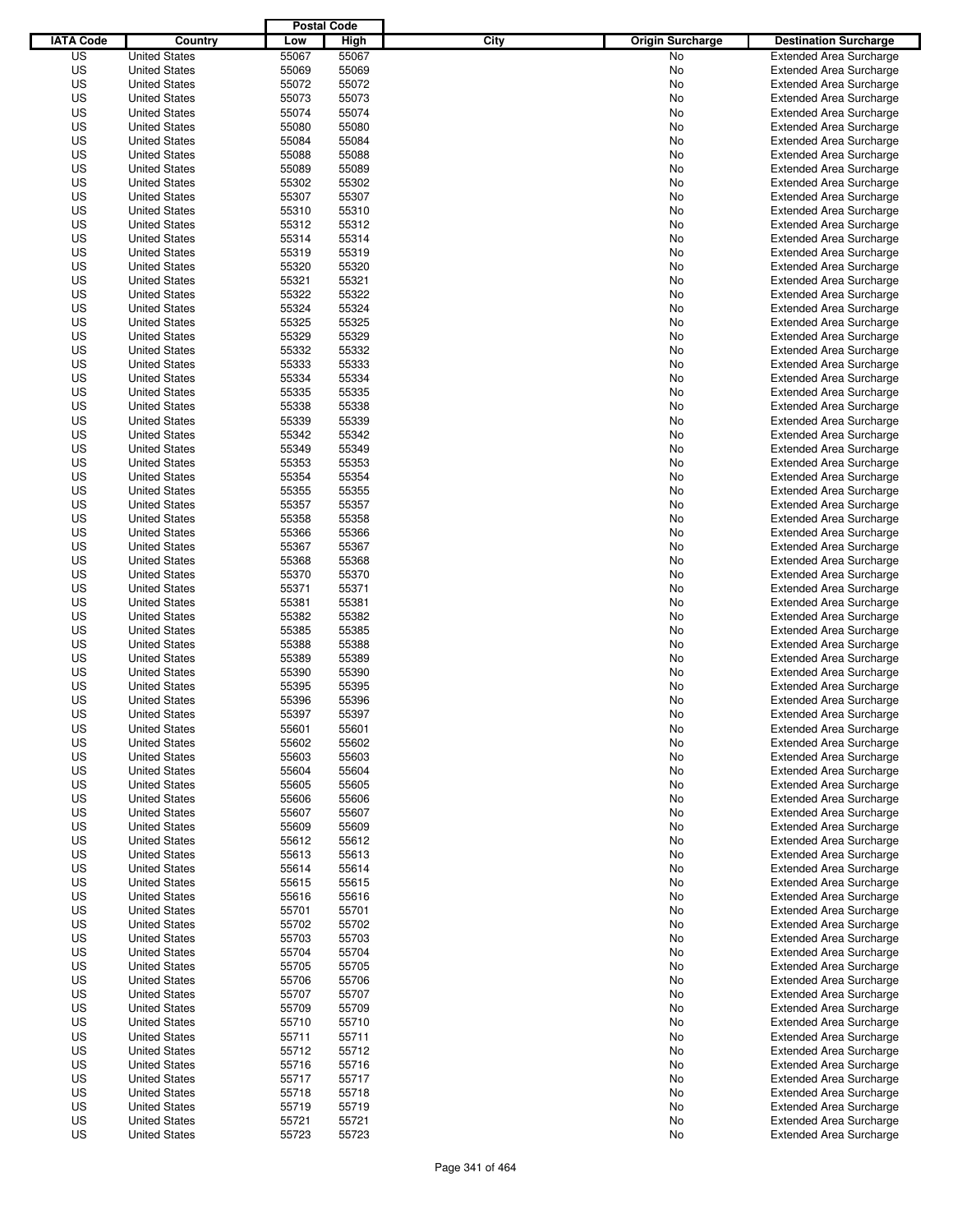|                  |                      | <b>Postal Code</b> |       |                                 |                                |
|------------------|----------------------|--------------------|-------|---------------------------------|--------------------------------|
| <b>IATA Code</b> | Country              | Low                | High  | City<br><b>Origin Surcharge</b> | <b>Destination Surcharge</b>   |
| US               | <b>United States</b> | 55067              | 55067 | <b>No</b>                       | <b>Extended Area Surcharge</b> |
| US               | <b>United States</b> | 55069              | 55069 | No                              | <b>Extended Area Surcharge</b> |
| US               | <b>United States</b> | 55072              | 55072 | No                              | <b>Extended Area Surcharge</b> |
| US               | <b>United States</b> | 55073              | 55073 | No                              | <b>Extended Area Surcharge</b> |
| US               | <b>United States</b> | 55074              | 55074 | No                              | <b>Extended Area Surcharge</b> |
| US               | <b>United States</b> | 55080              | 55080 | No                              | <b>Extended Area Surcharge</b> |
| US               | <b>United States</b> | 55084              | 55084 | No                              | <b>Extended Area Surcharge</b> |
| US               | <b>United States</b> | 55088              | 55088 | No                              | <b>Extended Area Surcharge</b> |
| US               | <b>United States</b> | 55089              | 55089 | No                              | <b>Extended Area Surcharge</b> |
| US               | <b>United States</b> | 55302              | 55302 | No                              | <b>Extended Area Surcharge</b> |
| US               | <b>United States</b> | 55307              | 55307 | No                              | <b>Extended Area Surcharge</b> |
| US               | <b>United States</b> | 55310              | 55310 | No                              | <b>Extended Area Surcharge</b> |
| US               | <b>United States</b> | 55312              | 55312 | No                              | <b>Extended Area Surcharge</b> |
| US               | <b>United States</b> | 55314              | 55314 | No                              | <b>Extended Area Surcharge</b> |
| US               | <b>United States</b> | 55319              | 55319 | No                              | <b>Extended Area Surcharge</b> |
| US               | <b>United States</b> | 55320              | 55320 | No                              | <b>Extended Area Surcharge</b> |
| US               | <b>United States</b> | 55321              | 55321 | No                              | <b>Extended Area Surcharge</b> |
| US               | <b>United States</b> | 55322              | 55322 | No                              | <b>Extended Area Surcharge</b> |
| US               | <b>United States</b> | 55324              | 55324 | No                              | <b>Extended Area Surcharge</b> |
| US               | <b>United States</b> | 55325              | 55325 | No                              | <b>Extended Area Surcharge</b> |
| US               | <b>United States</b> | 55329              | 55329 | No                              | <b>Extended Area Surcharge</b> |
| US               | <b>United States</b> | 55332              | 55332 | No                              | <b>Extended Area Surcharge</b> |
| US               | <b>United States</b> | 55333              | 55333 | No                              | <b>Extended Area Surcharge</b> |
| US               | <b>United States</b> | 55334              | 55334 | No                              | <b>Extended Area Surcharge</b> |
| US               | <b>United States</b> | 55335              | 55335 | No                              | <b>Extended Area Surcharge</b> |
| US               | <b>United States</b> | 55338              | 55338 | No                              | <b>Extended Area Surcharge</b> |
| US               | <b>United States</b> | 55339              | 55339 | No                              | <b>Extended Area Surcharge</b> |
| US               | <b>United States</b> | 55342              | 55342 | No                              | <b>Extended Area Surcharge</b> |
| US               | <b>United States</b> | 55349              | 55349 | No                              | <b>Extended Area Surcharge</b> |
| US               | <b>United States</b> | 55353              | 55353 | No                              | <b>Extended Area Surcharge</b> |
| US               | <b>United States</b> | 55354              | 55354 | No                              | <b>Extended Area Surcharge</b> |
| US               | <b>United States</b> | 55355              | 55355 | No                              | <b>Extended Area Surcharge</b> |
| US               | <b>United States</b> | 55357              | 55357 | No                              | <b>Extended Area Surcharge</b> |
| US               | <b>United States</b> | 55358              | 55358 | No                              | <b>Extended Area Surcharge</b> |
| US               | <b>United States</b> | 55366              | 55366 | No                              | <b>Extended Area Surcharge</b> |
| US               | <b>United States</b> | 55367              | 55367 | No                              | <b>Extended Area Surcharge</b> |
| US               | <b>United States</b> | 55368              | 55368 | No                              | <b>Extended Area Surcharge</b> |
| US               | <b>United States</b> | 55370              | 55370 | No                              | <b>Extended Area Surcharge</b> |
| US               | <b>United States</b> | 55371              | 55371 | No                              | <b>Extended Area Surcharge</b> |
| US               | <b>United States</b> | 55381              | 55381 | No                              | <b>Extended Area Surcharge</b> |
| US               | <b>United States</b> | 55382              | 55382 | No                              | <b>Extended Area Surcharge</b> |
| US               | <b>United States</b> | 55385              | 55385 | No                              | <b>Extended Area Surcharge</b> |
| US               | <b>United States</b> | 55388              | 55388 | No                              | <b>Extended Area Surcharge</b> |
| US               | <b>United States</b> | 55389              | 55389 | No                              | <b>Extended Area Surcharge</b> |
| US               | <b>United States</b> | 55390              | 55390 | No                              | <b>Extended Area Surcharge</b> |
| US               | <b>United States</b> | 55395              | 55395 | No                              | <b>Extended Area Surcharge</b> |
| US               | <b>United States</b> | 55396              | 55396 | No                              | <b>Extended Area Surcharge</b> |
| US               | <b>United States</b> | 55397              | 55397 | No                              | <b>Extended Area Surcharge</b> |
| US               | <b>United States</b> | 55601              | 55601 | No                              | <b>Extended Area Surcharge</b> |
| US               | <b>United States</b> | 55602              | 55602 | No                              | <b>Extended Area Surcharge</b> |
| US               | <b>United States</b> | 55603              | 55603 | No                              | <b>Extended Area Surcharge</b> |
| US               | <b>United States</b> | 55604              | 55604 | No                              | <b>Extended Area Surcharge</b> |
| US               | <b>United States</b> | 55605              | 55605 | No                              | <b>Extended Area Surcharge</b> |
| US               | <b>United States</b> | 55606              | 55606 | No                              | <b>Extended Area Surcharge</b> |
| US               | <b>United States</b> | 55607              | 55607 | No                              | <b>Extended Area Surcharge</b> |
| US               | <b>United States</b> | 55609              | 55609 | No                              | <b>Extended Area Surcharge</b> |
| US               | <b>United States</b> | 55612              | 55612 | No                              | <b>Extended Area Surcharge</b> |
| US               | <b>United States</b> | 55613              | 55613 | No                              | <b>Extended Area Surcharge</b> |
| US               | <b>United States</b> | 55614              | 55614 | No                              | <b>Extended Area Surcharge</b> |
| US               | <b>United States</b> | 55615              | 55615 | No                              | <b>Extended Area Surcharge</b> |
| US               | <b>United States</b> | 55616              | 55616 | No                              | <b>Extended Area Surcharge</b> |
| US               | <b>United States</b> | 55701              | 55701 | No                              | <b>Extended Area Surcharge</b> |
| US               | <b>United States</b> | 55702              | 55702 | No                              | <b>Extended Area Surcharge</b> |
| US               | <b>United States</b> | 55703              | 55703 | No                              | <b>Extended Area Surcharge</b> |
| US               | <b>United States</b> | 55704              | 55704 | No                              | <b>Extended Area Surcharge</b> |
| US               | <b>United States</b> | 55705              | 55705 | No                              | <b>Extended Area Surcharge</b> |
| US               | <b>United States</b> | 55706              | 55706 | No                              | <b>Extended Area Surcharge</b> |
| US               | <b>United States</b> | 55707              | 55707 | No                              | <b>Extended Area Surcharge</b> |
| US               | <b>United States</b> | 55709              | 55709 | No                              | <b>Extended Area Surcharge</b> |
| US               | <b>United States</b> | 55710              | 55710 | No                              | <b>Extended Area Surcharge</b> |
| US               | <b>United States</b> | 55711              | 55711 | No                              | <b>Extended Area Surcharge</b> |
| US               | <b>United States</b> | 55712              | 55712 | No                              | <b>Extended Area Surcharge</b> |
| US               | <b>United States</b> | 55716              | 55716 | No                              | <b>Extended Area Surcharge</b> |
| US               | <b>United States</b> | 55717              | 55717 | No                              | <b>Extended Area Surcharge</b> |
| US               | <b>United States</b> | 55718              | 55718 | No                              | <b>Extended Area Surcharge</b> |
| US               | <b>United States</b> | 55719              | 55719 | No                              | <b>Extended Area Surcharge</b> |
| US               | <b>United States</b> | 55721              | 55721 | No                              | <b>Extended Area Surcharge</b> |
| US               | <b>United States</b> | 55723              | 55723 | No                              | <b>Extended Area Surcharge</b> |
|                  |                      |                    |       |                                 |                                |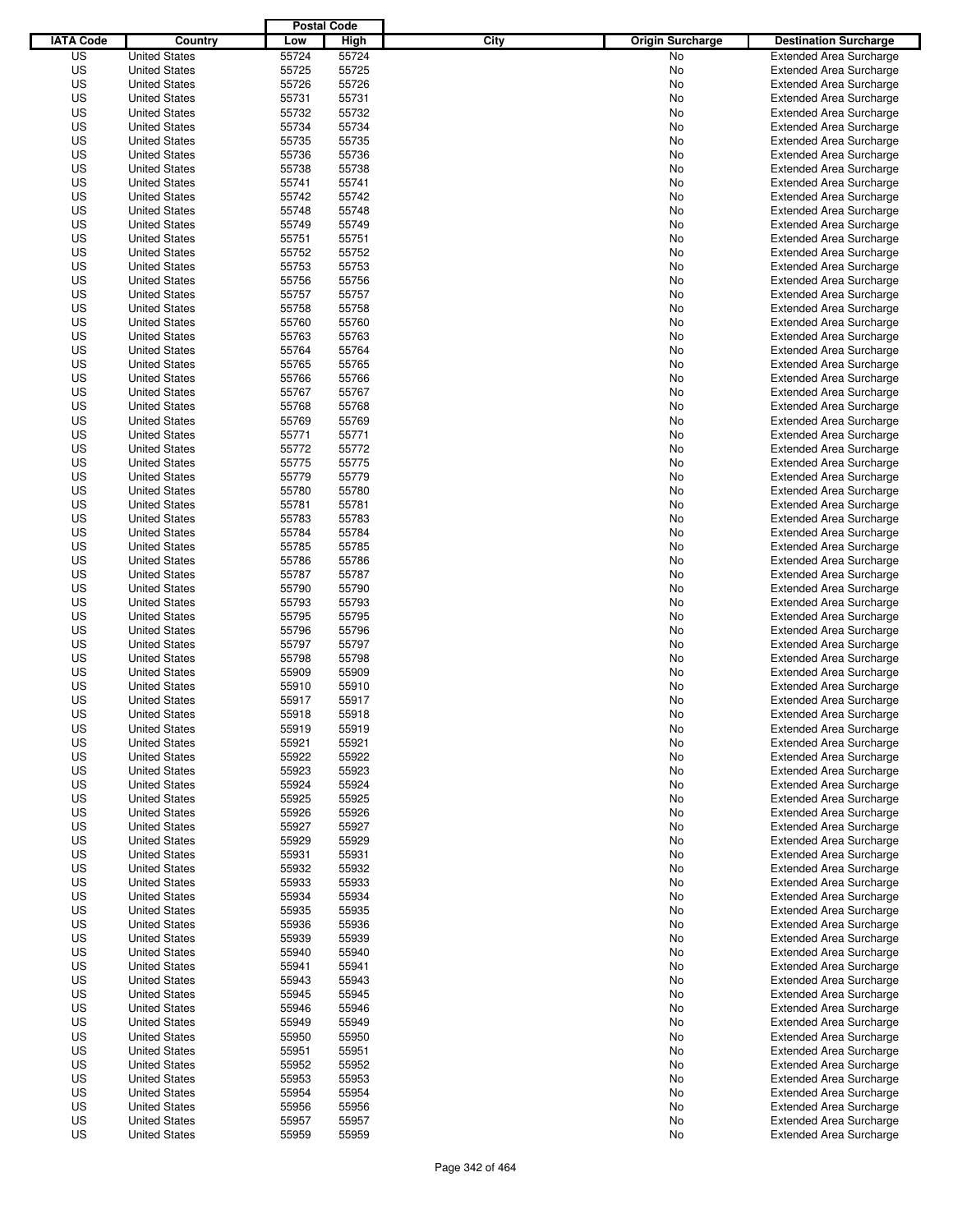|                  |                                              | <b>Postal Code</b> |                |                                 |                                |
|------------------|----------------------------------------------|--------------------|----------------|---------------------------------|--------------------------------|
| <b>IATA Code</b> | Country                                      | Low                | High           | City<br><b>Origin Surcharge</b> | <b>Destination Surcharge</b>   |
| US               | <b>United States</b>                         | 55724              | 55724          | <b>No</b>                       | <b>Extended Area Surcharge</b> |
| US               | <b>United States</b>                         | 55725              | 55725          | No                              | <b>Extended Area Surcharge</b> |
| US               | <b>United States</b>                         | 55726              | 55726          | No                              | <b>Extended Area Surcharge</b> |
| US               | <b>United States</b>                         | 55731              | 55731          | No                              | <b>Extended Area Surcharge</b> |
| US               | <b>United States</b>                         | 55732              | 55732          | No                              | <b>Extended Area Surcharge</b> |
| US               | <b>United States</b>                         | 55734              | 55734          | No                              | <b>Extended Area Surcharge</b> |
| US               | <b>United States</b>                         | 55735              | 55735          | No                              | <b>Extended Area Surcharge</b> |
| US               | <b>United States</b>                         | 55736              | 55736          | No                              | <b>Extended Area Surcharge</b> |
| US               | <b>United States</b>                         | 55738              | 55738          | No                              | <b>Extended Area Surcharge</b> |
| US               | <b>United States</b>                         | 55741              | 55741          | No                              | <b>Extended Area Surcharge</b> |
| US               | <b>United States</b>                         | 55742              | 55742          | No                              | <b>Extended Area Surcharge</b> |
| US               | <b>United States</b>                         | 55748              | 55748          | No                              | <b>Extended Area Surcharge</b> |
| US               | <b>United States</b>                         | 55749              | 55749          | No                              | <b>Extended Area Surcharge</b> |
| US               | <b>United States</b>                         | 55751              | 55751          | No                              | <b>Extended Area Surcharge</b> |
| US               | <b>United States</b>                         | 55752              | 55752          | No                              | <b>Extended Area Surcharge</b> |
| US               | <b>United States</b>                         | 55753              | 55753          | No                              | <b>Extended Area Surcharge</b> |
| US               | <b>United States</b>                         | 55756              | 55756          | No                              | <b>Extended Area Surcharge</b> |
| US               | <b>United States</b>                         | 55757              | 55757          | No                              | <b>Extended Area Surcharge</b> |
| US               | <b>United States</b>                         | 55758              | 55758          | No                              | <b>Extended Area Surcharge</b> |
| US               | <b>United States</b>                         | 55760              | 55760          | No                              | <b>Extended Area Surcharge</b> |
| US               | <b>United States</b>                         | 55763              | 55763          | No                              | <b>Extended Area Surcharge</b> |
| US               | <b>United States</b>                         | 55764              | 55764          | No                              | <b>Extended Area Surcharge</b> |
| US               | <b>United States</b>                         | 55765              | 55765          | No                              | <b>Extended Area Surcharge</b> |
| US               | <b>United States</b>                         | 55766              | 55766          | No                              | <b>Extended Area Surcharge</b> |
| US               | <b>United States</b>                         | 55767              | 55767          | No                              | <b>Extended Area Surcharge</b> |
| US               | <b>United States</b>                         | 55768              | 55768          | No                              | <b>Extended Area Surcharge</b> |
| US               | <b>United States</b>                         | 55769              | 55769          | No                              | <b>Extended Area Surcharge</b> |
| US               | <b>United States</b>                         | 55771              | 55771          | No                              | <b>Extended Area Surcharge</b> |
| US               | <b>United States</b>                         | 55772              | 55772          | No                              | <b>Extended Area Surcharge</b> |
| US               | <b>United States</b>                         | 55775              | 55775          | No                              | <b>Extended Area Surcharge</b> |
| US               | <b>United States</b>                         | 55779              | 55779          | No                              | <b>Extended Area Surcharge</b> |
| US               | <b>United States</b>                         | 55780              | 55780          | No                              | <b>Extended Area Surcharge</b> |
| US               | <b>United States</b>                         | 55781              | 55781          | No                              | <b>Extended Area Surcharge</b> |
| US               | <b>United States</b>                         | 55783              | 55783          | No                              | <b>Extended Area Surcharge</b> |
| US               | <b>United States</b>                         | 55784              | 55784          | No                              | <b>Extended Area Surcharge</b> |
| US               | <b>United States</b>                         | 55785              | 55785          | No                              | <b>Extended Area Surcharge</b> |
| US               | <b>United States</b>                         | 55786              | 55786          | No                              | <b>Extended Area Surcharge</b> |
| US               | <b>United States</b>                         | 55787              | 55787          | No                              | <b>Extended Area Surcharge</b> |
| US               | <b>United States</b>                         | 55790              | 55790          | No                              | <b>Extended Area Surcharge</b> |
| US               | <b>United States</b>                         | 55793              | 55793          | No                              | <b>Extended Area Surcharge</b> |
| US               | <b>United States</b>                         | 55795              | 55795          | No                              | <b>Extended Area Surcharge</b> |
| US               | <b>United States</b>                         | 55796              | 55796          | No                              | <b>Extended Area Surcharge</b> |
| US               | <b>United States</b>                         | 55797              | 55797          | No                              | <b>Extended Area Surcharge</b> |
| US               | <b>United States</b>                         | 55798              | 55798          | No                              | <b>Extended Area Surcharge</b> |
| US               | <b>United States</b>                         | 55909              | 55909          | No                              | Extended Area Surcharge        |
| US               | <b>United States</b>                         | 55910              | 55910          | No                              | <b>Extended Area Surcharge</b> |
| US               | <b>United States</b>                         | 55917              | 55917          | No                              | <b>Extended Area Surcharge</b> |
| US               | <b>United States</b>                         | 55918              | 55918          | No                              | <b>Extended Area Surcharge</b> |
| US               | <b>United States</b>                         | 55919              | 55919          | No                              | <b>Extended Area Surcharge</b> |
| US               | <b>United States</b>                         | 55921              | 55921          | No                              | <b>Extended Area Surcharge</b> |
| US               | <b>United States</b>                         | 55922              | 55922          | No                              | <b>Extended Area Surcharge</b> |
| US               | <b>United States</b>                         | 55923              | 55923          | No                              | <b>Extended Area Surcharge</b> |
| US               | <b>United States</b>                         | 55924              | 55924          | No                              | <b>Extended Area Surcharge</b> |
| US               | <b>United States</b>                         | 55925              | 55925          | No                              | <b>Extended Area Surcharge</b> |
| US               | <b>United States</b>                         | 55926              | 55926          | No                              | <b>Extended Area Surcharge</b> |
| US               | <b>United States</b>                         | 55927              | 55927          | No                              | <b>Extended Area Surcharge</b> |
| US               | <b>United States</b>                         | 55929              | 55929          | No                              | <b>Extended Area Surcharge</b> |
| US               | <b>United States</b>                         | 55931              | 55931          | No                              | <b>Extended Area Surcharge</b> |
| US               | <b>United States</b>                         | 55932              | 55932          | No                              | <b>Extended Area Surcharge</b> |
| US               | <b>United States</b>                         | 55933              | 55933          | No                              | <b>Extended Area Surcharge</b> |
| US               | <b>United States</b>                         | 55934              | 55934          | No                              | <b>Extended Area Surcharge</b> |
| US               | <b>United States</b>                         | 55935              | 55935          | No                              | <b>Extended Area Surcharge</b> |
| US               | <b>United States</b>                         | 55936              | 55936          | No                              | <b>Extended Area Surcharge</b> |
| US               | <b>United States</b>                         | 55939              | 55939          |                                 | <b>Extended Area Surcharge</b> |
| US               | <b>United States</b>                         | 55940              | 55940          | No<br>No                        | <b>Extended Area Surcharge</b> |
| US               | <b>United States</b>                         | 55941              | 55941          | No                              | <b>Extended Area Surcharge</b> |
| US               | <b>United States</b>                         | 55943              | 55943          | No                              | <b>Extended Area Surcharge</b> |
| US               | <b>United States</b>                         | 55945              | 55945          | No                              | <b>Extended Area Surcharge</b> |
| US               | <b>United States</b>                         |                    |                |                                 | <b>Extended Area Surcharge</b> |
| US               | <b>United States</b>                         | 55946<br>55949     | 55946<br>55949 | No                              | <b>Extended Area Surcharge</b> |
| US               |                                              | 55950              | 55950          | No                              | <b>Extended Area Surcharge</b> |
| US               | <b>United States</b><br><b>United States</b> | 55951              | 55951          | No                              | <b>Extended Area Surcharge</b> |
| US               |                                              |                    |                | No                              | <b>Extended Area Surcharge</b> |
| US               | <b>United States</b><br><b>United States</b> | 55952<br>55953     | 55952<br>55953 | No                              | <b>Extended Area Surcharge</b> |
| US               |                                              | 55954              | 55954          | No                              | <b>Extended Area Surcharge</b> |
| US               | <b>United States</b>                         | 55956              | 55956          | No                              |                                |
| US               | <b>United States</b>                         |                    |                | No                              | <b>Extended Area Surcharge</b> |
|                  | <b>United States</b>                         | 55957              | 55957          | No                              | <b>Extended Area Surcharge</b> |
| US               | <b>United States</b>                         | 55959              | 55959          | No                              | <b>Extended Area Surcharge</b> |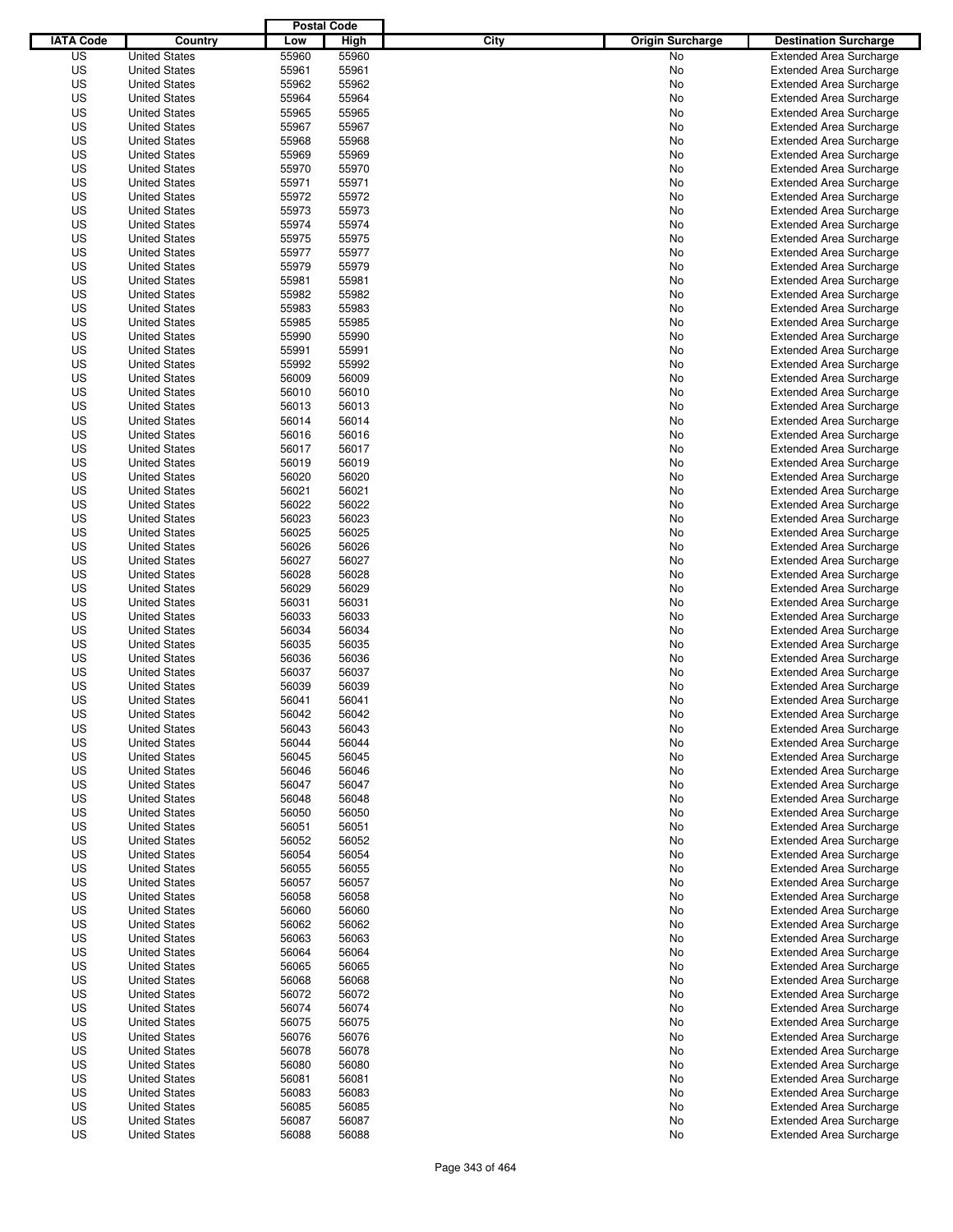|                  |                                              | <b>Postal Code</b> |                |                                 |                                                                  |
|------------------|----------------------------------------------|--------------------|----------------|---------------------------------|------------------------------------------------------------------|
| <b>IATA Code</b> | Country                                      | Low                | High           | City<br><b>Origin Surcharge</b> | <b>Destination Surcharge</b>                                     |
| US               | <b>United States</b>                         | 55960              | 55960          | <b>No</b>                       | <b>Extended Area Surcharge</b>                                   |
| US               | <b>United States</b>                         | 55961              | 55961          | No                              | <b>Extended Area Surcharge</b>                                   |
| US               | <b>United States</b>                         | 55962              | 55962          | No                              | <b>Extended Area Surcharge</b>                                   |
| US               | <b>United States</b>                         | 55964              | 55964          | No                              | <b>Extended Area Surcharge</b>                                   |
| US               | <b>United States</b>                         | 55965              | 55965          | No                              | <b>Extended Area Surcharge</b>                                   |
| US               | <b>United States</b>                         | 55967              | 55967          | No                              | <b>Extended Area Surcharge</b>                                   |
| US               | <b>United States</b>                         | 55968              | 55968          | No                              | <b>Extended Area Surcharge</b>                                   |
| US               | <b>United States</b>                         | 55969              | 55969          | No                              | <b>Extended Area Surcharge</b>                                   |
| US               | <b>United States</b>                         | 55970              | 55970          | No                              | <b>Extended Area Surcharge</b>                                   |
| US               | <b>United States</b>                         | 55971              | 55971          | No                              | <b>Extended Area Surcharge</b>                                   |
| US               | <b>United States</b>                         | 55972              | 55972          | No                              | <b>Extended Area Surcharge</b>                                   |
| US               | <b>United States</b>                         | 55973              | 55973          | No                              | <b>Extended Area Surcharge</b>                                   |
| US               | <b>United States</b>                         | 55974              | 55974          | No                              | <b>Extended Area Surcharge</b>                                   |
| US               | <b>United States</b>                         | 55975              | 55975          | No                              | <b>Extended Area Surcharge</b>                                   |
| US               | <b>United States</b>                         | 55977              | 55977          | No                              | <b>Extended Area Surcharge</b>                                   |
| US               | <b>United States</b>                         | 55979              | 55979          | No                              | <b>Extended Area Surcharge</b>                                   |
| US               | <b>United States</b>                         | 55981              | 55981          | No                              | <b>Extended Area Surcharge</b>                                   |
| US               | <b>United States</b>                         | 55982              | 55982          | No                              | <b>Extended Area Surcharge</b>                                   |
| US               | <b>United States</b>                         | 55983              | 55983          | No                              | <b>Extended Area Surcharge</b>                                   |
| US               | <b>United States</b>                         | 55985              | 55985          | No                              | <b>Extended Area Surcharge</b>                                   |
| US               | <b>United States</b>                         | 55990              | 55990          | No                              | <b>Extended Area Surcharge</b>                                   |
| US               | <b>United States</b>                         | 55991              | 55991          | No                              | <b>Extended Area Surcharge</b>                                   |
| US               | <b>United States</b>                         | 55992              | 55992          | No                              | <b>Extended Area Surcharge</b>                                   |
| US               | <b>United States</b>                         | 56009              | 56009          | No                              | <b>Extended Area Surcharge</b>                                   |
| US               | <b>United States</b>                         | 56010              | 56010          | No                              | <b>Extended Area Surcharge</b>                                   |
| US               | <b>United States</b>                         | 56013              | 56013          | No                              | <b>Extended Area Surcharge</b>                                   |
| US               | <b>United States</b>                         | 56014              | 56014          | No                              | <b>Extended Area Surcharge</b>                                   |
| US               | <b>United States</b>                         | 56016              | 56016          | No                              | <b>Extended Area Surcharge</b>                                   |
| US               | <b>United States</b>                         | 56017              | 56017          | No                              | <b>Extended Area Surcharge</b>                                   |
| US               | <b>United States</b>                         | 56019              | 56019          | No                              | <b>Extended Area Surcharge</b>                                   |
| US               | <b>United States</b>                         | 56020              | 56020          | No                              | <b>Extended Area Surcharge</b>                                   |
| US               | <b>United States</b>                         | 56021              | 56021          | No                              | <b>Extended Area Surcharge</b>                                   |
| US               | <b>United States</b>                         | 56022              | 56022          | No                              | <b>Extended Area Surcharge</b>                                   |
| US               | <b>United States</b>                         | 56023              | 56023          | No                              | <b>Extended Area Surcharge</b>                                   |
| US               | <b>United States</b>                         | 56025              | 56025          | No                              | <b>Extended Area Surcharge</b>                                   |
| US               | <b>United States</b>                         | 56026              | 56026          | No                              | <b>Extended Area Surcharge</b>                                   |
| US               | <b>United States</b>                         | 56027              | 56027          | No                              | <b>Extended Area Surcharge</b>                                   |
| US               | <b>United States</b>                         | 56028              | 56028          | No                              | <b>Extended Area Surcharge</b>                                   |
| US               | <b>United States</b>                         | 56029              | 56029          | No                              | <b>Extended Area Surcharge</b>                                   |
| US               | <b>United States</b>                         | 56031              | 56031          | No                              | <b>Extended Area Surcharge</b>                                   |
| US               | <b>United States</b>                         | 56033              | 56033          | No                              | <b>Extended Area Surcharge</b>                                   |
| US               | <b>United States</b>                         | 56034              | 56034          | No                              | <b>Extended Area Surcharge</b>                                   |
| US               | <b>United States</b>                         | 56035              | 56035          | No                              | <b>Extended Area Surcharge</b>                                   |
| US               | <b>United States</b>                         | 56036              | 56036          | No                              | <b>Extended Area Surcharge</b>                                   |
| US               | <b>United States</b>                         | 56037              | 56037          | No                              | <b>Extended Area Surcharge</b>                                   |
| US               | <b>United States</b>                         | 56039              | 56039          | No                              | <b>Extended Area Surcharge</b>                                   |
| US               | <b>United States</b>                         | 56041              | 56041          | No                              | <b>Extended Area Surcharge</b>                                   |
| US               | <b>United States</b>                         | 56042              | 56042          | No                              | <b>Extended Area Surcharge</b>                                   |
| US               | <b>United States</b>                         | 56043              | 56043          | No                              | <b>Extended Area Surcharge</b>                                   |
| US               | <b>United States</b>                         | 56044              | 56044          | No                              | <b>Extended Area Surcharge</b>                                   |
| US               | <b>United States</b>                         | 56045              | 56045          | No                              | <b>Extended Area Surcharge</b>                                   |
| US               | <b>United States</b>                         | 56046              | 56046          | No                              | <b>Extended Area Surcharge</b>                                   |
| US               | <b>United States</b>                         | 56047              | 56047          | No                              | <b>Extended Area Surcharge</b>                                   |
| US               | <b>United States</b><br><b>United States</b> | 56048              | 56048          | No                              | <b>Extended Area Surcharge</b>                                   |
| US               |                                              | 56050              | 56050          | No                              | <b>Extended Area Surcharge</b>                                   |
| US               | <b>United States</b>                         | 56051              | 56051          | No                              | <b>Extended Area Surcharge</b>                                   |
| US               | <b>United States</b>                         | 56052              | 56052          | No                              | <b>Extended Area Surcharge</b>                                   |
| US<br>US         | <b>United States</b><br><b>United States</b> | 56054<br>56055     | 56054<br>56055 | No                              | <b>Extended Area Surcharge</b><br><b>Extended Area Surcharge</b> |
|                  |                                              |                    |                | No                              |                                                                  |
| US               | <b>United States</b>                         | 56057              | 56057          | No                              | <b>Extended Area Surcharge</b>                                   |
| US               | <b>United States</b>                         | 56058              | 56058          | No                              | <b>Extended Area Surcharge</b>                                   |
| US<br>US         | <b>United States</b>                         | 56060<br>56062     | 56060<br>56062 | No                              | <b>Extended Area Surcharge</b><br><b>Extended Area Surcharge</b> |
|                  | <b>United States</b>                         |                    |                | No                              |                                                                  |
| US<br>US         | <b>United States</b><br><b>United States</b> | 56063<br>56064     | 56063<br>56064 | No<br>No                        | <b>Extended Area Surcharge</b><br><b>Extended Area Surcharge</b> |
| US               | <b>United States</b>                         | 56065              | 56065          | No                              | <b>Extended Area Surcharge</b>                                   |
| US               | <b>United States</b>                         | 56068              | 56068          | No                              | <b>Extended Area Surcharge</b>                                   |
| US               | <b>United States</b>                         | 56072              | 56072          | No                              | <b>Extended Area Surcharge</b>                                   |
| US               | <b>United States</b>                         | 56074              | 56074          | No                              | <b>Extended Area Surcharge</b>                                   |
| US               | <b>United States</b>                         | 56075              | 56075          | No                              | <b>Extended Area Surcharge</b>                                   |
| US               | <b>United States</b>                         | 56076              | 56076          | No                              | <b>Extended Area Surcharge</b>                                   |
| US               | <b>United States</b>                         | 56078              | 56078          | No                              | <b>Extended Area Surcharge</b>                                   |
| US               | <b>United States</b>                         | 56080              | 56080          | No                              | <b>Extended Area Surcharge</b>                                   |
| US               | <b>United States</b>                         | 56081              | 56081          | No                              | <b>Extended Area Surcharge</b>                                   |
| US               | <b>United States</b>                         | 56083              | 56083          | No                              | <b>Extended Area Surcharge</b>                                   |
| US               | <b>United States</b>                         | 56085              | 56085          | No                              | <b>Extended Area Surcharge</b>                                   |
| US               | <b>United States</b>                         | 56087              | 56087          | No                              | <b>Extended Area Surcharge</b>                                   |
| US               | <b>United States</b>                         | 56088              | 56088          | No                              | <b>Extended Area Surcharge</b>                                   |
|                  |                                              |                    |                |                                 |                                                                  |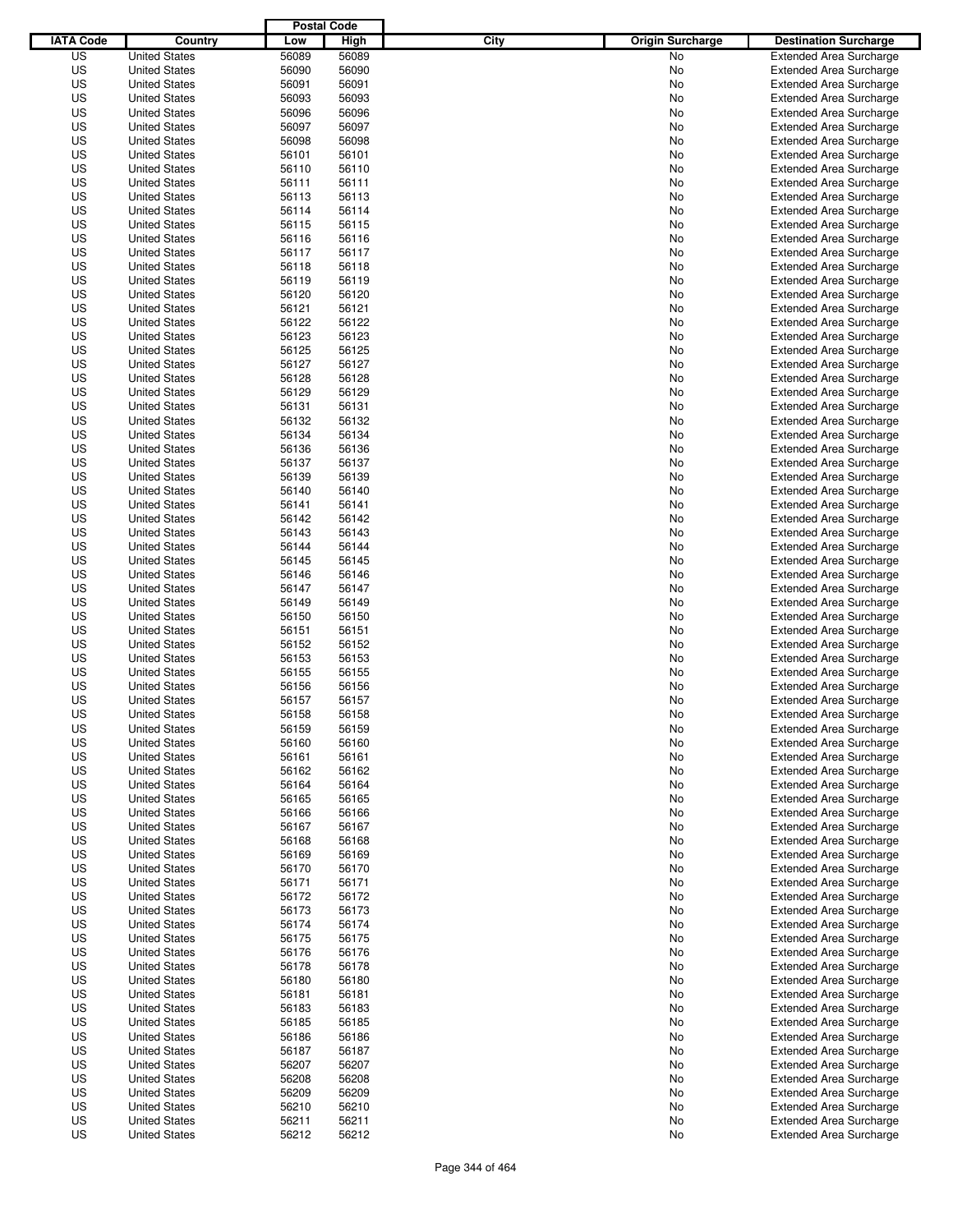|                  |                      | <b>Postal Code</b> |       |                                 |                                |
|------------------|----------------------|--------------------|-------|---------------------------------|--------------------------------|
| <b>IATA Code</b> | Country              | Low                | High  | City<br><b>Origin Surcharge</b> | <b>Destination Surcharge</b>   |
| US               | <b>United States</b> | 56089              | 56089 | <b>No</b>                       | <b>Extended Area Surcharge</b> |
| US               | <b>United States</b> | 56090              | 56090 | No                              | <b>Extended Area Surcharge</b> |
| US               | <b>United States</b> | 56091              | 56091 | No                              | <b>Extended Area Surcharge</b> |
| US               | <b>United States</b> | 56093              | 56093 | No                              | <b>Extended Area Surcharge</b> |
| US               | <b>United States</b> | 56096              | 56096 | No                              | <b>Extended Area Surcharge</b> |
| US               | <b>United States</b> | 56097              | 56097 | No                              | <b>Extended Area Surcharge</b> |
| US               | <b>United States</b> | 56098              | 56098 | No                              | <b>Extended Area Surcharge</b> |
| US               | <b>United States</b> | 56101              | 56101 | No                              | <b>Extended Area Surcharge</b> |
| US               | <b>United States</b> | 56110              | 56110 | No                              | <b>Extended Area Surcharge</b> |
| US               | <b>United States</b> | 56111              | 56111 | No                              | <b>Extended Area Surcharge</b> |
| US               | <b>United States</b> | 56113              | 56113 | No                              | <b>Extended Area Surcharge</b> |
| US               | <b>United States</b> | 56114              | 56114 | No                              | <b>Extended Area Surcharge</b> |
| US               | <b>United States</b> | 56115              | 56115 | No                              | <b>Extended Area Surcharge</b> |
| US               | <b>United States</b> | 56116              | 56116 | No                              | <b>Extended Area Surcharge</b> |
| US               | <b>United States</b> | 56117              | 56117 | No                              | <b>Extended Area Surcharge</b> |
| US               | <b>United States</b> | 56118              | 56118 | No                              | <b>Extended Area Surcharge</b> |
| US               | <b>United States</b> | 56119              | 56119 | No                              | <b>Extended Area Surcharge</b> |
| US               | <b>United States</b> | 56120              | 56120 | No                              | <b>Extended Area Surcharge</b> |
| US               | <b>United States</b> | 56121              | 56121 | No                              | <b>Extended Area Surcharge</b> |
| US               | <b>United States</b> | 56122              | 56122 | No                              | <b>Extended Area Surcharge</b> |
| US               | <b>United States</b> | 56123              | 56123 | No                              | <b>Extended Area Surcharge</b> |
| US               | <b>United States</b> | 56125              | 56125 | No                              | <b>Extended Area Surcharge</b> |
| US               | <b>United States</b> | 56127              | 56127 | No                              | <b>Extended Area Surcharge</b> |
| US               | <b>United States</b> | 56128              | 56128 | No                              | <b>Extended Area Surcharge</b> |
| US               | <b>United States</b> | 56129              | 56129 | No                              | <b>Extended Area Surcharge</b> |
| US               | <b>United States</b> | 56131              | 56131 | No                              | <b>Extended Area Surcharge</b> |
| US               | <b>United States</b> | 56132              | 56132 | No                              | <b>Extended Area Surcharge</b> |
| US               | <b>United States</b> | 56134              | 56134 | No                              | <b>Extended Area Surcharge</b> |
| US               | <b>United States</b> | 56136              | 56136 | No                              | <b>Extended Area Surcharge</b> |
| US               | <b>United States</b> | 56137              | 56137 | No                              | <b>Extended Area Surcharge</b> |
| US               | <b>United States</b> | 56139              | 56139 | No                              | <b>Extended Area Surcharge</b> |
| US               | <b>United States</b> | 56140              | 56140 | No                              | <b>Extended Area Surcharge</b> |
| US               | <b>United States</b> | 56141              | 56141 | No                              | <b>Extended Area Surcharge</b> |
| US               | <b>United States</b> | 56142              | 56142 | No                              | <b>Extended Area Surcharge</b> |
| US               | <b>United States</b> | 56143              | 56143 | No                              | <b>Extended Area Surcharge</b> |
| US               | <b>United States</b> | 56144              | 56144 | No                              | <b>Extended Area Surcharge</b> |
| US               | <b>United States</b> | 56145              | 56145 | No                              | <b>Extended Area Surcharge</b> |
| US               | <b>United States</b> | 56146              | 56146 | No                              | <b>Extended Area Surcharge</b> |
| US               | <b>United States</b> | 56147              | 56147 | No                              | <b>Extended Area Surcharge</b> |
| US               | <b>United States</b> | 56149              | 56149 | No                              | <b>Extended Area Surcharge</b> |
| US               | <b>United States</b> | 56150              | 56150 | No                              | <b>Extended Area Surcharge</b> |
| US               | <b>United States</b> | 56151              | 56151 | No                              | <b>Extended Area Surcharge</b> |
| US               | <b>United States</b> | 56152              | 56152 | No                              | <b>Extended Area Surcharge</b> |
| US               | <b>United States</b> | 56153              | 56153 | No                              | <b>Extended Area Surcharge</b> |
| US               | <b>United States</b> | 56155              | 56155 | No                              | <b>Extended Area Surcharge</b> |
| US               | <b>United States</b> | 56156              | 56156 | No                              | <b>Extended Area Surcharge</b> |
| US               | <b>United States</b> | 56157              | 56157 | No                              | <b>Extended Area Surcharge</b> |
| US               | <b>United States</b> | 56158              | 56158 | No                              | <b>Extended Area Surcharge</b> |
| US               | <b>United States</b> | 56159              | 56159 | No                              | <b>Extended Area Surcharge</b> |
| US               | <b>United States</b> | 56160              | 56160 | No                              | <b>Extended Area Surcharge</b> |
| US               | <b>United States</b> | 56161              | 56161 | No                              | <b>Extended Area Surcharge</b> |
| US               | <b>United States</b> | 56162              | 56162 | No                              | <b>Extended Area Surcharge</b> |
| US               | <b>United States</b> | 56164              | 56164 | No                              | <b>Extended Area Surcharge</b> |
| US               | <b>United States</b> | 56165              | 56165 | No                              | <b>Extended Area Surcharge</b> |
| US               | <b>United States</b> | 56166              | 56166 | No                              | <b>Extended Area Surcharge</b> |
| US               | <b>United States</b> | 56167              | 56167 | No                              | <b>Extended Area Surcharge</b> |
| US               | <b>United States</b> | 56168              | 56168 | No                              | <b>Extended Area Surcharge</b> |
| US               | <b>United States</b> | 56169              | 56169 | No                              | <b>Extended Area Surcharge</b> |
| US               | <b>United States</b> | 56170              | 56170 | No                              | <b>Extended Area Surcharge</b> |
| US               | <b>United States</b> | 56171              | 56171 | No                              | <b>Extended Area Surcharge</b> |
| US               | <b>United States</b> | 56172              | 56172 | No                              | <b>Extended Area Surcharge</b> |
| US               | <b>United States</b> | 56173              | 56173 | No                              | <b>Extended Area Surcharge</b> |
| US               | <b>United States</b> | 56174              | 56174 | No                              | <b>Extended Area Surcharge</b> |
| US               | <b>United States</b> | 56175              | 56175 | No                              | <b>Extended Area Surcharge</b> |
| US               | <b>United States</b> | 56176              | 56176 | No                              | <b>Extended Area Surcharge</b> |
| US               | <b>United States</b> | 56178              | 56178 | No                              | <b>Extended Area Surcharge</b> |
| US               | <b>United States</b> | 56180              | 56180 | No                              | <b>Extended Area Surcharge</b> |
| US               | <b>United States</b> | 56181              | 56181 | No                              | <b>Extended Area Surcharge</b> |
| US               | <b>United States</b> | 56183              | 56183 | No                              | <b>Extended Area Surcharge</b> |
| US               | <b>United States</b> | 56185              | 56185 | No                              | <b>Extended Area Surcharge</b> |
| US               | <b>United States</b> | 56186              | 56186 | No                              | <b>Extended Area Surcharge</b> |
| US               | <b>United States</b> | 56187              | 56187 | No                              | <b>Extended Area Surcharge</b> |
| US               | <b>United States</b> | 56207              | 56207 | No                              | <b>Extended Area Surcharge</b> |
| US               | <b>United States</b> | 56208              | 56208 | No                              | <b>Extended Area Surcharge</b> |
| US               | <b>United States</b> | 56209              | 56209 | No                              | <b>Extended Area Surcharge</b> |
| US               | <b>United States</b> | 56210              | 56210 | No                              | <b>Extended Area Surcharge</b> |
| US               | <b>United States</b> | 56211              | 56211 | No                              | <b>Extended Area Surcharge</b> |
| US               | <b>United States</b> | 56212              | 56212 | No                              | <b>Extended Area Surcharge</b> |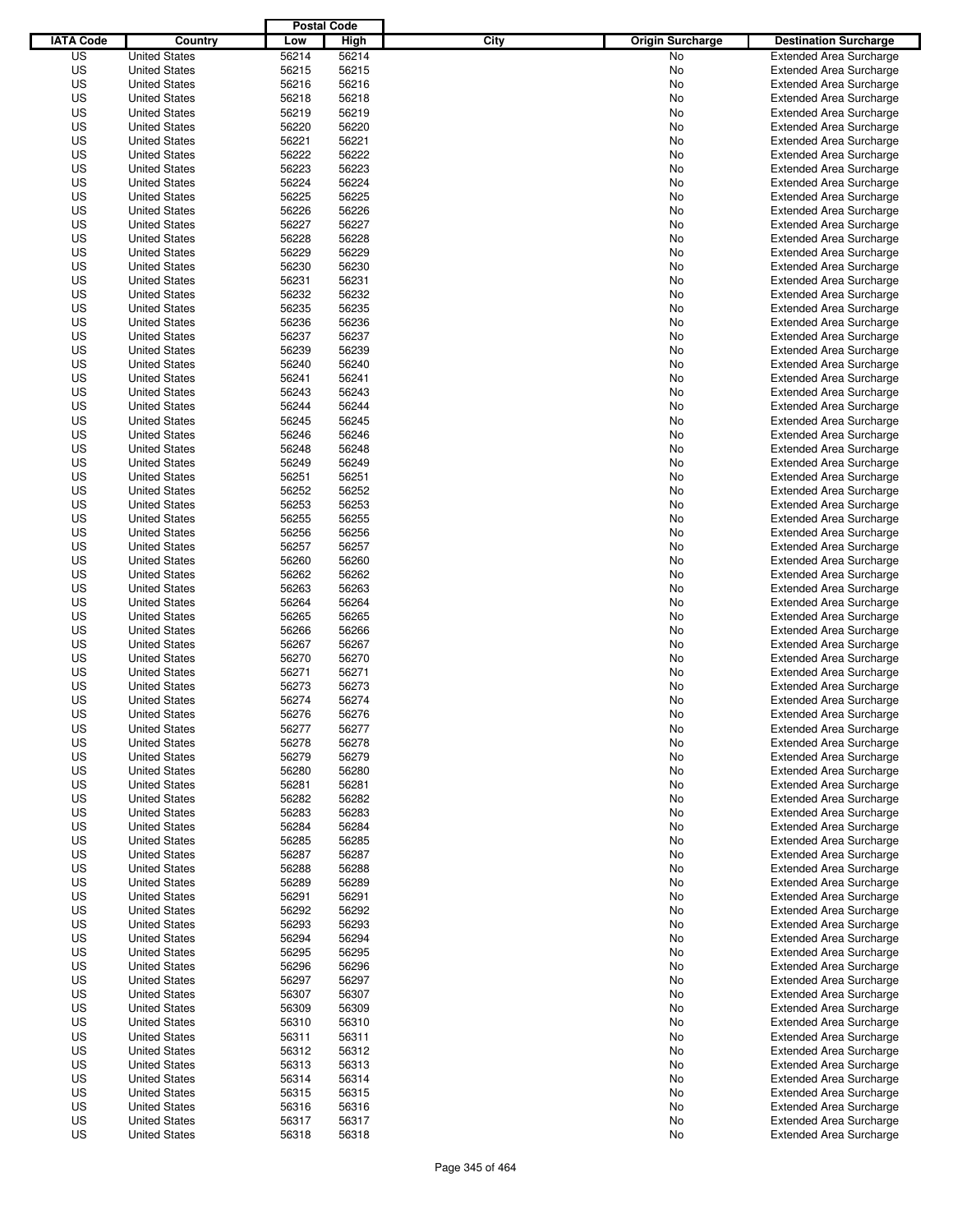|                  |                      | <b>Postal Code</b> |       |                                 |                                |
|------------------|----------------------|--------------------|-------|---------------------------------|--------------------------------|
| <b>IATA Code</b> | Country              | Low                | High  | City<br><b>Origin Surcharge</b> | <b>Destination Surcharge</b>   |
| US               | <b>United States</b> | 56214              | 56214 | <b>No</b>                       | <b>Extended Area Surcharge</b> |
| US               | <b>United States</b> | 56215              | 56215 | No                              | <b>Extended Area Surcharge</b> |
| US               | <b>United States</b> | 56216              | 56216 | No                              | <b>Extended Area Surcharge</b> |
| US               | <b>United States</b> | 56218              | 56218 | No                              | <b>Extended Area Surcharge</b> |
| US               | <b>United States</b> | 56219              | 56219 | No                              | <b>Extended Area Surcharge</b> |
| US               | <b>United States</b> | 56220              | 56220 | No                              | <b>Extended Area Surcharge</b> |
| US               | <b>United States</b> | 56221              | 56221 | No                              | <b>Extended Area Surcharge</b> |
| US               | <b>United States</b> | 56222              | 56222 | No                              | <b>Extended Area Surcharge</b> |
| US               | <b>United States</b> | 56223              | 56223 | No                              | <b>Extended Area Surcharge</b> |
| US               | <b>United States</b> | 56224              | 56224 | No                              | <b>Extended Area Surcharge</b> |
| US               | <b>United States</b> | 56225              | 56225 | No                              | <b>Extended Area Surcharge</b> |
| US               | <b>United States</b> | 56226              | 56226 | No                              | <b>Extended Area Surcharge</b> |
| US               | <b>United States</b> | 56227              | 56227 | No                              | <b>Extended Area Surcharge</b> |
| US               | <b>United States</b> | 56228              | 56228 | No                              | <b>Extended Area Surcharge</b> |
| US               | <b>United States</b> | 56229              | 56229 | No                              | <b>Extended Area Surcharge</b> |
| US               | <b>United States</b> | 56230              | 56230 | No                              | <b>Extended Area Surcharge</b> |
| US               | <b>United States</b> | 56231              | 56231 | No                              | <b>Extended Area Surcharge</b> |
| US               | <b>United States</b> | 56232              | 56232 | No                              | <b>Extended Area Surcharge</b> |
| US               | <b>United States</b> | 56235              | 56235 | No                              | <b>Extended Area Surcharge</b> |
| US               | <b>United States</b> | 56236              | 56236 | No                              | <b>Extended Area Surcharge</b> |
| US               | <b>United States</b> | 56237              | 56237 | No                              | <b>Extended Area Surcharge</b> |
| US               | <b>United States</b> | 56239              | 56239 | No                              | <b>Extended Area Surcharge</b> |
| US               | <b>United States</b> | 56240              | 56240 | No                              | <b>Extended Area Surcharge</b> |
| US               | <b>United States</b> | 56241              | 56241 | No                              | <b>Extended Area Surcharge</b> |
| US               | <b>United States</b> | 56243              | 56243 | No                              | <b>Extended Area Surcharge</b> |
| US               | <b>United States</b> | 56244              | 56244 | No                              | <b>Extended Area Surcharge</b> |
| US               | <b>United States</b> | 56245              | 56245 | No                              | <b>Extended Area Surcharge</b> |
| US               | <b>United States</b> | 56246              | 56246 | No                              | <b>Extended Area Surcharge</b> |
| US               | <b>United States</b> | 56248              | 56248 | No                              | <b>Extended Area Surcharge</b> |
| US               | <b>United States</b> | 56249              | 56249 | No                              | <b>Extended Area Surcharge</b> |
| US               | <b>United States</b> | 56251              | 56251 | No                              | <b>Extended Area Surcharge</b> |
| US               | <b>United States</b> | 56252              | 56252 | No                              | <b>Extended Area Surcharge</b> |
| US               | <b>United States</b> | 56253              | 56253 | No                              | <b>Extended Area Surcharge</b> |
| US               | <b>United States</b> | 56255              | 56255 | No                              | <b>Extended Area Surcharge</b> |
| US               | <b>United States</b> | 56256              | 56256 | No                              | <b>Extended Area Surcharge</b> |
| US               | <b>United States</b> | 56257              | 56257 | No                              | <b>Extended Area Surcharge</b> |
| US               | <b>United States</b> | 56260              | 56260 | No                              | <b>Extended Area Surcharge</b> |
| US               | <b>United States</b> | 56262              | 56262 | No                              | <b>Extended Area Surcharge</b> |
| US               | <b>United States</b> | 56263              | 56263 | No                              | <b>Extended Area Surcharge</b> |
| US               | <b>United States</b> | 56264              | 56264 | No                              | <b>Extended Area Surcharge</b> |
| US               | <b>United States</b> | 56265              | 56265 | No                              | <b>Extended Area Surcharge</b> |
| US               | <b>United States</b> | 56266              | 56266 | No                              | <b>Extended Area Surcharge</b> |
| US               | <b>United States</b> | 56267              | 56267 | No                              | <b>Extended Area Surcharge</b> |
| US               | <b>United States</b> | 56270              | 56270 | No                              | <b>Extended Area Surcharge</b> |
| US               | <b>United States</b> | 56271              | 56271 | No                              | <b>Extended Area Surcharge</b> |
| US               | <b>United States</b> | 56273              | 56273 | No                              | <b>Extended Area Surcharge</b> |
| US               | <b>United States</b> | 56274              | 56274 | No                              | <b>Extended Area Surcharge</b> |
| US               | <b>United States</b> | 56276              | 56276 | No                              | <b>Extended Area Surcharge</b> |
| US               | <b>United States</b> | 56277              | 56277 | No                              | <b>Extended Area Surcharge</b> |
| US               | <b>United States</b> | 56278              | 56278 | No                              | <b>Extended Area Surcharge</b> |
| US               | <b>United States</b> | 56279              | 56279 | No                              | <b>Extended Area Surcharge</b> |
| US               | <b>United States</b> | 56280              | 56280 | No                              | <b>Extended Area Surcharge</b> |
| US               | <b>United States</b> | 56281              | 56281 | No                              | <b>Extended Area Surcharge</b> |
| US               | <b>United States</b> | 56282              | 56282 | No                              | <b>Extended Area Surcharge</b> |
| US               | <b>United States</b> | 56283              | 56283 | No                              | <b>Extended Area Surcharge</b> |
| US               | <b>United States</b> | 56284              | 56284 | No                              | <b>Extended Area Surcharge</b> |
| US               | <b>United States</b> | 56285              | 56285 | No                              | <b>Extended Area Surcharge</b> |
| US               | <b>United States</b> | 56287              | 56287 | No                              | <b>Extended Area Surcharge</b> |
| US               | <b>United States</b> | 56288              | 56288 | No                              | <b>Extended Area Surcharge</b> |
| US               | <b>United States</b> | 56289              | 56289 | No                              | <b>Extended Area Surcharge</b> |
| US               | <b>United States</b> | 56291              | 56291 | No                              | <b>Extended Area Surcharge</b> |
| US               | <b>United States</b> | 56292              | 56292 | No                              | <b>Extended Area Surcharge</b> |
| US               | <b>United States</b> | 56293              | 56293 | No                              | <b>Extended Area Surcharge</b> |
| US               | <b>United States</b> | 56294              | 56294 | No                              | <b>Extended Area Surcharge</b> |
| US               | <b>United States</b> | 56295              | 56295 | No                              | <b>Extended Area Surcharge</b> |
| US               | <b>United States</b> | 56296              | 56296 | No                              | <b>Extended Area Surcharge</b> |
| US               | <b>United States</b> | 56297              | 56297 | No                              | <b>Extended Area Surcharge</b> |
| US               | <b>United States</b> | 56307              | 56307 | No                              | <b>Extended Area Surcharge</b> |
| US               | <b>United States</b> | 56309              | 56309 | No                              | <b>Extended Area Surcharge</b> |
| US               | <b>United States</b> | 56310              | 56310 | No                              | <b>Extended Area Surcharge</b> |
| US               | <b>United States</b> | 56311              | 56311 | No                              | <b>Extended Area Surcharge</b> |
| US               | <b>United States</b> | 56312              | 56312 | No                              | <b>Extended Area Surcharge</b> |
| US               | <b>United States</b> | 56313              | 56313 | No                              | <b>Extended Area Surcharge</b> |
| US               | <b>United States</b> | 56314              | 56314 | No                              | <b>Extended Area Surcharge</b> |
| US               | <b>United States</b> | 56315              | 56315 | No                              | <b>Extended Area Surcharge</b> |
| US               | <b>United States</b> | 56316              | 56316 | No                              | <b>Extended Area Surcharge</b> |
| US               | <b>United States</b> | 56317              | 56317 | No                              | <b>Extended Area Surcharge</b> |
| US               | <b>United States</b> | 56318              | 56318 | No                              | <b>Extended Area Surcharge</b> |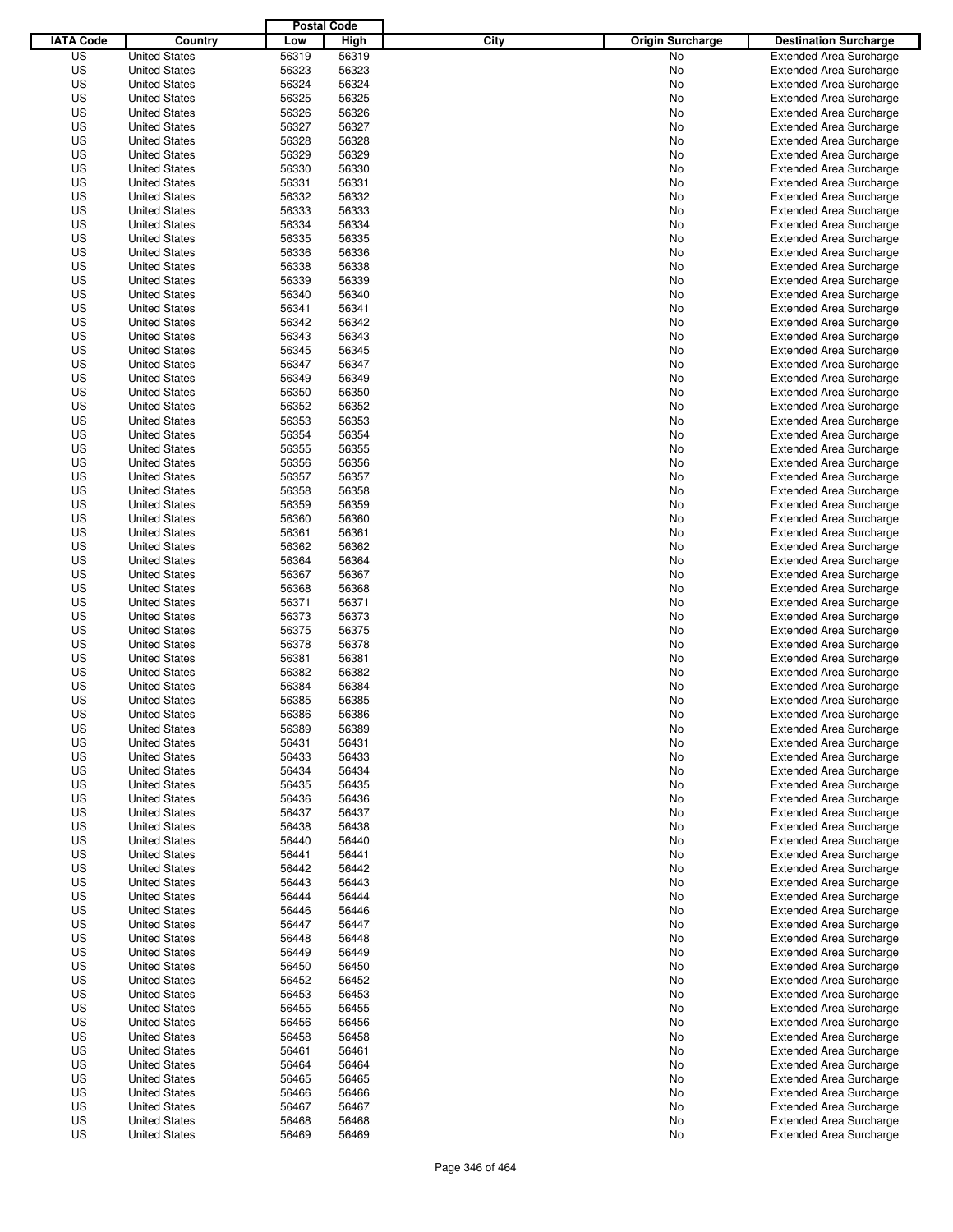|                  |                                              | <b>Postal Code</b> |                |                                 |                                |
|------------------|----------------------------------------------|--------------------|----------------|---------------------------------|--------------------------------|
| <b>IATA Code</b> | Country                                      | Low                | High           | City<br><b>Origin Surcharge</b> | <b>Destination Surcharge</b>   |
| US               | <b>United States</b>                         | 56319              | 56319          | No                              | <b>Extended Area Surcharge</b> |
| US               | <b>United States</b>                         | 56323              | 56323          | No                              | <b>Extended Area Surcharge</b> |
| US               | <b>United States</b>                         | 56324              | 56324          | No                              | <b>Extended Area Surcharge</b> |
| US               | <b>United States</b>                         | 56325              | 56325          | No                              | <b>Extended Area Surcharge</b> |
| US               | <b>United States</b>                         | 56326              | 56326          | No                              | <b>Extended Area Surcharge</b> |
| US               | <b>United States</b>                         | 56327              | 56327          | No                              | <b>Extended Area Surcharge</b> |
| US               | <b>United States</b>                         | 56328              | 56328          | No                              | <b>Extended Area Surcharge</b> |
| US               | <b>United States</b>                         | 56329              | 56329          | No                              | <b>Extended Area Surcharge</b> |
| US               | <b>United States</b>                         | 56330              | 56330          | No                              | <b>Extended Area Surcharge</b> |
| US               | <b>United States</b>                         | 56331              | 56331          | No                              | <b>Extended Area Surcharge</b> |
| US               | <b>United States</b>                         | 56332              | 56332          | No                              | <b>Extended Area Surcharge</b> |
| US               | <b>United States</b>                         | 56333              | 56333          | No                              | <b>Extended Area Surcharge</b> |
| US               | <b>United States</b>                         | 56334              | 56334          | No                              | <b>Extended Area Surcharge</b> |
| US               | <b>United States</b>                         | 56335              | 56335          | No                              | <b>Extended Area Surcharge</b> |
| US               | <b>United States</b>                         | 56336              | 56336          | No                              | <b>Extended Area Surcharge</b> |
| US               | <b>United States</b>                         | 56338              | 56338          | No                              | <b>Extended Area Surcharge</b> |
| US               | <b>United States</b>                         | 56339              | 56339          | No                              | <b>Extended Area Surcharge</b> |
| US               | <b>United States</b>                         | 56340              | 56340          | No                              | <b>Extended Area Surcharge</b> |
| US               | <b>United States</b>                         | 56341              | 56341          | No                              | <b>Extended Area Surcharge</b> |
| US               | <b>United States</b>                         | 56342              | 56342          | No                              | <b>Extended Area Surcharge</b> |
| US               | <b>United States</b>                         | 56343              | 56343          | No                              | <b>Extended Area Surcharge</b> |
| US               | <b>United States</b>                         | 56345              | 56345          | No                              | <b>Extended Area Surcharge</b> |
| US               | <b>United States</b>                         | 56347              | 56347          | No                              | <b>Extended Area Surcharge</b> |
| US               | <b>United States</b>                         | 56349              | 56349          | No                              | <b>Extended Area Surcharge</b> |
| US               | <b>United States</b>                         | 56350              | 56350          | No                              | <b>Extended Area Surcharge</b> |
| US               | <b>United States</b>                         | 56352              | 56352          | No                              | <b>Extended Area Surcharge</b> |
| US               | <b>United States</b>                         | 56353              | 56353          | No                              | <b>Extended Area Surcharge</b> |
| US               | <b>United States</b>                         | 56354              | 56354          | No                              | <b>Extended Area Surcharge</b> |
| US               | <b>United States</b>                         | 56355              | 56355          | No                              | <b>Extended Area Surcharge</b> |
| US               | <b>United States</b>                         | 56356              | 56356          | No                              | <b>Extended Area Surcharge</b> |
| US               | <b>United States</b>                         | 56357              | 56357          | No                              | <b>Extended Area Surcharge</b> |
| US               | <b>United States</b>                         | 56358              | 56358          | No                              | <b>Extended Area Surcharge</b> |
| US               | <b>United States</b>                         | 56359              | 56359          | No                              | <b>Extended Area Surcharge</b> |
| US               | <b>United States</b>                         | 56360              | 56360          | No                              | <b>Extended Area Surcharge</b> |
| US               | <b>United States</b>                         | 56361              | 56361          | No                              | <b>Extended Area Surcharge</b> |
| US               | <b>United States</b>                         | 56362              | 56362          | No                              | <b>Extended Area Surcharge</b> |
| US               | <b>United States</b>                         | 56364              | 56364          | No                              | <b>Extended Area Surcharge</b> |
| US               | <b>United States</b>                         | 56367              | 56367          | No                              | <b>Extended Area Surcharge</b> |
| US               | <b>United States</b>                         | 56368              | 56368          | No                              | <b>Extended Area Surcharge</b> |
| US               | <b>United States</b>                         | 56371              | 56371          | No                              | <b>Extended Area Surcharge</b> |
| US               | <b>United States</b>                         | 56373              | 56373          | No                              | <b>Extended Area Surcharge</b> |
| US               | <b>United States</b>                         | 56375              | 56375          | No                              | <b>Extended Area Surcharge</b> |
| US               | <b>United States</b>                         | 56378              | 56378          | No                              | <b>Extended Area Surcharge</b> |
| US               | <b>United States</b>                         | 56381              | 56381          | No                              | <b>Extended Area Surcharge</b> |
| US               | <b>United States</b>                         | 56382              | 56382          | No                              | <b>Extended Area Surcharge</b> |
| US               | <b>United States</b>                         | 56384              | 56384          | No                              | <b>Extended Area Surcharge</b> |
| US               | <b>United States</b>                         | 56385              | 56385          | No                              | <b>Extended Area Surcharge</b> |
| US               | <b>United States</b>                         | 56386              | 56386          | No                              | <b>Extended Area Surcharge</b> |
| US               | <b>United States</b>                         | 56389              | 56389          | No                              | <b>Extended Area Surcharge</b> |
| US               | <b>United States</b>                         | 56431              | 56431          | No                              | <b>Extended Area Surcharge</b> |
| US               | <b>United States</b>                         | 56433              | 56433          | No                              | <b>Extended Area Surcharge</b> |
| US               | <b>United States</b>                         | 56434              | 56434          | No                              | <b>Extended Area Surcharge</b> |
| US               | <b>United States</b>                         | 56435              | 56435          | No                              | <b>Extended Area Surcharge</b> |
| US               | <b>United States</b>                         | 56436              | 56436          | No                              | <b>Extended Area Surcharge</b> |
| US               | <b>United States</b>                         | 56437              | 56437          | No                              | <b>Extended Area Surcharge</b> |
| US               | <b>United States</b>                         | 56438              | 56438          | No                              | <b>Extended Area Surcharge</b> |
| US               | <b>United States</b>                         | 56440              | 56440          | No                              | <b>Extended Area Surcharge</b> |
| US               | <b>United States</b>                         | 56441              | 56441          | No                              | <b>Extended Area Surcharge</b> |
| US               | <b>United States</b>                         | 56442              | 56442          | No                              | <b>Extended Area Surcharge</b> |
| US               | <b>United States</b>                         | 56443              | 56443          | No                              | <b>Extended Area Surcharge</b> |
| US               | <b>United States</b>                         | 56444              |                |                                 | <b>Extended Area Surcharge</b> |
| US               | <b>United States</b>                         | 56446              | 56444<br>56446 | No<br>No                        | <b>Extended Area Surcharge</b> |
| US               |                                              |                    |                |                                 | <b>Extended Area Surcharge</b> |
| US               | <b>United States</b>                         | 56447              | 56447<br>56448 | No                              |                                |
|                  | <b>United States</b>                         | 56448              |                | No                              | <b>Extended Area Surcharge</b> |
| US               | <b>United States</b><br><b>United States</b> | 56449              | 56449          | No                              | <b>Extended Area Surcharge</b> |
| US               |                                              | 56450              | 56450          | No                              | <b>Extended Area Surcharge</b> |
| US               | <b>United States</b>                         | 56452              | 56452          | No                              | <b>Extended Area Surcharge</b> |
| US               | <b>United States</b>                         | 56453              | 56453          | No                              | <b>Extended Area Surcharge</b> |
| US               | <b>United States</b>                         | 56455              | 56455          | No                              | <b>Extended Area Surcharge</b> |
| US               | <b>United States</b>                         | 56456              | 56456          | No                              | <b>Extended Area Surcharge</b> |
| US               | <b>United States</b>                         | 56458              | 56458          | No                              | <b>Extended Area Surcharge</b> |
| US               | <b>United States</b>                         | 56461              | 56461          | No                              | <b>Extended Area Surcharge</b> |
| US               | <b>United States</b>                         | 56464              | 56464          | No                              | <b>Extended Area Surcharge</b> |
| US               | <b>United States</b>                         | 56465              | 56465          | No                              | <b>Extended Area Surcharge</b> |
| US               | <b>United States</b>                         | 56466              | 56466          | No                              | <b>Extended Area Surcharge</b> |
| US               | <b>United States</b>                         | 56467              | 56467          | No                              | <b>Extended Area Surcharge</b> |
| US               | <b>United States</b>                         | 56468              | 56468          | No                              | <b>Extended Area Surcharge</b> |
| US               | <b>United States</b>                         | 56469              | 56469          | No                              | <b>Extended Area Surcharge</b> |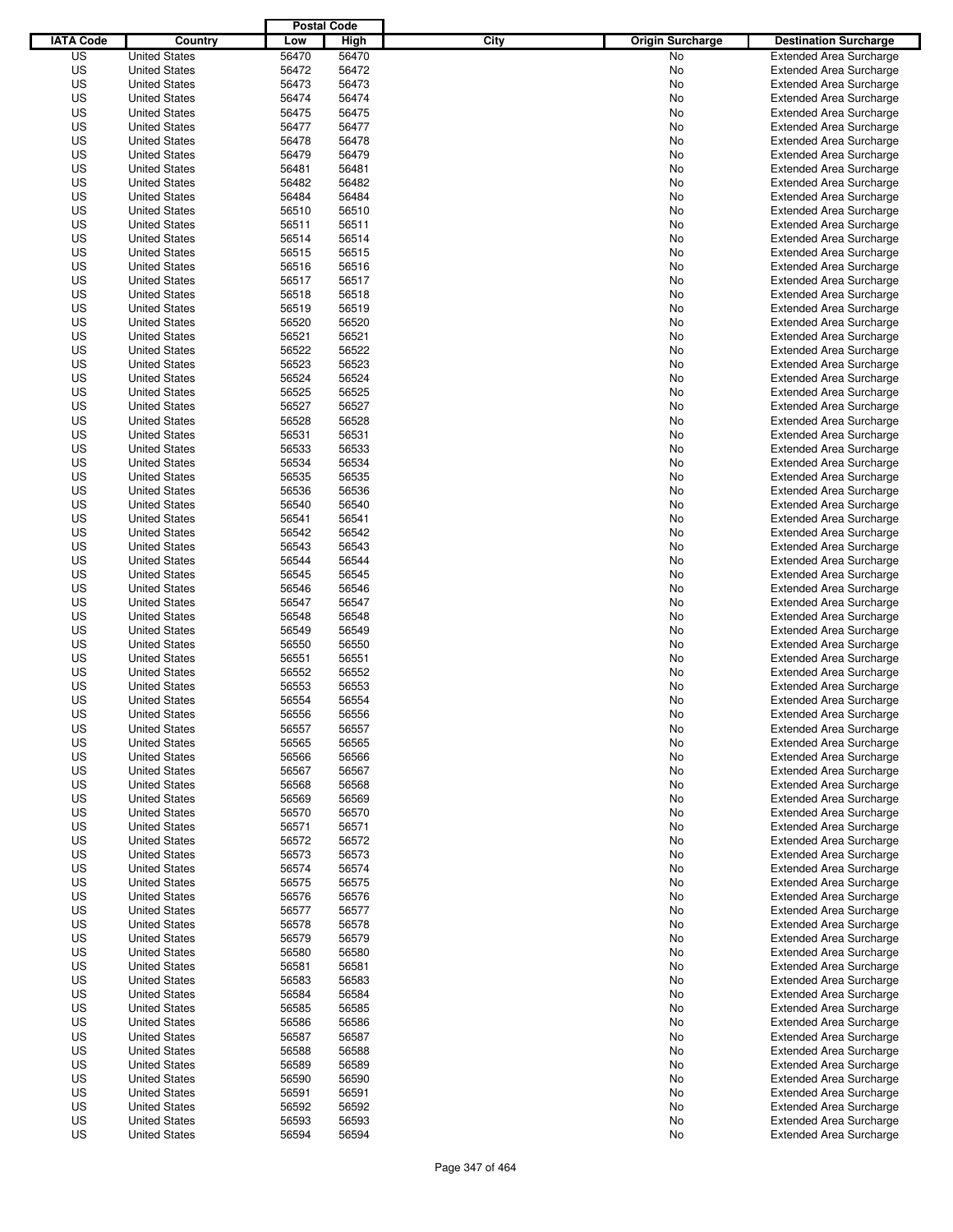|                  |                      | <b>Postal Code</b> |       |                                 |                                |
|------------------|----------------------|--------------------|-------|---------------------------------|--------------------------------|
| <b>IATA Code</b> | Country              | Low                | High  | City<br><b>Origin Surcharge</b> | <b>Destination Surcharge</b>   |
| US               | <b>United States</b> | 56470              | 56470 | <b>No</b>                       | <b>Extended Area Surcharge</b> |
| US               | <b>United States</b> | 56472              | 56472 | No                              | <b>Extended Area Surcharge</b> |
| US               | <b>United States</b> | 56473              | 56473 | No                              | <b>Extended Area Surcharge</b> |
| US               | <b>United States</b> | 56474              | 56474 | No                              | <b>Extended Area Surcharge</b> |
| US               | <b>United States</b> | 56475              | 56475 | No                              | <b>Extended Area Surcharge</b> |
| US               | <b>United States</b> | 56477              | 56477 | No                              | <b>Extended Area Surcharge</b> |
| US               | <b>United States</b> | 56478              | 56478 | No                              | <b>Extended Area Surcharge</b> |
| US               | <b>United States</b> | 56479              | 56479 | No                              | <b>Extended Area Surcharge</b> |
| US               | <b>United States</b> | 56481              | 56481 | No                              | <b>Extended Area Surcharge</b> |
| US               | <b>United States</b> | 56482              | 56482 | No                              | <b>Extended Area Surcharge</b> |
| US               | <b>United States</b> | 56484              | 56484 | No                              | <b>Extended Area Surcharge</b> |
| US               | <b>United States</b> | 56510              | 56510 | No                              | <b>Extended Area Surcharge</b> |
| US               | <b>United States</b> | 56511              | 56511 | No                              | <b>Extended Area Surcharge</b> |
| US               | <b>United States</b> | 56514              | 56514 | No                              | <b>Extended Area Surcharge</b> |
| US               | <b>United States</b> | 56515              | 56515 | No                              | <b>Extended Area Surcharge</b> |
| US               | <b>United States</b> | 56516              | 56516 | No                              | <b>Extended Area Surcharge</b> |
| US               | <b>United States</b> | 56517              | 56517 | No                              | <b>Extended Area Surcharge</b> |
| US               | <b>United States</b> | 56518              | 56518 | No                              | <b>Extended Area Surcharge</b> |
| US               | <b>United States</b> | 56519              | 56519 | No                              | <b>Extended Area Surcharge</b> |
| US               | <b>United States</b> | 56520              | 56520 | No                              | <b>Extended Area Surcharge</b> |
| US               | <b>United States</b> | 56521              | 56521 | No                              | <b>Extended Area Surcharge</b> |
| US               | <b>United States</b> | 56522              | 56522 | No                              | <b>Extended Area Surcharge</b> |
| US               | <b>United States</b> | 56523              | 56523 | No                              | <b>Extended Area Surcharge</b> |
| US               | <b>United States</b> | 56524              | 56524 | No                              | <b>Extended Area Surcharge</b> |
| US               | <b>United States</b> | 56525              | 56525 | No                              | <b>Extended Area Surcharge</b> |
| US               | <b>United States</b> | 56527              | 56527 | No                              | <b>Extended Area Surcharge</b> |
| US               | <b>United States</b> | 56528              | 56528 | No                              | <b>Extended Area Surcharge</b> |
| US               | <b>United States</b> | 56531              | 56531 | No                              | <b>Extended Area Surcharge</b> |
| US               | <b>United States</b> | 56533              | 56533 | No                              | <b>Extended Area Surcharge</b> |
| US               | <b>United States</b> | 56534              | 56534 | No                              | <b>Extended Area Surcharge</b> |
| US               | <b>United States</b> | 56535              | 56535 | No                              | <b>Extended Area Surcharge</b> |
| US               | <b>United States</b> | 56536              | 56536 | No                              | <b>Extended Area Surcharge</b> |
| US               | <b>United States</b> | 56540              | 56540 | No                              | <b>Extended Area Surcharge</b> |
| US               | <b>United States</b> | 56541              | 56541 | No                              | <b>Extended Area Surcharge</b> |
| US               | <b>United States</b> | 56542              | 56542 | No                              | <b>Extended Area Surcharge</b> |
| US               | <b>United States</b> | 56543              | 56543 | No                              | <b>Extended Area Surcharge</b> |
| US               | <b>United States</b> | 56544              | 56544 | No                              | <b>Extended Area Surcharge</b> |
| US               | <b>United States</b> | 56545              | 56545 | No                              | <b>Extended Area Surcharge</b> |
| US               | <b>United States</b> | 56546              | 56546 | No                              | <b>Extended Area Surcharge</b> |
| US               | <b>United States</b> | 56547              | 56547 | No                              | <b>Extended Area Surcharge</b> |
| US               | <b>United States</b> | 56548              | 56548 | No                              | <b>Extended Area Surcharge</b> |
| US               | <b>United States</b> | 56549              | 56549 | No                              | <b>Extended Area Surcharge</b> |
| US               | <b>United States</b> | 56550              | 56550 | No                              | <b>Extended Area Surcharge</b> |
| US               | <b>United States</b> | 56551              | 56551 | No                              | <b>Extended Area Surcharge</b> |
| US               | <b>United States</b> | 56552              | 56552 | No                              | <b>Extended Area Surcharge</b> |
| US               | <b>United States</b> | 56553              | 56553 | No                              | <b>Extended Area Surcharge</b> |
| US               | <b>United States</b> | 56554              | 56554 | No                              | <b>Extended Area Surcharge</b> |
| US               | <b>United States</b> | 56556              | 56556 | No                              | <b>Extended Area Surcharge</b> |
| US               | <b>United States</b> | 56557              | 56557 | No                              | <b>Extended Area Surcharge</b> |
| US               | <b>United States</b> | 56565              | 56565 | No                              | <b>Extended Area Surcharge</b> |
| US               | <b>United States</b> | 56566              | 56566 | No                              | <b>Extended Area Surcharge</b> |
| US               | <b>United States</b> | 56567              | 56567 | No                              | <b>Extended Area Surcharge</b> |
| US               | <b>United States</b> | 56568              | 56568 | No                              | <b>Extended Area Surcharge</b> |
| US               | <b>United States</b> | 56569              | 56569 | No                              | <b>Extended Area Surcharge</b> |
| US               | <b>United States</b> | 56570              | 56570 | No                              | <b>Extended Area Surcharge</b> |
| US               | <b>United States</b> | 56571              | 56571 | No                              | <b>Extended Area Surcharge</b> |
| US               | <b>United States</b> | 56572              | 56572 | No                              | <b>Extended Area Surcharge</b> |
| US               | <b>United States</b> | 56573              | 56573 | No                              | <b>Extended Area Surcharge</b> |
| US               | <b>United States</b> | 56574              | 56574 | No                              | <b>Extended Area Surcharge</b> |
| US               | <b>United States</b> | 56575              | 56575 | No                              | <b>Extended Area Surcharge</b> |
| US               | <b>United States</b> | 56576              | 56576 | No                              | <b>Extended Area Surcharge</b> |
| US               | <b>United States</b> | 56577              | 56577 | No                              | <b>Extended Area Surcharge</b> |
| US               | <b>United States</b> | 56578              | 56578 | No                              | <b>Extended Area Surcharge</b> |
| US               | <b>United States</b> | 56579              | 56579 | No                              | <b>Extended Area Surcharge</b> |
| US               | <b>United States</b> | 56580              | 56580 | No                              | <b>Extended Area Surcharge</b> |
| US               | <b>United States</b> | 56581              | 56581 | No                              | <b>Extended Area Surcharge</b> |
| US               | <b>United States</b> | 56583              | 56583 | No                              | <b>Extended Area Surcharge</b> |
| US               | <b>United States</b> | 56584              | 56584 | No                              | <b>Extended Area Surcharge</b> |
| US               | <b>United States</b> | 56585              | 56585 | No                              | <b>Extended Area Surcharge</b> |
| US               | <b>United States</b> | 56586              | 56586 | No                              | <b>Extended Area Surcharge</b> |
| US               | <b>United States</b> | 56587              | 56587 | No                              | <b>Extended Area Surcharge</b> |
| US               | <b>United States</b> | 56588              | 56588 | No                              | <b>Extended Area Surcharge</b> |
| US               | <b>United States</b> | 56589              | 56589 | No                              | <b>Extended Area Surcharge</b> |
| US               | <b>United States</b> | 56590              | 56590 | No                              | <b>Extended Area Surcharge</b> |
| US               | <b>United States</b> | 56591              | 56591 | No                              | <b>Extended Area Surcharge</b> |
| US               | <b>United States</b> | 56592              | 56592 | No                              | <b>Extended Area Surcharge</b> |
| US               | <b>United States</b> | 56593              | 56593 | No                              | <b>Extended Area Surcharge</b> |
| US               | <b>United States</b> | 56594              | 56594 | No                              | <b>Extended Area Surcharge</b> |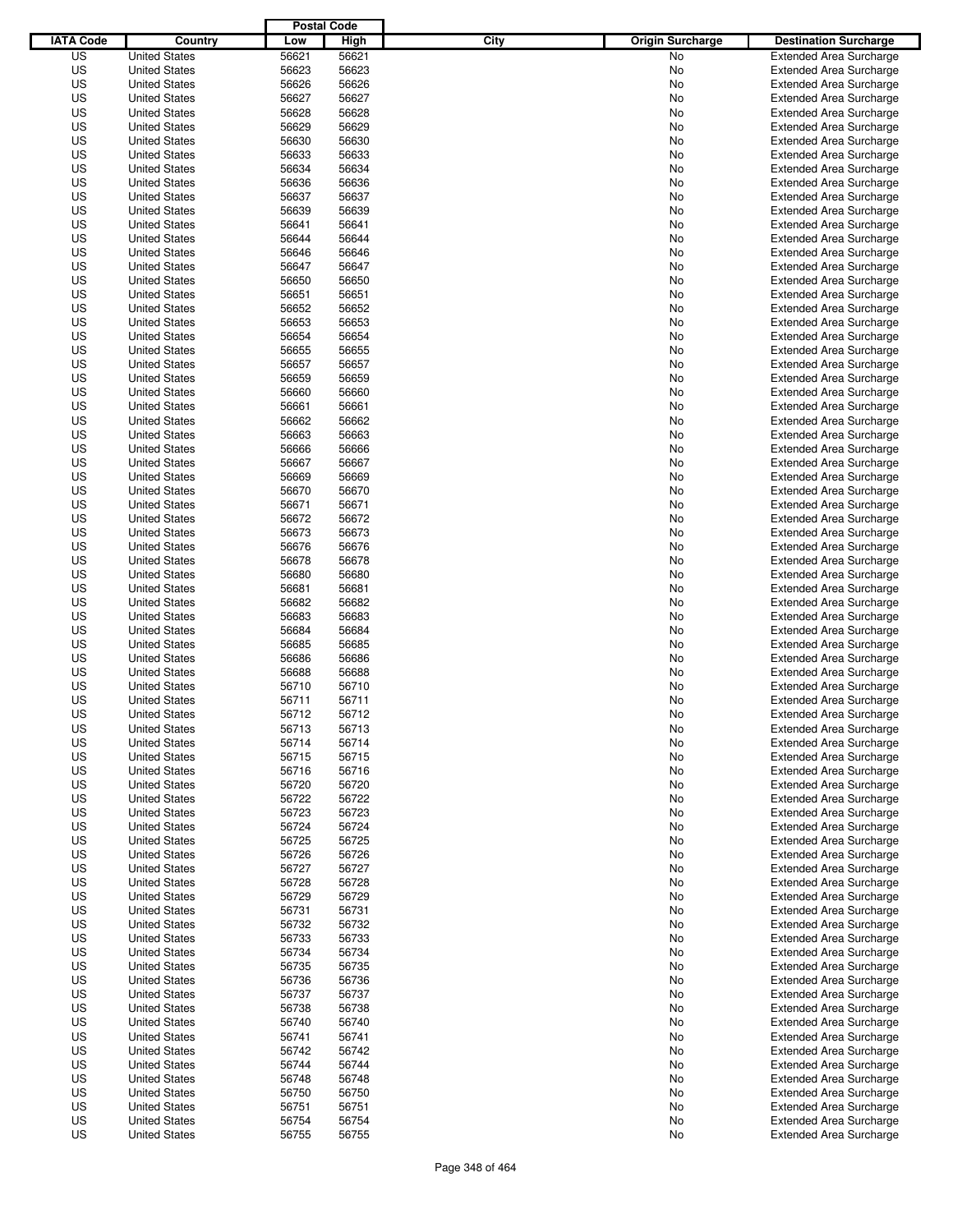|                  |                      | <b>Postal Code</b> |       |                                 |                                |
|------------------|----------------------|--------------------|-------|---------------------------------|--------------------------------|
| <b>IATA Code</b> | Country              | Low                | High  | City<br><b>Origin Surcharge</b> | <b>Destination Surcharge</b>   |
| US               | <b>United States</b> | 56621              | 56621 | No                              | <b>Extended Area Surcharge</b> |
| US               | <b>United States</b> | 56623              | 56623 | No                              | <b>Extended Area Surcharge</b> |
| US               | <b>United States</b> | 56626              | 56626 | No                              | <b>Extended Area Surcharge</b> |
| US               | <b>United States</b> | 56627              | 56627 | No                              | <b>Extended Area Surcharge</b> |
| US               | <b>United States</b> | 56628              | 56628 | No                              | <b>Extended Area Surcharge</b> |
| US               | <b>United States</b> | 56629              | 56629 | No                              | <b>Extended Area Surcharge</b> |
| US               | <b>United States</b> | 56630              | 56630 | No                              | <b>Extended Area Surcharge</b> |
| US               | <b>United States</b> | 56633              | 56633 | No                              | <b>Extended Area Surcharge</b> |
| US               | <b>United States</b> | 56634              | 56634 | No                              | <b>Extended Area Surcharge</b> |
| US               | <b>United States</b> | 56636              | 56636 | No                              | <b>Extended Area Surcharge</b> |
| US               | <b>United States</b> | 56637              | 56637 | No                              | <b>Extended Area Surcharge</b> |
| US               | <b>United States</b> | 56639              | 56639 | No                              | <b>Extended Area Surcharge</b> |
| US               | <b>United States</b> | 56641              | 56641 | No                              | <b>Extended Area Surcharge</b> |
| US               | <b>United States</b> | 56644              | 56644 | No                              | <b>Extended Area Surcharge</b> |
| US               | <b>United States</b> | 56646              | 56646 | No                              | <b>Extended Area Surcharge</b> |
| US               | <b>United States</b> | 56647              | 56647 | No                              | <b>Extended Area Surcharge</b> |
| US               | <b>United States</b> | 56650              | 56650 | No                              | <b>Extended Area Surcharge</b> |
| US               | <b>United States</b> | 56651              | 56651 | No                              | <b>Extended Area Surcharge</b> |
| US               | <b>United States</b> | 56652              | 56652 | No                              | <b>Extended Area Surcharge</b> |
| US               | <b>United States</b> | 56653              | 56653 | No                              | <b>Extended Area Surcharge</b> |
| US               | <b>United States</b> | 56654              | 56654 | No                              | <b>Extended Area Surcharge</b> |
| US               | <b>United States</b> | 56655              | 56655 | No                              | <b>Extended Area Surcharge</b> |
| US               | <b>United States</b> | 56657              | 56657 | No                              | <b>Extended Area Surcharge</b> |
| US               | <b>United States</b> | 56659              | 56659 | No                              | <b>Extended Area Surcharge</b> |
| US               | <b>United States</b> | 56660              | 56660 | No                              | <b>Extended Area Surcharge</b> |
| US               | <b>United States</b> | 56661              | 56661 | No                              | <b>Extended Area Surcharge</b> |
| US               | <b>United States</b> | 56662              | 56662 | No                              | <b>Extended Area Surcharge</b> |
| US               | <b>United States</b> | 56663              | 56663 | No                              | <b>Extended Area Surcharge</b> |
| US               | <b>United States</b> | 56666              | 56666 | No                              | <b>Extended Area Surcharge</b> |
| US               | <b>United States</b> | 56667              | 56667 | No                              | <b>Extended Area Surcharge</b> |
| US               | <b>United States</b> | 56669              | 56669 | No                              | <b>Extended Area Surcharge</b> |
| US               | <b>United States</b> | 56670              | 56670 | No                              | <b>Extended Area Surcharge</b> |
| US               | <b>United States</b> | 56671              | 56671 | No                              | <b>Extended Area Surcharge</b> |
| US               | <b>United States</b> | 56672              | 56672 |                                 |                                |
|                  | <b>United States</b> |                    |       | No                              | <b>Extended Area Surcharge</b> |
| US               |                      | 56673              | 56673 | No                              | <b>Extended Area Surcharge</b> |
| US               | <b>United States</b> | 56676              | 56676 | No                              | <b>Extended Area Surcharge</b> |
| US               | <b>United States</b> | 56678              | 56678 | No                              | <b>Extended Area Surcharge</b> |
| US               | <b>United States</b> | 56680              | 56680 | No                              | <b>Extended Area Surcharge</b> |
| US               | <b>United States</b> | 56681              | 56681 | No                              | <b>Extended Area Surcharge</b> |
| US               | <b>United States</b> | 56682              | 56682 | No                              | <b>Extended Area Surcharge</b> |
| US               | <b>United States</b> | 56683              | 56683 | No                              | <b>Extended Area Surcharge</b> |
| US               | <b>United States</b> | 56684              | 56684 | No                              | <b>Extended Area Surcharge</b> |
| US               | <b>United States</b> | 56685              | 56685 | No                              | <b>Extended Area Surcharge</b> |
| US               | <b>United States</b> | 56686              | 56686 | No                              | <b>Extended Area Surcharge</b> |
| US               | <b>United States</b> | 56688              | 56688 | No                              | <b>Extended Area Surcharge</b> |
| US               | <b>United States</b> | 56710              | 56710 | No                              | <b>Extended Area Surcharge</b> |
| US               | <b>United States</b> | 56711              | 56711 | No                              | <b>Extended Area Surcharge</b> |
| US               | <b>United States</b> | 56712              | 56712 | No                              | <b>Extended Area Surcharge</b> |
| US               | <b>United States</b> | 56713              | 56713 | No                              | <b>Extended Area Surcharge</b> |
| US               | <b>United States</b> | 56714              | 56714 | No                              | <b>Extended Area Surcharge</b> |
| US               | <b>United States</b> | 56715              | 56715 | No                              | <b>Extended Area Surcharge</b> |
| US               | <b>United States</b> | 56716              | 56716 | No                              | <b>Extended Area Surcharge</b> |
| US               | <b>United States</b> | 56720              | 56720 | No                              | <b>Extended Area Surcharge</b> |
| US               | <b>United States</b> | 56722              | 56722 | No                              | <b>Extended Area Surcharge</b> |
| US               | <b>United States</b> | 56723              | 56723 | No                              | <b>Extended Area Surcharge</b> |
| US               | <b>United States</b> | 56724              | 56724 | No                              | <b>Extended Area Surcharge</b> |
| US               | <b>United States</b> | 56725              | 56725 | No                              | <b>Extended Area Surcharge</b> |
| US               | <b>United States</b> | 56726              | 56726 | No                              | <b>Extended Area Surcharge</b> |
| US               | <b>United States</b> | 56727              | 56727 | No                              | <b>Extended Area Surcharge</b> |
| US               | <b>United States</b> | 56728              | 56728 | No                              | <b>Extended Area Surcharge</b> |
| US               | <b>United States</b> | 56729              | 56729 | No                              | <b>Extended Area Surcharge</b> |
| US               | <b>United States</b> | 56731              | 56731 | No                              | <b>Extended Area Surcharge</b> |
| US               | <b>United States</b> | 56732              | 56732 | No                              | <b>Extended Area Surcharge</b> |
| US               | <b>United States</b> | 56733              | 56733 | No                              | <b>Extended Area Surcharge</b> |
| US               | <b>United States</b> | 56734              | 56734 | No                              | <b>Extended Area Surcharge</b> |
| US               | <b>United States</b> | 56735              | 56735 | No                              | <b>Extended Area Surcharge</b> |
| US               | <b>United States</b> | 56736              | 56736 | No                              | <b>Extended Area Surcharge</b> |
| US               | <b>United States</b> | 56737              | 56737 | No                              | <b>Extended Area Surcharge</b> |
| US               | <b>United States</b> | 56738              | 56738 | No                              | <b>Extended Area Surcharge</b> |
| US               | <b>United States</b> | 56740              | 56740 | No                              | <b>Extended Area Surcharge</b> |
| US               | <b>United States</b> | 56741              | 56741 | No                              | <b>Extended Area Surcharge</b> |
| US               | <b>United States</b> | 56742              | 56742 | No                              | <b>Extended Area Surcharge</b> |
| US               | <b>United States</b> | 56744              | 56744 | No                              | <b>Extended Area Surcharge</b> |
| US               | <b>United States</b> | 56748              | 56748 | No                              | <b>Extended Area Surcharge</b> |
| US               | <b>United States</b> | 56750              | 56750 | No                              | <b>Extended Area Surcharge</b> |
| US               | <b>United States</b> | 56751              | 56751 | No                              | <b>Extended Area Surcharge</b> |
| US               | <b>United States</b> | 56754              | 56754 | No                              | <b>Extended Area Surcharge</b> |
| US               | <b>United States</b> | 56755              | 56755 | No                              | <b>Extended Area Surcharge</b> |
|                  |                      |                    |       |                                 |                                |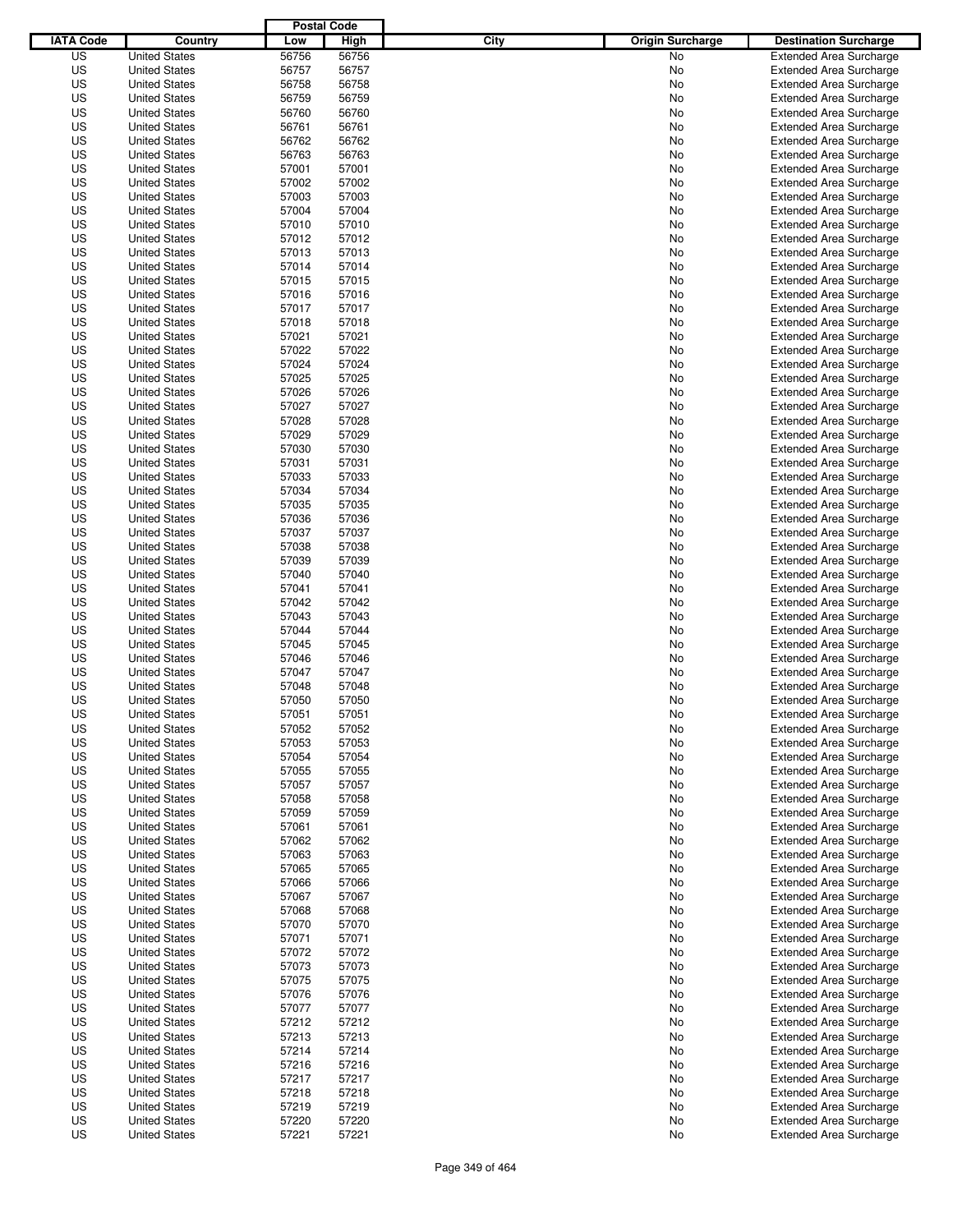|                  |                      | <b>Postal Code</b> |       |                                 |                                |
|------------------|----------------------|--------------------|-------|---------------------------------|--------------------------------|
| <b>IATA Code</b> | Country              | Low                | High  | City<br><b>Origin Surcharge</b> | <b>Destination Surcharge</b>   |
| US               | <b>United States</b> | 56756              | 56756 | <b>No</b>                       | <b>Extended Area Surcharge</b> |
| US               | <b>United States</b> | 56757              | 56757 | No                              | <b>Extended Area Surcharge</b> |
| US               | <b>United States</b> | 56758              | 56758 | No                              | <b>Extended Area Surcharge</b> |
| US               | <b>United States</b> | 56759              | 56759 | No                              | <b>Extended Area Surcharge</b> |
| US               | <b>United States</b> | 56760              | 56760 | No                              | <b>Extended Area Surcharge</b> |
| US               | <b>United States</b> | 56761              | 56761 | No                              | <b>Extended Area Surcharge</b> |
| US               | <b>United States</b> | 56762              | 56762 | No                              | <b>Extended Area Surcharge</b> |
| US               | <b>United States</b> | 56763              | 56763 | No                              | <b>Extended Area Surcharge</b> |
| US               | <b>United States</b> | 57001              | 57001 | No                              | <b>Extended Area Surcharge</b> |
| US               | <b>United States</b> | 57002              | 57002 | No                              | <b>Extended Area Surcharge</b> |
| US               | <b>United States</b> | 57003              | 57003 | No                              | <b>Extended Area Surcharge</b> |
| US               | <b>United States</b> | 57004              | 57004 | No                              | <b>Extended Area Surcharge</b> |
| US               | <b>United States</b> | 57010              | 57010 | No                              | <b>Extended Area Surcharge</b> |
| US               | <b>United States</b> | 57012              | 57012 | No                              | <b>Extended Area Surcharge</b> |
| US               | <b>United States</b> | 57013              | 57013 | No                              | <b>Extended Area Surcharge</b> |
| US               | <b>United States</b> | 57014              | 57014 | No                              | <b>Extended Area Surcharge</b> |
| US               | <b>United States</b> | 57015              | 57015 | No                              | <b>Extended Area Surcharge</b> |
| US               | <b>United States</b> | 57016              | 57016 | No                              | <b>Extended Area Surcharge</b> |
| US               | <b>United States</b> | 57017              | 57017 | No                              | <b>Extended Area Surcharge</b> |
| US               | <b>United States</b> | 57018              | 57018 | No                              | <b>Extended Area Surcharge</b> |
| US               | <b>United States</b> | 57021              | 57021 | No                              | <b>Extended Area Surcharge</b> |
| US               | <b>United States</b> | 57022              | 57022 | No                              | <b>Extended Area Surcharge</b> |
| US               | <b>United States</b> | 57024              | 57024 | No                              | <b>Extended Area Surcharge</b> |
| US               | <b>United States</b> | 57025              | 57025 | No                              | <b>Extended Area Surcharge</b> |
| US               | <b>United States</b> | 57026              | 57026 | No                              | <b>Extended Area Surcharge</b> |
| US               | <b>United States</b> | 57027              | 57027 | No                              | <b>Extended Area Surcharge</b> |
| US               | <b>United States</b> | 57028              | 57028 | No                              | <b>Extended Area Surcharge</b> |
| US               | <b>United States</b> | 57029              | 57029 | No                              | <b>Extended Area Surcharge</b> |
| US               | <b>United States</b> | 57030              | 57030 | No                              | <b>Extended Area Surcharge</b> |
| US               | <b>United States</b> | 57031              | 57031 | No                              | <b>Extended Area Surcharge</b> |
| US               | <b>United States</b> | 57033              | 57033 | No                              | <b>Extended Area Surcharge</b> |
| US               | <b>United States</b> | 57034              | 57034 | No                              | <b>Extended Area Surcharge</b> |
| US               | <b>United States</b> | 57035              | 57035 | No                              | <b>Extended Area Surcharge</b> |
| US               | <b>United States</b> | 57036              | 57036 | No                              | <b>Extended Area Surcharge</b> |
| US               | <b>United States</b> | 57037              | 57037 | No                              | <b>Extended Area Surcharge</b> |
| US               | <b>United States</b> | 57038              | 57038 | No                              | <b>Extended Area Surcharge</b> |
| US               | <b>United States</b> | 57039              | 57039 | No                              | <b>Extended Area Surcharge</b> |
| US               | <b>United States</b> | 57040              | 57040 | No                              | <b>Extended Area Surcharge</b> |
| US               | <b>United States</b> | 57041              | 57041 | No                              | <b>Extended Area Surcharge</b> |
| US               | <b>United States</b> | 57042              | 57042 | No                              | <b>Extended Area Surcharge</b> |
| US               | <b>United States</b> | 57043              | 57043 | No                              | <b>Extended Area Surcharge</b> |
| US               | <b>United States</b> | 57044              | 57044 | No                              | <b>Extended Area Surcharge</b> |
| US               | <b>United States</b> | 57045              | 57045 | No                              | <b>Extended Area Surcharge</b> |
| US               | <b>United States</b> | 57046              | 57046 | No                              | <b>Extended Area Surcharge</b> |
| US               | <b>United States</b> | 57047              | 57047 | No                              | Extended Area Surcharge        |
| US               | <b>United States</b> | 57048              | 57048 | No                              | <b>Extended Area Surcharge</b> |
| US               | <b>United States</b> | 57050              | 57050 | No                              | <b>Extended Area Surcharge</b> |
| US               | <b>United States</b> | 57051              | 57051 | No                              | <b>Extended Area Surcharge</b> |
| US               | <b>United States</b> | 57052              | 57052 | No                              | <b>Extended Area Surcharge</b> |
| US               | <b>United States</b> | 57053              | 57053 | No                              | <b>Extended Area Surcharge</b> |
| US               | <b>United States</b> | 57054              | 57054 | No                              | <b>Extended Area Surcharge</b> |
| US               | <b>United States</b> | 57055              | 57055 | No                              | <b>Extended Area Surcharge</b> |
| US               | <b>United States</b> | 57057              | 57057 | No                              | <b>Extended Area Surcharge</b> |
| US               | <b>United States</b> | 57058              | 57058 | No                              | <b>Extended Area Surcharge</b> |
| US               | <b>United States</b> | 57059              | 57059 | No                              | <b>Extended Area Surcharge</b> |
| US               | <b>United States</b> | 57061              | 57061 | No                              | <b>Extended Area Surcharge</b> |
| US               | <b>United States</b> | 57062              | 57062 | No                              | <b>Extended Area Surcharge</b> |
| US               | <b>United States</b> | 57063              | 57063 | No                              | <b>Extended Area Surcharge</b> |
| US               | <b>United States</b> | 57065              | 57065 | No                              | <b>Extended Area Surcharge</b> |
| US               | <b>United States</b> | 57066              | 57066 | No                              | <b>Extended Area Surcharge</b> |
| US               | <b>United States</b> | 57067              | 57067 | No                              | <b>Extended Area Surcharge</b> |
| US               | <b>United States</b> | 57068              | 57068 | No                              | <b>Extended Area Surcharge</b> |
| US               | <b>United States</b> | 57070              | 57070 | No                              | <b>Extended Area Surcharge</b> |
| US               | <b>United States</b> | 57071              | 57071 | No                              | <b>Extended Area Surcharge</b> |
| US               | <b>United States</b> | 57072              | 57072 | No                              | <b>Extended Area Surcharge</b> |
| US               | <b>United States</b> | 57073              | 57073 | No                              | <b>Extended Area Surcharge</b> |
| US               | <b>United States</b> | 57075              | 57075 | No                              | <b>Extended Area Surcharge</b> |
| US               | <b>United States</b> | 57076              | 57076 | No                              | <b>Extended Area Surcharge</b> |
| US               | <b>United States</b> | 57077              | 57077 | No                              | <b>Extended Area Surcharge</b> |
| US               | <b>United States</b> | 57212              | 57212 | No                              | <b>Extended Area Surcharge</b> |
| US               | <b>United States</b> | 57213              | 57213 | No                              | <b>Extended Area Surcharge</b> |
| US               | <b>United States</b> | 57214              | 57214 | No                              | <b>Extended Area Surcharge</b> |
| US               | <b>United States</b> | 57216              | 57216 | No                              | <b>Extended Area Surcharge</b> |
| US               | <b>United States</b> | 57217              | 57217 | No                              | <b>Extended Area Surcharge</b> |
| US               | <b>United States</b> | 57218              | 57218 | No                              | <b>Extended Area Surcharge</b> |
| US               | <b>United States</b> | 57219              | 57219 | No                              | <b>Extended Area Surcharge</b> |
| US               | <b>United States</b> | 57220              | 57220 | No                              | <b>Extended Area Surcharge</b> |
| US               | <b>United States</b> | 57221              | 57221 | No                              | <b>Extended Area Surcharge</b> |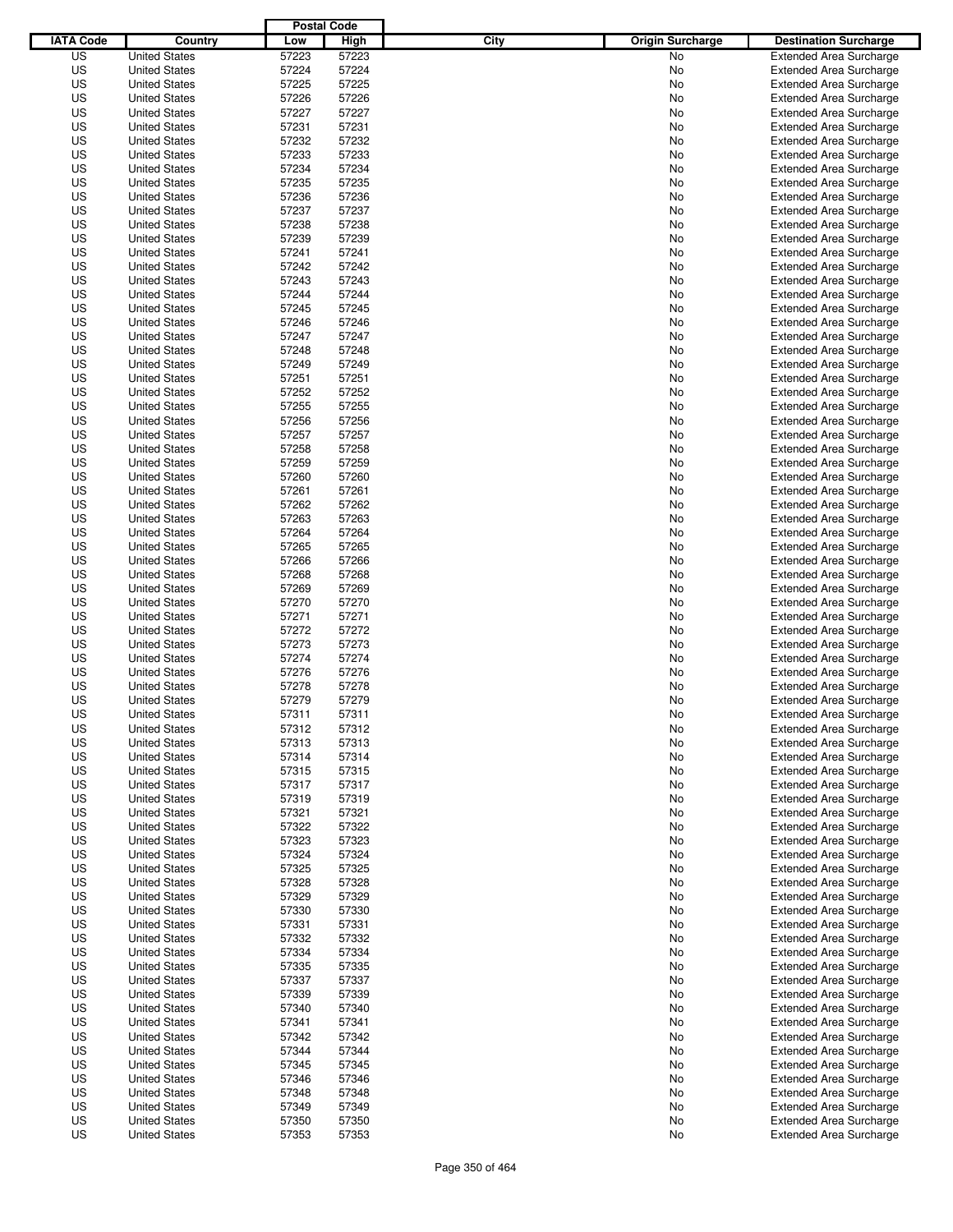|                  |                                              | <b>Postal Code</b> |                |                                 |                                                                  |
|------------------|----------------------------------------------|--------------------|----------------|---------------------------------|------------------------------------------------------------------|
| <b>IATA Code</b> | Country                                      | Low                | <b>High</b>    | City<br><b>Origin Surcharge</b> | <b>Destination Surcharge</b>                                     |
| US               | <b>United States</b>                         | 57223              | 57223          | <b>No</b>                       | <b>Extended Area Surcharge</b>                                   |
| US               | <b>United States</b>                         | 57224              | 57224          | No                              | <b>Extended Area Surcharge</b>                                   |
| US               | <b>United States</b>                         | 57225              | 57225          | No                              | <b>Extended Area Surcharge</b>                                   |
| US               | <b>United States</b>                         | 57226              | 57226          | No                              | <b>Extended Area Surcharge</b>                                   |
| US               | <b>United States</b>                         | 57227              | 57227          | No                              | <b>Extended Area Surcharge</b>                                   |
| US               | <b>United States</b>                         | 57231              | 57231          | No                              | <b>Extended Area Surcharge</b>                                   |
| US               | <b>United States</b>                         | 57232              | 57232          | No                              | <b>Extended Area Surcharge</b>                                   |
| US               | <b>United States</b>                         | 57233              | 57233          | No                              | <b>Extended Area Surcharge</b>                                   |
| US               | <b>United States</b>                         | 57234              | 57234          | No                              | <b>Extended Area Surcharge</b>                                   |
| US               | <b>United States</b>                         | 57235              | 57235          | No                              | <b>Extended Area Surcharge</b>                                   |
| US               | <b>United States</b>                         | 57236              | 57236          | No                              | <b>Extended Area Surcharge</b>                                   |
| US               | <b>United States</b>                         | 57237              | 57237          | No                              | <b>Extended Area Surcharge</b>                                   |
| US               | <b>United States</b>                         | 57238              | 57238          | No                              | <b>Extended Area Surcharge</b>                                   |
| US               | <b>United States</b>                         | 57239              | 57239          | No                              | <b>Extended Area Surcharge</b>                                   |
| US               | <b>United States</b>                         | 57241              | 57241          | No                              | <b>Extended Area Surcharge</b>                                   |
| US               | <b>United States</b>                         | 57242              | 57242          | No                              | <b>Extended Area Surcharge</b>                                   |
| US               | <b>United States</b>                         | 57243              | 57243          | No                              | <b>Extended Area Surcharge</b>                                   |
| US               | <b>United States</b>                         | 57244              | 57244          | No                              | <b>Extended Area Surcharge</b>                                   |
| US               | <b>United States</b><br><b>United States</b> | 57245<br>57246     | 57245          | No                              | <b>Extended Area Surcharge</b>                                   |
| US               | <b>United States</b>                         |                    | 57246          | No                              | <b>Extended Area Surcharge</b>                                   |
| US               | <b>United States</b>                         | 57247              | 57247          | No                              | <b>Extended Area Surcharge</b>                                   |
| US<br>US         | <b>United States</b>                         | 57248<br>57249     | 57248<br>57249 | No<br>No                        | <b>Extended Area Surcharge</b>                                   |
| US               | <b>United States</b>                         | 57251              | 57251          | No                              | <b>Extended Area Surcharge</b><br><b>Extended Area Surcharge</b> |
| US               | <b>United States</b>                         | 57252              | 57252          | No                              | <b>Extended Area Surcharge</b>                                   |
| US               | <b>United States</b>                         | 57255              | 57255          | No                              | <b>Extended Area Surcharge</b>                                   |
| US               | <b>United States</b>                         | 57256              | 57256          | No                              | <b>Extended Area Surcharge</b>                                   |
| US               | <b>United States</b>                         | 57257              | 57257          | No                              | <b>Extended Area Surcharge</b>                                   |
| US               | <b>United States</b>                         | 57258              | 57258          | No                              | <b>Extended Area Surcharge</b>                                   |
| US               | <b>United States</b>                         | 57259              | 57259          | No                              | <b>Extended Area Surcharge</b>                                   |
| US               | <b>United States</b>                         | 57260              | 57260          | No                              | <b>Extended Area Surcharge</b>                                   |
| US               | <b>United States</b>                         | 57261              | 57261          | No                              | <b>Extended Area Surcharge</b>                                   |
| US               | <b>United States</b>                         | 57262              | 57262          | No                              | <b>Extended Area Surcharge</b>                                   |
| US               | <b>United States</b>                         | 57263              | 57263          | No                              | <b>Extended Area Surcharge</b>                                   |
| US               | <b>United States</b>                         | 57264              | 57264          | No                              | <b>Extended Area Surcharge</b>                                   |
| US               | <b>United States</b>                         | 57265              | 57265          | No                              | <b>Extended Area Surcharge</b>                                   |
| US               | <b>United States</b>                         | 57266              | 57266          | No                              | <b>Extended Area Surcharge</b>                                   |
| US               | <b>United States</b>                         | 57268              | 57268          | No                              | <b>Extended Area Surcharge</b>                                   |
| US               | <b>United States</b>                         | 57269              | 57269          | No                              | <b>Extended Area Surcharge</b>                                   |
| US               | <b>United States</b>                         | 57270              | 57270          | No                              | <b>Extended Area Surcharge</b>                                   |
| US               | <b>United States</b>                         | 57271              | 57271          | No                              | <b>Extended Area Surcharge</b>                                   |
| US               | <b>United States</b>                         | 57272              | 57272          | No                              | <b>Extended Area Surcharge</b>                                   |
| US               | <b>United States</b>                         | 57273              | 57273          | No                              | <b>Extended Area Surcharge</b>                                   |
| US               | <b>United States</b>                         | 57274              | 57274          | No                              | <b>Extended Area Surcharge</b>                                   |
| US               | <b>United States</b>                         | 57276              | 57276          | No                              | Extended Area Surcharge                                          |
| US               | <b>United States</b>                         | 57278              | 57278          | No                              | <b>Extended Area Surcharge</b>                                   |
| US               | <b>United States</b>                         | 57279              | 57279          | No                              | <b>Extended Area Surcharge</b>                                   |
| US               | <b>United States</b>                         | 57311              | 57311          | No                              | <b>Extended Area Surcharge</b>                                   |
| US               | <b>United States</b>                         | 57312              | 57312          | No                              | <b>Extended Area Surcharge</b>                                   |
| US               | <b>United States</b>                         | 57313              | 57313          | No                              | <b>Extended Area Surcharge</b>                                   |
| US               | <b>United States</b>                         | 57314              | 57314          | No                              | <b>Extended Area Surcharge</b>                                   |
| US               | <b>United States</b>                         | 57315              | 57315          | No                              | <b>Extended Area Surcharge</b>                                   |
| US               | <b>United States</b>                         | 57317              | 57317          | No                              | <b>Extended Area Surcharge</b>                                   |
| US               | <b>United States</b>                         | 57319              | 57319          | No                              | <b>Extended Area Surcharge</b>                                   |
| US               | <b>United States</b>                         | 57321              | 57321          | No                              | <b>Extended Area Surcharge</b>                                   |
| US               | <b>United States</b>                         | 57322              | 57322          | No                              | <b>Extended Area Surcharge</b>                                   |
| US               | <b>United States</b>                         | 57323              | 57323          | No                              | <b>Extended Area Surcharge</b>                                   |
| US               | <b>United States</b>                         | 57324              | 57324          | No                              | <b>Extended Area Surcharge</b>                                   |
| US               | <b>United States</b>                         | 57325              | 57325          | No                              | <b>Extended Area Surcharge</b>                                   |
| US               | <b>United States</b>                         | 57328              | 57328          | No                              | <b>Extended Area Surcharge</b>                                   |
| US               | <b>United States</b>                         | 57329              | 57329          | No                              | <b>Extended Area Surcharge</b>                                   |
| US               | <b>United States</b>                         | 57330              | 57330          | No                              | <b>Extended Area Surcharge</b>                                   |
| US               | <b>United States</b>                         | 57331              | 57331          | No                              | <b>Extended Area Surcharge</b>                                   |
| US               | <b>United States</b>                         | 57332              | 57332          | No                              | <b>Extended Area Surcharge</b>                                   |
| US               | <b>United States</b>                         | 57334              | 57334          | No                              | <b>Extended Area Surcharge</b>                                   |
| US               | <b>United States</b>                         | 57335              | 57335          | No                              | <b>Extended Area Surcharge</b>                                   |
| US               | <b>United States</b>                         | 57337              | 57337          | No                              | <b>Extended Area Surcharge</b>                                   |
| US               | <b>United States</b>                         | 57339              | 57339          | No                              | <b>Extended Area Surcharge</b>                                   |
| US               | <b>United States</b>                         | 57340              | 57340          | No                              | <b>Extended Area Surcharge</b>                                   |
| US               | <b>United States</b>                         | 57341              | 57341          | No                              | <b>Extended Area Surcharge</b>                                   |
| US               | <b>United States</b>                         | 57342              | 57342          | No                              | <b>Extended Area Surcharge</b>                                   |
| US               | <b>United States</b>                         | 57344              | 57344          | No                              | <b>Extended Area Surcharge</b>                                   |
| US               | <b>United States</b>                         | 57345              | 57345          | No                              | <b>Extended Area Surcharge</b>                                   |
| US<br>US         | <b>United States</b><br><b>United States</b> | 57346              | 57346          | No                              | <b>Extended Area Surcharge</b><br><b>Extended Area Surcharge</b> |
| US               | <b>United States</b>                         | 57348<br>57349     | 57348<br>57349 | No<br>No                        | <b>Extended Area Surcharge</b>                                   |
| US               | <b>United States</b>                         | 57350              | 57350          | No                              | <b>Extended Area Surcharge</b>                                   |
| US               | <b>United States</b>                         | 57353              | 57353          | No                              | <b>Extended Area Surcharge</b>                                   |
|                  |                                              |                    |                |                                 |                                                                  |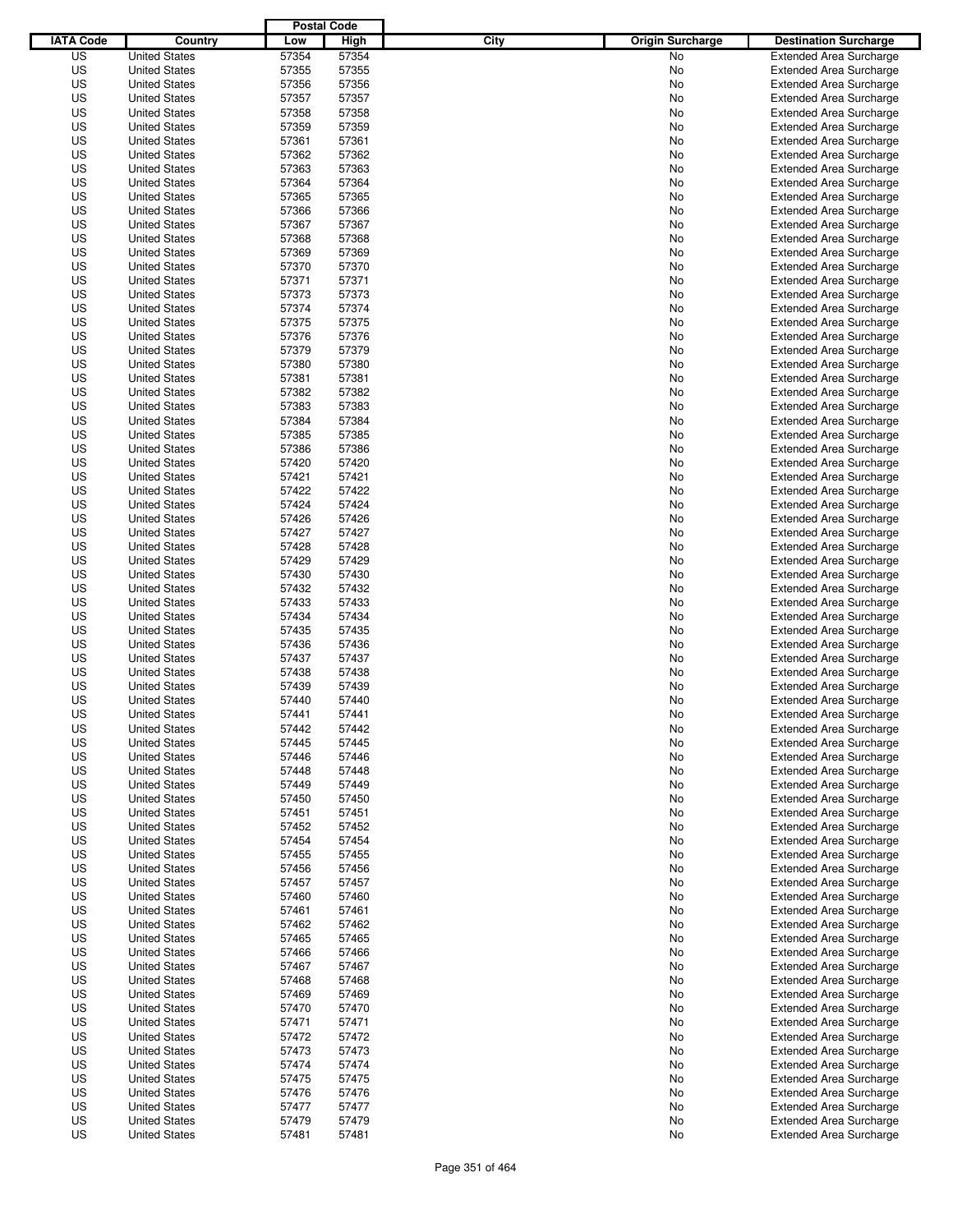|                  |                                              | <b>Postal Code</b> |                |                                 |                                                                  |
|------------------|----------------------------------------------|--------------------|----------------|---------------------------------|------------------------------------------------------------------|
| <b>IATA Code</b> | Country                                      | Low                | High           | City<br><b>Origin Surcharge</b> | <b>Destination Surcharge</b>                                     |
| US               | <b>United States</b>                         | 57354              | 57354          | <b>No</b>                       | <b>Extended Area Surcharge</b>                                   |
| US               | <b>United States</b>                         | 57355              | 57355          | No                              | <b>Extended Area Surcharge</b>                                   |
| US               | <b>United States</b>                         | 57356              | 57356          | No                              | <b>Extended Area Surcharge</b>                                   |
| US               | <b>United States</b>                         | 57357              | 57357          | No                              | <b>Extended Area Surcharge</b>                                   |
| US               | <b>United States</b>                         | 57358              | 57358          | No                              | <b>Extended Area Surcharge</b>                                   |
| US               | <b>United States</b>                         | 57359              | 57359          | No                              | <b>Extended Area Surcharge</b>                                   |
| US               | <b>United States</b>                         | 57361              | 57361          | No                              | <b>Extended Area Surcharge</b>                                   |
| US               | <b>United States</b>                         | 57362              | 57362          | No                              | <b>Extended Area Surcharge</b>                                   |
| US               | <b>United States</b>                         | 57363              | 57363          | No                              | <b>Extended Area Surcharge</b>                                   |
| US               | <b>United States</b>                         | 57364              | 57364          | No                              | <b>Extended Area Surcharge</b>                                   |
| US               | <b>United States</b>                         | 57365              | 57365          | No                              | <b>Extended Area Surcharge</b>                                   |
| US               | <b>United States</b>                         | 57366              | 57366          | No                              | <b>Extended Area Surcharge</b>                                   |
| US               | <b>United States</b>                         | 57367              | 57367          | No                              | <b>Extended Area Surcharge</b>                                   |
| US               | <b>United States</b>                         | 57368              | 57368          | No                              | <b>Extended Area Surcharge</b>                                   |
| US               | <b>United States</b>                         | 57369              | 57369          | No                              | <b>Extended Area Surcharge</b>                                   |
| US               | <b>United States</b>                         | 57370              | 57370          | No                              | <b>Extended Area Surcharge</b>                                   |
| US               | <b>United States</b>                         | 57371              | 57371          | No                              | <b>Extended Area Surcharge</b>                                   |
| US               | <b>United States</b>                         | 57373              | 57373          | No                              | <b>Extended Area Surcharge</b>                                   |
| US               | <b>United States</b>                         | 57374              | 57374          | No                              | <b>Extended Area Surcharge</b>                                   |
| US               | <b>United States</b>                         | 57375              | 57375          | No                              | <b>Extended Area Surcharge</b>                                   |
| US               | <b>United States</b>                         | 57376              | 57376          | No                              | <b>Extended Area Surcharge</b>                                   |
| US               | <b>United States</b>                         | 57379              | 57379          | No                              | <b>Extended Area Surcharge</b>                                   |
| US               | <b>United States</b>                         | 57380              | 57380          | No                              | <b>Extended Area Surcharge</b>                                   |
| US               | <b>United States</b>                         | 57381              | 57381          | No                              | <b>Extended Area Surcharge</b>                                   |
| US               | <b>United States</b>                         | 57382              | 57382          | No                              | <b>Extended Area Surcharge</b>                                   |
| US               | <b>United States</b>                         | 57383              | 57383          | No                              | <b>Extended Area Surcharge</b>                                   |
| US               | <b>United States</b>                         | 57384              | 57384          | No                              | <b>Extended Area Surcharge</b>                                   |
| US               | <b>United States</b>                         | 57385              | 57385          | No                              | <b>Extended Area Surcharge</b>                                   |
| US               | <b>United States</b>                         | 57386              | 57386          | No                              | <b>Extended Area Surcharge</b>                                   |
| US               | <b>United States</b>                         | 57420              | 57420          | No                              | <b>Extended Area Surcharge</b>                                   |
| US               | <b>United States</b>                         | 57421              | 57421          | No                              | <b>Extended Area Surcharge</b>                                   |
| US               | <b>United States</b>                         | 57422              | 57422          | No                              | <b>Extended Area Surcharge</b>                                   |
| US               | <b>United States</b>                         | 57424              | 57424          | No                              | <b>Extended Area Surcharge</b>                                   |
| US               | <b>United States</b>                         | 57426              | 57426          | No                              | <b>Extended Area Surcharge</b>                                   |
| US               | <b>United States</b>                         | 57427              | 57427          | No                              | <b>Extended Area Surcharge</b>                                   |
| US               | <b>United States</b>                         | 57428              | 57428          | No                              | <b>Extended Area Surcharge</b>                                   |
| US               | <b>United States</b>                         | 57429              | 57429          | No                              | <b>Extended Area Surcharge</b>                                   |
| US               | <b>United States</b>                         | 57430              | 57430          | No                              | <b>Extended Area Surcharge</b>                                   |
| US               | <b>United States</b>                         | 57432              | 57432          | No                              | <b>Extended Area Surcharge</b>                                   |
| US               | <b>United States</b>                         | 57433              | 57433          | No                              | <b>Extended Area Surcharge</b>                                   |
| US               | <b>United States</b>                         | 57434              | 57434          | No                              | <b>Extended Area Surcharge</b>                                   |
| US               | <b>United States</b>                         | 57435              | 57435          | No                              | <b>Extended Area Surcharge</b>                                   |
| US               | <b>United States</b>                         | 57436              | 57436          | No                              | <b>Extended Area Surcharge</b>                                   |
| US               | <b>United States</b>                         | 57437              | 57437          | No                              | <b>Extended Area Surcharge</b>                                   |
| US               | <b>United States</b>                         | 57438              | 57438          | No                              | Extended Area Surcharge                                          |
| US               | <b>United States</b>                         | 57439              | 57439          | No                              | <b>Extended Area Surcharge</b>                                   |
| US               | <b>United States</b>                         | 57440              | 57440          | No                              | <b>Extended Area Surcharge</b>                                   |
| US               | <b>United States</b>                         | 57441              | 57441          | No                              | <b>Extended Area Surcharge</b>                                   |
| US               | <b>United States</b>                         | 57442              | 57442          | No                              | <b>Extended Area Surcharge</b>                                   |
| US               | <b>United States</b>                         | 57445              | 57445          | No                              | <b>Extended Area Surcharge</b>                                   |
| US               | <b>United States</b>                         | 57446              | 57446          | No                              | <b>Extended Area Surcharge</b>                                   |
| US               | <b>United States</b>                         | 57448              | 57448          | No                              | <b>Extended Area Surcharge</b>                                   |
| US<br>US         | <b>United States</b><br><b>United States</b> | 57449<br>57450     | 57449<br>57450 | No                              | <b>Extended Area Surcharge</b>                                   |
|                  | <b>United States</b>                         |                    |                | No                              | <b>Extended Area Surcharge</b>                                   |
| US<br>US         | <b>United States</b>                         | 57451<br>57452     | 57451<br>57452 | No<br>No                        | <b>Extended Area Surcharge</b><br><b>Extended Area Surcharge</b> |
| US               | <b>United States</b>                         | 57454              | 57454          | No                              | <b>Extended Area Surcharge</b>                                   |
| US               | <b>United States</b>                         | 57455              | 57455          | No                              | <b>Extended Area Surcharge</b>                                   |
| US               | <b>United States</b>                         | 57456              | 57456          | No                              | <b>Extended Area Surcharge</b>                                   |
| US               | <b>United States</b>                         | 57457              | 57457          | No                              | <b>Extended Area Surcharge</b>                                   |
| US               | <b>United States</b>                         | 57460              | 57460          | No                              | <b>Extended Area Surcharge</b>                                   |
| US               | <b>United States</b>                         | 57461              | 57461          | No                              | <b>Extended Area Surcharge</b>                                   |
| US               | <b>United States</b>                         | 57462              | 57462          | No                              | <b>Extended Area Surcharge</b>                                   |
| US               | <b>United States</b>                         | 57465              | 57465          | No                              | <b>Extended Area Surcharge</b>                                   |
| US               | <b>United States</b>                         | 57466              | 57466          | No                              | <b>Extended Area Surcharge</b>                                   |
| US               | <b>United States</b>                         | 57467              | 57467          | No                              | <b>Extended Area Surcharge</b>                                   |
| US               | <b>United States</b>                         | 57468              | 57468          | No                              | <b>Extended Area Surcharge</b>                                   |
| US               | <b>United States</b>                         | 57469              | 57469          | No                              | <b>Extended Area Surcharge</b>                                   |
| US               | <b>United States</b>                         | 57470              | 57470          | No                              | <b>Extended Area Surcharge</b>                                   |
| US               | <b>United States</b>                         | 57471              | 57471          | No                              | <b>Extended Area Surcharge</b>                                   |
| US               | <b>United States</b>                         | 57472              | 57472          | No                              | <b>Extended Area Surcharge</b>                                   |
| US               | <b>United States</b>                         | 57473              | 57473          | No                              | <b>Extended Area Surcharge</b>                                   |
| US               | <b>United States</b>                         | 57474              | 57474          | No                              | <b>Extended Area Surcharge</b>                                   |
| US               | <b>United States</b>                         | 57475              | 57475          | No                              | <b>Extended Area Surcharge</b>                                   |
| US               | <b>United States</b>                         | 57476              | 57476          | No                              | <b>Extended Area Surcharge</b>                                   |
| US               | <b>United States</b>                         | 57477              | 57477          | No                              | <b>Extended Area Surcharge</b>                                   |
| US               | <b>United States</b>                         | 57479              | 57479          | No                              | <b>Extended Area Surcharge</b>                                   |
| US               | <b>United States</b>                         | 57481              | 57481          | No                              | <b>Extended Area Surcharge</b>                                   |
|                  |                                              |                    |                |                                 |                                                                  |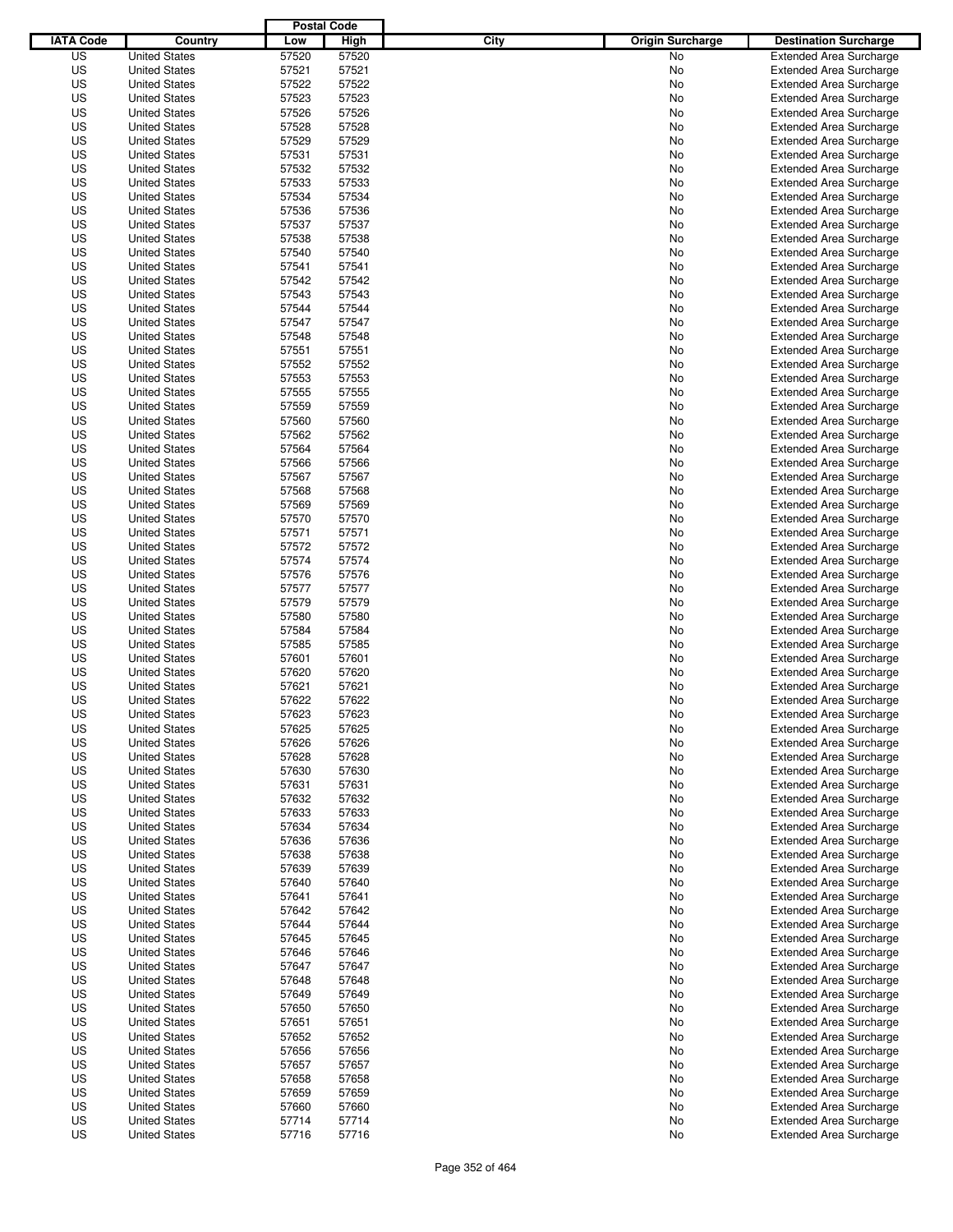|                  |                      | <b>Postal Code</b> |       |                                 |                                |
|------------------|----------------------|--------------------|-------|---------------------------------|--------------------------------|
| <b>IATA Code</b> | Country              | Low                | High  | City<br><b>Origin Surcharge</b> | <b>Destination Surcharge</b>   |
| US               | <b>United States</b> | 57520              | 57520 | <b>No</b>                       | <b>Extended Area Surcharge</b> |
| US               | <b>United States</b> | 57521              | 57521 | No                              | <b>Extended Area Surcharge</b> |
| US               | <b>United States</b> | 57522              | 57522 | No                              | <b>Extended Area Surcharge</b> |
| US               | <b>United States</b> | 57523              | 57523 | No                              | <b>Extended Area Surcharge</b> |
| US               | <b>United States</b> | 57526              | 57526 | No                              | <b>Extended Area Surcharge</b> |
| US               | <b>United States</b> | 57528              | 57528 | No                              | <b>Extended Area Surcharge</b> |
| US               | <b>United States</b> | 57529              | 57529 | No                              | <b>Extended Area Surcharge</b> |
| US               | <b>United States</b> | 57531              | 57531 | No                              | <b>Extended Area Surcharge</b> |
| US               | <b>United States</b> | 57532              | 57532 | No                              | <b>Extended Area Surcharge</b> |
| US               | <b>United States</b> | 57533              | 57533 | No                              | <b>Extended Area Surcharge</b> |
| US               | <b>United States</b> | 57534              | 57534 | No                              | <b>Extended Area Surcharge</b> |
| US               | <b>United States</b> | 57536              | 57536 | No                              | <b>Extended Area Surcharge</b> |
| US               | <b>United States</b> | 57537              | 57537 | No                              | <b>Extended Area Surcharge</b> |
| US               | <b>United States</b> | 57538              | 57538 | No                              | <b>Extended Area Surcharge</b> |
| US               | <b>United States</b> | 57540              | 57540 | No                              | <b>Extended Area Surcharge</b> |
| US               | <b>United States</b> | 57541              | 57541 | No                              | <b>Extended Area Surcharge</b> |
| US               | <b>United States</b> | 57542              | 57542 | No                              | <b>Extended Area Surcharge</b> |
| US               | <b>United States</b> | 57543              | 57543 | No                              | <b>Extended Area Surcharge</b> |
| US               | <b>United States</b> | 57544              | 57544 | No                              | <b>Extended Area Surcharge</b> |
| US               | <b>United States</b> | 57547              | 57547 | No                              | <b>Extended Area Surcharge</b> |
| US               | <b>United States</b> | 57548              | 57548 | No                              | <b>Extended Area Surcharge</b> |
| US               | <b>United States</b> | 57551              | 57551 | No                              | <b>Extended Area Surcharge</b> |
| US               | <b>United States</b> | 57552              | 57552 | No                              | <b>Extended Area Surcharge</b> |
| US               | <b>United States</b> | 57553              | 57553 | No                              | <b>Extended Area Surcharge</b> |
| US               | <b>United States</b> | 57555              | 57555 | No                              | <b>Extended Area Surcharge</b> |
| US               | <b>United States</b> | 57559              | 57559 | No                              | <b>Extended Area Surcharge</b> |
| US               | <b>United States</b> | 57560              | 57560 | No                              | <b>Extended Area Surcharge</b> |
| US               | <b>United States</b> | 57562              | 57562 | No                              | <b>Extended Area Surcharge</b> |
| US               | <b>United States</b> | 57564              | 57564 | No                              | <b>Extended Area Surcharge</b> |
| US               | <b>United States</b> | 57566              | 57566 | No                              | <b>Extended Area Surcharge</b> |
| US               | <b>United States</b> | 57567              | 57567 | No                              | <b>Extended Area Surcharge</b> |
| US               | <b>United States</b> | 57568              | 57568 | No                              | <b>Extended Area Surcharge</b> |
| US               | <b>United States</b> | 57569              | 57569 | No                              | <b>Extended Area Surcharge</b> |
| US               | <b>United States</b> | 57570              | 57570 | No                              | <b>Extended Area Surcharge</b> |
| US               | <b>United States</b> | 57571              | 57571 | No                              | <b>Extended Area Surcharge</b> |
| US               | <b>United States</b> | 57572              | 57572 | No                              | <b>Extended Area Surcharge</b> |
| US               | <b>United States</b> | 57574              | 57574 | No                              | <b>Extended Area Surcharge</b> |
| US               | <b>United States</b> | 57576              | 57576 | No                              | <b>Extended Area Surcharge</b> |
| US               | <b>United States</b> | 57577              | 57577 | No                              | <b>Extended Area Surcharge</b> |
| US               | <b>United States</b> | 57579              | 57579 | No                              | <b>Extended Area Surcharge</b> |
| US               | <b>United States</b> | 57580              | 57580 | No                              | <b>Extended Area Surcharge</b> |
| US               | <b>United States</b> | 57584              | 57584 | No                              | <b>Extended Area Surcharge</b> |
| US               | <b>United States</b> | 57585              | 57585 | No                              | <b>Extended Area Surcharge</b> |
| US               | <b>United States</b> | 57601              | 57601 | No                              | <b>Extended Area Surcharge</b> |
| US               | <b>United States</b> | 57620              | 57620 | No                              | Extended Area Surcharge        |
| US               | <b>United States</b> | 57621              | 57621 | No                              | <b>Extended Area Surcharge</b> |
| US               | <b>United States</b> | 57622              | 57622 | No                              | <b>Extended Area Surcharge</b> |
| US               | <b>United States</b> | 57623              | 57623 | No                              | <b>Extended Area Surcharge</b> |
| US               | <b>United States</b> | 57625              | 57625 | No                              | <b>Extended Area Surcharge</b> |
| US               | <b>United States</b> | 57626              | 57626 | No                              | <b>Extended Area Surcharge</b> |
| US               | <b>United States</b> | 57628              | 57628 | No                              | <b>Extended Area Surcharge</b> |
| US               | <b>United States</b> | 57630              | 57630 | No                              | <b>Extended Area Surcharge</b> |
| US               | <b>United States</b> | 57631              | 57631 | No                              | <b>Extended Area Surcharge</b> |
| US               | <b>United States</b> | 57632              | 57632 | No                              | <b>Extended Area Surcharge</b> |
| US               | <b>United States</b> | 57633              | 57633 | No                              | <b>Extended Area Surcharge</b> |
| US               | <b>United States</b> | 57634              | 57634 | No                              | <b>Extended Area Surcharge</b> |
| US               | <b>United States</b> | 57636              | 57636 | No                              | <b>Extended Area Surcharge</b> |
| US               | <b>United States</b> | 57638              | 57638 | No                              | <b>Extended Area Surcharge</b> |
| US               | <b>United States</b> | 57639              | 57639 | No                              | <b>Extended Area Surcharge</b> |
| US               | <b>United States</b> | 57640              | 57640 | No                              | <b>Extended Area Surcharge</b> |
| US               | <b>United States</b> | 57641              | 57641 | No                              | <b>Extended Area Surcharge</b> |
| US               | <b>United States</b> | 57642              | 57642 | No                              | <b>Extended Area Surcharge</b> |
| US               | <b>United States</b> | 57644              | 57644 | No                              | <b>Extended Area Surcharge</b> |
| US               | <b>United States</b> | 57645              | 57645 | No                              | <b>Extended Area Surcharge</b> |
| US               | <b>United States</b> | 57646              | 57646 | No                              | <b>Extended Area Surcharge</b> |
| US               | <b>United States</b> | 57647              | 57647 | No                              | <b>Extended Area Surcharge</b> |
| US               | <b>United States</b> | 57648              | 57648 | No                              | <b>Extended Area Surcharge</b> |
| US               | <b>United States</b> | 57649              | 57649 | No                              | <b>Extended Area Surcharge</b> |
| US               | <b>United States</b> | 57650              | 57650 | No                              | <b>Extended Area Surcharge</b> |
| US               | <b>United States</b> | 57651              | 57651 | No                              | <b>Extended Area Surcharge</b> |
| US               | <b>United States</b> | 57652              | 57652 | No                              | <b>Extended Area Surcharge</b> |
| US               | <b>United States</b> | 57656              | 57656 | No                              | <b>Extended Area Surcharge</b> |
| US               | <b>United States</b> | 57657              | 57657 | No                              | <b>Extended Area Surcharge</b> |
| US               | <b>United States</b> | 57658              | 57658 | No                              | <b>Extended Area Surcharge</b> |
| US               | <b>United States</b> | 57659              | 57659 | No                              | <b>Extended Area Surcharge</b> |
| US               | <b>United States</b> | 57660              | 57660 | No                              | <b>Extended Area Surcharge</b> |
| US               | <b>United States</b> | 57714              | 57714 | No                              | <b>Extended Area Surcharge</b> |
| US               | <b>United States</b> | 57716              | 57716 | No                              | <b>Extended Area Surcharge</b> |
|                  |                      |                    |       |                                 |                                |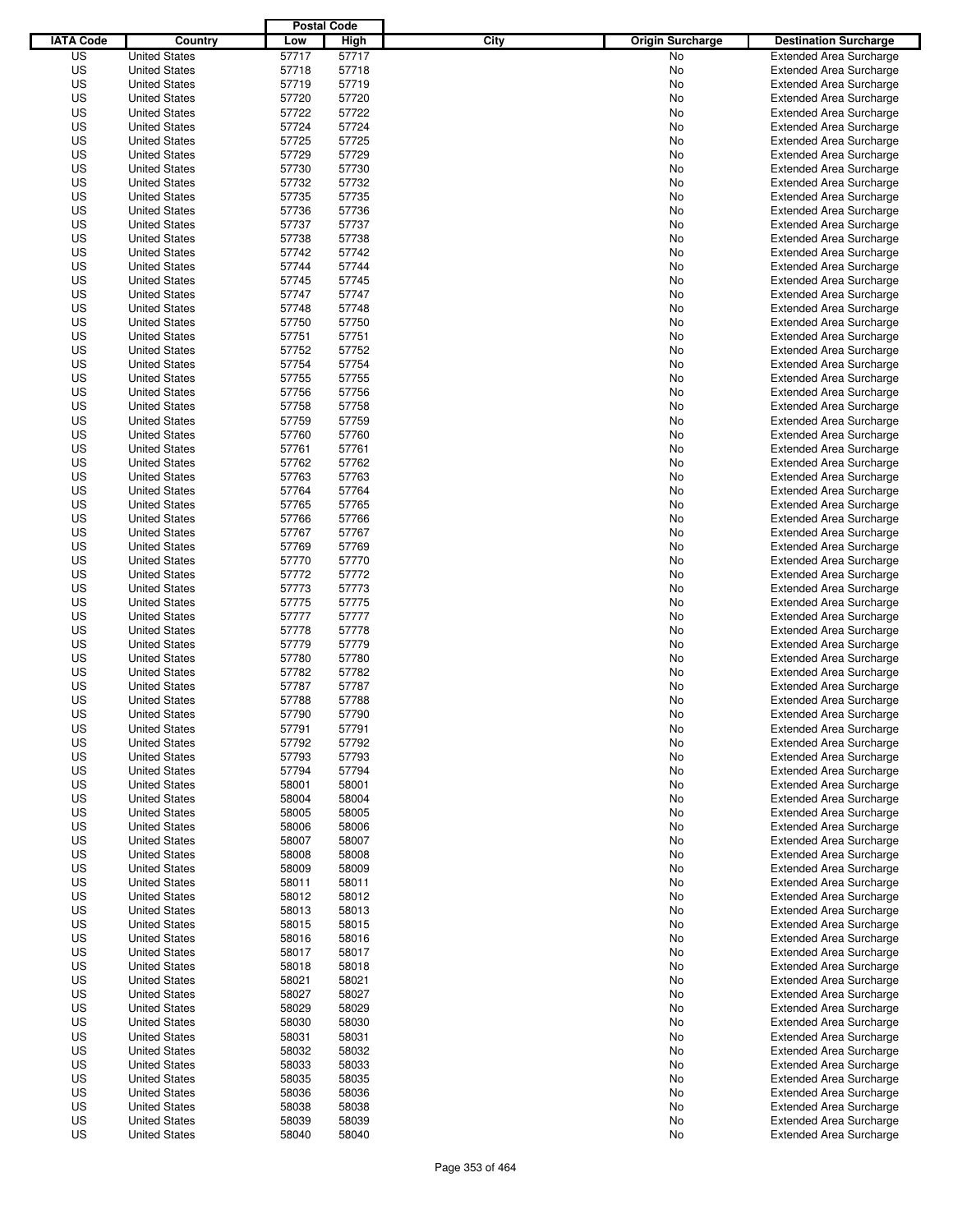|                  |                                              | <b>Postal Code</b> |                |                                 |                                                                  |
|------------------|----------------------------------------------|--------------------|----------------|---------------------------------|------------------------------------------------------------------|
| <b>IATA Code</b> | Country                                      | Low                | High           | City<br><b>Origin Surcharge</b> | <b>Destination Surcharge</b>                                     |
| US               | <b>United States</b>                         | 57717              | 57717          | <b>No</b>                       | <b>Extended Area Surcharge</b>                                   |
| US               | <b>United States</b>                         | 57718              | 57718          | No                              | <b>Extended Area Surcharge</b>                                   |
| US               | <b>United States</b>                         | 57719              | 57719          | No                              | <b>Extended Area Surcharge</b>                                   |
| US               | <b>United States</b>                         | 57720              | 57720          | No                              | <b>Extended Area Surcharge</b>                                   |
| US               | <b>United States</b>                         | 57722              | 57722          | No                              | <b>Extended Area Surcharge</b>                                   |
| US               | <b>United States</b>                         | 57724              | 57724          | No                              | <b>Extended Area Surcharge</b>                                   |
| US               | <b>United States</b>                         | 57725              | 57725          | No                              | <b>Extended Area Surcharge</b>                                   |
| US               | <b>United States</b>                         | 57729              | 57729          | No                              | <b>Extended Area Surcharge</b>                                   |
| US               | <b>United States</b>                         | 57730              | 57730          | No                              | <b>Extended Area Surcharge</b>                                   |
| US               | <b>United States</b>                         | 57732              | 57732          | No                              | <b>Extended Area Surcharge</b>                                   |
| US               | <b>United States</b>                         | 57735              | 57735          | No                              | <b>Extended Area Surcharge</b>                                   |
| US               | <b>United States</b>                         | 57736              | 57736          | No                              | <b>Extended Area Surcharge</b>                                   |
| US               | <b>United States</b>                         | 57737              | 57737          | No                              | <b>Extended Area Surcharge</b>                                   |
| US               | <b>United States</b>                         | 57738              | 57738          | No                              | <b>Extended Area Surcharge</b>                                   |
| US               | <b>United States</b>                         | 57742              | 57742          | No                              | <b>Extended Area Surcharge</b>                                   |
| US               | <b>United States</b>                         | 57744              | 57744          | No                              | <b>Extended Area Surcharge</b>                                   |
| US               | <b>United States</b>                         | 57745              | 57745          | No                              | <b>Extended Area Surcharge</b>                                   |
| US               | <b>United States</b>                         | 57747              | 57747          | No                              | <b>Extended Area Surcharge</b>                                   |
| US               | <b>United States</b>                         | 57748              | 57748          | No                              | <b>Extended Area Surcharge</b>                                   |
| US               | <b>United States</b>                         | 57750              | 57750          | No                              | <b>Extended Area Surcharge</b>                                   |
| US               | <b>United States</b>                         | 57751              | 57751          | No                              | <b>Extended Area Surcharge</b>                                   |
| US               | <b>United States</b>                         | 57752              | 57752          | No                              | <b>Extended Area Surcharge</b>                                   |
| US               | <b>United States</b>                         | 57754              | 57754          | No                              | <b>Extended Area Surcharge</b>                                   |
| US               | <b>United States</b>                         | 57755              | 57755          | No                              | <b>Extended Area Surcharge</b>                                   |
| US               | <b>United States</b>                         | 57756              | 57756          | No                              | <b>Extended Area Surcharge</b>                                   |
| US               | <b>United States</b>                         | 57758              | 57758          | No                              | <b>Extended Area Surcharge</b>                                   |
| US               | <b>United States</b>                         | 57759              | 57759          | No                              | <b>Extended Area Surcharge</b>                                   |
| US               | <b>United States</b>                         | 57760              | 57760          | No                              | <b>Extended Area Surcharge</b>                                   |
| US               | <b>United States</b>                         | 57761              | 57761          | No                              | <b>Extended Area Surcharge</b>                                   |
| US               | <b>United States</b>                         | 57762              | 57762          | No                              | <b>Extended Area Surcharge</b>                                   |
| US               | <b>United States</b>                         | 57763              | 57763          | No                              | <b>Extended Area Surcharge</b>                                   |
| US               | <b>United States</b>                         | 57764              | 57764          | No                              | <b>Extended Area Surcharge</b>                                   |
| US               | <b>United States</b>                         | 57765              | 57765          | No                              | <b>Extended Area Surcharge</b>                                   |
| US               | <b>United States</b>                         | 57766              | 57766          | No                              | <b>Extended Area Surcharge</b>                                   |
| US               | <b>United States</b>                         | 57767              | 57767          | No                              | <b>Extended Area Surcharge</b>                                   |
| US               | <b>United States</b>                         | 57769              | 57769          | No                              | <b>Extended Area Surcharge</b>                                   |
| US               | <b>United States</b>                         | 57770              | 57770          | No                              | <b>Extended Area Surcharge</b>                                   |
| US               | <b>United States</b>                         | 57772              | 57772          | No                              | <b>Extended Area Surcharge</b>                                   |
| US               | <b>United States</b>                         | 57773              | 57773          | No                              | <b>Extended Area Surcharge</b>                                   |
| US               | <b>United States</b>                         | 57775              | 57775          | No                              | <b>Extended Area Surcharge</b>                                   |
| US               | <b>United States</b>                         | 57777              | 57777          | No                              | <b>Extended Area Surcharge</b>                                   |
| US               | <b>United States</b>                         | 57778              | 57778          | No                              | <b>Extended Area Surcharge</b>                                   |
| US               | <b>United States</b>                         | 57779              | 57779          | No                              | <b>Extended Area Surcharge</b>                                   |
| US               | <b>United States</b>                         | 57780              | 57780          | No                              | <b>Extended Area Surcharge</b>                                   |
| US               | <b>United States</b>                         | 57782              | 57782          | No                              | Extended Area Surcharge                                          |
| US               | <b>United States</b>                         | 57787              | 57787          | No                              | <b>Extended Area Surcharge</b>                                   |
| US               | <b>United States</b>                         | 57788              | 57788          | No                              | <b>Extended Area Surcharge</b>                                   |
| US               | <b>United States</b>                         | 57790              | 57790          | No                              | <b>Extended Area Surcharge</b>                                   |
| US               | <b>United States</b>                         | 57791              | 57791          | No                              | <b>Extended Area Surcharge</b>                                   |
| US               | <b>United States</b>                         | 57792              | 57792          | No                              | <b>Extended Area Surcharge</b>                                   |
| US               | <b>United States</b>                         | 57793              | 57793          | No                              | <b>Extended Area Surcharge</b>                                   |
| US               | <b>United States</b>                         | 57794              | 57794          | No                              | <b>Extended Area Surcharge</b>                                   |
| US               | <b>United States</b>                         | 58001              | 58001          | No                              | <b>Extended Area Surcharge</b>                                   |
| US               | <b>United States</b>                         | 58004              | 58004          | No                              | <b>Extended Area Surcharge</b>                                   |
| US               | <b>United States</b>                         | 58005              | 58005          | No                              | <b>Extended Area Surcharge</b>                                   |
| US               | <b>United States</b>                         | 58006              | 58006          | No                              | <b>Extended Area Surcharge</b>                                   |
| US               | <b>United States</b>                         | 58007              | 58007          | No                              | <b>Extended Area Surcharge</b>                                   |
| US<br>US         | <b>United States</b><br><b>United States</b> | 58008<br>58009     | 58008<br>58009 | No<br>No                        | <b>Extended Area Surcharge</b><br><b>Extended Area Surcharge</b> |
|                  |                                              |                    |                |                                 |                                                                  |
| US               | <b>United States</b>                         | 58011              | 58011          | No                              | <b>Extended Area Surcharge</b>                                   |
| US<br>US         | <b>United States</b><br><b>United States</b> | 58012<br>58013     | 58012<br>58013 | No                              | <b>Extended Area Surcharge</b><br><b>Extended Area Surcharge</b> |
| US               | <b>United States</b>                         | 58015              | 58015          | No<br>No                        | <b>Extended Area Surcharge</b>                                   |
| US               | <b>United States</b>                         | 58016              | 58016          | No                              | <b>Extended Area Surcharge</b>                                   |
| US               | <b>United States</b>                         | 58017              | 58017          | No                              | <b>Extended Area Surcharge</b>                                   |
| US               | <b>United States</b>                         | 58018              | 58018          | No                              | <b>Extended Area Surcharge</b>                                   |
| US               | <b>United States</b>                         | 58021              | 58021          | No                              | <b>Extended Area Surcharge</b>                                   |
| US               | <b>United States</b>                         | 58027              | 58027          | No                              | <b>Extended Area Surcharge</b>                                   |
| US               | <b>United States</b>                         | 58029              | 58029          | No                              | <b>Extended Area Surcharge</b>                                   |
| US               | <b>United States</b>                         | 58030              | 58030          | No                              | <b>Extended Area Surcharge</b>                                   |
| US               | <b>United States</b>                         | 58031              | 58031          | No                              | <b>Extended Area Surcharge</b>                                   |
| US               | <b>United States</b>                         | 58032              | 58032          | No                              | <b>Extended Area Surcharge</b>                                   |
| US               | <b>United States</b>                         | 58033              | 58033          | No                              | <b>Extended Area Surcharge</b>                                   |
| US               | <b>United States</b>                         | 58035              | 58035          | No                              | <b>Extended Area Surcharge</b>                                   |
| US               | <b>United States</b>                         | 58036              | 58036          | No                              | <b>Extended Area Surcharge</b>                                   |
| US               | <b>United States</b>                         | 58038              | 58038          | No                              | <b>Extended Area Surcharge</b>                                   |
| US               | <b>United States</b>                         | 58039              | 58039          | No                              | <b>Extended Area Surcharge</b>                                   |
| US               | <b>United States</b>                         | 58040              | 58040          | No                              | <b>Extended Area Surcharge</b>                                   |
|                  |                                              |                    |                |                                 |                                                                  |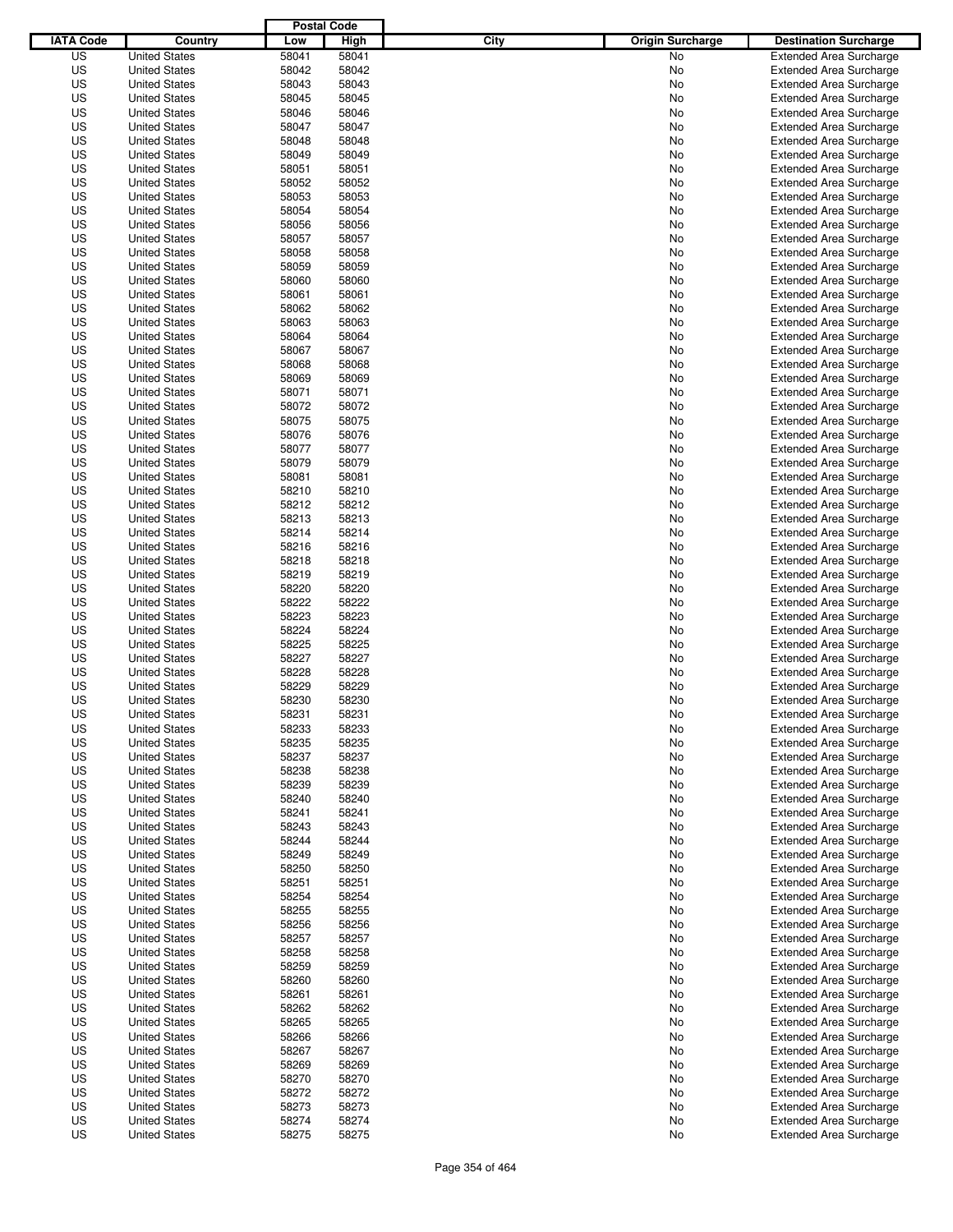|                  |                      | <b>Postal Code</b> |       |                                 |                                |
|------------------|----------------------|--------------------|-------|---------------------------------|--------------------------------|
| <b>IATA Code</b> | Country              | Low                | High  | City<br><b>Origin Surcharge</b> | <b>Destination Surcharge</b>   |
| US               | <b>United States</b> | 58041              | 58041 | <b>No</b>                       | <b>Extended Area Surcharge</b> |
| US               | <b>United States</b> | 58042              | 58042 | No                              | <b>Extended Area Surcharge</b> |
| US               | <b>United States</b> | 58043              | 58043 | No                              | <b>Extended Area Surcharge</b> |
| US               | <b>United States</b> | 58045              | 58045 | No                              | <b>Extended Area Surcharge</b> |
| US               | <b>United States</b> | 58046              | 58046 | No                              | <b>Extended Area Surcharge</b> |
| US               | <b>United States</b> | 58047              | 58047 | No                              | <b>Extended Area Surcharge</b> |
| US               | <b>United States</b> | 58048              | 58048 | No                              | <b>Extended Area Surcharge</b> |
| US               | <b>United States</b> | 58049              | 58049 | No                              | <b>Extended Area Surcharge</b> |
| US               | <b>United States</b> | 58051              | 58051 | No                              | <b>Extended Area Surcharge</b> |
| US               | <b>United States</b> | 58052              | 58052 | No                              | <b>Extended Area Surcharge</b> |
| US               | <b>United States</b> | 58053              | 58053 | No                              | <b>Extended Area Surcharge</b> |
| US               | <b>United States</b> | 58054              | 58054 | No                              | <b>Extended Area Surcharge</b> |
| US               | <b>United States</b> | 58056              | 58056 | No                              | <b>Extended Area Surcharge</b> |
| US               | <b>United States</b> | 58057              | 58057 | No                              | <b>Extended Area Surcharge</b> |
| US               | <b>United States</b> | 58058              | 58058 | No                              | <b>Extended Area Surcharge</b> |
| US               | <b>United States</b> | 58059              | 58059 | No                              | <b>Extended Area Surcharge</b> |
| US               | <b>United States</b> | 58060              | 58060 | No                              | <b>Extended Area Surcharge</b> |
| US               | <b>United States</b> | 58061              | 58061 | No                              | <b>Extended Area Surcharge</b> |
| US               | <b>United States</b> | 58062              | 58062 | No                              | <b>Extended Area Surcharge</b> |
| US               | <b>United States</b> | 58063              | 58063 | No                              | <b>Extended Area Surcharge</b> |
| US               | <b>United States</b> | 58064              | 58064 | No                              | <b>Extended Area Surcharge</b> |
| US               | <b>United States</b> | 58067              | 58067 | No                              | <b>Extended Area Surcharge</b> |
| US               | <b>United States</b> | 58068              | 58068 | No                              | <b>Extended Area Surcharge</b> |
| US               | <b>United States</b> | 58069              | 58069 | No                              | <b>Extended Area Surcharge</b> |
| US               | <b>United States</b> | 58071              | 58071 | No                              | <b>Extended Area Surcharge</b> |
| US               | <b>United States</b> | 58072              | 58072 | No                              | <b>Extended Area Surcharge</b> |
| US               | <b>United States</b> | 58075              | 58075 | No                              | <b>Extended Area Surcharge</b> |
| US               | <b>United States</b> | 58076              | 58076 | No                              | <b>Extended Area Surcharge</b> |
| US               | <b>United States</b> | 58077              | 58077 | No                              | <b>Extended Area Surcharge</b> |
| US               | <b>United States</b> | 58079              | 58079 | No                              | <b>Extended Area Surcharge</b> |
| US               | <b>United States</b> | 58081              | 58081 | No                              | <b>Extended Area Surcharge</b> |
| US               | <b>United States</b> | 58210              | 58210 | No                              | <b>Extended Area Surcharge</b> |
| US               | <b>United States</b> | 58212              | 58212 | No                              | <b>Extended Area Surcharge</b> |
| US               | <b>United States</b> | 58213              | 58213 | No                              | <b>Extended Area Surcharge</b> |
| US               | <b>United States</b> | 58214              | 58214 | No                              | <b>Extended Area Surcharge</b> |
| US               | <b>United States</b> | 58216              | 58216 | No                              | <b>Extended Area Surcharge</b> |
| US               | <b>United States</b> | 58218              | 58218 | No                              | <b>Extended Area Surcharge</b> |
| US               | <b>United States</b> | 58219              | 58219 | No                              | <b>Extended Area Surcharge</b> |
| US               | <b>United States</b> | 58220              | 58220 | No                              | <b>Extended Area Surcharge</b> |
| US               | <b>United States</b> | 58222              | 58222 | No                              | <b>Extended Area Surcharge</b> |
| US               | <b>United States</b> | 58223              | 58223 | No                              | <b>Extended Area Surcharge</b> |
| US               | <b>United States</b> | 58224              | 58224 | No                              | <b>Extended Area Surcharge</b> |
| US               | <b>United States</b> | 58225              | 58225 | No                              | <b>Extended Area Surcharge</b> |
| US               | <b>United States</b> | 58227              | 58227 | No                              | <b>Extended Area Surcharge</b> |
| US               | <b>United States</b> | 58228              | 58228 | No                              | <b>Extended Area Surcharge</b> |
| US               | <b>United States</b> | 58229              | 58229 | No                              | <b>Extended Area Surcharge</b> |
| US               | <b>United States</b> | 58230              | 58230 | No                              | <b>Extended Area Surcharge</b> |
| US               | <b>United States</b> | 58231              | 58231 | No                              | <b>Extended Area Surcharge</b> |
| US               | <b>United States</b> | 58233              | 58233 | No                              | <b>Extended Area Surcharge</b> |
| US               | <b>United States</b> | 58235              | 58235 | No                              | <b>Extended Area Surcharge</b> |
| US               | <b>United States</b> | 58237              | 58237 | No                              | <b>Extended Area Surcharge</b> |
| US               | <b>United States</b> | 58238              | 58238 | No                              | <b>Extended Area Surcharge</b> |
| US               | <b>United States</b> | 58239              | 58239 | No                              | <b>Extended Area Surcharge</b> |
| US               | <b>United States</b> | 58240              | 58240 | No                              | <b>Extended Area Surcharge</b> |
| US               | <b>United States</b> | 58241              | 58241 | No                              | <b>Extended Area Surcharge</b> |
| US               | <b>United States</b> | 58243              | 58243 | No                              | <b>Extended Area Surcharge</b> |
| US               | <b>United States</b> | 58244              | 58244 | No                              | <b>Extended Area Surcharge</b> |
| US               | <b>United States</b> | 58249              | 58249 | No                              | <b>Extended Area Surcharge</b> |
| US               | <b>United States</b> | 58250              | 58250 | No                              | <b>Extended Area Surcharge</b> |
| US               | <b>United States</b> | 58251              | 58251 | No                              | <b>Extended Area Surcharge</b> |
| US               | <b>United States</b> | 58254              | 58254 | No                              | <b>Extended Area Surcharge</b> |
| US               | <b>United States</b> | 58255              | 58255 | No                              | <b>Extended Area Surcharge</b> |
| US               | <b>United States</b> | 58256              | 58256 | No                              | <b>Extended Area Surcharge</b> |
| US               | <b>United States</b> | 58257              | 58257 | No                              | <b>Extended Area Surcharge</b> |
| US               | <b>United States</b> | 58258              | 58258 | No                              | <b>Extended Area Surcharge</b> |
| US               | <b>United States</b> | 58259              | 58259 | No                              | <b>Extended Area Surcharge</b> |
| US               | <b>United States</b> | 58260              | 58260 | No                              | <b>Extended Area Surcharge</b> |
| US               | <b>United States</b> | 58261              | 58261 | No                              | <b>Extended Area Surcharge</b> |
| US               | <b>United States</b> | 58262              | 58262 | No                              | <b>Extended Area Surcharge</b> |
| US               | <b>United States</b> | 58265              | 58265 | No                              | <b>Extended Area Surcharge</b> |
| US               | <b>United States</b> | 58266              | 58266 | No                              | <b>Extended Area Surcharge</b> |
| US               | <b>United States</b> | 58267              | 58267 | No                              | <b>Extended Area Surcharge</b> |
| US               | <b>United States</b> | 58269              | 58269 | No                              | <b>Extended Area Surcharge</b> |
| US               | <b>United States</b> | 58270              | 58270 | No                              | <b>Extended Area Surcharge</b> |
| US               | <b>United States</b> | 58272              | 58272 | No                              | <b>Extended Area Surcharge</b> |
| US               | <b>United States</b> | 58273              | 58273 | No                              | <b>Extended Area Surcharge</b> |
| US               | <b>United States</b> | 58274              | 58274 | No                              | <b>Extended Area Surcharge</b> |
| US               | <b>United States</b> | 58275              | 58275 | No                              | <b>Extended Area Surcharge</b> |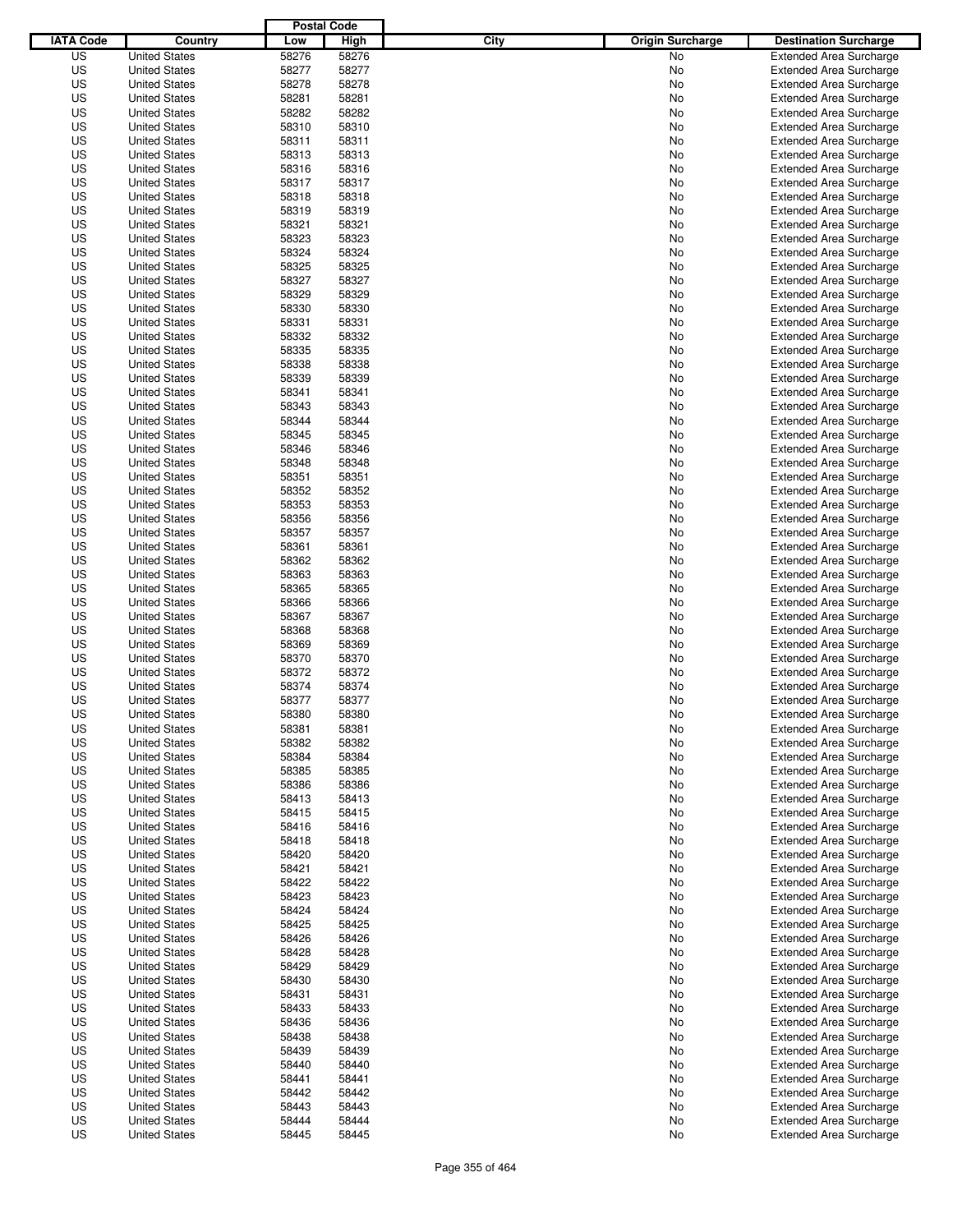|                  |                      | <b>Postal Code</b> |       |                                 |                                |
|------------------|----------------------|--------------------|-------|---------------------------------|--------------------------------|
| <b>IATA Code</b> | Country              | Low                | High  | City<br><b>Origin Surcharge</b> | <b>Destination Surcharge</b>   |
| US               | <b>United States</b> | 58276              | 58276 | No                              | <b>Extended Area Surcharge</b> |
| US               | <b>United States</b> | 58277              | 58277 | No                              | <b>Extended Area Surcharge</b> |
| US               | <b>United States</b> | 58278              | 58278 | No                              | <b>Extended Area Surcharge</b> |
| US               | <b>United States</b> | 58281              | 58281 | No                              | <b>Extended Area Surcharge</b> |
| US               | <b>United States</b> | 58282              | 58282 | No                              | <b>Extended Area Surcharge</b> |
| US               | <b>United States</b> | 58310              | 58310 | No                              | <b>Extended Area Surcharge</b> |
| US               | <b>United States</b> | 58311              | 58311 | No                              | <b>Extended Area Surcharge</b> |
| US               | <b>United States</b> | 58313              | 58313 | No                              | <b>Extended Area Surcharge</b> |
| US               | <b>United States</b> | 58316              | 58316 | No                              | <b>Extended Area Surcharge</b> |
| US               | <b>United States</b> | 58317              | 58317 | No                              | <b>Extended Area Surcharge</b> |
| US               | <b>United States</b> | 58318              | 58318 | No                              | <b>Extended Area Surcharge</b> |
| US               | <b>United States</b> | 58319              | 58319 | No                              | <b>Extended Area Surcharge</b> |
| US               | <b>United States</b> | 58321              | 58321 | No                              | <b>Extended Area Surcharge</b> |
| US               | <b>United States</b> | 58323              | 58323 | No                              | <b>Extended Area Surcharge</b> |
| US               | <b>United States</b> | 58324              | 58324 | No                              | <b>Extended Area Surcharge</b> |
| US               | <b>United States</b> | 58325              | 58325 | No                              | <b>Extended Area Surcharge</b> |
| US               | <b>United States</b> | 58327              | 58327 | No                              | <b>Extended Area Surcharge</b> |
| US               | <b>United States</b> | 58329              | 58329 | No                              | <b>Extended Area Surcharge</b> |
| US               | <b>United States</b> | 58330              | 58330 | No                              | <b>Extended Area Surcharge</b> |
| US               | <b>United States</b> | 58331              | 58331 | No                              | <b>Extended Area Surcharge</b> |
| US               | <b>United States</b> | 58332              | 58332 | No                              | <b>Extended Area Surcharge</b> |
| US               | <b>United States</b> | 58335              | 58335 | No                              | <b>Extended Area Surcharge</b> |
| US               | <b>United States</b> | 58338              | 58338 | No                              | <b>Extended Area Surcharge</b> |
| US               | <b>United States</b> | 58339              | 58339 | No                              | <b>Extended Area Surcharge</b> |
| US               | <b>United States</b> | 58341              | 58341 | No                              | <b>Extended Area Surcharge</b> |
| US               | <b>United States</b> | 58343              | 58343 | No                              | <b>Extended Area Surcharge</b> |
| US               | <b>United States</b> | 58344              | 58344 | No                              | <b>Extended Area Surcharge</b> |
| US               | <b>United States</b> | 58345              | 58345 | No                              | <b>Extended Area Surcharge</b> |
| US               | <b>United States</b> | 58346              | 58346 | No                              | <b>Extended Area Surcharge</b> |
| US               | <b>United States</b> | 58348              | 58348 | No                              | <b>Extended Area Surcharge</b> |
| US               | <b>United States</b> | 58351              | 58351 | No                              | <b>Extended Area Surcharge</b> |
| US               | <b>United States</b> | 58352              | 58352 | No                              | <b>Extended Area Surcharge</b> |
| US               | <b>United States</b> | 58353              | 58353 | No                              | <b>Extended Area Surcharge</b> |
| US               | <b>United States</b> | 58356              | 58356 | No                              | <b>Extended Area Surcharge</b> |
| US               | <b>United States</b> | 58357              | 58357 | No                              | <b>Extended Area Surcharge</b> |
| US               | <b>United States</b> | 58361              | 58361 | No                              | <b>Extended Area Surcharge</b> |
| US               | <b>United States</b> | 58362              | 58362 | No                              | <b>Extended Area Surcharge</b> |
| US               | <b>United States</b> | 58363              | 58363 | No                              | <b>Extended Area Surcharge</b> |
| US               | <b>United States</b> | 58365              | 58365 | No                              | <b>Extended Area Surcharge</b> |
| US               | <b>United States</b> | 58366              | 58366 | No                              | <b>Extended Area Surcharge</b> |
| US               | <b>United States</b> | 58367              | 58367 | No                              | <b>Extended Area Surcharge</b> |
| US               | <b>United States</b> | 58368              | 58368 | No                              | <b>Extended Area Surcharge</b> |
| US               | <b>United States</b> | 58369              | 58369 | No                              | <b>Extended Area Surcharge</b> |
| US               | <b>United States</b> | 58370              | 58370 | No                              | <b>Extended Area Surcharge</b> |
| US               | <b>United States</b> | 58372              | 58372 | No                              | Extended Area Surcharge        |
| US               | <b>United States</b> | 58374              | 58374 | No                              | <b>Extended Area Surcharge</b> |
| US               | <b>United States</b> | 58377              | 58377 | No                              | <b>Extended Area Surcharge</b> |
| US               | <b>United States</b> | 58380              | 58380 | No                              | <b>Extended Area Surcharge</b> |
| US               | <b>United States</b> | 58381              | 58381 | No                              | <b>Extended Area Surcharge</b> |
| US               | <b>United States</b> | 58382              | 58382 | No                              | <b>Extended Area Surcharge</b> |
| US               | <b>United States</b> | 58384              | 58384 | No                              | <b>Extended Area Surcharge</b> |
| US               | <b>United States</b> | 58385              | 58385 | No                              | <b>Extended Area Surcharge</b> |
| US               | <b>United States</b> | 58386              | 58386 | No                              | <b>Extended Area Surcharge</b> |
| US               | <b>United States</b> | 58413              | 58413 | No                              | <b>Extended Area Surcharge</b> |
| US               | <b>United States</b> | 58415              | 58415 | No                              | <b>Extended Area Surcharge</b> |
| US               | <b>United States</b> | 58416              | 58416 | No                              | <b>Extended Area Surcharge</b> |
| US               | <b>United States</b> | 58418              | 58418 | No                              | <b>Extended Area Surcharge</b> |
| US               | <b>United States</b> | 58420              | 58420 | No                              | <b>Extended Area Surcharge</b> |
| US               | <b>United States</b> | 58421              | 58421 | No                              | <b>Extended Area Surcharge</b> |
| US               | <b>United States</b> | 58422              | 58422 | No                              | <b>Extended Area Surcharge</b> |
| US               | <b>United States</b> | 58423              | 58423 | No                              | <b>Extended Area Surcharge</b> |
| US               | <b>United States</b> | 58424              | 58424 | No                              | <b>Extended Area Surcharge</b> |
| US               | <b>United States</b> | 58425              | 58425 | No                              | <b>Extended Area Surcharge</b> |
| US               | <b>United States</b> | 58426              | 58426 | No                              | <b>Extended Area Surcharge</b> |
| US               | <b>United States</b> | 58428              | 58428 | No                              | <b>Extended Area Surcharge</b> |
| US               | <b>United States</b> | 58429              | 58429 | No                              | <b>Extended Area Surcharge</b> |
| US               | <b>United States</b> | 58430              | 58430 | No                              | <b>Extended Area Surcharge</b> |
| US               | <b>United States</b> | 58431              | 58431 | No                              | <b>Extended Area Surcharge</b> |
| US               | <b>United States</b> | 58433              | 58433 | No                              | <b>Extended Area Surcharge</b> |
| US               | <b>United States</b> | 58436              | 58436 | No                              | <b>Extended Area Surcharge</b> |
| US               | <b>United States</b> | 58438              | 58438 | No                              | <b>Extended Area Surcharge</b> |
| US               | <b>United States</b> | 58439              | 58439 | No                              | <b>Extended Area Surcharge</b> |
| US               | <b>United States</b> | 58440              | 58440 | No                              | <b>Extended Area Surcharge</b> |
| US               | <b>United States</b> | 58441              | 58441 | No                              | <b>Extended Area Surcharge</b> |
| US               | <b>United States</b> | 58442              | 58442 | No                              | <b>Extended Area Surcharge</b> |
| US               | <b>United States</b> | 58443              | 58443 | No                              | <b>Extended Area Surcharge</b> |
| US               | <b>United States</b> | 58444              | 58444 | No                              | <b>Extended Area Surcharge</b> |
| US               | <b>United States</b> | 58445              | 58445 | No                              | <b>Extended Area Surcharge</b> |
|                  |                      |                    |       |                                 |                                |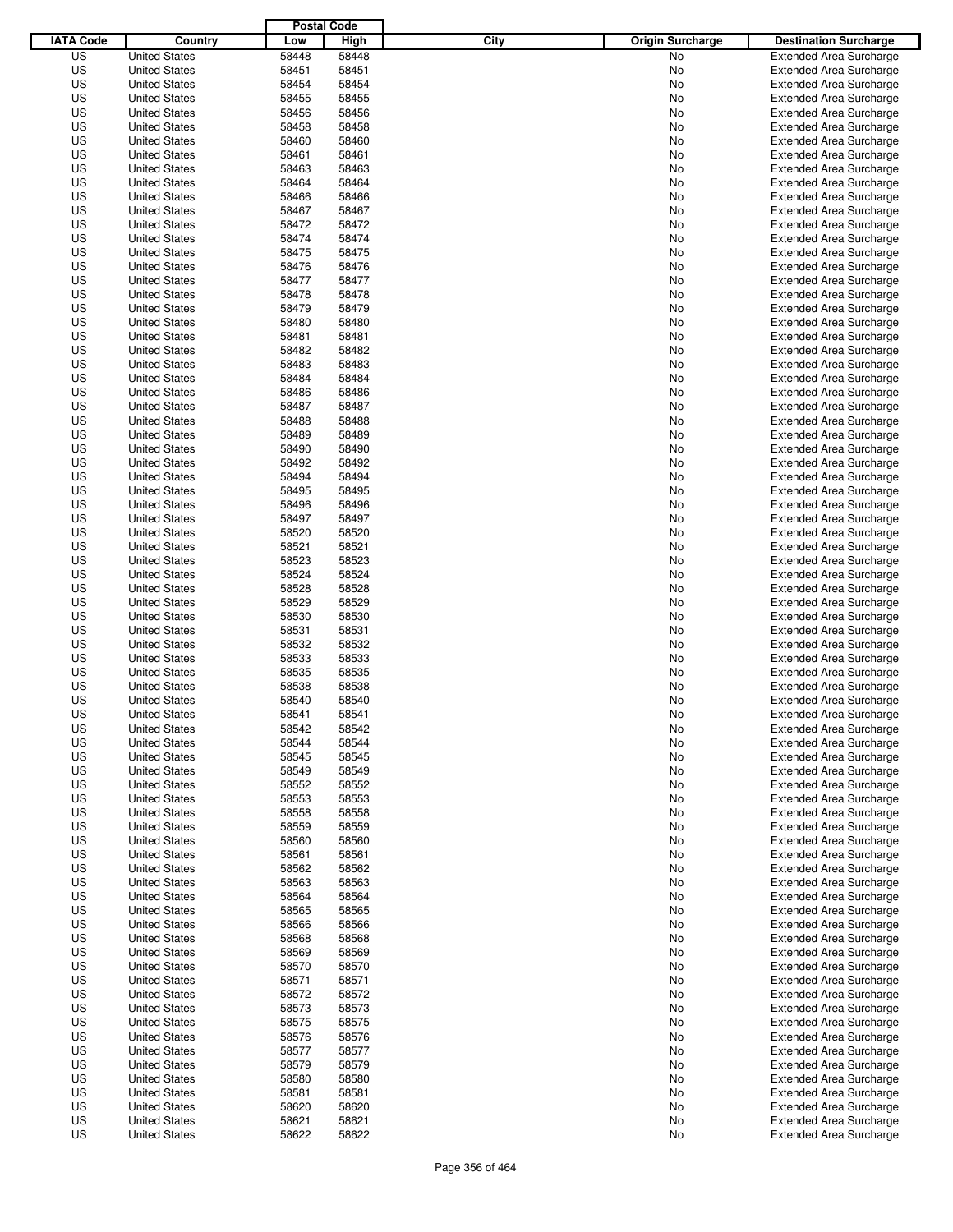|                  |                                              | <b>Postal Code</b> |                |                                 |                                                                  |
|------------------|----------------------------------------------|--------------------|----------------|---------------------------------|------------------------------------------------------------------|
| <b>IATA Code</b> | Country                                      | Low                | High           | City<br><b>Origin Surcharge</b> | <b>Destination Surcharge</b>                                     |
| US               | <b>United States</b>                         | 58448              | 58448          | No                              | <b>Extended Area Surcharge</b>                                   |
| US               | <b>United States</b>                         | 58451              | 58451          | No                              | <b>Extended Area Surcharge</b>                                   |
| US               | <b>United States</b>                         | 58454              | 58454          | No                              | <b>Extended Area Surcharge</b>                                   |
| US               | <b>United States</b>                         | 58455              | 58455          | No                              | <b>Extended Area Surcharge</b>                                   |
| US               | <b>United States</b>                         | 58456              | 58456          | No                              | <b>Extended Area Surcharge</b>                                   |
| US               | <b>United States</b>                         | 58458              | 58458          | No                              | <b>Extended Area Surcharge</b>                                   |
| US               | <b>United States</b>                         | 58460              | 58460          | No                              | <b>Extended Area Surcharge</b>                                   |
| US               | <b>United States</b>                         | 58461              | 58461          | No                              | <b>Extended Area Surcharge</b>                                   |
| US               | <b>United States</b>                         | 58463              | 58463          | No                              | <b>Extended Area Surcharge</b>                                   |
| US               | <b>United States</b>                         | 58464              | 58464          | No                              | <b>Extended Area Surcharge</b>                                   |
| US               | <b>United States</b>                         | 58466              | 58466          | No                              | <b>Extended Area Surcharge</b>                                   |
| US               | <b>United States</b>                         | 58467              | 58467          | No                              | <b>Extended Area Surcharge</b>                                   |
| US               | <b>United States</b>                         | 58472              | 58472          | No                              | <b>Extended Area Surcharge</b>                                   |
| US               | <b>United States</b>                         | 58474              | 58474          | No                              | <b>Extended Area Surcharge</b>                                   |
| US               | <b>United States</b>                         | 58475              | 58475          | No                              | <b>Extended Area Surcharge</b>                                   |
| US               | <b>United States</b>                         | 58476              | 58476          | No                              | <b>Extended Area Surcharge</b>                                   |
| US               | <b>United States</b>                         | 58477              | 58477          | No                              | <b>Extended Area Surcharge</b>                                   |
| US               | <b>United States</b>                         | 58478              | 58478          | No                              | <b>Extended Area Surcharge</b>                                   |
| US               | <b>United States</b>                         | 58479              | 58479          | No                              | <b>Extended Area Surcharge</b>                                   |
| US               | <b>United States</b>                         | 58480              | 58480          | No                              | <b>Extended Area Surcharge</b>                                   |
| US               | <b>United States</b>                         | 58481              | 58481          | No                              | <b>Extended Area Surcharge</b>                                   |
| US               | <b>United States</b>                         | 58482              | 58482          | No                              | <b>Extended Area Surcharge</b>                                   |
| US               | <b>United States</b>                         | 58483              | 58483          | No                              | <b>Extended Area Surcharge</b>                                   |
| US               | <b>United States</b>                         | 58484              | 58484          | No                              | <b>Extended Area Surcharge</b>                                   |
| US               | <b>United States</b>                         | 58486              | 58486          | No                              | <b>Extended Area Surcharge</b>                                   |
| US               | <b>United States</b>                         | 58487              | 58487          | No                              | <b>Extended Area Surcharge</b>                                   |
| US               | <b>United States</b>                         | 58488              | 58488          | No                              | <b>Extended Area Surcharge</b>                                   |
| US               | <b>United States</b>                         | 58489              | 58489          | No                              | <b>Extended Area Surcharge</b>                                   |
| US               | <b>United States</b>                         | 58490              | 58490          | No                              | <b>Extended Area Surcharge</b>                                   |
| US               | <b>United States</b>                         | 58492              | 58492          | No                              | <b>Extended Area Surcharge</b>                                   |
| US               | <b>United States</b>                         | 58494              | 58494          | No                              | <b>Extended Area Surcharge</b>                                   |
| US               | <b>United States</b>                         | 58495              | 58495          | No                              | <b>Extended Area Surcharge</b>                                   |
| US               | <b>United States</b>                         | 58496              | 58496          | No                              | <b>Extended Area Surcharge</b>                                   |
| US               | <b>United States</b>                         | 58497              | 58497          | No                              | <b>Extended Area Surcharge</b>                                   |
| US               | <b>United States</b>                         | 58520              | 58520          | No                              | <b>Extended Area Surcharge</b>                                   |
| US               | <b>United States</b>                         | 58521              | 58521          | No                              | <b>Extended Area Surcharge</b>                                   |
| US               | <b>United States</b>                         | 58523              | 58523          | No                              | <b>Extended Area Surcharge</b>                                   |
| US               | <b>United States</b>                         | 58524              | 58524          | No                              | <b>Extended Area Surcharge</b>                                   |
| US               | <b>United States</b>                         | 58528              | 58528          | No                              | <b>Extended Area Surcharge</b>                                   |
| US               | <b>United States</b>                         | 58529              | 58529          | No                              | <b>Extended Area Surcharge</b>                                   |
| US               | <b>United States</b>                         | 58530              | 58530          | No                              | <b>Extended Area Surcharge</b>                                   |
| US               | <b>United States</b>                         | 58531              | 58531          | No                              | <b>Extended Area Surcharge</b>                                   |
| US               | <b>United States</b>                         | 58532              | 58532          | No                              | <b>Extended Area Surcharge</b>                                   |
| US               | <b>United States</b>                         | 58533              | 58533          | No                              | <b>Extended Area Surcharge</b>                                   |
| US               | <b>United States</b>                         | 58535              | 58535          | No                              | <b>Extended Area Surcharge</b>                                   |
| US               | <b>United States</b>                         | 58538              | 58538          | No                              | <b>Extended Area Surcharge</b>                                   |
| US               | <b>United States</b>                         | 58540              | 58540          | No                              | <b>Extended Area Surcharge</b>                                   |
| US               | <b>United States</b>                         | 58541              | 58541          | No                              | <b>Extended Area Surcharge</b>                                   |
| US               | <b>United States</b>                         | 58542              | 58542          | No                              | <b>Extended Area Surcharge</b>                                   |
| US               | <b>United States</b>                         | 58544              | 58544          | No                              | <b>Extended Area Surcharge</b>                                   |
| US               | <b>United States</b>                         | 58545              | 58545          | No                              | <b>Extended Area Surcharge</b>                                   |
| US               | <b>United States</b>                         | 58549              | 58549          | No                              | <b>Extended Area Surcharge</b>                                   |
| US               | <b>United States</b>                         | 58552              | 58552          | No                              | <b>Extended Area Surcharge</b>                                   |
| US               | <b>United States</b>                         | 58553              | 58553          | No                              | <b>Extended Area Surcharge</b>                                   |
| US               | <b>United States</b>                         | 58558              | 58558          | No                              | <b>Extended Area Surcharge</b>                                   |
| US               | <b>United States</b>                         | 58559              | 58559          | No                              | <b>Extended Area Surcharge</b>                                   |
| US               | <b>United States</b>                         | 58560              | 58560          | No                              | <b>Extended Area Surcharge</b>                                   |
| US               | <b>United States</b><br><b>United States</b> | 58561              | 58561          | No                              | <b>Extended Area Surcharge</b>                                   |
| US               |                                              | 58562              | 58562          | No                              | <b>Extended Area Surcharge</b>                                   |
| US               | <b>United States</b>                         | 58563              | 58563          | No                              | <b>Extended Area Surcharge</b>                                   |
| US               | <b>United States</b>                         | 58564              | 58564          | No                              | <b>Extended Area Surcharge</b>                                   |
| US               | <b>United States</b>                         | 58565              | 58565          | No                              | <b>Extended Area Surcharge</b>                                   |
| US               | <b>United States</b>                         | 58566              | 58566          | No                              | <b>Extended Area Surcharge</b>                                   |
| US               | <b>United States</b>                         | 58568              | 58568          | No                              | <b>Extended Area Surcharge</b>                                   |
| US               | <b>United States</b>                         | 58569              | 58569          | No                              | <b>Extended Area Surcharge</b>                                   |
| US               | <b>United States</b>                         | 58570              | 58570          | No                              | <b>Extended Area Surcharge</b>                                   |
| US               | <b>United States</b>                         | 58571              | 58571          | No                              | <b>Extended Area Surcharge</b>                                   |
| US               | <b>United States</b>                         | 58572              | 58572          | No                              | <b>Extended Area Surcharge</b>                                   |
| US               | <b>United States</b>                         | 58573              | 58573          | No                              | <b>Extended Area Surcharge</b>                                   |
| US<br>US         | <b>United States</b><br><b>United States</b> | 58575              | 58575          | No                              | <b>Extended Area Surcharge</b><br><b>Extended Area Surcharge</b> |
| US               | <b>United States</b>                         | 58576<br>58577     | 58576<br>58577 | No<br>No                        | <b>Extended Area Surcharge</b>                                   |
| US               | <b>United States</b>                         | 58579              | 58579          | No                              | <b>Extended Area Surcharge</b>                                   |
| US               | <b>United States</b>                         | 58580              | 58580          | No                              | <b>Extended Area Surcharge</b>                                   |
| US               | <b>United States</b>                         | 58581              | 58581          | No                              | <b>Extended Area Surcharge</b>                                   |
| US               | <b>United States</b>                         | 58620              | 58620          | No                              | <b>Extended Area Surcharge</b>                                   |
| US               | <b>United States</b>                         | 58621              | 58621          | No                              | <b>Extended Area Surcharge</b>                                   |
| US               | <b>United States</b>                         | 58622              | 58622          | No                              | <b>Extended Area Surcharge</b>                                   |
|                  |                                              |                    |                |                                 |                                                                  |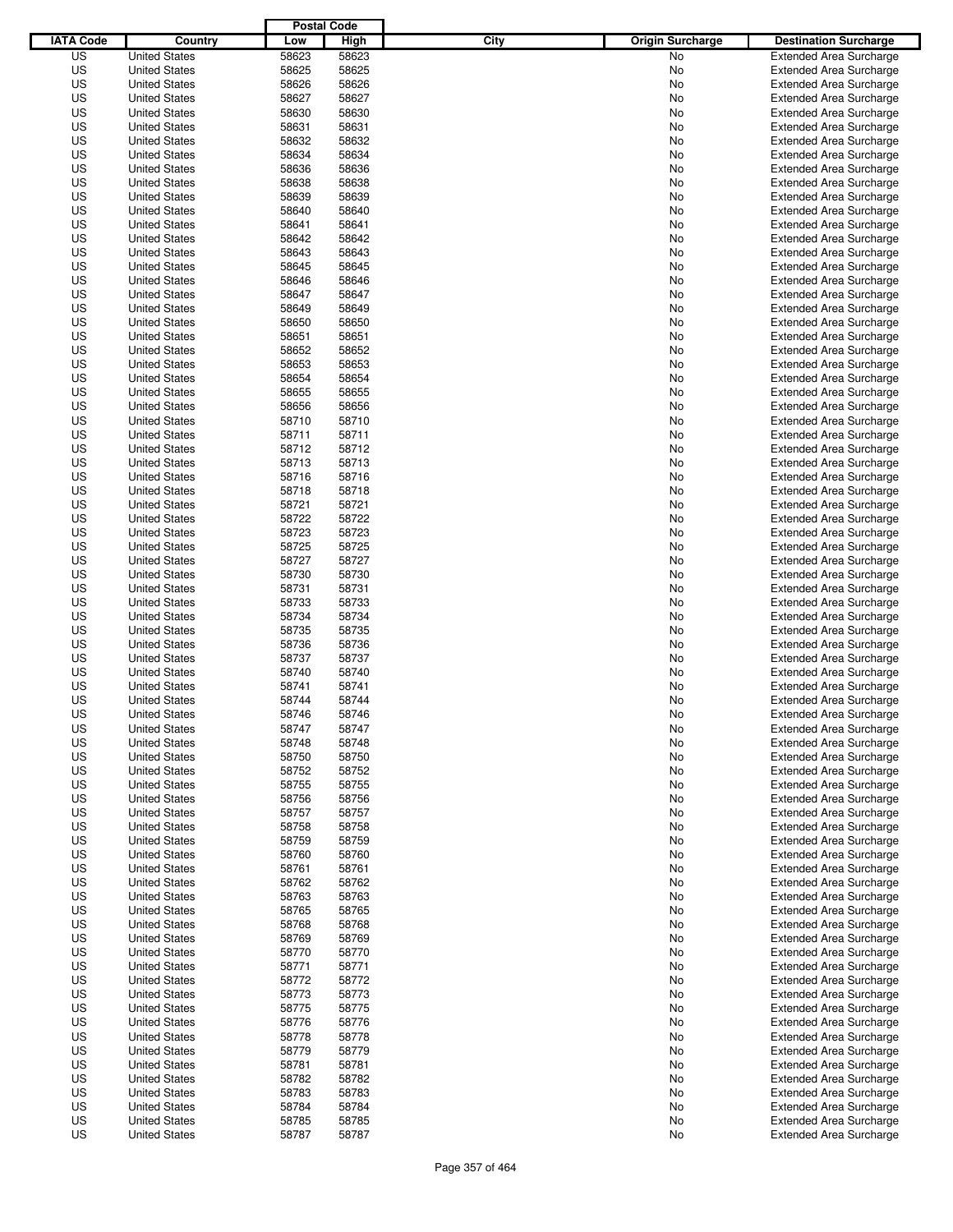|                  |                      | <b>Postal Code</b> |       |                                 |                                |
|------------------|----------------------|--------------------|-------|---------------------------------|--------------------------------|
| <b>IATA Code</b> | Country              | Low                | High  | City<br><b>Origin Surcharge</b> | <b>Destination Surcharge</b>   |
| US               | <b>United States</b> | 58623              | 58623 | No                              | <b>Extended Area Surcharge</b> |
| US               | <b>United States</b> | 58625              | 58625 | No                              | <b>Extended Area Surcharge</b> |
| US               | <b>United States</b> | 58626              | 58626 | No                              | <b>Extended Area Surcharge</b> |
| US               | <b>United States</b> | 58627              | 58627 | No                              | <b>Extended Area Surcharge</b> |
| US               | <b>United States</b> | 58630              | 58630 | No                              | <b>Extended Area Surcharge</b> |
| US               | <b>United States</b> | 58631              | 58631 | No                              | <b>Extended Area Surcharge</b> |
| US               | <b>United States</b> | 58632              | 58632 | No                              | <b>Extended Area Surcharge</b> |
| US               | <b>United States</b> | 58634              | 58634 | No                              | <b>Extended Area Surcharge</b> |
| US               | <b>United States</b> | 58636              | 58636 | No                              | <b>Extended Area Surcharge</b> |
| US               | <b>United States</b> | 58638              | 58638 | No                              | <b>Extended Area Surcharge</b> |
| US               | <b>United States</b> | 58639              | 58639 | No                              | <b>Extended Area Surcharge</b> |
| US               | <b>United States</b> | 58640              | 58640 | No                              | <b>Extended Area Surcharge</b> |
| US               | <b>United States</b> | 58641              | 58641 | No                              | <b>Extended Area Surcharge</b> |
| US               | <b>United States</b> | 58642              | 58642 | No                              | <b>Extended Area Surcharge</b> |
| US               | <b>United States</b> | 58643              | 58643 | No                              | <b>Extended Area Surcharge</b> |
| US               | <b>United States</b> | 58645              | 58645 | No                              | <b>Extended Area Surcharge</b> |
| US               | <b>United States</b> | 58646              | 58646 | No                              | <b>Extended Area Surcharge</b> |
| US               | <b>United States</b> | 58647              | 58647 | No                              | <b>Extended Area Surcharge</b> |
| US               | <b>United States</b> | 58649              | 58649 | No                              | <b>Extended Area Surcharge</b> |
| US               | <b>United States</b> | 58650              | 58650 | No                              | <b>Extended Area Surcharge</b> |
| US               | <b>United States</b> | 58651              | 58651 | No                              | <b>Extended Area Surcharge</b> |
| US               | <b>United States</b> | 58652              | 58652 | No                              | <b>Extended Area Surcharge</b> |
| US               | <b>United States</b> | 58653              | 58653 | No                              | <b>Extended Area Surcharge</b> |
| US               | <b>United States</b> | 58654              | 58654 | No                              | <b>Extended Area Surcharge</b> |
| US               | <b>United States</b> | 58655              | 58655 | No                              | <b>Extended Area Surcharge</b> |
| US               | <b>United States</b> | 58656              | 58656 | No                              | <b>Extended Area Surcharge</b> |
| US               | <b>United States</b> | 58710              | 58710 | No                              | <b>Extended Area Surcharge</b> |
| US               | <b>United States</b> | 58711              | 58711 | No                              | <b>Extended Area Surcharge</b> |
| US               | <b>United States</b> | 58712              | 58712 | No                              | <b>Extended Area Surcharge</b> |
| US               | <b>United States</b> | 58713              | 58713 | No                              | <b>Extended Area Surcharge</b> |
| US               | <b>United States</b> | 58716              | 58716 | No                              | <b>Extended Area Surcharge</b> |
| US               | <b>United States</b> | 58718              | 58718 | No                              | <b>Extended Area Surcharge</b> |
| US               | <b>United States</b> | 58721              | 58721 | No                              | <b>Extended Area Surcharge</b> |
| US               | <b>United States</b> | 58722              | 58722 | No                              | <b>Extended Area Surcharge</b> |
| US               | <b>United States</b> | 58723              | 58723 | No                              | <b>Extended Area Surcharge</b> |
| US               | <b>United States</b> | 58725              | 58725 | No                              | <b>Extended Area Surcharge</b> |
| US               | <b>United States</b> | 58727              | 58727 | No                              | <b>Extended Area Surcharge</b> |
| US               | <b>United States</b> | 58730              | 58730 | No                              | <b>Extended Area Surcharge</b> |
| US               | <b>United States</b> | 58731              | 58731 | No                              | <b>Extended Area Surcharge</b> |
| US               | <b>United States</b> | 58733              | 58733 | No                              | <b>Extended Area Surcharge</b> |
| US               | <b>United States</b> | 58734              | 58734 | No                              | <b>Extended Area Surcharge</b> |
| US               | <b>United States</b> | 58735              | 58735 | No                              | <b>Extended Area Surcharge</b> |
| US               | <b>United States</b> | 58736              | 58736 | No                              | <b>Extended Area Surcharge</b> |
| US               | <b>United States</b> | 58737              | 58737 | No                              | <b>Extended Area Surcharge</b> |
| US               | <b>United States</b> | 58740              | 58740 | No                              | <b>Extended Area Surcharge</b> |
| US               | <b>United States</b> | 58741              | 58741 | No                              | <b>Extended Area Surcharge</b> |
| US               | <b>United States</b> | 58744              | 58744 | No                              | <b>Extended Area Surcharge</b> |
| US               | <b>United States</b> | 58746              | 58746 | No                              | <b>Extended Area Surcharge</b> |
| US               | <b>United States</b> | 58747              | 58747 | No                              | <b>Extended Area Surcharge</b> |
| US               | <b>United States</b> | 58748              | 58748 | No                              | <b>Extended Area Surcharge</b> |
| US               | <b>United States</b> | 58750              | 58750 | No                              | <b>Extended Area Surcharge</b> |
| US               | <b>United States</b> | 58752              | 58752 | No                              | <b>Extended Area Surcharge</b> |
| US               | <b>United States</b> | 58755              | 58755 | No                              | <b>Extended Area Surcharge</b> |
| US               | <b>United States</b> | 58756              | 58756 | No                              | <b>Extended Area Surcharge</b> |
| US               | <b>United States</b> | 58757              | 58757 | No                              | <b>Extended Area Surcharge</b> |
| US               | <b>United States</b> | 58758              | 58758 | No                              | <b>Extended Area Surcharge</b> |
| US               | <b>United States</b> | 58759              | 58759 | No                              | <b>Extended Area Surcharge</b> |
| US               | <b>United States</b> | 58760              | 58760 | No                              | <b>Extended Area Surcharge</b> |
| US               | <b>United States</b> | 58761              | 58761 | No                              | <b>Extended Area Surcharge</b> |
| US               | <b>United States</b> | 58762              | 58762 | No                              | <b>Extended Area Surcharge</b> |
| US               | <b>United States</b> | 58763              | 58763 | No                              | <b>Extended Area Surcharge</b> |
| US               | <b>United States</b> | 58765              | 58765 | No                              | <b>Extended Area Surcharge</b> |
| US               | <b>United States</b> | 58768              | 58768 | No                              | <b>Extended Area Surcharge</b> |
| US               | <b>United States</b> | 58769              | 58769 | No                              | <b>Extended Area Surcharge</b> |
| US               | <b>United States</b> | 58770              | 58770 | No                              | <b>Extended Area Surcharge</b> |
| US               | <b>United States</b> | 58771              | 58771 | No                              | <b>Extended Area Surcharge</b> |
| US               | <b>United States</b> | 58772              | 58772 | No                              | <b>Extended Area Surcharge</b> |
| US               | <b>United States</b> | 58773              | 58773 | No                              | <b>Extended Area Surcharge</b> |
| US               | <b>United States</b> | 58775              | 58775 | No                              | <b>Extended Area Surcharge</b> |
| US               | <b>United States</b> | 58776              | 58776 | No                              | <b>Extended Area Surcharge</b> |
| US               | <b>United States</b> | 58778              | 58778 | No                              | <b>Extended Area Surcharge</b> |
| US               | <b>United States</b> | 58779              | 58779 | No                              | <b>Extended Area Surcharge</b> |
| US               | <b>United States</b> | 58781              | 58781 | No                              | <b>Extended Area Surcharge</b> |
| US               | <b>United States</b> | 58782              | 58782 | No                              | <b>Extended Area Surcharge</b> |
| US               | <b>United States</b> | 58783              | 58783 | No                              | <b>Extended Area Surcharge</b> |
| US               | <b>United States</b> | 58784              | 58784 | No                              | <b>Extended Area Surcharge</b> |
| US               | <b>United States</b> | 58785              | 58785 | No                              | <b>Extended Area Surcharge</b> |
| US               | <b>United States</b> | 58787              | 58787 | No                              | <b>Extended Area Surcharge</b> |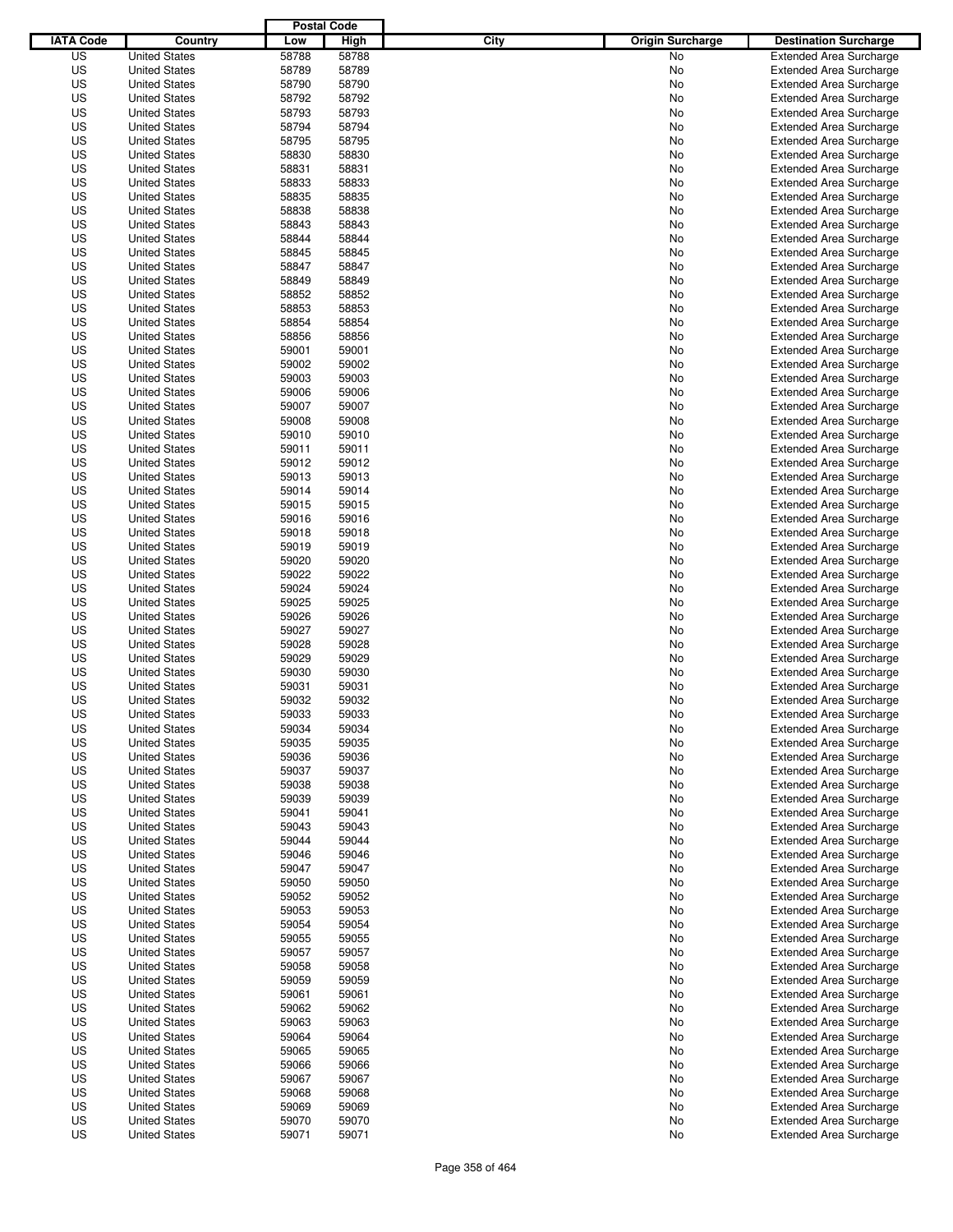|                  |                                              | <b>Postal Code</b> |       |                                 |                                |
|------------------|----------------------------------------------|--------------------|-------|---------------------------------|--------------------------------|
| <b>IATA Code</b> | Country                                      | Low                | High  | City<br><b>Origin Surcharge</b> | <b>Destination Surcharge</b>   |
| US               | <b>United States</b>                         | 58788              | 58788 | No                              | <b>Extended Area Surcharge</b> |
| US               | <b>United States</b>                         | 58789              | 58789 | No                              | <b>Extended Area Surcharge</b> |
| US               | <b>United States</b>                         | 58790              | 58790 | No                              | <b>Extended Area Surcharge</b> |
| US               | <b>United States</b>                         | 58792              | 58792 | No                              | <b>Extended Area Surcharge</b> |
| US               | <b>United States</b>                         | 58793              | 58793 | No                              | <b>Extended Area Surcharge</b> |
| US               | <b>United States</b>                         | 58794              | 58794 | No                              | <b>Extended Area Surcharge</b> |
| US               | <b>United States</b>                         | 58795              | 58795 | No                              | <b>Extended Area Surcharge</b> |
| US               | <b>United States</b>                         | 58830              | 58830 | No                              | <b>Extended Area Surcharge</b> |
| US               | <b>United States</b>                         | 58831              | 58831 | No                              | <b>Extended Area Surcharge</b> |
| US               | <b>United States</b>                         | 58833              | 58833 | No                              | <b>Extended Area Surcharge</b> |
| US               | <b>United States</b>                         | 58835              | 58835 | No                              | <b>Extended Area Surcharge</b> |
| US               | <b>United States</b>                         | 58838              | 58838 | No                              | <b>Extended Area Surcharge</b> |
| US               | <b>United States</b>                         | 58843              | 58843 | No                              | <b>Extended Area Surcharge</b> |
| US               | <b>United States</b>                         | 58844              | 58844 | No                              | <b>Extended Area Surcharge</b> |
| US               | <b>United States</b>                         | 58845              | 58845 | No                              | <b>Extended Area Surcharge</b> |
| US               | <b>United States</b>                         | 58847              | 58847 | No                              | <b>Extended Area Surcharge</b> |
| US               | <b>United States</b>                         | 58849              | 58849 | No                              | <b>Extended Area Surcharge</b> |
| US               | <b>United States</b>                         | 58852              | 58852 | No                              | <b>Extended Area Surcharge</b> |
| US               | <b>United States</b>                         | 58853              | 58853 | No                              | <b>Extended Area Surcharge</b> |
| US               | <b>United States</b>                         | 58854              | 58854 | No                              | <b>Extended Area Surcharge</b> |
| US               | <b>United States</b>                         | 58856              | 58856 | No                              | <b>Extended Area Surcharge</b> |
| US               | <b>United States</b>                         | 59001              | 59001 | No                              | <b>Extended Area Surcharge</b> |
| US               | <b>United States</b>                         | 59002              | 59002 | No                              | <b>Extended Area Surcharge</b> |
| US               | <b>United States</b>                         | 59003              | 59003 | No                              | <b>Extended Area Surcharge</b> |
| US               | <b>United States</b>                         | 59006              | 59006 | No                              | <b>Extended Area Surcharge</b> |
| US               | <b>United States</b>                         | 59007              | 59007 | No                              | <b>Extended Area Surcharge</b> |
| US               | <b>United States</b>                         | 59008              | 59008 | No                              | <b>Extended Area Surcharge</b> |
| US               | <b>United States</b>                         | 59010              | 59010 | No                              | <b>Extended Area Surcharge</b> |
| US               | <b>United States</b>                         | 59011              | 59011 | No                              | <b>Extended Area Surcharge</b> |
| US               | <b>United States</b>                         | 59012              | 59012 | No                              | <b>Extended Area Surcharge</b> |
| US               | <b>United States</b>                         | 59013              | 59013 | No                              | <b>Extended Area Surcharge</b> |
| US               | <b>United States</b>                         | 59014              | 59014 | No                              | <b>Extended Area Surcharge</b> |
| US               | <b>United States</b>                         | 59015              | 59015 | No                              | <b>Extended Area Surcharge</b> |
| US               | <b>United States</b>                         | 59016              | 59016 | No                              | <b>Extended Area Surcharge</b> |
| US               | <b>United States</b>                         | 59018              | 59018 | No                              | <b>Extended Area Surcharge</b> |
| US               | <b>United States</b>                         | 59019              | 59019 | No                              | <b>Extended Area Surcharge</b> |
| US               | <b>United States</b>                         | 59020              | 59020 | No                              | <b>Extended Area Surcharge</b> |
| US               | <b>United States</b>                         | 59022              | 59022 | No                              | <b>Extended Area Surcharge</b> |
| US               | <b>United States</b>                         | 59024              | 59024 | No                              | <b>Extended Area Surcharge</b> |
| US               | <b>United States</b>                         | 59025              | 59025 | No                              | <b>Extended Area Surcharge</b> |
| US               | <b>United States</b>                         | 59026              | 59026 | No                              | <b>Extended Area Surcharge</b> |
| US               | <b>United States</b>                         | 59027              | 59027 | No                              | <b>Extended Area Surcharge</b> |
| US               | <b>United States</b>                         | 59028              | 59028 | No                              | <b>Extended Area Surcharge</b> |
| US               | <b>United States</b>                         | 59029              | 59029 | No                              | <b>Extended Area Surcharge</b> |
| US               | <b>United States</b>                         | 59030              | 59030 | No                              | Extended Area Surcharge        |
| US               | <b>United States</b>                         | 59031              | 59031 | No                              | <b>Extended Area Surcharge</b> |
| US               | <b>United States</b>                         | 59032              | 59032 | No                              | <b>Extended Area Surcharge</b> |
| US               | <b>United States</b>                         | 59033              | 59033 | No                              | <b>Extended Area Surcharge</b> |
| US               | <b>United States</b>                         | 59034              | 59034 | No                              | <b>Extended Area Surcharge</b> |
| US               | <b>United States</b>                         | 59035              | 59035 | No                              | <b>Extended Area Surcharge</b> |
| US               | <b>United States</b>                         | 59036              | 59036 | No                              | <b>Extended Area Surcharge</b> |
| US               | <b>United States</b>                         | 59037              | 59037 | No                              | <b>Extended Area Surcharge</b> |
| US               | <b>United States</b>                         | 59038              | 59038 | No                              | <b>Extended Area Surcharge</b> |
| US               | <b>United States</b>                         | 59039              | 59039 | No                              | <b>Extended Area Surcharge</b> |
| US               | <b>United States</b>                         | 59041              | 59041 | No                              | <b>Extended Area Surcharge</b> |
| US               | <b>United States</b>                         | 59043              | 59043 | No                              | <b>Extended Area Surcharge</b> |
| US               | <b>United States</b>                         | 59044              | 59044 | No                              | <b>Extended Area Surcharge</b> |
| US               | <b>United States</b>                         | 59046              | 59046 | No                              | <b>Extended Area Surcharge</b> |
| US               | <b>United States</b>                         | 59047              | 59047 | No                              | <b>Extended Area Surcharge</b> |
| US               | <b>United States</b>                         | 59050              | 59050 | No                              | <b>Extended Area Surcharge</b> |
| US               | <b>United States</b>                         | 59052              | 59052 | No                              | <b>Extended Area Surcharge</b> |
| US               | <b>United States</b>                         | 59053              | 59053 | No                              | Extended Area Surcharge        |
| US               | <b>United States</b>                         | 59054              | 59054 | No                              | <b>Extended Area Surcharge</b> |
| US               | <b>United States</b>                         | 59055              | 59055 |                                 | <b>Extended Area Surcharge</b> |
| US               |                                              |                    | 59057 | No                              | <b>Extended Area Surcharge</b> |
| US               | <b>United States</b><br><b>United States</b> | 59057<br>59058     | 59058 | No<br>No                        | <b>Extended Area Surcharge</b> |
| US               | <b>United States</b>                         | 59059              | 59059 |                                 | <b>Extended Area Surcharge</b> |
| US               |                                              | 59061              | 59061 | No                              | <b>Extended Area Surcharge</b> |
|                  | <b>United States</b>                         |                    |       | No                              |                                |
| US               | <b>United States</b>                         | 59062              | 59062 | No                              | <b>Extended Area Surcharge</b> |
| US               | <b>United States</b><br><b>United States</b> | 59063              | 59063 | No                              | <b>Extended Area Surcharge</b> |
| US               |                                              | 59064              | 59064 | No                              | <b>Extended Area Surcharge</b> |
| US               | <b>United States</b>                         | 59065              | 59065 | No                              | <b>Extended Area Surcharge</b> |
| US               | <b>United States</b>                         | 59066              | 59066 | No                              | <b>Extended Area Surcharge</b> |
| US               | <b>United States</b>                         | 59067              | 59067 | No                              | <b>Extended Area Surcharge</b> |
| US               | <b>United States</b>                         | 59068              | 59068 | No                              | <b>Extended Area Surcharge</b> |
| US               | <b>United States</b>                         | 59069              | 59069 | No                              | <b>Extended Area Surcharge</b> |
| US               | <b>United States</b>                         | 59070              | 59070 | No                              | <b>Extended Area Surcharge</b> |
| US               | <b>United States</b>                         | 59071              | 59071 | No                              | <b>Extended Area Surcharge</b> |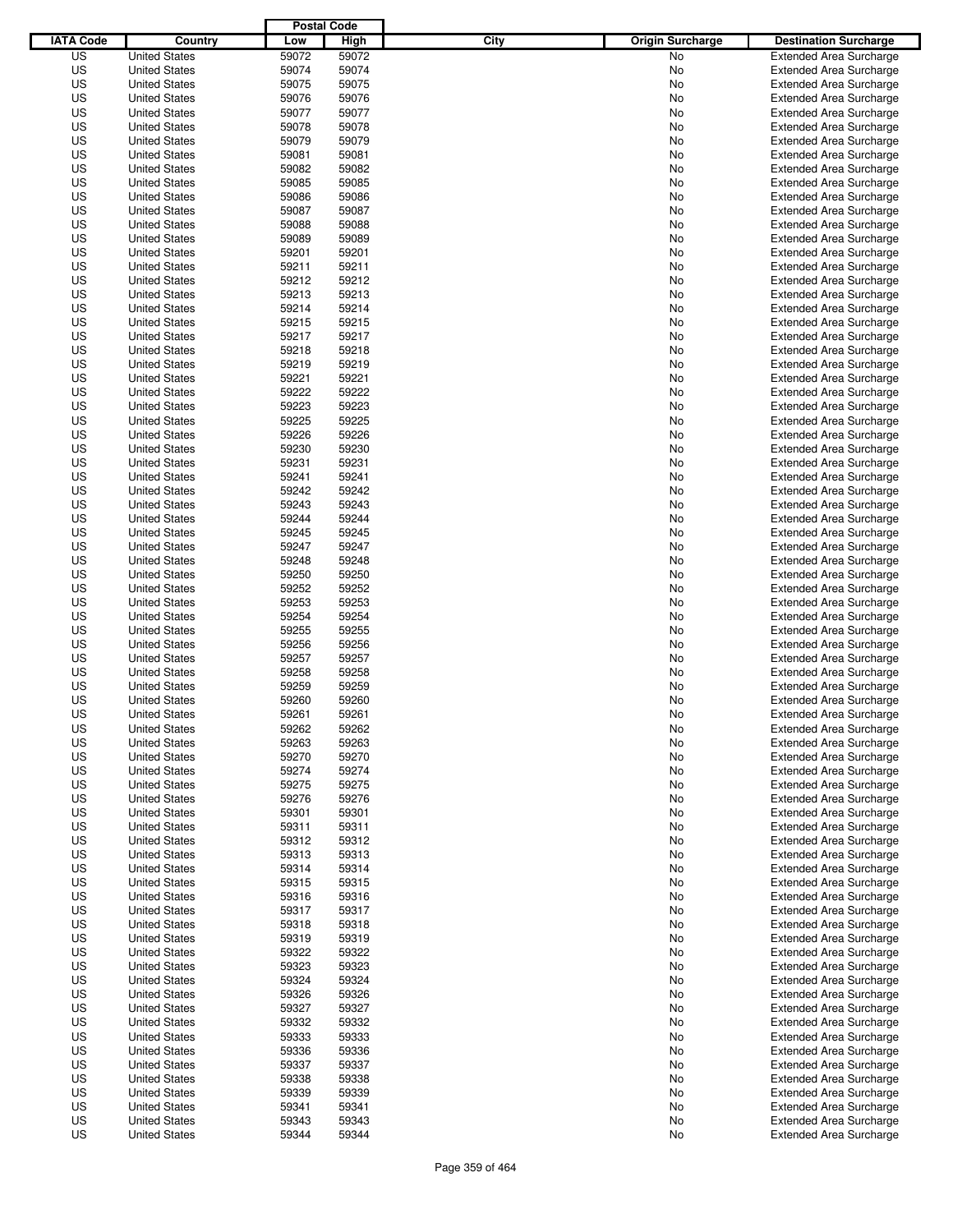|                  |                                              | <b>Postal Code</b> |                |                                 |                                                                  |
|------------------|----------------------------------------------|--------------------|----------------|---------------------------------|------------------------------------------------------------------|
| <b>IATA Code</b> | Country                                      | Low                | High           | City<br><b>Origin Surcharge</b> | <b>Destination Surcharge</b>                                     |
| US               | <b>United States</b>                         | 59072              | 59072          | No                              | <b>Extended Area Surcharge</b>                                   |
| US               | <b>United States</b>                         | 59074              | 59074          | No                              | <b>Extended Area Surcharge</b>                                   |
| US               | <b>United States</b>                         | 59075              | 59075          | No                              | <b>Extended Area Surcharge</b>                                   |
| US               | <b>United States</b>                         | 59076              | 59076          | No                              | <b>Extended Area Surcharge</b>                                   |
| US               | <b>United States</b>                         | 59077              | 59077          | No                              | <b>Extended Area Surcharge</b>                                   |
| US               | <b>United States</b>                         | 59078              | 59078          | No                              | <b>Extended Area Surcharge</b>                                   |
| US               | <b>United States</b>                         | 59079              | 59079          | No                              | <b>Extended Area Surcharge</b>                                   |
| US               | <b>United States</b>                         | 59081              | 59081          | No                              | <b>Extended Area Surcharge</b>                                   |
| US               | <b>United States</b>                         | 59082              | 59082          | No                              | <b>Extended Area Surcharge</b>                                   |
| US               | <b>United States</b>                         | 59085              | 59085          | No                              | <b>Extended Area Surcharge</b>                                   |
| US               | <b>United States</b>                         | 59086              | 59086          | No                              | <b>Extended Area Surcharge</b>                                   |
| US               | <b>United States</b>                         | 59087              | 59087          | No                              | <b>Extended Area Surcharge</b>                                   |
| US               | <b>United States</b>                         | 59088              | 59088          | No                              | <b>Extended Area Surcharge</b>                                   |
| US               | <b>United States</b>                         | 59089              | 59089          | No                              | <b>Extended Area Surcharge</b>                                   |
| US               | <b>United States</b>                         | 59201              | 59201          | No                              | <b>Extended Area Surcharge</b>                                   |
| US               | <b>United States</b>                         | 59211              | 59211          | No                              | <b>Extended Area Surcharge</b>                                   |
| US               | <b>United States</b>                         | 59212              | 59212          | No                              | <b>Extended Area Surcharge</b>                                   |
| US               | <b>United States</b>                         | 59213              | 59213          | No                              | <b>Extended Area Surcharge</b>                                   |
| US               | <b>United States</b>                         | 59214              | 59214          | No                              | <b>Extended Area Surcharge</b>                                   |
| US               | <b>United States</b>                         | 59215              | 59215          | No                              | <b>Extended Area Surcharge</b>                                   |
| US               | <b>United States</b>                         | 59217              | 59217          | No                              | <b>Extended Area Surcharge</b>                                   |
| US               | <b>United States</b>                         | 59218              | 59218          | No                              | <b>Extended Area Surcharge</b>                                   |
| US               | <b>United States</b>                         | 59219              | 59219          | No                              | <b>Extended Area Surcharge</b>                                   |
| US               | <b>United States</b>                         | 59221              | 59221          | No                              | <b>Extended Area Surcharge</b>                                   |
| US               | <b>United States</b>                         | 59222              | 59222          | No                              | <b>Extended Area Surcharge</b>                                   |
| US               | <b>United States</b>                         | 59223              | 59223          | No                              | <b>Extended Area Surcharge</b>                                   |
| US               | <b>United States</b>                         | 59225              | 59225          | No                              | <b>Extended Area Surcharge</b>                                   |
| US               | <b>United States</b>                         | 59226              | 59226          | No                              | <b>Extended Area Surcharge</b>                                   |
| US               | <b>United States</b>                         | 59230              | 59230          | No                              | <b>Extended Area Surcharge</b>                                   |
| US               | <b>United States</b>                         | 59231              | 59231          | No                              | <b>Extended Area Surcharge</b>                                   |
| US               | <b>United States</b>                         | 59241              | 59241          | No                              | <b>Extended Area Surcharge</b>                                   |
| US               | <b>United States</b>                         | 59242              | 59242          | No                              | <b>Extended Area Surcharge</b>                                   |
| US               | <b>United States</b>                         | 59243              | 59243          | No                              | <b>Extended Area Surcharge</b>                                   |
| US               | <b>United States</b>                         | 59244              | 59244          | No                              | <b>Extended Area Surcharge</b>                                   |
| US               | <b>United States</b>                         | 59245              | 59245          | No                              | <b>Extended Area Surcharge</b>                                   |
| US               | <b>United States</b>                         | 59247              | 59247          | No                              | <b>Extended Area Surcharge</b>                                   |
| US               | <b>United States</b>                         | 59248              | 59248          | No                              | <b>Extended Area Surcharge</b>                                   |
| US               | <b>United States</b>                         | 59250              | 59250          | No                              | <b>Extended Area Surcharge</b>                                   |
| US               | <b>United States</b>                         | 59252              | 59252          | No                              |                                                                  |
| US               | <b>United States</b>                         | 59253              | 59253          |                                 | <b>Extended Area Surcharge</b>                                   |
| US               | <b>United States</b>                         | 59254              | 59254          | No<br>No                        | <b>Extended Area Surcharge</b><br><b>Extended Area Surcharge</b> |
| US               | <b>United States</b>                         | 59255              | 59255          |                                 | <b>Extended Area Surcharge</b>                                   |
| US               | <b>United States</b>                         | 59256              | 59256          | No<br>No                        |                                                                  |
| US               | <b>United States</b>                         | 59257              | 59257          |                                 | <b>Extended Area Surcharge</b>                                   |
| US               | <b>United States</b>                         | 59258              | 59258          | No                              | <b>Extended Area Surcharge</b><br>Extended Area Surcharge        |
| US               | <b>United States</b>                         | 59259              | 59259          | No<br>No                        | <b>Extended Area Surcharge</b>                                   |
| US               | <b>United States</b>                         | 59260              | 59260          | No                              | <b>Extended Area Surcharge</b>                                   |
| US               | <b>United States</b>                         | 59261              | 59261          | No                              | <b>Extended Area Surcharge</b>                                   |
| US               |                                              | 59262              | 59262          |                                 |                                                                  |
|                  | <b>United States</b><br><b>United States</b> |                    |                | No                              | <b>Extended Area Surcharge</b><br><b>Extended Area Surcharge</b> |
| US               |                                              | 59263              | 59263          | No                              |                                                                  |
| US               | <b>United States</b>                         | 59270              | 59270          | No                              | <b>Extended Area Surcharge</b>                                   |
| US               | <b>United States</b>                         | 59274              | 59274          | No                              | <b>Extended Area Surcharge</b>                                   |
| US               | <b>United States</b><br><b>United States</b> | 59275              | 59275          | No                              | <b>Extended Area Surcharge</b>                                   |
| US               |                                              | 59276              | 59276          | No                              | <b>Extended Area Surcharge</b>                                   |
| US<br>US         | <b>United States</b><br><b>United States</b> | 59301<br>59311     | 59301<br>59311 | No<br>No                        | <b>Extended Area Surcharge</b><br><b>Extended Area Surcharge</b> |
|                  |                                              |                    |                |                                 |                                                                  |
| US               | <b>United States</b>                         | 59312              | 59312          | No                              | <b>Extended Area Surcharge</b>                                   |
| US               | <b>United States</b><br><b>United States</b> | 59313              | 59313          | No                              | <b>Extended Area Surcharge</b>                                   |
| US               |                                              | 59314              | 59314          | No                              | <b>Extended Area Surcharge</b>                                   |
| US               | <b>United States</b>                         | 59315              | 59315          | No                              | <b>Extended Area Surcharge</b>                                   |
| US               | <b>United States</b>                         | 59316              | 59316          | No                              | <b>Extended Area Surcharge</b>                                   |
| US               | <b>United States</b>                         | 59317              | 59317          | No                              | <b>Extended Area Surcharge</b>                                   |
| US               | <b>United States</b>                         | 59318              | 59318          | No                              | <b>Extended Area Surcharge</b>                                   |
| US               | <b>United States</b>                         | 59319              | 59319          | No                              | <b>Extended Area Surcharge</b>                                   |
| US               | <b>United States</b>                         | 59322              | 59322          | No                              | <b>Extended Area Surcharge</b>                                   |
| US               | <b>United States</b>                         | 59323              | 59323          | No                              | <b>Extended Area Surcharge</b>                                   |
| US               | <b>United States</b>                         | 59324              | 59324          | No                              | <b>Extended Area Surcharge</b>                                   |
| US               | <b>United States</b>                         | 59326              | 59326          | No                              | <b>Extended Area Surcharge</b>                                   |
| US               | <b>United States</b>                         | 59327              | 59327          | No                              | <b>Extended Area Surcharge</b>                                   |
| US               | <b>United States</b>                         | 59332              | 59332          | No                              | <b>Extended Area Surcharge</b>                                   |
| US               | <b>United States</b>                         | 59333              | 59333          | No                              | <b>Extended Area Surcharge</b>                                   |
| US               | <b>United States</b>                         | 59336              | 59336          | No                              | <b>Extended Area Surcharge</b>                                   |
| US               | <b>United States</b>                         | 59337              | 59337          | No                              | <b>Extended Area Surcharge</b>                                   |
| US               | <b>United States</b>                         | 59338              | 59338          | No                              | <b>Extended Area Surcharge</b>                                   |
| US               | <b>United States</b>                         | 59339              | 59339          | No                              | <b>Extended Area Surcharge</b>                                   |
| US               | <b>United States</b>                         | 59341              | 59341          | No                              | <b>Extended Area Surcharge</b>                                   |
| US               | <b>United States</b>                         | 59343              | 59343          | No                              | <b>Extended Area Surcharge</b>                                   |
| US               | <b>United States</b>                         | 59344              | 59344          | No                              | <b>Extended Area Surcharge</b>                                   |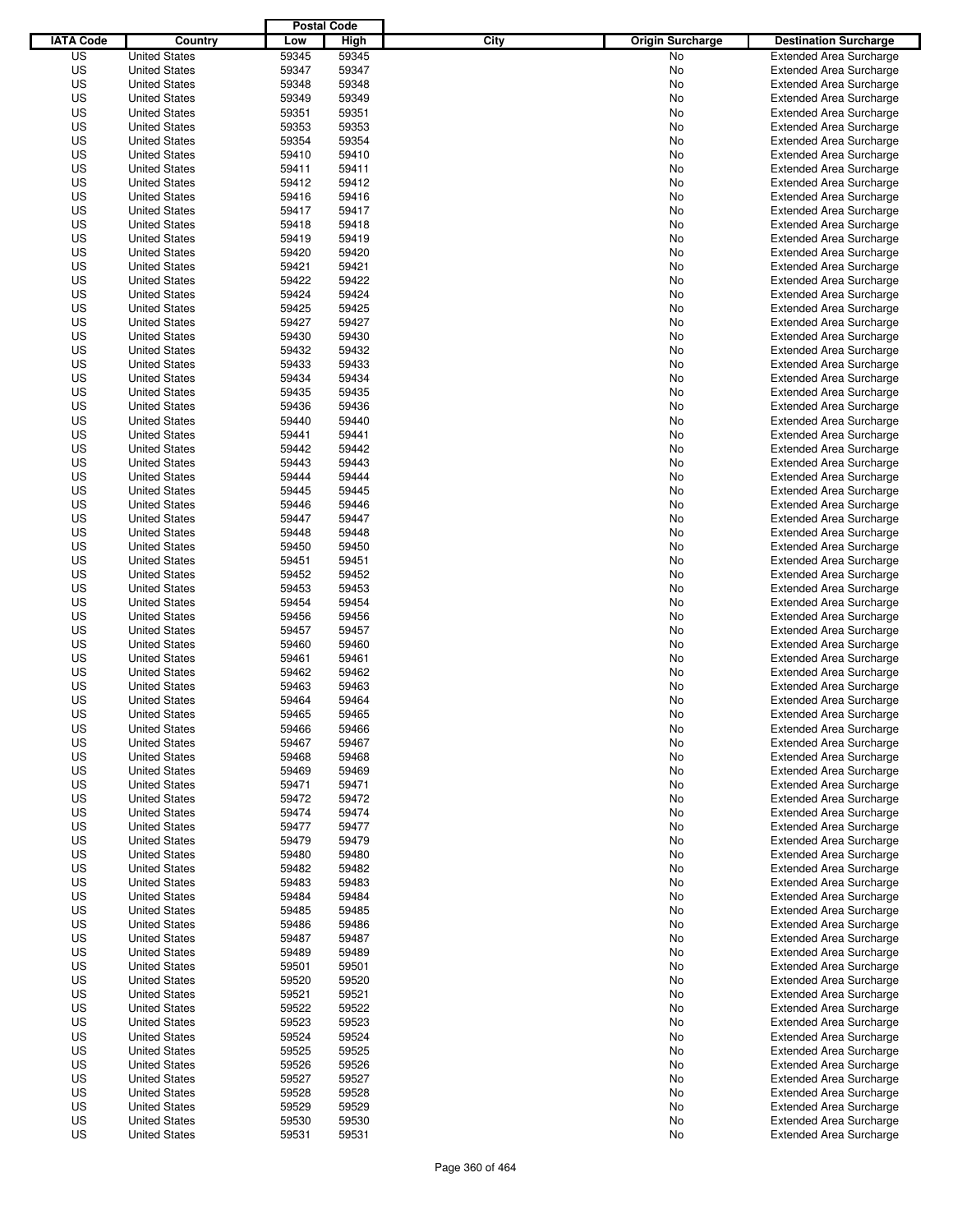|                  |                      | <b>Postal Code</b> |       |                                 |                                |
|------------------|----------------------|--------------------|-------|---------------------------------|--------------------------------|
| <b>IATA Code</b> | Country              | Low                | High  | City<br><b>Origin Surcharge</b> | <b>Destination Surcharge</b>   |
| US               | <b>United States</b> | 59345              | 59345 | <b>No</b>                       | <b>Extended Area Surcharge</b> |
| US               | <b>United States</b> | 59347              | 59347 | No                              | <b>Extended Area Surcharge</b> |
| US               | <b>United States</b> | 59348              | 59348 | No                              | <b>Extended Area Surcharge</b> |
| US               | <b>United States</b> | 59349              | 59349 | No                              | <b>Extended Area Surcharge</b> |
| US               | <b>United States</b> | 59351              | 59351 | No                              | <b>Extended Area Surcharge</b> |
| US               | <b>United States</b> | 59353              | 59353 | No                              | <b>Extended Area Surcharge</b> |
| US               | <b>United States</b> | 59354              | 59354 | No                              | <b>Extended Area Surcharge</b> |
| US               | <b>United States</b> | 59410              | 59410 | No                              | <b>Extended Area Surcharge</b> |
| US               | <b>United States</b> | 59411              | 59411 | No                              | <b>Extended Area Surcharge</b> |
| US               | <b>United States</b> | 59412              | 59412 | No                              | <b>Extended Area Surcharge</b> |
| US               | <b>United States</b> | 59416              | 59416 | No                              | <b>Extended Area Surcharge</b> |
| US               | <b>United States</b> | 59417              | 59417 | No                              | <b>Extended Area Surcharge</b> |
| US               | <b>United States</b> | 59418              | 59418 | No                              | <b>Extended Area Surcharge</b> |
| US               | <b>United States</b> | 59419              | 59419 | No                              | <b>Extended Area Surcharge</b> |
| US               | <b>United States</b> | 59420              | 59420 | No                              | <b>Extended Area Surcharge</b> |
| US               | <b>United States</b> | 59421              | 59421 | No                              | <b>Extended Area Surcharge</b> |
| US               | <b>United States</b> | 59422              | 59422 | No                              | <b>Extended Area Surcharge</b> |
| US               | <b>United States</b> | 59424              | 59424 | No                              | <b>Extended Area Surcharge</b> |
| US               | <b>United States</b> | 59425              | 59425 | No                              | <b>Extended Area Surcharge</b> |
| US               | <b>United States</b> | 59427              | 59427 | No                              | <b>Extended Area Surcharge</b> |
| US               | <b>United States</b> | 59430              | 59430 | No                              | <b>Extended Area Surcharge</b> |
| US               | <b>United States</b> | 59432              | 59432 | No                              | <b>Extended Area Surcharge</b> |
| US               | <b>United States</b> | 59433              | 59433 | No                              | <b>Extended Area Surcharge</b> |
| US               | <b>United States</b> | 59434              | 59434 | No                              | <b>Extended Area Surcharge</b> |
| US               | <b>United States</b> | 59435              | 59435 | No                              | <b>Extended Area Surcharge</b> |
| US               | <b>United States</b> | 59436              | 59436 | No                              | <b>Extended Area Surcharge</b> |
| US               | <b>United States</b> | 59440              | 59440 | No                              | <b>Extended Area Surcharge</b> |
| US               | <b>United States</b> | 59441              | 59441 | No                              | <b>Extended Area Surcharge</b> |
| US               | <b>United States</b> | 59442              | 59442 | No                              | <b>Extended Area Surcharge</b> |
| US               | <b>United States</b> | 59443              | 59443 | No                              | <b>Extended Area Surcharge</b> |
| US               | <b>United States</b> | 59444              | 59444 | No                              | <b>Extended Area Surcharge</b> |
| US               | <b>United States</b> | 59445              | 59445 | No                              | <b>Extended Area Surcharge</b> |
| US               | <b>United States</b> | 59446              | 59446 | No                              | <b>Extended Area Surcharge</b> |
| US               | <b>United States</b> | 59447              | 59447 | No                              | <b>Extended Area Surcharge</b> |
| US               | <b>United States</b> | 59448              | 59448 | No                              | <b>Extended Area Surcharge</b> |
| US               | <b>United States</b> | 59450              | 59450 | No                              | <b>Extended Area Surcharge</b> |
| US               | <b>United States</b> | 59451              | 59451 | No                              | <b>Extended Area Surcharge</b> |
| US               | <b>United States</b> | 59452              | 59452 | No                              | <b>Extended Area Surcharge</b> |
| US               | <b>United States</b> | 59453              | 59453 | No                              | <b>Extended Area Surcharge</b> |
| US               | <b>United States</b> | 59454              | 59454 | No                              | <b>Extended Area Surcharge</b> |
| US               | <b>United States</b> | 59456              | 59456 | No                              | <b>Extended Area Surcharge</b> |
| US               | <b>United States</b> | 59457              | 59457 | No                              | <b>Extended Area Surcharge</b> |
| US               | <b>United States</b> | 59460              | 59460 | No                              | <b>Extended Area Surcharge</b> |
| US               | <b>United States</b> | 59461              | 59461 | No                              | <b>Extended Area Surcharge</b> |
| US               | <b>United States</b> | 59462              | 59462 | No                              | Extended Area Surcharge        |
| US               | <b>United States</b> | 59463              | 59463 | No                              | <b>Extended Area Surcharge</b> |
| US               | <b>United States</b> | 59464              | 59464 | No                              | <b>Extended Area Surcharge</b> |
| US               | <b>United States</b> | 59465              | 59465 | No                              | <b>Extended Area Surcharge</b> |
| US               | <b>United States</b> | 59466              | 59466 | No                              | <b>Extended Area Surcharge</b> |
| US               | <b>United States</b> | 59467              | 59467 | No                              | <b>Extended Area Surcharge</b> |
| US               | <b>United States</b> | 59468              | 59468 | No                              | <b>Extended Area Surcharge</b> |
| US               | <b>United States</b> | 59469              | 59469 | No                              | <b>Extended Area Surcharge</b> |
| US               | <b>United States</b> | 59471              | 59471 | No                              | <b>Extended Area Surcharge</b> |
| US               | <b>United States</b> | 59472              | 59472 | No                              | <b>Extended Area Surcharge</b> |
| US               | <b>United States</b> | 59474              | 59474 | No                              | <b>Extended Area Surcharge</b> |
| US               | <b>United States</b> | 59477              | 59477 | No                              | <b>Extended Area Surcharge</b> |
| US               | <b>United States</b> | 59479              | 59479 | No                              | <b>Extended Area Surcharge</b> |
| US               | <b>United States</b> | 59480              | 59480 | No                              | <b>Extended Area Surcharge</b> |
| US               | <b>United States</b> | 59482              | 59482 | No                              | <b>Extended Area Surcharge</b> |
| US               | <b>United States</b> | 59483              | 59483 | No                              | <b>Extended Area Surcharge</b> |
| US               | <b>United States</b> | 59484              | 59484 | No                              | <b>Extended Area Surcharge</b> |
| US               | <b>United States</b> | 59485              | 59485 | No                              | <b>Extended Area Surcharge</b> |
| US               | <b>United States</b> | 59486              | 59486 | No                              | <b>Extended Area Surcharge</b> |
| US               | <b>United States</b> | 59487              | 59487 | No                              | <b>Extended Area Surcharge</b> |
| US               | <b>United States</b> | 59489              | 59489 | No                              | <b>Extended Area Surcharge</b> |
| US               | <b>United States</b> | 59501              | 59501 | No                              | <b>Extended Area Surcharge</b> |
| US               | <b>United States</b> | 59520              | 59520 | No                              | <b>Extended Area Surcharge</b> |
| US               | <b>United States</b> | 59521              | 59521 | No                              | <b>Extended Area Surcharge</b> |
| US               | <b>United States</b> | 59522              | 59522 | No                              | <b>Extended Area Surcharge</b> |
| US               | <b>United States</b> | 59523              | 59523 | No                              | <b>Extended Area Surcharge</b> |
| US               | <b>United States</b> | 59524              | 59524 | No                              | <b>Extended Area Surcharge</b> |
| US               | <b>United States</b> | 59525              | 59525 | No                              | <b>Extended Area Surcharge</b> |
| US               | <b>United States</b> | 59526              | 59526 | No                              | <b>Extended Area Surcharge</b> |
| US               | <b>United States</b> | 59527              | 59527 | No                              | <b>Extended Area Surcharge</b> |
| US               | <b>United States</b> | 59528              | 59528 | No                              | <b>Extended Area Surcharge</b> |
| US               | <b>United States</b> | 59529              | 59529 | No                              | <b>Extended Area Surcharge</b> |
| US               | <b>United States</b> | 59530              | 59530 | No                              | <b>Extended Area Surcharge</b> |
| US               | <b>United States</b> | 59531              | 59531 | No                              | <b>Extended Area Surcharge</b> |
|                  |                      |                    |       |                                 |                                |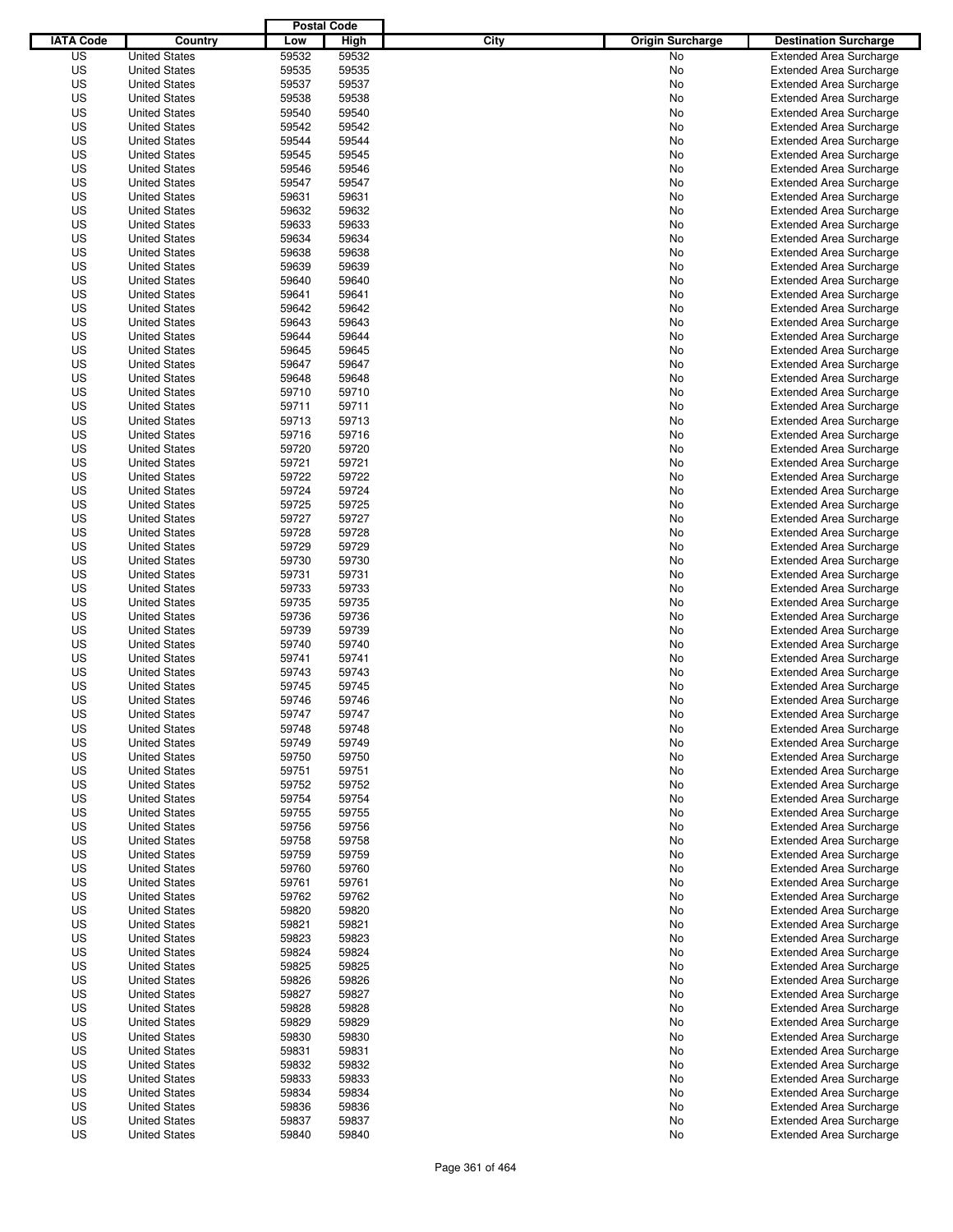|                  |                                              | <b>Postal Code</b> |                |                                 |                                                                  |
|------------------|----------------------------------------------|--------------------|----------------|---------------------------------|------------------------------------------------------------------|
| <b>IATA Code</b> | Country                                      | Low                | High           | City<br><b>Origin Surcharge</b> | <b>Destination Surcharge</b>                                     |
| US               | <b>United States</b>                         | 59532              | 59532          | <b>No</b>                       | <b>Extended Area Surcharge</b>                                   |
| US               | <b>United States</b>                         | 59535              | 59535          | No                              | <b>Extended Area Surcharge</b>                                   |
| US               | <b>United States</b>                         | 59537              | 59537          | No                              | <b>Extended Area Surcharge</b>                                   |
| US               | <b>United States</b>                         | 59538              | 59538          | No                              | <b>Extended Area Surcharge</b>                                   |
| US               | <b>United States</b>                         | 59540              | 59540          | No                              | <b>Extended Area Surcharge</b>                                   |
| US               | <b>United States</b>                         | 59542              | 59542          | No                              | <b>Extended Area Surcharge</b>                                   |
| US               | <b>United States</b>                         | 59544              | 59544          | No                              | <b>Extended Area Surcharge</b>                                   |
| US               | <b>United States</b>                         | 59545              | 59545          | No                              | <b>Extended Area Surcharge</b>                                   |
| US               | <b>United States</b>                         | 59546              | 59546          | No                              | <b>Extended Area Surcharge</b>                                   |
| US               | <b>United States</b>                         | 59547              | 59547          | No                              | <b>Extended Area Surcharge</b>                                   |
| US               | <b>United States</b>                         | 59631              | 59631          | No                              | <b>Extended Area Surcharge</b>                                   |
| US               | <b>United States</b>                         | 59632              | 59632          | No                              | <b>Extended Area Surcharge</b>                                   |
| US               | <b>United States</b>                         | 59633              | 59633          | No                              | <b>Extended Area Surcharge</b>                                   |
| US               | <b>United States</b>                         | 59634              | 59634          | No                              | <b>Extended Area Surcharge</b>                                   |
| US               | <b>United States</b>                         | 59638              | 59638          | No                              | <b>Extended Area Surcharge</b>                                   |
| US               | <b>United States</b>                         | 59639              | 59639          | No                              | <b>Extended Area Surcharge</b>                                   |
| US               | <b>United States</b>                         | 59640              | 59640          | No                              | <b>Extended Area Surcharge</b>                                   |
| US               | <b>United States</b>                         | 59641              | 59641          | No                              | <b>Extended Area Surcharge</b>                                   |
| US               | <b>United States</b>                         | 59642              | 59642          | No                              | <b>Extended Area Surcharge</b>                                   |
| US               | <b>United States</b>                         | 59643              | 59643          | No                              | <b>Extended Area Surcharge</b>                                   |
| US               | <b>United States</b>                         | 59644              | 59644          | No                              | <b>Extended Area Surcharge</b>                                   |
| US               | <b>United States</b>                         | 59645              | 59645          | No                              | <b>Extended Area Surcharge</b>                                   |
| US               | <b>United States</b><br><b>United States</b> | 59647              | 59647          | No                              | <b>Extended Area Surcharge</b>                                   |
| US               |                                              | 59648              | 59648          | No                              | <b>Extended Area Surcharge</b>                                   |
| US               | <b>United States</b>                         | 59710              | 59710          | No                              | <b>Extended Area Surcharge</b><br><b>Extended Area Surcharge</b> |
| US               | <b>United States</b><br><b>United States</b> | 59711              | 59711          | No                              |                                                                  |
| US<br>US         | <b>United States</b>                         | 59713<br>59716     | 59713<br>59716 | No                              | <b>Extended Area Surcharge</b>                                   |
| US               | <b>United States</b>                         | 59720              | 59720          | No<br>No                        | <b>Extended Area Surcharge</b><br><b>Extended Area Surcharge</b> |
| US               | <b>United States</b>                         | 59721              | 59721          | No                              | <b>Extended Area Surcharge</b>                                   |
| US               | <b>United States</b>                         | 59722              | 59722          | No                              | <b>Extended Area Surcharge</b>                                   |
| US               | <b>United States</b>                         | 59724              | 59724          | No                              | <b>Extended Area Surcharge</b>                                   |
| US               | <b>United States</b>                         | 59725              | 59725          | No                              | <b>Extended Area Surcharge</b>                                   |
| US               | <b>United States</b>                         | 59727              | 59727          | No                              | <b>Extended Area Surcharge</b>                                   |
| US               | <b>United States</b>                         | 59728              | 59728          | No                              | <b>Extended Area Surcharge</b>                                   |
| US               | <b>United States</b>                         | 59729              | 59729          | No                              | <b>Extended Area Surcharge</b>                                   |
| US               | <b>United States</b>                         | 59730              | 59730          | No                              | <b>Extended Area Surcharge</b>                                   |
| US               | <b>United States</b>                         | 59731              | 59731          | No                              | <b>Extended Area Surcharge</b>                                   |
| US               | <b>United States</b>                         | 59733              | 59733          | No                              | <b>Extended Area Surcharge</b>                                   |
| US               | <b>United States</b>                         | 59735              | 59735          | No                              | <b>Extended Area Surcharge</b>                                   |
| US               | <b>United States</b>                         | 59736              | 59736          | No                              | <b>Extended Area Surcharge</b>                                   |
| US               | <b>United States</b>                         | 59739              | 59739          | No                              | <b>Extended Area Surcharge</b>                                   |
| US               | <b>United States</b>                         | 59740              | 59740          | No                              | <b>Extended Area Surcharge</b>                                   |
| US               | <b>United States</b>                         | 59741              | 59741          | No                              | <b>Extended Area Surcharge</b>                                   |
| US               | <b>United States</b>                         | 59743              | 59743          | No                              | <b>Extended Area Surcharge</b>                                   |
| US               | <b>United States</b>                         | 59745              | 59745          | No                              | <b>Extended Area Surcharge</b>                                   |
| US               | <b>United States</b>                         | 59746              | 59746          | No                              | <b>Extended Area Surcharge</b>                                   |
| US               | <b>United States</b>                         | 59747              | 59747          | No                              | <b>Extended Area Surcharge</b>                                   |
| US               | <b>United States</b>                         | 59748              | 59748          | No                              | <b>Extended Area Surcharge</b>                                   |
| US               | <b>United States</b>                         | 59749              | 59749          | No                              | <b>Extended Area Surcharge</b>                                   |
| US               | <b>United States</b>                         | 59750              | 59750          | No                              | <b>Extended Area Surcharge</b>                                   |
| US               | <b>United States</b>                         | 59751              | 59751          | No                              | <b>Extended Area Surcharge</b>                                   |
| US               | <b>United States</b>                         | 59752              | 59752          | No                              | <b>Extended Area Surcharge</b>                                   |
| US               | <b>United States</b>                         | 59754              | 59754          | No                              | <b>Extended Area Surcharge</b>                                   |
| US               | <b>United States</b>                         | 59755              | 59755          | No                              | <b>Extended Area Surcharge</b>                                   |
| US               | <b>United States</b>                         | 59756              | 59756          | No                              | <b>Extended Area Surcharge</b>                                   |
| US               | <b>United States</b>                         | 59758              | 59758          | No                              | <b>Extended Area Surcharge</b>                                   |
| US               | <b>United States</b>                         | 59759              | 59759          | No                              | <b>Extended Area Surcharge</b>                                   |
| US               | <b>United States</b>                         | 59760              | 59760          | No                              | <b>Extended Area Surcharge</b>                                   |
| US               | <b>United States</b>                         | 59761              | 59761          | No                              | <b>Extended Area Surcharge</b>                                   |
| US               | <b>United States</b>                         | 59762              | 59762          | No                              | <b>Extended Area Surcharge</b>                                   |
| US               | <b>United States</b>                         | 59820              | 59820          | No                              | <b>Extended Area Surcharge</b>                                   |
| US               | <b>United States</b>                         | 59821              | 59821          | No                              | <b>Extended Area Surcharge</b>                                   |
| US               | <b>United States</b>                         | 59823              | 59823          | No                              | <b>Extended Area Surcharge</b>                                   |
| US               | <b>United States</b>                         | 59824              | 59824          | No                              | <b>Extended Area Surcharge</b>                                   |
| US               | <b>United States</b>                         | 59825              | 59825          | No                              | <b>Extended Area Surcharge</b>                                   |
| US               | <b>United States</b>                         | 59826              | 59826          | No                              | <b>Extended Area Surcharge</b>                                   |
| US               | <b>United States</b>                         | 59827              | 59827          | No                              | <b>Extended Area Surcharge</b>                                   |
| US               | <b>United States</b>                         | 59828              | 59828          | No                              | <b>Extended Area Surcharge</b>                                   |
| US               | <b>United States</b>                         | 59829              | 59829          | No                              | <b>Extended Area Surcharge</b>                                   |
| US               | <b>United States</b>                         | 59830              | 59830          | No                              | <b>Extended Area Surcharge</b>                                   |
| US               | <b>United States</b>                         | 59831              | 59831          | No                              | <b>Extended Area Surcharge</b>                                   |
| US               | <b>United States</b>                         | 59832              | 59832          | No                              | <b>Extended Area Surcharge</b>                                   |
| US<br>US         | <b>United States</b>                         | 59833              | 59833<br>59834 | No                              | <b>Extended Area Surcharge</b><br><b>Extended Area Surcharge</b> |
| US               | <b>United States</b><br><b>United States</b> | 59834<br>59836     | 59836          | No<br>No                        | <b>Extended Area Surcharge</b>                                   |
| US               | <b>United States</b>                         | 59837              | 59837          | No                              | <b>Extended Area Surcharge</b>                                   |
| US               | <b>United States</b>                         | 59840              | 59840          | No                              | <b>Extended Area Surcharge</b>                                   |
|                  |                                              |                    |                |                                 |                                                                  |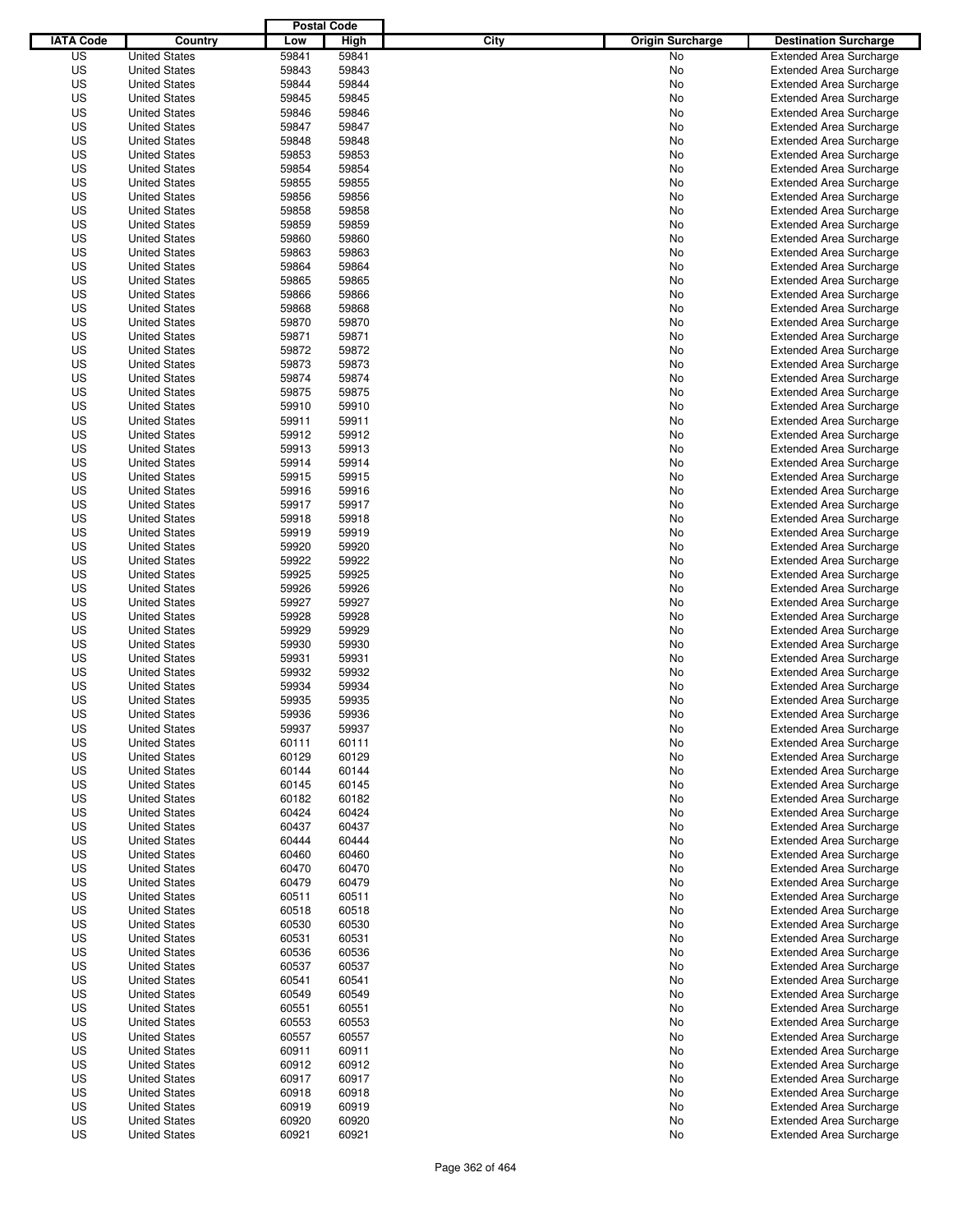|                  |                                              | <b>Postal Code</b> |                |                                 |                                |
|------------------|----------------------------------------------|--------------------|----------------|---------------------------------|--------------------------------|
| <b>IATA Code</b> | Country                                      | Low                | High           | City<br><b>Origin Surcharge</b> | <b>Destination Surcharge</b>   |
| US               | <b>United States</b>                         | 59841              | 59841          | <b>No</b>                       | <b>Extended Area Surcharge</b> |
| US               | <b>United States</b>                         | 59843              | 59843          | No                              | <b>Extended Area Surcharge</b> |
| US               | <b>United States</b>                         | 59844              | 59844          | No                              | <b>Extended Area Surcharge</b> |
| US               | <b>United States</b>                         | 59845              | 59845          | No                              | <b>Extended Area Surcharge</b> |
| US               | <b>United States</b>                         | 59846              | 59846          | No                              | <b>Extended Area Surcharge</b> |
| US               | <b>United States</b>                         | 59847              | 59847          | No                              | <b>Extended Area Surcharge</b> |
| US               | <b>United States</b>                         | 59848              | 59848          | No                              | <b>Extended Area Surcharge</b> |
| US               | <b>United States</b>                         | 59853              | 59853          | No                              | <b>Extended Area Surcharge</b> |
| US               | <b>United States</b>                         | 59854              | 59854          | No                              | <b>Extended Area Surcharge</b> |
| US               | <b>United States</b>                         | 59855              | 59855          | No                              | <b>Extended Area Surcharge</b> |
| US               | <b>United States</b>                         | 59856              | 59856          | No                              | <b>Extended Area Surcharge</b> |
| US               | <b>United States</b>                         | 59858              | 59858          | No                              | <b>Extended Area Surcharge</b> |
| US               | <b>United States</b>                         | 59859              | 59859          | No                              | <b>Extended Area Surcharge</b> |
| US               | <b>United States</b>                         | 59860              | 59860          | No                              | <b>Extended Area Surcharge</b> |
| US               | <b>United States</b>                         | 59863              | 59863          | No                              | <b>Extended Area Surcharge</b> |
| US               | <b>United States</b>                         | 59864              | 59864          | No                              | <b>Extended Area Surcharge</b> |
| US               | <b>United States</b>                         | 59865              | 59865          | No                              | <b>Extended Area Surcharge</b> |
| US               | <b>United States</b>                         | 59866              | 59866          | No                              | <b>Extended Area Surcharge</b> |
| US               | <b>United States</b>                         | 59868              | 59868          | No                              | <b>Extended Area Surcharge</b> |
| US               | <b>United States</b>                         | 59870              | 59870          | No                              | <b>Extended Area Surcharge</b> |
| US               | <b>United States</b>                         | 59871              | 59871          | No                              | <b>Extended Area Surcharge</b> |
| US               | <b>United States</b>                         | 59872              | 59872          | No                              | <b>Extended Area Surcharge</b> |
| US               | <b>United States</b>                         | 59873              | 59873          | No                              | <b>Extended Area Surcharge</b> |
| US               | <b>United States</b>                         | 59874              | 59874          | No                              | <b>Extended Area Surcharge</b> |
| US               | <b>United States</b>                         | 59875              | 59875          | No                              | <b>Extended Area Surcharge</b> |
| US               | <b>United States</b>                         | 59910              | 59910          | No                              | <b>Extended Area Surcharge</b> |
| US               | <b>United States</b>                         | 59911              | 59911          | No                              | <b>Extended Area Surcharge</b> |
| US               | <b>United States</b>                         | 59912              | 59912          | No                              | <b>Extended Area Surcharge</b> |
| US               | <b>United States</b>                         | 59913              | 59913          | No                              | <b>Extended Area Surcharge</b> |
| US               | <b>United States</b>                         | 59914              | 59914          | No                              | <b>Extended Area Surcharge</b> |
| US               | <b>United States</b>                         | 59915              | 59915          | No                              | <b>Extended Area Surcharge</b> |
| US               | <b>United States</b>                         | 59916              | 59916          | No                              | <b>Extended Area Surcharge</b> |
| US               | <b>United States</b>                         | 59917              | 59917          | No                              | <b>Extended Area Surcharge</b> |
| US               | <b>United States</b>                         | 59918              | 59918          | No                              | <b>Extended Area Surcharge</b> |
| US               | <b>United States</b>                         | 59919              | 59919          | No                              | <b>Extended Area Surcharge</b> |
| US               | <b>United States</b>                         | 59920              | 59920          | No                              | <b>Extended Area Surcharge</b> |
| US               | <b>United States</b>                         | 59922              | 59922          | No                              | <b>Extended Area Surcharge</b> |
| US               | <b>United States</b>                         | 59925              | 59925          | No                              | <b>Extended Area Surcharge</b> |
| US               | <b>United States</b>                         | 59926              | 59926          | No                              | <b>Extended Area Surcharge</b> |
| US               | <b>United States</b>                         | 59927              | 59927          | No                              | <b>Extended Area Surcharge</b> |
| US               | <b>United States</b>                         | 59928              | 59928          | No                              | <b>Extended Area Surcharge</b> |
| US               | <b>United States</b>                         | 59929              | 59929          | No                              | <b>Extended Area Surcharge</b> |
| US               | <b>United States</b>                         | 59930              | 59930          | No                              | <b>Extended Area Surcharge</b> |
| US               | <b>United States</b>                         | 59931              | 59931          | No                              | <b>Extended Area Surcharge</b> |
| US               | <b>United States</b>                         | 59932              | 59932          | No                              | <b>Extended Area Surcharge</b> |
| US               | <b>United States</b>                         | 59934              | 59934          | No                              | <b>Extended Area Surcharge</b> |
| US               | <b>United States</b>                         | 59935              | 59935          | No                              | <b>Extended Area Surcharge</b> |
| US               | <b>United States</b>                         | 59936              | 59936          | No                              | <b>Extended Area Surcharge</b> |
| US               | <b>United States</b>                         | 59937              | 59937          | No                              | <b>Extended Area Surcharge</b> |
| US               | <b>United States</b>                         | 60111              | 60111          | No                              | <b>Extended Area Surcharge</b> |
| US               | <b>United States</b>                         | 60129              | 60129          | No                              | <b>Extended Area Surcharge</b> |
| US               | <b>United States</b>                         | 60144              | 60144          | No                              | <b>Extended Area Surcharge</b> |
| US               | <b>United States</b>                         | 60145              | 60145          | No                              | <b>Extended Area Surcharge</b> |
| US               | <b>United States</b>                         | 60182              | 60182          | No                              | <b>Extended Area Surcharge</b> |
| US               | <b>United States</b>                         | 60424              | 60424          | No                              | <b>Extended Area Surcharge</b> |
| US               | <b>United States</b>                         | 60437              | 60437          | No                              | <b>Extended Area Surcharge</b> |
| US               | <b>United States</b>                         | 60444              | 60444          | No                              | <b>Extended Area Surcharge</b> |
| US               | <b>United States</b>                         | 60460              | 60460          | No                              | <b>Extended Area Surcharge</b> |
| US               | <b>United States</b>                         | 60470              | 60470          | No                              | <b>Extended Area Surcharge</b> |
| US               | <b>United States</b>                         | 60479              | 60479          | No                              | <b>Extended Area Surcharge</b> |
| US               | <b>United States</b>                         | 60511              | 60511          | No                              | <b>Extended Area Surcharge</b> |
| US               | <b>United States</b>                         | 60518              | 60518          | No                              | <b>Extended Area Surcharge</b> |
| US               | <b>United States</b>                         | 60530              | 60530          | No                              | <b>Extended Area Surcharge</b> |
| US               |                                              | 60531              | 60531          |                                 | <b>Extended Area Surcharge</b> |
| US               | <b>United States</b><br><b>United States</b> | 60536              | 60536          | No<br>No                        | <b>Extended Area Surcharge</b> |
| US               | <b>United States</b>                         | 60537              | 60537          | No                              | <b>Extended Area Surcharge</b> |
| US               | <b>United States</b>                         | 60541              | 60541          | No                              | <b>Extended Area Surcharge</b> |
| US               | <b>United States</b>                         | 60549              | 60549          | No                              | <b>Extended Area Surcharge</b> |
| US               | <b>United States</b>                         |                    |                |                                 | <b>Extended Area Surcharge</b> |
| US               | <b>United States</b>                         | 60551<br>60553     | 60551<br>60553 | No                              | <b>Extended Area Surcharge</b> |
| US               |                                              | 60557              | 60557          | No                              | <b>Extended Area Surcharge</b> |
| US               | <b>United States</b><br><b>United States</b> | 60911              | 60911          | No                              | <b>Extended Area Surcharge</b> |
| US               |                                              | 60912              | 60912          | No                              | <b>Extended Area Surcharge</b> |
| US               | <b>United States</b><br><b>United States</b> | 60917              | 60917          | No                              | <b>Extended Area Surcharge</b> |
|                  |                                              |                    |                | No                              |                                |
| US               | <b>United States</b>                         | 60918              | 60918          | No                              | <b>Extended Area Surcharge</b> |
| US<br>US         | <b>United States</b>                         | 60919              | 60919          | No                              | <b>Extended Area Surcharge</b> |
|                  | <b>United States</b><br><b>United States</b> | 60920              | 60920          | No                              | <b>Extended Area Surcharge</b> |
| US               |                                              | 60921              | 60921          | No                              | <b>Extended Area Surcharge</b> |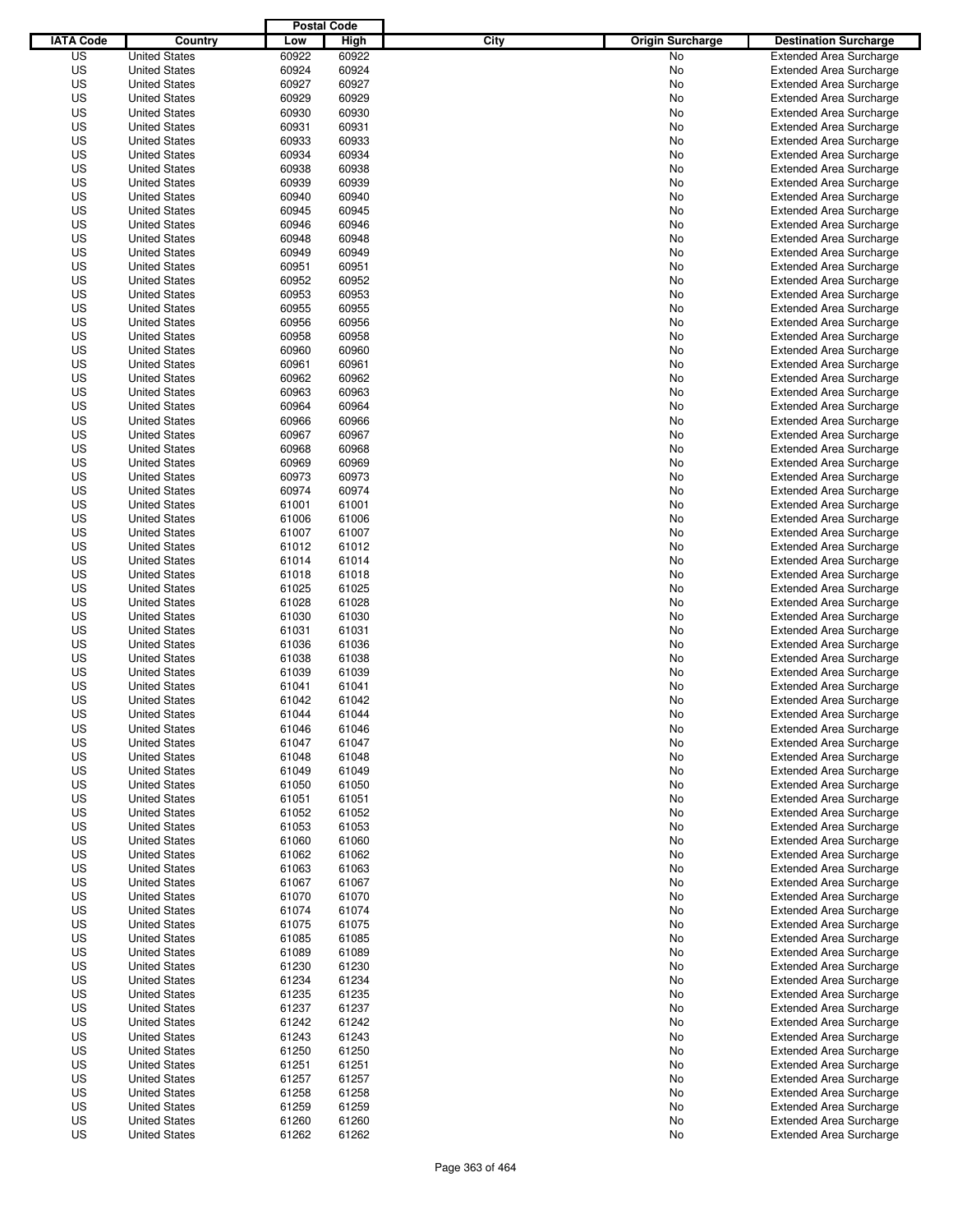|                  |                      | <b>Postal Code</b> |       |                                 |                                |
|------------------|----------------------|--------------------|-------|---------------------------------|--------------------------------|
| <b>IATA Code</b> | Country              | Low                | High  | City<br><b>Origin Surcharge</b> | <b>Destination Surcharge</b>   |
| US               | <b>United States</b> | 60922              | 60922 | <b>No</b>                       | <b>Extended Area Surcharge</b> |
| US               | <b>United States</b> | 60924              | 60924 | No                              | <b>Extended Area Surcharge</b> |
| US               | <b>United States</b> | 60927              | 60927 | No                              | <b>Extended Area Surcharge</b> |
| US               | <b>United States</b> | 60929              | 60929 | No                              | <b>Extended Area Surcharge</b> |
| US               | <b>United States</b> | 60930              | 60930 | No                              | <b>Extended Area Surcharge</b> |
| US               | <b>United States</b> | 60931              | 60931 | No                              | <b>Extended Area Surcharge</b> |
| US               | <b>United States</b> | 60933              | 60933 | No                              | <b>Extended Area Surcharge</b> |
| US               | <b>United States</b> | 60934              | 60934 | No                              | <b>Extended Area Surcharge</b> |
| US               | <b>United States</b> | 60938              | 60938 | No                              | <b>Extended Area Surcharge</b> |
| US               | <b>United States</b> | 60939              | 60939 | No                              | <b>Extended Area Surcharge</b> |
| US               | <b>United States</b> | 60940              | 60940 | No                              | <b>Extended Area Surcharge</b> |
| US               | <b>United States</b> | 60945              | 60945 | No                              | <b>Extended Area Surcharge</b> |
| US               | <b>United States</b> | 60946              | 60946 | No                              | <b>Extended Area Surcharge</b> |
| US               | <b>United States</b> | 60948              | 60948 | No                              | <b>Extended Area Surcharge</b> |
| US               | <b>United States</b> | 60949              | 60949 | No                              | <b>Extended Area Surcharge</b> |
| US               | <b>United States</b> | 60951              | 60951 | No                              | <b>Extended Area Surcharge</b> |
| US               | <b>United States</b> | 60952              | 60952 | No                              | <b>Extended Area Surcharge</b> |
| US               | <b>United States</b> | 60953              | 60953 | No                              | <b>Extended Area Surcharge</b> |
| US               | <b>United States</b> | 60955              | 60955 | No                              | <b>Extended Area Surcharge</b> |
| US               | <b>United States</b> | 60956              | 60956 | No                              | <b>Extended Area Surcharge</b> |
| US               | <b>United States</b> | 60958              | 60958 | No                              | <b>Extended Area Surcharge</b> |
| US               | <b>United States</b> | 60960              | 60960 | No                              | <b>Extended Area Surcharge</b> |
| US               | <b>United States</b> | 60961              | 60961 | No                              | <b>Extended Area Surcharge</b> |
| US               | <b>United States</b> | 60962              | 60962 | No                              | <b>Extended Area Surcharge</b> |
| US               | <b>United States</b> | 60963              | 60963 | No                              | <b>Extended Area Surcharge</b> |
| US               | <b>United States</b> | 60964              | 60964 | No                              | <b>Extended Area Surcharge</b> |
| US               | <b>United States</b> | 60966              | 60966 | No                              | <b>Extended Area Surcharge</b> |
| US               | <b>United States</b> | 60967              | 60967 | No                              | <b>Extended Area Surcharge</b> |
| US               | <b>United States</b> | 60968              | 60968 | No                              | <b>Extended Area Surcharge</b> |
| US               | <b>United States</b> | 60969              | 60969 | No                              | <b>Extended Area Surcharge</b> |
| US               | <b>United States</b> | 60973              | 60973 | No                              | <b>Extended Area Surcharge</b> |
| US               | <b>United States</b> | 60974              | 60974 | No                              | <b>Extended Area Surcharge</b> |
| US               | <b>United States</b> | 61001              | 61001 | No                              | <b>Extended Area Surcharge</b> |
| US               | <b>United States</b> | 61006              | 61006 | No                              | <b>Extended Area Surcharge</b> |
| US               |                      | 61007              | 61007 |                                 |                                |
|                  | <b>United States</b> | 61012              |       | No                              | <b>Extended Area Surcharge</b> |
| US               | <b>United States</b> | 61014              | 61012 | No                              | <b>Extended Area Surcharge</b> |
| US               | <b>United States</b> |                    | 61014 | No                              | <b>Extended Area Surcharge</b> |
| US               | <b>United States</b> | 61018              | 61018 | No                              | <b>Extended Area Surcharge</b> |
| US               | <b>United States</b> | 61025              | 61025 | No                              | <b>Extended Area Surcharge</b> |
| US               | <b>United States</b> | 61028              | 61028 | No                              | <b>Extended Area Surcharge</b> |
| US               | <b>United States</b> | 61030              | 61030 | No                              | <b>Extended Area Surcharge</b> |
| US               | <b>United States</b> | 61031              | 61031 | No                              | <b>Extended Area Surcharge</b> |
| US               | <b>United States</b> | 61036              | 61036 | No                              | <b>Extended Area Surcharge</b> |
| US               | <b>United States</b> | 61038              | 61038 | No                              | <b>Extended Area Surcharge</b> |
| US               | <b>United States</b> | 61039              | 61039 | No                              | <b>Extended Area Surcharge</b> |
| US               | <b>United States</b> | 61041              | 61041 | No                              | <b>Extended Area Surcharge</b> |
| US               | <b>United States</b> | 61042              | 61042 | No                              | <b>Extended Area Surcharge</b> |
| US               | <b>United States</b> | 61044              | 61044 | No                              | <b>Extended Area Surcharge</b> |
| US               | <b>United States</b> | 61046              | 61046 | No                              | <b>Extended Area Surcharge</b> |
| US               | <b>United States</b> | 61047              | 61047 | No                              | <b>Extended Area Surcharge</b> |
| US               | <b>United States</b> | 61048              | 61048 | No                              | <b>Extended Area Surcharge</b> |
| US               | <b>United States</b> | 61049              | 61049 | No                              | <b>Extended Area Surcharge</b> |
| US               | <b>United States</b> | 61050              | 61050 | No                              | <b>Extended Area Surcharge</b> |
| US               | <b>United States</b> | 61051              | 61051 | No                              | <b>Extended Area Surcharge</b> |
| US               | <b>United States</b> | 61052              | 61052 | No                              | <b>Extended Area Surcharge</b> |
| US               | <b>United States</b> | 61053              | 61053 | No                              | <b>Extended Area Surcharge</b> |
| US               | <b>United States</b> | 61060              | 61060 | No                              | <b>Extended Area Surcharge</b> |
| US               | <b>United States</b> | 61062              | 61062 | No                              | <b>Extended Area Surcharge</b> |
| US               | <b>United States</b> | 61063              | 61063 | No                              | <b>Extended Area Surcharge</b> |
| US               | <b>United States</b> | 61067              | 61067 | No                              | <b>Extended Area Surcharge</b> |
| US               | <b>United States</b> | 61070              | 61070 | No                              | <b>Extended Area Surcharge</b> |
| US               | <b>United States</b> | 61074              | 61074 | No                              | <b>Extended Area Surcharge</b> |
| US               | <b>United States</b> | 61075              | 61075 | No                              | <b>Extended Area Surcharge</b> |
| US               | <b>United States</b> | 61085              | 61085 | No                              | <b>Extended Area Surcharge</b> |
| US               | <b>United States</b> | 61089              | 61089 | No                              | <b>Extended Area Surcharge</b> |
| US               | <b>United States</b> | 61230              | 61230 | No                              | <b>Extended Area Surcharge</b> |
| US               | <b>United States</b> | 61234              | 61234 | No                              | <b>Extended Area Surcharge</b> |
| US               | <b>United States</b> | 61235              | 61235 | No                              | <b>Extended Area Surcharge</b> |
| US               | <b>United States</b> | 61237              | 61237 | No                              | <b>Extended Area Surcharge</b> |
| US               | <b>United States</b> | 61242              | 61242 | No                              | Extended Area Surcharge        |
| US               | <b>United States</b> | 61243              | 61243 | No                              | <b>Extended Area Surcharge</b> |
| US               | <b>United States</b> | 61250              | 61250 | No                              | <b>Extended Area Surcharge</b> |
| US               | <b>United States</b> | 61251              | 61251 | No                              | <b>Extended Area Surcharge</b> |
| US               | <b>United States</b> | 61257              | 61257 | No                              | <b>Extended Area Surcharge</b> |
| US               | <b>United States</b> | 61258              | 61258 | No                              | <b>Extended Area Surcharge</b> |
| US               | <b>United States</b> | 61259              | 61259 | No                              | <b>Extended Area Surcharge</b> |
| US               | <b>United States</b> | 61260              | 61260 | No                              | <b>Extended Area Surcharge</b> |
| US               | <b>United States</b> | 61262              | 61262 | No                              | <b>Extended Area Surcharge</b> |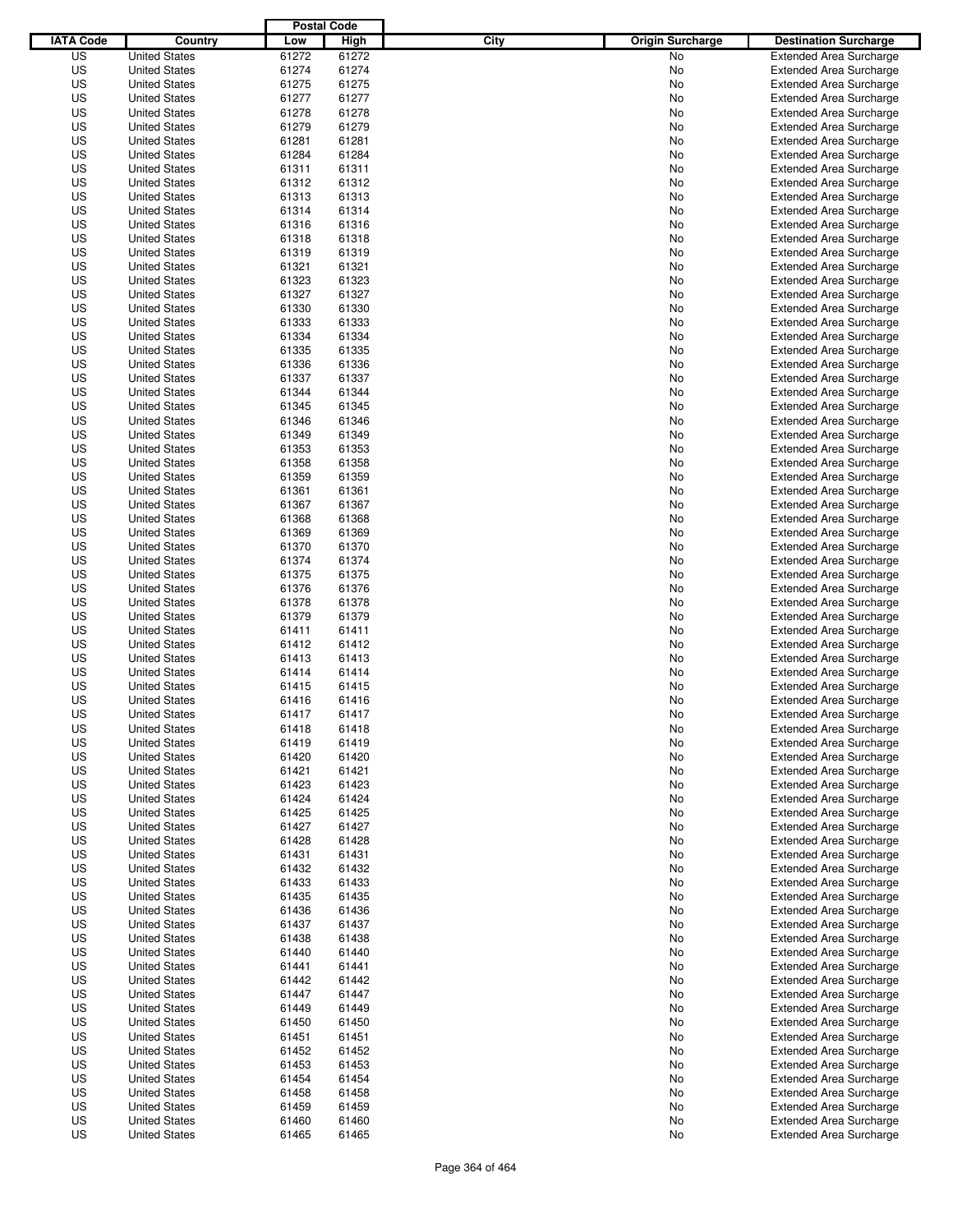|                  |                      | <b>Postal Code</b> |       |                                 |                                |
|------------------|----------------------|--------------------|-------|---------------------------------|--------------------------------|
| <b>IATA Code</b> | Country              | Low                | High  | City<br><b>Origin Surcharge</b> | <b>Destination Surcharge</b>   |
| US               | <b>United States</b> | 61272              | 61272 | <b>No</b>                       | <b>Extended Area Surcharge</b> |
| US               | <b>United States</b> | 61274              | 61274 | No                              | <b>Extended Area Surcharge</b> |
| US               | <b>United States</b> | 61275              | 61275 | No                              | <b>Extended Area Surcharge</b> |
| US               | <b>United States</b> | 61277              | 61277 | No                              | <b>Extended Area Surcharge</b> |
| US               | <b>United States</b> | 61278              | 61278 | No                              | <b>Extended Area Surcharge</b> |
| US               | <b>United States</b> | 61279              | 61279 | No                              | <b>Extended Area Surcharge</b> |
| US               | <b>United States</b> | 61281              | 61281 | No                              | <b>Extended Area Surcharge</b> |
| US               | <b>United States</b> | 61284              | 61284 | No                              | <b>Extended Area Surcharge</b> |
| US               | <b>United States</b> | 61311              | 61311 | No                              | <b>Extended Area Surcharge</b> |
| US               | <b>United States</b> | 61312              | 61312 | No                              | <b>Extended Area Surcharge</b> |
| US               | <b>United States</b> | 61313              | 61313 | No                              | <b>Extended Area Surcharge</b> |
| US               | <b>United States</b> | 61314              | 61314 | No                              | <b>Extended Area Surcharge</b> |
| US               | <b>United States</b> | 61316              | 61316 | No                              | <b>Extended Area Surcharge</b> |
| US               | <b>United States</b> | 61318              | 61318 | No                              | <b>Extended Area Surcharge</b> |
| US               | <b>United States</b> | 61319              | 61319 | No                              | <b>Extended Area Surcharge</b> |
| US               | <b>United States</b> | 61321              | 61321 | No                              | <b>Extended Area Surcharge</b> |
| US               | <b>United States</b> | 61323              | 61323 | No                              | <b>Extended Area Surcharge</b> |
| US               | <b>United States</b> | 61327              | 61327 | No                              | <b>Extended Area Surcharge</b> |
| US               | <b>United States</b> | 61330              | 61330 | No                              | <b>Extended Area Surcharge</b> |
| US               | <b>United States</b> | 61333              | 61333 | No                              | <b>Extended Area Surcharge</b> |
| US               | <b>United States</b> | 61334              | 61334 | No                              | <b>Extended Area Surcharge</b> |
| US               | <b>United States</b> | 61335              | 61335 | No                              | <b>Extended Area Surcharge</b> |
| US               | <b>United States</b> | 61336              | 61336 | No                              | <b>Extended Area Surcharge</b> |
| US               | <b>United States</b> | 61337              | 61337 | No                              | <b>Extended Area Surcharge</b> |
| US               | <b>United States</b> | 61344              | 61344 | No                              | <b>Extended Area Surcharge</b> |
| US               | <b>United States</b> | 61345              | 61345 | No                              | <b>Extended Area Surcharge</b> |
| US               | <b>United States</b> | 61346              | 61346 | No                              | <b>Extended Area Surcharge</b> |
| US               | <b>United States</b> | 61349              | 61349 | No                              | <b>Extended Area Surcharge</b> |
| US               | <b>United States</b> | 61353              | 61353 | No                              | <b>Extended Area Surcharge</b> |
| US               | <b>United States</b> | 61358              | 61358 | No                              | <b>Extended Area Surcharge</b> |
| US               | <b>United States</b> | 61359              | 61359 | No                              | <b>Extended Area Surcharge</b> |
| US               | <b>United States</b> | 61361              | 61361 | No                              | <b>Extended Area Surcharge</b> |
| US               | <b>United States</b> | 61367              | 61367 |                                 | <b>Extended Area Surcharge</b> |
| US               | <b>United States</b> | 61368              | 61368 | No                              |                                |
|                  |                      |                    |       | No                              | <b>Extended Area Surcharge</b> |
| US               | <b>United States</b> | 61369              | 61369 | No                              | <b>Extended Area Surcharge</b> |
| US               | <b>United States</b> | 61370              | 61370 | No                              | <b>Extended Area Surcharge</b> |
| US               | <b>United States</b> | 61374              | 61374 | No                              | <b>Extended Area Surcharge</b> |
| US               | <b>United States</b> | 61375              | 61375 | No                              | <b>Extended Area Surcharge</b> |
| US               | <b>United States</b> | 61376              | 61376 | No                              | <b>Extended Area Surcharge</b> |
| US               | <b>United States</b> | 61378              | 61378 | No                              | <b>Extended Area Surcharge</b> |
| US               | <b>United States</b> | 61379              | 61379 | No                              | <b>Extended Area Surcharge</b> |
| US               | <b>United States</b> | 61411              | 61411 | No                              | <b>Extended Area Surcharge</b> |
| US               | <b>United States</b> | 61412              | 61412 | No                              | <b>Extended Area Surcharge</b> |
| US               | <b>United States</b> | 61413              | 61413 | No                              | <b>Extended Area Surcharge</b> |
| US               | <b>United States</b> | 61414              | 61414 | No                              | Extended Area Surcharge        |
| US               | <b>United States</b> | 61415              | 61415 | No                              | <b>Extended Area Surcharge</b> |
| US               | <b>United States</b> | 61416              | 61416 | No                              | <b>Extended Area Surcharge</b> |
| US               | <b>United States</b> | 61417              | 61417 | No                              | <b>Extended Area Surcharge</b> |
| US               | <b>United States</b> | 61418              | 61418 | No                              | <b>Extended Area Surcharge</b> |
| US               | <b>United States</b> | 61419              | 61419 | No                              | <b>Extended Area Surcharge</b> |
| US               | <b>United States</b> | 61420              | 61420 | No                              | <b>Extended Area Surcharge</b> |
| US               | <b>United States</b> | 61421              | 61421 | No                              | <b>Extended Area Surcharge</b> |
| US               | <b>United States</b> | 61423              | 61423 | No                              | <b>Extended Area Surcharge</b> |
| US               | <b>United States</b> | 61424              | 61424 | No                              | <b>Extended Area Surcharge</b> |
| US               | <b>United States</b> | 61425              | 61425 | No                              | <b>Extended Area Surcharge</b> |
| US               | <b>United States</b> | 61427              | 61427 | No                              | <b>Extended Area Surcharge</b> |
| US               | <b>United States</b> | 61428              | 61428 | No                              | <b>Extended Area Surcharge</b> |
| US               | <b>United States</b> | 61431              | 61431 | No                              | <b>Extended Area Surcharge</b> |
| US               | <b>United States</b> | 61432              | 61432 | No                              | <b>Extended Area Surcharge</b> |
| US               | <b>United States</b> | 61433              | 61433 | No                              | <b>Extended Area Surcharge</b> |
| US               | <b>United States</b> | 61435              | 61435 | No                              | <b>Extended Area Surcharge</b> |
| US               | <b>United States</b> | 61436              | 61436 | No                              | <b>Extended Area Surcharge</b> |
| US               | <b>United States</b> | 61437              | 61437 | No                              | <b>Extended Area Surcharge</b> |
| US               | <b>United States</b> | 61438              | 61438 | No                              | <b>Extended Area Surcharge</b> |
| US               | <b>United States</b> | 61440              | 61440 | No                              | <b>Extended Area Surcharge</b> |
| US               | <b>United States</b> | 61441              | 61441 | No                              | <b>Extended Area Surcharge</b> |
| US               | <b>United States</b> | 61442              | 61442 | No                              | <b>Extended Area Surcharge</b> |
| US               | <b>United States</b> | 61447              | 61447 | No                              | <b>Extended Area Surcharge</b> |
| US               | <b>United States</b> | 61449              | 61449 | No                              | <b>Extended Area Surcharge</b> |
| US               | <b>United States</b> | 61450              | 61450 | No                              | Extended Area Surcharge        |
| US               | <b>United States</b> | 61451              | 61451 | No                              | <b>Extended Area Surcharge</b> |
| US               | <b>United States</b> | 61452              | 61452 | No                              | <b>Extended Area Surcharge</b> |
| US               | <b>United States</b> | 61453              | 61453 | No                              | <b>Extended Area Surcharge</b> |
| US               | <b>United States</b> | 61454              | 61454 | No                              | <b>Extended Area Surcharge</b> |
| US               | <b>United States</b> | 61458              | 61458 | No                              | <b>Extended Area Surcharge</b> |
| US               | <b>United States</b> | 61459              | 61459 | No                              | <b>Extended Area Surcharge</b> |
| US               | <b>United States</b> | 61460              | 61460 | No                              | <b>Extended Area Surcharge</b> |
| US               | <b>United States</b> | 61465              | 61465 | No                              | <b>Extended Area Surcharge</b> |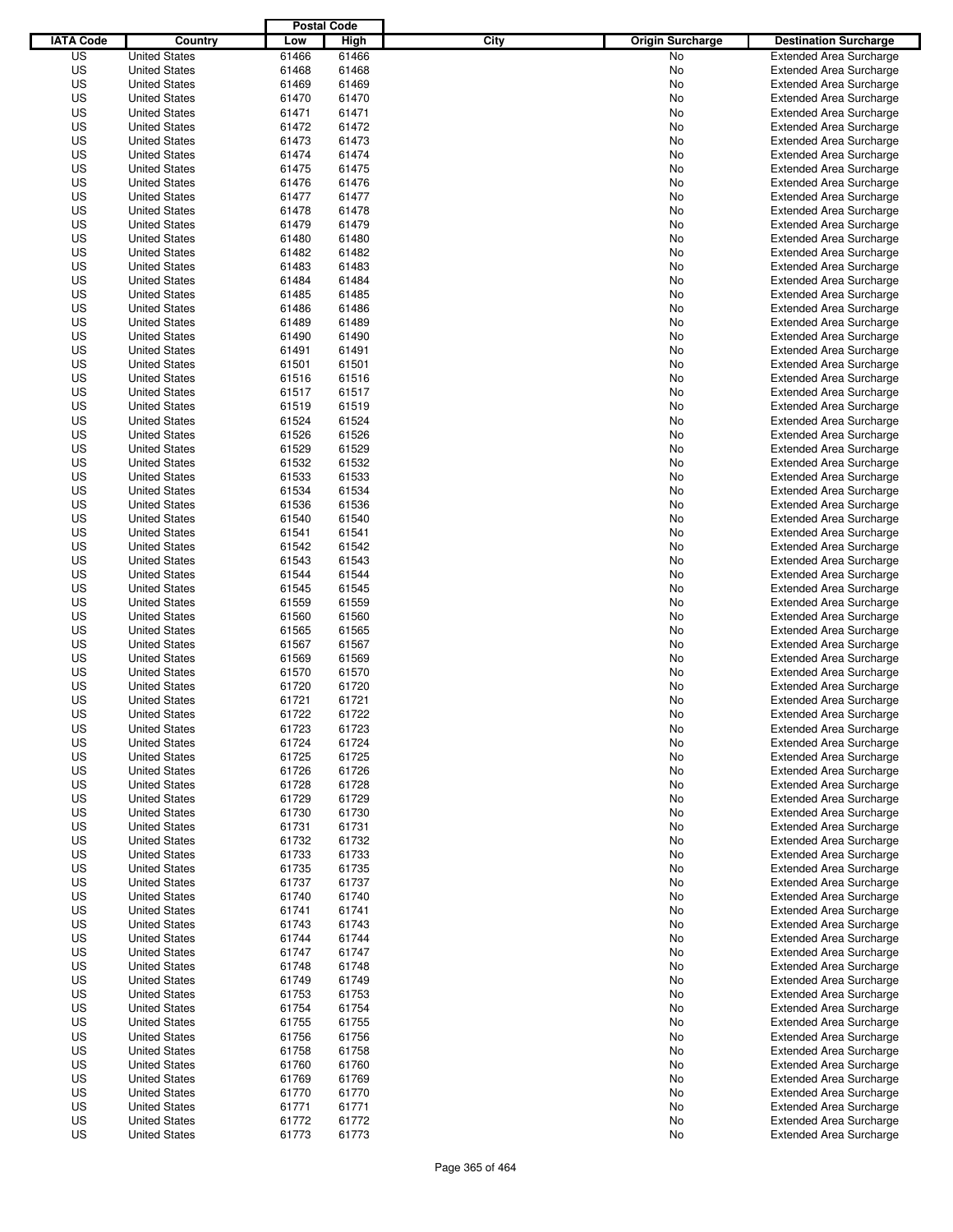|                  |                      | <b>Postal Code</b> |             |                                 |                                                                  |
|------------------|----------------------|--------------------|-------------|---------------------------------|------------------------------------------------------------------|
| <b>IATA Code</b> | Country              | Low                | <b>High</b> | City<br><b>Origin Surcharge</b> | <b>Destination Surcharge</b>                                     |
| US               | <b>United States</b> | 61466              | 61466       | <b>No</b>                       | <b>Extended Area Surcharge</b>                                   |
| US               | <b>United States</b> | 61468              | 61468       | No                              | <b>Extended Area Surcharge</b>                                   |
| US               | <b>United States</b> | 61469              | 61469       | No                              | <b>Extended Area Surcharge</b>                                   |
| US               | <b>United States</b> | 61470              | 61470       | No                              | <b>Extended Area Surcharge</b>                                   |
| US               | <b>United States</b> | 61471              | 61471       | No                              | <b>Extended Area Surcharge</b>                                   |
| US               | <b>United States</b> | 61472              | 61472       | No                              | <b>Extended Area Surcharge</b>                                   |
| US               | <b>United States</b> | 61473              | 61473       | No                              | <b>Extended Area Surcharge</b>                                   |
| US               | <b>United States</b> | 61474              | 61474       | No                              | <b>Extended Area Surcharge</b>                                   |
| US               | <b>United States</b> | 61475              | 61475       | No                              | <b>Extended Area Surcharge</b>                                   |
| US               | <b>United States</b> | 61476              | 61476       | No                              | <b>Extended Area Surcharge</b>                                   |
| US               | <b>United States</b> | 61477              | 61477       | No                              | <b>Extended Area Surcharge</b>                                   |
| US               | <b>United States</b> | 61478              | 61478       | No                              | <b>Extended Area Surcharge</b>                                   |
| US               | <b>United States</b> | 61479              | 61479       | No                              | <b>Extended Area Surcharge</b>                                   |
| US               | <b>United States</b> | 61480              | 61480       | No                              | <b>Extended Area Surcharge</b>                                   |
| US               | <b>United States</b> | 61482              | 61482       | No                              | <b>Extended Area Surcharge</b>                                   |
| US               | <b>United States</b> | 61483              | 61483       | No                              | <b>Extended Area Surcharge</b>                                   |
| US               | <b>United States</b> | 61484              | 61484       | No                              | <b>Extended Area Surcharge</b>                                   |
| US               | <b>United States</b> | 61485              | 61485       | No                              | <b>Extended Area Surcharge</b>                                   |
| US               | <b>United States</b> | 61486              | 61486       | No                              | <b>Extended Area Surcharge</b>                                   |
| US               | <b>United States</b> | 61489              | 61489       | No                              | <b>Extended Area Surcharge</b>                                   |
| US               | <b>United States</b> | 61490              | 61490       | No                              | <b>Extended Area Surcharge</b>                                   |
| US               | <b>United States</b> | 61491              | 61491       | No                              | <b>Extended Area Surcharge</b>                                   |
| US               | <b>United States</b> | 61501              | 61501       | No                              | <b>Extended Area Surcharge</b>                                   |
| US               | <b>United States</b> | 61516              | 61516       | No                              | <b>Extended Area Surcharge</b>                                   |
| US               | <b>United States</b> | 61517              | 61517       | No                              | <b>Extended Area Surcharge</b>                                   |
| US               | <b>United States</b> | 61519              | 61519       | No                              | <b>Extended Area Surcharge</b>                                   |
| US               | <b>United States</b> | 61524              | 61524       | No                              | <b>Extended Area Surcharge</b>                                   |
| US               | <b>United States</b> | 61526              | 61526       | No                              | <b>Extended Area Surcharge</b>                                   |
| US               | <b>United States</b> | 61529              | 61529       | No                              | <b>Extended Area Surcharge</b>                                   |
| US               | <b>United States</b> | 61532              | 61532       | No                              | <b>Extended Area Surcharge</b>                                   |
| US               | <b>United States</b> | 61533              | 61533       | No                              | <b>Extended Area Surcharge</b>                                   |
| US               | <b>United States</b> | 61534              | 61534       | No                              | <b>Extended Area Surcharge</b>                                   |
| US               | <b>United States</b> | 61536              | 61536       | No                              | <b>Extended Area Surcharge</b>                                   |
| US               | <b>United States</b> |                    | 61540       |                                 |                                                                  |
| US               | <b>United States</b> | 61540              | 61541       | No                              | <b>Extended Area Surcharge</b><br><b>Extended Area Surcharge</b> |
|                  | <b>United States</b> | 61541<br>61542     |             | No                              |                                                                  |
| US               |                      |                    | 61542       | No                              | <b>Extended Area Surcharge</b>                                   |
| US               | <b>United States</b> | 61543              | 61543       | No                              | <b>Extended Area Surcharge</b>                                   |
| US               | <b>United States</b> | 61544              | 61544       | No                              | <b>Extended Area Surcharge</b>                                   |
| US               | <b>United States</b> | 61545              | 61545       | No                              | <b>Extended Area Surcharge</b>                                   |
| US               | <b>United States</b> | 61559              | 61559       | No                              | <b>Extended Area Surcharge</b>                                   |
| US               | <b>United States</b> | 61560              | 61560       | No                              | <b>Extended Area Surcharge</b>                                   |
| US               | <b>United States</b> | 61565              | 61565       | No                              | <b>Extended Area Surcharge</b>                                   |
| US               | <b>United States</b> | 61567              | 61567       | No                              | <b>Extended Area Surcharge</b>                                   |
| US               | <b>United States</b> | 61569              | 61569       | No                              | <b>Extended Area Surcharge</b>                                   |
| US               | <b>United States</b> | 61570              | 61570       | No                              | Extended Area Surcharge                                          |
| US               | <b>United States</b> | 61720              | 61720       | No                              | <b>Extended Area Surcharge</b>                                   |
| US               | <b>United States</b> | 61721              | 61721       | No                              | <b>Extended Area Surcharge</b>                                   |
| US               | <b>United States</b> | 61722              | 61722       | No                              | <b>Extended Area Surcharge</b>                                   |
| US               | <b>United States</b> | 61723              | 61723       | No                              | <b>Extended Area Surcharge</b>                                   |
| US               | <b>United States</b> | 61724              | 61724       | No                              | <b>Extended Area Surcharge</b>                                   |
| US               | <b>United States</b> | 61725              | 61725       | No                              | <b>Extended Area Surcharge</b>                                   |
| US               | <b>United States</b> | 61726              | 61726       | No                              | <b>Extended Area Surcharge</b>                                   |
| US               | <b>United States</b> | 61728              | 61728       | No                              | <b>Extended Area Surcharge</b>                                   |
| US               | <b>United States</b> | 61729              | 61729       | No                              | <b>Extended Area Surcharge</b>                                   |
| US               | <b>United States</b> | 61730              | 61730       | No                              | <b>Extended Area Surcharge</b>                                   |
| US               | <b>United States</b> | 61731              | 61731       | No                              | <b>Extended Area Surcharge</b>                                   |
| US               | <b>United States</b> | 61732              | 61732       | No                              | <b>Extended Area Surcharge</b>                                   |
| US               | <b>United States</b> | 61733              | 61733       | No                              | <b>Extended Area Surcharge</b>                                   |
| US               | <b>United States</b> | 61735              | 61735       | No                              | <b>Extended Area Surcharge</b>                                   |
| US               | <b>United States</b> | 61737              | 61737       | No                              | <b>Extended Area Surcharge</b>                                   |
| US               | <b>United States</b> | 61740              | 61740       | No                              | <b>Extended Area Surcharge</b>                                   |
| US               | <b>United States</b> | 61741              | 61741       | No                              | <b>Extended Area Surcharge</b>                                   |
| US               | <b>United States</b> | 61743              | 61743       | No                              | <b>Extended Area Surcharge</b>                                   |
| US               | <b>United States</b> | 61744              | 61744       | No                              | <b>Extended Area Surcharge</b>                                   |
| US               | <b>United States</b> | 61747              | 61747       | No                              | <b>Extended Area Surcharge</b>                                   |
| US               | <b>United States</b> | 61748              | 61748       | No                              | <b>Extended Area Surcharge</b>                                   |
| US               | <b>United States</b> | 61749              | 61749       | No                              | <b>Extended Area Surcharge</b>                                   |
| US               | <b>United States</b> | 61753              | 61753       | No                              | <b>Extended Area Surcharge</b>                                   |
| US               | <b>United States</b> | 61754              | 61754       | No                              | <b>Extended Area Surcharge</b>                                   |
| US               | <b>United States</b> | 61755              | 61755       | No                              | <b>Extended Area Surcharge</b>                                   |
| US               | <b>United States</b> | 61756              | 61756       | No                              | <b>Extended Area Surcharge</b>                                   |
| US               | <b>United States</b> | 61758              | 61758       | No                              | <b>Extended Area Surcharge</b>                                   |
| US               | <b>United States</b> | 61760              | 61760       | No                              | <b>Extended Area Surcharge</b>                                   |
| US               | <b>United States</b> | 61769              | 61769       | No                              | <b>Extended Area Surcharge</b>                                   |
| US               | <b>United States</b> | 61770              | 61770       | No                              | <b>Extended Area Surcharge</b>                                   |
| US               | <b>United States</b> | 61771              | 61771       | No                              | <b>Extended Area Surcharge</b>                                   |
| US               | <b>United States</b> | 61772              | 61772       | No                              | <b>Extended Area Surcharge</b>                                   |
| US               | <b>United States</b> | 61773              | 61773       | No                              | <b>Extended Area Surcharge</b>                                   |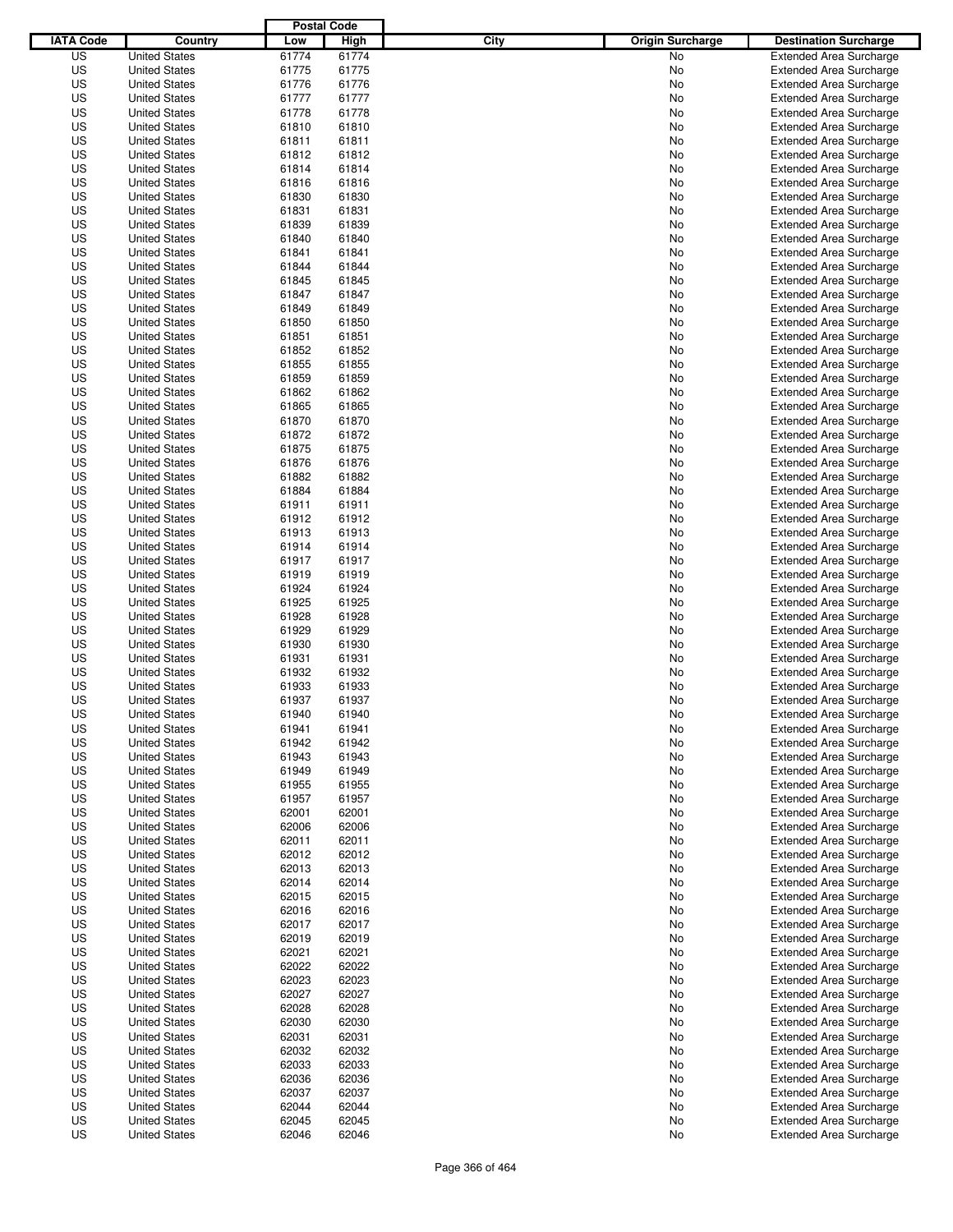|                  |                      | <b>Postal Code</b> |             |                                 |                                |
|------------------|----------------------|--------------------|-------------|---------------------------------|--------------------------------|
| <b>IATA Code</b> | Country              | Low                | <b>High</b> | City<br><b>Origin Surcharge</b> | <b>Destination Surcharge</b>   |
| US               | <b>United States</b> | 61774              | 61774       | <b>No</b>                       | <b>Extended Area Surcharge</b> |
| US               | <b>United States</b> | 61775              | 61775       | No                              | <b>Extended Area Surcharge</b> |
| US               | <b>United States</b> | 61776              | 61776       | No                              | <b>Extended Area Surcharge</b> |
| US               | <b>United States</b> | 61777              | 61777       | No                              | <b>Extended Area Surcharge</b> |
| US               | <b>United States</b> | 61778              | 61778       | No                              | <b>Extended Area Surcharge</b> |
| US               | <b>United States</b> | 61810              | 61810       | No                              | <b>Extended Area Surcharge</b> |
| US               | <b>United States</b> | 61811              | 61811       | No                              | <b>Extended Area Surcharge</b> |
| US               | <b>United States</b> | 61812              | 61812       | No                              | <b>Extended Area Surcharge</b> |
| US               | <b>United States</b> | 61814              | 61814       | No                              | <b>Extended Area Surcharge</b> |
| US               | <b>United States</b> | 61816              | 61816       | No                              | <b>Extended Area Surcharge</b> |
| US               | <b>United States</b> | 61830              | 61830       | No                              | <b>Extended Area Surcharge</b> |
| US               | <b>United States</b> | 61831              | 61831       | No                              | <b>Extended Area Surcharge</b> |
| US               | <b>United States</b> | 61839              | 61839       | No                              | <b>Extended Area Surcharge</b> |
| US               | <b>United States</b> | 61840              | 61840       | No                              | <b>Extended Area Surcharge</b> |
| US               | <b>United States</b> | 61841              | 61841       | No                              | <b>Extended Area Surcharge</b> |
| US               | <b>United States</b> | 61844              | 61844       | No                              | <b>Extended Area Surcharge</b> |
| US               | <b>United States</b> | 61845              | 61845       | No                              | <b>Extended Area Surcharge</b> |
| US               | <b>United States</b> | 61847              | 61847       | No                              | <b>Extended Area Surcharge</b> |
| US               | <b>United States</b> | 61849              | 61849       | No                              | <b>Extended Area Surcharge</b> |
| US               | <b>United States</b> | 61850              | 61850       | No                              | <b>Extended Area Surcharge</b> |
| US               | <b>United States</b> | 61851              | 61851       | No                              | <b>Extended Area Surcharge</b> |
| US               | <b>United States</b> | 61852              | 61852       | No                              | <b>Extended Area Surcharge</b> |
| US               | <b>United States</b> | 61855              | 61855       | No                              | <b>Extended Area Surcharge</b> |
| US               | <b>United States</b> | 61859              | 61859       | No                              | <b>Extended Area Surcharge</b> |
| US               | <b>United States</b> | 61862              | 61862       | No                              | <b>Extended Area Surcharge</b> |
| US               | <b>United States</b> | 61865              | 61865       | No                              | <b>Extended Area Surcharge</b> |
| US               | <b>United States</b> | 61870              | 61870       | No                              | <b>Extended Area Surcharge</b> |
| US               | <b>United States</b> | 61872              | 61872       | No                              | <b>Extended Area Surcharge</b> |
| US               | <b>United States</b> | 61875              | 61875       | No                              | <b>Extended Area Surcharge</b> |
| US               | <b>United States</b> | 61876              | 61876       | No                              | <b>Extended Area Surcharge</b> |
| US               | <b>United States</b> | 61882              | 61882       | No                              | <b>Extended Area Surcharge</b> |
| US               | <b>United States</b> | 61884              | 61884       | No                              | <b>Extended Area Surcharge</b> |
| US               | <b>United States</b> | 61911              | 61911       | No                              | <b>Extended Area Surcharge</b> |
| US               | <b>United States</b> | 61912              | 61912       | No                              | <b>Extended Area Surcharge</b> |
| US               | <b>United States</b> | 61913              | 61913       |                                 | <b>Extended Area Surcharge</b> |
|                  | <b>United States</b> | 61914              |             | No                              |                                |
| US               |                      |                    | 61914       | No                              | <b>Extended Area Surcharge</b> |
| US               | <b>United States</b> | 61917              | 61917       | No                              | <b>Extended Area Surcharge</b> |
| US               | <b>United States</b> | 61919              | 61919       | No                              | <b>Extended Area Surcharge</b> |
| US               | <b>United States</b> | 61924              | 61924       | No                              | <b>Extended Area Surcharge</b> |
| US               | <b>United States</b> | 61925              | 61925       | No                              | <b>Extended Area Surcharge</b> |
| US               | <b>United States</b> | 61928              | 61928       | No                              | <b>Extended Area Surcharge</b> |
| US               | <b>United States</b> | 61929              | 61929       | No                              | <b>Extended Area Surcharge</b> |
| US               | <b>United States</b> | 61930              | 61930       | No                              | <b>Extended Area Surcharge</b> |
| US               | <b>United States</b> | 61931              | 61931       | No                              | <b>Extended Area Surcharge</b> |
| US               | <b>United States</b> | 61932              | 61932       | No                              | Extended Area Surcharge        |
| US               | <b>United States</b> | 61933              | 61933       | No                              | <b>Extended Area Surcharge</b> |
| US               | <b>United States</b> | 61937              | 61937       | No                              | <b>Extended Area Surcharge</b> |
| US               | <b>United States</b> | 61940              | 61940       | No                              | <b>Extended Area Surcharge</b> |
| US               | <b>United States</b> | 61941              | 61941       | No                              | <b>Extended Area Surcharge</b> |
| US               | <b>United States</b> | 61942              | 61942       | No                              | <b>Extended Area Surcharge</b> |
| US               | <b>United States</b> | 61943              | 61943       | No                              | <b>Extended Area Surcharge</b> |
| US               | <b>United States</b> | 61949              | 61949       | No                              | <b>Extended Area Surcharge</b> |
| US               | <b>United States</b> | 61955              | 61955       | No                              | <b>Extended Area Surcharge</b> |
| US               | <b>United States</b> | 61957              | 61957       | No                              | <b>Extended Area Surcharge</b> |
| US               | <b>United States</b> | 62001              | 62001       | No                              | <b>Extended Area Surcharge</b> |
| US               | <b>United States</b> | 62006              | 62006       | No                              | <b>Extended Area Surcharge</b> |
| US               | <b>United States</b> | 62011              | 62011       | No                              | <b>Extended Area Surcharge</b> |
| US               | <b>United States</b> | 62012              | 62012       | No                              | <b>Extended Area Surcharge</b> |
| US               | <b>United States</b> | 62013              | 62013       | No                              | <b>Extended Area Surcharge</b> |
| US               | <b>United States</b> | 62014              | 62014       | No                              | <b>Extended Area Surcharge</b> |
| US               | <b>United States</b> | 62015              | 62015       | No                              | <b>Extended Area Surcharge</b> |
| US               | <b>United States</b> | 62016              | 62016       | No                              | <b>Extended Area Surcharge</b> |
| US               | <b>United States</b> | 62017              | 62017       | No                              | <b>Extended Area Surcharge</b> |
| US               | <b>United States</b> | 62019              | 62019       | No                              | <b>Extended Area Surcharge</b> |
| US               | <b>United States</b> | 62021              | 62021       | No                              | <b>Extended Area Surcharge</b> |
| US               | <b>United States</b> | 62022              | 62022       | No                              | <b>Extended Area Surcharge</b> |
| US               | <b>United States</b> | 62023              | 62023       | No                              | <b>Extended Area Surcharge</b> |
| US               | <b>United States</b> | 62027              | 62027       | No                              | <b>Extended Area Surcharge</b> |
| US               | <b>United States</b> | 62028              | 62028       | No                              | <b>Extended Area Surcharge</b> |
| US               | <b>United States</b> | 62030              | 62030       | No                              | <b>Extended Area Surcharge</b> |
| US               | <b>United States</b> | 62031              | 62031       | No                              | <b>Extended Area Surcharge</b> |
| US               | <b>United States</b> | 62032              | 62032       | No                              | <b>Extended Area Surcharge</b> |
| US               | <b>United States</b> | 62033              | 62033       | No                              | <b>Extended Area Surcharge</b> |
| US               | <b>United States</b> | 62036              | 62036       | No                              | <b>Extended Area Surcharge</b> |
| US               | <b>United States</b> | 62037              | 62037       | No                              | <b>Extended Area Surcharge</b> |
| US               | <b>United States</b> | 62044              | 62044       | No                              | <b>Extended Area Surcharge</b> |
| US               | <b>United States</b> | 62045              | 62045       | No                              | <b>Extended Area Surcharge</b> |
| US               | <b>United States</b> | 62046              | 62046       | No                              | <b>Extended Area Surcharge</b> |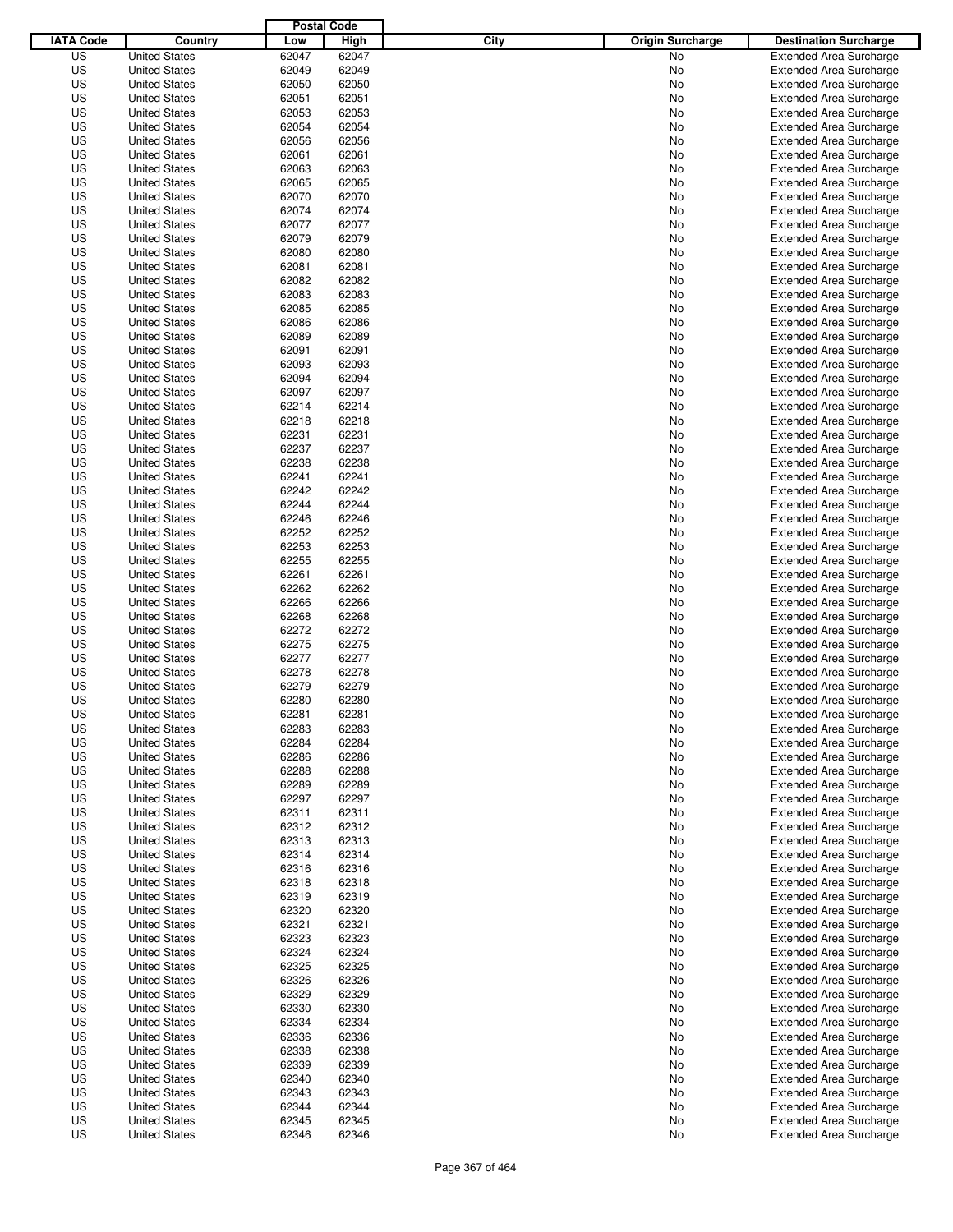|                  |                      | <b>Postal Code</b> |       |                                 |                                |
|------------------|----------------------|--------------------|-------|---------------------------------|--------------------------------|
| <b>IATA Code</b> | Country              | Low                | High  | City<br><b>Origin Surcharge</b> | <b>Destination Surcharge</b>   |
| US               | <b>United States</b> | 62047              | 62047 | <b>No</b>                       | <b>Extended Area Surcharge</b> |
| US               | <b>United States</b> | 62049              | 62049 | No                              | <b>Extended Area Surcharge</b> |
| US               | <b>United States</b> | 62050              | 62050 | No                              | <b>Extended Area Surcharge</b> |
| US               | <b>United States</b> | 62051              | 62051 | No                              | <b>Extended Area Surcharge</b> |
| US               | <b>United States</b> | 62053              | 62053 | No                              | <b>Extended Area Surcharge</b> |
| US               | <b>United States</b> | 62054              | 62054 | No                              | <b>Extended Area Surcharge</b> |
| US               | <b>United States</b> | 62056              | 62056 | No                              | <b>Extended Area Surcharge</b> |
| US               | <b>United States</b> | 62061              | 62061 | No                              | <b>Extended Area Surcharge</b> |
| US               | <b>United States</b> | 62063              | 62063 | No                              | <b>Extended Area Surcharge</b> |
| US               | <b>United States</b> | 62065              | 62065 | No                              | <b>Extended Area Surcharge</b> |
| US               | <b>United States</b> | 62070              | 62070 | No                              | <b>Extended Area Surcharge</b> |
| US               | <b>United States</b> | 62074              | 62074 | No                              | <b>Extended Area Surcharge</b> |
| US               | <b>United States</b> | 62077              | 62077 | No                              | <b>Extended Area Surcharge</b> |
| US               | <b>United States</b> | 62079              | 62079 | No                              | <b>Extended Area Surcharge</b> |
| US               | <b>United States</b> | 62080              | 62080 | No                              | <b>Extended Area Surcharge</b> |
| US               | <b>United States</b> | 62081              | 62081 | No                              | <b>Extended Area Surcharge</b> |
| US               | <b>United States</b> | 62082              | 62082 | No                              | <b>Extended Area Surcharge</b> |
| US               | <b>United States</b> | 62083              | 62083 | No                              | <b>Extended Area Surcharge</b> |
| US               | <b>United States</b> | 62085              | 62085 | No                              | <b>Extended Area Surcharge</b> |
| US               | <b>United States</b> | 62086              | 62086 | No                              | <b>Extended Area Surcharge</b> |
| US               | <b>United States</b> | 62089              | 62089 | No                              | <b>Extended Area Surcharge</b> |
| US               | <b>United States</b> | 62091              | 62091 | No                              | <b>Extended Area Surcharge</b> |
| US               | <b>United States</b> | 62093              | 62093 | No                              | <b>Extended Area Surcharge</b> |
| US               | <b>United States</b> | 62094              | 62094 | No                              | <b>Extended Area Surcharge</b> |
| US               | <b>United States</b> | 62097              | 62097 | No                              | <b>Extended Area Surcharge</b> |
| US               | <b>United States</b> | 62214              | 62214 | No                              | <b>Extended Area Surcharge</b> |
| US               | <b>United States</b> | 62218              | 62218 | No                              | <b>Extended Area Surcharge</b> |
| US               | <b>United States</b> | 62231              | 62231 | No                              | <b>Extended Area Surcharge</b> |
| US               | <b>United States</b> | 62237              | 62237 | No                              | <b>Extended Area Surcharge</b> |
| US               | <b>United States</b> | 62238              | 62238 | No                              | <b>Extended Area Surcharge</b> |
| US               | <b>United States</b> | 62241              | 62241 | No                              | <b>Extended Area Surcharge</b> |
| US               | <b>United States</b> | 62242              | 62242 | No                              | <b>Extended Area Surcharge</b> |
| US               | <b>United States</b> | 62244              | 62244 | No                              | <b>Extended Area Surcharge</b> |
| US               | <b>United States</b> | 62246              | 62246 | No                              | <b>Extended Area Surcharge</b> |
| US               | <b>United States</b> | 62252              | 62252 | No                              | <b>Extended Area Surcharge</b> |
| US               | <b>United States</b> | 62253              | 62253 | No                              | <b>Extended Area Surcharge</b> |
| US               | <b>United States</b> | 62255              | 62255 | No                              | <b>Extended Area Surcharge</b> |
| US               | <b>United States</b> | 62261              | 62261 | No                              | <b>Extended Area Surcharge</b> |
| US               | <b>United States</b> | 62262              | 62262 | No                              | <b>Extended Area Surcharge</b> |
| US               | <b>United States</b> | 62266              | 62266 | No                              | <b>Extended Area Surcharge</b> |
| US               | <b>United States</b> | 62268              | 62268 | No                              | <b>Extended Area Surcharge</b> |
| US               | <b>United States</b> | 62272              | 62272 | No                              | <b>Extended Area Surcharge</b> |
| US               | <b>United States</b> | 62275              | 62275 | No                              | <b>Extended Area Surcharge</b> |
| US               | <b>United States</b> | 62277              | 62277 | No                              | <b>Extended Area Surcharge</b> |
| US               | <b>United States</b> | 62278              | 62278 | No                              | <b>Extended Area Surcharge</b> |
| US               | <b>United States</b> | 62279              | 62279 | No                              | <b>Extended Area Surcharge</b> |
| US               | <b>United States</b> | 62280              | 62280 | No                              | <b>Extended Area Surcharge</b> |
| US               | <b>United States</b> | 62281              | 62281 | No                              | <b>Extended Area Surcharge</b> |
| US               | <b>United States</b> | 62283              | 62283 | No                              | <b>Extended Area Surcharge</b> |
| US               | <b>United States</b> | 62284              | 62284 | No                              | <b>Extended Area Surcharge</b> |
| US               | <b>United States</b> | 62286              | 62286 | No                              | <b>Extended Area Surcharge</b> |
| US               | <b>United States</b> | 62288              | 62288 | No                              | <b>Extended Area Surcharge</b> |
| US               | <b>United States</b> | 62289              | 62289 | No                              | <b>Extended Area Surcharge</b> |
| US               | <b>United States</b> | 62297              | 62297 | No                              | <b>Extended Area Surcharge</b> |
| US               | <b>United States</b> | 62311              | 62311 | No                              | <b>Extended Area Surcharge</b> |
| US               | <b>United States</b> | 62312              | 62312 | No                              | <b>Extended Area Surcharge</b> |
| US               | <b>United States</b> | 62313              | 62313 | No                              | <b>Extended Area Surcharge</b> |
| US               | <b>United States</b> | 62314              | 62314 | No                              | <b>Extended Area Surcharge</b> |
| US               | <b>United States</b> | 62316              | 62316 | No                              | <b>Extended Area Surcharge</b> |
| US               | <b>United States</b> | 62318              | 62318 | No                              | <b>Extended Area Surcharge</b> |
| US               | <b>United States</b> | 62319              | 62319 | No                              | <b>Extended Area Surcharge</b> |
| US               | <b>United States</b> | 62320              | 62320 | No                              | <b>Extended Area Surcharge</b> |
| US               | <b>United States</b> | 62321              | 62321 | No                              | <b>Extended Area Surcharge</b> |
| US               | <b>United States</b> | 62323              | 62323 | No                              | <b>Extended Area Surcharge</b> |
| US               | <b>United States</b> | 62324              | 62324 | No                              | <b>Extended Area Surcharge</b> |
| US               | <b>United States</b> | 62325              | 62325 | No                              | <b>Extended Area Surcharge</b> |
| US               | <b>United States</b> | 62326              | 62326 | No                              | <b>Extended Area Surcharge</b> |
| US               | <b>United States</b> | 62329              | 62329 | No                              | <b>Extended Area Surcharge</b> |
| US               | <b>United States</b> | 62330              | 62330 | No                              | <b>Extended Area Surcharge</b> |
| US               | <b>United States</b> | 62334              | 62334 | No                              | <b>Extended Area Surcharge</b> |
| US               | <b>United States</b> | 62336              | 62336 | No                              | <b>Extended Area Surcharge</b> |
| US               | <b>United States</b> | 62338              | 62338 | No                              | <b>Extended Area Surcharge</b> |
| US               | <b>United States</b> | 62339              | 62339 | No                              | <b>Extended Area Surcharge</b> |
| US               | <b>United States</b> | 62340              | 62340 | No                              | <b>Extended Area Surcharge</b> |
| US               | <b>United States</b> | 62343              | 62343 | No                              | <b>Extended Area Surcharge</b> |
| US               | <b>United States</b> | 62344              | 62344 | No                              | <b>Extended Area Surcharge</b> |
| US               | <b>United States</b> | 62345              | 62345 | No                              | <b>Extended Area Surcharge</b> |
| US               | <b>United States</b> | 62346              | 62346 | No                              | <b>Extended Area Surcharge</b> |
|                  |                      |                    |       |                                 |                                |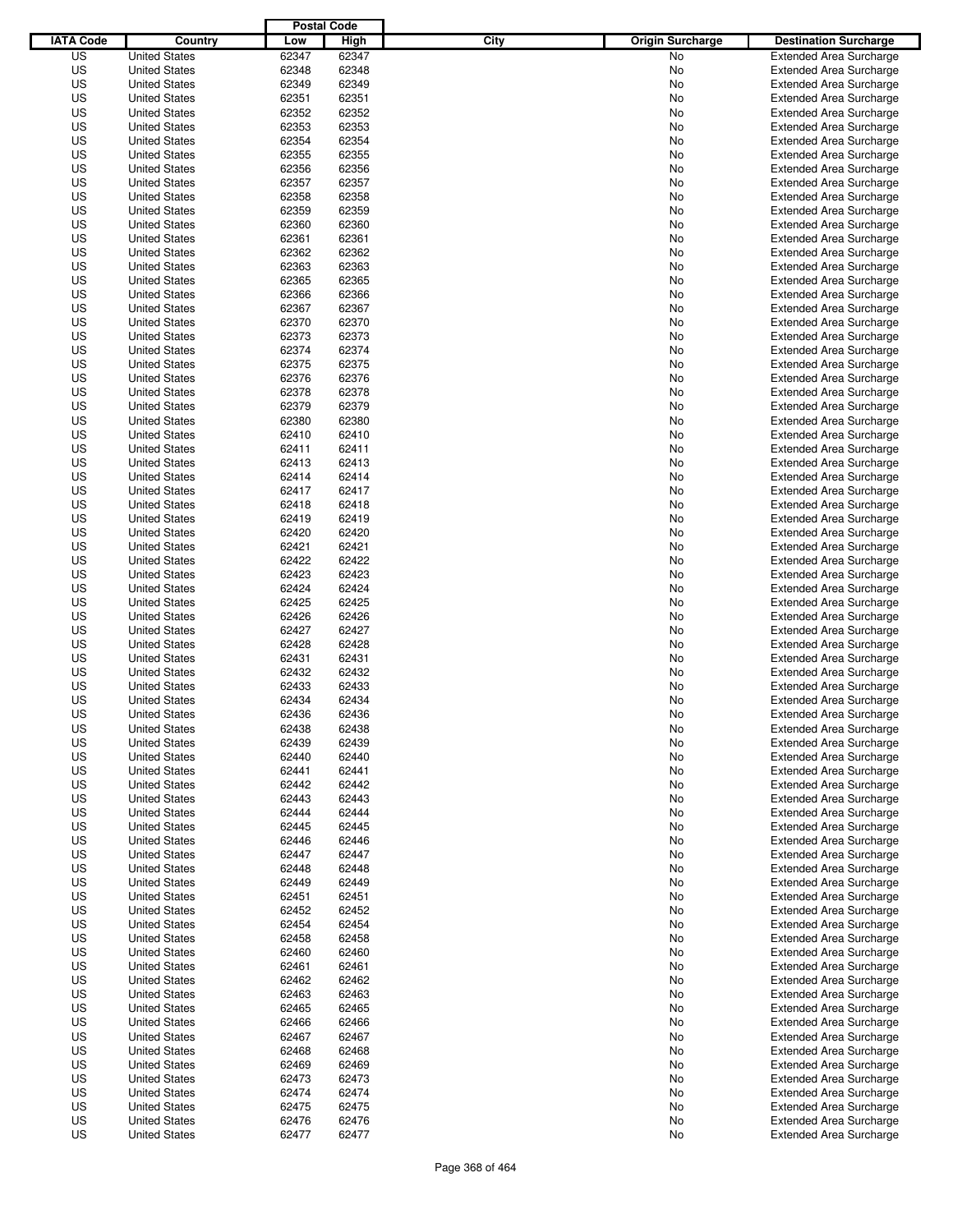|                  |                      | <b>Postal Code</b> |       |                                 |                                |
|------------------|----------------------|--------------------|-------|---------------------------------|--------------------------------|
| <b>IATA Code</b> | Country              | Low                | High  | City<br><b>Origin Surcharge</b> | <b>Destination Surcharge</b>   |
| US               | <b>United States</b> | 62347              | 62347 | No                              | <b>Extended Area Surcharge</b> |
| US               | <b>United States</b> | 62348              | 62348 | No                              | <b>Extended Area Surcharge</b> |
| US               | <b>United States</b> | 62349              | 62349 | No                              | <b>Extended Area Surcharge</b> |
| US               | <b>United States</b> | 62351              | 62351 | No                              | <b>Extended Area Surcharge</b> |
| US               | <b>United States</b> | 62352              | 62352 | No                              | <b>Extended Area Surcharge</b> |
| US               | <b>United States</b> | 62353              | 62353 | No                              | <b>Extended Area Surcharge</b> |
| US               | <b>United States</b> | 62354              | 62354 | No                              | <b>Extended Area Surcharge</b> |
| US               | <b>United States</b> | 62355              | 62355 | No                              | <b>Extended Area Surcharge</b> |
| US               | <b>United States</b> | 62356              | 62356 | No                              | <b>Extended Area Surcharge</b> |
| US               | <b>United States</b> | 62357              | 62357 | No                              | <b>Extended Area Surcharge</b> |
| US               | <b>United States</b> | 62358              | 62358 | No                              | <b>Extended Area Surcharge</b> |
| US               | <b>United States</b> | 62359              | 62359 | No                              | <b>Extended Area Surcharge</b> |
| US               | <b>United States</b> | 62360              | 62360 | No                              | <b>Extended Area Surcharge</b> |
| US               | <b>United States</b> | 62361              | 62361 | No                              | <b>Extended Area Surcharge</b> |
| US               | <b>United States</b> | 62362              | 62362 | No                              | <b>Extended Area Surcharge</b> |
| US               | <b>United States</b> | 62363              | 62363 | No                              | <b>Extended Area Surcharge</b> |
| US               | <b>United States</b> | 62365              | 62365 | No                              | <b>Extended Area Surcharge</b> |
| US               | <b>United States</b> | 62366              | 62366 | No                              | <b>Extended Area Surcharge</b> |
| US               | <b>United States</b> | 62367              | 62367 | No                              | <b>Extended Area Surcharge</b> |
| US               | <b>United States</b> | 62370              | 62370 | No                              | <b>Extended Area Surcharge</b> |
| US               | <b>United States</b> | 62373              | 62373 | No                              | <b>Extended Area Surcharge</b> |
| US               | <b>United States</b> | 62374              | 62374 | No                              | <b>Extended Area Surcharge</b> |
| US               | <b>United States</b> | 62375              | 62375 | No                              | <b>Extended Area Surcharge</b> |
| US               | <b>United States</b> | 62376              | 62376 | No                              | <b>Extended Area Surcharge</b> |
| US               | <b>United States</b> | 62378              | 62378 | No                              | <b>Extended Area Surcharge</b> |
| US               | <b>United States</b> | 62379              | 62379 | No                              | <b>Extended Area Surcharge</b> |
| US               | <b>United States</b> | 62380              | 62380 | No                              | <b>Extended Area Surcharge</b> |
| US               | <b>United States</b> | 62410              | 62410 | No                              | <b>Extended Area Surcharge</b> |
| US               | <b>United States</b> | 62411              | 62411 | No                              | <b>Extended Area Surcharge</b> |
| US               | <b>United States</b> | 62413              | 62413 | No                              | <b>Extended Area Surcharge</b> |
| US               | <b>United States</b> | 62414              | 62414 | No                              | <b>Extended Area Surcharge</b> |
| US               | <b>United States</b> | 62417              | 62417 | No                              | <b>Extended Area Surcharge</b> |
| US               | <b>United States</b> | 62418              | 62418 | No                              | <b>Extended Area Surcharge</b> |
| US               | <b>United States</b> | 62419              | 62419 |                                 |                                |
|                  |                      |                    |       | No                              | <b>Extended Area Surcharge</b> |
| US               | <b>United States</b> | 62420              | 62420 | No                              | <b>Extended Area Surcharge</b> |
| US               | <b>United States</b> | 62421              | 62421 | No                              | <b>Extended Area Surcharge</b> |
| US               | <b>United States</b> | 62422              | 62422 | No                              | <b>Extended Area Surcharge</b> |
| US               | <b>United States</b> | 62423              | 62423 | No                              | <b>Extended Area Surcharge</b> |
| US               | <b>United States</b> | 62424              | 62424 | No                              | <b>Extended Area Surcharge</b> |
| US               | <b>United States</b> | 62425              | 62425 | No                              | <b>Extended Area Surcharge</b> |
| US               | <b>United States</b> | 62426              | 62426 | No                              | <b>Extended Area Surcharge</b> |
| US               | <b>United States</b> | 62427              | 62427 | No                              | <b>Extended Area Surcharge</b> |
| US               | <b>United States</b> | 62428              | 62428 | No                              | <b>Extended Area Surcharge</b> |
| US               | <b>United States</b> | 62431              | 62431 | No                              | <b>Extended Area Surcharge</b> |
| US               | <b>United States</b> | 62432              | 62432 | No                              | <b>Extended Area Surcharge</b> |
| US               | <b>United States</b> | 62433              | 62433 | No                              | <b>Extended Area Surcharge</b> |
| US               | <b>United States</b> | 62434              | 62434 | No                              | <b>Extended Area Surcharge</b> |
| US               | <b>United States</b> | 62436              | 62436 | No                              | <b>Extended Area Surcharge</b> |
| US               | <b>United States</b> | 62438              | 62438 | No                              | <b>Extended Area Surcharge</b> |
| US               | <b>United States</b> | 62439              | 62439 | No                              | <b>Extended Area Surcharge</b> |
| US               | <b>United States</b> | 62440              | 62440 | No                              | <b>Extended Area Surcharge</b> |
| US               | <b>United States</b> | 62441              | 62441 | No                              | <b>Extended Area Surcharge</b> |
| US               | <b>United States</b> | 62442              | 62442 | No                              | <b>Extended Area Surcharge</b> |
| US               | <b>United States</b> | 62443              | 62443 | No                              | <b>Extended Area Surcharge</b> |
| US               | <b>United States</b> | 62444              | 62444 | No                              | <b>Extended Area Surcharge</b> |
| US               | <b>United States</b> | 62445              | 62445 | No                              | <b>Extended Area Surcharge</b> |
| US               | <b>United States</b> | 62446              | 62446 | No                              | <b>Extended Area Surcharge</b> |
| US               | <b>United States</b> | 62447              | 62447 | No                              | <b>Extended Area Surcharge</b> |
| US               | <b>United States</b> | 62448              | 62448 | No                              | <b>Extended Area Surcharge</b> |
| US               | <b>United States</b> | 62449              | 62449 | No                              | <b>Extended Area Surcharge</b> |
| US               | <b>United States</b> | 62451              | 62451 | No                              | <b>Extended Area Surcharge</b> |
| US               | <b>United States</b> | 62452              | 62452 | No                              | <b>Extended Area Surcharge</b> |
| US               | <b>United States</b> | 62454              | 62454 | No                              | <b>Extended Area Surcharge</b> |
| US               | <b>United States</b> | 62458              | 62458 | No                              | <b>Extended Area Surcharge</b> |
| US               | <b>United States</b> | 62460              | 62460 | No                              | <b>Extended Area Surcharge</b> |
| US               | <b>United States</b> | 62461              | 62461 | No                              | <b>Extended Area Surcharge</b> |
| US               | <b>United States</b> | 62462              | 62462 | No                              | <b>Extended Area Surcharge</b> |
| US               | <b>United States</b> | 62463              | 62463 | No                              | <b>Extended Area Surcharge</b> |
| US               | <b>United States</b> | 62465              | 62465 | No                              | <b>Extended Area Surcharge</b> |
| US               | <b>United States</b> | 62466              | 62466 | No                              | <b>Extended Area Surcharge</b> |
| US               | <b>United States</b> | 62467              | 62467 | No                              | <b>Extended Area Surcharge</b> |
| US               | <b>United States</b> | 62468              | 62468 | No                              | <b>Extended Area Surcharge</b> |
| US               | <b>United States</b> | 62469              | 62469 | No                              | <b>Extended Area Surcharge</b> |
| US               | <b>United States</b> | 62473              | 62473 | No                              | <b>Extended Area Surcharge</b> |
| US               | <b>United States</b> | 62474              | 62474 | No                              | <b>Extended Area Surcharge</b> |
| US               | <b>United States</b> | 62475              | 62475 | No                              | <b>Extended Area Surcharge</b> |
| US               | <b>United States</b> | 62476              | 62476 | No                              | <b>Extended Area Surcharge</b> |
| US               | <b>United States</b> | 62477              | 62477 | No                              | <b>Extended Area Surcharge</b> |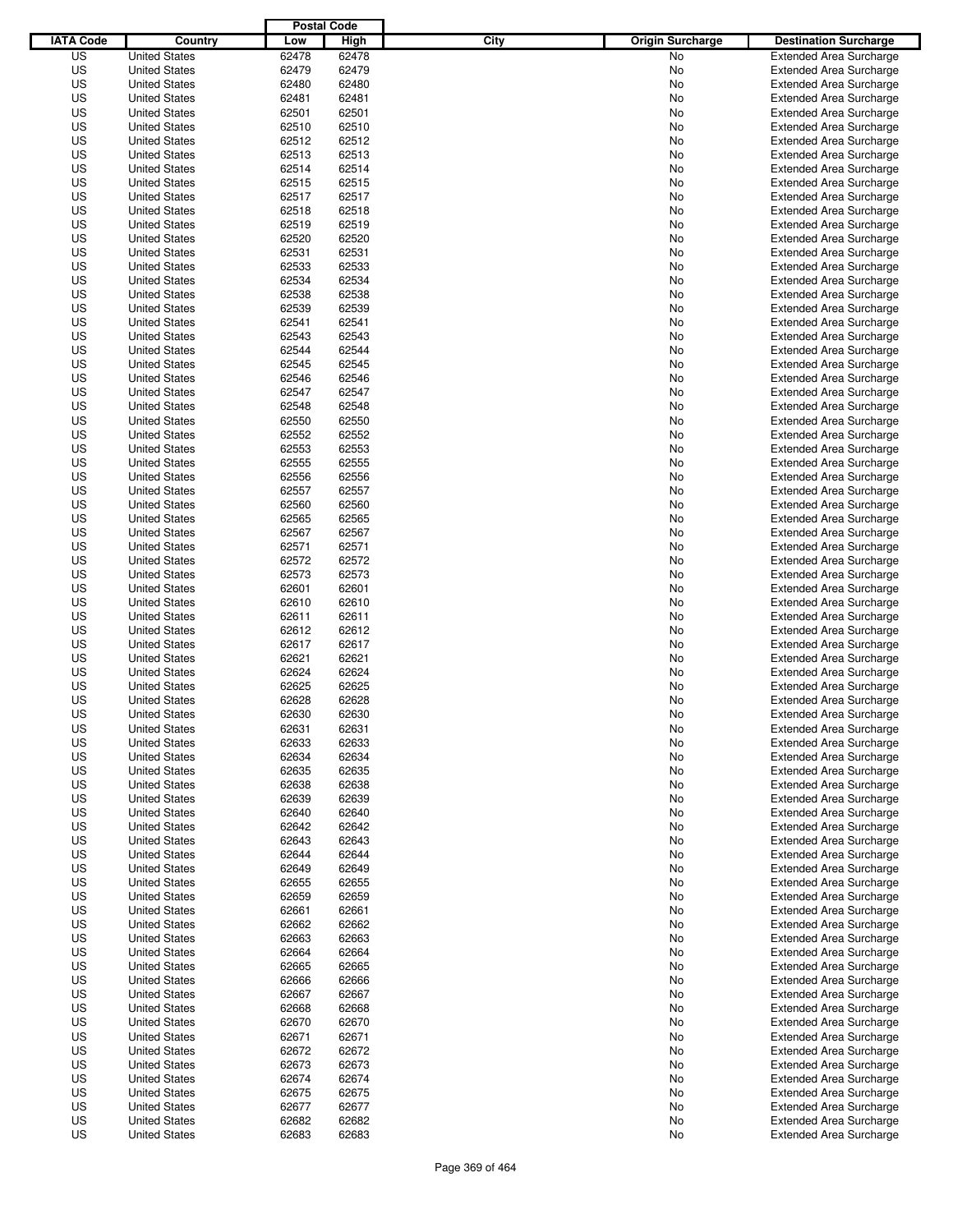|                  |                      | <b>Postal Code</b> |       |                                 |                                |
|------------------|----------------------|--------------------|-------|---------------------------------|--------------------------------|
| <b>IATA Code</b> | Country              | Low                | High  | City<br><b>Origin Surcharge</b> | <b>Destination Surcharge</b>   |
| US               | <b>United States</b> | 62478              | 62478 | <b>No</b>                       | <b>Extended Area Surcharge</b> |
| US               | <b>United States</b> | 62479              | 62479 | No                              | <b>Extended Area Surcharge</b> |
| US               | <b>United States</b> | 62480              | 62480 | No                              | <b>Extended Area Surcharge</b> |
| US               | <b>United States</b> | 62481              | 62481 | No                              | <b>Extended Area Surcharge</b> |
| US               | <b>United States</b> | 62501              | 62501 | No                              | <b>Extended Area Surcharge</b> |
| US               | <b>United States</b> | 62510              | 62510 | No                              | <b>Extended Area Surcharge</b> |
| US               | <b>United States</b> | 62512              | 62512 | No                              | <b>Extended Area Surcharge</b> |
| US               | <b>United States</b> | 62513              | 62513 | No                              | <b>Extended Area Surcharge</b> |
| US               | <b>United States</b> | 62514              | 62514 | No                              | <b>Extended Area Surcharge</b> |
| US               | <b>United States</b> | 62515              | 62515 | No                              | <b>Extended Area Surcharge</b> |
| US               | <b>United States</b> | 62517              | 62517 | No                              | <b>Extended Area Surcharge</b> |
| US               | <b>United States</b> | 62518              | 62518 | No                              | <b>Extended Area Surcharge</b> |
| US               | <b>United States</b> | 62519              | 62519 | No                              | <b>Extended Area Surcharge</b> |
| US               | <b>United States</b> | 62520              | 62520 | No                              | <b>Extended Area Surcharge</b> |
| US               | <b>United States</b> | 62531              | 62531 | No                              | <b>Extended Area Surcharge</b> |
| US               | <b>United States</b> | 62533              | 62533 | No                              | <b>Extended Area Surcharge</b> |
| US               | <b>United States</b> | 62534              | 62534 | No                              | <b>Extended Area Surcharge</b> |
| US               | <b>United States</b> | 62538              | 62538 | No                              | <b>Extended Area Surcharge</b> |
| US               | <b>United States</b> | 62539              | 62539 | No                              | <b>Extended Area Surcharge</b> |
| US               | <b>United States</b> | 62541              | 62541 | No                              | <b>Extended Area Surcharge</b> |
| US               | <b>United States</b> | 62543              | 62543 | No                              | <b>Extended Area Surcharge</b> |
| US               | <b>United States</b> | 62544              | 62544 | No                              | <b>Extended Area Surcharge</b> |
| US               | <b>United States</b> | 62545              | 62545 | No                              | <b>Extended Area Surcharge</b> |
| US               | <b>United States</b> | 62546              | 62546 | No                              | <b>Extended Area Surcharge</b> |
| US               | <b>United States</b> | 62547              | 62547 | No                              | <b>Extended Area Surcharge</b> |
| US               | <b>United States</b> | 62548              | 62548 | No                              | <b>Extended Area Surcharge</b> |
| US               | <b>United States</b> | 62550              | 62550 | No                              | <b>Extended Area Surcharge</b> |
| US               | <b>United States</b> | 62552              | 62552 | No                              | <b>Extended Area Surcharge</b> |
| US               | <b>United States</b> | 62553              | 62553 | No                              | <b>Extended Area Surcharge</b> |
| US               | <b>United States</b> | 62555              | 62555 | No                              | <b>Extended Area Surcharge</b> |
| US               | <b>United States</b> | 62556              | 62556 | No                              | <b>Extended Area Surcharge</b> |
| US               | <b>United States</b> | 62557              | 62557 | No                              | <b>Extended Area Surcharge</b> |
| US               | <b>United States</b> | 62560              | 62560 | No                              | <b>Extended Area Surcharge</b> |
| US               | <b>United States</b> | 62565              | 62565 | No                              | <b>Extended Area Surcharge</b> |
| US               | <b>United States</b> | 62567              | 62567 | No                              | <b>Extended Area Surcharge</b> |
| US               | <b>United States</b> | 62571              | 62571 | No                              | <b>Extended Area Surcharge</b> |
| US               | <b>United States</b> | 62572              | 62572 | No                              | <b>Extended Area Surcharge</b> |
| US               | <b>United States</b> | 62573              | 62573 | No                              | <b>Extended Area Surcharge</b> |
| US               | <b>United States</b> | 62601              | 62601 | No                              | <b>Extended Area Surcharge</b> |
| US               | <b>United States</b> | 62610              | 62610 | No                              | <b>Extended Area Surcharge</b> |
| US               | <b>United States</b> | 62611              | 62611 | No                              | <b>Extended Area Surcharge</b> |
| US               | <b>United States</b> | 62612              | 62612 | No                              | <b>Extended Area Surcharge</b> |
| US               | <b>United States</b> | 62617              | 62617 | No                              | <b>Extended Area Surcharge</b> |
| US               | <b>United States</b> | 62621              | 62621 | No                              | <b>Extended Area Surcharge</b> |
| US               | <b>United States</b> | 62624              | 62624 | No                              | <b>Extended Area Surcharge</b> |
| US               | <b>United States</b> | 62625              | 62625 | No                              | <b>Extended Area Surcharge</b> |
| US               | <b>United States</b> | 62628              | 62628 | No                              | <b>Extended Area Surcharge</b> |
| US               | <b>United States</b> | 62630              | 62630 | No                              | <b>Extended Area Surcharge</b> |
| US               | <b>United States</b> | 62631              | 62631 | No                              | <b>Extended Area Surcharge</b> |
| US               | <b>United States</b> | 62633              | 62633 | No                              | <b>Extended Area Surcharge</b> |
| US               | <b>United States</b> | 62634              | 62634 | No                              | <b>Extended Area Surcharge</b> |
| US               | <b>United States</b> | 62635              | 62635 | No                              | <b>Extended Area Surcharge</b> |
| US               | <b>United States</b> | 62638              | 62638 | No                              | <b>Extended Area Surcharge</b> |
| US               | <b>United States</b> | 62639              | 62639 | No                              | <b>Extended Area Surcharge</b> |
| US               | <b>United States</b> | 62640              | 62640 | No                              | <b>Extended Area Surcharge</b> |
| US               | <b>United States</b> | 62642              | 62642 | No                              | <b>Extended Area Surcharge</b> |
| US               | <b>United States</b> | 62643              | 62643 | No                              | <b>Extended Area Surcharge</b> |
| US               | <b>United States</b> | 62644              | 62644 | No                              | <b>Extended Area Surcharge</b> |
| US               | <b>United States</b> | 62649              | 62649 | No                              | <b>Extended Area Surcharge</b> |
| US               | <b>United States</b> | 62655              | 62655 | No                              | <b>Extended Area Surcharge</b> |
| US               | <b>United States</b> | 62659              | 62659 | No                              | <b>Extended Area Surcharge</b> |
| US               | <b>United States</b> | 62661              | 62661 | No                              | <b>Extended Area Surcharge</b> |
| US               | <b>United States</b> | 62662              | 62662 | No                              | <b>Extended Area Surcharge</b> |
| US               | <b>United States</b> | 62663              | 62663 | No                              | <b>Extended Area Surcharge</b> |
| US               | <b>United States</b> | 62664              | 62664 | No                              | <b>Extended Area Surcharge</b> |
| US               | <b>United States</b> | 62665              | 62665 | No                              | <b>Extended Area Surcharge</b> |
| US               | <b>United States</b> | 62666              | 62666 | No                              | <b>Extended Area Surcharge</b> |
| US               | <b>United States</b> | 62667              | 62667 | No                              | <b>Extended Area Surcharge</b> |
| US               | <b>United States</b> | 62668              | 62668 | No                              | <b>Extended Area Surcharge</b> |
| US               | <b>United States</b> | 62670              | 62670 | No                              | <b>Extended Area Surcharge</b> |
| US               | <b>United States</b> | 62671              | 62671 | No                              | <b>Extended Area Surcharge</b> |
| US               | <b>United States</b> | 62672              | 62672 | No                              | <b>Extended Area Surcharge</b> |
| US               | <b>United States</b> | 62673              | 62673 | No                              | <b>Extended Area Surcharge</b> |
| US               | <b>United States</b> | 62674              | 62674 | No                              | <b>Extended Area Surcharge</b> |
| US               | <b>United States</b> | 62675              | 62675 | No                              | <b>Extended Area Surcharge</b> |
| US               | <b>United States</b> | 62677              | 62677 | No                              | <b>Extended Area Surcharge</b> |
| US               | <b>United States</b> | 62682              | 62682 | No                              | <b>Extended Area Surcharge</b> |
| US               | <b>United States</b> | 62683              | 62683 | No                              | <b>Extended Area Surcharge</b> |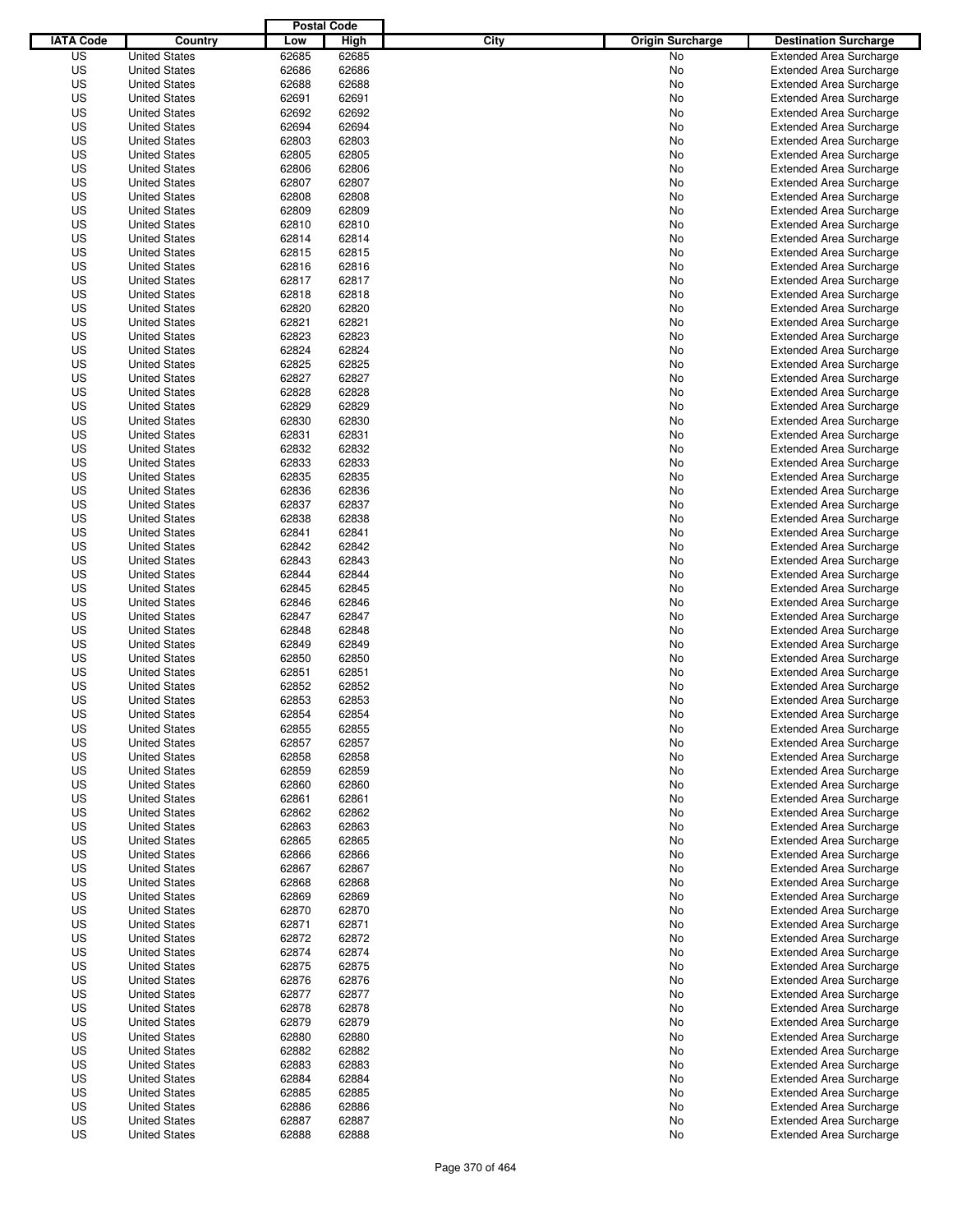|                  |                                              | <b>Postal Code</b> |                |                                 |                                                                  |
|------------------|----------------------------------------------|--------------------|----------------|---------------------------------|------------------------------------------------------------------|
| <b>IATA Code</b> | Country                                      | Low                | High           | City<br><b>Origin Surcharge</b> | <b>Destination Surcharge</b>                                     |
| US               | <b>United States</b>                         | 62685              | 62685          | <b>No</b>                       | <b>Extended Area Surcharge</b>                                   |
| US               | <b>United States</b>                         | 62686              | 62686          | No                              | <b>Extended Area Surcharge</b>                                   |
| US               | <b>United States</b>                         | 62688              | 62688          | No                              | <b>Extended Area Surcharge</b>                                   |
| US               | <b>United States</b>                         | 62691              | 62691          | No                              | <b>Extended Area Surcharge</b>                                   |
| US               | <b>United States</b>                         | 62692              | 62692          | No                              | <b>Extended Area Surcharge</b>                                   |
| US               | <b>United States</b>                         | 62694              | 62694          | No                              | <b>Extended Area Surcharge</b>                                   |
| US               | <b>United States</b>                         | 62803              | 62803          | No                              | <b>Extended Area Surcharge</b>                                   |
| US               | <b>United States</b>                         | 62805              | 62805          | No                              | <b>Extended Area Surcharge</b>                                   |
| US               | <b>United States</b>                         | 62806              | 62806          | No                              | <b>Extended Area Surcharge</b>                                   |
| US               | <b>United States</b>                         | 62807              | 62807          | No                              | <b>Extended Area Surcharge</b>                                   |
| US               | <b>United States</b>                         | 62808              | 62808          | No                              | <b>Extended Area Surcharge</b>                                   |
| US               | <b>United States</b>                         | 62809              | 62809          | No                              | <b>Extended Area Surcharge</b>                                   |
| US               | <b>United States</b>                         | 62810              | 62810          | No                              | <b>Extended Area Surcharge</b>                                   |
| US               | <b>United States</b>                         | 62814              | 62814          | No                              | <b>Extended Area Surcharge</b>                                   |
| US               | <b>United States</b>                         | 62815              | 62815          | No                              | <b>Extended Area Surcharge</b>                                   |
| US               | <b>United States</b>                         | 62816              | 62816          | No                              | <b>Extended Area Surcharge</b>                                   |
| US               | <b>United States</b>                         | 62817              | 62817          | No                              | <b>Extended Area Surcharge</b>                                   |
| US               | <b>United States</b>                         | 62818              | 62818          | No                              | <b>Extended Area Surcharge</b>                                   |
| US               | <b>United States</b>                         | 62820              | 62820          | No                              | <b>Extended Area Surcharge</b>                                   |
| US               | <b>United States</b>                         | 62821              | 62821          | No                              | <b>Extended Area Surcharge</b>                                   |
| US               | <b>United States</b>                         | 62823              | 62823          | No                              | <b>Extended Area Surcharge</b>                                   |
| US               | <b>United States</b>                         | 62824              | 62824          | No                              | <b>Extended Area Surcharge</b>                                   |
| US               | <b>United States</b>                         | 62825              | 62825          | No                              | <b>Extended Area Surcharge</b>                                   |
| US               | <b>United States</b>                         | 62827              | 62827          | No                              | <b>Extended Area Surcharge</b>                                   |
| US               | <b>United States</b>                         | 62828              | 62828          | No                              | <b>Extended Area Surcharge</b>                                   |
| US               | <b>United States</b>                         | 62829              | 62829          | No                              | <b>Extended Area Surcharge</b>                                   |
| US               | <b>United States</b>                         | 62830              | 62830          | No                              | <b>Extended Area Surcharge</b>                                   |
| US               | <b>United States</b>                         | 62831              | 62831          | No                              | <b>Extended Area Surcharge</b>                                   |
| US               | <b>United States</b>                         | 62832              | 62832          | No                              | <b>Extended Area Surcharge</b>                                   |
| US               | <b>United States</b>                         | 62833              | 62833          | No                              | <b>Extended Area Surcharge</b>                                   |
| US               | <b>United States</b>                         | 62835              | 62835          | No                              | <b>Extended Area Surcharge</b>                                   |
| US               | <b>United States</b>                         | 62836              | 62836          | No                              | <b>Extended Area Surcharge</b>                                   |
| US               | <b>United States</b>                         | 62837              | 62837          | No                              | <b>Extended Area Surcharge</b>                                   |
| US               | <b>United States</b>                         | 62838              | 62838          | No                              | <b>Extended Area Surcharge</b>                                   |
| US               | <b>United States</b>                         | 62841              | 62841          | No                              | <b>Extended Area Surcharge</b>                                   |
| US               | <b>United States</b>                         | 62842              | 62842          | No                              | <b>Extended Area Surcharge</b>                                   |
| US               | <b>United States</b>                         | 62843              | 62843          | No                              | <b>Extended Area Surcharge</b>                                   |
| US               | <b>United States</b>                         | 62844              | 62844          | No                              | <b>Extended Area Surcharge</b>                                   |
| US               | <b>United States</b>                         | 62845              | 62845          | No                              | <b>Extended Area Surcharge</b>                                   |
| US               | <b>United States</b>                         | 62846              | 62846          | No                              | <b>Extended Area Surcharge</b>                                   |
| US               | <b>United States</b>                         | 62847              | 62847          | No                              | <b>Extended Area Surcharge</b>                                   |
| US               | <b>United States</b>                         | 62848              | 62848          |                                 | <b>Extended Area Surcharge</b>                                   |
| US               |                                              | 62849              | 62849          | No                              |                                                                  |
| US               | <b>United States</b><br><b>United States</b> | 62850              | 62850          | No<br>No                        | <b>Extended Area Surcharge</b><br><b>Extended Area Surcharge</b> |
| US               | <b>United States</b>                         | 62851              | 62851          | No                              | <b>Extended Area Surcharge</b>                                   |
| US               | <b>United States</b>                         | 62852              | 62852          |                                 | <b>Extended Area Surcharge</b>                                   |
| US               | <b>United States</b>                         | 62853              | 62853          | No<br>No                        |                                                                  |
|                  |                                              |                    |                |                                 | <b>Extended Area Surcharge</b>                                   |
| US               | <b>United States</b>                         | 62854              | 62854          | No                              | <b>Extended Area Surcharge</b>                                   |
| US               | <b>United States</b>                         | 62855              | 62855          | No                              | <b>Extended Area Surcharge</b>                                   |
| US               | <b>United States</b>                         | 62857              | 62857          | No                              | <b>Extended Area Surcharge</b>                                   |
| US               | <b>United States</b>                         | 62858              | 62858          | No                              | <b>Extended Area Surcharge</b>                                   |
| US               | <b>United States</b>                         | 62859              | 62859          | No                              | <b>Extended Area Surcharge</b>                                   |
| US               | <b>United States</b>                         | 62860              | 62860          | No                              | <b>Extended Area Surcharge</b>                                   |
| US               | <b>United States</b>                         | 62861              | 62861          | No                              | <b>Extended Area Surcharge</b>                                   |
| US               | <b>United States</b>                         | 62862              | 62862          | No                              | <b>Extended Area Surcharge</b>                                   |
| US               | <b>United States</b>                         | 62863              | 62863          | No                              | <b>Extended Area Surcharge</b>                                   |
| US               | <b>United States</b>                         | 62865              | 62865          | No                              | <b>Extended Area Surcharge</b>                                   |
| US<br>US         | <b>United States</b><br><b>United States</b> | 62866<br>62867     | 62866<br>62867 | No                              | <b>Extended Area Surcharge</b><br><b>Extended Area Surcharge</b> |
|                  |                                              |                    |                | No                              |                                                                  |
| US               | <b>United States</b>                         | 62868              | 62868          | No                              | <b>Extended Area Surcharge</b>                                   |
| US               | <b>United States</b>                         | 62869              | 62869          | No                              | <b>Extended Area Surcharge</b>                                   |
| US               | <b>United States</b>                         | 62870              | 62870          | No                              | <b>Extended Area Surcharge</b>                                   |
| US               | <b>United States</b>                         | 62871              | 62871          | No                              | <b>Extended Area Surcharge</b>                                   |
| US               | <b>United States</b>                         | 62872              | 62872          | No                              | <b>Extended Area Surcharge</b>                                   |
| US               | <b>United States</b>                         | 62874              | 62874          | No                              | <b>Extended Area Surcharge</b>                                   |
| US               | <b>United States</b>                         | 62875              | 62875          | No                              | <b>Extended Area Surcharge</b>                                   |
| US               | <b>United States</b>                         | 62876              | 62876          | No                              | <b>Extended Area Surcharge</b>                                   |
| US               | <b>United States</b>                         | 62877              | 62877          | No                              | <b>Extended Area Surcharge</b>                                   |
| US               | <b>United States</b>                         | 62878              | 62878          | No                              | <b>Extended Area Surcharge</b>                                   |
| US               | <b>United States</b>                         | 62879              | 62879          | No                              | <b>Extended Area Surcharge</b>                                   |
| US               | <b>United States</b>                         | 62880              | 62880          | No                              | <b>Extended Area Surcharge</b>                                   |
| US               | <b>United States</b>                         | 62882              | 62882          | No                              | <b>Extended Area Surcharge</b>                                   |
| US               | <b>United States</b>                         | 62883              | 62883          | No                              | <b>Extended Area Surcharge</b>                                   |
| US               | <b>United States</b>                         | 62884              | 62884          | No                              | <b>Extended Area Surcharge</b>                                   |
| US               | <b>United States</b>                         | 62885              | 62885          | No                              | <b>Extended Area Surcharge</b>                                   |
| US               | <b>United States</b>                         | 62886              | 62886          | No                              | <b>Extended Area Surcharge</b>                                   |
| US               | <b>United States</b>                         | 62887              | 62887          | No                              | <b>Extended Area Surcharge</b>                                   |
| US               | <b>United States</b>                         | 62888              | 62888          | No                              | <b>Extended Area Surcharge</b>                                   |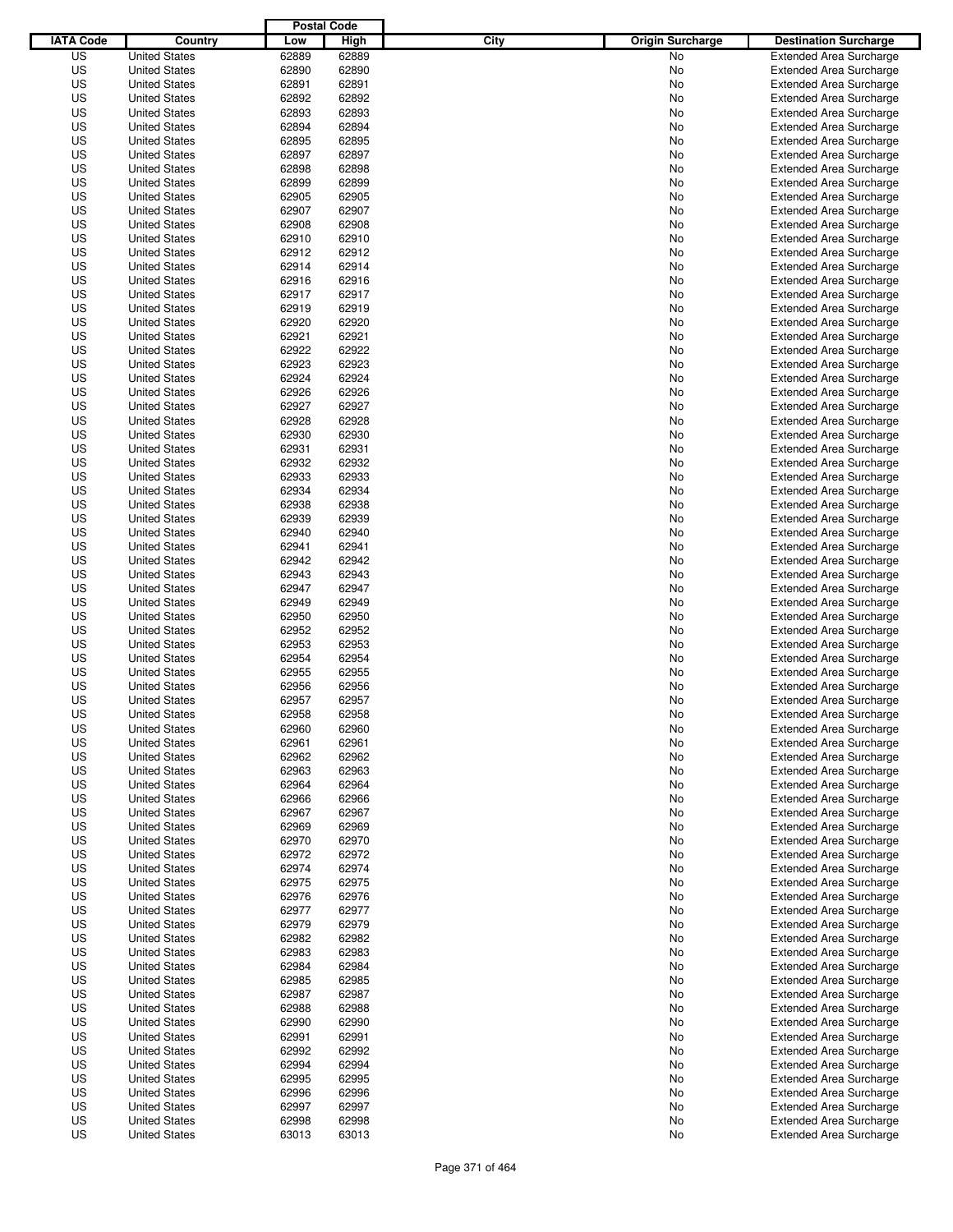|                  |                      | <b>Postal Code</b> |       |                                 |                                |
|------------------|----------------------|--------------------|-------|---------------------------------|--------------------------------|
| <b>IATA Code</b> | Country              | Low                | High  | City<br><b>Origin Surcharge</b> | <b>Destination Surcharge</b>   |
| US               | <b>United States</b> | 62889              | 62889 | <b>No</b>                       | <b>Extended Area Surcharge</b> |
| US               | <b>United States</b> | 62890              | 62890 | No                              | <b>Extended Area Surcharge</b> |
| US               | <b>United States</b> | 62891              | 62891 | No                              | <b>Extended Area Surcharge</b> |
| US               | <b>United States</b> | 62892              | 62892 | No                              | <b>Extended Area Surcharge</b> |
| US               | <b>United States</b> | 62893              | 62893 | No                              | <b>Extended Area Surcharge</b> |
| US               | <b>United States</b> | 62894              | 62894 | No                              | <b>Extended Area Surcharge</b> |
| US               | <b>United States</b> | 62895              | 62895 | No                              | <b>Extended Area Surcharge</b> |
| US               | <b>United States</b> | 62897              | 62897 | No                              | <b>Extended Area Surcharge</b> |
| US               | <b>United States</b> | 62898              | 62898 | No                              | <b>Extended Area Surcharge</b> |
| US               | <b>United States</b> | 62899              | 62899 | No                              | <b>Extended Area Surcharge</b> |
| US               | <b>United States</b> | 62905              | 62905 | No                              | <b>Extended Area Surcharge</b> |
| US               | <b>United States</b> | 62907              | 62907 | No                              | <b>Extended Area Surcharge</b> |
| US               | <b>United States</b> | 62908              | 62908 | No                              | <b>Extended Area Surcharge</b> |
| US               | <b>United States</b> | 62910              | 62910 | No                              | <b>Extended Area Surcharge</b> |
| US               | <b>United States</b> | 62912              | 62912 | No                              | <b>Extended Area Surcharge</b> |
| US               | <b>United States</b> | 62914              | 62914 | No                              | <b>Extended Area Surcharge</b> |
| US               | <b>United States</b> | 62916              | 62916 | No                              | <b>Extended Area Surcharge</b> |
| US               | <b>United States</b> | 62917              | 62917 | No                              | <b>Extended Area Surcharge</b> |
| US               | <b>United States</b> | 62919              | 62919 | No                              | <b>Extended Area Surcharge</b> |
| US               | <b>United States</b> | 62920              | 62920 | No                              | <b>Extended Area Surcharge</b> |
| US               | <b>United States</b> | 62921              | 62921 | No                              | <b>Extended Area Surcharge</b> |
| US               | <b>United States</b> | 62922              | 62922 | No                              | <b>Extended Area Surcharge</b> |
| US               | <b>United States</b> | 62923              | 62923 | No                              | <b>Extended Area Surcharge</b> |
| US               | <b>United States</b> | 62924              | 62924 | No                              | <b>Extended Area Surcharge</b> |
| US               | <b>United States</b> | 62926              | 62926 | No                              | <b>Extended Area Surcharge</b> |
| US               | <b>United States</b> | 62927              | 62927 | No                              | <b>Extended Area Surcharge</b> |
| US               | <b>United States</b> | 62928              | 62928 | No                              | <b>Extended Area Surcharge</b> |
| US               | <b>United States</b> | 62930              | 62930 | No                              | <b>Extended Area Surcharge</b> |
| US               | <b>United States</b> | 62931              | 62931 | No                              | <b>Extended Area Surcharge</b> |
| US               | <b>United States</b> | 62932              | 62932 | No                              | <b>Extended Area Surcharge</b> |
| US               | <b>United States</b> | 62933              | 62933 | No                              | <b>Extended Area Surcharge</b> |
| US               | <b>United States</b> | 62934              | 62934 | No                              | <b>Extended Area Surcharge</b> |
| US               | <b>United States</b> | 62938              | 62938 | No                              | <b>Extended Area Surcharge</b> |
| US               | <b>United States</b> | 62939              | 62939 | No                              | <b>Extended Area Surcharge</b> |
| US               | <b>United States</b> | 62940              | 62940 | No                              | <b>Extended Area Surcharge</b> |
| US               | <b>United States</b> | 62941              | 62941 | No                              | <b>Extended Area Surcharge</b> |
| US               | <b>United States</b> | 62942              | 62942 | No                              | <b>Extended Area Surcharge</b> |
| US               | <b>United States</b> | 62943              | 62943 | No                              | <b>Extended Area Surcharge</b> |
| US               | <b>United States</b> | 62947              | 62947 | No                              | <b>Extended Area Surcharge</b> |
| US               | <b>United States</b> | 62949              | 62949 | No                              | <b>Extended Area Surcharge</b> |
| US               | <b>United States</b> | 62950              | 62950 | No                              | <b>Extended Area Surcharge</b> |
| US               | <b>United States</b> | 62952              | 62952 | No                              | <b>Extended Area Surcharge</b> |
| US               | <b>United States</b> | 62953              | 62953 | No                              | <b>Extended Area Surcharge</b> |
| US               | <b>United States</b> | 62954              | 62954 | No                              | <b>Extended Area Surcharge</b> |
| US               | <b>United States</b> | 62955              | 62955 | No                              | <b>Extended Area Surcharge</b> |
| US               | <b>United States</b> | 62956              | 62956 | No                              | <b>Extended Area Surcharge</b> |
| US               | <b>United States</b> | 62957              | 62957 | No                              | <b>Extended Area Surcharge</b> |
| US               | <b>United States</b> | 62958              | 62958 | No                              | <b>Extended Area Surcharge</b> |
| US               | <b>United States</b> | 62960              | 62960 | No                              | <b>Extended Area Surcharge</b> |
| US               | <b>United States</b> | 62961              | 62961 | No                              | <b>Extended Area Surcharge</b> |
| US               | <b>United States</b> | 62962              | 62962 | No                              | <b>Extended Area Surcharge</b> |
| US               | <b>United States</b> | 62963              | 62963 | No                              | <b>Extended Area Surcharge</b> |
| US               | <b>United States</b> | 62964              | 62964 | No                              | <b>Extended Area Surcharge</b> |
| US               | <b>United States</b> | 62966              | 62966 | No                              | <b>Extended Area Surcharge</b> |
| US               | <b>United States</b> | 62967              | 62967 | No                              | <b>Extended Area Surcharge</b> |
| US               | <b>United States</b> | 62969              | 62969 | No                              | <b>Extended Area Surcharge</b> |
| US               | <b>United States</b> | 62970              | 62970 | No                              | <b>Extended Area Surcharge</b> |
| US               | <b>United States</b> | 62972              | 62972 | No                              | <b>Extended Area Surcharge</b> |
| US               | <b>United States</b> | 62974              | 62974 | No                              | <b>Extended Area Surcharge</b> |
| US               | <b>United States</b> | 62975              | 62975 | No                              | <b>Extended Area Surcharge</b> |
| US               | <b>United States</b> | 62976              | 62976 | No                              | <b>Extended Area Surcharge</b> |
| US               | <b>United States</b> | 62977              | 62977 | No                              | <b>Extended Area Surcharge</b> |
| US               | <b>United States</b> | 62979              | 62979 | No                              | <b>Extended Area Surcharge</b> |
| US               | <b>United States</b> | 62982              | 62982 | No                              | <b>Extended Area Surcharge</b> |
| US               | <b>United States</b> | 62983              | 62983 | No                              | <b>Extended Area Surcharge</b> |
| US               | <b>United States</b> | 62984              | 62984 | No                              | <b>Extended Area Surcharge</b> |
| US               | <b>United States</b> | 62985              | 62985 | No                              | <b>Extended Area Surcharge</b> |
| US               | <b>United States</b> | 62987              | 62987 | No                              | <b>Extended Area Surcharge</b> |
| US               | <b>United States</b> | 62988              | 62988 | No                              | <b>Extended Area Surcharge</b> |
| US               | <b>United States</b> | 62990              | 62990 | No                              | <b>Extended Area Surcharge</b> |
| US               | <b>United States</b> | 62991              | 62991 | No                              | <b>Extended Area Surcharge</b> |
| US               | <b>United States</b> | 62992              | 62992 | No                              | <b>Extended Area Surcharge</b> |
| US               | <b>United States</b> | 62994              | 62994 | No                              | <b>Extended Area Surcharge</b> |
| US               | <b>United States</b> | 62995              | 62995 | No                              | <b>Extended Area Surcharge</b> |
| US               | <b>United States</b> | 62996              | 62996 | No                              | <b>Extended Area Surcharge</b> |
| US               | <b>United States</b> | 62997              | 62997 | No                              | <b>Extended Area Surcharge</b> |
| US               | <b>United States</b> | 62998              | 62998 | No                              | <b>Extended Area Surcharge</b> |
| US               | <b>United States</b> | 63013              | 63013 | No                              | <b>Extended Area Surcharge</b> |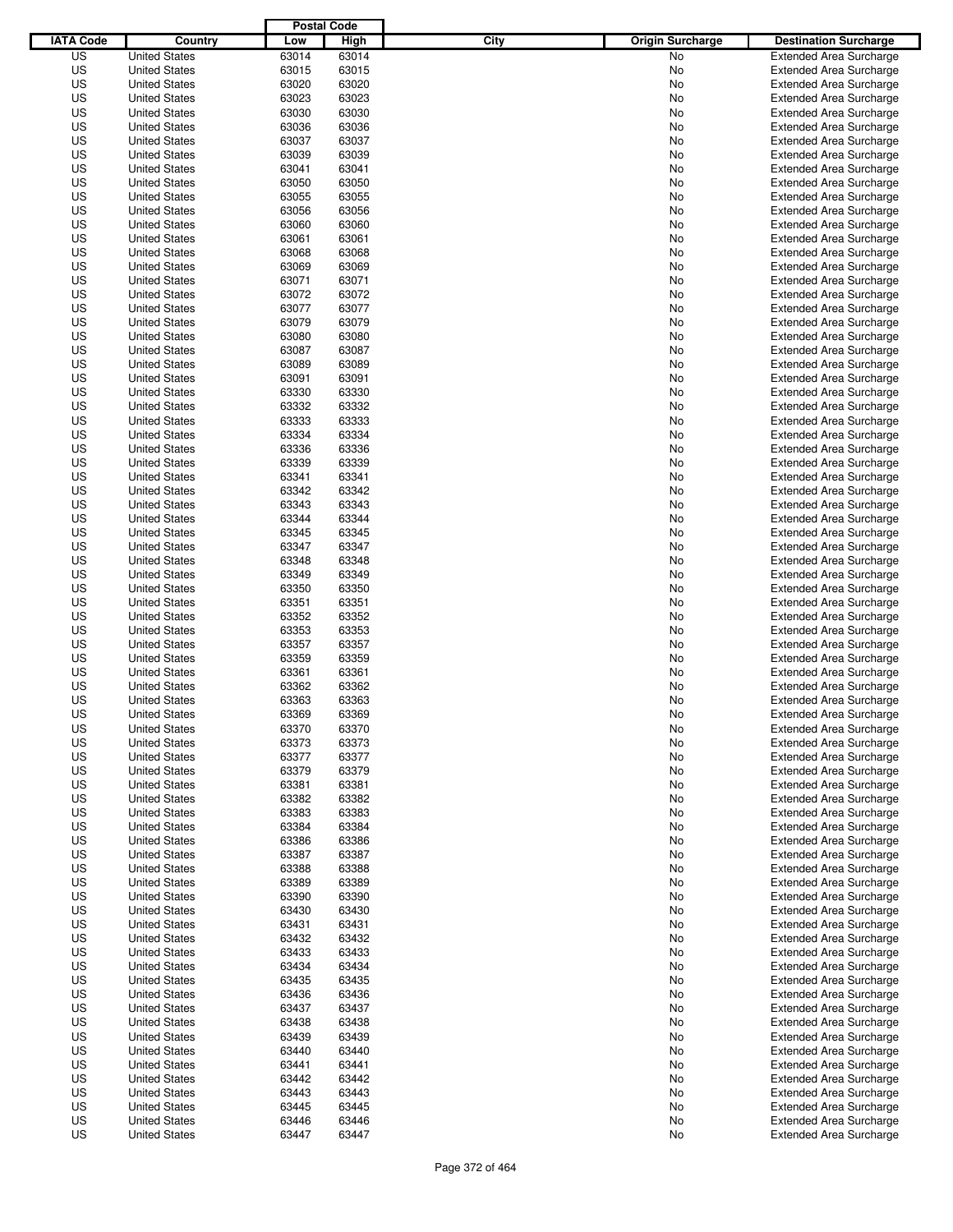|                  |                      | <b>Postal Code</b> |       |                                 |                                |
|------------------|----------------------|--------------------|-------|---------------------------------|--------------------------------|
| <b>IATA Code</b> | Country              | Low                | High  | City<br><b>Origin Surcharge</b> | <b>Destination Surcharge</b>   |
| US               | <b>United States</b> | 63014              | 63014 | <b>No</b>                       | <b>Extended Area Surcharge</b> |
| US               | <b>United States</b> | 63015              | 63015 | No                              | <b>Extended Area Surcharge</b> |
| US               | <b>United States</b> | 63020              | 63020 | No                              | <b>Extended Area Surcharge</b> |
| US               | <b>United States</b> | 63023              | 63023 | No                              | <b>Extended Area Surcharge</b> |
| US               | <b>United States</b> | 63030              | 63030 | No                              | <b>Extended Area Surcharge</b> |
| US               | <b>United States</b> | 63036              | 63036 | No                              | <b>Extended Area Surcharge</b> |
| US               | <b>United States</b> | 63037              | 63037 | No                              | <b>Extended Area Surcharge</b> |
| US               | <b>United States</b> | 63039              | 63039 | No                              | <b>Extended Area Surcharge</b> |
| US               | <b>United States</b> | 63041              | 63041 | No                              | <b>Extended Area Surcharge</b> |
| US               | <b>United States</b> | 63050              | 63050 | No                              | <b>Extended Area Surcharge</b> |
| US               | <b>United States</b> | 63055              | 63055 | No                              | <b>Extended Area Surcharge</b> |
| US               | <b>United States</b> | 63056              | 63056 | No                              | <b>Extended Area Surcharge</b> |
| US               | <b>United States</b> | 63060              | 63060 | No                              | <b>Extended Area Surcharge</b> |
| US               | <b>United States</b> | 63061              | 63061 | No                              | <b>Extended Area Surcharge</b> |
| US               | <b>United States</b> | 63068              | 63068 | No                              | <b>Extended Area Surcharge</b> |
| US               | <b>United States</b> | 63069              | 63069 | No                              | <b>Extended Area Surcharge</b> |
| US               | <b>United States</b> | 63071              | 63071 | No                              | <b>Extended Area Surcharge</b> |
| US               | <b>United States</b> | 63072              | 63072 | No                              | <b>Extended Area Surcharge</b> |
| US               | <b>United States</b> | 63077              | 63077 | No                              | <b>Extended Area Surcharge</b> |
| US               | <b>United States</b> | 63079              | 63079 | No                              | <b>Extended Area Surcharge</b> |
| US               | <b>United States</b> | 63080              | 63080 | No                              | <b>Extended Area Surcharge</b> |
| US               | <b>United States</b> | 63087              | 63087 | No                              | <b>Extended Area Surcharge</b> |
| US               | <b>United States</b> | 63089              | 63089 | No                              | <b>Extended Area Surcharge</b> |
| US               | <b>United States</b> | 63091              | 63091 | No                              | <b>Extended Area Surcharge</b> |
| US               | <b>United States</b> | 63330              | 63330 | No                              | <b>Extended Area Surcharge</b> |
| US               | <b>United States</b> | 63332              | 63332 | No                              | <b>Extended Area Surcharge</b> |
| US               | <b>United States</b> | 63333              | 63333 | No                              | <b>Extended Area Surcharge</b> |
| US               | <b>United States</b> | 63334              | 63334 | No                              | <b>Extended Area Surcharge</b> |
| US               | <b>United States</b> | 63336              | 63336 | No                              | <b>Extended Area Surcharge</b> |
| US               | <b>United States</b> | 63339              | 63339 | No                              | <b>Extended Area Surcharge</b> |
| US               | <b>United States</b> | 63341              | 63341 | No                              | <b>Extended Area Surcharge</b> |
| US               | <b>United States</b> | 63342              | 63342 | No                              | <b>Extended Area Surcharge</b> |
| US               | <b>United States</b> | 63343              | 63343 | No                              | <b>Extended Area Surcharge</b> |
| US               | <b>United States</b> | 63344              | 63344 | No                              | <b>Extended Area Surcharge</b> |
| US               | <b>United States</b> | 63345              | 63345 | No                              | <b>Extended Area Surcharge</b> |
| US               | <b>United States</b> | 63347              | 63347 | No                              | <b>Extended Area Surcharge</b> |
| US               | <b>United States</b> | 63348              | 63348 | No                              | <b>Extended Area Surcharge</b> |
| US               | <b>United States</b> | 63349              | 63349 | No                              | <b>Extended Area Surcharge</b> |
| US               | <b>United States</b> | 63350              | 63350 | No                              | <b>Extended Area Surcharge</b> |
| US               | <b>United States</b> | 63351              | 63351 | No                              | <b>Extended Area Surcharge</b> |
| US               | <b>United States</b> | 63352              | 63352 | No                              | <b>Extended Area Surcharge</b> |
| US               | <b>United States</b> | 63353              | 63353 | No                              | <b>Extended Area Surcharge</b> |
| US               | <b>United States</b> | 63357              | 63357 | No                              | <b>Extended Area Surcharge</b> |
| US               | <b>United States</b> | 63359              | 63359 | No                              | <b>Extended Area Surcharge</b> |
| US               | <b>United States</b> | 63361              | 63361 | No                              | <b>Extended Area Surcharge</b> |
| US               | <b>United States</b> | 63362              | 63362 | No                              | <b>Extended Area Surcharge</b> |
| US               | <b>United States</b> | 63363              | 63363 | No                              | <b>Extended Area Surcharge</b> |
| US               | <b>United States</b> | 63369              | 63369 | No                              | <b>Extended Area Surcharge</b> |
| US               | <b>United States</b> | 63370              | 63370 | No                              | <b>Extended Area Surcharge</b> |
| US               | <b>United States</b> | 63373              | 63373 | No                              | <b>Extended Area Surcharge</b> |
| US               | <b>United States</b> | 63377              | 63377 | No                              | <b>Extended Area Surcharge</b> |
| US               | <b>United States</b> | 63379              | 63379 | No                              | <b>Extended Area Surcharge</b> |
| US               | <b>United States</b> | 63381              | 63381 | No                              | <b>Extended Area Surcharge</b> |
| US               | <b>United States</b> | 63382              | 63382 | No                              | <b>Extended Area Surcharge</b> |
| US               | <b>United States</b> | 63383              | 63383 | No                              | <b>Extended Area Surcharge</b> |
| US               | <b>United States</b> | 63384              | 63384 | No                              | <b>Extended Area Surcharge</b> |
| US               | <b>United States</b> | 63386              | 63386 | No                              | <b>Extended Area Surcharge</b> |
| US               | <b>United States</b> | 63387              | 63387 | No                              | <b>Extended Area Surcharge</b> |
| US               | <b>United States</b> | 63388              | 63388 | No                              | <b>Extended Area Surcharge</b> |
| US               | <b>United States</b> | 63389              | 63389 | No                              | <b>Extended Area Surcharge</b> |
| US               | <b>United States</b> | 63390              | 63390 | No                              | <b>Extended Area Surcharge</b> |
| US               | <b>United States</b> | 63430              | 63430 | No                              | <b>Extended Area Surcharge</b> |
| US               | <b>United States</b> | 63431              | 63431 | No                              | <b>Extended Area Surcharge</b> |
| US               | <b>United States</b> | 63432              | 63432 | No                              | <b>Extended Area Surcharge</b> |
| US               | <b>United States</b> | 63433              | 63433 | No                              | <b>Extended Area Surcharge</b> |
| US               | <b>United States</b> | 63434              | 63434 | No                              | <b>Extended Area Surcharge</b> |
| US               | <b>United States</b> | 63435              | 63435 | No                              | <b>Extended Area Surcharge</b> |
| US               | <b>United States</b> | 63436              | 63436 | No                              | <b>Extended Area Surcharge</b> |
| US               | <b>United States</b> | 63437              | 63437 | No                              | <b>Extended Area Surcharge</b> |
| US               | <b>United States</b> | 63438              | 63438 | No                              | <b>Extended Area Surcharge</b> |
| US               | <b>United States</b> | 63439              | 63439 | No                              | <b>Extended Area Surcharge</b> |
| US               | <b>United States</b> | 63440              | 63440 | No                              | <b>Extended Area Surcharge</b> |
| US               | <b>United States</b> | 63441              | 63441 | No                              | <b>Extended Area Surcharge</b> |
| US               | <b>United States</b> | 63442              | 63442 | No                              | <b>Extended Area Surcharge</b> |
| US               | <b>United States</b> | 63443              | 63443 | No                              | <b>Extended Area Surcharge</b> |
| US               | <b>United States</b> | 63445              | 63445 | No                              | <b>Extended Area Surcharge</b> |
| US               | <b>United States</b> | 63446              | 63446 | No                              | <b>Extended Area Surcharge</b> |
| US               | <b>United States</b> | 63447              | 63447 | No                              | <b>Extended Area Surcharge</b> |
|                  |                      |                    |       |                                 |                                |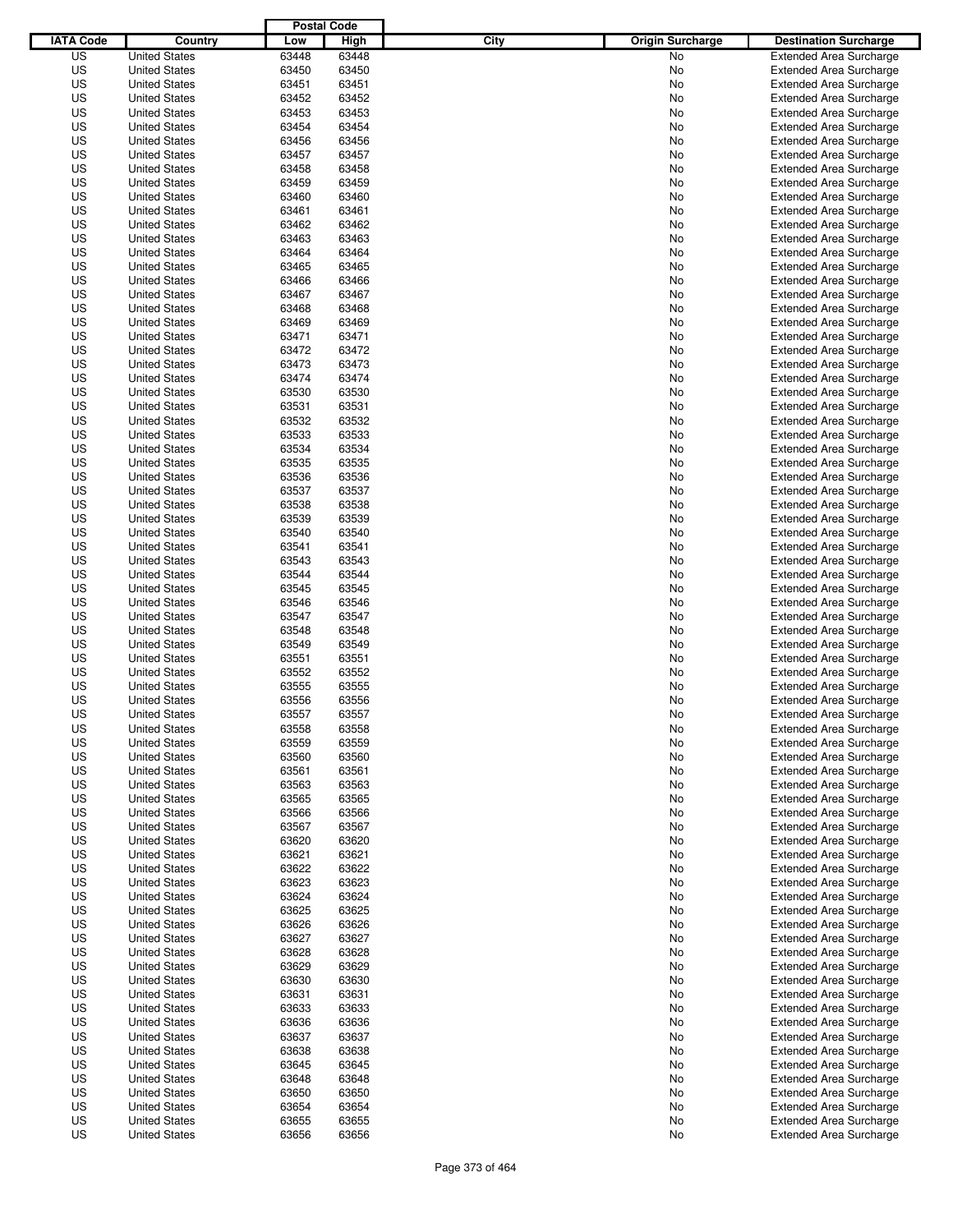|                  |                      | <b>Postal Code</b> |       |                                 |                                |
|------------------|----------------------|--------------------|-------|---------------------------------|--------------------------------|
| <b>IATA Code</b> | Country              | Low                | High  | City<br><b>Origin Surcharge</b> | <b>Destination Surcharge</b>   |
| US               | <b>United States</b> | 63448              | 63448 | <b>No</b>                       | <b>Extended Area Surcharge</b> |
| US               | <b>United States</b> | 63450              | 63450 | No                              | <b>Extended Area Surcharge</b> |
| US               | <b>United States</b> | 63451              | 63451 | No                              | <b>Extended Area Surcharge</b> |
| US               | <b>United States</b> | 63452              | 63452 | No                              | <b>Extended Area Surcharge</b> |
| US               | <b>United States</b> | 63453              | 63453 | No                              | <b>Extended Area Surcharge</b> |
| US               | <b>United States</b> | 63454              | 63454 | No                              | <b>Extended Area Surcharge</b> |
| US               | <b>United States</b> | 63456              | 63456 | No                              | <b>Extended Area Surcharge</b> |
| US               | <b>United States</b> | 63457              | 63457 | No                              | <b>Extended Area Surcharge</b> |
| US               | <b>United States</b> | 63458              | 63458 | No                              | <b>Extended Area Surcharge</b> |
| US               | <b>United States</b> | 63459              | 63459 | No                              | <b>Extended Area Surcharge</b> |
| US               | <b>United States</b> | 63460              | 63460 | No                              | <b>Extended Area Surcharge</b> |
| US               | <b>United States</b> | 63461              | 63461 | No                              | <b>Extended Area Surcharge</b> |
| US               | <b>United States</b> | 63462              | 63462 | No                              | <b>Extended Area Surcharge</b> |
| US               | <b>United States</b> | 63463              | 63463 | No                              | <b>Extended Area Surcharge</b> |
| US               | <b>United States</b> | 63464              | 63464 | No                              | <b>Extended Area Surcharge</b> |
| US               | <b>United States</b> | 63465              | 63465 | No                              | <b>Extended Area Surcharge</b> |
| US               | <b>United States</b> | 63466              | 63466 | No                              | <b>Extended Area Surcharge</b> |
| US               | <b>United States</b> | 63467              | 63467 | No                              | <b>Extended Area Surcharge</b> |
| US               | <b>United States</b> | 63468              | 63468 | No                              | <b>Extended Area Surcharge</b> |
| US               | <b>United States</b> | 63469              | 63469 | No                              | <b>Extended Area Surcharge</b> |
| US               | <b>United States</b> | 63471              | 63471 | No                              | <b>Extended Area Surcharge</b> |
| US               | <b>United States</b> | 63472              | 63472 | No                              | <b>Extended Area Surcharge</b> |
| US               | <b>United States</b> | 63473              | 63473 | No                              | <b>Extended Area Surcharge</b> |
| US               | <b>United States</b> | 63474              | 63474 | No                              | <b>Extended Area Surcharge</b> |
| US               | <b>United States</b> | 63530              | 63530 | No                              | <b>Extended Area Surcharge</b> |
| US               | <b>United States</b> | 63531              | 63531 | No                              | <b>Extended Area Surcharge</b> |
| US               | <b>United States</b> | 63532              | 63532 | No                              | <b>Extended Area Surcharge</b> |
| US               | <b>United States</b> | 63533              | 63533 | No                              | <b>Extended Area Surcharge</b> |
| US               | <b>United States</b> | 63534              | 63534 | No                              | <b>Extended Area Surcharge</b> |
| US               | <b>United States</b> | 63535              | 63535 | No                              | <b>Extended Area Surcharge</b> |
| US               | <b>United States</b> | 63536              | 63536 | No                              | <b>Extended Area Surcharge</b> |
| US               | <b>United States</b> | 63537              | 63537 | No                              | <b>Extended Area Surcharge</b> |
| US               | <b>United States</b> | 63538              | 63538 | No                              | <b>Extended Area Surcharge</b> |
| US               | <b>United States</b> | 63539              | 63539 | No                              | <b>Extended Area Surcharge</b> |
| US               | <b>United States</b> | 63540              | 63540 | No                              | <b>Extended Area Surcharge</b> |
| US               | <b>United States</b> | 63541              | 63541 | No                              | <b>Extended Area Surcharge</b> |
| US               | <b>United States</b> | 63543              | 63543 | No                              | <b>Extended Area Surcharge</b> |
| US               | <b>United States</b> | 63544              | 63544 | No                              | <b>Extended Area Surcharge</b> |
| US               | <b>United States</b> | 63545              | 63545 | No                              | <b>Extended Area Surcharge</b> |
| US               | <b>United States</b> | 63546              | 63546 | No                              | <b>Extended Area Surcharge</b> |
| US               | <b>United States</b> | 63547              | 63547 | No                              | <b>Extended Area Surcharge</b> |
| US               | <b>United States</b> | 63548              | 63548 | No                              | <b>Extended Area Surcharge</b> |
| US               | <b>United States</b> | 63549              | 63549 | No                              | <b>Extended Area Surcharge</b> |
| US               | <b>United States</b> | 63551              | 63551 | No                              | <b>Extended Area Surcharge</b> |
| US               | <b>United States</b> | 63552              | 63552 | No                              | <b>Extended Area Surcharge</b> |
| US               | <b>United States</b> | 63555              | 63555 | No                              | <b>Extended Area Surcharge</b> |
| US               | <b>United States</b> | 63556              | 63556 | No                              | <b>Extended Area Surcharge</b> |
| US               | <b>United States</b> | 63557              | 63557 | No                              | <b>Extended Area Surcharge</b> |
| US               | <b>United States</b> | 63558              | 63558 | No                              | <b>Extended Area Surcharge</b> |
| US               | <b>United States</b> | 63559              | 63559 | No                              | <b>Extended Area Surcharge</b> |
| US               | <b>United States</b> | 63560              | 63560 | No                              | <b>Extended Area Surcharge</b> |
| US               | <b>United States</b> | 63561              | 63561 | No                              | <b>Extended Area Surcharge</b> |
| US               | <b>United States</b> | 63563              | 63563 | No                              | <b>Extended Area Surcharge</b> |
| US               | <b>United States</b> | 63565              | 63565 | No                              | <b>Extended Area Surcharge</b> |
| US               | <b>United States</b> | 63566              | 63566 | No                              | <b>Extended Area Surcharge</b> |
| US               | <b>United States</b> | 63567              | 63567 | No                              | <b>Extended Area Surcharge</b> |
| US               | <b>United States</b> | 63620              | 63620 | No                              | <b>Extended Area Surcharge</b> |
| US               | <b>United States</b> | 63621              | 63621 | No                              | <b>Extended Area Surcharge</b> |
| US               | <b>United States</b> | 63622              | 63622 | No                              | <b>Extended Area Surcharge</b> |
| US               | <b>United States</b> | 63623              | 63623 | No                              | <b>Extended Area Surcharge</b> |
| US               | <b>United States</b> | 63624              | 63624 | No                              | <b>Extended Area Surcharge</b> |
| US               | <b>United States</b> | 63625              | 63625 | No                              | <b>Extended Area Surcharge</b> |
| US               | <b>United States</b> | 63626              | 63626 | No                              | <b>Extended Area Surcharge</b> |
| US               | <b>United States</b> | 63627              | 63627 | No                              | <b>Extended Area Surcharge</b> |
| US               | <b>United States</b> | 63628              | 63628 | No                              | <b>Extended Area Surcharge</b> |
| US               | <b>United States</b> | 63629              | 63629 | No                              | <b>Extended Area Surcharge</b> |
| US               | <b>United States</b> | 63630              | 63630 | No                              | <b>Extended Area Surcharge</b> |
| US               | <b>United States</b> | 63631              | 63631 | No                              | <b>Extended Area Surcharge</b> |
| US               | <b>United States</b> | 63633              | 63633 | No                              | <b>Extended Area Surcharge</b> |
| US               | <b>United States</b> | 63636              | 63636 | No                              | <b>Extended Area Surcharge</b> |
| US               | <b>United States</b> | 63637              | 63637 | No                              | <b>Extended Area Surcharge</b> |
| US               | <b>United States</b> | 63638              | 63638 | No                              | <b>Extended Area Surcharge</b> |
| US               | <b>United States</b> | 63645              | 63645 | No                              | <b>Extended Area Surcharge</b> |
| US               | <b>United States</b> | 63648              | 63648 | No                              | <b>Extended Area Surcharge</b> |
| US               | <b>United States</b> | 63650              | 63650 | No                              | <b>Extended Area Surcharge</b> |
| US               | <b>United States</b> | 63654              | 63654 | No                              | <b>Extended Area Surcharge</b> |
| US               | <b>United States</b> | 63655              | 63655 | No                              | <b>Extended Area Surcharge</b> |
| US               | <b>United States</b> | 63656              | 63656 | No                              | <b>Extended Area Surcharge</b> |
|                  |                      |                    |       |                                 |                                |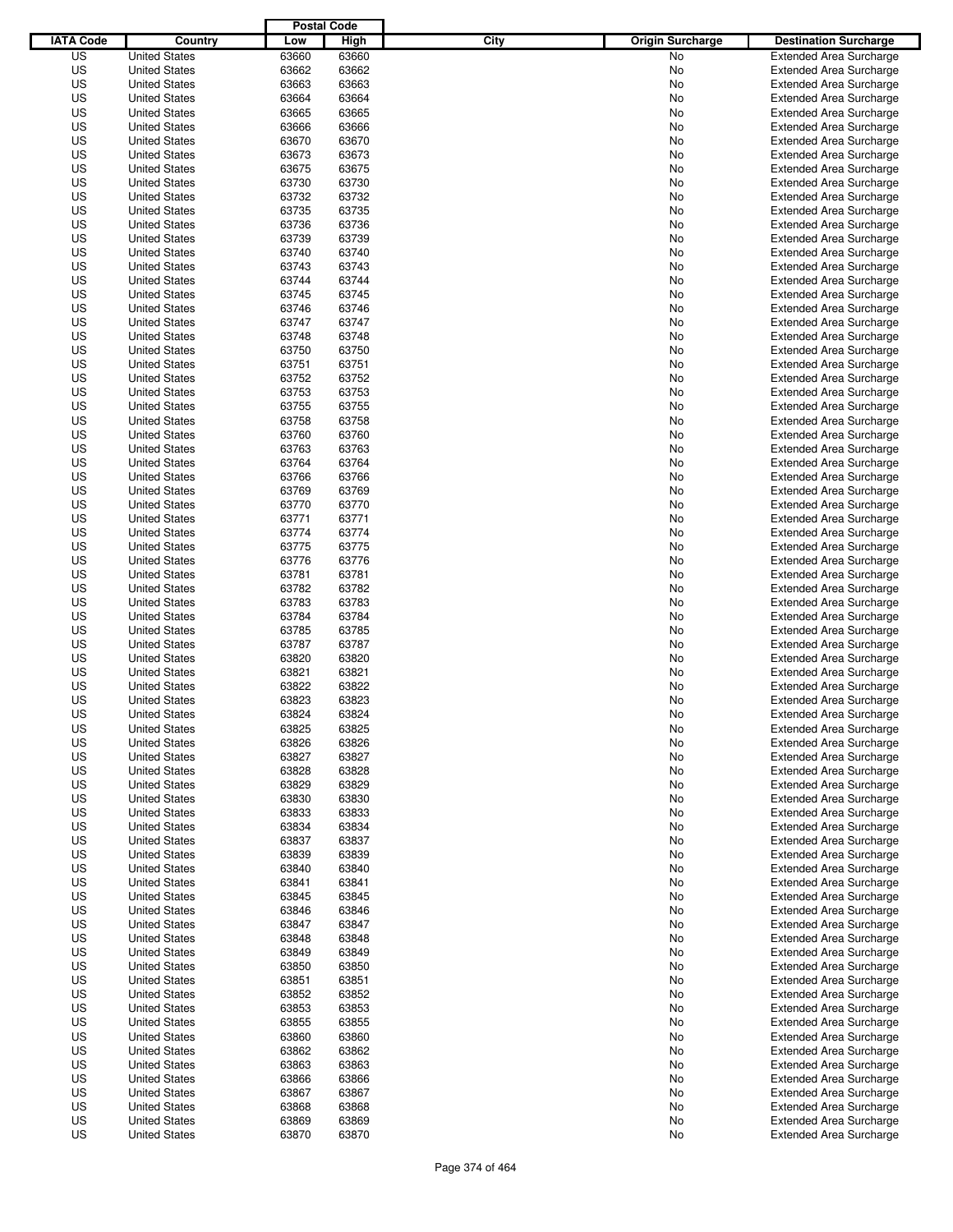|                  |                      | <b>Postal Code</b> |       |                                 |                                                                  |
|------------------|----------------------|--------------------|-------|---------------------------------|------------------------------------------------------------------|
| <b>IATA Code</b> | Country              | Low                | High  | City<br><b>Origin Surcharge</b> | <b>Destination Surcharge</b>                                     |
| US               | <b>United States</b> | 63660              | 63660 | <b>No</b>                       | <b>Extended Area Surcharge</b>                                   |
| US               | <b>United States</b> | 63662              | 63662 | No                              | <b>Extended Area Surcharge</b>                                   |
| US               | <b>United States</b> | 63663              | 63663 | No                              | <b>Extended Area Surcharge</b>                                   |
| US               | <b>United States</b> | 63664              | 63664 | No                              | <b>Extended Area Surcharge</b>                                   |
| US               | <b>United States</b> | 63665              | 63665 | No                              | <b>Extended Area Surcharge</b>                                   |
| US               | <b>United States</b> | 63666              | 63666 | No                              | <b>Extended Area Surcharge</b>                                   |
| US               | <b>United States</b> | 63670              | 63670 | No                              | <b>Extended Area Surcharge</b>                                   |
| US               | <b>United States</b> | 63673              | 63673 | No                              | <b>Extended Area Surcharge</b>                                   |
| US               | <b>United States</b> | 63675              | 63675 | No                              | <b>Extended Area Surcharge</b>                                   |
| US               | <b>United States</b> | 63730              | 63730 | No                              | <b>Extended Area Surcharge</b>                                   |
| US               | <b>United States</b> | 63732              | 63732 | No                              | <b>Extended Area Surcharge</b>                                   |
| US               | <b>United States</b> | 63735              | 63735 | No                              | <b>Extended Area Surcharge</b>                                   |
| US               | <b>United States</b> | 63736              | 63736 | No                              | <b>Extended Area Surcharge</b>                                   |
| US               | <b>United States</b> | 63739              | 63739 | No                              | <b>Extended Area Surcharge</b>                                   |
| US               | <b>United States</b> | 63740              | 63740 | No                              | <b>Extended Area Surcharge</b>                                   |
| US               | <b>United States</b> | 63743              | 63743 | No                              | <b>Extended Area Surcharge</b>                                   |
| US               | <b>United States</b> | 63744              | 63744 | No                              | <b>Extended Area Surcharge</b>                                   |
| US               | <b>United States</b> | 63745              | 63745 | No                              | <b>Extended Area Surcharge</b>                                   |
| US               | <b>United States</b> | 63746              | 63746 | No                              | <b>Extended Area Surcharge</b>                                   |
| US               | <b>United States</b> | 63747              | 63747 | No                              | <b>Extended Area Surcharge</b>                                   |
| US               | <b>United States</b> | 63748              | 63748 | No                              | <b>Extended Area Surcharge</b>                                   |
| US               | <b>United States</b> | 63750              | 63750 | No                              | <b>Extended Area Surcharge</b>                                   |
| US               | <b>United States</b> | 63751              | 63751 | No                              | <b>Extended Area Surcharge</b>                                   |
| US               | <b>United States</b> | 63752              | 63752 | No                              | <b>Extended Area Surcharge</b>                                   |
| US               | <b>United States</b> | 63753              | 63753 | No                              | <b>Extended Area Surcharge</b>                                   |
| US               | <b>United States</b> | 63755              | 63755 | No                              | <b>Extended Area Surcharge</b>                                   |
| US               | <b>United States</b> | 63758              | 63758 | No                              | <b>Extended Area Surcharge</b>                                   |
| US               | <b>United States</b> | 63760              | 63760 | No                              | <b>Extended Area Surcharge</b>                                   |
| US               | <b>United States</b> | 63763              | 63763 | No                              | <b>Extended Area Surcharge</b>                                   |
| US               | <b>United States</b> | 63764              | 63764 | No                              | <b>Extended Area Surcharge</b>                                   |
| US               | <b>United States</b> | 63766              | 63766 | No                              | <b>Extended Area Surcharge</b>                                   |
| US               | <b>United States</b> | 63769              | 63769 |                                 |                                                                  |
| US               | <b>United States</b> | 63770              | 63770 | No                              | <b>Extended Area Surcharge</b><br><b>Extended Area Surcharge</b> |
|                  |                      |                    |       | No                              |                                                                  |
| US               | <b>United States</b> | 63771              | 63771 | No                              | <b>Extended Area Surcharge</b>                                   |
| US               | <b>United States</b> | 63774              | 63774 | No                              | <b>Extended Area Surcharge</b>                                   |
| US               | <b>United States</b> | 63775              | 63775 | No                              | <b>Extended Area Surcharge</b>                                   |
| US               | <b>United States</b> | 63776              | 63776 | No                              | <b>Extended Area Surcharge</b>                                   |
| US               | <b>United States</b> | 63781              | 63781 | No                              | <b>Extended Area Surcharge</b>                                   |
| US               | <b>United States</b> | 63782              | 63782 | No                              | <b>Extended Area Surcharge</b>                                   |
| US               | <b>United States</b> | 63783              | 63783 | No                              | <b>Extended Area Surcharge</b>                                   |
| US               | <b>United States</b> | 63784              | 63784 | No                              | <b>Extended Area Surcharge</b>                                   |
| US               | <b>United States</b> | 63785              | 63785 | No                              | <b>Extended Area Surcharge</b>                                   |
| US               | <b>United States</b> | 63787              | 63787 | No                              | <b>Extended Area Surcharge</b>                                   |
| US               | <b>United States</b> | 63820              | 63820 | No                              | <b>Extended Area Surcharge</b>                                   |
| US               | <b>United States</b> | 63821              | 63821 | No                              | Extended Area Surcharge                                          |
| US               | <b>United States</b> | 63822              | 63822 | No                              | <b>Extended Area Surcharge</b>                                   |
| US               | <b>United States</b> | 63823              | 63823 | No                              | <b>Extended Area Surcharge</b>                                   |
| US               | <b>United States</b> | 63824              | 63824 | No                              | <b>Extended Area Surcharge</b>                                   |
| US               | <b>United States</b> | 63825              | 63825 | No                              | <b>Extended Area Surcharge</b>                                   |
| US               | <b>United States</b> | 63826              | 63826 | No                              | <b>Extended Area Surcharge</b>                                   |
| US               | <b>United States</b> | 63827              | 63827 | No                              | <b>Extended Area Surcharge</b>                                   |
| US               | <b>United States</b> | 63828              | 63828 | No                              | <b>Extended Area Surcharge</b>                                   |
| US               | <b>United States</b> | 63829              | 63829 | No                              | <b>Extended Area Surcharge</b>                                   |
| US               | <b>United States</b> | 63830              | 63830 | No                              | <b>Extended Area Surcharge</b>                                   |
| US               | <b>United States</b> | 63833              | 63833 | No                              | <b>Extended Area Surcharge</b>                                   |
| US               | <b>United States</b> | 63834              | 63834 | No                              | <b>Extended Area Surcharge</b>                                   |
| US               | <b>United States</b> | 63837              | 63837 | No                              | <b>Extended Area Surcharge</b>                                   |
| US               | <b>United States</b> | 63839              | 63839 | No                              | <b>Extended Area Surcharge</b>                                   |
| US               | <b>United States</b> | 63840              | 63840 | No                              | <b>Extended Area Surcharge</b>                                   |
| US               | <b>United States</b> | 63841              | 63841 | No                              | <b>Extended Area Surcharge</b>                                   |
| US               | <b>United States</b> | 63845              | 63845 | No                              | <b>Extended Area Surcharge</b>                                   |
| US               | <b>United States</b> | 63846              | 63846 | No                              | <b>Extended Area Surcharge</b>                                   |
| US               | <b>United States</b> | 63847              | 63847 | No                              | <b>Extended Area Surcharge</b>                                   |
| US               | <b>United States</b> | 63848              | 63848 | No                              | <b>Extended Area Surcharge</b>                                   |
| US               | <b>United States</b> | 63849              | 63849 | No                              | <b>Extended Area Surcharge</b>                                   |
| US               | <b>United States</b> | 63850              | 63850 | No                              | <b>Extended Area Surcharge</b>                                   |
| US               | <b>United States</b> | 63851              | 63851 | No                              | <b>Extended Area Surcharge</b>                                   |
| US               | <b>United States</b> | 63852              | 63852 | No                              | <b>Extended Area Surcharge</b>                                   |
| US               | <b>United States</b> | 63853              | 63853 | No                              | <b>Extended Area Surcharge</b>                                   |
| US               | <b>United States</b> | 63855              | 63855 | No                              | <b>Extended Area Surcharge</b>                                   |
| US               | <b>United States</b> | 63860              | 63860 | No                              | <b>Extended Area Surcharge</b>                                   |
| US               | <b>United States</b> | 63862              | 63862 | No                              | <b>Extended Area Surcharge</b>                                   |
| US               | <b>United States</b> | 63863              | 63863 | No                              | <b>Extended Area Surcharge</b>                                   |
| US               | <b>United States</b> | 63866              | 63866 | No                              | <b>Extended Area Surcharge</b>                                   |
| US               | <b>United States</b> | 63867              | 63867 | No                              | <b>Extended Area Surcharge</b>                                   |
| US               | <b>United States</b> | 63868              | 63868 | No                              | <b>Extended Area Surcharge</b>                                   |
| US               | <b>United States</b> | 63869              | 63869 | No                              | <b>Extended Area Surcharge</b>                                   |
| US               | <b>United States</b> | 63870              | 63870 | No                              | <b>Extended Area Surcharge</b>                                   |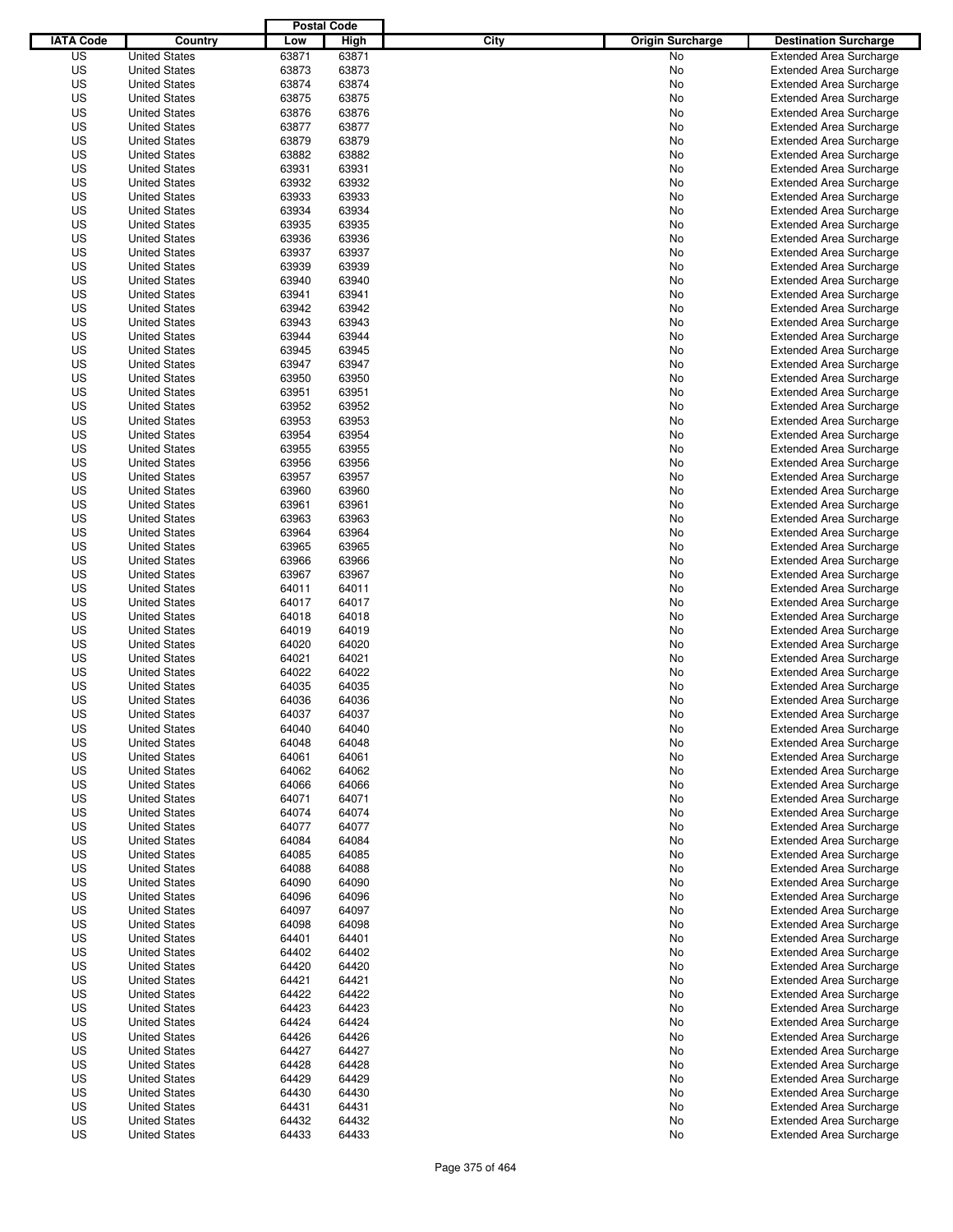|                  |                      | <b>Postal Code</b> |       |                                 |                                |
|------------------|----------------------|--------------------|-------|---------------------------------|--------------------------------|
| <b>IATA Code</b> | Country              | Low                | High  | City<br><b>Origin Surcharge</b> | <b>Destination Surcharge</b>   |
| US               | <b>United States</b> | 63871              | 63871 | <b>No</b>                       | <b>Extended Area Surcharge</b> |
| US               | <b>United States</b> | 63873              | 63873 | No                              | <b>Extended Area Surcharge</b> |
| US               | <b>United States</b> | 63874              | 63874 | No                              | <b>Extended Area Surcharge</b> |
| US               | <b>United States</b> | 63875              | 63875 | No                              | <b>Extended Area Surcharge</b> |
| US               | <b>United States</b> | 63876              | 63876 | No                              | <b>Extended Area Surcharge</b> |
| US               | <b>United States</b> | 63877              | 63877 | No                              | <b>Extended Area Surcharge</b> |
| US               | <b>United States</b> | 63879              | 63879 | No                              | <b>Extended Area Surcharge</b> |
| US               | <b>United States</b> | 63882              | 63882 | No                              | <b>Extended Area Surcharge</b> |
| US               | <b>United States</b> | 63931              | 63931 | No                              | <b>Extended Area Surcharge</b> |
| US               | <b>United States</b> | 63932              | 63932 | No                              | <b>Extended Area Surcharge</b> |
| US               | <b>United States</b> | 63933              | 63933 | No                              | <b>Extended Area Surcharge</b> |
| US               | <b>United States</b> | 63934              | 63934 | No                              | <b>Extended Area Surcharge</b> |
| US               | <b>United States</b> | 63935              | 63935 | No                              | <b>Extended Area Surcharge</b> |
| US               | <b>United States</b> | 63936              | 63936 | No                              | <b>Extended Area Surcharge</b> |
| US               | <b>United States</b> | 63937              | 63937 | No                              | <b>Extended Area Surcharge</b> |
| US               | <b>United States</b> | 63939              | 63939 | No                              | <b>Extended Area Surcharge</b> |
| US               | <b>United States</b> | 63940              | 63940 | No                              | <b>Extended Area Surcharge</b> |
| US               | <b>United States</b> | 63941              | 63941 | No                              | <b>Extended Area Surcharge</b> |
| US               | <b>United States</b> | 63942              | 63942 | No                              | <b>Extended Area Surcharge</b> |
| US               | <b>United States</b> | 63943              | 63943 | No                              | <b>Extended Area Surcharge</b> |
| US               | <b>United States</b> | 63944              | 63944 | No                              | <b>Extended Area Surcharge</b> |
| US               | <b>United States</b> | 63945              | 63945 | No                              | <b>Extended Area Surcharge</b> |
| US               | <b>United States</b> | 63947              | 63947 | No                              | <b>Extended Area Surcharge</b> |
| US               | <b>United States</b> | 63950              | 63950 | No                              | <b>Extended Area Surcharge</b> |
| US               | <b>United States</b> | 63951              | 63951 | No                              | <b>Extended Area Surcharge</b> |
| US               | <b>United States</b> | 63952              | 63952 | No                              | <b>Extended Area Surcharge</b> |
| US               | <b>United States</b> | 63953              | 63953 | No                              | <b>Extended Area Surcharge</b> |
| US               | <b>United States</b> | 63954              | 63954 | No                              | <b>Extended Area Surcharge</b> |
| US               | <b>United States</b> | 63955              | 63955 | No                              | <b>Extended Area Surcharge</b> |
| US               | <b>United States</b> | 63956              | 63956 | No                              | <b>Extended Area Surcharge</b> |
| US               | <b>United States</b> | 63957              | 63957 | No                              | <b>Extended Area Surcharge</b> |
| US               | <b>United States</b> | 63960              | 63960 | No                              | <b>Extended Area Surcharge</b> |
| US               | <b>United States</b> | 63961              | 63961 | No                              | <b>Extended Area Surcharge</b> |
| US               | <b>United States</b> | 63963              | 63963 | No                              | <b>Extended Area Surcharge</b> |
| US               | <b>United States</b> | 63964              | 63964 | No                              | <b>Extended Area Surcharge</b> |
| US               | <b>United States</b> | 63965              | 63965 | No                              | <b>Extended Area Surcharge</b> |
| US               | <b>United States</b> | 63966              | 63966 | No                              | <b>Extended Area Surcharge</b> |
| US               | <b>United States</b> | 63967              | 63967 | No                              | <b>Extended Area Surcharge</b> |
| US               | <b>United States</b> | 64011              | 64011 | No                              | <b>Extended Area Surcharge</b> |
| US               | <b>United States</b> | 64017              | 64017 | No                              | <b>Extended Area Surcharge</b> |
| US               | <b>United States</b> | 64018              | 64018 | No                              | <b>Extended Area Surcharge</b> |
| US               | <b>United States</b> | 64019              | 64019 | No                              | <b>Extended Area Surcharge</b> |
| US               | <b>United States</b> | 64020              | 64020 | No                              | <b>Extended Area Surcharge</b> |
| US               | <b>United States</b> | 64021              | 64021 | No                              | <b>Extended Area Surcharge</b> |
| US               | <b>United States</b> | 64022              | 64022 | No                              | <b>Extended Area Surcharge</b> |
| US               | <b>United States</b> | 64035              | 64035 | No                              | <b>Extended Area Surcharge</b> |
| US               | <b>United States</b> | 64036              | 64036 | No                              | <b>Extended Area Surcharge</b> |
| US               | <b>United States</b> | 64037              | 64037 | No                              | <b>Extended Area Surcharge</b> |
| US               | <b>United States</b> | 64040              | 64040 | No                              | <b>Extended Area Surcharge</b> |
| US               | <b>United States</b> | 64048              | 64048 | No                              | <b>Extended Area Surcharge</b> |
| US               | <b>United States</b> | 64061              | 64061 | No                              | <b>Extended Area Surcharge</b> |
| US               | <b>United States</b> | 64062              | 64062 | No                              | <b>Extended Area Surcharge</b> |
| US               | <b>United States</b> | 64066              | 64066 | No                              | <b>Extended Area Surcharge</b> |
| US               | <b>United States</b> | 64071              | 64071 | No                              | <b>Extended Area Surcharge</b> |
| US               | <b>United States</b> | 64074              | 64074 | No                              | <b>Extended Area Surcharge</b> |
| US               | <b>United States</b> | 64077              | 64077 | No                              | <b>Extended Area Surcharge</b> |
| US               | <b>United States</b> | 64084              | 64084 | No                              | <b>Extended Area Surcharge</b> |
| US               | <b>United States</b> | 64085              | 64085 | No                              | <b>Extended Area Surcharge</b> |
| US               | <b>United States</b> | 64088              | 64088 | No                              | <b>Extended Area Surcharge</b> |
| US               | <b>United States</b> | 64090              | 64090 | No                              | <b>Extended Area Surcharge</b> |
| US               | <b>United States</b> | 64096              | 64096 | No                              | <b>Extended Area Surcharge</b> |
| US               | <b>United States</b> | 64097              | 64097 | No                              | <b>Extended Area Surcharge</b> |
| US               | <b>United States</b> | 64098              | 64098 | No                              | <b>Extended Area Surcharge</b> |
| US               | <b>United States</b> | 64401              | 64401 | No                              | <b>Extended Area Surcharge</b> |
| US               | <b>United States</b> | 64402              | 64402 | No                              | <b>Extended Area Surcharge</b> |
| US               | <b>United States</b> | 64420              | 64420 | No                              | <b>Extended Area Surcharge</b> |
| US               | <b>United States</b> | 64421              | 64421 | No                              | <b>Extended Area Surcharge</b> |
| US               | <b>United States</b> | 64422              | 64422 | No                              | <b>Extended Area Surcharge</b> |
| US               | <b>United States</b> | 64423              | 64423 | No                              | <b>Extended Area Surcharge</b> |
| US               | <b>United States</b> | 64424              | 64424 | No                              | <b>Extended Area Surcharge</b> |
| US               | <b>United States</b> | 64426              | 64426 | No                              | <b>Extended Area Surcharge</b> |
| US               | <b>United States</b> | 64427              | 64427 | No                              | <b>Extended Area Surcharge</b> |
| US               | <b>United States</b> | 64428              | 64428 | No                              | <b>Extended Area Surcharge</b> |
| US               | <b>United States</b> | 64429              | 64429 | No                              | <b>Extended Area Surcharge</b> |
| US               | <b>United States</b> | 64430              | 64430 | No                              | <b>Extended Area Surcharge</b> |
| US               | <b>United States</b> | 64431              | 64431 | No                              | <b>Extended Area Surcharge</b> |
| US               | <b>United States</b> | 64432              | 64432 | No                              | <b>Extended Area Surcharge</b> |
| US               | <b>United States</b> | 64433              | 64433 | No                              | <b>Extended Area Surcharge</b> |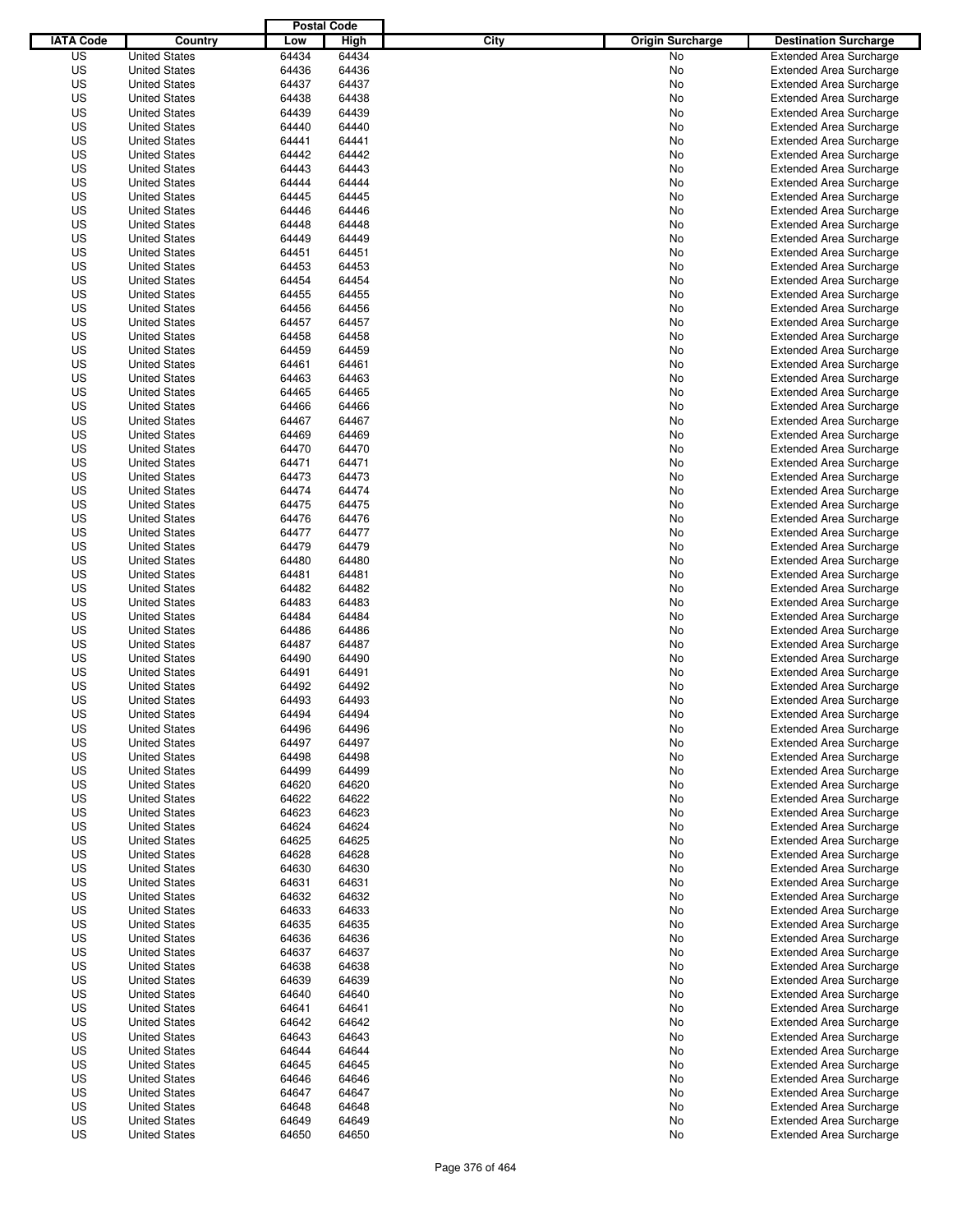|                  |                                              | <b>Postal Code</b> |                |                                 |                                                                  |
|------------------|----------------------------------------------|--------------------|----------------|---------------------------------|------------------------------------------------------------------|
| <b>IATA Code</b> | Country                                      | Low                | High           | City<br><b>Origin Surcharge</b> | <b>Destination Surcharge</b>                                     |
| US               | <b>United States</b>                         | 64434              | 64434          | <b>No</b>                       | <b>Extended Area Surcharge</b>                                   |
| US               | <b>United States</b>                         | 64436              | 64436          | No                              | <b>Extended Area Surcharge</b>                                   |
| US               | <b>United States</b>                         | 64437              | 64437          | No                              | <b>Extended Area Surcharge</b>                                   |
| US               | <b>United States</b>                         | 64438              | 64438          | No                              | <b>Extended Area Surcharge</b>                                   |
| US               | <b>United States</b>                         | 64439              | 64439          | No                              | <b>Extended Area Surcharge</b>                                   |
| US               | <b>United States</b>                         | 64440              | 64440          | No                              | <b>Extended Area Surcharge</b>                                   |
| US               | <b>United States</b>                         | 64441              | 64441          | No                              | <b>Extended Area Surcharge</b>                                   |
| US               | <b>United States</b>                         | 64442              | 64442          | No                              | <b>Extended Area Surcharge</b>                                   |
| US               | <b>United States</b>                         | 64443              | 64443          | No                              | <b>Extended Area Surcharge</b>                                   |
| US               | <b>United States</b>                         | 64444              | 64444          | No                              | <b>Extended Area Surcharge</b>                                   |
| US               | <b>United States</b>                         | 64445              | 64445          | No                              | <b>Extended Area Surcharge</b>                                   |
| US               | <b>United States</b>                         | 64446              | 64446          | No                              | <b>Extended Area Surcharge</b>                                   |
| US               | <b>United States</b>                         | 64448              | 64448          | No                              | <b>Extended Area Surcharge</b>                                   |
| US               | <b>United States</b>                         | 64449              | 64449          | No                              | <b>Extended Area Surcharge</b>                                   |
| US               | <b>United States</b>                         | 64451              | 64451          | No                              | <b>Extended Area Surcharge</b>                                   |
| US               | <b>United States</b>                         | 64453              | 64453          | No                              | <b>Extended Area Surcharge</b>                                   |
| US               | <b>United States</b>                         | 64454              | 64454          | No                              | <b>Extended Area Surcharge</b>                                   |
| US               | <b>United States</b>                         | 64455              | 64455          | No                              | <b>Extended Area Surcharge</b>                                   |
| US               | <b>United States</b>                         | 64456              | 64456          | No                              | <b>Extended Area Surcharge</b>                                   |
| US               | <b>United States</b>                         | 64457              | 64457          | No                              | <b>Extended Area Surcharge</b>                                   |
| US               | <b>United States</b>                         | 64458              | 64458          | No                              | <b>Extended Area Surcharge</b>                                   |
| US               | <b>United States</b>                         | 64459              | 64459          | No                              | <b>Extended Area Surcharge</b>                                   |
| US               | <b>United States</b>                         | 64461<br>64463     | 64461          | No                              | <b>Extended Area Surcharge</b>                                   |
| US               | <b>United States</b>                         |                    | 64463          | No                              | <b>Extended Area Surcharge</b>                                   |
| US<br>US         | <b>United States</b>                         | 64465<br>64466     | 64465<br>64466 | No                              | <b>Extended Area Surcharge</b><br><b>Extended Area Surcharge</b> |
| US               | <b>United States</b>                         |                    | 64467          | No                              |                                                                  |
| US               | <b>United States</b><br><b>United States</b> | 64467<br>64469     | 64469          | No<br>No                        | <b>Extended Area Surcharge</b><br><b>Extended Area Surcharge</b> |
| US               | <b>United States</b>                         | 64470              | 64470          | No                              | <b>Extended Area Surcharge</b>                                   |
| US               | <b>United States</b>                         | 64471              | 64471          | No                              | <b>Extended Area Surcharge</b>                                   |
| US               | <b>United States</b>                         | 64473              | 64473          | No                              | <b>Extended Area Surcharge</b>                                   |
| US               | <b>United States</b>                         | 64474              | 64474          | No                              | <b>Extended Area Surcharge</b>                                   |
| US               | <b>United States</b>                         | 64475              | 64475          | No                              | <b>Extended Area Surcharge</b>                                   |
| US               | <b>United States</b>                         | 64476              | 64476          | No                              | <b>Extended Area Surcharge</b>                                   |
| US               | <b>United States</b>                         | 64477              | 64477          | No                              | <b>Extended Area Surcharge</b>                                   |
| US               | <b>United States</b>                         | 64479              | 64479          | No                              | <b>Extended Area Surcharge</b>                                   |
| US               | <b>United States</b>                         | 64480              | 64480          | No                              | <b>Extended Area Surcharge</b>                                   |
| US               | <b>United States</b>                         | 64481              | 64481          | No                              | <b>Extended Area Surcharge</b>                                   |
| US               | <b>United States</b>                         | 64482              | 64482          | No                              | <b>Extended Area Surcharge</b>                                   |
| US               | <b>United States</b>                         | 64483              | 64483          | No                              | <b>Extended Area Surcharge</b>                                   |
| US               | <b>United States</b>                         | 64484              | 64484          | No                              | <b>Extended Area Surcharge</b>                                   |
| US               | <b>United States</b>                         | 64486              | 64486          | No                              | <b>Extended Area Surcharge</b>                                   |
| US               | <b>United States</b>                         | 64487              | 64487          | No                              | <b>Extended Area Surcharge</b>                                   |
| US               | <b>United States</b>                         | 64490              | 64490          | No                              | <b>Extended Area Surcharge</b>                                   |
| US               | <b>United States</b>                         | 64491              | 64491          | No                              | <b>Extended Area Surcharge</b>                                   |
| US               | <b>United States</b>                         | 64492              | 64492          | No                              | <b>Extended Area Surcharge</b>                                   |
| US               | <b>United States</b>                         | 64493              | 64493          | No                              | <b>Extended Area Surcharge</b>                                   |
| US               | <b>United States</b>                         | 64494              | 64494          | No                              | <b>Extended Area Surcharge</b>                                   |
| US               | <b>United States</b>                         | 64496              | 64496          | No                              | <b>Extended Area Surcharge</b>                                   |
| US               | <b>United States</b>                         | 64497              | 64497          | No                              | <b>Extended Area Surcharge</b>                                   |
| US               | <b>United States</b>                         | 64498              | 64498          | No                              | <b>Extended Area Surcharge</b>                                   |
| US               | <b>United States</b>                         | 64499              | 64499          | No                              | <b>Extended Area Surcharge</b>                                   |
| US               | <b>United States</b>                         | 64620              | 64620          | No                              | <b>Extended Area Surcharge</b>                                   |
| US               | <b>United States</b>                         | 64622              | 64622          | No                              | <b>Extended Area Surcharge</b>                                   |
| US               | <b>United States</b>                         | 64623              | 64623          | No                              | <b>Extended Area Surcharge</b>                                   |
| US               | <b>United States</b>                         | 64624              | 64624          | No                              | <b>Extended Area Surcharge</b>                                   |
| US               | <b>United States</b>                         | 64625              | 64625          | No                              | <b>Extended Area Surcharge</b>                                   |
| US               | <b>United States</b>                         | 64628              | 64628          | No                              | <b>Extended Area Surcharge</b>                                   |
| US               | <b>United States</b>                         | 64630              | 64630          | No                              | <b>Extended Area Surcharge</b>                                   |
| US               | <b>United States</b>                         | 64631              | 64631          | No                              | <b>Extended Area Surcharge</b>                                   |
| US               | <b>United States</b>                         | 64632              | 64632          | No                              | <b>Extended Area Surcharge</b>                                   |
| US               | <b>United States</b>                         | 64633              | 64633          | No                              | <b>Extended Area Surcharge</b>                                   |
| US               | <b>United States</b>                         | 64635              | 64635          | No                              | <b>Extended Area Surcharge</b>                                   |
| US               | <b>United States</b>                         | 64636              | 64636          | No                              | <b>Extended Area Surcharge</b>                                   |
| US               | <b>United States</b>                         | 64637              | 64637          | No                              | <b>Extended Area Surcharge</b>                                   |
| US               | <b>United States</b>                         | 64638              | 64638          | No                              | <b>Extended Area Surcharge</b>                                   |
| US               | <b>United States</b>                         | 64639              | 64639          | No                              | <b>Extended Area Surcharge</b>                                   |
| US               | <b>United States</b>                         | 64640              | 64640          | No                              | <b>Extended Area Surcharge</b>                                   |
| US               | <b>United States</b>                         | 64641              | 64641          | No                              | <b>Extended Area Surcharge</b>                                   |
| US               | <b>United States</b>                         | 64642              | 64642          | No                              | <b>Extended Area Surcharge</b>                                   |
| US               | <b>United States</b>                         | 64643              | 64643          | No                              | <b>Extended Area Surcharge</b>                                   |
| US               | <b>United States</b>                         | 64644              | 64644          | No                              | <b>Extended Area Surcharge</b>                                   |
| US               | <b>United States</b>                         | 64645              | 64645          | No                              | <b>Extended Area Surcharge</b>                                   |
| US               | <b>United States</b>                         | 64646              | 64646          | No                              | <b>Extended Area Surcharge</b>                                   |
| US               | <b>United States</b>                         | 64647              | 64647          | No                              | <b>Extended Area Surcharge</b>                                   |
| US<br>US         | <b>United States</b><br><b>United States</b> | 64648<br>64649     | 64648<br>64649 | No<br>No                        | <b>Extended Area Surcharge</b><br><b>Extended Area Surcharge</b> |
| US               | <b>United States</b>                         | 64650              | 64650          | No                              | <b>Extended Area Surcharge</b>                                   |
|                  |                                              |                    |                |                                 |                                                                  |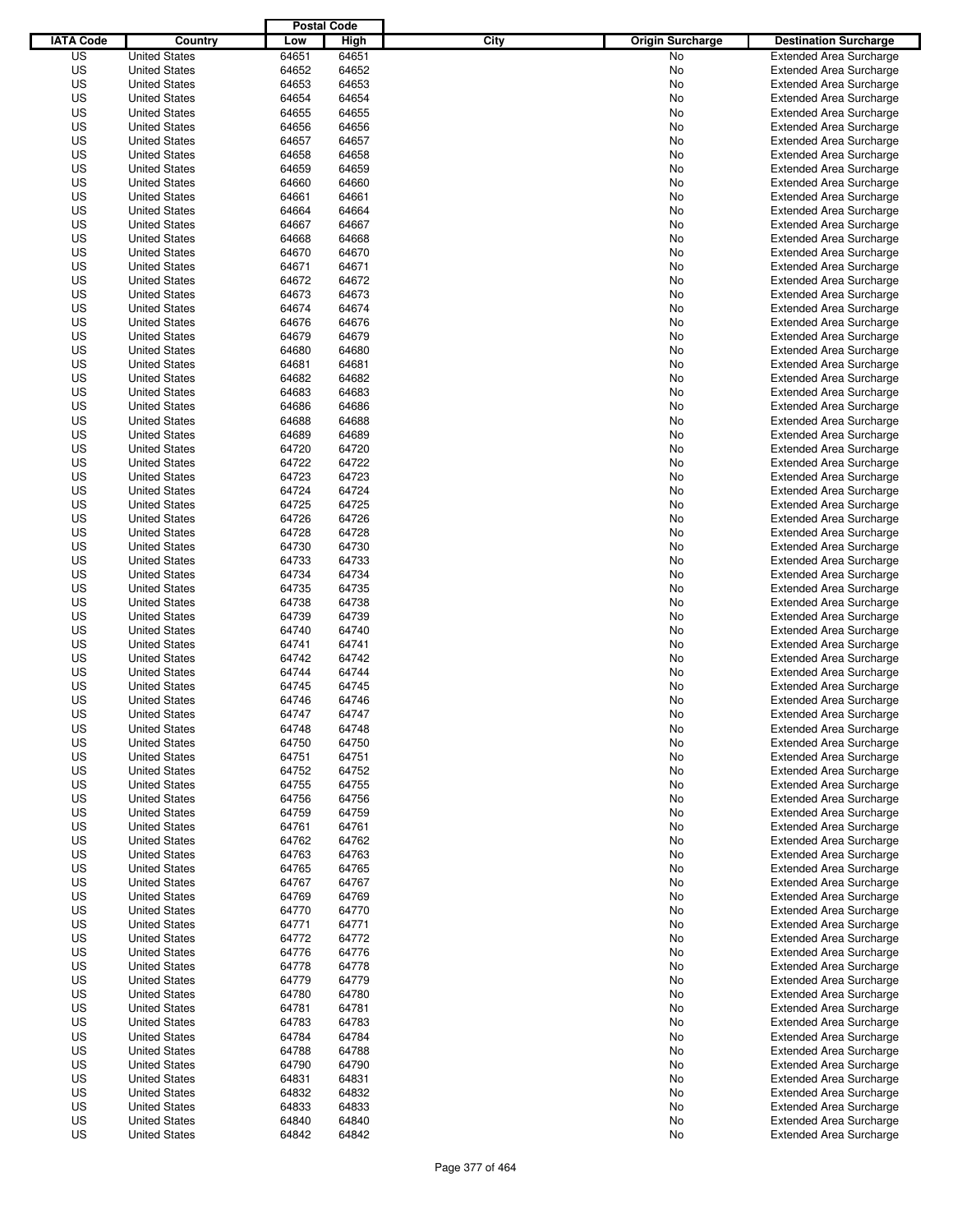|                  |                      | <b>Postal Code</b> |       |                                 |                                |
|------------------|----------------------|--------------------|-------|---------------------------------|--------------------------------|
| <b>IATA Code</b> | Country              | Low                | High  | City<br><b>Origin Surcharge</b> | <b>Destination Surcharge</b>   |
| US               | <b>United States</b> | 64651              | 64651 | <b>No</b>                       | <b>Extended Area Surcharge</b> |
| US               | <b>United States</b> | 64652              | 64652 | No                              | <b>Extended Area Surcharge</b> |
| US               | <b>United States</b> | 64653              | 64653 | No                              | <b>Extended Area Surcharge</b> |
| US               | <b>United States</b> | 64654              | 64654 | No                              | <b>Extended Area Surcharge</b> |
| US               | <b>United States</b> | 64655              | 64655 | No                              | <b>Extended Area Surcharge</b> |
| US               | <b>United States</b> | 64656              | 64656 | No                              | <b>Extended Area Surcharge</b> |
| US               | <b>United States</b> | 64657              | 64657 | No                              | <b>Extended Area Surcharge</b> |
| US               | <b>United States</b> | 64658              | 64658 | No                              | <b>Extended Area Surcharge</b> |
| US               | <b>United States</b> | 64659              | 64659 | No                              | <b>Extended Area Surcharge</b> |
| US               | <b>United States</b> | 64660              | 64660 | No                              | <b>Extended Area Surcharge</b> |
| US               | <b>United States</b> | 64661              | 64661 | No                              | <b>Extended Area Surcharge</b> |
| US               | <b>United States</b> | 64664              | 64664 | No                              | <b>Extended Area Surcharge</b> |
| US               | <b>United States</b> | 64667              | 64667 | No                              | <b>Extended Area Surcharge</b> |
| US               | <b>United States</b> | 64668              | 64668 | No                              | <b>Extended Area Surcharge</b> |
| US               | <b>United States</b> | 64670              | 64670 | No                              | <b>Extended Area Surcharge</b> |
| US               | <b>United States</b> | 64671              | 64671 | No                              | <b>Extended Area Surcharge</b> |
| US               | <b>United States</b> | 64672              | 64672 | No                              | <b>Extended Area Surcharge</b> |
| US               | <b>United States</b> | 64673              | 64673 | No                              | <b>Extended Area Surcharge</b> |
| US               | <b>United States</b> | 64674              | 64674 | No                              | <b>Extended Area Surcharge</b> |
| US               | <b>United States</b> | 64676              | 64676 | No                              | <b>Extended Area Surcharge</b> |
| US               | <b>United States</b> | 64679              | 64679 | No                              | <b>Extended Area Surcharge</b> |
| US               | <b>United States</b> | 64680              | 64680 | No                              | <b>Extended Area Surcharge</b> |
| US               | <b>United States</b> | 64681              | 64681 | No                              | <b>Extended Area Surcharge</b> |
| US               | <b>United States</b> | 64682              | 64682 | No                              | <b>Extended Area Surcharge</b> |
| US               | <b>United States</b> | 64683              | 64683 | No                              | <b>Extended Area Surcharge</b> |
| US               | <b>United States</b> | 64686              | 64686 | No                              | <b>Extended Area Surcharge</b> |
| US               | <b>United States</b> | 64688              | 64688 | No                              | <b>Extended Area Surcharge</b> |
| US               | <b>United States</b> | 64689              | 64689 | No                              | <b>Extended Area Surcharge</b> |
| US               | <b>United States</b> | 64720              | 64720 | No                              | <b>Extended Area Surcharge</b> |
| US               | <b>United States</b> | 64722              | 64722 | No                              | <b>Extended Area Surcharge</b> |
| US               | <b>United States</b> | 64723              | 64723 | No                              | <b>Extended Area Surcharge</b> |
| US               | <b>United States</b> | 64724              | 64724 | No                              | <b>Extended Area Surcharge</b> |
| US               | <b>United States</b> | 64725              | 64725 | No                              | <b>Extended Area Surcharge</b> |
| US               | <b>United States</b> | 64726              | 64726 | No                              | <b>Extended Area Surcharge</b> |
| US               | <b>United States</b> | 64728              | 64728 | No                              | <b>Extended Area Surcharge</b> |
| US               | <b>United States</b> | 64730              | 64730 | No                              | <b>Extended Area Surcharge</b> |
| US               | <b>United States</b> | 64733              | 64733 | No                              | <b>Extended Area Surcharge</b> |
| US               | <b>United States</b> | 64734              | 64734 | No                              | <b>Extended Area Surcharge</b> |
| US               | <b>United States</b> | 64735              | 64735 | No                              | <b>Extended Area Surcharge</b> |
| US               | <b>United States</b> | 64738              | 64738 | No                              | <b>Extended Area Surcharge</b> |
| US               | <b>United States</b> | 64739              | 64739 | No                              | <b>Extended Area Surcharge</b> |
| US               | <b>United States</b> | 64740              | 64740 | No                              | <b>Extended Area Surcharge</b> |
| US               | <b>United States</b> | 64741              | 64741 | No                              | <b>Extended Area Surcharge</b> |
| US               | <b>United States</b> | 64742              | 64742 | No                              | <b>Extended Area Surcharge</b> |
| US               | <b>United States</b> | 64744              | 64744 | No                              | <b>Extended Area Surcharge</b> |
| US               | <b>United States</b> | 64745              | 64745 | No                              | <b>Extended Area Surcharge</b> |
| US               | <b>United States</b> | 64746              | 64746 | No                              | <b>Extended Area Surcharge</b> |
| US               | <b>United States</b> | 64747              | 64747 | No                              | <b>Extended Area Surcharge</b> |
| US               | <b>United States</b> | 64748              | 64748 | No                              | <b>Extended Area Surcharge</b> |
| US               | <b>United States</b> | 64750              | 64750 | No                              | <b>Extended Area Surcharge</b> |
| US               | <b>United States</b> | 64751              | 64751 | No                              | <b>Extended Area Surcharge</b> |
| US               | <b>United States</b> | 64752              | 64752 | No                              | <b>Extended Area Surcharge</b> |
| US               | <b>United States</b> | 64755              | 64755 | No                              | <b>Extended Area Surcharge</b> |
| US               | <b>United States</b> | 64756              | 64756 | No                              | <b>Extended Area Surcharge</b> |
| US               | <b>United States</b> | 64759              | 64759 | No                              | <b>Extended Area Surcharge</b> |
| US               | <b>United States</b> | 64761              | 64761 | No                              | <b>Extended Area Surcharge</b> |
| US               | <b>United States</b> | 64762              | 64762 | No                              | <b>Extended Area Surcharge</b> |
| US               | <b>United States</b> | 64763              | 64763 | No                              | <b>Extended Area Surcharge</b> |
| US               | <b>United States</b> | 64765              | 64765 | No                              | <b>Extended Area Surcharge</b> |
| US               | <b>United States</b> | 64767              | 64767 | No                              | <b>Extended Area Surcharge</b> |
| US               | <b>United States</b> | 64769              | 64769 | No                              | <b>Extended Area Surcharge</b> |
| US               | <b>United States</b> | 64770              | 64770 | No                              | <b>Extended Area Surcharge</b> |
| US               | <b>United States</b> | 64771              | 64771 | No                              | <b>Extended Area Surcharge</b> |
| US               | <b>United States</b> | 64772              | 64772 | No                              | <b>Extended Area Surcharge</b> |
| US               | <b>United States</b> | 64776              | 64776 | No                              | <b>Extended Area Surcharge</b> |
| US               | <b>United States</b> | 64778              | 64778 | No                              | <b>Extended Area Surcharge</b> |
| US               | <b>United States</b> | 64779              | 64779 | No                              | <b>Extended Area Surcharge</b> |
| US               | <b>United States</b> | 64780              | 64780 | No                              | <b>Extended Area Surcharge</b> |
| US               | <b>United States</b> | 64781              | 64781 | No                              | <b>Extended Area Surcharge</b> |
| US               | <b>United States</b> | 64783              | 64783 | No                              | <b>Extended Area Surcharge</b> |
| US               | <b>United States</b> | 64784              | 64784 | No                              | <b>Extended Area Surcharge</b> |
| US               | <b>United States</b> | 64788              | 64788 | No                              | <b>Extended Area Surcharge</b> |
| US               | <b>United States</b> | 64790              | 64790 | No                              | <b>Extended Area Surcharge</b> |
| US               | <b>United States</b> | 64831              | 64831 | No                              | <b>Extended Area Surcharge</b> |
| US               | <b>United States</b> | 64832              | 64832 | No                              | <b>Extended Area Surcharge</b> |
| US               | <b>United States</b> | 64833              | 64833 | No                              | <b>Extended Area Surcharge</b> |
| US               | <b>United States</b> | 64840              | 64840 | No                              | <b>Extended Area Surcharge</b> |
| US               | <b>United States</b> | 64842              | 64842 | No                              | <b>Extended Area Surcharge</b> |
|                  |                      |                    |       |                                 |                                |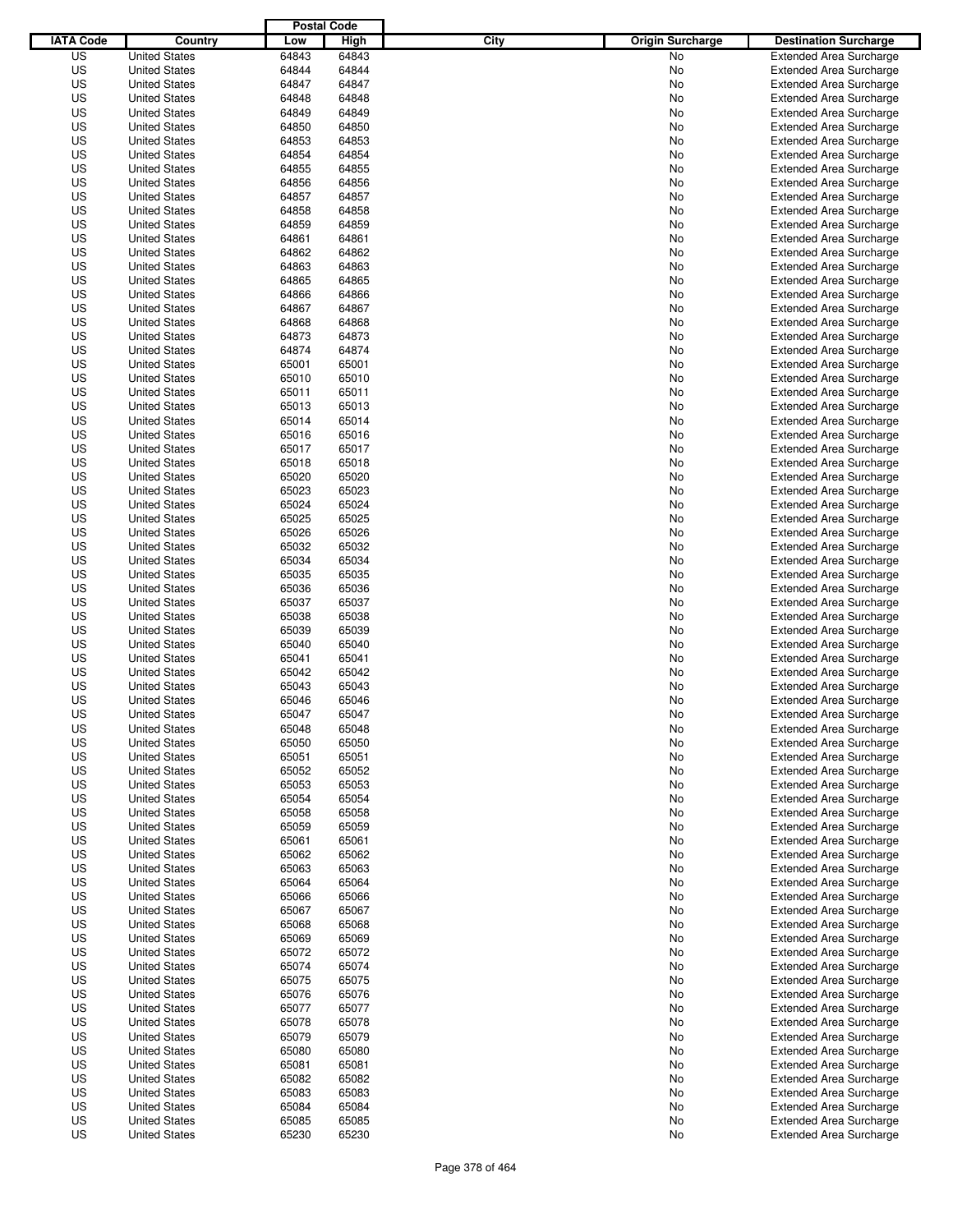|                  |                      | <b>Postal Code</b> |       |                                 |                                |
|------------------|----------------------|--------------------|-------|---------------------------------|--------------------------------|
| <b>IATA Code</b> | Country              | Low                | High  | City<br><b>Origin Surcharge</b> | <b>Destination Surcharge</b>   |
| US               | <b>United States</b> | 64843              | 64843 | <b>No</b>                       | <b>Extended Area Surcharge</b> |
| US               | <b>United States</b> | 64844              | 64844 | No                              | <b>Extended Area Surcharge</b> |
| US               | <b>United States</b> | 64847              | 64847 | No                              | <b>Extended Area Surcharge</b> |
| US               | <b>United States</b> | 64848              | 64848 | No                              | <b>Extended Area Surcharge</b> |
| US               | <b>United States</b> | 64849              | 64849 | No                              | <b>Extended Area Surcharge</b> |
| US               | <b>United States</b> | 64850              | 64850 | No                              | <b>Extended Area Surcharge</b> |
| US               | <b>United States</b> | 64853              | 64853 | No                              | <b>Extended Area Surcharge</b> |
| US               | <b>United States</b> | 64854              | 64854 | No                              | <b>Extended Area Surcharge</b> |
| US               | <b>United States</b> | 64855              | 64855 | No                              | <b>Extended Area Surcharge</b> |
| US               | <b>United States</b> | 64856              | 64856 | No                              | <b>Extended Area Surcharge</b> |
| US               | <b>United States</b> | 64857              | 64857 | No                              | <b>Extended Area Surcharge</b> |
| US               | <b>United States</b> | 64858              | 64858 | No                              | <b>Extended Area Surcharge</b> |
| US               | <b>United States</b> | 64859              | 64859 | No                              | <b>Extended Area Surcharge</b> |
| US               | <b>United States</b> | 64861              | 64861 | No                              | <b>Extended Area Surcharge</b> |
| US               | <b>United States</b> | 64862              | 64862 | No                              | <b>Extended Area Surcharge</b> |
| US               | <b>United States</b> | 64863              | 64863 | No                              | <b>Extended Area Surcharge</b> |
| US               | <b>United States</b> | 64865              | 64865 | No                              | <b>Extended Area Surcharge</b> |
| US               | <b>United States</b> | 64866              | 64866 | No                              | <b>Extended Area Surcharge</b> |
| US               | <b>United States</b> | 64867              | 64867 | No                              | <b>Extended Area Surcharge</b> |
| US               | <b>United States</b> | 64868              | 64868 | No                              | <b>Extended Area Surcharge</b> |
| US               | <b>United States</b> | 64873              | 64873 | No                              | <b>Extended Area Surcharge</b> |
| US               | <b>United States</b> | 64874              | 64874 | No                              | <b>Extended Area Surcharge</b> |
| US               | <b>United States</b> | 65001              | 65001 | No                              | <b>Extended Area Surcharge</b> |
| US               | <b>United States</b> | 65010              | 65010 | No                              | <b>Extended Area Surcharge</b> |
| US               | <b>United States</b> | 65011              | 65011 | No                              | <b>Extended Area Surcharge</b> |
| US               | <b>United States</b> | 65013              | 65013 | No                              | <b>Extended Area Surcharge</b> |
| US               | <b>United States</b> | 65014              | 65014 | No                              | <b>Extended Area Surcharge</b> |
| US               | <b>United States</b> | 65016              | 65016 | No                              | <b>Extended Area Surcharge</b> |
| US               | <b>United States</b> | 65017              | 65017 | No                              | <b>Extended Area Surcharge</b> |
| US               | <b>United States</b> | 65018              | 65018 | No                              | <b>Extended Area Surcharge</b> |
| US               | <b>United States</b> | 65020              | 65020 | No                              | <b>Extended Area Surcharge</b> |
| US               | <b>United States</b> | 65023              | 65023 | No                              | <b>Extended Area Surcharge</b> |
| US               | <b>United States</b> | 65024              | 65024 | No                              | <b>Extended Area Surcharge</b> |
| US               | <b>United States</b> | 65025              | 65025 | No                              | <b>Extended Area Surcharge</b> |
| US               | <b>United States</b> | 65026              | 65026 | No                              | <b>Extended Area Surcharge</b> |
| US               | <b>United States</b> | 65032              | 65032 | No                              | <b>Extended Area Surcharge</b> |
| US               | <b>United States</b> | 65034              | 65034 | No                              | <b>Extended Area Surcharge</b> |
| US               | <b>United States</b> | 65035              | 65035 | No                              | <b>Extended Area Surcharge</b> |
| US               | <b>United States</b> | 65036              | 65036 | No                              | <b>Extended Area Surcharge</b> |
| US               | <b>United States</b> | 65037              | 65037 | No                              | <b>Extended Area Surcharge</b> |
| US               | <b>United States</b> | 65038              | 65038 | No                              | <b>Extended Area Surcharge</b> |
| US               | <b>United States</b> | 65039              | 65039 | No                              | <b>Extended Area Surcharge</b> |
| US               | <b>United States</b> | 65040              | 65040 | No                              | <b>Extended Area Surcharge</b> |
| US               | <b>United States</b> | 65041              | 65041 | No                              | <b>Extended Area Surcharge</b> |
| US               | <b>United States</b> | 65042              | 65042 | No                              | <b>Extended Area Surcharge</b> |
| US               | <b>United States</b> | 65043              | 65043 | No                              | <b>Extended Area Surcharge</b> |
| US               | <b>United States</b> | 65046              | 65046 | No                              | <b>Extended Area Surcharge</b> |
| US               | <b>United States</b> | 65047              | 65047 | No                              | <b>Extended Area Surcharge</b> |
| US               | <b>United States</b> | 65048              | 65048 | No                              | <b>Extended Area Surcharge</b> |
| US               | <b>United States</b> | 65050              | 65050 | No                              | <b>Extended Area Surcharge</b> |
| US               | <b>United States</b> | 65051              | 65051 | No                              | <b>Extended Area Surcharge</b> |
| US               | <b>United States</b> | 65052              | 65052 | No                              | <b>Extended Area Surcharge</b> |
| US               | <b>United States</b> | 65053              | 65053 | No                              | <b>Extended Area Surcharge</b> |
| US               | <b>United States</b> | 65054              | 65054 | No                              | <b>Extended Area Surcharge</b> |
| US               | <b>United States</b> | 65058              | 65058 | No                              | <b>Extended Area Surcharge</b> |
| US               | <b>United States</b> | 65059              | 65059 | No                              | <b>Extended Area Surcharge</b> |
| US               | <b>United States</b> | 65061              | 65061 | No                              | <b>Extended Area Surcharge</b> |
| US               | <b>United States</b> | 65062              | 65062 | No                              | <b>Extended Area Surcharge</b> |
| US               | <b>United States</b> | 65063              | 65063 | No                              | <b>Extended Area Surcharge</b> |
| US               | <b>United States</b> | 65064              | 65064 | No                              | <b>Extended Area Surcharge</b> |
| US               | <b>United States</b> | 65066              | 65066 | No                              | <b>Extended Area Surcharge</b> |
| US               | <b>United States</b> | 65067              | 65067 | No                              | <b>Extended Area Surcharge</b> |
| US               | <b>United States</b> | 65068              | 65068 | No                              | <b>Extended Area Surcharge</b> |
| US               | <b>United States</b> | 65069              | 65069 | No                              | <b>Extended Area Surcharge</b> |
| US               | <b>United States</b> | 65072              | 65072 | No                              | <b>Extended Area Surcharge</b> |
| US               | <b>United States</b> | 65074              | 65074 | No                              | <b>Extended Area Surcharge</b> |
| US               | <b>United States</b> | 65075              | 65075 | No                              | <b>Extended Area Surcharge</b> |
| US               | <b>United States</b> | 65076              | 65076 | No                              | <b>Extended Area Surcharge</b> |
| US               | <b>United States</b> | 65077              | 65077 | No                              | <b>Extended Area Surcharge</b> |
| US               | <b>United States</b> | 65078              | 65078 | No                              | <b>Extended Area Surcharge</b> |
| US               | <b>United States</b> | 65079              | 65079 | No                              | <b>Extended Area Surcharge</b> |
| US               | <b>United States</b> | 65080              | 65080 | No                              | <b>Extended Area Surcharge</b> |
| US               | <b>United States</b> | 65081              | 65081 | No                              | <b>Extended Area Surcharge</b> |
| US               | <b>United States</b> | 65082              | 65082 | No                              | <b>Extended Area Surcharge</b> |
| US               | <b>United States</b> | 65083              | 65083 | No                              | <b>Extended Area Surcharge</b> |
| US               | <b>United States</b> | 65084              | 65084 | No                              | <b>Extended Area Surcharge</b> |
| US               | <b>United States</b> | 65085              | 65085 | No                              | <b>Extended Area Surcharge</b> |
| US               | <b>United States</b> | 65230              | 65230 | No                              | <b>Extended Area Surcharge</b> |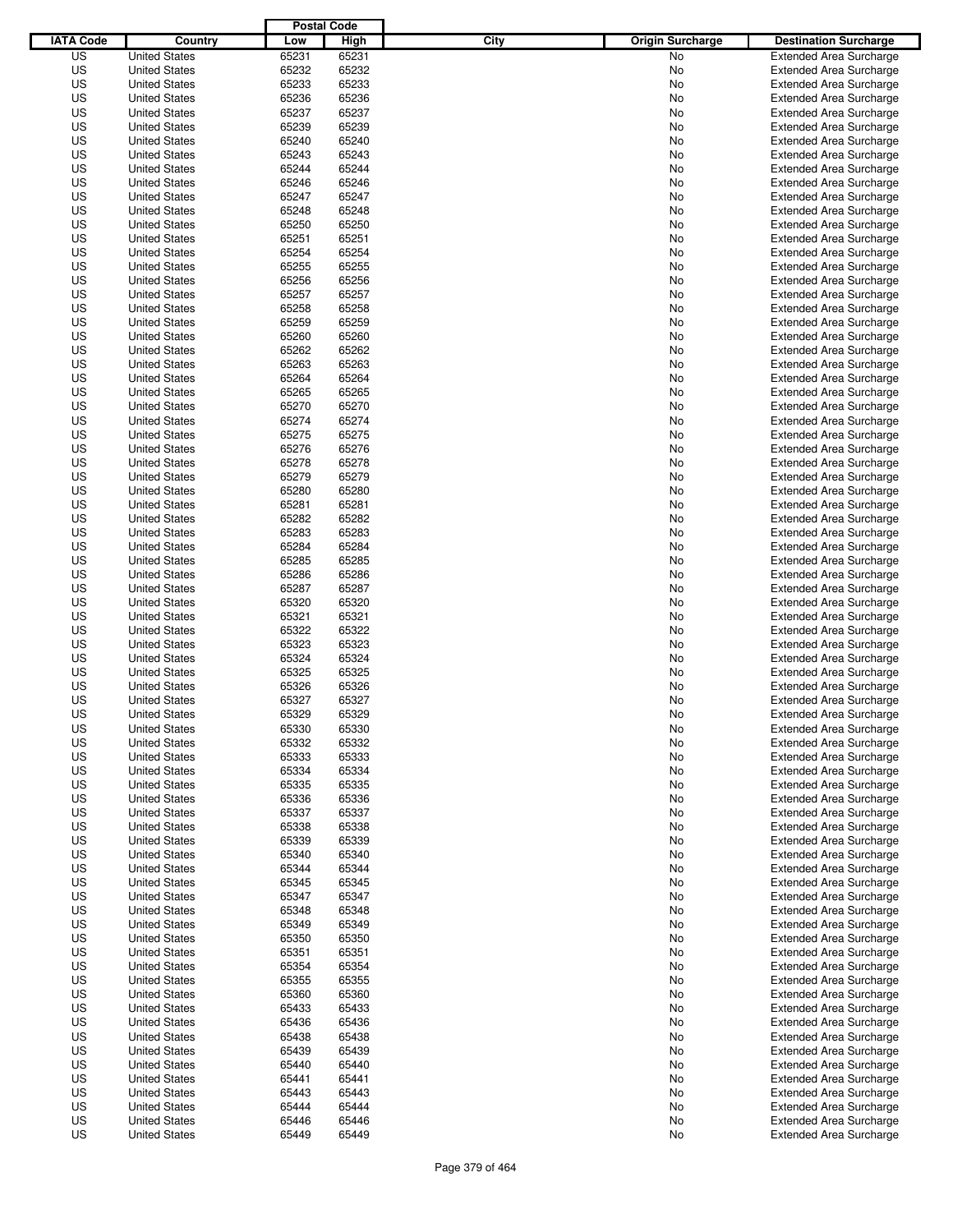|                  |                      | <b>Postal Code</b> |       |                                 |                                |
|------------------|----------------------|--------------------|-------|---------------------------------|--------------------------------|
| <b>IATA Code</b> | Country              | Low                | High  | City<br><b>Origin Surcharge</b> | <b>Destination Surcharge</b>   |
| US               | <b>United States</b> | 65231              | 65231 | <b>No</b>                       | <b>Extended Area Surcharge</b> |
| US               | <b>United States</b> | 65232              | 65232 | No                              | <b>Extended Area Surcharge</b> |
| US               | <b>United States</b> | 65233              | 65233 | No                              | <b>Extended Area Surcharge</b> |
| US               | <b>United States</b> | 65236              | 65236 | No                              | <b>Extended Area Surcharge</b> |
| US               | <b>United States</b> | 65237              | 65237 | No                              | <b>Extended Area Surcharge</b> |
| US               | <b>United States</b> | 65239              | 65239 | No                              | <b>Extended Area Surcharge</b> |
| US               | <b>United States</b> | 65240              | 65240 | No                              | <b>Extended Area Surcharge</b> |
| US               | <b>United States</b> | 65243              | 65243 | No                              | <b>Extended Area Surcharge</b> |
| US               | <b>United States</b> | 65244              | 65244 | No                              | <b>Extended Area Surcharge</b> |
| US               | <b>United States</b> | 65246              | 65246 | No                              | <b>Extended Area Surcharge</b> |
| US               | <b>United States</b> | 65247              | 65247 | No                              | <b>Extended Area Surcharge</b> |
| US               | <b>United States</b> | 65248              | 65248 | No                              | <b>Extended Area Surcharge</b> |
| US               | <b>United States</b> | 65250              | 65250 | No                              | <b>Extended Area Surcharge</b> |
| US               | <b>United States</b> | 65251              | 65251 | No                              | <b>Extended Area Surcharge</b> |
| US               | <b>United States</b> | 65254              | 65254 | No                              | <b>Extended Area Surcharge</b> |
| US               | <b>United States</b> | 65255              | 65255 | No                              | <b>Extended Area Surcharge</b> |
| US               | <b>United States</b> | 65256              | 65256 | No                              | <b>Extended Area Surcharge</b> |
| US               | <b>United States</b> | 65257              | 65257 | No                              | <b>Extended Area Surcharge</b> |
| US               | <b>United States</b> | 65258              | 65258 | No                              | <b>Extended Area Surcharge</b> |
| US               | <b>United States</b> | 65259              | 65259 | No                              | <b>Extended Area Surcharge</b> |
| US               | <b>United States</b> | 65260              | 65260 | No                              | <b>Extended Area Surcharge</b> |
| US               | <b>United States</b> | 65262              | 65262 | No                              | <b>Extended Area Surcharge</b> |
| US               | <b>United States</b> | 65263              | 65263 | No                              | <b>Extended Area Surcharge</b> |
| US               | <b>United States</b> | 65264              | 65264 | No                              | <b>Extended Area Surcharge</b> |
| US               | <b>United States</b> | 65265              | 65265 | No                              | <b>Extended Area Surcharge</b> |
| US               | <b>United States</b> | 65270              | 65270 | No                              | <b>Extended Area Surcharge</b> |
| US               | <b>United States</b> | 65274              | 65274 | No                              | <b>Extended Area Surcharge</b> |
| US               | <b>United States</b> | 65275              | 65275 | No                              | <b>Extended Area Surcharge</b> |
| US               | <b>United States</b> | 65276              | 65276 | No                              | <b>Extended Area Surcharge</b> |
| US               | <b>United States</b> | 65278              | 65278 | No                              | <b>Extended Area Surcharge</b> |
| US               | <b>United States</b> | 65279              | 65279 | No                              | <b>Extended Area Surcharge</b> |
| US               | <b>United States</b> | 65280              | 65280 | No                              | <b>Extended Area Surcharge</b> |
| US               | <b>United States</b> | 65281              | 65281 | No                              | <b>Extended Area Surcharge</b> |
| US               | <b>United States</b> | 65282              | 65282 | No                              | <b>Extended Area Surcharge</b> |
| US               | <b>United States</b> | 65283              | 65283 | No                              | <b>Extended Area Surcharge</b> |
| US               | <b>United States</b> | 65284              | 65284 | No                              | <b>Extended Area Surcharge</b> |
| US               | <b>United States</b> | 65285              | 65285 | No                              | <b>Extended Area Surcharge</b> |
| US               | <b>United States</b> | 65286              | 65286 | No                              | <b>Extended Area Surcharge</b> |
| US               | <b>United States</b> | 65287              | 65287 | No                              | <b>Extended Area Surcharge</b> |
| US               | <b>United States</b> | 65320              | 65320 | No                              | <b>Extended Area Surcharge</b> |
| US               | <b>United States</b> | 65321              | 65321 | No                              | <b>Extended Area Surcharge</b> |
| US               | <b>United States</b> | 65322              | 65322 | No                              | <b>Extended Area Surcharge</b> |
| US               | <b>United States</b> | 65323              | 65323 | No                              | <b>Extended Area Surcharge</b> |
| US               | <b>United States</b> | 65324              | 65324 | No                              | <b>Extended Area Surcharge</b> |
| US               | <b>United States</b> | 65325              | 65325 | No                              | <b>Extended Area Surcharge</b> |
| US               | <b>United States</b> | 65326              | 65326 | No                              | <b>Extended Area Surcharge</b> |
| US               | <b>United States</b> | 65327              | 65327 | No                              | <b>Extended Area Surcharge</b> |
| US               | <b>United States</b> | 65329              | 65329 | No                              | <b>Extended Area Surcharge</b> |
| US               | <b>United States</b> | 65330              | 65330 | No                              | <b>Extended Area Surcharge</b> |
| US               | <b>United States</b> | 65332              | 65332 | No                              | <b>Extended Area Surcharge</b> |
| US               | <b>United States</b> | 65333              | 65333 | No                              | <b>Extended Area Surcharge</b> |
| US               | <b>United States</b> | 65334              | 65334 | No                              | <b>Extended Area Surcharge</b> |
| US               | <b>United States</b> | 65335              | 65335 | No                              | <b>Extended Area Surcharge</b> |
| US               | <b>United States</b> | 65336              | 65336 | No                              | <b>Extended Area Surcharge</b> |
| US               | <b>United States</b> | 65337              | 65337 | No                              | <b>Extended Area Surcharge</b> |
| US               | <b>United States</b> | 65338              | 65338 | No                              | <b>Extended Area Surcharge</b> |
| US               | <b>United States</b> | 65339              | 65339 | No                              | <b>Extended Area Surcharge</b> |
| US               | <b>United States</b> | 65340              | 65340 | No                              | <b>Extended Area Surcharge</b> |
| US               | <b>United States</b> | 65344              | 65344 | No                              | <b>Extended Area Surcharge</b> |
| US               | <b>United States</b> | 65345              | 65345 | No                              | <b>Extended Area Surcharge</b> |
| US               | <b>United States</b> | 65347              | 65347 | No                              | <b>Extended Area Surcharge</b> |
| US               | <b>United States</b> | 65348              | 65348 | No                              | <b>Extended Area Surcharge</b> |
| US               | <b>United States</b> | 65349              | 65349 | No                              | <b>Extended Area Surcharge</b> |
| US               | <b>United States</b> | 65350              | 65350 | No                              | <b>Extended Area Surcharge</b> |
| US               | <b>United States</b> | 65351              | 65351 | No                              | <b>Extended Area Surcharge</b> |
| US               | <b>United States</b> | 65354              | 65354 | No                              | <b>Extended Area Surcharge</b> |
| US               | <b>United States</b> | 65355              | 65355 | No                              | <b>Extended Area Surcharge</b> |
| US               | <b>United States</b> | 65360              | 65360 | No                              | <b>Extended Area Surcharge</b> |
| US               | <b>United States</b> | 65433              | 65433 | No                              | <b>Extended Area Surcharge</b> |
| US               | <b>United States</b> | 65436              | 65436 | No                              | <b>Extended Area Surcharge</b> |
| US               | <b>United States</b> | 65438              | 65438 | No                              | <b>Extended Area Surcharge</b> |
| US               | <b>United States</b> | 65439              | 65439 | No                              | <b>Extended Area Surcharge</b> |
| US               | <b>United States</b> | 65440              | 65440 | No                              | <b>Extended Area Surcharge</b> |
| US               | <b>United States</b> | 65441              | 65441 | No                              | <b>Extended Area Surcharge</b> |
| US               | <b>United States</b> | 65443              | 65443 | No                              | <b>Extended Area Surcharge</b> |
| US               | <b>United States</b> | 65444              | 65444 | No                              | <b>Extended Area Surcharge</b> |
| US               | <b>United States</b> | 65446              | 65446 | No                              | <b>Extended Area Surcharge</b> |
| US               | <b>United States</b> | 65449              | 65449 | No                              | <b>Extended Area Surcharge</b> |
|                  |                      |                    |       |                                 |                                |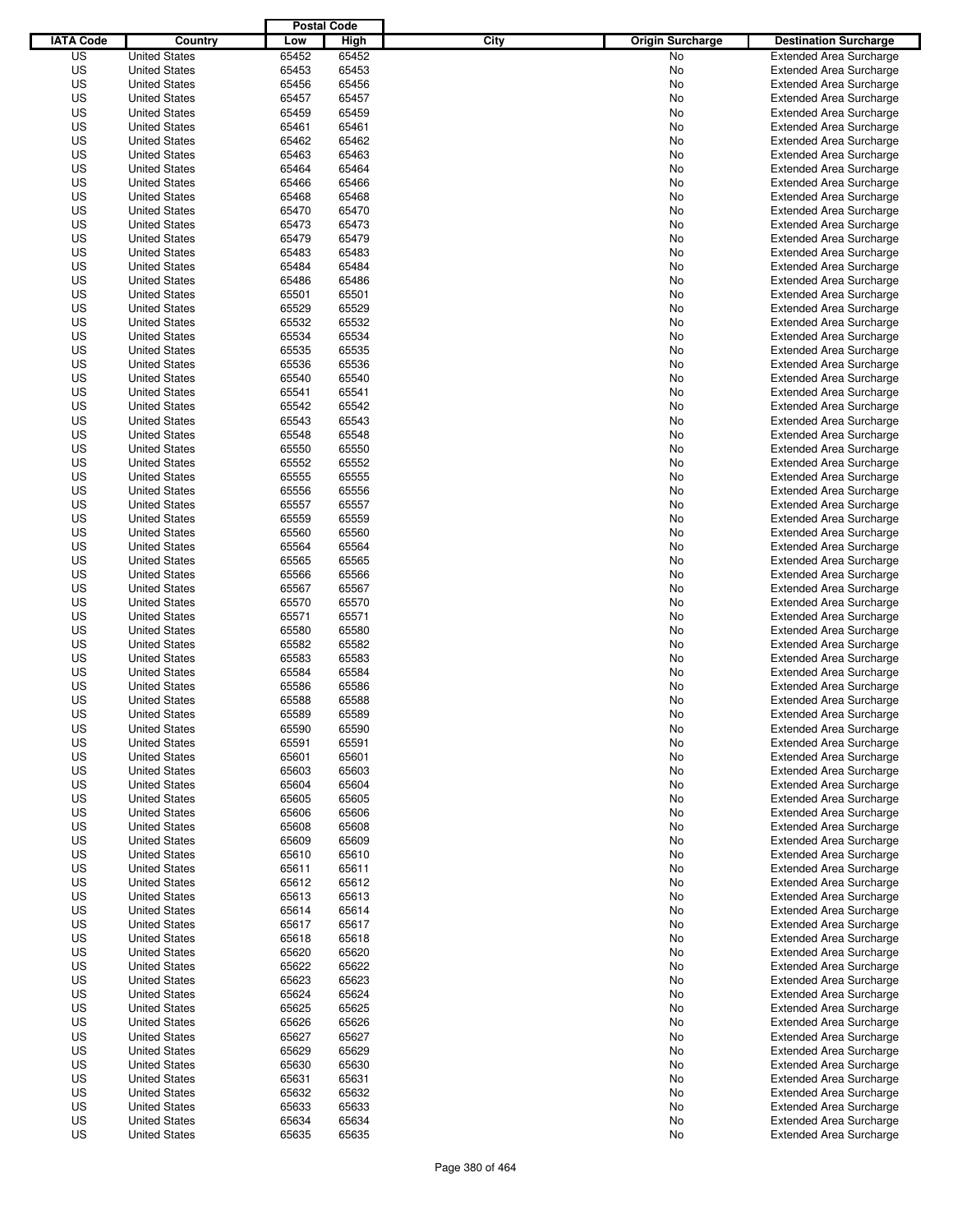|                  |                      | <b>Postal Code</b> |       |                                 |                                |
|------------------|----------------------|--------------------|-------|---------------------------------|--------------------------------|
| <b>IATA Code</b> | Country              | Low                | High  | City<br><b>Origin Surcharge</b> | <b>Destination Surcharge</b>   |
| US               | <b>United States</b> | 65452              | 65452 | <b>No</b>                       | <b>Extended Area Surcharge</b> |
| US               | <b>United States</b> | 65453              | 65453 | No                              | <b>Extended Area Surcharge</b> |
| US               | <b>United States</b> | 65456              | 65456 | No                              | <b>Extended Area Surcharge</b> |
| US               | <b>United States</b> | 65457              | 65457 | No                              | <b>Extended Area Surcharge</b> |
| US               | <b>United States</b> | 65459              | 65459 | No                              | <b>Extended Area Surcharge</b> |
| US               | <b>United States</b> | 65461              | 65461 | No                              | <b>Extended Area Surcharge</b> |
| US               | <b>United States</b> | 65462              | 65462 | No                              | <b>Extended Area Surcharge</b> |
| US               | <b>United States</b> | 65463              | 65463 | No                              | <b>Extended Area Surcharge</b> |
| US               | <b>United States</b> | 65464              | 65464 | No                              | <b>Extended Area Surcharge</b> |
| US               | <b>United States</b> | 65466              | 65466 | No                              | <b>Extended Area Surcharge</b> |
| US               | <b>United States</b> | 65468              | 65468 | No                              | <b>Extended Area Surcharge</b> |
| US               | <b>United States</b> | 65470              | 65470 | No                              | <b>Extended Area Surcharge</b> |
| US               | <b>United States</b> | 65473              | 65473 | No                              | <b>Extended Area Surcharge</b> |
| US               | <b>United States</b> | 65479              | 65479 | No                              | <b>Extended Area Surcharge</b> |
| US               | <b>United States</b> | 65483              | 65483 | No                              | <b>Extended Area Surcharge</b> |
| US               | <b>United States</b> | 65484              | 65484 | No                              | <b>Extended Area Surcharge</b> |
| US               | <b>United States</b> | 65486              | 65486 | No                              | <b>Extended Area Surcharge</b> |
| US               | <b>United States</b> | 65501              | 65501 | No                              | <b>Extended Area Surcharge</b> |
| US               | <b>United States</b> | 65529              | 65529 | No                              | <b>Extended Area Surcharge</b> |
| US               | <b>United States</b> | 65532              | 65532 | No                              | <b>Extended Area Surcharge</b> |
| US               | <b>United States</b> | 65534              | 65534 | No                              | <b>Extended Area Surcharge</b> |
| US               | <b>United States</b> | 65535              | 65535 | No                              | <b>Extended Area Surcharge</b> |
| US               | <b>United States</b> | 65536              | 65536 | No                              | <b>Extended Area Surcharge</b> |
| US               | <b>United States</b> | 65540              | 65540 | No                              | <b>Extended Area Surcharge</b> |
| US               | <b>United States</b> | 65541              | 65541 | No                              | <b>Extended Area Surcharge</b> |
| US               | <b>United States</b> | 65542              | 65542 | No                              | <b>Extended Area Surcharge</b> |
| US               | <b>United States</b> | 65543              | 65543 | No                              | <b>Extended Area Surcharge</b> |
| US               | <b>United States</b> | 65548              | 65548 | No                              | <b>Extended Area Surcharge</b> |
| US               | <b>United States</b> | 65550              | 65550 | No                              | <b>Extended Area Surcharge</b> |
| US               | <b>United States</b> | 65552              | 65552 | No                              | <b>Extended Area Surcharge</b> |
| US               | <b>United States</b> | 65555              | 65555 | No                              | <b>Extended Area Surcharge</b> |
| US               | <b>United States</b> | 65556              | 65556 | No                              | <b>Extended Area Surcharge</b> |
| US               | <b>United States</b> | 65557              | 65557 | No                              | <b>Extended Area Surcharge</b> |
| US               | <b>United States</b> | 65559              | 65559 | No                              | <b>Extended Area Surcharge</b> |
| US               | <b>United States</b> | 65560              | 65560 | No                              | <b>Extended Area Surcharge</b> |
| US               | <b>United States</b> | 65564              | 65564 | No                              | <b>Extended Area Surcharge</b> |
| US               | <b>United States</b> | 65565              | 65565 | No                              | <b>Extended Area Surcharge</b> |
| US               | <b>United States</b> | 65566              | 65566 | No                              | <b>Extended Area Surcharge</b> |
| US               | <b>United States</b> | 65567              | 65567 | No                              | <b>Extended Area Surcharge</b> |
| US               | <b>United States</b> | 65570              | 65570 | No                              | <b>Extended Area Surcharge</b> |
| US               | <b>United States</b> | 65571              | 65571 | No                              | <b>Extended Area Surcharge</b> |
| US               | <b>United States</b> | 65580              | 65580 | No                              | <b>Extended Area Surcharge</b> |
| US               | <b>United States</b> | 65582              | 65582 | No                              | <b>Extended Area Surcharge</b> |
| US               | <b>United States</b> | 65583              | 65583 | No                              | <b>Extended Area Surcharge</b> |
| US               | <b>United States</b> | 65584              | 65584 | No                              | <b>Extended Area Surcharge</b> |
| US               | <b>United States</b> | 65586              | 65586 | No                              | <b>Extended Area Surcharge</b> |
| US               | <b>United States</b> | 65588              | 65588 | No                              | <b>Extended Area Surcharge</b> |
| US               | <b>United States</b> | 65589              | 65589 | No                              | <b>Extended Area Surcharge</b> |
| US               | <b>United States</b> | 65590              | 65590 | No                              | <b>Extended Area Surcharge</b> |
| US               | <b>United States</b> | 65591              | 65591 | No                              | <b>Extended Area Surcharge</b> |
| US               | <b>United States</b> | 65601              | 65601 | No                              | <b>Extended Area Surcharge</b> |
| US               | <b>United States</b> | 65603              | 65603 | No                              | <b>Extended Area Surcharge</b> |
| US               | <b>United States</b> | 65604              | 65604 | No                              | <b>Extended Area Surcharge</b> |
| US               | <b>United States</b> | 65605              | 65605 | No                              | <b>Extended Area Surcharge</b> |
| US               | <b>United States</b> | 65606              | 65606 | No                              | <b>Extended Area Surcharge</b> |
| US               | <b>United States</b> | 65608              | 65608 | No                              | <b>Extended Area Surcharge</b> |
| US               | <b>United States</b> | 65609              | 65609 | No                              | <b>Extended Area Surcharge</b> |
| US               | <b>United States</b> | 65610              | 65610 | No                              | <b>Extended Area Surcharge</b> |
| US               | <b>United States</b> | 65611              | 65611 | No                              | <b>Extended Area Surcharge</b> |
| US               | <b>United States</b> | 65612              | 65612 | No                              | <b>Extended Area Surcharge</b> |
| US               | <b>United States</b> | 65613              | 65613 | No                              | <b>Extended Area Surcharge</b> |
| US               | <b>United States</b> | 65614              | 65614 | No                              | <b>Extended Area Surcharge</b> |
| US               | <b>United States</b> | 65617              | 65617 | No                              | <b>Extended Area Surcharge</b> |
| US               | <b>United States</b> | 65618              | 65618 | No                              | <b>Extended Area Surcharge</b> |
| US               | <b>United States</b> | 65620              | 65620 | No                              | <b>Extended Area Surcharge</b> |
| US               | <b>United States</b> | 65622              | 65622 | No                              | <b>Extended Area Surcharge</b> |
| US               | <b>United States</b> | 65623              | 65623 | No                              | <b>Extended Area Surcharge</b> |
| US               | <b>United States</b> | 65624              | 65624 | No                              | <b>Extended Area Surcharge</b> |
| US               | <b>United States</b> | 65625              | 65625 | No                              | <b>Extended Area Surcharge</b> |
| US               | <b>United States</b> | 65626              | 65626 | No                              | <b>Extended Area Surcharge</b> |
| US               | <b>United States</b> | 65627              | 65627 | No                              | <b>Extended Area Surcharge</b> |
| US               | <b>United States</b> | 65629              | 65629 | No                              | <b>Extended Area Surcharge</b> |
| US               | <b>United States</b> | 65630              | 65630 | No                              | <b>Extended Area Surcharge</b> |
| US               | <b>United States</b> | 65631              | 65631 | No                              | <b>Extended Area Surcharge</b> |
| US               | <b>United States</b> | 65632              | 65632 | No                              | <b>Extended Area Surcharge</b> |
| US               | <b>United States</b> | 65633              | 65633 | No                              | <b>Extended Area Surcharge</b> |
| US               | <b>United States</b> | 65634              | 65634 | No                              | <b>Extended Area Surcharge</b> |
| US               | <b>United States</b> | 65635              | 65635 | No                              | <b>Extended Area Surcharge</b> |
|                  |                      |                    |       |                                 |                                |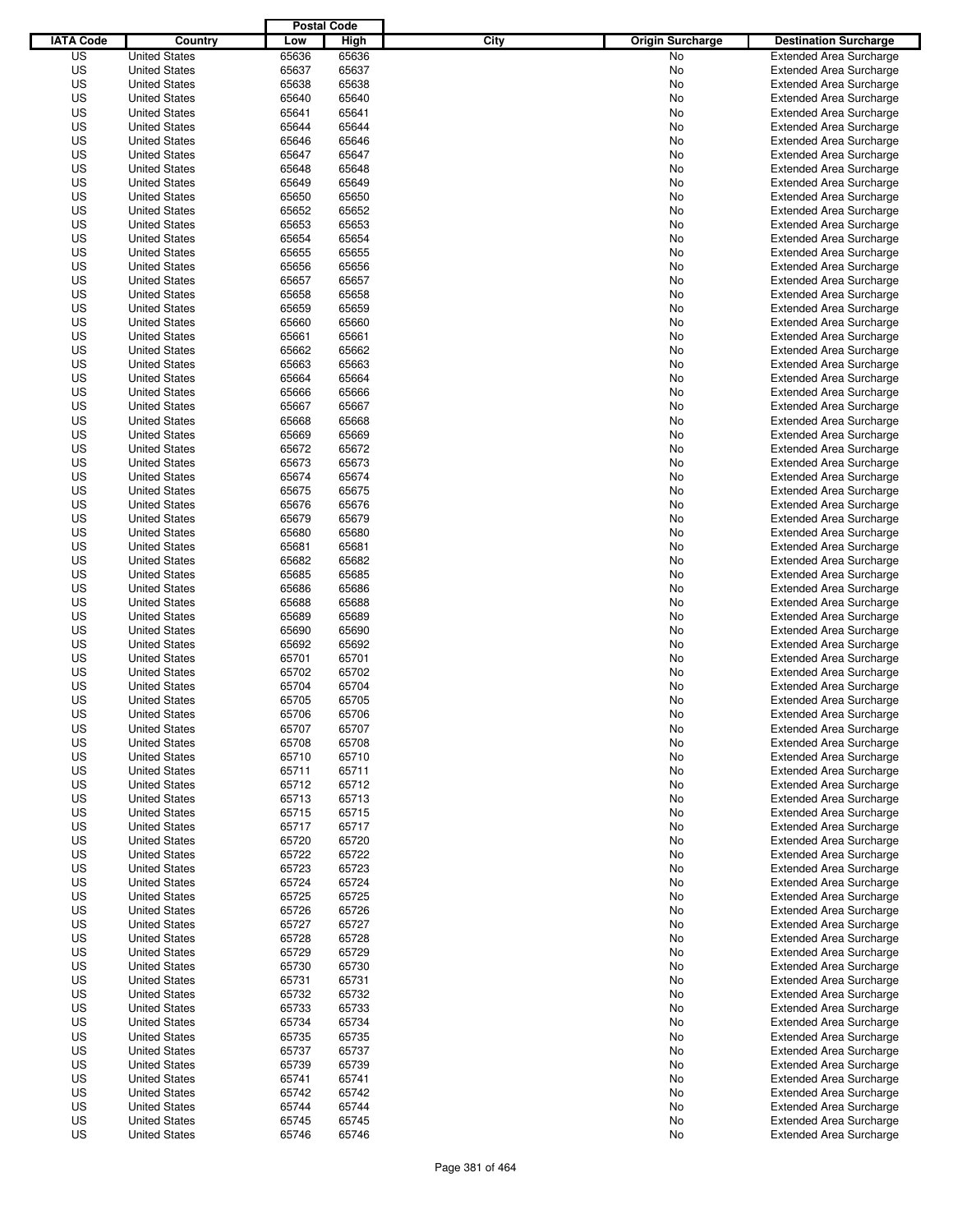|                  |                                              | <b>Postal Code</b> |       |                                 |                                |
|------------------|----------------------------------------------|--------------------|-------|---------------------------------|--------------------------------|
| <b>IATA Code</b> | Country                                      | Low                | High  | City<br><b>Origin Surcharge</b> | <b>Destination Surcharge</b>   |
| US               | <b>United States</b>                         | 65636              | 65636 | <b>No</b>                       | <b>Extended Area Surcharge</b> |
| US               | <b>United States</b>                         | 65637              | 65637 | No                              | <b>Extended Area Surcharge</b> |
| US               | <b>United States</b>                         | 65638              | 65638 | No                              | <b>Extended Area Surcharge</b> |
| US               | <b>United States</b>                         | 65640              | 65640 | No                              | <b>Extended Area Surcharge</b> |
| US               | <b>United States</b>                         | 65641              | 65641 | No                              | <b>Extended Area Surcharge</b> |
| US               | <b>United States</b>                         | 65644              | 65644 | No                              | <b>Extended Area Surcharge</b> |
| US               | <b>United States</b>                         | 65646              | 65646 | No                              | <b>Extended Area Surcharge</b> |
| US               | <b>United States</b>                         | 65647              | 65647 | No                              | <b>Extended Area Surcharge</b> |
| US               | <b>United States</b>                         | 65648              | 65648 | No                              | <b>Extended Area Surcharge</b> |
| US               | <b>United States</b>                         | 65649              | 65649 | No                              | <b>Extended Area Surcharge</b> |
| US               | <b>United States</b>                         | 65650              | 65650 | No                              | <b>Extended Area Surcharge</b> |
| US               | <b>United States</b>                         | 65652              | 65652 | No                              | <b>Extended Area Surcharge</b> |
| US               | <b>United States</b>                         | 65653              | 65653 | No                              | <b>Extended Area Surcharge</b> |
| US               | <b>United States</b>                         | 65654              | 65654 | No                              | <b>Extended Area Surcharge</b> |
| US               | <b>United States</b>                         | 65655              | 65655 | No                              | <b>Extended Area Surcharge</b> |
| US               | <b>United States</b>                         | 65656              | 65656 | No                              | <b>Extended Area Surcharge</b> |
| US               | <b>United States</b>                         | 65657              | 65657 | No                              | <b>Extended Area Surcharge</b> |
| US               | <b>United States</b>                         | 65658              | 65658 | No                              | <b>Extended Area Surcharge</b> |
| US               | <b>United States</b>                         | 65659              | 65659 | No                              | <b>Extended Area Surcharge</b> |
| US               | <b>United States</b>                         | 65660              | 65660 | No                              | <b>Extended Area Surcharge</b> |
| US               | <b>United States</b>                         | 65661              | 65661 | No                              | <b>Extended Area Surcharge</b> |
| US               | <b>United States</b>                         | 65662              | 65662 | No                              | <b>Extended Area Surcharge</b> |
| US               | <b>United States</b>                         | 65663              | 65663 | No                              | <b>Extended Area Surcharge</b> |
| US               | <b>United States</b>                         | 65664              | 65664 | No                              | <b>Extended Area Surcharge</b> |
| US               | <b>United States</b>                         | 65666              | 65666 | No                              | <b>Extended Area Surcharge</b> |
| US               | <b>United States</b>                         | 65667              | 65667 | No                              | <b>Extended Area Surcharge</b> |
| US               | <b>United States</b>                         | 65668              | 65668 | No                              | <b>Extended Area Surcharge</b> |
| US               | <b>United States</b>                         | 65669              | 65669 | No                              | <b>Extended Area Surcharge</b> |
| US               | <b>United States</b>                         | 65672              | 65672 | No                              | <b>Extended Area Surcharge</b> |
| US               | <b>United States</b>                         | 65673              | 65673 | No                              | <b>Extended Area Surcharge</b> |
| US               |                                              | 65674              | 65674 | No                              |                                |
| US               | <b>United States</b><br><b>United States</b> | 65675              | 65675 |                                 | <b>Extended Area Surcharge</b> |
|                  |                                              |                    |       | No                              | <b>Extended Area Surcharge</b> |
| US               | <b>United States</b>                         | 65676              | 65676 | No                              | <b>Extended Area Surcharge</b> |
| US               | <b>United States</b>                         | 65679              | 65679 | No                              | <b>Extended Area Surcharge</b> |
| US               | <b>United States</b>                         | 65680              | 65680 | No                              | <b>Extended Area Surcharge</b> |
| US               | <b>United States</b>                         | 65681              | 65681 | No                              | <b>Extended Area Surcharge</b> |
| US               | <b>United States</b>                         | 65682              | 65682 | No                              | <b>Extended Area Surcharge</b> |
| US               | <b>United States</b>                         | 65685              | 65685 | No                              | <b>Extended Area Surcharge</b> |
| US               | <b>United States</b>                         | 65686              | 65686 | No                              | <b>Extended Area Surcharge</b> |
| US               | <b>United States</b>                         | 65688              | 65688 | No                              | <b>Extended Area Surcharge</b> |
| US               | <b>United States</b>                         | 65689              | 65689 | No                              | <b>Extended Area Surcharge</b> |
| US               | <b>United States</b>                         | 65690              | 65690 | No                              | <b>Extended Area Surcharge</b> |
| US               | <b>United States</b>                         | 65692              | 65692 | No                              | <b>Extended Area Surcharge</b> |
| US               | <b>United States</b>                         | 65701              | 65701 | No                              | <b>Extended Area Surcharge</b> |
| US               | <b>United States</b>                         | 65702              | 65702 | No                              | <b>Extended Area Surcharge</b> |
| US               | <b>United States</b>                         | 65704              | 65704 | No                              | <b>Extended Area Surcharge</b> |
| US               | <b>United States</b>                         | 65705              | 65705 | No                              | <b>Extended Area Surcharge</b> |
| US               | <b>United States</b>                         | 65706              | 65706 | No                              | <b>Extended Area Surcharge</b> |
| US               | <b>United States</b>                         | 65707              | 65707 | No                              | <b>Extended Area Surcharge</b> |
| US               | <b>United States</b>                         | 65708              | 65708 | No                              | <b>Extended Area Surcharge</b> |
| US               | <b>United States</b>                         | 65710              | 65710 | No                              | <b>Extended Area Surcharge</b> |
| US               | <b>United States</b>                         | 65711              | 65711 | No                              | <b>Extended Area Surcharge</b> |
| US               | <b>United States</b>                         | 65712              | 65712 | No                              | <b>Extended Area Surcharge</b> |
| US               | <b>United States</b>                         | 65713              | 65713 | No                              | <b>Extended Area Surcharge</b> |
| US               | <b>United States</b>                         | 65715              | 65715 | No                              | <b>Extended Area Surcharge</b> |
| US               | <b>United States</b>                         | 65717              | 65717 | No                              | <b>Extended Area Surcharge</b> |
| US               | <b>United States</b>                         | 65720              | 65720 | No                              | <b>Extended Area Surcharge</b> |
| US               | <b>United States</b>                         | 65722              | 65722 | No                              | <b>Extended Area Surcharge</b> |
| US               | <b>United States</b>                         | 65723              | 65723 | No                              | <b>Extended Area Surcharge</b> |
| US               | <b>United States</b>                         | 65724              | 65724 | No                              | <b>Extended Area Surcharge</b> |
| US               | <b>United States</b>                         | 65725              | 65725 | No                              | <b>Extended Area Surcharge</b> |
| US               | <b>United States</b>                         | 65726              | 65726 | No                              | <b>Extended Area Surcharge</b> |
| US               | <b>United States</b>                         | 65727              | 65727 | No                              | <b>Extended Area Surcharge</b> |
| US               | <b>United States</b>                         | 65728              | 65728 | No                              | <b>Extended Area Surcharge</b> |
| US               | <b>United States</b>                         | 65729              | 65729 | No                              | <b>Extended Area Surcharge</b> |
| US               | <b>United States</b>                         | 65730              | 65730 | No                              | <b>Extended Area Surcharge</b> |
| US               | <b>United States</b>                         | 65731              | 65731 | No                              | <b>Extended Area Surcharge</b> |
| US               | <b>United States</b>                         | 65732              | 65732 | No                              | <b>Extended Area Surcharge</b> |
| US               | <b>United States</b>                         | 65733              | 65733 | No                              | <b>Extended Area Surcharge</b> |
| US               | <b>United States</b>                         | 65734              | 65734 | No                              | <b>Extended Area Surcharge</b> |
| US               | <b>United States</b>                         | 65735              | 65735 | No                              | <b>Extended Area Surcharge</b> |
| US               | <b>United States</b>                         | 65737              | 65737 | No                              | <b>Extended Area Surcharge</b> |
| US               | <b>United States</b>                         | 65739              | 65739 | No                              | <b>Extended Area Surcharge</b> |
| US               | <b>United States</b>                         | 65741              | 65741 | No                              | <b>Extended Area Surcharge</b> |
| US               | <b>United States</b>                         | 65742              | 65742 | No                              | <b>Extended Area Surcharge</b> |
| US               | <b>United States</b>                         | 65744              | 65744 | No                              | <b>Extended Area Surcharge</b> |
| US               | <b>United States</b>                         | 65745              | 65745 | No                              | <b>Extended Area Surcharge</b> |
| US               | <b>United States</b>                         | 65746              | 65746 | No                              | <b>Extended Area Surcharge</b> |
|                  |                                              |                    |       |                                 |                                |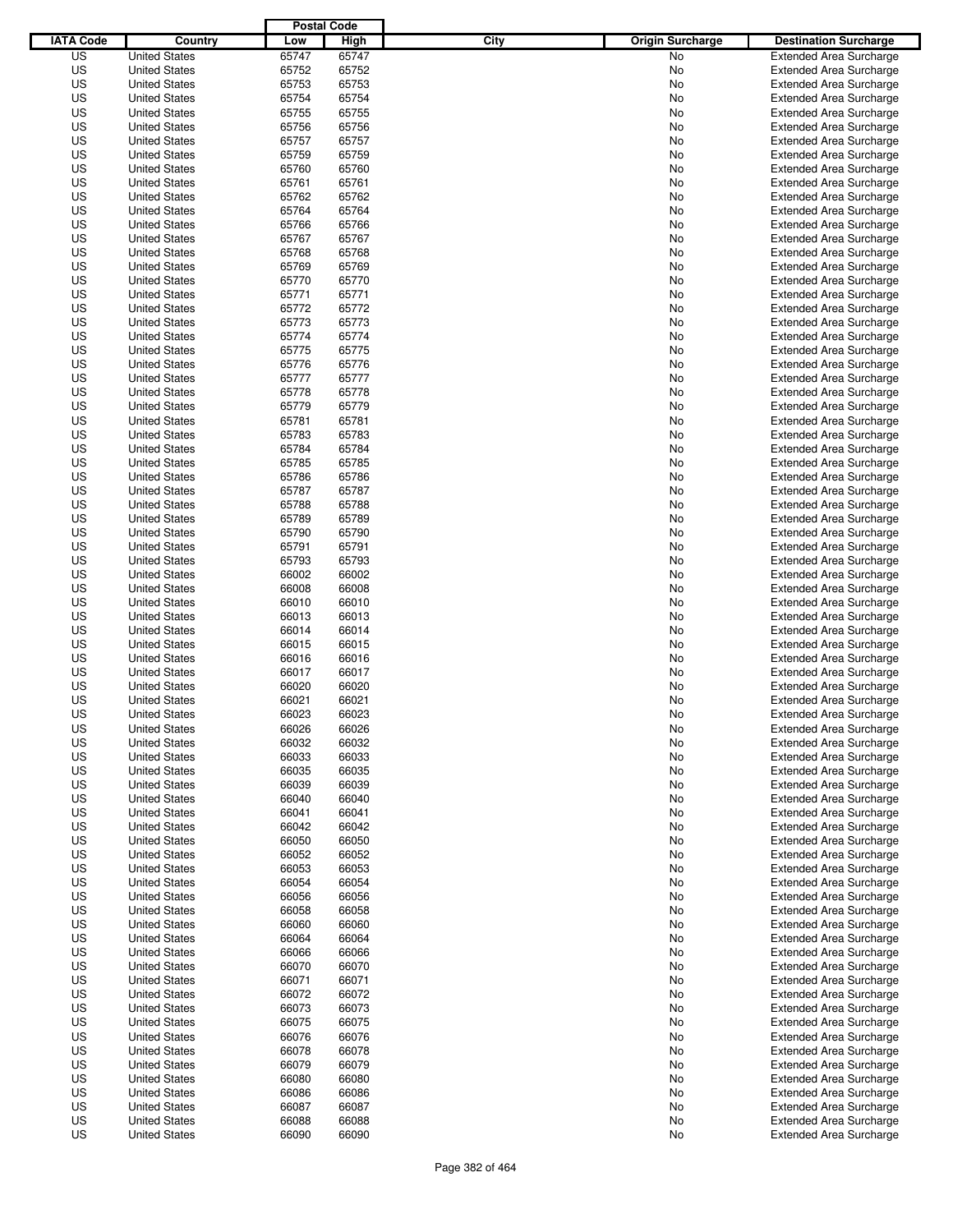|                  |                      | <b>Postal Code</b> |       |                                 |                                |
|------------------|----------------------|--------------------|-------|---------------------------------|--------------------------------|
| <b>IATA Code</b> | Country              | Low                | High  | City<br><b>Origin Surcharge</b> | <b>Destination Surcharge</b>   |
| US               | <b>United States</b> | 65747              | 65747 | <b>No</b>                       | <b>Extended Area Surcharge</b> |
| US               | <b>United States</b> | 65752              | 65752 | No                              | <b>Extended Area Surcharge</b> |
| US               | <b>United States</b> | 65753              | 65753 | No                              | <b>Extended Area Surcharge</b> |
| US               | <b>United States</b> | 65754              | 65754 | No                              | <b>Extended Area Surcharge</b> |
| US               | <b>United States</b> | 65755              | 65755 | No                              | <b>Extended Area Surcharge</b> |
| US               | <b>United States</b> | 65756              | 65756 | No                              | <b>Extended Area Surcharge</b> |
| US               | <b>United States</b> | 65757              | 65757 | No                              | <b>Extended Area Surcharge</b> |
| US               | <b>United States</b> | 65759              | 65759 | No                              | <b>Extended Area Surcharge</b> |
| US               | <b>United States</b> | 65760              | 65760 | No                              | <b>Extended Area Surcharge</b> |
| US               | <b>United States</b> | 65761              | 65761 | No                              | <b>Extended Area Surcharge</b> |
| US               | <b>United States</b> | 65762              | 65762 | No                              | <b>Extended Area Surcharge</b> |
| US               | <b>United States</b> | 65764              | 65764 | No                              | <b>Extended Area Surcharge</b> |
| US               | <b>United States</b> | 65766              | 65766 | No                              | <b>Extended Area Surcharge</b> |
| US               | <b>United States</b> | 65767              | 65767 | No                              | <b>Extended Area Surcharge</b> |
| US               | <b>United States</b> | 65768              | 65768 | No                              | <b>Extended Area Surcharge</b> |
| US               | <b>United States</b> | 65769              | 65769 | No                              | <b>Extended Area Surcharge</b> |
| US               | <b>United States</b> | 65770              | 65770 | No                              | <b>Extended Area Surcharge</b> |
| US               | <b>United States</b> | 65771              | 65771 | No                              | <b>Extended Area Surcharge</b> |
| US               | <b>United States</b> | 65772              | 65772 | No                              | <b>Extended Area Surcharge</b> |
| US               | <b>United States</b> | 65773              | 65773 | No                              | <b>Extended Area Surcharge</b> |
| US               | <b>United States</b> | 65774              | 65774 | No                              | <b>Extended Area Surcharge</b> |
| US               | <b>United States</b> | 65775              | 65775 | No                              | <b>Extended Area Surcharge</b> |
| US               | <b>United States</b> | 65776              | 65776 | No                              | <b>Extended Area Surcharge</b> |
| US               | <b>United States</b> | 65777              | 65777 | No                              | <b>Extended Area Surcharge</b> |
| US               | <b>United States</b> | 65778              | 65778 | No                              | <b>Extended Area Surcharge</b> |
| US               | <b>United States</b> | 65779              | 65779 | No                              | <b>Extended Area Surcharge</b> |
| US               | <b>United States</b> | 65781              | 65781 | No                              | <b>Extended Area Surcharge</b> |
| US               | <b>United States</b> | 65783              | 65783 | No                              | <b>Extended Area Surcharge</b> |
| US               | <b>United States</b> | 65784              | 65784 | No                              | <b>Extended Area Surcharge</b> |
| US               | <b>United States</b> | 65785              | 65785 | No                              | <b>Extended Area Surcharge</b> |
| US               | <b>United States</b> | 65786              | 65786 | No                              | <b>Extended Area Surcharge</b> |
| US               | <b>United States</b> | 65787              | 65787 | No                              | <b>Extended Area Surcharge</b> |
| US               | <b>United States</b> | 65788              | 65788 | No                              | <b>Extended Area Surcharge</b> |
| US               | <b>United States</b> | 65789              | 65789 | No                              | <b>Extended Area Surcharge</b> |
| US               | <b>United States</b> | 65790              | 65790 | No                              | <b>Extended Area Surcharge</b> |
| US               | <b>United States</b> | 65791              | 65791 | No                              | <b>Extended Area Surcharge</b> |
| US               | <b>United States</b> | 65793              | 65793 | No                              | <b>Extended Area Surcharge</b> |
| US               | <b>United States</b> | 66002              | 66002 | No                              | <b>Extended Area Surcharge</b> |
| US               | <b>United States</b> | 66008              | 66008 | No                              | <b>Extended Area Surcharge</b> |
| US               | <b>United States</b> | 66010              | 66010 | No                              | <b>Extended Area Surcharge</b> |
| US               | <b>United States</b> | 66013              | 66013 | No                              | <b>Extended Area Surcharge</b> |
| US               | <b>United States</b> | 66014              | 66014 | No                              | <b>Extended Area Surcharge</b> |
| US               | <b>United States</b> | 66015              | 66015 | No                              | <b>Extended Area Surcharge</b> |
| US               | <b>United States</b> | 66016              | 66016 | No                              | <b>Extended Area Surcharge</b> |
| US               | <b>United States</b> | 66017              | 66017 | No                              | Extended Area Surcharge        |
| US               | <b>United States</b> | 66020              | 66020 | No                              | <b>Extended Area Surcharge</b> |
| US               | <b>United States</b> | 66021              | 66021 | No                              | <b>Extended Area Surcharge</b> |
| US               | <b>United States</b> | 66023              | 66023 | No                              | <b>Extended Area Surcharge</b> |
| US               | <b>United States</b> | 66026              | 66026 | No                              | <b>Extended Area Surcharge</b> |
| US               | <b>United States</b> | 66032              | 66032 | No                              | <b>Extended Area Surcharge</b> |
| US               | <b>United States</b> | 66033              | 66033 | No                              | <b>Extended Area Surcharge</b> |
| US               | <b>United States</b> | 66035              | 66035 | No                              | <b>Extended Area Surcharge</b> |
| US               | <b>United States</b> | 66039              | 66039 | No                              | <b>Extended Area Surcharge</b> |
| US               | <b>United States</b> | 66040              | 66040 | No                              | <b>Extended Area Surcharge</b> |
| US               | <b>United States</b> | 66041              | 66041 | No                              | <b>Extended Area Surcharge</b> |
| US               | <b>United States</b> | 66042              | 66042 | No                              | <b>Extended Area Surcharge</b> |
| US               | <b>United States</b> | 66050              | 66050 | No                              | <b>Extended Area Surcharge</b> |
| US               | <b>United States</b> | 66052              | 66052 | No                              | <b>Extended Area Surcharge</b> |
| US               | <b>United States</b> | 66053              | 66053 | No                              | <b>Extended Area Surcharge</b> |
| US               | <b>United States</b> | 66054              | 66054 | No                              | <b>Extended Area Surcharge</b> |
| US               | <b>United States</b> | 66056              | 66056 | No                              | <b>Extended Area Surcharge</b> |
| US               | <b>United States</b> | 66058              | 66058 | No                              | <b>Extended Area Surcharge</b> |
| US               | <b>United States</b> | 66060              | 66060 | No                              | <b>Extended Area Surcharge</b> |
| US               | <b>United States</b> | 66064              | 66064 | No                              | <b>Extended Area Surcharge</b> |
| US               | <b>United States</b> | 66066              | 66066 | No                              | <b>Extended Area Surcharge</b> |
| US               | <b>United States</b> | 66070              | 66070 | No                              | <b>Extended Area Surcharge</b> |
| US               | <b>United States</b> | 66071              | 66071 | No                              | <b>Extended Area Surcharge</b> |
| US               | <b>United States</b> | 66072              | 66072 | No                              | <b>Extended Area Surcharge</b> |
| US               | <b>United States</b> | 66073              | 66073 | No                              | <b>Extended Area Surcharge</b> |
| US               | <b>United States</b> | 66075              | 66075 | No                              | <b>Extended Area Surcharge</b> |
| US               | <b>United States</b> | 66076              | 66076 | No                              | <b>Extended Area Surcharge</b> |
| US               | <b>United States</b> | 66078              | 66078 | No                              | <b>Extended Area Surcharge</b> |
| US               | <b>United States</b> | 66079              | 66079 | No                              | <b>Extended Area Surcharge</b> |
| US               | <b>United States</b> | 66080              | 66080 | No                              | <b>Extended Area Surcharge</b> |
| US               | <b>United States</b> | 66086              | 66086 | No                              | <b>Extended Area Surcharge</b> |
| US               | <b>United States</b> | 66087              | 66087 | No                              | <b>Extended Area Surcharge</b> |
| US               | <b>United States</b> | 66088              | 66088 | No                              | <b>Extended Area Surcharge</b> |
| US               | <b>United States</b> | 66090              | 66090 | No                              | <b>Extended Area Surcharge</b> |
|                  |                      |                    |       |                                 |                                |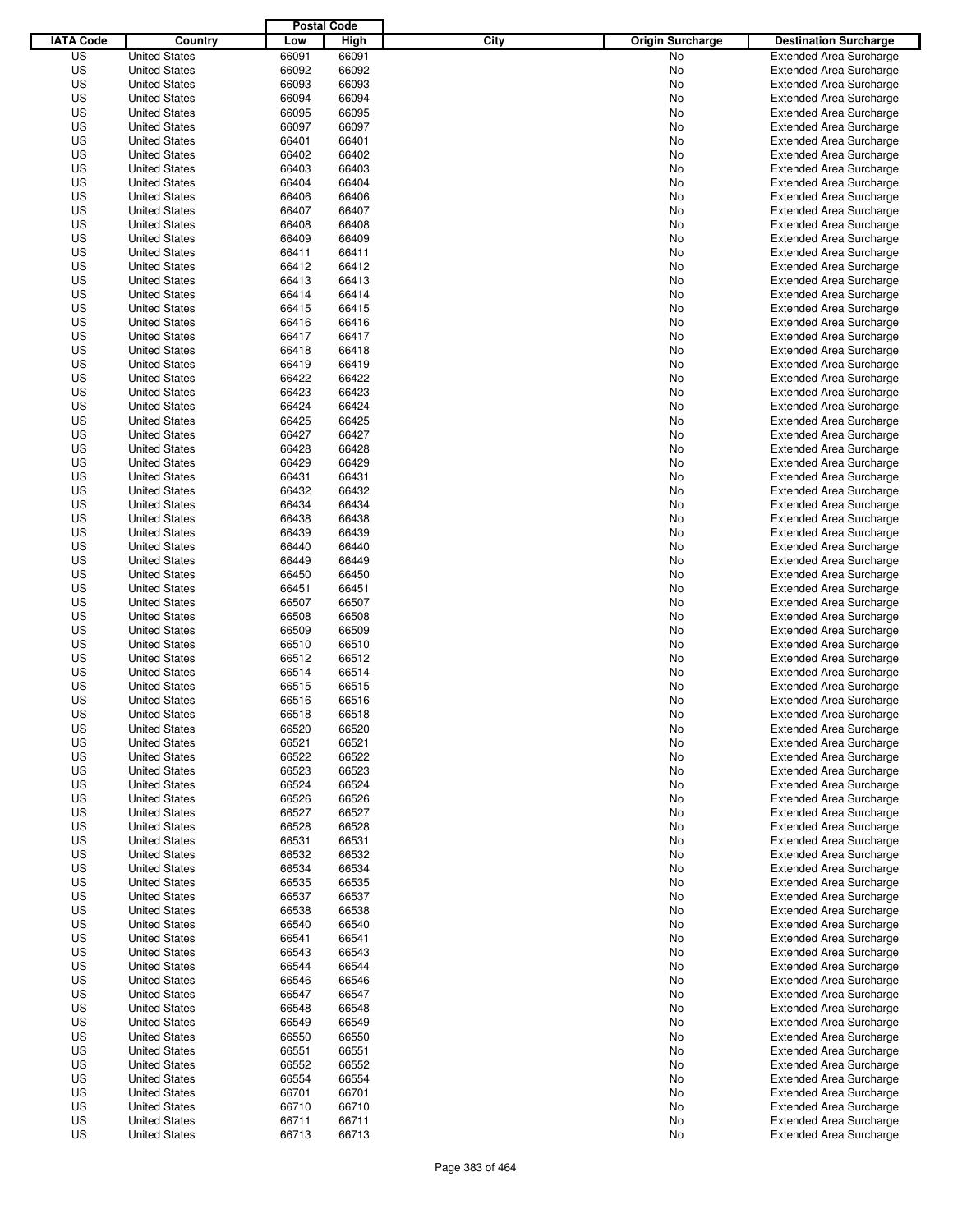|                  |                      | <b>Postal Code</b> |       |                                 |                                |
|------------------|----------------------|--------------------|-------|---------------------------------|--------------------------------|
| <b>IATA Code</b> | Country              | Low                | High  | City<br><b>Origin Surcharge</b> | <b>Destination Surcharge</b>   |
| US               | <b>United States</b> | 66091              | 66091 | <b>No</b>                       | <b>Extended Area Surcharge</b> |
| US               | <b>United States</b> | 66092              | 66092 | No                              | <b>Extended Area Surcharge</b> |
| US               | <b>United States</b> | 66093              | 66093 | No                              | <b>Extended Area Surcharge</b> |
| US               | <b>United States</b> | 66094              | 66094 | No                              | <b>Extended Area Surcharge</b> |
| US               | <b>United States</b> | 66095              | 66095 | No                              | <b>Extended Area Surcharge</b> |
| US               | <b>United States</b> | 66097              | 66097 | No                              | <b>Extended Area Surcharge</b> |
| US               | <b>United States</b> | 66401              | 66401 | No                              | <b>Extended Area Surcharge</b> |
| US               | <b>United States</b> | 66402              | 66402 | No                              | <b>Extended Area Surcharge</b> |
| US               | <b>United States</b> | 66403              | 66403 | No                              | <b>Extended Area Surcharge</b> |
| US               | <b>United States</b> | 66404              | 66404 | No                              | <b>Extended Area Surcharge</b> |
| US               | <b>United States</b> | 66406              | 66406 | No                              | <b>Extended Area Surcharge</b> |
| US               | <b>United States</b> | 66407              | 66407 | No                              | <b>Extended Area Surcharge</b> |
| US               | <b>United States</b> | 66408              | 66408 | No                              | <b>Extended Area Surcharge</b> |
| US               | <b>United States</b> | 66409              | 66409 | No                              | <b>Extended Area Surcharge</b> |
| US               | <b>United States</b> | 66411              | 66411 | No                              | <b>Extended Area Surcharge</b> |
| US               | <b>United States</b> | 66412              | 66412 | No                              | <b>Extended Area Surcharge</b> |
| US               | <b>United States</b> | 66413              | 66413 | No                              | <b>Extended Area Surcharge</b> |
| US               | <b>United States</b> | 66414              | 66414 | No                              | <b>Extended Area Surcharge</b> |
| US               | <b>United States</b> | 66415              | 66415 | No                              | <b>Extended Area Surcharge</b> |
| US               | <b>United States</b> | 66416              | 66416 | No                              | <b>Extended Area Surcharge</b> |
| US               | <b>United States</b> | 66417              | 66417 | No                              | <b>Extended Area Surcharge</b> |
| US               | <b>United States</b> | 66418              | 66418 | No                              | <b>Extended Area Surcharge</b> |
| US               | <b>United States</b> | 66419              | 66419 | No                              | <b>Extended Area Surcharge</b> |
| US               | <b>United States</b> | 66422              | 66422 | No                              | <b>Extended Area Surcharge</b> |
| US               | <b>United States</b> | 66423              | 66423 | No                              | <b>Extended Area Surcharge</b> |
| US               | <b>United States</b> | 66424              | 66424 | No                              | <b>Extended Area Surcharge</b> |
| US               | <b>United States</b> | 66425              | 66425 | No                              | <b>Extended Area Surcharge</b> |
| US               | <b>United States</b> | 66427              | 66427 | No                              | <b>Extended Area Surcharge</b> |
| US               | <b>United States</b> | 66428              | 66428 | No                              | <b>Extended Area Surcharge</b> |
| US               | <b>United States</b> | 66429              | 66429 | No                              | <b>Extended Area Surcharge</b> |
| US               | <b>United States</b> | 66431              | 66431 | No                              | <b>Extended Area Surcharge</b> |
| US               | <b>United States</b> | 66432              | 66432 | No                              | <b>Extended Area Surcharge</b> |
| US               | <b>United States</b> | 66434              | 66434 | No                              | <b>Extended Area Surcharge</b> |
| US               | <b>United States</b> | 66438              | 66438 | No                              | <b>Extended Area Surcharge</b> |
| US               | <b>United States</b> | 66439              | 66439 | No                              | <b>Extended Area Surcharge</b> |
| US               | <b>United States</b> | 66440              | 66440 | No                              | <b>Extended Area Surcharge</b> |
| US               | <b>United States</b> | 66449              | 66449 | No                              | <b>Extended Area Surcharge</b> |
| US               | <b>United States</b> | 66450              | 66450 | No                              | <b>Extended Area Surcharge</b> |
| US               | <b>United States</b> | 66451              | 66451 | No                              | <b>Extended Area Surcharge</b> |
| US               | <b>United States</b> | 66507              | 66507 | No                              | <b>Extended Area Surcharge</b> |
| US               | <b>United States</b> | 66508              | 66508 | No                              | <b>Extended Area Surcharge</b> |
| US               | <b>United States</b> | 66509              | 66509 | No                              | <b>Extended Area Surcharge</b> |
| US               | <b>United States</b> | 66510              | 66510 | No                              | <b>Extended Area Surcharge</b> |
| US               | <b>United States</b> | 66512              | 66512 | No                              | <b>Extended Area Surcharge</b> |
| US               | <b>United States</b> | 66514              | 66514 | No                              | <b>Extended Area Surcharge</b> |
| US               | <b>United States</b> | 66515              | 66515 | No                              | <b>Extended Area Surcharge</b> |
| US               | <b>United States</b> | 66516              | 66516 | No                              | <b>Extended Area Surcharge</b> |
| US               | <b>United States</b> | 66518              | 66518 | No                              | <b>Extended Area Surcharge</b> |
| US               | <b>United States</b> | 66520              | 66520 | No                              | <b>Extended Area Surcharge</b> |
| US               | <b>United States</b> | 66521              | 66521 | No                              | <b>Extended Area Surcharge</b> |
| US               | <b>United States</b> | 66522              | 66522 | No                              | <b>Extended Area Surcharge</b> |
| US               | <b>United States</b> | 66523              | 66523 | No                              | <b>Extended Area Surcharge</b> |
| US               | <b>United States</b> | 66524              | 66524 | No                              | <b>Extended Area Surcharge</b> |
| US               | <b>United States</b> | 66526              | 66526 | No                              | <b>Extended Area Surcharge</b> |
| US               | <b>United States</b> | 66527              | 66527 | No                              | <b>Extended Area Surcharge</b> |
| US               | <b>United States</b> | 66528              | 66528 | No                              | <b>Extended Area Surcharge</b> |
| US               | <b>United States</b> | 66531              | 66531 | No                              | <b>Extended Area Surcharge</b> |
| US               | <b>United States</b> | 66532              | 66532 | No                              | <b>Extended Area Surcharge</b> |
| US               | <b>United States</b> | 66534              | 66534 | No                              | <b>Extended Area Surcharge</b> |
| US               | <b>United States</b> | 66535              | 66535 | No                              | <b>Extended Area Surcharge</b> |
| US               | <b>United States</b> | 66537              | 66537 | No                              | <b>Extended Area Surcharge</b> |
| US               | <b>United States</b> | 66538              | 66538 | No                              | <b>Extended Area Surcharge</b> |
| US               | <b>United States</b> | 66540              | 66540 | No                              | <b>Extended Area Surcharge</b> |
| US               | <b>United States</b> | 66541              | 66541 | No                              | <b>Extended Area Surcharge</b> |
| US               | <b>United States</b> | 66543              | 66543 | No                              | <b>Extended Area Surcharge</b> |
| US               | <b>United States</b> | 66544              | 66544 | No                              | <b>Extended Area Surcharge</b> |
| US               | <b>United States</b> | 66546              | 66546 | No                              | <b>Extended Area Surcharge</b> |
| US               | <b>United States</b> | 66547              | 66547 | No                              | <b>Extended Area Surcharge</b> |
| US               | <b>United States</b> | 66548              | 66548 | No                              | <b>Extended Area Surcharge</b> |
| US               | <b>United States</b> | 66549              | 66549 | No                              | <b>Extended Area Surcharge</b> |
| US               | <b>United States</b> | 66550              | 66550 | No                              | <b>Extended Area Surcharge</b> |
| US               | <b>United States</b> | 66551              | 66551 | No                              | <b>Extended Area Surcharge</b> |
| US               | <b>United States</b> | 66552              | 66552 | No                              | <b>Extended Area Surcharge</b> |
| US               | <b>United States</b> | 66554              | 66554 | No                              | <b>Extended Area Surcharge</b> |
| US               | <b>United States</b> | 66701              | 66701 | No                              | <b>Extended Area Surcharge</b> |
| US               | <b>United States</b> | 66710              | 66710 | No                              | <b>Extended Area Surcharge</b> |
| US               | <b>United States</b> | 66711              | 66711 | No                              | <b>Extended Area Surcharge</b> |
| US               | <b>United States</b> | 66713              | 66713 | No                              | <b>Extended Area Surcharge</b> |
|                  |                      |                    |       |                                 |                                |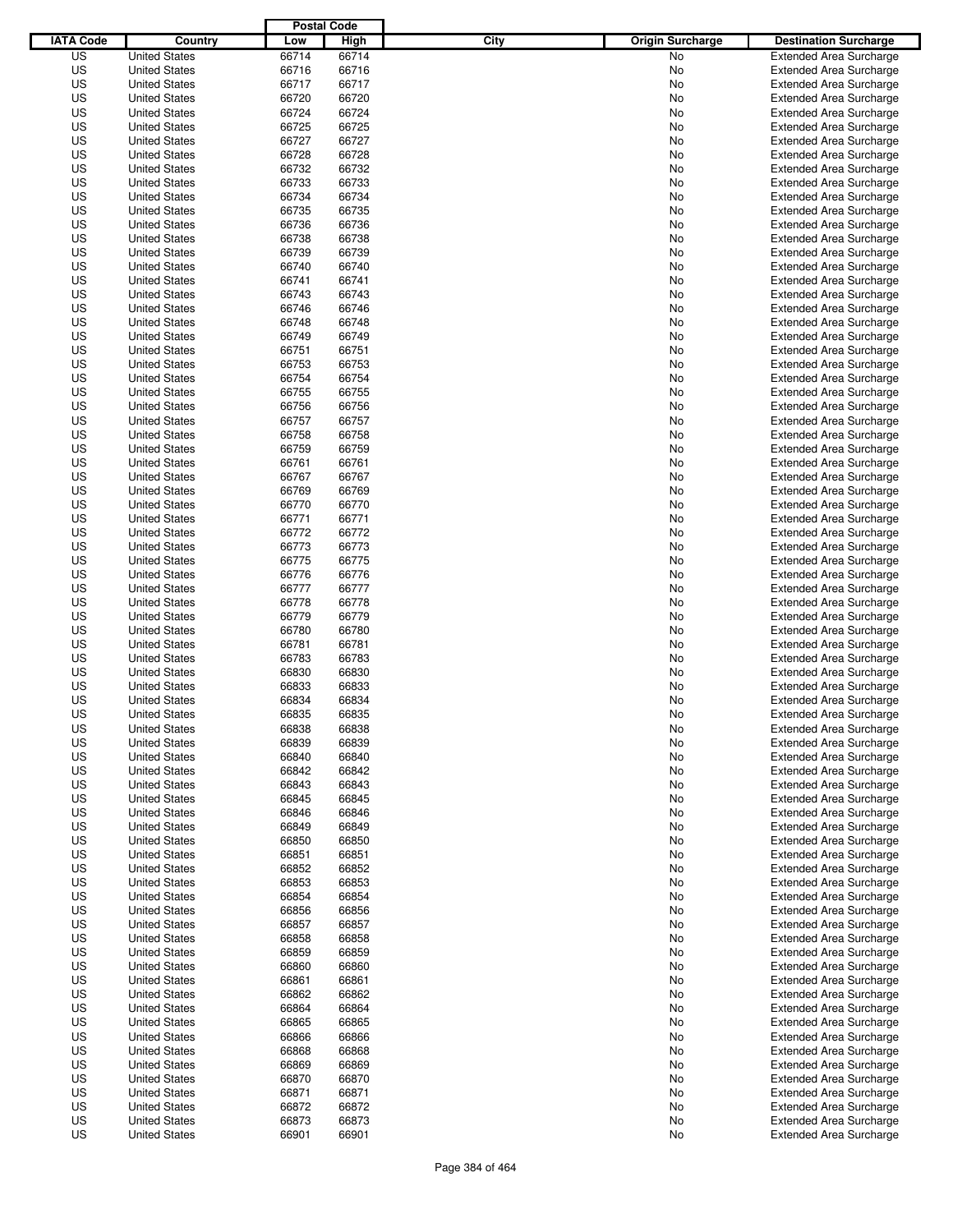|                  |                      | <b>Postal Code</b> |       |                                 |                                |
|------------------|----------------------|--------------------|-------|---------------------------------|--------------------------------|
| <b>IATA Code</b> | Country              | Low                | High  | City<br><b>Origin Surcharge</b> | <b>Destination Surcharge</b>   |
| US               | <b>United States</b> | 66714              | 66714 | <b>No</b>                       | <b>Extended Area Surcharge</b> |
| US               | <b>United States</b> | 66716              | 66716 | No                              | <b>Extended Area Surcharge</b> |
| US               | <b>United States</b> | 66717              | 66717 | No                              | <b>Extended Area Surcharge</b> |
| US               | <b>United States</b> | 66720              | 66720 | No                              | <b>Extended Area Surcharge</b> |
| US               | <b>United States</b> | 66724              | 66724 | No                              | <b>Extended Area Surcharge</b> |
| US               | <b>United States</b> | 66725              | 66725 | No                              | <b>Extended Area Surcharge</b> |
| US               | <b>United States</b> | 66727              | 66727 | No                              | <b>Extended Area Surcharge</b> |
| US               | <b>United States</b> | 66728              | 66728 | No                              | <b>Extended Area Surcharge</b> |
| US               | <b>United States</b> | 66732              | 66732 | No                              | <b>Extended Area Surcharge</b> |
| US               | <b>United States</b> | 66733              | 66733 | No                              | <b>Extended Area Surcharge</b> |
| US               | <b>United States</b> | 66734              | 66734 | No                              | <b>Extended Area Surcharge</b> |
| US               | <b>United States</b> | 66735              | 66735 | No                              | <b>Extended Area Surcharge</b> |
| US               | <b>United States</b> | 66736              | 66736 | No                              | <b>Extended Area Surcharge</b> |
| US               | <b>United States</b> | 66738              | 66738 | No                              | <b>Extended Area Surcharge</b> |
| US               | <b>United States</b> | 66739              | 66739 | No                              | <b>Extended Area Surcharge</b> |
| US               | <b>United States</b> | 66740              | 66740 | No                              | <b>Extended Area Surcharge</b> |
| US               | <b>United States</b> | 66741              | 66741 | No                              | <b>Extended Area Surcharge</b> |
| US               | <b>United States</b> | 66743              | 66743 | No                              | <b>Extended Area Surcharge</b> |
| US               | <b>United States</b> | 66746              | 66746 | No                              | <b>Extended Area Surcharge</b> |
| US               | <b>United States</b> | 66748              | 66748 | No                              | <b>Extended Area Surcharge</b> |
| US               | <b>United States</b> | 66749              | 66749 | No                              | <b>Extended Area Surcharge</b> |
| US               | <b>United States</b> | 66751              | 66751 | No                              | <b>Extended Area Surcharge</b> |
| US               | <b>United States</b> | 66753              | 66753 | No                              | <b>Extended Area Surcharge</b> |
| US               | <b>United States</b> | 66754              | 66754 | No                              | <b>Extended Area Surcharge</b> |
| US               | <b>United States</b> | 66755              | 66755 | No                              | <b>Extended Area Surcharge</b> |
| US               | <b>United States</b> | 66756              | 66756 | No                              | <b>Extended Area Surcharge</b> |
| US               | <b>United States</b> | 66757              | 66757 | No                              | <b>Extended Area Surcharge</b> |
| US               | <b>United States</b> | 66758              | 66758 | No                              | <b>Extended Area Surcharge</b> |
| US               | <b>United States</b> | 66759              | 66759 | No                              | <b>Extended Area Surcharge</b> |
| US               | <b>United States</b> | 66761              | 66761 | No                              | <b>Extended Area Surcharge</b> |
| US               | <b>United States</b> | 66767              | 66767 | No                              | <b>Extended Area Surcharge</b> |
| US               | <b>United States</b> | 66769              | 66769 | No                              | <b>Extended Area Surcharge</b> |
| US               | <b>United States</b> | 66770              | 66770 | No                              | <b>Extended Area Surcharge</b> |
| US               | <b>United States</b> | 66771              | 66771 | No                              | <b>Extended Area Surcharge</b> |
| US               |                      | 66772              | 66772 |                                 |                                |
|                  | <b>United States</b> | 66773              |       | No                              | <b>Extended Area Surcharge</b> |
| US               | <b>United States</b> |                    | 66773 | No                              | <b>Extended Area Surcharge</b> |
| US               | <b>United States</b> | 66775              | 66775 | No                              | <b>Extended Area Surcharge</b> |
| US               | <b>United States</b> | 66776              | 66776 | No                              | <b>Extended Area Surcharge</b> |
| US               | <b>United States</b> | 66777              | 66777 | No                              | <b>Extended Area Surcharge</b> |
| US               | <b>United States</b> | 66778              | 66778 | No                              | <b>Extended Area Surcharge</b> |
| US               | <b>United States</b> | 66779              | 66779 | No                              | <b>Extended Area Surcharge</b> |
| US               | <b>United States</b> | 66780              | 66780 | No                              | <b>Extended Area Surcharge</b> |
| US               | <b>United States</b> | 66781              | 66781 | No                              | <b>Extended Area Surcharge</b> |
| US               | <b>United States</b> | 66783              | 66783 | No                              | <b>Extended Area Surcharge</b> |
| US               | <b>United States</b> | 66830              | 66830 | No                              | Extended Area Surcharge        |
| US               | <b>United States</b> | 66833              | 66833 | No                              | <b>Extended Area Surcharge</b> |
| US               | <b>United States</b> | 66834              | 66834 | No                              | <b>Extended Area Surcharge</b> |
| US               | <b>United States</b> | 66835              | 66835 | No                              | <b>Extended Area Surcharge</b> |
| US               | <b>United States</b> | 66838              | 66838 | No                              | <b>Extended Area Surcharge</b> |
| US               | <b>United States</b> | 66839              | 66839 | No                              | <b>Extended Area Surcharge</b> |
| US               | <b>United States</b> | 66840              | 66840 | No                              | <b>Extended Area Surcharge</b> |
| US               | <b>United States</b> | 66842              | 66842 | No                              | <b>Extended Area Surcharge</b> |
| US               | <b>United States</b> | 66843              | 66843 | No                              | <b>Extended Area Surcharge</b> |
| US               | <b>United States</b> | 66845              | 66845 | No                              | <b>Extended Area Surcharge</b> |
| US               | <b>United States</b> | 66846              | 66846 | No                              | <b>Extended Area Surcharge</b> |
| US               | <b>United States</b> | 66849              | 66849 | No                              | <b>Extended Area Surcharge</b> |
| US               | <b>United States</b> | 66850              | 66850 | No                              | <b>Extended Area Surcharge</b> |
| US               | <b>United States</b> | 66851              | 66851 | No                              | <b>Extended Area Surcharge</b> |
| US               | <b>United States</b> | 66852              | 66852 | No                              | <b>Extended Area Surcharge</b> |
| US               | <b>United States</b> | 66853              | 66853 | No                              | <b>Extended Area Surcharge</b> |
| US               | <b>United States</b> | 66854              | 66854 | No                              | <b>Extended Area Surcharge</b> |
| US               | <b>United States</b> | 66856              | 66856 | No                              | <b>Extended Area Surcharge</b> |
| US               | <b>United States</b> | 66857              | 66857 | No                              | <b>Extended Area Surcharge</b> |
| US               | <b>United States</b> | 66858              | 66858 | No                              | <b>Extended Area Surcharge</b> |
| US               | <b>United States</b> | 66859              | 66859 | No                              | <b>Extended Area Surcharge</b> |
| US               | <b>United States</b> | 66860              | 66860 | No                              | <b>Extended Area Surcharge</b> |
| US               | <b>United States</b> | 66861              | 66861 | No                              | <b>Extended Area Surcharge</b> |
| US               | <b>United States</b> | 66862              | 66862 | No                              | <b>Extended Area Surcharge</b> |
| US               | <b>United States</b> | 66864              | 66864 | No                              | <b>Extended Area Surcharge</b> |
| US               | <b>United States</b> | 66865              | 66865 | No                              | <b>Extended Area Surcharge</b> |
| US               | <b>United States</b> | 66866              | 66866 | No                              | <b>Extended Area Surcharge</b> |
| US               | <b>United States</b> | 66868              | 66868 | No                              | <b>Extended Area Surcharge</b> |
| US               | <b>United States</b> | 66869              | 66869 | No                              | <b>Extended Area Surcharge</b> |
| US               | <b>United States</b> | 66870              | 66870 | No                              | <b>Extended Area Surcharge</b> |
| US               | <b>United States</b> | 66871              | 66871 | No                              | <b>Extended Area Surcharge</b> |
| US               | <b>United States</b> | 66872              | 66872 | No                              | <b>Extended Area Surcharge</b> |
| US               | <b>United States</b> | 66873              | 66873 | No                              | <b>Extended Area Surcharge</b> |
| US               | <b>United States</b> | 66901              | 66901 | No                              | <b>Extended Area Surcharge</b> |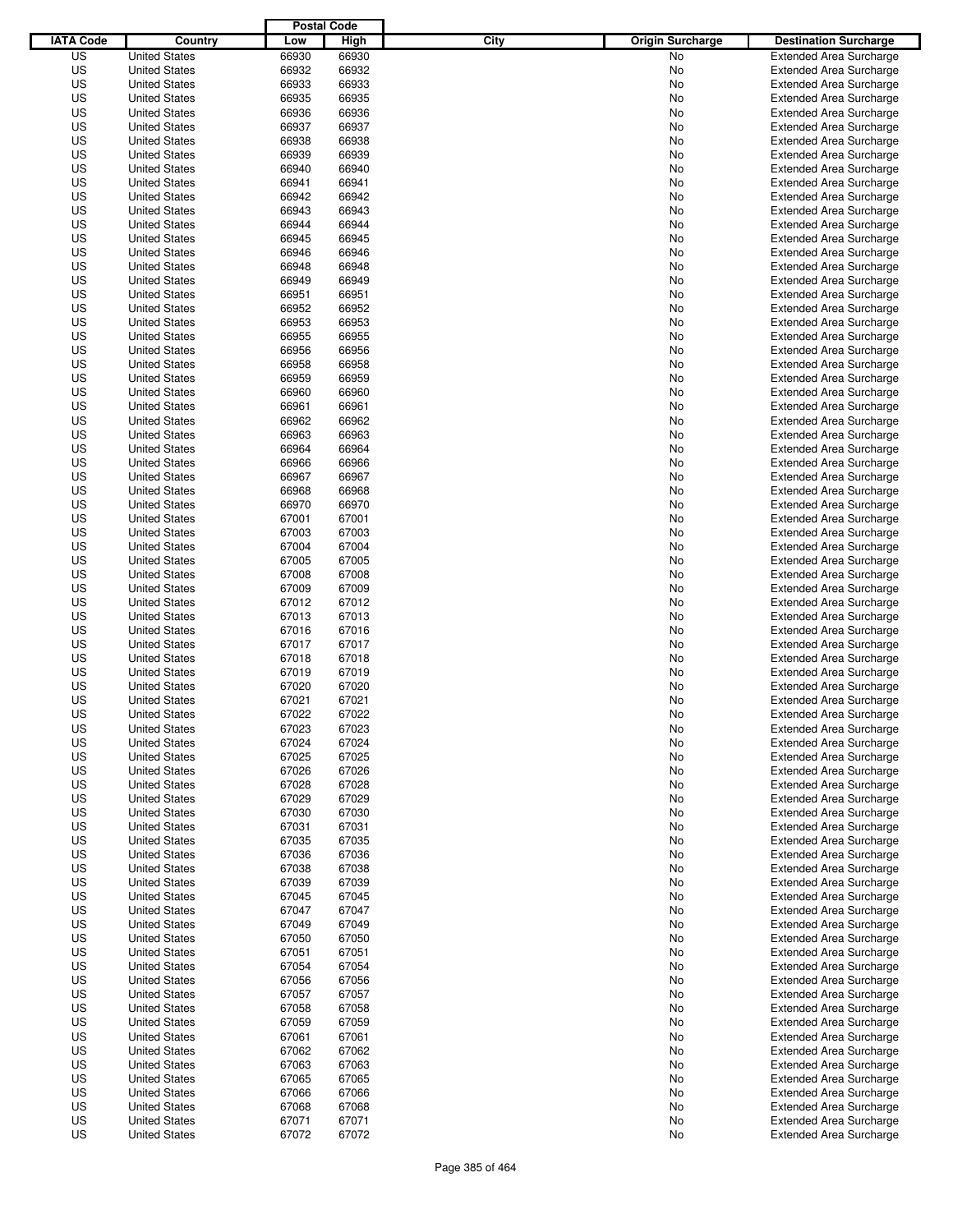|                  |                                              | <b>Postal Code</b> |                |                                 |                                                                  |
|------------------|----------------------------------------------|--------------------|----------------|---------------------------------|------------------------------------------------------------------|
| <b>IATA Code</b> | Country                                      | Low                | High           | City<br><b>Origin Surcharge</b> | <b>Destination Surcharge</b>                                     |
| US               | <b>United States</b>                         | 66930              | 66930          | No                              | <b>Extended Area Surcharge</b>                                   |
| US               | <b>United States</b>                         | 66932              | 66932          | No                              | <b>Extended Area Surcharge</b>                                   |
| US               | <b>United States</b>                         | 66933              | 66933          | No                              | <b>Extended Area Surcharge</b>                                   |
| US               | <b>United States</b>                         | 66935              | 66935          | No                              | <b>Extended Area Surcharge</b>                                   |
| US               | <b>United States</b>                         | 66936              | 66936          | No                              | <b>Extended Area Surcharge</b>                                   |
| US               | <b>United States</b>                         | 66937              | 66937          | No                              | <b>Extended Area Surcharge</b>                                   |
| US               | <b>United States</b>                         | 66938              | 66938          | No                              | <b>Extended Area Surcharge</b>                                   |
| US               | <b>United States</b>                         | 66939              | 66939          | No                              | <b>Extended Area Surcharge</b>                                   |
| US               | <b>United States</b>                         | 66940              | 66940          | No                              | <b>Extended Area Surcharge</b>                                   |
| US               | <b>United States</b>                         | 66941              | 66941          | No                              | <b>Extended Area Surcharge</b>                                   |
| US               | <b>United States</b>                         | 66942              | 66942          | No                              | <b>Extended Area Surcharge</b>                                   |
| US               | <b>United States</b>                         | 66943              | 66943          | No                              | <b>Extended Area Surcharge</b>                                   |
| US               | <b>United States</b>                         | 66944              | 66944          | No                              | <b>Extended Area Surcharge</b>                                   |
| US               | <b>United States</b>                         | 66945              | 66945          | No                              | <b>Extended Area Surcharge</b>                                   |
| US               | <b>United States</b>                         | 66946              | 66946          | No                              | <b>Extended Area Surcharge</b>                                   |
| US               | <b>United States</b>                         | 66948              | 66948          | No                              | <b>Extended Area Surcharge</b>                                   |
| US               | <b>United States</b>                         | 66949              | 66949          | No                              | <b>Extended Area Surcharge</b>                                   |
| US               | <b>United States</b>                         | 66951              | 66951          | No                              | <b>Extended Area Surcharge</b>                                   |
| US               | <b>United States</b>                         | 66952              | 66952          | No                              | <b>Extended Area Surcharge</b>                                   |
| US               | <b>United States</b>                         | 66953              | 66953          | No                              | <b>Extended Area Surcharge</b>                                   |
| US               | <b>United States</b>                         | 66955              | 66955          | No                              | <b>Extended Area Surcharge</b>                                   |
| US               | <b>United States</b>                         | 66956              | 66956          | No                              | <b>Extended Area Surcharge</b>                                   |
| US               | <b>United States</b>                         | 66958              | 66958          | No                              | <b>Extended Area Surcharge</b>                                   |
| US               | <b>United States</b>                         | 66959              | 66959          | No                              | <b>Extended Area Surcharge</b>                                   |
| US               | <b>United States</b>                         | 66960              | 66960          | No                              | <b>Extended Area Surcharge</b>                                   |
| US               | <b>United States</b>                         | 66961              | 66961          | No                              | <b>Extended Area Surcharge</b>                                   |
| US               | <b>United States</b>                         | 66962              | 66962          | No                              | <b>Extended Area Surcharge</b>                                   |
| US               | <b>United States</b>                         | 66963              | 66963          | No                              | <b>Extended Area Surcharge</b>                                   |
| US               | <b>United States</b>                         | 66964              | 66964          | No                              | <b>Extended Area Surcharge</b>                                   |
| US               | <b>United States</b>                         | 66966              | 66966          | No                              | <b>Extended Area Surcharge</b>                                   |
| US               | <b>United States</b>                         | 66967              | 66967          | No                              | <b>Extended Area Surcharge</b>                                   |
| US               | <b>United States</b>                         | 66968              | 66968          | No                              | <b>Extended Area Surcharge</b>                                   |
| US               | <b>United States</b>                         | 66970              | 66970          | No                              | <b>Extended Area Surcharge</b>                                   |
| US               | <b>United States</b>                         | 67001              | 67001          | No                              | <b>Extended Area Surcharge</b>                                   |
| US               | <b>United States</b>                         | 67003              | 67003          | No                              | <b>Extended Area Surcharge</b>                                   |
| US               | <b>United States</b>                         | 67004              | 67004          | No                              | <b>Extended Area Surcharge</b>                                   |
| US               | <b>United States</b>                         | 67005              | 67005          | No                              | <b>Extended Area Surcharge</b>                                   |
| US               | <b>United States</b>                         | 67008              | 67008          |                                 |                                                                  |
|                  | <b>United States</b>                         |                    |                | No                              | <b>Extended Area Surcharge</b>                                   |
| US               | <b>United States</b>                         | 67009<br>67012     | 67009          | No                              | <b>Extended Area Surcharge</b>                                   |
| US<br>US         | <b>United States</b>                         | 67013              | 67012<br>67013 | No                              | <b>Extended Area Surcharge</b><br><b>Extended Area Surcharge</b> |
|                  |                                              |                    |                | No                              |                                                                  |
| US               | <b>United States</b>                         | 67016              | 67016          | No                              | <b>Extended Area Surcharge</b>                                   |
| US               | <b>United States</b>                         | 67017              | 67017          | No                              | <b>Extended Area Surcharge</b>                                   |
| US               | <b>United States</b>                         | 67018              | 67018          | No                              | <b>Extended Area Surcharge</b>                                   |
| US<br>US         | <b>United States</b><br><b>United States</b> | 67019              | 67019          | No                              | Extended Area Surcharge                                          |
| US               | <b>United States</b>                         | 67020<br>67021     | 67020<br>67021 | No<br>No                        | <b>Extended Area Surcharge</b><br><b>Extended Area Surcharge</b> |
|                  | <b>United States</b>                         |                    |                |                                 |                                                                  |
| US               |                                              | 67022              | 67022          | No                              | <b>Extended Area Surcharge</b>                                   |
| US               | <b>United States</b>                         | 67023              | 67023          | No                              | <b>Extended Area Surcharge</b>                                   |
| US               | <b>United States</b>                         | 67024              | 67024          | No                              | <b>Extended Area Surcharge</b>                                   |
| US               | <b>United States</b>                         | 67025              | 67025          | No                              | <b>Extended Area Surcharge</b>                                   |
| US               | <b>United States</b>                         | 67026              | 67026          | No                              | <b>Extended Area Surcharge</b>                                   |
| US               | <b>United States</b>                         | 67028              | 67028          | No                              | <b>Extended Area Surcharge</b>                                   |
| US               | <b>United States</b>                         | 67029              | 67029          | No                              | <b>Extended Area Surcharge</b>                                   |
| US               | <b>United States</b>                         | 67030              | 67030          | No                              | <b>Extended Area Surcharge</b>                                   |
| US               | <b>United States</b>                         | 67031              | 67031          | No                              | <b>Extended Area Surcharge</b>                                   |
| US               | <b>United States</b>                         | 67035              | 67035          | No                              | <b>Extended Area Surcharge</b>                                   |
| US               | <b>United States</b><br><b>United States</b> | 67036              | 67036          | No                              | <b>Extended Area Surcharge</b>                                   |
| US               |                                              | 67038              | 67038          | No                              | <b>Extended Area Surcharge</b>                                   |
| US               | <b>United States</b>                         | 67039              | 67039          | No                              | <b>Extended Area Surcharge</b>                                   |
| US               | <b>United States</b>                         | 67045              | 67045          | No                              | <b>Extended Area Surcharge</b>                                   |
| US               | <b>United States</b>                         | 67047              | 67047          | No                              | <b>Extended Area Surcharge</b>                                   |
| US               | <b>United States</b>                         | 67049              | 67049          | No                              | <b>Extended Area Surcharge</b>                                   |
| US               | <b>United States</b>                         | 67050              | 67050          | No                              | <b>Extended Area Surcharge</b>                                   |
| US               | <b>United States</b>                         | 67051              | 67051          | No                              | <b>Extended Area Surcharge</b>                                   |
| US               | <b>United States</b>                         | 67054              | 67054          | No                              | <b>Extended Area Surcharge</b>                                   |
| US               | <b>United States</b>                         | 67056              | 67056          | No                              | <b>Extended Area Surcharge</b>                                   |
| US               | <b>United States</b>                         | 67057              | 67057          | No                              | <b>Extended Area Surcharge</b>                                   |
| US               | <b>United States</b>                         | 67058              | 67058          | No                              | <b>Extended Area Surcharge</b>                                   |
| US               | <b>United States</b>                         | 67059              | 67059          | No                              | <b>Extended Area Surcharge</b>                                   |
| US               | <b>United States</b>                         | 67061              | 67061          | No                              | <b>Extended Area Surcharge</b>                                   |
| US               | <b>United States</b>                         | 67062              | 67062          | No                              | <b>Extended Area Surcharge</b>                                   |
| US               | <b>United States</b>                         | 67063              | 67063          | No                              | <b>Extended Area Surcharge</b>                                   |
| US               | <b>United States</b>                         | 67065              | 67065          | No                              | <b>Extended Area Surcharge</b>                                   |
| US               | <b>United States</b>                         | 67066              | 67066          | No                              | <b>Extended Area Surcharge</b>                                   |
| US               | <b>United States</b>                         | 67068              | 67068          | No                              | <b>Extended Area Surcharge</b>                                   |
| US               | <b>United States</b>                         | 67071              | 67071          | No                              | <b>Extended Area Surcharge</b>                                   |
| US               | <b>United States</b>                         | 67072              | 67072          | No                              | <b>Extended Area Surcharge</b>                                   |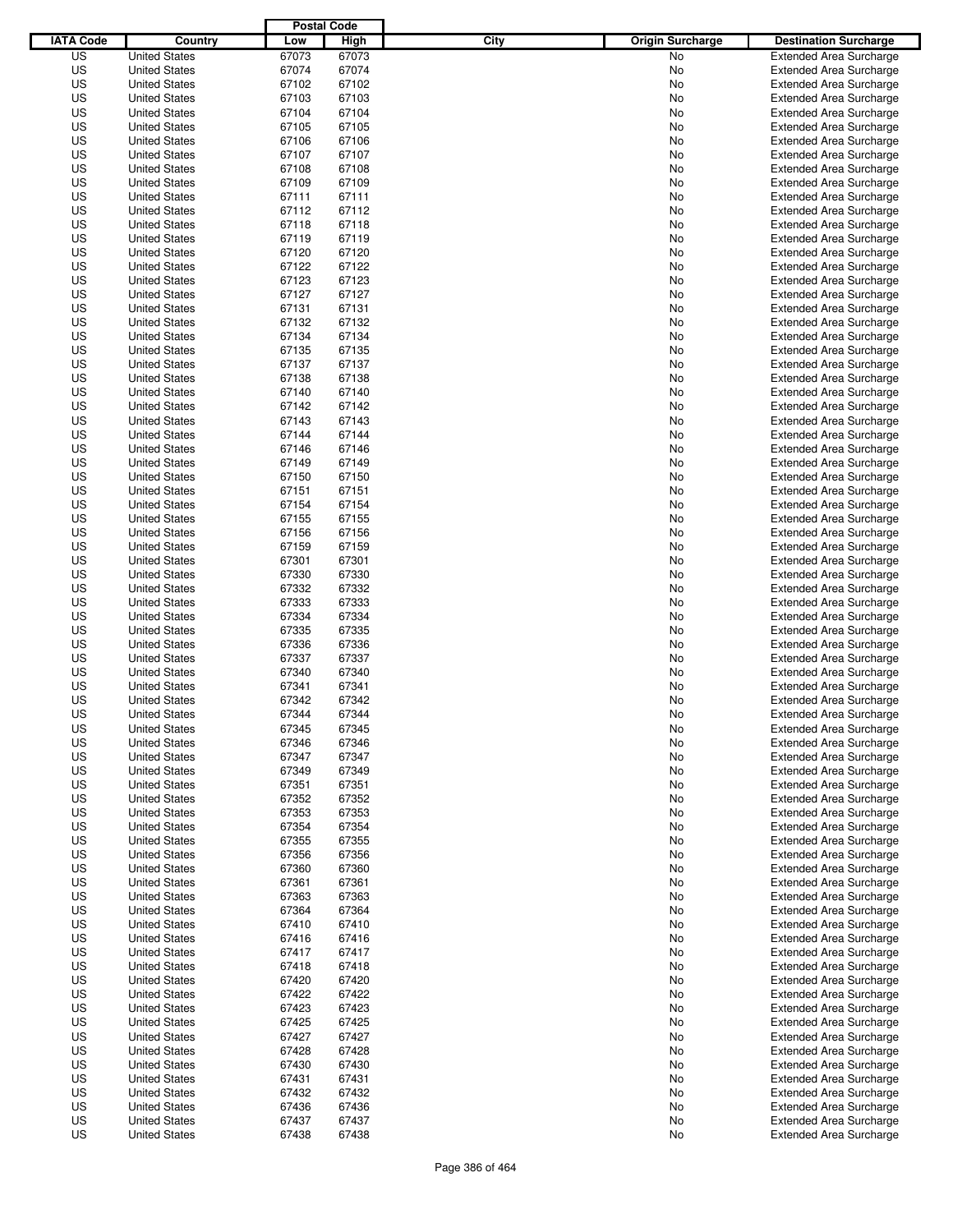|                  |                                              | <b>Postal Code</b> |             |                                 |                                                           |
|------------------|----------------------------------------------|--------------------|-------------|---------------------------------|-----------------------------------------------------------|
| <b>IATA Code</b> | Country                                      | Low                | <b>High</b> | City<br><b>Origin Surcharge</b> | <b>Destination Surcharge</b>                              |
| US               | <b>United States</b>                         | 67073              | 67073       | <b>No</b>                       | <b>Extended Area Surcharge</b>                            |
| US               | <b>United States</b>                         | 67074              | 67074       | No                              | <b>Extended Area Surcharge</b>                            |
| US               | <b>United States</b>                         | 67102              | 67102       | No                              | <b>Extended Area Surcharge</b>                            |
| US               | <b>United States</b>                         | 67103              | 67103       | No                              | <b>Extended Area Surcharge</b>                            |
| US               | <b>United States</b>                         | 67104              | 67104       | No                              | <b>Extended Area Surcharge</b>                            |
| US               | <b>United States</b>                         | 67105              | 67105       | No                              | <b>Extended Area Surcharge</b>                            |
| US               | <b>United States</b>                         | 67106              | 67106       | No                              | <b>Extended Area Surcharge</b>                            |
| US               | <b>United States</b>                         | 67107              | 67107       | No                              | <b>Extended Area Surcharge</b>                            |
| US               | <b>United States</b>                         | 67108              | 67108       | No                              | <b>Extended Area Surcharge</b>                            |
| US               | <b>United States</b>                         | 67109              | 67109       | No                              | <b>Extended Area Surcharge</b>                            |
| US               | <b>United States</b>                         | 67111              | 67111       | No                              | <b>Extended Area Surcharge</b>                            |
| US               | <b>United States</b>                         | 67112              | 67112       | No                              | <b>Extended Area Surcharge</b>                            |
| US               | <b>United States</b>                         | 67118              | 67118       | No                              | <b>Extended Area Surcharge</b>                            |
| US               | <b>United States</b>                         | 67119              | 67119       | No                              | <b>Extended Area Surcharge</b>                            |
| US               | <b>United States</b>                         | 67120              | 67120       | No                              | <b>Extended Area Surcharge</b>                            |
| US               | <b>United States</b>                         | 67122              | 67122       | No                              | <b>Extended Area Surcharge</b>                            |
| US               | <b>United States</b>                         | 67123              | 67123       | No                              | <b>Extended Area Surcharge</b>                            |
| US               | <b>United States</b>                         | 67127              | 67127       | No                              | <b>Extended Area Surcharge</b>                            |
| US               | <b>United States</b>                         | 67131              | 67131       | No                              | <b>Extended Area Surcharge</b>                            |
| US               | <b>United States</b>                         | 67132              | 67132       | No                              | <b>Extended Area Surcharge</b>                            |
| US               | <b>United States</b>                         | 67134              | 67134       | No                              | <b>Extended Area Surcharge</b>                            |
| US               | <b>United States</b>                         | 67135              | 67135       | No                              | <b>Extended Area Surcharge</b>                            |
| US               | <b>United States</b>                         | 67137              | 67137       | No                              | <b>Extended Area Surcharge</b>                            |
| US               | <b>United States</b>                         | 67138              | 67138       | No                              | <b>Extended Area Surcharge</b>                            |
| US               | <b>United States</b>                         | 67140              | 67140       | No                              | <b>Extended Area Surcharge</b>                            |
| US               | <b>United States</b>                         | 67142              | 67142       | No                              | <b>Extended Area Surcharge</b>                            |
| US               | <b>United States</b>                         | 67143              | 67143       | No                              | <b>Extended Area Surcharge</b>                            |
| US               | <b>United States</b>                         | 67144              | 67144       | No                              | <b>Extended Area Surcharge</b>                            |
| US               | <b>United States</b>                         | 67146              | 67146       | No                              | <b>Extended Area Surcharge</b>                            |
| US               | <b>United States</b>                         | 67149              | 67149       | No                              | <b>Extended Area Surcharge</b>                            |
| US               | <b>United States</b>                         | 67150              | 67150       | No                              | <b>Extended Area Surcharge</b>                            |
| US               | <b>United States</b>                         | 67151              | 67151       | No                              | <b>Extended Area Surcharge</b>                            |
| US               | <b>United States</b>                         | 67154              | 67154       | No                              | <b>Extended Area Surcharge</b>                            |
| US               | <b>United States</b>                         | 67155              | 67155       | No                              | <b>Extended Area Surcharge</b>                            |
| US               | <b>United States</b>                         | 67156              | 67156       | No                              | <b>Extended Area Surcharge</b>                            |
| US               | <b>United States</b>                         | 67159              | 67159       | No                              | <b>Extended Area Surcharge</b>                            |
| US               | <b>United States</b>                         | 67301              | 67301       | No                              | <b>Extended Area Surcharge</b>                            |
| US               | <b>United States</b>                         | 67330              | 67330       | No                              | <b>Extended Area Surcharge</b>                            |
| US               | <b>United States</b>                         | 67332              | 67332       | No                              | <b>Extended Area Surcharge</b>                            |
| US               | <b>United States</b>                         | 67333              | 67333       | No                              | <b>Extended Area Surcharge</b>                            |
| US               | <b>United States</b>                         | 67334              | 67334       | No                              | <b>Extended Area Surcharge</b>                            |
| US               | <b>United States</b>                         | 67335              | 67335       |                                 | <b>Extended Area Surcharge</b>                            |
| US               | <b>United States</b>                         | 67336              | 67336       | No<br>No                        |                                                           |
| US               | <b>United States</b>                         | 67337              | 67337       |                                 | <b>Extended Area Surcharge</b>                            |
| US               | <b>United States</b>                         | 67340              | 67340       | No                              | <b>Extended Area Surcharge</b><br>Extended Area Surcharge |
| US               | <b>United States</b>                         | 67341              | 67341       | No<br>No                        | <b>Extended Area Surcharge</b>                            |
| US               | <b>United States</b>                         | 67342              | 67342       | No                              | <b>Extended Area Surcharge</b>                            |
| US               | <b>United States</b>                         | 67344              | 67344       | No                              | <b>Extended Area Surcharge</b>                            |
| US               |                                              | 67345              | 67345       |                                 |                                                           |
|                  | <b>United States</b><br><b>United States</b> |                    |             | No                              | <b>Extended Area Surcharge</b>                            |
| US               |                                              | 67346              | 67346       | No                              | <b>Extended Area Surcharge</b>                            |
| US               | <b>United States</b>                         | 67347              | 67347       | No                              | <b>Extended Area Surcharge</b>                            |
| US               | <b>United States</b>                         | 67349              | 67349       | No                              | <b>Extended Area Surcharge</b>                            |
| US               | <b>United States</b>                         | 67351              | 67351       | No                              | <b>Extended Area Surcharge</b>                            |
| US               | <b>United States</b>                         | 67352              | 67352       | No                              | <b>Extended Area Surcharge</b>                            |
| US               | <b>United States</b>                         | 67353              | 67353       | No                              | <b>Extended Area Surcharge</b>                            |
| US               | <b>United States</b>                         | 67354              | 67354       | No                              | <b>Extended Area Surcharge</b>                            |
| US               | <b>United States</b>                         | 67355              | 67355       | No                              | <b>Extended Area Surcharge</b>                            |
| US               | <b>United States</b><br><b>United States</b> | 67356              | 67356       | No                              | <b>Extended Area Surcharge</b>                            |
| US               |                                              | 67360              | 67360       | No                              | <b>Extended Area Surcharge</b>                            |
| US               | <b>United States</b>                         | 67361              | 67361       | No                              | <b>Extended Area Surcharge</b>                            |
| US               | <b>United States</b>                         | 67363              | 67363       | No                              | <b>Extended Area Surcharge</b>                            |
| US               | <b>United States</b>                         | 67364              | 67364       | No                              | <b>Extended Area Surcharge</b>                            |
| US               | <b>United States</b>                         | 67410              | 67410       | No                              | <b>Extended Area Surcharge</b>                            |
| US               | <b>United States</b>                         | 67416              | 67416       | No                              | <b>Extended Area Surcharge</b>                            |
| US               | <b>United States</b>                         | 67417              | 67417       | No                              | <b>Extended Area Surcharge</b>                            |
| US               | <b>United States</b>                         | 67418              | 67418       | No                              | <b>Extended Area Surcharge</b>                            |
| US               | <b>United States</b>                         | 67420              | 67420       | No                              | <b>Extended Area Surcharge</b>                            |
| US               | <b>United States</b>                         | 67422              | 67422       | No                              | <b>Extended Area Surcharge</b>                            |
| US               | <b>United States</b>                         | 67423              | 67423       | No                              | <b>Extended Area Surcharge</b>                            |
| US               | <b>United States</b>                         | 67425              | 67425       | No                              | <b>Extended Area Surcharge</b>                            |
| US               | <b>United States</b>                         | 67427              | 67427       | No                              | <b>Extended Area Surcharge</b>                            |
| US               | <b>United States</b>                         | 67428              | 67428       | No                              | <b>Extended Area Surcharge</b>                            |
| US               | <b>United States</b>                         | 67430              | 67430       | No                              | <b>Extended Area Surcharge</b>                            |
| US               | <b>United States</b>                         | 67431              | 67431       | No                              | <b>Extended Area Surcharge</b>                            |
| US               | <b>United States</b>                         | 67432              | 67432       | No                              | <b>Extended Area Surcharge</b>                            |
| US               | <b>United States</b>                         | 67436              | 67436       | No                              | <b>Extended Area Surcharge</b>                            |
| US               | <b>United States</b>                         | 67437              | 67437       | No                              | <b>Extended Area Surcharge</b>                            |
| US               | <b>United States</b>                         | 67438              | 67438       | No                              | <b>Extended Area Surcharge</b>                            |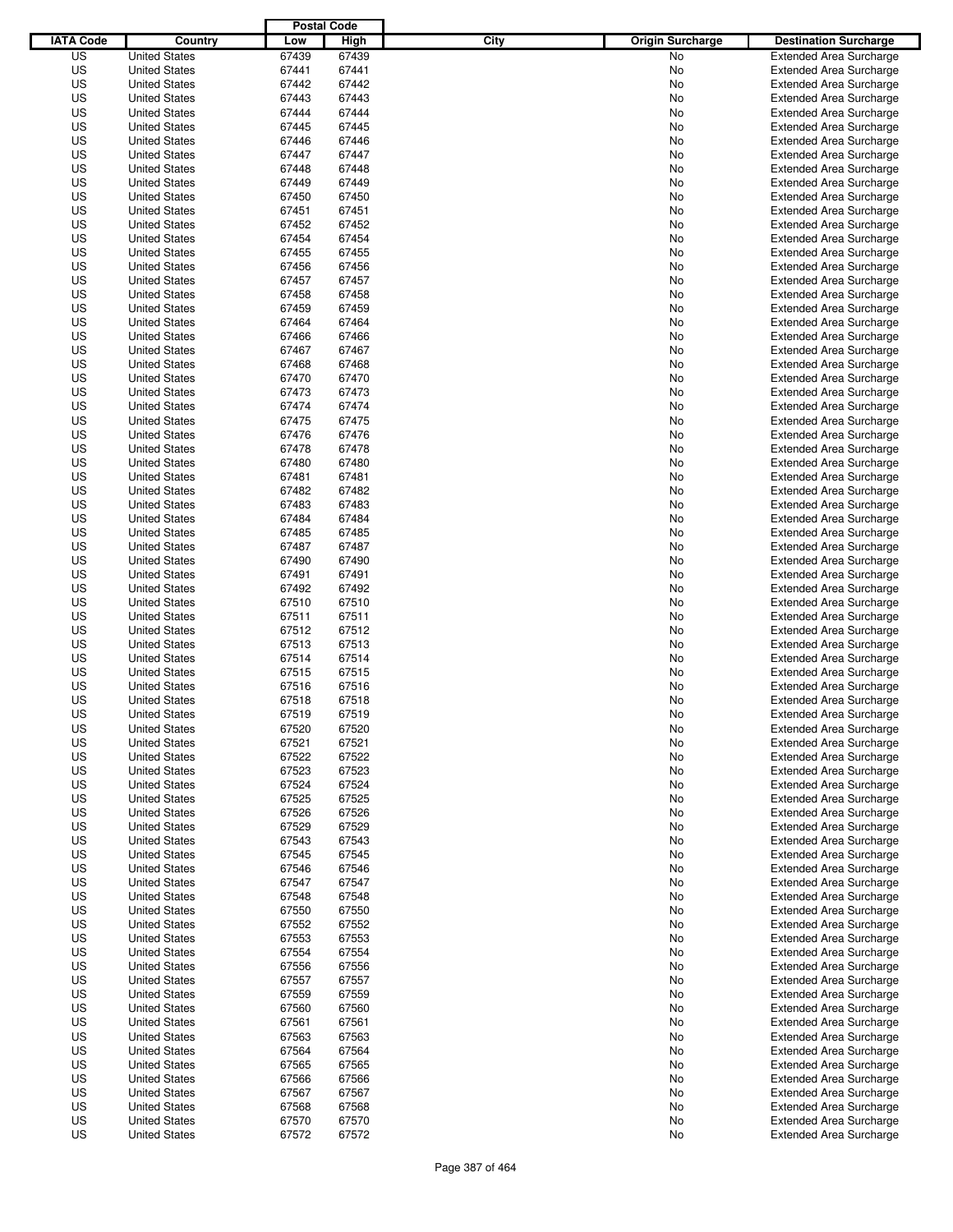|                  |                                              | <b>Postal Code</b> |                |                                 |                                                                  |
|------------------|----------------------------------------------|--------------------|----------------|---------------------------------|------------------------------------------------------------------|
| <b>IATA Code</b> | Country                                      | Low                | High           | City<br><b>Origin Surcharge</b> | <b>Destination Surcharge</b>                                     |
| US               | <b>United States</b>                         | 67439              | 67439          | <b>No</b>                       | <b>Extended Area Surcharge</b>                                   |
| US               | <b>United States</b>                         | 67441              | 67441          | No                              | <b>Extended Area Surcharge</b>                                   |
| US               | <b>United States</b>                         | 67442              | 67442          | No                              | <b>Extended Area Surcharge</b>                                   |
| US               | <b>United States</b>                         | 67443              | 67443          | No                              | <b>Extended Area Surcharge</b>                                   |
| US               | <b>United States</b>                         | 67444              | 67444          | No                              | <b>Extended Area Surcharge</b>                                   |
| US               | <b>United States</b>                         | 67445              | 67445          | No                              | <b>Extended Area Surcharge</b>                                   |
| US               | <b>United States</b>                         | 67446              | 67446          | No                              | <b>Extended Area Surcharge</b>                                   |
| US               | <b>United States</b>                         | 67447              | 67447          | No                              | <b>Extended Area Surcharge</b>                                   |
| US               | <b>United States</b>                         | 67448              | 67448          | No                              | <b>Extended Area Surcharge</b>                                   |
| US               | <b>United States</b>                         | 67449              | 67449          | No                              | <b>Extended Area Surcharge</b>                                   |
| US               | <b>United States</b>                         | 67450              | 67450          | No                              | <b>Extended Area Surcharge</b>                                   |
| US               | <b>United States</b>                         | 67451              | 67451          | No                              | <b>Extended Area Surcharge</b>                                   |
| US               | <b>United States</b>                         | 67452              | 67452          | No                              | <b>Extended Area Surcharge</b>                                   |
| US               | <b>United States</b>                         | 67454              | 67454          | No                              | <b>Extended Area Surcharge</b>                                   |
| US               | <b>United States</b>                         | 67455              | 67455          | No                              | <b>Extended Area Surcharge</b>                                   |
| US               | <b>United States</b>                         | 67456              | 67456          | No                              | <b>Extended Area Surcharge</b>                                   |
| US               | <b>United States</b>                         | 67457              | 67457          | No                              | <b>Extended Area Surcharge</b>                                   |
| US               | <b>United States</b>                         | 67458              | 67458          | No                              | <b>Extended Area Surcharge</b>                                   |
| US               | <b>United States</b>                         | 67459              | 67459          | No                              | <b>Extended Area Surcharge</b>                                   |
| US               | <b>United States</b>                         | 67464              | 67464          | No                              | <b>Extended Area Surcharge</b>                                   |
| US               | <b>United States</b>                         | 67466              | 67466          | No                              | <b>Extended Area Surcharge</b>                                   |
| US               | <b>United States</b>                         | 67467              | 67467          | No                              | <b>Extended Area Surcharge</b>                                   |
| US               | <b>United States</b>                         | 67468              | 67468          | No                              | <b>Extended Area Surcharge</b>                                   |
| US               | <b>United States</b>                         | 67470              | 67470          | No                              | <b>Extended Area Surcharge</b>                                   |
| US               | <b>United States</b>                         | 67473              | 67473          | No                              | <b>Extended Area Surcharge</b>                                   |
| US               | <b>United States</b>                         | 67474              | 67474          | No                              | <b>Extended Area Surcharge</b>                                   |
| US               | <b>United States</b>                         | 67475              | 67475          | No                              | <b>Extended Area Surcharge</b>                                   |
| US               | <b>United States</b>                         | 67476              | 67476          | No                              | <b>Extended Area Surcharge</b>                                   |
| US               | <b>United States</b>                         | 67478              | 67478          | No                              | <b>Extended Area Surcharge</b>                                   |
| US               | <b>United States</b>                         | 67480              | 67480          | No                              | <b>Extended Area Surcharge</b>                                   |
| US               | <b>United States</b>                         | 67481              | 67481          | No                              | <b>Extended Area Surcharge</b>                                   |
| US               | <b>United States</b>                         | 67482              | 67482          | No                              | <b>Extended Area Surcharge</b>                                   |
| US               | <b>United States</b>                         | 67483              | 67483          | No                              | <b>Extended Area Surcharge</b>                                   |
| US               | <b>United States</b>                         | 67484              | 67484          | No                              | <b>Extended Area Surcharge</b>                                   |
| US               | <b>United States</b>                         | 67485              | 67485          | No                              | <b>Extended Area Surcharge</b>                                   |
| US               | <b>United States</b>                         | 67487              | 67487          | No                              | <b>Extended Area Surcharge</b>                                   |
| US               | <b>United States</b>                         | 67490              | 67490          | No                              | <b>Extended Area Surcharge</b>                                   |
| US               | <b>United States</b>                         | 67491              | 67491          | No                              | <b>Extended Area Surcharge</b>                                   |
| US               | <b>United States</b>                         | 67492              | 67492          | No                              | <b>Extended Area Surcharge</b>                                   |
| US               | <b>United States</b>                         | 67510              | 67510          | No                              | <b>Extended Area Surcharge</b>                                   |
| US               | <b>United States</b>                         | 67511              | 67511          | No                              | <b>Extended Area Surcharge</b>                                   |
| US               | <b>United States</b>                         | 67512              | 67512          | No                              | <b>Extended Area Surcharge</b>                                   |
| US               | <b>United States</b>                         | 67513              | 67513          | No                              | <b>Extended Area Surcharge</b>                                   |
| US               | <b>United States</b>                         | 67514              | 67514          | No                              | <b>Extended Area Surcharge</b>                                   |
| US               | <b>United States</b>                         | 67515              | 67515          | No                              | Extended Area Surcharge                                          |
| US               | <b>United States</b>                         | 67516              | 67516          | No                              | <b>Extended Area Surcharge</b>                                   |
| US               | <b>United States</b>                         | 67518              | 67518          | No                              | <b>Extended Area Surcharge</b>                                   |
| US               | <b>United States</b>                         | 67519              | 67519          | No                              | <b>Extended Area Surcharge</b>                                   |
| US               | <b>United States</b>                         | 67520              | 67520          | No                              | <b>Extended Area Surcharge</b>                                   |
| US               | <b>United States</b>                         | 67521              | 67521          | No                              | <b>Extended Area Surcharge</b>                                   |
| US               | <b>United States</b>                         | 67522              | 67522          | No                              | <b>Extended Area Surcharge</b>                                   |
| US               | <b>United States</b>                         | 67523              | 67523          | No                              | <b>Extended Area Surcharge</b>                                   |
| US               | <b>United States</b>                         | 67524              | 67524          | No                              | <b>Extended Area Surcharge</b>                                   |
| US               | <b>United States</b>                         | 67525              | 67525          | No                              | <b>Extended Area Surcharge</b>                                   |
| US               | <b>United States</b>                         | 67526              | 67526          | No                              | <b>Extended Area Surcharge</b>                                   |
| US               | <b>United States</b>                         | 67529              | 67529          | No                              | <b>Extended Area Surcharge</b>                                   |
| US               | <b>United States</b>                         | 67543              | 67543          | No                              | <b>Extended Area Surcharge</b>                                   |
| US               | <b>United States</b>                         | 67545              | 67545          | No                              | <b>Extended Area Surcharge</b>                                   |
| US               | <b>United States</b>                         | 67546              | 67546          | No                              | <b>Extended Area Surcharge</b>                                   |
| US               | <b>United States</b>                         | 67547              | 67547          | No                              | <b>Extended Area Surcharge</b>                                   |
| US               | <b>United States</b>                         | 67548              | 67548          | No                              | <b>Extended Area Surcharge</b>                                   |
| US               | <b>United States</b>                         | 67550              | 67550          | No                              | <b>Extended Area Surcharge</b>                                   |
| US               | <b>United States</b>                         | 67552              | 67552          | No                              | <b>Extended Area Surcharge</b>                                   |
| US               | <b>United States</b>                         | 67553              | 67553          | No                              | <b>Extended Area Surcharge</b>                                   |
| US               | <b>United States</b>                         | 67554              | 67554          | No                              | <b>Extended Area Surcharge</b>                                   |
| US               | <b>United States</b><br><b>United States</b> | 67556              | 67556          | No                              | <b>Extended Area Surcharge</b>                                   |
| US               |                                              | 67557              | 67557          | No                              | <b>Extended Area Surcharge</b>                                   |
| US               | <b>United States</b>                         | 67559              | 67559          | No                              | <b>Extended Area Surcharge</b>                                   |
| US               | <b>United States</b>                         | 67560              | 67560          | No                              | <b>Extended Area Surcharge</b>                                   |
| US<br>US         | <b>United States</b><br><b>United States</b> | 67561<br>67563     | 67561<br>67563 | No                              | <b>Extended Area Surcharge</b><br><b>Extended Area Surcharge</b> |
| US               | <b>United States</b>                         | 67564              | 67564          | No<br>No                        | <b>Extended Area Surcharge</b>                                   |
| US               |                                              | 67565              | 67565          |                                 |                                                                  |
| US               | <b>United States</b><br><b>United States</b> | 67566              | 67566          | No                              | <b>Extended Area Surcharge</b>                                   |
| US               | <b>United States</b>                         | 67567              | 67567          | No<br>No                        | <b>Extended Area Surcharge</b><br><b>Extended Area Surcharge</b> |
| US               | <b>United States</b>                         | 67568              | 67568          | No                              | <b>Extended Area Surcharge</b>                                   |
| US               | <b>United States</b>                         | 67570              | 67570          | No                              | <b>Extended Area Surcharge</b>                                   |
| US               | <b>United States</b>                         | 67572              | 67572          | No                              | <b>Extended Area Surcharge</b>                                   |
|                  |                                              |                    |                |                                 |                                                                  |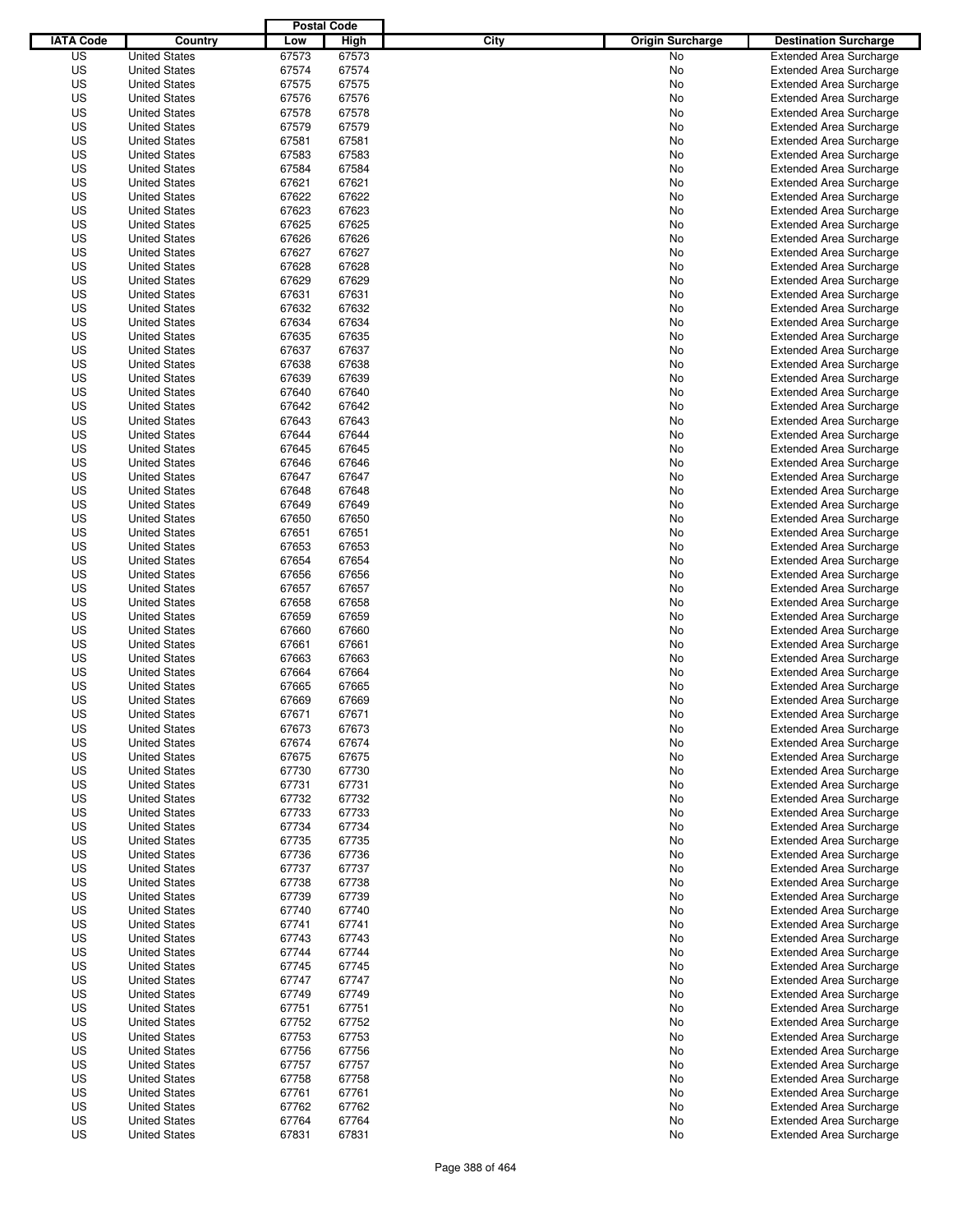|                  |                      | <b>Postal Code</b> |             |                                 |                                |
|------------------|----------------------|--------------------|-------------|---------------------------------|--------------------------------|
| <b>IATA Code</b> | Country              | Low                | <b>High</b> | City<br><b>Origin Surcharge</b> | <b>Destination Surcharge</b>   |
| US               | <b>United States</b> | 67573              | 67573       | No                              | <b>Extended Area Surcharge</b> |
| US               | <b>United States</b> | 67574              | 67574       | No                              | <b>Extended Area Surcharge</b> |
| US               | <b>United States</b> | 67575              | 67575       | No                              | <b>Extended Area Surcharge</b> |
| US               | <b>United States</b> | 67576              | 67576       | No                              | <b>Extended Area Surcharge</b> |
| US               | <b>United States</b> | 67578              | 67578       | No                              | <b>Extended Area Surcharge</b> |
| US               | <b>United States</b> | 67579              | 67579       | No                              | <b>Extended Area Surcharge</b> |
| US               | <b>United States</b> | 67581              | 67581       | No                              | <b>Extended Area Surcharge</b> |
| US               | <b>United States</b> | 67583              | 67583       | No                              | <b>Extended Area Surcharge</b> |
| US               | <b>United States</b> | 67584              | 67584       | No                              | <b>Extended Area Surcharge</b> |
| US               | <b>United States</b> | 67621              | 67621       | No                              | <b>Extended Area Surcharge</b> |
| US               | <b>United States</b> | 67622              | 67622       | No                              | <b>Extended Area Surcharge</b> |
| US               | <b>United States</b> | 67623              | 67623       | No                              | <b>Extended Area Surcharge</b> |
| US               | <b>United States</b> | 67625              | 67625       | No                              | <b>Extended Area Surcharge</b> |
| US               | <b>United States</b> | 67626              | 67626       | No                              | <b>Extended Area Surcharge</b> |
| US               | <b>United States</b> | 67627              | 67627       | No                              | <b>Extended Area Surcharge</b> |
| US               | <b>United States</b> | 67628              | 67628       | No                              | <b>Extended Area Surcharge</b> |
| US               | <b>United States</b> | 67629              | 67629       | No                              | <b>Extended Area Surcharge</b> |
| US               | <b>United States</b> | 67631              | 67631       | No                              | <b>Extended Area Surcharge</b> |
| US               | <b>United States</b> | 67632              | 67632       | No                              | <b>Extended Area Surcharge</b> |
| US               | <b>United States</b> | 67634              | 67634       | No                              | <b>Extended Area Surcharge</b> |
| US               | <b>United States</b> | 67635              | 67635       | No                              | <b>Extended Area Surcharge</b> |
| US               | <b>United States</b> | 67637              | 67637       | No                              | <b>Extended Area Surcharge</b> |
| US               | <b>United States</b> | 67638              | 67638       | No                              | <b>Extended Area Surcharge</b> |
| US               | <b>United States</b> | 67639              | 67639       | No                              | <b>Extended Area Surcharge</b> |
| US               | <b>United States</b> | 67640              | 67640       | No                              | <b>Extended Area Surcharge</b> |
| US               | <b>United States</b> | 67642              | 67642       | No                              | <b>Extended Area Surcharge</b> |
| US               | <b>United States</b> | 67643              | 67643       | No                              | <b>Extended Area Surcharge</b> |
| US               | <b>United States</b> | 67644              | 67644       | No                              | <b>Extended Area Surcharge</b> |
| US               | <b>United States</b> | 67645              | 67645       | No                              | <b>Extended Area Surcharge</b> |
| US               | <b>United States</b> | 67646              | 67646       | No                              | <b>Extended Area Surcharge</b> |
| US               | <b>United States</b> | 67647              | 67647       | No                              | <b>Extended Area Surcharge</b> |
| US               | <b>United States</b> | 67648              | 67648       | No                              | <b>Extended Area Surcharge</b> |
| US               | <b>United States</b> | 67649              | 67649       | No                              | <b>Extended Area Surcharge</b> |
| US               | <b>United States</b> | 67650              | 67650       | No                              | <b>Extended Area Surcharge</b> |
| US               | <b>United States</b> | 67651              | 67651       | No                              | <b>Extended Area Surcharge</b> |
| US               | <b>United States</b> | 67653              | 67653       | No                              | <b>Extended Area Surcharge</b> |
| US               | <b>United States</b> | 67654              | 67654       | No                              | <b>Extended Area Surcharge</b> |
| US               | <b>United States</b> | 67656              | 67656       | No                              | <b>Extended Area Surcharge</b> |
| US               | <b>United States</b> | 67657              | 67657       | No                              | <b>Extended Area Surcharge</b> |
| US               | <b>United States</b> | 67658              | 67658       | No                              | <b>Extended Area Surcharge</b> |
| US               | <b>United States</b> | 67659              | 67659       | No                              | <b>Extended Area Surcharge</b> |
| US               | <b>United States</b> | 67660              | 67660       | No                              | <b>Extended Area Surcharge</b> |
| US               | <b>United States</b> | 67661              | 67661       | No                              | <b>Extended Area Surcharge</b> |
| US               | <b>United States</b> | 67663              | 67663       | No                              | <b>Extended Area Surcharge</b> |
| US               | <b>United States</b> | 67664              | 67664       | No                              | Extended Area Surcharge        |
| US               | <b>United States</b> | 67665              | 67665       | No                              | <b>Extended Area Surcharge</b> |
| US               | <b>United States</b> | 67669              | 67669       | No                              | <b>Extended Area Surcharge</b> |
| US               | <b>United States</b> | 67671              | 67671       | No                              | <b>Extended Area Surcharge</b> |
| US               | <b>United States</b> | 67673              | 67673       | No                              | <b>Extended Area Surcharge</b> |
| US               | <b>United States</b> | 67674              | 67674       | No                              | <b>Extended Area Surcharge</b> |
| US               | <b>United States</b> | 67675              | 67675       | No                              | <b>Extended Area Surcharge</b> |
| US               | <b>United States</b> | 67730              | 67730       | No                              | <b>Extended Area Surcharge</b> |
| US               | <b>United States</b> | 67731              | 67731       | No                              | <b>Extended Area Surcharge</b> |
| US               | <b>United States</b> | 67732              | 67732       | No                              | <b>Extended Area Surcharge</b> |
| US               | <b>United States</b> | 67733              | 67733       | No                              | <b>Extended Area Surcharge</b> |
| US               | <b>United States</b> | 67734              | 67734       | No                              | <b>Extended Area Surcharge</b> |
| US               | <b>United States</b> | 67735              | 67735       | No                              | <b>Extended Area Surcharge</b> |
| US               | <b>United States</b> | 67736              | 67736       | No                              | <b>Extended Area Surcharge</b> |
| US               | <b>United States</b> | 67737              | 67737       | No                              | <b>Extended Area Surcharge</b> |
| US               | <b>United States</b> | 67738              | 67738       | No                              | <b>Extended Area Surcharge</b> |
| US               | <b>United States</b> | 67739              | 67739       | No                              | <b>Extended Area Surcharge</b> |
| US               | <b>United States</b> | 67740              | 67740       | No                              | <b>Extended Area Surcharge</b> |
| US               | <b>United States</b> | 67741              | 67741       | No                              | <b>Extended Area Surcharge</b> |
| US               | <b>United States</b> | 67743              | 67743       | No                              | <b>Extended Area Surcharge</b> |
| US               | <b>United States</b> | 67744              | 67744       | No                              | <b>Extended Area Surcharge</b> |
| US               | <b>United States</b> | 67745              | 67745       | No                              | <b>Extended Area Surcharge</b> |
| US               | <b>United States</b> | 67747              | 67747       | No                              | <b>Extended Area Surcharge</b> |
| US               | <b>United States</b> | 67749              | 67749       | No                              | <b>Extended Area Surcharge</b> |
| US               | <b>United States</b> | 67751              | 67751       | No                              | <b>Extended Area Surcharge</b> |
| US               | <b>United States</b> | 67752              | 67752       | No                              | <b>Extended Area Surcharge</b> |
| US               | <b>United States</b> | 67753              | 67753       | No                              | <b>Extended Area Surcharge</b> |
| US               | <b>United States</b> | 67756              | 67756       | No                              | <b>Extended Area Surcharge</b> |
| US               | <b>United States</b> | 67757              | 67757       | No                              | <b>Extended Area Surcharge</b> |
| US               | <b>United States</b> | 67758              | 67758       | No                              | <b>Extended Area Surcharge</b> |
| US               | <b>United States</b> | 67761              | 67761       | No                              | <b>Extended Area Surcharge</b> |
| US               | <b>United States</b> | 67762              | 67762       | No                              | <b>Extended Area Surcharge</b> |
| US               | <b>United States</b> | 67764              | 67764       | No                              | <b>Extended Area Surcharge</b> |
| US               | <b>United States</b> | 67831              | 67831       | No                              | <b>Extended Area Surcharge</b> |
|                  |                      |                    |             |                                 |                                |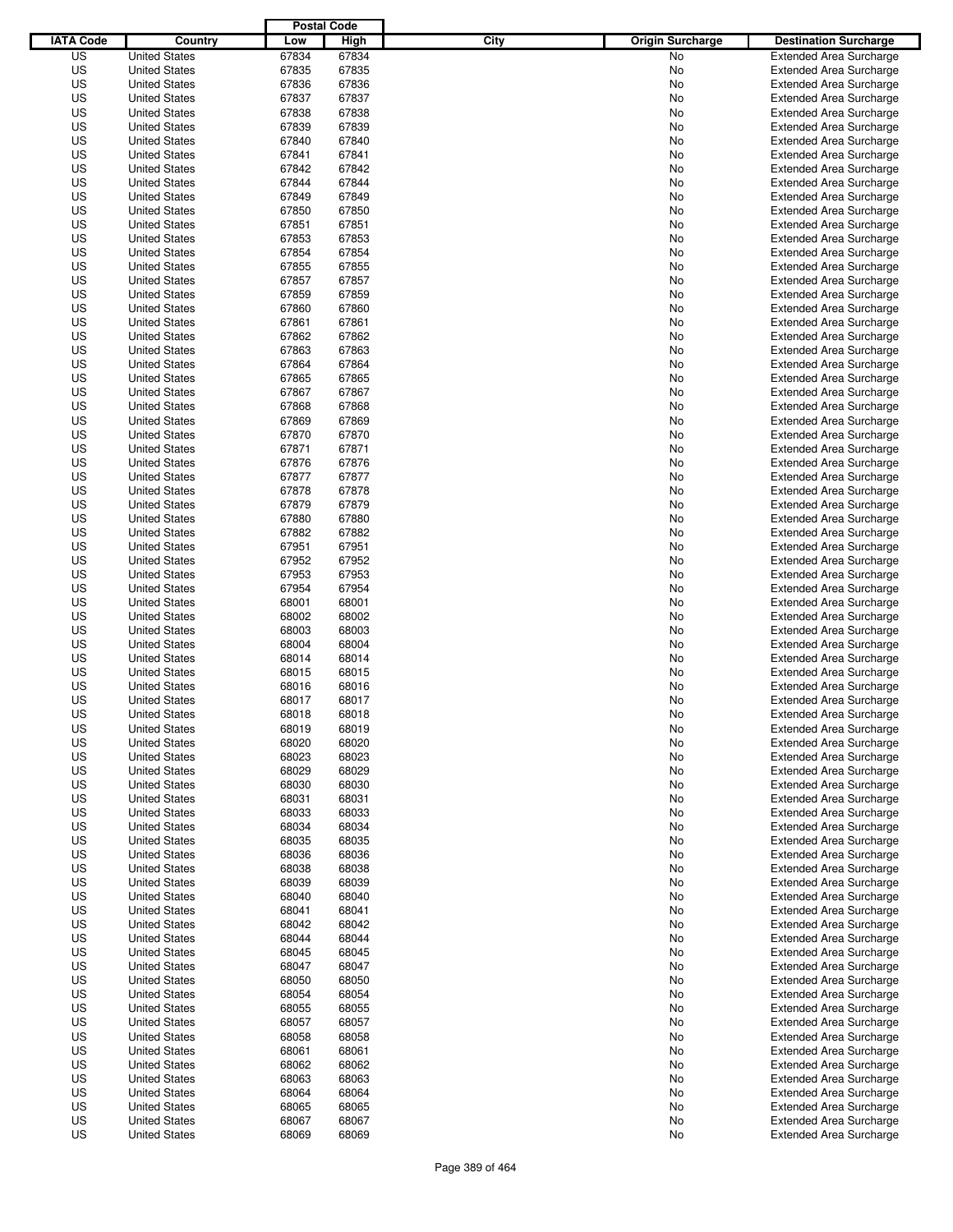|                  |                      | <b>Postal Code</b> |       |                                 |                                |
|------------------|----------------------|--------------------|-------|---------------------------------|--------------------------------|
| <b>IATA Code</b> | Country              | Low                | High  | City<br><b>Origin Surcharge</b> | <b>Destination Surcharge</b>   |
| US               | <b>United States</b> | 67834              | 67834 | No                              | <b>Extended Area Surcharge</b> |
| US               | <b>United States</b> | 67835              | 67835 | No                              | <b>Extended Area Surcharge</b> |
| US               | <b>United States</b> | 67836              | 67836 | No                              | <b>Extended Area Surcharge</b> |
| US               | <b>United States</b> | 67837              | 67837 | No                              | <b>Extended Area Surcharge</b> |
| US               | <b>United States</b> | 67838              | 67838 | No                              | <b>Extended Area Surcharge</b> |
| US               | <b>United States</b> | 67839              | 67839 | No                              | <b>Extended Area Surcharge</b> |
| US               | <b>United States</b> | 67840              | 67840 | No                              | <b>Extended Area Surcharge</b> |
| US               | <b>United States</b> | 67841              | 67841 | No                              | <b>Extended Area Surcharge</b> |
| US               | <b>United States</b> | 67842              | 67842 | No                              | <b>Extended Area Surcharge</b> |
| US               | <b>United States</b> | 67844              | 67844 | No                              | <b>Extended Area Surcharge</b> |
| US               | <b>United States</b> | 67849              | 67849 | No                              | <b>Extended Area Surcharge</b> |
| US               | <b>United States</b> | 67850              | 67850 | No                              | <b>Extended Area Surcharge</b> |
| US               | <b>United States</b> | 67851              | 67851 | No                              | <b>Extended Area Surcharge</b> |
| US               | <b>United States</b> | 67853              | 67853 | No                              | <b>Extended Area Surcharge</b> |
| US               | <b>United States</b> | 67854              | 67854 | No                              | <b>Extended Area Surcharge</b> |
| US               | <b>United States</b> | 67855              | 67855 | No                              | <b>Extended Area Surcharge</b> |
| US               | <b>United States</b> | 67857              | 67857 | No                              | <b>Extended Area Surcharge</b> |
| US               | <b>United States</b> | 67859              | 67859 | No                              | <b>Extended Area Surcharge</b> |
| US               | <b>United States</b> | 67860              | 67860 | No                              | <b>Extended Area Surcharge</b> |
| US               | <b>United States</b> | 67861              | 67861 | No                              | <b>Extended Area Surcharge</b> |
| US               | <b>United States</b> | 67862              | 67862 | No                              | <b>Extended Area Surcharge</b> |
| US               | <b>United States</b> | 67863              | 67863 | No                              | <b>Extended Area Surcharge</b> |
| US               | <b>United States</b> | 67864              | 67864 | No                              | <b>Extended Area Surcharge</b> |
| US               | <b>United States</b> | 67865              | 67865 | No                              | <b>Extended Area Surcharge</b> |
| US               | <b>United States</b> | 67867              | 67867 | No                              | <b>Extended Area Surcharge</b> |
| US               | <b>United States</b> | 67868              | 67868 | No                              | <b>Extended Area Surcharge</b> |
| US               | <b>United States</b> | 67869              | 67869 | No                              | <b>Extended Area Surcharge</b> |
| US               | <b>United States</b> | 67870              | 67870 | No                              | <b>Extended Area Surcharge</b> |
| US               | <b>United States</b> | 67871              | 67871 | No                              | <b>Extended Area Surcharge</b> |
| US               | <b>United States</b> | 67876              | 67876 | No                              | <b>Extended Area Surcharge</b> |
| US               | <b>United States</b> | 67877              | 67877 | No                              | <b>Extended Area Surcharge</b> |
| US               | <b>United States</b> | 67878              | 67878 | No                              | <b>Extended Area Surcharge</b> |
| US               | <b>United States</b> | 67879              | 67879 | No                              | <b>Extended Area Surcharge</b> |
| US               | <b>United States</b> | 67880              | 67880 | No                              | <b>Extended Area Surcharge</b> |
| US               | <b>United States</b> | 67882              | 67882 | No                              | <b>Extended Area Surcharge</b> |
| US               | <b>United States</b> | 67951              | 67951 | No                              | <b>Extended Area Surcharge</b> |
| US               | <b>United States</b> | 67952              | 67952 | No                              | <b>Extended Area Surcharge</b> |
| US               | <b>United States</b> | 67953              | 67953 | No                              | <b>Extended Area Surcharge</b> |
| US               | <b>United States</b> | 67954              | 67954 | No                              |                                |
|                  | <b>United States</b> |                    |       |                                 | <b>Extended Area Surcharge</b> |
| US               |                      | 68001              | 68001 | No                              | <b>Extended Area Surcharge</b> |
| US               | <b>United States</b> | 68002              | 68002 | No                              | <b>Extended Area Surcharge</b> |
| US               | <b>United States</b> | 68003              | 68003 | No                              | <b>Extended Area Surcharge</b> |
| US               | <b>United States</b> | 68004              | 68004 | No                              | <b>Extended Area Surcharge</b> |
| US               | <b>United States</b> | 68014              | 68014 | No                              | <b>Extended Area Surcharge</b> |
| US<br>US         | <b>United States</b> | 68015              | 68015 | No                              | Extended Area Surcharge        |
|                  | <b>United States</b> | 68016              | 68016 | No                              | <b>Extended Area Surcharge</b> |
| US               | <b>United States</b> | 68017              | 68017 | No                              | <b>Extended Area Surcharge</b> |
| US               | <b>United States</b> | 68018              | 68018 | No                              | <b>Extended Area Surcharge</b> |
| US               | <b>United States</b> | 68019              | 68019 | No                              | <b>Extended Area Surcharge</b> |
| US               | <b>United States</b> | 68020              | 68020 | No                              | <b>Extended Area Surcharge</b> |
| US               | <b>United States</b> | 68023              | 68023 | No                              | <b>Extended Area Surcharge</b> |
| US               | <b>United States</b> | 68029              | 68029 | No                              | <b>Extended Area Surcharge</b> |
| US               | <b>United States</b> | 68030              | 68030 | No                              | <b>Extended Area Surcharge</b> |
| US               | <b>United States</b> | 68031              | 68031 | No                              | <b>Extended Area Surcharge</b> |
| US               | <b>United States</b> | 68033              | 68033 | No                              | <b>Extended Area Surcharge</b> |
| US               | <b>United States</b> | 68034              | 68034 | No                              | <b>Extended Area Surcharge</b> |
| US               | <b>United States</b> | 68035              | 68035 | No                              | <b>Extended Area Surcharge</b> |
| US               | <b>United States</b> | 68036              | 68036 | No                              | <b>Extended Area Surcharge</b> |
| US               | <b>United States</b> | 68038              | 68038 | No                              | <b>Extended Area Surcharge</b> |
| US               | <b>United States</b> | 68039              | 68039 | No                              | <b>Extended Area Surcharge</b> |
| US               | <b>United States</b> | 68040              | 68040 | No                              | <b>Extended Area Surcharge</b> |
| US               | <b>United States</b> | 68041              | 68041 | No                              | <b>Extended Area Surcharge</b> |
| US               | <b>United States</b> | 68042              | 68042 | No                              | <b>Extended Area Surcharge</b> |
| US               | <b>United States</b> | 68044              | 68044 | No                              | <b>Extended Area Surcharge</b> |
| US               | <b>United States</b> | 68045              | 68045 | No                              | <b>Extended Area Surcharge</b> |
| US               | <b>United States</b> | 68047              | 68047 | No                              | <b>Extended Area Surcharge</b> |
| US               | <b>United States</b> | 68050              | 68050 | No                              | <b>Extended Area Surcharge</b> |
| US               | <b>United States</b> | 68054              | 68054 | No                              | <b>Extended Area Surcharge</b> |
| US               | <b>United States</b> | 68055              | 68055 | No                              | <b>Extended Area Surcharge</b> |
| US               | <b>United States</b> | 68057              | 68057 | No                              | <b>Extended Area Surcharge</b> |
| US               | <b>United States</b> | 68058              | 68058 | No                              | <b>Extended Area Surcharge</b> |
| US               | <b>United States</b> | 68061              | 68061 | No                              | <b>Extended Area Surcharge</b> |
| US               | <b>United States</b> | 68062              | 68062 | No                              | <b>Extended Area Surcharge</b> |
| US               | <b>United States</b> | 68063              | 68063 | No                              | <b>Extended Area Surcharge</b> |
| US               | <b>United States</b> | 68064              | 68064 | No                              | <b>Extended Area Surcharge</b> |
| US               | <b>United States</b> | 68065              | 68065 | No                              | <b>Extended Area Surcharge</b> |
| US               | <b>United States</b> | 68067              | 68067 | No                              | <b>Extended Area Surcharge</b> |
| US               | <b>United States</b> | 68069              | 68069 | No                              | <b>Extended Area Surcharge</b> |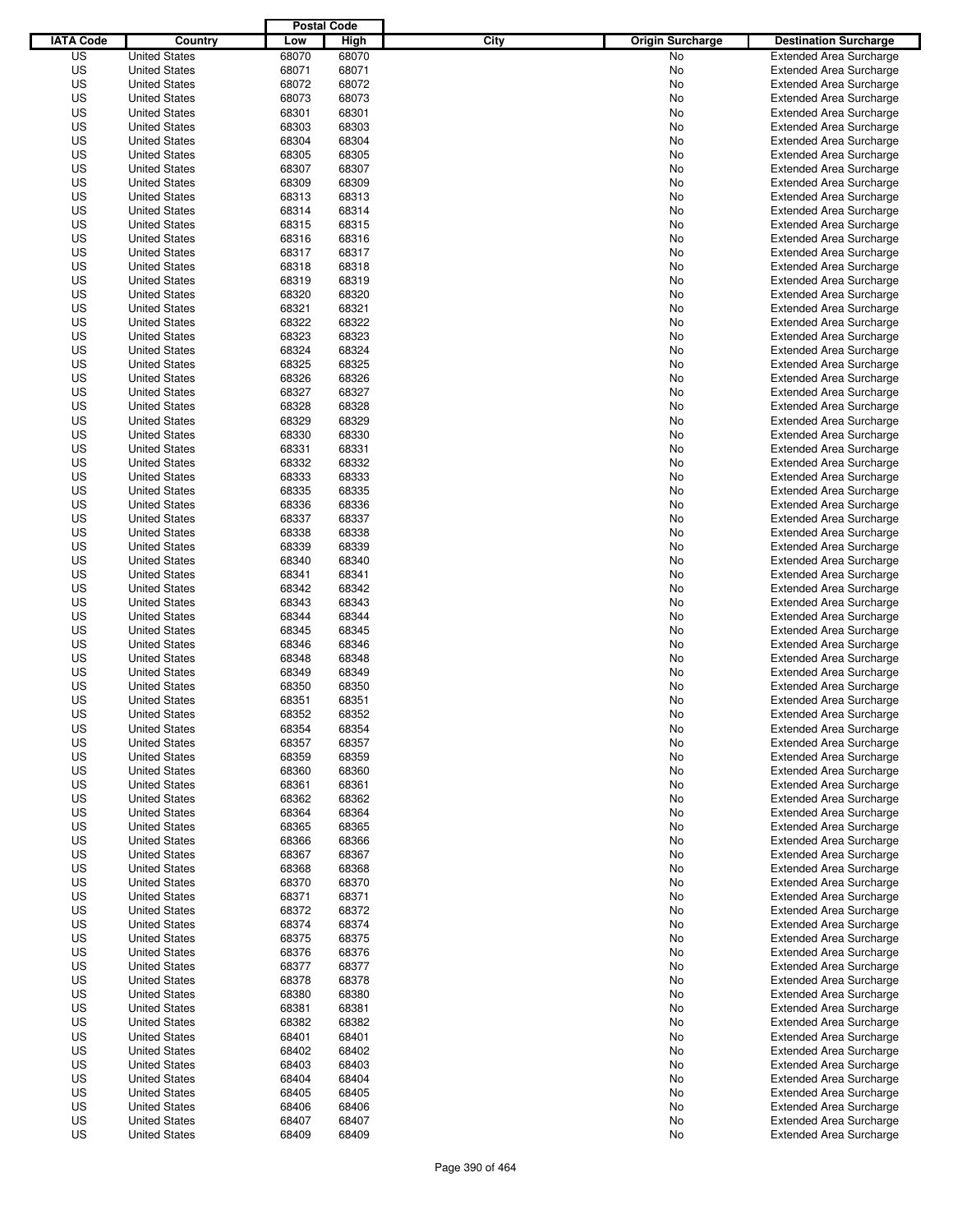|                  |                      | <b>Postal Code</b> |       |                                 |                                |
|------------------|----------------------|--------------------|-------|---------------------------------|--------------------------------|
| <b>IATA Code</b> | Country              | Low                | High  | City<br><b>Origin Surcharge</b> | <b>Destination Surcharge</b>   |
| US               | <b>United States</b> | 68070              | 68070 | <b>No</b>                       | <b>Extended Area Surcharge</b> |
| US               | <b>United States</b> | 68071              | 68071 | No                              | <b>Extended Area Surcharge</b> |
| US               | <b>United States</b> | 68072              | 68072 | No                              | <b>Extended Area Surcharge</b> |
| US               | <b>United States</b> | 68073              | 68073 | No                              | <b>Extended Area Surcharge</b> |
| US               | <b>United States</b> | 68301              | 68301 | No                              | <b>Extended Area Surcharge</b> |
| US               | <b>United States</b> | 68303              | 68303 | No                              | <b>Extended Area Surcharge</b> |
| US               | <b>United States</b> | 68304              | 68304 | No                              | <b>Extended Area Surcharge</b> |
| US               | <b>United States</b> | 68305              | 68305 | No                              | <b>Extended Area Surcharge</b> |
| US               | <b>United States</b> | 68307              | 68307 | No                              | <b>Extended Area Surcharge</b> |
| US               | <b>United States</b> | 68309              | 68309 | No                              | <b>Extended Area Surcharge</b> |
| US               | <b>United States</b> | 68313              | 68313 | No                              | <b>Extended Area Surcharge</b> |
| US               | <b>United States</b> | 68314              | 68314 | No                              | <b>Extended Area Surcharge</b> |
| US               | <b>United States</b> | 68315              | 68315 | No                              | <b>Extended Area Surcharge</b> |
| US               | <b>United States</b> | 68316              | 68316 | No                              | <b>Extended Area Surcharge</b> |
| US               | <b>United States</b> | 68317              | 68317 | No                              | <b>Extended Area Surcharge</b> |
| US               | <b>United States</b> | 68318              | 68318 | No                              | <b>Extended Area Surcharge</b> |
| US               | <b>United States</b> | 68319              | 68319 | No                              | <b>Extended Area Surcharge</b> |
| US               | <b>United States</b> | 68320              | 68320 | No                              | <b>Extended Area Surcharge</b> |
| US               | <b>United States</b> | 68321              | 68321 | No                              | <b>Extended Area Surcharge</b> |
| US               | <b>United States</b> | 68322              | 68322 | No                              | <b>Extended Area Surcharge</b> |
| US               | <b>United States</b> | 68323              | 68323 | No                              | <b>Extended Area Surcharge</b> |
| US               | <b>United States</b> | 68324              | 68324 | No                              | <b>Extended Area Surcharge</b> |
| US               | <b>United States</b> | 68325              | 68325 | No                              | <b>Extended Area Surcharge</b> |
| US               | <b>United States</b> | 68326              | 68326 | No                              | <b>Extended Area Surcharge</b> |
| US               | <b>United States</b> | 68327              | 68327 | No                              | <b>Extended Area Surcharge</b> |
| US               | <b>United States</b> | 68328              | 68328 | No                              | <b>Extended Area Surcharge</b> |
| US               | <b>United States</b> | 68329              | 68329 | No                              | <b>Extended Area Surcharge</b> |
| US               | <b>United States</b> | 68330              | 68330 | No                              | <b>Extended Area Surcharge</b> |
| US               | <b>United States</b> | 68331              | 68331 | No                              | <b>Extended Area Surcharge</b> |
| US               | <b>United States</b> | 68332              | 68332 | No                              | <b>Extended Area Surcharge</b> |
| US               | <b>United States</b> | 68333              | 68333 | No                              | <b>Extended Area Surcharge</b> |
| US               | <b>United States</b> | 68335              | 68335 | No                              | <b>Extended Area Surcharge</b> |
| US               | <b>United States</b> | 68336              | 68336 | No                              | <b>Extended Area Surcharge</b> |
| US               | <b>United States</b> | 68337              | 68337 | No                              | <b>Extended Area Surcharge</b> |
| US               | <b>United States</b> | 68338              | 68338 | No                              | <b>Extended Area Surcharge</b> |
| US               | <b>United States</b> | 68339              | 68339 | No                              | <b>Extended Area Surcharge</b> |
| US               | <b>United States</b> | 68340              | 68340 | No                              | <b>Extended Area Surcharge</b> |
| US               | <b>United States</b> | 68341              | 68341 | No                              | <b>Extended Area Surcharge</b> |
| US               | <b>United States</b> | 68342              | 68342 | No                              | <b>Extended Area Surcharge</b> |
| US               | <b>United States</b> | 68343              | 68343 | No                              | <b>Extended Area Surcharge</b> |
| US               | <b>United States</b> | 68344              | 68344 | No                              | <b>Extended Area Surcharge</b> |
| US               | <b>United States</b> | 68345              | 68345 | No                              | <b>Extended Area Surcharge</b> |
| US               | <b>United States</b> | 68346              | 68346 | No                              | <b>Extended Area Surcharge</b> |
| US               | <b>United States</b> | 68348              | 68348 | No                              | <b>Extended Area Surcharge</b> |
| US               | <b>United States</b> | 68349              | 68349 | No                              | <b>Extended Area Surcharge</b> |
| US               | <b>United States</b> | 68350              | 68350 | No                              | <b>Extended Area Surcharge</b> |
| US               | <b>United States</b> | 68351              | 68351 | No                              | <b>Extended Area Surcharge</b> |
| US               | <b>United States</b> | 68352              | 68352 | No                              | <b>Extended Area Surcharge</b> |
| US               | <b>United States</b> | 68354              | 68354 | No                              | <b>Extended Area Surcharge</b> |
| US               | <b>United States</b> | 68357              | 68357 | No                              | <b>Extended Area Surcharge</b> |
| US               | <b>United States</b> | 68359              | 68359 | No                              | <b>Extended Area Surcharge</b> |
| US               | <b>United States</b> | 68360              | 68360 | No                              | <b>Extended Area Surcharge</b> |
| US               | <b>United States</b> | 68361              | 68361 | No                              | <b>Extended Area Surcharge</b> |
| US               | <b>United States</b> | 68362              | 68362 | No                              | <b>Extended Area Surcharge</b> |
| US               | <b>United States</b> | 68364              | 68364 | No                              | <b>Extended Area Surcharge</b> |
| US               | <b>United States</b> | 68365              | 68365 | No                              | <b>Extended Area Surcharge</b> |
| US               | <b>United States</b> | 68366              | 68366 | No                              | <b>Extended Area Surcharge</b> |
| US               | <b>United States</b> | 68367              | 68367 | No                              | <b>Extended Area Surcharge</b> |
| US               | <b>United States</b> | 68368              | 68368 | No                              | <b>Extended Area Surcharge</b> |
| US               | <b>United States</b> | 68370              | 68370 | No                              | <b>Extended Area Surcharge</b> |
| US               | <b>United States</b> | 68371              | 68371 | No                              | <b>Extended Area Surcharge</b> |
| US               | <b>United States</b> | 68372              | 68372 | No                              | <b>Extended Area Surcharge</b> |
| US               | <b>United States</b> | 68374              | 68374 | No                              | <b>Extended Area Surcharge</b> |
| US               | <b>United States</b> | 68375              | 68375 | No                              | <b>Extended Area Surcharge</b> |
| US               | <b>United States</b> | 68376              | 68376 | No                              | <b>Extended Area Surcharge</b> |
| US               | <b>United States</b> | 68377              | 68377 | No                              | <b>Extended Area Surcharge</b> |
| US               | <b>United States</b> | 68378              | 68378 | No                              | <b>Extended Area Surcharge</b> |
| US               | <b>United States</b> | 68380              | 68380 | No                              | <b>Extended Area Surcharge</b> |
| US               | <b>United States</b> | 68381              | 68381 | No                              | <b>Extended Area Surcharge</b> |
| US               | <b>United States</b> | 68382              | 68382 | No                              | <b>Extended Area Surcharge</b> |
| US               | <b>United States</b> | 68401              | 68401 | No                              | <b>Extended Area Surcharge</b> |
| US               | <b>United States</b> | 68402              | 68402 | No                              | <b>Extended Area Surcharge</b> |
| US               | <b>United States</b> | 68403              | 68403 | No                              | <b>Extended Area Surcharge</b> |
| US               | <b>United States</b> | 68404              | 68404 | No                              | <b>Extended Area Surcharge</b> |
| US               | <b>United States</b> | 68405              | 68405 | No                              | <b>Extended Area Surcharge</b> |
| US               | <b>United States</b> | 68406              | 68406 | No                              | <b>Extended Area Surcharge</b> |
| US               | <b>United States</b> | 68407              | 68407 | No                              | <b>Extended Area Surcharge</b> |
| US               | <b>United States</b> | 68409              | 68409 | No                              | <b>Extended Area Surcharge</b> |
|                  |                      |                    |       |                                 |                                |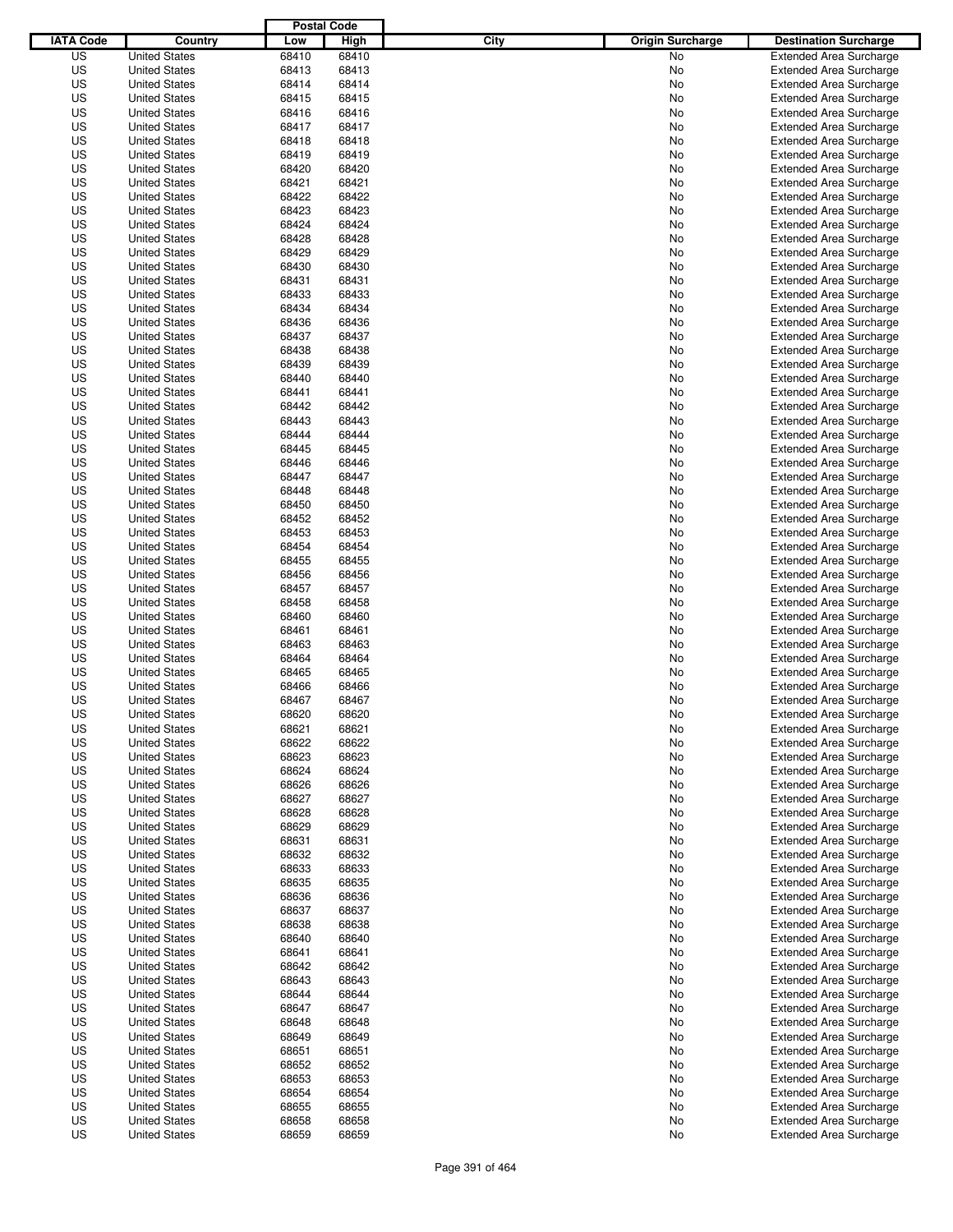|                  |                      | <b>Postal Code</b> |       |                                 |                                |
|------------------|----------------------|--------------------|-------|---------------------------------|--------------------------------|
| <b>IATA Code</b> | Country              | Low                | High  | City<br><b>Origin Surcharge</b> | <b>Destination Surcharge</b>   |
| US               | <b>United States</b> | 68410              | 68410 | <b>No</b>                       | <b>Extended Area Surcharge</b> |
| US               | <b>United States</b> | 68413              | 68413 | No                              | <b>Extended Area Surcharge</b> |
| US               | <b>United States</b> | 68414              | 68414 | No                              | <b>Extended Area Surcharge</b> |
| US               | <b>United States</b> | 68415              | 68415 | No                              | <b>Extended Area Surcharge</b> |
| US               | <b>United States</b> | 68416              | 68416 | No                              | <b>Extended Area Surcharge</b> |
| US               | <b>United States</b> | 68417              | 68417 | No                              | <b>Extended Area Surcharge</b> |
| US               | <b>United States</b> | 68418              | 68418 | No                              | <b>Extended Area Surcharge</b> |
| US               | <b>United States</b> | 68419              | 68419 | No                              | <b>Extended Area Surcharge</b> |
| US               | <b>United States</b> | 68420              | 68420 | No                              | <b>Extended Area Surcharge</b> |
| US               | <b>United States</b> | 68421              | 68421 | No                              | <b>Extended Area Surcharge</b> |
| US               | <b>United States</b> | 68422              | 68422 | No                              | <b>Extended Area Surcharge</b> |
| US               | <b>United States</b> | 68423              | 68423 | No                              | <b>Extended Area Surcharge</b> |
| US               | <b>United States</b> | 68424              | 68424 | No                              | <b>Extended Area Surcharge</b> |
| US               | <b>United States</b> | 68428              | 68428 | No                              | <b>Extended Area Surcharge</b> |
| US               | <b>United States</b> | 68429              | 68429 | No                              | <b>Extended Area Surcharge</b> |
| US               | <b>United States</b> | 68430              | 68430 | No                              | <b>Extended Area Surcharge</b> |
| US               | <b>United States</b> | 68431              | 68431 | No                              | <b>Extended Area Surcharge</b> |
| US               | <b>United States</b> | 68433              | 68433 | No                              | <b>Extended Area Surcharge</b> |
| US               | <b>United States</b> | 68434              | 68434 | No                              | <b>Extended Area Surcharge</b> |
| US               | <b>United States</b> | 68436              | 68436 | No                              | <b>Extended Area Surcharge</b> |
| US               | <b>United States</b> | 68437              | 68437 | No                              | <b>Extended Area Surcharge</b> |
| US               | <b>United States</b> | 68438              | 68438 | No                              | <b>Extended Area Surcharge</b> |
| US               | <b>United States</b> | 68439              | 68439 | No                              | <b>Extended Area Surcharge</b> |
| US               | <b>United States</b> | 68440              | 68440 | No                              | <b>Extended Area Surcharge</b> |
| US               | <b>United States</b> | 68441              | 68441 | No                              | <b>Extended Area Surcharge</b> |
| US               | <b>United States</b> | 68442              | 68442 | No                              | <b>Extended Area Surcharge</b> |
| US               | <b>United States</b> | 68443              | 68443 | No                              | <b>Extended Area Surcharge</b> |
| US               | <b>United States</b> | 68444              | 68444 | No                              | <b>Extended Area Surcharge</b> |
| US               | <b>United States</b> | 68445              | 68445 | No                              | <b>Extended Area Surcharge</b> |
| US               | <b>United States</b> | 68446              | 68446 | No                              | <b>Extended Area Surcharge</b> |
| US               | <b>United States</b> | 68447              | 68447 | No                              | <b>Extended Area Surcharge</b> |
| US               | <b>United States</b> | 68448              | 68448 | No                              | <b>Extended Area Surcharge</b> |
| US               | <b>United States</b> | 68450              | 68450 | No                              | <b>Extended Area Surcharge</b> |
| US               | <b>United States</b> | 68452              | 68452 | No                              | <b>Extended Area Surcharge</b> |
| US               | <b>United States</b> | 68453              | 68453 | No                              | <b>Extended Area Surcharge</b> |
| US               | <b>United States</b> | 68454              | 68454 | No                              | <b>Extended Area Surcharge</b> |
| US               | <b>United States</b> | 68455              | 68455 | No                              | <b>Extended Area Surcharge</b> |
| US               | <b>United States</b> | 68456              | 68456 | No                              | <b>Extended Area Surcharge</b> |
| US               | <b>United States</b> | 68457              | 68457 | No                              | <b>Extended Area Surcharge</b> |
| US               | <b>United States</b> | 68458              | 68458 | No                              | <b>Extended Area Surcharge</b> |
| US               | <b>United States</b> | 68460              | 68460 | No                              | <b>Extended Area Surcharge</b> |
| US               | <b>United States</b> | 68461              | 68461 | No                              | <b>Extended Area Surcharge</b> |
| US               | <b>United States</b> | 68463              | 68463 | No                              | <b>Extended Area Surcharge</b> |
| US               | <b>United States</b> | 68464              | 68464 | No                              | <b>Extended Area Surcharge</b> |
| US               | <b>United States</b> | 68465              | 68465 | No                              | <b>Extended Area Surcharge</b> |
| US               | <b>United States</b> | 68466              | 68466 | No                              | <b>Extended Area Surcharge</b> |
| US               | <b>United States</b> | 68467              | 68467 | No                              | <b>Extended Area Surcharge</b> |
| US               | <b>United States</b> | 68620              | 68620 | No                              | <b>Extended Area Surcharge</b> |
| US               | <b>United States</b> | 68621              | 68621 | No                              | <b>Extended Area Surcharge</b> |
| US               | <b>United States</b> | 68622              | 68622 | No                              | <b>Extended Area Surcharge</b> |
| US               | <b>United States</b> | 68623              | 68623 | No                              | <b>Extended Area Surcharge</b> |
| US               | <b>United States</b> | 68624              | 68624 | No                              | <b>Extended Area Surcharge</b> |
| US               | <b>United States</b> | 68626              | 68626 | No                              | <b>Extended Area Surcharge</b> |
| US               | <b>United States</b> | 68627              | 68627 | No                              | <b>Extended Area Surcharge</b> |
| US               | <b>United States</b> | 68628              | 68628 | No                              | <b>Extended Area Surcharge</b> |
| US               | <b>United States</b> | 68629              | 68629 | No                              | <b>Extended Area Surcharge</b> |
| US               | <b>United States</b> | 68631              | 68631 | No                              | <b>Extended Area Surcharge</b> |
| US               | <b>United States</b> | 68632              | 68632 | No                              | <b>Extended Area Surcharge</b> |
| US               | <b>United States</b> | 68633              | 68633 | No                              | <b>Extended Area Surcharge</b> |
| US               | <b>United States</b> | 68635              | 68635 | No                              | <b>Extended Area Surcharge</b> |
| US               | <b>United States</b> | 68636              | 68636 | No                              | <b>Extended Area Surcharge</b> |
| US               | <b>United States</b> | 68637              | 68637 | No                              | <b>Extended Area Surcharge</b> |
| US               | <b>United States</b> | 68638              | 68638 | No                              | <b>Extended Area Surcharge</b> |
| US               | <b>United States</b> | 68640              | 68640 | No                              | <b>Extended Area Surcharge</b> |
| US               | <b>United States</b> | 68641              | 68641 | No                              | <b>Extended Area Surcharge</b> |
| US               | <b>United States</b> | 68642              | 68642 | No                              | <b>Extended Area Surcharge</b> |
| US               | <b>United States</b> | 68643              | 68643 | No                              | <b>Extended Area Surcharge</b> |
| US               | <b>United States</b> | 68644              | 68644 | No                              | <b>Extended Area Surcharge</b> |
| US               | <b>United States</b> | 68647              | 68647 | No                              | <b>Extended Area Surcharge</b> |
| US               | <b>United States</b> | 68648              | 68648 | No                              | <b>Extended Area Surcharge</b> |
| US               | <b>United States</b> | 68649              | 68649 | No                              | <b>Extended Area Surcharge</b> |
| US               | <b>United States</b> | 68651              | 68651 | No                              | <b>Extended Area Surcharge</b> |
| US               | <b>United States</b> | 68652              | 68652 | No                              | <b>Extended Area Surcharge</b> |
| US               | <b>United States</b> | 68653              | 68653 | No                              | <b>Extended Area Surcharge</b> |
| US               | <b>United States</b> | 68654              | 68654 | No                              | <b>Extended Area Surcharge</b> |
| US               | <b>United States</b> | 68655              | 68655 | No                              | <b>Extended Area Surcharge</b> |
| US               | <b>United States</b> | 68658              | 68658 | No                              | <b>Extended Area Surcharge</b> |
| US               | <b>United States</b> | 68659              | 68659 | No                              | <b>Extended Area Surcharge</b> |
|                  |                      |                    |       |                                 |                                |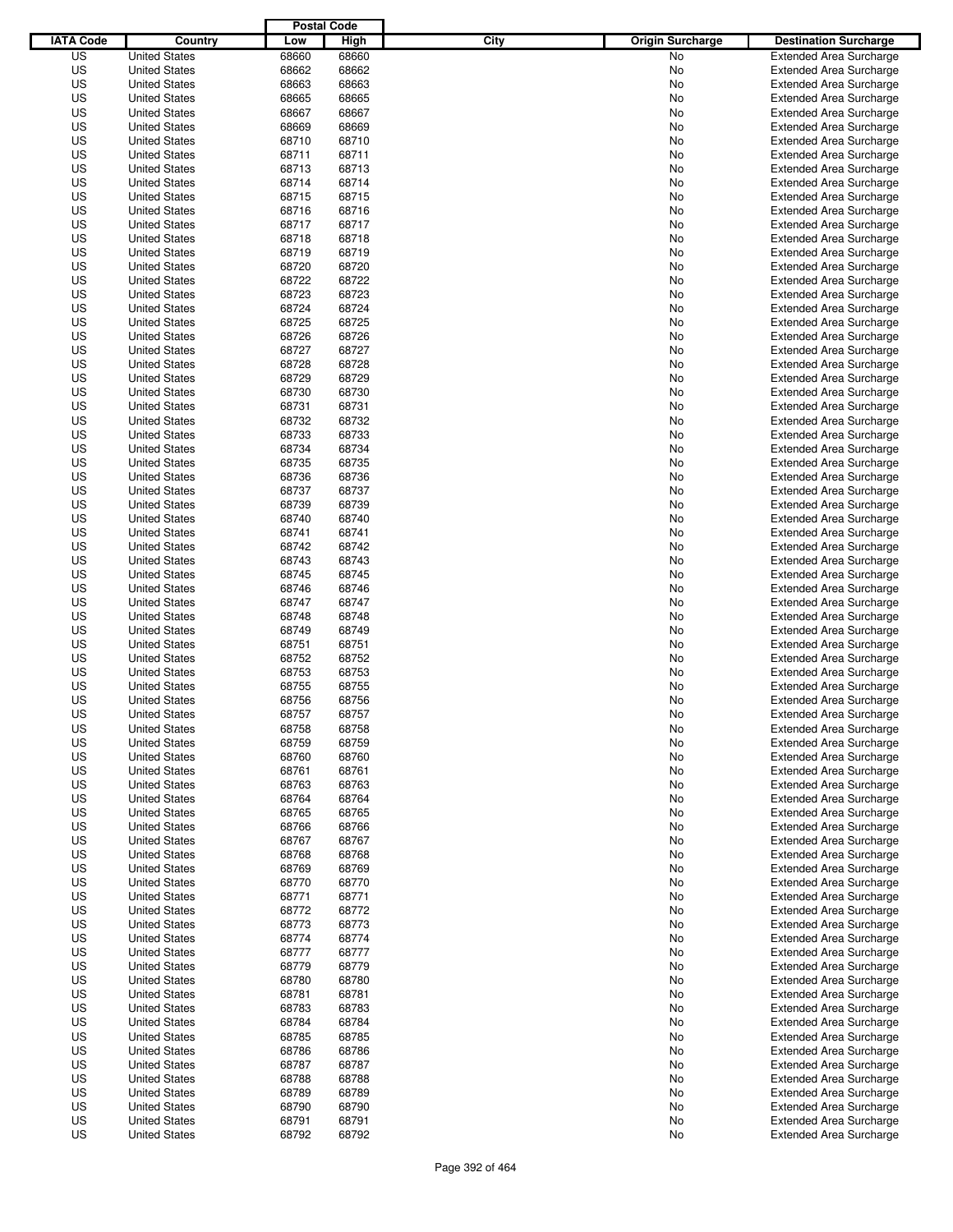|                  |                      | <b>Postal Code</b> |       |                                 |                                |
|------------------|----------------------|--------------------|-------|---------------------------------|--------------------------------|
| <b>IATA Code</b> | Country              | Low                | High  | City<br><b>Origin Surcharge</b> | <b>Destination Surcharge</b>   |
| US               | <b>United States</b> | 68660              | 68660 | <b>No</b>                       | <b>Extended Area Surcharge</b> |
| US               | <b>United States</b> | 68662              | 68662 | No                              | <b>Extended Area Surcharge</b> |
| US               | <b>United States</b> | 68663              | 68663 | No                              | <b>Extended Area Surcharge</b> |
| US               | <b>United States</b> | 68665              | 68665 | No                              | <b>Extended Area Surcharge</b> |
| US               | <b>United States</b> | 68667              | 68667 | No                              | <b>Extended Area Surcharge</b> |
| US               | <b>United States</b> | 68669              | 68669 | No                              | <b>Extended Area Surcharge</b> |
| US               | <b>United States</b> | 68710              | 68710 | No                              | <b>Extended Area Surcharge</b> |
| US               | <b>United States</b> | 68711              | 68711 | No                              | <b>Extended Area Surcharge</b> |
| US               | <b>United States</b> | 68713              | 68713 | No                              | <b>Extended Area Surcharge</b> |
| US               | <b>United States</b> | 68714              | 68714 | No                              | <b>Extended Area Surcharge</b> |
| US               | <b>United States</b> | 68715              | 68715 | No                              | <b>Extended Area Surcharge</b> |
| US               | <b>United States</b> | 68716              | 68716 | No                              | <b>Extended Area Surcharge</b> |
| US               | <b>United States</b> | 68717              | 68717 | No                              | <b>Extended Area Surcharge</b> |
| US               | <b>United States</b> | 68718              | 68718 | No                              | <b>Extended Area Surcharge</b> |
| US               | <b>United States</b> | 68719              | 68719 | No                              | <b>Extended Area Surcharge</b> |
| US               | <b>United States</b> | 68720              | 68720 | No                              | <b>Extended Area Surcharge</b> |
| US               | <b>United States</b> | 68722              | 68722 | No                              | <b>Extended Area Surcharge</b> |
| US               | <b>United States</b> | 68723              | 68723 | No                              | <b>Extended Area Surcharge</b> |
| US               | <b>United States</b> | 68724              | 68724 | No                              | <b>Extended Area Surcharge</b> |
| US               | <b>United States</b> | 68725              | 68725 | No                              | <b>Extended Area Surcharge</b> |
| US               | <b>United States</b> | 68726              | 68726 | No                              | <b>Extended Area Surcharge</b> |
| US               | <b>United States</b> | 68727              | 68727 | No                              | <b>Extended Area Surcharge</b> |
| US               | <b>United States</b> | 68728              | 68728 | No                              | <b>Extended Area Surcharge</b> |
| US               | <b>United States</b> | 68729              | 68729 | No                              | <b>Extended Area Surcharge</b> |
| US               | <b>United States</b> | 68730              | 68730 | No                              | <b>Extended Area Surcharge</b> |
| US               | <b>United States</b> | 68731              | 68731 | No                              | <b>Extended Area Surcharge</b> |
| US               | <b>United States</b> | 68732              | 68732 | No                              | <b>Extended Area Surcharge</b> |
| US               | <b>United States</b> | 68733              | 68733 | No                              | <b>Extended Area Surcharge</b> |
| US               | <b>United States</b> | 68734              | 68734 | No                              | <b>Extended Area Surcharge</b> |
| US               | <b>United States</b> | 68735              | 68735 | No                              | <b>Extended Area Surcharge</b> |
| US               | <b>United States</b> | 68736              | 68736 | No                              | <b>Extended Area Surcharge</b> |
| US               | <b>United States</b> | 68737              | 68737 | No                              | <b>Extended Area Surcharge</b> |
| US               | <b>United States</b> | 68739              | 68739 | No                              | <b>Extended Area Surcharge</b> |
| US               | <b>United States</b> | 68740              | 68740 | No                              | <b>Extended Area Surcharge</b> |
| US               | <b>United States</b> | 68741              | 68741 | No                              | <b>Extended Area Surcharge</b> |
| US               | <b>United States</b> | 68742              | 68742 | No                              | <b>Extended Area Surcharge</b> |
| US               | <b>United States</b> | 68743              | 68743 | No                              | <b>Extended Area Surcharge</b> |
| US               | <b>United States</b> | 68745              | 68745 | No                              | <b>Extended Area Surcharge</b> |
| US               | <b>United States</b> | 68746              | 68746 | No                              | <b>Extended Area Surcharge</b> |
| US               | <b>United States</b> | 68747              | 68747 | No                              | <b>Extended Area Surcharge</b> |
| US               | <b>United States</b> | 68748              | 68748 | No                              | <b>Extended Area Surcharge</b> |
| US               | <b>United States</b> | 68749              | 68749 | No                              | <b>Extended Area Surcharge</b> |
| US               | <b>United States</b> | 68751              | 68751 | No                              | <b>Extended Area Surcharge</b> |
| US               | <b>United States</b> | 68752              | 68752 | No                              | <b>Extended Area Surcharge</b> |
| US               | <b>United States</b> | 68753              | 68753 | No                              | Extended Area Surcharge        |
| US               | <b>United States</b> | 68755              | 68755 | No                              | <b>Extended Area Surcharge</b> |
| US               | <b>United States</b> | 68756              | 68756 | No                              | <b>Extended Area Surcharge</b> |
| US               | <b>United States</b> | 68757              | 68757 | No                              | <b>Extended Area Surcharge</b> |
| US               | <b>United States</b> | 68758              | 68758 | No                              | <b>Extended Area Surcharge</b> |
| US               | <b>United States</b> | 68759              | 68759 | No                              | <b>Extended Area Surcharge</b> |
| US               | <b>United States</b> | 68760              | 68760 | No                              | <b>Extended Area Surcharge</b> |
| US               | <b>United States</b> | 68761              | 68761 | No                              | <b>Extended Area Surcharge</b> |
| US               | <b>United States</b> | 68763              | 68763 | No                              | <b>Extended Area Surcharge</b> |
| US               | <b>United States</b> | 68764              | 68764 | No                              | <b>Extended Area Surcharge</b> |
| US               | <b>United States</b> | 68765              | 68765 | No                              | <b>Extended Area Surcharge</b> |
| US               | <b>United States</b> | 68766              | 68766 | No                              | <b>Extended Area Surcharge</b> |
| US               | <b>United States</b> | 68767              | 68767 | No                              | <b>Extended Area Surcharge</b> |
| US               | <b>United States</b> | 68768              | 68768 | No                              | <b>Extended Area Surcharge</b> |
| US               | <b>United States</b> | 68769              | 68769 | No                              | <b>Extended Area Surcharge</b> |
| US               | <b>United States</b> | 68770              | 68770 | No                              | <b>Extended Area Surcharge</b> |
| US               | <b>United States</b> | 68771              | 68771 | No                              | <b>Extended Area Surcharge</b> |
| US               | <b>United States</b> | 68772              | 68772 | No                              | <b>Extended Area Surcharge</b> |
| US               | <b>United States</b> | 68773              | 68773 | No                              | <b>Extended Area Surcharge</b> |
| US               | <b>United States</b> | 68774              | 68774 | No                              | <b>Extended Area Surcharge</b> |
| US               | <b>United States</b> | 68777              | 68777 | No                              | <b>Extended Area Surcharge</b> |
| US               | <b>United States</b> | 68779              | 68779 | No                              | <b>Extended Area Surcharge</b> |
| US               | <b>United States</b> | 68780              | 68780 | No                              | <b>Extended Area Surcharge</b> |
| US               | <b>United States</b> | 68781              | 68781 | No                              | <b>Extended Area Surcharge</b> |
| US               | <b>United States</b> | 68783              | 68783 | No                              | <b>Extended Area Surcharge</b> |
| US               | <b>United States</b> | 68784              | 68784 | No                              | Extended Area Surcharge        |
| US               | <b>United States</b> | 68785              | 68785 | No                              | <b>Extended Area Surcharge</b> |
| US               | <b>United States</b> | 68786              | 68786 | No                              | <b>Extended Area Surcharge</b> |
| US               | <b>United States</b> | 68787              | 68787 | No                              | <b>Extended Area Surcharge</b> |
| US               | <b>United States</b> | 68788              | 68788 | No                              | <b>Extended Area Surcharge</b> |
| US               | <b>United States</b> | 68789              | 68789 | No                              | <b>Extended Area Surcharge</b> |
| US               | <b>United States</b> | 68790              | 68790 | No                              | <b>Extended Area Surcharge</b> |
| US               | <b>United States</b> | 68791              | 68791 | No                              | <b>Extended Area Surcharge</b> |
| US               | <b>United States</b> | 68792              | 68792 | No                              | <b>Extended Area Surcharge</b> |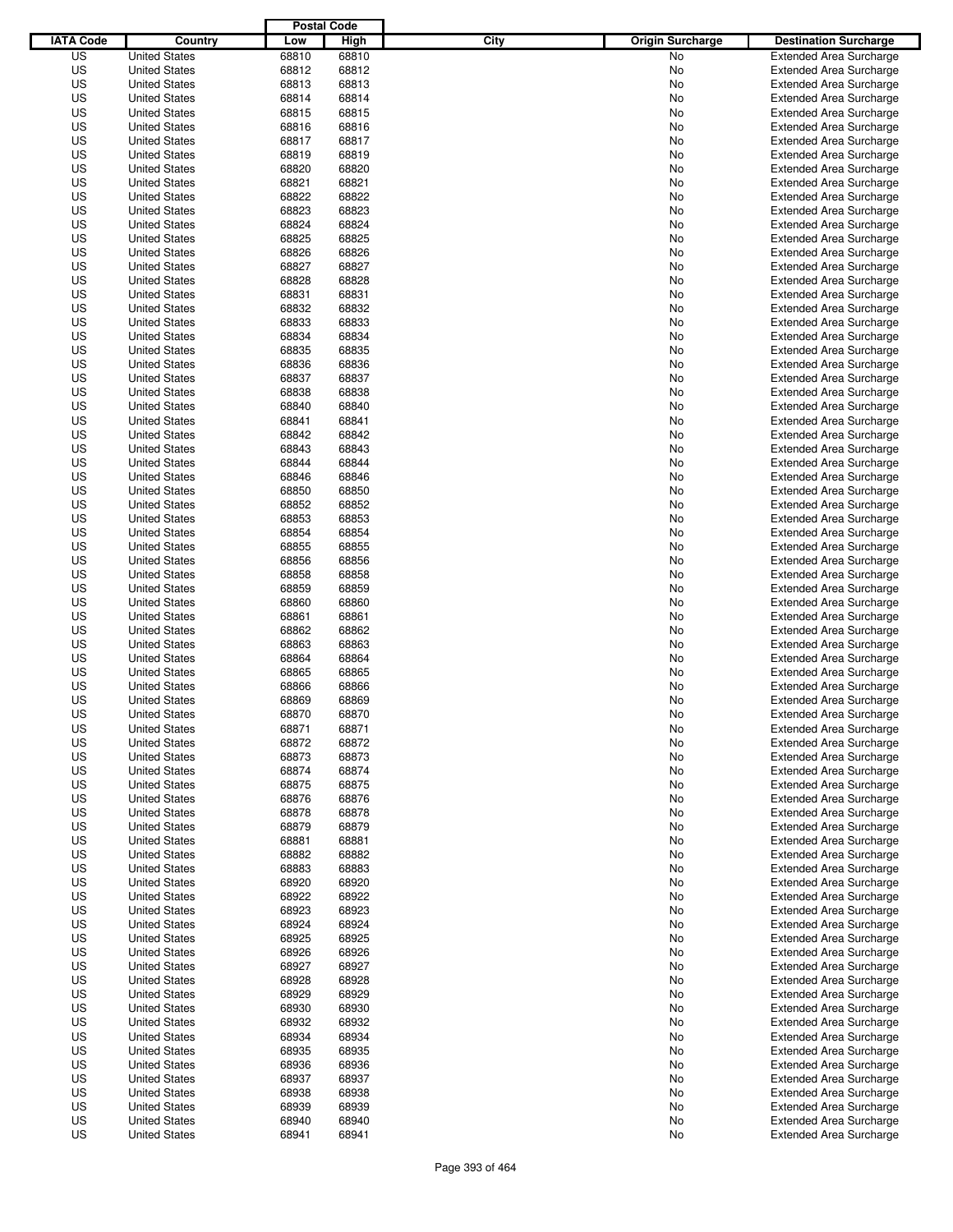|                  |                                              | <b>Postal Code</b> |       |                                 |                                |
|------------------|----------------------------------------------|--------------------|-------|---------------------------------|--------------------------------|
| <b>IATA Code</b> | Country                                      | Low                | High  | City<br><b>Origin Surcharge</b> | <b>Destination Surcharge</b>   |
| US               | <b>United States</b>                         | 68810              | 68810 | <b>No</b>                       | <b>Extended Area Surcharge</b> |
| US               | <b>United States</b>                         | 68812              | 68812 | No                              | <b>Extended Area Surcharge</b> |
| US               | <b>United States</b>                         | 68813              | 68813 | No                              | <b>Extended Area Surcharge</b> |
| US               | <b>United States</b>                         | 68814              | 68814 | No                              | <b>Extended Area Surcharge</b> |
| US               | <b>United States</b>                         | 68815              | 68815 | No                              | <b>Extended Area Surcharge</b> |
| US               | <b>United States</b>                         | 68816              | 68816 | No                              | <b>Extended Area Surcharge</b> |
| US               | <b>United States</b>                         | 68817              | 68817 | No                              | <b>Extended Area Surcharge</b> |
| US               | <b>United States</b>                         | 68819              | 68819 | No                              | <b>Extended Area Surcharge</b> |
| US               | <b>United States</b>                         | 68820              | 68820 | No                              | <b>Extended Area Surcharge</b> |
| US               | <b>United States</b>                         | 68821              | 68821 | No                              | <b>Extended Area Surcharge</b> |
| US               | <b>United States</b>                         | 68822              | 68822 | No                              | <b>Extended Area Surcharge</b> |
| US               | <b>United States</b>                         | 68823              | 68823 | No                              | <b>Extended Area Surcharge</b> |
| US               | <b>United States</b>                         | 68824              | 68824 | No                              | <b>Extended Area Surcharge</b> |
| US               | <b>United States</b>                         | 68825              | 68825 | No                              | <b>Extended Area Surcharge</b> |
| US               | <b>United States</b>                         | 68826              | 68826 | No                              | <b>Extended Area Surcharge</b> |
| US               | <b>United States</b>                         | 68827              | 68827 | No                              | <b>Extended Area Surcharge</b> |
| US               | <b>United States</b>                         | 68828              | 68828 | No                              | <b>Extended Area Surcharge</b> |
| US               | <b>United States</b>                         | 68831              | 68831 | No                              | <b>Extended Area Surcharge</b> |
| US               | <b>United States</b>                         | 68832              | 68832 | No                              | <b>Extended Area Surcharge</b> |
| US               | <b>United States</b>                         | 68833              | 68833 | No                              | <b>Extended Area Surcharge</b> |
| US               | <b>United States</b>                         | 68834              | 68834 | No                              | <b>Extended Area Surcharge</b> |
| US               | <b>United States</b>                         | 68835              | 68835 | No                              | <b>Extended Area Surcharge</b> |
| US               | <b>United States</b>                         | 68836              | 68836 | No                              | <b>Extended Area Surcharge</b> |
| US               | <b>United States</b>                         | 68837              | 68837 | No                              | <b>Extended Area Surcharge</b> |
| US               | <b>United States</b>                         | 68838              | 68838 | No                              | <b>Extended Area Surcharge</b> |
| US               | <b>United States</b>                         | 68840              | 68840 | No                              | <b>Extended Area Surcharge</b> |
| US               | <b>United States</b>                         | 68841              | 68841 | No                              | <b>Extended Area Surcharge</b> |
| US               | <b>United States</b>                         | 68842              | 68842 | No                              | <b>Extended Area Surcharge</b> |
| US               | <b>United States</b>                         | 68843              | 68843 | No                              | <b>Extended Area Surcharge</b> |
| US               | <b>United States</b>                         | 68844              | 68844 | No                              | <b>Extended Area Surcharge</b> |
| US               | <b>United States</b>                         | 68846              | 68846 | No                              | <b>Extended Area Surcharge</b> |
| US               | <b>United States</b>                         | 68850              | 68850 | No                              | <b>Extended Area Surcharge</b> |
| US               | <b>United States</b>                         | 68852              | 68852 | No                              | <b>Extended Area Surcharge</b> |
| US               | <b>United States</b>                         | 68853              | 68853 | No                              | <b>Extended Area Surcharge</b> |
| US               | <b>United States</b>                         | 68854              | 68854 | No                              | <b>Extended Area Surcharge</b> |
| US               | <b>United States</b>                         | 68855              | 68855 | No                              | <b>Extended Area Surcharge</b> |
| US               | <b>United States</b>                         | 68856              | 68856 | No                              | <b>Extended Area Surcharge</b> |
| US               | <b>United States</b>                         | 68858              | 68858 | No                              | <b>Extended Area Surcharge</b> |
| US               | <b>United States</b>                         | 68859              | 68859 | No                              | <b>Extended Area Surcharge</b> |
| US               | <b>United States</b>                         | 68860              | 68860 | No                              | <b>Extended Area Surcharge</b> |
| US               | <b>United States</b>                         | 68861              | 68861 | No                              | <b>Extended Area Surcharge</b> |
| US               | <b>United States</b>                         | 68862              | 68862 | No                              | <b>Extended Area Surcharge</b> |
| US               | <b>United States</b>                         | 68863              | 68863 | No                              | <b>Extended Area Surcharge</b> |
| US               | <b>United States</b>                         | 68864              | 68864 | No                              | <b>Extended Area Surcharge</b> |
| US               | <b>United States</b>                         | 68865              | 68865 | No                              | <b>Extended Area Surcharge</b> |
| US               | <b>United States</b>                         | 68866              | 68866 | No                              | <b>Extended Area Surcharge</b> |
| US               | <b>United States</b>                         | 68869              | 68869 | No                              | <b>Extended Area Surcharge</b> |
| US               | <b>United States</b>                         | 68870              | 68870 | No                              | <b>Extended Area Surcharge</b> |
| US               | <b>United States</b>                         | 68871              | 68871 | No                              | <b>Extended Area Surcharge</b> |
| US               | <b>United States</b>                         | 68872              | 68872 | No                              | <b>Extended Area Surcharge</b> |
| US               | <b>United States</b>                         | 68873              | 68873 | No                              | <b>Extended Area Surcharge</b> |
| US               | <b>United States</b>                         | 68874              | 68874 | No                              | <b>Extended Area Surcharge</b> |
| US               | <b>United States</b>                         | 68875              | 68875 | No                              | <b>Extended Area Surcharge</b> |
| US               | <b>United States</b>                         | 68876              | 68876 | No                              | <b>Extended Area Surcharge</b> |
| US               | <b>United States</b>                         | 68878              | 68878 | No                              | <b>Extended Area Surcharge</b> |
| US               | <b>United States</b>                         | 68879              | 68879 | No                              | <b>Extended Area Surcharge</b> |
| US               | <b>United States</b>                         | 68881              | 68881 | No                              | <b>Extended Area Surcharge</b> |
| US               | <b>United States</b>                         | 68882              | 68882 | No                              | <b>Extended Area Surcharge</b> |
| US               | <b>United States</b>                         | 68883              | 68883 | No                              | <b>Extended Area Surcharge</b> |
| US               | <b>United States</b>                         | 68920              | 68920 | No                              | <b>Extended Area Surcharge</b> |
| US               | <b>United States</b>                         | 68922              | 68922 | No                              | <b>Extended Area Surcharge</b> |
| US               | <b>United States</b>                         | 68923              | 68923 | No                              | <b>Extended Area Surcharge</b> |
| US               | <b>United States</b>                         | 68924              | 68924 | No                              | <b>Extended Area Surcharge</b> |
| US               | <b>United States</b>                         | 68925              | 68925 | No                              | <b>Extended Area Surcharge</b> |
| US               | <b>United States</b>                         | 68926              | 68926 | No                              | <b>Extended Area Surcharge</b> |
| US               | <b>United States</b>                         | 68927              | 68927 | No                              | <b>Extended Area Surcharge</b> |
| US               | <b>United States</b>                         | 68928              | 68928 | No                              | <b>Extended Area Surcharge</b> |
| US               | <b>United States</b>                         | 68929              | 68929 | No                              | <b>Extended Area Surcharge</b> |
| US               | <b>United States</b>                         | 68930              | 68930 |                                 | <b>Extended Area Surcharge</b> |
| US               | <b>United States</b>                         | 68932              | 68932 | No                              | <b>Extended Area Surcharge</b> |
| US               |                                              | 68934              | 68934 | No                              | <b>Extended Area Surcharge</b> |
| US               | <b>United States</b><br><b>United States</b> | 68935              | 68935 | No                              | <b>Extended Area Surcharge</b> |
| US               |                                              |                    | 68936 | No                              | <b>Extended Area Surcharge</b> |
| US               | <b>United States</b><br><b>United States</b> | 68936<br>68937     | 68937 | No                              | <b>Extended Area Surcharge</b> |
|                  |                                              |                    |       | No                              |                                |
| US               | <b>United States</b>                         | 68938              | 68938 | No                              | <b>Extended Area Surcharge</b> |
| US<br>US         | <b>United States</b>                         | 68939              | 68939 | No                              | <b>Extended Area Surcharge</b> |
|                  | <b>United States</b>                         | 68940              | 68940 | No                              | <b>Extended Area Surcharge</b> |
| US               | <b>United States</b>                         | 68941              | 68941 | No                              | <b>Extended Area Surcharge</b> |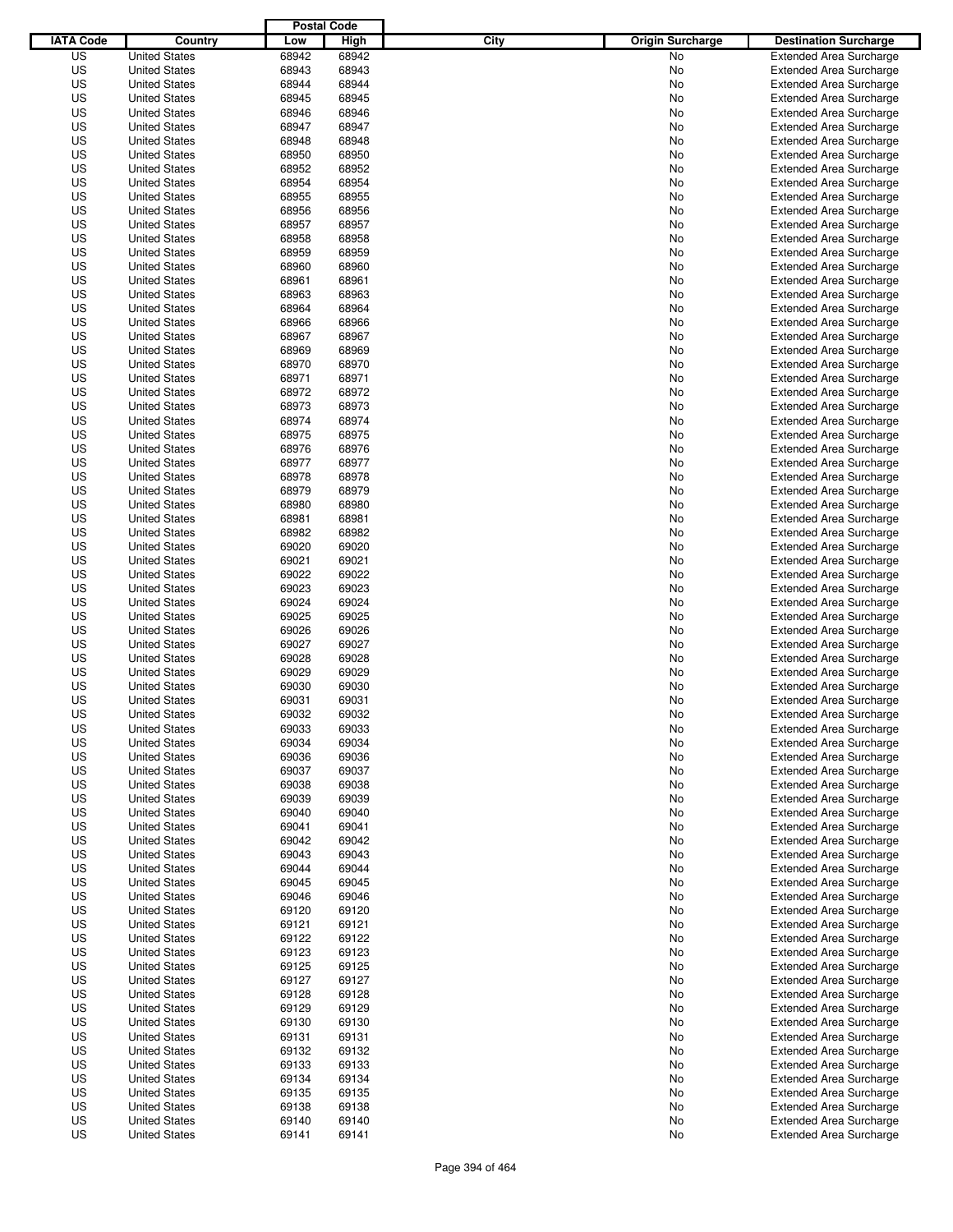|                  |                                              | <b>Postal Code</b> |                |                                 |                                                                  |
|------------------|----------------------------------------------|--------------------|----------------|---------------------------------|------------------------------------------------------------------|
| <b>IATA Code</b> | Country                                      | Low                | High           | City<br><b>Origin Surcharge</b> | <b>Destination Surcharge</b>                                     |
| US               | <b>United States</b>                         | 68942              | 68942          | <b>No</b>                       | <b>Extended Area Surcharge</b>                                   |
| US               | <b>United States</b>                         | 68943              | 68943          | No                              | <b>Extended Area Surcharge</b>                                   |
| US               | <b>United States</b>                         | 68944              | 68944          | No                              | <b>Extended Area Surcharge</b>                                   |
| US               | <b>United States</b>                         | 68945              | 68945          | No                              | <b>Extended Area Surcharge</b>                                   |
| US               | <b>United States</b>                         | 68946              | 68946          | No                              | <b>Extended Area Surcharge</b>                                   |
| US               | <b>United States</b>                         | 68947              | 68947          | No                              | <b>Extended Area Surcharge</b>                                   |
| US               | <b>United States</b>                         | 68948              | 68948          | No                              | <b>Extended Area Surcharge</b>                                   |
| US               | <b>United States</b>                         | 68950              | 68950          | No                              | <b>Extended Area Surcharge</b>                                   |
| US               | <b>United States</b>                         | 68952              | 68952          | No                              | <b>Extended Area Surcharge</b>                                   |
| US               | <b>United States</b>                         | 68954              | 68954          | No                              | <b>Extended Area Surcharge</b>                                   |
| US               | <b>United States</b>                         | 68955              | 68955          | No                              | <b>Extended Area Surcharge</b>                                   |
| US               | <b>United States</b>                         | 68956              | 68956          | No                              | <b>Extended Area Surcharge</b>                                   |
| US               | <b>United States</b>                         | 68957              | 68957          | No                              | <b>Extended Area Surcharge</b>                                   |
| US               | <b>United States</b>                         | 68958              | 68958          | No                              | <b>Extended Area Surcharge</b>                                   |
| US               | <b>United States</b>                         | 68959              | 68959          | No                              | <b>Extended Area Surcharge</b>                                   |
| US               | <b>United States</b>                         | 68960              | 68960          | No                              | <b>Extended Area Surcharge</b>                                   |
| US               | <b>United States</b>                         | 68961              | 68961          | No                              | <b>Extended Area Surcharge</b>                                   |
| US               | <b>United States</b>                         | 68963              | 68963          | No                              | <b>Extended Area Surcharge</b>                                   |
| US               | <b>United States</b>                         | 68964              | 68964          | No                              | <b>Extended Area Surcharge</b>                                   |
| US               | <b>United States</b>                         | 68966              | 68966          | No                              | <b>Extended Area Surcharge</b>                                   |
| US               | <b>United States</b>                         | 68967              | 68967          | No                              | <b>Extended Area Surcharge</b>                                   |
| US               | <b>United States</b>                         | 68969              | 68969          | No                              | <b>Extended Area Surcharge</b>                                   |
| US               | <b>United States</b>                         | 68970              | 68970          | No                              | <b>Extended Area Surcharge</b>                                   |
| US               | <b>United States</b>                         | 68971              | 68971          | No                              | <b>Extended Area Surcharge</b>                                   |
| US               | <b>United States</b>                         | 68972              | 68972          | No                              | <b>Extended Area Surcharge</b>                                   |
| US               | <b>United States</b>                         | 68973              | 68973          | No                              | <b>Extended Area Surcharge</b>                                   |
| US               | <b>United States</b>                         | 68974              | 68974          | No                              | <b>Extended Area Surcharge</b>                                   |
| US               | <b>United States</b>                         | 68975              | 68975          | No                              | <b>Extended Area Surcharge</b>                                   |
| US               | <b>United States</b>                         | 68976              | 68976          | No                              | <b>Extended Area Surcharge</b>                                   |
| US               | <b>United States</b>                         | 68977              | 68977          | No                              | <b>Extended Area Surcharge</b>                                   |
| US               | <b>United States</b>                         | 68978              | 68978          | No                              | <b>Extended Area Surcharge</b>                                   |
| US               | <b>United States</b>                         | 68979              | 68979          | No                              | <b>Extended Area Surcharge</b>                                   |
| US               | <b>United States</b>                         | 68980              | 68980          | No                              | <b>Extended Area Surcharge</b>                                   |
| US               | <b>United States</b>                         | 68981              | 68981          | No                              | <b>Extended Area Surcharge</b>                                   |
| US               | <b>United States</b>                         | 68982              | 68982          | No                              | <b>Extended Area Surcharge</b>                                   |
| US               | <b>United States</b>                         | 69020              | 69020          | No                              | <b>Extended Area Surcharge</b>                                   |
| US               | <b>United States</b>                         | 69021              | 69021          | No                              | <b>Extended Area Surcharge</b>                                   |
| US               | <b>United States</b>                         | 69022              | 69022          | No                              | <b>Extended Area Surcharge</b>                                   |
| US               | <b>United States</b>                         | 69023              | 69023          | No                              | <b>Extended Area Surcharge</b>                                   |
| US               | <b>United States</b>                         | 69024              | 69024          | No                              | <b>Extended Area Surcharge</b>                                   |
| US               | <b>United States</b>                         | 69025              | 69025          | No                              | <b>Extended Area Surcharge</b>                                   |
| US               | <b>United States</b>                         | 69026              | 69026          | No                              | <b>Extended Area Surcharge</b>                                   |
| US               | <b>United States</b>                         | 69027              | 69027          | No                              | <b>Extended Area Surcharge</b>                                   |
| US               | <b>United States</b>                         | 69028              | 69028          | No                              | <b>Extended Area Surcharge</b>                                   |
| US               | <b>United States</b>                         | 69029              | 69029          | No                              | <b>Extended Area Surcharge</b>                                   |
| US               | <b>United States</b>                         | 69030              | 69030          | No                              | <b>Extended Area Surcharge</b>                                   |
| US               | <b>United States</b>                         | 69031              | 69031          | No                              | <b>Extended Area Surcharge</b>                                   |
| US               | <b>United States</b>                         | 69032              | 69032          | No                              | <b>Extended Area Surcharge</b>                                   |
| US               | <b>United States</b>                         | 69033              | 69033          | No                              | <b>Extended Area Surcharge</b>                                   |
| US               | <b>United States</b>                         | 69034              | 69034          |                                 | <b>Extended Area Surcharge</b>                                   |
| US               | <b>United States</b>                         | 69036              | 69036          | No                              | <b>Extended Area Surcharge</b>                                   |
|                  |                                              |                    |                | No                              |                                                                  |
| US               | <b>United States</b>                         | 69037              | 69037          | No                              | <b>Extended Area Surcharge</b>                                   |
| US               | <b>United States</b>                         | 69038              | 69038          | No                              | <b>Extended Area Surcharge</b>                                   |
| US<br>US         | <b>United States</b><br><b>United States</b> | 69039<br>69040     | 69039<br>69040 | No<br>No                        | <b>Extended Area Surcharge</b><br><b>Extended Area Surcharge</b> |
|                  |                                              |                    |                |                                 |                                                                  |
| US               | <b>United States</b>                         | 69041              | 69041          | No                              | <b>Extended Area Surcharge</b>                                   |
| US               | <b>United States</b>                         | 69042              | 69042          | No                              | <b>Extended Area Surcharge</b>                                   |
| US               | <b>United States</b>                         | 69043              | 69043          | No                              | <b>Extended Area Surcharge</b>                                   |
| US               | <b>United States</b>                         | 69044              | 69044          | No                              | <b>Extended Area Surcharge</b>                                   |
| US               | <b>United States</b>                         | 69045              | 69045          | No                              | <b>Extended Area Surcharge</b>                                   |
| US               | <b>United States</b>                         | 69046              | 69046          | No                              | <b>Extended Area Surcharge</b>                                   |
| US               | <b>United States</b>                         | 69120              | 69120          | No                              | <b>Extended Area Surcharge</b>                                   |
| US               | <b>United States</b>                         | 69121              | 69121          | No                              | <b>Extended Area Surcharge</b>                                   |
| US               | <b>United States</b>                         | 69122              | 69122          | No                              | <b>Extended Area Surcharge</b>                                   |
| US               | <b>United States</b>                         | 69123              | 69123          | No                              | <b>Extended Area Surcharge</b>                                   |
| US               | <b>United States</b>                         | 69125              | 69125          | No                              | <b>Extended Area Surcharge</b>                                   |
| US               | <b>United States</b>                         | 69127              | 69127          | No                              | <b>Extended Area Surcharge</b>                                   |
| US               | <b>United States</b>                         | 69128              | 69128          | No                              | <b>Extended Area Surcharge</b>                                   |
| US               | <b>United States</b>                         | 69129              | 69129          | No                              | <b>Extended Area Surcharge</b>                                   |
| US               | <b>United States</b>                         | 69130              | 69130          | No                              | <b>Extended Area Surcharge</b>                                   |
| US               | <b>United States</b>                         | 69131              | 69131          | No                              | <b>Extended Area Surcharge</b>                                   |
| US               | <b>United States</b>                         | 69132              | 69132          | No                              | <b>Extended Area Surcharge</b>                                   |
| US               | <b>United States</b>                         | 69133              | 69133          | No                              | <b>Extended Area Surcharge</b>                                   |
| US               | <b>United States</b>                         | 69134              | 69134          | No                              | <b>Extended Area Surcharge</b>                                   |
| US               | <b>United States</b>                         | 69135              | 69135          | No                              | <b>Extended Area Surcharge</b>                                   |
| US               | <b>United States</b>                         | 69138              | 69138          | No                              | <b>Extended Area Surcharge</b>                                   |
| US               | <b>United States</b>                         | 69140              | 69140          | No                              | <b>Extended Area Surcharge</b>                                   |
| US               | <b>United States</b>                         | 69141              | 69141          | No                              | <b>Extended Area Surcharge</b>                                   |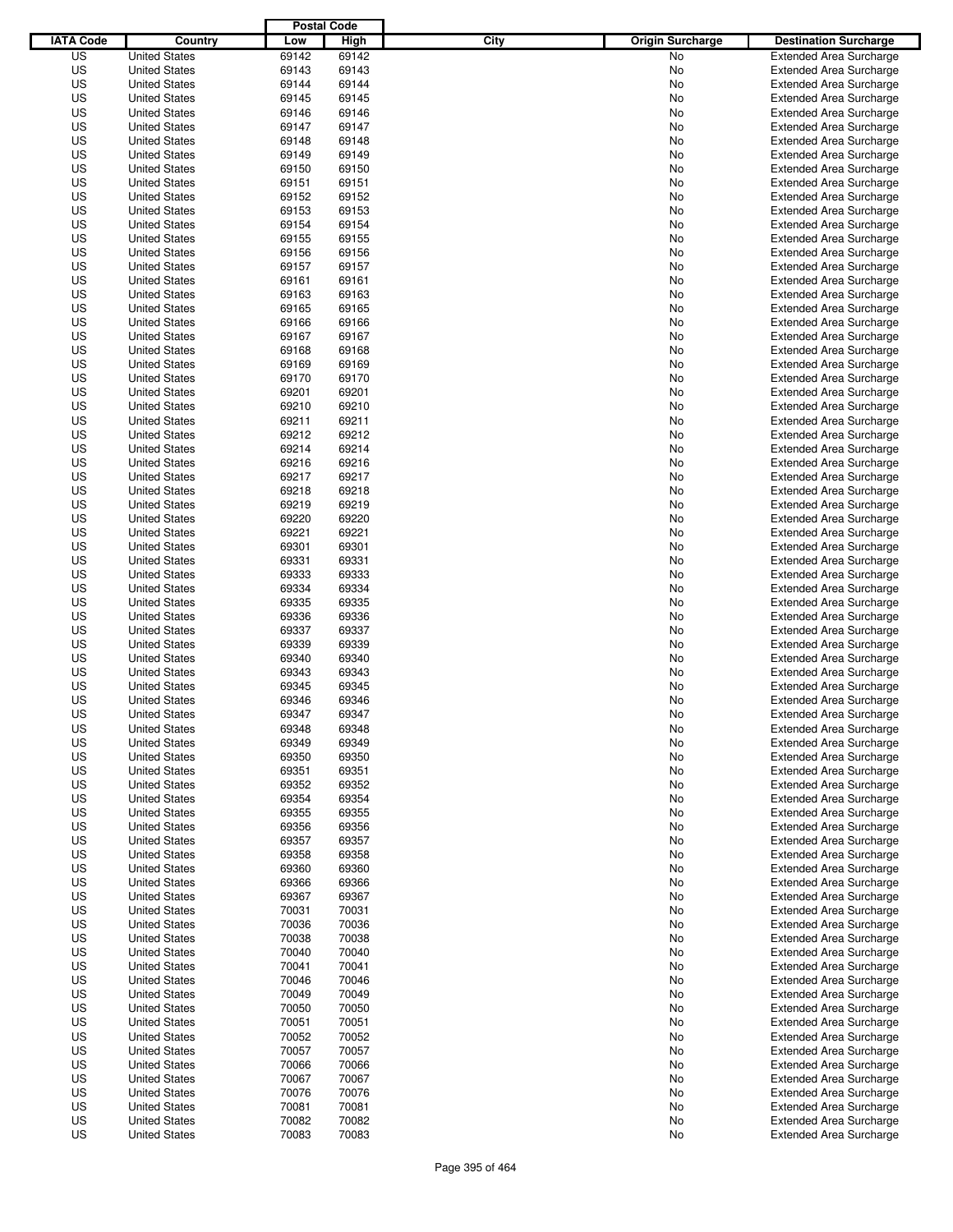|                  |                                              | <b>Postal Code</b> |                |                                 |                                                                  |
|------------------|----------------------------------------------|--------------------|----------------|---------------------------------|------------------------------------------------------------------|
| <b>IATA Code</b> | Country                                      | Low                | High           | City<br><b>Origin Surcharge</b> | <b>Destination Surcharge</b>                                     |
| US               | <b>United States</b>                         | 69142              | 69142          | <b>No</b>                       | <b>Extended Area Surcharge</b>                                   |
| US               | <b>United States</b>                         | 69143              | 69143          | No                              | <b>Extended Area Surcharge</b>                                   |
| US               | <b>United States</b>                         | 69144              | 69144          | No                              | <b>Extended Area Surcharge</b>                                   |
| US               | <b>United States</b>                         | 69145              | 69145          | No                              | <b>Extended Area Surcharge</b>                                   |
| US               | <b>United States</b>                         | 69146              | 69146          | No                              | <b>Extended Area Surcharge</b>                                   |
| US               | <b>United States</b>                         | 69147              | 69147          | No                              | <b>Extended Area Surcharge</b>                                   |
| US               | <b>United States</b>                         | 69148              | 69148          | No                              | <b>Extended Area Surcharge</b>                                   |
| US               | <b>United States</b>                         | 69149              | 69149          | No                              | <b>Extended Area Surcharge</b>                                   |
| US               | <b>United States</b>                         | 69150              | 69150          | No                              | <b>Extended Area Surcharge</b>                                   |
| US               | <b>United States</b>                         | 69151              | 69151          | No                              | <b>Extended Area Surcharge</b>                                   |
| US               | <b>United States</b>                         | 69152              | 69152          | No                              | <b>Extended Area Surcharge</b>                                   |
| US               | <b>United States</b>                         | 69153              | 69153          | No                              | <b>Extended Area Surcharge</b>                                   |
| US               | <b>United States</b>                         | 69154              | 69154          | No                              | <b>Extended Area Surcharge</b>                                   |
| US               | <b>United States</b>                         | 69155              | 69155          | No                              | <b>Extended Area Surcharge</b>                                   |
| US               | <b>United States</b>                         | 69156              | 69156          | No                              | <b>Extended Area Surcharge</b>                                   |
| US               | <b>United States</b>                         | 69157              | 69157          | No                              | <b>Extended Area Surcharge</b>                                   |
| US               | <b>United States</b>                         | 69161              | 69161          | No                              | <b>Extended Area Surcharge</b>                                   |
| US               | <b>United States</b>                         | 69163              | 69163          | No                              | <b>Extended Area Surcharge</b>                                   |
| US               | <b>United States</b>                         | 69165              | 69165          | No                              | <b>Extended Area Surcharge</b>                                   |
| US               | <b>United States</b>                         | 69166              | 69166          | No                              | <b>Extended Area Surcharge</b>                                   |
| US               | <b>United States</b>                         | 69167              | 69167          | No                              | <b>Extended Area Surcharge</b>                                   |
| US               | <b>United States</b>                         | 69168              | 69168          | No                              | <b>Extended Area Surcharge</b>                                   |
| US               | <b>United States</b>                         | 69169              | 69169          | No                              | <b>Extended Area Surcharge</b>                                   |
| US               | <b>United States</b>                         | 69170              | 69170          | No                              | <b>Extended Area Surcharge</b>                                   |
| US               | <b>United States</b>                         | 69201              | 69201          | No                              | <b>Extended Area Surcharge</b>                                   |
| US               | <b>United States</b><br><b>United States</b> | 69210              | 69210          | No                              | <b>Extended Area Surcharge</b>                                   |
| US               |                                              | 69211              | 69211<br>69212 | No                              | <b>Extended Area Surcharge</b>                                   |
| US<br>US         | <b>United States</b><br><b>United States</b> | 69212<br>69214     | 69214          | No<br>No                        | <b>Extended Area Surcharge</b><br><b>Extended Area Surcharge</b> |
| US               | <b>United States</b>                         | 69216              | 69216          | No                              | <b>Extended Area Surcharge</b>                                   |
| US               | <b>United States</b>                         | 69217              | 69217          | No                              | <b>Extended Area Surcharge</b>                                   |
| US               | <b>United States</b>                         | 69218              | 69218          | No                              | <b>Extended Area Surcharge</b>                                   |
| US               | <b>United States</b>                         | 69219              | 69219          | No                              | <b>Extended Area Surcharge</b>                                   |
| US               | <b>United States</b>                         | 69220              | 69220          | No                              | <b>Extended Area Surcharge</b>                                   |
| US               | <b>United States</b>                         | 69221              | 69221          | No                              | <b>Extended Area Surcharge</b>                                   |
| US               | <b>United States</b>                         | 69301              | 69301          | No                              | <b>Extended Area Surcharge</b>                                   |
| US               | <b>United States</b>                         | 69331              | 69331          | No                              | <b>Extended Area Surcharge</b>                                   |
| US               | <b>United States</b>                         | 69333              | 69333          | No                              | <b>Extended Area Surcharge</b>                                   |
| US               | <b>United States</b>                         | 69334              | 69334          | No                              | <b>Extended Area Surcharge</b>                                   |
| US               | <b>United States</b>                         | 69335              | 69335          | No                              | <b>Extended Area Surcharge</b>                                   |
| US               | <b>United States</b>                         | 69336              | 69336          | No                              | <b>Extended Area Surcharge</b>                                   |
| US               | <b>United States</b>                         | 69337              | 69337          | No                              | <b>Extended Area Surcharge</b>                                   |
| US               | <b>United States</b>                         | 69339              | 69339          | No                              | <b>Extended Area Surcharge</b>                                   |
| US               | <b>United States</b>                         | 69340              | 69340          | No                              | <b>Extended Area Surcharge</b>                                   |
| US               | <b>United States</b>                         | 69343              | 69343          | No                              | Extended Area Surcharge                                          |
| US               | <b>United States</b>                         | 69345              | 69345          | No                              | <b>Extended Area Surcharge</b>                                   |
| US               | <b>United States</b>                         | 69346              | 69346          | No                              | <b>Extended Area Surcharge</b>                                   |
| US               | <b>United States</b>                         | 69347              | 69347          | No                              | <b>Extended Area Surcharge</b>                                   |
| US               | <b>United States</b>                         | 69348              | 69348          | No                              | <b>Extended Area Surcharge</b>                                   |
| US               | <b>United States</b>                         | 69349              | 69349          | No                              | <b>Extended Area Surcharge</b>                                   |
| US               | <b>United States</b>                         | 69350              | 69350          | No                              | <b>Extended Area Surcharge</b>                                   |
| US               | <b>United States</b>                         | 69351              | 69351          | No                              | <b>Extended Area Surcharge</b>                                   |
| US               | <b>United States</b>                         | 69352              | 69352          | No                              | <b>Extended Area Surcharge</b>                                   |
| US               | <b>United States</b>                         | 69354              | 69354          | No                              | <b>Extended Area Surcharge</b>                                   |
| US               | <b>United States</b>                         | 69355              | 69355          | No                              | <b>Extended Area Surcharge</b>                                   |
| US               | <b>United States</b>                         | 69356              | 69356          | No                              | <b>Extended Area Surcharge</b>                                   |
| US               | <b>United States</b>                         | 69357              | 69357          | No                              | <b>Extended Area Surcharge</b>                                   |
| US               | <b>United States</b>                         | 69358              | 69358          | No                              | <b>Extended Area Surcharge</b>                                   |
| US               | <b>United States</b>                         | 69360              | 69360          | No                              | <b>Extended Area Surcharge</b>                                   |
| US               | <b>United States</b>                         | 69366              | 69366          | No                              | <b>Extended Area Surcharge</b>                                   |
| US               | <b>United States</b>                         | 69367              | 69367          | No                              | <b>Extended Area Surcharge</b>                                   |
| US               | <b>United States</b>                         | 70031              | 70031          | No                              | <b>Extended Area Surcharge</b>                                   |
| US               | <b>United States</b>                         | 70036              | 70036          | No                              | <b>Extended Area Surcharge</b>                                   |
| US               | <b>United States</b>                         | 70038              | 70038          | No                              | <b>Extended Area Surcharge</b>                                   |
| US               | <b>United States</b>                         | 70040              | 70040          | No                              | <b>Extended Area Surcharge</b>                                   |
| US               | <b>United States</b>                         | 70041              | 70041          | No                              | <b>Extended Area Surcharge</b>                                   |
| US               | <b>United States</b>                         | 70046              | 70046          | No                              | <b>Extended Area Surcharge</b>                                   |
| US               | <b>United States</b>                         | 70049              | 70049          | No                              | <b>Extended Area Surcharge</b>                                   |
| US               | <b>United States</b>                         | 70050              | 70050          | No                              | <b>Extended Area Surcharge</b>                                   |
| US               | <b>United States</b>                         | 70051              | 70051          | No                              | Extended Area Surcharge                                          |
| US               | <b>United States</b>                         | 70052              | 70052          | No                              | <b>Extended Area Surcharge</b>                                   |
| US               | <b>United States</b>                         | 70057              | 70057          | No                              | <b>Extended Area Surcharge</b>                                   |
| US<br>US         | <b>United States</b><br><b>United States</b> | 70066<br>70067     | 70066<br>70067 | No                              | <b>Extended Area Surcharge</b><br><b>Extended Area Surcharge</b> |
| US               | <b>United States</b>                         | 70076              | 70076          | No<br>No                        | <b>Extended Area Surcharge</b>                                   |
| US               | <b>United States</b>                         | 70081              | 70081          | No                              | <b>Extended Area Surcharge</b>                                   |
| US               | <b>United States</b>                         | 70082              | 70082          | No                              | <b>Extended Area Surcharge</b>                                   |
| US               | <b>United States</b>                         | 70083              | 70083          | No                              | <b>Extended Area Surcharge</b>                                   |
|                  |                                              |                    |                |                                 |                                                                  |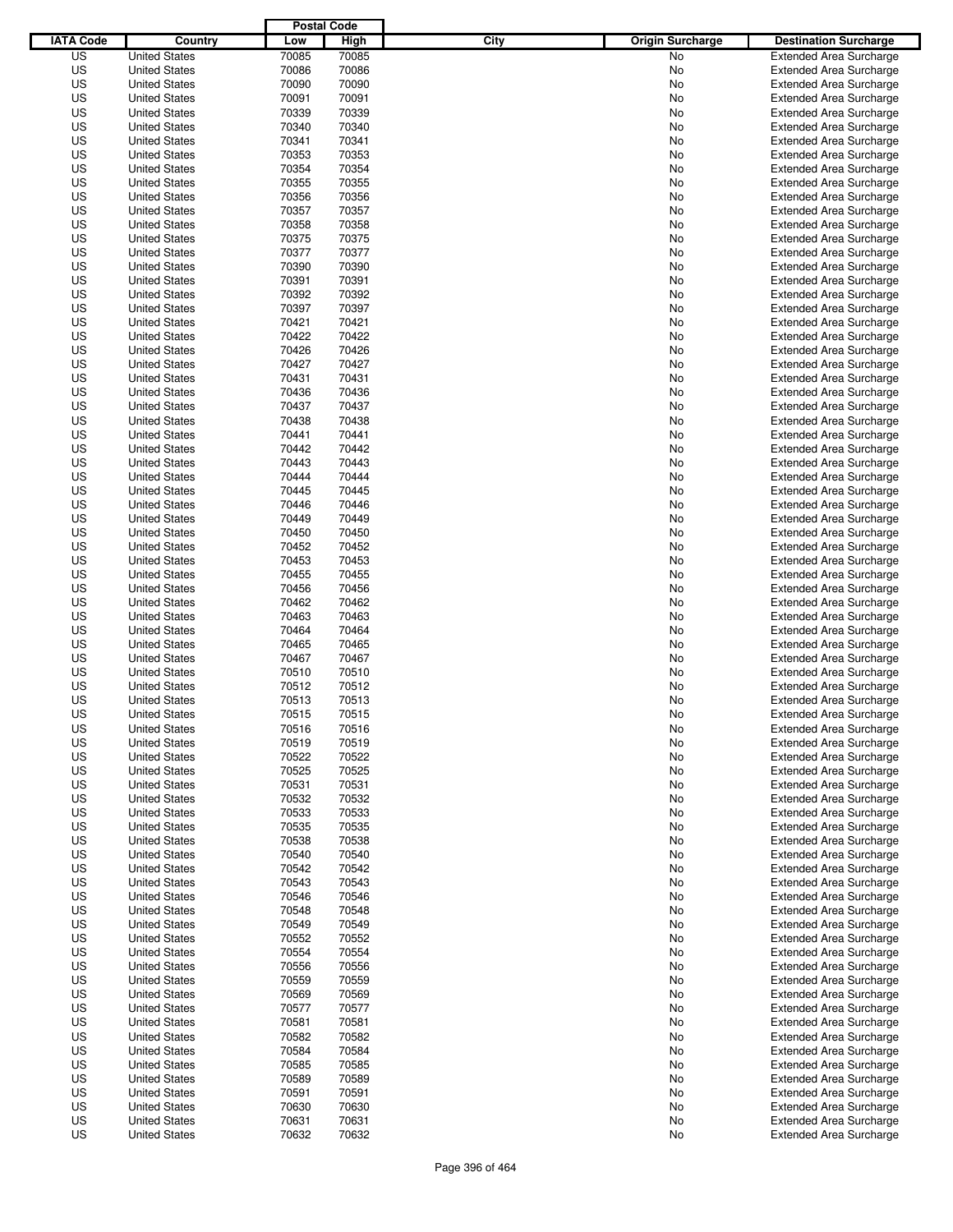|                  |                      | <b>Postal Code</b> |       |                                 |                                |
|------------------|----------------------|--------------------|-------|---------------------------------|--------------------------------|
| <b>IATA Code</b> | Country              | Low                | High  | City<br><b>Origin Surcharge</b> | <b>Destination Surcharge</b>   |
| US               | <b>United States</b> | 70085              | 70085 | <b>No</b>                       | <b>Extended Area Surcharge</b> |
| US               | <b>United States</b> | 70086              | 70086 | No                              | <b>Extended Area Surcharge</b> |
| US               | <b>United States</b> | 70090              | 70090 | No                              | <b>Extended Area Surcharge</b> |
| US               | <b>United States</b> | 70091              | 70091 | No                              | <b>Extended Area Surcharge</b> |
| US               | <b>United States</b> | 70339              | 70339 | No                              | <b>Extended Area Surcharge</b> |
| US               | <b>United States</b> | 70340              | 70340 | No                              | <b>Extended Area Surcharge</b> |
| US               | <b>United States</b> | 70341              | 70341 | No                              | <b>Extended Area Surcharge</b> |
| US               | <b>United States</b> | 70353              | 70353 | No                              | <b>Extended Area Surcharge</b> |
| US               | <b>United States</b> | 70354              | 70354 | No                              | <b>Extended Area Surcharge</b> |
| US               | <b>United States</b> | 70355              | 70355 | No                              | <b>Extended Area Surcharge</b> |
| US               | <b>United States</b> | 70356              | 70356 | No                              | <b>Extended Area Surcharge</b> |
| US               | <b>United States</b> | 70357              | 70357 | No                              | <b>Extended Area Surcharge</b> |
| US               | <b>United States</b> | 70358              | 70358 | No                              | <b>Extended Area Surcharge</b> |
| US               | <b>United States</b> | 70375              | 70375 | No                              | <b>Extended Area Surcharge</b> |
| US               | <b>United States</b> | 70377              | 70377 | No                              | <b>Extended Area Surcharge</b> |
| US               | <b>United States</b> | 70390              | 70390 | No                              | <b>Extended Area Surcharge</b> |
| US               | <b>United States</b> | 70391              | 70391 | No                              | <b>Extended Area Surcharge</b> |
| US               | <b>United States</b> | 70392              | 70392 | No                              | <b>Extended Area Surcharge</b> |
| US               | <b>United States</b> | 70397              | 70397 | No                              | <b>Extended Area Surcharge</b> |
| US               | <b>United States</b> | 70421              | 70421 | No                              | <b>Extended Area Surcharge</b> |
| US               | <b>United States</b> | 70422              | 70422 | No                              | <b>Extended Area Surcharge</b> |
| US               | <b>United States</b> | 70426              | 70426 | No                              | <b>Extended Area Surcharge</b> |
| US               | <b>United States</b> | 70427              | 70427 | No                              | <b>Extended Area Surcharge</b> |
| US               | <b>United States</b> | 70431              | 70431 | No                              | <b>Extended Area Surcharge</b> |
| US               | <b>United States</b> | 70436              | 70436 | No                              | <b>Extended Area Surcharge</b> |
| US               | <b>United States</b> | 70437              | 70437 | No                              | <b>Extended Area Surcharge</b> |
| US               | <b>United States</b> | 70438              | 70438 | No                              | <b>Extended Area Surcharge</b> |
| US               | <b>United States</b> | 70441              | 70441 | No                              | <b>Extended Area Surcharge</b> |
| US               | <b>United States</b> | 70442              | 70442 | No                              | <b>Extended Area Surcharge</b> |
| US               | <b>United States</b> | 70443              | 70443 | No                              | <b>Extended Area Surcharge</b> |
| US               | <b>United States</b> | 70444              | 70444 | No                              | <b>Extended Area Surcharge</b> |
| US               | <b>United States</b> | 70445              | 70445 | No                              | <b>Extended Area Surcharge</b> |
| US               | <b>United States</b> | 70446              | 70446 | No                              | <b>Extended Area Surcharge</b> |
| US               | <b>United States</b> | 70449              | 70449 | No                              | <b>Extended Area Surcharge</b> |
| US               | <b>United States</b> | 70450              | 70450 | No                              | <b>Extended Area Surcharge</b> |
| US               | <b>United States</b> | 70452              | 70452 | No                              | <b>Extended Area Surcharge</b> |
| US               | <b>United States</b> | 70453              | 70453 | No                              | <b>Extended Area Surcharge</b> |
| US               | <b>United States</b> | 70455              | 70455 | No                              | <b>Extended Area Surcharge</b> |
| US               | <b>United States</b> | 70456              | 70456 | No                              | <b>Extended Area Surcharge</b> |
| US               | <b>United States</b> | 70462              | 70462 | No                              | <b>Extended Area Surcharge</b> |
| US               | <b>United States</b> | 70463              | 70463 | No                              | <b>Extended Area Surcharge</b> |
| US               | <b>United States</b> | 70464              | 70464 | No                              | <b>Extended Area Surcharge</b> |
| US               | <b>United States</b> | 70465              | 70465 | No                              | <b>Extended Area Surcharge</b> |
| US               | <b>United States</b> | 70467              | 70467 | No                              | <b>Extended Area Surcharge</b> |
| US               | <b>United States</b> | 70510              | 70510 | No                              | Extended Area Surcharge        |
| US               | <b>United States</b> | 70512              | 70512 | No                              | <b>Extended Area Surcharge</b> |
| US               | <b>United States</b> | 70513              | 70513 | No                              | <b>Extended Area Surcharge</b> |
| US               | <b>United States</b> | 70515              | 70515 | No                              | <b>Extended Area Surcharge</b> |
| US               | <b>United States</b> | 70516              | 70516 | No                              | <b>Extended Area Surcharge</b> |
| US               | <b>United States</b> | 70519              | 70519 | No                              | <b>Extended Area Surcharge</b> |
| US               | <b>United States</b> | 70522              | 70522 | No                              | <b>Extended Area Surcharge</b> |
| US               | <b>United States</b> | 70525              | 70525 | No                              | <b>Extended Area Surcharge</b> |
| US               | <b>United States</b> | 70531              | 70531 | No                              | <b>Extended Area Surcharge</b> |
| US               | <b>United States</b> | 70532              | 70532 | No                              | <b>Extended Area Surcharge</b> |
| US               | <b>United States</b> | 70533              | 70533 | No                              | <b>Extended Area Surcharge</b> |
| US               | <b>United States</b> | 70535              | 70535 | No                              | <b>Extended Area Surcharge</b> |
| US               | <b>United States</b> | 70538              | 70538 | No                              | <b>Extended Area Surcharge</b> |
| US               | <b>United States</b> | 70540              | 70540 | No                              | <b>Extended Area Surcharge</b> |
| US               | <b>United States</b> | 70542              | 70542 | No                              | <b>Extended Area Surcharge</b> |
| US               | <b>United States</b> | 70543              | 70543 | No                              | <b>Extended Area Surcharge</b> |
| US               | <b>United States</b> | 70546              | 70546 | No                              | <b>Extended Area Surcharge</b> |
| US               | <b>United States</b> | 70548              | 70548 | No                              | <b>Extended Area Surcharge</b> |
| US               | <b>United States</b> | 70549              | 70549 | No                              | <b>Extended Area Surcharge</b> |
| US               | <b>United States</b> | 70552              | 70552 | No                              | <b>Extended Area Surcharge</b> |
| US               | <b>United States</b> | 70554              | 70554 | No                              | <b>Extended Area Surcharge</b> |
| US               | <b>United States</b> | 70556              | 70556 | No                              | <b>Extended Area Surcharge</b> |
| US               | <b>United States</b> | 70559              | 70559 | No                              | <b>Extended Area Surcharge</b> |
| US               | <b>United States</b> | 70569              | 70569 | No                              | <b>Extended Area Surcharge</b> |
| US               | <b>United States</b> | 70577              | 70577 | No                              | <b>Extended Area Surcharge</b> |
| US               | <b>United States</b> | 70581              | 70581 | No                              | <b>Extended Area Surcharge</b> |
| US               | <b>United States</b> | 70582              | 70582 | No                              | <b>Extended Area Surcharge</b> |
| US               | <b>United States</b> | 70584              | 70584 | No                              | <b>Extended Area Surcharge</b> |
| US               | <b>United States</b> | 70585              | 70585 | No                              | <b>Extended Area Surcharge</b> |
| US               | <b>United States</b> | 70589              | 70589 | No                              | <b>Extended Area Surcharge</b> |
| US               | <b>United States</b> | 70591              | 70591 | No                              | <b>Extended Area Surcharge</b> |
| US               | <b>United States</b> | 70630              | 70630 | No                              | <b>Extended Area Surcharge</b> |
| US               | <b>United States</b> | 70631              | 70631 | No                              | <b>Extended Area Surcharge</b> |
| US               | <b>United States</b> | 70632              | 70632 | No                              | <b>Extended Area Surcharge</b> |
|                  |                      |                    |       |                                 |                                |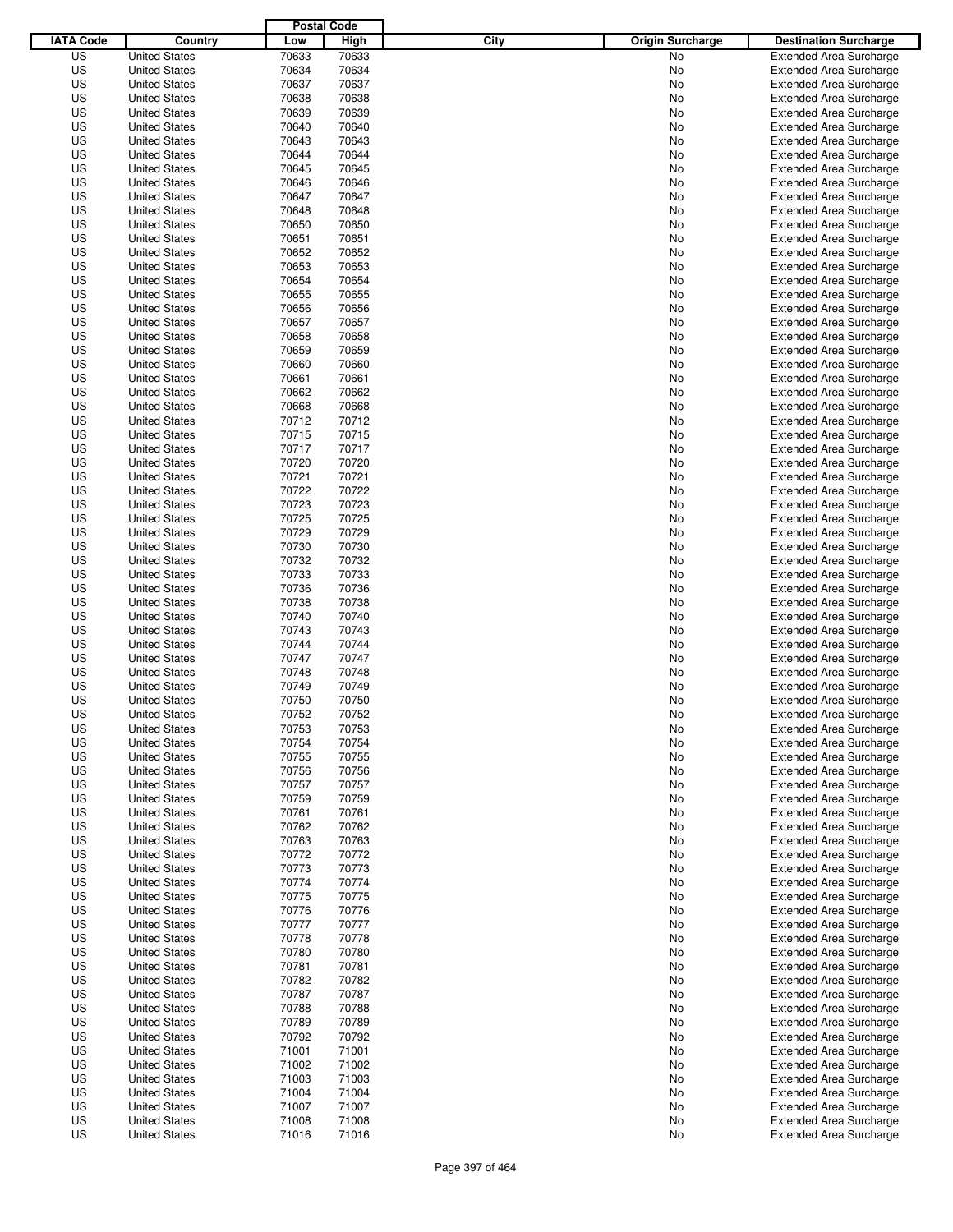|                  |                      | <b>Postal Code</b> |             |                                 |                                |
|------------------|----------------------|--------------------|-------------|---------------------------------|--------------------------------|
| <b>IATA Code</b> | Country              | Low                | <b>High</b> | City<br><b>Origin Surcharge</b> | <b>Destination Surcharge</b>   |
| US               | <b>United States</b> | 70633              | 70633       | No                              | <b>Extended Area Surcharge</b> |
| US               | <b>United States</b> | 70634              | 70634       | No                              | <b>Extended Area Surcharge</b> |
| US               | <b>United States</b> | 70637              | 70637       | No                              | <b>Extended Area Surcharge</b> |
| US               | <b>United States</b> | 70638              | 70638       | No                              | <b>Extended Area Surcharge</b> |
| US               | <b>United States</b> | 70639              | 70639       | No                              | <b>Extended Area Surcharge</b> |
| US               | <b>United States</b> | 70640              | 70640       | No                              | <b>Extended Area Surcharge</b> |
| US               | <b>United States</b> | 70643              | 70643       | No                              | <b>Extended Area Surcharge</b> |
| US               | <b>United States</b> | 70644              | 70644       | No                              | <b>Extended Area Surcharge</b> |
| US               | <b>United States</b> | 70645              | 70645       | No                              | <b>Extended Area Surcharge</b> |
| US               | <b>United States</b> | 70646              | 70646       | No                              | <b>Extended Area Surcharge</b> |
| US               | <b>United States</b> | 70647              | 70647       | No                              | <b>Extended Area Surcharge</b> |
| US               | <b>United States</b> | 70648              | 70648       | No                              | <b>Extended Area Surcharge</b> |
| US               | <b>United States</b> | 70650              | 70650       | No                              | <b>Extended Area Surcharge</b> |
| US               | <b>United States</b> | 70651              | 70651       | No                              | <b>Extended Area Surcharge</b> |
| US               | <b>United States</b> | 70652              | 70652       | No                              | <b>Extended Area Surcharge</b> |
| US               | <b>United States</b> | 70653              | 70653       | No                              | <b>Extended Area Surcharge</b> |
| US               | <b>United States</b> | 70654              | 70654       | No                              | <b>Extended Area Surcharge</b> |
| US               | <b>United States</b> | 70655              | 70655       | No                              | <b>Extended Area Surcharge</b> |
| US               | <b>United States</b> | 70656              | 70656       | No                              | <b>Extended Area Surcharge</b> |
| US               | <b>United States</b> | 70657              | 70657       | No                              | <b>Extended Area Surcharge</b> |
| US               | <b>United States</b> | 70658              | 70658       | No                              | <b>Extended Area Surcharge</b> |
| US               | <b>United States</b> | 70659              | 70659       | No                              | <b>Extended Area Surcharge</b> |
| US               | <b>United States</b> | 70660              | 70660       | No                              | <b>Extended Area Surcharge</b> |
| US               | <b>United States</b> | 70661              | 70661       | No                              | <b>Extended Area Surcharge</b> |
| US               | <b>United States</b> | 70662              | 70662       | No                              | <b>Extended Area Surcharge</b> |
| US               | <b>United States</b> | 70668              | 70668       | No                              | <b>Extended Area Surcharge</b> |
| US               | <b>United States</b> | 70712              | 70712       | No                              | <b>Extended Area Surcharge</b> |
| US               | <b>United States</b> | 70715              | 70715       | No                              | <b>Extended Area Surcharge</b> |
| US               | <b>United States</b> | 70717              | 70717       | No                              | <b>Extended Area Surcharge</b> |
| US               | <b>United States</b> | 70720              | 70720       | No                              | <b>Extended Area Surcharge</b> |
| US               | <b>United States</b> | 70721              | 70721       | No                              | <b>Extended Area Surcharge</b> |
| US               | <b>United States</b> | 70722              | 70722       | No                              | <b>Extended Area Surcharge</b> |
| US               | <b>United States</b> | 70723              | 70723       | No                              | <b>Extended Area Surcharge</b> |
| US               | <b>United States</b> | 70725              | 70725       | No                              | <b>Extended Area Surcharge</b> |
| US               | <b>United States</b> | 70729              | 70729       | No                              | <b>Extended Area Surcharge</b> |
| US               | <b>United States</b> | 70730              | 70730       | No                              | <b>Extended Area Surcharge</b> |
| US               | <b>United States</b> | 70732              | 70732       | No                              | <b>Extended Area Surcharge</b> |
| US               | <b>United States</b> | 70733              | 70733       | No                              | <b>Extended Area Surcharge</b> |
| US               | <b>United States</b> | 70736              | 70736       | No                              | <b>Extended Area Surcharge</b> |
| US               | <b>United States</b> | 70738              | 70738       | No                              | <b>Extended Area Surcharge</b> |
| US               | <b>United States</b> | 70740              | 70740       | No                              | <b>Extended Area Surcharge</b> |
| US               | <b>United States</b> | 70743              | 70743       | No                              | <b>Extended Area Surcharge</b> |
| US               | <b>United States</b> | 70744              | 70744       | No                              | <b>Extended Area Surcharge</b> |
| US               | <b>United States</b> | 70747              | 70747       | No                              | <b>Extended Area Surcharge</b> |
| US               | <b>United States</b> | 70748              | 70748       | No                              | Extended Area Surcharge        |
| US               | <b>United States</b> | 70749              | 70749       | No                              | <b>Extended Area Surcharge</b> |
| US               | <b>United States</b> | 70750              | 70750       | No                              | <b>Extended Area Surcharge</b> |
| US               | <b>United States</b> | 70752              | 70752       | No                              | <b>Extended Area Surcharge</b> |
| US               | <b>United States</b> | 70753              | 70753       | No                              | <b>Extended Area Surcharge</b> |
| US               | <b>United States</b> | 70754              | 70754       | No                              | Extended Area Surcharge        |
| US               | <b>United States</b> | 70755              | 70755       | No                              | <b>Extended Area Surcharge</b> |
| US               | <b>United States</b> | 70756              | 70756       | No                              | <b>Extended Area Surcharge</b> |
| US               | <b>United States</b> | 70757              | 70757       | No                              | <b>Extended Area Surcharge</b> |
| US               | <b>United States</b> | 70759              | 70759       | No                              | <b>Extended Area Surcharge</b> |
| US               | <b>United States</b> | 70761              | 70761       | No                              | <b>Extended Area Surcharge</b> |
| US               | <b>United States</b> | 70762              | 70762       | No                              | <b>Extended Area Surcharge</b> |
| US               | <b>United States</b> | 70763              | 70763       | No                              | <b>Extended Area Surcharge</b> |
| US               | <b>United States</b> | 70772              | 70772       | No                              | <b>Extended Area Surcharge</b> |
| US               | <b>United States</b> | 70773              | 70773       | No                              | <b>Extended Area Surcharge</b> |
| US               | <b>United States</b> | 70774              | 70774       | No                              | <b>Extended Area Surcharge</b> |
| US               | <b>United States</b> | 70775              | 70775       | No                              | <b>Extended Area Surcharge</b> |
| US               | <b>United States</b> | 70776              | 70776       | No                              | Extended Area Surcharge        |
| US               | <b>United States</b> | 70777              | 70777       | No                              | <b>Extended Area Surcharge</b> |
| US               | <b>United States</b> | 70778              | 70778       | No                              | <b>Extended Area Surcharge</b> |
| US               | <b>United States</b> | 70780              | 70780       | No                              | <b>Extended Area Surcharge</b> |
| US               | <b>United States</b> | 70781              | 70781       | No                              | <b>Extended Area Surcharge</b> |
| US               | <b>United States</b> | 70782              | 70782       | No                              | <b>Extended Area Surcharge</b> |
| US               | <b>United States</b> | 70787              | 70787       | No                              | <b>Extended Area Surcharge</b> |
| US               | <b>United States</b> | 70788              | 70788       | No                              | <b>Extended Area Surcharge</b> |
| US               | <b>United States</b> | 70789              | 70789       | No                              | <b>Extended Area Surcharge</b> |
| US               | <b>United States</b> | 70792              | 70792       | No                              | <b>Extended Area Surcharge</b> |
| US               | <b>United States</b> | 71001              | 71001       | No                              | <b>Extended Area Surcharge</b> |
| US               | <b>United States</b> | 71002              | 71002       | No                              | <b>Extended Area Surcharge</b> |
| US               | <b>United States</b> | 71003              | 71003       | No                              | <b>Extended Area Surcharge</b> |
| US               | <b>United States</b> | 71004              | 71004       | No                              | <b>Extended Area Surcharge</b> |
| US               | <b>United States</b> | 71007              | 71007       | No                              | Extended Area Surcharge        |
| US               | <b>United States</b> | 71008              | 71008       | No                              | <b>Extended Area Surcharge</b> |
| US               | <b>United States</b> | 71016              | 71016       | No                              | <b>Extended Area Surcharge</b> |
|                  |                      |                    |             |                                 |                                |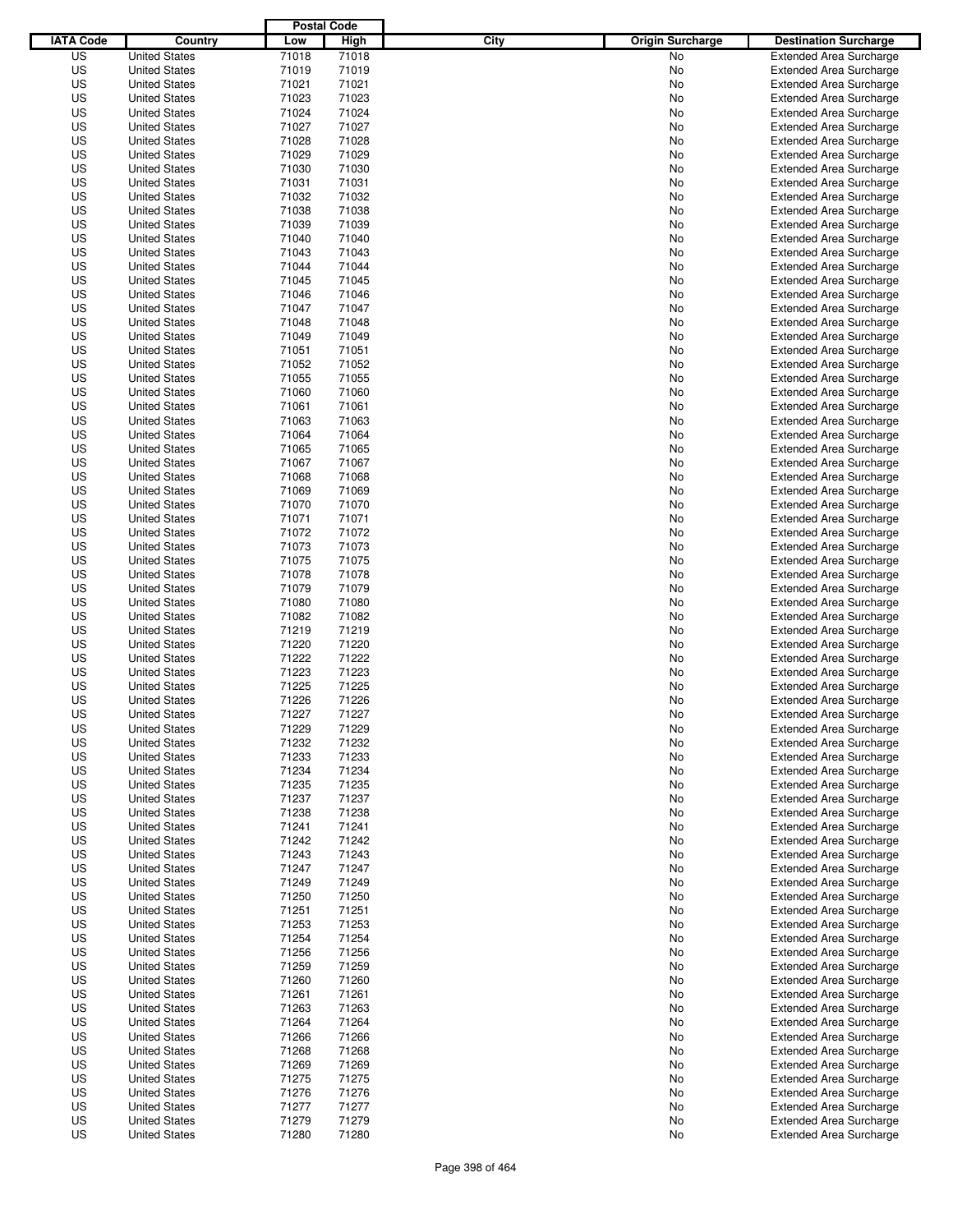|                  |                      | <b>Postal Code</b> |             |                                 |                                                                  |
|------------------|----------------------|--------------------|-------------|---------------------------------|------------------------------------------------------------------|
| <b>IATA Code</b> | Country              | Low                | <b>High</b> | City<br><b>Origin Surcharge</b> | <b>Destination Surcharge</b>                                     |
| US               | <b>United States</b> | 71018              | 71018       | <b>No</b>                       | <b>Extended Area Surcharge</b>                                   |
| US               | <b>United States</b> | 71019              | 71019       | No                              | <b>Extended Area Surcharge</b>                                   |
| US               | <b>United States</b> | 71021              | 71021       | No                              | <b>Extended Area Surcharge</b>                                   |
| US               | <b>United States</b> | 71023              | 71023       | No                              | <b>Extended Area Surcharge</b>                                   |
| US               | <b>United States</b> | 71024              | 71024       | No                              | <b>Extended Area Surcharge</b>                                   |
| US               | <b>United States</b> | 71027              | 71027       | No                              | <b>Extended Area Surcharge</b>                                   |
| US               | <b>United States</b> | 71028              | 71028       | No                              | <b>Extended Area Surcharge</b>                                   |
| US               | <b>United States</b> | 71029              | 71029       | No                              | <b>Extended Area Surcharge</b>                                   |
| US               | <b>United States</b> | 71030              | 71030       | No                              | <b>Extended Area Surcharge</b>                                   |
| US               | <b>United States</b> | 71031              | 71031       | No                              | <b>Extended Area Surcharge</b>                                   |
| US               | <b>United States</b> | 71032              | 71032       | No                              | <b>Extended Area Surcharge</b>                                   |
| US               | <b>United States</b> | 71038              | 71038       | No                              | <b>Extended Area Surcharge</b>                                   |
| US               | <b>United States</b> | 71039              | 71039       | No                              | <b>Extended Area Surcharge</b>                                   |
| US               | <b>United States</b> | 71040              | 71040       | No                              | <b>Extended Area Surcharge</b>                                   |
| US               | <b>United States</b> | 71043              | 71043       | No                              | <b>Extended Area Surcharge</b>                                   |
| US               | <b>United States</b> | 71044              | 71044       | No                              | <b>Extended Area Surcharge</b>                                   |
| US               | <b>United States</b> | 71045              | 71045       | No                              | <b>Extended Area Surcharge</b>                                   |
| US               | <b>United States</b> | 71046              | 71046       | No                              | <b>Extended Area Surcharge</b>                                   |
| US               | <b>United States</b> | 71047              | 71047       | No                              | <b>Extended Area Surcharge</b>                                   |
| US               | <b>United States</b> | 71048              | 71048       | No                              | <b>Extended Area Surcharge</b>                                   |
| US               | <b>United States</b> | 71049              | 71049       | No                              | <b>Extended Area Surcharge</b>                                   |
| US               | <b>United States</b> | 71051              | 71051       | No                              | <b>Extended Area Surcharge</b>                                   |
| US               | <b>United States</b> | 71052              | 71052       | No                              | <b>Extended Area Surcharge</b>                                   |
| US               | <b>United States</b> | 71055              | 71055       | No                              | <b>Extended Area Surcharge</b>                                   |
| US               | <b>United States</b> | 71060              | 71060       | No                              | <b>Extended Area Surcharge</b>                                   |
| US               | <b>United States</b> | 71061              | 71061       | No                              | <b>Extended Area Surcharge</b>                                   |
| US               | <b>United States</b> | 71063              | 71063       | No                              | <b>Extended Area Surcharge</b>                                   |
| US               | <b>United States</b> | 71064              | 71064       | No                              | <b>Extended Area Surcharge</b>                                   |
| US               | <b>United States</b> | 71065              | 71065       | No                              | <b>Extended Area Surcharge</b>                                   |
| US               | <b>United States</b> | 71067              | 71067       | No                              | <b>Extended Area Surcharge</b>                                   |
| US               | <b>United States</b> | 71068              | 71068       | No                              | <b>Extended Area Surcharge</b>                                   |
| US               | <b>United States</b> | 71069              | 71069       | No                              | <b>Extended Area Surcharge</b>                                   |
| US               | <b>United States</b> | 71070              | 71070       | No                              | <b>Extended Area Surcharge</b>                                   |
| US               | <b>United States</b> | 71071              | 71071       | No                              | <b>Extended Area Surcharge</b>                                   |
| US               | <b>United States</b> | 71072              | 71072       | No                              | <b>Extended Area Surcharge</b>                                   |
| US               | <b>United States</b> | 71073              | 71073       | No                              | <b>Extended Area Surcharge</b>                                   |
| US               | <b>United States</b> | 71075              | 71075       | No                              | <b>Extended Area Surcharge</b>                                   |
| US               | <b>United States</b> | 71078              | 71078       | No                              | <b>Extended Area Surcharge</b>                                   |
| US               | <b>United States</b> | 71079              | 71079       | No                              | <b>Extended Area Surcharge</b>                                   |
| US               | <b>United States</b> | 71080              | 71080       | No                              | <b>Extended Area Surcharge</b>                                   |
| US               | <b>United States</b> | 71082              | 71082       | No                              | <b>Extended Area Surcharge</b>                                   |
| US               | <b>United States</b> | 71219              | 71219       | No                              | <b>Extended Area Surcharge</b>                                   |
| US               | <b>United States</b> | 71220              | 71220       | No                              | <b>Extended Area Surcharge</b>                                   |
| US               | <b>United States</b> | 71222              | 71222       | No                              | <b>Extended Area Surcharge</b>                                   |
| US               | <b>United States</b> | 71223              | 71223       | No                              | Extended Area Surcharge                                          |
| US               | <b>United States</b> | 71225              | 71225       | No                              | <b>Extended Area Surcharge</b>                                   |
| US               | <b>United States</b> | 71226              | 71226       | No                              | <b>Extended Area Surcharge</b>                                   |
| US               | <b>United States</b> | 71227              | 71227       | No                              | <b>Extended Area Surcharge</b>                                   |
| US               | <b>United States</b> | 71229              | 71229       | No                              | <b>Extended Area Surcharge</b>                                   |
| US               | <b>United States</b> | 71232              | 71232       | No                              | <b>Extended Area Surcharge</b>                                   |
| US               | <b>United States</b> | 71233              | 71233       | No                              | <b>Extended Area Surcharge</b>                                   |
| US               | <b>United States</b> | 71234              | 71234       | No                              | <b>Extended Area Surcharge</b>                                   |
| US               | <b>United States</b> | 71235              | 71235       | No                              | <b>Extended Area Surcharge</b>                                   |
| US               | <b>United States</b> | 71237              | 71237       | No                              | <b>Extended Area Surcharge</b>                                   |
| US               | <b>United States</b> | 71238              | 71238       | No                              | <b>Extended Area Surcharge</b>                                   |
| US               | <b>United States</b> | 71241              | 71241       | No                              | <b>Extended Area Surcharge</b>                                   |
| US               | <b>United States</b> | 71242              | 71242       | No                              | <b>Extended Area Surcharge</b>                                   |
| US               | <b>United States</b> | 71243              | 71243       | No                              | <b>Extended Area Surcharge</b>                                   |
| US               | <b>United States</b> | 71247              | 71247       | No                              | <b>Extended Area Surcharge</b>                                   |
| US               | <b>United States</b> | 71249              | 71249       | No                              | <b>Extended Area Surcharge</b>                                   |
| US               | <b>United States</b> | 71250              | 71250       | No                              | <b>Extended Area Surcharge</b>                                   |
| US               | <b>United States</b> | 71251              | 71251       | No                              | <b>Extended Area Surcharge</b>                                   |
| US               | <b>United States</b> | 71253              | 71253       | No                              | <b>Extended Area Surcharge</b>                                   |
| US               | <b>United States</b> | 71254              | 71254       | No                              | <b>Extended Area Surcharge</b>                                   |
| US               | <b>United States</b> | 71256              | 71256       | No                              | <b>Extended Area Surcharge</b>                                   |
| US               | <b>United States</b> | 71259              | 71259       | No                              | <b>Extended Area Surcharge</b>                                   |
| US               | <b>United States</b> | 71260              | 71260       | No                              | <b>Extended Area Surcharge</b>                                   |
| US               | <b>United States</b> | 71261              | 71261       | No                              | <b>Extended Area Surcharge</b>                                   |
| US               | <b>United States</b> | 71263              | 71263       | No                              | <b>Extended Area Surcharge</b>                                   |
| US               | <b>United States</b> | 71264              | 71264       | No                              | <b>Extended Area Surcharge</b>                                   |
| US               | <b>United States</b> | 71266              | 71266       | No                              | <b>Extended Area Surcharge</b>                                   |
| US               | <b>United States</b> | 71268              | 71268       | No                              | <b>Extended Area Surcharge</b>                                   |
| US               | <b>United States</b> | 71269              | 71269       | No                              | <b>Extended Area Surcharge</b>                                   |
| US               | <b>United States</b> | 71275              | 71275       | No                              | <b>Extended Area Surcharge</b>                                   |
| US               | <b>United States</b> | 71276              | 71276       | No                              | <b>Extended Area Surcharge</b>                                   |
| US               | <b>United States</b> | 71277              | 71277       | No                              |                                                                  |
| US               | <b>United States</b> | 71279              | 71279       | No                              | <b>Extended Area Surcharge</b><br><b>Extended Area Surcharge</b> |
| US               | <b>United States</b> | 71280              | 71280       | No                              | <b>Extended Area Surcharge</b>                                   |
|                  |                      |                    |             |                                 |                                                                  |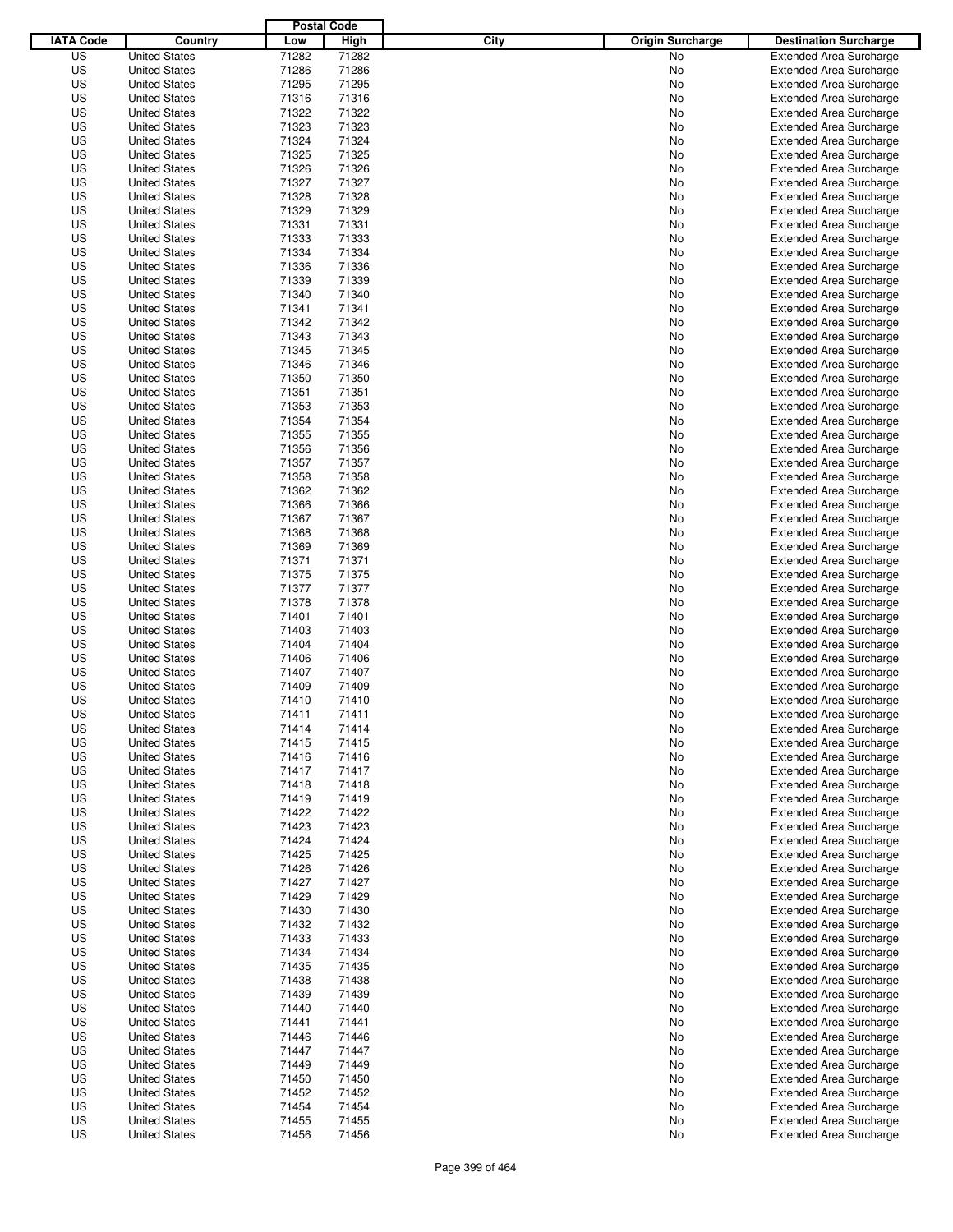|                  |                      | <b>Postal Code</b> |       |                                 |                                |
|------------------|----------------------|--------------------|-------|---------------------------------|--------------------------------|
| <b>IATA Code</b> | Country              | Low                | High  | City<br><b>Origin Surcharge</b> | <b>Destination Surcharge</b>   |
| US               | <b>United States</b> | 71282              | 71282 | <b>No</b>                       | <b>Extended Area Surcharge</b> |
| US               | <b>United States</b> | 71286              | 71286 | No                              | <b>Extended Area Surcharge</b> |
| US               | <b>United States</b> | 71295              | 71295 | No                              | <b>Extended Area Surcharge</b> |
| US               | <b>United States</b> | 71316              | 71316 | No                              | <b>Extended Area Surcharge</b> |
| US               | <b>United States</b> | 71322              | 71322 | No                              | <b>Extended Area Surcharge</b> |
| US               | <b>United States</b> | 71323              | 71323 | No                              | <b>Extended Area Surcharge</b> |
| US               | <b>United States</b> | 71324              | 71324 | No                              | <b>Extended Area Surcharge</b> |
| US               | <b>United States</b> | 71325              | 71325 | No                              | <b>Extended Area Surcharge</b> |
| US               | <b>United States</b> | 71326              | 71326 | No                              | <b>Extended Area Surcharge</b> |
| US               | <b>United States</b> | 71327              | 71327 | No                              | <b>Extended Area Surcharge</b> |
| US               | <b>United States</b> | 71328              | 71328 | No                              | <b>Extended Area Surcharge</b> |
| US               | <b>United States</b> | 71329              | 71329 | No                              | <b>Extended Area Surcharge</b> |
| US               | <b>United States</b> | 71331              | 71331 | No                              | <b>Extended Area Surcharge</b> |
| US               | <b>United States</b> | 71333              | 71333 | No                              | <b>Extended Area Surcharge</b> |
| US               | <b>United States</b> | 71334              | 71334 | No                              | <b>Extended Area Surcharge</b> |
| US               | <b>United States</b> | 71336              | 71336 | No                              | <b>Extended Area Surcharge</b> |
| US               | <b>United States</b> | 71339              | 71339 | No                              | <b>Extended Area Surcharge</b> |
| US               | <b>United States</b> | 71340              | 71340 | No                              | <b>Extended Area Surcharge</b> |
| US               | <b>United States</b> | 71341              | 71341 | No                              | <b>Extended Area Surcharge</b> |
| US               | <b>United States</b> | 71342              | 71342 | No                              | <b>Extended Area Surcharge</b> |
| US               | <b>United States</b> | 71343              | 71343 | No                              | <b>Extended Area Surcharge</b> |
| US               | <b>United States</b> | 71345              | 71345 | No                              | <b>Extended Area Surcharge</b> |
| US               | <b>United States</b> | 71346              | 71346 | No                              | <b>Extended Area Surcharge</b> |
| US               | <b>United States</b> | 71350              | 71350 | No                              | <b>Extended Area Surcharge</b> |
| US               | <b>United States</b> | 71351              | 71351 | No                              | <b>Extended Area Surcharge</b> |
| US               | <b>United States</b> | 71353              | 71353 | No                              | <b>Extended Area Surcharge</b> |
| US               | <b>United States</b> | 71354              | 71354 | No                              | <b>Extended Area Surcharge</b> |
| US               | <b>United States</b> | 71355              | 71355 | No                              | <b>Extended Area Surcharge</b> |
| US               | <b>United States</b> | 71356              | 71356 | No                              | <b>Extended Area Surcharge</b> |
| US               | <b>United States</b> | 71357              | 71357 | No                              | <b>Extended Area Surcharge</b> |
| US               | <b>United States</b> | 71358              | 71358 | No                              | <b>Extended Area Surcharge</b> |
| US               | <b>United States</b> | 71362              | 71362 | No                              | <b>Extended Area Surcharge</b> |
| US               | <b>United States</b> | 71366              | 71366 | No                              | <b>Extended Area Surcharge</b> |
| US               | <b>United States</b> | 71367              | 71367 |                                 |                                |
|                  |                      |                    |       | No                              | <b>Extended Area Surcharge</b> |
| US               | <b>United States</b> | 71368              | 71368 | No                              | <b>Extended Area Surcharge</b> |
| US               | <b>United States</b> | 71369              | 71369 | No                              | <b>Extended Area Surcharge</b> |
| US               | <b>United States</b> | 71371              | 71371 | No                              | <b>Extended Area Surcharge</b> |
| US               | <b>United States</b> | 71375              | 71375 | No                              | <b>Extended Area Surcharge</b> |
| US               | <b>United States</b> | 71377              | 71377 | No                              | <b>Extended Area Surcharge</b> |
| US               | <b>United States</b> | 71378              | 71378 | No                              | <b>Extended Area Surcharge</b> |
| US               | <b>United States</b> | 71401              | 71401 | No                              | <b>Extended Area Surcharge</b> |
| US               | <b>United States</b> | 71403              | 71403 | No                              | <b>Extended Area Surcharge</b> |
| US               | <b>United States</b> | 71404              | 71404 | No                              | <b>Extended Area Surcharge</b> |
| US               | <b>United States</b> | 71406              | 71406 | No                              | <b>Extended Area Surcharge</b> |
| US               | <b>United States</b> | 71407              | 71407 | No                              | Extended Area Surcharge        |
| US               | <b>United States</b> | 71409              | 71409 | No                              | <b>Extended Area Surcharge</b> |
| US               | <b>United States</b> | 71410              | 71410 | No                              | <b>Extended Area Surcharge</b> |
| US               | <b>United States</b> | 71411              | 71411 | No                              | <b>Extended Area Surcharge</b> |
| US               | <b>United States</b> | 71414              | 71414 | No                              | <b>Extended Area Surcharge</b> |
| US               | <b>United States</b> | 71415              | 71415 | No                              | <b>Extended Area Surcharge</b> |
| US               | <b>United States</b> | 71416              | 71416 | No                              | <b>Extended Area Surcharge</b> |
| US               | <b>United States</b> | 71417              | 71417 | No                              | <b>Extended Area Surcharge</b> |
| US               | <b>United States</b> | 71418              | 71418 | No                              | <b>Extended Area Surcharge</b> |
| US               | <b>United States</b> | 71419              | 71419 | No                              | <b>Extended Area Surcharge</b> |
| US               | <b>United States</b> | 71422              | 71422 | No                              | <b>Extended Area Surcharge</b> |
| US               | <b>United States</b> | 71423              | 71423 | No                              | <b>Extended Area Surcharge</b> |
| US               | <b>United States</b> | 71424              | 71424 | No                              | <b>Extended Area Surcharge</b> |
| US               | <b>United States</b> | 71425              | 71425 | No                              | <b>Extended Area Surcharge</b> |
| US               | <b>United States</b> | 71426              | 71426 | No                              | <b>Extended Area Surcharge</b> |
| US               | <b>United States</b> | 71427              | 71427 | No                              | <b>Extended Area Surcharge</b> |
| US               | <b>United States</b> | 71429              | 71429 | No                              | <b>Extended Area Surcharge</b> |
| US               | <b>United States</b> | 71430              | 71430 | No                              | <b>Extended Area Surcharge</b> |
| US               | <b>United States</b> | 71432              | 71432 | No                              | <b>Extended Area Surcharge</b> |
| US               | <b>United States</b> | 71433              | 71433 | No                              | <b>Extended Area Surcharge</b> |
| US               | <b>United States</b> | 71434              | 71434 | No                              | <b>Extended Area Surcharge</b> |
| US               | <b>United States</b> | 71435              | 71435 | No                              | <b>Extended Area Surcharge</b> |
| US               | <b>United States</b> | 71438              | 71438 | No                              | <b>Extended Area Surcharge</b> |
| US               | <b>United States</b> | 71439              | 71439 | No                              | <b>Extended Area Surcharge</b> |
| US               | <b>United States</b> | 71440              | 71440 | No                              | <b>Extended Area Surcharge</b> |
| US               | <b>United States</b> | 71441              | 71441 | No                              | Extended Area Surcharge        |
| US               | <b>United States</b> | 71446              | 71446 | No                              | <b>Extended Area Surcharge</b> |
| US               | <b>United States</b> | 71447              | 71447 | No                              | <b>Extended Area Surcharge</b> |
| US               | <b>United States</b> | 71449              | 71449 | No                              | <b>Extended Area Surcharge</b> |
| US               | <b>United States</b> | 71450              | 71450 | No                              | <b>Extended Area Surcharge</b> |
| US               | <b>United States</b> | 71452              | 71452 | No                              | <b>Extended Area Surcharge</b> |
| US               | <b>United States</b> | 71454              | 71454 | No                              | <b>Extended Area Surcharge</b> |
| US               | <b>United States</b> | 71455              | 71455 | No                              | <b>Extended Area Surcharge</b> |
| US               | <b>United States</b> | 71456              | 71456 | No                              | <b>Extended Area Surcharge</b> |
|                  |                      |                    |       |                                 |                                |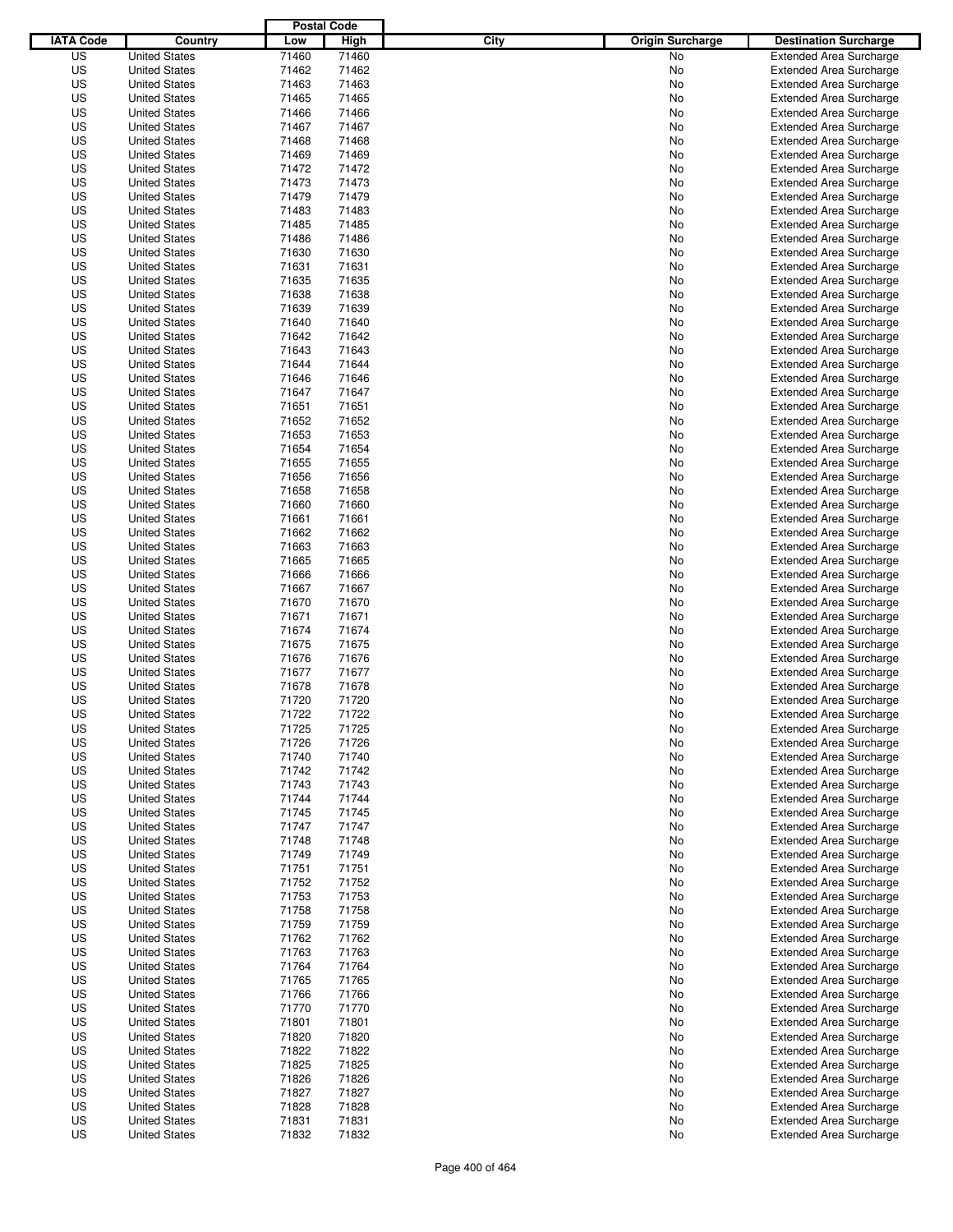|                  |                      | <b>Postal Code</b> |       |                                 |                                |
|------------------|----------------------|--------------------|-------|---------------------------------|--------------------------------|
| <b>IATA Code</b> | Country              | Low                | High  | City<br><b>Origin Surcharge</b> | <b>Destination Surcharge</b>   |
| US               | <b>United States</b> | 71460              | 71460 | <b>No</b>                       | <b>Extended Area Surcharge</b> |
| US               | <b>United States</b> | 71462              | 71462 | No                              | <b>Extended Area Surcharge</b> |
| US               | <b>United States</b> | 71463              | 71463 | No                              | <b>Extended Area Surcharge</b> |
| US               | <b>United States</b> | 71465              | 71465 | No                              | <b>Extended Area Surcharge</b> |
| US               | <b>United States</b> | 71466              | 71466 | No                              | <b>Extended Area Surcharge</b> |
| US               | <b>United States</b> | 71467              | 71467 | No                              | <b>Extended Area Surcharge</b> |
| US               | <b>United States</b> | 71468              | 71468 | No                              | <b>Extended Area Surcharge</b> |
| US               | <b>United States</b> | 71469              | 71469 | No                              | <b>Extended Area Surcharge</b> |
| US               | <b>United States</b> | 71472              | 71472 | No                              | <b>Extended Area Surcharge</b> |
| US               | <b>United States</b> | 71473              | 71473 | No                              | <b>Extended Area Surcharge</b> |
| US               | <b>United States</b> | 71479              | 71479 | No                              | <b>Extended Area Surcharge</b> |
| US               | <b>United States</b> | 71483              | 71483 | No                              | <b>Extended Area Surcharge</b> |
| US               | <b>United States</b> | 71485              | 71485 | No                              | <b>Extended Area Surcharge</b> |
| US               | <b>United States</b> | 71486              | 71486 | No                              | <b>Extended Area Surcharge</b> |
| US               | <b>United States</b> | 71630              | 71630 | No                              | <b>Extended Area Surcharge</b> |
| US               | <b>United States</b> | 71631              | 71631 | No                              | <b>Extended Area Surcharge</b> |
| US               | <b>United States</b> | 71635              | 71635 | No                              | <b>Extended Area Surcharge</b> |
| US               | <b>United States</b> | 71638              | 71638 | No                              | <b>Extended Area Surcharge</b> |
| US               | <b>United States</b> | 71639              | 71639 | No                              | <b>Extended Area Surcharge</b> |
| US               | <b>United States</b> | 71640              | 71640 | No                              | <b>Extended Area Surcharge</b> |
| US               | <b>United States</b> | 71642              | 71642 | No                              | <b>Extended Area Surcharge</b> |
| US               | <b>United States</b> | 71643              | 71643 | No                              | <b>Extended Area Surcharge</b> |
| US               | <b>United States</b> | 71644              | 71644 | No                              | <b>Extended Area Surcharge</b> |
| US               | <b>United States</b> | 71646              | 71646 | No                              | <b>Extended Area Surcharge</b> |
| US               | <b>United States</b> | 71647              | 71647 | No                              | <b>Extended Area Surcharge</b> |
| US               | <b>United States</b> | 71651              | 71651 | No                              | <b>Extended Area Surcharge</b> |
| US               | <b>United States</b> | 71652              | 71652 | No                              | <b>Extended Area Surcharge</b> |
| US               | <b>United States</b> | 71653              | 71653 | No                              | <b>Extended Area Surcharge</b> |
| US               | <b>United States</b> | 71654              | 71654 | No                              | <b>Extended Area Surcharge</b> |
| US               | <b>United States</b> | 71655              | 71655 | No                              | <b>Extended Area Surcharge</b> |
| US               | <b>United States</b> | 71656              | 71656 | No                              | <b>Extended Area Surcharge</b> |
| US               | <b>United States</b> | 71658              | 71658 | No                              | <b>Extended Area Surcharge</b> |
| US               | <b>United States</b> | 71660              | 71660 | No                              | <b>Extended Area Surcharge</b> |
| US               | <b>United States</b> | 71661              | 71661 | No                              | <b>Extended Area Surcharge</b> |
| US               | <b>United States</b> | 71662              | 71662 | No                              | <b>Extended Area Surcharge</b> |
| US               | <b>United States</b> | 71663              | 71663 | No                              | <b>Extended Area Surcharge</b> |
| US               | <b>United States</b> | 71665              | 71665 | No                              | <b>Extended Area Surcharge</b> |
| US               | <b>United States</b> | 71666              | 71666 | No                              | <b>Extended Area Surcharge</b> |
| US               | <b>United States</b> | 71667              | 71667 | No                              | <b>Extended Area Surcharge</b> |
| US               | <b>United States</b> | 71670              | 71670 | No                              | <b>Extended Area Surcharge</b> |
| US               | <b>United States</b> | 71671              | 71671 | No                              | <b>Extended Area Surcharge</b> |
| US               | <b>United States</b> | 71674              | 71674 | No                              | <b>Extended Area Surcharge</b> |
| US               | <b>United States</b> | 71675              | 71675 | No                              | <b>Extended Area Surcharge</b> |
| US               | <b>United States</b> | 71676              | 71676 | No                              | <b>Extended Area Surcharge</b> |
| US               | <b>United States</b> | 71677              | 71677 | No                              | Extended Area Surcharge        |
| US               | <b>United States</b> | 71678              | 71678 | No                              | <b>Extended Area Surcharge</b> |
| US               | <b>United States</b> | 71720              | 71720 | No                              | <b>Extended Area Surcharge</b> |
| US               | <b>United States</b> | 71722              | 71722 | No                              | <b>Extended Area Surcharge</b> |
| US               | <b>United States</b> | 71725              | 71725 | No                              | <b>Extended Area Surcharge</b> |
| US               | <b>United States</b> | 71726              | 71726 | No                              | <b>Extended Area Surcharge</b> |
| US               | <b>United States</b> | 71740              | 71740 | No                              | <b>Extended Area Surcharge</b> |
| US               | <b>United States</b> | 71742              | 71742 | No                              | <b>Extended Area Surcharge</b> |
| US               | <b>United States</b> | 71743              | 71743 | No                              | <b>Extended Area Surcharge</b> |
| US               | <b>United States</b> | 71744              | 71744 | No                              | <b>Extended Area Surcharge</b> |
| US               | <b>United States</b> | 71745              | 71745 | No                              | <b>Extended Area Surcharge</b> |
| US               | <b>United States</b> | 71747              | 71747 | No                              | <b>Extended Area Surcharge</b> |
| US               | <b>United States</b> | 71748              | 71748 | No                              | <b>Extended Area Surcharge</b> |
| US               | <b>United States</b> | 71749              | 71749 | No                              | <b>Extended Area Surcharge</b> |
| US               | <b>United States</b> | 71751              | 71751 | No                              | <b>Extended Area Surcharge</b> |
| US               | <b>United States</b> | 71752              | 71752 | No                              | <b>Extended Area Surcharge</b> |
| US               | <b>United States</b> | 71753              | 71753 | No                              | <b>Extended Area Surcharge</b> |
| US               | <b>United States</b> | 71758              | 71758 | No                              | <b>Extended Area Surcharge</b> |
| US               | <b>United States</b> | 71759              | 71759 | No                              | <b>Extended Area Surcharge</b> |
| US               | <b>United States</b> | 71762              | 71762 | No                              | <b>Extended Area Surcharge</b> |
| US               | <b>United States</b> | 71763              | 71763 | No                              | <b>Extended Area Surcharge</b> |
| US               | <b>United States</b> | 71764              | 71764 | No                              | <b>Extended Area Surcharge</b> |
| US               | <b>United States</b> | 71765              | 71765 | No                              | <b>Extended Area Surcharge</b> |
| US               | <b>United States</b> | 71766              | 71766 | No                              | <b>Extended Area Surcharge</b> |
| US               | <b>United States</b> | 71770              | 71770 | No                              | <b>Extended Area Surcharge</b> |
| US               | <b>United States</b> | 71801              | 71801 | No                              | <b>Extended Area Surcharge</b> |
| US               | <b>United States</b> | 71820              | 71820 | No                              | <b>Extended Area Surcharge</b> |
| US               | <b>United States</b> | 71822              | 71822 | No                              | <b>Extended Area Surcharge</b> |
| US               | <b>United States</b> | 71825              | 71825 | No                              | <b>Extended Area Surcharge</b> |
| US               | <b>United States</b> | 71826              | 71826 | No                              | <b>Extended Area Surcharge</b> |
| US               | <b>United States</b> | 71827              | 71827 | No                              | <b>Extended Area Surcharge</b> |
| US               | <b>United States</b> | 71828              | 71828 | No                              | <b>Extended Area Surcharge</b> |
| US               | <b>United States</b> | 71831              | 71831 | No                              | <b>Extended Area Surcharge</b> |
| US               | <b>United States</b> | 71832              | 71832 | No                              | <b>Extended Area Surcharge</b> |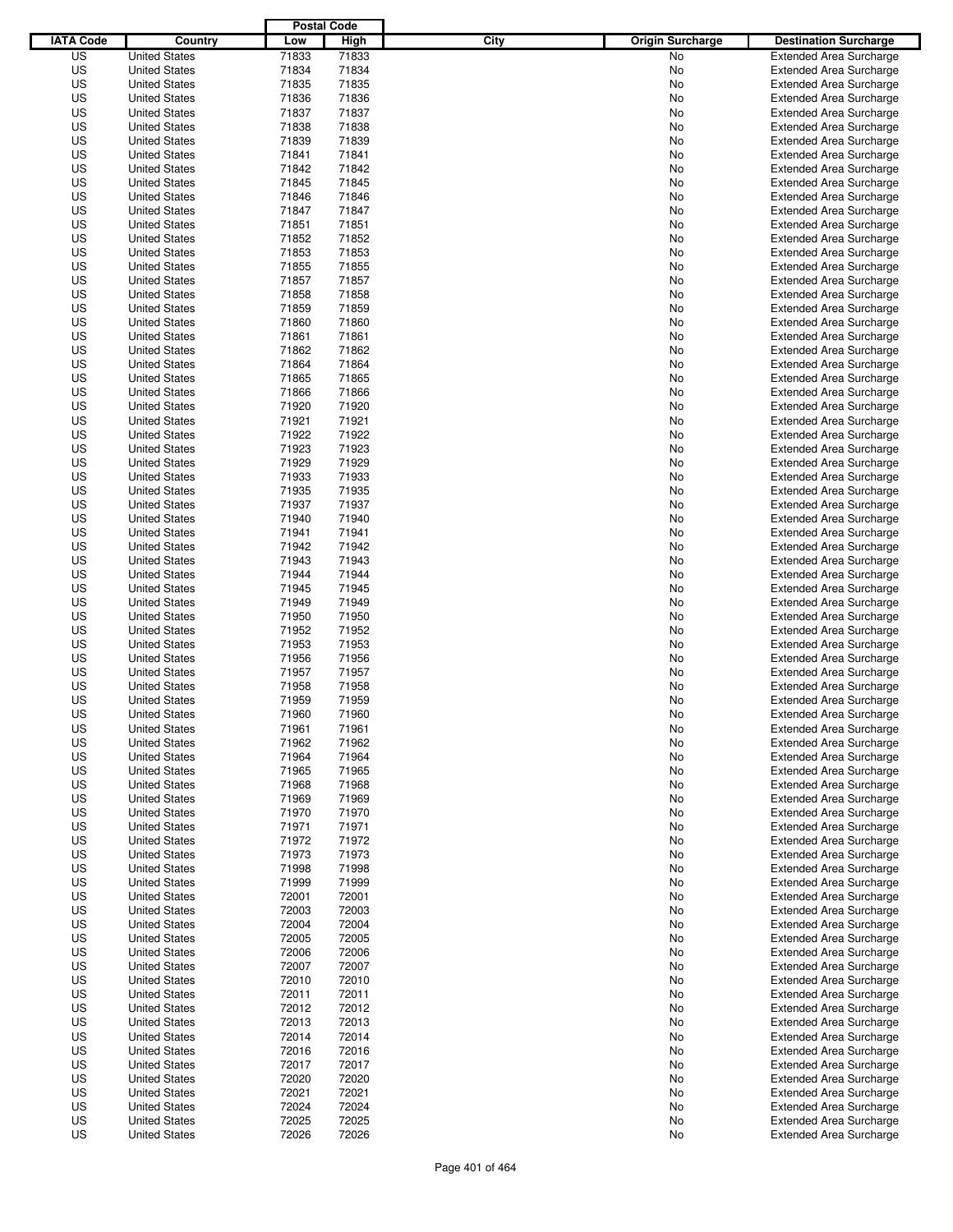|                  |                      | <b>Postal Code</b> |       |                                 |                                |
|------------------|----------------------|--------------------|-------|---------------------------------|--------------------------------|
| <b>IATA Code</b> | Country              | Low                | High  | City<br><b>Origin Surcharge</b> | <b>Destination Surcharge</b>   |
| US               | <b>United States</b> | 71833              | 71833 | <b>No</b>                       | <b>Extended Area Surcharge</b> |
| US               | <b>United States</b> | 71834              | 71834 | No                              | <b>Extended Area Surcharge</b> |
| US               | <b>United States</b> | 71835              | 71835 | No                              | <b>Extended Area Surcharge</b> |
| US               | <b>United States</b> | 71836              | 71836 | No                              | <b>Extended Area Surcharge</b> |
| US               | <b>United States</b> | 71837              | 71837 | No                              | <b>Extended Area Surcharge</b> |
| US               | <b>United States</b> | 71838              | 71838 | No                              | <b>Extended Area Surcharge</b> |
| US               | <b>United States</b> | 71839              | 71839 | No                              | <b>Extended Area Surcharge</b> |
| US               | <b>United States</b> | 71841              | 71841 | No                              | <b>Extended Area Surcharge</b> |
| US               | <b>United States</b> | 71842              | 71842 | No                              | <b>Extended Area Surcharge</b> |
| US               | <b>United States</b> | 71845              | 71845 | No                              | <b>Extended Area Surcharge</b> |
| US               | <b>United States</b> | 71846              | 71846 | No                              | <b>Extended Area Surcharge</b> |
| US               | <b>United States</b> | 71847              | 71847 | No                              | <b>Extended Area Surcharge</b> |
| US               | <b>United States</b> | 71851              | 71851 | No                              | <b>Extended Area Surcharge</b> |
| US               | <b>United States</b> | 71852              | 71852 | No                              | <b>Extended Area Surcharge</b> |
| US               | <b>United States</b> | 71853              | 71853 | No                              | <b>Extended Area Surcharge</b> |
| US               | <b>United States</b> | 71855              | 71855 | No                              | <b>Extended Area Surcharge</b> |
| US               | <b>United States</b> | 71857              | 71857 | No                              | <b>Extended Area Surcharge</b> |
| US               | <b>United States</b> | 71858              | 71858 | No                              | <b>Extended Area Surcharge</b> |
| US               | <b>United States</b> | 71859              | 71859 | No                              | <b>Extended Area Surcharge</b> |
| US               | <b>United States</b> | 71860              | 71860 | No                              | <b>Extended Area Surcharge</b> |
| US               | <b>United States</b> | 71861              | 71861 | No                              | <b>Extended Area Surcharge</b> |
| US               | <b>United States</b> | 71862              | 71862 | No                              | <b>Extended Area Surcharge</b> |
| US               | <b>United States</b> | 71864              | 71864 | No                              | <b>Extended Area Surcharge</b> |
| US               | <b>United States</b> | 71865              | 71865 | No                              | <b>Extended Area Surcharge</b> |
| US               | <b>United States</b> | 71866              | 71866 | No                              | <b>Extended Area Surcharge</b> |
| US               | <b>United States</b> | 71920              | 71920 | No                              | <b>Extended Area Surcharge</b> |
| US               | <b>United States</b> | 71921              | 71921 | No                              | <b>Extended Area Surcharge</b> |
| US               | <b>United States</b> | 71922              | 71922 | No                              | <b>Extended Area Surcharge</b> |
| US               | <b>United States</b> | 71923              | 71923 | No                              | <b>Extended Area Surcharge</b> |
| US               | <b>United States</b> | 71929              | 71929 | No                              | <b>Extended Area Surcharge</b> |
| US               | <b>United States</b> | 71933              | 71933 | No                              | <b>Extended Area Surcharge</b> |
| US               | <b>United States</b> | 71935              | 71935 | No                              | <b>Extended Area Surcharge</b> |
| US               | <b>United States</b> | 71937              | 71937 | No                              | <b>Extended Area Surcharge</b> |
| US               | <b>United States</b> | 71940              | 71940 | No                              | <b>Extended Area Surcharge</b> |
| US               | <b>United States</b> | 71941              | 71941 | No                              | <b>Extended Area Surcharge</b> |
| US               | <b>United States</b> | 71942              | 71942 | No                              | <b>Extended Area Surcharge</b> |
| US               | <b>United States</b> | 71943              | 71943 | No                              | <b>Extended Area Surcharge</b> |
| US               | <b>United States</b> | 71944              | 71944 | No                              | <b>Extended Area Surcharge</b> |
| US               | <b>United States</b> | 71945              | 71945 | No                              | <b>Extended Area Surcharge</b> |
| US               | <b>United States</b> | 71949              | 71949 | No                              | <b>Extended Area Surcharge</b> |
| US               | <b>United States</b> | 71950              | 71950 | No                              | <b>Extended Area Surcharge</b> |
| US               | <b>United States</b> | 71952              | 71952 | No                              | <b>Extended Area Surcharge</b> |
| US               | <b>United States</b> | 71953              | 71953 | No                              | <b>Extended Area Surcharge</b> |
| US               | <b>United States</b> | 71956              | 71956 | No                              | <b>Extended Area Surcharge</b> |
| US               | <b>United States</b> | 71957              | 71957 | No                              | Extended Area Surcharge        |
| US               | <b>United States</b> | 71958              | 71958 | No                              | <b>Extended Area Surcharge</b> |
| US               | <b>United States</b> | 71959              | 71959 | No                              | <b>Extended Area Surcharge</b> |
| US               | <b>United States</b> | 71960              | 71960 | No                              | <b>Extended Area Surcharge</b> |
| US               | <b>United States</b> | 71961              | 71961 | No                              | <b>Extended Area Surcharge</b> |
| US               | <b>United States</b> | 71962              | 71962 | No                              | <b>Extended Area Surcharge</b> |
| US               | <b>United States</b> | 71964              | 71964 | No                              | <b>Extended Area Surcharge</b> |
| US               | <b>United States</b> | 71965              | 71965 | No                              | <b>Extended Area Surcharge</b> |
| US               | <b>United States</b> | 71968              | 71968 | No                              | <b>Extended Area Surcharge</b> |
| US               | <b>United States</b> | 71969              | 71969 |                                 | <b>Extended Area Surcharge</b> |
| US               | <b>United States</b> | 71970              | 71970 | No<br>No                        | <b>Extended Area Surcharge</b> |
| US               | <b>United States</b> | 71971              | 71971 |                                 | <b>Extended Area Surcharge</b> |
| US               | <b>United States</b> | 71972              | 71972 | No<br>No                        | <b>Extended Area Surcharge</b> |
| US               | <b>United States</b> | 71973              | 71973 | No                              | <b>Extended Area Surcharge</b> |
| US               | <b>United States</b> | 71998              | 71998 | No                              | <b>Extended Area Surcharge</b> |
| US               |                      | 71999              | 71999 |                                 | <b>Extended Area Surcharge</b> |
| US               | <b>United States</b> | 72001              | 72001 | No                              | <b>Extended Area Surcharge</b> |
|                  | <b>United States</b> |                    |       | No                              |                                |
| US               | <b>United States</b> | 72003              | 72003 | No                              | <b>Extended Area Surcharge</b> |
| US               | <b>United States</b> | 72004              | 72004 | No                              | <b>Extended Area Surcharge</b> |
| US               | <b>United States</b> | 72005              | 72005 | No                              | <b>Extended Area Surcharge</b> |
| US               | <b>United States</b> | 72006              | 72006 | No                              | <b>Extended Area Surcharge</b> |
| US               | <b>United States</b> | 72007              | 72007 | No                              | <b>Extended Area Surcharge</b> |
| US               | <b>United States</b> | 72010              | 72010 | No                              | <b>Extended Area Surcharge</b> |
| US               | <b>United States</b> | 72011              | 72011 | No                              | <b>Extended Area Surcharge</b> |
| US               | <b>United States</b> | 72012              | 72012 | No                              | <b>Extended Area Surcharge</b> |
| US               | <b>United States</b> | 72013              | 72013 | No                              | Extended Area Surcharge        |
| US               | <b>United States</b> | 72014              | 72014 | No                              | <b>Extended Area Surcharge</b> |
| US               | <b>United States</b> | 72016              | 72016 | No                              | <b>Extended Area Surcharge</b> |
| US               | <b>United States</b> | 72017              | 72017 | No                              | <b>Extended Area Surcharge</b> |
| US               | <b>United States</b> | 72020              | 72020 | No                              | <b>Extended Area Surcharge</b> |
| US               | <b>United States</b> | 72021              | 72021 | No                              | <b>Extended Area Surcharge</b> |
| US               | <b>United States</b> | 72024              | 72024 | No                              | <b>Extended Area Surcharge</b> |
| US               | <b>United States</b> | 72025              | 72025 | No                              | <b>Extended Area Surcharge</b> |
| US               | <b>United States</b> | 72026              | 72026 | No                              | <b>Extended Area Surcharge</b> |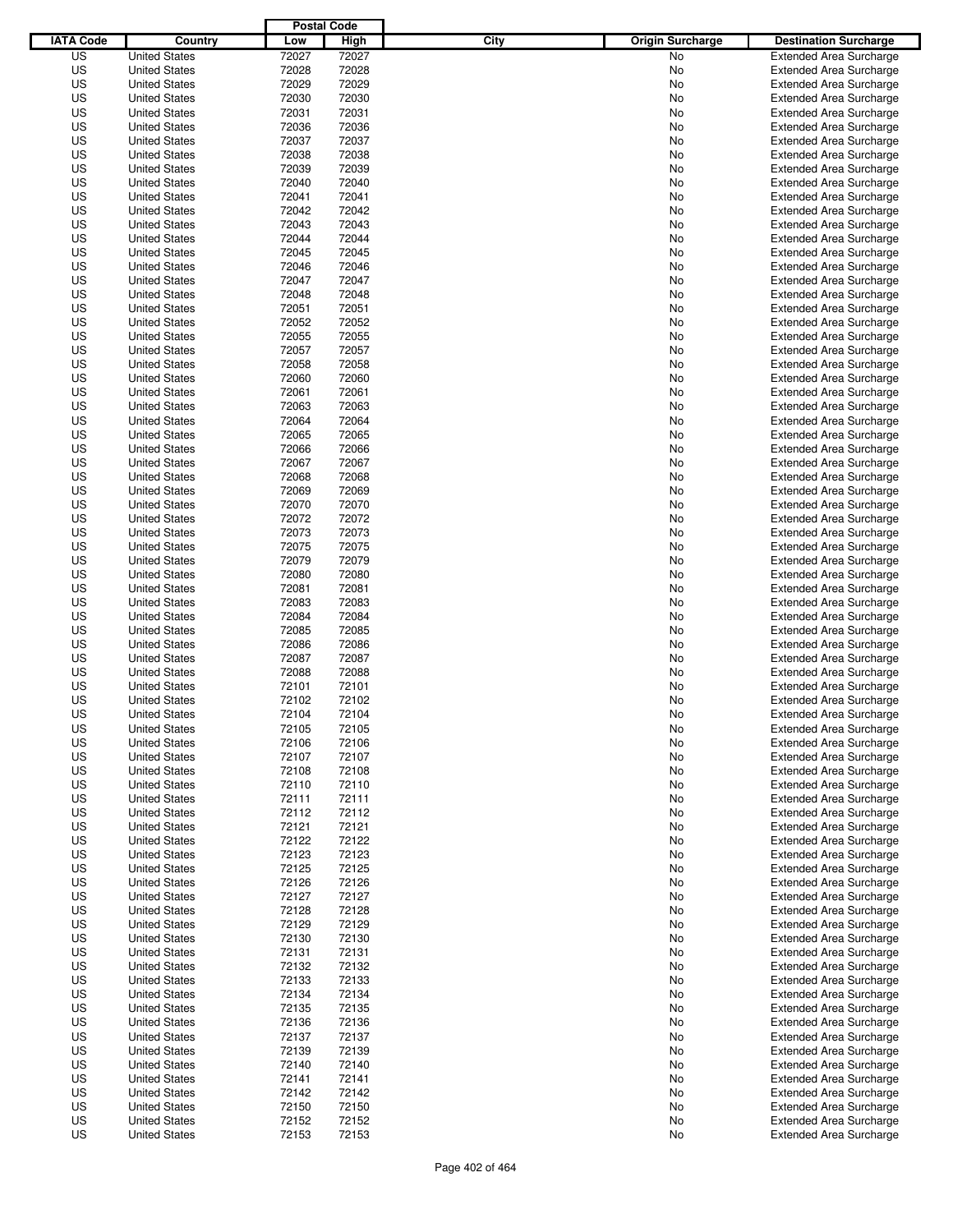|                  |                      | <b>Postal Code</b> |       |                                 |                                |
|------------------|----------------------|--------------------|-------|---------------------------------|--------------------------------|
| <b>IATA Code</b> | Country              | Low                | High  | City<br><b>Origin Surcharge</b> | <b>Destination Surcharge</b>   |
| US               | <b>United States</b> | 72027              | 72027 | <b>No</b>                       | <b>Extended Area Surcharge</b> |
| US               | <b>United States</b> | 72028              | 72028 | No                              | <b>Extended Area Surcharge</b> |
| US               | <b>United States</b> | 72029              | 72029 | No                              | <b>Extended Area Surcharge</b> |
| US               | <b>United States</b> | 72030              | 72030 | No                              | <b>Extended Area Surcharge</b> |
| US               | <b>United States</b> | 72031              | 72031 | No                              | <b>Extended Area Surcharge</b> |
| US               | <b>United States</b> | 72036              | 72036 | No                              | <b>Extended Area Surcharge</b> |
| US               | <b>United States</b> | 72037              | 72037 | No                              | <b>Extended Area Surcharge</b> |
| US               | <b>United States</b> | 72038              | 72038 | No                              | <b>Extended Area Surcharge</b> |
| US               | <b>United States</b> | 72039              | 72039 | No                              | <b>Extended Area Surcharge</b> |
| US               | <b>United States</b> | 72040              | 72040 | No                              | <b>Extended Area Surcharge</b> |
| US               | <b>United States</b> | 72041              | 72041 | No                              | <b>Extended Area Surcharge</b> |
| US               | <b>United States</b> | 72042              | 72042 | No                              | <b>Extended Area Surcharge</b> |
| US               | <b>United States</b> | 72043              | 72043 | No                              | <b>Extended Area Surcharge</b> |
| US               | <b>United States</b> | 72044              | 72044 | No                              | <b>Extended Area Surcharge</b> |
| US               | <b>United States</b> | 72045              | 72045 | No                              | <b>Extended Area Surcharge</b> |
| US               | <b>United States</b> | 72046              | 72046 | No                              | <b>Extended Area Surcharge</b> |
| US               | <b>United States</b> | 72047              | 72047 | No                              | <b>Extended Area Surcharge</b> |
| US               | <b>United States</b> | 72048              | 72048 | No                              | <b>Extended Area Surcharge</b> |
| US               | <b>United States</b> | 72051              | 72051 | No                              | <b>Extended Area Surcharge</b> |
| US               | <b>United States</b> | 72052              | 72052 | No                              | <b>Extended Area Surcharge</b> |
| US               | <b>United States</b> | 72055              | 72055 | No                              | <b>Extended Area Surcharge</b> |
| US               | <b>United States</b> | 72057              | 72057 | No                              | <b>Extended Area Surcharge</b> |
| US               | <b>United States</b> | 72058              | 72058 | No                              | <b>Extended Area Surcharge</b> |
| US               | <b>United States</b> | 72060              | 72060 | No                              | <b>Extended Area Surcharge</b> |
| US               | <b>United States</b> | 72061              | 72061 | No                              | <b>Extended Area Surcharge</b> |
| US               | <b>United States</b> | 72063              | 72063 | No                              | <b>Extended Area Surcharge</b> |
| US               | <b>United States</b> | 72064              | 72064 | No                              | <b>Extended Area Surcharge</b> |
| US               | <b>United States</b> | 72065              | 72065 | No                              | <b>Extended Area Surcharge</b> |
| US               | <b>United States</b> | 72066              | 72066 | No                              | <b>Extended Area Surcharge</b> |
| US               | <b>United States</b> | 72067              | 72067 | No                              | <b>Extended Area Surcharge</b> |
|                  | <b>United States</b> |                    |       |                                 |                                |
| US               |                      | 72068              | 72068 | No                              | <b>Extended Area Surcharge</b> |
| US               | <b>United States</b> | 72069              | 72069 | No                              | <b>Extended Area Surcharge</b> |
| US               | <b>United States</b> | 72070              | 72070 | No                              | <b>Extended Area Surcharge</b> |
| US               | <b>United States</b> | 72072              | 72072 | No                              | <b>Extended Area Surcharge</b> |
| US               | <b>United States</b> | 72073              | 72073 | No                              | <b>Extended Area Surcharge</b> |
| US               | <b>United States</b> | 72075              | 72075 | No                              | <b>Extended Area Surcharge</b> |
| US               | <b>United States</b> | 72079              | 72079 | No                              | <b>Extended Area Surcharge</b> |
| US               | <b>United States</b> | 72080              | 72080 | No                              | <b>Extended Area Surcharge</b> |
| US               | <b>United States</b> | 72081              | 72081 | No                              | <b>Extended Area Surcharge</b> |
| US               | <b>United States</b> | 72083              | 72083 | No                              | <b>Extended Area Surcharge</b> |
| US               | <b>United States</b> | 72084              | 72084 | No                              | <b>Extended Area Surcharge</b> |
| US               | <b>United States</b> | 72085              | 72085 | No                              | <b>Extended Area Surcharge</b> |
| US               | <b>United States</b> | 72086              | 72086 | No                              | <b>Extended Area Surcharge</b> |
| US               | <b>United States</b> | 72087              | 72087 | No                              | <b>Extended Area Surcharge</b> |
| US               | <b>United States</b> | 72088              | 72088 | No                              | Extended Area Surcharge        |
| US               | <b>United States</b> | 72101              | 72101 | No                              | <b>Extended Area Surcharge</b> |
| US               | <b>United States</b> | 72102              | 72102 | No                              | <b>Extended Area Surcharge</b> |
| US               | <b>United States</b> | 72104              | 72104 | No                              | <b>Extended Area Surcharge</b> |
| US               | <b>United States</b> | 72105              | 72105 | No                              | <b>Extended Area Surcharge</b> |
| US               | <b>United States</b> | 72106              | 72106 | No                              | <b>Extended Area Surcharge</b> |
| US               | <b>United States</b> | 72107              | 72107 | No                              | <b>Extended Area Surcharge</b> |
| US               | <b>United States</b> | 72108              | 72108 | No                              | <b>Extended Area Surcharge</b> |
| US               | <b>United States</b> | 72110              | 72110 | No                              | <b>Extended Area Surcharge</b> |
| US               | <b>United States</b> | 72111              | 72111 | No                              | <b>Extended Area Surcharge</b> |
| US               | <b>United States</b> | 72112              | 72112 | No                              | <b>Extended Area Surcharge</b> |
| US               | <b>United States</b> | 72121              | 72121 | No                              | <b>Extended Area Surcharge</b> |
| US               | <b>United States</b> | 72122              | 72122 | No                              | <b>Extended Area Surcharge</b> |
| US               | <b>United States</b> | 72123              | 72123 | No                              | <b>Extended Area Surcharge</b> |
| US               | <b>United States</b> | 72125              | 72125 | No                              | <b>Extended Area Surcharge</b> |
| US               | <b>United States</b> | 72126              | 72126 | No                              | <b>Extended Area Surcharge</b> |
| US               | <b>United States</b> | 72127              | 72127 | No                              | <b>Extended Area Surcharge</b> |
| US               | <b>United States</b> | 72128              | 72128 | No                              | <b>Extended Area Surcharge</b> |
| US               | <b>United States</b> | 72129              | 72129 | No                              | <b>Extended Area Surcharge</b> |
| US               | <b>United States</b> | 72130              | 72130 | No                              | <b>Extended Area Surcharge</b> |
| US               | <b>United States</b> | 72131              | 72131 | No                              | <b>Extended Area Surcharge</b> |
| US               | <b>United States</b> | 72132              | 72132 | No                              | <b>Extended Area Surcharge</b> |
| US               | <b>United States</b> | 72133              | 72133 | No                              | <b>Extended Area Surcharge</b> |
| US               | <b>United States</b> | 72134              | 72134 | No                              | <b>Extended Area Surcharge</b> |
| US               | <b>United States</b> | 72135              | 72135 | No                              | <b>Extended Area Surcharge</b> |
| US               | <b>United States</b> | 72136              | 72136 | No                              | <b>Extended Area Surcharge</b> |
| US               | <b>United States</b> | 72137              | 72137 | No                              | <b>Extended Area Surcharge</b> |
| US               | <b>United States</b> | 72139              | 72139 | No                              | <b>Extended Area Surcharge</b> |
| US               | <b>United States</b> | 72140              | 72140 | No                              | <b>Extended Area Surcharge</b> |
| US               | <b>United States</b> | 72141              | 72141 | No                              | <b>Extended Area Surcharge</b> |
| US               | <b>United States</b> | 72142              | 72142 | No                              | <b>Extended Area Surcharge</b> |
| US               | <b>United States</b> | 72150              | 72150 | No                              | <b>Extended Area Surcharge</b> |
| US               | <b>United States</b> | 72152              | 72152 | No                              | <b>Extended Area Surcharge</b> |
| US               | <b>United States</b> | 72153              | 72153 | No                              | <b>Extended Area Surcharge</b> |
|                  |                      |                    |       |                                 |                                |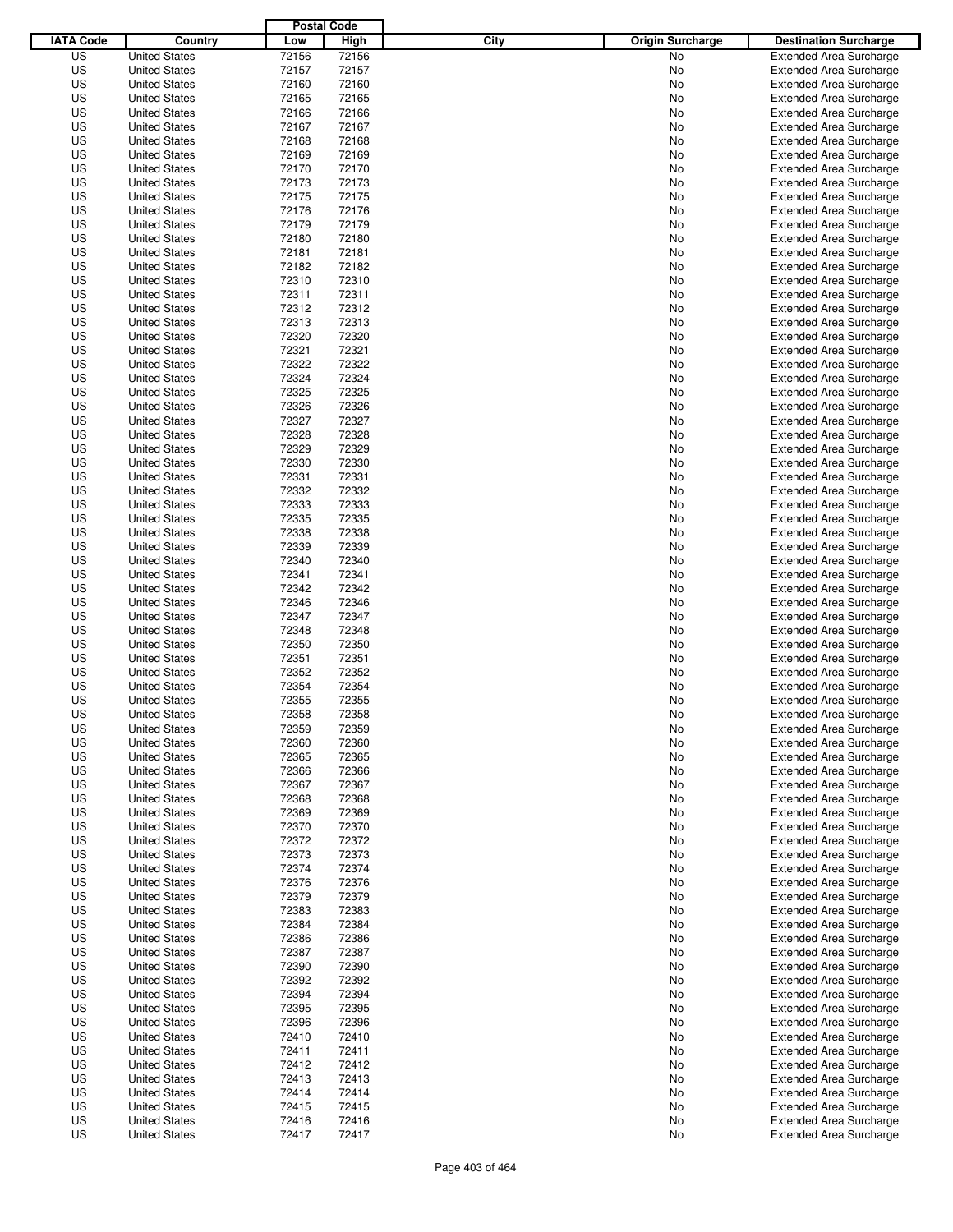|                  |                                              | <b>Postal Code</b> |                |                                 |                                                                  |
|------------------|----------------------------------------------|--------------------|----------------|---------------------------------|------------------------------------------------------------------|
| <b>IATA Code</b> | Country                                      | Low                | High           | City<br><b>Origin Surcharge</b> | <b>Destination Surcharge</b>                                     |
| US               | <b>United States</b>                         | 72156              | 72156          | <b>No</b>                       | <b>Extended Area Surcharge</b>                                   |
| US               | <b>United States</b>                         | 72157              | 72157          | No                              | <b>Extended Area Surcharge</b>                                   |
| US               | <b>United States</b>                         | 72160              | 72160          | No                              | <b>Extended Area Surcharge</b>                                   |
| US               | <b>United States</b>                         | 72165              | 72165          | No                              | <b>Extended Area Surcharge</b>                                   |
| US               | <b>United States</b>                         | 72166              | 72166          | No                              | <b>Extended Area Surcharge</b>                                   |
| US               | <b>United States</b>                         | 72167              | 72167          | No                              | <b>Extended Area Surcharge</b>                                   |
| US               | <b>United States</b>                         | 72168              | 72168          | No                              | <b>Extended Area Surcharge</b>                                   |
| US               | <b>United States</b>                         | 72169              | 72169          | No                              | <b>Extended Area Surcharge</b>                                   |
| US               | <b>United States</b>                         | 72170              | 72170          | No                              | <b>Extended Area Surcharge</b>                                   |
| US               | <b>United States</b>                         | 72173              | 72173          | No                              | <b>Extended Area Surcharge</b>                                   |
| US               | <b>United States</b>                         | 72175              | 72175          | No                              | <b>Extended Area Surcharge</b>                                   |
| US               | <b>United States</b>                         | 72176              | 72176          | No                              | <b>Extended Area Surcharge</b>                                   |
| US               | <b>United States</b>                         | 72179              | 72179          | No                              | <b>Extended Area Surcharge</b>                                   |
| US               | <b>United States</b>                         | 72180              | 72180          | No                              | <b>Extended Area Surcharge</b>                                   |
| US               | <b>United States</b>                         | 72181              | 72181          | No                              | <b>Extended Area Surcharge</b>                                   |
| US               | <b>United States</b>                         | 72182              | 72182          | No                              | <b>Extended Area Surcharge</b>                                   |
| US               | <b>United States</b>                         | 72310              | 72310          | No                              | <b>Extended Area Surcharge</b>                                   |
| US               | <b>United States</b>                         | 72311              | 72311          | No                              | <b>Extended Area Surcharge</b>                                   |
| US               | <b>United States</b><br><b>United States</b> | 72312              | 72312          | No                              | <b>Extended Area Surcharge</b>                                   |
| US               | <b>United States</b>                         | 72313              | 72313          | No                              | <b>Extended Area Surcharge</b>                                   |
| US               |                                              | 72320              | 72320<br>72321 | No                              | <b>Extended Area Surcharge</b><br><b>Extended Area Surcharge</b> |
| US<br>US         | <b>United States</b>                         | 72321<br>72322     | 72322          | No                              | <b>Extended Area Surcharge</b>                                   |
| US               | <b>United States</b><br><b>United States</b> | 72324              | 72324          | No<br>No                        | <b>Extended Area Surcharge</b>                                   |
| US               | <b>United States</b>                         | 72325              | 72325          | No                              | <b>Extended Area Surcharge</b>                                   |
| US               | <b>United States</b>                         | 72326              | 72326          | No                              | <b>Extended Area Surcharge</b>                                   |
| US               | <b>United States</b>                         | 72327              | 72327          | No                              | <b>Extended Area Surcharge</b>                                   |
| US               | <b>United States</b>                         | 72328              | 72328          | No                              | <b>Extended Area Surcharge</b>                                   |
| US               | <b>United States</b>                         | 72329              | 72329          | No                              | <b>Extended Area Surcharge</b>                                   |
| US               | <b>United States</b>                         | 72330              | 72330          | No                              | <b>Extended Area Surcharge</b>                                   |
| US               | <b>United States</b>                         | 72331              | 72331          | No                              | <b>Extended Area Surcharge</b>                                   |
| US               | <b>United States</b>                         | 72332              | 72332          | No                              | <b>Extended Area Surcharge</b>                                   |
| US               | <b>United States</b>                         | 72333              | 72333          | No                              | <b>Extended Area Surcharge</b>                                   |
| US               | <b>United States</b>                         | 72335              | 72335          | No                              | <b>Extended Area Surcharge</b>                                   |
| US               | <b>United States</b>                         | 72338              | 72338          | No                              | <b>Extended Area Surcharge</b>                                   |
| US               | <b>United States</b>                         | 72339              | 72339          | No                              | <b>Extended Area Surcharge</b>                                   |
| US               | <b>United States</b>                         | 72340              | 72340          | No                              | <b>Extended Area Surcharge</b>                                   |
| US               | <b>United States</b>                         | 72341              | 72341          | No                              | <b>Extended Area Surcharge</b>                                   |
| US               | <b>United States</b>                         | 72342              | 72342          | No                              | <b>Extended Area Surcharge</b>                                   |
| US               | <b>United States</b>                         | 72346              | 72346          | No                              | <b>Extended Area Surcharge</b>                                   |
| US               | <b>United States</b>                         | 72347              | 72347          | No                              | <b>Extended Area Surcharge</b>                                   |
| US               | <b>United States</b>                         | 72348              | 72348          | No                              | <b>Extended Area Surcharge</b>                                   |
| US               | <b>United States</b>                         | 72350              | 72350          | No                              | <b>Extended Area Surcharge</b>                                   |
| US               | <b>United States</b>                         | 72351              | 72351          | No                              | <b>Extended Area Surcharge</b>                                   |
| US               | <b>United States</b>                         | 72352              | 72352          | No                              | Extended Area Surcharge                                          |
| US               | <b>United States</b>                         | 72354              | 72354          | No                              | <b>Extended Area Surcharge</b>                                   |
| US               | <b>United States</b>                         | 72355              | 72355          | No                              | <b>Extended Area Surcharge</b>                                   |
| US               | <b>United States</b>                         | 72358              | 72358          | No                              | <b>Extended Area Surcharge</b>                                   |
| US               | <b>United States</b>                         | 72359              | 72359          | No                              | <b>Extended Area Surcharge</b>                                   |
| US               | <b>United States</b>                         | 72360              | 72360          | No                              | <b>Extended Area Surcharge</b>                                   |
| US               | <b>United States</b>                         | 72365              | 72365          | No                              | <b>Extended Area Surcharge</b>                                   |
| US               | <b>United States</b>                         | 72366              | 72366          | No                              | <b>Extended Area Surcharge</b>                                   |
| US               | <b>United States</b>                         | 72367              | 72367          | No                              | <b>Extended Area Surcharge</b>                                   |
| US               | <b>United States</b>                         | 72368              | 72368          | No                              | <b>Extended Area Surcharge</b>                                   |
| US               | <b>United States</b>                         | 72369              | 72369          | No                              | <b>Extended Area Surcharge</b>                                   |
| US               | <b>United States</b>                         | 72370              | 72370          | No                              | <b>Extended Area Surcharge</b>                                   |
| US               | <b>United States</b>                         | 72372              | 72372          | No                              | <b>Extended Area Surcharge</b>                                   |
| US               | <b>United States</b>                         | 72373              | 72373          | No                              | <b>Extended Area Surcharge</b>                                   |
| US               | <b>United States</b>                         | 72374              | 72374          | No                              | <b>Extended Area Surcharge</b>                                   |
| US               | <b>United States</b>                         | 72376              | 72376          | No                              | <b>Extended Area Surcharge</b>                                   |
| US               | <b>United States</b>                         | 72379              | 72379          | No                              | <b>Extended Area Surcharge</b>                                   |
| US               | <b>United States</b>                         | 72383              | 72383          | No                              | <b>Extended Area Surcharge</b>                                   |
| US               | <b>United States</b>                         | 72384              | 72384          | No                              | <b>Extended Area Surcharge</b>                                   |
| US               | <b>United States</b>                         | 72386              | 72386          | No                              | <b>Extended Area Surcharge</b>                                   |
| US               | <b>United States</b>                         | 72387              | 72387          | No                              | <b>Extended Area Surcharge</b>                                   |
| US               | <b>United States</b>                         | 72390              | 72390          | No                              | <b>Extended Area Surcharge</b>                                   |
| US               | <b>United States</b>                         | 72392              | 72392          | No                              | <b>Extended Area Surcharge</b>                                   |
| US               | <b>United States</b>                         | 72394              | 72394          | No                              | <b>Extended Area Surcharge</b>                                   |
| US               | <b>United States</b>                         | 72395              | 72395          | No                              | <b>Extended Area Surcharge</b>                                   |
| US               | <b>United States</b>                         | 72396              | 72396          | No                              | <b>Extended Area Surcharge</b>                                   |
| US               | <b>United States</b>                         | 72410              | 72410          | No                              | <b>Extended Area Surcharge</b>                                   |
| US               | <b>United States</b>                         | 72411              | 72411          | No                              | <b>Extended Area Surcharge</b>                                   |
| US               | <b>United States</b>                         | 72412              | 72412          | No                              | <b>Extended Area Surcharge</b>                                   |
| US<br>US         | <b>United States</b>                         | 72413<br>72414     | 72413<br>72414 | No                              | <b>Extended Area Surcharge</b><br><b>Extended Area Surcharge</b> |
| US               | <b>United States</b><br><b>United States</b> | 72415              | 72415          | No                              | <b>Extended Area Surcharge</b>                                   |
| US               | <b>United States</b>                         | 72416              | 72416          | No<br>No                        | <b>Extended Area Surcharge</b>                                   |
| US               | <b>United States</b>                         | 72417              | 72417          | No                              | <b>Extended Area Surcharge</b>                                   |
|                  |                                              |                    |                |                                 |                                                                  |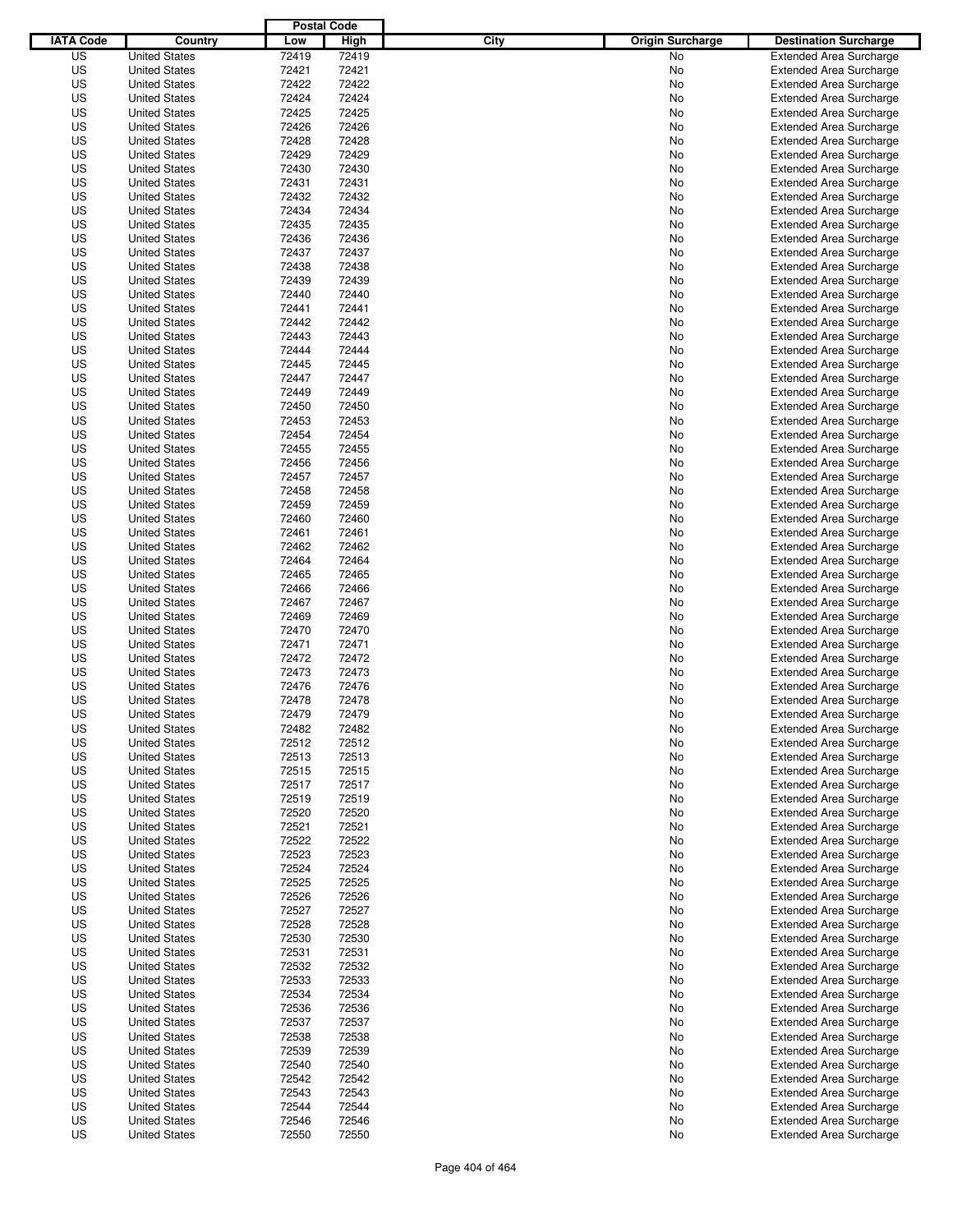|                  |                      | <b>Postal Code</b> |       |                                 |                                |
|------------------|----------------------|--------------------|-------|---------------------------------|--------------------------------|
| <b>IATA Code</b> | Country              | Low                | High  | City<br><b>Origin Surcharge</b> | <b>Destination Surcharge</b>   |
| US               | <b>United States</b> | 72419              | 72419 | <b>No</b>                       | <b>Extended Area Surcharge</b> |
| US               | <b>United States</b> | 72421              | 72421 | No                              | <b>Extended Area Surcharge</b> |
| US               | <b>United States</b> | 72422              | 72422 | No                              | <b>Extended Area Surcharge</b> |
| US               | <b>United States</b> | 72424              | 72424 | No                              | <b>Extended Area Surcharge</b> |
| US               | <b>United States</b> | 72425              | 72425 | No                              | <b>Extended Area Surcharge</b> |
| US               | <b>United States</b> | 72426              | 72426 | No                              | <b>Extended Area Surcharge</b> |
| US               | <b>United States</b> | 72428              | 72428 | No                              | <b>Extended Area Surcharge</b> |
| US               | <b>United States</b> | 72429              | 72429 | No                              | <b>Extended Area Surcharge</b> |
| US               | <b>United States</b> | 72430              | 72430 | No                              | <b>Extended Area Surcharge</b> |
| US               | <b>United States</b> | 72431              | 72431 | No                              | <b>Extended Area Surcharge</b> |
| US               | <b>United States</b> | 72432              | 72432 | No                              | <b>Extended Area Surcharge</b> |
| US               | <b>United States</b> | 72434              | 72434 | No                              | <b>Extended Area Surcharge</b> |
| US               | <b>United States</b> | 72435              | 72435 | No                              | <b>Extended Area Surcharge</b> |
| US               | <b>United States</b> | 72436              | 72436 | No                              | <b>Extended Area Surcharge</b> |
| US               | <b>United States</b> | 72437              | 72437 | No                              | <b>Extended Area Surcharge</b> |
| US               | <b>United States</b> | 72438              | 72438 | No                              | <b>Extended Area Surcharge</b> |
| US               | <b>United States</b> | 72439              | 72439 | No                              | <b>Extended Area Surcharge</b> |
| US               | <b>United States</b> | 72440              | 72440 | No                              | <b>Extended Area Surcharge</b> |
| US               | <b>United States</b> | 72441              | 72441 | No                              | <b>Extended Area Surcharge</b> |
| US               | <b>United States</b> | 72442              | 72442 | No                              | <b>Extended Area Surcharge</b> |
| US               | <b>United States</b> | 72443              | 72443 | No                              | <b>Extended Area Surcharge</b> |
| US               | <b>United States</b> | 72444              | 72444 | No                              | <b>Extended Area Surcharge</b> |
| US               | <b>United States</b> | 72445              | 72445 | No                              | <b>Extended Area Surcharge</b> |
| US               | <b>United States</b> | 72447              | 72447 | No                              | <b>Extended Area Surcharge</b> |
| US               | <b>United States</b> | 72449              | 72449 | No                              | <b>Extended Area Surcharge</b> |
| US               | <b>United States</b> | 72450              | 72450 | No                              | <b>Extended Area Surcharge</b> |
| US               | <b>United States</b> | 72453              | 72453 | No                              | <b>Extended Area Surcharge</b> |
| US               | <b>United States</b> | 72454              | 72454 | No                              | <b>Extended Area Surcharge</b> |
| US               | <b>United States</b> | 72455              | 72455 | No                              | <b>Extended Area Surcharge</b> |
| US               | <b>United States</b> | 72456              | 72456 | No                              | <b>Extended Area Surcharge</b> |
| US               | <b>United States</b> | 72457              | 72457 | No                              | <b>Extended Area Surcharge</b> |
| US               | <b>United States</b> | 72458              | 72458 | No                              | <b>Extended Area Surcharge</b> |
| US               | <b>United States</b> | 72459              | 72459 | No                              | <b>Extended Area Surcharge</b> |
| US               | <b>United States</b> | 72460              | 72460 | No                              | <b>Extended Area Surcharge</b> |
| US               | <b>United States</b> | 72461              | 72461 | No                              | <b>Extended Area Surcharge</b> |
| US               | <b>United States</b> | 72462              | 72462 | No                              | <b>Extended Area Surcharge</b> |
| US               | <b>United States</b> | 72464              | 72464 | No                              | <b>Extended Area Surcharge</b> |
| US               | <b>United States</b> | 72465              | 72465 | No                              | <b>Extended Area Surcharge</b> |
| US               | <b>United States</b> | 72466              | 72466 | No                              | <b>Extended Area Surcharge</b> |
| US               | <b>United States</b> | 72467              | 72467 | No                              | <b>Extended Area Surcharge</b> |
| US               | <b>United States</b> | 72469              | 72469 | No                              | <b>Extended Area Surcharge</b> |
| US               | <b>United States</b> | 72470              | 72470 | No                              | <b>Extended Area Surcharge</b> |
| US               | <b>United States</b> | 72471              | 72471 | No                              | <b>Extended Area Surcharge</b> |
| US               | <b>United States</b> | 72472              | 72472 | No                              | <b>Extended Area Surcharge</b> |
| US               | <b>United States</b> | 72473              | 72473 | No                              | Extended Area Surcharge        |
| US               | <b>United States</b> | 72476              | 72476 | No                              | <b>Extended Area Surcharge</b> |
| US               | <b>United States</b> | 72478              | 72478 | No                              | <b>Extended Area Surcharge</b> |
| US               | <b>United States</b> | 72479              | 72479 | No                              | <b>Extended Area Surcharge</b> |
| US               | <b>United States</b> | 72482              | 72482 | No                              | <b>Extended Area Surcharge</b> |
| US               | <b>United States</b> | 72512              | 72512 | No                              | <b>Extended Area Surcharge</b> |
| US               | <b>United States</b> | 72513              | 72513 | No                              | <b>Extended Area Surcharge</b> |
| US               | <b>United States</b> | 72515              | 72515 | No                              | <b>Extended Area Surcharge</b> |
| US               | <b>United States</b> | 72517              | 72517 | No                              | <b>Extended Area Surcharge</b> |
| US               | <b>United States</b> | 72519              | 72519 | No                              | <b>Extended Area Surcharge</b> |
| US               | <b>United States</b> | 72520              | 72520 | No                              | <b>Extended Area Surcharge</b> |
| US               | <b>United States</b> | 72521              | 72521 | No                              | <b>Extended Area Surcharge</b> |
| US               | <b>United States</b> | 72522              | 72522 | No                              | <b>Extended Area Surcharge</b> |
| US               | <b>United States</b> | 72523              | 72523 | No                              | <b>Extended Area Surcharge</b> |
| US               | <b>United States</b> | 72524              | 72524 | No                              | <b>Extended Area Surcharge</b> |
| US               | <b>United States</b> | 72525              | 72525 | No                              | <b>Extended Area Surcharge</b> |
| US               | <b>United States</b> | 72526              | 72526 | No                              | <b>Extended Area Surcharge</b> |
| US               | <b>United States</b> | 72527              | 72527 | No                              | <b>Extended Area Surcharge</b> |
| US               | <b>United States</b> | 72528              | 72528 | No                              | <b>Extended Area Surcharge</b> |
| US               | <b>United States</b> | 72530              | 72530 | No                              | <b>Extended Area Surcharge</b> |
| US               | <b>United States</b> | 72531              | 72531 | No                              | <b>Extended Area Surcharge</b> |
| US               | <b>United States</b> | 72532              | 72532 | No                              | <b>Extended Area Surcharge</b> |
| US               | <b>United States</b> | 72533              | 72533 | No                              | <b>Extended Area Surcharge</b> |
| US               | <b>United States</b> | 72534              | 72534 | No                              | <b>Extended Area Surcharge</b> |
| US               | <b>United States</b> | 72536              | 72536 | No                              | <b>Extended Area Surcharge</b> |
| US               | <b>United States</b> | 72537              | 72537 | No                              | <b>Extended Area Surcharge</b> |
| US               | <b>United States</b> | 72538              | 72538 | No                              | <b>Extended Area Surcharge</b> |
| US               | <b>United States</b> | 72539              | 72539 | No                              | <b>Extended Area Surcharge</b> |
| US               | <b>United States</b> | 72540              | 72540 | No                              | <b>Extended Area Surcharge</b> |
| US               | <b>United States</b> | 72542              | 72542 | No                              | <b>Extended Area Surcharge</b> |
| US               | <b>United States</b> | 72543              | 72543 | No                              | <b>Extended Area Surcharge</b> |
| US               | <b>United States</b> | 72544              | 72544 | No                              | <b>Extended Area Surcharge</b> |
| US               | <b>United States</b> | 72546              | 72546 | No                              | <b>Extended Area Surcharge</b> |
| US               | <b>United States</b> | 72550              | 72550 | No                              | <b>Extended Area Surcharge</b> |
|                  |                      |                    |       |                                 |                                |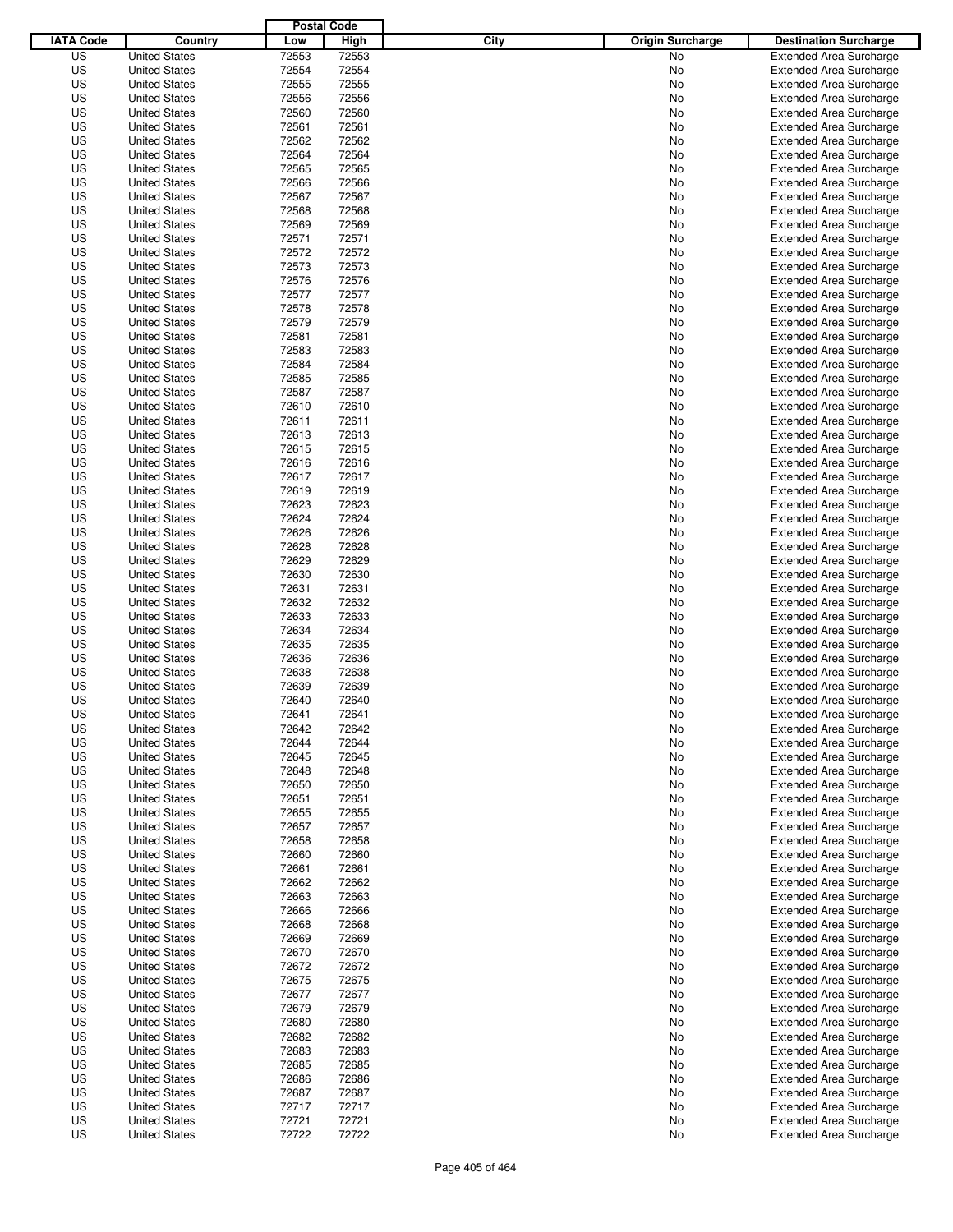|                  |                      | <b>Postal Code</b> |       |                                 |                                |
|------------------|----------------------|--------------------|-------|---------------------------------|--------------------------------|
| <b>IATA Code</b> | Country              | Low                | High  | City<br><b>Origin Surcharge</b> | <b>Destination Surcharge</b>   |
| US               | <b>United States</b> | 72553              | 72553 | <b>No</b>                       | <b>Extended Area Surcharge</b> |
| US               | <b>United States</b> | 72554              | 72554 | No                              | <b>Extended Area Surcharge</b> |
| US               | <b>United States</b> | 72555              | 72555 | No                              | <b>Extended Area Surcharge</b> |
| US               | <b>United States</b> | 72556              | 72556 | No                              | <b>Extended Area Surcharge</b> |
| US               | <b>United States</b> | 72560              | 72560 | No                              | <b>Extended Area Surcharge</b> |
| US               | <b>United States</b> | 72561              | 72561 | No                              | <b>Extended Area Surcharge</b> |
| US               | <b>United States</b> | 72562              | 72562 | No                              | <b>Extended Area Surcharge</b> |
| US               | <b>United States</b> | 72564              | 72564 | No                              | <b>Extended Area Surcharge</b> |
| US               | <b>United States</b> | 72565              | 72565 | No                              | <b>Extended Area Surcharge</b> |
| US               | <b>United States</b> | 72566              | 72566 | No                              | <b>Extended Area Surcharge</b> |
| US               | <b>United States</b> | 72567              | 72567 | No                              | <b>Extended Area Surcharge</b> |
| US               | <b>United States</b> | 72568              | 72568 | No                              | <b>Extended Area Surcharge</b> |
| US               | <b>United States</b> | 72569              | 72569 | No                              | <b>Extended Area Surcharge</b> |
| US               | <b>United States</b> | 72571              | 72571 | No                              | <b>Extended Area Surcharge</b> |
| US               | <b>United States</b> | 72572              | 72572 | No                              | <b>Extended Area Surcharge</b> |
| US               | <b>United States</b> | 72573              | 72573 | No                              | <b>Extended Area Surcharge</b> |
| US               | <b>United States</b> | 72576              | 72576 | No                              | <b>Extended Area Surcharge</b> |
| US               | <b>United States</b> | 72577              | 72577 | No                              | <b>Extended Area Surcharge</b> |
| US               | <b>United States</b> | 72578              | 72578 | No                              | <b>Extended Area Surcharge</b> |
| US               | <b>United States</b> | 72579              | 72579 | No                              | <b>Extended Area Surcharge</b> |
| US               | <b>United States</b> | 72581              | 72581 | No                              | <b>Extended Area Surcharge</b> |
| US               | <b>United States</b> | 72583              | 72583 | No                              | <b>Extended Area Surcharge</b> |
| US               | <b>United States</b> | 72584              | 72584 | No                              | <b>Extended Area Surcharge</b> |
| US               | <b>United States</b> | 72585              | 72585 | No                              | <b>Extended Area Surcharge</b> |
| US               | <b>United States</b> | 72587              | 72587 | No                              | <b>Extended Area Surcharge</b> |
| US               | <b>United States</b> | 72610              | 72610 | No                              | <b>Extended Area Surcharge</b> |
| US               | <b>United States</b> | 72611              | 72611 | No                              | <b>Extended Area Surcharge</b> |
| US               | <b>United States</b> | 72613              | 72613 | No                              | <b>Extended Area Surcharge</b> |
| US               | <b>United States</b> | 72615              | 72615 | No                              | <b>Extended Area Surcharge</b> |
| US               | <b>United States</b> | 72616              | 72616 | No                              | <b>Extended Area Surcharge</b> |
| US               | <b>United States</b> | 72617              | 72617 | No                              | <b>Extended Area Surcharge</b> |
| US               | <b>United States</b> | 72619              | 72619 | No                              | <b>Extended Area Surcharge</b> |
| US               | <b>United States</b> | 72623              | 72623 | No                              | <b>Extended Area Surcharge</b> |
| US               | <b>United States</b> | 72624              | 72624 | No                              | <b>Extended Area Surcharge</b> |
| US               | <b>United States</b> | 72626              | 72626 | No                              | <b>Extended Area Surcharge</b> |
| US               | <b>United States</b> | 72628              | 72628 | No                              | <b>Extended Area Surcharge</b> |
| US               | <b>United States</b> | 72629              | 72629 | No                              | <b>Extended Area Surcharge</b> |
| US               | <b>United States</b> | 72630              | 72630 | No                              | <b>Extended Area Surcharge</b> |
| US               | <b>United States</b> | 72631              | 72631 | No                              | <b>Extended Area Surcharge</b> |
| US               | <b>United States</b> | 72632              | 72632 | No                              | <b>Extended Area Surcharge</b> |
| US               | <b>United States</b> | 72633              | 72633 | No                              | <b>Extended Area Surcharge</b> |
| US               | <b>United States</b> | 72634              | 72634 | No                              | <b>Extended Area Surcharge</b> |
| US               | <b>United States</b> | 72635              | 72635 | No                              | <b>Extended Area Surcharge</b> |
| US               | <b>United States</b> | 72636              | 72636 | No                              | <b>Extended Area Surcharge</b> |
| US               | <b>United States</b> | 72638              | 72638 | No                              | Extended Area Surcharge        |
| US               | <b>United States</b> | 72639              | 72639 | No                              | <b>Extended Area Surcharge</b> |
| US               | <b>United States</b> | 72640              | 72640 | No                              | <b>Extended Area Surcharge</b> |
| US               | <b>United States</b> | 72641              | 72641 | No                              | <b>Extended Area Surcharge</b> |
| US               | <b>United States</b> | 72642              | 72642 | No                              | <b>Extended Area Surcharge</b> |
| US               | <b>United States</b> | 72644              | 72644 | No                              | <b>Extended Area Surcharge</b> |
| US               | <b>United States</b> | 72645              | 72645 | No                              | <b>Extended Area Surcharge</b> |
| US               | <b>United States</b> | 72648              | 72648 | No                              | <b>Extended Area Surcharge</b> |
| US               | <b>United States</b> | 72650              | 72650 | No                              | <b>Extended Area Surcharge</b> |
| US               | <b>United States</b> | 72651              | 72651 | No                              | <b>Extended Area Surcharge</b> |
| US               | <b>United States</b> | 72655              | 72655 | No                              | <b>Extended Area Surcharge</b> |
| US               | <b>United States</b> | 72657              | 72657 | No                              | <b>Extended Area Surcharge</b> |
| US               | <b>United States</b> | 72658              | 72658 | No                              | <b>Extended Area Surcharge</b> |
| US               | <b>United States</b> | 72660              | 72660 | No                              | <b>Extended Area Surcharge</b> |
| US               | <b>United States</b> | 72661              | 72661 | No                              | <b>Extended Area Surcharge</b> |
| US               | <b>United States</b> | 72662              | 72662 | No                              | <b>Extended Area Surcharge</b> |
| US               | <b>United States</b> | 72663              | 72663 | No                              | <b>Extended Area Surcharge</b> |
| US               | <b>United States</b> | 72666              | 72666 | No                              | <b>Extended Area Surcharge</b> |
| US               | <b>United States</b> | 72668              | 72668 | No                              | <b>Extended Area Surcharge</b> |
| US               | <b>United States</b> | 72669              | 72669 | No                              | <b>Extended Area Surcharge</b> |
| US               | <b>United States</b> | 72670              | 72670 | No                              | <b>Extended Area Surcharge</b> |
| US               | <b>United States</b> | 72672              | 72672 | No                              | <b>Extended Area Surcharge</b> |
| US               | <b>United States</b> | 72675              | 72675 | No                              | <b>Extended Area Surcharge</b> |
| US               | <b>United States</b> | 72677              | 72677 | No                              | <b>Extended Area Surcharge</b> |
| US               | <b>United States</b> | 72679              | 72679 | No                              | <b>Extended Area Surcharge</b> |
| US               | <b>United States</b> | 72680              | 72680 | No                              | <b>Extended Area Surcharge</b> |
| US               | <b>United States</b> | 72682              | 72682 | No                              | <b>Extended Area Surcharge</b> |
| US               | <b>United States</b> | 72683              | 72683 | No                              | <b>Extended Area Surcharge</b> |
| US               | <b>United States</b> | 72685              | 72685 | No                              | <b>Extended Area Surcharge</b> |
| US               | <b>United States</b> | 72686              | 72686 | No                              | <b>Extended Area Surcharge</b> |
| US               | <b>United States</b> | 72687              | 72687 | No                              | <b>Extended Area Surcharge</b> |
| US               | <b>United States</b> | 72717              | 72717 | No                              | <b>Extended Area Surcharge</b> |
| US               | <b>United States</b> | 72721              | 72721 | No                              | <b>Extended Area Surcharge</b> |
| US               | <b>United States</b> | 72722              | 72722 | No                              | <b>Extended Area Surcharge</b> |
|                  |                      |                    |       |                                 |                                |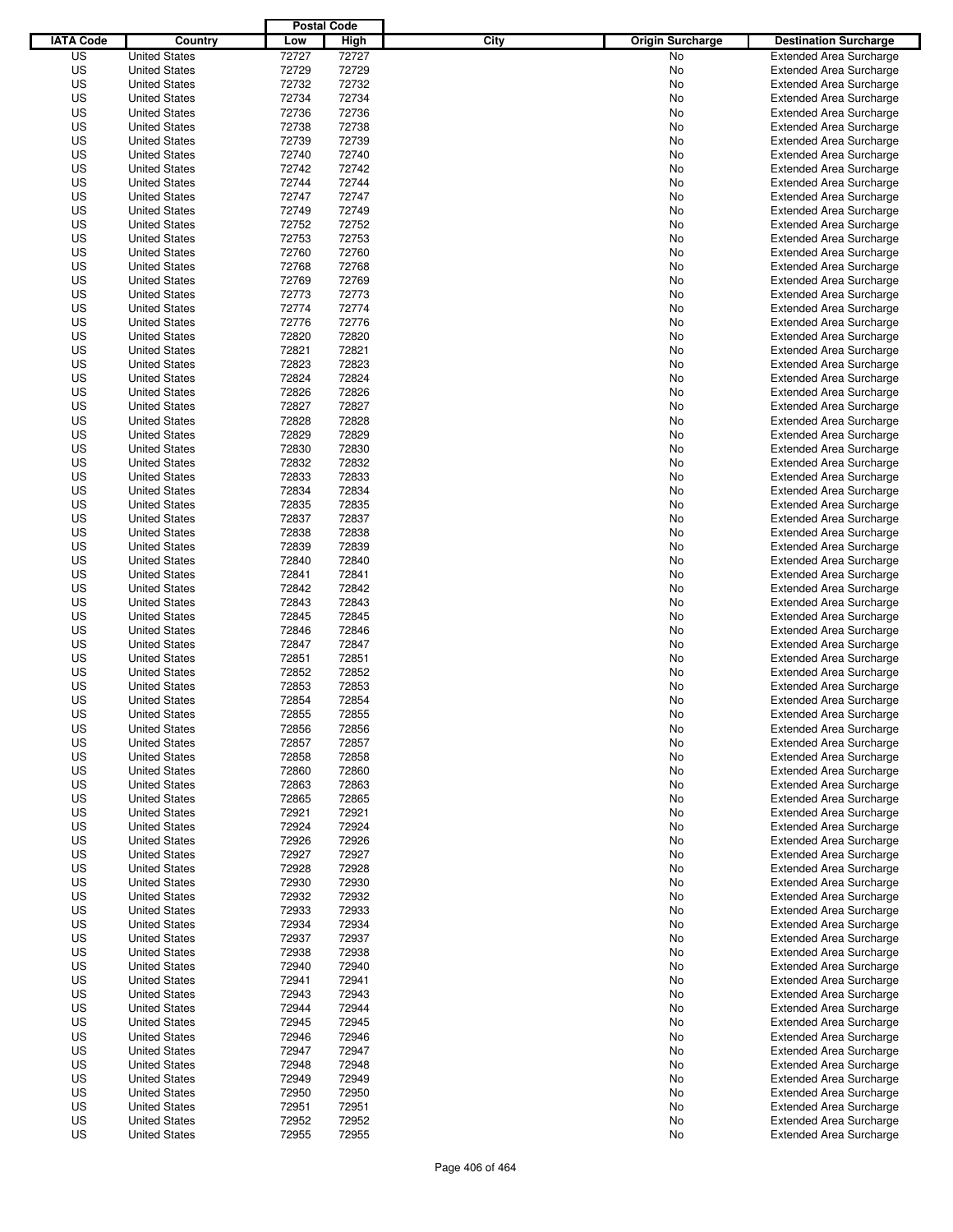|                  |                      | <b>Postal Code</b> |       |                                 |                                |
|------------------|----------------------|--------------------|-------|---------------------------------|--------------------------------|
| <b>IATA Code</b> | Country              | Low                | High  | City<br><b>Origin Surcharge</b> | <b>Destination Surcharge</b>   |
| US               | <b>United States</b> | 72727              | 72727 | <b>No</b>                       | <b>Extended Area Surcharge</b> |
| US               | <b>United States</b> | 72729              | 72729 | No                              | <b>Extended Area Surcharge</b> |
| US               | <b>United States</b> | 72732              | 72732 | No                              | <b>Extended Area Surcharge</b> |
| US               | <b>United States</b> | 72734              | 72734 | No                              | <b>Extended Area Surcharge</b> |
| US               | <b>United States</b> | 72736              | 72736 | No                              | <b>Extended Area Surcharge</b> |
| US               | <b>United States</b> | 72738              | 72738 | No                              | <b>Extended Area Surcharge</b> |
| US               | <b>United States</b> | 72739              | 72739 | No                              | <b>Extended Area Surcharge</b> |
| US               | <b>United States</b> | 72740              | 72740 | No                              | <b>Extended Area Surcharge</b> |
| US               | <b>United States</b> | 72742              | 72742 | No                              | <b>Extended Area Surcharge</b> |
| US               | <b>United States</b> | 72744              | 72744 | No                              | <b>Extended Area Surcharge</b> |
| US               | <b>United States</b> | 72747              | 72747 | No                              | <b>Extended Area Surcharge</b> |
| US               | <b>United States</b> | 72749              | 72749 | No                              | <b>Extended Area Surcharge</b> |
| US               | <b>United States</b> | 72752              | 72752 | No                              | <b>Extended Area Surcharge</b> |
| US               | <b>United States</b> | 72753              | 72753 | No                              | <b>Extended Area Surcharge</b> |
| US               | <b>United States</b> | 72760              | 72760 | No                              | <b>Extended Area Surcharge</b> |
| US               | <b>United States</b> | 72768              | 72768 | No                              | <b>Extended Area Surcharge</b> |
| US               | <b>United States</b> | 72769              | 72769 | No                              | <b>Extended Area Surcharge</b> |
| US               | <b>United States</b> | 72773              | 72773 | No                              | <b>Extended Area Surcharge</b> |
| US               | <b>United States</b> | 72774              | 72774 | No                              | <b>Extended Area Surcharge</b> |
| US               | <b>United States</b> | 72776              | 72776 | No                              | <b>Extended Area Surcharge</b> |
| US               | <b>United States</b> | 72820              | 72820 | No                              | <b>Extended Area Surcharge</b> |
| US               | <b>United States</b> | 72821              | 72821 | No                              | <b>Extended Area Surcharge</b> |
| US               | <b>United States</b> | 72823              | 72823 | No                              | <b>Extended Area Surcharge</b> |
| US               | <b>United States</b> | 72824              | 72824 | No                              | <b>Extended Area Surcharge</b> |
| US               | <b>United States</b> | 72826              | 72826 | No                              | <b>Extended Area Surcharge</b> |
| US               | <b>United States</b> | 72827              | 72827 | No                              | <b>Extended Area Surcharge</b> |
| US               | <b>United States</b> | 72828              | 72828 | No                              | <b>Extended Area Surcharge</b> |
| US               | <b>United States</b> | 72829              | 72829 | No                              | <b>Extended Area Surcharge</b> |
| US               | <b>United States</b> | 72830              | 72830 | No                              | <b>Extended Area Surcharge</b> |
| US               | <b>United States</b> | 72832              | 72832 | No                              | <b>Extended Area Surcharge</b> |
| US               | <b>United States</b> | 72833              | 72833 | No                              | <b>Extended Area Surcharge</b> |
| US               | <b>United States</b> | 72834              | 72834 | No                              | <b>Extended Area Surcharge</b> |
| US               | <b>United States</b> | 72835              | 72835 | No                              | <b>Extended Area Surcharge</b> |
| US               | <b>United States</b> | 72837              | 72837 | No                              | <b>Extended Area Surcharge</b> |
| US               | <b>United States</b> | 72838              | 72838 | No                              | <b>Extended Area Surcharge</b> |
| US               | <b>United States</b> | 72839              | 72839 | No                              | <b>Extended Area Surcharge</b> |
| US               | <b>United States</b> | 72840              | 72840 | No                              | <b>Extended Area Surcharge</b> |
| US               | <b>United States</b> | 72841              | 72841 | No                              | <b>Extended Area Surcharge</b> |
| US               | <b>United States</b> | 72842              | 72842 | No                              | <b>Extended Area Surcharge</b> |
| US               | <b>United States</b> | 72843              | 72843 | No                              | <b>Extended Area Surcharge</b> |
| US               | <b>United States</b> | 72845              | 72845 | No                              | <b>Extended Area Surcharge</b> |
| US               | <b>United States</b> | 72846              | 72846 | No                              | <b>Extended Area Surcharge</b> |
| US               | <b>United States</b> | 72847              | 72847 | No                              | <b>Extended Area Surcharge</b> |
| US               | <b>United States</b> | 72851              | 72851 | No                              | <b>Extended Area Surcharge</b> |
| US               | <b>United States</b> | 72852              | 72852 | No                              | Extended Area Surcharge        |
| US               | <b>United States</b> | 72853              | 72853 | No                              | <b>Extended Area Surcharge</b> |
| US               | <b>United States</b> | 72854              | 72854 | No                              | <b>Extended Area Surcharge</b> |
| US               | <b>United States</b> | 72855              | 72855 | No                              | <b>Extended Area Surcharge</b> |
| US               | <b>United States</b> | 72856              | 72856 | No                              | <b>Extended Area Surcharge</b> |
| US               | <b>United States</b> | 72857              | 72857 | No                              | <b>Extended Area Surcharge</b> |
| US               | <b>United States</b> | 72858              | 72858 | No                              | <b>Extended Area Surcharge</b> |
| US               | <b>United States</b> | 72860              | 72860 | No                              | <b>Extended Area Surcharge</b> |
| US               | <b>United States</b> | 72863              | 72863 | No                              | <b>Extended Area Surcharge</b> |
| US               | <b>United States</b> | 72865              | 72865 | No                              | <b>Extended Area Surcharge</b> |
| US               | <b>United States</b> | 72921              | 72921 | No                              | <b>Extended Area Surcharge</b> |
| US               | <b>United States</b> | 72924              | 72924 | No                              | <b>Extended Area Surcharge</b> |
| US               | <b>United States</b> | 72926              | 72926 | No                              | <b>Extended Area Surcharge</b> |
| US               | <b>United States</b> | 72927              | 72927 | No                              | <b>Extended Area Surcharge</b> |
| US               | <b>United States</b> | 72928              | 72928 | No                              | <b>Extended Area Surcharge</b> |
| US               | <b>United States</b> | 72930              | 72930 | No                              | <b>Extended Area Surcharge</b> |
| US               | <b>United States</b> | 72932              | 72932 | No                              | <b>Extended Area Surcharge</b> |
| US               | <b>United States</b> | 72933              | 72933 | No                              | <b>Extended Area Surcharge</b> |
| US               | <b>United States</b> | 72934              | 72934 | No                              | <b>Extended Area Surcharge</b> |
| US               | <b>United States</b> | 72937              | 72937 | No                              | <b>Extended Area Surcharge</b> |
| US               | <b>United States</b> | 72938              | 72938 | No                              | <b>Extended Area Surcharge</b> |
| US               | <b>United States</b> | 72940              | 72940 | No                              | <b>Extended Area Surcharge</b> |
| US               | <b>United States</b> | 72941              | 72941 | No                              | <b>Extended Area Surcharge</b> |
| US               | <b>United States</b> | 72943              | 72943 | No                              | <b>Extended Area Surcharge</b> |
| US               | <b>United States</b> | 72944              | 72944 | No                              | <b>Extended Area Surcharge</b> |
| US               | <b>United States</b> | 72945              | 72945 | No                              | <b>Extended Area Surcharge</b> |
| US               | <b>United States</b> | 72946              | 72946 | No                              | <b>Extended Area Surcharge</b> |
| US               | <b>United States</b> | 72947              | 72947 | No                              | <b>Extended Area Surcharge</b> |
| US               | <b>United States</b> | 72948              | 72948 | No                              | <b>Extended Area Surcharge</b> |
| US               | <b>United States</b> | 72949              | 72949 | No                              | <b>Extended Area Surcharge</b> |
| US               | <b>United States</b> | 72950              | 72950 | No                              | <b>Extended Area Surcharge</b> |
| US               | <b>United States</b> | 72951              | 72951 | No                              | <b>Extended Area Surcharge</b> |
| US               | <b>United States</b> | 72952              | 72952 | No                              | <b>Extended Area Surcharge</b> |
| US               | <b>United States</b> | 72955              | 72955 | No                              | <b>Extended Area Surcharge</b> |
|                  |                      |                    |       |                                 |                                |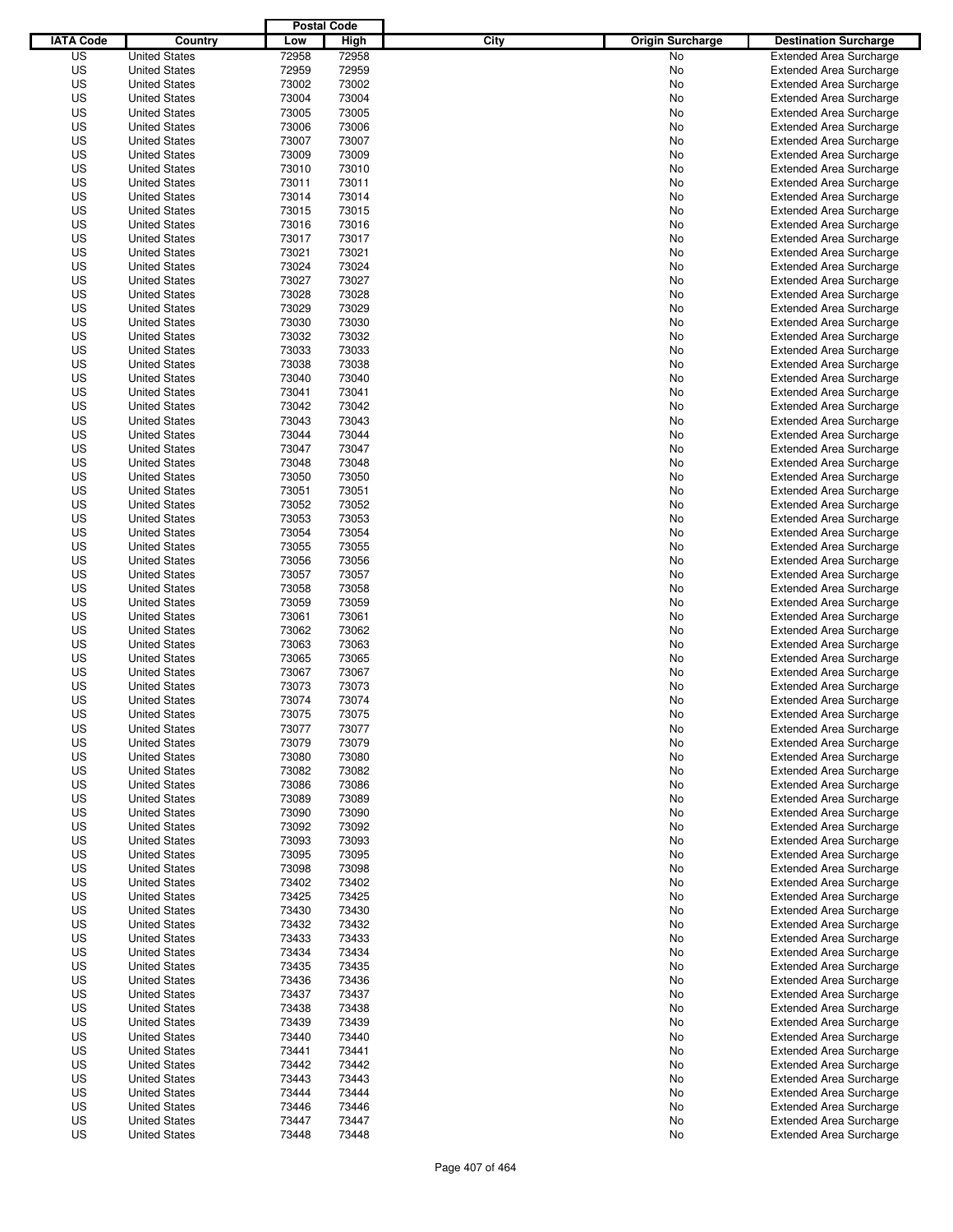|                  |                                              | <b>Postal Code</b> |                |                                 |                                                                  |
|------------------|----------------------------------------------|--------------------|----------------|---------------------------------|------------------------------------------------------------------|
| <b>IATA Code</b> | Country                                      | Low                | High           | City<br><b>Origin Surcharge</b> | <b>Destination Surcharge</b>                                     |
| US               | <b>United States</b>                         | 72958              | 72958          | <b>No</b>                       | <b>Extended Area Surcharge</b>                                   |
| US               | <b>United States</b>                         | 72959              | 72959          | No                              | <b>Extended Area Surcharge</b>                                   |
| US               | <b>United States</b>                         | 73002              | 73002          | No                              | <b>Extended Area Surcharge</b>                                   |
| US               | <b>United States</b>                         | 73004              | 73004          | No                              | <b>Extended Area Surcharge</b>                                   |
| US               | <b>United States</b>                         | 73005              | 73005          | No                              | <b>Extended Area Surcharge</b>                                   |
| US               | <b>United States</b>                         | 73006              | 73006          | No                              | <b>Extended Area Surcharge</b>                                   |
| US               | <b>United States</b>                         | 73007              | 73007          | No                              | <b>Extended Area Surcharge</b>                                   |
| US               | <b>United States</b>                         | 73009              | 73009          | No                              | <b>Extended Area Surcharge</b>                                   |
| US               | <b>United States</b>                         | 73010              | 73010          | No                              | <b>Extended Area Surcharge</b>                                   |
| US               | <b>United States</b>                         | 73011              | 73011          | No                              | <b>Extended Area Surcharge</b>                                   |
| US               | <b>United States</b>                         | 73014              | 73014          | No                              | <b>Extended Area Surcharge</b>                                   |
| US               | <b>United States</b>                         | 73015              | 73015          | No                              | <b>Extended Area Surcharge</b>                                   |
| US               | <b>United States</b>                         | 73016              | 73016          | No                              | <b>Extended Area Surcharge</b>                                   |
| US               | <b>United States</b>                         | 73017              | 73017          | No                              | <b>Extended Area Surcharge</b>                                   |
| US               | <b>United States</b>                         | 73021              | 73021          | No                              | <b>Extended Area Surcharge</b>                                   |
| US               | <b>United States</b>                         | 73024              | 73024          | No                              | <b>Extended Area Surcharge</b>                                   |
| US               | <b>United States</b>                         | 73027              | 73027          | No                              | <b>Extended Area Surcharge</b>                                   |
| US               | <b>United States</b>                         | 73028              | 73028          | No                              | <b>Extended Area Surcharge</b>                                   |
| US               | <b>United States</b>                         | 73029              | 73029          | No                              | <b>Extended Area Surcharge</b>                                   |
| US               | <b>United States</b>                         | 73030              | 73030          | No                              | <b>Extended Area Surcharge</b>                                   |
| US               | <b>United States</b>                         | 73032              | 73032          | No                              | <b>Extended Area Surcharge</b>                                   |
| US               | <b>United States</b>                         | 73033              | 73033          | No                              | <b>Extended Area Surcharge</b>                                   |
| US               | <b>United States</b>                         | 73038              | 73038          | No                              | <b>Extended Area Surcharge</b>                                   |
| US               | <b>United States</b>                         | 73040              | 73040          | No                              | <b>Extended Area Surcharge</b>                                   |
| US               | <b>United States</b>                         | 73041              | 73041          | No                              | <b>Extended Area Surcharge</b>                                   |
| US               | <b>United States</b>                         | 73042              | 73042          | No                              | <b>Extended Area Surcharge</b>                                   |
| US               | <b>United States</b>                         | 73043              | 73043          | No                              | <b>Extended Area Surcharge</b>                                   |
| US               | <b>United States</b>                         | 73044              | 73044          | No                              | <b>Extended Area Surcharge</b>                                   |
| US               | <b>United States</b>                         | 73047              | 73047          | No                              | <b>Extended Area Surcharge</b>                                   |
| US               | <b>United States</b>                         | 73048              | 73048          | No                              | <b>Extended Area Surcharge</b>                                   |
| US               | <b>United States</b>                         | 73050              | 73050          | No                              | <b>Extended Area Surcharge</b>                                   |
| US               | <b>United States</b>                         | 73051              | 73051          | No                              | <b>Extended Area Surcharge</b>                                   |
| US               | <b>United States</b>                         | 73052              | 73052          | No                              | <b>Extended Area Surcharge</b>                                   |
| US               | <b>United States</b>                         | 73053              | 73053          | No                              | <b>Extended Area Surcharge</b>                                   |
| US               | <b>United States</b>                         | 73054              | 73054          | No                              | <b>Extended Area Surcharge</b>                                   |
| US               | <b>United States</b>                         | 73055              | 73055          | No                              | <b>Extended Area Surcharge</b>                                   |
| US               | <b>United States</b>                         | 73056              | 73056          | No                              | <b>Extended Area Surcharge</b>                                   |
| US               | <b>United States</b>                         | 73057              | 73057          | No                              | <b>Extended Area Surcharge</b>                                   |
| US               | <b>United States</b>                         | 73058              | 73058          | No                              | <b>Extended Area Surcharge</b>                                   |
| US               | <b>United States</b>                         | 73059              | 73059          | No                              | <b>Extended Area Surcharge</b>                                   |
| US               | <b>United States</b>                         | 73061              | 73061          | No                              | <b>Extended Area Surcharge</b>                                   |
| US               | <b>United States</b>                         | 73062              | 73062          | No                              | <b>Extended Area Surcharge</b>                                   |
| US               | <b>United States</b>                         | 73063              | 73063          | No                              | <b>Extended Area Surcharge</b>                                   |
| US               | <b>United States</b>                         | 73065              | 73065          | No                              | <b>Extended Area Surcharge</b>                                   |
| US               | <b>United States</b>                         | 73067              | 73067          | No                              | Extended Area Surcharge                                          |
| US               | <b>United States</b>                         | 73073              | 73073          | No                              | <b>Extended Area Surcharge</b>                                   |
| US               | <b>United States</b>                         | 73074              | 73074          | No                              | <b>Extended Area Surcharge</b>                                   |
| US               | <b>United States</b>                         | 73075              | 73075          | No                              | <b>Extended Area Surcharge</b>                                   |
| US               | <b>United States</b>                         | 73077              | 73077          | No                              | <b>Extended Area Surcharge</b>                                   |
| US               | <b>United States</b>                         | 73079              | 73079          | No                              | <b>Extended Area Surcharge</b>                                   |
| US               | <b>United States</b>                         | 73080              | 73080          | No                              | <b>Extended Area Surcharge</b>                                   |
| US               | <b>United States</b>                         | 73082              | 73082          | No                              | <b>Extended Area Surcharge</b>                                   |
| US               | <b>United States</b>                         | 73086              | 73086          | No                              | <b>Extended Area Surcharge</b>                                   |
| US               | <b>United States</b>                         | 73089              | 73089          | No                              | <b>Extended Area Surcharge</b>                                   |
| US               | <b>United States</b>                         | 73090              | 73090          | No                              | <b>Extended Area Surcharge</b>                                   |
| US               | <b>United States</b>                         | 73092              | 73092          | No                              | <b>Extended Area Surcharge</b>                                   |
| US               | <b>United States</b>                         | 73093              | 73093          | No                              | <b>Extended Area Surcharge</b>                                   |
| US<br>US         | <b>United States</b>                         | 73095<br>73098     | 73095<br>73098 | No                              | <b>Extended Area Surcharge</b><br><b>Extended Area Surcharge</b> |
|                  | <b>United States</b>                         |                    |                | No                              |                                                                  |
| US               | <b>United States</b>                         | 73402              | 73402          | No                              | <b>Extended Area Surcharge</b>                                   |
| US               | <b>United States</b>                         | 73425              | 73425          | No                              | <b>Extended Area Surcharge</b>                                   |
| US<br>US         | <b>United States</b>                         | 73430<br>73432     | 73430<br>73432 | No                              | <b>Extended Area Surcharge</b><br><b>Extended Area Surcharge</b> |
|                  | <b>United States</b>                         |                    |                | No                              |                                                                  |
| US<br>US         | <b>United States</b>                         | 73433<br>73434     | 73433<br>73434 | No                              | <b>Extended Area Surcharge</b><br><b>Extended Area Surcharge</b> |
| US               | <b>United States</b><br><b>United States</b> | 73435              | 73435          | No<br>No                        | <b>Extended Area Surcharge</b>                                   |
| US               | <b>United States</b>                         | 73436              | 73436          | No                              | <b>Extended Area Surcharge</b>                                   |
| US               | <b>United States</b>                         | 73437              | 73437          | No                              | <b>Extended Area Surcharge</b>                                   |
| US               | <b>United States</b>                         |                    | 73438          |                                 | <b>Extended Area Surcharge</b>                                   |
| US               | <b>United States</b>                         | 73438<br>73439     | 73439          | No<br>No                        | <b>Extended Area Surcharge</b>                                   |
| US               | <b>United States</b>                         | 73440              | 73440          | No                              | <b>Extended Area Surcharge</b>                                   |
| US               | <b>United States</b>                         | 73441              | 73441          |                                 | <b>Extended Area Surcharge</b>                                   |
| US               | <b>United States</b>                         | 73442              | 73442          | No<br>No                        | <b>Extended Area Surcharge</b>                                   |
| US               | <b>United States</b>                         | 73443              | 73443          | No                              | <b>Extended Area Surcharge</b>                                   |
| US               | <b>United States</b>                         | 73444              | 73444          | No                              | <b>Extended Area Surcharge</b>                                   |
| US               | <b>United States</b>                         | 73446              | 73446          | No                              | <b>Extended Area Surcharge</b>                                   |
| US               | <b>United States</b>                         | 73447              | 73447          | No                              | <b>Extended Area Surcharge</b>                                   |
| US               | <b>United States</b>                         | 73448              | 73448          | No                              | <b>Extended Area Surcharge</b>                                   |
|                  |                                              |                    |                |                                 |                                                                  |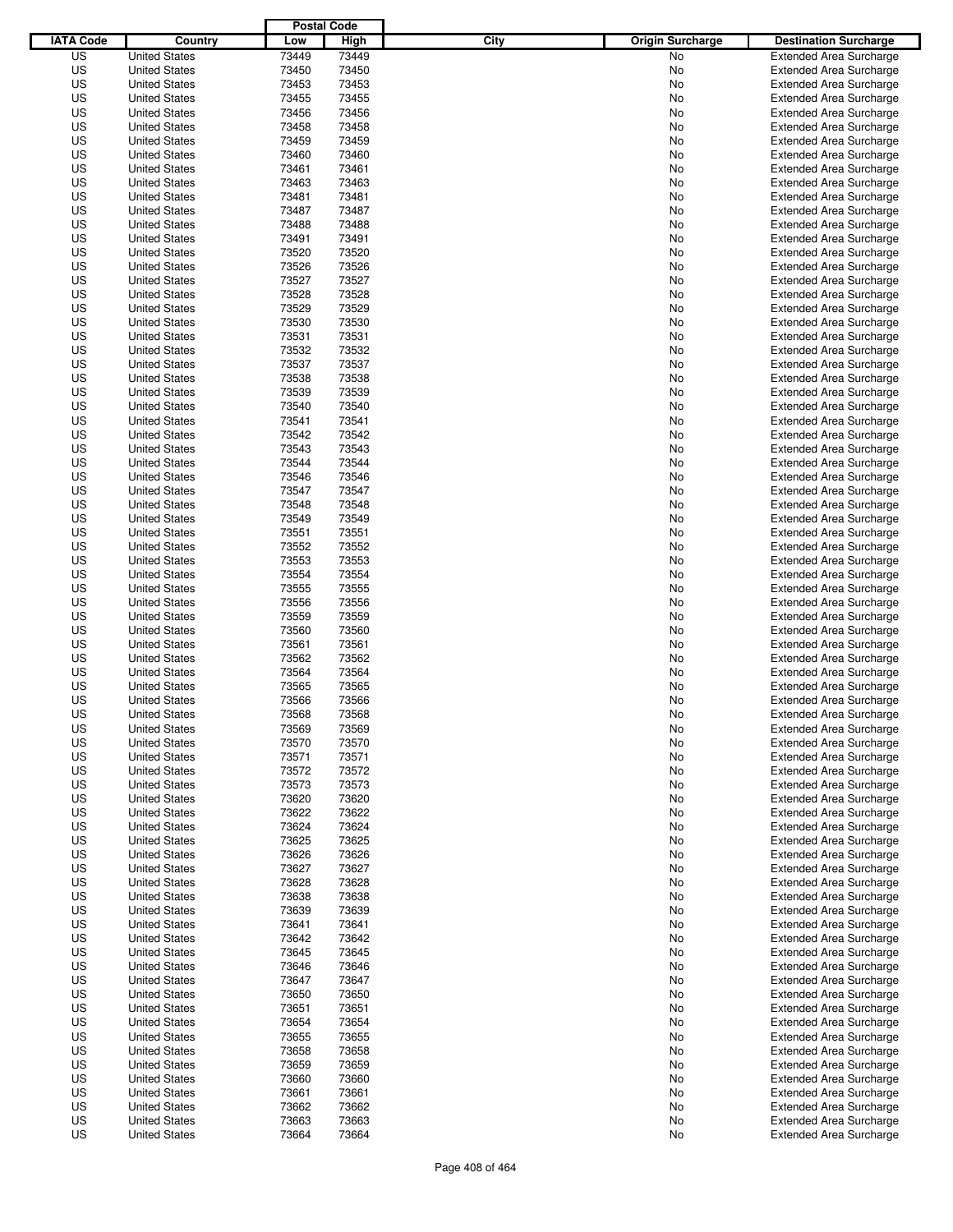|                  |                                              | <b>Postal Code</b> |                |                                 |                                                                  |
|------------------|----------------------------------------------|--------------------|----------------|---------------------------------|------------------------------------------------------------------|
| <b>IATA Code</b> | Country                                      | Low                | High           | City<br><b>Origin Surcharge</b> | <b>Destination Surcharge</b>                                     |
| US               | <b>United States</b>                         | 73449              | 73449          | <b>No</b>                       | <b>Extended Area Surcharge</b>                                   |
| US               | <b>United States</b>                         | 73450              | 73450          | No                              | <b>Extended Area Surcharge</b>                                   |
| US               | <b>United States</b>                         | 73453              | 73453          | No                              | <b>Extended Area Surcharge</b>                                   |
| US               | <b>United States</b>                         | 73455              | 73455          | No                              | <b>Extended Area Surcharge</b>                                   |
| US               | <b>United States</b>                         | 73456              | 73456          | No                              | <b>Extended Area Surcharge</b>                                   |
| US               | <b>United States</b>                         | 73458              | 73458          | No                              | <b>Extended Area Surcharge</b>                                   |
| US               | <b>United States</b>                         | 73459              | 73459          | No                              | <b>Extended Area Surcharge</b>                                   |
| US               | <b>United States</b>                         | 73460              | 73460          | No                              | <b>Extended Area Surcharge</b>                                   |
| US               | <b>United States</b>                         | 73461              | 73461          | No                              | <b>Extended Area Surcharge</b>                                   |
| US               | <b>United States</b>                         | 73463              | 73463          | No                              | <b>Extended Area Surcharge</b>                                   |
| US               | <b>United States</b>                         | 73481              | 73481          | No                              | <b>Extended Area Surcharge</b>                                   |
| US               | <b>United States</b>                         | 73487              | 73487          | No                              | <b>Extended Area Surcharge</b>                                   |
| US               | <b>United States</b>                         | 73488              | 73488          | No                              | <b>Extended Area Surcharge</b>                                   |
| US               | <b>United States</b>                         | 73491              | 73491          | No                              | <b>Extended Area Surcharge</b>                                   |
| US               | <b>United States</b>                         | 73520              | 73520          | No                              | <b>Extended Area Surcharge</b>                                   |
| US               | <b>United States</b>                         | 73526              | 73526          | No                              | <b>Extended Area Surcharge</b>                                   |
| US               | <b>United States</b>                         | 73527              | 73527          | No                              | <b>Extended Area Surcharge</b>                                   |
| US               | <b>United States</b>                         | 73528              | 73528          | No                              | <b>Extended Area Surcharge</b>                                   |
| US               | <b>United States</b>                         | 73529              | 73529          | No                              | <b>Extended Area Surcharge</b>                                   |
| US               | <b>United States</b>                         | 73530              | 73530          | No                              | <b>Extended Area Surcharge</b>                                   |
| US               | <b>United States</b>                         | 73531              | 73531          | No                              | <b>Extended Area Surcharge</b>                                   |
| US               | <b>United States</b>                         | 73532              | 73532          | No                              | <b>Extended Area Surcharge</b>                                   |
| US               | <b>United States</b>                         | 73537              | 73537          | No                              | <b>Extended Area Surcharge</b>                                   |
| US               | <b>United States</b>                         | 73538              | 73538          | No                              | <b>Extended Area Surcharge</b>                                   |
| US               | <b>United States</b>                         | 73539              | 73539          | No                              | <b>Extended Area Surcharge</b>                                   |
| US               | <b>United States</b>                         | 73540              | 73540          | No                              | <b>Extended Area Surcharge</b>                                   |
| US               | <b>United States</b>                         | 73541              | 73541          | No                              | <b>Extended Area Surcharge</b>                                   |
| US               | <b>United States</b>                         | 73542              | 73542          | No                              | <b>Extended Area Surcharge</b>                                   |
| US               | <b>United States</b>                         | 73543              | 73543          | No                              | <b>Extended Area Surcharge</b>                                   |
| US               | <b>United States</b>                         | 73544              | 73544          | No                              | <b>Extended Area Surcharge</b>                                   |
| US               | <b>United States</b>                         | 73546              | 73546          | No                              | <b>Extended Area Surcharge</b>                                   |
| US               | <b>United States</b>                         | 73547              | 73547          | No                              | <b>Extended Area Surcharge</b>                                   |
| US               | <b>United States</b>                         | 73548              | 73548          | No                              | <b>Extended Area Surcharge</b>                                   |
| US               | <b>United States</b>                         | 73549              | 73549          | No                              | <b>Extended Area Surcharge</b>                                   |
| US               | <b>United States</b>                         | 73551              | 73551          | No                              | <b>Extended Area Surcharge</b>                                   |
| US               | <b>United States</b>                         | 73552              | 73552          | No                              | <b>Extended Area Surcharge</b>                                   |
| US               | <b>United States</b>                         | 73553              | 73553          | No                              | <b>Extended Area Surcharge</b>                                   |
| US               | <b>United States</b>                         | 73554              | 73554          | No                              | <b>Extended Area Surcharge</b>                                   |
| US               | <b>United States</b>                         | 73555              | 73555          | No                              | <b>Extended Area Surcharge</b>                                   |
| US               | <b>United States</b>                         | 73556              | 73556          | No                              | <b>Extended Area Surcharge</b>                                   |
| US               | <b>United States</b>                         | 73559              | 73559          | No                              | <b>Extended Area Surcharge</b>                                   |
| US               | <b>United States</b>                         | 73560              | 73560          | No                              | <b>Extended Area Surcharge</b>                                   |
| US               | <b>United States</b>                         | 73561              | 73561          | No                              | <b>Extended Area Surcharge</b>                                   |
| US               | <b>United States</b>                         | 73562              | 73562          | No                              | <b>Extended Area Surcharge</b>                                   |
| US               | <b>United States</b>                         | 73564              | 73564          | No                              | Extended Area Surcharge                                          |
| US               | <b>United States</b>                         | 73565              | 73565          | No                              | <b>Extended Area Surcharge</b>                                   |
| US               | <b>United States</b>                         | 73566              | 73566          | No                              | <b>Extended Area Surcharge</b>                                   |
| US               | <b>United States</b>                         | 73568              | 73568          | No                              | <b>Extended Area Surcharge</b>                                   |
| US               | <b>United States</b>                         | 73569              | 73569          | No                              | <b>Extended Area Surcharge</b>                                   |
| US               | <b>United States</b>                         | 73570              | 73570          | No                              | <b>Extended Area Surcharge</b>                                   |
| US               | <b>United States</b>                         | 73571              | 73571          | No                              | <b>Extended Area Surcharge</b>                                   |
| US               |                                              | 73572              | 73572          |                                 | <b>Extended Area Surcharge</b>                                   |
| US               | <b>United States</b>                         | 73573              | 73573          | No                              | <b>Extended Area Surcharge</b>                                   |
| US               | <b>United States</b><br><b>United States</b> | 73620              | 73620          | No                              | <b>Extended Area Surcharge</b>                                   |
| US               | <b>United States</b>                         | 73622              | 73622          | No                              | <b>Extended Area Surcharge</b>                                   |
|                  |                                              |                    |                | No                              |                                                                  |
| US               | <b>United States</b>                         | 73624              | 73624          | No                              | <b>Extended Area Surcharge</b>                                   |
| US               | <b>United States</b>                         | 73625              | 73625          | No                              | <b>Extended Area Surcharge</b>                                   |
| US<br>US         | <b>United States</b>                         | 73626<br>73627     | 73626<br>73627 | No                              | <b>Extended Area Surcharge</b><br><b>Extended Area Surcharge</b> |
|                  | <b>United States</b>                         |                    |                | No                              |                                                                  |
| US               | <b>United States</b>                         | 73628              | 73628          | No                              | <b>Extended Area Surcharge</b>                                   |
| US               | <b>United States</b>                         | 73638              | 73638          | No                              | <b>Extended Area Surcharge</b>                                   |
| US               | <b>United States</b>                         | 73639              | 73639          | No                              | <b>Extended Area Surcharge</b>                                   |
| US               | <b>United States</b>                         | 73641              | 73641          | No                              | <b>Extended Area Surcharge</b>                                   |
| US               | <b>United States</b>                         | 73642              | 73642          | No                              | <b>Extended Area Surcharge</b>                                   |
| US               | <b>United States</b>                         | 73645              | 73645          | No                              | <b>Extended Area Surcharge</b>                                   |
| US               | <b>United States</b>                         | 73646              | 73646          | No                              | <b>Extended Area Surcharge</b>                                   |
| US               | <b>United States</b>                         | 73647              | 73647          | No                              | <b>Extended Area Surcharge</b>                                   |
| US               | <b>United States</b>                         | 73650              | 73650          | No                              | <b>Extended Area Surcharge</b>                                   |
| US               | <b>United States</b>                         | 73651              | 73651          | No                              | <b>Extended Area Surcharge</b>                                   |
| US               | <b>United States</b>                         | 73654              | 73654          | No                              | <b>Extended Area Surcharge</b>                                   |
| US               | <b>United States</b>                         | 73655              | 73655          | No                              | <b>Extended Area Surcharge</b>                                   |
| US               | <b>United States</b>                         | 73658              | 73658          | No                              | <b>Extended Area Surcharge</b>                                   |
| US               | <b>United States</b>                         | 73659              | 73659          | No                              | <b>Extended Area Surcharge</b>                                   |
| US               | <b>United States</b>                         | 73660              | 73660          | No                              | <b>Extended Area Surcharge</b>                                   |
| US               | <b>United States</b>                         | 73661              | 73661          | No                              | <b>Extended Area Surcharge</b>                                   |
| US               | <b>United States</b>                         | 73662              | 73662          | No                              | <b>Extended Area Surcharge</b>                                   |
| US               | <b>United States</b>                         | 73663              | 73663          | No                              | <b>Extended Area Surcharge</b>                                   |
| US               | <b>United States</b>                         | 73664              | 73664          | No                              | <b>Extended Area Surcharge</b>                                   |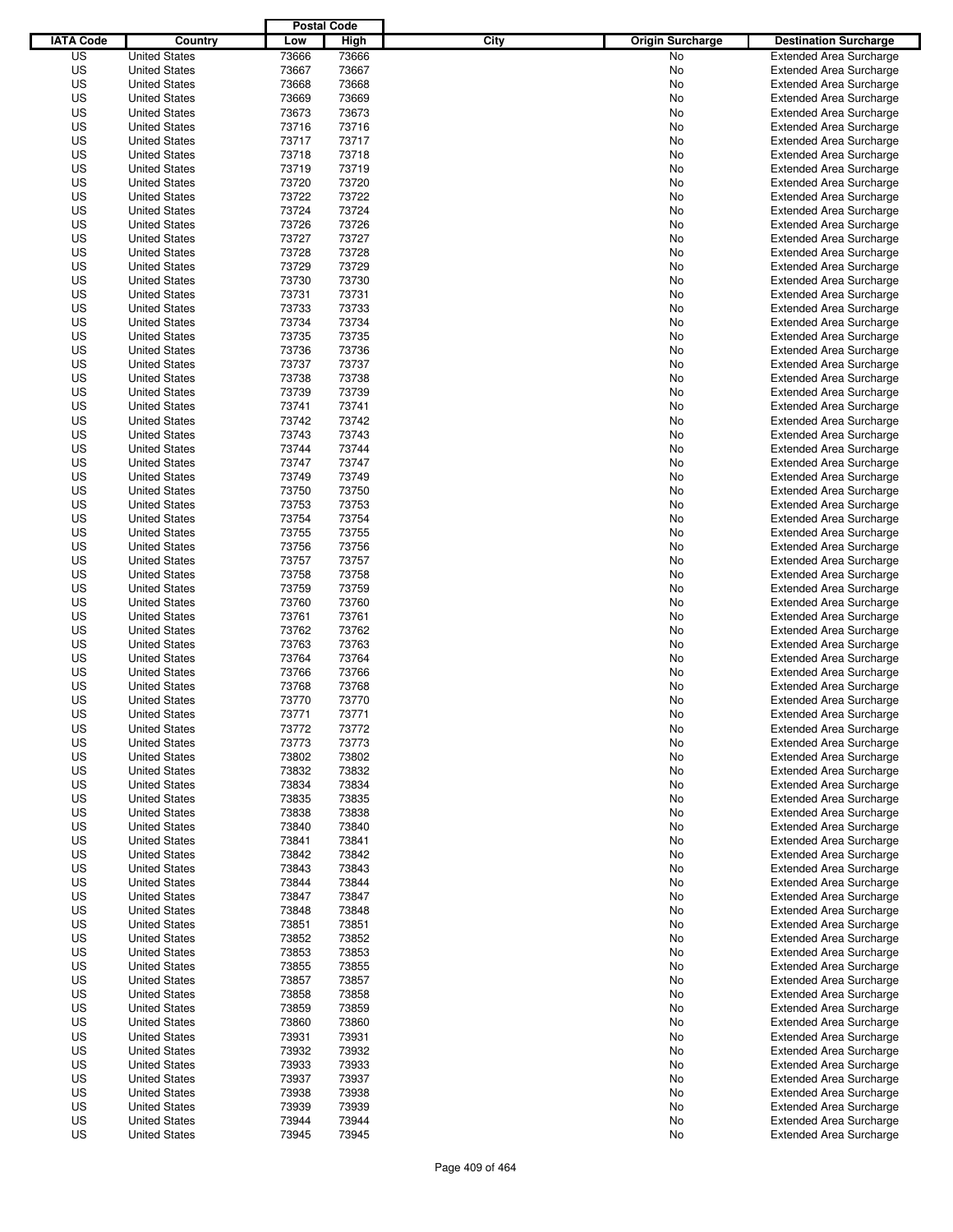|                  |                      | <b>Postal Code</b> |       |                                 |                                |
|------------------|----------------------|--------------------|-------|---------------------------------|--------------------------------|
| <b>IATA Code</b> | Country              | Low                | High  | City<br><b>Origin Surcharge</b> | <b>Destination Surcharge</b>   |
| US               | <b>United States</b> | 73666              | 73666 | <b>No</b>                       | <b>Extended Area Surcharge</b> |
| US               | <b>United States</b> | 73667              | 73667 | No                              | <b>Extended Area Surcharge</b> |
| US               | <b>United States</b> | 73668              | 73668 | No                              | <b>Extended Area Surcharge</b> |
| US               | <b>United States</b> | 73669              | 73669 | No                              | <b>Extended Area Surcharge</b> |
| US               | <b>United States</b> | 73673              | 73673 | No                              | <b>Extended Area Surcharge</b> |
| US               | <b>United States</b> | 73716              | 73716 | No                              | <b>Extended Area Surcharge</b> |
| US               | <b>United States</b> | 73717              | 73717 | No                              | <b>Extended Area Surcharge</b> |
| US               | <b>United States</b> | 73718              | 73718 | No                              | <b>Extended Area Surcharge</b> |
| US               | <b>United States</b> | 73719              | 73719 | No                              | <b>Extended Area Surcharge</b> |
| US               | <b>United States</b> | 73720              | 73720 | No                              | <b>Extended Area Surcharge</b> |
| US               | <b>United States</b> | 73722              | 73722 | No                              | <b>Extended Area Surcharge</b> |
| US               | <b>United States</b> | 73724              | 73724 | No                              | <b>Extended Area Surcharge</b> |
| US               | <b>United States</b> | 73726              | 73726 | No                              | <b>Extended Area Surcharge</b> |
| US               | <b>United States</b> | 73727              | 73727 | No                              | <b>Extended Area Surcharge</b> |
| US               | <b>United States</b> | 73728              | 73728 | No                              | <b>Extended Area Surcharge</b> |
| US               | <b>United States</b> | 73729              | 73729 | No                              | <b>Extended Area Surcharge</b> |
| US               | <b>United States</b> | 73730              | 73730 | No                              | <b>Extended Area Surcharge</b> |
| US               | <b>United States</b> | 73731              | 73731 | No                              | <b>Extended Area Surcharge</b> |
| US               | <b>United States</b> | 73733              | 73733 | No                              | <b>Extended Area Surcharge</b> |
| US               | <b>United States</b> | 73734              | 73734 | No                              | <b>Extended Area Surcharge</b> |
| US               | <b>United States</b> | 73735              | 73735 | No                              | <b>Extended Area Surcharge</b> |
| US               | <b>United States</b> | 73736              | 73736 | No                              | <b>Extended Area Surcharge</b> |
| US               | <b>United States</b> | 73737              | 73737 | No                              | <b>Extended Area Surcharge</b> |
| US               | <b>United States</b> | 73738              | 73738 | No                              | <b>Extended Area Surcharge</b> |
| US               | <b>United States</b> | 73739              | 73739 | No                              | <b>Extended Area Surcharge</b> |
| US               | <b>United States</b> | 73741              | 73741 | No                              | <b>Extended Area Surcharge</b> |
| US               | <b>United States</b> | 73742              | 73742 | No                              | <b>Extended Area Surcharge</b> |
| US               | <b>United States</b> | 73743              | 73743 | No                              | <b>Extended Area Surcharge</b> |
| US               | <b>United States</b> | 73744              | 73744 | No                              | <b>Extended Area Surcharge</b> |
| US               | <b>United States</b> | 73747              | 73747 | No                              | <b>Extended Area Surcharge</b> |
| US               | <b>United States</b> | 73749              | 73749 | No                              | <b>Extended Area Surcharge</b> |
| US               | <b>United States</b> | 73750              | 73750 | No                              | <b>Extended Area Surcharge</b> |
| US               | <b>United States</b> | 73753              | 73753 | No                              | <b>Extended Area Surcharge</b> |
| US               | <b>United States</b> | 73754              | 73754 | No                              | <b>Extended Area Surcharge</b> |
| US               | <b>United States</b> | 73755              | 73755 |                                 |                                |
|                  | <b>United States</b> |                    | 73756 | No                              | <b>Extended Area Surcharge</b> |
| US               | <b>United States</b> | 73756              |       | No                              | <b>Extended Area Surcharge</b> |
| US               |                      | 73757              | 73757 | No                              | <b>Extended Area Surcharge</b> |
| US               | <b>United States</b> | 73758              | 73758 | No                              | <b>Extended Area Surcharge</b> |
| US               | <b>United States</b> | 73759              | 73759 | No                              | <b>Extended Area Surcharge</b> |
| US               | <b>United States</b> | 73760              | 73760 | No                              | <b>Extended Area Surcharge</b> |
| US               | <b>United States</b> | 73761              | 73761 | No                              | <b>Extended Area Surcharge</b> |
| US               | <b>United States</b> | 73762              | 73762 | No                              | <b>Extended Area Surcharge</b> |
| US               | <b>United States</b> | 73763              | 73763 | No                              | <b>Extended Area Surcharge</b> |
| US               | <b>United States</b> | 73764              | 73764 | No                              | <b>Extended Area Surcharge</b> |
| US               | <b>United States</b> | 73766              | 73766 | No                              | Extended Area Surcharge        |
| US               | <b>United States</b> | 73768              | 73768 | No                              | <b>Extended Area Surcharge</b> |
| US               | <b>United States</b> | 73770              | 73770 | No                              | <b>Extended Area Surcharge</b> |
| US               | <b>United States</b> | 73771              | 73771 | No                              | <b>Extended Area Surcharge</b> |
| US               | <b>United States</b> | 73772              | 73772 | No                              | <b>Extended Area Surcharge</b> |
| US               | <b>United States</b> | 73773              | 73773 | No                              | <b>Extended Area Surcharge</b> |
| US               | <b>United States</b> | 73802              | 73802 | No                              | <b>Extended Area Surcharge</b> |
| US               | <b>United States</b> | 73832              | 73832 | No                              | <b>Extended Area Surcharge</b> |
| US               | <b>United States</b> | 73834              | 73834 | No                              | <b>Extended Area Surcharge</b> |
| US               | <b>United States</b> | 73835              | 73835 | No                              | <b>Extended Area Surcharge</b> |
| US               | <b>United States</b> | 73838              | 73838 | No                              | <b>Extended Area Surcharge</b> |
| US               | <b>United States</b> | 73840              | 73840 | No                              | <b>Extended Area Surcharge</b> |
| US               | <b>United States</b> | 73841              | 73841 | No                              | <b>Extended Area Surcharge</b> |
| US               | <b>United States</b> | 73842              | 73842 | No                              | <b>Extended Area Surcharge</b> |
| US               | <b>United States</b> | 73843              | 73843 | No                              | <b>Extended Area Surcharge</b> |
| US               | <b>United States</b> | 73844              | 73844 | No                              | <b>Extended Area Surcharge</b> |
| US               | <b>United States</b> | 73847              | 73847 | No                              | <b>Extended Area Surcharge</b> |
| US               | <b>United States</b> | 73848              | 73848 | No                              | <b>Extended Area Surcharge</b> |
| US               | <b>United States</b> | 73851              | 73851 | No                              | <b>Extended Area Surcharge</b> |
| US               | <b>United States</b> | 73852              | 73852 | No                              | <b>Extended Area Surcharge</b> |
| US               | <b>United States</b> | 73853              | 73853 | No                              | <b>Extended Area Surcharge</b> |
| US               | <b>United States</b> | 73855              | 73855 | No                              | <b>Extended Area Surcharge</b> |
| US               | <b>United States</b> | 73857              | 73857 | No                              | <b>Extended Area Surcharge</b> |
| US               | <b>United States</b> | 73858              | 73858 | No                              | <b>Extended Area Surcharge</b> |
| US               | <b>United States</b> | 73859              | 73859 | No                              | <b>Extended Area Surcharge</b> |
| US               | <b>United States</b> | 73860              | 73860 | No                              | <b>Extended Area Surcharge</b> |
| US               | <b>United States</b> | 73931              | 73931 | No                              | <b>Extended Area Surcharge</b> |
| US               | <b>United States</b> | 73932              | 73932 | No                              | <b>Extended Area Surcharge</b> |
| US               | <b>United States</b> | 73933              | 73933 | No                              | <b>Extended Area Surcharge</b> |
| US               | <b>United States</b> | 73937              | 73937 | No                              | <b>Extended Area Surcharge</b> |
| US               | <b>United States</b> | 73938              | 73938 | No                              | <b>Extended Area Surcharge</b> |
| US               | <b>United States</b> | 73939              | 73939 | No                              | <b>Extended Area Surcharge</b> |
| US               | <b>United States</b> | 73944              | 73944 | No                              | <b>Extended Area Surcharge</b> |
| US               | <b>United States</b> | 73945              | 73945 | No                              | <b>Extended Area Surcharge</b> |
|                  |                      |                    |       |                                 |                                |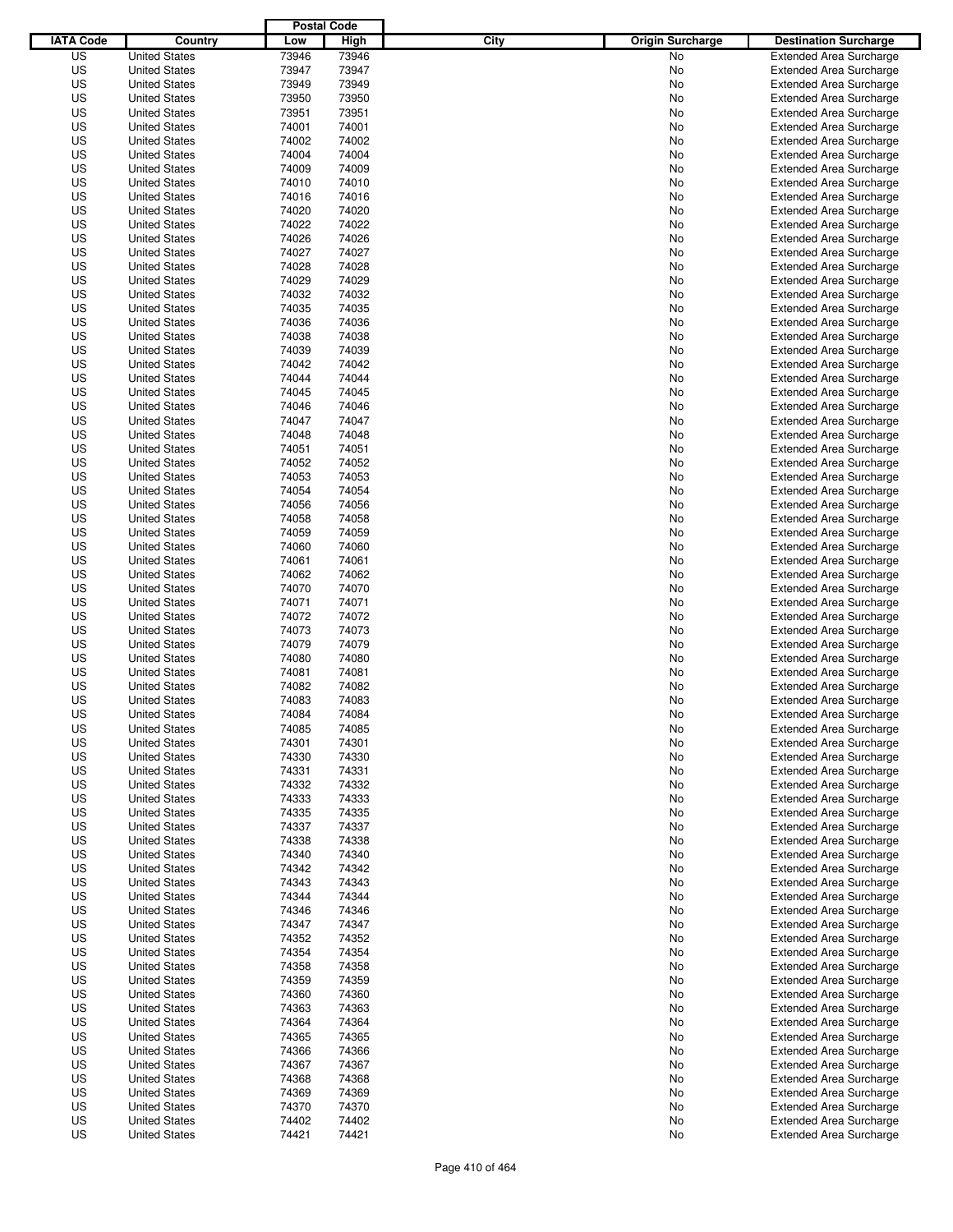|                  |                      | <b>Postal Code</b> |       |                                 |                                |
|------------------|----------------------|--------------------|-------|---------------------------------|--------------------------------|
| <b>IATA Code</b> | Country              | Low                | High  | City<br><b>Origin Surcharge</b> | <b>Destination Surcharge</b>   |
| US               | <b>United States</b> | 73946              | 73946 | <b>No</b>                       | <b>Extended Area Surcharge</b> |
| US               | <b>United States</b> | 73947              | 73947 | No                              | <b>Extended Area Surcharge</b> |
| US               | <b>United States</b> | 73949              | 73949 | No                              | <b>Extended Area Surcharge</b> |
| US               | <b>United States</b> | 73950              | 73950 | No                              | <b>Extended Area Surcharge</b> |
| US               | <b>United States</b> | 73951              | 73951 | No                              | <b>Extended Area Surcharge</b> |
| US               | <b>United States</b> | 74001              | 74001 | No                              | <b>Extended Area Surcharge</b> |
| US               | <b>United States</b> | 74002              | 74002 | No                              | <b>Extended Area Surcharge</b> |
| US               | <b>United States</b> | 74004              | 74004 | No                              | <b>Extended Area Surcharge</b> |
| US               | <b>United States</b> | 74009              | 74009 | No                              | <b>Extended Area Surcharge</b> |
| US               | <b>United States</b> | 74010              | 74010 | No                              | <b>Extended Area Surcharge</b> |
| US               | <b>United States</b> | 74016              | 74016 | No                              | <b>Extended Area Surcharge</b> |
| US               | <b>United States</b> | 74020              | 74020 | No                              | <b>Extended Area Surcharge</b> |
| US               | <b>United States</b> | 74022              | 74022 | No                              | <b>Extended Area Surcharge</b> |
| US               | <b>United States</b> | 74026              | 74026 | No                              | <b>Extended Area Surcharge</b> |
| US               | <b>United States</b> | 74027              | 74027 | No                              | <b>Extended Area Surcharge</b> |
| US               | <b>United States</b> | 74028              | 74028 | No                              | <b>Extended Area Surcharge</b> |
| US               | <b>United States</b> | 74029              | 74029 | No                              | <b>Extended Area Surcharge</b> |
| US               | <b>United States</b> | 74032              | 74032 | No                              | <b>Extended Area Surcharge</b> |
| US               | <b>United States</b> | 74035              | 74035 | No                              | <b>Extended Area Surcharge</b> |
| US               | <b>United States</b> | 74036              | 74036 | No                              | <b>Extended Area Surcharge</b> |
| US               | <b>United States</b> | 74038              | 74038 | No                              | <b>Extended Area Surcharge</b> |
| US               | <b>United States</b> | 74039              | 74039 | No                              | <b>Extended Area Surcharge</b> |
| US               | <b>United States</b> | 74042              | 74042 | No                              | <b>Extended Area Surcharge</b> |
| US               | <b>United States</b> | 74044              | 74044 | No                              | <b>Extended Area Surcharge</b> |
| US               | <b>United States</b> | 74045              | 74045 | No                              | <b>Extended Area Surcharge</b> |
| US               | <b>United States</b> | 74046              | 74046 | No                              | <b>Extended Area Surcharge</b> |
| US               | <b>United States</b> | 74047              | 74047 | No                              | <b>Extended Area Surcharge</b> |
| US               | <b>United States</b> | 74048              | 74048 | No                              | <b>Extended Area Surcharge</b> |
| US               | <b>United States</b> | 74051              | 74051 | No                              | <b>Extended Area Surcharge</b> |
| US               | <b>United States</b> | 74052              | 74052 | No                              | <b>Extended Area Surcharge</b> |
| US               | <b>United States</b> | 74053              | 74053 | No                              | <b>Extended Area Surcharge</b> |
| US               | <b>United States</b> | 74054              | 74054 | No                              | <b>Extended Area Surcharge</b> |
| US               | <b>United States</b> | 74056              | 74056 | No                              | <b>Extended Area Surcharge</b> |
| US               | <b>United States</b> | 74058              | 74058 | No                              | <b>Extended Area Surcharge</b> |
| US               | <b>United States</b> | 74059              | 74059 | No                              | <b>Extended Area Surcharge</b> |
| US               | <b>United States</b> | 74060              | 74060 |                                 | <b>Extended Area Surcharge</b> |
|                  | <b>United States</b> |                    |       | No                              |                                |
| US               |                      | 74061              | 74061 | No                              | <b>Extended Area Surcharge</b> |
| US               | <b>United States</b> | 74062              | 74062 | No                              | <b>Extended Area Surcharge</b> |
| US               | <b>United States</b> | 74070              | 74070 | No                              | <b>Extended Area Surcharge</b> |
| US               | <b>United States</b> | 74071              | 74071 | No                              | <b>Extended Area Surcharge</b> |
| US               | <b>United States</b> | 74072              | 74072 | No                              | <b>Extended Area Surcharge</b> |
| US               | <b>United States</b> | 74073              | 74073 | No                              | <b>Extended Area Surcharge</b> |
| US               | <b>United States</b> | 74079              | 74079 | No                              | <b>Extended Area Surcharge</b> |
| US               | <b>United States</b> | 74080              | 74080 | No                              | <b>Extended Area Surcharge</b> |
| US               | <b>United States</b> | 74081              | 74081 | No                              | Extended Area Surcharge        |
| US               | <b>United States</b> | 74082              | 74082 | No                              | <b>Extended Area Surcharge</b> |
| US               | <b>United States</b> | 74083              | 74083 | No                              | <b>Extended Area Surcharge</b> |
| US               | <b>United States</b> | 74084              | 74084 | No                              | <b>Extended Area Surcharge</b> |
| US               | <b>United States</b> | 74085              | 74085 | No                              | <b>Extended Area Surcharge</b> |
| US               | <b>United States</b> | 74301              | 74301 | No                              | <b>Extended Area Surcharge</b> |
| US               | <b>United States</b> | 74330              | 74330 | No                              | <b>Extended Area Surcharge</b> |
| US               | <b>United States</b> | 74331              | 74331 | No                              | <b>Extended Area Surcharge</b> |
| US               | <b>United States</b> | 74332              | 74332 | No                              | <b>Extended Area Surcharge</b> |
| US               | <b>United States</b> | 74333              | 74333 | No                              | <b>Extended Area Surcharge</b> |
| US               | <b>United States</b> | 74335              | 74335 | No                              | <b>Extended Area Surcharge</b> |
| US               | <b>United States</b> | 74337              | 74337 | No                              | <b>Extended Area Surcharge</b> |
| US               | <b>United States</b> | 74338              | 74338 | No                              | <b>Extended Area Surcharge</b> |
| US               | <b>United States</b> | 74340              | 74340 | No                              | <b>Extended Area Surcharge</b> |
| US               | <b>United States</b> | 74342              | 74342 | No                              | <b>Extended Area Surcharge</b> |
| US               | <b>United States</b> | 74343              | 74343 | No                              | <b>Extended Area Surcharge</b> |
| US               | <b>United States</b> | 74344              | 74344 | No                              | <b>Extended Area Surcharge</b> |
| US               | <b>United States</b> | 74346              | 74346 | No                              | <b>Extended Area Surcharge</b> |
| US               | <b>United States</b> | 74347              | 74347 | No                              | <b>Extended Area Surcharge</b> |
| US               | <b>United States</b> | 74352              | 74352 | No                              | <b>Extended Area Surcharge</b> |
| US               | <b>United States</b> | 74354              | 74354 | No                              | <b>Extended Area Surcharge</b> |
| US               | <b>United States</b> | 74358              | 74358 | No                              | <b>Extended Area Surcharge</b> |
| US               | <b>United States</b> | 74359              | 74359 | No                              | <b>Extended Area Surcharge</b> |
| US               | <b>United States</b> | 74360              | 74360 | No                              | <b>Extended Area Surcharge</b> |
| US               | <b>United States</b> | 74363              | 74363 | No                              | <b>Extended Area Surcharge</b> |
| US               | <b>United States</b> | 74364              | 74364 | No                              | <b>Extended Area Surcharge</b> |
| US               | <b>United States</b> | 74365              | 74365 | No                              | <b>Extended Area Surcharge</b> |
| US               | <b>United States</b> | 74366              | 74366 | No                              | <b>Extended Area Surcharge</b> |
| US               | <b>United States</b> | 74367              | 74367 | No                              | <b>Extended Area Surcharge</b> |
| US               | <b>United States</b> | 74368              | 74368 | No                              | <b>Extended Area Surcharge</b> |
| US               | <b>United States</b> | 74369              | 74369 | No                              | <b>Extended Area Surcharge</b> |
| US               | <b>United States</b> | 74370              | 74370 | No                              | <b>Extended Area Surcharge</b> |
| US               | <b>United States</b> | 74402              | 74402 | No                              | <b>Extended Area Surcharge</b> |
| US               | <b>United States</b> | 74421              | 74421 | No                              | <b>Extended Area Surcharge</b> |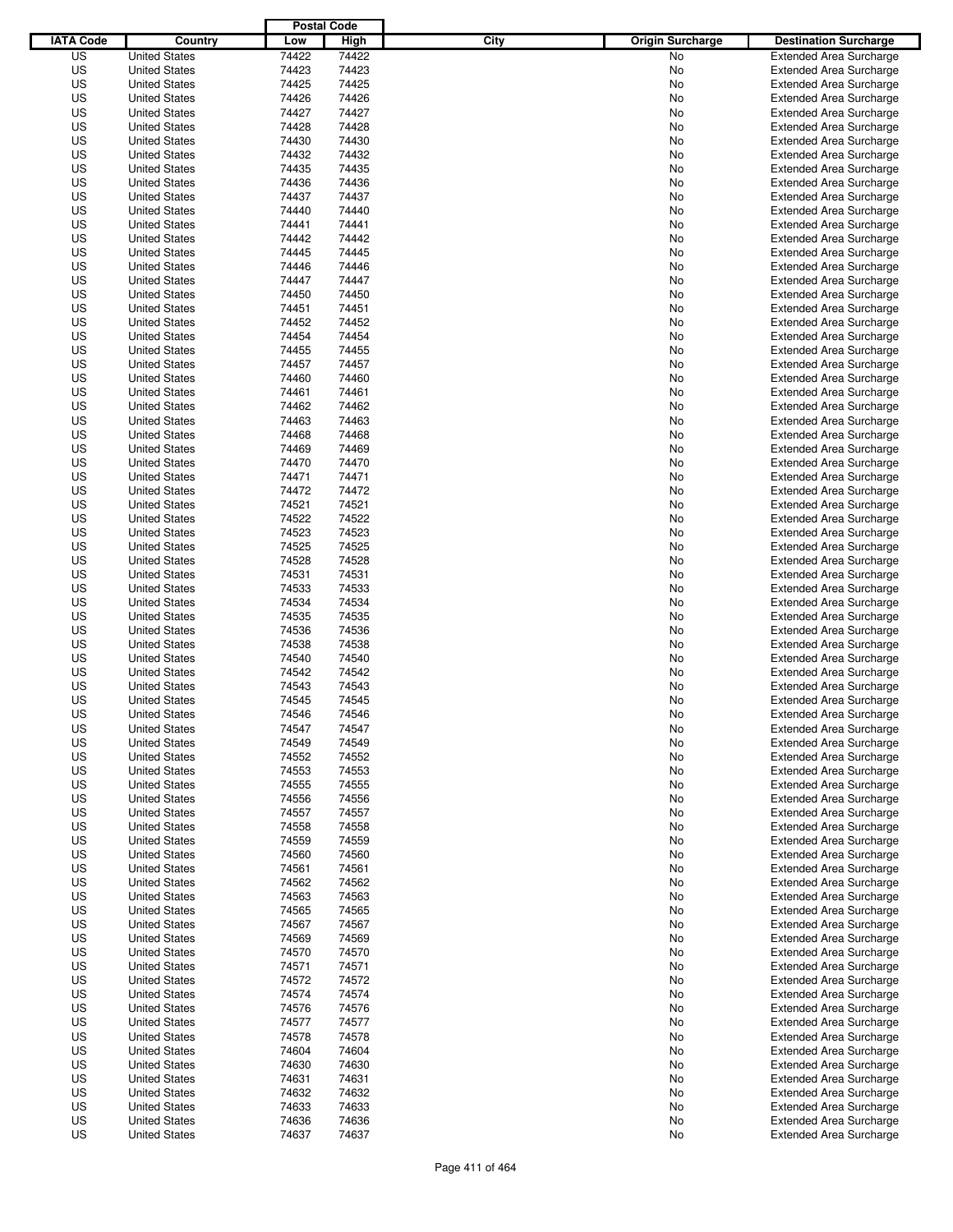|                  |                      | <b>Postal Code</b> |       |                                 |                                |
|------------------|----------------------|--------------------|-------|---------------------------------|--------------------------------|
| <b>IATA Code</b> | Country              | Low                | High  | City<br><b>Origin Surcharge</b> | <b>Destination Surcharge</b>   |
| US               | <b>United States</b> | 74422              | 74422 | <b>No</b>                       | <b>Extended Area Surcharge</b> |
| US               | <b>United States</b> | 74423              | 74423 | No                              | <b>Extended Area Surcharge</b> |
| US               | <b>United States</b> | 74425              | 74425 | No                              | <b>Extended Area Surcharge</b> |
| US               | <b>United States</b> | 74426              | 74426 | No                              | <b>Extended Area Surcharge</b> |
| US               | <b>United States</b> | 74427              | 74427 | No                              | <b>Extended Area Surcharge</b> |
| US               | <b>United States</b> | 74428              | 74428 | No                              | <b>Extended Area Surcharge</b> |
| US               | <b>United States</b> | 74430              | 74430 | No                              | <b>Extended Area Surcharge</b> |
| US               | <b>United States</b> | 74432              | 74432 | No                              | <b>Extended Area Surcharge</b> |
| US               | <b>United States</b> | 74435              | 74435 | No                              | <b>Extended Area Surcharge</b> |
| US               | <b>United States</b> | 74436              | 74436 | No                              | <b>Extended Area Surcharge</b> |
| US               | <b>United States</b> | 74437              | 74437 | No                              | <b>Extended Area Surcharge</b> |
| US               | <b>United States</b> | 74440              | 74440 | No                              | <b>Extended Area Surcharge</b> |
| US               | <b>United States</b> | 74441              | 74441 | No                              | <b>Extended Area Surcharge</b> |
| US               | <b>United States</b> | 74442              | 74442 | No                              | <b>Extended Area Surcharge</b> |
| US               | <b>United States</b> | 74445              | 74445 | No                              | <b>Extended Area Surcharge</b> |
| US               | <b>United States</b> | 74446              | 74446 | No                              | <b>Extended Area Surcharge</b> |
| US               | <b>United States</b> | 74447              | 74447 | No                              | <b>Extended Area Surcharge</b> |
| US               | <b>United States</b> | 74450              | 74450 | No                              | <b>Extended Area Surcharge</b> |
| US               | <b>United States</b> | 74451              | 74451 | No                              | <b>Extended Area Surcharge</b> |
| US               | <b>United States</b> | 74452              | 74452 | No                              | <b>Extended Area Surcharge</b> |
| US               | <b>United States</b> | 74454              | 74454 | No                              | <b>Extended Area Surcharge</b> |
| US               | <b>United States</b> | 74455              | 74455 | No                              | <b>Extended Area Surcharge</b> |
| US               | <b>United States</b> | 74457              | 74457 | No                              | <b>Extended Area Surcharge</b> |
| US               | <b>United States</b> | 74460              | 74460 | No                              | <b>Extended Area Surcharge</b> |
| US               | <b>United States</b> | 74461              | 74461 | No                              | <b>Extended Area Surcharge</b> |
| US               | <b>United States</b> | 74462              | 74462 | No                              | <b>Extended Area Surcharge</b> |
| US               | <b>United States</b> | 74463              | 74463 | No                              | <b>Extended Area Surcharge</b> |
| US               | <b>United States</b> | 74468              | 74468 | No                              | <b>Extended Area Surcharge</b> |
| US               | <b>United States</b> | 74469              | 74469 | No                              | <b>Extended Area Surcharge</b> |
| US               | <b>United States</b> | 74470              | 74470 | No                              | <b>Extended Area Surcharge</b> |
| US               | <b>United States</b> | 74471              | 74471 | No                              | <b>Extended Area Surcharge</b> |
| US               | <b>United States</b> | 74472              | 74472 | No                              | <b>Extended Area Surcharge</b> |
| US               | <b>United States</b> | 74521              | 74521 | No                              | <b>Extended Area Surcharge</b> |
| US               | <b>United States</b> | 74522              | 74522 | No                              | <b>Extended Area Surcharge</b> |
| US               | <b>United States</b> | 74523              | 74523 | No                              | <b>Extended Area Surcharge</b> |
| US               | <b>United States</b> | 74525              | 74525 | No                              | <b>Extended Area Surcharge</b> |
| US               | <b>United States</b> | 74528              | 74528 | No                              | <b>Extended Area Surcharge</b> |
| US               | <b>United States</b> | 74531              | 74531 | No                              | <b>Extended Area Surcharge</b> |
| US               | <b>United States</b> | 74533              | 74533 | No                              | <b>Extended Area Surcharge</b> |
| US               | <b>United States</b> | 74534              | 74534 | No                              | <b>Extended Area Surcharge</b> |
| US               | <b>United States</b> | 74535              | 74535 | No                              | <b>Extended Area Surcharge</b> |
| US               | <b>United States</b> | 74536              | 74536 | No                              | <b>Extended Area Surcharge</b> |
| US               | <b>United States</b> | 74538              | 74538 | No                              | <b>Extended Area Surcharge</b> |
| US               | <b>United States</b> | 74540              | 74540 | No                              | <b>Extended Area Surcharge</b> |
| US               | <b>United States</b> | 74542              | 74542 | No                              | Extended Area Surcharge        |
| US               | <b>United States</b> | 74543              | 74543 | No                              | <b>Extended Area Surcharge</b> |
| US               | <b>United States</b> | 74545              | 74545 | No                              | <b>Extended Area Surcharge</b> |
| US               | <b>United States</b> | 74546              | 74546 | No                              | <b>Extended Area Surcharge</b> |
| US               | <b>United States</b> | 74547              | 74547 | No                              | <b>Extended Area Surcharge</b> |
| US               | <b>United States</b> | 74549              | 74549 | No                              | <b>Extended Area Surcharge</b> |
| US               | <b>United States</b> | 74552              | 74552 | No                              | <b>Extended Area Surcharge</b> |
| US               | <b>United States</b> | 74553              | 74553 | No                              | <b>Extended Area Surcharge</b> |
| US               | <b>United States</b> | 74555              | 74555 | No                              | <b>Extended Area Surcharge</b> |
| US               | <b>United States</b> | 74556              | 74556 | No                              | <b>Extended Area Surcharge</b> |
| US               | <b>United States</b> | 74557              | 74557 | No                              | <b>Extended Area Surcharge</b> |
| US               | <b>United States</b> | 74558              | 74558 | No                              | <b>Extended Area Surcharge</b> |
| US               | <b>United States</b> | 74559              | 74559 | No                              | <b>Extended Area Surcharge</b> |
| US               | <b>United States</b> | 74560              | 74560 | No                              | <b>Extended Area Surcharge</b> |
| US               | <b>United States</b> | 74561              | 74561 | No                              | <b>Extended Area Surcharge</b> |
| US               | <b>United States</b> | 74562              | 74562 | No                              | <b>Extended Area Surcharge</b> |
| US               | <b>United States</b> | 74563              | 74563 | No                              | <b>Extended Area Surcharge</b> |
| US               | <b>United States</b> | 74565              | 74565 | No                              | <b>Extended Area Surcharge</b> |
| US               | <b>United States</b> | 74567              | 74567 | No                              | <b>Extended Area Surcharge</b> |
| US               | <b>United States</b> | 74569              | 74569 | No                              | <b>Extended Area Surcharge</b> |
| US               | <b>United States</b> | 74570              | 74570 | No                              | <b>Extended Area Surcharge</b> |
| US               | <b>United States</b> | 74571              | 74571 | No                              | <b>Extended Area Surcharge</b> |
| US               | <b>United States</b> | 74572              | 74572 | No                              | <b>Extended Area Surcharge</b> |
| US               | <b>United States</b> | 74574              | 74574 | No                              | <b>Extended Area Surcharge</b> |
| US               | <b>United States</b> | 74576              | 74576 | No                              | <b>Extended Area Surcharge</b> |
| US               | <b>United States</b> | 74577              | 74577 | No                              | Extended Area Surcharge        |
| US               | <b>United States</b> | 74578              | 74578 | No                              | <b>Extended Area Surcharge</b> |
| US               | <b>United States</b> | 74604              | 74604 | No                              | <b>Extended Area Surcharge</b> |
| US               | <b>United States</b> | 74630              | 74630 | No                              | <b>Extended Area Surcharge</b> |
| US               | <b>United States</b> | 74631              | 74631 | No                              | <b>Extended Area Surcharge</b> |
| US               | <b>United States</b> | 74632              | 74632 | No                              | <b>Extended Area Surcharge</b> |
| US               | <b>United States</b> | 74633              | 74633 | No                              | <b>Extended Area Surcharge</b> |
| US               | <b>United States</b> | 74636              | 74636 | No                              | <b>Extended Area Surcharge</b> |
| US               | <b>United States</b> | 74637              | 74637 | No                              | <b>Extended Area Surcharge</b> |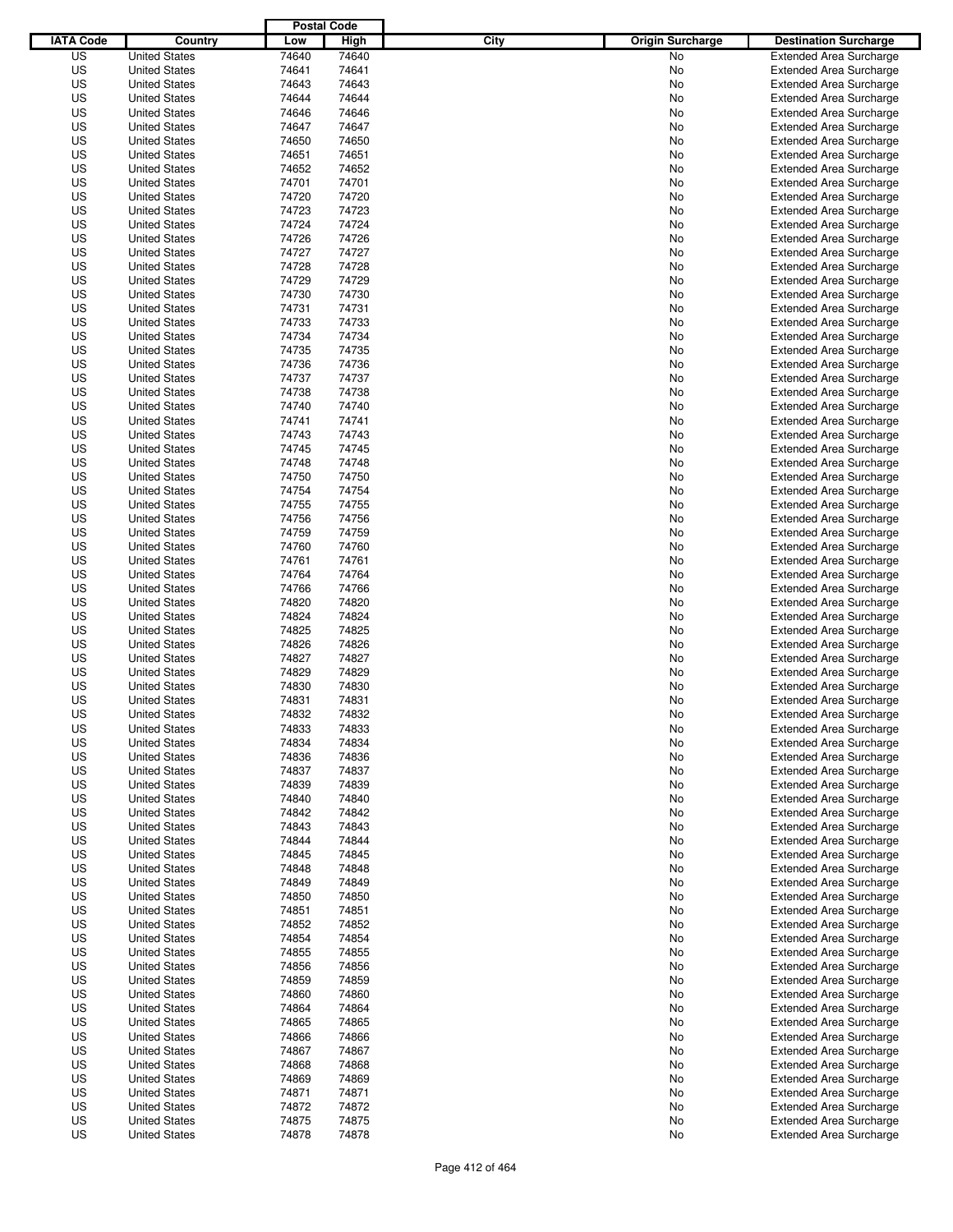|                  |                      | <b>Postal Code</b> |                |                                 |                                                                  |
|------------------|----------------------|--------------------|----------------|---------------------------------|------------------------------------------------------------------|
| <b>IATA Code</b> | Country              | Low                | High           | City<br><b>Origin Surcharge</b> | <b>Destination Surcharge</b>                                     |
| US               | <b>United States</b> | 74640              | 74640          | <b>No</b>                       | <b>Extended Area Surcharge</b>                                   |
| US               | <b>United States</b> | 74641              | 74641          | No                              | <b>Extended Area Surcharge</b>                                   |
| US               | <b>United States</b> | 74643              | 74643          | No                              | <b>Extended Area Surcharge</b>                                   |
| US               | <b>United States</b> | 74644              | 74644          | No                              | <b>Extended Area Surcharge</b>                                   |
| US               | <b>United States</b> | 74646              | 74646          | No                              | <b>Extended Area Surcharge</b>                                   |
| US               | <b>United States</b> | 74647              | 74647          | No                              | <b>Extended Area Surcharge</b>                                   |
| US               | <b>United States</b> | 74650              | 74650          | No                              | <b>Extended Area Surcharge</b>                                   |
| US               | <b>United States</b> | 74651              | 74651          | No                              | <b>Extended Area Surcharge</b>                                   |
| US               | <b>United States</b> | 74652              | 74652          | No                              | <b>Extended Area Surcharge</b>                                   |
| US               | <b>United States</b> | 74701              | 74701          | No                              | <b>Extended Area Surcharge</b>                                   |
| US               | <b>United States</b> | 74720              | 74720          | No                              | <b>Extended Area Surcharge</b>                                   |
| US               | <b>United States</b> | 74723              | 74723          | No                              | <b>Extended Area Surcharge</b>                                   |
| US               | <b>United States</b> | 74724              | 74724          | No                              | <b>Extended Area Surcharge</b>                                   |
| US               | <b>United States</b> | 74726              | 74726          | No                              | <b>Extended Area Surcharge</b>                                   |
| US               | <b>United States</b> | 74727              | 74727          | No                              | <b>Extended Area Surcharge</b>                                   |
| US               | <b>United States</b> | 74728              | 74728          | No                              | <b>Extended Area Surcharge</b>                                   |
| US               | <b>United States</b> | 74729              | 74729          | No                              | <b>Extended Area Surcharge</b>                                   |
| US               | <b>United States</b> | 74730              | 74730          | No                              | <b>Extended Area Surcharge</b>                                   |
| US               | <b>United States</b> | 74731              | 74731          | No                              | <b>Extended Area Surcharge</b>                                   |
| US               | <b>United States</b> | 74733              | 74733          | No                              | <b>Extended Area Surcharge</b>                                   |
| US               | <b>United States</b> | 74734              | 74734          | No                              | <b>Extended Area Surcharge</b>                                   |
| US               | <b>United States</b> | 74735              | 74735          | No                              | <b>Extended Area Surcharge</b>                                   |
| US               | <b>United States</b> | 74736              | 74736          | No                              | <b>Extended Area Surcharge</b>                                   |
| US               | <b>United States</b> | 74737              | 74737          | No                              | <b>Extended Area Surcharge</b>                                   |
| US               | <b>United States</b> | 74738              | 74738          | No                              | <b>Extended Area Surcharge</b>                                   |
| US               | <b>United States</b> | 74740              | 74740          | No                              | <b>Extended Area Surcharge</b>                                   |
| US               | <b>United States</b> | 74741              | 74741          | No                              | <b>Extended Area Surcharge</b>                                   |
| US               | <b>United States</b> | 74743              | 74743          | No                              | <b>Extended Area Surcharge</b>                                   |
| US               | <b>United States</b> | 74745              | 74745          | No                              | <b>Extended Area Surcharge</b>                                   |
| US               | <b>United States</b> | 74748              | 74748          | No                              | <b>Extended Area Surcharge</b>                                   |
| US               | <b>United States</b> | 74750              | 74750          | No                              | <b>Extended Area Surcharge</b>                                   |
| US               | <b>United States</b> | 74754              | 74754          | No                              | <b>Extended Area Surcharge</b>                                   |
| US               | <b>United States</b> | 74755              | 74755          | No                              | <b>Extended Area Surcharge</b>                                   |
| US               | <b>United States</b> | 74756              | 74756          | No                              | <b>Extended Area Surcharge</b>                                   |
| US               | <b>United States</b> | 74759              | 74759          | No                              | <b>Extended Area Surcharge</b>                                   |
| US               | <b>United States</b> | 74760              | 74760          | No                              | <b>Extended Area Surcharge</b>                                   |
| US               | <b>United States</b> | 74761              | 74761          | No                              | <b>Extended Area Surcharge</b>                                   |
| US               | <b>United States</b> | 74764              | 74764          | No                              | <b>Extended Area Surcharge</b>                                   |
| US               | <b>United States</b> | 74766              | 74766          | No                              | <b>Extended Area Surcharge</b>                                   |
| US               | <b>United States</b> | 74820              | 74820          | No                              | <b>Extended Area Surcharge</b>                                   |
| US               | <b>United States</b> | 74824              | 74824          | No                              | <b>Extended Area Surcharge</b>                                   |
| US               | <b>United States</b> | 74825              | 74825          | No                              | <b>Extended Area Surcharge</b>                                   |
| US               | <b>United States</b> | 74826              | 74826          | No                              | <b>Extended Area Surcharge</b>                                   |
| US               | <b>United States</b> | 74827              | 74827          | No                              | <b>Extended Area Surcharge</b>                                   |
| US               | <b>United States</b> | 74829              | 74829          | No                              | Extended Area Surcharge                                          |
| US               | <b>United States</b> | 74830              | 74830          | No                              | <b>Extended Area Surcharge</b>                                   |
| US               | <b>United States</b> | 74831              | 74831          | No                              | <b>Extended Area Surcharge</b>                                   |
| US               | <b>United States</b> | 74832              | 74832          | No                              | <b>Extended Area Surcharge</b>                                   |
| US               | <b>United States</b> | 74833              | 74833          | No                              | <b>Extended Area Surcharge</b>                                   |
| US               | <b>United States</b> | 74834              | 74834          | No                              | <b>Extended Area Surcharge</b>                                   |
| US               | <b>United States</b> | 74836              | 74836          | No                              | <b>Extended Area Surcharge</b>                                   |
| US               | <b>United States</b> | 74837              | 74837          | No                              | <b>Extended Area Surcharge</b>                                   |
| US               | <b>United States</b> | 74839              | 74839          | No                              | <b>Extended Area Surcharge</b>                                   |
| US               | <b>United States</b> | 74840              | 74840          | No                              | <b>Extended Area Surcharge</b>                                   |
| US               | <b>United States</b> | 74842              | 74842          | No                              | <b>Extended Area Surcharge</b>                                   |
| US               | <b>United States</b> | 74843              | 74843          | No                              | <b>Extended Area Surcharge</b>                                   |
| US               | <b>United States</b> | 74844              | 74844          | No                              | <b>Extended Area Surcharge</b>                                   |
| US               | <b>United States</b> | 74845              | 74845          | No                              | <b>Extended Area Surcharge</b>                                   |
| US               | <b>United States</b> | 74848              | 74848          | No                              | <b>Extended Area Surcharge</b>                                   |
| US               | <b>United States</b> | 74849              | 74849          | No                              | <b>Extended Area Surcharge</b>                                   |
| US               | <b>United States</b> | 74850              |                | No                              | <b>Extended Area Surcharge</b>                                   |
| US               | <b>United States</b> | 74851              | 74850<br>74851 | No                              | <b>Extended Area Surcharge</b>                                   |
| US               |                      | 74852              | 74852          |                                 | <b>Extended Area Surcharge</b>                                   |
|                  | <b>United States</b> |                    |                | No                              |                                                                  |
| US               | <b>United States</b> | 74854              | 74854          | No                              | <b>Extended Area Surcharge</b>                                   |
| US               | <b>United States</b> | 74855              | 74855          | No                              | <b>Extended Area Surcharge</b>                                   |
| US<br>US         | <b>United States</b> | 74856<br>74859     | 74856<br>74859 | No                              | <b>Extended Area Surcharge</b><br><b>Extended Area Surcharge</b> |
|                  | <b>United States</b> |                    |                | No                              |                                                                  |
| US               | <b>United States</b> | 74860              | 74860          | No                              | <b>Extended Area Surcharge</b>                                   |
| US               | <b>United States</b> | 74864              | 74864          | No                              | <b>Extended Area Surcharge</b>                                   |
| US               | <b>United States</b> | 74865              | 74865          | No                              | <b>Extended Area Surcharge</b>                                   |
| US               | <b>United States</b> | 74866              | 74866          | No                              | <b>Extended Area Surcharge</b>                                   |
| US               | <b>United States</b> | 74867              | 74867          | No                              | <b>Extended Area Surcharge</b>                                   |
| US               | <b>United States</b> | 74868              | 74868          | No                              | <b>Extended Area Surcharge</b>                                   |
| US               | <b>United States</b> | 74869              | 74869          | No                              | <b>Extended Area Surcharge</b>                                   |
| US               | <b>United States</b> | 74871              | 74871          | No                              | <b>Extended Area Surcharge</b>                                   |
| US               | <b>United States</b> | 74872              | 74872          | No                              | <b>Extended Area Surcharge</b>                                   |
| US               | <b>United States</b> | 74875              | 74875          | No                              | <b>Extended Area Surcharge</b>                                   |
| US               | <b>United States</b> | 74878              | 74878          | No                              | <b>Extended Area Surcharge</b>                                   |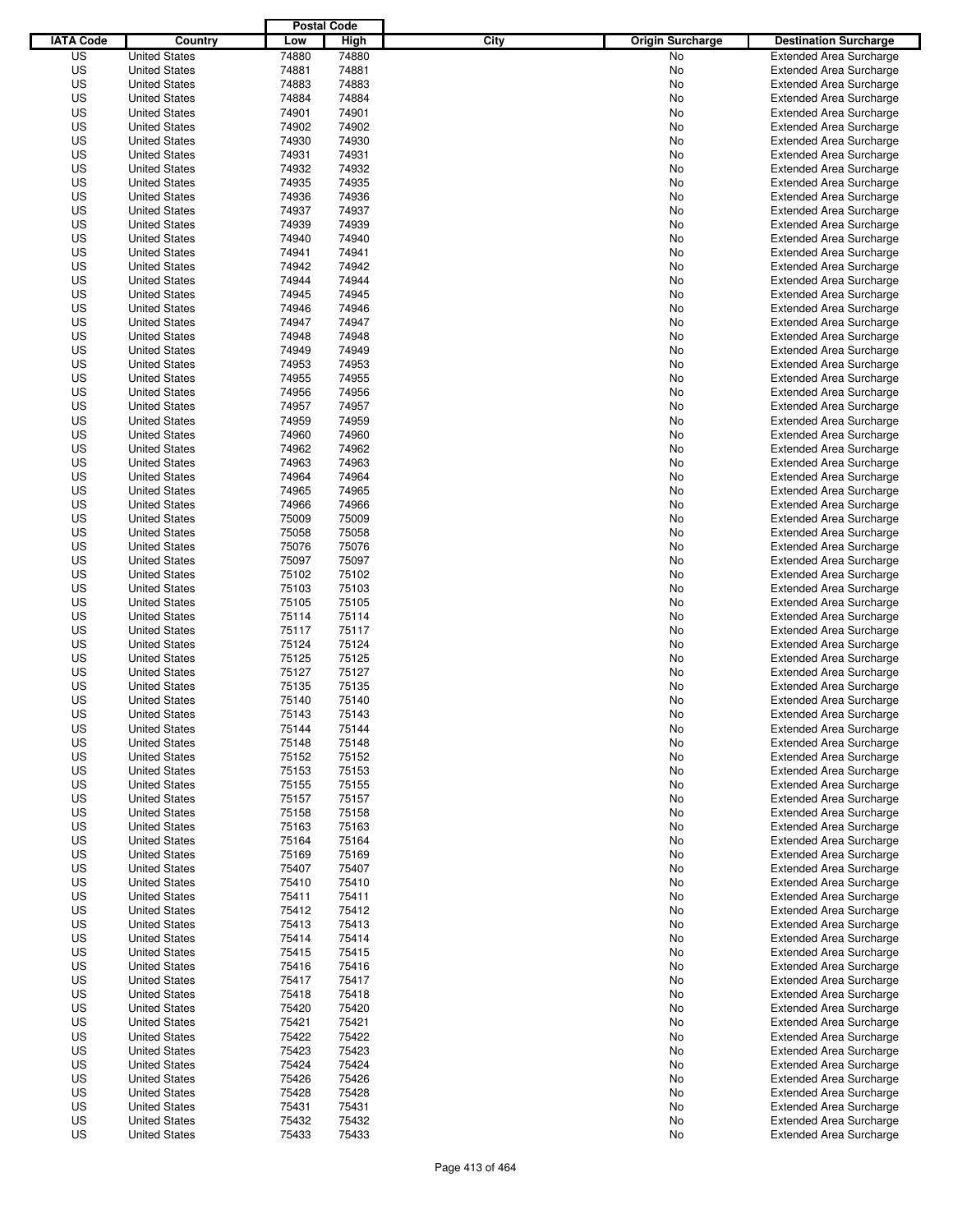|                  |                                              | <b>Postal Code</b> |                |                                 |                                                                  |
|------------------|----------------------------------------------|--------------------|----------------|---------------------------------|------------------------------------------------------------------|
| <b>IATA Code</b> | Country                                      | Low                | High           | City<br><b>Origin Surcharge</b> | <b>Destination Surcharge</b>                                     |
| US               | <b>United States</b>                         | 74880              | 74880          | <b>No</b>                       | <b>Extended Area Surcharge</b>                                   |
| US               | <b>United States</b>                         | 74881              | 74881          | No                              | <b>Extended Area Surcharge</b>                                   |
| US               | <b>United States</b>                         | 74883              | 74883          | No                              | <b>Extended Area Surcharge</b>                                   |
| US               | <b>United States</b>                         | 74884              | 74884          | No                              | <b>Extended Area Surcharge</b>                                   |
| US               | <b>United States</b>                         | 74901              | 74901          | No                              | <b>Extended Area Surcharge</b>                                   |
| US               | <b>United States</b>                         | 74902              | 74902          | No                              | <b>Extended Area Surcharge</b>                                   |
| US               | <b>United States</b>                         | 74930              | 74930          | No                              | <b>Extended Area Surcharge</b>                                   |
| US               | <b>United States</b>                         | 74931              | 74931          | No                              | <b>Extended Area Surcharge</b>                                   |
| US               | <b>United States</b>                         | 74932              | 74932          | No                              | <b>Extended Area Surcharge</b>                                   |
| US               | <b>United States</b>                         | 74935              | 74935          | No                              | <b>Extended Area Surcharge</b>                                   |
| US               | <b>United States</b>                         | 74936              | 74936          | No                              | <b>Extended Area Surcharge</b>                                   |
| US               | <b>United States</b>                         | 74937              | 74937          | No                              | <b>Extended Area Surcharge</b>                                   |
| US               | <b>United States</b>                         | 74939              | 74939          | No                              | <b>Extended Area Surcharge</b>                                   |
| US               | <b>United States</b>                         | 74940              | 74940          | No                              | <b>Extended Area Surcharge</b>                                   |
| US               | <b>United States</b>                         | 74941              | 74941          | No                              | <b>Extended Area Surcharge</b>                                   |
| US               | <b>United States</b>                         | 74942              | 74942          | No                              | <b>Extended Area Surcharge</b>                                   |
| US               | <b>United States</b>                         | 74944              | 74944          | No                              | <b>Extended Area Surcharge</b>                                   |
| US               | <b>United States</b>                         | 74945              | 74945          | No                              | <b>Extended Area Surcharge</b>                                   |
| US               | <b>United States</b>                         | 74946<br>74947     | 74946          | No                              | <b>Extended Area Surcharge</b>                                   |
| US               | <b>United States</b><br><b>United States</b> | 74948              | 74947          | No                              | <b>Extended Area Surcharge</b>                                   |
| US<br>US         | <b>United States</b>                         | 74949              | 74948<br>74949 | No                              | <b>Extended Area Surcharge</b>                                   |
| US               |                                              | 74953              | 74953          | No                              | <b>Extended Area Surcharge</b><br><b>Extended Area Surcharge</b> |
| US               | <b>United States</b><br><b>United States</b> | 74955              | 74955          | No<br>No                        | <b>Extended Area Surcharge</b>                                   |
| US               | <b>United States</b>                         | 74956              | 74956          | No                              | <b>Extended Area Surcharge</b>                                   |
| US               | <b>United States</b>                         | 74957              | 74957          | No                              | <b>Extended Area Surcharge</b>                                   |
| US               | <b>United States</b>                         | 74959              | 74959          | No                              | <b>Extended Area Surcharge</b>                                   |
| US               | <b>United States</b>                         | 74960              | 74960          | No                              | <b>Extended Area Surcharge</b>                                   |
| US               | <b>United States</b>                         | 74962              | 74962          | No                              | <b>Extended Area Surcharge</b>                                   |
| US               | <b>United States</b>                         | 74963              | 74963          | No                              | <b>Extended Area Surcharge</b>                                   |
| US               | <b>United States</b>                         | 74964              | 74964          | No                              | <b>Extended Area Surcharge</b>                                   |
| US               | <b>United States</b>                         | 74965              | 74965          | No                              | <b>Extended Area Surcharge</b>                                   |
| US               | <b>United States</b>                         | 74966              | 74966          | No                              | <b>Extended Area Surcharge</b>                                   |
| US               | <b>United States</b>                         | 75009              | 75009          | No                              | <b>Extended Area Surcharge</b>                                   |
| US               | <b>United States</b>                         | 75058              | 75058          | No                              | <b>Extended Area Surcharge</b>                                   |
| US               | <b>United States</b>                         | 75076              | 75076          | No                              | <b>Extended Area Surcharge</b>                                   |
| US               | <b>United States</b>                         | 75097              | 75097          | No                              | <b>Extended Area Surcharge</b>                                   |
| US               | <b>United States</b>                         | 75102              | 75102          | No                              | <b>Extended Area Surcharge</b>                                   |
| US               | <b>United States</b>                         | 75103              | 75103          | No                              | <b>Extended Area Surcharge</b>                                   |
| US               | <b>United States</b>                         | 75105              | 75105          | No                              | <b>Extended Area Surcharge</b>                                   |
| US               | <b>United States</b>                         | 75114              | 75114          | No                              | <b>Extended Area Surcharge</b>                                   |
| US               | <b>United States</b>                         | 75117              | 75117          | No                              | <b>Extended Area Surcharge</b>                                   |
| US               | <b>United States</b>                         | 75124              | 75124          | No                              | <b>Extended Area Surcharge</b>                                   |
| US               | <b>United States</b>                         | 75125              | 75125          | No                              | <b>Extended Area Surcharge</b>                                   |
| US               | <b>United States</b>                         | 75127              | 75127          | No                              | Extended Area Surcharge                                          |
| US               | <b>United States</b>                         | 75135              | 75135          | No                              | <b>Extended Area Surcharge</b>                                   |
| US               | <b>United States</b>                         | 75140              | 75140          | No                              | <b>Extended Area Surcharge</b>                                   |
| US               | <b>United States</b>                         | 75143              | 75143          | No                              | <b>Extended Area Surcharge</b>                                   |
| US               | <b>United States</b>                         | 75144              | 75144          | No                              | <b>Extended Area Surcharge</b>                                   |
| US               | <b>United States</b>                         | 75148              | 75148          | No                              | <b>Extended Area Surcharge</b>                                   |
| US               | <b>United States</b>                         | 75152              | 75152          | No                              | <b>Extended Area Surcharge</b>                                   |
| US               | <b>United States</b>                         | 75153              | 75153          | No                              | <b>Extended Area Surcharge</b>                                   |
| US               | <b>United States</b>                         | 75155              | 75155          | No                              | <b>Extended Area Surcharge</b>                                   |
| US               | <b>United States</b>                         | 75157              | 75157          | No                              | <b>Extended Area Surcharge</b>                                   |
| US               | <b>United States</b>                         | 75158              | 75158          | No                              | <b>Extended Area Surcharge</b>                                   |
| US               | <b>United States</b>                         | 75163              | 75163          | No                              | <b>Extended Area Surcharge</b>                                   |
| US               | <b>United States</b>                         | 75164              | 75164          | No                              | <b>Extended Area Surcharge</b>                                   |
| US               | <b>United States</b>                         | 75169              | 75169          | No                              | <b>Extended Area Surcharge</b>                                   |
| US               | <b>United States</b>                         | 75407              | 75407          | No                              | <b>Extended Area Surcharge</b>                                   |
| US               | <b>United States</b>                         | 75410              | 75410          | No                              | <b>Extended Area Surcharge</b>                                   |
| US               | <b>United States</b>                         | 75411              | 75411          | No                              | <b>Extended Area Surcharge</b>                                   |
| US               | <b>United States</b>                         | 75412              | 75412          | No                              | <b>Extended Area Surcharge</b>                                   |
| US               | <b>United States</b>                         | 75413              | 75413          | No                              | <b>Extended Area Surcharge</b>                                   |
| US               | <b>United States</b>                         | 75414              | 75414          | No                              | <b>Extended Area Surcharge</b>                                   |
| US               | <b>United States</b>                         | 75415              | 75415          | No                              | <b>Extended Area Surcharge</b>                                   |
| US               | <b>United States</b>                         | 75416              | 75416          | No                              | <b>Extended Area Surcharge</b>                                   |
| US<br>US         | <b>United States</b>                         | 75417<br>75418     | 75417<br>75418 | No                              | <b>Extended Area Surcharge</b><br><b>Extended Area Surcharge</b> |
| US               | <b>United States</b><br><b>United States</b> | 75420              | 75420          | No<br>No                        | <b>Extended Area Surcharge</b>                                   |
| US               | <b>United States</b>                         | 75421              | 75421          | No                              | <b>Extended Area Surcharge</b>                                   |
| US               | <b>United States</b>                         | 75422              | 75422          | No                              | <b>Extended Area Surcharge</b>                                   |
| US               | <b>United States</b>                         | 75423              | 75423          | No                              | <b>Extended Area Surcharge</b>                                   |
| US               | <b>United States</b>                         | 75424              | 75424          | No                              | <b>Extended Area Surcharge</b>                                   |
| US               | <b>United States</b>                         | 75426              | 75426          | No                              | <b>Extended Area Surcharge</b>                                   |
| US               | <b>United States</b>                         | 75428              | 75428          | No                              | <b>Extended Area Surcharge</b>                                   |
| US               | <b>United States</b>                         | 75431              | 75431          | No                              | <b>Extended Area Surcharge</b>                                   |
| US               | <b>United States</b>                         | 75432              | 75432          | No                              | <b>Extended Area Surcharge</b>                                   |
| US               | <b>United States</b>                         | 75433              | 75433          | No                              | <b>Extended Area Surcharge</b>                                   |
|                  |                                              |                    |                |                                 |                                                                  |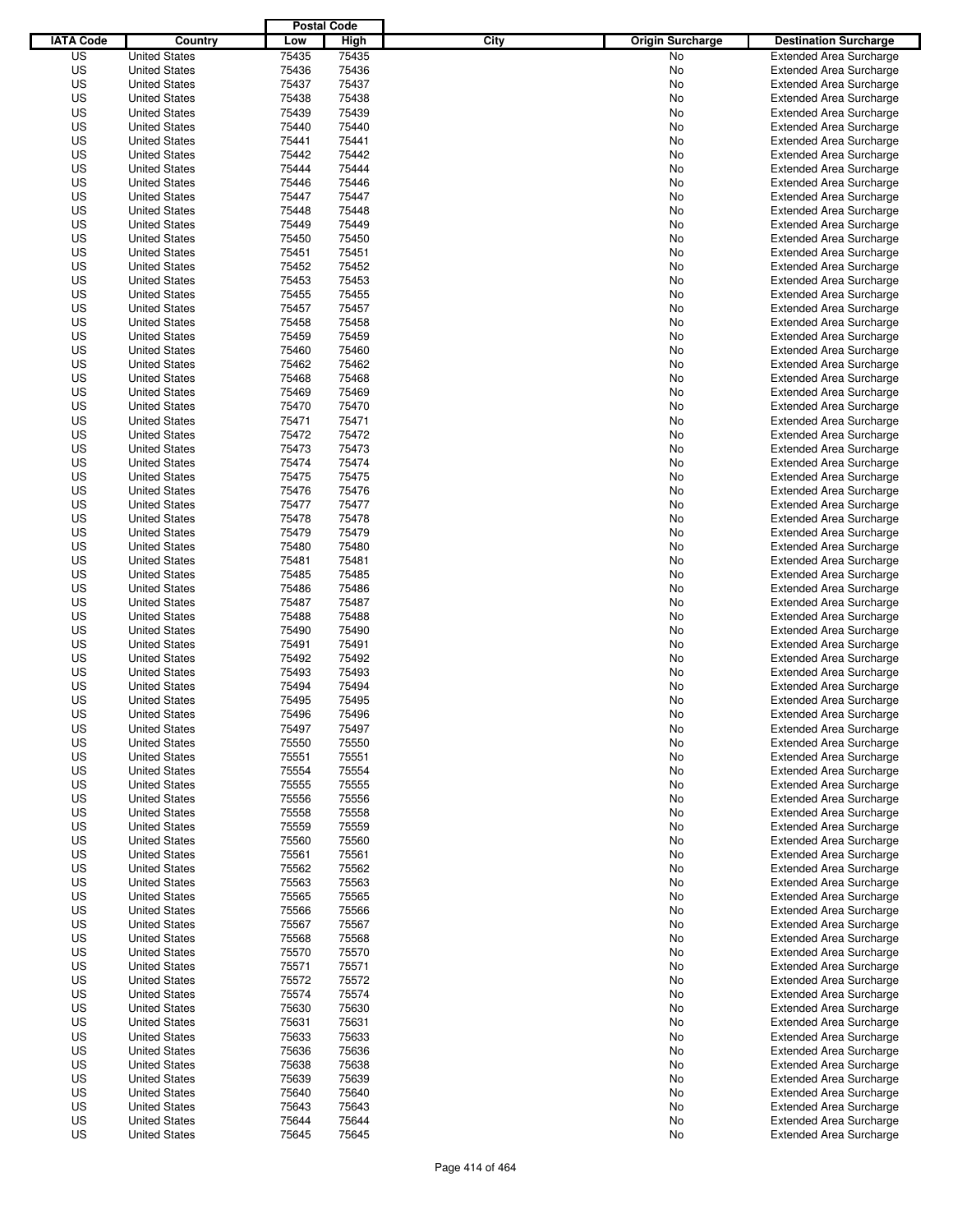|                  |                      | <b>Postal Code</b> |       |                                 |                                |
|------------------|----------------------|--------------------|-------|---------------------------------|--------------------------------|
| <b>IATA Code</b> | Country              | Low                | High  | City<br><b>Origin Surcharge</b> | <b>Destination Surcharge</b>   |
| US               | <b>United States</b> | 75435              | 75435 | <b>No</b>                       | <b>Extended Area Surcharge</b> |
| US               | <b>United States</b> | 75436              | 75436 | No                              | <b>Extended Area Surcharge</b> |
| US               | <b>United States</b> | 75437              | 75437 | No                              | <b>Extended Area Surcharge</b> |
| US               | <b>United States</b> | 75438              | 75438 | No                              | <b>Extended Area Surcharge</b> |
| US               | <b>United States</b> | 75439              | 75439 | No                              | <b>Extended Area Surcharge</b> |
| US               | <b>United States</b> | 75440              | 75440 | No                              | <b>Extended Area Surcharge</b> |
| US               | <b>United States</b> | 75441              | 75441 | No                              | <b>Extended Area Surcharge</b> |
| US               | <b>United States</b> | 75442              | 75442 | No                              | <b>Extended Area Surcharge</b> |
| US               | <b>United States</b> | 75444              | 75444 | No                              | <b>Extended Area Surcharge</b> |
| US               | <b>United States</b> | 75446              | 75446 | No                              | <b>Extended Area Surcharge</b> |
| US               | <b>United States</b> | 75447              | 75447 | No                              | <b>Extended Area Surcharge</b> |
| US               | <b>United States</b> | 75448              | 75448 | No                              | <b>Extended Area Surcharge</b> |
| US               | <b>United States</b> | 75449              | 75449 | No                              | <b>Extended Area Surcharge</b> |
| US               | <b>United States</b> | 75450              | 75450 | No                              | <b>Extended Area Surcharge</b> |
| US               | <b>United States</b> | 75451              | 75451 | No                              | <b>Extended Area Surcharge</b> |
| US               | <b>United States</b> | 75452              | 75452 | No                              | <b>Extended Area Surcharge</b> |
| US               | <b>United States</b> | 75453              | 75453 | No                              | <b>Extended Area Surcharge</b> |
| US               | <b>United States</b> | 75455              | 75455 | No                              | <b>Extended Area Surcharge</b> |
| US               | <b>United States</b> | 75457              | 75457 | No                              | <b>Extended Area Surcharge</b> |
| US               | <b>United States</b> | 75458              | 75458 | No                              | <b>Extended Area Surcharge</b> |
| US               | <b>United States</b> | 75459              | 75459 | No                              | <b>Extended Area Surcharge</b> |
| US               | <b>United States</b> | 75460              | 75460 | No                              | <b>Extended Area Surcharge</b> |
| US               | <b>United States</b> | 75462              | 75462 | No                              | <b>Extended Area Surcharge</b> |
| US               | <b>United States</b> | 75468              | 75468 | No                              | <b>Extended Area Surcharge</b> |
| US               | <b>United States</b> | 75469              | 75469 | No                              | <b>Extended Area Surcharge</b> |
| US               | <b>United States</b> | 75470              | 75470 | No                              | <b>Extended Area Surcharge</b> |
| US               | <b>United States</b> | 75471              | 75471 | No                              | <b>Extended Area Surcharge</b> |
| US               | <b>United States</b> | 75472              | 75472 | No                              | <b>Extended Area Surcharge</b> |
| US               | <b>United States</b> | 75473              | 75473 | No                              | <b>Extended Area Surcharge</b> |
| US               | <b>United States</b> | 75474              | 75474 | No                              | <b>Extended Area Surcharge</b> |
| US               | <b>United States</b> | 75475              | 75475 | No                              | <b>Extended Area Surcharge</b> |
| US               | <b>United States</b> | 75476              | 75476 | No                              | <b>Extended Area Surcharge</b> |
| US               | <b>United States</b> | 75477              | 75477 | No                              | <b>Extended Area Surcharge</b> |
| US               | <b>United States</b> | 75478              | 75478 | No                              | <b>Extended Area Surcharge</b> |
| US               | <b>United States</b> | 75479              | 75479 | No                              | <b>Extended Area Surcharge</b> |
| US               | <b>United States</b> | 75480              | 75480 | No                              | <b>Extended Area Surcharge</b> |
| US               | <b>United States</b> | 75481              | 75481 | No                              | <b>Extended Area Surcharge</b> |
| US               | <b>United States</b> | 75485              | 75485 | No                              | <b>Extended Area Surcharge</b> |
| US               | <b>United States</b> | 75486              | 75486 | No                              | <b>Extended Area Surcharge</b> |
| US               | <b>United States</b> | 75487              | 75487 | No                              | <b>Extended Area Surcharge</b> |
| US               | <b>United States</b> | 75488              | 75488 | No                              | <b>Extended Area Surcharge</b> |
| US               | <b>United States</b> | 75490              | 75490 | No                              | <b>Extended Area Surcharge</b> |
| US               | <b>United States</b> | 75491              | 75491 | No                              | <b>Extended Area Surcharge</b> |
| US               | <b>United States</b> | 75492              | 75492 | No                              | <b>Extended Area Surcharge</b> |
| US               | <b>United States</b> | 75493              | 75493 | No                              | Extended Area Surcharge        |
| US               | <b>United States</b> | 75494              | 75494 | No                              | <b>Extended Area Surcharge</b> |
| US               | <b>United States</b> | 75495              | 75495 | No                              | <b>Extended Area Surcharge</b> |
| US               | <b>United States</b> | 75496              | 75496 | No                              | <b>Extended Area Surcharge</b> |
| US               | <b>United States</b> | 75497              | 75497 | No                              | <b>Extended Area Surcharge</b> |
| US               | <b>United States</b> | 75550              | 75550 | No                              | <b>Extended Area Surcharge</b> |
| US               | <b>United States</b> | 75551              | 75551 | No                              | <b>Extended Area Surcharge</b> |
| US               | <b>United States</b> | 75554              | 75554 | No                              | <b>Extended Area Surcharge</b> |
| US               | <b>United States</b> | 75555              | 75555 | No                              | <b>Extended Area Surcharge</b> |
| US               | <b>United States</b> | 75556              | 75556 | No                              | <b>Extended Area Surcharge</b> |
| US               | <b>United States</b> | 75558              | 75558 | No                              | <b>Extended Area Surcharge</b> |
| US               | <b>United States</b> | 75559              | 75559 | No                              | <b>Extended Area Surcharge</b> |
| US               | <b>United States</b> | 75560              | 75560 | No                              | <b>Extended Area Surcharge</b> |
| US               | <b>United States</b> | 75561              | 75561 | No                              | <b>Extended Area Surcharge</b> |
| US               | <b>United States</b> | 75562              | 75562 | No                              | <b>Extended Area Surcharge</b> |
| US               | <b>United States</b> | 75563              | 75563 | No                              | <b>Extended Area Surcharge</b> |
| US               | <b>United States</b> | 75565              | 75565 | No                              | <b>Extended Area Surcharge</b> |
| US               | <b>United States</b> | 75566              | 75566 | No                              | <b>Extended Area Surcharge</b> |
| US               | <b>United States</b> | 75567              | 75567 | No                              | <b>Extended Area Surcharge</b> |
| US               | <b>United States</b> | 75568              | 75568 | No                              | <b>Extended Area Surcharge</b> |
| US               | <b>United States</b> | 75570              | 75570 | No                              | <b>Extended Area Surcharge</b> |
| US               | <b>United States</b> | 75571              | 75571 | No                              | <b>Extended Area Surcharge</b> |
| US               | <b>United States</b> | 75572              | 75572 | No                              | <b>Extended Area Surcharge</b> |
| US               | <b>United States</b> | 75574              | 75574 | No                              | <b>Extended Area Surcharge</b> |
| US               | <b>United States</b> | 75630              | 75630 | No                              | <b>Extended Area Surcharge</b> |
| US               | <b>United States</b> | 75631              | 75631 | No                              | <b>Extended Area Surcharge</b> |
| US               | <b>United States</b> | 75633              | 75633 | No                              | <b>Extended Area Surcharge</b> |
| US               | <b>United States</b> | 75636              | 75636 | No                              | <b>Extended Area Surcharge</b> |
| US               | <b>United States</b> | 75638              | 75638 | No                              | <b>Extended Area Surcharge</b> |
| US               | <b>United States</b> | 75639              | 75639 | No                              | <b>Extended Area Surcharge</b> |
| US               | <b>United States</b> | 75640              | 75640 | No                              | <b>Extended Area Surcharge</b> |
| US               | <b>United States</b> | 75643              | 75643 | No                              | <b>Extended Area Surcharge</b> |
| US               | <b>United States</b> | 75644              | 75644 | No                              | <b>Extended Area Surcharge</b> |
| US               | <b>United States</b> | 75645              | 75645 | No                              | <b>Extended Area Surcharge</b> |
|                  |                      |                    |       |                                 |                                |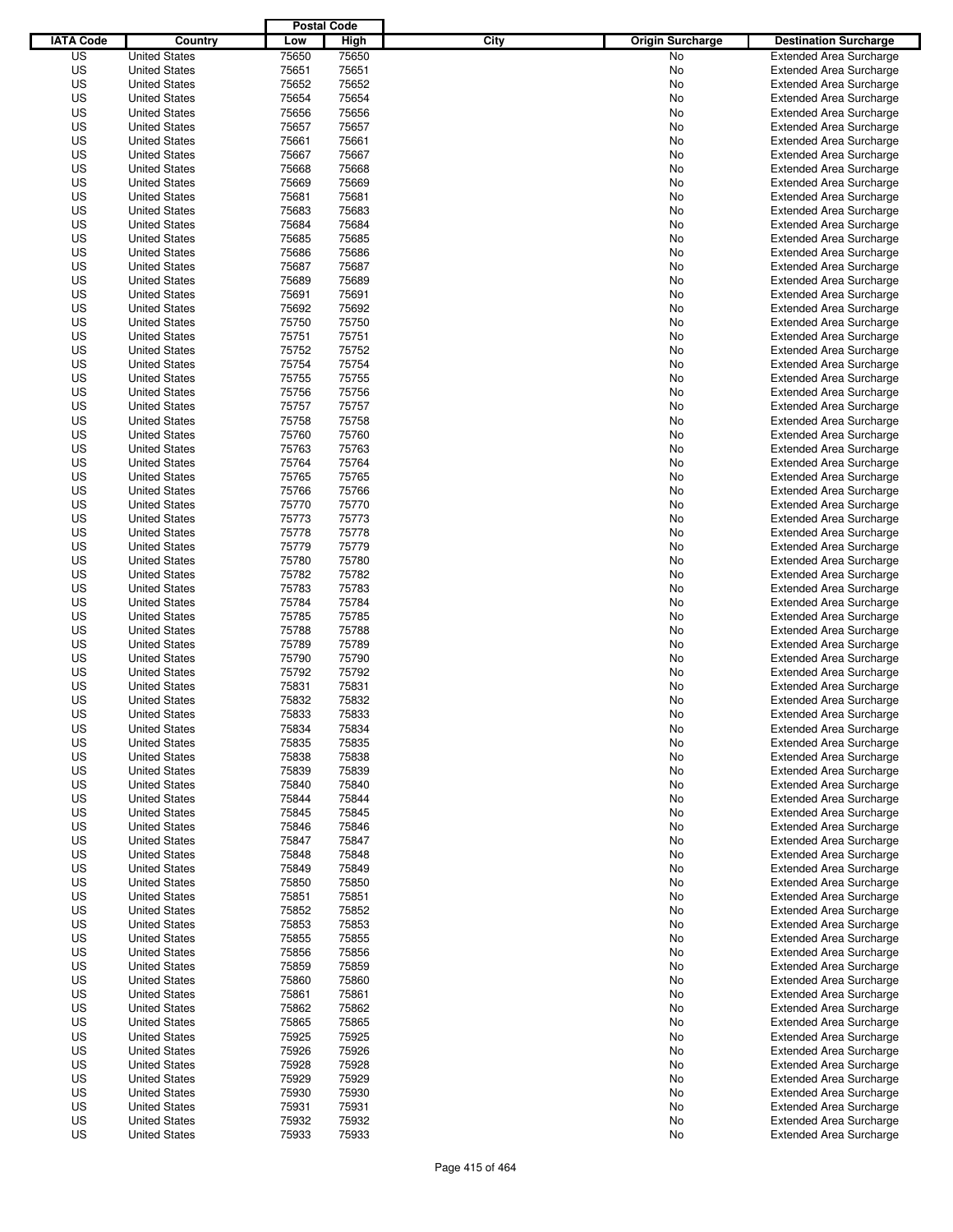|                  |                      | <b>Postal Code</b> |                |                                 |                                |
|------------------|----------------------|--------------------|----------------|---------------------------------|--------------------------------|
| <b>IATA Code</b> | Country              | Low                | High           | City<br><b>Origin Surcharge</b> | <b>Destination Surcharge</b>   |
| US               | <b>United States</b> | 75650              | 75650          | <b>No</b>                       | <b>Extended Area Surcharge</b> |
| US               | <b>United States</b> | 75651              | 75651          | No                              | <b>Extended Area Surcharge</b> |
| US               | <b>United States</b> | 75652              | 75652          | No                              | <b>Extended Area Surcharge</b> |
| US               | <b>United States</b> | 75654              | 75654          | No                              | <b>Extended Area Surcharge</b> |
| US               | <b>United States</b> | 75656              | 75656          | No                              | <b>Extended Area Surcharge</b> |
| US               | <b>United States</b> | 75657              | 75657          | No                              | <b>Extended Area Surcharge</b> |
| US               | <b>United States</b> | 75661              | 75661          | No                              | <b>Extended Area Surcharge</b> |
| US               | <b>United States</b> | 75667              | 75667          | No                              | <b>Extended Area Surcharge</b> |
| US               | <b>United States</b> | 75668              | 75668          | No                              | <b>Extended Area Surcharge</b> |
| US               | <b>United States</b> | 75669              | 75669          | No                              | <b>Extended Area Surcharge</b> |
| US               | <b>United States</b> | 75681              | 75681          | No                              | <b>Extended Area Surcharge</b> |
| US               | <b>United States</b> | 75683              | 75683          | No                              | <b>Extended Area Surcharge</b> |
| US               | <b>United States</b> | 75684              | 75684          | No                              | <b>Extended Area Surcharge</b> |
| US               | <b>United States</b> | 75685              | 75685          | No                              | <b>Extended Area Surcharge</b> |
| US               | <b>United States</b> | 75686              | 75686          | No                              | <b>Extended Area Surcharge</b> |
| US               | <b>United States</b> | 75687              | 75687          | No                              | <b>Extended Area Surcharge</b> |
| US               | <b>United States</b> | 75689              | 75689          | No                              | <b>Extended Area Surcharge</b> |
| US               | <b>United States</b> | 75691              | 75691          | No                              | <b>Extended Area Surcharge</b> |
| US               | <b>United States</b> | 75692              | 75692          | No                              | <b>Extended Area Surcharge</b> |
| US               | <b>United States</b> | 75750              | 75750          | No                              | <b>Extended Area Surcharge</b> |
| US               | <b>United States</b> | 75751              | 75751          | No                              | <b>Extended Area Surcharge</b> |
| US               | <b>United States</b> | 75752              | 75752          | No                              | <b>Extended Area Surcharge</b> |
| US               | <b>United States</b> | 75754              | 75754          | No                              | <b>Extended Area Surcharge</b> |
| US               | <b>United States</b> | 75755              | 75755          | No                              | <b>Extended Area Surcharge</b> |
| US               | <b>United States</b> | 75756              | 75756          | No                              | <b>Extended Area Surcharge</b> |
| US               | <b>United States</b> | 75757              | 75757          | No                              | <b>Extended Area Surcharge</b> |
| US               | <b>United States</b> | 75758              | 75758          | No                              | <b>Extended Area Surcharge</b> |
| US               | <b>United States</b> | 75760              | 75760          | No                              | <b>Extended Area Surcharge</b> |
| US               | <b>United States</b> | 75763              | 75763          | No                              | <b>Extended Area Surcharge</b> |
| US               | <b>United States</b> | 75764              | 75764          | No                              | <b>Extended Area Surcharge</b> |
| US               | <b>United States</b> | 75765              | 75765          | No                              | <b>Extended Area Surcharge</b> |
| US               | <b>United States</b> | 75766              | 75766          | No                              | <b>Extended Area Surcharge</b> |
| US               | <b>United States</b> | 75770              | 75770          | No                              | <b>Extended Area Surcharge</b> |
| US               | <b>United States</b> | 75773              | 75773          |                                 |                                |
|                  | <b>United States</b> |                    |                | No                              | <b>Extended Area Surcharge</b> |
| US               | <b>United States</b> | 75778              | 75778<br>75779 | No                              | <b>Extended Area Surcharge</b> |
| US               |                      | 75779              |                | No                              | <b>Extended Area Surcharge</b> |
| US               | <b>United States</b> | 75780              | 75780          | No                              | <b>Extended Area Surcharge</b> |
| US               | <b>United States</b> | 75782              | 75782          | No                              | <b>Extended Area Surcharge</b> |
| US               | <b>United States</b> | 75783              | 75783          | No                              | <b>Extended Area Surcharge</b> |
| US               | <b>United States</b> | 75784              | 75784          | No                              | <b>Extended Area Surcharge</b> |
| US               | <b>United States</b> | 75785              | 75785          | No                              | <b>Extended Area Surcharge</b> |
| US               | <b>United States</b> | 75788              | 75788          | No                              | <b>Extended Area Surcharge</b> |
| US               | <b>United States</b> | 75789              | 75789          | No                              | <b>Extended Area Surcharge</b> |
| US               | <b>United States</b> | 75790              | 75790          | No                              | <b>Extended Area Surcharge</b> |
| US               | <b>United States</b> | 75792              | 75792          | No                              | Extended Area Surcharge        |
| US               | <b>United States</b> | 75831              | 75831          | No                              | <b>Extended Area Surcharge</b> |
| US               | <b>United States</b> | 75832              | 75832          | No                              | <b>Extended Area Surcharge</b> |
| US               | <b>United States</b> | 75833              | 75833          | No                              | <b>Extended Area Surcharge</b> |
| US               | <b>United States</b> | 75834              | 75834          | No                              | <b>Extended Area Surcharge</b> |
| US               | <b>United States</b> | 75835              | 75835          | No                              | <b>Extended Area Surcharge</b> |
| US               | <b>United States</b> | 75838              | 75838          | No                              | <b>Extended Area Surcharge</b> |
| US               | <b>United States</b> | 75839              | 75839          | No                              | <b>Extended Area Surcharge</b> |
| US               | <b>United States</b> | 75840              | 75840          | No                              | <b>Extended Area Surcharge</b> |
| US               | <b>United States</b> | 75844              | 75844          | No                              | <b>Extended Area Surcharge</b> |
| US               | <b>United States</b> | 75845              | 75845          | No                              | <b>Extended Area Surcharge</b> |
| US               | <b>United States</b> | 75846              | 75846          | No                              | <b>Extended Area Surcharge</b> |
| US               | <b>United States</b> | 75847              | 75847          | No                              | <b>Extended Area Surcharge</b> |
| US               | <b>United States</b> | 75848              | 75848          | No                              | <b>Extended Area Surcharge</b> |
| US               | <b>United States</b> | 75849              | 75849          | No                              | <b>Extended Area Surcharge</b> |
| US               | <b>United States</b> | 75850              | 75850          | No                              | <b>Extended Area Surcharge</b> |
| US               | <b>United States</b> | 75851              | 75851          | No                              | <b>Extended Area Surcharge</b> |
| US               | <b>United States</b> | 75852              | 75852          | No                              | <b>Extended Area Surcharge</b> |
| US               | <b>United States</b> | 75853              | 75853          | No                              | <b>Extended Area Surcharge</b> |
| US               | <b>United States</b> | 75855              | 75855          | No                              | <b>Extended Area Surcharge</b> |
| US               | <b>United States</b> | 75856              | 75856          | No                              | <b>Extended Area Surcharge</b> |
| US               | <b>United States</b> | 75859              | 75859          | No                              | <b>Extended Area Surcharge</b> |
| US               | <b>United States</b> | 75860              | 75860          | No                              | <b>Extended Area Surcharge</b> |
| US               | <b>United States</b> | 75861              | 75861          | No                              | <b>Extended Area Surcharge</b> |
| US               | <b>United States</b> | 75862              | 75862          | No                              | <b>Extended Area Surcharge</b> |
| US               | <b>United States</b> | 75865              | 75865          | No                              | <b>Extended Area Surcharge</b> |
| US               | <b>United States</b> | 75925              | 75925          | No                              | <b>Extended Area Surcharge</b> |
| US               | <b>United States</b> | 75926              | 75926          | No                              | <b>Extended Area Surcharge</b> |
| US               | <b>United States</b> | 75928              | 75928          | No                              | <b>Extended Area Surcharge</b> |
| US               | <b>United States</b> | 75929              | 75929          | No                              | <b>Extended Area Surcharge</b> |
| US               | <b>United States</b> | 75930              | 75930          | No                              | <b>Extended Area Surcharge</b> |
| US               | <b>United States</b> | 75931              | 75931          | No                              | <b>Extended Area Surcharge</b> |
| US               | <b>United States</b> | 75932              | 75932          | No                              | <b>Extended Area Surcharge</b> |
| US               | <b>United States</b> | 75933              | 75933          | No                              | <b>Extended Area Surcharge</b> |
|                  |                      |                    |                |                                 |                                |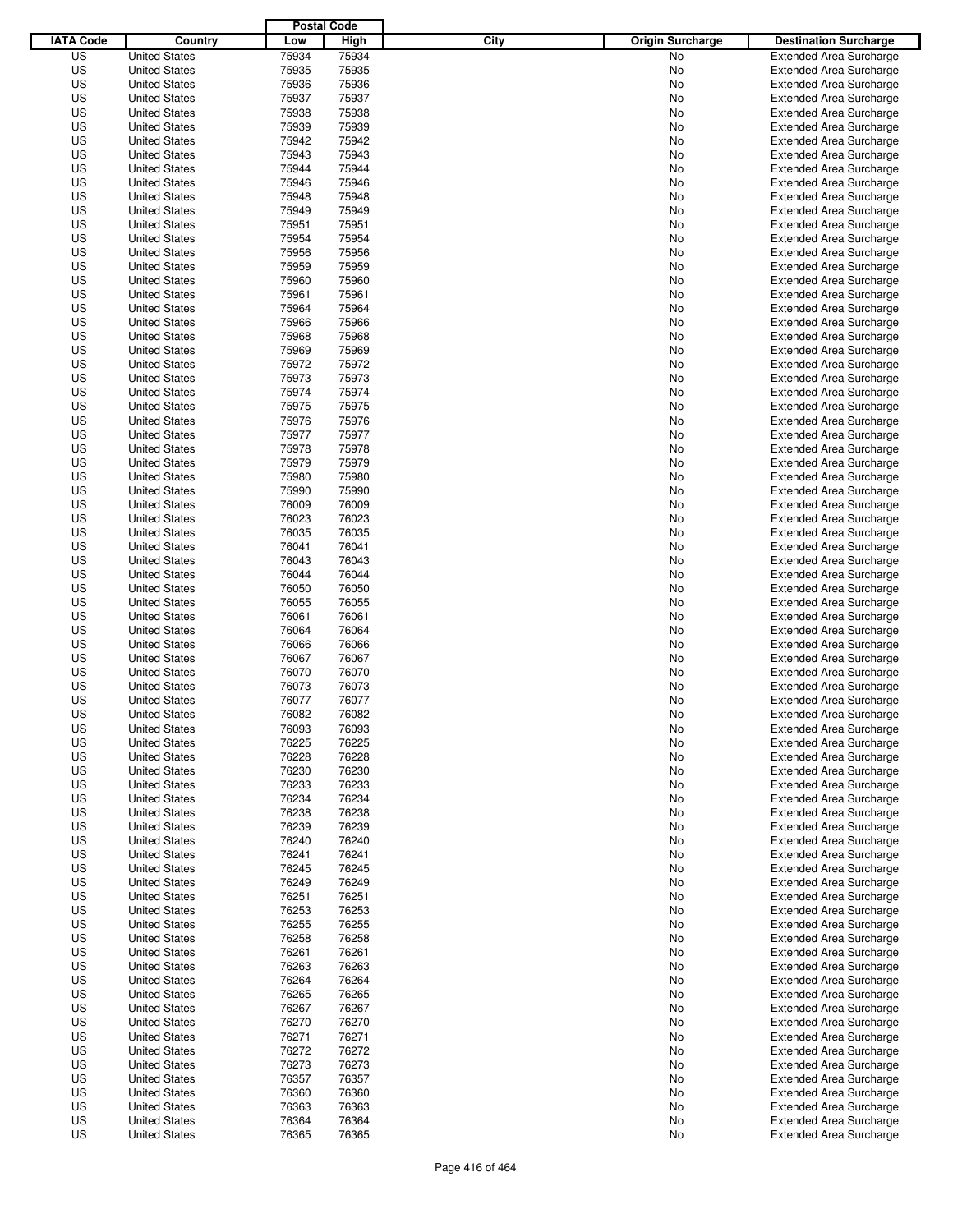|                  |                      | <b>Postal Code</b> |       |                                 |                                |
|------------------|----------------------|--------------------|-------|---------------------------------|--------------------------------|
| <b>IATA Code</b> | Country              | Low                | High  | City<br><b>Origin Surcharge</b> | <b>Destination Surcharge</b>   |
| US               | <b>United States</b> | 75934              | 75934 | <b>No</b>                       | <b>Extended Area Surcharge</b> |
| US               | <b>United States</b> | 75935              | 75935 | No                              | <b>Extended Area Surcharge</b> |
| US               | <b>United States</b> | 75936              | 75936 | No                              | <b>Extended Area Surcharge</b> |
| US               | <b>United States</b> | 75937              | 75937 | No                              | <b>Extended Area Surcharge</b> |
| US               | <b>United States</b> | 75938              | 75938 | No                              | <b>Extended Area Surcharge</b> |
| US               | <b>United States</b> | 75939              | 75939 | No                              | <b>Extended Area Surcharge</b> |
| US               | <b>United States</b> | 75942              | 75942 | No                              | <b>Extended Area Surcharge</b> |
| US               | <b>United States</b> | 75943              | 75943 | No                              | <b>Extended Area Surcharge</b> |
| US               | <b>United States</b> | 75944              | 75944 | No                              | <b>Extended Area Surcharge</b> |
| US               | <b>United States</b> | 75946              | 75946 | No                              | <b>Extended Area Surcharge</b> |
| US               | <b>United States</b> | 75948              | 75948 | No                              | <b>Extended Area Surcharge</b> |
| US               | <b>United States</b> | 75949              | 75949 | No                              | <b>Extended Area Surcharge</b> |
| US               | <b>United States</b> | 75951              | 75951 | No                              | <b>Extended Area Surcharge</b> |
| US               | <b>United States</b> | 75954              | 75954 | No                              | <b>Extended Area Surcharge</b> |
| US               | <b>United States</b> | 75956              | 75956 | No                              | <b>Extended Area Surcharge</b> |
| US               | <b>United States</b> | 75959              | 75959 | No                              | <b>Extended Area Surcharge</b> |
| US               | <b>United States</b> | 75960              | 75960 | No                              | <b>Extended Area Surcharge</b> |
| US               | <b>United States</b> | 75961              | 75961 | No                              | <b>Extended Area Surcharge</b> |
| US               | <b>United States</b> | 75964              | 75964 | No                              | <b>Extended Area Surcharge</b> |
| US               | <b>United States</b> | 75966              | 75966 | No                              | <b>Extended Area Surcharge</b> |
| US               | <b>United States</b> | 75968              | 75968 | No                              | <b>Extended Area Surcharge</b> |
| US               | <b>United States</b> | 75969              | 75969 | No                              | <b>Extended Area Surcharge</b> |
| US               | <b>United States</b> | 75972              | 75972 | No                              | <b>Extended Area Surcharge</b> |
| US               | <b>United States</b> | 75973              | 75973 | No                              | <b>Extended Area Surcharge</b> |
| US               | <b>United States</b> | 75974              | 75974 | No                              | <b>Extended Area Surcharge</b> |
| US               | <b>United States</b> | 75975              | 75975 | No                              | <b>Extended Area Surcharge</b> |
| US               | <b>United States</b> | 75976              | 75976 | No                              | <b>Extended Area Surcharge</b> |
| US               | <b>United States</b> | 75977              | 75977 | No                              | <b>Extended Area Surcharge</b> |
| US               | <b>United States</b> | 75978              | 75978 | No                              | <b>Extended Area Surcharge</b> |
| US               | <b>United States</b> | 75979              | 75979 | No                              | <b>Extended Area Surcharge</b> |
| US               | <b>United States</b> | 75980              | 75980 | No                              | <b>Extended Area Surcharge</b> |
| US               | <b>United States</b> | 75990              | 75990 | No                              | <b>Extended Area Surcharge</b> |
| US               | <b>United States</b> | 76009              | 76009 | No                              | <b>Extended Area Surcharge</b> |
| US               | <b>United States</b> | 76023              | 76023 | No                              | <b>Extended Area Surcharge</b> |
| US               | <b>United States</b> | 76035              | 76035 | No                              | <b>Extended Area Surcharge</b> |
| US               | <b>United States</b> | 76041              | 76041 | No                              | <b>Extended Area Surcharge</b> |
| US               | <b>United States</b> | 76043              | 76043 | No                              | <b>Extended Area Surcharge</b> |
| US               | <b>United States</b> | 76044              | 76044 | No                              | <b>Extended Area Surcharge</b> |
| US               | <b>United States</b> | 76050              | 76050 | No                              | <b>Extended Area Surcharge</b> |
| US               | <b>United States</b> | 76055              | 76055 | No                              | <b>Extended Area Surcharge</b> |
| US               | <b>United States</b> | 76061              | 76061 | No                              | <b>Extended Area Surcharge</b> |
| US               | <b>United States</b> | 76064              | 76064 | No                              | <b>Extended Area Surcharge</b> |
| US               | <b>United States</b> | 76066              | 76066 | No                              | <b>Extended Area Surcharge</b> |
| US               | <b>United States</b> | 76067              | 76067 | No                              | <b>Extended Area Surcharge</b> |
| US               | <b>United States</b> | 76070              | 76070 | No                              | Extended Area Surcharge        |
| US               | <b>United States</b> | 76073              | 76073 | No                              | <b>Extended Area Surcharge</b> |
| US               | <b>United States</b> | 76077              | 76077 | No                              | <b>Extended Area Surcharge</b> |
| US               | <b>United States</b> | 76082              | 76082 | No                              | <b>Extended Area Surcharge</b> |
| US               | <b>United States</b> | 76093              | 76093 | No                              | <b>Extended Area Surcharge</b> |
| US               | <b>United States</b> | 76225              | 76225 | No                              | <b>Extended Area Surcharge</b> |
| US               | <b>United States</b> | 76228              | 76228 | No                              | <b>Extended Area Surcharge</b> |
| US               | <b>United States</b> | 76230              | 76230 | No                              | <b>Extended Area Surcharge</b> |
| US               | <b>United States</b> | 76233              | 76233 | No                              | <b>Extended Area Surcharge</b> |
| US               | <b>United States</b> | 76234              | 76234 | No                              | <b>Extended Area Surcharge</b> |
| US               | <b>United States</b> | 76238              | 76238 | No                              | <b>Extended Area Surcharge</b> |
| US               | <b>United States</b> | 76239              | 76239 | No                              | <b>Extended Area Surcharge</b> |
| US               | <b>United States</b> | 76240              | 76240 | No                              | <b>Extended Area Surcharge</b> |
| US               | <b>United States</b> | 76241              | 76241 | No                              | <b>Extended Area Surcharge</b> |
| US               | <b>United States</b> | 76245              | 76245 | No                              | <b>Extended Area Surcharge</b> |
| US               | <b>United States</b> | 76249              | 76249 | No                              | <b>Extended Area Surcharge</b> |
| US               | <b>United States</b> | 76251              | 76251 | No                              | <b>Extended Area Surcharge</b> |
| US               | <b>United States</b> | 76253              | 76253 | No                              | <b>Extended Area Surcharge</b> |
| US               | <b>United States</b> | 76255              | 76255 | No                              | <b>Extended Area Surcharge</b> |
| US               | <b>United States</b> | 76258              | 76258 | No                              | <b>Extended Area Surcharge</b> |
| US               | <b>United States</b> | 76261              | 76261 | No                              | <b>Extended Area Surcharge</b> |
| US               | <b>United States</b> | 76263              | 76263 | No                              | <b>Extended Area Surcharge</b> |
| US               | <b>United States</b> | 76264              | 76264 | No                              | <b>Extended Area Surcharge</b> |
| US               | <b>United States</b> | 76265              | 76265 | No                              | <b>Extended Area Surcharge</b> |
| US               | <b>United States</b> | 76267              | 76267 | No                              | <b>Extended Area Surcharge</b> |
| US               | <b>United States</b> | 76270              | 76270 | No                              | <b>Extended Area Surcharge</b> |
| US               | <b>United States</b> | 76271              | 76271 | No                              | <b>Extended Area Surcharge</b> |
| US               | <b>United States</b> | 76272              | 76272 | No                              | <b>Extended Area Surcharge</b> |
| US               | <b>United States</b> | 76273              | 76273 | No                              | <b>Extended Area Surcharge</b> |
| US               | <b>United States</b> | 76357              | 76357 | No                              | <b>Extended Area Surcharge</b> |
| US               | <b>United States</b> | 76360              | 76360 | No                              | <b>Extended Area Surcharge</b> |
| US               | <b>United States</b> | 76363              | 76363 | No                              | <b>Extended Area Surcharge</b> |
| US               | <b>United States</b> | 76364              | 76364 | No                              | <b>Extended Area Surcharge</b> |
| US               | <b>United States</b> | 76365              | 76365 | No                              | <b>Extended Area Surcharge</b> |
|                  |                      |                    |       |                                 |                                |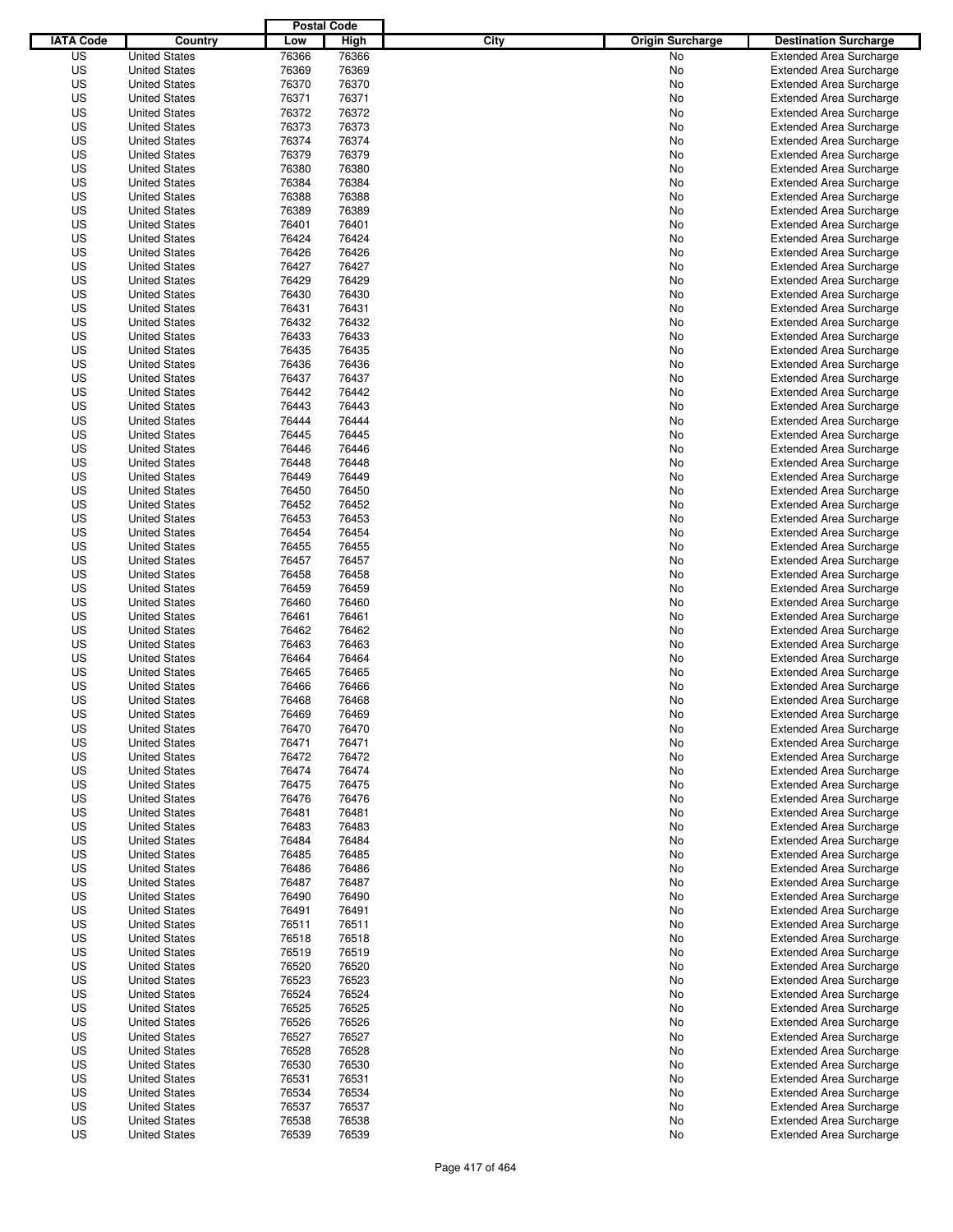|                  |                      | <b>Postal Code</b> |       |                                 |                                |
|------------------|----------------------|--------------------|-------|---------------------------------|--------------------------------|
| <b>IATA Code</b> | Country              | Low                | High  | City<br><b>Origin Surcharge</b> | <b>Destination Surcharge</b>   |
| US               | <b>United States</b> | 76366              | 76366 | <b>No</b>                       | <b>Extended Area Surcharge</b> |
| US               | <b>United States</b> | 76369              | 76369 | No                              | <b>Extended Area Surcharge</b> |
| US               | <b>United States</b> | 76370              | 76370 | No                              | <b>Extended Area Surcharge</b> |
| US               | <b>United States</b> | 76371              | 76371 | No                              | <b>Extended Area Surcharge</b> |
| US               | <b>United States</b> | 76372              | 76372 | No                              | <b>Extended Area Surcharge</b> |
| US               | <b>United States</b> | 76373              | 76373 | No                              | <b>Extended Area Surcharge</b> |
| US               | <b>United States</b> | 76374              | 76374 | No                              | <b>Extended Area Surcharge</b> |
| US               | <b>United States</b> | 76379              | 76379 | No                              | <b>Extended Area Surcharge</b> |
| US               | <b>United States</b> | 76380              | 76380 | No                              | <b>Extended Area Surcharge</b> |
| US               | <b>United States</b> | 76384              | 76384 | No                              | <b>Extended Area Surcharge</b> |
| US               | <b>United States</b> | 76388              | 76388 | No                              | <b>Extended Area Surcharge</b> |
| US               | <b>United States</b> | 76389              | 76389 | No                              | <b>Extended Area Surcharge</b> |
| US               | <b>United States</b> | 76401              | 76401 | No                              | <b>Extended Area Surcharge</b> |
| US               | <b>United States</b> | 76424              | 76424 | No                              | <b>Extended Area Surcharge</b> |
| US               | <b>United States</b> | 76426              | 76426 | No                              | <b>Extended Area Surcharge</b> |
| US               | <b>United States</b> | 76427              | 76427 | No                              | <b>Extended Area Surcharge</b> |
| US               | <b>United States</b> | 76429              | 76429 | No                              | <b>Extended Area Surcharge</b> |
| US               | <b>United States</b> | 76430              | 76430 | No                              | <b>Extended Area Surcharge</b> |
| US               | <b>United States</b> | 76431              | 76431 | No                              | <b>Extended Area Surcharge</b> |
| US               | <b>United States</b> | 76432              | 76432 | No                              | <b>Extended Area Surcharge</b> |
| US               | <b>United States</b> | 76433              | 76433 | No                              | <b>Extended Area Surcharge</b> |
| US               | <b>United States</b> | 76435              | 76435 | No                              | <b>Extended Area Surcharge</b> |
| US               | <b>United States</b> | 76436              | 76436 | No                              | <b>Extended Area Surcharge</b> |
| US               | <b>United States</b> | 76437              | 76437 | No                              | <b>Extended Area Surcharge</b> |
| US               | <b>United States</b> | 76442              | 76442 | No                              | <b>Extended Area Surcharge</b> |
| US               | <b>United States</b> | 76443              | 76443 | No                              | <b>Extended Area Surcharge</b> |
| US               | <b>United States</b> | 76444              | 76444 | No                              | <b>Extended Area Surcharge</b> |
| US               | <b>United States</b> | 76445              | 76445 | No                              | <b>Extended Area Surcharge</b> |
| US               | <b>United States</b> | 76446              | 76446 | No                              | <b>Extended Area Surcharge</b> |
| US               | <b>United States</b> | 76448              | 76448 | No                              | <b>Extended Area Surcharge</b> |
| US               | <b>United States</b> | 76449              | 76449 | No                              | <b>Extended Area Surcharge</b> |
| US               | <b>United States</b> | 76450              | 76450 | No                              | <b>Extended Area Surcharge</b> |
| US               | <b>United States</b> | 76452              | 76452 | No                              | <b>Extended Area Surcharge</b> |
| US               | <b>United States</b> | 76453              | 76453 |                                 |                                |
|                  |                      |                    |       | No                              | <b>Extended Area Surcharge</b> |
| US               | <b>United States</b> | 76454              | 76454 | No                              | <b>Extended Area Surcharge</b> |
| US               | <b>United States</b> | 76455              | 76455 | No                              | <b>Extended Area Surcharge</b> |
| US               | <b>United States</b> | 76457              | 76457 | No                              | <b>Extended Area Surcharge</b> |
| US               | <b>United States</b> | 76458              | 76458 | No                              | <b>Extended Area Surcharge</b> |
| US               | <b>United States</b> | 76459              | 76459 | No                              | <b>Extended Area Surcharge</b> |
| US               | <b>United States</b> | 76460              | 76460 | No                              | <b>Extended Area Surcharge</b> |
| US               | <b>United States</b> | 76461              | 76461 | No                              | <b>Extended Area Surcharge</b> |
| US               | <b>United States</b> | 76462              | 76462 | No                              | <b>Extended Area Surcharge</b> |
| US               | <b>United States</b> | 76463              | 76463 | No                              | <b>Extended Area Surcharge</b> |
| US               | <b>United States</b> | 76464              | 76464 | No                              | <b>Extended Area Surcharge</b> |
| US               | <b>United States</b> | 76465              | 76465 | No                              | Extended Area Surcharge        |
| US               | <b>United States</b> | 76466              | 76466 | No                              | <b>Extended Area Surcharge</b> |
| US               | <b>United States</b> | 76468              | 76468 | No                              | <b>Extended Area Surcharge</b> |
| US               | <b>United States</b> | 76469              | 76469 | No                              | <b>Extended Area Surcharge</b> |
| US               | <b>United States</b> | 76470              | 76470 | No                              | <b>Extended Area Surcharge</b> |
| US               | <b>United States</b> | 76471              | 76471 | No                              | <b>Extended Area Surcharge</b> |
| US               | <b>United States</b> | 76472              | 76472 | No                              | <b>Extended Area Surcharge</b> |
| US               | <b>United States</b> | 76474              | 76474 | No                              | <b>Extended Area Surcharge</b> |
| US               | <b>United States</b> | 76475              | 76475 | No                              | <b>Extended Area Surcharge</b> |
| US               | <b>United States</b> | 76476              | 76476 | No                              | <b>Extended Area Surcharge</b> |
| US               | <b>United States</b> | 76481              | 76481 | No                              | <b>Extended Area Surcharge</b> |
| US               | <b>United States</b> | 76483              | 76483 | No                              | <b>Extended Area Surcharge</b> |
| US               | <b>United States</b> | 76484              | 76484 | No                              | <b>Extended Area Surcharge</b> |
| US               | <b>United States</b> | 76485              | 76485 | No                              | <b>Extended Area Surcharge</b> |
| US               | <b>United States</b> | 76486              | 76486 | No                              | <b>Extended Area Surcharge</b> |
| US               | <b>United States</b> | 76487              | 76487 | No                              | <b>Extended Area Surcharge</b> |
| US               | <b>United States</b> | 76490              | 76490 | No                              | <b>Extended Area Surcharge</b> |
| US               | <b>United States</b> | 76491              | 76491 | No                              | <b>Extended Area Surcharge</b> |
| US               | <b>United States</b> | 76511              | 76511 | No                              | <b>Extended Area Surcharge</b> |
| US               | <b>United States</b> | 76518              | 76518 | No                              | <b>Extended Area Surcharge</b> |
| US               | <b>United States</b> | 76519              | 76519 | No                              | <b>Extended Area Surcharge</b> |
| US               | <b>United States</b> | 76520              | 76520 | No                              | <b>Extended Area Surcharge</b> |
| US               | <b>United States</b> | 76523              | 76523 | No                              | <b>Extended Area Surcharge</b> |
| US               | <b>United States</b> | 76524              | 76524 | No                              | <b>Extended Area Surcharge</b> |
| US               | <b>United States</b> | 76525              | 76525 | No                              | <b>Extended Area Surcharge</b> |
| US               | <b>United States</b> | 76526              | 76526 | No                              | <b>Extended Area Surcharge</b> |
| US               | <b>United States</b> | 76527              | 76527 | No                              | <b>Extended Area Surcharge</b> |
| US               | <b>United States</b> | 76528              | 76528 | No                              | <b>Extended Area Surcharge</b> |
| US               | <b>United States</b> | 76530              | 76530 | No                              | <b>Extended Area Surcharge</b> |
| US               | <b>United States</b> | 76531              | 76531 | No                              | <b>Extended Area Surcharge</b> |
| US               | <b>United States</b> | 76534              | 76534 | No                              | <b>Extended Area Surcharge</b> |
| US               | <b>United States</b> | 76537              | 76537 | No                              | <b>Extended Area Surcharge</b> |
| US               | <b>United States</b> | 76538              | 76538 | No                              | <b>Extended Area Surcharge</b> |
| US               | <b>United States</b> | 76539              | 76539 | No                              | <b>Extended Area Surcharge</b> |
|                  |                      |                    |       |                                 |                                |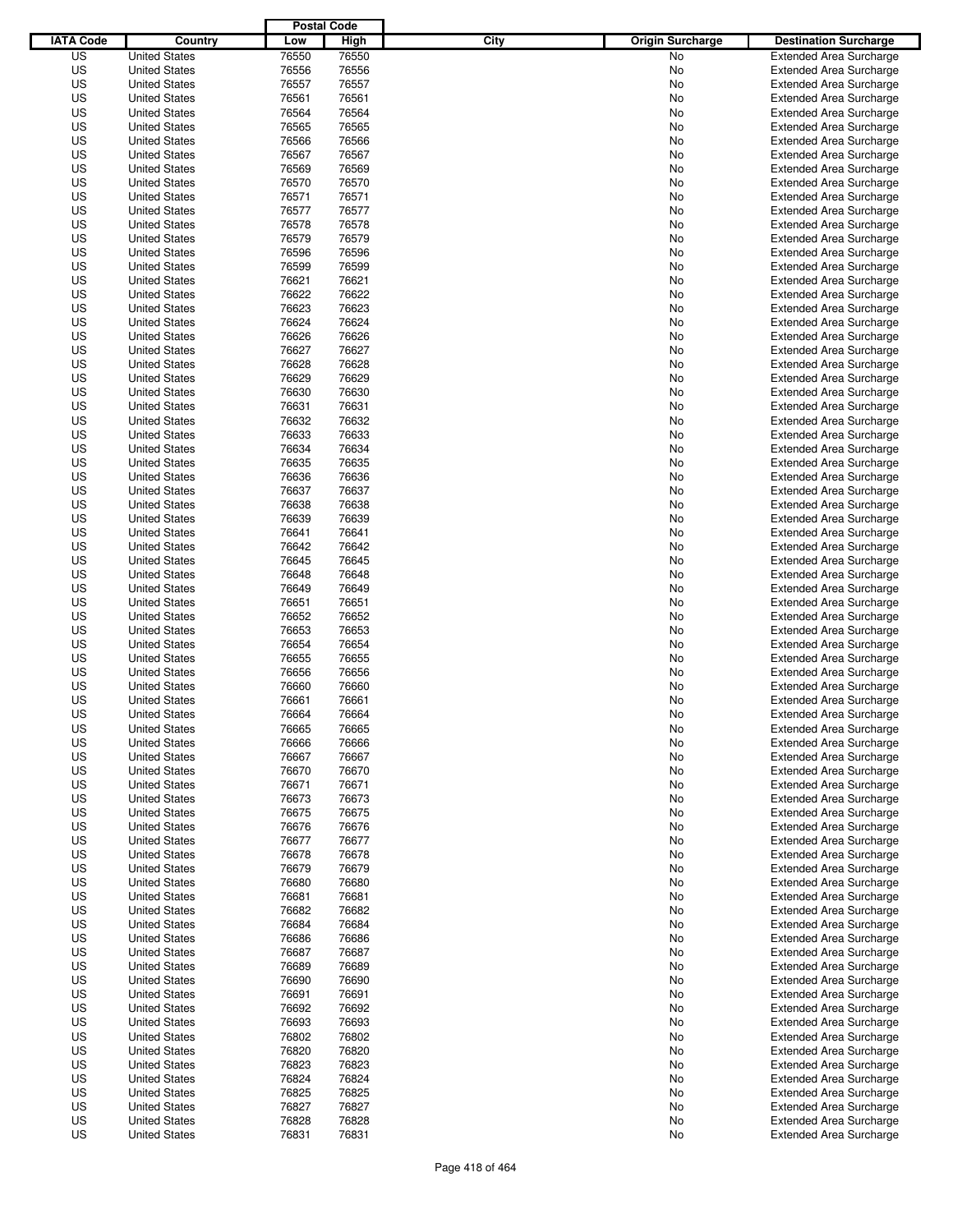|                  |                      | <b>Postal Code</b> |       |                                 |                                |
|------------------|----------------------|--------------------|-------|---------------------------------|--------------------------------|
| <b>IATA Code</b> | Country              | Low                | High  | City<br><b>Origin Surcharge</b> | <b>Destination Surcharge</b>   |
| US               | <b>United States</b> | 76550              | 76550 | <b>No</b>                       | <b>Extended Area Surcharge</b> |
| US               | <b>United States</b> | 76556              | 76556 | No                              | <b>Extended Area Surcharge</b> |
| US               | <b>United States</b> | 76557              | 76557 | No                              | <b>Extended Area Surcharge</b> |
| US               | <b>United States</b> | 76561              | 76561 | No                              | <b>Extended Area Surcharge</b> |
| US               | <b>United States</b> | 76564              | 76564 | No                              | <b>Extended Area Surcharge</b> |
| US               | <b>United States</b> | 76565              | 76565 | No                              | <b>Extended Area Surcharge</b> |
| US               | <b>United States</b> | 76566              | 76566 | No                              | <b>Extended Area Surcharge</b> |
| US               | <b>United States</b> | 76567              | 76567 | No                              | <b>Extended Area Surcharge</b> |
| US               | <b>United States</b> | 76569              | 76569 | No                              | <b>Extended Area Surcharge</b> |
| US               | <b>United States</b> | 76570              | 76570 | No                              | <b>Extended Area Surcharge</b> |
| US               | <b>United States</b> | 76571              | 76571 | No                              | <b>Extended Area Surcharge</b> |
| US               | <b>United States</b> | 76577              | 76577 | No                              | <b>Extended Area Surcharge</b> |
| US               | <b>United States</b> | 76578              | 76578 | No                              | <b>Extended Area Surcharge</b> |
| US               | <b>United States</b> | 76579              | 76579 | No                              | <b>Extended Area Surcharge</b> |
| US               | <b>United States</b> | 76596              | 76596 | No                              | <b>Extended Area Surcharge</b> |
| US               | <b>United States</b> | 76599              | 76599 | No                              | <b>Extended Area Surcharge</b> |
| US               | <b>United States</b> | 76621              | 76621 | No                              | <b>Extended Area Surcharge</b> |
| US               | <b>United States</b> | 76622              | 76622 | No                              | <b>Extended Area Surcharge</b> |
| US               | <b>United States</b> | 76623              | 76623 | No                              | <b>Extended Area Surcharge</b> |
| US               | <b>United States</b> | 76624              | 76624 | No                              | <b>Extended Area Surcharge</b> |
| US               | <b>United States</b> | 76626              | 76626 | No                              | <b>Extended Area Surcharge</b> |
| US               | <b>United States</b> | 76627              | 76627 | No                              | <b>Extended Area Surcharge</b> |
| US               | <b>United States</b> | 76628              | 76628 | No                              | <b>Extended Area Surcharge</b> |
| US               | <b>United States</b> | 76629              | 76629 | No                              | <b>Extended Area Surcharge</b> |
| US               | <b>United States</b> | 76630              | 76630 | No                              | <b>Extended Area Surcharge</b> |
| US               | <b>United States</b> | 76631              | 76631 | No                              | <b>Extended Area Surcharge</b> |
| US               | <b>United States</b> | 76632              | 76632 | No                              | <b>Extended Area Surcharge</b> |
| US               | <b>United States</b> | 76633              | 76633 | No                              | <b>Extended Area Surcharge</b> |
| US               | <b>United States</b> | 76634              | 76634 | No                              | <b>Extended Area Surcharge</b> |
| US               | <b>United States</b> | 76635              | 76635 | No                              | <b>Extended Area Surcharge</b> |
| US               | <b>United States</b> | 76636              | 76636 | No                              | <b>Extended Area Surcharge</b> |
| US               | <b>United States</b> | 76637              | 76637 | No                              | <b>Extended Area Surcharge</b> |
| US               | <b>United States</b> | 76638              | 76638 | No                              | <b>Extended Area Surcharge</b> |
| US               | <b>United States</b> | 76639              | 76639 | No                              | <b>Extended Area Surcharge</b> |
| US               | <b>United States</b> | 76641              | 76641 | No                              | <b>Extended Area Surcharge</b> |
| US               | <b>United States</b> | 76642              | 76642 | No                              | <b>Extended Area Surcharge</b> |
| US               | <b>United States</b> | 76645              | 76645 | No                              | <b>Extended Area Surcharge</b> |
| US               | <b>United States</b> | 76648              | 76648 | No                              | <b>Extended Area Surcharge</b> |
| US               | <b>United States</b> | 76649              | 76649 | No                              | <b>Extended Area Surcharge</b> |
| US               | <b>United States</b> | 76651              | 76651 | No                              | <b>Extended Area Surcharge</b> |
| US               | <b>United States</b> | 76652              | 76652 | No                              | <b>Extended Area Surcharge</b> |
| US               | <b>United States</b> | 76653              | 76653 | No                              | <b>Extended Area Surcharge</b> |
| US               | <b>United States</b> | 76654              | 76654 | No                              | <b>Extended Area Surcharge</b> |
| US               | <b>United States</b> | 76655              | 76655 | No                              | <b>Extended Area Surcharge</b> |
| US               | <b>United States</b> | 76656              | 76656 | No                              | Extended Area Surcharge        |
| US               | <b>United States</b> | 76660              | 76660 | No                              | <b>Extended Area Surcharge</b> |
| US               | <b>United States</b> | 76661              | 76661 | No                              | <b>Extended Area Surcharge</b> |
| US               | <b>United States</b> | 76664              | 76664 | No                              | <b>Extended Area Surcharge</b> |
| US               | <b>United States</b> | 76665              | 76665 | No                              | <b>Extended Area Surcharge</b> |
| US               | <b>United States</b> | 76666              | 76666 | No                              | <b>Extended Area Surcharge</b> |
| US               | <b>United States</b> | 76667              | 76667 | No                              | <b>Extended Area Surcharge</b> |
| US               | <b>United States</b> | 76670              | 76670 | No                              | <b>Extended Area Surcharge</b> |
| US               | <b>United States</b> | 76671              | 76671 | No                              | <b>Extended Area Surcharge</b> |
| US               | <b>United States</b> | 76673              | 76673 | No                              | <b>Extended Area Surcharge</b> |
| US               | <b>United States</b> | 76675              | 76675 | No                              | <b>Extended Area Surcharge</b> |
| US               | <b>United States</b> | 76676              | 76676 | No                              | <b>Extended Area Surcharge</b> |
| US               | <b>United States</b> | 76677              | 76677 | No                              | <b>Extended Area Surcharge</b> |
| US               | <b>United States</b> | 76678              | 76678 | No                              | <b>Extended Area Surcharge</b> |
| US               | <b>United States</b> | 76679              | 76679 | No                              | <b>Extended Area Surcharge</b> |
| US               | <b>United States</b> | 76680              | 76680 | No                              | <b>Extended Area Surcharge</b> |
| US               | <b>United States</b> | 76681              | 76681 | No                              | <b>Extended Area Surcharge</b> |
| US               | <b>United States</b> | 76682              | 76682 | No                              | <b>Extended Area Surcharge</b> |
| US               | <b>United States</b> | 76684              | 76684 | No                              | <b>Extended Area Surcharge</b> |
| US               | <b>United States</b> | 76686              | 76686 | No                              | <b>Extended Area Surcharge</b> |
| US               | <b>United States</b> | 76687              | 76687 | No                              | <b>Extended Area Surcharge</b> |
| US               | <b>United States</b> | 76689              | 76689 | No                              | <b>Extended Area Surcharge</b> |
| US               | <b>United States</b> | 76690              | 76690 | No                              | <b>Extended Area Surcharge</b> |
| US               | <b>United States</b> | 76691              | 76691 | No                              | <b>Extended Area Surcharge</b> |
| US               | <b>United States</b> | 76692              | 76692 | No                              | <b>Extended Area Surcharge</b> |
| US               | <b>United States</b> | 76693              | 76693 | No                              | <b>Extended Area Surcharge</b> |
| US               | <b>United States</b> | 76802              | 76802 | No                              | <b>Extended Area Surcharge</b> |
| US               | <b>United States</b> | 76820              | 76820 | No                              | <b>Extended Area Surcharge</b> |
| US               | <b>United States</b> | 76823              | 76823 | No                              | <b>Extended Area Surcharge</b> |
| US               | <b>United States</b> | 76824              | 76824 | No                              | <b>Extended Area Surcharge</b> |
| US               | <b>United States</b> | 76825              | 76825 | No                              | <b>Extended Area Surcharge</b> |
| US               | <b>United States</b> | 76827              | 76827 | No                              | <b>Extended Area Surcharge</b> |
| US               | <b>United States</b> | 76828              | 76828 | No                              | <b>Extended Area Surcharge</b> |
| US               | <b>United States</b> | 76831              | 76831 | No                              | <b>Extended Area Surcharge</b> |
|                  |                      |                    |       |                                 |                                |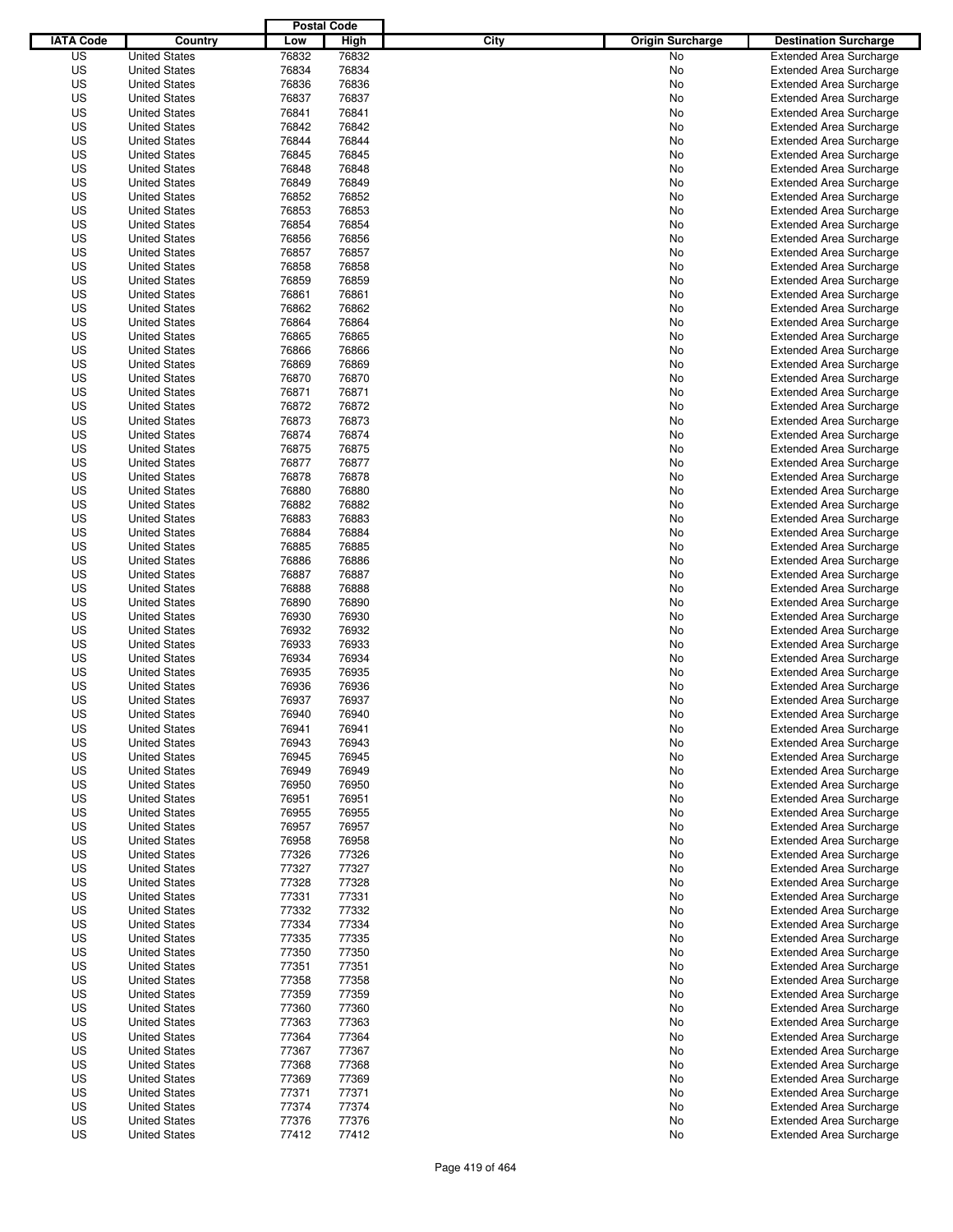|                  |                      | <b>Postal Code</b> |       |                                 |                                |
|------------------|----------------------|--------------------|-------|---------------------------------|--------------------------------|
| <b>IATA Code</b> | Country              | Low                | High  | City<br><b>Origin Surcharge</b> | <b>Destination Surcharge</b>   |
| US               | <b>United States</b> | 76832              | 76832 | <b>No</b>                       | <b>Extended Area Surcharge</b> |
| US               | <b>United States</b> | 76834              | 76834 | No                              | <b>Extended Area Surcharge</b> |
| US               | <b>United States</b> | 76836              | 76836 | No                              | <b>Extended Area Surcharge</b> |
| US               | <b>United States</b> | 76837              | 76837 | No                              | <b>Extended Area Surcharge</b> |
| US               | <b>United States</b> | 76841              | 76841 | No                              | <b>Extended Area Surcharge</b> |
| US               | <b>United States</b> | 76842              | 76842 | No                              | <b>Extended Area Surcharge</b> |
| US               | <b>United States</b> | 76844              | 76844 | No                              | <b>Extended Area Surcharge</b> |
| US               | <b>United States</b> | 76845              | 76845 | No                              | <b>Extended Area Surcharge</b> |
| US               | <b>United States</b> | 76848              | 76848 | No                              | <b>Extended Area Surcharge</b> |
| US               | <b>United States</b> | 76849              | 76849 | No                              | <b>Extended Area Surcharge</b> |
| US               | <b>United States</b> | 76852              | 76852 | No                              | <b>Extended Area Surcharge</b> |
| US               | <b>United States</b> | 76853              | 76853 | No                              | <b>Extended Area Surcharge</b> |
| US               | <b>United States</b> | 76854              | 76854 | No                              | <b>Extended Area Surcharge</b> |
| US               | <b>United States</b> | 76856              | 76856 | No                              | <b>Extended Area Surcharge</b> |
| US               | <b>United States</b> | 76857              | 76857 | No                              | <b>Extended Area Surcharge</b> |
| US               | <b>United States</b> | 76858              | 76858 | No                              | <b>Extended Area Surcharge</b> |
| US               | <b>United States</b> | 76859              | 76859 | No                              | <b>Extended Area Surcharge</b> |
| US               | <b>United States</b> | 76861              | 76861 | No                              | <b>Extended Area Surcharge</b> |
| US               | <b>United States</b> | 76862              | 76862 | No                              | <b>Extended Area Surcharge</b> |
| US               | <b>United States</b> | 76864              | 76864 | No                              | <b>Extended Area Surcharge</b> |
| US               | <b>United States</b> | 76865              | 76865 | No                              | <b>Extended Area Surcharge</b> |
| US               | <b>United States</b> | 76866              | 76866 | No                              | <b>Extended Area Surcharge</b> |
| US               | <b>United States</b> | 76869              | 76869 | No                              | <b>Extended Area Surcharge</b> |
| US               | <b>United States</b> | 76870              | 76870 | No                              | <b>Extended Area Surcharge</b> |
| US               | <b>United States</b> | 76871              | 76871 | No                              | <b>Extended Area Surcharge</b> |
| US               | <b>United States</b> | 76872              | 76872 | No                              | <b>Extended Area Surcharge</b> |
| US               | <b>United States</b> | 76873              | 76873 | No                              | <b>Extended Area Surcharge</b> |
| US               | <b>United States</b> | 76874              | 76874 | No                              | <b>Extended Area Surcharge</b> |
| US               | <b>United States</b> | 76875              | 76875 | No                              | <b>Extended Area Surcharge</b> |
| US               | <b>United States</b> | 76877              | 76877 | No                              | <b>Extended Area Surcharge</b> |
| US               | <b>United States</b> | 76878              | 76878 | No                              | <b>Extended Area Surcharge</b> |
| US               | <b>United States</b> | 76880              | 76880 | No                              | <b>Extended Area Surcharge</b> |
| US               | <b>United States</b> | 76882              | 76882 | No                              | <b>Extended Area Surcharge</b> |
| US               | <b>United States</b> | 76883              | 76883 | No                              | <b>Extended Area Surcharge</b> |
| US               | <b>United States</b> | 76884              | 76884 | No                              | <b>Extended Area Surcharge</b> |
| US               | <b>United States</b> | 76885              | 76885 | No                              | <b>Extended Area Surcharge</b> |
| US               | <b>United States</b> | 76886              | 76886 | No                              | <b>Extended Area Surcharge</b> |
| US               | <b>United States</b> | 76887              | 76887 | No                              | <b>Extended Area Surcharge</b> |
| US               | <b>United States</b> | 76888              | 76888 | No                              | <b>Extended Area Surcharge</b> |
| US               | <b>United States</b> | 76890              | 76890 | No                              | <b>Extended Area Surcharge</b> |
| US               | <b>United States</b> | 76930              | 76930 | No                              | <b>Extended Area Surcharge</b> |
| US               | <b>United States</b> | 76932              | 76932 | No                              | <b>Extended Area Surcharge</b> |
| US               | <b>United States</b> | 76933              | 76933 | No                              | <b>Extended Area Surcharge</b> |
| US               | <b>United States</b> | 76934              | 76934 | No                              | <b>Extended Area Surcharge</b> |
| US               | <b>United States</b> | 76935              | 76935 | No                              | Extended Area Surcharge        |
| US               | <b>United States</b> | 76936              | 76936 | No                              | <b>Extended Area Surcharge</b> |
| US               | <b>United States</b> | 76937              | 76937 | No                              | <b>Extended Area Surcharge</b> |
| US               | <b>United States</b> | 76940              | 76940 | No                              | <b>Extended Area Surcharge</b> |
| US               | <b>United States</b> | 76941              | 76941 | No                              | <b>Extended Area Surcharge</b> |
| US               | <b>United States</b> | 76943              | 76943 | No                              | <b>Extended Area Surcharge</b> |
| US               | <b>United States</b> | 76945              | 76945 | No                              | <b>Extended Area Surcharge</b> |
| US               | <b>United States</b> | 76949              | 76949 | No                              | <b>Extended Area Surcharge</b> |
| US               | <b>United States</b> | 76950              | 76950 | No                              | <b>Extended Area Surcharge</b> |
| US               | <b>United States</b> | 76951              | 76951 | No                              | <b>Extended Area Surcharge</b> |
| US               | <b>United States</b> | 76955              | 76955 | No                              | <b>Extended Area Surcharge</b> |
| US               | <b>United States</b> | 76957              | 76957 | No                              | <b>Extended Area Surcharge</b> |
| US               | <b>United States</b> | 76958              | 76958 | No                              | <b>Extended Area Surcharge</b> |
| US               | <b>United States</b> | 77326              | 77326 | No                              | <b>Extended Area Surcharge</b> |
| US               | <b>United States</b> | 77327              | 77327 | No                              | <b>Extended Area Surcharge</b> |
| US               | <b>United States</b> | 77328              | 77328 | No                              | <b>Extended Area Surcharge</b> |
| US               | <b>United States</b> | 77331              | 77331 | No                              | <b>Extended Area Surcharge</b> |
| US               | <b>United States</b> | 77332              | 77332 | No                              | <b>Extended Area Surcharge</b> |
| US               | <b>United States</b> | 77334              | 77334 | No                              | <b>Extended Area Surcharge</b> |
| US               | <b>United States</b> | 77335              | 77335 | No                              | <b>Extended Area Surcharge</b> |
| US               | <b>United States</b> | 77350              | 77350 | No                              | <b>Extended Area Surcharge</b> |
| US               | <b>United States</b> | 77351              | 77351 | No                              | <b>Extended Area Surcharge</b> |
| US               | <b>United States</b> | 77358              | 77358 | No                              | <b>Extended Area Surcharge</b> |
| US               | <b>United States</b> | 77359              | 77359 | No                              | <b>Extended Area Surcharge</b> |
| US               | <b>United States</b> | 77360              | 77360 | No                              | <b>Extended Area Surcharge</b> |
| US               | <b>United States</b> | 77363              | 77363 | No                              | <b>Extended Area Surcharge</b> |
| US               | <b>United States</b> | 77364              | 77364 | No                              | <b>Extended Area Surcharge</b> |
| US               | <b>United States</b> | 77367              | 77367 | No                              | <b>Extended Area Surcharge</b> |
| US               | <b>United States</b> | 77368              | 77368 | No                              | <b>Extended Area Surcharge</b> |
| US               | <b>United States</b> | 77369              | 77369 | No                              | <b>Extended Area Surcharge</b> |
| US               | <b>United States</b> | 77371              | 77371 | No                              | <b>Extended Area Surcharge</b> |
| US               | <b>United States</b> | 77374              | 77374 | No                              | <b>Extended Area Surcharge</b> |
| US               | <b>United States</b> | 77376              | 77376 | No                              | <b>Extended Area Surcharge</b> |
| US               | <b>United States</b> | 77412              | 77412 | No                              | <b>Extended Area Surcharge</b> |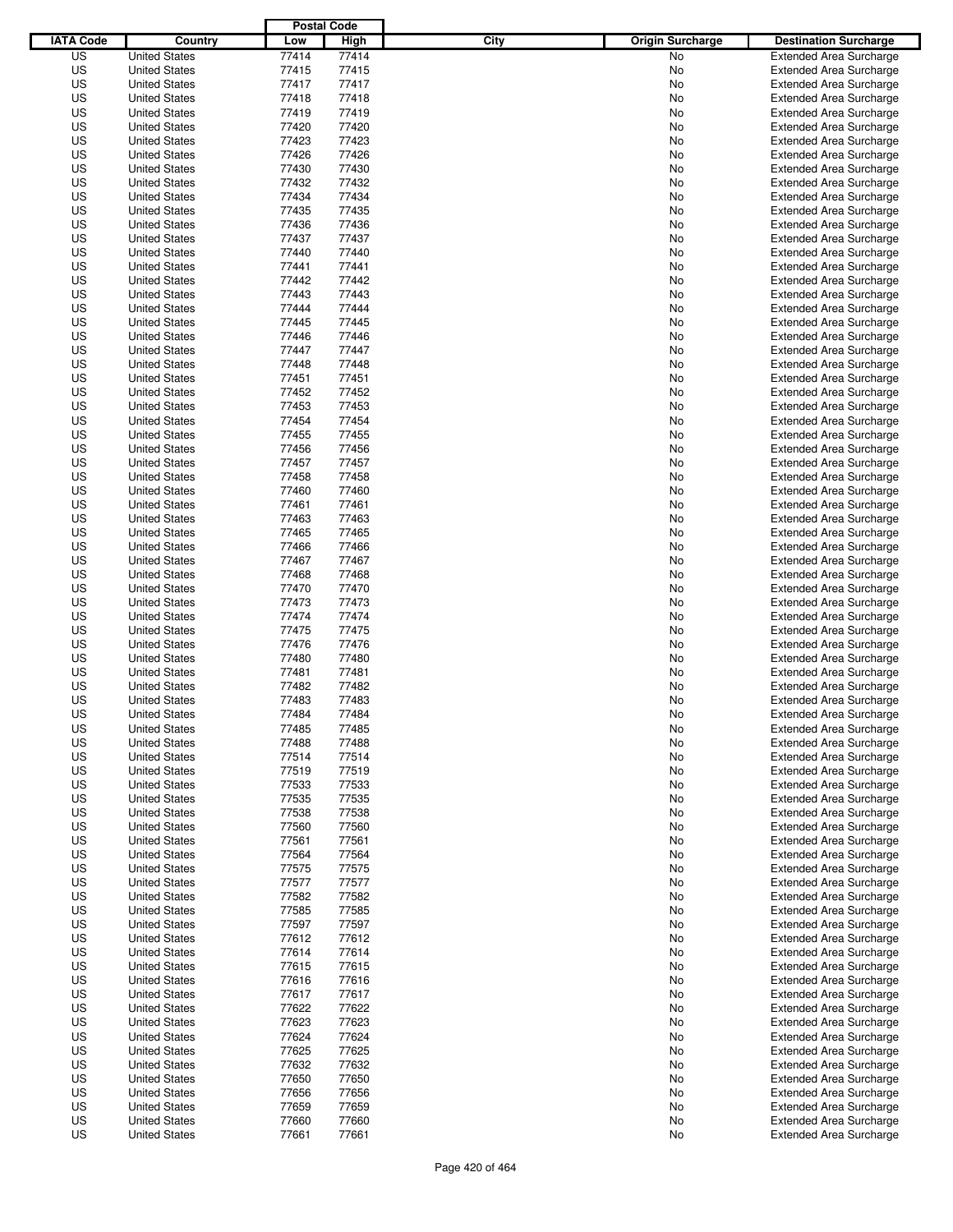|                  |                                              | <b>Postal Code</b> |                |                                 |                                                                  |
|------------------|----------------------------------------------|--------------------|----------------|---------------------------------|------------------------------------------------------------------|
| <b>IATA Code</b> | Country                                      | Low                | High           | City<br><b>Origin Surcharge</b> | <b>Destination Surcharge</b>                                     |
| US               | <b>United States</b>                         | 77414              | 77414          | <b>No</b>                       | <b>Extended Area Surcharge</b>                                   |
| US               | <b>United States</b>                         | 77415              | 77415          | No                              | <b>Extended Area Surcharge</b>                                   |
| US               | <b>United States</b>                         | 77417              | 77417          | No                              | <b>Extended Area Surcharge</b>                                   |
| US               | <b>United States</b>                         | 77418              | 77418          | No                              | <b>Extended Area Surcharge</b>                                   |
| US               | <b>United States</b>                         | 77419              | 77419          | No                              | <b>Extended Area Surcharge</b>                                   |
| US               | <b>United States</b>                         | 77420              | 77420          | No                              | <b>Extended Area Surcharge</b>                                   |
| US               | <b>United States</b>                         | 77423              | 77423          | No                              | <b>Extended Area Surcharge</b>                                   |
| US               | <b>United States</b>                         | 77426              | 77426          | No                              | <b>Extended Area Surcharge</b>                                   |
| US               | <b>United States</b>                         | 77430              | 77430          | No                              | <b>Extended Area Surcharge</b>                                   |
| US               | <b>United States</b>                         | 77432              | 77432          | No                              | <b>Extended Area Surcharge</b>                                   |
| US               | <b>United States</b>                         | 77434              | 77434          | No                              | <b>Extended Area Surcharge</b>                                   |
| US               | <b>United States</b>                         | 77435              | 77435          | No                              | <b>Extended Area Surcharge</b>                                   |
| US               | <b>United States</b>                         | 77436              | 77436          | No                              | <b>Extended Area Surcharge</b>                                   |
| US               | <b>United States</b>                         | 77437              | 77437          | No                              | <b>Extended Area Surcharge</b>                                   |
| US               | <b>United States</b>                         | 77440              | 77440          | No                              | <b>Extended Area Surcharge</b>                                   |
| US               | <b>United States</b>                         | 77441              | 77441          | No                              | <b>Extended Area Surcharge</b>                                   |
| US               | <b>United States</b>                         | 77442              | 77442          | No                              | <b>Extended Area Surcharge</b>                                   |
| US               | <b>United States</b>                         | 77443              | 77443          | No                              | <b>Extended Area Surcharge</b>                                   |
| US               | <b>United States</b>                         | 77444              | 77444          | No                              | <b>Extended Area Surcharge</b>                                   |
| US               | <b>United States</b>                         | 77445              | 77445          | No                              | <b>Extended Area Surcharge</b>                                   |
| US               | <b>United States</b>                         | 77446              | 77446          | No                              | <b>Extended Area Surcharge</b>                                   |
| US               | <b>United States</b>                         | 77447              | 77447          | No                              | <b>Extended Area Surcharge</b>                                   |
| US               | <b>United States</b>                         | 77448              | 77448          | No                              | <b>Extended Area Surcharge</b>                                   |
| US               | <b>United States</b>                         | 77451              | 77451          | No                              | <b>Extended Area Surcharge</b>                                   |
| US               | <b>United States</b>                         | 77452              | 77452          | No                              | <b>Extended Area Surcharge</b>                                   |
| US               | <b>United States</b>                         | 77453              | 77453          | No                              | <b>Extended Area Surcharge</b>                                   |
| US               | <b>United States</b>                         | 77454              | 77454          | No                              | <b>Extended Area Surcharge</b>                                   |
| US               | <b>United States</b>                         | 77455              | 77455          | No                              | <b>Extended Area Surcharge</b>                                   |
| US               | <b>United States</b>                         | 77456              | 77456          | No                              | <b>Extended Area Surcharge</b>                                   |
| US               | <b>United States</b>                         | 77457              | 77457          | No                              | <b>Extended Area Surcharge</b>                                   |
| US               | <b>United States</b>                         | 77458              | 77458          | No                              | <b>Extended Area Surcharge</b>                                   |
| US               | <b>United States</b>                         | 77460              | 77460          | No                              | <b>Extended Area Surcharge</b>                                   |
| US               | <b>United States</b>                         | 77461              | 77461          | No                              | <b>Extended Area Surcharge</b>                                   |
| US               | <b>United States</b>                         | 77463              | 77463          | No                              | <b>Extended Area Surcharge</b>                                   |
| US               | <b>United States</b>                         | 77465              | 77465          | No                              | <b>Extended Area Surcharge</b>                                   |
| US               | <b>United States</b>                         | 77466              | 77466          | No                              | <b>Extended Area Surcharge</b>                                   |
| US               | <b>United States</b>                         | 77467              | 77467          | No                              | <b>Extended Area Surcharge</b>                                   |
| US               | <b>United States</b>                         | 77468              | 77468          | No                              | <b>Extended Area Surcharge</b>                                   |
| US               | <b>United States</b>                         | 77470              | 77470          | No                              | <b>Extended Area Surcharge</b>                                   |
| US               | <b>United States</b>                         | 77473              | 77473          | No                              | <b>Extended Area Surcharge</b>                                   |
| US               | <b>United States</b>                         | 77474              | 77474          | No                              | <b>Extended Area Surcharge</b>                                   |
| US               | <b>United States</b>                         | 77475              | 77475          | No                              | <b>Extended Area Surcharge</b>                                   |
| US               | <b>United States</b>                         | 77476              | 77476          | No                              | <b>Extended Area Surcharge</b>                                   |
| US               | <b>United States</b>                         | 77480              | 77480          | No                              | <b>Extended Area Surcharge</b>                                   |
| US               | <b>United States</b>                         | 77481              | 77481          | No                              | Extended Area Surcharge                                          |
| US               | <b>United States</b>                         | 77482              | 77482          | No                              | <b>Extended Area Surcharge</b>                                   |
| US               | <b>United States</b>                         | 77483              | 77483          | No                              | <b>Extended Area Surcharge</b>                                   |
| US               | <b>United States</b>                         | 77484              | 77484          | No                              | <b>Extended Area Surcharge</b>                                   |
| US               | <b>United States</b>                         | 77485              | 77485          | No                              | <b>Extended Area Surcharge</b>                                   |
| US               | <b>United States</b>                         | 77488              | 77488          | No                              | <b>Extended Area Surcharge</b>                                   |
| US               | <b>United States</b>                         | 77514              | 77514          | No                              | <b>Extended Area Surcharge</b>                                   |
| US               | <b>United States</b>                         | 77519              | 77519          | No                              | <b>Extended Area Surcharge</b>                                   |
| US               | <b>United States</b>                         | 77533              | 77533          | No                              | <b>Extended Area Surcharge</b>                                   |
| US               | <b>United States</b>                         | 77535              | 77535          | No                              | <b>Extended Area Surcharge</b>                                   |
| US               | <b>United States</b><br><b>United States</b> | 77538              | 77538          | No                              | <b>Extended Area Surcharge</b>                                   |
| US               | <b>United States</b>                         | 77560              | 77560          | No                              | <b>Extended Area Surcharge</b>                                   |
| US               |                                              | 77561              | 77561          | No                              | <b>Extended Area Surcharge</b>                                   |
| US               | <b>United States</b>                         | 77564              | 77564          | No                              | <b>Extended Area Surcharge</b>                                   |
| US<br>US         | <b>United States</b><br><b>United States</b> | 77575<br>77577     | 77575<br>77577 | No<br>No                        | <b>Extended Area Surcharge</b><br><b>Extended Area Surcharge</b> |
|                  |                                              |                    |                |                                 |                                                                  |
| US               | <b>United States</b>                         | 77582              | 77582          | No                              | <b>Extended Area Surcharge</b>                                   |
| US<br>US         | <b>United States</b><br><b>United States</b> | 77585<br>77597     | 77585<br>77597 | No<br>No                        | <b>Extended Area Surcharge</b><br><b>Extended Area Surcharge</b> |
|                  |                                              |                    |                |                                 |                                                                  |
| US<br>US         | <b>United States</b><br><b>United States</b> | 77612<br>77614     | 77612<br>77614 | No<br>No                        | <b>Extended Area Surcharge</b><br><b>Extended Area Surcharge</b> |
| US               | <b>United States</b>                         | 77615              | 77615          | No                              | <b>Extended Area Surcharge</b>                                   |
| US               | <b>United States</b>                         | 77616              | 77616          | No                              | <b>Extended Area Surcharge</b>                                   |
| US               | <b>United States</b>                         | 77617              | 77617          | No                              | <b>Extended Area Surcharge</b>                                   |
| US               | <b>United States</b>                         | 77622              | 77622          | No                              | <b>Extended Area Surcharge</b>                                   |
| US               | <b>United States</b>                         | 77623              | 77623          | No                              | <b>Extended Area Surcharge</b>                                   |
| US               | <b>United States</b>                         | 77624              | 77624          | No                              | <b>Extended Area Surcharge</b>                                   |
| US               | <b>United States</b>                         | 77625              | 77625          | No                              | <b>Extended Area Surcharge</b>                                   |
| US               | <b>United States</b>                         | 77632              | 77632          | No                              | <b>Extended Area Surcharge</b>                                   |
| US               | <b>United States</b>                         | 77650              | 77650          | No                              | <b>Extended Area Surcharge</b>                                   |
| US               | <b>United States</b>                         | 77656              | 77656          | No                              | <b>Extended Area Surcharge</b>                                   |
| US               | <b>United States</b>                         | 77659              | 77659          | No                              | <b>Extended Area Surcharge</b>                                   |
| US               | <b>United States</b>                         | 77660              | 77660          | No                              | <b>Extended Area Surcharge</b>                                   |
| US               | <b>United States</b>                         | 77661              | 77661          | No                              | <b>Extended Area Surcharge</b>                                   |
|                  |                                              |                    |                |                                 |                                                                  |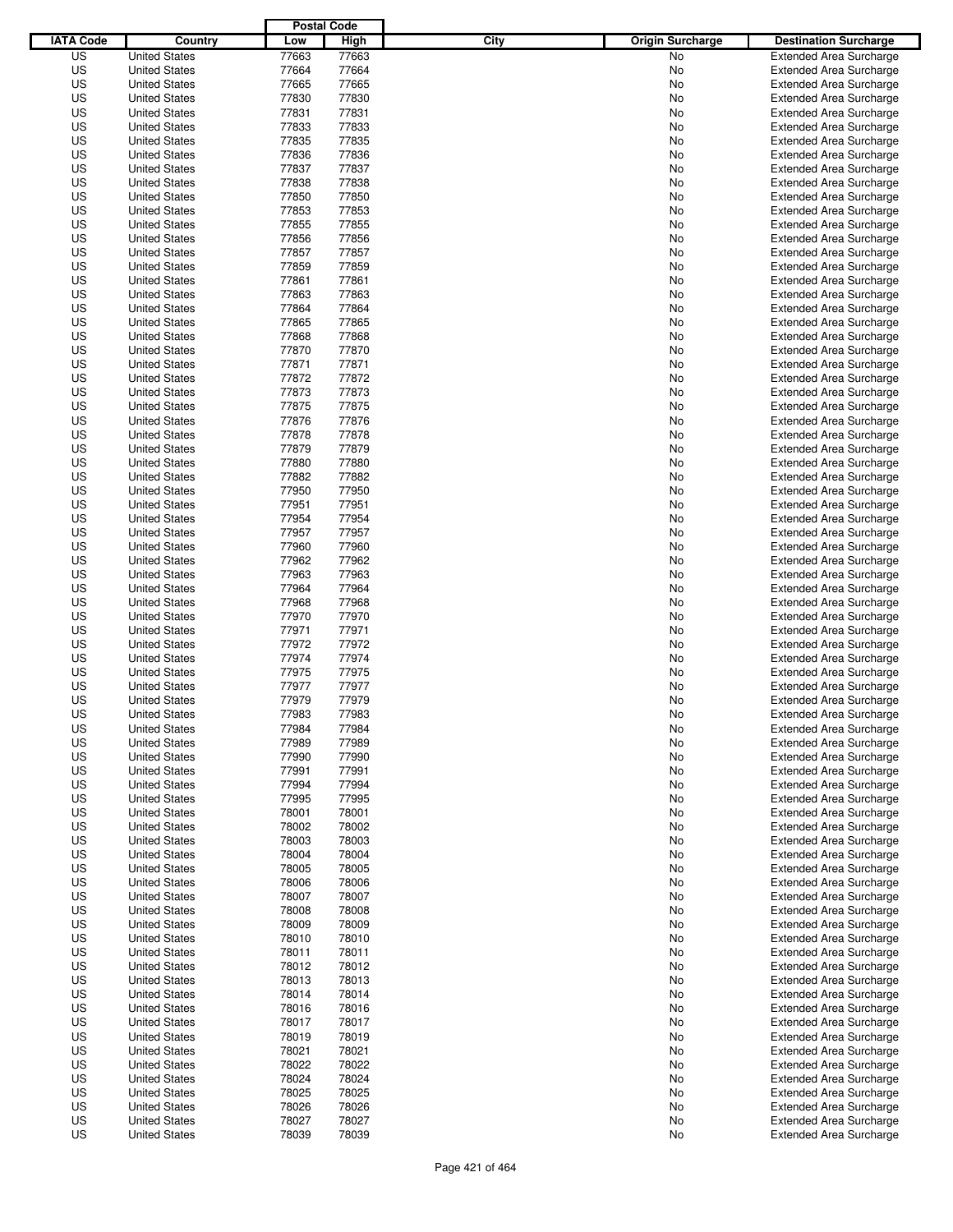|                  |                      | <b>Postal Code</b> |       |                                 |                                |
|------------------|----------------------|--------------------|-------|---------------------------------|--------------------------------|
| <b>IATA Code</b> | Country              | Low                | High  | City<br><b>Origin Surcharge</b> | <b>Destination Surcharge</b>   |
| US               | <b>United States</b> | 77663              | 77663 | <b>No</b>                       | <b>Extended Area Surcharge</b> |
| US               | <b>United States</b> | 77664              | 77664 | No                              | <b>Extended Area Surcharge</b> |
| US               | <b>United States</b> | 77665              | 77665 | No                              | <b>Extended Area Surcharge</b> |
| US               | <b>United States</b> | 77830              | 77830 | No                              | <b>Extended Area Surcharge</b> |
| US               | <b>United States</b> | 77831              | 77831 | No                              | <b>Extended Area Surcharge</b> |
| US               | <b>United States</b> | 77833              | 77833 | No                              | <b>Extended Area Surcharge</b> |
| US               | <b>United States</b> | 77835              | 77835 | No                              | <b>Extended Area Surcharge</b> |
| US               | <b>United States</b> | 77836              | 77836 | No                              | <b>Extended Area Surcharge</b> |
| US               | <b>United States</b> | 77837              | 77837 | No                              | <b>Extended Area Surcharge</b> |
| US               | <b>United States</b> | 77838              | 77838 | No                              | <b>Extended Area Surcharge</b> |
| US               | <b>United States</b> | 77850              | 77850 | No                              | <b>Extended Area Surcharge</b> |
| US               | <b>United States</b> | 77853              | 77853 | No                              | <b>Extended Area Surcharge</b> |
| US               | <b>United States</b> | 77855              | 77855 | No                              | <b>Extended Area Surcharge</b> |
| US               | <b>United States</b> | 77856              | 77856 | No                              | <b>Extended Area Surcharge</b> |
| US               | <b>United States</b> | 77857              | 77857 | No                              | <b>Extended Area Surcharge</b> |
| US               | <b>United States</b> | 77859              | 77859 | No                              | <b>Extended Area Surcharge</b> |
| US               | <b>United States</b> | 77861              | 77861 | No                              | <b>Extended Area Surcharge</b> |
| US               | <b>United States</b> | 77863              | 77863 | No                              | <b>Extended Area Surcharge</b> |
| US               | <b>United States</b> | 77864              | 77864 | No                              | <b>Extended Area Surcharge</b> |
| US               | <b>United States</b> | 77865              | 77865 | No                              | <b>Extended Area Surcharge</b> |
| US               | <b>United States</b> | 77868              | 77868 | No                              | <b>Extended Area Surcharge</b> |
| US               | <b>United States</b> | 77870              | 77870 | No                              | <b>Extended Area Surcharge</b> |
| US               | <b>United States</b> | 77871              | 77871 | No                              | <b>Extended Area Surcharge</b> |
| US               | <b>United States</b> | 77872              | 77872 | No                              | <b>Extended Area Surcharge</b> |
| US               | <b>United States</b> | 77873              | 77873 | No                              | <b>Extended Area Surcharge</b> |
| US               | <b>United States</b> | 77875              | 77875 | No                              | <b>Extended Area Surcharge</b> |
| US               | <b>United States</b> | 77876              | 77876 | No                              | <b>Extended Area Surcharge</b> |
| US               | <b>United States</b> | 77878              | 77878 | No                              | <b>Extended Area Surcharge</b> |
| US               | <b>United States</b> | 77879              | 77879 | No                              | <b>Extended Area Surcharge</b> |
| US               | <b>United States</b> | 77880              | 77880 | No                              | <b>Extended Area Surcharge</b> |
| US               | <b>United States</b> | 77882              | 77882 | No                              | <b>Extended Area Surcharge</b> |
| US               | <b>United States</b> | 77950              | 77950 | No                              | <b>Extended Area Surcharge</b> |
| US               | <b>United States</b> | 77951              | 77951 | No                              | <b>Extended Area Surcharge</b> |
| US               | <b>United States</b> | 77954              | 77954 | No                              | <b>Extended Area Surcharge</b> |
| US               | <b>United States</b> | 77957              | 77957 | No                              | <b>Extended Area Surcharge</b> |
| US               | <b>United States</b> | 77960              | 77960 | No                              | <b>Extended Area Surcharge</b> |
| US               | <b>United States</b> | 77962              | 77962 | No                              | <b>Extended Area Surcharge</b> |
| US               | <b>United States</b> | 77963              | 77963 | No                              | <b>Extended Area Surcharge</b> |
| US               | <b>United States</b> | 77964              | 77964 | No                              | <b>Extended Area Surcharge</b> |
| US               | <b>United States</b> | 77968              | 77968 | No                              | <b>Extended Area Surcharge</b> |
| US               | <b>United States</b> | 77970              | 77970 | No                              | <b>Extended Area Surcharge</b> |
| US               | <b>United States</b> | 77971              | 77971 | No                              | <b>Extended Area Surcharge</b> |
| US               | <b>United States</b> | 77972              | 77972 | No                              | <b>Extended Area Surcharge</b> |
| US               | <b>United States</b> | 77974              | 77974 | No                              | <b>Extended Area Surcharge</b> |
| US               | <b>United States</b> | 77975              | 77975 | No                              | Extended Area Surcharge        |
| US               | <b>United States</b> | 77977              | 77977 | No                              | <b>Extended Area Surcharge</b> |
| US               | <b>United States</b> | 77979              | 77979 | No                              | <b>Extended Area Surcharge</b> |
| US               | <b>United States</b> | 77983              | 77983 | No                              | <b>Extended Area Surcharge</b> |
| US               | <b>United States</b> | 77984              | 77984 | No                              | <b>Extended Area Surcharge</b> |
| US               | <b>United States</b> | 77989              | 77989 | No                              | <b>Extended Area Surcharge</b> |
| US               | <b>United States</b> | 77990              | 77990 | No                              | <b>Extended Area Surcharge</b> |
| US               | <b>United States</b> | 77991              | 77991 | No                              | <b>Extended Area Surcharge</b> |
| US               | <b>United States</b> | 77994              | 77994 | No                              | <b>Extended Area Surcharge</b> |
| US               | <b>United States</b> | 77995              | 77995 | No                              | <b>Extended Area Surcharge</b> |
| US               | <b>United States</b> | 78001              | 78001 | No                              | <b>Extended Area Surcharge</b> |
| US               | <b>United States</b> | 78002              | 78002 | No                              | <b>Extended Area Surcharge</b> |
| US               | <b>United States</b> | 78003              | 78003 | No                              | <b>Extended Area Surcharge</b> |
| US               | <b>United States</b> | 78004              | 78004 | No                              | <b>Extended Area Surcharge</b> |
| US               | <b>United States</b> | 78005              | 78005 | No                              | <b>Extended Area Surcharge</b> |
| US               | <b>United States</b> | 78006              | 78006 | No                              | <b>Extended Area Surcharge</b> |
| US               | <b>United States</b> | 78007              | 78007 | No                              | <b>Extended Area Surcharge</b> |
| US               | <b>United States</b> | 78008              | 78008 | No                              | <b>Extended Area Surcharge</b> |
| US               | <b>United States</b> | 78009              | 78009 | No                              | <b>Extended Area Surcharge</b> |
| US               | <b>United States</b> | 78010              | 78010 | No                              | <b>Extended Area Surcharge</b> |
| US               | <b>United States</b> | 78011              | 78011 | No                              | <b>Extended Area Surcharge</b> |
| US               | <b>United States</b> | 78012              | 78012 | No                              | <b>Extended Area Surcharge</b> |
| US               | <b>United States</b> | 78013              | 78013 | No                              | <b>Extended Area Surcharge</b> |
| US               | <b>United States</b> | 78014              | 78014 | No                              | <b>Extended Area Surcharge</b> |
| US               | <b>United States</b> | 78016              | 78016 | No                              | <b>Extended Area Surcharge</b> |
| US               | <b>United States</b> | 78017              | 78017 | No                              | Extended Area Surcharge        |
| US               | <b>United States</b> | 78019              | 78019 | No                              | <b>Extended Area Surcharge</b> |
| US               | <b>United States</b> | 78021              | 78021 | No                              | <b>Extended Area Surcharge</b> |
| US               | <b>United States</b> | 78022              | 78022 | No                              | <b>Extended Area Surcharge</b> |
| US               | <b>United States</b> | 78024              | 78024 | No                              | <b>Extended Area Surcharge</b> |
| US               | <b>United States</b> | 78025              | 78025 | No                              | <b>Extended Area Surcharge</b> |
| US               | <b>United States</b> | 78026              | 78026 | No                              | <b>Extended Area Surcharge</b> |
| US               | <b>United States</b> | 78027              | 78027 | No                              | <b>Extended Area Surcharge</b> |
| US               | <b>United States</b> | 78039              | 78039 | No                              | <b>Extended Area Surcharge</b> |
|                  |                      |                    |       |                                 |                                |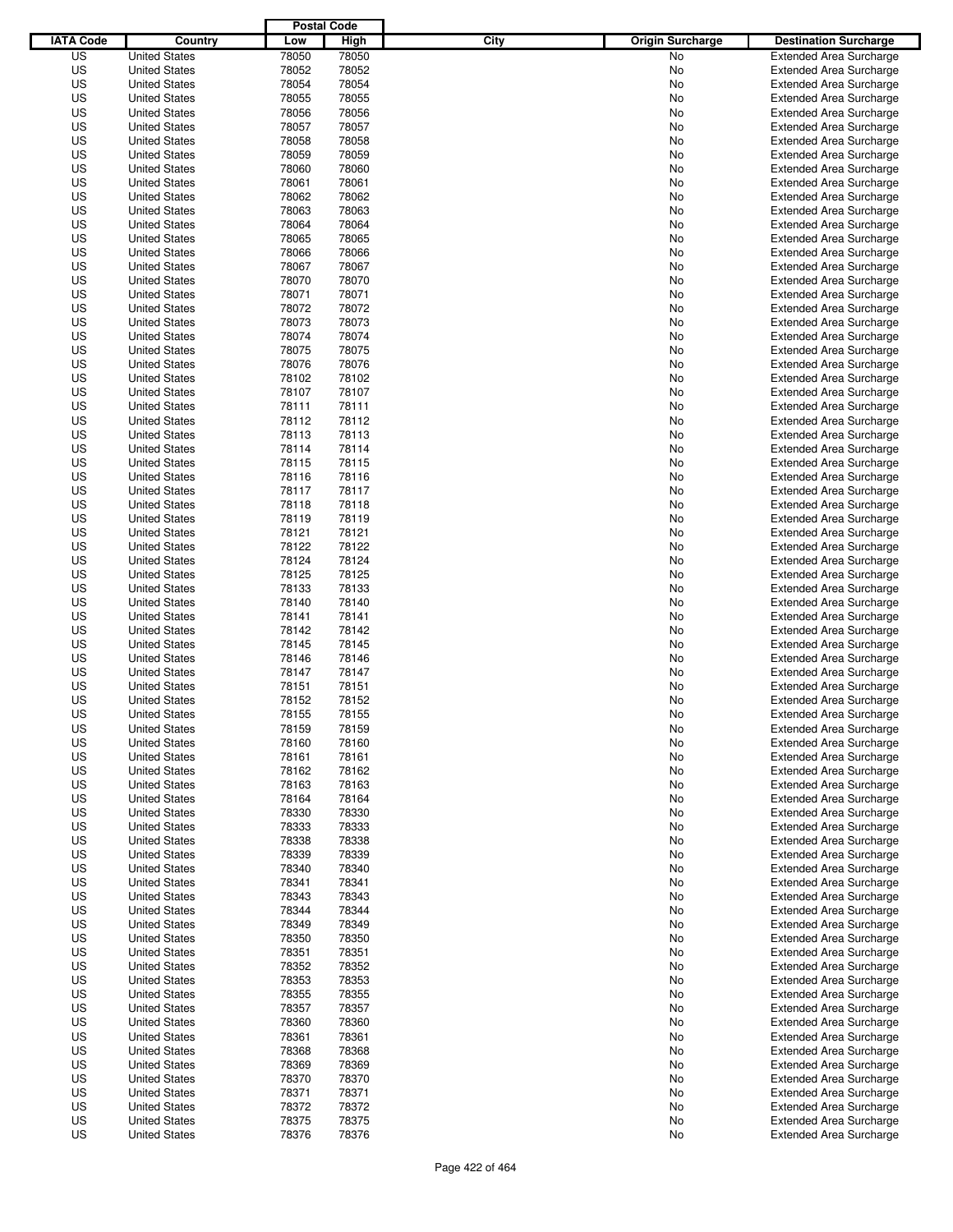|                  |                                              | <b>Postal Code</b> |       |                                 |                                                                  |
|------------------|----------------------------------------------|--------------------|-------|---------------------------------|------------------------------------------------------------------|
| <b>IATA Code</b> | Country                                      | Low                | High  | City<br><b>Origin Surcharge</b> | <b>Destination Surcharge</b>                                     |
| US               | <b>United States</b>                         | 78050              | 78050 | <b>No</b>                       | <b>Extended Area Surcharge</b>                                   |
| US               | <b>United States</b>                         | 78052              | 78052 | No                              | <b>Extended Area Surcharge</b>                                   |
| US               | <b>United States</b>                         | 78054              | 78054 | No                              | <b>Extended Area Surcharge</b>                                   |
| US               | <b>United States</b>                         | 78055              | 78055 | No                              | <b>Extended Area Surcharge</b>                                   |
| US               | <b>United States</b>                         | 78056              | 78056 | No                              | <b>Extended Area Surcharge</b>                                   |
| US               | <b>United States</b>                         | 78057              | 78057 | No                              | <b>Extended Area Surcharge</b>                                   |
| US               | <b>United States</b>                         | 78058              | 78058 | No                              | <b>Extended Area Surcharge</b>                                   |
| US               | <b>United States</b>                         | 78059              | 78059 | No                              | <b>Extended Area Surcharge</b>                                   |
| US               | <b>United States</b>                         | 78060              | 78060 | No                              | <b>Extended Area Surcharge</b>                                   |
| US               | <b>United States</b>                         | 78061              | 78061 | No                              | <b>Extended Area Surcharge</b>                                   |
| US               | <b>United States</b>                         | 78062              | 78062 | No                              | <b>Extended Area Surcharge</b>                                   |
| US               | <b>United States</b>                         | 78063              | 78063 | No                              | <b>Extended Area Surcharge</b>                                   |
| US               | <b>United States</b>                         | 78064              | 78064 | No                              | <b>Extended Area Surcharge</b>                                   |
| US               | <b>United States</b>                         | 78065              | 78065 | No                              | <b>Extended Area Surcharge</b>                                   |
| US               | <b>United States</b>                         | 78066              | 78066 | No                              | <b>Extended Area Surcharge</b>                                   |
| US               | <b>United States</b>                         | 78067              | 78067 | No                              | <b>Extended Area Surcharge</b>                                   |
| US               | <b>United States</b>                         | 78070              | 78070 | No                              | <b>Extended Area Surcharge</b>                                   |
| US               | <b>United States</b>                         | 78071              | 78071 | No                              | <b>Extended Area Surcharge</b>                                   |
| US               | <b>United States</b>                         | 78072              | 78072 | No                              | <b>Extended Area Surcharge</b>                                   |
| US               | <b>United States</b>                         | 78073              | 78073 | No                              | <b>Extended Area Surcharge</b>                                   |
| US               | <b>United States</b>                         | 78074              | 78074 | No                              | <b>Extended Area Surcharge</b>                                   |
| US               | <b>United States</b>                         | 78075              | 78075 | No                              | <b>Extended Area Surcharge</b>                                   |
| US               | <b>United States</b>                         | 78076              | 78076 | No                              | <b>Extended Area Surcharge</b>                                   |
| US               | <b>United States</b>                         | 78102              | 78102 | No                              | <b>Extended Area Surcharge</b>                                   |
| US               | <b>United States</b>                         | 78107              | 78107 | No                              | <b>Extended Area Surcharge</b>                                   |
| US               | <b>United States</b>                         | 78111              | 78111 | No                              | <b>Extended Area Surcharge</b>                                   |
| US               | <b>United States</b>                         | 78112              | 78112 | No                              | <b>Extended Area Surcharge</b>                                   |
| US               | <b>United States</b>                         | 78113              | 78113 | No                              | <b>Extended Area Surcharge</b>                                   |
| US               | <b>United States</b>                         | 78114              | 78114 | No                              | <b>Extended Area Surcharge</b>                                   |
| US               | <b>United States</b>                         | 78115              | 78115 | No                              | <b>Extended Area Surcharge</b>                                   |
| US               | <b>United States</b>                         | 78116              | 78116 | No                              | <b>Extended Area Surcharge</b>                                   |
| US               | <b>United States</b>                         | 78117              | 78117 | No                              | <b>Extended Area Surcharge</b>                                   |
| US               | <b>United States</b>                         | 78118              | 78118 | No                              | <b>Extended Area Surcharge</b>                                   |
| US               | <b>United States</b>                         | 78119              | 78119 | No                              | <b>Extended Area Surcharge</b>                                   |
| US               | <b>United States</b>                         | 78121              | 78121 | No                              | <b>Extended Area Surcharge</b>                                   |
| US               | <b>United States</b>                         | 78122              | 78122 | No                              | <b>Extended Area Surcharge</b>                                   |
| US               | <b>United States</b>                         | 78124              | 78124 | No                              | <b>Extended Area Surcharge</b>                                   |
| US               | <b>United States</b>                         | 78125              | 78125 | No                              | <b>Extended Area Surcharge</b>                                   |
| US               | <b>United States</b>                         | 78133              | 78133 | No                              | <b>Extended Area Surcharge</b>                                   |
| US               | <b>United States</b>                         | 78140              | 78140 | No                              | <b>Extended Area Surcharge</b>                                   |
| US               | <b>United States</b>                         | 78141              | 78141 | No                              | <b>Extended Area Surcharge</b>                                   |
| US               |                                              | 78142              | 78142 |                                 | <b>Extended Area Surcharge</b>                                   |
| US               | <b>United States</b>                         | 78145              | 78145 | No                              |                                                                  |
| US               | <b>United States</b><br><b>United States</b> | 78146              | 78146 | No                              | <b>Extended Area Surcharge</b><br><b>Extended Area Surcharge</b> |
| US               | <b>United States</b>                         | 78147              | 78147 | No<br>No                        | Extended Area Surcharge                                          |
| US               | <b>United States</b>                         | 78151              | 78151 |                                 | <b>Extended Area Surcharge</b>                                   |
| US               | <b>United States</b>                         | 78152              | 78152 | No<br>No                        |                                                                  |
|                  |                                              |                    |       |                                 | <b>Extended Area Surcharge</b><br><b>Extended Area Surcharge</b> |
| US               | <b>United States</b>                         | 78155              | 78155 | No                              |                                                                  |
| US               | <b>United States</b>                         | 78159              | 78159 | No                              | <b>Extended Area Surcharge</b>                                   |
| US               | <b>United States</b>                         | 78160              | 78160 | No                              | <b>Extended Area Surcharge</b>                                   |
| US               | <b>United States</b>                         | 78161              | 78161 | No                              | <b>Extended Area Surcharge</b>                                   |
| US               | <b>United States</b>                         | 78162              | 78162 | No                              | <b>Extended Area Surcharge</b>                                   |
| US               | <b>United States</b>                         | 78163              | 78163 | No                              | <b>Extended Area Surcharge</b>                                   |
| US               | <b>United States</b>                         | 78164              | 78164 | No                              | <b>Extended Area Surcharge</b>                                   |
| US               | <b>United States</b>                         | 78330              | 78330 | No                              | <b>Extended Area Surcharge</b>                                   |
| US               | <b>United States</b>                         | 78333              | 78333 | No                              | <b>Extended Area Surcharge</b>                                   |
| US               | <b>United States</b>                         | 78338              | 78338 | No                              | <b>Extended Area Surcharge</b>                                   |
| US               | <b>United States</b>                         | 78339              | 78339 | No                              | <b>Extended Area Surcharge</b>                                   |
| US               | <b>United States</b>                         | 78340              | 78340 | No                              | <b>Extended Area Surcharge</b>                                   |
| US               | <b>United States</b>                         | 78341              | 78341 | No                              | <b>Extended Area Surcharge</b>                                   |
| US               | <b>United States</b>                         | 78343              | 78343 | No                              | <b>Extended Area Surcharge</b>                                   |
| US               | <b>United States</b>                         | 78344              | 78344 | No                              | <b>Extended Area Surcharge</b>                                   |
| US               | <b>United States</b>                         | 78349              | 78349 | No                              | <b>Extended Area Surcharge</b>                                   |
| US               | <b>United States</b>                         | 78350              | 78350 | No                              | <b>Extended Area Surcharge</b>                                   |
| US               | <b>United States</b>                         | 78351              | 78351 | No                              | <b>Extended Area Surcharge</b>                                   |
| US               | <b>United States</b>                         | 78352              | 78352 | No                              | <b>Extended Area Surcharge</b>                                   |
| US               | <b>United States</b>                         | 78353              | 78353 | No                              | <b>Extended Area Surcharge</b>                                   |
| US               | <b>United States</b>                         | 78355              | 78355 | No                              | <b>Extended Area Surcharge</b>                                   |
| US               | <b>United States</b>                         | 78357              | 78357 | No                              | <b>Extended Area Surcharge</b>                                   |
| US               | <b>United States</b>                         | 78360              | 78360 | No                              | <b>Extended Area Surcharge</b>                                   |
| US               | <b>United States</b>                         | 78361              | 78361 | No                              | <b>Extended Area Surcharge</b>                                   |
| US               | <b>United States</b>                         | 78368              | 78368 | No                              | <b>Extended Area Surcharge</b>                                   |
| US               | <b>United States</b>                         | 78369              | 78369 | No                              | <b>Extended Area Surcharge</b>                                   |
| US               | <b>United States</b>                         | 78370              | 78370 | No                              | <b>Extended Area Surcharge</b>                                   |
| US               | <b>United States</b>                         | 78371              | 78371 | No                              | <b>Extended Area Surcharge</b>                                   |
| US               | <b>United States</b>                         | 78372              | 78372 | No                              | <b>Extended Area Surcharge</b>                                   |
| US               | <b>United States</b>                         | 78375              | 78375 | No                              | <b>Extended Area Surcharge</b>                                   |
| US               | <b>United States</b>                         | 78376              | 78376 | No                              | <b>Extended Area Surcharge</b>                                   |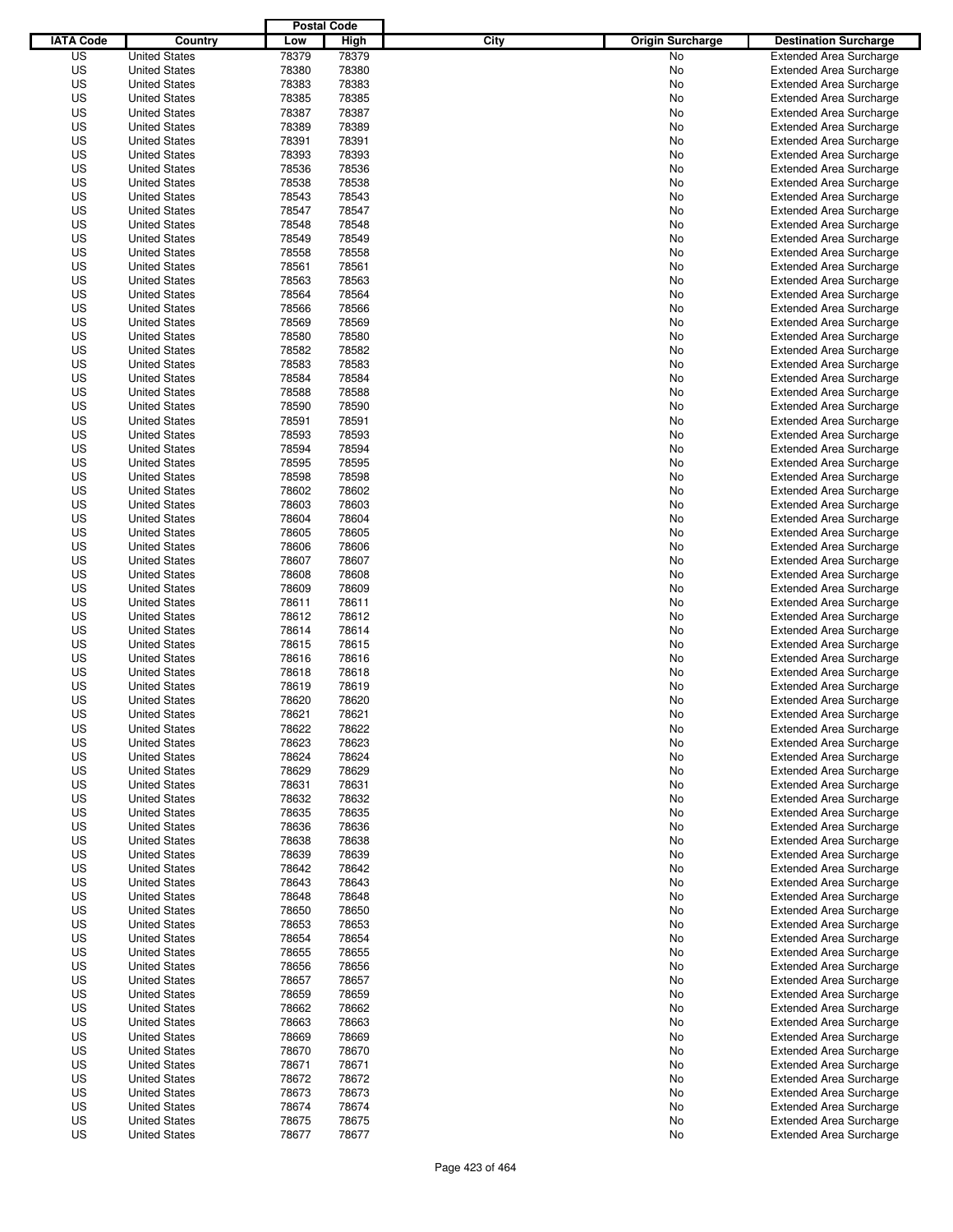|                  |                      | <b>Postal Code</b> |       |                                 |                                |
|------------------|----------------------|--------------------|-------|---------------------------------|--------------------------------|
| <b>IATA Code</b> | Country              | Low                | High  | City<br><b>Origin Surcharge</b> | <b>Destination Surcharge</b>   |
| US               | <b>United States</b> | 78379              | 78379 | <b>No</b>                       | <b>Extended Area Surcharge</b> |
| US               | <b>United States</b> | 78380              | 78380 | No                              | <b>Extended Area Surcharge</b> |
| US               | <b>United States</b> | 78383              | 78383 | No                              | <b>Extended Area Surcharge</b> |
| US               | <b>United States</b> | 78385              | 78385 | No                              | <b>Extended Area Surcharge</b> |
| US               | <b>United States</b> | 78387              | 78387 | No                              | <b>Extended Area Surcharge</b> |
| US               | <b>United States</b> | 78389              | 78389 | No                              | <b>Extended Area Surcharge</b> |
| US               | <b>United States</b> | 78391              | 78391 | No                              | <b>Extended Area Surcharge</b> |
| US               | <b>United States</b> | 78393              | 78393 | No                              | <b>Extended Area Surcharge</b> |
| US               | <b>United States</b> | 78536              | 78536 | No                              | <b>Extended Area Surcharge</b> |
| US               | <b>United States</b> | 78538              | 78538 | No                              | <b>Extended Area Surcharge</b> |
| US               | <b>United States</b> | 78543              | 78543 | No                              | <b>Extended Area Surcharge</b> |
| US               | <b>United States</b> | 78547              | 78547 | No                              | <b>Extended Area Surcharge</b> |
| US               | <b>United States</b> | 78548              | 78548 | No                              | <b>Extended Area Surcharge</b> |
| US               | <b>United States</b> | 78549              | 78549 | No                              | <b>Extended Area Surcharge</b> |
| US               | <b>United States</b> | 78558              | 78558 | No                              | <b>Extended Area Surcharge</b> |
| US               | <b>United States</b> | 78561              | 78561 | No                              | <b>Extended Area Surcharge</b> |
| US               | <b>United States</b> | 78563              | 78563 | No                              | <b>Extended Area Surcharge</b> |
| US               | <b>United States</b> | 78564              | 78564 | No                              | <b>Extended Area Surcharge</b> |
| US               | <b>United States</b> | 78566              | 78566 | No                              | <b>Extended Area Surcharge</b> |
| US               | <b>United States</b> | 78569              | 78569 | No                              | <b>Extended Area Surcharge</b> |
| US               | <b>United States</b> | 78580              | 78580 | No                              | <b>Extended Area Surcharge</b> |
| US               | <b>United States</b> | 78582              | 78582 | No                              | <b>Extended Area Surcharge</b> |
| US               | <b>United States</b> | 78583              | 78583 | No                              | <b>Extended Area Surcharge</b> |
| US               | <b>United States</b> | 78584              | 78584 | No                              | <b>Extended Area Surcharge</b> |
| US               | <b>United States</b> | 78588              | 78588 | No                              | <b>Extended Area Surcharge</b> |
| US               | <b>United States</b> | 78590              | 78590 | No                              | <b>Extended Area Surcharge</b> |
| US               | <b>United States</b> | 78591              | 78591 | No                              | <b>Extended Area Surcharge</b> |
| US               | <b>United States</b> | 78593              | 78593 | No                              | <b>Extended Area Surcharge</b> |
| US               | <b>United States</b> | 78594              | 78594 | No                              | <b>Extended Area Surcharge</b> |
| US               | <b>United States</b> | 78595              | 78595 | No                              | <b>Extended Area Surcharge</b> |
| US               | <b>United States</b> | 78598              | 78598 | No                              | <b>Extended Area Surcharge</b> |
| US               | <b>United States</b> | 78602              | 78602 | No                              | <b>Extended Area Surcharge</b> |
| US               | <b>United States</b> | 78603              | 78603 | No                              | <b>Extended Area Surcharge</b> |
| US               | <b>United States</b> | 78604              | 78604 | No                              | <b>Extended Area Surcharge</b> |
| US               | <b>United States</b> | 78605              | 78605 | No                              | <b>Extended Area Surcharge</b> |
| US               | <b>United States</b> | 78606              | 78606 | No                              | <b>Extended Area Surcharge</b> |
| US               | <b>United States</b> | 78607              | 78607 | No                              | <b>Extended Area Surcharge</b> |
| US               | <b>United States</b> | 78608              | 78608 | No                              | <b>Extended Area Surcharge</b> |
| US               | <b>United States</b> | 78609              | 78609 | No                              | <b>Extended Area Surcharge</b> |
| US               | <b>United States</b> | 78611              | 78611 | No                              | <b>Extended Area Surcharge</b> |
| US               | <b>United States</b> | 78612              | 78612 | No                              | <b>Extended Area Surcharge</b> |
| US               | <b>United States</b> | 78614              | 78614 | No                              | <b>Extended Area Surcharge</b> |
| US               | <b>United States</b> | 78615              | 78615 | No                              | <b>Extended Area Surcharge</b> |
| US               | <b>United States</b> | 78616              | 78616 | No                              | <b>Extended Area Surcharge</b> |
| US               | <b>United States</b> | 78618              | 78618 | No                              | Extended Area Surcharge        |
| US               | <b>United States</b> | 78619              | 78619 | No                              | <b>Extended Area Surcharge</b> |
| US               | <b>United States</b> | 78620              | 78620 | No                              | <b>Extended Area Surcharge</b> |
| US               | <b>United States</b> | 78621              | 78621 | No                              | <b>Extended Area Surcharge</b> |
| US               | <b>United States</b> | 78622              | 78622 | No                              | <b>Extended Area Surcharge</b> |
| US               | <b>United States</b> | 78623              | 78623 | No                              | <b>Extended Area Surcharge</b> |
| US               | <b>United States</b> | 78624              | 78624 | No                              | <b>Extended Area Surcharge</b> |
| US               | <b>United States</b> | 78629              | 78629 | No                              | <b>Extended Area Surcharge</b> |
| US               | <b>United States</b> | 78631              | 78631 | No                              | <b>Extended Area Surcharge</b> |
| US               | <b>United States</b> | 78632              | 78632 | No                              | <b>Extended Area Surcharge</b> |
| US               | <b>United States</b> | 78635              | 78635 | No                              | <b>Extended Area Surcharge</b> |
| US               | <b>United States</b> | 78636              | 78636 | No                              | <b>Extended Area Surcharge</b> |
| US               | <b>United States</b> | 78638              | 78638 | No                              | <b>Extended Area Surcharge</b> |
| US               | <b>United States</b> | 78639              | 78639 | No                              | <b>Extended Area Surcharge</b> |
| US               | <b>United States</b> | 78642              | 78642 | No                              | <b>Extended Area Surcharge</b> |
| US               | <b>United States</b> | 78643              | 78643 | No                              | <b>Extended Area Surcharge</b> |
| US               | <b>United States</b> | 78648              | 78648 | No                              | <b>Extended Area Surcharge</b> |
| US               | <b>United States</b> | 78650              | 78650 | No                              | <b>Extended Area Surcharge</b> |
| US               | <b>United States</b> | 78653              | 78653 | No                              | <b>Extended Area Surcharge</b> |
| US               | <b>United States</b> | 78654              | 78654 | No                              | <b>Extended Area Surcharge</b> |
| US               | <b>United States</b> | 78655              | 78655 | No                              | <b>Extended Area Surcharge</b> |
| US               | <b>United States</b> | 78656              | 78656 | No                              | <b>Extended Area Surcharge</b> |
| US               | <b>United States</b> | 78657              | 78657 | No                              | <b>Extended Area Surcharge</b> |
| US               | <b>United States</b> | 78659              | 78659 | No                              | <b>Extended Area Surcharge</b> |
| US               | <b>United States</b> | 78662              | 78662 | No                              | <b>Extended Area Surcharge</b> |
| US               | <b>United States</b> | 78663              | 78663 | No                              | <b>Extended Area Surcharge</b> |
| US               | <b>United States</b> | 78669              | 78669 | No                              | <b>Extended Area Surcharge</b> |
| US               | <b>United States</b> | 78670              | 78670 | No                              | <b>Extended Area Surcharge</b> |
| US               | <b>United States</b> | 78671              | 78671 | No                              | <b>Extended Area Surcharge</b> |
| US               | <b>United States</b> | 78672              | 78672 | No                              | <b>Extended Area Surcharge</b> |
| US               | <b>United States</b> | 78673              | 78673 | No                              | <b>Extended Area Surcharge</b> |
| US               | <b>United States</b> | 78674              | 78674 | No                              | <b>Extended Area Surcharge</b> |
| US               | <b>United States</b> | 78675              | 78675 | No                              | <b>Extended Area Surcharge</b> |
| US               | <b>United States</b> | 78677              | 78677 | No                              | <b>Extended Area Surcharge</b> |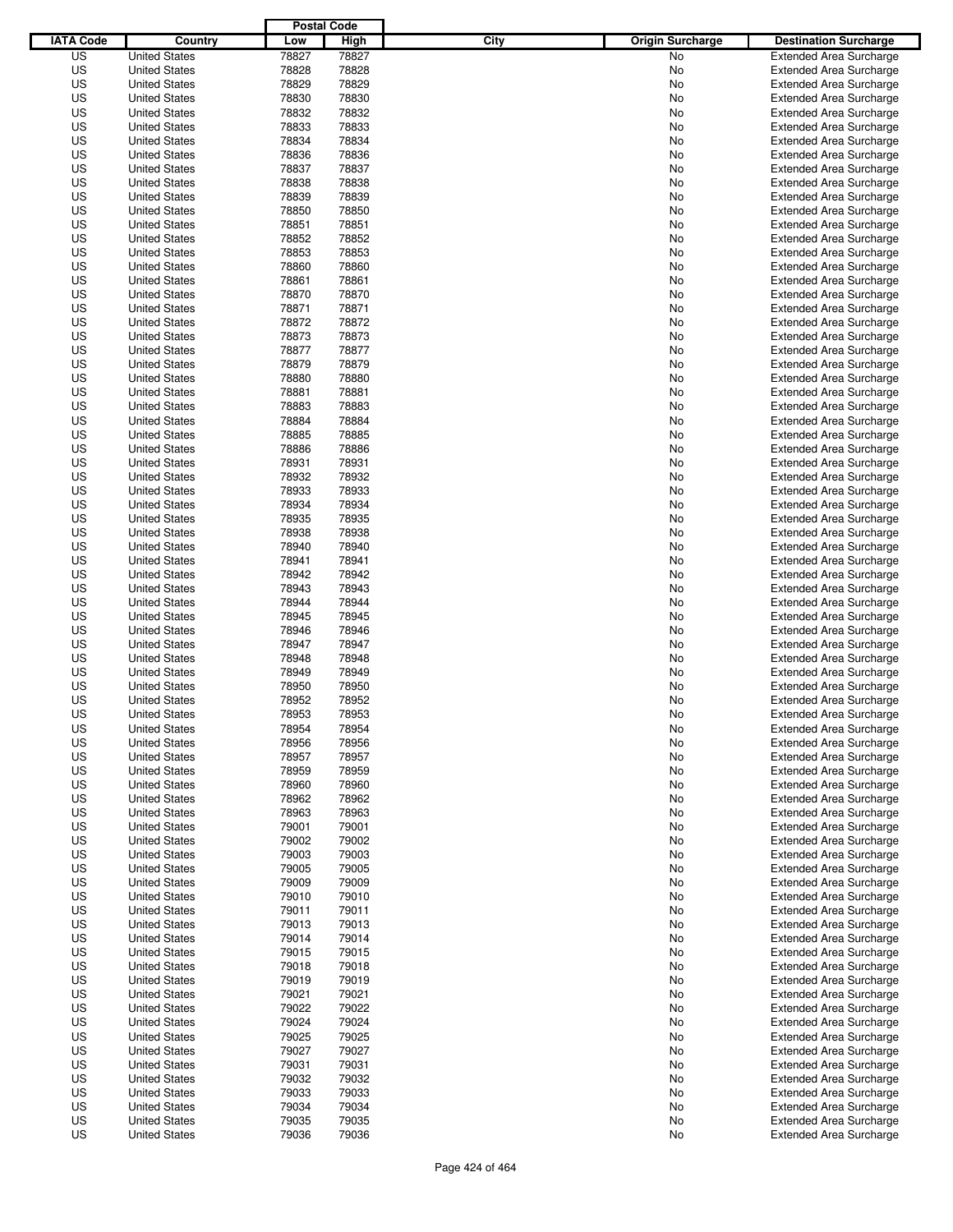|                  |                      | <b>Postal Code</b> |       |                                 |                                |
|------------------|----------------------|--------------------|-------|---------------------------------|--------------------------------|
| <b>IATA Code</b> | Country              | Low                | High  | City<br><b>Origin Surcharge</b> | <b>Destination Surcharge</b>   |
| US               | <b>United States</b> | 78827              | 78827 | <b>No</b>                       | <b>Extended Area Surcharge</b> |
| US               | <b>United States</b> | 78828              | 78828 | No                              | <b>Extended Area Surcharge</b> |
| US               | <b>United States</b> | 78829              | 78829 | No                              | <b>Extended Area Surcharge</b> |
| US               | <b>United States</b> | 78830              | 78830 | No                              | <b>Extended Area Surcharge</b> |
| US               | <b>United States</b> | 78832              | 78832 | No                              | <b>Extended Area Surcharge</b> |
| US               | <b>United States</b> | 78833              | 78833 | No                              | <b>Extended Area Surcharge</b> |
| US               | <b>United States</b> | 78834              | 78834 | No                              | <b>Extended Area Surcharge</b> |
| US               | <b>United States</b> | 78836              | 78836 | No                              | <b>Extended Area Surcharge</b> |
| US               | <b>United States</b> | 78837              | 78837 | No                              | <b>Extended Area Surcharge</b> |
| US               | <b>United States</b> | 78838              | 78838 | No                              | <b>Extended Area Surcharge</b> |
| US               | <b>United States</b> | 78839              | 78839 | No                              | <b>Extended Area Surcharge</b> |
| US               | <b>United States</b> | 78850              | 78850 | No                              | <b>Extended Area Surcharge</b> |
| US               | <b>United States</b> | 78851              | 78851 | No                              | <b>Extended Area Surcharge</b> |
| US               | <b>United States</b> | 78852              | 78852 | No                              | <b>Extended Area Surcharge</b> |
| US               | <b>United States</b> | 78853              | 78853 | No                              | <b>Extended Area Surcharge</b> |
| US               | <b>United States</b> | 78860              | 78860 | No                              | <b>Extended Area Surcharge</b> |
| US               | <b>United States</b> | 78861              | 78861 | No                              | <b>Extended Area Surcharge</b> |
| US               | <b>United States</b> | 78870              | 78870 | No                              | <b>Extended Area Surcharge</b> |
| US               | <b>United States</b> | 78871              | 78871 | No                              | <b>Extended Area Surcharge</b> |
| US               | <b>United States</b> | 78872              | 78872 | No                              | <b>Extended Area Surcharge</b> |
| US               | <b>United States</b> | 78873              | 78873 | No                              | <b>Extended Area Surcharge</b> |
| US               | <b>United States</b> | 78877              | 78877 | No                              | <b>Extended Area Surcharge</b> |
| US               | <b>United States</b> | 78879              | 78879 | No                              | <b>Extended Area Surcharge</b> |
| US               | <b>United States</b> | 78880              | 78880 | No                              | <b>Extended Area Surcharge</b> |
| US               | <b>United States</b> | 78881              | 78881 | No                              | <b>Extended Area Surcharge</b> |
| US               | <b>United States</b> | 78883              | 78883 | No                              | <b>Extended Area Surcharge</b> |
| US               | <b>United States</b> | 78884              | 78884 | No                              | <b>Extended Area Surcharge</b> |
| US               | <b>United States</b> | 78885              | 78885 | No                              | <b>Extended Area Surcharge</b> |
| US               | <b>United States</b> | 78886              | 78886 | No                              | <b>Extended Area Surcharge</b> |
| US               | <b>United States</b> | 78931              | 78931 | No                              | <b>Extended Area Surcharge</b> |
| US               | <b>United States</b> | 78932              | 78932 | No                              | <b>Extended Area Surcharge</b> |
| US               | <b>United States</b> | 78933              | 78933 | No                              | <b>Extended Area Surcharge</b> |
| US               | <b>United States</b> | 78934              | 78934 | No                              | <b>Extended Area Surcharge</b> |
| US               | <b>United States</b> | 78935              | 78935 | No                              | <b>Extended Area Surcharge</b> |
| US               | <b>United States</b> | 78938              | 78938 | No                              | <b>Extended Area Surcharge</b> |
| US               | <b>United States</b> | 78940              | 78940 | No                              | <b>Extended Area Surcharge</b> |
| US               | <b>United States</b> | 78941              | 78941 | No                              | <b>Extended Area Surcharge</b> |
| US               | <b>United States</b> | 78942              | 78942 | No                              | <b>Extended Area Surcharge</b> |
| US               | <b>United States</b> | 78943              | 78943 | No                              | <b>Extended Area Surcharge</b> |
| US               | <b>United States</b> | 78944              | 78944 | No                              | <b>Extended Area Surcharge</b> |
| US               | <b>United States</b> | 78945              | 78945 | No                              | <b>Extended Area Surcharge</b> |
| US               | <b>United States</b> | 78946              | 78946 | No                              | <b>Extended Area Surcharge</b> |
| US               | <b>United States</b> | 78947              | 78947 | No                              | <b>Extended Area Surcharge</b> |
| US               | <b>United States</b> | 78948              | 78948 | No                              | <b>Extended Area Surcharge</b> |
| US               | <b>United States</b> | 78949              | 78949 | No                              | Extended Area Surcharge        |
| US               | <b>United States</b> | 78950              | 78950 | No                              | <b>Extended Area Surcharge</b> |
| US               | <b>United States</b> | 78952              | 78952 | No                              | <b>Extended Area Surcharge</b> |
| US               | <b>United States</b> | 78953              | 78953 | No                              | <b>Extended Area Surcharge</b> |
| US               | <b>United States</b> | 78954              | 78954 | No                              | <b>Extended Area Surcharge</b> |
| US               | <b>United States</b> | 78956              | 78956 | No                              | <b>Extended Area Surcharge</b> |
| US               | <b>United States</b> | 78957              | 78957 | No                              | <b>Extended Area Surcharge</b> |
| US               | <b>United States</b> | 78959              | 78959 | No                              | <b>Extended Area Surcharge</b> |
| US               | <b>United States</b> | 78960              | 78960 | No                              | <b>Extended Area Surcharge</b> |
| US               | <b>United States</b> | 78962              | 78962 | No                              | <b>Extended Area Surcharge</b> |
| US               | <b>United States</b> | 78963              | 78963 | No                              | <b>Extended Area Surcharge</b> |
| US               | <b>United States</b> | 79001              | 79001 | No                              | <b>Extended Area Surcharge</b> |
| US               | <b>United States</b> | 79002              | 79002 | No                              | <b>Extended Area Surcharge</b> |
| US               | <b>United States</b> | 79003              | 79003 | No                              | <b>Extended Area Surcharge</b> |
| US               | <b>United States</b> | 79005              | 79005 | No                              | <b>Extended Area Surcharge</b> |
| US               | <b>United States</b> | 79009              | 79009 | No                              | <b>Extended Area Surcharge</b> |
| US               | <b>United States</b> | 79010              | 79010 | No                              | <b>Extended Area Surcharge</b> |
| US               | <b>United States</b> | 79011              | 79011 | No                              | <b>Extended Area Surcharge</b> |
| US               | <b>United States</b> | 79013              | 79013 | No                              | <b>Extended Area Surcharge</b> |
| US               | <b>United States</b> | 79014              | 79014 | No                              | <b>Extended Area Surcharge</b> |
| US               | <b>United States</b> | 79015              | 79015 | No                              | <b>Extended Area Surcharge</b> |
| US               | <b>United States</b> | 79018              | 79018 | No                              | <b>Extended Area Surcharge</b> |
| US               | <b>United States</b> | 79019              | 79019 | No                              | <b>Extended Area Surcharge</b> |
| US               | <b>United States</b> | 79021              | 79021 | No                              | <b>Extended Area Surcharge</b> |
| US               | <b>United States</b> | 79022              | 79022 | No                              | <b>Extended Area Surcharge</b> |
| US               | <b>United States</b> | 79024              | 79024 | No                              | <b>Extended Area Surcharge</b> |
| US               | <b>United States</b> | 79025              | 79025 | No                              | <b>Extended Area Surcharge</b> |
| US               | <b>United States</b> | 79027              | 79027 | No                              | <b>Extended Area Surcharge</b> |
| US               | <b>United States</b> | 79031              | 79031 | No                              | <b>Extended Area Surcharge</b> |
| US               | <b>United States</b> | 79032              | 79032 | No                              | <b>Extended Area Surcharge</b> |
| US               | <b>United States</b> | 79033              | 79033 | No                              | <b>Extended Area Surcharge</b> |
| US               | <b>United States</b> | 79034              | 79034 | No                              | <b>Extended Area Surcharge</b> |
| US               | <b>United States</b> | 79035              | 79035 | No                              | <b>Extended Area Surcharge</b> |
| US               | <b>United States</b> | 79036              | 79036 | No                              | <b>Extended Area Surcharge</b> |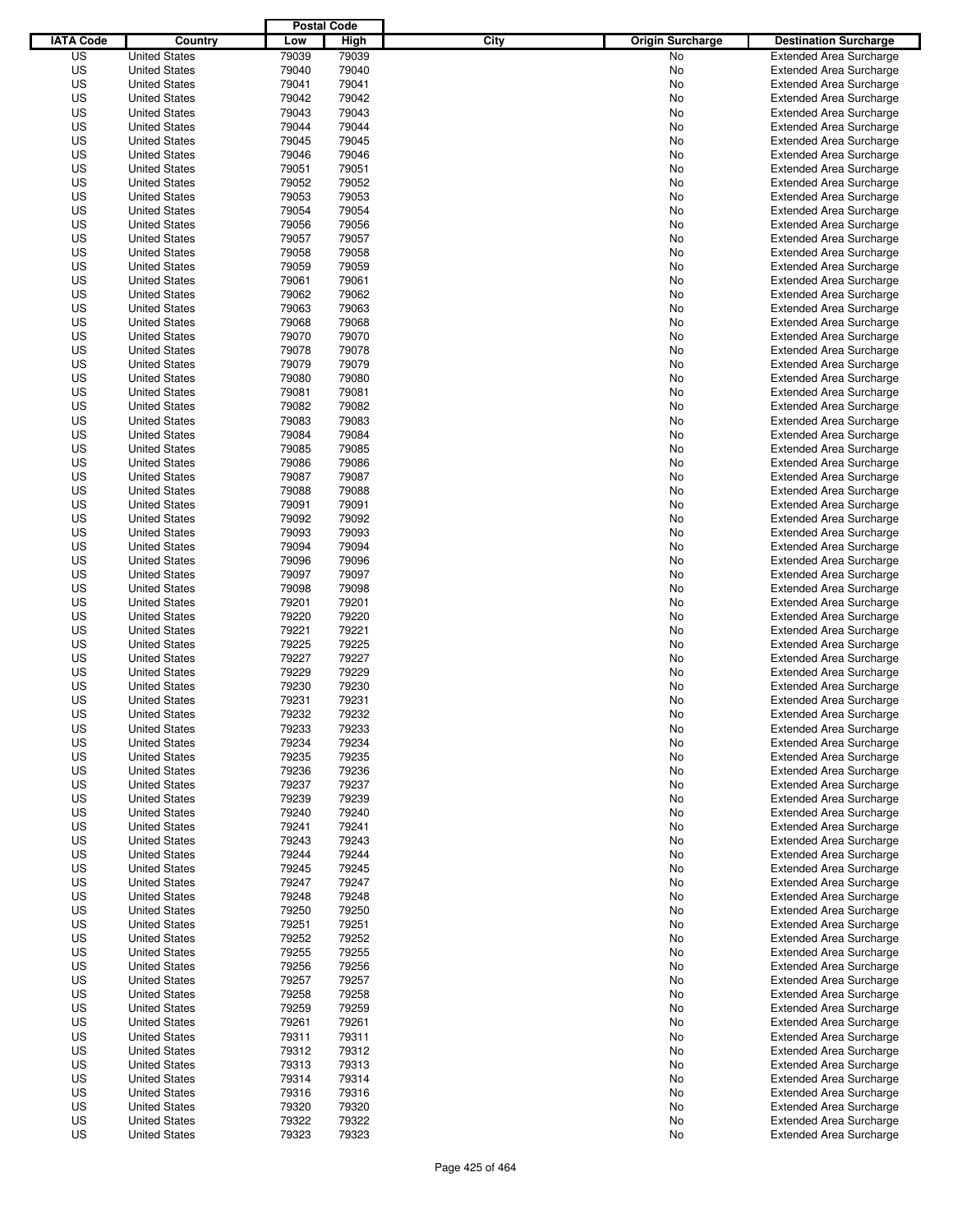|                  |                      | <b>Postal Code</b> |       |                                 |                                |
|------------------|----------------------|--------------------|-------|---------------------------------|--------------------------------|
| <b>IATA Code</b> | Country              | Low                | High  | City<br><b>Origin Surcharge</b> | <b>Destination Surcharge</b>   |
| US               | <b>United States</b> | 79039              | 79039 | <b>No</b>                       | <b>Extended Area Surcharge</b> |
| US               | <b>United States</b> | 79040              | 79040 | No                              | <b>Extended Area Surcharge</b> |
| US               | <b>United States</b> | 79041              | 79041 | No                              | <b>Extended Area Surcharge</b> |
| US               | <b>United States</b> | 79042              | 79042 | No                              | <b>Extended Area Surcharge</b> |
| US               | <b>United States</b> | 79043              | 79043 | No                              | <b>Extended Area Surcharge</b> |
| US               | <b>United States</b> | 79044              | 79044 | No                              | <b>Extended Area Surcharge</b> |
| US               | <b>United States</b> | 79045              | 79045 | No                              | <b>Extended Area Surcharge</b> |
| US               | <b>United States</b> | 79046              | 79046 | No                              | <b>Extended Area Surcharge</b> |
| US               | <b>United States</b> | 79051              | 79051 | No                              | <b>Extended Area Surcharge</b> |
| US               | <b>United States</b> | 79052              | 79052 | No                              | <b>Extended Area Surcharge</b> |
| US               | <b>United States</b> | 79053              | 79053 | No                              | <b>Extended Area Surcharge</b> |
| US               | <b>United States</b> | 79054              | 79054 | No                              | <b>Extended Area Surcharge</b> |
| US               | <b>United States</b> | 79056              | 79056 | No                              | <b>Extended Area Surcharge</b> |
| US               | <b>United States</b> | 79057              | 79057 | No                              | <b>Extended Area Surcharge</b> |
| US               | <b>United States</b> | 79058              | 79058 | No                              | <b>Extended Area Surcharge</b> |
| US               | <b>United States</b> | 79059              | 79059 | No                              | <b>Extended Area Surcharge</b> |
| US               | <b>United States</b> | 79061              | 79061 | No                              | <b>Extended Area Surcharge</b> |
| US               | <b>United States</b> | 79062              | 79062 | No                              | <b>Extended Area Surcharge</b> |
| US               | <b>United States</b> | 79063              | 79063 | No                              | <b>Extended Area Surcharge</b> |
| US               | <b>United States</b> | 79068              | 79068 | No                              | <b>Extended Area Surcharge</b> |
| US               | <b>United States</b> | 79070              | 79070 | No                              | <b>Extended Area Surcharge</b> |
| US               | <b>United States</b> | 79078              | 79078 | No                              | <b>Extended Area Surcharge</b> |
| US               | <b>United States</b> | 79079              | 79079 | No                              | <b>Extended Area Surcharge</b> |
| US               | <b>United States</b> | 79080              | 79080 | No                              | <b>Extended Area Surcharge</b> |
| US               | <b>United States</b> | 79081              | 79081 | No                              | <b>Extended Area Surcharge</b> |
| US               | <b>United States</b> | 79082              | 79082 | No                              | <b>Extended Area Surcharge</b> |
| US               | <b>United States</b> | 79083              | 79083 | No                              | <b>Extended Area Surcharge</b> |
| US               | <b>United States</b> | 79084              | 79084 | No                              | <b>Extended Area Surcharge</b> |
| US               | <b>United States</b> | 79085              | 79085 | No                              | <b>Extended Area Surcharge</b> |
| US               | <b>United States</b> | 79086              | 79086 | No                              | <b>Extended Area Surcharge</b> |
| US               | <b>United States</b> | 79087              | 79087 | No                              | <b>Extended Area Surcharge</b> |
| US               | <b>United States</b> | 79088              | 79088 | No                              | <b>Extended Area Surcharge</b> |
| US               | <b>United States</b> | 79091              | 79091 | No                              | <b>Extended Area Surcharge</b> |
| US               | <b>United States</b> | 79092              | 79092 | No                              | <b>Extended Area Surcharge</b> |
| US               | <b>United States</b> | 79093              | 79093 | No                              | <b>Extended Area Surcharge</b> |
| US               | <b>United States</b> | 79094              | 79094 | No                              | <b>Extended Area Surcharge</b> |
| US               | <b>United States</b> | 79096              | 79096 | No                              | <b>Extended Area Surcharge</b> |
| US               | <b>United States</b> | 79097              | 79097 | No                              | <b>Extended Area Surcharge</b> |
| US               | <b>United States</b> | 79098              | 79098 | No                              | <b>Extended Area Surcharge</b> |
| US               | <b>United States</b> | 79201              | 79201 | No                              | <b>Extended Area Surcharge</b> |
| US               | <b>United States</b> | 79220              | 79220 | No                              | <b>Extended Area Surcharge</b> |
| US               | <b>United States</b> | 79221              | 79221 | No                              | <b>Extended Area Surcharge</b> |
| US               | <b>United States</b> | 79225              | 79225 | No                              | <b>Extended Area Surcharge</b> |
| US               | <b>United States</b> | 79227              | 79227 | No                              | <b>Extended Area Surcharge</b> |
| US               | <b>United States</b> | 79229              | 79229 | No                              | Extended Area Surcharge        |
| US               | <b>United States</b> | 79230              | 79230 | No                              | <b>Extended Area Surcharge</b> |
| US               | <b>United States</b> | 79231              | 79231 | No                              | <b>Extended Area Surcharge</b> |
| US               | <b>United States</b> | 79232              | 79232 | No                              | <b>Extended Area Surcharge</b> |
| US               | <b>United States</b> | 79233              | 79233 | No                              | <b>Extended Area Surcharge</b> |
| US               | <b>United States</b> | 79234              | 79234 | No                              | <b>Extended Area Surcharge</b> |
| US               | <b>United States</b> | 79235              | 79235 | No                              | <b>Extended Area Surcharge</b> |
| US               | <b>United States</b> | 79236              | 79236 | No                              | <b>Extended Area Surcharge</b> |
| US               | <b>United States</b> | 79237              | 79237 | No                              | <b>Extended Area Surcharge</b> |
| US               | <b>United States</b> | 79239              | 79239 | No                              | <b>Extended Area Surcharge</b> |
| US               | <b>United States</b> | 79240              | 79240 | No                              | <b>Extended Area Surcharge</b> |
| US               | <b>United States</b> | 79241              | 79241 | No                              | <b>Extended Area Surcharge</b> |
| US               | <b>United States</b> | 79243              | 79243 | No                              | <b>Extended Area Surcharge</b> |
| US               | <b>United States</b> | 79244              | 79244 | No                              | <b>Extended Area Surcharge</b> |
| US               | <b>United States</b> | 79245              | 79245 | No                              | <b>Extended Area Surcharge</b> |
| US               | <b>United States</b> | 79247              | 79247 | No                              | <b>Extended Area Surcharge</b> |
| US               | <b>United States</b> | 79248              | 79248 | No                              | <b>Extended Area Surcharge</b> |
| US               | <b>United States</b> | 79250              | 79250 | No                              | <b>Extended Area Surcharge</b> |
| US               | <b>United States</b> | 79251              | 79251 | No                              | <b>Extended Area Surcharge</b> |
| US               | <b>United States</b> | 79252              | 79252 | No                              | <b>Extended Area Surcharge</b> |
| US               | <b>United States</b> | 79255              | 79255 | No                              | <b>Extended Area Surcharge</b> |
| US               | <b>United States</b> | 79256              | 79256 | No                              | <b>Extended Area Surcharge</b> |
| US               | <b>United States</b> | 79257              | 79257 | No                              | <b>Extended Area Surcharge</b> |
| US               | <b>United States</b> | 79258              | 79258 | No                              | <b>Extended Area Surcharge</b> |
| US               | <b>United States</b> | 79259              | 79259 | No                              | <b>Extended Area Surcharge</b> |
| US               | <b>United States</b> | 79261              | 79261 | No                              | <b>Extended Area Surcharge</b> |
| US               | <b>United States</b> | 79311              | 79311 | No                              | <b>Extended Area Surcharge</b> |
| US               | <b>United States</b> | 79312              | 79312 | No                              | <b>Extended Area Surcharge</b> |
| US               | <b>United States</b> | 79313              | 79313 | No                              | <b>Extended Area Surcharge</b> |
| US               | <b>United States</b> | 79314              | 79314 | No                              | <b>Extended Area Surcharge</b> |
| US               | <b>United States</b> | 79316              | 79316 | No                              | <b>Extended Area Surcharge</b> |
| US               | <b>United States</b> | 79320              | 79320 | No                              | <b>Extended Area Surcharge</b> |
| US               | <b>United States</b> | 79322              | 79322 | No                              | <b>Extended Area Surcharge</b> |
| US               | <b>United States</b> | 79323              | 79323 | No                              | <b>Extended Area Surcharge</b> |
|                  |                      |                    |       |                                 |                                |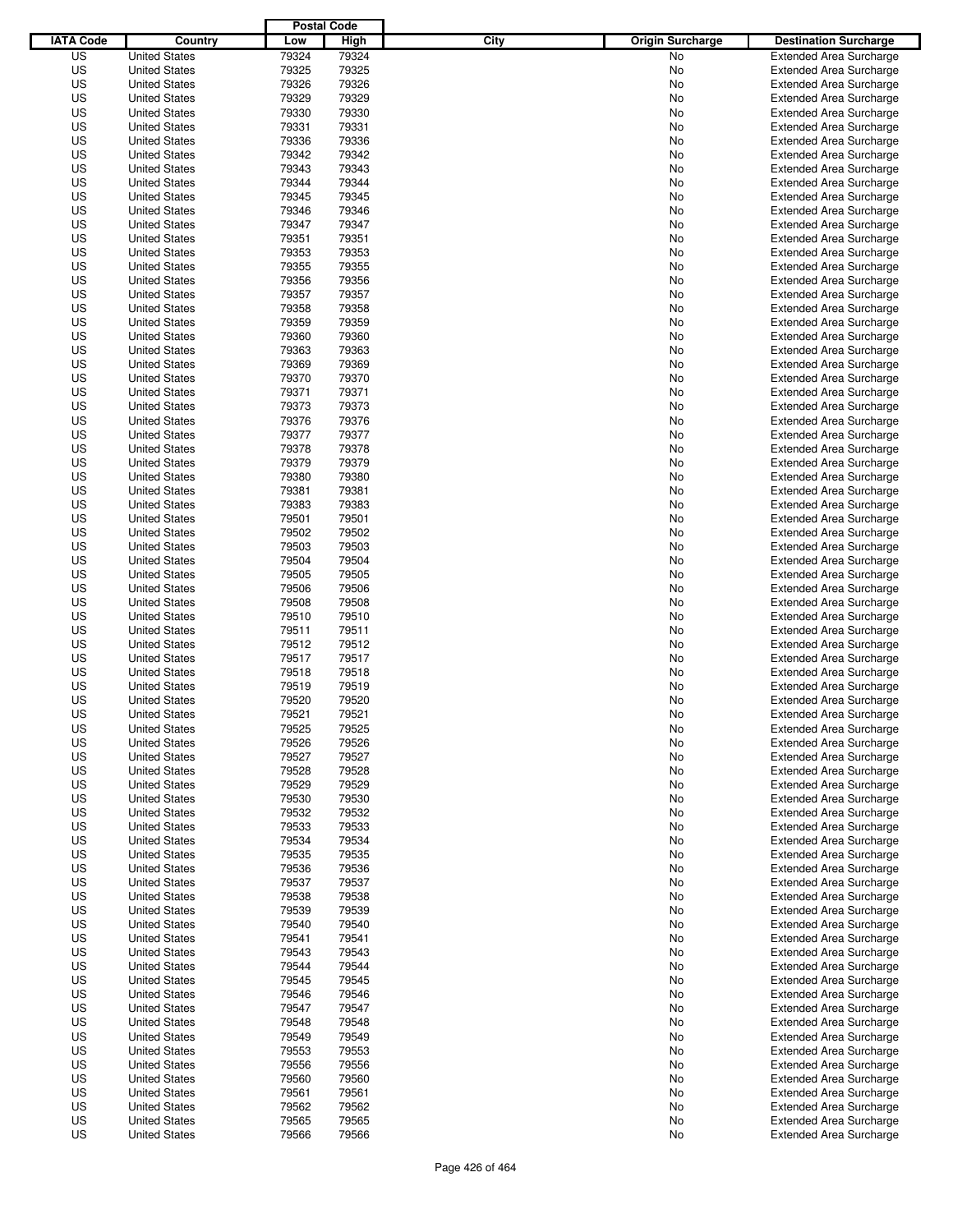|                  |                                              | <b>Postal Code</b> |       |                                 |                                                                  |
|------------------|----------------------------------------------|--------------------|-------|---------------------------------|------------------------------------------------------------------|
| <b>IATA Code</b> | Country                                      | Low                | High  | City<br><b>Origin Surcharge</b> | <b>Destination Surcharge</b>                                     |
| US               | <b>United States</b>                         | 79324              | 79324 | <b>No</b>                       | <b>Extended Area Surcharge</b>                                   |
| US               | <b>United States</b>                         | 79325              | 79325 | No                              | <b>Extended Area Surcharge</b>                                   |
| US               | <b>United States</b>                         | 79326              | 79326 | No                              | <b>Extended Area Surcharge</b>                                   |
| US               | <b>United States</b>                         | 79329              | 79329 | No                              | <b>Extended Area Surcharge</b>                                   |
| US               | <b>United States</b>                         | 79330              | 79330 | No                              | <b>Extended Area Surcharge</b>                                   |
| US               | <b>United States</b>                         | 79331              | 79331 | No                              | <b>Extended Area Surcharge</b>                                   |
| US               | <b>United States</b>                         | 79336              | 79336 | No                              | <b>Extended Area Surcharge</b>                                   |
| US               | <b>United States</b>                         | 79342              | 79342 | No                              | <b>Extended Area Surcharge</b>                                   |
| US               | <b>United States</b>                         | 79343              | 79343 | No                              | <b>Extended Area Surcharge</b>                                   |
| US               | <b>United States</b>                         | 79344              | 79344 | No                              | <b>Extended Area Surcharge</b>                                   |
| US               | <b>United States</b>                         | 79345              | 79345 | No                              | <b>Extended Area Surcharge</b>                                   |
| US               | <b>United States</b>                         | 79346              | 79346 | No                              | <b>Extended Area Surcharge</b>                                   |
| US               | <b>United States</b>                         | 79347              | 79347 | No                              | <b>Extended Area Surcharge</b>                                   |
| US               | <b>United States</b>                         | 79351              | 79351 | No                              | <b>Extended Area Surcharge</b>                                   |
| US               | <b>United States</b>                         | 79353              | 79353 | No                              | <b>Extended Area Surcharge</b>                                   |
| US               | <b>United States</b>                         | 79355              | 79355 | No                              | <b>Extended Area Surcharge</b>                                   |
| US               | <b>United States</b>                         | 79356              | 79356 | No                              | <b>Extended Area Surcharge</b>                                   |
| US               | <b>United States</b>                         | 79357              | 79357 | No                              | <b>Extended Area Surcharge</b>                                   |
| US               | <b>United States</b>                         | 79358              | 79358 | No                              | <b>Extended Area Surcharge</b>                                   |
| US               | <b>United States</b>                         | 79359              | 79359 | No                              | <b>Extended Area Surcharge</b>                                   |
| US               | <b>United States</b>                         | 79360              | 79360 | No                              | <b>Extended Area Surcharge</b>                                   |
| US               | <b>United States</b>                         | 79363              | 79363 | No                              | <b>Extended Area Surcharge</b>                                   |
| US               | <b>United States</b>                         | 79369              | 79369 | No                              | <b>Extended Area Surcharge</b>                                   |
| US               | <b>United States</b>                         | 79370              | 79370 | No                              | <b>Extended Area Surcharge</b>                                   |
| US               | <b>United States</b>                         | 79371              | 79371 | No                              | <b>Extended Area Surcharge</b>                                   |
| US               | <b>United States</b>                         | 79373              | 79373 | No                              | <b>Extended Area Surcharge</b>                                   |
| US               | <b>United States</b>                         | 79376              | 79376 | No                              | <b>Extended Area Surcharge</b>                                   |
| US               | <b>United States</b>                         | 79377              | 79377 | No                              | <b>Extended Area Surcharge</b>                                   |
| US               | <b>United States</b>                         | 79378              | 79378 | No                              | <b>Extended Area Surcharge</b>                                   |
| US               | <b>United States</b>                         | 79379              | 79379 | No                              | <b>Extended Area Surcharge</b>                                   |
| US               |                                              | 79380              | 79380 | No                              |                                                                  |
| US               | <b>United States</b><br><b>United States</b> | 79381              | 79381 |                                 | <b>Extended Area Surcharge</b><br><b>Extended Area Surcharge</b> |
|                  | <b>United States</b>                         |                    |       | No                              |                                                                  |
| US               |                                              | 79383              | 79383 | No                              | <b>Extended Area Surcharge</b>                                   |
| US               | <b>United States</b>                         | 79501              | 79501 | No                              | <b>Extended Area Surcharge</b>                                   |
| US               | <b>United States</b>                         | 79502              | 79502 | No                              | <b>Extended Area Surcharge</b>                                   |
| US               | <b>United States</b>                         | 79503              | 79503 | No                              | <b>Extended Area Surcharge</b>                                   |
| US               | <b>United States</b>                         | 79504              | 79504 | No                              | <b>Extended Area Surcharge</b>                                   |
| US               | <b>United States</b>                         | 79505              | 79505 | No                              | <b>Extended Area Surcharge</b>                                   |
| US               | <b>United States</b>                         | 79506              | 79506 | No                              | <b>Extended Area Surcharge</b>                                   |
| US               | <b>United States</b>                         | 79508              | 79508 | No                              | <b>Extended Area Surcharge</b>                                   |
| US               | <b>United States</b>                         | 79510              | 79510 | No                              | <b>Extended Area Surcharge</b>                                   |
| US               | <b>United States</b>                         | 79511              | 79511 | No                              | <b>Extended Area Surcharge</b>                                   |
| US               | <b>United States</b>                         | 79512              | 79512 | No                              | <b>Extended Area Surcharge</b>                                   |
| US               | <b>United States</b>                         | 79517              | 79517 | No                              | <b>Extended Area Surcharge</b>                                   |
| US               | <b>United States</b>                         | 79518              | 79518 | No                              | Extended Area Surcharge                                          |
| US               | <b>United States</b>                         | 79519              | 79519 | No                              | <b>Extended Area Surcharge</b>                                   |
| US               | <b>United States</b>                         | 79520              | 79520 | No                              | <b>Extended Area Surcharge</b>                                   |
| US               | <b>United States</b>                         | 79521              | 79521 | No                              | <b>Extended Area Surcharge</b>                                   |
| US               | <b>United States</b>                         | 79525              | 79525 | No                              | <b>Extended Area Surcharge</b>                                   |
| US               | <b>United States</b>                         | 79526              | 79526 | No                              | <b>Extended Area Surcharge</b>                                   |
| US               | <b>United States</b>                         | 79527              | 79527 | No                              | <b>Extended Area Surcharge</b>                                   |
| US               | <b>United States</b>                         | 79528              | 79528 | No                              | <b>Extended Area Surcharge</b>                                   |
| US               | <b>United States</b>                         | 79529              | 79529 | No                              | <b>Extended Area Surcharge</b>                                   |
| US               | <b>United States</b>                         | 79530              | 79530 | No                              | <b>Extended Area Surcharge</b>                                   |
| US               | <b>United States</b>                         | 79532              | 79532 | No                              | <b>Extended Area Surcharge</b>                                   |
| US               | <b>United States</b>                         | 79533              | 79533 | No                              | <b>Extended Area Surcharge</b>                                   |
| US               | <b>United States</b>                         | 79534              | 79534 | No                              | <b>Extended Area Surcharge</b>                                   |
| US               | <b>United States</b>                         | 79535              | 79535 | No                              | <b>Extended Area Surcharge</b>                                   |
| US               | <b>United States</b>                         | 79536              | 79536 | No                              | <b>Extended Area Surcharge</b>                                   |
| US               | <b>United States</b>                         | 79537              | 79537 | No                              | <b>Extended Area Surcharge</b>                                   |
| US               | <b>United States</b>                         | 79538              | 79538 | No                              | <b>Extended Area Surcharge</b>                                   |
| US               | <b>United States</b>                         | 79539              | 79539 | No                              | <b>Extended Area Surcharge</b>                                   |
| US               | <b>United States</b>                         | 79540              | 79540 | No                              | <b>Extended Area Surcharge</b>                                   |
| US               | <b>United States</b>                         | 79541              | 79541 | No                              | <b>Extended Area Surcharge</b>                                   |
| US               | <b>United States</b>                         | 79543              | 79543 | No                              | <b>Extended Area Surcharge</b>                                   |
| US               | <b>United States</b>                         | 79544              | 79544 | No                              | <b>Extended Area Surcharge</b>                                   |
| US               | <b>United States</b>                         | 79545              | 79545 | No                              | <b>Extended Area Surcharge</b>                                   |
| US               | <b>United States</b>                         | 79546              | 79546 | No                              | <b>Extended Area Surcharge</b>                                   |
| US               | <b>United States</b>                         | 79547              | 79547 | No                              | <b>Extended Area Surcharge</b>                                   |
| US               | <b>United States</b>                         | 79548              | 79548 | No                              | <b>Extended Area Surcharge</b>                                   |
| US               | <b>United States</b>                         | 79549              | 79549 | No                              | <b>Extended Area Surcharge</b>                                   |
| US               | <b>United States</b>                         | 79553              | 79553 | No                              | <b>Extended Area Surcharge</b>                                   |
| US               | <b>United States</b>                         | 79556              | 79556 | No                              | <b>Extended Area Surcharge</b>                                   |
| US               | <b>United States</b>                         | 79560              | 79560 | No                              | <b>Extended Area Surcharge</b>                                   |
| US               | <b>United States</b>                         | 79561              | 79561 | No                              | <b>Extended Area Surcharge</b>                                   |
| US               | <b>United States</b>                         | 79562              | 79562 | No                              | <b>Extended Area Surcharge</b>                                   |
| US               | <b>United States</b>                         | 79565              | 79565 | No                              | <b>Extended Area Surcharge</b>                                   |
| US               | <b>United States</b>                         | 79566              | 79566 | No                              | <b>Extended Area Surcharge</b>                                   |
|                  |                                              |                    |       |                                 |                                                                  |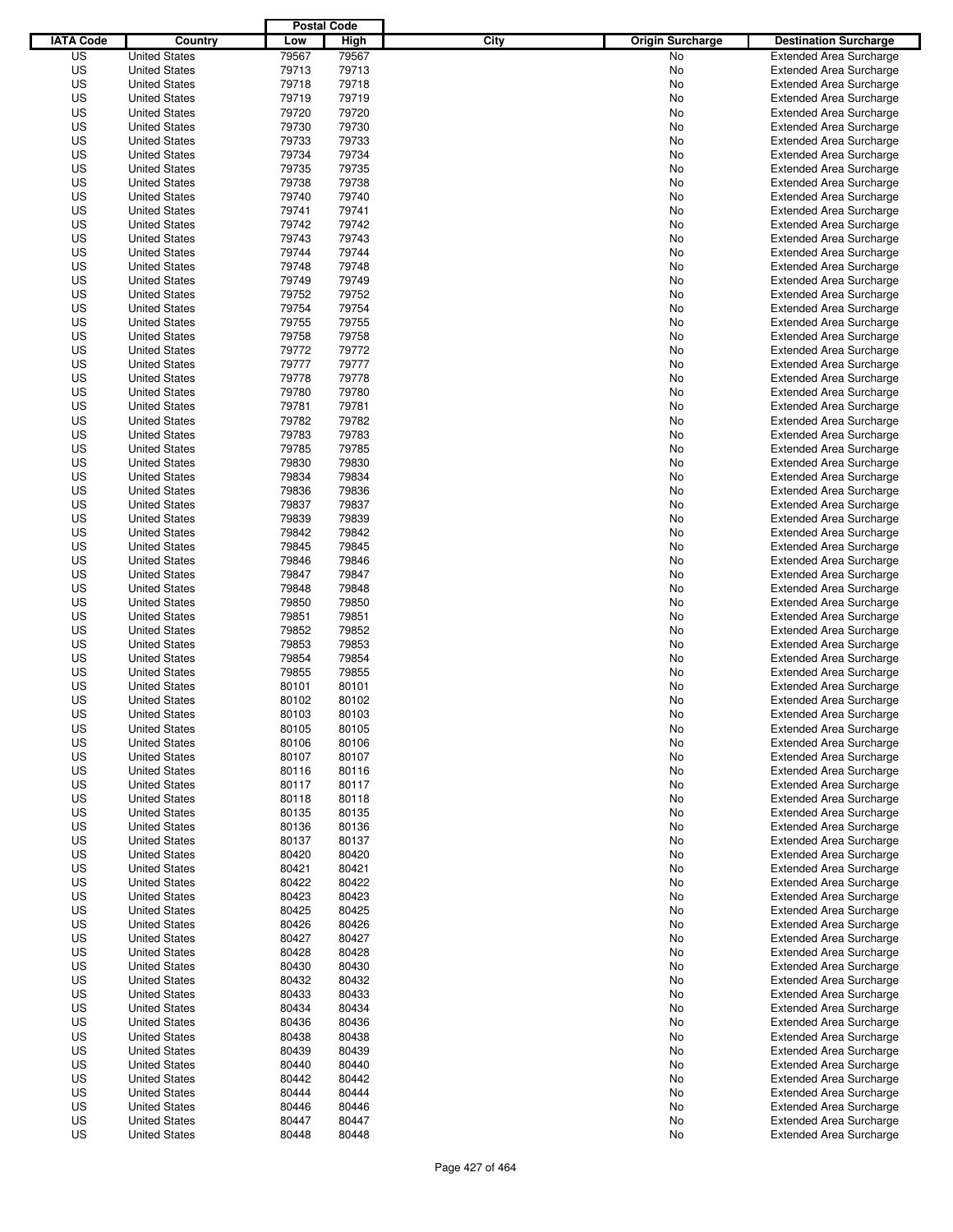|                  |                                              | <b>Postal Code</b> |                |                                 |                                                                  |
|------------------|----------------------------------------------|--------------------|----------------|---------------------------------|------------------------------------------------------------------|
| <b>IATA Code</b> | Country                                      | Low                | High           | City<br><b>Origin Surcharge</b> | <b>Destination Surcharge</b>                                     |
| US               | <b>United States</b>                         | 79567              | 79567          | <b>No</b>                       | <b>Extended Area Surcharge</b>                                   |
| US               | <b>United States</b>                         | 79713              | 79713          | No                              | <b>Extended Area Surcharge</b>                                   |
| US               | <b>United States</b>                         | 79718              | 79718          | No                              | <b>Extended Area Surcharge</b>                                   |
| US               | <b>United States</b>                         | 79719              | 79719          | No                              | <b>Extended Area Surcharge</b>                                   |
| US               | <b>United States</b>                         | 79720              | 79720          | No                              | <b>Extended Area Surcharge</b>                                   |
| US               | <b>United States</b>                         | 79730              | 79730          | No                              | <b>Extended Area Surcharge</b>                                   |
| US               | <b>United States</b>                         | 79733              | 79733          | No                              | <b>Extended Area Surcharge</b>                                   |
| US               | <b>United States</b>                         | 79734              | 79734          | No                              | <b>Extended Area Surcharge</b>                                   |
| US               | <b>United States</b>                         | 79735              | 79735          | No                              | <b>Extended Area Surcharge</b>                                   |
| US               | <b>United States</b>                         | 79738              | 79738          | No                              | <b>Extended Area Surcharge</b>                                   |
| US               | <b>United States</b>                         | 79740              | 79740          | No                              | <b>Extended Area Surcharge</b>                                   |
| US               | <b>United States</b>                         | 79741              | 79741          | No                              | <b>Extended Area Surcharge</b>                                   |
| US               | <b>United States</b>                         | 79742              | 79742          | No                              | <b>Extended Area Surcharge</b>                                   |
| US               | <b>United States</b>                         | 79743              | 79743          | No                              | <b>Extended Area Surcharge</b>                                   |
| US               | <b>United States</b>                         | 79744              | 79744          | No                              | <b>Extended Area Surcharge</b>                                   |
| US               | <b>United States</b>                         | 79748              | 79748          | No                              | <b>Extended Area Surcharge</b>                                   |
| US               | <b>United States</b>                         | 79749              | 79749          | No                              | <b>Extended Area Surcharge</b>                                   |
| US               | <b>United States</b>                         | 79752              | 79752          | No                              | <b>Extended Area Surcharge</b>                                   |
| US               | <b>United States</b>                         | 79754              | 79754          | No                              | <b>Extended Area Surcharge</b>                                   |
| US               | <b>United States</b>                         | 79755              | 79755          | No                              | <b>Extended Area Surcharge</b>                                   |
| US               | <b>United States</b>                         | 79758              | 79758          | No                              | <b>Extended Area Surcharge</b>                                   |
| US               | <b>United States</b>                         | 79772              | 79772          | No                              | <b>Extended Area Surcharge</b>                                   |
| US               | <b>United States</b>                         | 79777              | 79777          | No                              | <b>Extended Area Surcharge</b>                                   |
| US               | <b>United States</b>                         | 79778              | 79778          | No                              | <b>Extended Area Surcharge</b>                                   |
| US               | <b>United States</b>                         | 79780              | 79780          | No                              | <b>Extended Area Surcharge</b>                                   |
| US               | <b>United States</b>                         | 79781              | 79781          | No                              | <b>Extended Area Surcharge</b>                                   |
| US               | <b>United States</b>                         | 79782              | 79782          | No                              | <b>Extended Area Surcharge</b>                                   |
| US               | <b>United States</b>                         | 79783              | 79783          | No                              | <b>Extended Area Surcharge</b>                                   |
| US               | <b>United States</b>                         | 79785              | 79785          | No                              | <b>Extended Area Surcharge</b>                                   |
| US               | <b>United States</b>                         | 79830              | 79830          | No                              | <b>Extended Area Surcharge</b>                                   |
| US               | <b>United States</b>                         | 79834              | 79834          | No                              | <b>Extended Area Surcharge</b>                                   |
| US               | <b>United States</b>                         | 79836              | 79836          | No                              | <b>Extended Area Surcharge</b>                                   |
| US               | <b>United States</b>                         | 79837              | 79837          | No                              | <b>Extended Area Surcharge</b>                                   |
| US               | <b>United States</b>                         | 79839              | 79839          | No                              | <b>Extended Area Surcharge</b>                                   |
| US               | <b>United States</b>                         | 79842              | 79842          | No                              | <b>Extended Area Surcharge</b>                                   |
| US               | <b>United States</b>                         | 79845              | 79845          | No                              | <b>Extended Area Surcharge</b>                                   |
| US               | <b>United States</b>                         | 79846              | 79846          | No                              | <b>Extended Area Surcharge</b>                                   |
| US               | <b>United States</b>                         | 79847              | 79847          | No                              | <b>Extended Area Surcharge</b>                                   |
| US               | <b>United States</b>                         | 79848              | 79848          | No                              | <b>Extended Area Surcharge</b>                                   |
| US               | <b>United States</b>                         | 79850              | 79850          | No                              | <b>Extended Area Surcharge</b>                                   |
| US               | <b>United States</b>                         | 79851              | 79851          | No                              | <b>Extended Area Surcharge</b>                                   |
| US               | <b>United States</b>                         | 79852              | 79852          | No                              | <b>Extended Area Surcharge</b>                                   |
| US               | <b>United States</b>                         | 79853              | 79853          | No                              | <b>Extended Area Surcharge</b>                                   |
| US               | <b>United States</b>                         | 79854              | 79854          | No                              | <b>Extended Area Surcharge</b>                                   |
| US               | <b>United States</b>                         | 79855              | 79855          | No                              | Extended Area Surcharge                                          |
| US               | <b>United States</b>                         | 80101              | 80101          | No                              | <b>Extended Area Surcharge</b>                                   |
| US               | <b>United States</b>                         | 80102              | 80102          | No                              | <b>Extended Area Surcharge</b>                                   |
| US               | <b>United States</b>                         | 80103              | 80103          | No                              | <b>Extended Area Surcharge</b>                                   |
| US               | <b>United States</b>                         | 80105              | 80105          | No                              | <b>Extended Area Surcharge</b>                                   |
| US               | <b>United States</b>                         | 80106              | 80106          | No                              | <b>Extended Area Surcharge</b>                                   |
| US               | <b>United States</b>                         | 80107              | 80107          | No                              | <b>Extended Area Surcharge</b>                                   |
| US               | <b>United States</b>                         | 80116              | 80116          | No                              | <b>Extended Area Surcharge</b>                                   |
| US               | <b>United States</b>                         | 80117              | 80117          | No                              | <b>Extended Area Surcharge</b>                                   |
| US               | <b>United States</b>                         | 80118              | 80118          | No                              | <b>Extended Area Surcharge</b>                                   |
| US               | <b>United States</b>                         | 80135              | 80135          | No                              | <b>Extended Area Surcharge</b>                                   |
| US               | <b>United States</b>                         | 80136              | 80136          | No                              | <b>Extended Area Surcharge</b>                                   |
| US               | <b>United States</b>                         | 80137              | 80137          | No                              | <b>Extended Area Surcharge</b>                                   |
| US               | <b>United States</b>                         | 80420              | 80420          | No                              | <b>Extended Area Surcharge</b>                                   |
| US               | <b>United States</b>                         | 80421              | 80421          | No                              | <b>Extended Area Surcharge</b>                                   |
| US               | <b>United States</b>                         | 80422              | 80422          | No                              | <b>Extended Area Surcharge</b>                                   |
| US               | <b>United States</b>                         | 80423              | 80423          | No                              | <b>Extended Area Surcharge</b>                                   |
| US<br>US         | <b>United States</b>                         | 80425              | 80425<br>80426 | No                              | <b>Extended Area Surcharge</b><br><b>Extended Area Surcharge</b> |
|                  | <b>United States</b>                         | 80426              |                | No                              |                                                                  |
| US<br>US         | <b>United States</b><br><b>United States</b> | 80427              | 80427<br>80428 | No<br>No                        | <b>Extended Area Surcharge</b><br><b>Extended Area Surcharge</b> |
| US               | <b>United States</b>                         | 80428<br>80430     | 80430          | No                              | <b>Extended Area Surcharge</b>                                   |
| US               | <b>United States</b>                         | 80432              | 80432          | No                              | <b>Extended Area Surcharge</b>                                   |
| US               | <b>United States</b>                         | 80433              | 80433          | No                              | <b>Extended Area Surcharge</b>                                   |
| US               | <b>United States</b>                         | 80434              | 80434          | No                              | <b>Extended Area Surcharge</b>                                   |
| US               | <b>United States</b>                         | 80436              | 80436          | No                              | <b>Extended Area Surcharge</b>                                   |
| US               | <b>United States</b>                         | 80438              | 80438          | No                              | <b>Extended Area Surcharge</b>                                   |
| US               | <b>United States</b>                         | 80439              | 80439          | No                              | <b>Extended Area Surcharge</b>                                   |
| US               | <b>United States</b>                         | 80440              | 80440          | No                              | <b>Extended Area Surcharge</b>                                   |
| US               | <b>United States</b>                         | 80442              | 80442          | No                              | <b>Extended Area Surcharge</b>                                   |
| US               | <b>United States</b>                         | 80444              | 80444          | No                              | <b>Extended Area Surcharge</b>                                   |
| US               | <b>United States</b>                         | 80446              | 80446          | No                              | <b>Extended Area Surcharge</b>                                   |
| US               | <b>United States</b>                         | 80447              | 80447          | No                              | <b>Extended Area Surcharge</b>                                   |
| US               | <b>United States</b>                         | 80448              | 80448          | No                              | <b>Extended Area Surcharge</b>                                   |
|                  |                                              |                    |                |                                 |                                                                  |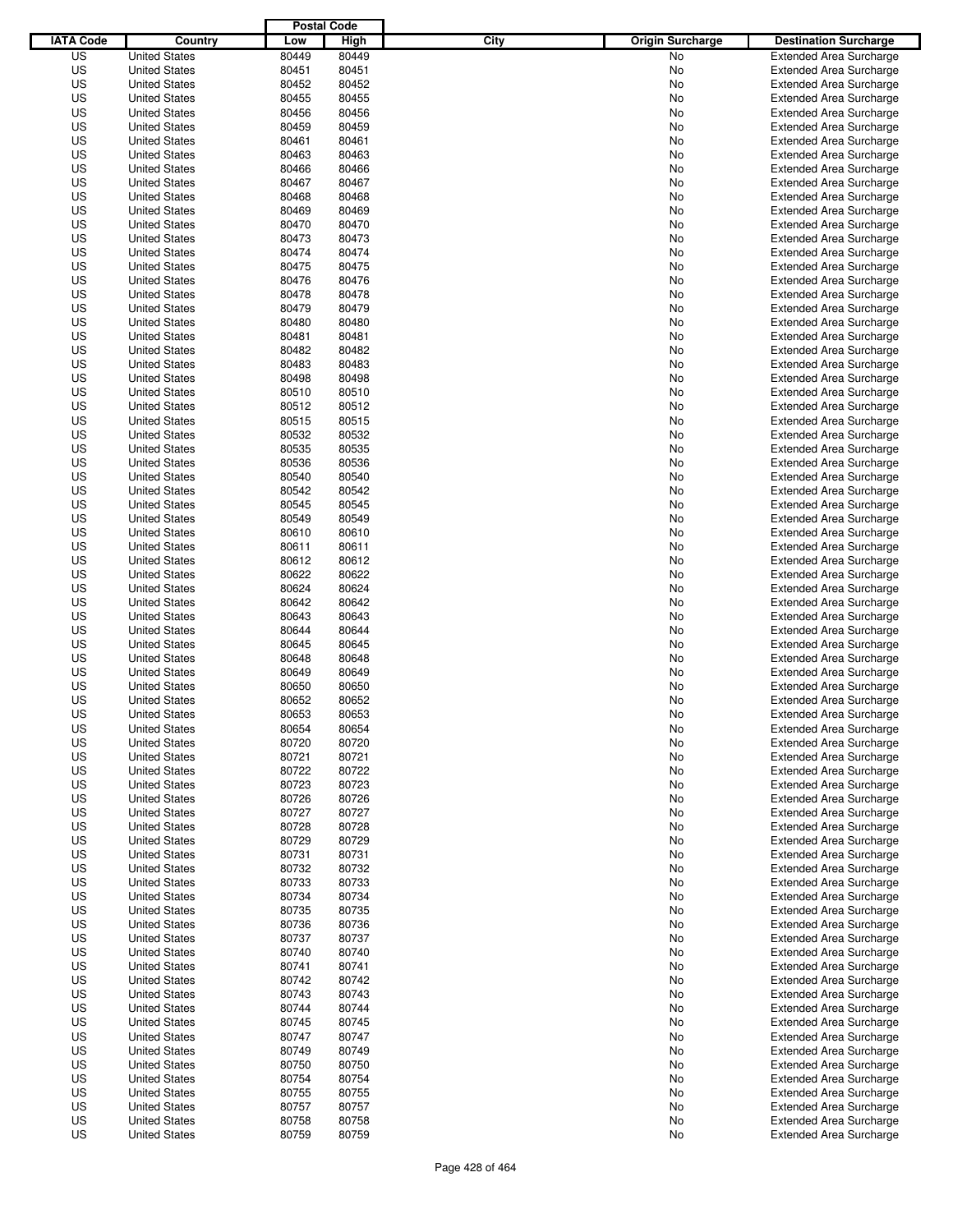|                  |                                              | <b>Postal Code</b> |                |                                 |                                                                  |
|------------------|----------------------------------------------|--------------------|----------------|---------------------------------|------------------------------------------------------------------|
| <b>IATA Code</b> | Country                                      | Low                | High           | City<br><b>Origin Surcharge</b> | <b>Destination Surcharge</b>                                     |
| US               | <b>United States</b>                         | 80449              | 80449          | <b>No</b>                       | <b>Extended Area Surcharge</b>                                   |
| US               | <b>United States</b>                         | 80451              | 80451          | No                              | <b>Extended Area Surcharge</b>                                   |
| US               | <b>United States</b>                         | 80452              | 80452          | No                              | <b>Extended Area Surcharge</b>                                   |
| US               | <b>United States</b>                         | 80455              | 80455          | No                              | <b>Extended Area Surcharge</b>                                   |
| US               | <b>United States</b>                         | 80456              | 80456          | No                              | <b>Extended Area Surcharge</b>                                   |
| US               | <b>United States</b>                         | 80459              | 80459          | No                              | <b>Extended Area Surcharge</b>                                   |
| US               | <b>United States</b>                         | 80461              | 80461          | No                              | <b>Extended Area Surcharge</b>                                   |
| US               | <b>United States</b>                         | 80463              | 80463          | No                              | <b>Extended Area Surcharge</b>                                   |
| US               | <b>United States</b>                         | 80466              | 80466          | No                              | <b>Extended Area Surcharge</b>                                   |
| US               | <b>United States</b>                         | 80467              | 80467          | No                              | <b>Extended Area Surcharge</b>                                   |
| US               | <b>United States</b>                         | 80468              | 80468          | No                              | <b>Extended Area Surcharge</b>                                   |
| US               | <b>United States</b>                         | 80469              | 80469          | No                              | <b>Extended Area Surcharge</b>                                   |
| US               | <b>United States</b>                         | 80470              | 80470          | No                              | <b>Extended Area Surcharge</b>                                   |
| US               | <b>United States</b>                         | 80473              | 80473          | No                              | <b>Extended Area Surcharge</b>                                   |
| US               | <b>United States</b>                         | 80474              | 80474          | No                              | <b>Extended Area Surcharge</b>                                   |
| US               | <b>United States</b>                         | 80475              | 80475          | No                              | <b>Extended Area Surcharge</b>                                   |
| US               | <b>United States</b>                         | 80476              | 80476          | No                              | <b>Extended Area Surcharge</b>                                   |
| US               | <b>United States</b>                         | 80478              | 80478          | No                              | <b>Extended Area Surcharge</b>                                   |
| US               | <b>United States</b>                         | 80479              | 80479          | No                              | <b>Extended Area Surcharge</b>                                   |
| US               | <b>United States</b>                         | 80480              | 80480          | No                              | <b>Extended Area Surcharge</b>                                   |
| US               | <b>United States</b>                         | 80481              | 80481          | No                              | <b>Extended Area Surcharge</b>                                   |
| US               | <b>United States</b>                         | 80482              | 80482          | No                              | <b>Extended Area Surcharge</b>                                   |
| US               | <b>United States</b>                         | 80483              | 80483          | No                              | <b>Extended Area Surcharge</b>                                   |
| US               | <b>United States</b>                         | 80498              | 80498          | No                              | <b>Extended Area Surcharge</b>                                   |
| US               | <b>United States</b>                         | 80510              | 80510          | No                              | <b>Extended Area Surcharge</b>                                   |
| US               | <b>United States</b>                         | 80512              | 80512          | No                              | <b>Extended Area Surcharge</b>                                   |
| US               | <b>United States</b>                         | 80515              | 80515          | No                              | <b>Extended Area Surcharge</b>                                   |
| US               | <b>United States</b>                         | 80532              | 80532          | No                              | <b>Extended Area Surcharge</b>                                   |
| US               | <b>United States</b>                         | 80535              | 80535          | No                              | <b>Extended Area Surcharge</b>                                   |
| US               | <b>United States</b>                         | 80536              | 80536          | No                              | <b>Extended Area Surcharge</b>                                   |
| US               | <b>United States</b>                         | 80540              | 80540          | No                              | <b>Extended Area Surcharge</b>                                   |
| US               | <b>United States</b>                         | 80542              | 80542          | No                              | <b>Extended Area Surcharge</b>                                   |
| US               | <b>United States</b>                         | 80545              | 80545          | No                              | <b>Extended Area Surcharge</b>                                   |
| US               | <b>United States</b>                         | 80549              | 80549          | No                              | <b>Extended Area Surcharge</b>                                   |
| US               | <b>United States</b>                         | 80610              | 80610          | No                              | <b>Extended Area Surcharge</b>                                   |
| US               | <b>United States</b>                         | 80611              | 80611          | No                              | <b>Extended Area Surcharge</b>                                   |
| US               | <b>United States</b>                         | 80612              | 80612          | No                              | <b>Extended Area Surcharge</b>                                   |
| US               | <b>United States</b>                         | 80622              | 80622          | No                              | <b>Extended Area Surcharge</b>                                   |
| US               | <b>United States</b>                         | 80624              | 80624          | No                              | <b>Extended Area Surcharge</b>                                   |
| US               | <b>United States</b>                         | 80642              | 80642          | No                              | <b>Extended Area Surcharge</b>                                   |
| US               | <b>United States</b>                         | 80643              | 80643          | No                              | <b>Extended Area Surcharge</b>                                   |
| US               | <b>United States</b>                         | 80644              | 80644          | No                              | <b>Extended Area Surcharge</b>                                   |
| US               | <b>United States</b>                         | 80645              | 80645          | No                              | <b>Extended Area Surcharge</b>                                   |
| US               | <b>United States</b>                         | 80648              | 80648          | No                              | <b>Extended Area Surcharge</b>                                   |
| US               | <b>United States</b>                         | 80649              | 80649          | No                              | <b>Extended Area Surcharge</b>                                   |
| US               | <b>United States</b>                         | 80650              | 80650          | No                              | <b>Extended Area Surcharge</b>                                   |
| US               | <b>United States</b>                         | 80652              | 80652          | No                              | <b>Extended Area Surcharge</b>                                   |
| US               | <b>United States</b>                         | 80653              | 80653          | No                              | <b>Extended Area Surcharge</b>                                   |
| US               | <b>United States</b>                         | 80654              | 80654          | No                              | <b>Extended Area Surcharge</b>                                   |
| US               | <b>United States</b>                         | 80720              | 80720          | No                              | <b>Extended Area Surcharge</b>                                   |
| US               | <b>United States</b>                         | 80721              | 80721          | No                              | <b>Extended Area Surcharge</b>                                   |
| US               | <b>United States</b>                         | 80722              | 80722          | No                              | <b>Extended Area Surcharge</b>                                   |
| US               | <b>United States</b>                         | 80723              | 80723          | No                              | <b>Extended Area Surcharge</b>                                   |
| US               | <b>United States</b><br><b>United States</b> | 80726              | 80726          | No                              | <b>Extended Area Surcharge</b>                                   |
| US<br>US         | <b>United States</b>                         | 80727<br>80728     | 80727<br>80728 | No<br>No                        | <b>Extended Area Surcharge</b><br><b>Extended Area Surcharge</b> |
| US               | <b>United States</b>                         | 80729              | 80729          | No                              | <b>Extended Area Surcharge</b>                                   |
| US               | <b>United States</b>                         | 80731              | 80731          | No                              | <b>Extended Area Surcharge</b>                                   |
| US               | <b>United States</b>                         | 80732              | 80732          | No                              | <b>Extended Area Surcharge</b>                                   |
| US               | <b>United States</b>                         | 80733              | 80733          | No                              | <b>Extended Area Surcharge</b>                                   |
| US               | <b>United States</b>                         | 80734              | 80734          | No                              | <b>Extended Area Surcharge</b>                                   |
| US               | <b>United States</b>                         | 80735              | 80735          | No                              | <b>Extended Area Surcharge</b>                                   |
| US               | <b>United States</b>                         | 80736              | 80736          | No                              | <b>Extended Area Surcharge</b>                                   |
| US               | <b>United States</b>                         | 80737              | 80737          | No                              | <b>Extended Area Surcharge</b>                                   |
| US               | <b>United States</b>                         | 80740              | 80740          | No                              | <b>Extended Area Surcharge</b>                                   |
| US               | <b>United States</b>                         | 80741              | 80741          | No                              | <b>Extended Area Surcharge</b>                                   |
| US               | <b>United States</b>                         | 80742              | 80742          | No                              | <b>Extended Area Surcharge</b>                                   |
| US               | <b>United States</b>                         | 80743              | 80743          | No                              | <b>Extended Area Surcharge</b>                                   |
| US               | <b>United States</b>                         | 80744              | 80744          | No                              | <b>Extended Area Surcharge</b>                                   |
| US               | <b>United States</b>                         | 80745              | 80745          | No                              | <b>Extended Area Surcharge</b>                                   |
| US               | <b>United States</b>                         | 80747              | 80747          | No                              | <b>Extended Area Surcharge</b>                                   |
| US               | <b>United States</b>                         | 80749              | 80749          | No                              | <b>Extended Area Surcharge</b>                                   |
| US               | <b>United States</b>                         | 80750              | 80750          | No                              | <b>Extended Area Surcharge</b>                                   |
| US               | <b>United States</b>                         | 80754              | 80754          | No                              | <b>Extended Area Surcharge</b>                                   |
| US               | <b>United States</b>                         | 80755              | 80755          | No                              | <b>Extended Area Surcharge</b>                                   |
| US               | <b>United States</b>                         | 80757              | 80757          | No                              | <b>Extended Area Surcharge</b>                                   |
| US               | <b>United States</b>                         | 80758              | 80758          | No                              | <b>Extended Area Surcharge</b>                                   |
| US               | <b>United States</b>                         | 80759              | 80759          | No                              | <b>Extended Area Surcharge</b>                                   |
|                  |                                              |                    |                |                                 |                                                                  |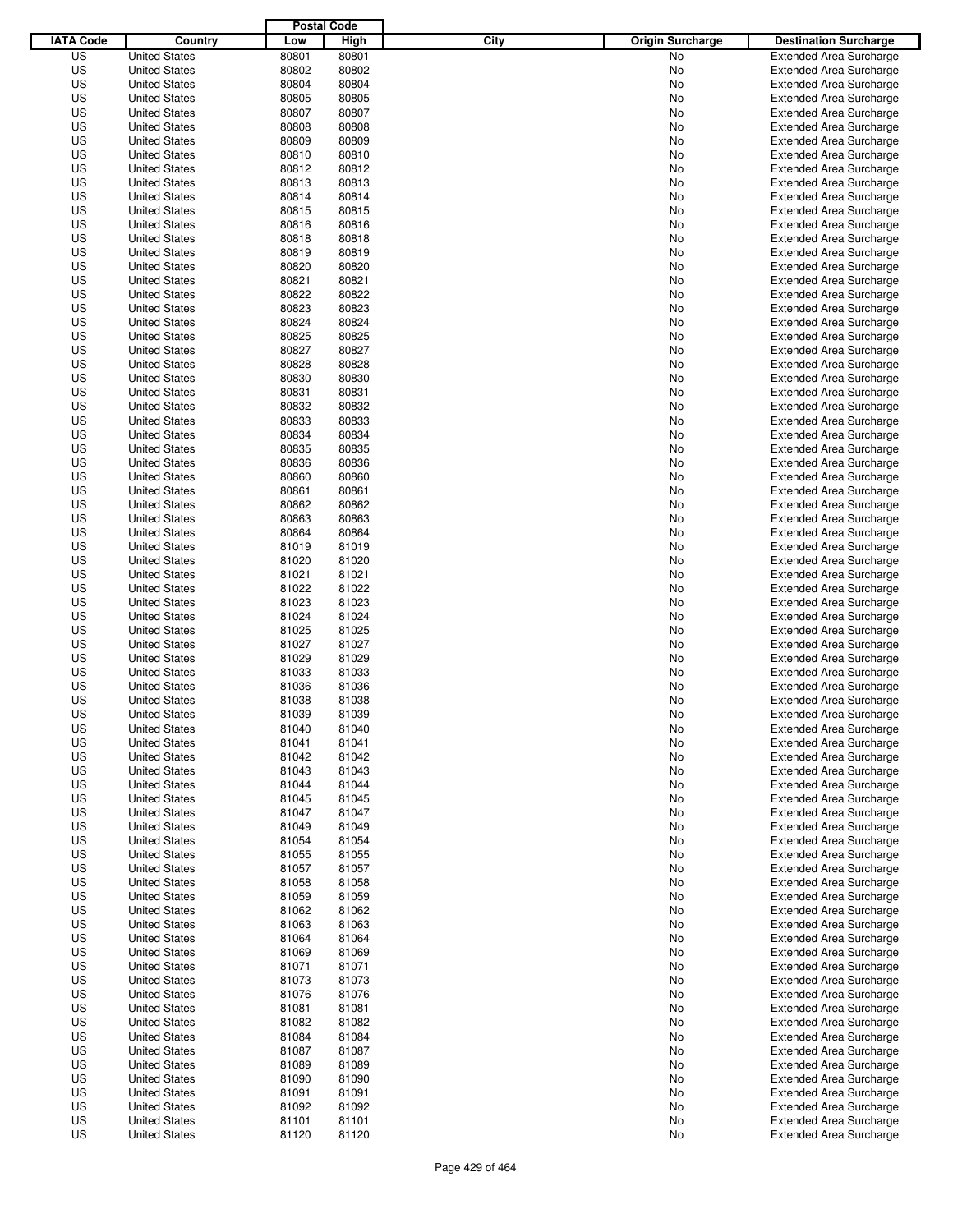|                  |                                              | <b>Postal Code</b> |                |                                 |                                                                  |
|------------------|----------------------------------------------|--------------------|----------------|---------------------------------|------------------------------------------------------------------|
| <b>IATA Code</b> | Country                                      | Low                | High           | City<br><b>Origin Surcharge</b> | <b>Destination Surcharge</b>                                     |
| US               | <b>United States</b>                         | 80801              | 80801          | <b>No</b>                       | <b>Extended Area Surcharge</b>                                   |
| US               | <b>United States</b>                         | 80802              | 80802          | No                              | <b>Extended Area Surcharge</b>                                   |
| US               | <b>United States</b>                         | 80804              | 80804          | No                              | <b>Extended Area Surcharge</b>                                   |
| US               | <b>United States</b>                         | 80805              | 80805          | No                              | <b>Extended Area Surcharge</b>                                   |
| US               | <b>United States</b>                         | 80807              | 80807          | No                              | <b>Extended Area Surcharge</b>                                   |
| US               | <b>United States</b>                         | 80808              | 80808          | No                              | <b>Extended Area Surcharge</b>                                   |
| US               | <b>United States</b>                         | 80809              | 80809          | No                              | <b>Extended Area Surcharge</b>                                   |
| US               | <b>United States</b>                         | 80810              | 80810          | No                              | <b>Extended Area Surcharge</b>                                   |
| US               | <b>United States</b>                         | 80812              | 80812          | No                              | <b>Extended Area Surcharge</b>                                   |
| US               | <b>United States</b>                         | 80813              | 80813          | No                              | <b>Extended Area Surcharge</b>                                   |
| US               | <b>United States</b>                         | 80814              | 80814          | No                              | <b>Extended Area Surcharge</b>                                   |
| US               | <b>United States</b>                         | 80815              | 80815          | No                              | <b>Extended Area Surcharge</b>                                   |
| US               | <b>United States</b>                         | 80816              | 80816          | No                              | <b>Extended Area Surcharge</b>                                   |
| US               | <b>United States</b>                         | 80818              | 80818          | No                              | <b>Extended Area Surcharge</b>                                   |
| US               | <b>United States</b>                         | 80819              | 80819          | No                              | <b>Extended Area Surcharge</b>                                   |
| US               | <b>United States</b>                         | 80820              | 80820          | No                              | <b>Extended Area Surcharge</b>                                   |
| US               | <b>United States</b>                         | 80821              | 80821          | No                              | <b>Extended Area Surcharge</b>                                   |
| US               | <b>United States</b>                         | 80822              | 80822          | No                              | <b>Extended Area Surcharge</b>                                   |
| US               | <b>United States</b>                         | 80823              | 80823          | No                              | <b>Extended Area Surcharge</b>                                   |
| US               | <b>United States</b><br><b>United States</b> | 80824              | 80824          | No                              | <b>Extended Area Surcharge</b>                                   |
| US               |                                              | 80825              | 80825          | No                              | <b>Extended Area Surcharge</b>                                   |
| US<br>US         | <b>United States</b>                         | 80827<br>80828     | 80827<br>80828 | No                              | <b>Extended Area Surcharge</b><br><b>Extended Area Surcharge</b> |
| US               | <b>United States</b><br><b>United States</b> | 80830              | 80830          | No<br>No                        | <b>Extended Area Surcharge</b>                                   |
| US               | <b>United States</b>                         | 80831              | 80831          | No                              | <b>Extended Area Surcharge</b>                                   |
| US               | <b>United States</b>                         | 80832              | 80832          | No                              | <b>Extended Area Surcharge</b>                                   |
| US               | <b>United States</b>                         | 80833              | 80833          | No                              | <b>Extended Area Surcharge</b>                                   |
| US               | <b>United States</b>                         | 80834              | 80834          | No                              | <b>Extended Area Surcharge</b>                                   |
| US               | <b>United States</b>                         | 80835              | 80835          | No                              | <b>Extended Area Surcharge</b>                                   |
| US               | <b>United States</b>                         | 80836              | 80836          | No                              | <b>Extended Area Surcharge</b>                                   |
| US               | <b>United States</b>                         | 80860              | 80860          | No                              | <b>Extended Area Surcharge</b>                                   |
| US               | <b>United States</b>                         | 80861              | 80861          | No                              | <b>Extended Area Surcharge</b>                                   |
| US               | <b>United States</b>                         | 80862              | 80862          | No                              | <b>Extended Area Surcharge</b>                                   |
| US               | <b>United States</b>                         | 80863              | 80863          | No                              | <b>Extended Area Surcharge</b>                                   |
| US               | <b>United States</b>                         | 80864              | 80864          | No                              | <b>Extended Area Surcharge</b>                                   |
| US               | <b>United States</b>                         | 81019              | 81019          | No                              | <b>Extended Area Surcharge</b>                                   |
| US               | <b>United States</b>                         | 81020              | 81020          | No                              | <b>Extended Area Surcharge</b>                                   |
| US               | <b>United States</b>                         | 81021              | 81021          | No                              | <b>Extended Area Surcharge</b>                                   |
| US               | <b>United States</b>                         | 81022              | 81022          | No                              | <b>Extended Area Surcharge</b>                                   |
| US               | <b>United States</b>                         | 81023              | 81023          | No                              | <b>Extended Area Surcharge</b>                                   |
| US               | <b>United States</b>                         | 81024              | 81024          | No                              | <b>Extended Area Surcharge</b>                                   |
| US               | <b>United States</b>                         | 81025              | 81025          | No                              | <b>Extended Area Surcharge</b>                                   |
| US               | <b>United States</b>                         | 81027              | 81027          | No                              | <b>Extended Area Surcharge</b>                                   |
| US               | <b>United States</b>                         | 81029              | 81029          | No                              | <b>Extended Area Surcharge</b>                                   |
| US               | <b>United States</b>                         | 81033              | 81033          | No                              | <b>Extended Area Surcharge</b>                                   |
| US               | <b>United States</b>                         | 81036              | 81036          | No                              | <b>Extended Area Surcharge</b>                                   |
| US               | <b>United States</b>                         | 81038              | 81038          | No                              | <b>Extended Area Surcharge</b>                                   |
| US               | <b>United States</b>                         | 81039              | 81039          | No                              | <b>Extended Area Surcharge</b>                                   |
| US               | <b>United States</b>                         | 81040              | 81040          | No                              | <b>Extended Area Surcharge</b>                                   |
| US               | <b>United States</b>                         | 81041              | 81041          | No                              | <b>Extended Area Surcharge</b>                                   |
| US               | <b>United States</b>                         | 81042              | 81042          | No                              | <b>Extended Area Surcharge</b>                                   |
| US               | <b>United States</b>                         | 81043              | 81043          | No                              | <b>Extended Area Surcharge</b>                                   |
| US               | <b>United States</b>                         | 81044              | 81044          | No                              | <b>Extended Area Surcharge</b>                                   |
| US               | <b>United States</b>                         | 81045              | 81045          | No                              | <b>Extended Area Surcharge</b>                                   |
| US               | <b>United States</b>                         | 81047              | 81047          | No                              | <b>Extended Area Surcharge</b>                                   |
| US               | <b>United States</b>                         | 81049              | 81049          | No                              | <b>Extended Area Surcharge</b>                                   |
| US               | <b>United States</b>                         | 81054              | 81054          | No                              | <b>Extended Area Surcharge</b>                                   |
| US               | <b>United States</b>                         | 81055              | 81055          | No                              | <b>Extended Area Surcharge</b>                                   |
| US               | <b>United States</b>                         | 81057              | 81057          | No                              | <b>Extended Area Surcharge</b>                                   |
| US               | <b>United States</b>                         | 81058              | 81058          | No                              | <b>Extended Area Surcharge</b>                                   |
| US               | <b>United States</b>                         | 81059              | 81059          | No                              | <b>Extended Area Surcharge</b>                                   |
| US<br>US         | <b>United States</b><br><b>United States</b> | 81062<br>81063     | 81062<br>81063 | No<br>No                        | <b>Extended Area Surcharge</b><br><b>Extended Area Surcharge</b> |
| US               | <b>United States</b>                         | 81064              | 81064          | No                              | <b>Extended Area Surcharge</b>                                   |
|                  |                                              |                    |                |                                 |                                                                  |
| US<br>US         | <b>United States</b><br><b>United States</b> | 81069<br>81071     | 81069<br>81071 | No<br>No                        | <b>Extended Area Surcharge</b><br><b>Extended Area Surcharge</b> |
| US               | <b>United States</b>                         | 81073              | 81073          | No                              | <b>Extended Area Surcharge</b>                                   |
| US               | <b>United States</b>                         | 81076              | 81076          | No                              | <b>Extended Area Surcharge</b>                                   |
| US               | <b>United States</b>                         | 81081              | 81081          | No                              | <b>Extended Area Surcharge</b>                                   |
| US               | <b>United States</b>                         | 81082              | 81082          | No                              | Extended Area Surcharge                                          |
| US               | <b>United States</b>                         | 81084              | 81084          | No                              | <b>Extended Area Surcharge</b>                                   |
| US               | <b>United States</b>                         | 81087              | 81087          | No                              | <b>Extended Area Surcharge</b>                                   |
| US               | <b>United States</b>                         | 81089              | 81089          | No                              | <b>Extended Area Surcharge</b>                                   |
| US               | <b>United States</b>                         | 81090              | 81090          | No                              | <b>Extended Area Surcharge</b>                                   |
| US               | <b>United States</b>                         | 81091              | 81091          | No                              | <b>Extended Area Surcharge</b>                                   |
| US               | <b>United States</b>                         | 81092              | 81092          | No                              | <b>Extended Area Surcharge</b>                                   |
| US               | <b>United States</b>                         | 81101              | 81101          | No                              | <b>Extended Area Surcharge</b>                                   |
| US               | <b>United States</b>                         | 81120              | 81120          | No                              | <b>Extended Area Surcharge</b>                                   |
|                  |                                              |                    |                |                                 |                                                                  |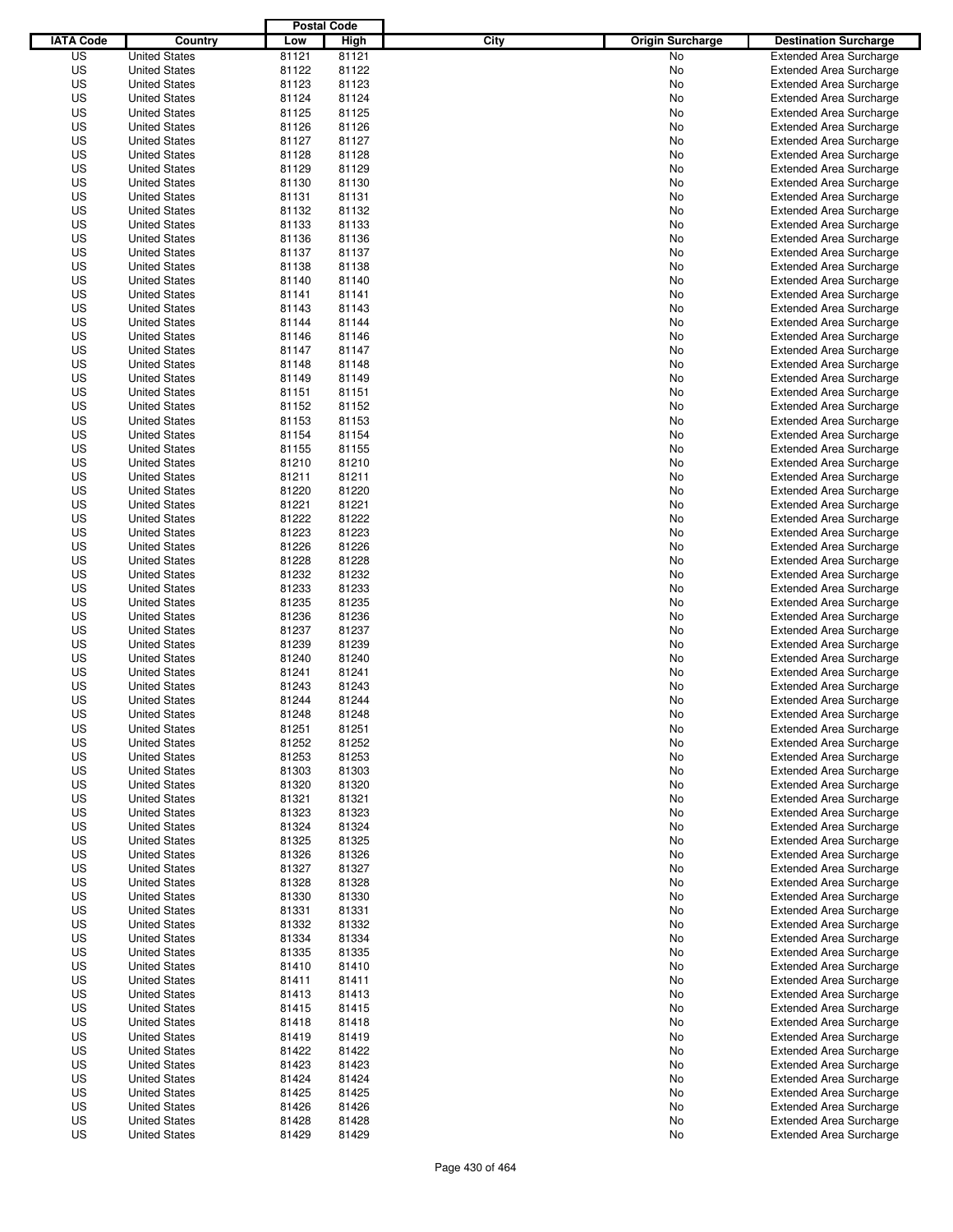|                  |                                              | <b>Postal Code</b> |       |                                 |                                                                  |
|------------------|----------------------------------------------|--------------------|-------|---------------------------------|------------------------------------------------------------------|
| <b>IATA Code</b> | Country                                      | Low                | High  | City<br><b>Origin Surcharge</b> | <b>Destination Surcharge</b>                                     |
| US               | <b>United States</b>                         | 81121              | 81121 | <b>No</b>                       | <b>Extended Area Surcharge</b>                                   |
| US               | <b>United States</b>                         | 81122              | 81122 | No                              | <b>Extended Area Surcharge</b>                                   |
| US               | <b>United States</b>                         | 81123              | 81123 | No                              | <b>Extended Area Surcharge</b>                                   |
| US               | <b>United States</b>                         | 81124              | 81124 | No                              | <b>Extended Area Surcharge</b>                                   |
| US               | <b>United States</b>                         | 81125              | 81125 | No                              | <b>Extended Area Surcharge</b>                                   |
| US               | <b>United States</b>                         | 81126              | 81126 | No                              | <b>Extended Area Surcharge</b>                                   |
| US               | <b>United States</b>                         | 81127              | 81127 | No                              | <b>Extended Area Surcharge</b>                                   |
| US               | <b>United States</b>                         | 81128              | 81128 | No                              | <b>Extended Area Surcharge</b>                                   |
| US               | <b>United States</b>                         | 81129              | 81129 | No                              | <b>Extended Area Surcharge</b>                                   |
| US               | <b>United States</b>                         | 81130              | 81130 | No                              | <b>Extended Area Surcharge</b>                                   |
| US               | <b>United States</b>                         | 81131              | 81131 | No                              | <b>Extended Area Surcharge</b>                                   |
| US               | <b>United States</b>                         | 81132              | 81132 | No                              | <b>Extended Area Surcharge</b>                                   |
| US               | <b>United States</b>                         | 81133              | 81133 | No                              | <b>Extended Area Surcharge</b>                                   |
| US               | <b>United States</b>                         | 81136              | 81136 | No                              | <b>Extended Area Surcharge</b>                                   |
| US               | <b>United States</b>                         | 81137              | 81137 | No                              | <b>Extended Area Surcharge</b>                                   |
| US               | <b>United States</b>                         | 81138              | 81138 | No                              | <b>Extended Area Surcharge</b>                                   |
| US               | <b>United States</b>                         | 81140              | 81140 | No                              | <b>Extended Area Surcharge</b>                                   |
| US               | <b>United States</b>                         | 81141              | 81141 | No                              | <b>Extended Area Surcharge</b>                                   |
| US               | <b>United States</b>                         | 81143              | 81143 | No                              | <b>Extended Area Surcharge</b>                                   |
| US               | <b>United States</b>                         | 81144              | 81144 | No                              | <b>Extended Area Surcharge</b>                                   |
| US               | <b>United States</b>                         | 81146              | 81146 | No                              | <b>Extended Area Surcharge</b>                                   |
| US               | <b>United States</b>                         | 81147              | 81147 | No                              | <b>Extended Area Surcharge</b>                                   |
| US               | <b>United States</b>                         | 81148              | 81148 | No                              | <b>Extended Area Surcharge</b>                                   |
| US               | <b>United States</b>                         | 81149              | 81149 | No                              | <b>Extended Area Surcharge</b>                                   |
| US               | <b>United States</b>                         | 81151              | 81151 | No                              | <b>Extended Area Surcharge</b>                                   |
| US               | <b>United States</b>                         | 81152              | 81152 | No                              | <b>Extended Area Surcharge</b>                                   |
| US               | <b>United States</b>                         | 81153              | 81153 | No                              | <b>Extended Area Surcharge</b>                                   |
| US               | <b>United States</b>                         | 81154              | 81154 | No                              | <b>Extended Area Surcharge</b>                                   |
| US               | <b>United States</b>                         | 81155              | 81155 | No                              | <b>Extended Area Surcharge</b>                                   |
| US               | <b>United States</b>                         | 81210              | 81210 | No                              | <b>Extended Area Surcharge</b>                                   |
| US               | <b>United States</b>                         | 81211              | 81211 | No                              | <b>Extended Area Surcharge</b>                                   |
| US               | <b>United States</b>                         | 81220              | 81220 | No                              | <b>Extended Area Surcharge</b>                                   |
| US               | <b>United States</b>                         | 81221              | 81221 | No                              | <b>Extended Area Surcharge</b>                                   |
| US               | <b>United States</b>                         | 81222              | 81222 | No                              | <b>Extended Area Surcharge</b>                                   |
| US               | <b>United States</b>                         | 81223              | 81223 | No                              | <b>Extended Area Surcharge</b>                                   |
| US               | <b>United States</b>                         | 81226              | 81226 | No                              | <b>Extended Area Surcharge</b>                                   |
| US               | <b>United States</b>                         | 81228              | 81228 | No                              | <b>Extended Area Surcharge</b>                                   |
| US               | <b>United States</b>                         | 81232              | 81232 | No                              | <b>Extended Area Surcharge</b>                                   |
| US               | <b>United States</b>                         | 81233              | 81233 | No                              | <b>Extended Area Surcharge</b>                                   |
| US               | <b>United States</b>                         | 81235              | 81235 |                                 |                                                                  |
| US               | <b>United States</b>                         | 81236              | 81236 | No<br>No                        | <b>Extended Area Surcharge</b><br><b>Extended Area Surcharge</b> |
| US               | <b>United States</b>                         | 81237              | 81237 | No                              | <b>Extended Area Surcharge</b>                                   |
| US               |                                              | 81239              | 81239 |                                 |                                                                  |
| US               | <b>United States</b><br><b>United States</b> | 81240              | 81240 | No                              | <b>Extended Area Surcharge</b><br><b>Extended Area Surcharge</b> |
| US               | <b>United States</b>                         |                    | 81241 | No                              | <b>Extended Area Surcharge</b>                                   |
| US               | <b>United States</b>                         | 81241              | 81243 | No                              | <b>Extended Area Surcharge</b>                                   |
| US               | <b>United States</b>                         | 81243<br>81244     | 81244 | No<br>No                        |                                                                  |
|                  |                                              |                    |       |                                 | <b>Extended Area Surcharge</b>                                   |
| US               | <b>United States</b>                         | 81248              | 81248 | No                              | <b>Extended Area Surcharge</b>                                   |
| US               | <b>United States</b>                         | 81251              | 81251 | No                              | <b>Extended Area Surcharge</b>                                   |
| US               | <b>United States</b>                         | 81252              | 81252 | No                              | <b>Extended Area Surcharge</b>                                   |
| US               | <b>United States</b>                         | 81253              | 81253 | No                              | <b>Extended Area Surcharge</b>                                   |
| US               | <b>United States</b>                         | 81303              | 81303 | No                              | <b>Extended Area Surcharge</b>                                   |
| US               | <b>United States</b>                         | 81320              | 81320 | No                              | <b>Extended Area Surcharge</b>                                   |
| US               | <b>United States</b>                         | 81321              | 81321 | No                              | <b>Extended Area Surcharge</b>                                   |
| US               | <b>United States</b>                         | 81323              | 81323 | No                              | <b>Extended Area Surcharge</b>                                   |
| US               | <b>United States</b>                         | 81324              | 81324 | No                              | <b>Extended Area Surcharge</b>                                   |
| US               | <b>United States</b>                         | 81325              | 81325 | No                              | <b>Extended Area Surcharge</b>                                   |
| US               | <b>United States</b>                         | 81326              | 81326 | No                              | <b>Extended Area Surcharge</b>                                   |
| US               | <b>United States</b>                         | 81327              | 81327 | No                              | <b>Extended Area Surcharge</b>                                   |
| US               | <b>United States</b>                         | 81328              | 81328 | No                              | <b>Extended Area Surcharge</b>                                   |
| US               | <b>United States</b>                         | 81330              | 81330 | No                              | <b>Extended Area Surcharge</b>                                   |
| US               | <b>United States</b>                         | 81331              | 81331 | No                              | <b>Extended Area Surcharge</b>                                   |
| US               | <b>United States</b>                         | 81332              | 81332 | No                              | <b>Extended Area Surcharge</b>                                   |
| US               | <b>United States</b>                         | 81334              | 81334 | No                              | <b>Extended Area Surcharge</b>                                   |
| US               | <b>United States</b>                         | 81335              | 81335 | No                              | <b>Extended Area Surcharge</b>                                   |
| US               | <b>United States</b>                         | 81410              | 81410 | No                              | <b>Extended Area Surcharge</b>                                   |
| US               | <b>United States</b>                         | 81411              | 81411 | No                              | <b>Extended Area Surcharge</b>                                   |
| US               | <b>United States</b>                         | 81413              | 81413 | No                              | <b>Extended Area Surcharge</b>                                   |
| US               | <b>United States</b>                         | 81415              | 81415 | No                              | <b>Extended Area Surcharge</b>                                   |
| US               | <b>United States</b>                         | 81418              | 81418 | No                              | Extended Area Surcharge                                          |
| US               | <b>United States</b>                         | 81419              | 81419 | No                              | <b>Extended Area Surcharge</b>                                   |
| US               | <b>United States</b>                         | 81422              | 81422 | No                              | <b>Extended Area Surcharge</b>                                   |
| US               | <b>United States</b>                         | 81423              | 81423 | No                              | <b>Extended Area Surcharge</b>                                   |
| US               | <b>United States</b>                         | 81424              | 81424 | No                              | <b>Extended Area Surcharge</b>                                   |
| US               | <b>United States</b>                         | 81425              | 81425 | No                              | <b>Extended Area Surcharge</b>                                   |
| US               | <b>United States</b>                         | 81426              | 81426 | No                              | <b>Extended Area Surcharge</b>                                   |
| US               | <b>United States</b>                         | 81428              | 81428 | No                              | <b>Extended Area Surcharge</b>                                   |
| US               | <b>United States</b>                         | 81429              | 81429 | No                              | <b>Extended Area Surcharge</b>                                   |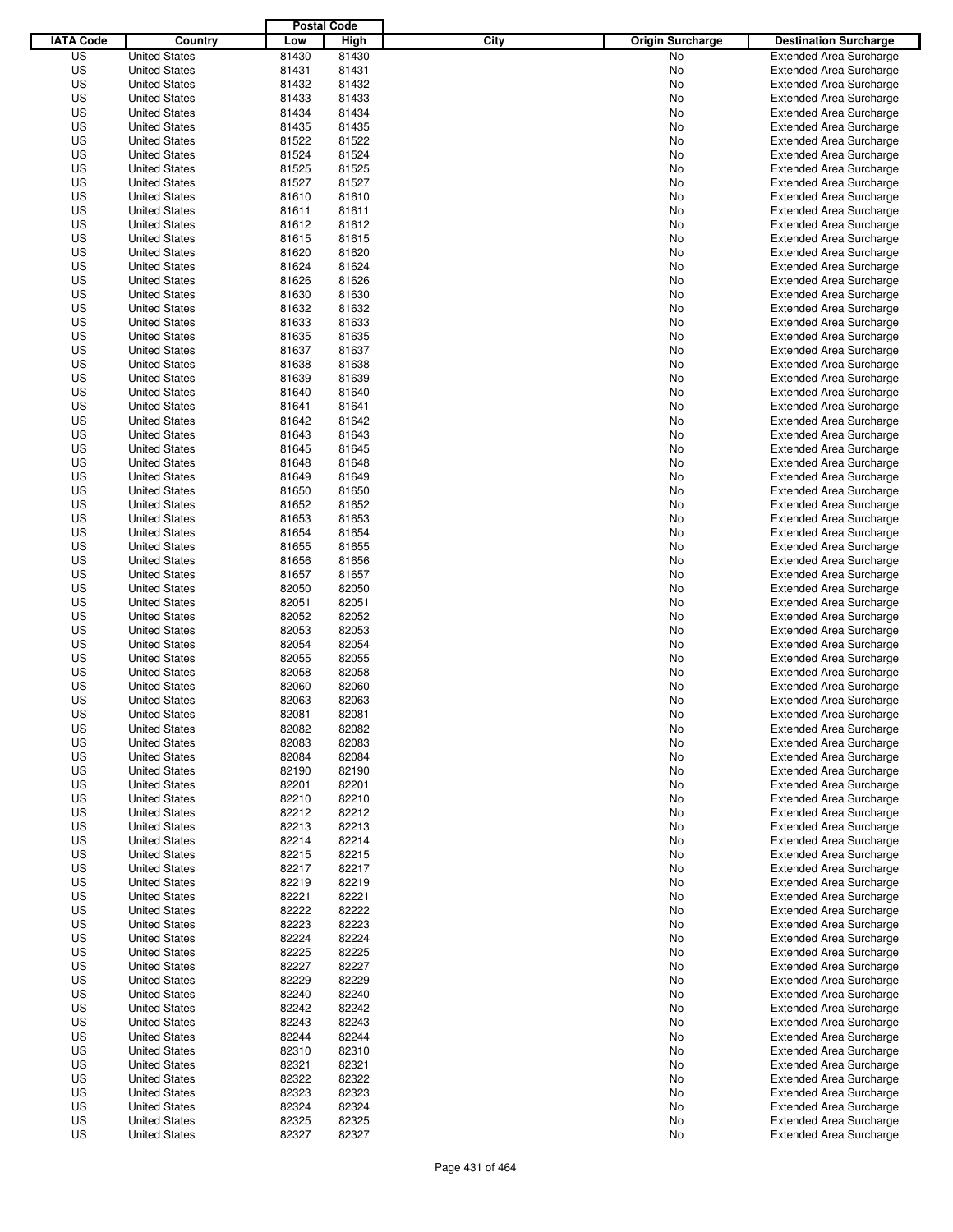|                  |                                              | <b>Postal Code</b> |                |                                 |                                |
|------------------|----------------------------------------------|--------------------|----------------|---------------------------------|--------------------------------|
| <b>IATA Code</b> | Country                                      | Low                | High           | City<br><b>Origin Surcharge</b> | <b>Destination Surcharge</b>   |
| US               | <b>United States</b>                         | 81430              | 81430          | <b>No</b>                       | <b>Extended Area Surcharge</b> |
| US               | <b>United States</b>                         | 81431              | 81431          | No                              | <b>Extended Area Surcharge</b> |
| US               | <b>United States</b>                         | 81432              | 81432          | No                              | <b>Extended Area Surcharge</b> |
| US               | <b>United States</b>                         | 81433              | 81433          | No                              | <b>Extended Area Surcharge</b> |
| US               | <b>United States</b>                         | 81434              | 81434          | No                              | <b>Extended Area Surcharge</b> |
| US               | <b>United States</b>                         | 81435              | 81435          | No                              | <b>Extended Area Surcharge</b> |
| US               | <b>United States</b>                         | 81522              | 81522          | No                              | <b>Extended Area Surcharge</b> |
| US               | <b>United States</b>                         | 81524              | 81524          | No                              | <b>Extended Area Surcharge</b> |
| US               | <b>United States</b>                         | 81525              | 81525          | No                              | <b>Extended Area Surcharge</b> |
| US               | <b>United States</b>                         | 81527              | 81527          | No                              | <b>Extended Area Surcharge</b> |
| US               | <b>United States</b>                         | 81610              | 81610          | No                              | <b>Extended Area Surcharge</b> |
| US               | <b>United States</b>                         | 81611              | 81611          | No                              | <b>Extended Area Surcharge</b> |
| US               | <b>United States</b>                         | 81612              | 81612          | No                              | <b>Extended Area Surcharge</b> |
| US               | <b>United States</b>                         | 81615              | 81615          | No                              | <b>Extended Area Surcharge</b> |
| US               | <b>United States</b>                         | 81620              | 81620          | No                              | <b>Extended Area Surcharge</b> |
| US               | <b>United States</b>                         | 81624              | 81624          | No                              | <b>Extended Area Surcharge</b> |
| US               | <b>United States</b>                         | 81626              | 81626          | No                              | <b>Extended Area Surcharge</b> |
| US               | <b>United States</b>                         | 81630              | 81630          | No                              | <b>Extended Area Surcharge</b> |
| US               | <b>United States</b>                         | 81632              | 81632          | No                              | <b>Extended Area Surcharge</b> |
| US               | <b>United States</b>                         | 81633              | 81633          | No                              | <b>Extended Area Surcharge</b> |
| US               | <b>United States</b>                         | 81635              | 81635          | No                              | <b>Extended Area Surcharge</b> |
| US               | <b>United States</b>                         | 81637              | 81637          | No                              | <b>Extended Area Surcharge</b> |
| US               | <b>United States</b>                         | 81638              | 81638          | No                              | <b>Extended Area Surcharge</b> |
| US               | <b>United States</b>                         | 81639              | 81639          | No                              | <b>Extended Area Surcharge</b> |
| US               | <b>United States</b>                         | 81640              | 81640          | No                              | <b>Extended Area Surcharge</b> |
| US               | <b>United States</b>                         | 81641              | 81641          | No                              | <b>Extended Area Surcharge</b> |
| US               | <b>United States</b>                         | 81642              | 81642          | No                              | <b>Extended Area Surcharge</b> |
| US               | <b>United States</b>                         | 81643              | 81643          | No                              | <b>Extended Area Surcharge</b> |
| US               | <b>United States</b>                         | 81645              | 81645          | No                              | <b>Extended Area Surcharge</b> |
| US               | <b>United States</b>                         | 81648              | 81648          | No                              | <b>Extended Area Surcharge</b> |
| US               | <b>United States</b>                         | 81649              | 81649          | No                              | <b>Extended Area Surcharge</b> |
| US               | <b>United States</b>                         | 81650              | 81650          | No                              | <b>Extended Area Surcharge</b> |
| US               | <b>United States</b>                         | 81652              | 81652          | No                              | <b>Extended Area Surcharge</b> |
| US               | <b>United States</b>                         | 81653              | 81653          | No                              | <b>Extended Area Surcharge</b> |
| US               | <b>United States</b>                         | 81654              | 81654          | No                              | <b>Extended Area Surcharge</b> |
| US               | <b>United States</b>                         | 81655              | 81655          | No                              | <b>Extended Area Surcharge</b> |
| US               | <b>United States</b>                         | 81656              | 81656          | No                              | <b>Extended Area Surcharge</b> |
| US               | <b>United States</b>                         | 81657              | 81657          | No                              | <b>Extended Area Surcharge</b> |
| US               | <b>United States</b>                         | 82050              | 82050          | No                              | <b>Extended Area Surcharge</b> |
| US               | <b>United States</b>                         | 82051              | 82051          | No                              | <b>Extended Area Surcharge</b> |
| US               | <b>United States</b>                         | 82052              | 82052          | No                              | <b>Extended Area Surcharge</b> |
| US               | <b>United States</b>                         | 82053              | 82053          | No                              | <b>Extended Area Surcharge</b> |
| US               | <b>United States</b>                         | 82054              | 82054          | No                              | <b>Extended Area Surcharge</b> |
| US               | <b>United States</b>                         | 82055              | 82055          | No                              | <b>Extended Area Surcharge</b> |
| US               | <b>United States</b>                         | 82058              | 82058          | No                              | Extended Area Surcharge        |
| US               | <b>United States</b>                         | 82060              | 82060          | No                              | <b>Extended Area Surcharge</b> |
| US               | <b>United States</b>                         | 82063              | 82063          | No                              | <b>Extended Area Surcharge</b> |
| US               | <b>United States</b>                         | 82081              | 82081          | No                              | <b>Extended Area Surcharge</b> |
| US               | <b>United States</b>                         | 82082              | 82082          | No                              | <b>Extended Area Surcharge</b> |
| US               | <b>United States</b>                         | 82083              | 82083          | No                              | <b>Extended Area Surcharge</b> |
| US               | <b>United States</b>                         | 82084              | 82084          | No                              | <b>Extended Area Surcharge</b> |
| US               | <b>United States</b>                         | 82190              | 82190          | No                              | <b>Extended Area Surcharge</b> |
| US               | <b>United States</b>                         | 82201              | 82201          | No                              | <b>Extended Area Surcharge</b> |
| US               | <b>United States</b>                         | 82210              | 82210          | No                              | <b>Extended Area Surcharge</b> |
| US               | <b>United States</b>                         | 82212              | 82212          | No                              | <b>Extended Area Surcharge</b> |
| US               | <b>United States</b>                         | 82213              | 82213          | No                              | <b>Extended Area Surcharge</b> |
| US               | <b>United States</b>                         | 82214              | 82214          | No                              | <b>Extended Area Surcharge</b> |
| US               | <b>United States</b>                         | 82215              | 82215          | No                              | <b>Extended Area Surcharge</b> |
| US               | <b>United States</b>                         | 82217              | 82217          | No                              | <b>Extended Area Surcharge</b> |
| US               | <b>United States</b>                         | 82219              | 82219          | No                              | <b>Extended Area Surcharge</b> |
| US               | <b>United States</b>                         | 82221              | 82221          | No                              | <b>Extended Area Surcharge</b> |
| US               | <b>United States</b>                         | 82222              | 82222          | No                              | <b>Extended Area Surcharge</b> |
| US               | <b>United States</b>                         | 82223              | 82223          | No                              | <b>Extended Area Surcharge</b> |
| US               |                                              | 82224              | 82224          |                                 | <b>Extended Area Surcharge</b> |
| US               | <b>United States</b><br><b>United States</b> | 82225              | 82225          | No<br>No                        | <b>Extended Area Surcharge</b> |
| US               | <b>United States</b>                         | 82227              | 82227          | No                              | <b>Extended Area Surcharge</b> |
| US               | <b>United States</b>                         | 82229              | 82229          | No                              | <b>Extended Area Surcharge</b> |
| US               | <b>United States</b>                         | 82240              | 82240          | No                              | <b>Extended Area Surcharge</b> |
| US               | <b>United States</b>                         | 82242              | 82242          | No                              | <b>Extended Area Surcharge</b> |
| US               | <b>United States</b>                         | 82243              | 82243          |                                 | <b>Extended Area Surcharge</b> |
| US               |                                              | 82244              | 82244          | No                              | <b>Extended Area Surcharge</b> |
| US               | <b>United States</b><br><b>United States</b> | 82310              | 82310          | No<br>No                        | <b>Extended Area Surcharge</b> |
| US               |                                              | 82321              | 82321          |                                 | <b>Extended Area Surcharge</b> |
| US               | <b>United States</b><br><b>United States</b> | 82322              | 82322          | No                              | <b>Extended Area Surcharge</b> |
|                  |                                              |                    |                | No                              |                                |
| US               | <b>United States</b>                         | 82323              | 82323          | No                              | <b>Extended Area Surcharge</b> |
| US<br>US         | <b>United States</b>                         | 82324<br>82325     | 82324<br>82325 | No                              | <b>Extended Area Surcharge</b> |
|                  | <b>United States</b>                         |                    |                | No                              | <b>Extended Area Surcharge</b> |
| US               | <b>United States</b>                         | 82327              | 82327          | No                              | <b>Extended Area Surcharge</b> |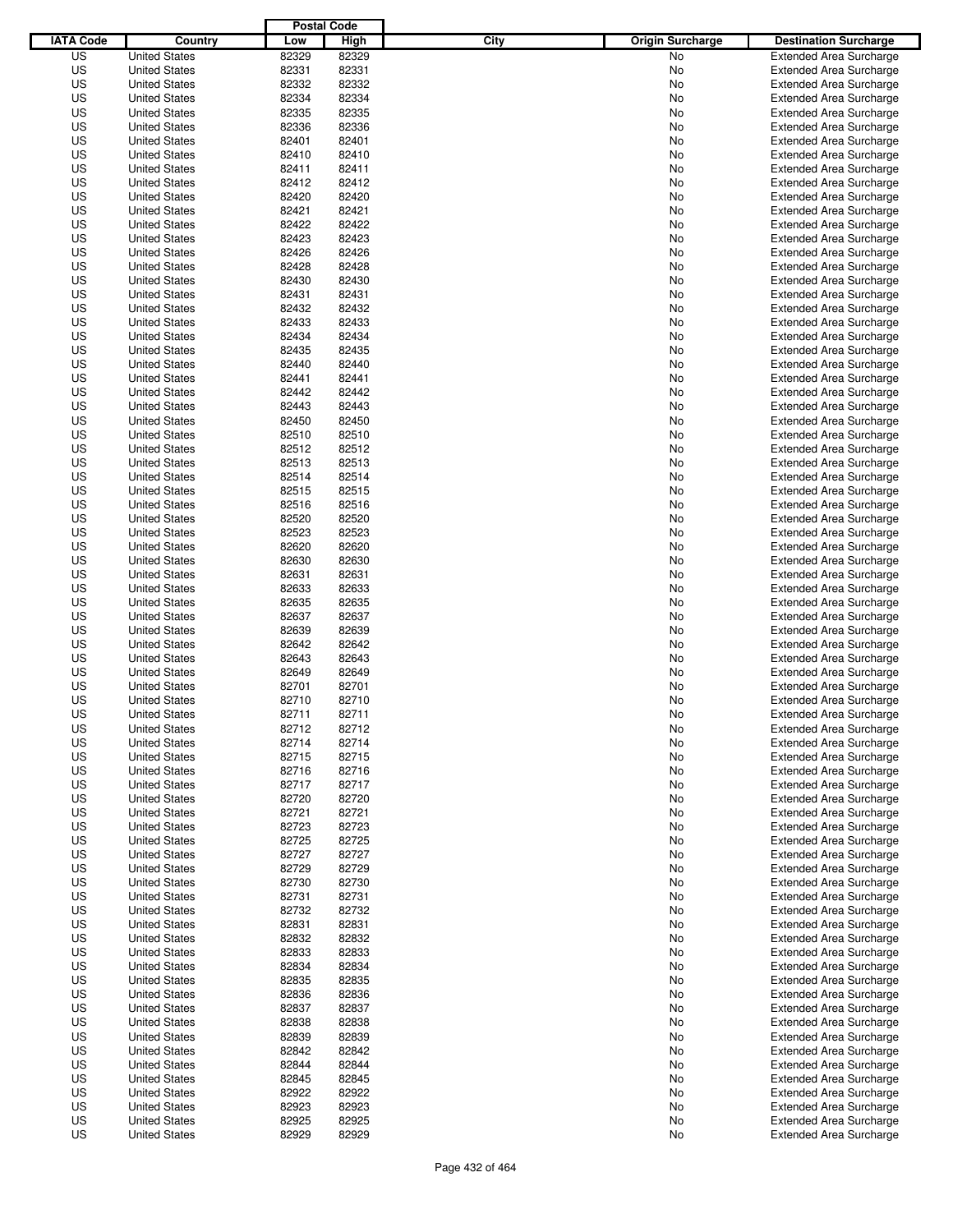|                  |                      | <b>Postal Code</b> |                |                                 |                                |
|------------------|----------------------|--------------------|----------------|---------------------------------|--------------------------------|
| <b>IATA Code</b> | Country              | Low                | High           | City<br><b>Origin Surcharge</b> | <b>Destination Surcharge</b>   |
| US               | <b>United States</b> | 82329              | 82329          | <b>No</b>                       | <b>Extended Area Surcharge</b> |
| US               | <b>United States</b> | 82331              | 82331          | No                              | <b>Extended Area Surcharge</b> |
| US               | <b>United States</b> | 82332              | 82332          | No                              | <b>Extended Area Surcharge</b> |
| US               | <b>United States</b> | 82334              | 82334          | No                              | <b>Extended Area Surcharge</b> |
| US               | <b>United States</b> | 82335              | 82335          | No                              | <b>Extended Area Surcharge</b> |
| US               | <b>United States</b> | 82336              | 82336          | No                              | <b>Extended Area Surcharge</b> |
| US               | <b>United States</b> | 82401              | 82401          | No                              | <b>Extended Area Surcharge</b> |
| US               | <b>United States</b> | 82410              | 82410          | No                              | <b>Extended Area Surcharge</b> |
| US               | <b>United States</b> | 82411              | 82411          | No                              | <b>Extended Area Surcharge</b> |
| US               | <b>United States</b> | 82412              | 82412          | No                              | <b>Extended Area Surcharge</b> |
| US               | <b>United States</b> | 82420              | 82420          | No                              | <b>Extended Area Surcharge</b> |
| US               | <b>United States</b> | 82421              | 82421          | No                              | <b>Extended Area Surcharge</b> |
| US               | <b>United States</b> | 82422              | 82422          | No                              | <b>Extended Area Surcharge</b> |
| US               | <b>United States</b> | 82423              | 82423          | No                              | <b>Extended Area Surcharge</b> |
| US               | <b>United States</b> | 82426              | 82426          | No                              | <b>Extended Area Surcharge</b> |
| US               | <b>United States</b> | 82428              | 82428          | No                              | <b>Extended Area Surcharge</b> |
| US               | <b>United States</b> | 82430              | 82430          | No                              | <b>Extended Area Surcharge</b> |
| US               | <b>United States</b> | 82431              | 82431          | No                              | <b>Extended Area Surcharge</b> |
| US               | <b>United States</b> | 82432              | 82432          | No                              | <b>Extended Area Surcharge</b> |
| US               | <b>United States</b> | 82433              | 82433          | No                              | <b>Extended Area Surcharge</b> |
| US               | <b>United States</b> | 82434              | 82434          | No                              | <b>Extended Area Surcharge</b> |
| US               | <b>United States</b> | 82435              | 82435          | No                              | <b>Extended Area Surcharge</b> |
| US               | <b>United States</b> | 82440              | 82440          | No                              | <b>Extended Area Surcharge</b> |
| US               | <b>United States</b> | 82441              | 82441          | No                              | <b>Extended Area Surcharge</b> |
| US               | <b>United States</b> | 82442              | 82442          | No                              | <b>Extended Area Surcharge</b> |
| US               | <b>United States</b> | 82443              | 82443          | No                              | <b>Extended Area Surcharge</b> |
| US               | <b>United States</b> | 82450              | 82450          | No                              | <b>Extended Area Surcharge</b> |
| US               | <b>United States</b> | 82510              | 82510          | No                              | <b>Extended Area Surcharge</b> |
| US               | <b>United States</b> | 82512              | 82512          | No                              | <b>Extended Area Surcharge</b> |
| US               | <b>United States</b> | 82513              | 82513          | No                              | <b>Extended Area Surcharge</b> |
| US               | <b>United States</b> | 82514              | 82514          | No                              | <b>Extended Area Surcharge</b> |
| US               | <b>United States</b> | 82515              | 82515          | No                              | <b>Extended Area Surcharge</b> |
| US               | <b>United States</b> | 82516              | 82516          | No                              | <b>Extended Area Surcharge</b> |
| US               |                      | 82520              | 82520          |                                 |                                |
|                  | <b>United States</b> |                    |                | No                              | <b>Extended Area Surcharge</b> |
| US               | <b>United States</b> | 82523              | 82523<br>82620 | No                              | <b>Extended Area Surcharge</b> |
| US               | <b>United States</b> | 82620              |                | No                              | <b>Extended Area Surcharge</b> |
| US               | <b>United States</b> | 82630              | 82630          | No                              | <b>Extended Area Surcharge</b> |
| US               | <b>United States</b> | 82631              | 82631          | No                              | <b>Extended Area Surcharge</b> |
| US               | <b>United States</b> | 82633              | 82633          | No                              | <b>Extended Area Surcharge</b> |
| US               | <b>United States</b> | 82635              | 82635          | No                              | <b>Extended Area Surcharge</b> |
| US               | <b>United States</b> | 82637              | 82637          | No                              | <b>Extended Area Surcharge</b> |
| US               | <b>United States</b> | 82639              | 82639          | No                              | <b>Extended Area Surcharge</b> |
| US               | <b>United States</b> | 82642              | 82642          | No                              | <b>Extended Area Surcharge</b> |
| US               | <b>United States</b> | 82643              | 82643          | No                              | <b>Extended Area Surcharge</b> |
| US               | <b>United States</b> | 82649              | 82649          | No                              | <b>Extended Area Surcharge</b> |
| US               | <b>United States</b> | 82701              | 82701          | No                              | <b>Extended Area Surcharge</b> |
| US               | <b>United States</b> | 82710              | 82710          | No                              | <b>Extended Area Surcharge</b> |
| US               | <b>United States</b> | 82711              | 82711          | No                              | <b>Extended Area Surcharge</b> |
| US               | <b>United States</b> | 82712              | 82712          | No                              | <b>Extended Area Surcharge</b> |
| US               | <b>United States</b> | 82714              | 82714          | No                              | <b>Extended Area Surcharge</b> |
| US               | <b>United States</b> | 82715              | 82715          | No                              | <b>Extended Area Surcharge</b> |
| US               | <b>United States</b> | 82716              | 82716          | No                              | <b>Extended Area Surcharge</b> |
| US               | <b>United States</b> | 82717              | 82717          | No                              | <b>Extended Area Surcharge</b> |
| US               | <b>United States</b> | 82720              | 82720          | No                              | <b>Extended Area Surcharge</b> |
| US               | <b>United States</b> | 82721              | 82721          | No                              | <b>Extended Area Surcharge</b> |
| US               | <b>United States</b> | 82723              | 82723          | No                              | <b>Extended Area Surcharge</b> |
| US               | <b>United States</b> | 82725              | 82725          | No                              | <b>Extended Area Surcharge</b> |
| US               | <b>United States</b> | 82727              | 82727          | No                              | <b>Extended Area Surcharge</b> |
| US               | <b>United States</b> | 82729              | 82729          | No                              | <b>Extended Area Surcharge</b> |
| US               | <b>United States</b> | 82730              | 82730          | No                              | <b>Extended Area Surcharge</b> |
| US               | <b>United States</b> | 82731              | 82731          | No                              | <b>Extended Area Surcharge</b> |
| US               | <b>United States</b> | 82732              | 82732          | No                              | <b>Extended Area Surcharge</b> |
| US               | <b>United States</b> | 82831              | 82831          | No                              | <b>Extended Area Surcharge</b> |
| US               | <b>United States</b> | 82832              | 82832          | No                              | <b>Extended Area Surcharge</b> |
| US               | <b>United States</b> | 82833              | 82833          | No                              | <b>Extended Area Surcharge</b> |
| US               | <b>United States</b> | 82834              | 82834          | No                              | <b>Extended Area Surcharge</b> |
| US               | <b>United States</b> | 82835              | 82835          | No                              | <b>Extended Area Surcharge</b> |
| US               | <b>United States</b> | 82836              | 82836          | No                              | <b>Extended Area Surcharge</b> |
| US               | <b>United States</b> | 82837              | 82837          | No                              | <b>Extended Area Surcharge</b> |
| US               | <b>United States</b> | 82838              | 82838          | No                              | <b>Extended Area Surcharge</b> |
| US               | <b>United States</b> | 82839              | 82839          | No                              | <b>Extended Area Surcharge</b> |
| US               | <b>United States</b> | 82842              | 82842          | No                              | <b>Extended Area Surcharge</b> |
| US               | <b>United States</b> | 82844              | 82844          | No                              | <b>Extended Area Surcharge</b> |
| US               | <b>United States</b> | 82845              | 82845          | No                              | <b>Extended Area Surcharge</b> |
| US               | <b>United States</b> | 82922              | 82922          | No                              | <b>Extended Area Surcharge</b> |
| US               | <b>United States</b> | 82923              | 82923          | No                              | <b>Extended Area Surcharge</b> |
| US               | <b>United States</b> | 82925              | 82925          | No                              | <b>Extended Area Surcharge</b> |
| US               | <b>United States</b> | 82929              | 82929          | No                              | <b>Extended Area Surcharge</b> |
|                  |                      |                    |                |                                 |                                |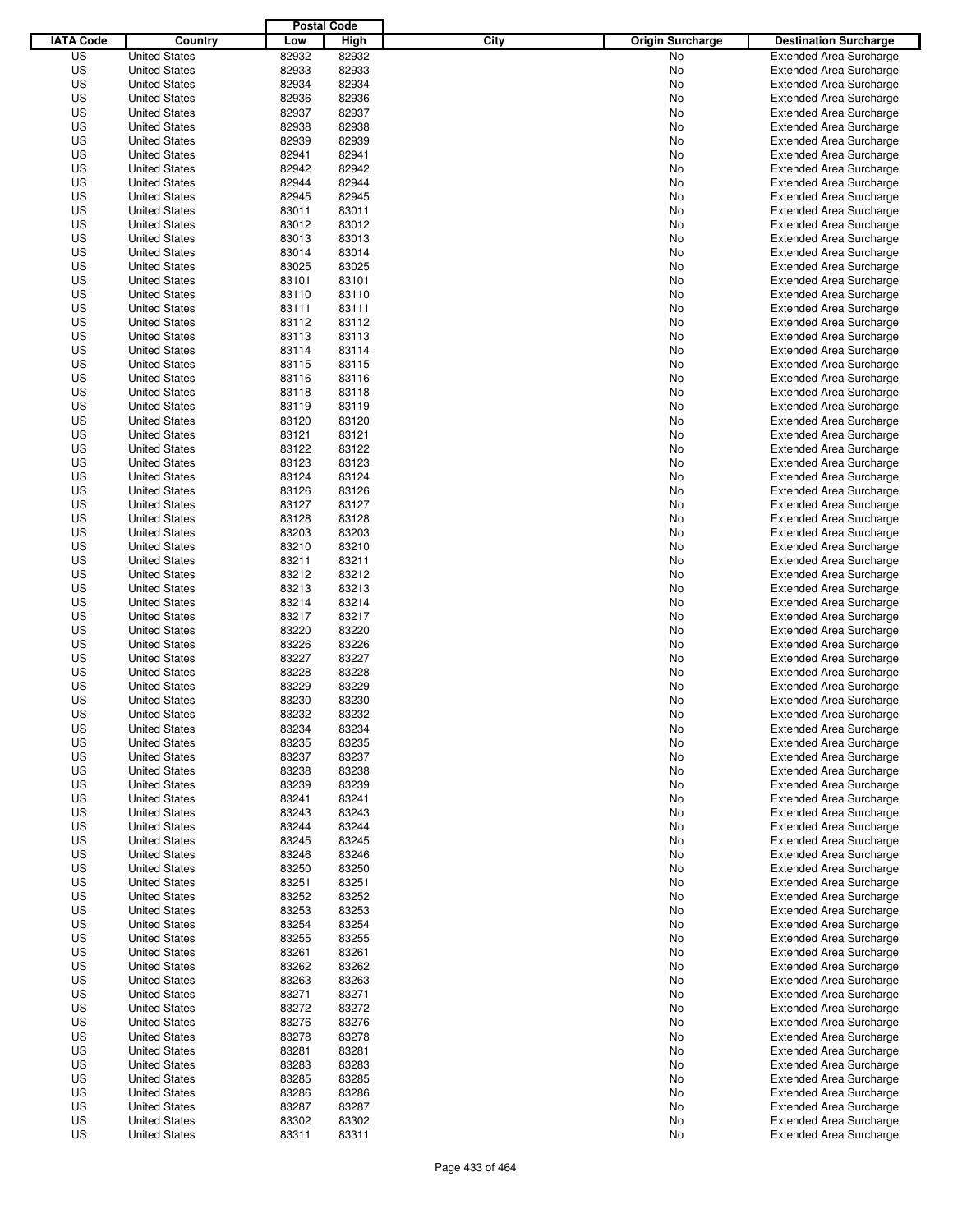|                  |                      | <b>Postal Code</b> |       |                                 |                                |
|------------------|----------------------|--------------------|-------|---------------------------------|--------------------------------|
| <b>IATA Code</b> | Country              | Low                | High  | City<br><b>Origin Surcharge</b> | <b>Destination Surcharge</b>   |
| US               | <b>United States</b> | 82932              | 82932 | <b>No</b>                       | <b>Extended Area Surcharge</b> |
| US               | <b>United States</b> | 82933              | 82933 | No                              | <b>Extended Area Surcharge</b> |
| US               | <b>United States</b> | 82934              | 82934 | No                              | <b>Extended Area Surcharge</b> |
| US               | <b>United States</b> | 82936              | 82936 | No                              | <b>Extended Area Surcharge</b> |
| US               | <b>United States</b> | 82937              | 82937 | No                              | <b>Extended Area Surcharge</b> |
| US               | <b>United States</b> | 82938              | 82938 | No                              | <b>Extended Area Surcharge</b> |
| US               | <b>United States</b> | 82939              | 82939 | No                              | <b>Extended Area Surcharge</b> |
| US               | <b>United States</b> | 82941              | 82941 | No                              | <b>Extended Area Surcharge</b> |
| US               | <b>United States</b> | 82942              | 82942 | No                              | <b>Extended Area Surcharge</b> |
| US               | <b>United States</b> | 82944              | 82944 | No                              | <b>Extended Area Surcharge</b> |
| US               | <b>United States</b> | 82945              | 82945 | No                              | <b>Extended Area Surcharge</b> |
| US               | <b>United States</b> | 83011              | 83011 | No                              | <b>Extended Area Surcharge</b> |
| US               | <b>United States</b> | 83012              | 83012 | No                              | <b>Extended Area Surcharge</b> |
| US               | <b>United States</b> | 83013              | 83013 | No                              | <b>Extended Area Surcharge</b> |
| US               | <b>United States</b> | 83014              | 83014 | No                              | <b>Extended Area Surcharge</b> |
| US               | <b>United States</b> | 83025              | 83025 | No                              | <b>Extended Area Surcharge</b> |
| US               | <b>United States</b> | 83101              | 83101 | No                              | <b>Extended Area Surcharge</b> |
| US               | <b>United States</b> | 83110              | 83110 | No                              | <b>Extended Area Surcharge</b> |
| US               | <b>United States</b> | 83111              | 83111 | No                              | <b>Extended Area Surcharge</b> |
| US               | <b>United States</b> | 83112              | 83112 | No                              | <b>Extended Area Surcharge</b> |
| US               | <b>United States</b> | 83113              | 83113 | No                              | <b>Extended Area Surcharge</b> |
| US               | <b>United States</b> | 83114              | 83114 | No                              | <b>Extended Area Surcharge</b> |
| US               | <b>United States</b> | 83115              | 83115 | No                              | <b>Extended Area Surcharge</b> |
| US               | <b>United States</b> | 83116              | 83116 | No                              | <b>Extended Area Surcharge</b> |
| US               | <b>United States</b> | 83118              | 83118 | No                              | <b>Extended Area Surcharge</b> |
| US               | <b>United States</b> | 83119              | 83119 | No                              | <b>Extended Area Surcharge</b> |
| US               | <b>United States</b> | 83120              | 83120 | No                              | <b>Extended Area Surcharge</b> |
| US               | <b>United States</b> | 83121              | 83121 | No                              | <b>Extended Area Surcharge</b> |
| US               | <b>United States</b> | 83122              | 83122 | No                              | <b>Extended Area Surcharge</b> |
| US               | <b>United States</b> | 83123              | 83123 | No                              | <b>Extended Area Surcharge</b> |
| US               | <b>United States</b> | 83124              | 83124 | No                              | <b>Extended Area Surcharge</b> |
| US               | <b>United States</b> | 83126              | 83126 | No                              | <b>Extended Area Surcharge</b> |
| US               | <b>United States</b> | 83127              | 83127 | No                              | <b>Extended Area Surcharge</b> |
| US               | <b>United States</b> | 83128              | 83128 | No                              | <b>Extended Area Surcharge</b> |
| US               | <b>United States</b> | 83203              | 83203 | No                              | <b>Extended Area Surcharge</b> |
| US               | <b>United States</b> | 83210              | 83210 | No                              | <b>Extended Area Surcharge</b> |
| US               | <b>United States</b> | 83211              | 83211 | No                              | <b>Extended Area Surcharge</b> |
| US               | <b>United States</b> | 83212              | 83212 | No                              | <b>Extended Area Surcharge</b> |
| US               | <b>United States</b> | 83213              | 83213 | No                              | <b>Extended Area Surcharge</b> |
| US               | <b>United States</b> | 83214              | 83214 | No                              | <b>Extended Area Surcharge</b> |
| US               | <b>United States</b> | 83217              | 83217 | No                              | <b>Extended Area Surcharge</b> |
| US               | <b>United States</b> | 83220              | 83220 | No                              | <b>Extended Area Surcharge</b> |
| US               | <b>United States</b> | 83226              | 83226 | No                              | <b>Extended Area Surcharge</b> |
| US               | <b>United States</b> | 83227              | 83227 | No                              | <b>Extended Area Surcharge</b> |
| US               | <b>United States</b> | 83228              | 83228 | No                              | <b>Extended Area Surcharge</b> |
| US               | <b>United States</b> | 83229              | 83229 | No                              | <b>Extended Area Surcharge</b> |
| US               | <b>United States</b> | 83230              | 83230 | No                              | <b>Extended Area Surcharge</b> |
| US               | <b>United States</b> | 83232              | 83232 | No                              | <b>Extended Area Surcharge</b> |
| US               | <b>United States</b> | 83234              | 83234 | No                              | <b>Extended Area Surcharge</b> |
| US               | <b>United States</b> | 83235              | 83235 | No                              | <b>Extended Area Surcharge</b> |
| US               | <b>United States</b> | 83237              | 83237 | No                              | <b>Extended Area Surcharge</b> |
| US               | <b>United States</b> | 83238              | 83238 | No                              | <b>Extended Area Surcharge</b> |
| US               | <b>United States</b> | 83239              | 83239 | No                              | <b>Extended Area Surcharge</b> |
| US               | <b>United States</b> | 83241              | 83241 | No                              | <b>Extended Area Surcharge</b> |
| US               | <b>United States</b> | 83243              | 83243 | No                              | <b>Extended Area Surcharge</b> |
| US               | <b>United States</b> | 83244              | 83244 | No                              | <b>Extended Area Surcharge</b> |
| US               | <b>United States</b> | 83245              | 83245 | No                              | <b>Extended Area Surcharge</b> |
| US               | <b>United States</b> | 83246              | 83246 | No                              | <b>Extended Area Surcharge</b> |
| US               | <b>United States</b> | 83250              | 83250 | No                              | <b>Extended Area Surcharge</b> |
| US               | <b>United States</b> | 83251              | 83251 | No                              | <b>Extended Area Surcharge</b> |
| US               | <b>United States</b> | 83252              | 83252 | No                              | <b>Extended Area Surcharge</b> |
| US               | <b>United States</b> | 83253              | 83253 | No                              | <b>Extended Area Surcharge</b> |
| US               | <b>United States</b> | 83254              | 83254 | No                              | <b>Extended Area Surcharge</b> |
| US               | <b>United States</b> | 83255              | 83255 | No                              | <b>Extended Area Surcharge</b> |
| US               | <b>United States</b> | 83261              | 83261 | No                              | <b>Extended Area Surcharge</b> |
| US               | <b>United States</b> | 83262              | 83262 | No                              | <b>Extended Area Surcharge</b> |
| US               | <b>United States</b> | 83263              | 83263 | No                              | <b>Extended Area Surcharge</b> |
| US               | <b>United States</b> | 83271              | 83271 | No                              | <b>Extended Area Surcharge</b> |
| US               | <b>United States</b> | 83272              | 83272 | No                              | <b>Extended Area Surcharge</b> |
| US               | <b>United States</b> | 83276              | 83276 | No                              | <b>Extended Area Surcharge</b> |
| US               | <b>United States</b> | 83278              | 83278 | No                              | <b>Extended Area Surcharge</b> |
| US               | <b>United States</b> | 83281              | 83281 | No                              | <b>Extended Area Surcharge</b> |
| US               | <b>United States</b> | 83283              | 83283 | No                              | <b>Extended Area Surcharge</b> |
| US               | <b>United States</b> | 83285              | 83285 | No                              | <b>Extended Area Surcharge</b> |
| US               | <b>United States</b> | 83286              | 83286 | No                              | <b>Extended Area Surcharge</b> |
| US               | <b>United States</b> | 83287              | 83287 | No                              | <b>Extended Area Surcharge</b> |
| US               | <b>United States</b> | 83302              | 83302 | No                              | <b>Extended Area Surcharge</b> |
| US               | <b>United States</b> | 83311              | 83311 | No                              | <b>Extended Area Surcharge</b> |
|                  |                      |                    |       |                                 |                                |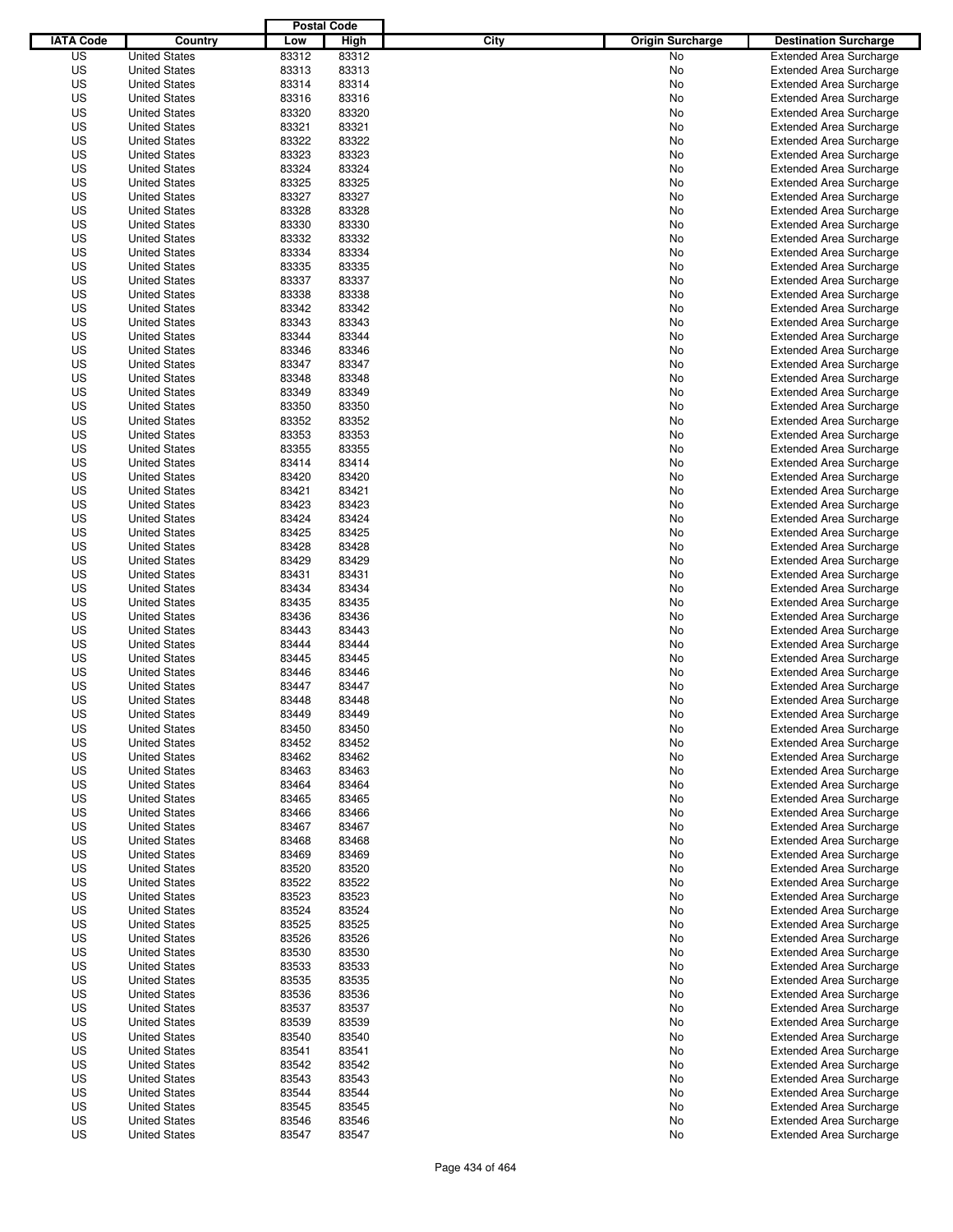|                  |                      | <b>Postal Code</b> |       |                                 |                                |
|------------------|----------------------|--------------------|-------|---------------------------------|--------------------------------|
| <b>IATA Code</b> | Country              | Low                | High  | City<br><b>Origin Surcharge</b> | <b>Destination Surcharge</b>   |
| US               | <b>United States</b> | 83312              | 83312 | <b>No</b>                       | <b>Extended Area Surcharge</b> |
| US               | <b>United States</b> | 83313              | 83313 | No                              | <b>Extended Area Surcharge</b> |
| US               | <b>United States</b> | 83314              | 83314 | No                              | <b>Extended Area Surcharge</b> |
| US               | <b>United States</b> | 83316              | 83316 | No                              | <b>Extended Area Surcharge</b> |
| US               | <b>United States</b> | 83320              | 83320 | No                              | <b>Extended Area Surcharge</b> |
| US               | <b>United States</b> | 83321              | 83321 | No                              | <b>Extended Area Surcharge</b> |
| US               | <b>United States</b> | 83322              | 83322 | No                              | <b>Extended Area Surcharge</b> |
| US               | <b>United States</b> | 83323              | 83323 | No                              | <b>Extended Area Surcharge</b> |
| US               | <b>United States</b> | 83324              | 83324 | No                              | <b>Extended Area Surcharge</b> |
| US               | <b>United States</b> | 83325              | 83325 | No                              | <b>Extended Area Surcharge</b> |
| US               | <b>United States</b> | 83327              | 83327 | No                              | <b>Extended Area Surcharge</b> |
| US               | <b>United States</b> | 83328              | 83328 | No                              | <b>Extended Area Surcharge</b> |
| US               | <b>United States</b> | 83330              | 83330 | No                              | <b>Extended Area Surcharge</b> |
| US               | <b>United States</b> | 83332              | 83332 | No                              | <b>Extended Area Surcharge</b> |
| US               | <b>United States</b> | 83334              | 83334 | No                              | <b>Extended Area Surcharge</b> |
| US               | <b>United States</b> | 83335              | 83335 | No                              | <b>Extended Area Surcharge</b> |
| US               | <b>United States</b> | 83337              | 83337 | No                              | <b>Extended Area Surcharge</b> |
| US               | <b>United States</b> | 83338              | 83338 | No                              | <b>Extended Area Surcharge</b> |
| US               | <b>United States</b> | 83342              | 83342 | No                              | <b>Extended Area Surcharge</b> |
| US               | <b>United States</b> | 83343              | 83343 | No                              | <b>Extended Area Surcharge</b> |
| US               | <b>United States</b> | 83344              | 83344 | No                              | <b>Extended Area Surcharge</b> |
| US               | <b>United States</b> | 83346              | 83346 | No                              | <b>Extended Area Surcharge</b> |
| US               | <b>United States</b> | 83347              | 83347 | No                              | <b>Extended Area Surcharge</b> |
| US               | <b>United States</b> | 83348              | 83348 | No                              | <b>Extended Area Surcharge</b> |
| US               | <b>United States</b> | 83349              | 83349 | No                              | <b>Extended Area Surcharge</b> |
| US               | <b>United States</b> | 83350              | 83350 | No                              | <b>Extended Area Surcharge</b> |
| US               | <b>United States</b> | 83352              | 83352 | No                              | <b>Extended Area Surcharge</b> |
| US               | <b>United States</b> | 83353              | 83353 | No                              | <b>Extended Area Surcharge</b> |
| US               | <b>United States</b> | 83355              | 83355 | No                              | <b>Extended Area Surcharge</b> |
| US               | <b>United States</b> | 83414              | 83414 | No                              | <b>Extended Area Surcharge</b> |
| US               | <b>United States</b> | 83420              | 83420 | No                              | <b>Extended Area Surcharge</b> |
| US               | <b>United States</b> | 83421              | 83421 | No                              | <b>Extended Area Surcharge</b> |
| US               | <b>United States</b> | 83423              | 83423 | No                              | <b>Extended Area Surcharge</b> |
| US               | <b>United States</b> | 83424              | 83424 | No                              | <b>Extended Area Surcharge</b> |
| US               | <b>United States</b> | 83425              | 83425 | No                              | <b>Extended Area Surcharge</b> |
| US               | <b>United States</b> | 83428              | 83428 | No                              | <b>Extended Area Surcharge</b> |
| US               | <b>United States</b> | 83429              | 83429 | No                              | <b>Extended Area Surcharge</b> |
| US               | <b>United States</b> | 83431              | 83431 | No                              | <b>Extended Area Surcharge</b> |
| US               | <b>United States</b> | 83434              | 83434 | No                              | <b>Extended Area Surcharge</b> |
| US               | <b>United States</b> | 83435              | 83435 | No                              | <b>Extended Area Surcharge</b> |
| US               | <b>United States</b> | 83436              | 83436 | No                              | <b>Extended Area Surcharge</b> |
| US               | <b>United States</b> | 83443              | 83443 | No                              | <b>Extended Area Surcharge</b> |
| US               | <b>United States</b> | 83444              | 83444 | No                              | <b>Extended Area Surcharge</b> |
| US               | <b>United States</b> | 83445              | 83445 | No                              | <b>Extended Area Surcharge</b> |
| US               | <b>United States</b> | 83446              | 83446 | No                              | <b>Extended Area Surcharge</b> |
| US               | <b>United States</b> | 83447              | 83447 | No                              | <b>Extended Area Surcharge</b> |
| US               | <b>United States</b> | 83448              | 83448 | No                              | <b>Extended Area Surcharge</b> |
| US               | <b>United States</b> | 83449              | 83449 | No                              | <b>Extended Area Surcharge</b> |
| US               | <b>United States</b> | 83450              | 83450 | No                              | <b>Extended Area Surcharge</b> |
| US               | <b>United States</b> | 83452              | 83452 | No                              | <b>Extended Area Surcharge</b> |
| US               | <b>United States</b> | 83462              | 83462 | No                              | <b>Extended Area Surcharge</b> |
| US               | <b>United States</b> | 83463              | 83463 | No                              | <b>Extended Area Surcharge</b> |
| US               | <b>United States</b> | 83464              | 83464 | No                              | <b>Extended Area Surcharge</b> |
| US               | <b>United States</b> | 83465              | 83465 | No                              | <b>Extended Area Surcharge</b> |
| US               | <b>United States</b> | 83466              | 83466 | No                              | <b>Extended Area Surcharge</b> |
| US               | <b>United States</b> | 83467              | 83467 | No                              | <b>Extended Area Surcharge</b> |
| US               | <b>United States</b> | 83468              | 83468 | No                              | <b>Extended Area Surcharge</b> |
| US               | <b>United States</b> | 83469              | 83469 | No                              | <b>Extended Area Surcharge</b> |
| US               | <b>United States</b> | 83520              | 83520 | No                              | <b>Extended Area Surcharge</b> |
| US               | <b>United States</b> | 83522              | 83522 | No                              | <b>Extended Area Surcharge</b> |
| US               | <b>United States</b> | 83523              | 83523 | No                              | <b>Extended Area Surcharge</b> |
| US               | <b>United States</b> | 83524              | 83524 | No                              | <b>Extended Area Surcharge</b> |
| US               | <b>United States</b> | 83525              | 83525 | No                              | <b>Extended Area Surcharge</b> |
| US               | <b>United States</b> | 83526              | 83526 | No                              | <b>Extended Area Surcharge</b> |
| US               | <b>United States</b> | 83530              | 83530 | No                              | <b>Extended Area Surcharge</b> |
| US               | <b>United States</b> | 83533              | 83533 | No                              | <b>Extended Area Surcharge</b> |
| US               | <b>United States</b> | 83535              | 83535 | No                              | <b>Extended Area Surcharge</b> |
| US               | <b>United States</b> | 83536              | 83536 | No                              | <b>Extended Area Surcharge</b> |
| US               | <b>United States</b> | 83537              | 83537 | No                              | <b>Extended Area Surcharge</b> |
| US               | <b>United States</b> | 83539              | 83539 | No                              | <b>Extended Area Surcharge</b> |
| US               | <b>United States</b> | 83540              | 83540 | No                              | <b>Extended Area Surcharge</b> |
| US               | <b>United States</b> | 83541              | 83541 | No                              | <b>Extended Area Surcharge</b> |
| US               | <b>United States</b> | 83542              | 83542 | No                              | <b>Extended Area Surcharge</b> |
| US               | <b>United States</b> | 83543              | 83543 | No                              | <b>Extended Area Surcharge</b> |
| US               | <b>United States</b> | 83544              | 83544 | No                              | <b>Extended Area Surcharge</b> |
| US               | <b>United States</b> | 83545              | 83545 | No                              | <b>Extended Area Surcharge</b> |
| US               | <b>United States</b> | 83546              | 83546 | No                              | <b>Extended Area Surcharge</b> |
| US               | <b>United States</b> | 83547              | 83547 | No                              | <b>Extended Area Surcharge</b> |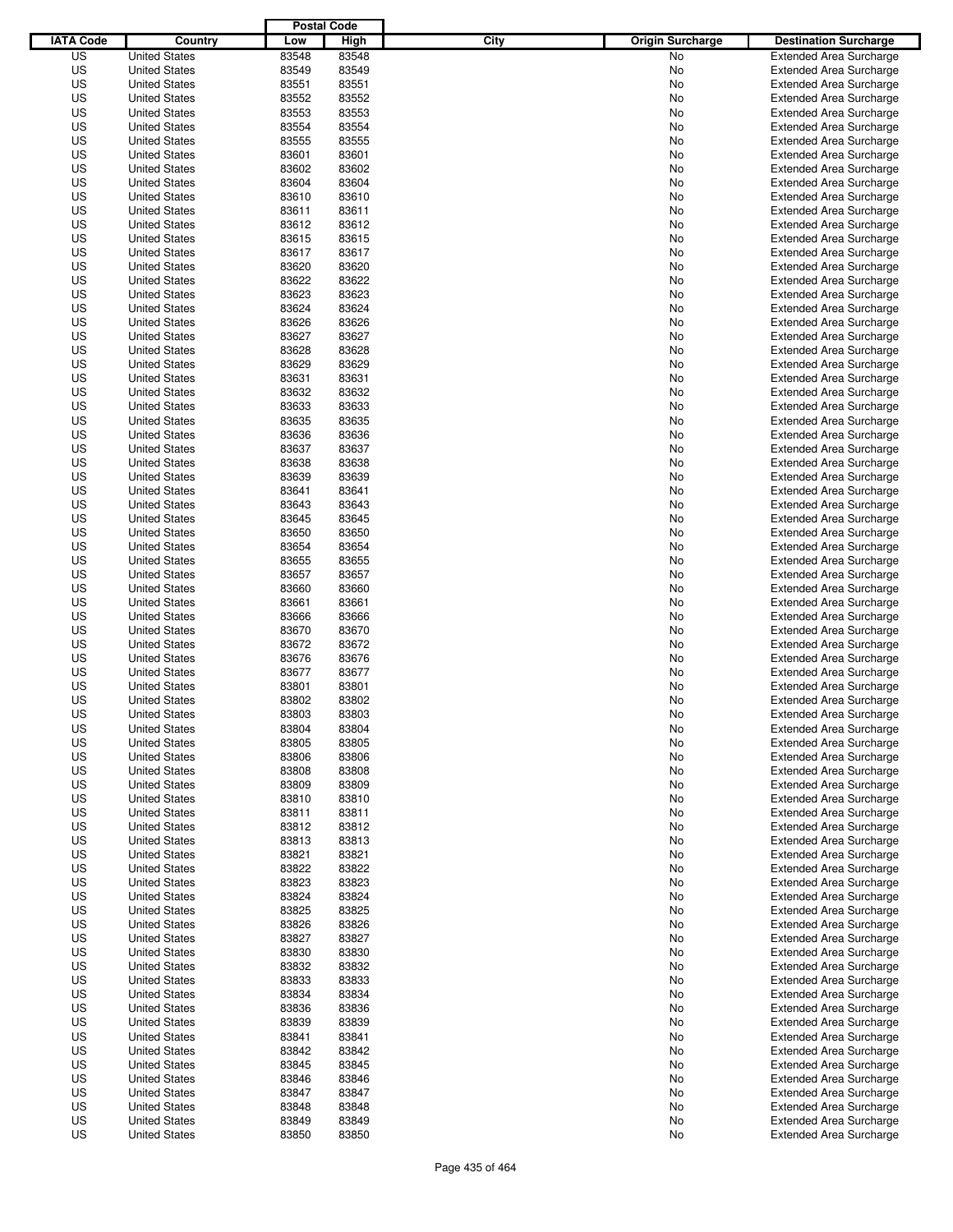|                  |                      | <b>Postal Code</b> |       |                                 |                                |
|------------------|----------------------|--------------------|-------|---------------------------------|--------------------------------|
| <b>IATA Code</b> | Country              | Low                | High  | City<br><b>Origin Surcharge</b> | <b>Destination Surcharge</b>   |
| US               | <b>United States</b> | 83548              | 83548 | <b>No</b>                       | <b>Extended Area Surcharge</b> |
| US               | <b>United States</b> | 83549              | 83549 | No                              | <b>Extended Area Surcharge</b> |
| US               | <b>United States</b> | 83551              | 83551 | No                              | <b>Extended Area Surcharge</b> |
| US               | <b>United States</b> | 83552              | 83552 | No                              | <b>Extended Area Surcharge</b> |
| US               | <b>United States</b> | 83553              | 83553 | No                              | <b>Extended Area Surcharge</b> |
| US               | <b>United States</b> | 83554              | 83554 | No                              | <b>Extended Area Surcharge</b> |
| US               | <b>United States</b> | 83555              | 83555 | No                              | <b>Extended Area Surcharge</b> |
| US               | <b>United States</b> | 83601              | 83601 | No                              | <b>Extended Area Surcharge</b> |
| US               | <b>United States</b> | 83602              | 83602 | No                              | <b>Extended Area Surcharge</b> |
| US               | <b>United States</b> | 83604              | 83604 | No                              | <b>Extended Area Surcharge</b> |
| US               | <b>United States</b> | 83610              | 83610 | No                              | <b>Extended Area Surcharge</b> |
| US               | <b>United States</b> | 83611              | 83611 | No                              | <b>Extended Area Surcharge</b> |
| US               | <b>United States</b> | 83612              | 83612 | No                              | <b>Extended Area Surcharge</b> |
| US               | <b>United States</b> | 83615              | 83615 | No                              | <b>Extended Area Surcharge</b> |
| US               | <b>United States</b> | 83617              | 83617 | No                              | <b>Extended Area Surcharge</b> |
| US               | <b>United States</b> | 83620              | 83620 | No                              | <b>Extended Area Surcharge</b> |
| US               | <b>United States</b> | 83622              | 83622 | No                              | <b>Extended Area Surcharge</b> |
| US               | <b>United States</b> | 83623              | 83623 | No                              | <b>Extended Area Surcharge</b> |
| US               | <b>United States</b> | 83624              | 83624 | No                              | <b>Extended Area Surcharge</b> |
| US               | <b>United States</b> | 83626              | 83626 | No                              | <b>Extended Area Surcharge</b> |
| US               | <b>United States</b> | 83627              | 83627 | No                              | <b>Extended Area Surcharge</b> |
| US               | <b>United States</b> | 83628              | 83628 | No                              | <b>Extended Area Surcharge</b> |
| US               | <b>United States</b> | 83629              | 83629 | No                              | <b>Extended Area Surcharge</b> |
| US               | <b>United States</b> | 83631              | 83631 | No                              | <b>Extended Area Surcharge</b> |
| US               | <b>United States</b> | 83632              | 83632 | No                              | <b>Extended Area Surcharge</b> |
| US               | <b>United States</b> | 83633              | 83633 | No                              | <b>Extended Area Surcharge</b> |
| US               | <b>United States</b> | 83635              | 83635 | No                              | <b>Extended Area Surcharge</b> |
| US               | <b>United States</b> | 83636              | 83636 | No                              | <b>Extended Area Surcharge</b> |
| US               | <b>United States</b> | 83637              | 83637 | No                              | <b>Extended Area Surcharge</b> |
| US               | <b>United States</b> | 83638              | 83638 | No                              | <b>Extended Area Surcharge</b> |
| US               | <b>United States</b> | 83639              | 83639 | No                              | <b>Extended Area Surcharge</b> |
| US               | <b>United States</b> | 83641              | 83641 | No                              | <b>Extended Area Surcharge</b> |
| US               | <b>United States</b> | 83643              | 83643 | No                              | <b>Extended Area Surcharge</b> |
| US               | <b>United States</b> | 83645              | 83645 | No                              | <b>Extended Area Surcharge</b> |
| US               | <b>United States</b> | 83650              | 83650 | No                              | <b>Extended Area Surcharge</b> |
| US               | <b>United States</b> | 83654              | 83654 | No                              | <b>Extended Area Surcharge</b> |
| US               | <b>United States</b> | 83655              | 83655 | No                              | <b>Extended Area Surcharge</b> |
| US               | <b>United States</b> | 83657              | 83657 | No                              | <b>Extended Area Surcharge</b> |
| US               | <b>United States</b> | 83660              | 83660 | No                              | <b>Extended Area Surcharge</b> |
| US               | <b>United States</b> | 83661              | 83661 | No                              | <b>Extended Area Surcharge</b> |
| US               | <b>United States</b> | 83666              | 83666 | No                              | <b>Extended Area Surcharge</b> |
| US               | <b>United States</b> | 83670              | 83670 | No                              | <b>Extended Area Surcharge</b> |
| US               | <b>United States</b> | 83672              | 83672 | No                              | <b>Extended Area Surcharge</b> |
| US               | <b>United States</b> | 83676              | 83676 | No                              | <b>Extended Area Surcharge</b> |
| US               | <b>United States</b> | 83677              | 83677 | No                              | <b>Extended Area Surcharge</b> |
| US               | <b>United States</b> | 83801              | 83801 | No                              | <b>Extended Area Surcharge</b> |
| US               | <b>United States</b> | 83802              | 83802 | No                              | <b>Extended Area Surcharge</b> |
| US               | <b>United States</b> | 83803              | 83803 | No                              | <b>Extended Area Surcharge</b> |
| US               | <b>United States</b> | 83804              | 83804 | No                              | <b>Extended Area Surcharge</b> |
| US               | <b>United States</b> | 83805              | 83805 | No                              | <b>Extended Area Surcharge</b> |
| US               | <b>United States</b> | 83806              | 83806 | No                              | <b>Extended Area Surcharge</b> |
| US               | <b>United States</b> | 83808              | 83808 | No                              | <b>Extended Area Surcharge</b> |
| US               | <b>United States</b> | 83809              | 83809 | No                              | <b>Extended Area Surcharge</b> |
| US               | <b>United States</b> | 83810              | 83810 | No                              | <b>Extended Area Surcharge</b> |
| US               | <b>United States</b> | 83811              | 83811 | No                              | <b>Extended Area Surcharge</b> |
| US               | <b>United States</b> | 83812              | 83812 | No                              | <b>Extended Area Surcharge</b> |
| US               | <b>United States</b> | 83813              | 83813 | No                              | <b>Extended Area Surcharge</b> |
| US               | <b>United States</b> | 83821              | 83821 | No                              | <b>Extended Area Surcharge</b> |
| US               | <b>United States</b> | 83822              | 83822 | No                              | <b>Extended Area Surcharge</b> |
| US               | <b>United States</b> | 83823              | 83823 | No                              | <b>Extended Area Surcharge</b> |
| US               | <b>United States</b> | 83824              | 83824 | No                              | <b>Extended Area Surcharge</b> |
| US               | <b>United States</b> | 83825              | 83825 | No                              | <b>Extended Area Surcharge</b> |
| US               | <b>United States</b> | 83826              | 83826 | No                              | <b>Extended Area Surcharge</b> |
| US               | <b>United States</b> | 83827              | 83827 | No                              | <b>Extended Area Surcharge</b> |
| US               | <b>United States</b> | 83830              | 83830 | No                              | <b>Extended Area Surcharge</b> |
| US               | <b>United States</b> | 83832              | 83832 | No                              | <b>Extended Area Surcharge</b> |
| US               | <b>United States</b> | 83833              | 83833 | No                              | <b>Extended Area Surcharge</b> |
| US               | <b>United States</b> | 83834              | 83834 | No                              | <b>Extended Area Surcharge</b> |
| US               | <b>United States</b> | 83836              | 83836 | No                              | <b>Extended Area Surcharge</b> |
| US               | <b>United States</b> | 83839              | 83839 | No                              | <b>Extended Area Surcharge</b> |
| US               | <b>United States</b> | 83841              | 83841 | No                              | <b>Extended Area Surcharge</b> |
| US               | <b>United States</b> | 83842              | 83842 | No                              | <b>Extended Area Surcharge</b> |
| US               | <b>United States</b> | 83845              | 83845 | No                              | <b>Extended Area Surcharge</b> |
| US               | <b>United States</b> | 83846              | 83846 | No                              | <b>Extended Area Surcharge</b> |
| US               | <b>United States</b> | 83847              | 83847 | No                              | <b>Extended Area Surcharge</b> |
| US               | <b>United States</b> | 83848              | 83848 | No                              | <b>Extended Area Surcharge</b> |
| US               | <b>United States</b> | 83849              | 83849 | No                              | <b>Extended Area Surcharge</b> |
| US               | <b>United States</b> | 83850              | 83850 | No                              | <b>Extended Area Surcharge</b> |
|                  |                      |                    |       |                                 |                                |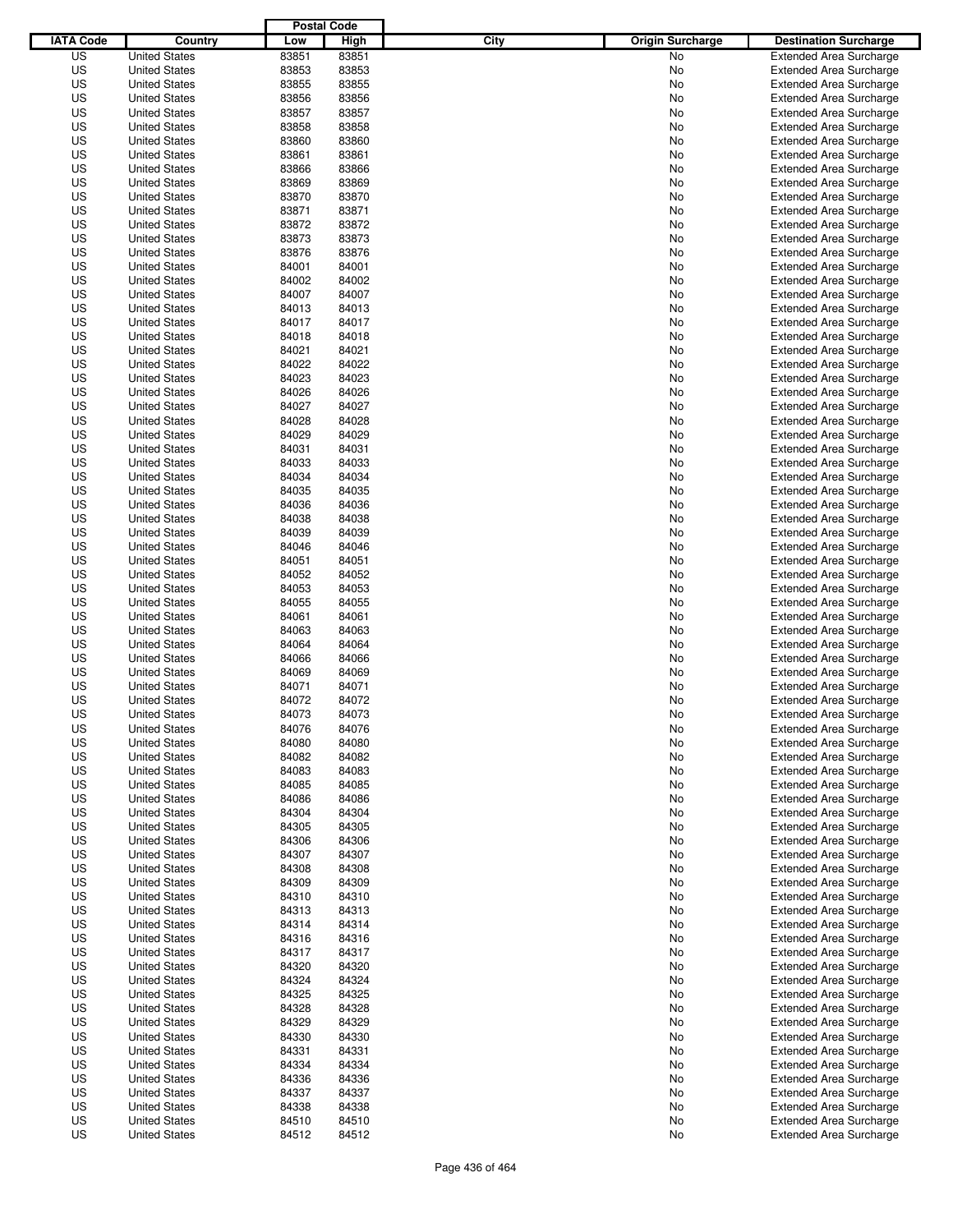|                  |                      | <b>Postal Code</b> |       |                                 |                                |
|------------------|----------------------|--------------------|-------|---------------------------------|--------------------------------|
| <b>IATA Code</b> | Country              | Low                | High  | City<br><b>Origin Surcharge</b> | <b>Destination Surcharge</b>   |
| US               | <b>United States</b> | 83851              | 83851 | <b>No</b>                       | <b>Extended Area Surcharge</b> |
| US               | <b>United States</b> | 83853              | 83853 | No                              | <b>Extended Area Surcharge</b> |
| US               | <b>United States</b> | 83855              | 83855 | No                              | <b>Extended Area Surcharge</b> |
| US               | <b>United States</b> | 83856              | 83856 | No                              | <b>Extended Area Surcharge</b> |
| US               | <b>United States</b> | 83857              | 83857 | No                              | <b>Extended Area Surcharge</b> |
| US               | <b>United States</b> | 83858              | 83858 | No                              | <b>Extended Area Surcharge</b> |
| US               | <b>United States</b> | 83860              | 83860 | No                              | <b>Extended Area Surcharge</b> |
| US               | <b>United States</b> | 83861              | 83861 | No                              | <b>Extended Area Surcharge</b> |
| US               | <b>United States</b> | 83866              | 83866 | No                              | <b>Extended Area Surcharge</b> |
| US               | <b>United States</b> | 83869              | 83869 | No                              | <b>Extended Area Surcharge</b> |
| US               | <b>United States</b> | 83870              | 83870 | No                              | <b>Extended Area Surcharge</b> |
| US               | <b>United States</b> | 83871              | 83871 | No                              | <b>Extended Area Surcharge</b> |
| US               | <b>United States</b> | 83872              | 83872 | No                              | <b>Extended Area Surcharge</b> |
| US               | <b>United States</b> | 83873              | 83873 | No                              | <b>Extended Area Surcharge</b> |
| US               | <b>United States</b> | 83876              | 83876 | No                              | <b>Extended Area Surcharge</b> |
| US               | <b>United States</b> | 84001              | 84001 | No                              | <b>Extended Area Surcharge</b> |
| US               | <b>United States</b> | 84002              | 84002 | No                              | <b>Extended Area Surcharge</b> |
| US               | <b>United States</b> | 84007              | 84007 | No                              | <b>Extended Area Surcharge</b> |
| US               | <b>United States</b> | 84013              | 84013 | No                              | <b>Extended Area Surcharge</b> |
| US               | <b>United States</b> | 84017              | 84017 | No                              | <b>Extended Area Surcharge</b> |
| US               | <b>United States</b> | 84018              | 84018 | No                              | <b>Extended Area Surcharge</b> |
| US               | <b>United States</b> | 84021              | 84021 | No                              | <b>Extended Area Surcharge</b> |
| US               | <b>United States</b> | 84022              | 84022 | No                              | <b>Extended Area Surcharge</b> |
| US               | <b>United States</b> | 84023              | 84023 | No                              | <b>Extended Area Surcharge</b> |
| US               | <b>United States</b> | 84026              | 84026 | No                              | <b>Extended Area Surcharge</b> |
| US               | <b>United States</b> | 84027              | 84027 | No                              | <b>Extended Area Surcharge</b> |
| US               | <b>United States</b> | 84028              | 84028 | No                              | <b>Extended Area Surcharge</b> |
| US               | <b>United States</b> | 84029              | 84029 | No                              | <b>Extended Area Surcharge</b> |
| US               | <b>United States</b> | 84031              | 84031 | No                              | <b>Extended Area Surcharge</b> |
| US               | <b>United States</b> | 84033              | 84033 | No                              | <b>Extended Area Surcharge</b> |
| US               | <b>United States</b> | 84034              | 84034 | No                              | <b>Extended Area Surcharge</b> |
| US               | <b>United States</b> | 84035              | 84035 | No                              | <b>Extended Area Surcharge</b> |
| US               | <b>United States</b> | 84036              | 84036 | No                              | <b>Extended Area Surcharge</b> |
| US               | <b>United States</b> | 84038              | 84038 | No                              | <b>Extended Area Surcharge</b> |
| US               | <b>United States</b> | 84039              | 84039 | No                              | <b>Extended Area Surcharge</b> |
| US               | <b>United States</b> | 84046              | 84046 | No                              | <b>Extended Area Surcharge</b> |
| US               | <b>United States</b> | 84051              | 84051 | No                              | <b>Extended Area Surcharge</b> |
| US               | <b>United States</b> | 84052              | 84052 | No                              | <b>Extended Area Surcharge</b> |
| US               | <b>United States</b> | 84053              | 84053 | No                              | <b>Extended Area Surcharge</b> |
| US               | <b>United States</b> | 84055              | 84055 | No                              | <b>Extended Area Surcharge</b> |
| US               | <b>United States</b> | 84061              | 84061 | No                              | <b>Extended Area Surcharge</b> |
| US               | <b>United States</b> | 84063              | 84063 | No                              | <b>Extended Area Surcharge</b> |
| US               | <b>United States</b> | 84064              | 84064 | No                              | <b>Extended Area Surcharge</b> |
| US               | <b>United States</b> | 84066              | 84066 | No                              | <b>Extended Area Surcharge</b> |
| US               | <b>United States</b> | 84069              | 84069 | No                              | <b>Extended Area Surcharge</b> |
| US               | <b>United States</b> | 84071              | 84071 | No                              | <b>Extended Area Surcharge</b> |
| US               | <b>United States</b> | 84072              | 84072 | No                              | <b>Extended Area Surcharge</b> |
| US               | <b>United States</b> | 84073              | 84073 | No                              | <b>Extended Area Surcharge</b> |
| US               | <b>United States</b> | 84076              | 84076 | No                              | <b>Extended Area Surcharge</b> |
| US               | <b>United States</b> | 84080              | 84080 | No                              | <b>Extended Area Surcharge</b> |
| US               | <b>United States</b> | 84082              | 84082 | No                              | <b>Extended Area Surcharge</b> |
| US               | <b>United States</b> | 84083              | 84083 | No                              | <b>Extended Area Surcharge</b> |
| US               | <b>United States</b> | 84085              | 84085 | No                              | <b>Extended Area Surcharge</b> |
| US               | <b>United States</b> | 84086              | 84086 | No                              | <b>Extended Area Surcharge</b> |
| US               | <b>United States</b> | 84304              | 84304 | No                              | <b>Extended Area Surcharge</b> |
| US               | <b>United States</b> | 84305              | 84305 | No                              | <b>Extended Area Surcharge</b> |
| US               | <b>United States</b> | 84306              | 84306 | No                              | <b>Extended Area Surcharge</b> |
| US               | <b>United States</b> | 84307              | 84307 | No                              | <b>Extended Area Surcharge</b> |
| US               | <b>United States</b> | 84308              | 84308 | No                              | <b>Extended Area Surcharge</b> |
| US               | <b>United States</b> | 84309              | 84309 | No                              | <b>Extended Area Surcharge</b> |
| US               | <b>United States</b> | 84310              | 84310 | No                              | <b>Extended Area Surcharge</b> |
| US               | <b>United States</b> | 84313              | 84313 | No                              | <b>Extended Area Surcharge</b> |
| US               | <b>United States</b> | 84314              | 84314 | No                              | <b>Extended Area Surcharge</b> |
| US               | <b>United States</b> | 84316              | 84316 | No                              | <b>Extended Area Surcharge</b> |
| US               | <b>United States</b> | 84317              | 84317 | No                              | <b>Extended Area Surcharge</b> |
| US               | <b>United States</b> | 84320              | 84320 | No                              | <b>Extended Area Surcharge</b> |
| US               | <b>United States</b> | 84324              | 84324 | No                              | <b>Extended Area Surcharge</b> |
| US               | <b>United States</b> | 84325              | 84325 | No                              | <b>Extended Area Surcharge</b> |
| US               | <b>United States</b> | 84328              | 84328 | No                              | <b>Extended Area Surcharge</b> |
| US               | <b>United States</b> | 84329              | 84329 | No                              | <b>Extended Area Surcharge</b> |
| US               | <b>United States</b> | 84330              | 84330 | No                              | <b>Extended Area Surcharge</b> |
| US               | <b>United States</b> | 84331              | 84331 | No                              | <b>Extended Area Surcharge</b> |
| US               | <b>United States</b> | 84334              | 84334 | No                              | <b>Extended Area Surcharge</b> |
| US               | <b>United States</b> | 84336              | 84336 | No                              | <b>Extended Area Surcharge</b> |
| US               | <b>United States</b> | 84337              | 84337 | No                              | <b>Extended Area Surcharge</b> |
| US               | <b>United States</b> | 84338              | 84338 | No                              | <b>Extended Area Surcharge</b> |
| US               | <b>United States</b> | 84510              | 84510 | No                              | <b>Extended Area Surcharge</b> |
| US               | <b>United States</b> | 84512              | 84512 | No                              | <b>Extended Area Surcharge</b> |
|                  |                      |                    |       |                                 |                                |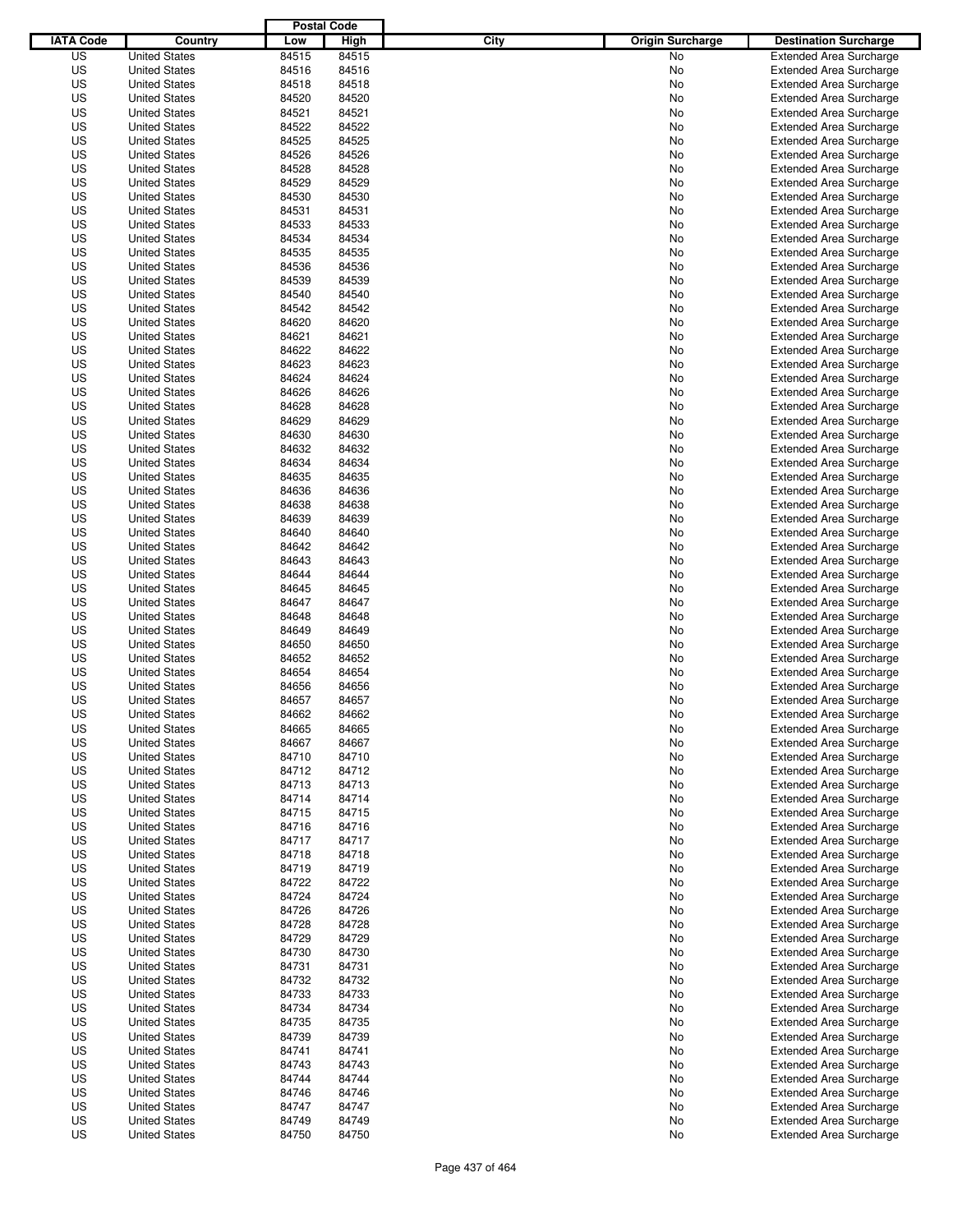|                  |                                              | <b>Postal Code</b> |                |                                 |                                                                  |
|------------------|----------------------------------------------|--------------------|----------------|---------------------------------|------------------------------------------------------------------|
| <b>IATA Code</b> | Country                                      | Low                | High           | City<br><b>Origin Surcharge</b> | <b>Destination Surcharge</b>                                     |
| US               | <b>United States</b>                         | 84515              | 84515          | <b>No</b>                       | <b>Extended Area Surcharge</b>                                   |
| US               | <b>United States</b>                         | 84516              | 84516          | No                              | <b>Extended Area Surcharge</b>                                   |
| US               | <b>United States</b>                         | 84518              | 84518          | No                              | <b>Extended Area Surcharge</b>                                   |
| US               | <b>United States</b>                         | 84520              | 84520          | No                              | <b>Extended Area Surcharge</b>                                   |
| US               | <b>United States</b>                         | 84521              | 84521          | No                              | <b>Extended Area Surcharge</b>                                   |
| US               | <b>United States</b>                         | 84522              | 84522          | No                              | <b>Extended Area Surcharge</b>                                   |
| US               | <b>United States</b>                         | 84525              | 84525          | No                              | <b>Extended Area Surcharge</b>                                   |
| US               | <b>United States</b>                         | 84526              | 84526          | No                              | <b>Extended Area Surcharge</b>                                   |
| US               | <b>United States</b>                         | 84528              | 84528          | No                              | <b>Extended Area Surcharge</b>                                   |
| US               | <b>United States</b>                         | 84529              | 84529          | No                              | <b>Extended Area Surcharge</b>                                   |
| US               | <b>United States</b>                         | 84530              | 84530          | No                              | <b>Extended Area Surcharge</b>                                   |
| US               | <b>United States</b>                         | 84531              | 84531          | No                              | <b>Extended Area Surcharge</b>                                   |
| US               | <b>United States</b>                         | 84533              | 84533          | No                              | <b>Extended Area Surcharge</b>                                   |
| US               | <b>United States</b>                         | 84534              | 84534          | No                              | <b>Extended Area Surcharge</b>                                   |
| US               | <b>United States</b>                         | 84535              | 84535          | No                              | <b>Extended Area Surcharge</b>                                   |
| US               | <b>United States</b>                         | 84536              | 84536          | No                              | <b>Extended Area Surcharge</b>                                   |
| US               | <b>United States</b>                         | 84539              | 84539          | No                              | <b>Extended Area Surcharge</b>                                   |
| US               | <b>United States</b>                         | 84540              | 84540          | No                              | <b>Extended Area Surcharge</b>                                   |
| US               | <b>United States</b>                         | 84542              | 84542          | No                              | <b>Extended Area Surcharge</b>                                   |
| US               | <b>United States</b>                         | 84620              | 84620          | No                              | <b>Extended Area Surcharge</b>                                   |
| US               | <b>United States</b>                         | 84621              | 84621          | No                              | <b>Extended Area Surcharge</b>                                   |
| US               | <b>United States</b>                         | 84622              | 84622          | No                              | <b>Extended Area Surcharge</b>                                   |
| US               | <b>United States</b><br><b>United States</b> | 84623              | 84623<br>84624 | No                              | <b>Extended Area Surcharge</b>                                   |
| US               |                                              | 84624              |                | No                              | <b>Extended Area Surcharge</b>                                   |
| US               | <b>United States</b>                         | 84626              | 84626          | No                              | <b>Extended Area Surcharge</b><br><b>Extended Area Surcharge</b> |
| US               | <b>United States</b>                         | 84628              | 84628          | No                              |                                                                  |
| US<br>US         | <b>United States</b><br><b>United States</b> | 84629<br>84630     | 84629<br>84630 | No                              | <b>Extended Area Surcharge</b>                                   |
| US               | <b>United States</b>                         | 84632              | 84632          | No<br>No                        | <b>Extended Area Surcharge</b><br><b>Extended Area Surcharge</b> |
| US               | <b>United States</b>                         | 84634              | 84634          | No                              | <b>Extended Area Surcharge</b>                                   |
| US               | <b>United States</b>                         | 84635              | 84635          | No                              | <b>Extended Area Surcharge</b>                                   |
| US               | <b>United States</b>                         | 84636              | 84636          | No                              | <b>Extended Area Surcharge</b>                                   |
| US               | <b>United States</b>                         | 84638              | 84638          | No                              | <b>Extended Area Surcharge</b>                                   |
| US               | <b>United States</b>                         | 84639              | 84639          | No                              | <b>Extended Area Surcharge</b>                                   |
| US               | <b>United States</b>                         | 84640              | 84640          | No                              | <b>Extended Area Surcharge</b>                                   |
| US               | <b>United States</b>                         | 84642              | 84642          | No                              | <b>Extended Area Surcharge</b>                                   |
| US               | <b>United States</b>                         | 84643              | 84643          | No                              | <b>Extended Area Surcharge</b>                                   |
| US               | <b>United States</b>                         | 84644              | 84644          | No                              | <b>Extended Area Surcharge</b>                                   |
| US               | <b>United States</b>                         | 84645              | 84645          | No                              | <b>Extended Area Surcharge</b>                                   |
| US               | <b>United States</b>                         | 84647              | 84647          | No                              | <b>Extended Area Surcharge</b>                                   |
| US               | <b>United States</b>                         | 84648              | 84648          | No                              | <b>Extended Area Surcharge</b>                                   |
| US               | <b>United States</b>                         | 84649              | 84649          | No                              | <b>Extended Area Surcharge</b>                                   |
| US               | <b>United States</b>                         | 84650              | 84650          | No                              | <b>Extended Area Surcharge</b>                                   |
| US               | <b>United States</b>                         | 84652              | 84652          | No                              | <b>Extended Area Surcharge</b>                                   |
| US               | <b>United States</b>                         | 84654              | 84654          | No                              | <b>Extended Area Surcharge</b>                                   |
| US               | <b>United States</b>                         | 84656              | 84656          | No                              | <b>Extended Area Surcharge</b>                                   |
| US               | <b>United States</b>                         | 84657              | 84657          | No                              | <b>Extended Area Surcharge</b>                                   |
| US               | <b>United States</b>                         | 84662              | 84662          | No                              | <b>Extended Area Surcharge</b>                                   |
| US               | <b>United States</b>                         | 84665              | 84665          | No                              | <b>Extended Area Surcharge</b>                                   |
| US               | <b>United States</b>                         | 84667              | 84667          | No                              | <b>Extended Area Surcharge</b>                                   |
| US               | <b>United States</b>                         | 84710              | 84710          | No                              | <b>Extended Area Surcharge</b>                                   |
| US               | <b>United States</b>                         | 84712              | 84712          | No                              | <b>Extended Area Surcharge</b>                                   |
| US               | <b>United States</b>                         | 84713              | 84713          | No                              | <b>Extended Area Surcharge</b>                                   |
| US               | <b>United States</b>                         | 84714              | 84714          | No                              | <b>Extended Area Surcharge</b>                                   |
| US               | <b>United States</b>                         | 84715              | 84715          | No                              | <b>Extended Area Surcharge</b>                                   |
| US               | <b>United States</b>                         | 84716              | 84716          | No                              | <b>Extended Area Surcharge</b>                                   |
| US               | <b>United States</b>                         | 84717              | 84717          | No                              | <b>Extended Area Surcharge</b>                                   |
| US               | <b>United States</b>                         | 84718              | 84718          | No                              | <b>Extended Area Surcharge</b>                                   |
| US               | <b>United States</b>                         | 84719              | 84719          | No                              | <b>Extended Area Surcharge</b>                                   |
| US               | <b>United States</b>                         | 84722              | 84722          | No                              | <b>Extended Area Surcharge</b>                                   |
| US               | <b>United States</b>                         | 84724              | 84724          | No                              | <b>Extended Area Surcharge</b>                                   |
| US               | <b>United States</b>                         | 84726              | 84726          | No                              | <b>Extended Area Surcharge</b>                                   |
| US               | <b>United States</b>                         | 84728              | 84728          | No                              | <b>Extended Area Surcharge</b>                                   |
| US               | <b>United States</b>                         | 84729              | 84729          | No                              | <b>Extended Area Surcharge</b>                                   |
| US               | <b>United States</b>                         | 84730              | 84730          | No                              | <b>Extended Area Surcharge</b>                                   |
| US               | <b>United States</b>                         | 84731              | 84731          | No                              | <b>Extended Area Surcharge</b>                                   |
| US               | <b>United States</b>                         | 84732              | 84732          | No                              | <b>Extended Area Surcharge</b>                                   |
| US               | <b>United States</b>                         | 84733              | 84733          | No                              | <b>Extended Area Surcharge</b>                                   |
| US               | <b>United States</b>                         | 84734              | 84734          | No                              | <b>Extended Area Surcharge</b>                                   |
| US               | <b>United States</b>                         | 84735              | 84735          | No                              | <b>Extended Area Surcharge</b>                                   |
| US               | <b>United States</b>                         | 84739              | 84739          | No                              | <b>Extended Area Surcharge</b>                                   |
| US               | <b>United States</b>                         | 84741              | 84741          | No                              | <b>Extended Area Surcharge</b>                                   |
| US               | <b>United States</b>                         | 84743              | 84743          | No                              | <b>Extended Area Surcharge</b>                                   |
| US               | <b>United States</b>                         | 84744              | 84744          | No                              | <b>Extended Area Surcharge</b>                                   |
| US               | <b>United States</b>                         | 84746              | 84746          | No                              | <b>Extended Area Surcharge</b>                                   |
| US               | <b>United States</b>                         | 84747              | 84747          | No                              | <b>Extended Area Surcharge</b>                                   |
| US<br>US         | <b>United States</b>                         | 84749<br>84750     | 84749<br>84750 | No<br>No                        | <b>Extended Area Surcharge</b><br><b>Extended Area Surcharge</b> |
|                  | <b>United States</b>                         |                    |                |                                 |                                                                  |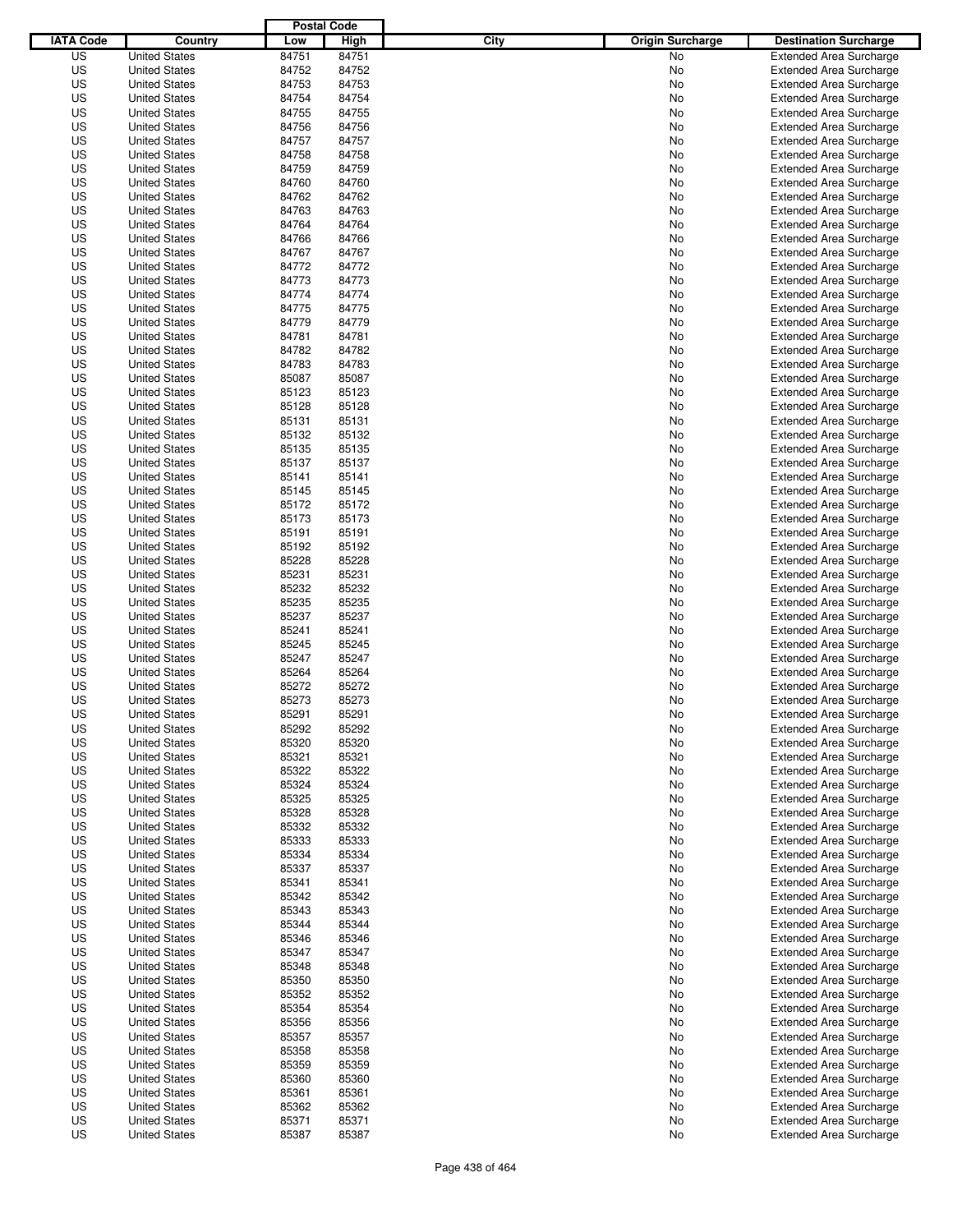|                  |                      | <b>Postal Code</b> |       |                                 |                                |
|------------------|----------------------|--------------------|-------|---------------------------------|--------------------------------|
| <b>IATA Code</b> | Country              | Low                | High  | City<br><b>Origin Surcharge</b> | <b>Destination Surcharge</b>   |
| US               | <b>United States</b> | 84751              | 84751 | <b>No</b>                       | <b>Extended Area Surcharge</b> |
| US               | <b>United States</b> | 84752              | 84752 | No                              | <b>Extended Area Surcharge</b> |
| US               | <b>United States</b> | 84753              | 84753 | No                              | <b>Extended Area Surcharge</b> |
| US               | <b>United States</b> | 84754              | 84754 | No                              | <b>Extended Area Surcharge</b> |
| US               | <b>United States</b> | 84755              | 84755 | No                              | <b>Extended Area Surcharge</b> |
| US               | <b>United States</b> | 84756              | 84756 | No                              | <b>Extended Area Surcharge</b> |
| US               | <b>United States</b> | 84757              | 84757 | No                              | <b>Extended Area Surcharge</b> |
| US               | <b>United States</b> | 84758              | 84758 | No                              | <b>Extended Area Surcharge</b> |
| US               | <b>United States</b> | 84759              | 84759 | No                              | <b>Extended Area Surcharge</b> |
| US               | <b>United States</b> | 84760              | 84760 | No                              | <b>Extended Area Surcharge</b> |
| US               | <b>United States</b> | 84762              | 84762 | No                              | <b>Extended Area Surcharge</b> |
| US               | <b>United States</b> | 84763              | 84763 | No                              | <b>Extended Area Surcharge</b> |
| US               | <b>United States</b> | 84764              | 84764 | No                              | <b>Extended Area Surcharge</b> |
| US               | <b>United States</b> | 84766              | 84766 | No                              | <b>Extended Area Surcharge</b> |
| US               | <b>United States</b> | 84767              | 84767 | No                              | <b>Extended Area Surcharge</b> |
| US               | <b>United States</b> | 84772              | 84772 | No                              | <b>Extended Area Surcharge</b> |
| US               | <b>United States</b> | 84773              | 84773 | No                              | <b>Extended Area Surcharge</b> |
| US               | <b>United States</b> | 84774              | 84774 | No                              | <b>Extended Area Surcharge</b> |
| US               | <b>United States</b> | 84775              | 84775 | No                              | <b>Extended Area Surcharge</b> |
| US               | <b>United States</b> | 84779              | 84779 | No                              | <b>Extended Area Surcharge</b> |
| US               | <b>United States</b> | 84781              | 84781 | No                              | <b>Extended Area Surcharge</b> |
| US               | <b>United States</b> | 84782              | 84782 | No                              | <b>Extended Area Surcharge</b> |
| US               | <b>United States</b> | 84783              | 84783 | No                              | <b>Extended Area Surcharge</b> |
| US               | <b>United States</b> | 85087              | 85087 | No                              | <b>Extended Area Surcharge</b> |
| US               | <b>United States</b> | 85123              | 85123 | No                              | <b>Extended Area Surcharge</b> |
| US               | <b>United States</b> | 85128              | 85128 | No                              | <b>Extended Area Surcharge</b> |
| US               | <b>United States</b> | 85131              | 85131 | No                              | <b>Extended Area Surcharge</b> |
| US               | <b>United States</b> | 85132              | 85132 | No                              | <b>Extended Area Surcharge</b> |
| US               | <b>United States</b> | 85135              | 85135 | No                              | <b>Extended Area Surcharge</b> |
| US               | <b>United States</b> | 85137              | 85137 | No                              | <b>Extended Area Surcharge</b> |
| US               | <b>United States</b> | 85141              | 85141 | No                              | <b>Extended Area Surcharge</b> |
| US               | <b>United States</b> | 85145              | 85145 | No                              | <b>Extended Area Surcharge</b> |
| US               | <b>United States</b> | 85172              | 85172 | No                              | <b>Extended Area Surcharge</b> |
| US               | <b>United States</b> | 85173              | 85173 | No                              | <b>Extended Area Surcharge</b> |
| US               | <b>United States</b> | 85191              | 85191 | No                              | <b>Extended Area Surcharge</b> |
| US               | <b>United States</b> | 85192              | 85192 | No                              | <b>Extended Area Surcharge</b> |
| US               | <b>United States</b> | 85228              | 85228 | No                              | <b>Extended Area Surcharge</b> |
| US               |                      | 85231              | 85231 |                                 |                                |
|                  | <b>United States</b> |                    |       | No                              | <b>Extended Area Surcharge</b> |
| US               | <b>United States</b> | 85232              | 85232 | No                              | <b>Extended Area Surcharge</b> |
| US               | <b>United States</b> | 85235              | 85235 | No                              | <b>Extended Area Surcharge</b> |
| US               | <b>United States</b> | 85237              | 85237 | No                              | <b>Extended Area Surcharge</b> |
| US               | <b>United States</b> | 85241              | 85241 | No                              | <b>Extended Area Surcharge</b> |
| US               | <b>United States</b> | 85245              | 85245 | No                              | <b>Extended Area Surcharge</b> |
| US               | <b>United States</b> | 85247              | 85247 | No                              | <b>Extended Area Surcharge</b> |
| US               | <b>United States</b> | 85264              | 85264 | No                              | Extended Area Surcharge        |
| US               | <b>United States</b> | 85272              | 85272 | No                              | <b>Extended Area Surcharge</b> |
| US               | <b>United States</b> | 85273              | 85273 | No                              | <b>Extended Area Surcharge</b> |
| US               | <b>United States</b> | 85291              | 85291 | No                              | <b>Extended Area Surcharge</b> |
| US               | <b>United States</b> | 85292              | 85292 | No                              | <b>Extended Area Surcharge</b> |
| US               | <b>United States</b> | 85320              | 85320 | No                              | <b>Extended Area Surcharge</b> |
| US               | <b>United States</b> | 85321              | 85321 | No                              | <b>Extended Area Surcharge</b> |
| US               | <b>United States</b> | 85322              | 85322 | No                              | <b>Extended Area Surcharge</b> |
| US               | <b>United States</b> | 85324              | 85324 | No                              | <b>Extended Area Surcharge</b> |
| US               | <b>United States</b> | 85325              | 85325 | No                              | <b>Extended Area Surcharge</b> |
| US               | <b>United States</b> | 85328              | 85328 | No                              | <b>Extended Area Surcharge</b> |
| US               | <b>United States</b> | 85332              | 85332 | No                              | <b>Extended Area Surcharge</b> |
| US               | <b>United States</b> | 85333              | 85333 | No                              | <b>Extended Area Surcharge</b> |
| US               | <b>United States</b> | 85334              | 85334 | No                              | <b>Extended Area Surcharge</b> |
| US               | <b>United States</b> | 85337              | 85337 | No                              | <b>Extended Area Surcharge</b> |
| US               | <b>United States</b> | 85341              | 85341 | No                              | <b>Extended Area Surcharge</b> |
| US               | <b>United States</b> | 85342              | 85342 | No                              | <b>Extended Area Surcharge</b> |
| US               | <b>United States</b> | 85343              | 85343 | No                              | <b>Extended Area Surcharge</b> |
| US               | <b>United States</b> | 85344              | 85344 | No                              | <b>Extended Area Surcharge</b> |
| US               | <b>United States</b> | 85346              | 85346 | No                              | <b>Extended Area Surcharge</b> |
| US               | <b>United States</b> | 85347              | 85347 | No                              | <b>Extended Area Surcharge</b> |
| US               | <b>United States</b> | 85348              | 85348 | No                              | <b>Extended Area Surcharge</b> |
| US               | <b>United States</b> | 85350              | 85350 | No                              | <b>Extended Area Surcharge</b> |
| US               | <b>United States</b> | 85352              | 85352 | No                              | <b>Extended Area Surcharge</b> |
| US               | <b>United States</b> | 85354              | 85354 | No                              | <b>Extended Area Surcharge</b> |
| US               | <b>United States</b> | 85356              | 85356 | No                              | <b>Extended Area Surcharge</b> |
| US               | <b>United States</b> | 85357              | 85357 | No                              | <b>Extended Area Surcharge</b> |
| US               | <b>United States</b> | 85358              | 85358 | No                              | <b>Extended Area Surcharge</b> |
| US               | <b>United States</b> | 85359              | 85359 | No                              | <b>Extended Area Surcharge</b> |
| US               | <b>United States</b> | 85360              | 85360 | No                              | <b>Extended Area Surcharge</b> |
| US               | <b>United States</b> | 85361              | 85361 | No                              | <b>Extended Area Surcharge</b> |
| US               | <b>United States</b> | 85362              | 85362 | No                              | <b>Extended Area Surcharge</b> |
| US               | <b>United States</b> | 85371              | 85371 | No                              | <b>Extended Area Surcharge</b> |
| US               | <b>United States</b> | 85387              | 85387 | No                              | <b>Extended Area Surcharge</b> |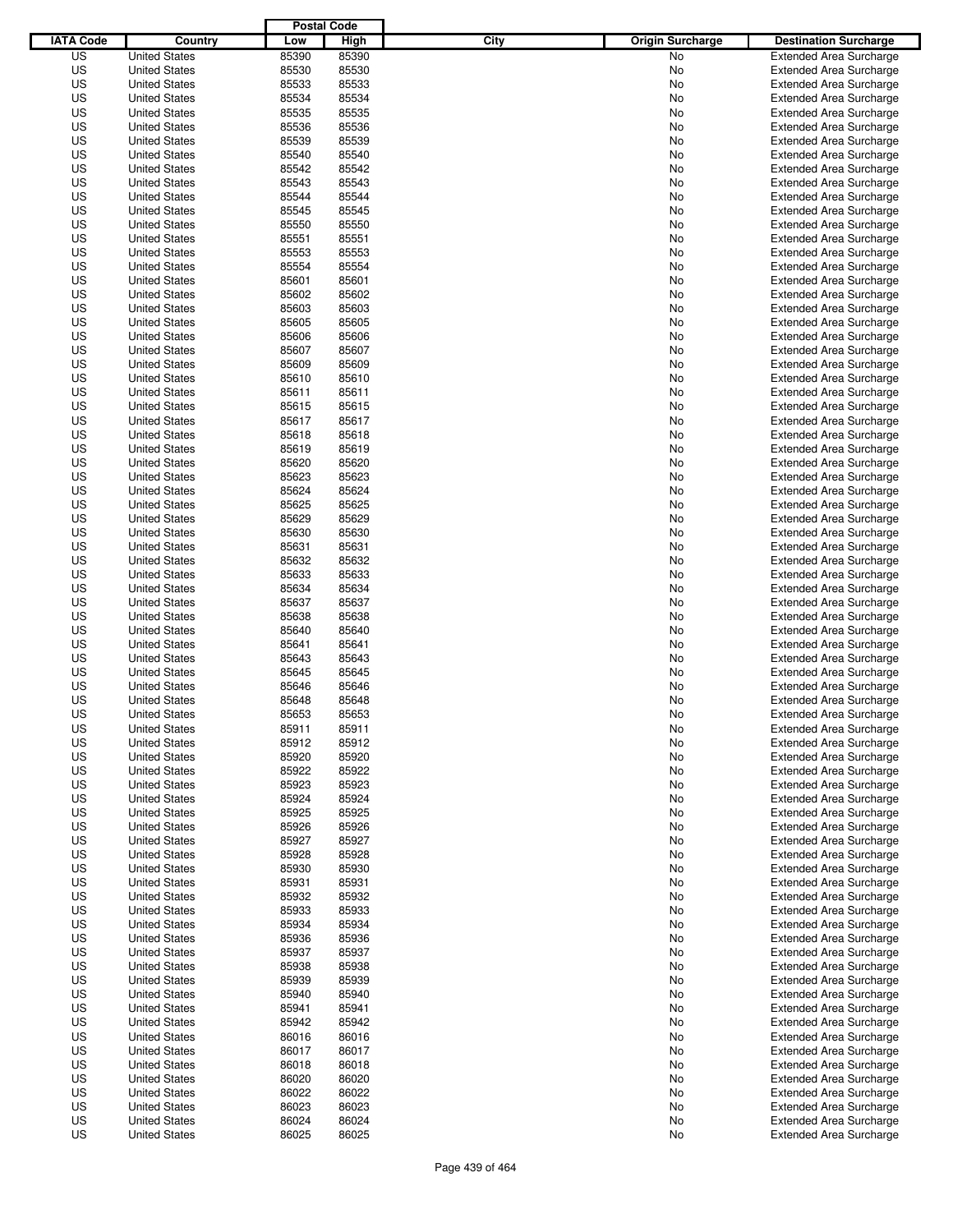|                  |                      | <b>Postal Code</b> |       |                                 |                                |
|------------------|----------------------|--------------------|-------|---------------------------------|--------------------------------|
| <b>IATA Code</b> | Country              | Low                | High  | City<br><b>Origin Surcharge</b> | <b>Destination Surcharge</b>   |
| US               | <b>United States</b> | 85390              | 85390 | <b>No</b>                       | <b>Extended Area Surcharge</b> |
| US               | <b>United States</b> | 85530              | 85530 | No                              | <b>Extended Area Surcharge</b> |
| US               | <b>United States</b> | 85533              | 85533 | No                              | <b>Extended Area Surcharge</b> |
| US               | <b>United States</b> | 85534              | 85534 | No                              | <b>Extended Area Surcharge</b> |
| US               | <b>United States</b> | 85535              | 85535 | No                              | <b>Extended Area Surcharge</b> |
| US               | <b>United States</b> | 85536              | 85536 | No                              | <b>Extended Area Surcharge</b> |
| US               | <b>United States</b> | 85539              | 85539 | No                              | <b>Extended Area Surcharge</b> |
| US               | <b>United States</b> | 85540              | 85540 | No                              | <b>Extended Area Surcharge</b> |
| US               | <b>United States</b> | 85542              | 85542 | No                              | <b>Extended Area Surcharge</b> |
| US               | <b>United States</b> | 85543              | 85543 | No                              | <b>Extended Area Surcharge</b> |
| US               | <b>United States</b> | 85544              | 85544 | No                              | <b>Extended Area Surcharge</b> |
| US               | <b>United States</b> | 85545              | 85545 | No                              | <b>Extended Area Surcharge</b> |
| US               | <b>United States</b> | 85550              | 85550 | No                              | <b>Extended Area Surcharge</b> |
| US               | <b>United States</b> | 85551              | 85551 | No                              | <b>Extended Area Surcharge</b> |
| US               | <b>United States</b> | 85553              | 85553 | No                              | <b>Extended Area Surcharge</b> |
| US               | <b>United States</b> | 85554              | 85554 | No                              | <b>Extended Area Surcharge</b> |
| US               | <b>United States</b> | 85601              | 85601 | No                              | <b>Extended Area Surcharge</b> |
| US               | <b>United States</b> | 85602              | 85602 | No                              | <b>Extended Area Surcharge</b> |
| US               | <b>United States</b> | 85603              | 85603 | No                              | <b>Extended Area Surcharge</b> |
| US               | <b>United States</b> | 85605              | 85605 | No                              | <b>Extended Area Surcharge</b> |
| US               | <b>United States</b> | 85606              | 85606 | No                              | <b>Extended Area Surcharge</b> |
| US               | <b>United States</b> | 85607              | 85607 | No                              | <b>Extended Area Surcharge</b> |
| US               | <b>United States</b> | 85609              | 85609 | No                              | <b>Extended Area Surcharge</b> |
| US               | <b>United States</b> | 85610              | 85610 | No                              | <b>Extended Area Surcharge</b> |
| US               | <b>United States</b> | 85611              | 85611 | No                              | <b>Extended Area Surcharge</b> |
| US               | <b>United States</b> | 85615              | 85615 | No                              | <b>Extended Area Surcharge</b> |
| US               | <b>United States</b> | 85617              | 85617 | No                              | <b>Extended Area Surcharge</b> |
| US               | <b>United States</b> | 85618              | 85618 | No                              | <b>Extended Area Surcharge</b> |
| US               | <b>United States</b> | 85619              | 85619 | No                              | <b>Extended Area Surcharge</b> |
| US               | <b>United States</b> | 85620              | 85620 | No                              | <b>Extended Area Surcharge</b> |
| US               | <b>United States</b> | 85623              | 85623 | No                              | <b>Extended Area Surcharge</b> |
| US               | <b>United States</b> | 85624              | 85624 | No                              | <b>Extended Area Surcharge</b> |
| US               | <b>United States</b> | 85625              | 85625 | No                              | <b>Extended Area Surcharge</b> |
| US               | <b>United States</b> | 85629              | 85629 | No                              | <b>Extended Area Surcharge</b> |
| US               | <b>United States</b> | 85630              | 85630 | No                              | <b>Extended Area Surcharge</b> |
| US               | <b>United States</b> | 85631              | 85631 | No                              | <b>Extended Area Surcharge</b> |
| US               | <b>United States</b> | 85632              | 85632 | No                              | <b>Extended Area Surcharge</b> |
| US               | <b>United States</b> | 85633              | 85633 | No                              | <b>Extended Area Surcharge</b> |
| US               | <b>United States</b> | 85634              | 85634 | No                              | <b>Extended Area Surcharge</b> |
| US               | <b>United States</b> | 85637              | 85637 | No                              | <b>Extended Area Surcharge</b> |
| US               | <b>United States</b> | 85638              | 85638 | No                              | <b>Extended Area Surcharge</b> |
| US               | <b>United States</b> | 85640              | 85640 | No                              | <b>Extended Area Surcharge</b> |
| US               | <b>United States</b> | 85641              | 85641 | No                              | <b>Extended Area Surcharge</b> |
| US               | <b>United States</b> | 85643              | 85643 | No                              | <b>Extended Area Surcharge</b> |
| US               | <b>United States</b> | 85645              | 85645 | No                              | <b>Extended Area Surcharge</b> |
| US               | <b>United States</b> | 85646              | 85646 | No                              | <b>Extended Area Surcharge</b> |
| US               | <b>United States</b> | 85648              | 85648 | No                              | <b>Extended Area Surcharge</b> |
| US               | <b>United States</b> | 85653              | 85653 | No                              | <b>Extended Area Surcharge</b> |
| US               | <b>United States</b> | 85911              | 85911 | No                              | <b>Extended Area Surcharge</b> |
| US               | <b>United States</b> | 85912              | 85912 | No                              | <b>Extended Area Surcharge</b> |
| US               | <b>United States</b> | 85920              | 85920 | No                              | <b>Extended Area Surcharge</b> |
| US               | <b>United States</b> | 85922              | 85922 | No                              | <b>Extended Area Surcharge</b> |
| US               | <b>United States</b> | 85923              | 85923 | No                              | <b>Extended Area Surcharge</b> |
| US               | <b>United States</b> | 85924              | 85924 | No                              | <b>Extended Area Surcharge</b> |
| US               | <b>United States</b> | 85925              | 85925 | No                              | <b>Extended Area Surcharge</b> |
| US               | <b>United States</b> | 85926              | 85926 | No                              | <b>Extended Area Surcharge</b> |
| US               | <b>United States</b> | 85927              | 85927 | No                              | <b>Extended Area Surcharge</b> |
| US               | <b>United States</b> | 85928              | 85928 | No                              | <b>Extended Area Surcharge</b> |
| US               | <b>United States</b> | 85930              | 85930 | No                              | <b>Extended Area Surcharge</b> |
| US               | <b>United States</b> | 85931              | 85931 | No                              | <b>Extended Area Surcharge</b> |
| US               | <b>United States</b> | 85932              | 85932 | No                              | <b>Extended Area Surcharge</b> |
| US               | <b>United States</b> | 85933              | 85933 | No                              | <b>Extended Area Surcharge</b> |
| US               | <b>United States</b> | 85934              | 85934 | No                              | <b>Extended Area Surcharge</b> |
| US               | <b>United States</b> | 85936              | 85936 | No                              | <b>Extended Area Surcharge</b> |
| US               | <b>United States</b> | 85937              | 85937 | No                              | <b>Extended Area Surcharge</b> |
| US               | <b>United States</b> | 85938              | 85938 | No                              | <b>Extended Area Surcharge</b> |
| US               | <b>United States</b> | 85939              | 85939 | No                              | <b>Extended Area Surcharge</b> |
| US               | <b>United States</b> | 85940              | 85940 | No                              | <b>Extended Area Surcharge</b> |
| US               | <b>United States</b> | 85941              | 85941 | No                              | <b>Extended Area Surcharge</b> |
| US               | <b>United States</b> | 85942              | 85942 | No                              | <b>Extended Area Surcharge</b> |
| US               | <b>United States</b> | 86016              | 86016 | No                              | <b>Extended Area Surcharge</b> |
| US               | <b>United States</b> | 86017              | 86017 | No                              | <b>Extended Area Surcharge</b> |
| US               | <b>United States</b> | 86018              | 86018 | No                              | <b>Extended Area Surcharge</b> |
| US               | <b>United States</b> | 86020              | 86020 | No                              | <b>Extended Area Surcharge</b> |
| US               | <b>United States</b> | 86022              | 86022 | No                              | <b>Extended Area Surcharge</b> |
| US               | <b>United States</b> | 86023              | 86023 | No                              | <b>Extended Area Surcharge</b> |
| US               | <b>United States</b> | 86024              | 86024 | No                              | <b>Extended Area Surcharge</b> |
| US               | <b>United States</b> | 86025              | 86025 | No                              | <b>Extended Area Surcharge</b> |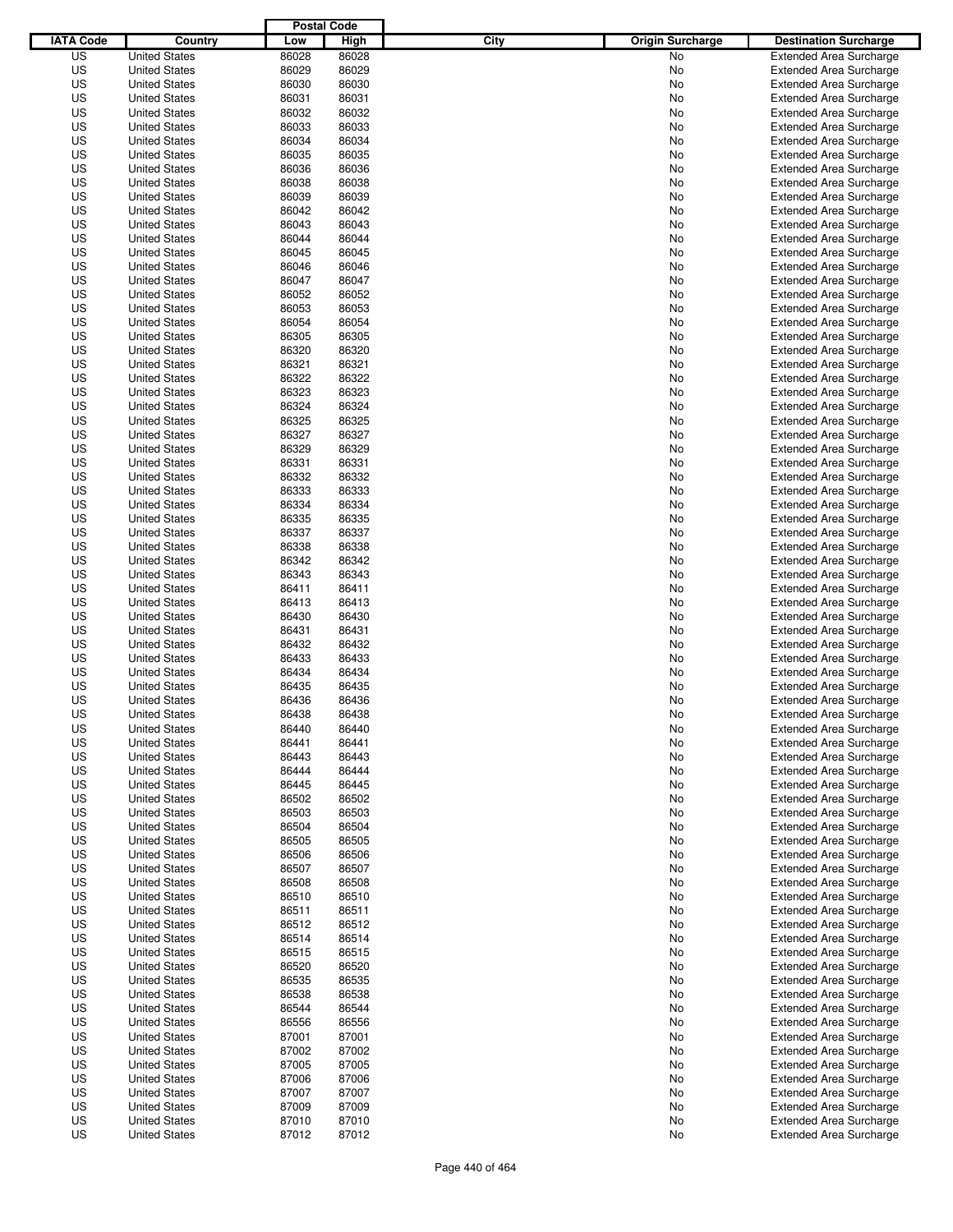|                  |                      | <b>Postal Code</b> |       |                                 |                                |
|------------------|----------------------|--------------------|-------|---------------------------------|--------------------------------|
| <b>IATA Code</b> | Country              | Low                | High  | City<br><b>Origin Surcharge</b> | <b>Destination Surcharge</b>   |
| US               | <b>United States</b> | 86028              | 86028 | No                              | <b>Extended Area Surcharge</b> |
| US               | <b>United States</b> | 86029              | 86029 | No                              | <b>Extended Area Surcharge</b> |
| US               | <b>United States</b> | 86030              | 86030 | No                              | <b>Extended Area Surcharge</b> |
| US               | <b>United States</b> | 86031              | 86031 | No                              | <b>Extended Area Surcharge</b> |
| US               | <b>United States</b> | 86032              | 86032 | No                              | <b>Extended Area Surcharge</b> |
| US               | <b>United States</b> | 86033              | 86033 | No                              | <b>Extended Area Surcharge</b> |
| US               | <b>United States</b> | 86034              | 86034 | No                              | <b>Extended Area Surcharge</b> |
| US               | <b>United States</b> | 86035              | 86035 | No                              | <b>Extended Area Surcharge</b> |
| US               | <b>United States</b> | 86036              | 86036 | No                              | <b>Extended Area Surcharge</b> |
| US               | <b>United States</b> | 86038              | 86038 | No                              | <b>Extended Area Surcharge</b> |
| US               | <b>United States</b> | 86039              | 86039 | No                              | <b>Extended Area Surcharge</b> |
| US               | <b>United States</b> | 86042              | 86042 | No                              | <b>Extended Area Surcharge</b> |
| US               | <b>United States</b> | 86043              | 86043 | No                              | <b>Extended Area Surcharge</b> |
| US               | <b>United States</b> | 86044              | 86044 | No                              | <b>Extended Area Surcharge</b> |
| US               | <b>United States</b> | 86045              | 86045 | No                              | <b>Extended Area Surcharge</b> |
| US               | <b>United States</b> | 86046              | 86046 | No                              | <b>Extended Area Surcharge</b> |
| US               | <b>United States</b> | 86047              | 86047 | No                              | <b>Extended Area Surcharge</b> |
| US               | <b>United States</b> | 86052              | 86052 | No                              | <b>Extended Area Surcharge</b> |
| US               | <b>United States</b> | 86053              | 86053 | No                              | <b>Extended Area Surcharge</b> |
| US               | <b>United States</b> | 86054              | 86054 | No                              | <b>Extended Area Surcharge</b> |
| US               | <b>United States</b> | 86305              | 86305 | No                              | <b>Extended Area Surcharge</b> |
| US               | <b>United States</b> | 86320              | 86320 | No                              | <b>Extended Area Surcharge</b> |
| US               | <b>United States</b> | 86321              | 86321 | No                              | <b>Extended Area Surcharge</b> |
| US               | <b>United States</b> | 86322              | 86322 | No                              | <b>Extended Area Surcharge</b> |
| US               | <b>United States</b> | 86323              | 86323 | No                              | <b>Extended Area Surcharge</b> |
| US               | <b>United States</b> | 86324              | 86324 | No                              | <b>Extended Area Surcharge</b> |
| US               | <b>United States</b> | 86325              | 86325 | No                              | <b>Extended Area Surcharge</b> |
| US               | <b>United States</b> | 86327              | 86327 | No                              | <b>Extended Area Surcharge</b> |
| US               | <b>United States</b> | 86329              | 86329 | No                              | <b>Extended Area Surcharge</b> |
| US               | <b>United States</b> | 86331              | 86331 | No                              | <b>Extended Area Surcharge</b> |
| US               | <b>United States</b> | 86332              | 86332 | No                              | <b>Extended Area Surcharge</b> |
| US               | <b>United States</b> | 86333              | 86333 | No                              | <b>Extended Area Surcharge</b> |
| US               | <b>United States</b> | 86334              | 86334 | No                              | <b>Extended Area Surcharge</b> |
| US               | <b>United States</b> | 86335              | 86335 | No                              | <b>Extended Area Surcharge</b> |
| US               | <b>United States</b> | 86337              | 86337 | No                              | <b>Extended Area Surcharge</b> |
| US               | <b>United States</b> | 86338              | 86338 | No                              | <b>Extended Area Surcharge</b> |
| US               | <b>United States</b> | 86342              | 86342 | No                              | <b>Extended Area Surcharge</b> |
| US               | <b>United States</b> | 86343              | 86343 | No                              | <b>Extended Area Surcharge</b> |
| US               | <b>United States</b> | 86411              | 86411 | No                              | <b>Extended Area Surcharge</b> |
| US               | <b>United States</b> | 86413              | 86413 | No                              | <b>Extended Area Surcharge</b> |
| US               | <b>United States</b> | 86430              | 86430 | No                              | <b>Extended Area Surcharge</b> |
| US               | <b>United States</b> | 86431              | 86431 | No                              | <b>Extended Area Surcharge</b> |
| US               | <b>United States</b> | 86432              | 86432 | No                              | <b>Extended Area Surcharge</b> |
| US               | <b>United States</b> | 86433              | 86433 | No                              | <b>Extended Area Surcharge</b> |
| US               | <b>United States</b> | 86434              | 86434 | No                              | <b>Extended Area Surcharge</b> |
| US               | <b>United States</b> | 86435              | 86435 | No                              | <b>Extended Area Surcharge</b> |
| US               | <b>United States</b> | 86436              | 86436 | No                              | <b>Extended Area Surcharge</b> |
| US               | <b>United States</b> | 86438              | 86438 | No                              | <b>Extended Area Surcharge</b> |
| US               | <b>United States</b> | 86440              | 86440 | No                              | <b>Extended Area Surcharge</b> |
| US               | <b>United States</b> | 86441              | 86441 | No                              | <b>Extended Area Surcharge</b> |
| US               | <b>United States</b> | 86443              | 86443 | No                              | <b>Extended Area Surcharge</b> |
| US               | <b>United States</b> | 86444              | 86444 | No                              | <b>Extended Area Surcharge</b> |
| US               | <b>United States</b> | 86445              | 86445 | No                              | <b>Extended Area Surcharge</b> |
| US               | <b>United States</b> | 86502              | 86502 | No                              | <b>Extended Area Surcharge</b> |
| US               | <b>United States</b> | 86503              | 86503 | No                              | <b>Extended Area Surcharge</b> |
| US               | <b>United States</b> | 86504              | 86504 | No                              | <b>Extended Area Surcharge</b> |
| US               | <b>United States</b> | 86505              | 86505 | No                              | <b>Extended Area Surcharge</b> |
| US               | <b>United States</b> | 86506              | 86506 | No                              | <b>Extended Area Surcharge</b> |
| US               | <b>United States</b> | 86507              | 86507 | No                              | <b>Extended Area Surcharge</b> |
| US               | <b>United States</b> | 86508              | 86508 | No                              | <b>Extended Area Surcharge</b> |
| US               | <b>United States</b> | 86510              | 86510 | No                              | <b>Extended Area Surcharge</b> |
| US               | <b>United States</b> | 86511              | 86511 | No                              | <b>Extended Area Surcharge</b> |
| US               | <b>United States</b> | 86512              | 86512 | No                              | <b>Extended Area Surcharge</b> |
| US               | <b>United States</b> | 86514              | 86514 | No                              | <b>Extended Area Surcharge</b> |
| US               | <b>United States</b> | 86515              | 86515 | No                              | <b>Extended Area Surcharge</b> |
| US               | <b>United States</b> | 86520              | 86520 | No                              | <b>Extended Area Surcharge</b> |
| US               | <b>United States</b> | 86535              | 86535 | No                              | <b>Extended Area Surcharge</b> |
| US               | <b>United States</b> | 86538              | 86538 | No                              | <b>Extended Area Surcharge</b> |
| US               | <b>United States</b> | 86544              | 86544 | No                              | <b>Extended Area Surcharge</b> |
| US               | <b>United States</b> | 86556              | 86556 | No                              | <b>Extended Area Surcharge</b> |
| US               | <b>United States</b> | 87001              | 87001 | No                              | <b>Extended Area Surcharge</b> |
| US               | <b>United States</b> | 87002              | 87002 | No                              | <b>Extended Area Surcharge</b> |
| US               | <b>United States</b> | 87005              | 87005 | No                              | <b>Extended Area Surcharge</b> |
| US               | <b>United States</b> | 87006              | 87006 | No                              | <b>Extended Area Surcharge</b> |
| US               | <b>United States</b> | 87007              | 87007 | No                              | <b>Extended Area Surcharge</b> |
| US               | <b>United States</b> | 87009              | 87009 | No                              | <b>Extended Area Surcharge</b> |
| US               | <b>United States</b> | 87010              | 87010 | No                              | <b>Extended Area Surcharge</b> |
| US               | <b>United States</b> | 87012              | 87012 | No                              | <b>Extended Area Surcharge</b> |
|                  |                      |                    |       |                                 |                                |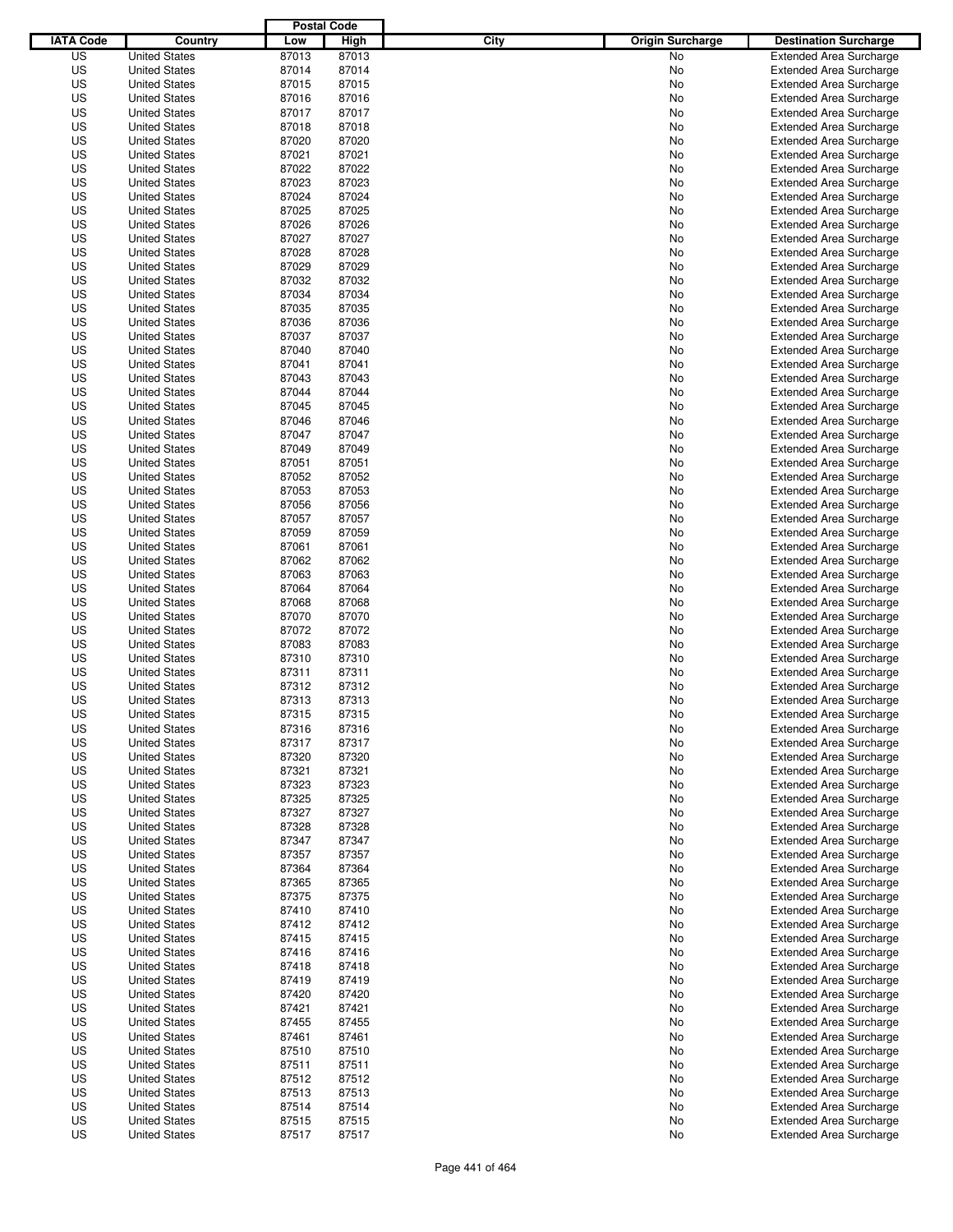|                  |                                              | <b>Postal Code</b> |                |                                 |                                                                  |
|------------------|----------------------------------------------|--------------------|----------------|---------------------------------|------------------------------------------------------------------|
| <b>IATA Code</b> | Country                                      | Low                | High           | City<br><b>Origin Surcharge</b> | <b>Destination Surcharge</b>                                     |
| US               | <b>United States</b>                         | 87013              | 87013          | <b>No</b>                       | <b>Extended Area Surcharge</b>                                   |
| US               | <b>United States</b>                         | 87014              | 87014          | No                              | <b>Extended Area Surcharge</b>                                   |
| US               | <b>United States</b>                         | 87015              | 87015          | No                              | <b>Extended Area Surcharge</b>                                   |
| US               | <b>United States</b>                         | 87016              | 87016          | No                              | <b>Extended Area Surcharge</b>                                   |
| US               | <b>United States</b>                         | 87017              | 87017          | No                              | <b>Extended Area Surcharge</b>                                   |
| US               | <b>United States</b>                         | 87018              | 87018          | No                              | <b>Extended Area Surcharge</b>                                   |
| US               | <b>United States</b>                         | 87020              | 87020          | No                              | <b>Extended Area Surcharge</b>                                   |
| US               | <b>United States</b>                         | 87021              | 87021          | No                              | <b>Extended Area Surcharge</b>                                   |
| US               | <b>United States</b>                         | 87022              | 87022          | No                              | <b>Extended Area Surcharge</b>                                   |
| US               | <b>United States</b>                         | 87023              | 87023          | No                              | <b>Extended Area Surcharge</b>                                   |
| US               | <b>United States</b>                         | 87024              | 87024          | No                              | <b>Extended Area Surcharge</b>                                   |
| US               | <b>United States</b>                         | 87025              | 87025          | No                              | <b>Extended Area Surcharge</b>                                   |
| US               | <b>United States</b>                         | 87026              | 87026          | No                              | <b>Extended Area Surcharge</b>                                   |
| US               | <b>United States</b>                         | 87027              | 87027          | No                              | <b>Extended Area Surcharge</b>                                   |
| US               | <b>United States</b>                         | 87028              | 87028          | No                              | <b>Extended Area Surcharge</b>                                   |
| US               | <b>United States</b>                         | 87029              | 87029          | No                              | <b>Extended Area Surcharge</b>                                   |
| US               | <b>United States</b>                         | 87032              | 87032          | No                              | <b>Extended Area Surcharge</b>                                   |
| US               | <b>United States</b>                         | 87034              | 87034          | No                              | <b>Extended Area Surcharge</b>                                   |
| US               | <b>United States</b>                         | 87035              | 87035          | No                              | <b>Extended Area Surcharge</b>                                   |
| US               | <b>United States</b>                         | 87036              | 87036          | No                              | <b>Extended Area Surcharge</b>                                   |
| US               | <b>United States</b>                         | 87037              | 87037          | No                              | <b>Extended Area Surcharge</b>                                   |
| US               | <b>United States</b>                         | 87040              | 87040          | No                              | <b>Extended Area Surcharge</b>                                   |
| US               | <b>United States</b>                         | 87041              | 87041          | No                              | <b>Extended Area Surcharge</b>                                   |
| US               | <b>United States</b>                         | 87043              | 87043          | No                              | <b>Extended Area Surcharge</b>                                   |
| US               | <b>United States</b>                         | 87044              | 87044          | No                              | <b>Extended Area Surcharge</b>                                   |
| US               | <b>United States</b>                         | 87045              | 87045          | No                              | <b>Extended Area Surcharge</b>                                   |
| US               | <b>United States</b>                         | 87046              | 87046          | No                              | <b>Extended Area Surcharge</b>                                   |
| US               | <b>United States</b>                         | 87047              | 87047          | No                              | <b>Extended Area Surcharge</b>                                   |
| US               | <b>United States</b>                         | 87049              | 87049          | No                              | <b>Extended Area Surcharge</b>                                   |
| US               | <b>United States</b>                         | 87051              | 87051          | No                              | <b>Extended Area Surcharge</b>                                   |
| US               | <b>United States</b>                         | 87052              | 87052          | No                              | <b>Extended Area Surcharge</b>                                   |
| US               | <b>United States</b>                         | 87053              | 87053          | No                              | <b>Extended Area Surcharge</b>                                   |
| US               | <b>United States</b>                         | 87056              | 87056          | No                              | <b>Extended Area Surcharge</b>                                   |
| US               | <b>United States</b>                         | 87057              | 87057          | No                              | <b>Extended Area Surcharge</b>                                   |
| US               | <b>United States</b>                         | 87059              | 87059          | No                              | <b>Extended Area Surcharge</b>                                   |
| US               | <b>United States</b>                         | 87061              | 87061          | No                              | <b>Extended Area Surcharge</b>                                   |
| US               | <b>United States</b>                         | 87062              | 87062          | No                              | <b>Extended Area Surcharge</b>                                   |
| US               | <b>United States</b>                         | 87063              | 87063          | No                              | <b>Extended Area Surcharge</b>                                   |
| US               | <b>United States</b>                         | 87064              | 87064          | No                              | <b>Extended Area Surcharge</b>                                   |
| US               | <b>United States</b>                         | 87068              | 87068          | No                              | <b>Extended Area Surcharge</b>                                   |
| US               | <b>United States</b>                         | 87070              | 87070          | No                              | <b>Extended Area Surcharge</b>                                   |
| US               | <b>United States</b>                         | 87072              | 87072          | No                              | <b>Extended Area Surcharge</b>                                   |
| US               | <b>United States</b>                         | 87083              | 87083          | No                              | <b>Extended Area Surcharge</b>                                   |
| US               | <b>United States</b>                         | 87310              | 87310          | No                              | <b>Extended Area Surcharge</b>                                   |
| US               | <b>United States</b>                         | 87311              | 87311          | No                              | Extended Area Surcharge                                          |
| US               | <b>United States</b>                         | 87312              | 87312          | No                              | <b>Extended Area Surcharge</b>                                   |
| US               | <b>United States</b>                         | 87313              | 87313          | No                              | <b>Extended Area Surcharge</b>                                   |
| US               | <b>United States</b>                         | 87315              | 87315          | No                              | <b>Extended Area Surcharge</b>                                   |
| US               | <b>United States</b>                         | 87316              | 87316          | No                              | <b>Extended Area Surcharge</b>                                   |
| US               | <b>United States</b>                         | 87317              | 87317          |                                 | <b>Extended Area Surcharge</b>                                   |
| US               | <b>United States</b>                         | 87320              | 87320          | No                              | <b>Extended Area Surcharge</b>                                   |
|                  |                                              |                    |                | No                              |                                                                  |
| US<br>US         | <b>United States</b>                         | 87321<br>87323     | 87321<br>87323 | No                              | <b>Extended Area Surcharge</b>                                   |
| US               | <b>United States</b><br><b>United States</b> | 87325              | 87325          | No                              | <b>Extended Area Surcharge</b>                                   |
|                  |                                              |                    |                | No                              | <b>Extended Area Surcharge</b>                                   |
| US               | <b>United States</b>                         | 87327              | 87327          | No                              | <b>Extended Area Surcharge</b><br><b>Extended Area Surcharge</b> |
| US               | <b>United States</b>                         | 87328              | 87328          | No                              |                                                                  |
| US               | <b>United States</b>                         | 87347              | 87347          | No                              | <b>Extended Area Surcharge</b><br><b>Extended Area Surcharge</b> |
| US               | <b>United States</b>                         | 87357              | 87357          | No                              |                                                                  |
| US               | <b>United States</b>                         | 87364              | 87364          | No                              | <b>Extended Area Surcharge</b>                                   |
| US               | <b>United States</b>                         | 87365              | 87365          | No                              | <b>Extended Area Surcharge</b>                                   |
| US               | <b>United States</b>                         | 87375              | 87375          | No                              | <b>Extended Area Surcharge</b>                                   |
| US               | <b>United States</b>                         | 87410              | 87410          | No                              | <b>Extended Area Surcharge</b>                                   |
| US               | <b>United States</b>                         | 87412              | 87412          | No                              | <b>Extended Area Surcharge</b>                                   |
| US               | <b>United States</b>                         | 87415              | 87415          | No                              | <b>Extended Area Surcharge</b>                                   |
| US               | <b>United States</b>                         | 87416              | 87416          | No                              | <b>Extended Area Surcharge</b>                                   |
| US               | <b>United States</b>                         | 87418              | 87418          | No                              | <b>Extended Area Surcharge</b>                                   |
| US               | <b>United States</b>                         | 87419              | 87419          | No                              | <b>Extended Area Surcharge</b>                                   |
| US               | <b>United States</b>                         | 87420              | 87420          | No                              | <b>Extended Area Surcharge</b>                                   |
| US               | <b>United States</b>                         | 87421              | 87421          | No                              | <b>Extended Area Surcharge</b>                                   |
| US               | <b>United States</b>                         | 87455              | 87455          | No                              | <b>Extended Area Surcharge</b>                                   |
| US               | <b>United States</b>                         | 87461              | 87461          | No                              | <b>Extended Area Surcharge</b>                                   |
| US               | <b>United States</b>                         | 87510              | 87510          | No                              | <b>Extended Area Surcharge</b>                                   |
| US               | <b>United States</b>                         | 87511              | 87511          | No                              | <b>Extended Area Surcharge</b>                                   |
| US               | <b>United States</b>                         | 87512              | 87512          | No                              | <b>Extended Area Surcharge</b>                                   |
| US               | <b>United States</b>                         | 87513              | 87513          | No                              | <b>Extended Area Surcharge</b>                                   |
| US               | <b>United States</b>                         | 87514              | 87514          | No                              | <b>Extended Area Surcharge</b>                                   |
| US               | <b>United States</b>                         | 87515              | 87515          | No                              | <b>Extended Area Surcharge</b>                                   |
| US               | <b>United States</b>                         | 87517              | 87517          | No                              | <b>Extended Area Surcharge</b>                                   |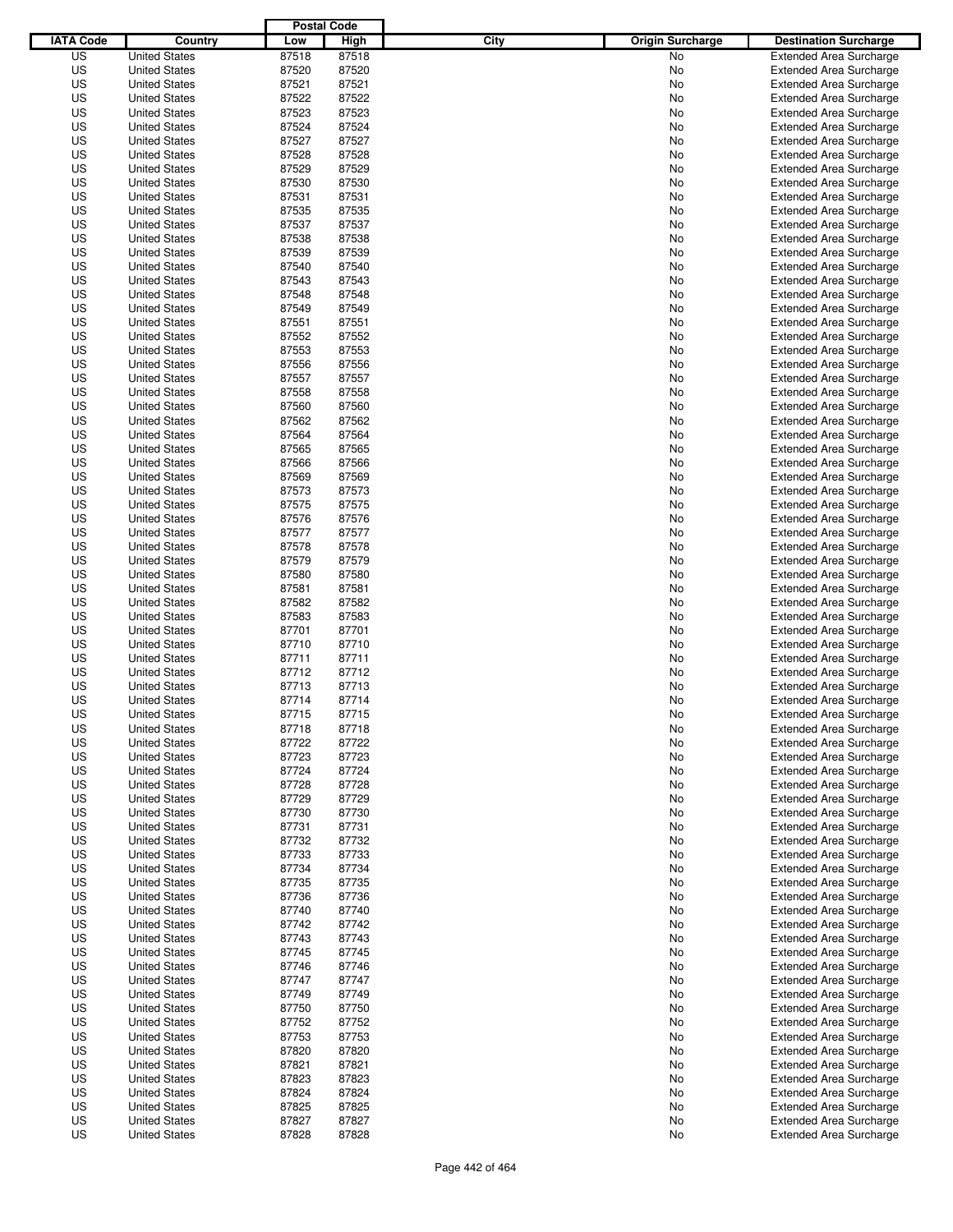|                  |                      | <b>Postal Code</b> |       |                                 |                                |
|------------------|----------------------|--------------------|-------|---------------------------------|--------------------------------|
| <b>IATA Code</b> | Country              | Low                | High  | City<br><b>Origin Surcharge</b> | <b>Destination Surcharge</b>   |
| US               | <b>United States</b> | 87518              | 87518 | <b>No</b>                       | <b>Extended Area Surcharge</b> |
| US               | <b>United States</b> | 87520              | 87520 | No                              | <b>Extended Area Surcharge</b> |
| US               | <b>United States</b> | 87521              | 87521 | No                              | <b>Extended Area Surcharge</b> |
| US               | <b>United States</b> | 87522              | 87522 | No                              | <b>Extended Area Surcharge</b> |
| US               | <b>United States</b> | 87523              | 87523 | No                              | <b>Extended Area Surcharge</b> |
| US               | <b>United States</b> | 87524              | 87524 | No                              | <b>Extended Area Surcharge</b> |
| US               | <b>United States</b> | 87527              | 87527 | No                              | <b>Extended Area Surcharge</b> |
| US               | <b>United States</b> | 87528              | 87528 | No                              | <b>Extended Area Surcharge</b> |
| US               | <b>United States</b> | 87529              | 87529 | No                              | <b>Extended Area Surcharge</b> |
| US               | <b>United States</b> | 87530              | 87530 | No                              | <b>Extended Area Surcharge</b> |
| US               | <b>United States</b> | 87531              | 87531 | No                              | <b>Extended Area Surcharge</b> |
| US               | <b>United States</b> | 87535              | 87535 | No                              | <b>Extended Area Surcharge</b> |
| US               | <b>United States</b> | 87537              | 87537 | No                              | <b>Extended Area Surcharge</b> |
| US               | <b>United States</b> | 87538              | 87538 | No                              | <b>Extended Area Surcharge</b> |
| US               | <b>United States</b> | 87539              | 87539 | No                              | <b>Extended Area Surcharge</b> |
| US               | <b>United States</b> | 87540              | 87540 | No                              | <b>Extended Area Surcharge</b> |
| US               | <b>United States</b> | 87543              | 87543 | No                              | <b>Extended Area Surcharge</b> |
| US               | <b>United States</b> | 87548              | 87548 | No                              | <b>Extended Area Surcharge</b> |
| US               | <b>United States</b> | 87549              | 87549 | No                              | <b>Extended Area Surcharge</b> |
| US               | <b>United States</b> | 87551              | 87551 | No                              | <b>Extended Area Surcharge</b> |
| US               | <b>United States</b> | 87552              | 87552 | No                              | <b>Extended Area Surcharge</b> |
| US               | <b>United States</b> | 87553              | 87553 | No                              | <b>Extended Area Surcharge</b> |
| US               | <b>United States</b> | 87556              | 87556 | No                              | <b>Extended Area Surcharge</b> |
| US               | <b>United States</b> | 87557              | 87557 | No                              | <b>Extended Area Surcharge</b> |
| US               | <b>United States</b> | 87558              | 87558 | No                              | <b>Extended Area Surcharge</b> |
| US               | <b>United States</b> | 87560              | 87560 | No                              | <b>Extended Area Surcharge</b> |
| US               | <b>United States</b> | 87562              | 87562 | No                              | <b>Extended Area Surcharge</b> |
| US               | <b>United States</b> | 87564              | 87564 | No                              | <b>Extended Area Surcharge</b> |
| US               | <b>United States</b> | 87565              | 87565 | No                              | <b>Extended Area Surcharge</b> |
| US               | <b>United States</b> | 87566              | 87566 | No                              | <b>Extended Area Surcharge</b> |
| US               | <b>United States</b> | 87569              | 87569 | No                              | <b>Extended Area Surcharge</b> |
| US               | <b>United States</b> | 87573              | 87573 | No                              | <b>Extended Area Surcharge</b> |
| US               | <b>United States</b> | 87575              | 87575 | No                              | <b>Extended Area Surcharge</b> |
| US               | <b>United States</b> | 87576              | 87576 | No                              | <b>Extended Area Surcharge</b> |
| US               | <b>United States</b> | 87577              | 87577 | No                              | <b>Extended Area Surcharge</b> |
| US               | <b>United States</b> | 87578              | 87578 | No                              | <b>Extended Area Surcharge</b> |
| US               | <b>United States</b> | 87579              | 87579 | No                              | <b>Extended Area Surcharge</b> |
| US               | <b>United States</b> | 87580              | 87580 | No                              | <b>Extended Area Surcharge</b> |
| US               | <b>United States</b> | 87581              | 87581 | No                              | <b>Extended Area Surcharge</b> |
| US               | <b>United States</b> | 87582              | 87582 | No                              | <b>Extended Area Surcharge</b> |
| US               | <b>United States</b> | 87583              | 87583 | No                              | <b>Extended Area Surcharge</b> |
| US               | <b>United States</b> | 87701              | 87701 | No                              | <b>Extended Area Surcharge</b> |
| US               | <b>United States</b> | 87710              | 87710 | No                              | <b>Extended Area Surcharge</b> |
| US               | <b>United States</b> | 87711              | 87711 | No                              | <b>Extended Area Surcharge</b> |
| US               | <b>United States</b> | 87712              | 87712 | No                              | Extended Area Surcharge        |
| US               | <b>United States</b> | 87713              | 87713 | No                              | <b>Extended Area Surcharge</b> |
| US               | <b>United States</b> | 87714              | 87714 | No                              | <b>Extended Area Surcharge</b> |
| US               | <b>United States</b> | 87715              | 87715 | No                              | <b>Extended Area Surcharge</b> |
| US               | <b>United States</b> | 87718              | 87718 | No                              | <b>Extended Area Surcharge</b> |
| US               | <b>United States</b> | 87722              | 87722 | No                              | <b>Extended Area Surcharge</b> |
| US               | <b>United States</b> | 87723              | 87723 | No                              | <b>Extended Area Surcharge</b> |
| US               | <b>United States</b> | 87724              | 87724 | No                              | <b>Extended Area Surcharge</b> |
| US               | <b>United States</b> | 87728              | 87728 | No                              | <b>Extended Area Surcharge</b> |
| US               | <b>United States</b> | 87729              | 87729 | No                              | <b>Extended Area Surcharge</b> |
| US               | <b>United States</b> | 87730              | 87730 | No                              | <b>Extended Area Surcharge</b> |
| US               | <b>United States</b> | 87731              | 87731 | No                              | <b>Extended Area Surcharge</b> |
| US               | <b>United States</b> | 87732              | 87732 | No                              | <b>Extended Area Surcharge</b> |
| US               | <b>United States</b> | 87733              | 87733 | No                              | <b>Extended Area Surcharge</b> |
| US               | <b>United States</b> | 87734              | 87734 | No                              | <b>Extended Area Surcharge</b> |
| US               | <b>United States</b> | 87735              | 87735 | No                              | <b>Extended Area Surcharge</b> |
| US               | <b>United States</b> | 87736              | 87736 | No                              | <b>Extended Area Surcharge</b> |
| US               | <b>United States</b> | 87740              | 87740 | No                              | <b>Extended Area Surcharge</b> |
| US               | <b>United States</b> | 87742              | 87742 | No                              | <b>Extended Area Surcharge</b> |
| US               | <b>United States</b> | 87743              | 87743 | No                              | <b>Extended Area Surcharge</b> |
| US               | <b>United States</b> | 87745              | 87745 | No                              | <b>Extended Area Surcharge</b> |
| US               | <b>United States</b> | 87746              | 87746 | No                              | <b>Extended Area Surcharge</b> |
| US               | <b>United States</b> | 87747              | 87747 | No                              | <b>Extended Area Surcharge</b> |
| US               | <b>United States</b> | 87749              | 87749 | No                              | <b>Extended Area Surcharge</b> |
| US               | <b>United States</b> | 87750              | 87750 | No                              | <b>Extended Area Surcharge</b> |
| US               | <b>United States</b> | 87752              | 87752 | No                              | <b>Extended Area Surcharge</b> |
| US               | <b>United States</b> | 87753              | 87753 | No                              | <b>Extended Area Surcharge</b> |
| US               | <b>United States</b> | 87820              | 87820 | No                              | <b>Extended Area Surcharge</b> |
| US               | <b>United States</b> | 87821              | 87821 | No                              | <b>Extended Area Surcharge</b> |
| US               | <b>United States</b> | 87823              | 87823 | No                              | <b>Extended Area Surcharge</b> |
| US               | <b>United States</b> | 87824              | 87824 | No                              | <b>Extended Area Surcharge</b> |
| US               | <b>United States</b> | 87825              | 87825 | No                              | <b>Extended Area Surcharge</b> |
| US               | <b>United States</b> | 87827              | 87827 | No                              | <b>Extended Area Surcharge</b> |
| US               | <b>United States</b> | 87828              | 87828 | No                              | <b>Extended Area Surcharge</b> |
|                  |                      |                    |       |                                 |                                |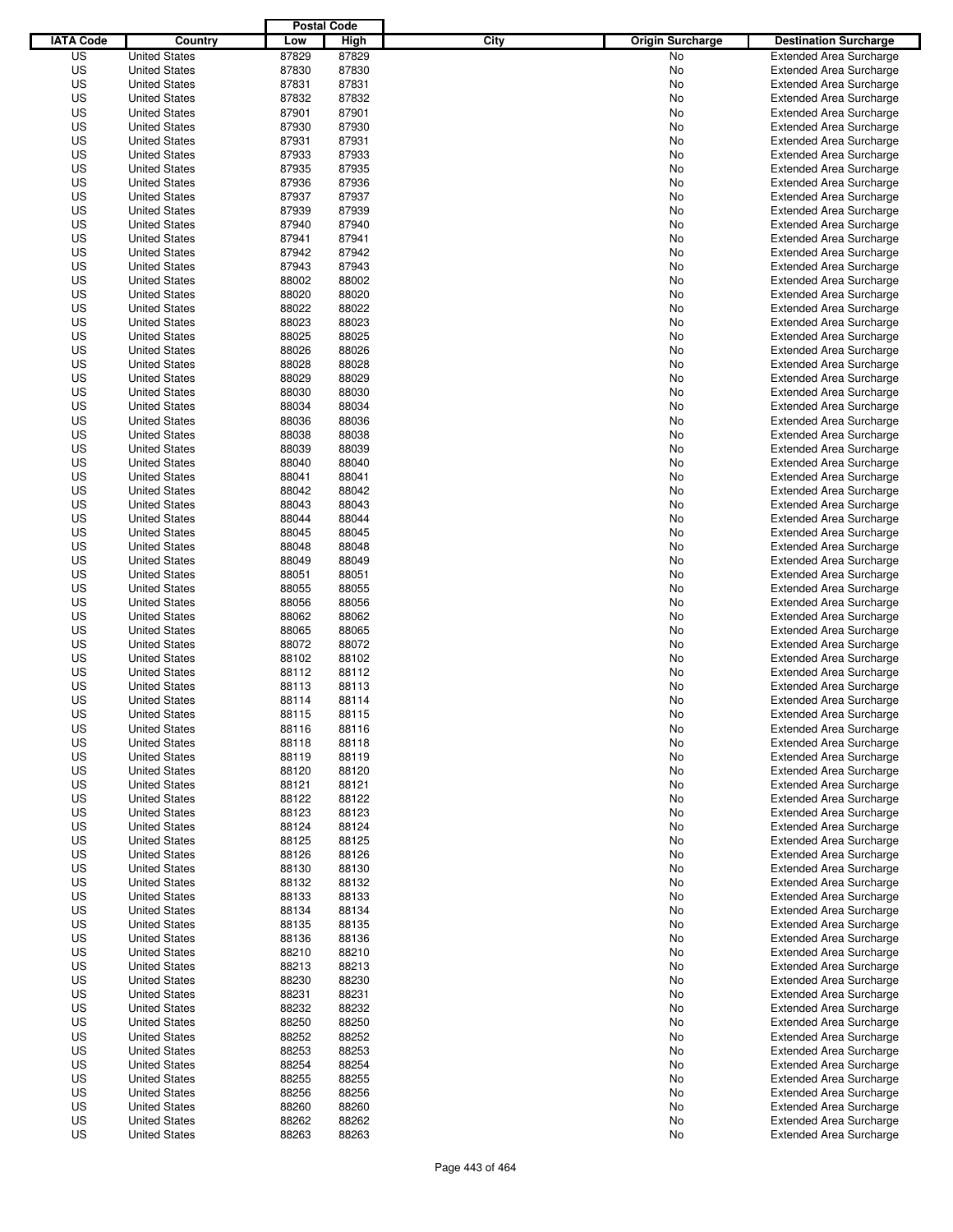|                  |                      | <b>Postal Code</b> |       |                                 |                                |
|------------------|----------------------|--------------------|-------|---------------------------------|--------------------------------|
| <b>IATA Code</b> | Country              | Low                | High  | City<br><b>Origin Surcharge</b> | <b>Destination Surcharge</b>   |
| US               | <b>United States</b> | 87829              | 87829 | <b>No</b>                       | <b>Extended Area Surcharge</b> |
| US               | <b>United States</b> | 87830              | 87830 | No                              | <b>Extended Area Surcharge</b> |
| US               | <b>United States</b> | 87831              | 87831 | No                              | <b>Extended Area Surcharge</b> |
| US               | <b>United States</b> | 87832              | 87832 | No                              | <b>Extended Area Surcharge</b> |
| US               | <b>United States</b> | 87901              | 87901 | No                              | <b>Extended Area Surcharge</b> |
| US               | <b>United States</b> | 87930              | 87930 | No                              | <b>Extended Area Surcharge</b> |
| US               | <b>United States</b> | 87931              | 87931 | No                              | <b>Extended Area Surcharge</b> |
| US               | <b>United States</b> | 87933              | 87933 | No                              | <b>Extended Area Surcharge</b> |
| US               | <b>United States</b> | 87935              | 87935 | No                              | <b>Extended Area Surcharge</b> |
| US               | <b>United States</b> | 87936              | 87936 | No                              | <b>Extended Area Surcharge</b> |
| US               | <b>United States</b> | 87937              | 87937 | No                              | <b>Extended Area Surcharge</b> |
| US               | <b>United States</b> | 87939              | 87939 | No                              | <b>Extended Area Surcharge</b> |
| US               | <b>United States</b> | 87940              | 87940 | No                              | <b>Extended Area Surcharge</b> |
| US               | <b>United States</b> | 87941              | 87941 | No                              | <b>Extended Area Surcharge</b> |
| US               | <b>United States</b> | 87942              | 87942 | No                              | <b>Extended Area Surcharge</b> |
| US               | <b>United States</b> | 87943              | 87943 | No                              | <b>Extended Area Surcharge</b> |
| US               | <b>United States</b> | 88002              | 88002 | No                              | <b>Extended Area Surcharge</b> |
| US               | <b>United States</b> | 88020              | 88020 | No                              | <b>Extended Area Surcharge</b> |
| US               | <b>United States</b> | 88022              | 88022 | No                              | <b>Extended Area Surcharge</b> |
| US               | <b>United States</b> | 88023              | 88023 | No                              | <b>Extended Area Surcharge</b> |
| US               | <b>United States</b> | 88025              | 88025 | No                              | <b>Extended Area Surcharge</b> |
| US               | <b>United States</b> | 88026              | 88026 | No                              | <b>Extended Area Surcharge</b> |
| US               | <b>United States</b> | 88028              | 88028 | No                              | <b>Extended Area Surcharge</b> |
| US               | <b>United States</b> | 88029              | 88029 | No                              | <b>Extended Area Surcharge</b> |
| US               | <b>United States</b> | 88030              | 88030 | No                              | <b>Extended Area Surcharge</b> |
| US               | <b>United States</b> | 88034              | 88034 | No                              | <b>Extended Area Surcharge</b> |
| US               | <b>United States</b> | 88036              | 88036 | No                              | <b>Extended Area Surcharge</b> |
| US               | <b>United States</b> | 88038              | 88038 | No                              | <b>Extended Area Surcharge</b> |
| US               | <b>United States</b> | 88039              | 88039 | No                              | <b>Extended Area Surcharge</b> |
| US               | <b>United States</b> | 88040              | 88040 | No                              | <b>Extended Area Surcharge</b> |
| US               | <b>United States</b> | 88041              | 88041 | No                              | <b>Extended Area Surcharge</b> |
| US               | <b>United States</b> | 88042              | 88042 | No                              | <b>Extended Area Surcharge</b> |
| US               | <b>United States</b> | 88043              | 88043 | No                              | <b>Extended Area Surcharge</b> |
| US               | <b>United States</b> | 88044              | 88044 | No                              | <b>Extended Area Surcharge</b> |
| US               | <b>United States</b> | 88045              | 88045 | No                              | <b>Extended Area Surcharge</b> |
| US               | <b>United States</b> | 88048              | 88048 | No                              | <b>Extended Area Surcharge</b> |
| US               | <b>United States</b> | 88049              | 88049 | No                              | <b>Extended Area Surcharge</b> |
| US               |                      | 88051              | 88051 |                                 |                                |
|                  | <b>United States</b> |                    |       | No                              | <b>Extended Area Surcharge</b> |
| US               | <b>United States</b> | 88055              | 88055 | No                              | <b>Extended Area Surcharge</b> |
| US               | <b>United States</b> | 88056              | 88056 | No                              | <b>Extended Area Surcharge</b> |
| US               | <b>United States</b> | 88062              | 88062 | No                              | <b>Extended Area Surcharge</b> |
| US               | <b>United States</b> | 88065              | 88065 | No                              | <b>Extended Area Surcharge</b> |
| US               | <b>United States</b> | 88072              | 88072 | No                              | <b>Extended Area Surcharge</b> |
| US               | <b>United States</b> | 88102              | 88102 | No                              | <b>Extended Area Surcharge</b> |
| US               | <b>United States</b> | 88112              | 88112 | No                              | <b>Extended Area Surcharge</b> |
| US               | <b>United States</b> | 88113              | 88113 | No                              | <b>Extended Area Surcharge</b> |
| US               | <b>United States</b> | 88114              | 88114 | No                              | <b>Extended Area Surcharge</b> |
| US               | <b>United States</b> | 88115              | 88115 | No                              | <b>Extended Area Surcharge</b> |
| US               | <b>United States</b> | 88116              | 88116 | No                              | <b>Extended Area Surcharge</b> |
| US               | <b>United States</b> | 88118              | 88118 | No                              | <b>Extended Area Surcharge</b> |
| US               | <b>United States</b> | 88119              | 88119 | No                              | <b>Extended Area Surcharge</b> |
| US               | <b>United States</b> | 88120              | 88120 | No                              | <b>Extended Area Surcharge</b> |
| US               | <b>United States</b> | 88121              | 88121 | No                              | <b>Extended Area Surcharge</b> |
| US               | <b>United States</b> | 88122              | 88122 | No                              | <b>Extended Area Surcharge</b> |
| US               | <b>United States</b> | 88123              | 88123 | No                              | <b>Extended Area Surcharge</b> |
| US               | <b>United States</b> | 88124              | 88124 | No                              | <b>Extended Area Surcharge</b> |
| US               | <b>United States</b> | 88125              | 88125 | No                              | <b>Extended Area Surcharge</b> |
| US               | <b>United States</b> | 88126              | 88126 | No                              | <b>Extended Area Surcharge</b> |
| US               | <b>United States</b> | 88130              | 88130 | No                              | <b>Extended Area Surcharge</b> |
| US               | <b>United States</b> | 88132              | 88132 | No                              | <b>Extended Area Surcharge</b> |
| US               | <b>United States</b> | 88133              | 88133 | No                              | <b>Extended Area Surcharge</b> |
| US               | <b>United States</b> | 88134              | 88134 | No                              | <b>Extended Area Surcharge</b> |
| US               | <b>United States</b> | 88135              | 88135 | No                              | <b>Extended Area Surcharge</b> |
| US               | <b>United States</b> | 88136              | 88136 | No                              | <b>Extended Area Surcharge</b> |
| US               | <b>United States</b> | 88210              | 88210 | No                              | <b>Extended Area Surcharge</b> |
| US               | <b>United States</b> | 88213              | 88213 | No                              | <b>Extended Area Surcharge</b> |
| US               | <b>United States</b> | 88230              | 88230 | No                              | <b>Extended Area Surcharge</b> |
| US               | <b>United States</b> | 88231              | 88231 | No                              | <b>Extended Area Surcharge</b> |
| US               | <b>United States</b> | 88232              | 88232 | No                              | <b>Extended Area Surcharge</b> |
| US               | <b>United States</b> | 88250              | 88250 | No                              | <b>Extended Area Surcharge</b> |
| US               | <b>United States</b> | 88252              | 88252 | No                              | <b>Extended Area Surcharge</b> |
| US               | <b>United States</b> | 88253              | 88253 | No                              | <b>Extended Area Surcharge</b> |
| US               | <b>United States</b> | 88254              | 88254 | No                              | <b>Extended Area Surcharge</b> |
| US               | <b>United States</b> | 88255              | 88255 | No                              | <b>Extended Area Surcharge</b> |
| US               | <b>United States</b> | 88256              | 88256 | No                              | <b>Extended Area Surcharge</b> |
| US               | <b>United States</b> | 88260              | 88260 | No                              | <b>Extended Area Surcharge</b> |
| US               | <b>United States</b> | 88262              | 88262 | No                              | <b>Extended Area Surcharge</b> |
| US               | <b>United States</b> | 88263              | 88263 | No                              | <b>Extended Area Surcharge</b> |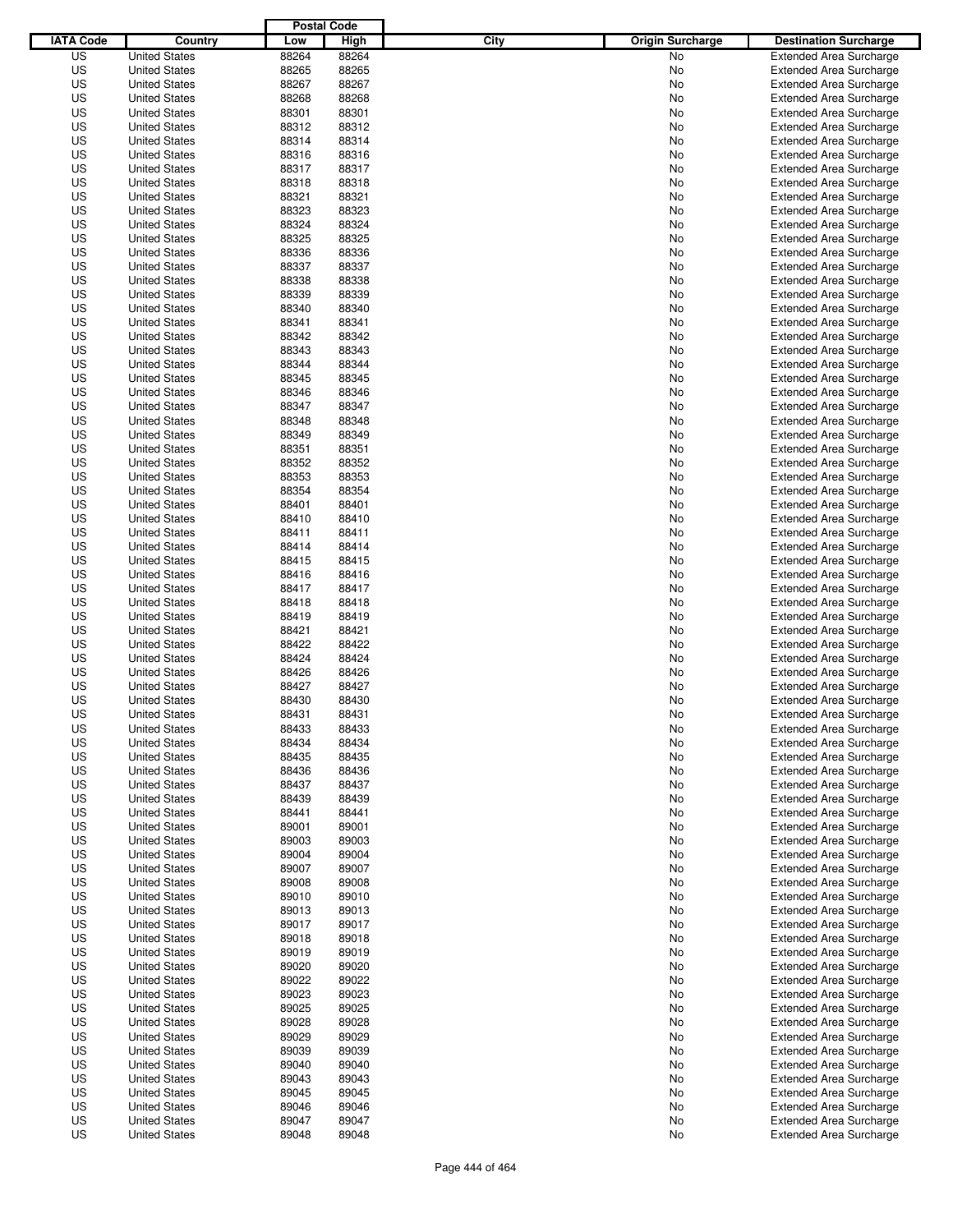|                  |                      | <b>Postal Code</b> |       |                                 |                                |
|------------------|----------------------|--------------------|-------|---------------------------------|--------------------------------|
| <b>IATA Code</b> | Country              | Low                | High  | City<br><b>Origin Surcharge</b> | <b>Destination Surcharge</b>   |
| US               | <b>United States</b> | 88264              | 88264 | <b>No</b>                       | <b>Extended Area Surcharge</b> |
| US               | <b>United States</b> | 88265              | 88265 | No                              | <b>Extended Area Surcharge</b> |
| US               | <b>United States</b> | 88267              | 88267 | No                              | <b>Extended Area Surcharge</b> |
| US               | <b>United States</b> | 88268              | 88268 | No                              | <b>Extended Area Surcharge</b> |
| US               | <b>United States</b> | 88301              | 88301 | No                              | <b>Extended Area Surcharge</b> |
| US               | <b>United States</b> | 88312              | 88312 | No                              | <b>Extended Area Surcharge</b> |
| US               | <b>United States</b> | 88314              | 88314 | No                              | <b>Extended Area Surcharge</b> |
| US               | <b>United States</b> | 88316              | 88316 | No                              | <b>Extended Area Surcharge</b> |
| US               | <b>United States</b> | 88317              | 88317 | No                              | <b>Extended Area Surcharge</b> |
| US               | <b>United States</b> | 88318              | 88318 | No                              | <b>Extended Area Surcharge</b> |
| US               | <b>United States</b> | 88321              | 88321 | No                              | <b>Extended Area Surcharge</b> |
| US               | <b>United States</b> | 88323              | 88323 | No                              | <b>Extended Area Surcharge</b> |
| US               | <b>United States</b> | 88324              | 88324 | No                              | <b>Extended Area Surcharge</b> |
| US               | <b>United States</b> | 88325              | 88325 | No                              | <b>Extended Area Surcharge</b> |
| US               | <b>United States</b> | 88336              | 88336 | No                              | <b>Extended Area Surcharge</b> |
| US               | <b>United States</b> | 88337              | 88337 | No                              | <b>Extended Area Surcharge</b> |
| US               | <b>United States</b> | 88338              | 88338 | No                              | <b>Extended Area Surcharge</b> |
| US               | <b>United States</b> | 88339              | 88339 | No                              | <b>Extended Area Surcharge</b> |
| US               | <b>United States</b> | 88340              | 88340 | No                              | <b>Extended Area Surcharge</b> |
| US               | <b>United States</b> | 88341              | 88341 | No                              | <b>Extended Area Surcharge</b> |
| US               | <b>United States</b> | 88342              | 88342 | No                              | <b>Extended Area Surcharge</b> |
| US               | <b>United States</b> | 88343              | 88343 | No                              | <b>Extended Area Surcharge</b> |
| US               | <b>United States</b> | 88344              | 88344 | No                              | <b>Extended Area Surcharge</b> |
| US               | <b>United States</b> | 88345              | 88345 | No                              | <b>Extended Area Surcharge</b> |
| US               | <b>United States</b> | 88346              | 88346 | No                              | <b>Extended Area Surcharge</b> |
| US               | <b>United States</b> | 88347              | 88347 | No                              | <b>Extended Area Surcharge</b> |
| US               | <b>United States</b> | 88348              | 88348 | No                              | <b>Extended Area Surcharge</b> |
| US               | <b>United States</b> | 88349              | 88349 | No                              | <b>Extended Area Surcharge</b> |
| US               | <b>United States</b> | 88351              | 88351 | No                              | <b>Extended Area Surcharge</b> |
| US               | <b>United States</b> | 88352              | 88352 | No                              | <b>Extended Area Surcharge</b> |
| US               | <b>United States</b> | 88353              | 88353 | No                              | <b>Extended Area Surcharge</b> |
| US               | <b>United States</b> | 88354              | 88354 | No                              | <b>Extended Area Surcharge</b> |
| US               | <b>United States</b> | 88401              | 88401 | No                              | <b>Extended Area Surcharge</b> |
| US               | <b>United States</b> | 88410              | 88410 | No                              | <b>Extended Area Surcharge</b> |
| US               | <b>United States</b> | 88411              | 88411 | No                              | <b>Extended Area Surcharge</b> |
| US               | <b>United States</b> | 88414              | 88414 | No                              | <b>Extended Area Surcharge</b> |
| US               | <b>United States</b> | 88415              | 88415 | No                              | <b>Extended Area Surcharge</b> |
| US               | <b>United States</b> | 88416              | 88416 | No                              | <b>Extended Area Surcharge</b> |
| US               | <b>United States</b> | 88417              | 88417 | No                              | <b>Extended Area Surcharge</b> |
| US               | <b>United States</b> | 88418              | 88418 | No                              | <b>Extended Area Surcharge</b> |
| US               | <b>United States</b> | 88419              | 88419 | No                              | <b>Extended Area Surcharge</b> |
| US               | <b>United States</b> | 88421              | 88421 | No                              | <b>Extended Area Surcharge</b> |
| US               | <b>United States</b> | 88422              | 88422 | No                              | <b>Extended Area Surcharge</b> |
| US               | <b>United States</b> | 88424              | 88424 | No                              | <b>Extended Area Surcharge</b> |
| US               | <b>United States</b> | 88426              | 88426 | No                              | <b>Extended Area Surcharge</b> |
| US               | <b>United States</b> | 88427              | 88427 | No                              | <b>Extended Area Surcharge</b> |
| US               | <b>United States</b> | 88430              | 88430 | No                              | <b>Extended Area Surcharge</b> |
| US               | <b>United States</b> | 88431              | 88431 | No                              | <b>Extended Area Surcharge</b> |
| US               | <b>United States</b> | 88433              | 88433 | No                              | <b>Extended Area Surcharge</b> |
| US               | <b>United States</b> | 88434              | 88434 | No                              | <b>Extended Area Surcharge</b> |
| US               | <b>United States</b> | 88435              | 88435 | No                              | <b>Extended Area Surcharge</b> |
| US               | <b>United States</b> | 88436              | 88436 | No                              | <b>Extended Area Surcharge</b> |
| US               | <b>United States</b> | 88437              | 88437 | No                              | <b>Extended Area Surcharge</b> |
| US               | <b>United States</b> | 88439              | 88439 | No                              | <b>Extended Area Surcharge</b> |
| US               | <b>United States</b> | 88441              | 88441 | No                              | <b>Extended Area Surcharge</b> |
| US               | <b>United States</b> | 89001              | 89001 | No                              | <b>Extended Area Surcharge</b> |
| US               | <b>United States</b> | 89003              | 89003 | No                              | <b>Extended Area Surcharge</b> |
| US               | <b>United States</b> | 89004              | 89004 | No                              | <b>Extended Area Surcharge</b> |
| US               | <b>United States</b> | 89007              | 89007 | No                              | <b>Extended Area Surcharge</b> |
| US               | <b>United States</b> | 89008              | 89008 | No                              | <b>Extended Area Surcharge</b> |
| US               | <b>United States</b> | 89010              | 89010 | No                              | <b>Extended Area Surcharge</b> |
| US               | <b>United States</b> | 89013              | 89013 | No                              | <b>Extended Area Surcharge</b> |
| US               | <b>United States</b> | 89017              | 89017 | No                              | <b>Extended Area Surcharge</b> |
| US               | <b>United States</b> | 89018              | 89018 | No                              | <b>Extended Area Surcharge</b> |
| US               | <b>United States</b> | 89019              | 89019 | No                              | <b>Extended Area Surcharge</b> |
| US               | <b>United States</b> | 89020              | 89020 | No                              | <b>Extended Area Surcharge</b> |
| US               | <b>United States</b> | 89022              | 89022 | No                              | <b>Extended Area Surcharge</b> |
| US               | <b>United States</b> | 89023              | 89023 | No                              | <b>Extended Area Surcharge</b> |
| US               | <b>United States</b> | 89025              | 89025 | No                              | <b>Extended Area Surcharge</b> |
| US               | <b>United States</b> | 89028              | 89028 | No                              | <b>Extended Area Surcharge</b> |
| US               | <b>United States</b> | 89029              | 89029 | No                              | <b>Extended Area Surcharge</b> |
| US               | <b>United States</b> | 89039              | 89039 | No                              | <b>Extended Area Surcharge</b> |
| US               | <b>United States</b> | 89040              | 89040 | No                              | <b>Extended Area Surcharge</b> |
| US               | <b>United States</b> | 89043              | 89043 | No                              | <b>Extended Area Surcharge</b> |
| US               | <b>United States</b> | 89045              | 89045 | No                              | <b>Extended Area Surcharge</b> |
| US               | <b>United States</b> | 89046              | 89046 | No                              | <b>Extended Area Surcharge</b> |
| US               | <b>United States</b> | 89047              | 89047 | No                              | <b>Extended Area Surcharge</b> |
| US               | <b>United States</b> | 89048              | 89048 | No                              | <b>Extended Area Surcharge</b> |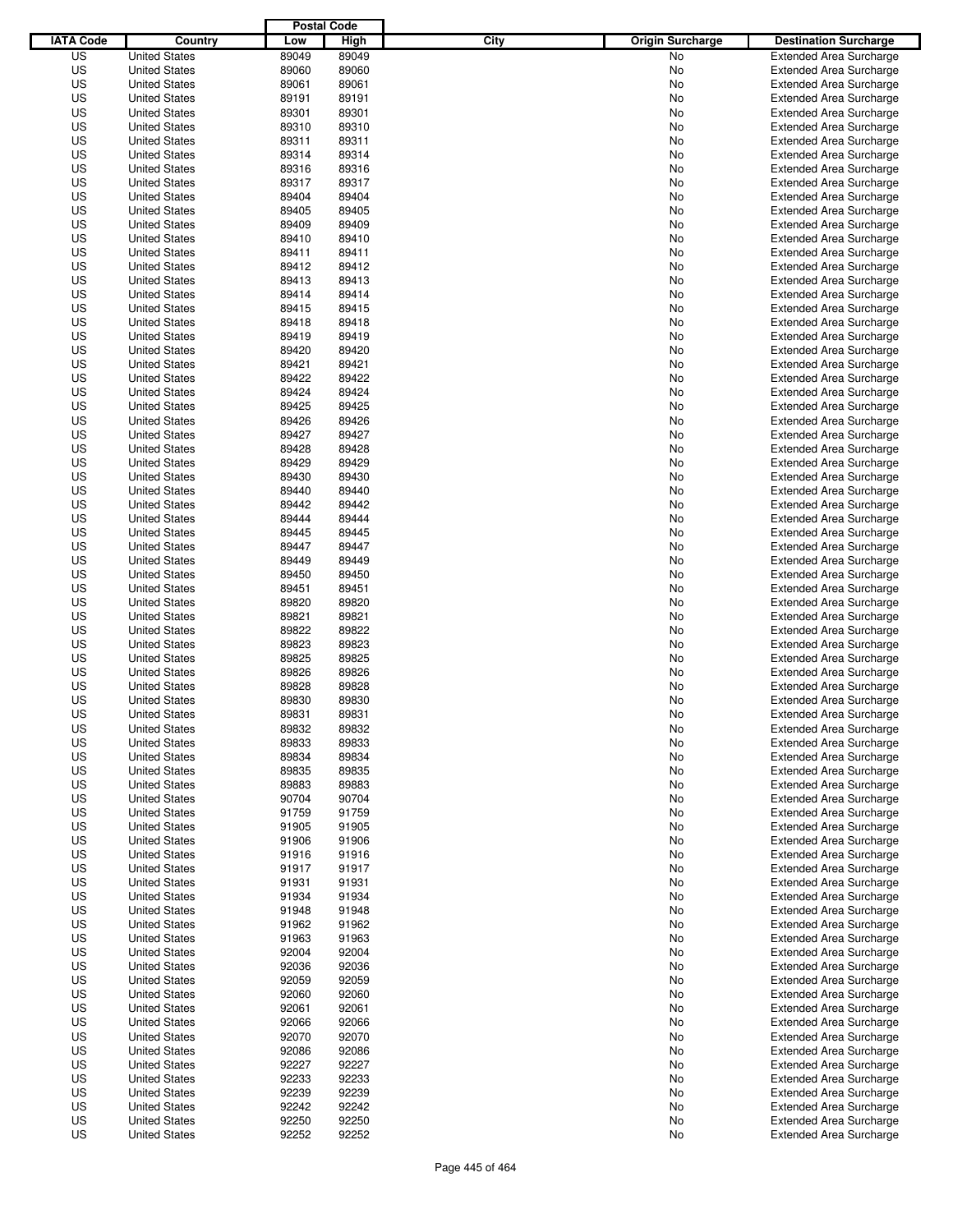|                  |                      | <b>Postal Code</b> |       |                                 |                                |
|------------------|----------------------|--------------------|-------|---------------------------------|--------------------------------|
| <b>IATA Code</b> | Country              | Low                | High  | City<br><b>Origin Surcharge</b> | <b>Destination Surcharge</b>   |
| US               | <b>United States</b> | 89049              | 89049 | <b>No</b>                       | <b>Extended Area Surcharge</b> |
| US               | <b>United States</b> | 89060              | 89060 | No                              | <b>Extended Area Surcharge</b> |
| US               | <b>United States</b> | 89061              | 89061 | No                              | <b>Extended Area Surcharge</b> |
| US               | <b>United States</b> | 89191              | 89191 | No                              | <b>Extended Area Surcharge</b> |
| US               | <b>United States</b> | 89301              | 89301 | No                              | <b>Extended Area Surcharge</b> |
| US               | <b>United States</b> | 89310              | 89310 | No                              | <b>Extended Area Surcharge</b> |
| US               | <b>United States</b> | 89311              | 89311 | No                              | <b>Extended Area Surcharge</b> |
| US               | <b>United States</b> | 89314              | 89314 | No                              | <b>Extended Area Surcharge</b> |
| US               | <b>United States</b> | 89316              | 89316 | No                              | <b>Extended Area Surcharge</b> |
| US               | <b>United States</b> | 89317              | 89317 | No                              | <b>Extended Area Surcharge</b> |
| US               | <b>United States</b> | 89404              | 89404 | No                              | <b>Extended Area Surcharge</b> |
| US               | <b>United States</b> | 89405              | 89405 | No                              | <b>Extended Area Surcharge</b> |
| US               | <b>United States</b> | 89409              | 89409 | No                              | <b>Extended Area Surcharge</b> |
| US               | <b>United States</b> | 89410              | 89410 | No                              | <b>Extended Area Surcharge</b> |
| US               | <b>United States</b> | 89411              | 89411 | No                              | <b>Extended Area Surcharge</b> |
| US               | <b>United States</b> | 89412              | 89412 | No                              | <b>Extended Area Surcharge</b> |
| US               | <b>United States</b> | 89413              | 89413 | No                              | <b>Extended Area Surcharge</b> |
| US               | <b>United States</b> | 89414              | 89414 | No                              | <b>Extended Area Surcharge</b> |
| US               | <b>United States</b> | 89415              | 89415 | No                              | <b>Extended Area Surcharge</b> |
| US               | <b>United States</b> | 89418              | 89418 | No                              | <b>Extended Area Surcharge</b> |
| US               | <b>United States</b> | 89419              | 89419 | No                              | <b>Extended Area Surcharge</b> |
| US               | <b>United States</b> | 89420              | 89420 | No                              | <b>Extended Area Surcharge</b> |
| US               | <b>United States</b> | 89421              | 89421 | No                              | <b>Extended Area Surcharge</b> |
| US               | <b>United States</b> | 89422              | 89422 | No                              | <b>Extended Area Surcharge</b> |
| US               | <b>United States</b> | 89424              | 89424 | No                              | <b>Extended Area Surcharge</b> |
| US               | <b>United States</b> | 89425              | 89425 | No                              | <b>Extended Area Surcharge</b> |
| US               | <b>United States</b> | 89426              | 89426 | No                              | <b>Extended Area Surcharge</b> |
| US               | <b>United States</b> | 89427              | 89427 | No                              | <b>Extended Area Surcharge</b> |
| US               | <b>United States</b> | 89428              | 89428 | No                              | <b>Extended Area Surcharge</b> |
| US               | <b>United States</b> | 89429              | 89429 | No                              | <b>Extended Area Surcharge</b> |
| US               | <b>United States</b> | 89430              | 89430 | No                              | <b>Extended Area Surcharge</b> |
| US               | <b>United States</b> | 89440              | 89440 | No                              | <b>Extended Area Surcharge</b> |
| US               | <b>United States</b> | 89442              | 89442 | No                              | <b>Extended Area Surcharge</b> |
| US               | <b>United States</b> | 89444              | 89444 | No                              | <b>Extended Area Surcharge</b> |
| US               | <b>United States</b> | 89445              | 89445 | No                              | <b>Extended Area Surcharge</b> |
| US               | <b>United States</b> | 89447              | 89447 | No                              | <b>Extended Area Surcharge</b> |
| US               | <b>United States</b> | 89449              | 89449 | No                              | <b>Extended Area Surcharge</b> |
| US               | <b>United States</b> | 89450              | 89450 | No                              | <b>Extended Area Surcharge</b> |
| US               | <b>United States</b> | 89451              | 89451 | No                              | <b>Extended Area Surcharge</b> |
| US               | <b>United States</b> | 89820              | 89820 | No                              | <b>Extended Area Surcharge</b> |
| US               | <b>United States</b> | 89821              | 89821 | No                              | <b>Extended Area Surcharge</b> |
| US               | <b>United States</b> | 89822              | 89822 | No                              | <b>Extended Area Surcharge</b> |
| US               | <b>United States</b> | 89823              | 89823 | No                              | <b>Extended Area Surcharge</b> |
| US               | <b>United States</b> | 89825              | 89825 | No                              | <b>Extended Area Surcharge</b> |
| US               | <b>United States</b> | 89826              | 89826 | No                              | Extended Area Surcharge        |
| US               | <b>United States</b> | 89828              | 89828 | No                              | <b>Extended Area Surcharge</b> |
| US               | <b>United States</b> | 89830              | 89830 | No                              | <b>Extended Area Surcharge</b> |
| US               | <b>United States</b> | 89831              | 89831 | No                              | <b>Extended Area Surcharge</b> |
| US               | <b>United States</b> | 89832              | 89832 | No                              | <b>Extended Area Surcharge</b> |
| US               | <b>United States</b> | 89833              | 89833 | No                              | <b>Extended Area Surcharge</b> |
| US               | <b>United States</b> | 89834              | 89834 | No                              | <b>Extended Area Surcharge</b> |
| US               | <b>United States</b> | 89835              | 89835 | No                              | <b>Extended Area Surcharge</b> |
| US               | <b>United States</b> | 89883              | 89883 | No                              | <b>Extended Area Surcharge</b> |
| US               | <b>United States</b> | 90704              | 90704 | No                              | <b>Extended Area Surcharge</b> |
| US               | <b>United States</b> | 91759              | 91759 | No                              | <b>Extended Area Surcharge</b> |
| US               | <b>United States</b> | 91905              | 91905 | No                              | <b>Extended Area Surcharge</b> |
| US               | <b>United States</b> | 91906              | 91906 | No                              | <b>Extended Area Surcharge</b> |
| US               | <b>United States</b> | 91916              | 91916 | No                              | <b>Extended Area Surcharge</b> |
| US               | <b>United States</b> | 91917              | 91917 | No                              | <b>Extended Area Surcharge</b> |
| US               | <b>United States</b> | 91931              | 91931 | No                              | <b>Extended Area Surcharge</b> |
| US               | <b>United States</b> | 91934              | 91934 | No                              | <b>Extended Area Surcharge</b> |
| US               | <b>United States</b> | 91948              | 91948 | No                              | <b>Extended Area Surcharge</b> |
| US               | <b>United States</b> | 91962              | 91962 | No                              | <b>Extended Area Surcharge</b> |
| US               | <b>United States</b> | 91963              | 91963 | No                              | <b>Extended Area Surcharge</b> |
| US               | <b>United States</b> | 92004              | 92004 | No                              | <b>Extended Area Surcharge</b> |
| US               | <b>United States</b> | 92036              | 92036 | No                              | <b>Extended Area Surcharge</b> |
| US               | <b>United States</b> | 92059              | 92059 | No                              | <b>Extended Area Surcharge</b> |
| US               | <b>United States</b> | 92060              | 92060 | No                              | <b>Extended Area Surcharge</b> |
| US               | <b>United States</b> | 92061              | 92061 | No                              | <b>Extended Area Surcharge</b> |
| US               | <b>United States</b> | 92066              | 92066 | No                              | <b>Extended Area Surcharge</b> |
| US               | <b>United States</b> | 92070              | 92070 | No                              | <b>Extended Area Surcharge</b> |
| US               | <b>United States</b> | 92086              | 92086 | No                              | <b>Extended Area Surcharge</b> |
| US               | <b>United States</b> | 92227              | 92227 | No                              | <b>Extended Area Surcharge</b> |
| US               | <b>United States</b> | 92233              | 92233 | No                              | <b>Extended Area Surcharge</b> |
| US               | <b>United States</b> | 92239              | 92239 | No                              | <b>Extended Area Surcharge</b> |
| US               | <b>United States</b> | 92242              | 92242 | No                              | <b>Extended Area Surcharge</b> |
| US               | <b>United States</b> | 92250              | 92250 | No                              | <b>Extended Area Surcharge</b> |
| US               | <b>United States</b> | 92252              | 92252 | No                              | <b>Extended Area Surcharge</b> |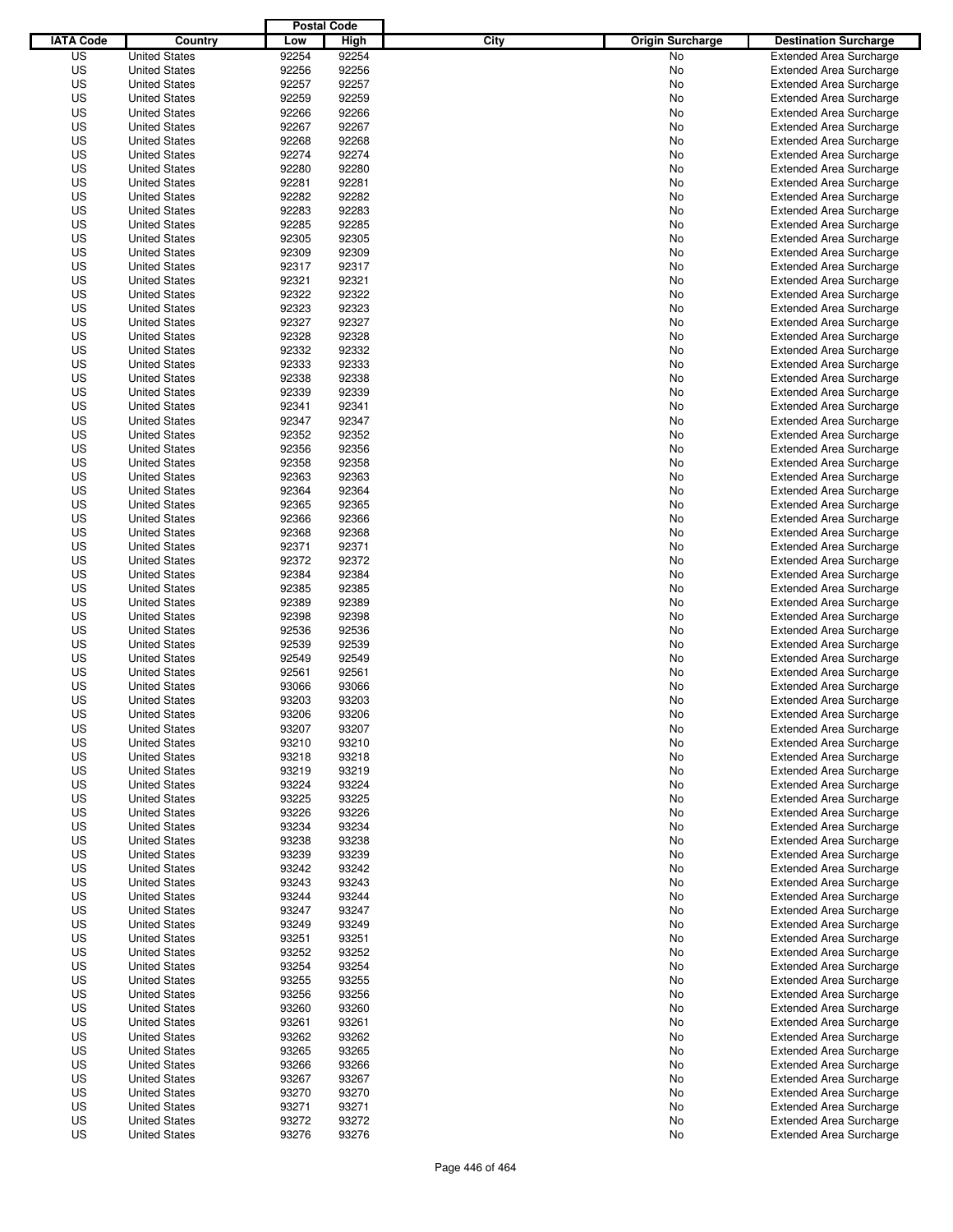|                  |                      | <b>Postal Code</b> |       |                                 |                                |
|------------------|----------------------|--------------------|-------|---------------------------------|--------------------------------|
| <b>IATA Code</b> | Country              | Low                | High  | City<br><b>Origin Surcharge</b> | <b>Destination Surcharge</b>   |
| US               | <b>United States</b> | 92254              | 92254 | No                              | <b>Extended Area Surcharge</b> |
| US               | <b>United States</b> | 92256              | 92256 | No                              | <b>Extended Area Surcharge</b> |
| US               | <b>United States</b> | 92257              | 92257 | No                              | <b>Extended Area Surcharge</b> |
| US               | <b>United States</b> | 92259              | 92259 | No                              | <b>Extended Area Surcharge</b> |
| US               | <b>United States</b> | 92266              | 92266 | No                              | <b>Extended Area Surcharge</b> |
| US               | <b>United States</b> | 92267              | 92267 | No                              | <b>Extended Area Surcharge</b> |
| US               | <b>United States</b> | 92268              | 92268 | No                              | <b>Extended Area Surcharge</b> |
| US               | <b>United States</b> | 92274              | 92274 | No                              | <b>Extended Area Surcharge</b> |
| US               | <b>United States</b> | 92280              | 92280 | No                              | <b>Extended Area Surcharge</b> |
| US               | <b>United States</b> | 92281              | 92281 | No                              | <b>Extended Area Surcharge</b> |
| US               | <b>United States</b> | 92282              | 92282 | No                              | <b>Extended Area Surcharge</b> |
| US               | <b>United States</b> | 92283              | 92283 | No                              | <b>Extended Area Surcharge</b> |
| US               | <b>United States</b> | 92285              | 92285 | No                              | <b>Extended Area Surcharge</b> |
| US               | <b>United States</b> | 92305              | 92305 | No                              | <b>Extended Area Surcharge</b> |
| US               | <b>United States</b> | 92309              | 92309 | No                              | <b>Extended Area Surcharge</b> |
| US               | <b>United States</b> | 92317              | 92317 | No                              | <b>Extended Area Surcharge</b> |
| US               | <b>United States</b> | 92321              | 92321 | No                              | <b>Extended Area Surcharge</b> |
| US               | <b>United States</b> | 92322              | 92322 | No                              | <b>Extended Area Surcharge</b> |
| US               | <b>United States</b> | 92323              | 92323 | No                              | <b>Extended Area Surcharge</b> |
| US               | <b>United States</b> | 92327              | 92327 | No                              | <b>Extended Area Surcharge</b> |
| US               | <b>United States</b> | 92328              | 92328 | No                              | <b>Extended Area Surcharge</b> |
| US               | <b>United States</b> | 92332              | 92332 | No                              | <b>Extended Area Surcharge</b> |
| US               | <b>United States</b> | 92333              | 92333 | No                              | <b>Extended Area Surcharge</b> |
| US               | <b>United States</b> | 92338              | 92338 | No                              | <b>Extended Area Surcharge</b> |
| US               | <b>United States</b> | 92339              | 92339 | No                              | <b>Extended Area Surcharge</b> |
| US               | <b>United States</b> | 92341              | 92341 | No                              | <b>Extended Area Surcharge</b> |
| US               | <b>United States</b> | 92347              | 92347 | No                              | <b>Extended Area Surcharge</b> |
| US               | <b>United States</b> | 92352              | 92352 | No                              | <b>Extended Area Surcharge</b> |
| US               | <b>United States</b> | 92356              | 92356 | No                              | <b>Extended Area Surcharge</b> |
| US               | <b>United States</b> | 92358              | 92358 | No                              | <b>Extended Area Surcharge</b> |
| US               | <b>United States</b> | 92363              | 92363 | No                              | <b>Extended Area Surcharge</b> |
| US               | <b>United States</b> | 92364              | 92364 | No                              | <b>Extended Area Surcharge</b> |
| US               | <b>United States</b> | 92365              | 92365 | No                              | <b>Extended Area Surcharge</b> |
| US               | <b>United States</b> | 92366              | 92366 | No                              | <b>Extended Area Surcharge</b> |
| US               | <b>United States</b> | 92368              | 92368 | No                              | <b>Extended Area Surcharge</b> |
| US               | <b>United States</b> | 92371              | 92371 | No                              | <b>Extended Area Surcharge</b> |
| US               | <b>United States</b> | 92372              | 92372 | No                              | <b>Extended Area Surcharge</b> |
| US               | <b>United States</b> | 92384              | 92384 | No                              | <b>Extended Area Surcharge</b> |
| US               | <b>United States</b> | 92385              | 92385 | No                              | <b>Extended Area Surcharge</b> |
| US               | <b>United States</b> | 92389              | 92389 | No                              | <b>Extended Area Surcharge</b> |
| US               | <b>United States</b> | 92398              | 92398 | No                              | <b>Extended Area Surcharge</b> |
| US               | <b>United States</b> | 92536              | 92536 | No                              | <b>Extended Area Surcharge</b> |
| US               | <b>United States</b> | 92539              | 92539 | No                              | <b>Extended Area Surcharge</b> |
| US               | <b>United States</b> | 92549              | 92549 | No                              | <b>Extended Area Surcharge</b> |
| US               | <b>United States</b> | 92561              | 92561 | No                              | <b>Extended Area Surcharge</b> |
| US               | <b>United States</b> | 93066              | 93066 | No                              | <b>Extended Area Surcharge</b> |
| US               | <b>United States</b> | 93203              | 93203 | No                              | <b>Extended Area Surcharge</b> |
| US               | <b>United States</b> | 93206              | 93206 | No                              | <b>Extended Area Surcharge</b> |
| US               | <b>United States</b> | 93207              | 93207 | No                              | <b>Extended Area Surcharge</b> |
| US               | <b>United States</b> | 93210              | 93210 | No                              | <b>Extended Area Surcharge</b> |
| US               | <b>United States</b> | 93218              | 93218 | No                              | <b>Extended Area Surcharge</b> |
| US               | <b>United States</b> | 93219              | 93219 | No                              | <b>Extended Area Surcharge</b> |
| US               | <b>United States</b> | 93224              | 93224 | No                              | <b>Extended Area Surcharge</b> |
| US               | <b>United States</b> | 93225              | 93225 | No                              | <b>Extended Area Surcharge</b> |
| US               | <b>United States</b> | 93226              | 93226 | No                              | <b>Extended Area Surcharge</b> |
| US               | <b>United States</b> | 93234              | 93234 | No                              | <b>Extended Area Surcharge</b> |
| US               | <b>United States</b> | 93238              | 93238 | No                              | <b>Extended Area Surcharge</b> |
| US               | <b>United States</b> | 93239              | 93239 | No                              | <b>Extended Area Surcharge</b> |
| US               | <b>United States</b> | 93242              | 93242 | No                              | <b>Extended Area Surcharge</b> |
| US               | <b>United States</b> | 93243              | 93243 | No                              | <b>Extended Area Surcharge</b> |
| US               | <b>United States</b> | 93244              | 93244 | No                              | <b>Extended Area Surcharge</b> |
| US               | <b>United States</b> | 93247              | 93247 | No                              | <b>Extended Area Surcharge</b> |
| US               | <b>United States</b> | 93249              | 93249 | No                              | <b>Extended Area Surcharge</b> |
| US               | <b>United States</b> | 93251              | 93251 | No                              | <b>Extended Area Surcharge</b> |
| US               | <b>United States</b> | 93252              | 93252 | No                              | <b>Extended Area Surcharge</b> |
| US               | <b>United States</b> | 93254              | 93254 | No                              | <b>Extended Area Surcharge</b> |
| US               | <b>United States</b> | 93255              | 93255 | No                              | <b>Extended Area Surcharge</b> |
| US               | <b>United States</b> | 93256              | 93256 | No                              | <b>Extended Area Surcharge</b> |
| US               | <b>United States</b> | 93260              | 93260 | No                              | <b>Extended Area Surcharge</b> |
| US               | <b>United States</b> | 93261              | 93261 | No                              | <b>Extended Area Surcharge</b> |
| US               | <b>United States</b> | 93262              | 93262 | No                              | <b>Extended Area Surcharge</b> |
| US               | <b>United States</b> | 93265              | 93265 | No                              | <b>Extended Area Surcharge</b> |
| US               | <b>United States</b> | 93266              | 93266 | No                              | <b>Extended Area Surcharge</b> |
| US               | <b>United States</b> | 93267              | 93267 | No                              | <b>Extended Area Surcharge</b> |
| US               | <b>United States</b> | 93270              | 93270 | No                              | <b>Extended Area Surcharge</b> |
| US               | <b>United States</b> | 93271              | 93271 | No                              | <b>Extended Area Surcharge</b> |
| US               | <b>United States</b> | 93272              | 93272 | No                              | <b>Extended Area Surcharge</b> |
| US               | <b>United States</b> | 93276              | 93276 | No                              | <b>Extended Area Surcharge</b> |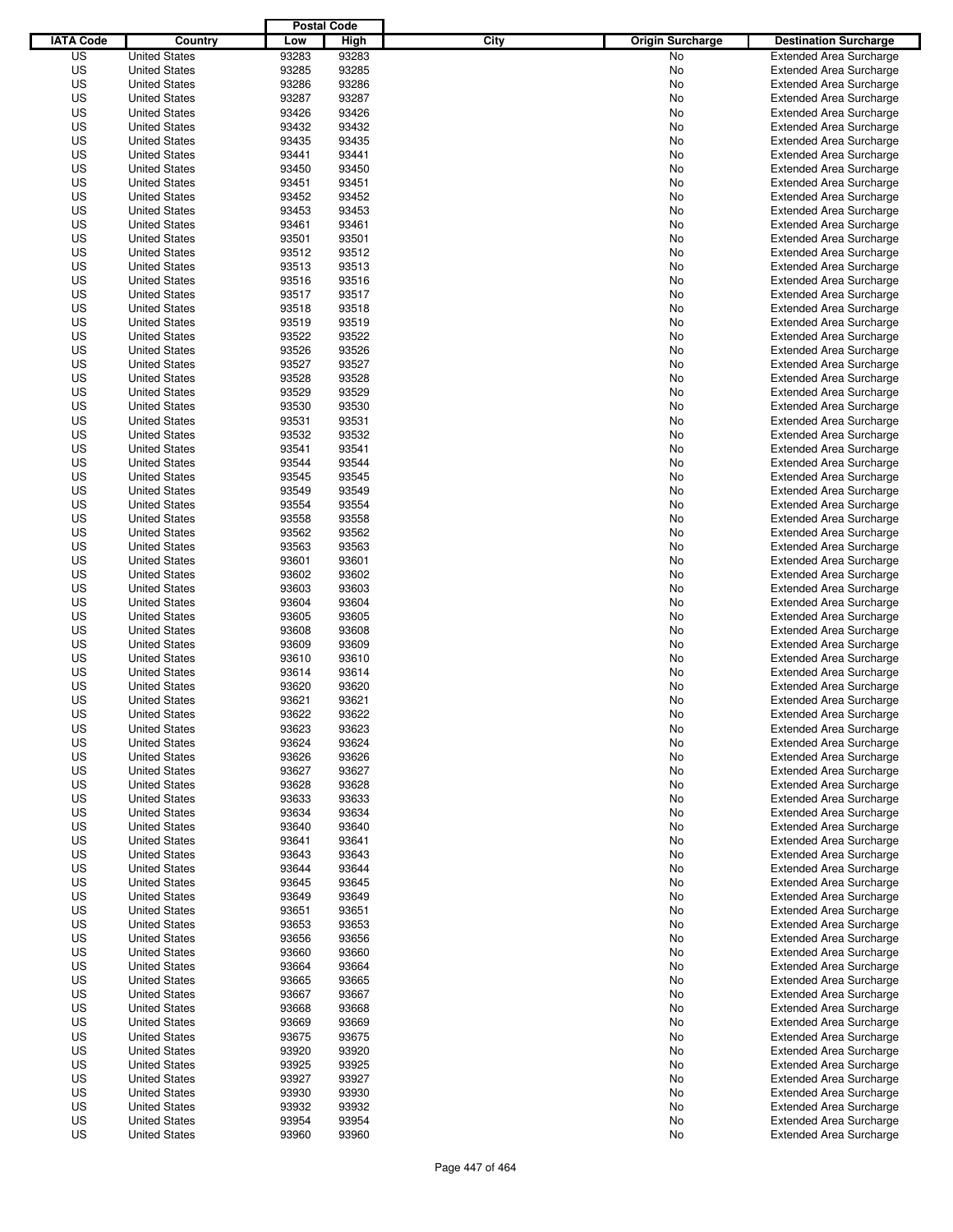|                  |                      | <b>Postal Code</b> |       |                                 |                                |
|------------------|----------------------|--------------------|-------|---------------------------------|--------------------------------|
| <b>IATA Code</b> | Country              | Low                | High  | City<br><b>Origin Surcharge</b> | <b>Destination Surcharge</b>   |
| US               | <b>United States</b> | 93283              | 93283 | <b>No</b>                       | <b>Extended Area Surcharge</b> |
| US               | <b>United States</b> | 93285              | 93285 | No                              | <b>Extended Area Surcharge</b> |
| US               | <b>United States</b> | 93286              | 93286 | No                              | <b>Extended Area Surcharge</b> |
| US               | <b>United States</b> | 93287              | 93287 | No                              | <b>Extended Area Surcharge</b> |
| US               | <b>United States</b> | 93426              | 93426 | No                              | <b>Extended Area Surcharge</b> |
| US               | <b>United States</b> | 93432              | 93432 | No                              | <b>Extended Area Surcharge</b> |
| US               | <b>United States</b> | 93435              | 93435 | No                              | <b>Extended Area Surcharge</b> |
| US               | <b>United States</b> | 93441              | 93441 | No                              | <b>Extended Area Surcharge</b> |
| US               | <b>United States</b> | 93450              | 93450 | No                              | <b>Extended Area Surcharge</b> |
| US               | <b>United States</b> | 93451              | 93451 | No                              | <b>Extended Area Surcharge</b> |
| US               | <b>United States</b> | 93452              | 93452 | No                              | <b>Extended Area Surcharge</b> |
| US               | <b>United States</b> | 93453              | 93453 | No                              | <b>Extended Area Surcharge</b> |
| US               | <b>United States</b> | 93461              | 93461 | No                              | <b>Extended Area Surcharge</b> |
| US               | <b>United States</b> | 93501              | 93501 | No                              | <b>Extended Area Surcharge</b> |
| US               | <b>United States</b> | 93512              | 93512 | No                              | <b>Extended Area Surcharge</b> |
| US               | <b>United States</b> | 93513              | 93513 | No                              | <b>Extended Area Surcharge</b> |
| US               | <b>United States</b> | 93516              | 93516 | No                              | <b>Extended Area Surcharge</b> |
| US               | <b>United States</b> | 93517              | 93517 | No                              | <b>Extended Area Surcharge</b> |
| US               | <b>United States</b> | 93518              | 93518 | No                              | <b>Extended Area Surcharge</b> |
| US               | <b>United States</b> | 93519              | 93519 | No                              | <b>Extended Area Surcharge</b> |
| US               | <b>United States</b> | 93522              | 93522 | No                              | <b>Extended Area Surcharge</b> |
| US               | <b>United States</b> | 93526              | 93526 | No                              | <b>Extended Area Surcharge</b> |
| US               | <b>United States</b> | 93527              | 93527 | No                              | <b>Extended Area Surcharge</b> |
| US               | <b>United States</b> | 93528              | 93528 | No                              | <b>Extended Area Surcharge</b> |
| US               | <b>United States</b> | 93529              | 93529 | No                              | <b>Extended Area Surcharge</b> |
| US               | <b>United States</b> | 93530              | 93530 | No                              | <b>Extended Area Surcharge</b> |
| US               | <b>United States</b> | 93531              | 93531 | No                              | <b>Extended Area Surcharge</b> |
| US               | <b>United States</b> | 93532              | 93532 | No                              | <b>Extended Area Surcharge</b> |
| US               | <b>United States</b> | 93541              | 93541 | No                              | <b>Extended Area Surcharge</b> |
| US               | <b>United States</b> | 93544              | 93544 | No                              | <b>Extended Area Surcharge</b> |
| US               | <b>United States</b> | 93545              | 93545 | No                              | <b>Extended Area Surcharge</b> |
| US               | <b>United States</b> | 93549              | 93549 | No                              | <b>Extended Area Surcharge</b> |
| US               | <b>United States</b> | 93554              | 93554 | No                              | <b>Extended Area Surcharge</b> |
| US               | <b>United States</b> | 93558              | 93558 | No                              | <b>Extended Area Surcharge</b> |
| US               | <b>United States</b> | 93562              | 93562 | No                              | <b>Extended Area Surcharge</b> |
| US               | <b>United States</b> | 93563              | 93563 | No                              | <b>Extended Area Surcharge</b> |
| US               | <b>United States</b> | 93601              | 93601 | No                              | <b>Extended Area Surcharge</b> |
| US               | <b>United States</b> | 93602              | 93602 | No                              | <b>Extended Area Surcharge</b> |
| US               | <b>United States</b> | 93603              | 93603 | No                              | <b>Extended Area Surcharge</b> |
| US               | <b>United States</b> | 93604              | 93604 | No                              | <b>Extended Area Surcharge</b> |
| US               | <b>United States</b> | 93605              | 93605 | No                              | <b>Extended Area Surcharge</b> |
| US               | <b>United States</b> | 93608              | 93608 | No                              | <b>Extended Area Surcharge</b> |
| US               | <b>United States</b> | 93609              | 93609 | No                              | <b>Extended Area Surcharge</b> |
| US               | <b>United States</b> | 93610              | 93610 | No                              | <b>Extended Area Surcharge</b> |
| US               | <b>United States</b> | 93614              | 93614 | No                              | <b>Extended Area Surcharge</b> |
| US               | <b>United States</b> | 93620              | 93620 | No                              | <b>Extended Area Surcharge</b> |
| US               | <b>United States</b> | 93621              | 93621 | No                              | <b>Extended Area Surcharge</b> |
| US               | <b>United States</b> | 93622              | 93622 | No                              | <b>Extended Area Surcharge</b> |
| US               | <b>United States</b> | 93623              | 93623 | No                              | <b>Extended Area Surcharge</b> |
| US               | <b>United States</b> | 93624              | 93624 | No                              | <b>Extended Area Surcharge</b> |
| US               | <b>United States</b> | 93626              | 93626 | No                              | <b>Extended Area Surcharge</b> |
| US               | <b>United States</b> | 93627              | 93627 | No                              | <b>Extended Area Surcharge</b> |
| US               | <b>United States</b> | 93628              | 93628 | No                              | <b>Extended Area Surcharge</b> |
| US               | <b>United States</b> | 93633              | 93633 | No                              | <b>Extended Area Surcharge</b> |
| US               | <b>United States</b> | 93634              | 93634 | No                              | <b>Extended Area Surcharge</b> |
| US               | <b>United States</b> | 93640              | 93640 | No                              | <b>Extended Area Surcharge</b> |
| US               | <b>United States</b> | 93641              | 93641 | No                              | <b>Extended Area Surcharge</b> |
| US               | <b>United States</b> | 93643              | 93643 | No                              | <b>Extended Area Surcharge</b> |
| US               | <b>United States</b> | 93644              | 93644 | No                              | <b>Extended Area Surcharge</b> |
| US               | <b>United States</b> | 93645              | 93645 | No                              | <b>Extended Area Surcharge</b> |
| US               | <b>United States</b> | 93649              | 93649 | No                              | <b>Extended Area Surcharge</b> |
| US               | <b>United States</b> | 93651              | 93651 | No                              | <b>Extended Area Surcharge</b> |
| US               | <b>United States</b> | 93653              | 93653 | No                              | <b>Extended Area Surcharge</b> |
| US               | <b>United States</b> | 93656              | 93656 | No                              | <b>Extended Area Surcharge</b> |
| US               | <b>United States</b> | 93660              | 93660 | No                              | <b>Extended Area Surcharge</b> |
| US               | <b>United States</b> | 93664              | 93664 | No                              | <b>Extended Area Surcharge</b> |
| US               | <b>United States</b> | 93665              | 93665 | No                              | <b>Extended Area Surcharge</b> |
| US               | <b>United States</b> | 93667              | 93667 | No                              | <b>Extended Area Surcharge</b> |
| US               | <b>United States</b> | 93668              | 93668 | No                              | <b>Extended Area Surcharge</b> |
| US               | <b>United States</b> | 93669              | 93669 | No                              | <b>Extended Area Surcharge</b> |
| US               | <b>United States</b> | 93675              | 93675 | No                              | <b>Extended Area Surcharge</b> |
| US               | <b>United States</b> | 93920              | 93920 | No                              | <b>Extended Area Surcharge</b> |
| US               | <b>United States</b> | 93925              | 93925 | No                              | <b>Extended Area Surcharge</b> |
| US               | <b>United States</b> | 93927              | 93927 | No                              | <b>Extended Area Surcharge</b> |
| US               | <b>United States</b> | 93930              | 93930 | No                              | <b>Extended Area Surcharge</b> |
| US               | <b>United States</b> | 93932              | 93932 | No                              | <b>Extended Area Surcharge</b> |
| US               | <b>United States</b> | 93954              | 93954 | No                              | <b>Extended Area Surcharge</b> |
| US               | <b>United States</b> | 93960              | 93960 | No                              | <b>Extended Area Surcharge</b> |
|                  |                      |                    |       |                                 |                                |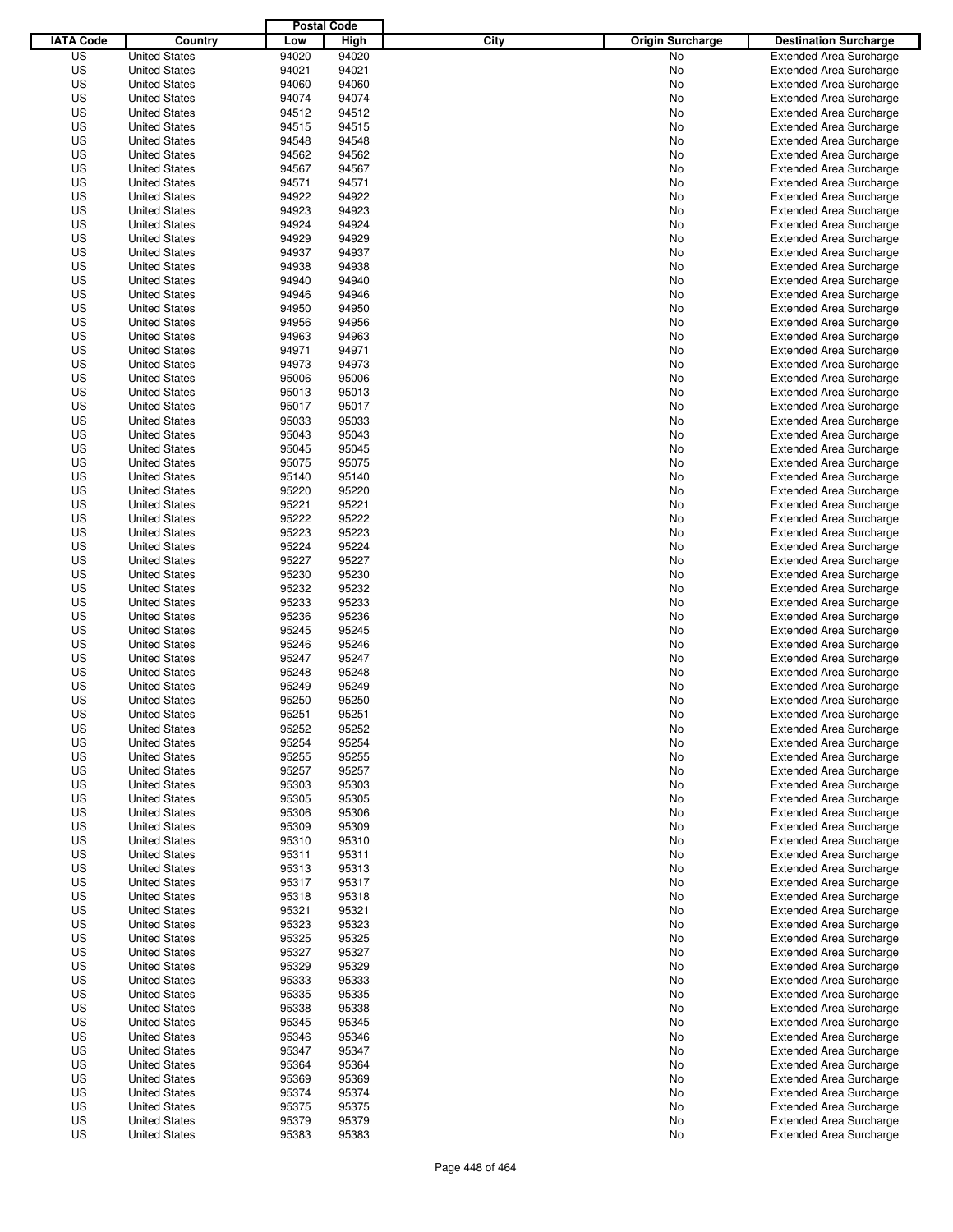|                  |                                              | <b>Postal Code</b> |                |                                 |                                                                  |
|------------------|----------------------------------------------|--------------------|----------------|---------------------------------|------------------------------------------------------------------|
| <b>IATA Code</b> | Country                                      | Low                | High           | City<br><b>Origin Surcharge</b> | <b>Destination Surcharge</b>                                     |
| US               | <b>United States</b>                         | 94020              | 94020          | No                              | <b>Extended Area Surcharge</b>                                   |
| US               | <b>United States</b>                         | 94021              | 94021          | No                              | <b>Extended Area Surcharge</b>                                   |
| US               | <b>United States</b>                         | 94060              | 94060          | No                              | <b>Extended Area Surcharge</b>                                   |
| US               | <b>United States</b>                         | 94074              | 94074          | No                              | <b>Extended Area Surcharge</b>                                   |
| US               | <b>United States</b>                         | 94512              | 94512          | No                              | <b>Extended Area Surcharge</b>                                   |
| US               | <b>United States</b>                         | 94515              | 94515          | No                              | <b>Extended Area Surcharge</b>                                   |
| US               | <b>United States</b>                         | 94548              | 94548          | No                              | <b>Extended Area Surcharge</b>                                   |
| US               | <b>United States</b>                         | 94562              | 94562          | No                              | <b>Extended Area Surcharge</b>                                   |
| US               | <b>United States</b>                         | 94567              | 94567          | No                              | <b>Extended Area Surcharge</b>                                   |
| US               | <b>United States</b>                         | 94571              | 94571          | No                              | <b>Extended Area Surcharge</b>                                   |
| US               | <b>United States</b>                         | 94922              | 94922          | No                              | <b>Extended Area Surcharge</b>                                   |
| US               | <b>United States</b>                         | 94923              | 94923          | No                              | <b>Extended Area Surcharge</b>                                   |
| US               | <b>United States</b>                         | 94924              | 94924          | No                              | <b>Extended Area Surcharge</b>                                   |
| US               | <b>United States</b>                         | 94929              | 94929          | No                              | <b>Extended Area Surcharge</b>                                   |
| US               | <b>United States</b>                         | 94937              | 94937          | No                              | <b>Extended Area Surcharge</b>                                   |
| US               | <b>United States</b>                         | 94938              | 94938          | No                              | <b>Extended Area Surcharge</b>                                   |
| US               | <b>United States</b>                         | 94940              | 94940          | No                              | <b>Extended Area Surcharge</b>                                   |
| US               | <b>United States</b>                         | 94946              | 94946          | No                              | <b>Extended Area Surcharge</b>                                   |
| US               | <b>United States</b>                         | 94950              | 94950          | No                              | <b>Extended Area Surcharge</b>                                   |
| US               | <b>United States</b>                         | 94956              | 94956          | No                              | <b>Extended Area Surcharge</b>                                   |
| US               | <b>United States</b>                         | 94963              | 94963          | No                              | <b>Extended Area Surcharge</b>                                   |
| US               | <b>United States</b>                         | 94971              | 94971          | No                              | <b>Extended Area Surcharge</b>                                   |
| US               | <b>United States</b>                         | 94973              | 94973          | No                              | <b>Extended Area Surcharge</b>                                   |
| US               | <b>United States</b>                         | 95006              | 95006          | No                              | <b>Extended Area Surcharge</b>                                   |
| US               | <b>United States</b>                         | 95013              | 95013          | No                              | <b>Extended Area Surcharge</b>                                   |
| US               | <b>United States</b>                         | 95017              | 95017          | No                              | <b>Extended Area Surcharge</b>                                   |
| US               | <b>United States</b>                         | 95033              | 95033          | No                              | <b>Extended Area Surcharge</b>                                   |
| US               | <b>United States</b>                         | 95043              | 95043          | No                              | <b>Extended Area Surcharge</b>                                   |
| US               | <b>United States</b>                         | 95045              | 95045          | No                              | <b>Extended Area Surcharge</b>                                   |
| US               | <b>United States</b>                         | 95075              | 95075          | No                              | <b>Extended Area Surcharge</b>                                   |
| US               | <b>United States</b>                         | 95140              | 95140          | No                              | <b>Extended Area Surcharge</b>                                   |
| US               | <b>United States</b>                         | 95220              | 95220          | No                              | <b>Extended Area Surcharge</b>                                   |
| US               | <b>United States</b>                         | 95221              | 95221          | No                              | <b>Extended Area Surcharge</b>                                   |
| US               | <b>United States</b>                         | 95222              | 95222          | No                              | <b>Extended Area Surcharge</b>                                   |
| US               | <b>United States</b>                         | 95223              | 95223          | No                              | <b>Extended Area Surcharge</b>                                   |
| US               | <b>United States</b>                         | 95224              | 95224          | No                              | <b>Extended Area Surcharge</b>                                   |
| US               | <b>United States</b>                         | 95227              | 95227          | No                              | <b>Extended Area Surcharge</b>                                   |
| US               | <b>United States</b>                         | 95230              | 95230          | No                              | <b>Extended Area Surcharge</b>                                   |
| US               | <b>United States</b>                         | 95232              | 95232          | No                              | <b>Extended Area Surcharge</b>                                   |
| US               | <b>United States</b>                         | 95233              | 95233          | No                              | <b>Extended Area Surcharge</b>                                   |
| US               | <b>United States</b>                         | 95236              | 95236          | No                              | <b>Extended Area Surcharge</b>                                   |
| US               | <b>United States</b>                         | 95245              | 95245          | No                              | <b>Extended Area Surcharge</b>                                   |
| US               | <b>United States</b>                         | 95246              | 95246          | No                              | <b>Extended Area Surcharge</b>                                   |
| US               | <b>United States</b>                         | 95247              | 95247          | No                              | <b>Extended Area Surcharge</b>                                   |
| US               | <b>United States</b>                         | 95248              | 95248          | No                              | Extended Area Surcharge                                          |
| US               | <b>United States</b>                         | 95249              | 95249          | No                              | <b>Extended Area Surcharge</b>                                   |
| US               | <b>United States</b>                         | 95250              | 95250          | No                              | <b>Extended Area Surcharge</b>                                   |
| US               | <b>United States</b>                         | 95251              | 95251          | No                              | <b>Extended Area Surcharge</b>                                   |
| US               | <b>United States</b>                         | 95252              | 95252          | No                              | <b>Extended Area Surcharge</b>                                   |
| US               | <b>United States</b>                         | 95254              | 95254          | No                              | <b>Extended Area Surcharge</b>                                   |
| US               | <b>United States</b>                         | 95255              | 95255          | No                              | <b>Extended Area Surcharge</b>                                   |
| US               | <b>United States</b>                         | 95257              | 95257          | No                              | <b>Extended Area Surcharge</b>                                   |
| US               | <b>United States</b>                         | 95303              | 95303          | No                              | <b>Extended Area Surcharge</b>                                   |
| US               | <b>United States</b>                         | 95305              | 95305          | No                              | <b>Extended Area Surcharge</b>                                   |
| US               | <b>United States</b>                         | 95306              | 95306          | No                              | <b>Extended Area Surcharge</b>                                   |
| US               | <b>United States</b>                         | 95309              | 95309          | No                              | <b>Extended Area Surcharge</b>                                   |
| US               | <b>United States</b>                         | 95310              | 95310          | No                              | <b>Extended Area Surcharge</b>                                   |
| US               | <b>United States</b>                         | 95311              | 95311          | No                              | <b>Extended Area Surcharge</b>                                   |
| US               | <b>United States</b>                         | 95313              | 95313          | No                              | <b>Extended Area Surcharge</b>                                   |
| US               | <b>United States</b>                         | 95317              | 95317          | No                              | <b>Extended Area Surcharge</b>                                   |
| US               | <b>United States</b>                         | 95318              | 95318          | No                              | <b>Extended Area Surcharge</b>                                   |
| US               | <b>United States</b>                         | 95321              | 95321          | No                              | <b>Extended Area Surcharge</b>                                   |
| US               | <b>United States</b>                         | 95323              | 95323          | No                              | <b>Extended Area Surcharge</b>                                   |
| US               | <b>United States</b>                         | 95325              | 95325          | No                              | <b>Extended Area Surcharge</b>                                   |
| US               | <b>United States</b>                         | 95327              | 95327          | No                              | <b>Extended Area Surcharge</b>                                   |
| US               | <b>United States</b>                         | 95329              | 95329          | No                              | <b>Extended Area Surcharge</b>                                   |
| US               | <b>United States</b>                         | 95333              | 95333          | No                              | <b>Extended Area Surcharge</b>                                   |
| US               | <b>United States</b>                         | 95335              | 95335          | No                              | <b>Extended Area Surcharge</b>                                   |
| US               | <b>United States</b>                         | 95338              | 95338          | No                              | <b>Extended Area Surcharge</b>                                   |
| US               | <b>United States</b>                         | 95345              | 95345          | No                              | <b>Extended Area Surcharge</b>                                   |
| US               | <b>United States</b>                         | 95346              | 95346          | No                              | <b>Extended Area Surcharge</b>                                   |
| US               | <b>United States</b>                         | 95347              | 95347          | No                              | <b>Extended Area Surcharge</b>                                   |
| US               | <b>United States</b>                         | 95364              | 95364          | No                              | <b>Extended Area Surcharge</b>                                   |
| US<br>US         | <b>United States</b>                         | 95369<br>95374     | 95369<br>95374 | No                              | <b>Extended Area Surcharge</b><br><b>Extended Area Surcharge</b> |
| US               | <b>United States</b><br><b>United States</b> | 95375              | 95375          | No<br>No                        |                                                                  |
| US               | <b>United States</b>                         | 95379              | 95379          | No                              | <b>Extended Area Surcharge</b><br><b>Extended Area Surcharge</b> |
| US               | <b>United States</b>                         | 95383              | 95383          | No                              | <b>Extended Area Surcharge</b>                                   |
|                  |                                              |                    |                |                                 |                                                                  |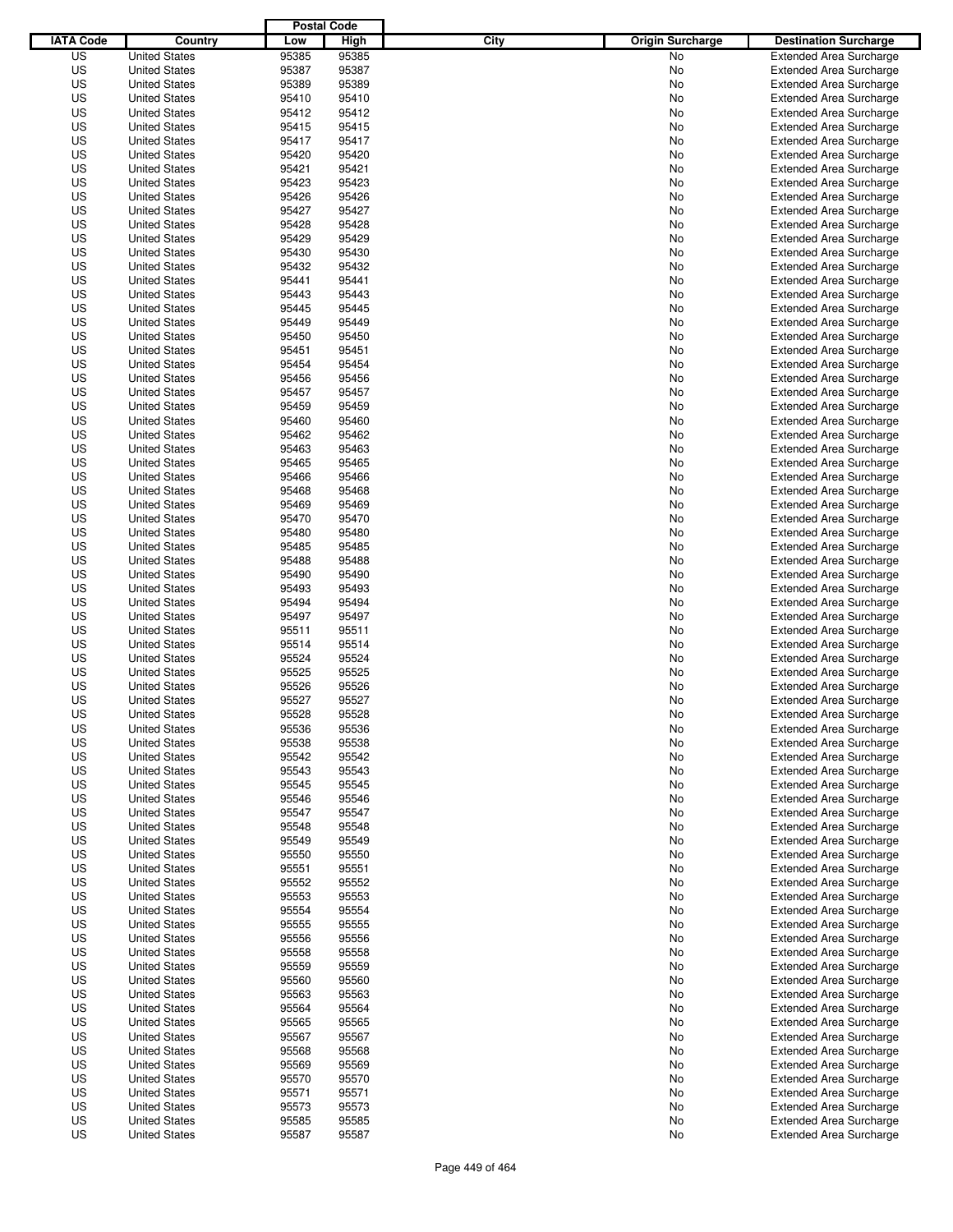|                  |                      | <b>Postal Code</b> |       |                                 |                                |
|------------------|----------------------|--------------------|-------|---------------------------------|--------------------------------|
| <b>IATA Code</b> | Country              | Low                | High  | City<br><b>Origin Surcharge</b> | <b>Destination Surcharge</b>   |
| US               | <b>United States</b> | 95385              | 95385 | No                              | <b>Extended Area Surcharge</b> |
| US               | <b>United States</b> | 95387              | 95387 | No                              | <b>Extended Area Surcharge</b> |
| US               | <b>United States</b> | 95389              | 95389 | No                              | <b>Extended Area Surcharge</b> |
| US               | <b>United States</b> | 95410              | 95410 | No                              | <b>Extended Area Surcharge</b> |
| US               | <b>United States</b> | 95412              | 95412 | No                              | <b>Extended Area Surcharge</b> |
| US               | <b>United States</b> | 95415              | 95415 | No                              | <b>Extended Area Surcharge</b> |
| US               | <b>United States</b> | 95417              | 95417 | No                              | <b>Extended Area Surcharge</b> |
| US               | <b>United States</b> | 95420              | 95420 | No                              | <b>Extended Area Surcharge</b> |
| US               | <b>United States</b> | 95421              | 95421 | No                              | <b>Extended Area Surcharge</b> |
| US               | <b>United States</b> | 95423              | 95423 | No                              | <b>Extended Area Surcharge</b> |
| US               | <b>United States</b> | 95426              | 95426 | No                              | <b>Extended Area Surcharge</b> |
| US               | <b>United States</b> | 95427              | 95427 | No                              | <b>Extended Area Surcharge</b> |
| US               | <b>United States</b> | 95428              | 95428 | No                              | <b>Extended Area Surcharge</b> |
| US               | <b>United States</b> | 95429              | 95429 | No                              | <b>Extended Area Surcharge</b> |
| US               | <b>United States</b> | 95430              | 95430 | No                              | <b>Extended Area Surcharge</b> |
| US               | <b>United States</b> | 95432              | 95432 | No                              | <b>Extended Area Surcharge</b> |
| US               | <b>United States</b> | 95441              | 95441 | No                              | <b>Extended Area Surcharge</b> |
| US               | <b>United States</b> | 95443              | 95443 | No                              | <b>Extended Area Surcharge</b> |
| US               | <b>United States</b> | 95445              | 95445 | No                              | <b>Extended Area Surcharge</b> |
| US               | <b>United States</b> | 95449              | 95449 | No                              | <b>Extended Area Surcharge</b> |
| US               | <b>United States</b> | 95450              | 95450 | No                              | <b>Extended Area Surcharge</b> |
| US               | <b>United States</b> | 95451              | 95451 | No                              | <b>Extended Area Surcharge</b> |
| US               | <b>United States</b> | 95454              | 95454 | No                              | <b>Extended Area Surcharge</b> |
| US               | <b>United States</b> | 95456              | 95456 | No                              | <b>Extended Area Surcharge</b> |
| US               | <b>United States</b> | 95457              | 95457 | No                              | <b>Extended Area Surcharge</b> |
| US               | <b>United States</b> | 95459              | 95459 | No                              | <b>Extended Area Surcharge</b> |
| US               | <b>United States</b> | 95460              | 95460 | No                              | <b>Extended Area Surcharge</b> |
| US               | <b>United States</b> | 95462              | 95462 | No                              | <b>Extended Area Surcharge</b> |
| US               | <b>United States</b> | 95463              | 95463 | No                              | <b>Extended Area Surcharge</b> |
| US               | <b>United States</b> | 95465              | 95465 | No                              | <b>Extended Area Surcharge</b> |
| US               | <b>United States</b> | 95466              | 95466 | No                              | <b>Extended Area Surcharge</b> |
| US               | <b>United States</b> | 95468              | 95468 |                                 |                                |
| US               | <b>United States</b> | 95469              | 95469 | No                              | <b>Extended Area Surcharge</b> |
|                  |                      |                    |       | No                              | <b>Extended Area Surcharge</b> |
| US               | <b>United States</b> | 95470              | 95470 | No                              | <b>Extended Area Surcharge</b> |
| US               | <b>United States</b> | 95480              | 95480 | No                              | <b>Extended Area Surcharge</b> |
| US               | <b>United States</b> | 95485              | 95485 | No                              | <b>Extended Area Surcharge</b> |
| US               | <b>United States</b> | 95488              | 95488 | No                              | <b>Extended Area Surcharge</b> |
| US               | <b>United States</b> | 95490              | 95490 | No                              | <b>Extended Area Surcharge</b> |
| US               | <b>United States</b> | 95493              | 95493 | No                              | <b>Extended Area Surcharge</b> |
| US               | <b>United States</b> | 95494              | 95494 | No                              | <b>Extended Area Surcharge</b> |
| US               | <b>United States</b> | 95497              | 95497 | No                              | <b>Extended Area Surcharge</b> |
| US               | <b>United States</b> | 95511              | 95511 | No                              | <b>Extended Area Surcharge</b> |
| US               | <b>United States</b> | 95514              | 95514 | No                              | <b>Extended Area Surcharge</b> |
| US               | <b>United States</b> | 95524              | 95524 | No                              | <b>Extended Area Surcharge</b> |
| US               | <b>United States</b> | 95525              | 95525 | No                              | <b>Extended Area Surcharge</b> |
| US               | <b>United States</b> | 95526              | 95526 | No                              | <b>Extended Area Surcharge</b> |
| US               | <b>United States</b> | 95527              | 95527 | No                              | <b>Extended Area Surcharge</b> |
| US               | <b>United States</b> | 95528              | 95528 | No                              | <b>Extended Area Surcharge</b> |
| US               | <b>United States</b> | 95536              | 95536 | No                              | <b>Extended Area Surcharge</b> |
| US               | <b>United States</b> | 95538              | 95538 | No                              | <b>Extended Area Surcharge</b> |
| US               | <b>United States</b> | 95542              | 95542 | No                              | <b>Extended Area Surcharge</b> |
| US               | <b>United States</b> | 95543              | 95543 | No                              | <b>Extended Area Surcharge</b> |
| US               | <b>United States</b> | 95545              | 95545 | No                              | <b>Extended Area Surcharge</b> |
| US               | <b>United States</b> | 95546              | 95546 | No                              | <b>Extended Area Surcharge</b> |
| US               | <b>United States</b> | 95547              | 95547 | No                              | <b>Extended Area Surcharge</b> |
| US               | <b>United States</b> | 95548              | 95548 | No                              | <b>Extended Area Surcharge</b> |
| US               | <b>United States</b> | 95549              | 95549 | No                              | <b>Extended Area Surcharge</b> |
| US               | <b>United States</b> | 95550              | 95550 | No                              | <b>Extended Area Surcharge</b> |
| US               | <b>United States</b> | 95551              | 95551 | No                              | <b>Extended Area Surcharge</b> |
| US               | <b>United States</b> | 95552              | 95552 | No                              | <b>Extended Area Surcharge</b> |
| US               | <b>United States</b> | 95553              | 95553 | No                              | <b>Extended Area Surcharge</b> |
| US               | <b>United States</b> | 95554              | 95554 | No                              | <b>Extended Area Surcharge</b> |
| US               | <b>United States</b> | 95555              | 95555 | No                              | <b>Extended Area Surcharge</b> |
| US               | <b>United States</b> | 95556              | 95556 | No                              | <b>Extended Area Surcharge</b> |
| US               | <b>United States</b> | 95558              | 95558 | No                              | <b>Extended Area Surcharge</b> |
| US               | <b>United States</b> | 95559              | 95559 | No                              | <b>Extended Area Surcharge</b> |
| US               | <b>United States</b> | 95560              | 95560 | No                              | <b>Extended Area Surcharge</b> |
| US               | <b>United States</b> | 95563              | 95563 | No                              | <b>Extended Area Surcharge</b> |
| US               | <b>United States</b> | 95564              | 95564 | No                              | <b>Extended Area Surcharge</b> |
| US               | <b>United States</b> | 95565              | 95565 | No                              | <b>Extended Area Surcharge</b> |
| US               | <b>United States</b> | 95567              | 95567 | No                              | <b>Extended Area Surcharge</b> |
| US               | <b>United States</b> | 95568              | 95568 | No                              | <b>Extended Area Surcharge</b> |
| US               | <b>United States</b> | 95569              | 95569 | No                              | <b>Extended Area Surcharge</b> |
| US               | <b>United States</b> | 95570              | 95570 | No                              | <b>Extended Area Surcharge</b> |
| US               | <b>United States</b> | 95571              | 95571 | No                              | <b>Extended Area Surcharge</b> |
| US               | <b>United States</b> | 95573              | 95573 | No                              | <b>Extended Area Surcharge</b> |
| US               | <b>United States</b> | 95585              | 95585 | No                              | <b>Extended Area Surcharge</b> |
| US               | <b>United States</b> | 95587              | 95587 | No                              | <b>Extended Area Surcharge</b> |
|                  |                      |                    |       |                                 |                                |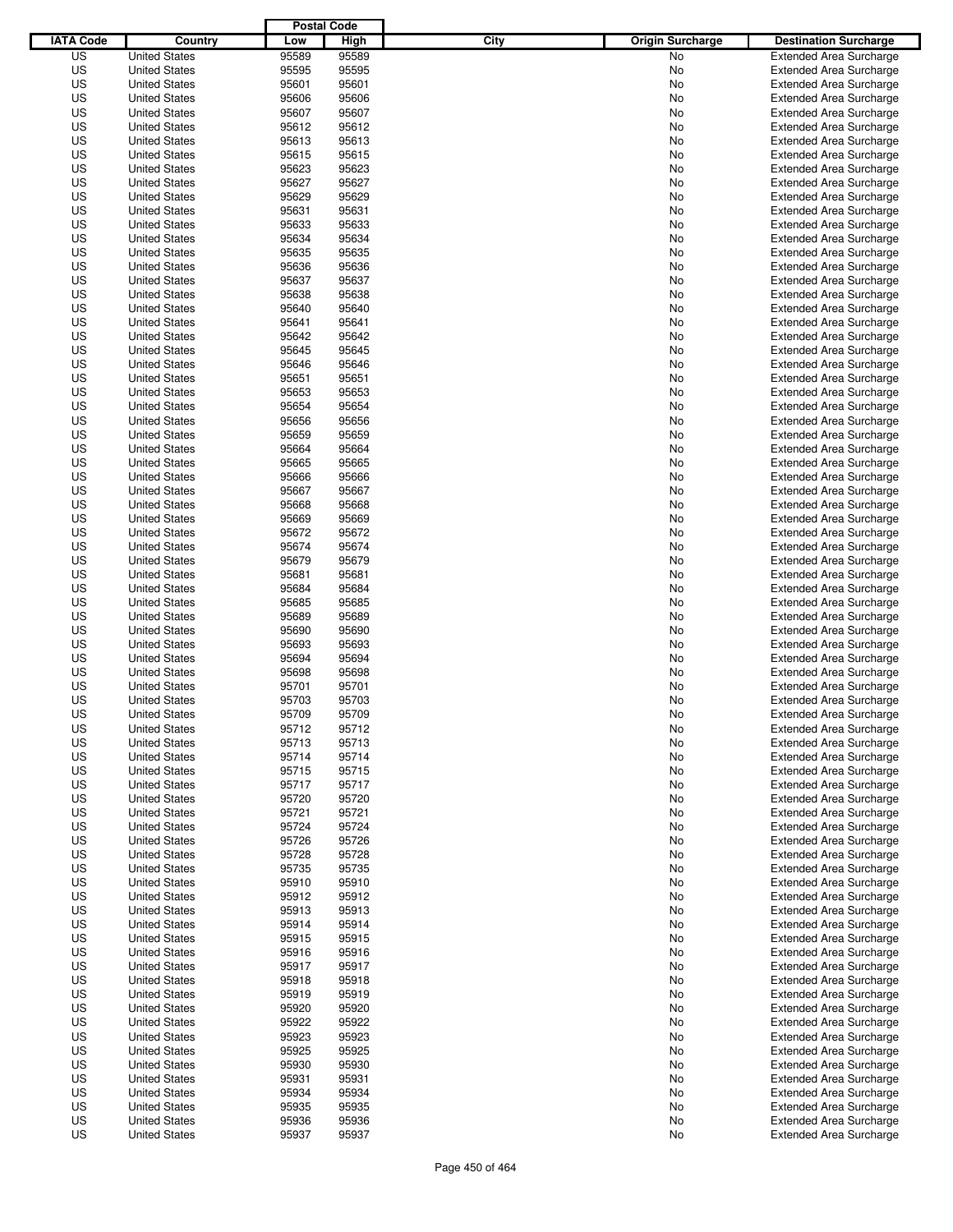|                  |                                              | <b>Postal Code</b> |                |                                 |                                                                  |
|------------------|----------------------------------------------|--------------------|----------------|---------------------------------|------------------------------------------------------------------|
| <b>IATA Code</b> | Country                                      | Low                | High           | City<br><b>Origin Surcharge</b> | <b>Destination Surcharge</b>                                     |
| US               | <b>United States</b>                         | 95589              | 95589          | <b>No</b>                       | <b>Extended Area Surcharge</b>                                   |
| US               | <b>United States</b>                         | 95595              | 95595          | No                              | <b>Extended Area Surcharge</b>                                   |
| US               | <b>United States</b>                         | 95601              | 95601          | No                              | <b>Extended Area Surcharge</b>                                   |
| US               | <b>United States</b>                         | 95606              | 95606          | No                              | <b>Extended Area Surcharge</b>                                   |
| US               | <b>United States</b>                         | 95607              | 95607          | No                              | <b>Extended Area Surcharge</b>                                   |
| US               | <b>United States</b>                         | 95612              | 95612          | No                              | <b>Extended Area Surcharge</b>                                   |
| US               | <b>United States</b>                         | 95613              | 95613          | No                              | <b>Extended Area Surcharge</b>                                   |
| US               | <b>United States</b>                         | 95615              | 95615          | No                              | <b>Extended Area Surcharge</b>                                   |
| US               | <b>United States</b>                         | 95623              | 95623          | No                              | <b>Extended Area Surcharge</b>                                   |
| US               | <b>United States</b>                         | 95627              | 95627          | No                              | <b>Extended Area Surcharge</b>                                   |
| US               | <b>United States</b>                         | 95629              | 95629          | No                              | <b>Extended Area Surcharge</b>                                   |
| US               | <b>United States</b>                         | 95631              | 95631          | No                              | <b>Extended Area Surcharge</b>                                   |
| US               | <b>United States</b>                         | 95633              | 95633          | No                              | <b>Extended Area Surcharge</b>                                   |
| US               | <b>United States</b>                         | 95634              | 95634          | No                              | <b>Extended Area Surcharge</b>                                   |
| US               | <b>United States</b>                         | 95635              | 95635          | No                              | <b>Extended Area Surcharge</b>                                   |
| US               | <b>United States</b>                         | 95636              | 95636          | No                              | <b>Extended Area Surcharge</b>                                   |
| US               | <b>United States</b>                         | 95637              | 95637          | No                              | <b>Extended Area Surcharge</b>                                   |
| US               | <b>United States</b>                         | 95638              | 95638          | No                              | <b>Extended Area Surcharge</b>                                   |
| US               | <b>United States</b>                         | 95640              | 95640          | No                              | <b>Extended Area Surcharge</b>                                   |
| US               | <b>United States</b>                         | 95641              | 95641          | No                              | <b>Extended Area Surcharge</b>                                   |
| US               | <b>United States</b>                         | 95642              | 95642          | No                              | <b>Extended Area Surcharge</b>                                   |
| US               | <b>United States</b>                         | 95645              | 95645          | No                              | <b>Extended Area Surcharge</b>                                   |
| US               | <b>United States</b>                         | 95646              | 95646          | No                              | <b>Extended Area Surcharge</b>                                   |
| US               | <b>United States</b>                         | 95651              | 95651          | No                              | <b>Extended Area Surcharge</b>                                   |
| US               | <b>United States</b>                         | 95653              | 95653          | No                              | <b>Extended Area Surcharge</b>                                   |
| US               | <b>United States</b>                         | 95654              | 95654          | No                              | <b>Extended Area Surcharge</b>                                   |
| US               | <b>United States</b>                         | 95656              | 95656          | No                              | <b>Extended Area Surcharge</b>                                   |
| US               | <b>United States</b>                         | 95659              | 95659          | No                              | <b>Extended Area Surcharge</b>                                   |
| US               | <b>United States</b>                         | 95664              | 95664          | No                              | <b>Extended Area Surcharge</b>                                   |
| US               | <b>United States</b>                         | 95665              | 95665          | No                              | <b>Extended Area Surcharge</b>                                   |
| US               | <b>United States</b>                         | 95666              | 95666          | No                              | <b>Extended Area Surcharge</b>                                   |
| US               | <b>United States</b>                         | 95667              | 95667          | No                              | <b>Extended Area Surcharge</b>                                   |
| US               | <b>United States</b>                         | 95668              | 95668          | No                              | <b>Extended Area Surcharge</b>                                   |
| US               | <b>United States</b>                         | 95669              | 95669          | No                              | <b>Extended Area Surcharge</b>                                   |
| US               | <b>United States</b>                         | 95672              | 95672          | No                              | <b>Extended Area Surcharge</b>                                   |
| US               | <b>United States</b>                         | 95674              | 95674          | No                              | <b>Extended Area Surcharge</b>                                   |
| US               | <b>United States</b>                         | 95679              | 95679          | No                              | <b>Extended Area Surcharge</b>                                   |
| US               | <b>United States</b>                         | 95681              | 95681          | No                              | <b>Extended Area Surcharge</b>                                   |
| US               | <b>United States</b>                         | 95684              | 95684          | No                              | <b>Extended Area Surcharge</b>                                   |
| US               | <b>United States</b>                         | 95685              | 95685          | No                              | <b>Extended Area Surcharge</b>                                   |
| US               | <b>United States</b>                         | 95689              | 95689          | No                              | <b>Extended Area Surcharge</b>                                   |
| US               | <b>United States</b>                         | 95690              | 95690          | No                              | <b>Extended Area Surcharge</b>                                   |
| US               | <b>United States</b>                         | 95693              | 95693          | No                              | <b>Extended Area Surcharge</b>                                   |
| US               | <b>United States</b>                         | 95694              | 95694          | No                              | <b>Extended Area Surcharge</b>                                   |
| US               | <b>United States</b>                         | 95698              | 95698          | No                              | <b>Extended Area Surcharge</b>                                   |
| US               | <b>United States</b>                         | 95701              | 95701          | No                              | <b>Extended Area Surcharge</b>                                   |
| US               | <b>United States</b>                         | 95703              | 95703          | No                              | <b>Extended Area Surcharge</b><br><b>Extended Area Surcharge</b> |
| US               | <b>United States</b>                         | 95709              | 95709          | No                              |                                                                  |
| US               | <b>United States</b>                         | 95712              | 95712          | No                              | <b>Extended Area Surcharge</b>                                   |
| US               | <b>United States</b>                         | 95713              | 95713          | No                              | <b>Extended Area Surcharge</b>                                   |
| US<br>US         | <b>United States</b><br><b>United States</b> | 95714<br>95715     | 95714<br>95715 | No<br>No                        | <b>Extended Area Surcharge</b><br><b>Extended Area Surcharge</b> |
| US               |                                              | 95717              | 95717          |                                 |                                                                  |
| US               | <b>United States</b><br><b>United States</b> | 95720              | 95720          | No<br>No                        | <b>Extended Area Surcharge</b><br><b>Extended Area Surcharge</b> |
| US               | <b>United States</b>                         | 95721              | 95721          | No                              | <b>Extended Area Surcharge</b>                                   |
| US               | <b>United States</b>                         | 95724              | 95724          | No                              | <b>Extended Area Surcharge</b>                                   |
| US               | <b>United States</b>                         | 95726              | 95726          | No                              | <b>Extended Area Surcharge</b>                                   |
| US               | <b>United States</b>                         | 95728              | 95728          | No                              | <b>Extended Area Surcharge</b>                                   |
| US               | <b>United States</b>                         | 95735              | 95735          | No                              | <b>Extended Area Surcharge</b>                                   |
| US               | <b>United States</b>                         | 95910              | 95910          | No                              | <b>Extended Area Surcharge</b>                                   |
| US               | <b>United States</b>                         | 95912              | 95912          | No                              | <b>Extended Area Surcharge</b>                                   |
| US               | <b>United States</b>                         | 95913              | 95913          | No                              | <b>Extended Area Surcharge</b>                                   |
| US               | <b>United States</b>                         | 95914              | 95914          | No                              | <b>Extended Area Surcharge</b>                                   |
| US               | <b>United States</b>                         | 95915              | 95915          | No                              | <b>Extended Area Surcharge</b>                                   |
| US               | <b>United States</b>                         | 95916              | 95916          | No                              | <b>Extended Area Surcharge</b>                                   |
| US               | <b>United States</b>                         | 95917              | 95917          | No                              | <b>Extended Area Surcharge</b>                                   |
| US               | <b>United States</b>                         | 95918              | 95918          | No                              | <b>Extended Area Surcharge</b>                                   |
| US               | <b>United States</b>                         | 95919              | 95919          | No                              | <b>Extended Area Surcharge</b>                                   |
| US               | <b>United States</b>                         | 95920              | 95920          | No                              | <b>Extended Area Surcharge</b>                                   |
| US               | <b>United States</b>                         | 95922              | 95922          | No                              | <b>Extended Area Surcharge</b>                                   |
| US               | <b>United States</b>                         | 95923              | 95923          | No                              | <b>Extended Area Surcharge</b>                                   |
| US               | <b>United States</b>                         | 95925              | 95925          | No                              | <b>Extended Area Surcharge</b>                                   |
| US               | <b>United States</b>                         | 95930              | 95930          | No                              | <b>Extended Area Surcharge</b>                                   |
| US               | <b>United States</b>                         | 95931              | 95931          | No                              | <b>Extended Area Surcharge</b>                                   |
| US               | <b>United States</b>                         | 95934              | 95934          | No                              | <b>Extended Area Surcharge</b>                                   |
| US               | <b>United States</b>                         | 95935              | 95935          | No                              | <b>Extended Area Surcharge</b>                                   |
| US               | <b>United States</b>                         | 95936              | 95936          | No                              | <b>Extended Area Surcharge</b>                                   |
| US               | <b>United States</b>                         | 95937              | 95937          | No                              | <b>Extended Area Surcharge</b>                                   |
|                  |                                              |                    |                |                                 |                                                                  |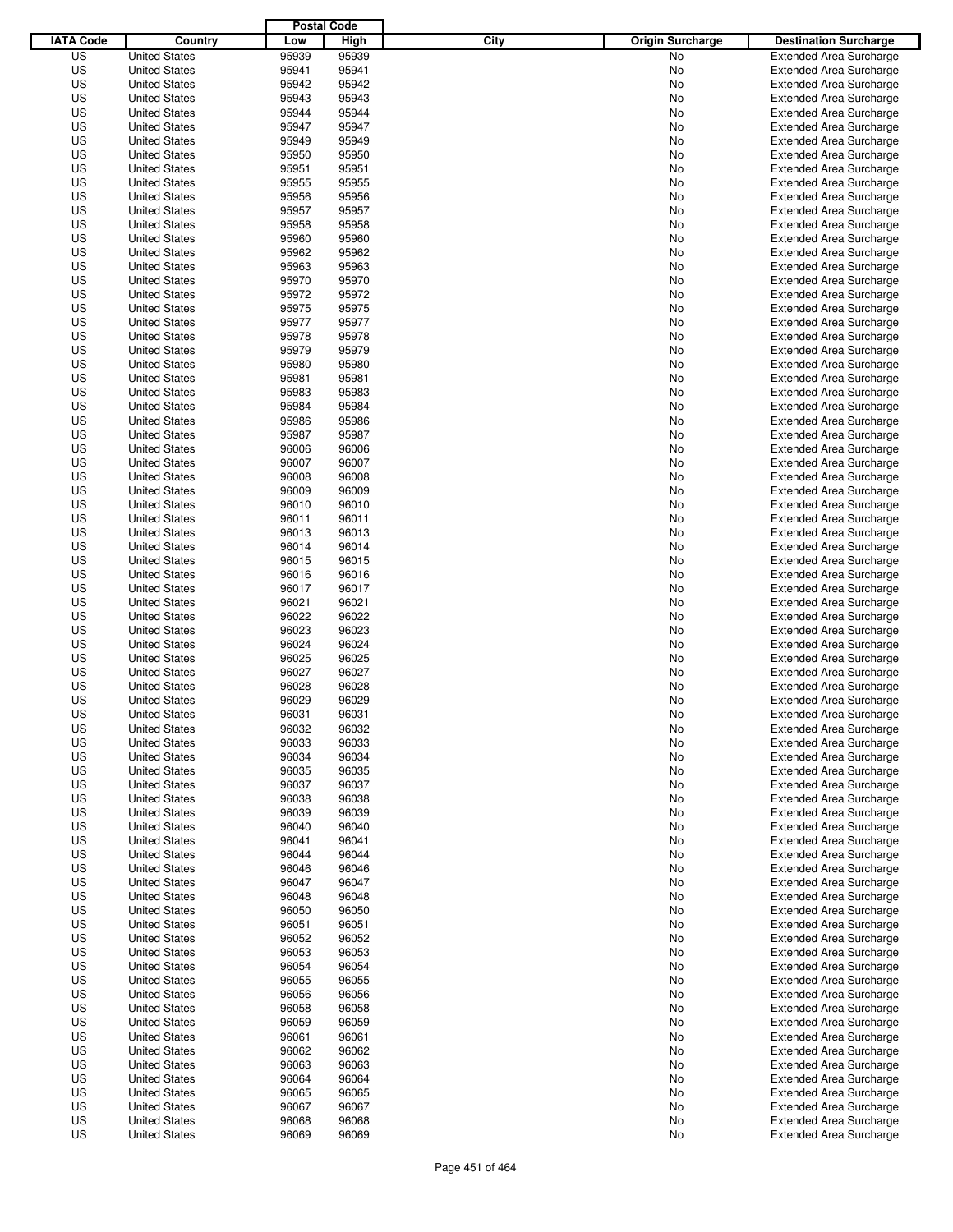|                  |                      | <b>Postal Code</b> |       |                                 |                                |
|------------------|----------------------|--------------------|-------|---------------------------------|--------------------------------|
| <b>IATA Code</b> | Country              | Low                | High  | City<br><b>Origin Surcharge</b> | <b>Destination Surcharge</b>   |
| US               | <b>United States</b> | 95939              | 95939 | <b>No</b>                       | <b>Extended Area Surcharge</b> |
| US               | <b>United States</b> | 95941              | 95941 | No                              | <b>Extended Area Surcharge</b> |
| US               | <b>United States</b> | 95942              | 95942 | No                              | <b>Extended Area Surcharge</b> |
| US               | <b>United States</b> | 95943              | 95943 | No                              | <b>Extended Area Surcharge</b> |
| US               | <b>United States</b> | 95944              | 95944 | No                              | <b>Extended Area Surcharge</b> |
| US               | <b>United States</b> | 95947              | 95947 | No                              | <b>Extended Area Surcharge</b> |
| US               | <b>United States</b> | 95949              | 95949 | No                              | <b>Extended Area Surcharge</b> |
| US               | <b>United States</b> | 95950              | 95950 | No                              | <b>Extended Area Surcharge</b> |
| US               | <b>United States</b> | 95951              | 95951 | No                              | <b>Extended Area Surcharge</b> |
| US               | <b>United States</b> | 95955              | 95955 | No                              | <b>Extended Area Surcharge</b> |
| US               | <b>United States</b> | 95956              | 95956 | No                              | <b>Extended Area Surcharge</b> |
| US               | <b>United States</b> | 95957              | 95957 | No                              | <b>Extended Area Surcharge</b> |
| US               | <b>United States</b> | 95958              | 95958 | No                              | <b>Extended Area Surcharge</b> |
| US               | <b>United States</b> | 95960              | 95960 | No                              | <b>Extended Area Surcharge</b> |
| US               | <b>United States</b> | 95962              | 95962 | No                              | <b>Extended Area Surcharge</b> |
| US               | <b>United States</b> | 95963              | 95963 | No                              | <b>Extended Area Surcharge</b> |
| US               | <b>United States</b> | 95970              | 95970 | No                              | <b>Extended Area Surcharge</b> |
| US               | <b>United States</b> | 95972              | 95972 | No                              | <b>Extended Area Surcharge</b> |
| US               | <b>United States</b> | 95975              | 95975 | No                              | <b>Extended Area Surcharge</b> |
| US               | <b>United States</b> | 95977              | 95977 | No                              | <b>Extended Area Surcharge</b> |
| US               | <b>United States</b> | 95978              | 95978 | No                              | <b>Extended Area Surcharge</b> |
| US               | <b>United States</b> | 95979              | 95979 | No                              | <b>Extended Area Surcharge</b> |
| US               | <b>United States</b> | 95980              | 95980 | No                              | <b>Extended Area Surcharge</b> |
| US               | <b>United States</b> | 95981              | 95981 | No                              | <b>Extended Area Surcharge</b> |
| US               | <b>United States</b> | 95983              | 95983 | No                              | <b>Extended Area Surcharge</b> |
| US               | <b>United States</b> | 95984              | 95984 | No                              | <b>Extended Area Surcharge</b> |
| US               | <b>United States</b> | 95986              | 95986 | No                              | <b>Extended Area Surcharge</b> |
| US               | <b>United States</b> | 95987              | 95987 | No                              | <b>Extended Area Surcharge</b> |
| US               | <b>United States</b> | 96006              | 96006 | No                              | <b>Extended Area Surcharge</b> |
| US               | <b>United States</b> | 96007              | 96007 | No                              | <b>Extended Area Surcharge</b> |
| US               | <b>United States</b> | 96008              | 96008 | No                              | <b>Extended Area Surcharge</b> |
| US               | <b>United States</b> | 96009              | 96009 | No                              | <b>Extended Area Surcharge</b> |
| US               | <b>United States</b> | 96010              | 96010 | No                              | <b>Extended Area Surcharge</b> |
| US               | <b>United States</b> | 96011              | 96011 | No                              | <b>Extended Area Surcharge</b> |
| US               | <b>United States</b> | 96013              | 96013 | No                              | <b>Extended Area Surcharge</b> |
| US               | <b>United States</b> | 96014              | 96014 | No                              | <b>Extended Area Surcharge</b> |
| US               | <b>United States</b> | 96015              | 96015 | No                              | <b>Extended Area Surcharge</b> |
| US               | <b>United States</b> | 96016              | 96016 | No                              | <b>Extended Area Surcharge</b> |
| US               | <b>United States</b> | 96017              | 96017 | No                              | <b>Extended Area Surcharge</b> |
| US               | <b>United States</b> | 96021              | 96021 | No                              | <b>Extended Area Surcharge</b> |
| US               | <b>United States</b> | 96022              | 96022 | No                              | <b>Extended Area Surcharge</b> |
| US               | <b>United States</b> | 96023              | 96023 | No                              | <b>Extended Area Surcharge</b> |
| US               | <b>United States</b> | 96024              | 96024 | No                              | <b>Extended Area Surcharge</b> |
| US               | <b>United States</b> | 96025              | 96025 | No                              | <b>Extended Area Surcharge</b> |
| US               | <b>United States</b> | 96027              | 96027 | No                              | <b>Extended Area Surcharge</b> |
| US               | <b>United States</b> | 96028              | 96028 | No                              | <b>Extended Area Surcharge</b> |
| US               | <b>United States</b> | 96029              | 96029 | No                              | <b>Extended Area Surcharge</b> |
| US               | <b>United States</b> | 96031              | 96031 | No                              | <b>Extended Area Surcharge</b> |
| US               | <b>United States</b> | 96032              | 96032 | No                              | <b>Extended Area Surcharge</b> |
| US               | <b>United States</b> | 96033              | 96033 | No                              | <b>Extended Area Surcharge</b> |
| US               | <b>United States</b> | 96034              | 96034 | No                              | <b>Extended Area Surcharge</b> |
| US               | <b>United States</b> | 96035              | 96035 | No                              | <b>Extended Area Surcharge</b> |
| US               | <b>United States</b> | 96037              | 96037 | No                              | <b>Extended Area Surcharge</b> |
| US               | <b>United States</b> | 96038              | 96038 | No                              | <b>Extended Area Surcharge</b> |
| US               | <b>United States</b> | 96039              | 96039 | No                              | <b>Extended Area Surcharge</b> |
| US               | <b>United States</b> | 96040              | 96040 | No                              | <b>Extended Area Surcharge</b> |
| US               | <b>United States</b> | 96041              | 96041 | No                              | <b>Extended Area Surcharge</b> |
| US               | <b>United States</b> | 96044              | 96044 | No                              | <b>Extended Area Surcharge</b> |
| US               | <b>United States</b> | 96046              | 96046 | No                              | <b>Extended Area Surcharge</b> |
| US               | <b>United States</b> | 96047              | 96047 | No                              | <b>Extended Area Surcharge</b> |
| US               | <b>United States</b> | 96048              | 96048 | No                              | <b>Extended Area Surcharge</b> |
| US               | <b>United States</b> | 96050              | 96050 | No                              | <b>Extended Area Surcharge</b> |
| US               | <b>United States</b> | 96051              | 96051 | No                              | <b>Extended Area Surcharge</b> |
| US               | <b>United States</b> | 96052              | 96052 | No                              | <b>Extended Area Surcharge</b> |
| US               | <b>United States</b> | 96053              | 96053 | No                              | <b>Extended Area Surcharge</b> |
| US               | <b>United States</b> | 96054              | 96054 | No                              | <b>Extended Area Surcharge</b> |
| US               | <b>United States</b> | 96055              | 96055 | No                              | <b>Extended Area Surcharge</b> |
| US               | <b>United States</b> | 96056              | 96056 | No                              | <b>Extended Area Surcharge</b> |
| US               | <b>United States</b> | 96058              | 96058 | No                              | <b>Extended Area Surcharge</b> |
| US               | <b>United States</b> | 96059              | 96059 | No                              | <b>Extended Area Surcharge</b> |
| US               | <b>United States</b> | 96061              | 96061 | No                              | <b>Extended Area Surcharge</b> |
| US               | <b>United States</b> | 96062              | 96062 | No                              | <b>Extended Area Surcharge</b> |
| US               | <b>United States</b> | 96063              | 96063 | No                              | <b>Extended Area Surcharge</b> |
| US               | <b>United States</b> | 96064              | 96064 | No                              | <b>Extended Area Surcharge</b> |
| US               | <b>United States</b> | 96065              | 96065 | No                              | <b>Extended Area Surcharge</b> |
| US               | <b>United States</b> | 96067              | 96067 | No                              | <b>Extended Area Surcharge</b> |
| US               | <b>United States</b> | 96068              | 96068 | No                              | <b>Extended Area Surcharge</b> |
| US               | <b>United States</b> | 96069              | 96069 | No                              | <b>Extended Area Surcharge</b> |
|                  |                      |                    |       |                                 |                                |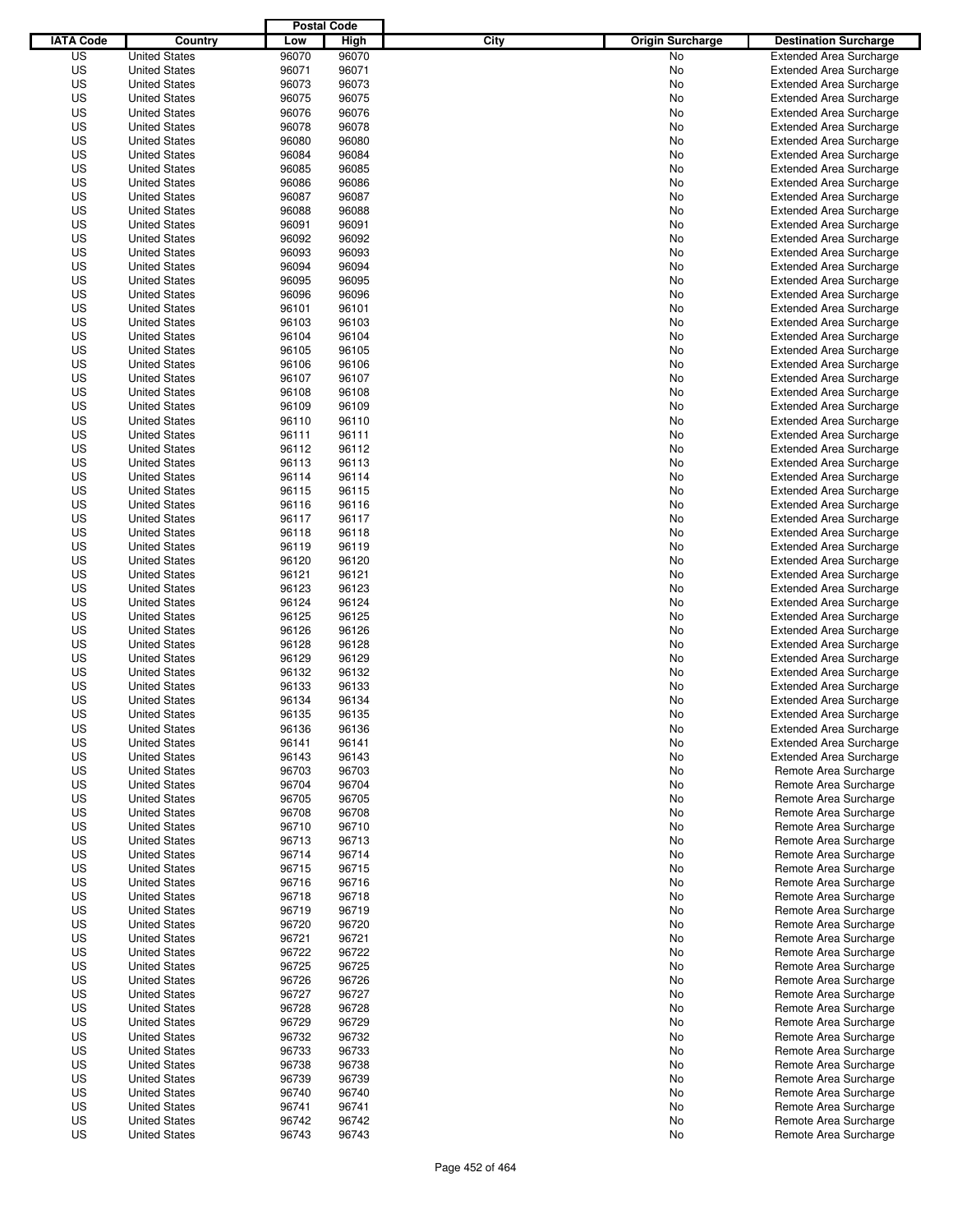|                  |                                              | <b>Postal Code</b> |                |                                 |                                                         |
|------------------|----------------------------------------------|--------------------|----------------|---------------------------------|---------------------------------------------------------|
| <b>IATA Code</b> | Country                                      | Low                | High           | City<br><b>Origin Surcharge</b> | <b>Destination Surcharge</b>                            |
| US               | <b>United States</b>                         | 96070              | 96070          | <b>No</b>                       | <b>Extended Area Surcharge</b>                          |
| US               | <b>United States</b>                         | 96071              | 96071          | No                              | <b>Extended Area Surcharge</b>                          |
| US               | <b>United States</b>                         | 96073              | 96073          | No                              | <b>Extended Area Surcharge</b>                          |
| US               | <b>United States</b>                         | 96075              | 96075          | No                              | <b>Extended Area Surcharge</b>                          |
| US               | <b>United States</b>                         | 96076              | 96076          | No                              | <b>Extended Area Surcharge</b>                          |
| US               | <b>United States</b>                         | 96078              | 96078          | No                              | <b>Extended Area Surcharge</b>                          |
| US               | <b>United States</b>                         | 96080              | 96080          | No                              | <b>Extended Area Surcharge</b>                          |
| US               | <b>United States</b>                         | 96084              | 96084          | No                              | <b>Extended Area Surcharge</b>                          |
| US               | <b>United States</b>                         | 96085              | 96085          | No                              | <b>Extended Area Surcharge</b>                          |
| US               | <b>United States</b>                         | 96086              | 96086          | No                              | <b>Extended Area Surcharge</b>                          |
| US               | <b>United States</b>                         | 96087              | 96087          | No                              | <b>Extended Area Surcharge</b>                          |
| US               | <b>United States</b>                         | 96088              | 96088          | No                              | <b>Extended Area Surcharge</b>                          |
| US               | <b>United States</b>                         | 96091              | 96091          | No                              | <b>Extended Area Surcharge</b>                          |
| US               | <b>United States</b>                         | 96092              | 96092          | No                              | <b>Extended Area Surcharge</b>                          |
| US               | <b>United States</b>                         | 96093              | 96093          | No                              | <b>Extended Area Surcharge</b>                          |
| US               | <b>United States</b>                         | 96094              | 96094          | No                              | <b>Extended Area Surcharge</b>                          |
| US               | <b>United States</b>                         | 96095              | 96095          | No                              | <b>Extended Area Surcharge</b>                          |
| US               | <b>United States</b>                         | 96096              | 96096          | No                              | <b>Extended Area Surcharge</b>                          |
| US               | <b>United States</b>                         | 96101              | 96101          | No                              | <b>Extended Area Surcharge</b>                          |
| US               | <b>United States</b>                         | 96103              | 96103          | No                              | <b>Extended Area Surcharge</b>                          |
| US               | <b>United States</b>                         | 96104              | 96104          | No                              | <b>Extended Area Surcharge</b>                          |
| US               | <b>United States</b>                         | 96105              | 96105          | No                              | <b>Extended Area Surcharge</b>                          |
| US               | <b>United States</b>                         | 96106              | 96106          | No                              | <b>Extended Area Surcharge</b>                          |
| US               | <b>United States</b>                         | 96107              | 96107          | No                              | <b>Extended Area Surcharge</b>                          |
| US               | <b>United States</b>                         | 96108              | 96108          | No                              | <b>Extended Area Surcharge</b>                          |
| US               | <b>United States</b>                         | 96109              | 96109          | No                              | <b>Extended Area Surcharge</b>                          |
| US               | <b>United States</b>                         | 96110              | 96110          | No                              | <b>Extended Area Surcharge</b>                          |
| US               | <b>United States</b>                         | 96111              | 96111          | No                              | <b>Extended Area Surcharge</b>                          |
| US               | <b>United States</b>                         | 96112              | 96112          | No                              | <b>Extended Area Surcharge</b>                          |
| US               | <b>United States</b>                         | 96113              | 96113          | No                              | <b>Extended Area Surcharge</b>                          |
| US               | <b>United States</b>                         | 96114              | 96114          | No                              | <b>Extended Area Surcharge</b>                          |
| US               | <b>United States</b>                         | 96115              | 96115          | No                              | <b>Extended Area Surcharge</b>                          |
| US               | <b>United States</b>                         | 96116              | 96116          | No                              | <b>Extended Area Surcharge</b>                          |
| US               | <b>United States</b>                         | 96117              | 96117          | No                              | <b>Extended Area Surcharge</b>                          |
| US               | <b>United States</b>                         | 96118              | 96118          | No                              | <b>Extended Area Surcharge</b>                          |
| US               | <b>United States</b>                         | 96119              | 96119          | No                              | <b>Extended Area Surcharge</b>                          |
| US               | <b>United States</b>                         | 96120              | 96120          | No                              | <b>Extended Area Surcharge</b>                          |
| US               | <b>United States</b>                         | 96121              | 96121          | No                              | <b>Extended Area Surcharge</b>                          |
| US               | <b>United States</b>                         | 96123              | 96123          | No                              | <b>Extended Area Surcharge</b>                          |
| US               | <b>United States</b>                         | 96124              | 96124          | No                              | <b>Extended Area Surcharge</b>                          |
| US               | <b>United States</b>                         | 96125              | 96125          | No                              | <b>Extended Area Surcharge</b>                          |
| US               | <b>United States</b>                         | 96126              | 96126          | No                              | <b>Extended Area Surcharge</b>                          |
| US               | <b>United States</b>                         | 96128              | 96128          | No                              | <b>Extended Area Surcharge</b>                          |
| US               | <b>United States</b>                         | 96129              | 96129          | No                              | <b>Extended Area Surcharge</b>                          |
| US               | <b>United States</b>                         | 96132              | 96132          | No                              | <b>Extended Area Surcharge</b>                          |
| US               | <b>United States</b>                         | 96133              | 96133          | No                              | <b>Extended Area Surcharge</b>                          |
| US               | <b>United States</b>                         | 96134              | 96134          | No                              | <b>Extended Area Surcharge</b>                          |
| US               | <b>United States</b>                         | 96135              | 96135          | No                              | <b>Extended Area Surcharge</b>                          |
| US               | <b>United States</b>                         | 96136              | 96136          |                                 | <b>Extended Area Surcharge</b>                          |
| US               | <b>United States</b>                         | 96141              | 96141          | No                              |                                                         |
|                  |                                              |                    |                | No                              | <b>Extended Area Surcharge</b>                          |
| US               | <b>United States</b>                         | 96143              | 96143          | No                              | <b>Extended Area Surcharge</b><br>Remote Area Surcharge |
| US               | <b>United States</b>                         | 96703              | 96703          | No                              |                                                         |
| US<br>US         | <b>United States</b><br><b>United States</b> | 96704<br>96705     | 96704<br>96705 | No<br>No                        | Remote Area Surcharge<br>Remote Area Surcharge          |
|                  |                                              |                    |                |                                 |                                                         |
| US<br>US         | <b>United States</b>                         | 96708<br>96710     | 96708<br>96710 | No                              | Remote Area Surcharge                                   |
| US               | <b>United States</b>                         | 96713              | 96713          | No                              | Remote Area Surcharge<br>Remote Area Surcharge          |
| US               | <b>United States</b><br><b>United States</b> | 96714              | 96714          | No<br>No                        | Remote Area Surcharge                                   |
| US               |                                              | 96715              | 96715          |                                 |                                                         |
|                  | <b>United States</b>                         |                    |                | No                              | Remote Area Surcharge                                   |
| US               | <b>United States</b>                         | 96716              | 96716          | No                              | Remote Area Surcharge                                   |
| US               | <b>United States</b>                         | 96718              | 96718          | No                              | Remote Area Surcharge                                   |
| US               | <b>United States</b>                         | 96719              | 96719          | No                              | Remote Area Surcharge                                   |
| US               | <b>United States</b>                         | 96720              | 96720          | No                              | Remote Area Surcharge                                   |
| US               | <b>United States</b>                         | 96721              | 96721          | No                              | Remote Area Surcharge                                   |
| US               | <b>United States</b>                         | 96722              | 96722          | No                              | Remote Area Surcharge                                   |
| US               | <b>United States</b>                         | 96725              | 96725          | No                              | Remote Area Surcharge                                   |
| US               | <b>United States</b>                         | 96726              | 96726          | No                              | Remote Area Surcharge                                   |
| US               | <b>United States</b>                         | 96727              | 96727          | No                              | Remote Area Surcharge                                   |
| US               | <b>United States</b>                         | 96728              | 96728          | No                              | Remote Area Surcharge                                   |
| US               | <b>United States</b>                         | 96729              | 96729          | No                              | Remote Area Surcharge                                   |
| US               | <b>United States</b>                         | 96732              | 96732          | No                              | Remote Area Surcharge                                   |
| US               | <b>United States</b>                         | 96733              | 96733          | No                              | Remote Area Surcharge                                   |
| US               | <b>United States</b>                         | 96738              | 96738          | No                              | Remote Area Surcharge                                   |
| US               | <b>United States</b>                         | 96739              | 96739          | No                              | Remote Area Surcharge                                   |
| US               | <b>United States</b>                         | 96740              | 96740          | No                              | Remote Area Surcharge                                   |
| US               | <b>United States</b>                         | 96741              | 96741          | No                              | Remote Area Surcharge                                   |
| US               | <b>United States</b>                         | 96742              | 96742          | No                              | Remote Area Surcharge                                   |
| US               | <b>United States</b>                         | 96743              | 96743          | No                              | Remote Area Surcharge                                   |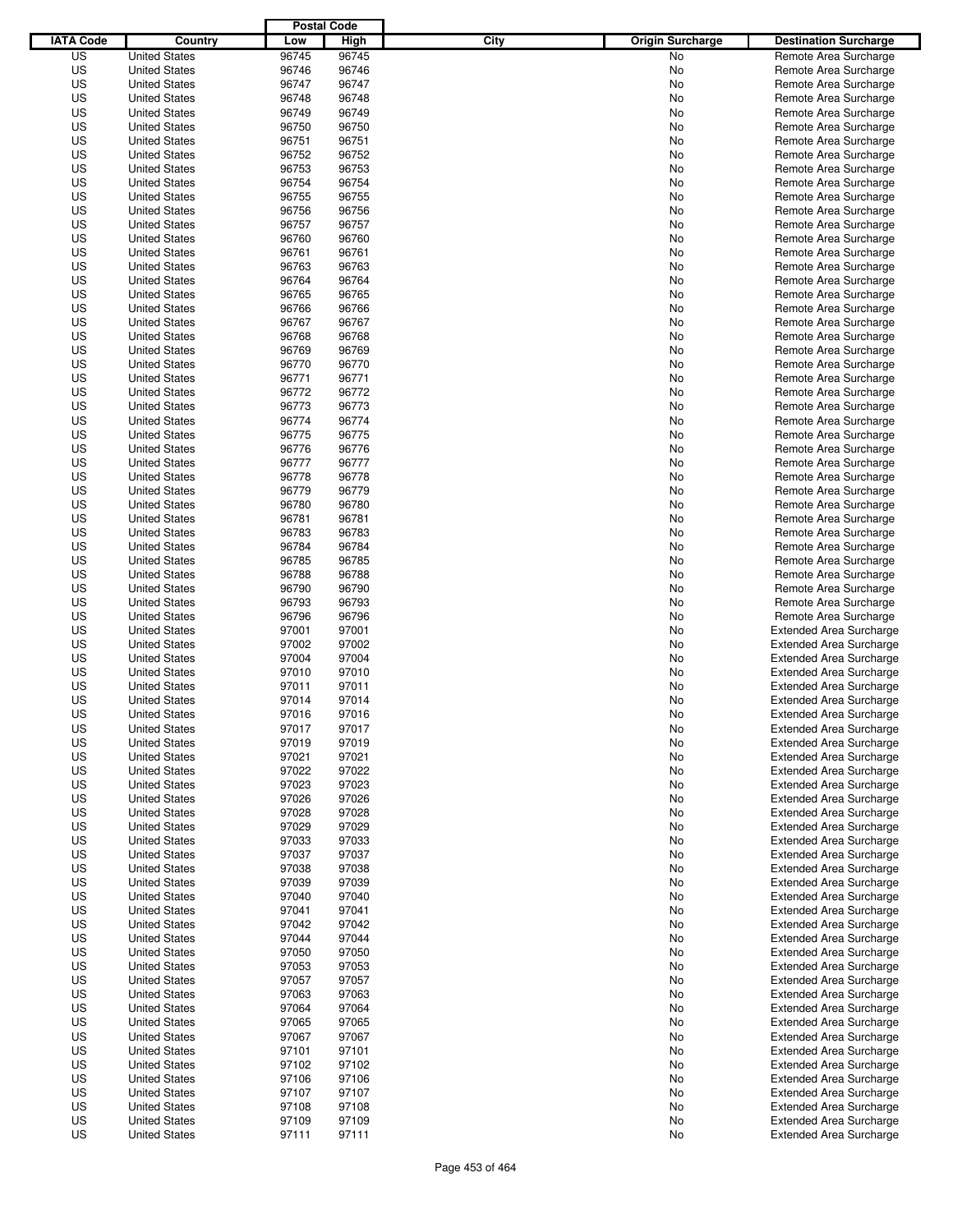|                  |                      | <b>Postal Code</b> |       |                                 |                                |
|------------------|----------------------|--------------------|-------|---------------------------------|--------------------------------|
| <b>IATA Code</b> | Country              | Low                | High  | City<br><b>Origin Surcharge</b> | <b>Destination Surcharge</b>   |
| US               | <b>United States</b> | 96745              | 96745 | <b>No</b>                       | Remote Area Surcharge          |
| US               | <b>United States</b> | 96746              | 96746 | No                              | Remote Area Surcharge          |
| US               | <b>United States</b> | 96747              | 96747 | No                              | Remote Area Surcharge          |
| US               | <b>United States</b> | 96748              | 96748 | No                              | Remote Area Surcharge          |
| US               | <b>United States</b> | 96749              | 96749 | No                              | Remote Area Surcharge          |
| US               | <b>United States</b> | 96750              | 96750 | No                              | Remote Area Surcharge          |
| US               | <b>United States</b> | 96751              | 96751 | No                              | Remote Area Surcharge          |
| US               | <b>United States</b> | 96752              | 96752 | No                              | Remote Area Surcharge          |
| US               | <b>United States</b> | 96753              | 96753 | No                              | Remote Area Surcharge          |
| US               | <b>United States</b> | 96754              | 96754 | No                              | Remote Area Surcharge          |
| US               | <b>United States</b> | 96755              | 96755 | No                              | Remote Area Surcharge          |
| US               | <b>United States</b> | 96756              | 96756 | No                              | Remote Area Surcharge          |
| US               | <b>United States</b> | 96757              | 96757 | No                              | Remote Area Surcharge          |
| US               | <b>United States</b> | 96760              | 96760 | No                              | Remote Area Surcharge          |
| US               | <b>United States</b> | 96761              | 96761 | No                              | Remote Area Surcharge          |
| US               | <b>United States</b> | 96763              | 96763 | No                              | Remote Area Surcharge          |
| US               | <b>United States</b> | 96764              | 96764 | No                              | Remote Area Surcharge          |
| US               | <b>United States</b> | 96765              | 96765 | No                              | Remote Area Surcharge          |
| US               | <b>United States</b> | 96766              | 96766 | No                              | Remote Area Surcharge          |
| US               | <b>United States</b> | 96767              | 96767 | No                              | Remote Area Surcharge          |
| US               | <b>United States</b> | 96768              | 96768 | No                              | Remote Area Surcharge          |
| US               | <b>United States</b> | 96769              | 96769 | No                              | Remote Area Surcharge          |
| US               | <b>United States</b> | 96770              | 96770 | No                              | Remote Area Surcharge          |
| US               | <b>United States</b> | 96771              | 96771 | No                              | Remote Area Surcharge          |
| US               | <b>United States</b> | 96772              | 96772 | No                              | Remote Area Surcharge          |
| US               | <b>United States</b> | 96773              | 96773 | No                              | Remote Area Surcharge          |
| US               | <b>United States</b> | 96774              | 96774 | No                              | Remote Area Surcharge          |
| US               | <b>United States</b> | 96775              | 96775 | No                              | Remote Area Surcharge          |
| US               | <b>United States</b> | 96776              | 96776 | No                              | Remote Area Surcharge          |
| US               | <b>United States</b> | 96777              | 96777 | No                              | Remote Area Surcharge          |
| US               | <b>United States</b> | 96778              | 96778 | No                              | Remote Area Surcharge          |
| US               | <b>United States</b> | 96779              | 96779 | No                              | Remote Area Surcharge          |
| US               | <b>United States</b> | 96780              | 96780 | No                              | Remote Area Surcharge          |
| US               | <b>United States</b> | 96781              | 96781 | No                              | Remote Area Surcharge          |
| US               | <b>United States</b> | 96783              | 96783 | No                              | Remote Area Surcharge          |
| US               | <b>United States</b> | 96784              | 96784 | No                              | Remote Area Surcharge          |
| US               | <b>United States</b> | 96785              | 96785 | No                              | Remote Area Surcharge          |
| US               | <b>United States</b> | 96788              | 96788 | No                              | Remote Area Surcharge          |
| US               | <b>United States</b> | 96790              | 96790 | No                              | Remote Area Surcharge          |
| US               | <b>United States</b> | 96793              | 96793 | No                              | Remote Area Surcharge          |
| US               | <b>United States</b> | 96796              | 96796 | No                              | Remote Area Surcharge          |
| US               | <b>United States</b> | 97001              | 97001 | No                              | <b>Extended Area Surcharge</b> |
| US               | <b>United States</b> | 97002              | 97002 | No                              | <b>Extended Area Surcharge</b> |
| US               | <b>United States</b> | 97004              | 97004 | No                              | <b>Extended Area Surcharge</b> |
| US               | <b>United States</b> | 97010              | 97010 | No                              | <b>Extended Area Surcharge</b> |
| US               | <b>United States</b> | 97011              | 97011 | No                              | <b>Extended Area Surcharge</b> |
| US               | <b>United States</b> | 97014              | 97014 | No                              | <b>Extended Area Surcharge</b> |
| US               | <b>United States</b> | 97016              | 97016 | No                              | <b>Extended Area Surcharge</b> |
| US               | <b>United States</b> | 97017              | 97017 | No                              | <b>Extended Area Surcharge</b> |
| US               | <b>United States</b> | 97019              | 97019 | No                              | <b>Extended Area Surcharge</b> |
| US               | <b>United States</b> | 97021              | 97021 | No                              | <b>Extended Area Surcharge</b> |
| US               | <b>United States</b> | 97022              | 97022 | No                              | <b>Extended Area Surcharge</b> |
| US               | <b>United States</b> | 97023              | 97023 | No                              | <b>Extended Area Surcharge</b> |
| US               | <b>United States</b> | 97026              | 97026 | No                              | <b>Extended Area Surcharge</b> |
| US               | <b>United States</b> | 97028              | 97028 | No                              | <b>Extended Area Surcharge</b> |
| US               | <b>United States</b> | 97029              | 97029 | No                              | <b>Extended Area Surcharge</b> |
| US               | <b>United States</b> | 97033              | 97033 | No                              | <b>Extended Area Surcharge</b> |
| US               | <b>United States</b> | 97037              | 97037 | No                              | <b>Extended Area Surcharge</b> |
| US               | <b>United States</b> | 97038              | 97038 | No                              | <b>Extended Area Surcharge</b> |
| US               | <b>United States</b> | 97039              | 97039 | No                              | <b>Extended Area Surcharge</b> |
| US               | <b>United States</b> | 97040              | 97040 | No                              | <b>Extended Area Surcharge</b> |
| US               | <b>United States</b> | 97041              | 97041 | No                              | <b>Extended Area Surcharge</b> |
| US               | <b>United States</b> | 97042              | 97042 | No                              | <b>Extended Area Surcharge</b> |
| US               | <b>United States</b> | 97044              | 97044 | No                              | <b>Extended Area Surcharge</b> |
| US               | <b>United States</b> | 97050              | 97050 | No                              | <b>Extended Area Surcharge</b> |
| US               | <b>United States</b> | 97053              | 97053 | No                              | <b>Extended Area Surcharge</b> |
| US               | <b>United States</b> | 97057              | 97057 | No                              | <b>Extended Area Surcharge</b> |
| US               | <b>United States</b> | 97063              | 97063 | No                              | <b>Extended Area Surcharge</b> |
| US               | <b>United States</b> | 97064              | 97064 | No                              | <b>Extended Area Surcharge</b> |
| US               | <b>United States</b> | 97065              | 97065 | No                              | Extended Area Surcharge        |
| US               | <b>United States</b> | 97067              | 97067 | No                              | <b>Extended Area Surcharge</b> |
| US               | <b>United States</b> | 97101              | 97101 | No                              | <b>Extended Area Surcharge</b> |
| US               | <b>United States</b> | 97102              | 97102 | No                              | <b>Extended Area Surcharge</b> |
| US               | <b>United States</b> | 97106              | 97106 | No                              | <b>Extended Area Surcharge</b> |
| US               | <b>United States</b> | 97107              | 97107 | No                              | <b>Extended Area Surcharge</b> |
| US               | <b>United States</b> | 97108              | 97108 | No                              | <b>Extended Area Surcharge</b> |
| US               | <b>United States</b> | 97109              | 97109 | No                              | <b>Extended Area Surcharge</b> |
| US               | <b>United States</b> | 97111              | 97111 | No                              | <b>Extended Area Surcharge</b> |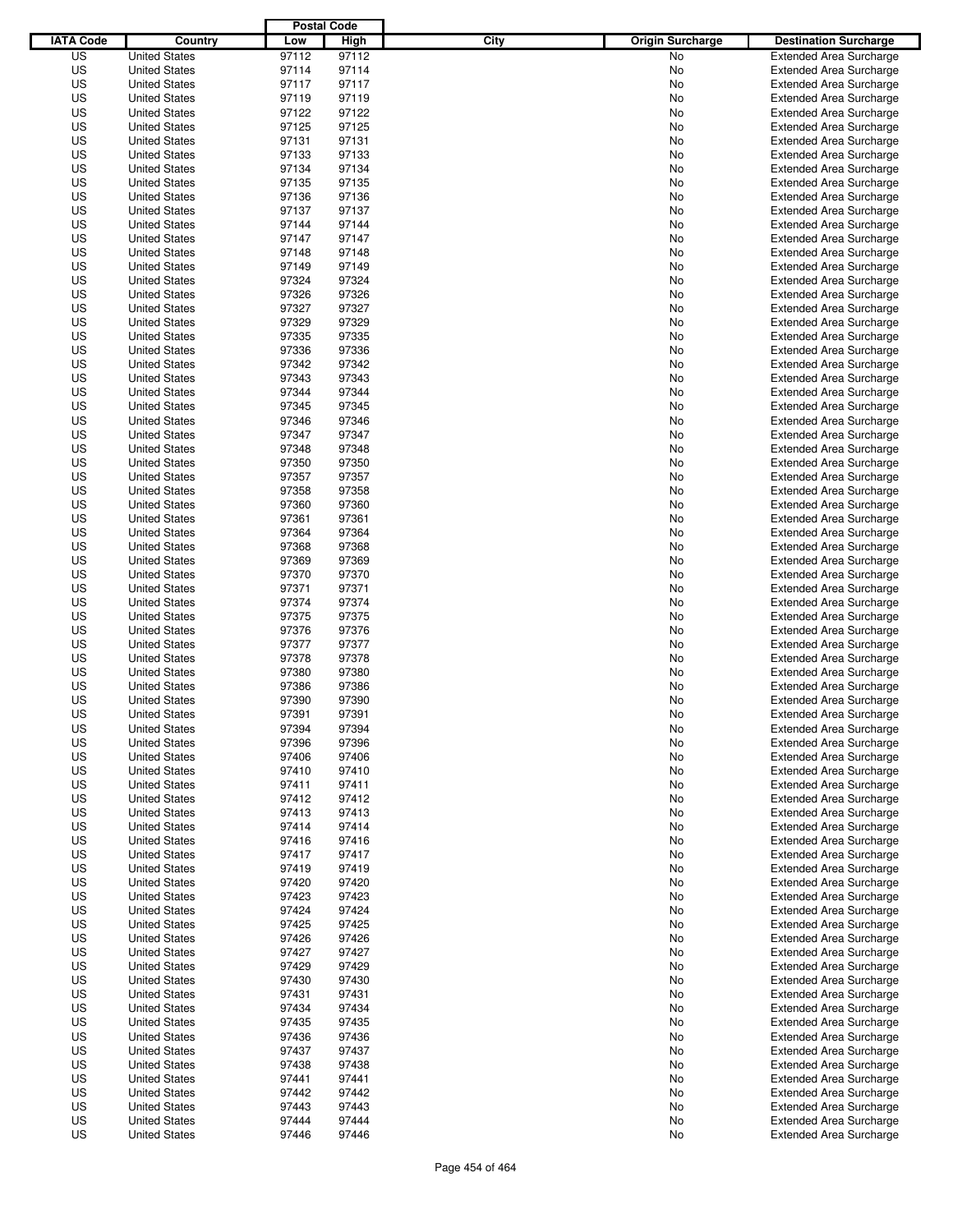|                  |                      | <b>Postal Code</b> |                |                                 |                                |
|------------------|----------------------|--------------------|----------------|---------------------------------|--------------------------------|
| <b>IATA Code</b> | Country              | Low                | High           | City<br><b>Origin Surcharge</b> | <b>Destination Surcharge</b>   |
| US               | <b>United States</b> | 97112              | 97112          | <b>No</b>                       | <b>Extended Area Surcharge</b> |
| US               | <b>United States</b> | 97114              | 97114          | No                              | <b>Extended Area Surcharge</b> |
| US               | <b>United States</b> | 97117              | 97117          | No                              | <b>Extended Area Surcharge</b> |
| US               | <b>United States</b> | 97119              | 97119          | No                              | <b>Extended Area Surcharge</b> |
| US               | <b>United States</b> | 97122              | 97122          | No                              | <b>Extended Area Surcharge</b> |
| US               | <b>United States</b> | 97125              | 97125          | No                              | <b>Extended Area Surcharge</b> |
| US               | <b>United States</b> | 97131              | 97131          | No                              | <b>Extended Area Surcharge</b> |
| US               | <b>United States</b> | 97133              | 97133          | No                              | <b>Extended Area Surcharge</b> |
| US               | <b>United States</b> | 97134              | 97134          | No                              | <b>Extended Area Surcharge</b> |
| US               | <b>United States</b> | 97135              | 97135          | No                              | <b>Extended Area Surcharge</b> |
| US               | <b>United States</b> | 97136              | 97136          | No                              | <b>Extended Area Surcharge</b> |
| US               | <b>United States</b> | 97137              | 97137          | No                              | <b>Extended Area Surcharge</b> |
| US               | <b>United States</b> | 97144              | 97144          | No                              | <b>Extended Area Surcharge</b> |
| US               | <b>United States</b> | 97147              | 97147          | No                              | <b>Extended Area Surcharge</b> |
| US               | <b>United States</b> | 97148              | 97148          | No                              | <b>Extended Area Surcharge</b> |
| US               | <b>United States</b> | 97149              | 97149          | No                              | <b>Extended Area Surcharge</b> |
| US               | <b>United States</b> | 97324              | 97324          | No                              | <b>Extended Area Surcharge</b> |
| US               | <b>United States</b> | 97326              | 97326          | No                              | <b>Extended Area Surcharge</b> |
| US               | <b>United States</b> | 97327              | 97327          | No                              | <b>Extended Area Surcharge</b> |
| US               | <b>United States</b> | 97329              | 97329          | No                              | <b>Extended Area Surcharge</b> |
| US               | <b>United States</b> | 97335              | 97335          | No                              | <b>Extended Area Surcharge</b> |
| US               | <b>United States</b> | 97336              | 97336          | No                              | <b>Extended Area Surcharge</b> |
| US               | <b>United States</b> | 97342              | 97342          | No                              | <b>Extended Area Surcharge</b> |
| US               | <b>United States</b> | 97343              | 97343          | No                              | <b>Extended Area Surcharge</b> |
| US               | <b>United States</b> | 97344              | 97344          | No                              | <b>Extended Area Surcharge</b> |
| US               | <b>United States</b> | 97345              | 97345          | No                              | <b>Extended Area Surcharge</b> |
| US               | <b>United States</b> | 97346              | 97346          | No                              | <b>Extended Area Surcharge</b> |
| US               | <b>United States</b> | 97347              | 97347          | No                              | <b>Extended Area Surcharge</b> |
| US               | <b>United States</b> | 97348              | 97348          | No                              | <b>Extended Area Surcharge</b> |
| US               | <b>United States</b> | 97350              | 97350          | No                              | <b>Extended Area Surcharge</b> |
| US               | <b>United States</b> | 97357              | 97357          | No                              | <b>Extended Area Surcharge</b> |
| US               | <b>United States</b> | 97358              | 97358          | No                              | <b>Extended Area Surcharge</b> |
| US               | <b>United States</b> | 97360              | 97360          | No                              | <b>Extended Area Surcharge</b> |
| US               | <b>United States</b> | 97361              | 97361          | No                              | <b>Extended Area Surcharge</b> |
| US               | <b>United States</b> | 97364              | 97364          | No                              | <b>Extended Area Surcharge</b> |
| US               | <b>United States</b> | 97368              | 97368          | No                              | <b>Extended Area Surcharge</b> |
| US               | <b>United States</b> | 97369              | 97369          | No                              | <b>Extended Area Surcharge</b> |
| US               | <b>United States</b> | 97370              | 97370          | No                              | <b>Extended Area Surcharge</b> |
| US               | <b>United States</b> | 97371              | 97371          | No                              | <b>Extended Area Surcharge</b> |
| US               | <b>United States</b> | 97374              | 97374          | No                              | <b>Extended Area Surcharge</b> |
| US               |                      | 97375              | 97375          |                                 | <b>Extended Area Surcharge</b> |
|                  | <b>United States</b> |                    |                | No                              |                                |
| US               | <b>United States</b> | 97376              | 97376          | No                              | <b>Extended Area Surcharge</b> |
| US               | <b>United States</b> | 97377              | 97377<br>97378 | No                              | <b>Extended Area Surcharge</b> |
| US               | <b>United States</b> | 97378              |                | No                              | <b>Extended Area Surcharge</b> |
| US<br>US         | <b>United States</b> | 97380              | 97380          | No                              | Extended Area Surcharge        |
|                  | <b>United States</b> | 97386              | 97386          | No                              | <b>Extended Area Surcharge</b> |
| US               | <b>United States</b> | 97390              | 97390          | No                              | <b>Extended Area Surcharge</b> |
| US               | <b>United States</b> | 97391              | 97391          | No                              | <b>Extended Area Surcharge</b> |
| US               | <b>United States</b> | 97394              | 97394          | No                              | <b>Extended Area Surcharge</b> |
| US               | <b>United States</b> | 97396              | 97396          | No                              | <b>Extended Area Surcharge</b> |
| US               | <b>United States</b> | 97406              | 97406          | No                              | <b>Extended Area Surcharge</b> |
| US               | <b>United States</b> | 97410              | 97410          | No                              | <b>Extended Area Surcharge</b> |
| US               | <b>United States</b> | 97411              | 97411          | No                              | <b>Extended Area Surcharge</b> |
| US               | <b>United States</b> | 97412              | 97412          | No                              | <b>Extended Area Surcharge</b> |
| US               | <b>United States</b> | 97413              | 97413          | No                              | <b>Extended Area Surcharge</b> |
| US               | <b>United States</b> | 97414              | 97414          | No                              | <b>Extended Area Surcharge</b> |
| US               | <b>United States</b> | 97416              | 97416          | No                              | <b>Extended Area Surcharge</b> |
| US               | <b>United States</b> | 97417              | 97417          | No                              | <b>Extended Area Surcharge</b> |
| US               | <b>United States</b> | 97419              | 97419          | No                              | <b>Extended Area Surcharge</b> |
| US               | <b>United States</b> | 97420              | 97420          | No                              | <b>Extended Area Surcharge</b> |
| US               | <b>United States</b> | 97423              | 97423          | No                              | <b>Extended Area Surcharge</b> |
| US               | <b>United States</b> | 97424              | 97424          | No                              | <b>Extended Area Surcharge</b> |
| US               | <b>United States</b> | 97425              | 97425          | No                              | <b>Extended Area Surcharge</b> |
| US               | <b>United States</b> | 97426              | 97426          | No                              | <b>Extended Area Surcharge</b> |
| US               | <b>United States</b> | 97427              | 97427          | No                              | <b>Extended Area Surcharge</b> |
| US               | <b>United States</b> | 97429              | 97429          | No                              | <b>Extended Area Surcharge</b> |
| US               | <b>United States</b> | 97430              | 97430          | No                              | <b>Extended Area Surcharge</b> |
| US               | <b>United States</b> | 97431              | 97431          | No                              | <b>Extended Area Surcharge</b> |
| US               | <b>United States</b> | 97434              | 97434          | No                              | <b>Extended Area Surcharge</b> |
| US               | <b>United States</b> | 97435              | 97435          | No                              | <b>Extended Area Surcharge</b> |
| US               | <b>United States</b> | 97436              | 97436          | No                              | <b>Extended Area Surcharge</b> |
| US               | <b>United States</b> | 97437              | 97437          | No                              | <b>Extended Area Surcharge</b> |
| US               | <b>United States</b> | 97438              | 97438          | No                              | <b>Extended Area Surcharge</b> |
| US               | <b>United States</b> | 97441              | 97441          | No                              | <b>Extended Area Surcharge</b> |
| US               | <b>United States</b> | 97442              | 97442          | No                              | <b>Extended Area Surcharge</b> |
| US               | <b>United States</b> | 97443              | 97443          | No                              | <b>Extended Area Surcharge</b> |
| US               | <b>United States</b> | 97444              | 97444          | No                              | <b>Extended Area Surcharge</b> |
| US               | <b>United States</b> | 97446              | 97446          | No                              | <b>Extended Area Surcharge</b> |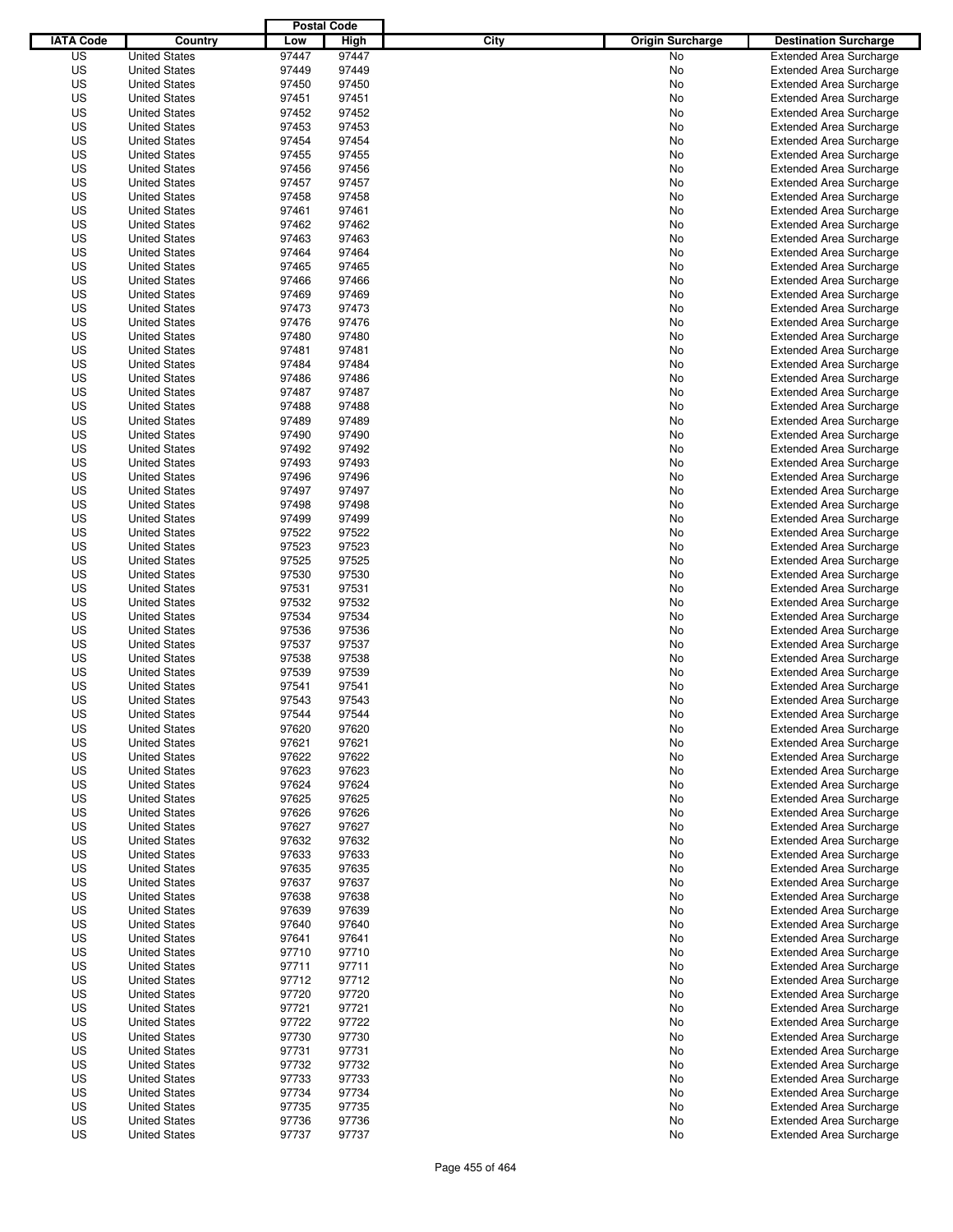|                  |                      | <b>Postal Code</b> |       |                                 |                                |
|------------------|----------------------|--------------------|-------|---------------------------------|--------------------------------|
| <b>IATA Code</b> | Country              | Low                | High  | City<br><b>Origin Surcharge</b> | <b>Destination Surcharge</b>   |
| US               | <b>United States</b> | 97447              | 97447 | No                              | <b>Extended Area Surcharge</b> |
| US               | <b>United States</b> | 97449              | 97449 | No                              | <b>Extended Area Surcharge</b> |
| US               | <b>United States</b> | 97450              | 97450 | No                              | <b>Extended Area Surcharge</b> |
| US               | <b>United States</b> | 97451              | 97451 | No                              | <b>Extended Area Surcharge</b> |
| US               | <b>United States</b> | 97452              | 97452 | No                              | <b>Extended Area Surcharge</b> |
| US               | <b>United States</b> | 97453              | 97453 | No                              | <b>Extended Area Surcharge</b> |
| US               | <b>United States</b> | 97454              | 97454 | No                              | <b>Extended Area Surcharge</b> |
| US               | <b>United States</b> | 97455              | 97455 | No                              | <b>Extended Area Surcharge</b> |
| US               | <b>United States</b> | 97456              | 97456 | No                              | <b>Extended Area Surcharge</b> |
| US               | <b>United States</b> | 97457              | 97457 | No                              | <b>Extended Area Surcharge</b> |
| US               | <b>United States</b> | 97458              | 97458 | No                              | <b>Extended Area Surcharge</b> |
| US               | <b>United States</b> | 97461              | 97461 | No                              | <b>Extended Area Surcharge</b> |
| US               | <b>United States</b> | 97462              | 97462 | No                              | <b>Extended Area Surcharge</b> |
| US               | <b>United States</b> | 97463              | 97463 | No                              | <b>Extended Area Surcharge</b> |
| US               | <b>United States</b> | 97464              | 97464 | No                              | <b>Extended Area Surcharge</b> |
| US               | <b>United States</b> | 97465              | 97465 | No                              | <b>Extended Area Surcharge</b> |
| US               | <b>United States</b> | 97466              | 97466 | No                              | <b>Extended Area Surcharge</b> |
| US               | <b>United States</b> | 97469              | 97469 | No                              | <b>Extended Area Surcharge</b> |
| US               | <b>United States</b> | 97473              | 97473 | No                              | <b>Extended Area Surcharge</b> |
| US               | <b>United States</b> | 97476              | 97476 | No                              | <b>Extended Area Surcharge</b> |
| US               | <b>United States</b> | 97480              | 97480 | No                              | <b>Extended Area Surcharge</b> |
| US               | <b>United States</b> | 97481              | 97481 | No                              | <b>Extended Area Surcharge</b> |
| US               | <b>United States</b> | 97484              | 97484 | No                              | <b>Extended Area Surcharge</b> |
| US               | <b>United States</b> | 97486              | 97486 | No                              | <b>Extended Area Surcharge</b> |
| US               | <b>United States</b> | 97487              | 97487 | No                              | <b>Extended Area Surcharge</b> |
| US               | <b>United States</b> | 97488              | 97488 | No                              | <b>Extended Area Surcharge</b> |
| US               | <b>United States</b> | 97489              | 97489 | No                              | <b>Extended Area Surcharge</b> |
| US               | <b>United States</b> | 97490              | 97490 | No                              | <b>Extended Area Surcharge</b> |
| US               | <b>United States</b> | 97492              | 97492 | No                              | <b>Extended Area Surcharge</b> |
| US               | <b>United States</b> | 97493              | 97493 | No                              | <b>Extended Area Surcharge</b> |
| US               | <b>United States</b> | 97496              | 97496 | No                              | <b>Extended Area Surcharge</b> |
| US               | <b>United States</b> | 97497              | 97497 | No                              | <b>Extended Area Surcharge</b> |
| US               | <b>United States</b> | 97498              | 97498 | No                              | <b>Extended Area Surcharge</b> |
| US               | <b>United States</b> | 97499              | 97499 | No                              | <b>Extended Area Surcharge</b> |
| US               | <b>United States</b> | 97522              | 97522 | No                              | <b>Extended Area Surcharge</b> |
| US               | <b>United States</b> | 97523              | 97523 | No                              | <b>Extended Area Surcharge</b> |
| US               | <b>United States</b> | 97525              | 97525 | No                              | <b>Extended Area Surcharge</b> |
| US               | <b>United States</b> | 97530              | 97530 | No                              | <b>Extended Area Surcharge</b> |
| US               | <b>United States</b> | 97531              | 97531 | No                              | <b>Extended Area Surcharge</b> |
| US               | <b>United States</b> | 97532              | 97532 | No                              | <b>Extended Area Surcharge</b> |
| US               | <b>United States</b> | 97534              | 97534 | No                              | <b>Extended Area Surcharge</b> |
| US               | <b>United States</b> | 97536              | 97536 | No                              | <b>Extended Area Surcharge</b> |
| US               | <b>United States</b> | 97537              | 97537 | No                              | <b>Extended Area Surcharge</b> |
| US               | <b>United States</b> | 97538              | 97538 | No                              | <b>Extended Area Surcharge</b> |
| US               | <b>United States</b> | 97539              | 97539 | No                              | Extended Area Surcharge        |
| US               | <b>United States</b> | 97541              | 97541 | No                              | <b>Extended Area Surcharge</b> |
| US               | <b>United States</b> | 97543              | 97543 | No                              | <b>Extended Area Surcharge</b> |
| US               | <b>United States</b> | 97544              | 97544 | No                              | <b>Extended Area Surcharge</b> |
| US               | <b>United States</b> | 97620              | 97620 | No                              | <b>Extended Area Surcharge</b> |
| US               | <b>United States</b> | 97621              | 97621 | No                              | <b>Extended Area Surcharge</b> |
| US               | <b>United States</b> | 97622              | 97622 | No                              | <b>Extended Area Surcharge</b> |
| US               | <b>United States</b> | 97623              | 97623 | No                              | <b>Extended Area Surcharge</b> |
| US               | <b>United States</b> | 97624              | 97624 | No                              | <b>Extended Area Surcharge</b> |
| US               | <b>United States</b> | 97625              | 97625 | No                              | <b>Extended Area Surcharge</b> |
| US               | <b>United States</b> | 97626              | 97626 | No                              | <b>Extended Area Surcharge</b> |
| US               | <b>United States</b> | 97627              | 97627 | No                              | <b>Extended Area Surcharge</b> |
| US               | <b>United States</b> | 97632              | 97632 | No                              | <b>Extended Area Surcharge</b> |
| US               | <b>United States</b> | 97633              | 97633 | No                              | <b>Extended Area Surcharge</b> |
| US               | <b>United States</b> | 97635              | 97635 | No                              | <b>Extended Area Surcharge</b> |
| US               | <b>United States</b> | 97637              | 97637 | No                              | <b>Extended Area Surcharge</b> |
| US               | <b>United States</b> | 97638              | 97638 | No                              | <b>Extended Area Surcharge</b> |
| US               | <b>United States</b> | 97639              | 97639 | No                              | <b>Extended Area Surcharge</b> |
| US               | <b>United States</b> | 97640              | 97640 | No                              | <b>Extended Area Surcharge</b> |
| US               | <b>United States</b> | 97641              | 97641 | No                              | <b>Extended Area Surcharge</b> |
| US               | <b>United States</b> | 97710              | 97710 | No                              | <b>Extended Area Surcharge</b> |
| US               | <b>United States</b> | 97711              | 97711 | No                              | <b>Extended Area Surcharge</b> |
| US               | <b>United States</b> | 97712              | 97712 | No                              | <b>Extended Area Surcharge</b> |
| US               | <b>United States</b> | 97720              | 97720 | No                              | <b>Extended Area Surcharge</b> |
| US               | <b>United States</b> | 97721              | 97721 | No                              | <b>Extended Area Surcharge</b> |
| US               | <b>United States</b> | 97722              | 97722 | No                              | <b>Extended Area Surcharge</b> |
| US               | <b>United States</b> | 97730              | 97730 | No                              | <b>Extended Area Surcharge</b> |
| US               | <b>United States</b> | 97731              | 97731 | No                              | <b>Extended Area Surcharge</b> |
| US               | <b>United States</b> | 97732              | 97732 | No                              | <b>Extended Area Surcharge</b> |
| US               | <b>United States</b> | 97733              | 97733 | No                              | <b>Extended Area Surcharge</b> |
| US               | <b>United States</b> | 97734              | 97734 | No                              | <b>Extended Area Surcharge</b> |
| US               | <b>United States</b> | 97735              | 97735 | No                              | <b>Extended Area Surcharge</b> |
| US               | <b>United States</b> | 97736              | 97736 | No                              | <b>Extended Area Surcharge</b> |
| US               | <b>United States</b> | 97737              | 97737 | No                              | <b>Extended Area Surcharge</b> |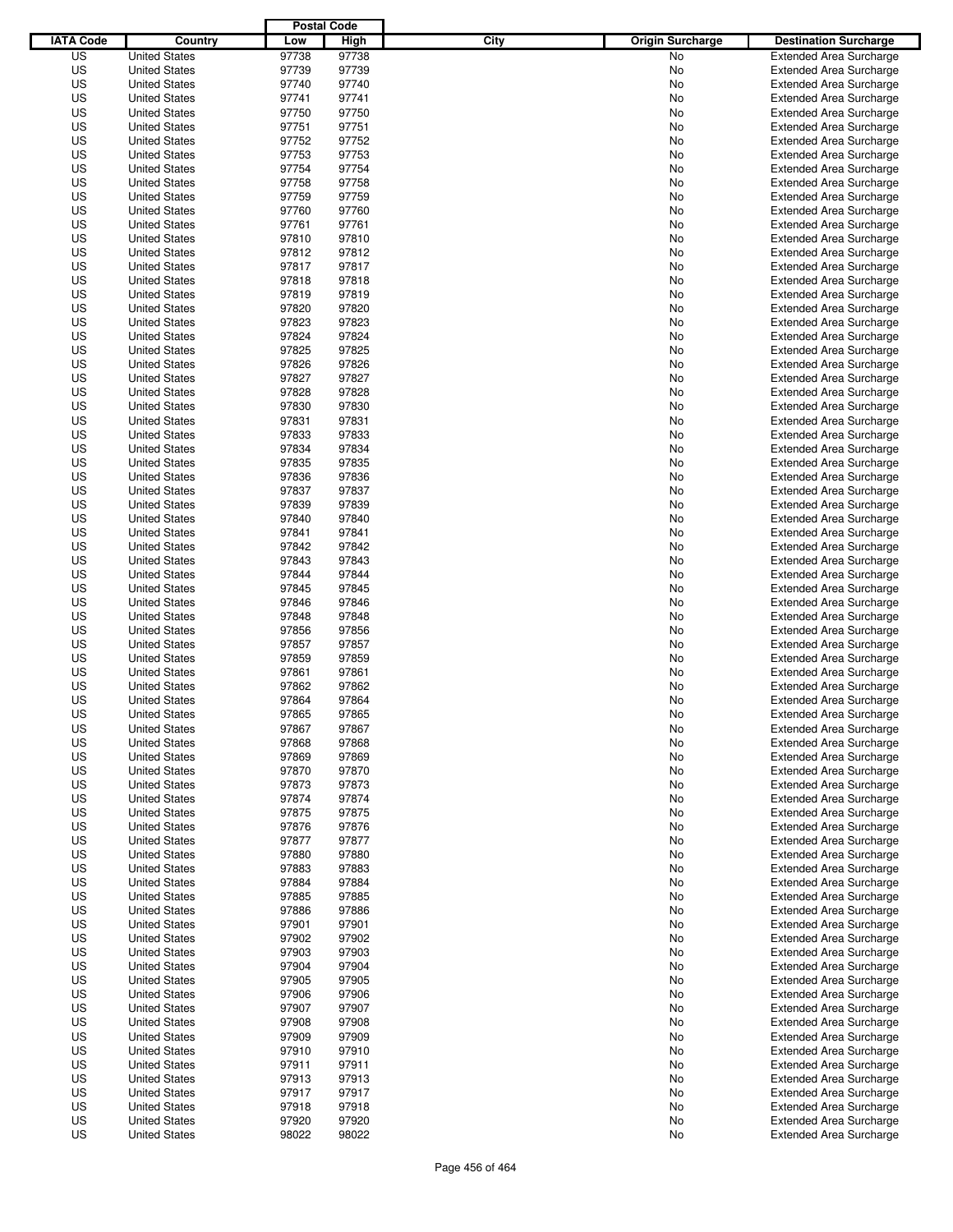|                  |                      | <b>Postal Code</b> |       |                                 |                                |
|------------------|----------------------|--------------------|-------|---------------------------------|--------------------------------|
| <b>IATA Code</b> | Country              | Low                | High  | City<br><b>Origin Surcharge</b> | <b>Destination Surcharge</b>   |
| US               | <b>United States</b> | 97738              | 97738 | <b>No</b>                       | <b>Extended Area Surcharge</b> |
| US               | <b>United States</b> | 97739              | 97739 | No                              | <b>Extended Area Surcharge</b> |
| US               | <b>United States</b> | 97740              | 97740 | No                              | <b>Extended Area Surcharge</b> |
| US               | <b>United States</b> | 97741              | 97741 | No                              | <b>Extended Area Surcharge</b> |
| US               | <b>United States</b> | 97750              | 97750 | No                              | <b>Extended Area Surcharge</b> |
| US               | <b>United States</b> | 97751              | 97751 | No                              | <b>Extended Area Surcharge</b> |
| US               | <b>United States</b> | 97752              | 97752 | No                              | <b>Extended Area Surcharge</b> |
| US               | <b>United States</b> | 97753              | 97753 | No                              | <b>Extended Area Surcharge</b> |
| US               | <b>United States</b> | 97754              | 97754 | No                              | <b>Extended Area Surcharge</b> |
| US               | <b>United States</b> | 97758              | 97758 | No                              | <b>Extended Area Surcharge</b> |
| US               | <b>United States</b> | 97759              | 97759 | No                              | <b>Extended Area Surcharge</b> |
| US               | <b>United States</b> | 97760              | 97760 | No                              | <b>Extended Area Surcharge</b> |
| US               | <b>United States</b> | 97761              | 97761 | No                              | <b>Extended Area Surcharge</b> |
| US               | <b>United States</b> | 97810              | 97810 | No                              | <b>Extended Area Surcharge</b> |
| US               | <b>United States</b> | 97812              | 97812 | No                              | <b>Extended Area Surcharge</b> |
| US               | <b>United States</b> | 97817              | 97817 | No                              | <b>Extended Area Surcharge</b> |
| US               | <b>United States</b> | 97818              | 97818 | No                              | <b>Extended Area Surcharge</b> |
| US               | <b>United States</b> | 97819              | 97819 | No                              | <b>Extended Area Surcharge</b> |
| US               | <b>United States</b> | 97820              | 97820 | No                              | <b>Extended Area Surcharge</b> |
| US               | <b>United States</b> | 97823              | 97823 | No                              | <b>Extended Area Surcharge</b> |
| US               | <b>United States</b> | 97824              | 97824 | No                              | <b>Extended Area Surcharge</b> |
| US               | <b>United States</b> | 97825              | 97825 | No                              | <b>Extended Area Surcharge</b> |
| US               | <b>United States</b> | 97826              | 97826 | No                              | <b>Extended Area Surcharge</b> |
| US               | <b>United States</b> | 97827              | 97827 | No                              | <b>Extended Area Surcharge</b> |
| US               | <b>United States</b> | 97828              | 97828 | No                              | <b>Extended Area Surcharge</b> |
| US               | <b>United States</b> | 97830              | 97830 | No                              | <b>Extended Area Surcharge</b> |
| US               | <b>United States</b> | 97831              | 97831 | No                              | <b>Extended Area Surcharge</b> |
| US               | <b>United States</b> | 97833              | 97833 | No                              | <b>Extended Area Surcharge</b> |
| US               | <b>United States</b> | 97834              | 97834 | No                              | <b>Extended Area Surcharge</b> |
| US               | <b>United States</b> | 97835              | 97835 | No                              | <b>Extended Area Surcharge</b> |
| US               | <b>United States</b> | 97836              | 97836 | No                              | <b>Extended Area Surcharge</b> |
| US               | <b>United States</b> | 97837              | 97837 | No                              | <b>Extended Area Surcharge</b> |
| US               | <b>United States</b> | 97839              | 97839 | No                              | <b>Extended Area Surcharge</b> |
| US               | <b>United States</b> | 97840              | 97840 | No                              | <b>Extended Area Surcharge</b> |
| US               | <b>United States</b> | 97841              | 97841 | No                              | <b>Extended Area Surcharge</b> |
| US               | <b>United States</b> | 97842              | 97842 | No                              | <b>Extended Area Surcharge</b> |
| US               | <b>United States</b> | 97843              | 97843 | No                              | <b>Extended Area Surcharge</b> |
| US               | <b>United States</b> | 97844              | 97844 | No                              | <b>Extended Area Surcharge</b> |
| US               | <b>United States</b> | 97845              | 97845 | No                              | <b>Extended Area Surcharge</b> |
| US               | <b>United States</b> | 97846              | 97846 | No                              | <b>Extended Area Surcharge</b> |
| US               | <b>United States</b> | 97848              | 97848 | No                              | <b>Extended Area Surcharge</b> |
| US               | <b>United States</b> | 97856              | 97856 | No                              | <b>Extended Area Surcharge</b> |
| US               | <b>United States</b> | 97857              | 97857 | No                              | <b>Extended Area Surcharge</b> |
| US               | <b>United States</b> | 97859              | 97859 | No                              | <b>Extended Area Surcharge</b> |
| US               | <b>United States</b> | 97861              | 97861 | No                              | Extended Area Surcharge        |
| US               | <b>United States</b> | 97862              | 97862 | No                              | <b>Extended Area Surcharge</b> |
| US               | <b>United States</b> | 97864              | 97864 | No                              | <b>Extended Area Surcharge</b> |
| US               | <b>United States</b> | 97865              | 97865 | No                              | <b>Extended Area Surcharge</b> |
| US               | <b>United States</b> | 97867              | 97867 | No                              | <b>Extended Area Surcharge</b> |
| US               | <b>United States</b> | 97868              | 97868 | No                              | <b>Extended Area Surcharge</b> |
| US               | <b>United States</b> | 97869              | 97869 | No                              | <b>Extended Area Surcharge</b> |
| US               | <b>United States</b> | 97870              | 97870 | No                              | <b>Extended Area Surcharge</b> |
| US               | <b>United States</b> | 97873              | 97873 | No                              | <b>Extended Area Surcharge</b> |
| US               | <b>United States</b> | 97874              | 97874 | No                              | <b>Extended Area Surcharge</b> |
| US               | <b>United States</b> | 97875              | 97875 | No                              | <b>Extended Area Surcharge</b> |
| US               | <b>United States</b> | 97876              | 97876 | No                              | <b>Extended Area Surcharge</b> |
| US               | <b>United States</b> | 97877              | 97877 | No                              | <b>Extended Area Surcharge</b> |
| US               | <b>United States</b> | 97880              | 97880 | No                              | <b>Extended Area Surcharge</b> |
| US               | <b>United States</b> | 97883              | 97883 | No                              | <b>Extended Area Surcharge</b> |
| US               | <b>United States</b> | 97884              | 97884 | No                              | <b>Extended Area Surcharge</b> |
| US               | <b>United States</b> | 97885              | 97885 | No                              | <b>Extended Area Surcharge</b> |
| US               | <b>United States</b> | 97886              | 97886 | No                              | <b>Extended Area Surcharge</b> |
| US               | <b>United States</b> | 97901              | 97901 | No                              | <b>Extended Area Surcharge</b> |
| US               | <b>United States</b> | 97902              | 97902 | No                              | <b>Extended Area Surcharge</b> |
| US               | <b>United States</b> | 97903              | 97903 | No                              | <b>Extended Area Surcharge</b> |
| US               | <b>United States</b> | 97904              | 97904 | No                              | <b>Extended Area Surcharge</b> |
| US               | <b>United States</b> | 97905              | 97905 | No                              | <b>Extended Area Surcharge</b> |
| US               | <b>United States</b> | 97906              | 97906 | No                              | <b>Extended Area Surcharge</b> |
| US               | <b>United States</b> | 97907              | 97907 | No                              | <b>Extended Area Surcharge</b> |
| US               | <b>United States</b> | 97908              | 97908 | No                              | <b>Extended Area Surcharge</b> |
| US               | <b>United States</b> | 97909              | 97909 | No                              | <b>Extended Area Surcharge</b> |
| US               | <b>United States</b> | 97910              | 97910 | No                              | <b>Extended Area Surcharge</b> |
| US               | <b>United States</b> | 97911              | 97911 | No                              | <b>Extended Area Surcharge</b> |
| US               | <b>United States</b> | 97913              | 97913 | No                              | <b>Extended Area Surcharge</b> |
| US               | <b>United States</b> | 97917              | 97917 | No                              | <b>Extended Area Surcharge</b> |
| US               | <b>United States</b> | 97918              | 97918 | No                              | <b>Extended Area Surcharge</b> |
| US               | <b>United States</b> | 97920              | 97920 | No                              | <b>Extended Area Surcharge</b> |
| US               | <b>United States</b> | 98022              | 98022 | No                              | <b>Extended Area Surcharge</b> |
|                  |                      |                    |       |                                 |                                |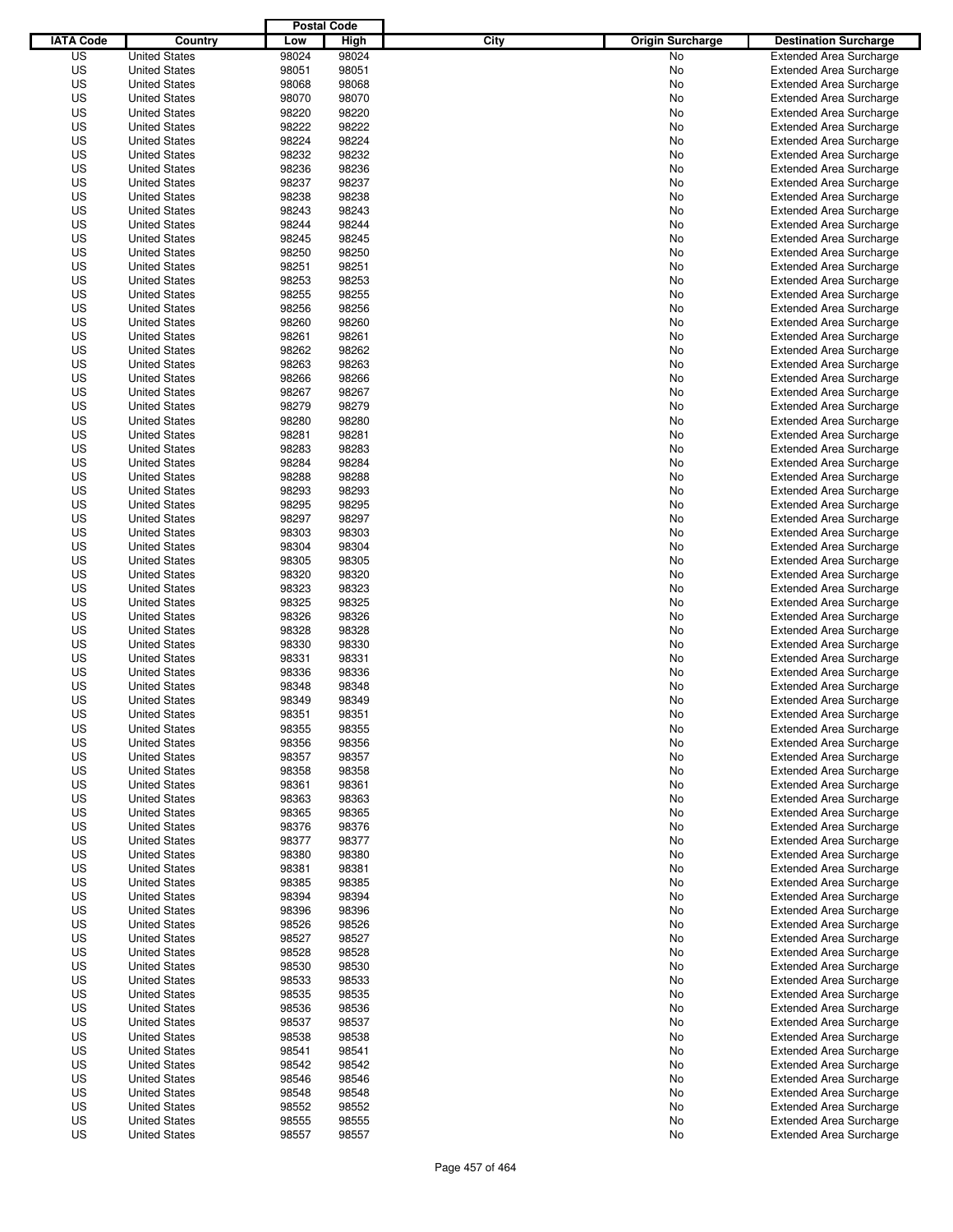|                  |                                              | <b>Postal Code</b> |       |                                 |                                |
|------------------|----------------------------------------------|--------------------|-------|---------------------------------|--------------------------------|
| <b>IATA Code</b> | Country                                      | Low                | High  | City<br><b>Origin Surcharge</b> | <b>Destination Surcharge</b>   |
| US               | <b>United States</b>                         | 98024              | 98024 | <b>No</b>                       | <b>Extended Area Surcharge</b> |
| US               | <b>United States</b>                         | 98051              | 98051 | No                              | <b>Extended Area Surcharge</b> |
| US               | <b>United States</b>                         | 98068              | 98068 | No                              | <b>Extended Area Surcharge</b> |
| US               | <b>United States</b>                         | 98070              | 98070 | No                              | <b>Extended Area Surcharge</b> |
| US               | <b>United States</b>                         | 98220              | 98220 | No                              | <b>Extended Area Surcharge</b> |
| US               | <b>United States</b>                         | 98222              | 98222 | No                              | <b>Extended Area Surcharge</b> |
| US               | <b>United States</b>                         | 98224              | 98224 | No                              | <b>Extended Area Surcharge</b> |
| US               | <b>United States</b>                         | 98232              | 98232 | No                              | <b>Extended Area Surcharge</b> |
| US               | <b>United States</b>                         | 98236              | 98236 | No                              | <b>Extended Area Surcharge</b> |
| US               | <b>United States</b>                         | 98237              | 98237 | No                              | <b>Extended Area Surcharge</b> |
| US               | <b>United States</b>                         | 98238              | 98238 | No                              | <b>Extended Area Surcharge</b> |
| US               | <b>United States</b>                         | 98243              | 98243 | No                              | <b>Extended Area Surcharge</b> |
| US               | <b>United States</b>                         | 98244              | 98244 | No                              | <b>Extended Area Surcharge</b> |
| US               | <b>United States</b>                         | 98245              | 98245 | No                              | <b>Extended Area Surcharge</b> |
| US               | <b>United States</b>                         | 98250              | 98250 | No                              | <b>Extended Area Surcharge</b> |
| US               | <b>United States</b>                         | 98251              | 98251 | No                              | <b>Extended Area Surcharge</b> |
| US               | <b>United States</b>                         | 98253              | 98253 | No                              | <b>Extended Area Surcharge</b> |
| US               | <b>United States</b>                         | 98255              | 98255 | No                              | <b>Extended Area Surcharge</b> |
| US               | <b>United States</b>                         | 98256              | 98256 | No                              | <b>Extended Area Surcharge</b> |
| US               | <b>United States</b>                         | 98260              | 98260 | No                              | <b>Extended Area Surcharge</b> |
| US               | <b>United States</b>                         | 98261              | 98261 | No                              | <b>Extended Area Surcharge</b> |
| US               | <b>United States</b>                         | 98262              | 98262 | No                              | <b>Extended Area Surcharge</b> |
| US               | <b>United States</b>                         | 98263              | 98263 | No                              | <b>Extended Area Surcharge</b> |
| US               | <b>United States</b>                         | 98266              | 98266 | No                              | <b>Extended Area Surcharge</b> |
| US               | <b>United States</b>                         | 98267              | 98267 | No                              | <b>Extended Area Surcharge</b> |
| US               | <b>United States</b>                         | 98279              | 98279 | No                              | <b>Extended Area Surcharge</b> |
| US               | <b>United States</b>                         | 98280              | 98280 | No                              | <b>Extended Area Surcharge</b> |
| US               | <b>United States</b>                         | 98281              | 98281 | No                              | <b>Extended Area Surcharge</b> |
| US               | <b>United States</b>                         | 98283              | 98283 | No                              | <b>Extended Area Surcharge</b> |
| US               | <b>United States</b>                         | 98284              | 98284 | No                              | <b>Extended Area Surcharge</b> |
| US               | <b>United States</b>                         | 98288              | 98288 | No                              | <b>Extended Area Surcharge</b> |
| US               | <b>United States</b>                         | 98293              | 98293 | No                              | <b>Extended Area Surcharge</b> |
| US               | <b>United States</b>                         | 98295              | 98295 | No                              | <b>Extended Area Surcharge</b> |
| US               | <b>United States</b>                         | 98297              | 98297 | No                              | <b>Extended Area Surcharge</b> |
| US               | <b>United States</b>                         | 98303              | 98303 | No                              | <b>Extended Area Surcharge</b> |
| US               | <b>United States</b>                         | 98304              | 98304 | No                              | <b>Extended Area Surcharge</b> |
| US               | <b>United States</b>                         | 98305              | 98305 | No                              | <b>Extended Area Surcharge</b> |
| US               | <b>United States</b>                         | 98320              | 98320 | No                              | <b>Extended Area Surcharge</b> |
| US               | <b>United States</b>                         | 98323              | 98323 | No                              | <b>Extended Area Surcharge</b> |
| US               | <b>United States</b>                         | 98325              | 98325 | No                              | <b>Extended Area Surcharge</b> |
| US               | <b>United States</b>                         | 98326              | 98326 | No                              | <b>Extended Area Surcharge</b> |
| US               | <b>United States</b>                         | 98328              | 98328 | No                              | <b>Extended Area Surcharge</b> |
| US               | <b>United States</b>                         | 98330              | 98330 | No                              | <b>Extended Area Surcharge</b> |
| US               | <b>United States</b>                         | 98331              | 98331 | No                              | <b>Extended Area Surcharge</b> |
| US               | <b>United States</b>                         | 98336              | 98336 | No                              | <b>Extended Area Surcharge</b> |
| US               | <b>United States</b>                         | 98348              | 98348 | No                              | <b>Extended Area Surcharge</b> |
| US               | <b>United States</b>                         | 98349              | 98349 | No                              | <b>Extended Area Surcharge</b> |
| US               | <b>United States</b>                         | 98351              | 98351 | No                              | <b>Extended Area Surcharge</b> |
| US               | <b>United States</b>                         | 98355              | 98355 | No                              | <b>Extended Area Surcharge</b> |
| US               | <b>United States</b>                         | 98356              | 98356 | No                              | <b>Extended Area Surcharge</b> |
| US               | <b>United States</b>                         | 98357              | 98357 | No                              | <b>Extended Area Surcharge</b> |
| US               | <b>United States</b>                         | 98358              | 98358 | No                              | <b>Extended Area Surcharge</b> |
| US               | <b>United States</b>                         | 98361              | 98361 | No                              | <b>Extended Area Surcharge</b> |
| US               | <b>United States</b>                         | 98363              | 98363 | No                              | <b>Extended Area Surcharge</b> |
| US               | <b>United States</b>                         | 98365              | 98365 | No                              | <b>Extended Area Surcharge</b> |
| US               | <b>United States</b>                         | 98376              | 98376 |                                 | <b>Extended Area Surcharge</b> |
| US               | <b>United States</b>                         | 98377              | 98377 | No<br>No                        | <b>Extended Area Surcharge</b> |
| US               | <b>United States</b>                         | 98380              | 98380 | No                              | <b>Extended Area Surcharge</b> |
| US               | <b>United States</b>                         | 98381              | 98381 | No                              | <b>Extended Area Surcharge</b> |
| US               | <b>United States</b>                         | 98385              | 98385 |                                 | <b>Extended Area Surcharge</b> |
| US               |                                              | 98394              | 98394 | No                              | <b>Extended Area Surcharge</b> |
| US               | <b>United States</b><br><b>United States</b> | 98396              | 98396 | No                              | <b>Extended Area Surcharge</b> |
| US               |                                              | 98526              | 98526 | No                              | <b>Extended Area Surcharge</b> |
| US               | <b>United States</b>                         | 98527              | 98527 | No                              | <b>Extended Area Surcharge</b> |
|                  | <b>United States</b>                         |                    |       | No                              |                                |
| US               | <b>United States</b>                         | 98528              | 98528 | No                              | <b>Extended Area Surcharge</b> |
| US               | <b>United States</b>                         | 98530              | 98530 | No                              | <b>Extended Area Surcharge</b> |
| US               | <b>United States</b>                         | 98533              | 98533 | No                              | <b>Extended Area Surcharge</b> |
| US               | <b>United States</b>                         | 98535              | 98535 | No                              | <b>Extended Area Surcharge</b> |
| US               | <b>United States</b>                         | 98536              | 98536 | No                              | <b>Extended Area Surcharge</b> |
| US               | <b>United States</b>                         | 98537              | 98537 | No                              | <b>Extended Area Surcharge</b> |
| US               | <b>United States</b>                         | 98538              | 98538 | No                              | <b>Extended Area Surcharge</b> |
| US               | <b>United States</b>                         | 98541              | 98541 | No                              | <b>Extended Area Surcharge</b> |
| US               | <b>United States</b>                         | 98542              | 98542 | No                              | <b>Extended Area Surcharge</b> |
| US               | <b>United States</b>                         | 98546              | 98546 | No                              | <b>Extended Area Surcharge</b> |
| US               | <b>United States</b>                         | 98548              | 98548 | No                              | <b>Extended Area Surcharge</b> |
| US               | <b>United States</b>                         | 98552              | 98552 | No                              | <b>Extended Area Surcharge</b> |
| US               | <b>United States</b>                         | 98555              | 98555 | No                              | <b>Extended Area Surcharge</b> |
| US               | <b>United States</b>                         | 98557              | 98557 | No                              | <b>Extended Area Surcharge</b> |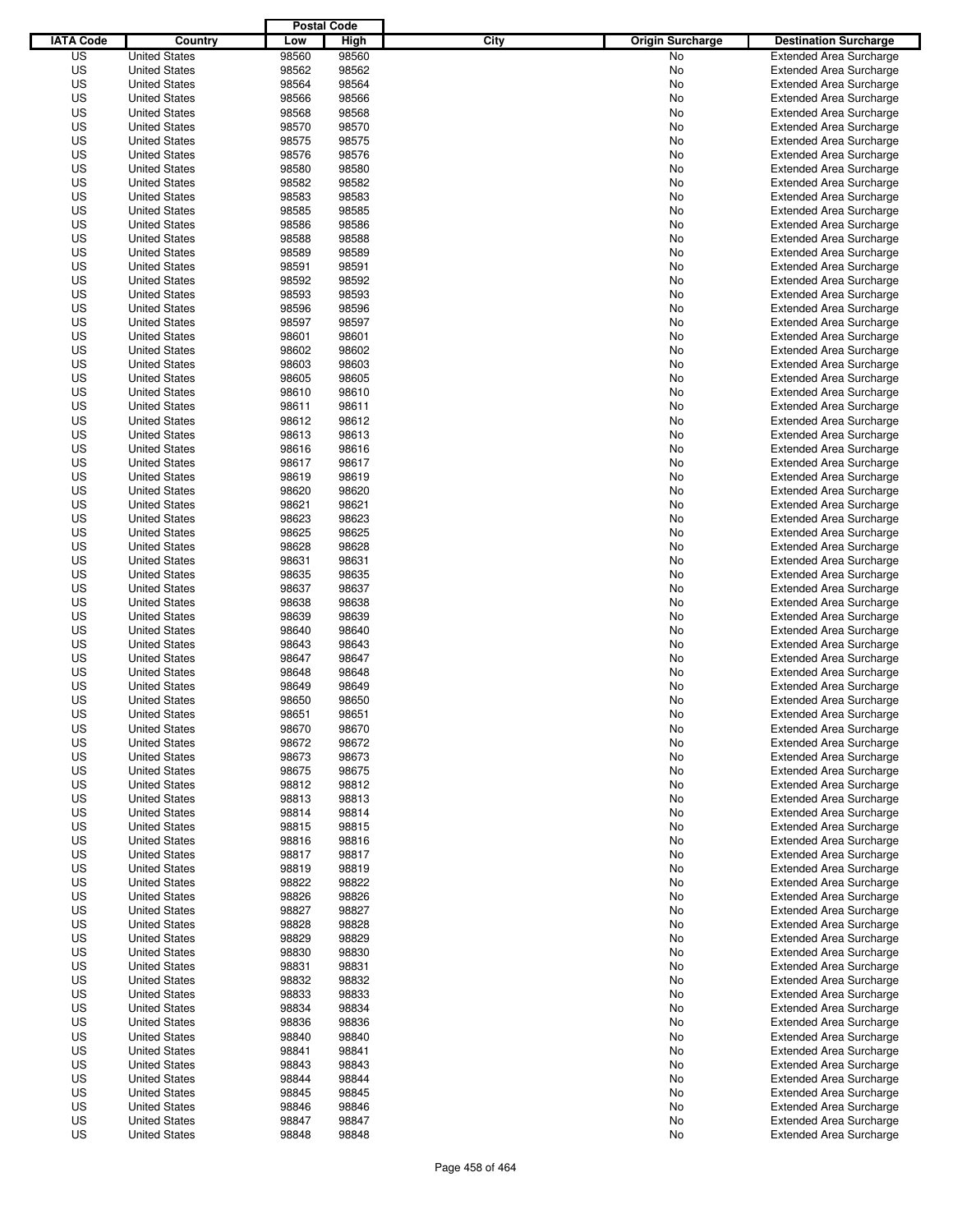|                  |                      | <b>Postal Code</b> |       |                                 |                                |
|------------------|----------------------|--------------------|-------|---------------------------------|--------------------------------|
| <b>IATA Code</b> | Country              | Low                | High  | City<br><b>Origin Surcharge</b> | <b>Destination Surcharge</b>   |
| US               | <b>United States</b> | 98560              | 98560 | <b>No</b>                       | <b>Extended Area Surcharge</b> |
| US               | <b>United States</b> | 98562              | 98562 | No                              | <b>Extended Area Surcharge</b> |
| US               | <b>United States</b> | 98564              | 98564 | No                              | <b>Extended Area Surcharge</b> |
| US               | <b>United States</b> | 98566              | 98566 | No                              | <b>Extended Area Surcharge</b> |
| US               | <b>United States</b> | 98568              | 98568 | No                              | <b>Extended Area Surcharge</b> |
| US               | <b>United States</b> | 98570              | 98570 | No                              | <b>Extended Area Surcharge</b> |
| US               | <b>United States</b> | 98575              | 98575 | No                              | <b>Extended Area Surcharge</b> |
| US               | <b>United States</b> | 98576              | 98576 | No                              | <b>Extended Area Surcharge</b> |
| US               | <b>United States</b> | 98580              | 98580 | No                              | <b>Extended Area Surcharge</b> |
| US               | <b>United States</b> | 98582              | 98582 | No                              | <b>Extended Area Surcharge</b> |
| US               | <b>United States</b> | 98583              | 98583 | No                              | <b>Extended Area Surcharge</b> |
| US               | <b>United States</b> | 98585              | 98585 | No                              | <b>Extended Area Surcharge</b> |
| US               | <b>United States</b> | 98586              | 98586 | No                              | <b>Extended Area Surcharge</b> |
| US               | <b>United States</b> | 98588              | 98588 | No                              | <b>Extended Area Surcharge</b> |
| US               | <b>United States</b> | 98589              | 98589 | No                              | <b>Extended Area Surcharge</b> |
| US               | <b>United States</b> | 98591              | 98591 | No                              | <b>Extended Area Surcharge</b> |
| US               | <b>United States</b> | 98592              | 98592 | No                              | <b>Extended Area Surcharge</b> |
| US               | <b>United States</b> | 98593              | 98593 | No                              | <b>Extended Area Surcharge</b> |
| US               | <b>United States</b> | 98596              | 98596 | No                              | <b>Extended Area Surcharge</b> |
| US               | <b>United States</b> | 98597              | 98597 | No                              | <b>Extended Area Surcharge</b> |
| US               | <b>United States</b> | 98601              | 98601 | No                              | <b>Extended Area Surcharge</b> |
| US               | <b>United States</b> | 98602              | 98602 | No                              | <b>Extended Area Surcharge</b> |
| US               | <b>United States</b> | 98603              | 98603 | No                              | <b>Extended Area Surcharge</b> |
| US               | <b>United States</b> | 98605              | 98605 | No                              | <b>Extended Area Surcharge</b> |
| US               | <b>United States</b> | 98610              | 98610 | No                              | <b>Extended Area Surcharge</b> |
| US               | <b>United States</b> | 98611              | 98611 | No                              | <b>Extended Area Surcharge</b> |
| US               | <b>United States</b> | 98612              | 98612 | No                              | <b>Extended Area Surcharge</b> |
| US               | <b>United States</b> | 98613              | 98613 | No                              | <b>Extended Area Surcharge</b> |
| US               | <b>United States</b> | 98616              | 98616 | No                              | <b>Extended Area Surcharge</b> |
| US               | <b>United States</b> | 98617              | 98617 | No                              | <b>Extended Area Surcharge</b> |
| US               | <b>United States</b> | 98619              | 98619 | No                              | <b>Extended Area Surcharge</b> |
| US               | <b>United States</b> | 98620              | 98620 | No                              | <b>Extended Area Surcharge</b> |
| US               | <b>United States</b> | 98621              | 98621 | No                              | <b>Extended Area Surcharge</b> |
| US               | <b>United States</b> | 98623              | 98623 | No                              | <b>Extended Area Surcharge</b> |
| US               | <b>United States</b> | 98625              | 98625 | No                              | <b>Extended Area Surcharge</b> |
| US               | <b>United States</b> | 98628              | 98628 | No                              | <b>Extended Area Surcharge</b> |
| US               | <b>United States</b> | 98631              | 98631 | No                              | <b>Extended Area Surcharge</b> |
| US               | <b>United States</b> | 98635              | 98635 | No                              | <b>Extended Area Surcharge</b> |
| US               | <b>United States</b> | 98637              | 98637 | No                              | <b>Extended Area Surcharge</b> |
| US               | <b>United States</b> | 98638              | 98638 | No                              | <b>Extended Area Surcharge</b> |
| US               | <b>United States</b> | 98639              | 98639 | No                              | <b>Extended Area Surcharge</b> |
| US               | <b>United States</b> | 98640              | 98640 | No                              | <b>Extended Area Surcharge</b> |
| US               | <b>United States</b> | 98643              | 98643 | No                              | <b>Extended Area Surcharge</b> |
| US               | <b>United States</b> | 98647              | 98647 | No                              | <b>Extended Area Surcharge</b> |
| US               | <b>United States</b> | 98648              | 98648 | No                              | <b>Extended Area Surcharge</b> |
| US               | <b>United States</b> | 98649              | 98649 | No                              | <b>Extended Area Surcharge</b> |
| US               | <b>United States</b> | 98650              | 98650 | No                              | <b>Extended Area Surcharge</b> |
| US               | <b>United States</b> | 98651              | 98651 | No                              | <b>Extended Area Surcharge</b> |
| US               | <b>United States</b> | 98670              | 98670 | No                              | <b>Extended Area Surcharge</b> |
| US               | <b>United States</b> | 98672              | 98672 | No                              | <b>Extended Area Surcharge</b> |
| US               | <b>United States</b> | 98673              | 98673 | No                              | <b>Extended Area Surcharge</b> |
| US               | <b>United States</b> | 98675              | 98675 | No                              | <b>Extended Area Surcharge</b> |
| US               | <b>United States</b> | 98812              | 98812 | No                              | <b>Extended Area Surcharge</b> |
| US               | <b>United States</b> | 98813              | 98813 | No                              | <b>Extended Area Surcharge</b> |
| US               | <b>United States</b> | 98814              | 98814 | No                              | <b>Extended Area Surcharge</b> |
| US               | <b>United States</b> | 98815              | 98815 | No                              | <b>Extended Area Surcharge</b> |
| US               | <b>United States</b> | 98816              | 98816 | No                              | <b>Extended Area Surcharge</b> |
| US               | <b>United States</b> | 98817              | 98817 | No                              | <b>Extended Area Surcharge</b> |
| US               | <b>United States</b> | 98819              | 98819 | No                              | <b>Extended Area Surcharge</b> |
| US               | <b>United States</b> | 98822              | 98822 | No                              | <b>Extended Area Surcharge</b> |
| US               | <b>United States</b> | 98826              | 98826 | No                              | <b>Extended Area Surcharge</b> |
| US               | <b>United States</b> | 98827              | 98827 | No                              | <b>Extended Area Surcharge</b> |
| US               | <b>United States</b> | 98828              | 98828 | No                              | <b>Extended Area Surcharge</b> |
| US               | <b>United States</b> | 98829              | 98829 | No                              | <b>Extended Area Surcharge</b> |
| US               | <b>United States</b> | 98830              | 98830 | No                              | <b>Extended Area Surcharge</b> |
| US               | <b>United States</b> | 98831              | 98831 | No                              | <b>Extended Area Surcharge</b> |
| US               | <b>United States</b> | 98832              | 98832 | No                              | <b>Extended Area Surcharge</b> |
| US               | <b>United States</b> | 98833              | 98833 | No                              | <b>Extended Area Surcharge</b> |
| US               | <b>United States</b> | 98834              | 98834 | No                              | <b>Extended Area Surcharge</b> |
| US               | <b>United States</b> | 98836              | 98836 | No                              | <b>Extended Area Surcharge</b> |
| US               | <b>United States</b> | 98840              | 98840 | No                              | <b>Extended Area Surcharge</b> |
| US               | <b>United States</b> | 98841              | 98841 | No                              | <b>Extended Area Surcharge</b> |
| US               | <b>United States</b> | 98843              | 98843 | No                              | <b>Extended Area Surcharge</b> |
| US               | <b>United States</b> | 98844              | 98844 | No                              | <b>Extended Area Surcharge</b> |
| US               | <b>United States</b> | 98845              | 98845 | No                              | <b>Extended Area Surcharge</b> |
| US               | <b>United States</b> | 98846              | 98846 | No                              | <b>Extended Area Surcharge</b> |
| US               | <b>United States</b> | 98847              | 98847 | No                              | <b>Extended Area Surcharge</b> |
| US               | <b>United States</b> | 98848              | 98848 | No                              | <b>Extended Area Surcharge</b> |
|                  |                      |                    |       |                                 |                                |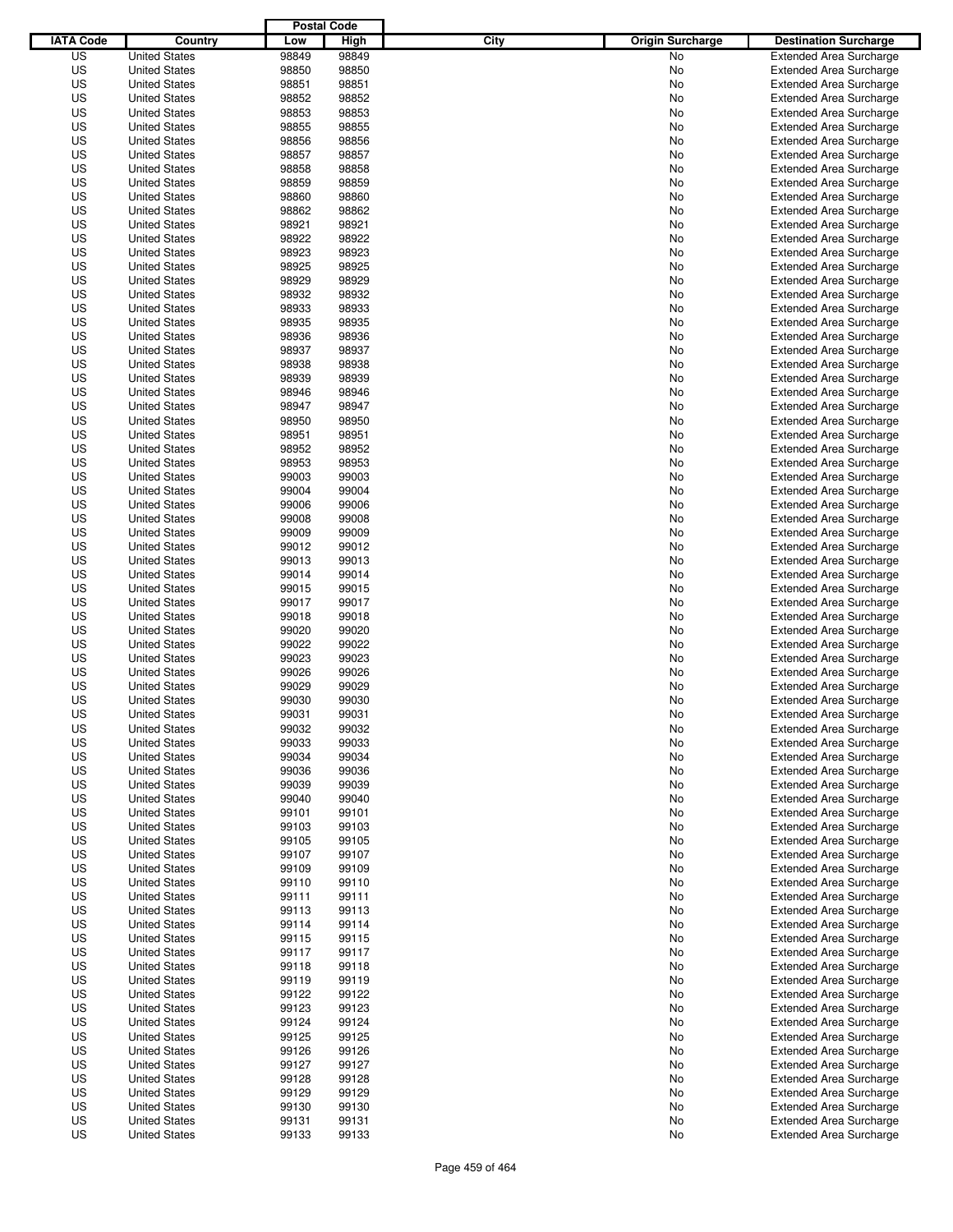|                  |                                              | <b>Postal Code</b> |       |                                 |                                |
|------------------|----------------------------------------------|--------------------|-------|---------------------------------|--------------------------------|
| <b>IATA Code</b> | Country                                      | Low                | High  | City<br><b>Origin Surcharge</b> | <b>Destination Surcharge</b>   |
| US               | <b>United States</b>                         | 98849              | 98849 | <b>No</b>                       | <b>Extended Area Surcharge</b> |
| US               | <b>United States</b>                         | 98850              | 98850 | No                              | <b>Extended Area Surcharge</b> |
| US               | <b>United States</b>                         | 98851              | 98851 | No                              | <b>Extended Area Surcharge</b> |
| US               | <b>United States</b>                         | 98852              | 98852 | No                              | <b>Extended Area Surcharge</b> |
| US               | <b>United States</b>                         | 98853              | 98853 | No                              | <b>Extended Area Surcharge</b> |
| US               | <b>United States</b>                         | 98855              | 98855 | No                              | <b>Extended Area Surcharge</b> |
| US               | <b>United States</b>                         | 98856              | 98856 | No                              | <b>Extended Area Surcharge</b> |
| US               | <b>United States</b>                         | 98857              | 98857 | No                              | <b>Extended Area Surcharge</b> |
| US               | <b>United States</b>                         | 98858              | 98858 | No                              | <b>Extended Area Surcharge</b> |
| US               | <b>United States</b>                         | 98859              | 98859 | No                              | <b>Extended Area Surcharge</b> |
| US               | <b>United States</b>                         | 98860              | 98860 | No                              | <b>Extended Area Surcharge</b> |
| US               | <b>United States</b>                         | 98862              | 98862 | No                              | <b>Extended Area Surcharge</b> |
| US               | <b>United States</b>                         | 98921              | 98921 | No                              | <b>Extended Area Surcharge</b> |
| US               | <b>United States</b>                         | 98922              | 98922 | No                              | <b>Extended Area Surcharge</b> |
| US               | <b>United States</b>                         | 98923              | 98923 | No                              | <b>Extended Area Surcharge</b> |
| US               | <b>United States</b>                         | 98925              | 98925 | No                              | <b>Extended Area Surcharge</b> |
| US               | <b>United States</b>                         | 98929              | 98929 | No                              | <b>Extended Area Surcharge</b> |
| US               | <b>United States</b>                         | 98932              | 98932 | No                              | <b>Extended Area Surcharge</b> |
| US               | <b>United States</b>                         | 98933              | 98933 | No                              | <b>Extended Area Surcharge</b> |
| US               | <b>United States</b>                         | 98935              | 98935 | No                              | <b>Extended Area Surcharge</b> |
| US               | <b>United States</b>                         | 98936              | 98936 | No                              | <b>Extended Area Surcharge</b> |
| US               | <b>United States</b>                         | 98937              | 98937 | No                              | <b>Extended Area Surcharge</b> |
| US               | <b>United States</b>                         | 98938              | 98938 | No                              | <b>Extended Area Surcharge</b> |
| US               | <b>United States</b>                         | 98939              | 98939 | No                              | <b>Extended Area Surcharge</b> |
| US               | <b>United States</b>                         | 98946              | 98946 | No                              | <b>Extended Area Surcharge</b> |
| US               | <b>United States</b>                         | 98947              | 98947 | No                              | <b>Extended Area Surcharge</b> |
| US               | <b>United States</b>                         | 98950              | 98950 | No                              | <b>Extended Area Surcharge</b> |
| US               | <b>United States</b>                         | 98951              | 98951 | No                              | <b>Extended Area Surcharge</b> |
| US               | <b>United States</b>                         | 98952              | 98952 | No                              | <b>Extended Area Surcharge</b> |
| US               | <b>United States</b>                         | 98953              | 98953 | No                              | <b>Extended Area Surcharge</b> |
| US               | <b>United States</b>                         | 99003              | 99003 | No                              | <b>Extended Area Surcharge</b> |
| US               | <b>United States</b>                         | 99004              | 99004 | No                              | <b>Extended Area Surcharge</b> |
| US               | <b>United States</b>                         | 99006              | 99006 | No                              | <b>Extended Area Surcharge</b> |
| US               | <b>United States</b>                         | 99008              | 99008 | No                              | <b>Extended Area Surcharge</b> |
| US               | <b>United States</b>                         | 99009              | 99009 | No                              | <b>Extended Area Surcharge</b> |
| US               | <b>United States</b>                         | 99012              | 99012 | No                              | <b>Extended Area Surcharge</b> |
| US               | <b>United States</b>                         | 99013              | 99013 | No                              | <b>Extended Area Surcharge</b> |
| US               | <b>United States</b>                         | 99014              | 99014 | No                              | <b>Extended Area Surcharge</b> |
| US               | <b>United States</b>                         | 99015              | 99015 | No                              | <b>Extended Area Surcharge</b> |
| US               | <b>United States</b>                         | 99017              | 99017 | No                              | <b>Extended Area Surcharge</b> |
| US               | <b>United States</b>                         | 99018              | 99018 | No                              | <b>Extended Area Surcharge</b> |
| US               | <b>United States</b>                         | 99020              | 99020 | No                              | <b>Extended Area Surcharge</b> |
| US               | <b>United States</b>                         | 99022              | 99022 | No                              | <b>Extended Area Surcharge</b> |
| US               | <b>United States</b>                         | 99023              | 99023 | No                              | <b>Extended Area Surcharge</b> |
| US               | <b>United States</b>                         | 99026              | 99026 | No                              | <b>Extended Area Surcharge</b> |
| US               | <b>United States</b>                         | 99029              | 99029 | No                              | <b>Extended Area Surcharge</b> |
| US               | <b>United States</b>                         | 99030              | 99030 | No                              | <b>Extended Area Surcharge</b> |
| US               | <b>United States</b>                         | 99031              | 99031 | No                              | <b>Extended Area Surcharge</b> |
| US               | <b>United States</b>                         | 99032              | 99032 | No                              | <b>Extended Area Surcharge</b> |
| US               | <b>United States</b>                         | 99033              | 99033 | No                              | <b>Extended Area Surcharge</b> |
| US               | <b>United States</b>                         | 99034              | 99034 | No                              | <b>Extended Area Surcharge</b> |
| US               | <b>United States</b>                         | 99036              | 99036 | No                              | <b>Extended Area Surcharge</b> |
| US               | <b>United States</b>                         | 99039              | 99039 | No                              | <b>Extended Area Surcharge</b> |
| US               | <b>United States</b>                         | 99040              | 99040 | No                              | <b>Extended Area Surcharge</b> |
| US               | <b>United States</b>                         | 99101              | 99101 | No                              | <b>Extended Area Surcharge</b> |
| US               | <b>United States</b>                         | 99103              | 99103 | No                              | <b>Extended Area Surcharge</b> |
| US               | <b>United States</b>                         | 99105              | 99105 | No                              | <b>Extended Area Surcharge</b> |
| US               | <b>United States</b>                         | 99107              | 99107 | No                              | <b>Extended Area Surcharge</b> |
| US               | <b>United States</b>                         | 99109              | 99109 | No                              | <b>Extended Area Surcharge</b> |
| US               | <b>United States</b>                         | 99110              | 99110 | No                              | <b>Extended Area Surcharge</b> |
| US               | <b>United States</b>                         | 99111              | 99111 | No                              | <b>Extended Area Surcharge</b> |
| US               | <b>United States</b>                         | 99113              | 99113 | No                              | <b>Extended Area Surcharge</b> |
| US               | <b>United States</b>                         | 99114              | 99114 | No                              | <b>Extended Area Surcharge</b> |
| US               | <b>United States</b>                         | 99115              | 99115 | No                              | <b>Extended Area Surcharge</b> |
| US               | <b>United States</b>                         | 99117              | 99117 | No                              | <b>Extended Area Surcharge</b> |
| US               | <b>United States</b>                         | 99118              | 99118 | No                              | <b>Extended Area Surcharge</b> |
| US               | <b>United States</b>                         | 99119              | 99119 | No                              | <b>Extended Area Surcharge</b> |
| US               | <b>United States</b>                         | 99122              | 99122 | No                              | <b>Extended Area Surcharge</b> |
| US               | <b>United States</b>                         | 99123              | 99123 |                                 | <b>Extended Area Surcharge</b> |
| US               | <b>United States</b>                         | 99124              | 99124 | No                              | <b>Extended Area Surcharge</b> |
| US               |                                              | 99125              | 99125 | No                              | <b>Extended Area Surcharge</b> |
| US               | <b>United States</b><br><b>United States</b> | 99126              | 99126 | No                              | <b>Extended Area Surcharge</b> |
| US               |                                              | 99127              | 99127 | No                              | <b>Extended Area Surcharge</b> |
| US               | <b>United States</b><br><b>United States</b> | 99128              | 99128 | No                              | <b>Extended Area Surcharge</b> |
| US               |                                              | 99129              | 99129 | No                              | <b>Extended Area Surcharge</b> |
| US               | <b>United States</b>                         | 99130              | 99130 | No                              |                                |
| US               | <b>United States</b>                         |                    |       | No                              | <b>Extended Area Surcharge</b> |
|                  | <b>United States</b>                         | 99131              | 99131 | No                              | <b>Extended Area Surcharge</b> |
| US               | <b>United States</b>                         | 99133              | 99133 | No                              | <b>Extended Area Surcharge</b> |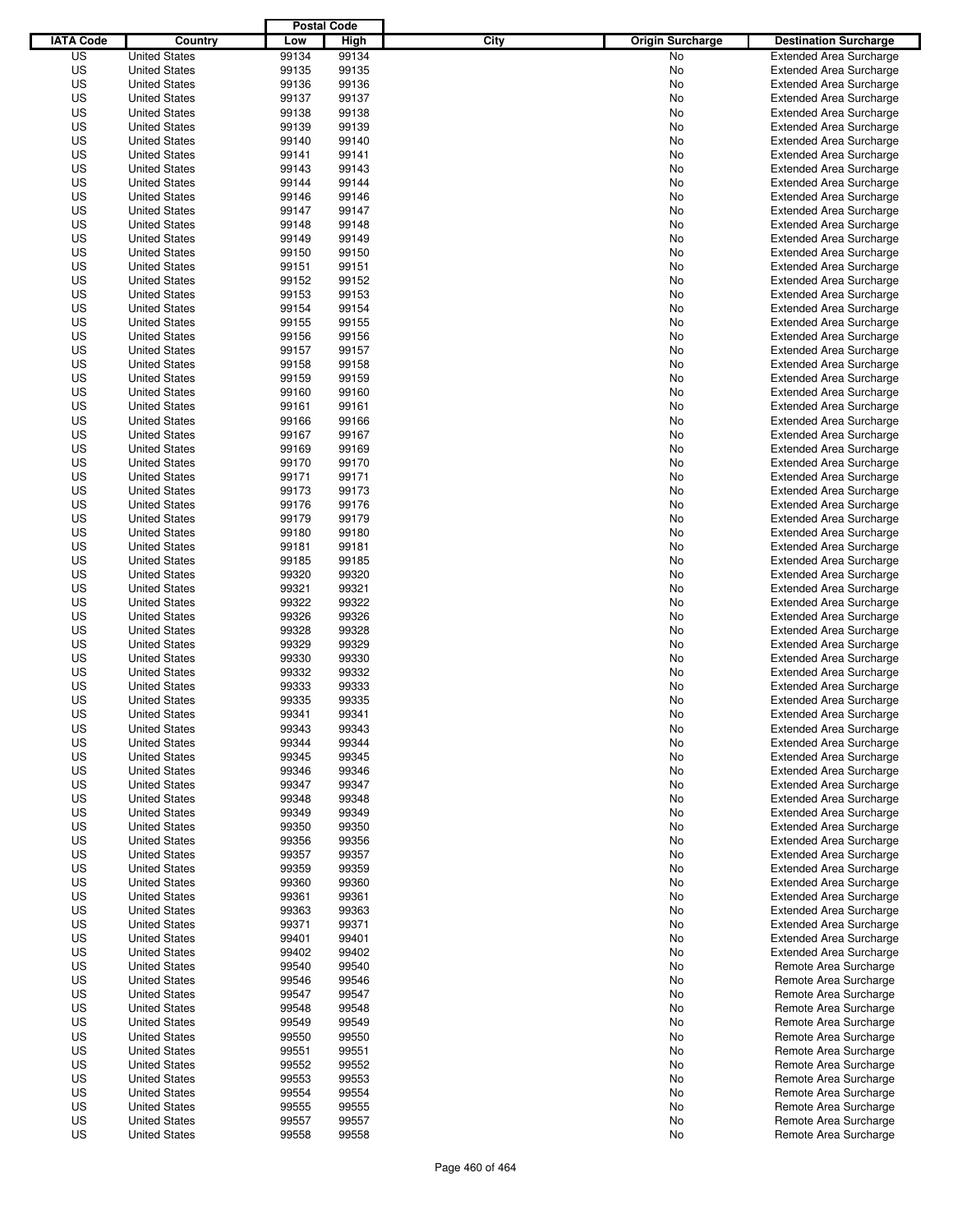|                  |                      | <b>Postal Code</b> |       |                                 |                                |
|------------------|----------------------|--------------------|-------|---------------------------------|--------------------------------|
| <b>IATA Code</b> | Country              | Low                | High  | City<br><b>Origin Surcharge</b> | <b>Destination Surcharge</b>   |
| US               | <b>United States</b> | 99134              | 99134 | <b>No</b>                       | <b>Extended Area Surcharge</b> |
| US               | <b>United States</b> | 99135              | 99135 | No                              | <b>Extended Area Surcharge</b> |
| US               | <b>United States</b> | 99136              | 99136 | No                              | <b>Extended Area Surcharge</b> |
| US               | <b>United States</b> | 99137              | 99137 | No                              | <b>Extended Area Surcharge</b> |
| US               | <b>United States</b> | 99138              | 99138 | No                              | <b>Extended Area Surcharge</b> |
| US               | <b>United States</b> | 99139              | 99139 | No                              | <b>Extended Area Surcharge</b> |
| US               | <b>United States</b> | 99140              | 99140 | No                              | <b>Extended Area Surcharge</b> |
| US               | <b>United States</b> | 99141              | 99141 | No                              | <b>Extended Area Surcharge</b> |
| US               | <b>United States</b> | 99143              | 99143 | No                              | <b>Extended Area Surcharge</b> |
| US               | <b>United States</b> | 99144              | 99144 | No                              | <b>Extended Area Surcharge</b> |
| US               | <b>United States</b> | 99146              | 99146 | No                              | <b>Extended Area Surcharge</b> |
| US               | <b>United States</b> | 99147              | 99147 | No                              | <b>Extended Area Surcharge</b> |
| US               | <b>United States</b> | 99148              | 99148 | No                              | <b>Extended Area Surcharge</b> |
| US               | <b>United States</b> | 99149              | 99149 | No                              | <b>Extended Area Surcharge</b> |
| US               | <b>United States</b> | 99150              | 99150 | No                              | <b>Extended Area Surcharge</b> |
| US               | <b>United States</b> | 99151              | 99151 | No                              | <b>Extended Area Surcharge</b> |
| US               | <b>United States</b> | 99152              | 99152 | No                              | <b>Extended Area Surcharge</b> |
| US               | <b>United States</b> | 99153              | 99153 | No                              | <b>Extended Area Surcharge</b> |
| US               | <b>United States</b> | 99154              | 99154 | No                              | <b>Extended Area Surcharge</b> |
| US               | <b>United States</b> | 99155              | 99155 | No                              | <b>Extended Area Surcharge</b> |
| US               | <b>United States</b> | 99156              | 99156 | No                              | <b>Extended Area Surcharge</b> |
| US               | <b>United States</b> | 99157              | 99157 | No                              | <b>Extended Area Surcharge</b> |
| US               | <b>United States</b> | 99158              | 99158 | No                              | <b>Extended Area Surcharge</b> |
| US               | <b>United States</b> | 99159              | 99159 | No                              | <b>Extended Area Surcharge</b> |
| US               | <b>United States</b> | 99160              | 99160 | No                              | <b>Extended Area Surcharge</b> |
| US               | <b>United States</b> | 99161              | 99161 | No                              | <b>Extended Area Surcharge</b> |
| US               | <b>United States</b> | 99166              | 99166 | No                              | <b>Extended Area Surcharge</b> |
| US               | <b>United States</b> | 99167              | 99167 | No                              | <b>Extended Area Surcharge</b> |
| US               | <b>United States</b> | 99169              | 99169 | No                              | <b>Extended Area Surcharge</b> |
| US               | <b>United States</b> | 99170              | 99170 | No                              | <b>Extended Area Surcharge</b> |
| US               | <b>United States</b> | 99171              | 99171 | No                              | <b>Extended Area Surcharge</b> |
| US               | <b>United States</b> | 99173              | 99173 | No                              | <b>Extended Area Surcharge</b> |
| US               | <b>United States</b> | 99176              | 99176 | No                              | <b>Extended Area Surcharge</b> |
| US               | <b>United States</b> | 99179              | 99179 | No                              | <b>Extended Area Surcharge</b> |
| US               | <b>United States</b> | 99180              | 99180 | No                              | <b>Extended Area Surcharge</b> |
| US               | <b>United States</b> | 99181              | 99181 | No                              | <b>Extended Area Surcharge</b> |
| US               | <b>United States</b> | 99185              | 99185 | No                              | <b>Extended Area Surcharge</b> |
| US               | <b>United States</b> | 99320              | 99320 | No                              | <b>Extended Area Surcharge</b> |
| US               | <b>United States</b> | 99321              | 99321 | No                              | <b>Extended Area Surcharge</b> |
| US               | <b>United States</b> | 99322              | 99322 | No                              | <b>Extended Area Surcharge</b> |
| US               | <b>United States</b> | 99326              | 99326 | No                              | <b>Extended Area Surcharge</b> |
| US               | <b>United States</b> | 99328              | 99328 | No                              | <b>Extended Area Surcharge</b> |
| US               | <b>United States</b> | 99329              | 99329 | No                              | <b>Extended Area Surcharge</b> |
| US               | <b>United States</b> | 99330              | 99330 | No                              | <b>Extended Area Surcharge</b> |
| US               | <b>United States</b> | 99332              | 99332 | No                              | Extended Area Surcharge        |
| US               | <b>United States</b> | 99333              | 99333 | No                              | <b>Extended Area Surcharge</b> |
| US               | <b>United States</b> | 99335              | 99335 | No                              | <b>Extended Area Surcharge</b> |
| US               | <b>United States</b> | 99341              | 99341 | No                              | <b>Extended Area Surcharge</b> |
| US               | <b>United States</b> | 99343              | 99343 | No                              | <b>Extended Area Surcharge</b> |
| US               | <b>United States</b> | 99344              | 99344 | No                              | <b>Extended Area Surcharge</b> |
| US               | <b>United States</b> | 99345              | 99345 | No                              | <b>Extended Area Surcharge</b> |
| US               | <b>United States</b> | 99346              | 99346 | No                              | <b>Extended Area Surcharge</b> |
| US               | <b>United States</b> | 99347              | 99347 | No                              | <b>Extended Area Surcharge</b> |
| US               | <b>United States</b> | 99348              | 99348 | No                              | <b>Extended Area Surcharge</b> |
| US               | <b>United States</b> | 99349              | 99349 | No                              | <b>Extended Area Surcharge</b> |
| US               | <b>United States</b> | 99350              | 99350 | No                              | <b>Extended Area Surcharge</b> |
| US               | <b>United States</b> | 99356              | 99356 | No                              | <b>Extended Area Surcharge</b> |
| US               | <b>United States</b> | 99357              | 99357 | No                              | <b>Extended Area Surcharge</b> |
| US               | <b>United States</b> | 99359              | 99359 | No                              | <b>Extended Area Surcharge</b> |
| US               | <b>United States</b> | 99360              | 99360 | No                              | <b>Extended Area Surcharge</b> |
| US               | <b>United States</b> | 99361              | 99361 | No                              | <b>Extended Area Surcharge</b> |
| US               | <b>United States</b> | 99363              | 99363 | No                              | <b>Extended Area Surcharge</b> |
| US               | <b>United States</b> | 99371              | 99371 | No                              | <b>Extended Area Surcharge</b> |
| US               | <b>United States</b> | 99401              | 99401 | No                              | <b>Extended Area Surcharge</b> |
| US               | <b>United States</b> | 99402              | 99402 | No                              | <b>Extended Area Surcharge</b> |
| US               | <b>United States</b> | 99540              | 99540 | No                              | Remote Area Surcharge          |
| US               | <b>United States</b> | 99546              | 99546 | No                              | Remote Area Surcharge          |
| US               | <b>United States</b> | 99547              | 99547 | No                              | Remote Area Surcharge          |
| US               | <b>United States</b> | 99548              | 99548 | No                              | Remote Area Surcharge          |
| US               | <b>United States</b> | 99549              | 99549 | No                              | Remote Area Surcharge          |
| US               | <b>United States</b> | 99550              | 99550 | No                              | Remote Area Surcharge          |
| US               | <b>United States</b> | 99551              | 99551 | No                              | Remote Area Surcharge          |
| US               | <b>United States</b> | 99552              | 99552 | No                              | Remote Area Surcharge          |
| US               | <b>United States</b> | 99553              | 99553 | No                              | Remote Area Surcharge          |
| US               | <b>United States</b> | 99554              | 99554 | No                              | Remote Area Surcharge          |
| US               | <b>United States</b> | 99555              | 99555 | No                              | Remote Area Surcharge          |
| US               | <b>United States</b> | 99557              | 99557 | No                              | Remote Area Surcharge          |
| US               | <b>United States</b> | 99558              | 99558 | No                              | Remote Area Surcharge          |
|                  |                      |                    |       |                                 |                                |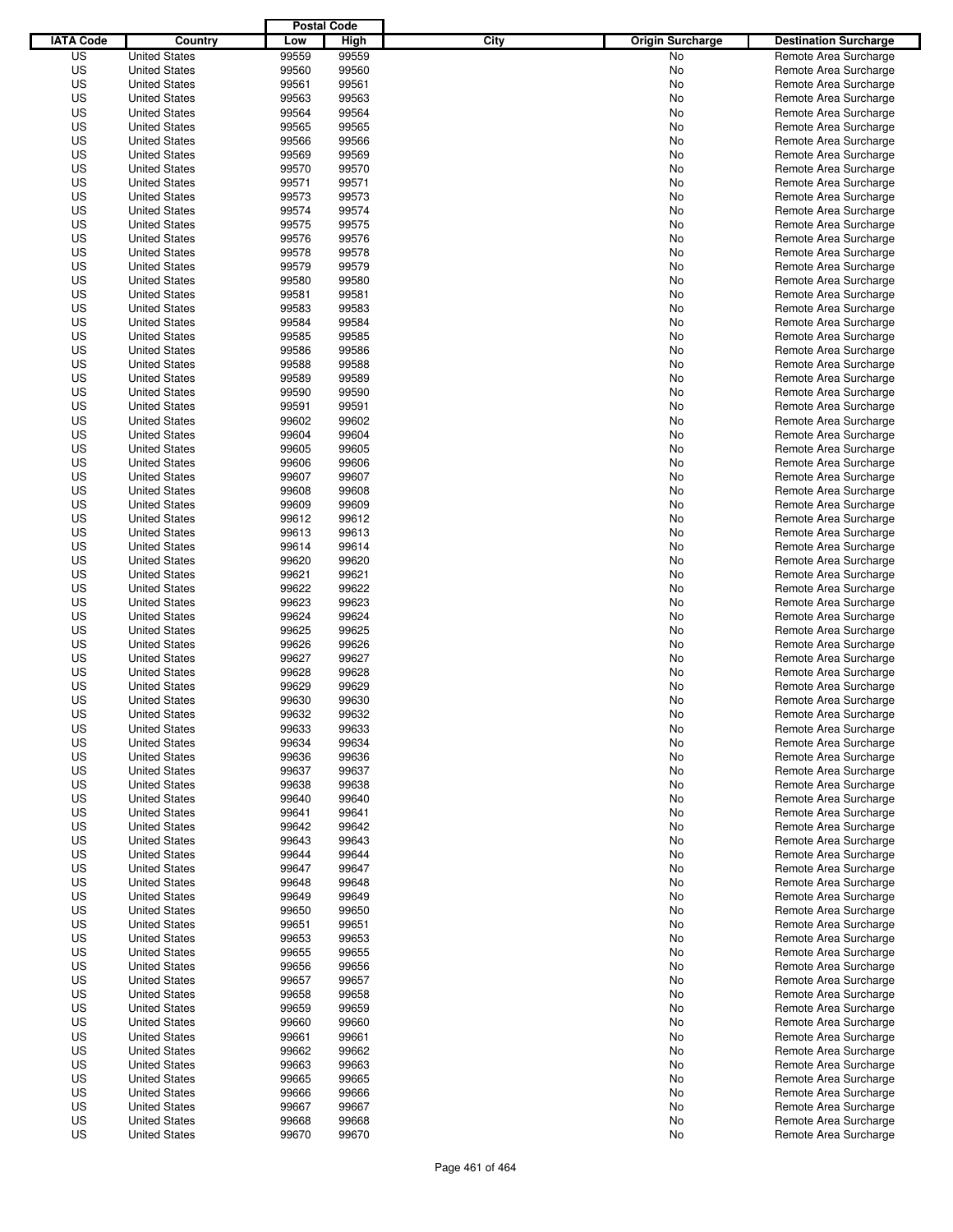|                  |                      | <b>Postal Code</b> |       |                                 |                              |
|------------------|----------------------|--------------------|-------|---------------------------------|------------------------------|
| <b>IATA Code</b> | Country              | Low                | High  | City<br><b>Origin Surcharge</b> | <b>Destination Surcharge</b> |
| US               | <b>United States</b> | 99559              | 99559 | <b>No</b>                       | Remote Area Surcharge        |
| US               | <b>United States</b> | 99560              | 99560 | No                              | Remote Area Surcharge        |
| US               | <b>United States</b> | 99561              | 99561 | No                              | Remote Area Surcharge        |
| US               | <b>United States</b> | 99563              | 99563 | No                              | Remote Area Surcharge        |
| US               | <b>United States</b> | 99564              | 99564 | No                              | Remote Area Surcharge        |
| US               | <b>United States</b> | 99565              | 99565 | No                              | Remote Area Surcharge        |
| US               | <b>United States</b> | 99566              | 99566 | No                              | Remote Area Surcharge        |
| US               | <b>United States</b> | 99569              | 99569 | No                              | Remote Area Surcharge        |
| US               | <b>United States</b> | 99570              | 99570 | No                              | Remote Area Surcharge        |
| US               | <b>United States</b> | 99571              | 99571 | No                              | Remote Area Surcharge        |
| US               | <b>United States</b> | 99573              | 99573 | No                              | Remote Area Surcharge        |
| US               | <b>United States</b> | 99574              | 99574 | No                              | Remote Area Surcharge        |
| US               | <b>United States</b> | 99575              | 99575 | No                              | Remote Area Surcharge        |
| US               | <b>United States</b> | 99576              | 99576 | No                              | Remote Area Surcharge        |
| US               | <b>United States</b> | 99578              | 99578 | No                              | Remote Area Surcharge        |
| US               | <b>United States</b> | 99579              | 99579 | No                              | Remote Area Surcharge        |
| US               | <b>United States</b> | 99580              | 99580 | No                              | Remote Area Surcharge        |
| US               | <b>United States</b> | 99581              | 99581 | No                              | Remote Area Surcharge        |
| US               | <b>United States</b> | 99583              | 99583 | No                              | Remote Area Surcharge        |
| US               | <b>United States</b> | 99584              | 99584 | No                              | Remote Area Surcharge        |
| US               | <b>United States</b> | 99585              | 99585 | No                              | Remote Area Surcharge        |
| US               | <b>United States</b> | 99586              | 99586 | No                              | Remote Area Surcharge        |
| US               | <b>United States</b> | 99588              | 99588 | No                              | Remote Area Surcharge        |
| US               | <b>United States</b> | 99589              | 99589 | No                              | Remote Area Surcharge        |
| US               | <b>United States</b> | 99590              | 99590 | No                              | Remote Area Surcharge        |
| US               | <b>United States</b> | 99591              | 99591 | No                              | Remote Area Surcharge        |
| US               | <b>United States</b> | 99602              | 99602 | No                              | Remote Area Surcharge        |
| US               | <b>United States</b> | 99604              | 99604 | No                              | Remote Area Surcharge        |
| US               | <b>United States</b> | 99605              | 99605 | No                              | Remote Area Surcharge        |
| US               | <b>United States</b> | 99606              | 99606 | No                              | Remote Area Surcharge        |
| US               | <b>United States</b> | 99607              | 99607 | No                              | Remote Area Surcharge        |
| US               | <b>United States</b> | 99608              | 99608 | No                              | Remote Area Surcharge        |
| US               | <b>United States</b> | 99609              | 99609 | No                              | Remote Area Surcharge        |
| US               | <b>United States</b> | 99612              | 99612 | No                              | Remote Area Surcharge        |
| US               | <b>United States</b> | 99613              | 99613 | No                              | Remote Area Surcharge        |
| US               | <b>United States</b> | 99614              | 99614 | No                              | Remote Area Surcharge        |
| US               | <b>United States</b> | 99620              | 99620 | No                              | Remote Area Surcharge        |
| US               | <b>United States</b> | 99621              | 99621 | No                              | Remote Area Surcharge        |
| US               | <b>United States</b> | 99622              | 99622 | No                              | Remote Area Surcharge        |
| US               | <b>United States</b> | 99623              | 99623 | No                              | Remote Area Surcharge        |
| US               | <b>United States</b> | 99624              | 99624 | No                              | Remote Area Surcharge        |
| US               | <b>United States</b> | 99625              | 99625 | No                              | Remote Area Surcharge        |
| US               | <b>United States</b> | 99626              | 99626 | No                              | Remote Area Surcharge        |
| US               | <b>United States</b> | 99627              | 99627 | No                              | Remote Area Surcharge        |
| US               | <b>United States</b> | 99628              | 99628 | No                              | Remote Area Surcharge        |
| US               | <b>United States</b> | 99629              | 99629 | No                              | Remote Area Surcharge        |
| US               | <b>United States</b> | 99630              | 99630 | No                              | Remote Area Surcharge        |
| US               | <b>United States</b> | 99632              | 99632 | No                              | Remote Area Surcharge        |
| US               | <b>United States</b> | 99633              | 99633 | No                              | Remote Area Surcharge        |
| US               | <b>United States</b> | 99634              | 99634 | No                              | Remote Area Surcharge        |
| US               | <b>United States</b> | 99636              | 99636 | No                              | Remote Area Surcharge        |
| US               | <b>United States</b> | 99637              | 99637 | No                              | Remote Area Surcharge        |
| US               | <b>United States</b> | 99638              | 99638 | No                              | Remote Area Surcharge        |
| US               | <b>United States</b> | 99640              | 99640 | No                              | Remote Area Surcharge        |
| US               | <b>United States</b> | 99641              | 99641 | No                              | Remote Area Surcharge        |
| US               | <b>United States</b> | 99642              | 99642 | No                              | Remote Area Surcharge        |
| US               | <b>United States</b> | 99643              | 99643 | No                              | Remote Area Surcharge        |
| US               | <b>United States</b> | 99644              | 99644 | No                              | Remote Area Surcharge        |
| US               | <b>United States</b> | 99647              | 99647 | No                              | Remote Area Surcharge        |
| US               | <b>United States</b> | 99648              | 99648 | No                              | Remote Area Surcharge        |
| US               | <b>United States</b> | 99649              | 99649 | No                              | Remote Area Surcharge        |
| US               | <b>United States</b> | 99650              | 99650 | No                              | Remote Area Surcharge        |
| US               | <b>United States</b> | 99651              | 99651 | No                              | Remote Area Surcharge        |
| US               | <b>United States</b> | 99653              | 99653 | No                              | Remote Area Surcharge        |
| US               | <b>United States</b> | 99655              | 99655 | No                              | Remote Area Surcharge        |
| US               | <b>United States</b> | 99656              | 99656 | No                              | Remote Area Surcharge        |
| US               | <b>United States</b> | 99657              | 99657 | No                              | Remote Area Surcharge        |
| US               | <b>United States</b> | 99658              | 99658 | No                              | Remote Area Surcharge        |
| US               | <b>United States</b> | 99659              | 99659 | No                              | Remote Area Surcharge        |
| US               | <b>United States</b> | 99660              | 99660 | No                              | Remote Area Surcharge        |
| US               | <b>United States</b> | 99661              | 99661 | No                              | Remote Area Surcharge        |
| US               | <b>United States</b> | 99662              | 99662 | No                              | Remote Area Surcharge        |
| US               | <b>United States</b> | 99663              | 99663 | No                              | Remote Area Surcharge        |
| US               | <b>United States</b> | 99665              | 99665 | No                              | Remote Area Surcharge        |
| US               | <b>United States</b> | 99666              | 99666 | No                              | Remote Area Surcharge        |
| US               | <b>United States</b> | 99667              | 99667 | No                              | Remote Area Surcharge        |
| US               | <b>United States</b> | 99668              | 99668 | No                              | Remote Area Surcharge        |
| US               | <b>United States</b> | 99670              | 99670 | No                              | Remote Area Surcharge        |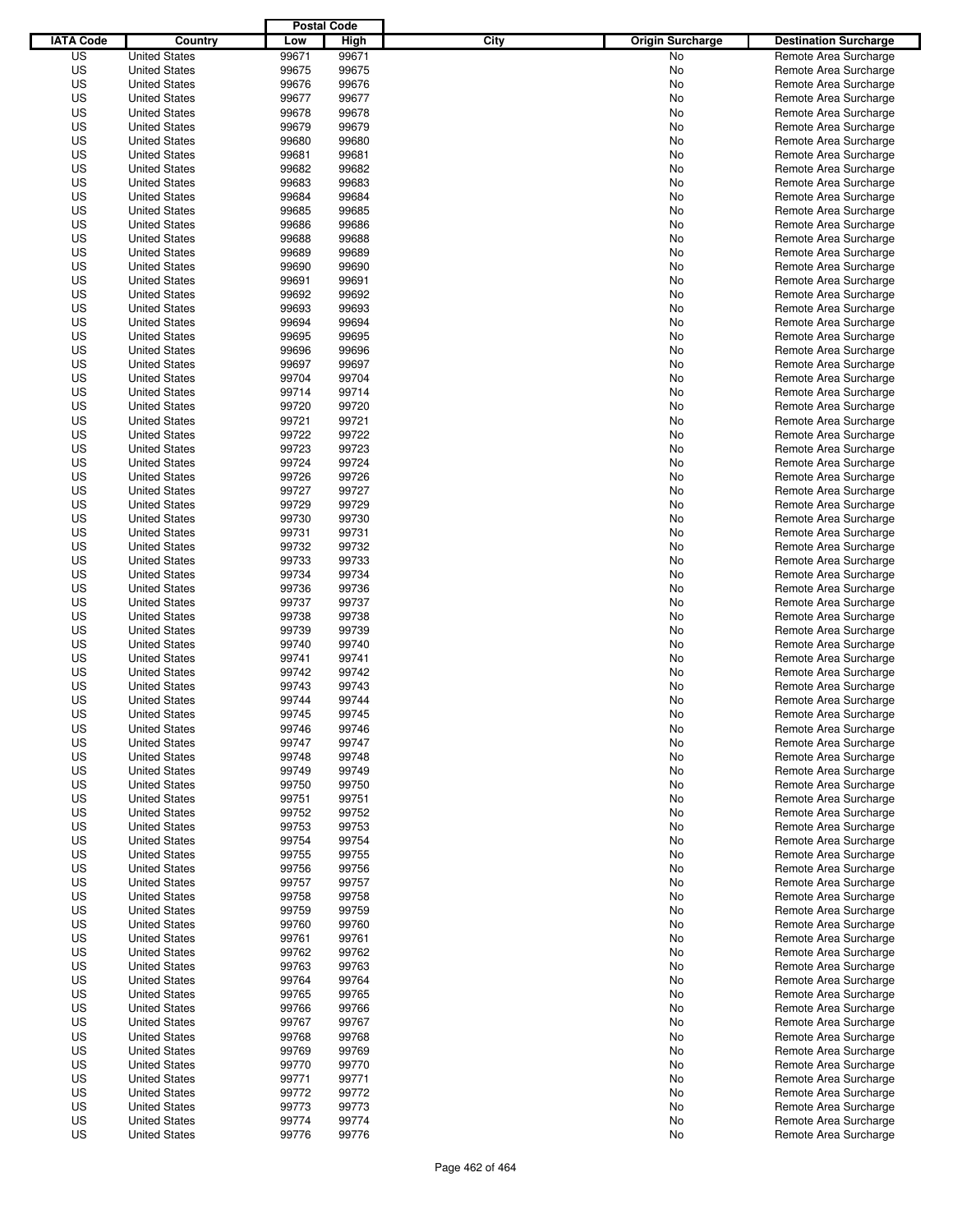|                  |                                              | <b>Postal Code</b> |                |                                 |                                                |
|------------------|----------------------------------------------|--------------------|----------------|---------------------------------|------------------------------------------------|
| <b>IATA Code</b> | Country                                      | Low                | High           | City<br><b>Origin Surcharge</b> | <b>Destination Surcharge</b>                   |
| US               | <b>United States</b>                         | 99671              | 99671          | <b>No</b>                       | Remote Area Surcharge                          |
| US               | <b>United States</b>                         | 99675              | 99675          | No                              | Remote Area Surcharge                          |
| US               | <b>United States</b>                         | 99676              | 99676          | No                              | Remote Area Surcharge                          |
| US               | <b>United States</b>                         | 99677              | 99677          | No                              | Remote Area Surcharge                          |
| US               | <b>United States</b>                         | 99678              | 99678          | No                              | Remote Area Surcharge                          |
| US               | <b>United States</b>                         | 99679              | 99679          | No                              | Remote Area Surcharge                          |
| US               | <b>United States</b>                         | 99680              | 99680          | No                              | Remote Area Surcharge                          |
| US               | <b>United States</b>                         | 99681              | 99681          | No                              | Remote Area Surcharge                          |
| US               | <b>United States</b>                         | 99682              | 99682          | No                              | Remote Area Surcharge                          |
| US               | <b>United States</b>                         | 99683              | 99683          | No                              | Remote Area Surcharge                          |
| US               | <b>United States</b>                         | 99684              | 99684          | No                              | Remote Area Surcharge                          |
| US               | <b>United States</b>                         | 99685              | 99685          | No                              | Remote Area Surcharge                          |
| US               | <b>United States</b>                         | 99686              | 99686          | No                              | Remote Area Surcharge                          |
| US               | <b>United States</b>                         | 99688              | 99688          | No                              | Remote Area Surcharge                          |
| US               | <b>United States</b>                         | 99689              | 99689          | No                              | Remote Area Surcharge                          |
| US               | <b>United States</b>                         | 99690              | 99690          | No                              | Remote Area Surcharge                          |
| US               | <b>United States</b>                         | 99691              | 99691          | No                              | Remote Area Surcharge                          |
| US               | <b>United States</b>                         | 99692              | 99692          | No                              | Remote Area Surcharge                          |
| US               | <b>United States</b>                         | 99693              | 99693          | No                              | Remote Area Surcharge                          |
| US               | <b>United States</b>                         | 99694              | 99694          | No                              | Remote Area Surcharge                          |
| US               | <b>United States</b>                         | 99695              | 99695          | No                              | Remote Area Surcharge                          |
| US               | <b>United States</b>                         | 99696              | 99696          | No                              | Remote Area Surcharge                          |
| US               | <b>United States</b>                         | 99697              | 99697          | No                              | Remote Area Surcharge                          |
| US               | <b>United States</b>                         | 99704              | 99704          | No                              | Remote Area Surcharge                          |
| US               | <b>United States</b>                         | 99714              | 99714          | No                              | Remote Area Surcharge                          |
| US               | <b>United States</b>                         | 99720              | 99720          | No                              | Remote Area Surcharge                          |
| US               | <b>United States</b>                         | 99721              | 99721          | No                              | Remote Area Surcharge                          |
| US               | <b>United States</b>                         | 99722              | 99722          | No                              | Remote Area Surcharge                          |
| US               | <b>United States</b>                         | 99723              | 99723          | No                              | Remote Area Surcharge                          |
| US               | <b>United States</b>                         | 99724              | 99724          | No                              | Remote Area Surcharge                          |
| US               | <b>United States</b>                         | 99726              | 99726          | No                              | Remote Area Surcharge                          |
| US               | <b>United States</b>                         | 99727              | 99727          | No                              | Remote Area Surcharge                          |
| US               | <b>United States</b>                         | 99729              | 99729          | No                              | Remote Area Surcharge                          |
| US               | <b>United States</b>                         | 99730              | 99730          | No                              | Remote Area Surcharge                          |
| US               | <b>United States</b>                         | 99731              | 99731          | No                              | Remote Area Surcharge                          |
| US               | <b>United States</b>                         | 99732              | 99732          | No                              | Remote Area Surcharge                          |
| US               | <b>United States</b>                         | 99733              | 99733          | No                              | Remote Area Surcharge                          |
| US               | <b>United States</b>                         | 99734              | 99734          | No                              | Remote Area Surcharge                          |
| US               | <b>United States</b>                         | 99736              | 99736          | No                              | Remote Area Surcharge                          |
| US               | <b>United States</b>                         | 99737              | 99737          | No                              | Remote Area Surcharge                          |
| US               | <b>United States</b>                         | 99738              | 99738          | No                              | Remote Area Surcharge                          |
| US               | <b>United States</b>                         | 99739              | 99739          | No                              | Remote Area Surcharge                          |
| US               | <b>United States</b>                         | 99740              | 99740          | No                              | Remote Area Surcharge                          |
| US               | <b>United States</b>                         | 99741              | 99741          | No                              | Remote Area Surcharge                          |
| US               | <b>United States</b>                         | 99742              | 99742          | No                              | Remote Area Surcharge                          |
| US               | <b>United States</b>                         | 99743              | 99743          | No                              | Remote Area Surcharge                          |
| US               | <b>United States</b>                         | 99744              | 99744          | No                              | Remote Area Surcharge                          |
| US               | <b>United States</b>                         | 99745              | 99745          | No                              | Remote Area Surcharge                          |
| US               | <b>United States</b>                         | 99746              | 99746          | No                              | Remote Area Surcharge                          |
| US               | <b>United States</b>                         | 99747              | 99747          | No                              | Remote Area Surcharge                          |
| US               | <b>United States</b>                         | 99748              | 99748          | No                              | Remote Area Surcharge                          |
| US               | <b>United States</b>                         | 99749              | 99749          | No                              | Remote Area Surcharge                          |
| US               | <b>United States</b>                         | 99750              | 99750          | No                              | Remote Area Surcharge                          |
| US<br>US         | <b>United States</b>                         | 99751<br>99752     | 99751<br>99752 | No                              | Remote Area Surcharge<br>Remote Area Surcharge |
|                  | <b>United States</b>                         |                    |                | No                              |                                                |
| US               | <b>United States</b>                         | 99753              | 99753          | No                              | Remote Area Surcharge<br>Remote Area Surcharge |
| US               | <b>United States</b>                         | 99754              | 99754          | No                              |                                                |
| US               | <b>United States</b>                         | 99755              | 99755          | No                              | Remote Area Surcharge<br>Remote Area Surcharge |
| US<br>US         | <b>United States</b>                         | 99756<br>99757     | 99756<br>99757 | No                              |                                                |
|                  | <b>United States</b>                         |                    |                | No                              | Remote Area Surcharge<br>Remote Area Surcharge |
| US<br>US         | <b>United States</b><br><b>United States</b> | 99758<br>99759     | 99758<br>99759 | No                              |                                                |
| US               |                                              | 99760              | 99760          | No                              | Remote Area Surcharge                          |
|                  | <b>United States</b>                         |                    |                | No                              | Remote Area Surcharge                          |
| US<br>US         | <b>United States</b>                         | 99761<br>99762     | 99761<br>99762 | No                              | Remote Area Surcharge                          |
| US               | <b>United States</b><br><b>United States</b> | 99763              | 99763          | No<br>No                        | Remote Area Surcharge<br>Remote Area Surcharge |
| US               | <b>United States</b>                         | 99764              | 99764          | No                              | Remote Area Surcharge                          |
| US               | <b>United States</b>                         | 99765              | 99765          | No                              | Remote Area Surcharge                          |
| US               | <b>United States</b>                         | 99766              | 99766          | No                              | Remote Area Surcharge                          |
| US               | <b>United States</b>                         | 99767              | 99767          | No                              | Remote Area Surcharge                          |
| US               | <b>United States</b>                         | 99768              | 99768          | No                              | Remote Area Surcharge                          |
| US               | <b>United States</b>                         | 99769              | 99769          | No                              | Remote Area Surcharge                          |
| US               | <b>United States</b>                         | 99770              | 99770          | No                              | Remote Area Surcharge                          |
| US               | <b>United States</b>                         | 99771              | 99771          | No                              | Remote Area Surcharge                          |
| US               | <b>United States</b>                         | 99772              | 99772          | No                              | Remote Area Surcharge                          |
| US               | <b>United States</b>                         | 99773              | 99773          | No                              | Remote Area Surcharge                          |
| US               | <b>United States</b>                         | 99774              | 99774          | No                              | Remote Area Surcharge                          |
| US               | <b>United States</b>                         | 99776              | 99776          | No                              | Remote Area Surcharge                          |
|                  |                                              |                    |                |                                 |                                                |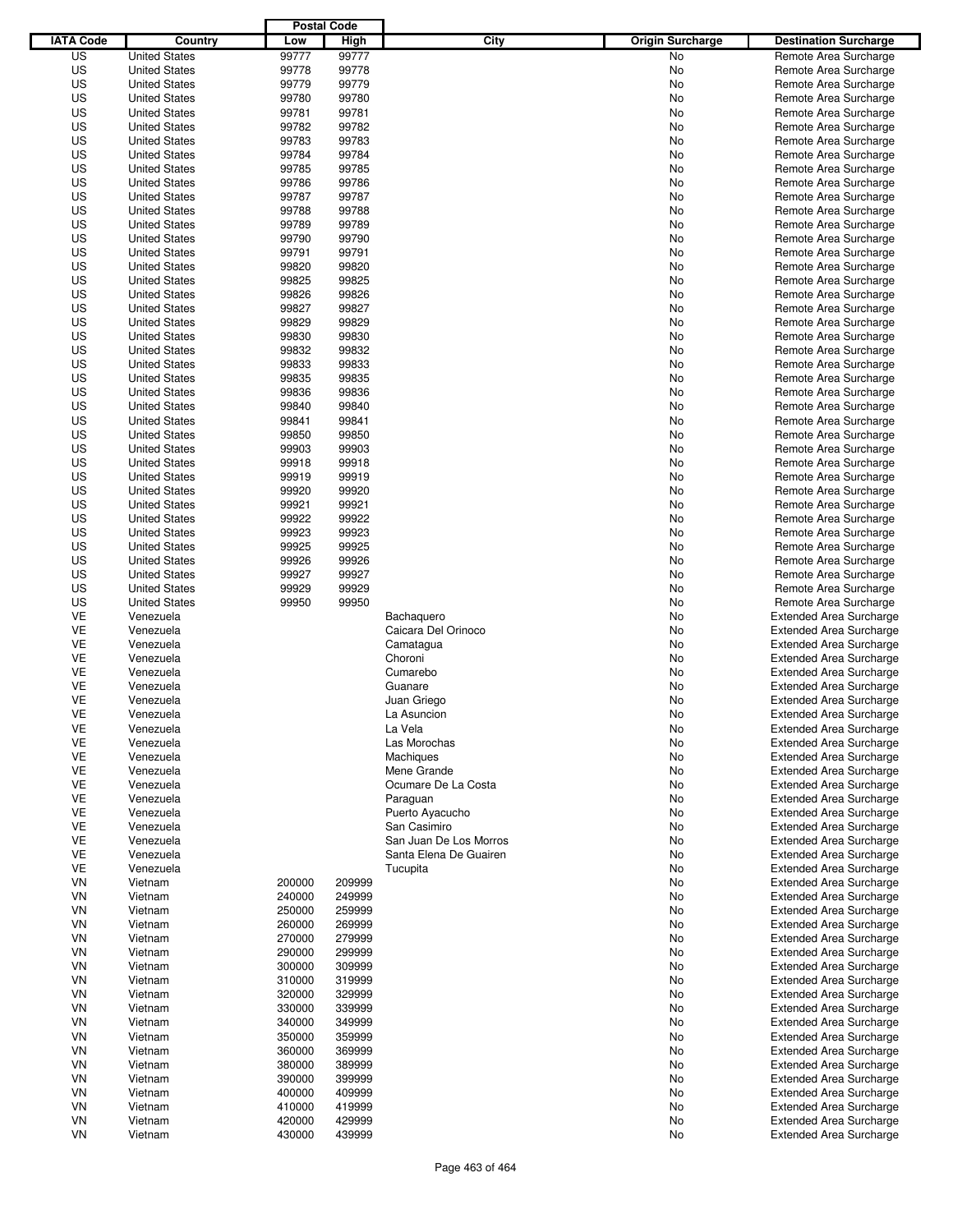|                  |                      |        | <b>Postal Code</b> |                        |                         |                                |
|------------------|----------------------|--------|--------------------|------------------------|-------------------------|--------------------------------|
| <b>IATA Code</b> | Country              | Low    | High               | City                   | <b>Origin Surcharge</b> | <b>Destination Surcharge</b>   |
| US               | <b>United States</b> | 99777  | 99777              |                        | <b>No</b>               | Remote Area Surcharge          |
| US               | <b>United States</b> | 99778  | 99778              |                        | No                      | Remote Area Surcharge          |
| US               | <b>United States</b> | 99779  | 99779              |                        | No                      | Remote Area Surcharge          |
| US               | <b>United States</b> | 99780  | 99780              |                        | No                      | Remote Area Surcharge          |
| US               | <b>United States</b> | 99781  | 99781              |                        | No                      | Remote Area Surcharge          |
| US               | <b>United States</b> | 99782  | 99782              |                        | No                      | Remote Area Surcharge          |
| US               | <b>United States</b> | 99783  | 99783              |                        | No                      | Remote Area Surcharge          |
| US               | <b>United States</b> | 99784  | 99784              |                        | No                      | Remote Area Surcharge          |
| US               | <b>United States</b> | 99785  | 99785              |                        | No                      | Remote Area Surcharge          |
| US               | <b>United States</b> | 99786  | 99786              |                        | No                      | Remote Area Surcharge          |
| US               | <b>United States</b> | 99787  | 99787              |                        | No                      | Remote Area Surcharge          |
| US               | <b>United States</b> | 99788  | 99788              |                        | No                      | Remote Area Surcharge          |
| US               | <b>United States</b> | 99789  | 99789              |                        | No                      | Remote Area Surcharge          |
| US               | <b>United States</b> | 99790  | 99790              |                        | No                      | Remote Area Surcharge          |
| US               | <b>United States</b> | 99791  | 99791              |                        | No                      | Remote Area Surcharge          |
| US               | <b>United States</b> | 99820  | 99820              |                        | No                      | Remote Area Surcharge          |
| US               | <b>United States</b> | 99825  | 99825              |                        | No                      | Remote Area Surcharge          |
| US               | <b>United States</b> | 99826  | 99826              |                        | No                      | Remote Area Surcharge          |
| US               | <b>United States</b> | 99827  | 99827              |                        | No                      | Remote Area Surcharge          |
| US               | <b>United States</b> | 99829  | 99829              |                        | No                      | Remote Area Surcharge          |
| US               | <b>United States</b> | 99830  | 99830              |                        | No                      | Remote Area Surcharge          |
| US               | <b>United States</b> | 99832  | 99832              |                        | No                      | Remote Area Surcharge          |
| US               | <b>United States</b> | 99833  | 99833              |                        | No                      | Remote Area Surcharge          |
| US               | <b>United States</b> | 99835  | 99835              |                        | No                      | Remote Area Surcharge          |
| US               | <b>United States</b> | 99836  | 99836              |                        | No                      | Remote Area Surcharge          |
| US               | <b>United States</b> | 99840  | 99840              |                        | No                      | Remote Area Surcharge          |
| US               | <b>United States</b> | 99841  | 99841              |                        | No                      | Remote Area Surcharge          |
| US               | <b>United States</b> | 99850  | 99850              |                        | No                      | Remote Area Surcharge          |
| US               | <b>United States</b> | 99903  | 99903              |                        | No                      | Remote Area Surcharge          |
| US               | <b>United States</b> | 99918  | 99918              |                        | No                      | Remote Area Surcharge          |
| US               | <b>United States</b> | 99919  | 99919              |                        | No                      | Remote Area Surcharge          |
| US               | <b>United States</b> | 99920  | 99920              |                        | No                      | Remote Area Surcharge          |
| US               | <b>United States</b> | 99921  | 99921              |                        | No                      | Remote Area Surcharge          |
| US               | <b>United States</b> | 99922  | 99922              |                        | No                      | Remote Area Surcharge          |
| US               | <b>United States</b> | 99923  | 99923              |                        | No                      | Remote Area Surcharge          |
| US               | <b>United States</b> | 99925  | 99925              |                        | No                      | Remote Area Surcharge          |
| US               | <b>United States</b> | 99926  | 99926              |                        | No                      | Remote Area Surcharge          |
| US               | <b>United States</b> | 99927  | 99927              |                        | No                      | Remote Area Surcharge          |
| US               | <b>United States</b> | 99929  | 99929              |                        | No                      | Remote Area Surcharge          |
| US               | <b>United States</b> | 99950  | 99950              |                        | No                      | Remote Area Surcharge          |
| VE               | Venezuela            |        |                    | Bachaquero             | No                      | <b>Extended Area Surcharge</b> |
| VE               | Venezuela            |        |                    | Caicara Del Orinoco    | No                      | <b>Extended Area Surcharge</b> |
| VE               | Venezuela            |        |                    | Camatagua              | No                      | <b>Extended Area Surcharge</b> |
| VE               | Venezuela            |        |                    | Choroni                | No                      | <b>Extended Area Surcharge</b> |
| VE               | Venezuela            |        |                    | Cumarebo               | No                      | <b>Extended Area Surcharge</b> |
| VE               | Venezuela            |        |                    | Guanare                | No                      | <b>Extended Area Surcharge</b> |
| VE               | Venezuela            |        |                    | Juan Griego            | No                      | <b>Extended Area Surcharge</b> |
| <b>VE</b>        | Venezuela            |        |                    | La Asuncion            | No                      | <b>Extended Area Surcharge</b> |
| VE               | Venezuela            |        |                    | La Vela                | No                      | <b>Extended Area Surcharge</b> |
| VE               | Venezuela            |        |                    | Las Morochas           | No                      | <b>Extended Area Surcharge</b> |
| VE               | Venezuela            |        |                    | Machiques              | No                      | <b>Extended Area Surcharge</b> |
| VE               | Venezuela            |        |                    | Mene Grande            | No                      | <b>Extended Area Surcharge</b> |
| VE               | Venezuela            |        |                    | Ocumare De La Costa    | No                      | <b>Extended Area Surcharge</b> |
| VE               | Venezuela            |        |                    | Paraguan               | No                      | <b>Extended Area Surcharge</b> |
| VE               | Venezuela            |        |                    | Puerto Ayacucho        | No                      | <b>Extended Area Surcharge</b> |
| VE               | Venezuela            |        |                    | San Casimiro           | No                      | <b>Extended Area Surcharge</b> |
| VE               | Venezuela            |        |                    | San Juan De Los Morros | No                      | <b>Extended Area Surcharge</b> |
| VE               | Venezuela            |        |                    | Santa Elena De Guairen | No                      | <b>Extended Area Surcharge</b> |
| VE               | Venezuela            |        |                    | Tucupita               | No                      | <b>Extended Area Surcharge</b> |
| VN               | Vietnam              | 200000 | 209999             |                        | No                      | <b>Extended Area Surcharge</b> |
| VN               | Vietnam              | 240000 | 249999             |                        | No                      | <b>Extended Area Surcharge</b> |
| VN               | Vietnam              | 250000 | 259999             |                        | No                      | <b>Extended Area Surcharge</b> |
| VN               | Vietnam              | 260000 | 269999             |                        | No                      | <b>Extended Area Surcharge</b> |
| VN               | Vietnam              | 270000 | 279999             |                        | No                      | <b>Extended Area Surcharge</b> |
| VN               | Vietnam              | 290000 | 299999             |                        | No                      | <b>Extended Area Surcharge</b> |
| VN               | Vietnam              | 300000 | 309999             |                        | No                      | <b>Extended Area Surcharge</b> |
| VN               | Vietnam              | 310000 | 319999             |                        | No                      | <b>Extended Area Surcharge</b> |
| VN               | Vietnam              | 320000 | 329999             |                        | No                      | <b>Extended Area Surcharge</b> |
| VN               | Vietnam              | 330000 | 339999             |                        | No                      | <b>Extended Area Surcharge</b> |
| VN               | Vietnam              | 340000 | 349999             |                        | No                      | <b>Extended Area Surcharge</b> |
| VN               | Vietnam              | 350000 | 359999             |                        | No                      | <b>Extended Area Surcharge</b> |
| VN               | Vietnam              | 360000 | 369999             |                        | No                      | <b>Extended Area Surcharge</b> |
| VN               | Vietnam              | 380000 | 389999             |                        | No                      | <b>Extended Area Surcharge</b> |
| VN               | Vietnam              | 390000 | 399999             |                        | No                      | <b>Extended Area Surcharge</b> |
| VN               | Vietnam              | 400000 | 409999             |                        | No                      | <b>Extended Area Surcharge</b> |
| VN               | Vietnam              | 410000 | 419999             |                        | No                      | <b>Extended Area Surcharge</b> |
| VN               | Vietnam              | 420000 | 429999             |                        | No                      | <b>Extended Area Surcharge</b> |
| VN               | Vietnam              | 430000 | 439999             |                        | No                      | <b>Extended Area Surcharge</b> |